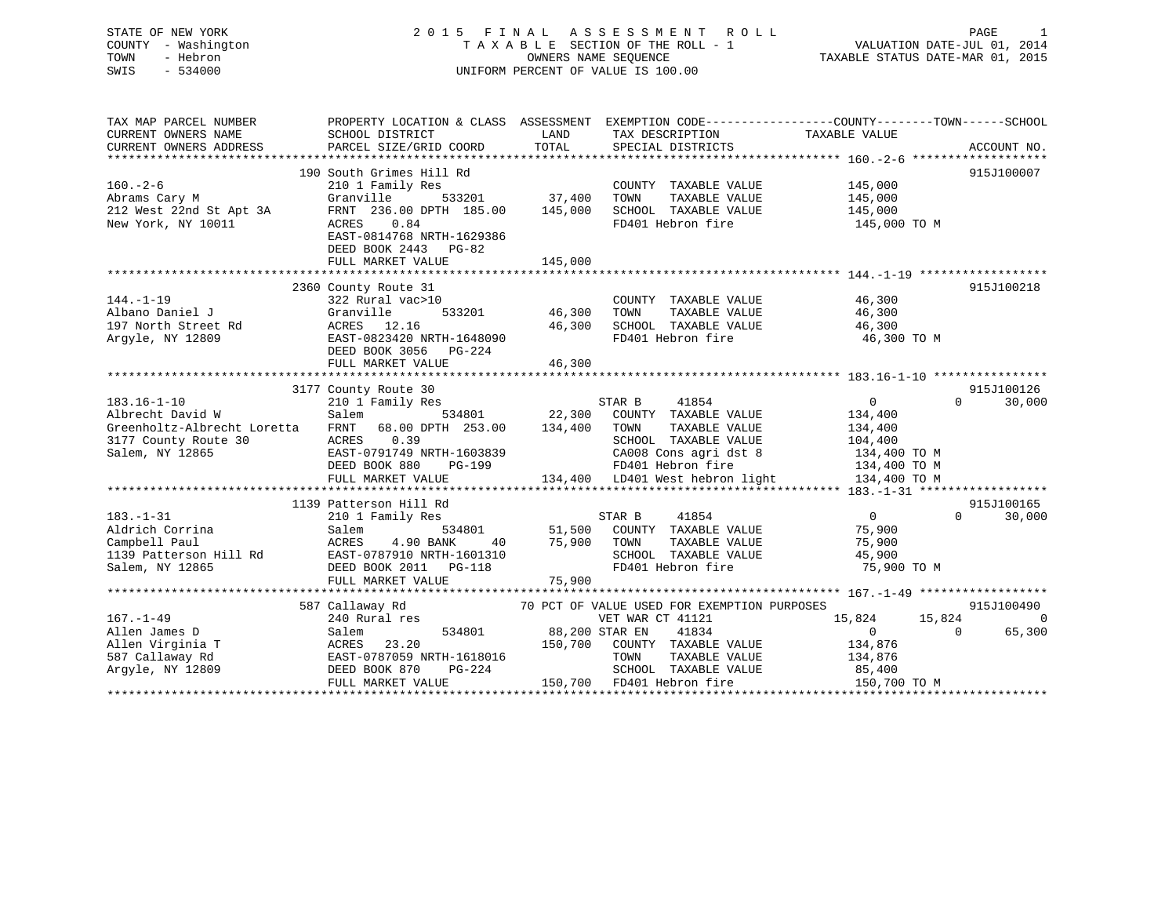# STATE OF NEW YORK 2 0 1 5 F I N A L A S S E S S M E N T R O L L PAGE 1 COUNTY - Washington T A X A B L E SECTION OF THE ROLL - 1 VALUATION DATE-JUL 01, 2014 TOWN - Hebron OWNERS NAME SEQUENCE TAXABLE STATUS DATE-MAR 01, 2015 SWIS - 534000 UNIFORM PERCENT OF VALUE IS 100.00

| TAX MAP PARCEL NUMBER                                           | PROPERTY LOCATION & CLASS ASSESSMENT EXEMPTION CODE---------------COUNTY-------TOWN------SCHOOL |                |                                              |                    |                    |
|-----------------------------------------------------------------|-------------------------------------------------------------------------------------------------|----------------|----------------------------------------------|--------------------|--------------------|
| CURRENT OWNERS NAME                                             | SCHOOL DISTRICT                                                                                 | LAND           | TAX DESCRIPTION                              | TAXABLE VALUE      |                    |
| CURRENT OWNERS ADDRESS                                          | PARCEL SIZE/GRID COORD                                                                          | TOTAL          | SPECIAL DISTRICTS                            |                    | ACCOUNT NO.        |
|                                                                 |                                                                                                 |                |                                              |                    |                    |
|                                                                 | 190 South Grimes Hill Rd                                                                        |                |                                              |                    | 915J100007         |
| $160. - 2 - 6$<br>Abrams Cary M                                 | 210 1 Family Res                                                                                |                | COUNTY TAXABLE VALUE                         | 145,000<br>145,000 |                    |
|                                                                 | 533201<br>Granville                                                                             | 37,400         | TAXABLE VALUE<br>TOWN                        |                    |                    |
| 212 West 22nd St Apt 3A                                         | FRNT 236.00 DPTH 185.00                                                                         | 145,000        | SCHOOL TAXABLE VALUE                         | 145,000            |                    |
| New York, NY 10011                                              | ACRES 0.84                                                                                      |                | FD401 Hebron fire                            | 145,000 TO M       |                    |
|                                                                 | EAST-0814768 NRTH-1629386                                                                       |                |                                              |                    |                    |
|                                                                 | DEED BOOK 2443 PG-82                                                                            |                |                                              |                    |                    |
|                                                                 | FULL MARKET VALUE                                                                               | 145,000        |                                              |                    |                    |
|                                                                 | 2360 County Route 31                                                                            |                |                                              |                    | 915J100218         |
| $144. - 1 - 19$                                                 | 322 Rural vac>10                                                                                |                | COUNTY TAXABLE VALUE                         | 46,300             |                    |
| Albano Daniel J                                                 | Granville                                                                                       | 533201 46,300  | TOWN                                         | 46,300             |                    |
| 197 North Street Rd                                             |                                                                                                 | 46,300         | TAXABLE VALUE<br>SCHOOL TAXABLE VALUE        |                    |                    |
|                                                                 | ACRES 12.16<br>EAST-0823420 NRTH-1648090                                                        |                |                                              | 46,300             |                    |
| Argyle, NY 12809                                                |                                                                                                 |                | FD401 Hebron fire                            | 46,300 TO M        |                    |
|                                                                 | DEED BOOK 3056<br>PG-224                                                                        | 46,300         |                                              |                    |                    |
|                                                                 | FULL MARKET VALUE                                                                               |                |                                              |                    |                    |
|                                                                 | 3177 County Route 30                                                                            |                |                                              |                    | 915J100126         |
| $183.16 - 1 - 10$                                               | 210 1 Family Res                                                                                |                | STAR B<br>41854                              | $\overline{0}$     | 30,000<br>$\Omega$ |
| Albrecht David W                                                | Salem                                                                                           |                | 534801 22,300 COUNTY TAXABLE VALUE           | 134,400            |                    |
| Greenholtz-Albrecht Loretta FRNT 68.00 DPTH 253.00 134,400 TOWN |                                                                                                 |                | TAXABLE VALUE                                | 134,400            |                    |
| 3177 County Route 30                                            | ACRES 0.39                                                                                      |                | SCHOOL TAXABLE VALUE 104,400                 |                    |                    |
| Salem, NY 12865                                                 | EAST-0791749 NRTH-1603839                                                                       |                | CA008 Cons agri dst 8 $134,400$ TO M         |                    |                    |
|                                                                 | DEED BOOK 880<br>PG-199                                                                         |                | FD401 Hebron fire                            | 134,400 TO M       |                    |
|                                                                 | FULL MARKET VALUE                                                                               |                | 134,400 LD401 West hebron light 134,400 TO M |                    |                    |
|                                                                 |                                                                                                 |                |                                              |                    |                    |
|                                                                 | 1139 Patterson Hill Rd                                                                          |                |                                              |                    | 915J100165         |
| $183. - 1 - 31$                                                 | 210 1 Family Res                                                                                |                | 41854<br>STAR B                              | $\overline{0}$     | $\Omega$<br>30,000 |
| Aldrich Corrina                                                 | Salem                                                                                           |                | 534801 51,500 COUNTY TAXABLE VALUE           | 75,900             |                    |
| Campbell Paul                                                   | ACRES<br>4.90 BANK<br>40                                                                        | 75,900         | TOWN<br>TAXABLE VALUE                        | 75,900             |                    |
| 1139 Patterson Hill Rd                                          | EAST-0787910 NRTH-1601310                                                                       |                | SCHOOL TAXABLE VALUE                         | 45,900             |                    |
| Salem, NY 12865                                                 | DEED BOOK 2011    PG-118                                                                        |                | FD401 Hebron fire                            | 75,900 TO M        |                    |
|                                                                 | FULL MARKET VALUE                                                                               | 75,900         |                                              |                    |                    |
|                                                                 |                                                                                                 |                |                                              |                    |                    |
|                                                                 | 587 Callaway Rd                                                                                 |                | 70 PCT OF VALUE USED FOR EXEMPTION PURPOSES  |                    | 915J100490         |
| $167. - 1 - 49$                                                 | 240 Rural res                                                                                   |                | VET WAR CT 41121                             | 15,824<br>15,824   | - 0                |
| Allen James D                                                   | 534801<br>Salem                                                                                 | 88,200 STAR EN | 41834                                        | $\overline{0}$     | 65,300<br>$\Omega$ |
| Allen Virginia T                                                | 23.20<br>ACRES                                                                                  |                | 150,700 COUNTY TAXABLE VALUE                 | 134,876            |                    |
| 587 Callaway Rd                                                 |                                                                                                 |                | TOWN<br>TAXABLE VALUE                        | 134,876            |                    |
| Arqyle, NY 12809                                                | EAST-0787059 NRTH-1618016<br>DEED BOOK 870 PG-224                                               |                | SCHOOL TAXABLE VALUE                         | 85,400             |                    |
|                                                                 | FULL MARKET VALUE                                                                               |                | 150,700 FD401 Hebron fire                    | 150,700 TO M       |                    |
|                                                                 |                                                                                                 |                |                                              |                    |                    |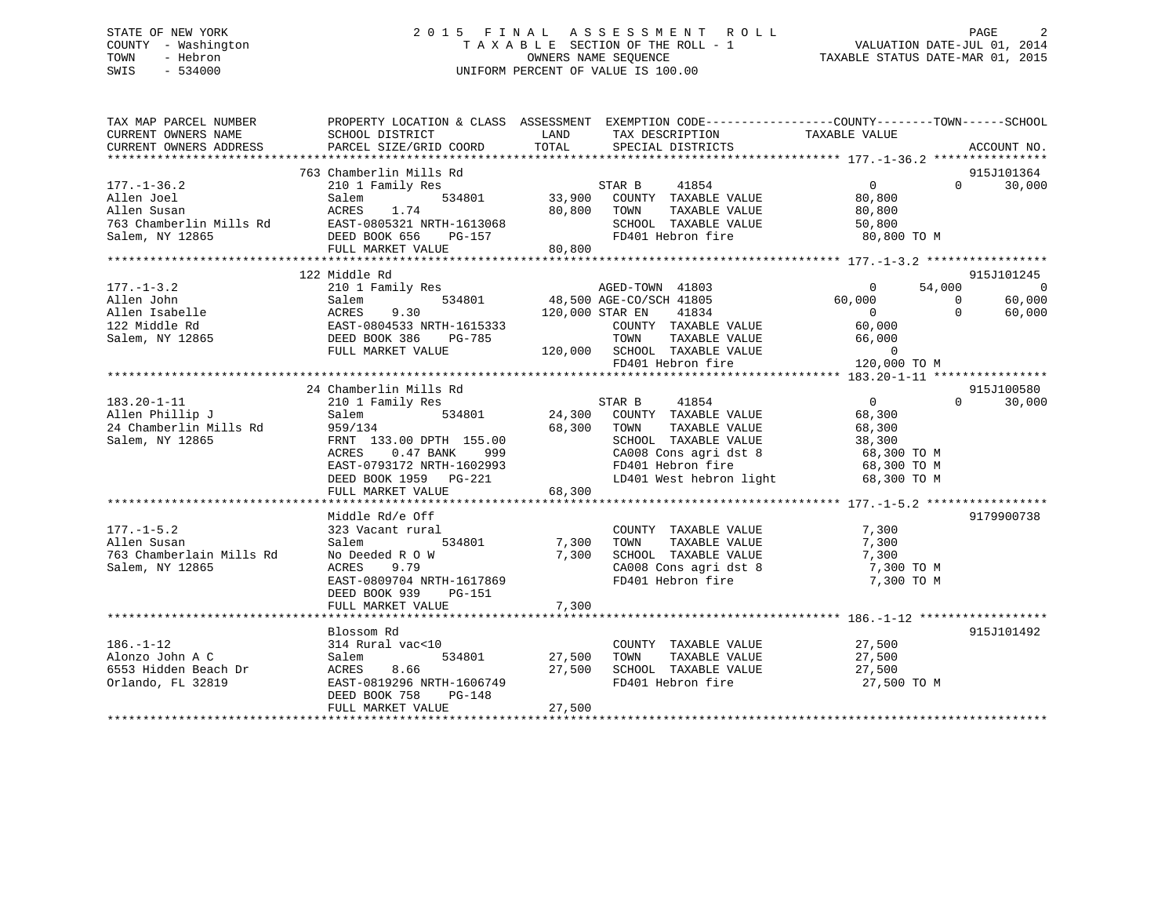# STATE OF NEW YORK 2 0 1 5 F I N A L A S S E S S M E N T R O L L PAGE 2 COUNTY - Washington T A X A B L E SECTION OF THE ROLL - 1 VALUATION DATE-JUL 01, 2014 TOWN - Hebron OWNERS NAME SEQUENCE TAXABLE STATUS DATE-MAR 01, 2015 SWIS - 534000 UNIFORM PERCENT OF VALUE IS 100.00

| TAX MAP PARCEL NUMBER<br>CURRENT OWNERS NAME<br>CURRENT OWNERS ADDRESS | SCHOOL DISTRICT<br>PARCEL SIZE/GRID COORD  | PROPERTY LOCATION & CLASS ASSESSMENT EXEMPTION CODE----------------COUNTY-------TOWN------SCHOOL<br>LAND TAX DESCRIPTION<br>TOTAL SPECIAL DISTRICTS                                                                                                                                                      | TAXABLE VALUE<br>ACCOUNT NO. |
|------------------------------------------------------------------------|--------------------------------------------|----------------------------------------------------------------------------------------------------------------------------------------------------------------------------------------------------------------------------------------------------------------------------------------------------------|------------------------------|
|                                                                        |                                            |                                                                                                                                                                                                                                                                                                          |                              |
|                                                                        | 763 Chamberlin Mills Rd                    |                                                                                                                                                                                                                                                                                                          | 915J101364                   |
| $177. - 1 - 36.2$                                                      | 210 1 Family Res                           |                                                                                                                                                                                                                                                                                                          | $0 \t 30,000$                |
|                                                                        |                                            |                                                                                                                                                                                                                                                                                                          |                              |
|                                                                        |                                            |                                                                                                                                                                                                                                                                                                          |                              |
|                                                                        |                                            |                                                                                                                                                                                                                                                                                                          |                              |
|                                                                        |                                            |                                                                                                                                                                                                                                                                                                          |                              |
|                                                                        |                                            |                                                                                                                                                                                                                                                                                                          |                              |
|                                                                        |                                            | $\begin{array}{cccccccccccc} 177.1-36.2 & 210 & 1 & \text{rality res} & 534801 & 533,900 & \text{CONTY} & \text{TAXABLE VALUE} & 80,800 & 80,800 & 70,800 & 70,800 & 70,800 & 70,800 & 70,800 & 70,800 & 70,800 & 70,800 & 70,800 & 70,800 & 70,800 & 70,800 & 70,800 & 70,800 & 70,800 & 70,800 & 70,8$ |                              |
|                                                                        | 122 Middle Rd                              |                                                                                                                                                                                                                                                                                                          | 915J101245                   |
|                                                                        |                                            |                                                                                                                                                                                                                                                                                                          |                              |
|                                                                        |                                            |                                                                                                                                                                                                                                                                                                          |                              |
|                                                                        |                                            |                                                                                                                                                                                                                                                                                                          |                              |
|                                                                        |                                            |                                                                                                                                                                                                                                                                                                          |                              |
|                                                                        |                                            |                                                                                                                                                                                                                                                                                                          |                              |
|                                                                        |                                            |                                                                                                                                                                                                                                                                                                          |                              |
|                                                                        |                                            |                                                                                                                                                                                                                                                                                                          |                              |
|                                                                        |                                            |                                                                                                                                                                                                                                                                                                          |                              |
|                                                                        | 24 Chamberlin Mills Rd                     |                                                                                                                                                                                                                                                                                                          | 915J100580                   |
|                                                                        |                                            |                                                                                                                                                                                                                                                                                                          | $\Omega$<br>30,000           |
|                                                                        |                                            |                                                                                                                                                                                                                                                                                                          |                              |
|                                                                        |                                            | 1in Mills Rd<br>24,300 COUNTY TAXABLE VALUE<br>534801 24,300 COUNTY TAXABLE VALUE<br>68 300 TOWN TAXABLE VALUE                                                                                                                                                                                           |                              |
|                                                                        |                                            |                                                                                                                                                                                                                                                                                                          |                              |
|                                                                        |                                            |                                                                                                                                                                                                                                                                                                          |                              |
|                                                                        |                                            |                                                                                                                                                                                                                                                                                                          |                              |
|                                                                        |                                            |                                                                                                                                                                                                                                                                                                          |                              |
|                                                                        |                                            | 183.20-1-11<br>Allen Phillip J<br>24 Chamberlin Mills Rd<br>24 Chamberlin Mills Rd<br>24 Chamberlin Mills Rd<br>24 Chamberlin Mills Rd<br>24 Chamberlin Mills Rd<br>24 Chamberlin Mills Rd<br>24 Chamberlin Mills Rd<br>24 Chamberlin Mills Rd<br>                                                       |                              |
|                                                                        |                                            |                                                                                                                                                                                                                                                                                                          |                              |
|                                                                        | Middle Rd/e Off                            |                                                                                                                                                                                                                                                                                                          | 9179900738                   |
| $177. - 1 - 5.2$                                                       | 323 Vacant rural                           | COUNTY TAXABLE VALUE                                                                                                                                                                                                                                                                                     | 7,300                        |
| Allen Susan                                                            | 534801 7,300 TOWN<br>Salem                 | TAXABLE VALUE                                                                                                                                                                                                                                                                                            | 7,300                        |
| 763 Chamberlain Mills Rd                                               |                                            | No Deeded R 0 W 7,300 SCHOOL TAXABLE VALUE 7,300<br>ACRES 9.79 CA008 Cons agri dst 8 7,300                                                                                                                                                                                                               |                              |
| Salem, NY 12865                                                        |                                            |                                                                                                                                                                                                                                                                                                          |                              |
|                                                                        | EAST-0809704 NRTH-1617869                  | CA008 Cons agri dst 8<br>FD401 Hebron fire                                                                                                                                                                                                                                                               | 7,300 TO M<br>7,300 TO M     |
|                                                                        | DEED BOOK 939 PG-151                       |                                                                                                                                                                                                                                                                                                          |                              |
|                                                                        |                                            |                                                                                                                                                                                                                                                                                                          |                              |
|                                                                        |                                            |                                                                                                                                                                                                                                                                                                          |                              |
|                                                                        | Blossom Rd                                 |                                                                                                                                                                                                                                                                                                          | 915J101492                   |
| $186. - 1 - 12$                                                        | 314 Rural vac<10                           |                                                                                                                                                                                                                                                                                                          |                              |
| Alonzo John A C                                                        | 1/41 vac-10<br>534801 27,500 TOWN<br>Salem | COUNTY TAXABLE VALUE $27,500$<br>TOWN TAXABLE VALUE $27,500$<br>TAXABLE VALUE                                                                                                                                                                                                                            | 27,500                       |
| 6553 Hidden Beach Dr                                                   |                                            |                                                                                                                                                                                                                                                                                                          |                              |
| Orlando, FL 32819                                                      |                                            | ACRES 8.66 27,500 SCHOOL TAXABLE VALUE 27,500<br>EAST-0819296 NRTH-1606749 FD401 Hebron fire 27,500<br>ENSILE 27,500                                                                                                                                                                                     |                              |
|                                                                        | DEED BOOK 758<br>$PG-148$                  |                                                                                                                                                                                                                                                                                                          | 27,500 TO M                  |
|                                                                        |                                            | 27,500                                                                                                                                                                                                                                                                                                   |                              |
|                                                                        | FULL MARKET VALUE                          |                                                                                                                                                                                                                                                                                                          |                              |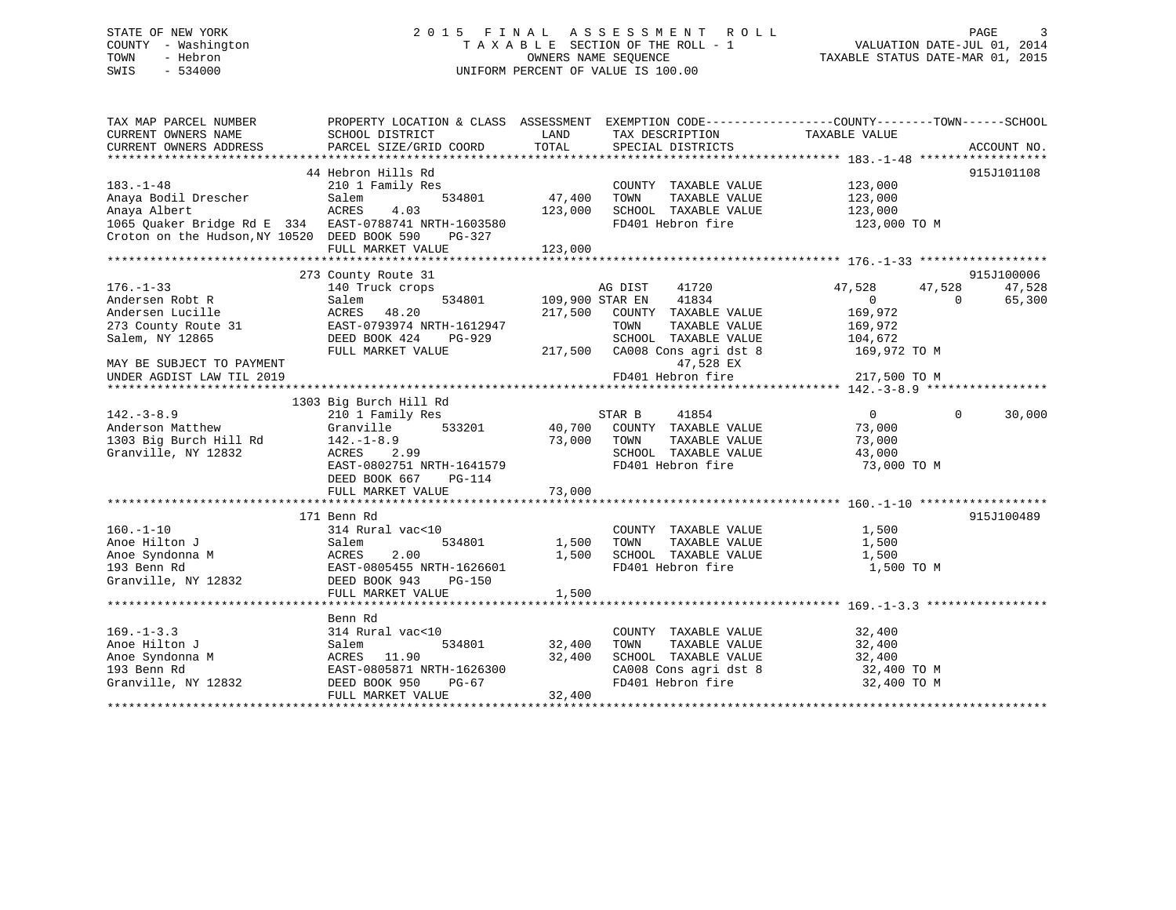# STATE OF NEW YORK 2 0 1 5 F I N A L A S S E S S M E N T R O L L PAGE 3 COUNTY - Washington T A X A B L E SECTION OF THE ROLL - 1 VALUATION DATE-JUL 01, 2014 TOWN - Hebron OWNERS NAME SEQUENCE TAXABLE STATUS DATE-MAR 01, 2015 SWIS - 534000 UNIFORM PERCENT OF VALUE IS 100.00

| TAX MAP PARCEL NUMBER<br>CURRENT OWNERS NAME<br>CURRENT OWNERS ADDRESS                                | PROPERTY LOCATION & CLASS ASSESSMENT EXEMPTION CODE----------------COUNTY-------TOWN-----SCHOOL<br>SCHOOL DISTRICT<br>PARCEL SIZE/GRID COORD | LAND<br>TOTAL     | TAX DESCRIPTION<br>SPECIAL DISTRICTS          | TAXABLE VALUE              | ACCOUNT NO. |
|-------------------------------------------------------------------------------------------------------|----------------------------------------------------------------------------------------------------------------------------------------------|-------------------|-----------------------------------------------|----------------------------|-------------|
| $183. - 1 - 48$                                                                                       | 44 Hebron Hills Rd<br>210 1 Family Res                                                                                                       |                   | COUNTY TAXABLE VALUE                          | 123,000                    | 915J101108  |
| Anaya Bodil Drescher<br>Anaya Albert                                                                  | 534801<br>Salem<br><b>ACRES</b><br>4.03                                                                                                      | 47,400<br>123,000 | TAXABLE VALUE<br>TOWN<br>SCHOOL TAXABLE VALUE | 123,000<br>123,000         |             |
| 1065 Quaker Bridge Rd E 334 EAST-0788741 NRTH-1603580<br>Croton on the Hudson, NY 10520 DEED BOOK 590 | PG-327<br>FULL MARKET VALUE                                                                                                                  | 123,000           | FD401 Hebron fire                             | 123,000 TO M               |             |
|                                                                                                       |                                                                                                                                              |                   |                                               |                            |             |
|                                                                                                       | 273 County Route 31                                                                                                                          |                   |                                               |                            | 915J100006  |
| $176. - 1 - 33$                                                                                       | 140 Truck crops                                                                                                                              |                   | AG DIST 41720                                 | 47,528<br>47,528           | 47,528      |
| Andersen Robt R                                                                                       | 534801<br>Salem                                                                                                                              | 109,900 STAR EN   | 41834                                         | $\overline{0}$<br>$\Omega$ | 65,300      |
| Andersen Lucille                                                                                      | 48.20<br>ACRES                                                                                                                               | 217,500           | COUNTY TAXABLE VALUE                          | 169,972                    |             |
| 273 County Route 31                                                                                   | EAST-0793974 NRTH-1612947                                                                                                                    |                   | TOWN<br>TAXABLE VALUE                         | 169,972                    |             |
| Salem, NY 12865                                                                                       | DEED BOOK 424<br>PG-929                                                                                                                      |                   | SCHOOL TAXABLE VALUE                          | 104,672                    |             |
| MAY BE SUBJECT TO PAYMENT                                                                             | FULL MARKET VALUE                                                                                                                            |                   | 217,500 CA008 Cons agri dst 8<br>47,528 EX    | 169,972 TO M               |             |
| UNDER AGDIST LAW TIL 2019                                                                             |                                                                                                                                              |                   | FD401 Hebron fire                             | 217,500 TO M               |             |
|                                                                                                       |                                                                                                                                              |                   |                                               |                            |             |
|                                                                                                       | 1303 Big Burch Hill Rd                                                                                                                       |                   |                                               |                            |             |
| $142. - 3 - 8.9$                                                                                      | 210 1 Family Res                                                                                                                             |                   | STAR B<br>41854                               | $\overline{0}$<br>$\Omega$ | 30,000      |
| Anderson Matthew                                                                                      | 533201<br>Granville                                                                                                                          |                   | 40,700 COUNTY TAXABLE VALUE                   | 73,000                     |             |
| 1303 Big Burch Hill Rd                                                                                | $142. - 1 - 8.9$                                                                                                                             | 73,000            | TOWN<br>TAXABLE VALUE                         | 73,000                     |             |
| Granville, NY 12832                                                                                   | ACRES 2.99                                                                                                                                   |                   | SCHOOL TAXABLE VALUE                          | 43,000                     |             |
|                                                                                                       | EAST-0802751 NRTH-1641579<br>DEED BOOK 667<br>PG-114                                                                                         |                   | FD401 Hebron fire                             | 73,000 TO M                |             |
|                                                                                                       | FULL MARKET VALUE                                                                                                                            | 73,000            |                                               |                            |             |
|                                                                                                       |                                                                                                                                              |                   |                                               |                            |             |
|                                                                                                       | 171 Benn Rd                                                                                                                                  |                   |                                               |                            | 915J100489  |
| $160. - 1 - 10$                                                                                       | 314 Rural vac<10                                                                                                                             |                   | COUNTY TAXABLE VALUE                          | 1,500                      |             |
| Anoe Hilton J                                                                                         | 534801<br>Salem                                                                                                                              | 1,500             | TOWN<br>TAXABLE VALUE                         | 1,500                      |             |
| Anoe Syndonna M                                                                                       | 2.00<br>ACRES                                                                                                                                | 1,500             | SCHOOL TAXABLE VALUE                          | 1,500                      |             |
| 193 Benn Rd                                                                                           | EAST-0805455 NRTH-1626601                                                                                                                    |                   | FD401 Hebron fire                             | 1,500 TO M                 |             |
| Granville, NY 12832                                                                                   | DEED BOOK 943<br>PG-150                                                                                                                      |                   |                                               |                            |             |
|                                                                                                       | FULL MARKET VALUE                                                                                                                            | 1,500             |                                               |                            |             |
|                                                                                                       |                                                                                                                                              |                   |                                               |                            |             |
|                                                                                                       | Benn Rd                                                                                                                                      |                   |                                               |                            |             |
| $169. - 1 - 3.3$                                                                                      | 314 Rural vac<10                                                                                                                             |                   | COUNTY TAXABLE VALUE                          | 32,400                     |             |
| Anoe Hilton J                                                                                         | Salem<br>534801                                                                                                                              | 32,400            | TOWN<br>TAXABLE VALUE                         | 32,400                     |             |
| Anoe Syndonna M                                                                                       | ACRES 11.90                                                                                                                                  | 32,400            | SCHOOL TAXABLE VALUE                          | 32,400                     |             |
| 193 Benn Rd                                                                                           | EAST-0805871 NRTH-1626300                                                                                                                    |                   | CA008 Cons agri dst 8                         | 32,400 TO M                |             |
| Granville, NY 12832                                                                                   | DEED BOOK 950<br>PG-67                                                                                                                       |                   | FD401 Hebron fire                             | 32,400 TO M                |             |
|                                                                                                       | FULL MARKET VALUE                                                                                                                            | 32,400            |                                               |                            |             |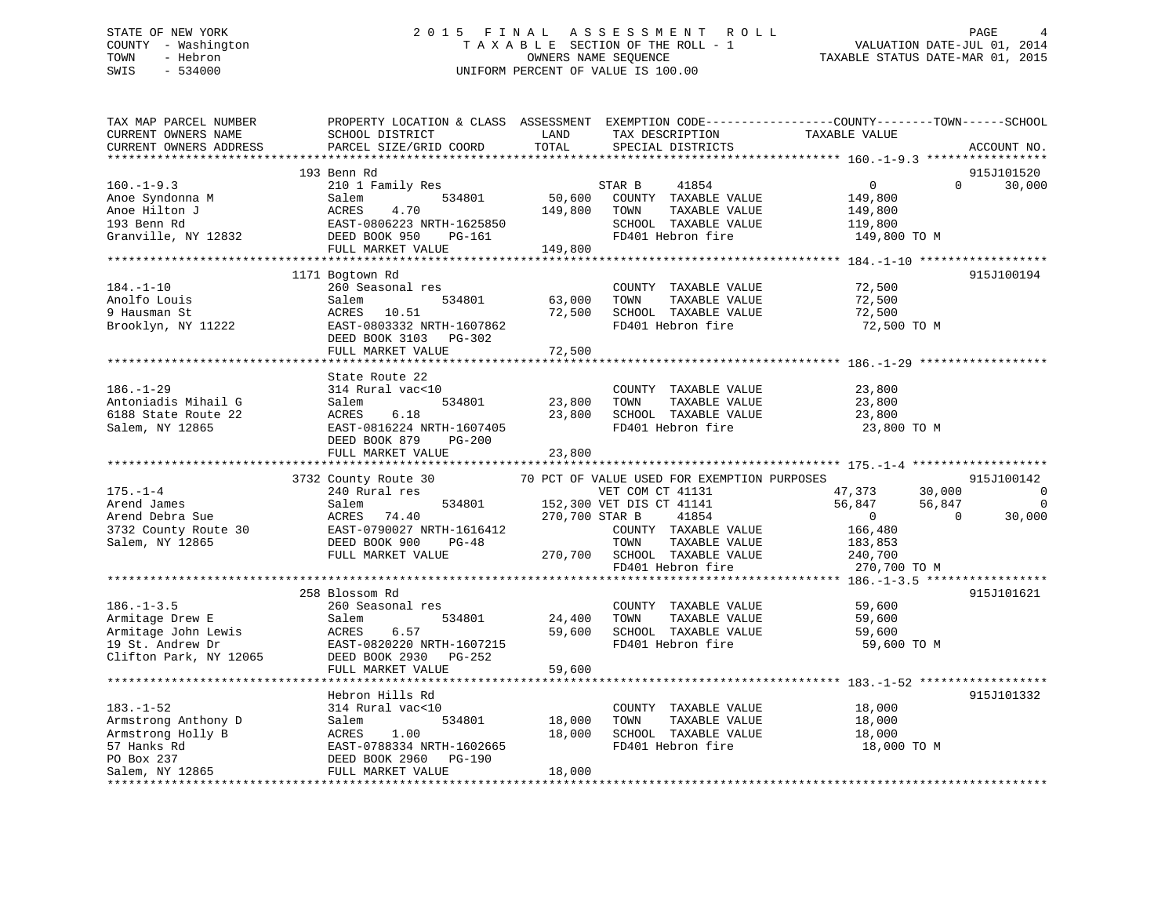# STATE OF NEW YORK 2 0 1 5 F I N A L A S S E S S M E N T R O L L PAGE 4 COUNTY - Washington T A X A B L E SECTION OF THE ROLL - 1 VALUATION DATE-JUL 01, 2014 TOWN - Hebron OWNERS NAME SEQUENCE TAXABLE STATUS DATE-MAR 01, 2015 SWIS - 534000 UNIFORM PERCENT OF VALUE IS 100.00

| TAX MAP PARCEL NUMBER<br>CURRENT OWNERS NAME<br>CURRENT OWNERS ADDRESS                                                                                                                                                                            | PROPERTY LOCATION & CLASS ASSESSMENT EXEMPTION CODE----------------COUNTY-------TOWN-----SCHOOL<br>SCHOOL DISTRICT<br>PARCEL SIZE/GRID COORD | LAND<br>TOTAL              | TAX DESCRIPTION<br>SPECIAL DISTRICTS                                                                                                                                                                            | TAXABLE VALUE                                                                             | ACCOUNT NO.                                                  |
|---------------------------------------------------------------------------------------------------------------------------------------------------------------------------------------------------------------------------------------------------|----------------------------------------------------------------------------------------------------------------------------------------------|----------------------------|-----------------------------------------------------------------------------------------------------------------------------------------------------------------------------------------------------------------|-------------------------------------------------------------------------------------------|--------------------------------------------------------------|
|                                                                                                                                                                                                                                                   |                                                                                                                                              |                            |                                                                                                                                                                                                                 |                                                                                           |                                                              |
| $160. - 1 - 9.3$<br>Anoe Syndonna M<br>Anoe Syndonna M<br>Anoe Hilton J<br>193 Benn Rd<br>Granville, NY 12832<br>CHER BOOK 950 PG-161<br>MERST-0806223 NRTH-1625850<br>DEED BOOK 950 PG-161<br>MERST-0806223 NRTH-1625850<br>DEED BOOK 950 PG-161 | 193 Benn Rd<br>210 1 Family Res<br>-<br>534801<br>FULL MARKET VALUE                                                                          | 149,800<br>149,800         | STAR B TILL STARBLE VALUE<br>50,600 COUNTY TAXABLE VALUE<br>TAXABLE VALUE<br>TOWN<br>SCHOOL TAXABLE VALUE<br>FD401 Hebron fire                                                                                  | $\overline{0}$<br>149,800<br>149,800<br>119,800<br>149,800 TO M                           | 915J101520<br>$\Omega$<br>30,000                             |
|                                                                                                                                                                                                                                                   |                                                                                                                                              |                            |                                                                                                                                                                                                                 |                                                                                           |                                                              |
| $184. - 1 - 10$<br>Anolfo Louis<br>9 Hausman St<br>Brooklyn, NY 11222                                                                                                                                                                             | 1171 Bogtown Rd<br>260 Seasonal res<br>534801<br>Salem<br>ACRES 10.51<br>EAST-0803332 NRTH-1607862<br>DEED BOOK 3103 PG-302                  | 63,000<br>72,500           | COUNTY TAXABLE VALUE<br>TAXABLE VALUE<br>TOWN<br>SCHOOL TAXABLE VALUE<br>FD401 Hebron fire                                                                                                                      | 72,500<br>72,500<br>72,500<br>72,500 TO M                                                 | 915J100194                                                   |
|                                                                                                                                                                                                                                                   | FULL MARKET VALUE                                                                                                                            | 72,500                     |                                                                                                                                                                                                                 |                                                                                           |                                                              |
| $186. - 1 - 29$                                                                                                                                                                                                                                   | State Route 22<br>314 Rural vac<10                                                                                                           |                            | COUNTY TAXABLE VALUE                                                                                                                                                                                            | 23,800                                                                                    |                                                              |
| Antoniadis Mihail G<br>6188 State Route 22<br>Salem, NY 12865                                                                                                                                                                                     | 534801<br>Salem<br>ACRES<br>6.18<br>EAST-0816224 NRTH-1607405<br>DEED BOOK 879<br>$PG-200$<br>FULL MARKET VALUE                              | 23,800<br>23,800<br>23,800 | TAXABLE VALUE<br>TOWN<br>SCHOOL TAXABLE VALUE<br>FD401 Hebron fire                                                                                                                                              | 23,800<br>23,800<br>23,800 TO M                                                           |                                                              |
|                                                                                                                                                                                                                                                   |                                                                                                                                              |                            |                                                                                                                                                                                                                 |                                                                                           |                                                              |
|                                                                                                                                                                                                                                                   | 3732 County Route 30                                                                                                                         |                            | 70 PCT OF VALUE USED FOR EXEMPTION PURPOSES                                                                                                                                                                     |                                                                                           | 915J100142                                                   |
| $175. - 1 - 4$<br>1797. 1.<br>Arend James Sue acres 74.40 1270,700<br>270,700<br>3732 County Route 30 EAST-0790027 NRTH-1616412<br>EAST-0790027 NRTH-1616412<br>Salem, NY 12865                                                                   | 240 Rural res<br>DEED BOOK 900 PG-48<br>FULL MARKET VALUE                                                                                    |                            | VET COM CT 41131<br>534801 152,300 VET DIS CT 41141<br>200 CTA R 41854<br>VET COM CT 41131<br>COUNTY TAXABLE VALUE<br>TOWN<br>TAXABLE VALUE<br>270,700 SCHOOL TAXABLE VALUE 240,700<br>FD401 Hebron fire 270,70 | 47,373 30,000<br>56,847<br>56,847<br>$\overline{0}$<br>166,480<br>183,853<br>270,700 TO M | $\overline{0}$<br>$\overline{0}$<br>$\overline{0}$<br>30,000 |
|                                                                                                                                                                                                                                                   |                                                                                                                                              |                            |                                                                                                                                                                                                                 |                                                                                           |                                                              |
| $186. - 1 - 3.5$<br>Armitage Drew E<br>Armitage John Lewis<br>19 St. Andrew Dr<br>Clifton Park, NY 12065                                                                                                                                          | 258 Blossom Rd<br>260 Seasonal res<br>534801<br>Salem<br>ACRES<br>6.57<br>EAST-0820220 NRTH-1607215<br>DEED BOOK 2930 PG-252                 | 24,400                     | COUNTY TAXABLE VALUE<br>TAXABLE VALUE<br>TOWN<br>59,600 SCHOOL TAXABLE VALUE<br>FD401 Hebron fire                                                                                                               | 59,600<br>59,600<br>59,600<br>59,600 TO M                                                 | 915J101621                                                   |
|                                                                                                                                                                                                                                                   | FULL MARKET VALUE                                                                                                                            | 59,600                     |                                                                                                                                                                                                                 |                                                                                           |                                                              |
|                                                                                                                                                                                                                                                   | Hebron Hills Rd                                                                                                                              |                            |                                                                                                                                                                                                                 |                                                                                           | 915J101332                                                   |
| $183. - 1 - 52$                                                                                                                                                                                                                                   | 314 Rural vac<10                                                                                                                             |                            | COUNTY TAXABLE VALUE 18,000                                                                                                                                                                                     |                                                                                           |                                                              |
|                                                                                                                                                                                                                                                   | 534801<br>1.00<br>EAST-0788334 NRTH-1602665<br>DEED BOOK 2960 PG-190                                                                         | 18,000<br>18,000           | TOWN<br>TAXABLE VALUE<br>SCHOOL TAXABLE VALUE<br>FD401 Hebron fire                                                                                                                                              | 18,000<br>18,000<br>18,000 TO M                                                           |                                                              |
|                                                                                                                                                                                                                                                   | FULL MARKET VALUE                                                                                                                            | 18,000                     |                                                                                                                                                                                                                 |                                                                                           |                                                              |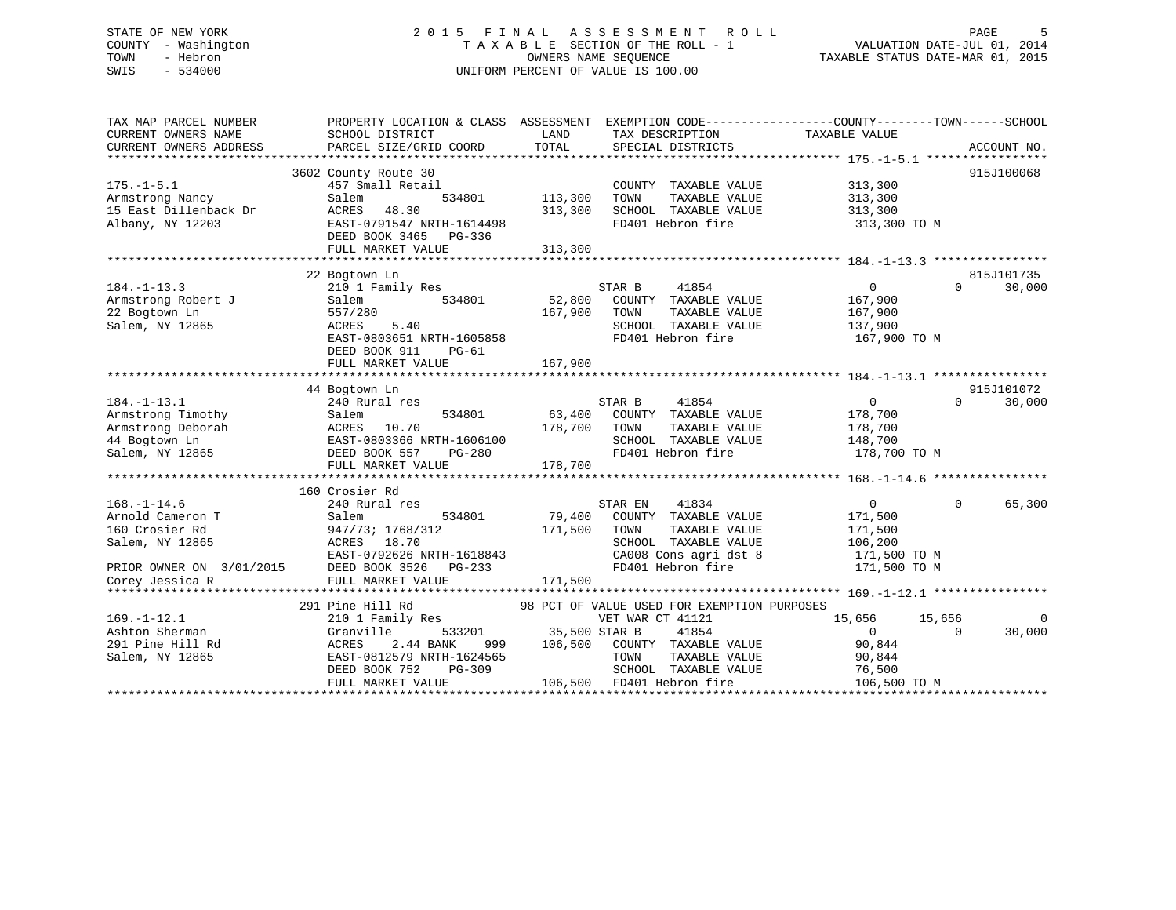# STATE OF NEW YORK 2 0 1 5 F I N A L A S S E S S M E N T R O L L PAGE 5 COUNTY - Washington T A X A B L E SECTION OF THE ROLL - 1 VALUATION DATE-JUL 01, 2014 TOWN - Hebron OWNERS NAME SEQUENCE TAXABLE STATUS DATE-MAR 01, 2015 SWIS - 534000 UNIFORM PERCENT OF VALUE IS 100.00

| TAX MAP PARCEL NUMBER    | PROPERTY LOCATION & CLASS ASSESSMENT |               |                                             | EXEMPTION CODE-----------------COUNTY-------TOWN------SCHOOL |             |
|--------------------------|--------------------------------------|---------------|---------------------------------------------|--------------------------------------------------------------|-------------|
| CURRENT OWNERS NAME      | SCHOOL DISTRICT                      | LAND          | TAX DESCRIPTION                             | TAXABLE VALUE                                                |             |
| CURRENT OWNERS ADDRESS   | PARCEL SIZE/GRID COORD               | TOTAL         | SPECIAL DISTRICTS                           |                                                              | ACCOUNT NO. |
|                          |                                      |               |                                             |                                                              |             |
|                          | 3602 County Route 30                 |               |                                             |                                                              | 915J100068  |
| $175. - 1 - 5.1$         | 457 Small Retail                     |               | COUNTY TAXABLE VALUE                        | 313,300                                                      |             |
| Armstrong Nancy          | Salem<br>534801                      | 113,300       | TAXABLE VALUE<br>TOWN                       | 313,300                                                      |             |
| 15 East Dillenback Dr    | ACRES<br>48.30                       | 313,300       | SCHOOL TAXABLE VALUE                        | 313,300                                                      |             |
| Albany, NY 12203         | EAST-0791547 NRTH-1614498            |               | FD401 Hebron fire                           | 313,300 TO M                                                 |             |
|                          | DEED BOOK 3465 PG-336                |               |                                             |                                                              |             |
|                          | FULL MARKET VALUE                    | 313,300       |                                             |                                                              |             |
|                          |                                      |               |                                             |                                                              |             |
|                          | 22 Bogtown Ln                        |               |                                             |                                                              | 815J101735  |
| $184. - 1 - 13.3$        | 210 1 Family Res                     |               | 41854<br>STAR B                             | $\overline{0}$<br>$\cap$                                     | 30,000      |
| Armstrong Robert J       | 534801<br>Salem                      | 52,800        | COUNTY TAXABLE VALUE                        | 167,900                                                      |             |
| 22 Bogtown Ln            | 557/280                              | 167,900       | TAXABLE VALUE<br>TOWN                       | 167,900                                                      |             |
| Salem, NY 12865          | 5.40<br>ACRES                        |               | SCHOOL TAXABLE VALUE                        | 137,900                                                      |             |
|                          | EAST-0803651 NRTH-1605858            |               | FD401 Hebron fire                           | 167,900 TO M                                                 |             |
|                          | DEED BOOK 911<br>$PG-61$             |               |                                             |                                                              |             |
|                          | FULL MARKET VALUE                    | 167,900       |                                             |                                                              |             |
|                          |                                      |               |                                             |                                                              |             |
|                          | 44 Bogtown Ln                        |               |                                             |                                                              | 915J101072  |
| $184. - 1 - 13.1$        | 240 Rural res                        |               | 41854<br>STAR B                             | $\overline{0}$<br>$\Omega$                                   | 30,000      |
| Armstrong Timothy        | 534801<br>Salem                      | 63,400        | COUNTY TAXABLE VALUE                        | 178,700                                                      |             |
| Armstrong Deborah        | ACRES 10.70                          | 178,700       | TOWN<br>TAXABLE VALUE                       | 178,700                                                      |             |
| 44 Bogtown Ln            | EAST-0803366 NRTH-1606100            |               | SCHOOL TAXABLE VALUE                        | 148,700                                                      |             |
| Salem, NY 12865          | DEED BOOK 557<br>PG-280              |               | FD401 Hebron fire                           | 178,700 TO M                                                 |             |
|                          | FULL MARKET VALUE                    | 178,700       |                                             |                                                              |             |
|                          |                                      |               |                                             |                                                              |             |
|                          | 160 Crosier Rd                       |               |                                             |                                                              |             |
| $168. - 1 - 14.6$        | 240 Rural res                        |               | STAR EN<br>41834                            | 0<br>$\Omega$                                                | 65,300      |
| Arnold Cameron T         | 534801<br>Salem                      | 79,400        | COUNTY TAXABLE VALUE                        | 171,500                                                      |             |
| 160 Crosier Rd           | 947/73; 1768/312                     | 171,500       | TOWN<br>TAXABLE VALUE                       | 171,500                                                      |             |
| Salem, NY 12865          | ACRES 18.70                          |               | SCHOOL TAXABLE VALUE                        | 106,200                                                      |             |
|                          | EAST-0792626 NRTH-1618843            |               | CA008 Cons agri dst 8                       | 171,500 TO M                                                 |             |
| PRIOR OWNER ON 3/01/2015 | DEED BOOK 3526 PG-233                |               | FD401 Hebron fire                           | 171,500 TO M                                                 |             |
| Corey Jessica R          | FULL MARKET VALUE                    | 171,500       |                                             |                                                              |             |
|                          |                                      |               |                                             |                                                              |             |
|                          | 291 Pine Hill Rd                     |               | 98 PCT OF VALUE USED FOR EXEMPTION PURPOSES |                                                              |             |
| $169. - 1 - 12.1$        | 210 1 Family Res                     |               | VET WAR CT 41121                            | 15,656<br>15,656                                             | $\mathbf 0$ |
| Ashton Sherman           | Granville<br>533201                  | 35,500 STAR B | 41854                                       | $\overline{0}$<br>$\Omega$                                   | 30,000      |
| 291 Pine Hill Rd         | 2.44 BANK<br>ACRES<br>999            |               | 106,500 COUNTY TAXABLE VALUE                | 90,844                                                       |             |
| Salem, NY 12865          | EAST-0812579 NRTH-1624565            |               | TOWN<br>TAXABLE VALUE                       | 90,844                                                       |             |
|                          | DEED BOOK 752<br>PG-309              |               | SCHOOL TAXABLE VALUE                        | 76,500                                                       |             |
|                          | FULL MARKET VALUE                    |               | 106,500 FD401 Hebron fire                   | 106,500 TO M                                                 |             |
|                          |                                      |               |                                             |                                                              |             |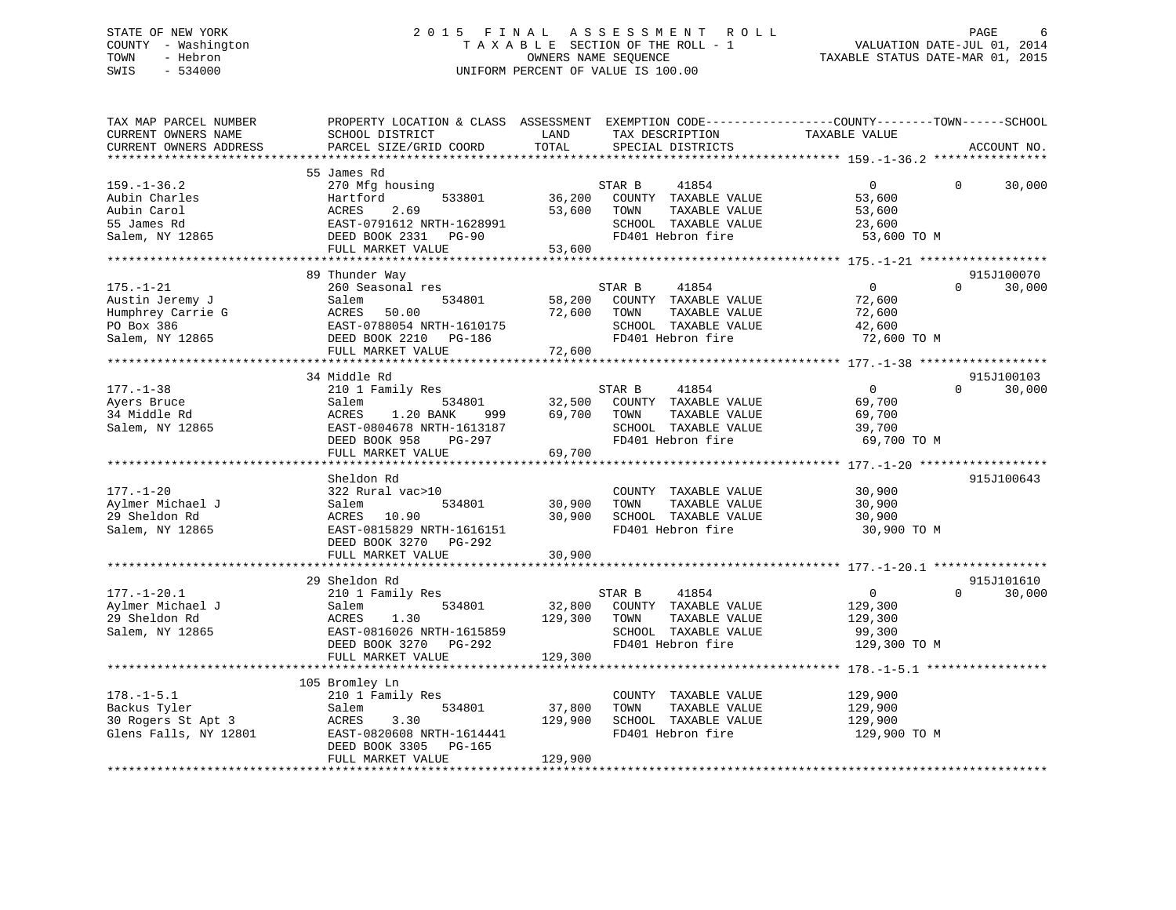# STATE OF NEW YORK 2 0 1 5 F I N A L A S S E S S M E N T R O L L PAGE 6 COUNTY - Washington T A X A B L E SECTION OF THE ROLL - 1 VALUATION DATE-JUL 01, 2014 TOWN - Hebron OWNERS NAME SEQUENCE TAXABLE STATUS DATE-MAR 01, 2015 SWIS - 534000 UNIFORM PERCENT OF VALUE IS 100.00

| ***********************<br>55 James Rd<br>$\Omega$<br>$159. - 1 - 36.2$<br>270 Mfg housing<br>STAR B<br>41854<br>$\overline{0}$<br>533801<br>36,200<br>COUNTY TAXABLE VALUE<br>Aubin Charles<br>Hartford<br>53,600<br>Aubin Carol<br>ACRES<br>2.69<br>53,600<br>TOWN<br>TAXABLE VALUE<br>53,600<br>55 James Rd<br>EAST-0791612 NRTH-1628991<br>SCHOOL TAXABLE VALUE<br>23,600<br>FD401 Hebron fire<br>Salem, NY 12865<br>53,600 TO M<br>DEED BOOK 2331<br><b>PG-90</b><br>53,600<br>FULL MARKET VALUE<br>89 Thunder Way<br>$\Omega$<br>$175. - 1 - 21$<br>260 Seasonal res<br>41854<br>$\Omega$<br>STAR B<br>Austin Jeremy J<br>58,200<br>COUNTY TAXABLE VALUE<br>Salem<br>534801<br>72,600<br>Humphrey Carrie G<br>ACRES<br>50.00<br>72,600<br>TOWN<br>TAXABLE VALUE<br>72,600<br>PO Box 386<br>SCHOOL TAXABLE VALUE<br>EAST-0788054 NRTH-1610175<br>42,600<br>FD401 Hebron fire<br>Salem, NY 12865<br>DEED BOOK 2210 PG-186<br>72,600 TO M<br>FULL MARKET VALUE<br>72,600 | EXEMPTION CODE-----------------COUNTY-------TOWN------SCHOOL<br>ACCOUNT NO. |
|-----------------------------------------------------------------------------------------------------------------------------------------------------------------------------------------------------------------------------------------------------------------------------------------------------------------------------------------------------------------------------------------------------------------------------------------------------------------------------------------------------------------------------------------------------------------------------------------------------------------------------------------------------------------------------------------------------------------------------------------------------------------------------------------------------------------------------------------------------------------------------------------------------------------------------------------------------------------------------|-----------------------------------------------------------------------------|
|                                                                                                                                                                                                                                                                                                                                                                                                                                                                                                                                                                                                                                                                                                                                                                                                                                                                                                                                                                             |                                                                             |
|                                                                                                                                                                                                                                                                                                                                                                                                                                                                                                                                                                                                                                                                                                                                                                                                                                                                                                                                                                             | 30,000                                                                      |
|                                                                                                                                                                                                                                                                                                                                                                                                                                                                                                                                                                                                                                                                                                                                                                                                                                                                                                                                                                             |                                                                             |
|                                                                                                                                                                                                                                                                                                                                                                                                                                                                                                                                                                                                                                                                                                                                                                                                                                                                                                                                                                             | 915J100070<br>30,000                                                        |
|                                                                                                                                                                                                                                                                                                                                                                                                                                                                                                                                                                                                                                                                                                                                                                                                                                                                                                                                                                             |                                                                             |
| 34 Middle Rd<br>210 1 Family Res<br>$\overline{0}$<br>$177. - 1 - 38$<br>STAR B<br>41854<br>$\Omega$<br>Salem<br>534801<br>32,500<br>COUNTY TAXABLE VALUE<br>69,700<br>Ayers Bruce<br>34 Middle Rd<br>69,700<br>TAXABLE VALUE<br>69,700<br>ACRES<br>1.20 BANK<br>999<br>TOWN<br>Salem, NY 12865<br>EAST-0804678 NRTH-1613187<br>SCHOOL TAXABLE VALUE<br>39,700<br>DEED BOOK 958<br>FD401 Hebron fire<br>69,700 TO M<br>PG-297                                                                                                                                                                                                                                                                                                                                                                                                                                                                                                                                               | 915J100103<br>30,000                                                        |
| FULL MARKET VALUE<br>69,700                                                                                                                                                                                                                                                                                                                                                                                                                                                                                                                                                                                                                                                                                                                                                                                                                                                                                                                                                 |                                                                             |
|                                                                                                                                                                                                                                                                                                                                                                                                                                                                                                                                                                                                                                                                                                                                                                                                                                                                                                                                                                             |                                                                             |
| Sheldon Rd<br>$177. - 1 - 20$<br>COUNTY TAXABLE VALUE<br>30,900<br>322 Rural vac>10<br>Aylmer Michael J<br>534801<br>TAXABLE VALUE<br>Salem<br>30,900<br>TOWN<br>30,900<br>29 Sheldon Rd<br>SCHOOL TAXABLE VALUE<br>ACRES<br>10.90<br>30,900<br>30,900<br>FD401 Hebron fire<br>30,900 TO M<br>Salem, NY 12865<br>EAST-0815829 NRTH-1616151<br>DEED BOOK 3270 PG-292<br>FULL MARKET VALUE<br>30,900                                                                                                                                                                                                                                                                                                                                                                                                                                                                                                                                                                          | 915J100643                                                                  |
|                                                                                                                                                                                                                                                                                                                                                                                                                                                                                                                                                                                                                                                                                                                                                                                                                                                                                                                                                                             |                                                                             |
| 29 Sheldon Rd<br>41854<br>$177. - 1 - 20.1$<br>STAR B<br>$\overline{0}$<br>$\Omega$<br>210 1 Family Res<br>Aylmer Michael J<br>534801<br>32,800<br>COUNTY TAXABLE VALUE<br>129,300<br>Salem<br>29 Sheldon Rd<br>129,300<br>TAXABLE VALUE<br>ACRES<br>1.30<br>TOWN<br>129,300<br>Salem, NY 12865<br>SCHOOL TAXABLE VALUE<br>EAST-0816026 NRTH-1615859<br>99,300<br>FD401 Hebron fire<br>129,300 TO M<br>DEED BOOK 3270<br>PG-292<br>FULL MARKET VALUE<br>129,300                                                                                                                                                                                                                                                                                                                                                                                                                                                                                                             | 915J101610<br>30,000                                                        |
| *************************<br>*************<br>************************ 178.-1-5.1 ********************                                                                                                                                                                                                                                                                                                                                                                                                                                                                                                                                                                                                                                                                                                                                                                                                                                                                      |                                                                             |
| 105 Bromley Ln<br>$178. - 1 - 5.1$<br>210 1 Family Res<br>COUNTY TAXABLE VALUE<br>129,900<br>37,800<br>Backus Tyler<br>534801<br>TOWN<br>TAXABLE VALUE<br>129,900<br>Salem<br>30 Rogers St Apt 3<br>ACRES<br>3.30<br>129,900<br>SCHOOL TAXABLE VALUE<br>129,900<br>FD401 Hebron fire<br>Glens Falls, NY 12801<br>EAST-0820608 NRTH-1614441<br>129,900 TO M<br>DEED BOOK 3305<br>PG-165<br>FULL MARKET VALUE<br>129,900                                                                                                                                                                                                                                                                                                                                                                                                                                                                                                                                                      |                                                                             |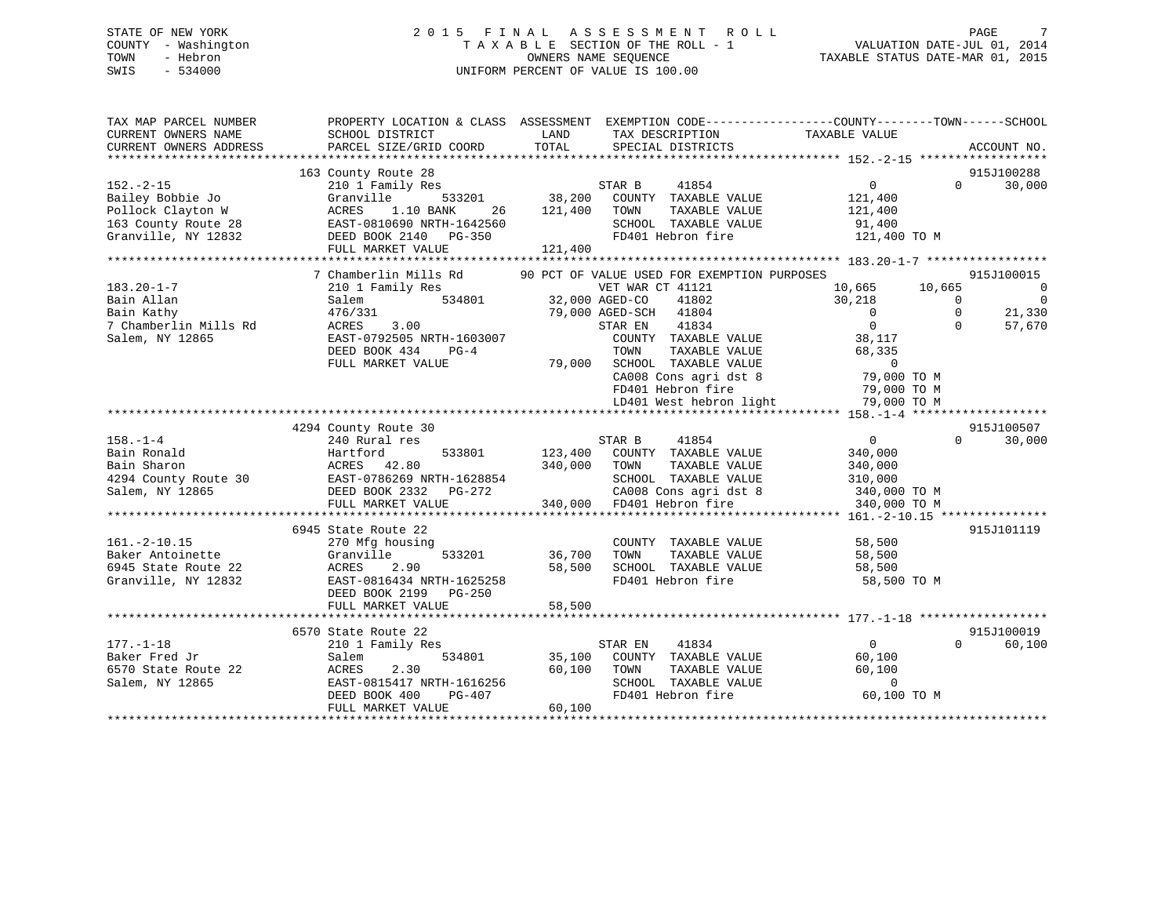# STATE OF NEW YORK 2 0 1 5 F I N A L A S S E S S M E N T R O L L PAGE 7 COUNTY - Washington T A X A B L E SECTION OF THE ROLL - 1 VALUATION DATE-JUL 01, 2014 TOWN - Hebron OWNERS NAME SEQUENCE TAXABLE STATUS DATE-MAR 01, 2015 SWIS - 534000 UNIFORM PERCENT OF VALUE IS 100.00

| TAX MAP PARCEL NUMBER<br>CURRENT OWNERS NAME                                                           | PROPERTY LOCATION & CLASS ASSESSMENT<br>SCHOOL DISTRICT                                                                                                   | LAND<br>TAX DESCRIPTION                                                                                                                                                 | EXEMPTION CODE-----------------COUNTY-------TOWN------SCHOOL<br>TAXABLE VALUE                                                  |                      |
|--------------------------------------------------------------------------------------------------------|-----------------------------------------------------------------------------------------------------------------------------------------------------------|-------------------------------------------------------------------------------------------------------------------------------------------------------------------------|--------------------------------------------------------------------------------------------------------------------------------|----------------------|
| CURRENT OWNERS ADDRESS                                                                                 | PARCEL SIZE/GRID COORD                                                                                                                                    | TOTAL<br>SPECIAL DISTRICTS                                                                                                                                              | ACCOUNT NO.                                                                                                                    |                      |
|                                                                                                        | 163 County Route 28                                                                                                                                       |                                                                                                                                                                         | 915J100288                                                                                                                     |                      |
| $152. - 2 - 15$<br>Bailey Bobbie Jo<br>Pollock Clayton W<br>163 County Route 28<br>Granville, NY 12832 | 210 1 Family Res<br>Granville<br>533201<br>ACRES<br>1.10 BANK<br>26<br>EAST-0810690 NRTH-1642560<br>DEED BOOK 2140 PG-350                                 | 41854<br>STAR B<br>38,200<br>COUNTY TAXABLE VALUE<br>121,400<br>TOWN<br>TAXABLE VALUE<br>SCHOOL TAXABLE VALUE<br>FD401 Hebron fire                                      | $0 \qquad \qquad$<br>30,000<br>$\Omega$<br>121,400<br>121,400<br>91,400<br>121,400 TO M                                        |                      |
|                                                                                                        | FULL MARKET VALUE                                                                                                                                         | 121,400                                                                                                                                                                 |                                                                                                                                |                      |
| $183.20 - 1 - 7$<br>Bain Allan<br>Bain Kathy<br>7 Chamberlin Mills Rd                                  | 7 Chamberlin Mills Rd<br>210 1 Family Res<br>Salem<br>534801<br>476/331<br>3.00<br>ACRES                                                                  | 90 PCT OF VALUE USED FOR EXEMPTION PURPOSES<br>VET WAR CT 41121<br>32,000 AGED-CO<br>41802<br>79,000 AGED-SCH 41804<br>41834<br>STAR EN                                 | 915J100015<br>10,665<br>10,665<br>30,218<br>$\Omega$<br>$\overline{0}$<br>$\Omega$<br>21,330<br>$\Omega$<br>$\Omega$<br>57,670 | $\Omega$<br>$\Omega$ |
| Salem, NY 12865                                                                                        | EAST-0792505 NRTH-1603007<br>DEED BOOK 434<br>$PG-4$<br>FULL MARKET VALUE                                                                                 | COUNTY TAXABLE VALUE<br>TOWN<br>TAXABLE VALUE<br>SCHOOL TAXABLE VALUE<br>79,000<br>CA008 Cons agri dst 8<br>FD401 Hebron fire<br>LD401 West hebron light                | 38,117<br>68,335<br>$\Omega$<br>79,000 TO M<br>79,000 TO M<br>79,000 TO M                                                      |                      |
|                                                                                                        |                                                                                                                                                           |                                                                                                                                                                         |                                                                                                                                |                      |
| $158. - 1 - 4$<br>Bain Ronald<br>Bain Sharon<br>4294 County Route 30<br>Salem, NY 12865                | 4294 County Route 30<br>240 Rural res<br>Hartford<br>533801<br>ACRES 42.80<br>EAST-0786269 NRTH-1628854<br>DEED BOOK 2332<br>PG-272<br>FULL MARKET VALUE  | 41854<br>STAR B<br>123,400<br>COUNTY TAXABLE VALUE<br>340,000<br>TAXABLE VALUE<br>TOWN<br>SCHOOL TAXABLE VALUE<br>CA008 Cons agri dst 8<br>340,000<br>FD401 Hebron fire | 915J100507<br>$\overline{0}$<br>$\cap$<br>30,000<br>340,000<br>340,000<br>310,000<br>340,000 TO M<br>340,000 TO M              |                      |
|                                                                                                        |                                                                                                                                                           |                                                                                                                                                                         |                                                                                                                                |                      |
| $161. -2 - 10.15$<br>Baker Antoinette<br>6945 State Route 22<br>Granville, NY 12832                    | 6945 State Route 22<br>270 Mfg housing<br>Granville<br>533201<br>ACRES<br>2.90<br>EAST-0816434 NRTH-1625258<br>DEED BOOK 2199 PG-250<br>FULL MARKET VALUE | COUNTY TAXABLE VALUE<br>TAXABLE VALUE<br>36,700<br>TOWN<br>58,500<br>SCHOOL TAXABLE VALUE<br>FD401 Hebron fire<br>58,500                                                | 915J101119<br>58,500<br>58,500<br>58,500<br>58,500 TO M                                                                        |                      |
|                                                                                                        |                                                                                                                                                           |                                                                                                                                                                         |                                                                                                                                |                      |
| $177. - 1 - 18$<br>Baker Fred Jr<br>6570 State Route 22<br>Salem, NY 12865                             | 6570 State Route 22<br>210 1 Family Res<br>534801<br>Salem<br>2.30<br>ACRES<br>EAST-0815417 NRTH-1616256<br>DEED BOOK 400<br>PG-407<br>FULL MARKET VALUE  | 41834<br>STAR EN<br>35,100<br>COUNTY TAXABLE VALUE<br>60,100<br>TOWN<br>TAXABLE VALUE<br>SCHOOL TAXABLE VALUE<br>FD401 Hebron fire<br>60,100                            | 915J100019<br>$\Omega$<br>60,100<br>$\Omega$<br>60,100<br>60,100<br>$\overline{0}$<br>60,100 TO M                              |                      |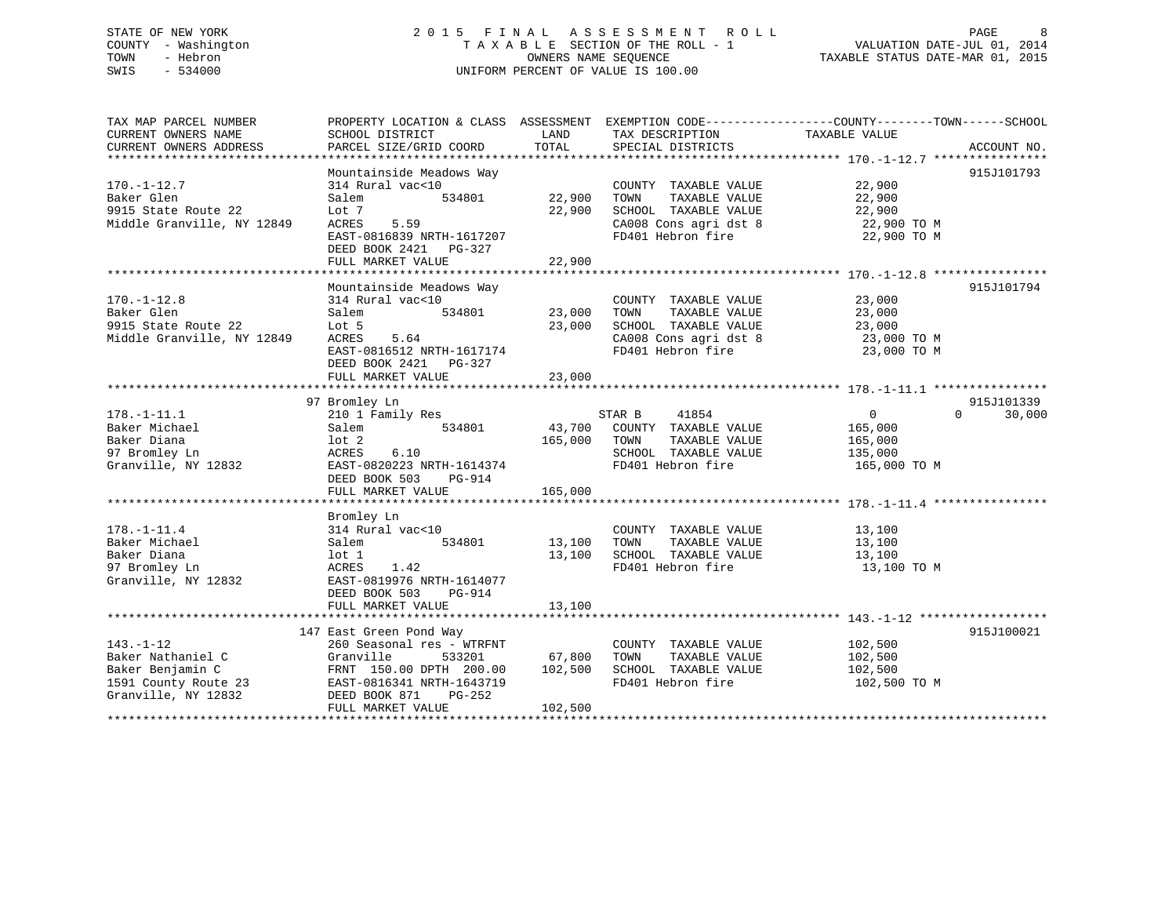# STATE OF NEW YORK 2 0 1 5 F I N A L A S S E S S M E N T R O L L PAGE 8 COUNTY - Washington T A X A B L E SECTION OF THE ROLL - 1 VALUATION DATE-JUL 01, 2014 TOWN - Hebron OWNERS NAME SEQUENCE TAXABLE STATUS DATE-MAR 01, 2015 SWIS - 534000 UNIFORM PERCENT OF VALUE IS 100.00

| ACCOUNT NO.        |
|--------------------|
| 915J101793         |
|                    |
|                    |
| 915J101794         |
|                    |
|                    |
| 915J101339         |
| 30,000<br>$\Omega$ |
|                    |
|                    |
|                    |
|                    |
| 915J100021         |
|                    |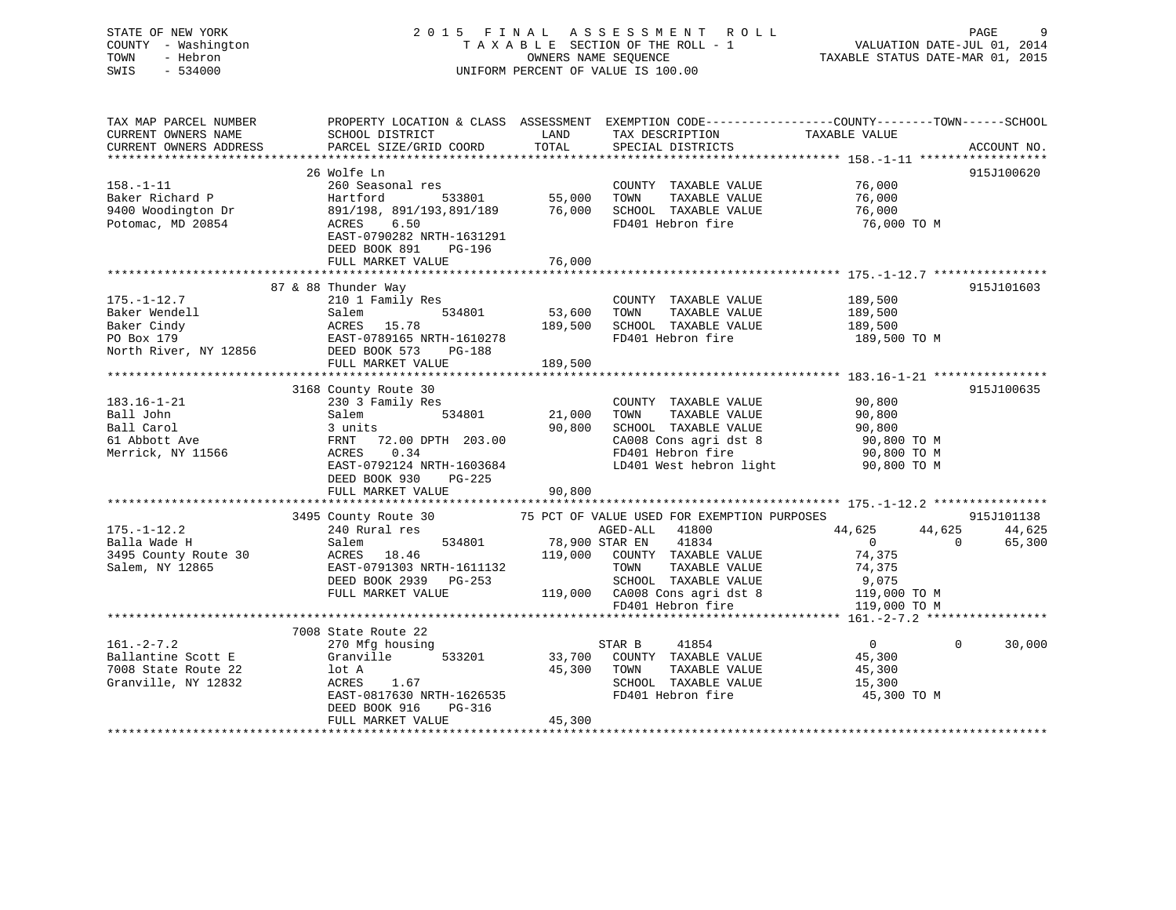STATE OF NEW YORK GALL 2015 FINAL ASSESSMENT ROLL GALL PAGE 9 COUNTY - Washington  $T A X A B L E$  SECTION OF THE ROLL - 1 TOWN - Hebron SWIS - 534000 UNIFORM PERCENT OF VALUE IS 100.00

VALUATION DATE-JUL 01, 2014

TAXABLE STATUS DATE-MAR 01, 2015

| TAX MAP PARCEL NUMBER<br>CURRENT OWNERS NAME<br>CURRENT OWNERS ADDRESS               | PROPERTY LOCATION & CLASS ASSESSMENT EXEMPTION CODE----------------COUNTY-------TOWN------SCHOOL<br>SCHOOL DISTRICT<br>PARCEL SIZE/GRID COORD                                        | LAND<br>TOTAL                     | TAX DESCRIPTION<br>CRECIAL DISTRICTS<br>SPECIAL DISTRICTS                                                                                                                                                            |                                                                     | ACCOUNT NO.                    |
|--------------------------------------------------------------------------------------|--------------------------------------------------------------------------------------------------------------------------------------------------------------------------------------|-----------------------------------|----------------------------------------------------------------------------------------------------------------------------------------------------------------------------------------------------------------------|---------------------------------------------------------------------|--------------------------------|
| $158. - 1 - 11$<br>Baker Richard P<br>9400 Woodington Dr<br>Potomac, MD 20854        | 26 Wolfe Ln<br>260 Seasonal res<br>Hartford<br>891/198, 891/193,891/189 76,000<br>6.50<br>ACRES<br>EAST-0790282 NRTH-1631291<br>DEED BOOK 891<br>PG-196<br>FULL MARKET VALUE         | -<br>533801 55,000<br>76,000      | COUNTY TAXABLE VALUE<br>TOWN<br>TAXABLE VALUE<br>SCHOOL TAXABLE VALUE<br>FD401 Hebron fire                                                                                                                           | 76,000<br>76,000<br>76,000<br>76,000 TO M                           | 915J100620                     |
| $175. - 1 - 12.7$<br>Baker Wendell                                                   | 87 & 88 Thunder Way<br>210 1 Family Res<br>534801<br>Salem<br>FULL MARKET VALUE                                                                                                      | 53,600<br>189,500<br>189,500      | COUNTY TAXABLE VALUE 189,500<br>TOWN<br>TAXABLE VALUE<br>SCHOOL TAXABLE VALUE<br>FD401 Hebron fire 189,500 TO M                                                                                                      | 189,500<br>189,500                                                  | 915J101603                     |
| 183.16-1-21<br>Ball John<br>Ball Carol<br>61 Abbott Ave<br>Merrick, NY 11566         | 3168 County Route 30<br>230 3 Family Res<br>Salem<br>3 units<br>FRNT 72.00 DPTH 203.00<br>ACRES<br>0.34<br>EAST-0792124 NRTH-1603684<br>DEED BOOK 930<br>PG-225<br>FULL MARKET VALUE | 534801 21,000<br>90,800<br>90,800 | COUNTY TAXABLE VALUE 90,800<br>TAXABLE VALUE<br>TOWN<br>SCHOOL TAXABLE VALUE<br>CA008 Cons agri dst 8 90,800 TO M<br>FD401 Hebron fire<br>LD401 West hebron light                                                    | 90,800<br>90,800<br>90,800 TO M<br>90,800 TO M                      | 915J100635                     |
| $175. - 1 - 12.2$<br>Balla Wade H<br>3495 County Route 30<br>Salem, NY 12865         | 3495 County Route 30 75 PCT OF VALUE USED FOR EXEMPTION PURPOSES<br>240 Rural res<br>Salem<br>ACRES 18.46<br>EAST-0791303 NRTH-1611132<br>DEED BOOK 2939 PG-253<br>FULL MARKET VALUE |                                   | AGED-ALL 41800<br>534801 78,900 STAR EN 41834<br>119,000 COUNTY TAXABLE VALUE<br>TAXABLE VALUE<br>TOWN<br>SCHOOL TAXABLE VALUE 9,075<br>119,000 CA008 Cons agri dst 8 119,000 TO M<br>FD401 Hebron fire 119,000 TO M | 44,625<br>44,625<br>$\overline{0}$<br>$\Omega$<br>74,375<br>74,375  | 915J101138<br>44,625<br>65,300 |
| $161. - 2 - 7.2$<br>Ballantine Scott E<br>7008 State Route 22<br>Granville, NY 12832 | 7008 State Route 22<br>270 Mfg housing<br>Granville<br>lot A<br>ACRES<br>1.67<br>EAST-0817630 NRTH-1626535<br>DEED BOOK 916<br>PG-316<br>FULL MARKET VALUE                           | 45,300<br>45,300                  | 41854<br>STAR B<br>533201 33,700 COUNTY TAXABLE VALUE 45,300<br>45.300 TOWN TAXABLE VALUE 45.300<br>TOWN<br>TAXABLE VALUE<br>SCHOOL TAXABLE VALUE<br>FD401 Hebron fire                                               | $\overline{0}$<br>$\overline{0}$<br>45,300<br>15,300<br>45,300 TO M | 30,000                         |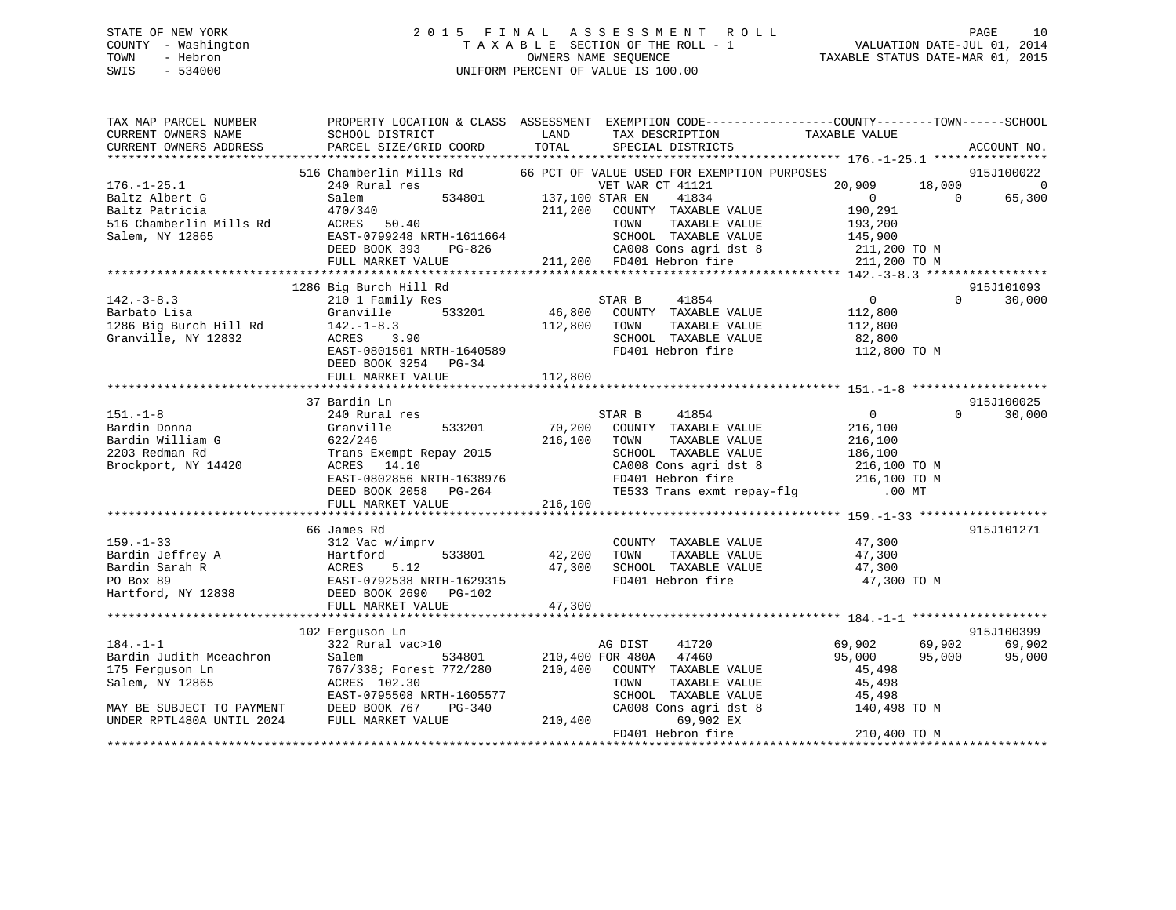# STATE OF NEW YORK 2 0 1 5 F I N A L A S S E S S M E N T R O L L PAGE 10 COUNTY - Washington T A X A B L E SECTION OF THE ROLL - 1 VALUATION DATE-JUL 01, 2014 TOWN - Hebron OWNERS NAME SEQUENCE TAXABLE STATUS DATE-MAR 01, 2015 SWIS - 534000 UNIFORM PERCENT OF VALUE IS 100.00

| TAX MAP PARCEL NUMBER                                                 | PROPERTY LOCATION & CLASS ASSESSMENT EXEMPTION CODE----------------COUNTY-------TOWN------SCHOOL |                         |                                                                     |                |          |                |
|-----------------------------------------------------------------------|--------------------------------------------------------------------------------------------------|-------------------------|---------------------------------------------------------------------|----------------|----------|----------------|
| CURRENT OWNERS NAME                                                   | SCHOOL DISTRICT                                                                                  | LAND                    | TAX DESCRIPTION                                                     | TAXABLE VALUE  |          |                |
| CURRENT OWNERS ADDRESS                                                | PARCEL SIZE/GRID COORD                                                                           | TOTAL                   | SPECIAL DISTRICTS                                                   |                |          | ACCOUNT NO.    |
|                                                                       |                                                                                                  |                         |                                                                     |                |          |                |
|                                                                       | 516 Chamberlin Mills Rd                                                                          |                         | 66 PCT OF VALUE USED FOR EXEMPTION PURPOSES                         |                |          | 915J100022     |
| $176. - 1 - 25.1$                                                     | 240 Rural res<br>VET WAR<br>534801 137,100 STAR EN                                               |                         | VET WAR CT 41121                                                    | 20,909         | 18,000   | $\overline{0}$ |
| Baltz Albert G                                                        | Salem                                                                                            |                         | 41834                                                               | $\overline{0}$ | $\Omega$ | 65,300         |
| Baltz Patricia                                                        | 470/340<br>ACRES 50.40                                                                           |                         | 211,200 COUNTY TAXABLE VALUE                                        | 190,291        |          |                |
| 516 Chamberlin Mills Rd                                               |                                                                                                  |                         | TAXABLE VALUE<br>TOWN                                               | 193,200        |          |                |
| Salem, NY 12865                                                       | EAST-0799248 NRTH-1611664                                                                        |                         | SCHOOL TAXABLE VALUE                                                | 145,900        |          |                |
|                                                                       | DEED BOOK 393 PG-826                                                                             |                         | CA008 Cons agri dst 8<br>FD401 Hebron fire                          | 211,200 TO M   |          |                |
|                                                                       | FULL MARKET VALUE                                                                                |                         | 211,200 FD401 Hebron fire                                           | 211,200 TO M   |          |                |
|                                                                       |                                                                                                  |                         |                                                                     |                |          |                |
|                                                                       | 1286 Big Burch Hill Rd                                                                           |                         |                                                                     |                |          | 915J101093     |
| $142. - 3 - 8.3$                                                      | 210 1 Family Res                                                                                 |                         | 41854<br>STAR B<br>46,800 COUNTY TAXABLE VALUE                      | $\overline{0}$ | $\Omega$ | 30,000         |
| Barbato Lisa                                                          | 533201<br>Granville                                                                              |                         |                                                                     | 112,800        |          |                |
| 1286 Big Burch Hill Rd                                                | $142. - 1 - 8.3$                                                                                 | 112,800                 | TAXABLE VALUE<br>TOWN                                               | 112,800        |          |                |
| Granville, NY 12832                                                   | ACRES<br>3.90<br>ACRES 3.90<br>EAST-0801501 NRTH-1640589                                         |                         | SCHOOL TAXABLE VALUE                                                | 82,800         |          |                |
|                                                                       |                                                                                                  |                         | FD401 Hebron fire                                                   | 112,800 TO M   |          |                |
|                                                                       | DEED BOOK 3254 PG-34                                                                             |                         |                                                                     |                |          |                |
|                                                                       | FULL MARKET VALUE                                                                                | 112,800                 |                                                                     |                |          |                |
|                                                                       |                                                                                                  |                         |                                                                     |                |          |                |
|                                                                       | 37 Bardin Ln                                                                                     |                         |                                                                     |                |          | 915J100025     |
| $151. - 1 - 8$                                                        | 240 Rural res                                                                                    |                         | 41854<br>STAR B                                                     | $\overline{0}$ | $\Omega$ | 30,000         |
| Bardin Donna                                                          | Granville<br>533201                                                                              | 70,200                  | COUNTY TAXABLE VALUE                                                | 216,100        |          |                |
| Bardin William G                                                      | 622/246                                                                                          | 216,100                 | TOWN<br>TAXABLE VALUE                                               | 216,100        |          |                |
| 2203 Redman Rd                                                        | Trans Exempt Repay 2015                                                                          |                         | SCHOOL TAXABLE VALUE 186,100<br>CA008 Cons agri dst 8 216,100 TO M  |                |          |                |
| Brockport, NY 14420                                                   | ACRES 14.10                                                                                      |                         |                                                                     |                |          |                |
|                                                                       | EAST-0802856 NRTH-1638976                                                                        |                         | FD401 Hebron fire 216,100 TO M<br>TE533 Trans exmt repay-flg .00 MT |                |          |                |
|                                                                       | DEED BOOK 2058 PG-264                                                                            |                         |                                                                     |                |          |                |
|                                                                       | FULL MARKET VALUE                                                                                | 216,100                 |                                                                     |                |          |                |
|                                                                       | 66 James Rd                                                                                      |                         |                                                                     |                |          | 915J101271     |
| $159. - 1 - 33$                                                       | 312 Vac w/imprv                                                                                  |                         | COUNTY TAXABLE VALUE                                                | 47,300         |          |                |
|                                                                       | 533801<br>Hartford                                                                               | 42,200                  | TAXABLE VALUE<br>TOWN                                               | 47,300         |          |                |
|                                                                       | ACRES<br>5.12                                                                                    | 47,300                  | SCHOOL TAXABLE VALUE                                                | 47,300         |          |                |
|                                                                       | EAST-0792538 NRTH-1629315                                                                        |                         | FD401 Hebron fire                                                   | 47,300 TO M    |          |                |
| Bardin Jeffrey A<br>Bardin Sarah R<br>PO Box 89<br>Hartford, NY 12838 | DEED BOOK 2690 PG-102                                                                            |                         |                                                                     |                |          |                |
|                                                                       | FULL MARKET VALUE                                                                                | 47,300                  |                                                                     |                |          |                |
|                                                                       |                                                                                                  |                         |                                                                     |                |          |                |
|                                                                       | 102 Ferquson Ln                                                                                  |                         |                                                                     |                |          | 915J100399     |
| $184. - 1 - 1$                                                        | 322 Rural vac>10                                                                                 |                         | AG DIST<br>41720                                                    | 69,902         | 69,902   | 69,902         |
| Bardin Judith Mceachron                                               | Salem                                                                                            | 534801 210,400 FOR 480A | 47460                                                               | 95,000         | 95,000   | 95,000         |
| 175 Ferquson Ln                                                       | 767/338; Forest 772/280                                                                          |                         | 210,400 COUNTY TAXABLE VALUE                                        | 45,498         |          |                |
| Salem, NY 12865                                                       | ACRES 102.30                                                                                     |                         | TOWN<br>TAXABLE VALUE                                               | 45,498         |          |                |
|                                                                       | EAST-0795508 NRTH-1605577                                                                        |                         | SCHOOL TAXABLE VALUE                                                | 45,498         |          |                |
|                                                                       | DEED BOOK 767<br>PG-340                                                                          |                         | CA008 Cons agri dst 8                                               | 140,498 TO M   |          |                |
| MAY BE SUBJECT TO PAYMENT<br>UNDER RPTL480A UNTIL 2024                | FULL MARKET VALUE                                                                                | 210,400                 | 69,902 EX                                                           |                |          |                |
|                                                                       |                                                                                                  |                         | FD401 Hebron fire                                                   | 210,400 TO M   |          |                |
|                                                                       |                                                                                                  |                         |                                                                     |                |          |                |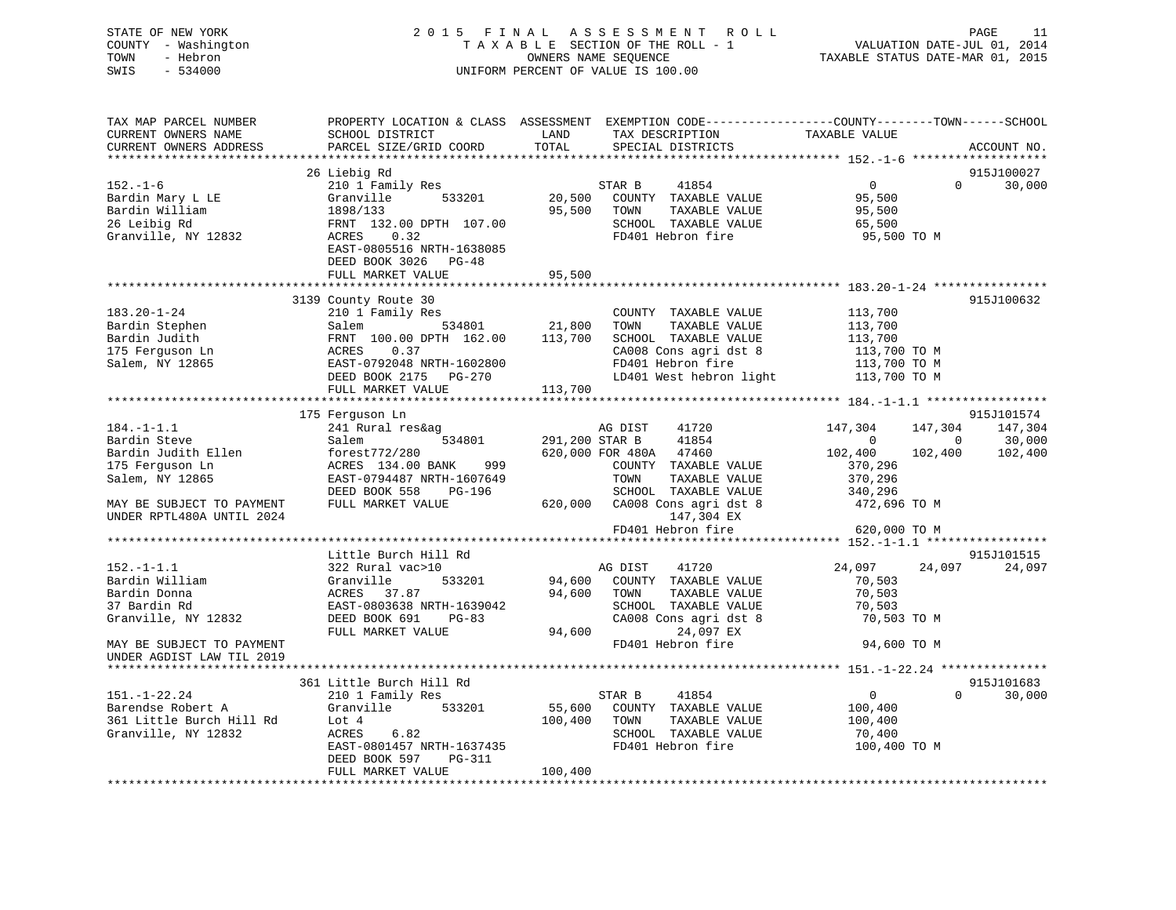STATE OF NEW YORK 2 0 1 5 F I N A L A S S E S S M E N T R O L L PAGE 11 COUNTY - Washington T A X A B L E SECTION OF THE ROLL - 1 VALUATION DATE-JUL 01, 2014 TOWN - Hebron OWNERS NAME SEQUENCE TAXABLE STATUS DATE-MAR 01, 2015 SWIS - 534000 UNIFORM PERCENT OF VALUE IS 100.00 TAX MAP PARCEL NUMBER PROPERTY LOCATION & CLASS ASSESSMENT EXEMPTION CODE------------------COUNTY--------TOWN------SCHOOL CURRENT OWNERS NAME SCHOOL DISTRICT THE LAND TAX DESCRIPTION TAXABLE VALUE CURRENT OWNERS ADDRESS PARCEL SIZE/GRID COORD TOTAL SPECIAL DISTRICTS ACCOUNT NO. \*\*\*\*\*\*\*\*\*\*\*\*\*\*\*\*\*\*\*\*\*\*\*\*\*\*\*\*\*\*\*\*\*\*\*\*\*\*\*\*\*\*\*\*\*\*\*\*\*\*\*\*\*\*\*\*\*\*\*\*\*\*\*\*\*\*\*\*\*\*\*\*\*\*\*\*\*\*\*\*\*\*\*\*\*\*\*\*\*\*\*\*\*\*\*\*\*\*\*\*\*\*\* 152.-1-6 \*\*\*\*\*\*\*\*\*\*\*\*\*\*\*\*\*\*\* 26 Liebig Rd 915J100027 152.-1-6 210 1 Family Res STAR B 41854 0 0 30,000 Bardin Mary L LE Granville 533201 20,500 COUNTY TAXABLE VALUE 95,500 Bardin William 1898/133 95,500 TOWN TAXABLE VALUE 95,500 26 Leibig Rd FRNT 132.00 DPTH 107.00 SCHOOL TAXABLE VALUE 65,500 Granville, NY 12832 ACRES 0.32 FD401 Hebron fire 95,500 TO M EAST-0805516 NRTH-1638085 DEED BOOK 3026 PG-48FULL MARKET VALUE 95,500 \*\*\*\*\*\*\*\*\*\*\*\*\*\*\*\*\*\*\*\*\*\*\*\*\*\*\*\*\*\*\*\*\*\*\*\*\*\*\*\*\*\*\*\*\*\*\*\*\*\*\*\*\*\*\*\*\*\*\*\*\*\*\*\*\*\*\*\*\*\*\*\*\*\*\*\*\*\*\*\*\*\*\*\*\*\*\*\*\*\*\*\*\*\*\*\*\*\*\*\*\*\*\* 183.20-1-24 \*\*\*\*\*\*\*\*\*\*\*\*\*\*\*\* 3139 County Route 30 915J100632 183.20-1-24 210 1 Family Res COUNTY TAXABLE VALUE 113,700 Bardin Stephen Salem 534801 21,800 TOWN TAXABLE VALUE 113,700 Bardin Judith FRNT 100.00 DPTH 162.00 113,700 SCHOOL TAXABLE VALUE 113,700 175 Ferguson Ln ACRES 0.37 CA008 Cons agri dst 8 113,700 TO M Salem, NY 12865 EAST-0792048 NRTH-1602800 FD401 Hebron fire 113,700 TO M DEED BOOK 2175 PG-270 LD401 West hebron light 113,700 TO M FULL MARKET VALUE 113,700 \*\*\*\*\*\*\*\*\*\*\*\*\*\*\*\*\*\*\*\*\*\*\*\*\*\*\*\*\*\*\*\*\*\*\*\*\*\*\*\*\*\*\*\*\*\*\*\*\*\*\*\*\*\*\*\*\*\*\*\*\*\*\*\*\*\*\*\*\*\*\*\*\*\*\*\*\*\*\*\*\*\*\*\*\*\*\*\*\*\*\*\*\*\*\*\*\*\*\*\*\*\*\* 184.-1-1.1 \*\*\*\*\*\*\*\*\*\*\*\*\*\*\*\*\*

|                           |                           |                                   | $\bot$ 0 $\bot$ , $\bot$ , $\bot$          |
|---------------------------|---------------------------|-----------------------------------|--------------------------------------------|
|                           | 175 Ferguson Ln           |                                   | 915J101574                                 |
| $184. - 1 - 1.1$          | 241 Rural res&ag          | 41720<br>AG DIST                  | 147,304<br>147,304<br>147,304              |
| Bardin Steve              | Salem<br>534801           | 41854<br>291,200 STAR B           | 30,000<br>$\overline{0}$<br>$\overline{0}$ |
| Bardin Judith Ellen       | forest772/280             | 620,000 FOR 480A<br>47460         | 102,400<br>102,400<br>102,400              |
| 175 Ferguson Ln           | 999<br>ACRES 134.00 BANK  | COUNTY<br>TAXABLE VALUE           | 370,296                                    |
| Salem, NY 12865           | EAST-0794487 NRTH-1607649 | TOWN<br>TAXABLE VALUE             | 370,296                                    |
|                           | DEED BOOK 558<br>PG-196   | SCHOOL<br>TAXABLE VALUE           | 340,296                                    |
| MAY BE SUBJECT TO PAYMENT | FULL MARKET VALUE         | CA008 Cons agri dst 8<br>620,000  | 472,696 TO M                               |
| UNDER RPTL480A UNTIL 2024 |                           | 147,304 EX                        |                                            |
|                           |                           | FD401 Hebron fire                 | 620,000 TO M                               |
|                           |                           |                                   |                                            |
|                           | Little Burch Hill Rd      |                                   | 915J101515                                 |
| $152. - 1 - 1.1$          | 322 Rural vac>10          | 41720<br>AG DIST                  | 24,097<br>24,097<br>24,097                 |
| Bardin William            | Granville<br>533201       | 94,600<br>COUNTY<br>TAXABLE VALUE | 70,503                                     |
| Bardin Donna              | ACRES 37.87               | 94,600<br>TOWN<br>TAXABLE VALUE   | 70,503                                     |
| 37 Bardin Rd              | EAST-0803638 NRTH-1639042 | TAXABLE VALUE<br>SCHOOL           | 70,503                                     |
| Granville, NY 12832       | DEED BOOK 691<br>$PG-83$  | CA008 Cons agri dst 8             | 70,503 TO M                                |
|                           | FULL MARKET VALUE         | 94,600<br>24,097 EX               |                                            |
| MAY BE SUBJECT TO PAYMENT |                           | FD401 Hebron fire                 | 94,600 TO M                                |
| UNDER AGDIST LAW TIL 2019 |                           |                                   |                                            |
|                           |                           |                                   |                                            |
|                           | 361 Little Burch Hill Rd  |                                   | 915J101683                                 |
| $151. - 1 - 22.24$        | 210 1 Family Res          | STAR B<br>41854                   | $\Omega$<br>$\Omega$<br>30,000             |
| Barendse Robert A         | Granville<br>533201       | 55,600<br>COUNTY<br>TAXABLE VALUE | 100,400                                    |
| 361 Little Burch Hill Rd  | Lot 4                     | 100,400<br>TOWN<br>TAXABLE VALUE  | 100,400                                    |
| Granville, NY 12832       | ACRES<br>6.82             | SCHOOL<br>TAXABLE VALUE           | 70,400                                     |
|                           | EAST-0801457 NRTH-1637435 | FD401 Hebron fire                 | 100,400 TO M                               |
|                           | DEED BOOK 597<br>PG-311   |                                   |                                            |
|                           | FULL MARKET VALUE         | 100,400                           |                                            |
|                           |                           |                                   |                                            |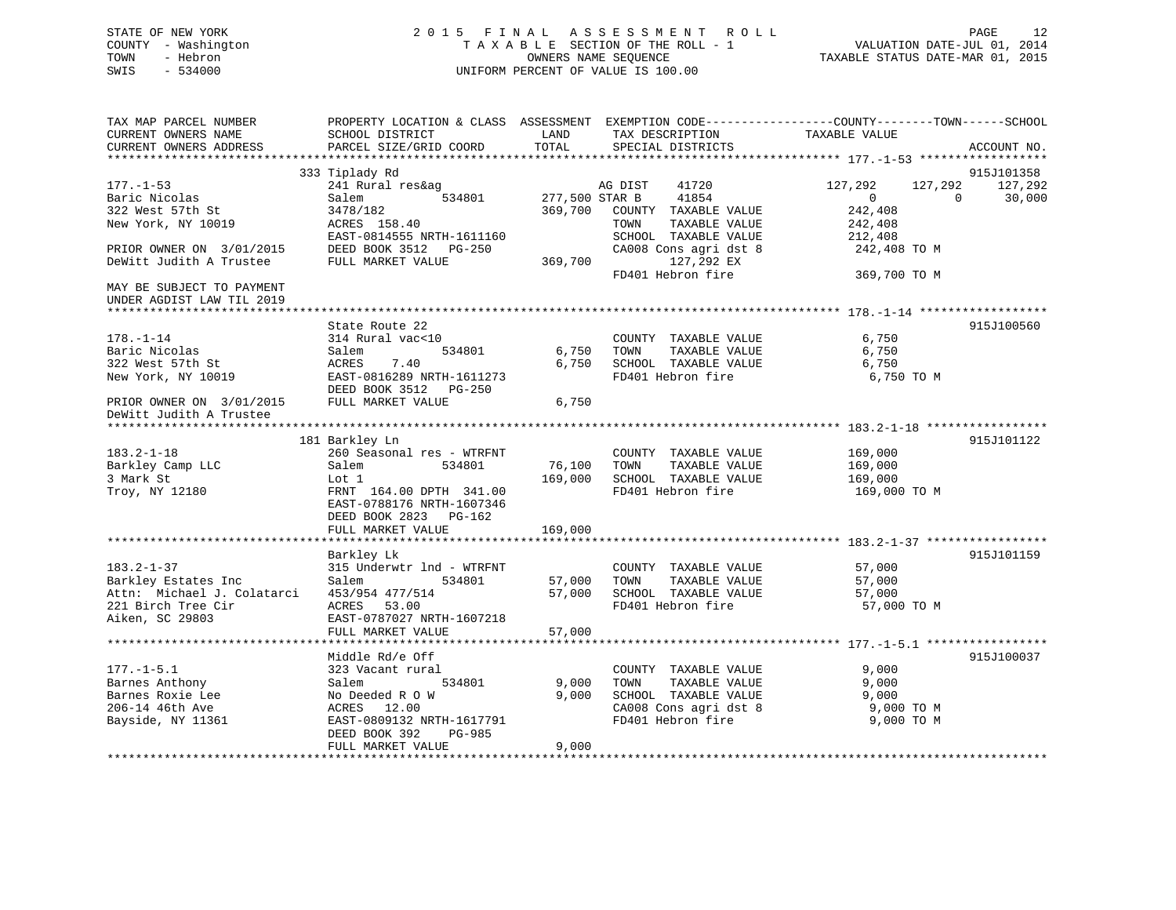# STATE OF NEW YORK 2 0 1 5 F I N A L A S S E S S M E N T R O L L PAGE 12 COUNTY - Washington T A X A B L E SECTION OF THE ROLL - 1 VALUATION DATE-JUL 01, 2014 TOWN - Hebron OWNERS NAME SEQUENCE TAXABLE STATUS DATE-MAR 01, 2015 SWIS - 534000 UNIFORM PERCENT OF VALUE IS 100.00

| TAX MAP PARCEL NUMBER<br>CURRENT OWNERS NAME | SCHOOL DISTRICT                                    | LAND           | PROPERTY LOCATION & CLASS ASSESSMENT EXEMPTION CODE----------------COUNTY-------TOWN------SCHOOL<br>TAX DESCRIPTION | TAXABLE VALUE      |                       |
|----------------------------------------------|----------------------------------------------------|----------------|---------------------------------------------------------------------------------------------------------------------|--------------------|-----------------------|
| CURRENT OWNERS ADDRESS                       | PARCEL SIZE/GRID COORD                             | TOTAL          | SPECIAL DISTRICTS                                                                                                   |                    | ACCOUNT NO.           |
|                                              |                                                    |                |                                                                                                                     |                    |                       |
| $177. - 1 - 53$                              | 333 Tiplady Rd<br>241 Rural res&ag                 |                | AG DIST<br>41720                                                                                                    | 127,292<br>127,292 | 915J101358<br>127,292 |
| Baric Nicolas                                | 534801<br>Salem                                    | 277,500 STAR B | 41854                                                                                                               | $\overline{0}$     | 30,000<br>$\Omega$    |
| 322 West 57th St                             | 3478/182                                           | 369,700        | COUNTY TAXABLE VALUE                                                                                                | 242,408            |                       |
| New York, NY 10019                           | ACRES 158.40                                       |                | TAXABLE VALUE<br>TOWN                                                                                               | 242,408            |                       |
|                                              | EAST-0814555 NRTH-1611160                          |                | SCHOOL TAXABLE VALUE                                                                                                | 212,408            |                       |
| PRIOR OWNER ON 3/01/2015                     | DEED BOOK 3512 PG-250                              |                | CA008 Cons agri dst 8                                                                                               | 242,408 TO M       |                       |
| DeWitt Judith A Trustee                      | FULL MARKET VALUE                                  | 369,700        | 127,292 EX                                                                                                          |                    |                       |
|                                              |                                                    |                | FD401 Hebron fire                                                                                                   | 369,700 TO M       |                       |
| MAY BE SUBJECT TO PAYMENT                    |                                                    |                |                                                                                                                     |                    |                       |
| UNDER AGDIST LAW TIL 2019                    |                                                    |                |                                                                                                                     |                    |                       |
| *****************************                |                                                    |                |                                                                                                                     |                    |                       |
|                                              | State Route 22                                     |                |                                                                                                                     |                    | 915J100560            |
| $178. - 1 - 14$<br>Baric Nicolas             | 314 Rural vac<10                                   | 6,750          | COUNTY TAXABLE VALUE<br>TOWN<br>TAXABLE VALUE                                                                       | 6,750<br>6,750     |                       |
| 322 West 57th St                             | Salem<br>534801<br>ACRES<br>7.40                   | 6,750          | SCHOOL TAXABLE VALUE                                                                                                | 6,750              |                       |
| New York, NY 10019                           | EAST-0816289 NRTH-1611273                          |                | FD401 Hebron fire                                                                                                   | 6,750 TO M         |                       |
|                                              | DEED BOOK 3512 PG-250                              |                |                                                                                                                     |                    |                       |
| PRIOR OWNER ON 3/01/2015                     | FULL MARKET VALUE                                  | 6,750          |                                                                                                                     |                    |                       |
| DeWitt Judith A Trustee                      |                                                    |                |                                                                                                                     |                    |                       |
| *************                                |                                                    |                |                                                                                                                     |                    |                       |
|                                              | 181 Barkley Ln                                     |                |                                                                                                                     |                    | 915J101122            |
| $183.2 - 1 - 18$                             | 260 Seasonal res - WTRFNT                          |                | COUNTY TAXABLE VALUE                                                                                                | 169,000            |                       |
| Barkley Camp LLC                             | 534801<br>Salem                                    | 76,100         | TAXABLE VALUE<br>TOWN                                                                                               | 169,000            |                       |
| 3 Mark St                                    | Lot 1                                              | 169,000        | SCHOOL TAXABLE VALUE                                                                                                | 169,000            |                       |
| Troy, NY 12180                               | FRNT 164.00 DPTH 341.00                            |                | FD401 Hebron fire                                                                                                   | 169,000 TO M       |                       |
|                                              | EAST-0788176 NRTH-1607346<br>DEED BOOK 2823 PG-162 |                |                                                                                                                     |                    |                       |
|                                              | FULL MARKET VALUE                                  | 169,000        |                                                                                                                     |                    |                       |
|                                              |                                                    |                |                                                                                                                     |                    |                       |
|                                              | Barkley Lk                                         |                |                                                                                                                     |                    | 915J101159            |
| $183.2 - 1 - 37$                             | 315 Underwtr 1nd - WTRFNT                          |                | COUNTY TAXABLE VALUE                                                                                                | 57,000             |                       |
| Barkley Estates Inc                          | Salem<br>534801                                    | 57,000         | TOWN<br>TAXABLE VALUE                                                                                               | 57,000             |                       |
| Attn: Michael J. Colatarci                   | 453/954 477/514                                    | 57,000         | SCHOOL TAXABLE VALUE                                                                                                | 57,000             |                       |
| 221 Birch Tree Cir                           | ACRES 53.00                                        |                | FD401 Hebron fire                                                                                                   | 57,000 TO M        |                       |
| Aiken, SC 29803                              | EAST-0787027 NRTH-1607218                          |                |                                                                                                                     |                    |                       |
|                                              | FULL MARKET VALUE                                  | 57,000         |                                                                                                                     |                    |                       |
|                                              |                                                    |                |                                                                                                                     |                    |                       |
|                                              | Middle Rd/e Off                                    |                |                                                                                                                     |                    | 915J100037            |
| $177. - 1 - 5.1$                             | 323 Vacant rural                                   |                | COUNTY TAXABLE VALUE                                                                                                | 9,000              |                       |
| Barnes Anthony<br>Barnes Roxie Lee           | 534801<br>Salem<br>No Deeded R O W                 | 9,000<br>9,000 | TOWN<br>TAXABLE VALUE<br>SCHOOL TAXABLE VALUE                                                                       | 9,000<br>9,000     |                       |
| 206-14 46th Ave                              | ACRES<br>12.00                                     |                | CA008 Cons agri dst 8                                                                                               | 9,000 TO M         |                       |
| Bayside, NY 11361                            | EAST-0809132 NRTH-1617791                          |                | FD401 Hebron fire                                                                                                   | 9,000 TO M         |                       |
|                                              | DEED BOOK 392<br>PG-985                            |                |                                                                                                                     |                    |                       |
|                                              | FULL MARKET VALUE                                  | 9,000          |                                                                                                                     |                    |                       |
|                                              |                                                    |                |                                                                                                                     |                    |                       |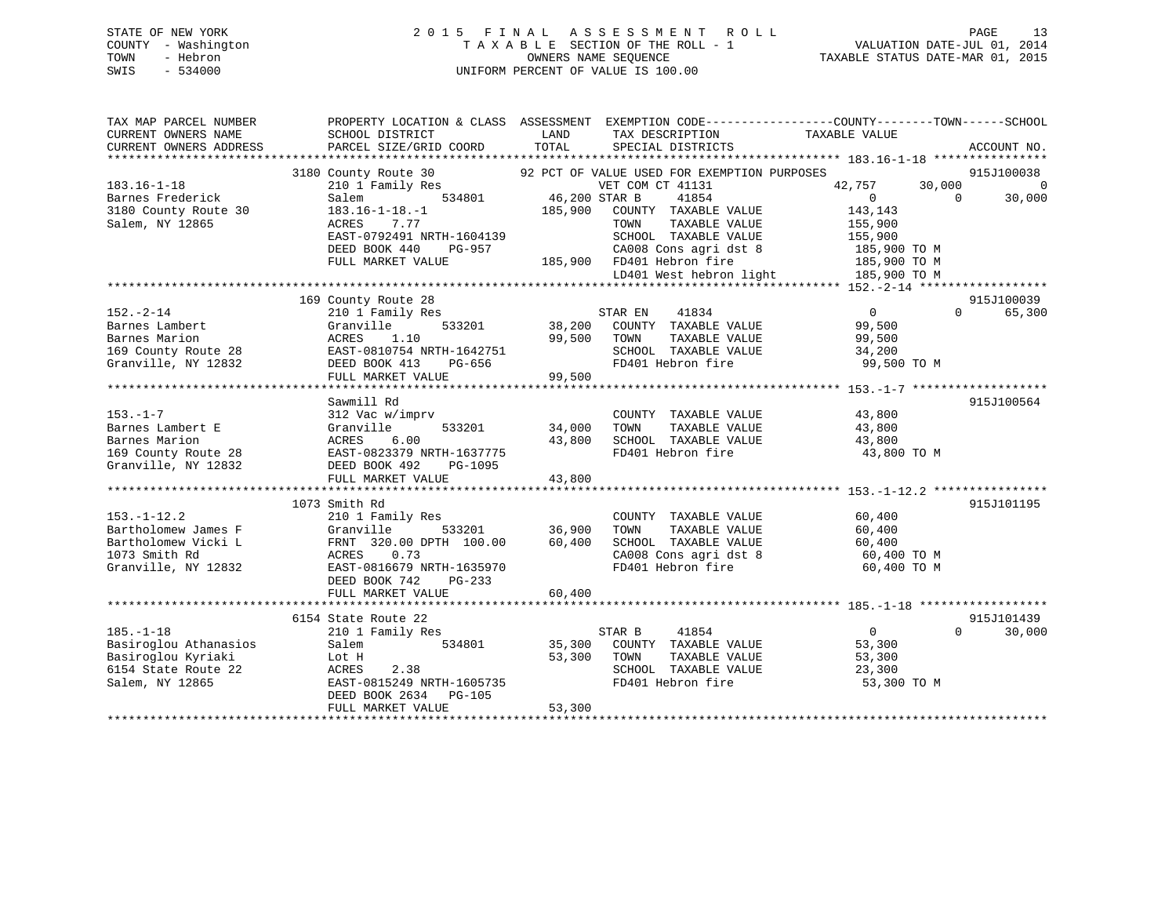# STATE OF NEW YORK 2 0 1 5 F I N A L A S S E S S M E N T R O L L PAGE 13 COUNTY - Washington T A X A B L E SECTION OF THE ROLL - 1 VALUATION DATE-JUL 01, 2014 TOWN - Hebron OWNERS NAME SEQUENCE TAXABLE STATUS DATE-MAR 01, 2015 SWIS - 534000 UNIFORM PERCENT OF VALUE IS 100.00

| TAX MAP PARCEL NUMBER<br>CURRENT OWNERS NAME<br>CURRENT OWNERS ADDRESS                                   | SCHOOL DISTRICT<br>PARCEL SIZE/GRID COORD                                                                                                                                           | LAND<br>TAX DESCRIPTION<br>TOTAL<br>SPECIAL DISTRICTS                                                                                                                                                                                                          | PROPERTY LOCATION & CLASS ASSESSMENT EXEMPTION CODE---------------COUNTY-------TOWN-----SCHOOL<br>TAXABLE VALUE<br>ACCOUNT NO.                                            |
|----------------------------------------------------------------------------------------------------------|-------------------------------------------------------------------------------------------------------------------------------------------------------------------------------------|----------------------------------------------------------------------------------------------------------------------------------------------------------------------------------------------------------------------------------------------------------------|---------------------------------------------------------------------------------------------------------------------------------------------------------------------------|
| $183.16 - 1 - 18$<br>Barnes Frederick<br>3180 County Route 30<br>Salem, NY 12865                         | 3180 County Route 30<br>210 1 Family Res<br>534801<br>Salem<br>$183.16 - 1 - 18. - 1$<br>ACRES<br>7.77<br>EAST-0792491 NRTH-1604139<br>DEED BOOK 440<br>PG-957<br>FULL MARKET VALUE | 92 PCT OF VALUE USED FOR EXEMPTION PURPOSES<br>VET COM CT 41131<br>46,200 STAR B<br>41854<br>185,900<br>COUNTY TAXABLE VALUE<br>TOWN<br>TAXABLE VALUE<br>SCHOOL TAXABLE VALUE<br>CA008 Cons agri dst 8<br>185,900 FD401 Hebron fire<br>LD401 West hebron light | 915J100038<br>$\overline{0}$<br>42,757<br>30,000<br>$\overline{0}$<br>30,000<br>$\Omega$<br>143,143<br>155,900<br>155,900<br>185,900 TO M<br>185,900 TO M<br>185,900 TO M |
| $152 - 2 - 14$<br>Barnes Lambert<br>Barnes Marion<br>169 County Route 28<br>Granville, NY 12832          | 169 County Route 28<br>210 1 Family Res<br>533201<br>Granville<br>1.10<br>ACRES<br>EAST-0810754 NRTH-1642751<br>DEED BOOK 413<br>PG-656<br>FULL MARKET VALUE                        | STAR EN<br>41834<br>38,200 COUNTY TAXABLE VALUE<br>99,500<br>TOWN<br>TAXABLE VALUE<br>SCHOOL TAXABLE VALUE<br>FD401 Hebron fire<br>99,500                                                                                                                      | 915J100039<br>$\sim$ 0<br>$\Omega$<br>65,300<br>99,500<br>99,500<br>34,200<br>99,500 TO M                                                                                 |
| $153. - 1 - 7$<br>Barnes Lambert E<br>Barnes Marion<br>169 County Route 28<br>Granville, NY 12832        | Sawmill Rd<br>312 Vac w/imprv<br>533201<br>Granville<br>6.00<br>ACRES<br>ACRES 0.00<br>EAST-0823379 NRTH-1637775<br>DEED BOOK 492<br>PG-1095<br>FULL MARKET VALUE                   | COUNTY TAXABLE VALUE<br>34,000<br>TOWN<br>TAXABLE VALUE<br>43,800<br>SCHOOL TAXABLE VALUE<br>FD401 Hebron fire<br>43,800                                                                                                                                       | 915J100564<br>43,800<br>43,800<br>43,800<br>43,800 TO M                                                                                                                   |
| $153. - 1 - 12.2$<br>Bartholomew James F<br>Bartholomew Vicki L<br>1073 Smith Rd<br>Granville, NY 12832  | 1073 Smith Rd<br>210 1 Family Res<br>Granville<br>533201<br>FRNT 320.00 DPTH 100.00<br>0.73<br>ACRES<br>EAST-0816679 NRTH-1635970<br>DEED BOOK 742<br>PG-233<br>FULL MARKET VALUE   | COUNTY TAXABLE VALUE<br>36,900<br>TOWN<br>TAXABLE VALUE<br>60,400<br>SCHOOL TAXABLE VALUE<br>CA008 Cons agri dst 8<br>FD401 Hebron fire<br>60,400                                                                                                              | 915J101195<br>60,400<br>60,400<br>60,400<br>60,400 TO M<br>60,400 TO M                                                                                                    |
| $185. - 1 - 18$<br>Basiroglou Athanasios<br>Basiroglou Kyriaki<br>6154 State Route 22<br>Salem, NY 12865 | 6154 State Route 22<br>210 1 Family Res<br>Salem<br>534801<br>Lot H<br>ACRES<br>2.38<br>EAST-0815249 NRTH-1605735<br>DEED BOOK 2634<br>PG-105<br>FULL MARKET VALUE                  | STAR B<br>41854<br>35,300<br>COUNTY TAXABLE VALUE<br>53,300<br>TOWN<br>TAXABLE VALUE<br>SCHOOL TAXABLE VALUE<br>FD401 Hebron fire<br>53,300                                                                                                                    | 915J101439<br>$\mathbf{0}$<br>$\Omega$<br>30,000<br>53,300<br>53,300<br>23,300<br>53,300 TO M                                                                             |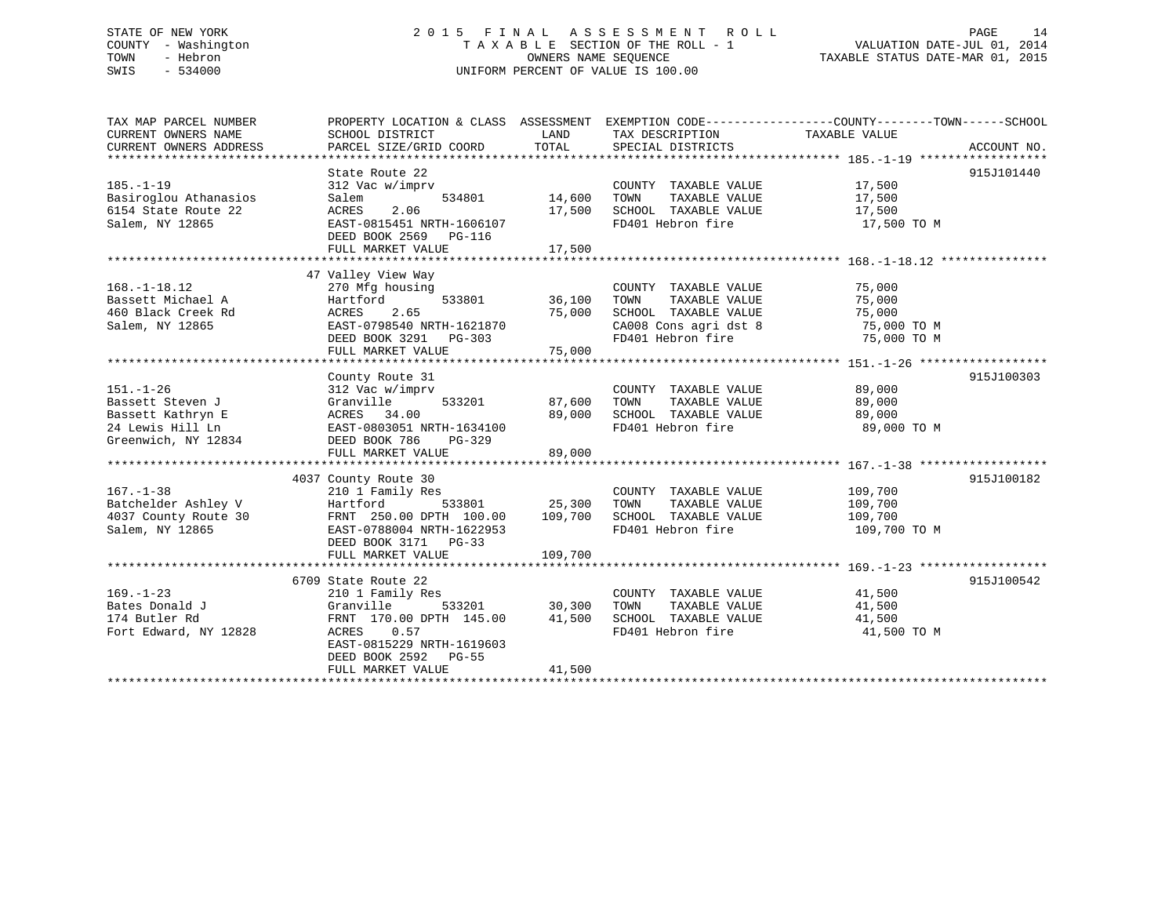# STATE OF NEW YORK 2 0 1 5 F I N A L A S S E S S M E N T R O L L PAGE 14 COUNTY - Washington T A X A B L E SECTION OF THE ROLL - 1 VALUATION DATE-JUL 01, 2014 TOWN - Hebron OWNERS NAME SEQUENCE TAXABLE STATUS DATE-MAR 01, 2015 SWIS - 534000 UNIFORM PERCENT OF VALUE IS 100.00

| TAX MAP PARCEL NUMBER                                        | PROPERTY LOCATION & CLASS ASSESSMENT EXEMPTION CODE---------------COUNTY-------TOWN-----SCHOOL |               |                                                                                                   |                  |             |
|--------------------------------------------------------------|------------------------------------------------------------------------------------------------|---------------|---------------------------------------------------------------------------------------------------|------------------|-------------|
| CURRENT OWNERS NAME<br>CURRENT OWNERS ADDRESS                | SCHOOL DISTRICT<br>PARCEL SIZE/GRID COORD                                                      | LAND<br>TOTAL | TAX DESCRIPTION<br>SPECIAL DISTRICTS                                                              | TAXABLE VALUE    | ACCOUNT NO. |
|                                                              |                                                                                                |               |                                                                                                   |                  |             |
|                                                              | State Route 22                                                                                 |               |                                                                                                   |                  | 915J101440  |
| $185. - 1 - 19$                                              | 312 Vac w/imprv                                                                                |               | COUNTY TAXABLE VALUE 17,500                                                                       |                  |             |
| Basiroglou Athanasios                                        | 534801<br>Salem                                                                                | 14,600        | TAXABLE VALUE<br>TOWN                                                                             |                  |             |
| 6154 State Route 22                                          | ACRES<br>2.06                                                                                  | 17,500        | SCHOOL TAXABLE VALUE                                                                              | 17,500<br>17,500 |             |
| Salem, NY 12865                                              | EAST-0815451 NRTH-1606107                                                                      |               | FD401 Hebron fire 17,500 TO M                                                                     |                  |             |
|                                                              | DEED BOOK 2569 PG-116                                                                          |               |                                                                                                   |                  |             |
|                                                              | FULL MARKET VALUE                                                                              | 17,500        |                                                                                                   |                  |             |
|                                                              |                                                                                                |               |                                                                                                   |                  |             |
|                                                              | 47 Valley View Way                                                                             |               |                                                                                                   |                  |             |
| $168. - 1 - 18.12$                                           | 270 Mfg housing                                                                                |               | COUNTY TAXABLE VALUE 75,000                                                                       |                  |             |
| Bassett Michael A                                            | Hartford                                                                                       | 533801 36,100 | TAXABLE VALUE<br>TOWN                                                                             | 75,000           |             |
| 460 Black Creek Rd                                           | ACRES 2.65                                                                                     | 75,000        |                                                                                                   |                  |             |
| Salem, NY 12865                                              | EAST-0798540 NRTH-1621870                                                                      |               | SCHOOL TAXABLE VALUE 75,000<br>CA008 Cons agri dst 8 75,000 TO M<br>FD401 Hebron fire 75,000 TO M |                  |             |
|                                                              | DEED BOOK 3291 PG-303<br>FULL MARKET VALUE                                                     | 75,000        |                                                                                                   |                  |             |
|                                                              |                                                                                                |               |                                                                                                   |                  |             |
|                                                              | County Route 31                                                                                |               |                                                                                                   |                  | 915J100303  |
| $151. - 1 - 26$                                              | 312 Vac w/imprv                                                                                |               | COUNTY TAXABLE VALUE                                                                              | 89,000           |             |
| Bassett Steven J                                             | Granville                                                                                      | 533201 87,600 | TAXABLE VALUE<br>TOWN                                                                             | 89,000           |             |
|                                                              | ACRES 34.00                                                                                    | 89,000        | SCHOOL TAXABLE VALUE                                                                              | 89,000           |             |
|                                                              | EAST-0803051 NRTH-1634100                                                                      |               | FD401 Hebron fire                                                                                 | 89,000 TO M      |             |
| Bassett Kathryn E<br>24 Lewis Hill Ln<br>Greenwich, NY 12834 | DEED BOOK 786 PG-329                                                                           |               |                                                                                                   |                  |             |
|                                                              | FULL MARKET VALUE                                                                              | 89,000        |                                                                                                   |                  |             |
|                                                              |                                                                                                |               |                                                                                                   |                  |             |
|                                                              | 4037 County Route 30                                                                           |               |                                                                                                   |                  | 915J100182  |
| $167. - 1 - 38$                                              | 210 1 Family Res                                                                               |               | COUNTY TAXABLE VALUE                                                                              | 109,700          |             |
| Batchelder Ashley V                                          | Hartford<br>533801 25,300                                                                      |               | TAXABLE VALUE<br>TOWN                                                                             | 109,700          |             |
| 4037 County Route 30                                         | FRNT 250.00 DPTH 100.00                                                                        | 109,700       | SCHOOL TAXABLE VALUE                                                                              | 109,700          |             |
| Salem, NY 12865                                              | EAST-0788004 NRTH-1622953                                                                      |               | FD401 Hebron fire                                                                                 | 109,700 TO M     |             |
|                                                              | DEED BOOK 3171 PG-33<br>FULL MARKET VALUE                                                      | 109,700       |                                                                                                   |                  |             |
|                                                              |                                                                                                |               |                                                                                                   |                  |             |
|                                                              | 6709 State Route 22                                                                            |               |                                                                                                   |                  | 915J100542  |
| $169. - 1 - 23$                                              | 210 1 Family Res                                                                               |               | COUNTY TAXABLE VALUE 41,500                                                                       |                  |             |
| Bates Donald J                                               | Granville                                                                                      | 533201 30,300 | TOWN<br>TAXABLE VALUE                                                                             | 41,500           |             |
| 174 Butler Rd                                                | FRNT 170.00 DPTH 145.00                                                                        | 41,500        |                                                                                                   | 41,500           |             |
| Fort Edward, NY 12828                                        | ACRES 0.57                                                                                     |               | SCHOOL TAXABLE VALUE<br>FD401 Hebron fire                                                         | 41,500 TO M      |             |
|                                                              | EAST-0815229 NRTH-1619603                                                                      |               |                                                                                                   |                  |             |
|                                                              | DEED BOOK 2592 PG-55                                                                           |               |                                                                                                   |                  |             |
|                                                              | FULL MARKET VALUE                                                                              | 41,500        |                                                                                                   |                  |             |
|                                                              |                                                                                                |               |                                                                                                   |                  |             |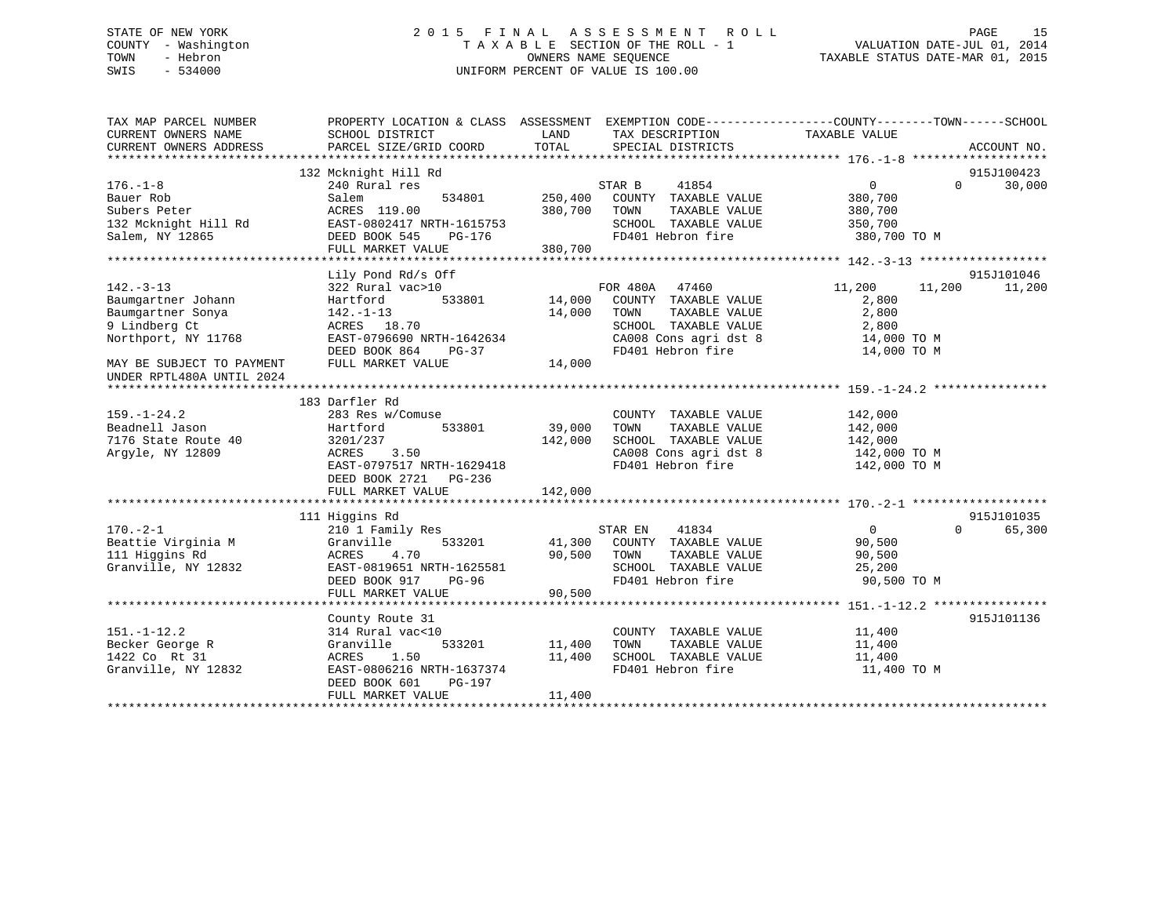# STATE OF NEW YORK 2 0 1 5 F I N A L A S S E S S M E N T R O L L PAGE 15 COUNTY - Washington T A X A B L E SECTION OF THE ROLL - 1 VALUATION DATE-JUL 01, 2014 TOWN - Hebron OWNERS NAME SEQUENCE TAXABLE STATUS DATE-MAR 01, 2015 SWIS - 534000 UNIFORM PERCENT OF VALUE IS 100.00

| TAX MAP PARCEL NUMBER<br>CURRENT OWNERS NAME | PROPERTY LOCATION & CLASS ASSESSMENT EXEMPTION CODE---------------COUNTY-------TOWN-----SCHOOL<br>SCHOOL DISTRICT | LAND    | TAX DESCRIPTION       | TAXABLE VALUE     |          |             |
|----------------------------------------------|-------------------------------------------------------------------------------------------------------------------|---------|-----------------------|-------------------|----------|-------------|
| CURRENT OWNERS ADDRESS                       | PARCEL SIZE/GRID COORD                                                                                            | TOTAL   | SPECIAL DISTRICTS     |                   |          | ACCOUNT NO. |
|                                              |                                                                                                                   |         |                       |                   |          |             |
|                                              | 132 Mcknight Hill Rd                                                                                              |         |                       |                   |          | 915J100423  |
| $176. - 1 - 8$                               | 240 Rural res                                                                                                     |         | STAR B<br>41854       | $0 \qquad \qquad$ | $\Omega$ | 30,000      |
| Bauer Rob                                    | 534801<br>Salem                                                                                                   | 250,400 | COUNTY TAXABLE VALUE  | 380,700           |          |             |
| Subers Peter                                 | ACRES 119.00                                                                                                      | 380,700 | TOWN<br>TAXABLE VALUE | 380,700           |          |             |
| 132 Mcknight Hill Rd                         | EAST-0802417 NRTH-1615753                                                                                         |         | SCHOOL TAXABLE VALUE  | 350,700           |          |             |
| Salem, NY 12865                              | DEED BOOK 545<br>PG-176                                                                                           |         | FD401 Hebron fire     | 380,700 TO M      |          |             |
|                                              | FULL MARKET VALUE                                                                                                 | 380,700 |                       |                   |          |             |
|                                              |                                                                                                                   |         |                       |                   |          |             |
|                                              | Lily Pond Rd/s Off                                                                                                |         |                       |                   |          | 915J101046  |
| $142. - 3 - 13$                              | 322 Rural vac>10                                                                                                  |         | FOR 480A 47460        | 11,200            | 11,200   | 11,200      |
| Baumgartner Johann                           | 533801<br>Hartford                                                                                                | 14,000  | COUNTY TAXABLE VALUE  | 2,800             |          |             |
| Baumgartner Sonya                            | $142. - 1 - 13$                                                                                                   | 14,000  | TAXABLE VALUE<br>TOWN | 2,800             |          |             |
| 9 Lindberg Ct                                | ACRES 18.70                                                                                                       |         | SCHOOL TAXABLE VALUE  | 2,800             |          |             |
| Northport, NY 11768                          | EAST-0796690 NRTH-1642634                                                                                         |         | CA008 Cons agri dst 8 | 14,000 TO M       |          |             |
|                                              | DEED BOOK 864<br>PG-37                                                                                            |         | FD401 Hebron fire     | 14,000 TO M       |          |             |
| MAY BE SUBJECT TO PAYMENT                    | FULL MARKET VALUE                                                                                                 | 14,000  |                       |                   |          |             |
| UNDER RPTL480A UNTIL 2024                    |                                                                                                                   |         |                       |                   |          |             |
|                                              |                                                                                                                   |         |                       |                   |          |             |
|                                              | 183 Darfler Rd                                                                                                    |         |                       |                   |          |             |
| $159. - 1 - 24.2$                            | 283 Res w/Comuse                                                                                                  |         | COUNTY TAXABLE VALUE  | 142,000           |          |             |
| Beadnell Jason                               | Hartford<br>533801                                                                                                | 39,000  | TOWN<br>TAXABLE VALUE | 142,000           |          |             |
| 7176 State Route 40                          | 3201/237                                                                                                          | 142,000 | SCHOOL TAXABLE VALUE  | 142,000           |          |             |
| Argyle, NY 12809                             | ACRES<br>3.50                                                                                                     |         | CA008 Cons agri dst 8 | 142,000 TO M      |          |             |
|                                              | EAST-0797517 NRTH-1629418                                                                                         |         | FD401 Hebron fire     | 142,000 TO M      |          |             |
|                                              | DEED BOOK 2721 PG-236                                                                                             |         |                       |                   |          |             |
|                                              | FULL MARKET VALUE                                                                                                 | 142,000 |                       |                   |          |             |
|                                              |                                                                                                                   |         |                       |                   |          |             |
|                                              | 111 Higgins Rd                                                                                                    |         |                       |                   |          | 915J101035  |
| $170. - 2 - 1$                               | 210 1 Family Res                                                                                                  |         | STAR EN<br>41834      | $\overline{0}$    | $\Omega$ | 65,300      |
| Beattie Virginia M                           | Granville<br>533201                                                                                               | 41,300  | COUNTY TAXABLE VALUE  | 90,500            |          |             |
| 111 Higgins Rd                               | 4.70<br>ACRES                                                                                                     | 90,500  | TOWN<br>TAXABLE VALUE | 90,500            |          |             |
| Granville, NY 12832                          | EAST-0819651 NRTH-1625581                                                                                         |         | SCHOOL TAXABLE VALUE  | 25,200            |          |             |
|                                              | DEED BOOK 917<br>PG-96                                                                                            |         | FD401 Hebron fire     | 90,500 TO M       |          |             |
|                                              | FULL MARKET VALUE                                                                                                 | 90,500  |                       |                   |          |             |
|                                              |                                                                                                                   |         |                       |                   |          |             |
|                                              | County Route 31                                                                                                   |         |                       |                   |          | 915J101136  |
| $151. - 1 - 12.2$                            | 314 Rural vac<10                                                                                                  |         | COUNTY TAXABLE VALUE  | 11,400            |          |             |
| Becker George R                              | 533201<br>Granville                                                                                               | 11,400  | TOWN<br>TAXABLE VALUE | 11,400            |          |             |
| 1422 Co Rt 31                                | ACRES<br>1.50                                                                                                     | 11,400  | SCHOOL TAXABLE VALUE  | 11,400            |          |             |
| Granville, NY 12832                          | EAST-0806216 NRTH-1637374                                                                                         |         | FD401 Hebron fire     | 11,400 TO M       |          |             |
|                                              | PG-197<br>DEED BOOK 601                                                                                           |         |                       |                   |          |             |
|                                              | FULL MARKET VALUE                                                                                                 | 11,400  |                       |                   |          |             |
|                                              |                                                                                                                   |         |                       |                   |          |             |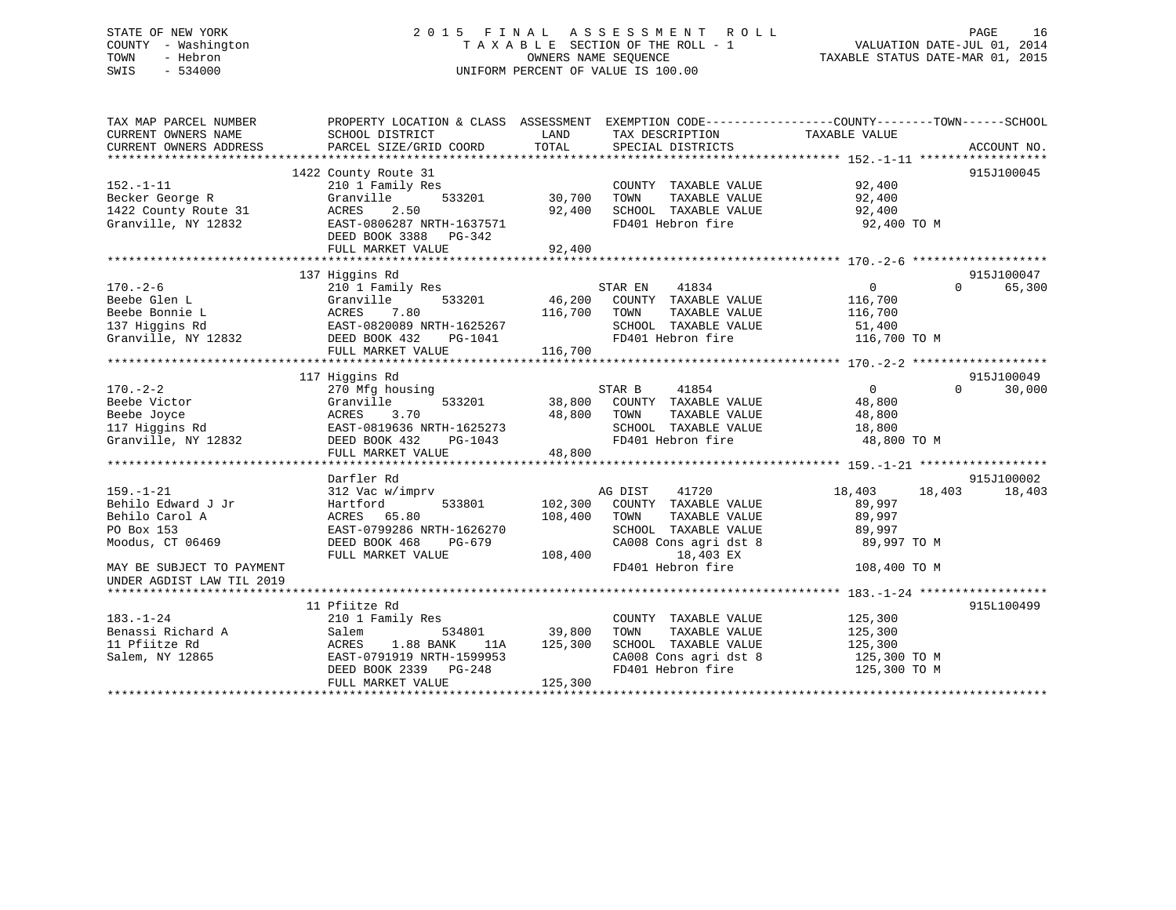# STATE OF NEW YORK 2 0 1 5 F I N A L A S S E S S M E N T R O L L PAGE 16 COUNTY - Washington T A X A B L E SECTION OF THE ROLL - 1 VALUATION DATE-JUL 01, 2014 TOWN - Hebron OWNERS NAME SEQUENCE TAXABLE STATUS DATE-MAR 01, 2015 SWIS - 534000 UNIFORM PERCENT OF VALUE IS 100.00

| TAX MAP PARCEL NUMBER<br>CURRENT OWNERS NAME<br>CURRENT OWNERS ADDRESS | PROPERTY LOCATION & CLASS ASSESSMENT EXEMPTION CODE----------------COUNTY-------TOWN-----SCHOOL<br>SCHOOL DISTRICT<br>PARCEL SIZE/GRID COORD | LAND<br>TOTAL | TAX DESCRIPTION<br>SPECIAL DISTRICTS | TAXABLE VALUE              | ACCOUNT NO.        |
|------------------------------------------------------------------------|----------------------------------------------------------------------------------------------------------------------------------------------|---------------|--------------------------------------|----------------------------|--------------------|
|                                                                        |                                                                                                                                              |               |                                      |                            |                    |
|                                                                        | 1422 County Route 31                                                                                                                         |               |                                      |                            | 915J100045         |
| $152. - 1 - 11$                                                        | 210 1 Family Res                                                                                                                             |               | COUNTY TAXABLE VALUE                 | 92,400                     |                    |
| Becker George R                                                        | 533201<br>Granville                                                                                                                          | 30,700        | TAXABLE VALUE<br>TOWN                | 92,400                     |                    |
| 1422 County Route 31                                                   | ACRES<br>2.50                                                                                                                                | 92,400        | SCHOOL TAXABLE VALUE                 | 92,400                     |                    |
| Granville, NY 12832                                                    | EAST-0806287 NRTH-1637571                                                                                                                    |               | FD401 Hebron fire                    | 92,400 TO M                |                    |
|                                                                        | DEED BOOK 3388 PG-342                                                                                                                        |               |                                      |                            |                    |
|                                                                        | FULL MARKET VALUE                                                                                                                            | 92,400        |                                      |                            |                    |
|                                                                        |                                                                                                                                              |               |                                      |                            |                    |
|                                                                        | 137 Higgins Rd                                                                                                                               |               |                                      |                            | 915J100047         |
| $170. - 2 - 6$                                                         | 210 1 Family Res                                                                                                                             |               | 41834<br>STAR EN                     | $\overline{0}$<br>$\Omega$ | 65,300             |
| Beebe Glen L                                                           | Granville<br>533201                                                                                                                          |               | 46,200 COUNTY TAXABLE VALUE          | 116,700                    |                    |
| Beebe Bonnie L                                                         | ACRES<br>7.80                                                                                                                                | 116,700       | TAXABLE VALUE<br>TOWN                | 116,700                    |                    |
| 137 Higgins Rd                                                         | EAST-0820089 NRTH-1625267                                                                                                                    |               | SCHOOL TAXABLE VALUE                 | 51,400                     |                    |
| Granville, NY 12832                                                    | DEED BOOK 432<br>PG-1041                                                                                                                     |               | FD401 Hebron fire                    | 116,700 TO M               |                    |
|                                                                        | FULL MARKET VALUE                                                                                                                            | 116,700       |                                      |                            |                    |
|                                                                        |                                                                                                                                              |               |                                      |                            |                    |
|                                                                        | 117 Higgins Rd                                                                                                                               |               |                                      |                            | 915J100049         |
| $170. - 2 - 2$                                                         | 270 Mfg housing                                                                                                                              |               | STAR B<br>41854                      | $\Omega$                   | $\Omega$<br>30,000 |
| Beebe Victor                                                           | Granville                                                                                                                                    | 533201 38,800 | COUNTY TAXABLE VALUE                 | 48,800                     |                    |
| Beebe Joyce                                                            | 3.70<br>ACRES                                                                                                                                | 48,800        | TOWN<br>TAXABLE VALUE                | 48,800                     |                    |
| 117 Higgins Rd                                                         | EAST-0819636 NRTH-1625273                                                                                                                    |               | SCHOOL TAXABLE VALUE                 | 18,800                     |                    |
| Granville, NY 12832                                                    | DEED BOOK 432<br>PG-1043                                                                                                                     |               | FD401 Hebron fire                    | 48,800 TO M                |                    |
|                                                                        | FULL MARKET VALUE                                                                                                                            | 48,800        |                                      |                            |                    |
|                                                                        |                                                                                                                                              |               |                                      |                            |                    |
|                                                                        | Darfler Rd                                                                                                                                   |               |                                      |                            | 915J100002         |
| $159. - 1 - 21$                                                        | 312 Vac w/imprv                                                                                                                              |               | 41720<br>AG DIST                     | 18,403<br>18,403           | 18,403             |
| Behilo Edward J Jr                                                     | 533801<br>Hartford                                                                                                                           | 102,300       | COUNTY TAXABLE VALUE                 | 89,997                     |                    |
| Behilo Carol A                                                         | ACRES 65.80                                                                                                                                  | 108,400       | TOWN<br>TAXABLE VALUE                | 89,997                     |                    |
| PO Box 153                                                             | EAST-0799286 NRTH-1626270                                                                                                                    |               | SCHOOL TAXABLE VALUE                 | 89,997                     |                    |
| Moodus, CT 06469                                                       | DEED BOOK 468<br>PG-679                                                                                                                      |               | CA008 Cons agri dst 8                | 89,997 TO M                |                    |
|                                                                        | FULL MARKET VALUE                                                                                                                            | 108,400       | 18,403 EX                            |                            |                    |
| MAY BE SUBJECT TO PAYMENT                                              |                                                                                                                                              |               | FD401 Hebron fire                    | 108,400 TO M               |                    |
| UNDER AGDIST LAW TIL 2019                                              |                                                                                                                                              |               |                                      |                            |                    |
|                                                                        |                                                                                                                                              |               |                                      |                            |                    |
|                                                                        | 11 Pfiitze Rd                                                                                                                                |               |                                      |                            | 915L100499         |
| $183. - 1 - 24$                                                        | 210 1 Family Res                                                                                                                             |               | COUNTY TAXABLE VALUE                 | 125,300                    |                    |
| Benassi Richard A                                                      | 534801<br>Salem                                                                                                                              | 39,800        | TOWN<br>TAXABLE VALUE                | 125,300                    |                    |
| 11 Pfiitze Rd                                                          | 1.88 BANK<br>ACRES<br>11A                                                                                                                    | 125,300       | SCHOOL TAXABLE VALUE                 | 125,300                    |                    |
| Salem, NY 12865                                                        | EAST-0791919 NRTH-1599953                                                                                                                    |               | CA008 Cons agri dst 8                | 125,300 TO M               |                    |
|                                                                        | DEED BOOK 2339 PG-248                                                                                                                        |               | FD401 Hebron fire                    | 125,300 TO M               |                    |
|                                                                        | FULL MARKET VALUE                                                                                                                            | 125,300       |                                      |                            |                    |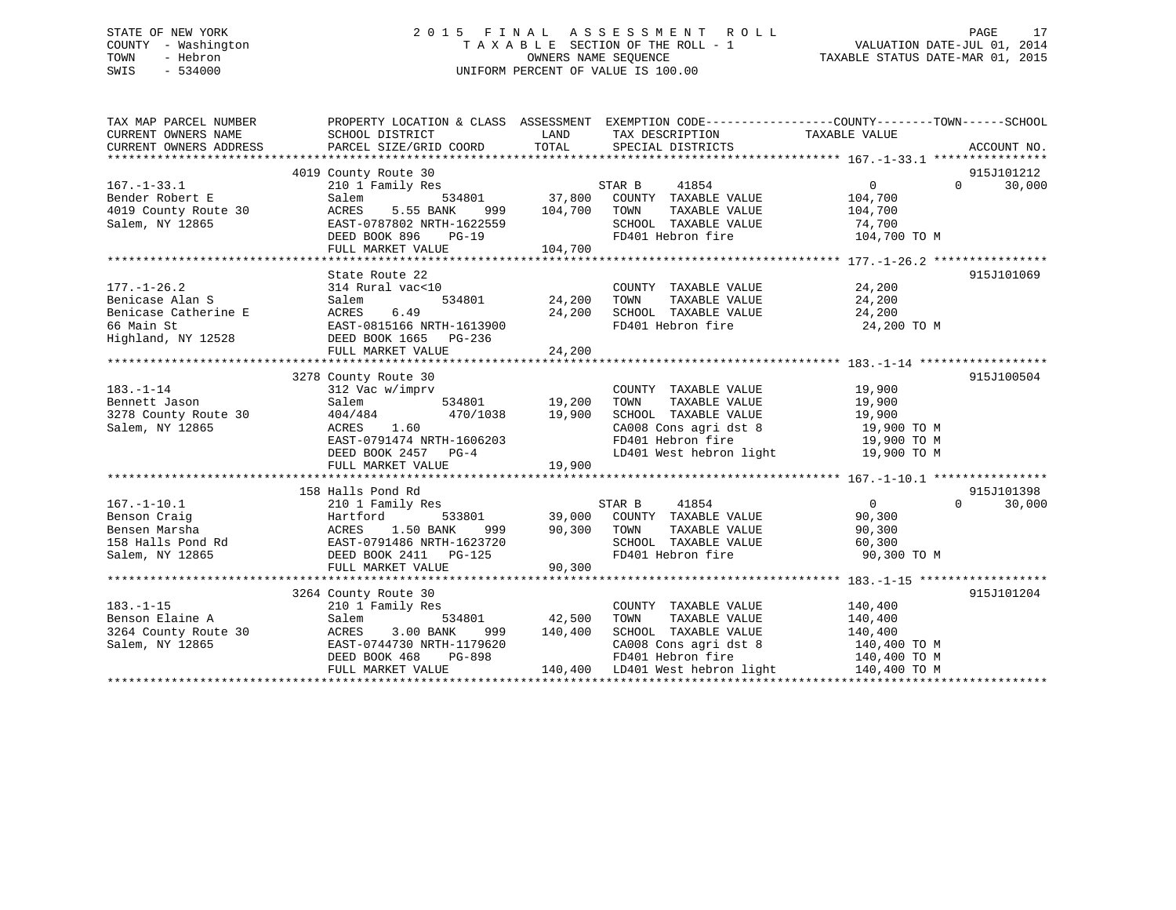# STATE OF NEW YORK 2 0 1 5 F I N A L A S S E S S M E N T R O L L PAGE 17 COUNTY - Washington T A X A B L E SECTION OF THE ROLL - 1 VALUATION DATE-JUL 01, 2014 TOWN - Hebron OWNERS NAME SEQUENCE TAXABLE STATUS DATE-MAR 01, 2015 SWIS - 534000 UNIFORM PERCENT OF VALUE IS 100.00

| TAX MAP PARCEL NUMBER<br>CURRENT OWNERS NAME<br>CURRENT OWNERS ADDRESS                           | PROPERTY LOCATION & CLASS ASSESSMENT EXEMPTION CODE----------------COUNTY-------TOWN-----SCHOOL<br>SCHOOL DISTRICT<br>PARCEL SIZE/GRID COORD                                                           | LAND<br>TOTAL             | TAX DESCRIPTION<br>SPECIAL DISTRICTS                                                                                                                                       | TAXABLE VALUE                                                               | ACCOUNT NO.                      |
|--------------------------------------------------------------------------------------------------|--------------------------------------------------------------------------------------------------------------------------------------------------------------------------------------------------------|---------------------------|----------------------------------------------------------------------------------------------------------------------------------------------------------------------------|-----------------------------------------------------------------------------|----------------------------------|
| $167. - 1 - 33.1$<br>Bender Robert E<br>4019 County Route 30<br>Salem, NY 12865                  | 4019 County Route 30<br>210 1 Family Res<br>Salem<br>5.55 BANK<br>ACRES<br>999<br>EAST-0787802 NRTH-1622559<br>DEED BOOK 896<br>$PG-19$<br>FULL MARKET VALUE                                           | 104,700<br>104,700        | STAR B<br>41854<br>534801 37,800 COUNTY TAXABLE VALUE<br>TOWN<br>TAXABLE VALUE<br>SCHOOL TAXABLE VALUE<br>FD401 Hebron fire                                                | $\overline{0}$<br>104,700<br>104,700<br>74,700<br>104,700 TO M              | 915J101212<br>30,000<br>$\Omega$ |
| $177. - 1 - 26.2$<br>Benicase Alan S<br>Benicase Catherine E<br>66 Main St<br>Highland, NY 12528 | State Route 22<br>314 Rural vac<10<br>534801<br>Salem<br>6.49<br>ACRES<br>EAST-0815166 NRTH-1613900<br>DEED BOOK 1665 PG-236                                                                           | 24,200<br>24,200          | COUNTY TAXABLE VALUE 24,200<br>TAXABLE VALUE 24,200<br>TOWN<br>SCHOOL TAXABLE VALUE 24,200<br>FD401 Hebron fire 24,20                                                      | 24,200 TO M                                                                 | 915J101069                       |
| $183. - 1 - 14$<br>Bennett Jason<br>3278 County Route 30<br>Salem, NY 12865                      | 3278 County Route 30<br>312 Vac w/imprv<br>Salem<br>470/1038 19,900<br>404/484<br>1.60<br>ACRES<br>EAST-0791474 NRTH-1606203<br>DEED BOOK 2457 PG-4<br>FULL MARKET VALUE                               | $534801$ 19,200<br>19,900 | COUNTY TAXABLE VALUE<br>TOWN      TAXABLE VALUE<br>SCHOOL TAXABLE VALUE<br>CA008 Cons agri dst 8 $19,900$ TO M<br>FD401 Hebron fire 19,900 TO M<br>LD401 West hebron light | 19,900<br>19,900<br>19,900<br>19,900 TO M                                   | 915J100504                       |
| $167. - 1 - 10.1$<br>Benson Craig<br>Bensen Marsha<br>158 Halls Pond Rd<br>Salem, NY 12865       | 158 Halls Pond Rd<br>210 1 Family Res<br>533801<br>Hartford<br>ACRES 1.50 BANK 999<br>MACRES 1.50 BANK 999<br>EAST-0791486 NRTH-1623720<br>DEED BOOK 2411 PG-125<br>999 1990 1991<br>FULL MARKET VALUE | 90,300 TOWN<br>90,300     | STAR B<br>41854<br>39,000 COUNTY TAXABLE VALUE<br>TAXABLE VALUE<br>SCHOOL TAXABLE VALUE<br>FD401 Hebron fire                                                               | $\overline{0}$<br>90,300<br>90,300<br>60,300<br>90,300 TO M                 | 915J101398<br>$\Omega$<br>30,000 |
| $183. - 1 - 15$<br>Benson Elaine A<br>3264 County Route 30<br>Salem, NY 12865                    | 3264 County Route 30<br>210 1 Family Res<br>Salem<br>534801<br>ACRES<br>3.00 BANK<br>999<br>EAST-0744730 NRTH-1179620<br>DEED BOOK 468<br>PG-898<br>FULL MARKET VALUE                                  | 42,500<br>140,400         | COUNTY TAXABLE VALUE<br>TOWN      TAXABLE VALUE<br>SCHOOL   TAXABLE VALUE<br>CA008 Cons agri dst 8 140,400 TO M<br>FD401 Hebron fire<br>140,400 LD401 West hebron light    | 140,400<br>140,400<br>$\frac{1}{140}$ , 400<br>140,400 TO M<br>140,400 TO M | 915J101204                       |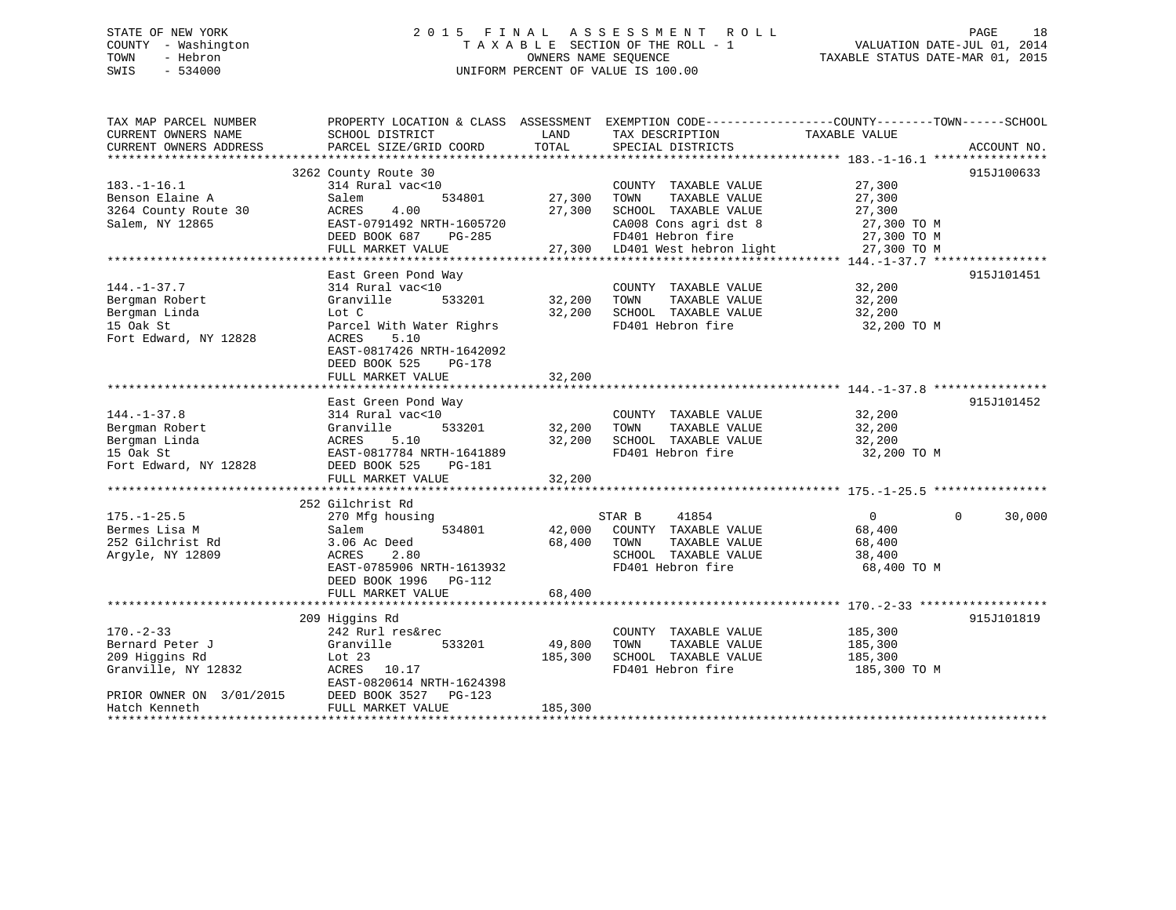# STATE OF NEW YORK 2 0 1 5 F I N A L A S S E S S M E N T R O L L PAGE 18 COUNTY - Washington T A X A B L E SECTION OF THE ROLL - 1 VALUATION DATE-JUL 01, 2014 TOWN - Hebron OWNERS NAME SEQUENCE TAXABLE STATUS DATE-MAR 01, 2015 SWIS - 534000 UNIFORM PERCENT OF VALUE IS 100.00

| TAX MAP PARCEL NUMBER                                                                      | PROPERTY LOCATION & CLASS ASSESSMENT                                                                                                                         |                            | EXEMPTION CODE-----------------COUNTY-------TOWN------SCHOOL                                                                                          |                                                                         |                    |
|--------------------------------------------------------------------------------------------|--------------------------------------------------------------------------------------------------------------------------------------------------------------|----------------------------|-------------------------------------------------------------------------------------------------------------------------------------------------------|-------------------------------------------------------------------------|--------------------|
| CURRENT OWNERS NAME                                                                        | SCHOOL DISTRICT                                                                                                                                              | LAND                       | TAX DESCRIPTION                                                                                                                                       | TAXABLE VALUE                                                           |                    |
| CURRENT OWNERS ADDRESS                                                                     | PARCEL SIZE/GRID COORD                                                                                                                                       | TOTAL                      | SPECIAL DISTRICTS                                                                                                                                     |                                                                         | ACCOUNT NO.        |
|                                                                                            | 3262 County Route 30                                                                                                                                         |                            |                                                                                                                                                       |                                                                         | 915J100633         |
| $183. - 1 - 16.1$<br>Benson Elaine A<br>3264 County Route 30<br>Salem, NY 12865            | 314 Rural vac<10<br>534801<br>Salem<br>4.00<br>ACRES<br>EAST-0791492 NRTH-1605720<br>DEED BOOK 687<br>PG-285<br>FULL MARKET VALUE                            | 27,300<br>27,300           | COUNTY TAXABLE VALUE<br>TOWN<br>TAXABLE VALUE<br>SCHOOL TAXABLE VALUE<br>CA008 Cons agri dst 8<br>FD401 Hebron fire<br>27,300 LD401 West hebron light | 27,300<br>27,300<br>27,300<br>27,300 TO M<br>27,300 TO M<br>27,300 TO M |                    |
|                                                                                            |                                                                                                                                                              |                            |                                                                                                                                                       |                                                                         |                    |
| $144. - 1 - 37.7$<br>Bergman Robert<br>Bergman Linda<br>15 Oak St<br>Fort Edward, NY 12828 | East Green Pond Way<br>314 Rural vac<10<br>Granville<br>533201<br>Lot C<br>Parcel With Water Righrs<br>5.10<br>ACRES<br>EAST-0817426 NRTH-1642092            | 32,200<br>32,200           | COUNTY TAXABLE VALUE<br>TAXABLE VALUE<br>TOWN<br>SCHOOL TAXABLE VALUE<br>FD401 Hebron fire                                                            | 32,200<br>32,200<br>32,200<br>32,200 TO M                               | 915J101451         |
|                                                                                            | DEED BOOK 525<br>$PG-178$<br>FULL MARKET VALUE                                                                                                               | 32,200                     |                                                                                                                                                       |                                                                         |                    |
|                                                                                            |                                                                                                                                                              |                            |                                                                                                                                                       |                                                                         |                    |
| $144. - 1 - 37.8$<br>Bergman Robert<br>Bergman Linda<br>15 Oak St<br>Fort Edward, NY 12828 | East Green Pond Way<br>314 Rural vac<10<br>Granville<br>533201<br>ACRES<br>5.10<br>EAST-0817784 NRTH-1641889<br>DEED BOOK 525<br>PG-181<br>FULL MARKET VALUE | 32,200<br>32,200<br>32,200 | COUNTY TAXABLE VALUE<br>TOWN<br>TAXABLE VALUE<br>SCHOOL TAXABLE VALUE<br>FD401 Hebron fire                                                            | 32,200<br>32,200<br>32,200<br>32,200 TO M                               | 915J101452         |
|                                                                                            |                                                                                                                                                              |                            |                                                                                                                                                       |                                                                         |                    |
| $175. - 1 - 25.5$<br>Bermes Lisa M<br>252 Gilchrist Rd<br>Arqyle, NY 12809                 | 252 Gilchrist Rd<br>270 Mfg housing<br>534801<br>Salem<br>3.06 Ac Deed<br>ACRES<br>2.80<br>EAST-0785906 NRTH-1613932<br>DEED BOOK 1996<br>$PG-112$           | 42,000<br>68,400           | STAR B<br>41854<br>COUNTY TAXABLE VALUE<br>TOWN<br>TAXABLE VALUE<br>SCHOOL TAXABLE VALUE<br>FD401 Hebron fire                                         | $\Omega$<br>68,400<br>68,400<br>38,400<br>68,400 TO M                   | 30,000<br>$\Omega$ |
|                                                                                            | FULL MARKET VALUE                                                                                                                                            | 68,400                     |                                                                                                                                                       |                                                                         |                    |
|                                                                                            |                                                                                                                                                              |                            |                                                                                                                                                       |                                                                         |                    |
| $170. - 2 - 33$<br>Bernard Peter J<br>209 Higgins Rd<br>Granville, NY 12832                | 209 Higgins Rd<br>242 Rurl res&rec<br>533201<br>Granville<br>Lot $23$<br>ACRES<br>10.17<br>EAST-0820614 NRTH-1624398                                         | 49,800<br>185,300          | COUNTY TAXABLE VALUE<br>TAXABLE VALUE<br>TOWN<br>SCHOOL TAXABLE VALUE<br>FD401 Hebron fire                                                            | 185,300<br>185,300<br>185,300<br>185,300 TO M                           | 915J101819         |
| PRIOR OWNER ON 3/01/2015<br>Hatch Kenneth                                                  | DEED BOOK 3527<br>$PG-123$<br>FULL MARKET VALUE                                                                                                              | 185,300                    |                                                                                                                                                       |                                                                         |                    |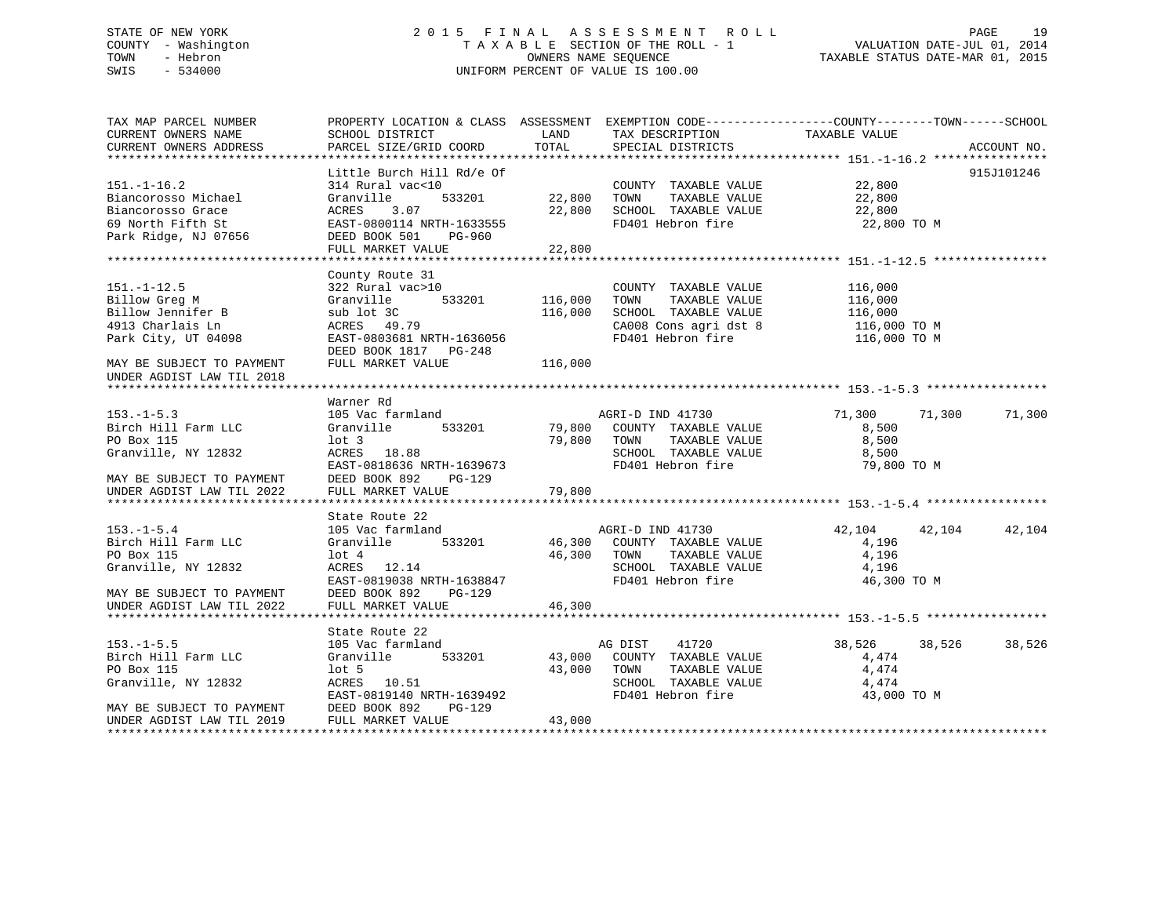# STATE OF NEW YORK 2 0 1 5 F I N A L A S S E S S M E N T R O L L PAGE 19 COUNTY - Washington T A X A B L E SECTION OF THE ROLL - 1 VALUATION DATE-JUL 01, 2014 TOWN - Hebron OWNERS NAME SEQUENCE TAXABLE STATUS DATE-MAR 01, 2015 SWIS - 534000 UNIFORM PERCENT OF VALUE IS 100.00

TAX MAP PARCEL NUMBER PROPERTY LOCATION & CLASS ASSESSMENT EXEMPTION CODE------------------COUNTY--------TOWN------SCHOOL

CURRENT OWNERS NAME SCHOOL DISTRICT LAND TAX DESCRIPTION TAXABLE VALUECURRENT OWNERS ADDRESS PARCEL SIZE/GRID COORD TOTAL SPECIAL DISTRICTS ACCOUNT NO. \*\*\*\*\*\*\*\*\*\*\*\*\*\*\*\*\*\*\*\*\*\*\*\*\*\*\*\*\*\*\*\*\*\*\*\*\*\*\*\*\*\*\*\*\*\*\*\*\*\*\*\*\*\*\*\*\*\*\*\*\*\*\*\*\*\*\*\*\*\*\*\*\*\*\*\*\*\*\*\*\*\*\*\*\*\*\*\*\*\*\*\*\*\*\*\*\*\*\*\*\*\*\* 151.-1-16.2 \*\*\*\*\*\*\*\*\*\*\*\*\*\*\*\* Little Burch Hill Rd/e Of 915J101246 151.-1-16.2 314 Rural vac<10 COUNTY TAXABLE VALUE 22,800 Biancorosso Michael Granville 533201 22,800 TOWN TAXABLE VALUE 22,800 Biancorosso Grace ACRES 3.07 22,800 SCHOOL TAXABLE VALUE 22,800 EXAMPLE STREET STREET STREET STREET STREET STREET STREET STREET SUITS AND FOR STREET STREET STREET STREET STREET STREET STREET STREET STREET STREET STREET STREET STREET STREET STREET STREET STREET STREET STREET STREET STRE Park Ridge, NJ 07656 DEED BOOK 501 PG-960 FULL MARKET VALUE 22,800 \*\*\*\*\*\*\*\*\*\*\*\*\*\*\*\*\*\*\*\*\*\*\*\*\*\*\*\*\*\*\*\*\*\*\*\*\*\*\*\*\*\*\*\*\*\*\*\*\*\*\*\*\*\*\*\*\*\*\*\*\*\*\*\*\*\*\*\*\*\*\*\*\*\*\*\*\*\*\*\*\*\*\*\*\*\*\*\*\*\*\*\*\*\*\*\*\*\*\*\*\*\*\* 151.-1-12.5 \*\*\*\*\*\*\*\*\*\*\*\*\*\*\*\* County Route 31 151.-1-12.5 322 Rural vac>10 COUNTY TAXABLE VALUE 116,000 Billow Greg M Granville 533201 116,000 TOWN TAXABLE VALUE 116,000 Billow Jennifer B sub lot 3C 116,000 SCHOOL TAXABLE VALUE 116,000 4913 Charlais Ln ACRES 49.79 CA008 Cons agri dst 8 116,000 TO M Park City, UT 04098 EAST-0803681 NRTH-1636056 FD401 Hebron fire 116,000 TO M DEED BOOK 1817 PG-248MAY BE SUBJECT TO PAYMENT FULL MARKET VALUE  $116,000$ UNDER AGDIST LAW TIL 2018 \*\*\*\*\*\*\*\*\*\*\*\*\*\*\*\*\*\*\*\*\*\*\*\*\*\*\*\*\*\*\*\*\*\*\*\*\*\*\*\*\*\*\*\*\*\*\*\*\*\*\*\*\*\*\*\*\*\*\*\*\*\*\*\*\*\*\*\*\*\*\*\*\*\*\*\*\*\*\*\*\*\*\*\*\*\*\*\*\*\*\*\*\*\*\*\*\*\*\*\*\*\*\* 153.-1-5.3 \*\*\*\*\*\*\*\*\*\*\*\*\*\*\*\*\* Warner Rd153.-1-5.3 105 Vac farmland AGRI-D IND 41730 71,300 71,300 71,300 Birch Hill Farm LLC Granville 533201 79,800 COUNTY TAXABLE VALUE 8,500 PO Box 115 lot 3 79,800 TOWN TAXABLE VALUE 8,500 Granville, NY 12832 6,500 ACRES 18.88 SCHOOL TAXABLE VALUE 8,500 EAST-0818636 NRTH-1639673 FD401 Hebron fire 79,800 TO M MAY BE SUBJECT TO PAYMENT DEED BOOK 892 PG-129UNDER AGDIST LAW TIL 2022 FULL MARKET VALUE 79,800 \*\*\*\*\*\*\*\*\*\*\*\*\*\*\*\*\*\*\*\*\*\*\*\*\*\*\*\*\*\*\*\*\*\*\*\*\*\*\*\*\*\*\*\*\*\*\*\*\*\*\*\*\*\*\*\*\*\*\*\*\*\*\*\*\*\*\*\*\*\*\*\*\*\*\*\*\*\*\*\*\*\*\*\*\*\*\*\*\*\*\*\*\*\*\*\*\*\*\*\*\*\*\* 153.-1-5.4 \*\*\*\*\*\*\*\*\*\*\*\*\*\*\*\*\* State Route 22153.-1-5.4 105 Vac farmland AGRI-D IND 41730 42,104 42,104 42,104 Birch Hill Farm LLC Granville 533201 46,300 COUNTY TAXABLE VALUE 4,196<br>
PO Box 115 10t 4 46,300 TOWN TAXABLE VALUE 4,196<br>
Granville, NY 12832 ACRES 12.14 SCHOOL TAXABLE VALUE 4 105 PO Box 115 **10t 4 10t 4 10t 4 10t 4 46,300 TOWN TAXABLE VALUE** 4,196 Granville, NY 12832 69 2013 12:14 ACRES 12.14<br>EAST-0819038 NRTH-1638847 5 FD401 Hebron fire 163.300 TO M EAST-0819038 NRTH-1638847 FD401 Hebron fire MAY BE SUBJECT TO PAYMENT DEED BOOK 892 PG-129UNDER AGDIST LAW TIL 2022 FULL MARKET VALUE 46,300 \*\*\*\*\*\*\*\*\*\*\*\*\*\*\*\*\*\*\*\*\*\*\*\*\*\*\*\*\*\*\*\*\*\*\*\*\*\*\*\*\*\*\*\*\*\*\*\*\*\*\*\*\*\*\*\*\*\*\*\*\*\*\*\*\*\*\*\*\*\*\*\*\*\*\*\*\*\*\*\*\*\*\*\*\*\*\*\*\*\*\*\*\*\*\*\*\*\*\*\*\*\*\* 153.-1-5.5 \*\*\*\*\*\*\*\*\*\*\*\*\*\*\*\*\* State Route 22153.-1-5.5 105 Vac farmland AG DIST 41720 38,526 38,526 38,526 Birch Hill Farm LLC 6ranville 533201 43,000 COUNTY TAXABLE VALUE 4,474 PO Box 115 lot 5 43,000 TOWN TAXABLE VALUE 4,474 Granville, NY 12832 ACRES 10.51 SCHOOL TAXABLE VALUE 4,474 EAST-0819140 NRTH-1639492 FD401 Hebron fire 43,000 TO M MAY BE SUBJECT TO PAYMENT DEED BOOK 892 PG-129 UNDER AGDIST LAW TIL 2019 FULL MARKET VALUE 43,000 \*\*\*\*\*\*\*\*\*\*\*\*\*\*\*\*\*\*\*\*\*\*\*\*\*\*\*\*\*\*\*\*\*\*\*\*\*\*\*\*\*\*\*\*\*\*\*\*\*\*\*\*\*\*\*\*\*\*\*\*\*\*\*\*\*\*\*\*\*\*\*\*\*\*\*\*\*\*\*\*\*\*\*\*\*\*\*\*\*\*\*\*\*\*\*\*\*\*\*\*\*\*\*\*\*\*\*\*\*\*\*\*\*\*\*\*\*\*\*\*\*\*\*\*\*\*\*\*\*\*\*\*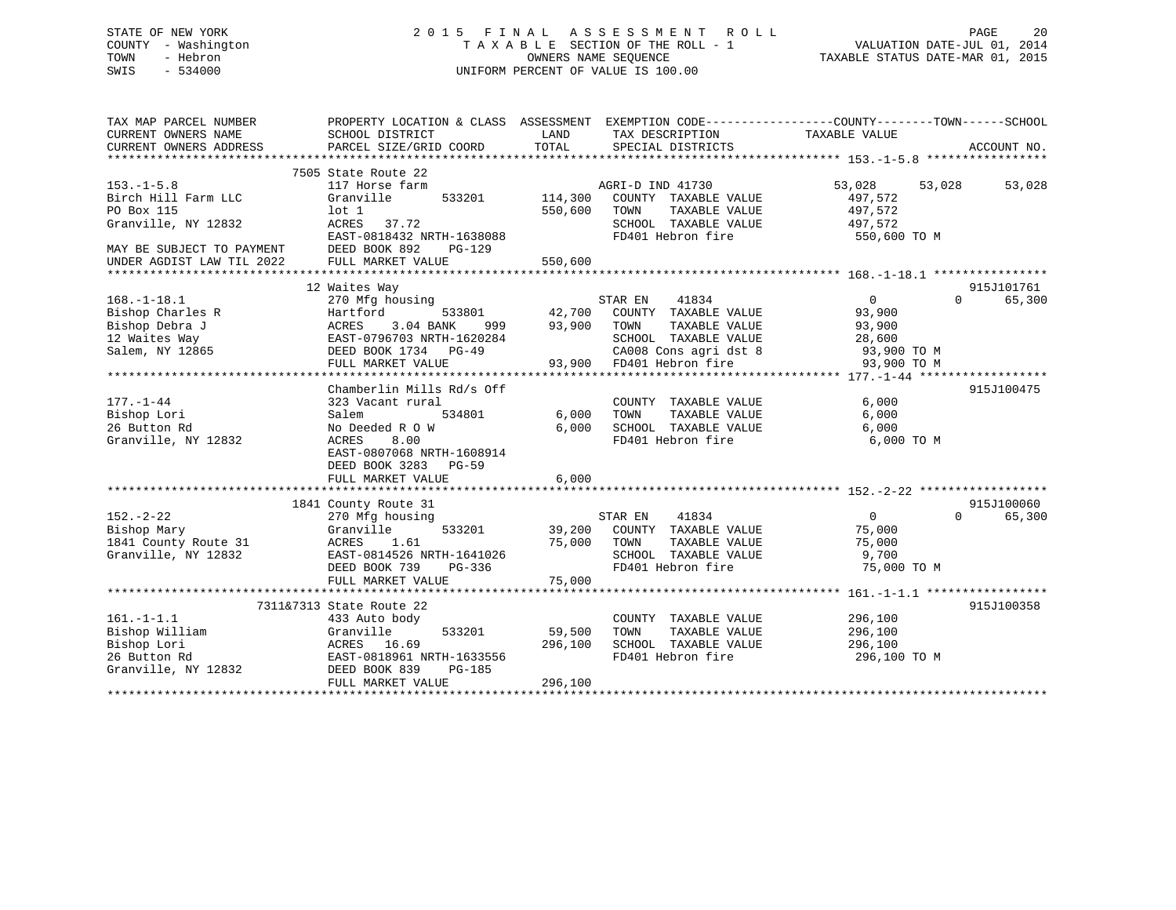# STATE OF NEW YORK 2 0 1 5 F I N A L A S S E S S M E N T R O L L PAGE 20 COUNTY - Washington T A X A B L E SECTION OF THE ROLL - 1 VALUATION DATE-JUL 01, 2014 TOWN - Hebron OWNERS NAME SEQUENCE TAXABLE STATUS DATE-MAR 01, 2015 SWIS - 534000 UNIFORM PERCENT OF VALUE IS 100.00

| TAX MAP PARCEL NUMBER<br>CURRENT OWNERS NAME<br>CURRENT OWNERS ADDRESS                                    | PROPERTY LOCATION & CLASS ASSESSMENT<br>SCHOOL DISTRICT<br>PARCEL SIZE/GRID COORD                                                                                              | LAND<br>TOTAL                | TAX DESCRIPTION TAXABLE VALUE<br>SPECIAL DISTRICTS                                                                                                    | EXEMPTION CODE-----------------COUNTY-------TOWN------SCHOOL      | ACCOUNT NO.        |
|-----------------------------------------------------------------------------------------------------------|--------------------------------------------------------------------------------------------------------------------------------------------------------------------------------|------------------------------|-------------------------------------------------------------------------------------------------------------------------------------------------------|-------------------------------------------------------------------|--------------------|
| $153. - 1 - 5.8$<br>Birch Hill Farm LLC<br>PO Box 115<br>Granville, NY 12832<br>MAY BE SUBJECT TO PAYMENT | 7505 State Route 22<br>117 Horse farm<br>Granville<br>lot 1<br>ACRES 37.72<br>EAST-0818432 NRTH-1638088<br>DEED BOOK 892<br>PG-129                                             | 533201 114,300<br>550,600    | AGRI-D IND 41730<br>COUNTY TAXABLE VALUE<br>TAXABLE VALUE<br>TOWN<br>SCHOOL TAXABLE VALUE<br>FD401 Hebron fire                                        | 53,028<br>53,028<br>497,572<br>497,572<br>497,572<br>550,600 TO M | 53,028             |
| UNDER AGDIST LAW TIL 2022                                                                                 | FULL MARKET VALUE                                                                                                                                                              | 550,600                      |                                                                                                                                                       |                                                                   |                    |
|                                                                                                           | 12 Waites Way                                                                                                                                                                  |                              |                                                                                                                                                       |                                                                   | 915J101761         |
| $168. - 1 - 18.1$<br>Bishop Charles R<br>Bishop Debra J<br>12 Waites Way<br>Salem, NY 12865               | 270 Mfg housing<br>Hartford<br>533801<br>3.04 BANK<br>ACRES<br>999<br>EAST-0796703 NRTH-1620284<br>DEED BOOK 1734 PG-49<br>FULL MARKET VALUE                                   | 93,900                       | STAR EN<br>41834<br>42,700 COUNTY TAXABLE VALUE<br>TOWN<br>TAXABLE VALUE<br>SCHOOL TAXABLE VALUE<br>CA008 Cons agri dst 8<br>93,900 FD401 Hebron fire | 0<br>93,900<br>93,900<br>28,600<br>93,900 TO M<br>93,900 TO M     | $\Omega$<br>65,300 |
| 177.-1-44<br>Bishop Lori<br>26 Button Rd<br>Granville, NY 12832                                           | Chamberlin Mills Rd/s Off<br>323 Vacant rural<br>Salem<br>534801<br>No Deeded R O W<br>ACRES<br>8.00<br>EAST-0807068 NRTH-1608914<br>DEED BOOK 3283 PG-59<br>FULL MARKET VALUE | 6,000<br>6,000<br>6,000      | COUNTY TAXABLE VALUE<br>TAXABLE VALUE<br>TOWN<br>SCHOOL TAXABLE VALUE<br>FD401 Hebron fire                                                            | 6,000<br>6,000<br>6,000<br>6,000 TO M                             | 915J100475         |
|                                                                                                           |                                                                                                                                                                                |                              |                                                                                                                                                       |                                                                   | 915J100060         |
| $152 - 2 - 22$<br>Bishop Mary<br>1841 County Route 31<br>Granville, NY 12832                              | 1841 County Route 31<br>270 Mfg housing<br>533201<br>Granville<br>ACRES<br>1.61<br>EAST-0814526 NRTH-1641026<br>DEED BOOK 739<br>PG-336<br>FULL MARKET VALUE                   | 39,200<br>75,000<br>75,000   | 41834<br>STAR EN<br>COUNTY TAXABLE VALUE<br>TOWN<br>TAXABLE VALUE<br>SCHOOL TAXABLE VALUE<br>FD401 Hebron fire                                        | $0 \qquad \qquad$<br>75,000<br>75,000<br>9,700<br>75,000 TO M     | $\Omega$<br>65,300 |
|                                                                                                           |                                                                                                                                                                                |                              |                                                                                                                                                       |                                                                   |                    |
| $161. - 1 - 1.1$<br>Bishop William<br>Bishop Lori<br>26 Button Rd<br>Granville, NY 12832                  | 7311&7313 State Route 22<br>433 Auto body<br>533201<br>Granville<br>ACRES 16.69<br>EAST-0818961 NRTH-1633556<br>DEED BOOK 839<br>PG-185<br>FULL MARKET VALUE                   | 59,500<br>296,100<br>296,100 | COUNTY TAXABLE VALUE<br>TOWN<br>TAXABLE VALUE<br>SCHOOL TAXABLE VALUE<br>FD401 Hebron fire                                                            | 296,100<br>296,100<br>296,100<br>296,100 TO M                     | 915J100358         |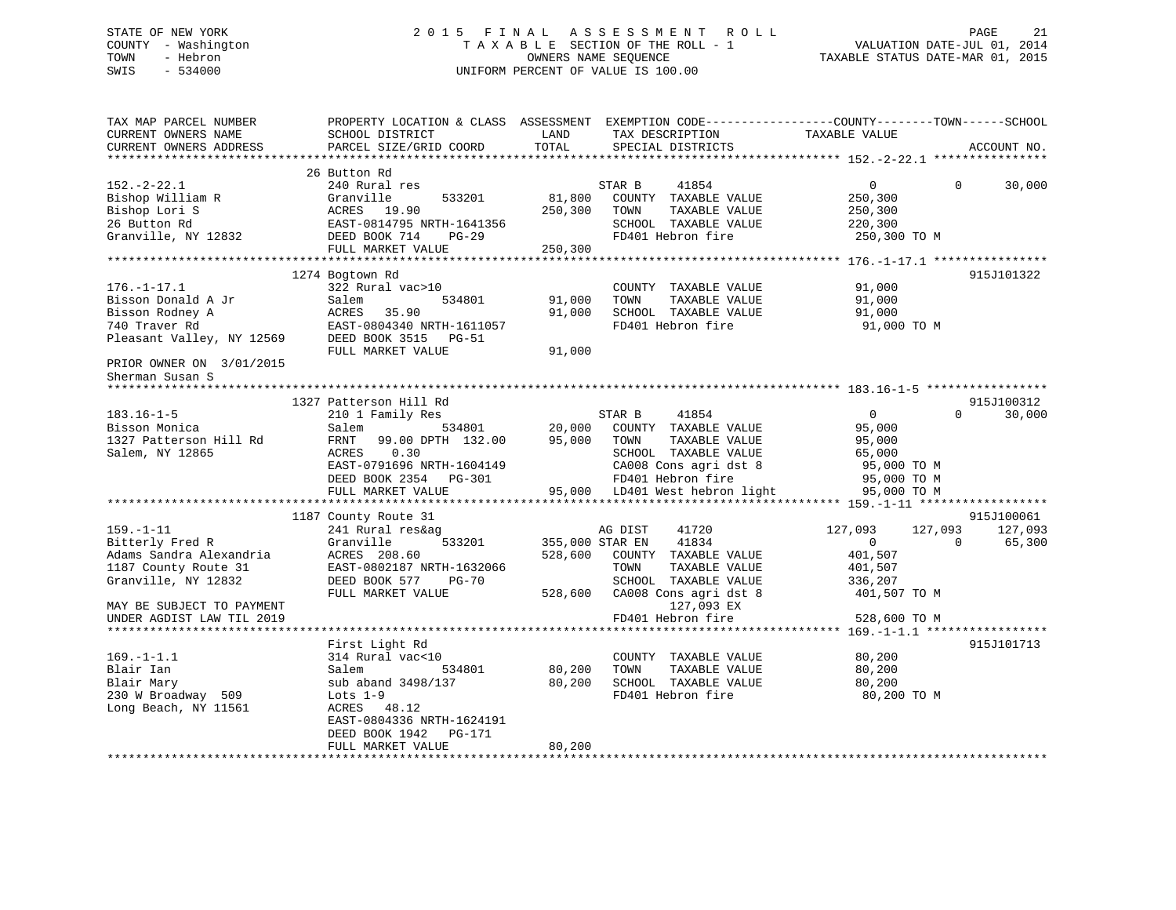# STATE OF NEW YORK 2 0 1 5 F I N A L A S S E S S M E N T R O L L PAGE 21 COUNTY - Washington T A X A B L E SECTION OF THE ROLL - 1 VALUATION DATE-JUL 01, 2014 TOWN - Hebron OWNERS NAME SEQUENCE TAXABLE STATUS DATE-MAR 01, 2015 SWIS - 534000 UNIFORM PERCENT OF VALUE IS 100.00

| TAX MAP PARCEL NUMBER<br>CURRENT OWNERS NAME<br>CURRENT OWNERS ADDRESS                                       | PROPERTY LOCATION & CLASS ASSESSMENT<br>SCHOOL DISTRICT<br>PARCEL SIZE/GRID COORD                                                                               | LAND<br>TOTAL                | TAX DESCRIPTION<br>SPECIAL DISTRICTS                                                                                                                                     | EXEMPTION CODE-----------------COUNTY-------TOWN------SCHOOL<br>TAXABLE VALUE       | ACCOUNT NO.                                 |
|--------------------------------------------------------------------------------------------------------------|-----------------------------------------------------------------------------------------------------------------------------------------------------------------|------------------------------|--------------------------------------------------------------------------------------------------------------------------------------------------------------------------|-------------------------------------------------------------------------------------|---------------------------------------------|
|                                                                                                              |                                                                                                                                                                 |                              |                                                                                                                                                                          |                                                                                     |                                             |
| $152. - 2 - 22.1$<br>Bishop William R<br>Bishop Lori S<br>26 Button Rd<br>Granville, NY 12832                | 26 Button Rd<br>240 Rural res<br>533201<br>Granville<br>ACRES<br>19.90<br>EAST-0814795 NRTH-1641356<br>DEED BOOK 714<br>$PG-29$<br>FULL MARKET VALUE            | 81,800<br>250,300<br>250,300 | STAR B<br>41854<br>COUNTY TAXABLE VALUE<br>TAXABLE VALUE<br>TOWN<br>SCHOOL TAXABLE VALUE<br>FD401 Hebron fire                                                            | $\overline{0}$<br>250,300<br>250,300<br>220,300<br>250,300 TO M                     | 30,000<br>$\Omega$                          |
|                                                                                                              |                                                                                                                                                                 |                              |                                                                                                                                                                          |                                                                                     |                                             |
| $176. - 1 - 17.1$<br>Bisson Donald A Jr<br>Bisson Rodney A<br>740 Traver Rd<br>Pleasant Valley, NY 12569     | 1274 Bogtown Rd<br>322 Rural vac>10<br>Salem<br>534801<br>ACRES<br>35.90<br>EAST-0804340 NRTH-1611057<br>DEED BOOK 3515<br>PG-51<br>FULL MARKET VALUE           | 91,000<br>91,000<br>91,000   | COUNTY TAXABLE VALUE<br>TOWN<br>TAXABLE VALUE<br>SCHOOL TAXABLE VALUE<br>FD401 Hebron fire                                                                               | 91,000<br>91,000<br>91,000<br>91,000 TO M                                           | 915J101322                                  |
| PRIOR OWNER ON 3/01/2015                                                                                     |                                                                                                                                                                 |                              |                                                                                                                                                                          |                                                                                     |                                             |
| Sherman Susan S                                                                                              |                                                                                                                                                                 |                              |                                                                                                                                                                          |                                                                                     |                                             |
|                                                                                                              |                                                                                                                                                                 |                              |                                                                                                                                                                          |                                                                                     |                                             |
|                                                                                                              | 1327 Patterson Hill Rd                                                                                                                                          |                              |                                                                                                                                                                          |                                                                                     | 915J100312                                  |
| $183.16 - 1 - 5$<br>Bisson Monica<br>1327 Patterson Hill Rd<br>Salem, NY 12865                               | 210 1 Family Res<br>Salem<br>534801<br>99.00 DPTH 132.00<br>FRNT<br>ACRES<br>0.30<br>EAST-0791696 NRTH-1604149<br>DEED BOOK 2354<br>PG-301<br>FULL MARKET VALUE | 20,000<br>95,000             | 41854<br>STAR B<br>COUNTY TAXABLE VALUE<br>TAXABLE VALUE<br>TOWN<br>SCHOOL TAXABLE VALUE<br>CA008 Cons agri dst 8<br>FD401 Hebron fire<br>95,000 LD401 West hebron light | $\Omega$<br>95,000<br>95,000<br>65,000<br>95,000 TO M<br>95,000 TO M<br>95,000 TO M | 30,000<br>$\Omega$                          |
|                                                                                                              |                                                                                                                                                                 |                              |                                                                                                                                                                          |                                                                                     |                                             |
| $159. - 1 - 11$<br>Bitterly Fred R<br>Adams Sandra Alexandria<br>1187 County Route 31<br>Granville, NY 12832 | 1187 County Route 31<br>241 Rural res&ag<br>Granville<br>533201<br>ACRES 208.60<br>EAST-0802187 NRTH-1632066<br>DEED BOOK 577<br><b>PG-70</b>                   | 355,000 STAR EN<br>528,600   | AG DIST<br>41720<br>41834<br>COUNTY TAXABLE VALUE<br>TOWN<br>TAXABLE VALUE<br>SCHOOL TAXABLE VALUE                                                                       | 127,093<br>127,093<br>0<br>401,507<br>401,507<br>336,207                            | 915J100061<br>127,093<br>65,300<br>$\Omega$ |
| MAY BE SUBJECT TO PAYMENT<br>UNDER AGDIST LAW TIL 2019                                                       | FULL MARKET VALUE                                                                                                                                               | 528,600                      | CA008 Cons agri dst 8<br>127,093 EX<br>FD401 Hebron fire                                                                                                                 | 401,507 TO M<br>528,600 TO M                                                        |                                             |
|                                                                                                              | First Light Rd                                                                                                                                                  |                              |                                                                                                                                                                          |                                                                                     | 915J101713                                  |
| $169. - 1 - 1.1$<br>Blair Ian<br>Blair Mary<br>230 W Broadway 509<br>Long Beach, NY 11561                    | 314 Rural vac<10<br>Salem<br>534801<br>sub aband 3498/137<br>Lots $1-9$<br>ACRES 48.12<br>EAST-0804336 NRTH-1624191                                             | 80,200<br>80,200             | COUNTY TAXABLE VALUE<br>TAXABLE VALUE<br>TOWN<br>SCHOOL TAXABLE VALUE<br>FD401 Hebron fire                                                                               | 80,200<br>80,200<br>80,200<br>80,200 TO M                                           |                                             |
|                                                                                                              | DEED BOOK 1942<br>PG-171<br>FULL MARKET VALUE                                                                                                                   | 80,200                       |                                                                                                                                                                          |                                                                                     |                                             |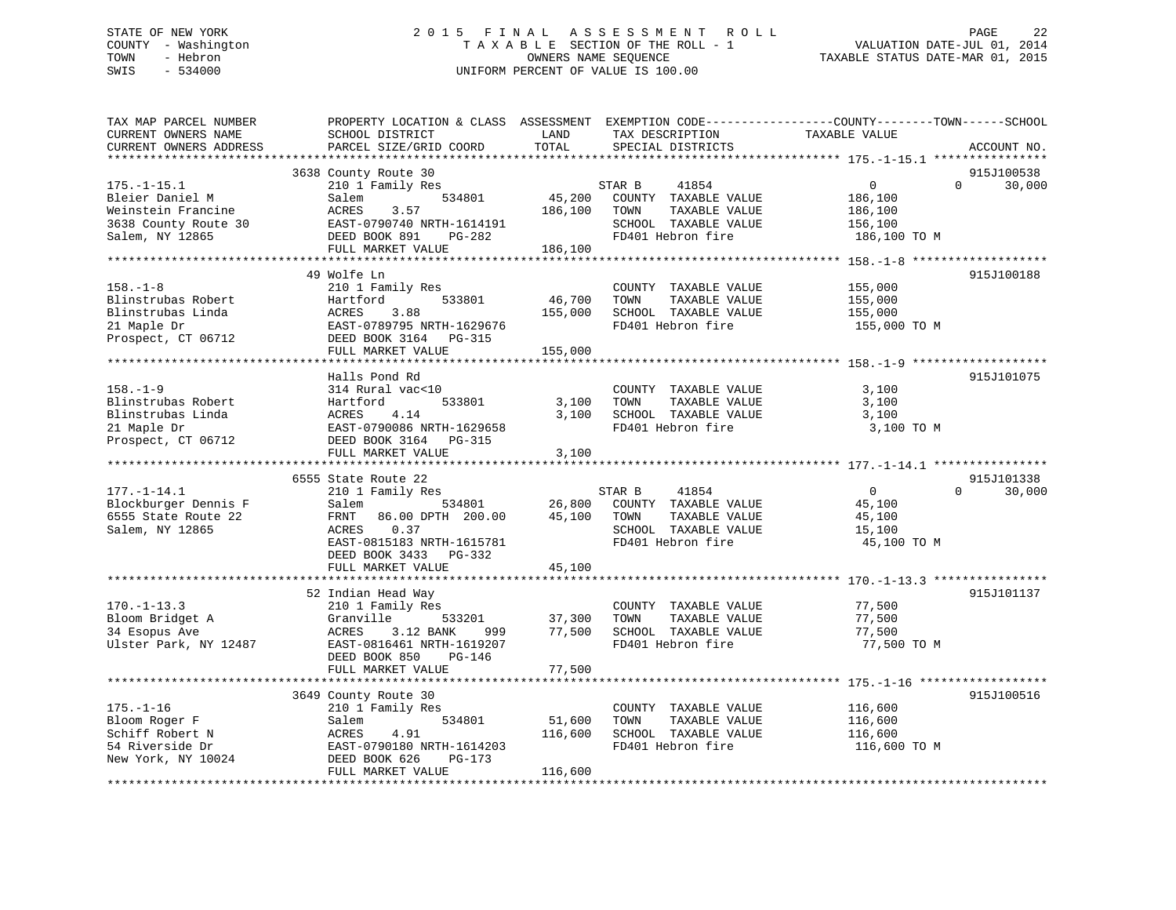# STATE OF NEW YORK 2 0 1 5 F I N A L A S S E S S M E N T R O L L PAGE 22 COUNTY - Washington T A X A B L E SECTION OF THE ROLL - 1 VALUATION DATE-JUL 01, 2014 TOWN - Hebron OWNERS NAME SEQUENCE TAXABLE STATUS DATE-MAR 01, 2015 SWIS - 534000 UNIFORM PERCENT OF VALUE IS 100.00

| TAX MAP PARCEL NUMBER<br>CURRENT OWNERS NAME<br>CURRENT OWNERS ADDRESS | PROPERTY LOCATION & CLASS ASSESSMENT<br>SCHOOL DISTRICT<br>PARCEL SIZE/GRID COORD | LAND<br>TOTAL     | TAX DESCRIPTION<br>SPECIAL DISTRICTS      | EXEMPTION CODE-----------------COUNTY-------TOWN------SCHOOL<br>TAXABLE VALUE<br>ACCOUNT NO. |
|------------------------------------------------------------------------|-----------------------------------------------------------------------------------|-------------------|-------------------------------------------|----------------------------------------------------------------------------------------------|
|                                                                        | ************************                                                          |                   |                                           |                                                                                              |
|                                                                        | 3638 County Route 30                                                              |                   |                                           | 915J100538                                                                                   |
| $175. - 1 - 15.1$                                                      | 210 1 Family Res                                                                  |                   | STAR B<br>41854                           | $\mathbf{0}$<br>$\Omega$<br>30,000                                                           |
| Bleier Daniel M                                                        | 534801<br>Salem                                                                   | 45,200            | COUNTY TAXABLE VALUE                      | 186,100                                                                                      |
| Weinstein Francine                                                     | 3.57<br>ACRES                                                                     | 186,100           | TOWN<br>TAXABLE VALUE                     | 186,100                                                                                      |
| 3638 County Route 30                                                   | EAST-0790740 NRTH-1614191                                                         |                   | SCHOOL TAXABLE VALUE                      | 156,100                                                                                      |
| Salem, NY 12865                                                        | DEED BOOK 891<br>PG-282                                                           |                   | FD401 Hebron fire                         | 186,100 TO M                                                                                 |
|                                                                        | FULL MARKET VALUE                                                                 | 186,100           |                                           |                                                                                              |
|                                                                        |                                                                                   |                   |                                           |                                                                                              |
|                                                                        | 49 Wolfe Ln                                                                       |                   |                                           | 915J100188                                                                                   |
| $158. - 1 - 8$                                                         | 210 1 Family Res                                                                  |                   | COUNTY TAXABLE VALUE                      | 155,000                                                                                      |
| Blinstrubas Robert<br>Blinstrubas Linda                                | Hartford<br>533801                                                                | 46,700            | TOWN<br>TAXABLE VALUE                     | 155,000                                                                                      |
| 21 Maple Dr                                                            | 3.88<br>ACRES<br>EAST-0789795 NRTH-1629676                                        | 155,000           | SCHOOL TAXABLE VALUE<br>FD401 Hebron fire | 155,000<br>155,000 TO M                                                                      |
| Prospect, CT 06712                                                     | DEED BOOK 3164 PG-315                                                             |                   |                                           |                                                                                              |
|                                                                        | FULL MARKET VALUE                                                                 | 155,000           |                                           |                                                                                              |
|                                                                        |                                                                                   |                   |                                           |                                                                                              |
|                                                                        | Halls Pond Rd                                                                     |                   |                                           | 915J101075                                                                                   |
| $158. - 1 - 9$                                                         | 314 Rural vac<10                                                                  |                   | COUNTY TAXABLE VALUE                      | 3,100                                                                                        |
| Blinstrubas Robert                                                     | 533801<br>Hartford                                                                | 3,100             | TOWN<br>TAXABLE VALUE                     | 3,100                                                                                        |
| Blinstrubas Linda                                                      | ACRES<br>4.14                                                                     | 3,100             | SCHOOL TAXABLE VALUE                      | 3,100                                                                                        |
| 21 Maple Dr                                                            | EAST-0790086 NRTH-1629658                                                         |                   | FD401 Hebron fire                         | 3,100 TO M                                                                                   |
| Prospect, CT 06712                                                     | DEED BOOK 3164 PG-315                                                             |                   |                                           |                                                                                              |
|                                                                        | FULL MARKET VALUE                                                                 | 3,100             |                                           |                                                                                              |
|                                                                        |                                                                                   |                   |                                           |                                                                                              |
|                                                                        | 6555 State Route 22                                                               |                   |                                           | 915J101338                                                                                   |
| $177. - 1 - 14.1$                                                      | 210 1 Family Res                                                                  |                   | 41854<br>STAR B                           | $\mathbf 0$<br>$\Omega$<br>30,000                                                            |
| Blockburger Dennis F                                                   | 534801<br>Salem                                                                   | 26,800            | COUNTY TAXABLE VALUE                      | 45,100                                                                                       |
| 6555 State Route 22                                                    | FRNT<br>86.00 DPTH 200.00                                                         | 45,100            | TOWN<br>TAXABLE VALUE                     | 45,100                                                                                       |
| Salem, NY 12865                                                        | 0.37<br>ACRES                                                                     |                   | SCHOOL TAXABLE VALUE                      | 15,100                                                                                       |
|                                                                        | EAST-0815183 NRTH-1615781                                                         |                   | FD401 Hebron fire                         | 45,100 TO M                                                                                  |
|                                                                        | DEED BOOK 3433 PG-332                                                             |                   |                                           |                                                                                              |
|                                                                        | FULL MARKET VALUE                                                                 | 45,100            |                                           |                                                                                              |
|                                                                        |                                                                                   |                   |                                           |                                                                                              |
|                                                                        | 52 Indian Head Way                                                                |                   |                                           | 915J101137                                                                                   |
| $170. - 1 - 13.3$                                                      | 210 1 Family Res                                                                  |                   | COUNTY TAXABLE VALUE                      | 77,500                                                                                       |
| Bloom Bridget A                                                        | Granville<br>533201                                                               | 37,300            | TOWN<br>TAXABLE VALUE                     | 77,500                                                                                       |
| 34 Esopus Ave                                                          | ACRES<br>3.12 BANK<br>999                                                         | 77,500            | SCHOOL TAXABLE VALUE                      | 77,500                                                                                       |
| Ulster Park, NY 12487                                                  | EAST-0816461 NRTH-1619207                                                         |                   | FD401 Hebron fire                         | 77,500 TO M                                                                                  |
|                                                                        | DEED BOOK 850<br>$PG-146$                                                         |                   |                                           |                                                                                              |
|                                                                        | FULL MARKET VALUE                                                                 | 77,500            |                                           |                                                                                              |
|                                                                        |                                                                                   |                   |                                           |                                                                                              |
|                                                                        | 3649 County Route 30                                                              |                   |                                           | 915J100516                                                                                   |
| $175. - 1 - 16$                                                        | 210 1 Family Res                                                                  |                   | COUNTY TAXABLE VALUE                      | 116,600                                                                                      |
| Bloom Roger F                                                          | Salem<br>534801                                                                   | 51,600<br>116,600 | TOWN<br>TAXABLE VALUE                     | 116,600                                                                                      |
| Schiff Robert N<br>54 Riverside Dr                                     | 4.91<br>ACRES<br>EAST-0790180 NRTH-1614203                                        |                   | SCHOOL TAXABLE VALUE<br>FD401 Hebron fire | 116,600<br>116,600 TO M                                                                      |
| New York, NY 10024                                                     | DEED BOOK 626<br>PG-173                                                           |                   |                                           |                                                                                              |
|                                                                        | FULL MARKET VALUE                                                                 | 116,600           |                                           |                                                                                              |
|                                                                        |                                                                                   |                   |                                           |                                                                                              |
|                                                                        |                                                                                   |                   |                                           |                                                                                              |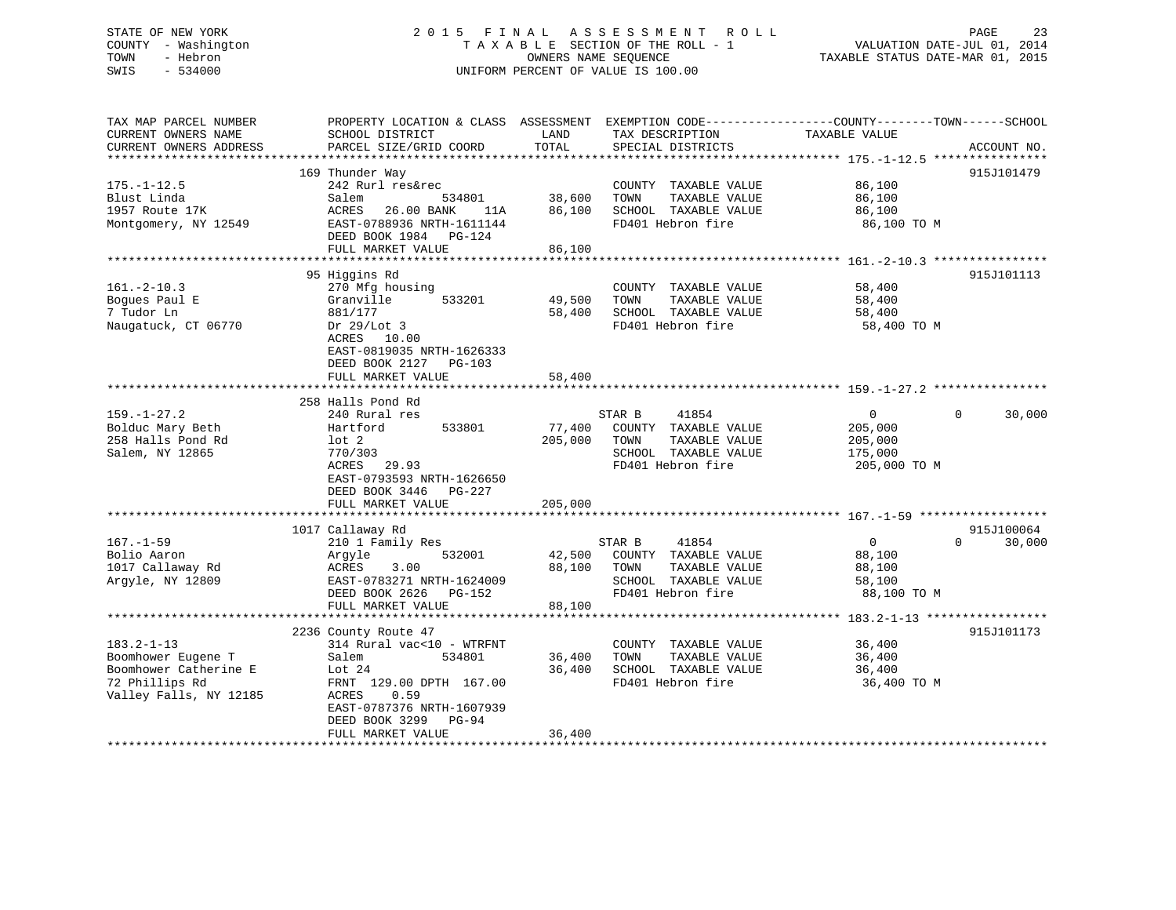# STATE OF NEW YORK 2 0 1 5 F I N A L A S S E S S M E N T R O L L PAGE 23 COUNTY - Washington T A X A B L E SECTION OF THE ROLL - 1 VALUATION DATE-JUL 01, 2014 TOWN - Hebron OWNERS NAME SEQUENCE TAXABLE STATUS DATE-MAR 01, 2015 SWIS - 534000 UNIFORM PERCENT OF VALUE IS 100.00

| TAX MAP PARCEL NUMBER  | PROPERTY LOCATION & CLASS ASSESSMENT EXEMPTION CODE----------------COUNTY-------TOWN------SCHOOL |                |                       |                                                               |                    |
|------------------------|--------------------------------------------------------------------------------------------------|----------------|-----------------------|---------------------------------------------------------------|--------------------|
| CURRENT OWNERS NAME    | SCHOOL DISTRICT                                                                                  | LAND           | TAX DESCRIPTION       | TAXABLE VALUE                                                 |                    |
| CURRENT OWNERS ADDRESS | PARCEL SIZE/GRID COORD                                                                           | TOTAL          | SPECIAL DISTRICTS     |                                                               | ACCOUNT NO.        |
|                        |                                                                                                  |                |                       |                                                               |                    |
|                        | 169 Thunder Way                                                                                  |                |                       |                                                               | 915J101479         |
| $175. - 1 - 12.5$      | 242 Rurl res&rec                                                                                 |                | COUNTY TAXABLE VALUE  | 86,100                                                        |                    |
| Blust Linda            | Salem<br>534801                                                                                  | 38,600         | TOWN<br>TAXABLE VALUE | 86,100                                                        |                    |
| 1957 Route 17K         | ACRES<br>26.00 BANK<br>11A                                                                       | 86,100         | SCHOOL TAXABLE VALUE  | 86,100                                                        |                    |
| Montgomery, NY 12549   | EAST-0788936 NRTH-1611144<br>DEED BOOK 1984 PG-124                                               |                | FD401 Hebron fire     | 86,100 TO M                                                   |                    |
|                        | FULL MARKET VALUE                                                                                | 86,100         |                       |                                                               |                    |
| *******************    | **************************                                                                       | ************** |                       |                                                               |                    |
|                        | 95 Higgins Rd                                                                                    |                |                       |                                                               | 915J101113         |
| $161 - 2 - 10.3$       | 270 Mfg housing                                                                                  |                | COUNTY TAXABLE VALUE  | 58,400                                                        |                    |
| Boques Paul E          | 533201<br>Granville                                                                              | 49,500         | TOWN<br>TAXABLE VALUE | 58,400                                                        |                    |
| 7 Tudor Ln             | 881/177                                                                                          | 58,400         | SCHOOL TAXABLE VALUE  | 58,400                                                        |                    |
|                        |                                                                                                  |                | FD401 Hebron fire     |                                                               |                    |
| Naugatuck, CT 06770    | Dr $29/Lot$ 3                                                                                    |                |                       | 58,400 TO M                                                   |                    |
|                        | ACRES 10.00                                                                                      |                |                       |                                                               |                    |
|                        | EAST-0819035 NRTH-1626333                                                                        |                |                       |                                                               |                    |
|                        | DEED BOOK 2127 PG-103                                                                            |                |                       |                                                               |                    |
|                        | FULL MARKET VALUE                                                                                | 58,400         |                       |                                                               |                    |
|                        |                                                                                                  |                |                       |                                                               |                    |
|                        | 258 Halls Pond Rd                                                                                |                |                       |                                                               |                    |
| $159. - 1 - 27.2$      | 240 Rural res                                                                                    |                | STAR B<br>41854       | $\overline{0}$                                                | $\Omega$<br>30,000 |
| Bolduc Mary Beth       | 533801<br>Hartford                                                                               | 77,400         | COUNTY TAXABLE VALUE  | 205,000                                                       |                    |
| 258 Halls Pond Rd      | lot 2                                                                                            | 205,000        | TAXABLE VALUE<br>TOWN | 205,000                                                       |                    |
| Salem, NY 12865        | 770/303                                                                                          |                | SCHOOL TAXABLE VALUE  | 175,000                                                       |                    |
|                        | ACRES 29.93                                                                                      |                | FD401 Hebron fire     | 205,000 TO M                                                  |                    |
|                        | EAST-0793593 NRTH-1626650                                                                        |                |                       |                                                               |                    |
|                        | DEED BOOK 3446<br>$PG-227$                                                                       |                |                       |                                                               |                    |
|                        | FULL MARKET VALUE                                                                                | 205,000        |                       |                                                               |                    |
|                        |                                                                                                  |                |                       | ******************************* 167.-1-59 ******************* |                    |
|                        | 1017 Callaway Rd                                                                                 |                |                       |                                                               | 915J100064         |
| $167. - 1 - 59$        | 210 1 Family Res                                                                                 |                | STAR B<br>41854       | $\overline{0}$                                                | $\Omega$<br>30,000 |
| Bolio Aaron            | 532001<br>Argyle                                                                                 | 42,500         | COUNTY TAXABLE VALUE  | 88,100                                                        |                    |
| 1017 Callaway Rd       | ACRES<br>3.00                                                                                    | 88,100         | TAXABLE VALUE<br>TOWN | 88,100                                                        |                    |
| Argyle, NY 12809       | EAST-0783271 NRTH-1624009                                                                        |                | SCHOOL TAXABLE VALUE  | 58,100                                                        |                    |
|                        | DEED BOOK 2626<br>PG-152                                                                         |                | FD401 Hebron fire     | 88,100 TO M                                                   |                    |
|                        | FULL MARKET VALUE                                                                                | 88,100         |                       |                                                               |                    |
|                        |                                                                                                  |                |                       |                                                               |                    |
|                        | 2236 County Route 47                                                                             |                |                       |                                                               | 915J101173         |
| $183.2 - 1 - 13$       | 314 Rural vac<10 - WTRFNT                                                                        |                | COUNTY TAXABLE VALUE  | 36,400                                                        |                    |
| Boomhower Eugene T     | 534801<br>Salem                                                                                  | 36,400         | TOWN<br>TAXABLE VALUE | 36,400                                                        |                    |
| Boomhower Catherine E  | Lot $24$                                                                                         | 36,400         | SCHOOL TAXABLE VALUE  | 36,400                                                        |                    |
| 72 Phillips Rd         | FRNT 129.00 DPTH 167.00                                                                          |                | FD401 Hebron fire     | 36,400 TO M                                                   |                    |
| Valley Falls, NY 12185 | ACRES<br>0.59                                                                                    |                |                       |                                                               |                    |
|                        | EAST-0787376 NRTH-1607939                                                                        |                |                       |                                                               |                    |
|                        | DEED BOOK 3299<br>PG-94                                                                          |                |                       |                                                               |                    |
|                        | FULL MARKET VALUE                                                                                | 36,400         |                       |                                                               |                    |
|                        |                                                                                                  |                |                       |                                                               |                    |
|                        |                                                                                                  |                |                       |                                                               |                    |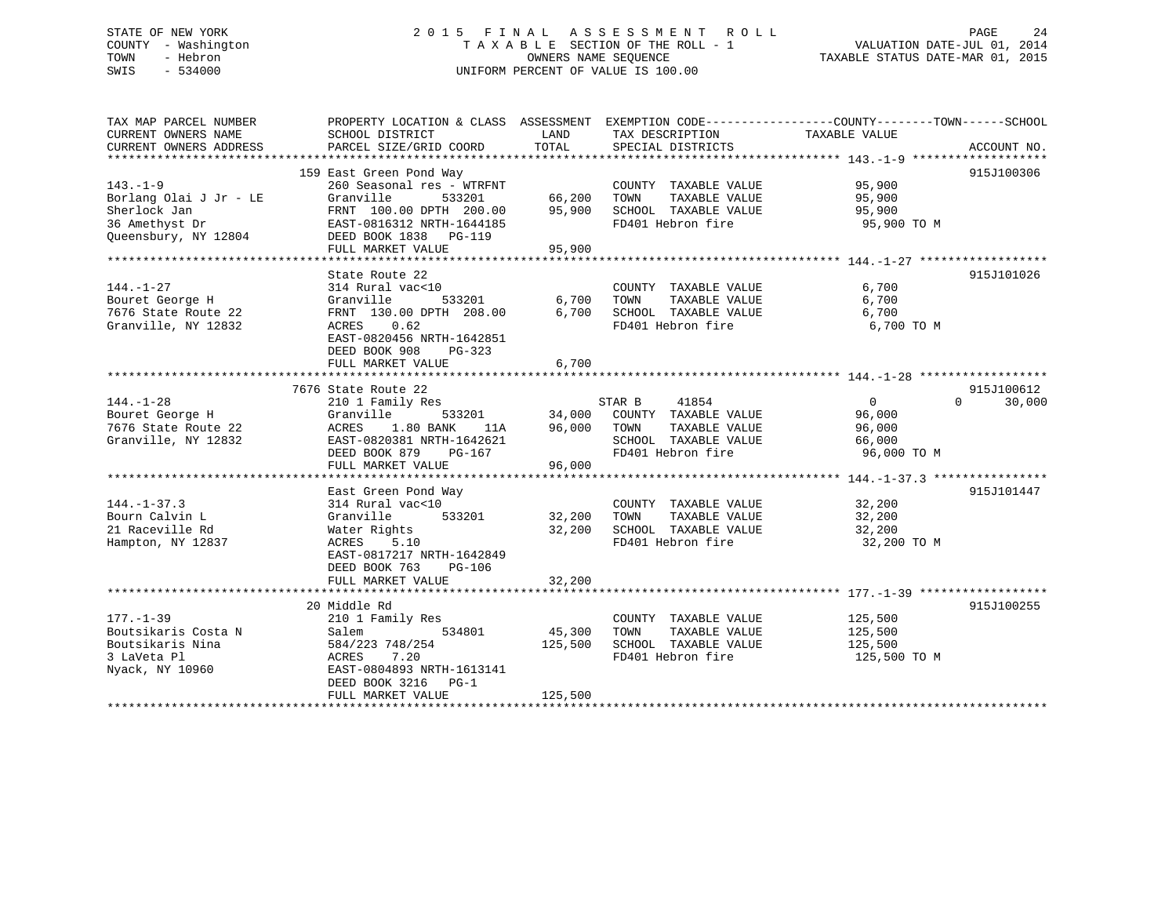# STATE OF NEW YORK 2 0 1 5 F I N A L A S S E S S M E N T R O L L PAGE 24 COUNTY - Washington T A X A B L E SECTION OF THE ROLL - 1 VALUATION DATE-JUL 01, 2014 TOWN - Hebron OWNERS NAME SEQUENCE TAXABLE STATUS DATE-MAR 01, 2015 SWIS - 534000 UNIFORM PERCENT OF VALUE IS 100.00

| TAX MAP PARCEL NUMBER  | PROPERTY LOCATION & CLASS ASSESSMENT EXEMPTION CODE---------------COUNTY-------TOWN-----SCHOOL |         |                               |                    |                    |
|------------------------|------------------------------------------------------------------------------------------------|---------|-------------------------------|--------------------|--------------------|
| CURRENT OWNERS NAME    | SCHOOL DISTRICT                                                                                | LAND    | TAX DESCRIPTION               | TAXABLE VALUE      |                    |
| CURRENT OWNERS ADDRESS | PARCEL SIZE/GRID COORD                                                                         | TOTAL   | SPECIAL DISTRICTS             |                    | ACCOUNT NO.        |
|                        | 159 East Green Pond Way                                                                        |         |                               |                    | 915J100306         |
| $143. - 1 - 9$         | 260 Seasonal res - WTRFNT                                                                      |         | COUNTY TAXABLE VALUE          | 95,900             |                    |
| Borlang Olai J Jr - LE | Granville<br>533201                                                                            | 66,200  | TOWN<br>TAXABLE VALUE         | 95,900             |                    |
| Sherlock Jan           | FRNT 100.00 DPTH 200.00                                                                        | 95,900  | SCHOOL TAXABLE VALUE          | 95,900             |                    |
| 36 Amethyst Dr         | EAST-0816312 NRTH-1644185                                                                      |         | FD401 Hebron fire             | 95,900 TO M        |                    |
| Oueensbury, NY 12804   | DEED BOOK 1838 PG-119                                                                          |         |                               |                    |                    |
|                        | FULL MARKET VALUE                                                                              | 95,900  |                               |                    |                    |
|                        |                                                                                                |         |                               |                    |                    |
|                        | State Route 22                                                                                 |         |                               |                    | 915J101026         |
| $144. - 1 - 27$        | 314 Rural vac<10                                                                               |         | COUNTY TAXABLE VALUE          | 6,700              |                    |
| Bouret George H        | 533201<br>Granville                                                                            | 6,700   | TAXABLE VALUE<br>TOWN         | 6,700              |                    |
| 7676 State Route 22    | FRNT 130.00 DPTH 208.00                                                                        | 6,700   | SCHOOL TAXABLE VALUE          | 6,700              |                    |
| Granville, NY 12832    | 0.62<br>ACRES                                                                                  |         | FD401 Hebron fire             | 6,700 TO M         |                    |
|                        | EAST-0820456 NRTH-1642851                                                                      |         |                               |                    |                    |
|                        | DEED BOOK 908<br>PG-323                                                                        |         |                               |                    |                    |
|                        | FULL MARKET VALUE                                                                              | 6,700   |                               |                    |                    |
|                        |                                                                                                |         |                               |                    |                    |
|                        | 7676 State Route 22                                                                            |         |                               |                    | 915J100612         |
| $144. - 1 - 28$        | 210 1 Family Res                                                                               |         | STAR B<br>41854               | $\overline{0}$     | $\Omega$<br>30,000 |
| Bouret George H        | Granville<br>533201                                                                            |         | 34,000 COUNTY TAXABLE VALUE   | 96,000             |                    |
| 7676 State Route 22    | 1.80 BANK<br>ACRES<br>11A                                                                      | 96,000  | TOWN<br>TAXABLE VALUE         | 96,000             |                    |
| Granville, NY 12832    | EAST-0820381 NRTH-1642621                                                                      |         | SCHOOL TAXABLE VALUE          | 66,000             |                    |
|                        | DEED BOOK 879<br>PG-167                                                                        |         | FD401 Hebron fire             | 96,000 TO M        |                    |
|                        | FULL MARKET VALUE                                                                              | 96,000  |                               |                    |                    |
|                        |                                                                                                |         |                               |                    |                    |
|                        | East Green Pond Way                                                                            |         |                               |                    | 915J101447         |
| $144. - 1 - 37.3$      | 314 Rural vac<10                                                                               |         | COUNTY TAXABLE VALUE          | 32,200             |                    |
| Bourn Calvin L         | 533201<br>Granville                                                                            | 32,200  | TAXABLE VALUE<br>TOWN         | 32,200             |                    |
| 21 Raceville Rd        | Water Rights                                                                                   |         | $32,200$ SCHOOL TAXABLE VALUE | 32,200             |                    |
| Hampton, NY 12837      | ACRES<br>5.10                                                                                  |         | FD401 Hebron fire             | 32,200 TO M        |                    |
|                        | EAST-0817217 NRTH-1642849                                                                      |         |                               |                    |                    |
|                        | DEED BOOK 763<br>PG-106                                                                        |         |                               |                    |                    |
|                        | FULL MARKET VALUE                                                                              | 32,200  |                               |                    |                    |
|                        |                                                                                                |         |                               |                    |                    |
|                        | 20 Middle Rd                                                                                   |         |                               |                    | 915J100255         |
| $177. - 1 - 39$        | 210 1 Family Res                                                                               |         | COUNTY TAXABLE VALUE          | 125,500<br>125,500 |                    |
| Boutsikaris Costa N    | 534801<br>Salem                                                                                | 45,300  | TAXABLE VALUE<br>TOWN         |                    |                    |
| Boutsikaris Nina       | 584/223 748/254                                                                                | 125,500 | SCHOOL TAXABLE VALUE          | 125,500            |                    |
| 3 LaVeta Pl            | 7.20<br>ACRES                                                                                  |         | FD401 Hebron fire             | 125,500 TO M       |                    |
| Nyack, NY 10960        | EAST-0804893 NRTH-1613141                                                                      |         |                               |                    |                    |
|                        | DEED BOOK 3216 PG-1                                                                            |         |                               |                    |                    |
|                        | FULL MARKET VALUE                                                                              | 125,500 |                               |                    |                    |
|                        |                                                                                                |         |                               |                    |                    |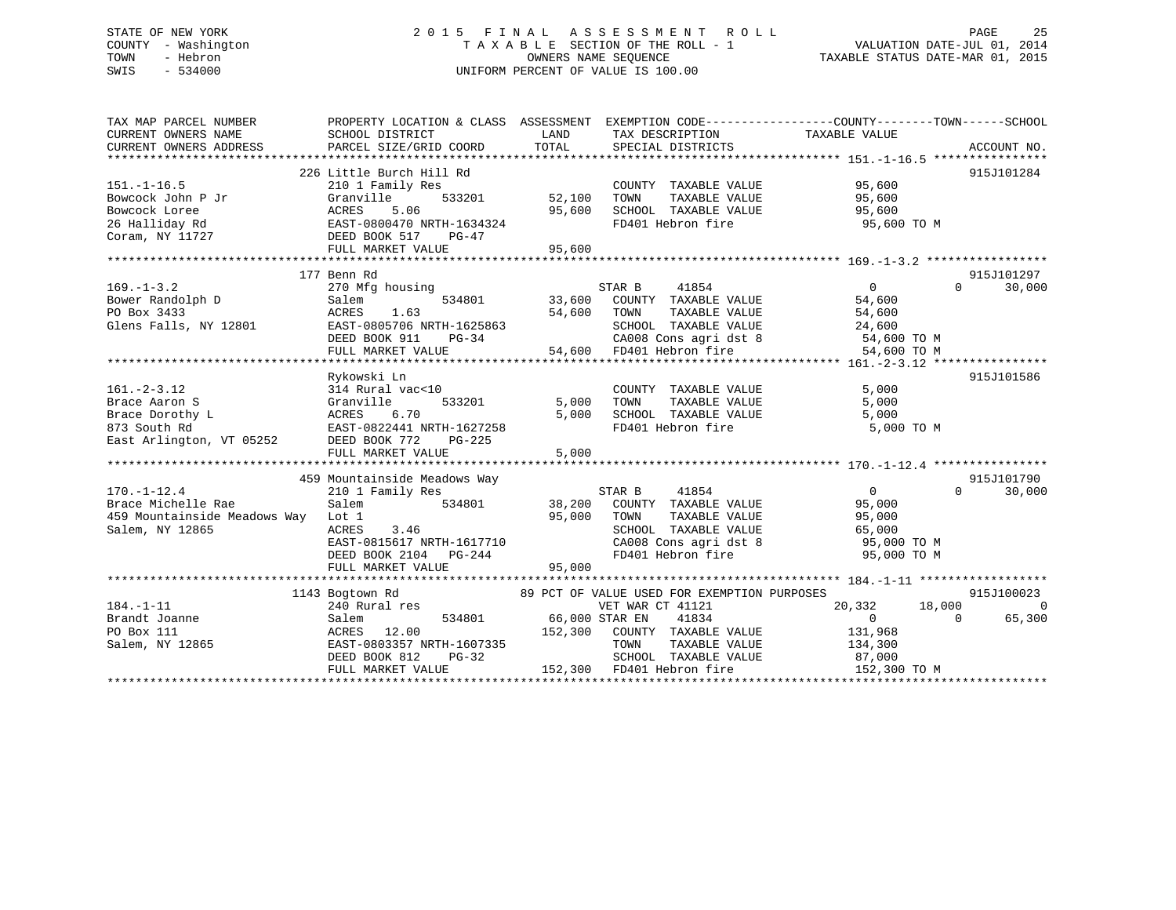# STATE OF NEW YORK 2 0 1 5 F I N A L A S S E S S M E N T R O L L PAGE 25 COUNTY - Washington T A X A B L E SECTION OF THE ROLL - 1 VALUATION DATE-JUL 01, 2014 TOWN - Hebron OWNERS NAME SEQUENCE TAXABLE STATUS DATE-MAR 01, 2015 SWIS - 534000 UNIFORM PERCENT OF VALUE IS 100.00

| TAX MAP PARCEL NUMBER<br>CURRENT OWNERS NAME<br>CURRENT OWNERS ADDRESS                                                                      | PROPERTY LOCATION & CLASS ASSESSMENT EXEMPTION CODE---------------COUNTY-------TOWN-----SCHOOL<br>SCHOOL DISTRICT<br>PARCEL SIZE/GRID COORD                                   | LAND<br>TOTAL                  | TAX DESCRIPTION TAXABLE VALUE<br>SPECIAL DISTRICTS                                                                                                                                                                                                                                                                                                                                               |                                                                                             | ACCOUNT NO.                      |
|---------------------------------------------------------------------------------------------------------------------------------------------|-------------------------------------------------------------------------------------------------------------------------------------------------------------------------------|--------------------------------|--------------------------------------------------------------------------------------------------------------------------------------------------------------------------------------------------------------------------------------------------------------------------------------------------------------------------------------------------------------------------------------------------|---------------------------------------------------------------------------------------------|----------------------------------|
| $151. - 1 - 16.5$<br>Coram, NY 11727                                                                                                        | 226 Little Burch Hill Rd<br>210 1 Family Res<br>533201 52,100<br>DEED BOOK 517<br>PG-47<br>FULL MARKET VALUE                                                                  | 95,600<br>95,600               | COUNTY TAXABLE VALUE 95,600<br>TOWN<br>SCHOOL TAXABLE VALUE<br>FD401 Hebron fire                                                                                                                                                                                                                                                                                                                 | TAXABLE VALUE 95,600<br>95,600<br>95,600 TO M                                               | 915J101284                       |
| $169. - 1 - 3.2$<br>Bower Randolph D<br>PO Box 3433<br>Glens Falls, NY 12801                                                                | 177 Benn Rd<br>270 Mfg housing<br>534801<br>Salem<br>ACRES<br>1.63<br>EAST-0805706 NRTH-1625863<br>DEED BOOK 911<br>$PG-34$<br>FULL MARKET VALUE                              | 54,600 TOWN<br>$-34$<br>54,600 | STAR B 41854<br>33,600 COUNTY TAXABLE VALUE<br>$\begin{tabular}{lllllll} \multicolumn{2}{c}{\text{\small\tt TOWN}} & \multicolumn{2}{c}{\text{\small\tt TAXABLE VALUE}} & \\ \multicolumn{2}{c}{\text{\small\tt SCHOOD}} & \multicolumn{2}{c}{\text{\small\tt TAXABLE VALUE}} & \\ & & & & 24,600 \\ \end{tabular}$<br>CA008 Cons agri dst 8 54,600 TO M<br>54,600 FD401 Hebron fire 54,600 TO M | $\overline{0}$<br>$\Omega$<br>54,600                                                        | 915J101297<br>30,000             |
| $161. - 2 - 3.12$<br>Brace Aaron S<br>ACRES<br>ACRES<br>EAST-0<br>Brace Dorothy L<br>873 South Rd<br>East Arlington, VT 05252 DEED BOOK 772 | Rykowski Ln<br>314 Rural vac<10<br>533201<br>Granville<br>6.70<br>EAST-0822441 NRTH-1627258<br>PG-225<br>FULL MARKET VALUE                                                    | 5,000<br>5,000<br>5,000        | COUNTY TAXABLE VALUE<br>TOWN      TAXABLE VALUE<br>SCHOOL TAXABLE VALUE<br>FD401 Hebron fire                                                                                                                                                                                                                                                                                                     | 5,000<br>5,000<br>5,000<br>5,000 TO M                                                       | 915J101586                       |
| $170. - 1 - 12.4$<br>Brace Michelle Rae<br>459 Mountainside Meadows Way Lot 1<br>Salem, NY 12865                                            | 459 Mountainside Meadows Way<br>210 1 Family Res<br>Salem<br>534801<br>ACRES<br>3.46<br>$\frac{1}{2}$ EAST-0815617 NRTH-1617710<br>DEED BOOK 2104 PG-244<br>FULL MARKET VALUE | 95,000<br>95,000               | STAR B<br>41854<br>38,200 COUNTY TAXABLE VALUE<br>TAXABLE VALUE<br>TOWN<br>SCHOOL TAXABLE VALUE<br>CA008 Cons agri dst 8<br>FD401 Hebron fire                                                                                                                                                                                                                                                    | $\overline{0}$<br>$\Omega$<br>95,000<br>95,000<br>65,000<br>95,000 TO M<br>95,000 TO M      | 915J101790<br>30,000             |
| $184. - 1 - 11$<br>Brandt Joanne<br>PO Box 111<br>Salem, NY 12865                                                                           | 1143 Bogtown Rd<br>240 Rural res<br>Salem<br>ACRES 12.00<br>EAST-0803357 NRTH-1607335<br>DEED BOOK 812<br>$PG-32$<br>FULL MARKET VALUE                                        | 534801 66,000 STAR EN          | 89 PCT OF VALUE USED FOR EXEMPTION PURPOSES<br>VET WAR CT 41121<br>41834<br>152,300 COUNTY TAXABLE VALUE<br>TAXABLE VALUE<br>TOWN<br>SCHOOL TAXABLE VALUE<br>152,300 FD401 Hebron fire                                                                                                                                                                                                           | 20,332 18,000<br>$\overline{0}$<br>$\Omega$<br>131,968<br>134,300<br>87,000<br>152,300 TO M | 915J100023<br>$\Omega$<br>65,300 |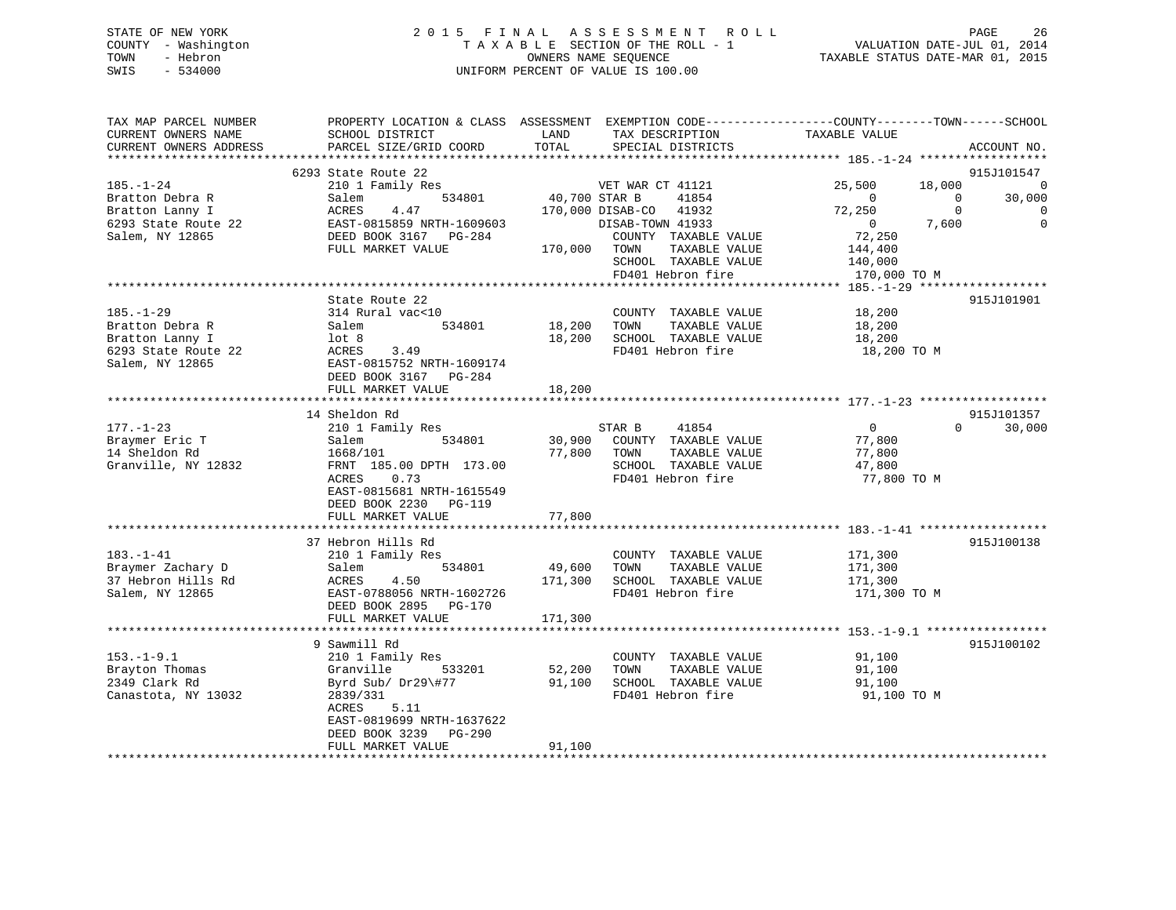# STATE OF NEW YORK 2 0 1 5 F I N A L A S S E S S M E N T R O L L PAGE 26 COUNTY - Washington T A X A B L E SECTION OF THE ROLL - 1 VALUATION DATE-JUL 01, 2014 TOWN - Hebron OWNERS NAME SEQUENCE TAXABLE STATUS DATE-MAR 01, 2015 SWIS - 534000 UNIFORM PERCENT OF VALUE IS 100.00

| TAX MAP PARCEL NUMBER<br>CURRENT OWNERS NAME<br>CURRENT OWNERS ADDRESS | PROPERTY LOCATION & CLASS ASSESSMENT<br>SCHOOL DISTRICT<br>PARCEL SIZE/GRID COORD | LAND<br>TOTAL     | TAX DESCRIPTION<br>SPECIAL DISTRICTS      | EXEMPTION CODE-----------------COUNTY-------TOWN------SCHOOL<br>TAXABLE VALUE | ACCOUNT NO.        |
|------------------------------------------------------------------------|-----------------------------------------------------------------------------------|-------------------|-------------------------------------------|-------------------------------------------------------------------------------|--------------------|
| **********************                                                 |                                                                                   |                   |                                           |                                                                               |                    |
|                                                                        | 6293 State Route 22                                                               |                   |                                           |                                                                               | 915J101547         |
| $185. - 1 - 24$                                                        | 210 1 Family Res                                                                  |                   | VET WAR CT 41121                          | 25,500<br>18,000                                                              | $\Omega$           |
| Bratton Debra R                                                        | 534801<br>Salem<br><b>ACRES</b>                                                   |                   | 40,700 STAR B<br>41854<br>41932           | $\Omega$<br>$\Omega$<br>$\Omega$                                              | 30,000<br>$\Omega$ |
| Bratton Lanny I<br>6293 State Route 22                                 | 4.47<br>EAST-0815859 NRTH-1609603                                                 |                   | 170,000 DISAB-CO<br>DISAB-TOWN 41933      | 72,250<br>$\mathbf{0}$<br>7,600                                               | $\mathbf 0$        |
| Salem, NY 12865                                                        | DEED BOOK 3167 PG-284                                                             |                   | COUNTY TAXABLE VALUE                      | 72,250                                                                        |                    |
|                                                                        | FULL MARKET VALUE                                                                 | 170,000           | TOWN<br>TAXABLE VALUE                     | 144,400                                                                       |                    |
|                                                                        |                                                                                   |                   | SCHOOL TAXABLE VALUE                      | 140,000                                                                       |                    |
|                                                                        |                                                                                   |                   | FD401 Hebron fire                         | 170,000 TO M                                                                  |                    |
|                                                                        |                                                                                   |                   |                                           |                                                                               |                    |
|                                                                        | State Route 22                                                                    |                   |                                           |                                                                               | 915J101901         |
| $185. - 1 - 29$                                                        | 314 Rural vac<10                                                                  |                   | COUNTY TAXABLE VALUE                      | 18,200                                                                        |                    |
| Bratton Debra R                                                        | 534801<br>Salem                                                                   | 18,200            | TOWN<br>TAXABLE VALUE                     | 18,200                                                                        |                    |
| Bratton Lanny I                                                        | $1$ ot 8                                                                          | 18,200            | SCHOOL TAXABLE VALUE                      | 18,200                                                                        |                    |
| 6293 State Route 22                                                    | ACRES<br>3.49                                                                     |                   | FD401 Hebron fire                         | 18,200 TO M                                                                   |                    |
| Salem, NY 12865                                                        | EAST-0815752 NRTH-1609174                                                         |                   |                                           |                                                                               |                    |
|                                                                        | DEED BOOK 3167<br>PG-284                                                          |                   |                                           |                                                                               |                    |
|                                                                        | FULL MARKET VALUE<br>*******************                                          | 18,200<br>******* |                                           | ********************* 177.-1-23 ******************                            |                    |
|                                                                        | 14 Sheldon Rd                                                                     |                   |                                           |                                                                               | 915J101357         |
| $177. - 1 - 23$                                                        | 210 1 Family Res                                                                  |                   | STAR B<br>41854                           | $\overline{0}$<br>0                                                           | 30,000             |
| Braymer Eric T                                                         | Salem<br>534801                                                                   | 30,900            | COUNTY TAXABLE VALUE                      | 77,800                                                                        |                    |
| 14 Sheldon Rd                                                          | 1668/101                                                                          | 77,800            | TOWN<br>TAXABLE VALUE                     | 77,800                                                                        |                    |
| Granville, NY 12832                                                    | FRNT 185.00 DPTH 173.00                                                           |                   | SCHOOL TAXABLE VALUE                      | 47,800                                                                        |                    |
|                                                                        | ACRES<br>0.73                                                                     |                   | FD401 Hebron fire                         | 77,800 TO M                                                                   |                    |
|                                                                        | EAST-0815681 NRTH-1615549                                                         |                   |                                           |                                                                               |                    |
|                                                                        | DEED BOOK 2230<br>$PG-119$                                                        |                   |                                           |                                                                               |                    |
|                                                                        | FULL MARKET VALUE                                                                 | 77,800            |                                           |                                                                               |                    |
|                                                                        |                                                                                   |                   |                                           |                                                                               |                    |
|                                                                        | 37 Hebron Hills Rd                                                                |                   |                                           |                                                                               | 915J100138         |
| $183. - 1 - 41$                                                        | 210 1 Family Res                                                                  |                   | COUNTY TAXABLE VALUE                      | 171,300                                                                       |                    |
| Braymer Zachary D                                                      | Salem<br>534801                                                                   | 49,600            | TOWN<br>TAXABLE VALUE                     | 171,300                                                                       |                    |
| 37 Hebron Hills Rd<br>Salem, NY 12865                                  | ACRES<br>4.50<br>EAST-0788056 NRTH-1602726                                        | 171,300           | SCHOOL TAXABLE VALUE<br>FD401 Hebron fire | 171,300<br>171,300 TO M                                                       |                    |
|                                                                        | DEED BOOK 2895<br>PG-170                                                          |                   |                                           |                                                                               |                    |
|                                                                        | FULL MARKET VALUE                                                                 | 171,300           |                                           |                                                                               |                    |
|                                                                        |                                                                                   |                   |                                           |                                                                               |                    |
|                                                                        | 9 Sawmill Rd                                                                      |                   |                                           |                                                                               | 915J100102         |
| $153. - 1 - 9.1$                                                       | 210 1 Family Res                                                                  |                   | COUNTY TAXABLE VALUE                      | 91,100                                                                        |                    |
| Brayton Thomas                                                         | Granville<br>533201                                                               | 52,200            | TOWN<br>TAXABLE VALUE                     | 91,100                                                                        |                    |
| 2349 Clark Rd                                                          | Byrd Sub/ Dr29\#77                                                                | 91,100            | SCHOOL TAXABLE VALUE                      | 91,100                                                                        |                    |
| Canastota, NY 13032                                                    | 2839/331                                                                          |                   | FD401 Hebron fire                         | 91,100 TO M                                                                   |                    |
|                                                                        | ACRES<br>5.11                                                                     |                   |                                           |                                                                               |                    |
|                                                                        | EAST-0819699 NRTH-1637622                                                         |                   |                                           |                                                                               |                    |
|                                                                        | DEED BOOK 3239<br><b>PG-290</b><br>FULL MARKET VALUE                              | 91,100            |                                           |                                                                               |                    |
|                                                                        |                                                                                   |                   |                                           |                                                                               |                    |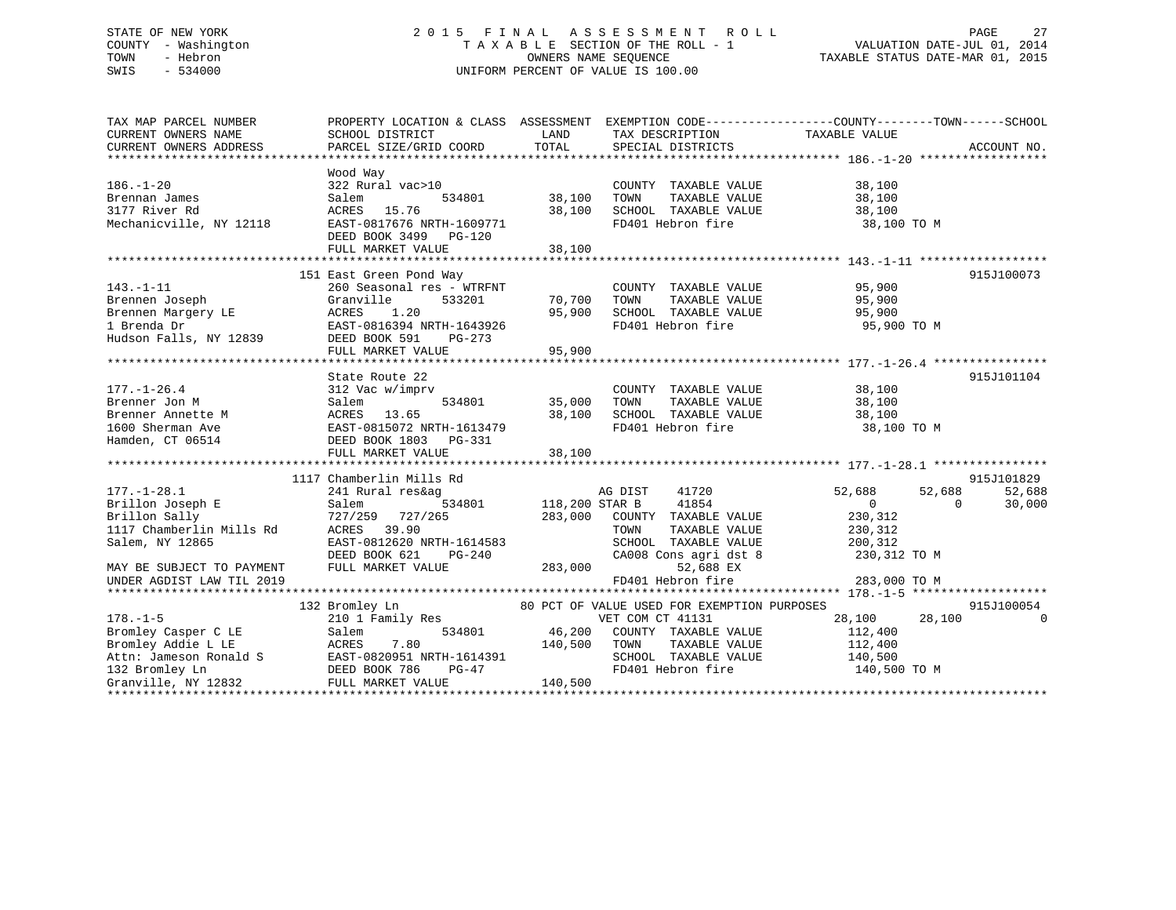# STATE OF NEW YORK 2 0 1 5 F I N A L A S S E S S M E N T R O L L PAGE 27 COUNTY - Washington T A X A B L E SECTION OF THE ROLL - 1 VALUATION DATE-JUL 01, 2014 TOWN - Hebron OWNERS NAME SEQUENCE TAXABLE STATUS DATE-MAR 01, 2015 SWIS - 534000 UNIFORM PERCENT OF VALUE IS 100.00

| TAX MAP PARCEL NUMBER     | PROPERTY LOCATION & CLASS ASSESSMENT EXEMPTION CODE---------------COUNTY-------TOWN-----SCHOOL                                                                                                                                          |          |                                                                                                                                     |                            |            |
|---------------------------|-----------------------------------------------------------------------------------------------------------------------------------------------------------------------------------------------------------------------------------------|----------|-------------------------------------------------------------------------------------------------------------------------------------|----------------------------|------------|
| CURRENT OWNERS NAME       | SCHOOL DISTRICT                                                                                                                                                                                                                         |          | LAND TAX DESCRIPTION                                                                                                                | TAXABLE VALUE              |            |
|                           |                                                                                                                                                                                                                                         |          |                                                                                                                                     |                            |            |
|                           |                                                                                                                                                                                                                                         |          |                                                                                                                                     |                            |            |
|                           | Wood Way                                                                                                                                                                                                                                |          |                                                                                                                                     |                            |            |
| $186. - 1 - 20$           | $322 \text{ Rural vac}>10 \text{COUNT}\\ \text{Salem} \hspace{1.5cm} 534801 \text{ 38,100} \text{ TOWN}$                                                                                                                                |          | COUNTY TAXABLE VALUE                                                                                                                | 38,100<br>38,100           |            |
| Brennan James             |                                                                                                                                                                                                                                         |          |                                                                                                                                     |                            |            |
| 3177 River Rd             | ACRES 15.76                                                                                                                                                                                                                             |          |                                                                                                                                     |                            |            |
| Mechanicville, NY 12118   | EAST-0817676 NRTH-1609771                                                                                                                                                                                                               |          | 38,100 TOWN TAXABLE VALUE 38,100<br>38,100 SCHOOL TAXABLE VALUE 38,100<br>FD401 Hebron fire 38,100<br>FD401 Hebron fire 38,100 TO M |                            |            |
|                           | DEED BOOK 3499 PG-120                                                                                                                                                                                                                   |          |                                                                                                                                     |                            |            |
|                           |                                                                                                                                                                                                                                         |          |                                                                                                                                     |                            |            |
|                           |                                                                                                                                                                                                                                         |          |                                                                                                                                     |                            |            |
|                           | 151 East Green Pond Way                                                                                                                                                                                                                 |          |                                                                                                                                     |                            | 915J100073 |
| $143. - 1 - 11$           | 260 Seasonal res - WTRFNT                                                                                                                                                                                                               |          | COUNTY TAXABLE VALUE 95,900                                                                                                         |                            |            |
|                           |                                                                                                                                                                                                                                         |          |                                                                                                                                     |                            |            |
|                           |                                                                                                                                                                                                                                         |          |                                                                                                                                     |                            |            |
|                           |                                                                                                                                                                                                                                         |          | FD401 Hebron fire 95,900 TO M                                                                                                       |                            |            |
|                           |                                                                                                                                                                                                                                         |          |                                                                                                                                     |                            |            |
|                           | FULL MARKET VALUE                                                                                                                                                                                                                       | 95,900   |                                                                                                                                     |                            |            |
|                           |                                                                                                                                                                                                                                         |          |                                                                                                                                     |                            |            |
|                           | State Route 22                                                                                                                                                                                                                          |          |                                                                                                                                     |                            | 915J101104 |
|                           | 177.-1-26.4<br>312 Vac w/imprv 534801 35,000 TOWN<br>Brenner Annette M 32 Vac w/imprv 534801 35,000 TOWN<br>Brenner Annette M ACRES 13.65 38,100 SCHOO<br>1600 Sherman Ave EAST-0815072 NRTH-1613479 70401<br>Hamden, CT 06514 DEED BOO |          | COUNTY TAXABLE VALUE 38,100                                                                                                         |                            |            |
|                           |                                                                                                                                                                                                                                         |          |                                                                                                                                     |                            |            |
|                           |                                                                                                                                                                                                                                         |          | TOWN      TAXABLE VALUE<br>SCHOOL   TAXABLE VALUE                                                                                   | 38,100<br>38,100           |            |
|                           |                                                                                                                                                                                                                                         |          | FD401 Hebron fire 38,100 TO M                                                                                                       |                            |            |
| Hamden, CT 06514          |                                                                                                                                                                                                                                         |          |                                                                                                                                     |                            |            |
|                           | FULL MARKET VALUE                                                                                                                                                                                                                       | 38,100   |                                                                                                                                     |                            |            |
|                           |                                                                                                                                                                                                                                         |          |                                                                                                                                     |                            |            |
|                           | 1117 Chamberlin Mills Rd                                                                                                                                                                                                                |          |                                                                                                                                     |                            | 915J101829 |
|                           |                                                                                                                                                                                                                                         |          | 41720 200<br>AG DIST                                                                                                                | 52,688<br>52,688           | 52,688     |
|                           | 177.-1-28.1 241 Rural res&ag<br>Brillon Joseph E Salem 534801<br>Brillon Sally 727/259 727/265<br>1117 Chamberlin Mills Rd ACRES 39.90<br>2011 ACRES 39.90                                                                              |          |                                                                                                                                     | $\overline{0}$<br>$\Omega$ | 30,000     |
|                           |                                                                                                                                                                                                                                         |          | 534801 118,200 STAR B 41854<br>65 283,000 COUNTY TAXABLE VALUE                                                                      | 230, 312                   |            |
|                           |                                                                                                                                                                                                                                         |          | TOWN                                                                                                                                | TAXABLE VALUE 230,312      |            |
| Salem, NY 12865           | EAST-0812620 NRTH-1614583                                                                                                                                                                                                               |          |                                                                                                                                     |                            |            |
|                           | DEED BOOK 621                                                                                                                                                                                                                           | $PG-240$ | SCHOOL TAXABLE VALUE 200,312<br>CA008 Cons agri dst 8 230,312 TO M                                                                  |                            |            |
| MAY BE SUBJECT TO PAYMENT | FULL MARKET VALUE                                                                                                                                                                                                                       | 283,000  | 52,688 EX                                                                                                                           |                            |            |
| UNDER AGDIST LAW TIL 2019 |                                                                                                                                                                                                                                         |          | FD401 Hebron fire                                                                                                                   | 283,000 TO M               |            |
|                           |                                                                                                                                                                                                                                         |          |                                                                                                                                     |                            |            |
|                           | 132 Bromley Ln<br>Bromley Ln 80 PCT OF VALUE USED FOR EXEMPTION PURPOSES<br>210 1 Family Res WET COM OF 11101                                                                                                                           |          |                                                                                                                                     |                            | 915J100054 |
| $178. - 1 - 5$            |                                                                                                                                                                                                                                         |          |                                                                                                                                     | 28,100 28,100              | 0          |
|                           |                                                                                                                                                                                                                                         |          | 534801 46,200 COUNTY TAXABLE VALUE 112,400                                                                                          |                            |            |
| Bromley Casper C LE       | Salem                                                                                                                                                                                                                                   |          |                                                                                                                                     |                            |            |
|                           |                                                                                                                                                                                                                                         |          |                                                                                                                                     |                            |            |
|                           |                                                                                                                                                                                                                                         |          |                                                                                                                                     |                            |            |
|                           | Bromley Addie L LE<br>ACRES 7.80 140,500 TOWN TAXABLE VALUE 112,400<br>Attn: Jameson Ronald S EAST-0820951 NRTH-1614391 SCHOOL TAXABLE VALUE 140,500<br>132 Bromley Ln DEED BOOK 786 PG-47 FD401 Hebron fire 140,500<br>Granville, NY   |          | FD401 Hebron fire 140,500 TO M                                                                                                      |                            |            |
|                           |                                                                                                                                                                                                                                         |          |                                                                                                                                     |                            |            |
|                           |                                                                                                                                                                                                                                         |          |                                                                                                                                     |                            |            |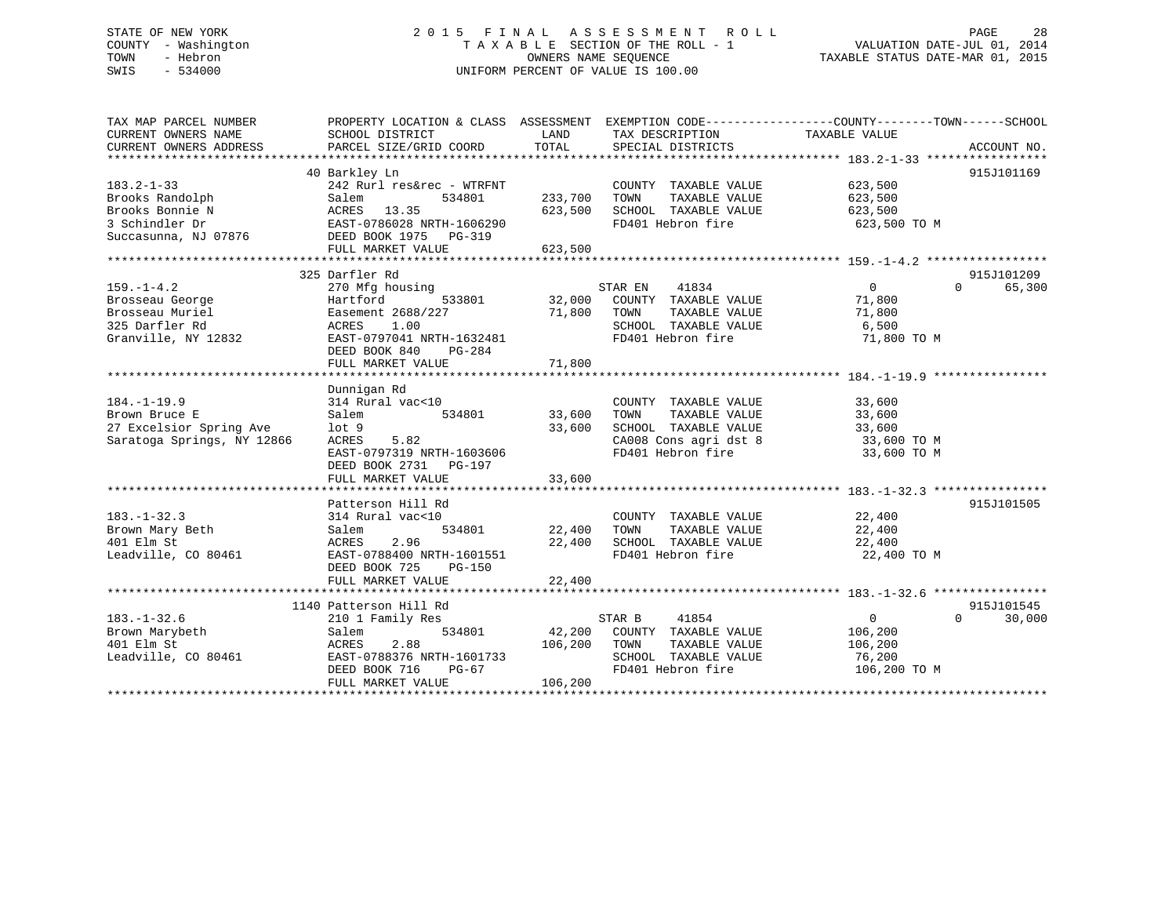# STATE OF NEW YORK 2 0 1 5 F I N A L A S S E S S M E N T R O L L PAGE 28 COUNTY - Washington T A X A B L E SECTION OF THE ROLL - 1 VALUATION DATE-JUL 01, 2014 TOWN - Hebron OWNERS NAME SEQUENCE TAXABLE STATUS DATE-MAR 01, 2015 SWIS - 534000 UNIFORM PERCENT OF VALUE IS 100.00

| TAX MAP PARCEL NUMBER<br>CURRENT OWNERS NAME | PROPERTY LOCATION & CLASS ASSESSMENT EXEMPTION CODE---------------COUNTY-------TOWN-----SCHOOL<br>SCHOOL DISTRICT<br>PARCEL SIZE/GRID COORD | LAND<br>TOTAL     | TAX DESCRIPTION<br>SPECIAL DISTRICTS | TAXABLE VALUE  | ACCOUNT NO.        |
|----------------------------------------------|---------------------------------------------------------------------------------------------------------------------------------------------|-------------------|--------------------------------------|----------------|--------------------|
| CURRENT OWNERS ADDRESS                       |                                                                                                                                             |                   |                                      |                |                    |
|                                              | 40 Barkley Ln                                                                                                                               |                   |                                      |                | 915J101169         |
| $183.2 - 1 - 33$                             | 242 Rurl res&rec - WTRFNT                                                                                                                   |                   | COUNTY TAXABLE VALUE                 | 623,500        |                    |
| Brooks Randolph                              | Salem<br>534801                                                                                                                             | 233,700           | TAXABLE VALUE<br>TOWN                | 623,500        |                    |
| Brooks Bonnie N                              | ACRES 13.35                                                                                                                                 | 623,500           | SCHOOL TAXABLE VALUE                 | 623,500        |                    |
| 3 Schindler Dr                               | EAST-0786028 NRTH-1606290                                                                                                                   |                   | FD401 Hebron fire                    | 623,500 TO M   |                    |
| Succasunna, NJ 07876                         | DEED BOOK 1975 PG-319                                                                                                                       |                   |                                      |                |                    |
|                                              | FULL MARKET VALUE                                                                                                                           | 623,500           |                                      |                |                    |
|                                              |                                                                                                                                             |                   |                                      |                |                    |
|                                              | 325 Darfler Rd                                                                                                                              |                   |                                      |                | 915J101209         |
| $159. - 1 - 4.2$                             | 270 Mfg housing                                                                                                                             |                   | 41834<br>STAR EN                     | $\overline{0}$ | $\Omega$<br>65,300 |
| Brosseau George                              | Hartford<br>533801                                                                                                                          |                   | 32,000 COUNTY TAXABLE VALUE          | 71,800         |                    |
| Brosseau Muriel                              | Easement 2688/227                                                                                                                           | <sup>71,800</sup> | TAXABLE VALUE<br>TOWN                | 71,800         |                    |
| 325 Darfler Rd                               | ACRES<br>1.00                                                                                                                               |                   | SCHOOL TAXABLE VALUE                 | 6,500          |                    |
| Granville, NY 12832                          | EAST-0797041 NRTH-1632481                                                                                                                   |                   | FD401 Hebron fire                    | 71,800 TO M    |                    |
|                                              | DEED BOOK 840<br>$PG-284$                                                                                                                   |                   |                                      |                |                    |
|                                              |                                                                                                                                             |                   |                                      |                |                    |
|                                              |                                                                                                                                             |                   |                                      |                |                    |
|                                              | Dunnigan Rd                                                                                                                                 |                   |                                      |                |                    |
| $184. - 1 - 19.9$                            | 314 Rural vac<10                                                                                                                            |                   | COUNTY TAXABLE VALUE                 | 33,600         |                    |
| Brown Bruce E                                | 534801<br>Salem                                                                                                                             | 33,600            | TAXABLE VALUE<br>TOWN                | 33,600         |                    |
| 27 Excelsior Spring Ave                      | $1$ ot $9$                                                                                                                                  | 33,600            | SCHOOL TAXABLE VALUE                 | 33,600         |                    |
| Saratoga Springs, NY 12866                   | ACRES<br>5.82                                                                                                                               |                   | CA008 Cons agri dst 8                | 33,600 TO M    |                    |
|                                              | EAST-0797319 NRTH-1603606                                                                                                                   |                   | FD401 Hebron fire                    | 33,600 TO M    |                    |
|                                              | DEED BOOK 2731 PG-197                                                                                                                       |                   |                                      |                |                    |
|                                              | FULL MARKET VALUE                                                                                                                           | 33,600            |                                      |                |                    |
|                                              |                                                                                                                                             |                   |                                      |                |                    |
|                                              | Patterson Hill Rd                                                                                                                           |                   |                                      |                | 915J101505         |
| $183. - 1 - 32.3$                            | 314 Rural vac<10                                                                                                                            |                   | COUNTY TAXABLE VALUE                 | 22,400         |                    |
| Brown Mary Beth                              | Salem                                                                                                                                       |                   | TOWN<br>TAXABLE VALUE                | 22,400         |                    |
| 401 Elm St                                   | 2.96<br>ACRES                                                                                                                               | 22,400            | SCHOOL TAXABLE VALUE                 | 22,400         |                    |
| Leadville, CO 80461                          | EAST-0788400 NRTH-1601551                                                                                                                   |                   | FD401 Hebron fire                    | 22,400 TO M    |                    |
|                                              | DEED BOOK 725<br>PG-150                                                                                                                     |                   |                                      |                |                    |
|                                              | FULL MARKET VALUE                                                                                                                           | 22,400            |                                      |                |                    |
|                                              |                                                                                                                                             |                   |                                      |                |                    |
|                                              | 1140 Patterson Hill Rd                                                                                                                      |                   |                                      |                | 915J101545         |
| $183. - 1 - 32.6$                            | 210 1 Family Res                                                                                                                            |                   | STAR B<br>41854                      | $\overline{0}$ | 30,000<br>$\Omega$ |
| Brown Marybeth                               | 534801<br>Salem                                                                                                                             |                   | 42,200 COUNTY TAXABLE VALUE          | 106,200        |                    |
| 401 Elm St                                   | 2.88<br>ACRES                                                                                                                               | 106,200           | TAXABLE VALUE<br>TOWN                | 106,200        |                    |
| Leadville, CO 80461                          | EAST-0788376 NRTH-1601733                                                                                                                   |                   | SCHOOL TAXABLE VALUE                 | 76,200         |                    |
|                                              | DEED BOOK 716<br>PG-67                                                                                                                      |                   | FD401 Hebron fire                    | 106,200 TO M   |                    |
|                                              | FULL MARKET VALUE                                                                                                                           | 106,200           |                                      |                |                    |
|                                              |                                                                                                                                             |                   |                                      |                |                    |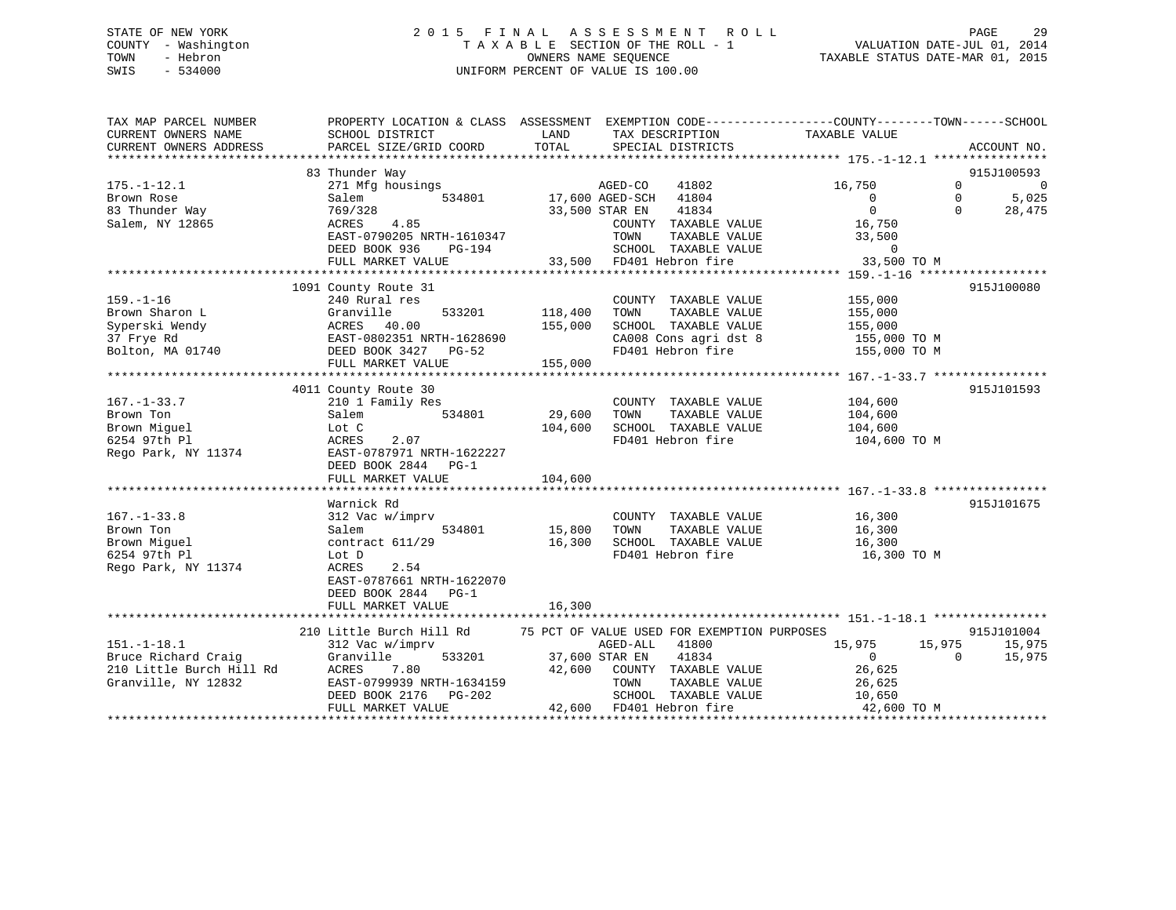# STATE OF NEW YORK 2 0 1 5 F I N A L A S S E S S M E N T R O L L PAGE 29 COUNTY - Washington T A X A B L E SECTION OF THE ROLL - 1 VALUATION DATE-JUL 01, 2014 TOWN - Hebron OWNERS NAME SEQUENCE TAXABLE STATUS DATE-MAR 01, 2015 SWIS - 534000 UNIFORM PERCENT OF VALUE IS 100.00

| TAX MAP PARCEL NUMBER                         | PROPERTY LOCATION & CLASS ASSESSMENT                             |                                                       | EXEMPTION CODE-----------------COUNTY-------TOWN------SCHOOL |
|-----------------------------------------------|------------------------------------------------------------------|-------------------------------------------------------|--------------------------------------------------------------|
| CURRENT OWNERS NAME<br>CURRENT OWNERS ADDRESS | SCHOOL DISTRICT<br>PARCEL SIZE/GRID COORD                        | LAND<br>TAX DESCRIPTION<br>TOTAL<br>SPECIAL DISTRICTS | TAXABLE VALUE<br>ACCOUNT NO.                                 |
|                                               |                                                                  |                                                       |                                                              |
|                                               | 83 Thunder Way                                                   |                                                       | 915J100593                                                   |
| $175. - 1 - 12.1$                             | 271 Mfg housings                                                 | AGED-CO<br>41802                                      | 16,750<br>$\Omega$<br>$\overline{0}$                         |
| Brown Rose                                    | 534801<br>Salem                                                  | 17,600 AGED-SCH 41804                                 | $\overline{0}$<br>$\Omega$<br>5,025                          |
| 83 Thunder Way                                | 769/328                                                          | 41834<br>33,500 STAR EN                               | $\Omega$<br>$\Omega$<br>28,475                               |
| Salem, NY 12865                               | ACRES<br>4.85                                                    | COUNTY TAXABLE VALUE                                  | 16,750                                                       |
|                                               | EAST-0790205 NRTH-1610347                                        | TOWN<br>TAXABLE VALUE                                 | 33,500                                                       |
|                                               | DEED BOOK 936<br>PG-194                                          | SCHOOL TAXABLE VALUE                                  | $\overline{0}$                                               |
|                                               | FULL MARKET VALUE                                                | 33,500 FD401 Hebron fire                              | 33,500 TO M                                                  |
|                                               |                                                                  |                                                       |                                                              |
|                                               | 1091 County Route 31                                             |                                                       | 915J100080                                                   |
| $159. - 1 - 16$                               | 240 Rural res                                                    | COUNTY TAXABLE VALUE                                  | 155,000                                                      |
| Brown Sharon L                                | Granville<br>533201                                              | 118,400<br>TOWN<br>TAXABLE VALUE                      | 155,000                                                      |
| Syperski Wendy                                |                                                                  | SCHOOL TAXABLE VALUE<br>155,000                       | 155,000                                                      |
| 37 Frye Rd                                    |                                                                  | CA008 Cons agri dst 8                                 | 155,000 TO M                                                 |
| Bolton, MA 01740                              | ACRES 40.00<br>EAST-0802351 NRTH-1628690<br>DEED BOOK 3427 PG-52 | FD401 Hebron fire                                     | 155,000 TO M                                                 |
|                                               | FULL MARKET VALUE                                                | 155,000                                               |                                                              |
|                                               |                                                                  |                                                       |                                                              |
|                                               | 4011 County Route 30                                             |                                                       | 915J101593                                                   |
| $167. - 1 - 33.7$                             | 210 1 Family Res                                                 | COUNTY TAXABLE VALUE                                  | 104,600                                                      |
| Brown Ton                                     | 534801<br>Salem                                                  | 29,600<br>TOWN<br>TAXABLE VALUE                       | 104,600                                                      |
| Brown Miquel                                  | Lot C                                                            | 104,600<br>SCHOOL TAXABLE VALUE                       | 104,600                                                      |
| 6254 97th Pl                                  | ACRES<br>2.07                                                    | FD401 Hebron fire                                     | 104,600 TO M                                                 |
| Rego Park, NY 11374                           | EAST-0787971 NRTH-1622227                                        |                                                       |                                                              |
|                                               | DEED BOOK 2844 PG-1                                              |                                                       |                                                              |
|                                               | FULL MARKET VALUE                                                | 104,600                                               |                                                              |
|                                               |                                                                  |                                                       |                                                              |
|                                               | Warnick Rd                                                       |                                                       | 915J101675                                                   |
| $167. - 1 - 33.8$                             |                                                                  |                                                       |                                                              |
|                                               | 312 Vac w/imprv<br>534801                                        | COUNTY TAXABLE VALUE<br>15,800<br>TAXABLE VALUE       | 16,300<br>16,300                                             |
| Brown Ton                                     | Salem                                                            | TOWN                                                  |                                                              |
| Brown Miguel                                  | contract 611/29                                                  | 16,300<br>SCHOOL TAXABLE VALUE                        | 16,300                                                       |
| 6254 97th Pl                                  | Lot D                                                            | FD401 Hebron fire                                     | 16,300 TO M                                                  |
| Rego Park, NY 11374                           | ACRES<br>2.54                                                    |                                                       |                                                              |
|                                               | EAST-0787661 NRTH-1622070                                        |                                                       |                                                              |
|                                               | DEED BOOK 2844<br>$PG-1$                                         |                                                       |                                                              |
|                                               | FULL MARKET VALUE                                                | 16,300                                                |                                                              |
|                                               |                                                                  |                                                       |                                                              |
|                                               | 210 Little Burch Hill Rd                                         | 75 PCT OF VALUE USED FOR EXEMPTION PURPOSES           | 915J101004                                                   |
| $151. - 1 - 18.1$                             | 312 Vac w/imprv                                                  | AGED-ALL<br>41800                                     | 15,975<br>15,975<br>15,975                                   |
| Bruce Richard Craig                           | 533201<br>Granville                                              | 37,600 STAR EN<br>41834                               | $\overline{0}$<br>15,975<br>$\Omega$                         |
| 210 Little Burch Hill Rd                      | 7.80<br>ACRES                                                    | 42,600<br>COUNTY TAXABLE VALUE                        | 26,625                                                       |
| Granville, NY 12832                           | EAST-0799939 NRTH-1634159                                        | TOWN<br>TAXABLE VALUE                                 | 26,625                                                       |
|                                               | DEED BOOK 2176<br>PG-202                                         | SCHOOL TAXABLE VALUE                                  | 10,650                                                       |
|                                               | FULL MARKET VALUE                                                | 42,600 FD401 Hebron fire                              | 42,600 TO M                                                  |
|                                               |                                                                  |                                                       |                                                              |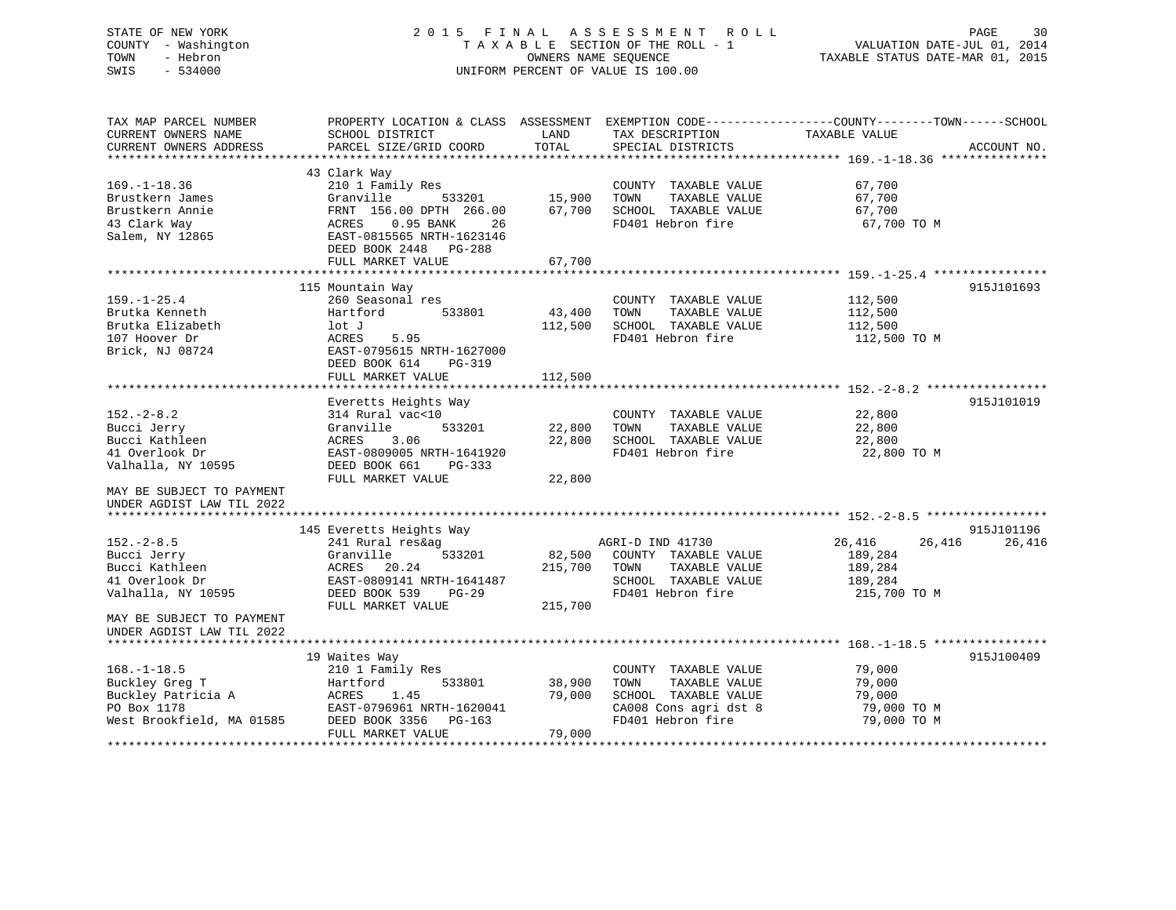# STATE OF NEW YORK 2 0 1 5 F I N A L A S S E S S M E N T R O L L PAGE 30 COUNTY - Washington T A X A B L E SECTION OF THE ROLL - 1 VALUATION DATE-JUL 01, 2014 TOWN - Hebron OWNERS NAME SEQUENCE TAXABLE STATUS DATE-MAR 01, 2015 SWIS - 534000 UNIFORM PERCENT OF VALUE IS 100.00

| TAX MAP PARCEL NUMBER<br>CURRENT OWNERS NAME | PROPERTY LOCATION & CLASS ASSESSMENT<br>SCHOOL DISTRICT | LAND    | TAX DESCRIPTION       | EXEMPTION CODE-----------------COUNTY-------TOWN------SCHOOL<br>TAXABLE VALUE |
|----------------------------------------------|---------------------------------------------------------|---------|-----------------------|-------------------------------------------------------------------------------|
| CURRENT OWNERS ADDRESS                       | PARCEL SIZE/GRID COORD                                  | TOTAL   | SPECIAL DISTRICTS     | ACCOUNT NO.                                                                   |
|                                              |                                                         |         |                       |                                                                               |
|                                              | 43 Clark Way                                            |         |                       |                                                                               |
| $169. - 1 - 18.36$                           | 210 1 Family Res                                        |         | COUNTY TAXABLE VALUE  | 67,700                                                                        |
| Brustkern James                              | Granville<br>533201                                     | 15,900  | TOWN<br>TAXABLE VALUE | 67,700                                                                        |
| Brustkern Annie                              | FRNT 156.00 DPTH 266.00                                 | 67,700  | SCHOOL TAXABLE VALUE  | 67,700                                                                        |
| 43 Clark Way                                 | 0.95 BANK<br>ACRES<br>26                                |         | FD401 Hebron fire     | 67,700 TO M                                                                   |
| Salem, NY 12865                              | EAST-0815565 NRTH-1623146                               |         |                       |                                                                               |
|                                              | DEED BOOK 2448<br>PG-288                                |         |                       |                                                                               |
|                                              | FULL MARKET VALUE                                       | 67,700  |                       |                                                                               |
|                                              |                                                         |         |                       |                                                                               |
|                                              | 115 Mountain Way                                        |         |                       | 915J101693                                                                    |
| $159. - 1 - 25.4$                            | 260 Seasonal res                                        |         | COUNTY TAXABLE VALUE  | 112,500                                                                       |
| Brutka Kenneth                               | Hartford<br>533801                                      | 43,400  | TOWN<br>TAXABLE VALUE | 112,500                                                                       |
| Brutka Elizabeth                             | lot J                                                   | 112,500 | SCHOOL TAXABLE VALUE  | 112,500                                                                       |
| 107 Hoover Dr                                | ACRES<br>5.95                                           |         | FD401 Hebron fire     | 112,500 TO M                                                                  |
| Brick, NJ 08724                              | EAST-0795615 NRTH-1627000                               |         |                       |                                                                               |
|                                              | DEED BOOK 614<br>PG-319                                 |         |                       |                                                                               |
|                                              | FULL MARKET VALUE                                       | 112,500 |                       |                                                                               |
|                                              |                                                         |         |                       |                                                                               |
| $152. - 2 - 8.2$                             | Everetts Heights Way<br>314 Rural vac<10                |         | COUNTY TAXABLE VALUE  | 915J101019<br>22,800                                                          |
| Bucci Jerry                                  | Granville<br>533201                                     | 22,800  | TOWN<br>TAXABLE VALUE | 22,800                                                                        |
| Bucci Kathleen                               | 3.06<br>ACRES                                           | 22,800  | SCHOOL TAXABLE VALUE  | 22,800                                                                        |
| 41 Overlook Dr                               | EAST-0809005 NRTH-1641920                               |         | FD401 Hebron fire     | 22,800 TO M                                                                   |
| Valhalla, NY 10595                           | DEED BOOK 661<br>$PG-333$                               |         |                       |                                                                               |
|                                              | FULL MARKET VALUE                                       | 22,800  |                       |                                                                               |
| MAY BE SUBJECT TO PAYMENT                    |                                                         |         |                       |                                                                               |
| UNDER AGDIST LAW TIL 2022                    |                                                         |         |                       |                                                                               |
|                                              |                                                         |         |                       |                                                                               |
|                                              | 145 Everetts Heights Way                                |         |                       | 915J101196                                                                    |
| $152 - 2 - 8.5$                              | 241 Rural res&ag                                        |         | AGRI-D IND 41730      | 26,416<br>26,416<br>26,416                                                    |
| Bucci Jerry                                  | 533201<br>Granville                                     | 82,500  | COUNTY TAXABLE VALUE  | 189,284                                                                       |
| Bucci Kathleen                               | 20.24<br>ACRES                                          | 215,700 | TOWN<br>TAXABLE VALUE | 189,284                                                                       |
| 41 Overlook Dr                               | EAST-0809141 NRTH-1641487                               |         | SCHOOL TAXABLE VALUE  | 189,284                                                                       |
| Valhalla, NY 10595                           | DEED BOOK 539<br>$PG-29$                                |         | FD401 Hebron fire     | 215,700 TO M                                                                  |
|                                              | FULL MARKET VALUE                                       | 215,700 |                       |                                                                               |
| MAY BE SUBJECT TO PAYMENT                    |                                                         |         |                       |                                                                               |
| UNDER AGDIST LAW TIL 2022                    |                                                         |         |                       |                                                                               |
|                                              |                                                         |         |                       |                                                                               |
|                                              | 19 Waites Way                                           |         |                       | 915J100409                                                                    |
| $168. - 1 - 18.5$                            | 210 1 Family Res                                        |         | COUNTY TAXABLE VALUE  | 79,000                                                                        |
| Buckley Greg T                               | 533801<br>Hartford                                      | 38,900  | TOWN<br>TAXABLE VALUE | 79,000                                                                        |
| Buckley Patricia A                           | 1.45<br>ACRES                                           | 79,000  | SCHOOL TAXABLE VALUE  | 79,000                                                                        |
| PO Box 1178                                  | EAST-0796961 NRTH-1620041                               |         | CA008 Cons agri dst 8 | 79,000 TO M                                                                   |
| West Brookfield, MA 01585                    | DEED BOOK 3356<br>PG-163                                |         | FD401 Hebron fire     | 79,000 TO M                                                                   |
|                                              | FULL MARKET VALUE                                       | 79,000  |                       |                                                                               |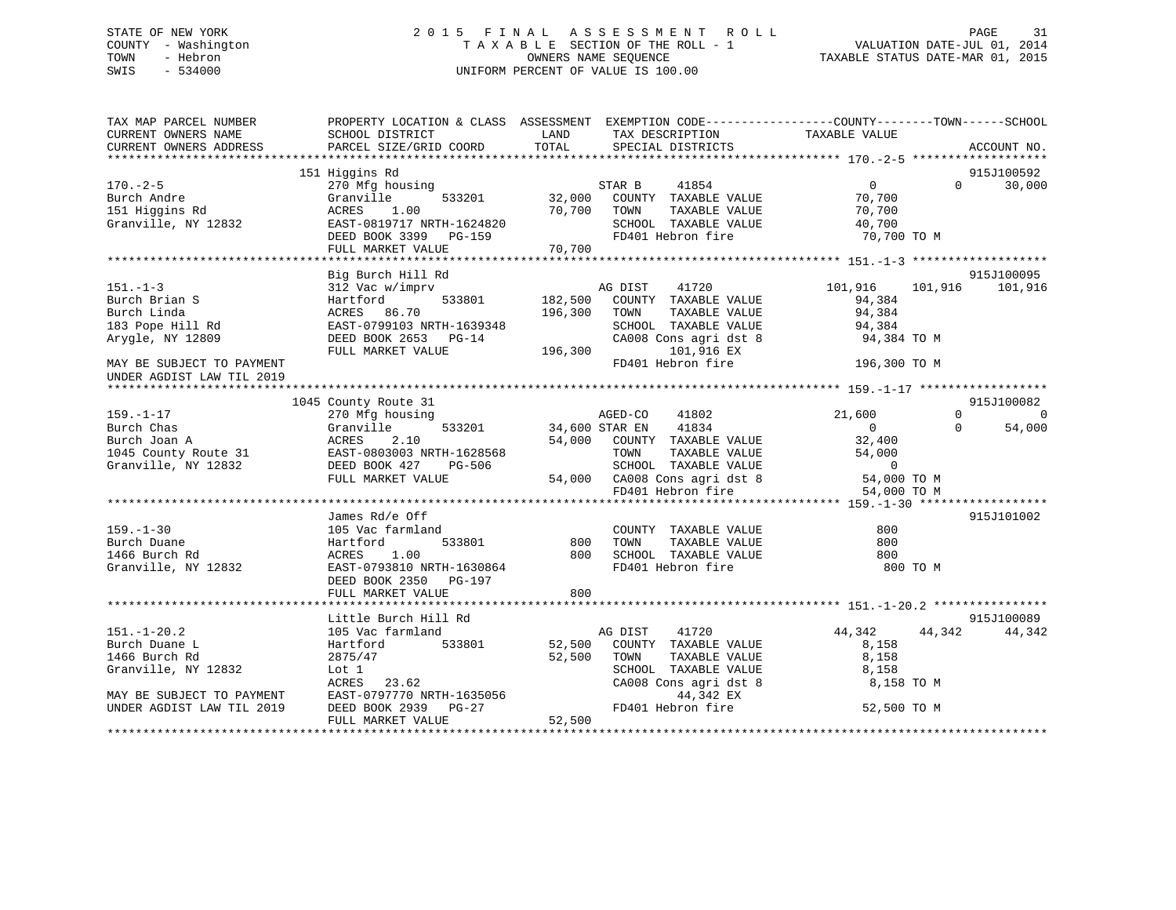# STATE OF NEW YORK 2 0 1 5 F I N A L A S S E S S M E N T R O L L PAGE 31 COUNTY - Washington T A X A B L E SECTION OF THE ROLL - 1 VALUATION DATE-JUL 01, 2014 TOWN - Hebron OWNERS NAME SEQUENCE TAXABLE STATUS DATE-MAR 01, 2015 SWIS - 534000 UNIFORM PERCENT OF VALUE IS 100.00

| TAX MAP PARCEL NUMBER<br>CURRENT OWNERS NAME<br>CURRENT OWNERS ADDRESS | PROPERTY LOCATION & CLASS ASSESSMENT EXEMPTION CODE-----------------COUNTY--------TOWN------SCHOOL<br>SCHOOL DISTRICT LAND<br>PARCEL SIZE/GRID COORD                                                                                                                                          | TOTAL                                      | TAX DESCRIPTION<br>SPECIAL DISTRICTS                                                                                                | TAXABLE VALUE           | ACCOUNT NO.                |
|------------------------------------------------------------------------|-----------------------------------------------------------------------------------------------------------------------------------------------------------------------------------------------------------------------------------------------------------------------------------------------|--------------------------------------------|-------------------------------------------------------------------------------------------------------------------------------------|-------------------------|----------------------------|
|                                                                        |                                                                                                                                                                                                                                                                                               |                                            |                                                                                                                                     |                         |                            |
|                                                                        | 151 Higgins Rd                                                                                                                                                                                                                                                                                |                                            |                                                                                                                                     |                         | 915J100592                 |
| $170. - 2 - 5$                                                         |                                                                                                                                                                                                                                                                                               |                                            |                                                                                                                                     |                         | 30,000<br>$\Omega$         |
| Burch Andre<br>151 Higgins Rd                                          |                                                                                                                                                                                                                                                                                               |                                            |                                                                                                                                     |                         |                            |
|                                                                        |                                                                                                                                                                                                                                                                                               |                                            | 70,700 TOWN<br>TOWN TAXABLE VALUE 40,700<br>SCHOOL TAXABLE VALUE 40,700<br>70,700 TO M                                              |                         |                            |
| Granville, NY 12832                                                    |                                                                                                                                                                                                                                                                                               |                                            |                                                                                                                                     |                         |                            |
|                                                                        | EAST-0819717 NRTH-1624820 SCHOOL TAXABLE VALUE<br>DEED BOOK 3399 PG-159 FD401 Hebron fire<br>FULL MARKET VALUE 70,700                                                                                                                                                                         |                                            |                                                                                                                                     |                         |                            |
|                                                                        |                                                                                                                                                                                                                                                                                               |                                            |                                                                                                                                     |                         |                            |
|                                                                        | Big Burch Hill Rd                                                                                                                                                                                                                                                                             |                                            |                                                                                                                                     |                         | 915J100095                 |
|                                                                        | 151.-1-3<br>Burch Brian S<br>Burch Linda<br>182,500<br>2004.1.3<br>2012<br>2022<br>2022<br>2023<br>2022<br>2023<br>2023<br>2023<br>2023<br>2023<br>2023<br>2023<br>2023<br>2023<br>2024<br>2023<br>2024<br>2025<br>2024<br>2025<br>2025<br>2020<br>2025<br>2020<br>2025<br>2020<br>2020<br>20 |                                            | Rd<br>AG DIST 41720<br>533801 182,500 COUNTY TAXABLE VALUE                                                                          | 101,916 101,916 101,916 |                            |
|                                                                        |                                                                                                                                                                                                                                                                                               |                                            |                                                                                                                                     | 94,384                  |                            |
|                                                                        |                                                                                                                                                                                                                                                                                               |                                            | TOWN TAXABLE VALUE 94,384<br>SCHOOL TAXABLE VALUE 94,384                                                                            |                         |                            |
|                                                                        |                                                                                                                                                                                                                                                                                               |                                            |                                                                                                                                     |                         |                            |
|                                                                        |                                                                                                                                                                                                                                                                                               |                                            | CA008 Cons agri dst 8 94,384 TO M                                                                                                   |                         |                            |
|                                                                        |                                                                                                                                                                                                                                                                                               |                                            | 101,916 EX                                                                                                                          |                         |                            |
| MAY BE SUBJECT TO PAYMENT                                              |                                                                                                                                                                                                                                                                                               |                                            | FD401 Hebron fire                                                                                                                   | 196,300 TO M            |                            |
| UNDER AGDIST LAW TIL 2019                                              |                                                                                                                                                                                                                                                                                               |                                            |                                                                                                                                     |                         |                            |
|                                                                        | 1045 County Route 31                                                                                                                                                                                                                                                                          |                                            |                                                                                                                                     |                         | 915J100082                 |
|                                                                        |                                                                                                                                                                                                                                                                                               |                                            |                                                                                                                                     | 21,600                  | $\Omega$<br>$\overline{0}$ |
| $159. - 1 - 17$                                                        | 270 Mfg housing                                                                                                                                                                                                                                                                               |                                            | ising<br>533201 54,600 STAR EN 41834                                                                                                | $\overline{0}$          | 54,000<br>$\Omega$         |
|                                                                        | Burch Chas<br>Burch Joan A<br>1045 County Route 31<br>Granville, NY 12832<br>CHERE 2.10<br>EAST-0803003 NRTH-1628568<br>Granville, NY 12832<br>DEED BOOK 427<br>CHERE 2.10<br>CHERE 2.10<br>DEED BOOK 427<br>CHERE 2.10<br>CHERE 2.10<br>CHERE 2.10<br>CHE                                    |                                            | 54,000 COUNTY TAXABLE VALUE 32,400                                                                                                  |                         |                            |
|                                                                        |                                                                                                                                                                                                                                                                                               |                                            |                                                                                                                                     |                         |                            |
|                                                                        |                                                                                                                                                                                                                                                                                               |                                            |                                                                                                                                     |                         |                            |
|                                                                        | FULL MARKET VALUE                                                                                                                                                                                                                                                                             |                                            |                                                                                                                                     |                         |                            |
|                                                                        |                                                                                                                                                                                                                                                                                               | 54.007                                     | TOWN TAXABLE VALUE 54,000<br>SCHOOL TAXABLE VALUE 0<br>54,000 CA008 Cons agri dst 8<br>FD401 Hebron fire 54,000 TO M<br>54,000 TO M |                         |                            |
|                                                                        |                                                                                                                                                                                                                                                                                               |                                            |                                                                                                                                     |                         |                            |
|                                                                        | James Rd/e Off                                                                                                                                                                                                                                                                                |                                            |                                                                                                                                     |                         | 915J101002                 |
| $159. - 1 - 30$                                                        | 105 Vac farmland                                                                                                                                                                                                                                                                              | d<br>533801                          800   | COUNTY TAXABLE VALUE<br>TOWN      TAXABLE  VALUE                                                                                    | 800                     |                            |
| Burch Duane                                                            | Hartford                                                                                                                                                                                                                                                                                      |                                            |                                                                                                                                     | 800                     |                            |
| 1466 Burch Rd                                                          | 1.00<br>ACRES                                                                                                                                                                                                                                                                                 | 800                                        | SCHOOL TAXABLE VALUE<br>FD401 Hebron fire                                                                                           | 800                     |                            |
| Granville, NY 12832                                                    | EAST-0793810 NRTH-1630864                                                                                                                                                                                                                                                                     |                                            |                                                                                                                                     | 800 TO M                |                            |
|                                                                        | DEED BOOK 2350 PG-197                                                                                                                                                                                                                                                                         |                                            |                                                                                                                                     |                         |                            |
|                                                                        | FULL MARKET VALUE                                                                                                                                                                                                                                                                             | 800                                        |                                                                                                                                     |                         |                            |
|                                                                        | Little Burch Hill Rd                                                                                                                                                                                                                                                                          |                                            |                                                                                                                                     |                         | 915J100089                 |
| $151. - 1 - 20.2$                                                      | 105 Vac farmland                                                                                                                                                                                                                                                                              | <u>and</u> the contract of the contract of | AG DIST<br>41720                                                                                                                    | 44,342 44,342           | 44,342                     |
| Burch Duane L                                                          | Hartford 533801                                                                                                                                                                                                                                                                               |                                            | 52,500 COUNTY TAXABLE VALUE                                                                                                         | 8,158                   |                            |
| 1466 Burch Rd                                                          | 2875/47                                                                                                                                                                                                                                                                                       | 52,500                                     | TAXABLE VALUE<br>TOWN                                                                                                               | 8,158                   |                            |
| Granville, NY 12832                                                    | Lot 1                                                                                                                                                                                                                                                                                         |                                            |                                                                                                                                     | 8,158                   |                            |
|                                                                        |                                                                                                                                                                                                                                                                                               |                                            | SCHOOL TAXABLE VALUE<br>CA008 Cons agri dst 8                                                                                       | 8,158 TO M              |                            |
| MAY BE SUBJECT TO PAYMENT                                              |                                                                                                                                                                                                                                                                                               |                                            | 44,342 EX                                                                                                                           |                         |                            |
| UNDER AGDIST LAW TIL 2019                                              | EAST-0797770 NRTH-1635056<br>DEED BOOK 2939 PG-27<br>FULL MARKET VALUE                                                                                                                                                                                                                        |                                            | FD401 Hebron fire                                                                                                                   | 52,500 TO M             |                            |
|                                                                        | FULL MARKET VALUE                                                                                                                                                                                                                                                                             | 52,500                                     |                                                                                                                                     |                         |                            |
|                                                                        |                                                                                                                                                                                                                                                                                               |                                            |                                                                                                                                     |                         |                            |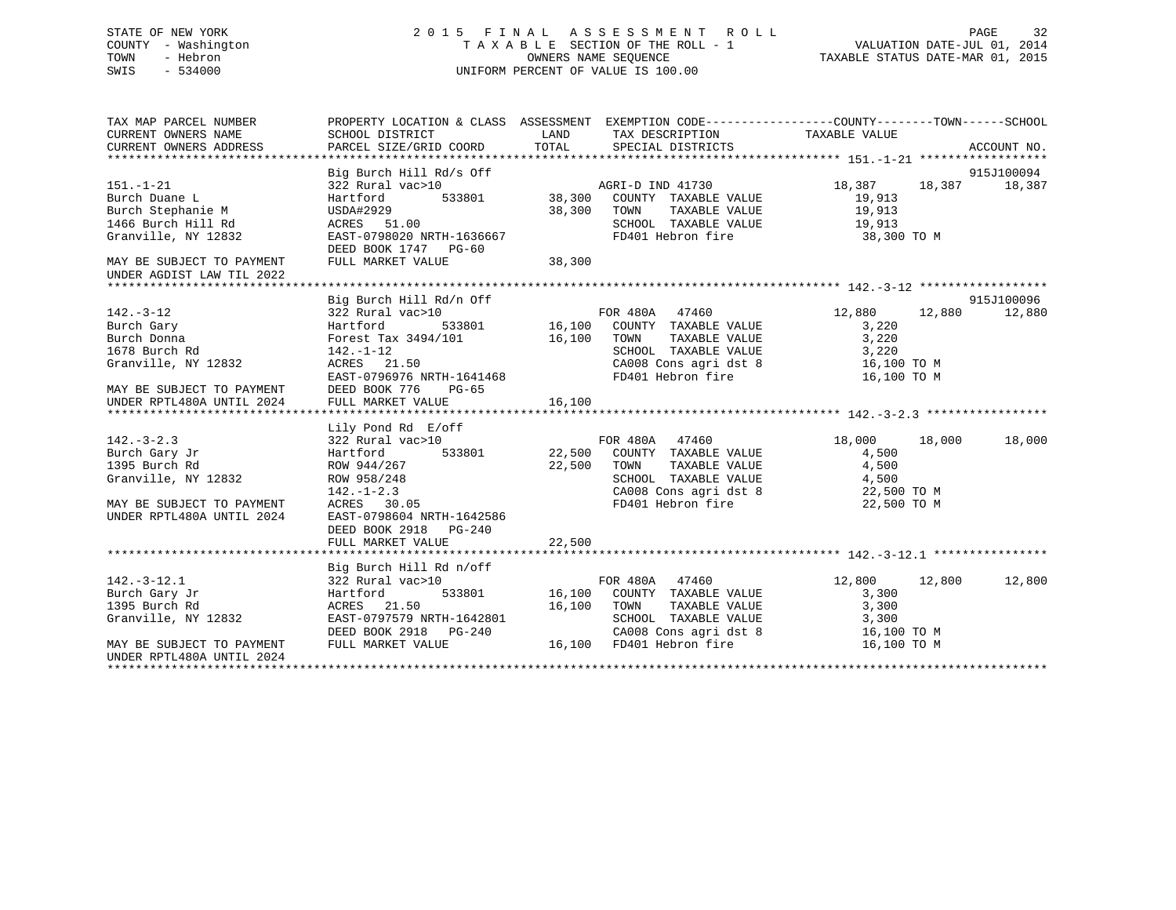#### COUNTY - Washington  $\begin{array}{ccc}\n\text{T A X A B L E} & \text{SECTION OF THE ROLL - 1} \\
\text{T} & \text{MWR R SEOUENCE}\n\end{array}$ OWNERS NAME SEQUENCE TAXABLE STATUS DATE-MAR 01, 2015 SWIS - 534000 UNIFORM PERCENT OF VALUE IS 100.00

| TAX MAP PARCEL NUMBER       |                                                         |                                                                                                                                                  | PROPERTY LOCATION & CLASS ASSESSMENT EXEMPTION CODE---------------COUNTY-------TOWN------SCHOOL |
|-----------------------------|---------------------------------------------------------|--------------------------------------------------------------------------------------------------------------------------------------------------|-------------------------------------------------------------------------------------------------|
|                             |                                                         |                                                                                                                                                  |                                                                                                 |
|                             |                                                         |                                                                                                                                                  |                                                                                                 |
|                             |                                                         |                                                                                                                                                  |                                                                                                 |
|                             |                                                         | Big Burch Hill Rd/s Off<br>322 Rural vac>10<br>Hartford 533801 38,300 COUNTY TAXABLE VALUE<br>38,300 COUNTY TAXABLE VALUE                        | 915J100094                                                                                      |
| $151. - 1 - 21$             |                                                         |                                                                                                                                                  | 18,387 18,387 18,387                                                                            |
| Burch Duane L               |                                                         |                                                                                                                                                  | 19,913                                                                                          |
| Burch Stephanie M           | USDA#2929                                               | 38,300<br>TAXABLE VALUE<br>TOWN                                                                                                                  | 19,913                                                                                          |
| 1466 Burch Hill Rd          | ACRES 51.00                                             | SCHOOL TAXABLE VALUE 19,913                                                                                                                      |                                                                                                 |
| Granville, NY 12832         | ACRES 51.00<br>EAST-0798020 NRTH-1636667                | FD401 Hebron fire                                                                                                                                | 38,300 TO M                                                                                     |
|                             | DEED BOOK 1747 PG-60                                    |                                                                                                                                                  |                                                                                                 |
| MAY BE SUBJECT TO PAYMENT   | FULL MARKET VALUE                                       | 38,300                                                                                                                                           |                                                                                                 |
| UNDER AGDIST LAW TIL 2022   |                                                         |                                                                                                                                                  |                                                                                                 |
|                             |                                                         |                                                                                                                                                  |                                                                                                 |
|                             | Big Burch Hill Rd/n Off                                 |                                                                                                                                                  | 915J100096                                                                                      |
| $142. - 3 - 12$             | 322 Rural vac>10                                        | FOR 480A 47460                                                                                                                                   | 12,880 12,880<br>12,880                                                                         |
|                             |                                                         | Hartford 533801 16,100 COUNTY TAXABLE VALUE 3,220<br>Forest Tax 3494/101 16,100 TOWN TAXABLE VALUE 3,220<br>142.-1-12 SCHOOL TAXABLE VALUE 3,220 | 3,220                                                                                           |
|                             | Forest Tax 3494/101                                     |                                                                                                                                                  |                                                                                                 |
|                             |                                                         |                                                                                                                                                  |                                                                                                 |
| Granville, NY 12832         | ACRES 21.50                                             | CA008 Cons agri dst 8 16,100 TO M                                                                                                                |                                                                                                 |
|                             | EAST-0796976 NRTH-1641468                               | FD401 Hebron fire                                                                                                                                | 16,100 TO M                                                                                     |
| MAY BE SUBJECT TO PAYMENT   | DEED BOOK 776<br>PG-65                                  |                                                                                                                                                  |                                                                                                 |
|                             |                                                         |                                                                                                                                                  |                                                                                                 |
|                             |                                                         |                                                                                                                                                  |                                                                                                 |
|                             | Lily Pond Rd E/off                                      |                                                                                                                                                  |                                                                                                 |
| $142 - 3 - 2.3$             | 322 Rural vac>10                                        | FOR 480A 47460                                                                                                                                   | 18,000<br>18,000<br>18,000                                                                      |
| Burch Gary Jr               |                                                         | Hartford 533801 22,500 COUNTY TAXABLE VALUE                                                                                                      | 4,500                                                                                           |
| 1395 Burch Rd               | ROW 944/267<br>ROW 958/248<br>142.-1-2.3<br>ACRES 30.05 | 22,500<br>TAXABLE VALUE<br>TOWN                                                                                                                  | 4,500                                                                                           |
| Granville, NY 12832         |                                                         |                                                                                                                                                  | SCHOOL TAXABLE VALUE 4,500<br>CA008 Cons agri dst 8 22,500 TO M                                 |
|                             |                                                         |                                                                                                                                                  |                                                                                                 |
| MAY BE SUBJECT TO PAYMENT   |                                                         | FD401 Hebron fire                                                                                                                                | 22,500 TO M                                                                                     |
| UNDER RPTL480A UNTIL 2024   | EAST-0798604 NRTH-1642586                               |                                                                                                                                                  |                                                                                                 |
|                             | DEED BOOK 2918 PG-240                                   |                                                                                                                                                  |                                                                                                 |
|                             | FULL MARKET VALUE                                       | 22,500                                                                                                                                           |                                                                                                 |
|                             |                                                         |                                                                                                                                                  |                                                                                                 |
|                             | Big Burch Hill Rd n/off                                 |                                                                                                                                                  |                                                                                                 |
| $142.-3-12.1$               | 322 Rural vac>10                                        | n/off<br>FOR 480A 47460                                                                                                                          | 12,800 12,800<br>12,800                                                                         |
| Burch Gary Jr               | Hartford                                                | 533801 16,100 COUNTY TAXABLE VALUE                                                                                                               | 3,300                                                                                           |
| 1395 Burch Rd<br>12832<br>V | ACRES 21.50                                             | 16,100 TOWN TAXABLE VALUE 3,300                                                                                                                  |                                                                                                 |
| Granville, NY 12832         | EAST-0797579 NRTH-1642801                               |                                                                                                                                                  |                                                                                                 |
|                             | NKIH-1642801<br>DEED BOOK 2918 PG-240<br>-----          | SCHOOL TAXABLE VALUE 3,300<br>CA008 Cons agri dst 8 16,100 TO M                                                                                  |                                                                                                 |
| MAY BE SUBJECT TO PAYMENT   | FULL MARKET VALUE                                       | 16,100 FD401 Hebron fire                                                                                                                         | 16,100 TO M                                                                                     |
| UNDER RPTL480A UNTIL 2024   |                                                         |                                                                                                                                                  |                                                                                                 |
|                             |                                                         |                                                                                                                                                  |                                                                                                 |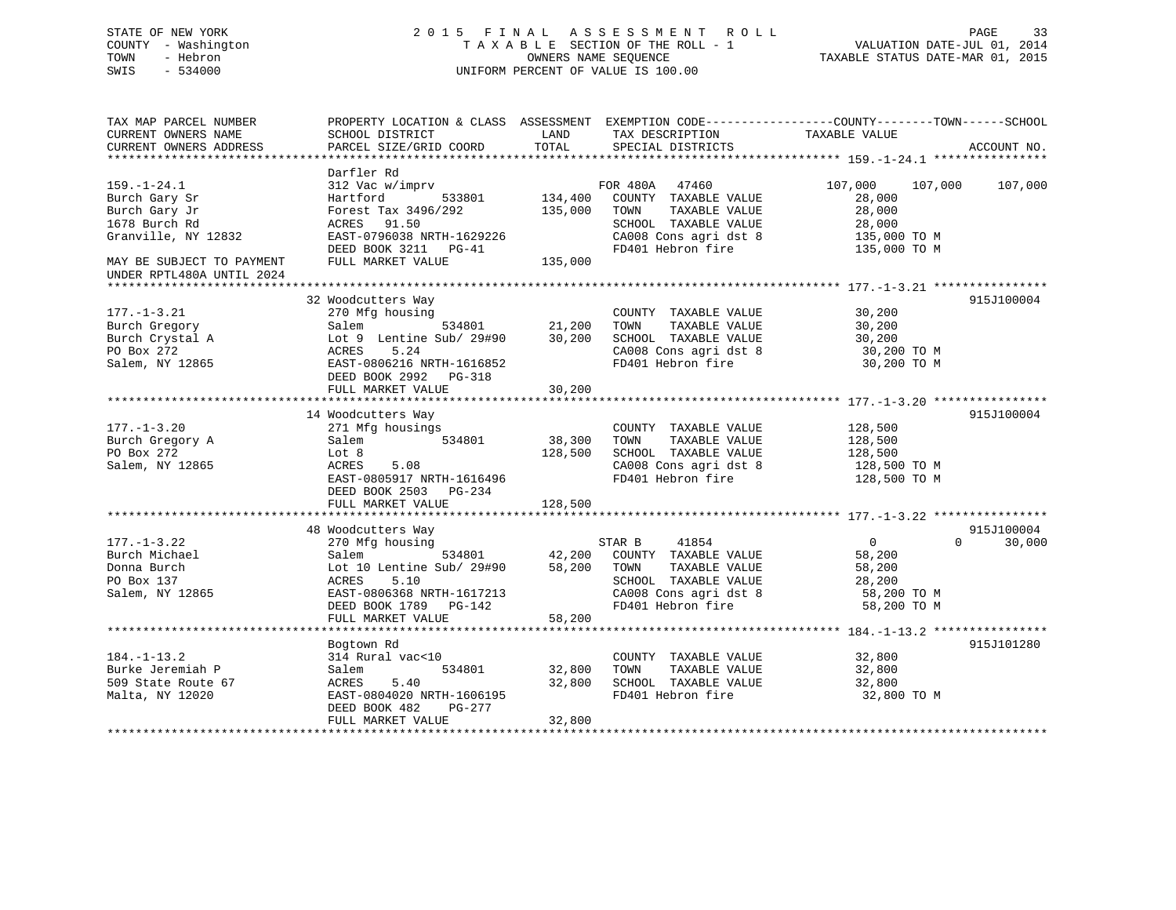# STATE OF NEW YORK 2 0 1 5 F I N A L A S S E S S M E N T R O L L PAGE 33 COUNTY - Washington T A X A B L E SECTION OF THE ROLL - 1 VALUATION DATE-JUL 01, 2014 TOWN - Hebron OWNERS NAME SEQUENCE TAXABLE STATUS DATE-MAR 01, 2015 SWIS - 534000 UNIFORM PERCENT OF VALUE IS 100.00

| TAX MAP PARCEL NUMBER<br>CURRENT OWNERS NAME<br>CURRENT OWNERS ADDRESS             | SCHOOL DISTRICT<br>PARCEL SIZE/GRID COORD                                                                                                                                         | LAND<br>TOTAL              | TAX DESCRIPTION<br>SPECIAL DISTRICTS                                                                                               | PROPERTY LOCATION & CLASS ASSESSMENT EXEMPTION CODE---------------COUNTY-------TOWN-----SCHOOL<br>TAXABLE VALUE<br>ACCOUNT NO. |  |
|------------------------------------------------------------------------------------|-----------------------------------------------------------------------------------------------------------------------------------------------------------------------------------|----------------------------|------------------------------------------------------------------------------------------------------------------------------------|--------------------------------------------------------------------------------------------------------------------------------|--|
|                                                                                    | Darfler Rd                                                                                                                                                                        |                            |                                                                                                                                    |                                                                                                                                |  |
| $159. - 1 - 24.1$<br>Burch Gary Sr<br>Burch Gary Jr<br>1678 Burch Rd               | 312 Vac w/imprv<br>533801<br>Hartford<br>Forest Tax 3496/292<br>ACRES 91.50                                                                                                       | 134,400<br>135,000         | FOR 480A 47460<br>COUNTY TAXABLE VALUE<br>TOWN<br>TAXABLE VALUE<br>SCHOOL TAXABLE VALUE                                            | 107,000<br>107,000<br>107,000<br>28,000<br>28,000<br>28,000                                                                    |  |
| Granville, NY 12832                                                                | EAST-0796038 NRTH-1629226<br>DEED BOOK 3211 PG-41                                                                                                                                 |                            | CA008 Cons agri dst 8<br>FD401 Hebron fire                                                                                         | 135,000 TO M<br>135,000 TO M                                                                                                   |  |
| MAY BE SUBJECT TO PAYMENT<br>UNDER RPTL480A UNTIL 2024                             | FULL MARKET VALUE                                                                                                                                                                 | 135,000                    |                                                                                                                                    |                                                                                                                                |  |
|                                                                                    |                                                                                                                                                                                   |                            |                                                                                                                                    |                                                                                                                                |  |
| $177. - 1 - 3.21$<br>Burch Gregory<br>Burch Crystal A<br>PO Box 272                | 32 Woodcutters Way<br>270 Mfg housing<br>534801<br>Salem<br>Lot 9 Lentine Sub/ 29#90 30,200<br>5.24<br>ACRES                                                                      | 21,200                     | COUNTY TAXABLE VALUE<br>TAXABLE VALUE<br>TOWN<br>SCHOOL TAXABLE VALUE<br>CA008 Cons agri dst 8                                     | 915J100004<br>30,200<br>30,200<br>30,200<br>30,200 TO M                                                                        |  |
| Salem, NY 12865                                                                    | EAST-0806216 NRTH-1616852<br>DEED BOOK 2992 PG-318<br>FULL MARKET VALUE                                                                                                           | 30,200                     | FD401 Hebron fire                                                                                                                  | 30,200 TO M                                                                                                                    |  |
|                                                                                    | 14 Woodcutters Way                                                                                                                                                                |                            |                                                                                                                                    | 915J100004                                                                                                                     |  |
| $177. - 1 - 3.20$<br>Burch Gregory A<br>PO Box 272<br>Salem, NY 12865              | 271 Mfg housings<br>534801<br>Salem<br>Lot 8<br>5.08<br>ACRES<br>EAST-0805917 NRTH-1616496                                                                                        | 38,300<br>128,500          | COUNTY TAXABLE VALUE<br>TAXABLE VALUE<br>TOWN<br>SCHOOL TAXABLE VALUE<br>CA008 Cons agri dst 8<br>FD401 Hebron fire                | 128,500<br>128,500<br>128,500<br>128,500 TO M<br>128,500 TO M                                                                  |  |
|                                                                                    | DEED BOOK 2503 PG-234<br>FULL MARKET VALUE                                                                                                                                        | 128,500                    |                                                                                                                                    |                                                                                                                                |  |
|                                                                                    |                                                                                                                                                                                   |                            |                                                                                                                                    |                                                                                                                                |  |
| $177. - 1 - 3.22$<br>Burch Michael<br>Donna Burch<br>PO Box 137<br>Salem, NY 12865 | 48 Woodcutters Way<br>270 Mfg housing<br>534801<br>Salem<br>Lot 10 Lentine Sub/ 29#90<br>ACRES<br>5.10<br>EAST-0806368 NRTH-1617213<br>DEED BOOK 1789 PG-142<br>FULL MARKET VALUE | 42,200<br>58,200<br>58,200 | 41854<br>STAR B<br>COUNTY TAXABLE VALUE<br>TOWN<br>TAXABLE VALUE<br>SCHOOL TAXABLE VALUE<br>SCHOOL IAANDED<br>CA008 Cons agridst 8 | 915J100004<br>$\overline{0}$<br>$\Omega$<br>30,000<br>58,200<br>58,200<br>28,200<br>58,200 TO M<br>58,200 TO M                 |  |
|                                                                                    |                                                                                                                                                                                   |                            |                                                                                                                                    |                                                                                                                                |  |
| $184. - 1 - 13.2$<br>Burke Jeremiah P<br>509 State Route 67<br>Malta, NY 12020     | Bogtown Rd<br>314 Rural vac<10<br>Salem<br>534801<br>5.40<br>ACRES<br>EAST-0804020 NRTH-1606195<br>DEED BOOK 482<br>PG-277<br>FULL MARKET VALUE                                   | 32,800<br>32,800<br>32,800 | COUNTY TAXABLE VALUE<br>TAXABLE VALUE<br>TOWN<br>SCHOOL TAXABLE VALUE<br>FD401 Hebron fire                                         | 915J101280<br>32,800<br>32,800<br>32,800<br>32,800 TO M                                                                        |  |
|                                                                                    |                                                                                                                                                                                   |                            |                                                                                                                                    |                                                                                                                                |  |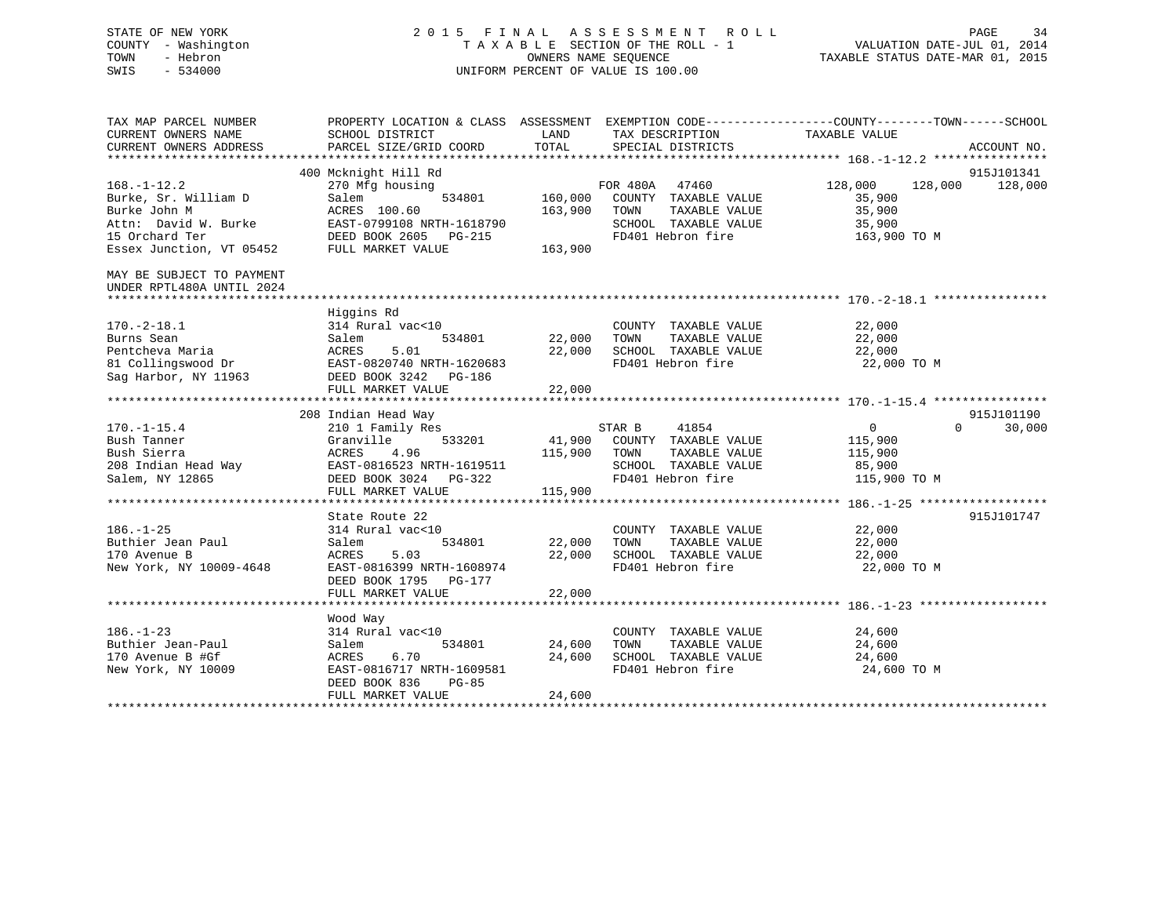# STATE OF NEW YORK 2 0 1 5 F I N A L A S S E S S M E N T R O L L PAGE 34 COUNTY - Washington T A X A B L E SECTION OF THE ROLL - 1 VALUATION DATE-JUL 01, 2014 TOWN - Hebron OWNERS NAME SEQUENCE TAXABLE STATUS DATE-MAR 01, 2015 SWIS - 534000 UNIFORM PERCENT OF VALUE IS 100.00

| TAX MAP PARCEL NUMBER                                  | PROPERTY LOCATION & CLASS ASSESSMENT EXEMPTION CODE---------------COUNTY-------TOWN------SCHOOL                                                                                                                                                        |                      |                                              |                       |                                  |
|--------------------------------------------------------|--------------------------------------------------------------------------------------------------------------------------------------------------------------------------------------------------------------------------------------------------------|----------------------|----------------------------------------------|-----------------------|----------------------------------|
| CURRENT OWNERS NAME                                    | SCHOOL DISTRICT                                                                                                                                                                                                                                        | LAND                 | TAX DESCRIPTION                              | TAXABLE VALUE         |                                  |
| CURRENT OWNERS ADDRESS                                 | PARCEL SIZE/GRID COORD                                                                                                                                                                                                                                 | TOTAL                | SPECIAL DISTRICTS                            |                       | ACCOUNT NO.                      |
|                                                        |                                                                                                                                                                                                                                                        |                      |                                              |                       |                                  |
|                                                        | 400 Mcknight Hill Rd                                                                                                                                                                                                                                   |                      |                                              |                       | 915J101341                       |
| $168. - 1 - 12.2$                                      | 270 Mfg housing                                                                                                                                                                                                                                        |                      | FOR 480A 47460                               | 128,000<br>128,000    | 128,000                          |
| Burke, Sr. William D                                   | 534801<br>Salem                                                                                                                                                                                                                                        |                      | 160,000 COUNTY TAXABLE VALUE                 | 35,900                |                                  |
| Burke John M                                           | ACRES 100.60                                                                                                                                                                                                                                           |                      | 163,900 TOWN<br>TAXABLE VALUE                | 35,900                |                                  |
|                                                        | Attn: David W. Burke EAST-0799108 NRTH-1618790                                                                                                                                                                                                         |                      | SCHOOL TAXABLE VALUE                         | 35,900                |                                  |
| 15 Orchard Ter                                         | DEED BOOK 2605 PG-215                                                                                                                                                                                                                                  |                      | FD401 Hebron fire                            | 163,900 TO M          |                                  |
| Essex Junction, VT 05452                               | FULL MARKET VALUE                                                                                                                                                                                                                                      | 163,900              |                                              |                       |                                  |
| MAY BE SUBJECT TO PAYMENT<br>UNDER RPTL480A UNTIL 2024 |                                                                                                                                                                                                                                                        |                      |                                              |                       |                                  |
|                                                        |                                                                                                                                                                                                                                                        |                      |                                              |                       |                                  |
|                                                        | Higgins Rd                                                                                                                                                                                                                                             |                      |                                              |                       |                                  |
| $170. - 2 - 18.1$                                      | 314 Rural vac<10                                                                                                                                                                                                                                       |                      | COUNTY TAXABLE VALUE                         | 22,000                |                                  |
| Burns Sean                                             | 534801<br>Salem                                                                                                                                                                                                                                        | 22,000 TOWN          | TAXABLE VALUE                                | 22,000                |                                  |
| Pentcheva Maria                                        | ACRES<br>5.01                                                                                                                                                                                                                                          |                      | 22,000 SCHOOL TAXABLE VALUE                  | 22,000                |                                  |
| 81 Collingswood Dr<br>Sag Harbor. NY 11963             | EAST-0820740 NRTH-1620683                                                                                                                                                                                                                              |                      | FD401 Hebron fire                            | 22,000 TO M           |                                  |
| Sag Harbor, NY 11963                                   | DEED BOOK 3242 PG-186                                                                                                                                                                                                                                  |                      |                                              |                       |                                  |
|                                                        | FULL MARKET VALUE                                                                                                                                                                                                                                      | 22,000               |                                              |                       |                                  |
|                                                        |                                                                                                                                                                                                                                                        |                      |                                              |                       |                                  |
|                                                        | 208 Indian Head Way                                                                                                                                                                                                                                    |                      |                                              |                       | 915J101190<br>30,000<br>$\Omega$ |
| $170. - 1 - 15.4$                                      | 210 1 Family Res                                                                                                                                                                                                                                       |                      | STAR B<br>41854                              | $\overline{0}$        |                                  |
|                                                        |                                                                                                                                                                                                                                                        | 115,900 TOWN         | 41,900 COUNTY TAXABLE VALUE<br>TAXABLE VALUE | 115,900               |                                  |
|                                                        |                                                                                                                                                                                                                                                        |                      |                                              | 115,900               |                                  |
|                                                        |                                                                                                                                                                                                                                                        |                      | SCHOOL TAXABLE VALUE<br>FD401 Hebron fire    | 85,900                |                                  |
|                                                        | Bush Tanner<br>Bush Sierra<br>208 Indian Head Way<br>208 Indian Head Way<br>208 Indian Head Way<br>208 Indian Head Way<br>208 Indian Head<br>208 Indian Head<br>208 Indian Head<br>208 Indian Head<br>208 Indian Head<br>208 Indian Head<br>208 Indian |                      |                                              | 115,900 TO M          |                                  |
|                                                        |                                                                                                                                                                                                                                                        | 115,900              |                                              |                       |                                  |
|                                                        |                                                                                                                                                                                                                                                        |                      |                                              |                       | 915J101747                       |
| $186. - 1 - 25$                                        | State Route 22<br>314 Rural vac<10                                                                                                                                                                                                                     |                      | COUNTY TAXABLE VALUE                         | 22,000                |                                  |
| Buthier Jean Paul                                      | 534801<br>Salem                                                                                                                                                                                                                                        | COUNT<br>22,000 TOWN | TAXABLE VALUE                                | 22,000                |                                  |
|                                                        |                                                                                                                                                                                                                                                        |                      |                                              |                       |                                  |
| 170 Avenue B                                           | ACRES<br>5.03<br>EAST-0816399 NRTH-1608974                                                                                                                                                                                                             | 22,000               | SCHOOL TAXABLE VALUE<br>FD401 Hebron fire    | 22,000<br>22,000 TO M |                                  |
| New York, NY 10009-4648                                |                                                                                                                                                                                                                                                        |                      |                                              |                       |                                  |
|                                                        | DEED BOOK 1795 PG-177<br>FULL MARKET VALUE                                                                                                                                                                                                             | 22,000               |                                              |                       |                                  |
|                                                        |                                                                                                                                                                                                                                                        |                      |                                              |                       |                                  |
|                                                        |                                                                                                                                                                                                                                                        |                      |                                              |                       |                                  |
| $186. - 1 - 23$                                        | Wood Way<br>314 Rural vac<10                                                                                                                                                                                                                           |                      | COUNTY TAXABLE VALUE                         | 24,600                |                                  |
| Buthier Jean-Paul                                      | 534801<br>Salem                                                                                                                                                                                                                                        | 24,600               | TAXABLE VALUE<br>TOWN                        | 24,600                |                                  |
| 170 Avenue B #Gf                                       | 6.70<br>ACRES                                                                                                                                                                                                                                          | 24,600               | SCHOOL TAXABLE VALUE                         |                       |                                  |
| New York, NY 10009                                     | EAST-0816717 NRTH-1609581                                                                                                                                                                                                                              |                      | FD401 Hebron fire                            | 24,600<br>24,600 TO M |                                  |
|                                                        | DEED BOOK 836<br>PG-85                                                                                                                                                                                                                                 |                      |                                              |                       |                                  |
|                                                        | FULL MARKET VALUE                                                                                                                                                                                                                                      | 24,600               |                                              |                       |                                  |
|                                                        |                                                                                                                                                                                                                                                        |                      |                                              |                       |                                  |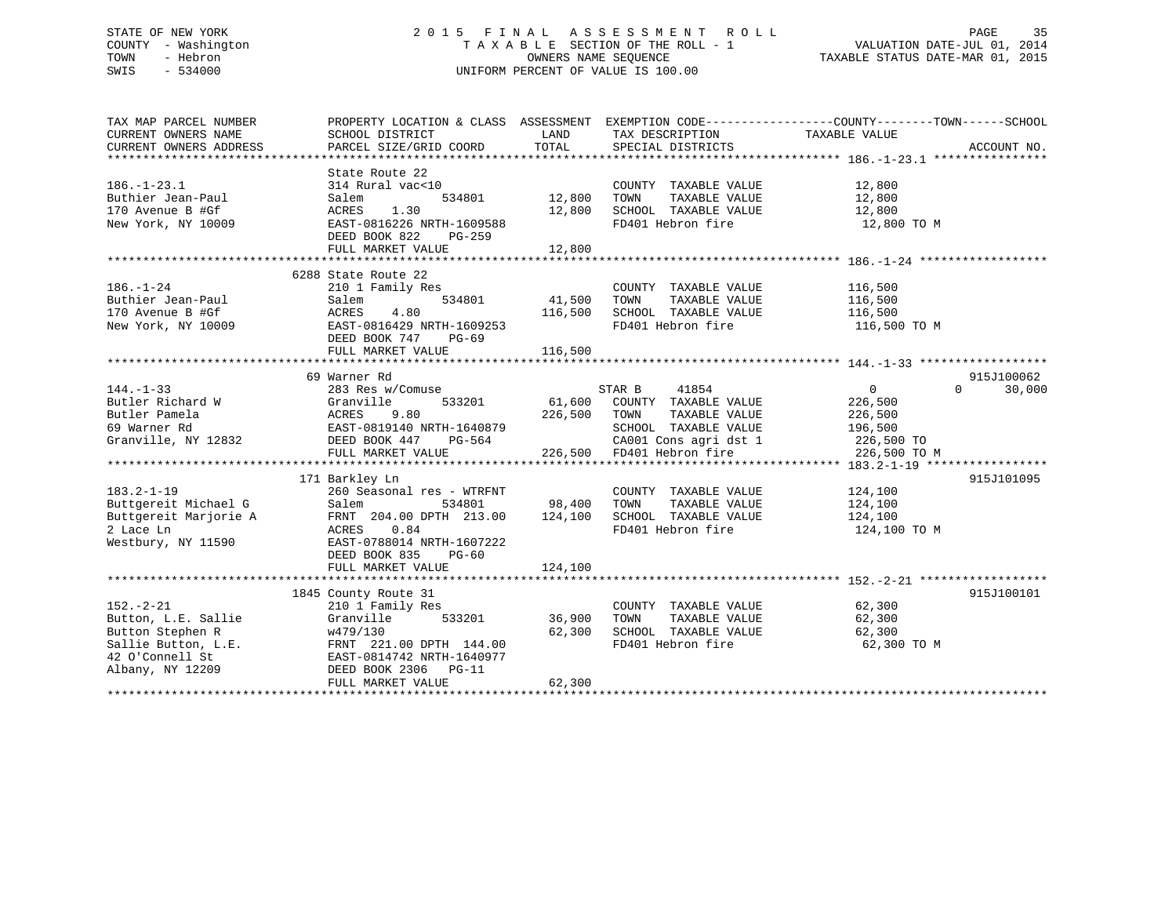# STATE OF NEW YORK 2 0 1 5 F I N A L A S S E S S M E N T R O L L PAGE 35 COUNTY - Washington T A X A B L E SECTION OF THE ROLL - 1 VALUATION DATE-JUL 01, 2014 TOWN - Hebron OWNERS NAME SEQUENCE TAXABLE STATUS DATE-MAR 01, 2015 SWIS - 534000 UNIFORM PERCENT OF VALUE IS 100.00

| TAX MAP PARCEL NUMBER  | PROPERTY LOCATION & CLASS ASSESSMENT EXEMPTION CODE---------------COUNTY-------TOWN-----SCHOOL                         |             |                                                                                                                          |                    |                    |
|------------------------|------------------------------------------------------------------------------------------------------------------------|-------------|--------------------------------------------------------------------------------------------------------------------------|--------------------|--------------------|
| CURRENT OWNERS NAME    | SCHOOL DISTRICT                                                                                                        | LAND        | TAX DESCRIPTION                                                                                                          | TAXABLE VALUE      |                    |
| CURRENT OWNERS ADDRESS | PARCEL SIZE/GRID COORD                                                                                                 | TOTAL       | SPECIAL DISTRICTS                                                                                                        |                    | ACCOUNT NO.        |
|                        |                                                                                                                        |             |                                                                                                                          |                    |                    |
|                        | State Route 22                                                                                                         |             |                                                                                                                          |                    |                    |
| $186. - 1 - 23.1$      | 314 Rural vac<10                                                                                                       |             | COUNTY TAXABLE VALUE                                                                                                     | 12,800<br>12,800   |                    |
| Buthier Jean-Paul      | 534801<br>Salem                                                                                                        | 12,800      | TAXABLE VALUE<br>TOWN                                                                                                    |                    |                    |
| 170 Avenue B #Gf       | ACRES<br>1.30                                                                                                          | 12,800      | SCHOOL TAXABLE VALUE 12,800                                                                                              |                    |                    |
| New York, NY 10009     | EAST-0816226 NRTH-1609588                                                                                              |             | FD401 Hebron fire                                                                                                        | 12,800 TO M        |                    |
|                        | DEED BOOK 822<br>PG-259                                                                                                |             |                                                                                                                          |                    |                    |
|                        | FULL MARKET VALUE                                                                                                      | 12,800      |                                                                                                                          |                    |                    |
|                        |                                                                                                                        |             |                                                                                                                          |                    |                    |
|                        | 6288 State Route 22                                                                                                    |             |                                                                                                                          |                    |                    |
| $186. - 1 - 24$        | 210 1 Family Res                                                                                                       |             | COUNTY TAXABLE VALUE                                                                                                     |                    |                    |
| Buthier Jean-Paul      | 534801<br>Salem                                                                                                        | 41,500 TOWN | TAXABLE VALUE                                                                                                            | 116,500<br>116,500 |                    |
| 170 Avenue B #Gf       | ACRES<br>4.80                                                                                                          | 116,500     | SCHOOL TAXABLE VALUE 116,500                                                                                             |                    |                    |
| New York, NY 10009     | EAST-0816429 NRTH-1609253                                                                                              |             | FD401 Hebron fire                                                                                                        | 116,500 TO M       |                    |
|                        | DEED BOOK 747<br>PG-69                                                                                                 |             |                                                                                                                          |                    |                    |
|                        | FULL MARKET VALUE                                                                                                      | 116,500     |                                                                                                                          |                    |                    |
|                        |                                                                                                                        |             |                                                                                                                          |                    |                    |
|                        | 69 Warner Rd                                                                                                           |             |                                                                                                                          |                    | 915J100062         |
| $144. - 1 - 33$        | 283 Res w/Comuse                                                                                                       |             | STAR B<br>41854                                                                                                          | $\overline{0}$     | 30,000<br>$\Omega$ |
| Butler Richard W       | Granville<br>533201                                                                                                    |             | 61,600 COUNTY TAXABLE VALUE                                                                                              | 226,500            |                    |
| Butler Pamela          |                                                                                                                        |             | 226,500 TOWN<br>TAXABLE VALUE                                                                                            | 226,500            |                    |
| 69 Warner Rd           |                                                                                                                        |             |                                                                                                                          |                    |                    |
| Granville, NY 12832    | 31 ACRES<br>ACRES 9.80 226,500<br>EAST-0819140 NRTH-1640879<br>DEED BOOK 447 PG-564                                    |             |                                                                                                                          |                    |                    |
|                        | FULL MARKET VALUE                                                                                                      |             | 1640879 SCHOOL TAXABLE VALUE 196,500<br>G-564 CA001 Cons agri dst 1 226,500 TO<br>226,500 FD401 Hebron fire 226,500 TO M |                    |                    |
|                        |                                                                                                                        |             |                                                                                                                          |                    |                    |
|                        | 171 Barkley Ln                                                                                                         |             |                                                                                                                          |                    | 915J101095         |
| $183.2 - 1 - 19$       | 260 Seasonal res - WTRFNT                                                                                              |             | COUNTY TAXABLE VALUE                                                                                                     | 124,100            |                    |
| Buttgereit Michael G   | Salem<br>534801                                                                                                        | 98,400      | TAXABLE VALUE<br>TOWN                                                                                                    | 124,100            |                    |
| Buttgereit Marjorie A  | FRNT 204.00 DPTH 213.00                                                                                                | 124,100     | SCHOOL TAXABLE VALUE 124,100                                                                                             |                    |                    |
| 2 Lace Ln              | ACRES<br>0.84                                                                                                          |             | FD401 Hebron fire                                                                                                        | 124,100 TO M       |                    |
| Westbury, NY 11590     | EAST-0788014 NRTH-1607222                                                                                              |             |                                                                                                                          |                    |                    |
|                        | DEED BOOK 835<br>$PG-60$                                                                                               |             |                                                                                                                          |                    |                    |
|                        |                                                                                                                        |             |                                                                                                                          |                    |                    |
|                        | FULL MARKET VALUE                                                                                                      | 124,100     |                                                                                                                          |                    |                    |
|                        |                                                                                                                        |             |                                                                                                                          |                    |                    |
|                        | 1845 County Route 31                                                                                                   |             |                                                                                                                          |                    | 915J100101         |
| $152. - 2 - 21$        | 210 1 Family Res                                                                                                       |             | COUNTY TAXABLE VALUE                                                                                                     | 62,300             |                    |
| Button, L.E. Sallie    | 533201<br>Granville                                                                                                    | 36,900      | TOWN<br>TAXABLE VALUE                                                                                                    | 62,300             |                    |
| Button Stephen R       | w479/130<br>Button Stephen R<br>Sallie Button, L.E.<br>42 O'Connell St<br>42 O'Connell St<br>EAST-0814742 NRTH-1640977 | 62,300      | SCHOOL TAXABLE VALUE                                                                                                     | 62,300             |                    |
|                        |                                                                                                                        |             | FD401 Hebron fire                                                                                                        | 62,300 TO M        |                    |
|                        |                                                                                                                        |             |                                                                                                                          |                    |                    |
| Albany, NY 12209       | DEED BOOK 2306 PG-11                                                                                                   |             |                                                                                                                          |                    |                    |
|                        | FULL MARKET VALUE                                                                                                      | 62,300      |                                                                                                                          |                    |                    |
|                        |                                                                                                                        |             |                                                                                                                          |                    |                    |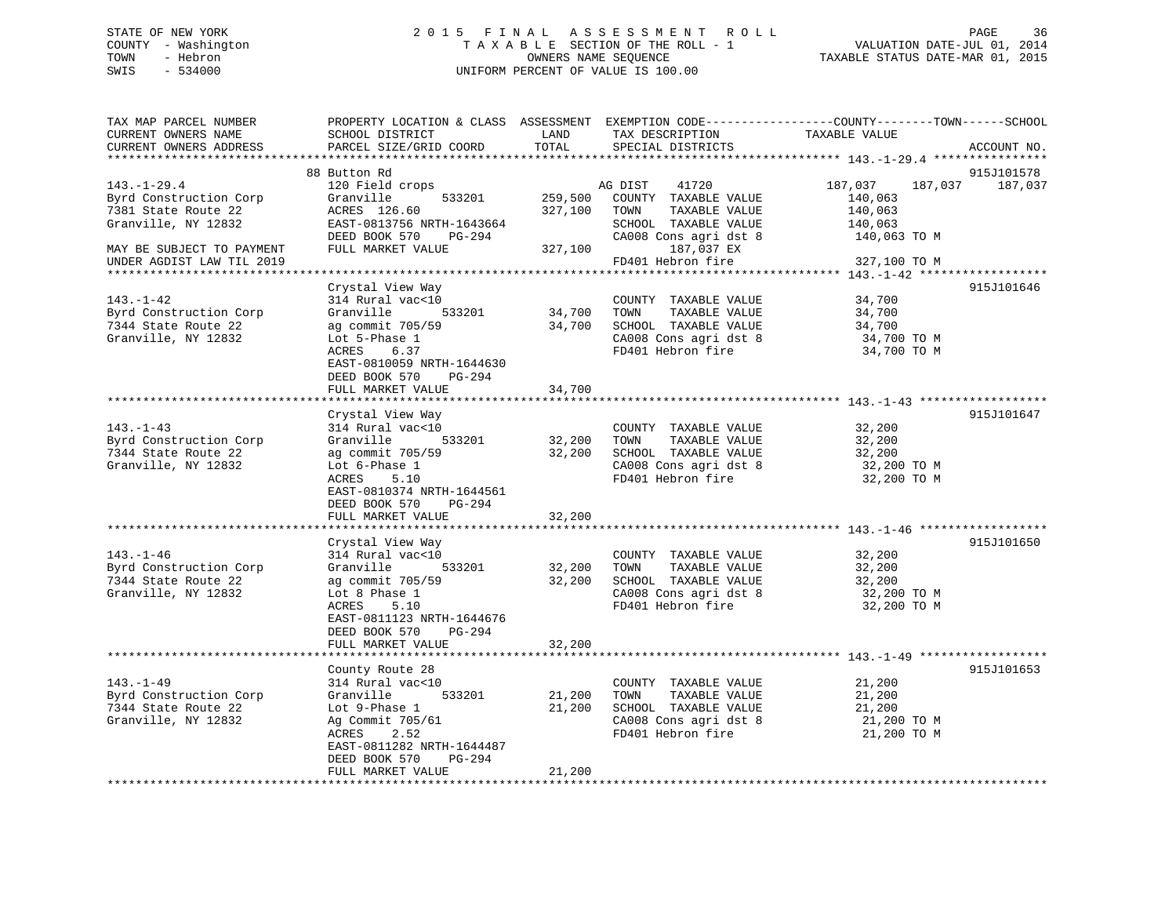# STATE OF NEW YORK 2 0 1 5 F I N A L A S S E S S M E N T R O L L PAGE 36 COUNTY - Washington T A X A B L E SECTION OF THE ROLL - 1 VALUATION DATE-JUL 01, 2014 TOWN - Hebron OWNERS NAME SEQUENCE TAXABLE STATUS DATE-MAR 01, 2015 SWIS - 534000 UNIFORM PERCENT OF VALUE IS 100.00

| TAX MAP PARCEL NUMBER<br>CURRENT OWNERS NAME<br>CURRENT OWNERS ADDRESS<br>********************** | PROPERTY LOCATION & CLASS ASSESSMENT<br>SCHOOL DISTRICT<br>PARCEL SIZE/GRID COORD                                                                                                                                                                   | LAND<br>TOTAL              | TAX DESCRIPTION<br>SPECIAL DISTRICTS                                                                                | EXEMPTION CODE-----------------COUNTY-------TOWN------SCHOOL<br>TAXABLE VALUE | ACCOUNT NO.           |
|--------------------------------------------------------------------------------------------------|-----------------------------------------------------------------------------------------------------------------------------------------------------------------------------------------------------------------------------------------------------|----------------------------|---------------------------------------------------------------------------------------------------------------------|-------------------------------------------------------------------------------|-----------------------|
|                                                                                                  |                                                                                                                                                                                                                                                     |                            |                                                                                                                     |                                                                               |                       |
| $143. - 1 - 29.4$<br>Byrd Construction Corp<br>7381 State Route 22<br>Granville, NY 12832        | 88 Button Rd<br>120 Field crops<br>533201<br>Granville<br>ACRES 126.60<br>EAST-0813756 NRTH-1643664<br>DEED BOOK 570<br>PG-294                                                                                                                      | 259,500<br>327,100         | AG DIST<br>41720<br>COUNTY TAXABLE VALUE<br>TOWN<br>TAXABLE VALUE<br>SCHOOL TAXABLE VALUE<br>CA008 Cons agri dst 8  | 187,037<br>187,037<br>140,063<br>140,063<br>140,063<br>140,063 TO M           | 915J101578<br>187,037 |
| MAY BE SUBJECT TO PAYMENT                                                                        | FULL MARKET VALUE                                                                                                                                                                                                                                   | 327,100                    | 187,037 EX                                                                                                          |                                                                               |                       |
| UNDER AGDIST LAW TIL 2019                                                                        |                                                                                                                                                                                                                                                     |                            | FD401 Hebron fire                                                                                                   | 327,100 TO M                                                                  |                       |
| $143. - 1 - 42$<br>Byrd Construction Corp<br>7344 State Route 22<br>Granville, NY 12832          | Crystal View Way<br>314 Rural vac<10<br>533201<br>Granville<br>ag commit 705/59<br>Lot 5-Phase 1<br>6.37<br>ACRES<br>EAST-0810059 NRTH-1644630                                                                                                      | 34,700<br>34,700           | COUNTY TAXABLE VALUE<br>TOWN<br>TAXABLE VALUE<br>SCHOOL TAXABLE VALUE<br>CA008 Cons agri dst 8<br>FD401 Hebron fire | 34,700<br>34,700<br>34,700<br>34,700 TO M<br>34,700 TO M                      | 915J101646            |
|                                                                                                  | DEED BOOK 570<br>PG-294                                                                                                                                                                                                                             |                            |                                                                                                                     |                                                                               |                       |
|                                                                                                  | FULL MARKET VALUE                                                                                                                                                                                                                                   | 34,700                     |                                                                                                                     |                                                                               |                       |
| $143. - 1 - 43$<br>Byrd Construction Corp<br>7344 State Route 22<br>Granville, NY 12832          | *************************<br>Crystal View Way<br>314 Rural vac<10<br>Granville<br>533201<br>ag commit 705/59<br>Lot 6-Phase 1<br>5.10<br>ACRES<br>EAST-0810374 NRTH-1644561<br>DEED BOOK 570<br>PG-294<br>FULL MARKET VALUE<br>******************** | 32,200<br>32,200<br>32,200 | COUNTY TAXABLE VALUE<br>TOWN<br>TAXABLE VALUE<br>SCHOOL TAXABLE VALUE<br>CA008 Cons agri dst 8<br>FD401 Hebron fire | 32,200<br>32,200<br>32,200<br>32,200 TO M<br>32,200 TO M                      | 915J101647            |
| $143. - 1 - 46$<br>Byrd Construction Corp<br>7344 State Route 22<br>Granville, NY 12832          | Crystal View Way<br>314 Rural vac<10<br>Granville<br>533201<br>ag commit 705/59<br>Lot 8 Phase 1<br>ACRES<br>5.10<br>EAST-0811123 NRTH-1644676<br>DEED BOOK 570<br>PG-294<br>FULL MARKET VALUE<br>*******************                               | 32,200<br>32,200<br>32,200 | COUNTY TAXABLE VALUE<br>TOWN<br>TAXABLE VALUE<br>SCHOOL TAXABLE VALUE<br>CA008 Cons agri dst 8<br>FD401 Hebron fire | 32,200<br>32,200<br>32,200<br>32,200 TO M<br>32,200 TO M                      | 915J101650            |
|                                                                                                  | County Route 28                                                                                                                                                                                                                                     |                            |                                                                                                                     |                                                                               | 915J101653            |
| $143. - 1 - 49$<br>Byrd Construction Corp<br>7344 State Route 22<br>Granville, NY 12832          | 314 Rural vac<10<br>Granville<br>533201<br>Lot 9-Phase 1<br>Ag Commit 705/61<br>2.52<br>ACRES<br>EAST-0811282 NRTH-1644487<br>DEED BOOK 570<br>PG-294<br>FULL MARKET VALUE                                                                          | 21,200<br>21,200<br>21,200 | COUNTY TAXABLE VALUE<br>TOWN<br>TAXABLE VALUE<br>SCHOOL TAXABLE VALUE<br>CA008 Cons agri dst 8<br>FD401 Hebron fire | 21,200<br>21,200<br>21,200<br>21,200 TO M<br>21,200 TO M                      |                       |
|                                                                                                  | ********************                                                                                                                                                                                                                                |                            |                                                                                                                     |                                                                               |                       |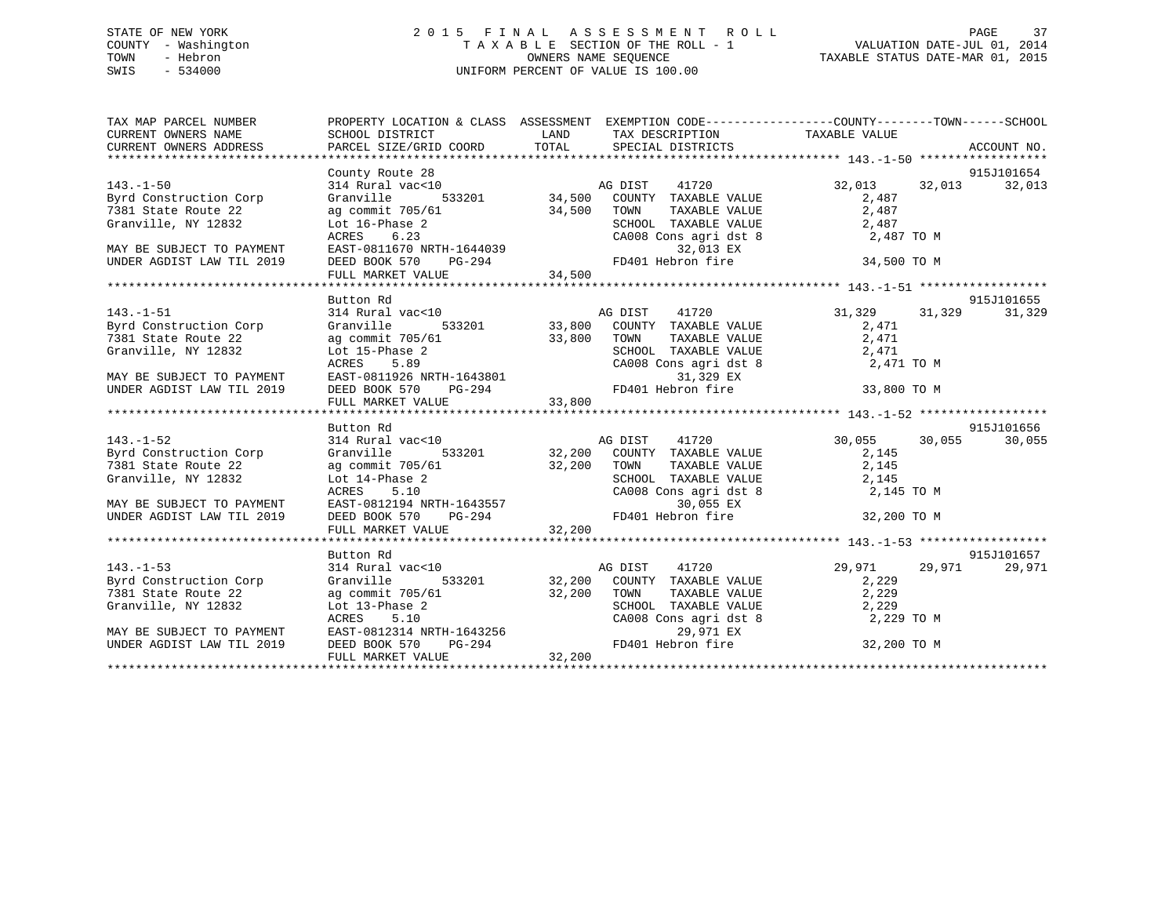## STATE OF NEW YORK 2 0 1 5 F I N A L A S S E S S M E N T R O L L PAGE 37 COUNTY - Washington T A X A B L E SECTION OF THE ROLL - 1 VALUATION DATE-JUL 01, 2014 TOWN - Hebron OWNERS NAME SEQUENCE TAXABLE STATUS DATE-MAR 01, 2015 SWIS - 534000 UNIFORM PERCENT OF VALUE IS 100.00

| TAX MAP PARCEL NUMBER                                                           |                                                                                                                                                                                                   | PROPERTY LOCATION & CLASS ASSESSMENT EXEMPTION CODE-----------------COUNTY-------TOWN------SCHOOL                                                                                                                                                              |                     |            |
|---------------------------------------------------------------------------------|---------------------------------------------------------------------------------------------------------------------------------------------------------------------------------------------------|----------------------------------------------------------------------------------------------------------------------------------------------------------------------------------------------------------------------------------------------------------------|---------------------|------------|
|                                                                                 |                                                                                                                                                                                                   |                                                                                                                                                                                                                                                                |                     |            |
|                                                                                 |                                                                                                                                                                                                   |                                                                                                                                                                                                                                                                |                     |            |
|                                                                                 | County Route 28                                                                                                                                                                                   |                                                                                                                                                                                                                                                                |                     | 915J101654 |
| $143. - 1 - 50$                                                                 | 314 Rural vac<10                                                                                                                                                                                  |                                                                                                                                                                                                                                                                | 41720 32,013 32,013 | 32,013     |
| Byrd Construction Corp                                                          | Granville                                                                                                                                                                                         |                                                                                                                                                                                                                                                                | 2,487               |            |
| 7381 State Route 22                                                             |                                                                                                                                                                                                   | 34,500 CONTRABLE VALUE<br>2,487<br>ACRES 6.23<br>EAST-0811670 NRTH-1644039<br>DEED BOOK 570 PG-294<br>FULL MARKET VALUE<br>FULL MARKET VALUE<br>2,487<br>CA008 Cons agri dst 8<br>2,487 TO M<br>32,013 EX<br>FD401 Hebron fire<br>34,500<br>FULL MARKET        |                     |            |
| Granville, NY 12832                                                             |                                                                                                                                                                                                   |                                                                                                                                                                                                                                                                |                     |            |
|                                                                                 |                                                                                                                                                                                                   |                                                                                                                                                                                                                                                                |                     |            |
| MAY BE SUBJECT TO PAYMENT                                                       |                                                                                                                                                                                                   |                                                                                                                                                                                                                                                                |                     |            |
| UNDER AGDIST LAW TIL 2019                                                       |                                                                                                                                                                                                   |                                                                                                                                                                                                                                                                |                     |            |
|                                                                                 |                                                                                                                                                                                                   |                                                                                                                                                                                                                                                                |                     |            |
|                                                                                 | Button Rd                                                                                                                                                                                         |                                                                                                                                                                                                                                                                |                     | 915J101655 |
| $143. - 1 - 51$                                                                 |                                                                                                                                                                                                   |                                                                                                                                                                                                                                                                |                     | 31,329     |
| Byrd Construction Corp Granville                                                |                                                                                                                                                                                                   | 31,329 31,329<br>314 Rural vac<10 533201 33,800 COUNTY TAXABLE VALUE 31,329 31,329                                                                                                                                                                             |                     |            |
|                                                                                 |                                                                                                                                                                                                   |                                                                                                                                                                                                                                                                |                     |            |
|                                                                                 |                                                                                                                                                                                                   |                                                                                                                                                                                                                                                                |                     |            |
|                                                                                 |                                                                                                                                                                                                   |                                                                                                                                                                                                                                                                |                     |            |
|                                                                                 |                                                                                                                                                                                                   |                                                                                                                                                                                                                                                                |                     |            |
|                                                                                 |                                                                                                                                                                                                   |                                                                                                                                                                                                                                                                |                     |            |
|                                                                                 |                                                                                                                                                                                                   | 9741 CUSER AGUE COLORES 1981 STATE COLORES 1981 STATE COLORES 1981 STATE COLORES 1981 STATE COLORES 5.89<br>MAY BE SUBJECT TO PAYMENT RESS 5.89<br>MAY BE SUBJECT TO PAYMENT RESS 5.89<br>MAY BE SUBJECT TO PAYMENT RESS 5.89<br>MAY B                         |                     |            |
|                                                                                 |                                                                                                                                                                                                   |                                                                                                                                                                                                                                                                |                     |            |
|                                                                                 | Button Rd                                                                                                                                                                                         |                                                                                                                                                                                                                                                                |                     | 915J101656 |
|                                                                                 |                                                                                                                                                                                                   |                                                                                                                                                                                                                                                                | 30,055<br>30,055    | 30,055     |
| 143.-1-52<br>Byrd Construction Corp 314 Rural                                   |                                                                                                                                                                                                   | Button Rd<br>314 Rural vac<10 132,200 AG DIST<br>314 Rural vac<10 32,200 COUNTY TAXABLE VALUE 30,055<br>32,200 TOWN TAXABLE VALUE 2,145<br>32,200 TOWN TAXABLE VALUE 2,145                                                                                     |                     |            |
|                                                                                 |                                                                                                                                                                                                   |                                                                                                                                                                                                                                                                |                     |            |
|                                                                                 |                                                                                                                                                                                                   |                                                                                                                                                                                                                                                                |                     |            |
|                                                                                 |                                                                                                                                                                                                   |                                                                                                                                                                                                                                                                |                     |            |
|                                                                                 |                                                                                                                                                                                                   |                                                                                                                                                                                                                                                                |                     |            |
|                                                                                 |                                                                                                                                                                                                   |                                                                                                                                                                                                                                                                |                     |            |
|                                                                                 |                                                                                                                                                                                                   | Byrd Construction Corp<br>7381 State Route 22 ag commit 705/61 32,200 TOWN TAXABLE VALUE<br>32,200 TOWN TAXABLE VALUE 2,145<br>SCHOOL TAXABLE VALUE 2,145<br>8CHOOL TAXABLE VALUE 2,145<br>8CHOOL TAXABLE VALUE 2,145<br>2,145<br>7381 State                   |                     |            |
|                                                                                 |                                                                                                                                                                                                   |                                                                                                                                                                                                                                                                |                     |            |
|                                                                                 |                                                                                                                                                                                                   |                                                                                                                                                                                                                                                                |                     | 915J101657 |
| $143. - 1 - 53$                                                                 |                                                                                                                                                                                                   |                                                                                                                                                                                                                                                                | 29,971 29,971       | 29,971     |
| 143.1-1-33<br>Byrd Construction Corp Granville<br>7381 State Route 22 ag commit |                                                                                                                                                                                                   |                                                                                                                                                                                                                                                                |                     |            |
|                                                                                 |                                                                                                                                                                                                   |                                                                                                                                                                                                                                                                |                     |            |
| Granville, NY 12832                                                             |                                                                                                                                                                                                   |                                                                                                                                                                                                                                                                |                     |            |
|                                                                                 |                                                                                                                                                                                                   |                                                                                                                                                                                                                                                                | 2,229 TO M          |            |
| MAY BE SUBJECT TO PAYMENT<br>UNDER AGDIST LAW TIL 2019                          |                                                                                                                                                                                                   | FD401 Hebron fire 32,200 TO M                                                                                                                                                                                                                                  |                     |            |
|                                                                                 | Granville 533201 32,200 COON11<br>ag commit 705/61 32,200 TOWN<br>Lot 13-Phase 2 SCHOOL<br>ACRES 5.10 CA008 (<br>EAST-0812314 NRTH-1643256<br>DEED BOOK 570 PG-294 FD401 FULL MARKET VALUE 32,200 | Rutton Rd<br>314 Rural vac<10<br>Granville 533201<br>32,200 COUNTY TAXABLE VALUE 2,229<br>ag commit 705/61<br>32,200 TOWN TAXABLE VALUE 2,229<br>5.10<br>12,229<br>CA008 Consagri dst 8<br>2,229<br>2,229<br>2,229<br>2,229<br>2,229<br>2,229<br>2,229<br>2,22 |                     |            |
|                                                                                 |                                                                                                                                                                                                   |                                                                                                                                                                                                                                                                |                     |            |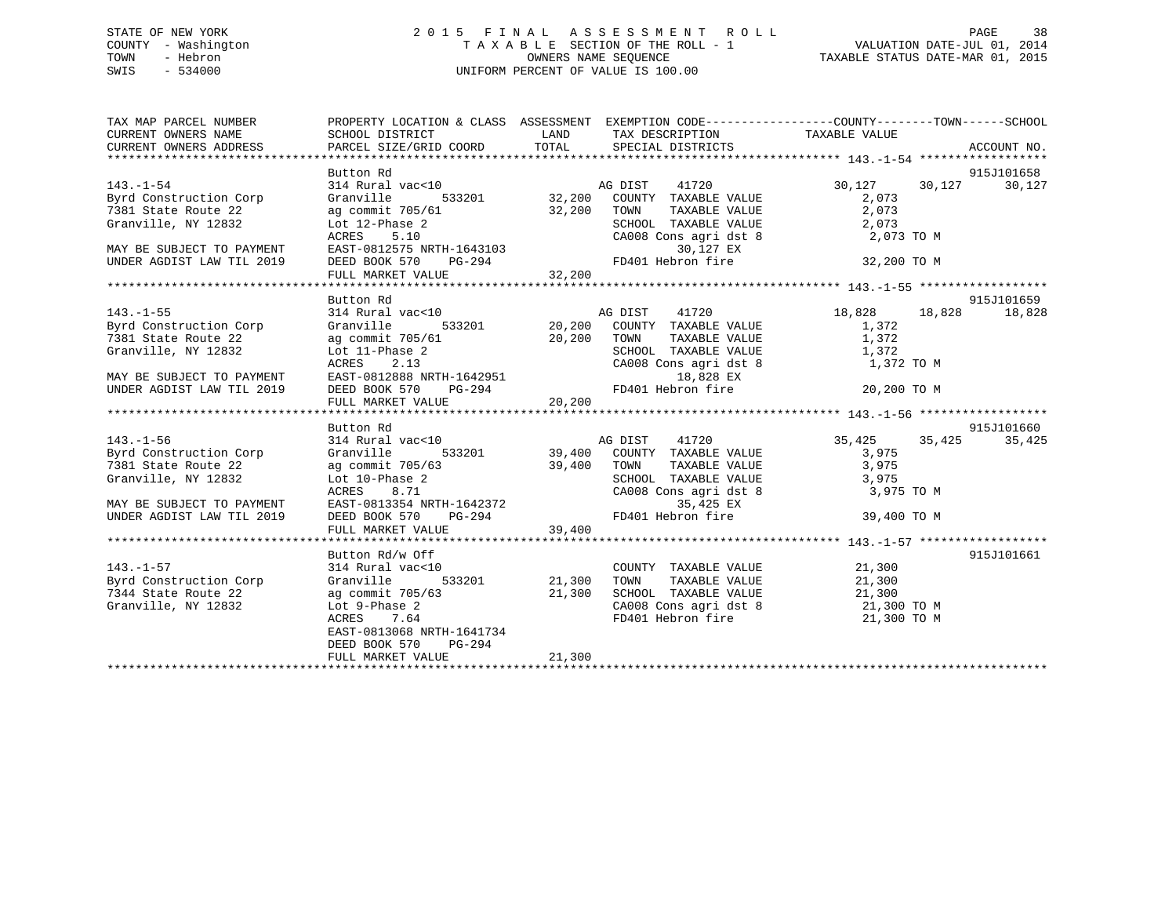## STATE OF NEW YORK 2 0 1 5 F I N A L A S S E S S M E N T R O L L PAGE 38 COUNTY - Washington T A X A B L E SECTION OF THE ROLL - 1 VALUATION DATE-JUL 01, 2014 TOWN - Hebron OWNERS NAME SEQUENCE TAXABLE STATUS DATE-MAR 01, 2015 SWIS - 534000 UNIFORM PERCENT OF VALUE IS 100.00

| TAX MAP PARCEL NUMBER<br>CURRENT OWNERS NAME<br>CURRENT OWNERS ADDRESS | SCHOOL DISTRICT                     | PROPERTY LOCATION & CLASS ASSESSMENT EXEMPTION CODE----------------COUNTY-------TOWN------SCHOOL<br>LAND TAX DESCRIPTION TAXABLE VALUE                                                                                                                                                                                                                                                                  |               |            |
|------------------------------------------------------------------------|-------------------------------------|---------------------------------------------------------------------------------------------------------------------------------------------------------------------------------------------------------------------------------------------------------------------------------------------------------------------------------------------------------------------------------------------------------|---------------|------------|
|                                                                        | Button Rd                           |                                                                                                                                                                                                                                                                                                                                                                                                         |               | 915J101658 |
| 143.-1-54                                                              |                                     | 314 Rural vac<10 633201 AG DIST 41720 30,127 30,127<br>Granville 533201 32,200 COUNTY TAXABLE VALUE 2,073                                                                                                                                                                                                                                                                                               |               | 30,127     |
| Byrd Construction Corp                                                 |                                     |                                                                                                                                                                                                                                                                                                                                                                                                         |               |            |
| 7381 State Route 22                                                    |                                     |                                                                                                                                                                                                                                                                                                                                                                                                         |               |            |
| Granville, NY 12832                                                    |                                     |                                                                                                                                                                                                                                                                                                                                                                                                         |               |            |
|                                                                        |                                     |                                                                                                                                                                                                                                                                                                                                                                                                         |               |            |
| MAY BE SUBJECT TO PAYMENT                                              |                                     |                                                                                                                                                                                                                                                                                                                                                                                                         |               |            |
| UNDER AGDIST LAW TIL 2019                                              |                                     | ag commit 705/61<br>and 12-Phase 2<br>Lot 12-Phase 2<br>ACRES 5.10<br>EAST-0812575 NRTH-1643103<br>DEED BOOK 570 PG-294<br>FULL MARKET VALUE<br>THE 32,200<br>CA008 Cons agri dst 8<br>2,073 TO M<br>2,073<br>2,073<br>PERD BOOK 570 PG-294<br>FULL MARK                                                                                                                                                |               |            |
|                                                                        |                                     |                                                                                                                                                                                                                                                                                                                                                                                                         |               |            |
|                                                                        | Button Rd                           |                                                                                                                                                                                                                                                                                                                                                                                                         |               | 915J101659 |
| $143. - 1 - 55$                                                        |                                     | 314 Rural vac<10<br>314 Rural vac<10<br>314 Granville 533201 20,200 COUNTY TAXABLE VALUE 1,372                                                                                                                                                                                                                                                                                                          |               | 18,828     |
| Byrd Construction Corp                                                 |                                     |                                                                                                                                                                                                                                                                                                                                                                                                         |               |            |
| 7381 State Route 22                                                    |                                     |                                                                                                                                                                                                                                                                                                                                                                                                         |               |            |
| Granville, NY 12832                                                    |                                     |                                                                                                                                                                                                                                                                                                                                                                                                         |               |            |
|                                                                        |                                     |                                                                                                                                                                                                                                                                                                                                                                                                         |               |            |
| MAY BE SUBJECT TO PAYMENT                                              |                                     |                                                                                                                                                                                                                                                                                                                                                                                                         |               |            |
| UNDER AGDIST LAW TIL 2019                                              |                                     |                                                                                                                                                                                                                                                                                                                                                                                                         |               |            |
|                                                                        |                                     | $\begin{array}{cccccccccccc} \text{C1} & \text{C2} & \text{C3} & \text{C4} & \text{C5} & \text{C5} & \text{C6} & \text{C6} & \text{C6} & \text{C6} & \text{C6} & \text{C6} & \text{C6} & \text{C6} & \text{C6} & \text{C6} & \text{C6} & \text{C6} & \text{C6} & \text{C6} & \text{C6} & \text{C6} & \text{C6} & \text{C6} & \text{C6} & \text{C6} & \text{C6} & \text{C6} & \text{C6} & \text{C6} & \$ |               |            |
|                                                                        |                                     |                                                                                                                                                                                                                                                                                                                                                                                                         |               |            |
|                                                                        | Button Rd                           |                                                                                                                                                                                                                                                                                                                                                                                                         |               | 915J101660 |
| $143. - 1 - 56$                                                        |                                     | 35,425<br>314 Rural vac<10 139,400 AG DIST 41720<br>Granville 533201 39,400 COUNTY TAXABLE VALUE 3,975                                                                                                                                                                                                                                                                                                  | 35,425 35,425 | 35,425     |
| Byrd Construction Corp Granville                                       |                                     |                                                                                                                                                                                                                                                                                                                                                                                                         |               |            |
| 7381 State Route 22                                                    |                                     |                                                                                                                                                                                                                                                                                                                                                                                                         |               |            |
| Granville, NY 12832                                                    |                                     |                                                                                                                                                                                                                                                                                                                                                                                                         |               |            |
|                                                                        |                                     |                                                                                                                                                                                                                                                                                                                                                                                                         |               |            |
| MAY BE SUBJECT TO PAYMENT                                              |                                     |                                                                                                                                                                                                                                                                                                                                                                                                         |               |            |
| UNDER AGDIST LAW TIL 2019                                              |                                     | 39 commit 705/63<br>ag commit 705/63<br>Lot 10-Phase 2<br>ACRES 8.71<br>EAST-0813354 NRTH-1642372<br>DEED BOOK 570 PG-294<br>FULL MARKET VALUE<br>FULL MARKET VALUE<br>TAXABLE VALUE<br>39,400<br>TAXABLE VALUE<br>39,400<br>TAXABLE VALUE<br>39,400<br>TA                                                                                                                                              |               |            |
|                                                                        |                                     |                                                                                                                                                                                                                                                                                                                                                                                                         |               |            |
|                                                                        |                                     |                                                                                                                                                                                                                                                                                                                                                                                                         |               |            |
|                                                                        | Button Rd/w Off<br>314 Rural vac<10 |                                                                                                                                                                                                                                                                                                                                                                                                         |               | 915J101661 |
| $143. - 1 - 57$                                                        |                                     | COUNTY TAXABLE VALUE 21,300<br>533201 21,300 TOWN TAXABLE VALUE 21,300                                                                                                                                                                                                                                                                                                                                  |               |            |
| Byrd Construction Corp                                                 | Granville                           |                                                                                                                                                                                                                                                                                                                                                                                                         |               |            |
| 7344 State Route 22                                                    |                                     | ag commit 705/63<br>Lot 9-Phase 2<br>ACRES 21,300<br>ACRES 21,300<br>ACRES 21,300<br>ACRES 21,300<br>CA008 Cons agri dst 8<br>FD401 Hebron fire 21,300 TO M<br>21,300<br>21,300<br>21,300<br>21,300<br>21,300                                                                                                                                                                                           |               |            |
| Granville, NY 12832                                                    |                                     |                                                                                                                                                                                                                                                                                                                                                                                                         |               |            |
|                                                                        | EAST-0813068 NRTH-1641734           |                                                                                                                                                                                                                                                                                                                                                                                                         |               |            |
|                                                                        | DEED BOOK 570 PG-294                |                                                                                                                                                                                                                                                                                                                                                                                                         |               |            |
|                                                                        | FULL MARKET VALUE                   | 21,300                                                                                                                                                                                                                                                                                                                                                                                                  |               |            |
|                                                                        |                                     |                                                                                                                                                                                                                                                                                                                                                                                                         |               |            |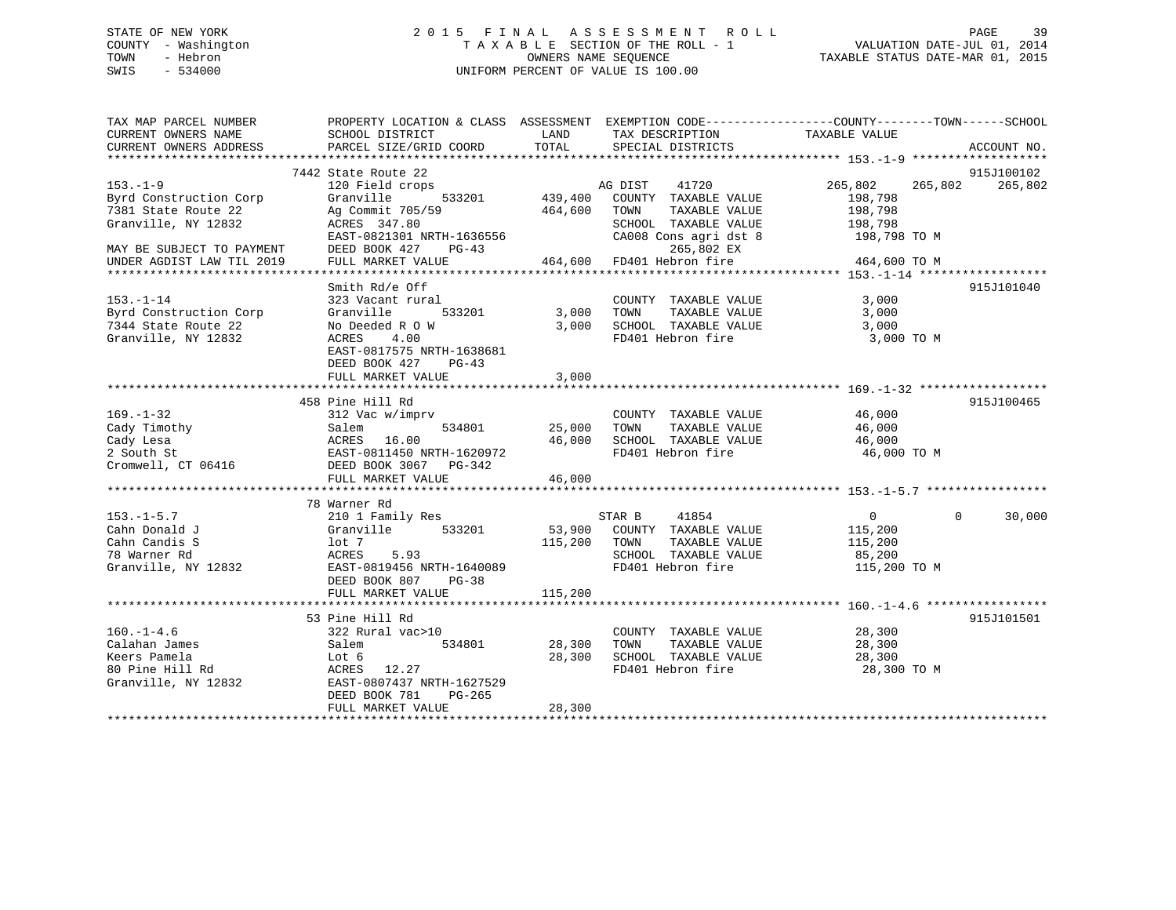## STATE OF NEW YORK 2 0 1 5 F I N A L A S S E S S M E N T R O L L PAGE 39 COUNTY - Washington T A X A B L E SECTION OF THE ROLL - 1 VALUATION DATE-JUL 01, 2014 TOWN - Hebron OWNERS NAME SEQUENCE TAXABLE STATUS DATE-MAR 01, 2015 SWIS - 534000 UNIFORM PERCENT OF VALUE IS 100.00

| TAX MAP PARCEL NUMBER     |                                                    |         |                                               | PROPERTY LOCATION & CLASS ASSESSMENT EXEMPTION CODE----------------COUNTY-------TOWN------SCHOOL |             |
|---------------------------|----------------------------------------------------|---------|-----------------------------------------------|--------------------------------------------------------------------------------------------------|-------------|
| CURRENT OWNERS NAME       | SCHOOL DISTRICT                                    | LAND    | TAX DESCRIPTION                               | TAXABLE VALUE                                                                                    |             |
| CURRENT OWNERS ADDRESS    | PARCEL SIZE/GRID COORD                             | TOTAL   | SPECIAL DISTRICTS                             |                                                                                                  | ACCOUNT NO. |
| ***********************   |                                                    |         |                                               |                                                                                                  |             |
|                           | 7442 State Route 22                                |         |                                               |                                                                                                  | 915J100102  |
| $153. - 1 - 9$            | 120 Field crops                                    |         | AG DIST<br>41720                              | 265,802<br>265,802                                                                               | 265,802     |
| Byrd Construction Corp    | Granville<br>533201                                |         | 439,400 COUNTY TAXABLE VALUE                  | 198,798                                                                                          |             |
| 7381 State Route 22       | Ag Commit 705/59                                   | 464,600 | TOWN<br>TAXABLE VALUE                         | 198,798                                                                                          |             |
| Granville, NY 12832       | ACRES 347.80                                       |         | SCHOOL TAXABLE VALUE                          | 198,798                                                                                          |             |
|                           | EAST-0821301 NRTH-1636556                          |         | CA008 Cons agri dst 8                         | 198,798 TO M                                                                                     |             |
| MAY BE SUBJECT TO PAYMENT | DEED BOOK 427<br>$PG-43$                           |         | 265,802 EX                                    |                                                                                                  |             |
| UNDER AGDIST LAW TIL 2019 | FULL MARKET VALUE                                  |         | 464,600 FD401 Hebron fire                     | 464,600 TO M                                                                                     |             |
|                           |                                                    |         |                                               |                                                                                                  |             |
|                           | Smith Rd/e Off                                     |         |                                               |                                                                                                  | 915J101040  |
| $153. - 1 - 14$           | 323 Vacant rural                                   |         | COUNTY TAXABLE VALUE                          | 3,000                                                                                            |             |
| Byrd Construction Corp    | 533201<br>Granville                                | 3,000   | TOWN<br>TAXABLE VALUE                         | 3,000                                                                                            |             |
| 7344 State Route 22       | No Deeded R O W                                    | 3,000   | SCHOOL TAXABLE VALUE                          | 3,000                                                                                            |             |
| Granville, NY 12832       | ACRES<br>4.00                                      |         | FD401 Hebron fire                             | 3,000 TO M                                                                                       |             |
|                           | EAST-0817575 NRTH-1638681                          |         |                                               |                                                                                                  |             |
|                           | DEED BOOK 427<br>$PG-43$                           |         |                                               |                                                                                                  |             |
|                           | FULL MARKET VALUE                                  | 3,000   |                                               |                                                                                                  |             |
|                           |                                                    |         |                                               |                                                                                                  |             |
|                           | 458 Pine Hill Rd                                   |         |                                               |                                                                                                  | 915J100465  |
| $169. - 1 - 32$           | 312 Vac w/imprv                                    |         |                                               | 46,000                                                                                           |             |
|                           | 534801                                             | 25,000  | COUNTY TAXABLE VALUE<br>TOWN<br>TAXABLE VALUE |                                                                                                  |             |
| Cady Timothy              | Salem                                              |         |                                               | 46,000                                                                                           |             |
| Cady Lesa                 | ACRES 16.00                                        | 46,000  | SCHOOL TAXABLE VALUE<br>FD401 Hebron fire     | 46,000                                                                                           |             |
| 2 South St                | EAST-0811450 NRTH-1620972<br>DEED BOOK 3067 PG-342 |         |                                               | 46,000 TO M                                                                                      |             |
| Cromwell, CT 06416        |                                                    |         |                                               |                                                                                                  |             |
|                           | FULL MARKET VALUE                                  | 46,000  |                                               |                                                                                                  |             |
|                           | 78 Warner Rd                                       |         |                                               |                                                                                                  |             |
|                           |                                                    |         |                                               |                                                                                                  |             |
| $153. - 1 - 5.7$          | 210 1 Family Res                                   |         | 41854<br>STAR B                               | 0<br>$\Omega$                                                                                    | 30,000      |
| Cahn Donald J             | 533201<br>Granville                                | 53,900  | COUNTY TAXABLE VALUE                          | 115,200                                                                                          |             |
| Cahn Candis S             | lot 7                                              | 115,200 | TOWN<br>TAXABLE VALUE                         | 115,200                                                                                          |             |
| 78 Warner Rd              | ACRES<br>5.93                                      |         | SCHOOL TAXABLE VALUE                          | 85,200                                                                                           |             |
| Granville, NY 12832       | EAST-0819456 NRTH-1640089                          |         | FD401 Hebron fire                             | 115,200 TO M                                                                                     |             |
|                           | DEED BOOK 807<br>PG-38                             |         |                                               |                                                                                                  |             |
|                           | FULL MARKET VALUE                                  | 115,200 |                                               |                                                                                                  |             |
|                           |                                                    |         |                                               |                                                                                                  |             |
|                           | 53 Pine Hill Rd                                    |         |                                               |                                                                                                  | 915J101501  |
| $160. - 1 - 4.6$          | 322 Rural vac>10                                   |         | COUNTY TAXABLE VALUE                          | 28,300                                                                                           |             |
| Calahan James             | 534801<br>Salem                                    | 28,300  | TAXABLE VALUE<br>TOWN                         | 28,300                                                                                           |             |
| Keers Pamela              | Lot 6                                              | 28,300  | SCHOOL TAXABLE VALUE                          | 28,300                                                                                           |             |
| 80 Pine Hill Rd           | ACRES 12.27                                        |         | FD401 Hebron fire                             | 28,300 TO M                                                                                      |             |
| Granville, NY 12832       | EAST-0807437 NRTH-1627529                          |         |                                               |                                                                                                  |             |
|                           | DEED BOOK 781<br>PG-265                            |         |                                               |                                                                                                  |             |
|                           | FULL MARKET VALUE                                  | 28,300  |                                               |                                                                                                  |             |
|                           |                                                    |         |                                               |                                                                                                  |             |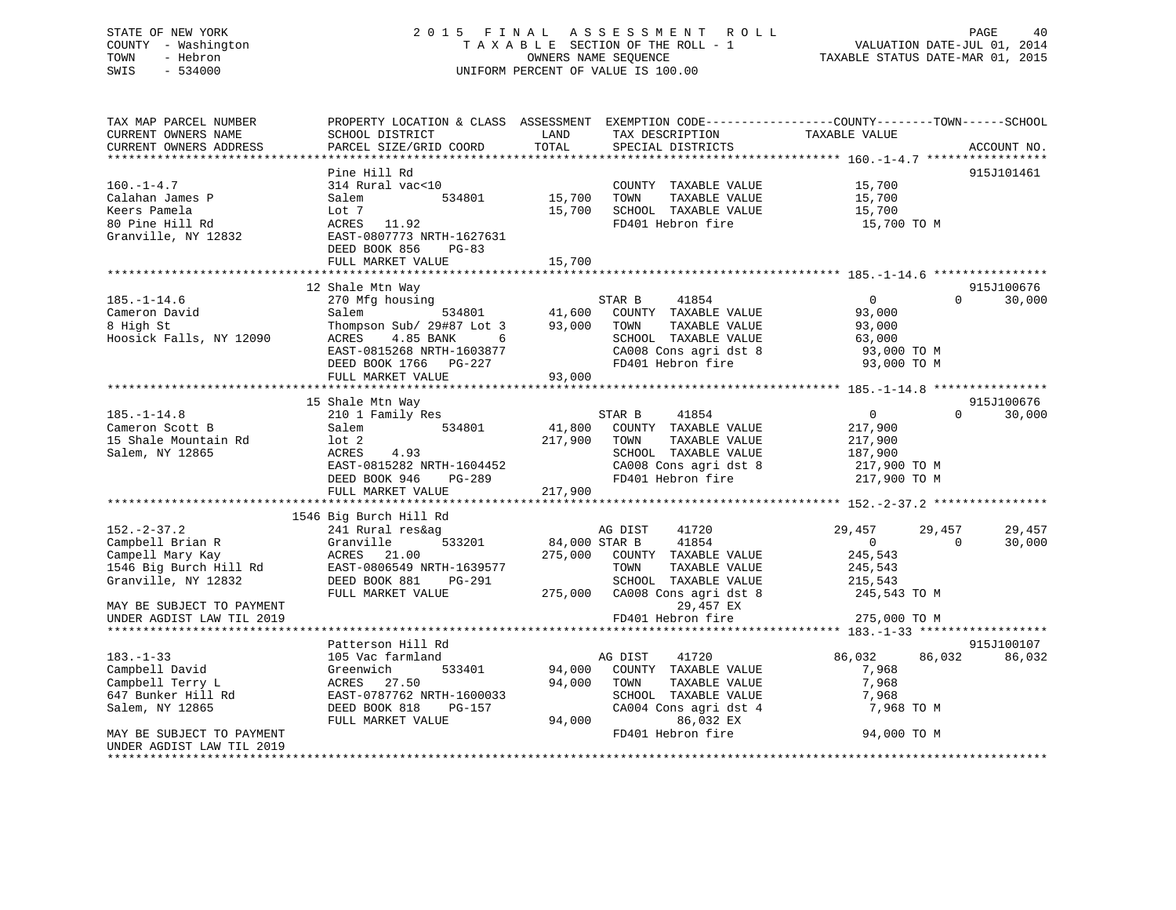UNDER AGDIST LAW TIL 2019

#### STATE OF NEW YORK 2 0 1 5 F I N A L A S S E S S M E N T R O L L PAGE 40COUNTY - Washington T A X A B L E SECTION OF THE ROLL - 1 TOWN - Hebron OWNERS NAME SEQUENCE TAXABLE STATUS DATE-MAR 01, 2015 SWIS - 534000 UNIFORM PERCENT OF VALUE IS 100.00

TAX MAP PARCEL NUMBER PROPERTY LOCATION & CLASS ASSESSMENT EXEMPTION CODE------------------COUNTY--------TOWN------SCHOOL

| CURRENT OWNERS NAME                        | SCHOOL DISTRICT                                                       | LAND         | TAX DESCRIPTION                                                      | TAXABLE VALUE    |                    |
|--------------------------------------------|-----------------------------------------------------------------------|--------------|----------------------------------------------------------------------|------------------|--------------------|
| CURRENT OWNERS ADDRESS                     | PARCEL SIZE/GRID COORD                                                | TOTAL        | SPECIAL DISTRICTS                                                    |                  | ACCOUNT NO.        |
|                                            |                                                                       |              |                                                                      |                  |                    |
|                                            | Pine Hill Rd                                                          |              |                                                                      |                  | 915J101461         |
| $160. - 1 - 4.7$                           | $314$ Rural vac<10                                                    |              | COUNTY TAXABLE VALUE                                                 | 15,700           |                    |
| Calahan James P                            | 534801 15,700<br>Salem                                                |              | TOWN<br>TAXABLE VALUE                                                | 15,700           |                    |
| Keers Pamela                               | Lot 7                                                                 |              | $15,700$ SCHOOL TAXABLE VALUE                                        | 15,700           |                    |
| 80 Pine Hill Rd                            | ACRES 11.92                                                           |              | FD401 Hebron fire                                                    | 15,700 TO M      |                    |
| Granville, NY 12832                        | EAST-0807773 NRTH-1627631                                             |              |                                                                      |                  |                    |
|                                            | DEED BOOK 856<br>PG-83                                                |              |                                                                      |                  |                    |
|                                            | FULL MARKET VALUE                                                     | 15,700       |                                                                      |                  |                    |
|                                            |                                                                       |              |                                                                      |                  |                    |
|                                            | 12 Shale Mtn Way                                                      |              |                                                                      |                  | 915J100676         |
| $185. - 1 - 14.6$                          | Silate ment way<br>270 Mfg housing the STAR B 41854                   |              |                                                                      | $\overline{0}$   | 30,000<br>$\Omega$ |
| Cameron David                              |                                                                       |              |                                                                      | 93,000           |                    |
| 8 High St                                  |                                                                       |              |                                                                      | 93,000           |                    |
| Hoosick Falls, NY 12090                    |                                                                       |              | SCHOOL TAXABLE VALUE<br>CA008 Cons agri dst 8<br>FD401 Hebron fire   | 63,000           |                    |
|                                            | EAST-0815268 NRTH-1603877                                             |              |                                                                      | 93,000 TO M      |                    |
|                                            | DEED BOOK 1766 PG-227                                                 |              |                                                                      | 93,000 TO M      |                    |
|                                            | FULL MARKET VALUE                                                     | 93,000       |                                                                      |                  |                    |
|                                            |                                                                       |              |                                                                      |                  |                    |
|                                            | 15 Shale Mtn Way                                                      |              |                                                                      |                  | 915J100676         |
| $185. - 1 - 14.8$                          | Duale null way<br>210 1 Family Res                                    |              | STAR B<br>41854                                                      | $\overline{0}$   | $\Omega$<br>30,000 |
| Cameron Scott B                            | Salem                                                                 |              | 534801 41,800 COUNTY TAXABLE VALUE                                   | 217,900          |                    |
| 15 Shale Mountain Rd                       | 10t <sub>2</sub>                                                      | 217,900 TOWN | TOWN      TAXABLE VALUE<br>SCHOOL   TAXABLE VALUE                    | 217,900          |                    |
| Salem, NY 12865                            | ACRES 4.93                                                            |              |                                                                      | 187,900          |                    |
|                                            |                                                                       |              |                                                                      |                  |                    |
|                                            | EAST-0815282 NRTH-1604452<br>DEED BOOK 946 PG-289                     |              | CA008 Cons agri dst 8 217,900 TO M<br>FD401 Hebron fire 217,900 TO M |                  |                    |
|                                            |                                                                       |              |                                                                      |                  |                    |
|                                            |                                                                       |              |                                                                      |                  |                    |
|                                            | 1546 Big Burch Hill Rd                                                | AG DIST      |                                                                      |                  |                    |
| $152 - 2 - 37.2$                           | 241 Rural res&ag                                                      |              | 41720                                                                | 29,457<br>29,457 | 29,457             |
| Campbell Brian R                           | Granville                                                             |              | 533201 84,000 STAR B 41854                                           | $\overline{0}$   | $\Omega$<br>30,000 |
| Campell Mary Kay                           | ACRES 21.00                                                           |              | 275,000 COUNTY TAXABLE VALUE                                         | 245,543          |                    |
| Campell Mary Kay<br>1546 Big Burch Hill Rd | ACRES 21.00<br>EAST-0806549 NRTH-1639577                              |              | TOWN<br>TAXABLE VALUE                                                | 245,543          |                    |
| Granville, NY 12832                        | EAST-08000312 ALLAMING-0<br>DEED BOOK 881 PG-291<br>FULL MARKET VALUE |              | SCHOOL TAXABLE VALUE                                                 | 215,543          |                    |
|                                            |                                                                       |              | 275,000 CA008 Cons agri dst 8                                        | 245,543 TO M     |                    |
| MAY BE SUBJECT TO PAYMENT                  |                                                                       |              | 29,457 EX                                                            |                  |                    |
| UNDER AGDIST LAW TIL 2019                  |                                                                       |              | FD401 Hebron fire                                                    | 275,000 TO M     |                    |
|                                            |                                                                       |              |                                                                      |                  |                    |
|                                            | Patterson Hill Rd                                                     |              |                                                                      |                  | 915J100107         |
| $183. - 1 - 33$                            | 105 Vac farmland                                                      | AG DIST      | 41720                                                                | 86,032<br>86,032 | 86,032             |
| Campbell David                             | Greenwich                                                             |              | 533401 94,000 COUNTY TAXABLE VALUE                                   | 7,968            |                    |
| Campbell Terry L                           | ACRES 27.50                                                           |              | 94,000 TOWN<br>TAXABLE VALUE                                         | 7,968            |                    |
| 647 Bunker Hill Rd                         | EAST-0787762 NRTH-1600033                                             |              | SCHOOL TAXABLE VALUE                                                 | 7,968            |                    |
| Salem, NY 12865                            | DEED BOOK 818<br>PG-157                                               |              | CA004 Cons agri dst 4                                                | 7,968 TO M       |                    |
|                                            | FULL MARKET VALUE                                                     | 94,000       | 86,032 EX                                                            |                  |                    |
| MAY BE SUBJECT TO PAYMENT                  |                                                                       |              | FD401 Hebron fire                                                    | 94,000 TO M      |                    |
|                                            |                                                                       |              |                                                                      |                  |                    |

\*\*\*\*\*\*\*\*\*\*\*\*\*\*\*\*\*\*\*\*\*\*\*\*\*\*\*\*\*\*\*\*\*\*\*\*\*\*\*\*\*\*\*\*\*\*\*\*\*\*\*\*\*\*\*\*\*\*\*\*\*\*\*\*\*\*\*\*\*\*\*\*\*\*\*\*\*\*\*\*\*\*\*\*\*\*\*\*\*\*\*\*\*\*\*\*\*\*\*\*\*\*\*\*\*\*\*\*\*\*\*\*\*\*\*\*\*\*\*\*\*\*\*\*\*\*\*\*\*\*\*\*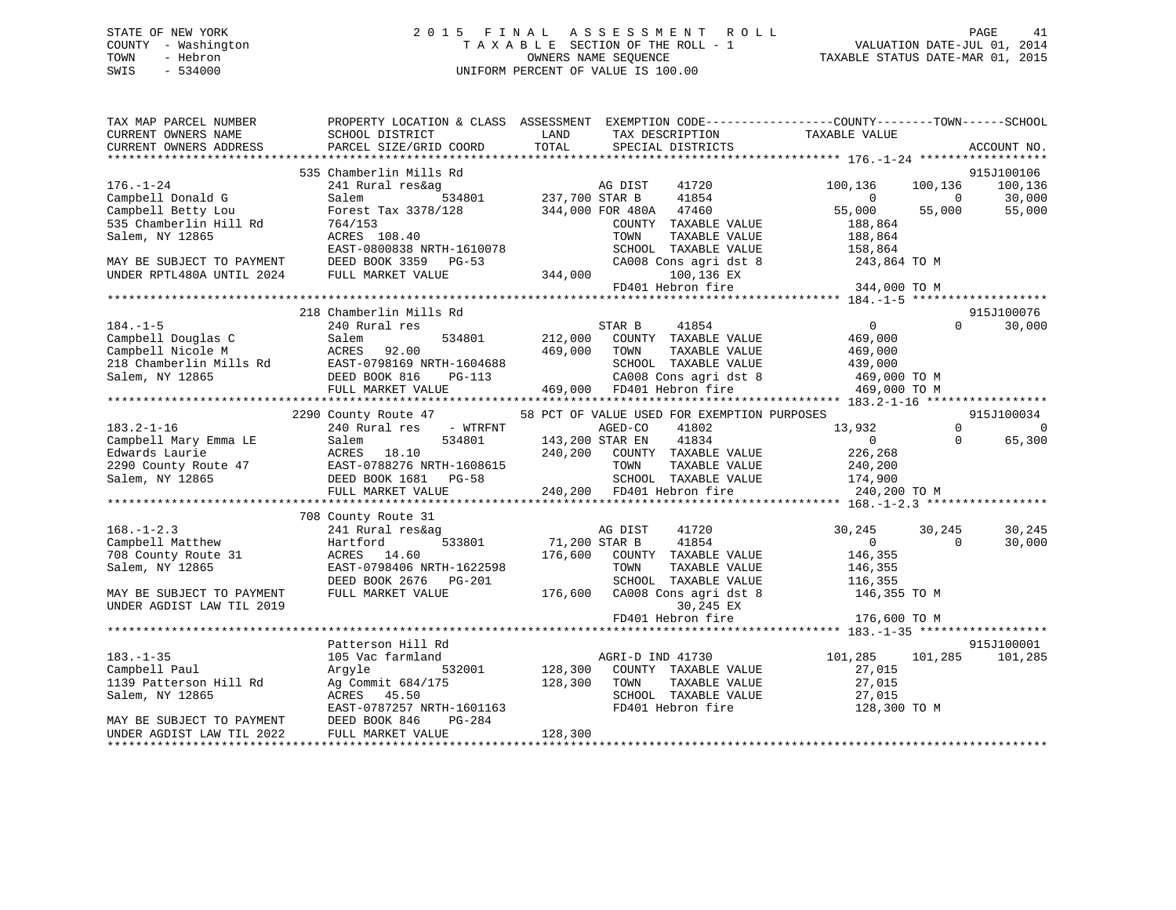## STATE OF NEW YORK 2 0 1 5 F I N A L A S S E S S M E N T R O L L PAGE 41 COUNTY - Washington T A X A B L E SECTION OF THE ROLL - 1 VALUATION DATE-JUL 01, 2014 TOWN - Hebron OWNERS NAME SEQUENCE TAXABLE STATUS DATE-MAR 01, 2015 SWIS - 534000 UNIFORM PERCENT OF VALUE IS 100.00

| TAX MAP PARCEL NUMBER<br>CURRENT OWNERS NAME           | PROPERTY LOCATION & CLASS ASSESSMENT EXEMPTION CODE---------------COUNTY-------TOWN-----SCHOOL<br>SCHOOL DISTRICT                                                                                                                                | LAND                                               | TAX DESCRIPTION                                          | TAXABLE VALUE                  |                                      |
|--------------------------------------------------------|--------------------------------------------------------------------------------------------------------------------------------------------------------------------------------------------------------------------------------------------------|----------------------------------------------------|----------------------------------------------------------|--------------------------------|--------------------------------------|
| CURRENT OWNERS ADDRESS                                 | PARCEL SIZE/GRID COORD                                                                                                                                                                                                                           | TOTAL                                              | SPECIAL DISTRICTS                                        |                                | ACCOUNT NO.                          |
|                                                        | 535 Chamberlin Mills Rd                                                                                                                                                                                                                          |                                                    |                                                          |                                | 915J100106                           |
| $176. - 1 - 24$                                        | 241 Rural res&ag                                                                                                                                                                                                                                 | AG DIST<br>19<br>534801 237,700 STAR B             | AG DIST<br>41720                                         | 100,136                        | 100,136<br>100,136                   |
| Campbell Donald G                                      | Salem                                                                                                                                                                                                                                            |                                                    | 41854                                                    | $\mathbf{0}$                   | $\sim$ 0                             |
| Campbell Betty Lou                                     | Forest Tax 3378/128                                                                                                                                                                                                                              |                                                    | 344,000 FOR 480A 47460                                   | 55,000                         | 30,000<br>55,000<br>55,000<br>55,000 |
| 535 Chamberlin Hill Rd                                 | 764/153                                                                                                                                                                                                                                          |                                                    | COUNTY TAXABLE VALUE                                     | 188,864                        |                                      |
| Salem, NY 12865                                        | ACRES 108.40                                                                                                                                                                                                                                     |                                                    | TOWN<br>TAXABLE VALUE                                    | 188,864                        |                                      |
|                                                        | EAST-0800838 NRTH-1610078                                                                                                                                                                                                                        |                                                    | SCHOOL TAXABLE VALUE                                     | 158,864                        |                                      |
| MAY BE SUBJECT TO PAYMENT                              | DEED BOOK 3359 PG-53                                                                                                                                                                                                                             |                                                    | CA008 Cons agri dst 8                                    | 243,864 TO M                   |                                      |
| UNDER RPTL480A UNTIL 2024                              | FULL MARKET VALUE                                                                                                                                                                                                                                | 344,000                                            | 100,136 EX                                               |                                |                                      |
|                                                        |                                                                                                                                                                                                                                                  |                                                    |                                                          | FD401 Hebron fire 344,000 TO M |                                      |
|                                                        |                                                                                                                                                                                                                                                  |                                                    |                                                          |                                |                                      |
|                                                        | 218 Chamberlin Mills Rd                                                                                                                                                                                                                          |                                                    |                                                          |                                | 915J100076                           |
| $184. - 1 - 5$                                         | 240 Rural res                                                                                                                                                                                                                                    |                                                    | STAR B<br>41854                                          | $\overline{0}$                 | $\Omega$<br>30,000                   |
| Campbell Douglas C                                     | Salem<br>534801                                                                                                                                                                                                                                  | 212,000                                            | COUNTY TAXABLE VALUE                                     | 469,000                        |                                      |
|                                                        |                                                                                                                                                                                                                                                  |                                                    |                                                          |                                |                                      |
|                                                        |                                                                                                                                                                                                                                                  |                                                    |                                                          |                                |                                      |
|                                                        |                                                                                                                                                                                                                                                  |                                                    |                                                          |                                |                                      |
|                                                        | Campbell Douglas C<br>Campbell Nicole M<br>218 Chamberlin Mills Rd<br>218 Chamberlin Mills Rd<br>218 Chamberlin Mills Rd<br>218 CAO08 Cons agri dst 8<br>218 CAO08 Cons agri dst 8<br>218 CAO08 Cons agri dst 8<br>218 CAO08 Cons agri dst 8<br> |                                                    |                                                          |                                |                                      |
|                                                        |                                                                                                                                                                                                                                                  |                                                    |                                                          |                                |                                      |
|                                                        | 2290 County Route 47                                                                                                                                                                                                                             |                                                    | 58 PCT OF VALUE USED FOR EXEMPTION PURPOSES              |                                | 915J100034                           |
| $183.2 - 1 - 16$                                       | 240 Rural res - WTRFNT                                                                                                                                                                                                                           |                                                    | AGED-CO<br>41802                                         | 13,932                         | $\Omega$<br>$\bigcap$                |
|                                                        |                                                                                                                                                                                                                                                  |                                                    |                                                          | $\overline{0}$                 | 65,300<br>$\Omega$                   |
|                                                        |                                                                                                                                                                                                                                                  |                                                    | 240,200 COUNTY TAXABLE VALUE                             | 226,268                        |                                      |
|                                                        |                                                                                                                                                                                                                                                  |                                                    | TAXABLE VALUE                                            | 240,200                        |                                      |
|                                                        |                                                                                                                                                                                                                                                  |                                                    | SCHOOL TAXABLE VALUE 174,900<br>FD401 Hebron fire 240,20 |                                |                                      |
|                                                        |                                                                                                                                                                                                                                                  |                                                    |                                                          | 240,200 TO M                   |                                      |
|                                                        |                                                                                                                                                                                                                                                  |                                                    |                                                          |                                |                                      |
|                                                        | 708 County Route 31                                                                                                                                                                                                                              |                                                    |                                                          |                                |                                      |
| $168. - 1 - 2.3$                                       | 241 Rural res&ag                                                                                                                                                                                                                                 |                                                    | 41720<br>AG DIST                                         | 30,245<br>0                    | 30,245<br>30,245                     |
| Campbell Matthew                                       | 533801<br>Hartford                                                                                                                                                                                                                               | 71,200 STAR B                                      | 41854                                                    |                                | 30,000<br>$\Omega$                   |
| 708 County Route 31                                    | ACRES 14.60                                                                                                                                                                                                                                      |                                                    | 176,600 COUNTY TAXABLE VALUE<br>TOWN                     | 146,355                        |                                      |
| Salem, NY 12865                                        | EAST-0798406 NRTH-1622598                                                                                                                                                                                                                        |                                                    | TAXABLE VALUE                                            | 146,355                        |                                      |
|                                                        | DEED BOOK 2676 PG-201<br>FULL MARKET VALUE                                                                                                                                                                                                       | 176,600                                            | SCHOOL TAXABLE VALUE                                     | 116,355<br>146,355 TO M        |                                      |
| MAY BE SUBJECT TO PAYMENT<br>UNDER AGDIST LAW TIL 2019 |                                                                                                                                                                                                                                                  |                                                    | CA008 Cons agri dst 8<br>30,245 EX                       |                                |                                      |
|                                                        |                                                                                                                                                                                                                                                  |                                                    | FD401 Hebron fire                                        | 176,600 TO M                   |                                      |
|                                                        |                                                                                                                                                                                                                                                  |                                                    |                                                          |                                |                                      |
|                                                        | Patterson Hill Rd                                                                                                                                                                                                                                |                                                    |                                                          |                                | 915J100001                           |
| $183. - 1 - 35$                                        | 105 Vac farmland                                                                                                                                                                                                                                 |                                                    | AGRI-D IND 41730                                         | 101,285                        | 101,285<br>101,285                   |
| Campbell Paul                                          | 532001<br>Argyle                                                                                                                                                                                                                                 | $\begin{smallmatrix}&&&1\\1&2&8&\end{smallmatrix}$ | COUNTY TAXABLE VALUE                                     | 27,015                         |                                      |
| 1139 Patterson Hill Rd                                 | Ag Commit 684/175                                                                                                                                                                                                                                | 128,300                                            | TAXABLE VALUE<br>TOWN                                    |                                |                                      |
| Salem, NY 12865                                        | ACRES 45.50                                                                                                                                                                                                                                      |                                                    | SCHOOL TAXABLE VALUE                                     | 27,015<br>27,015               |                                      |
|                                                        | EAST-0787257 NRTH-1601163                                                                                                                                                                                                                        |                                                    | FD401 Hebron fire                                        | 128,300 TO M                   |                                      |
| MAY BE SUBJECT TO PAYMENT                              | PG-284<br>DEED BOOK 846                                                                                                                                                                                                                          |                                                    |                                                          |                                |                                      |
| UNDER AGDIST LAW TIL 2022                              | FULL MARKET VALUE                                                                                                                                                                                                                                | 128,300                                            |                                                          |                                |                                      |
|                                                        |                                                                                                                                                                                                                                                  |                                                    |                                                          |                                |                                      |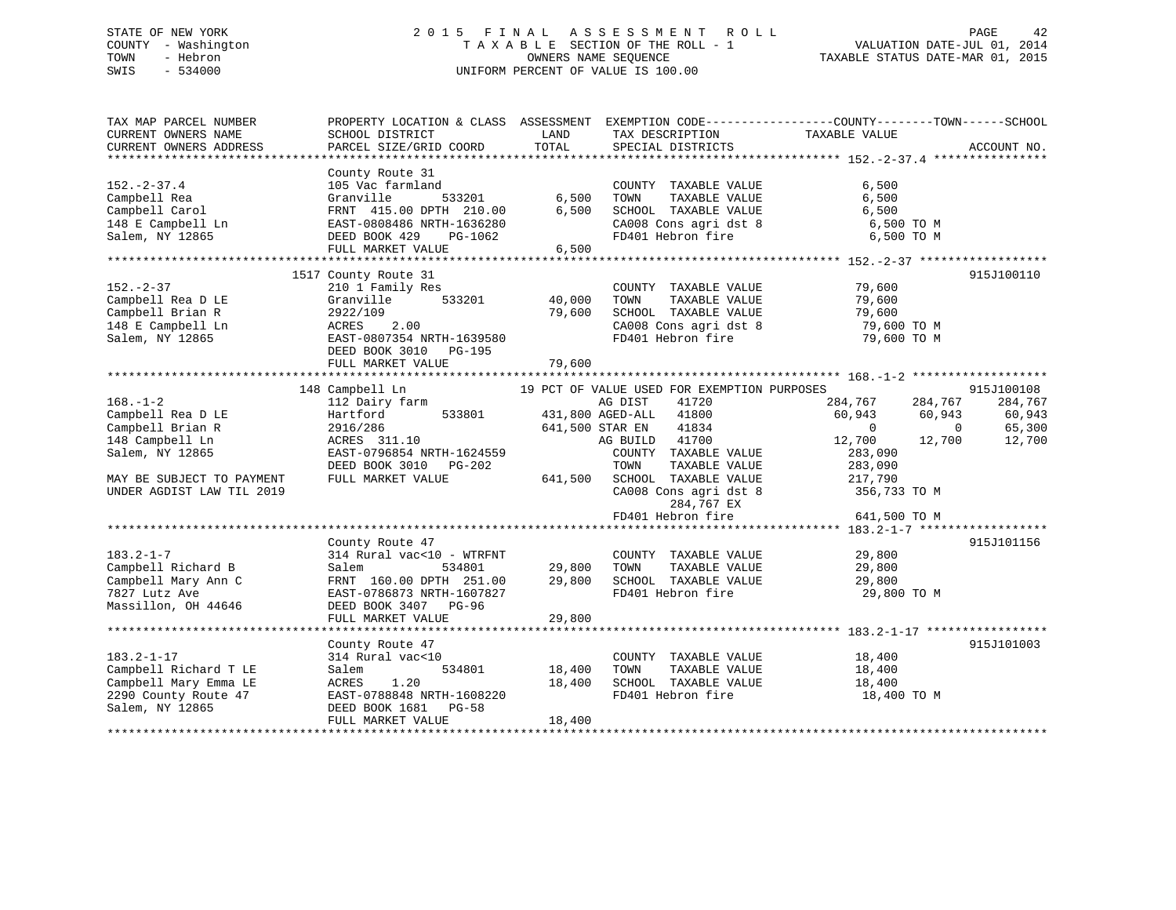## STATE OF NEW YORK 2 0 1 5 F I N A L A S S E S S M E N T R O L L PAGE 42 COUNTY - Washington T A X A B L E SECTION OF THE ROLL - 1 VALUATION DATE-JUL 01, 2014 TOWN - Hebron OWNERS NAME SEQUENCE TAXABLE STATUS DATE-MAR 01, 2015 SWIS - 534000 UNIFORM PERCENT OF VALUE IS 100.00

| TAX MAP PARCEL NUMBER<br>CURRENT OWNERS NAME<br>CURRENT OWNERS ADDRESS                                                                                  | SCHOOL DISTRICT<br>PARCEL SIZE/GRID COORD                                                                                                                               | LAND<br>TOTAL               | TAX DESCRIPTION<br>SPECIAL DISTRICTS                                                                                                                                                                                                                           | PROPERTY LOCATION & CLASS ASSESSMENT EXEMPTION CODE----------------COUNTY-------TOWN------SCHOOL<br>TAXABLE VALUE                                               | ACCOUNT NO.                                         |
|---------------------------------------------------------------------------------------------------------------------------------------------------------|-------------------------------------------------------------------------------------------------------------------------------------------------------------------------|-----------------------------|----------------------------------------------------------------------------------------------------------------------------------------------------------------------------------------------------------------------------------------------------------------|-----------------------------------------------------------------------------------------------------------------------------------------------------------------|-----------------------------------------------------|
| $152. - 2 - 37.4$<br>Campbell Rea<br>Campbell Carol<br>148 E Campbell Ln<br>Salem, NY 12865                                                             | County Route 31<br>105 Vac farmland<br>Granville<br>533201<br>FRNT 415.00 DPTH 210.00<br>EAST-0808486 NRTH-1636280<br>DEED BOOK 429<br>PG-1062<br>FULL MARKET VALUE     | 6,500<br>6,500<br>6,500     | COUNTY TAXABLE VALUE<br>TOWN<br>TAXABLE VALUE<br>SCHOOL TAXABLE VALUE<br>CA008 Cons agri dst 8<br>FD401 Hebron fire                                                                                                                                            | 6,500<br>6,500<br>6,500<br>6,500 TO M<br>6,500 TO M                                                                                                             |                                                     |
| $152 - 2 - 37$<br>Campbell Rea D LE<br>Campbell Brian R<br>148 E Campbell Ln<br>Salem, NY 12865                                                         | 1517 County Route 31<br>210 1 Family Res<br>533201<br>Granville<br>2922/109<br>2.00<br>ACRES<br>EAST-0807354 NRTH-1639580<br>DEED BOOK 3010 PG-195<br>FULL MARKET VALUE | 40,000<br>79,600<br>79,600  | COUNTY TAXABLE VALUE<br>TAXABLE VALUE<br>TOWN<br>SCHOOL TAXABLE VALUE<br>CA008 Cons agri dst 8<br>ED401 II.<br>FD401 Hebron fire                                                                                                                               | 79,600<br>79,600<br>79,600<br>79,600 TO M<br>79,600 TO M                                                                                                        | 915J100110                                          |
| $168. - 1 - 2$<br>Campbell Rea D LE<br>Campbell Brian R<br>148 Campbell Ln<br>Salem, NY 12865<br>MAY BE SUBJECT TO PAYMENT<br>UNDER AGDIST LAW TIL 2019 | 148 Campbell Ln<br>112 Dairy farm<br>Hartford<br>533801<br>2916/286<br>ACRES 311.10<br>EAST-0796854 NRTH-1624559<br>DEED BOOK 3010 PG-202<br>FULL MARKET VALUE          | 431,800 AGED-ALL<br>641,500 | 19 PCT OF VALUE USED FOR EXEMPTION PURPOSES<br>AG DIST<br>41720<br>41800<br>641,500 STAR EN<br>41834<br>41700<br>AG BUILD<br>COUNTY TAXABLE VALUE<br>TOWN<br>TAXABLE VALUE<br>SCHOOL TAXABLE VALUE<br>CA008 Cons agri dst 8<br>284,767 EX<br>FD401 Hebron fire | 284,767<br>284,767<br>60,943<br>60,943<br>$\overline{0}$<br>$\overline{0}$<br>12,700<br>12,700<br>283,090<br>283,090<br>217,790<br>356,733 TO M<br>641,500 TO M | 915J100108<br>284,767<br>60,943<br>65,300<br>12,700 |
| $183.2 - 1 - 7$<br>Campbell Richard B<br>Campbell Mary Ann C<br>7827 Lutz Ave<br>Massillon, OH 44646                                                    | County Route 47<br>314 Rural vac<10 - WTRFNT<br>534801<br>Salem<br>FRNT 160.00 DPTH 251.00<br>EAST-0786873 NRTH-1607827<br>DEED BOOK 3407 PG-96<br>FULL MARKET VALUE    | 29,800<br>29,800<br>29,800  | COUNTY TAXABLE VALUE<br>TOWN<br>TAXABLE VALUE<br>SCHOOL TAXABLE VALUE<br>FD401 Hebron fire                                                                                                                                                                     | 29,800<br>29,800<br>29,800<br>29,800 TO M                                                                                                                       | 915J101156                                          |
| $183.2 - 1 - 17$<br>Campbell Richard T LE<br>Campbell Mary Emma LE<br>2290 County Route 47<br>Salem, NY 12865                                           | County Route 47<br>314 Rural vac<10<br>534801<br>Salem<br>ACRES<br>1.20<br>EAST-0788848 NRTH-1608220<br>DEED BOOK 1681 PG-58<br>FULL MARKET VALUE                       | 18,400<br>18,400<br>18,400  | COUNTY TAXABLE VALUE<br>TAXABLE VALUE<br>TOWN<br>SCHOOL TAXABLE VALUE<br>FD401 Hebron fire                                                                                                                                                                     | 18,400<br>18,400<br>18,400<br>18,400 TO M                                                                                                                       | 915J101003                                          |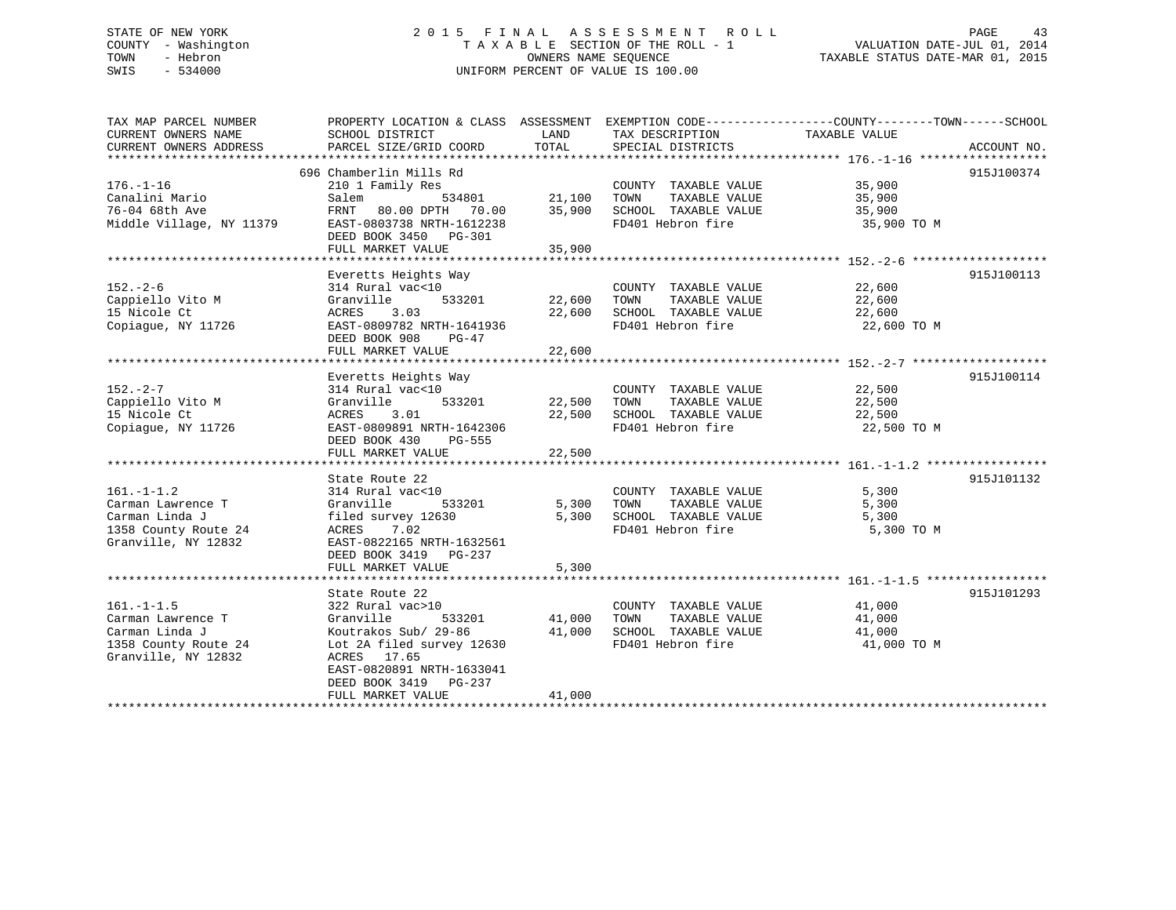## STATE OF NEW YORK 2 0 1 5 F I N A L A S S E S S M E N T R O L L PAGE 43 COUNTY - Washington T A X A B L E SECTION OF THE ROLL - 1 VALUATION DATE-JUL 01, 2014 TOWN - Hebron OWNERS NAME SEQUENCE TAXABLE STATUS DATE-MAR 01, 2015 SWIS - 534000 UNIFORM PERCENT OF VALUE IS 100.00

| TAX MAP PARCEL NUMBER    | PROPERTY LOCATION & CLASS ASSESSMENT       |        | EXEMPTION CODE-----------------COUNTY-------TOWN------SCHOOL |               |             |
|--------------------------|--------------------------------------------|--------|--------------------------------------------------------------|---------------|-------------|
| CURRENT OWNERS NAME      | SCHOOL DISTRICT                            | LAND   | TAX DESCRIPTION                                              | TAXABLE VALUE |             |
| CURRENT OWNERS ADDRESS   | PARCEL SIZE/GRID COORD                     | TOTAL  | SPECIAL DISTRICTS                                            |               | ACCOUNT NO. |
|                          | 696 Chamberlin Mills Rd                    |        |                                                              |               | 915J100374  |
| $176. - 1 - 16$          | 210 1 Family Res                           |        | COUNTY TAXABLE VALUE                                         | 35,900        |             |
| Canalini Mario           | Salem<br>534801                            | 21,100 | TOWN<br>TAXABLE VALUE                                        | 35,900        |             |
| 76-04 68th Ave           | FRNT 80.00 DPTH 70.00                      | 35,900 | SCHOOL TAXABLE VALUE                                         | 35,900        |             |
| Middle Village, NY 11379 | EAST-0803738 NRTH-1612238                  |        | FD401 Hebron fire                                            | 35,900 TO M   |             |
|                          | DEED BOOK 3450 PG-301                      |        |                                                              |               |             |
|                          | FULL MARKET VALUE                          | 35,900 |                                                              |               |             |
|                          |                                            |        |                                                              |               |             |
|                          | Everetts Heights Way                       |        |                                                              |               | 915J100113  |
| $152. - 2 - 6$           | 314 Rural vac<10                           |        | COUNTY TAXABLE VALUE                                         | 22,600        |             |
| Cappiello Vito M         | Granville<br>533201                        | 22,600 | TOWN<br>TAXABLE VALUE                                        | 22,600        |             |
| 15 Nicole Ct             | 3.03<br>ACRES                              | 22,600 | SCHOOL TAXABLE VALUE                                         | 22,600        |             |
| Copiague, NY 11726       | EAST-0809782 NRTH-1641936                  |        | FD401 Hebron fire                                            | 22,600 TO M   |             |
|                          | DEED BOOK 908<br>$PG-47$                   |        |                                                              |               |             |
|                          | FULL MARKET VALUE                          | 22,600 |                                                              |               |             |
|                          |                                            |        |                                                              |               |             |
|                          | Everetts Heights Way                       |        |                                                              |               | 915J100114  |
| $152 - 2 - 7$            | 314 Rural vac<10                           |        | COUNTY TAXABLE VALUE                                         | 22,500        |             |
| Cappiello Vito M         | 533201<br>Granville                        | 22,500 | TOWN<br>TAXABLE VALUE                                        | 22,500        |             |
| 15 Nicole Ct             | 3.01<br>ACRES                              | 22,500 | SCHOOL TAXABLE VALUE                                         | 22,500        |             |
| Copiague, NY 11726       | EAST-0809891 NRTH-1642306                  |        | FD401 Hebron fire                                            | 22,500 TO M   |             |
|                          | DEED BOOK 430<br>PG-555                    |        |                                                              |               |             |
|                          | FULL MARKET VALUE                          | 22,500 |                                                              |               |             |
|                          |                                            |        |                                                              |               |             |
|                          | State Route 22                             |        |                                                              |               | 915J101132  |
| $161. - 1 - 1.2$         | 314 Rural vac<10                           |        | COUNTY TAXABLE VALUE                                         | 5,300         |             |
| Carman Lawrence T        | Granville<br>533201                        | 5,300  | TAXABLE VALUE<br>TOWN                                        | 5,300         |             |
| Carman Linda J           | filed survey 12630                         | 5,300  | SCHOOL TAXABLE VALUE                                         | 5,300         |             |
| 1358 County Route 24     | ACRES 7.02                                 |        | FD401 Hebron fire                                            | 5,300 TO M    |             |
| Granville, NY 12832      | EAST-0822165 NRTH-1632561                  |        |                                                              |               |             |
|                          | DEED BOOK 3419 PG-237<br>FULL MARKET VALUE | 5,300  |                                                              |               |             |
|                          |                                            |        |                                                              |               |             |
|                          | State Route 22                             |        |                                                              |               | 915J101293  |
| $161. - 1 - 1.5$         | 322 Rural vac>10                           |        | COUNTY TAXABLE VALUE                                         | 41,000        |             |
| Carman Lawrence T        | Granville<br>533201                        | 41,000 | TOWN<br>TAXABLE VALUE                                        | 41,000        |             |
| Carman Linda J           | Koutrakos Sub/ 29-86                       | 41,000 | SCHOOL TAXABLE VALUE                                         | 41,000        |             |
| 1358 County Route 24     | Lot 2A filed survey 12630                  |        | FD401 Hebron fire                                            | 41,000 TO M   |             |
| Granville, NY 12832      | ACRES 17.65                                |        |                                                              |               |             |
|                          | EAST-0820891 NRTH-1633041                  |        |                                                              |               |             |
|                          | DEED BOOK 3419<br>PG-237                   |        |                                                              |               |             |
|                          | FULL MARKET VALUE                          | 41,000 |                                                              |               |             |
|                          |                                            |        |                                                              |               |             |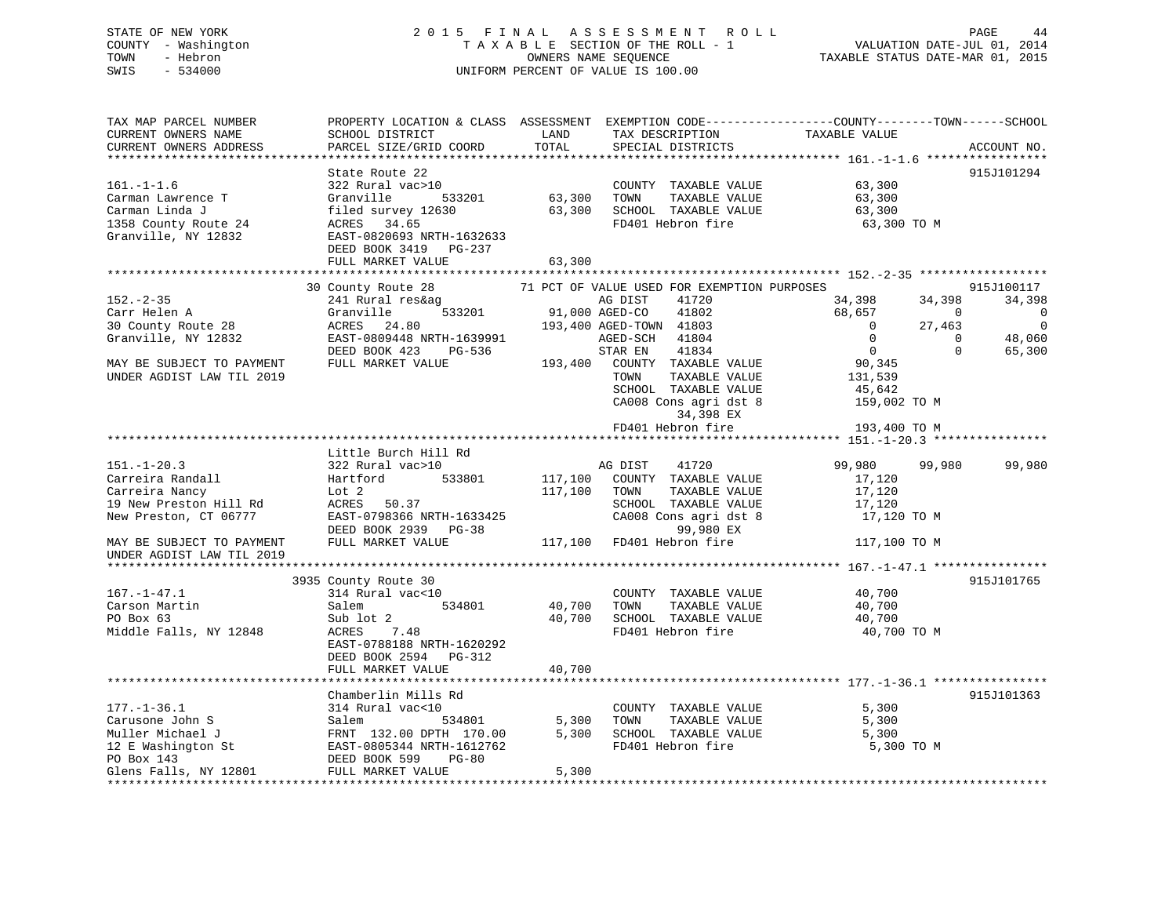## STATE OF NEW YORK 2 0 1 5 F I N A L A S S E S S M E N T R O L L PAGE 44 COUNTY - Washington T A X A B L E SECTION OF THE ROLL - 1 VALUATION DATE-JUL 01, 2014 TOWN - Hebron OWNERS NAME SEQUENCE TAXABLE STATUS DATE-MAR 01, 2015 SWIS - 534000 UNIFORM PERCENT OF VALUE IS 100.00

TAX MAP PARCEL NUMBER PROPERTY LOCATION & CLASS ASSESSMENT EXEMPTION CODE------------------COUNTY--------TOWN------SCHOOL CURRENT OWNERS NAME SCHOOL DISTRICT THE LAND TAX DESCRIPTION TAXABLE VALUE CURRENT OWNERS ADDRESS PARCEL SIZE/GRID COORD TOTAL SPECIAL DISTRICTS ACCOUNT NO. \*\*\*\*\*\*\*\*\*\*\*\*\*\*\*\*\*\*\*\*\*\*\*\*\*\*\*\*\*\*\*\*\*\*\*\*\*\*\*\*\*\*\*\*\*\*\*\*\*\*\*\*\*\*\*\*\*\*\*\*\*\*\*\*\*\*\*\*\*\*\*\*\*\*\*\*\*\*\*\*\*\*\*\*\*\*\*\*\*\*\*\*\*\*\*\*\*\*\*\*\*\*\* 161.-1-1.6 \*\*\*\*\*\*\*\*\*\*\*\*\*\*\*\*\* State Route 22 915J101294 161.-1-1.6 322 Rural vac>10 COUNTY TAXABLE VALUE 63,300 Carman Lawrence T Granville 533201 63,300 TOWN TAXABLE VALUE 63,300 Carman Linda J filed survey 12630 63,300 SCHOOL TAXABLE VALUE 63,300 1358 County Route 24 ACRES 34.65 FD401 Hebron fire 63,300 TO M Granville, NY 12832 EAST-0820693 NRTH-1632633 DEED BOOK 3419 PG-237 FULL MARKET VALUE 63,300 \*\*\*\*\*\*\*\*\*\*\*\*\*\*\*\*\*\*\*\*\*\*\*\*\*\*\*\*\*\*\*\*\*\*\*\*\*\*\*\*\*\*\*\*\*\*\*\*\*\*\*\*\*\*\*\*\*\*\*\*\*\*\*\*\*\*\*\*\*\*\*\*\*\*\*\*\*\*\*\*\*\*\*\*\*\*\*\*\*\*\*\*\*\*\*\*\*\*\*\*\*\*\* 152.-2-35 \*\*\*\*\*\*\*\*\*\*\*\*\*\*\*\*\*\* 30 County Route 28 71 PCT OF VALUE USED FOR EXEMPTION PURPOSES 915J100117 152.-2-35 241 Rural res&ag AG DIST 41720 34,398 34,398 34,398 Carr Helen A Granville 533201 91,000 AGED-CO 41802 68,657 0 0 30 County Route 28 ACRES 24.80 193,400 AGED-TOWN 41803 0 27,463 0 Granville, NY 12832 EAST-0809448 NRTH-1639991 AGED-SCH 41804 0 0 48,060 DEED BOOK 423 PG-536 STAR EN 41834 0 0 65,300 MAY BE SUBJECT TO PAYMENT FULL MARKET VALUE 193,400 COUNTY TAXABLE VALUE 90,345 UNDER AGDIST LAW TIL 2019 **TOWN** TAXABLE VALUE 131.539 SCHOOL TAXABLE VALUE 45,642 CA008 Cons agri dst 8 159,002 TO M 34,398 EX FD401 Hebron fire 193,400 TO M \*\*\*\*\*\*\*\*\*\*\*\*\*\*\*\*\*\*\*\*\*\*\*\*\*\*\*\*\*\*\*\*\*\*\*\*\*\*\*\*\*\*\*\*\*\*\*\*\*\*\*\*\*\*\*\*\*\*\*\*\*\*\*\*\*\*\*\*\*\*\*\*\*\*\*\*\*\*\*\*\*\*\*\*\*\*\*\*\*\*\*\*\*\*\*\*\*\*\*\*\*\*\* 151.-1-20.3 \*\*\*\*\*\*\*\*\*\*\*\*\*\*\*\* Little Burch Hill Rd 151.-1-20.3 322 Rural vac>10 AG DIST 41720 99,980 99,980 99,980 Carreira Randall Hartford 533801 117,100 COUNTY TAXABLE VALUE 17,120 Carreira Nancy Lot 2 117,100 TOWN TAXABLE VALUE 17,120 19 New Preston Hill Rd ACRES 50.37 SCHOOL TAXABLE VALUE 17,120 New Preston, CT 06777 EAST-0798366 NRTH-1633425 CA008 CA008 Cons agri dst 8 17,120<br>New Preston, CT 06777 EAST-0798366 NRTH-1633425 CA008 Cons agri dst 8 17,120 TO M DEED BOOK 2939 PG-38 99,980 EX MAY BE SUBJECT TO PAYMENT FULL MARKET VALUE 117,100 FD401 Hebron fire 117,100 TO M UNDER AGDIST LAW TIL 2019 \*\*\*\*\*\*\*\*\*\*\*\*\*\*\*\*\*\*\*\*\*\*\*\*\*\*\*\*\*\*\*\*\*\*\*\*\*\*\*\*\*\*\*\*\*\*\*\*\*\*\*\*\*\*\*\*\*\*\*\*\*\*\*\*\*\*\*\*\*\*\*\*\*\*\*\*\*\*\*\*\*\*\*\*\*\*\*\*\*\*\*\*\*\*\*\*\*\*\*\*\*\*\* 167.-1-47.1 \*\*\*\*\*\*\*\*\*\*\*\*\*\*\*\*915.T101765 3935 County Route 30 167.-1-47.1 314 Rural vac<10 COUNTY TAXABLE VALUE 40,700 Carson Martin 40,700 Salem 534801 40,700 TOWN TAXABLE VALUE 40,700 Carson Martin Salem 534801 40,700 TOWN TAXABLE VALUE 40,700 PO Box 63 Sub lot 2 40,700 SCHOOL TAXABLE VALUE 40,700 Middle Falls, NY 12848 ACRES 7.48 **FD401** Hebron fire 40,700 TO M EAST-0788188 NRTH-1620292 DEED BOOK 2594 PG-312 FULL MARKET VALUE 40,700 \*\*\*\*\*\*\*\*\*\*\*\*\*\*\*\*\*\*\*\*\*\*\*\*\*\*\*\*\*\*\*\*\*\*\*\*\*\*\*\*\*\*\*\*\*\*\*\*\*\*\*\*\*\*\*\*\*\*\*\*\*\*\*\*\*\*\*\*\*\*\*\*\*\*\*\*\*\*\*\*\*\*\*\*\*\*\*\*\*\*\*\*\*\*\*\*\*\*\*\*\*\*\* 177.-1-36.1 \*\*\*\*\*\*\*\*\*\*\*\*\*\*\*\*915.T101363 Chamberlin Mills Rd 915J101363177.-1-36.1 314 Rural vac<10 COUNTY TAXABLE VALUE 5,300 Carusone John S Salem 534801 5,300 TOWN TAXABLE VALUE 5,300 Muller Michael J FRNT 132.00 DPTH 170.00 5,300 SCHOOL TAXABLE VALUE 5,300 12 E Washington St EAST-0805344 NRTH-1612762 FD401 Hebron fire 5,300 TO M PO Box 143 DEED BOOK 599 PG-80 Glens Falls, NY 12801 FULL MARKET VALUE 5,300 \*\*\*\*\*\*\*\*\*\*\*\*\*\*\*\*\*\*\*\*\*\*\*\*\*\*\*\*\*\*\*\*\*\*\*\*\*\*\*\*\*\*\*\*\*\*\*\*\*\*\*\*\*\*\*\*\*\*\*\*\*\*\*\*\*\*\*\*\*\*\*\*\*\*\*\*\*\*\*\*\*\*\*\*\*\*\*\*\*\*\*\*\*\*\*\*\*\*\*\*\*\*\*\*\*\*\*\*\*\*\*\*\*\*\*\*\*\*\*\*\*\*\*\*\*\*\*\*\*\*\*\*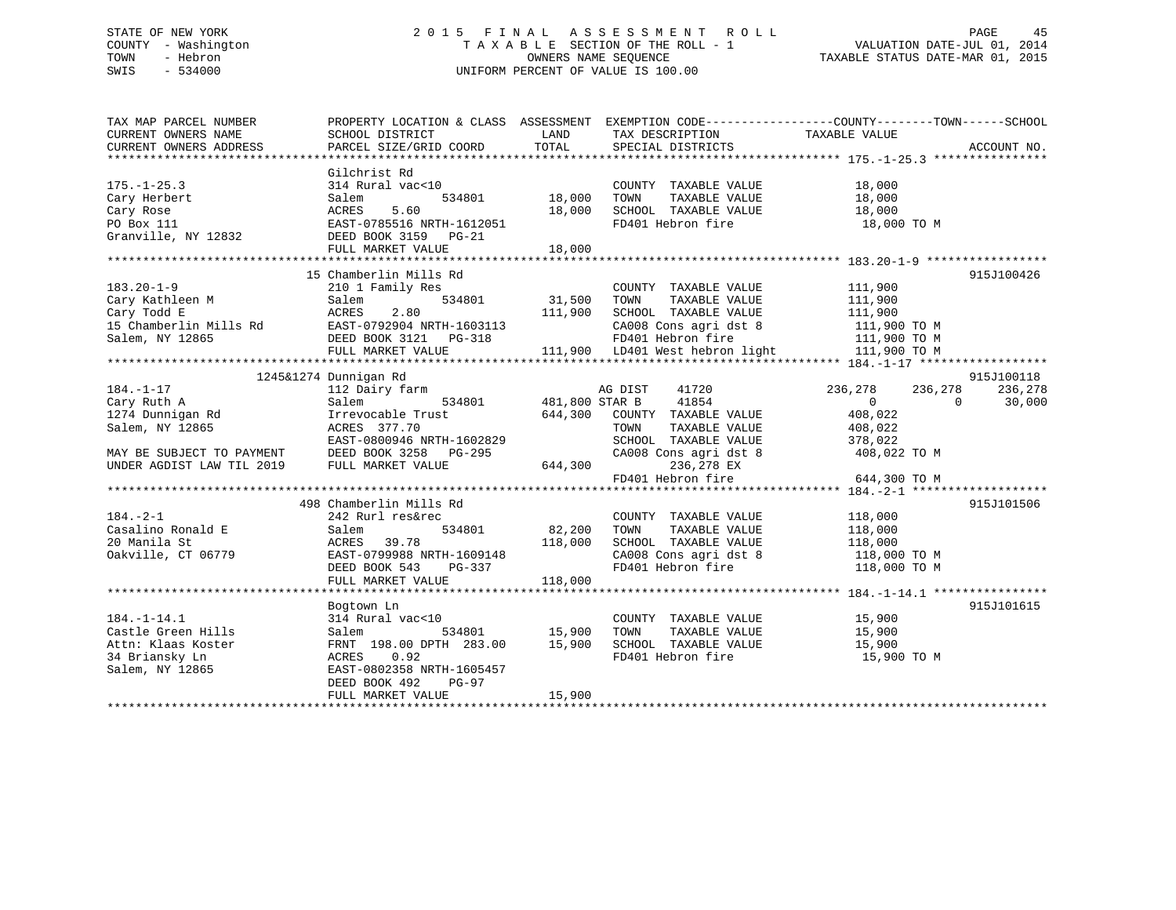## STATE OF NEW YORK 2 0 1 5 F I N A L A S S E S S M E N T R O L L PAGE 45 COUNTY - Washington T A X A B L E SECTION OF THE ROLL - 1 VALUATION DATE-JUL 01, 2014 TOWN - Hebron OWNERS NAME SEQUENCE TAXABLE STATUS DATE-MAR 01, 2015 SWIS - 534000 UNIFORM PERCENT OF VALUE IS 100.00

| TAX MAP PARCEL NUMBER                            | PROPERTY LOCATION & CLASS ASSESSMENT EXEMPTION CODE----------------COUNTY-------TOWN-----SCHOOL |                |                                                                                |                    |                    |
|--------------------------------------------------|-------------------------------------------------------------------------------------------------|----------------|--------------------------------------------------------------------------------|--------------------|--------------------|
| CURRENT OWNERS NAME                              | SCHOOL DISTRICT                                                                                 | LAND           | TAX DESCRIPTION                                                                | TAXABLE VALUE      |                    |
| CURRENT OWNERS ADDRESS                           | PARCEL SIZE/GRID COORD                                                                          | TOTAL          | SPECIAL DISTRICTS                                                              |                    | ACCOUNT NO.        |
|                                                  |                                                                                                 |                |                                                                                |                    |                    |
|                                                  | Gilchrist Rd                                                                                    |                |                                                                                |                    |                    |
| $175. - 1 - 25.3$                                | 314 Rural vac<10                                                                                |                | COUNTY TAXABLE VALUE                                                           | 18,000             |                    |
| Cary Herbert                                     | 534801<br>Salem                                                                                 | 18,000         | TOWN<br>TAXABLE VALUE                                                          | 18,000             |                    |
| Cary Rose                                        | 5.60<br>ACRES                                                                                   | 18,000         | SCHOOL TAXABLE VALUE                                                           | 18,000             |                    |
| PO Box 111                                       | EAST-0785516 NRTH-1612051                                                                       |                | FD401 Hebron fire                                                              | 18,000 TO M        |                    |
| Granville, NY 12832                              | DEED BOOK 3159 PG-21                                                                            |                |                                                                                |                    |                    |
|                                                  | FULL MARKET VALUE                                                                               | 18,000         |                                                                                |                    |                    |
|                                                  |                                                                                                 |                |                                                                                |                    |                    |
|                                                  | 15 Chamberlin Mills Rd                                                                          |                |                                                                                |                    | 915J100426         |
| $183.20 - 1 - 9$                                 | 210 1 Family Res                                                                                |                | COUNTY TAXABLE VALUE                                                           | 111,900            |                    |
| Cary Kathleen M<br>Cary Todd E                   | 534801<br>Salem                                                                                 | 31,500         | TOWN<br>TAXABLE VALUE                                                          | 111,900            |                    |
| Cary Todd E                                      | ACRES<br>2.80                                                                                   | 111,900        | SCHOOL TAXABLE VALUE                                                           | 111,900            |                    |
| 15 Chamberlin Mills Rd EAST-0792904 NRTH-1603113 |                                                                                                 |                | CA008 Cons agri dst 8 111,900 TO M                                             |                    |                    |
| Salem, NY 12865                                  | DEED BOOK 3121 PG-318                                                                           |                |                                                                                |                    |                    |
|                                                  | FULL MARKET VALUE                                                                               |                | FD401 Hebron fire 111,900 TO M<br>111,900 LD401 West hebron light 111,900 TO M |                    |                    |
|                                                  |                                                                                                 |                |                                                                                |                    |                    |
|                                                  | 1245&1274 Dunnigan Rd                                                                           |                |                                                                                |                    | 915J100118         |
| $184. - 1 - 17$                                  | 112 Dairy farm                                                                                  |                | AG DIST<br>41720                                                               | 236,278<br>236,278 | 236,278            |
| Cary Ruth A                                      | Salem<br>534801                                                                                 | 481,800 STAR B | 41854                                                                          | $\overline{0}$     | $\Omega$<br>30,000 |
| $1274$ Dunnigan Rd                               | Irrevocable Trust                                                                               |                | 644,300 COUNTY TAXABLE VALUE                                                   | 408,022            |                    |
| Salem, NY 12865                                  | ACRES 377.70                                                                                    |                | TOWN<br>TAXABLE VALUE                                                          | 408,022            |                    |
|                                                  | EAST-0800946 NRTH-1602829                                                                       |                | SCHOOL TAXABLE VALUE                                                           | 378,022            |                    |
| MAY BE SUBJECT TO PAYMENT DEED BOOK 3258         | $PG-295$                                                                                        |                | CA008 Cons agri dst 8                                                          | 408,022 TO M       |                    |
| UNDER AGDIST LAW TIL 2019 FULL MARKET VALUE      |                                                                                                 | 644,300        | 236,278 EX                                                                     |                    |                    |
|                                                  |                                                                                                 |                | FD401 Hebron fire                                                              | 644,300 TO M       |                    |
|                                                  |                                                                                                 |                |                                                                                |                    |                    |
|                                                  | 498 Chamberlin Mills Rd                                                                         |                |                                                                                |                    | 915J101506         |
| $184. - 2 - 1$                                   | 242 Rurl res&rec                                                                                |                | COUNTY TAXABLE VALUE                                                           | 118,000            |                    |
| Casalino Ronald E                                | 534801<br>Salem                                                                                 | 82,200         | TOWN                                                                           |                    |                    |
| 20 Manila St                                     | 39.78<br>ACRES                                                                                  | 118,000        | TOWN TAXABLE VALUE 118,000<br>SCHOOL TAXABLE VALUE 118,000                     |                    |                    |
| Oakville, CT 06779                               | EAST-0799988 NRTH-1609148                                                                       |                | CA008 Cons agri dst 8 118,000 TO M                                             |                    |                    |
|                                                  | DEED BOOK 543<br>PG-337                                                                         |                | FD401 Hebron fire                                                              | 118,000 TO M       |                    |
|                                                  | FULL MARKET VALUE                                                                               | 118,000        |                                                                                |                    |                    |
|                                                  |                                                                                                 |                |                                                                                |                    |                    |
|                                                  | Bogtown Ln                                                                                      |                |                                                                                |                    | 915J101615         |
| $184. - 1 - 14.1$                                | 314 Rural vac<10                                                                                |                | COUNTY TAXABLE VALUE                                                           | 15,900             |                    |
| Castle Green Hills                               | 534801<br>Salem                                                                                 | 15,900         | TAXABLE VALUE<br>TOWN                                                          | 15,900             |                    |
| Attn: Klaas Koster                               | FRNT 198.00 DPTH 283.00                                                                         | 15,900         | SCHOOL TAXABLE VALUE                                                           | 15,900             |                    |
| 34 Briansky Ln                                   | 0.92<br>ACRES                                                                                   |                | FD401 Hebron fire                                                              | 15,900 TO M        |                    |
| Salem, NY 12865                                  | EAST-0802358 NRTH-1605457                                                                       |                |                                                                                |                    |                    |
|                                                  | DEED BOOK 492<br>PG-97                                                                          |                |                                                                                |                    |                    |
|                                                  | FULL MARKET VALUE                                                                               | 15,900         |                                                                                |                    |                    |
|                                                  |                                                                                                 |                |                                                                                |                    |                    |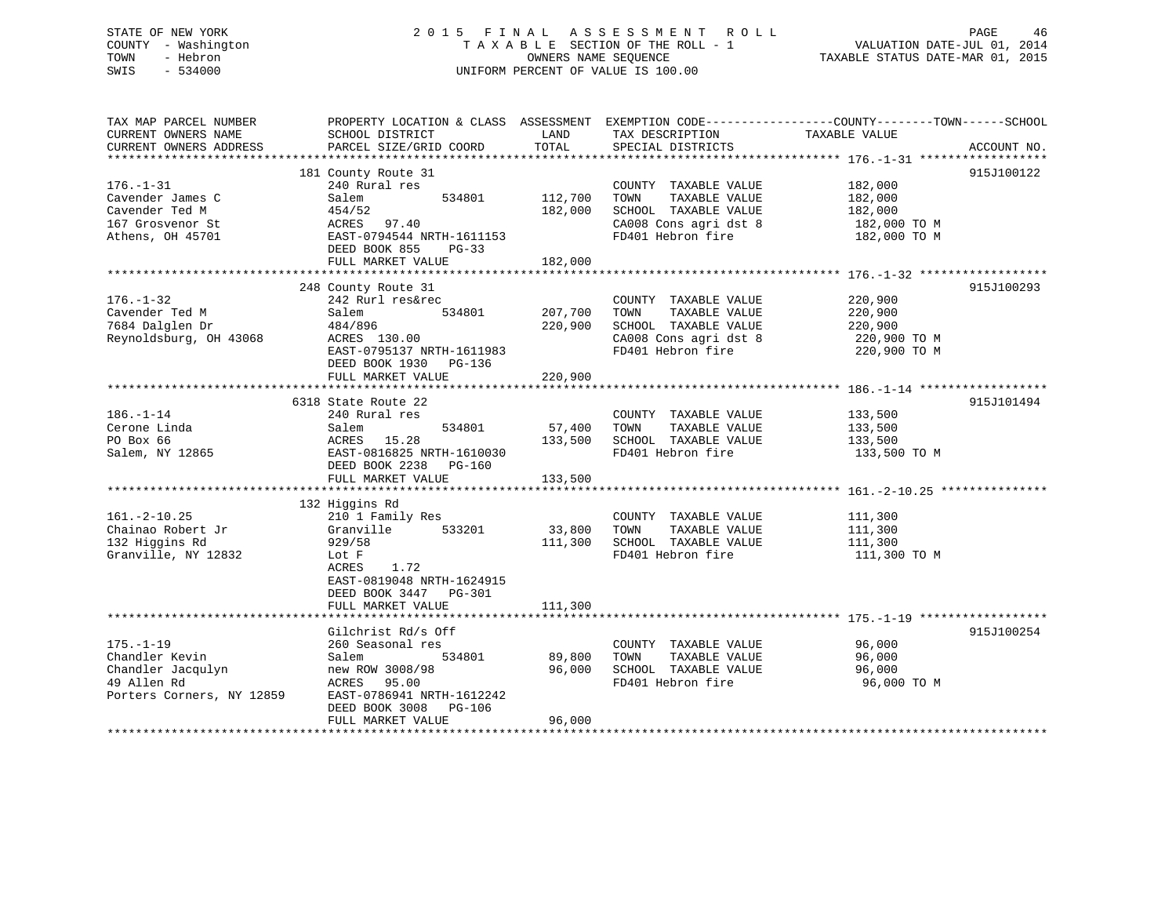## STATE OF NEW YORK 2 0 1 5 F I N A L A S S E S S M E N T R O L L PAGE 46 COUNTY - Washington T A X A B L E SECTION OF THE ROLL - 1 VALUATION DATE-JUL 01, 2014 TOWN - Hebron OWNERS NAME SEQUENCE TAXABLE STATUS DATE-MAR 01, 2015 SWIS - 534000 UNIFORM PERCENT OF VALUE IS 100.00

TAX MAP PARCEL NUMBER PROPERTY LOCATION & CLASS ASSESSMENT EXEMPTION CODE------------------COUNTY--------TOWN------SCHOOL CURRENT OWNERS NAME SCHOOL DISTRICT THE LAND TAX DESCRIPTION TAXABLE VALUE CURRENT OWNERS ADDRESS PARCEL SIZE/GRID COORD TOTAL SPECIAL DISTRICTS ACCOUNT NO. \*\*\*\*\*\*\*\*\*\*\*\*\*\*\*\*\*\*\*\*\*\*\*\*\*\*\*\*\*\*\*\*\*\*\*\*\*\*\*\*\*\*\*\*\*\*\*\*\*\*\*\*\*\*\*\*\*\*\*\*\*\*\*\*\*\*\*\*\*\*\*\*\*\*\*\*\*\*\*\*\*\*\*\*\*\*\*\*\*\*\*\*\*\*\*\*\*\*\*\*\*\*\* 176.-1-31 \*\*\*\*\*\*\*\*\*\*\*\*\*\*\*\*\*\* 181 County Route 31 915J100122 176.-1-31 240 Rural res COUNTY TAXABLE VALUE 182,000 Cavender James C Salem 534801 112,700 TOWN TAXABLE VALUE 182,000 Cavender Ted M 454/52 182,000 SCHOOL TAXABLE VALUE 182,000 167 Grosvenor St ACRES 97.40 CA008 Cons agri dst 8 182,000 TO M Athens, OH 45701 EAST-0794544 NRTH-1611153 FD401 Hebron fire 182,000 TO M DEED BOOK 855 PG-33FULL MARKET VALUE 182,000 \*\*\*\*\*\*\*\*\*\*\*\*\*\*\*\*\*\*\*\*\*\*\*\*\*\*\*\*\*\*\*\*\*\*\*\*\*\*\*\*\*\*\*\*\*\*\*\*\*\*\*\*\*\*\*\*\*\*\*\*\*\*\*\*\*\*\*\*\*\*\*\*\*\*\*\*\*\*\*\*\*\*\*\*\*\*\*\*\*\*\*\*\*\*\*\*\*\*\*\*\*\*\* 176.-1-32 \*\*\*\*\*\*\*\*\*\*\*\*\*\*\*\*\*\* 248 County Route 31 915J100293 176.-1-32 242 Rurl res&rec COUNTY TAXABLE VALUE 220,900 Cavender Ted M Salem 534801 207,700 TOWN TAXABLE VALUE 220,900 7684 Dalglen Dr 484/896 220,900 SCHOOL TAXABLE VALUE 220,900 Reynoldsburg, OH 43068 ACRES 130.00 CA008 Cons agri dst 8 220,900 TO M EAST-0795137 NRTH-1611983 FD401 Hebron fire 220,900 TO M DEED BOOK 1930 PG-136 FULL MARKET VALUE 220,900 \*\*\*\*\*\*\*\*\*\*\*\*\*\*\*\*\*\*\*\*\*\*\*\*\*\*\*\*\*\*\*\*\*\*\*\*\*\*\*\*\*\*\*\*\*\*\*\*\*\*\*\*\*\*\*\*\*\*\*\*\*\*\*\*\*\*\*\*\*\*\*\*\*\*\*\*\*\*\*\*\*\*\*\*\*\*\*\*\*\*\*\*\*\*\*\*\*\*\*\*\*\*\* 186.-1-14 \*\*\*\*\*\*\*\*\*\*\*\*\*\*\*\*\*\* 6318 State Route 22 915J101494186.-1-14 240 Rural res COUNTY TAXABLE VALUE 133,500 Cerone Linda Salem 534801 57,400 TOWN TAXABLE VALUE 133,500 PO Box 66 ACRES 15.28 133,500 SCHOOL TAXABLE VALUE 133,500 Salem, NY 12865 EAST-0816825 NRTH-1610030 FD401 Hebron fire 133,500 TO M DEED BOOK 2238 PG-160FULL MARKET VALUE 133,500 \*\*\*\*\*\*\*\*\*\*\*\*\*\*\*\*\*\*\*\*\*\*\*\*\*\*\*\*\*\*\*\*\*\*\*\*\*\*\*\*\*\*\*\*\*\*\*\*\*\*\*\*\*\*\*\*\*\*\*\*\*\*\*\*\*\*\*\*\*\*\*\*\*\*\*\*\*\*\*\*\*\*\*\*\*\*\*\*\*\*\*\*\*\*\*\*\*\*\*\*\*\*\* 161.-2-10.25 \*\*\*\*\*\*\*\*\*\*\*\*\*\*\* 132 Higgins Rd 161.-2-10.25 210 1 Family Res COUNTY TAXABLE VALUE 111,300 Chainao Robert Jr Granville 533201 33,800 TOWN TAXABLE VALUE 111,300 132 Higgins Rd 929/58 111,300 SCHOOL TAXABLE VALUE 111,300 Granville, NY 12832 Lot F Granville, NY 12832 Lot F FD401 Hebron fire 2011,300 TO M ACRES 1.72 EAST-0819048 NRTH-1624915 DEED BOOK 3447 PG-301FULL MARKET VALUE 111,300 \*\*\*\*\*\*\*\*\*\*\*\*\*\*\*\*\*\*\*\*\*\*\*\*\*\*\*\*\*\*\*\*\*\*\*\*\*\*\*\*\*\*\*\*\*\*\*\*\*\*\*\*\*\*\*\*\*\*\*\*\*\*\*\*\*\*\*\*\*\*\*\*\*\*\*\*\*\*\*\*\*\*\*\*\*\*\*\*\*\*\*\*\*\*\*\*\*\*\*\*\*\*\* 175.-1-19 \*\*\*\*\*\*\*\*\*\*\*\*\*\*\*\*\*\*Gilchrist Rd/s Off 915J100254 175.-1-19 260 Seasonal res COUNTY TAXABLE VALUE 96,000 Chandler Kevin Salem 534801 89,800 TOWN TAXABLE VALUE 96,000 Chandler Jacqulyn new ROW 3008/98 96,000 SCHOOL TAXABLE VALUE 96,000 49 Allen Rd ACRES 95.00 FD401 Hebron fire 96,000 TO M Porters Corners, NY 12859 EAST-0786941 NRTH-1612242 DEED BOOK 3008 PG-106 FULL MARKET VALUE 96,000 \*\*\*\*\*\*\*\*\*\*\*\*\*\*\*\*\*\*\*\*\*\*\*\*\*\*\*\*\*\*\*\*\*\*\*\*\*\*\*\*\*\*\*\*\*\*\*\*\*\*\*\*\*\*\*\*\*\*\*\*\*\*\*\*\*\*\*\*\*\*\*\*\*\*\*\*\*\*\*\*\*\*\*\*\*\*\*\*\*\*\*\*\*\*\*\*\*\*\*\*\*\*\*\*\*\*\*\*\*\*\*\*\*\*\*\*\*\*\*\*\*\*\*\*\*\*\*\*\*\*\*\*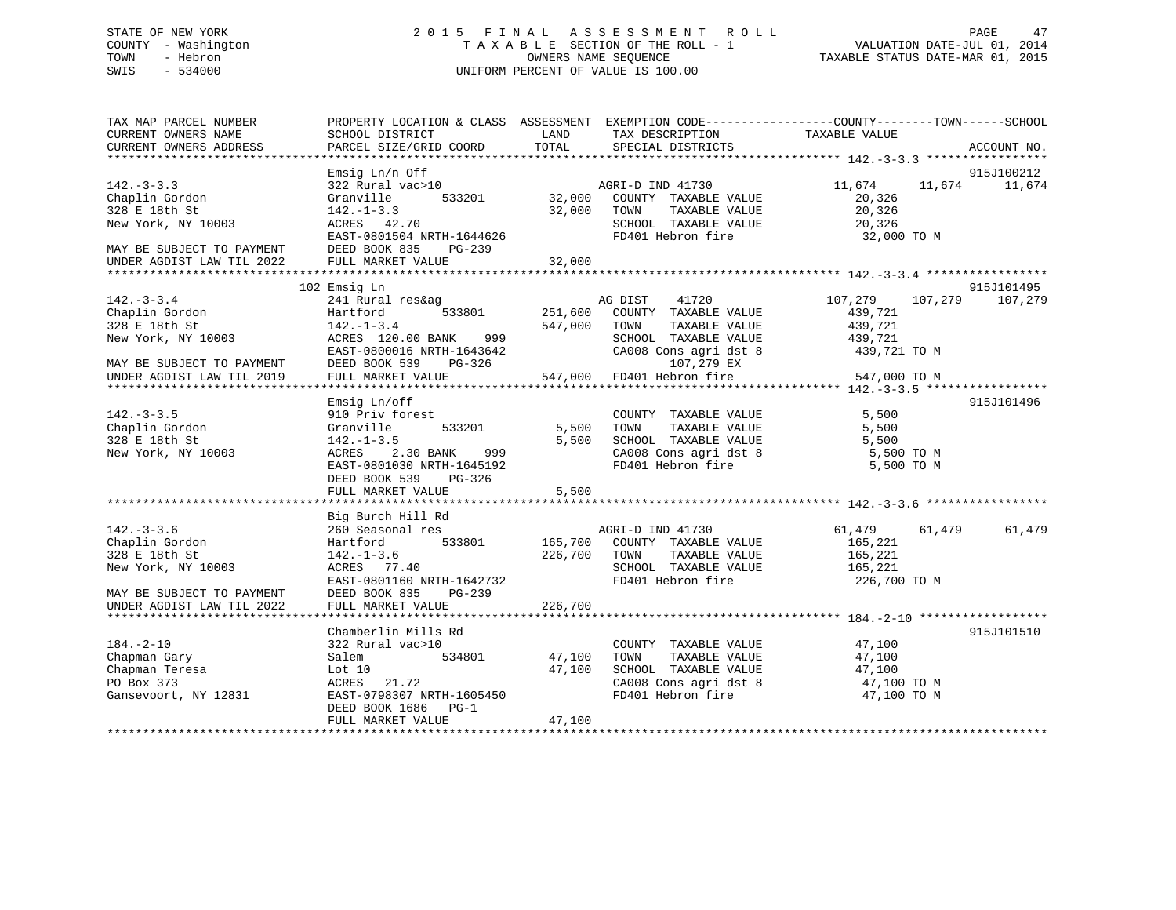## STATE OF NEW YORK 2 0 1 5 F I N A L A S S E S S M E N T R O L L PAGE 47 COUNTY - Washington T A X A B L E SECTION OF THE ROLL - 1 VALUATION DATE-JUL 01, 2014 TOWN - Hebron OWNERS NAME SEQUENCE TAXABLE STATUS DATE-MAR 01, 2015 SWIS - 534000 UNIFORM PERCENT OF VALUE IS 100.00

| TAX MAP PARCEL NUMBER<br>CURRENT OWNERS NAME<br>CURRENT OWNERS ADDRESS                                                             | PROPERTY LOCATION & CLASS ASSESSMENT EXEMPTION CODE----------------COUNTY-------TOWN-----SCHOOL<br>SCHOOL DISTRICT<br>PARCEL SIZE/GRID COORD                                                | LAND<br>TOTAL                     | TAX DESCRIPTION TAXABLE VALUE<br>SPECIAL DISTRICTS                                                                                                                                                                                                                                           |                                                                | ACCOUNT NO.                 |
|------------------------------------------------------------------------------------------------------------------------------------|---------------------------------------------------------------------------------------------------------------------------------------------------------------------------------------------|-----------------------------------|----------------------------------------------------------------------------------------------------------------------------------------------------------------------------------------------------------------------------------------------------------------------------------------------|----------------------------------------------------------------|-----------------------------|
| $142 - 3 - 3.3$<br>Chaplin Gordon<br>328 E 18th St<br>New York, NY 10003<br>MAY BE SUBJECT TO PAYMENT<br>UNDER AGDIST LAW TIL 2022 | Emsig Ln/n Off<br>322 Rural vac>10<br>Granville 533201 32,000<br>$142. - 1 - 3.3$<br>142.-1-3.3<br>ACRES 42.70<br>EAST-0801504 NRTH-1644626<br>DEED BOOK 835<br>PG-239<br>FULL MARKET VALUE | 32,000                            | AGRI-D IND 41730<br>COUNTY TAXABLE VALUE<br>32,000 TOWN TAXABLE VALUE<br>SCHOOL TAXABLE VALUE<br>FD401 Hebron fire 32,000 TO M                                                                                                                                                               | 11,674<br>20,326<br>20,326<br>20,326                           | 915J100212<br>11,674 11,674 |
|                                                                                                                                    |                                                                                                                                                                                             |                                   |                                                                                                                                                                                                                                                                                              |                                                                |                             |
| $142. - 3 - 3.4$<br>MAY BE SUBJECT TO PAYMENT<br>UNDER AGDIST LAW TIL 2019                                                         | 102 Emsig Ln<br>241 Rural res&ag<br>Hartford 533801 251,600 COUNTY TAXABLE VALUE<br>$\begin{array}{c}\n \text{13.13.042} \\  \text{PG}-326\n \end{array}$<br>DEED BOOK 539                  | 547,000 TOWN                      | AG DIST 41720<br>TAXABLE VALUE<br>SCHOOL TAXABLE VALUE 439,721<br>CA008 Cons agri dst 8<br>107,279 EX                                                                                                                                                                                        | 107,279 107,279 107,279<br>439,721<br>439,721<br>439,721 TO M  | 915J101495                  |
|                                                                                                                                    | FULL MARKET VALUE                                                                                                                                                                           |                                   | 547,000 FD401 Hebron fire                                                                                                                                                                                                                                                                    | 547,000 TO M                                                   |                             |
| 142.-3-3.5<br>Chaplin Gordon<br>-- Jath St<br>New York, NY 10003                                                                   | Emsig Ln/off<br>910 Priv forest<br>Granville 533201<br>$142.-1-3.5$<br>ACRES 2.30 BANK 999<br>EAST-0801030 NRTH-1645192<br>DEED BOOK 539<br>PG-326                                          | 5,500<br>5,500                    | COUNTY TAXABLE VALUE<br>TOWN TAXABLE VALUE 5,500<br>SCHOOL TAXABLE VALUE 5,500<br>CA008 Cons agri dst 8<br>FD401 Hebron fire                                                                                                                                                                 | 5,500<br>5,500 TO M<br>5,500 TO M                              | 915J101496                  |
|                                                                                                                                    | FULL MARKET VALUE                                                                                                                                                                           | 5,500                             |                                                                                                                                                                                                                                                                                              |                                                                |                             |
| $142.-3-3.6$<br>Chaplin Gordon<br>New York, NY 10003                                                                               | Big Burch Hill Rd<br>$142. - 1 - 3.6$<br>ACRES 77.40<br>EAST-0801160 NRTH-1642732                                                                                                           | 226,700 TOWN                      | TAXABLE VALUE<br>SCHOOL TAXABLE VALUE<br>FD401 Hebron fire                                                                                                                                                                                                                                   | 61,479 61,479<br>165,221<br>165,221<br>165,221<br>226,700 TO M | 61,479                      |
| MAY BE SUBJECT TO PAYMENT<br>UNDER AGDIST LAW TIL 2022                                                                             | DEED BOOK 835<br>PG-239<br>FULL MARKET VALUE                                                                                                                                                | 226,700                           |                                                                                                                                                                                                                                                                                              |                                                                |                             |
| $184. - 2 - 10$<br>Chapman Gary<br>Chapman Teresa<br>PO Box 373<br>Gansevoort, NY 12831                                            | Chamberlin Mills Rd<br>322 Rural vac>10<br>Salem<br>Lot 10<br>ACRES 21.72<br>EAST-0798307 NRTH-1605450<br>DEED BOOK 1686 PG-1<br>FULL MARKET VALUE                                          | 534801 47,100<br>47,100<br>47,100 | COUNTY TAXABLE VALUE<br>TOWN<br>$\begin{tabular}{lllllllll} \multicolumn{2}{c}{\textbf{SCHOOL}} & \textbf{TAXABLE VALUE} & & & & 47,100 \\ \multicolumn{2}{c}{\textbf{CA008} } & \textbf{Cons}\textbf{ agri} & \textbf{dst 8} & & & 47,100\textbf{ TO M} \end{tabular}$<br>FD401 Hebron fire | 47,100<br>TAXABLE VALUE 47,100<br>47,100 TO M                  | 915J101510                  |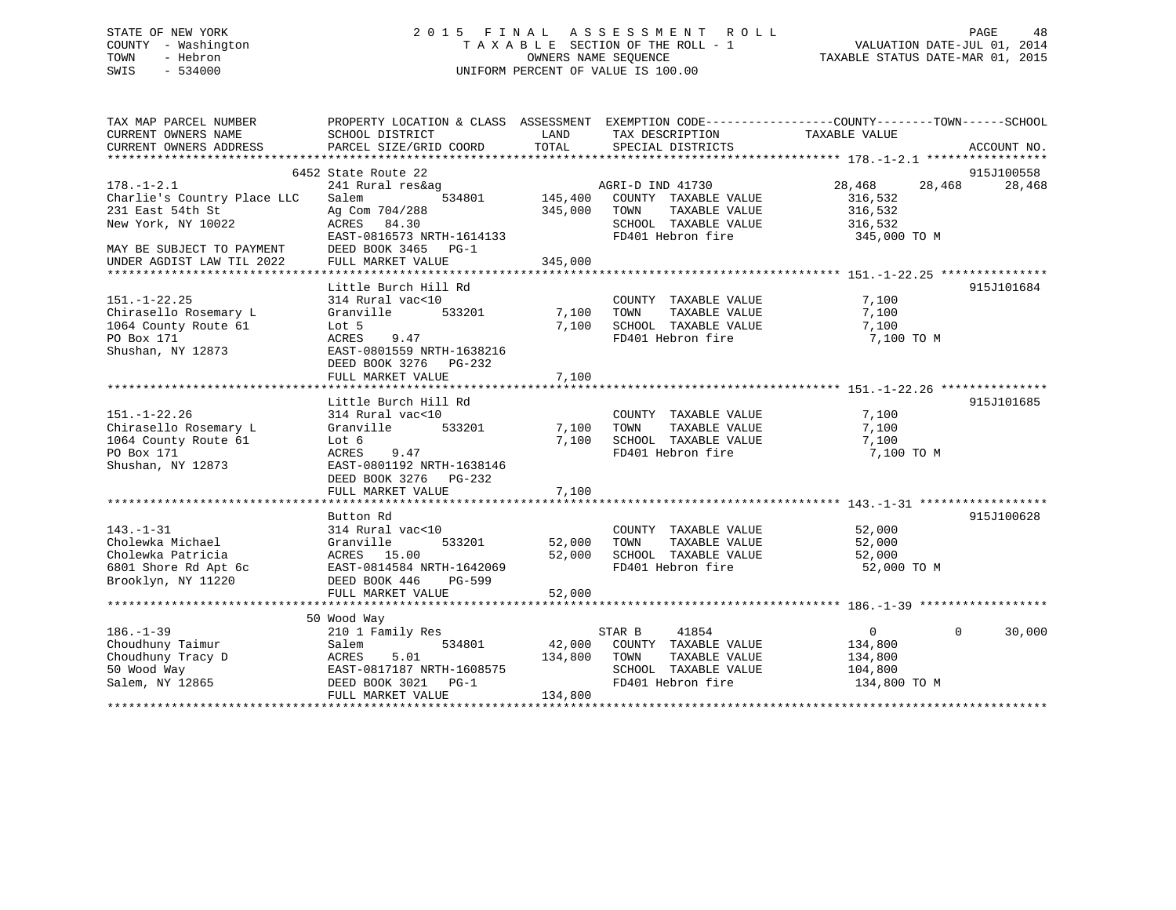#### STATE OF NEW YORK 2 0 1 5 F I N A L A S S E S S M E N T R O L L PAGE 48COUNTY - Washington T A X A B L E SECTION OF THE ROLL - 1 VALUATION DATE-JUL 01, 2014 OWNERS NAME SEQUENCE TAXABLE STATUS DATE-MAR 01, 2015 SWIS - 534000 UNIFORM PERCENT OF VALUE IS 100.00

<sup>2014</sup> FAGE<br>VALUATION DATE-JUL 01, 2014

| TAX MAP PARCEL NUMBER       | PROPERTY LOCATION & CLASS ASSESSMENT EXEMPTION CODE----------------COUNTY-------TOWN-----SCHOOL |         |                       |                            |             |
|-----------------------------|-------------------------------------------------------------------------------------------------|---------|-----------------------|----------------------------|-------------|
| CURRENT OWNERS NAME         | SCHOOL DISTRICT                                                                                 | LAND    | TAX DESCRIPTION       | TAXABLE VALUE              |             |
| CURRENT OWNERS ADDRESS      | PARCEL SIZE/GRID COORD                                                                          | TOTAL   | SPECIAL DISTRICTS     |                            | ACCOUNT NO. |
|                             |                                                                                                 |         |                       |                            |             |
|                             | 6452 State Route 22                                                                             |         |                       |                            | 915J100558  |
| $178. - 1 - 2.1$            | 241 Rural res&ag                                                                                |         | AGRI-D IND 41730      | 28,468<br>28,468           | 28,468      |
| Charlie's Country Place LLC | 534801<br>Salem                                                                                 | 145,400 | COUNTY TAXABLE VALUE  | 316,532                    |             |
| 231 East 54th St            | Ag Com 704/288                                                                                  | 345,000 | TOWN<br>TAXABLE VALUE | 316,532                    |             |
| New York, NY 10022          | ACRES 84.30                                                                                     |         | SCHOOL TAXABLE VALUE  | 316,532                    |             |
|                             | EAST-0816573 NRTH-1614133                                                                       |         | FD401 Hebron fire     | 345,000 TO M               |             |
| MAY BE SUBJECT TO PAYMENT   | DEED BOOK 3465 PG-1                                                                             |         |                       |                            |             |
| UNDER AGDIST LAW TIL 2022   | FULL MARKET VALUE                                                                               | 345,000 |                       |                            |             |
|                             |                                                                                                 |         |                       |                            |             |
|                             | Little Burch Hill Rd                                                                            |         |                       |                            | 915J101684  |
| $151. - 1 - 22.25$          | 314 Rural vac<10                                                                                |         | COUNTY TAXABLE VALUE  | 7,100                      |             |
| Chirasello Rosemary L       | Granville<br>533201                                                                             | 7,100   | TOWN<br>TAXABLE VALUE | 7,100                      |             |
| 1064 County Route 61        | Lot 5                                                                                           | 7,100   | SCHOOL TAXABLE VALUE  | 7,100                      |             |
| PO Box 171                  | 9.47<br>ACRES                                                                                   |         | FD401 Hebron fire     | 7,100 TO M                 |             |
| Shushan, NY 12873           | EAST-0801559 NRTH-1638216                                                                       |         |                       |                            |             |
|                             | DEED BOOK 3276 PG-232                                                                           |         |                       |                            |             |
|                             | FULL MARKET VALUE                                                                               | 7,100   |                       |                            |             |
|                             |                                                                                                 |         |                       |                            |             |
|                             | Little Burch Hill Rd                                                                            |         |                       |                            | 915J101685  |
| $151. - 1 - 22.26$          | 314 Rural vac<10                                                                                |         | COUNTY TAXABLE VALUE  | 7,100                      |             |
| Chirasello Rosemary L       | 533201<br>Granville                                                                             | 7,100   | TAXABLE VALUE<br>TOWN | 7,100                      |             |
| 1064 County Route 61        | Lot 6                                                                                           | 7,100   | SCHOOL TAXABLE VALUE  | 7,100                      |             |
| PO Box 171                  | ACRES<br>9.47                                                                                   |         | FD401 Hebron fire     | 7,100 TO M                 |             |
| Shushan, NY 12873           | EAST-0801192 NRTH-1638146                                                                       |         |                       |                            |             |
|                             | DEED BOOK 3276 PG-232                                                                           |         |                       |                            |             |
|                             | FULL MARKET VALUE                                                                               | 7,100   |                       |                            |             |
|                             |                                                                                                 |         |                       |                            |             |
|                             | Button Rd                                                                                       |         |                       |                            | 915J100628  |
| $143. - 1 - 31$             | 314 Rural vac<10                                                                                |         | COUNTY TAXABLE VALUE  | 52,000                     |             |
| Cholewka Michael            | Granville<br>533201                                                                             | 52,000  | TOWN<br>TAXABLE VALUE | 52,000                     |             |
| Cholewka Patricia           | ACRES 15.00                                                                                     | 52,000  | SCHOOL TAXABLE VALUE  | 52,000                     |             |
| 6801 Shore Rd Apt 6c        | EAST-0814584 NRTH-1642069                                                                       |         | FD401 Hebron fire     | 52,000 TO M                |             |
| Brooklyn, NY 11220          | DEED BOOK 446<br>PG-599                                                                         |         |                       |                            |             |
|                             | FULL MARKET VALUE                                                                               | 52,000  |                       |                            |             |
|                             |                                                                                                 |         |                       |                            |             |
|                             | 50 Wood Way                                                                                     |         |                       |                            |             |
| $186. - 1 - 39$             | 210 1 Family Res                                                                                |         | 41854<br>STAR B       | $\overline{0}$<br>$\Omega$ | 30,000      |
| Choudhuny Taimur            | 534801<br>Salem                                                                                 | 42,000  | COUNTY TAXABLE VALUE  | 134,800                    |             |
| Choudhuny Tracy D           | 5.01<br>ACRES                                                                                   | 134,800 | TAXABLE VALUE<br>TOWN | 134,800                    |             |
| 50 Wood Way                 | EAST-0817187 NRTH-1608575                                                                       |         | SCHOOL TAXABLE VALUE  | 104,800                    |             |
| Salem, NY 12865             | DEED BOOK 3021 PG-1                                                                             |         | FD401 Hebron fire     | 134,800 TO M               |             |
|                             | FULL MARKET VALUE                                                                               | 134,800 |                       |                            |             |
|                             |                                                                                                 |         |                       |                            |             |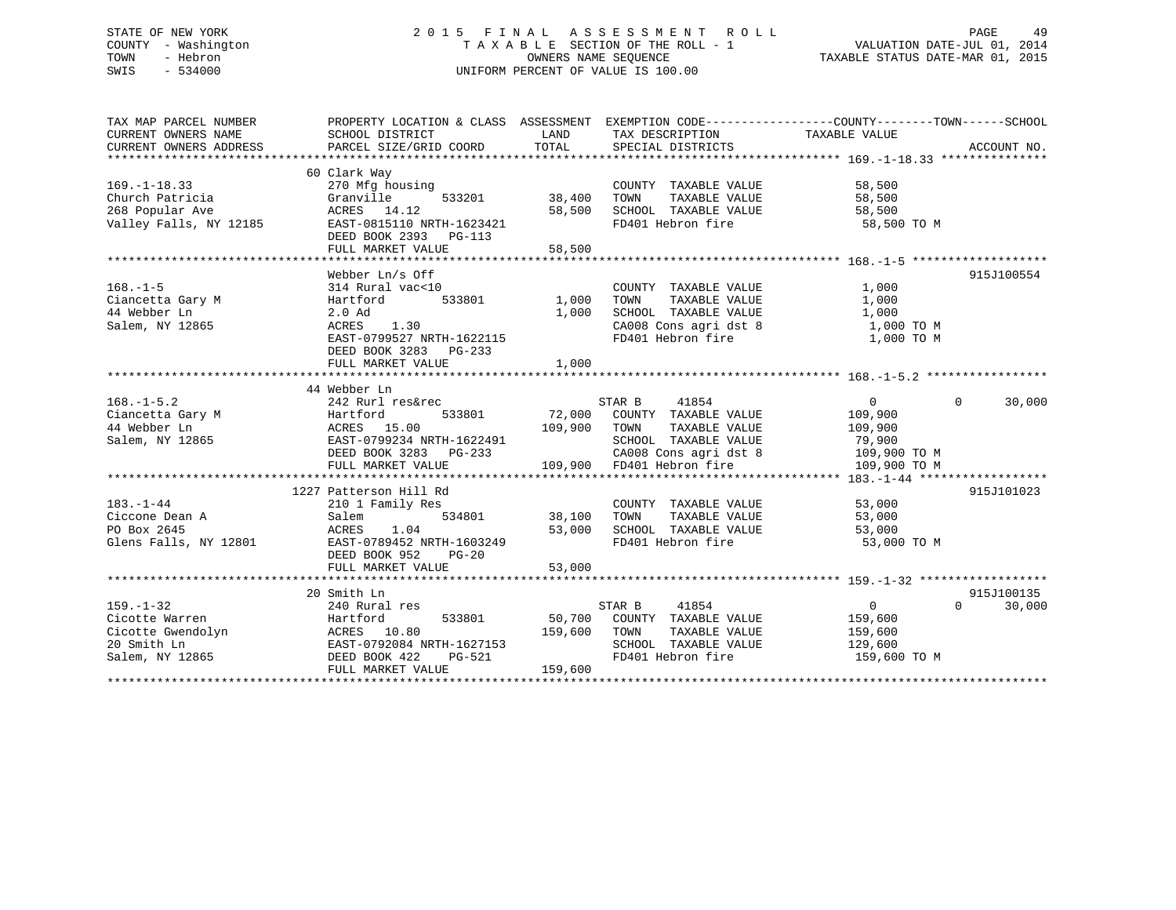## STATE OF NEW YORK 2 0 1 5 F I N A L A S S E S S M E N T R O L L PAGE 49 COUNTY - Washington T A X A B L E SECTION OF THE ROLL - 1 VALUATION DATE-JUL 01, 2014 TOWN - Hebron OWNERS NAME SEQUENCE TAXABLE STATUS DATE-MAR 01, 2015 SWIS - 534000 UNIFORM PERCENT OF VALUE IS 100.00

| TAX MAP PARCEL NUMBER                                   |                                                                                                                                                                                                                                                           |                    |                                                     | PROPERTY LOCATION & CLASS ASSESSMENT EXEMPTION CODE---------------COUNTY-------TOWN------SCHOOL |            |
|---------------------------------------------------------|-----------------------------------------------------------------------------------------------------------------------------------------------------------------------------------------------------------------------------------------------------------|--------------------|-----------------------------------------------------|-------------------------------------------------------------------------------------------------|------------|
| CURRENT OWNERS NAME                                     | SCHOOL DISTRICT                                                                                                                                                                                                                                           | LAND               | TAX DESCRIPTION                                     | TAXABLE VALUE                                                                                   |            |
| CURRENT OWNERS ADDRESS                                  |                                                                                                                                                                                                                                                           |                    |                                                     |                                                                                                 |            |
|                                                         |                                                                                                                                                                                                                                                           |                    |                                                     |                                                                                                 |            |
|                                                         | 60 Clark Way                                                                                                                                                                                                                                              |                    |                                                     |                                                                                                 |            |
| $169. - 1 - 18.33$                                      | 270 Mfg housing                                                                                                                                                                                                                                           |                    | COUNTY TAXABLE VALUE                                | 58,500                                                                                          |            |
| Church Patricia                                         | 533201<br>Granville                                                                                                                                                                                                                                       | 38,400             | TOWN<br>TAXABLE VALUE                               | 58,500                                                                                          |            |
| 268 Popular Ave                                         |                                                                                                                                                                                                                                                           | 58,500             | SCHOOL TAXABLE VALUE                                | 58,500                                                                                          |            |
| Valley Falls, NY 12185                                  | ACRES 14.12<br>12185 EAST-0815110 NRTH-1623421                                                                                                                                                                                                            |                    | FD401 Hebron fire                                   | 58,500 TO M                                                                                     |            |
|                                                         | DEED BOOK 2393 PG-113                                                                                                                                                                                                                                     |                    |                                                     |                                                                                                 |            |
|                                                         | FULL MARKET VALUE                                                                                                                                                                                                                                         | 58,500             |                                                     |                                                                                                 |            |
|                                                         |                                                                                                                                                                                                                                                           |                    |                                                     |                                                                                                 |            |
|                                                         | Webber Ln/s Off                                                                                                                                                                                                                                           |                    |                                                     |                                                                                                 | 915J100554 |
| $168. - 1 - 5$                                          | 314 Rural vac<10                                                                                                                                                                                                                                          |                    | COUNTY TAXABLE VALUE                                | 1,000                                                                                           |            |
| Ciancetta Gary M                                        | 533801<br>Hartford                                                                                                                                                                                                                                        | 1,000              |                                                     | 1,000                                                                                           |            |
| 44 Webber Ln                                            | 2.0 Ad                                                                                                                                                                                                                                                    | 1,000              | TOWN      TAXABLE  VALUE<br>SCHOOL   TAXABLE  VALUE | 1,000                                                                                           |            |
| Salem, NY 12865                                         | ACRES<br>1.30                                                                                                                                                                                                                                             |                    | CA008 Cons agri dst 8 1,000 TO M                    |                                                                                                 |            |
|                                                         | EAST-0799527 NRTH-1622115                                                                                                                                                                                                                                 |                    | FD401 Hebron fire                                   | 1,000 TO M                                                                                      |            |
|                                                         | DEED BOOK 3283 PG-233                                                                                                                                                                                                                                     |                    |                                                     |                                                                                                 |            |
|                                                         | FULL MARKET VALUE                                                                                                                                                                                                                                         | 1,000              |                                                     |                                                                                                 |            |
|                                                         |                                                                                                                                                                                                                                                           |                    |                                                     |                                                                                                 |            |
|                                                         | 44 Webber Ln                                                                                                                                                                                                                                              |                    |                                                     |                                                                                                 |            |
| $168. - 1 - 5.2$                                        | 242 Rurl res&rec                                                                                                                                                                                                                                          |                    | STAR B<br>41854                                     | 0<br>$\Omega$                                                                                   | 30,000     |
|                                                         | 533801                                                                                                                                                                                                                                                    |                    | 72,000 COUNTY TAXABLE VALUE                         | 109,900                                                                                         |            |
| Ciancetta Gary M<br>M<br>M<br>M<br>M<br>M<br>CRES 15.00 |                                                                                                                                                                                                                                                           |                    | 109,900 TOWN<br>TAXABLE VALUE                       | 109,900                                                                                         |            |
| Salem, NY 12865                                         | EAST-0799234 NRTH-1622491                                                                                                                                                                                                                                 |                    | SCHOOL TAXABLE VALUE 79,900                         |                                                                                                 |            |
|                                                         | EAST-0799234 NRTH-1622491<br>DEED BOOK 3283 PG-233                                                                                                                                                                                                        |                    |                                                     | 109,900 TO M                                                                                    |            |
|                                                         | FULL MARKET VALUE                                                                                                                                                                                                                                         |                    | CA008 Cons agri dst 8<br>109,900 FD401 Hebron fire  | 109,900 TO M                                                                                    |            |
|                                                         |                                                                                                                                                                                                                                                           |                    |                                                     |                                                                                                 |            |
|                                                         | 1227 Patterson Hill Rd                                                                                                                                                                                                                                    |                    |                                                     |                                                                                                 | 915J101023 |
| $183. - 1 - 44$                                         | 210 1 Family Res                                                                                                                                                                                                                                          |                    | COUNTY TAXABLE VALUE                                | 53,000                                                                                          |            |
| Ciccone Dean A                                          | Salem                                                                                                                                                                                                                                                     | 534801 38,100 TOWN | TAXABLE VALUE                                       | 53,000                                                                                          |            |
| PO Box 2645                                             | 1.04<br>ACRES                                                                                                                                                                                                                                             |                    | 53,000 SCHOOL TAXABLE VALUE                         | 53,000                                                                                          |            |
| Glens Falls, NY 12801                                   | EAST-0789452 NRTH-1603249                                                                                                                                                                                                                                 |                    | FD401 Hebron fire                                   | 53,000 TO M                                                                                     |            |
|                                                         | DEED BOOK 952<br>$PG-20$                                                                                                                                                                                                                                  |                    |                                                     |                                                                                                 |            |
|                                                         | FULL MARKET VALUE                                                                                                                                                                                                                                         | 53,000             |                                                     |                                                                                                 |            |
|                                                         |                                                                                                                                                                                                                                                           |                    |                                                     |                                                                                                 |            |
|                                                         | 20 Smith Ln                                                                                                                                                                                                                                               |                    |                                                     |                                                                                                 | 915J100135 |
| $159. - 1 - 32$                                         |                                                                                                                                                                                                                                                           |                    | STAR B<br>41854                                     | $\overline{0}$<br>$\Omega$                                                                      | 30,000     |
|                                                         |                                                                                                                                                                                                                                                           |                    | 50,700 COUNTY TAXABLE VALUE                         | 159,600                                                                                         |            |
|                                                         |                                                                                                                                                                                                                                                           | 159,600 TOWN       | TAXABLE VALUE                                       | 159,600                                                                                         |            |
|                                                         |                                                                                                                                                                                                                                                           |                    | SCHOOL TAXABLE VALUE                                | 129,600                                                                                         |            |
|                                                         |                                                                                                                                                                                                                                                           |                    | FD401 Hebron fire                                   | 159,600 TO M                                                                                    |            |
|                                                         | Exercise warren<br>Cicotte Gwendolyn<br>20 Smith Ln<br>20 Smith Ln<br>20 Smith Ln<br>20 Smith Ln<br>20 Smith Ln<br>20 Smith Ln<br>20 Smith Ln<br>20 Smith Ln<br>20 Smith Ln<br>20 Smith Ln<br>20 Smith Ln<br>20 BAST-0792084 NRTH-1627153<br>20 DEED BOOK | 159,600            |                                                     |                                                                                                 |            |
|                                                         |                                                                                                                                                                                                                                                           |                    |                                                     |                                                                                                 |            |
|                                                         |                                                                                                                                                                                                                                                           |                    |                                                     |                                                                                                 |            |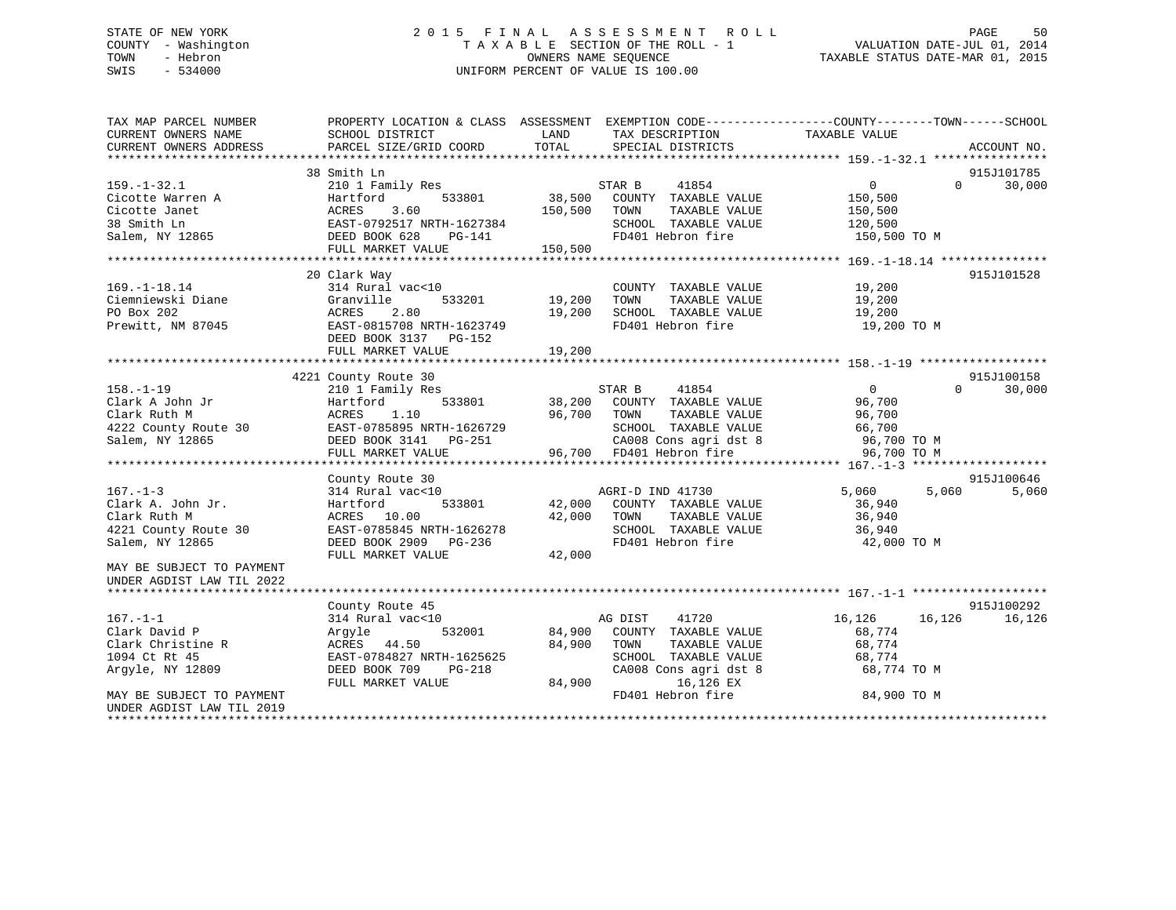## STATE OF NEW YORK 2 0 1 5 F I N A L A S S E S S M E N T R O L L PAGE 50 COUNTY - Washington T A X A B L E SECTION OF THE ROLL - 1 VALUATION DATE-JUL 01, 2014 TOWN - Hebron OWNERS NAME SEQUENCE TAXABLE STATUS DATE-MAR 01, 2015 SWIS - 534000 UNIFORM PERCENT OF VALUE IS 100.00

| TAX MAP PARCEL NUMBER<br>CURRENT OWNERS NAME | SCHOOL DISTRICT                                                 | LAND<br>TAX DESCRIPTION                                             | PROPERTY LOCATION & CLASS ASSESSMENT EXEMPTION CODE----------------COUNTY-------TOWN------SCHOOL<br>TAXABLE VALUE |
|----------------------------------------------|-----------------------------------------------------------------|---------------------------------------------------------------------|-------------------------------------------------------------------------------------------------------------------|
| CURRENT OWNERS ADDRESS                       | PARCEL SIZE/GRID COORD                                          | TOTAL<br>SPECIAL DISTRICTS                                          | ACCOUNT NO.                                                                                                       |
|                                              |                                                                 |                                                                     |                                                                                                                   |
|                                              | 38 Smith Ln                                                     |                                                                     | 915J101785<br>30,000<br>0<br>$\Omega$                                                                             |
| $159. - 1 - 32.1$                            | 210 1 Family Res                                                | 41854<br>STAR B                                                     |                                                                                                                   |
| Cicotte Warren A<br>Cicotte Janet            | Hartford<br>533801                                              | 38,500 COUNTY TAXABLE VALUE<br>150,500 TOWN<br>TAXABLE VALUE        | 150,500                                                                                                           |
|                                              |                                                                 |                                                                     | 150,500                                                                                                           |
| 38 Smith Ln                                  |                                                                 | SCHOOL TAXABLE VALUE                                                | 120,500                                                                                                           |
| Salem, NY 12865                              | ACRES 3.60<br>EAST-0792517 NRTH-1627384<br>---- -00K 628 PG-141 | FD401 Hebron fire                                                   | 150,500 TO M                                                                                                      |
|                                              | FULL MARKET VALUE                                               | 150,500                                                             |                                                                                                                   |
|                                              | 20 Clark Way                                                    |                                                                     | 915J101528                                                                                                        |
|                                              | 314 Rural vac<10                                                |                                                                     | 19,200                                                                                                            |
| $169. - 1 - 18.14$                           |                                                                 | COUNTY TAXABLE VALUE                                                |                                                                                                                   |
| Ciemniewski Diane                            | Granville<br>533201<br>Granvi<br>ACRES                          | 19,200<br>TAXABLE VALUE<br>TOWN                                     | 19,200                                                                                                            |
| PO Box 202                                   | 2.80                                                            | 19,200<br>SCHOOL TAXABLE VALUE                                      | 19,200                                                                                                            |
| Prewitt, NM 87045                            | EAST-0815708 NRTH-1623749                                       | FD401 Hebron fire                                                   | 19,200 TO M                                                                                                       |
|                                              | DEED BOOK 3137 PG-152                                           |                                                                     |                                                                                                                   |
|                                              | FULL MARKET VALUE                                               | 19,200                                                              |                                                                                                                   |
|                                              |                                                                 |                                                                     |                                                                                                                   |
|                                              | 4221 County Route 30                                            |                                                                     | 915J100158                                                                                                        |
| $158. - 1 - 19$                              | 210 1 Family Res                                                | STAR B 11000<br>38,200 COUNTY TAXABLE VALUE<br>------ TAYARLE VALUE | $\overline{0}$<br>$\Omega$<br>30,000                                                                              |
| Clark A John Jr                              | 533801<br>Hartford                                              |                                                                     | 96,700                                                                                                            |
| Clark Ruth M                                 | ACRES<br>1.10                                                   | 96,700 TOWN<br>TAXABLE VALUE                                        | 96,700                                                                                                            |
| 4222 County Route 30                         | EAST-0785895 NRTH-1626729                                       | SCHOOL TAXABLE VALUE                                                | 66,700                                                                                                            |
| Salem, NY 12865                              | DEED BOOK 3141<br>PG-251                                        | CA008 Cons agri dst 8 96,700 TO M                                   |                                                                                                                   |
|                                              | FULL MARKET VALUE                                               | 96,700 FD401 Hebron fire                                            | 96,700 TO M                                                                                                       |
|                                              |                                                                 |                                                                     |                                                                                                                   |
|                                              | County Route 30                                                 |                                                                     | 915J100646                                                                                                        |
| $167. - 1 - 3$                               | 314 Rural vac<10                                                | AGRI-D IND 41730                                                    | 5,060<br>5,060<br>5,060                                                                                           |
| Clark A. John Jr.                            | 533801<br>Hartford                                              | 42,000 COUNTY TAXABLE VALUE                                         | 36,940                                                                                                            |
| Clark Ruth M                                 | ACRES 10.00                                                     | 42,000 TOWN<br>TAXABLE VALUE                                        | 36,940                                                                                                            |
| 4221 County Route 30                         | EAST-0785845 NRTH-1626278                                       | SCHOOL TAXABLE VALUE                                                | 36,940                                                                                                            |
| Salem, NY 12865                              | DEED BOOK 2909 PG-236                                           | FD401 Hebron fire                                                   | 42,000 TO M                                                                                                       |
|                                              | FULL MARKET VALUE                                               | 42,000                                                              |                                                                                                                   |
| MAY BE SUBJECT TO PAYMENT                    |                                                                 |                                                                     |                                                                                                                   |
| UNDER AGDIST LAW TIL 2022                    |                                                                 |                                                                     |                                                                                                                   |
|                                              |                                                                 |                                                                     |                                                                                                                   |
|                                              | County Route 45                                                 |                                                                     | 915J100292                                                                                                        |
| $167. - 1 - 1$                               | 314 Rural vac<10                                                | AG DIST<br>41720                                                    | 16,126 16,126<br>16,126                                                                                           |
| Clark David P                                | 532001<br>Argyle                                                | 84,900 COUNTY TAXABLE VALUE                                         | 68,774                                                                                                            |
| Clark Christine R                            | ACRES 44.50                                                     | 84,900<br>TOWN<br>TAXABLE VALUE                                     | 68,774                                                                                                            |
| 1094 Ct Rt 45                                | EAST-0784827 NRTH-1625625                                       | SCHOOL TAXABLE VALUE                                                | 68,774                                                                                                            |
| Argyle, NY 12809                             | DEED BOOK 709<br><b>PG-218</b>                                  | CA008 Cons agri dst 8                                               | 68,774 TO M                                                                                                       |
|                                              | FULL MARKET VALUE                                               | 84,900<br>16,126 EX                                                 |                                                                                                                   |
| MAY BE SUBJECT TO PAYMENT                    |                                                                 | FD401 Hebron fire                                                   | 84,900 TO M                                                                                                       |
| UNDER AGDIST LAW TIL 2019                    |                                                                 |                                                                     |                                                                                                                   |
|                                              |                                                                 |                                                                     |                                                                                                                   |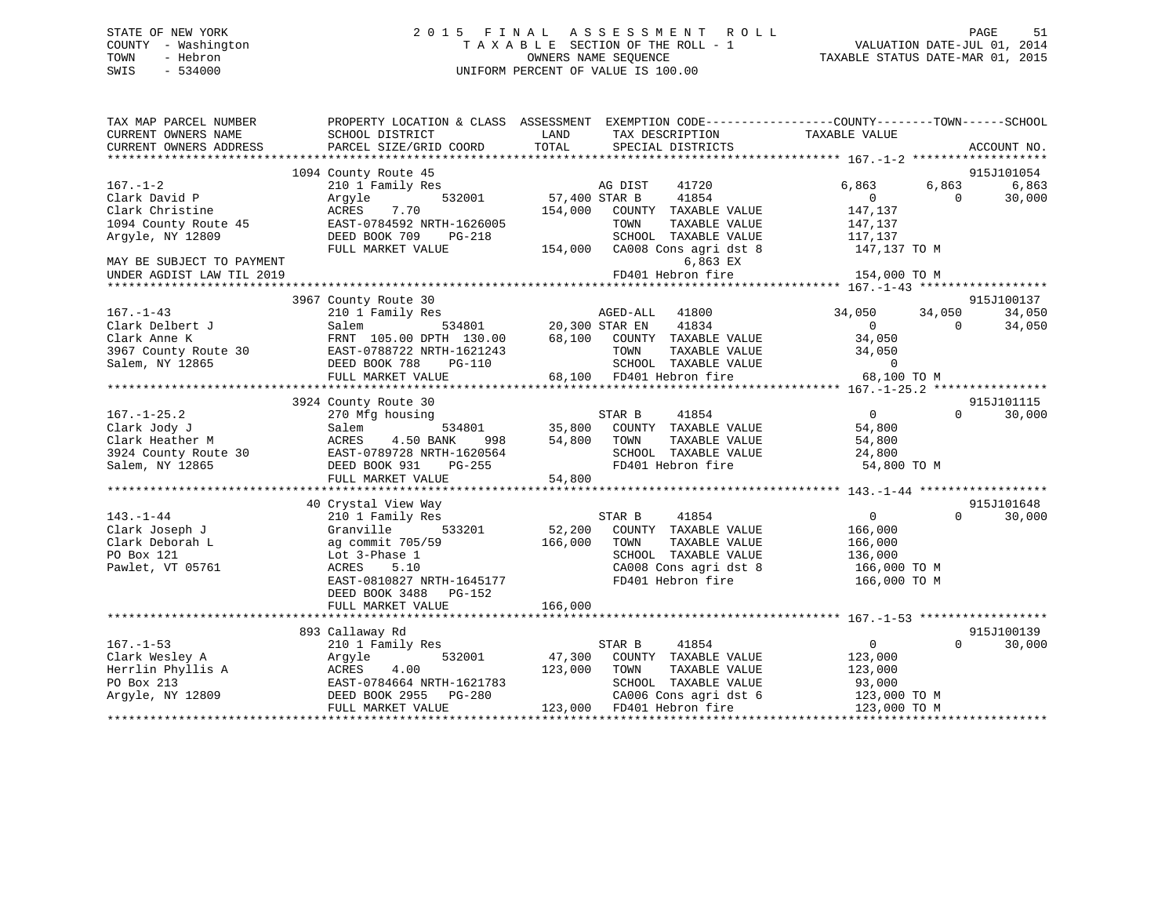## STATE OF NEW YORK 2 0 1 5 F I N A L A S S E S S M E N T R O L L PAGE 51 COUNTY - Washington T A X A B L E SECTION OF THE ROLL - 1 VALUATION DATE-JUL 01, 2014 TOWN - Hebron OWNERS NAME SEQUENCE TAXABLE STATUS DATE-MAR 01, 2015 SWIS - 534000 UNIFORM PERCENT OF VALUE IS 100.00

| TAX MAP PARCEL NUMBER<br>CURRENT OWNERS NAME | SCHOOL DISTRICT           | LAND<br>TAX DESCRIPTION                   | PROPERTY LOCATION & CLASS ASSESSMENT EXEMPTION CODE---------------COUNTY-------TOWN-----SCHOOL<br>TAXABLE VALUE |
|----------------------------------------------|---------------------------|-------------------------------------------|-----------------------------------------------------------------------------------------------------------------|
| CURRENT OWNERS ADDRESS                       | PARCEL SIZE/GRID COORD    | TOTAL<br>SPECIAL DISTRICTS                | ACCOUNT NO.                                                                                                     |
|                                              |                           |                                           |                                                                                                                 |
|                                              | 1094 County Route 45      |                                           | 915J101054                                                                                                      |
| $167. - 1 - 2$                               | 210 1 Family Res          | 41720<br>AG DIST                          | 6,863<br>6,863<br>6,863                                                                                         |
| Clark David P                                | 532001<br>Argyle          | 57,400 STAR B<br>41854                    | 30,000<br>$\overline{0}$<br>$\Omega$                                                                            |
| Clark Christine                              | ACRES<br>7.70             | 154,000<br>COUNTY TAXABLE VALUE           | 147,137                                                                                                         |
| 1094 County Route 45                         | EAST-0784592 NRTH-1626005 | TOWN<br>TAXABLE VALUE                     | 147,137                                                                                                         |
| Argyle, NY 12809                             | DEED BOOK 709<br>PG-218   | SCHOOL TAXABLE VALUE                      | 117,137                                                                                                         |
|                                              | FULL MARKET VALUE         | 154,000 CA008 Cons agri dst 8             | 147,137 TO M                                                                                                    |
| MAY BE SUBJECT TO PAYMENT                    |                           | 6,863 EX                                  |                                                                                                                 |
| UNDER AGDIST LAW TIL 2019                    |                           | FD401 Hebron fire                         | 154,000 TO M                                                                                                    |
|                                              |                           |                                           |                                                                                                                 |
|                                              | 3967 County Route 30      |                                           | 915J100137                                                                                                      |
| $167. - 1 - 43$                              | 210 1 Family Res          | AGED-ALL 41800                            | 34,050<br>34,050<br>34,050                                                                                      |
| Clark Delbert J                              | Salem                     | 534801 20,300 STAR EN<br>41834            | $\Omega$<br>34,050<br>$\overline{0}$                                                                            |
| Clark Anne K                                 | FRNT 105.00 DPTH 130.00   | 68,100 COUNTY TAXABLE VALUE               | 34,050                                                                                                          |
| 3967 County Route 30                         | EAST-0788722 NRTH-1621243 | TOWN<br>TAXABLE VALUE                     | 34,050                                                                                                          |
| Salem, NY 12865                              | DEED BOOK 788<br>PG-110   | SCHOOL TAXABLE VALUE                      | $\Omega$                                                                                                        |
|                                              | FULL MARKET VALUE         | 68,100 FD401 Hebron fire                  | LUE <b>EN ENGINEE</b><br>68,100 TO M                                                                            |
|                                              |                           |                                           |                                                                                                                 |
|                                              |                           |                                           |                                                                                                                 |
|                                              | 3924 County Route 30      |                                           | 915J101115                                                                                                      |
| $167. - 1 - 25.2$                            | 270 Mfg housing           | STAR B<br>41854                           | $\overline{0}$<br>$\Omega$<br>30,000                                                                            |
| Clark Jody J                                 | 534801<br>Salem           | 35,800<br>COUNTY TAXABLE VALUE            | 54,800                                                                                                          |
| Clark Heather M                              | 4.50 BANK<br>ACRES<br>998 | 54,800<br>TAXABLE VALUE<br>TOWN           | 54,800                                                                                                          |
| 3924 County Route 30                         | EAST-0789728 NRTH-1620564 | SCHOOL TAXABLE VALUE<br>FD401 Hebron fire | 24,800                                                                                                          |
| Salem, NY 12865                              | DEED BOOK 931<br>PG-255   | FD401 Hebron fire                         | 54,800 TO M                                                                                                     |
|                                              | FULL MARKET VALUE         | 54,800                                    |                                                                                                                 |
|                                              |                           |                                           |                                                                                                                 |
|                                              | 40 Crystal View Way       |                                           | 915J101648                                                                                                      |
| $143. - 1 - 44$                              | 210 1 Family Res          | STAR B<br>41854                           | $\overline{0}$<br>30,000<br>$\Omega$                                                                            |
| Clark Joseph J                               | Granville<br>533201       | 52,200<br>COUNTY TAXABLE VALUE            | 166,000                                                                                                         |
| Clark Deborah L                              | ag commit 705/59          | 166,000<br>TOWN<br>TAXABLE VALUE          | 166,000                                                                                                         |
| PO Box 121                                   | Lot 3-Phase 1             | SCHOOL TAXABLE VALUE                      | 136,000                                                                                                         |
| Pawlet, VT 05761                             | ACRES<br>5.10             | CA008 Cons agri dst 8                     | 166,000 TO M                                                                                                    |
|                                              | EAST-0810827 NRTH-1645177 | FD401 Hebron fire                         | 166,000 TO M                                                                                                    |
|                                              | DEED BOOK 3488 PG-152     |                                           |                                                                                                                 |
|                                              |                           | 166,000                                   |                                                                                                                 |
|                                              | FULL MARKET VALUE         |                                           |                                                                                                                 |
|                                              |                           |                                           |                                                                                                                 |
|                                              | 893 Callaway Rd           |                                           | 915J100139                                                                                                      |
| $167. - 1 - 53$                              | 210 1 Family Res          | STAR B<br>41854                           | $\overline{0}$<br>$\Omega$<br>30,000                                                                            |
| Clark Wesley A                               | 532001<br>Argyle          | 47,300<br>COUNTY TAXABLE VALUE            | 123,000                                                                                                         |
| Herrlin Phyllis A                            | ACRES<br>4.00             | 123,000<br>TOWN<br>TAXABLE VALUE          | 123,000                                                                                                         |
| PO Box 213                                   | EAST-0784664 NRTH-1621783 | SCHOOL TAXABLE VALUE                      | 93,000                                                                                                          |
| Arqyle, NY 12809                             | DEED BOOK 2955 PG-280     | CA006 Cons agri dst 6                     | 123,000 TO M                                                                                                    |
|                                              | FULL MARKET VALUE         | 123,000 FD401 Hebron fire                 | 123,000 TO M                                                                                                    |
|                                              |                           |                                           |                                                                                                                 |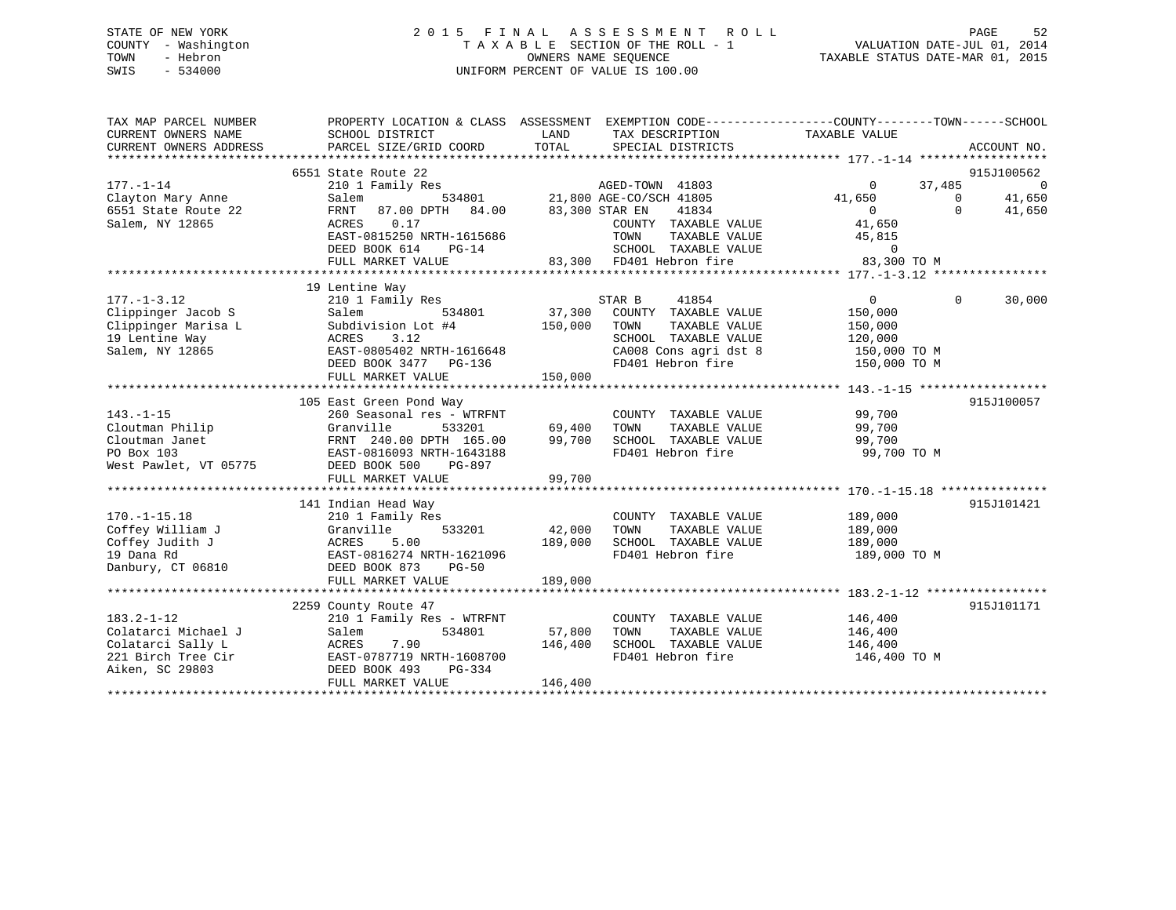## STATE OF NEW YORK 2 0 1 5 F I N A L A S S E S S M E N T R O L L PAGE 52 COUNTY - Washington T A X A B L E SECTION OF THE ROLL - 1 VALUATION DATE-JUL 01, 2014 TOWN - Hebron OWNERS NAME SEQUENCE TAXABLE STATUS DATE-MAR 01, 2015 SWIS - 534000 UNIFORM PERCENT OF VALUE IS 100.00

| TAX MAP PARCEL NUMBER<br>CURRENT OWNERS NAME<br>CURRENT OWNERS ADDRESS | PROPERTY LOCATION & CLASS ASSESSMENT EXEMPTION CODE---------------COUNTY-------TOWN-----SCHOOL<br>SCHOOL DISTRICT<br>PARCEL SIZE/GRID COORD | LAND<br>TOTAL  | TAX DESCRIPTION TAXABLE VALUE<br>SPECIAL DISTRICTS                       |                                              | ACCOUNT NO.                  |
|------------------------------------------------------------------------|---------------------------------------------------------------------------------------------------------------------------------------------|----------------|--------------------------------------------------------------------------|----------------------------------------------|------------------------------|
| $177. - 1 - 14$                                                        | 6551 State Route 22<br>210 1 Family Res                                                                                                     |                | AGED-TOWN 41803                                                          | 37,485<br>$\circ$                            | 915J100562<br>$\overline{0}$ |
| Clayton Mary Anne                                                      | Salem                                                                                                                                       |                |                                                                          | 41,650                                       | 41,650<br>$\Omega$           |
| 6551 State Route 22                                                    | 87.00 DPTH 84.00<br>FRNT                                                                                                                    | 83,300 STAR EN | 534801 21,800 AGE-CO/SCH 41805<br>TH 84.00 83,300 STAR EN 41834<br>41834 | $\sim$ 0                                     | $\Omega$<br>41,650           |
| Salem, NY 12865                                                        | ACRES<br>0.17                                                                                                                               |                | COUNTY TAXABLE VALUE                                                     | 41,650                                       |                              |
|                                                                        | EAST-0815250 NRTH-1615686                                                                                                                   |                | TOWN<br>TAXABLE VALUE                                                    | 45,815                                       |                              |
|                                                                        | DEED BOOK 614<br>$PG-14$                                                                                                                    |                | SCHOOL TAXABLE VALUE                                                     | $\Omega$                                     |                              |
|                                                                        | FULL MARKET VALUE                                                                                                                           |                | 83,300 FD401 Hebron fire                                                 | in the company of the company<br>83,300 TO M |                              |
|                                                                        |                                                                                                                                             |                |                                                                          |                                              |                              |
|                                                                        | 19 Lentine Way                                                                                                                              |                |                                                                          |                                              |                              |
| $177. - 1 - 3.12$                                                      | 210 1 Family Res                                                                                                                            | S1<br>37,300   | STAR B<br>41854                                                          | $\overline{0}$                               | $\Omega$<br>30,000           |
| Clippinger Jacob S                                                     | 534801<br>Salem                                                                                                                             |                | COUNTY TAXABLE VALUE                                                     | 150,000                                      |                              |
| Clippinger Marisa L                                                    | Subdivision Lot #4                                                                                                                          | 150,000        | TAXABLE VALUE<br>TOWN                                                    | 150,000                                      |                              |
| 19 Lentine Way                                                         | ACRES<br>3.12                                                                                                                               |                | SCHOOL TAXABLE VALUE                                                     | 120,000                                      |                              |
| Salem, NY 12865                                                        | EAST-0805402 NRTH-1616648                                                                                                                   |                | CA008 Cons agri dst 8                                                    | 150,000 TO M                                 |                              |
|                                                                        | DEED BOOK 3477 PG-136                                                                                                                       |                | FD401 Hebron fire                                                        | 150,000 TO M                                 |                              |
|                                                                        | FULL MARKET VALUE                                                                                                                           | 150,000        |                                                                          |                                              |                              |
|                                                                        | 105 East Green Pond Way                                                                                                                     |                |                                                                          |                                              | 915J100057                   |
| $143. - 1 - 15$                                                        | 260 Seasonal res - WTRFNT                                                                                                                   |                | COUNTY TAXABLE VALUE                                                     | 99,700                                       |                              |
| Cloutman Philip                                                        | Granville<br>533201                                                                                                                         | 69,400         | TOWN<br>TAXABLE VALUE                                                    | 99,700                                       |                              |
| Cloutman Janet                                                         | FRNT 240.00 DPTH 165.00                                                                                                                     | 99,700         | SCHOOL TAXABLE VALUE                                                     | 99,700                                       |                              |
| PO Box 103                                                             | EAST-0816093 NRTH-1643188                                                                                                                   |                | FD401 Hebron fire                                                        | 99,700 TO M                                  |                              |
| West Pawlet, VT 05775                                                  | DEED BOOK 500<br>PG-897                                                                                                                     |                |                                                                          |                                              |                              |
|                                                                        | FULL MARKET VALUE                                                                                                                           | 99,700         |                                                                          |                                              |                              |
|                                                                        |                                                                                                                                             |                |                                                                          |                                              |                              |
|                                                                        | 141 Indian Head Way                                                                                                                         |                |                                                                          |                                              | 915J101421                   |
| $170. - 1 - 15.18$                                                     | 210 1 Family Res                                                                                                                            |                | COUNTY TAXABLE VALUE                                                     | 189,000                                      |                              |
| Coffey William J                                                       | Granville<br>533201                                                                                                                         | 42,000         | TOWN<br>TAXABLE VALUE                                                    | 189,000                                      |                              |
| Coffey Judith J                                                        | 5.00<br>ACRES                                                                                                                               | 189,000        | SCHOOL TAXABLE VALUE                                                     | 189,000                                      |                              |
| 19 Dana Rd                                                             | EAST-0816274 NRTH-1621096                                                                                                                   |                | FD401 Hebron fire                                                        | 189,000 TO M                                 |                              |
| Danbury, CT 06810                                                      | DEED BOOK 873<br>$PG-50$                                                                                                                    |                |                                                                          |                                              |                              |
|                                                                        | FULL MARKET VALUE                                                                                                                           | 189,000        |                                                                          |                                              |                              |
|                                                                        |                                                                                                                                             |                |                                                                          |                                              | 915J101171                   |
|                                                                        | 2259 County Route 47                                                                                                                        |                |                                                                          |                                              |                              |
| $183.2 - 1 - 12$<br>Colatarci Michael J                                | 210 1 Family Res - WTRFNT<br>534801<br>Salem                                                                                                | 57,800         | COUNTY TAXABLE VALUE<br>TAXABLE VALUE<br>TOWN                            | 146,400<br>146,400                           |                              |
| Colatarci Sally L                                                      | 7.90                                                                                                                                        | 146,400        | SCHOOL TAXABLE VALUE                                                     | 146,400                                      |                              |
| 221 Birch Tree Cir                                                     | ACRES<br>EAST-0787719 NRTH-1608700                                                                                                          |                | FD401 Hebron fire                                                        | 146,400 TO M                                 |                              |
|                                                                        |                                                                                                                                             |                |                                                                          |                                              |                              |
| Aiken, SC 29803                                                        | DEED BOOK 493<br>PG-334<br>FULL MARKET VALUE                                                                                                | 146,400        |                                                                          |                                              |                              |
|                                                                        |                                                                                                                                             |                |                                                                          |                                              |                              |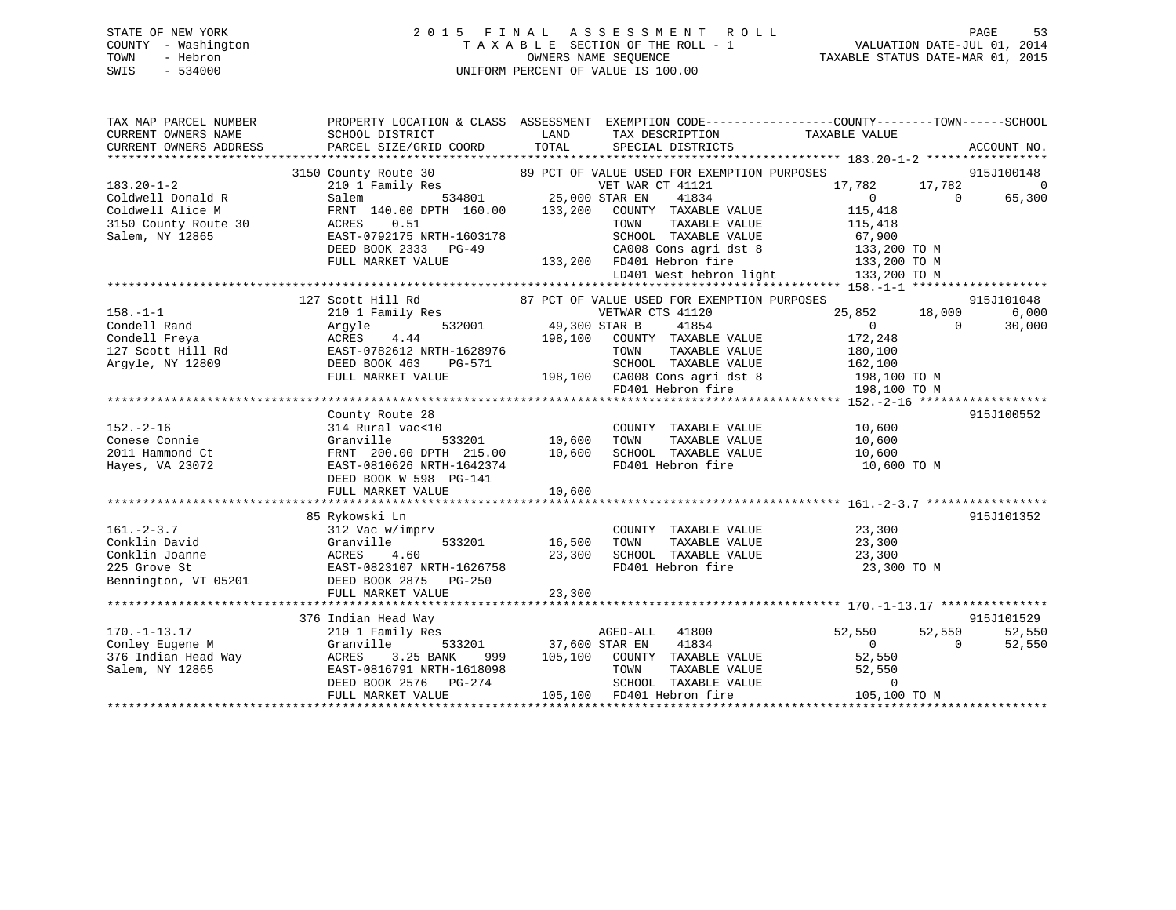## STATE OF NEW YORK 2 0 1 5 F I N A L A S S E S S M E N T R O L L PAGE 53 COUNTY - Washington T A X A B L E SECTION OF THE ROLL - 1 VALUATION DATE-JUL 01, 2014 TOWN - Hebron OWNERS NAME SEQUENCE TAXABLE STATUS DATE-MAR 01, 2015 SWIS - 534000 UNIFORM PERCENT OF VALUE IS 100.00

| TAX MAP PARCEL NUMBER<br>CURRENT OWNERS NAME<br>CURRENT OWNERS ADDRESS                      | SCHOOL DISTRICT<br>PARCEL SIZE/GRID COORD                                                                                                                       | LAND<br>TAX DESCRIPTION<br>TOTAL<br>SPECIAL DISTRICTS                                                                                                             | PROPERTY LOCATION & CLASS ASSESSMENT EXEMPTION CODE---------------COUNTY-------TOWN------SCHOOL<br>TAXABLE VALUE<br>ACCOUNT NO.       |
|---------------------------------------------------------------------------------------------|-----------------------------------------------------------------------------------------------------------------------------------------------------------------|-------------------------------------------------------------------------------------------------------------------------------------------------------------------|---------------------------------------------------------------------------------------------------------------------------------------|
|                                                                                             |                                                                                                                                                                 |                                                                                                                                                                   |                                                                                                                                       |
| $183.20 - 1 - 2$<br>Coldwell Donald R                                                       | Salem                                                                                                                                                           | 3150 County Route 30 $\,$ 89 PCT OF VALUE USED FOR EXEMPTION PURPOSES 210 1 Family Res $\,$ VET WAR CT 41121<br>534801 25,000 STAR EN<br>41834                    | 915J100148<br>17,782<br>17,782<br>$\Omega$<br>65,300<br>$\Omega$<br>$\overline{0}$                                                    |
| Coldwell Alice M<br>3150 County Route 30<br>Salem, NY 12865                                 | FRNT 140.00 DPTH 160.00 133,200<br>ACRES<br>0.51<br>EAST-0792175 NRTH-1603178<br>DEED BOOK 2333 PG-49                                                           | COUNTY TAXABLE VALUE<br>TAXABLE VALUE<br>TOWN<br>SCHOOL TAXABLE VALUE                                                                                             | 115,418<br>115,418<br>67,900<br>$\texttt{CA008}$ Cons agri dst 8 $\texttt{133,200}$ TO M<br>FD401 Hebron fire $\texttt{133,200}$ TO M |
|                                                                                             | FULL MARKET VALUE                                                                                                                                               | 133,200 FD401 Hebron fire<br>LD401 West hebron light                                                                                                              | 133,200 TO M                                                                                                                          |
|                                                                                             |                                                                                                                                                                 |                                                                                                                                                                   |                                                                                                                                       |
| $158. - 1 - 1$<br>Condell Rand                                                              | 127 Scott Hill Rd<br>210 1 Family Res<br>Argyle                                                                                                                 | 87 PCT OF VALUE USED FOR EXEMPTION PURPOSES<br>VETWAR CTS 41120<br>532001 49,300 STAR B<br>41854                                                                  | 915J101048<br>6,000<br>25,852<br>18,000<br>$\Omega$<br>30,000<br>$\Omega$                                                             |
| Condell Freya<br>127 Scott Hill Rd<br>Argyle, NY 12809                                      | 4.44<br>ACRES<br>EAST-0782612 NRTH-1628976<br>DEED BOOK 463<br>PG-571                                                                                           | 198,100<br>COUNTY TAXABLE VALUE<br>TOWN<br>TAXABLE VALUE<br>SCHOOL TAXABLE VALUE                                                                                  | 172,248<br>180,100<br>162,100                                                                                                         |
|                                                                                             | FULL MARKET VALUE                                                                                                                                               | 198,100 CA008 Cons agri dst 8<br>FD401 Hebron fire                                                                                                                | 198,100 TO M<br>198,100 TO M                                                                                                          |
|                                                                                             |                                                                                                                                                                 |                                                                                                                                                                   |                                                                                                                                       |
| $152. - 2 - 16$<br>Conese Connie<br>2011 Hammond Ct<br>Hayes, VA 23072                      | County Route 28<br>314 Rural vac<10<br>Granville<br>FRNT 200.00 DPTH 215.00<br>EAST-0810626 NRTH-1642374                                                        | COUNTY TAXABLE VALUE<br>$533201$ 10,600<br>TOWN<br>TAXABLE VALUE<br>10,600<br>SCHOOL TAXABLE VALUE<br>FD401 Hebron fire                                           | 915J100552<br>10,600<br>10,600<br>10,600<br>10,600 TO M                                                                               |
|                                                                                             | DEED BOOK W 598 PG-141<br>FULL MARKET VALUE                                                                                                                     | 10,600                                                                                                                                                            |                                                                                                                                       |
|                                                                                             |                                                                                                                                                                 |                                                                                                                                                                   |                                                                                                                                       |
| $161. - 2 - 3.7$<br>Conklin David<br>Conklin Joanne<br>225 Grove St<br>Bennington, VT 05201 | 85 Rykowski Ln<br>312 Vac w/imprv<br>Granville<br>533201<br>ACRES<br>4.60<br>EAST-0823107 NRTH-1626758<br>DEED BOOK 2875<br>PG-250<br>FULL MARKET VALUE         | COUNTY TAXABLE VALUE<br>16,500<br>TAXABLE VALUE<br>TOWN<br>SCHOOL TAXABLE VALUE<br>23,300<br>FD401 Hebron fire<br>23,300                                          | 915J101352<br>23,300<br>23,300<br>23,300<br>23,300 TO M                                                                               |
|                                                                                             |                                                                                                                                                                 |                                                                                                                                                                   |                                                                                                                                       |
| $170. - 1 - 13.17$<br>Conley Eugene M<br>376 Indian Head Way<br>Salem, NY 12865             | 376 Indian Head Way<br>210 1 Family Res<br>Granville<br>3.25 BANK<br>ACRES<br>999<br>EAST-0816791 NRTH-1618098<br>DEED BOOK 2576<br>PG-274<br>FULL MARKET VALUE | AGED-ALL<br>41800<br>533201 37,600 STAR EN<br>41834<br>105,100 COUNTY TAXABLE VALUE<br>TOWN<br>TAXABLE VALUE<br>SCHOOL TAXABLE VALUE<br>105,100 FD401 Hebron fire | 915J101529<br>52,550<br>52,550<br>52,550<br>$\overline{0}$<br>$\Omega$<br>52,550<br>52,550<br>52,550<br>$\mathbf 0$<br>105,100 TO M   |
|                                                                                             |                                                                                                                                                                 |                                                                                                                                                                   |                                                                                                                                       |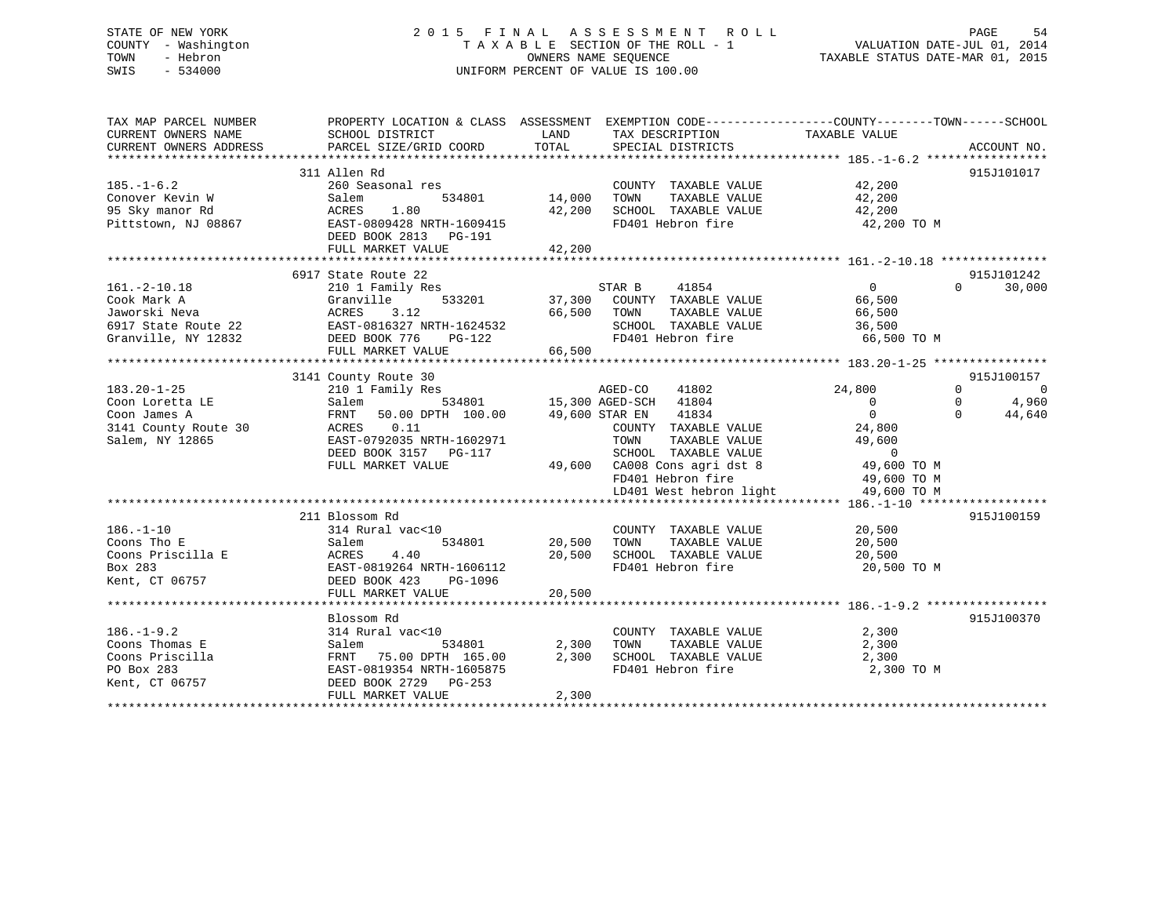## STATE OF NEW YORK 2 0 1 5 F I N A L A S S E S S M E N T R O L L PAGE 54 COUNTY - Washington T A X A B L E SECTION OF THE ROLL - 1 VALUATION DATE-JUL 01, 2014 TOWN - Hebron OWNERS NAME SEQUENCE TAXABLE STATUS DATE-MAR 01, 2015 SWIS - 534000 UNIFORM PERCENT OF VALUE IS 100.00

| TAX MAP PARCEL NUMBER<br>CURRENT OWNERS NAME | PROPERTY LOCATION & CLASS ASSESSMENT<br>SCHOOL DISTRICT | LAND   | EXEMPTION CODE-----------------COUNTY-------TOWN------SCHOOL<br>TAX DESCRIPTION | TAXABLE VALUE  |                            |
|----------------------------------------------|---------------------------------------------------------|--------|---------------------------------------------------------------------------------|----------------|----------------------------|
| CURRENT OWNERS ADDRESS                       | PARCEL SIZE/GRID COORD                                  | TOTAL  | SPECIAL DISTRICTS                                                               |                | ACCOUNT NO.                |
|                                              |                                                         |        |                                                                                 |                |                            |
|                                              | 311 Allen Rd                                            |        |                                                                                 |                | 915J101017                 |
| $185. - 1 - 6.2$                             | 260 Seasonal res                                        |        | COUNTY TAXABLE VALUE                                                            | 42,200         |                            |
| Conover Kevin W                              | 534801<br>Salem                                         | 14,000 | TAXABLE VALUE<br>TOWN                                                           | 42,200         |                            |
| 95 Sky manor Rd                              | 1.80<br>ACRES                                           | 42,200 | SCHOOL TAXABLE VALUE                                                            | 42,200         |                            |
| Pittstown, NJ 08867                          | EAST-0809428 NRTH-1609415<br>DEED BOOK 2813 PG-191      |        | FD401 Hebron fire                                                               | 42,200 TO M    |                            |
|                                              | FULL MARKET VALUE                                       | 42,200 |                                                                                 |                |                            |
|                                              |                                                         |        |                                                                                 |                |                            |
|                                              | 6917 State Route 22                                     |        |                                                                                 |                | 915J101242                 |
| $161. -2 - 10.18$                            | 210 1 Family Res                                        |        | 41854<br>STAR B                                                                 | $\Omega$       | $\Omega$<br>30,000         |
|                                              | 533201                                                  | 37,300 | COUNTY TAXABLE VALUE                                                            | 66,500         |                            |
| Cook Mark A<br>Jaworski Neva                 | Granville<br>3.12<br>ACRES                              | 66,500 | TAXABLE VALUE<br>TOWN                                                           | 66,500         |                            |
|                                              | EAST-0816327 NRTH-1624532                               |        |                                                                                 |                |                            |
| 6917 State Route 22<br>Granville, NY 12832   |                                                         |        | SCHOOL TAXABLE VALUE<br>FD401 Hebron fire                                       | 36,500         |                            |
|                                              | DEED BOOK 776<br>PG-122                                 |        |                                                                                 | 66,500 TO M    |                            |
|                                              | FULL MARKET VALUE<br>*********************************  | 66,500 |                                                                                 |                |                            |
|                                              |                                                         |        |                                                                                 |                | 915J100157                 |
|                                              | 3141 County Route 30                                    |        |                                                                                 |                |                            |
| $183.20 - 1 - 25$                            | 210 1 Family Res                                        |        | AGED-CO<br>41802                                                                | 24,800         | $\Omega$<br>$\overline{0}$ |
| Coon Loretta LE                              | 534801<br>Salem                                         |        | 15,300 AGED-SCH<br>41804                                                        | $\overline{0}$ | 4,960<br>$\Omega$          |
| Coon James A                                 | 50.00 DPTH 100.00<br>FRNT                               |        | 49,600 STAR EN<br>41834                                                         | $\overline{0}$ | $\Omega$<br>44,640         |
| 3141 County Route 30                         | 0.11<br>ACRES                                           |        | COUNTY TAXABLE VALUE                                                            | 24,800         |                            |
| Salem, NY 12865                              | EAST-0792035 NRTH-1602971                               |        | TAXABLE VALUE<br>TOWN                                                           | 49,600         |                            |
|                                              | DEED BOOK 3157<br>PG-117                                |        | SCHOOL TAXABLE VALUE                                                            | $\overline{0}$ |                            |
|                                              | FULL MARKET VALUE                                       |        | 49,600 CA008 Cons agri dst 8                                                    | 49,600 TO M    |                            |
|                                              |                                                         |        | FD401 Hebron fire                                                               | 49,600 TO M    |                            |
|                                              |                                                         |        | LD401 West hebron light                                                         | 49,600 TO M    |                            |
|                                              |                                                         |        |                                                                                 |                |                            |
|                                              | 211 Blossom Rd                                          |        |                                                                                 |                | 915J100159                 |
| $186. - 1 - 10$                              | 314 Rural vac<10                                        |        | COUNTY TAXABLE VALUE                                                            | 20,500         |                            |
| Coons Tho E                                  | Salem<br>534801                                         | 20,500 | TOWN<br>TAXABLE VALUE                                                           | 20,500         |                            |
| Coons Priscilla E                            | 4.40<br>ACRES                                           | 20,500 | SCHOOL TAXABLE VALUE                                                            | 20,500         |                            |
| Box 283                                      | EAST-0819264 NRTH-1606112                               |        | FD401 Hebron fire                                                               | 20,500 TO M    |                            |
| Kent, CT 06757                               | DEED BOOK 423<br>PG-1096                                |        |                                                                                 |                |                            |
|                                              | FULL MARKET VALUE                                       | 20,500 |                                                                                 |                |                            |
|                                              |                                                         |        |                                                                                 |                |                            |
|                                              | Blossom Rd                                              |        |                                                                                 |                | 915J100370                 |
| $186. - 1 - 9.2$                             | 314 Rural vac<10                                        |        | COUNTY TAXABLE VALUE                                                            | 2,300          |                            |
| Coons Thomas E                               | Salem<br>534801                                         | 2,300  | TOWN<br>TAXABLE VALUE                                                           | 2,300          |                            |
| Coons Priscilla                              | FRNT 75.00 DPTH 165.00                                  | 2,300  | SCHOOL TAXABLE VALUE                                                            | 2,300          |                            |
| PO Box 283                                   | EAST-0819354 NRTH-1605875                               |        | FD401 Hebron fire                                                               | 2,300 TO M     |                            |
| Kent, CT 06757                               | DEED BOOK 2729<br>PG-253                                |        |                                                                                 |                |                            |
|                                              | FULL MARKET VALUE                                       | 2,300  |                                                                                 |                |                            |
|                                              |                                                         |        |                                                                                 |                |                            |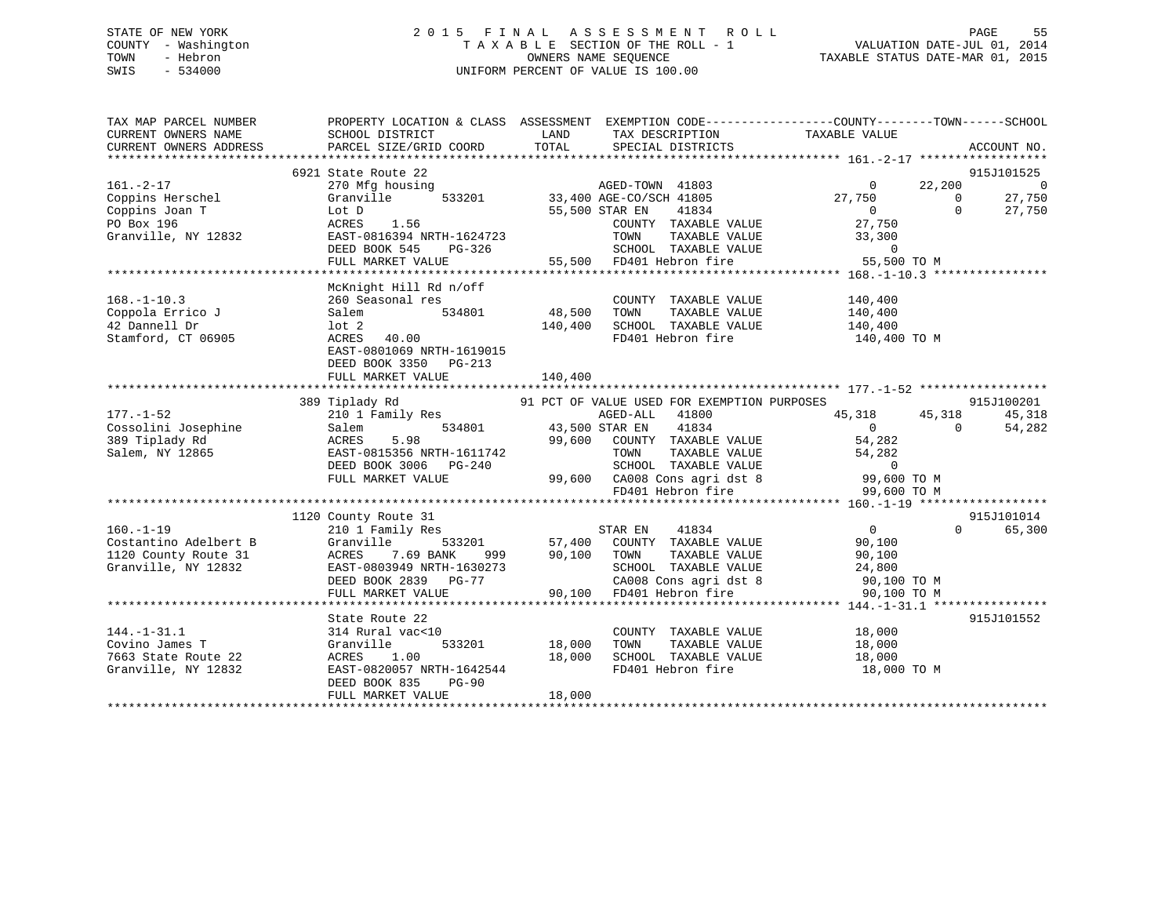## STATE OF NEW YORK 2 0 1 5 F I N A L A S S E S S M E N T R O L L PAGE 55 COUNTY - Washington T A X A B L E SECTION OF THE ROLL - 1 VALUATION DATE-JUL 01, 2014 TOWN - Hebron OWNERS NAME SEQUENCE TAXABLE STATUS DATE-MAR 01, 2015 SWIS - 534000 UNIFORM PERCENT OF VALUE IS 100.00

| TAX MAP PARCEL NUMBER            | PROPERTY LOCATION & CLASS ASSESSMENT EXEMPTION CODE---------------COUNTY-------TOWN-----SCHOOL |                       |                                                                                                                       |                                             |                |                |
|----------------------------------|------------------------------------------------------------------------------------------------|-----------------------|-----------------------------------------------------------------------------------------------------------------------|---------------------------------------------|----------------|----------------|
| CURRENT OWNERS NAME              | SCHOOL DISTRICT                                                                                | LAND                  | TAX DESCRIPTION                                                                                                       | TAXABLE VALUE                               |                |                |
| CURRENT OWNERS ADDRESS           | PARCEL SIZE/GRID COORD                                                                         | TOTAL                 | SPECIAL DISTRICTS                                                                                                     |                                             |                | ACCOUNT NO.    |
|                                  | 6921 State Route 22                                                                            |                       |                                                                                                                       |                                             |                | 915J101525     |
| $161. -2 - 17$                   | 270 Mfg housing                                                                                |                       | AGED-TOWN 41803                                                                                                       | $\overline{0}$                              | 22,200         | $\overline{0}$ |
| Coppins Herschel                 | Granville                                                                                      |                       | 533201 33,400 AGE-CO/SCH 41805                                                                                        | 27,750                                      | $\Omega$       | 27,750         |
| Coppins Joan T                   | Lot D                                                                                          | 55,500 STAR EN        | 41834                                                                                                                 |                                             | $\Omega$       | 27,750         |
| PO Box 196                       | ACRES<br>1.56                                                                                  |                       | COUNTY TAXABLE VALUE                                                                                                  | $\begin{array}{c}\n0 \\ 2^{n}\n\end{array}$ |                |                |
| Granville, NY 12832              | EAST-0816394 NRTH-1624723                                                                      |                       |                                                                                                                       |                                             |                |                |
|                                  | DEED BOOK 545<br>PG-326                                                                        |                       |                                                                                                                       |                                             |                |                |
|                                  | FULL MARKET VALUE                                                                              |                       | TOWN TAXABLE VALUE 33,300<br>SCHOOL TAXABLE VALUE 33,300<br>FD401 Hebron fire 55,500 TO M<br>55,500 FD401 Hebron fire |                                             |                |                |
|                                  |                                                                                                |                       |                                                                                                                       |                                             |                |                |
|                                  | McKnight Hill Rd n/off                                                                         |                       |                                                                                                                       |                                             |                |                |
| $168. - 1 - 10.3$                | 260 Seasonal res                                                                               |                       | COUNTY TAXABLE VALUE                                                                                                  | 140,400                                     |                |                |
| Coppola Errico J                 | 534801<br>Salem                                                                                | 48,500                | TOWN<br>TAXABLE VALUE                                                                                                 | 140,400                                     |                |                |
| 42 Dannell Dr                    | lot 2                                                                                          | 140,400               | SCHOOL TAXABLE VALUE 140,400                                                                                          |                                             |                |                |
| Stamford, CT 06905               | ACRES 40.00                                                                                    |                       | FD401 Hebron fire                                                                                                     | 140,400 TO M                                |                |                |
|                                  | EAST-0801069 NRTH-1619015                                                                      |                       |                                                                                                                       |                                             |                |                |
|                                  | DEED BOOK 3350 PG-213                                                                          |                       |                                                                                                                       |                                             |                |                |
|                                  |                                                                                                |                       |                                                                                                                       |                                             |                |                |
|                                  |                                                                                                |                       |                                                                                                                       |                                             |                |                |
|                                  | 389 Tiplady Rd                                                                                 |                       | 91 PCT OF VALUE USED FOR EXEMPTION PURPOSES                                                                           |                                             |                | 915J100201     |
| $177. - 1 - 52$                  | 210 1 Family Res                                                                               |                       | AGED-ALL 41800                                                                                                        | 45,318                                      | 45,318         | 45,318         |
| 177.-1-52<br>Cossolini Josephine | Salem                                                                                          | 534801 43,500 STAR EN | 41834                                                                                                                 | $\overline{0}$                              | $\overline{0}$ | 54,282         |
| 389 Tiplady Rd                   | ACRES<br>5.98                                                                                  |                       | 99,600 COUNTY TAXABLE VALUE                                                                                           | 54,282                                      |                |                |
| Salem, NY 12865                  | EAST-0815356 NRTH-1611742                                                                      |                       | TAXABLE VALUE<br>TOWN                                                                                                 | 54,282                                      |                |                |
|                                  | DEED BOOK 3006 PG-240                                                                          |                       | SCHOOL TAXABLE VALUE 0<br>99,600 CA008 Cons agri dst 8 99,600 TO M                                                    |                                             |                |                |
|                                  | FULL MARKET VALUE                                                                              |                       |                                                                                                                       |                                             |                |                |
|                                  |                                                                                                |                       | FD401 Hebron fire                                                                                                     | 99,600 TO M                                 |                |                |
|                                  | 1120 County Route 31                                                                           |                       |                                                                                                                       |                                             |                | 915J101014     |
| $160. - 1 - 19$                  | 210 1 Family Res                                                                               |                       | STAR EN 41834                                                                                                         | $\overline{0}$                              | $\Omega$       | 65,300         |
| Costantino Adelbert B            | Granville<br>533201                                                                            |                       | 57,400 COUNTY TAXABLE VALUE                                                                                           | 90,100                                      |                |                |
| 1120 County Route 31             |                                                                                                |                       | 90,100 TOWN<br>TAXABLE VALUE                                                                                          | 90,100                                      |                |                |
| Granville, NY 12832              | ACRES       7.69  BANK        999<br>EAST-0803949  NRTH-1630273<br>999 1990 1991               |                       | SCHOOL TAXABLE VALUE                                                                                                  | 24,800                                      |                |                |
|                                  | DEED BOOK 2839 PG-77                                                                           |                       | CA008 Cons agri dst 8 90,100 TO M                                                                                     |                                             |                |                |
|                                  | FULL MARKET VALUE                                                                              |                       | 90,100 FD401 Hebron fire                                                                                              | 90,100 TO M                                 |                |                |
|                                  |                                                                                                |                       |                                                                                                                       |                                             |                |                |
|                                  | State Route 22                                                                                 |                       |                                                                                                                       |                                             |                | 915J101552     |
| $144. - 1 - 31.1$                | 314 Rural vac<10                                                                               |                       | COUNTY TAXABLE VALUE 18,000                                                                                           |                                             |                |                |
| Covino James T                   | 533201<br>Granville                                                                            | 18,000                | TAXABLE VALUE<br>TOWN                                                                                                 | 18,000                                      |                |                |
| 7663 State Route 22              | ACRES 1.00                                                                                     | 18,000                | SCHOOL TAXABLE VALUE                                                                                                  | 18,000                                      |                |                |
| Granville, NY 12832              | EAST-0820057 NRTH-1642544                                                                      |                       | FD401 Hebron fire                                                                                                     | 18,000 TO M                                 |                |                |
|                                  | DEED BOOK 835<br>PG-90                                                                         |                       |                                                                                                                       |                                             |                |                |
|                                  | FULL MARKET VALUE                                                                              | 18,000                |                                                                                                                       |                                             |                |                |
|                                  |                                                                                                |                       |                                                                                                                       |                                             |                |                |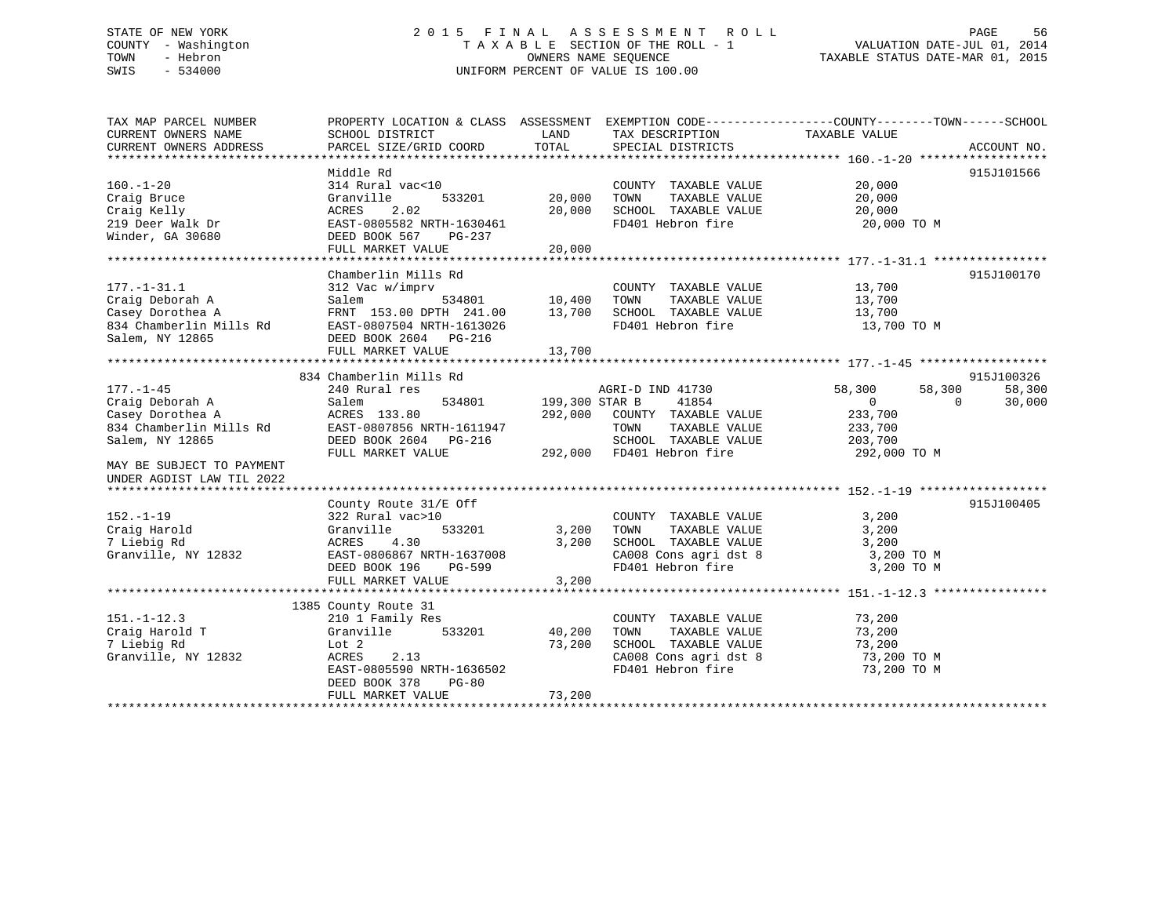## STATE OF NEW YORK 2 0 1 5 F I N A L A S S E S S M E N T R O L L PAGE 56 COUNTY - Washington T A X A B L E SECTION OF THE ROLL - 1 VALUATION DATE-JUL 01, 2014 TOWN - Hebron OWNERS NAME SEQUENCE TAXABLE STATUS DATE-MAR 01, 2015 SWIS - 534000 UNIFORM PERCENT OF VALUE IS 100.00

| TAX MAP PARCEL NUMBER           |                           |                |                           | PROPERTY LOCATION & CLASS ASSESSMENT EXEMPTION CODE---------------COUNTY-------TOWN------SCHOOL |             |
|---------------------------------|---------------------------|----------------|---------------------------|-------------------------------------------------------------------------------------------------|-------------|
| CURRENT OWNERS NAME             | SCHOOL DISTRICT           | LAND           | TAX DESCRIPTION           | TAXABLE VALUE                                                                                   |             |
| CURRENT OWNERS ADDRESS          | PARCEL SIZE/GRID COORD    | TOTAL          | SPECIAL DISTRICTS         |                                                                                                 | ACCOUNT NO. |
|                                 | Middle Rd                 |                |                           |                                                                                                 | 915J101566  |
| $160. - 1 - 20$                 | 314 Rural vac<10          |                | COUNTY TAXABLE VALUE      | 20,000                                                                                          |             |
| Craig Bruce                     | Granville<br>533201       | 20,000         | TAXABLE VALUE<br>TOWN     | 20,000                                                                                          |             |
| Craig Kelly                     | 2.02<br>ACRES             | 20,000         | SCHOOL TAXABLE VALUE      | 20,000                                                                                          |             |
| craig neily<br>219 Deer Walk Dr | EAST-0805582 NRTH-1630461 |                | FD401 Hebron fire         | 20,000 TO M                                                                                     |             |
| Winder, GA 30680                | DEED BOOK 567<br>PG-237   |                |                           |                                                                                                 |             |
|                                 | FULL MARKET VALUE         | 20,000         |                           |                                                                                                 |             |
|                                 |                           |                |                           |                                                                                                 |             |
|                                 | Chamberlin Mills Rd       |                |                           |                                                                                                 | 915J100170  |
| $177. - 1 - 31.1$               | 312 Vac w/imprv           |                | COUNTY TAXABLE VALUE      | 13,700                                                                                          |             |
| Craig Deborah A                 | Salem                     | 534801 10,400  | TAXABLE VALUE<br>TOWN     | 13,700                                                                                          |             |
| Casey Dorothea A                | FRNT 153.00 DPTH 241.00   | 13,700         | SCHOOL TAXABLE VALUE      | 13,700                                                                                          |             |
| 834 Chamberlin Mills Rd         | EAST-0807504 NRTH-1613026 |                | FD401 Hebron fire         | 13,700 TO M                                                                                     |             |
| Salem, NY 12865                 | DEED BOOK 2604 PG-216     |                |                           |                                                                                                 |             |
|                                 | FULL MARKET VALUE         | 13,700         |                           |                                                                                                 |             |
|                                 |                           |                |                           |                                                                                                 |             |
|                                 | 834 Chamberlin Mills Rd   |                |                           |                                                                                                 | 915J100326  |
| $177. - 1 - 45$                 | 240 Rural res             |                | AGRI-D IND 41730          | 58,300<br>58,300                                                                                | 58,300      |
| Craig Deborah A                 | 534801<br>Salem           | 199,300 STAR B | 41854                     | $\overline{0}$<br>$\mathbf{0}$                                                                  | 30,000      |
| Casey Dorothea A                | ACRES 133.80              | 292,000        | COUNTY TAXABLE VALUE      | 233,700                                                                                         |             |
| 834 Chamberlin Mills Rd         | EAST-0807856 NRTH-1611947 |                | TAXABLE VALUE<br>TOWN     | 233,700                                                                                         |             |
| Salem, NY 12865                 | DEED BOOK 2604 PG-216     |                | SCHOOL TAXABLE VALUE      | 203,700                                                                                         |             |
|                                 | FULL MARKET VALUE         |                | 292,000 FD401 Hebron fire | 292,000 TO M                                                                                    |             |
| MAY BE SUBJECT TO PAYMENT       |                           |                |                           |                                                                                                 |             |
| UNDER AGDIST LAW TIL 2022       |                           |                |                           |                                                                                                 |             |
|                                 |                           |                |                           |                                                                                                 |             |
|                                 | County Route 31/E Off     |                |                           |                                                                                                 | 915J100405  |
| $152. - 1 - 19$                 | 322 Rural vac>10          |                | COUNTY TAXABLE VALUE      | 3,200                                                                                           |             |
| Craig Harold                    | 533201<br>Granville       | 3,200          | TOWN<br>TAXABLE VALUE     | 3,200                                                                                           |             |
| 7 Liebig Rd                     | 4.30<br>ACRES             | 3,200          | SCHOOL TAXABLE VALUE      | 3,200                                                                                           |             |
| Granville, NY 12832             | EAST-0806867 NRTH-1637008 |                | CA008 Cons agri dst 8     | 3,200 TO M                                                                                      |             |
|                                 | DEED BOOK 196<br>PG-599   |                | FD401 Hebron fire         | 3,200 TO M                                                                                      |             |
|                                 | FULL MARKET VALUE         | 3,200          |                           |                                                                                                 |             |
|                                 |                           |                |                           |                                                                                                 |             |
|                                 | 1385 County Route 31      |                |                           |                                                                                                 |             |
| $151. - 1 - 12.3$               | 210 1 Family Res          |                | COUNTY TAXABLE VALUE      | 73,200                                                                                          |             |
| Craig Harold T                  | Granville<br>533201       | 40,200         | TAXABLE VALUE<br>TOWN     | 73,200                                                                                          |             |
| 7 Liebig Rd                     | Lot 2                     | 73,200         | SCHOOL TAXABLE VALUE      | 73,200                                                                                          |             |
| Granville, NY 12832             | ACRES<br>2.13             |                | CA008 Cons agri dst 8     | 73,200 TO M                                                                                     |             |
|                                 | EAST-0805590 NRTH-1636502 |                | FD401 Hebron fire         | 73,200 TO M                                                                                     |             |
|                                 | DEED BOOK 378<br>$PG-80$  |                |                           |                                                                                                 |             |
|                                 | FULL MARKET VALUE         | 73,200         |                           |                                                                                                 |             |
|                                 |                           |                |                           |                                                                                                 |             |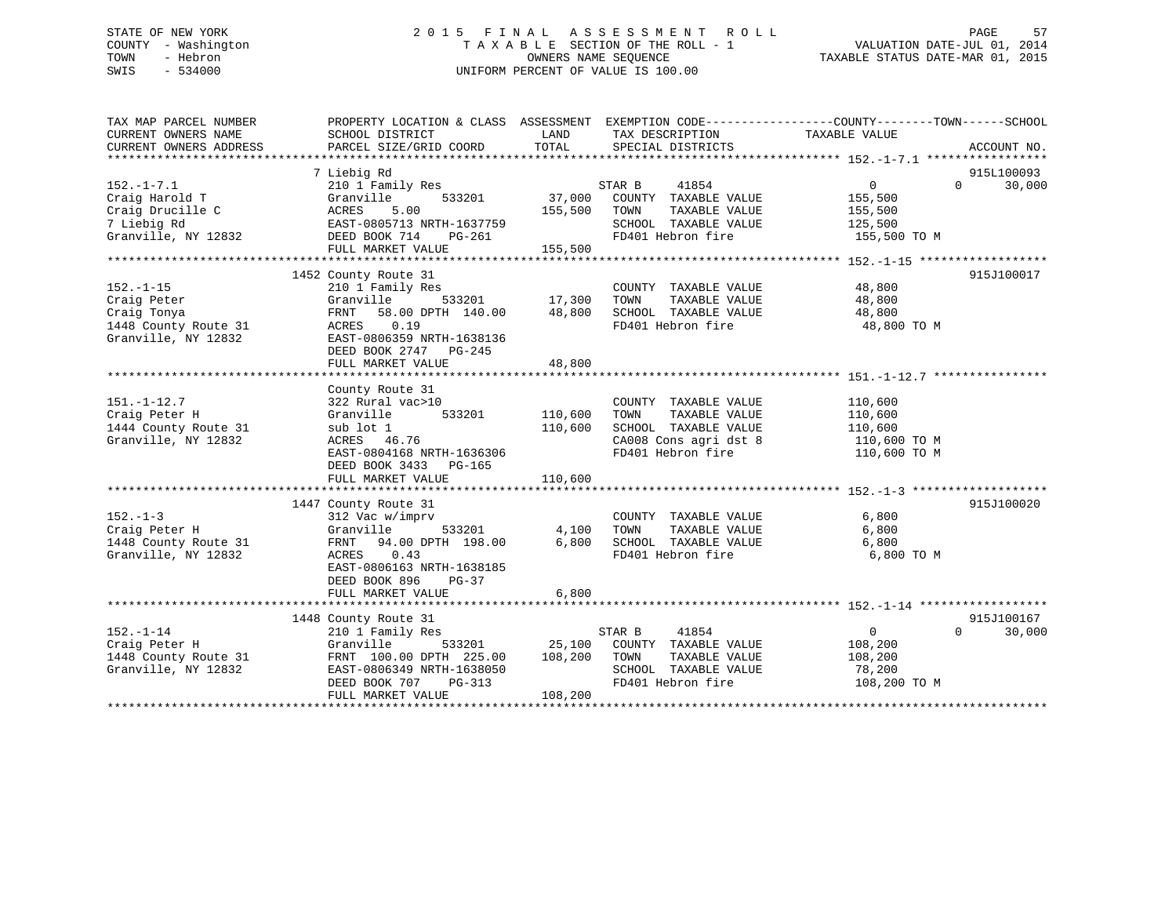## STATE OF NEW YORK 2 0 1 5 F I N A L A S S E S S M E N T R O L L PAGE 57 COUNTY - Washington T A X A B L E SECTION OF THE ROLL - 1 VALUATION DATE-JUL 01, 2014 TOWN - Hebron OWNERS NAME SEQUENCE TAXABLE STATUS DATE-MAR 01, 2015 SWIS - 534000 UNIFORM PERCENT OF VALUE IS 100.00

| TAX MAP PARCEL NUMBER<br>CURRENT OWNERS NAME<br>CURRENT OWNERS ADDRESS | PROPERTY LOCATION & CLASS ASSESSMENT EXEMPTION CODE----------------COUNTY-------TOWN------SCHOOL<br>SCHOOL DISTRICT<br>PARCEL SIZE/GRID COORD | LAND<br>TOTAL          | TAX DESCRIPTION TAXABLE VALUE<br>SPECIAL DISTRICTS |                    | ACCOUNT NO.        |
|------------------------------------------------------------------------|-----------------------------------------------------------------------------------------------------------------------------------------------|------------------------|----------------------------------------------------|--------------------|--------------------|
|                                                                        |                                                                                                                                               |                        |                                                    |                    |                    |
|                                                                        | 7 Liebig Rd                                                                                                                                   |                        |                                                    |                    | 915L100093         |
| $152. - 1 - 7.1$                                                       | 210 1 Family Res                                                                                                                              |                        | STAR B<br>41854                                    | $\overline{0}$     | 30,000<br>$\Omega$ |
| Craig Harold T                                                         | Granville<br>533201                                                                                                                           | 37,000                 | COUNTY TAXABLE VALUE                               | 155,500            |                    |
| Craig Drucille C                                                       | ACRES<br>5.00                                                                                                                                 | 155,500                | TOWN<br>TAXABLE VALUE                              | 155,500            |                    |
| 7 Liebig Rd                                                            | EAST-0805713 NRTH-1637759                                                                                                                     |                        | SCHOOL TAXABLE VALUE                               | 125,500            |                    |
| Granville, NY 12832                                                    | DEED BOOK 714 PG-261                                                                                                                          |                        | FD401 Hebron fire                                  | 155,500 TO M       |                    |
|                                                                        | FULL MARKET VALUE                                                                                                                             | 155,500                |                                                    |                    |                    |
|                                                                        |                                                                                                                                               |                        |                                                    |                    |                    |
|                                                                        | 1452 County Route 31                                                                                                                          |                        |                                                    |                    | 915J100017         |
| $152. - 1 - 15$                                                        | 210 1 Family Res                                                                                                                              |                        | COUNTY TAXABLE VALUE                               | 48,800             |                    |
| Craig Peter                                                            | Granville                                                                                                                                     | 。<br>533201     17,300 | TOWN<br>TAXABLE VALUE                              | 48,800             |                    |
| Craig Tonya                                                            | FRNT<br>58.00 DPTH 140.00                                                                                                                     | 48,800                 | SCHOOL TAXABLE VALUE                               | 48,800             |                    |
| 1448 County Route 31                                                   | ACRES 0.19                                                                                                                                    |                        | FD401 Hebron fire                                  | 48,800 TO M        |                    |
| Granville, NY 12832                                                    | EAST-0806359 NRTH-1638136                                                                                                                     |                        |                                                    |                    |                    |
|                                                                        | DEED BOOK 2747 PG-245                                                                                                                         |                        |                                                    |                    |                    |
|                                                                        | FULL MARKET VALUE                                                                                                                             | 48,800                 |                                                    |                    |                    |
|                                                                        |                                                                                                                                               |                        |                                                    |                    |                    |
|                                                                        | County Route 31                                                                                                                               |                        |                                                    |                    |                    |
| $151. - 1 - 12.7$<br>Craig Peter H                                     | 322 Rural vac>10<br>533201<br>Granville                                                                                                       | 110,600                | COUNTY TAXABLE VALUE<br>TAXABLE VALUE<br>TOWN      | 110,600            |                    |
| 1444 County Route 31                                                   | sub lot 1                                                                                                                                     | 110,600                | SCHOOL TAXABLE VALUE                               | 110,600<br>110,600 |                    |
| Granville, NY 12832                                                    | ACRES 46.76                                                                                                                                   |                        | CA008 Cons agri dst 8                              | 110,600 TO M       |                    |
|                                                                        | EAST-0804168 NRTH-1636306                                                                                                                     |                        | FD401 Hebron fire                                  | 110,600 TO M       |                    |
|                                                                        | DEED BOOK 3433<br>PG-165                                                                                                                      |                        |                                                    |                    |                    |
|                                                                        | FULL MARKET VALUE                                                                                                                             | 110,600                |                                                    |                    |                    |
|                                                                        |                                                                                                                                               |                        |                                                    |                    |                    |
|                                                                        | 1447 County Route 31                                                                                                                          |                        |                                                    |                    | 915J100020         |
| $152 - 1 - 3$                                                          | 312 Vac w/imprv                                                                                                                               |                        | COUNTY TAXABLE VALUE                               | 6,800              |                    |
| Craig Peter H                                                          | Granville<br>533201                                                                                                                           | 4,100                  | TAXABLE VALUE<br>TOWN                              | 6,800              |                    |
| 1448 County Route 31                                                   | FRNT 94.00 DPTH 198.00                                                                                                                        | 6,800                  | SCHOOL TAXABLE VALUE                               | 6,800              |                    |
| Granville, NY 12832                                                    | ACRES 0.43                                                                                                                                    |                        | FD401 Hebron fire                                  | 6,800 TO M         |                    |
|                                                                        | EAST-0806163 NRTH-1638185                                                                                                                     |                        |                                                    |                    |                    |
|                                                                        | DEED BOOK 896<br>PG-37                                                                                                                        |                        |                                                    |                    |                    |
|                                                                        | FULL MARKET VALUE                                                                                                                             | 6,800                  |                                                    |                    |                    |
|                                                                        |                                                                                                                                               |                        |                                                    |                    |                    |
|                                                                        | 1448 County Route 31                                                                                                                          |                        |                                                    |                    | 915J100167         |
| $152. - 1 - 14$                                                        | 210 1 Family Res                                                                                                                              |                        | 41854<br>STAR B                                    | $\overline{0}$     | 30,000<br>$\Omega$ |
| Craig Peter H                                                          | 533201<br>Granville                                                                                                                           |                        | 25,100 COUNTY TAXABLE VALUE                        | 108,200            |                    |
| 1448 County Route 31                                                   | FRNT 100.00 DPTH 225.00                                                                                                                       | 108,200                | TOWN<br>TAXABLE VALUE                              | 108,200            |                    |
| Granville, NY 12832                                                    | EAST-0806349 NRTH-1638050                                                                                                                     |                        | SCHOOL TAXABLE VALUE                               | 78,200             |                    |
|                                                                        | DEED BOOK 707<br>PG-313                                                                                                                       |                        | FD401 Hebron fire                                  | 108,200 TO M       |                    |
|                                                                        | FULL MARKET VALUE                                                                                                                             | 108,200                |                                                    |                    |                    |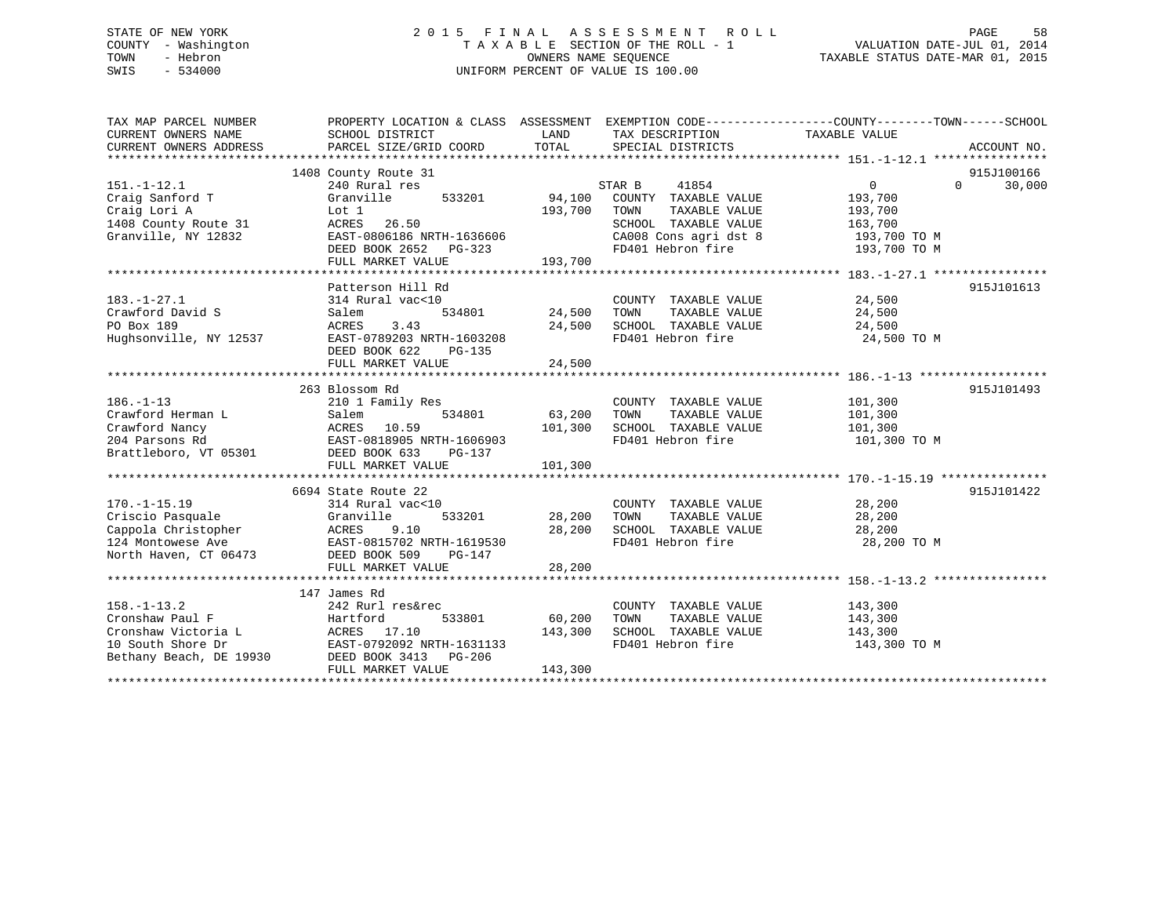## STATE OF NEW YORK 2 0 1 5 F I N A L A S S E S S M E N T R O L L PAGE 58 COUNTY - Washington T A X A B L E SECTION OF THE ROLL - 1 VALUATION DATE-JUL 01, 2014 TOWN - Hebron OWNERS NAME SEQUENCE TAXABLE STATUS DATE-MAR 01, 2015 SWIS - 534000 UNIFORM PERCENT OF VALUE IS 100.00

| TAX MAP PARCEL NUMBER<br>CURRENT OWNERS NAME<br>CURRENT OWNERS ADDRESS                            | PROPERTY LOCATION & CLASS ASSESSMENT EXEMPTION CODE----------------COUNTY-------TOWN-----SCHOOL<br>SCHOOL DISTRICT<br>PARCEL SIZE/GRID COORD                    | LAND<br>TOTAL                | TAX DESCRIPTION<br>SPECIAL DISTRICTS                                                                                                                | TAXABLE VALUE                                                   | ACCOUNT NO.                      |
|---------------------------------------------------------------------------------------------------|-----------------------------------------------------------------------------------------------------------------------------------------------------------------|------------------------------|-----------------------------------------------------------------------------------------------------------------------------------------------------|-----------------------------------------------------------------|----------------------------------|
| $151.-1-12.1$<br>Craig Sanford T<br>Craig Lori A<br>1408 County Route 31<br>Granville, NY 12832   | 1408 County Route 31<br>240 Rural res<br>Granville<br>533201<br>Lot 1<br>ACRES 26.50<br>EAST-0806186 NRTH-1636606<br>DEED BOOK 2652 PG-323<br>FULL MARKET VALUE | 94,100<br>193,700<br>193,700 | STAR B<br>41854<br>COUNTY TAXABLE VALUE<br>TOWN<br>TAXABLE VALUE<br>SCHOOL TAXABLE VALUE<br>CA008 Cons agri dst 8 193,700 TO M<br>FD401 Hebron fire | $\overline{0}$<br>193,700<br>193,700<br>163,700<br>193,700 TO M | 915J100166<br>30,000<br>$\Omega$ |
| $183. - 1 - 27.1$<br>Crawford David S<br>PO Box 189<br>Hughsonville, NY 12537                     | Patterson Hill Rd<br>314 Rural vac<10<br>534801<br>Salem<br>3.43<br>ACRES<br>EAST-0789203 NRTH-1603208<br>DEED BOOK 622<br>PG-135                               | 24,500<br>24,500             | COUNTY TAXABLE VALUE 24,500<br>TOWN TAXABLE VALUE<br>SCHOOL TAXABLE VALUE<br>FD401 Hebron fire                                                      | 24,500<br>24,500<br>24,500 TO M                                 | 915J101613                       |
| $186. - 1 - 13$<br>Crawford Herman L<br>Crawford Nancy<br>204 Parsons Rd<br>Brattleboro, VT 05301 | 263 Blossom Rd<br>210 1 Family Res<br>Salem 534801<br>ACRES 10.59<br>EAST-0818905 NRTH-1606903<br>534801<br>DEED BOOK 633<br>PG-137<br>FULL MARKET VALUE        | 63,200<br>101,300<br>101,300 | COUNTY TAXABLE VALUE<br>TOWN<br>TAXABLE VALUE<br>SCHOOL TAXABLE VALUE<br>FD401 Hebron fire                                                          | 101,300<br>101,300<br>101,300<br>101,300 TO M                   | 915J101493                       |
| $170. - 1 - 15.19$<br>Criscio Pasquale                                                            | 6694 State Route 22<br>314 Rural vac<10<br>Granville<br>533201<br>EAST-0815702 NRTH-1619530<br>FULL MARKET VALUE                                                | 28,200<br>28,200<br>28,200   | COUNTY TAXABLE VALUE 28,200<br>TAXABLE VALUE<br>TOWN<br>SCHOOL TAXABLE VALUE<br>FD401 Hebron fire                                                   | 28,200<br>28,200<br>28,200 TO M                                 | 915J101422                       |
| $158. - 1 - 13.2$<br>Cronshaw Paul F<br>10 South Shore Dr<br>Bethany Beach, DE 19930              | 147 James Rd<br>242 Rurl res&rec<br>533801<br>EAST-0792092 NRTH-1631133<br>30 DEED BOOK 3413 PG-206<br>FULL MARKET VALUE                                        | 60,200<br>143,300<br>143,300 | COUNTY TAXABLE VALUE<br>TOWN<br>TAXABLE VALUE<br>SCHOOL TAXABLE VALUE 143,300<br>FD401 Hebron fire                                                  | 143,300<br>143,300<br>143,300 TO M                              |                                  |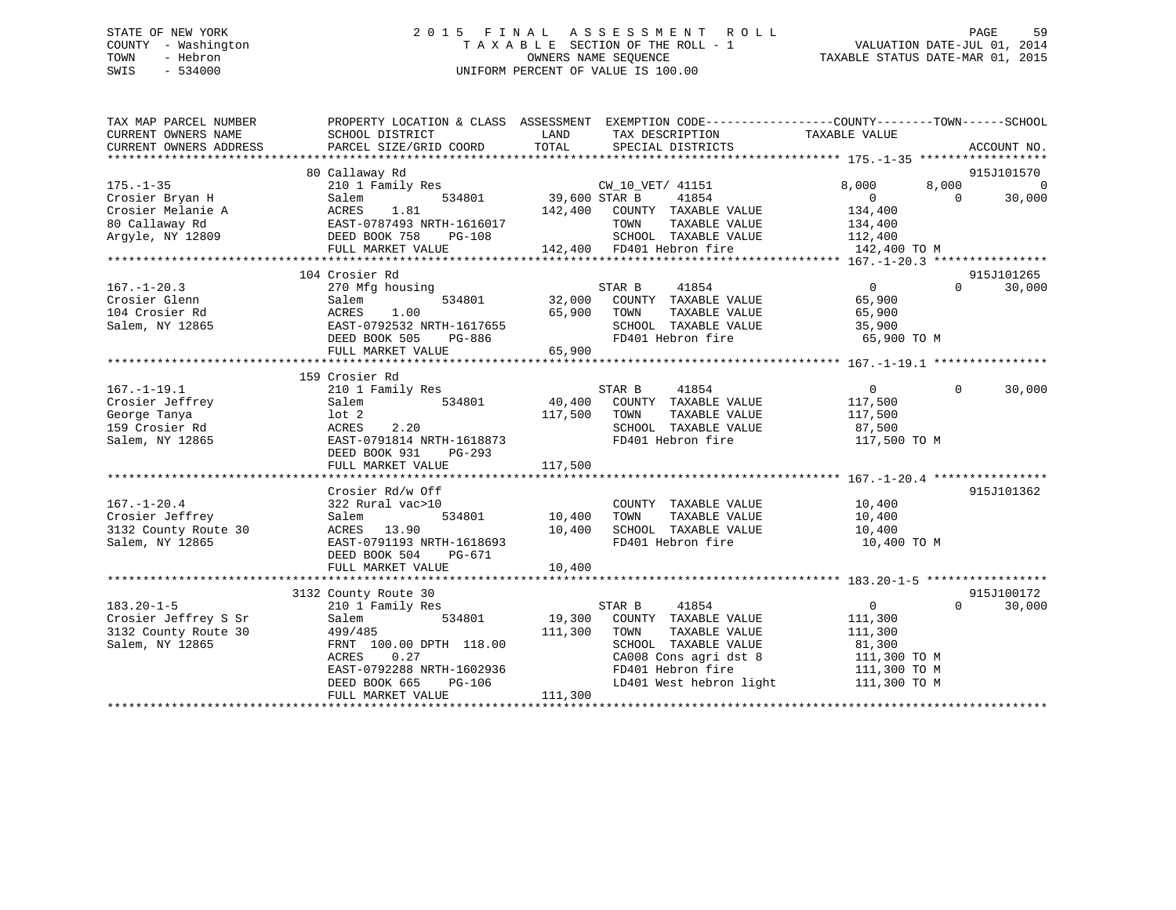## STATE OF NEW YORK 2 0 1 5 F I N A L A S S E S S M E N T R O L L PAGE 59 COUNTY - Washington T A X A B L E SECTION OF THE ROLL - 1 VALUATION DATE-JUL 01, 2014 TOWN - Hebron OWNERS NAME SEQUENCE TAXABLE STATUS DATE-MAR 01, 2015 SWIS - 534000 UNIFORM PERCENT OF VALUE IS 100.00

| TAX MAP PARCEL NUMBER<br>CURRENT OWNERS NAME | PROPERTY LOCATION & CLASS ASSESSMENT<br>SCHOOL DISTRICT | LAND<br>TAX DESCRIPTION                             | EXEMPTION CODE-----------------COUNTY-------TOWN------SCHOOL<br>TAXABLE VALUE |
|----------------------------------------------|---------------------------------------------------------|-----------------------------------------------------|-------------------------------------------------------------------------------|
| CURRENT OWNERS ADDRESS                       | PARCEL SIZE/GRID COORD                                  | TOTAL<br>SPECIAL DISTRICTS                          | ACCOUNT NO.                                                                   |
| *************************                    |                                                         |                                                     |                                                                               |
| $175. - 1 - 35$                              | 80 Callaway Rd<br>210 1 Family Res                      | CW_10_VET/ 41151                                    | 915J101570<br>$\Omega$<br>8,000<br>8,000                                      |
| Crosier Bryan H                              | 534801<br>Salem                                         | 39,600 STAR B<br>41854                              | $\Omega$<br>$\Omega$<br>30,000                                                |
| Crosier Melanie A                            | 1.81<br>ACRES                                           | 142,400<br>COUNTY TAXABLE VALUE                     | 134,400                                                                       |
| 80 Callaway Rd                               | EAST-0787493 NRTH-1616017                               | TOWN<br>TAXABLE VALUE                               | 134,400                                                                       |
| Argyle, NY 12809                             | DEED BOOK 758<br>PG-108                                 | SCHOOL TAXABLE VALUE                                | 112,400                                                                       |
|                                              | FULL MARKET VALUE                                       | 142,400 FD401 Hebron fire                           | 142,400 TO M                                                                  |
|                                              |                                                         |                                                     |                                                                               |
|                                              | 104 Crosier Rd                                          |                                                     | 915J101265                                                                    |
| $167. - 1 - 20.3$                            | 270 Mfg housing                                         | STAR B<br>41854                                     | $\mathbf{0}$<br>$\Omega$<br>30,000                                            |
| Crosier Glenn                                | 534801<br>Salem                                         | 32,000<br>COUNTY<br>TAXABLE VALUE                   | 65,900                                                                        |
| 104 Crosier Rd                               | 1.00<br>ACRES                                           | TAXABLE VALUE<br>65,900<br>TOWN                     | 65,900                                                                        |
| Salem, NY 12865                              | EAST-0792532 NRTH-1617655                               | SCHOOL TAXABLE VALUE                                | 35,900                                                                        |
|                                              | DEED BOOK 505<br>PG-886                                 | FD401 Hebron fire                                   | 65,900 TO M                                                                   |
|                                              | FULL MARKET VALUE                                       | 65,900                                              |                                                                               |
|                                              |                                                         |                                                     |                                                                               |
|                                              | 159 Crosier Rd                                          |                                                     |                                                                               |
| $167. - 1 - 19.1$                            | 210 1 Family Res                                        | 41854<br>STAR B                                     | $\overline{0}$<br>$\Omega$<br>30,000                                          |
| Crosier Jeffrey                              | 534801<br>Salem                                         | 40,400<br>COUNTY TAXABLE VALUE                      | 117,500                                                                       |
| George Tanya                                 | $1$ ot $2$                                              | 117,500<br>TAXABLE VALUE<br>TOWN                    | 117,500                                                                       |
| 159 Crosier Rd                               | 2.20<br>ACRES                                           | SCHOOL TAXABLE VALUE                                | 87,500                                                                        |
| Salem, NY 12865                              | EAST-0791814 NRTH-1618873                               | FD401 Hebron fire                                   | 117,500 TO M                                                                  |
|                                              | DEED BOOK 931<br>$PG-293$                               |                                                     |                                                                               |
|                                              | FULL MARKET VALUE                                       | 117,500                                             |                                                                               |
|                                              |                                                         |                                                     |                                                                               |
|                                              | Crosier Rd/w Off                                        |                                                     | 915J101362                                                                    |
| $167. - 1 - 20.4$                            | 322 Rural vac>10                                        | COUNTY TAXABLE VALUE                                | 10,400                                                                        |
| Crosier Jeffrey                              | 534801<br>Salem                                         | 10,400<br>TAXABLE VALUE<br>TOWN                     | 10,400                                                                        |
| 3132 County Route 30                         | 13.90<br>ACRES                                          | 10,400<br>SCHOOL TAXABLE VALUE<br>FD401 Hebron fire | 10,400                                                                        |
| Salem, NY 12865                              | EAST-0791193 NRTH-1618693<br>DEED BOOK 504              |                                                     | 10,400 TO M                                                                   |
|                                              | PG-671<br>FULL MARKET VALUE                             | 10,400                                              |                                                                               |
|                                              |                                                         |                                                     |                                                                               |
|                                              | 3132 County Route 30                                    |                                                     | 915J100172                                                                    |
| $183.20 - 1 - 5$                             | 210 1 Family Res                                        | STAR B<br>41854                                     | $\Omega$<br>$\Omega$<br>30,000                                                |
| Crosier Jeffrey S Sr                         | 534801<br>Salem                                         | 19,300<br>COUNTY TAXABLE VALUE                      | 111,300                                                                       |
| 3132 County Route 30                         | 499/485                                                 | 111,300<br>TOWN<br>TAXABLE VALUE                    | 111,300                                                                       |
| Salem, NY 12865                              | FRNT 100.00 DPTH 118.00                                 | SCHOOL TAXABLE VALUE                                | 81,300                                                                        |
|                                              | ACRES<br>0.27                                           | CA008 Cons agri dst 8                               | 111,300 TO M                                                                  |
|                                              | EAST-0792288 NRTH-1602936                               | FD401 Hebron fire                                   | 111,300 TO M                                                                  |
|                                              | DEED BOOK 665<br>PG-106                                 | LD401 West hebron light                             | 111,300 TO M                                                                  |
|                                              | FULL MARKET VALUE                                       | 111,300                                             |                                                                               |
|                                              |                                                         |                                                     |                                                                               |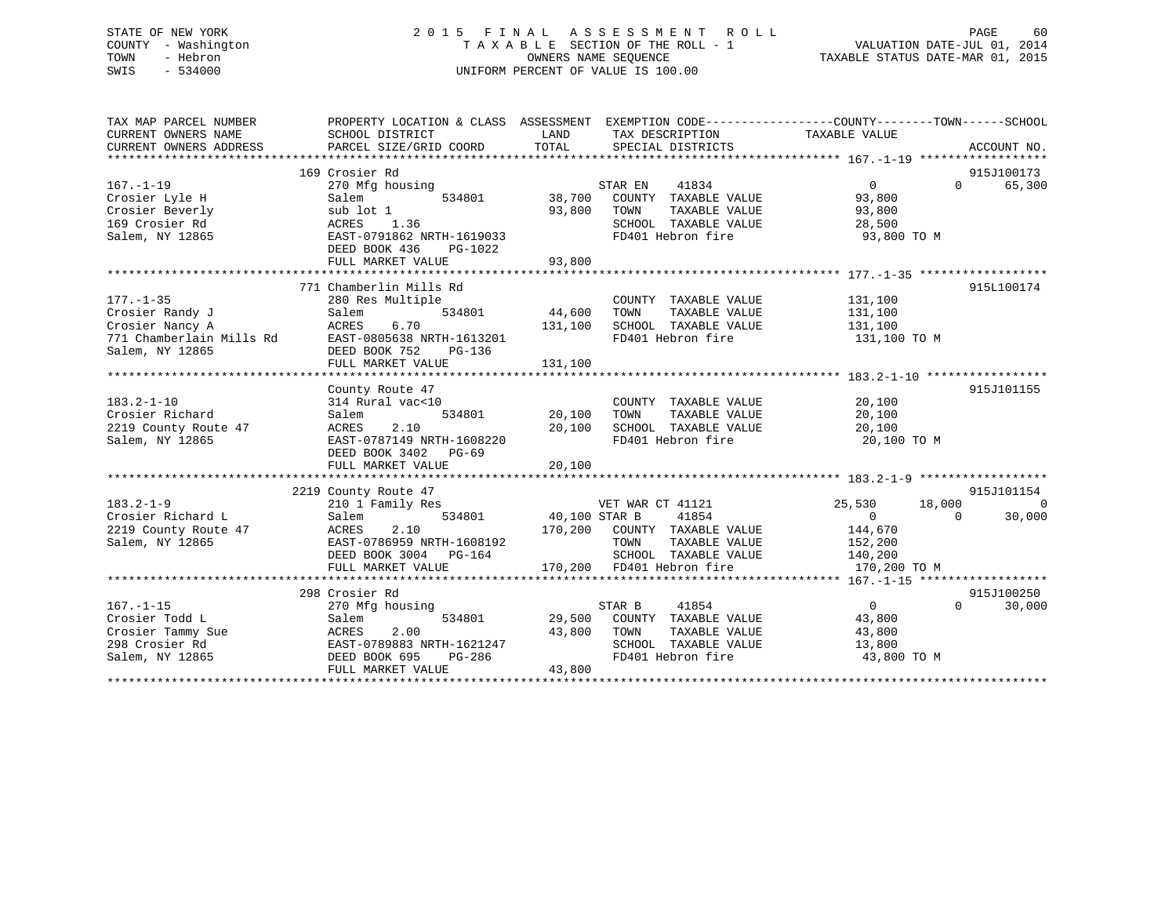## STATE OF NEW YORK 2 0 1 5 F I N A L A S S E S S M E N T R O L L PAGE 60 COUNTY - Washington T A X A B L E SECTION OF THE ROLL - 1 VALUATION DATE-JUL 01, 2014 TOWN - Hebron OWNERS NAME SEQUENCE TAXABLE STATUS DATE-MAR 01, 2015 SWIS - 534000 UNIFORM PERCENT OF VALUE IS 100.00

| TAX MAP PARCEL NUMBER<br>CURRENT OWNERS NAME<br>CURRENT OWNERS ADDRESS                                                         | PROPERTY LOCATION & CLASS ASSESSMENT EXEMPTION CODE----------------COUNTY-------TOWN-----SCHOOL<br>SCHOOL DISTRICT<br>PARCEL SIZE/GRID COORD            | LAND<br>TOTAL              | TAX DESCRIPTION<br>SPECIAL DISTRICTS                                                                                                                         | TAXABLE VALUE                                               | ACCOUNT NO.                                  |
|--------------------------------------------------------------------------------------------------------------------------------|---------------------------------------------------------------------------------------------------------------------------------------------------------|----------------------------|--------------------------------------------------------------------------------------------------------------------------------------------------------------|-------------------------------------------------------------|----------------------------------------------|
| $167. - 1 - 19$<br>Crosier Lyle H<br>Crosier Beverly<br>169 Crosier Rd                                                         | 169 Crosier Rd<br>270 Mfg housing<br>Salem<br>534801<br>sub lot 1<br>ACRES<br>1.36                                                                      | 38,700<br>93,800           | 41834<br>STAR EN<br>COUNTY TAXABLE VALUE<br>TOWN<br>TAXABLE VALUE<br>SCHOOL TAXABLE VALUE                                                                    | $\overline{0}$<br>93,800<br>93,800<br>28,500                | 915J100173<br>65,300<br>$\Omega$             |
| Salem, NY 12865                                                                                                                | EAST-0791862 NRTH-1619033<br>DEED BOOK 436<br>PG-1022<br>FULL MARKET VALUE                                                                              | 93,800                     | FD401 Hebron fire                                                                                                                                            | 93,800 TO M                                                 |                                              |
| $177. - 1 - 35$<br>Crosier Randy J<br>Crosier Nancy A<br>771 Chamberlain Mills Rd EAST-0805638 NRTH-1613201<br>Salem, NY 12865 | 771 Chamberlin Mills Rd<br>280 Res Multiple<br>534801<br>Salem<br>6.70<br>ACRES<br>DEED BOOK 752<br>PG-136                                              | 44,600<br>131,100          | COUNTY TAXABLE VALUE<br>TAXABLE VALUE<br>TOWN<br>SCHOOL TAXABLE VALUE<br>FD401 Hebron fire                                                                   | 131,100<br>131,100<br>131,100<br>131,100 TO M               | 915L100174                                   |
| $183.2 - 1 - 10$<br>Crosier Richard<br>2219 County Route 47<br>Salem, NY 12865                                                 | County Route 47<br>314 Rural vac<10<br>534801<br>Salem<br>2.10<br>ACRES<br>EAST-0787149 NRTH-1608220<br>DEED BOOK 3402<br>$PG-69$<br>FULL MARKET VALUE  | 20,100<br>20,100<br>20,100 | COUNTY TAXABLE VALUE<br>TOWN<br>TAXABLE VALUE<br>SCHOOL TAXABLE VALUE<br>FD401 Hebron fire                                                                   | 20,100<br>20,100<br>20,100<br>20,100 TO M                   | 915J101155                                   |
| $183.2 - 1 - 9$<br>Crosier Richard L<br>2219 County Route 47<br>Salem, NY 12865                                                | 2219 County Route 47<br>210 1 Family Res<br>534801<br>Salem<br>2.10<br>ACRES<br>EAST-0786959 NRTH-1608192<br>DEED BOOK 3004 PG-164<br>FULL MARKET VALUE | 40,100 STAR B              | VET WAR CT 41121<br>41854<br>170,200 COUNTY TAXABLE VALUE 144,670<br>TOWN TAXABLE VALUE 152,200<br>SCHOOL TAXABLE VALUE 140,200<br>170,200 FD401 Hebron fire | 25,530<br>18,000<br>$\sim$ 0 $\sim$<br>170,200 TO M         | 915J101154<br>$\Omega$<br>$\Omega$<br>30,000 |
| $167. - 1 - 15$<br>Crosier Todd L<br>Crosier Tammy Sue<br>200 Crosier Rd<br>Salem, NY 12865                                    | 298 Crosier Rd<br>270 Mfg housing<br>534801<br>Salem<br>ACRES<br>2.00<br>EAST-0789883 NRTH-1621247<br>DEED BOOK 695<br>PG-286<br>FULL MARKET VALUE      | 43,800<br>43,800           | STAR B<br>41854<br>29,500 COUNTY TAXABLE VALUE<br>TOWN<br>TAXABLE VALUE<br>SCHOOL TAXABLE VALUE<br>FD401 Hebron fire                                         | $\overline{0}$<br>43,800<br>43,800<br>13,800<br>43,800 TO M | 915J100250<br>$\Omega$<br>30,000             |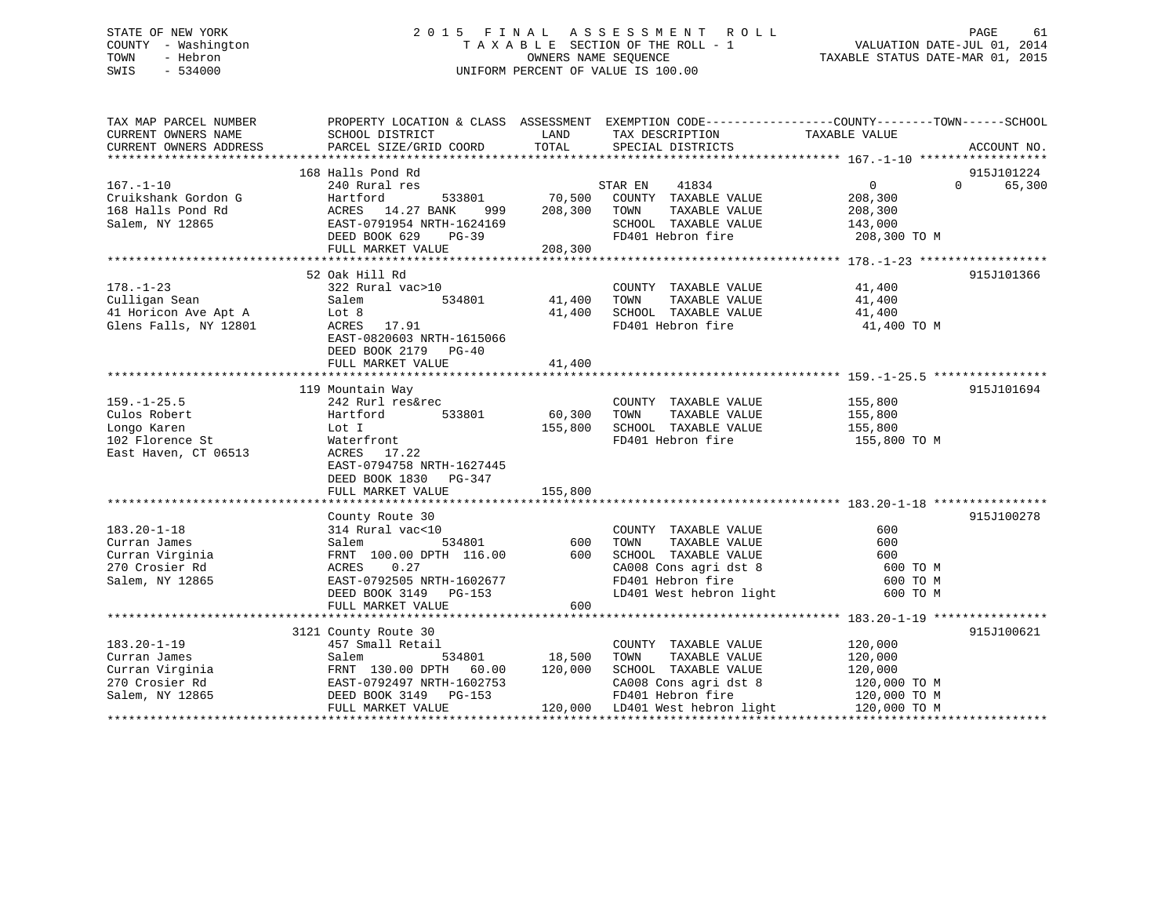## STATE OF NEW YORK 2 0 1 5 F I N A L A S S E S S M E N T R O L L PAGE 61COUNTY - Washington  $T A X A B L E$  SECTION OF THE ROLL - 1<br>TOWN - Hebron DATE-JUL 000NERS NAME SEQUENCE SWIS - 534000 UNIFORM PERCENT OF VALUE IS 100.00

TAXABLE STATUS DATE-MAR 01, 2015

| TAX MAP PARCEL NUMBER  | PROPERTY LOCATION & CLASS ASSESSMENT EXEMPTION CODE----------------COUNTY-------TOWN------SCHOOL |         |                                              |                  |                    |
|------------------------|--------------------------------------------------------------------------------------------------|---------|----------------------------------------------|------------------|--------------------|
| CURRENT OWNERS NAME    | SCHOOL DISTRICT                                                                                  | LAND    | TAX DESCRIPTION                              | TAXABLE VALUE    |                    |
| CURRENT OWNERS ADDRESS | PARCEL SIZE/GRID COORD                                                                           | TOTAL   | SPECIAL DISTRICTS                            |                  | ACCOUNT NO.        |
|                        |                                                                                                  |         |                                              |                  |                    |
|                        | 168 Halls Pond Rd                                                                                |         |                                              |                  | 915J101224         |
| $167. - 1 - 10$        | 240 Rural res                                                                                    |         | 41834<br>STAR EN                             | $\overline{0}$   | $\Omega$<br>65,300 |
| Cruikshank Gordon G    | 533801<br>Hartford                                                                               | 70,500  | COUNTY TAXABLE VALUE                         | 208,300          |                    |
| 168 Halls Pond Rd      | ACRES 14.27 BANK<br>999                                                                          | 208,300 | TOWN<br>TAXABLE VALUE                        | 208,300          |                    |
| Salem, NY 12865        | EAST-0791954 NRTH-1624169                                                                        |         | SCHOOL TAXABLE VALUE                         | 143,000          |                    |
|                        | DEED BOOK 629<br>$PG-39$                                                                         | 208,300 | FD401 Hebron fire                            | 208,300 TO M     |                    |
|                        | FULL MARKET VALUE                                                                                |         |                                              |                  |                    |
|                        | 52 Oak Hill Rd                                                                                   |         |                                              |                  | 915J101366         |
| $178. - 1 - 23$        | 322 Rural vac>10                                                                                 |         | COUNTY TAXABLE VALUE                         | 41,400           |                    |
| Culligan Sean          | Salem<br>534801                                                                                  | 41,400  | TOWN<br>TAXABLE VALUE                        |                  |                    |
| 41 Horicon Ave Apt A   | Lot 8                                                                                            | 41,400  | SCHOOL TAXABLE VALUE                         | 41,400<br>41,400 |                    |
| Glens Falls, NY 12801  | ACRES 17.91                                                                                      |         | FD401 Hebron fire                            | 41,400 TO M      |                    |
|                        | EAST-0820603 NRTH-1615066                                                                        |         |                                              |                  |                    |
|                        | DEED BOOK 2179 PG-40                                                                             |         |                                              |                  |                    |
|                        | FULL MARKET VALUE                                                                                | 41,400  |                                              |                  |                    |
|                        |                                                                                                  |         |                                              |                  |                    |
|                        | 119 Mountain Way                                                                                 |         |                                              |                  | 915J101694         |
| $159. - 1 - 25.5$      | 242 Rurl res&rec                                                                                 |         | COUNTY TAXABLE VALUE                         | 155,800          |                    |
| Culos Robert           | 533801<br>Hartford                                                                               | 60,300  | TAXABLE VALUE<br>TOWN                        | 155,800          |                    |
| Longo Karen            | Lot I                                                                                            | 155,800 | SCHOOL TAXABLE VALUE                         | 155,800          |                    |
| 102 Florence St        | Waterfront                                                                                       |         | FD401 Hebron fire                            | 155,800 TO M     |                    |
| East Haven, CT 06513   | ACRES<br>17.22                                                                                   |         |                                              |                  |                    |
|                        | EAST-0794758 NRTH-1627445                                                                        |         |                                              |                  |                    |
|                        | DEED BOOK 1830 PG-347                                                                            |         |                                              |                  |                    |
|                        | FULL MARKET VALUE                                                                                | 155,800 |                                              |                  |                    |
|                        |                                                                                                  |         |                                              |                  |                    |
|                        | County Route 30                                                                                  |         |                                              |                  | 915J100278         |
| $183.20 - 1 - 18$      | 314 Rural vac<10                                                                                 |         | COUNTY TAXABLE VALUE                         | 600              |                    |
| Curran James           | 534801<br>Salem                                                                                  | 600     | TOWN<br>TAXABLE VALUE                        | 600              |                    |
| Curran Virginia        | FRNT 100.00 DPTH 116.00 600                                                                      |         | SCHOOL TAXABLE VALUE                         | 600              |                    |
| 270 Crosier Rd         | ACRES<br>0.27                                                                                    |         | SCHOOL IAAADDE .<br>CA008 Cons agridst 8     | 600 TO M         |                    |
| Salem, NY 12865        | EAST-0792505 NRTH-1602677                                                                        |         |                                              | 600 TO M         |                    |
|                        | DEED BOOK 3149 PG-153                                                                            |         | LD401 West hebron light                      | 600 TO M         |                    |
|                        | FULL MARKET VALUE                                                                                | 600     |                                              |                  |                    |
|                        |                                                                                                  |         |                                              |                  |                    |
|                        | 3121 County Route 30                                                                             |         |                                              |                  | 915J100621         |
| $183.20 - 1 - 19$      | 457 Small Retail                                                                                 |         | COUNTY TAXABLE VALUE                         | 120,000          |                    |
| Curran James           | 534801<br>Salem                                                                                  | 18,500  | TOWN<br>TAXABLE VALUE                        | 120,000          |                    |
| Curran Virginia        |                                                                                                  | 120,000 | SCHOOL TAXABLE VALUE                         | 120,000          |                    |
| 270 Crosier Rd         | FRNT 130.00 DPTH 60.00<br>EAST-0792497 NRTH-1602753<br>DEED BOOK 3149 PG-153                     |         | CA008 Cons agri dst 8                        | 120,000 TO M     |                    |
| Salem, NY 12865        | DEED BOOK 3149 PG-153                                                                            |         | FD401 Hebron fire                            | 120,000 TO M     |                    |
|                        | FULL MARKET VALUE                                                                                |         | 120,000 LD401 West hebron light 120,000 TO M |                  |                    |
|                        |                                                                                                  |         |                                              |                  |                    |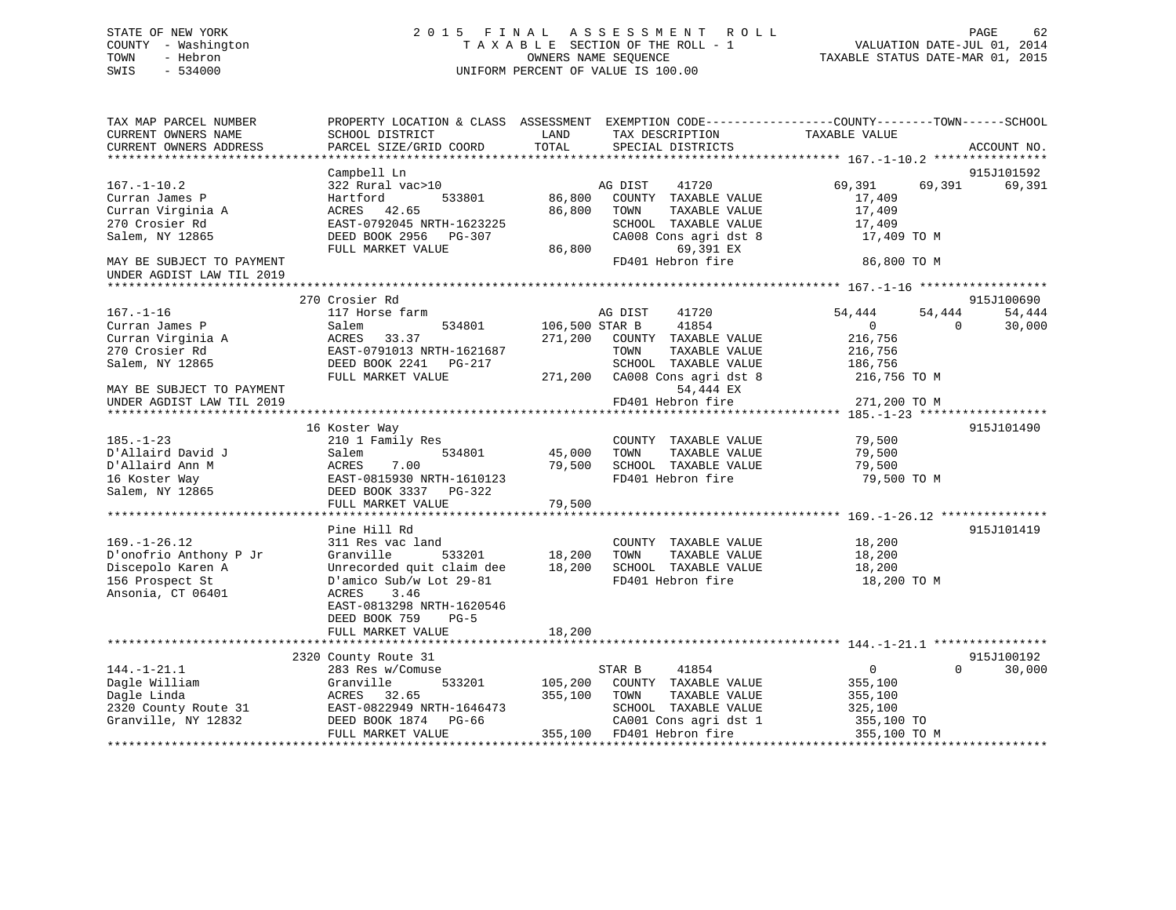# COUNTY - Washington  $T A X A B L E$  SECTION OF THE ROLL - 1<br>TOWN - Hebron DATE-JUL 000NERS NAME SEQUENCE SWIS - 534000 UNIFORM PERCENT OF VALUE IS 100.00

TAXABLE STATUS DATE-MAR 01, 2015

| TAX MAP PARCEL NUMBER                                                                      |                                         |                |                               | PROPERTY LOCATION & CLASS ASSESSMENT EXEMPTION CODE----------------COUNTY-------TOWN-----SCHOOL |             |
|--------------------------------------------------------------------------------------------|-----------------------------------------|----------------|-------------------------------|-------------------------------------------------------------------------------------------------|-------------|
| CURRENT OWNERS NAME                                                                        | SCHOOL DISTRICT                         | LAND           | TAX DESCRIPTION               | TAXABLE VALUE                                                                                   |             |
| CURRENT OWNERS ADDRESS                                                                     | PARCEL SIZE/GRID COORD                  | TOTAL          | SPECIAL DISTRICTS             |                                                                                                 | ACCOUNT NO. |
|                                                                                            |                                         |                |                               |                                                                                                 |             |
|                                                                                            | Campbell Ln                             |                |                               |                                                                                                 | 915J101592  |
| $167. - 1 - 10.2$                                                                          | 322 Rural vac>10                        |                | AG DIST<br>41720              | 69,391<br>69,391                                                                                | 69,391      |
| Curran James P                                                                             | Hartford<br>533801                      | 86,800         | COUNTY TAXABLE VALUE          | 17,409                                                                                          |             |
| Curran Virginia A                                                                          | ACRES 42.65                             | 86,800         | TOWN<br>TAXABLE VALUE         | 17,409                                                                                          |             |
| 270 Crosier Rd                                                                             | EAST-0792045 NRTH-1623225               |                | SCHOOL TAXABLE VALUE          | 17,409                                                                                          |             |
| Salem, NY 12865                                                                            | DEED BOOK 2956 PG-307                   |                | CA008 Cons agri dst 8         | 17,409 TO M                                                                                     |             |
|                                                                                            | FULL MARKET VALUE                       | 86,800         | 69,391 EX                     |                                                                                                 |             |
| MAY BE SUBJECT TO PAYMENT                                                                  |                                         |                | FD401 Hebron fire             | 86,800 TO M                                                                                     |             |
| UNDER AGDIST LAW TIL 2019                                                                  |                                         |                |                               |                                                                                                 |             |
|                                                                                            |                                         |                |                               |                                                                                                 |             |
|                                                                                            | 270 Crosier Rd                          |                |                               |                                                                                                 | 915J100690  |
| $167. - 1 - 16$                                                                            | 117 Horse farm                          |                | 41720<br>AG DIST              | 54,444<br>54,444                                                                                | 54,444      |
| Curran James P                                                                             | 534801<br>Salem                         | 106,500 STAR B | 41854                         | $\overline{0}$<br>$\Omega$                                                                      | 30,000      |
| Curran Virginia A                                                                          | ACRES<br>33.37                          | 271,200        | COUNTY TAXABLE VALUE          | 216,756                                                                                         |             |
| 270 Crosier Rd                                                                             | EAST-0791013 NRTH-1621687               |                | TOWN<br>TAXABLE VALUE         | 216,756                                                                                         |             |
| Salem, NY 12865                                                                            | DEED BOOK 2241    PG-217                |                | SCHOOL TAXABLE VALUE          | 186,756                                                                                         |             |
|                                                                                            | FULL MARKET VALUE                       |                | 271,200 CA008 Cons agri dst 8 | 216,756 TO M                                                                                    |             |
| MAY BE SUBJECT TO PAYMENT                                                                  |                                         |                | 54,444 EX                     |                                                                                                 |             |
| UNDER AGDIST LAW TIL 2019                                                                  |                                         |                | FD401 Hebron fire             | 271,200 TO M                                                                                    |             |
|                                                                                            |                                         |                |                               |                                                                                                 |             |
|                                                                                            | 16 Koster Way                           |                |                               |                                                                                                 | 915J101490  |
| $185. - 1 - 23$                                                                            | 210 1 Family Res                        |                | COUNTY TAXABLE VALUE          | 79,500                                                                                          |             |
| D'Allaird David J                                                                          | Salem<br>534801                         | 45,000         | TOWN<br>TAXABLE VALUE         | 79,500                                                                                          |             |
| D'Allaird Ann M                                                                            |                                         | 79,500         | SCHOOL TAXABLE VALUE          | 79,500                                                                                          |             |
| 16 Koster Way                                                                              | ACRES 7.00<br>EAST-0815930 NRTH-1610123 |                | FD401 Hebron fire             | 79,500 TO M                                                                                     |             |
| Salem, NY 12865                                                                            | DEED BOOK 3337 PG-322                   |                |                               |                                                                                                 |             |
|                                                                                            | FULL MARKET VALUE                       | 79,500         |                               |                                                                                                 |             |
|                                                                                            |                                         |                |                               |                                                                                                 |             |
|                                                                                            | Pine Hill Rd                            |                |                               |                                                                                                 | 915J101419  |
| $169. - 1 - 26.12$                                                                         | 311 Res vac land                        |                | COUNTY TAXABLE VALUE          | 18,200                                                                                          |             |
| D'onofrio Anthony P Jr                                                                     | Granville<br>533201                     | 18,200         | TOWN<br>TAXABLE VALUE         | 18,200                                                                                          |             |
| Discepolo Karen A                                                                          | Unrecorded quit claim dee 18,200        |                | SCHOOL TAXABLE VALUE          | 18,200                                                                                          |             |
| 156 Prospect St                                                                            | D'amico Sub/w Lot 29-81                 |                | FD401 Hebron fire             | 18,200 TO M                                                                                     |             |
| Ansonia, CT 06401                                                                          | 3.46<br>ACRES                           |                |                               |                                                                                                 |             |
|                                                                                            | EAST-0813298 NRTH-1620546               |                |                               |                                                                                                 |             |
|                                                                                            | DEED BOOK 759<br>$PG-5$                 |                |                               |                                                                                                 |             |
|                                                                                            | FULL MARKET VALUE                       | 18,200         |                               |                                                                                                 |             |
|                                                                                            |                                         |                |                               |                                                                                                 |             |
|                                                                                            | 2320 County Route 31                    |                |                               |                                                                                                 | 915J100192  |
| $144. - 1 - 21.1$                                                                          | 283 Res w/Comuse                        |                | STAR B<br>41854               | $\overline{0}$<br>$\Omega$                                                                      | 30,000      |
| Dagle William                                                                              | Granville<br>533201                     | 105,200        | COUNTY TAXABLE VALUE          | 355,100                                                                                         |             |
| Dagle Linda                                                                                | ACRES 32.65                             | 355,100        | TOWN<br>TAXABLE VALUE         | 355,100                                                                                         |             |
| 2320 County Route 31 EAST-0822949 NRTH-1646473<br>Granville, NY 12832 DEED BOOK 1874 PG-66 |                                         |                | SCHOOL TAXABLE VALUE          | 325,100                                                                                         |             |
|                                                                                            |                                         |                | CA001 Cons agri dst 1         | 355,100 TO                                                                                      |             |
|                                                                                            | FULL MARKET VALUE                       |                | 355,100 FD401 Hebron fire     | 355,100 TO M                                                                                    |             |
|                                                                                            |                                         |                |                               |                                                                                                 |             |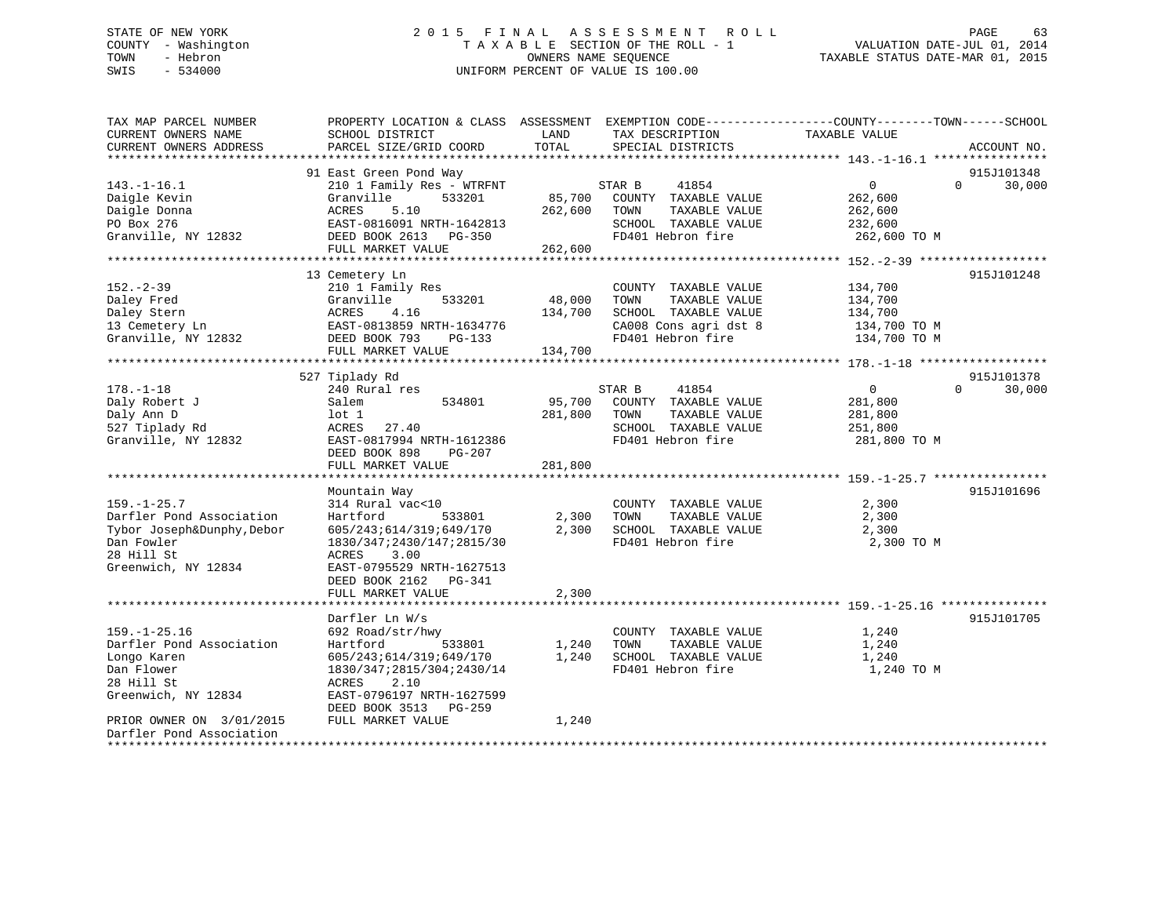## STATE OF NEW YORK 2 0 1 5 F I N A L A S S E S S M E N T R O L L PAGE 63 COUNTY - Washington T A X A B L E SECTION OF THE ROLL - 1 VALUATION DATE-JUL 01, 2014 TOWN - Hebron OWNERS NAME SEQUENCE TAXABLE STATUS DATE-MAR 01, 2015 SWIS - 534000 UNIFORM PERCENT OF VALUE IS 100.00

| TAX MAP PARCEL NUMBER<br>CURRENT OWNERS NAME<br>CURRENT OWNERS ADDRESS                                           | PROPERTY LOCATION & CLASS ASSESSMENT<br>SCHOOL DISTRICT<br>PARCEL SIZE/GRID COORD                                                                                                                                               | LAND<br>TOTAL                | EXEMPTION CODE-----------------COUNTY-------TOWN------SCHOOL<br>TAX DESCRIPTION<br>SPECIAL DISTRICTS                                  | TAXABLE VALUE                                                                     | ACCOUNT NO.                                    |
|------------------------------------------------------------------------------------------------------------------|---------------------------------------------------------------------------------------------------------------------------------------------------------------------------------------------------------------------------------|------------------------------|---------------------------------------------------------------------------------------------------------------------------------------|-----------------------------------------------------------------------------------|------------------------------------------------|
|                                                                                                                  |                                                                                                                                                                                                                                 |                              |                                                                                                                                       |                                                                                   |                                                |
| $143. - 1 - 16.1$<br>Daigle Kevin<br>Daigle Donna<br>PO Box 276<br>Granville, NY 12832                           | 91 East Green Pond Way<br>210 1 Family Res - WTRFNT<br>Granville<br>533201<br>5.10<br>ACRES<br>EAST-0816091 NRTH-1642813<br>DEED BOOK 2613<br>PG-350                                                                            | 85,700<br>262,600            | STAR B<br>41854<br>COUNTY TAXABLE VALUE<br>TOWN<br>TAXABLE VALUE<br>SCHOOL TAXABLE VALUE<br>FD401 Hebron fire                         | $\mathbf{0}$<br>262,600<br>262,600<br>232,600<br>262,600 TO M                     | 915J101348<br>$\Omega$<br>30,000               |
|                                                                                                                  | FULL MARKET VALUE                                                                                                                                                                                                               | 262,600                      |                                                                                                                                       |                                                                                   |                                                |
| $152 - 2 - 39$<br>Daley Fred<br>Daley Stern<br>13 Cemetery Ln<br>Granville, NY 12832                             | 13 Cemetery Ln<br>210 1 Family Res<br>533201<br>Granville<br>4.16<br>ACRES<br>EAST-0813859 NRTH-1634776<br>DEED BOOK 793<br>$PG-133$<br>FULL MARKET VALUE                                                                       | 48,000<br>134,700<br>134,700 | COUNTY TAXABLE VALUE<br>TOWN<br>TAXABLE VALUE<br>SCHOOL TAXABLE VALUE<br>CA008 Cons agri dst 8<br>FD401 Hebron fire                   | 134,700<br>134,700<br>134,700<br>134,700 TO M<br>134,700 TO M                     | 915J101248                                     |
|                                                                                                                  |                                                                                                                                                                                                                                 |                              |                                                                                                                                       |                                                                                   |                                                |
| $178. - 1 - 18$<br>Daly Robert J<br>Daly Ann D<br>527 Tiplady Rd<br>Granville, NY 12832<br>$159. - 1 - 25.7$     | 527 Tiplady Rd<br>240 Rural res<br>Salem<br>534801<br>$1$ ot $1$<br>ACRES<br>27.40<br>EAST-0817994 NRTH-1612386<br>DEED BOOK 898<br>PG-207<br>FULL MARKET VALUE<br>************************<br>Mountain Way<br>314 Rural vac<10 | 95,700<br>281,800<br>281,800 | 41854<br>STAR B<br>COUNTY TAXABLE VALUE<br>TOWN<br>TAXABLE VALUE<br>SCHOOL TAXABLE VALUE<br>FD401 Hebron fire<br>COUNTY TAXABLE VALUE | $\mathbf{0}$<br>281,800<br>281,800<br>251,800<br>281,800 TO M<br>2,300            | 915J101378<br>30,000<br>$\Omega$<br>915J101696 |
| Darfler Pond Association<br>Tybor Joseph&Dunphy, Debor<br>Dan Fowler<br>28 Hill St<br>Greenwich, NY 12834        | Hartford<br>533801<br>605/243;614/319;649/170<br>1830/347;2430/147;2815/30<br>ACRES<br>3.00<br>EAST-0795529 NRTH-1627513<br>DEED BOOK 2162<br>PG-341<br>FULL MARKET VALUE<br>************************                           | 2,300<br>2,300<br>2,300      | TOWN<br>TAXABLE VALUE<br>SCHOOL TAXABLE VALUE<br>FD401 Hebron fire                                                                    | 2,300<br>2,300<br>2,300 TO M<br>******************************* 159. -1-25.16 *** |                                                |
|                                                                                                                  | Darfler Ln W/s                                                                                                                                                                                                                  |                              |                                                                                                                                       |                                                                                   | 915J101705                                     |
| $159. - 1 - 25.16$<br>Darfler Pond Association<br>Longo Karen<br>Dan Flower<br>28 Hill St<br>Greenwich, NY 12834 | 692 Road/str/hwy<br>Hartford<br>533801<br>605/243;614/319;649/170<br>1830/347;2815/304;2430/14<br>ACRES<br>2.10<br>EAST-0796197 NRTH-1627599<br>DEED BOOK 3513<br>PG-259                                                        | 1,240<br>1,240               | COUNTY TAXABLE VALUE<br>TAXABLE VALUE<br>TOWN<br>SCHOOL TAXABLE VALUE<br>FD401 Hebron fire                                            | 1,240<br>1,240<br>1,240<br>1,240 TO M                                             |                                                |
| PRIOR OWNER ON 3/01/2015<br>Darfler Pond Association                                                             | FULL MARKET VALUE                                                                                                                                                                                                               | 1,240                        |                                                                                                                                       |                                                                                   |                                                |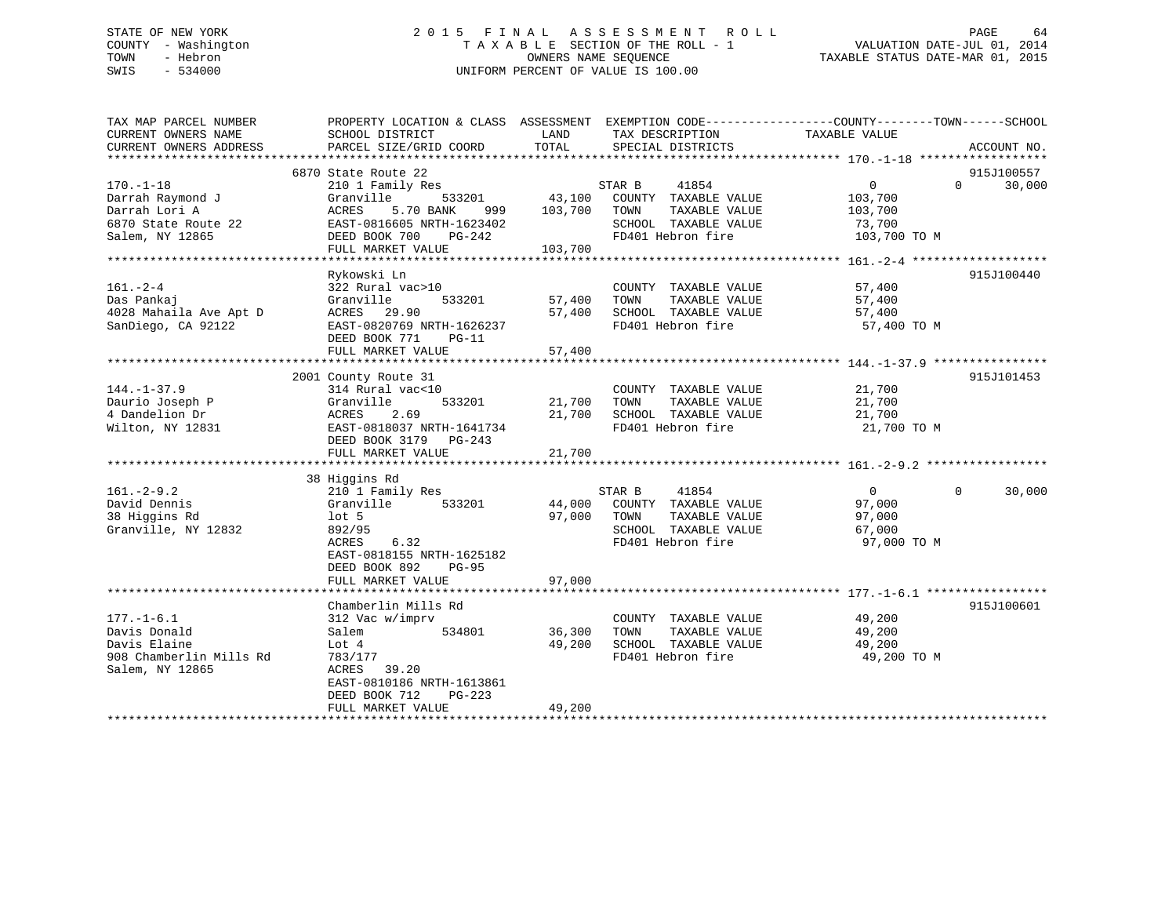## STATE OF NEW YORK 2 0 1 5 F I N A L A S S E S S M E N T R O L L PAGE 64 COUNTY - Washington T A X A B L E SECTION OF THE ROLL - 1 VALUATION DATE-JUL 01, 2014 TOWN - Hebron OWNERS NAME SEQUENCE TAXABLE STATUS DATE-MAR 01, 2015 SWIS - 534000 UNIFORM PERCENT OF VALUE IS 100.00

| TAX MAP PARCEL NUMBER<br>CURRENT OWNERS NAME | PROPERTY LOCATION & CLASS ASSESSMENT EXEMPTION CODE---------------COUNTY-------TOWN-----SCHOOL<br>SCHOOL DISTRICT | LAND             | TAX DESCRIPTION                                      | TAXABLE VALUE    |                    |
|----------------------------------------------|-------------------------------------------------------------------------------------------------------------------|------------------|------------------------------------------------------|------------------|--------------------|
| CURRENT OWNERS ADDRESS                       | PARCEL SIZE/GRID COORD                                                                                            | TOTAL            | SPECIAL DISTRICTS                                    |                  | ACCOUNT NO.        |
|                                              | 6870 State Route 22                                                                                               |                  |                                                      |                  | 915J100557         |
| $170. - 1 - 18$                              | 210 1 Family Res                                                                                                  |                  | STAR B<br>41854                                      | 0                | 30,000<br>$\cap$   |
| Darrah Raymond J                             | Granville<br>533201                                                                                               |                  | 43,100 COUNTY TAXABLE VALUE                          | 103,700          |                    |
| Darrah Lori A                                | 5.70 BANK<br>ACRES                                                                                                | 999 103,700 TOWN | TAXABLE VALUE                                        | 103,700          |                    |
| 6870 State Route 22                          | ACRES 5.70 BANK 999<br>EAST-0816605 NRTH-1623402                                                                  |                  | SCHOOL TAXABLE VALUE                                 | 73,700           |                    |
| Salem, NY 12865                              | DEED BOOK 700<br>PG-242                                                                                           | $\mathcal{L}$    | FD401 Hebron fire                                    | 103,700 TO M     |                    |
|                                              | FULL MARKET VALUE                                                                                                 | 103,700          |                                                      |                  |                    |
|                                              |                                                                                                                   |                  |                                                      |                  |                    |
|                                              | Rykowski Ln                                                                                                       |                  |                                                      |                  | 915J100440         |
| $161. - 2 - 4$                               | 322 Rural vac>10                                                                                                  |                  | COUNTY TAXABLE VALUE                                 | 57,400           |                    |
| Das Pankaj                                   | Granville<br>533201                                                                                               | 57,400           | TAXABLE VALUE<br>TOWN                                | 57,400           |                    |
| 4028 Mahaila Ave Apt D                       | ACRES 29.90                                                                                                       | 57,400           | SCHOOL TAXABLE VALUE                                 | 57,400           |                    |
| SanDiego, CA 92122                           | EAST-0820769 NRTH-1626237                                                                                         |                  | FD401 Hebron fire                                    | 57,400 TO M      |                    |
|                                              | DEED BOOK 771<br>$PG-11$                                                                                          |                  |                                                      |                  |                    |
|                                              | FULL MARKET VALUE                                                                                                 | 57,400           |                                                      |                  |                    |
|                                              |                                                                                                                   |                  |                                                      |                  |                    |
|                                              | 2001 County Route 31                                                                                              |                  |                                                      |                  | 915J101453         |
| $144. - 1 - 37.9$                            | 314 Rural vac<10                                                                                                  |                  | COUNTY TAXABLE VALUE                                 | 21,700           |                    |
| Daurio Joseph P                              | Granville<br>533201                                                                                               | 21,700 TOWN      | TAXABLE VALUE                                        | 21,700           |                    |
| 4 Dandelion Dr                               |                                                                                                                   | 21,700           | SCHOOL TAXABLE VALUE                                 | 21,700           |                    |
| Wilton, NY 12831                             | ACRES 2.69<br>EAST-0818037 NRTH-1641734                                                                           |                  | FD401 Hebron fire                                    | 21,700 TO M      |                    |
|                                              | DEED BOOK 3179 PG-243                                                                                             |                  |                                                      |                  |                    |
|                                              | FULL MARKET VALUE                                                                                                 | 21,700           |                                                      |                  |                    |
|                                              |                                                                                                                   |                  |                                                      |                  |                    |
|                                              | 38 Higgins Rd                                                                                                     |                  |                                                      |                  |                    |
| $161. - 2 - 9.2$                             | 210 1 Family Res                                                                                                  |                  | STAR B<br>41854                                      | $\overline{0}$   | 30,000<br>$\Omega$ |
| David Dennis                                 | 533201<br>Granville                                                                                               |                  | 44,000 COUNTY TAXABLE VALUE                          | 97,000           |                    |
| 38 Higgins Rd                                | lot 5                                                                                                             | 97,000 TOWN      | TAXABLE VALUE                                        | 97,000           |                    |
| Granville, NY 12832                          | 892/95                                                                                                            |                  | SCHOOL TAXABLE VALUE                                 | 67,000           |                    |
|                                              | 6.32<br>ACRES                                                                                                     |                  | FD401 Hebron fire                                    | 97,000 TO M      |                    |
|                                              | EAST-0818155 NRTH-1625182                                                                                         |                  |                                                      |                  |                    |
|                                              | DEED BOOK 892<br><b>PG-95</b>                                                                                     |                  |                                                      |                  |                    |
|                                              | FULL MARKET VALUE                                                                                                 | 97,000           |                                                      |                  |                    |
|                                              |                                                                                                                   |                  |                                                      |                  |                    |
|                                              | Chamberlin Mills Rd                                                                                               |                  |                                                      |                  | 915J100601         |
| $177. - 1 - 6.1$                             | 312 Vac w/imprv<br>534801                                                                                         | 36,300           | COUNTY TAXABLE VALUE                                 | 49,200<br>49,200 |                    |
| Davis Donald                                 | Salem                                                                                                             | 49,200           | TAXABLE VALUE<br>TOWN<br>SCHOOL TAXABLE VALUE 49,200 |                  |                    |
| Davis Elaine                                 | Lot 4                                                                                                             |                  |                                                      |                  |                    |
| 908 Chamberlin Mills Rd                      | 783/177                                                                                                           |                  | FD401 Hebron fire                                    | 49,200 TO M      |                    |
| Salem, NY 12865                              | ACRES 39.20<br>EAST-0810186 NRTH-1613861                                                                          |                  |                                                      |                  |                    |
|                                              |                                                                                                                   |                  |                                                      |                  |                    |
|                                              | DEED BOOK 712<br>$PG-223$                                                                                         |                  |                                                      |                  |                    |
|                                              | FULL MARKET VALUE                                                                                                 | 49,200           |                                                      |                  |                    |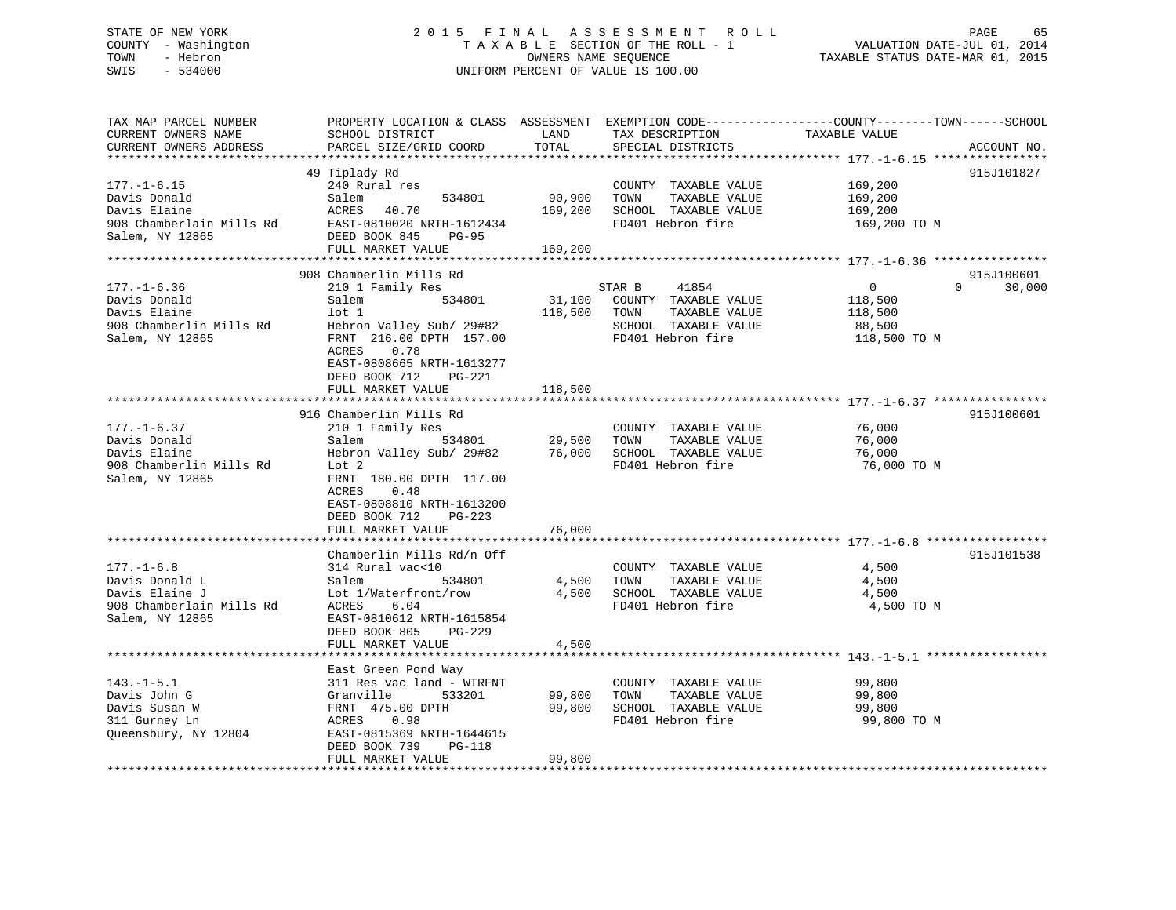## STATE OF NEW YORK 2 0 1 5 F I N A L A S S E S S M E N T R O L L PAGE 65 COUNTY - Washington T A X A B L E SECTION OF THE ROLL - 1 VALUATION DATE-JUL 01, 2014 TOWN - Hebron OWNERS NAME SEQUENCE TAXABLE STATUS DATE-MAR 01, 2015 SWIS - 534000 UNIFORM PERCENT OF VALUE IS 100.00

| TAX MAP PARCEL NUMBER<br>CURRENT OWNERS NAME<br>CURRENT OWNERS ADDRESS                              | PROPERTY LOCATION & CLASS ASSESSMENT<br>SCHOOL DISTRICT<br>PARCEL SIZE/GRID COORD                                                                                                                                              | LAND<br>TOTAL                | TAX DESCRIPTION<br>SPECIAL DISTRICTS                                                                          | EXEMPTION CODE-----------------COUNTY-------TOWN------SCHOOL<br>TAXABLE VALUE | ACCOUNT NO.          |
|-----------------------------------------------------------------------------------------------------|--------------------------------------------------------------------------------------------------------------------------------------------------------------------------------------------------------------------------------|------------------------------|---------------------------------------------------------------------------------------------------------------|-------------------------------------------------------------------------------|----------------------|
| $177. - 1 - 6.15$<br>Davis Donald<br>Davis Elaine<br>908 Chamberlain Mills Rd<br>Salem, NY 12865    | 49 Tiplady Rd<br>240 Rural res<br>Salem<br>534801<br>ACRES<br>40.70<br>EAST-0810020 NRTH-1612434<br>DEED BOOK 845<br>$PG-95$<br>FULL MARKET VALUE                                                                              | 90,900<br>169,200<br>169,200 | COUNTY TAXABLE VALUE<br>TOWN<br>TAXABLE VALUE<br>SCHOOL TAXABLE VALUE<br>FD401 Hebron fire                    | 169,200<br>169,200<br>169,200<br>169,200 TO M                                 | 915J101827           |
| $177. - 1 - 6.36$<br>Davis Donald<br>Davis Elaine<br>908 Chamberlin Mills Rd<br>Salem, NY 12865     | 908 Chamberlin Mills Rd<br>210 1 Family Res<br>534801<br>Salem<br>lot 1<br>Hebron Valley Sub/ 29#82<br>FRNT 216.00 DPTH 157.00<br>0.78<br>ACRES<br>EAST-0808665 NRTH-1613277<br>DEED BOOK 712<br>PG-221<br>FULL MARKET VALUE   | 31,100<br>118,500<br>118,500 | STAR B<br>41854<br>COUNTY TAXABLE VALUE<br>TOWN<br>TAXABLE VALUE<br>SCHOOL TAXABLE VALUE<br>FD401 Hebron fire | 0<br>$\Omega$<br>118,500<br>118,500<br>88,500<br>118,500 TO M                 | 915J100601<br>30,000 |
| $177. - 1 - 6.37$<br>Davis Donald<br>Davis Elaine<br>908 Chamberlin Mills Rd<br>Salem, NY 12865     | 916 Chamberlin Mills Rd<br>210 1 Family Res<br>534801<br>Salem<br>Hebron Valley Sub/ 29#82<br>Lot 2<br>FRNT 180.00 DPTH 117.00<br>0.48<br>ACRES<br>EAST-0808810 NRTH-1613200<br>DEED BOOK 712<br>$PG-223$<br>FULL MARKET VALUE | 29,500<br>76,000<br>76,000   | COUNTY TAXABLE VALUE<br>TAXABLE VALUE<br>TOWN<br>SCHOOL TAXABLE VALUE<br>FD401 Hebron fire                    | 76,000<br>76,000<br>76,000<br>76,000 TO M                                     | 915J100601           |
| $177. - 1 - 6.8$<br>Davis Donald L<br>Davis Elaine J<br>908 Chamberlain Mills Rd<br>Salem, NY 12865 | Chamberlin Mills Rd/n Off<br>314 Rural vac<10<br>Salem<br>534801<br>Lot 1/Waterfront/row<br>6.04<br>ACRES<br>EAST-0810612 NRTH-1615854<br>DEED BOOK 805<br>$PG-229$<br>FULL MARKET VALUE                                       | 4,500<br>4,500<br>4,500      | COUNTY TAXABLE VALUE<br>TAXABLE VALUE<br>TOWN<br>SCHOOL TAXABLE VALUE<br>FD401 Hebron fire                    | 4,500<br>4,500<br>4,500<br>4,500 TO M                                         | 915J101538           |
| $143. - 1 - 5.1$<br>Davis John G<br>Davis Susan W<br>311 Gurney Ln<br>Queensbury, NY 12804          | *****************************<br>East Green Pond Way<br>311 Res vac land - WTRFNT<br>Granville<br>533201<br>FRNT 475.00 DPTH<br>ACRES<br>0.98<br>EAST-0815369 NRTH-1644615<br>DEED BOOK 739<br>PG-118<br>FULL MARKET VALUE     | 99,800<br>99,800<br>99,800   | COUNTY TAXABLE VALUE<br>TAXABLE VALUE<br>TOWN<br>SCHOOL TAXABLE VALUE<br>FD401 Hebron fire                    | 99,800<br>99,800<br>99,800<br>99,800 TO M                                     |                      |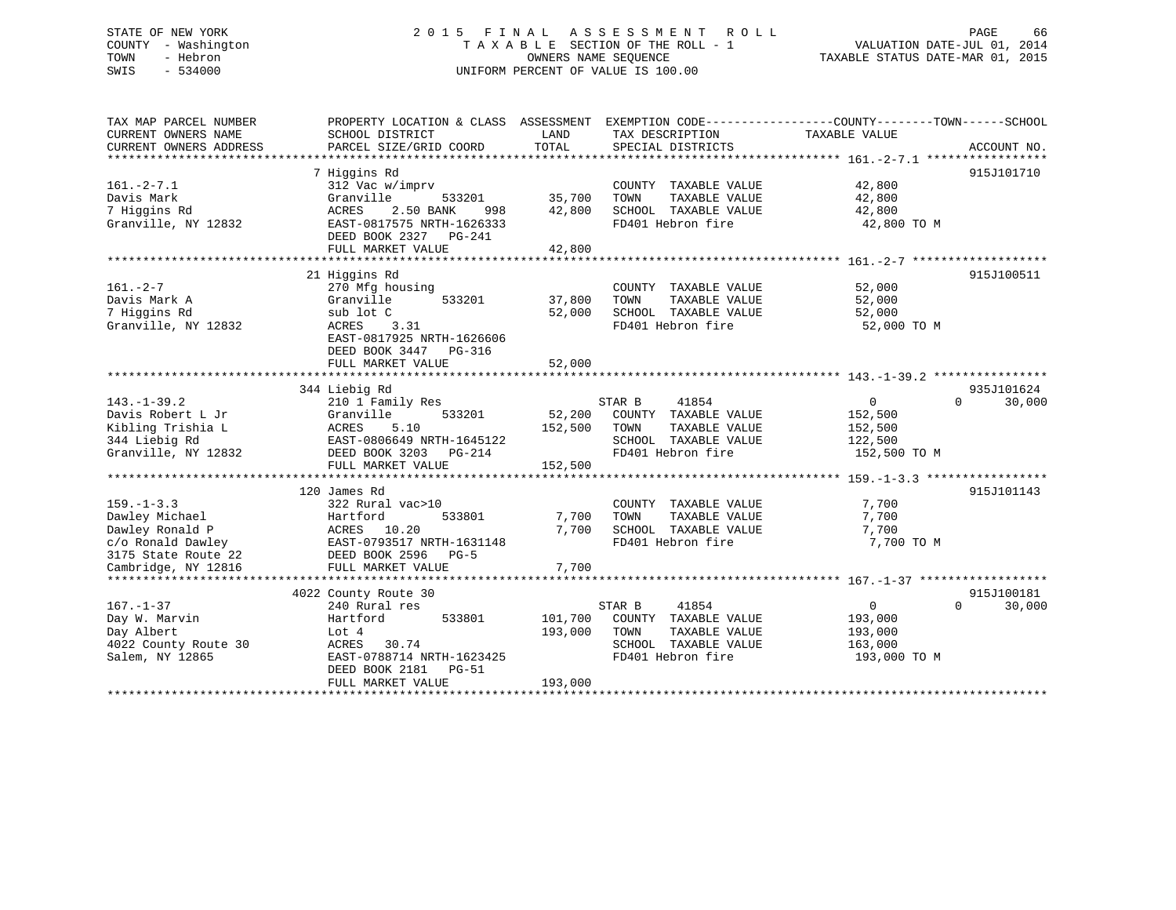## STATE OF NEW YORK 2 0 1 5 F I N A L A S S E S S M E N T R O L L PAGE 66 COUNTY - Washington T A X A B L E SECTION OF THE ROLL - 1 VALUATION DATE-JUL 01, 2014 TOWN - Hebron OWNERS NAME SEQUENCE TAXABLE STATUS DATE-MAR 01, 2015 SWIS - 534000 UNIFORM PERCENT OF VALUE IS 100.00

| TAX MAP PARCEL NUMBER                         | PROPERTY LOCATION & CLASS ASSESSMENT      |               | EXEMPTION CODE----------------COUNTY-------TOWN------SCHOOL |                   |                                  |
|-----------------------------------------------|-------------------------------------------|---------------|-------------------------------------------------------------|-------------------|----------------------------------|
| CURRENT OWNERS NAME<br>CURRENT OWNERS ADDRESS | SCHOOL DISTRICT<br>PARCEL SIZE/GRID COORD | LAND<br>TOTAL | TAX DESCRIPTION<br>SPECIAL DISTRICTS                        | TAXABLE VALUE     | ACCOUNT NO.                      |
|                                               |                                           |               |                                                             |                   |                                  |
|                                               | 7 Higgins Rd                              |               |                                                             |                   | 915J101710                       |
| $161. - 2 - 7.1$                              | 312 Vac w/imprv                           |               | COUNTY TAXABLE VALUE                                        | 42,800            |                                  |
| Davis Mark                                    | 533201<br>Granville                       | 35,700        | TAXABLE VALUE<br>TOWN                                       | 42,800            |                                  |
| 7 Higgins Rd                                  | ACRES<br>2.50 BANK<br>998                 | 42,800        | SCHOOL TAXABLE VALUE                                        | 42,800            |                                  |
| Granville, NY 12832                           | EAST-0817575 NRTH-1626333                 |               | FD401 Hebron fire                                           | 42,800 TO M       |                                  |
|                                               | DEED BOOK 2327 PG-241                     |               |                                                             |                   |                                  |
|                                               | FULL MARKET VALUE                         | 42,800        |                                                             |                   |                                  |
|                                               |                                           |               |                                                             |                   |                                  |
|                                               | 21 Higgins Rd                             |               |                                                             |                   | 915J100511                       |
| $161. - 2 - 7$                                | 270 Mfg housing                           |               | COUNTY TAXABLE VALUE                                        | 52,000            |                                  |
| Davis Mark A                                  | 533201<br>Granville                       | 37,800        | TAXABLE VALUE<br>TOWN                                       | 52,000            |                                  |
| 7 Higgins Rd                                  | sub lot C                                 | 52,000        | SCHOOL TAXABLE VALUE                                        | 52,000            |                                  |
| Granville, NY 12832                           | ACRES 3.31                                |               | FD401 Hebron fire                                           | 52,000 TO M       |                                  |
|                                               | EAST-0817925 NRTH-1626606                 |               |                                                             |                   |                                  |
|                                               | DEED BOOK 3447<br>PG-316                  |               |                                                             |                   |                                  |
|                                               | FULL MARKET VALUE                         | 52,000        |                                                             |                   |                                  |
|                                               |                                           |               |                                                             |                   |                                  |
|                                               | 344 Liebig Rd                             |               | 41854                                                       | $\overline{0}$    | 935J101624<br>30,000<br>$\Omega$ |
| $143. - 1 - 39.2$<br>Davis Robert L Jr        | 210 1 Family Res<br>Granville<br>533201   | 52,200        | STAR B<br>COUNTY TAXABLE VALUE                              | 152,500           |                                  |
| Kibling Trishia L                             | ACRES<br>5.10                             | 152,500       | TAXABLE VALUE<br>TOWN                                       | 152,500           |                                  |
| 344 Liebig Rd                                 | EAST-0806649 NRTH-1645122                 |               | SCHOOL TAXABLE VALUE                                        | 122,500           |                                  |
| Granville, NY 12832                           | DEED BOOK 3203 PG-214                     |               | FD401 Hebron fire                                           | 152,500 TO M      |                                  |
|                                               | FULL MARKET VALUE                         | 152,500       |                                                             |                   |                                  |
|                                               |                                           |               |                                                             |                   |                                  |
|                                               | 120 James Rd                              |               |                                                             |                   | 915J101143                       |
| $159. - 1 - 3.3$                              | 322 Rural vac>10                          |               | COUNTY TAXABLE VALUE                                        | 7,700             |                                  |
| Dawley Michael                                | 533801<br>Hartford                        | 7,700         | TAXABLE VALUE<br>TOWN                                       | 7,700             |                                  |
| Dawley Ronald P                               | ACRES 10.20                               | 7,700         | SCHOOL TAXABLE VALUE                                        | 7,700             |                                  |
| c/o Ronald Dawley                             | EAST-0793517 NRTH-1631148                 |               | FD401 Hebron fire                                           | 7,700 TO M        |                                  |
| 3175 State Route 22                           | DEED BOOK 2596<br>$PG-5$                  |               |                                                             |                   |                                  |
| Cambridge, NY 12816                           | FULL MARKET VALUE                         | 7,700         |                                                             |                   |                                  |
|                                               |                                           |               |                                                             |                   |                                  |
|                                               | 4022 County Route 30                      |               |                                                             |                   | 915J100181                       |
| $167. - 1 - 37$                               | 240 Rural res                             |               | STAR B<br>41854                                             | $0 \qquad \qquad$ | $\Omega$<br>30,000               |
| Day W. Marvin                                 | Hartford<br>533801                        | 101,700       | COUNTY TAXABLE VALUE                                        | 193,000           |                                  |
| Day Albert                                    | Lot 4                                     | 193,000       | TOWN<br>TAXABLE VALUE                                       | 193,000           |                                  |
| 4022 County Route 30                          | 30.74<br>ACRES                            |               | SCHOOL TAXABLE VALUE                                        | 163,000           |                                  |
| Salem, NY 12865                               | EAST-0788714 NRTH-1623425                 |               | FD401 Hebron fire                                           | 193,000 TO M      |                                  |
|                                               | DEED BOOK 2181    PG-51                   |               |                                                             |                   |                                  |
|                                               | FULL MARKET VALUE                         | 193,000       |                                                             |                   |                                  |
|                                               |                                           |               |                                                             |                   |                                  |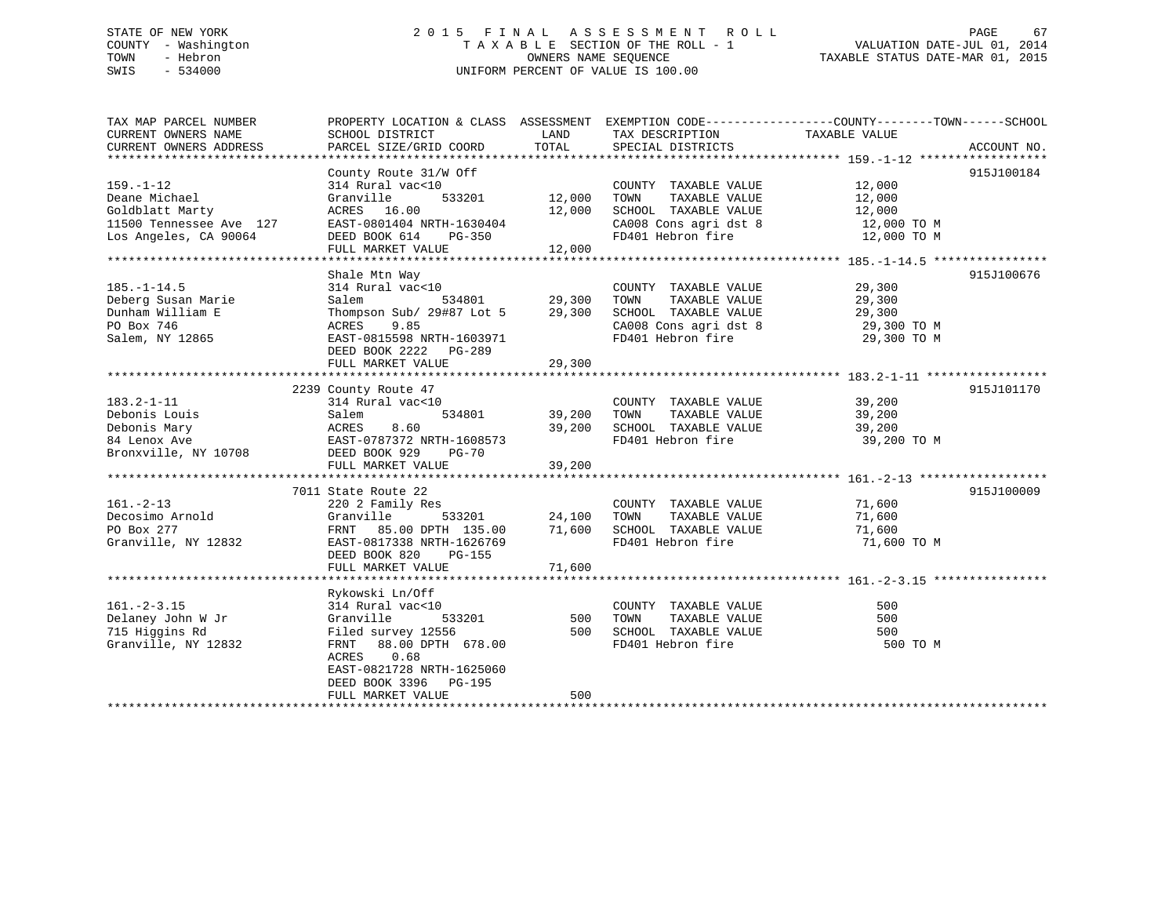## STATE OF NEW YORK 2 0 1 5 F I N A L A S S E S S M E N T R O L L PAGE 67 COUNTY - Washington T A X A B L E SECTION OF THE ROLL - 1 VALUATION DATE-JUL 01, 2014 TOWN - Hebron OWNERS NAME SEQUENCE TAXABLE STATUS DATE-MAR 01, 2015 SWIS - 534000 UNIFORM PERCENT OF VALUE IS 100.00

TAX MAP PARCEL NUMBER PROPERTY LOCATION & CLASS ASSESSMENT EXEMPTION CODE------------------COUNTY--------TOWN------SCHOOL CURRENT OWNERS NAME SCHOOL DISTRICT THE LAND TAX DESCRIPTION TAXABLE VALUE CURRENT OWNERS ADDRESS PARCEL SIZE/GRID COORD TOTAL SPECIAL DISTRICTS ACCOUNT NO. \*\*\*\*\*\*\*\*\*\*\*\*\*\*\*\*\*\*\*\*\*\*\*\*\*\*\*\*\*\*\*\*\*\*\*\*\*\*\*\*\*\*\*\*\*\*\*\*\*\*\*\*\*\*\*\*\*\*\*\*\*\*\*\*\*\*\*\*\*\*\*\*\*\*\*\*\*\*\*\*\*\*\*\*\*\*\*\*\*\*\*\*\*\*\*\*\*\*\*\*\*\*\* 159.-1-12 \*\*\*\*\*\*\*\*\*\*\*\*\*\*\*\*\*\* County Route 31/W Off 915J100184 159.-1-12 314 Rural vac<10 COUNTY TAXABLE VALUE 12,000 Deane Michael Granville 533201 12,000 TOWN TAXABLE VALUE 12,000 Goldblatt Marty ACRES 16.00 12,000 SCHOOL TAXABLE VALUE 12,000 11500 Tennessee Ave 127 EAST-0801404 NRTH-1630404 CA008 Cons agri dst 8 12,000 TO M Los Angeles, CA 90064 DEED BOOK 614 PG-350 FD401 Hebron fire 12,000 TO M FULL MARKET VALUE 12,000 \*\*\*\*\*\*\*\*\*\*\*\*\*\*\*\*\*\*\*\*\*\*\*\*\*\*\*\*\*\*\*\*\*\*\*\*\*\*\*\*\*\*\*\*\*\*\*\*\*\*\*\*\*\*\*\*\*\*\*\*\*\*\*\*\*\*\*\*\*\*\*\*\*\*\*\*\*\*\*\*\*\*\*\*\*\*\*\*\*\*\*\*\*\*\*\*\*\*\*\*\*\*\* 185.-1-14.5 \*\*\*\*\*\*\*\*\*\*\*\*\*\*\*\* Shale Mtn Way 915J100676 185.-1-14.5 314 Rural vac<10 COUNTY TAXABLE VALUE 29,300 Deberg Susan Marie Salem 534801 29,300 TOWN TAXABLE VALUE 29,300 Dunham William E Thompson Sub/ 29#87 Lot 5 29,300 SCHOOL TAXABLE VALUE 29,300 PO Box 746 ACRES 9.85 CA008 Cons agri dst 8 29,300 TO M Salem, NY 12865 EAST-0815598 NRTH-1603971 FD401 Hebron fire 29,300 TO M DEED BOOK 2222 PG-289 FULL MARKET VALUE 29,300 \*\*\*\*\*\*\*\*\*\*\*\*\*\*\*\*\*\*\*\*\*\*\*\*\*\*\*\*\*\*\*\*\*\*\*\*\*\*\*\*\*\*\*\*\*\*\*\*\*\*\*\*\*\*\*\*\*\*\*\*\*\*\*\*\*\*\*\*\*\*\*\*\*\*\*\*\*\*\*\*\*\*\*\*\*\*\*\*\*\*\*\*\*\*\*\*\*\*\*\*\*\*\* 183.2-1-11 \*\*\*\*\*\*\*\*\*\*\*\*\*\*\*\*\* 2239 County Route 47 915J101170 183.2-1-11 314 Rural vac<10 COUNTY TAXABLE VALUE 39,200 Debonis Louis Salem 534801 39,200 TOWN TAXABLE VALUE 39,200 Debonis Mary ACRES 8.60 39,200 SCHOOL TAXABLE VALUE 39,200 84 Lenox Ave EAST-0787372 NRTH-1608573 FD401 Hebron fire 39,200 TO M Bronxville, NY 10708 DEED BOOK 929 PG-70 FULL MARKET VALUE 39,200 \*\*\*\*\*\*\*\*\*\*\*\*\*\*\*\*\*\*\*\*\*\*\*\*\*\*\*\*\*\*\*\*\*\*\*\*\*\*\*\*\*\*\*\*\*\*\*\*\*\*\*\*\*\*\*\*\*\*\*\*\*\*\*\*\*\*\*\*\*\*\*\*\*\*\*\*\*\*\*\*\*\*\*\*\*\*\*\*\*\*\*\*\*\*\*\*\*\*\*\*\*\*\* 161.-2-13 \*\*\*\*\*\*\*\*\*\*\*\*\*\*\*\*\*\* 7011 State Route 22 915J100009161.-2-13 220 2 Family Res COUNTY TAXABLE VALUE 71,600 Decosimo Arnold Granville 533201 24,100 TOWN TAXABLE VALUE 71,600 Po Box 277 CHO Box 277 FRNT 85.00 DPTH 135.00 700 SCHOOL TAXABLE VALUE 71,600 Granville, NY 12832 EAST-0817338 NRTH-1626769 FD401 Hebron fire 71,600 TO M DEED BOOK 820 PG-155 FULL MARKET VALUE 71,600 \*\*\*\*\*\*\*\*\*\*\*\*\*\*\*\*\*\*\*\*\*\*\*\*\*\*\*\*\*\*\*\*\*\*\*\*\*\*\*\*\*\*\*\*\*\*\*\*\*\*\*\*\*\*\*\*\*\*\*\*\*\*\*\*\*\*\*\*\*\*\*\*\*\*\*\*\*\*\*\*\*\*\*\*\*\*\*\*\*\*\*\*\*\*\*\*\*\*\*\*\*\*\* 161.-2-3.15 \*\*\*\*\*\*\*\*\*\*\*\*\*\*\*\* Rykowski Ln/Off 161.-2-3.15 314 Rural vac<10 COUNTY TAXABLE VALUE 500Delaney John W Jr Granville 533201 500 TOWN TAXABLE VALUE 500 715 Higgins Rd Filed survey 12556 500 SCHOOL TAXABLE VALUE 500 Granville, NY 12832 FRNT 88.00 DPTH 678.00 FD401 Hebron fire 500 TO M ACRES 0.68 EAST-0821728 NRTH-1625060 DEED BOOK 3396 PG-195FIILL MARKET VALUE 500 \*\*\*\*\*\*\*\*\*\*\*\*\*\*\*\*\*\*\*\*\*\*\*\*\*\*\*\*\*\*\*\*\*\*\*\*\*\*\*\*\*\*\*\*\*\*\*\*\*\*\*\*\*\*\*\*\*\*\*\*\*\*\*\*\*\*\*\*\*\*\*\*\*\*\*\*\*\*\*\*\*\*\*\*\*\*\*\*\*\*\*\*\*\*\*\*\*\*\*\*\*\*\*\*\*\*\*\*\*\*\*\*\*\*\*\*\*\*\*\*\*\*\*\*\*\*\*\*\*\*\*\*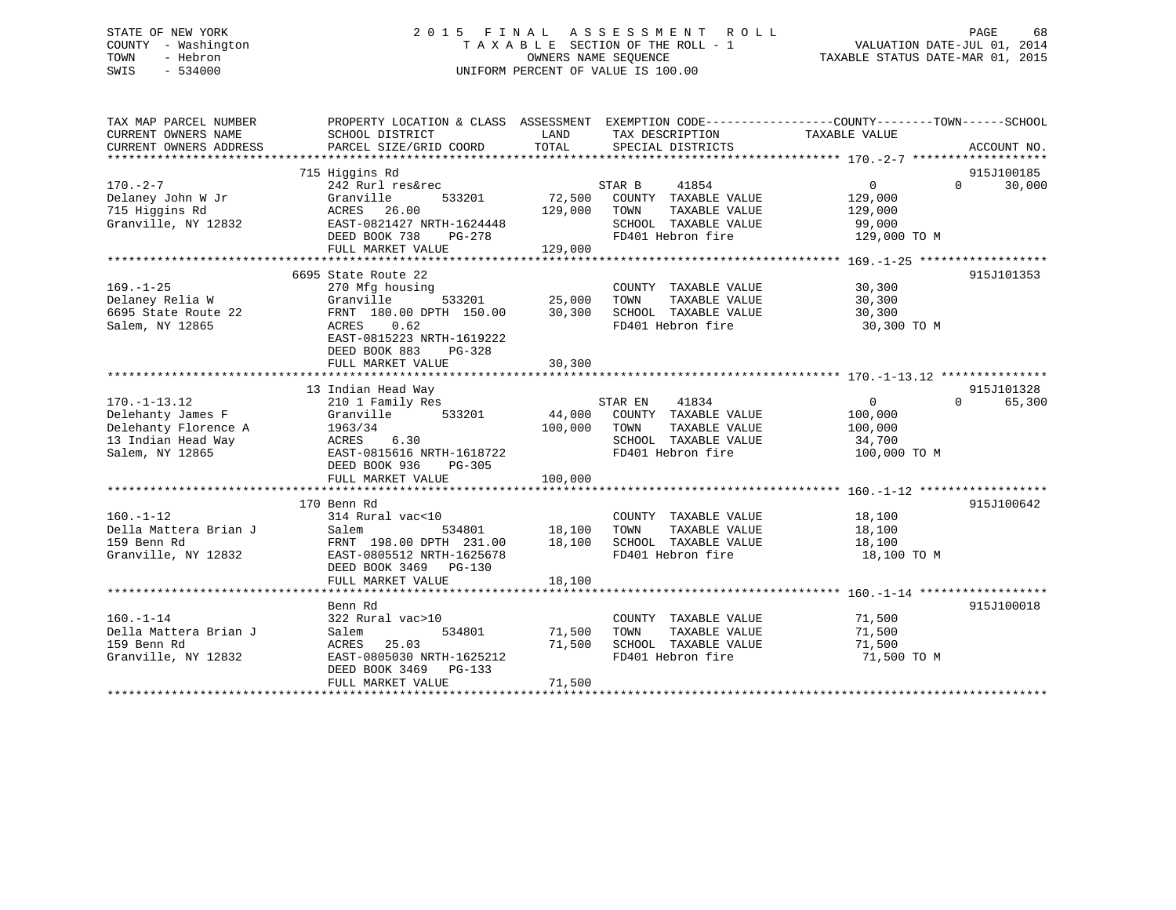## STATE OF NEW YORK 2 0 1 5 F I N A L A S S E S S M E N T R O L L PAGE 68 COUNTY - Washington T A X A B L E SECTION OF THE ROLL - 1 VALUATION DATE-JUL 01, 2014 TOWN - Hebron OWNERS NAME SEQUENCE TAXABLE STATUS DATE-MAR 01, 2015 SWIS - 534000 UNIFORM PERCENT OF VALUE IS 100.00

| TAX MAP PARCEL NUMBER<br>CURRENT OWNERS NAME<br>CURRENT OWNERS ADDRESS | PROPERTY LOCATION & CLASS ASSESSMENT<br>SCHOOL DISTRICT<br>PARCEL SIZE/GRID COORD | LAND<br>TOTAL | EXEMPTION CODE----------------COUNTY-------TOWN------SCHOOL<br>TAX DESCRIPTION<br>SPECIAL DISTRICTS | TAXABLE VALUE  | ACCOUNT NO.                      |
|------------------------------------------------------------------------|-----------------------------------------------------------------------------------|---------------|-----------------------------------------------------------------------------------------------------|----------------|----------------------------------|
|                                                                        |                                                                                   |               |                                                                                                     |                |                                  |
| $170. - 2 - 7$                                                         | 715 Higgins Rd<br>242 Rurl res&rec                                                |               | STAR B<br>41854                                                                                     | $\overline{0}$ | 915J100185<br>30,000<br>$\Omega$ |
| Delaney John W Jr                                                      | Granville<br>533201                                                               | 72,500        | COUNTY TAXABLE VALUE                                                                                | 129,000        |                                  |
| 715 Higgins Rd                                                         | 26.00<br>ACRES                                                                    | 129,000       | TOWN<br>TAXABLE VALUE                                                                               | 129,000        |                                  |
| Granville, NY 12832                                                    | EAST-0821427 NRTH-1624448                                                         |               | SCHOOL TAXABLE VALUE                                                                                | 99,000         |                                  |
|                                                                        | DEED BOOK 738<br>PG-278                                                           |               | FD401 Hebron fire                                                                                   | 129,000 TO M   |                                  |
|                                                                        | FULL MARKET VALUE                                                                 | 129,000       |                                                                                                     |                |                                  |
|                                                                        |                                                                                   |               |                                                                                                     |                |                                  |
|                                                                        | 6695 State Route 22                                                               |               |                                                                                                     |                | 915J101353                       |
| $169. - 1 - 25$                                                        | 270 Mfg housing                                                                   |               | COUNTY TAXABLE VALUE                                                                                | 30,300         |                                  |
| Delaney Relia W                                                        | 533201<br>Granville                                                               | 25,000        | TAXABLE VALUE<br>TOWN                                                                               | 30,300         |                                  |
| 6695 State Route 22                                                    | FRNT 180.00 DPTH 150.00                                                           | 30,300        | SCHOOL TAXABLE VALUE                                                                                | 30,300         |                                  |
| Salem, NY 12865                                                        | 0.62<br>ACRES                                                                     |               | FD401 Hebron fire                                                                                   | 30,300 TO M    |                                  |
|                                                                        | EAST-0815223 NRTH-1619222<br>DEED BOOK 883<br>PG-328                              |               |                                                                                                     |                |                                  |
|                                                                        | FULL MARKET VALUE                                                                 | 30,300        |                                                                                                     |                |                                  |
|                                                                        |                                                                                   |               |                                                                                                     |                |                                  |
|                                                                        | 13 Indian Head Way                                                                |               |                                                                                                     |                | 915J101328                       |
| $170. - 1 - 13.12$                                                     | 210 1 Family Res                                                                  |               | STAR EN<br>41834                                                                                    | $\overline{0}$ | $\Omega$<br>65,300               |
| Delehanty James F                                                      | Granville<br>533201                                                               | 44,000        | COUNTY TAXABLE VALUE                                                                                | 100,000        |                                  |
| Delehanty Florence A                                                   | 1963/34                                                                           | 100,000       | TOWN<br>TAXABLE VALUE                                                                               | 100,000        |                                  |
| 13 Indian Head Way                                                     | 6.30<br>ACRES                                                                     |               | SCHOOL TAXABLE VALUE                                                                                | 34,700         |                                  |
| Salem, NY 12865                                                        | EAST-0815616 NRTH-1618722                                                         |               | FD401 Hebron fire                                                                                   | 100,000 TO M   |                                  |
|                                                                        | DEED BOOK 936<br>$PG-305$                                                         |               |                                                                                                     |                |                                  |
|                                                                        | FULL MARKET VALUE                                                                 | 100,000       |                                                                                                     |                |                                  |
|                                                                        |                                                                                   |               |                                                                                                     |                | 915J100642                       |
| $160. - 1 - 12$                                                        | 170 Benn Rd<br>314 Rural vac<10                                                   |               | COUNTY TAXABLE VALUE                                                                                | 18,100         |                                  |
| Della Mattera Brian J                                                  | 534801<br>Salem                                                                   | 18,100        | TOWN<br>TAXABLE VALUE                                                                               | 18,100         |                                  |
| 159 Benn Rd                                                            | FRNT 198.00 DPTH 231.00                                                           | 18,100        | SCHOOL TAXABLE VALUE                                                                                | 18,100         |                                  |
| Granville, NY 12832                                                    | EAST-0805512 NRTH-1625678                                                         |               | FD401 Hebron fire                                                                                   | 18,100 TO M    |                                  |
|                                                                        | DEED BOOK 3469 PG-130                                                             |               |                                                                                                     |                |                                  |
|                                                                        | FULL MARKET VALUE                                                                 | 18,100        |                                                                                                     |                |                                  |
|                                                                        | ************************************                                              |               |                                                                                                     |                |                                  |
|                                                                        | Benn Rd                                                                           |               |                                                                                                     |                | 915J100018                       |
| $160. - 1 - 14$                                                        | 322 Rural vac>10                                                                  |               | COUNTY TAXABLE VALUE                                                                                | 71,500         |                                  |
| Della Mattera Brian J                                                  | 534801<br>Salem                                                                   | 71,500        | TAXABLE VALUE<br>TOWN                                                                               | 71,500         |                                  |
| 159 Benn Rd                                                            | ACRES<br>25.03                                                                    | 71,500        | SCHOOL TAXABLE VALUE                                                                                | 71,500         |                                  |
| Granville, NY 12832                                                    | EAST-0805030 NRTH-1625212                                                         |               | FD401 Hebron fire                                                                                   | 71,500 TO M    |                                  |
|                                                                        | DEED BOOK 3469<br>$PG-133$                                                        |               |                                                                                                     |                |                                  |
|                                                                        | FULL MARKET VALUE                                                                 | 71,500        |                                                                                                     |                |                                  |
|                                                                        |                                                                                   |               |                                                                                                     |                |                                  |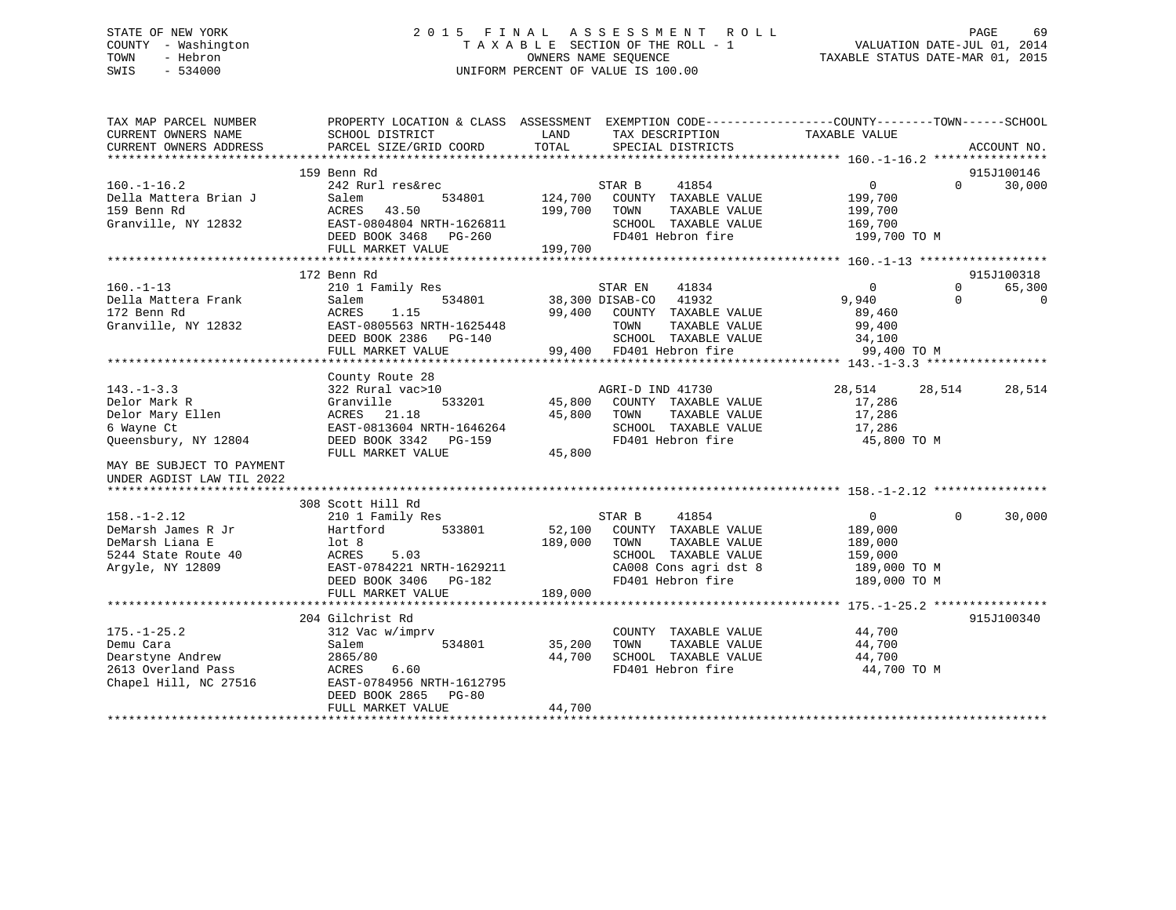## STATE OF NEW YORK 2 0 1 5 F I N A L A S S E S S M E N T R O L L PAGE 69 COUNTY - Washington T A X A B L E SECTION OF THE ROLL - 1 VALUATION DATE-JUL 01, 2014 TOWN - Hebron OWNERS NAME SEQUENCE TAXABLE STATUS DATE-MAR 01, 2015 SWIS - 534000 UNIFORM PERCENT OF VALUE IS 100.00

| TAX MAP PARCEL NUMBER<br>CURRENT OWNERS NAME<br>CURRENT OWNERS ADDRESS                                                                               | SCHOOL DISTRICT<br>PARCEL SIZE/GRID COORD                                                                                                                                      | PROPERTY LOCATION & CLASS ASSESSMENT EXEMPTION CODE----------------COUNTY-------TOWN------SCHOOL<br>LAND<br>TAX DESCRIPTION<br>TOTAL<br>SPECIAL DISTRICTS                                                 | TAXABLE VALUE<br>ACCOUNT NO.                                                                                                                     |
|------------------------------------------------------------------------------------------------------------------------------------------------------|--------------------------------------------------------------------------------------------------------------------------------------------------------------------------------|-----------------------------------------------------------------------------------------------------------------------------------------------------------------------------------------------------------|--------------------------------------------------------------------------------------------------------------------------------------------------|
| $160. - 1 - 16.2$<br>Della Mattera Brian J<br>159 Benn Rd<br>Granville, NY 12832                                                                     | 159 Benn Rd<br>242 Rurl res&rec<br>534801<br>Salem<br>43.50<br>ACRES<br>EAST-0804804 NRTH-1626811<br>DEED BOOK 3468 PG-260<br>FULL MARKET VALUE                                | STAR B<br>41854<br>124,700<br>COUNTY TAXABLE VALUE<br>199,700<br>TOWN<br>TAXABLE VALUE<br>SCHOOL TAXABLE VALUE<br>$\begin{array}{c} \mathbf{r} \\ \mathbf{r} \end{array}$<br>FD401 Hebron fire<br>199,700 | 915J100146<br>$\overline{0}$<br>$\Omega$<br>30,000<br>199,700<br>199,700<br>169,700<br>199,700 TO M                                              |
|                                                                                                                                                      |                                                                                                                                                                                |                                                                                                                                                                                                           |                                                                                                                                                  |
| $160. -1 - 13$<br>Della Mattera Frank<br>172 Benn Rd<br>Granville, NY 12832                                                                          | 172 Benn Rd<br>210 1 Family Res<br>534801<br>Salem<br>ACRES<br>1.15<br>EAST-0805563 NRTH-1625448<br>DEED BOOK 2386 PG-140<br>FULL MARKET VALUE                                 | 41834<br>STAR EN<br>38,300 DISAB-CO 41932<br>99,400<br>COUNTY TAXABLE VALUE<br>TOWN<br>TAXABLE VALUE<br>SCHOOL TAXABLE VALUE<br>99,400 FD401 Hebron fire                                                  | 915J100318<br>$\Omega$<br>65,300<br>$\Omega$<br>$\Omega$<br>9,940<br>$\Omega$<br>89,460<br>99,400<br>34,100<br>The company of the<br>99,400 TO M |
| $143. - 1 - 3.3$<br>Delor Mark R<br>Delor Mary Ellen<br>6 Wayne Ct<br>Oueensbury, NY 12804<br>MAY BE SUBJECT TO PAYMENT<br>UNDER AGDIST LAW TIL 2022 | County Route 28<br>322 Rural vac>10<br>Granville<br>533201<br>ACRES 21.18<br>EAST-0813604 NRTH-1646264<br>DEED BOOK 3342 PG-159<br>FULL MARKET VALUE                           | AGRI-D IND 41730<br>45,800 COUNTY TAXABLE VALUE<br>TAXABLE VALUE<br>45,800<br>TOWN<br>SCHOOL TAXABLE VALUE<br>FD401 Hebron fire<br>45,800                                                                 | 28,514<br>28,514<br>28,514<br>17,286<br>17,286<br>17,286<br>45,800 TO M                                                                          |
| $158. - 1 - 2.12$<br>DeMarsh James R Jr<br>DeMarsh Liana E<br>5244 State Route 40<br>Argyle, NY 12809                                                | 308 Scott Hill Rd<br>210 1 Family Res<br>Hartford<br>533801<br>lot 8<br>ACRES<br>5.03<br>ACKES 5.05<br>EAST-0784221 NRTH-1629211<br>DEED BOOK 3406 PG-182<br>FULL MARKET VALUE | STAR B<br>41854<br>52,100 COUNTY TAXABLE VALUE<br>189,000<br>TOWN<br>TAXABLE VALUE<br>SCHOOL TAXABLE VALUE<br>CA008 Cons agri dst 8<br>FD401 Hebron fire<br>189,000                                       | $\overline{0}$<br>$\Omega$<br>30,000<br>189,000<br>189,000<br>159,000<br>189,000 TO M<br>189,000 TO M                                            |
| $175. - 1 - 25.2$<br>Demu Cara<br>Dearstyne Andrew<br>2613 Overland Pass<br>Chapel Hill, NC 27516                                                    | 204 Gilchrist Rd<br>312 Vac w/imprv<br>Salem<br>534801<br>2865/80<br>ACRES<br>6.60<br>EAST-0784956 NRTH-1612795<br>DEED BOOK 2865<br><b>PG-80</b><br>FULL MARKET VALUE         | COUNTY TAXABLE VALUE<br>TAXABLE VALUE<br>35,200<br>TOWN<br>SCHOOL TAXABLE VALUE<br>44,700<br>FD401 Hebron fire<br>44,700                                                                                  | 915J100340<br>44,700<br>44,700<br>44,700<br>44,700 TO M                                                                                          |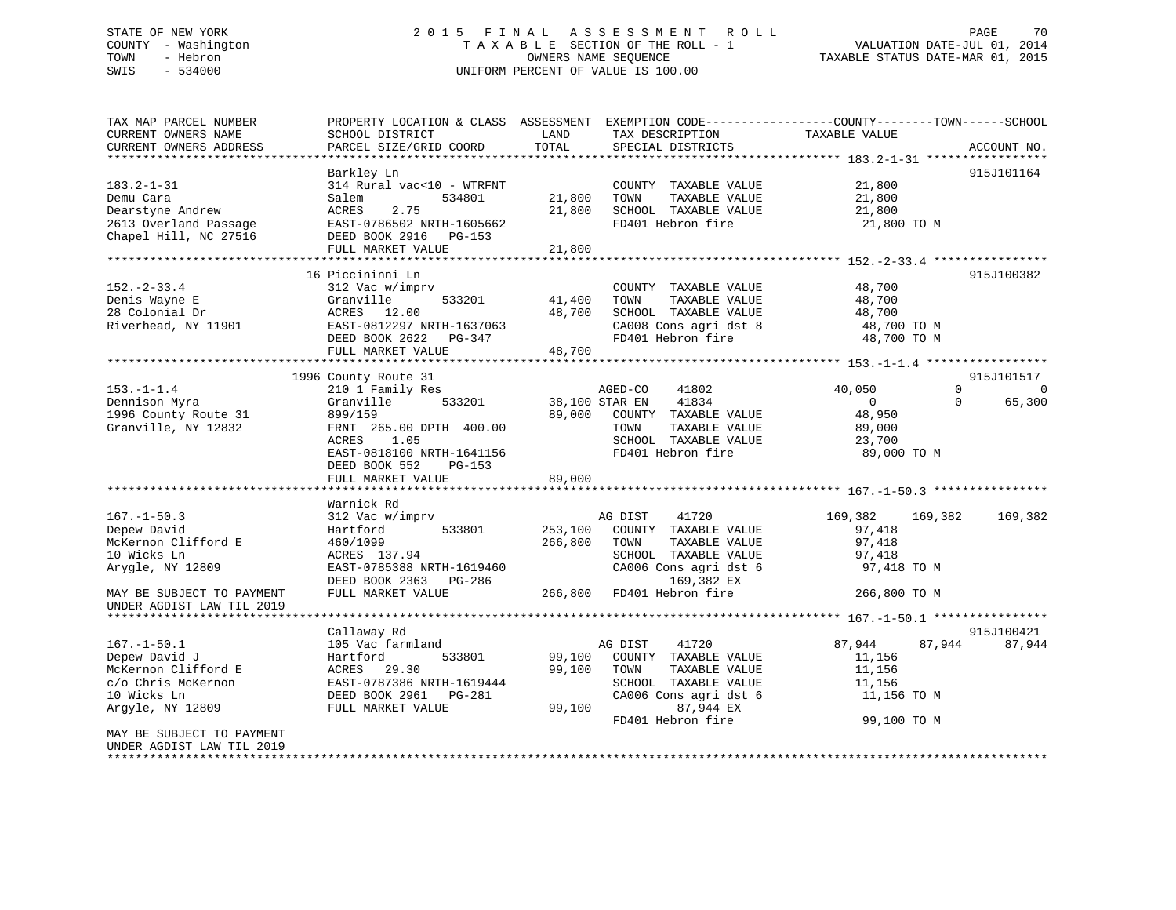## STATE OF NEW YORK 2 0 1 5 F I N A L A S S E S S M E N T R O L L PAGE 70 COUNTY - Washington T A X A B L E SECTION OF THE ROLL - 1 VALUATION DATE-JUL 01, 2014 TOWN - Hebron OWNERS NAME SEQUENCE TAXABLE STATUS DATE-MAR 01, 2015 SWIS - 534000 UNIFORM PERCENT OF VALUE IS 100.00

| TAX MAP PARCEL NUMBER<br>CURRENT OWNERS NAME<br>CURRENT OWNERS ADDRESS                                                                      | PROPERTY LOCATION & CLASS ASSESSMENT EXEMPTION CODE----------------COUNTY-------TOWN------SCHOOL<br>SCHOOL DISTRICT<br>PARCEL SIZE/GRID COORD                                                                                                                            | LAND<br>TOTAL                          | TAX DESCRIPTION<br>SPECIAL DISTRICTS                                                                                                                                                                           | TAXABLE VALUE                                                                                                   | ACCOUNT NO.                                                            |
|---------------------------------------------------------------------------------------------------------------------------------------------|--------------------------------------------------------------------------------------------------------------------------------------------------------------------------------------------------------------------------------------------------------------------------|----------------------------------------|----------------------------------------------------------------------------------------------------------------------------------------------------------------------------------------------------------------|-----------------------------------------------------------------------------------------------------------------|------------------------------------------------------------------------|
|                                                                                                                                             |                                                                                                                                                                                                                                                                          |                                        |                                                                                                                                                                                                                |                                                                                                                 |                                                                        |
| $183.2 - 1 - 31$<br>Demu Cara<br>Dearstyne Andrew<br>2613 Overland Passage<br>Chapel Hill, NC 27516                                         | Barkley Ln<br>314 Rural vac<10 - WTRFNT<br>Salem<br>534801<br>ACRES<br>2.75<br>EAST-0786502 NRTH-1605662<br>DEED BOOK 2916 PG-153                                                                                                                                        | 21,800<br>21,800                       | COUNTY TAXABLE VALUE<br>TOWN<br>TAXABLE VALUE<br>SCHOOL TAXABLE VALUE<br>FD401 Hebron fire                                                                                                                     | 21,800<br>21,800<br>21,800<br>21,800 TO M                                                                       | 915J101164                                                             |
|                                                                                                                                             | FULL MARKET VALUE                                                                                                                                                                                                                                                        | 21,800                                 |                                                                                                                                                                                                                |                                                                                                                 |                                                                        |
| $152 - 2 - 33.4$<br>Denis Wayne E<br>28 Colonial Dr<br>Riverhead, NY 11901                                                                  | 16 Piccininni Ln<br>312 Vac w/imprv<br>Granville<br>533201<br>ACRES 12.00<br>EAST-0812297 NRTH-1637063<br>DEED BOOK 2622 PG-347<br>FULL MARKET VALUE                                                                                                                     | 41,400<br>48,700<br>48,700             | COUNTY TAXABLE VALUE<br>TOWN<br>TAXABLE VALUE<br>SCHOOL TAXABLE VALUE<br>CA008 Cons agri dst 8<br>FD401 Hebron fire                                                                                            | 48,700<br>48,700<br>48,700<br>48,700 TO M<br>48,700 TO M                                                        | 915J100382                                                             |
|                                                                                                                                             |                                                                                                                                                                                                                                                                          |                                        |                                                                                                                                                                                                                |                                                                                                                 |                                                                        |
| $153. - 1 - 1.4$<br>Dennison Myra<br>1996 County Route 31<br>Granville, NY 12832<br>$167. - 1 - 50.3$<br>Depew David<br>McKernon Clifford E | 1996 County Route 31<br>210 1 Family Res<br>Granville<br>533201<br>899/159<br>FRNT 265.00 DPTH 400.00<br>1.05<br>ACRES<br>EAST-0818100 NRTH-1641156<br>DEED BOOK 552<br>$PG-153$<br>FULL MARKET VALUE<br>Warnick Rd<br>312 Vac w/imprv<br>533801<br>Hartford<br>460/1099 | 89,000<br>89,000<br>253,100<br>266,800 | AGED-CO<br>41802<br>38,100 STAR EN<br>41834<br>COUNTY TAXABLE VALUE<br>TOWN<br>TAXABLE VALUE<br>SCHOOL TAXABLE VALUE<br>FD401 Hebron fire<br>AG DIST<br>41720<br>COUNTY TAXABLE VALUE<br>TAXABLE VALUE<br>TOWN | 40,050<br>$\overline{0}$<br>48,950<br>89,000<br>23,700<br>89,000 TO M<br>169,382<br>169,382<br>97,418<br>97,418 | 915J101517<br>$\Omega$<br>$\mathbf 0$<br>$\Omega$<br>65,300<br>169,382 |
| 10 Wicks Ln<br>Arygle, NY 12809<br>MAY BE SUBJECT TO PAYMENT<br>UNDER AGDIST LAW TIL 2019                                                   | ACRES 137.94<br>EAST-0785388 NRTH-1619460<br>DEED BOOK 2363 PG-286<br>FULL MARKET VALUE                                                                                                                                                                                  | 266,800                                | SCHOOL TAXABLE VALUE<br>CA006 Cons agri dst 6<br>169,382 EX<br>FD401 Hebron fire                                                                                                                               | 97,418<br>97,418 TO M<br>266,800 TO M                                                                           |                                                                        |
|                                                                                                                                             | Callaway Rd                                                                                                                                                                                                                                                              |                                        |                                                                                                                                                                                                                |                                                                                                                 | 915J100421                                                             |
| $167. - 1 - 50.1$<br>Depew David J<br>McKernon Clifford E<br>c/o Chris McKernon<br>10 Wicks Ln<br>Argyle, NY 12809                          | 105 Vac farmland<br>533801<br>Hartford<br>ACRES 29.30<br>EAST-0787386 NRTH-1619444<br>DEED BOOK 2961 PG-281<br>FULL MARKET VALUE                                                                                                                                         | 99,100<br>99,100<br>99,100             | AG DIST<br>41720<br>COUNTY TAXABLE VALUE<br>TOWN<br>TAXABLE VALUE<br>SCHOOL TAXABLE VALUE<br>CA006 Cons agri dst 6<br>87,944 EX<br>FD401 Hebron fire                                                           | 87,944<br>11,156<br>11,156<br>11,156<br>11,156 TO M<br>99,100 TO M                                              | 87,944<br>87,944                                                       |
| MAY BE SUBJECT TO PAYMENT<br>UNDER AGDIST LAW TIL 2019                                                                                      |                                                                                                                                                                                                                                                                          |                                        |                                                                                                                                                                                                                |                                                                                                                 |                                                                        |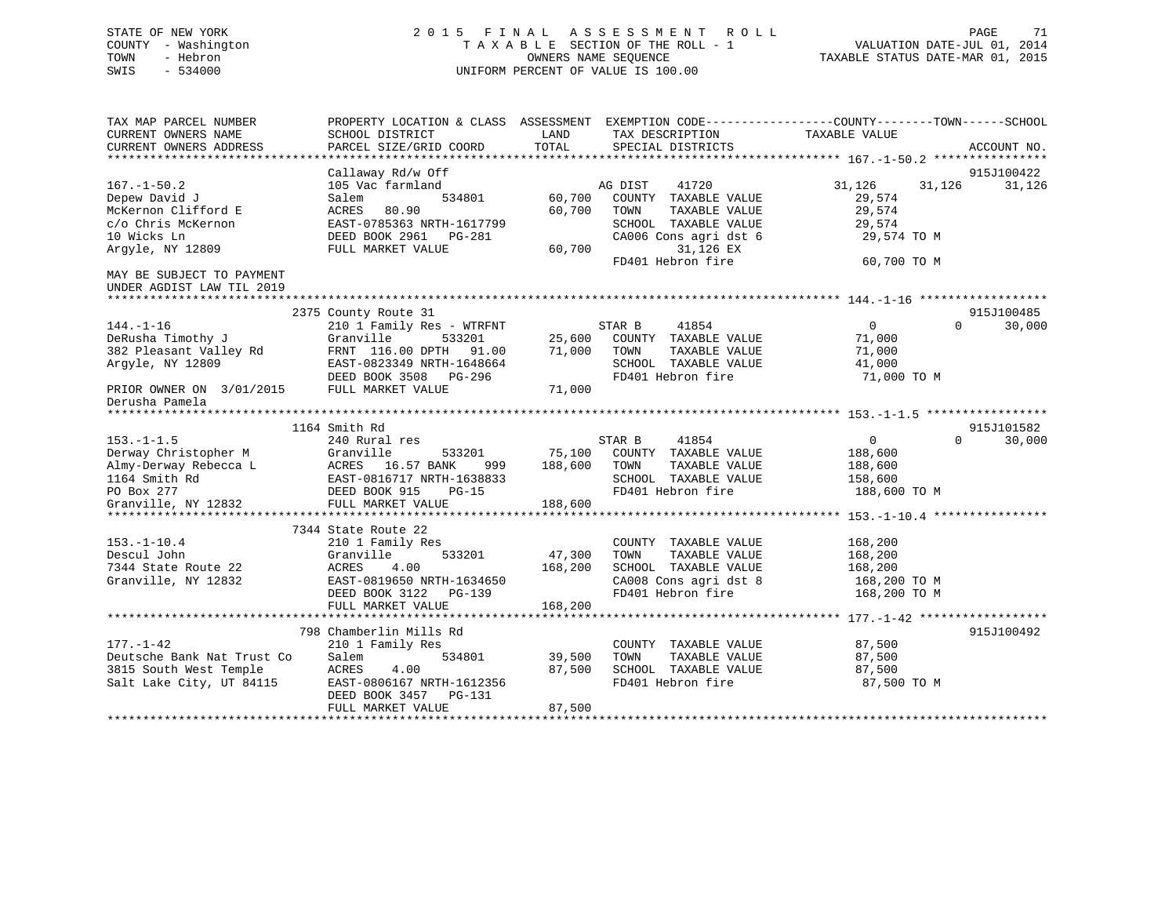## STATE OF NEW YORK 2 0 1 5 F I N A L A S S E S S M E N T R O L L PAGE 71 COUNTY - Washington T A X A B L E SECTION OF THE ROLL - 1 VALUATION DATE-JUL 01, 2014 TOWN - Hebron OWNERS NAME SEQUENCE TAXABLE STATUS DATE-MAR 01, 2015 SWIS - 534000 UNIFORM PERCENT OF VALUE IS 100.00

| TAX MAP PARCEL NUMBER<br>CURRENT OWNERS NAME<br>CURRENT OWNERS ADDRESS                                                                                                                 | PROPERTY LOCATION & CLASS ASSESSMENT<br>SCHOOL DISTRICT<br>PARCEL SIZE/GRID COORD                                                                                                | LAND<br>TOTAL                                 | EXEMPTION CODE-----------------COUNTY-------TOWN------SCHOOL<br>TAX DESCRIPTION<br>SPECIAL DISTRICTS                                                 | TAXABLE VALUE                                                                | ACCOUNT NO.                      |
|----------------------------------------------------------------------------------------------------------------------------------------------------------------------------------------|----------------------------------------------------------------------------------------------------------------------------------------------------------------------------------|-----------------------------------------------|------------------------------------------------------------------------------------------------------------------------------------------------------|------------------------------------------------------------------------------|----------------------------------|
| $167. - 1 - 50.2$<br>Depew David J<br>McKernon Clifford E<br>c/o Chris McKernon<br>10 Wicks Ln<br>Argyle, NY 12809<br>MAY BE SUBJECT TO PAYMENT                                        | Callaway Rd/w Off<br>105 Vac farmland<br>Salem<br>534801<br>80.90<br>ACRES<br>EAST-0785363 NRTH-1617799<br>DEED BOOK 2961<br>PG-281<br>FULL MARKET VALUE                         | 60,700<br>60,700<br>60,700                    | AG DIST<br>41720<br>COUNTY TAXABLE VALUE<br>TOWN<br>TAXABLE VALUE<br>SCHOOL TAXABLE VALUE<br>CA006 Cons agri dst 6<br>31,126 EX<br>FD401 Hebron fire | 31,126<br>31,126<br>29,574<br>29,574<br>29,574<br>29,574 TO M<br>60,700 TO M | 915J100422<br>31,126             |
| UNDER AGDIST LAW TIL 2019<br>*********************<br>$144. - 1 - 16$<br>DeRusha Timothy J<br>382 Pleasant Valley Rd<br>Argyle, NY 12809<br>PRIOR OWNER ON 3/01/2015<br>Derusha Pamela | 2375 County Route 31<br>210 1 Family Res - WTRFNT<br>Granville<br>533201<br>FRNT 116.00 DPTH 91.00<br>EAST-0823349 NRTH-1648664<br>DEED BOOK 3508<br>PG-296<br>FULL MARKET VALUE | 25,600<br>71,000<br>71,000                    | STAR B<br>41854<br>COUNTY TAXABLE VALUE<br>TOWN<br>TAXABLE VALUE<br>SCHOOL TAXABLE VALUE<br>FD401 Hebron fire                                        | $\overline{0}$<br>71,000<br>71,000<br>41,000<br>71,000 TO M                  | 915J100485<br>$\Omega$<br>30,000 |
| ***************<br>$153. - 1 - 1.5$<br>Derway Christopher M<br>Almy-Derway Rebecca L<br>1164 Smith Rd<br>PO Box 277<br>Granville, NY 12832                                             | 1164 Smith Rd<br>240 Rural res<br>Granville<br>533201<br>ACRES 16.57 BANK<br>999<br>EAST-0816717 NRTH-1638833<br>DEED BOOK 915<br>$PG-15$<br>FULL MARKET VALUE                   | 75,100<br>188,600<br>188,600                  | STAR B<br>41854<br>COUNTY TAXABLE VALUE<br>TAXABLE VALUE<br>TOWN<br>SCHOOL TAXABLE VALUE<br>FD401 Hebron fire                                        | $\overline{0}$<br>188,600<br>188,600<br>158,600<br>188,600 TO M              | 915J101582<br>$\Omega$<br>30,000 |
| $153. - 1 - 10.4$<br>Descul John<br>7344 State Route 22<br>Granville, NY 12832                                                                                                         | 7344 State Route 22<br>210 1 Family Res<br>533201<br>Granville<br>ACRES<br>4.00<br>EAST-0819650 NRTH-1634650<br>DEED BOOK 3122<br>PG-139<br>FULL MARKET VALUE                    | *************<br>47,300<br>168,200<br>168,200 | COUNTY TAXABLE VALUE<br>TAXABLE VALUE<br>TOWN<br>SCHOOL TAXABLE VALUE<br>CA008 Cons agri dst 8<br>FD401 Hebron fire                                  | 168,200<br>168,200<br>168,200<br>168,200 TO M<br>168,200 TO M                |                                  |
| $177. - 1 - 42$<br>Deutsche Bank Nat Trust Co<br>3815 South West Temple<br>Salt Lake City, UT 84115                                                                                    | 798 Chamberlin Mills Rd<br>210 1 Family Res<br>Salem<br>534801<br>ACRES<br>4.00<br>EAST-0806167 NRTH-1612356<br>DEED BOOK 3457<br>PG-131<br>FULL MARKET VALUE                    | 39,500<br>87,500<br>87,500                    | COUNTY TAXABLE VALUE<br>TOWN<br>TAXABLE VALUE<br>SCHOOL TAXABLE VALUE<br>FD401 Hebron fire                                                           | 87,500<br>87,500<br>87,500<br>87,500 TO M                                    | 915J100492                       |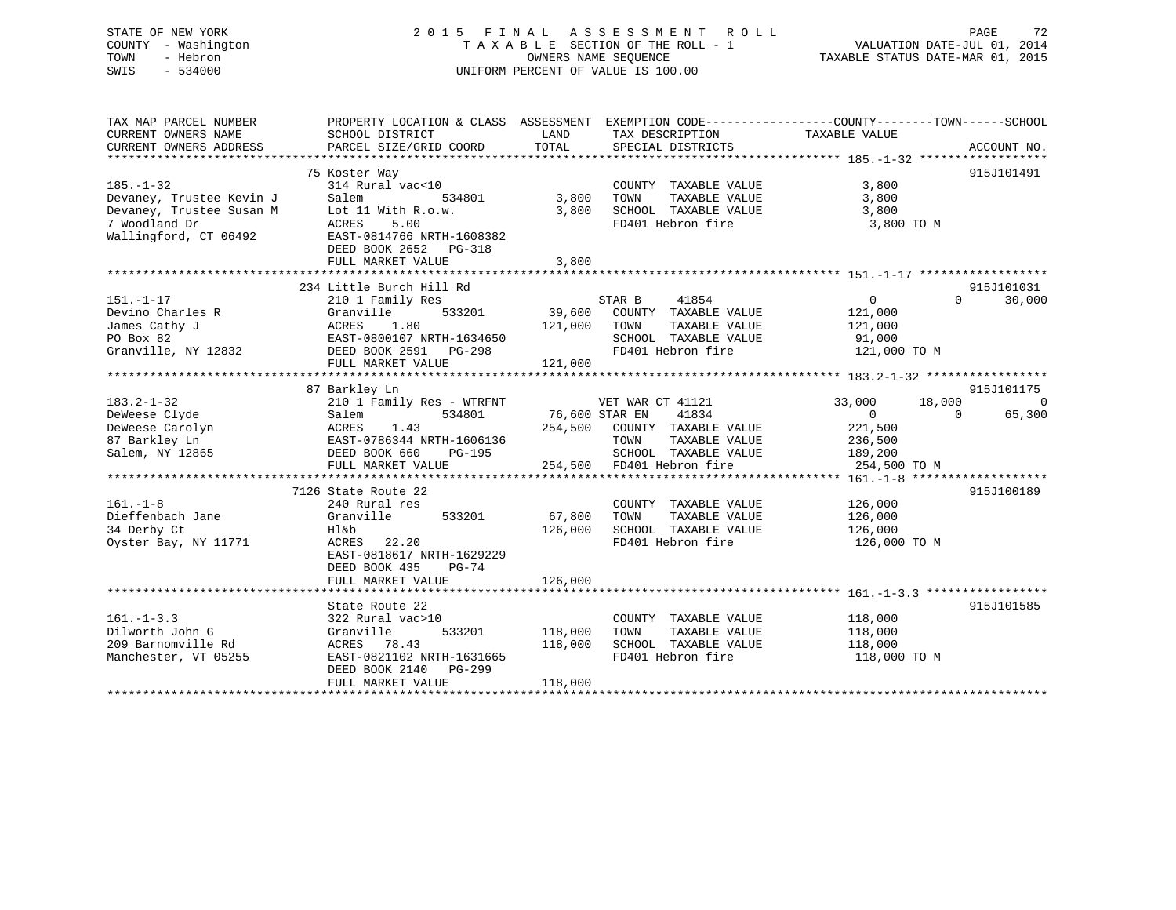## STATE OF NEW YORK 2 0 1 5 F I N A L A S S E S S M E N T R O L L PAGE 72 COUNTY - Washington T A X A B L E SECTION OF THE ROLL - 1 VALUATION DATE-JUL 01, 2014 TOWN - Hebron OWNERS NAME SEQUENCE TAXABLE STATUS DATE-MAR 01, 2015 SWIS - 534000 UNIFORM PERCENT OF VALUE IS 100.00

| TAX MAP PARCEL NUMBER    | PROPERTY LOCATION & CLASS ASSESSMENT EXEMPTION CODE---------------COUNTY-------TOWN-----SCHOOL                                                                   |                |                              |                       |                             |
|--------------------------|------------------------------------------------------------------------------------------------------------------------------------------------------------------|----------------|------------------------------|-----------------------|-----------------------------|
| CURRENT OWNERS NAME      | SCHOOL DISTRICT                                                                                                                                                  | LAND           | TAX DESCRIPTION              | TAXABLE VALUE         |                             |
| CURRENT OWNERS ADDRESS   | PARCEL SIZE/GRID COORD                                                                                                                                           | TOTAL          | SPECIAL DISTRICTS            |                       | ACCOUNT NO.                 |
|                          |                                                                                                                                                                  |                |                              |                       | 915J101491                  |
| $185. - 1 - 32$          | 75 Koster Way<br>314 Rural vac<10                                                                                                                                |                | COUNTY TAXABLE VALUE         | 3,800                 |                             |
|                          | Salem<br>534801                                                                                                                                                  | 3,800          | TAXABLE VALUE                |                       |                             |
| Devaney, Trustee Kevin J | Lot 11 With R.o.w.                                                                                                                                               | 3,800          | TOWN<br>SCHOOL TAXABLE VALUE | 3,800                 |                             |
| Devaney, Trustee Susan M |                                                                                                                                                                  |                |                              | 3,800                 |                             |
| 7 Woodland Dr            | 5.00<br>ACRES                                                                                                                                                    |                | FD401 Hebron fire            | 3,800 TO M            |                             |
| Wallingford, CT 06492    | EAST-0814766 NRTH-1608382                                                                                                                                        |                |                              |                       |                             |
|                          | DEED BOOK 2652 PG-318                                                                                                                                            |                |                              |                       |                             |
|                          | FULL MARKET VALUE                                                                                                                                                | 3,800          |                              |                       |                             |
|                          |                                                                                                                                                                  |                |                              |                       |                             |
|                          | 234 Little Burch Hill Rd                                                                                                                                         |                |                              |                       | 915J101031                  |
| $151. - 1 - 17$          | 210 1 Family Res                                                                                                                                                 |                | STAR B<br>41854              | $\overline{0}$        | 30,000<br>$0 \qquad \qquad$ |
| Devino Charles R         | Granville<br>533201                                                                                                                                              |                | 39,600 COUNTY TAXABLE VALUE  | 121,000               |                             |
| James Cathy J            | ACRES 1.80<br>EAST-0800107 NRTH-1634650                                                                                                                          | 121,000        | TOWN<br>TAXABLE VALUE        | 121,000               |                             |
| PO Box 82                |                                                                                                                                                                  |                | SCHOOL TAXABLE VALUE         | 91,000                |                             |
|                          | Granville, NY 12832 DEED BOOK 2591 PG-298                                                                                                                        |                | FD401 Hebron fire            | 121,000 TO M          |                             |
|                          | FULL MARKET VALUE                                                                                                                                                | 121,000        |                              |                       |                             |
|                          |                                                                                                                                                                  |                |                              |                       |                             |
|                          | 87 Barkley Ln                                                                                                                                                    |                |                              |                       | 915J101175                  |
| $183.2 - 1 - 32$         | 210 1 Family Res - WTRFNT WET WAR CT 41121                                                                                                                       |                |                              | 18,000<br>33,000      | $\overline{0}$              |
| DeWeese Clyde            | 534801<br>Salem                                                                                                                                                  | 76,600 STAR EN | 41834                        | $\sim$ 0              | 65,300<br>$\Omega$          |
|                          |                                                                                                                                                                  |                |                              | 221,500               |                             |
|                          |                                                                                                                                                                  |                |                              | 236,500               |                             |
|                          | DeWeese Carolyn MacRES 1.43<br>87 Barkley Ln EAST-0786344 NRTH-1606136 254,500 COUNTY TAXABLE VALUE<br>Salem, NY 12865 DEED BOOK 660 PG-195 SCHOOL TAXABLE VALUE |                | SCHOOL TAXABLE VALUE 189,200 |                       |                             |
|                          | FULL MARKET VALUE                                                                                                                                                |                | 254,500 FD401 Hebron fire    | 254,500 TO M          |                             |
|                          |                                                                                                                                                                  |                |                              |                       |                             |
|                          | 7126 State Route 22                                                                                                                                              |                |                              |                       | 915J100189                  |
| $161. - 1 - 8$           | 240 Rural res                                                                                                                                                    |                | COUNTY TAXABLE VALUE 126,000 |                       |                             |
| Dieffenbach Jane         | 533201<br>Granville                                                                                                                                              | 67,800         | TOWN<br>TAXABLE VALUE        | 126,000               |                             |
| 34 Derby Ct              | Hl&b                                                                                                                                                             | 126,000        | SCHOOL TAXABLE VALUE         | 126,000               |                             |
| Oyster Bay, NY 11771     | ACRES 22.20                                                                                                                                                      |                | FD401 Hebron fire            | 126,000 TO M          |                             |
|                          | EAST-0818617 NRTH-1629229                                                                                                                                        |                |                              |                       |                             |
|                          | DEED BOOK 435<br>PG-74                                                                                                                                           |                |                              |                       |                             |
|                          | FULL MARKET VALUE                                                                                                                                                | 126,000        |                              |                       |                             |
|                          |                                                                                                                                                                  |                |                              |                       |                             |
|                          | State Route 22                                                                                                                                                   |                |                              |                       | 915J101585                  |
| $161. - 1 - 3.3$         | 322 Rural vac>10                                                                                                                                                 |                | COUNTY TAXABLE VALUE 118,000 |                       |                             |
| Dilworth John G          | 533201<br>Granville                                                                                                                                              | 118,000        | TOWN                         | TAXABLE VALUE 118,000 |                             |
| 209 Barnomville Rd       | ACRES 78.43                                                                                                                                                      | 118,000        | SCHOOL TAXABLE VALUE         | 118,000               |                             |
| Manchester, VT 05255     | EAST-0821102 NRTH-1631665                                                                                                                                        |                | FD401 Hebron fire            | 118,000 TO M          |                             |
|                          | DEED BOOK 2140 PG-299                                                                                                                                            |                |                              |                       |                             |
|                          | FULL MARKET VALUE                                                                                                                                                | 118,000        |                              |                       |                             |
|                          |                                                                                                                                                                  |                |                              |                       |                             |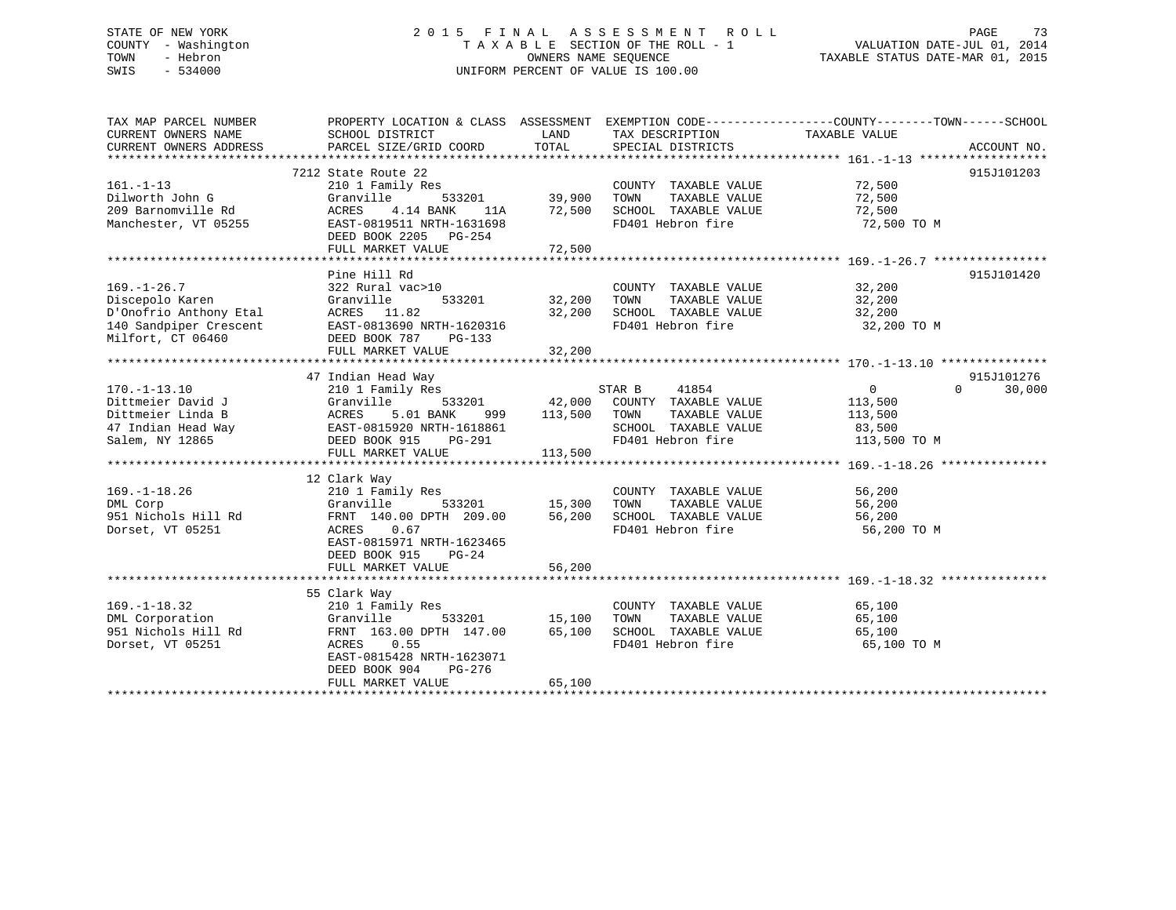# STATE OF NEW YORK 2 0 1 5 F I N A L A S S E S S M E N T R O L L PAGE 73 COUNTY - Washington T A X A B L E SECTION OF THE ROLL - 1 VALUATION DATE-JUL 01, 2014 TOWN - Hebron OWNERS NAME SEQUENCE TAXABLE STATUS DATE-MAR 01, 2015 SWIS - 534000 UNIFORM PERCENT OF VALUE IS 100.00

| TAX MAP PARCEL NUMBER<br>CURRENT OWNERS NAME                              | SCHOOL DISTRICT                                                                                                  | LAND              | TAX DESCRIPTION                                                                                   | PROPERTY LOCATION & CLASS ASSESSMENT EXEMPTION CODE----------------COUNTY-------TOWN------SCHOOL<br>TAXABLE VALUE |                      |
|---------------------------------------------------------------------------|------------------------------------------------------------------------------------------------------------------|-------------------|---------------------------------------------------------------------------------------------------|-------------------------------------------------------------------------------------------------------------------|----------------------|
| CURRENT OWNERS ADDRESS                                                    | PARCEL SIZE/GRID COORD                                                                                           | TOTAL             | SPECIAL DISTRICTS                                                                                 |                                                                                                                   | ACCOUNT NO.          |
|                                                                           |                                                                                                                  |                   |                                                                                                   |                                                                                                                   |                      |
| $161. - 1 - 13$<br>Dilworth John G<br>209 Barnomville Rd                  | 7212 State Route 22<br>210 1 Family Res<br>533201<br>Granville<br>4.14 BANK<br>ACRES<br>11A                      | 39,900<br>72,500  | COUNTY TAXABLE VALUE<br>TOWN<br>TAXABLE VALUE<br>SCHOOL TAXABLE VALUE                             | 72,500<br>72,500<br>72,500                                                                                        | 915J101203           |
| Manchester, VT 05255                                                      | EAST-0819511 NRTH-1631698<br>DEED BOOK 2205 PG-254<br>FULL MARKET VALUE                                          | 72,500            | FD401 Hebron fire                                                                                 | 72,500 TO M                                                                                                       |                      |
|                                                                           |                                                                                                                  |                   |                                                                                                   |                                                                                                                   |                      |
| $169. - 1 - 26.7$                                                         | Pine Hill Rd<br>322 Rural vac>10                                                                                 |                   | COUNTY TAXABLE VALUE                                                                              |                                                                                                                   | 915J101420           |
| Discepolo Karen                                                           | Granville<br>533201                                                                                              | 32,200            | TOWN<br>TAXABLE VALUE                                                                             | 32,200<br>32,200                                                                                                  |                      |
| D'Onofrio Anthony Etal                                                    | ACRES 11.82                                                                                                      | 32,200            | SCHOOL TAXABLE VALUE 32,200                                                                       |                                                                                                                   |                      |
| 140 Sandpiper Crescent<br>Milfort, CT 06460                               | EAST-0813690 NRTH-1620316<br>DEED BOOK 787<br>PG-133                                                             |                   | FD401 Hebron fire                                                                                 | 32,200 TO M                                                                                                       |                      |
|                                                                           | FULL MARKET VALUE                                                                                                | 32,200            |                                                                                                   |                                                                                                                   |                      |
|                                                                           |                                                                                                                  |                   |                                                                                                   |                                                                                                                   |                      |
| $170. - 1 - 13.10$                                                        | 47 Indian Head Way<br>210 1 Family Res                                                                           |                   | STAR B<br>41854                                                                                   | $\overline{0}$<br>$\Omega$                                                                                        | 915J101276<br>30,000 |
| Dittmeier David J<br>Dittmeier Linda B                                    | Granville<br>533201<br><b>ACRES</b><br>5.01 BANK<br>999                                                          | 42,000<br>113,500 | COUNTY TAXABLE VALUE<br>TOWN<br>TAXABLE VALUE                                                     | 113,500<br>113,500                                                                                                |                      |
| 47 Indian Head Way<br>Salem, NY 12865                                     | EAST-0815920 NRTH-1618861<br>DEED BOOK 915 PG-291                                                                |                   | SCHOOL TAXABLE VALUE<br>FD401 Hebron fire                                                         | 83,500<br>113,500 TO M                                                                                            |                      |
|                                                                           | FULL MARKET VALUE                                                                                                | 113,500           |                                                                                                   |                                                                                                                   |                      |
|                                                                           | 12 Clark Way                                                                                                     |                   |                                                                                                   |                                                                                                                   |                      |
| $169. - 1 - 18.26$<br>DML Corp<br>951 Nichols Hill Rd<br>Dorset, VT 05251 | 210 1 Family Res<br>Granville<br>533201<br>FRNT 140.00 DPTH 209.00<br>0.67<br>ACRES<br>EAST-0815971 NRTH-1623465 | 15,300<br>56,200  | COUNTY TAXABLE VALUE<br>TOWN<br>TAXABLE VALUE<br>SCHOOL TAXABLE VALUE 56,200<br>FD401 Hebron fire | 56,200<br>56,200<br>56,200 TO M                                                                                   |                      |
|                                                                           | DEED BOOK 915<br>$PG-24$<br>FULL MARKET VALUE                                                                    | 56,200            |                                                                                                   |                                                                                                                   |                      |
|                                                                           |                                                                                                                  |                   |                                                                                                   |                                                                                                                   |                      |
|                                                                           | 55 Clark Way                                                                                                     |                   |                                                                                                   |                                                                                                                   |                      |
| $169. - 1 - 18.32$                                                        | 210 1 Family Res                                                                                                 |                   | COUNTY TAXABLE VALUE                                                                              | 65,100                                                                                                            |                      |
| DML Corporation                                                           | Granville                                                                                                        | 533201 15,100     | TOWN<br>TAXABLE VALUE                                                                             | 65,100                                                                                                            |                      |
| 951 Nichols Hill Rd<br>Dorset, VT 05251                                   | FRNT 163.00 DPTH 147.00<br>0.55<br>ACRES<br>EAST-0815428 NRTH-1623071<br>DEED BOOK 904<br>PG-276                 | 65,100            | SCHOOL TAXABLE VALUE<br>FD401 Hebron fire                                                         | 65,100<br>65,100 TO M                                                                                             |                      |
|                                                                           | FULL MARKET VALUE                                                                                                | 65,100            |                                                                                                   |                                                                                                                   |                      |
|                                                                           |                                                                                                                  |                   |                                                                                                   |                                                                                                                   |                      |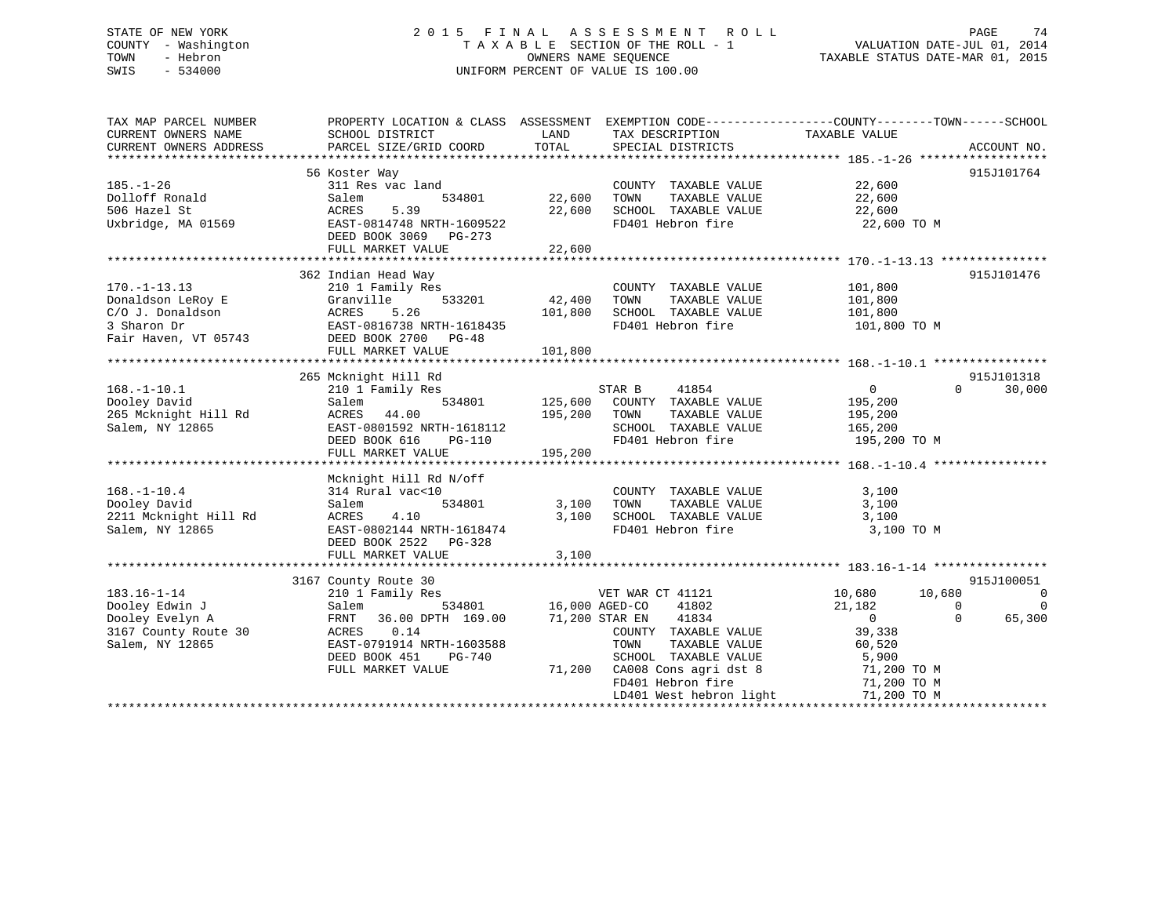# STATE OF NEW YORK 2 0 1 5 F I N A L A S S E S S M E N T R O L L PAGE 74 COUNTY - Washington T A X A B L E SECTION OF THE ROLL - 1 VALUATION DATE-JUL 01, 2014 TOWN - Hebron OWNERS NAME SEQUENCE TAXABLE STATUS DATE-MAR 01, 2015 SWIS - 534000 UNIFORM PERCENT OF VALUE IS 100.00

| TAX MAP PARCEL NUMBER  | PROPERTY LOCATION & CLASS ASSESSMENT EXEMPTION CODE----------------COUNTY-------TOWN-----SCHOOL |                |                                           |                         |                     |
|------------------------|-------------------------------------------------------------------------------------------------|----------------|-------------------------------------------|-------------------------|---------------------|
| CURRENT OWNERS NAME    | SCHOOL DISTRICT                                                                                 | LAND           | TAX DESCRIPTION                           | TAXABLE VALUE           |                     |
| CURRENT OWNERS ADDRESS | PARCEL SIZE/GRID COORD                                                                          | TOTAL          | SPECIAL DISTRICTS                         |                         | ACCOUNT NO.         |
|                        | 56 Koster Way                                                                                   |                |                                           |                         | 915J101764          |
| $185. - 1 - 26$        | 311 Res vac land                                                                                |                | COUNTY TAXABLE VALUE                      | 22,600                  |                     |
| Dolloff Ronald         | 534801<br>Salem                                                                                 | 22,600         | TOWN<br>TAXABLE VALUE                     | 22,600                  |                     |
| 506 Hazel St           | ACRES<br>5.39                                                                                   | 22,600         | SCHOOL TAXABLE VALUE                      | 22,600                  |                     |
| Uxbridge, MA 01569     | EAST-0814748 NRTH-1609522                                                                       |                | FD401 Hebron fire                         | 22,600 TO M             |                     |
|                        | DEED BOOK 3069<br>PG-273                                                                        |                |                                           |                         |                     |
|                        | FULL MARKET VALUE                                                                               | 22,600         |                                           |                         |                     |
|                        |                                                                                                 |                |                                           |                         |                     |
|                        | 362 Indian Head Way                                                                             |                |                                           |                         | 915J101476          |
| $170. - 1 - 13.13$     | 210 1 Family Res                                                                                |                | COUNTY TAXABLE VALUE                      | 101,800                 |                     |
| Donaldson LeRoy E      | Granville<br>533201                                                                             | 42,400         | TOWN<br>TAXABLE VALUE                     | 101,800                 |                     |
| C/O J. Donaldson       | ACRES<br>5.26                                                                                   | 101,800        | SCHOOL TAXABLE VALUE                      | 101,800                 |                     |
| 3 Sharon Dr            | EAST-0816738 NRTH-1618435                                                                       |                | FD401 Hebron fire                         | 101,800 TO M            |                     |
|                        |                                                                                                 |                |                                           |                         |                     |
| Fair Haven, VT 05743   | DEED BOOK 2700 PG-48<br>FULL MARKET VALUE                                                       | 101,800        |                                           |                         |                     |
|                        |                                                                                                 |                |                                           |                         |                     |
|                        | 265 Mcknight Hill Rd                                                                            |                |                                           |                         | 915J101318          |
| $168. - 1 - 10.1$      |                                                                                                 |                | STAR B<br>41854                           | $\overline{0}$          | $\Omega$<br>30,000  |
|                        | 210 1 Family Res                                                                                |                |                                           |                         |                     |
| Dooley David           | Salem<br>534801                                                                                 | 125,600        | COUNTY TAXABLE VALUE                      | 195,200                 |                     |
| 265 Mcknight Hill Rd   | ACRES<br>44.00                                                                                  | 195,200        | TOWN<br>TAXABLE VALUE                     | 195,200                 |                     |
| Salem, NY 12865        | EAST-0801592 NRTH-1618112<br>DEED BOOK 616                                                      |                | SCHOOL TAXABLE VALUE<br>FD401 Hebron fire | 165,200<br>195,200 TO M |                     |
|                        | $PG-110$                                                                                        | 195,200        |                                           |                         |                     |
|                        | FULL MARKET VALUE                                                                               |                |                                           |                         |                     |
|                        |                                                                                                 |                |                                           |                         |                     |
|                        | Mcknight Hill Rd N/off                                                                          |                |                                           |                         |                     |
| $168. - 1 - 10.4$      | 314 Rural vac<10                                                                                |                | COUNTY TAXABLE VALUE                      | 3,100                   |                     |
| Dooley David           | 534801<br>Salem                                                                                 | 3,100          | TOWN<br>TAXABLE VALUE                     | 3,100                   |                     |
| 2211 Mcknight Hill Rd  | ACRES<br>4.10                                                                                   | 3,100          | SCHOOL TAXABLE VALUE                      | 3,100                   |                     |
| Salem, NY 12865        | EAST-0802144 NRTH-1618474                                                                       |                | FD401 Hebron fire                         | 3,100 TO M              |                     |
|                        | DEED BOOK 2522 PG-328                                                                           |                |                                           |                         |                     |
|                        | FULL MARKET VALUE                                                                               | 3,100          |                                           |                         |                     |
|                        |                                                                                                 |                |                                           |                         | 915J100051          |
| $183.16 - 1 - 14$      | 3167 County Route 30<br>210 1 Family Res                                                        |                |                                           | 10,680<br>10,680        | $\overline{0}$      |
| Dooley Edwin J         | 534801                                                                                          | 16,000 AGED-CO | VET WAR CT 41121<br>41802                 | 21,182                  |                     |
|                        | Salem                                                                                           |                |                                           |                         | 0<br>$\overline{0}$ |
| Dooley Evelyn A        | 36.00 DPTH 169.00<br>FRNT                                                                       |                | 41834<br>71,200 STAR EN                   | $\Omega$                | $\Omega$<br>65,300  |
| 3167 County Route 30   | 0.14<br>ACRES                                                                                   |                | COUNTY TAXABLE VALUE                      | 39,338                  |                     |
| Salem, NY 12865        | EAST-0791914 NRTH-1603588                                                                       |                | TAXABLE VALUE<br>TOWN                     | 60,520                  |                     |
|                        | DEED BOOK 451<br>PG-740                                                                         |                | SCHOOL TAXABLE VALUE                      | 5,900                   |                     |
|                        | FULL MARKET VALUE                                                                               |                | 71,200 CA008 Cons agri dst 8              | 71,200 TO M             |                     |
|                        |                                                                                                 |                | FD401 Hebron fire                         | 71,200 TO M             |                     |
|                        |                                                                                                 |                | LD401 West hebron light                   | 71,200 TO M             |                     |
|                        |                                                                                                 |                |                                           |                         |                     |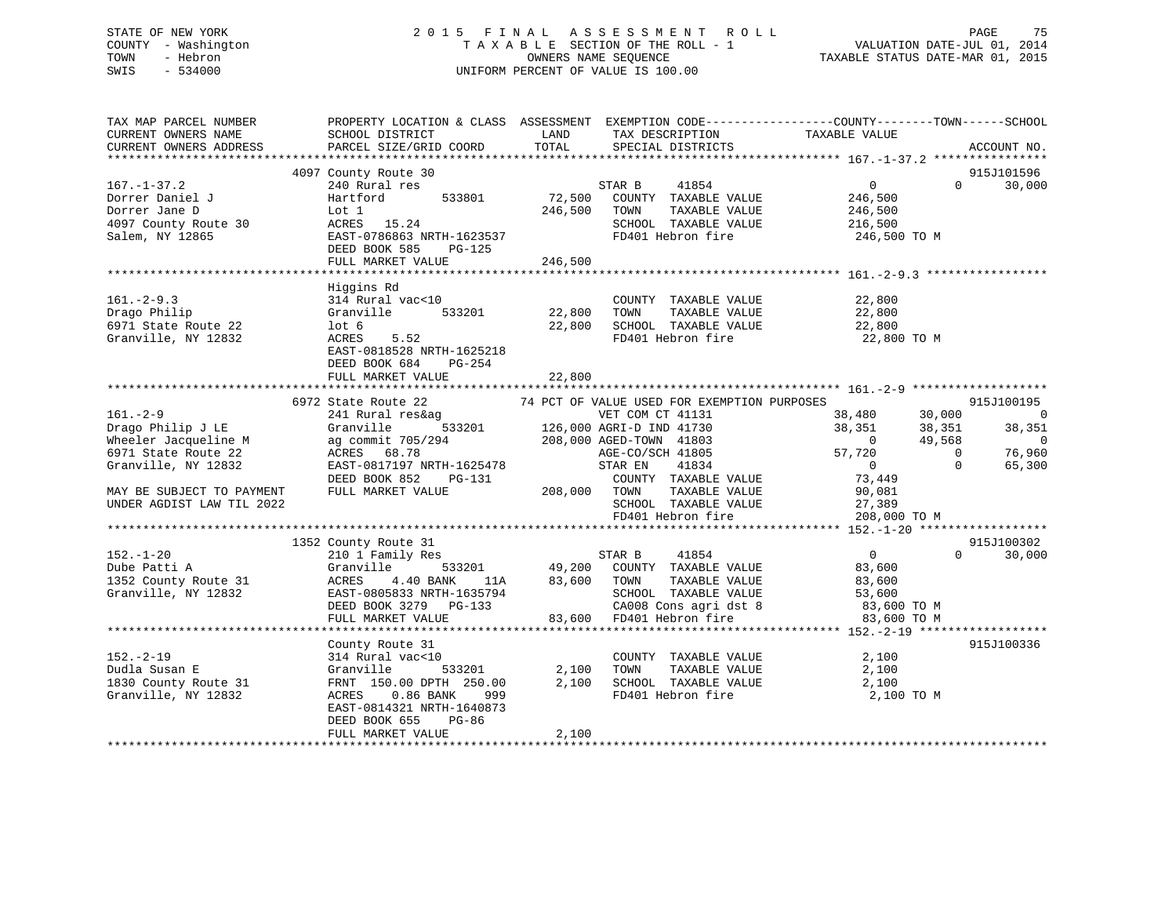# STATE OF NEW YORK 2 0 1 5 F I N A L A S S E S S M E N T R O L L PAGE 75 COUNTY - Washington T A X A B L E SECTION OF THE ROLL - 1 VALUATION DATE-JUL 01, 2014 TOWN - Hebron OWNERS NAME SEQUENCE TAXABLE STATUS DATE-MAR 01, 2015 SWIS - 534000 UNIFORM PERCENT OF VALUE IS 100.00

| TAX MAP PARCEL NUMBER<br>CURRENT OWNERS NAME<br>CURRENT OWNERS ADDRESS                           | PROPERTY LOCATION & CLASS ASSESSMENT EXEMPTION CODE---------------COUNTY-------TOWN------SCHOOL<br>SCHOOL DISTRICT<br>PARCEL SIZE/GRID COORD                              | LAND<br>TOTAL     | TAX DESCRIPTION<br>SPECIAL DISTRICTS                                                                                                                                             | TAXABLE VALUE                                                              | ACCOUNT NO.                                    |
|--------------------------------------------------------------------------------------------------|---------------------------------------------------------------------------------------------------------------------------------------------------------------------------|-------------------|----------------------------------------------------------------------------------------------------------------------------------------------------------------------------------|----------------------------------------------------------------------------|------------------------------------------------|
|                                                                                                  |                                                                                                                                                                           |                   |                                                                                                                                                                                  |                                                                            |                                                |
|                                                                                                  | 4097 County Route 30                                                                                                                                                      |                   |                                                                                                                                                                                  |                                                                            | 915J101596                                     |
| $167. - 1 - 37.2$<br>Dorrer Daniel J<br>Dorrer Jane D<br>4097 County Route 30<br>Salem, NY 12865 | 240 Rural res<br>533801<br>Hartford<br>Lot 1<br>ACRES 15.24<br>EAST-0786863 NRTH-1623537<br>DEED BOOK 585<br>PG-125                                                       | 72,500<br>246,500 | 41854<br>STAR B<br>COUNTY TAXABLE VALUE<br>TAXABLE VALUE<br>TOWN<br>SCHOOL TAXABLE VALUE<br>FD401 Hebron fire                                                                    | $\overline{0}$<br>246,500<br>246,500<br>216,500<br>246,500 TO M            | 30,000<br>$\Omega$                             |
|                                                                                                  | FULL MARKET VALUE                                                                                                                                                         | 246,500           |                                                                                                                                                                                  |                                                                            |                                                |
|                                                                                                  |                                                                                                                                                                           |                   |                                                                                                                                                                                  |                                                                            |                                                |
| $161. - 2 - 9.3$<br>Drago Philip<br>6971 State Route 22<br>Granville, NY 12832                   | Higgins Rd<br>314 Rural vac<10<br>Granville<br>533201<br>$1$ ot 6<br>ACRES<br>5.52<br>EAST-0818528 NRTH-1625218<br>DEED BOOK 684<br>PG-254                                | 22,800<br>22,800  | COUNTY TAXABLE VALUE<br>TOWN<br>TAXABLE VALUE<br>SCHOOL TAXABLE VALUE<br>FD401 Hebron fire                                                                                       | 22,800<br>22,800<br>22,800<br>22,800 TO M                                  |                                                |
|                                                                                                  | FULL MARKET VALUE                                                                                                                                                         | 22,800            |                                                                                                                                                                                  |                                                                            |                                                |
|                                                                                                  |                                                                                                                                                                           |                   |                                                                                                                                                                                  |                                                                            |                                                |
|                                                                                                  | 6972 State Route 22                                                                                                                                                       |                   | 74 PCT OF VALUE USED FOR EXEMPTION PURPOSES                                                                                                                                      |                                                                            | 915J100195                                     |
| $161 - 2 - 9$<br>Drago Philip J LE<br>Wheeler Jacqueline M                                       | 241 Rural res&ag<br>Granville<br>ag commit 705/294                                                                                                                        |                   | VET COM CT 41131<br>$126,000$ AGRI-D IND 41730<br>126,000 AGRI-D IND 41730<br>208,000 AGED-TOWN 41803                                                                            | 38,480<br>30,000<br>38,351<br>38,351<br>$\sim$ 0<br>49,568                 | $\overline{\phantom{0}}$<br>38,351<br>$\sim$ 0 |
| 6971 State Route 22                                                                              | ACRES 68.78                                                                                                                                                               |                   | AGE-CO/SCH 41805                                                                                                                                                                 | 57,720                                                                     | 76,960<br>$\Omega$                             |
| Granville, NY 12832                                                                              | EAST-0817197 NRTH-1625478<br>DEED BOOK 852<br>PG-131                                                                                                                      |                   | 41834<br>STAR EN<br>COUNTY TAXABLE VALUE                                                                                                                                         | $\overline{0}$<br>73,449                                                   | $\Omega$<br>65,300                             |
| MAY BE SUBJECT TO PAYMENT<br>UNDER AGDIST LAW TIL 2022                                           | FULL MARKET VALUE                                                                                                                                                         | 208,000 TOWN      | TAXABLE VALUE<br>SCHOOL TAXABLE VALUE<br>FD401 Hebron fire                                                                                                                       | 90,081<br>27,389<br>208,000 TO M                                           |                                                |
|                                                                                                  |                                                                                                                                                                           |                   |                                                                                                                                                                                  |                                                                            |                                                |
|                                                                                                  | 1352 County Route 31                                                                                                                                                      |                   |                                                                                                                                                                                  |                                                                            | 915J100302                                     |
| $152. - 1 - 20$<br>Dube Patti A<br>1352 County Route 31<br>Granville, NY 12832                   | 210 1 Family Res<br>Granville<br>ACRES 4.40 BANK<br>EAST-0805833 NRTH-1635794<br>DEED BOOK 3279 PG-133<br>FULL MARKET VALUE                                               | 11A 83,600        | 41854<br>STAR B<br>533201 49,200 COUNTY TAXABLE VALUE<br>TOWN<br>TAXABLE VALUE<br>SCHOOL TAXABLE VALUE<br>CA008 Cons agri dst 8<br>FD401 Hebron fire<br>83,600 FD401 Hebron fire | $\overline{0}$<br>83,600<br>83,600<br>53,600<br>83,600 TO M<br>83,600 TO M | $\Omega$<br>30,000                             |
|                                                                                                  |                                                                                                                                                                           |                   |                                                                                                                                                                                  |                                                                            |                                                |
| $152. - 2 - 19$<br>Dudla Susan E<br>1830 County Route 31<br>Granville, NY 12832                  | County Route 31<br>314 Rural vac<10<br>Granville<br>533201<br>FRNT 150.00 DPTH 250.00<br>0.86 BANK<br>ACRES<br>999<br>EAST-0814321 NRTH-1640873<br>DEED BOOK 655<br>PG-86 | 2,100<br>2,100    | COUNTY TAXABLE VALUE<br>TAXABLE VALUE<br>TOWN<br>SCHOOL TAXABLE VALUE<br>FD401 Hebron fire                                                                                       | 2,100<br>2,100<br>2,100<br>2,100 TO M                                      | 915J100336                                     |
|                                                                                                  | FULL MARKET VALUE                                                                                                                                                         | 2,100             |                                                                                                                                                                                  |                                                                            |                                                |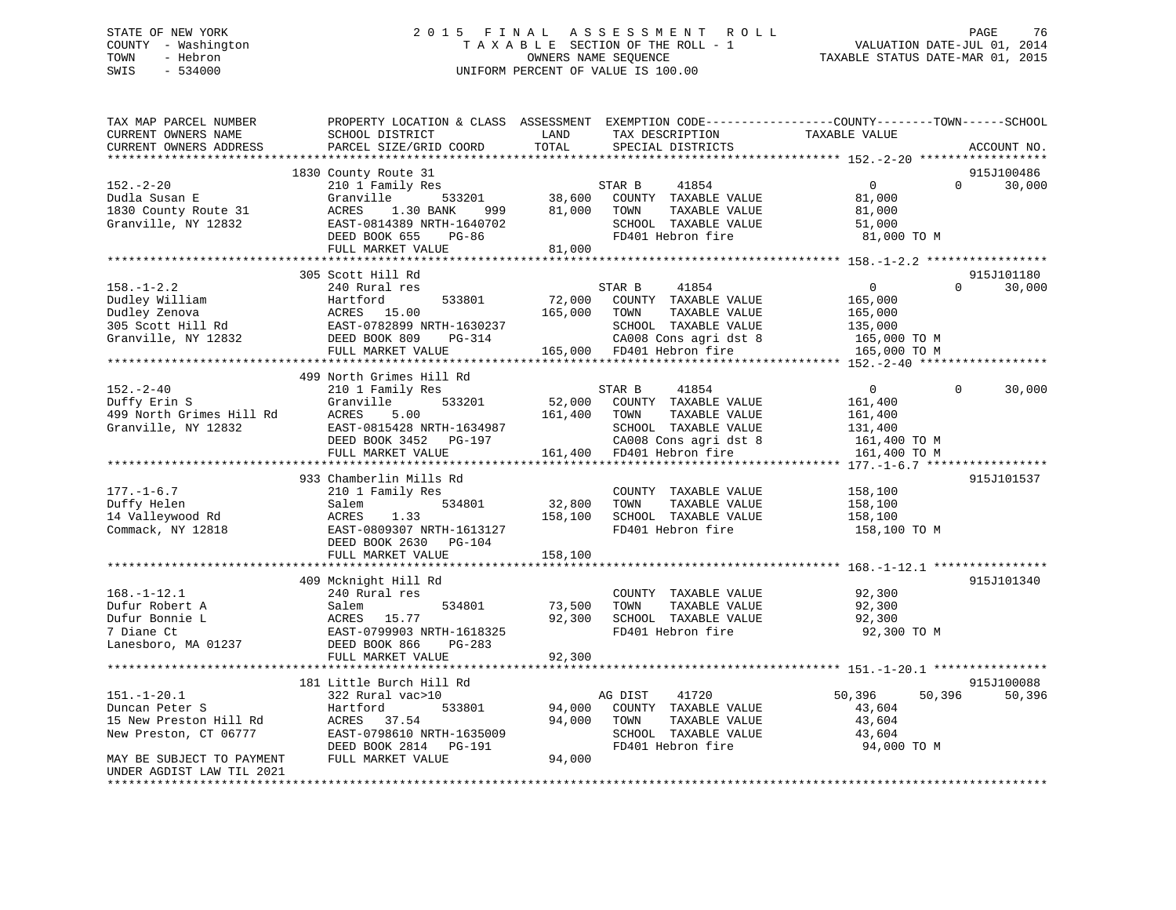# STATE OF NEW YORK 2 0 1 5 F I N A L A S S E S S M E N T R O L L PAGE 76 COUNTY - Washington T A X A B L E SECTION OF THE ROLL - 1 VALUATION DATE-JUL 01, 2014 TOWN - Hebron OWNERS NAME SEQUENCE TAXABLE STATUS DATE-MAR 01, 2015 SWIS - 534000 UNIFORM PERCENT OF VALUE IS 100.00

| TAX MAP PARCEL NUMBER<br>CURRENT OWNERS NAME           | PROPERTY LOCATION & CLASS ASSESSMENT EXEMPTION CODE---------------COUNTY-------TOWN------SCHOOL<br>SCHOOL DISTRICT | LAND    | TAX DESCRIPTION           | TAXABLE VALUE    |                    |
|--------------------------------------------------------|--------------------------------------------------------------------------------------------------------------------|---------|---------------------------|------------------|--------------------|
| CURRENT OWNERS ADDRESS                                 | PARCEL SIZE/GRID COORD                                                                                             | TOTAL   | SPECIAL DISTRICTS         |                  | ACCOUNT NO.        |
| **********************                                 | ******************************                                                                                     |         |                           |                  |                    |
|                                                        | 1830 County Route 31                                                                                               |         |                           |                  | 915J100486         |
| $152 - 2 - 20$                                         | 210 1 Family Res                                                                                                   |         | 41854<br>STAR B           | $\mathbf{0}$     | $\Omega$<br>30,000 |
| Dudla Susan E                                          | Granville<br>533201                                                                                                | 38,600  | COUNTY TAXABLE VALUE      | 81,000           |                    |
| 1830 County Route 31                                   | ACRES<br>1.30 BANK<br>999                                                                                          | 81,000  | TOWN<br>TAXABLE VALUE     | 81,000           |                    |
| Granville, NY 12832                                    | EAST-0814389 NRTH-1640702                                                                                          |         | SCHOOL TAXABLE VALUE      | 51,000           |                    |
|                                                        | DEED BOOK 655<br>$PG-86$                                                                                           |         | FD401 Hebron fire         | 81,000 TO M      |                    |
|                                                        | FULL MARKET VALUE                                                                                                  | 81,000  |                           |                  |                    |
|                                                        |                                                                                                                    |         |                           |                  |                    |
|                                                        | 305 Scott Hill Rd                                                                                                  |         |                           |                  | 915J101180         |
| $158. - 1 - 2.2$                                       | 240 Rural res                                                                                                      |         | STAR B<br>41854           | $\mathbf{0}$     | $\Omega$<br>30,000 |
| Dudley William                                         | 533801<br>Hartford                                                                                                 | 72,000  | COUNTY TAXABLE VALUE      | 165,000          |                    |
| Dudley Zenova                                          | ACRES 15.00                                                                                                        | 165,000 | TAXABLE VALUE<br>TOWN     | 165,000          |                    |
| 305 Scott Hill Rd                                      | EAST-0782899 NRTH-1630237                                                                                          |         | SCHOOL TAXABLE VALUE      | 135,000          |                    |
| Granville, NY 12832                                    | DEED BOOK 809<br>PG-314                                                                                            |         | CA008 Cons agri dst 8     | 165,000 TO M     |                    |
|                                                        | FULL MARKET VALUE                                                                                                  |         | 165,000 FD401 Hebron fire | 165,000 TO M     |                    |
|                                                        |                                                                                                                    |         |                           |                  |                    |
|                                                        | 499 North Grimes Hill Rd                                                                                           |         |                           |                  |                    |
| $152 - 2 - 40$                                         | 210 1 Family Res                                                                                                   |         | 41854<br>STAR B           | $\overline{0}$   | $\Omega$<br>30,000 |
| Duffy Erin S                                           | 533201<br>Granville                                                                                                | 52,000  | COUNTY TAXABLE VALUE      | 161,400          |                    |
| 499 North Grimes Hill Rd                               | ACRES<br>5.00                                                                                                      | 161,400 | TOWN<br>TAXABLE VALUE     | 161,400          |                    |
| Granville, NY 12832                                    | EAST-0815428 NRTH-1634987                                                                                          |         | SCHOOL TAXABLE VALUE      | 131,400          |                    |
|                                                        | PG-197<br>DEED BOOK 3452                                                                                           |         | CA008 Cons agri dst 8     | 161,400 TO M     |                    |
|                                                        | FULL MARKET VALUE                                                                                                  |         | 161,400 FD401 Hebron fire | 161,400 TO M     |                    |
|                                                        |                                                                                                                    |         |                           |                  |                    |
|                                                        | 933 Chamberlin Mills Rd                                                                                            |         |                           |                  | 915J101537         |
| $177. - 1 - 6.7$                                       | 210 1 Family Res                                                                                                   |         | COUNTY TAXABLE VALUE      | 158,100          |                    |
| Duffy Helen                                            | 534801<br>Salem                                                                                                    | 32,800  | TAXABLE VALUE<br>TOWN     | 158,100          |                    |
| 14 Valleywood Rd                                       | ACRES<br>1.33                                                                                                      | 158,100 | SCHOOL TAXABLE VALUE      | 158,100          |                    |
| Commack, NY 12818                                      | EAST-0809307 NRTH-1613127                                                                                          |         | FD401 Hebron fire         | 158,100 TO M     |                    |
|                                                        | DEED BOOK 2630<br>PG-104                                                                                           |         |                           |                  |                    |
|                                                        | FULL MARKET VALUE                                                                                                  | 158,100 |                           |                  |                    |
|                                                        |                                                                                                                    |         |                           |                  |                    |
|                                                        | 409 Mcknight Hill Rd                                                                                               |         |                           |                  | 915J101340         |
| $168. - 1 - 12.1$                                      | 240 Rural res                                                                                                      |         | COUNTY TAXABLE VALUE      | 92,300           |                    |
| Dufur Robert A                                         | Salem<br>534801                                                                                                    | 73,500  | TOWN<br>TAXABLE VALUE     | 92,300           |                    |
| Dufur Bonnie L                                         | <b>ACRES</b><br>15.77                                                                                              | 92,300  | SCHOOL TAXABLE VALUE      | 92,300           |                    |
| 7 Diane Ct                                             | EAST-0799903 NRTH-1618325                                                                                          |         | FD401 Hebron fire         | 92,300 TO M      |                    |
| Lanesboro, MA 01237                                    | DEED BOOK 866<br>$PG-283$                                                                                          |         |                           |                  |                    |
|                                                        | FULL MARKET VALUE                                                                                                  | 92,300  |                           |                  |                    |
|                                                        | ********************************                                                                                   |         |                           |                  |                    |
|                                                        | 181 Little Burch Hill Rd                                                                                           |         |                           |                  | 915J100088         |
| $151.-1-20.1$                                          | 322 Rural vac>10                                                                                                   |         | 41720<br>AG DIST          | 50,396<br>50,396 | 50,396             |
| Duncan Peter S                                         | Hartford<br>533801                                                                                                 | 94,000  | COUNTY TAXABLE VALUE      | 43,604           |                    |
| 15 New Preston Hill Rd                                 | ACRES<br>37.54                                                                                                     | 94,000  | TOWN<br>TAXABLE VALUE     | 43,604           |                    |
| New Preston, CT 06777                                  | EAST-0798610 NRTH-1635009                                                                                          |         | SCHOOL TAXABLE VALUE      | 43,604           |                    |
|                                                        | DEED BOOK 2814<br>PG-191                                                                                           |         | FD401 Hebron fire         | 94,000 TO M      |                    |
| MAY BE SUBJECT TO PAYMENT<br>UNDER AGDIST LAW TIL 2021 | FULL MARKET VALUE                                                                                                  | 94,000  |                           |                  |                    |
|                                                        |                                                                                                                    |         |                           |                  |                    |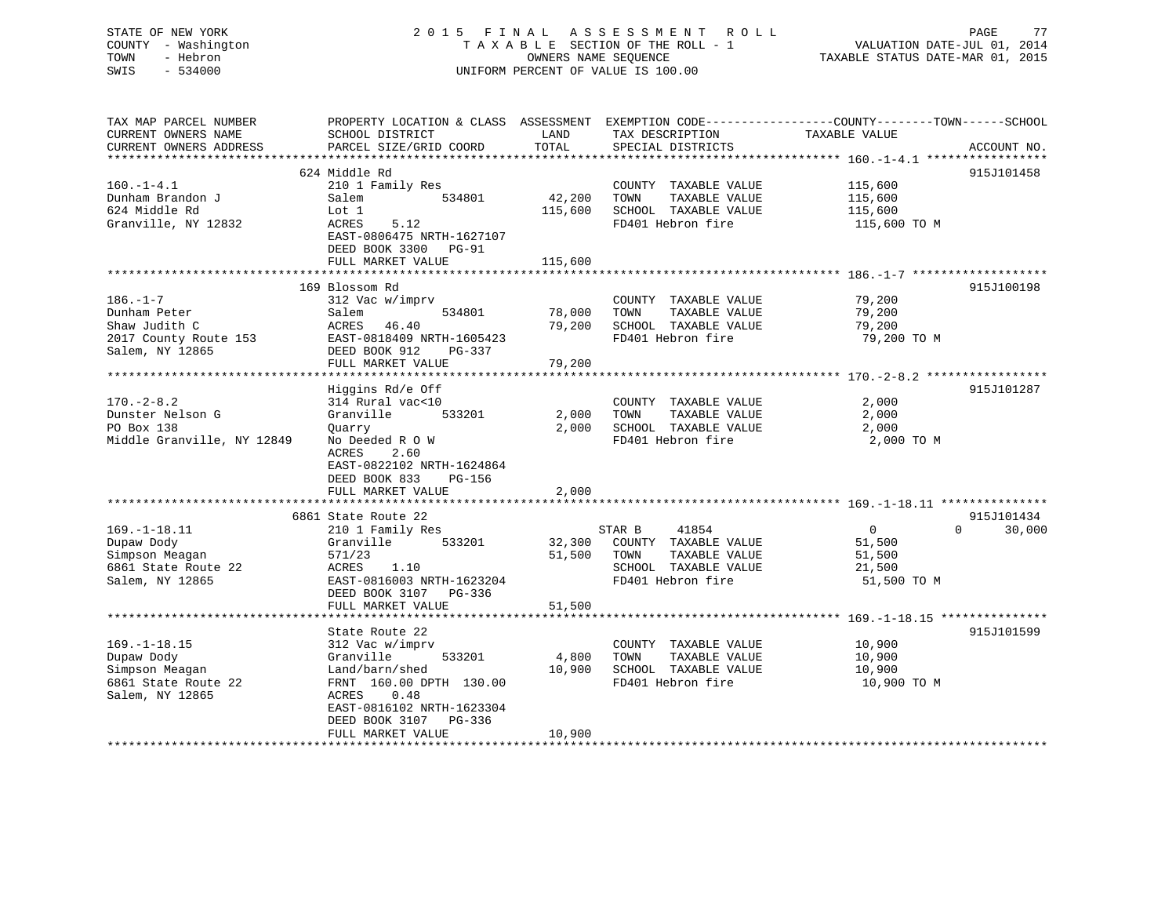# STATE OF NEW YORK 2 0 1 5 F I N A L A S S E S S M E N T R O L L PAGE 77 COUNTY - Washington T A X A B L E SECTION OF THE ROLL - 1 VALUATION DATE-JUL 01, 2014 TOWN - Hebron OWNERS NAME SEQUENCE TAXABLE STATUS DATE-MAR 01, 2015 SWIS - 534000 UNIFORM PERCENT OF VALUE IS 100.00

| TAX MAP PARCEL NUMBER      | PROPERTY LOCATION & CLASS ASSESSMENT EXEMPTION CODE----------------COUNTY-------TOWN------SCHOOL |         |                       |                |                        |
|----------------------------|--------------------------------------------------------------------------------------------------|---------|-----------------------|----------------|------------------------|
| CURRENT OWNERS NAME        | SCHOOL DISTRICT                                                                                  | LAND    | TAX DESCRIPTION       | TAXABLE VALUE  |                        |
| CURRENT OWNERS ADDRESS     | PARCEL SIZE/GRID COORD                                                                           | TOTAL   | SPECIAL DISTRICTS     |                | ACCOUNT NO.            |
|                            |                                                                                                  |         |                       |                |                        |
|                            | 624 Middle Rd                                                                                    |         |                       |                | 915J101458             |
| $160. -1 - 4.1$            | 210 1 Family Res                                                                                 |         | COUNTY TAXABLE VALUE  | 115,600        |                        |
| Dunham Brandon J           | 534801<br>Salem                                                                                  | 42,200  | TOWN<br>TAXABLE VALUE | 115,600        |                        |
| 624 Middle Rd              | Lot 1                                                                                            | 115,600 | SCHOOL TAXABLE VALUE  | 115,600        |                        |
| Granville, NY 12832        | 5.12<br>ACRES                                                                                    |         | FD401 Hebron fire     | 115,600 TO M   |                        |
|                            | EAST-0806475 NRTH-1627107                                                                        |         |                       |                |                        |
|                            | DEED BOOK 3300 PG-91                                                                             |         |                       |                |                        |
|                            | FULL MARKET VALUE                                                                                | 115,600 |                       |                |                        |
|                            |                                                                                                  |         |                       |                |                        |
|                            | 169 Blossom Rd                                                                                   |         |                       |                | 915J100198             |
| $186. - 1 - 7$             | 312 Vac w/imprv                                                                                  |         | COUNTY TAXABLE VALUE  | 79,200         |                        |
| Dunham Peter               | 534801<br>Salem                                                                                  | 78,000  | TAXABLE VALUE<br>TOWN | 79,200         |                        |
| Shaw Judith C              | ACRES 46.40                                                                                      | 79,200  | SCHOOL TAXABLE VALUE  | 79,200         |                        |
| 2017 County Route 153      | EAST-0818409 NRTH-1605423                                                                        |         | FD401 Hebron fire     | 79,200 TO M    |                        |
| Salem, NY 12865            | DEED BOOK 912<br>PG-337                                                                          |         |                       |                |                        |
|                            | FULL MARKET VALUE                                                                                | 79,200  |                       |                |                        |
|                            |                                                                                                  |         |                       |                |                        |
|                            | Higgins Rd/e Off                                                                                 |         |                       |                | 915J101287             |
| $170. - 2 - 8.2$           | 314 Rural vac<10                                                                                 |         | COUNTY TAXABLE VALUE  | 2,000          |                        |
| Dunster Nelson G           | Granville<br>533201                                                                              | 2,000   | TAXABLE VALUE<br>TOWN | 2,000          |                        |
| PO Box 138                 | Quarry                                                                                           | 2,000   | SCHOOL TAXABLE VALUE  | 2,000          |                        |
| Middle Granville, NY 12849 | No Deeded R O W                                                                                  |         | FD401 Hebron fire     | 2,000 TO M     |                        |
|                            | ACRES<br>2.60                                                                                    |         |                       |                |                        |
|                            | EAST-0822102 NRTH-1624864                                                                        |         |                       |                |                        |
|                            | DEED BOOK 833<br><b>PG-156</b>                                                                   |         |                       |                |                        |
|                            | FULL MARKET VALUE                                                                                | 2,000   |                       |                |                        |
|                            |                                                                                                  |         |                       |                |                        |
|                            | 6861 State Route 22                                                                              |         |                       | $\overline{0}$ | 915J101434<br>$\Omega$ |
| $169. - 1 - 18.11$         | 210 1 Family Res                                                                                 |         | 41854<br>STAR B       |                | 30,000                 |
| Dupaw Dody                 | Granville<br>533201                                                                              | 32,300  | COUNTY TAXABLE VALUE  | 51,500         |                        |
| Simpson Meagan             | 571/23                                                                                           | 51,500  | TOWN<br>TAXABLE VALUE | 51,500         |                        |
| 6861 State Route 22        | ACRES<br>1.10                                                                                    |         | SCHOOL TAXABLE VALUE  | 21,500         |                        |
| Salem, NY 12865            | EAST-0816003 NRTH-1623204                                                                        |         | FD401 Hebron fire     | 51,500 TO M    |                        |
|                            | DEED BOOK 3107<br>PG-336                                                                         | 51,500  |                       |                |                        |
|                            | FULL MARKET VALUE                                                                                |         |                       |                |                        |
|                            | State Route 22                                                                                   |         |                       |                | 915J101599             |
| $169. - 1 - 18.15$         | 312 Vac w/imprv                                                                                  |         | COUNTY TAXABLE VALUE  | 10,900         |                        |
| Dupaw Dody                 | Granville<br>533201                                                                              | 4,800   | TOWN<br>TAXABLE VALUE | 10,900         |                        |
| Simpson Meagan             | Land/barn/shed                                                                                   | 10,900  | SCHOOL TAXABLE VALUE  | 10,900         |                        |
| 6861 State Route 22        | FRNT 160.00 DPTH 130.00                                                                          |         | FD401 Hebron fire     | 10,900 TO M    |                        |
| Salem, NY 12865            | 0.48<br>ACRES                                                                                    |         |                       |                |                        |
|                            | EAST-0816102 NRTH-1623304                                                                        |         |                       |                |                        |
|                            | DEED BOOK 3107<br>$PG-336$                                                                       |         |                       |                |                        |
|                            | FULL MARKET VALUE                                                                                | 10,900  |                       |                |                        |
| ***********************    |                                                                                                  |         |                       |                |                        |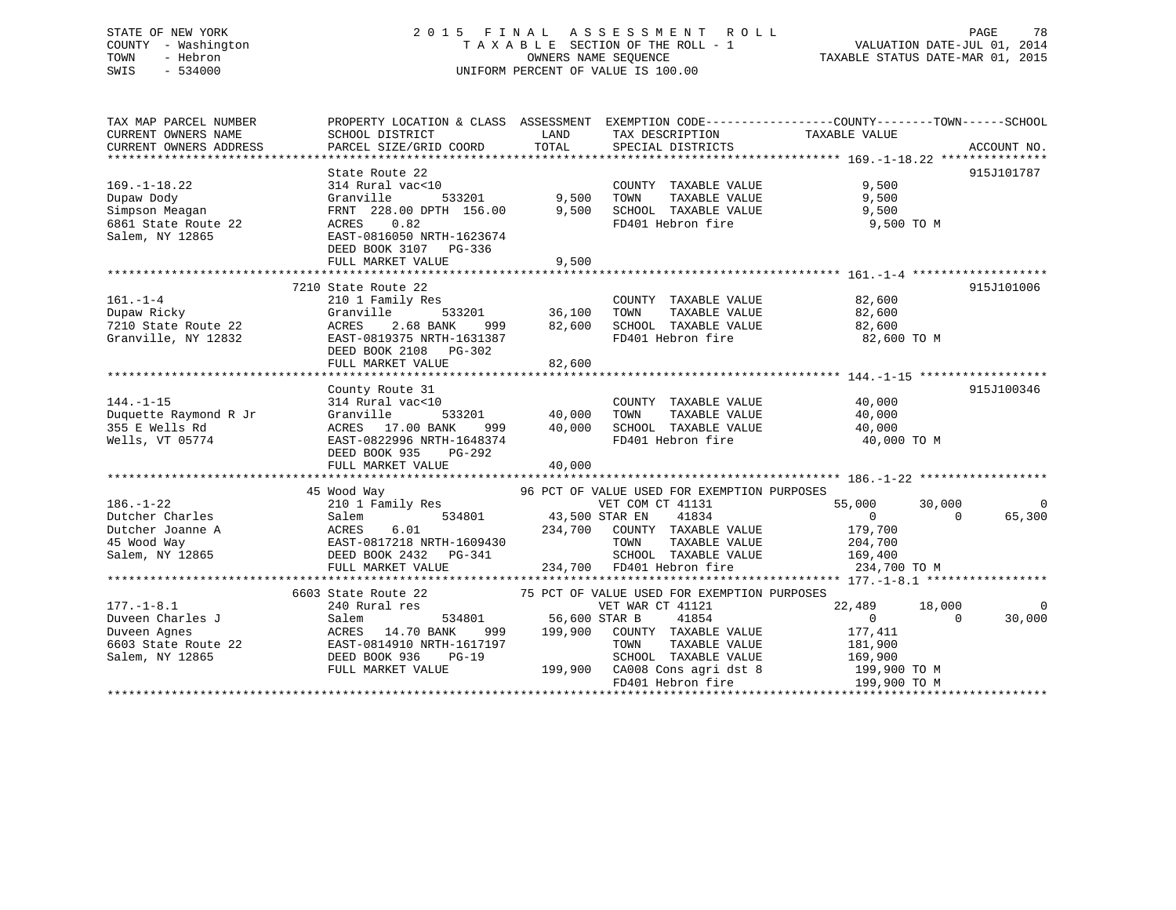# STATE OF NEW YORK 2 0 1 5 F I N A L A S S E S S M E N T R O L L PAGE 78 COUNTY - Washington T A X A B L E SECTION OF THE ROLL - 1 VALUATION DATE-JUL 01, 2014 TOWN - Hebron OWNERS NAME SEQUENCE TAXABLE STATUS DATE-MAR 01, 2015 SWIS - 534000 UNIFORM PERCENT OF VALUE IS 100.00

| TAX MAP PARCEL NUMBER                                                                                                              |                                                                                                             |                       |                                             | PROPERTY LOCATION & CLASS ASSESSMENT EXEMPTION CODE---------------COUNTY-------TOWN-----SCHOOL |                |
|------------------------------------------------------------------------------------------------------------------------------------|-------------------------------------------------------------------------------------------------------------|-----------------------|---------------------------------------------|------------------------------------------------------------------------------------------------|----------------|
| CURRENT OWNERS NAME                                                                                                                | SCHOOL DISTRICT                                                                                             | LAND                  | TAX DESCRIPTION                             | TAXABLE VALUE                                                                                  |                |
| CURRENT OWNERS ADDRESS                                                                                                             | PARCEL SIZE/GRID COORD                                                                                      | TOTAL                 | SPECIAL DISTRICTS                           |                                                                                                | ACCOUNT NO.    |
|                                                                                                                                    |                                                                                                             |                       |                                             |                                                                                                |                |
|                                                                                                                                    | State Route 22                                                                                              |                       |                                             |                                                                                                | 915J101787     |
| $169. - 1 - 18.22$                                                                                                                 | 314 Rural vac<10                                                                                            |                       | COUNTY TAXABLE VALUE                        | 9,500                                                                                          |                |
| Dupaw Dody                                                                                                                         | Granville                                                                                                   | 533201 9,500          | TOWN<br>TAXABLE VALUE                       | 9,500                                                                                          |                |
| Simpson Meagan                                                                                                                     | FRNT 228.00 DPTH 156.00 9,500                                                                               |                       | SCHOOL TAXABLE VALUE                        | 9,500                                                                                          |                |
| 6861 State Route 22                                                                                                                | ACRES 0.82                                                                                                  |                       | FD401 Hebron fire                           | 9,500 TO M                                                                                     |                |
| Salem, NY 12865                                                                                                                    | EAST-0816050 NRTH-1623674                                                                                   |                       |                                             |                                                                                                |                |
|                                                                                                                                    | DEED BOOK 3107 PG-336                                                                                       |                       |                                             |                                                                                                |                |
|                                                                                                                                    |                                                                                                             |                       |                                             |                                                                                                |                |
|                                                                                                                                    |                                                                                                             |                       |                                             |                                                                                                |                |
|                                                                                                                                    | 7210 State Route 22                                                                                         |                       |                                             |                                                                                                | 915J101006     |
| $161. - 1 - 4$                                                                                                                     | 210 1 Family Res                                                                                            |                       | COUNTY TAXABLE VALUE                        | 82,600                                                                                         |                |
| Dupaw Ricky                                                                                                                        |                                                                                                             | 533201 36,100         | TAXABLE VALUE<br>TOWN                       | 82,600                                                                                         |                |
| 7210 State Route 22                                                                                                                | 999                                                                                                         | 82,600                | SCHOOL TAXABLE VALUE                        | 82,600                                                                                         |                |
| Granville, NY 12832                                                                                                                |                                                                                                             |                       | FD401 Hebron fire                           | 82,600 TO M                                                                                    |                |
|                                                                                                                                    | Granville 33332<br>ACRES 2.68 BANK 999<br>EAST-0819375 NRTH-1631387<br>1000 DG-302<br>DEED BOOK 2108 PG-302 |                       |                                             |                                                                                                |                |
|                                                                                                                                    | FULL MARKET VALUE                                                                                           | 82,600                |                                             |                                                                                                |                |
|                                                                                                                                    |                                                                                                             |                       |                                             |                                                                                                |                |
|                                                                                                                                    | County Route 31                                                                                             |                       |                                             |                                                                                                | 915J100346     |
| $144. - 1 - 15$                                                                                                                    |                                                                                                             |                       | COUNTY TAXABLE VALUE 40,000                 |                                                                                                |                |
|                                                                                                                                    | 314 Rural vac<10                                                                                            | 533201 40,000         | TAXABLE VALUE<br>TOWN                       |                                                                                                |                |
| Duquette Raymond R Jr                                                                                                              | Granville                                                                                                   |                       |                                             | 40,000                                                                                         |                |
| 355 E Wells Rd                                                                                                                     | ACRES 17.00 BANK 999 40,000<br>EAST-0822996 NRTH-1648374                                                    |                       | TOWN IRANELLE VALUE<br>SCHOOL TAXABLE VALUE | 40,000                                                                                         |                |
| Wells, VT 05774                                                                                                                    |                                                                                                             |                       | FD401 Hebron fire                           | 40,000 TO M                                                                                    |                |
|                                                                                                                                    | DEED BOOK 935<br>PG-292                                                                                     |                       |                                             |                                                                                                |                |
|                                                                                                                                    | FULL MARKET VALUE                                                                                           | 40,000                |                                             |                                                                                                |                |
|                                                                                                                                    |                                                                                                             |                       |                                             |                                                                                                |                |
|                                                                                                                                    | 45 Wood Way                                                                                                 |                       | 96 PCT OF VALUE USED FOR EXEMPTION PURPOSES |                                                                                                |                |
| $186. - 1 - 22$                                                                                                                    | 210 1 Family Res                                                                                            | 534801 43,500 STAR EN | VET COM CT 41131                            | 55,000<br>30,000                                                                               | $\overline{0}$ |
| Dutcher Charles<br>Dutcher Joanne A (1994)<br>2012 - Salem MCRES (1994)<br>2014 - ACRES (1994)<br>2014 - EAST-0817218 NRTH-1609430 |                                                                                                             |                       | 41834                                       | $\overline{0}$<br>$\Omega$                                                                     | 65,300         |
|                                                                                                                                    |                                                                                                             |                       | 234,700 COUNTY TAXABLE VALUE                | 179,700                                                                                        |                |
|                                                                                                                                    |                                                                                                             |                       | TOWN<br>TAXABLE VALUE                       | 204,700                                                                                        |                |
| Salem, NY 12865 DEED BOOK 2432 PG-341                                                                                              |                                                                                                             |                       | SCHOOL TAXABLE VALUE 169,400                |                                                                                                |                |
|                                                                                                                                    | FULL MARKET VALUE                                                                                           |                       | 234,700 FD401 Hebron fire                   | 234,700 TO M                                                                                   |                |
|                                                                                                                                    |                                                                                                             |                       |                                             |                                                                                                |                |
|                                                                                                                                    | 6603 State Route 22                                                                                         |                       | 75 PCT OF VALUE USED FOR EXEMPTION PURPOSES |                                                                                                |                |
| $177. - 1 - 8.1$                                                                                                                   | 240 Rural res                                                                                               |                       | VET WAR CT 41121                            | 22,489<br>18,000                                                                               | $\overline{0}$ |
| Duveen Charles J                                                                                                                   | Salem                                                                                                       | 534801 56,600 STAR B  | 41854                                       | $\overline{0}$<br>$\Omega$                                                                     | 30,000         |
| Duveen Agnes                                                                                                                       |                                                                                                             |                       |                                             | 177,411                                                                                        |                |
| 6603 State Route 22                                                                                                                |                                                                                                             |                       | TAXABLE VALUE                               | 181,900                                                                                        |                |
| Salem, NY 12865                                                                                                                    | DEED BOOK 936<br>PG-19                                                                                      |                       | SCHOOL TAXABLE VALUE 169,900                |                                                                                                |                |
|                                                                                                                                    | FULL MARKET VALUE                                                                                           |                       | 199,900 CA008 Cons agri dst 8 199,900 TO M  |                                                                                                |                |
|                                                                                                                                    |                                                                                                             |                       | FD401 Hebron fire                           | 199,900 TO M                                                                                   |                |
|                                                                                                                                    |                                                                                                             |                       |                                             |                                                                                                |                |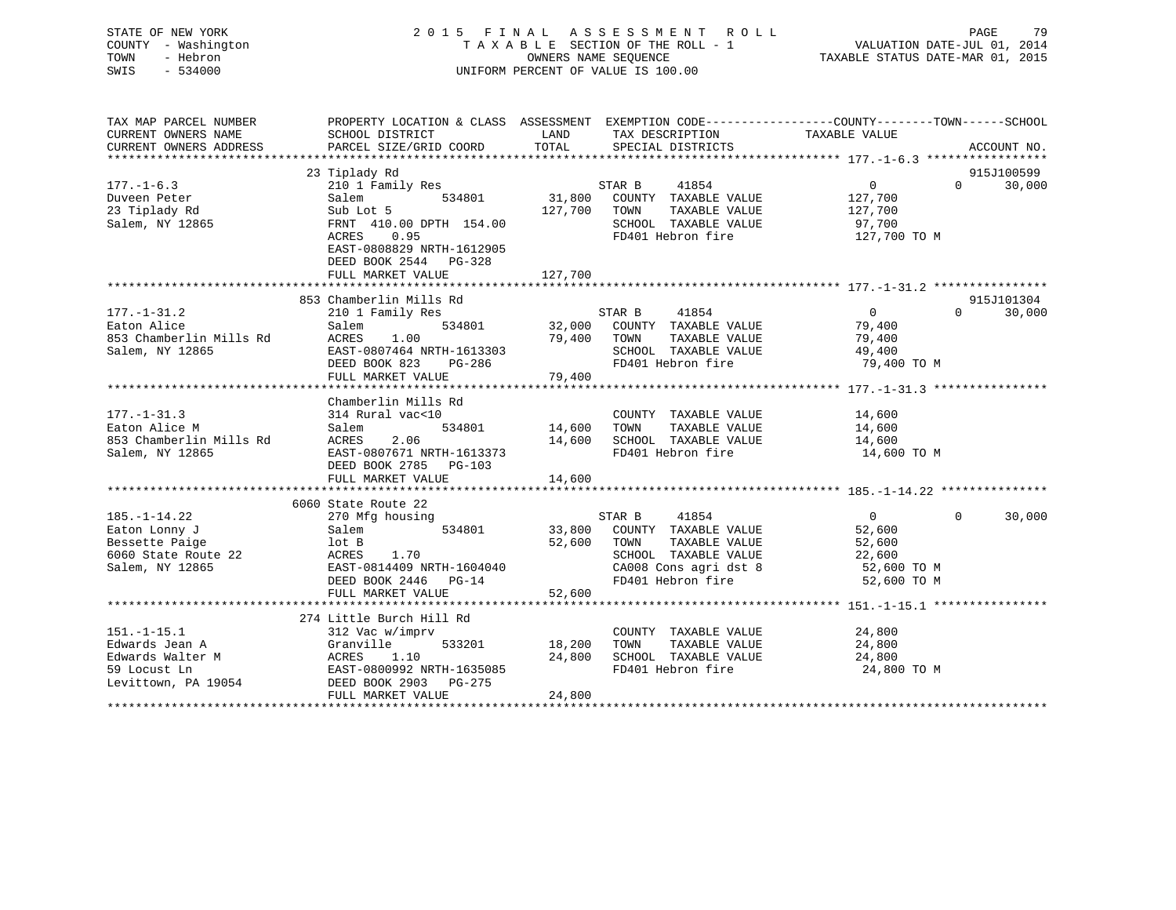STATE OF NEW YORK 2 0 1 5 F I N A L A S S E S S M E N T R O L L PAGE 79 COUNTY - Washington T A X A B L E SECTION OF THE ROLL - 1 VALUATION DATE-JUL 01, 2014 TOWN - Hebron OWNERS NAME SEQUENCE TAXABLE STATUS DATE-MAR 01, 2015 SWIS - 534000 UNIFORM PERCENT OF VALUE IS 100.00

| TAX MAP PARCEL NUMBER                 | PROPERTY LOCATION & CLASS ASSESSMENT EXEMPTION CODE----------------COUNTY-------TOWN-----SCHOOL |               |                                                |                   |                       |             |
|---------------------------------------|-------------------------------------------------------------------------------------------------|---------------|------------------------------------------------|-------------------|-----------------------|-------------|
| CURRENT OWNERS NAME                   | SCHOOL DISTRICT                                                                                 | LAND          | TAX DESCRIPTION                                | TAXABLE VALUE     |                       |             |
| CURRENT OWNERS ADDRESS                | PARCEL SIZE/GRID COORD                                                                          | TOTAL         | SPECIAL DISTRICTS                              |                   |                       | ACCOUNT NO. |
|                                       |                                                                                                 |               |                                                |                   |                       |             |
|                                       | 23 Tiplady Rd                                                                                   |               |                                                |                   |                       | 915J100599  |
| $177. - 1 - 6.3$                      | 210 1 Family Res                                                                                |               | 41854<br>STAR B                                | $\overline{0}$    | $\Omega$ and $\Omega$ | 30,000      |
| Duveen Peter                          | 534801<br>Salem                                                                                 |               | 31,800 COUNTY TAXABLE VALUE                    | 127,700           |                       |             |
| 23 Tiplady Rd                         | Sub Lot 5                                                                                       |               | 127,700 TOWN<br>TAXABLE VALUE                  | 127,700<br>97,700 |                       |             |
| Salem, NY 12865                       | FRNT 410.00 DPTH 154.00                                                                         |               | SCHOOL TAXABLE VALUE                           |                   |                       |             |
|                                       | 0.95<br>ACRES                                                                                   |               | FD401 Hebron fire 127,700 TO M                 |                   |                       |             |
|                                       | EAST-0808829 NRTH-1612905                                                                       |               |                                                |                   |                       |             |
|                                       | DEED BOOK 2544 PG-328                                                                           |               |                                                |                   |                       |             |
|                                       | FULL MARKET VALUE                                                                               | 127,700       |                                                |                   |                       |             |
|                                       |                                                                                                 |               |                                                |                   |                       |             |
|                                       | 853 Chamberlin Mills Rd                                                                         |               |                                                |                   |                       | 915J101304  |
| $177. - 1 - 31.2$                     | 210 1 Family Res                                                                                | STAR B        | 41854                                          | $\sim$ 0          | $\Omega$              | 30,000      |
| Eaton Alice                           | Salem                                                                                           |               | 534801 32,000 COUNTY TAXABLE VALUE 79,400      |                   |                       |             |
| 853 Chamberlin Mills Rd               | ACRES<br>1.00                                                                                   |               | 79,400 TOWN<br>TAXABLE VALUE                   | 79,400            |                       |             |
| Salem, NY 12865                       |                                                                                                 |               |                                                |                   |                       |             |
|                                       |                                                                                                 |               |                                                |                   |                       |             |
|                                       |                                                                                                 |               |                                                |                   |                       |             |
|                                       |                                                                                                 |               |                                                |                   |                       |             |
|                                       | Chamberlin Mills Rd                                                                             |               |                                                |                   |                       |             |
| $177. - 1 - 31.3$                     | 314 Rural vac<10                                                                                |               | COUNTY TAXABLE VALUE                           | 14,600            |                       |             |
| Eaton Alice M                         | Salem                                                                                           | 534801 14,600 | TOWN<br>TAXABLE VALUE                          | 14,600            |                       |             |
| 853 Chamberlin Mills Rd               | 2.06<br>ACRES                                                                                   | 14,600        | SCHOOL TAXABLE VALUE                           | 14,600            |                       |             |
| Salem, NY 12865                       | EAST-0807671 NRTH-1613373                                                                       |               | FD401 Hebron fire                              | 14,600 TO M       |                       |             |
|                                       | DEED BOOK 2785 PG-103                                                                           |               |                                                |                   |                       |             |
|                                       | FULL MARKET VALUE                                                                               | 14,600        |                                                |                   |                       |             |
|                                       |                                                                                                 |               |                                                |                   |                       |             |
|                                       | 6060 State Route 22                                                                             |               |                                                |                   |                       |             |
| $185. - 1 - 14.22$                    | 270 Mfg housing                                                                                 |               | 41854<br>STAR B                                | $\overline{0}$    | $\overline{0}$        | 30,000      |
| Eaton Lonny J                         | 534801<br>Salem                                                                                 |               | 33,800 COUNTY TAXABLE VALUE                    | 52,600            |                       |             |
| Bessette Paige                        | lot B                                                                                           | 52,600        | TAXABLE VALUE<br>TOWN                          | 52,600            |                       |             |
| Bessette raige<br>6060 State Route 22 | ACRES<br>1.70                                                                                   |               | SCHOOL TAXABLE VALUE 22,600                    |                   |                       |             |
| Salem, NY 12865                       | EAST-0814409 NRTH-1604040                                                                       |               |                                                | 52,600 TO M       |                       |             |
|                                       | DEED BOOK 2446 PG-14                                                                            |               | CA008 Cons agri dst 8<br>CA008 Cons agri dst 8 | 52,600 TO M       |                       |             |
|                                       | FULL MARKET VALUE                                                                               | 52,600        |                                                |                   |                       |             |
|                                       |                                                                                                 |               |                                                |                   |                       |             |
|                                       | 274 Little Burch Hill Rd                                                                        |               |                                                |                   |                       |             |
| $151. - 1 - 15.1$                     | 312 Vac w/imprv                                                                                 |               | COUNTY TAXABLE VALUE                           | 24,800            |                       |             |
| Edwards Jean A                        | Granville                                                                                       | 533201 18,200 | TAXABLE VALUE<br>TOWN                          | 24,800            |                       |             |
| Edwards Walter M                      |                                                                                                 | 24,800        | SCHOOL TAXABLE VALUE                           | 24,800            |                       |             |
| 59 Locust Ln                          |                                                                                                 |               | FD401 Hebron fire                              | 24,800 TO M       |                       |             |
| Levittown, PA 19054                   | ACRES 1.10<br>EAST-0800992 NRTH-1635085<br>--- 2003 PG-275                                      |               |                                                |                   |                       |             |
|                                       | FULL MARKET VALUE                                                                               | 24,800        |                                                |                   |                       |             |
|                                       |                                                                                                 |               |                                                |                   |                       |             |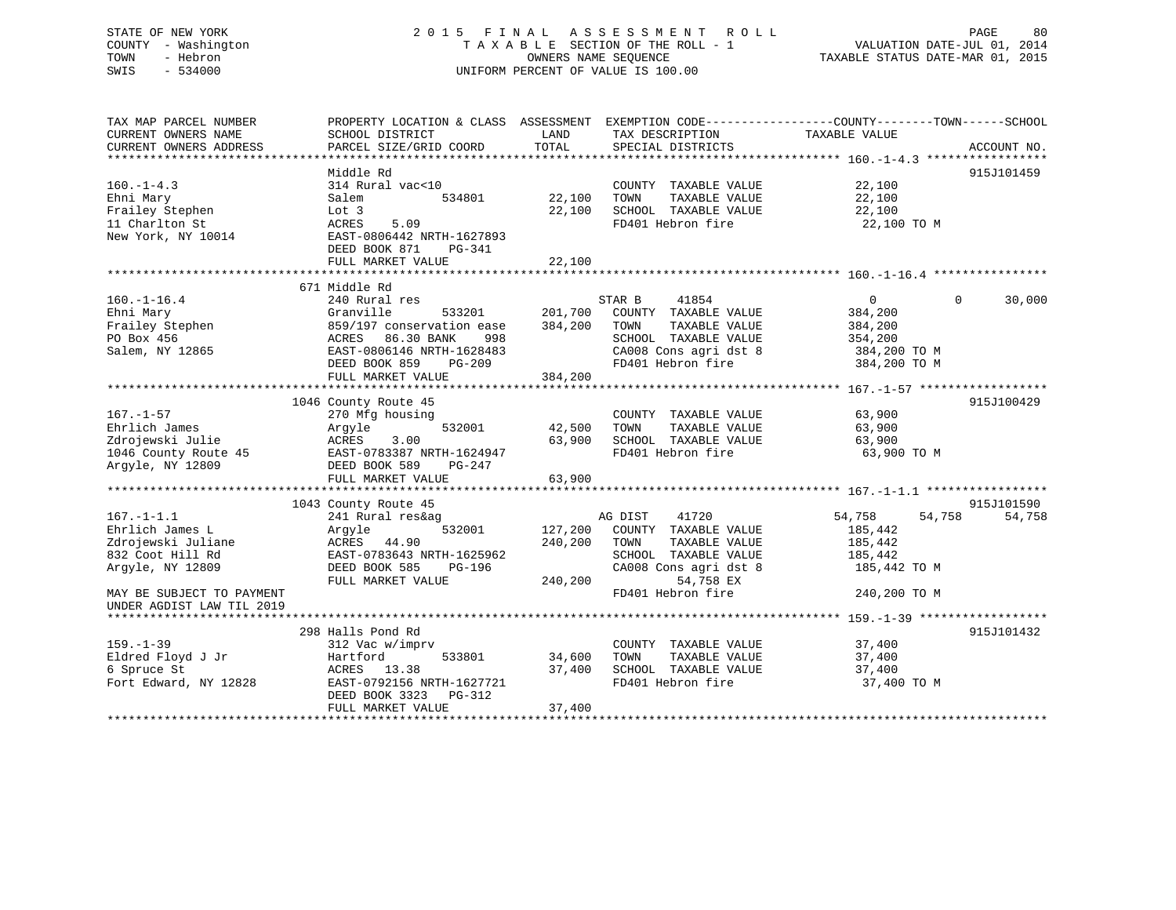# STATE OF NEW YORK 2 0 1 5 F I N A L A S S E S S M E N T R O L L PAGE 80 COUNTY - Washington T A X A B L E SECTION OF THE ROLL - 1 VALUATION DATE-JUL 01, 2014 TOWN - Hebron OWNERS NAME SEQUENCE TAXABLE STATUS DATE-MAR 01, 2015 SWIS - 534000 UNIFORM PERCENT OF VALUE IS 100.00

| TAX MAP PARCEL NUMBER<br>CURRENT OWNERS NAME                                                      | PROPERTY LOCATION & CLASS ASSESSMENT EXEMPTION CODE---------------COUNTY-------TOWN-----SCHOOL<br>SCHOOL DISTRICT                                                                             | LAND                          | TAX DESCRIPTION                                                                                                                        | TAXABLE VALUE                                                      |                      |
|---------------------------------------------------------------------------------------------------|-----------------------------------------------------------------------------------------------------------------------------------------------------------------------------------------------|-------------------------------|----------------------------------------------------------------------------------------------------------------------------------------|--------------------------------------------------------------------|----------------------|
| CURRENT OWNERS ADDRESS                                                                            | PARCEL SIZE/GRID COORD                                                                                                                                                                        | TOTAL                         | SPECIAL DISTRICTS                                                                                                                      |                                                                    | ACCOUNT NO.          |
|                                                                                                   |                                                                                                                                                                                               |                               |                                                                                                                                        |                                                                    |                      |
| $160. -1 - 4.3$<br>Ehni Mary<br>Frailey Stephen<br>11 Charlton St<br>New York, NY 10014           | Middle Rd<br>314 Rural vac<10<br>534801<br>Salem<br>Lot 3<br>ACRES<br>5.09<br>EAST-0806442 NRTH-1627893<br>DEED BOOK 871<br>PG-341                                                            | 22,100<br>22,100              | COUNTY TAXABLE VALUE<br>TOWN<br>TAXABLE VALUE<br>SCHOOL TAXABLE VALUE<br>FD401 Hebron fire                                             | 22,100<br>22,100<br>22,100<br>22,100 TO M                          | 915J101459           |
|                                                                                                   | FULL MARKET VALUE                                                                                                                                                                             | 22,100                        |                                                                                                                                        |                                                                    |                      |
|                                                                                                   |                                                                                                                                                                                               |                               |                                                                                                                                        |                                                                    |                      |
| $160. - 1 - 16.4$<br>Ehni Mary<br>Frailey Stephen<br>PO Box 456<br>Salem, NY 12865                | 671 Middle Rd<br>240 Rural res<br>Granville<br>533201<br>859/197 conservation ease<br>86.30 BANK<br>998<br>ACRES<br>EAST-0806146 NRTH-1628483<br>DEED BOOK 859<br>PG-209<br>FULL MARKET VALUE | 201,700<br>384,200<br>384,200 | 41854<br>STAR B<br>COUNTY TAXABLE VALUE<br>TOWN<br>TAXABLE VALUE<br>SCHOOL TAXABLE VALUE<br>CA008 Cons agri dst 8<br>FD401 Hebron fire | 0<br>384,200<br>384,200<br>354,200<br>384,200 TO M<br>384,200 TO M | $\Omega$<br>30,000   |
|                                                                                                   |                                                                                                                                                                                               |                               |                                                                                                                                        |                                                                    |                      |
| $167. - 1 - 57$<br>Ehrlich James<br>Zdrojewski Julie<br>1046 County Route 45<br>Argyle, NY 12809  | 1046 County Route 45<br>270 Mfg housing<br>532001<br>Argyle<br>ACRES<br>3.00<br>EAST-0783387 NRTH-1624947<br>DEED BOOK 589<br>PG-247<br>FULL MARKET VALUE                                     | 42,500<br>63,900<br>63,900    | COUNTY TAXABLE VALUE<br>TAXABLE VALUE<br>TOWN<br>SCHOOL TAXABLE VALUE<br>FD401 Hebron fire                                             | 63,900<br>63,900<br>63,900<br>63,900 TO M                          | 915J100429           |
|                                                                                                   |                                                                                                                                                                                               |                               |                                                                                                                                        |                                                                    |                      |
| $167. - 1 - 1.1$<br>Ehrlich James L<br>Zdrojewski Juliane<br>832 Coot Hill Rd<br>Argyle, NY 12809 | 1043 County Route 45<br>241 Rural res&ag<br>532001<br>Argyle<br>ACRES 44.90<br>EAST-0783643 NRTH-1625962<br>DEED BOOK 585<br>PG-196<br>FULL MARKET VALUE                                      | 127,200<br>240,200<br>240,200 | 41720<br>AG DIST<br>COUNTY TAXABLE VALUE<br>TOWN<br>TAXABLE VALUE<br>SCHOOL TAXABLE VALUE<br>CA008 Cons agri dst 8<br>54,758 EX        | 54,758<br>54,758<br>185,442<br>185,442<br>185,442<br>185,442 TO M  | 915J101590<br>54,758 |
| MAY BE SUBJECT TO PAYMENT                                                                         |                                                                                                                                                                                               |                               | FD401 Hebron fire                                                                                                                      | 240,200 TO M                                                       |                      |
| UNDER AGDIST LAW TIL 2019                                                                         | 298 Halls Pond Rd                                                                                                                                                                             |                               |                                                                                                                                        |                                                                    | 915J101432           |
| $159. - 1 - 39$<br>Eldred Floyd J Jr<br>6 Spruce St<br>Fort Edward, NY 12828                      | 312 Vac w/imprv<br>533801<br>Hartford<br>ACRES 13.38<br>EAST-0792156 NRTH-1627721<br>DEED BOOK 3323<br>PG-312<br>FULL MARKET VALUE                                                            | 34,600<br>37,400<br>37,400    | COUNTY TAXABLE VALUE<br>TOWN<br>TAXABLE VALUE<br>SCHOOL TAXABLE VALUE<br>FD401 Hebron fire                                             | 37,400<br>37,400<br>37,400<br>37,400 TO M                          |                      |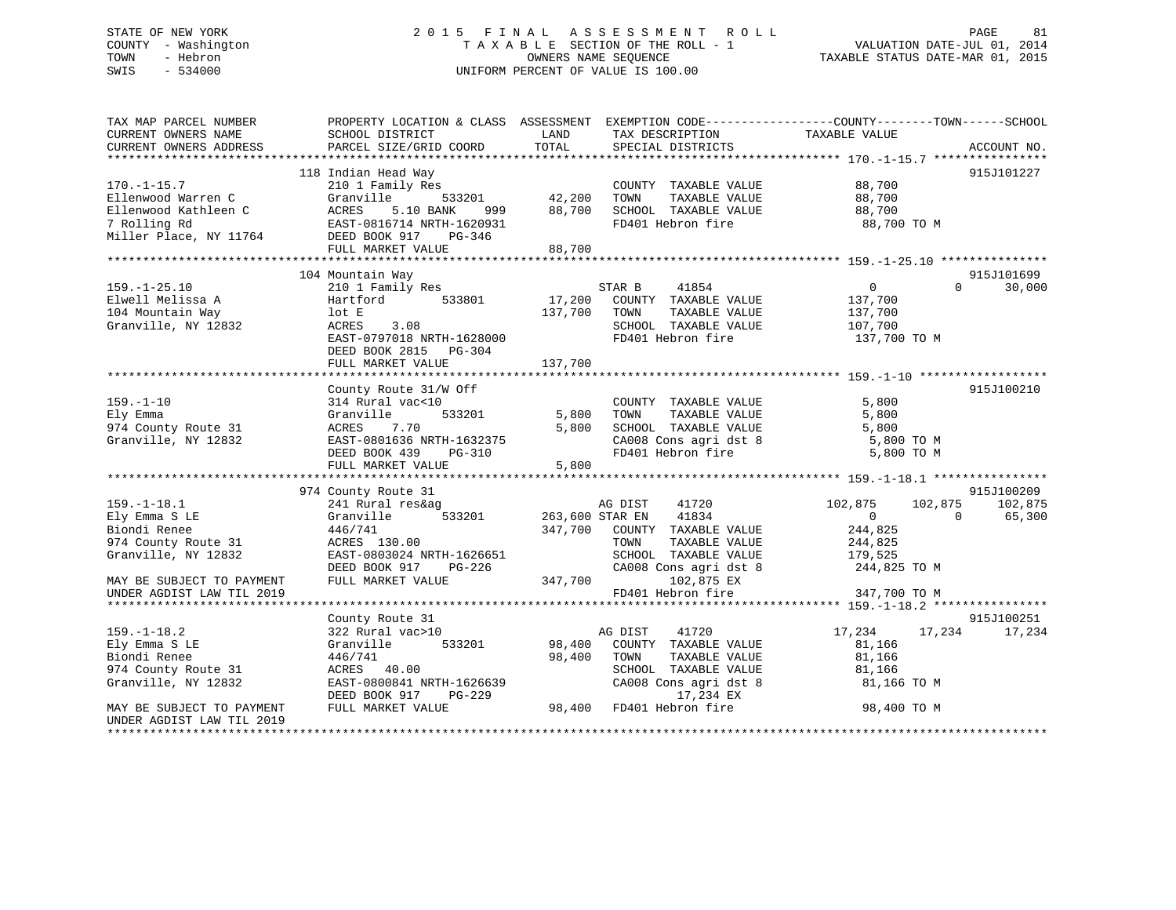# STATE OF NEW YORK 2 0 1 5 F I N A L A S S E S S M E N T R O L L PAGE 81 COUNTY - Washington T A X A B L E SECTION OF THE ROLL - 1 VALUATION DATE-JUL 01, 2014 TOWN - Hebron OWNERS NAME SEQUENCE TAXABLE STATUS DATE-MAR 01, 2015 SWIS - 534000 UNIFORM PERCENT OF VALUE IS 100.00

| TAX MAP PARCEL NUMBER<br>CURRENT OWNERS NAME<br>CURRENT OWNERS ADDRESS | SCHOOL DISTRICT<br>PARCEL SIZE/GRID COORD              | LAND<br>TOTAL   | TAX DESCRIPTION<br>SPECIAL DISTRICTS          | PROPERTY LOCATION & CLASS ASSESSMENT EXEMPTION CODE----------------COUNTY-------TOWN------SCHOOL<br>TAXABLE VALUE | ACCOUNT NO. |
|------------------------------------------------------------------------|--------------------------------------------------------|-----------------|-----------------------------------------------|-------------------------------------------------------------------------------------------------------------------|-------------|
|                                                                        |                                                        |                 |                                               |                                                                                                                   |             |
|                                                                        | 118 Indian Head Way                                    |                 |                                               |                                                                                                                   | 915J101227  |
| $170. - 1 - 15.7$                                                      | 210 1 Family Res                                       |                 | COUNTY TAXABLE VALUE                          | 88,700                                                                                                            |             |
| Ellenwood Warren C                                                     | Granville<br>533201                                    | 42,200          | TOWN<br>TAXABLE VALUE                         | 88,700                                                                                                            |             |
| Ellenwood Kathleen C                                                   | <b>ACRES</b><br>5.10 BANK<br>999                       | 88,700          | SCHOOL TAXABLE VALUE                          | 88,700                                                                                                            |             |
| 7 Rolling Rd                                                           | EAST-0816714 NRTH-1620931<br>DEED BOOK 917<br>$PG-346$ |                 | FD401 Hebron fire                             | 88,700 TO M                                                                                                       |             |
| Miller Place, NY 11764                                                 | FULL MARKET VALUE                                      | 88,700          |                                               |                                                                                                                   |             |
|                                                                        |                                                        |                 |                                               |                                                                                                                   |             |
|                                                                        | 104 Mountain Way                                       |                 |                                               |                                                                                                                   | 915J101699  |
| $159. - 1 - 25.10$                                                     | 210 1 Family Res                                       |                 | 41854<br>STAR B                               | $\Omega$<br>0                                                                                                     | 30,000      |
| Elwell Melissa A                                                       | 533801<br>Hartford                                     | 17,200          | COUNTY TAXABLE VALUE                          | 137,700                                                                                                           |             |
| 104 Mountain Way                                                       | lot E                                                  | 137,700         | TOWN<br>TAXABLE VALUE                         | 137,700                                                                                                           |             |
| Granville, NY 12832                                                    | ACRES<br>3.08                                          |                 | SCHOOL TAXABLE VALUE                          | 107,700                                                                                                           |             |
|                                                                        | EAST-0797018 NRTH-1628000                              |                 | FD401 Hebron fire                             | 137,700 TO M                                                                                                      |             |
|                                                                        | DEED BOOK 2815 PG-304                                  |                 |                                               |                                                                                                                   |             |
|                                                                        | FULL MARKET VALUE                                      | 137,700         |                                               |                                                                                                                   |             |
|                                                                        |                                                        |                 |                                               |                                                                                                                   |             |
|                                                                        | County Route 31/W Off                                  |                 |                                               |                                                                                                                   | 915J100210  |
| $159. - 1 - 10$                                                        | 314 Rural vac<10                                       |                 | COUNTY TAXABLE VALUE                          | 5,800                                                                                                             |             |
| Ely Emma                                                               | 533201<br>Granville                                    | 5,800           | TOWN<br>TAXABLE VALUE                         | 5,800                                                                                                             |             |
| 974 County Route 31                                                    | ACRES<br>7.70                                          | 5,800           | SCHOOL TAXABLE VALUE                          | 5,800                                                                                                             |             |
| Granville, NY 12832                                                    | EAST-0801636 NRTH-1632375<br>DEED BOOK 439<br>PG-310   |                 | CA008 Cons agri dst 8<br>FD401 Hebron fire    | 5,800 TO M<br>5,800 TO M                                                                                          |             |
|                                                                        | FULL MARKET VALUE                                      | 5,800           |                                               |                                                                                                                   |             |
|                                                                        |                                                        |                 |                                               |                                                                                                                   |             |
|                                                                        | 974 County Route 31                                    |                 |                                               |                                                                                                                   | 915J100209  |
| $159. - 1 - 18.1$                                                      | 241 Rural res&ag                                       |                 | 41720<br>AG DIST                              | 102,875<br>102,875                                                                                                | 102,875     |
| Ely Emma S LE                                                          | Granville<br>533201                                    | 263,600 STAR EN | 41834                                         | $\Omega$<br>$\Omega$                                                                                              | 65,300      |
| Biondi Renee                                                           | 446/741                                                | 347,700         | COUNTY TAXABLE VALUE                          | 244,825                                                                                                           |             |
| 974 County Route 31                                                    | ACRES 130.00                                           |                 | TOWN<br>TAXABLE VALUE                         | 244,825                                                                                                           |             |
| Granville, NY 12832                                                    | EAST-0803024 NRTH-1626651                              |                 | SCHOOL TAXABLE VALUE                          | 179,525                                                                                                           |             |
|                                                                        | DEED BOOK 917<br>PG-226                                |                 | CA008 Cons agri dst 8                         | 244,825 TO M                                                                                                      |             |
| MAY BE SUBJECT TO PAYMENT                                              | FULL MARKET VALUE                                      | 347,700         | 102,875 EX                                    |                                                                                                                   |             |
| UNDER AGDIST LAW TIL 2019                                              |                                                        |                 | FD401 Hebron fire                             | 347,700 TO M                                                                                                      |             |
|                                                                        |                                                        |                 |                                               |                                                                                                                   |             |
|                                                                        | County Route 31                                        |                 |                                               |                                                                                                                   | 915J100251  |
| $159. - 1 - 18.2$                                                      | 322 Rural vac>10                                       |                 | 41720<br>AG DIST                              | 17,234<br>17,234                                                                                                  | 17,234      |
| Ely Emma S LE<br>Biondi Renee                                          | 533201<br>Granville<br>446/741                         | 98,400          | COUNTY TAXABLE VALUE<br>TOWN<br>TAXABLE VALUE | 81,166                                                                                                            |             |
| 974 County Route 31                                                    | ACRES 40.00                                            | 98,400          | SCHOOL TAXABLE VALUE                          | 81,166                                                                                                            |             |
| Granville, NY 12832                                                    | EAST-0800841 NRTH-1626639                              |                 | CA008 Cons agri dst 8                         | 81,166<br>81,166 TO M                                                                                             |             |
|                                                                        | DEED BOOK 917<br>PG-229                                |                 | 17,234 EX                                     |                                                                                                                   |             |
| MAY BE SUBJECT TO PAYMENT                                              | FULL MARKET VALUE                                      | 98,400          | FD401 Hebron fire                             | 98,400 TO M                                                                                                       |             |
| UNDER AGDIST LAW TIL 2019                                              |                                                        |                 |                                               |                                                                                                                   |             |
|                                                                        |                                                        |                 |                                               |                                                                                                                   |             |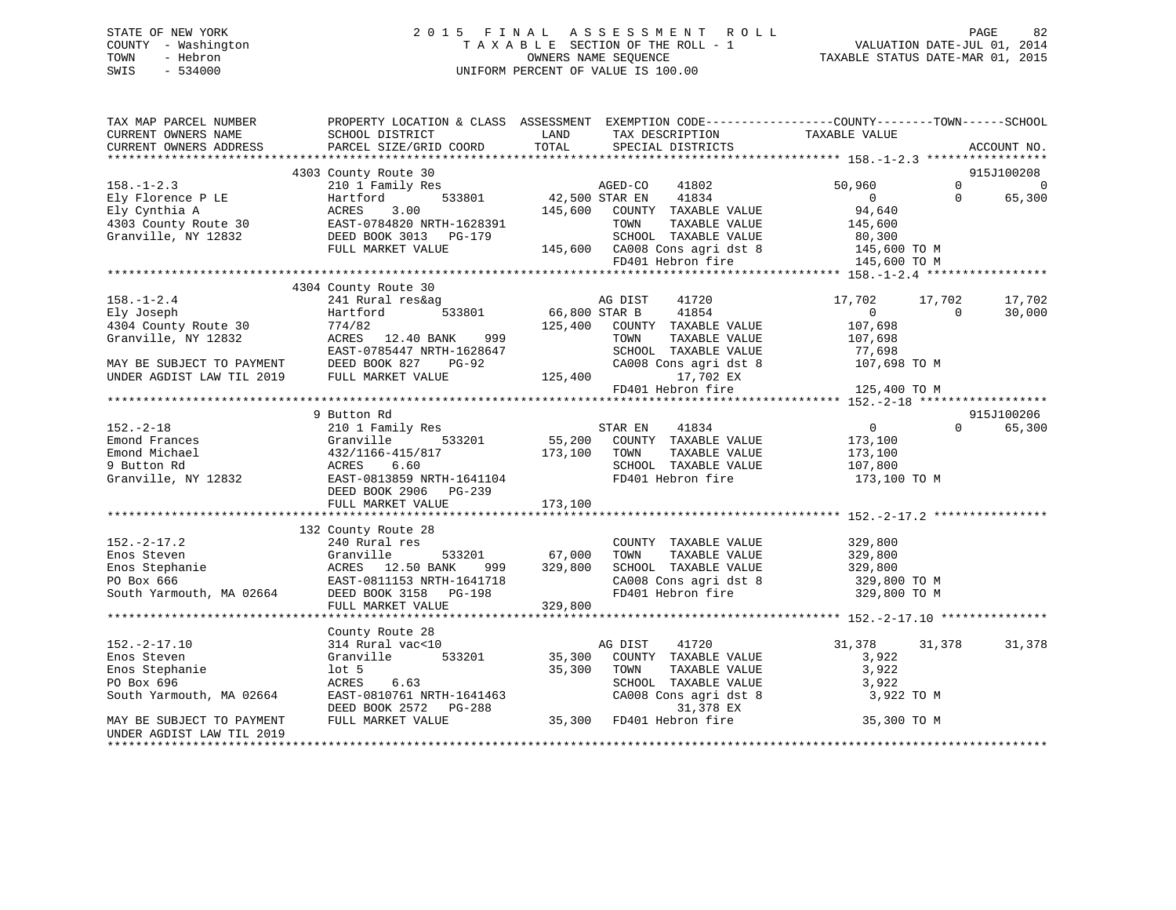# STATE OF NEW YORK 2 0 1 5 F I N A L A S S E S S M E N T R O L L PAGE 82 COUNTY - Washington T A X A B L E SECTION OF THE ROLL - 1 VALUATION DATE-JUL 01, 2014 TOWN - Hebron OWNERS NAME SEQUENCE TAXABLE STATUS DATE-MAR 01, 2015 SWIS - 534000 UNIFORM PERCENT OF VALUE IS 100.00

| TAX MAP PARCEL NUMBER<br>CURRENT OWNERS NAME<br>CURRENT OWNERS ADDRESS | PROPERTY LOCATION & CLASS ASSESSMENT EXEMPTION CODE----------------COUNTY-------TOWN------SCHOOL<br>SCHOOL DISTRICT<br>PARCEL SIZE/GRID COORD                                                                                                                           | <b>LAND</b><br>TOTAL | TAX DESCRIPTION TAXABLE VALUE SPECIAL DISTRICTS                                 |                          |                          | ACCOUNT NO.                             |
|------------------------------------------------------------------------|-------------------------------------------------------------------------------------------------------------------------------------------------------------------------------------------------------------------------------------------------------------------------|----------------------|---------------------------------------------------------------------------------|--------------------------|--------------------------|-----------------------------------------|
|                                                                        |                                                                                                                                                                                                                                                                         |                      |                                                                                 |                          |                          |                                         |
|                                                                        | 4303 County Route 30<br>County Route 30<br>210 1 Family Res<br>Hartford 533801<br>$\begin{array}{r} 42,500 \text{ STAR EM} \\ 12,500 \text{ STAR EM} \end{array}$                                                                                                       |                      |                                                                                 |                          |                          | 915J100208                              |
| $158. - 1 - 2.3$                                                       |                                                                                                                                                                                                                                                                         |                      | 41802                                                                           | 50,960                   |                          | $\Omega$ and $\Omega$<br>$\overline{0}$ |
|                                                                        |                                                                                                                                                                                                                                                                         |                      |                                                                                 |                          | $\Omega$                 | 65,300                                  |
|                                                                        |                                                                                                                                                                                                                                                                         |                      |                                                                                 |                          |                          |                                         |
|                                                                        |                                                                                                                                                                                                                                                                         |                      |                                                                                 |                          |                          |                                         |
|                                                                        |                                                                                                                                                                                                                                                                         |                      |                                                                                 |                          |                          |                                         |
|                                                                        |                                                                                                                                                                                                                                                                         |                      |                                                                                 |                          |                          |                                         |
|                                                                        |                                                                                                                                                                                                                                                                         |                      |                                                                                 |                          |                          |                                         |
|                                                                        |                                                                                                                                                                                                                                                                         |                      |                                                                                 |                          |                          |                                         |
|                                                                        | 4304 County Route 30                                                                                                                                                                                                                                                    |                      |                                                                                 |                          |                          |                                         |
| $158. - 1 - 2.4$                                                       | 241 Rural reskag ag ag DIST<br>Hartford 533801 66,800 STAR B                                                                                                                                                                                                            |                      | 41720                                                                           | 17,702<br>$\overline{0}$ | 17,702<br>$\overline{0}$ | 17,702                                  |
| Ely Joseph                                                             | Hartford                                                                                                                                                                                                                                                                |                      | 41854                                                                           |                          |                          | 30,000                                  |
| 4304 County Route 30                                                   | 774/82                                                                                                                                                                                                                                                                  |                      | 125,400 COUNTY TAXABLE VALUE                                                    | 107,698                  |                          |                                         |
|                                                                        | ACRES 12.40 BANK 999                                                                                                                                                                                                                                                    |                      | TOWN<br>TAXABLE VALUE<br>SCHOOL TAXABLE VALUE                                   | 107,698                  |                          |                                         |
|                                                                        |                                                                                                                                                                                                                                                                         |                      |                                                                                 | 77,698                   |                          |                                         |
|                                                                        | Granville, NY 12832<br>MAY BE SUBJECT TO PAYMENT<br>MAY BE SUBJECT TO PAYMENT DEED BOOK 827 PG-92<br>UNDER AGDIST LAW TIL 2019 FULL MARKET VALUE                                                                                                                        | $-92$ CA008          | CA008 Cons agri dst 8                                                           | 107,698 TO M             |                          |                                         |
|                                                                        |                                                                                                                                                                                                                                                                         |                      | 17,702 EX                                                                       |                          |                          |                                         |
|                                                                        |                                                                                                                                                                                                                                                                         |                      | FD401 Hebron fire                                                               | 125,400 TO M             |                          |                                         |
|                                                                        | 9 Button Rd                                                                                                                                                                                                                                                             |                      |                                                                                 |                          |                          | 915J100206                              |
|                                                                        |                                                                                                                                                                                                                                                                         |                      |                                                                                 | $\overline{0}$           | $\Omega$                 | 65,300                                  |
|                                                                        |                                                                                                                                                                                                                                                                         |                      |                                                                                 | 173,100                  |                          |                                         |
|                                                                        |                                                                                                                                                                                                                                                                         |                      |                                                                                 | TAXABLE VALUE 173,100    |                          |                                         |
|                                                                        |                                                                                                                                                                                                                                                                         |                      |                                                                                 | 107,800                  |                          |                                         |
|                                                                        |                                                                                                                                                                                                                                                                         |                      | FD401 Hebron fire 173,100 TO M                                                  |                          |                          |                                         |
|                                                                        | 152.-2-18<br>Emond Frances<br>Emond Michael (1993)<br>210 1 Family Res<br>Cranville 533201 55,200 COUNTY TAXABLE VALUE<br>432/1166-415/817 173,100 TOWN TAXABLE VALUE<br>9 Button Rd<br>Granville, NY 12832 EAST-0813859 NRTH-1641104<br>FD401<br>DEED BOOK 2906 PG-239 |                      |                                                                                 |                          |                          |                                         |
|                                                                        | FULL MARKET VALUE                                                                                                                                                                                                                                                       | 173,100              |                                                                                 |                          |                          |                                         |
|                                                                        |                                                                                                                                                                                                                                                                         |                      |                                                                                 |                          |                          |                                         |
|                                                                        | 132 County Route 28                                                                                                                                                                                                                                                     |                      |                                                                                 |                          |                          |                                         |
| $152. - 2 - 17.2$                                                      | 240 Rural res                                                                                                                                                                                                                                                           |                      | COUNTY TAXABLE VALUE 329,800                                                    |                          |                          |                                         |
|                                                                        |                                                                                                                                                                                                                                                                         |                      | TOWN<br>TAXABLE VALUE                                                           |                          |                          |                                         |
|                                                                        | 533201 67,000<br>50 BANK 999 329,800                                                                                                                                                                                                                                    |                      | SCHOOL TAXABLE VALUE                                                            | 329,800<br>329,800       |                          |                                         |
|                                                                        |                                                                                                                                                                                                                                                                         |                      |                                                                                 |                          |                          |                                         |
|                                                                        | Enos Steven<br>Enos Stephanie<br>Enos Stephanie<br>PO Box 666<br>South Yarmouth, MA 02664<br>DEED BOOK 3158<br>PO-198<br>CEAST-0811153<br>NRTH-1641718<br>PO-198                                                                                                        |                      | CA008 Cons agri dst 8 329,800 TO M<br>FD401 Hebron fire 329,800 TO M            |                          |                          |                                         |
|                                                                        | FULL MARKET VALUE                                                                                                                                                                                                                                                       | 329,800              |                                                                                 |                          |                          |                                         |
|                                                                        |                                                                                                                                                                                                                                                                         |                      |                                                                                 |                          |                          |                                         |
|                                                                        | County Route 28                                                                                                                                                                                                                                                         |                      |                                                                                 |                          |                          |                                         |
| $152.-2-17.10$                                                         | County Route 20<br>314 Rural vac<10                                                                                                                                                                                                                                     |                      | 41720<br>AG DIST                                                                | 31,378                   | 31,378                   | 31,378                                  |
| Enos Steven                                                            |                                                                                                                                                                                                                                                                         |                      | COUNTY TAXABLE VALUE                                                            | 3,922                    |                          |                                         |
| Enos Stephanie                                                         | Granville 533201 35,300<br>1ot 5 33201 35,300                                                                                                                                                                                                                           |                      | TOWN<br>TAXABLE VALUE                                                           | 3,922                    |                          |                                         |
| PO Box 696                                                             | 6.63<br>ACRES                                                                                                                                                                                                                                                           |                      |                                                                                 | 3,922                    |                          |                                         |
| South Yarmouth, MA 02664                                               |                                                                                                                                                                                                                                                                         |                      |                                                                                 | 3,922 TO M               |                          |                                         |
|                                                                        | EAST-0810761 NRTH-1641463<br>DEED BOOK 2572 PG-288<br>FULL MARKET VALUE 35,300 FD401 Hebron fire                                                                                                                                                                        |                      | SCHOOL TAXABLE VALUE<br>CA008 Cons agri dst 8<br>31,378 EX<br>FD401 Hebron fire |                          |                          |                                         |
| MAY BE SUBJECT TO PAYMENT                                              |                                                                                                                                                                                                                                                                         |                      |                                                                                 | 35,300 TO M              |                          |                                         |
| UNDER AGDIST LAW TIL 2019                                              |                                                                                                                                                                                                                                                                         |                      |                                                                                 |                          |                          |                                         |
| *********************                                                  |                                                                                                                                                                                                                                                                         |                      |                                                                                 |                          |                          |                                         |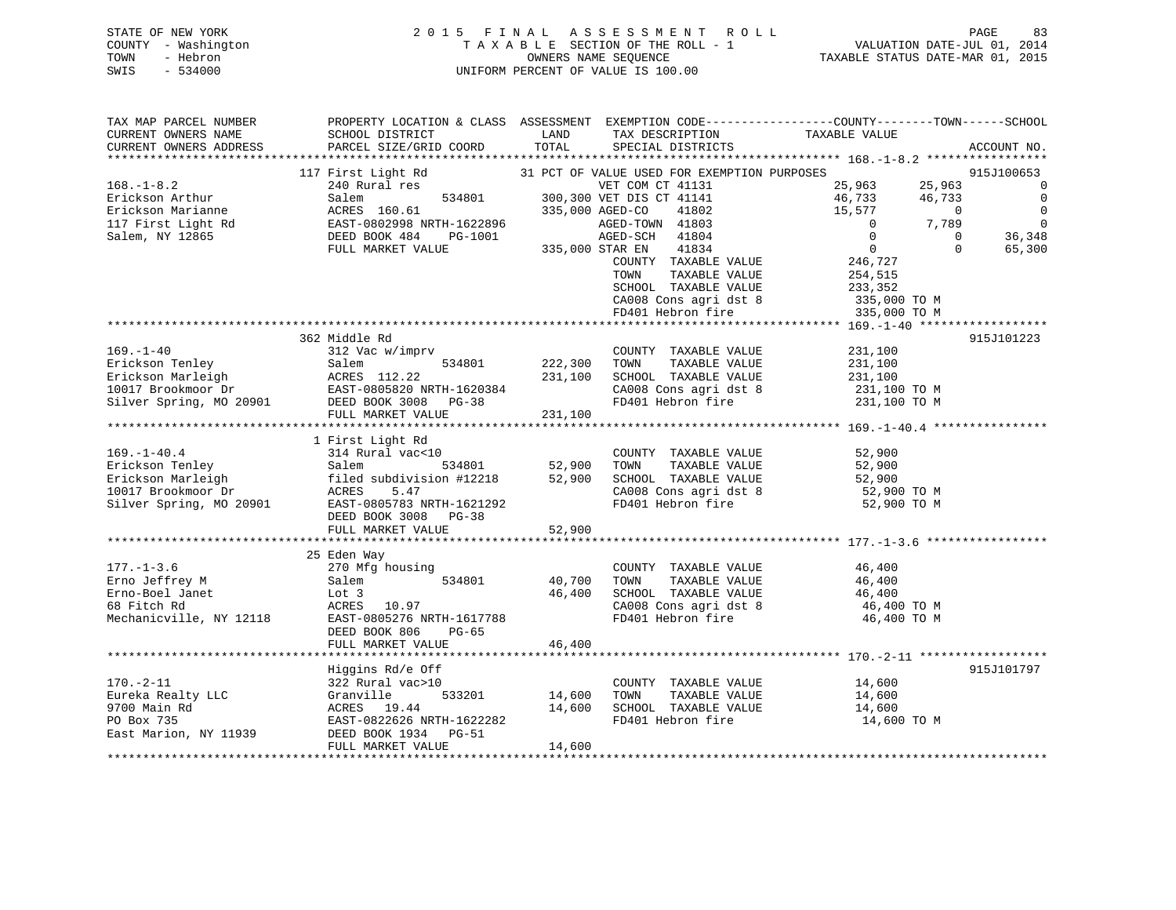# STATE OF NEW YORK 2 0 1 5 F I N A L A S S E S S M E N T R O L L PAGE 83 COUNTY - Washington T A X A B L E SECTION OF THE ROLL - 1 VALUATION DATE-JUL 01, 2014 TOWN - Hebron OWNERS NAME SEQUENCE TAXABLE STATUS DATE-MAR 01, 2015 SWIS - 534000 UNIFORM PERCENT OF VALUE IS 100.00

| TAX MAP PARCEL NUMBER   | PROPERTY LOCATION & CLASS ASSESSMENT EXEMPTION CODE----------------COUNTY-------TOWN------SCHOOL                                                                                                                  |         |                                                     |                                    |                          |
|-------------------------|-------------------------------------------------------------------------------------------------------------------------------------------------------------------------------------------------------------------|---------|-----------------------------------------------------|------------------------------------|--------------------------|
| CURRENT OWNERS NAME     | SCHOOL DISTRICT                                                                                                                                                                                                   | LAND    | TAX DESCRIPTION                                     | TAXABLE VALUE                      |                          |
| CURRENT OWNERS ADDRESS  | PARCEL SIZE/GRID COORD                                                                                                                                                                                            | TOTAL   | SPECIAL DISTRICTS                                   |                                    | ACCOUNT NO.              |
|                         |                                                                                                                                                                                                                   |         |                                                     |                                    |                          |
|                         | 117 First Light Rd 31 PCT OF VALUE USED FOR EXEMPTION PURPOSES                                                                                                                                                    |         |                                                     |                                    | 915J100653               |
| $168. - 1 - 8.2$        | 240 Rural res                                                                                                                                                                                                     |         | VET COM CT 41131<br>534801 300,300 VET DIS CT 41141 | 25,963<br>25,963                   | $\overline{0}$           |
|                         |                                                                                                                                                                                                                   |         |                                                     | 46,733<br>46,733                   | $\overline{0}$           |
|                         |                                                                                                                                                                                                                   |         |                                                     | 15,577<br>$\overline{\phantom{0}}$ | $\overline{0}$           |
|                         |                                                                                                                                                                                                                   |         |                                                     | 7,789<br>$\sim$ 0                  | $\overline{\phantom{0}}$ |
|                         |                                                                                                                                                                                                                   |         |                                                     | $\overline{0}$<br>$\overline{0}$   | 36,348                   |
|                         |                                                                                                                                                                                                                   |         |                                                     | $\overline{0}$                     | $\Omega$<br>65,300       |
|                         |                                                                                                                                                                                                                   |         | COUNTY TAXABLE VALUE                                | 246,727                            |                          |
|                         |                                                                                                                                                                                                                   |         | TOWN<br>TAXABLE VALUE                               | 254,515                            |                          |
|                         |                                                                                                                                                                                                                   |         | SCHOOL TAXABLE VALUE                                | 233,352                            |                          |
|                         |                                                                                                                                                                                                                   |         | CA008 Cons agri dst 8                               | 335,000 TO M                       |                          |
|                         |                                                                                                                                                                                                                   |         | FD401 Hebron fire                                   | 335,000 TO M                       |                          |
|                         |                                                                                                                                                                                                                   |         |                                                     |                                    |                          |
|                         | 362 Middle Rd                                                                                                                                                                                                     |         |                                                     |                                    | 915J101223               |
|                         |                                                                                                                                                                                                                   |         | COUNTY TAXABLE VALUE                                | 231,100                            |                          |
|                         |                                                                                                                                                                                                                   | 222,300 | TOWN<br>TAXABLE VALUE                               | 231,100                            |                          |
|                         |                                                                                                                                                                                                                   | 231,100 | SCHOOL TAXABLE VALUE                                | 231,100                            |                          |
|                         | 169.-1-40<br>Erickson Tenley Salem 534801<br>Erickson Marleigh Salem 534801 222,300<br>10017 Brookmoor Dr EAST-0805820 NRTH-1620384 231,100<br>Silver Spring, MO 20901 DEED BOOK 3008 PG-38<br>THE PROGRES 112.22 |         |                                                     |                                    |                          |
|                         |                                                                                                                                                                                                                   |         |                                                     |                                    |                          |
|                         | FULL MARKET VALUE                                                                                                                                                                                                 | 231,100 |                                                     |                                    |                          |
|                         |                                                                                                                                                                                                                   |         |                                                     |                                    |                          |
| $169. - 1 - 40.4$       | 1 First Light Rd<br>314 Rural vac<10                                                                                                                                                                              |         | COUNTY TAXABLE VALUE                                | 52,900                             |                          |
| Erickson Tenley         | Salem<br>534801                                                                                                                                                                                                   | 52,900  | TOWN<br>TAXABLE VALUE                               | 52,900                             |                          |
|                         |                                                                                                                                                                                                                   |         | SCHOOL TAXABLE VALUE                                | 52,900                             |                          |
|                         |                                                                                                                                                                                                                   |         | CA008 Cons agri dst 8                               | 52,900 TO M                        |                          |
| Silver Spring, MO 20901 | EAST-0805783 NRTH-1621292                                                                                                                                                                                         |         | FD401 Hebron fire                                   | 52,900 TO M                        |                          |
|                         | DEED BOOK 3008<br>$PG-38$                                                                                                                                                                                         |         |                                                     |                                    |                          |
|                         | FULL MARKET VALUE                                                                                                                                                                                                 | 52,900  |                                                     |                                    |                          |
|                         |                                                                                                                                                                                                                   |         |                                                     |                                    |                          |
|                         | 25 Eden Way                                                                                                                                                                                                       |         |                                                     |                                    |                          |
| $177. - 1 - 3.6$        | 270 Mfg housing                                                                                                                                                                                                   |         | COUNTY TAXABLE VALUE 46,400                         |                                    |                          |
| Erno Jeffrey M          | 534801<br>Salem                                                                                                                                                                                                   | 40,700  | TOWN<br>TAXABLE VALUE                               | 46,400                             |                          |
| Erno-Boel Janet         | Lot 3                                                                                                                                                                                                             | 46,400  | SCHOOL TAXABLE VALUE                                | 46,400                             |                          |
| 68 Fitch Rd             | ACRES 10.97                                                                                                                                                                                                       |         | CA008 Cons agri dst 8                               | 46,400 TO M                        |                          |
| Mechanicville, NY 12118 | EAST-0805276 NRTH-1617788                                                                                                                                                                                         |         | FD401 Hebron fire                                   | 46,400 TO M                        |                          |
|                         | DEED BOOK 806<br>PG-65                                                                                                                                                                                            |         |                                                     |                                    |                          |
|                         | FULL MARKET VALUE                                                                                                                                                                                                 | 46,400  |                                                     |                                    |                          |
|                         |                                                                                                                                                                                                                   |         |                                                     |                                    |                          |
|                         | Higgins Rd/e Off                                                                                                                                                                                                  |         |                                                     |                                    | 915J101797               |
| $170. - 2 - 11$         | 322 Rural vac>10                                                                                                                                                                                                  |         | COUNTY TAXABLE VALUE                                | 14,600                             |                          |
| Eureka Realty LLC       | 533201                                                                                                                                                                                                            | 14,600  | TAXABLE VALUE<br>TOWN                               | 14,600                             |                          |
| 9700 Main Rd            | Granville<br>ACRES 19<br>ACRES 19.44                                                                                                                                                                              | 14,600  | SCHOOL TAXABLE VALUE                                | 14,600                             |                          |
| PO Box 735              | EAST-0822626 NRTH-1622282                                                                                                                                                                                         |         | FD401 Hebron fire                                   | 14,600 TO M                        |                          |
| East Marion, NY 11939   | DEED BOOK 1934 PG-51                                                                                                                                                                                              |         |                                                     |                                    |                          |
|                         | FULL MARKET VALUE                                                                                                                                                                                                 | 14,600  |                                                     |                                    |                          |
|                         |                                                                                                                                                                                                                   |         |                                                     |                                    |                          |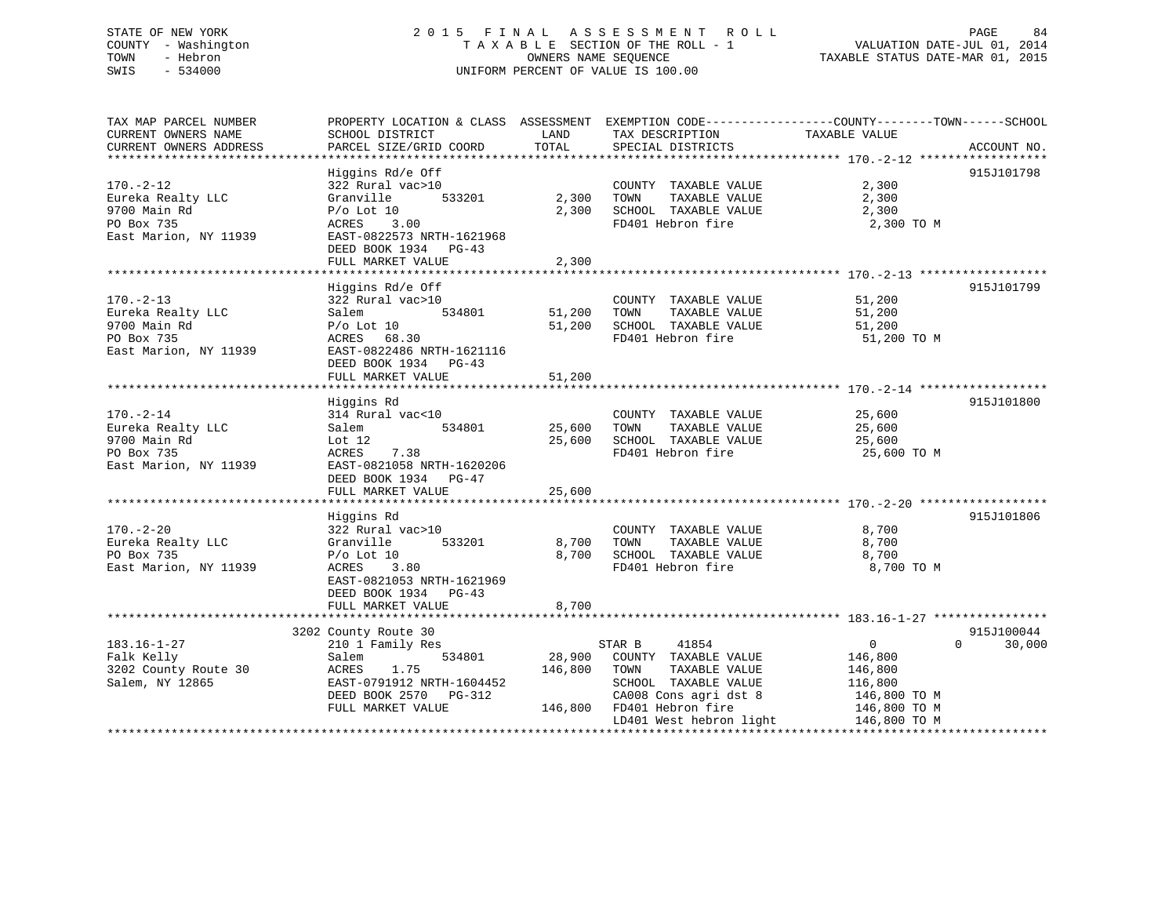# STATE OF NEW YORK 2 0 1 5 F I N A L A S S E S S M E N T R O L L PAGE 84 COUNTY - Washington T A X A B L E SECTION OF THE ROLL - 1 VALUATION DATE-JUL 01, 2014 TOWN - Hebron OWNERS NAME SEQUENCE TAXABLE STATUS DATE-MAR 01, 2015 SWIS - 534000 UNIFORM PERCENT OF VALUE IS 100.00

| TAX MAP PARCEL NUMBER<br>CURRENT OWNERS NAME<br>CURRENT OWNERS ADDRESS | PROPERTY LOCATION & CLASS ASSESSMENT EXEMPTION CODE----------------COUNTY-------TOWN-----SCHOOL<br>SCHOOL DISTRICT<br>PARCEL SIZE/GRID COORD | LAND<br>TOTAL | TAX DESCRIPTION<br>SPECIAL DISTRICTS          | TAXABLE VALUE              | ACCOUNT NO. |
|------------------------------------------------------------------------|----------------------------------------------------------------------------------------------------------------------------------------------|---------------|-----------------------------------------------|----------------------------|-------------|
|                                                                        |                                                                                                                                              |               |                                               |                            |             |
|                                                                        | Higgins Rd/e Off                                                                                                                             |               |                                               |                            | 915J101798  |
| $170. - 2 - 12$                                                        | 322 Rural vac>10                                                                                                                             |               | COUNTY TAXABLE VALUE                          | 2,300                      |             |
| Eureka Realty LLC                                                      | 533201<br>Granville                                                                                                                          | 2,300         | TAXABLE VALUE<br>TOWN                         | 2,300                      |             |
| 9700 Main Rd                                                           | $P/O$ Lot 10                                                                                                                                 | 2,300         | SCHOOL TAXABLE VALUE                          | 2,300                      |             |
| PO Box 735                                                             | ACRES<br>3.00                                                                                                                                |               | FD401 Hebron fire                             | 2,300 TO M                 |             |
| East Marion, NY 11939                                                  | EAST-0822573 NRTH-1621968                                                                                                                    |               |                                               |                            |             |
|                                                                        | DEED BOOK 1934 PG-43                                                                                                                         |               |                                               |                            |             |
|                                                                        | FULL MARKET VALUE                                                                                                                            | 2,300         |                                               |                            |             |
|                                                                        |                                                                                                                                              |               |                                               |                            | 915J101799  |
|                                                                        | Higgins Rd/e Off                                                                                                                             |               |                                               |                            |             |
| $170. - 2 - 13$                                                        | 322 Rural vac>10<br>534801                                                                                                                   |               | COUNTY TAXABLE VALUE                          | 51,200                     |             |
| Eureka Realty LLC                                                      | Salem                                                                                                                                        | 51,200        | TOWN<br>TAXABLE VALUE<br>SCHOOL TAXABLE VALUE | 51,200                     |             |
| 9700 Main Rd                                                           | $P/O$ Lot $10$                                                                                                                               | 51,200        | FD401 Hebron fire                             | 51,200                     |             |
| PO Box 735                                                             | ACRES 68.30                                                                                                                                  |               |                                               | 51,200 TO M                |             |
| East Marion, NY 11939                                                  | EAST-0822486 NRTH-1621116                                                                                                                    |               |                                               |                            |             |
|                                                                        | DEED BOOK 1934 PG-43                                                                                                                         |               |                                               |                            |             |
|                                                                        | FULL MARKET VALUE                                                                                                                            | 51,200        |                                               |                            |             |
|                                                                        |                                                                                                                                              |               |                                               |                            |             |
|                                                                        | Higgins Rd                                                                                                                                   |               |                                               |                            | 915J101800  |
| $170. - 2 - 14$                                                        | 314 Rural vac<10<br>534801                                                                                                                   | 25,600        | COUNTY TAXABLE VALUE<br>TOWN<br>TAXABLE VALUE | 25,600<br>25,600           |             |
| Eureka Realty LLC<br>9700 Main Rd                                      | Salem                                                                                                                                        | 25,600        | SCHOOL TAXABLE VALUE                          |                            |             |
| PO Box 735                                                             | Lot $12$                                                                                                                                     |               |                                               | 25,600                     |             |
| East Marion, NY 11939                                                  | ACRES<br>7.38<br>EAST-0821058 NRTH-1620206                                                                                                   |               | FD401 Hebron fire                             | 25,600 TO M                |             |
|                                                                        |                                                                                                                                              |               |                                               |                            |             |
|                                                                        | DEED BOOK 1934 PG-47<br>FULL MARKET VALUE                                                                                                    | 25,600        |                                               |                            |             |
|                                                                        |                                                                                                                                              |               |                                               |                            |             |
|                                                                        | Higgins Rd                                                                                                                                   |               |                                               |                            | 915J101806  |
| $170. - 2 - 20$                                                        | 322 Rural vac>10                                                                                                                             |               | COUNTY TAXABLE VALUE                          | 8,700                      |             |
| Eureka Realty LLC                                                      | 533201<br>Granville                                                                                                                          | 8,700         | TOWN<br>TAXABLE VALUE                         | 8,700                      |             |
| PO Box 735                                                             | $P/O$ Lot $10$                                                                                                                               | 8,700         | SCHOOL TAXABLE VALUE                          | 8,700                      |             |
| East Marion, NY 11939                                                  | ACRES 3.80                                                                                                                                   |               | FD401 Hebron fire                             | 8,700 TO M                 |             |
|                                                                        | EAST-0821053 NRTH-1621969                                                                                                                    |               |                                               |                            |             |
|                                                                        | DEED BOOK 1934 PG-43                                                                                                                         |               |                                               |                            |             |
|                                                                        | FULL MARKET VALUE                                                                                                                            | 8,700         |                                               |                            |             |
|                                                                        |                                                                                                                                              |               |                                               |                            |             |
|                                                                        | 3202 County Route 30                                                                                                                         |               |                                               |                            | 915J100044  |
| $183.16 - 1 - 27$                                                      | 210 1 Family Res                                                                                                                             |               | STAR B<br>41854                               | $\overline{0}$<br>$\Omega$ | 30,000      |
| Falk Kelly                                                             | 534801<br>Salem                                                                                                                              | 28,900        | COUNTY TAXABLE VALUE                          | 146,800                    |             |
| 3202 County Route 30                                                   | 1.75<br>ACRES                                                                                                                                | 146,800       | TOWN<br>TAXABLE VALUE                         | 146,800                    |             |
| Salem, NY 12865                                                        | EAST-0791912 NRTH-1604452                                                                                                                    |               | SCHOOL TAXABLE VALUE                          | 116,800                    |             |
|                                                                        | DEED BOOK 2570 PG-312                                                                                                                        |               | CA008 Cons agri dst 8                         | 146,800 TO M               |             |
|                                                                        | FULL MARKET VALUE                                                                                                                            |               | 146,800 FD401 Hebron fire                     | 146,800 TO M               |             |
|                                                                        |                                                                                                                                              |               | LD401 West hebron light                       | 146,800 TO M               |             |
|                                                                        |                                                                                                                                              |               |                                               |                            |             |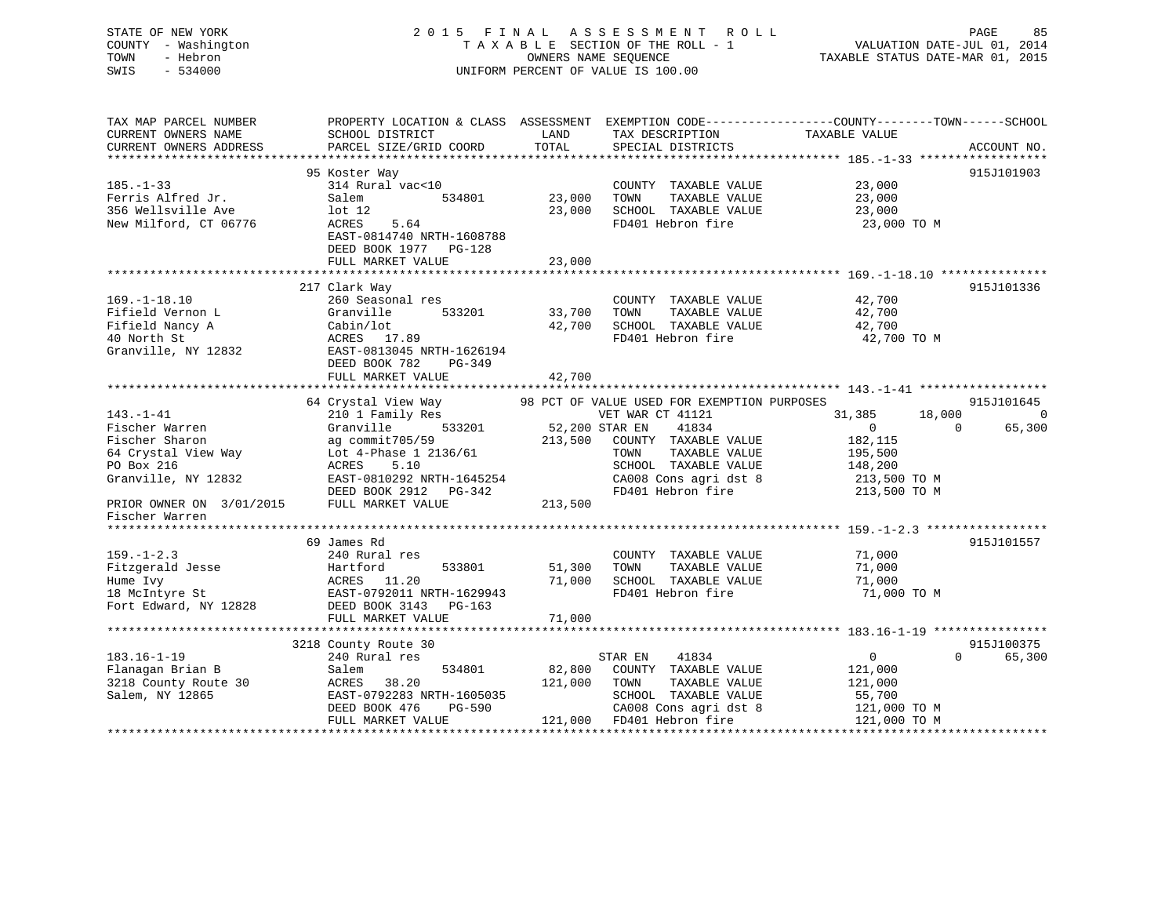# STATE OF NEW YORK 2 0 1 5 F I N A L A S S E S S M E N T R O L L PAGE 85 COUNTY - Washington T A X A B L E SECTION OF THE ROLL - 1 VALUATION DATE-JUL 01, 2014 TOWN - Hebron OWNERS NAME SEQUENCE TAXABLE STATUS DATE-MAR 01, 2015 SWIS - 534000 UNIFORM PERCENT OF VALUE IS 100.00

TAX MAP PARCEL NUMBER PROPERTY LOCATION & CLASS ASSESSMENT EXEMPTION CODE------------------COUNTY--------TOWN------SCHOOL CURRENT OWNERS NAME SCHOOL DISTRICT LAND TAX DESCRIPTION TAXABLE VALUE CURRENT OWNERS ADDRESS PARCEL SIZE/GRID COORD TOTAL SPECIAL DISTRICTS ACCOUNT NO. \*\*\*\*\*\*\*\*\*\*\*\*\*\*\*\*\*\*\*\*\*\*\*\*\*\*\*\*\*\*\*\*\*\*\*\*\*\*\*\*\*\*\*\*\*\*\*\*\*\*\*\*\*\*\*\*\*\*\*\*\*\*\*\*\*\*\*\*\*\*\*\*\*\*\*\*\*\*\*\*\*\*\*\*\*\*\*\*\*\*\*\*\*\*\*\*\*\*\*\*\*\*\* 185.-1-33 \*\*\*\*\*\*\*\*\*\*\*\*\*\*\*\*\*\* 95 Koster Way 915J101903 185.-1-33 314 Rural vac<10 COUNTY TAXABLE VALUE 23,000 Ferris Alfred Jr. Salem 534801 23,000 TOWN TAXABLE VALUE 23,000 356 Wellsville Ave lot 12 23,000 SCHOOL TAXABLE VALUE 23,000 New Milford, CT 06776 ACRES 5.64 FD401 Hebron fire 23,000 TO M EAST-0814740 NRTH-1608788 DEED BOOK 1977 PG-128FULL MARKET VALUE 23,000 \*\*\*\*\*\*\*\*\*\*\*\*\*\*\*\*\*\*\*\*\*\*\*\*\*\*\*\*\*\*\*\*\*\*\*\*\*\*\*\*\*\*\*\*\*\*\*\*\*\*\*\*\*\*\*\*\*\*\*\*\*\*\*\*\*\*\*\*\*\*\*\*\*\*\*\*\*\*\*\*\*\*\*\*\*\*\*\*\*\*\*\*\*\*\*\*\*\*\*\*\*\*\* 169.-1-18.10 \*\*\*\*\*\*\*\*\*\*\*\*\*\*\* 217 Clark Way 915J101336 169.-1-18.10 260 Seasonal res COUNTY TAXABLE VALUE 42,700 Fifield Vernon L Granville 533201 33,700 TOWN TAXABLE VALUE 42,700 Fifield Nancy A Cabin/lot 42,700 SCHOOL TAXABLE VALUE 42,700 42,700<br>42,700 FD401 Hebron fire 42,700 40 North St ACRES 17.89 FD401 Hebron fire 42,700 TO M EAST-0813045 NRTH-1626194 DEED BOOK 782 PG-349 FULL MARKET VALUE 42,700 \*\*\*\*\*\*\*\*\*\*\*\*\*\*\*\*\*\*\*\*\*\*\*\*\*\*\*\*\*\*\*\*\*\*\*\*\*\*\*\*\*\*\*\*\*\*\*\*\*\*\*\*\*\*\*\*\*\*\*\*\*\*\*\*\*\*\*\*\*\*\*\*\*\*\*\*\*\*\*\*\*\*\*\*\*\*\*\*\*\*\*\*\*\*\*\*\*\*\*\*\*\*\* 143.-1-41 \*\*\*\*\*\*\*\*\*\*\*\*\*\*\*\*\*\*64 Crystal View Way 38 PCT OF VALUE USED FOR EXEMPTION PURPOSES 315J101645 64 Crystal View Way 98 PCT OF VALUE USED FOR EXEMPTION PURPOSES 915J101645 143.-1-41 210 1 Family Res VET WAR CT 41121 31,385 18,000 0 Fischer Warren Granville 533201 52,200 STAR EN 41834 0 0 65,300 Fischer Sharon ag commit705/59 213,500 COUNTY TAXABLE VALUE 182,115 64 Crystal View Way Lot 4-Phase 1 2136/61 TOWN TAXABLE VALUE 195,500 PO Box 216 ACRES 5.10 SCHOOL TAXABLE VALUE 148,200 Granville, NY 12832 EAST-0810292 NRTH-1645254 CA008 Cons agri dst 8 213,500 TO M DEED BOOK 2912 PG-342 FD401 Hebron fire 213,500 TO M DEED BOOK 2912 PG-342<br>PRIOR OWNER ON 3/01/2015 FULL MARKET VALUE 213,500 Fischer Warren \*\*\*\*\*\*\*\*\*\*\*\*\*\*\*\*\*\*\*\*\*\*\*\*\*\*\*\*\*\*\*\*\*\*\*\*\*\*\*\*\*\*\*\*\*\*\*\*\*\*\*\*\*\*\*\*\*\*\*\*\*\*\*\*\*\*\*\*\*\*\*\*\*\*\*\*\*\*\*\*\*\*\*\*\*\*\*\*\*\*\*\*\*\*\*\*\*\*\*\*\*\*\* 159.-1-2.3 \*\*\*\*\*\*\*\*\*\*\*\*\*\*\*\*\* 69 James Rd 915J101557159.-1-2.3 240 Rural res COUNTY TAXABLE VALUE 71,000 Fitzgerald Jesse Hartford 533801 51,300 TOWN TAXABLE VALUE 71,000 Hume Ivy ACRES 11.20 71,000 SCHOOL TAXABLE VALUE 71,000 18 McIntyre St EAST-0792011 NRTH-1629943 FD401 Hebron fire 71,000 TO M Fort Edward, NY 12828 DEED BOOK 3143 PG-163 FULL MARKET VALUE 71,000 \*\*\*\*\*\*\*\*\*\*\*\*\*\*\*\*\*\*\*\*\*\*\*\*\*\*\*\*\*\*\*\*\*\*\*\*\*\*\*\*\*\*\*\*\*\*\*\*\*\*\*\*\*\*\*\*\*\*\*\*\*\*\*\*\*\*\*\*\*\*\*\*\*\*\*\*\*\*\*\*\*\*\*\*\*\*\*\*\*\*\*\*\*\*\*\*\*\*\*\*\*\*\* 183.16-1-19 \*\*\*\*\*\*\*\*\*\*\*\*\*\*\*\* 3218 County Route 30 915J100375 183.16-1-19 240 Rural res STAR EN 41834 0 0 65,300 Flanagan Brian B Salem 534801 82,800 COUNTY TAXABLE VALUE 121,000 3218 County Route 30 ACRES 38.20 121,000 TOWN TAXABLE VALUE 121,000 Salem, NY 12865 EAST-0792283 NRTH-1605035 SCHOOL TAXABLE VALUE 55,700 DEED BOOK 476 PG-590 CA008 Cons agri dst 8 121,000 TO M FULL MARKET VALUE 121,000 FD401 Hebron fire 121,000 TO M \*\*\*\*\*\*\*\*\*\*\*\*\*\*\*\*\*\*\*\*\*\*\*\*\*\*\*\*\*\*\*\*\*\*\*\*\*\*\*\*\*\*\*\*\*\*\*\*\*\*\*\*\*\*\*\*\*\*\*\*\*\*\*\*\*\*\*\*\*\*\*\*\*\*\*\*\*\*\*\*\*\*\*\*\*\*\*\*\*\*\*\*\*\*\*\*\*\*\*\*\*\*\*\*\*\*\*\*\*\*\*\*\*\*\*\*\*\*\*\*\*\*\*\*\*\*\*\*\*\*\*\*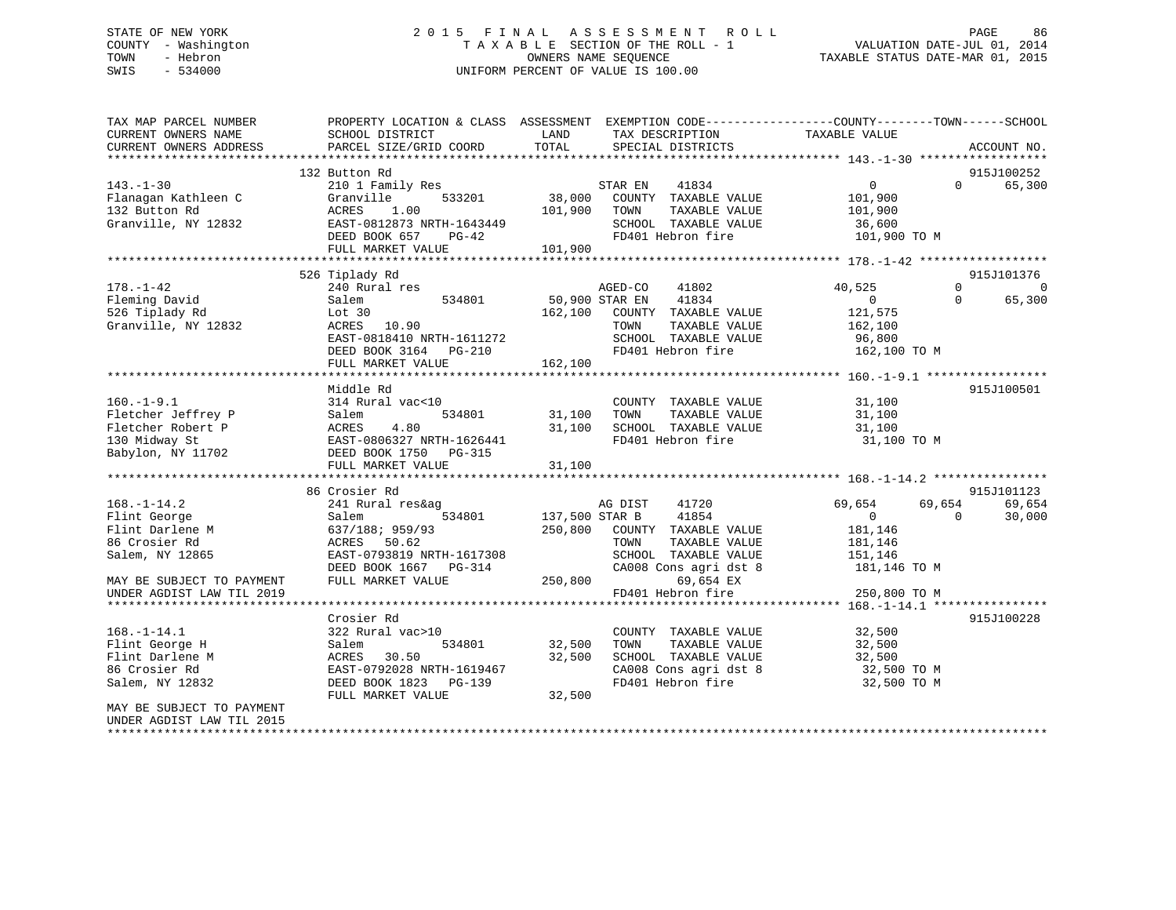# STATE OF NEW YORK 2 0 1 5 F I N A L A S S E S S M E N T R O L L PAGE 86 COUNTY - Washington T A X A B L E SECTION OF THE ROLL - 1 VALUATION DATE-JUL 01, 2014 TOWN - Hebron OWNERS NAME SEQUENCE TAXABLE STATUS DATE-MAR 01, 2015 SWIS - 534000 UNIFORM PERCENT OF VALUE IS 100.00

| TAX MAP PARCEL NUMBER<br>CURRENT OWNERS NAME | SCHOOL DISTRICT           | LAND           | PROPERTY LOCATION & CLASS ASSESSMENT EXEMPTION CODE-----------------COUNTY-------TOWN------SCHOOL<br>TAX DESCRIPTION | TAXABLE VALUE    |                    |
|----------------------------------------------|---------------------------|----------------|----------------------------------------------------------------------------------------------------------------------|------------------|--------------------|
| CURRENT OWNERS ADDRESS                       | PARCEL SIZE/GRID COORD    | TOTAL          | SPECIAL DISTRICTS                                                                                                    |                  | ACCOUNT NO.        |
|                                              | 132 Button Rd             |                |                                                                                                                      |                  | 915J100252         |
| $143. - 1 - 30$                              | 210 1 Family Res          |                | 41834<br>STAR EN                                                                                                     | $\overline{0}$   | $\Omega$<br>65,300 |
| Flanagan Kathleen C                          | 533201<br>Granville       | 38,000         | COUNTY TAXABLE VALUE                                                                                                 | 101,900          |                    |
| 132 Button Rd                                | ACRES<br>1.00             | 101,900        | TOWN<br>TAXABLE VALUE                                                                                                | 101,900          |                    |
| Granville, NY 12832                          | EAST-0812873 NRTH-1643449 |                | SCHOOL TAXABLE VALUE                                                                                                 | 36,600           |                    |
|                                              | DEED BOOK 657<br>$PG-42$  |                | FD401 Hebron fire                                                                                                    | 101,900 TO M     |                    |
|                                              | FULL MARKET VALUE         | 101,900        |                                                                                                                      |                  |                    |
|                                              | 526 Tiplady Rd            |                |                                                                                                                      |                  | 915J101376         |
| $178. - 1 - 42$                              | 240 Rural res             |                | AGED-CO<br>41802                                                                                                     | 40,525           | $\mathbf{0}$<br>0  |
| Fleming David                                | 534801<br>Salem           |                | 50,900 STAR EN<br>41834                                                                                              | $\overline{0}$   | 65,300<br>$\Omega$ |
| 526 Tiplady Rd                               | Lot $30$                  | 162,100        | COUNTY TAXABLE VALUE                                                                                                 | 121,575          |                    |
| Granville, NY 12832                          | 10.90<br>ACRES            |                | TOWN<br>TAXABLE VALUE                                                                                                | 162,100          |                    |
|                                              | EAST-0818410 NRTH-1611272 |                | SCHOOL TAXABLE VALUE                                                                                                 | 96,800           |                    |
|                                              | DEED BOOK 3164<br>PG-210  |                | FD401 Hebron fire                                                                                                    | 162,100 TO M     |                    |
|                                              | FULL MARKET VALUE         | 162,100        |                                                                                                                      |                  |                    |
|                                              |                           |                |                                                                                                                      |                  |                    |
|                                              | Middle Rd                 |                |                                                                                                                      |                  | 915J100501         |
| $160. -1 - 9.1$                              | 314 Rural vac<10          |                | COUNTY TAXABLE VALUE                                                                                                 | 31,100           |                    |
| Fletcher Jeffrey P                           | 534801<br>Salem           | 31,100         | TAXABLE VALUE<br>TOWN                                                                                                | 31,100           |                    |
| Fletcher Robert P                            | ACRES<br>4.80             | 31,100         | SCHOOL TAXABLE VALUE                                                                                                 | 31,100           |                    |
| 130 Midway St                                | EAST-0806327 NRTH-1626441 |                | FD401 Hebron fire                                                                                                    | 31,100 TO M      |                    |
| Babylon, NY 11702                            | DEED BOOK 1750 PG-315     |                |                                                                                                                      |                  |                    |
|                                              | FULL MARKET VALUE         | 31,100         |                                                                                                                      |                  |                    |
|                                              | 86 Crosier Rd             |                |                                                                                                                      |                  | 915J101123         |
| $168. - 1 - 14.2$                            | 241 Rural res&ag          |                | AG DIST<br>41720                                                                                                     | 69,654<br>69,654 | 69,654             |
| Flint George                                 | Salem<br>534801           | 137,500 STAR B | 41854                                                                                                                | $\overline{0}$   | $\Omega$<br>30,000 |
| Flint Darlene M                              | 637/188; 959/93           | 250,800        | COUNTY TAXABLE VALUE                                                                                                 | 181,146          |                    |
| 86 Crosier Rd                                | 50.62<br>ACRES            |                | TOWN<br>TAXABLE VALUE                                                                                                | 181,146          |                    |
| Salem, NY 12865                              | EAST-0793819 NRTH-1617308 |                | SCHOOL TAXABLE VALUE                                                                                                 | 151,146          |                    |
|                                              | DEED BOOK 1667<br>PG-314  |                | CA008 Cons agri dst 8                                                                                                | 181,146 TO M     |                    |
| MAY BE SUBJECT TO PAYMENT                    | FULL MARKET VALUE         | 250,800        | 69,654 EX                                                                                                            |                  |                    |
| UNDER AGDIST LAW TIL 2019                    |                           |                | FD401 Hebron fire                                                                                                    | 250,800 TO M     |                    |
|                                              |                           |                |                                                                                                                      |                  |                    |
|                                              | Crosier Rd                |                |                                                                                                                      |                  | 915J100228         |
| $168. - 1 - 14.1$                            | 322 Rural vac>10          |                | COUNTY TAXABLE VALUE                                                                                                 | 32,500           |                    |
| Flint George H                               | 534801<br>Salem           | 32,500         | TAXABLE VALUE<br>TOWN                                                                                                | 32,500           |                    |
| Flint Darlene M                              | 30.50<br>ACRES            | 32,500         | SCHOOL TAXABLE VALUE                                                                                                 | 32,500           |                    |
| 86 Crosier Rd                                | EAST-0792028 NRTH-1619467 |                | CA008 Cons agri dst 8                                                                                                | 32,500 TO M      |                    |
| Salem, NY 12832                              | DEED BOOK 1823<br>PG-139  |                | FD401 Hebron fire                                                                                                    | 32,500 TO M      |                    |
|                                              | FULL MARKET VALUE         | 32,500         |                                                                                                                      |                  |                    |
| MAY BE SUBJECT TO PAYMENT                    |                           |                |                                                                                                                      |                  |                    |
| UNDER AGDIST LAW TIL 2015                    |                           |                |                                                                                                                      |                  |                    |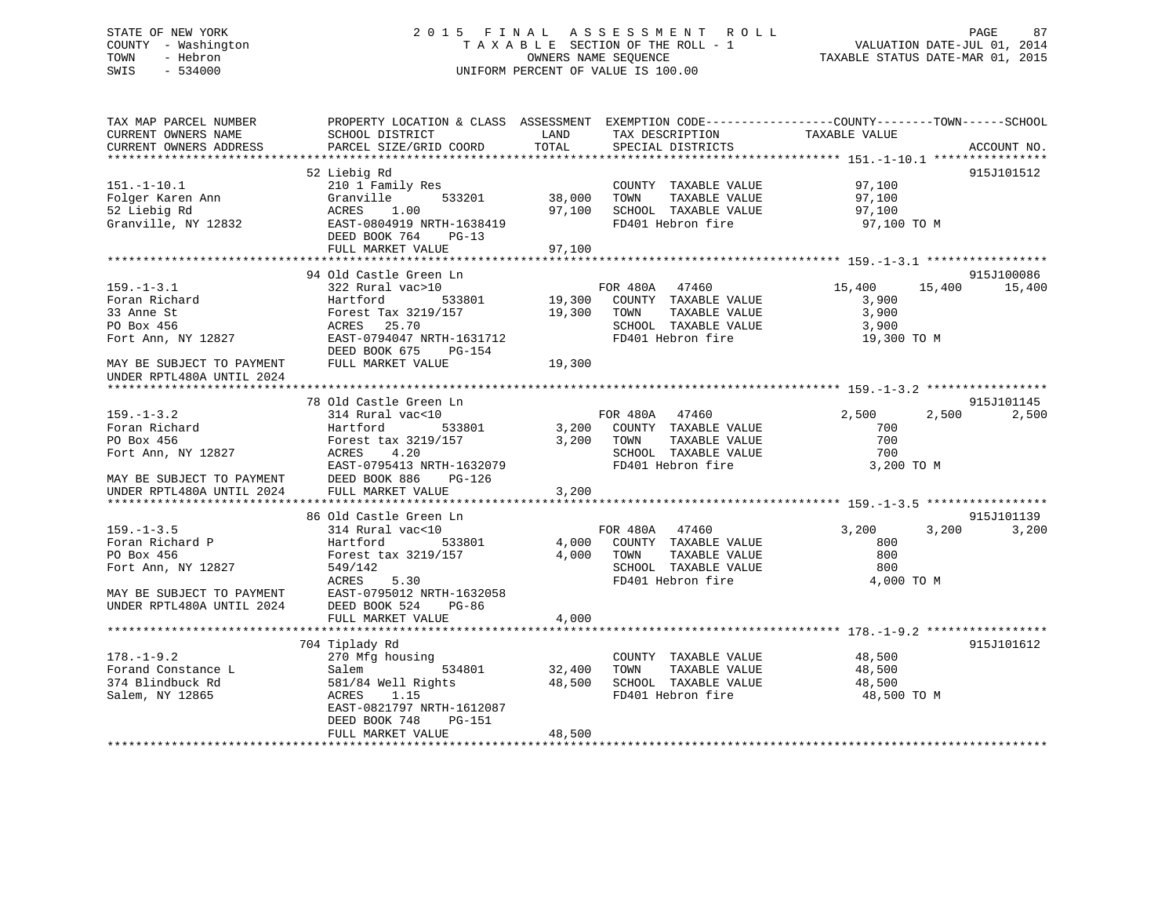# STATE OF NEW YORK 2 0 1 5 F I N A L A S S E S S M E N T R O L L PAGE 87 COUNTY - Washington T A X A B L E SECTION OF THE ROLL - 1 VALUATION DATE-JUL 01, 2014 TOWN - Hebron OWNERS NAME SEQUENCE TAXABLE STATUS DATE-MAR 01, 2015 SWIS - 534000 UNIFORM PERCENT OF VALUE IS 100.00

| TAX MAP PARCEL NUMBER                                  | PROPERTY LOCATION & CLASS ASSESSMENT EXEMPTION CODE----------------COUNTY-------TOWN------SCHOOL |        |                             |                |             |
|--------------------------------------------------------|--------------------------------------------------------------------------------------------------|--------|-----------------------------|----------------|-------------|
| CURRENT OWNERS NAME                                    | SCHOOL DISTRICT                                                                                  | LAND   | TAX DESCRIPTION             | TAXABLE VALUE  |             |
| CURRENT OWNERS ADDRESS                                 | PARCEL SIZE/GRID COORD                                                                           | TOTAL  | SPECIAL DISTRICTS           |                | ACCOUNT NO. |
|                                                        |                                                                                                  |        |                             |                |             |
|                                                        | 52 Liebig Rd                                                                                     |        |                             |                | 915J101512  |
| $151. - 1 - 10.1$                                      | 210 1 Family Res                                                                                 |        | COUNTY TAXABLE VALUE        | 97,100         |             |
| Folger Karen Ann                                       | Granville<br>533201                                                                              | 38,000 | TOWN<br>TAXABLE VALUE       | 97,100         |             |
| 52 Liebig Rd                                           | ACRES<br>1.00                                                                                    | 97,100 | SCHOOL TAXABLE VALUE        | 97,100         |             |
| Granville, NY 12832                                    | EAST-0804919 NRTH-1638419<br>DEED BOOK 764<br>$PG-13$                                            |        | FD401 Hebron fire           | 97,100 TO M    |             |
|                                                        | FULL MARKET VALUE                                                                                | 97,100 |                             |                |             |
|                                                        |                                                                                                  |        |                             |                |             |
|                                                        | 94 Old Castle Green Ln                                                                           |        |                             |                | 915J100086  |
| $159. - 1 - 3.1$                                       | 322 Rural vac>10                                                                                 |        | FOR 480A 47460              | 15,400 15,400  | 15,400      |
| Foran Richard                                          | 533801<br>Hartford                                                                               |        | 19,300 COUNTY TAXABLE VALUE | 3,900          |             |
| 33 Anne St                                             | Forest Tax 3219/157                                                                              | 19,300 | TOWN<br>TAXABLE VALUE       | 3,900          |             |
| PO Box 456                                             | ACRES 25.70                                                                                      |        | SCHOOL TAXABLE VALUE        | 3,900          |             |
| Fort Ann, NY 12827                                     | EAST-0794047 NRTH-1631712<br>DEED BOOK 675<br>PG-154                                             |        | FD401 Hebron fire           | 19,300 TO M    |             |
| MAY BE SUBJECT TO PAYMENT<br>UNDER RPTL480A UNTIL 2024 | FULL MARKET VALUE                                                                                | 19,300 |                             |                |             |
|                                                        |                                                                                                  |        |                             |                |             |
|                                                        | 78 Old Castle Green Ln                                                                           |        |                             |                | 915J101145  |
| $159. - 1 - 3.2$                                       | 314 Rural vac<10                                                                                 |        | FOR 480A 47460              | 2,500<br>2,500 | 2,500       |
| Foran Richard                                          | Hartford<br>533801                                                                               |        | 3,200 COUNTY TAXABLE VALUE  | 700            |             |
| PO Box 456                                             | Forest tax 3219/157                                                                              |        | 3,200 TOWN<br>TAXABLE VALUE | 700            |             |
| Fort Ann, NY 12827                                     | ACRES<br>4.20                                                                                    |        | SCHOOL TAXABLE VALUE        | 700            |             |
|                                                        | EAST-0795413 NRTH-1632079                                                                        |        | FD401 Hebron fire           | 3,200 TO M     |             |
| MAY BE SUBJECT TO PAYMENT                              | DEED BOOK 886<br>PG-126                                                                          |        |                             |                |             |
| UNDER RPTL480A UNTIL 2024                              | FULL MARKET VALUE                                                                                | 3,200  |                             |                |             |
|                                                        |                                                                                                  |        |                             |                |             |
|                                                        | 86 Old Castle Green Ln                                                                           |        |                             |                | 915J101139  |
| $159. - 1 - 3.5$                                       | 314 Rural vac<10                                                                                 |        | FOR 480A 47460              | 3,200<br>3,200 | 3,200       |
| Foran Richard P                                        | Hartford<br>533801                                                                               |        | 4,000 COUNTY TAXABLE VALUE  | 800            |             |
| PO Box 456                                             | Forest tax 3219/157                                                                              | 4,000  | TOWN<br>TAXABLE VALUE       | 800            |             |
| Fort Ann, NY 12827                                     | 549/142                                                                                          |        | SCHOOL TAXABLE VALUE        | 800            |             |
|                                                        | 5.30<br>ACRES                                                                                    |        | FD401 Hebron fire           | 4,000 TO M     |             |
| MAY BE SUBJECT TO PAYMENT                              | EAST-0795012 NRTH-1632058                                                                        |        |                             |                |             |
| UNDER RPTL480A UNTIL 2024                              | DEED BOOK 524<br>PG-86                                                                           |        |                             |                |             |
|                                                        | FULL MARKET VALUE                                                                                | 4,000  |                             |                |             |
|                                                        |                                                                                                  |        |                             |                |             |
|                                                        | 704 Tiplady Rd                                                                                   |        |                             |                | 915J101612  |
| $178. - 1 - 9.2$                                       | 270 Mfg housing                                                                                  |        | COUNTY TAXABLE VALUE        | 48,500         |             |
| Forand Constance L                                     | 534801<br>Salem                                                                                  | 32,400 | TOWN<br>TAXABLE VALUE       | 48,500         |             |
| 374 Blindbuck Rd                                       | 581/84 Well Rights                                                                               | 48,500 | SCHOOL TAXABLE VALUE        | 48,500         |             |
| Salem, NY 12865                                        | ACRES<br>1.15                                                                                    |        | FD401 Hebron fire           | 48,500 TO M    |             |
|                                                        | EAST-0821797 NRTH-1612087                                                                        |        |                             |                |             |
|                                                        | DEED BOOK 748<br>PG-151                                                                          |        |                             |                |             |
|                                                        | FULL MARKET VALUE                                                                                | 48,500 |                             |                |             |
|                                                        |                                                                                                  |        |                             |                |             |
|                                                        |                                                                                                  |        |                             |                |             |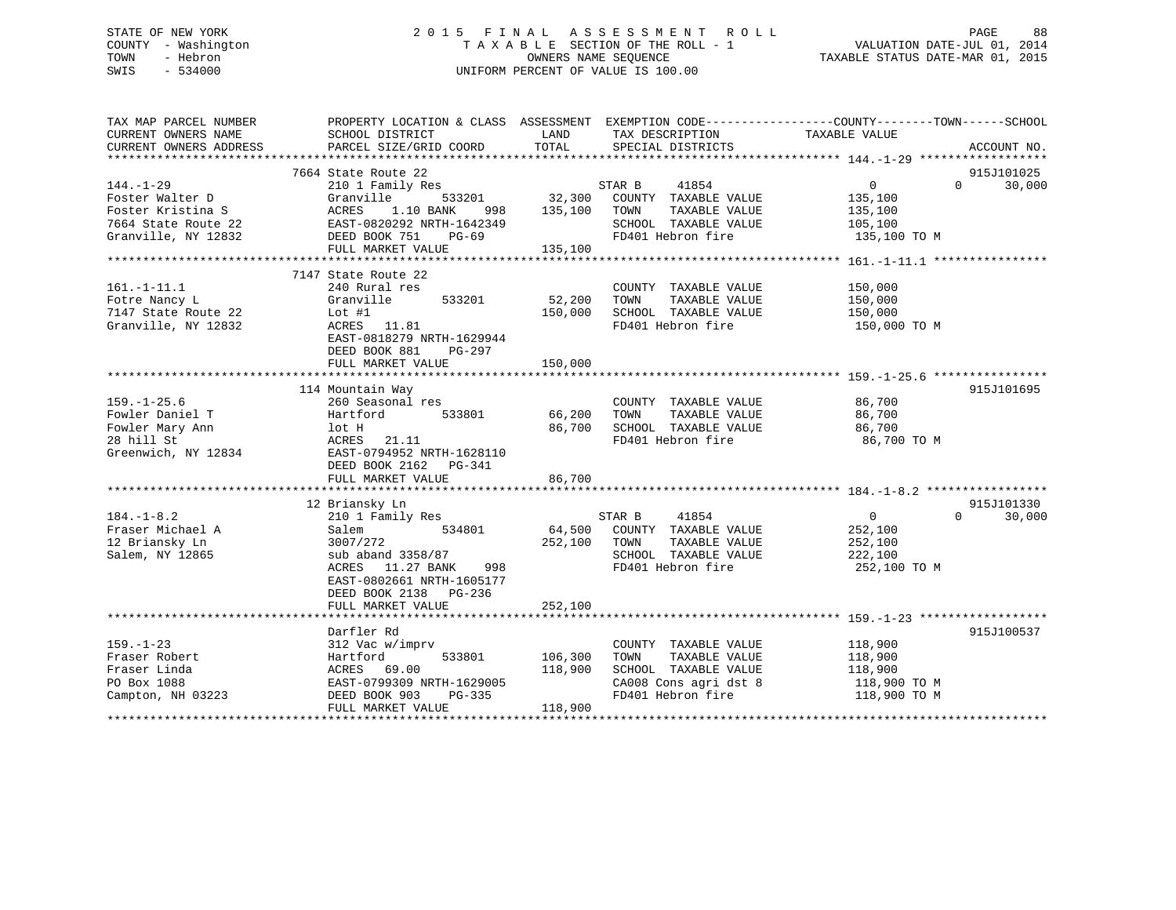# STATE OF NEW YORK 2 0 1 5 F I N A L A S S E S S M E N T R O L L PAGE 88 COUNTY - Washington T A X A B L E SECTION OF THE ROLL - 1 VALUATION DATE-JUL 01, 2014 TOWN - Hebron OWNERS NAME SEQUENCE TAXABLE STATUS DATE-MAR 01, 2015 SWIS - 534000 UNIFORM PERCENT OF VALUE IS 100.00

| TAX MAP PARCEL NUMBER<br>CURRENT OWNERS NAME | PROPERTY LOCATION & CLASS ASSESSMENT EXEMPTION CODE---------------COUNTY-------TOWN-----SCHOOL<br>SCHOOL DISTRICT | LAND<br>TAX DESCRIPTION    |                       | TAXABLE VALUE     |                          |
|----------------------------------------------|-------------------------------------------------------------------------------------------------------------------|----------------------------|-----------------------|-------------------|--------------------------|
| CURRENT OWNERS ADDRESS                       | PARCEL SIZE/GRID COORD                                                                                            | TOTAL<br>SPECIAL DISTRICTS |                       |                   | ACCOUNT NO.              |
|                                              |                                                                                                                   |                            |                       |                   |                          |
|                                              | 7664 State Route 22                                                                                               |                            |                       |                   | 915J101025               |
| 144.-1-29                                    | 210 1 Family Res                                                                                                  | STAR B                     | 41854                 | $0 \qquad \qquad$ | 30,000<br>$\Omega$       |
| Foster Walter D                              | Granville<br>533201                                                                                               | 32,300                     | COUNTY TAXABLE VALUE  | 135,100           |                          |
| Foster Kristina S                            | ACRES<br>1.10 BANK<br>998                                                                                         | 135,100<br>TOWN            | TAXABLE VALUE         | 135,100           |                          |
| 7664 State Route 22                          | EAST-0820292 NRTH-1642349                                                                                         |                            | SCHOOL TAXABLE VALUE  |                   |                          |
|                                              |                                                                                                                   | FD401 Hebron fire          |                       | 105,100           |                          |
| Granville, NY 12832                          | DEED BOOK 751<br>PG-69                                                                                            |                            |                       | 135,100 TO M      |                          |
|                                              | FULL MARKET VALUE                                                                                                 | 135,100                    |                       |                   |                          |
|                                              |                                                                                                                   |                            |                       |                   |                          |
|                                              | 7147 State Route 22                                                                                               |                            |                       |                   |                          |
| $161. - 1 - 11.1$                            | 240 Rural res                                                                                                     |                            | COUNTY TAXABLE VALUE  | 150,000           |                          |
| Fotre Nancy L                                | Granville<br>533201                                                                                               | 52,200<br>TOWN             | TAXABLE VALUE         | 150,000           |                          |
| 7147 State Route 22                          | Lot $#1$                                                                                                          | 150,000                    | SCHOOL TAXABLE VALUE  | 150,000           |                          |
| Granville, NY 12832                          | ACRES 11.81                                                                                                       | FD401 Hebron fire          |                       | 150,000 TO M      |                          |
|                                              | EAST-0818279 NRTH-1629944                                                                                         |                            |                       |                   |                          |
|                                              | DEED BOOK 881<br>PG-297                                                                                           |                            |                       |                   |                          |
|                                              | FULL MARKET VALUE                                                                                                 | 150,000                    |                       |                   |                          |
|                                              |                                                                                                                   |                            |                       |                   |                          |
|                                              | 114 Mountain Way                                                                                                  |                            |                       |                   | 915J101695               |
| $159. - 1 - 25.6$                            | 260 Seasonal res                                                                                                  |                            | COUNTY TAXABLE VALUE  | 86,700            |                          |
| Fowler Daniel T                              | 533801<br>Hartford                                                                                                | 66,200<br>TOWN             | TAXABLE VALUE         | 86,700            |                          |
| Fowler Mary Ann                              | lot H                                                                                                             | 86,700                     | SCHOOL TAXABLE VALUE  | 86,700            |                          |
| 28 hill St                                   | 21.11<br>ACRES                                                                                                    | FD401 Hebron fire          |                       | 86,700 TO M       |                          |
| Greenwich, NY 12834                          | EAST-0794952 NRTH-1628110                                                                                         |                            |                       |                   |                          |
|                                              | DEED BOOK 2162 PG-341                                                                                             |                            |                       |                   |                          |
|                                              | FULL MARKET VALUE                                                                                                 | 86,700                     |                       |                   |                          |
|                                              |                                                                                                                   |                            |                       |                   |                          |
|                                              | 12 Briansky Ln                                                                                                    |                            |                       |                   | 915J101330               |
| $184. - 1 - 8.2$                             | 210 1 Family Res                                                                                                  | STAR B                     | 41854                 | $\overline{0}$    | $\overline{0}$<br>30,000 |
| Fraser Michael A                             | 534801<br>Salem                                                                                                   | 64,500                     | COUNTY TAXABLE VALUE  | 252,100           |                          |
| 12 Briansky Ln                               | 3007/272                                                                                                          | 252,100<br>TOWN            | TAXABLE VALUE         | 252,100           |                          |
| Salem, NY 12865                              | sub aband 3358/87                                                                                                 |                            | SCHOOL TAXABLE VALUE  | 222,100           |                          |
|                                              | ACRES<br>11.27 BANK<br>998                                                                                        | FD401 Hebron fire          |                       | 252,100 TO M      |                          |
|                                              |                                                                                                                   |                            |                       |                   |                          |
|                                              | EAST-0802661 NRTH-1605177                                                                                         |                            |                       |                   |                          |
|                                              | DEED BOOK 2138 PG-236                                                                                             |                            |                       |                   |                          |
|                                              | FULL MARKET VALUE                                                                                                 | 252,100                    |                       |                   |                          |
|                                              |                                                                                                                   |                            |                       |                   |                          |
|                                              | Darfler Rd                                                                                                        |                            |                       |                   | 915J100537               |
| $159. - 1 - 23$                              | 312 Vac w/imprv                                                                                                   |                            | COUNTY TAXABLE VALUE  | 118,900           |                          |
| Fraser Robert                                | Hartford<br>533801                                                                                                | 106,300<br>TOWN            | TAXABLE VALUE         | 118,900           |                          |
| Fraser Linda                                 | 69.00<br>ACRES                                                                                                    | 118,900                    | SCHOOL TAXABLE VALUE  | 118,900           |                          |
| PO Box 1088                                  | EAST-0799309 NRTH-1629005                                                                                         |                            | CA008 Cons agri dst 8 | 118,900 TO M      |                          |
| Campton, NH 03223                            | DEED BOOK 903<br>PG-335                                                                                           |                            | FD401 Hebron fire     | 118,900 TO M      |                          |
|                                              | FULL MARKET VALUE                                                                                                 | 118,900                    |                       |                   |                          |
|                                              |                                                                                                                   |                            |                       |                   |                          |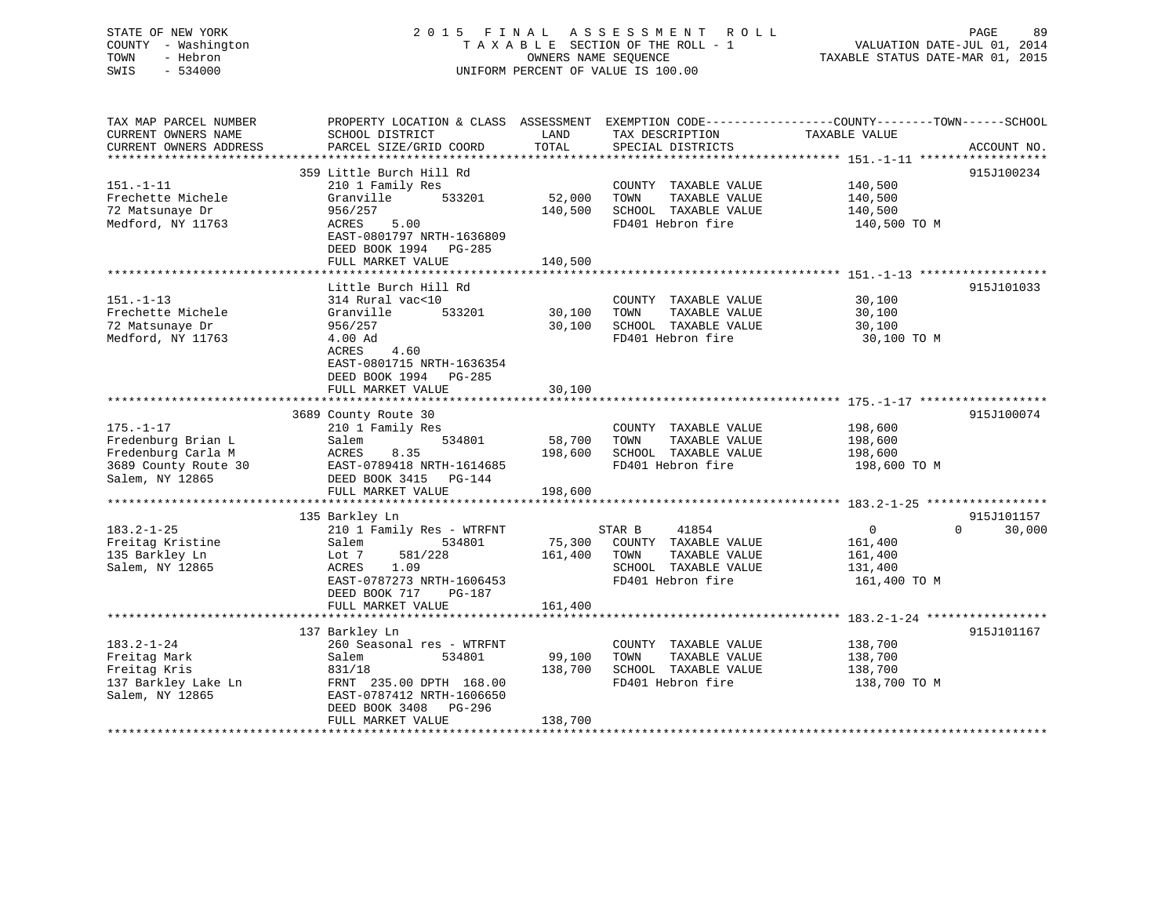# STATE OF NEW YORK 2 0 1 5 F I N A L A S S E S S M E N T R O L L PAGE 89 COUNTY - Washington T A X A B L E SECTION OF THE ROLL - 1 VALUATION DATE-JUL 01, 2014 TOWN - Hebron OWNERS NAME SEQUENCE TAXABLE STATUS DATE-MAR 01, 2015 SWIS - 534000 UNIFORM PERCENT OF VALUE IS 100.00UNIFORM PERCENT OF VALUE IS 100.00

| TAX MAP PARCEL NUMBER  | PROPERTY LOCATION & CLASS ASSESSMENT EXEMPTION CODE----------------COUNTY-------TOWN------SCHOOL |         |                       |               |                    |
|------------------------|--------------------------------------------------------------------------------------------------|---------|-----------------------|---------------|--------------------|
| CURRENT OWNERS NAME    | SCHOOL DISTRICT                                                                                  | LAND    | TAX DESCRIPTION       | TAXABLE VALUE |                    |
| CURRENT OWNERS ADDRESS | PARCEL SIZE/GRID COORD                                                                           | TOTAL   | SPECIAL DISTRICTS     |               | ACCOUNT NO.        |
|                        |                                                                                                  |         |                       |               |                    |
|                        | 359 Little Burch Hill Rd                                                                         |         |                       |               | 915J100234         |
| 151.-1-11              | 210 1 Family Res                                                                                 |         | COUNTY TAXABLE VALUE  | 140,500       |                    |
|                        |                                                                                                  |         |                       |               |                    |
| Frechette Michele      | Granville<br>533201                                                                              | 52,000  | TAXABLE VALUE<br>TOWN | 140,500       |                    |
| 72 Matsunaye Dr        | 956/257                                                                                          | 140,500 | SCHOOL TAXABLE VALUE  | 140,500       |                    |
| Medford, NY 11763      | 5.00<br>ACRES                                                                                    |         | FD401 Hebron fire     | 140,500 TO M  |                    |
|                        | EAST-0801797 NRTH-1636809                                                                        |         |                       |               |                    |
|                        | DEED BOOK 1994 PG-285                                                                            |         |                       |               |                    |
|                        | FULL MARKET VALUE                                                                                | 140,500 |                       |               |                    |
|                        |                                                                                                  |         |                       |               |                    |
|                        | Little Burch Hill Rd                                                                             |         |                       |               | 915J101033         |
| 151.-1-13              | 314 Rural vac<10                                                                                 |         | COUNTY TAXABLE VALUE  | 30,100        |                    |
|                        |                                                                                                  |         |                       |               |                    |
| Frechette Michele      | Granville<br>533201                                                                              | 30,100  | TAXABLE VALUE<br>TOWN | 30,100        |                    |
| 72 Matsunaye Dr        | 956/257                                                                                          | 30,100  | SCHOOL TAXABLE VALUE  | 30,100        |                    |
| Medford, NY 11763      | 4.00 Ad                                                                                          |         | FD401 Hebron fire     | 30,100 TO M   |                    |
|                        | 4.60<br>ACRES                                                                                    |         |                       |               |                    |
|                        | EAST-0801715 NRTH-1636354                                                                        |         |                       |               |                    |
|                        | DEED BOOK 1994 PG-285                                                                            |         |                       |               |                    |
|                        | FULL MARKET VALUE                                                                                | 30,100  |                       |               |                    |
|                        |                                                                                                  |         |                       |               |                    |
|                        |                                                                                                  |         |                       |               | 915J100074         |
| $175. - 1 - 17$        | 3689 County Route 30                                                                             |         |                       |               |                    |
|                        | 210 1 Family Res                                                                                 |         | COUNTY TAXABLE VALUE  | 198,600       |                    |
| Fredenburg Brian L     | 534801<br>Salem                                                                                  | 58,700  | TAXABLE VALUE<br>TOWN | 198,600       |                    |
| Fredenburg Carla M     | ACRES<br>8.35                                                                                    | 198,600 | SCHOOL TAXABLE VALUE  | 198,600       |                    |
| 3689 County Route 30   | EAST-0789418 NRTH-1614685                                                                        |         | FD401 Hebron fire     | 198,600 TO M  |                    |
| Salem, NY 12865        | DEED BOOK 3415 PG-144                                                                            |         |                       |               |                    |
|                        | FULL MARKET VALUE                                                                                | 198,600 |                       |               |                    |
|                        |                                                                                                  |         |                       |               |                    |
|                        | 135 Barkley Ln                                                                                   |         |                       |               | 915J101157         |
| $183.2 - 1 - 25$       | 210 1 Family Res - WTRFNT                                                                        |         | STAR B<br>41854       | $\mathbf{0}$  | $\Omega$<br>30,000 |
|                        |                                                                                                  |         |                       |               |                    |
| Freitag Kristine       | Salem<br>534801                                                                                  | 75,300  | COUNTY TAXABLE VALUE  | 161,400       |                    |
| 135 Barkley Ln         | Lot 7<br>581/228                                                                                 | 161,400 | TOWN<br>TAXABLE VALUE | 161,400       |                    |
| Salem, NY 12865        | ACRES<br>1.09                                                                                    |         | SCHOOL TAXABLE VALUE  | 131,400       |                    |
|                        | EAST-0787273 NRTH-1606453                                                                        |         | FD401 Hebron fire     | 161,400 TO M  |                    |
|                        | DEED BOOK 717<br>PG-187                                                                          |         |                       |               |                    |
|                        | FULL MARKET VALUE                                                                                | 161,400 |                       |               |                    |
|                        |                                                                                                  |         |                       |               |                    |
|                        | 137 Barkley Ln                                                                                   |         |                       |               | 915J101167         |
| 183.2-1-24             | 260 Seasonal res - WTRFNT                                                                        |         | COUNTY TAXABLE VALUE  | 138,700       |                    |
|                        |                                                                                                  |         |                       |               |                    |
| Freitag Mark           | 534801<br>Salem                                                                                  | 99,100  | TAXABLE VALUE<br>TOWN | 138,700       |                    |
| Freitag Kris           | 831/18                                                                                           | 138,700 | SCHOOL TAXABLE VALUE  | 138,700       |                    |
| 137 Barkley Lake Ln    | FRNT 235.00 DPTH 168.00                                                                          |         | FD401 Hebron fire     | 138,700 TO M  |                    |
| Salem, NY 12865        | EAST-0787412 NRTH-1606650                                                                        |         |                       |               |                    |
|                        | DEED BOOK 3408 PG-296                                                                            |         |                       |               |                    |
|                        | FULL MARKET VALUE                                                                                | 138,700 |                       |               |                    |
|                        |                                                                                                  |         |                       |               |                    |
|                        |                                                                                                  |         |                       |               |                    |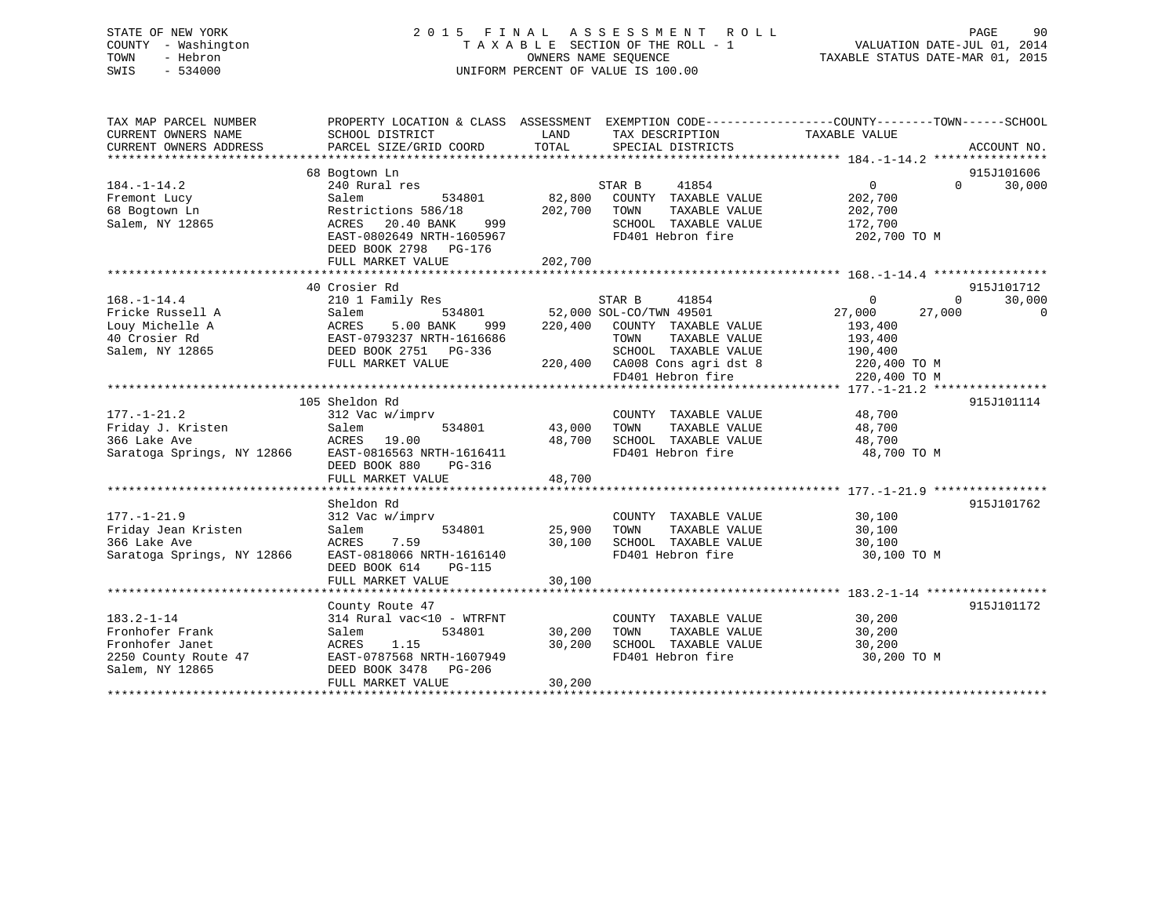# STATE OF NEW YORK 2 0 1 5 F I N A L A S S E S S M E N T R O L L PAGE 90 COUNTY - Washington T A X A B L E SECTION OF THE ROLL - 1 VALUATION DATE-JUL 01, 2014 TOWN - Hebron OWNERS NAME SEQUENCE TAXABLE STATUS DATE-MAR 01, 2015 SWIS - 534000 UNIFORM PERCENT OF VALUE IS 100.00

| TAX MAP PARCEL NUMBER<br>CURRENT OWNERS NAME<br>CURRENT OWNERS ADDRESS                            | PROPERTY LOCATION & CLASS ASSESSMENT<br>SCHOOL DISTRICT<br>PARCEL SIZE/GRID COORD                                                                                                 | LAND<br>TOTAL                | EXEMPTION CODE----------------COUNTY-------TOWN-----SCHOOL<br>TAX DESCRIPTION<br>SPECIAL DISTRICTS                                                                        | TAXABLE VALUE                                                                       |                    | ACCOUNT NO.                      |
|---------------------------------------------------------------------------------------------------|-----------------------------------------------------------------------------------------------------------------------------------------------------------------------------------|------------------------------|---------------------------------------------------------------------------------------------------------------------------------------------------------------------------|-------------------------------------------------------------------------------------|--------------------|----------------------------------|
| $184. - 1 - 14.2$<br>Fremont Lucy<br>68 Bogtown Ln<br>Salem, NY 12865                             | 68 Bogtown Ln<br>240 Rural res<br>Salem<br>534801<br>Restrictions 586/18<br>ACRES<br>20.40 BANK<br>999<br>EAST-0802649 NRTH-1605967<br>DEED BOOK 2798 PG-176<br>FULL MARKET VALUE | 82,800<br>202,700<br>202,700 | 41854<br>STAR B<br>COUNTY TAXABLE VALUE<br>TOWN<br>TAXABLE VALUE<br>SCHOOL TAXABLE VALUE<br>FD401 Hebron fire                                                             | $\Omega$<br>202,700<br>202,700<br>172,700<br>202,700 TO M                           | $\Omega$           | 915J101606<br>30,000             |
| $168. - 1 - 14.4$<br>Fricke Russell A<br>Louy Michelle A<br>40 Crosier Rd<br>Salem, NY 12865      | 40 Crosier Rd<br>210 1 Family Res<br>534801<br>Salem<br>ACRES<br>5.00 BANK<br>999<br>EAST-0793237 NRTH-1616686<br>DEED BOOK 2751<br>PG-336<br>FULL MARKET VALUE                   | 220,400                      | STAR B<br>41854<br>52,000 SOL-CO/TWN 49501<br>COUNTY TAXABLE VALUE<br>TOWN<br>TAXABLE VALUE<br>SCHOOL TAXABLE VALUE<br>220,400 CA008 Cons agri dst 8<br>FD401 Hebron fire | $\Omega$<br>27,000<br>193,400<br>193,400<br>190,400<br>220,400 TO M<br>220,400 TO M | $\Omega$<br>27,000 | 915J101712<br>30,000<br>$\Omega$ |
| $177. - 1 - 21.2$<br>Friday J. Kristen<br>366 Lake Ave<br>Saratoga Springs, NY 12866              | 105 Sheldon Rd<br>312 Vac w/imprv<br>534801<br>Salem<br>ACRES<br>19.00<br>EAST-0816563 NRTH-1616411<br>DEED BOOK 880<br>$PG-316$<br>FULL MARKET VALUE                             | 43,000<br>48,700<br>48,700   | COUNTY TAXABLE VALUE<br>TAXABLE VALUE<br>TOWN<br>SCHOOL TAXABLE VALUE<br>FD401 Hebron fire                                                                                | 48,700<br>48,700<br>48,700<br>48,700 TO M                                           |                    | 915J101114                       |
| $177. - 1 - 21.9$<br>Friday Jean Kristen<br>366 Lake Ave<br>Saratoga Springs, NY 12866            | Sheldon Rd<br>312 Vac w/imprv<br>534801<br>Salem<br>7.59<br>ACRES<br>EAST-0818066 NRTH-1616140<br>DEED BOOK 614<br><b>PG-115</b><br>FULL MARKET VALUE                             | 25,900<br>30,100<br>30,100   | COUNTY TAXABLE VALUE<br>TOWN<br>TAXABLE VALUE<br>SCHOOL TAXABLE VALUE<br>FD401 Hebron fire                                                                                | 30,100<br>30,100<br>30,100<br>30,100 TO M                                           |                    | 915J101762                       |
| $183.2 - 1 - 14$<br>Fronhofer Frank<br>Fronhofer Janet<br>2250 County Route 47<br>Salem, NY 12865 | County Route 47<br>314 Rural vac<10 - WTRFNT<br>534801<br>Salem<br>1.15<br>ACRES<br>EAST-0787568 NRTH-1607949<br>DEED BOOK 3478<br>$PG-206$<br>FULL MARKET VALUE                  | 30,200<br>30,200<br>30,200   | COUNTY TAXABLE VALUE<br>TAXABLE VALUE<br>TOWN<br>SCHOOL TAXABLE VALUE<br>FD401 Hebron fire                                                                                | 30,200<br>30,200<br>30,200<br>30,200 TO M                                           |                    | 915J101172                       |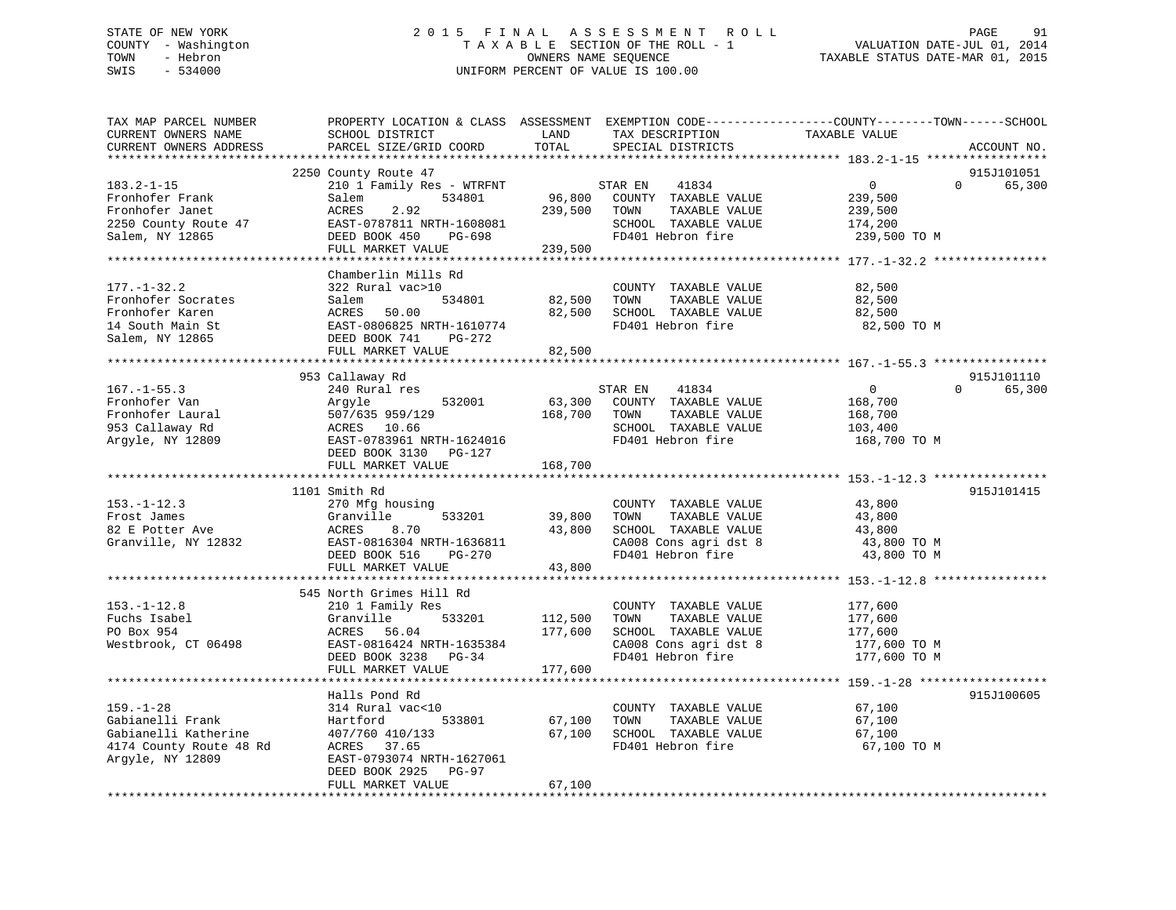# STATE OF NEW YORK 2 0 1 5 F I N A L A S S E S S M E N T R O L L PAGE 91 COUNTY - Washington T A X A B L E SECTION OF THE ROLL - 1 VALUATION DATE-JUL 01, 2014 TOWN - Hebron OWNERS NAME SEQUENCE TAXABLE STATUS DATE-MAR 01, 2015 SWIS - 534000 UNIFORM PERCENT OF VALUE IS 100.00

| TAX MAP PARCEL NUMBER<br>CURRENT OWNERS NAME<br>CURRENT OWNERS ADDRESS                                     | PROPERTY LOCATION & CLASS ASSESSMENT<br>SCHOOL DISTRICT<br>PARCEL SIZE/GRID COORD                                                                                  | LAND<br>TOTAL                 | TAX DESCRIPTION<br>SPECIAL DISTRICTS                                                                                | EXEMPTION CODE-----------------COUNTY-------TOWN------SCHOOL<br>TAXABLE VALUE | ACCOUNT NO.                      |
|------------------------------------------------------------------------------------------------------------|--------------------------------------------------------------------------------------------------------------------------------------------------------------------|-------------------------------|---------------------------------------------------------------------------------------------------------------------|-------------------------------------------------------------------------------|----------------------------------|
|                                                                                                            | ***********************                                                                                                                                            |                               |                                                                                                                     |                                                                               |                                  |
| $183.2 - 1 - 15$<br>Fronhofer Frank<br>Fronhofer Janet<br>2250 County Route 47<br>Salem, NY 12865          | 2250 County Route 47<br>210 1 Family Res - WTRFNT<br>534801<br>Salem<br>ACRES<br>2.92<br>EAST-0787811 NRTH-1608081<br>DEED BOOK 450<br>PG-698<br>FULL MARKET VALUE | 96,800<br>239,500<br>239,500  | 41834<br>STAR EN<br>COUNTY TAXABLE VALUE<br>TOWN<br>TAXABLE VALUE<br>SCHOOL TAXABLE VALUE<br>FD401 Hebron fire      | $\mathbf 0$<br>239,500<br>239,500<br>174,200<br>239,500 TO M                  | 915J101051<br>65,300<br>$\Omega$ |
|                                                                                                            |                                                                                                                                                                    |                               |                                                                                                                     |                                                                               |                                  |
| $177. - 1 - 32.2$<br>Fronhofer Socrates<br>Fronhofer Karen<br>14 South Main St<br>Salem, NY 12865          | Chamberlin Mills Rd<br>322 Rural vac>10<br>534801<br>Salem<br>ACRES<br>50.00<br>EAST-0806825 NRTH-1610774<br>DEED BOOK 741<br>PG-272<br>FULL MARKET VALUE          | 82,500<br>82,500<br>82,500    | COUNTY TAXABLE VALUE<br>TAXABLE VALUE<br>TOWN<br>SCHOOL TAXABLE VALUE<br>FD401 Hebron fire                          | 82,500<br>82,500<br>82,500<br>82,500 TO M                                     |                                  |
|                                                                                                            |                                                                                                                                                                    |                               |                                                                                                                     |                                                                               |                                  |
| $167. - 1 - 55.3$                                                                                          | 953 Callaway Rd<br>240 Rural res                                                                                                                                   |                               | STAR EN<br>41834                                                                                                    | $\mathbf 0$                                                                   | 915J101110<br>$\Omega$<br>65,300 |
| Fronhofer Van<br>Fronhofer Laural<br>953 Callaway Rd<br>Argyle, NY 12809                                   | Argyle<br>532001<br>507/635 959/129<br>ACRES 10.66<br>EAST-0783961 NRTH-1624016<br>DEED BOOK 3130 PG-127                                                           | 63,300<br>168,700             | COUNTY TAXABLE VALUE<br>TAXABLE VALUE<br>TOWN<br>SCHOOL TAXABLE VALUE<br>FD401 Hebron fire                          | 168,700<br>168,700<br>103,400<br>168,700 TO M                                 |                                  |
|                                                                                                            | FULL MARKET VALUE                                                                                                                                                  | 168,700                       |                                                                                                                     |                                                                               |                                  |
| $153. - 1 - 12.3$<br>Frost James<br>82 E Potter Ave<br>Granville, NY 12832                                 | 1101 Smith Rd<br>270 Mfg housing<br>533201<br>Granville<br>8.70<br>ACRES<br>EAST-0816304 NRTH-1636811                                                              | 39,800<br>43,800              | COUNTY TAXABLE VALUE<br>TOWN<br>TAXABLE VALUE<br>SCHOOL TAXABLE VALUE<br>CA008 Cons agri dst 8                      | 43,800<br>43,800<br>43,800<br>43,800 TO M                                     | 915J101415                       |
|                                                                                                            | DEED BOOK 516<br>PG-270<br>FULL MARKET VALUE                                                                                                                       | 43,800                        | FD401 Hebron fire                                                                                                   | 43,800 TO M                                                                   |                                  |
|                                                                                                            | 545 North Grimes Hill Rd                                                                                                                                           |                               |                                                                                                                     |                                                                               |                                  |
| $153. - 1 - 12.8$<br>Fuchs Isabel<br>PO Box 954<br>Westbrook, CT 06498                                     | 210 1 Family Res<br>Granville<br>533201<br>56.04<br>ACRES<br>EAST-0816424 NRTH-1635384<br>DEED BOOK 3238 PG-34<br>FULL MARKET VALUE                                | 112,500<br>177,600<br>177,600 | COUNTY TAXABLE VALUE<br>TOWN<br>TAXABLE VALUE<br>SCHOOL TAXABLE VALUE<br>CA008 Cons agri dst 8<br>FD401 Hebron fire | 177,600<br>177,600<br>177,600<br>177,600 TO M<br>177,600 TO M                 |                                  |
|                                                                                                            |                                                                                                                                                                    |                               |                                                                                                                     |                                                                               |                                  |
| $159. - 1 - 28$<br>Gabianelli Frank<br>Gabianelli Katherine<br>4174 County Route 48 Rd<br>Argyle, NY 12809 | Halls Pond Rd<br>314 Rural vac<10<br>Hartford<br>533801<br>407/760 410/133<br>ACRES 37.65<br>EAST-0793074 NRTH-1627061<br>DEED BOOK 2925<br>PG-97                  | 67,100<br>67,100              | COUNTY TAXABLE VALUE<br>TOWN<br>TAXABLE VALUE<br>SCHOOL TAXABLE VALUE<br>FD401 Hebron fire                          | 67,100<br>67,100<br>67,100<br>67,100 TO M                                     | 915J100605                       |
|                                                                                                            | FULL MARKET VALUE                                                                                                                                                  | 67,100                        |                                                                                                                     |                                                                               |                                  |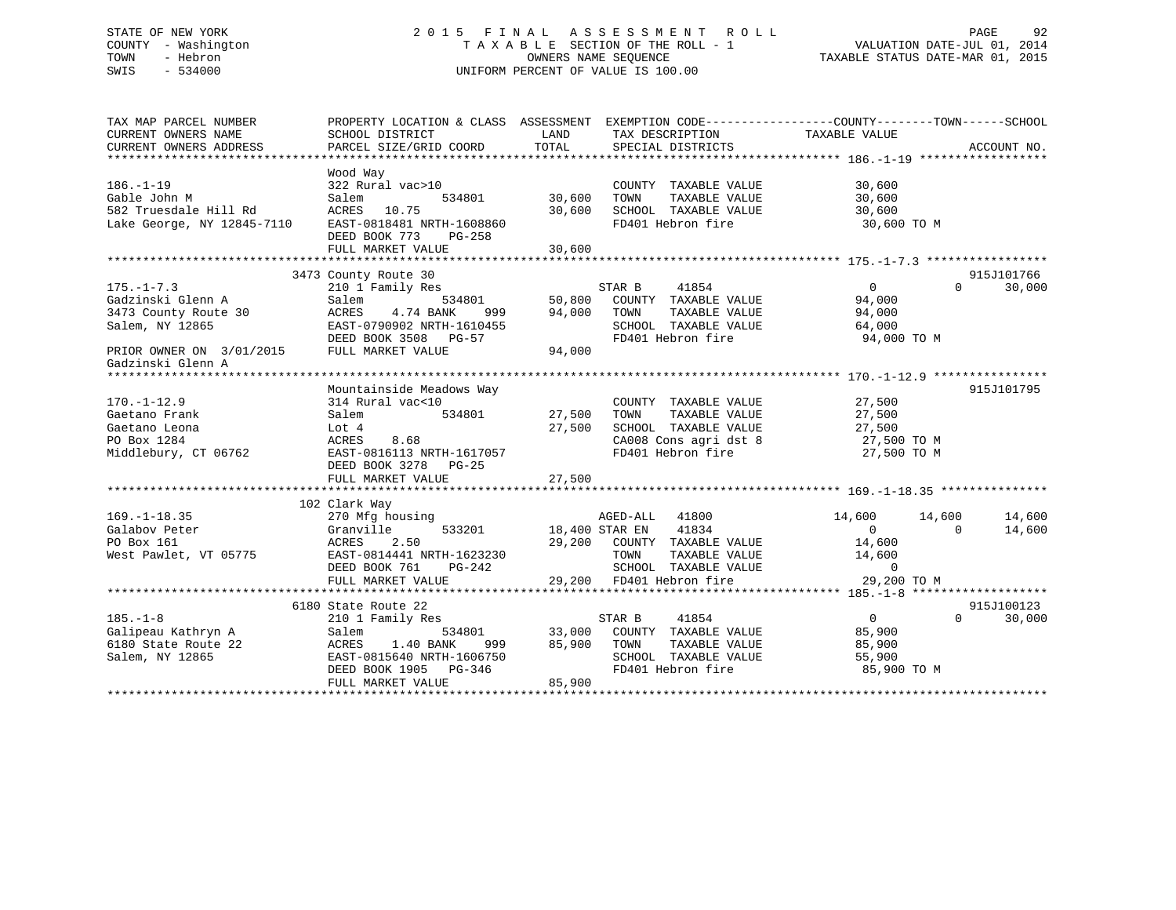# STATE OF NEW YORK 2 0 1 5 F I N A L A S S E S S M E N T R O L L PAGE 92 COUNTY - Washington T A X A B L E SECTION OF THE ROLL - 1 VALUATION DATE-JUL 01, 2014 TOWN - Hebron OWNERS NAME SEQUENCE TAXABLE STATUS DATE-MAR 01, 2015 SWIS - 534000 UNIFORM PERCENT OF VALUE IS 100.00

| TAXABLE VALUE<br>CURRENT OWNERS NAME<br>SCHOOL DISTRICT<br>LAND<br>TAX DESCRIPTION<br>CURRENT OWNERS ADDRESS                                                                                                                                                                                                                  |            |
|-------------------------------------------------------------------------------------------------------------------------------------------------------------------------------------------------------------------------------------------------------------------------------------------------------------------------------|------------|
|                                                                                                                                                                                                                                                                                                                               |            |
|                                                                                                                                                                                                                                                                                                                               |            |
|                                                                                                                                                                                                                                                                                                                               |            |
| Wood Way                                                                                                                                                                                                                                                                                                                      |            |
| $186. - 1 - 19$<br>322 Rural vac>10<br>COUNTY TAXABLE VALUE<br>30,600                                                                                                                                                                                                                                                         |            |
| 30,600<br>Gable John M<br>Salem<br>534801<br>30,600<br>TOWN       TAXABLE  VALUE<br>SCHOOL    TAXABLE  VALUE                                                                                                                                                                                                                  |            |
| 582 Truesdale Hill Rd<br>ACRES 10.75<br>30,600<br>30,600                                                                                                                                                                                                                                                                      |            |
| Lake George, NY 12845-7110<br>EAST-0818481 NRTH-1608860<br>FD401 Hebron fire<br>30,600 TO M                                                                                                                                                                                                                                   |            |
| DEED BOOK 773 PG-258                                                                                                                                                                                                                                                                                                          |            |
| FULL MARKET VALUE<br>30,600                                                                                                                                                                                                                                                                                                   |            |
|                                                                                                                                                                                                                                                                                                                               |            |
| 3473 County Route 30                                                                                                                                                                                                                                                                                                          | 915J101766 |
| 210 1 Family Res<br>$\overline{0}$<br>$175. - 1 - 7.3$<br>$\Omega$                                                                                                                                                                                                                                                            | 30,000     |
| Gadzinski Glenn A<br>Salem<br>94,000                                                                                                                                                                                                                                                                                          |            |
| TAXABLE VALUE<br>3473 County Route 30<br>ACRES<br>4.74 BANK<br>999<br>94,000<br>94,000<br>TOWN                                                                                                                                                                                                                                |            |
| Salem, NY 12865<br>SCHOOL TAXABLE VALUE<br>64,000                                                                                                                                                                                                                                                                             |            |
| EAST-0790902 NRTH-1610455<br>EAST-0790902 NRTH-1610455<br>FD401 Hebron fire<br>94,000 TO M                                                                                                                                                                                                                                    |            |
| PRIOR OWNER ON 3/01/2015 FULL MARKET VALUE<br>94,000                                                                                                                                                                                                                                                                          |            |
| Gadzinski Glenn A                                                                                                                                                                                                                                                                                                             |            |
|                                                                                                                                                                                                                                                                                                                               |            |
| Mountainside Meadows Way                                                                                                                                                                                                                                                                                                      | 915J101795 |
| 314 Rural vac<10<br>$170. - 1 - 12.9$<br>COUNTY TAXABLE VALUE                                                                                                                                                                                                                                                                 |            |
| $\frac{27}{27}$ , 500<br>534801 27,500<br>TAXABLE VALUE<br>Gaetano Frank<br>Salem<br>TOWN                                                                                                                                                                                                                                     |            |
| SCHOOL TAXABLE VALUE 27,500<br>27,500<br>Gaetano Leona<br>Lot 4                                                                                                                                                                                                                                                               |            |
| PO Box 1284<br>8.68<br>CA008 Cons agri dst 8<br>En401 Hobron fire<br>ACRES                                                                                                                                                                                                                                                    |            |
| 27,500 TO M<br>27,500 TO M<br>EAST-0816113 NRTH-1617057<br>EAST-0816113 NRTH-1617057<br>FD401 Hebron fire<br>Middlebury, CT 06762                                                                                                                                                                                             |            |
| DEED BOOK 3278 PG-25                                                                                                                                                                                                                                                                                                          |            |
|                                                                                                                                                                                                                                                                                                                               |            |
|                                                                                                                                                                                                                                                                                                                               |            |
| 102 Clark Way                                                                                                                                                                                                                                                                                                                 |            |
| $169. - 1 - 18.35$<br>270 Mfg housing<br>AGED-ALL 41800<br>14,600 14,600                                                                                                                                                                                                                                                      | 14,600     |
| ing<br>533201 533201 18,400 STAR EN 41834<br>Galabov Peter<br>Granville<br>$\overline{0}$<br>$\Omega$                                                                                                                                                                                                                         | 14,600     |
| PO Box 161<br>ACRES 2.50                                                                                                                                                                                                                                                                                                      |            |
| $\begin{tabular}{lllllllllll} 29,200 & \texttt{COUNTY} & \texttt{TAXABLE VALUE} & & & 14,600 \\ & \texttt{TOWN} & \texttt{TAXABLE VALUE} & & 14,600 \\ & \texttt{SCHOOL} & \texttt{TAXABLE VALUE} & & 0 \\ & 29,200 & \texttt{FD401 Hebron fire} & & 29,200 \end{tabular}$<br>West Pawlet, VT 05775 EAST-0814441 NRTH-1623230 |            |
| $PG-242$<br>DEED BOOK 761                                                                                                                                                                                                                                                                                                     |            |
| 29,200 TO M<br>FULL MARKET VALUE                                                                                                                                                                                                                                                                                              |            |
|                                                                                                                                                                                                                                                                                                                               |            |
| 6180 State Route 22                                                                                                                                                                                                                                                                                                           | 915J100123 |
| $\overline{0}$<br>STAR B 41854<br>$185. - 1 - 8$<br>$\Omega$                                                                                                                                                                                                                                                                  |            |
| 210 1 Family Res<br>Galipeau Kathryn A<br>534801 33,000 COUNTY TAXABLE VALUE                                                                                                                                                                                                                                                  | 30,000     |
| 85,900<br>Salem                                                                                                                                                                                                                                                                                                               |            |
| 999 85,900 TOWN<br>6180 State Route 22<br>ACRES 1.40 BANK 999<br>EAST-0815640 NRTH-1606750                                                                                                                                                                                                                                    |            |
| Salem, NY 12865<br>SCHOOL TAXABLE VALUE<br>FD401 Hebron fire<br>55,900                                                                                                                                                                                                                                                        |            |
| DEED BOOK 1905 PG-346<br>FULL MARKET VALUE<br>85,900 TO M                                                                                                                                                                                                                                                                     |            |
| 85,900                                                                                                                                                                                                                                                                                                                        |            |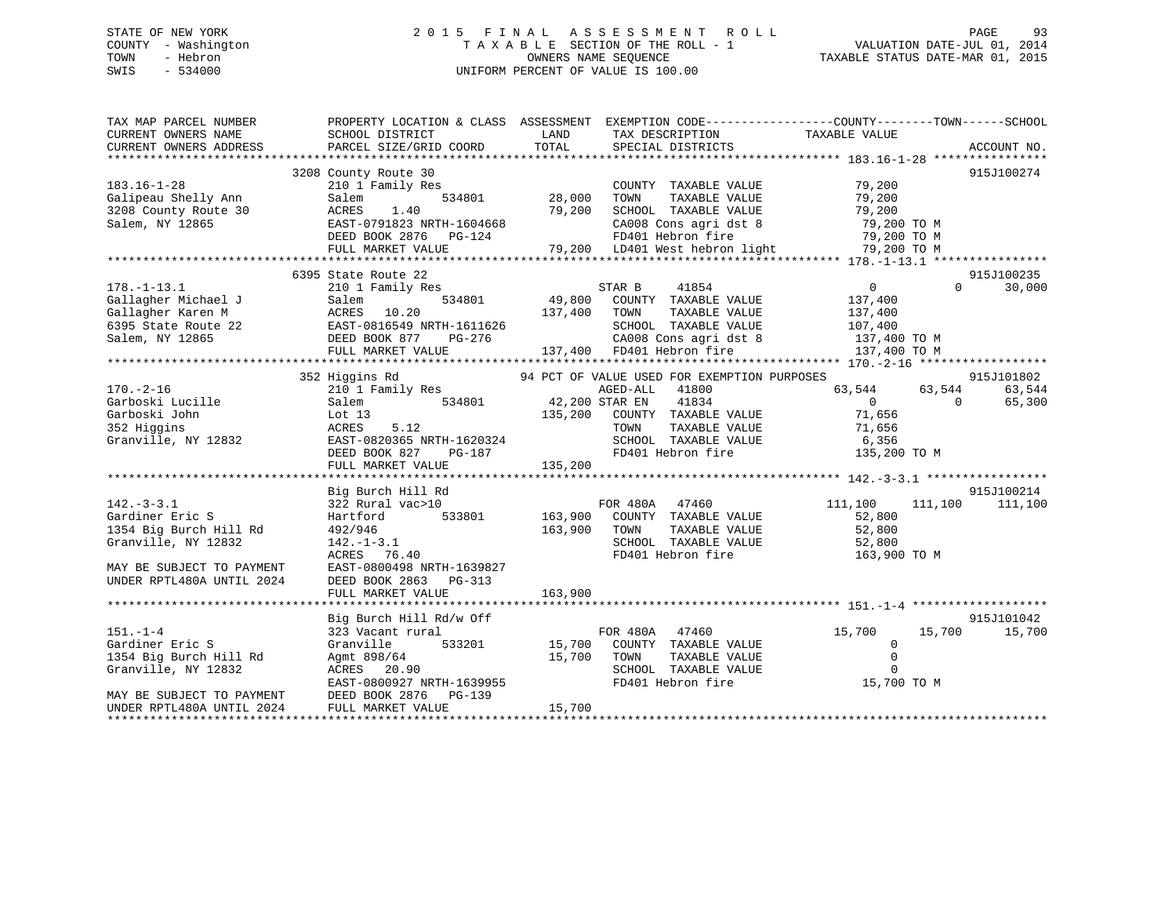# STATE OF NEW YORK 2 0 1 5 F I N A L A S S E S S M E N T R O L L PAGE 93 COUNTY - Washington T A X A B L E SECTION OF THE ROLL - 1 VALUATION DATE-JUL 01, 2014 TOWN - Hebron OWNERS NAME SEQUENCE TAXABLE STATUS DATE-MAR 01, 2015 SWIS - 534000 UNIFORM PERCENT OF VALUE IS 100.00

| TAX MAP PARCEL NUMBER<br>CURRENT OWNERS NAME | PROPERTY LOCATION & CLASS ASSESSMENT EXEMPTION CODE----------------COUNTY-------TOWN------SCHOOL<br>SCHOOL DISTRICT                                                     | <b>EXAMPLE DESCRIPTION OF STREET AND STREET AND STREET AND STREET AND STREET AND STREET AND STREET AND STREET AND</b> | TAX DESCRIPTION<br>SPECIAL DISTRICTS                                                                                                                                                          |                 |                          |
|----------------------------------------------|-------------------------------------------------------------------------------------------------------------------------------------------------------------------------|-----------------------------------------------------------------------------------------------------------------------|-----------------------------------------------------------------------------------------------------------------------------------------------------------------------------------------------|-----------------|--------------------------|
| CURRENT OWNERS ADDRESS                       | PARCEL SIZE/GRID COORD                                                                                                                                                  | TOTAL                                                                                                                 | SPECIAL DISTRICTS                                                                                                                                                                             |                 | ACCOUNT NO.              |
|                                              | 3208 County Route 30                                                                                                                                                    |                                                                                                                       |                                                                                                                                                                                               |                 | 915J100274               |
|                                              |                                                                                                                                                                         |                                                                                                                       |                                                                                                                                                                                               |                 |                          |
|                                              |                                                                                                                                                                         |                                                                                                                       |                                                                                                                                                                                               |                 |                          |
|                                              |                                                                                                                                                                         |                                                                                                                       |                                                                                                                                                                                               |                 |                          |
|                                              |                                                                                                                                                                         |                                                                                                                       |                                                                                                                                                                                               |                 |                          |
|                                              |                                                                                                                                                                         |                                                                                                                       |                                                                                                                                                                                               |                 |                          |
|                                              |                                                                                                                                                                         |                                                                                                                       |                                                                                                                                                                                               |                 |                          |
|                                              |                                                                                                                                                                         |                                                                                                                       |                                                                                                                                                                                               |                 |                          |
|                                              | 6395 State Route 22                                                                                                                                                     |                                                                                                                       |                                                                                                                                                                                               |                 | 915J100235               |
| $178. - 1 - 13.1$                            | 210 1 Family Res                                                                                                                                                        |                                                                                                                       | 41854<br>STAR B                                                                                                                                                                               | $\overline{0}$  | $\Omega$<br>30,000       |
|                                              |                                                                                                                                                                         |                                                                                                                       |                                                                                                                                                                                               |                 |                          |
|                                              | Callagher Michael J<br>Gallagher Karen M<br>Gallagher Karen M<br>6395 State Route 22<br>Salem, NY 12865<br>FULL MARKET VALUE<br>137,400<br>FULL MARKET VALUE<br>137,400 |                                                                                                                       | $\begin{array}{ccccccccc} 534801 & & & 49,800 & & \text{COUNTY} & \text{TAXABLE VALUE} & & & & 137,400 \\ & & & 137,400 & & \text{TOWN} & & \text{TAXABLE VALUE} & & & & 137,400 \end{array}$ |                 |                          |
|                                              |                                                                                                                                                                         |                                                                                                                       |                                                                                                                                                                                               |                 |                          |
|                                              |                                                                                                                                                                         |                                                                                                                       |                                                                                                                                                                                               |                 |                          |
|                                              | FULL MARKET VALUE                                                                                                                                                       |                                                                                                                       | 1611626 SCHOOL TAXABLE VALUE 107,400<br>26-276 CA008 Cons agri dst 8 137,400 TO M<br>137,400 FD401 Hebron fire 137,400 TO M                                                                   |                 |                          |
|                                              |                                                                                                                                                                         |                                                                                                                       |                                                                                                                                                                                               |                 |                          |
|                                              | 352 Higgins Rd                                                                                                                                                          |                                                                                                                       | 94 PCT OF VALUE USED FOR EXEMPTION PURPOSES                                                                                                                                                   |                 | 915J101802               |
|                                              |                                                                                                                                                                         |                                                                                                                       | AGED-ALL 41800                                                                                                                                                                                | 63, 544 63, 544 | 63,544                   |
| 170.-2-16<br>Garboski Lucille                | 210 1 Family Res AGED-ALL<br>Salem 534801 42,200 STAR EN                                                                                                                |                                                                                                                       | 41834                                                                                                                                                                                         | $\overline{0}$  | 65,300<br>$\overline{0}$ |
|                                              |                                                                                                                                                                         |                                                                                                                       |                                                                                                                                                                                               |                 |                          |
| Garboski John                                | Lot $13$<br>5.12                                                                                                                                                        |                                                                                                                       | $135,200$ $200$ TOWN<br>TAXABLE VALUE<br>TAXABLE VALUE<br>71,656                                                                                                                              |                 |                          |
| 352 Higgins                                  | ACRES                                                                                                                                                                   |                                                                                                                       |                                                                                                                                                                                               |                 |                          |
|                                              | Granville, NY 12832 EAST-0820365 NRTH-1620324<br>DEED BOOK 827 PG-187                                                                                                   |                                                                                                                       |                                                                                                                                                                                               |                 |                          |
|                                              |                                                                                                                                                                         | 135,200                                                                                                               | TOWN TAXABLE VALUE 71,656<br>SCHOOL TAXABLE VALUE 6,356<br>FD401 Hebron fire 135,200 TO M                                                                                                     |                 |                          |
|                                              | FULL MARKET VALUE                                                                                                                                                       |                                                                                                                       |                                                                                                                                                                                               |                 |                          |
|                                              |                                                                                                                                                                         |                                                                                                                       |                                                                                                                                                                                               |                 | 915J100214               |
|                                              | Big Burch Hill Rd                                                                                                                                                       |                                                                                                                       |                                                                                                                                                                                               |                 |                          |
| $142. - 3 - 3.1$                             | 322 Rural vac>10                                                                                                                                                        |                                                                                                                       | FOR 480A 47460<br>3801 163,900 COUNTY TAXABLE VALUE                                                                                                                                           | 111,100 111,100 | 111,100                  |
| Gardiner Eric S                              | 533801<br>Hartford                                                                                                                                                      |                                                                                                                       |                                                                                                                                                                                               | 52,800          |                          |
| 1354 Big Burch Hill Rd                       | 492/946                                                                                                                                                                 | 163,900                                                                                                               |                                                                                                                                                                                               |                 |                          |
| Granville, NY 12832                          | $142. - 1 - 3.1$                                                                                                                                                        |                                                                                                                       | TOWN TAXABLE VALUE 52,800<br>SCHOOL TAXABLE VALUE 52,800<br>FD401 Hebron fire 163,900                                                                                                         |                 |                          |
|                                              | ACRES 76.40                                                                                                                                                             |                                                                                                                       |                                                                                                                                                                                               | 163,900 TO M    |                          |
| MAY BE SUBJECT TO PAYMENT                    | EAST-0800498 NRTH-1639827                                                                                                                                               |                                                                                                                       |                                                                                                                                                                                               |                 |                          |
| UNDER RPTL480A UNTIL 2024                    | DEED BOOK 2863 PG-313                                                                                                                                                   |                                                                                                                       |                                                                                                                                                                                               |                 |                          |
|                                              |                                                                                                                                                                         |                                                                                                                       |                                                                                                                                                                                               |                 |                          |
|                                              |                                                                                                                                                                         |                                                                                                                       |                                                                                                                                                                                               |                 |                          |
|                                              | Big Burch Hill Rd/w Off                                                                                                                                                 |                                                                                                                       |                                                                                                                                                                                               |                 | 915J101042               |
| $151. - 1 - 4$                               | 323 Vacant rural                                                                                                                                                        |                                                                                                                       | FOR 480A 47460                                                                                                                                                                                | 15,700          | 15,700<br>15,700         |
| Gardiner Eric S                              | Granville                                                                                                                                                               |                                                                                                                       | 533201 15,700 COUNTY TAXABLE VALUE                                                                                                                                                            | $\mathbf 0$     |                          |
| 1354 Big Burch Hill Rd                       | Agmt 898/64                                                                                                                                                             | 15,700                                                                                                                | TOWN<br>TAXABLE VALUE                                                                                                                                                                         | $\mathbb O$     |                          |
| Granville, NY 12832                          | ACRES 20.90                                                                                                                                                             |                                                                                                                       | SCHOOL TAXABLE VALUE                                                                                                                                                                          | $\mathbf 0$     |                          |
|                                              | EAST-0800927 NRTH-1639955                                                                                                                                               |                                                                                                                       | FD401 Hebron fire                                                                                                                                                                             | 15,700 TO M     |                          |
| MAY BE SUBJECT TO PAYMENT                    | DEED BOOK 2876 PG-139                                                                                                                                                   |                                                                                                                       |                                                                                                                                                                                               |                 |                          |
| UNDER RPTL480A UNTIL 2024                    | FULL MARKET VALUE                                                                                                                                                       | 15,700                                                                                                                |                                                                                                                                                                                               |                 |                          |
|                                              |                                                                                                                                                                         |                                                                                                                       |                                                                                                                                                                                               |                 |                          |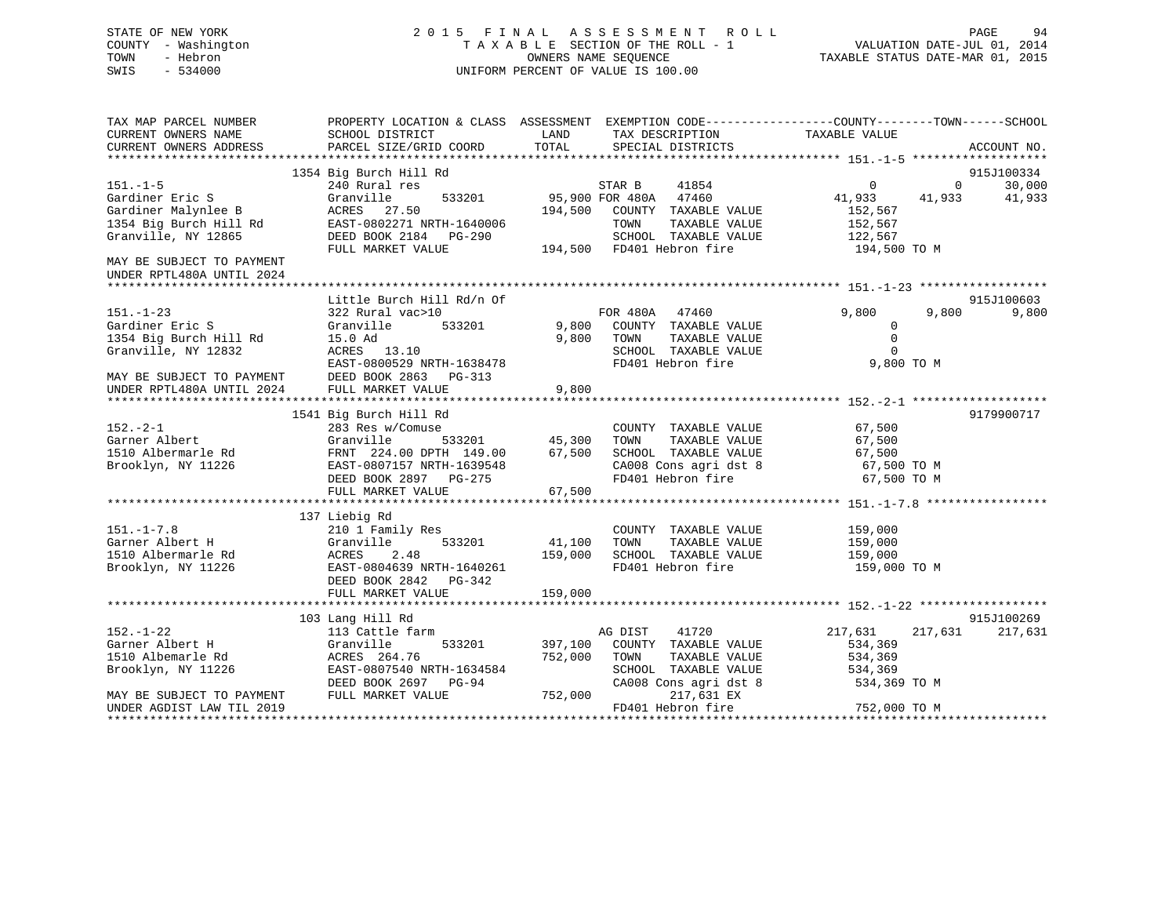# STATE OF NEW YORK 2 0 1 5 F I N A L A S S E S S M E N T R O L L PAGE 94 COUNTY - Washington T A X A B L E SECTION OF THE ROLL - 1 VALUATION DATE-JUL 01, 2014 TOWN - Hebron OWNERS NAME SEQUENCE TAXABLE STATUS DATE-MAR 01, 2015 SWIS - 534000 UNIFORM PERCENT OF VALUE IS 100.00

| TAX MAP PARCEL NUMBER<br>CURRENT OWNERS NAME                                                | SCHOOL DISTRICT                                                                                                                                                                                                                                                                                   | LAND<br>TAX DESCRIPTION                                                                                                                                 | PROPERTY LOCATION & CLASS ASSESSMENT EXEMPTION CODE---------------COUNTY-------TOWN-----SCHOOL<br>TAXABLE VALUE          |
|---------------------------------------------------------------------------------------------|---------------------------------------------------------------------------------------------------------------------------------------------------------------------------------------------------------------------------------------------------------------------------------------------------|---------------------------------------------------------------------------------------------------------------------------------------------------------|--------------------------------------------------------------------------------------------------------------------------|
| CURRENT OWNERS ADDRESS                                                                      | PARCEL SIZE/GRID COORD                                                                                                                                                                                                                                                                            | TOTAL<br>SPECIAL DISTRICTS                                                                                                                              | ACCOUNT NO.                                                                                                              |
|                                                                                             | 1354 Big Burch Hill Rd                                                                                                                                                                                                                                                                            |                                                                                                                                                         | 915J100334                                                                                                               |
| $151. - 1 - 5$                                                                              | 240 Rural res                                                                                                                                                                                                                                                                                     | $STAR B$ 41854                                                                                                                                          | $\overline{a}$<br>30,000<br>$\sim$ 0                                                                                     |
| Gardiner Eric S<br>Granville, NY 12865                                                      | Granville<br>DEED BOOK 2184    PG-290                                                                                                                                                                                                                                                             | 533201 95,900 FOR 480A 47460<br>194,500 COUNTY TAXABLE VALUE<br>TOWN<br>TAXABLE VALUE<br>SCHOOL TAXABLE VALUE                                           | 41,933 41,933<br>41,933<br>152,567<br>152,567<br>122,567                                                                 |
| MAY BE SUBJECT TO PAYMENT<br>UNDER RPTL480A UNTIL 2024                                      | FULL MARKET VALUE                                                                                                                                                                                                                                                                                 | 194,500 FD401 Hebron fire                                                                                                                               | 194,500 TO M                                                                                                             |
|                                                                                             | Little Burch Hill Rd/n Of                                                                                                                                                                                                                                                                         |                                                                                                                                                         | 915J100603                                                                                                               |
| $151. - 1 - 23$<br>Gardiner Eric S<br>1354 Big Burch Hill Rd 15.0 Ad<br>Granville, NY 12832 | 322 Rural vac>10<br>533201<br>Granville<br>ACRES 13.10<br>ACRES 13.10<br>EAST-0800529 NRTH-1638478<br>MAY BE SUBJECT TO PAYMENT DEED BOOK 2863 PG-313<br>UNDER RPTL480A UNTIL 2024 FULL MARKET VALUE                                                                                              | FOR 480A 47460<br>9,800 COUNTY TAXABLE VALUE<br>9,800 TOWN TAXABLE VALUE<br>SCHOOL TAXABLE VALUE<br>FD401 Hebron fire                                   | 9,800<br>9,800<br>9,800<br>$\overline{0}$<br>$\overline{0}$<br>$\Omega$<br>9,800 TO M                                    |
|                                                                                             |                                                                                                                                                                                                                                                                                                   | 9,800                                                                                                                                                   |                                                                                                                          |
| $152 - 2 - 1$<br>Brooklyn, NY 11226                                                         | 1541 Big Burch Hill Rd<br>283 Res w/Comuse<br>Garner Albert                           Granville         533201           45,300     TOWN                   FRNT   224.00   DPTH   149.00         67,500     SCHOOL<br>EAST-0807157 NRTH-1639548<br>EAST-0807157 NRTH-1639548<br>FULL MARKET VALUE | COUNTY TAXABLE VALUE 67,500<br>SCHOOL TAXABLE VALUE<br>FD401 Hebron fire<br>67,500                                                                      | 9179900717<br>TAXABLE VALUE 67,500<br>TAXABLE VALUE 67,500<br>67,500<br>CA008 Cons agri dst 8 67,500 TO M<br>67,500 TO M |
| $151. - 1 - 7.8$<br>Garner Albert H<br>1510 Albermarle Rd<br>Brooklyn, NY 11226             | 137 Liebig Rd<br>210 1 Family Res<br>533201<br>Granville<br>ACRES 2.48<br>EAST-0804639 NRTH-1640261<br>DEED BOOK 2842 PG-342<br>FULL MARKET VALUE                                                                                                                                                 | COUNTY TAXABLE VALUE<br>41,100 TOWN<br>TAXABLE VALUE<br>159,000<br>SCHOOL TAXABLE VALUE 159,000<br>FD401 Hebron fire<br>159,000                         | 159,000<br>159,000<br>159,000 TO M                                                                                       |
|                                                                                             | 103 Lang Hill Rd                                                                                                                                                                                                                                                                                  |                                                                                                                                                         | 915J100269                                                                                                               |
| $152. - 1 - 22$<br>Garner Albert H<br>1510 Albemarle Rd<br>Brooklyn, NY 11226               | 113 Cattle farm<br>Granville<br>ACRES 264.76<br>EAST-0807540 NRTH-1634584<br>DEED BOOK 2697 PG-94                                                                                                                                                                                                 | AG DIST<br>41720<br>533201 397,100<br>COUNTY TAXABLE VALUE<br>752,000<br>TAXABLE VALUE<br>TOWN<br>SCHOOL TAXABLE VALUE 534,369<br>CA008 Cons agri dst 8 | 217,631<br>217,631<br>217,631<br>534,369<br>534,369<br>534,369 TO M                                                      |
| MAY BE SUBJECT TO PAYMENT<br>UNDER AGDIST LAW TIL 2019                                      | FULL MARKET VALUE                                                                                                                                                                                                                                                                                 | 752,000<br>217,631 EX<br>FD401 Hebron fire                                                                                                              | 752,000 TO M                                                                                                             |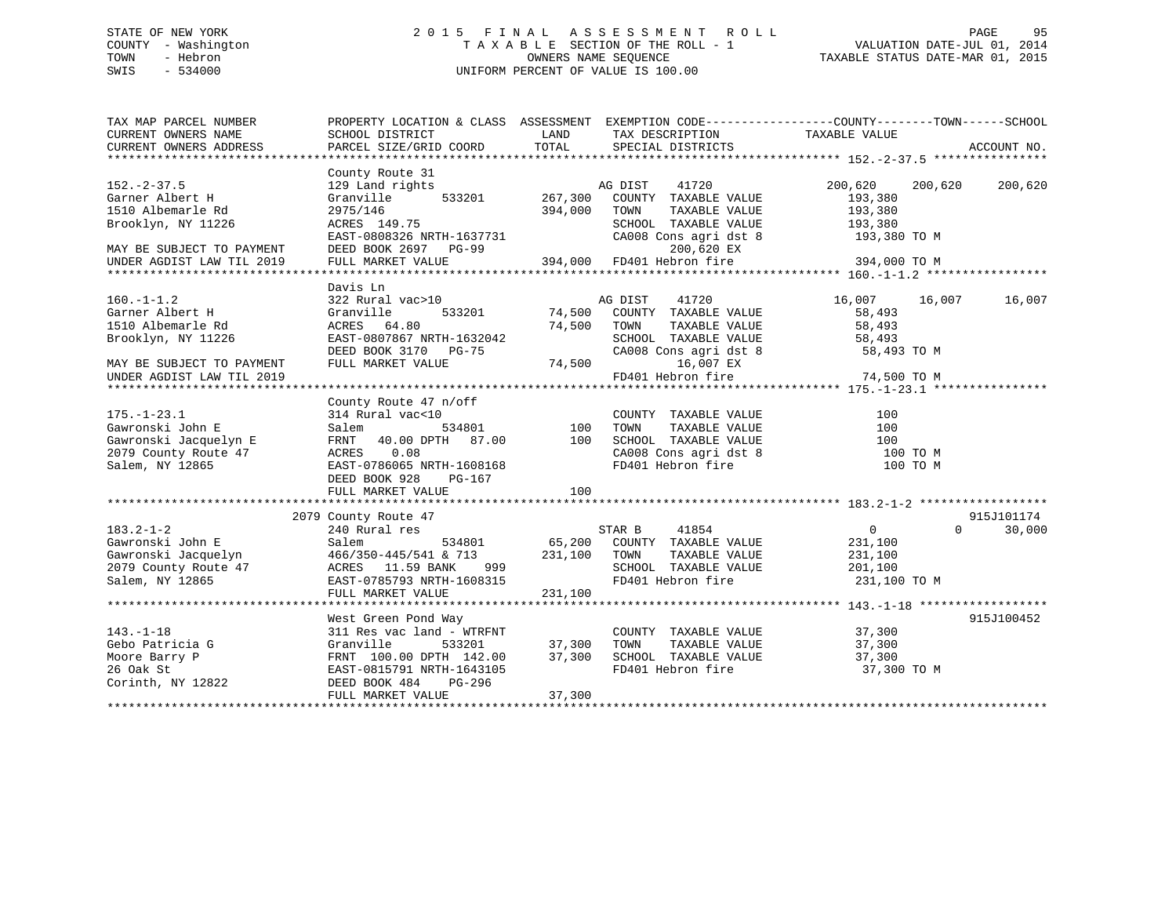# STATE OF NEW YORK 2 0 1 5 F I N A L A S S E S S M E N T R O L L PAGE 95 COUNTY - Washington T A X A B L E SECTION OF THE ROLL - 1 VALUATION DATE-JUL 01, 2014 TOWN - Hebron OWNERS NAME SEQUENCE TAXABLE STATUS DATE-MAR 01, 2015 SWIS - 534000 UNIFORM PERCENT OF VALUE IS 100.00

| TAX MAP PARCEL NUMBER<br>CURRENT OWNERS NAME<br>CURRENT OWNERS ADDRESS                                                                                                                                                                                                            | SCHOOL DISTRICT<br>PARCEL SIZE/GRID COORD                                                                                                                                              | LAND<br>TOTAL                | TAX DESCRIPTION TAXABLE VALUE<br>SPECIAL DISTRICTS                                                                                          | PROPERTY LOCATION & CLASS ASSESSMENT EXEMPTION CODE---------------COUNTY-------TOWN------SCHOOL | ACCOUNT NO. |
|-----------------------------------------------------------------------------------------------------------------------------------------------------------------------------------------------------------------------------------------------------------------------------------|----------------------------------------------------------------------------------------------------------------------------------------------------------------------------------------|------------------------------|---------------------------------------------------------------------------------------------------------------------------------------------|-------------------------------------------------------------------------------------------------|-------------|
|                                                                                                                                                                                                                                                                                   |                                                                                                                                                                                        |                              |                                                                                                                                             |                                                                                                 |             |
| $152 - 2 - 37.5$<br>Garner Albert H<br>1510 Albemarle Rd<br>Brooklyn, NY 11226                                                                                                                                                                                                    | County Route 31<br>129 Land rights<br>Granville<br>533201<br>2975/146<br>ACRES 149.75                                                                                                  | 267,300<br>394,000           | 41720<br>AG DIST<br>COUNTY TAXABLE VALUE<br>TOWN<br>TAXABLE VALUE<br>SCHOOL TAXABLE VALUE                                                   | 200,620<br>200,620<br>193,380<br>193,380<br>193,380                                             | 200,620     |
| MAY BE SUBJECT TO PAYMENT<br>UNDER AGDIST LAW TIL 2019                                                                                                                                                                                                                            | EAST-0808326 NRTH-1637731<br>DEED BOOK 2697 PG-99<br>FULL MARKET VALUE                                                                                                                 |                              | CA008 Cons agri dst 8<br>200,620 EX<br>200,620 EX<br>394,000 FD401 Hebron fire                                                              | 193,380 TO M<br>394,000 TO M                                                                    |             |
| $160. - 1 - 1.2$<br>Garner Albert H<br>1510 Albemarle Rd<br>Brooklyn, NY 11226                                                                                                                                                                                                    | Davis Ln<br>322 Rural vac>10<br>Granville<br>533201<br>ACRES 64.80<br>EAST-0807867 NRTH-1632042<br>DEED BOOK 3170 PG-75                                                                | 74,500<br>74,500             | AG DIST<br>41720<br>COUNTY TAXABLE VALUE<br>TOWN<br>TAXABLE VALUE<br>SCHOOL TAXABLE VALUE<br>CA008 Cons agri dst 8                          | 16,007<br>16,007<br>58,493<br>58,493<br>58,493<br>58,493 TO M                                   | 16,007      |
| MAY BE SUBJECT TO PAYMENT<br>UNDER AGDIST LAW TIL 2019                                                                                                                                                                                                                            | FULL MARKET VALUE                                                                                                                                                                      | 74,500                       | 16,007 EX<br>FD401 Hebron fire                                                                                                              | 74,500 TO M                                                                                     |             |
| $175. - 1 - 23.1$<br>Gawronski John E<br>Gawronski Jacquelyn E<br>2079 County Route 47<br>Salem, NY 12865                                                                                                                                                                         | County Route 47 n/off<br>314 Rural vac<10<br>534801<br>Salem<br>FRNT 40.00 DPTH 87.00 100<br>ACRES 0.08<br>EAST-0786065 NRTH-1608168<br>DEED BOOK 928<br>PG-167<br>FULL MARKET VALUE   | 100<br>100                   | COUNTY TAXABLE VALUE<br>TOWN<br>TAXABLE VALUE<br>SCHOOL TAXABLE VALUE<br>SCHOOL TAXABLE VALUE<br>CA008 Cons agri dst 8<br>FD401 Hebron fire | 100<br>100<br>100<br>100 TO M<br>100 TO M                                                       |             |
|                                                                                                                                                                                                                                                                                   | 2079 County Route 47                                                                                                                                                                   |                              |                                                                                                                                             |                                                                                                 | 915J101174  |
| $183.2 - 1 - 2$<br>Gawronski John E<br>Cawronski Jacquelyn<br>2079 County Route 47<br>2079 County Route 47<br>2079 County Route 47<br>2079 County Route 47<br>2079 County Route 47<br>2079 County Route 47<br>2079 County Route 47<br>2085<br>208793 NRTH-1608<br>Salem, NY 12865 | 240 Rural res<br>Salem<br>534801<br>999<br>EAST-0785793 NRTH-1608315<br>FULL MARKET VALUE                                                                                              | 65,200<br>231,100<br>231,100 | STAR B<br>41854<br>COUNTY TAXABLE VALUE<br>TOWN<br>TAXABLE VALUE<br>SCHOOL TAXABLE VALUE<br>FD401 Hebron fire                               | 0<br>$\Omega$<br>231,100<br>231,100<br>201,100<br>231,100 TO M                                  | 30,000      |
|                                                                                                                                                                                                                                                                                   |                                                                                                                                                                                        |                              |                                                                                                                                             |                                                                                                 |             |
| $143. - 1 - 18$<br>Gebo Patricia G<br>Moore Barry P<br>26 Oak St<br>Corinth, NY 12822                                                                                                                                                                                             | West Green Pond Way<br>311 Res vac land - WTRFNT<br>Granville<br>533201<br>FRNT 100.00 DPTH 142.00 37,300<br>EAST-0815791 NRTH-1643105<br>DEED BOOK 484<br>PG-296<br>FULL MARKET VALUE | 37,300<br>37,300             | COUNTY TAXABLE VALUE 37,300<br>TOWN<br>SCHOOL TAXABLE VALUE<br>FD401 Hebron fire                                                            | TAXABLE VALUE 37,300<br>37,300<br>37,300 TO M                                                   | 915J100452  |
|                                                                                                                                                                                                                                                                                   |                                                                                                                                                                                        |                              |                                                                                                                                             |                                                                                                 |             |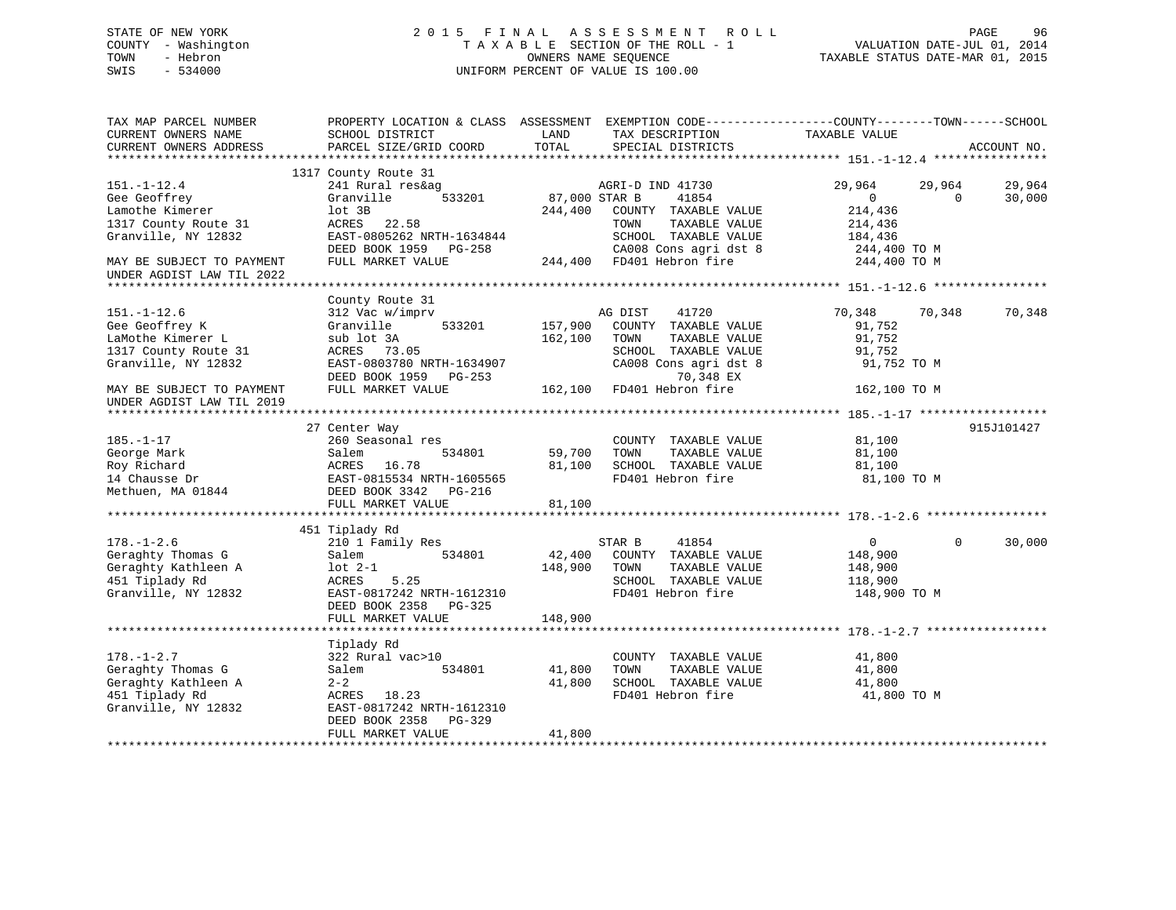# STATE OF NEW YORK 2 0 1 5 F I N A L A S S E S S M E N T R O L L PAGE 96 COUNTY - Washington T A X A B L E SECTION OF THE ROLL - 1 VALUATION DATE-JUL 01, 2014 TOWN - Hebron OWNERS NAME SEQUENCE TAXABLE STATUS DATE-MAR 01, 2015 SWIS - 534000 UNIFORM PERCENT OF VALUE IS 100.00

| EXEMPTION CODE-----------------COUNTY-------TOWN------SCHOOL<br>TAX MAP PARCEL NUMBER<br>PROPERTY LOCATION & CLASS ASSESSMENT<br>CURRENT OWNERS NAME<br>SCHOOL DISTRICT<br>LAND<br>TAX DESCRIPTION<br>TAXABLE VALUE<br>TOTAL<br>CURRENT OWNERS ADDRESS<br>PARCEL SIZE/GRID COORD<br>SPECIAL DISTRICTS                                                                                                                                                                                                                                                                                                           | ACCOUNT NO.      |
|-----------------------------------------------------------------------------------------------------------------------------------------------------------------------------------------------------------------------------------------------------------------------------------------------------------------------------------------------------------------------------------------------------------------------------------------------------------------------------------------------------------------------------------------------------------------------------------------------------------------|------------------|
|                                                                                                                                                                                                                                                                                                                                                                                                                                                                                                                                                                                                                 |                  |
| 1317 County Route 31<br>$151. - 1 - 12.4$<br>241 Rural res&ag<br>29,964<br>AGRI-D IND 41730<br>29,964<br>Gee Geoffrey<br>Granville<br>533201<br>87,000 STAR B<br>41854<br>$\Omega$<br>$\Omega$<br>Lamothe Kimerer<br>214,436<br>lot 3B<br>244,400<br>COUNTY TAXABLE VALUE<br>1317 County Route 31<br>22.58<br>ACRES<br>TOWN<br>TAXABLE VALUE<br>214,436<br>Granville, NY 12832<br>EAST-0805262 NRTH-1634844<br>SCHOOL TAXABLE VALUE<br>184,436<br>CA008 Cons agri dst 8<br>DEED BOOK 1959 PG-258<br>244,400 TO M<br>244,400 FD401 Hebron fire<br>FULL MARKET VALUE<br>244,400 TO M<br>MAY BE SUBJECT TO PAYMENT | 29,964<br>30,000 |
| UNDER AGDIST LAW TIL 2022                                                                                                                                                                                                                                                                                                                                                                                                                                                                                                                                                                                       |                  |
| **********************                                                                                                                                                                                                                                                                                                                                                                                                                                                                                                                                                                                          |                  |
| County Route 31<br>$151. - 1 - 12.6$<br>312 Vac w/imprv<br>AG DIST<br>41720<br>70,348<br>70,348<br>Gee Geoffrey K<br>Granville<br>533201<br>157,900<br>COUNTY TAXABLE VALUE<br>91,752<br>LaMothe Kimerer L<br>sub lot 3A<br>162,100<br>TOWN<br>TAXABLE VALUE<br>91,752<br>1317 County Route 31<br>ACRES 73.05<br>SCHOOL TAXABLE VALUE<br>91,752<br>Granville, NY 12832<br>EAST-0803780 NRTH-1634907<br>CA008 Cons agri dst 8<br>91,752 TO M<br>70,348 EX<br>DEED BOOK 1959 PG-253                                                                                                                               | 70,348           |
| FULL MARKET VALUE<br>162,100<br>FD401 Hebron fire<br>162,100 TO M<br>MAY BE SUBJECT TO PAYMENT<br>UNDER AGDIST LAW TIL 2019                                                                                                                                                                                                                                                                                                                                                                                                                                                                                     |                  |
|                                                                                                                                                                                                                                                                                                                                                                                                                                                                                                                                                                                                                 |                  |
| 27 Center Way<br>$185. - 1 - 17$<br>260 Seasonal res<br>COUNTY TAXABLE VALUE<br>81,100<br>George Mark<br>534801<br>59,700<br>TAXABLE VALUE<br>81,100<br>Salem<br>TOWN<br>Roy Richard<br>16.78<br>81,100<br>SCHOOL TAXABLE VALUE<br>ACRES<br>81,100<br>FD401 Hebron fire<br>14 Chausse Dr<br>EAST-0815534 NRTH-1605565<br>81,100 TO M<br>Methuen, MA 01844<br>DEED BOOK 3342 PG-216                                                                                                                                                                                                                              | 915J101427       |
| FULL MARKET VALUE<br>81,100                                                                                                                                                                                                                                                                                                                                                                                                                                                                                                                                                                                     |                  |
|                                                                                                                                                                                                                                                                                                                                                                                                                                                                                                                                                                                                                 |                  |
| 451 Tiplady Rd                                                                                                                                                                                                                                                                                                                                                                                                                                                                                                                                                                                                  |                  |
| $178. - 1 - 2.6$<br>210 1 Family Res<br>STAR B<br>41854<br>$\overline{0}$<br>$\Omega$<br>Geraghty Thomas G<br>534801<br>42,400<br>Salem<br>COUNTY TAXABLE VALUE<br>148,900<br>Geraghty Kathleen A<br>148,900<br>$lot 2-1$<br>TOWN<br>TAXABLE VALUE<br>148,900<br>451 Tiplady Rd<br>5.25<br>SCHOOL TAXABLE VALUE<br>ACRES<br>118,900<br>Granville, NY 12832<br>EAST-0817242 NRTH-1612310<br>FD401 Hebron fire<br>148,900 TO M<br>DEED BOOK 2358<br>PG-325<br>148,900<br>FULL MARKET VALUE                                                                                                                        | 30,000           |
|                                                                                                                                                                                                                                                                                                                                                                                                                                                                                                                                                                                                                 |                  |
| Tiplady Rd<br>$178. - 1 - 2.7$<br>322 Rural vac>10<br>41,800<br>COUNTY TAXABLE VALUE<br>Geraghty Thomas G<br>534801<br>41,800<br>TOWN<br>TAXABLE VALUE<br>41,800<br>Salem<br>Geraghty Kathleen A<br>$2 - 2$<br>41,800<br>SCHOOL TAXABLE VALUE<br>41,800<br>451 Tiplady Rd<br>ACRES 18.23<br>FD401 Hebron fire<br>41,800 TO M<br>Granville, NY 12832<br>EAST-0817242 NRTH-1612310<br>DEED BOOK 2358<br>$PG-329$                                                                                                                                                                                                  |                  |
| FULL MARKET VALUE<br>41,800                                                                                                                                                                                                                                                                                                                                                                                                                                                                                                                                                                                     |                  |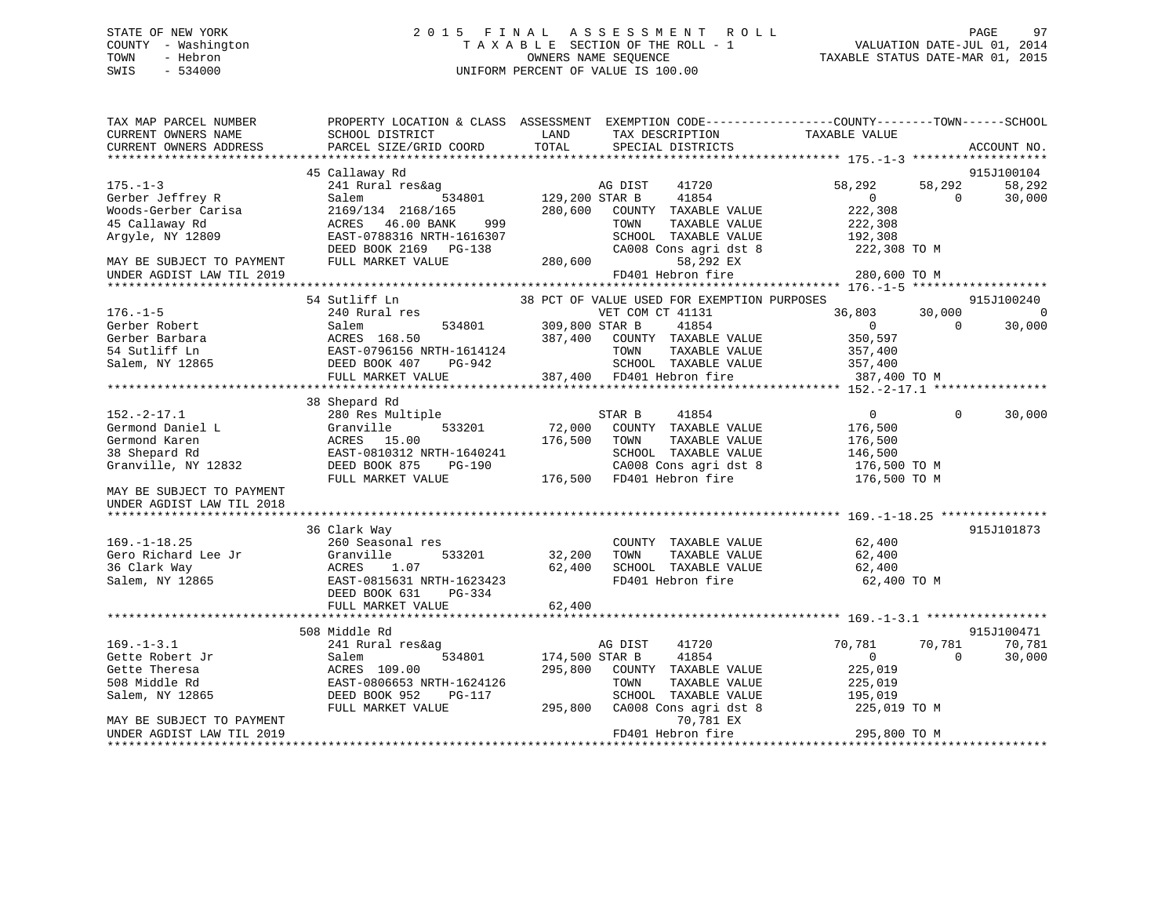# STATE OF NEW YORK 2 0 1 5 F I N A L A S S E S S M E N T R O L L PAGE 97 COUNTY - Washington T A X A B L E SECTION OF THE ROLL - 1 VALUATION DATE-JUL 01, 2014 TOWN - Hebron OWNERS NAME SEQUENCE TAXABLE STATUS DATE-MAR 01, 2015 SWIS - 534000 UNIFORM PERCENT OF VALUE IS 100.00

| TAX MAP PARCEL NUMBER<br>CURRENT OWNERS NAME | SCHOOL DISTRICT                         | LAND           | TAX DESCRIPTION                             | PROPERTY LOCATION & CLASS ASSESSMENT EXEMPTION CODE----------------COUNTY-------TOWN-----SCHOOL<br>TAXABLE VALUE |                      |
|----------------------------------------------|-----------------------------------------|----------------|---------------------------------------------|------------------------------------------------------------------------------------------------------------------|----------------------|
| CURRENT OWNERS ADDRESS                       | PARCEL SIZE/GRID COORD                  | TOTAL          | SPECIAL DISTRICTS                           |                                                                                                                  | ACCOUNT NO.          |
|                                              | 45 Callaway Rd                          |                |                                             |                                                                                                                  | 915J100104           |
| $175. - 1 - 3$                               | 241 Rural res&ag                        |                | AG DIST<br>41720                            | 58,292<br>58,292                                                                                                 | 58,292               |
| Gerber Jeffrey R                             | 534801<br>Salem                         | 129,200 STAR B | 41854                                       | $\mathbf{0}$<br>0                                                                                                | 30,000               |
| Woods-Gerber Carisa                          | 2169/134 2168/165                       | 280,600        | COUNTY TAXABLE VALUE                        | 222,308                                                                                                          |                      |
| 45 Callaway Rd                               | 46.00 BANK<br>ACRES<br>999              |                | TOWN<br>TAXABLE VALUE                       | 222,308                                                                                                          |                      |
| Argyle, NY 12809                             | EAST-0788316 NRTH-1616307               |                | SCHOOL TAXABLE VALUE                        | 192,308                                                                                                          |                      |
|                                              | DEED BOOK 2169<br>PG-138                |                | CA008 Cons agri dst 8                       | 222,308 TO M                                                                                                     |                      |
| MAY BE SUBJECT TO PAYMENT                    | FULL MARKET VALUE                       | 280,600        | 58,292 EX                                   |                                                                                                                  |                      |
| UNDER AGDIST LAW TIL 2019                    |                                         |                | FD401 Hebron fire                           | 280,600 TO M                                                                                                     |                      |
|                                              |                                         |                |                                             |                                                                                                                  |                      |
|                                              | 54 Sutliff Ln                           |                | 38 PCT OF VALUE USED FOR EXEMPTION PURPOSES |                                                                                                                  | 915J100240           |
| $176. - 1 - 5$                               | 240 Rural res                           |                | VET COM CT 41131                            | 36,803<br>30,000                                                                                                 | $\mathbf 0$          |
| Gerber Robert                                | Salem<br>534801                         | 309,800 STAR B | 41854                                       | $\overline{0}$<br>$\Omega$                                                                                       | 30,000               |
| Gerber Barbara                               | ACRES 168.50                            | 387,400        | COUNTY TAXABLE VALUE                        | 350,597                                                                                                          |                      |
| 54 Sutliff Ln                                | EAST-0796156 NRTH-1614124               |                | TOWN<br>TAXABLE VALUE                       | 357,400                                                                                                          |                      |
| Salem, NY 12865                              | DEED BOOK 407<br>PG-942                 |                | SCHOOL TAXABLE VALUE                        | 357,400                                                                                                          |                      |
|                                              | FULL MARKET VALUE                       |                | 387,400 FD401 Hebron fire                   | 387,400 TO M                                                                                                     |                      |
|                                              |                                         |                |                                             |                                                                                                                  |                      |
| $152. - 2 - 17.1$                            | 38 Shepard Rd                           |                | 41854                                       | $\mathbf 0$                                                                                                      |                      |
| Germond Daniel L                             | 280 Res Multiple<br>Granville<br>533201 | 72,000         | STAR B<br>COUNTY TAXABLE VALUE              | 0<br>176,500                                                                                                     | 30,000               |
| Germond Karen                                | 15.00<br>ACRES                          | 176,500        | TOWN<br>TAXABLE VALUE                       | 176,500                                                                                                          |                      |
| 38 Shepard Rd                                | EAST-0810312 NRTH-1640241               |                | SCHOOL TAXABLE VALUE                        | 146,500                                                                                                          |                      |
| Granville, NY 12832                          | DEED BOOK 875<br>$PG-190$               |                | CA008 Cons agri dst 8                       | 176,500 TO M                                                                                                     |                      |
|                                              | FULL MARKET VALUE                       | 176,500        | FD401 Hebron fire                           | 176,500 TO M                                                                                                     |                      |
| MAY BE SUBJECT TO PAYMENT                    |                                         |                |                                             |                                                                                                                  |                      |
| UNDER AGDIST LAW TIL 2018                    |                                         |                |                                             |                                                                                                                  |                      |
|                                              |                                         |                |                                             |                                                                                                                  |                      |
|                                              | 36 Clark Way                            |                |                                             |                                                                                                                  | 915J101873           |
| $169. - 1 - 18.25$                           | 260 Seasonal res                        |                | COUNTY TAXABLE VALUE                        | 62,400                                                                                                           |                      |
| Gero Richard Lee Jr                          | Granville<br>533201                     | 32,200         | TOWN<br>TAXABLE VALUE                       | 62,400                                                                                                           |                      |
| 36 Clark Way                                 | ACRES<br>1.07                           | 62,400         | SCHOOL TAXABLE VALUE                        | 62,400                                                                                                           |                      |
| Salem, NY 12865                              | EAST-0815631 NRTH-1623423               |                | FD401 Hebron fire                           | 62,400 TO M                                                                                                      |                      |
|                                              | DEED BOOK 631<br>$PG-334$               |                |                                             |                                                                                                                  |                      |
|                                              | FULL MARKET VALUE                       | 62,400         |                                             |                                                                                                                  |                      |
|                                              |                                         |                |                                             |                                                                                                                  |                      |
| $169. - 1 - 3.1$                             | 508 Middle Rd                           |                |                                             | 70,781                                                                                                           | 915J100471<br>70,781 |
| Gette Robert Jr                              | 241 Rural res&ag<br>534801              | 174,500 STAR B | AG DIST<br>41720                            | 70,781<br>$\mathbf{0}$<br>$\Omega$                                                                               |                      |
| Gette Theresa                                | Salem<br>ACRES 109.00                   | 295,800        | 41854<br>COUNTY TAXABLE VALUE               | 225,019                                                                                                          | 30,000               |
| 508 Middle Rd                                | EAST-0806653 NRTH-1624126               |                | TAXABLE VALUE<br>TOWN                       | 225,019                                                                                                          |                      |
| Salem, NY 12865                              | DEED BOOK 952<br><b>PG-117</b>          |                | SCHOOL TAXABLE VALUE                        | 195,019                                                                                                          |                      |
|                                              | FULL MARKET VALUE                       | 295,800        | CA008 Cons agri dst 8                       | 225,019 TO M                                                                                                     |                      |
| MAY BE SUBJECT TO PAYMENT                    |                                         |                | 70,781 EX                                   |                                                                                                                  |                      |
| UNDER AGDIST LAW TIL 2019                    |                                         |                | FD401 Hebron fire                           | 295,800 TO M                                                                                                     |                      |
|                                              |                                         |                |                                             |                                                                                                                  |                      |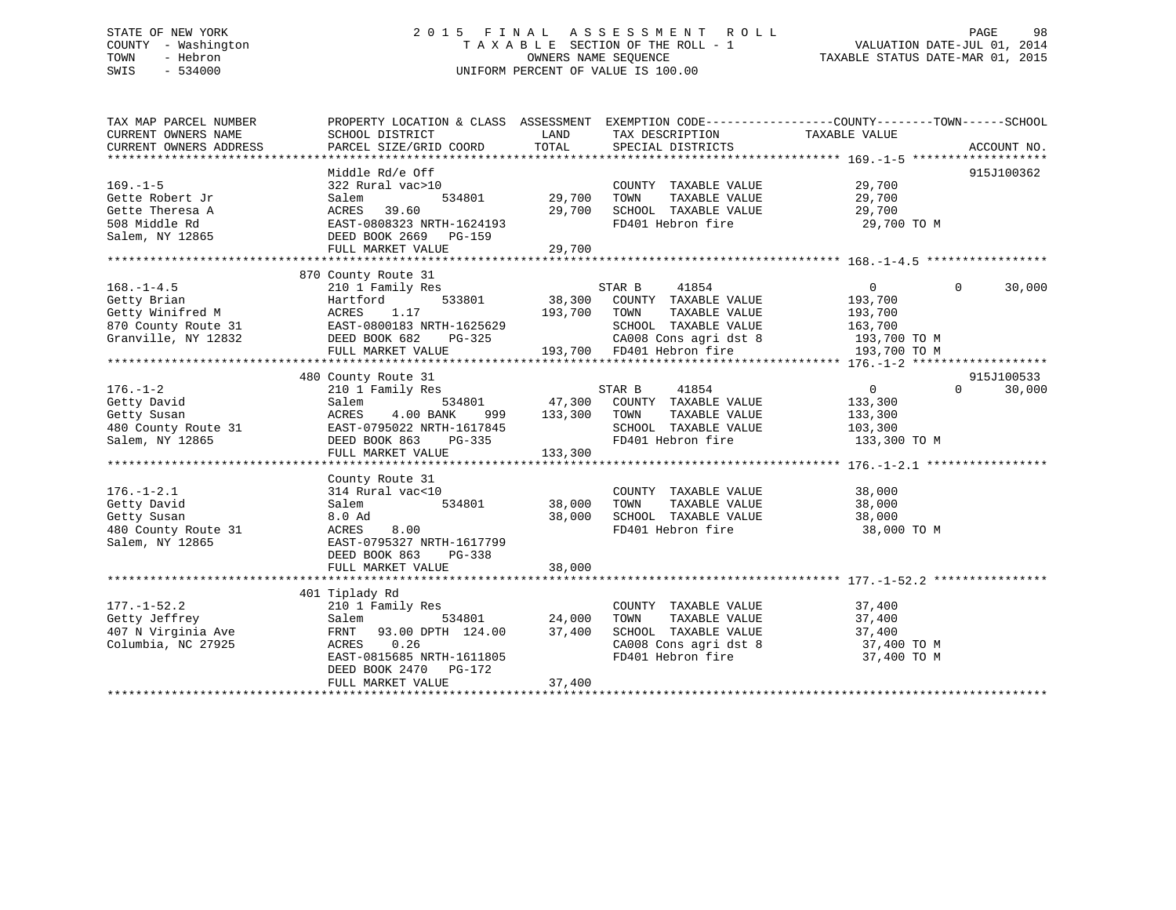# STATE OF NEW YORK 2 0 1 5 F I N A L A S S E S S M E N T R O L L PAGE 98 COUNTY - Washington T A X A B L E SECTION OF THE ROLL - 1 VALUATION DATE-JUL 01, 2014 TOWN - Hebron OWNERS NAME SEQUENCE TAXABLE STATUS DATE-MAR 01, 2015 SWIS - 534000 UNIFORM PERCENT OF VALUE IS 100.00

| TAX MAP PARCEL NUMBER | PROPERTY LOCATION & CLASS ASSESSMENT EXEMPTION CODE---------------COUNTY-------TOWN------SCHOOL                 |                     |                                                                                                   |                  |                    |
|-----------------------|-----------------------------------------------------------------------------------------------------------------|---------------------|---------------------------------------------------------------------------------------------------|------------------|--------------------|
| CURRENT OWNERS NAME   | SCHOOL DISTRICT                                                                                                 | LAND                | TAX DESCRIPTION                                                                                   | TAXABLE VALUE    |                    |
|                       |                                                                                                                 |                     |                                                                                                   |                  |                    |
|                       |                                                                                                                 |                     |                                                                                                   |                  |                    |
|                       | Middle Rd/e Off                                                                                                 |                     |                                                                                                   |                  | 915J100362         |
| $169. - 1 - 5$        | $322$ Rural vac>10                                                                                              |                     | COUNTY TAXABLE VALUE 29,700                                                                       |                  |                    |
| Gette Robert Jr       | Salem                                                                                                           | 534801 29,700       | TOWN<br>TAXABLE VALUE                                                                             |                  |                    |
| Gette Theresa A       | ACRES 39.60                                                                                                     | 29,700              |                                                                                                   | 29,700<br>29,700 |                    |
| 508 Middle Rd         | ACRES 39.60 29,70<br>EAST-0808323 NRTH-1624193                                                                  |                     | TOWN IRANDEL<br>SCHOOL TAXABLE VALUE                                                              | 29,700 TO M      |                    |
|                       |                                                                                                                 |                     |                                                                                                   |                  |                    |
| Salem, NY 12865       | DEED BOOK 2669 PG-159                                                                                           |                     |                                                                                                   |                  |                    |
|                       |                                                                                                                 |                     |                                                                                                   |                  |                    |
|                       |                                                                                                                 |                     |                                                                                                   |                  |                    |
|                       | 870 County Route 31                                                                                             |                     |                                                                                                   |                  |                    |
| $168. - 1 - 4.5$      | 210 1 Family Res                                                                                                |                     | 41854<br>STAR B                                                                                   | $\Omega$         | $\Omega$<br>30,000 |
| Getty Brian           | Hartford                                                                                                        |                     | 533801 38,300 COUNTY TAXABLE VALUE 193,700                                                        |                  |                    |
| Getty Winifred M      | ACRES<br>1.17<br>ACRES 1.17<br>EAST-0800183 NRTH-1625629                                                        | 193,700 TOWN        | TAXABLE VALUE                                                                                     | 193,700          |                    |
| 870 County Route 31   |                                                                                                                 |                     | SCHOOL TAXABLE VALUE                                                                              | 163,700          |                    |
| Granville, NY 12832   | DEED BOOK 682                                                                                                   | H-1625629<br>PG-325 | CA008 Cons agri dst 8 193,700 TO M                                                                |                  |                    |
|                       | FULL MARKET VALUE                                                                                               |                     | 193,700 FD401 Hebron fire                                                                         | 193,700 TO M     |                    |
|                       |                                                                                                                 |                     |                                                                                                   |                  |                    |
|                       | 480 County Route 31                                                                                             |                     |                                                                                                   |                  | 915J100533         |
| $176. - 1 - 2$        | 210 1 Family Res                                                                                                |                     | STAR B 41854                                                                                      | $\overline{0}$   | $\Omega$<br>30,000 |
| Getty David           | Salem                                                                                                           |                     | 534801 47,300 COUNTY TAXABLE VALUE                                                                | 133,300          |                    |
| Getty Susan           | 4.00 BANK<br>ACRES                                                                                              | 999 133,300         | TAXABLE VALUE<br>TOWN                                                                             | 133,300          |                    |
| 480 County Route 31   |                                                                                                                 |                     | SCHOOL TAXABLE VALUE                                                                              | 103,300          |                    |
| Salem, NY 12865       | ACKES<br>EAST-0795022 NRTH-1617845<br>DEED BOOK 863 PG-335<br>LASI-U/25022 NRTH-1617845<br>DEED BOOK 863 PG-335 |                     | FD401 Hebron fire                                                                                 | 133,300 TO M     |                    |
|                       | FULL MARKET VALUE                                                                                               | 133,300             |                                                                                                   |                  |                    |
|                       |                                                                                                                 |                     |                                                                                                   |                  |                    |
|                       | County Route 31                                                                                                 |                     |                                                                                                   |                  |                    |
| $176. - 1 - 2.1$      | 314 Rural vac<10                                                                                                |                     | COUNTY TAXABLE VALUE                                                                              | 38,000           |                    |
| Getty David           | 534801<br>Salem                                                                                                 | 38,000              | TAXABLE VALUE<br>TOWN                                                                             | 38,000           |                    |
| Getty Susan           | 8.0 Ad                                                                                                          | 38,000              | SCHOOL TAXABLE VALUE                                                                              | 38,000           |                    |
|                       |                                                                                                                 |                     | FD401 Hebron fire                                                                                 |                  |                    |
| 480 County Route 31   | ACRES 8.00<br>EAST-0795327 NRTH-1617799<br>EAST-063 DG-338                                                      |                     |                                                                                                   | 38,000 TO M      |                    |
| Salem, NY 12865       |                                                                                                                 |                     |                                                                                                   |                  |                    |
|                       | DEED BOOK 863<br>PG-338                                                                                         |                     |                                                                                                   |                  |                    |
|                       | FULL MARKET VALUE                                                                                               | 38,000              |                                                                                                   |                  |                    |
|                       |                                                                                                                 |                     |                                                                                                   |                  |                    |
|                       | 401 Tiplady Rd                                                                                                  |                     |                                                                                                   |                  |                    |
| $177. - 1 - 52.2$     | 210 1 Family Res                                                                                                |                     | COUNTY TAXABLE VALUE                                                                              | 37,400           |                    |
| Getty Jeffrey         | Salem                                                                                                           | 534801 24,000       | TOWN<br>TAXABLE VALUE                                                                             | 37,400           |                    |
| 407 N Virginia Ave    | FRNT 93.00 DPTH 124.00 37,400                                                                                   |                     |                                                                                                   |                  |                    |
| Columbia, NC 27925    | ACRES 0.26                                                                                                      |                     |                                                                                                   |                  |                    |
|                       | EAST-0815685 NRTH-1611805                                                                                       |                     | SCHOOL TAXABLE VALUE 37,400<br>CA008 Cons agri dst 8 37,400 TO M<br>FD401 Hebron fire 37,400 TO M |                  |                    |
|                       | DEED BOOK 2470 PG-172                                                                                           |                     |                                                                                                   |                  |                    |
|                       | FULL MARKET VALUE                                                                                               | 37,400              |                                                                                                   |                  |                    |
|                       |                                                                                                                 |                     |                                                                                                   |                  |                    |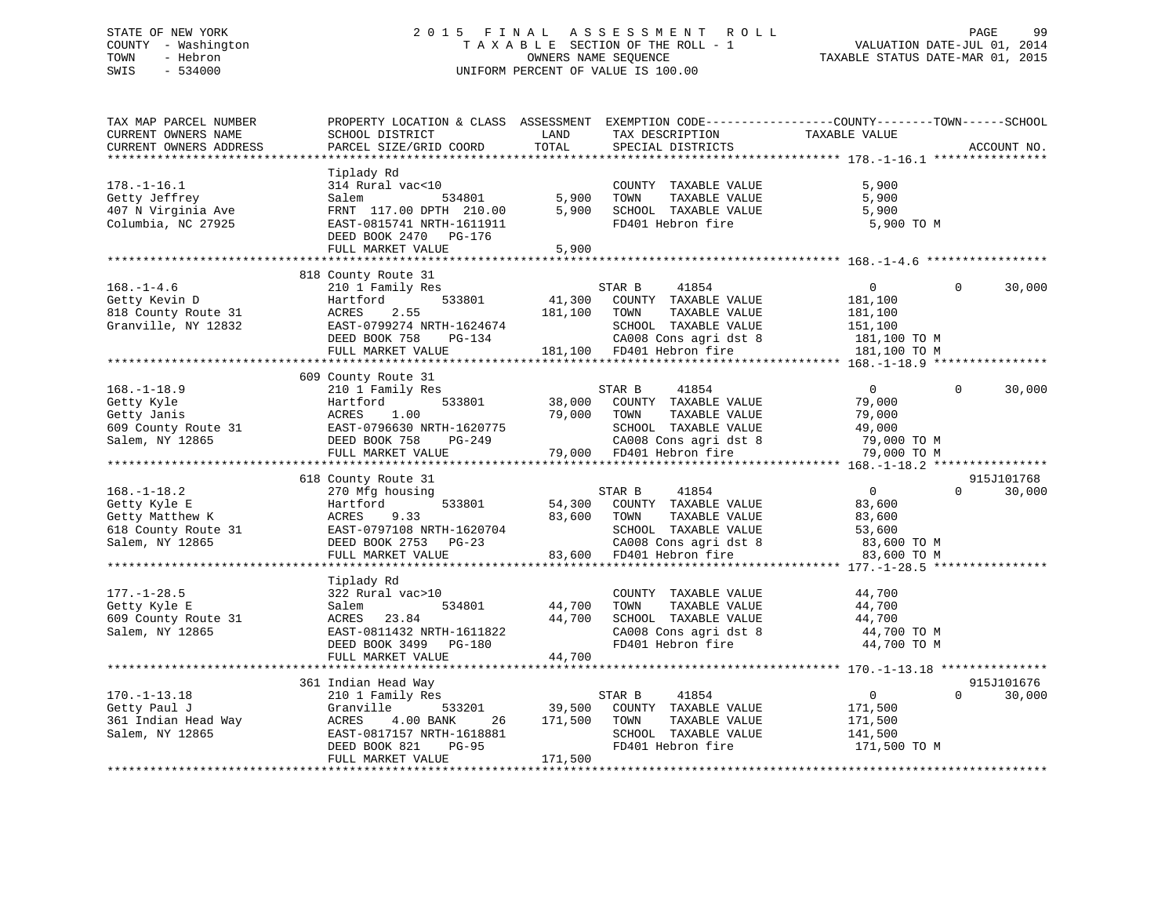# STATE OF NEW YORK 2 0 1 5 F I N A L A S S E S S M E N T R O L L PAGE 99 COUNTY - Washington T A X A B L E SECTION OF THE ROLL - 1 VALUATION DATE-JUL 01, 2014 TOWN - Hebron OWNERS NAME SEQUENCE TAXABLE STATUS DATE-MAR 01, 2015 SWIS - 534000 UNIFORM PERCENT OF VALUE IS 100.00

| TAX MAP PARCEL NUMBER<br>CURRENT OWNERS NAME<br>CURRENT OWNERS ADDRESS                         | PROPERTY LOCATION & CLASS ASSESSMENT<br>SCHOOL DISTRICT<br>PARCEL SIZE/GRID COORD                                                                                             | LAND<br>TOTAL                | TAX DESCRIPTION<br>SPECIAL DISTRICTS                                                                                                                                    | EXEMPTION CODE-----------------COUNTY-------TOWN------SCHOOL<br>TAXABLE VALUE               | ACCOUNT NO.          |
|------------------------------------------------------------------------------------------------|-------------------------------------------------------------------------------------------------------------------------------------------------------------------------------|------------------------------|-------------------------------------------------------------------------------------------------------------------------------------------------------------------------|---------------------------------------------------------------------------------------------|----------------------|
|                                                                                                |                                                                                                                                                                               |                              |                                                                                                                                                                         |                                                                                             |                      |
| $178. - 1 - 16.1$<br>Getty Jeffrey<br>407 N Virginia Ave<br>Columbia, NC 27925                 | Tiplady Rd<br>314 Rural vac<10<br>534801<br>Salem<br>FRNT 117.00 DPTH 210.00<br>EAST-0815741 NRTH-1611911<br>DEED BOOK 2470 PG-176<br>FULL MARKET VALUE                       | 5,900<br>5,900<br>5,900      | COUNTY TAXABLE VALUE<br>TAXABLE VALUE<br>TOWN<br>SCHOOL TAXABLE VALUE<br>FD401 Hebron fire                                                                              | 5,900<br>5,900<br>5,900<br>5,900 TO M                                                       |                      |
|                                                                                                | 818 County Route 31                                                                                                                                                           |                              |                                                                                                                                                                         |                                                                                             |                      |
| $168. - 1 - 4.6$<br>Getty Kevin D<br>818 County Route 31<br>Granville, NY 12832                | 210 1 Family Res<br>533801<br>Hartford<br>2.55<br>ACRES<br>EAST-0799274 NRTH-1624674<br>DEED BOOK 758<br>PG-134<br>FULL MARKET VALUE                                          | 41,300<br>181,100            | STAR B<br>41854<br>COUNTY TAXABLE VALUE<br>TOWN<br>TAXABLE VALUE<br>SCHOOL TAXABLE VALUE<br>CA008 Cons agri dst 8<br>181,100 FD401 Hebron fire<br>CA008 Cons agri dst 8 | $\overline{0}$<br>$\Omega$<br>181,100<br>181,100<br>151,100<br>181,100 TO M<br>181,100 TO M | 30,000               |
|                                                                                                |                                                                                                                                                                               |                              |                                                                                                                                                                         |                                                                                             |                      |
| $168. - 1 - 18.9$<br>Getty Kyle<br>Getty Janis<br>Salem, NY 12865                              | 609 County Route 31<br>210 1 Family Res<br>533801<br>Hartford<br>ACRES<br>1.00<br>DEED BOOK 758<br>PG-249<br>FULL MARKET VALUE                                                | 38,000<br>79,000             | STAR B<br>41854<br>COUNTY TAXABLE VALUE<br>TOWN<br>TAXABLE VALUE<br>SCHOOL TAXABLE VALUE<br>CA008 Cons agri dst 8<br>79,000 FD401 Hebron fire                           | $\overline{0}$<br>$\Omega$<br>79,000<br>79,000<br>49,000<br>79,000 TO M<br>79,000 TO M      | 30,000               |
|                                                                                                |                                                                                                                                                                               |                              |                                                                                                                                                                         |                                                                                             |                      |
| $168. - 1 - 18.2$<br>Getty Kyle E<br>Getty Matthew K<br>618 County Route 31<br>Salem, NY 12865 | 618 County Route 31<br>270 Mfg housing<br>533801<br>Hartford<br>ACRES<br>9.33<br>EAST-0797108 NRTH-1620704<br>DEED BOOK 2753 PG-23<br>FULL MARKET VALUE                       | 54,300<br>83,600<br>83,600   | 41854<br>STAR B<br>COUNTY TAXABLE VALUE<br>TOWN<br>TAXABLE VALUE<br>SCHOOL TAXABLE VALUE<br>CA008 Cons agri dst 8<br>FD401 Hebron fire                                  | $\overline{0}$<br>$\Omega$<br>83,600<br>83,600<br>53,600<br>83,600 TO M<br>83,600 TO M      | 915J101768<br>30,000 |
|                                                                                                | Tiplady Rd                                                                                                                                                                    |                              |                                                                                                                                                                         |                                                                                             |                      |
| $177. - 1 - 28.5$<br>Getty Kyle E<br>609 County Route 31<br>Salem, NY 12865                    | 322 Rural vac>10<br>Salem<br>534801<br>ACRES<br>23.84<br>EAST-0811432 NRTH-1611822<br>DEED BOOK 3499 PG-180<br>FULL MARKET VALUE                                              | 44,700<br>44,700<br>44,700   | COUNTY TAXABLE VALUE<br>TOWN<br>TAXABLE VALUE<br>SCHOOL TAXABLE VALUE<br>CA008 Cons agri dst 8<br>FD401 Hebron fire                                                     | 44,700<br>44,700<br>44,700<br>44,700 TO M<br>44,700 TO M                                    |                      |
|                                                                                                |                                                                                                                                                                               |                              |                                                                                                                                                                         |                                                                                             |                      |
| $170. - 1 - 13.18$<br>Getty Paul J<br>361 Indian Head Way<br>Salem, NY 12865                   | 361 Indian Head Way<br>210 1 Family Res<br>Granville<br>533201<br>4.00 BANK<br>ACRES<br>26<br>EAST-0817157 NRTH-1618881<br>DEED BOOK 821<br><b>PG-95</b><br>FULL MARKET VALUE | 39,500<br>171,500<br>171,500 | STAR B<br>41854<br>COUNTY TAXABLE VALUE<br>TOWN<br>TAXABLE VALUE<br>SCHOOL TAXABLE VALUE<br>FD401 Hebron fire                                                           | $\overline{0}$<br>$\Omega$<br>171,500<br>171,500<br>141,500<br>171,500 TO M                 | 915J101676<br>30,000 |
|                                                                                                |                                                                                                                                                                               |                              |                                                                                                                                                                         |                                                                                             |                      |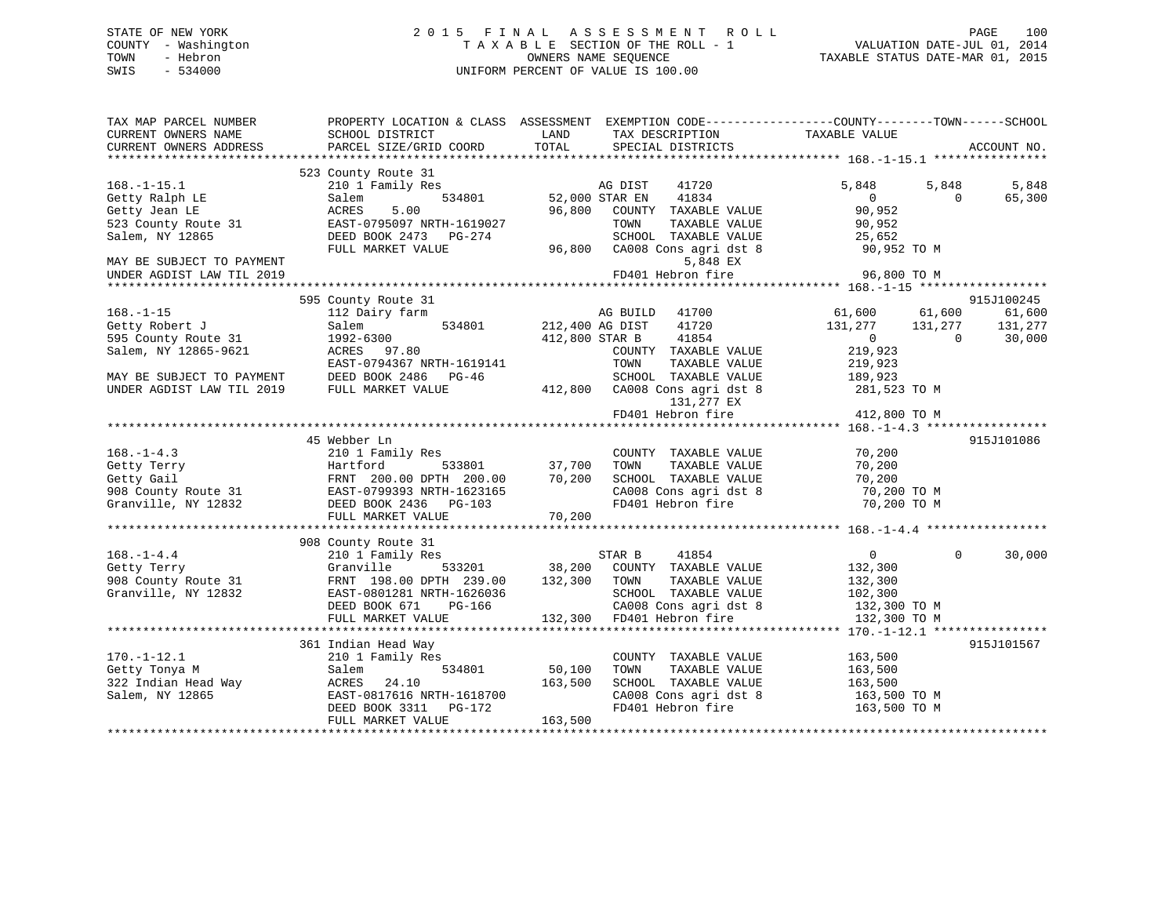# STATE OF NEW YORK 2 0 1 5 F I N A L A S S E S S M E N T R O L L PAGE 100 COUNTY - Washington T A X A B L E SECTION OF THE ROLL - 1 VALUATION DATE-JUL 01, 2014 TOWN - Hebron OWNERS NAME SEQUENCE TAXABLE STATUS DATE-MAR 01, 2015 SWIS - 534000 UNIFORM PERCENT OF VALUE IS 100.00

| TAX MAP PARCEL NUMBER<br>CURRENT OWNERS NAME<br>CURRENT OWNERS ADDRESS                                                                                                                                                                                           | SCHOOL DISTRICT<br>PARCEL SIZE/GRID COORD                                                                                                               | LAND<br>TOTAL                      | TAX DESCRIPTION<br>SPECIAL DISTRICTS                                                                                                                            | PROPERTY LOCATION & CLASS ASSESSMENT EXEMPTION CODE----------------COUNTY-------TOWN------SCHOOL<br>TAXABLE VALUE | ACCOUNT NO.                               |
|------------------------------------------------------------------------------------------------------------------------------------------------------------------------------------------------------------------------------------------------------------------|---------------------------------------------------------------------------------------------------------------------------------------------------------|------------------------------------|-----------------------------------------------------------------------------------------------------------------------------------------------------------------|-------------------------------------------------------------------------------------------------------------------|-------------------------------------------|
| $168. - 1 - 15.1$<br>Getty Ralph LE<br>Getty Jean LE<br>523 County Route 31<br>Salem, NY 12865<br>MAY BE SUBJECT TO PAYMENT<br>UNDER AGDIST LAW TIL 2019                                                                                                         | 523 County Route 31<br>210 1 Family Res<br>Salem<br>5.00<br>ACRES<br>EAST-0795097 NRTH-1619027<br>DEED BOOK 2473 PG-274<br>FULL MARKET VALUE            | Mag DIST<br>1934801 52,000 STAR EN | 41720<br>41834<br>96,800 COUNTY TAXABLE VALUE<br>TAXABLE VALUE<br>TOWN<br>SCHOOL TAXABLE VALUE<br>96,800 CA008 Cons agri dst 8<br>5,848 EX<br>FD401 Hebron fire | 5,848<br>5,848<br>$\Omega$<br>$\Omega$<br>90,952<br>90,952<br>25,652<br>90,952 TO M<br>96,800 TO M                | 5,848<br>65,300                           |
|                                                                                                                                                                                                                                                                  |                                                                                                                                                         |                                    |                                                                                                                                                                 |                                                                                                                   |                                           |
| $168. - 1 - 15$<br>Getty Robert J<br>595 County Route 31<br>Salem, NY 12865-9621                                                                                                                                                                                 | 595 County Route 31<br>112 Dairy farm<br>534801<br>Salem<br>1992-6300<br>ACRES 97.80<br>EAST-0794367 NRTH-1619141                                       | AG BUILD<br>212,400 AG DIST        | AG BUILD 41700<br>41720<br>41854<br>412,800 STAR B<br>COUNTY TAXABLE VALUE<br>TOWN<br>TAXABLE VALUE                                                             | 61,600 61,600<br>131,277 131,277<br>$\overline{0}$<br>$\bigcirc$<br>219,923<br>219,923                            | 915J100245<br>61,600<br>131,277<br>30,000 |
| MAY BE SUBJECT TO PAYMENT<br>UNDER AGDIST LAW TIL 2019                                                                                                                                                                                                           | DEED BOOK 2486 PG-46<br>FULL MARKET VALUE                                                                                                               |                                    | SCHOOL TAXABLE VALUE<br>412,800 CA008 Cons agri dst 8 281,523 TO M<br>131,277 EX<br>FD401 Hebron fire                                                           | 189,923<br>412,800 TO M                                                                                           |                                           |
|                                                                                                                                                                                                                                                                  | 45 Webber Ln                                                                                                                                            |                                    |                                                                                                                                                                 |                                                                                                                   | 915J101086                                |
| $168. - 1 - 4.3$<br>168.-1-4.3<br>37,700 TOWNII HAABLE VALUE<br>37,700 TOWN TAXABLE VALUE<br>37,700 TOWN TAXABLE VALUE<br>200.00 DPTH 200.00 70,200 SCHOOL TAXABLE VALUE<br>908 County Route 31 EAST-0799393 NRTH-1623165<br>37,700 TOWN TAXABLE VALUE<br>200.20 | 210 1 Family Res                                                                                                                                        |                                    | COUNTY TAXABLE VALUE                                                                                                                                            | 70,200                                                                                                            |                                           |
|                                                                                                                                                                                                                                                                  |                                                                                                                                                         |                                    |                                                                                                                                                                 |                                                                                                                   |                                           |
| $168. - 1 - 4.4$<br>Getty Terry<br>908 County Route 31<br>Granville, NY 12832                                                                                                                                                                                    | 908 County Route 31<br>210 1 Family Res<br>Granville<br>533201<br>FRNT 198.00 DPTH 239.00<br>EAST-0801281 NRTH-1626036<br>DEED BOOK 671 PG-166          | 132,300 TOWN                       | STAR B 41854<br>38,200 COUNTY TAXABLE VALUE<br>TAXABLE VALUE<br>SCHOOL TAXABLE VALUE                                                                            | $\Omega$<br>$\overline{0}$<br>132,300<br>132,300<br>102,300<br>CA008 Cons agri dst 8 132,300 TO M                 | 30,000                                    |
|                                                                                                                                                                                                                                                                  |                                                                                                                                                         |                                    |                                                                                                                                                                 |                                                                                                                   |                                           |
| $170. - 1 - 12.1$<br>Getty Tonya M<br>322 Indian Head Way<br>Salem, NY 12865                                                                                                                                                                                     | 361 Indian Head Way<br>210 1 Family Res<br>534801<br>Salem<br>ACRES<br>24.10<br>EAST-0817616 NRTH-1618700<br>DEED BOOK 3311 PG-172<br>FULL MARKET VALUE | 50,100<br>163,500<br>163,500       | COUNTY TAXABLE VALUE<br>TOWN<br>TAXABLE VALUE<br>SCHOOL TAXABLE VALUE<br>CA008 Cons agri dst 8<br>FD401 Hebron fire                                             | 163,500<br>163,500<br>163,500<br>163,500 TO M<br>163,500 TO M                                                     | 915J101567                                |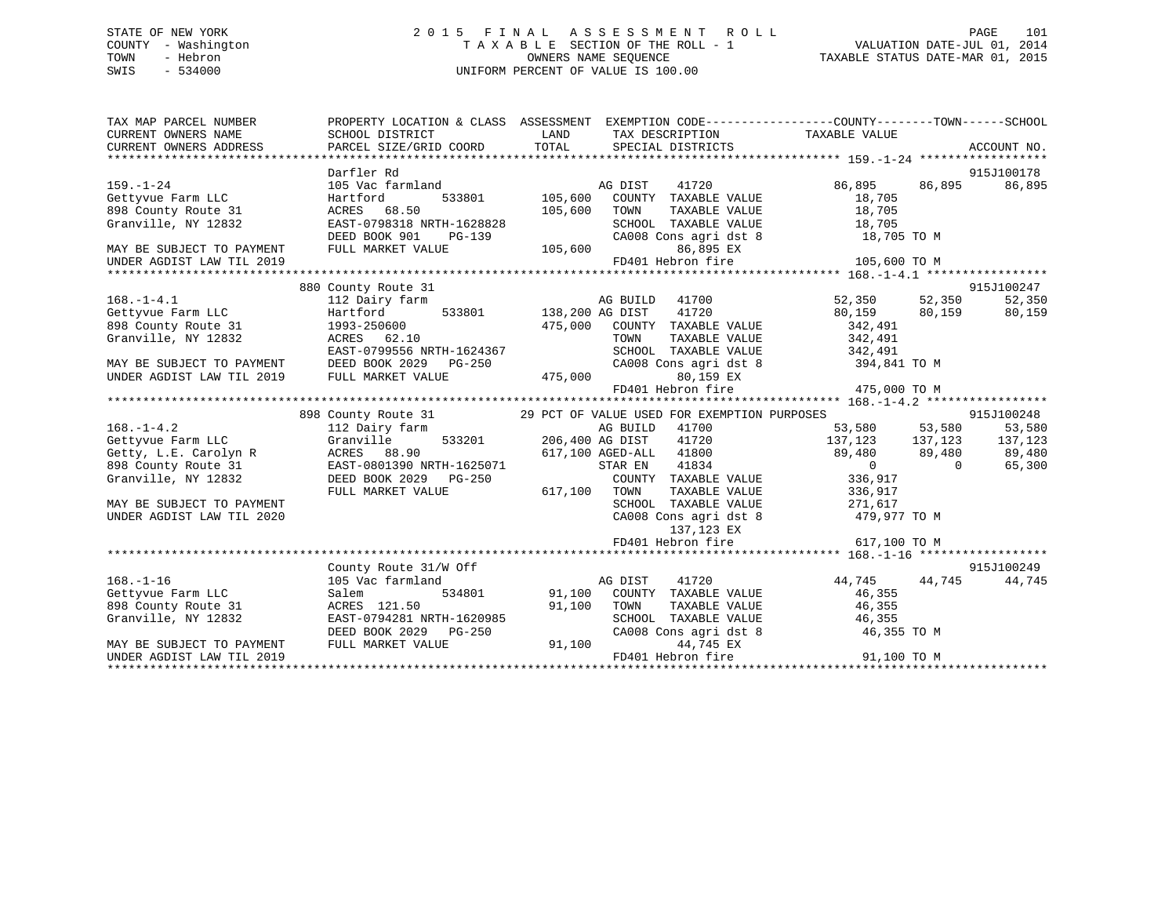# STATE OF NEW YORK 2 0 1 5 F I N A L A S S E S S M E N T R O L L PAGE 101 COUNTY - Washington T A X A B L E SECTION OF THE ROLL - 1 VALUATION DATE-JUL 01, 2014 TOWN - Hebron OWNERS NAME SEQUENCE TAXABLE STATUS DATE-MAR 01, 2015 SWIS - 534000 UNIFORM PERCENT OF VALUE IS 100.00

| Darfler Rd<br>Gettyvue Farm LLC<br>898 County Route 31<br>Granville, NY 12832<br>ACRES 68.50<br>DEED BOOK 901<br>FULL MARKET VALUE<br>MAY BE SUBJECT TO PAYMENT |                       | TOWN<br>86,895 EX                                                                                              | 915J100178<br>86,895 86,895 86,895                                                                                                                                                                                                                                                                                                                                                                              |                                                                                                                                                                                                                                                                                                                                                                                                                                                                                                                                                                                                                                                                                                                                                                                                                                                                                                                                                                                                                                                                                                                                                                                                                                                                                                                                                                                                                                                                                    |
|-----------------------------------------------------------------------------------------------------------------------------------------------------------------|-----------------------|----------------------------------------------------------------------------------------------------------------|-----------------------------------------------------------------------------------------------------------------------------------------------------------------------------------------------------------------------------------------------------------------------------------------------------------------------------------------------------------------------------------------------------------------|------------------------------------------------------------------------------------------------------------------------------------------------------------------------------------------------------------------------------------------------------------------------------------------------------------------------------------------------------------------------------------------------------------------------------------------------------------------------------------------------------------------------------------------------------------------------------------------------------------------------------------------------------------------------------------------------------------------------------------------------------------------------------------------------------------------------------------------------------------------------------------------------------------------------------------------------------------------------------------------------------------------------------------------------------------------------------------------------------------------------------------------------------------------------------------------------------------------------------------------------------------------------------------------------------------------------------------------------------------------------------------------------------------------------------------------------------------------------------------|
|                                                                                                                                                                 |                       |                                                                                                                |                                                                                                                                                                                                                                                                                                                                                                                                                 |                                                                                                                                                                                                                                                                                                                                                                                                                                                                                                                                                                                                                                                                                                                                                                                                                                                                                                                                                                                                                                                                                                                                                                                                                                                                                                                                                                                                                                                                                    |
| 880 County Route 31                                                                                                                                             |                       |                                                                                                                | 915J100247                                                                                                                                                                                                                                                                                                                                                                                                      | 52,350                                                                                                                                                                                                                                                                                                                                                                                                                                                                                                                                                                                                                                                                                                                                                                                                                                                                                                                                                                                                                                                                                                                                                                                                                                                                                                                                                                                                                                                                             |
|                                                                                                                                                                 |                       | 80,159 EX                                                                                                      |                                                                                                                                                                                                                                                                                                                                                                                                                 |                                                                                                                                                                                                                                                                                                                                                                                                                                                                                                                                                                                                                                                                                                                                                                                                                                                                                                                                                                                                                                                                                                                                                                                                                                                                                                                                                                                                                                                                                    |
|                                                                                                                                                                 |                       |                                                                                                                |                                                                                                                                                                                                                                                                                                                                                                                                                 |                                                                                                                                                                                                                                                                                                                                                                                                                                                                                                                                                                                                                                                                                                                                                                                                                                                                                                                                                                                                                                                                                                                                                                                                                                                                                                                                                                                                                                                                                    |
|                                                                                                                                                                 |                       | 137,123 EX<br>FD401 Hebron fire                                                                                | 479,977 TO M<br>617,100 TO M                                                                                                                                                                                                                                                                                                                                                                                    |                                                                                                                                                                                                                                                                                                                                                                                                                                                                                                                                                                                                                                                                                                                                                                                                                                                                                                                                                                                                                                                                                                                                                                                                                                                                                                                                                                                                                                                                                    |
|                                                                                                                                                                 |                       |                                                                                                                |                                                                                                                                                                                                                                                                                                                                                                                                                 |                                                                                                                                                                                                                                                                                                                                                                                                                                                                                                                                                                                                                                                                                                                                                                                                                                                                                                                                                                                                                                                                                                                                                                                                                                                                                                                                                                                                                                                                                    |
| 105 Vac farmland<br>Gettyvue Farm LLC<br>898 County Route 31<br>FULL MARKET VALUE                                                                               |                       | 41720<br>44,745 EX                                                                                             |                                                                                                                                                                                                                                                                                                                                                                                                                 | 44,745                                                                                                                                                                                                                                                                                                                                                                                                                                                                                                                                                                                                                                                                                                                                                                                                                                                                                                                                                                                                                                                                                                                                                                                                                                                                                                                                                                                                                                                                             |
|                                                                                                                                                                 | County Route 31/W Off | EAST-0798318 NRTH-1628828<br>898 County Route 31 1993-250600<br>898 County Route 31 1993-250600<br>ACRES 62.10 | 105,600<br>RTH-1628828 SCHOOL<br>PG-139 CA008 CC<br>LUE 105,600<br>FD401 Hebron fire<br>oz.iu دىسىمە<br>EAST-0799556 NRTH-1624367<br>EAST-0799556 NRTH-1024307<br>MAY BE SUBJECT TO PAYMENT DEED BOOK 2029 PG-250 (2000)<br>INDER AGDIST LAW TIL 2019 FULL MARKET VALUE 475,000 FD4(<br>AG DIST<br>ACRES 121.50<br>EAST-0794281 NRTH-1620985<br>DEED BOOK 2029 PG-250 CA008 CONTUIL MARKET VALUE 91,100 PD401 H | PROPERTY LOCATION & CLASS ASSESSMENT EXEMPTION CODE----------------COUNTY-------TOWN------SCHOOL<br>TOWN TAXABLE VALUE 18,705<br>SCHOOL TAXABLE VALUE 18,705<br>CA008 Cons agri dst 8 18,705 TO M<br>105,600 TO M<br>475,000 COUNTY TAXABLE VALUE 342,491<br>TOWN TAXABLE VALUE 342,491<br>SCHOOL TAXABLE VALUE 342,491<br>CA008 Cons agri dst 8 394,841 TO M<br>80,159 EX<br>FD401 Hebron fire<br>475,000 TO M<br>898 County Route 31 29 PCT OF VALUE USED FOR EXEMPTION PURPOSES 915J100248<br>112 Dairy farm 112 2011 2011 2011 2011 206,400 AG BUILD 41700 53,580 53,580 53,580 53,580 53,580 53,580 53,580<br>137,123 137,123 137,123 137,123<br>9 (1993) 2008 1137, 2008 1137, 2008 1137, 2008 1137, 2008 1137, 2008 1137, 2008 1137, 2008 1137, 2008 1137, 20<br>89, 480 89, 480 89, 480 89, 480 89, 480 89, 480 89, 480 89, 480 89, 480 89, 480 89, 480 89, 480 89, 480 89, 48<br>SCHOOL TAXABLE VALUE 271,617<br>CA008 Cons agri dst 8<br>915J100249<br>44,745 44,745<br>Salem 534801 91,100 COUNTY TAXABLE VALUE 46,355<br>ACRES 121.50 91,100 TOWN TAXABLE VALUE 46,355<br>EAST-0794281 NRTH-1620985 SCHOOL TAXABLE VALUE 46,355<br>CA008 Cons agri dst 8 46,355 TO M<br>$\frac{1}{1000}$ = $\frac{1}{1000}$ = $\frac{1}{100}$ = $\frac{1}{100}$ = $\frac{1}{100}$ = $\frac{1}{100}$ = $\frac{1}{100}$ = $\frac{1}{100}$ = $\frac{1}{100}$ = $\frac{1}{100}$ = $\frac{1}{100}$ = $\frac{1}{100}$ = $\frac{1}{100}$ = $\frac{1}{100}$ = $\frac{1}{100}$ = $\frac{1}{100$ |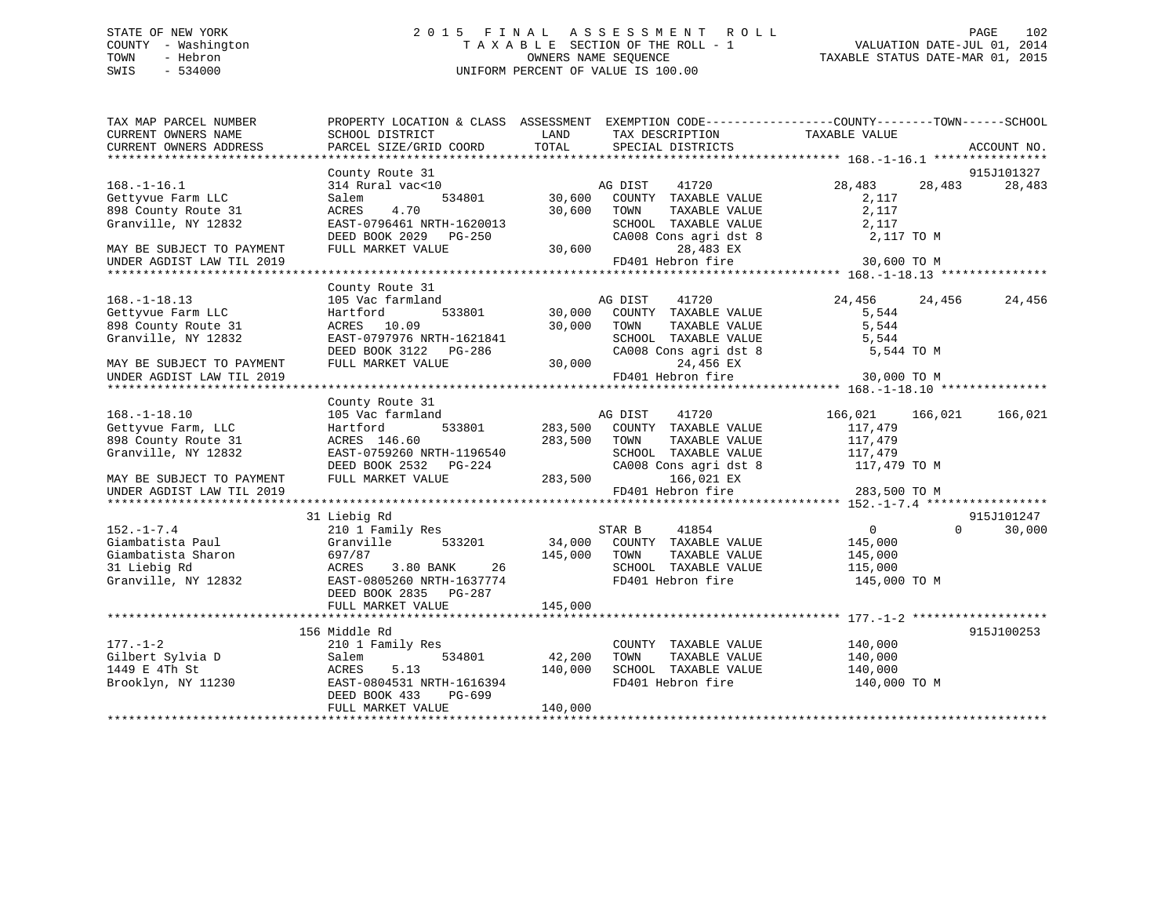# STATE OF NEW YORK 2 0 1 5 F I N A L A S S E S S M E N T R O L L PAGE 102 COUNTY - Washington T A X A B L E SECTION OF THE ROLL - 1 VALUATION DATE-JUL 01, 2014 TOWN - Hebron OWNERS NAME SEQUENCE TAXABLE STATUS DATE-MAR 01, 2015 SWIS - 534000 UNIFORM PERCENT OF VALUE IS 100.00

| TAX MAP PARCEL NUMBER<br>CURRENT OWNERS NAME                                                      | PROPERTY LOCATION & CLASS ASSESSMENT<br>SCHOOL DISTRICT                                                                                                  | LAND                         | EXEMPTION CODE-----------------COUNTY-------TOWN------SCHOOL<br>TAX DESCRIPTION                                                  | TAXABLE VALUE                                                   |          |             |
|---------------------------------------------------------------------------------------------------|----------------------------------------------------------------------------------------------------------------------------------------------------------|------------------------------|----------------------------------------------------------------------------------------------------------------------------------|-----------------------------------------------------------------|----------|-------------|
| CURRENT OWNERS ADDRESS                                                                            | PARCEL SIZE/GRID COORD                                                                                                                                   | TOTAL                        | SPECIAL DISTRICTS                                                                                                                |                                                                 |          | ACCOUNT NO. |
|                                                                                                   | County Route 31                                                                                                                                          |                              |                                                                                                                                  |                                                                 |          | 915J101327  |
| $168. - 1 - 16.1$<br>Gettyvue Farm LLC<br>898 County Route 31<br>Granville, NY 12832              | 314 Rural vac<10<br>534801<br>Salem<br>4.70<br>ACRES<br>EAST-0796461 NRTH-1620013<br>DEED BOOK 2029 PG-250                                               | 30,600<br>30,600             | AG DIST<br>41720<br>COUNTY TAXABLE VALUE<br>TOWN<br>TAXABLE VALUE<br>SCHOOL TAXABLE VALUE<br>CA008 Cons agri dst 8               | 28,483<br>2,117<br>2,117<br>2,117<br>2,117 TO M                 | 28,483   | 28,483      |
| MAY BE SUBJECT TO PAYMENT<br>UNDER AGDIST LAW TIL 2019                                            | FULL MARKET VALUE                                                                                                                                        | 30,600                       | 28,483 EX<br>FD401 Hebron fire                                                                                                   | 30,600 TO M                                                     |          |             |
|                                                                                                   | County Route 31                                                                                                                                          |                              |                                                                                                                                  |                                                                 |          |             |
| $168. - 1 - 18.13$<br>Gettyvue Farm LLC<br>898 County Route 31<br>Granville, NY 12832             | 105 Vac farmland<br>533801<br>Hartford<br>ACRES 10.09<br>EAST-0797976 NRTH-1621841<br>DEED BOOK 3122 PG-286                                              |                              | AG DIST<br>41720<br>30,000 COUNTY TAXABLE VALUE<br>30,000 TOWN<br>TAXABLE VALUE<br>SCHOOL TAXABLE VALUE<br>CA008 Cons agri dst 8 | 24,456<br>5,544<br>5,544<br>5,544<br>5,544 TO M                 | 24,456   | 24,456      |
| MAY BE SUBJECT TO PAYMENT<br>UNDER AGDIST LAW TIL 2019                                            | FULL MARKET VALUE                                                                                                                                        |                              | 30,000<br>24,456 EX<br>FD401 Hebron fire                                                                                         | 30,000 TO M                                                     |          |             |
|                                                                                                   | County Route 31                                                                                                                                          |                              |                                                                                                                                  |                                                                 |          |             |
| $168. - 1 - 18.10$<br>Gettyvue Farm, LLC<br>898 County Route 31<br>Granville, NY 12832            | 105 Vac farmland<br>533801<br>Hartford<br>ACRES 146.60<br>EAST-0759260 NRTH-1196540<br>DEED BOOK 2532 PG-224                                             | 283,500 TOWN                 | AG DIST<br>41720<br>283,500 COUNTY TAXABLE VALUE<br>TAXABLE VALUE<br>SCHOOL TAXABLE VALUE<br>CA008 Cons agri dst 8 117,479 TO M  | 166,021<br>117,479<br>117,479<br>117,479                        | 166,021  | 166,021     |
| MAY BE SUBJECT TO PAYMENT<br>UNDER AGDIST LAW TIL 2019                                            | FULL MARKET VALUE                                                                                                                                        | 283,500                      | 166,021 EX<br>FD401 Hebron fire                                                                                                  | 283,500 TO M                                                    |          |             |
|                                                                                                   | 31 Liebig Rd                                                                                                                                             |                              |                                                                                                                                  |                                                                 |          | 915J101247  |
| $152. - 1 - 7.4$<br>Giambatista Paul<br>Giambatista Sharon<br>31 Liebig Rd<br>Granville, NY 12832 | 210 1 Family Res<br>Granville<br>533201<br>697/87<br>26<br>ACRES<br>3.80 BANK<br>EAST-0805260 NRTH-1637774<br>DEED BOOK 2835 PG-287<br>FULL MARKET VALUE | 145,000 TOWN<br>145,000      | STAR B<br>41854<br>34,000 COUNTY TAXABLE VALUE<br>TAXABLE VALUE<br>SCHOOL TAXABLE VALUE<br>FD401 Hebron fire                     | $\overline{0}$<br>145,000<br>145,000<br>115,000<br>145,000 TO M | $\Omega$ | 30,000      |
|                                                                                                   | 156 Middle Rd                                                                                                                                            |                              |                                                                                                                                  |                                                                 |          | 915J100253  |
| $177. - 1 - 2$<br>Gilbert Sylvia D<br>1449 E 4Th St<br>Brooklyn, NY 11230                         | 210 1 Family Res<br>534801<br>Salem<br>5.13<br>ACRES<br>EAST-0804531 NRTH-1616394<br>DEED BOOK 433<br>PG-699<br>FULL MARKET VALUE                        | 42,200<br>140,000<br>140,000 | COUNTY TAXABLE VALUE<br>TAXABLE VALUE<br>TOWN<br>SCHOOL TAXABLE VALUE<br>FD401 Hebron fire                                       | 140,000<br>140,000<br>140,000<br>140,000 TO M                   |          |             |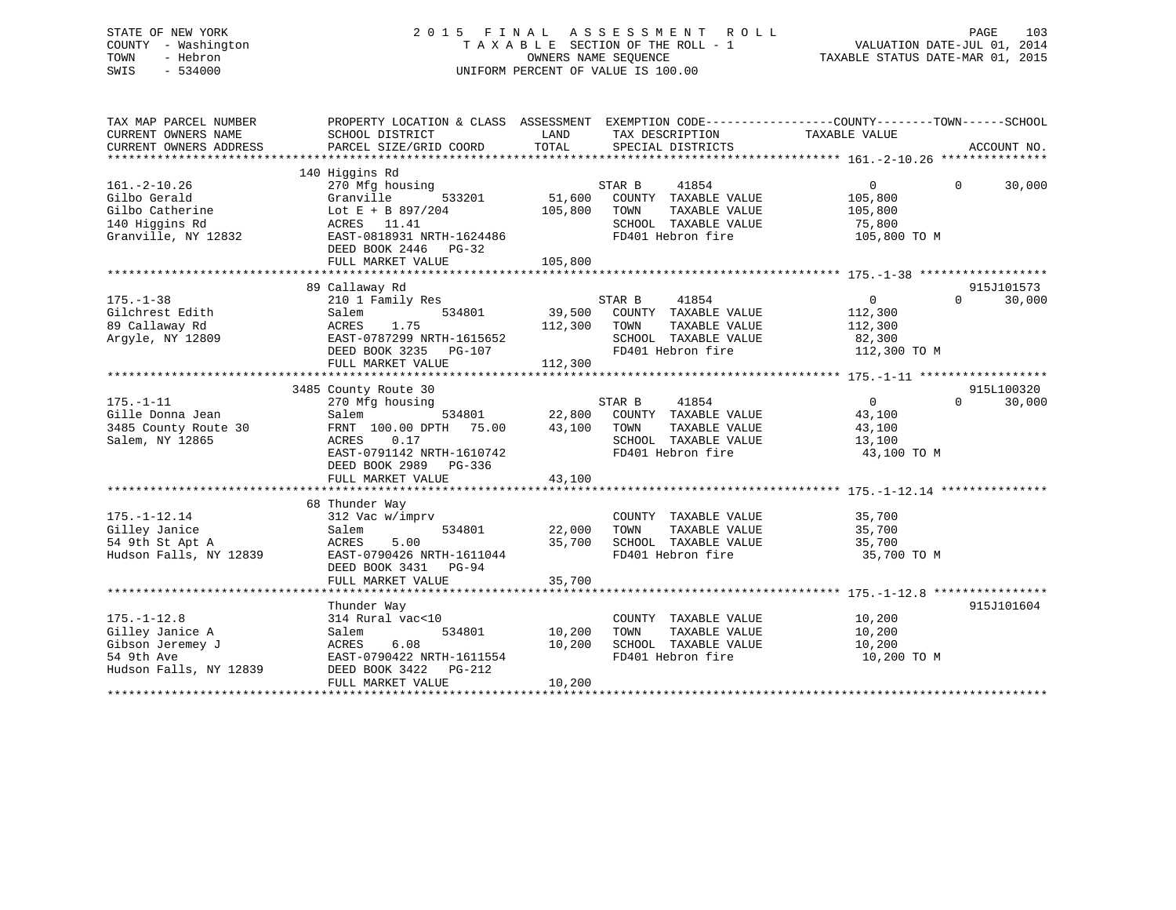# STATE OF NEW YORK 2 0 1 5 F I N A L A S S E S S M E N T R O L L PAGE 103 COUNTY - Washington T A X A B L E SECTION OF THE ROLL - 1 VALUATION DATE-JUL 01, 2014 TOWN - Hebron OWNERS NAME SEQUENCE TAXABLE STATUS DATE-MAR 01, 2015 SWIS - 534000 UNIFORM PERCENT OF VALUE IS 100.00

| TAX MAP PARCEL NUMBER<br>CURRENT OWNERS NAME | PROPERTY LOCATION & CLASS ASSESSMENT EXEMPTION CODE----------------COUNTY-------TOWN------SCHOOL<br>SCHOOL DISTRICT | LAND    | TAX DESCRIPTION                               | TAXABLE VALUE     |                    |
|----------------------------------------------|---------------------------------------------------------------------------------------------------------------------|---------|-----------------------------------------------|-------------------|--------------------|
| CURRENT OWNERS ADDRESS                       | PARCEL SIZE/GRID COORD                                                                                              | TOTAL   | SPECIAL DISTRICTS                             |                   | ACCOUNT NO.        |
|                                              |                                                                                                                     |         |                                               |                   |                    |
| $161. - 2 - 10.26$                           | 140 Higgins Rd<br>270 Mfg housing                                                                                   |         | STAR B<br>41854                               | $\overline{0}$    | $\Omega$<br>30,000 |
| Gilbo Gerald                                 | Granville<br>533201                                                                                                 | 51,600  | COUNTY TAXABLE VALUE                          | 105,800           |                    |
| Gilbo Catherine                              | Lot E + B $897/204$                                                                                                 | 105,800 | TOWN<br>TAXABLE VALUE                         | 105,800           |                    |
| 140 Higgins Rd                               | ACRES 11.41                                                                                                         |         | SCHOOL TAXABLE VALUE                          | 75,800            |                    |
| Granville, NY 12832                          | EAST-0818931 NRTH-1624486<br>DEED BOOK 2446 PG-32<br>FULL MARKET VALUE                                              | 105,800 | FD401 Hebron fire                             | 105,800 TO M      |                    |
|                                              |                                                                                                                     |         |                                               |                   |                    |
|                                              | 89 Callaway Rd                                                                                                      |         |                                               |                   | 915J101573         |
| $175. - 1 - 38$                              | 210 1 Family Res                                                                                                    |         | STAR B<br>41854                               | 0                 | $\Omega$<br>30,000 |
| Gilchrest Edith                              | Salem<br>534801                                                                                                     | 39,500  | COUNTY TAXABLE VALUE                          | 112,300           |                    |
| 89 Callaway Rd                               | ACRES<br>1.75                                                                                                       | 112,300 | TAXABLE VALUE<br>TOWN                         | 112,300           |                    |
| Arqyle, NY 12809                             | EAST-0787299 NRTH-1615652                                                                                           |         | SCHOOL TAXABLE VALUE                          | 82,300            |                    |
|                                              | DEED BOOK 3235<br>PG-107                                                                                            |         | FD401 Hebron fire                             | 112,300 TO M      |                    |
|                                              | FULL MARKET VALUE                                                                                                   | 112,300 |                                               |                   |                    |
|                                              |                                                                                                                     |         |                                               |                   |                    |
|                                              | 3485 County Route 30                                                                                                |         |                                               |                   | 915L100320         |
| $175. - 1 - 11$                              | 270 Mfg housing                                                                                                     |         | STAR B<br>41854                               | $0 \qquad \qquad$ | 30,000<br>$\Omega$ |
| Gille Donna Jean                             | Salem<br>534801                                                                                                     | 22,800  | COUNTY TAXABLE VALUE                          | 43,100            |                    |
| 3485 County Route 30                         | FRNT 100.00 DPTH 75.00                                                                                              | 43,100  | TAXABLE VALUE<br>TOWN                         | 43,100            |                    |
| Salem, NY 12865                              | 0.17<br>ACRES                                                                                                       |         | SCHOOL TAXABLE VALUE                          | 13,100            |                    |
|                                              | EAST-0791142 NRTH-1610742<br>DEED BOOK 2989 PG-336                                                                  |         | FD401 Hebron fire                             | 43,100 TO M       |                    |
|                                              | FULL MARKET VALUE                                                                                                   | 43,100  |                                               |                   |                    |
|                                              |                                                                                                                     |         |                                               |                   |                    |
|                                              | 68 Thunder Way                                                                                                      |         |                                               |                   |                    |
| $175. - 1 - 12.14$                           | 312 Vac w/imprv                                                                                                     |         | COUNTY TAXABLE VALUE                          | 35,700            |                    |
| Gilley Janice                                | 534801<br>Salem                                                                                                     | 22,000  | TOWN<br>TAXABLE VALUE                         | 35,700            |                    |
| 54 9th St Apt A                              | ACRES<br>5.00                                                                                                       | 35,700  | SCHOOL TAXABLE VALUE                          | 35,700            |                    |
| Hudson Falls, NY 12839                       | EAST-0790426 NRTH-1611044<br>DEED BOOK 3431<br>$PG-94$                                                              |         | FD401 Hebron fire                             | 35,700 TO M       |                    |
|                                              | FULL MARKET VALUE                                                                                                   | 35,700  |                                               |                   |                    |
|                                              |                                                                                                                     |         |                                               |                   | 915J101604         |
|                                              | Thunder Way                                                                                                         |         |                                               |                   |                    |
| $175. - 1 - 12.8$<br>Gilley Janice A         | 314 Rural vac<10<br>Salem<br>534801                                                                                 | 10,200  | COUNTY TAXABLE VALUE<br>TAXABLE VALUE<br>TOWN | 10,200<br>10,200  |                    |
| Gibson Jeremey J                             | 6.08<br>ACRES                                                                                                       | 10,200  | SCHOOL TAXABLE VALUE                          | 10,200            |                    |
| 54 9th Ave                                   | EAST-0790422 NRTH-1611554                                                                                           |         | FD401 Hebron fire                             | 10,200 TO M       |                    |
| Hudson Falls, NY 12839                       | DEED BOOK 3422 PG-212                                                                                               |         |                                               |                   |                    |
|                                              | FULL MARKET VALUE                                                                                                   | 10,200  |                                               |                   |                    |
|                                              |                                                                                                                     |         |                                               |                   |                    |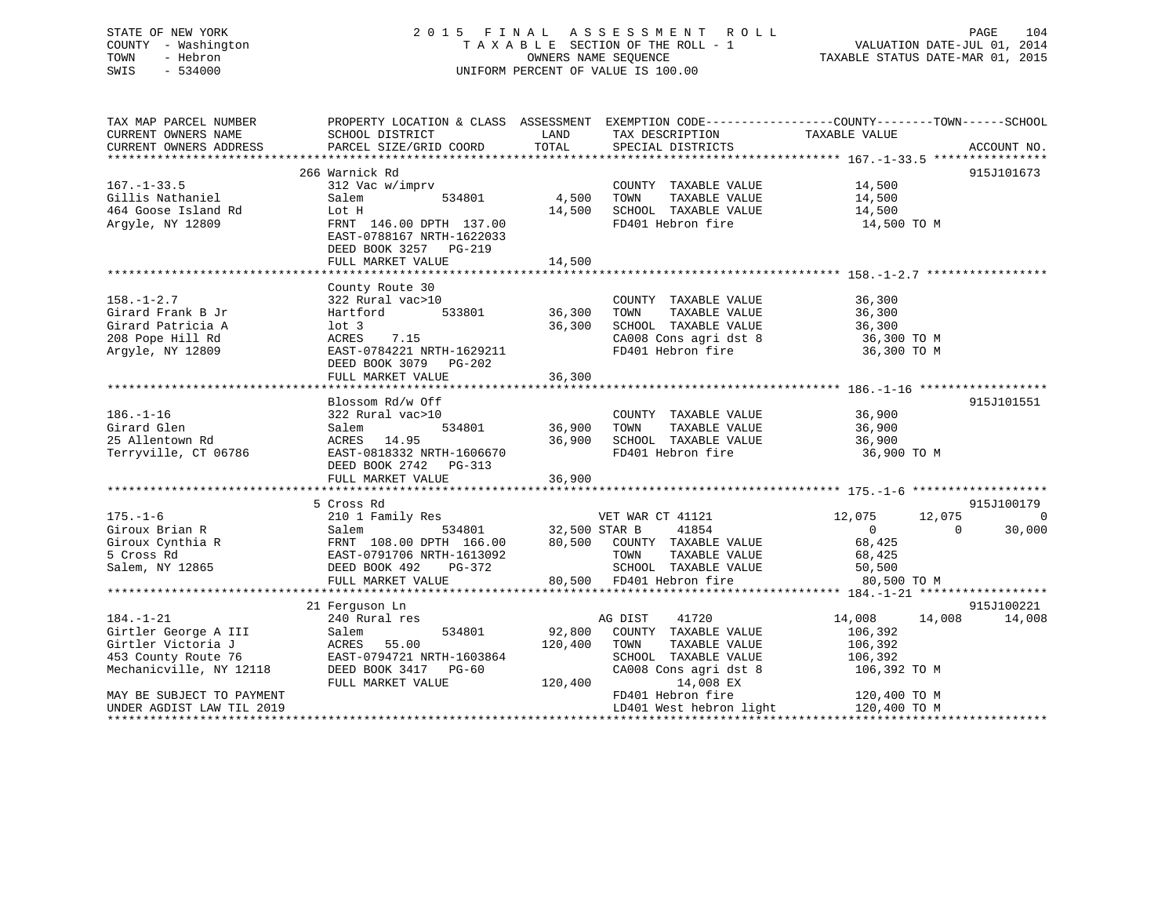# STATE OF NEW YORK 2 0 1 5 F I N A L A S S E S S M E N T R O L L PAGE 104 COUNTY - Washington T A X A B L E SECTION OF THE ROLL - 1 VALUATION DATE-JUL 01, 2014 TOWN - Hebron OWNERS NAME SEQUENCE TAXABLE STATUS DATE-MAR 01, 2015 SWIS - 534000 UNIFORM PERCENT OF VALUE IS 100.00

| TAX MAP PARCEL NUMBER<br>CURRENT OWNERS NAME<br>CURRENT OWNERS ADDRESS                                          | SCHOOL DISTRICT<br>PARCEL SIZE/GRID COORD                                                                                                                           | LAND<br>TOTAL                     | PROPERTY LOCATION & CLASS ASSESSMENT EXEMPTION CODE----------------COUNTY-------TOWN------SCHOOL<br>TAX DESCRIPTION<br>SPECIAL DISTRICTS           | TAXABLE VALUE                                                                 | ACCOUNT NO.               |
|-----------------------------------------------------------------------------------------------------------------|---------------------------------------------------------------------------------------------------------------------------------------------------------------------|-----------------------------------|----------------------------------------------------------------------------------------------------------------------------------------------------|-------------------------------------------------------------------------------|---------------------------|
|                                                                                                                 |                                                                                                                                                                     |                                   |                                                                                                                                                    |                                                                               |                           |
| $167. - 1 - 33.5$<br>Gillis Nathaniel<br>464 Goose Island Rd<br>Argyle, NY 12809                                | 266 Warnick Rd<br>312 Vac w/imprv<br>534801<br>Salem<br>Lot H<br>FRNT 146.00 DPTH 137.00<br>EAST-0788167 NRTH-1622033<br>DEED BOOK 3257 PG-219<br>FULL MARKET VALUE | 4,500<br>14,500                   | COUNTY TAXABLE VALUE 14,500<br>TAXABLE VALUE 14,500<br>TOWN<br>14,500 SCHOOL TAXABLE VALUE<br>FD401 Hebron fire                                    | 14,500<br>14,500 TO M                                                         | 915J101673                |
|                                                                                                                 |                                                                                                                                                                     |                                   |                                                                                                                                                    |                                                                               |                           |
| $158. - 1 - 2.7$<br>Girard Frank B Jr<br>Girard Patricia A<br>208 Pope Hill Rd<br>Argyle, NY 12809              | County Route 30<br>322 Rural vac>10<br>Hartford<br>lot 3<br>7.15<br>ACRES<br>EAST-0784221 NRTH-1629211<br>DEED BOOK 3079 PG-202<br>FULL MARKET VALUE                | 533801 36,300<br>36,300<br>36,300 | COUNTY TAXABLE VALUE<br>TAXABLE VALUE<br>TOWN<br>SCHOOL TAXABLE VALUE 36,300<br>CA008 Cons agri dst 8 36,300 TO M<br>FD401 Hebron fire 36,300 TO M | 36,300<br>36,300                                                              |                           |
|                                                                                                                 |                                                                                                                                                                     |                                   |                                                                                                                                                    |                                                                               |                           |
| $186. - 1 - 16$<br>Girard Glen<br>25 Allentown Rd<br>Terryville, CT 06786                                       | Blossom Rd/w Off<br>322 Rural vac>10<br>Salem<br>ACRES 14.95<br>ACRES    14.95<br>EAST-0818332 NRTH-1606670<br>DEED BOOK 2742 PG-313<br>FULL MARKET VALUE           | 534801 36,900 TOWN<br>36,900      | COUNTY TAXABLE VALUE<br>TOWN      TAXABLE VALUE<br>36,900 SCHOOL TAXABLE VALUE 36,900<br>RTH-1606670 FD401 Hebron fire 36,900                      | 36,900<br>36,900<br>36,900 TO M                                               | 915J101551                |
|                                                                                                                 |                                                                                                                                                                     |                                   |                                                                                                                                                    |                                                                               |                           |
|                                                                                                                 | 5 Cross Rd<br>FULL MARKET VALUE                                                                                                                                     |                                   | TAXABLE VALUE 68,425<br>TAXABLE VALUE 50,500<br>SCHOOL TAXABLE VALUE<br>80,500 FD401 Hebron fire                                                   | 12,075<br>12,075<br>$\overline{0}$<br>$\overline{0}$<br>68,425<br>80,500 TO M | 915J100179<br>0<br>30,000 |
|                                                                                                                 |                                                                                                                                                                     |                                   |                                                                                                                                                    |                                                                               |                           |
| $184. - 1 - 21$<br>Girtler George A III<br>Girtler Victoria J<br>453 County Route 76<br>Mechanicville, NY 12118 | 21 Ferguson Ln<br>Salem<br>ACRES 55.00<br>EAST-0794721 NRTH-1603864<br>PERD BOOK 3417 PG-60                                                                         | 92,800<br>120,400<br>120,400      | AG DIST<br>41720<br>COUNTY TAXABLE VALUE<br>TOWN<br>TAXABLE VALUE<br>SCHOOL TAXABLE VALUE<br>CA008 Cons agri dst 8<br>14,008 EX                    | 14,008 14,008<br>106,392<br>106,392<br>106,392<br>106,392 TO M                | 915J100221<br>14,008      |
| MAY BE SUBJECT TO PAYMENT<br>UNDER AGDIST LAW TIL 2019                                                          |                                                                                                                                                                     |                                   | FD401 Hebron fire<br>LD401 West hebron light 120,400 TO M                                                                                          | 120,400 TO M                                                                  |                           |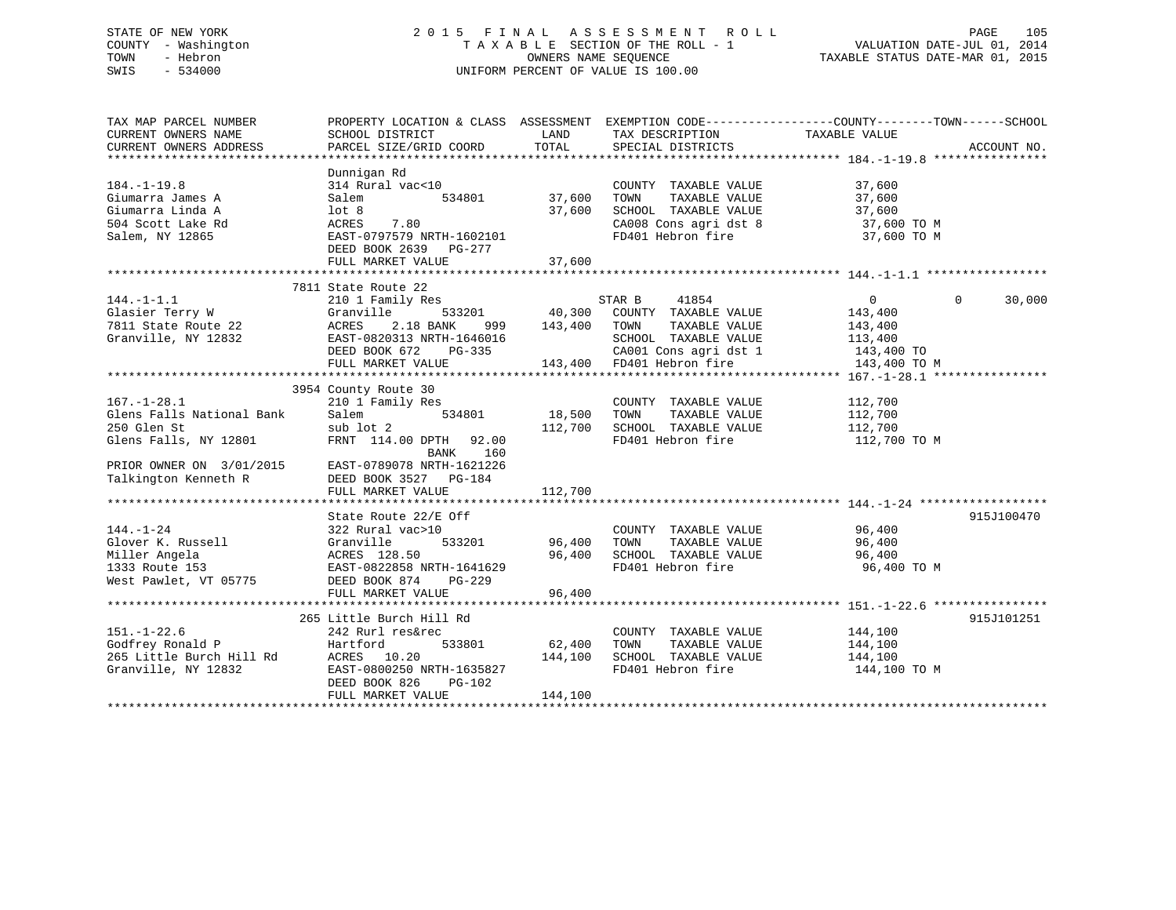# STATE OF NEW YORK 2 0 1 5 F I N A L A S S E S S M E N T R O L L PAGE 105 COUNTY - Washington T A X A B L E SECTION OF THE ROLL - 1 VALUATION DATE-JUL 01, 2014 TOWN - Hebron OWNERS NAME SEQUENCE TAXABLE STATUS DATE-MAR 01, 2015 SWIS - 534000 UNIFORM PERCENT OF VALUE IS 100.00

| TAX MAP PARCEL NUMBER                         | PROPERTY LOCATION & CLASS ASSESSMENT EXEMPTION CODE----------------COUNTY-------TOWN------SCHOOL                                                                                           |         |                                                                                                             |             |             |
|-----------------------------------------------|--------------------------------------------------------------------------------------------------------------------------------------------------------------------------------------------|---------|-------------------------------------------------------------------------------------------------------------|-------------|-------------|
| CURRENT OWNERS NAME<br>CURRENT OWNERS ADDRESS | SCHOOL DISTRICT<br>PARCEL SIZE/GRID COORD                                                                                                                                                  |         | LAND TAX DESCRIPTION TAXABLE VALUE                                                                          |             | ACCOUNT NO. |
|                                               |                                                                                                                                                                                            |         | TOTAL SPECIAL DISTRICTS                                                                                     |             |             |
|                                               | Dunnigan Rd                                                                                                                                                                                |         |                                                                                                             |             |             |
| $184. - 1 - 19.8$                             | 2000 - 2014<br>214 Rural vac<10 2000 - 214 Rural vac<10 2000 - 234801 27,600 2000 - 234801 27,600 2000 - 234801 295 296 297 2980 2014                                                      |         | COUNTY TAXABLE VALUE 37,600                                                                                 |             |             |
| Giumarra James A                              |                                                                                                                                                                                            |         |                                                                                                             |             |             |
| Giumarra Linda A                              |                                                                                                                                                                                            |         |                                                                                                             |             |             |
| 504 Scott Lake Rd                             |                                                                                                                                                                                            |         | 37,600 TOWN TAXABLE VALUE 37,600<br>37,600 SCHOOL TAXABLE VALUE 37,600<br>CA008 Cons agri dst 8 37,600 TO M |             |             |
| Salem, NY 12865                               |                                                                                                                                                                                            |         | FD401 Hebron fire 37,600 TO M                                                                               |             |             |
|                                               | Salem 534801<br>1 ot 8<br>ACRES 7.80<br>EAST-0797579 NRTH-1602101<br>DEED BOOK 2639 PG-277<br>DEED BOOK 2639 PG-277                                                                        |         |                                                                                                             |             |             |
|                                               |                                                                                                                                                                                            |         |                                                                                                             |             |             |
|                                               |                                                                                                                                                                                            |         |                                                                                                             |             |             |
|                                               | 7811 State Route 22                                                                                                                                                                        |         |                                                                                                             |             |             |
|                                               |                                                                                                                                                                                            |         |                                                                                                             |             |             |
|                                               |                                                                                                                                                                                            |         |                                                                                                             |             |             |
|                                               |                                                                                                                                                                                            |         |                                                                                                             |             |             |
|                                               |                                                                                                                                                                                            |         |                                                                                                             |             |             |
|                                               |                                                                                                                                                                                            |         |                                                                                                             |             |             |
|                                               |                                                                                                                                                                                            |         |                                                                                                             |             |             |
|                                               |                                                                                                                                                                                            |         |                                                                                                             |             |             |
|                                               | 3954 County Route 30                                                                                                                                                                       |         |                                                                                                             |             |             |
|                                               |                                                                                                                                                                                            |         | COUNTY TAXABLE VALUE 112,700                                                                                |             |             |
|                                               |                                                                                                                                                                                            |         | TAXABLE VALUE 112,700                                                                                       |             |             |
|                                               | sub lot 2<br>TRNT 114.00 DPTH 92.00<br>FD401 Hebron fire<br>FD401 Hebron fire 112,700 TO M                                                                                                 |         |                                                                                                             |             |             |
|                                               | 167.-1-28.1 210 1 Family Res COUNTY<br>Glens Falls National Bank Salem 534801 18,500 TOWN<br>250 Glen St sub lot 2 112,700 SCHOOL<br>Glens Falls, NY 12801 FRNT 114.00 DPTH 92.00 FD401 He |         |                                                                                                             |             |             |
|                                               | BANK 160                                                                                                                                                                                   |         |                                                                                                             |             |             |
|                                               | PRIOR OWNER ON 3/01/2015<br>Talkington Kenneth R BEED BOOK 3527 PG-184                                                                                                                     |         |                                                                                                             |             |             |
|                                               |                                                                                                                                                                                            |         |                                                                                                             |             |             |
|                                               | FULL MARKET VALUE                                                                                                                                                                          | 112,700 |                                                                                                             |             |             |
|                                               |                                                                                                                                                                                            |         |                                                                                                             |             |             |
|                                               | State Route 22/E Off                                                                                                                                                                       |         |                                                                                                             |             | 915J100470  |
|                                               |                                                                                                                                                                                            |         | COUNTY TAXABLE VALUE 96,400                                                                                 |             |             |
|                                               |                                                                                                                                                                                            |         | TAXABLE VALUE 96,400                                                                                        |             |             |
|                                               | 144.-1-24<br>Glover K. Russell<br>Miller Angela<br>1333 Route 153<br>1333 Route 153<br>22 Rural vacal of Sanville<br>28.50<br>28.50<br>28.50<br>28.50<br>28.7-0822858 NRTH-1641629         |         | 96,400 SCHOOL TAXABLE VALUE 96,400<br>FD401 Hebron fire 96,400                                              |             |             |
|                                               |                                                                                                                                                                                            |         |                                                                                                             | 96,400 TO M |             |
| West Pawlet, VT 05775 DEED BOOK 874           | PG-229                                                                                                                                                                                     |         |                                                                                                             |             |             |
|                                               | FULL MARKET VALUE                                                                                                                                                                          | 96,400  |                                                                                                             |             |             |
|                                               |                                                                                                                                                                                            |         |                                                                                                             |             |             |
|                                               | 265 Little Burch Hill Rd                                                                                                                                                                   |         | COUNTY TAXABLE VALUE 144,100                                                                                |             | 915J101251  |
| $151. - 1 - 22.6$                             | 242 Rurl res&rec                                                                                                                                                                           |         |                                                                                                             |             |             |
|                                               |                                                                                                                                                                                            |         | 533801 62,400 TOWN TAXABLE VALUE 144,100                                                                    |             |             |
|                                               |                                                                                                                                                                                            |         | FD401 Hebron fire 144,100 TO M                                                                              | 144,100     |             |
|                                               |                                                                                                                                                                                            |         |                                                                                                             |             |             |
|                                               |                                                                                                                                                                                            | 144,100 |                                                                                                             |             |             |
|                                               | FULL MARKET VALUE                                                                                                                                                                          |         |                                                                                                             |             |             |
|                                               |                                                                                                                                                                                            |         |                                                                                                             |             |             |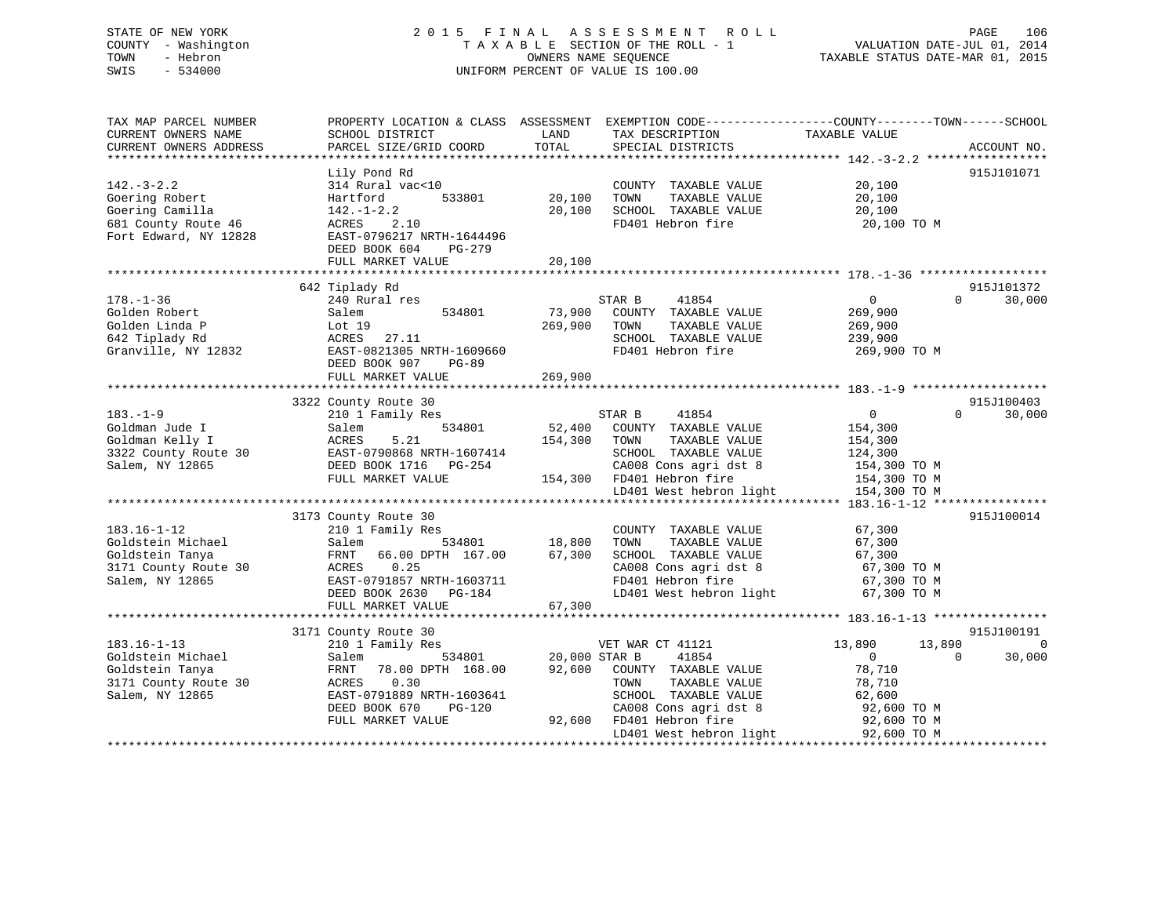# STATE OF NEW YORK 2 0 1 5 F I N A L A S S E S S M E N T R O L L PAGE 106 COUNTY - Washington T A X A B L E SECTION OF THE ROLL - 1 VALUATION DATE-JUL 01, 2014 TOWN - Hebron OWNERS NAME SEQUENCE TAXABLE STATUS DATE-MAR 01, 2015 SWIS - 534000 UNIFORM PERCENT OF VALUE IS 100.00

| TAX MAP PARCEL NUMBER<br>CURRENT OWNERS NAME<br>CURRENT OWNERS ADDRESS                                | PROPERTY LOCATION & CLASS ASSESSMENT<br>SCHOOL DISTRICT<br>PARCEL SIZE/GRID COORD                                                                                                                      | LAND<br>TOTAL                               | EXEMPTION CODE-----------------COUNTY-------TOWN------SCHOOL<br>TAX DESCRIPTION<br>SPECIAL DISTRICTS                                                                        | TAXABLE VALUE                                                                                                             | ACCOUNT NO.           |
|-------------------------------------------------------------------------------------------------------|--------------------------------------------------------------------------------------------------------------------------------------------------------------------------------------------------------|---------------------------------------------|-----------------------------------------------------------------------------------------------------------------------------------------------------------------------------|---------------------------------------------------------------------------------------------------------------------------|-----------------------|
| $142. - 3 - 2.2$<br>Goering Robert<br>Goering Camilla<br>681 County Route 46<br>Fort Edward, NY 12828 | Lily Pond Rd<br>314 Rural vac<10<br>Hartford<br>533801<br>$142. - 1 - 2.2$<br>2.10<br>ACRES<br>EAST-0796217 NRTH-1644496<br>DEED BOOK 604<br>PG-279<br>FULL MARKET VALUE<br>************************** | 20,100<br>20,100<br>20,100<br>************* | COUNTY TAXABLE VALUE<br>TOWN<br>TAXABLE VALUE<br>SCHOOL TAXABLE VALUE<br>FD401 Hebron fire                                                                                  | 20,100<br>20,100<br>20,100<br>20,100 TO M                                                                                 | 915J101071            |
|                                                                                                       | 642 Tiplady Rd                                                                                                                                                                                         |                                             |                                                                                                                                                                             |                                                                                                                           | 915J101372            |
| $178. - 1 - 36$<br>Golden Robert<br>Golden Linda P<br>642 Tiplady Rd<br>Granville, NY 12832           | 240 Rural res<br>Salem<br>534801<br>Lot $19$<br>27.11<br>ACRES<br>EAST-0821305 NRTH-1609660<br>DEED BOOK 907<br>$PG-89$                                                                                | 73,900<br>269,900                           | STAR B<br>41854<br>COUNTY TAXABLE VALUE<br>TOWN<br>TAXABLE VALUE<br>SCHOOL TAXABLE VALUE<br>FD401 Hebron fire                                                               | $\overline{0}$<br>$\Omega$<br>269,900<br>269,900<br>239,900<br>269,900 TO M                                               | 30,000                |
|                                                                                                       | FULL MARKET VALUE                                                                                                                                                                                      | 269,900                                     |                                                                                                                                                                             |                                                                                                                           |                       |
|                                                                                                       | 3322 County Route 30                                                                                                                                                                                   |                                             |                                                                                                                                                                             |                                                                                                                           | 915J100403            |
| $183. - 1 - 9$<br>Goldman Jude I<br>Goldman Kelly I<br>3322 County Route 30<br>Salem, NY 12865        | 210 1 Family Res<br>534801<br>Salem<br>5.21<br>ACRES<br>EAST-0790868 NRTH-1607414<br>DEED BOOK 1716<br>PG-254<br>FULL MARKET VALUE                                                                     | 52,400<br>154,300                           | STAR B<br>41854<br>COUNTY TAXABLE VALUE<br>TAXABLE VALUE<br>TOWN<br>SCHOOL TAXABLE VALUE<br>CA008 Cons agri dst 8<br>154,300 FD401 Hebron fire<br>LD401 West hebron light   | $\overline{0}$<br>$\Omega$<br>154,300<br>154,300<br>124,300<br>154,300 TO M<br>154,300 TO M<br>154,300 TO M               | 30,000                |
|                                                                                                       |                                                                                                                                                                                                        |                                             |                                                                                                                                                                             |                                                                                                                           |                       |
| $183.16 - 1 - 12$<br>Goldstein Michael<br>Goldstein Tanya<br>3171 County Route 30<br>Salem, NY 12865  | 3173 County Route 30<br>210 1 Family Res<br>534801<br>Salem<br>66.00 DPTH 167.00<br>FRNT<br>0.25<br>ACRES<br>EAST-0791857 NRTH-1603711<br>DEED BOOK 2630<br>PG-184                                     | 18,800<br>67,300                            | COUNTY TAXABLE VALUE<br>TOWN<br>TAXABLE VALUE<br>SCHOOL TAXABLE VALUE<br>CA008 Cons agri dst 8<br>FD401 Hebron fire<br>LD401 West hebron light                              | 67,300<br>67,300<br>67,300<br>67,300 TO M<br>67,300 TO M<br>67,300 TO M                                                   | 915J100014            |
|                                                                                                       | FULL MARKET VALUE                                                                                                                                                                                      | 67,300                                      |                                                                                                                                                                             |                                                                                                                           |                       |
|                                                                                                       | 3171 County Route 30                                                                                                                                                                                   |                                             |                                                                                                                                                                             |                                                                                                                           | 915J100191            |
| $183.16 - 1 - 13$<br>Goldstein Michael<br>Goldstein Tanya<br>3171 County Route 30<br>Salem, NY 12865  | 210 1 Family Res<br>534801<br>Salem<br>78.00 DPTH 168.00<br>FRNT<br>0.30<br>ACRES<br>EAST-0791889 NRTH-1603641<br>DEED BOOK 670<br>PG-120<br>FULL MARKET VALUE                                         | 20,000 STAR B<br>92,600<br>92,600           | VET WAR CT 41121<br>41854<br>COUNTY TAXABLE VALUE<br>TAXABLE VALUE<br>TOWN<br>SCHOOL TAXABLE VALUE<br>CA008 Cons agri dst 8<br>FD401 Hebron fire<br>LD401 West hebron light | 13,890<br>13,890<br>$\Omega$<br>$\overline{0}$<br>78,710<br>78,710<br>62,600<br>92,600 TO M<br>92,600 TO M<br>92,600 TO M | $\mathbf 0$<br>30,000 |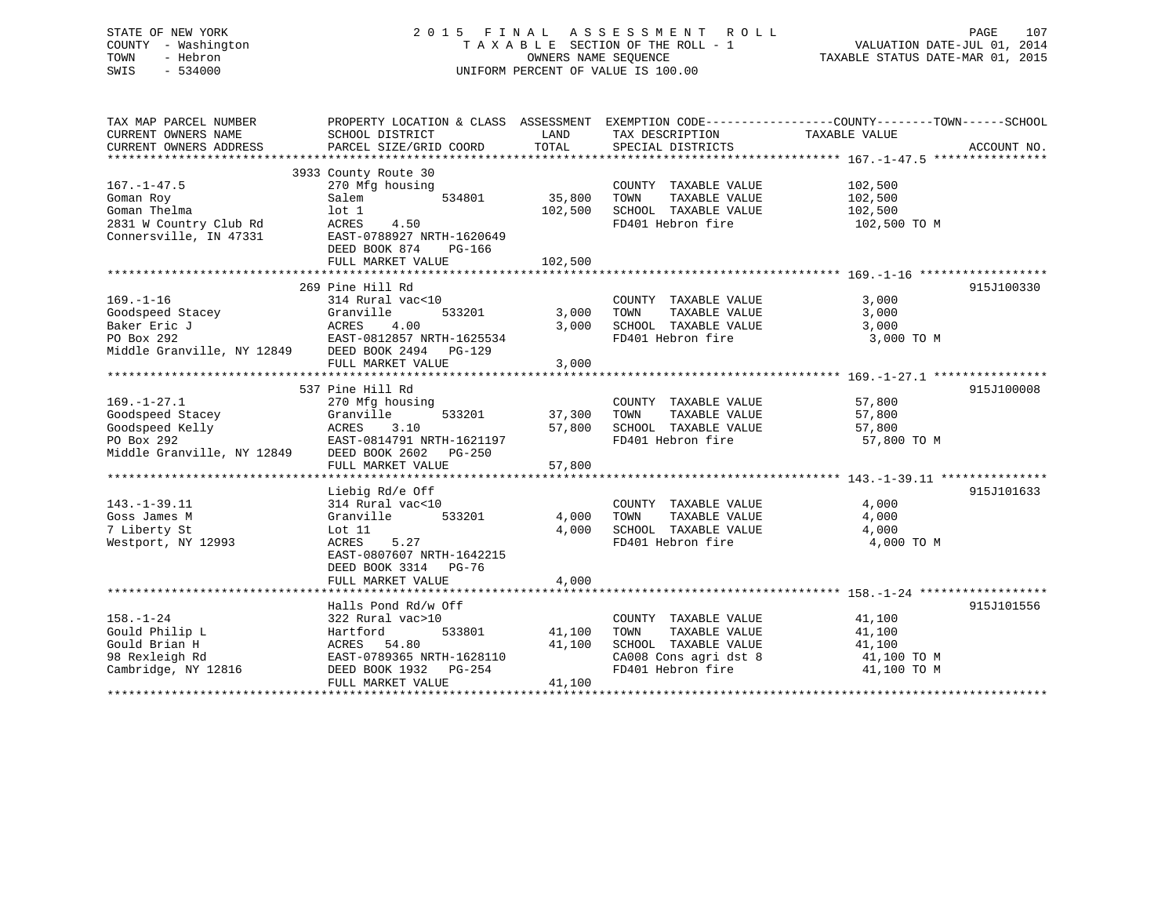# STATE OF NEW YORK 2 0 1 5 F I N A L A S S E S S M E N T R O L L PAGE 107 COUNTY - Washington T A X A B L E SECTION OF THE ROLL - 1 VALUATION DATE-JUL 01, 2014 TOWN - Hebron OWNERS NAME SEQUENCE TAXABLE STATUS DATE-MAR 01, 2015 SWIS - 534000 UNIFORM PERCENT OF VALUE IS 100.00

| TAX MAP PARCEL NUMBER<br>CURRENT OWNERS NAME                                                                          | PROPERTY LOCATION & CLASS ASSESSMENT EXEMPTION CODE---------------COUNTY-------TOWN------SCHOOL<br>SCHOOL DISTRICT<br>PARCEL SIZE/GRID COORD | LAND<br>TOTAL           | TAX DESCRIPTION                                                                                                                             | TAXABLE VALUE                                                     | ACCOUNT NO. |
|-----------------------------------------------------------------------------------------------------------------------|----------------------------------------------------------------------------------------------------------------------------------------------|-------------------------|---------------------------------------------------------------------------------------------------------------------------------------------|-------------------------------------------------------------------|-------------|
| CURRENT OWNERS ADDRESS                                                                                                |                                                                                                                                              |                         | SPECIAL DISTRICTS                                                                                                                           |                                                                   |             |
| $167. - 1 - 47.5$<br>Goman Roy                                                                                        | 3933 County Route 30<br>270 Mfg housing<br>Salem<br>534801                                                                                   | 35,800                  | COUNTY TAXABLE VALUE<br>TAXABLE VALUE<br>TOWN                                                                                               | 102,500<br>102,500                                                |             |
| Goman Thelma<br>2831 W Country Club Rd<br>Connersville, IN 47331                                                      | $1$ ot $1$<br>ACRES<br>4.50<br>EAST-0788927 NRTH-1620649<br>DEED BOOK 874<br>PG-166                                                          | 102,500                 | SCHOOL TAXABLE VALUE<br>FD401 Hebron fire                                                                                                   | 102,500<br>102,500 TO M                                           |             |
|                                                                                                                       | FULL MARKET VALUE                                                                                                                            | 102,500                 |                                                                                                                                             |                                                                   |             |
|                                                                                                                       | 269 Pine Hill Rd                                                                                                                             |                         |                                                                                                                                             |                                                                   | 915J100330  |
| $169. - 1 - 16$<br>Goodspeed Stacey<br>Baker Eric J<br>PO Box 292<br>Middle Granville, NY 12849 DEED BOOK 2494 PG-129 | 314 Rural vac<10<br>Granville<br>533201<br>ACRES 4.00<br>EAST-0812857 NRTH-1625534<br>FULL MARKET VALUE                                      | 3,000<br>3,000<br>3,000 | COUNTY TAXABLE VALUE<br>TOWN<br>TAXABLE VALUE<br>SCHOOL TAXABLE VALUE<br>FD401 Hebron fire                                                  | 3,000<br>3,000<br>3,000<br>3,000 TO M                             |             |
|                                                                                                                       |                                                                                                                                              |                         |                                                                                                                                             |                                                                   |             |
| $169. - 1 - 27.1$                                                                                                     | 537 Pine Hill Rd<br>270 Mfg housing                                                                                                          |                         | COUNTY TAXABLE VALUE                                                                                                                        | 57,800                                                            | 915J100008  |
| Goodspeed Stacey<br>Goodspeed Kelly<br>PO Box 292                                                                     | Granville<br>533201<br>ACRES<br>3.10<br>EAST-0814791 NRTH-1621197<br>Middle Granville, NY 12849 DEED BOOK 2602 PG-250                        | 37,300<br>57,800        | TOWN<br>TAXABLE VALUE<br>SCHOOL TAXABLE VALUE<br>FD401 Hebron fire                                                                          | 57,800<br>57,800<br>57,800 TO M                                   |             |
|                                                                                                                       | FULL MARKET VALUE                                                                                                                            | 57,800                  |                                                                                                                                             |                                                                   |             |
|                                                                                                                       |                                                                                                                                              |                         |                                                                                                                                             |                                                                   |             |
| $143.-1-39.11$<br>Goss James M<br>7 Liberty St<br>Westport, NY 12993                                                  | Liebig Rd/e Off<br>314 Rural vac<10<br>533201<br>Granville<br>Lot 11<br>5.27<br>ACRES<br>EAST-0807607 NRTH-1642215<br>DEED BOOK 3314 PG-76   | 4,000<br>4,000          | COUNTY TAXABLE VALUE<br>TAXABLE VALUE<br>TOWN<br>SCHOOL TAXABLE VALUE<br>FD401 Hebron fire                                                  | 4,000<br>4,000<br>4,000<br>4,000 TO M                             | 915J101633  |
|                                                                                                                       | FULL MARKET VALUE                                                                                                                            | 4,000                   |                                                                                                                                             |                                                                   |             |
|                                                                                                                       | Halls Pond Rd/w Off                                                                                                                          |                         |                                                                                                                                             |                                                                   | 915J101556  |
| $158. - 1 - 24$<br>Gould Philip L<br>Gould Brian H<br>98 Rexleigh Rd<br>Cambridge, NY 12816                           | 322 Rural vac>10<br>Hartford<br>ACRES 54.80<br>EAST-0789365 NRTH-1628110<br>DEED BOOK 1932 PG-254                                            | 533801 41,100<br>41,100 | COUNTY TAXABLE VALUE<br>TOWN<br>TAXABLE VALUE<br>SCHOOL TAXABLE VALUE<br>SCHOOL TAXABLE VALUE<br>CA008 Cons agri dst 8<br>FD401 Hebron fire | 41,100<br>41,100<br>$41,100$ TO M<br>$41,100$ TO M<br>41,100 TO M |             |
|                                                                                                                       | FULL MARKET VALUE                                                                                                                            | 41,100                  |                                                                                                                                             |                                                                   |             |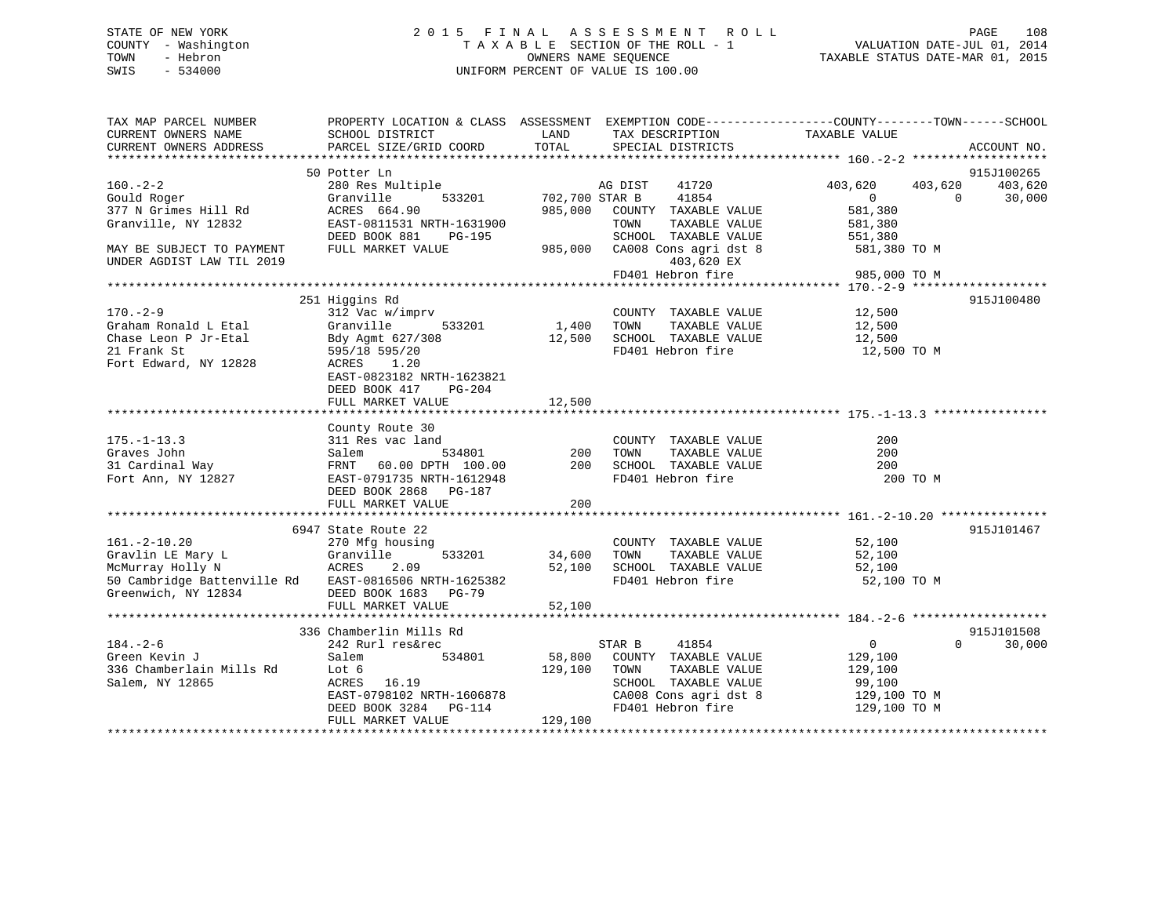# STATE OF NEW YORK 2 0 1 5 F I N A L A S S E S S M E N T R O L L PAGE 108 COUNTY - Washington T A X A B L E SECTION OF THE ROLL - 1 VALUATION DATE-JUL 01, 2014 TOWN - Hebron OWNERS NAME SEQUENCE TAXABLE STATUS DATE-MAR 01, 2015 SWIS - 534000 UNIFORM PERCENT OF VALUE IS 100.00

| TAX MAP PARCEL NUMBER<br>CURRENT OWNERS NAME<br>CURRENT OWNERS ADDRESS       | PROPERTY LOCATION & CLASS ASSESSMENT EXEMPTION CODE---------------COUNTY-------TOWN-----SCHOOL<br>SCHOOL DISTRICT<br>PARCEL SIZE/GRID COORD | LAND<br>TOTAL         | TAX DESCRIPTION<br>SPECIAL DISTRICTS                  | TAXABLE VALUE                                       | ACCOUNT NO.                     |
|------------------------------------------------------------------------------|---------------------------------------------------------------------------------------------------------------------------------------------|-----------------------|-------------------------------------------------------|-----------------------------------------------------|---------------------------------|
|                                                                              |                                                                                                                                             |                       |                                                       |                                                     |                                 |
| $160. -2 - 2$<br>Gould Roger                                                 | 50 Potter Ln<br>280 Res Multiple<br>Granville                                                                                               | 533201 702,700 STAR B | 41720<br>AG DIST<br>41854                             | 403,620<br>403,620<br>$0 \qquad \qquad$<br>$\Omega$ | 915J100265<br>403,620<br>30,000 |
| 377 N Grimes Hill Rd<br>Granville, NY 12832                                  | ACRES 664.90<br>EAST-0811531 NRTH-1631900                                                                                                   |                       | 985,000 COUNTY TAXABLE VALUE<br>TOWN<br>TAXABLE VALUE | 581,380<br>581,380                                  |                                 |
| MAY BE SUBJECT TO PAYMENT                                                    | DEED BOOK 881<br>PG-195<br>FULL MARKET VALUE                                                                                                |                       | SCHOOL TAXABLE VALUE<br>985,000 CA008 Cons agri dst 8 | 551,380<br>581,380 TO M                             |                                 |
| UNDER AGDIST LAW TIL 2019                                                    |                                                                                                                                             |                       | 403,620 EX<br>FD401 Hebron fire                       | 985,000 TO M                                        |                                 |
|                                                                              |                                                                                                                                             |                       |                                                       |                                                     |                                 |
|                                                                              | 251 Higgins Rd                                                                                                                              |                       |                                                       |                                                     | 915J100480                      |
| $170. - 2 - 9$                                                               | 312 Vac w/imprv                                                                                                                             |                       | COUNTY TAXABLE VALUE                                  | 12,500                                              |                                 |
| Graham Ronald L Etal                                                         | Granville<br>533201                                                                                                                         | 1,400 TOWN            | TAXABLE VALUE                                         | 12,500                                              |                                 |
| Chase Leon P Jr-Etal                                                         | Bdy Agmt 627/308                                                                                                                            | 12,500                | SCHOOL TAXABLE VALUE                                  | 12,500                                              |                                 |
| 21 Frank St<br>Fort Edward, NY 12828                                         | 595/18 595/20<br>ACRES<br>1.20<br>EAST-0823182 NRTH-1623821                                                                                 |                       | FD401 Hebron fire                                     | 12,500 TO M                                         |                                 |
|                                                                              | DEED BOOK 417<br>PG-204                                                                                                                     |                       |                                                       |                                                     |                                 |
|                                                                              |                                                                                                                                             |                       |                                                       |                                                     |                                 |
|                                                                              | County Route 30                                                                                                                             |                       |                                                       |                                                     |                                 |
| $175. - 1 - 13.3$                                                            | 311 Res vac land                                                                                                                            |                       | COUNTY TAXABLE VALUE                                  | 200                                                 |                                 |
| Graves John                                                                  | Salem<br>534801                                                                                                                             | 200                   | TAXABLE VALUE<br>TOWN                                 | 200                                                 |                                 |
| 31 Cardinal Way                                                              | FRNT 60.00 DPTH 100.00                                                                                                                      | 200                   | SCHOOL TAXABLE VALUE                                  | 200                                                 |                                 |
| Fort Ann, NY 12827                                                           | EAST-0791735 NRTH-1612948<br>DEED BOOK 2868 PG-187                                                                                          | 200                   | FD401 Hebron fire                                     | 200 TO M                                            |                                 |
|                                                                              | FULL MARKET VALUE                                                                                                                           |                       |                                                       |                                                     |                                 |
|                                                                              | 6947 State Route 22                                                                                                                         |                       |                                                       |                                                     | 915J101467                      |
| $161. - 2 - 10.20$                                                           | 270 Mfg housing                                                                                                                             |                       | COUNTY TAXABLE VALUE                                  | 52,100                                              |                                 |
|                                                                              | 533201                                                                                                                                      | 34,600                | TAXABLE VALUE<br>TOWN                                 | 52,100                                              |                                 |
|                                                                              | 2.09                                                                                                                                        | 52,100                | SCHOOL TAXABLE VALUE                                  | 52,100                                              |                                 |
| 50 Cambridge Battenville Rd EAST-0816506 NRTH-1625382<br>Greenwich, NY 12834 | DEED BOOK 1683 PG-79<br>FULL MARKET VALUE                                                                                                   | 52,100                | FD401 Hebron fire                                     | 52,100 TO M                                         |                                 |
|                                                                              |                                                                                                                                             |                       |                                                       |                                                     |                                 |
|                                                                              | 336 Chamberlin Mills Rd                                                                                                                     |                       |                                                       |                                                     | 915J101508                      |
| $184. - 2 - 6$                                                               | 242 Rurl res&rec                                                                                                                            |                       | STAR B<br>41854                                       | $\overline{0}$<br>$\Omega$                          | 30,000                          |
| Green Kevin J                                                                | Salem<br>534801                                                                                                                             | 58,800                | COUNTY TAXABLE VALUE                                  | 129,100                                             |                                 |
| 336 Chamberlain Mills Rd                                                     | Lot 6                                                                                                                                       | 129,100               | TAXABLE VALUE<br>TOWN                                 | 129,100                                             |                                 |
| Salem, NY 12865                                                              | ACRES<br>16.19<br>EAST-0798102 NRTH-1606878                                                                                                 |                       | SCHOOL TAXABLE VALUE                                  | 99,100                                              |                                 |
|                                                                              | DEED BOOK 3284 PG-114                                                                                                                       |                       | CA008 Cons agri dst 8<br>FD401 Hebron fire            | 129,100 TO M<br>129,100 TO M                        |                                 |
|                                                                              | FULL MARKET VALUE                                                                                                                           | 129,100               |                                                       |                                                     |                                 |
|                                                                              |                                                                                                                                             |                       |                                                       |                                                     |                                 |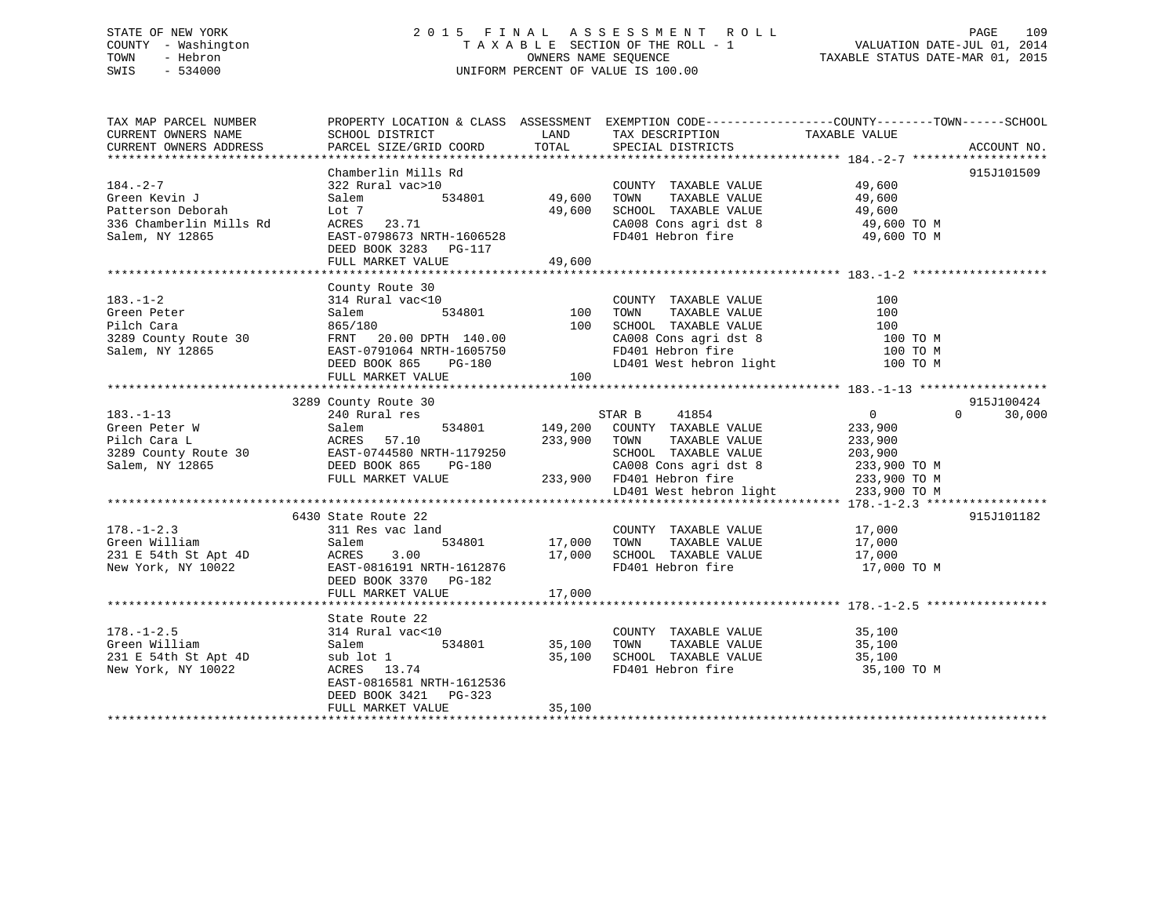# STATE OF NEW YORK 2 0 1 5 F I N A L A S S E S S M E N T R O L L PAGE 109 COUNTY - Washington T A X A B L E SECTION OF THE ROLL - 1 VALUATION DATE-JUL 01, 2014 TOWN - Hebron OWNERS NAME SEQUENCE TAXABLE STATUS DATE-MAR 01, 2015 SWIS - 534000 UNIFORM PERCENT OF VALUE IS 100.00

| TAX MAP PARCEL NUMBER<br>CURRENT OWNERS NAME<br>CURRENT OWNERS ADDRESS          | PROPERTY LOCATION & CLASS ASSESSMENT EXEMPTION CODE---------------COUNTY-------TOWN-----SCHOOL<br>SCHOOL DISTRICT LAND<br>PARCEL SIZE/GRID COORD                                                                                                                                                             | TOTAL  | TAX DESCRIPTION TAXABLE VALUE<br>SPECIAL DISTRICTS                                                                                                            |                | ACCOUNT NO.                      |
|---------------------------------------------------------------------------------|--------------------------------------------------------------------------------------------------------------------------------------------------------------------------------------------------------------------------------------------------------------------------------------------------------------|--------|---------------------------------------------------------------------------------------------------------------------------------------------------------------|----------------|----------------------------------|
| $184. - 2 - 7$<br>Green Kevin J                                                 | Chamberlin Mills Rd<br>322 Rural vac>10<br>Salem<br>Patterson Deborah (1997)<br>336 Chamberlin Mills Rd (1998)<br>336 Chamberlin Mills Rd (1998673 NRTH-1606528)<br>531 EAST-0798673 NRTH-1606528<br>DEED BOOK 3283 PG-117<br>FULL MARKET VALUE                                                              | 49,600 | COUNTY TAXABLE VALUE 49,600<br>TOWN TAXABLE VALUE 19,600<br>SCHOOL TAXABLE VALUE 49,600<br>CA008 Cons agri dst 8 49,600 TO M<br>FD401 Hebron fire 49,600 TO M |                | 915J101509                       |
|                                                                                 | 183.-1-2<br>County Route 30<br>Green Peter<br>Filch Cara<br>2000 Salem 2000 Salem 3289 County Route 30<br>2000 Salem 3289 County Route 30<br>2000 Salem, NY 12865<br>2000 Salem, NY 12865<br>2000 Salem, NY 12865<br>2000 Salem, NY 12865<br>2000<br>FULL MARKET VALUE                                       | 100    |                                                                                                                                                               | 100 T0 M       |                                  |
| $183. - 1 - 13$                                                                 | 183.-1-13<br>Creen Peter W<br>Grand McRES 57.10<br>233,900 COUNTY TAXABLE VALUE<br>233,900 COUNTY TAXABLE VALUE<br>233,900<br>233,900 COUNTY TAXABLE VALUE<br>233,900<br>233,900 CA008 COUNTY PARABLE VALUE<br>233,900 CA008 COUNTY<br>233,900 TO                                                            |        |                                                                                                                                                               | $\overline{0}$ | 915J100424<br>$\Omega$<br>30,000 |
| $178. - 1 - 2.3$                                                                | 6430 State Route 22<br>state Route 22<br>311 Res vac land<br>311 Acs vac 1 and 534801<br>311 Acs vac 1 and 534801<br>311 E 54th St Apt 4D<br>New York, NY 10022<br>231 E 54th St Apt 4D<br>231 E 54th St Apt 4D<br>231 E 54th St Apt 4D<br>231 E 54th St Apt 4D<br>231 E 54th St Apt 4D<br>231 E 54th St Apt |        | 17,000 COUNTY TAXABLE VALUE 17,000<br>534801 17,000 TOWN TAXABLE VALUE 17,000                                                                                 |                | 915J101182                       |
| $178. - 1 - 2.5$<br>Green William<br>231 E 54th St Apt 4D<br>New York, NY 10022 | State Route 22<br>314 Rural vac<10<br>$534801$ $35,100$<br>$35,100$<br>$35,100$<br>Salem<br>sub lot 1<br>ACRES 13.74<br>EAST-0816581 NRTH-1612536<br>DEED BOOK 3421 PG-323<br>FULL MARKET VALUE                                                                                                              | 35,100 | COUNTY TAXABLE VALUE 35,100<br>TOWN TAXABLE VALUE 35,100<br>SCHOOL TAXABLE VALUE 35,100<br>TOWN<br>FD401 Hebron fire 35,100 TO M                              |                |                                  |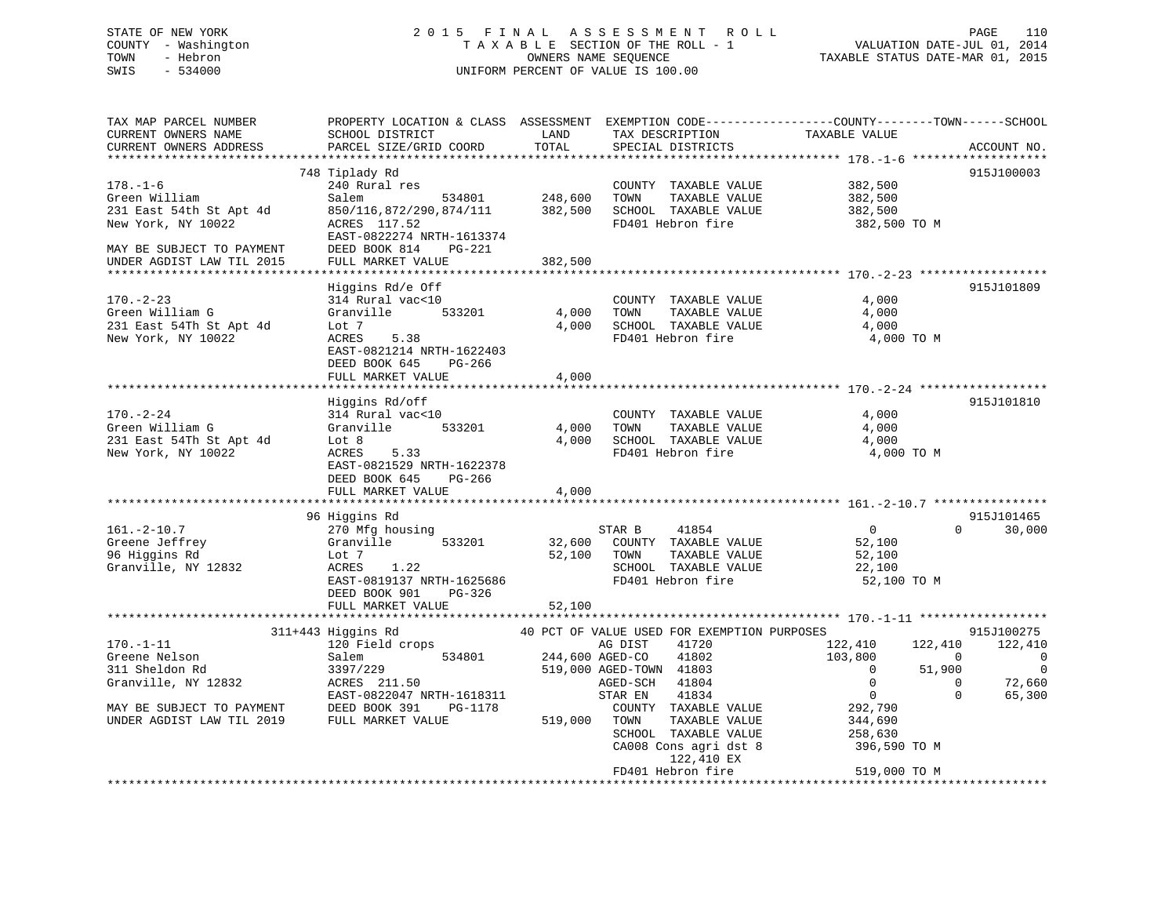# STATE OF NEW YORK 2 0 1 5 F I N A L A S S E S S M E N T R O L L PAGE 110 COUNTY - Washington T A X A B L E SECTION OF THE ROLL - 1 VALUATION DATE-JUL 01, 2014 TOWN - Hebron OWNERS NAME SEQUENCE TAXABLE STATUS DATE-MAR 01, 2015 SWIS - 534000 UNIFORM PERCENT OF VALUE IS 100.00

| TAX MAP PARCEL NUMBER<br>CURRENT OWNERS NAME<br>CURRENT OWNERS ADDRESS                                                                   | SCHOOL DISTRICT<br>PARCEL SIZE/GRID COORD                                                                                                                          | LAND<br>TOTAL              | TAX DESCRIPTION<br>SPECIAL DISTRICTS                                                                                                                                   | PROPERTY LOCATION & CLASS ASSESSMENT EXEMPTION CODE----------------COUNTY-------TOWN-----SCHOOL<br>TAXABLE VALUE<br>ACCOUNT NO.                                                                                   |
|------------------------------------------------------------------------------------------------------------------------------------------|--------------------------------------------------------------------------------------------------------------------------------------------------------------------|----------------------------|------------------------------------------------------------------------------------------------------------------------------------------------------------------------|-------------------------------------------------------------------------------------------------------------------------------------------------------------------------------------------------------------------|
| ***********************<br>$178. - 1 - 6$<br>Green William<br>231 East 54th St Apt 4d<br>New York, NY 10022<br>MAY BE SUBJECT TO PAYMENT | 748 Tiplady Rd<br>240 Rural res<br>Salem<br>534801<br>850/116,872/290,874/111<br>ACRES 117.52<br>EAST-0822274 NRTH-1613374<br>DEED BOOK 814<br>PG-221              | 248,600<br>382,500         | COUNTY TAXABLE VALUE<br>TOWN<br>TAXABLE VALUE<br>SCHOOL TAXABLE VALUE<br>FD401 Hebron fire                                                                             | 915J100003<br>382,500<br>382,500<br>382,500<br>382,500 TO M                                                                                                                                                       |
| UNDER AGDIST LAW TIL 2015                                                                                                                | FULL MARKET VALUE                                                                                                                                                  | 382,500                    |                                                                                                                                                                        |                                                                                                                                                                                                                   |
| $170. - 2 - 23$<br>Green William G<br>231 East 54Th St Apt 4d<br>New York, NY 10022                                                      | Higgins Rd/e Off<br>314 Rural vac<10<br>Granville<br>533201<br>Lot 7<br>ACRES<br>5.38<br>EAST-0821214 NRTH-1622403<br>DEED BOOK 645<br>PG-266<br>FULL MARKET VALUE | 4,000<br>4,000<br>4,000    | COUNTY TAXABLE VALUE<br>TOWN<br>TAXABLE VALUE<br>SCHOOL TAXABLE VALUE<br>FD401 Hebron fire                                                                             | 915J101809<br>4,000<br>4,000<br>4,000<br>4,000 TO M                                                                                                                                                               |
|                                                                                                                                          |                                                                                                                                                                    |                            |                                                                                                                                                                        |                                                                                                                                                                                                                   |
| $170. - 2 - 24$<br>Green William G<br>231 East 54Th St Apt 4d<br>New York, NY 10022                                                      | Higgins Rd/off<br>314 Rural vac<10<br>Granville<br>533201<br>Lot 8<br>ACRES<br>5.33<br>EAST-0821529 NRTH-1622378<br>DEED BOOK 645<br>PG-266<br>FULL MARKET VALUE   | 4,000<br>4,000<br>4,000    | COUNTY TAXABLE VALUE<br>TAXABLE VALUE<br>TOWN<br>SCHOOL TAXABLE VALUE<br>FD401 Hebron fire                                                                             | 915J101810<br>4,000<br>4,000<br>4,000<br>4,000 TO M                                                                                                                                                               |
|                                                                                                                                          |                                                                                                                                                                    |                            |                                                                                                                                                                        |                                                                                                                                                                                                                   |
| $161. - 2 - 10.7$<br>Greene Jeffrey<br>96 Higgins Rd<br>Granville, NY 12832                                                              | 96 Higgins Rd<br>270 Mfg housing<br>Granville<br>533201<br>Lot 7<br>1.22<br>ACRES<br>EAST-0819137 NRTH-1625686<br>DEED BOOK 901<br>PG-326                          | 32,600<br>52,100           | 41854<br>STAR B<br>COUNTY TAXABLE VALUE<br>TOWN<br>TAXABLE VALUE<br>SCHOOL TAXABLE VALUE<br>FD401 Hebron fire                                                          | 915J101465<br>$\mathsf{O}$<br>$\Omega$<br>30,000<br>52,100<br>52,100<br>22,100<br>52,100 TO M                                                                                                                     |
|                                                                                                                                          | FULL MARKET VALUE                                                                                                                                                  | 52,100                     |                                                                                                                                                                        |                                                                                                                                                                                                                   |
|                                                                                                                                          | 311+443 Higgins Rd                                                                                                                                                 |                            | 40 PCT OF VALUE USED FOR EXEMPTION PURPOSES                                                                                                                            | 915J100275                                                                                                                                                                                                        |
| $170. - 1 - 11$<br>Greene Nelson<br>311 Sheldon Rd<br>Granville, NY 12832<br>MAY BE SUBJECT TO PAYMENT<br>UNDER AGDIST LAW TIL 2019      | 120 Field crops<br>Salem<br>534801<br>3397/229<br>ACRES 211.50<br>EAST-0822047 NRTH-1618311<br>DEED BOOK 391<br>PG-1178<br>FULL MARKET VALUE                       | 244,600 AGED-CO<br>519,000 | 41720<br>AG DIST<br>41802<br>519,000 AGED-TOWN 41803<br>41804<br>AGED-SCH<br>STAR EN<br>41834<br>COUNTY TAXABLE VALUE<br>TOWN<br>TAXABLE VALUE<br>SCHOOL TAXABLE VALUE | 122,410<br>122,410<br>122,410<br>103,800<br>$\Omega$<br>$\mathbf 0$<br>$\Omega$<br>$\Omega$<br>51,900<br>$\mathbf{0}$<br>$\Omega$<br>72,660<br>$\mathbf 0$<br>$\Omega$<br>65,300<br>292,790<br>344,690<br>258,630 |
|                                                                                                                                          |                                                                                                                                                                    |                            | CA008 Cons agri dst 8<br>122,410 EX<br>FD401 Hebron fire                                                                                                               | 396,590 TO M<br>519,000 TO M<br>**********************************                                                                                                                                                |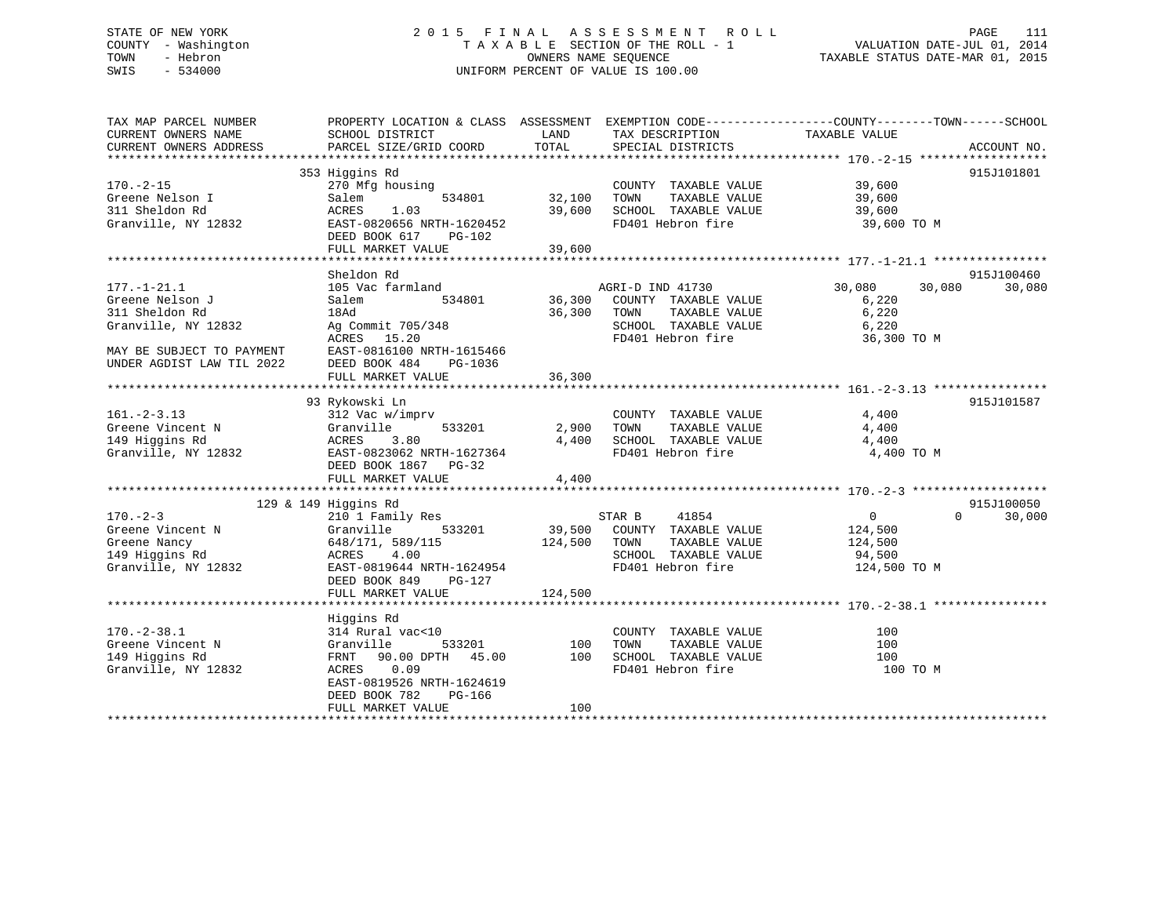# STATE OF NEW YORK 2 0 1 5 F I N A L A S S E S S M E N T R O L L PAGE 111 COUNTY - Washington T A X A B L E SECTION OF THE ROLL - 1 VALUATION DATE-JUL 01, 2014 TOWN - Hebron OWNERS NAME SEQUENCE TAXABLE STATUS DATE-MAR 01, 2015 SWIS - 534000 UNIFORM PERCENT OF VALUE IS 100.00

| TAX MAP PARCEL NUMBER<br>CURRENT OWNERS NAME<br>CURRENT OWNERS ADDRESS                                                                  | PROPERTY LOCATION & CLASS ASSESSMENT<br>SCHOOL DISTRICT<br>PARCEL SIZE/GRID COORD                                                                                | LAND<br>TOTAL                | TAX DESCRIPTION<br>SPECIAL DISTRICTS                                                                           | EXEMPTION CODE-----------------COUNTY-------TOWN------SCHOOL<br>TAXABLE VALUE | ACCOUNT NO. |
|-----------------------------------------------------------------------------------------------------------------------------------------|------------------------------------------------------------------------------------------------------------------------------------------------------------------|------------------------------|----------------------------------------------------------------------------------------------------------------|-------------------------------------------------------------------------------|-------------|
| $170. - 2 - 15$<br>Greene Nelson I<br>311 Sheldon Rd<br>Granville, NY 12832                                                             | 353 Higgins Rd<br>270 Mfg housing<br>534801<br>Salem<br>ACRES<br>1.03<br>EAST-0820656 NRTH-1620452<br>DEED BOOK 617<br>PG-102<br>FULL MARKET VALUE               | 32,100<br>39,600<br>39,600   | COUNTY TAXABLE VALUE<br>TOWN<br>TAXABLE VALUE<br>SCHOOL TAXABLE VALUE<br>FD401 Hebron fire                     | 39,600<br>39,600<br>39,600<br>39,600 TO M                                     | 915J101801  |
|                                                                                                                                         | Sheldon Rd                                                                                                                                                       |                              |                                                                                                                |                                                                               | 915J100460  |
| $177. - 1 - 21.1$<br>Greene Nelson J<br>311 Sheldon Rd<br>Granville, NY 12832<br>MAY BE SUBJECT TO PAYMENT<br>UNDER AGDIST LAW TIL 2022 | 105 Vac farmland<br>Salem<br>534801<br>18Ad<br>Ag Commit 705/348<br>15.20<br>ACRES<br>EAST-0816100 NRTH-1615466<br>DEED BOOK 484<br>PG-1036<br>FULL MARKET VALUE | 36,300<br>36,300<br>36,300   | AGRI-D IND 41730<br>COUNTY TAXABLE VALUE<br>TAXABLE VALUE<br>TOWN<br>SCHOOL TAXABLE VALUE<br>FD401 Hebron fire | 30,080<br>30,080<br>6,220<br>6,220<br>6,220<br>36,300 TO M                    | 30,080      |
|                                                                                                                                         |                                                                                                                                                                  |                              |                                                                                                                |                                                                               |             |
| $161. - 2 - 3.13$<br>Greene Vincent N<br>149 Higgins Rd<br>Granville, NY 12832                                                          | 93 Rykowski Ln<br>312 Vac w/imprv<br>Granville<br>533201<br>3.80<br>ACRES<br>EAST-0823062 NRTH-1627364<br>DEED BOOK 1867 PG-32<br>FULL MARKET VALUE              | 2,900<br>4,400<br>4,400      | COUNTY TAXABLE VALUE<br>TAXABLE VALUE<br>TOWN<br>SCHOOL TAXABLE VALUE<br>FD401 Hebron fire                     | 4,400<br>4,400<br>4,400<br>4,400 TO M                                         | 915J101587  |
|                                                                                                                                         | 129 & 149 Higgins Rd                                                                                                                                             |                              |                                                                                                                |                                                                               | 915J100050  |
| $170. - 2 - 3$<br>Greene Vincent N<br>Greene Nancy<br>149 Higgins Rd<br>Granville, NY 12832                                             | 210 1 Family Res<br>533201<br>Granville<br>648/171, 589/115<br>4.00<br>ACRES<br>EAST-0819644 NRTH-1624954<br>DEED BOOK 849<br>PG-127<br>FULL MARKET VALUE        | 39,500<br>124,500<br>124,500 | STAR B<br>41854<br>COUNTY TAXABLE VALUE<br>TOWN<br>TAXABLE VALUE<br>SCHOOL TAXABLE VALUE<br>FD401 Hebron fire  | $\mathbf{0}$<br>$\Omega$<br>124,500<br>124,500<br>94,500<br>124,500 TO M      | 30,000      |
| $170. - 2 - 38.1$<br>Greene Vincent N<br>149 Higgins Rd<br>Granville, NY 12832                                                          | Higgins Rd<br>314 Rural vac<10<br>Granville<br>533201<br>45.00<br>FRNT 90.00 DPTH<br>ACRES<br>0.09<br>EAST-0819526 NRTH-1624619<br>DEED BOOK 782<br>PG-166       | 100<br>100                   | COUNTY TAXABLE VALUE<br>TAXABLE VALUE<br>TOWN<br>SCHOOL TAXABLE VALUE<br>FD401 Hebron fire                     | 100<br>100<br>100<br>100 TO M                                                 |             |
|                                                                                                                                         | FULL MARKET VALUE                                                                                                                                                | 100                          |                                                                                                                |                                                                               |             |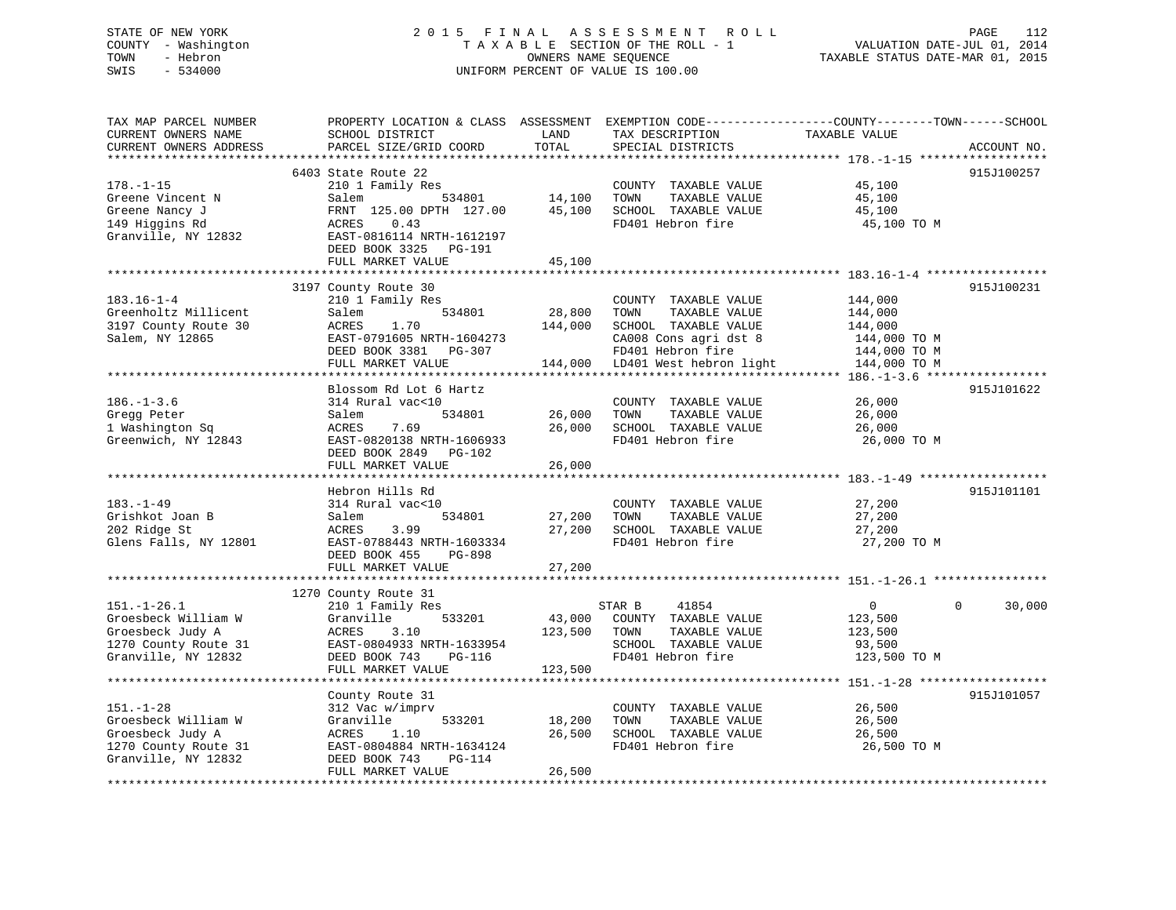# STATE OF NEW YORK 2 0 1 5 F I N A L A S S E S S M E N T R O L L PAGE 112 COUNTY - Washington T A X A B L E SECTION OF THE ROLL - 1 VALUATION DATE-JUL 01, 2014 TOWN - Hebron OWNERS NAME SEQUENCE TAXABLE STATUS DATE-MAR 01, 2015 SWIS - 534000 UNIFORM PERCENT OF VALUE IS 100.00

| TAX MAP PARCEL NUMBER<br>CURRENT OWNERS NAME<br>CURRENT OWNERS ADDRESS | SCHOOL DISTRICT<br>PARCEL SIZE/GRID COORD | LAND<br>TOTAL         | TAX DESCRIPTION<br>SPECIAL DISTRICTS          | PROPERTY LOCATION & CLASS ASSESSMENT EXEMPTION CODE----------------COUNTY-------TOWN------SCHOOL<br>TAXABLE VALUE<br>ACCOUNT NO. |
|------------------------------------------------------------------------|-------------------------------------------|-----------------------|-----------------------------------------------|----------------------------------------------------------------------------------------------------------------------------------|
| *************************                                              |                                           |                       |                                               |                                                                                                                                  |
|                                                                        | 6403 State Route 22                       |                       |                                               | 915J100257                                                                                                                       |
| $178. - 1 - 15$                                                        | 210 1 Family Res                          |                       | COUNTY TAXABLE VALUE                          | 45,100                                                                                                                           |
| Greene Vincent N                                                       | 534801<br>Salem                           | 14,100                | TOWN<br>TAXABLE VALUE                         | 45,100                                                                                                                           |
| Greene Nancy J                                                         | FRNT 125.00 DPTH 127.00                   | 45,100                | SCHOOL TAXABLE VALUE                          | 45,100                                                                                                                           |
| 149 Higgins Rd                                                         | 0.43<br>ACRES                             |                       | FD401 Hebron fire                             | 45,100 TO M                                                                                                                      |
| Granville, NY 12832                                                    | EAST-0816114 NRTH-1612197                 |                       |                                               |                                                                                                                                  |
|                                                                        | DEED BOOK 3325<br>PG-191                  |                       |                                               |                                                                                                                                  |
|                                                                        | FULL MARKET VALUE                         | 45,100<br>*********** |                                               |                                                                                                                                  |
|                                                                        |                                           |                       |                                               |                                                                                                                                  |
| $183.16 - 1 - 4$                                                       | 3197 County Route 30                      |                       |                                               | 915J100231                                                                                                                       |
| Greenholtz Millicent                                                   | 210 1 Family Res<br>Salem<br>534801       | 28,800                | COUNTY TAXABLE VALUE<br>TOWN<br>TAXABLE VALUE | 144,000<br>144,000                                                                                                               |
| 3197 County Route 30                                                   | <b>ACRES</b><br>1.70                      | 144,000               | SCHOOL TAXABLE VALUE                          | 144,000                                                                                                                          |
| Salem, NY 12865                                                        | EAST-0791605 NRTH-1604273                 |                       | CA008 Cons agri dst 8                         | 144,000 TO M                                                                                                                     |
|                                                                        | DEED BOOK 3381<br>PG-307                  |                       | FD401 Hebron fire                             | 144,000 TO M                                                                                                                     |
|                                                                        | FULL MARKET VALUE                         | 144,000               | LD401 West hebron light                       | 144,000 TO M                                                                                                                     |
|                                                                        | ****************************              |                       |                                               |                                                                                                                                  |
|                                                                        | Blossom Rd Lot 6 Hartz                    |                       |                                               | 915J101622                                                                                                                       |
| $186. - 1 - 3.6$                                                       | 314 Rural vac<10                          |                       | COUNTY TAXABLE VALUE                          | 26,000                                                                                                                           |
| Gregg Peter                                                            | Salem<br>534801                           | 26,000                | TOWN<br>TAXABLE VALUE                         | 26,000                                                                                                                           |
| 1 Washington Sq                                                        | 7.69<br>ACRES                             | 26,000                | SCHOOL TAXABLE VALUE                          | 26,000                                                                                                                           |
| Greenwich, NY 12843                                                    | EAST-0820138 NRTH-1606933                 |                       | FD401 Hebron fire                             | 26,000 TO M                                                                                                                      |
|                                                                        | DEED BOOK 2849<br>PG-102                  |                       |                                               |                                                                                                                                  |
|                                                                        | FULL MARKET VALUE                         | 26,000                |                                               |                                                                                                                                  |
|                                                                        | **************************                |                       |                                               |                                                                                                                                  |
|                                                                        | Hebron Hills Rd                           |                       |                                               | 915J101101                                                                                                                       |
| $183. - 1 - 49$                                                        | 314 Rural vac<10                          |                       | COUNTY TAXABLE VALUE                          | 27,200                                                                                                                           |
| Grishkot Joan B                                                        | Salem<br>534801                           | 27,200                | TAXABLE VALUE<br>TOWN                         | 27,200                                                                                                                           |
| 202 Ridge St                                                           | ACRES<br>3.99                             | 27,200                | SCHOOL TAXABLE VALUE                          | 27,200                                                                                                                           |
| Glens Falls, NY 12801                                                  | EAST-0788443 NRTH-1603334                 |                       | FD401 Hebron fire                             | 27,200 TO M                                                                                                                      |
|                                                                        | DEED BOOK 455<br>PG-898                   |                       |                                               |                                                                                                                                  |
|                                                                        | FULL MARKET VALUE                         | 27,200                |                                               |                                                                                                                                  |
|                                                                        |                                           |                       |                                               |                                                                                                                                  |
|                                                                        | 1270 County Route 31                      |                       |                                               | $\Omega$                                                                                                                         |
| $151. - 1 - 26.1$                                                      | 210 1 Family Res                          |                       | 41854<br>STAR B                               | $\mathbf 0$<br>30,000                                                                                                            |
| Groesbeck William W                                                    | Granville<br>533201<br>3.10               | 43,000                | COUNTY TAXABLE VALUE<br>TOWN<br>TAXABLE VALUE | 123,500                                                                                                                          |
| Groesbeck Judy A<br>1270 County Route 31                               | ACRES<br>EAST-0804933 NRTH-1633954        | 123,500               | SCHOOL TAXABLE VALUE                          | 123,500<br>93,500                                                                                                                |
| Granville, NY 12832                                                    | DEED BOOK 743<br>PG-116                   |                       | FD401 Hebron fire                             | 123,500 TO M                                                                                                                     |
|                                                                        | FULL MARKET VALUE                         | 123,500               |                                               |                                                                                                                                  |
|                                                                        |                                           |                       |                                               | *********** 151.-1-28 ****************                                                                                           |
|                                                                        | County Route 31                           |                       |                                               | 915J101057                                                                                                                       |
| $151. - 1 - 28$                                                        | 312 Vac w/imprv                           |                       | COUNTY TAXABLE VALUE                          | 26,500                                                                                                                           |
| Groesbeck William W                                                    | 533201<br>Granville                       | 18,200                | TOWN<br>TAXABLE VALUE                         | 26,500                                                                                                                           |
| Groesbeck Judy A                                                       | ACRES<br>1.10                             | 26,500                | SCHOOL TAXABLE VALUE                          | 26,500                                                                                                                           |
| 1270 County Route 31                                                   | EAST-0804884 NRTH-1634124                 |                       | FD401 Hebron fire                             | 26,500 TO M                                                                                                                      |
| Granville, NY 12832                                                    | DEED BOOK 743<br>PG-114                   |                       |                                               |                                                                                                                                  |
|                                                                        | FULL MARKET VALUE                         | 26,500                |                                               |                                                                                                                                  |
|                                                                        |                                           |                       |                                               |                                                                                                                                  |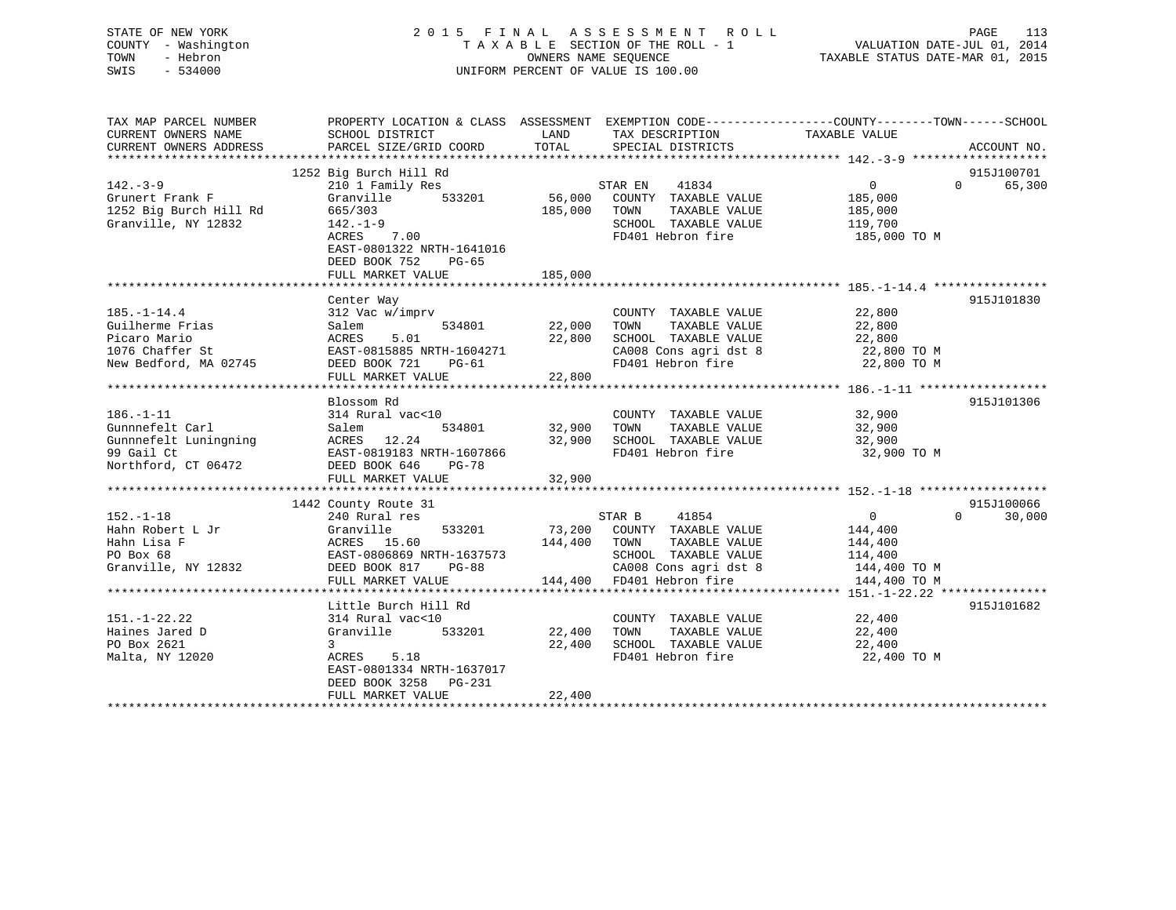# STATE OF NEW YORK 2 0 1 5 F I N A L A S S E S S M E N T R O L L PAGE 113 COUNTY - Washington T A X A B L E SECTION OF THE ROLL - 1 VALUATION DATE-JUL 01, 2014 TOWN - Hebron OWNERS NAME SEQUENCE TAXABLE STATUS DATE-MAR 01, 2015 SWIS - 534000 UNIFORM PERCENT OF VALUE IS 100.00

| TAX MAP PARCEL NUMBER<br>CURRENT OWNERS NAME                                      | PROPERTY LOCATION & CLASS ASSESSMENT EXEMPTION CODE---------------COUNTY-------TOWN-----SCHOOL<br>SCHOOL DISTRICT | LAND          | TAX DESCRIPTION                                                                                                                                                                                                            | TAXABLE VALUE                  |                    |
|-----------------------------------------------------------------------------------|-------------------------------------------------------------------------------------------------------------------|---------------|----------------------------------------------------------------------------------------------------------------------------------------------------------------------------------------------------------------------------|--------------------------------|--------------------|
| CURRENT OWNERS ADDRESS                                                            | PARCEL SIZE/GRID COORD                                                                                            | TOTAL         | SPECIAL DISTRICTS                                                                                                                                                                                                          |                                | ACCOUNT NO.        |
|                                                                                   | 1252 Big Burch Hill Rd                                                                                            |               |                                                                                                                                                                                                                            |                                | 915J100701         |
| $142. - 3 - 9$                                                                    | 210 1 Family Res                                                                                                  |               | 41834<br>STAR EN                                                                                                                                                                                                           | $\overline{0}$                 | $\Omega$<br>65,300 |
| Grunert Frank F                                                                   | Granville<br>533201                                                                                               |               | 56,000 COUNTY TAXABLE VALUE                                                                                                                                                                                                | 185,000                        |                    |
| 1252 Big Burch Hill Rd                                                            | 665/303                                                                                                           | 185,000       | TOWN<br>TAXABLE VALUE                                                                                                                                                                                                      | 185,000                        |                    |
| Granville, NY 12832                                                               | $142. - 1 - 9$                                                                                                    |               | SCHOOL TAXABLE VALUE                                                                                                                                                                                                       | 119,700                        |                    |
|                                                                                   | 7.00<br>ACRES                                                                                                     |               | FD401 Hebron fire                                                                                                                                                                                                          | 185,000 TO M                   |                    |
|                                                                                   | EAST-0801322 NRTH-1641016                                                                                         |               |                                                                                                                                                                                                                            |                                |                    |
|                                                                                   | DEED BOOK 752<br>$PG-65$                                                                                          |               |                                                                                                                                                                                                                            |                                |                    |
|                                                                                   | FULL MARKET VALUE                                                                                                 | 185,000       |                                                                                                                                                                                                                            |                                |                    |
|                                                                                   |                                                                                                                   |               |                                                                                                                                                                                                                            |                                |                    |
|                                                                                   | Center Way                                                                                                        |               |                                                                                                                                                                                                                            |                                | 915J101830         |
| $185. - 1 - 14.4$                                                                 | 312 Vac w/imprv                                                                                                   |               | COUNTY TAXABLE VALUE                                                                                                                                                                                                       | 22,800                         |                    |
| Guilherme Frias                                                                   | 534801<br>Salem                                                                                                   | 22,000        | TOWN<br>TAXABLE VALUE                                                                                                                                                                                                      | 22,800                         |                    |
| Picaro Mario                                                                      | 5.01<br>ACRES                                                                                                     | 22,800        | SCHOOL TAXABLE VALUE                                                                                                                                                                                                       | 22,800                         |                    |
| 1076 Chaffer St                                                                   | EAST-0815885 NRTH-1604271                                                                                         |               | $\begin{array}{llllll} \texttt{CA008} & \texttt{Cons}\ \texttt{agrid}\ \texttt{sf}\ 8 & 22,800\ \texttt{TO}\ \texttt{M} & \texttt{FD401} & \texttt{Hebron}\ \texttt{fire} & 22,800\ \texttt{TO}\ \texttt{M} & \end{array}$ |                                |                    |
| New Bedford, MA 02745 DEED BOOK 721                                               | PG-61                                                                                                             |               |                                                                                                                                                                                                                            |                                |                    |
|                                                                                   | FULL MARKET VALUE                                                                                                 | 22,800        |                                                                                                                                                                                                                            |                                |                    |
|                                                                                   |                                                                                                                   |               |                                                                                                                                                                                                                            |                                |                    |
|                                                                                   | Blossom Rd                                                                                                        |               |                                                                                                                                                                                                                            |                                | 915J101306         |
| $186. - 1 - 11$                                                                   | 314 Rural vac<10                                                                                                  | 534801 32,900 | COUNTY TAXABLE VALUE                                                                                                                                                                                                       | 32,900<br>TAXABLE VALUE 32,900 |                    |
| Gunnnefelt Carl                                                                   | Salem                                                                                                             | 32,900        | TOWN<br>SCHOOL TAXABLE VALUE                                                                                                                                                                                               | 32,900                         |                    |
| Gunnnefelt Luningning<br>99 Gail Ct<br>29 Gail Ct<br>20 EAST-0819183 NRTH-1607866 |                                                                                                                   |               | FD401 Hebron fire                                                                                                                                                                                                          | 32,900 TO M                    |                    |
| Northford, CT 06472                                                               | DEED BOOK 646<br>PG-78                                                                                            |               |                                                                                                                                                                                                                            |                                |                    |
|                                                                                   | FULL MARKET VALUE                                                                                                 | 32,900        |                                                                                                                                                                                                                            |                                |                    |
|                                                                                   |                                                                                                                   |               |                                                                                                                                                                                                                            |                                |                    |
|                                                                                   | 1442 County Route 31                                                                                              |               |                                                                                                                                                                                                                            |                                | 915J100066         |
| $152. - 1 - 18$                                                                   | 240 Rural res                                                                                                     |               | STAR B<br>41854                                                                                                                                                                                                            | $\overline{0}$                 | $\Omega$<br>30,000 |
| Hahn Robert L Jr                                                                  | 533201                                                                                                            |               | 73,200 COUNTY TAXABLE VALUE                                                                                                                                                                                                | 144,400                        |                    |
| Hahn Lisa F                                                                       | Granville<br>ACRES 15.60                                                                                          | 144,400 TOWN  | TAXABLE VALUE                                                                                                                                                                                                              | 144,400                        |                    |
| PO Box 68                                                                         |                                                                                                                   |               | SCHOOL TAXABLE VALUE                                                                                                                                                                                                       | 114,400                        |                    |
| Granville, NY 12832                                                               | EAST-0806869 NRTH-1637573<br>DEED BOOK 817 PG-88                                                                  |               |                                                                                                                                                                                                                            | 144,400 TO M                   |                    |
|                                                                                   | FULL MARKET VALUE                                                                                                 |               | CAUU8 Cons agri dst 8<br>144,400 FD401 Hebron fire                                                                                                                                                                         | 144,400 TO M                   |                    |
|                                                                                   |                                                                                                                   |               |                                                                                                                                                                                                                            |                                |                    |
|                                                                                   | Little Burch Hill Rd                                                                                              |               |                                                                                                                                                                                                                            |                                | 915J101682         |
| $151. - 1 - 22.22$                                                                | 314 Rural vac<10                                                                                                  |               | COUNTY TAXABLE VALUE                                                                                                                                                                                                       | 22,400                         |                    |
| Haines Jared D                                                                    | Granville<br>533201                                                                                               | 22,400        | TOWN<br>TAXABLE VALUE                                                                                                                                                                                                      | 22,400                         |                    |
| PO Box 2621                                                                       | $\mathbf{3}$                                                                                                      | 22,400        | SCHOOL TAXABLE VALUE                                                                                                                                                                                                       | 22,400                         |                    |
| Malta, NY 12020                                                                   | ACRES<br>5.18                                                                                                     |               | FD401 Hebron fire                                                                                                                                                                                                          | 22,400 TO M                    |                    |
|                                                                                   | EAST-0801334 NRTH-1637017                                                                                         |               |                                                                                                                                                                                                                            |                                |                    |
|                                                                                   | DEED BOOK 3258<br>PG-231                                                                                          |               |                                                                                                                                                                                                                            |                                |                    |
|                                                                                   | FULL MARKET VALUE                                                                                                 | 22,400        |                                                                                                                                                                                                                            |                                |                    |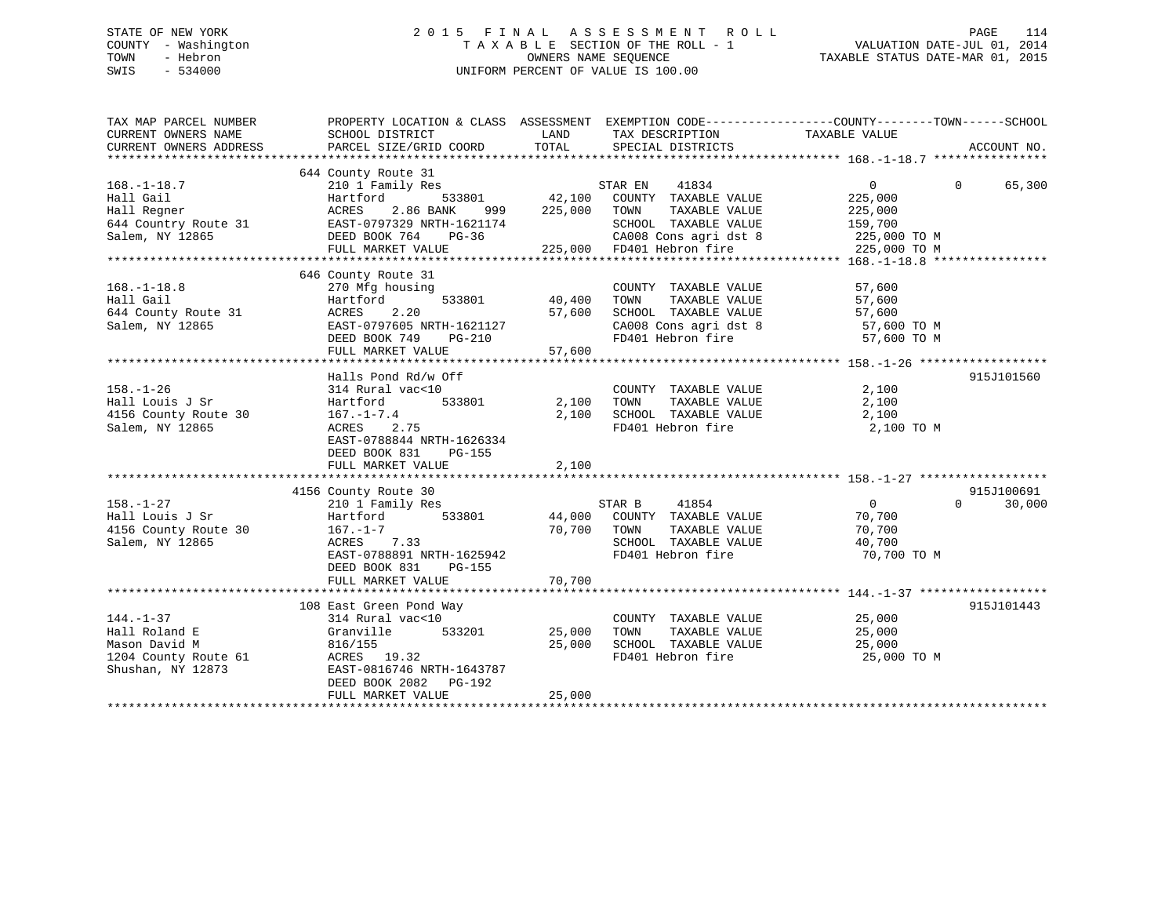# STATE OF NEW YORK 2 0 1 5 F I N A L A S S E S S M E N T R O L L PAGE 114 COUNTY - Washington T A X A B L E SECTION OF THE ROLL - 1 VALUATION DATE-JUL 01, 2014 TOWN - Hebron OWNERS NAME SEQUENCE TAXABLE STATUS DATE-MAR 01, 2015 SWIS - 534000 UNIFORM PERCENT OF VALUE IS 100.00

| TAX MAP PARCEL NUMBER<br>CURRENT OWNERS NAME<br>CURRENT OWNERS ADDRESS                                                                                                                                                                 | PROPERTY LOCATION & CLASS ASSESSMENT EXEMPTION CODE---------------COUNTY-------TOWN-----SCHOOL<br>SCHOOL DISTRICT<br>PARCEL SIZE/GRID COORD | LAND<br>TOTAL     | TAX DESCRIPTION TAXABLE VALUE SPECIAL DISTRICTS                                                                                                                                                                                                                                                                                                                                                                                                |                    | ACCOUNT NO.        |
|----------------------------------------------------------------------------------------------------------------------------------------------------------------------------------------------------------------------------------------|---------------------------------------------------------------------------------------------------------------------------------------------|-------------------|------------------------------------------------------------------------------------------------------------------------------------------------------------------------------------------------------------------------------------------------------------------------------------------------------------------------------------------------------------------------------------------------------------------------------------------------|--------------------|--------------------|
|                                                                                                                                                                                                                                        |                                                                                                                                             |                   |                                                                                                                                                                                                                                                                                                                                                                                                                                                |                    |                    |
| $168. - 1 - 18.7$                                                                                                                                                                                                                      | 644 County Route 31<br>210 1 Family Res                                                                                                     |                   |                                                                                                                                                                                                                                                                                                                                                                                                                                                | $0 \qquad \qquad$  | $\Omega$<br>65,300 |
| Hall Gail (12.100)<br>Hall Regner (12.100)<br>12.100 (12.100)<br>12.100 (14 Country Route 31 (12.15T-0797329 NRTH-1621174<br>12.1174 (12.1174 (12.1174 (12.1174 (12.1174 (12.1174 (12.1174 (12.1174 (12.1174 (12.1174 (12.1174 (12.117 |                                                                                                                                             | 999 225,000 TOWN  | TAXABLE VALUE                                                                                                                                                                                                                                                                                                                                                                                                                                  | 225,000<br>225,000 |                    |
|                                                                                                                                                                                                                                        |                                                                                                                                             |                   | SCHOOL TAXABLE VALUE 159,700<br>CA008 Cons agri dst 8 225,000 TO M                                                                                                                                                                                                                                                                                                                                                                             |                    |                    |
|                                                                                                                                                                                                                                        | FULL MARKET VALUE                                                                                                                           |                   | 225,000 FD401 Hebron fire                                                                                                                                                                                                                                                                                                                                                                                                                      | 225,000 TO M       |                    |
|                                                                                                                                                                                                                                        |                                                                                                                                             |                   |                                                                                                                                                                                                                                                                                                                                                                                                                                                |                    |                    |
|                                                                                                                                                                                                                                        | 646 County Route 31                                                                                                                         |                   |                                                                                                                                                                                                                                                                                                                                                                                                                                                |                    |                    |
| $168. - 1 - 18.8$                                                                                                                                                                                                                      | 270 Mfg housing                                                                                                                             |                   | COUNTY TAXABLE VALUE                                                                                                                                                                                                                                                                                                                                                                                                                           | 57,600             |                    |
| Hall Gail                                                                                                                                                                                                                              | Hartford                                                                                                                                    | $533801$ $40,400$ | TAXABLE VALUE<br>TOWN                                                                                                                                                                                                                                                                                                                                                                                                                          | 57,600             |                    |
| 644 County Route 31<br>Salem, NY 12865<br>EAST-0797605 NRTH-1621127                                                                                                                                                                    |                                                                                                                                             | 57,600            | SCHOOL TAXABLE VALUE 57,600<br>CA008 Cons agri dst 8 57,600 TO M<br>FD401 Hebron fire 57,600 TO M                                                                                                                                                                                                                                                                                                                                              |                    |                    |
|                                                                                                                                                                                                                                        |                                                                                                                                             |                   |                                                                                                                                                                                                                                                                                                                                                                                                                                                |                    |                    |
|                                                                                                                                                                                                                                        | DEED BOOK 749<br>PG-210                                                                                                                     |                   |                                                                                                                                                                                                                                                                                                                                                                                                                                                |                    |                    |
|                                                                                                                                                                                                                                        | FULL MARKET VALUE                                                                                                                           | 57,600            |                                                                                                                                                                                                                                                                                                                                                                                                                                                |                    |                    |
|                                                                                                                                                                                                                                        |                                                                                                                                             |                   |                                                                                                                                                                                                                                                                                                                                                                                                                                                |                    |                    |
|                                                                                                                                                                                                                                        | Halls Pond Rd/w Off                                                                                                                         |                   |                                                                                                                                                                                                                                                                                                                                                                                                                                                |                    | 915J101560         |
| $158. - 1 - 26$                                                                                                                                                                                                                        | 314 Rural vac<10                                                                                                                            |                   | COUNTY TAXABLE VALUE 2,100                                                                                                                                                                                                                                                                                                                                                                                                                     |                    |                    |
| Hall Louis J Sr                                                                                                                                                                                                                        | Hartford 533801 2,100 TOWN                                                                                                                  |                   | TAXABLE VALUE                                                                                                                                                                                                                                                                                                                                                                                                                                  | 2,100              |                    |
| 4156 County Route 30                                                                                                                                                                                                                   | $167. - 1 - 7.4$                                                                                                                            |                   | $\begin{tabular}{lllllllllll} \multicolumn{4}{c}{2,100} & \multicolumn{4}{c}{\texttt{SCH0OL}} & \multicolumn{4}{c}{\texttt{TAXABLE}} & \multicolumn{4}{c}{\texttt{NALUE}} & \multicolumn{4}{c}{2,100} \\ & \multicolumn{4}{c}{\texttt{FD401}~\texttt{Hebron}~\texttt{fire}} & & & & 2,100 \\ \multicolumn{4}{c}{\texttt{AD41}~\texttt{Hebron}~\texttt{fire}} & & & & 2,100 \\ \multicolumn{4}{c}{\texttt{AD41}~\texttt{Hebron}~\texttt{fire}}$ |                    |                    |
| Salem, NY 12865                                                                                                                                                                                                                        | ACRES 2.75                                                                                                                                  |                   |                                                                                                                                                                                                                                                                                                                                                                                                                                                | 2,100 TO M         |                    |
|                                                                                                                                                                                                                                        | EAST-0788844 NRTH-1626334                                                                                                                   |                   |                                                                                                                                                                                                                                                                                                                                                                                                                                                |                    |                    |
|                                                                                                                                                                                                                                        | DEED BOOK 831<br>PG-155                                                                                                                     |                   |                                                                                                                                                                                                                                                                                                                                                                                                                                                |                    |                    |
|                                                                                                                                                                                                                                        | FULL MARKET VALUE                                                                                                                           | 2,100             |                                                                                                                                                                                                                                                                                                                                                                                                                                                |                    |                    |
|                                                                                                                                                                                                                                        |                                                                                                                                             |                   |                                                                                                                                                                                                                                                                                                                                                                                                                                                |                    |                    |
|                                                                                                                                                                                                                                        | 4156 County Route 30                                                                                                                        |                   |                                                                                                                                                                                                                                                                                                                                                                                                                                                |                    | 915J100691         |
| $158. - 1 - 27$                                                                                                                                                                                                                        | 210 1 Family Res                                                                                                                            |                   | STAR B<br>41854                                                                                                                                                                                                                                                                                                                                                                                                                                | $\overline{0}$     | 30,000<br>$\Omega$ |
| Hall Louis J Sr                                                                                                                                                                                                                        | Hartford                                                                                                                                    |                   | 533801 44,000 COUNTY TAXABLE VALUE                                                                                                                                                                                                                                                                                                                                                                                                             | 70,700             |                    |
| 4156 County Route 30                                                                                                                                                                                                                   | 167.-1-7<br>acres 7.33                                                                                                                      | 70,700 TOWN       | TAXABLE VALUE                                                                                                                                                                                                                                                                                                                                                                                                                                  | 70,700             |                    |
| Salem, NY 12865                                                                                                                                                                                                                        | ACRES 7.33                                                                                                                                  |                   | SCHOOL TAXABLE VALUE 40,700<br>FD401 Hebron fire 70,700 TO M                                                                                                                                                                                                                                                                                                                                                                                   |                    |                    |
|                                                                                                                                                                                                                                        | EAST-0788891 NRTH-1625942                                                                                                                   |                   |                                                                                                                                                                                                                                                                                                                                                                                                                                                |                    |                    |
|                                                                                                                                                                                                                                        | DEED BOOK 831<br>PG-155                                                                                                                     |                   |                                                                                                                                                                                                                                                                                                                                                                                                                                                |                    |                    |
|                                                                                                                                                                                                                                        |                                                                                                                                             |                   |                                                                                                                                                                                                                                                                                                                                                                                                                                                |                    |                    |
|                                                                                                                                                                                                                                        |                                                                                                                                             |                   |                                                                                                                                                                                                                                                                                                                                                                                                                                                |                    |                    |
|                                                                                                                                                                                                                                        | 108 East Green Pond Way                                                                                                                     |                   |                                                                                                                                                                                                                                                                                                                                                                                                                                                |                    | 915J101443         |
| $144. - 1 - 37$                                                                                                                                                                                                                        | 314 Rural vac<10                                                                                                                            |                   | COUNTY TAXABLE VALUE 25,000                                                                                                                                                                                                                                                                                                                                                                                                                    |                    |                    |
| Hall Roland E                                                                                                                                                                                                                          | 533201 25,000<br>Granville                                                                                                                  | 25,000            | TOWN       TAXABLE  VALUE<br>SCHOOL    TAXABLE  VALUE                                                                                                                                                                                                                                                                                                                                                                                          | 25,000<br>25,000   |                    |
| Mason David M<br>1204 County Route 61                                                                                                                                                                                                  | 816/155                                                                                                                                     |                   | FD401 Hebron fire 25,000 TO M                                                                                                                                                                                                                                                                                                                                                                                                                  |                    |                    |
|                                                                                                                                                                                                                                        | ACRES 19.32<br>EAST-0816746 NRTH-1643787                                                                                                    |                   |                                                                                                                                                                                                                                                                                                                                                                                                                                                |                    |                    |
| Shushan, NY 12873                                                                                                                                                                                                                      | DEED BOOK 2082    PG-192                                                                                                                    |                   |                                                                                                                                                                                                                                                                                                                                                                                                                                                |                    |                    |
|                                                                                                                                                                                                                                        | FULL MARKET VALUE                                                                                                                           | 25,000            |                                                                                                                                                                                                                                                                                                                                                                                                                                                |                    |                    |
|                                                                                                                                                                                                                                        |                                                                                                                                             |                   |                                                                                                                                                                                                                                                                                                                                                                                                                                                |                    |                    |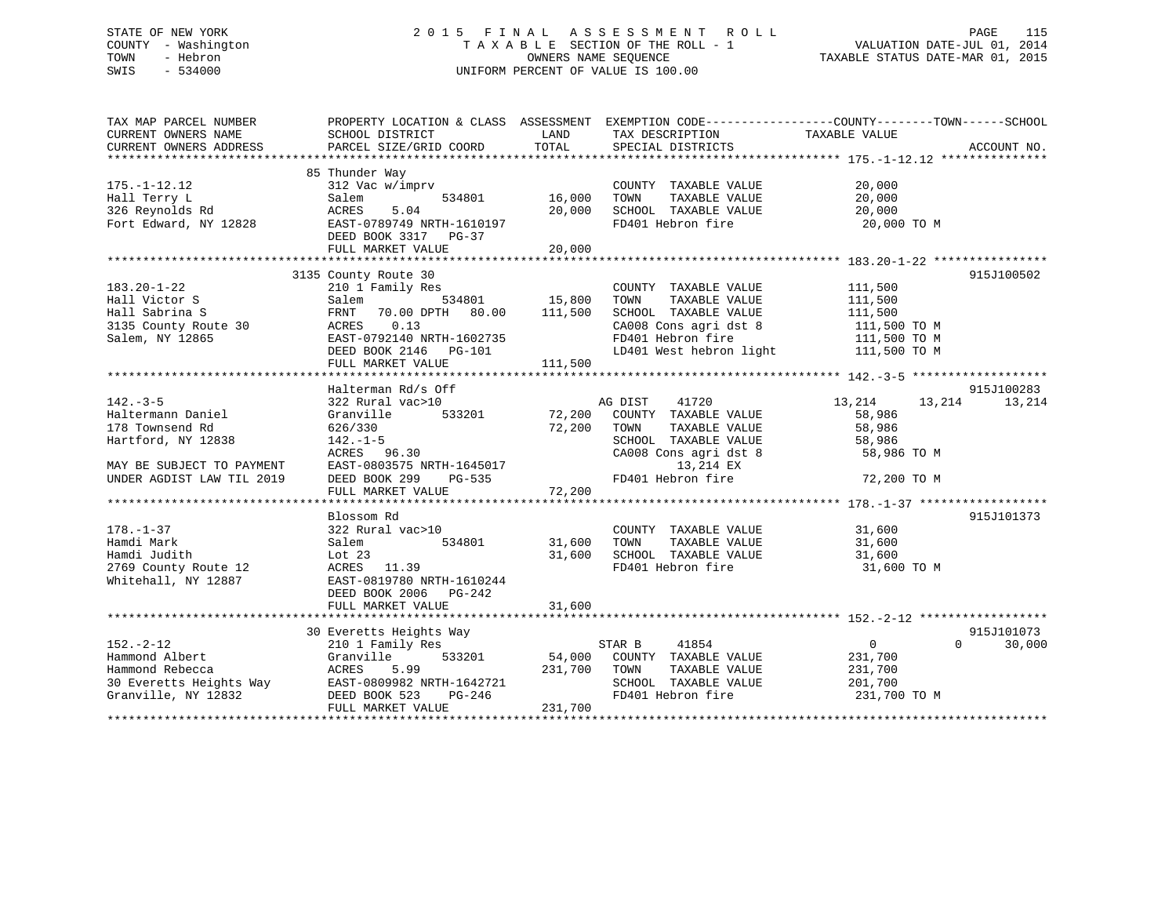# STATE OF NEW YORK 2 0 1 5 F I N A L A S S E S S M E N T R O L L PAGE 115 COUNTY - Washington T A X A B L E SECTION OF THE ROLL - 1 VALUATION DATE-JUL 01, 2014 TOWN - Hebron OWNERS NAME SEQUENCE TAXABLE STATUS DATE-MAR 01, 2015 SWIS - 534000 UNIFORM PERCENT OF VALUE IS 100.00

| LAND<br>TAXABLE VALUE<br>CURRENT OWNERS NAME<br>SCHOOL DISTRICT<br>TAX DESCRIPTION<br>TOTAL<br>CURRENT OWNERS ADDRESS<br>PARCEL SIZE/GRID COORD<br>SPECIAL DISTRICTS<br>ACCOUNT NO.<br>85 Thunder Way<br>$175. - 1 - 12.12$<br>312 Vac w/imprv<br>20,000<br>COUNTY TAXABLE VALUE<br>534801<br>16,000<br>20,000<br>Hall Terry L<br>TAXABLE VALUE<br>Salem<br>TOWN<br>326 Reynolds Rd<br>5.04<br>20,000<br>SCHOOL TAXABLE VALUE<br>ACRES<br>20,000<br>Fort Edward, NY 12828<br>FD401 Hebron fire<br>EAST-0789749 NRTH-1610197<br>20,000 TO M<br>DEED BOOK 3317 PG-37<br>FULL MARKET VALUE<br>20,000<br>3135 County Route 30<br>915J100502<br>$183.20 - 1 - 22$<br>210 1 Family Res<br>COUNTY TAXABLE VALUE<br>111,500<br>534801 15,800<br>Hall Victor S<br>TAXABLE VALUE<br>111,500<br>Salem<br>TOWN<br>111,500<br>Hall Sabrina S<br>70.00 DPTH 80.00<br>SCHOOL TAXABLE VALUE<br>111,500<br>FRNT<br>111,500 TO M<br>3135 County Route 30<br>ACRES<br>0.13<br>CA008 Cons agri dst 8<br>Salem, NY 12865<br>EAST-0792140 NRTH-1602735<br>FD401 Hebron fire<br>111,500 TO M<br>LD401 West hebron light 111,500 TO M<br>DEED BOOK 2146    PG-101<br>111,500<br>FULL MARKET VALUE<br>Halterman Rd/s Off<br>915J100283<br>$142. - 3 - 5$<br>322 Rural vac>10<br>AG DIST<br>41720<br>13,214<br>13,214<br>13,214<br>533201 72,200<br>Haltermann Daniel<br>Granville<br>COUNTY TAXABLE VALUE<br>58,986<br>178 Townsend Rd<br>626/330<br>72,200<br>TAXABLE VALUE<br>58,986<br>TOWN<br>Hartford, NY 12838<br>SCHOOL TAXABLE VALUE<br>$142. - 1 - 5$<br>58,986<br>ACRES 96.30<br>CA008 Cons agri dst 8<br>58,986 TO M<br>13,214 EX<br>EAST-0803575 NRTH-1645017<br>MAY BE SUBJECT TO PAYMENT<br>915J101373<br>Blossom Rd<br>$178. - 1 - 37$<br>322 Rural vac>10<br>COUNTY TAXABLE VALUE<br>31,600<br>Hamdi Mark<br>534801<br>31,600<br>TAXABLE VALUE<br>31,600<br>Salem<br>TOWN<br>31,600<br>SCHOOL TAXABLE VALUE<br>Hamdi Judith<br>Lot $23$<br>31,600<br>FD401 Hebron fire<br>2769 County Route 12<br>ACRES 11.39<br>31,600 TO M<br>Whitehall, NY 12887<br>EAST-0819780 NRTH-1610244<br>DEED BOOK 2006 PG-242<br>915J101073<br>30 Everetts Heights Way<br>$152. - 2 - 12$<br>$\overline{0}$<br>$\Omega$<br>30,000<br>210 1 Family Res<br>STAR B<br>41854<br>Hammond Albert<br>Granville<br>533201 54,000<br>COUNTY TAXABLE VALUE<br>231,700<br>Hammond Rebecca<br>ACRES<br>5.99<br>231,700<br>TOWN<br>TAXABLE VALUE<br>231,700<br>30 Everetts Heights Way EAST-0809982 NRTH-1642721<br>Granville, NY 12832 DEED BOOK 523 PG-246<br>SCHOOL TAXABLE VALUE<br>201,700<br>FD401 Hebron fire<br>231,700 TO M<br>FULL MARKET VALUE<br>231,700 | TAX MAP PARCEL NUMBER | PROPERTY LOCATION & CLASS ASSESSMENT | EXEMPTION CODE-----------------COUNTY-------TOWN------SCHOOL |  |
|----------------------------------------------------------------------------------------------------------------------------------------------------------------------------------------------------------------------------------------------------------------------------------------------------------------------------------------------------------------------------------------------------------------------------------------------------------------------------------------------------------------------------------------------------------------------------------------------------------------------------------------------------------------------------------------------------------------------------------------------------------------------------------------------------------------------------------------------------------------------------------------------------------------------------------------------------------------------------------------------------------------------------------------------------------------------------------------------------------------------------------------------------------------------------------------------------------------------------------------------------------------------------------------------------------------------------------------------------------------------------------------------------------------------------------------------------------------------------------------------------------------------------------------------------------------------------------------------------------------------------------------------------------------------------------------------------------------------------------------------------------------------------------------------------------------------------------------------------------------------------------------------------------------------------------------------------------------------------------------------------------------------------------------------------------------------------------------------------------------------------------------------------------------------------------------------------------------------------------------------------------------------------------------------------------------------------------------------------------------------------------------------------------------------------------------------------------------------------------------------------------------------------------------------------------------------------------------------------------------------------|-----------------------|--------------------------------------|--------------------------------------------------------------|--|
|                                                                                                                                                                                                                                                                                                                                                                                                                                                                                                                                                                                                                                                                                                                                                                                                                                                                                                                                                                                                                                                                                                                                                                                                                                                                                                                                                                                                                                                                                                                                                                                                                                                                                                                                                                                                                                                                                                                                                                                                                                                                                                                                                                                                                                                                                                                                                                                                                                                                                                                                                                                                                            |                       |                                      |                                                              |  |
|                                                                                                                                                                                                                                                                                                                                                                                                                                                                                                                                                                                                                                                                                                                                                                                                                                                                                                                                                                                                                                                                                                                                                                                                                                                                                                                                                                                                                                                                                                                                                                                                                                                                                                                                                                                                                                                                                                                                                                                                                                                                                                                                                                                                                                                                                                                                                                                                                                                                                                                                                                                                                            |                       |                                      |                                                              |  |
|                                                                                                                                                                                                                                                                                                                                                                                                                                                                                                                                                                                                                                                                                                                                                                                                                                                                                                                                                                                                                                                                                                                                                                                                                                                                                                                                                                                                                                                                                                                                                                                                                                                                                                                                                                                                                                                                                                                                                                                                                                                                                                                                                                                                                                                                                                                                                                                                                                                                                                                                                                                                                            |                       |                                      |                                                              |  |
|                                                                                                                                                                                                                                                                                                                                                                                                                                                                                                                                                                                                                                                                                                                                                                                                                                                                                                                                                                                                                                                                                                                                                                                                                                                                                                                                                                                                                                                                                                                                                                                                                                                                                                                                                                                                                                                                                                                                                                                                                                                                                                                                                                                                                                                                                                                                                                                                                                                                                                                                                                                                                            |                       |                                      |                                                              |  |
|                                                                                                                                                                                                                                                                                                                                                                                                                                                                                                                                                                                                                                                                                                                                                                                                                                                                                                                                                                                                                                                                                                                                                                                                                                                                                                                                                                                                                                                                                                                                                                                                                                                                                                                                                                                                                                                                                                                                                                                                                                                                                                                                                                                                                                                                                                                                                                                                                                                                                                                                                                                                                            |                       |                                      |                                                              |  |
|                                                                                                                                                                                                                                                                                                                                                                                                                                                                                                                                                                                                                                                                                                                                                                                                                                                                                                                                                                                                                                                                                                                                                                                                                                                                                                                                                                                                                                                                                                                                                                                                                                                                                                                                                                                                                                                                                                                                                                                                                                                                                                                                                                                                                                                                                                                                                                                                                                                                                                                                                                                                                            |                       |                                      |                                                              |  |
|                                                                                                                                                                                                                                                                                                                                                                                                                                                                                                                                                                                                                                                                                                                                                                                                                                                                                                                                                                                                                                                                                                                                                                                                                                                                                                                                                                                                                                                                                                                                                                                                                                                                                                                                                                                                                                                                                                                                                                                                                                                                                                                                                                                                                                                                                                                                                                                                                                                                                                                                                                                                                            |                       |                                      |                                                              |  |
|                                                                                                                                                                                                                                                                                                                                                                                                                                                                                                                                                                                                                                                                                                                                                                                                                                                                                                                                                                                                                                                                                                                                                                                                                                                                                                                                                                                                                                                                                                                                                                                                                                                                                                                                                                                                                                                                                                                                                                                                                                                                                                                                                                                                                                                                                                                                                                                                                                                                                                                                                                                                                            |                       |                                      |                                                              |  |
|                                                                                                                                                                                                                                                                                                                                                                                                                                                                                                                                                                                                                                                                                                                                                                                                                                                                                                                                                                                                                                                                                                                                                                                                                                                                                                                                                                                                                                                                                                                                                                                                                                                                                                                                                                                                                                                                                                                                                                                                                                                                                                                                                                                                                                                                                                                                                                                                                                                                                                                                                                                                                            |                       |                                      |                                                              |  |
|                                                                                                                                                                                                                                                                                                                                                                                                                                                                                                                                                                                                                                                                                                                                                                                                                                                                                                                                                                                                                                                                                                                                                                                                                                                                                                                                                                                                                                                                                                                                                                                                                                                                                                                                                                                                                                                                                                                                                                                                                                                                                                                                                                                                                                                                                                                                                                                                                                                                                                                                                                                                                            |                       |                                      |                                                              |  |
|                                                                                                                                                                                                                                                                                                                                                                                                                                                                                                                                                                                                                                                                                                                                                                                                                                                                                                                                                                                                                                                                                                                                                                                                                                                                                                                                                                                                                                                                                                                                                                                                                                                                                                                                                                                                                                                                                                                                                                                                                                                                                                                                                                                                                                                                                                                                                                                                                                                                                                                                                                                                                            |                       |                                      |                                                              |  |
|                                                                                                                                                                                                                                                                                                                                                                                                                                                                                                                                                                                                                                                                                                                                                                                                                                                                                                                                                                                                                                                                                                                                                                                                                                                                                                                                                                                                                                                                                                                                                                                                                                                                                                                                                                                                                                                                                                                                                                                                                                                                                                                                                                                                                                                                                                                                                                                                                                                                                                                                                                                                                            |                       |                                      |                                                              |  |
|                                                                                                                                                                                                                                                                                                                                                                                                                                                                                                                                                                                                                                                                                                                                                                                                                                                                                                                                                                                                                                                                                                                                                                                                                                                                                                                                                                                                                                                                                                                                                                                                                                                                                                                                                                                                                                                                                                                                                                                                                                                                                                                                                                                                                                                                                                                                                                                                                                                                                                                                                                                                                            |                       |                                      |                                                              |  |
|                                                                                                                                                                                                                                                                                                                                                                                                                                                                                                                                                                                                                                                                                                                                                                                                                                                                                                                                                                                                                                                                                                                                                                                                                                                                                                                                                                                                                                                                                                                                                                                                                                                                                                                                                                                                                                                                                                                                                                                                                                                                                                                                                                                                                                                                                                                                                                                                                                                                                                                                                                                                                            |                       |                                      |                                                              |  |
|                                                                                                                                                                                                                                                                                                                                                                                                                                                                                                                                                                                                                                                                                                                                                                                                                                                                                                                                                                                                                                                                                                                                                                                                                                                                                                                                                                                                                                                                                                                                                                                                                                                                                                                                                                                                                                                                                                                                                                                                                                                                                                                                                                                                                                                                                                                                                                                                                                                                                                                                                                                                                            |                       |                                      |                                                              |  |
|                                                                                                                                                                                                                                                                                                                                                                                                                                                                                                                                                                                                                                                                                                                                                                                                                                                                                                                                                                                                                                                                                                                                                                                                                                                                                                                                                                                                                                                                                                                                                                                                                                                                                                                                                                                                                                                                                                                                                                                                                                                                                                                                                                                                                                                                                                                                                                                                                                                                                                                                                                                                                            |                       |                                      |                                                              |  |
|                                                                                                                                                                                                                                                                                                                                                                                                                                                                                                                                                                                                                                                                                                                                                                                                                                                                                                                                                                                                                                                                                                                                                                                                                                                                                                                                                                                                                                                                                                                                                                                                                                                                                                                                                                                                                                                                                                                                                                                                                                                                                                                                                                                                                                                                                                                                                                                                                                                                                                                                                                                                                            |                       |                                      |                                                              |  |
|                                                                                                                                                                                                                                                                                                                                                                                                                                                                                                                                                                                                                                                                                                                                                                                                                                                                                                                                                                                                                                                                                                                                                                                                                                                                                                                                                                                                                                                                                                                                                                                                                                                                                                                                                                                                                                                                                                                                                                                                                                                                                                                                                                                                                                                                                                                                                                                                                                                                                                                                                                                                                            |                       |                                      |                                                              |  |
|                                                                                                                                                                                                                                                                                                                                                                                                                                                                                                                                                                                                                                                                                                                                                                                                                                                                                                                                                                                                                                                                                                                                                                                                                                                                                                                                                                                                                                                                                                                                                                                                                                                                                                                                                                                                                                                                                                                                                                                                                                                                                                                                                                                                                                                                                                                                                                                                                                                                                                                                                                                                                            |                       |                                      |                                                              |  |
|                                                                                                                                                                                                                                                                                                                                                                                                                                                                                                                                                                                                                                                                                                                                                                                                                                                                                                                                                                                                                                                                                                                                                                                                                                                                                                                                                                                                                                                                                                                                                                                                                                                                                                                                                                                                                                                                                                                                                                                                                                                                                                                                                                                                                                                                                                                                                                                                                                                                                                                                                                                                                            |                       |                                      |                                                              |  |
|                                                                                                                                                                                                                                                                                                                                                                                                                                                                                                                                                                                                                                                                                                                                                                                                                                                                                                                                                                                                                                                                                                                                                                                                                                                                                                                                                                                                                                                                                                                                                                                                                                                                                                                                                                                                                                                                                                                                                                                                                                                                                                                                                                                                                                                                                                                                                                                                                                                                                                                                                                                                                            |                       |                                      |                                                              |  |
|                                                                                                                                                                                                                                                                                                                                                                                                                                                                                                                                                                                                                                                                                                                                                                                                                                                                                                                                                                                                                                                                                                                                                                                                                                                                                                                                                                                                                                                                                                                                                                                                                                                                                                                                                                                                                                                                                                                                                                                                                                                                                                                                                                                                                                                                                                                                                                                                                                                                                                                                                                                                                            |                       |                                      |                                                              |  |
|                                                                                                                                                                                                                                                                                                                                                                                                                                                                                                                                                                                                                                                                                                                                                                                                                                                                                                                                                                                                                                                                                                                                                                                                                                                                                                                                                                                                                                                                                                                                                                                                                                                                                                                                                                                                                                                                                                                                                                                                                                                                                                                                                                                                                                                                                                                                                                                                                                                                                                                                                                                                                            |                       |                                      |                                                              |  |
|                                                                                                                                                                                                                                                                                                                                                                                                                                                                                                                                                                                                                                                                                                                                                                                                                                                                                                                                                                                                                                                                                                                                                                                                                                                                                                                                                                                                                                                                                                                                                                                                                                                                                                                                                                                                                                                                                                                                                                                                                                                                                                                                                                                                                                                                                                                                                                                                                                                                                                                                                                                                                            |                       |                                      |                                                              |  |
|                                                                                                                                                                                                                                                                                                                                                                                                                                                                                                                                                                                                                                                                                                                                                                                                                                                                                                                                                                                                                                                                                                                                                                                                                                                                                                                                                                                                                                                                                                                                                                                                                                                                                                                                                                                                                                                                                                                                                                                                                                                                                                                                                                                                                                                                                                                                                                                                                                                                                                                                                                                                                            |                       |                                      |                                                              |  |
|                                                                                                                                                                                                                                                                                                                                                                                                                                                                                                                                                                                                                                                                                                                                                                                                                                                                                                                                                                                                                                                                                                                                                                                                                                                                                                                                                                                                                                                                                                                                                                                                                                                                                                                                                                                                                                                                                                                                                                                                                                                                                                                                                                                                                                                                                                                                                                                                                                                                                                                                                                                                                            |                       |                                      |                                                              |  |
|                                                                                                                                                                                                                                                                                                                                                                                                                                                                                                                                                                                                                                                                                                                                                                                                                                                                                                                                                                                                                                                                                                                                                                                                                                                                                                                                                                                                                                                                                                                                                                                                                                                                                                                                                                                                                                                                                                                                                                                                                                                                                                                                                                                                                                                                                                                                                                                                                                                                                                                                                                                                                            |                       |                                      |                                                              |  |
|                                                                                                                                                                                                                                                                                                                                                                                                                                                                                                                                                                                                                                                                                                                                                                                                                                                                                                                                                                                                                                                                                                                                                                                                                                                                                                                                                                                                                                                                                                                                                                                                                                                                                                                                                                                                                                                                                                                                                                                                                                                                                                                                                                                                                                                                                                                                                                                                                                                                                                                                                                                                                            |                       |                                      |                                                              |  |
|                                                                                                                                                                                                                                                                                                                                                                                                                                                                                                                                                                                                                                                                                                                                                                                                                                                                                                                                                                                                                                                                                                                                                                                                                                                                                                                                                                                                                                                                                                                                                                                                                                                                                                                                                                                                                                                                                                                                                                                                                                                                                                                                                                                                                                                                                                                                                                                                                                                                                                                                                                                                                            |                       |                                      |                                                              |  |
|                                                                                                                                                                                                                                                                                                                                                                                                                                                                                                                                                                                                                                                                                                                                                                                                                                                                                                                                                                                                                                                                                                                                                                                                                                                                                                                                                                                                                                                                                                                                                                                                                                                                                                                                                                                                                                                                                                                                                                                                                                                                                                                                                                                                                                                                                                                                                                                                                                                                                                                                                                                                                            |                       |                                      |                                                              |  |
|                                                                                                                                                                                                                                                                                                                                                                                                                                                                                                                                                                                                                                                                                                                                                                                                                                                                                                                                                                                                                                                                                                                                                                                                                                                                                                                                                                                                                                                                                                                                                                                                                                                                                                                                                                                                                                                                                                                                                                                                                                                                                                                                                                                                                                                                                                                                                                                                                                                                                                                                                                                                                            |                       |                                      |                                                              |  |
|                                                                                                                                                                                                                                                                                                                                                                                                                                                                                                                                                                                                                                                                                                                                                                                                                                                                                                                                                                                                                                                                                                                                                                                                                                                                                                                                                                                                                                                                                                                                                                                                                                                                                                                                                                                                                                                                                                                                                                                                                                                                                                                                                                                                                                                                                                                                                                                                                                                                                                                                                                                                                            |                       |                                      |                                                              |  |
|                                                                                                                                                                                                                                                                                                                                                                                                                                                                                                                                                                                                                                                                                                                                                                                                                                                                                                                                                                                                                                                                                                                                                                                                                                                                                                                                                                                                                                                                                                                                                                                                                                                                                                                                                                                                                                                                                                                                                                                                                                                                                                                                                                                                                                                                                                                                                                                                                                                                                                                                                                                                                            |                       |                                      |                                                              |  |
|                                                                                                                                                                                                                                                                                                                                                                                                                                                                                                                                                                                                                                                                                                                                                                                                                                                                                                                                                                                                                                                                                                                                                                                                                                                                                                                                                                                                                                                                                                                                                                                                                                                                                                                                                                                                                                                                                                                                                                                                                                                                                                                                                                                                                                                                                                                                                                                                                                                                                                                                                                                                                            |                       |                                      |                                                              |  |
|                                                                                                                                                                                                                                                                                                                                                                                                                                                                                                                                                                                                                                                                                                                                                                                                                                                                                                                                                                                                                                                                                                                                                                                                                                                                                                                                                                                                                                                                                                                                                                                                                                                                                                                                                                                                                                                                                                                                                                                                                                                                                                                                                                                                                                                                                                                                                                                                                                                                                                                                                                                                                            |                       |                                      |                                                              |  |
|                                                                                                                                                                                                                                                                                                                                                                                                                                                                                                                                                                                                                                                                                                                                                                                                                                                                                                                                                                                                                                                                                                                                                                                                                                                                                                                                                                                                                                                                                                                                                                                                                                                                                                                                                                                                                                                                                                                                                                                                                                                                                                                                                                                                                                                                                                                                                                                                                                                                                                                                                                                                                            |                       |                                      |                                                              |  |
|                                                                                                                                                                                                                                                                                                                                                                                                                                                                                                                                                                                                                                                                                                                                                                                                                                                                                                                                                                                                                                                                                                                                                                                                                                                                                                                                                                                                                                                                                                                                                                                                                                                                                                                                                                                                                                                                                                                                                                                                                                                                                                                                                                                                                                                                                                                                                                                                                                                                                                                                                                                                                            |                       |                                      |                                                              |  |
|                                                                                                                                                                                                                                                                                                                                                                                                                                                                                                                                                                                                                                                                                                                                                                                                                                                                                                                                                                                                                                                                                                                                                                                                                                                                                                                                                                                                                                                                                                                                                                                                                                                                                                                                                                                                                                                                                                                                                                                                                                                                                                                                                                                                                                                                                                                                                                                                                                                                                                                                                                                                                            |                       |                                      |                                                              |  |
|                                                                                                                                                                                                                                                                                                                                                                                                                                                                                                                                                                                                                                                                                                                                                                                                                                                                                                                                                                                                                                                                                                                                                                                                                                                                                                                                                                                                                                                                                                                                                                                                                                                                                                                                                                                                                                                                                                                                                                                                                                                                                                                                                                                                                                                                                                                                                                                                                                                                                                                                                                                                                            |                       |                                      |                                                              |  |
|                                                                                                                                                                                                                                                                                                                                                                                                                                                                                                                                                                                                                                                                                                                                                                                                                                                                                                                                                                                                                                                                                                                                                                                                                                                                                                                                                                                                                                                                                                                                                                                                                                                                                                                                                                                                                                                                                                                                                                                                                                                                                                                                                                                                                                                                                                                                                                                                                                                                                                                                                                                                                            |                       |                                      |                                                              |  |
|                                                                                                                                                                                                                                                                                                                                                                                                                                                                                                                                                                                                                                                                                                                                                                                                                                                                                                                                                                                                                                                                                                                                                                                                                                                                                                                                                                                                                                                                                                                                                                                                                                                                                                                                                                                                                                                                                                                                                                                                                                                                                                                                                                                                                                                                                                                                                                                                                                                                                                                                                                                                                            |                       |                                      |                                                              |  |
|                                                                                                                                                                                                                                                                                                                                                                                                                                                                                                                                                                                                                                                                                                                                                                                                                                                                                                                                                                                                                                                                                                                                                                                                                                                                                                                                                                                                                                                                                                                                                                                                                                                                                                                                                                                                                                                                                                                                                                                                                                                                                                                                                                                                                                                                                                                                                                                                                                                                                                                                                                                                                            |                       |                                      |                                                              |  |
|                                                                                                                                                                                                                                                                                                                                                                                                                                                                                                                                                                                                                                                                                                                                                                                                                                                                                                                                                                                                                                                                                                                                                                                                                                                                                                                                                                                                                                                                                                                                                                                                                                                                                                                                                                                                                                                                                                                                                                                                                                                                                                                                                                                                                                                                                                                                                                                                                                                                                                                                                                                                                            |                       |                                      |                                                              |  |
|                                                                                                                                                                                                                                                                                                                                                                                                                                                                                                                                                                                                                                                                                                                                                                                                                                                                                                                                                                                                                                                                                                                                                                                                                                                                                                                                                                                                                                                                                                                                                                                                                                                                                                                                                                                                                                                                                                                                                                                                                                                                                                                                                                                                                                                                                                                                                                                                                                                                                                                                                                                                                            |                       |                                      |                                                              |  |
|                                                                                                                                                                                                                                                                                                                                                                                                                                                                                                                                                                                                                                                                                                                                                                                                                                                                                                                                                                                                                                                                                                                                                                                                                                                                                                                                                                                                                                                                                                                                                                                                                                                                                                                                                                                                                                                                                                                                                                                                                                                                                                                                                                                                                                                                                                                                                                                                                                                                                                                                                                                                                            |                       |                                      |                                                              |  |
|                                                                                                                                                                                                                                                                                                                                                                                                                                                                                                                                                                                                                                                                                                                                                                                                                                                                                                                                                                                                                                                                                                                                                                                                                                                                                                                                                                                                                                                                                                                                                                                                                                                                                                                                                                                                                                                                                                                                                                                                                                                                                                                                                                                                                                                                                                                                                                                                                                                                                                                                                                                                                            |                       |                                      |                                                              |  |
|                                                                                                                                                                                                                                                                                                                                                                                                                                                                                                                                                                                                                                                                                                                                                                                                                                                                                                                                                                                                                                                                                                                                                                                                                                                                                                                                                                                                                                                                                                                                                                                                                                                                                                                                                                                                                                                                                                                                                                                                                                                                                                                                                                                                                                                                                                                                                                                                                                                                                                                                                                                                                            |                       |                                      |                                                              |  |
|                                                                                                                                                                                                                                                                                                                                                                                                                                                                                                                                                                                                                                                                                                                                                                                                                                                                                                                                                                                                                                                                                                                                                                                                                                                                                                                                                                                                                                                                                                                                                                                                                                                                                                                                                                                                                                                                                                                                                                                                                                                                                                                                                                                                                                                                                                                                                                                                                                                                                                                                                                                                                            |                       |                                      |                                                              |  |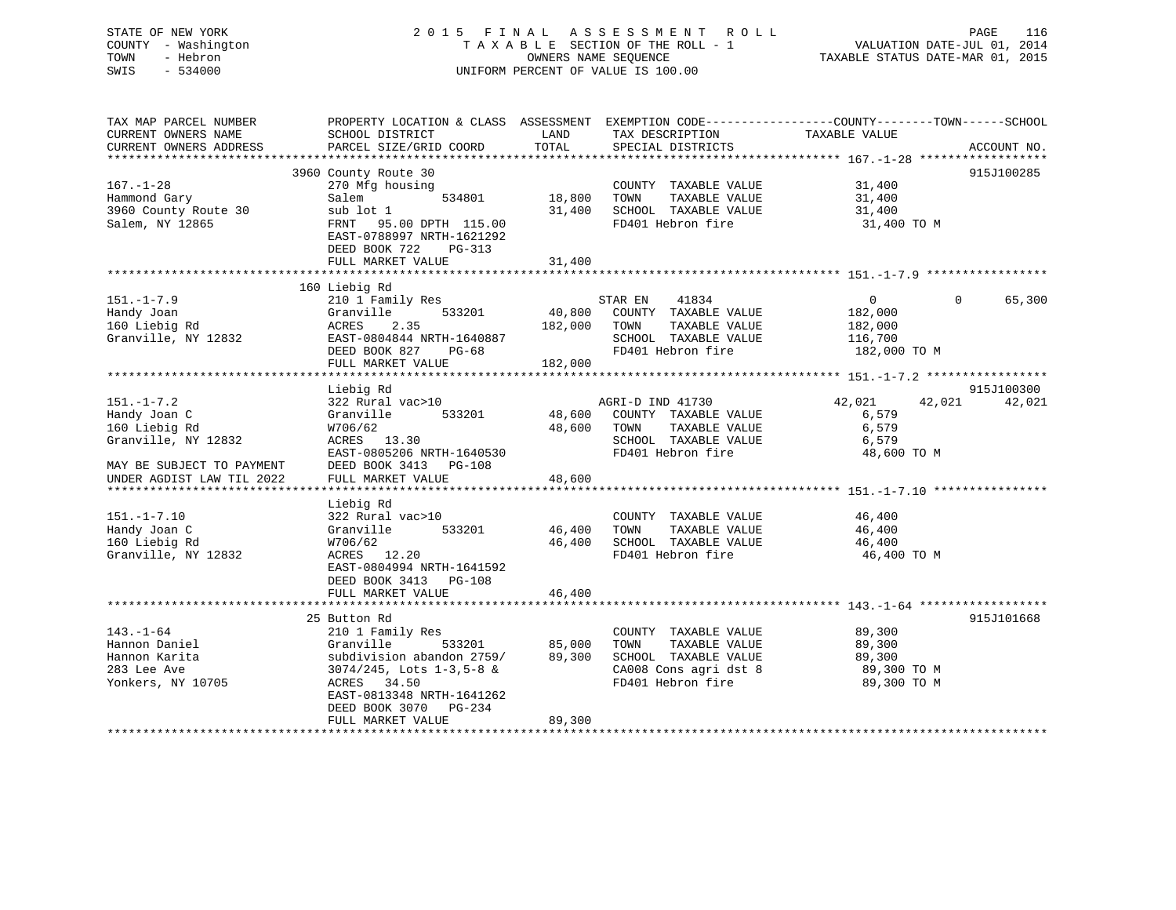| STATE OF NEW YORK<br>COUNTY - Washington<br>TOWN<br>- Hebron<br>SWIS<br>$-534000$                     |                                                                                                                                                                                                            |                            | 2015 FINAL ASSESSMENT ROLL<br>TAXABLE SECTION OF THE ROLL - 1<br>OWNERS NAME SEQUENCE<br>UNIFORM PERCENT OF VALUE IS 100.00 | PAGE 116<br>VALUATION DATE-JUL 01, 2014<br>TAXABLE STATUS DATE 11-1 |                      |
|-------------------------------------------------------------------------------------------------------|------------------------------------------------------------------------------------------------------------------------------------------------------------------------------------------------------------|----------------------------|-----------------------------------------------------------------------------------------------------------------------------|---------------------------------------------------------------------|----------------------|
| TAX MAP PARCEL NUMBER<br>CURRENT OWNERS NAME<br>CURRENT OWNERS ADDRESS                                | PROPERTY LOCATION & CLASS ASSESSMENT EXEMPTION CODE-----------------COUNTY-------TOWN------SCHOOL<br>SCHOOL DISTRICT<br>PARCEL SIZE/GRID COORD                                                             | LAND<br>TOTAL              | TAX DESCRIPTION TAXABLE VALUE<br>SPECIAL DISTRICTS                                                                          |                                                                     | ACCOUNT NO.          |
| $167. - 1 - 28$<br>Hammond Gary<br>3960 County Route 30<br>Salem, NY 12865                            | 3960 County Route 30<br>270 Mfg housing<br>534801<br>Salem<br>sub lot 1<br>FRNT 95.00 DPTH 115.00<br>EAST-0788997 NRTH-1621292<br>DEED BOOK 722<br>PG-313<br>FULL MARKET VALUE                             | 18,800 TOWN<br>31,400      | COUNTY TAXABLE VALUE<br>TAXABLE VALUE<br>31,400 SCHOOL TAXABLE VALUE<br>FD401 Hebron fire                                   | 31,400<br>31,400<br>31,400<br>31,400 TO M                           | 915J100285           |
|                                                                                                       |                                                                                                                                                                                                            |                            |                                                                                                                             |                                                                     |                      |
| $151. - 1 - 7.9$<br>Handy Joan<br>160 Liebig Rd<br>Granville, NY 12832                                | 160 Liebig Rd<br>210 1 Family Res<br>533201<br>Granville<br>2.35<br>ACRES<br>EAST-0804844 NRTH-1640887<br>DEED BOOK 827 PG-68<br>FULL MARKET VALUE                                                         | 182,000 TOWN<br>182,000    | STAR EN<br>41834<br>40,800 COUNTY TAXABLE VALUE<br>TAXABLE VALUE<br>SCHOOL TAXABLE VALUE<br>FD401 Hebron fire               | $\Omega$<br>182,000<br>182,000<br>116,700<br>182,000 TO M           | $\Omega$<br>65,300   |
|                                                                                                       |                                                                                                                                                                                                            |                            |                                                                                                                             |                                                                     |                      |
| $151. - 1 - 7.2$<br>Handy Joan C<br>160 Liebig Rd<br>Granville, NY 12832<br>MAY BE SUBJECT TO PAYMENT | Liebig Rd<br>322 Rural vac>10<br>Granville 533201<br>W706/62<br>ACRES 13.30<br>EAST-0805206 NRTH-1640530<br>DEED BOOK 3413 PG-108                                                                          | 48,600 TOWN                | AGRI-D IND 41730<br>48,600 COUNTY TAXABLE VALUE<br>TAXABLE VALUE<br>SCHOOL TAXABLE VALUE<br>FD401 Hebron fire               | 42,021<br>42,021<br>6,579<br>6,579<br>6,579<br>48,600 TO M          | 915J100300<br>42,021 |
| UNDER AGDIST LAW TIL 2022                                                                             | FULL MARKET VALUE                                                                                                                                                                                          | 48,600                     |                                                                                                                             |                                                                     |                      |
| $151. - 1 - 7.10$<br>Handy Joan C<br>160 Liebig Rd<br>Granville, NY 12832                             | Liebig Rd<br>322 Rural vac>10<br>Granville 533201<br>W706/62<br>ACRES 12.20<br>EAST-0804994 NRTH-1641592<br>DEED BOOK 3413 PG-108                                                                          | 46,400 TOWN                | COUNTY TAXABLE VALUE<br>TAXABLE VALUE<br>46,400 SCHOOL TAXABLE VALUE<br>FD401 Hebron fire                                   | 46,400<br>46,400<br>46,400<br>46,400 TO M                           |                      |
|                                                                                                       | FULL MARKET VALUE                                                                                                                                                                                          | 46,400                     |                                                                                                                             |                                                                     |                      |
| $143. - 1 - 64$<br>Hannon Daniel<br>Hannon Karita<br>283 Lee Ave<br>Yonkers, NY 10705                 | 25 Button Rd<br>210 1 Family Res<br>533201<br>Granville<br>subdivision abandon 2759/<br>3074/245, Lots 1-3,5-8 &<br>ACRES 34.50<br>EAST-0813348 NRTH-1641262<br>DEED BOOK 3070 PG-234<br>FULL MARKET VALUE | 85,000<br>89,300<br>89,300 | COUNTY TAXABLE VALUE<br>TAXABLE VALUE<br>TOWN<br>SCHOOL TAXABLE VALUE<br>CA008 Cons agri dst 8<br>FD401 Hebron fire         | 89,300<br>89,300<br>89,300<br>89,300 TO M<br>89,300 TO M            | 915J101668           |

\*\*\*\*\*\*\*\*\*\*\*\*\*\*\*\*\*\*\*\*\*\*\*\*\*\*\*\*\*\*\*\*\*\*\*\*\*\*\*\*\*\*\*\*\*\*\*\*\*\*\*\*\*\*\*\*\*\*\*\*\*\*\*\*\*\*\*\*\*\*\*\*\*\*\*\*\*\*\*\*\*\*\*\*\*\*\*\*\*\*\*\*\*\*\*\*\*\*\*\*\*\*\*\*\*\*\*\*\*\*\*\*\*\*\*\*\*\*\*\*\*\*\*\*\*\*\*\*\*\*\*\*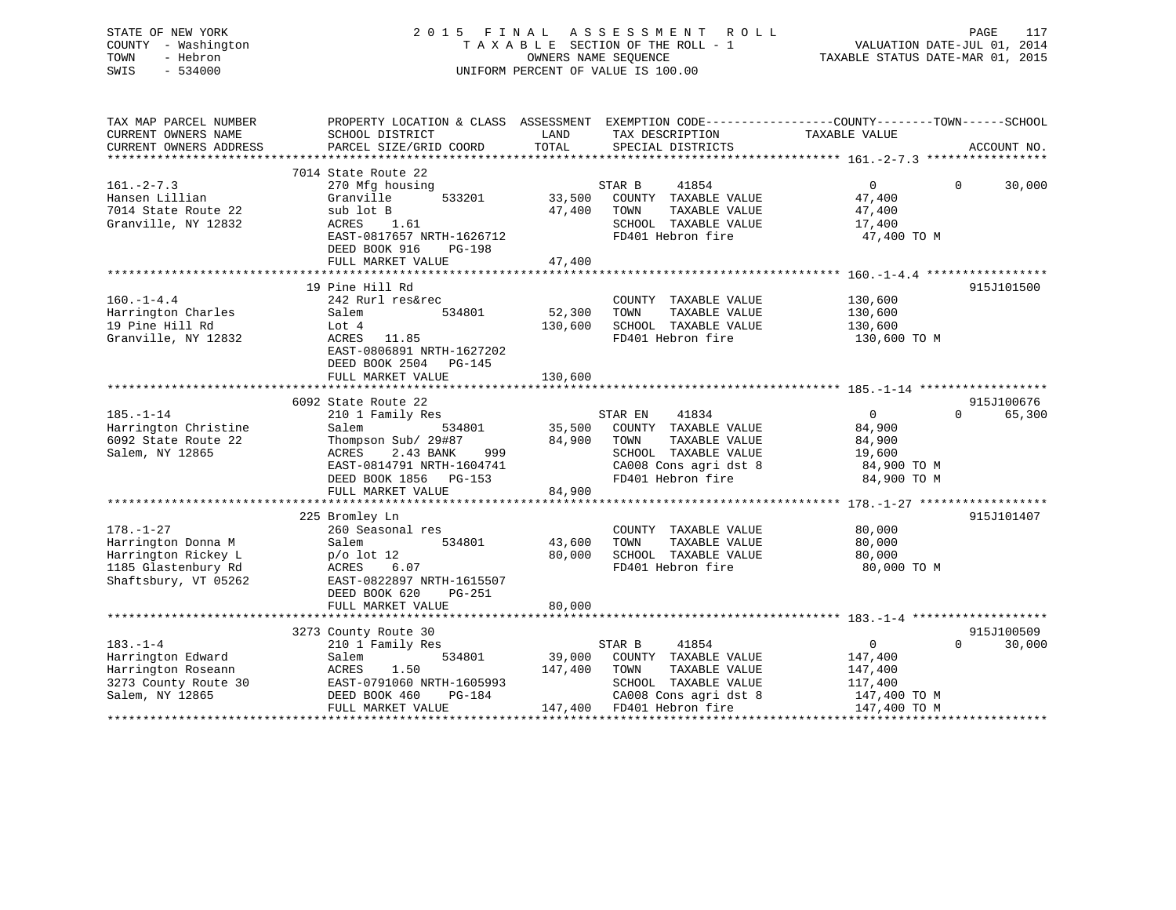# STATE OF NEW YORK 2 0 1 5 F I N A L A S S E S S M E N T R O L L PAGE 117 COUNTY - Washington T A X A B L E SECTION OF THE ROLL - 1 VALUATION DATE-JUL 01, 2014 TOWN - Hebron OWNERS NAME SEQUENCE TAXABLE STATUS DATE-MAR 01, 2015 SWIS - 534000 UNIFORM PERCENT OF VALUE IS 100.00

| TAX MAP PARCEL NUMBER<br>CURRENT OWNERS NAME<br>CURRENT OWNERS ADDRESS                                      | PROPERTY LOCATION & CLASS ASSESSMENT<br>SCHOOL DISTRICT<br>PARCEL SIZE/GRID COORD                                                                                                            | LAND<br>TAX DESCRIPTION<br>TOTAL<br>SPECIAL DISTRICTS                                                                                                                 | EXEMPTION CODE-----------------COUNTY-------TOWN------SCHOOL<br>TAXABLE VALUE<br>ACCOUNT NO.                   |
|-------------------------------------------------------------------------------------------------------------|----------------------------------------------------------------------------------------------------------------------------------------------------------------------------------------------|-----------------------------------------------------------------------------------------------------------------------------------------------------------------------|----------------------------------------------------------------------------------------------------------------|
| $161. -2 - 7.3$                                                                                             | 7014 State Route 22<br>270 Mfg housing                                                                                                                                                       | STAR B<br>41854                                                                                                                                                       | $\overline{0}$<br>$\Omega$<br>30,000                                                                           |
| Hansen Lillian<br>7014 State Route 22<br>Granville, NY 12832                                                | 533201<br>Granville<br>sub lot B<br>ACRES<br>1.61<br>EAST-0817657 NRTH-1626712<br>DEED BOOK 916<br>PG-198                                                                                    | 33,500<br>COUNTY TAXABLE VALUE<br>47,400<br>TAXABLE VALUE<br>TOWN<br>SCHOOL TAXABLE VALUE<br>FD401 Hebron fire                                                        | 47,400<br>47,400<br>17,400<br>47,400 TO M                                                                      |
|                                                                                                             | FULL MARKET VALUE                                                                                                                                                                            | 47,400                                                                                                                                                                |                                                                                                                |
|                                                                                                             |                                                                                                                                                                                              |                                                                                                                                                                       |                                                                                                                |
| $160. - 1 - 4.4$<br>Harrington Charles<br>19 Pine Hill Rd<br>Granville, NY 12832                            | 19 Pine Hill Rd<br>242 Rurl res&rec<br>534801<br>Salem<br>Lot 4<br>ACRES<br>11.85<br>EAST-0806891 NRTH-1627202<br>DEED BOOK 2504 PG-145                                                      | COUNTY TAXABLE VALUE<br>52,300<br>TAXABLE VALUE<br>TOWN<br>130,600<br>SCHOOL TAXABLE VALUE<br>FD401 Hebron fire                                                       | 915J101500<br>130,600<br>130,600<br>130,600<br>130,600 TO M                                                    |
|                                                                                                             | FULL MARKET VALUE                                                                                                                                                                            | 130,600                                                                                                                                                               |                                                                                                                |
|                                                                                                             |                                                                                                                                                                                              |                                                                                                                                                                       |                                                                                                                |
| $185. - 1 - 14$<br>Harrington Christine<br>6092 State Route 22<br>Salem, NY 12865                           | 6092 State Route 22<br>210 1 Family Res<br>534801<br>Salem<br>Thompson Sub/ 29#87<br>ACRES<br>2.43 BANK<br>999<br>EAST-0814791 NRTH-1604741<br>DEED BOOK 1856<br>PG-153<br>FULL MARKET VALUE | STAR EN<br>41834<br>35,500<br>COUNTY TAXABLE VALUE<br>84,900<br>TAXABLE VALUE<br>TOWN<br>SCHOOL TAXABLE VALUE<br>CA008 Cons agri dst 8<br>FD401 Hebron fire<br>84,900 | 915J100676<br>$\overline{0}$<br>$\Omega$<br>65,300<br>84,900<br>84,900<br>19,600<br>84,900 TO M<br>84,900 TO M |
|                                                                                                             |                                                                                                                                                                                              |                                                                                                                                                                       |                                                                                                                |
| $178. - 1 - 27$<br>Harrington Donna M<br>Harrington Rickey L<br>1185 Glastenbury Rd<br>Shaftsbury, VT 05262 | 225 Bromley Ln<br>260 Seasonal res<br>534801<br>Salem<br>$p/o$ lot 12<br>6.07<br>ACRES<br>EAST-0822897 NRTH-1615507<br>DEED BOOK 620<br>PG-251<br>FULL MARKET VALUE                          | COUNTY TAXABLE VALUE<br>TAXABLE VALUE<br>43,600<br>TOWN<br>80,000<br>SCHOOL TAXABLE VALUE<br>FD401 Hebron fire<br>80,000                                              | 915J101407<br>80,000<br>80,000<br>80,000<br>80,000 TO M                                                        |
|                                                                                                             |                                                                                                                                                                                              |                                                                                                                                                                       |                                                                                                                |
| $183. - 1 - 4$<br>Harrington Edward<br>Harrington Roseann<br>3273 County Route 30<br>Salem, NY 12865        | 3273 County Route 30<br>210 1 Family Res<br>Salem<br>534801<br>ACRES<br>1.50<br>EAST-0791060 NRTH-1605993<br>DEED BOOK 460<br>PG-184                                                         | 41854<br>STAR B<br>39,000<br>COUNTY TAXABLE VALUE<br>147,400<br>TOWN<br>TAXABLE VALUE<br>SCHOOL TAXABLE VALUE<br>CA008 Cons agri dst 8                                | 915J100509<br>$\mathbf 0$<br>$\Omega$<br>30,000<br>147,400<br>147,400<br>117,400<br>147,400 TO M               |
|                                                                                                             | FULL MARKET VALUE                                                                                                                                                                            | 147,400<br>FD401 Hebron fire                                                                                                                                          | 147,400 TO M                                                                                                   |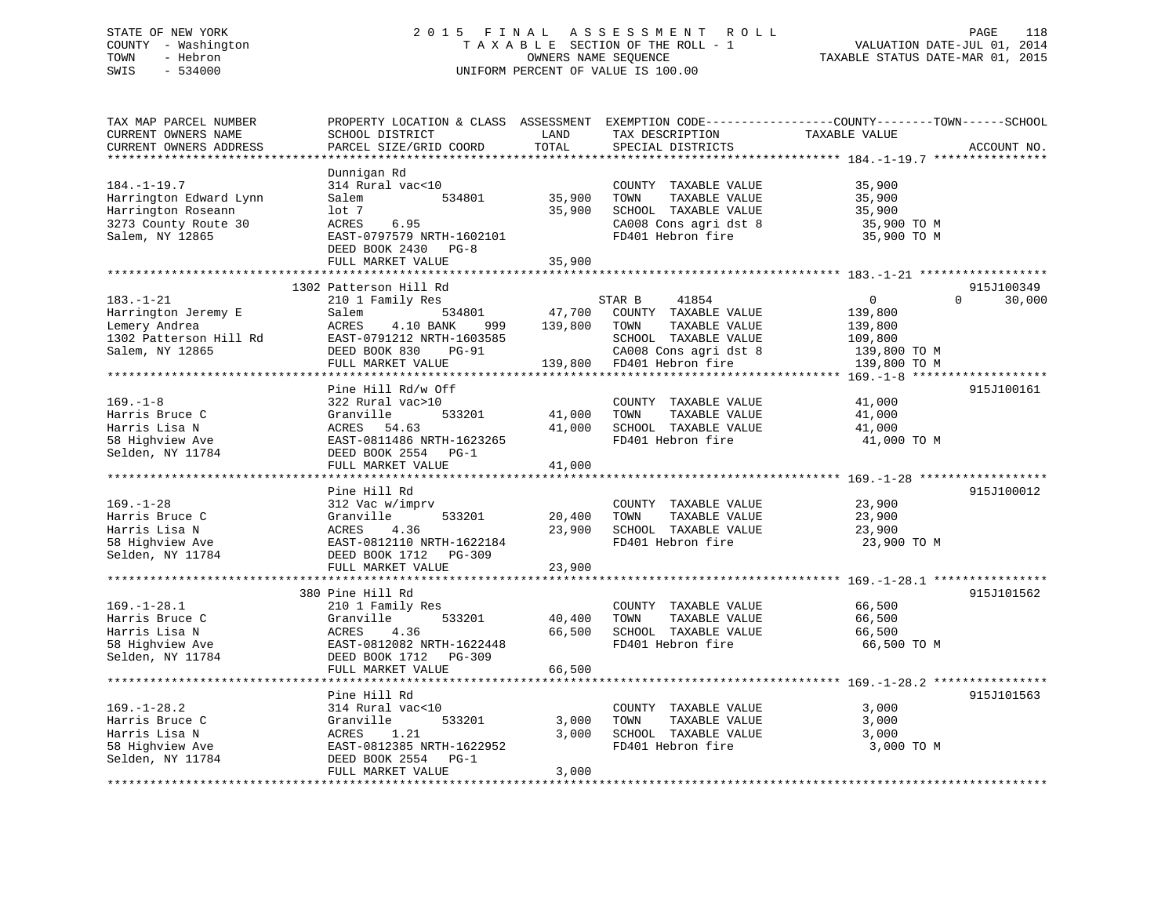# STATE OF NEW YORK 2 0 1 5 F I N A L A S S E S S M E N T R O L L PAGE 118 COUNTY - Washington T A X A B L E SECTION OF THE ROLL - 1 VALUATION DATE-JUL 01, 2014 TOWN - Hebron OWNERS NAME SEQUENCE TAXABLE STATUS DATE-MAR 01, 2015 SWIS - 534000 UNIFORM PERCENT OF VALUE IS 100.00

| TAX MAP PARCEL NUMBER<br>CURRENT OWNERS NAME<br>CURRENT OWNERS ADDRESS | PROPERTY LOCATION & CLASS ASSESSMENT<br>SCHOOL DISTRICT<br>PARCEL SIZE/GRID COORD | LAND<br>TOTAL | TAX DESCRIPTION<br>SPECIAL DISTRICTS | EXEMPTION CODE-----------------COUNTY-------TOWN------SCHOOL<br>TAXABLE VALUE | ACCOUNT NO.        |
|------------------------------------------------------------------------|-----------------------------------------------------------------------------------|---------------|--------------------------------------|-------------------------------------------------------------------------------|--------------------|
| *********************                                                  |                                                                                   |               |                                      |                                                                               |                    |
|                                                                        | Dunnigan Rd                                                                       |               |                                      |                                                                               |                    |
| $184. - 1 - 19.7$                                                      | 314 Rural vac<10                                                                  |               | COUNTY TAXABLE VALUE                 | 35,900                                                                        |                    |
| Harrington Edward Lynn                                                 | Salem<br>534801                                                                   | 35,900        | TOWN<br>TAXABLE VALUE                | 35,900                                                                        |                    |
| Harrington Roseann                                                     | lot 7                                                                             | 35,900        | SCHOOL TAXABLE VALUE                 | 35,900                                                                        |                    |
| 3273 County Route 30                                                   | ACRES<br>6.95                                                                     |               | CA008 Cons agri dst 8                | 35,900 TO M                                                                   |                    |
| Salem, NY 12865                                                        | EAST-0797579 NRTH-1602101                                                         |               | FD401 Hebron fire                    | 35,900 TO M                                                                   |                    |
|                                                                        | DEED BOOK 2430 PG-8                                                               |               |                                      |                                                                               |                    |
|                                                                        | FULL MARKET VALUE                                                                 | 35,900        |                                      |                                                                               |                    |
|                                                                        |                                                                                   |               |                                      |                                                                               |                    |
|                                                                        | 1302 Patterson Hill Rd                                                            |               |                                      |                                                                               | 915J100349         |
| $183. - 1 - 21$                                                        | 210 1 Family Res                                                                  |               | STAR B<br>41854                      | $\overline{0}$                                                                | $\Omega$<br>30,000 |
| Harrington Jeremy E                                                    | 534801<br>Salem                                                                   | 47,700        | COUNTY TAXABLE VALUE                 | 139,800                                                                       |                    |
| Lemery Andrea                                                          | ACRES<br>4.10 BANK<br>999                                                         | 139,800       | TOWN<br>TAXABLE VALUE                | 139,800                                                                       |                    |
| 1302 Patterson Hill Rd                                                 | EAST-0791212 NRTH-1603585                                                         |               | SCHOOL TAXABLE VALUE                 | 109,800                                                                       |                    |
| Salem, NY 12865                                                        | DEED BOOK 830<br><b>PG-91</b>                                                     |               | CA008 Cons agri dst 8                | 139,800 TO M                                                                  |                    |
|                                                                        | FULL MARKET VALUE                                                                 | 139,800       | FD401 Hebron fire                    | 139,800 TO M                                                                  |                    |
|                                                                        | ********************                                                              |               |                                      |                                                                               |                    |
|                                                                        | Pine Hill Rd/w Off                                                                |               |                                      |                                                                               | 915J100161         |
| $169. - 1 - 8$                                                         | 322 Rural vac>10                                                                  |               | COUNTY TAXABLE VALUE                 | 41,000                                                                        |                    |
| Harris Bruce C                                                         | Granville<br>533201                                                               | 41,000        | TOWN<br>TAXABLE VALUE                | 41,000                                                                        |                    |
| Harris Lisa N                                                          | ACRES<br>54.63                                                                    | 41,000        | SCHOOL TAXABLE VALUE                 | 41,000                                                                        |                    |
| 58 Highview Ave                                                        | EAST-0811486 NRTH-1623265                                                         |               | FD401 Hebron fire                    | 41,000 TO M                                                                   |                    |
| Selden, NY 11784                                                       | DEED BOOK 2554<br>PG-1                                                            |               |                                      |                                                                               |                    |
|                                                                        | FULL MARKET VALUE<br>********************                                         | 41,000        |                                      |                                                                               |                    |
|                                                                        |                                                                                   |               |                                      | ******************************* 169.-1-28 ***                                 |                    |
| $169. - 1 - 28$                                                        | Pine Hill Rd                                                                      |               | COUNTY TAXABLE VALUE                 | 23,900                                                                        | 915J100012         |
| Harris Bruce C                                                         | 312 Vac w/imprv<br>Granville<br>533201                                            | 20,400        | TOWN<br>TAXABLE VALUE                | 23,900                                                                        |                    |
| Harris Lisa N                                                          | 4.36<br>ACRES                                                                     | 23,900        | SCHOOL TAXABLE VALUE                 | 23,900                                                                        |                    |
| 58 Highview Ave                                                        | EAST-0812110 NRTH-1622184                                                         |               | FD401 Hebron fire                    | 23,900 TO M                                                                   |                    |
| Selden, NY 11784                                                       | DEED BOOK 1712 PG-309                                                             |               |                                      |                                                                               |                    |
|                                                                        | FULL MARKET VALUE                                                                 | 23,900        |                                      |                                                                               |                    |
|                                                                        |                                                                                   |               |                                      |                                                                               |                    |
|                                                                        | 380 Pine Hill Rd                                                                  |               |                                      |                                                                               | 915J101562         |
| $169. - 1 - 28.1$                                                      | 210 1 Family Res                                                                  |               | COUNTY TAXABLE VALUE                 | 66,500                                                                        |                    |
| Harris Bruce C                                                         | 533201<br>Granville                                                               | 40,400        | TOWN<br>TAXABLE VALUE                | 66,500                                                                        |                    |
| Harris Lisa N                                                          | ACRES<br>4.36                                                                     | 66,500        | SCHOOL TAXABLE VALUE                 | 66,500                                                                        |                    |
| 58 Highview Ave                                                        | EAST-0812082 NRTH-1622448                                                         |               | FD401 Hebron fire                    | 66,500 TO M                                                                   |                    |
| Selden, NY 11784                                                       | DEED BOOK 1712<br>PG-309                                                          |               |                                      |                                                                               |                    |
|                                                                        | FULL MARKET VALUE                                                                 | 66,500        |                                      |                                                                               |                    |
|                                                                        |                                                                                   |               |                                      |                                                                               |                    |
|                                                                        | Pine Hill Rd                                                                      |               |                                      |                                                                               | 915J101563         |
| $169. - 1 - 28.2$                                                      | 314 Rural vac<10                                                                  |               | COUNTY TAXABLE VALUE                 | 3,000                                                                         |                    |
| Harris Bruce C                                                         | Granville<br>533201                                                               | 3,000         | TOWN<br>TAXABLE VALUE                | 3,000                                                                         |                    |
| Harris Lisa N                                                          | ACRES<br>1.21                                                                     | 3,000         | SCHOOL TAXABLE VALUE                 | 3,000                                                                         |                    |
| 58 Highview Ave                                                        | EAST-0812385 NRTH-1622952                                                         |               | FD401 Hebron fire                    | 3,000 TO M                                                                    |                    |
| Selden, NY 11784                                                       | DEED BOOK 2554<br>$PG-1$                                                          |               |                                      |                                                                               |                    |
|                                                                        | FULL MARKET VALUE                                                                 | 3,000         |                                      |                                                                               |                    |
|                                                                        |                                                                                   |               |                                      |                                                                               |                    |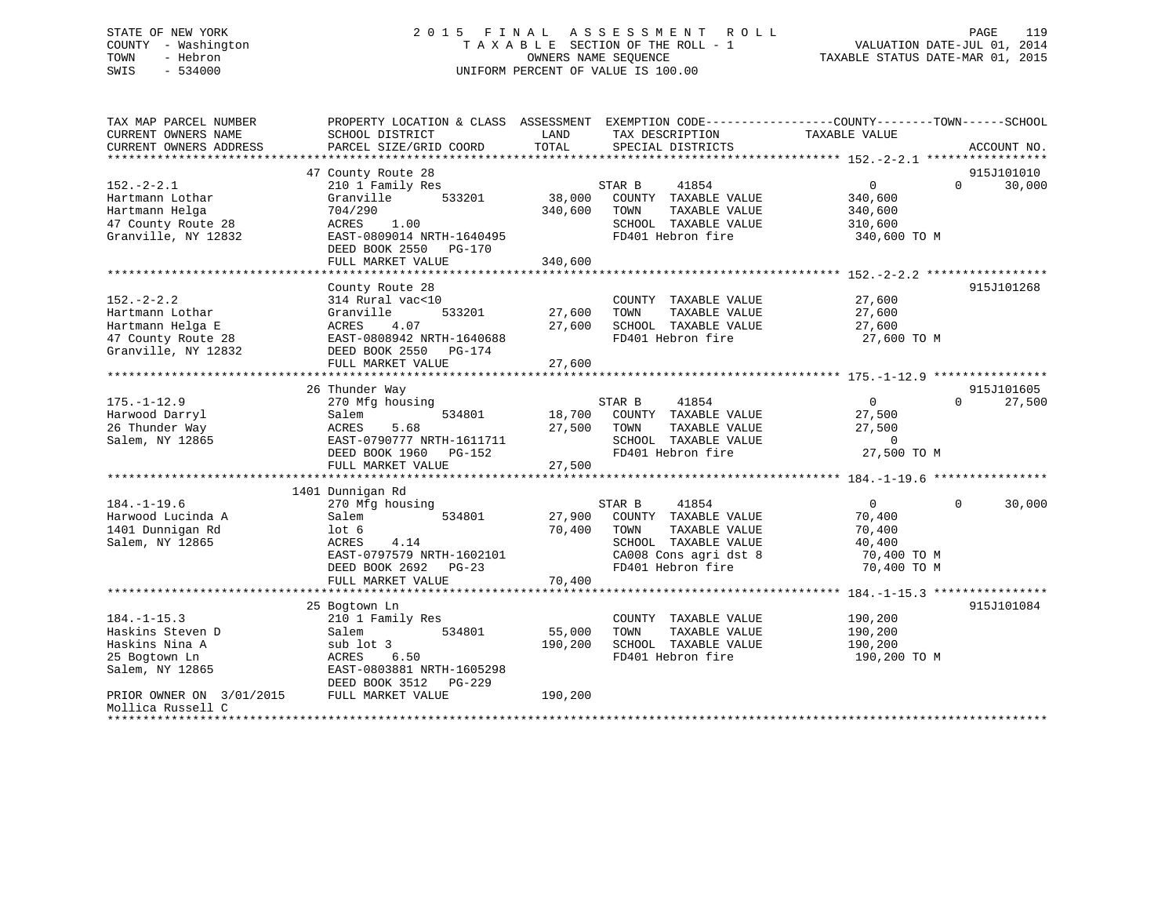# STATE OF NEW YORK 2 0 1 5 F I N A L A S S E S S M E N T R O L L PAGE 119 COUNTY - Washington T A X A B L E SECTION OF THE ROLL - 1 VALUATION DATE-JUL 01, 2014 TOWN - Hebron OWNERS NAME SEQUENCE TAXABLE STATUS DATE-MAR 01, 2015 SWIS - 534000 UNIFORM PERCENT OF VALUE IS 100.00

| TAX MAP PARCEL NUMBER    | PROPERTY LOCATION & CLASS ASSESSMENT |         | EXEMPTION CODE-----------------COUNTY-------TOWN------SCHOOL |                |                    |
|--------------------------|--------------------------------------|---------|--------------------------------------------------------------|----------------|--------------------|
| CURRENT OWNERS NAME      | SCHOOL DISTRICT                      | LAND    | TAX DESCRIPTION                                              | TAXABLE VALUE  |                    |
| CURRENT OWNERS ADDRESS   | PARCEL SIZE/GRID COORD               | TOTAL   | SPECIAL DISTRICTS                                            |                | ACCOUNT NO.        |
|                          |                                      |         |                                                              |                |                    |
|                          | 47 County Route 28                   |         |                                                              |                | 915J101010         |
| $152 - 2 - 2.1$          | 210 1 Family Res                     |         | 41854<br>STAR B                                              | $\overline{0}$ | $\Omega$<br>30,000 |
| Hartmann Lothar          | 533201<br>Granville                  | 38,000  | COUNTY TAXABLE VALUE                                         | 340,600        |                    |
| Hartmann Helga           | 704/290                              | 340,600 | TOWN<br>TAXABLE VALUE                                        | 340,600        |                    |
| 47 County Route 28       | ACRES<br>1.00                        |         | SCHOOL TAXABLE VALUE                                         | 310,600        |                    |
| Granville, NY 12832      | EAST-0809014 NRTH-1640495            |         | FD401 Hebron fire                                            | 340,600 TO M   |                    |
|                          | DEED BOOK 2550<br>PG-170             |         |                                                              |                |                    |
|                          | FULL MARKET VALUE                    | 340,600 |                                                              |                |                    |
|                          |                                      |         |                                                              |                |                    |
|                          | County Route 28                      |         |                                                              |                | 915J101268         |
| $152. - 2 - 2.2$         | 314 Rural vac<10                     |         | COUNTY TAXABLE VALUE                                         | 27,600         |                    |
| Hartmann Lothar          | 533201<br>Granville                  | 27,600  | TAXABLE VALUE<br>TOWN                                        | 27,600         |                    |
| Hartmann Helga E         | 4.07<br>ACRES                        | 27,600  | SCHOOL TAXABLE VALUE                                         | 27,600         |                    |
| 47 County Route 28       | EAST-0808942 NRTH-1640688            |         | FD401 Hebron fire                                            | 27,600 TO M    |                    |
| Granville, NY 12832      | DEED BOOK 2550 PG-174                |         |                                                              |                |                    |
|                          | FULL MARKET VALUE                    | 27,600  |                                                              |                |                    |
|                          |                                      |         |                                                              |                |                    |
|                          | 26 Thunder Way                       |         |                                                              |                | 915J101605         |
| $175. - 1 - 12.9$        | 270 Mfg housing                      |         | STAR B<br>41854                                              | $\Omega$       | 27,500<br>$\Omega$ |
| Harwood Darryl           | 534801<br>Salem                      | 18,700  | COUNTY TAXABLE VALUE                                         | 27,500         |                    |
| 26 Thunder Way           | 5.68<br>ACRES                        | 27,500  | TOWN<br>TAXABLE VALUE                                        | 27,500         |                    |
| Salem, NY 12865          | EAST-0790777 NRTH-1611711            |         | SCHOOL TAXABLE VALUE                                         | $\overline{0}$ |                    |
|                          | DEED BOOK 1960 PG-152                |         | FD401 Hebron fire                                            | 27,500 TO M    |                    |
|                          | FULL MARKET VALUE                    | 27,500  |                                                              |                |                    |
|                          |                                      |         |                                                              |                |                    |
|                          | 1401 Dunnigan Rd                     |         |                                                              |                |                    |
| $184. - 1 - 19.6$        | 270 Mfg housing                      |         | 41854<br>STAR B                                              | $\overline{0}$ | $\Omega$<br>30,000 |
| Harwood Lucinda A        | 534801<br>Salem                      | 27,900  | COUNTY TAXABLE VALUE                                         | 70,400         |                    |
| 1401 Dunnigan Rd         | lot 6                                | 70,400  | TAXABLE VALUE<br>TOWN                                        | 70,400         |                    |
| Salem, NY 12865          | ACRES<br>4.14                        |         | SCHOOL TAXABLE VALUE                                         | 40,400         |                    |
|                          | EAST-0797579 NRTH-1602101            |         | CA008 Cons agri dst 8                                        | 70,400 TO M    |                    |
|                          | DEED BOOK 2692 PG-23                 |         | FD401 Hebron fire                                            | 70,400 TO M    |                    |
|                          | FULL MARKET VALUE                    | 70,400  |                                                              |                |                    |
|                          |                                      |         |                                                              |                |                    |
|                          | 25 Bogtown Ln                        |         |                                                              |                | 915J101084         |
| $184. - 1 - 15.3$        | 210 1 Family Res                     |         | COUNTY TAXABLE VALUE                                         | 190,200        |                    |
| Haskins Steven D         | 534801<br>Salem                      | 55,000  | TOWN<br>TAXABLE VALUE                                        | 190,200        |                    |
| Haskins Nina A           | sub lot 3                            | 190,200 | SCHOOL TAXABLE VALUE                                         | 190,200        |                    |
| 25 Bogtown Ln            | ACRES<br>6.50                        |         | FD401 Hebron fire                                            | 190,200 TO M   |                    |
| Salem, NY 12865          | EAST-0803881 NRTH-1605298            |         |                                                              |                |                    |
|                          | DEED BOOK 3512<br>PG-229             |         |                                                              |                |                    |
| PRIOR OWNER ON 3/01/2015 | FULL MARKET VALUE                    | 190,200 |                                                              |                |                    |
| Mollica Russell C        |                                      |         |                                                              |                |                    |
|                          |                                      |         |                                                              |                |                    |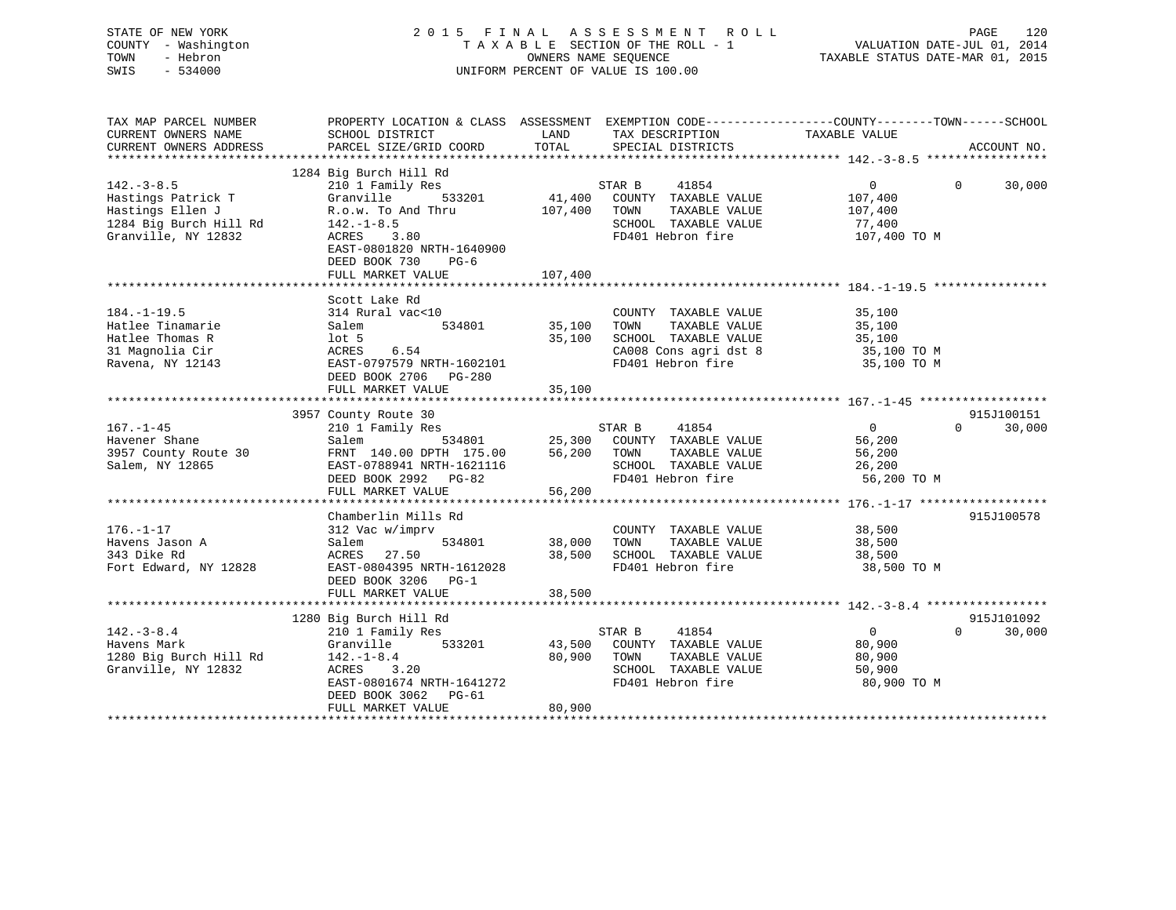|                                    | 120<br>PAGE                      |
|------------------------------------|----------------------------------|
| TAXABLE SECTION OF THE ROLL - 1    | VALUATION DATE-JUL 01, 2014      |
| OWNERS NAME SEOUENCE               | TAXABLE STATUS DATE-MAR 01, 2015 |
| UNIFORM PERCENT OF VALUE IS 100.00 |                                  |
|                                    | 2015 FINAL ASSESSMENT ROLL       |

| TAX MAP PARCEL NUMBER             | PROPERTY LOCATION & CLASS ASSESSMENT EXEMPTION CODE---------------COUNTY-------TOWN------SCHOOL                                            |                    |                                                                         |                        |          |            |
|-----------------------------------|--------------------------------------------------------------------------------------------------------------------------------------------|--------------------|-------------------------------------------------------------------------|------------------------|----------|------------|
|                                   |                                                                                                                                            |                    |                                                                         |                        |          |            |
|                                   |                                                                                                                                            |                    |                                                                         |                        |          |            |
|                                   |                                                                                                                                            |                    |                                                                         |                        |          |            |
|                                   | 1284 Big Burch Hill Rd                                                                                                                     |                    |                                                                         |                        |          |            |
| $142. - 3 - 8.5$                  | Example 11 and the STAR B<br>STAR B 41854<br>Granville 533201 41,400 COUNTY TAXABLE VALUE<br>R.o.w. To And Thru 107,400 TOWN TAXABLE VALUE |                    |                                                                         | $\overline{0}$         | $\Omega$ | 30,000     |
|                                   |                                                                                                                                            |                    |                                                                         |                        |          |            |
|                                   |                                                                                                                                            |                    |                                                                         | 107,400<br>107,400     |          |            |
|                                   |                                                                                                                                            |                    | SCHOOL TAXABLE VALUE                                                    |                        |          |            |
|                                   |                                                                                                                                            |                    | FD401 Hebron fire                                                       | 77,400<br>107,400 TO M |          |            |
|                                   | EAST-0801820 NRTH-1640900                                                                                                                  |                    |                                                                         |                        |          |            |
|                                   | DEED BOOK 730 PG-6                                                                                                                         |                    |                                                                         |                        |          |            |
|                                   |                                                                                                                                            | 107,400            |                                                                         |                        |          |            |
|                                   | FULL MARKET VALUE                                                                                                                          |                    |                                                                         |                        |          |            |
|                                   |                                                                                                                                            |                    |                                                                         |                        |          |            |
|                                   | Scott Lake Rd                                                                                                                              |                    |                                                                         |                        |          |            |
| $184. - 1 - 19.5$                 | 314 Rural vac<10<br>314 Ru<br>Salem                                                                                                        |                    | COUNTY TAXABLE VALUE<br>TOWN      TAXABLE  VALUE                        | 35,100<br>35,100       |          |            |
| Hatlee Tinamarie                  |                                                                                                                                            |                    |                                                                         |                        |          |            |
| Hatlee Thomas R                   | lot 5<br>ACRES 6.54                                                                                                                        |                    | 35,100 SCHOOL TAXABLE VALUE 35,100<br>CA008 Cons agri dst 8 35,100 TO M |                        |          |            |
| 31 Magnolia Cir                   |                                                                                                                                            |                    | CA008 Cons agri dst 8 35,100 TO M<br>FD401 Hebron fire 35,100 TO M      |                        |          |            |
| Ravena, NY 12143                  | EAST-0797579 NRTH-1602101                                                                                                                  |                    |                                                                         |                        |          |            |
|                                   |                                                                                                                                            |                    |                                                                         |                        |          |            |
|                                   | FULL MARKET VALUE                                                                                                                          | 35,100             |                                                                         |                        |          |            |
|                                   |                                                                                                                                            |                    |                                                                         |                        |          |            |
|                                   | 3957 County Route 30                                                                                                                       |                    |                                                                         |                        |          | 915J100151 |
| $167. - 1 - 45$                   | 210 1 Family Res<br>Salem 534801 25,300 COUNTY TAXABLE VALUE                                                                               |                    |                                                                         | $\overline{0}$         | $\Omega$ | 30,000     |
| Havener Shane                     |                                                                                                                                            |                    |                                                                         | 56,200                 |          |            |
|                                   | 3957 County Route 30 FRNT 140.00 DPTH 175.00 56,200 TOWN                                                                                   |                    | TAXABLE VALUE                                                           | 56,200                 |          |            |
| Salem, NY 12865                   | EAST-0788941 NRTH-1621116                                                                                                                  |                    |                                                                         | 26,200                 |          |            |
|                                   | DEED BOOK 2992 PG-82                                                                                                                       |                    | SCHOOL TAXABLE VALUE<br>FD401 Hebron fire                               | 56,200 TO M            |          |            |
|                                   | FULL MARKET VALUE                                                                                                                          | 56,200             |                                                                         |                        |          |            |
|                                   |                                                                                                                                            |                    |                                                                         |                        |          |            |
|                                   | Chamberlin Mills Rd                                                                                                                        |                    |                                                                         |                        |          | 915J100578 |
| $176. - 1 - 17$                   | 312 Vac w/imprv                                                                                                                            |                    | COUNTY TAXABLE VALUE 38,500                                             |                        |          |            |
| Havens Jason A                    | Salem                                                                                                                                      | 534801 38,000 TOWN | TAXABLE VALUE 38,500                                                    |                        |          |            |
| 343 Dike Rd                       | ACRES 27.50                                                                                                                                |                    |                                                                         |                        |          |            |
| Fort Edward, NY 12828             | ACRES 27.50 38,500 SCHOOL TAXABLE VALUE<br>EAST-0804395 NRTH-1612028 FD401 Hebron fire                                                     |                    |                                                                         | 38,500<br>38,500 TO M  |          |            |
|                                   |                                                                                                                                            |                    |                                                                         |                        |          |            |
|                                   | DEED BOOK 3206 PG-1                                                                                                                        |                    |                                                                         |                        |          |            |
|                                   | FULL MARKET VALUE                                                                                                                          | 38,500             |                                                                         |                        |          |            |
|                                   |                                                                                                                                            |                    |                                                                         |                        |          |            |
|                                   | 1280 Big Burch Hill Rd                                                                                                                     |                    |                                                                         |                        |          | 915J101092 |
| $142. - 3 - 8.4$                  | 210 1 Family Res                                                                                                                           |                    | 41854<br>STAR B                                                         | $\overline{0}$         | $\Omega$ | 30,000     |
| Havens Mark                       | Granville 533201 43,500 COUNTY TAXABLE VALUE                                                                                               |                    |                                                                         | 80,900                 |          |            |
| 1280 Big Burch Hill Rd 142.-1-8.4 | 142.-1-8.4<br>ACRES 3.20                                                                                                                   | 80,900 TOWN        | TAXABLE VALUE 80,900                                                    |                        |          |            |
| Granville, NY 12832               |                                                                                                                                            |                    | SCHOOL TAXABLE VALUE                                                    | 50,900                 |          |            |
|                                   | EAST-0801674 NRTH-1641272                                                                                                                  |                    | FD401 Hebron fire                                                       | 80,900 TO M            |          |            |
|                                   | DEED BOOK 3062 PG-61                                                                                                                       |                    |                                                                         |                        |          |            |
|                                   | FULL MARKET VALUE                                                                                                                          | 80,900             |                                                                         |                        |          |            |
|                                   |                                                                                                                                            |                    |                                                                         |                        |          |            |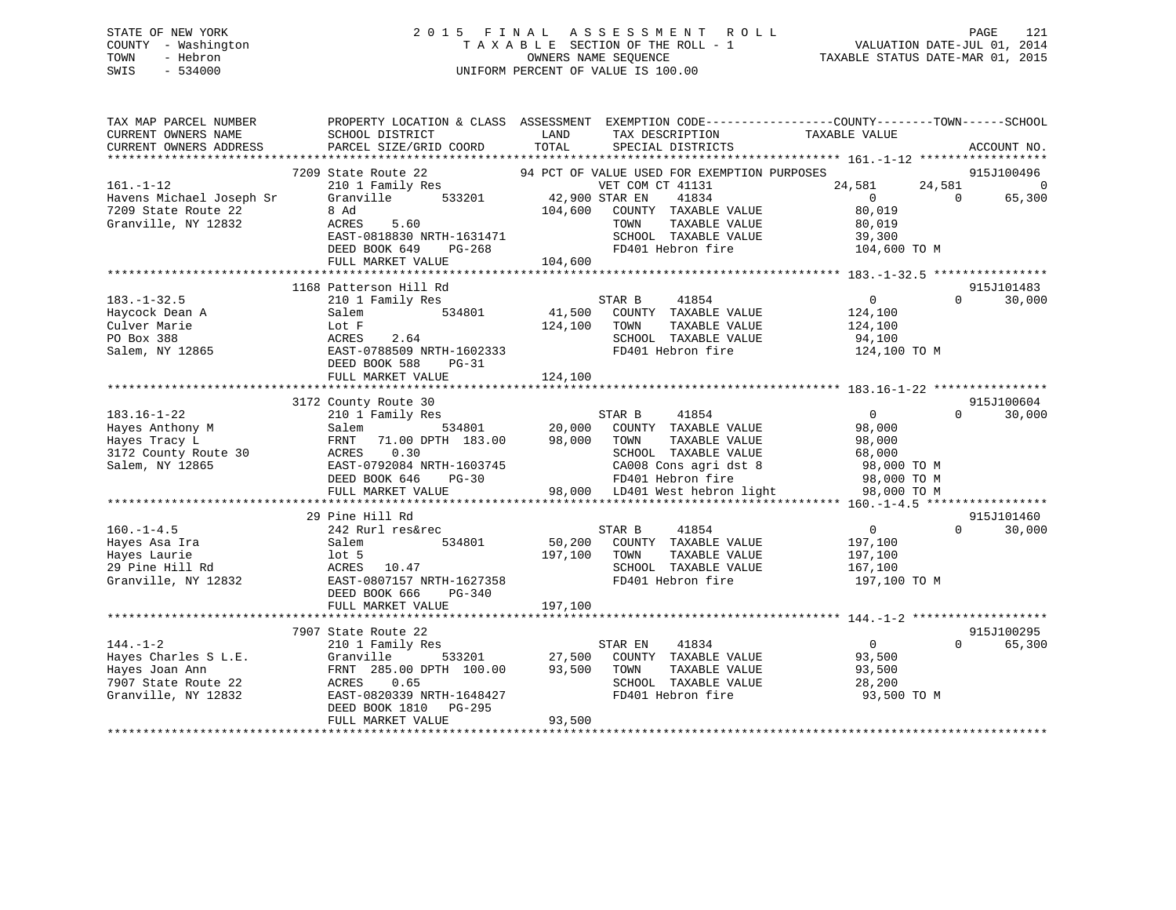# STATE OF NEW YORK 2 0 1 5 F I N A L A S S E S S M E N T R O L L PAGE 121 COUNTY - Washington T A X A B L E SECTION OF THE ROLL - 1 VALUATION DATE-JUL 01, 2014 TOWN - Hebron OWNERS NAME SEQUENCE TAXABLE STATUS DATE-MAR 01, 2015 SWIS - 534000 UNIFORM PERCENT OF VALUE IS 100.00

| TAX MAP PARCEL NUMBER<br>CURRENT OWNERS NAME<br>CURRENT OWNERS ADDRESS | SCHOOL DISTRICT<br><b>EXAMPLE DESCRIPTION OF STREET AND STREET AND STREET AND STREET AND STREET AND STREET AND STREET AND STREET AND</b><br>PARCEL SIZE/GRID COORD | TOTAL                            | TAX DESCRIPTION TAXABLE VALUE<br>SPECIAL DISTRICTS                        | PROPERTY LOCATION & CLASS ASSESSMENT EXEMPTION CODE---------------COUNTY-------TOWN-----SCHOOL | ACCOUNT NO.                 |
|------------------------------------------------------------------------|--------------------------------------------------------------------------------------------------------------------------------------------------------------------|----------------------------------|---------------------------------------------------------------------------|------------------------------------------------------------------------------------------------|-----------------------------|
|                                                                        |                                                                                                                                                                    |                                  |                                                                           |                                                                                                |                             |
|                                                                        | 7209 State Route 22                                                                                                                                                |                                  | 94 PCT OF VALUE USED FOR EXEMPTION PURPOSES                               |                                                                                                | 915J100496                  |
| $161. - 1 - 12$                                                        | 210 1 Family Res                                                                                                                                                   | VET COM<br>533201 42,900 STAR EN | VET COM CT 41131                                                          | 24,581                                                                                         | 24,581 0                    |
| Havens Michael Joseph Sr                                               | Granville                                                                                                                                                          |                                  | 41834                                                                     | $\overline{0}$<br>$\Omega$                                                                     | 65,300                      |
| 7209 State Route 22                                                    | 8 Ad                                                                                                                                                               |                                  | 104,600 COUNTY TAXABLE VALUE                                              | 80,019                                                                                         |                             |
| Granville, NY 12832                                                    | 5.60<br>ACRES                                                                                                                                                      |                                  | TAXABLE VALUE<br>TOWN                                                     | 80,019                                                                                         |                             |
|                                                                        | EAST-0818830 NRTH-1631471                                                                                                                                          |                                  | SCHOOL TAXABLE VALUE                                                      | 39,300                                                                                         |                             |
|                                                                        | DEED BOOK 649<br>PG-268                                                                                                                                            |                                  | FD401 Hebron fire                                                         | 104,600 TO M                                                                                   |                             |
|                                                                        | FULL MARKET VALUE                                                                                                                                                  | 104,600                          |                                                                           |                                                                                                |                             |
|                                                                        |                                                                                                                                                                    |                                  |                                                                           |                                                                                                |                             |
|                                                                        | 1168 Patterson Hill Rd                                                                                                                                             |                                  |                                                                           |                                                                                                | 915J101483                  |
| $183. - 1 - 32.5$                                                      | 210 1 Family Res                                                                                                                                                   |                                  | 41854<br>STAR B                                                           | $\overline{0}$<br>$\Omega$                                                                     | 30,000                      |
| Haycock Dean A                                                         | 534801<br>Salem<br>Salem 534801 41,500<br>Lot F 124,100<br>ACRES 2.64 EAST-0788509 NRTH-1602333                                                                    |                                  | 41,500 COUNTY TAXABLE VALUE                                               | 124,100                                                                                        |                             |
| Culver Marie                                                           |                                                                                                                                                                    |                                  | TAXABLE VALUE<br>TOWN                                                     | 124,100                                                                                        |                             |
| PO Box 388                                                             |                                                                                                                                                                    |                                  | SCHOOL TAXABLE VALUE                                                      | 94,100                                                                                         |                             |
| Salem, NY 12865                                                        |                                                                                                                                                                    |                                  | FD401 Hebron fire                                                         | 124,100 TO M                                                                                   |                             |
|                                                                        | DEED BOOK 588<br>PG-31                                                                                                                                             |                                  |                                                                           |                                                                                                |                             |
|                                                                        | FULL MARKET VALUE                                                                                                                                                  | 124,100                          |                                                                           |                                                                                                |                             |
|                                                                        | 3172 County Route 30                                                                                                                                               |                                  |                                                                           |                                                                                                | 915J100604                  |
| $183.16 - 1 - 22$                                                      | 210 1 Family Res                                                                                                                                                   |                                  |                                                                           | $\overline{0}$<br>$\Omega$                                                                     | 30,000                      |
| Hayes Anthony M                                                        | Salem                                                                                                                                                              |                                  |                                                                           | 98,000                                                                                         |                             |
| Hayes Tracy L                                                          | 71.00 DPTH 183.00 98,000 TOWN<br>FRNT                                                                                                                              |                                  | TAXABLE VALUE                                                             | 98,000                                                                                         |                             |
| 3172 County Route 30                                                   | 0.30<br>ACRES                                                                                                                                                      |                                  | SCHOOL TAXABLE VALUE                                                      | 68,000                                                                                         |                             |
| Salem, NY 12865                                                        |                                                                                                                                                                    |                                  |                                                                           | CA008 Cons agri dst 8 98,000 TO M                                                              |                             |
|                                                                        | EAST-0792084 NRTH-1603745<br>DEED BOOK 646 PG-30                                                                                                                   |                                  | FD401 Hebron fire                                                         | 98,000 TO M                                                                                    |                             |
|                                                                        | FULL MARKET VALUE                                                                                                                                                  |                                  | 98,000 LD401 West hebron light 98,000 TO M                                |                                                                                                |                             |
|                                                                        |                                                                                                                                                                    |                                  |                                                                           |                                                                                                |                             |
|                                                                        | 29 Pine Hill Rd                                                                                                                                                    |                                  |                                                                           |                                                                                                | 915J101460                  |
| $160. -1 - 4.5$                                                        | 242 Rurl res&rec                                                                                                                                                   |                                  | STAR B<br>41854                                                           | $\overline{0}$                                                                                 | $\Omega$<br>30,000          |
| Hayes Asa Ira                                                          | 534801<br>Salem                                                                                                                                                    | 50,200                           | COUNTY TAXABLE VALUE                                                      | 197,100                                                                                        |                             |
| Hayes Laurie                                                           | lot 5                                                                                                                                                              | 197,100                          | TOWN<br>TAXABLE VALUE                                                     | 197,100                                                                                        |                             |
| 29 Pine Hill Rd                                                        |                                                                                                                                                                    |                                  | SCHOOL TAXABLE VALUE                                                      | 167,100                                                                                        |                             |
| Granville, NY 12832                                                    | ACRES 10.47<br>EAST-0807157 NRTH-1627358                                                                                                                           |                                  | FD401 Hebron fire                                                         | 197,100 TO M                                                                                   |                             |
|                                                                        | DEED BOOK 666<br>$PG-340$                                                                                                                                          |                                  |                                                                           |                                                                                                |                             |
|                                                                        | FULL MARKET VALUE                                                                                                                                                  | 197,100                          |                                                                           |                                                                                                |                             |
|                                                                        |                                                                                                                                                                    |                                  |                                                                           |                                                                                                |                             |
|                                                                        | 7907 State Route 22                                                                                                                                                |                                  |                                                                           |                                                                                                | 915J100295                  |
| $144. - 1 - 2$                                                         | 210 1 Family Res                                                                                                                                                   |                                  | 41834<br>STAR EN                                                          | $\overline{0}$                                                                                 | $0 \qquad \qquad$<br>65,300 |
| Hayes Charles S L.E.                                                   | Granville                                                                                                                                                          |                                  |                                                                           | 93,500                                                                                         |                             |
| Hayes Joan Ann                                                         | FRNT 285.00 DPTH 100.00                                                                                                                                            |                                  | 533201 27,500 COUNTY TAXABLE VALUE<br>TH 100.00 93,500 TOWN TAXABLE VALUE | 93,500                                                                                         |                             |
| 7907 State Route 22                                                    | ACRES 0.65                                                                                                                                                         |                                  | SCHOOL TAXABLE VALUE                                                      | 28,200                                                                                         |                             |
| Granville, NY 12832                                                    | EAST-0820339 NRTH-1648427                                                                                                                                          |                                  | FD401 Hebron fire                                                         | 93,500 TO M                                                                                    |                             |
|                                                                        | DEED BOOK 1810 PG-295                                                                                                                                              |                                  |                                                                           |                                                                                                |                             |
|                                                                        | FULL MARKET VALUE                                                                                                                                                  | 93,500                           |                                                                           |                                                                                                |                             |
|                                                                        |                                                                                                                                                                    |                                  |                                                                           |                                                                                                |                             |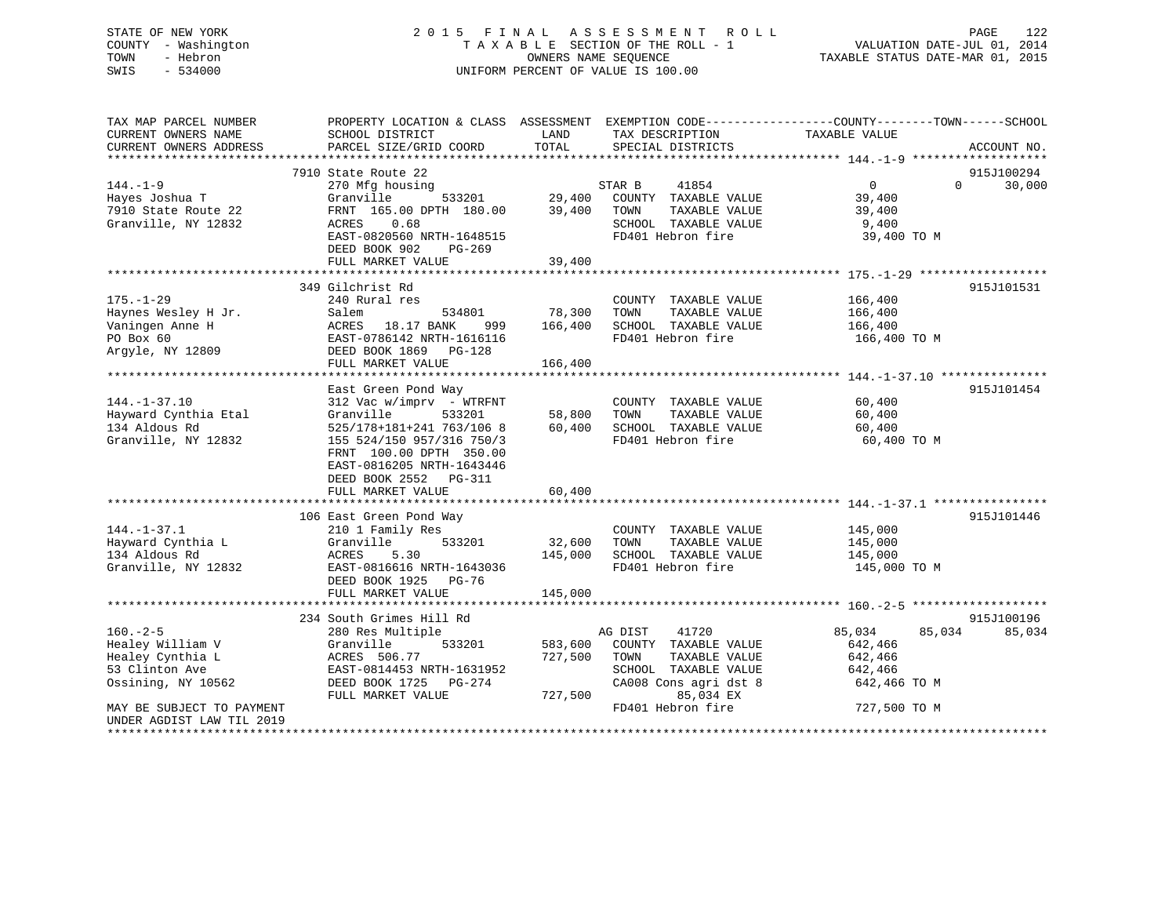# STATE OF NEW YORK 2 0 1 5 F I N A L A S S E S S M E N T R O L L PAGE 122 COUNTY - Washington T A X A B L E SECTION OF THE ROLL - 1 VALUATION DATE-JUL 01, 2014 TOWN - Hebron OWNERS NAME SEQUENCE TAXABLE STATUS DATE-MAR 01, 2015 SWIS - 534000 UNIFORM PERCENT OF VALUE IS 100.00

| TAX MAP PARCEL NUMBER<br>CURRENT OWNERS NAME<br>CURRENT OWNERS ADDRESS | PROPERTY LOCATION & CLASS ASSESSMENT EXEMPTION CODE---------------COUNTY-------TOWN-----SCHOOL<br>SCHOOL DISTRICT<br>PARCEL SIZE/GRID COORD | LAND<br>TOTAL | TAX DESCRIPTION<br>SPECIAL DISTRICTS          | TAXABLE VALUE           | ACCOUNT NO.        |
|------------------------------------------------------------------------|---------------------------------------------------------------------------------------------------------------------------------------------|---------------|-----------------------------------------------|-------------------------|--------------------|
|                                                                        |                                                                                                                                             |               |                                               |                         |                    |
|                                                                        | 7910 State Route 22                                                                                                                         |               |                                               |                         | 915J100294         |
| $144. - 1 - 9$                                                         | 270 Mfg housing                                                                                                                             |               | STAR B<br>41854                               | $\Omega$                | $\Omega$<br>30,000 |
| Hayes Joshua T                                                         | 533201<br>Granville                                                                                                                         | 29,400        | COUNTY TAXABLE VALUE                          | 39,400                  |                    |
| 7910 State Route 22                                                    | FRNT 165.00 DPTH 180.00                                                                                                                     | 39,400        | TOWN<br>TAXABLE VALUE                         | 39,400                  |                    |
| Granville, NY 12832                                                    | 0.68<br>ACRES                                                                                                                               |               | SCHOOL TAXABLE VALUE                          | 9,400                   |                    |
|                                                                        | EAST-0820560 NRTH-1648515                                                                                                                   |               | FD401 Hebron fire                             | 39,400 TO M             |                    |
|                                                                        | DEED BOOK 902<br>$PG-269$                                                                                                                   |               |                                               |                         |                    |
|                                                                        | FULL MARKET VALUE                                                                                                                           | 39,400        |                                               |                         |                    |
|                                                                        |                                                                                                                                             |               |                                               |                         |                    |
|                                                                        | 349 Gilchrist Rd                                                                                                                            |               |                                               |                         | 915J101531         |
| $175. - 1 - 29$                                                        | 240 Rural res                                                                                                                               | 78,300        | COUNTY TAXABLE VALUE                          | 166,400                 |                    |
| Haynes Wesley H Jr.<br>Vaningen Anne H                                 | 534801<br>Salem                                                                                                                             | 166,400       | TOWN<br>TAXABLE VALUE<br>SCHOOL TAXABLE VALUE | 166,400                 |                    |
| PO Box 60                                                              | ACRES 18.17 BANK<br>999<br>EAST-0786142 NRTH-1616116                                                                                        |               | FD401 Hebron fire                             | 166,400<br>166,400 TO M |                    |
| Argyle, NY 12809                                                       | DEED BOOK 1869 PG-128                                                                                                                       |               |                                               |                         |                    |
|                                                                        | FULL MARKET VALUE                                                                                                                           | 166,400       |                                               |                         |                    |
|                                                                        |                                                                                                                                             |               |                                               |                         |                    |
|                                                                        | East Green Pond Way                                                                                                                         |               |                                               |                         | 915J101454         |
| $144. - 1 - 37.10$                                                     | 312 Vac w/imprv - WTRFNT                                                                                                                    |               | COUNTY TAXABLE VALUE                          | 60,400                  |                    |
| Hayward Cynthia Etal                                                   | Granville<br>533201                                                                                                                         | 58,800        | TAXABLE VALUE<br>TOWN                         | 60,400                  |                    |
| 134 Aldous Rd                                                          | 525/178+181+241 763/106 8                                                                                                                   | 60,400        | SCHOOL TAXABLE VALUE                          | 60,400                  |                    |
| Granville, NY 12832                                                    | 155 524/150 957/316 750/3                                                                                                                   |               | FD401 Hebron fire                             | 60,400 TO M             |                    |
|                                                                        | FRNT 100.00 DPTH 350.00                                                                                                                     |               |                                               |                         |                    |
|                                                                        | EAST-0816205 NRTH-1643446                                                                                                                   |               |                                               |                         |                    |
|                                                                        | DEED BOOK 2552 PG-311                                                                                                                       |               |                                               |                         |                    |
|                                                                        | FULL MARKET VALUE                                                                                                                           | 60,400        |                                               |                         |                    |
|                                                                        |                                                                                                                                             |               |                                               |                         |                    |
| $144. - 1 - 37.1$                                                      | 106 East Green Pond Way<br>210 1 Family Res                                                                                                 |               | COUNTY TAXABLE VALUE                          | 145,000                 | 915J101446         |
| Hayward Cynthia L                                                      | Granville<br>533201                                                                                                                         | 32,600        | TOWN<br>TAXABLE VALUE                         | 145,000                 |                    |
| 134 Aldous Rd                                                          | ACRES<br>5.30                                                                                                                               | 145,000       | SCHOOL TAXABLE VALUE                          | 145,000                 |                    |
| Granville, NY 12832                                                    | EAST-0816616 NRTH-1643036                                                                                                                   |               | FD401 Hebron fire                             | 145,000 TO M            |                    |
|                                                                        | DEED BOOK 1925 PG-76                                                                                                                        |               |                                               |                         |                    |
|                                                                        | FULL MARKET VALUE                                                                                                                           | 145,000       |                                               |                         |                    |
|                                                                        |                                                                                                                                             |               |                                               |                         |                    |
|                                                                        | 234 South Grimes Hill Rd                                                                                                                    |               |                                               |                         | 915J100196         |
| $160. - 2 - 5$                                                         | 280 Res Multiple                                                                                                                            |               | AG DIST<br>41720                              | 85,034<br>85,034        | 85,034             |
| Healey William V                                                       | 533201<br>Granville                                                                                                                         | 583,600       | COUNTY TAXABLE VALUE                          | 642,466                 |                    |
| Healey Cynthia L                                                       | ACRES 506.77                                                                                                                                | 727,500       | TAXABLE VALUE<br>TOWN                         | 642,466                 |                    |
| 53 Clinton Ave                                                         | EAST-0814453 NRTH-1631952                                                                                                                   |               | SCHOOL TAXABLE VALUE                          | 642,466                 |                    |
| Ossining, NY 10562                                                     | DEED BOOK 1725 PG-274                                                                                                                       |               | CA008 Cons agri dst 8                         | 642,466 TO M            |                    |
|                                                                        | FULL MARKET VALUE                                                                                                                           | 727,500       | 85,034 EX                                     |                         |                    |
| MAY BE SUBJECT TO PAYMENT                                              |                                                                                                                                             |               | FD401 Hebron fire                             | 727,500 TO M            |                    |
| UNDER AGDIST LAW TIL 2019                                              |                                                                                                                                             |               |                                               |                         |                    |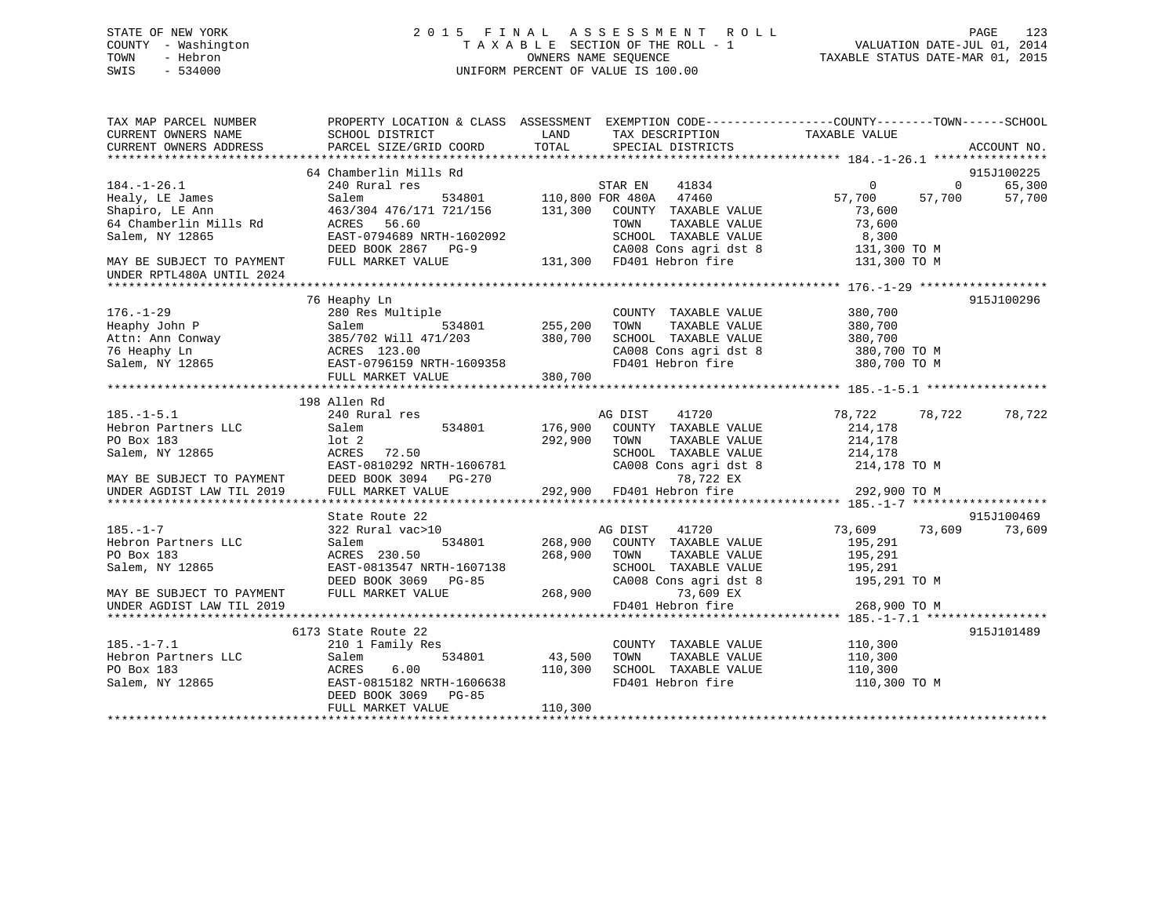# STATE OF NEW YORK 2 0 1 5 F I N A L A S S E S S M E N T R O L L PAGE 123 COUNTY - Washington T A X A B L E SECTION OF THE ROLL - 1 VALUATION DATE-JUL 01, 2014 TOWN - Hebron OWNERS NAME SEQUENCE TAXABLE STATUS DATE-MAR 01, 2015 SWIS - 534000 UNIFORM PERCENT OF VALUE IS 100.00

| TAX MAP PARCEL NUMBER<br>CURRENT OWNERS NAME           | SCHOOL DISTRICT                                                                                                                                                                                                                                                        | LAND<br>TAX DESCRIPTION                              | PROPERTY LOCATION & CLASS ASSESSMENT EXEMPTION CODE----------------COUNTY-------TOWN-----SCHOOL<br>TAXABLE VALUE |
|--------------------------------------------------------|------------------------------------------------------------------------------------------------------------------------------------------------------------------------------------------------------------------------------------------------------------------------|------------------------------------------------------|------------------------------------------------------------------------------------------------------------------|
| CURRENT OWNERS ADDRESS                                 | PARCEL SIZE/GRID COORD                                                                                                                                                                                                                                                 | TOTAL<br>SPECIAL DISTRICTS                           | ACCOUNT NO.                                                                                                      |
|                                                        | 64 Chamberlin Mills Rd                                                                                                                                                                                                                                                 |                                                      | 915J100225                                                                                                       |
| $184. - 1 - 26.1$                                      | 240 Rural res                                                                                                                                                                                                                                                          |                                                      | $\overline{0}$<br>65,300<br>$\overline{0}$                                                                       |
| Healy, LE James                                        | Salem                                                                                                                                                                                                                                                                  |                                                      | 57,700<br>57,700<br>57,700                                                                                       |
| Shapiro, LE Ann                                        |                                                                                                                                                                                                                                                                        | 463/304 476/171 721/156 131,300 COUNTY TAXABLE VALUE | 73,600                                                                                                           |
| 64 Chamberlin Mills Rd                                 | ACRES 56.60                                                                                                                                                                                                                                                            | TOWN<br>TAXABLE VALUE                                | 73,600                                                                                                           |
| Salem, NY 12865                                        | EAST-0794689 NRTH-1602092                                                                                                                                                                                                                                              | SCHOOL TAXABLE VALUE                                 | 8,300                                                                                                            |
|                                                        | DEED BOOK 2867 PG-9                                                                                                                                                                                                                                                    | CA008 Cons agri dst 8                                | 131,300 TO M                                                                                                     |
| MAY BE SUBJECT TO PAYMENT                              | FULL MARKET VALUE                                                                                                                                                                                                                                                      | 131,300 FD401 Hebron fire                            | 131,300 TO M                                                                                                     |
| UNDER RPTL480A UNTIL 2024                              |                                                                                                                                                                                                                                                                        |                                                      |                                                                                                                  |
|                                                        |                                                                                                                                                                                                                                                                        |                                                      | 915J100296                                                                                                       |
| $176. - 1 - 29$                                        | 76 Heaphy Ln<br>280 Res Multiple                                                                                                                                                                                                                                       | COUNTY TAXABLE VALUE                                 | 380,700                                                                                                          |
|                                                        |                                                                                                                                                                                                                                                                        | TOWN<br>TAXABLE VALUE                                | 380,700                                                                                                          |
|                                                        |                                                                                                                                                                                                                                                                        | SCHOOL TAXABLE VALUE                                 | 380,700                                                                                                          |
|                                                        |                                                                                                                                                                                                                                                                        |                                                      |                                                                                                                  |
|                                                        |                                                                                                                                                                                                                                                                        | FD401 Hebron fire                                    | CA008 Cons agri dst 8 380,700 TO M                                                                               |
|                                                        | Heaphy John P<br>Attn: Ann Conway<br>385/702 Will 471/203<br>380,700<br>76 Heaphy Ln<br>Salem, NY 12865<br>880.700<br>890.700<br>890.700<br>890.700<br>890.700<br>890.700<br>890.700<br>890.700<br>890.700<br>890.700<br>890.700<br>890.700<br>890.700<br>890.700<br>8 | 380,700                                              | 380,700 TO M                                                                                                     |
|                                                        | FULL MARKET VALUE                                                                                                                                                                                                                                                      |                                                      |                                                                                                                  |
|                                                        | 198 Allen Rd                                                                                                                                                                                                                                                           |                                                      |                                                                                                                  |
| $185. - 1 - 5.1$                                       | 240 Rural res                                                                                                                                                                                                                                                          | AG DIST<br>41720                                     | 78,722<br>78,722<br>78,722                                                                                       |
| Hebron Partners LLC                                    | 534801<br>Salem                                                                                                                                                                                                                                                        | 176,900<br>COUNTY TAXABLE VALUE                      | 214,178                                                                                                          |
| PO Box 183                                             | lot 2                                                                                                                                                                                                                                                                  | 292,900<br>TOWN<br>TAXABLE VALUE                     | 214,178                                                                                                          |
| Salem, NY 12865                                        | ACRES<br>72.50                                                                                                                                                                                                                                                         | SCHOOL TAXABLE VALUE                                 | 214,178                                                                                                          |
|                                                        |                                                                                                                                                                                                                                                                        |                                                      | CA008 Cons agri dst 8 214,178 TO M                                                                               |
|                                                        | EAST-0810292 NRTH-1606781<br>DEED BOOK 3094 PG-270                                                                                                                                                                                                                     | 78,722 EX                                            |                                                                                                                  |
| MAY BE SUBJECT TO PAYMENT<br>UNDER AGDIST LAW TIL 2019 | FULL MARKET VALUE                                                                                                                                                                                                                                                      | $292,900$ FD401 Hebron fire                          | 292,900 TO M                                                                                                     |
|                                                        |                                                                                                                                                                                                                                                                        |                                                      |                                                                                                                  |
|                                                        | State Route 22                                                                                                                                                                                                                                                         |                                                      | 915J100469                                                                                                       |
| $185. - 1 - 7$                                         | 322 Rural vac>10                                                                                                                                                                                                                                                       | AG DIST<br>41720                                     | 73,609 73,609<br>73,609                                                                                          |
| Hebron Partners LLC                                    | 534801<br>Salem                                                                                                                                                                                                                                                        | 268,900<br>COUNTY TAXABLE VALUE                      | 195,291                                                                                                          |
| PO Box 183                                             | ACRES 230.50                                                                                                                                                                                                                                                           | 268,900<br>TOWN<br>TAXABLE VALUE                     | 195,291                                                                                                          |
| Salem, NY 12865                                        | EAST-0813547 NRTH-1607138                                                                                                                                                                                                                                              | SCHOOL TAXABLE VALUE                                 | 195,291                                                                                                          |
|                                                        | DEED BOOK 3069 PG-85                                                                                                                                                                                                                                                   |                                                      | CA008 Cons agri dst 8 195,291 TO M                                                                               |
| MAY BE SUBJECT TO PAYMENT                              | FULL MARKET VALUE                                                                                                                                                                                                                                                      | 268,900<br>73,609 EX                                 |                                                                                                                  |
| UNDER AGDIST LAW TIL 2019                              |                                                                                                                                                                                                                                                                        | FD401 Hebron fire                                    | 268,900 TO M                                                                                                     |
|                                                        |                                                                                                                                                                                                                                                                        |                                                      |                                                                                                                  |
|                                                        | 6173 State Route 22                                                                                                                                                                                                                                                    |                                                      | 915J101489                                                                                                       |
| $185. - 1 - 7.1$                                       | 210 1 Family Res                                                                                                                                                                                                                                                       | COUNTY TAXABLE VALUE                                 | 110,300                                                                                                          |
| Hebron Partners LLC                                    | Salem<br>534801                                                                                                                                                                                                                                                        | 43,500<br>TOWN                                       | TAXABLE VALUE<br>110,300                                                                                         |
| PO Box 183                                             | 6.00<br>ACRES                                                                                                                                                                                                                                                          | 110,300<br>SCHOOL TAXABLE VALUE                      | 110,300                                                                                                          |
| Salem, NY 12865                                        | EAST-0815182 NRTH-1606638                                                                                                                                                                                                                                              | FD401 Hebron fire                                    | 110,300 TO M                                                                                                     |
|                                                        | DEED BOOK 3069 PG-85                                                                                                                                                                                                                                                   |                                                      |                                                                                                                  |
|                                                        | FULL MARKET VALUE                                                                                                                                                                                                                                                      | 110,300                                              |                                                                                                                  |
|                                                        |                                                                                                                                                                                                                                                                        |                                                      |                                                                                                                  |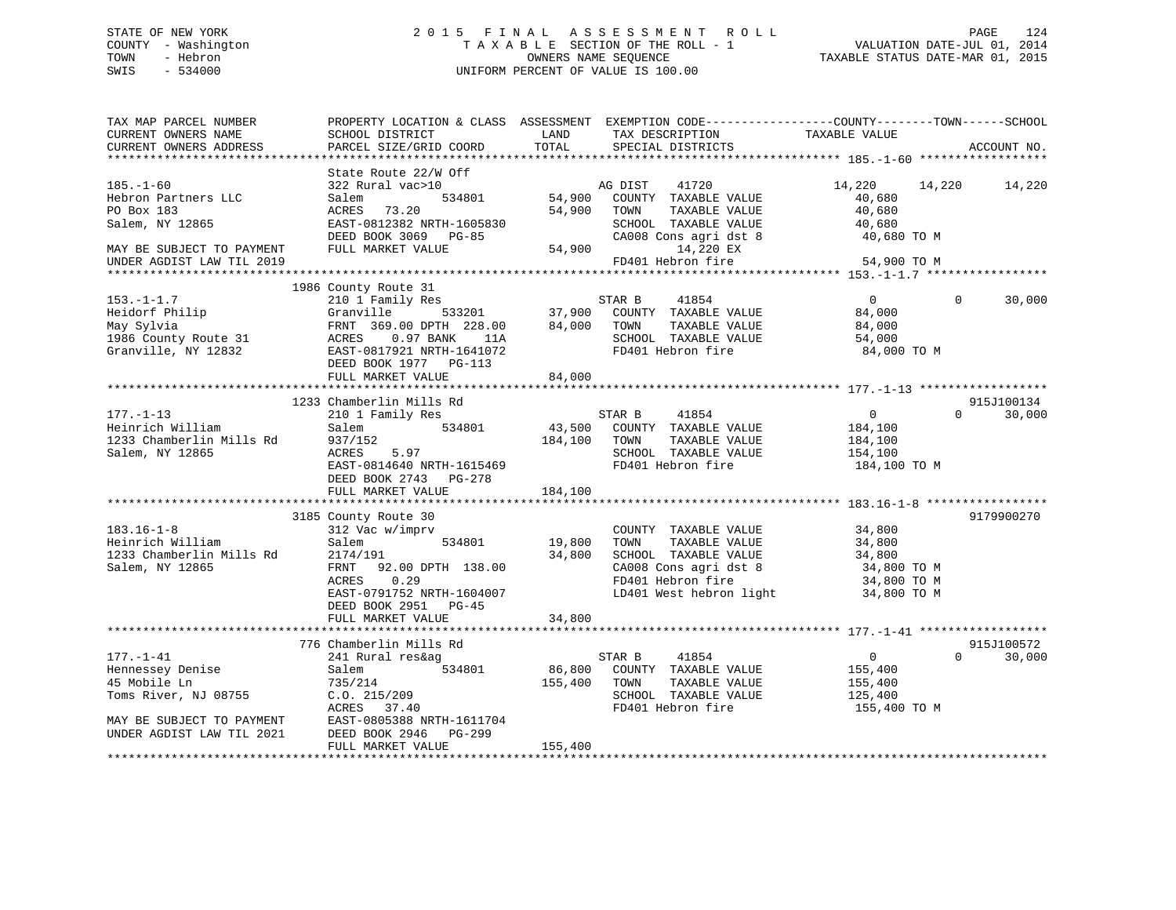# STATE OF NEW YORK 2 0 1 5 F I N A L A S S E S S M E N T R O L L PAGE 124 COUNTY - Washington T A X A B L E SECTION OF THE ROLL - 1 VALUATION DATE-JUL 01, 2014 TOWN - Hebron OWNERS NAME SEQUENCE TAXABLE STATUS DATE-MAR 01, 2015 SWIS - 534000 UNIFORM PERCENT OF VALUE IS 100.00

| TAX MAP PARCEL NUMBER<br>CURRENT OWNERS NAME<br>CURRENT OWNERS ADDRESS                                                                | SCHOOL DISTRICT<br>PARCEL SIZE/GRID COORD                                                                                                                              | PROPERTY LOCATION & CLASS ASSESSMENT EXEMPTION CODE----------------COUNTY-------TOWN------SCHOOL<br>LAND<br>TAX DESCRIPTION<br>TOTAL<br>SPECIAL DISTRICTS                       | TAXABLE VALUE<br>ACCOUNT NO.                                                                        |
|---------------------------------------------------------------------------------------------------------------------------------------|------------------------------------------------------------------------------------------------------------------------------------------------------------------------|---------------------------------------------------------------------------------------------------------------------------------------------------------------------------------|-----------------------------------------------------------------------------------------------------|
|                                                                                                                                       |                                                                                                                                                                        |                                                                                                                                                                                 |                                                                                                     |
| $185. - 1 - 60$<br>Hebron Partners LLC<br>PO Box 183<br>Salem, NY 12865<br>MAY BE SUBJECT TO PAYMENT<br>UNDER AGDIST LAW TIL 2019     | State Route 22/W Off<br>322 Rural vac>10<br>534801<br>Salem<br>ACRES 73.20<br>EAST-0812382 NRTH-1605830<br>DEED BOOK 3069 PG-85<br>FULL MARKET VALUE                   | AG DIST<br>41720<br>54,900 COUNTY TAXABLE VALUE<br>54,900<br>TOWN<br>TAXABLE VALUE<br>SCHOOL TAXABLE VALUE<br>CA008 Cons agri dst 8<br>54,900<br>14,220 EX<br>FD401 Hebron fire | 14,220<br>14,220<br>14,220<br>40,680<br>40,680<br>40,680<br>40,680 TO M<br>54,900 TO M              |
|                                                                                                                                       | 1986 County Route 31                                                                                                                                                   |                                                                                                                                                                                 |                                                                                                     |
| $153. - 1 - 1.7$<br>Heidorf Philip<br>May Sylvia<br>1986 County Route 31<br>Granville, NY 12832                                       | 210 1 Family Res<br>533201<br>Granville<br>FRNT 369.00 DPTH 228.00<br>ACRES 0.97 BANK<br>11A<br>EAST-0817921 NRTH-1641072<br>DEED BOOK 1977 PG-113                     | STAR B<br>41854<br>37,900 COUNTY TAXABLE VALUE<br>84,000<br>TOWN<br>TAXABLE VALUE<br>SCHOOL TAXABLE VALUE<br>FD401 Hebron fire                                                  | $\Omega$<br>$\Omega$<br>30,000<br>84,000<br>84,000<br>54,000<br>84,000 TO M                         |
|                                                                                                                                       | FULL MARKET VALUE                                                                                                                                                      | 84,000                                                                                                                                                                          |                                                                                                     |
|                                                                                                                                       |                                                                                                                                                                        |                                                                                                                                                                                 |                                                                                                     |
| $177. - 1 - 13$<br>Heinrich William<br>1233 Chamberlin Mills Rd<br>Salem, NY 12865                                                    | 1233 Chamberlin Mills Rd<br>210 1 Family Res<br>534801<br>Salem<br>937/152<br>5.97<br>ACRES<br>EAST-0814640 NRTH-1615469<br>DEED BOOK 2743 PG-278<br>FULL MARKET VALUE | STAR B<br>41854<br>43,500<br>COUNTY TAXABLE VALUE<br>184,100<br>TAXABLE VALUE<br>TOWN<br>SCHOOL TAXABLE VALUE<br>FD401 Hebron fire<br>184,100                                   | 915J100134<br>30,000<br>$\overline{0}$<br>$\Omega$<br>184,100<br>184,100<br>154,100<br>184,100 TO M |
|                                                                                                                                       | 3185 County Route 30                                                                                                                                                   |                                                                                                                                                                                 | 9179900270                                                                                          |
| $183.16 - 1 - 8$<br>Heinrich William<br>1233 Chamberlin Mills Rd<br>Salem, NY 12865                                                   | 312 Vac w/imprv<br>534801<br>Salem<br>2174/191<br>FRNT 92.00 DPTH 138.00<br>ACRES 0.29<br>EAST-0791752 NRTH-1604007<br>DEED BOOK 2951 PG-45                            | COUNTY TAXABLE VALUE<br>19,800<br>TAXABLE VALUE<br>TOWN<br>SCHOOL TAXABLE VALUE<br>34,800<br>CA008 Cons agri dst 8<br>FD401 Hebron fire<br>LD401 West hebron light              | 34,800<br>34,800<br>34,800<br>34,800 TO M<br>34,800 TO M<br>34,800 TO M                             |
|                                                                                                                                       | FULL MARKET VALUE                                                                                                                                                      | 34,800                                                                                                                                                                          |                                                                                                     |
|                                                                                                                                       | 776 Chamberlin Mills Rd                                                                                                                                                |                                                                                                                                                                                 | 915J100572                                                                                          |
| $177. - 1 - 41$<br>Hennessey Denise<br>45 Mobile Ln<br>Toms River, NJ 08755<br>MAY BE SUBJECT TO PAYMENT<br>UNDER AGDIST LAW TIL 2021 | 241 Rural res&ag<br>534801<br>Salem<br>735/214<br>C.0.215/209<br>ACRES 37.40<br>EAST-0805388 NRTH-1611704<br>DEED BOOK 2946 PG-299                                     | STAR B<br>41854<br>86,800<br>COUNTY TAXABLE VALUE<br>155,400<br>TOWN<br>TAXABLE VALUE<br>SCHOOL TAXABLE VALUE<br>FD401 Hebron fire                                              | $\mathbf{0}$<br>$\Omega$<br>30,000<br>155,400<br>155,400<br>125,400<br>155,400 TO M                 |
|                                                                                                                                       | FULL MARKET VALUE                                                                                                                                                      | 155,400                                                                                                                                                                         |                                                                                                     |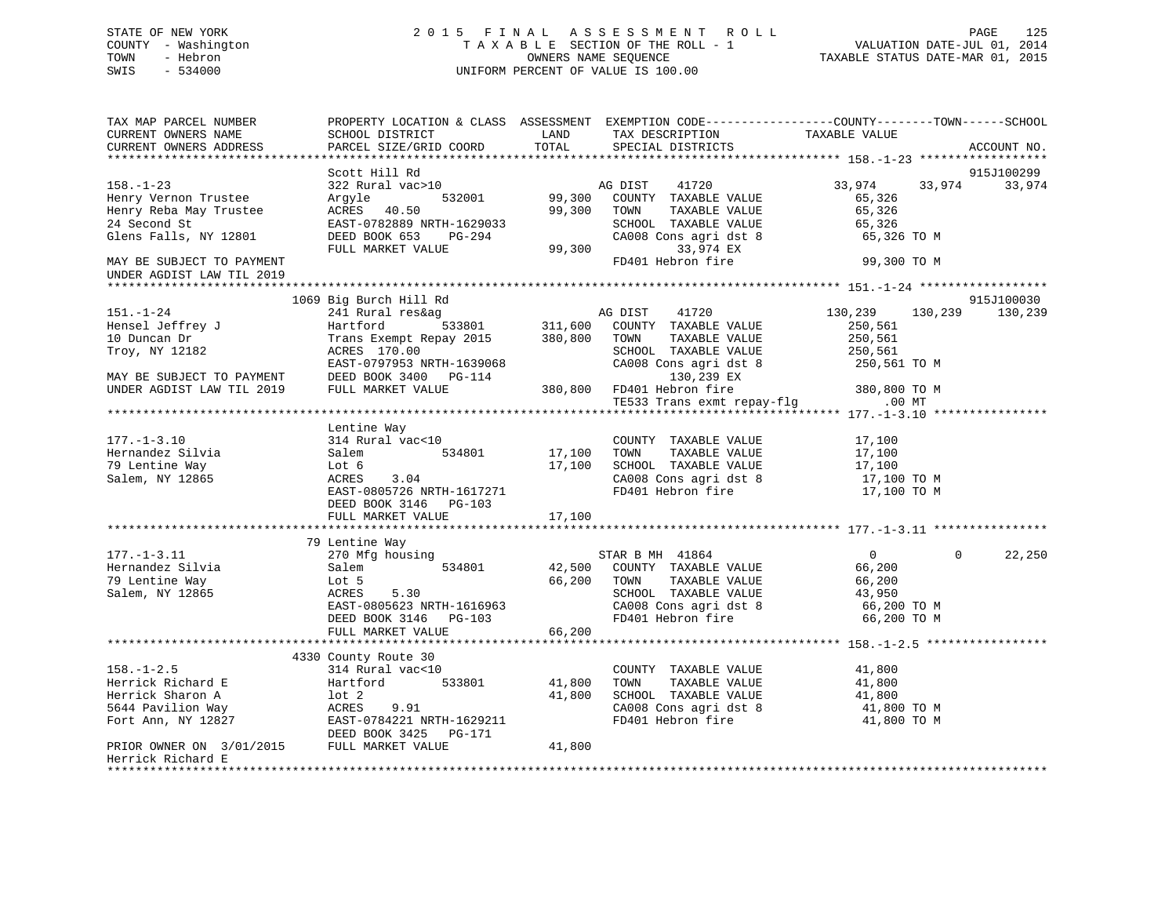# STATE OF NEW YORK 2 0 1 5 F I N A L A S S E S S M E N T R O L L PAGE 125 COUNTY - Washington T A X A B L E SECTION OF THE ROLL - 1 VALUATION DATE-JUL 01, 2014 TOWN - Hebron OWNERS NAME SEQUENCE TAXABLE STATUS DATE-MAR 01, 2015 SWIS - 534000 UNIFORM PERCENT OF VALUE IS 100.00

| TAX MAP PARCEL NUMBER<br>CURRENT OWNERS NAME<br>CURRENT OWNERS ADDRESS | PROPERTY LOCATION & CLASS ASSESSMENT EXEMPTION CODE----------------COUNTY-------TOWN-----SCHOOL<br>SCHOOL DISTRICT<br>PARCEL SIZE/GRID COORD | LAND<br>TOTAL           | TAX DESCRIPTION<br>SPECIAL DISTRICTS                          | TAXABLE VALUE                     | ACCOUNT NO. |
|------------------------------------------------------------------------|----------------------------------------------------------------------------------------------------------------------------------------------|-------------------------|---------------------------------------------------------------|-----------------------------------|-------------|
|                                                                        |                                                                                                                                              |                         |                                                               |                                   |             |
|                                                                        | Scott Hill Rd                                                                                                                                |                         |                                                               |                                   | 915J100299  |
| $158. - 1 - 23$<br>Henry Vernon Trustee<br>Henry Reba May Trustee      | 322 Rural vac>10<br>532001<br>Argyle<br>ACRES 40.50                                                                                          | 99,300 TOWN             | AG DIST 41720<br>99,300 COUNTY TAXABLE VALUE<br>TAXABLE VALUE | 33,974 33,974<br>65,326<br>65,326 | 33,974      |
| 24 Second St                                                           | EAST-0782889 NRTH-1629033                                                                                                                    |                         | SCHOOL TAXABLE VALUE                                          | 65,326                            |             |
| Glens Falls, NY 12801                                                  | DEED BOOK 653 PG-294<br>FULL MARKET VALUE                                                                                                    | SCHO<br>CA00;<br>99,300 | CA008 Cons agri dst 8<br>33,974 EX                            | 65,326 TO M                       |             |
| MAY BE SUBJECT TO PAYMENT<br>UNDER AGDIST LAW TIL 2019                 |                                                                                                                                              |                         | FD401 Hebron fire                                             | 99,300 TO M                       |             |
|                                                                        |                                                                                                                                              |                         |                                                               |                                   |             |
|                                                                        | 1069 Big Burch Hill Rd                                                                                                                       |                         | AG DIST 41720                                                 |                                   | 915J100030  |
| $151. - 1 - 24$                                                        | 241 Rural res&ag                                                                                                                             |                         |                                                               | 130,239 130,239                   | 130,239     |
| Hensel Jeffrey J<br>10 Duncan Dr                                       | Hartford 533801 311,600 COUNTY TAXABLE VALUE<br>Trans Exempt Repay 2015 380,800 TOWN TAXABLE VALUE                                           |                         |                                                               | 250,561                           |             |
|                                                                        | ACRES 170.00                                                                                                                                 |                         | SCHOOL TAXABLE VALUE                                          | 250,561                           |             |
| Troy, NY 12182                                                         | EAST-0797953 NRTH-1639068                                                                                                                    |                         | CA008 Cons agri dst 8                                         | 250,561                           |             |
|                                                                        | DEED BOOK 3400 PG-114                                                                                                                        |                         | 130,239 EX                                                    | 250,561 TO M                      |             |
| MAY BE SUBJECT TO PAYMENT<br>UNDER AGDIST LAW TIL 2019                 | FULL MARKET VALUE                                                                                                                            |                         | 380,800 FD401 Hebron fire 380,800 TO M                        |                                   |             |
|                                                                        |                                                                                                                                              |                         | TE533 Trans exmt repay-flg .00 MT                             |                                   |             |
|                                                                        |                                                                                                                                              |                         |                                                               |                                   |             |
|                                                                        | Lentine Way                                                                                                                                  |                         |                                                               |                                   |             |
| $177. - 1 - 3.10$                                                      | 314 Rural vac<10                                                                                                                             |                         | COUNTY TAXABLE VALUE                                          | 17,100                            |             |
| Hernandez Silvia                                                       | 534801<br>Salem                                                                                                                              | 17,100 TOWN             | TAXABLE VALUE                                                 | 17,100                            |             |
| 79 Lentine Way                                                         | Lot 6                                                                                                                                        |                         |                                                               |                                   |             |
| Salem, NY 12865                                                        | 3.04<br>ACRES                                                                                                                                |                         | 17,100 SCHOOL TAXABLE VALUE<br>CA008 Cons agri dst 8          | 17,100<br>17,100 TO M             |             |
|                                                                        | EAST-0805726 NRTH-1617271                                                                                                                    |                         | FD401 Hebron fire                                             | 17,100 TO M                       |             |
|                                                                        | DEED BOOK 3146 PG-103                                                                                                                        |                         |                                                               |                                   |             |
|                                                                        | FULL MARKET VALUE                                                                                                                            | 17,100                  |                                                               |                                   |             |
|                                                                        |                                                                                                                                              |                         |                                                               |                                   |             |
|                                                                        | 79 Lentine Way                                                                                                                               |                         |                                                               |                                   |             |
| $177. - 1 - 3.11$                                                      | 270 Mfg housing                                                                                                                              |                         |                                                               | $\overline{0}$<br>$\Omega$        | 22,250      |
| Hernandez Silvia                                                       | 534801<br>Salem                                                                                                                              |                         | STAR B MH $41864$<br>$42,500$ COUNTY TAXABLE VALUE            | 66,200                            |             |
| 79 Lentine Way                                                         |                                                                                                                                              |                         | TAXABLE VALUE                                                 | 66,200                            |             |
| Salem, NY 12865                                                        |                                                                                                                                              |                         | SCHOOL TAXABLE VALUE                                          | 43,950                            |             |
|                                                                        |                                                                                                                                              |                         | CA008 Cons agri dst 8<br>FD401 Hebron fire                    | 66,200 TO M                       |             |
|                                                                        | Lot 5<br>ACRES 5.30<br>EAST-0805623 NRTH-1616963<br>DEED BOOK 3146 PG-103<br>FULL MARKET VALUE 66,200<br>FULL MARKET VALUE 66,200            |                         |                                                               | 66,200 TO M                       |             |
|                                                                        |                                                                                                                                              |                         |                                                               |                                   |             |
|                                                                        |                                                                                                                                              |                         |                                                               |                                   |             |
|                                                                        | 4330 County Route 30                                                                                                                         |                         |                                                               |                                   |             |
| $158. - 1 - 2.5$                                                       | 314 Rural vac<10                                                                                                                             |                         | COUNTY TAXABLE VALUE                                          | 41,800                            |             |
| Herrick Richard E                                                      | Hartford<br>533801                                                                                                                           | 41,800                  | TAXABLE VALUE<br>TOWN                                         | 41,800                            |             |
| Herrick Sharon A                                                       | $1$ ot $2$                                                                                                                                   | 41,800                  | SCHOOL TAXABLE VALUE<br>CA008 Cons agri dst 8 41,800 TO M     | 41,800                            |             |
| 5644 Pavilion Way                                                      | ACRES<br>9.91                                                                                                                                |                         |                                                               |                                   |             |
| Fort Ann, NY 12827                                                     | EAST-0784221 NRTH-1629211                                                                                                                    |                         | FD401 Hebron fire                                             | 41,800 TO M                       |             |
| PRIOR OWNER ON 3/01/2015 FULL MARKET VALUE                             | DEED BOOK 3425 PG-171                                                                                                                        | 41,800                  |                                                               |                                   |             |
| Herrick Richard E<br>******************                                |                                                                                                                                              |                         |                                                               |                                   |             |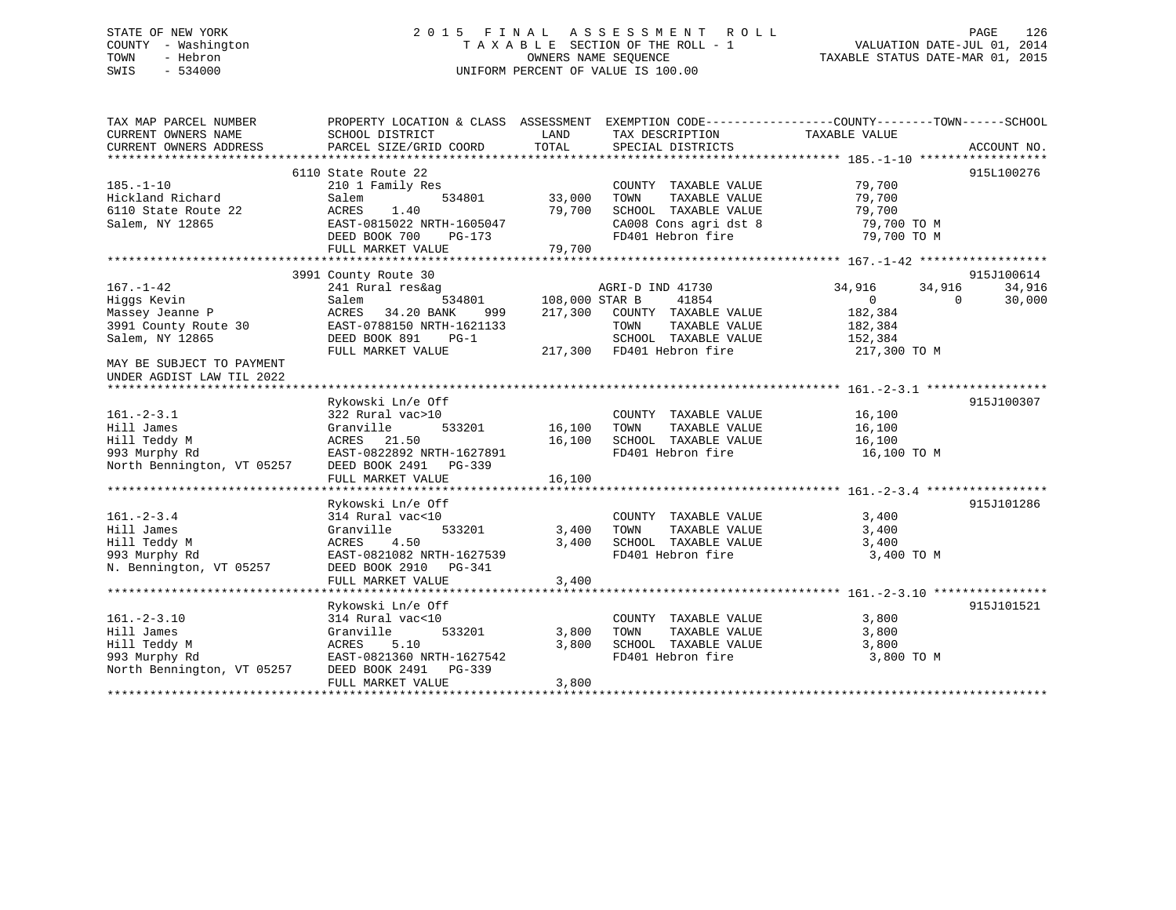# STATE OF NEW YORK 2 0 1 5 F I N A L A S S E S S M E N T R O L L PAGE 126 COUNTY - Washington T A X A B L E SECTION OF THE ROLL - 1 VALUATION DATE-JUL 01, 2014 TOWN - Hebron OWNERS NAME SEQUENCE TAXABLE STATUS DATE-MAR 01, 2015 SWIS - 534000 UNIFORM PERCENT OF VALUE IS 100.00

| TOTAL<br>PARCEL SIZE/GRID COORD<br>CURRENT OWNERS ADDRESS<br>SPECIAL DISTRICTS<br>ACCOUNT NO.<br>6110 State Route 22<br>915L100276<br>79,700<br>$185. - 1 - 10$<br>210 1 Family Res<br>COUNTY TAXABLE VALUE<br>33,000<br>Hickland Richard<br>534801<br>TOWN<br>TAXABLE VALUE<br>79,700<br>Salem<br>ACRES<br>1.40<br>79,700<br>SCHOOL TAXABLE VALUE<br>79,700<br>6110 State Route 22<br>CA008 Cons agri dst 8<br>79,700 TO M<br>Salem, NY 12865<br>EAST-0815022 NRTH-1605047<br>FD401 Hebron fire<br>79,700 TO M<br>DEED BOOK 700<br>PG-173<br>79,700<br>FULL MARKET VALUE<br>3991 County Route 30<br>915J100614<br>$167. - 1 - 42$<br>34,916<br>34,916<br>241 Rural res&ag<br>AGRI-D IND 41730<br>34,916<br>Hiqqs Kevin<br>534801<br>108,000 STAR B<br>41854<br>$\Omega$<br>30,000<br>Salem<br>$\Omega$<br>34.20 BANK<br>182,384<br>Massey Jeanne P<br>ACRES<br>217,300<br>COUNTY TAXABLE VALUE<br>999<br>3991 County Route 30<br>EAST-0788150 NRTH-1621133<br>TAXABLE VALUE<br>182,384<br>TOWN<br>DEED BOOK 891<br>$PG-1$<br>SCHOOL TAXABLE VALUE<br>Salem, NY 12865<br>152,384<br>217,300 FD401 Hebron fire<br>FULL MARKET VALUE<br>217,300 TO M<br>MAY BE SUBJECT TO PAYMENT<br>UNDER AGDIST LAW TIL 2022<br>915J100307<br>Rykowski Ln/e Off<br>$161. - 2 - 3.1$<br>322 Rural vac>10<br>16,100<br>COUNTY TAXABLE VALUE<br>16,100<br>Hill James<br>Granville<br>533201<br>TOWN<br>TAXABLE VALUE<br>16,100<br>Hill Teddy M<br>ACRES 21.50<br>16,100<br>SCHOOL TAXABLE VALUE<br>16,100<br>993 Murphy Rd<br>EAST-0822892 NRTH-1627891<br>FD401 Hebron fire<br>16,100 TO M<br>North Bennington, VT 05257<br>DEED BOOK 2491 PG-339<br>16,100<br>FULL MARKET VALUE<br>915J101286<br>Rykowski Ln/e Off<br>314 Rural vac<10<br>3,400<br>$161. - 2 - 3.4$<br>COUNTY TAXABLE VALUE<br>533201<br>3,400<br>Hill James<br>Granville<br>3,400<br>TOWN<br>TAXABLE VALUE<br>4.50<br>3,400<br>SCHOOL TAXABLE VALUE<br>Hill Teddy M<br>ACRES<br>3,400<br>FD401 Hebron fire<br>3,400 TO M<br>993 Murphy Rd<br>EAST-0821082 NRTH-1627539<br>N. Bennington, VT 05257<br>DEED BOOK 2910 PG-341<br>3,400<br>FULL MARKET VALUE<br>Rykowski Ln/e Off<br>915J101521<br>$161. - 2 - 3.10$<br>3,800<br>314 Rural vac<10<br>COUNTY TAXABLE VALUE<br>3,800<br>Hill James<br>Granville<br>533201<br>TOWN<br>TAXABLE VALUE<br>3,800<br>Hill Teddy M<br>3,800<br>SCHOOL TAXABLE VALUE<br>3,800<br>ACRES<br>5.10<br>993 Murphy Rd<br>EAST-0821360 NRTH-1627542<br>FD401 Hebron fire<br>3,800 TO M<br>North Bennington, VT 05257<br>DEED BOOK 2491<br>PG-339<br>FULL MARKET VALUE<br>3,800 | TAX MAP PARCEL NUMBER | PROPERTY LOCATION & CLASS ASSESSMENT |      |                 |               |  |
|-----------------------------------------------------------------------------------------------------------------------------------------------------------------------------------------------------------------------------------------------------------------------------------------------------------------------------------------------------------------------------------------------------------------------------------------------------------------------------------------------------------------------------------------------------------------------------------------------------------------------------------------------------------------------------------------------------------------------------------------------------------------------------------------------------------------------------------------------------------------------------------------------------------------------------------------------------------------------------------------------------------------------------------------------------------------------------------------------------------------------------------------------------------------------------------------------------------------------------------------------------------------------------------------------------------------------------------------------------------------------------------------------------------------------------------------------------------------------------------------------------------------------------------------------------------------------------------------------------------------------------------------------------------------------------------------------------------------------------------------------------------------------------------------------------------------------------------------------------------------------------------------------------------------------------------------------------------------------------------------------------------------------------------------------------------------------------------------------------------------------------------------------------------------------------------------------------------------------------------------------------------------------------------------------------------------------------------------------------------------------------------------------------------------------------------------------------------------------------------------------------------------------------------------------------------|-----------------------|--------------------------------------|------|-----------------|---------------|--|
|                                                                                                                                                                                                                                                                                                                                                                                                                                                                                                                                                                                                                                                                                                                                                                                                                                                                                                                                                                                                                                                                                                                                                                                                                                                                                                                                                                                                                                                                                                                                                                                                                                                                                                                                                                                                                                                                                                                                                                                                                                                                                                                                                                                                                                                                                                                                                                                                                                                                                                                                                           | CURRENT OWNERS NAME   | SCHOOL DISTRICT                      | LAND | TAX DESCRIPTION | TAXABLE VALUE |  |
|                                                                                                                                                                                                                                                                                                                                                                                                                                                                                                                                                                                                                                                                                                                                                                                                                                                                                                                                                                                                                                                                                                                                                                                                                                                                                                                                                                                                                                                                                                                                                                                                                                                                                                                                                                                                                                                                                                                                                                                                                                                                                                                                                                                                                                                                                                                                                                                                                                                                                                                                                           |                       |                                      |      |                 |               |  |
|                                                                                                                                                                                                                                                                                                                                                                                                                                                                                                                                                                                                                                                                                                                                                                                                                                                                                                                                                                                                                                                                                                                                                                                                                                                                                                                                                                                                                                                                                                                                                                                                                                                                                                                                                                                                                                                                                                                                                                                                                                                                                                                                                                                                                                                                                                                                                                                                                                                                                                                                                           |                       |                                      |      |                 |               |  |
|                                                                                                                                                                                                                                                                                                                                                                                                                                                                                                                                                                                                                                                                                                                                                                                                                                                                                                                                                                                                                                                                                                                                                                                                                                                                                                                                                                                                                                                                                                                                                                                                                                                                                                                                                                                                                                                                                                                                                                                                                                                                                                                                                                                                                                                                                                                                                                                                                                                                                                                                                           |                       |                                      |      |                 |               |  |
|                                                                                                                                                                                                                                                                                                                                                                                                                                                                                                                                                                                                                                                                                                                                                                                                                                                                                                                                                                                                                                                                                                                                                                                                                                                                                                                                                                                                                                                                                                                                                                                                                                                                                                                                                                                                                                                                                                                                                                                                                                                                                                                                                                                                                                                                                                                                                                                                                                                                                                                                                           |                       |                                      |      |                 |               |  |
|                                                                                                                                                                                                                                                                                                                                                                                                                                                                                                                                                                                                                                                                                                                                                                                                                                                                                                                                                                                                                                                                                                                                                                                                                                                                                                                                                                                                                                                                                                                                                                                                                                                                                                                                                                                                                                                                                                                                                                                                                                                                                                                                                                                                                                                                                                                                                                                                                                                                                                                                                           |                       |                                      |      |                 |               |  |
|                                                                                                                                                                                                                                                                                                                                                                                                                                                                                                                                                                                                                                                                                                                                                                                                                                                                                                                                                                                                                                                                                                                                                                                                                                                                                                                                                                                                                                                                                                                                                                                                                                                                                                                                                                                                                                                                                                                                                                                                                                                                                                                                                                                                                                                                                                                                                                                                                                                                                                                                                           |                       |                                      |      |                 |               |  |
|                                                                                                                                                                                                                                                                                                                                                                                                                                                                                                                                                                                                                                                                                                                                                                                                                                                                                                                                                                                                                                                                                                                                                                                                                                                                                                                                                                                                                                                                                                                                                                                                                                                                                                                                                                                                                                                                                                                                                                                                                                                                                                                                                                                                                                                                                                                                                                                                                                                                                                                                                           |                       |                                      |      |                 |               |  |
|                                                                                                                                                                                                                                                                                                                                                                                                                                                                                                                                                                                                                                                                                                                                                                                                                                                                                                                                                                                                                                                                                                                                                                                                                                                                                                                                                                                                                                                                                                                                                                                                                                                                                                                                                                                                                                                                                                                                                                                                                                                                                                                                                                                                                                                                                                                                                                                                                                                                                                                                                           |                       |                                      |      |                 |               |  |
|                                                                                                                                                                                                                                                                                                                                                                                                                                                                                                                                                                                                                                                                                                                                                                                                                                                                                                                                                                                                                                                                                                                                                                                                                                                                                                                                                                                                                                                                                                                                                                                                                                                                                                                                                                                                                                                                                                                                                                                                                                                                                                                                                                                                                                                                                                                                                                                                                                                                                                                                                           |                       |                                      |      |                 |               |  |
|                                                                                                                                                                                                                                                                                                                                                                                                                                                                                                                                                                                                                                                                                                                                                                                                                                                                                                                                                                                                                                                                                                                                                                                                                                                                                                                                                                                                                                                                                                                                                                                                                                                                                                                                                                                                                                                                                                                                                                                                                                                                                                                                                                                                                                                                                                                                                                                                                                                                                                                                                           |                       |                                      |      |                 |               |  |
|                                                                                                                                                                                                                                                                                                                                                                                                                                                                                                                                                                                                                                                                                                                                                                                                                                                                                                                                                                                                                                                                                                                                                                                                                                                                                                                                                                                                                                                                                                                                                                                                                                                                                                                                                                                                                                                                                                                                                                                                                                                                                                                                                                                                                                                                                                                                                                                                                                                                                                                                                           |                       |                                      |      |                 |               |  |
|                                                                                                                                                                                                                                                                                                                                                                                                                                                                                                                                                                                                                                                                                                                                                                                                                                                                                                                                                                                                                                                                                                                                                                                                                                                                                                                                                                                                                                                                                                                                                                                                                                                                                                                                                                                                                                                                                                                                                                                                                                                                                                                                                                                                                                                                                                                                                                                                                                                                                                                                                           |                       |                                      |      |                 |               |  |
|                                                                                                                                                                                                                                                                                                                                                                                                                                                                                                                                                                                                                                                                                                                                                                                                                                                                                                                                                                                                                                                                                                                                                                                                                                                                                                                                                                                                                                                                                                                                                                                                                                                                                                                                                                                                                                                                                                                                                                                                                                                                                                                                                                                                                                                                                                                                                                                                                                                                                                                                                           |                       |                                      |      |                 |               |  |
|                                                                                                                                                                                                                                                                                                                                                                                                                                                                                                                                                                                                                                                                                                                                                                                                                                                                                                                                                                                                                                                                                                                                                                                                                                                                                                                                                                                                                                                                                                                                                                                                                                                                                                                                                                                                                                                                                                                                                                                                                                                                                                                                                                                                                                                                                                                                                                                                                                                                                                                                                           |                       |                                      |      |                 |               |  |
|                                                                                                                                                                                                                                                                                                                                                                                                                                                                                                                                                                                                                                                                                                                                                                                                                                                                                                                                                                                                                                                                                                                                                                                                                                                                                                                                                                                                                                                                                                                                                                                                                                                                                                                                                                                                                                                                                                                                                                                                                                                                                                                                                                                                                                                                                                                                                                                                                                                                                                                                                           |                       |                                      |      |                 |               |  |
|                                                                                                                                                                                                                                                                                                                                                                                                                                                                                                                                                                                                                                                                                                                                                                                                                                                                                                                                                                                                                                                                                                                                                                                                                                                                                                                                                                                                                                                                                                                                                                                                                                                                                                                                                                                                                                                                                                                                                                                                                                                                                                                                                                                                                                                                                                                                                                                                                                                                                                                                                           |                       |                                      |      |                 |               |  |
|                                                                                                                                                                                                                                                                                                                                                                                                                                                                                                                                                                                                                                                                                                                                                                                                                                                                                                                                                                                                                                                                                                                                                                                                                                                                                                                                                                                                                                                                                                                                                                                                                                                                                                                                                                                                                                                                                                                                                                                                                                                                                                                                                                                                                                                                                                                                                                                                                                                                                                                                                           |                       |                                      |      |                 |               |  |
|                                                                                                                                                                                                                                                                                                                                                                                                                                                                                                                                                                                                                                                                                                                                                                                                                                                                                                                                                                                                                                                                                                                                                                                                                                                                                                                                                                                                                                                                                                                                                                                                                                                                                                                                                                                                                                                                                                                                                                                                                                                                                                                                                                                                                                                                                                                                                                                                                                                                                                                                                           |                       |                                      |      |                 |               |  |
|                                                                                                                                                                                                                                                                                                                                                                                                                                                                                                                                                                                                                                                                                                                                                                                                                                                                                                                                                                                                                                                                                                                                                                                                                                                                                                                                                                                                                                                                                                                                                                                                                                                                                                                                                                                                                                                                                                                                                                                                                                                                                                                                                                                                                                                                                                                                                                                                                                                                                                                                                           |                       |                                      |      |                 |               |  |
|                                                                                                                                                                                                                                                                                                                                                                                                                                                                                                                                                                                                                                                                                                                                                                                                                                                                                                                                                                                                                                                                                                                                                                                                                                                                                                                                                                                                                                                                                                                                                                                                                                                                                                                                                                                                                                                                                                                                                                                                                                                                                                                                                                                                                                                                                                                                                                                                                                                                                                                                                           |                       |                                      |      |                 |               |  |
|                                                                                                                                                                                                                                                                                                                                                                                                                                                                                                                                                                                                                                                                                                                                                                                                                                                                                                                                                                                                                                                                                                                                                                                                                                                                                                                                                                                                                                                                                                                                                                                                                                                                                                                                                                                                                                                                                                                                                                                                                                                                                                                                                                                                                                                                                                                                                                                                                                                                                                                                                           |                       |                                      |      |                 |               |  |
|                                                                                                                                                                                                                                                                                                                                                                                                                                                                                                                                                                                                                                                                                                                                                                                                                                                                                                                                                                                                                                                                                                                                                                                                                                                                                                                                                                                                                                                                                                                                                                                                                                                                                                                                                                                                                                                                                                                                                                                                                                                                                                                                                                                                                                                                                                                                                                                                                                                                                                                                                           |                       |                                      |      |                 |               |  |
|                                                                                                                                                                                                                                                                                                                                                                                                                                                                                                                                                                                                                                                                                                                                                                                                                                                                                                                                                                                                                                                                                                                                                                                                                                                                                                                                                                                                                                                                                                                                                                                                                                                                                                                                                                                                                                                                                                                                                                                                                                                                                                                                                                                                                                                                                                                                                                                                                                                                                                                                                           |                       |                                      |      |                 |               |  |
|                                                                                                                                                                                                                                                                                                                                                                                                                                                                                                                                                                                                                                                                                                                                                                                                                                                                                                                                                                                                                                                                                                                                                                                                                                                                                                                                                                                                                                                                                                                                                                                                                                                                                                                                                                                                                                                                                                                                                                                                                                                                                                                                                                                                                                                                                                                                                                                                                                                                                                                                                           |                       |                                      |      |                 |               |  |
|                                                                                                                                                                                                                                                                                                                                                                                                                                                                                                                                                                                                                                                                                                                                                                                                                                                                                                                                                                                                                                                                                                                                                                                                                                                                                                                                                                                                                                                                                                                                                                                                                                                                                                                                                                                                                                                                                                                                                                                                                                                                                                                                                                                                                                                                                                                                                                                                                                                                                                                                                           |                       |                                      |      |                 |               |  |
|                                                                                                                                                                                                                                                                                                                                                                                                                                                                                                                                                                                                                                                                                                                                                                                                                                                                                                                                                                                                                                                                                                                                                                                                                                                                                                                                                                                                                                                                                                                                                                                                                                                                                                                                                                                                                                                                                                                                                                                                                                                                                                                                                                                                                                                                                                                                                                                                                                                                                                                                                           |                       |                                      |      |                 |               |  |
|                                                                                                                                                                                                                                                                                                                                                                                                                                                                                                                                                                                                                                                                                                                                                                                                                                                                                                                                                                                                                                                                                                                                                                                                                                                                                                                                                                                                                                                                                                                                                                                                                                                                                                                                                                                                                                                                                                                                                                                                                                                                                                                                                                                                                                                                                                                                                                                                                                                                                                                                                           |                       |                                      |      |                 |               |  |
|                                                                                                                                                                                                                                                                                                                                                                                                                                                                                                                                                                                                                                                                                                                                                                                                                                                                                                                                                                                                                                                                                                                                                                                                                                                                                                                                                                                                                                                                                                                                                                                                                                                                                                                                                                                                                                                                                                                                                                                                                                                                                                                                                                                                                                                                                                                                                                                                                                                                                                                                                           |                       |                                      |      |                 |               |  |
|                                                                                                                                                                                                                                                                                                                                                                                                                                                                                                                                                                                                                                                                                                                                                                                                                                                                                                                                                                                                                                                                                                                                                                                                                                                                                                                                                                                                                                                                                                                                                                                                                                                                                                                                                                                                                                                                                                                                                                                                                                                                                                                                                                                                                                                                                                                                                                                                                                                                                                                                                           |                       |                                      |      |                 |               |  |
|                                                                                                                                                                                                                                                                                                                                                                                                                                                                                                                                                                                                                                                                                                                                                                                                                                                                                                                                                                                                                                                                                                                                                                                                                                                                                                                                                                                                                                                                                                                                                                                                                                                                                                                                                                                                                                                                                                                                                                                                                                                                                                                                                                                                                                                                                                                                                                                                                                                                                                                                                           |                       |                                      |      |                 |               |  |
|                                                                                                                                                                                                                                                                                                                                                                                                                                                                                                                                                                                                                                                                                                                                                                                                                                                                                                                                                                                                                                                                                                                                                                                                                                                                                                                                                                                                                                                                                                                                                                                                                                                                                                                                                                                                                                                                                                                                                                                                                                                                                                                                                                                                                                                                                                                                                                                                                                                                                                                                                           |                       |                                      |      |                 |               |  |
|                                                                                                                                                                                                                                                                                                                                                                                                                                                                                                                                                                                                                                                                                                                                                                                                                                                                                                                                                                                                                                                                                                                                                                                                                                                                                                                                                                                                                                                                                                                                                                                                                                                                                                                                                                                                                                                                                                                                                                                                                                                                                                                                                                                                                                                                                                                                                                                                                                                                                                                                                           |                       |                                      |      |                 |               |  |
|                                                                                                                                                                                                                                                                                                                                                                                                                                                                                                                                                                                                                                                                                                                                                                                                                                                                                                                                                                                                                                                                                                                                                                                                                                                                                                                                                                                                                                                                                                                                                                                                                                                                                                                                                                                                                                                                                                                                                                                                                                                                                                                                                                                                                                                                                                                                                                                                                                                                                                                                                           |                       |                                      |      |                 |               |  |
|                                                                                                                                                                                                                                                                                                                                                                                                                                                                                                                                                                                                                                                                                                                                                                                                                                                                                                                                                                                                                                                                                                                                                                                                                                                                                                                                                                                                                                                                                                                                                                                                                                                                                                                                                                                                                                                                                                                                                                                                                                                                                                                                                                                                                                                                                                                                                                                                                                                                                                                                                           |                       |                                      |      |                 |               |  |
|                                                                                                                                                                                                                                                                                                                                                                                                                                                                                                                                                                                                                                                                                                                                                                                                                                                                                                                                                                                                                                                                                                                                                                                                                                                                                                                                                                                                                                                                                                                                                                                                                                                                                                                                                                                                                                                                                                                                                                                                                                                                                                                                                                                                                                                                                                                                                                                                                                                                                                                                                           |                       |                                      |      |                 |               |  |
|                                                                                                                                                                                                                                                                                                                                                                                                                                                                                                                                                                                                                                                                                                                                                                                                                                                                                                                                                                                                                                                                                                                                                                                                                                                                                                                                                                                                                                                                                                                                                                                                                                                                                                                                                                                                                                                                                                                                                                                                                                                                                                                                                                                                                                                                                                                                                                                                                                                                                                                                                           |                       |                                      |      |                 |               |  |
|                                                                                                                                                                                                                                                                                                                                                                                                                                                                                                                                                                                                                                                                                                                                                                                                                                                                                                                                                                                                                                                                                                                                                                                                                                                                                                                                                                                                                                                                                                                                                                                                                                                                                                                                                                                                                                                                                                                                                                                                                                                                                                                                                                                                                                                                                                                                                                                                                                                                                                                                                           |                       |                                      |      |                 |               |  |
|                                                                                                                                                                                                                                                                                                                                                                                                                                                                                                                                                                                                                                                                                                                                                                                                                                                                                                                                                                                                                                                                                                                                                                                                                                                                                                                                                                                                                                                                                                                                                                                                                                                                                                                                                                                                                                                                                                                                                                                                                                                                                                                                                                                                                                                                                                                                                                                                                                                                                                                                                           |                       |                                      |      |                 |               |  |
|                                                                                                                                                                                                                                                                                                                                                                                                                                                                                                                                                                                                                                                                                                                                                                                                                                                                                                                                                                                                                                                                                                                                                                                                                                                                                                                                                                                                                                                                                                                                                                                                                                                                                                                                                                                                                                                                                                                                                                                                                                                                                                                                                                                                                                                                                                                                                                                                                                                                                                                                                           |                       |                                      |      |                 |               |  |
|                                                                                                                                                                                                                                                                                                                                                                                                                                                                                                                                                                                                                                                                                                                                                                                                                                                                                                                                                                                                                                                                                                                                                                                                                                                                                                                                                                                                                                                                                                                                                                                                                                                                                                                                                                                                                                                                                                                                                                                                                                                                                                                                                                                                                                                                                                                                                                                                                                                                                                                                                           |                       |                                      |      |                 |               |  |
|                                                                                                                                                                                                                                                                                                                                                                                                                                                                                                                                                                                                                                                                                                                                                                                                                                                                                                                                                                                                                                                                                                                                                                                                                                                                                                                                                                                                                                                                                                                                                                                                                                                                                                                                                                                                                                                                                                                                                                                                                                                                                                                                                                                                                                                                                                                                                                                                                                                                                                                                                           |                       |                                      |      |                 |               |  |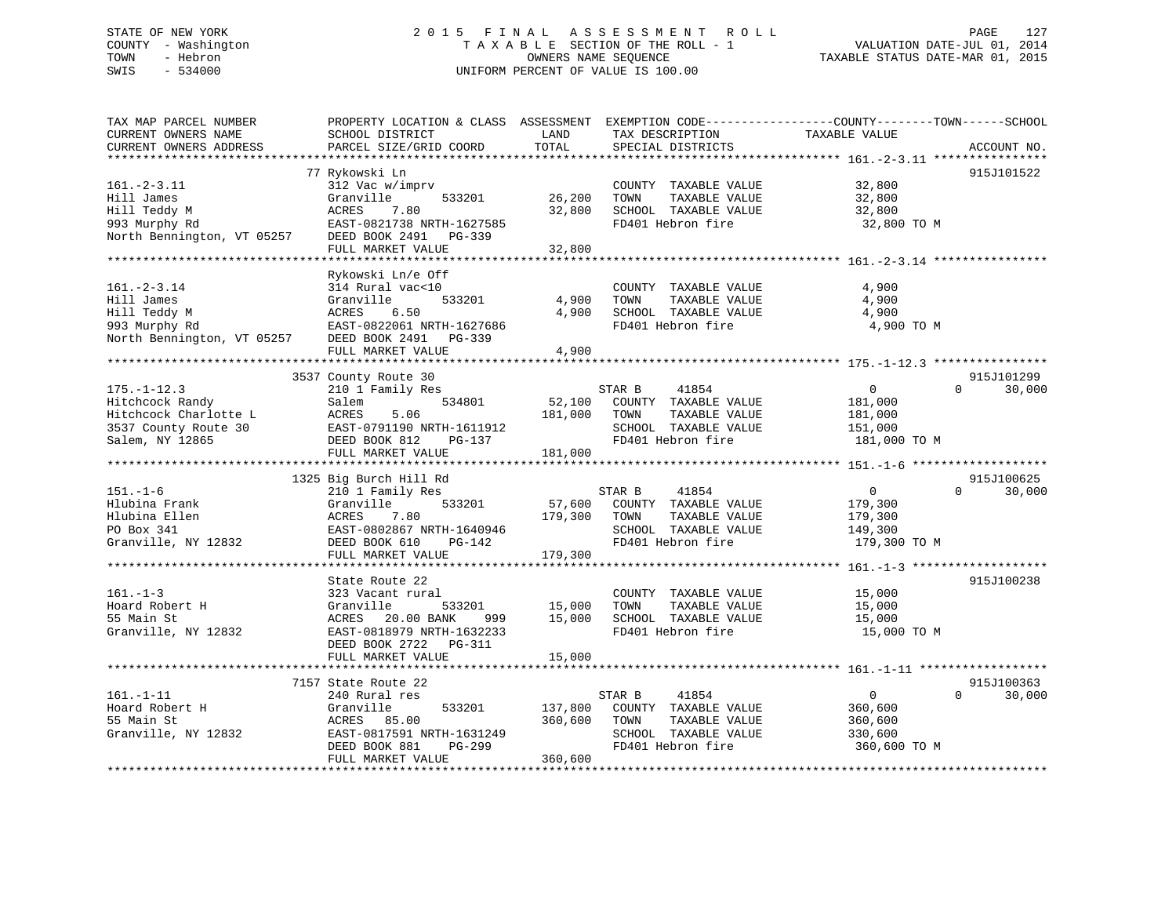# STATE OF NEW YORK 2 0 1 5 F I N A L A S S E S S M E N T R O L L PAGE 127 COUNTY - Washington T A X A B L E SECTION OF THE ROLL - 1 VALUATION DATE-JUL 01, 2014 TOWN - Hebron OWNERS NAME SEQUENCE TAXABLE STATUS DATE-MAR 01, 2015 SWIS - 534000 UNIFORM PERCENT OF VALUE IS 100.00

| TAX MAP PARCEL NUMBER<br>CURRENT OWNERS NAME<br>CURRENT OWNERS ADDRESS                                                   | PROPERTY LOCATION & CLASS ASSESSMENT<br>SCHOOL DISTRICT<br>PARCEL SIZE/GRID COORD                                                                                                                            | LAND<br>TOTAL                 | EXEMPTION CODE-----------------COUNTY-------TOWN------SCHOOL<br>TAX DESCRIPTION<br>SPECIAL DISTRICTS          | TAXABLE VALUE                                                   | ACCOUNT NO.                      |
|--------------------------------------------------------------------------------------------------------------------------|--------------------------------------------------------------------------------------------------------------------------------------------------------------------------------------------------------------|-------------------------------|---------------------------------------------------------------------------------------------------------------|-----------------------------------------------------------------|----------------------------------|
| ***********************<br>$161 - 2 - 3.11$<br>Hill James<br>Hill Teddy M<br>993 Murphy Rd<br>North Bennington, VT 05257 | 77 Rykowski Ln<br>312 Vac w/imprv<br>Granville<br>533201<br>ACRES<br>7.80<br>EAST-0821738 NRTH-1627585<br>DEED BOOK 2491 PG-339<br>FULL MARKET VALUE                                                         | 26,200<br>32,800<br>32,800    | COUNTY TAXABLE VALUE<br>TOWN<br>TAXABLE VALUE<br>SCHOOL TAXABLE VALUE<br>FD401 Hebron fire                    | 32,800<br>32,800<br>32,800<br>32,800 TO M                       | 915J101522                       |
| $161. - 2 - 3.14$<br>Hill James<br>Hill Teddy M<br>993 Murphy Rd<br>North Bennington, VT 05257 DEED BOOK 2491 PG-339     | Rykowski Ln/e Off<br>314 Rural vac<10<br>Granville<br>533201<br>6.50<br>ACRES<br>EAST-0822061 NRTH-1627686<br>FULL MARKET VALUE                                                                              | 4,900<br>4,900<br>4,900       | COUNTY TAXABLE VALUE<br>TOWN<br>TAXABLE VALUE<br>SCHOOL TAXABLE VALUE<br>FD401 Hebron fire                    | 4,900<br>4,900<br>4,900<br>4,900 TO M                           |                                  |
| $175. - 1 - 12.3$<br>Hitchcock Randy<br>Hitchcock Charlotte L<br>3537 County Route 30<br>Salem, NY 12865                 | 3537 County Route 30<br>210 1 Family Res<br>534801<br>Salem<br>5.06<br>ACRES<br>EAST-0791190 NRTH-1611912<br>DEED BOOK 812<br>PG-137<br>FULL MARKET VALUE                                                    | 52,100<br>181,000<br>181,000  | STAR B<br>41854<br>COUNTY TAXABLE VALUE<br>TOWN<br>TAXABLE VALUE<br>SCHOOL TAXABLE VALUE<br>FD401 Hebron fire | $\overline{0}$<br>181,000<br>181,000<br>151,000<br>181,000 TO M | 915J101299<br>$\Omega$<br>30,000 |
| $151. - 1 - 6$<br>Hlubina Frank<br>Hlubina Ellen<br>PO Box 341<br>Granville, NY 12832                                    | 1325 Big Burch Hill Rd<br>210 1 Family Res<br>533201<br>Granville<br>ACRES<br>7.80<br>EAST-0802867 NRTH-1640946<br>DEED BOOK 610<br>PG-142<br>FULL MARKET VALUE                                              | 57,600<br>179,300<br>179,300  | STAR B<br>41854<br>COUNTY TAXABLE VALUE<br>TOWN<br>TAXABLE VALUE<br>SCHOOL TAXABLE VALUE<br>FD401 Hebron fire | $\overline{0}$<br>179,300<br>179,300<br>149,300<br>179,300 TO M | 915J100625<br>30,000<br>$\Omega$ |
| $161. - 1 - 3$<br>Hoard Robert H<br>55 Main St<br>Granville, NY 12832                                                    | ***********************************<br>State Route 22<br>323 Vacant rural<br>Granville<br>533201<br>ACRES<br>20.00 BANK<br>999<br>EAST-0818979 NRTH-1632233<br>DEED BOOK 2722<br>PG-311<br>FULL MARKET VALUE | 15,000<br>15,000<br>15,000    | COUNTY TAXABLE VALUE<br>TOWN<br>TAXABLE VALUE<br>SCHOOL TAXABLE VALUE<br>FD401 Hebron fire                    | 15,000<br>15,000<br>15,000<br>15,000 TO M                       | 915J100238                       |
| $161. - 1 - 11$<br>Hoard Robert H<br>55 Main St<br>Granville, NY 12832                                                   | 7157 State Route 22<br>240 Rural res<br>Granville<br>533201<br>ACRES<br>85.00<br>EAST-0817591 NRTH-1631249<br>DEED BOOK 881<br>PG-299<br>FULL MARKET VALUE                                                   | 137,800<br>360,600<br>360,600 | 41854<br>STAR B<br>COUNTY TAXABLE VALUE<br>TOWN<br>TAXABLE VALUE<br>SCHOOL TAXABLE VALUE<br>FD401 Hebron fire | $\overline{0}$<br>360,600<br>360,600<br>330,600<br>360,600 TO M | 915J100363<br>$\Omega$<br>30,000 |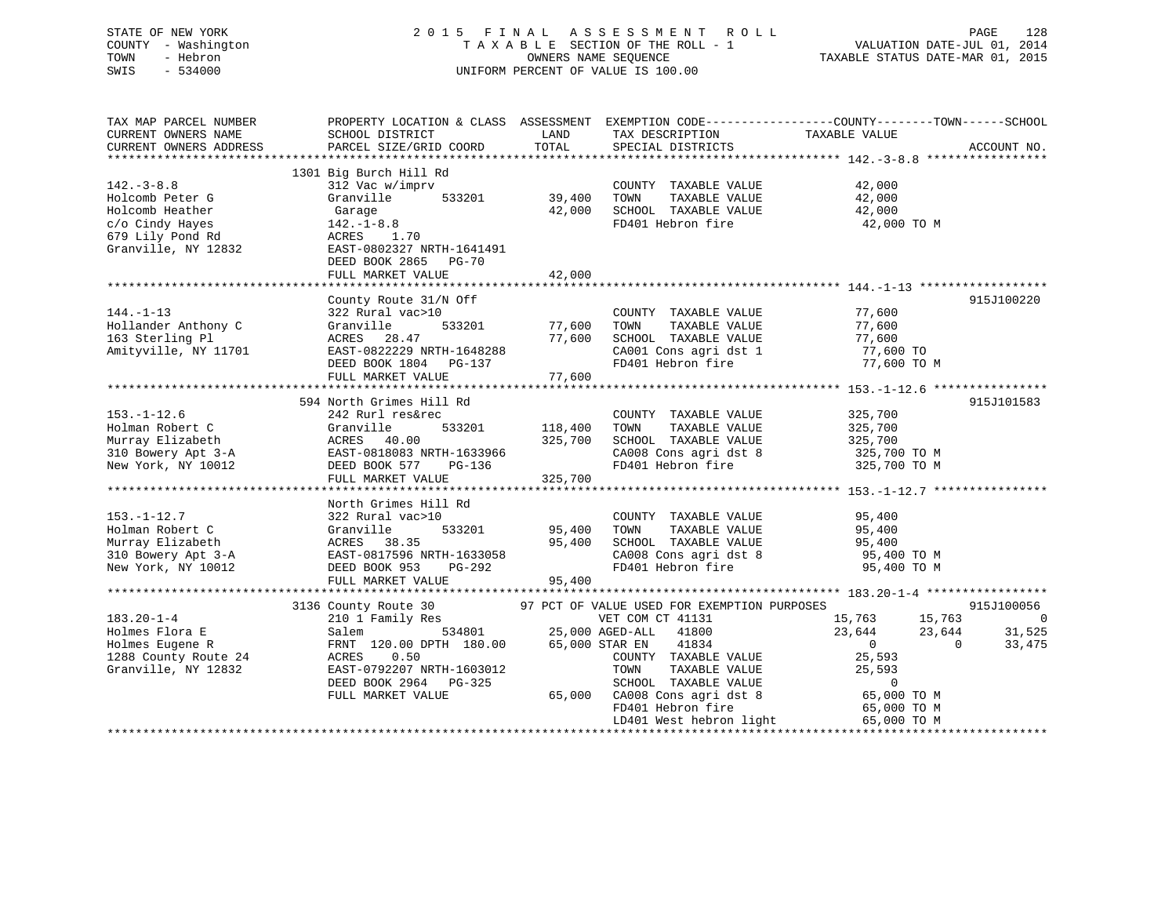# STATE OF NEW YORK 2 0 1 5 F I N A L A S S E S S M E N T R O L L PAGE 128 COUNTY - Washington T A X A B L E SECTION OF THE ROLL - 1 VALUATION DATE-JUL 01, 2014 TOWN - Hebron OWNERS NAME SEQUENCE TAXABLE STATUS DATE-MAR 01, 2015 SWIS - 534000 UNIFORM PERCENT OF VALUE IS 100.00

| TAX MAP PARCEL NUMBER<br>CURRENT OWNERS NAME<br>CURRENT OWNERS ADDRESS | SCHOOL DISTRICT<br>PARCEL SIZE/GRID COORD | LAND<br>TOTAL | TAX DESCRIPTION<br>SPECIAL DISTRICTS        | PROPERTY LOCATION & CLASS ASSESSMENT EXEMPTION CODE---------------COUNTY-------TOWN------SCHOOL<br>TAXABLE VALUE | ACCOUNT NO.    |
|------------------------------------------------------------------------|-------------------------------------------|---------------|---------------------------------------------|------------------------------------------------------------------------------------------------------------------|----------------|
|                                                                        |                                           |               |                                             |                                                                                                                  |                |
|                                                                        | 1301 Big Burch Hill Rd                    |               |                                             |                                                                                                                  |                |
| $142. - 3 - 8.8$                                                       | 312 Vac w/imprv                           |               | COUNTY TAXABLE VALUE                        | 42,000                                                                                                           |                |
| Holcomb Peter G                                                        | Granville<br>533201                       | 39,400        | TOWN<br>TAXABLE VALUE                       | 42,000                                                                                                           |                |
| Holcomb Heather                                                        | Garage                                    | 42,000        | SCHOOL TAXABLE VALUE                        | 42,000                                                                                                           |                |
| c/o Cindy Hayes                                                        | $142. - 1 - 8.8$                          |               | FD401 Hebron fire                           | 42,000 TO M                                                                                                      |                |
| 679 Lily Pond Rd                                                       | ACRES 1.70                                |               |                                             |                                                                                                                  |                |
| Granville, NY 12832                                                    | EAST-0802327 NRTH-1641491                 |               |                                             |                                                                                                                  |                |
|                                                                        | DEED BOOK 2865 PG-70                      |               |                                             |                                                                                                                  |                |
|                                                                        | FULL MARKET VALUE                         | 42,000        |                                             |                                                                                                                  |                |
|                                                                        |                                           |               |                                             |                                                                                                                  |                |
|                                                                        | County Route 31/N Off                     |               |                                             |                                                                                                                  | 915J100220     |
| $144. - 1 - 13$                                                        | 322 Rural vac>10                          |               | COUNTY TAXABLE VALUE                        | 77,600                                                                                                           |                |
| Hollander Anthony C                                                    | Granville<br>533201                       | 77,600        | TAXABLE VALUE<br>TOWN                       | 77,600                                                                                                           |                |
| 163 Sterling Pl                                                        | ACRES 28.47                               | 77,600        | SCHOOL TAXABLE VALUE                        | 77,600                                                                                                           |                |
| Amityville, NY 11701                                                   | EAST-0822229 NRTH-1648288                 |               | CA001 Cons agri dst 1                       | 77,600 TO                                                                                                        |                |
|                                                                        | DEED BOOK 1804 PG-137                     |               | FD401 Hebron fire                           | 77,600 TO M                                                                                                      |                |
|                                                                        | FULL MARKET VALUE                         | 77,600        |                                             |                                                                                                                  |                |
|                                                                        |                                           |               |                                             |                                                                                                                  |                |
|                                                                        | 594 North Grimes Hill Rd                  |               |                                             |                                                                                                                  | 915J101583     |
| $153. - 1 - 12.6$                                                      | 242 Rurl res&rec                          |               | COUNTY TAXABLE VALUE                        | 325,700                                                                                                          |                |
| Holman Robert C                                                        | Granville<br>533201                       | 118,400       | TAXABLE VALUE<br>TOWN                       | 325,700                                                                                                          |                |
| Murray Elizabeth                                                       | ACRES 40.00                               | 325,700       | SCHOOL TAXABLE VALUE                        | 325,700                                                                                                          |                |
| 310 Bowery Apt 3-A                                                     | EAST-0818083 NRTH-1633966                 |               | CA008 Cons agri dst 8                       | 325,700 TO M                                                                                                     |                |
| New York, NY 10012                                                     | DEED BOOK 577<br>PG-136                   |               | FD401 Hebron fire                           | 325,700 TO M                                                                                                     |                |
|                                                                        | FULL MARKET VALUE                         | 325,700       |                                             |                                                                                                                  |                |
|                                                                        |                                           |               |                                             |                                                                                                                  |                |
|                                                                        | North Grimes Hill Rd                      |               |                                             |                                                                                                                  |                |
| $153. - 1 - 12.7$                                                      | 322 Rural vac>10                          |               | COUNTY TAXABLE VALUE                        | 95,400                                                                                                           |                |
| Holman Robert C                                                        | Granville<br>533201                       | 95,400        | TAXABLE VALUE<br>TOWN                       | 95,400                                                                                                           |                |
| Murray Elizabeth                                                       | ACRES 38.35                               | 95,400        | SCHOOL TAXABLE VALUE                        | 95,400                                                                                                           |                |
| 310 Bowery Apt 3-A                                                     | EAST-0817596 NRTH-1633058                 |               | CA008 Cons agri dst 8                       | 95,400 TO M                                                                                                      |                |
| New York, NY 10012                                                     | PG-292<br>DEED BOOK 953                   |               | FD401 Hebron fire                           | 95,400 TO M                                                                                                      |                |
|                                                                        | FULL MARKET VALUE                         | 95,400        |                                             |                                                                                                                  |                |
|                                                                        |                                           |               |                                             |                                                                                                                  |                |
|                                                                        | 3136 County Route 30                      |               | 97 PCT OF VALUE USED FOR EXEMPTION PURPOSES |                                                                                                                  | 915J100056     |
| $183.20 - 1 - 4$                                                       | 210 1 Family Res                          |               | VET COM CT 41131                            | 15,763<br>15,763                                                                                                 | $\overline{0}$ |
| Holmes Flora E                                                         | 534801<br>Salem                           |               | 25,000 AGED-ALL 41800                       | 23,644<br>23,644                                                                                                 | 31,525         |
| Holmes Eugene R                                                        | FRNT 120.00 DPTH 180.00                   |               | 65,000 STAR EN<br>41834                     | $\overline{0}$<br>$\Omega$                                                                                       | 33,475         |
| 1288 County Route 24                                                   | 0.50<br>ACRES                             |               | COUNTY TAXABLE VALUE                        | 25,593                                                                                                           |                |
| Granville, NY 12832                                                    | EAST-0792207 NRTH-1603012                 |               | TOWN<br>TAXABLE VALUE                       | 25,593                                                                                                           |                |
|                                                                        | DEED BOOK 2964 PG-325                     |               | SCHOOL TAXABLE VALUE                        | $\mathbf 0$                                                                                                      |                |
|                                                                        | FULL MARKET VALUE                         |               | 65,000 CA008 Cons agri dst 8                | 65,000 TO M                                                                                                      |                |
|                                                                        |                                           |               | FD401 Hebron fire                           | 65,000 TO M                                                                                                      |                |
|                                                                        |                                           |               | LD401 West hebron light                     | 65,000 TO M                                                                                                      |                |
|                                                                        |                                           |               |                                             |                                                                                                                  |                |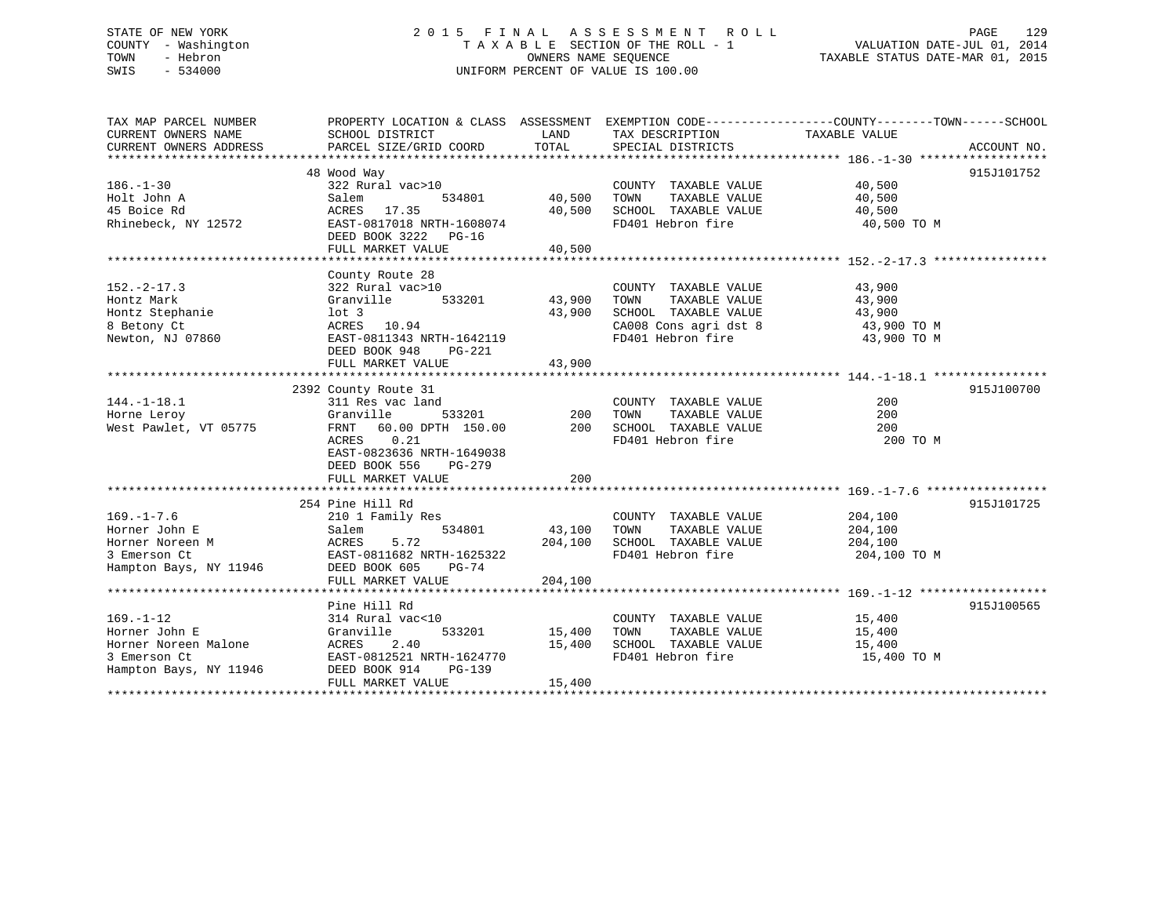## STATE OF NEW YORK 2 0 1 5 F I N A L A S S E S S M E N T R O L L PAGE 129COUNTY - Washington  $\begin{array}{ccc}\n\text{T A X A B L E} & \text{SECTION OF THE ROLL - 1} \\
\text{TOWN} & - \text{ Hebron}\n\end{array}$ OWNERS NAME SEQUENCE TAXABLE STATUS DATE-MAR 01, 2015 SWIS - 534000 UNIFORM PERCENT OF VALUE IS 100.00

| TAX MAP PARCEL NUMBER                  |                                                 |               |                                           | PROPERTY LOCATION & CLASS ASSESSMENT EXEMPTION CODE--------------COUNTY-------TOWN------SCHOOL                                                                                                                                                          |  |
|----------------------------------------|-------------------------------------------------|---------------|-------------------------------------------|---------------------------------------------------------------------------------------------------------------------------------------------------------------------------------------------------------------------------------------------------------|--|
| CURRENT OWNERS NAME                    | SCHOOL DISTRICT                                 | LAND          | TAX DESCRIPTION                           | TAXABLE VALUE                                                                                                                                                                                                                                           |  |
|                                        |                                                 |               |                                           |                                                                                                                                                                                                                                                         |  |
|                                        | 48 Wood Way                                     |               |                                           | 915J101752                                                                                                                                                                                                                                              |  |
| $186. - 1 - 30$                        | 322 Rural vac>10                                |               | COUNTY TAXABLE VALUE 40,500               |                                                                                                                                                                                                                                                         |  |
| Holt John A                            | Salem                                           | 534801 40,500 | TOWN                                      |                                                                                                                                                                                                                                                         |  |
| 45 Boice Rd                            | ACRES 17.35                                     | 40,500        |                                           | TAXABLE VALUE 40,500<br>40,500                                                                                                                                                                                                                          |  |
| Rhinebeck, NY 12572                    | EAST-0817018 NRTH-1608074                       |               | SCHOOL TAXABLE VALUE<br>FD401 Hebron fire | 40,500 TO M                                                                                                                                                                                                                                             |  |
|                                        | DEED BOOK 3222 PG-16                            |               |                                           |                                                                                                                                                                                                                                                         |  |
|                                        | FULL MARKET VALUE                               | 40,500        |                                           |                                                                                                                                                                                                                                                         |  |
|                                        |                                                 |               |                                           |                                                                                                                                                                                                                                                         |  |
|                                        | County Route 28                                 |               |                                           |                                                                                                                                                                                                                                                         |  |
| $152 - 2 - 17.3$                       | 322 Rural vac>10                                |               | COUNTY TAXABLE VALUE                      | 43,900                                                                                                                                                                                                                                                  |  |
| Hontz Mark                             | Granville                                       | 533201 43,900 | TOWN                                      | TAXABLE VALUE 43,900                                                                                                                                                                                                                                    |  |
| Hontz Stephanie                        | lot 3                                           | 43,900        |                                           |                                                                                                                                                                                                                                                         |  |
| 8 Betony Ct                            | ACRES 10.94                                     |               |                                           |                                                                                                                                                                                                                                                         |  |
| Newton, NJ 07860                       | EAST-0811343 NRTH-1642119                       |               |                                           | $\begin{tabular}{lllllllllll} \multicolumn{4}{c}{\textbf{SCHODL}} & \textbf{TAXABLE VALUE} & & & & \textbf{43,900} \\ \textbf{CA008 Cons agri dst 8} & & & \textbf{43,900 TO M} \\ \textbf{FD401 Hebron fire} & & & \textbf{43,900 TO M} \end{tabular}$ |  |
|                                        | DEED BOOK 948<br>PG-221                         |               |                                           |                                                                                                                                                                                                                                                         |  |
|                                        | FULL MARKET VALUE                               | 43,900        |                                           |                                                                                                                                                                                                                                                         |  |
|                                        |                                                 |               |                                           |                                                                                                                                                                                                                                                         |  |
|                                        | 2392 County Route 31                            |               |                                           | 915J100700                                                                                                                                                                                                                                              |  |
| $144. - 1 - 18.1$                      | 311 Res vac land                                |               | COUNTY TAXABLE VALUE                      | 200                                                                                                                                                                                                                                                     |  |
| Horne Leroy                            | Granville                                       | 533201 200    | TOWN<br>TAXABLE VALUE                     | 200                                                                                                                                                                                                                                                     |  |
| West Pawlet, VT 05775                  | FRNT 60.00 DPTH 150.00 200 SCHOOL TAXABLE VALUE |               |                                           | 200                                                                                                                                                                                                                                                     |  |
|                                        | ACRES 0.21                                      |               | FD401 Hebron fire                         | 200 TO M                                                                                                                                                                                                                                                |  |
|                                        | EAST-0823636 NRTH-1649038                       |               |                                           |                                                                                                                                                                                                                                                         |  |
|                                        | DEED BOOK 556<br>PG-279                         |               |                                           |                                                                                                                                                                                                                                                         |  |
|                                        | FULL MARKET VALUE                               | 200           |                                           |                                                                                                                                                                                                                                                         |  |
|                                        |                                                 |               |                                           |                                                                                                                                                                                                                                                         |  |
|                                        | 254 Pine Hill Rd                                |               |                                           | 915J101725                                                                                                                                                                                                                                              |  |
| $169. - 1 - 7.6$                       | 210 1 Family Res                                |               | COUNTY TAXABLE VALUE                      | 204,100                                                                                                                                                                                                                                                 |  |
| Horner John E                          | 534801<br>Salem                                 | 43,100        | TAXABLE VALUE<br>TOWN                     | 204,100                                                                                                                                                                                                                                                 |  |
| Horner Noreen M                        |                                                 | 204,100       | SCHOOL TAXABLE VALUE                      | 204,100                                                                                                                                                                                                                                                 |  |
| 3 Emerson Ct                           |                                                 |               | FD401 Hebron fire                         | 204,100 TO M                                                                                                                                                                                                                                            |  |
| Hampton Bays, NY 11946 DEED BOOK 605   | $PG-74$                                         |               |                                           |                                                                                                                                                                                                                                                         |  |
|                                        | FULL MARKET VALUE                               | 204,100       |                                           |                                                                                                                                                                                                                                                         |  |
|                                        |                                                 |               |                                           |                                                                                                                                                                                                                                                         |  |
|                                        | Pine Hill Rd<br>314 Rural vac<10                |               |                                           | 915J100565                                                                                                                                                                                                                                              |  |
| $169. - 1 - 12$                        |                                                 |               | COUNTY TAXABLE VALUE 15,400               |                                                                                                                                                                                                                                                         |  |
| Horner John E                          | Granville                                       | 533201 15,400 | TOWN<br>TAXABLE VALUE                     | 15,400                                                                                                                                                                                                                                                  |  |
| Horner Noreen Malone                   | ACRES 2.40<br>EAST-0812521 NRTH-1624770         | 15,400        | SCHOOL TAXABLE VALUE<br>FD401 Hebron fire | 15,400                                                                                                                                                                                                                                                  |  |
| 3 Emerson Ct<br>Hampton Bays, NY 11946 | DEED BOOK 914<br>$PG-139$                       |               |                                           | 15,400 TO M                                                                                                                                                                                                                                             |  |
|                                        | FULL MARKET VALUE                               | 15,400        |                                           |                                                                                                                                                                                                                                                         |  |
|                                        |                                                 |               |                                           |                                                                                                                                                                                                                                                         |  |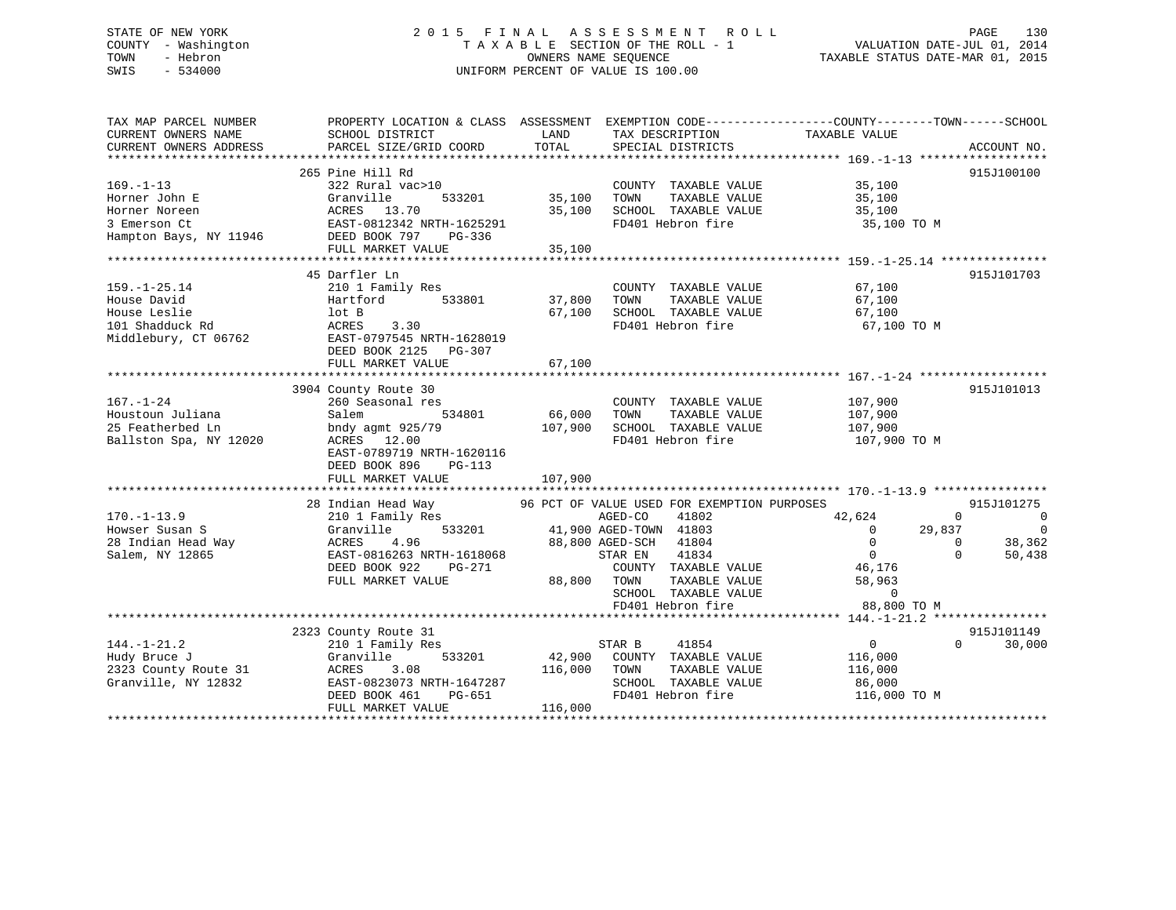# STATE OF NEW YORK 2 0 1 5 F I N A L A S S E S S M E N T R O L L PAGE 130 COUNTY - Washington T A X A B L E SECTION OF THE ROLL - 1 VALUATION DATE-JUL 01, 2014 TOWN - Hebron OWNERS NAME SEQUENCE TAXABLE STATUS DATE-MAR 01, 2015 SWIS - 534000 UNIFORM PERCENT OF VALUE IS 100.00

| TAX MAP PARCEL NUMBER<br>CURRENT OWNERS NAME | SCHOOL DISTRICT                                                                                  | LAND                    | TAX DESCRIPTION                               | PROPERTY LOCATION & CLASS ASSESSMENT EXEMPTION CODE----------------COUNTY-------TOWN------SCHOOL<br>TAXABLE VALUE |                                      |
|----------------------------------------------|--------------------------------------------------------------------------------------------------|-------------------------|-----------------------------------------------|-------------------------------------------------------------------------------------------------------------------|--------------------------------------|
| CURRENT OWNERS ADDRESS                       | PARCEL SIZE/GRID COORD                                                                           | TOTAL                   | SPECIAL DISTRICTS                             |                                                                                                                   | ACCOUNT NO.                          |
| $169. - 1 - 13$                              | 265 Pine Hill Rd<br>322 Rural vac>10                                                             |                         | COUNTY TAXABLE VALUE 35,100                   |                                                                                                                   | 915J100100                           |
| Horner John E<br>Horner Noreen               | Granville<br>ACRES 13.70<br>EAST-0812342 NRTH-1625291                                            | 533201 35,100<br>35,100 | TAXABLE VALUE<br>TOWN<br>SCHOOL TAXABLE VALUE | 35,100<br>35,100                                                                                                  |                                      |
| 3 Emerson Ct<br>Hampton Bays, NY 11946       | DEED BOOK 797 PG-336<br>FULL MARKET VALUE                                                        | 35,100                  | FD401 Hebron fire                             | 35,100 TO M                                                                                                       |                                      |
|                                              |                                                                                                  |                         |                                               |                                                                                                                   |                                      |
|                                              | 45 Darfler Ln                                                                                    |                         |                                               |                                                                                                                   | 915J101703                           |
| $159. - 1 - 25.14$<br>House David            | 210 1 Family Res<br>Hartford 533801                                                              | 37,800                  | COUNTY TAXABLE VALUE<br>TAXABLE VALUE<br>TOWN | 67,100<br>67,100                                                                                                  |                                      |
| House Leslie                                 | lot B                                                                                            | 67,100                  | SCHOOL TAXABLE VALUE                          | 67,100                                                                                                            |                                      |
| 101 Shadduck Rd                              | 3.30<br>ACRES                                                                                    |                         | FD401 Hebron fire                             | 67,100 TO M                                                                                                       |                                      |
| Middlebury, CT 06762                         | EAST-0797545 NRTH-1628019                                                                        |                         |                                               |                                                                                                                   |                                      |
|                                              | DEED BOOK 2125 PG-307                                                                            |                         |                                               |                                                                                                                   |                                      |
|                                              |                                                                                                  |                         |                                               |                                                                                                                   |                                      |
|                                              | 3904 County Route 30                                                                             |                         |                                               |                                                                                                                   | 915J101013                           |
| $167. - 1 - 24$                              | 260 Seasonal res                                                                                 |                         | COUNTY TAXABLE VALUE 107,900                  |                                                                                                                   |                                      |
| Houstoun Juliana                             | Salem<br>534801                                                                                  | 66,000                  | TOWN<br>TAXABLE VALUE                         | 107,900<br>107,900                                                                                                |                                      |
| 25 Featherbed Ln                             | bndy agmt 925/79                                                                                 | 107,900                 | SCHOOL TAXABLE VALUE                          |                                                                                                                   |                                      |
| Ballston Spa, NY 12020                       | ACRES 12.00                                                                                      |                         | FD401 Hebron fire                             | 107,900 TO M                                                                                                      |                                      |
|                                              | EAST-0789719 NRTH-1620116                                                                        |                         |                                               |                                                                                                                   |                                      |
|                                              | DEED BOOK 896<br>$PG-113$                                                                        |                         |                                               |                                                                                                                   |                                      |
|                                              |                                                                                                  |                         |                                               |                                                                                                                   |                                      |
|                                              | 28 Indian Head Way 96 PCT OF VALUE USED FOR EXEMPTION PURPOSES<br>210 1 Family Res 86ED-CO 41802 |                         |                                               |                                                                                                                   | 915J101275                           |
| $170. - 1 - 13.9$                            |                                                                                                  |                         |                                               | 42,624<br>$\Omega$                                                                                                | $\sim$ 0                             |
| Howser Susan S                               | Granville                                                                                        |                         |                                               | 29,837<br>$\overline{0}$                                                                                          | $\overline{0}$<br>$\frac{0}{38,362}$ |
| 28 Indian Head Way                           | ACRES<br>4.96                                                                                    |                         | 88,800 AGED-SCH 41804                         | $\overline{0}$<br>$\mathbf{0}$                                                                                    |                                      |
| Salem, NY 12865                              | EAST-0816263 NRTH-1618068                                                                        |                         | 41834<br>STAR EN                              | $\begin{array}{c} 0 \\ 46,176 \end{array}$<br>$\Omega$                                                            | 50,438                               |
|                                              | DEED BOOK 922<br>PG-271<br>FULL MARKET VALUE                                                     | 88,800 TOWN             | COUNTY TAXABLE VALUE                          | TAXABLE VALUE 58,963                                                                                              |                                      |
|                                              |                                                                                                  |                         |                                               | $\overline{0}$                                                                                                    |                                      |
|                                              |                                                                                                  |                         | SCHOOL TAXABLE VALUE<br>FD401 Hebron fire     | 88,800 TO M                                                                                                       |                                      |
|                                              |                                                                                                  |                         |                                               |                                                                                                                   |                                      |
|                                              | 2323 County Route 31                                                                             |                         |                                               |                                                                                                                   | 915J101149                           |
| $144. - 1 - 21.2$                            | 210 1 Family Res                                                                                 |                         | STAR B<br>41854                               | $\overline{0}$                                                                                                    | $\Omega$<br>30,000                   |
| Hudy Bruce J                                 | 533201<br>Granville                                                                              |                         | 42,900 COUNTY TAXABLE VALUE                   | 116,000                                                                                                           |                                      |
| 2323 County Route 31                         | ACRES<br>3.08                                                                                    | 116,000                 | TOWN<br>TAXABLE VALUE<br>SCHOOL TAXABLE VALUE | 116,000                                                                                                           |                                      |
| Granville, NY 12832                          | EAST-0823073 NRTH-1647287<br>DEED BOOK 461<br>PG-651                                             |                         | FD401 Hebron fire                             | 86,000<br>116,000 TO M                                                                                            |                                      |
|                                              | FULL MARKET VALUE                                                                                | 116,000                 |                                               |                                                                                                                   |                                      |
|                                              |                                                                                                  |                         |                                               |                                                                                                                   |                                      |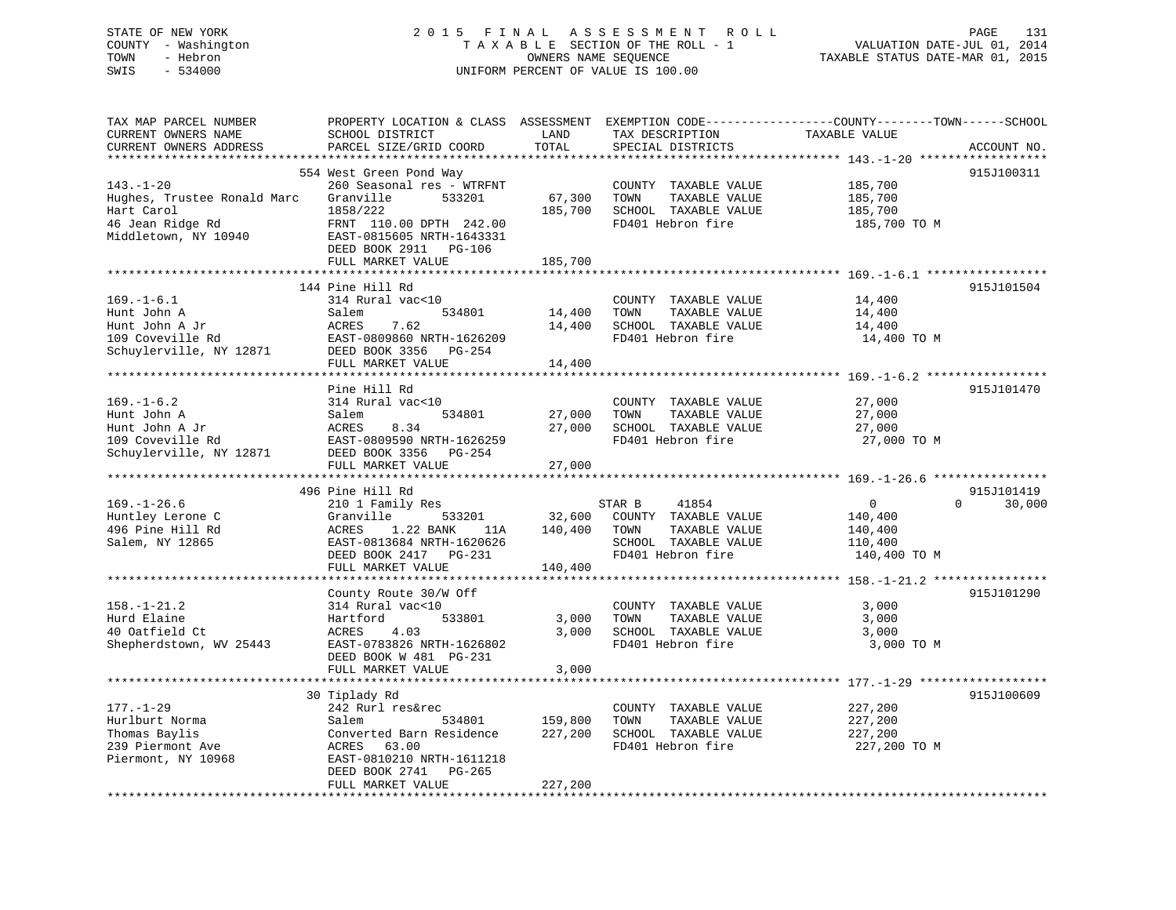# STATE OF NEW YORK 2 0 1 5 F I N A L A S S E S S M E N T R O L L PAGE 131 COUNTY - Washington T A X A B L E SECTION OF THE ROLL - 1 VALUATION DATE-JUL 01, 2014 TOWN - Hebron OWNERS NAME SEQUENCE TAXABLE STATUS DATE-MAR 01, 2015 SWIS - 534000 UNIFORM PERCENT OF VALUE IS 100.00

| TAX MAP PARCEL NUMBER       | PROPERTY LOCATION & CLASS ASSESSMENT EXEMPTION CODE----------------COUNTY-------TOWN------SCHOOL |                         |                       |                |                    |
|-----------------------------|--------------------------------------------------------------------------------------------------|-------------------------|-----------------------|----------------|--------------------|
| CURRENT OWNERS NAME         | SCHOOL DISTRICT                                                                                  | LAND                    | TAX DESCRIPTION       | TAXABLE VALUE  |                    |
| CURRENT OWNERS ADDRESS      | PARCEL SIZE/GRID COORD                                                                           | TOTAL                   | SPECIAL DISTRICTS     |                | ACCOUNT NO.        |
|                             |                                                                                                  |                         |                       |                |                    |
|                             | 554 West Green Pond Way                                                                          |                         |                       |                | 915J100311         |
| $143. - 1 - 20$             | 260 Seasonal res - WTRFNT                                                                        |                         | COUNTY TAXABLE VALUE  | 185,700        |                    |
| Hughes, Trustee Ronald Marc | Granville<br>533201                                                                              | 67,300                  | TAXABLE VALUE<br>TOWN | 185,700        |                    |
| Hart Carol                  | 1858/222                                                                                         | 185,700                 | SCHOOL TAXABLE VALUE  | 185,700        |                    |
| 46 Jean Ridge Rd            | FRNT 110.00 DPTH 242.00                                                                          |                         | FD401 Hebron fire     | 185,700 TO M   |                    |
| Middletown, NY 10940        | EAST-0815605 NRTH-1643331                                                                        |                         |                       |                |                    |
|                             | DEED BOOK 2911 PG-106                                                                            |                         |                       |                |                    |
|                             | FULL MARKET VALUE                                                                                | 185,700<br>************ |                       |                |                    |
|                             |                                                                                                  |                         |                       |                |                    |
|                             | 144 Pine Hill Rd                                                                                 |                         |                       |                | 915J101504         |
| $169. - 1 - 6.1$            | 314 Rural vac<10                                                                                 |                         | COUNTY TAXABLE VALUE  | 14,400         |                    |
| Hunt John A                 | 534801<br>Salem                                                                                  | 14,400                  | TOWN<br>TAXABLE VALUE | 14,400         |                    |
| Hunt John A Jr              | ACRES<br>7.62                                                                                    | 14,400                  | SCHOOL TAXABLE VALUE  | 14,400         |                    |
| 109 Coveville Rd            | EAST-0809860 NRTH-1626209                                                                        |                         | FD401 Hebron fire     | 14,400 TO M    |                    |
| Schuylerville, NY 12871     | DEED BOOK 3356 PG-254                                                                            |                         |                       |                |                    |
|                             | FULL MARKET VALUE                                                                                | 14,400                  |                       |                |                    |
|                             |                                                                                                  |                         |                       |                |                    |
|                             | Pine Hill Rd                                                                                     |                         |                       |                | 915J101470         |
| $169. - 1 - 6.2$            | 314 Rural vac<10                                                                                 |                         | COUNTY TAXABLE VALUE  | 27,000         |                    |
| Hunt John A                 | 534801<br>Salem                                                                                  | 27,000                  | TAXABLE VALUE<br>TOWN | 27,000         |                    |
| Hunt John A Jr              | ACRES<br>8.34                                                                                    | 27,000                  | SCHOOL TAXABLE VALUE  | 27,000         |                    |
| 109 Coveville Rd            | EAST-0809590 NRTH-1626259                                                                        |                         | FD401 Hebron fire     | 27,000 TO M    |                    |
| Schuylerville, NY 12871     | DEED BOOK 3356 PG-254                                                                            |                         |                       |                |                    |
|                             | FULL MARKET VALUE                                                                                | 27,000                  |                       |                |                    |
|                             | 496 Pine Hill Rd                                                                                 |                         |                       |                | 915J101419         |
| $169. - 1 - 26.6$           | 210 1 Family Res                                                                                 |                         | STAR B<br>41854       | $\overline{0}$ | $\Omega$<br>30,000 |
| Huntley Lerone C            | Granville<br>533201                                                                              | 32,600                  | COUNTY TAXABLE VALUE  |                |                    |
| 496 Pine Hill Rd            | 1.22 BANK<br>ACRES                                                                               | 140,400                 | TOWN<br>TAXABLE VALUE | 140,400        |                    |
|                             | 11A<br>EAST-0813684 NRTH-1620626                                                                 |                         | SCHOOL TAXABLE VALUE  | 140,400        |                    |
| Salem, NY 12865             |                                                                                                  |                         | FD401 Hebron fire     | 110,400        |                    |
|                             | DEED BOOK 2417 PG-231<br>FULL MARKET VALUE                                                       | 140,400                 |                       | 140,400 TO M   |                    |
|                             |                                                                                                  |                         |                       |                |                    |
|                             | County Route 30/W Off                                                                            |                         |                       |                | 915J101290         |
| $158. - 1 - 21.2$           | 314 Rural vac<10                                                                                 |                         | COUNTY TAXABLE VALUE  | 3,000          |                    |
| Hurd Elaine                 | 533801<br>Hartford                                                                               | 3,000                   | TAXABLE VALUE<br>TOWN | 3,000          |                    |
| 40 Oatfield Ct              | ACRES<br>4.03                                                                                    | 3,000                   | SCHOOL TAXABLE VALUE  | 3,000          |                    |
| Shepherdstown, WV 25443     | EAST-0783826 NRTH-1626802                                                                        |                         | FD401 Hebron fire     | 3,000 TO M     |                    |
|                             | DEED BOOK W 481 PG-231                                                                           |                         |                       |                |                    |
|                             | FULL MARKET VALUE                                                                                | 3,000                   |                       |                |                    |
|                             | *******************************                                                                  |                         |                       |                |                    |
|                             | 30 Tiplady Rd                                                                                    |                         |                       |                | 915J100609         |
| $177. - 1 - 29$             | 242 Rurl res&rec                                                                                 |                         | COUNTY TAXABLE VALUE  | 227,200        |                    |
| Hurlburt Norma              | Salem<br>534801                                                                                  | 159,800                 | TAXABLE VALUE<br>TOWN | 227,200        |                    |
| Thomas Baylis               | Converted Barn Residence                                                                         | 227,200                 | SCHOOL TAXABLE VALUE  | 227,200        |                    |
| 239 Piermont Ave            | 63.00<br>ACRES                                                                                   |                         | FD401 Hebron fire     | 227,200 TO M   |                    |
| Piermont, NY 10968          | EAST-0810210 NRTH-1611218                                                                        |                         |                       |                |                    |
|                             | DEED BOOK 2741 PG-265                                                                            |                         |                       |                |                    |
|                             | FULL MARKET VALUE                                                                                | 227,200                 |                       |                |                    |
|                             |                                                                                                  |                         |                       |                |                    |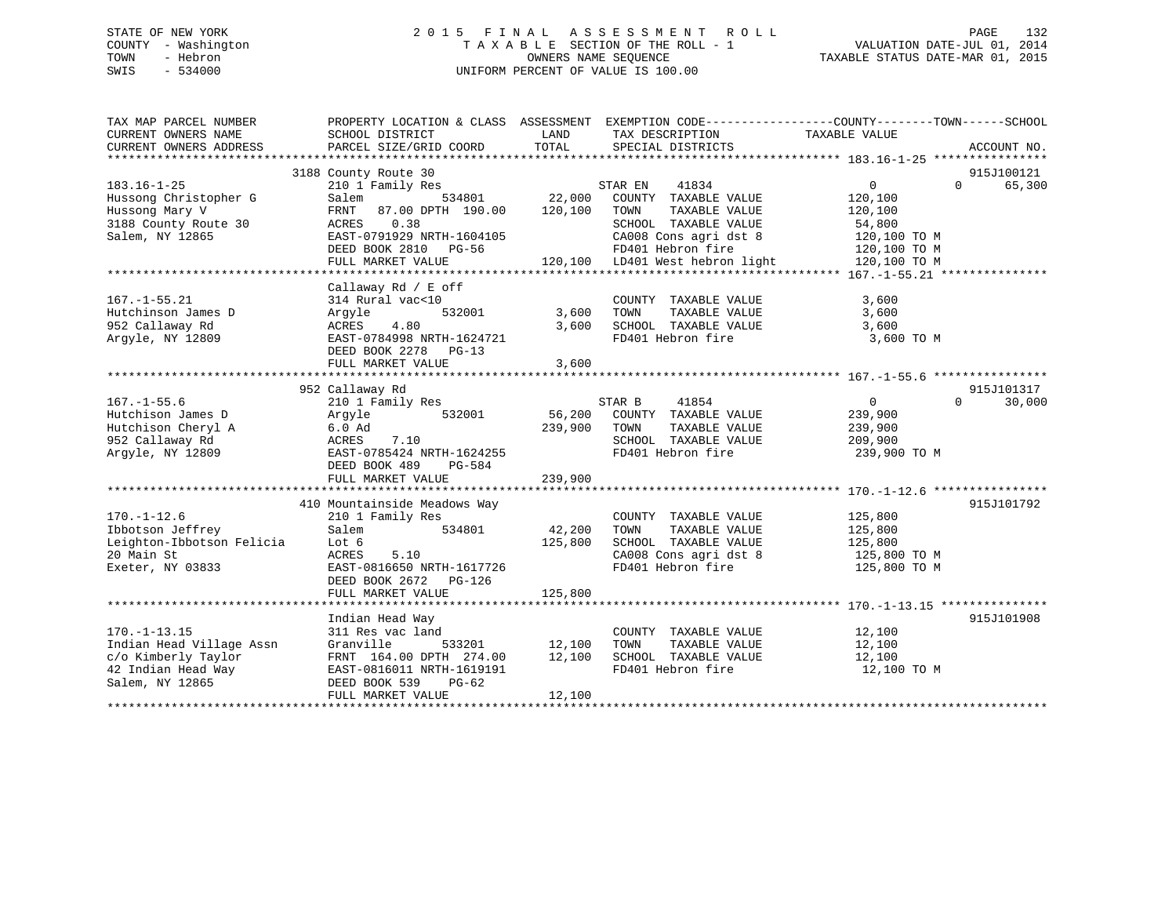# STATE OF NEW YORK 2 0 1 5 F I N A L A S S E S S M E N T R O L L PAGE 132 COUNTY - Washington T A X A B L E SECTION OF THE ROLL - 1 VALUATION DATE-JUL 01, 2014 TOWN - Hebron OWNERS NAME SEQUENCE TAXABLE STATUS DATE-MAR 01, 2015 SWIS - 534000 UNIFORM PERCENT OF VALUE IS 100.00

| TAX MAP PARCEL NUMBER<br>CURRENT OWNERS NAME | PROPERTY LOCATION & CLASS ASSESSMENT EXEMPTION CODE---------------COUNTY-------TOWN-----SCHOOL<br>SCHOOL DISTRICT | LAND          | TAX DESCRIPTION       | TAXABLE VALUE     |                    |
|----------------------------------------------|-------------------------------------------------------------------------------------------------------------------|---------------|-----------------------|-------------------|--------------------|
| CURRENT OWNERS ADDRESS                       | PARCEL SIZE/GRID COORD                                                                                            | TOTAL         | SPECIAL DISTRICTS     |                   | ACCOUNT NO.        |
|                                              | 3188 County Route 30                                                                                              |               |                       |                   | 915J100121         |
| $183.16 - 1 - 25$                            | 210 1 Family Res                                                                                                  |               | STAR EN 41834         | $0 \qquad \qquad$ | 65,300<br>$\Omega$ |
| Hussong Christopher G                        | 534801<br>Salem                                                                                                   | 22,000        | COUNTY TAXABLE VALUE  | 120,100           |                    |
| Hussong Mary V                               | 87.00 DPTH 190.00<br>FRNT                                                                                         | 120,100       | TOWN<br>TAXABLE VALUE | 120,100           |                    |
| 3188 County Route 30                         | 0.38<br>ACRES                                                                                                     |               | SCHOOL TAXABLE VALUE  | 54,800            |                    |
| Salem, NY 12865                              | EAST-0791929 NRTH-1604105                                                                                         |               | CA008 Cons agri dst 8 | 120,100 TO M      |                    |
|                                              |                                                                                                                   |               | FD401 Hebron fire     |                   |                    |
|                                              |                                                                                                                   |               |                       |                   |                    |
|                                              |                                                                                                                   |               |                       |                   |                    |
|                                              | Callaway Rd / E off                                                                                               |               |                       |                   |                    |
| $167. - 1 - 55.21$                           | 314 Rural vac<10                                                                                                  |               | COUNTY TAXABLE VALUE  | 3,600             |                    |
| Hutchinson James D                           | 532001<br>Argyle                                                                                                  | 3,600         | TOWN<br>TAXABLE VALUE | 3,600             |                    |
| 952 Callaway Rd                              | ACRES<br>4.80                                                                                                     | 3,600         | SCHOOL TAXABLE VALUE  | 3,600             |                    |
| Argyle, NY 12809                             | EAST-0784998 NRTH-1624721                                                                                         |               | FD401 Hebron fire     | 3,600 TO M        |                    |
|                                              | DEED BOOK 2278 PG-13                                                                                              |               |                       |                   |                    |
|                                              | FULL MARKET VALUE                                                                                                 | 3,600         |                       |                   |                    |
|                                              |                                                                                                                   |               |                       |                   |                    |
|                                              | 952 Callaway Rd                                                                                                   |               |                       |                   | 915J101317         |
| $167. - 1 - 55.6$                            | 210 1 Family Res                                                                                                  |               | 41854<br>STAR B       | $\overline{0}$    | $\Omega$<br>30,000 |
| Hutchison James D                            | 532001<br>Argyle                                                                                                  | 56,200        | COUNTY TAXABLE VALUE  | 239,900           |                    |
| Hutchison Cheryl A                           | $6.0$ Ad                                                                                                          | 239,900       | TAXABLE VALUE<br>TOWN | 239,900           |                    |
| 952 Callaway Rd                              | ACRES<br>7.10                                                                                                     |               | SCHOOL TAXABLE VALUE  | 209,900           |                    |
| Argyle, NY 12809                             | EAST-0785424 NRTH-1624255                                                                                         |               | FD401 Hebron fire     | 239,900 TO M      |                    |
|                                              | DEED BOOK 489<br>PG-584                                                                                           | 239,900       |                       |                   |                    |
|                                              | FULL MARKET VALUE                                                                                                 |               |                       |                   |                    |
|                                              | 410 Mountainside Meadows Way                                                                                      |               |                       |                   | 915J101792         |
| $170. - 1 - 12.6$                            | 210 1 Family Res                                                                                                  |               | COUNTY TAXABLE VALUE  | 125,800           |                    |
| Ibbotson Jeffrey                             | Salem<br>534801                                                                                                   | 42,200        | TOWN<br>TAXABLE VALUE | 125,800           |                    |
| Leighton-Ibbotson Felicia                    | Lot 6                                                                                                             | 125,800       | SCHOOL TAXABLE VALUE  | 125,800           |                    |
| 20 Main St                                   | ACRES<br>5.10                                                                                                     |               | CA008 Cons agri dst 8 | 125,800 TO M      |                    |
| Exeter, NY 03833                             | EAST-0816650 NRTH-1617726                                                                                         |               | FD401 Hebron fire     | 125,800 TO M      |                    |
|                                              | DEED BOOK 2672 PG-126                                                                                             |               |                       |                   |                    |
|                                              | FULL MARKET VALUE                                                                                                 | 125,800       |                       |                   |                    |
|                                              |                                                                                                                   |               |                       |                   |                    |
|                                              | Indian Head Way                                                                                                   |               |                       |                   | 915J101908         |
| $170. - 1 - 13.15$                           | 311 Res vac land                                                                                                  |               | COUNTY TAXABLE VALUE  | 12,100            |                    |
| Indian Head Village Assn                     | Granville                                                                                                         | 533201 12,100 | TOWN<br>TAXABLE VALUE | 12,100            |                    |
| c/o Kimberly Taylor                          | FRNT 164.00 DPTH 274.00 12,100                                                                                    |               | SCHOOL TAXABLE VALUE  | 12,100            |                    |
| 42 Indian Head Way                           | EAST-0816011 NRTH-1619191                                                                                         |               | FD401 Hebron fire     | 12,100 TO M       |                    |
| Salem, NY 12865                              | DEED BOOK 539<br>PG-62                                                                                            |               |                       |                   |                    |
|                                              | FULL MARKET VALUE                                                                                                 | 12,100        |                       |                   |                    |
|                                              |                                                                                                                   |               |                       |                   |                    |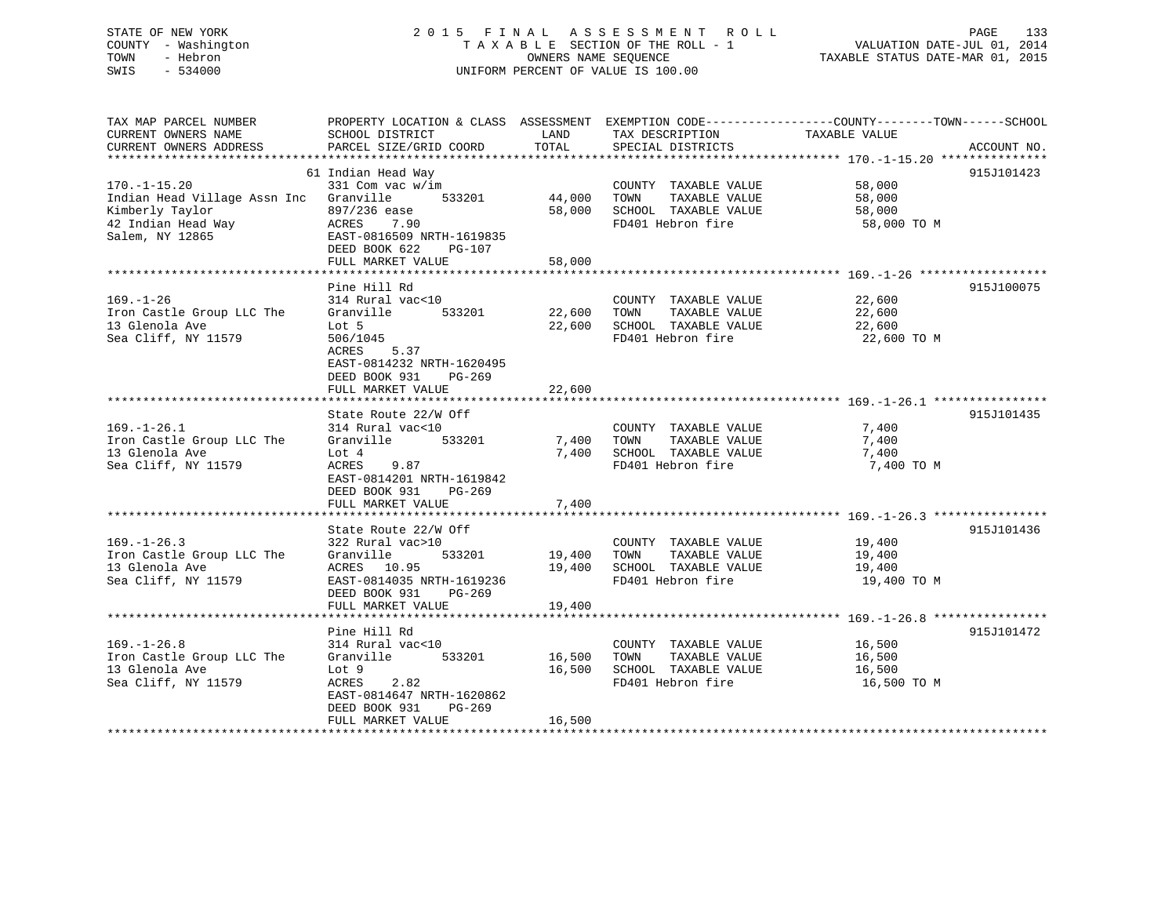# STATE OF NEW YORK 2 0 1 5 F I N A L A S S E S S M E N T R O L L PAGE 133 COUNTY - Washington T A X A B L E SECTION OF THE ROLL - 1 VALUATION DATE-JUL 01, 2014 TOWN - Hebron OWNERS NAME SEQUENCE TAXABLE STATUS DATE-MAR 01, 2015 SWIS - 534000 UNIFORM PERCENT OF VALUE IS 100.00

| TAX MAP PARCEL NUMBER<br>CURRENT OWNERS NAME<br>CURRENT OWNERS ADDRESS | SCHOOL DISTRICT<br>PARCEL SIZE/GRID COORD | LAND<br>TOTAL | TAX DESCRIPTION<br>SPECIAL DISTRICTS | PROPERTY LOCATION & CLASS ASSESSMENT EXEMPTION CODE---------------COUNTY-------TOWN------SCHOOL<br>TAXABLE VALUE<br>ACCOUNT NO. |
|------------------------------------------------------------------------|-------------------------------------------|---------------|--------------------------------------|---------------------------------------------------------------------------------------------------------------------------------|
|                                                                        |                                           |               |                                      |                                                                                                                                 |
|                                                                        | 61 Indian Head Way                        |               |                                      | 915J101423                                                                                                                      |
| $170. - 1 - 15.20$                                                     | 331 Com vac w/im                          |               | COUNTY TAXABLE VALUE                 | 58,000                                                                                                                          |
| Indian Head Village Assn Inc                                           | 533201<br>Granville                       | 44,000        | TOWN<br>TAXABLE VALUE                | 58,000                                                                                                                          |
| Kimberly Taylor                                                        | 897/236 ease                              | 58,000        | SCHOOL TAXABLE VALUE                 | 58,000                                                                                                                          |
| 42 Indian Head Way                                                     | ACRES<br>7.90                             |               | FD401 Hebron fire                    | 58,000 TO M                                                                                                                     |
| Salem, NY 12865                                                        | EAST-0816509 NRTH-1619835                 |               |                                      |                                                                                                                                 |
|                                                                        | DEED BOOK 622<br>$PG-107$                 |               |                                      |                                                                                                                                 |
|                                                                        | FULL MARKET VALUE                         | 58,000        |                                      |                                                                                                                                 |
|                                                                        |                                           |               |                                      |                                                                                                                                 |
|                                                                        | Pine Hill Rd                              |               |                                      | 915J100075                                                                                                                      |
| $169. - 1 - 26$                                                        | 314 Rural vac<10                          |               | COUNTY TAXABLE VALUE                 | 22,600                                                                                                                          |
| Iron Castle Group LLC The                                              | Granville<br>533201                       | 22,600        | TOWN<br>TAXABLE VALUE                | 22,600                                                                                                                          |
| 13 Glenola Ave                                                         | Lot 5                                     | 22,600        | SCHOOL TAXABLE VALUE                 | 22,600                                                                                                                          |
| Sea Cliff, NY 11579                                                    | 506/1045                                  |               | FD401 Hebron fire                    | 22,600 TO M                                                                                                                     |
|                                                                        | 5.37<br>ACRES                             |               |                                      |                                                                                                                                 |
|                                                                        | EAST-0814232 NRTH-1620495                 |               |                                      |                                                                                                                                 |
|                                                                        | DEED BOOK 931<br>PG-269                   |               |                                      |                                                                                                                                 |
|                                                                        | FULL MARKET VALUE                         | 22,600        |                                      |                                                                                                                                 |
|                                                                        |                                           |               |                                      |                                                                                                                                 |
|                                                                        | State Route 22/W Off                      |               |                                      | 915J101435                                                                                                                      |
| $169. - 1 - 26.1$                                                      | 314 Rural vac<10                          |               | COUNTY TAXABLE VALUE                 | 7,400                                                                                                                           |
| Iron Castle Group LLC The                                              | 533201<br>Granville                       | 7,400         | TAXABLE VALUE<br>TOWN                | 7,400                                                                                                                           |
| 13 Glenola Ave                                                         | Lot 4                                     | 7,400         | SCHOOL TAXABLE VALUE                 | 7,400                                                                                                                           |
| Sea Cliff, NY 11579                                                    | ACRES<br>9.87                             |               | FD401 Hebron fire                    | 7,400 TO M                                                                                                                      |
|                                                                        | EAST-0814201 NRTH-1619842                 |               |                                      |                                                                                                                                 |
|                                                                        | DEED BOOK 931<br>PG-269                   |               |                                      |                                                                                                                                 |
|                                                                        | FULL MARKET VALUE                         | 7,400         |                                      |                                                                                                                                 |
|                                                                        |                                           |               |                                      |                                                                                                                                 |
|                                                                        | State Route 22/W Off                      |               |                                      | 915J101436                                                                                                                      |
| $169. - 1 - 26.3$                                                      | 322 Rural vac>10                          |               | COUNTY TAXABLE VALUE                 | 19,400                                                                                                                          |
| Iron Castle Group LLC The                                              | Granville<br>533201                       | 19,400        | TAXABLE VALUE<br>TOWN                | 19,400                                                                                                                          |
| 13 Glenola Ave                                                         | ACRES 10.95                               | 19,400        | SCHOOL TAXABLE VALUE                 | 19,400                                                                                                                          |
| Sea Cliff, NY 11579                                                    | EAST-0814035 NRTH-1619236                 |               | FD401 Hebron fire                    | 19,400 TO M                                                                                                                     |
|                                                                        | DEED BOOK 931<br>$PG-269$                 |               |                                      |                                                                                                                                 |
|                                                                        | FULL MARKET VALUE                         | 19,400        |                                      |                                                                                                                                 |
|                                                                        |                                           |               |                                      |                                                                                                                                 |
|                                                                        | Pine Hill Rd                              |               |                                      | 915J101472                                                                                                                      |
| $169. - 1 - 26.8$                                                      | 314 Rural vac<10                          |               | COUNTY TAXABLE VALUE                 | 16,500                                                                                                                          |
| Iron Castle Group LLC The                                              | 533201<br>Granville                       | 16,500        | TOWN<br>TAXABLE VALUE                | 16,500                                                                                                                          |
| 13 Glenola Ave                                                         | Lot 9                                     | 16,500        | SCHOOL TAXABLE VALUE                 | 16,500                                                                                                                          |
| Sea Cliff, NY 11579                                                    | ACRES<br>2.82                             |               | FD401 Hebron fire                    | 16,500 TO M                                                                                                                     |
|                                                                        | EAST-0814647 NRTH-1620862                 |               |                                      |                                                                                                                                 |
|                                                                        | DEED BOOK 931<br>PG-269                   |               |                                      |                                                                                                                                 |
|                                                                        | FULL MARKET VALUE                         | 16,500        |                                      |                                                                                                                                 |
|                                                                        |                                           |               |                                      |                                                                                                                                 |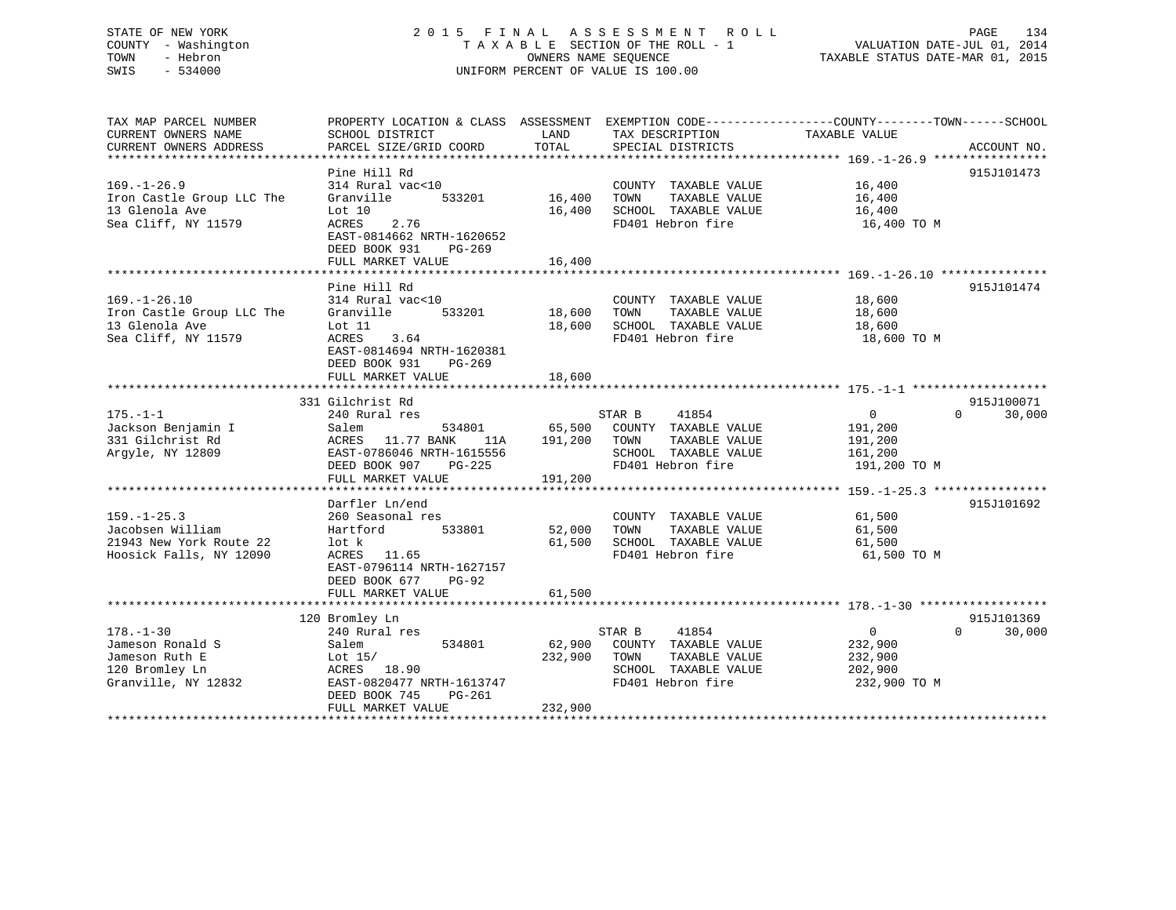# STATE OF NEW YORK 2 0 1 5 F I N A L A S S E S S M E N T R O L L PAGE 134 COUNTY - Washington T A X A B L E SECTION OF THE ROLL - 1 VALUATION DATE-JUL 01, 2014 TOWN - Hebron OWNERS NAME SEQUENCE TAXABLE STATUS DATE-MAR 01, 2015 SWIS - 534000 UNIFORM PERCENT OF VALUE IS 100.00

TAX MAP PARCEL NUMBER PROPERTY LOCATION & CLASS ASSESSMENT EXEMPTION CODE------------------COUNTY--------TOWN------SCHOOL

CURRENT OWNERS NAME SCHOOL DISTRICT THE LAND TAX DESCRIPTION TAXABLE VALUE CURRENT OWNERS ADDRESS PARCEL SIZE/GRID COORD TOTAL SPECIAL DISTRICTS ACCOUNT NO. \*\*\*\*\*\*\*\*\*\*\*\*\*\*\*\*\*\*\*\*\*\*\*\*\*\*\*\*\*\*\*\*\*\*\*\*\*\*\*\*\*\*\*\*\*\*\*\*\*\*\*\*\*\*\*\*\*\*\*\*\*\*\*\*\*\*\*\*\*\*\*\*\*\*\*\*\*\*\*\*\*\*\*\*\*\*\*\*\*\*\*\*\*\*\*\*\*\*\*\*\*\*\* 169.-1-26.9 \*\*\*\*\*\*\*\*\*\*\*\*\*\*\*\* Pine Hill Rd 915J101473 169.-1-26.9 314 Rural vac<10 COUNTY TAXABLE VALUE 16,400 Iron Castle Group LLC The Granville 533201 16,400 TOWN TAXABLE VALUE 16,400 13 Glenola Ave Lot 10 16,400 SCHOOL TAXABLE VALUE 16,400 Sea Cliff, NY 11579 ACRES 2.76 FD401 Hebron fire 16,400 TO M EAST-0814662 NRTH-1620652 DEED BOOK 931 PG-269FULL MARKET VALUE 16,400 \*\*\*\*\*\*\*\*\*\*\*\*\*\*\*\*\*\*\*\*\*\*\*\*\*\*\*\*\*\*\*\*\*\*\*\*\*\*\*\*\*\*\*\*\*\*\*\*\*\*\*\*\*\*\*\*\*\*\*\*\*\*\*\*\*\*\*\*\*\*\*\*\*\*\*\*\*\*\*\*\*\*\*\*\*\*\*\*\*\*\*\*\*\*\*\*\*\*\*\*\*\*\* 169.-1-26.10 \*\*\*\*\*\*\*\*\*\*\*\*\*\*\*Pine Hill Rd 915J101474 169.-1-26.10 314 Rural vac<10 COUNTY TAXABLE VALUE 18,600 Iron Castle Group LLC The Granville 533201 18,600 TOWN TAXABLE VALUE 18,600 13 Glenola Ave Lot 11 18,600 SCHOOL TAXABLE VALUE 18,600 Sea Cliff, NY 11579 ACRES 3.64 FD401 Hebron fire 18,600 TO M EAST-0814694 NRTH-1620381 DEED BOOK 931 PG-269 FULL MARKET VALUE 18,600 \*\*\*\*\*\*\*\*\*\*\*\*\*\*\*\*\*\*\*\*\*\*\*\*\*\*\*\*\*\*\*\*\*\*\*\*\*\*\*\*\*\*\*\*\*\*\*\*\*\*\*\*\*\*\*\*\*\*\*\*\*\*\*\*\*\*\*\*\*\*\*\*\*\*\*\*\*\*\*\*\*\*\*\*\*\*\*\*\*\*\*\*\*\*\*\*\*\*\*\*\*\*\* 175.-1-1 \*\*\*\*\*\*\*\*\*\*\*\*\*\*\*\*\*\*\* 331 Gilchrist Rd 915J100071175.-1-1 240 Rural res STAR B 41854 0 0 30,000 Jackson Benjamin I Salem 534801 65,500 COUNTY TAXABLE VALUE 191,200 331 Gilchrist Rd ACRES 11.77 BANK 11A 191,200 TOWN TAXABLE VALUE 191,200 Argyle, NY 12809 EAST-0786046 NRTH-1615556 SCHOOL TAXABLE VALUE 161,200 DEED BOOK 907 PG-225 FD401 Hebron fire 191,200 TO M DEED BOOK 907 PG-225<br>FULL MARKET VALUE 191,200 \*\*\*\*\*\*\*\*\*\*\*\*\*\*\*\*\*\*\*\*\*\*\*\*\*\*\*\*\*\*\*\*\*\*\*\*\*\*\*\*\*\*\*\*\*\*\*\*\*\*\*\*\*\*\*\*\*\*\*\*\*\*\*\*\*\*\*\*\*\*\*\*\*\*\*\*\*\*\*\*\*\*\*\*\*\*\*\*\*\*\*\*\*\*\*\*\*\*\*\*\*\*\* 159.-1-25.3 \*\*\*\*\*\*\*\*\*\*\*\*\*\*\*\* Darfler Ln/end 915J101692 159.-1-25.3 260 Seasonal res COUNTY TAXABLE VALUE 61,500 Jacobsen William Hartford 533801 52,000 TOWN TAXABLE VALUE 61,500 21943 New York Route 22 lot k 61,500 SCHOOL TAXABLE VALUE 61,500 Hoosick Falls, NY 12090 ACRES 11.65 FD401 Hebron fire 61,500 TO M EAST-0796114 NRTH-1627157 DEED BOOK 677 PG-92FULL MARKET VALUE 61,500 \*\*\*\*\*\*\*\*\*\*\*\*\*\*\*\*\*\*\*\*\*\*\*\*\*\*\*\*\*\*\*\*\*\*\*\*\*\*\*\*\*\*\*\*\*\*\*\*\*\*\*\*\*\*\*\*\*\*\*\*\*\*\*\*\*\*\*\*\*\*\*\*\*\*\*\*\*\*\*\*\*\*\*\*\*\*\*\*\*\*\*\*\*\*\*\*\*\*\*\*\*\*\* 178.-1-30 \*\*\*\*\*\*\*\*\*\*\*\*\*\*\*\*\*\* 120 Bromley Ln 915J101369 178.-1-30 240 Rural res STAR B 41854 0 0 30,000 Jameson Ronald S Salem 534801 62,900 COUNTY TAXABLE VALUE 232,900 Jameson Ruth E Lot 15/ 232,900 TOWN TAXABLE VALUE 232,900 120 Bromley Ln ACRES 18.90 SCHOOL TAXABLE VALUE 202,900 Granville, NY 12832 EAST-0820477 NRTH-1613747 FD401 Hebron fire 232,900 TO M DEED BOOK 745 PG-261FULL MARKET VALUE 232,900

\*\*\*\*\*\*\*\*\*\*\*\*\*\*\*\*\*\*\*\*\*\*\*\*\*\*\*\*\*\*\*\*\*\*\*\*\*\*\*\*\*\*\*\*\*\*\*\*\*\*\*\*\*\*\*\*\*\*\*\*\*\*\*\*\*\*\*\*\*\*\*\*\*\*\*\*\*\*\*\*\*\*\*\*\*\*\*\*\*\*\*\*\*\*\*\*\*\*\*\*\*\*\*\*\*\*\*\*\*\*\*\*\*\*\*\*\*\*\*\*\*\*\*\*\*\*\*\*\*\*\*\*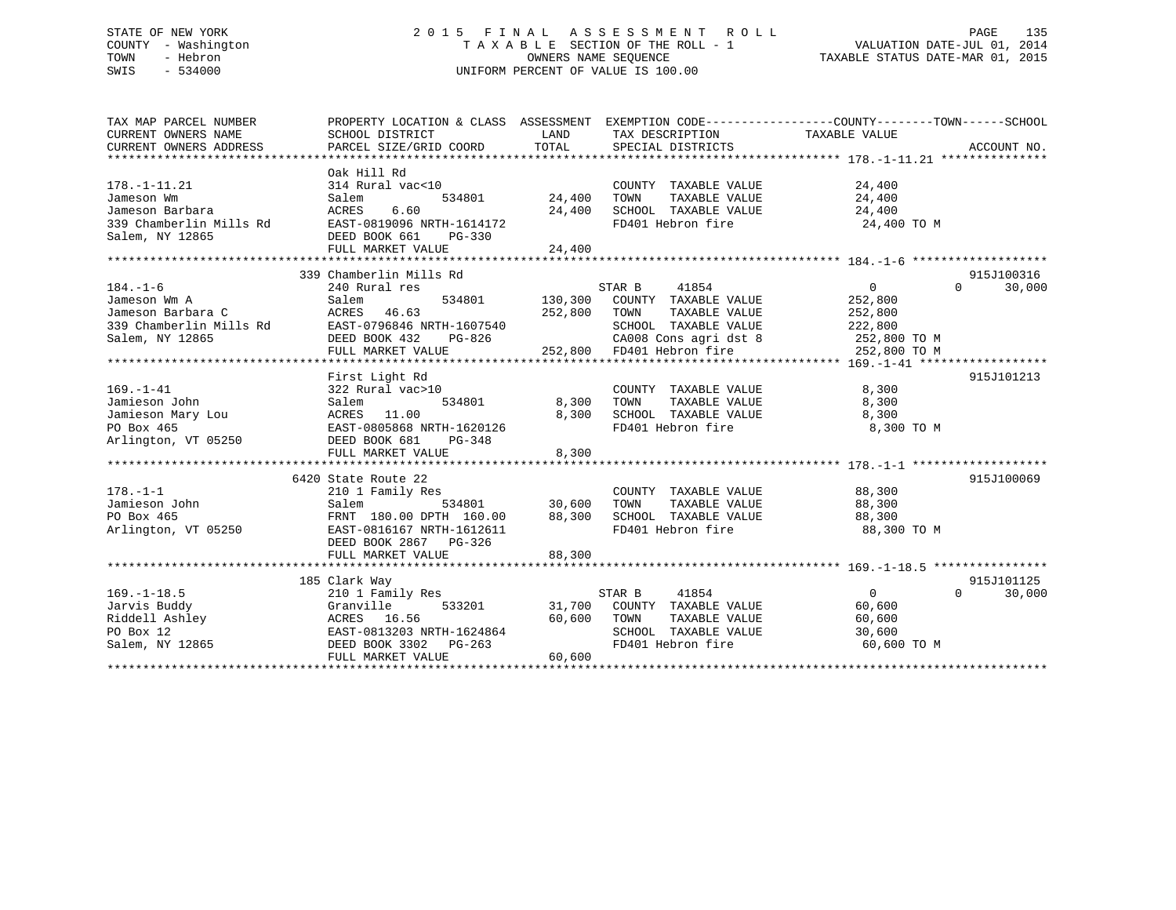# STATE OF NEW YORK 2 0 1 5 F I N A L A S S E S S M E N T R O L L PAGE 135 COUNTY - Washington T A X A B L E SECTION OF THE ROLL - 1 VALUATION DATE-JUL 01, 2014 TOWN - Hebron OWNERS NAME SEQUENCE TAXABLE STATUS DATE-MAR 01, 2015 SWIS - 534000 UNIFORM PERCENT OF VALUE IS 100.00

| TAX MAP PARCEL NUMBER                                                              | PROPERTY LOCATION & CLASS ASSESSMENT EXEMPTION CODE----------------COUNTY-------TOWN-----SCHOOL |                |                                                                                                   |                               |            |
|------------------------------------------------------------------------------------|-------------------------------------------------------------------------------------------------|----------------|---------------------------------------------------------------------------------------------------|-------------------------------|------------|
| CURRENT OWNERS NAME                                                                | SCHOOL DISTRICT                                                                                 | LAND           | TAX DESCRIPTION                                                                                   | TAXABLE VALUE                 |            |
|                                                                                    |                                                                                                 |                |                                                                                                   |                               |            |
|                                                                                    |                                                                                                 |                |                                                                                                   |                               |            |
|                                                                                    | Oak Hill Rd                                                                                     |                |                                                                                                   |                               |            |
| $178. - 1 - 11.21$                                                                 | 314 Rural vac<10                                                                                |                | COUNTY TAXABLE VALUE                                                                              | 24,400                        |            |
| Jameson Wm                                                                         | Salem                                                                                           | 534801 24,400  | TAXABLE VALUE<br>TOWN                                                                             | 24,400                        |            |
| Jameson Barbara                                                                    | 6.60<br>ACRES                                                                                   | 24,400         | SCHOOL TAXABLE VALUE                                                                              | 24,400                        |            |
| 339 Chamberlin Mills Rd                                                            | EAST-0819096 NRTH-1614172                                                                       |                | FD401 Hebron fire                                                                                 | 24,400 TO M                   |            |
| Salem, NY 12865                                                                    | DEED BOOK 661<br>$PG-330$                                                                       |                |                                                                                                   |                               |            |
|                                                                                    | FULL MARKET VALUE                                                                               | 24,400         |                                                                                                   |                               |            |
|                                                                                    |                                                                                                 |                |                                                                                                   |                               |            |
|                                                                                    | 339 Chamberlin Mills Rd                                                                         |                |                                                                                                   |                               | 915J100316 |
| $184. - 1 - 6$                                                                     | 240 Rural res                                                                                   |                | STAR B<br>41854                                                                                   | $0 \qquad \qquad$<br>$\Omega$ | 30,000     |
| Jameson Wm A                                                                       | Salem                                                                                           | 534801 130,300 | COUNTY TAXABLE VALUE                                                                              | 252,800                       |            |
| Jameson Barbara C                                                                  | ACRES 46.63                                                                                     | 252,800        | TOWN<br>TAXABLE VALUE                                                                             | 252,800                       |            |
| 339 Chamberlin Mills Rd                                                            | EAST-0796846 NRTH-1607540                                                                       |                | SCHOOL TAXABLE VALUE                                                                              | 222,800                       |            |
| Salem, NY 12865                                                                    | DEED BOOK 432<br>PG-826                                                                         |                |                                                                                                   |                               |            |
|                                                                                    | FULL MARKET VALUE                                                                               |                | CA008 Cons agri dst 8 252,800 TO M<br>FD401 Hebron fire 252,800 TO M<br>252,800 FD401 Hebron fire |                               |            |
|                                                                                    |                                                                                                 |                |                                                                                                   |                               |            |
|                                                                                    | First Light Rd                                                                                  |                |                                                                                                   |                               | 915J101213 |
| $169. - 1 - 41$                                                                    | 322 Rural vac>10                                                                                |                | COUNTY TAXABLE VALUE                                                                              | 8,300                         |            |
| Jamieson John                                                                      | 534801<br>Salem                                                                                 | 8,300          | TAXABLE VALUE<br>TOWN                                                                             | 8,300                         |            |
| Uminison Mary Lou (ACRES 11.00<br>PO Box 465<br>Arlington, VT 05250 (DEED BOOK 681 |                                                                                                 | 8,300          | SCHOOL TAXABLE VALUE                                                                              | 8,300                         |            |
|                                                                                    | EAST-0805868 NRTH-1620126                                                                       |                | FD401 Hebron fire                                                                                 | 8,300 TO M                    |            |
|                                                                                    | PG-348                                                                                          |                |                                                                                                   |                               |            |
|                                                                                    | FULL MARKET VALUE                                                                               | 8,300          |                                                                                                   |                               |            |
|                                                                                    |                                                                                                 |                |                                                                                                   |                               |            |
|                                                                                    | 6420 State Route 22                                                                             |                |                                                                                                   |                               | 915J100069 |
| $178. - 1 - 1$                                                                     | 210 1 Family Res                                                                                |                | COUNTY TAXABLE VALUE 88,300                                                                       |                               |            |
| Jamieson John                                                                      | Salem<br>534801                                                                                 | 30,600         | TOWN<br>TAXABLE VALUE                                                                             |                               |            |
| PO Box 465                                                                         | FRNT 180.00 DPTH 160.00                                                                         |                |                                                                                                   | 88,300<br>88,300              |            |
| Arlington, VT 05250                                                                | EAST-0816167 NRTH-1612611                                                                       | 88,300         | SCHOOL TAXABLE VALUE<br>FD401 Hebron fire                                                         | 88,300 TO M                   |            |
|                                                                                    | DEED BOOK 2867 PG-326                                                                           |                |                                                                                                   |                               |            |
|                                                                                    |                                                                                                 |                |                                                                                                   |                               |            |
|                                                                                    | FULL MARKET VALUE                                                                               | 88,300         |                                                                                                   |                               |            |
|                                                                                    |                                                                                                 |                |                                                                                                   |                               |            |
|                                                                                    | 185 Clark Way                                                                                   |                |                                                                                                   |                               | 915J101125 |
| $169. - 1 - 18.5$                                                                  | 210 1 Family Res                                                                                |                | STAR B<br>41854                                                                                   | $\overline{0}$<br>$\Omega$    | 30,000     |
| Jarvis Buddy                                                                       | 533201<br>Granville                                                                             |                | 31,700 COUNTY TAXABLE VALUE                                                                       | 60,600                        |            |
| Jarvis Buddy<br>Riddell Ashley<br>PO Box 12<br>Salem. NY 12865                     | ACRES 16.56                                                                                     | 60,600         | TOWN<br>TAXABLE VALUE                                                                             | 60,600                        |            |
|                                                                                    | EAST-0813203 NRTH-1624864                                                                       |                | SCHOOL TAXABLE VALUE                                                                              | 30,600                        |            |
|                                                                                    | DEED BOOK 3302 PG-263                                                                           |                | FD401 Hebron fire                                                                                 | 60,600 TO M                   |            |
|                                                                                    | FULL MARKET VALUE                                                                               | 60,600         |                                                                                                   |                               |            |
|                                                                                    |                                                                                                 |                |                                                                                                   |                               |            |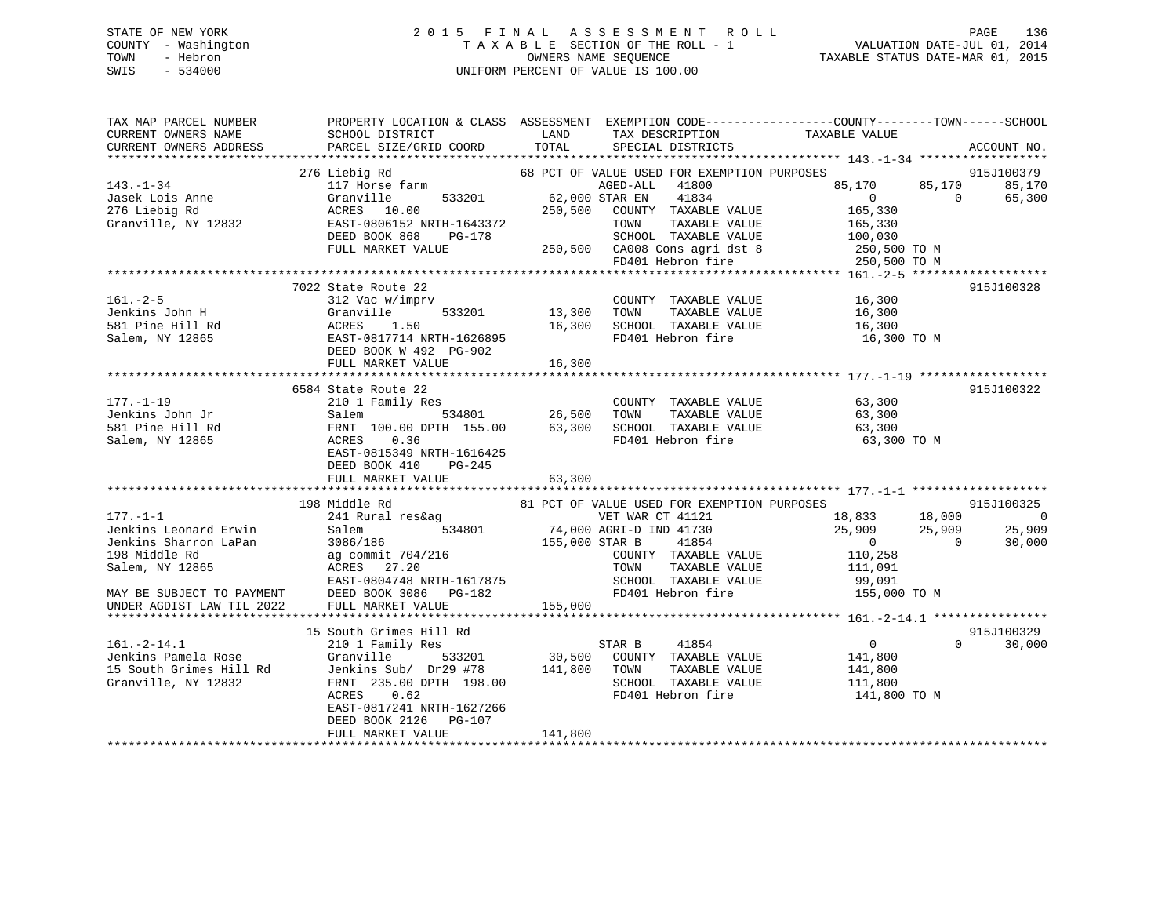# STATE OF NEW YORK 2 0 1 5 F I N A L A S S E S S M E N T R O L L PAGE 136 COUNTY - Washington T A X A B L E SECTION OF THE ROLL - 1 VALUATION DATE-JUL 01, 2014 TOWN - Hebron OWNERS NAME SEQUENCE TAXABLE STATUS DATE-MAR 01, 2015 SWIS - 534000 UNIFORM PERCENT OF VALUE IS 100.00

| TAX MAP PARCEL NUMBER<br>CURRENT OWNERS NAME<br>CURRENT OWNERS ADDRESS                                                                                         | SCHOOL DISTRICT<br>PARCEL SIZE/GRID COORD                                                                                                                                                                             | TAX DESCRIPTION TAXABLE VALUE<br>LAND<br>TOTAL<br>SPECIAL DISTRICTS                                                                                                                                                                   | PROPERTY LOCATION & CLASS ASSESSMENT EXEMPTION CODE----------------COUNTY-------TOWN------SCHOOL<br>ACCOUNT NO.                                                     |
|----------------------------------------------------------------------------------------------------------------------------------------------------------------|-----------------------------------------------------------------------------------------------------------------------------------------------------------------------------------------------------------------------|---------------------------------------------------------------------------------------------------------------------------------------------------------------------------------------------------------------------------------------|---------------------------------------------------------------------------------------------------------------------------------------------------------------------|
| $143. - 1 - 34$<br>Jasek Lois Anne<br>276 Liebig Rd<br>Granville, NY 12832                                                                                     | 276 Liebig Rd<br>117 Horse farm<br>Granville<br>533201<br>ACRES 10.00<br>EAST-0806152 NRTH-1643372<br>DEED BOOK 868<br>PG-178<br>FULL MARKET VALUE                                                                    | 68 PCT OF VALUE USED FOR EXEMPTION PURPOSES<br>41800<br>AGED-ALL<br>62,000 STAR EN<br>41834<br>250,500<br>COUNTY TAXABLE VALUE<br>TAXABLE VALUE<br>TOWN<br>SCHOOL TAXABLE VALUE<br>250,500 CA008 Cons agri dst 8<br>FD401 Hebron fire | 915J100379<br>85,170<br>85,170<br>85,170<br>$\Omega$<br>$\Omega$<br>65,300<br>165,330<br>165,330<br>100,030<br>250,500 TO M<br>250,500 TO M                         |
| $161. - 2 - 5$<br>Jenkins John H<br>581 Pine Hill Rd<br>Salem, NY 12865                                                                                        | 7022 State Route 22<br>312 Vac w/imprv<br>Granville<br>533201<br>ACRES<br>1.50<br>EAST-0817714 NRTH-1626895<br>DEED BOOK W 492 PG-902<br>FULL MARKET VALUE                                                            | COUNTY TAXABLE VALUE<br>13,300<br>TOWN<br>TAXABLE VALUE<br>16,300<br>SCHOOL TAXABLE VALUE<br>FD401 Hebron fire<br>16,300                                                                                                              | 915J100328<br>16,300<br>16,300<br>16,300<br>16,300 TO M                                                                                                             |
| $177. - 1 - 19$<br>Jenkins John Jr<br>581 Pine Hill Rd<br>Salem, NY 12865                                                                                      | 6584 State Route 22<br>210 1 Family Res<br>534801<br>Salem<br>FRNT 100.00 DPTH 155.00<br>0.36<br>ACRES<br>EAST-0815349 NRTH-1616425<br>DEED BOOK 410<br>$PG-245$<br>FULL MARKET VALUE                                 | COUNTY TAXABLE VALUE<br>26,500<br>TOWN<br>TAXABLE VALUE<br>63,300<br>SCHOOL TAXABLE VALUE<br>FD401 Hebron fire<br>63,300                                                                                                              | 915J100322<br>63,300<br>63,300<br>63,300<br>63,300 TO M                                                                                                             |
| $177. - 1 - 1$<br>Jenkins Leonard Erwin<br>Jenkins Sharron LaPan<br>198 Middle Rd<br>Salem, NY 12865<br>MAY BE SUBJECT TO PAYMENT<br>UNDER AGDIST LAW TIL 2022 | 198 Middle Rd<br>241 Rural res&ag<br>534801<br>Salem<br>3086/186<br>ag commit 704/216<br>ACRES 27.20<br>EAST-0804748 NRTH-1617875<br>DEED BOOK 3086<br>PG-182<br>FULL MARKET VALUE                                    | 81 PCT OF VALUE USED FOR EXEMPTION PURPOSES<br>VET WAR CT 41121<br>74,000 AGRI-D IND 41730<br>41854<br>155,000 STAR B<br>COUNTY TAXABLE VALUE<br>TAXABLE VALUE<br>TOWN<br>SCHOOL TAXABLE VALUE<br>FD401 Hebron fire<br>155,000        | 915J100325<br>18,833 18,000<br>$\overline{0}$<br>25,909<br>25,909<br>25,909<br>$\sim$ 0<br>$\overline{0}$<br>30,000<br>110,258<br>111,091<br>99,091<br>155,000 TO M |
| $161. - 2 - 14.1$<br>Jenkins Pamela Rose<br>15 South Grimes Hill Rd<br>Granville, NY 12832                                                                     | 15 South Grimes Hill Rd<br>210 1 Family Res<br>Granville<br>533201<br>Jenkins Sub/ Dr29 #78<br>FRNT 235.00 DPTH 198.00<br>0.62<br>ACRES<br>EAST-0817241 NRTH-1627266<br>DEED BOOK 2126<br>PG-107<br>FULL MARKET VALUE | 41854<br>STAR B<br>30,500<br>COUNTY TAXABLE VALUE<br>141,800<br>TOWN<br>TAXABLE VALUE<br>SCHOOL TAXABLE VALUE<br>FD401 Hebron fire<br>141,800                                                                                         | 915J100329<br>$\overline{0}$<br>$\Omega$<br>30,000<br>141,800<br>141,800<br>111,800<br>141,800 TO M                                                                 |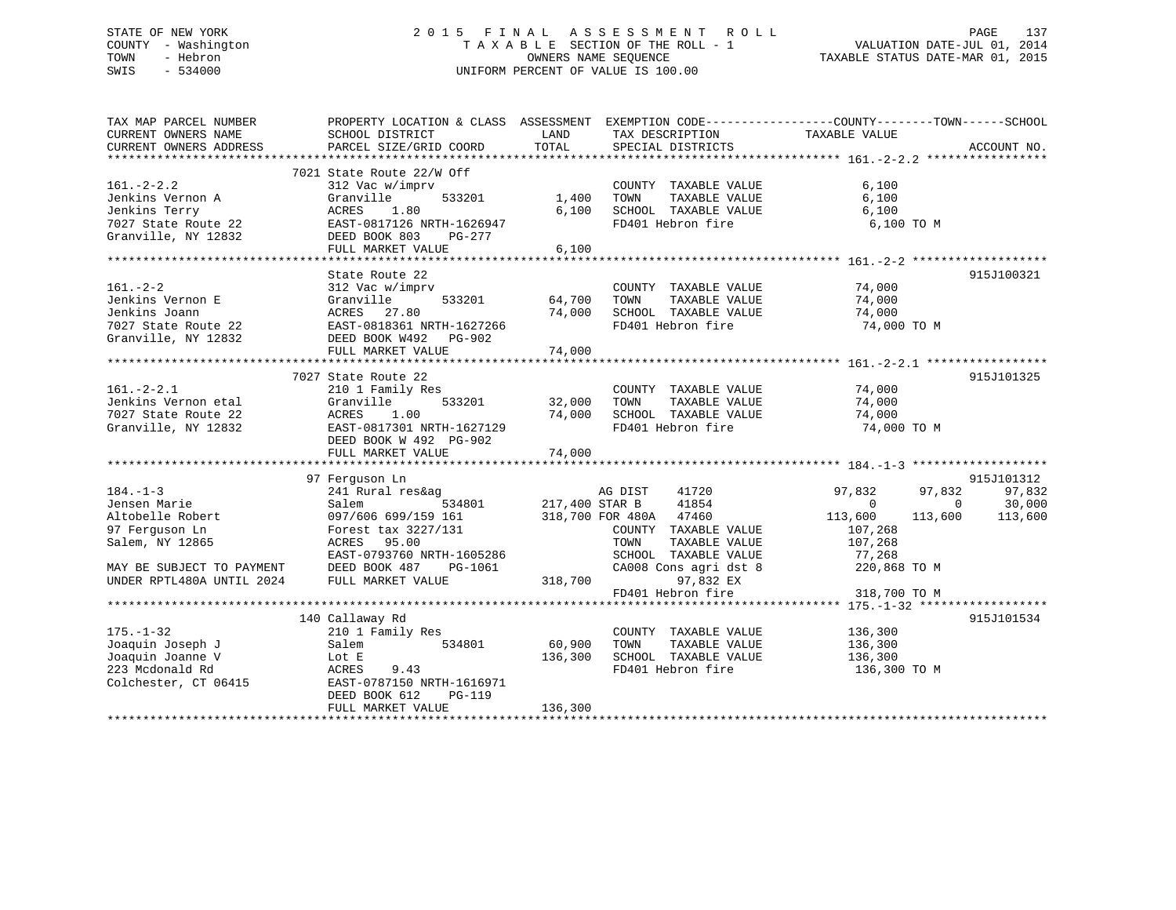# STATE OF NEW YORK 2 0 1 5 F I N A L A S S E S S M E N T R O L L PAGE 137 COUNTY - Washington T A X A B L E SECTION OF THE ROLL - 1 VALUATION DATE-JUL 01, 2014 TOWN - Hebron OWNERS NAME SEQUENCE TAXABLE STATUS DATE-MAR 01, 2015 SWIS - 534000 UNIFORM PERCENT OF VALUE IS 100.00

| TAX MAP PARCEL NUMBER<br>CURRENT OWNERS NAME<br>CURRENT OWNERS ADDRESS | PROPERTY LOCATION & CLASS ASSESSMENT<br>SCHOOL DISTRICT<br>PARCEL SIZE/GRID COORD | LAND<br>TOTAL  | TAX DESCRIPTION<br>SERCIAL DISTRICTS<br>SPECIAL DISTRICTS | EXEMPTION CODE-----------------COUNTY-------TOWN------SCHOOL | ACCOUNT NO. |
|------------------------------------------------------------------------|-----------------------------------------------------------------------------------|----------------|-----------------------------------------------------------|--------------------------------------------------------------|-------------|
|                                                                        |                                                                                   |                |                                                           |                                                              |             |
|                                                                        | 7021 State Route 22/W Off                                                         |                |                                                           |                                                              |             |
| $161. - 2 - 2.2$                                                       | 312 Vac w/imprv                                                                   |                | COUNTY TAXABLE VALUE                                      | 6,100                                                        |             |
| Jenkins Vernon A                                                       | 533201<br>Granville                                                               | 1,400          | TAXABLE VALUE<br>TOWN                                     | 6,100                                                        |             |
| Jenkins Terry                                                          | ACRES<br>1.80                                                                     | 6,100          | SCHOOL TAXABLE VALUE                                      | 6,100                                                        |             |
| 7027 State Route 22                                                    | EAST-0817126 NRTH-1626947                                                         |                | FD401 Hebron fire                                         | 6,100 TO M                                                   |             |
| Granville, NY 12832                                                    | DEED BOOK 803<br>PG-277                                                           |                |                                                           |                                                              |             |
|                                                                        | FULL MARKET VALUE                                                                 | 6,100          |                                                           |                                                              |             |
|                                                                        |                                                                                   |                |                                                           |                                                              |             |
|                                                                        | State Route 22                                                                    |                |                                                           |                                                              | 915J100321  |
| $161. - 2 - 2$                                                         |                                                                                   |                |                                                           |                                                              |             |
|                                                                        | 312 Vac w/imprv                                                                   |                | COUNTY TAXABLE VALUE                                      | 74,000                                                       |             |
| Jenkins Vernon E                                                       | 533201<br>Granville                                                               | 64,700         | TAXABLE VALUE<br>TOWN                                     | 74,000                                                       |             |
| Jenkins Joann                                                          | ACRES 27.80                                                                       | 74,000         | SCHOOL TAXABLE VALUE                                      | 74,000                                                       |             |
| 7027 State Route 22                                                    | EAST-0818361 NRTH-1627266<br>DEED BOOK W492 PG-902                                |                | FD401 Hebron fire                                         | 74,000 TO M                                                  |             |
| Granville, NY 12832                                                    | DEED BOOK W492 PG-902                                                             |                |                                                           |                                                              |             |
|                                                                        | FULL MARKET VALUE                                                                 | 74,000         |                                                           |                                                              |             |
|                                                                        |                                                                                   |                |                                                           |                                                              |             |
|                                                                        | 7027 State Route 22                                                               |                |                                                           |                                                              | 915J101325  |
| $161. - 2 - 2.1$                                                       | 210 1 Family Res                                                                  |                | COUNTY TAXABLE VALUE                                      | 74,000                                                       |             |
| Jenkins Vernon etal                                                    | 533201 32,000<br>Granville                                                        |                | TOWN<br>TAXABLE VALUE                                     | 74,000                                                       |             |
| 7027 State Route 22                                                    | ACRES<br>1.00                                                                     | 74,000         | SCHOOL TAXABLE VALUE                                      | 74,000                                                       |             |
| Granville, NY 12832                                                    | EAST-0817301 NRTH-1627129                                                         |                | FD401 Hebron fire                                         | 74,000 TO M                                                  |             |
|                                                                        | DEED BOOK W 492 PG-902                                                            |                |                                                           |                                                              |             |
|                                                                        | FULL MARKET VALUE                                                                 | 74,000         |                                                           |                                                              |             |
|                                                                        |                                                                                   |                |                                                           |                                                              |             |
|                                                                        | 97 Ferquson Ln                                                                    |                |                                                           |                                                              | 915J101312  |
|                                                                        |                                                                                   |                |                                                           |                                                              |             |
| $184. - 1 - 3$                                                         | 241 Rural res&ag                                                                  |                | 41720<br>AG DIST                                          | 97,832<br>97,832                                             | 97,832      |
| Jensen Marie                                                           | Salem<br>534801                                                                   | 217,400 STAR B | 41854                                                     | $\Omega$<br>$\Omega$                                         | 30,000      |
| Altobelle Robert                                                       | 097/606 699/159 161                                                               |                | 318,700 FOR 480A 47460                                    | 113,600<br>113,600                                           | 113,600     |
| 97 Ferguson Ln                                                         | Forest tax 3227/131                                                               |                | COUNTY TAXABLE VALUE                                      | 107,268                                                      |             |
| Salem, NY 12865                                                        | ACRES 95.00                                                                       |                | TOWN<br>TAXABLE VALUE                                     | 107,268                                                      |             |
|                                                                        | EAST-0793760 NRTH-1605286                                                         |                | SCHOOL TAXABLE VALUE                                      | 77,268                                                       |             |
| MAY BE SUBJECT TO PAYMENT                                              | DEED BOOK 487<br>PG-1061                                                          |                | CA008 Cons agri dst 8                                     | 220,868 TO M                                                 |             |
| UNDER RPTL480A UNTIL 2024                                              | FULL MARKET VALUE                                                                 | 318,700        | 97,832 EX                                                 |                                                              |             |
|                                                                        |                                                                                   |                | FD401 Hebron fire                                         | 318,700 TO M                                                 |             |
|                                                                        |                                                                                   |                |                                                           |                                                              |             |
|                                                                        | 140 Callaway Rd                                                                   |                |                                                           |                                                              | 915J101534  |
| $175. - 1 - 32$                                                        | 210 1 Family Res                                                                  |                | COUNTY TAXABLE VALUE                                      | 136,300                                                      |             |
| Joaquin Joseph J                                                       | 534801<br>Salem                                                                   | 60,900         | TOWN<br>TAXABLE VALUE                                     | 136,300                                                      |             |
| Joaquin Joanne V                                                       | Lot E                                                                             | 136,300        | SCHOOL TAXABLE VALUE                                      | 136,300                                                      |             |
| 223 Mcdonald Rd                                                        | ACRES<br>9.43                                                                     |                | FD401 Hebron fire                                         | 136,300 TO M                                                 |             |
|                                                                        | EAST-0787150 NRTH-1616971                                                         |                |                                                           |                                                              |             |
| Colchester, CT 06415                                                   |                                                                                   |                |                                                           |                                                              |             |
|                                                                        | DEED BOOK 612<br>$PG-119$                                                         |                |                                                           |                                                              |             |
|                                                                        | FULL MARKET VALUE                                                                 | 136,300        |                                                           |                                                              |             |
|                                                                        |                                                                                   |                |                                                           |                                                              |             |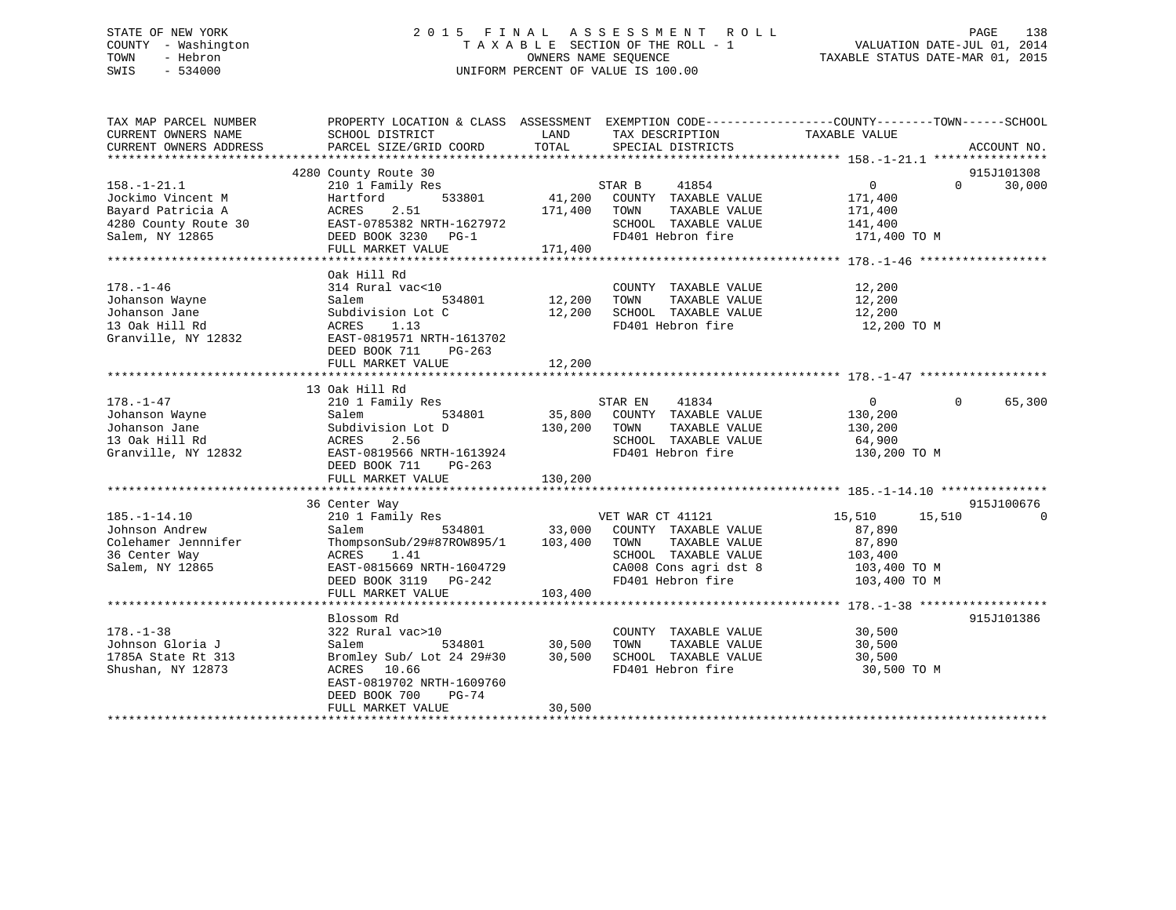# STATE OF NEW YORK 2 0 1 5 F I N A L A S S E S S M E N T R O L L PAGE 138 COUNTY - Washington T A X A B L E SECTION OF THE ROLL - 1 VALUATION DATE-JUL 01, 2014 TOWN - Hebron OWNERS NAME SEQUENCE TAXABLE STATUS DATE-MAR 01, 2015 SWIS - 534000 UNIFORM PERCENT OF VALUE IS 100.00

| ACCOUNT NO.          |
|----------------------|
| 915J101308<br>30,000 |
|                      |
| 65,300               |
| 915J100676           |
| $\Omega$             |
| 915J101386           |
|                      |
|                      |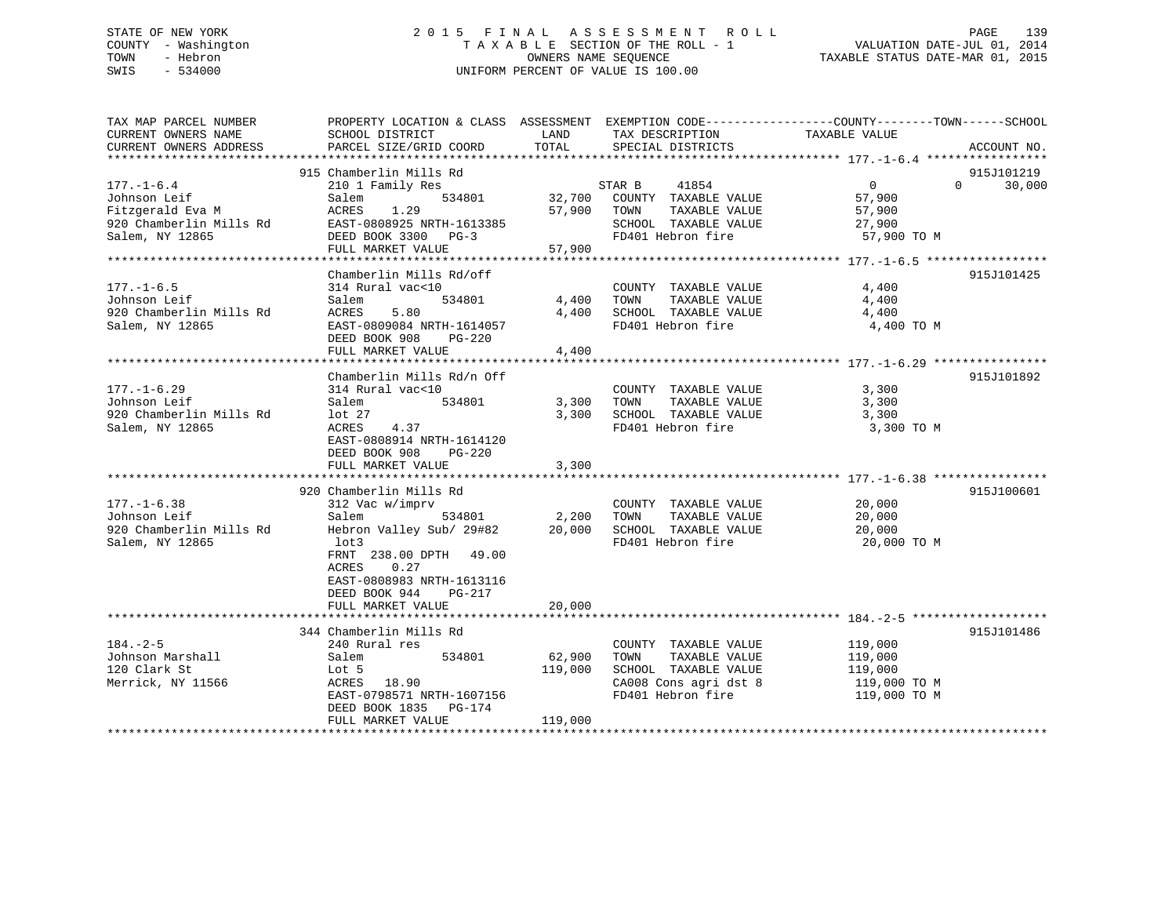# STATE OF NEW YORK 2 0 1 5 F I N A L A S S E S S M E N T R O L L PAGE 139 COUNTY - Washington T A X A B L E SECTION OF THE ROLL - 1 VALUATION DATE-JUL 01, 2014 TOWN - Hebron OWNERS NAME SEQUENCE TAXABLE STATUS DATE-MAR 01, 2015 SWIS - 534000 UNIFORM PERCENT OF VALUE IS 100.00

| TAX MAP PARCEL NUMBER                         | PROPERTY LOCATION & CLASS ASSESSMENT EXEMPTION CODE----------------COUNTY-------TOWN------SCHOOL | LAND              |                                                                                                                                                                | TAXABLE VALUE           |          |             |
|-----------------------------------------------|--------------------------------------------------------------------------------------------------|-------------------|----------------------------------------------------------------------------------------------------------------------------------------------------------------|-------------------------|----------|-------------|
| CURRENT OWNERS NAME<br>CURRENT OWNERS ADDRESS | SCHOOL DISTRICT<br>PARCEL SIZE/GRID COORD                                                        | TOTAL             | TAX DESCRIPTION<br>SPECIAL DISTRICTS                                                                                                                           |                         |          | ACCOUNT NO. |
|                                               |                                                                                                  |                   |                                                                                                                                                                |                         |          |             |
|                                               | 915 Chamberlin Mills Rd                                                                          |                   |                                                                                                                                                                |                         |          | 915J101219  |
| $177. - 1 - 6.4$                              | 210 1 Family Res<br>534801                                                                       |                   | STAR B<br>41854                                                                                                                                                | $\overline{0}$          | $\Omega$ | 30,000      |
| Johnson Leif<br>Fitzgerald Eva M              | Salem<br>ACRES 1.29                                                                              |                   | 32,700    COUNTY   TAXABLE  VALUE<br>57.900     TOWN        TAXABLE  VALUE<br>57,900 TOWN<br>TAXABLE VALUE                                                     | 57,900<br>57,900        |          |             |
|                                               |                                                                                                  |                   | SCHOOL TAXABLE VALUE                                                                                                                                           |                         |          |             |
| Salem, NY 12865                               | 920 Chamberlin Mills Rd EAST-0808925 NRTH-1613385<br>DEED BOOK 3300 PG-3                         |                   | FD401 Hebron fire                                                                                                                                              | 27,900<br>57,900 TO M   |          |             |
|                                               | FULL MARKET VALUE                                                                                | 57,900            |                                                                                                                                                                |                         |          |             |
|                                               |                                                                                                  |                   |                                                                                                                                                                |                         |          |             |
|                                               | Chamberlin Mills Rd/off                                                                          |                   |                                                                                                                                                                |                         |          | 915J101425  |
| $177. - 1 - 6.5$                              | 314 Rural vac<10                                                                                 |                   | COUNTY TAXABLE VALUE                                                                                                                                           | 4,400                   |          |             |
| Johnson Leif                                  | 534801<br>Salem                                                                                  | 4,400             | TAXABLE VALUE<br>TOWN                                                                                                                                          | 4,400                   |          |             |
| 920 Chamberlin Mills Rd                       | ACRES<br>5.80                                                                                    |                   | $\begin{tabular}{llllll} 4,400 & \texttt{SCHOOL} & \texttt{TAXABLE VALUE} & & & 4,400 \\ & \texttt{FD401 Hebron fire} & & & 4,400~\texttt{TO M} \end{tabular}$ |                         |          |             |
| Salem, NY 12865                               | EAST-0809084 NRTH-1614057                                                                        |                   |                                                                                                                                                                |                         |          |             |
|                                               | DEED BOOK 908<br>PG-220                                                                          |                   |                                                                                                                                                                |                         |          |             |
|                                               | FULL MARKET VALUE                                                                                | 4,400             |                                                                                                                                                                |                         |          |             |
|                                               |                                                                                                  |                   |                                                                                                                                                                |                         |          |             |
|                                               | Chamberlin Mills Rd/n Off                                                                        |                   |                                                                                                                                                                |                         |          | 915J101892  |
| $177. - 1 - 6.29$                             | 314 Rural vac<10                                                                                 |                   | COUNTY TAXABLE VALUE                                                                                                                                           | 3,300                   |          |             |
| Johnson Leif                                  | Salem<br>534801                                                                                  |                   | 3,300 TOWN<br>TAXABLE VALUE                                                                                                                                    | 3,300                   |          |             |
| 920 Chamberlin Mills Rd                       | $1$ ot 27<br>4.37                                                                                |                   | 3,300 SCHOOL TAXABLE VALUE                                                                                                                                     | 3,300                   |          |             |
| Salem, NY 12865                               | ACRES<br>EAST-0808914 NRTH-1614120                                                               |                   | FD401 Hebron fire                                                                                                                                              | 3,300 TO M              |          |             |
|                                               | DEED BOOK 908<br>PG-220                                                                          |                   |                                                                                                                                                                |                         |          |             |
|                                               | FULL MARKET VALUE                                                                                | 3,300             |                                                                                                                                                                |                         |          |             |
|                                               |                                                                                                  |                   |                                                                                                                                                                |                         |          |             |
|                                               | 920 Chamberlin Mills Rd                                                                          |                   |                                                                                                                                                                |                         |          | 915J100601  |
| $177. - 1 - 6.38$                             | 312 Vac w/imprv                                                                                  |                   | COUNTY TAXABLE VALUE                                                                                                                                           | 20,000                  |          |             |
| Johnson Leif                                  | Salem                                                                                            | 534801 2,200 TOWN | TAXABLE VALUE                                                                                                                                                  |                         |          |             |
| 920 Chamberlin Mills Rd                       | Hebron Valley Sub/ 29#82 20,000 SCHOOL TAXABLE VALUE                                             |                   |                                                                                                                                                                | $\frac{20,000}{20,000}$ |          |             |
| Salem, NY 12865                               | lot3                                                                                             |                   | FD401 Hebron fire                                                                                                                                              | 20,000 TO M             |          |             |
|                                               | FRNT 238.00 DPTH 49.00                                                                           |                   |                                                                                                                                                                |                         |          |             |
|                                               | ACRES<br>0.27                                                                                    |                   |                                                                                                                                                                |                         |          |             |
|                                               | EAST-0808983 NRTH-1613116                                                                        |                   |                                                                                                                                                                |                         |          |             |
|                                               | DEED BOOK 944 PG-217                                                                             |                   |                                                                                                                                                                |                         |          |             |
|                                               | FULL MARKET VALUE                                                                                | 20,000            |                                                                                                                                                                |                         |          |             |
|                                               |                                                                                                  |                   |                                                                                                                                                                |                         |          |             |
|                                               | 344 Chamberlin Mills Rd                                                                          |                   |                                                                                                                                                                |                         |          | 915J101486  |
| $184. - 2 - 5$                                | 240 Rural res                                                                                    |                   | COUNTY TAXABLE VALUE 119,000                                                                                                                                   |                         |          |             |
| Johnson Marshall                              | 534801<br>Salem                                                                                  | 62,900            | TOWN                                                                                                                                                           | TAXABLE VALUE 119,000   |          |             |
| 120 Clark St                                  | Lot 5                                                                                            | 119,000           | SCHOOL TAXABLE VALUE                                                                                                                                           | 119,000                 |          |             |
| Merrick, NY 11566                             | ACRES 18.90                                                                                      |                   | CA008 Cons agri dst 8                                                                                                                                          | 119,000 TO M            |          |             |
|                                               | EAST-0798571 NRTH-1607156                                                                        |                   | FD401 Hebron fire                                                                                                                                              | 119,000 TO M            |          |             |
|                                               | DEED BOOK 1835 PG-174                                                                            |                   |                                                                                                                                                                |                         |          |             |
|                                               | FULL MARKET VALUE                                                                                | 119,000           |                                                                                                                                                                |                         |          |             |
|                                               |                                                                                                  |                   |                                                                                                                                                                |                         |          |             |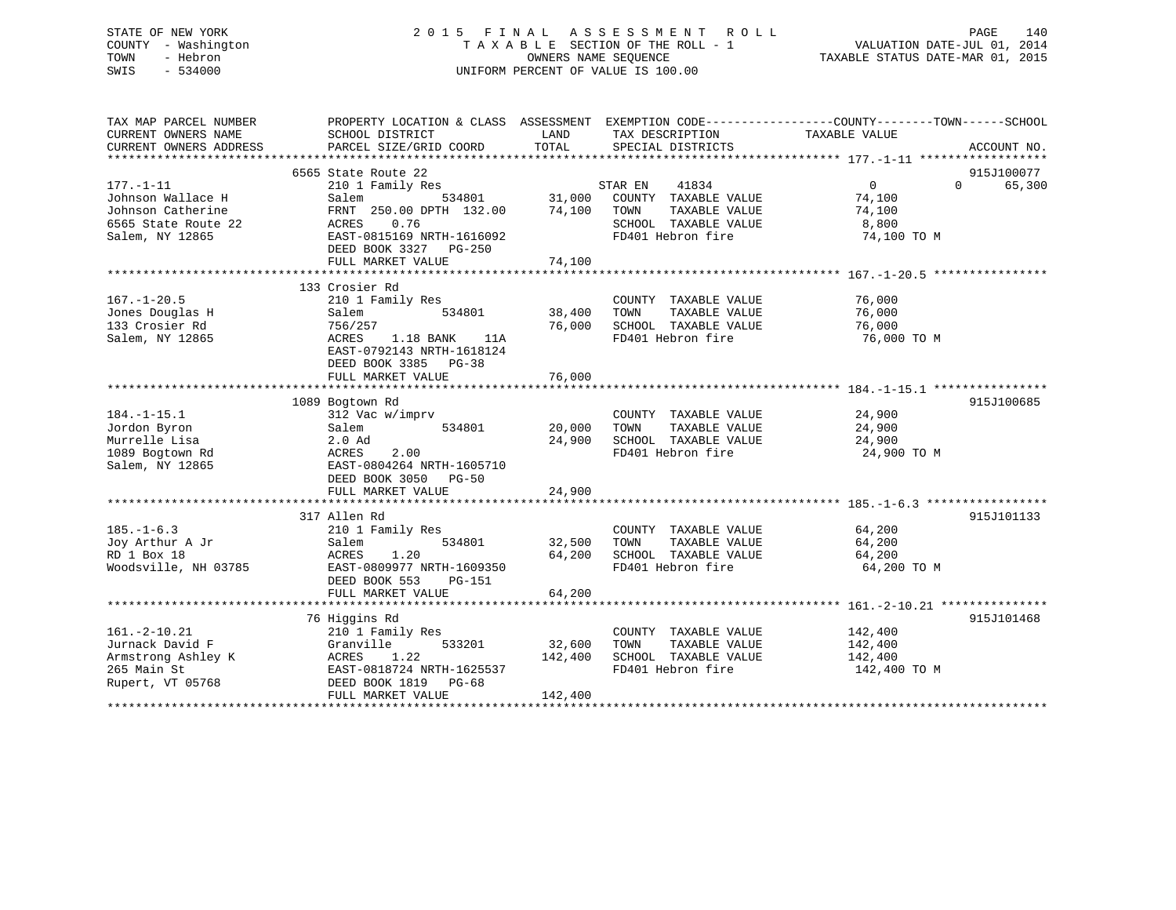# STATE OF NEW YORK 2 0 1 5 F I N A L A S S E S S M E N T R O L L PAGE 140 COUNTY - Washington T A X A B L E SECTION OF THE ROLL - 1 VALUATION DATE-JUL 01, 2014 TOWN - Hebron OWNERS NAME SEQUENCE TAXABLE STATUS DATE-MAR 01, 2015 SWIS - 534000 UNIFORM PERCENT OF VALUE IS 100.00

| TAX MAP PARCEL NUMBER<br>CURRENT OWNERS NAME<br>CURRENT OWNERS ADDRESS | PROPERTY LOCATION & CLASS ASSESSMENT EXEMPTION CODE---------------COUNTY-------TOWN-----SCHOOL<br>SCHOOL DISTRICT<br>PARCEL SIZE/GRID COORD | LAND<br>TOTAL | TAX DESCRIPTION<br>SPECIAL DISTRICTS      | TAXABLE VALUE         | ACCOUNT NO.        |
|------------------------------------------------------------------------|---------------------------------------------------------------------------------------------------------------------------------------------|---------------|-------------------------------------------|-----------------------|--------------------|
|                                                                        |                                                                                                                                             |               |                                           |                       |                    |
|                                                                        | 6565 State Route 22                                                                                                                         |               |                                           |                       | 915J100077         |
| $177. - 1 - 11$                                                        | 210 1 Family Res                                                                                                                            |               | STAR EN<br>41834                          | $0 \qquad \qquad$     | 65,300<br>$\Omega$ |
| Johnson Wallace H                                                      | Salem<br>534801                                                                                                                             | 31,000        | COUNTY TAXABLE VALUE                      | 74,100                |                    |
| Johnson Catherine                                                      | FRNT 250.00 DPTH 132.00                                                                                                                     | 74,100        | TOWN<br>TAXABLE VALUE                     | 74,100                |                    |
| 6565 State Route 22                                                    | ACRES<br>0.76                                                                                                                               |               | SCHOOL TAXABLE VALUE                      | 8,800                 |                    |
| Salem, NY 12865                                                        | EAST-0815169 NRTH-1616092                                                                                                                   |               | FD401 Hebron fire                         | 74,100 TO M           |                    |
|                                                                        | DEED BOOK 3327 PG-250                                                                                                                       |               |                                           |                       |                    |
|                                                                        |                                                                                                                                             |               |                                           |                       |                    |
|                                                                        |                                                                                                                                             |               |                                           |                       |                    |
|                                                                        | 133 Crosier Rd                                                                                                                              |               |                                           |                       |                    |
| $167. - 1 - 20.5$                                                      | 210 1 Family Res                                                                                                                            |               | COUNTY TAXABLE VALUE                      | 76,000                |                    |
| Jones Douglas H                                                        | Salem<br>534801                                                                                                                             | 38,400        | TAXABLE VALUE<br>TOWN                     | 76,000                |                    |
| 133 Crosier Rd                                                         | 756/257                                                                                                                                     | 76,000        | SCHOOL TAXABLE VALUE                      | 76,000                |                    |
| Salem, NY 12865                                                        | 1.18 BANK<br>ACRES<br>11A                                                                                                                   |               | FD401 Hebron fire                         | 76,000 TO M           |                    |
|                                                                        | EAST-0792143 NRTH-1618124                                                                                                                   |               |                                           |                       |                    |
|                                                                        | DEED BOOK 3385 PG-38                                                                                                                        |               |                                           |                       |                    |
|                                                                        | FULL MARKET VALUE                                                                                                                           | 76,000        |                                           |                       |                    |
|                                                                        |                                                                                                                                             |               |                                           |                       |                    |
|                                                                        | 1089 Bogtown Rd                                                                                                                             |               |                                           |                       | 915J100685         |
| $184. - 1 - 15.1$                                                      | 312 Vac w/imprv                                                                                                                             |               | COUNTY TAXABLE VALUE                      | 24,900                |                    |
| Jordon Byron                                                           | 534801<br>Salem                                                                                                                             | 20,000        | TOWN<br>TAXABLE VALUE                     | 24,900                |                    |
| Murrelle Lisa                                                          | $2.0$ Ad                                                                                                                                    | 24,900        | SCHOOL TAXABLE VALUE                      | 24,900                |                    |
| 1089 Bogtown Rd                                                        | ACRES<br>2.00                                                                                                                               |               | FD401 Hebron fire                         | 24,900 TO M           |                    |
| Salem, NY 12865                                                        | EAST-0804264 NRTH-1605710                                                                                                                   |               |                                           |                       |                    |
|                                                                        | DEED BOOK 3050 PG-50                                                                                                                        |               |                                           |                       |                    |
|                                                                        | FULL MARKET VALUE                                                                                                                           | 24,900        |                                           |                       |                    |
|                                                                        |                                                                                                                                             |               |                                           |                       |                    |
| $185. - 1 - 6.3$                                                       | 317 Allen Rd<br>210 1 Family Res                                                                                                            |               | COUNTY TAXABLE VALUE                      | 64,200                | 915J101133         |
| Joy Arthur A Jr                                                        | 534801                                                                                                                                      | 32,500        | TAXABLE VALUE<br>TOWN                     | 64,200                |                    |
|                                                                        | Salem                                                                                                                                       |               |                                           |                       |                    |
| RD 1 Box 18<br>Woodsville, NH 03785                                    | ACRES<br>1.20<br>EAST-0809977 NRTH-1609350                                                                                                  | 64,200        | SCHOOL TAXABLE VALUE<br>FD401 Hebron fire | 64,200<br>64,200 TO M |                    |
|                                                                        | DEED BOOK 553                                                                                                                               |               |                                           |                       |                    |
|                                                                        | PG-151<br>FULL MARKET VALUE                                                                                                                 | 64,200        |                                           |                       |                    |
|                                                                        |                                                                                                                                             |               |                                           |                       |                    |
|                                                                        | 76 Higgins Rd                                                                                                                               |               |                                           |                       | 915J101468         |
| $161. -2 - 10.21$                                                      | 210 1 Family Res                                                                                                                            |               | COUNTY TAXABLE VALUE                      | 142,400               |                    |
| Jurnack David F                                                        | 533201<br>Granville                                                                                                                         | 32,600        | TOWN<br>TAXABLE VALUE                     | 142,400               |                    |
| Armstrong Ashley K                                                     | 1.22<br>ACRES                                                                                                                               | 142,400       | SCHOOL TAXABLE VALUE                      | 142,400               |                    |
| 265 Main St                                                            | EAST-0818724 NRTH-1625537                                                                                                                   |               | FD401 Hebron fire                         | 142,400 TO M          |                    |
| Rupert, VT 05768                                                       | DEED BOOK 1819 PG-68                                                                                                                        |               |                                           |                       |                    |
|                                                                        | FULL MARKET VALUE                                                                                                                           | 142,400       |                                           |                       |                    |
|                                                                        |                                                                                                                                             |               |                                           |                       |                    |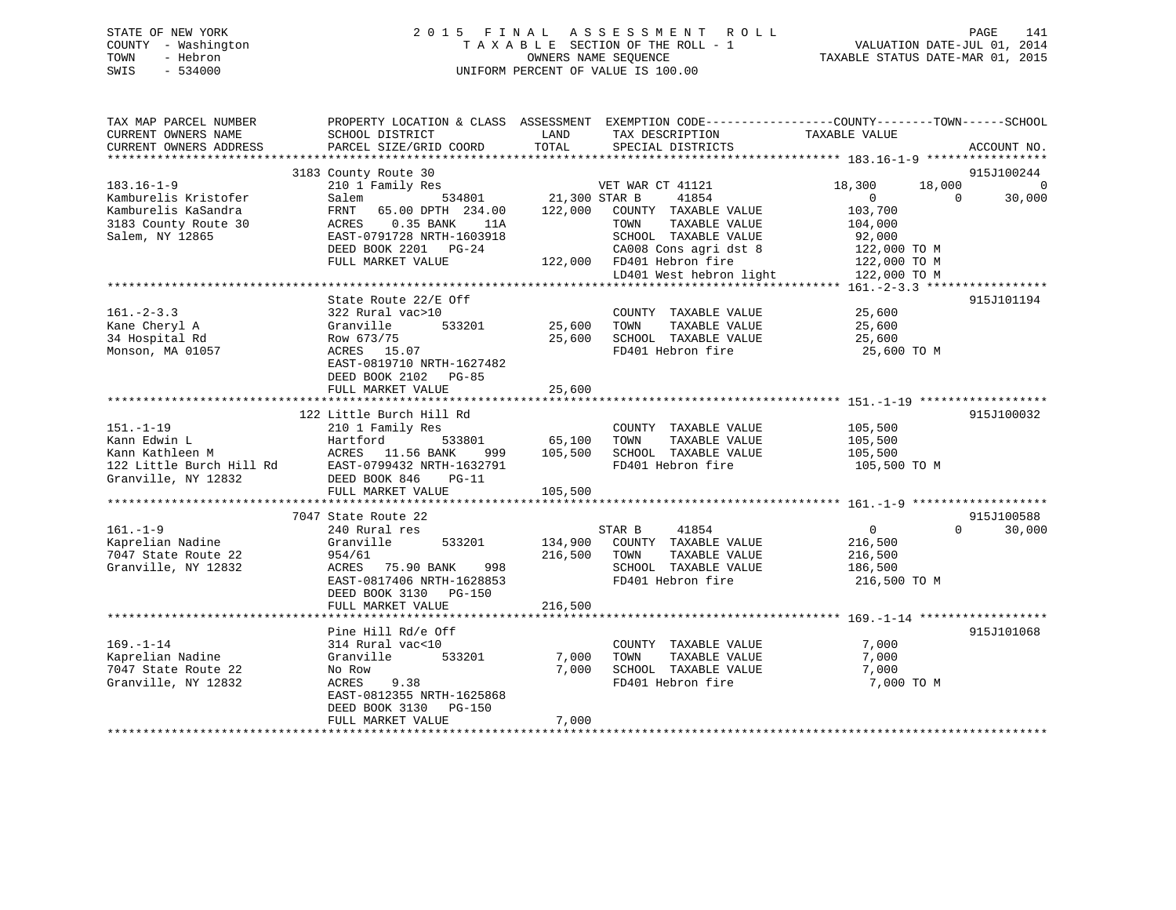# STATE OF NEW YORK 2 0 1 5 F I N A L A S S E S S M E N T R O L L PAGE 141 COUNTY - Washington T A X A B L E SECTION OF THE ROLL - 1 VALUATION DATE-JUL 01, 2014 TOWN - Hebron OWNERS NAME SEQUENCE TAXABLE STATUS DATE-MAR 01, 2015 SWIS - 534000 UNIFORM PERCENT OF VALUE IS 100.00

| TAX MAP PARCEL NUMBER<br>CURRENT OWNERS NAME<br>CURRENT OWNERS ADDRESS | PROPERTY LOCATION & CLASS ASSESSMENT EXEMPTION CODE---------------COUNTY-------TOWN-----SCHOOL<br>SCHOOL DISTRICT<br>PARCEL SIZE/GRID COORD | LAND<br>TOTAL | TAX DESCRIPTION<br>SPECIAL DISTRICTS          | TAXABLE VALUE  |          | ACCOUNT NO.    |
|------------------------------------------------------------------------|---------------------------------------------------------------------------------------------------------------------------------------------|---------------|-----------------------------------------------|----------------|----------|----------------|
|                                                                        |                                                                                                                                             |               |                                               |                |          |                |
|                                                                        | 3183 County Route 30                                                                                                                        |               |                                               |                |          | 915J100244     |
| $183.16 - 1 - 9$                                                       | 210 1 Family Res                                                                                                                            |               | VET WAR CT 41121                              | 18,300         | 18,000   | $\overline{0}$ |
| Kamburelis Kristofer                                                   | 534801<br>Salem                                                                                                                             | 21,300 STAR B | 41854                                         | $\Omega$       | $\Omega$ | 30,000         |
| Kamburelis KaSandra                                                    | FRNT<br>65.00 DPTH 234.00                                                                                                                   |               | 122,000 COUNTY TAXABLE VALUE                  | 103,700        |          |                |
| 3183 County Route 30                                                   | $0.35$ BANK<br>ACRES<br>11A                                                                                                                 |               | TAXABLE VALUE<br>TOWN                         | 104,000        |          |                |
| Salem, NY 12865                                                        | EAST-0791728 NRTH-1603918                                                                                                                   |               | SCHOOL TAXABLE VALUE                          | 92,000         |          |                |
|                                                                        | DEED BOOK 2201 PG-24                                                                                                                        |               | CA008 Cons agri dst 8                         | 122,000 TO M   |          |                |
|                                                                        | FULL MARKET VALUE                                                                                                                           |               | 122,000 FD401 Hebron fire                     | 122,000 TO M   |          |                |
|                                                                        |                                                                                                                                             |               | LD401 West hebron light                       | 122,000 TO M   |          |                |
|                                                                        |                                                                                                                                             |               |                                               |                |          |                |
| $161. - 2 - 3.3$                                                       | State Route 22/E Off                                                                                                                        |               |                                               | 25,600         |          | 915J101194     |
|                                                                        | 322 Rural vac>10<br>Granville<br>533201                                                                                                     | 25,600        | COUNTY TAXABLE VALUE<br>TOWN<br>TAXABLE VALUE | 25,600         |          |                |
| Kane Cheryl A<br>34 Hospital Rd                                        | Row 673/75                                                                                                                                  | 25,600        | SCHOOL TAXABLE VALUE                          | 25,600         |          |                |
| Monson, MA 01057                                                       | ACRES 15.07                                                                                                                                 |               | FD401 Hebron fire                             | 25,600 TO M    |          |                |
|                                                                        | EAST-0819710 NRTH-1627482                                                                                                                   |               |                                               |                |          |                |
|                                                                        | DEED BOOK 2102 PG-85                                                                                                                        |               |                                               |                |          |                |
|                                                                        |                                                                                                                                             |               |                                               |                |          |                |
|                                                                        | FULL MARKET VALUE                                                                                                                           | 25,600        |                                               |                |          |                |
|                                                                        | 122 Little Burch Hill Rd                                                                                                                    |               |                                               |                |          | 915J100032     |
| $151. - 1 - 19$                                                        | 210 1 Family Res                                                                                                                            |               | COUNTY TAXABLE VALUE                          | 105,500        |          |                |
| Kann Edwin L                                                           | 533801<br>Hartford                                                                                                                          | 65,100        | TOWN<br>TAXABLE VALUE                         | 105,500        |          |                |
| Kann Kathleen M                                                        | ACRES 11.56 BANK<br>999                                                                                                                     | 105,500       | SCHOOL TAXABLE VALUE                          | 105,500        |          |                |
| 122 Little Burch Hill Rd                                               | EAST-0799432 NRTH-1632791                                                                                                                   |               | FD401 Hebron fire                             | 105,500 TO M   |          |                |
| Granville, NY 12832                                                    | DEED BOOK 846<br>$PG-11$                                                                                                                    |               |                                               |                |          |                |
|                                                                        | FULL MARKET VALUE                                                                                                                           | 105,500       |                                               |                |          |                |
|                                                                        |                                                                                                                                             |               |                                               |                |          |                |
|                                                                        | 7047 State Route 22                                                                                                                         |               |                                               |                |          | 915J100588     |
| $161. - 1 - 9$                                                         | 240 Rural res                                                                                                                               |               | STAR B<br>41854                               | $\overline{0}$ | $\Omega$ | 30,000         |
| Kaprelian Nadine                                                       | Granville<br>533201                                                                                                                         | 134,900       | COUNTY TAXABLE VALUE                          | 216,500        |          |                |
| 7047 State Route 22                                                    | 954/61                                                                                                                                      | 216,500       | TAXABLE VALUE<br>TOWN                         | 216,500        |          |                |
| Granville, NY 12832                                                    | 75.90 BANK<br>ACRES<br>998                                                                                                                  |               | SCHOOL TAXABLE VALUE                          | 186,500        |          |                |
|                                                                        | EAST-0817406 NRTH-1628853                                                                                                                   |               | FD401 Hebron fire                             | 216,500 TO M   |          |                |
|                                                                        | DEED BOOK 3130 PG-150                                                                                                                       |               |                                               |                |          |                |
|                                                                        | FULL MARKET VALUE                                                                                                                           | 216,500       |                                               |                |          |                |
|                                                                        |                                                                                                                                             |               |                                               |                |          |                |
|                                                                        | Pine Hill Rd/e Off                                                                                                                          |               |                                               |                |          | 915J101068     |
| $169. - 1 - 14$                                                        | 314 Rural vac<10                                                                                                                            |               | COUNTY TAXABLE VALUE                          | 7,000          |          |                |
| Kaprelian Nadine                                                       | Granville<br>533201                                                                                                                         | 7,000         | TOWN<br>TAXABLE VALUE                         | 7,000          |          |                |
| 7047 State Route 22                                                    | No Row                                                                                                                                      | 7,000         | SCHOOL TAXABLE VALUE                          | 7,000          |          |                |
| Granville, NY 12832                                                    | ACRES<br>9.38                                                                                                                               |               | FD401 Hebron fire                             | 7,000 TO M     |          |                |
|                                                                        | EAST-0812355 NRTH-1625868                                                                                                                   |               |                                               |                |          |                |
|                                                                        | DEED BOOK 3130 PG-150                                                                                                                       |               |                                               |                |          |                |
|                                                                        | FULL MARKET VALUE                                                                                                                           | 7,000         | *****************************                 |                |          |                |
|                                                                        |                                                                                                                                             |               |                                               |                |          |                |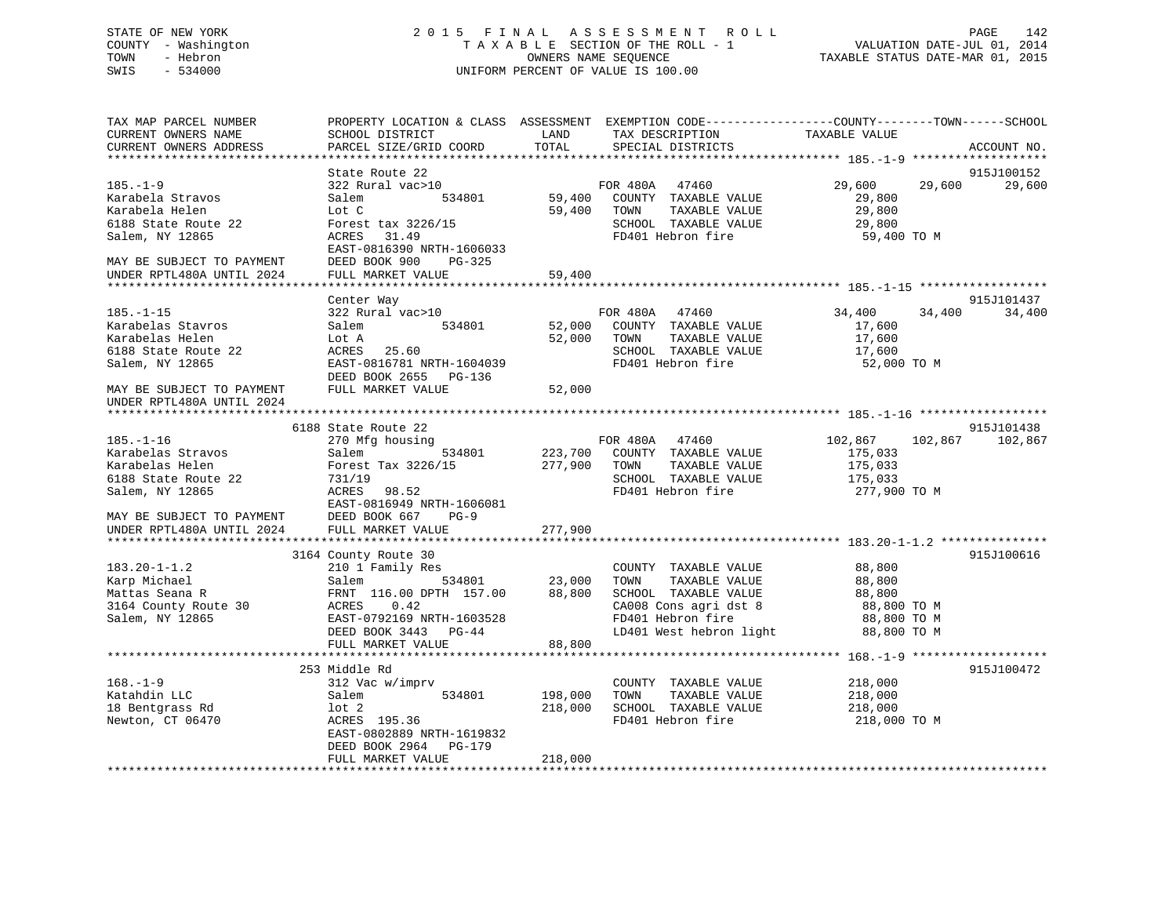# STATE OF NEW YORK 2 0 1 5 F I N A L A S S E S S M E N T R O L L PAGE 142 COUNTY - Washington T A X A B L E SECTION OF THE ROLL - 1 VALUATION DATE-JUL 01, 2014 TOWN - Hebron OWNERS NAME SEQUENCE TAXABLE STATUS DATE-MAR 01, 2015 SWIS - 534000 UNIFORM PERCENT OF VALUE IS 100.00

| TAX MAP PARCEL NUMBER<br>CURRENT OWNERS NAME | SCHOOL DISTRICT                           | LAND               | PROPERTY LOCATION & CLASS ASSESSMENT EXEMPTION CODE----------------COUNTY-------TOWN------SCHOOL<br>TAX DESCRIPTION | TAXABLE VALUE      |         |             |
|----------------------------------------------|-------------------------------------------|--------------------|---------------------------------------------------------------------------------------------------------------------|--------------------|---------|-------------|
| CURRENT OWNERS ADDRESS                       | PARCEL SIZE/GRID COORD                    | TOTAL              | SPECIAL DISTRICTS                                                                                                   |                    |         | ACCOUNT NO. |
| ***********************                      | ****************************              |                    |                                                                                                                     |                    |         |             |
|                                              | State Route 22                            |                    |                                                                                                                     |                    |         | 915J100152  |
| $185. - 1 - 9$                               | 322 Rural vac>10                          |                    | FOR 480A 47460                                                                                                      | 29,600             | 29,600  | 29,600      |
| Karabela Stravos                             | 534801<br>Salem                           | 59,400             | COUNTY TAXABLE VALUE                                                                                                | 29,800             |         |             |
| Karabela Helen                               | Lot C                                     | 59,400             | TAXABLE VALUE<br>TOWN                                                                                               | 29,800             |         |             |
| 6188 State Route 22                          | Forest tax 3226/15                        |                    | SCHOOL TAXABLE VALUE                                                                                                | 29,800             |         |             |
| Salem, NY 12865                              | ACRES 31.49                               |                    | FD401 Hebron fire                                                                                                   | 59,400 TO M        |         |             |
|                                              | EAST-0816390 NRTH-1606033                 |                    |                                                                                                                     |                    |         |             |
| MAY BE SUBJECT TO PAYMENT                    | DEED BOOK 900<br>PG-325                   |                    |                                                                                                                     |                    |         |             |
| UNDER RPTL480A UNTIL 2024                    | FULL MARKET VALUE                         | 59,400             |                                                                                                                     |                    |         |             |
|                                              |                                           |                    |                                                                                                                     |                    |         |             |
|                                              | Center Way                                |                    |                                                                                                                     |                    |         | 915J101437  |
| $185. - 1 - 15$                              | 322 Rural vac>10                          |                    | FOR 480A 47460                                                                                                      | 34,400             | 34,400  | 34,400      |
| Karabelas Stavros                            | Salem<br>534801                           |                    | 52,000 COUNTY TAXABLE VALUE                                                                                         | 17,600             |         |             |
| Karabelas Helen                              | Lot A                                     | 52,000             | TAXABLE VALUE<br>TOWN                                                                                               | 17,600             |         |             |
| 6188 State Route 22                          | ACRES 25.60                               |                    | SCHOOL TAXABLE VALUE                                                                                                | 17,600             |         |             |
| Salem, NY 12865                              | EAST-0816781 NRTH-1604039                 |                    | FD401 Hebron fire                                                                                                   | 52,000 TO M        |         |             |
|                                              | DEED BOOK 2655 PG-136                     |                    |                                                                                                                     |                    |         |             |
| MAY BE SUBJECT TO PAYMENT                    | FULL MARKET VALUE                         | 52,000             |                                                                                                                     |                    |         |             |
| UNDER RPTL480A UNTIL 2024                    |                                           |                    |                                                                                                                     |                    |         |             |
|                                              |                                           |                    |                                                                                                                     |                    |         |             |
|                                              | 6188 State Route 22                       |                    |                                                                                                                     |                    |         | 915J101438  |
| $185. - 1 - 16$                              | 270 Mfg housing                           |                    | FOR 480A 47460                                                                                                      | 102,867            | 102,867 | 102,867     |
| Karabelas Stravos                            | Salem<br>534801                           | 223,700            | COUNTY TAXABLE VALUE                                                                                                | 175,033            |         |             |
| Karabelas Helen                              | Forest Tax 3226/15                        | 277,900            | TOWN<br>TAXABLE VALUE                                                                                               | 175,033            |         |             |
| 6188 State Route 22                          | 731/19                                    |                    | SCHOOL TAXABLE VALUE                                                                                                | 175,033            |         |             |
| Salem, NY 12865                              | ACRES 98.52                               |                    | FD401 Hebron fire                                                                                                   | 277,900 TO M       |         |             |
|                                              | EAST-0816949 NRTH-1606081                 |                    |                                                                                                                     |                    |         |             |
| MAY BE SUBJECT TO PAYMENT                    | DEED BOOK 667<br>$PG-9$                   |                    |                                                                                                                     |                    |         |             |
| UNDER RPTL480A UNTIL 2024                    | FULL MARKET VALUE                         | 277,900            |                                                                                                                     |                    |         |             |
|                                              |                                           |                    |                                                                                                                     |                    |         |             |
|                                              | 3164 County Route 30                      |                    |                                                                                                                     |                    |         | 915J100616  |
| $183.20 - 1 - 1.2$                           | 210 1 Family Res                          |                    | COUNTY TAXABLE VALUE                                                                                                | 88,800             |         |             |
| Karp Michael                                 | 534801<br>Salem                           | 23,000             | TAXABLE VALUE<br>TOWN                                                                                               | 88,800             |         |             |
| Mattas Seana R                               | FRNT 116.00 DPTH 157.00                   | 88,800             | SCHOOL TAXABLE VALUE                                                                                                | 88,800             |         |             |
| 3164 County Route 30                         | ACRES<br>0.42                             |                    | CA008 Cons agri dst 8                                                                                               | 88,800 TO M        |         |             |
| Salem, NY 12865                              | EAST-0792169 NRTH-1603528                 |                    | FD401 Hebron fire<br>LD401 West hebron light                                                                        | 88,800 TO M        |         |             |
|                                              | DEED BOOK 3443 PG-44<br>FULL MARKET VALUE | 88,800             |                                                                                                                     | 88,800 TO M        |         |             |
|                                              |                                           |                    |                                                                                                                     |                    |         |             |
|                                              | 253 Middle Rd                             |                    |                                                                                                                     |                    |         | 915J100472  |
| $168. - 1 - 9$                               | 312 Vac w/imprv                           |                    | COUNTY TAXABLE VALUE                                                                                                | 218,000            |         |             |
|                                              | 534801                                    |                    | TOWN                                                                                                                |                    |         |             |
| Katahdin LLC<br>18 Bentgrass Rd              | Salem<br>lot 2                            | 198,000<br>218,000 | TAXABLE VALUE<br>SCHOOL TAXABLE VALUE                                                                               | 218,000<br>218,000 |         |             |
| Newton, CT 06470                             | ACRES 195.36                              |                    | FD401 Hebron fire                                                                                                   | 218,000 TO M       |         |             |
|                                              | EAST-0802889 NRTH-1619832                 |                    |                                                                                                                     |                    |         |             |
|                                              | DEED BOOK 2964 PG-179                     |                    |                                                                                                                     |                    |         |             |
|                                              | FULL MARKET VALUE                         | 218,000            |                                                                                                                     |                    |         |             |
|                                              |                                           |                    |                                                                                                                     |                    |         |             |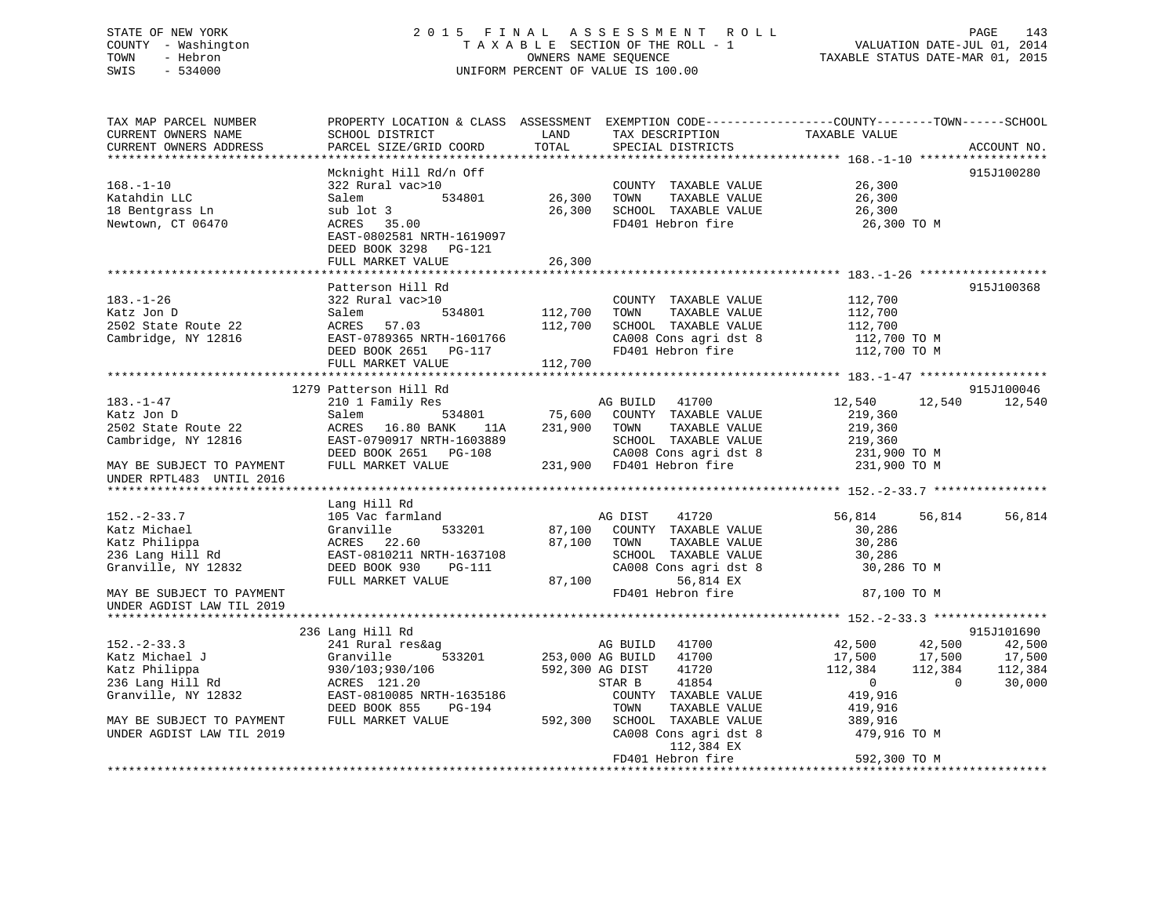# STATE OF NEW YORK 2 0 1 5 F I N A L A S S E S S M E N T R O L L PAGE 143 COUNTY - Washington T A X A B L E SECTION OF THE ROLL - 1 VALUATION DATE-JUL 01, 2014 TOWN - Hebron OWNERS NAME SEQUENCE TAXABLE STATUS DATE-MAR 01, 2015 SWIS - 534000 UNIFORM PERCENT OF VALUE IS 100.00

| TAX MAP PARCEL NUMBER<br>CURRENT OWNERS NAME<br>CURRENT OWNERS ADDRESS                                                                                   | PROPERTY LOCATION & CLASS ASSESSMENT EXEMPTION CODE----------------COUNTY-------TOWN-----SCHOOL<br>SCHOOL DISTRICT<br>PARCEL SIZE/GRID COORD            | LAND<br>TOTAL                 | TAX DESCRIPTION<br>SPECIAL DISTRICTS                                                                                                                                                                      | TAXABLE VALUE                                                                                                                                 | ACCOUNT NO.                                       |
|----------------------------------------------------------------------------------------------------------------------------------------------------------|---------------------------------------------------------------------------------------------------------------------------------------------------------|-------------------------------|-----------------------------------------------------------------------------------------------------------------------------------------------------------------------------------------------------------|-----------------------------------------------------------------------------------------------------------------------------------------------|---------------------------------------------------|
| ********************                                                                                                                                     | *******************                                                                                                                                     |                               |                                                                                                                                                                                                           |                                                                                                                                               |                                                   |
| $168. - 1 - 10$<br>Katahdin LLC<br>18 Bentgrass Ln<br>Newtown, CT 06470                                                                                  | Mcknight Hill Rd/n Off<br>322 Rural vac>10<br>534801<br>Salem<br>sub lot 3<br>ACRES 35.00<br>EAST-0802581 NRTH-1619097<br>DEED BOOK 3298 PG-121         | 26,300<br>26,300              | COUNTY TAXABLE VALUE<br>TAXABLE VALUE<br>TOWN<br>SCHOOL TAXABLE VALUE<br>FD401 Hebron fire                                                                                                                | 26,300<br>26,300<br>26,300<br>26,300 TO M                                                                                                     | 915J100280                                        |
|                                                                                                                                                          | FULL MARKET VALUE                                                                                                                                       | 26,300                        |                                                                                                                                                                                                           |                                                                                                                                               |                                                   |
| $183. - 1 - 26$<br>Katz Jon D<br>2502 State Route 22<br>Cambridge, NY 12816                                                                              | Patterson Hill Rd<br>322 Rural vac>10<br>534801<br>Salem<br>ACRES<br>57.03<br>EAST-0789365 NRTH-1601766<br>DEED BOOK 2651 PG-117<br>FULL MARKET VALUE   | 112,700<br>112,700<br>112,700 | COUNTY TAXABLE VALUE<br>TOWN<br>TAXABLE VALUE<br>SCHOOL TAXABLE VALUE<br>CA008 Cons agri dst 8<br>FD401 Hebron fire                                                                                       | 112,700<br>112,700<br>112,700<br>112,700 TO M<br>112,700 TO M                                                                                 | 915J100368                                        |
|                                                                                                                                                          |                                                                                                                                                         |                               |                                                                                                                                                                                                           |                                                                                                                                               |                                                   |
|                                                                                                                                                          | 1279 Patterson Hill Rd                                                                                                                                  |                               |                                                                                                                                                                                                           |                                                                                                                                               | 915J100046                                        |
| 183.-1-47<br>Katz Jon D<br>2502 State Route 22<br>Cambridge, NY 12816<br>MAY BE SUBJECT TO PAYMENT<br>UNDER RPTL483 UNTIL 2016                           | 210 1 Family Res<br>534801<br>Salem<br>ACRES 16.80 BANK<br>11A<br>EAST-0790917 NRTH-1603889<br>DEED BOOK 2651 PG-108<br>FULL MARKET VALUE               | 75,600<br>231,900             | AG BUILD 41700<br>COUNTY TAXABLE VALUE<br>TOWN<br>TAXABLE VALUE<br>SCHOOL TAXABLE VALUE<br>CA008 Cons agri dst 8<br>231,900 FD401 Hebron fire                                                             | 12,540<br>12,540<br>219,360<br>219,360<br>219,360<br>231,900 TO M<br>231,900 TO M                                                             | 12,540                                            |
|                                                                                                                                                          |                                                                                                                                                         |                               |                                                                                                                                                                                                           |                                                                                                                                               |                                                   |
| $152 - 2 - 33.7$<br>Katz Michael<br>Katz Philippa<br>236 Lang Hill Rd<br>Granville, NY 12832                                                             | Lang Hill Rd<br>105 Vac farmland<br>533201<br>Granville<br>ACRES 22.60<br>EAST-0810211 NRTH-1637108<br>DEED BOOK 930<br>PG-111<br>FULL MARKET VALUE     | 87,100<br>87,100              | 41720<br>AG DIST<br>87,100 COUNTY TAXABLE VALUE<br>TOWN<br>TAXABLE VALUE<br>SCHOOL TAXABLE VALUE<br>CA008 Cons agri dst 8<br>56,814 EX                                                                    | 56,814<br>56,814<br>30,286<br>30,286<br>30,286<br>30,286 TO M                                                                                 | 56,814                                            |
| MAY BE SUBJECT TO PAYMENT                                                                                                                                |                                                                                                                                                         |                               | FD401 Hebron fire                                                                                                                                                                                         | 87,100 TO M                                                                                                                                   |                                                   |
| UNDER AGDIST LAW TIL 2019                                                                                                                                |                                                                                                                                                         |                               |                                                                                                                                                                                                           |                                                                                                                                               |                                                   |
|                                                                                                                                                          | 236 Lang Hill Rd                                                                                                                                        |                               |                                                                                                                                                                                                           |                                                                                                                                               | 915J101690                                        |
| $152 - 2 - 33.3$<br>Katz Michael J<br>Katz Philippa<br>236 Lang Hill Rd<br>Granville, NY 12832<br>MAY BE SUBJECT TO PAYMENT<br>UNDER AGDIST LAW TIL 2019 | 241 Rural res&ag<br>Granville<br>533201<br>930/103;930/106<br>ACRES 121.20<br>EAST-0810085 NRTH-1635186<br>DEED BOOK 855<br>PG-194<br>FULL MARKET VALUE | 592,300 AG DIST<br>592,300    | AG BUILD 41700<br>253,000 AG BUILD 41700<br>41720<br>STAR B<br>41854<br>COUNTY TAXABLE VALUE<br>TAXABLE VALUE<br>TOWN<br>SCHOOL TAXABLE VALUE<br>CA008 Cons agri dst 8<br>112,384 EX<br>FD401 Hebron fire | 42,500<br>42,500<br>17,500<br>17,500<br>112,384<br>112,384<br>$\overline{0}$<br>419,916<br>419,916<br>389,916<br>479,916 TO M<br>592,300 TO M | 42,500<br>17,500<br>112,384<br>$\Omega$<br>30,000 |
|                                                                                                                                                          |                                                                                                                                                         |                               |                                                                                                                                                                                                           |                                                                                                                                               |                                                   |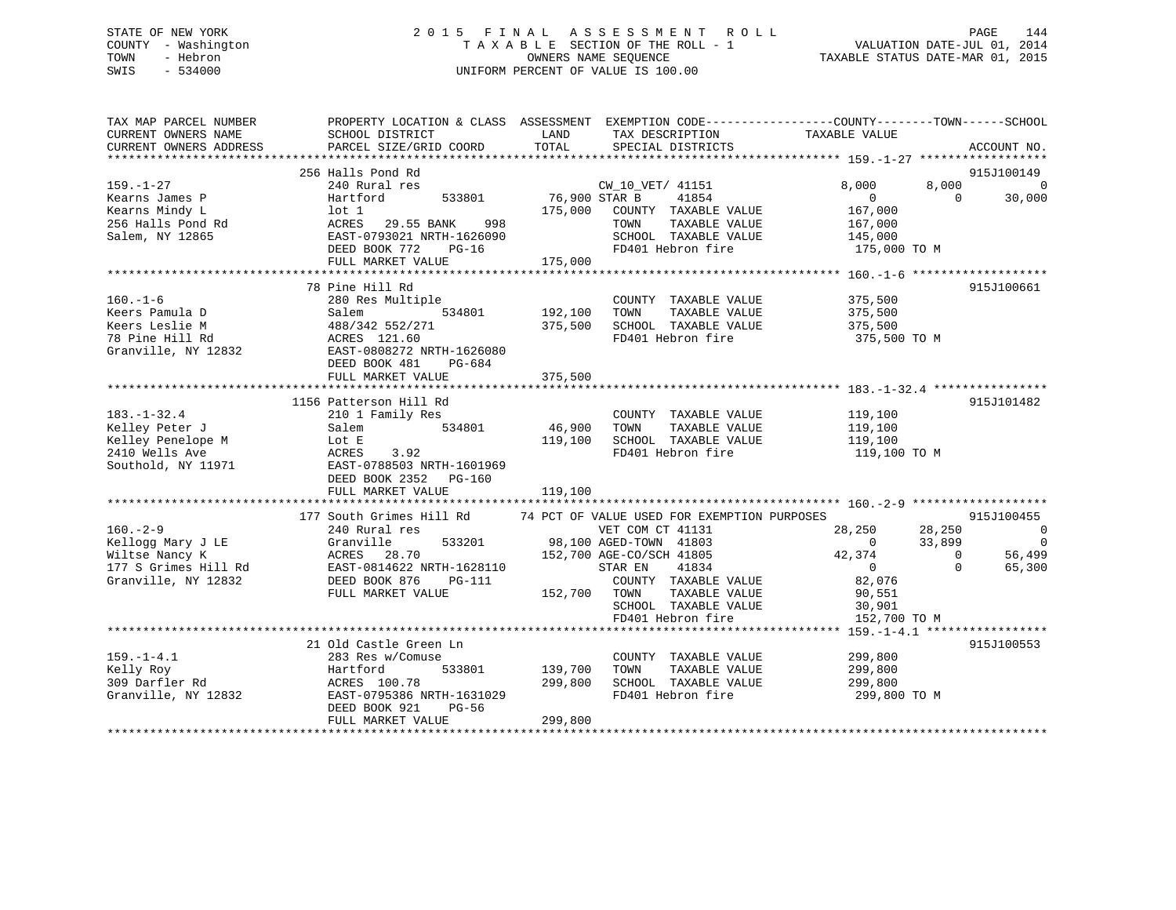# STATE OF NEW YORK 2 0 1 5 F I N A L A S S E S S M E N T R O L L PAGE 144 COUNTY - Washington T A X A B L E SECTION OF THE ROLL - 1 VALUATION DATE-JUL 01, 2014 TOWN - Hebron OWNERS NAME SEQUENCE TAXABLE STATUS DATE-MAR 01, 2015 SWIS - 534000 UNIFORM PERCENT OF VALUE IS 100.00

| SCHOOL DISTRICT<br>PARCEL SIZE/GRID COORD                                                                                                                      | LAND<br>TOTAL                                 | SPECIAL DISTRICTS                                                                          |                                                                                                                                                                                                                  | ACCOUNT NO.                                                                  |                                                                                                                                                                                                              |
|----------------------------------------------------------------------------------------------------------------------------------------------------------------|-----------------------------------------------|--------------------------------------------------------------------------------------------|------------------------------------------------------------------------------------------------------------------------------------------------------------------------------------------------------------------|------------------------------------------------------------------------------|--------------------------------------------------------------------------------------------------------------------------------------------------------------------------------------------------------------|
| 256 Halls Pond Rd<br>240 Rural res<br>533801<br>Hartford<br>lot 1<br>ACRES 29.55 BANK<br>998<br>EAST-0793021 NRTH-1626090                                      |                                               | 41854<br>TOWN<br>TAXABLE VALUE<br>SCHOOL TAXABLE VALUE                                     | 8,000<br>$\overline{0}$<br>167,000<br>167,000<br>145,000                                                                                                                                                         | 915J100149<br>$\Omega$                                                       | $\Omega$<br>30,000                                                                                                                                                                                           |
| FULL MARKET VALUE                                                                                                                                              | 175,000                                       |                                                                                            |                                                                                                                                                                                                                  |                                                                              |                                                                                                                                                                                                              |
| 78 Pine Hill Rd<br>280 Res Multiple<br>534801<br>Salem<br>488/342 552/271<br>ACRES 121.60<br>EAST-0808272 NRTH-1626080<br>DEED BOOK 481<br>PG-684              | 192,100<br>375,500                            | COUNTY TAXABLE VALUE<br>TOWN<br>TAXABLE VALUE<br>SCHOOL TAXABLE VALUE<br>FD401 Hebron fire | 375,500<br>375,500<br>375,500                                                                                                                                                                                    | 915J100661                                                                   |                                                                                                                                                                                                              |
|                                                                                                                                                                |                                               |                                                                                            |                                                                                                                                                                                                                  |                                                                              |                                                                                                                                                                                                              |
| 1156 Patterson Hill Rd<br>210 1 Family Res<br>534801<br>Salem<br>Lot E<br>ACRES<br>3.92<br>EAST-0788503 NRTH-1601969<br>DEED BOOK 2352 PG-160                  | 46,900<br>119,100                             | COUNTY TAXABLE VALUE<br>TOWN<br>TAXABLE VALUE<br>SCHOOL TAXABLE VALUE<br>FD401 Hebron fire | 119,100<br>119,100<br>119,100                                                                                                                                                                                    | 915J101482                                                                   |                                                                                                                                                                                                              |
| FULL MARKET VALUE                                                                                                                                              | 119,100                                       |                                                                                            |                                                                                                                                                                                                                  |                                                                              |                                                                                                                                                                                                              |
| 177 South Grimes Hill Rd<br>240 Rural res<br>533201<br>Granville<br>ACRES 28.70<br>EAST-0814622 NRTH-1628110<br>DEED BOOK 876<br>$PG-111$<br>FULL MARKET VALUE |                                               | 41834<br>COUNTY TAXABLE VALUE<br>TAXABLE VALUE<br>SCHOOL TAXABLE VALUE                     | 28,250<br>$\overline{0}$<br>42,374<br>$\overline{0}$<br>82,076<br>90,551<br>30,901                                                                                                                               | 915J100455<br>$\Omega$<br>$\Omega$                                           | $\overline{0}$<br>$\overline{\phantom{0}}$<br>56,499<br>65,300                                                                                                                                               |
|                                                                                                                                                                |                                               |                                                                                            |                                                                                                                                                                                                                  |                                                                              |                                                                                                                                                                                                              |
| 21 Old Castle Green Ln<br>283 Res w/Comuse<br>Hartford<br>533801<br>ACRES 100.78<br>EAST-0795386 NRTH-1631029<br>DEED BOOK 921<br>$PG-56$<br>FULL MARKET VALUE | 299,800<br>299,800                            | COUNTY TAXABLE VALUE<br>TAXABLE VALUE<br>TOWN<br>SCHOOL TAXABLE VALUE<br>FD401 Hebron fire | 299,800<br>299,800<br>299,800                                                                                                                                                                                    | 915J100553                                                                   |                                                                                                                                                                                                              |
|                                                                                                                                                                | DEED BOOK 772<br>$PG-16$<br>FULL MARKET VALUE | 375,500<br>139,700                                                                         | CW_10_VET/ 41151<br>76,900 STAR B<br>175,000 COUNTY TAXABLE VALUE<br>FD401 Hebron fire<br>VET COM CT 41131<br>98,100 AGED-TOWN 41803<br>152,700 AGE-CO/SCH 41805<br>STAR EN<br>152,700 TOWN<br>FD401 Hebron fire | TAX DESCRIPTION TAXABLE VALUE<br>74 PCT OF VALUE USED FOR EXEMPTION PURPOSES | PROPERTY LOCATION & CLASS ASSESSMENT EXEMPTION CODE---------------COUNTY-------TOWN------SCHOOL<br>8,000<br>175,000 TO M<br>375,500 TO M<br>119,100 TO M<br>28,250<br>33,899<br>152,700 TO M<br>299,800 TO M |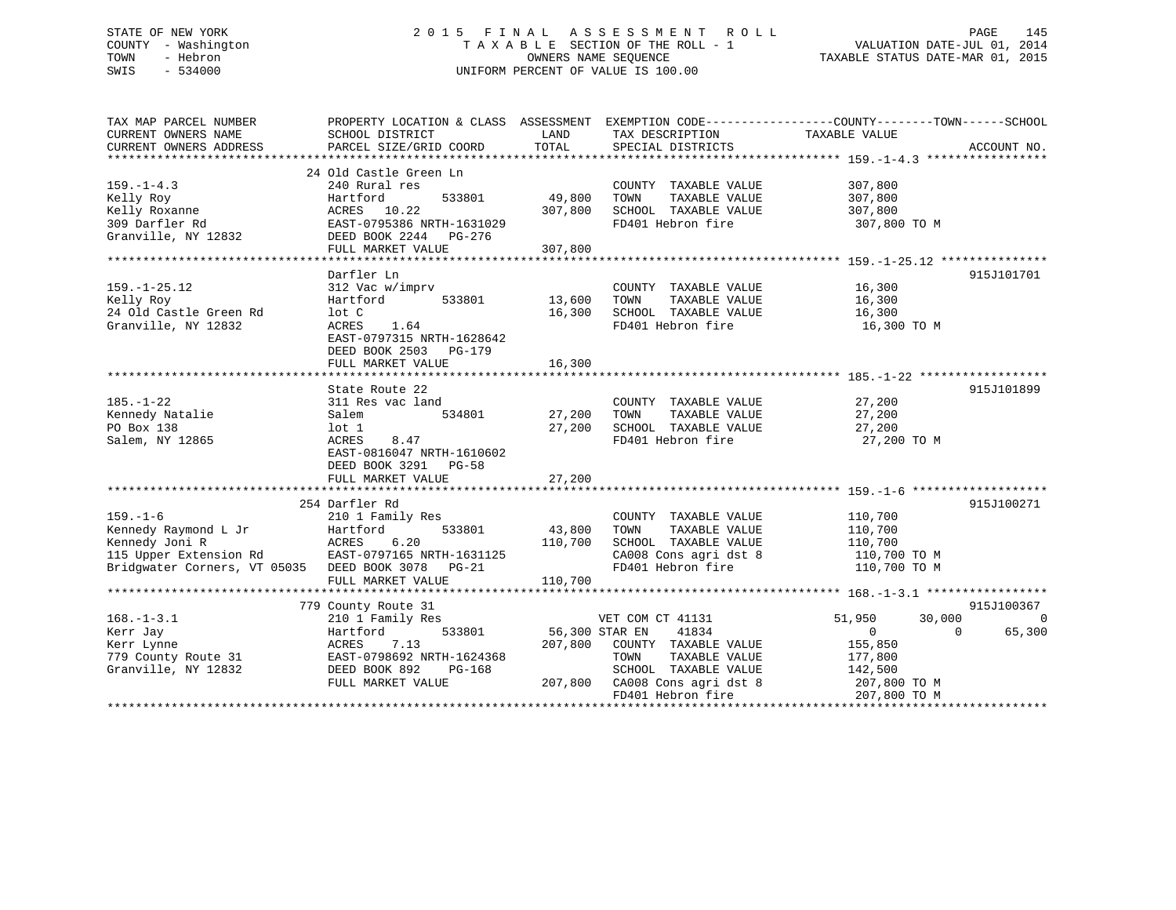# STATE OF NEW YORK 2 0 1 5 F I N A L A S S E S S M E N T R O L L PAGE 145 COUNTY - Washington T A X A B L E SECTION OF THE ROLL - 1 VALUATION DATE-JUL 01, 2014 TOWN - Hebron OWNERS NAME SEQUENCE TAXABLE STATUS DATE-MAR 01, 2015 SWIS - 534000 UNIFORM PERCENT OF VALUE IS 100.00

| TAX MAP PARCEL NUMBER                             | PROPERTY LOCATION & CLASS ASSESSMENT EXEMPTION CODE---------------COUNTY-------TOWN------SCHOOL |         |                               |                       |                    |
|---------------------------------------------------|-------------------------------------------------------------------------------------------------|---------|-------------------------------|-----------------------|--------------------|
| CURRENT OWNERS NAME                               | SCHOOL DISTRICT                                                                                 | LAND    | TAX DESCRIPTION               | TAXABLE VALUE         |                    |
| CURRENT OWNERS ADDRESS                            | PARCEL SIZE/GRID COORD                                                                          | TOTAL   | SPECIAL DISTRICTS             |                       | ACCOUNT NO.        |
|                                                   |                                                                                                 |         |                               |                       |                    |
|                                                   | 24 Old Castle Green Ln                                                                          |         |                               |                       |                    |
| $159. - 1 - 4.3$                                  | 240 Rural res                                                                                   |         | COUNTY TAXABLE VALUE          | 307,800               |                    |
| Kelly Roy                                         | Hartford<br>533801                                                                              | 49,800  | TOWN<br>TAXABLE VALUE         | 307,800               |                    |
| Kelly Roxanne                                     | ACRES 10.22                                                                                     | 307,800 | SCHOOL TAXABLE VALUE          | 307,800               |                    |
| 309 Darfler Rd                                    | EAST-0795386 NRTH-1631029                                                                       |         | FD401 Hebron fire             | 307,800 TO M          |                    |
| Granville, NY 12832                               | DEED BOOK 2244 PG-276                                                                           |         |                               |                       |                    |
|                                                   | FULL MARKET VALUE                                                                               | 307,800 |                               |                       |                    |
|                                                   |                                                                                                 |         |                               |                       |                    |
|                                                   | Darfler Ln                                                                                      |         |                               |                       | 915J101701         |
| $159. - 1 - 25.12$                                | 312 Vac w/imprv                                                                                 |         | COUNTY TAXABLE VALUE          | 16,300                |                    |
| Kelly Roy                                         | 533801 13,600<br>Hartford                                                                       |         | TAXABLE VALUE<br>TOWN         | 16,300                |                    |
| 24 Old Castle Green Rd                            | lot C                                                                                           | 16,300  | SCHOOL TAXABLE VALUE          | 16,300                |                    |
| Granville, NY 12832                               | 1.64<br>ACRES                                                                                   |         | FD401 Hebron fire             | 16,300 TO M           |                    |
|                                                   |                                                                                                 |         |                               |                       |                    |
|                                                   | EAST-0797315 NRTH-1628642                                                                       |         |                               |                       |                    |
|                                                   | DEED BOOK 2503 PG-179                                                                           |         |                               |                       |                    |
|                                                   | FULL MARKET VALUE                                                                               | 16,300  |                               |                       |                    |
|                                                   |                                                                                                 |         |                               |                       |                    |
|                                                   | State Route 22                                                                                  |         |                               |                       | 915J101899         |
| $185. - 1 - 22$                                   | 311 Res vac land                                                                                |         | COUNTY TAXABLE VALUE          | 27,200                |                    |
| Kennedy Natalie                                   | 534801<br>Salem                                                                                 | 27,200  | TOWN<br>TAXABLE VALUE         | 27,200                |                    |
| PO Box 138                                        | lot 1                                                                                           | 27,200  | SCHOOL TAXABLE VALUE          | 27,200                |                    |
| Salem, NY 12865                                   | ACRES<br>8.47                                                                                   |         | FD401 Hebron fire             | 27,200 TO M           |                    |
|                                                   | EAST-0816047 NRTH-1610602                                                                       |         |                               |                       |                    |
|                                                   | DEED BOOK 3291 PG-58                                                                            |         |                               |                       |                    |
|                                                   | FULL MARKET VALUE                                                                               | 27,200  |                               |                       |                    |
|                                                   |                                                                                                 |         |                               |                       |                    |
|                                                   | 254 Darfler Rd                                                                                  |         |                               |                       | 915J100271         |
| $159. - 1 - 6$                                    | 210 1 Family Res                                                                                |         | COUNTY TAXABLE VALUE          | 110,700               |                    |
| Kennedy Raymond L Jr                              | 533801<br>Hartford                                                                              | 43,800  | TAXABLE VALUE<br>TOWN         | 110,700               |                    |
|                                                   |                                                                                                 |         |                               |                       |                    |
| Kennedy Joni R                                    | ACRES<br>6.20                                                                                   | 110,700 | SCHOOL TAXABLE VALUE          | $\frac{1}{110}$ , 700 |                    |
| 115 Upper Extension Rd                            | EAST-0797165 NRTH-1631125                                                                       |         | CA008 Cons agri dst 8         | 110,700 TO M          |                    |
| Bridqwater Corners, VT 05035 DEED BOOK 3078 PG-21 |                                                                                                 |         | FD401 Hebron fire             | 110,700 TO M          |                    |
|                                                   | FULL MARKET VALUE                                                                               | 110,700 |                               |                       |                    |
|                                                   |                                                                                                 |         |                               |                       |                    |
|                                                   | 779 County Route 31                                                                             |         |                               |                       | 915J100367         |
| $168. - 1 - 3.1$                                  | 210 1 Family Res                                                                                |         | VET COM CT 41131              | 51,950<br>30,000      | $\Omega$           |
| Kerr Jay                                          | Hartford<br>533801                                                                              |         | 56,300 STAR EN 41834          | $\overline{0}$        | 65,300<br>$\Omega$ |
| Kerr Lynne                                        | ACRES<br>7.13                                                                                   | 207,800 | COUNTY TAXABLE VALUE          | 155,850               |                    |
| 779 County Route 31                               | EAST-0798692 NRTH-1624368                                                                       |         | TOWN<br>TAXABLE VALUE         | 177,800               |                    |
| Granville, NY 12832                               | DEED BOOK 892<br>PG-168                                                                         |         | SCHOOL TAXABLE VALUE          | 142,500               |                    |
|                                                   | FULL MARKET VALUE                                                                               |         | 207,800 CA008 Cons agri dst 8 | 207,800 TO M          |                    |
|                                                   |                                                                                                 |         | FD401 Hebron fire             | 207,800 TO M          |                    |
|                                                   |                                                                                                 |         |                               |                       |                    |
|                                                   |                                                                                                 |         |                               |                       |                    |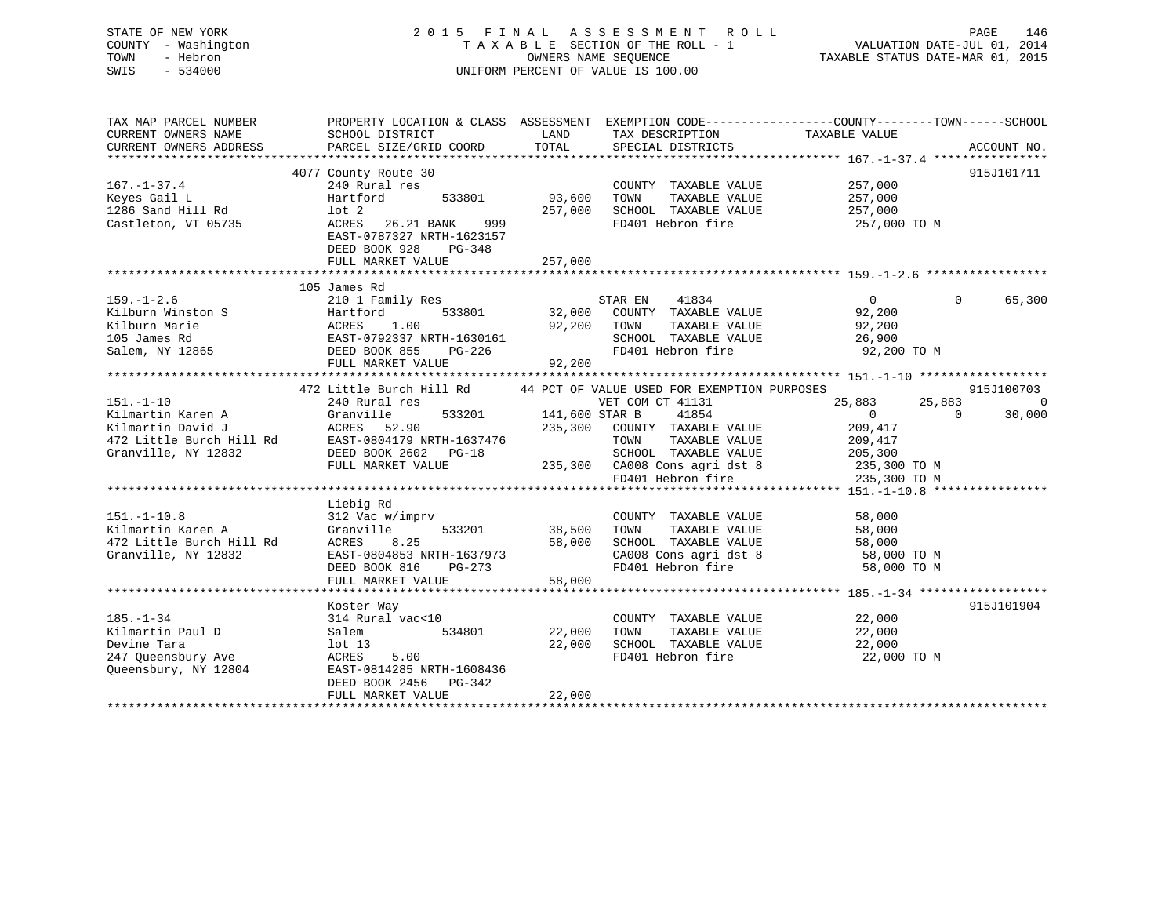| STATE OF NEW YORK<br>COUNTY - Washington<br>TOWN<br>- Hebron<br>$-534000$<br>SWIS                            | 2015 FINAL                                                                                                                                                                             | OWNERS NAME SEQUENCE                 | A S S E S S M E N T<br>R O L L<br>TAXABLE SECTION OF THE ROLL - 1<br>UNIFORM PERCENT OF VALUE IS 100.00                                                                                         | VALUATION DATE-JUL 01, 2014<br>TAXABLE STATUS DATE-MAR 01, 2015                                                 | PAGE<br>146                            |
|--------------------------------------------------------------------------------------------------------------|----------------------------------------------------------------------------------------------------------------------------------------------------------------------------------------|--------------------------------------|-------------------------------------------------------------------------------------------------------------------------------------------------------------------------------------------------|-----------------------------------------------------------------------------------------------------------------|----------------------------------------|
| TAX MAP PARCEL NUMBER<br>CURRENT OWNERS NAME<br>CURRENT OWNERS ADDRESS                                       | SCHOOL DISTRICT<br>PARCEL SIZE/GRID COORD                                                                                                                                              | LAND<br>TOTAL                        | TAX DESCRIPTION<br>SPECIAL DISTRICTS                                                                                                                                                            | PROPERTY LOCATION & CLASS ASSESSMENT EXEMPTION CODE---------------COUNTY-------TOWN-----SCHOOL<br>TAXABLE VALUE | ACCOUNT NO.                            |
| $167. - 1 - 37.4$<br>Keyes Gail L<br>1286 Sand Hill Rd<br>Castleton, VT 05735                                | 4077 County Route 30<br>240 Rural res<br>Hartford<br>533801<br>$1$ ot $2$<br>ACRES<br>26.21 BANK<br>999<br>EAST-0787327 NRTH-1623157<br>DEED BOOK 928<br>$PG-348$<br>FULL MARKET VALUE | 93,600<br>257,000<br>257,000         | COUNTY TAXABLE VALUE<br>TOWN<br>TAXABLE VALUE<br>SCHOOL TAXABLE VALUE<br>FD401 Hebron fire                                                                                                      | 257,000<br>257,000<br>257,000<br>257,000 TO M                                                                   | 915J101711                             |
|                                                                                                              |                                                                                                                                                                                        |                                      |                                                                                                                                                                                                 |                                                                                                                 |                                        |
| $159. - 1 - 2.6$<br>Kilburn Winston S<br>Kilburn Marie<br>105 James Rd<br>Salem, NY 12865                    | 105 James Rd<br>210 1 Family Res<br>533801<br>Hartford<br><b>ACRES</b><br>1.00<br>EAST-0792337 NRTH-1630161<br>DEED BOOK 855<br>$PG-226$<br>FULL MARKET VALUE                          | 32,000<br>92,200<br>92,200           | STAR EN<br>41834<br>COUNTY TAXABLE VALUE<br>TAXABLE VALUE<br>TOWN<br>SCHOOL TAXABLE VALUE<br>FD401 Hebron fire                                                                                  | $\mathbf{0}$<br>$\Omega$<br>92,200<br>92,200<br>26,900<br>92,200 TO M                                           | 65,300                                 |
|                                                                                                              |                                                                                                                                                                                        |                                      |                                                                                                                                                                                                 |                                                                                                                 |                                        |
| $151. - 1 - 10$<br>Kilmartin Karen A<br>Kilmartin David J<br>472 Little Burch Hill Rd<br>Granville, NY 12832 | 472 Little Burch Hill Rd<br>240 Rural res<br>Granville<br>533201<br>52.90<br>ACRES<br>EAST-0804179 NRTH-1637476<br>DEED BOOK 2602 PG-18<br>FULL MARKET VALUE                           | 141,600 STAR B<br>235,300<br>235,300 | 44 PCT OF VALUE USED FOR EXEMPTION PURPOSES<br>VET COM CT 41131<br>41854<br>COUNTY TAXABLE VALUE<br>TAXABLE VALUE<br>TOWN<br>SCHOOL TAXABLE VALUE<br>CA008 Cons agri dst 8<br>FD401 Hebron fire | 25,883<br>25,883<br>$\Omega$<br>$\mathbf{0}$<br>209,417<br>209,417<br>205,300<br>235,300 TO M<br>235,300 TO M   | 915J100703<br>$\overline{0}$<br>30,000 |
|                                                                                                              |                                                                                                                                                                                        |                                      |                                                                                                                                                                                                 |                                                                                                                 |                                        |
| $151. - 1 - 10.8$<br>Kilmartin Karen A<br>472 Little Burch Hill Rd<br>Granville, NY 12832                    | Liebig Rd<br>312 Vac w/imprv<br>Granville<br>533201<br>ACRES<br>8.25<br>EAST-0804853 NRTH-1637973<br>DEED BOOK 816<br>$PG-273$<br>FULL MARKET VALUE                                    | 38,500<br>58,000<br>58,000           | COUNTY TAXABLE VALUE<br>TAXABLE VALUE<br>TOWN<br>SCHOOL TAXABLE VALUE<br>CA008 Cons agri dst 8<br>FD401 Hebron fire                                                                             | 58,000<br>58,000<br>58,000<br>58,000 TO M<br>58,000 TO M                                                        |                                        |
|                                                                                                              |                                                                                                                                                                                        |                                      |                                                                                                                                                                                                 |                                                                                                                 |                                        |
| $185. - 1 - 34$<br>Kilmartin Paul D<br>Devine Tara<br>247 Oueensbury Ave<br>Queensbury, NY 12804             | Koster Way<br>314 Rural vac<10<br>534801<br>Salem<br>$1$ ot $13$<br>ACRES<br>5.00<br>EAST-0814285 NRTH-1608436<br>DEED BOOK 2456 PG-342<br>FULL MARKET VALUE                           | 22,000<br>22,000<br>22,000           | COUNTY TAXABLE VALUE<br>TOWN<br>TAXABLE VALUE<br>SCHOOL TAXABLE VALUE<br>FD401 Hebron fire                                                                                                      | 22,000<br>22,000<br>22,000<br>22,000 TO M                                                                       | 915J101904                             |

\*\*\*\*\*\*\*\*\*\*\*\*\*\*\*\*\*\*\*\*\*\*\*\*\*\*\*\*\*\*\*\*\*\*\*\*\*\*\*\*\*\*\*\*\*\*\*\*\*\*\*\*\*\*\*\*\*\*\*\*\*\*\*\*\*\*\*\*\*\*\*\*\*\*\*\*\*\*\*\*\*\*\*\*\*\*\*\*\*\*\*\*\*\*\*\*\*\*\*\*\*\*\*\*\*\*\*\*\*\*\*\*\*\*\*\*\*\*\*\*\*\*\*\*\*\*\*\*\*\*\*\*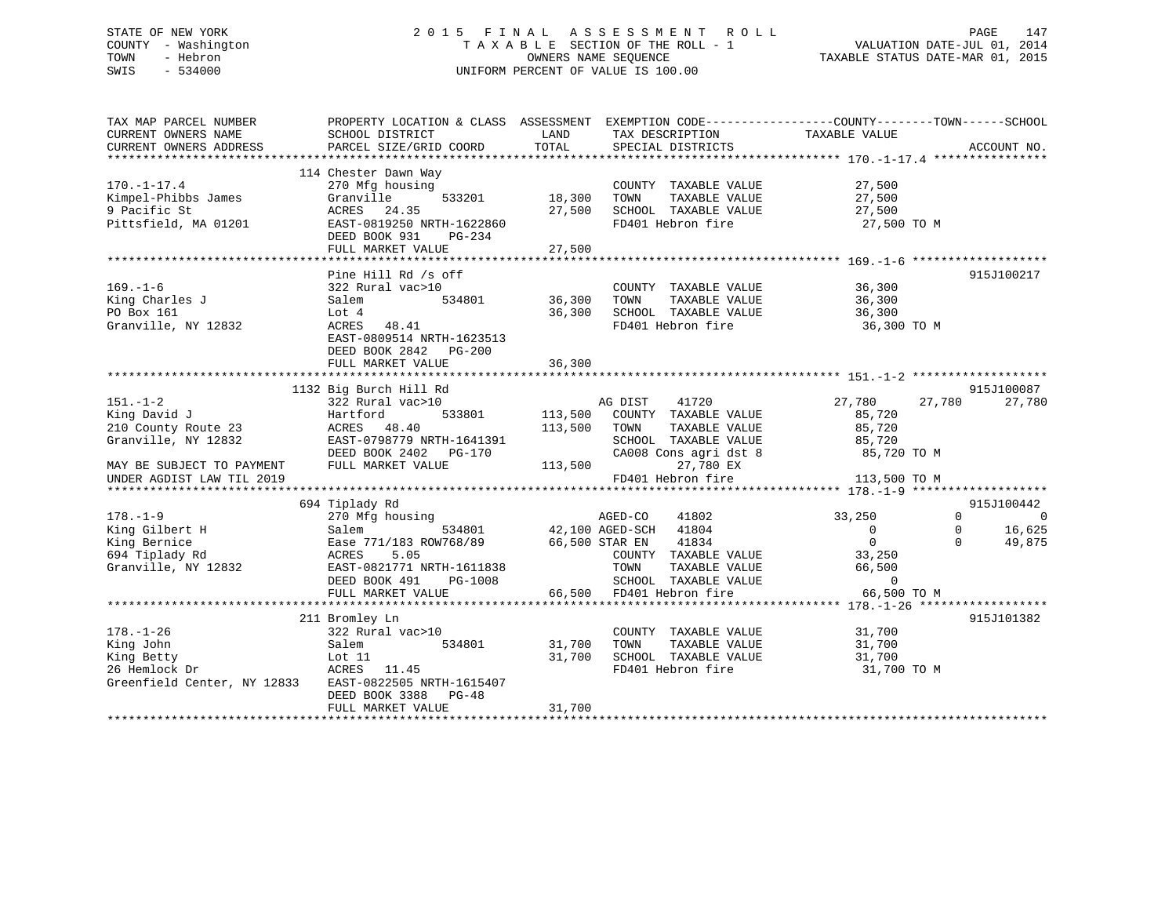# STATE OF NEW YORK 2 0 1 5 F I N A L A S S E S S M E N T R O L L PAGE 147 COUNTY - Washington T A X A B L E SECTION OF THE ROLL - 1 VALUATION DATE-JUL 01, 2014 TOWN - Hebron OWNERS NAME SEQUENCE TAXABLE STATUS DATE-MAR 01, 2015 SWIS - 534000 UNIFORM PERCENT OF VALUE IS 100.00

| TAX MAP PARCEL NUMBER<br>CURRENT OWNERS NAME<br>CURRENT OWNERS ADDRESS                                                                 | PROPERTY LOCATION & CLASS ASSESSMENT<br>SCHOOL DISTRICT<br>PARCEL SIZE/GRID COORD                                                                                                          | LAND<br>TOTAL                 | TAX DESCRIPTION<br>SPECIAL DISTRICTS                                                                                                                               | EXEMPTION CODE----------------COUNTY-------TOWN-----SCHOOL<br>TAXABLE VALUE                      | ACCOUNT NO.                                                  |
|----------------------------------------------------------------------------------------------------------------------------------------|--------------------------------------------------------------------------------------------------------------------------------------------------------------------------------------------|-------------------------------|--------------------------------------------------------------------------------------------------------------------------------------------------------------------|--------------------------------------------------------------------------------------------------|--------------------------------------------------------------|
| $170. - 1 - 17.4$<br>Kimpel-Phibbs James<br>9 Pacific St<br>Pittsfield, MA 01201                                                       | 114 Chester Dawn Way<br>270 Mfg housing<br>533201<br>Granville<br>24.35<br>ACRES<br>EAST-0819250 NRTH-1622860<br>DEED BOOK 931<br>PG-234<br>FULL MARKET VALUE                              | 18,300<br>27,500<br>27,500    | COUNTY TAXABLE VALUE<br>TOWN<br>TAXABLE VALUE<br>SCHOOL TAXABLE VALUE<br>FD401 Hebron fire                                                                         | 27,500<br>27,500<br>27,500<br>27,500 TO M                                                        |                                                              |
| $169. - 1 - 6$<br>King Charles J<br>PO Box 161<br>Granville, NY 12832                                                                  | Pine Hill Rd /s off<br>322 Rural vac>10<br>534801<br>Salem<br>Lot 4<br>ACRES<br>48.41<br>EAST-0809514 NRTH-1623513<br>DEED BOOK 2842 PG-200<br>FULL MARKET VALUE                           | 36,300<br>36,300<br>36,300    | COUNTY TAXABLE VALUE<br>TAXABLE VALUE<br>TOWN<br>SCHOOL TAXABLE VALUE<br>FD401 Hebron fire                                                                         | 36,300<br>36,300<br>36,300<br>36,300 TO M                                                        | 915J100217                                                   |
| $151. - 1 - 2$<br>King David J<br>210 County Route 23<br>Granville, NY 12832<br>MAY BE SUBJECT TO PAYMENT<br>UNDER AGDIST LAW TIL 2019 | 1132 Big Burch Hill Rd<br>322 Rural vac>10<br>Hartford<br>533801<br>48.40<br>ACRES<br>EAST-0798779 NRTH-1641391<br>DEED BOOK 2402    PG-170<br>FULL MARKET VALUE                           | 113,500<br>113,500<br>113,500 | AG DIST<br>41720<br>COUNTY TAXABLE VALUE<br>TOWN<br>TAXABLE VALUE<br>SCHOOL TAXABLE VALUE<br>CA008 Cons agri dst 8<br>27,780 EX<br>FD401 Hebron fire               | 27,780<br>27,780<br>85,720<br>85,720<br>85,720<br>85,720 TO M<br>113,500 TO M                    | 915J100087<br>27,780                                         |
|                                                                                                                                        | 694 Tiplady Rd                                                                                                                                                                             |                               |                                                                                                                                                                    |                                                                                                  | 915J100442                                                   |
| $178. - 1 - 9$<br>King Gilbert H<br>King Bernice<br>694 Tiplady Rd<br>Granville, NY 12832                                              | 270 Mfg housing<br>534801<br>Salem<br>Ease 771/183 ROW768/89<br>ACRES<br>5.05<br>EAST-0821771 NRTH-1611838<br>DEED BOOK 491<br>PG-1008<br>FULL MARKET VALUE                                | 66,500                        | AGED-CO<br>41802<br>42,100 AGED-SCH 41804<br>66,500 STAR EN<br>41834<br>COUNTY TAXABLE VALUE<br>TOWN<br>TAXABLE VALUE<br>SCHOOL TAXABLE VALUE<br>FD401 Hebron fire | 33,250<br>$\overline{0}$<br>$\Omega$<br>33,250<br>66,500<br>$\Omega$<br>66,500 TO M              | $\Omega$<br>$\mathbf 0$<br>16,625<br>0<br>49,875<br>$\Omega$ |
| $178. - 1 - 26$<br>King John<br>King Betty<br>26 Hemlock Dr<br>Greenfield Center, NY 12833                                             | ***************************<br>211 Bromley Ln<br>322 Rural vac>10<br>534801<br>Salem<br>Lot 11<br>ACRES 11.45<br>EAST-0822505 NRTH-1615407<br>DEED BOOK 3388<br>PG-48<br>FULL MARKET VALUE | 31,700<br>31,700<br>31,700    | COUNTY TAXABLE VALUE<br>TAXABLE VALUE<br>TOWN<br>SCHOOL TAXABLE VALUE<br>FD401 Hebron fire                                                                         | *********************************** 178.-1-26 *****<br>31,700<br>31,700<br>31,700<br>31,700 TO M | 915J101382                                                   |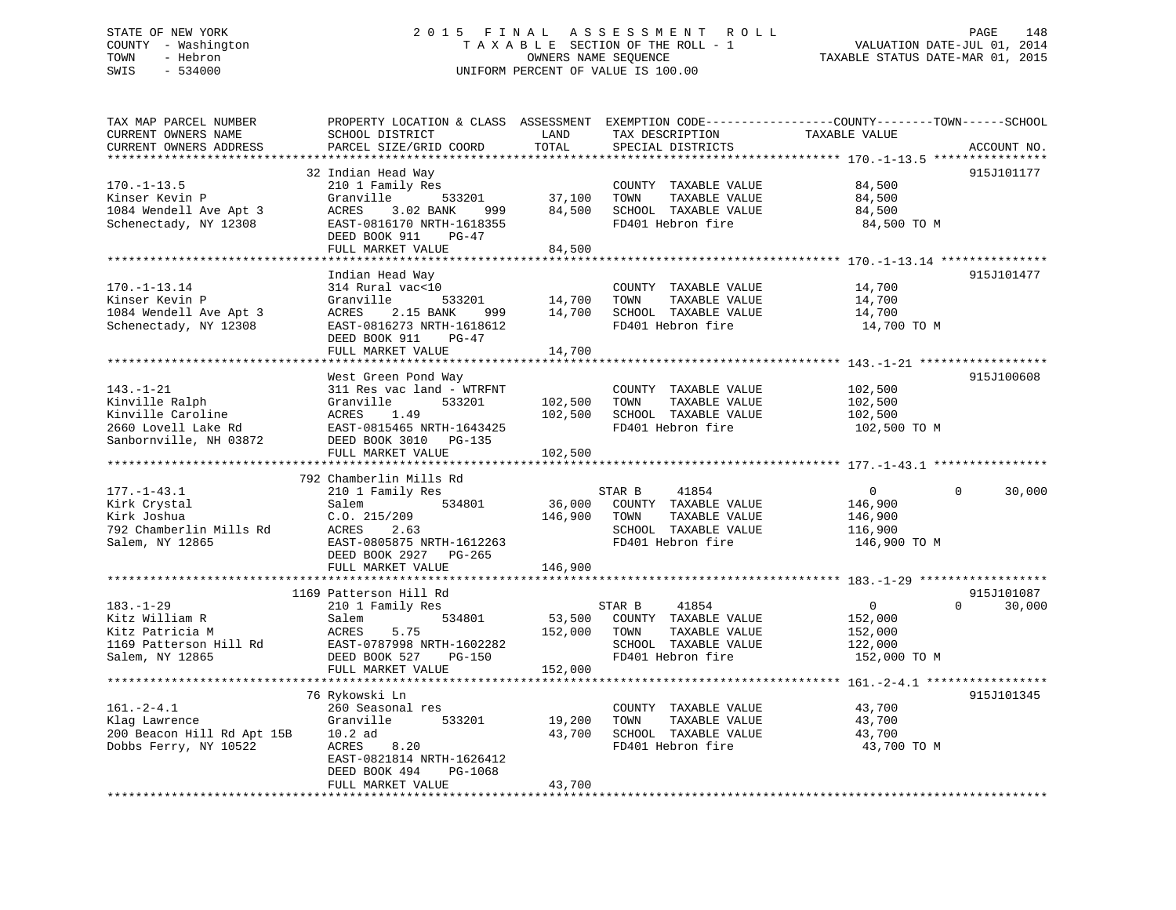# STATE OF NEW YORK 2 0 1 5 F I N A L A S S E S S M E N T R O L L PAGE 148 COUNTY - Washington T A X A B L E SECTION OF THE ROLL - 1 VALUATION DATE-JUL 01, 2014 TOWN - Hebron OWNERS NAME SEQUENCE TAXABLE STATUS DATE-MAR 01, 2015 SWIS - 534000 UNIFORM PERCENT OF VALUE IS 100.00

| TAX MAP PARCEL NUMBER<br>CURRENT OWNERS NAME<br>CURRENT OWNERS ADDRESS<br>********************          | PROPERTY LOCATION & CLASS ASSESSMENT<br>SCHOOL DISTRICT<br>PARCEL SIZE/GRID COORD<br>************************                                                          | LAND<br>TOTAL                 | TAX DESCRIPTION<br>SPECIAL DISTRICTS                                                                          | EXEMPTION CODE-----------------COUNTY-------TOWN------SCHOOL<br>TAXABLE VALUE<br>ACCOUNT NO.        |
|---------------------------------------------------------------------------------------------------------|------------------------------------------------------------------------------------------------------------------------------------------------------------------------|-------------------------------|---------------------------------------------------------------------------------------------------------------|-----------------------------------------------------------------------------------------------------|
| $170. - 1 - 13.5$<br>Kinser Kevin P<br>1084 Wendell Ave Apt 3<br>Schenectady, NY 12308                  | 32 Indian Head Way<br>210 1 Family Res<br>Granville<br>533201<br>ACRES<br>3.02 BANK<br>999<br>EAST-0816170 NRTH-1618355<br>DEED BOOK 911<br>PG-47<br>FULL MARKET VALUE | 37,100<br>84,500<br>84,500    | COUNTY TAXABLE VALUE<br>TOWN<br>TAXABLE VALUE<br>SCHOOL TAXABLE VALUE<br>FD401 Hebron fire                    | 915J101177<br>84,500<br>84,500<br>84,500<br>84,500 TO M                                             |
| $170. - 1 - 13.14$<br>Kinser Kevin P<br>1084 Wendell Ave Apt 3<br>Schenectady, NY 12308                 | Indian Head Way<br>314 Rural vac<10<br>Granville<br>533201<br>ACRES 2.15 BANK<br>999<br>EAST-0816273 NRTH-1618612                                                      | 14,700<br>14,700              | COUNTY TAXABLE VALUE<br>TOWN<br>TAXABLE VALUE<br>SCHOOL TAXABLE VALUE<br>FD401 Hebron fire                    | 915J101477<br>14,700<br>14,700<br>14,700<br>14,700 TO M                                             |
|                                                                                                         | DEED BOOK 911<br>$PG-47$<br>FULL MARKET VALUE                                                                                                                          | 14,700<br>* * * * * * * * *   |                                                                                                               |                                                                                                     |
| $143. - 1 - 21$<br>Kinville Ralph<br>Kinville Caroline<br>2660 Lovell Lake Rd<br>Sanbornville, NH 03872 | West Green Pond Way<br>311 Res vac land - WTRFNT<br>Granville<br>533201<br>ACRES<br>1.49<br>EAST-0815465 NRTH-1643425<br>DEED BOOK 3010 PG-135<br>FULL MARKET VALUE    | 102,500<br>102,500<br>102,500 | COUNTY TAXABLE VALUE<br>TOWN<br>TAXABLE VALUE<br>SCHOOL TAXABLE VALUE<br>FD401 Hebron fire                    | 915J100608<br>102,500<br>102,500<br>102,500<br>102,500 TO M                                         |
|                                                                                                         | 792 Chamberlin Mills Rd                                                                                                                                                |                               |                                                                                                               |                                                                                                     |
| $177. - 1 - 43.1$<br>Kirk Crystal<br>Kirk Joshua<br>792 Chamberlin Mills Rd<br>Salem, NY 12865          | 210 1 Family Res<br>Salem<br>534801<br>C.0.215/209<br>ACRES<br>2.63<br>EAST-0805875 NRTH-1612263<br>DEED BOOK 2927 PG-265                                              | 36,000<br>146,900             | STAR B<br>41854<br>COUNTY TAXABLE VALUE<br>TOWN<br>TAXABLE VALUE<br>SCHOOL TAXABLE VALUE<br>FD401 Hebron fire | $\Omega$<br>$\Omega$<br>30,000<br>146,900<br>146,900<br>116,900<br>146,900 TO M                     |
|                                                                                                         | FULL MARKET VALUE                                                                                                                                                      | 146,900                       |                                                                                                               |                                                                                                     |
| $183. - 1 - 29$<br>Kitz William R<br>Kitz Patricia M<br>1169 Patterson Hill Rd<br>Salem, NY 12865       | 1169 Patterson Hill Rd<br>210 1 Family Res<br>Salem<br>534801<br>ACRES<br>5.75<br>EAST-0787998 NRTH-1602282<br>DEED BOOK 527<br>PG-150<br>FULL MARKET VALUE            | 53,500<br>152,000<br>152,000  | STAR B<br>41854<br>COUNTY TAXABLE VALUE<br>TOWN<br>TAXABLE VALUE<br>SCHOOL TAXABLE VALUE<br>FD401 Hebron fire | 915J101087<br>$\overline{0}$<br>$\Omega$<br>30,000<br>152,000<br>152,000<br>122,000<br>152,000 TO M |
|                                                                                                         | 76 Rykowski Ln                                                                                                                                                         |                               |                                                                                                               | 915J101345                                                                                          |
| $161. - 2 - 4.1$<br>Klag Lawrence<br>200 Beacon Hill Rd Apt 15B<br>Dobbs Ferry, NY 10522                | 260 Seasonal res<br>Granville<br>533201<br>$10.2$ ad<br>8.20<br>ACRES<br>EAST-0821814 NRTH-1626412<br>DEED BOOK 494<br>PG-1068                                         | 19,200<br>43,700              | COUNTY TAXABLE VALUE<br>TOWN<br>TAXABLE VALUE<br>SCHOOL TAXABLE VALUE<br>FD401 Hebron fire                    | 43,700<br>43,700<br>43,700<br>43,700 TO M                                                           |
|                                                                                                         | FULL MARKET VALUE                                                                                                                                                      | 43,700                        |                                                                                                               |                                                                                                     |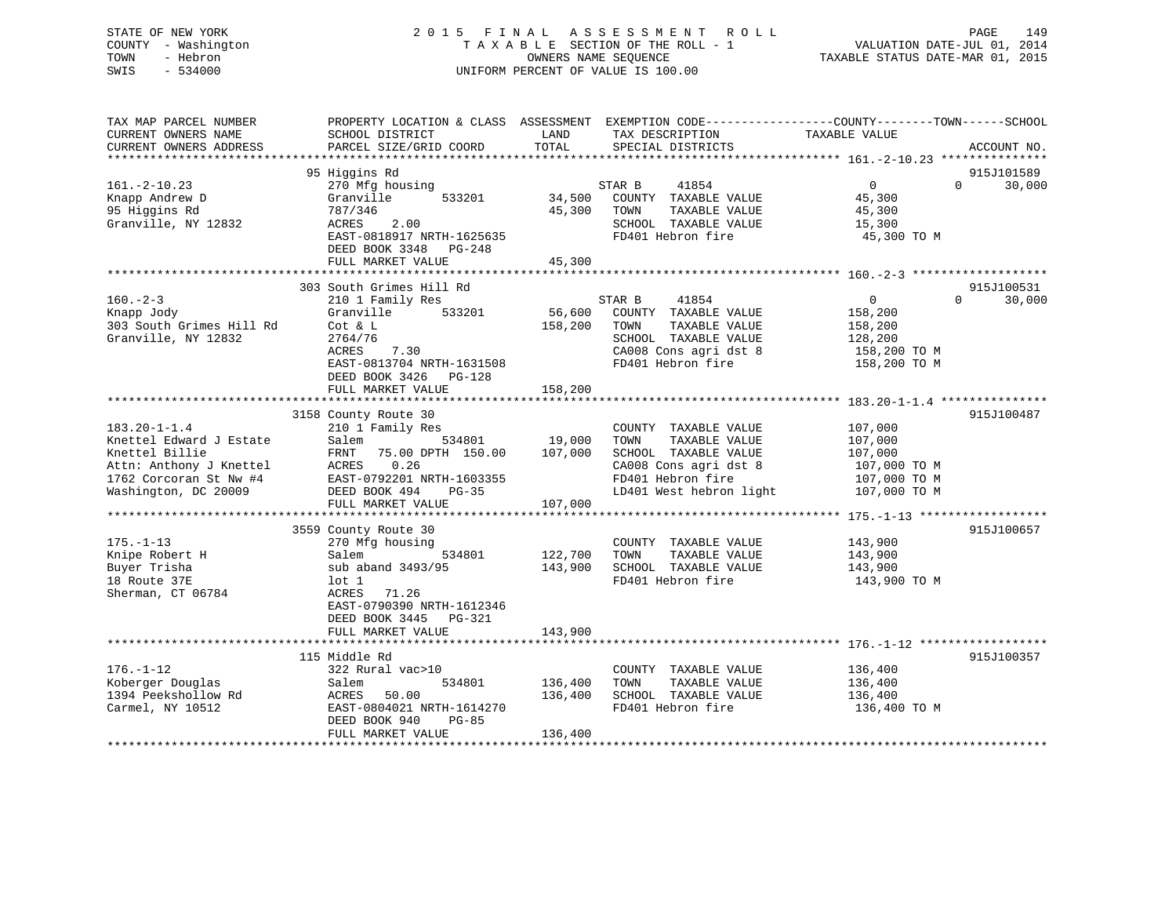# STATE OF NEW YORK 2 0 1 5 F I N A L A S S E S S M E N T R O L L PAGE 149 COUNTY - Washington T A X A B L E SECTION OF THE ROLL - 1 VALUATION DATE-JUL 01, 2014 TOWN - Hebron OWNERS NAME SEQUENCE TAXABLE STATUS DATE-MAR 01, 2015 SWIS - 534000 UNIFORM PERCENT OF VALUE IS 100.00

| TAX MAP PARCEL NUMBER<br>CURRENT OWNERS NAME<br>CURRENT OWNERS ADDRESS                                                                       | PROPERTY LOCATION & CLASS ASSESSMENT<br>SCHOOL DISTRICT<br>PARCEL SIZE/GRID COORD                                                                                                       | LAND<br>TAX DESCRIPTION<br>TOTAL<br>SPECIAL DISTRICTS                                                                                                                          | EXEMPTION CODE-----------------COUNTY-------TOWN------SCHOOL<br>TAXABLE VALUE<br>ACCOUNT NO.                        |
|----------------------------------------------------------------------------------------------------------------------------------------------|-----------------------------------------------------------------------------------------------------------------------------------------------------------------------------------------|--------------------------------------------------------------------------------------------------------------------------------------------------------------------------------|---------------------------------------------------------------------------------------------------------------------|
|                                                                                                                                              |                                                                                                                                                                                         |                                                                                                                                                                                |                                                                                                                     |
| $161. - 2 - 10.23$<br>Knapp Andrew D<br>95 Higgins Rd<br>Granville, NY 12832                                                                 | 95 Higgins Rd<br>270 Mfg housing<br>533201<br>Granville<br>787/346<br>2.00<br>ACRES<br>EAST-0818917 NRTH-1625635<br>DEED BOOK 3348<br>PG-248<br>FULL MARKET VALUE                       | STAR B<br>41854<br>34,500<br>COUNTY TAXABLE VALUE<br>45,300<br>TOWN<br>TAXABLE VALUE<br>SCHOOL TAXABLE VALUE<br>FD401 Hebron fire<br>45,300                                    | 915J101589<br>$\overline{0}$<br>30,000<br>$\Omega$<br>45,300<br>45,300<br>15,300<br>45,300 TO M                     |
|                                                                                                                                              |                                                                                                                                                                                         |                                                                                                                                                                                |                                                                                                                     |
| $160. -2 - 3$<br>Knapp Jody<br>303 South Grimes Hill Rd<br>Granville, NY 12832                                                               | 303 South Grimes Hill Rd<br>210 1 Family Res<br>533201<br>Granville<br>Cot & L<br>2764/76<br>ACRES<br>7.30<br>EAST-0813704 NRTH-1631508<br>DEED BOOK 3426 PG-128<br>FULL MARKET VALUE   | 41854<br>STAR B<br>56,600<br>COUNTY TAXABLE VALUE<br>158,200<br>TOWN<br>TAXABLE VALUE<br>SCHOOL TAXABLE VALUE<br>CA008 Cons agri dst 8<br>FD401 Hebron fire<br>158,200         | 915J100531<br>$\overline{0}$<br>$\Omega$<br>30,000<br>158,200<br>158,200<br>128,200<br>158,200 TO M<br>158,200 TO M |
|                                                                                                                                              |                                                                                                                                                                                         |                                                                                                                                                                                |                                                                                                                     |
| $183.20 - 1 - 1.4$<br>Knettel Edward J Estate<br>Knettel Billie<br>Attn: Anthony J Knettel<br>1762 Corcoran St Nw #4<br>Washington, DC 20009 | 3158 County Route 30<br>210 1 Family Res<br>Salem<br>534801<br>75.00 DPTH 150.00<br>FRNT<br>0.26<br>ACRES<br>EAST-0792201 NRTH-1603355<br>DEED BOOK 494<br>$PG-35$<br>FULL MARKET VALUE | COUNTY TAXABLE VALUE<br>19,000<br>TAXABLE VALUE<br>TOWN<br>107,000<br>SCHOOL TAXABLE VALUE<br>CA008 Cons agri dst 8<br>FD401 Hebron fire<br>LD401 West hebron light<br>107,000 | 915J100487<br>107,000<br>107,000<br>107,000<br>107,000 TO M<br>107,000 TO M<br>107,000 TO M                         |
|                                                                                                                                              |                                                                                                                                                                                         |                                                                                                                                                                                |                                                                                                                     |
| $175. - 1 - 13$<br>Knipe Robert H<br>Buyer Trisha<br>18 Route 37E<br>Sherman, CT 06784                                                       | 3559 County Route 30<br>270 Mfg housing<br>534801<br>Salem<br>sub aband 3493/95<br>$1$ ot $1$<br>71.26<br>ACRES<br>EAST-0790390 NRTH-1612346<br>DEED BOOK 3445 PG-321                   | COUNTY TAXABLE VALUE<br>122,700<br>TOWN<br>TAXABLE VALUE<br>143,900<br>SCHOOL TAXABLE VALUE<br>FD401 Hebron fire                                                               | 915J100657<br>143,900<br>143,900<br>143,900<br>143,900 TO M                                                         |
|                                                                                                                                              | FULL MARKET VALUE                                                                                                                                                                       | 143,900                                                                                                                                                                        |                                                                                                                     |
|                                                                                                                                              |                                                                                                                                                                                         |                                                                                                                                                                                |                                                                                                                     |
| $176. - 1 - 12$<br>Koberger Douglas<br>1394 Peekshollow Rd<br>Carmel, NY 10512                                                               | 115 Middle Rd<br>322 Rural vac>10<br>534801<br>Salem<br>50.00<br>ACRES<br>EAST-0804021 NRTH-1614270<br>DEED BOOK 940<br>$PG-85$<br>FULL MARKET VALUE                                    | COUNTY TAXABLE VALUE<br>136,400<br>TOWN<br>TAXABLE VALUE<br>136,400<br>SCHOOL TAXABLE VALUE<br>FD401 Hebron fire<br>136,400                                                    | 915J100357<br>136,400<br>136,400<br>136,400<br>136,400 TO M                                                         |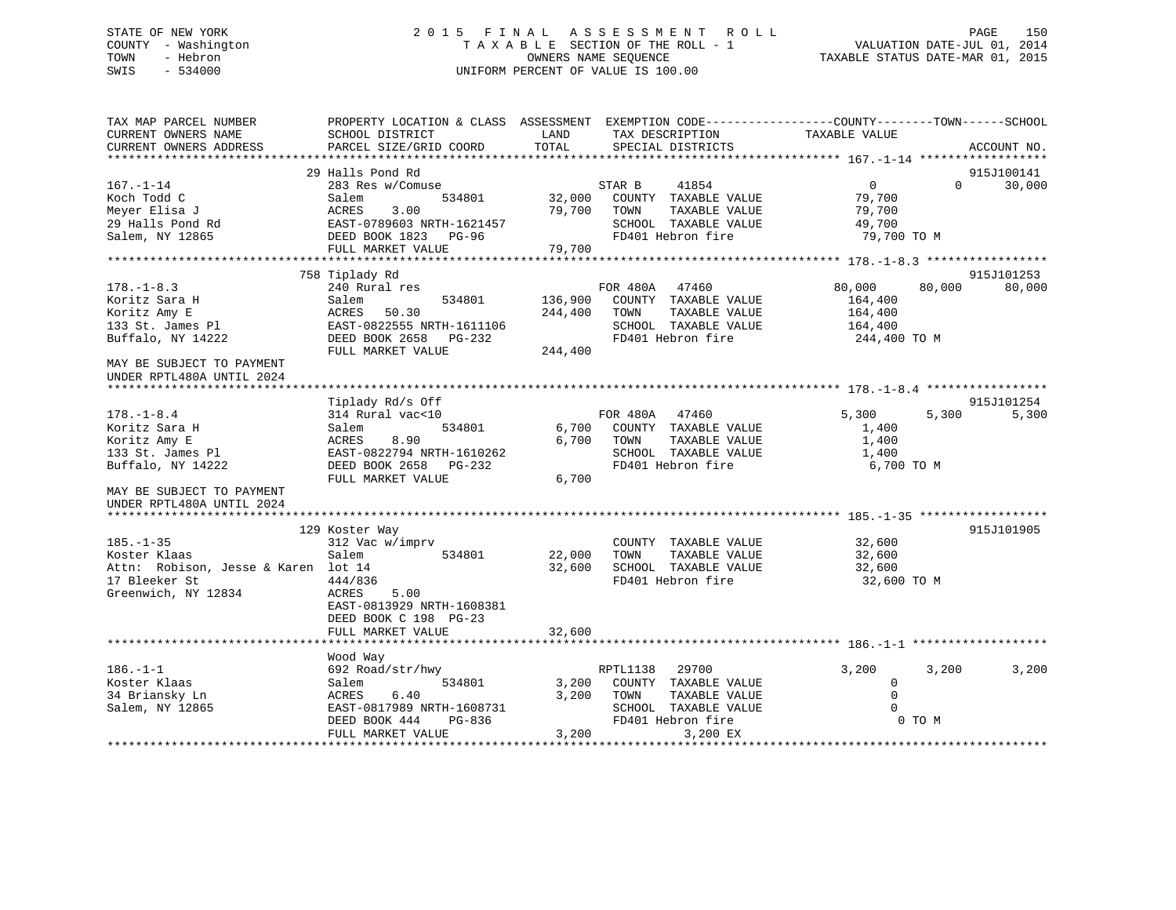# STATE OF NEW YORK 2 0 1 5 F I N A L A S S E S S M E N T R O L L PAGE 150 COUNTY - Washington T A X A B L E SECTION OF THE ROLL - 1 VALUATION DATE-JUL 01, 2014 TOWN - Hebron OWNERS NAME SEQUENCE TAXABLE STATUS DATE-MAR 01, 2015 SWIS - 534000 UNIFORM PERCENT OF VALUE IS 100.00

| CURRENT OWNERS NAME<br>SCHOOL DISTRICT<br>LAND<br>TAX DESCRIPTION<br>TAXABLE VALUE<br>PARCEL SIZE/GRID COORD<br>TOTAL<br>SPECIAL DISTRICTS<br>ACCOUNT NO.<br>*********************<br>29 Halls Pond Rd<br>915J100141<br>41854<br>$\mathbf{0}$<br>30,000<br>283 Res w/Comuse<br>STAR B<br>$\Omega$<br>COUNTY TAXABLE VALUE<br>Salem<br>534801<br>32,000<br>79,700<br>Meyer Elisa J<br>ACRES<br>3.00<br>79,700<br>TOWN<br>TAXABLE VALUE<br>79,700<br>29 Halls Pond Rd<br>EAST-0789603 NRTH-1621457<br>SCHOOL TAXABLE VALUE<br>49,700<br>Salem, NY 12865<br>DEED BOOK 1823<br>FD401 Hebron fire<br>79,700 TO M<br>$PG-96$<br>FULL MARKET VALUE<br>79,700<br>915J101253<br>758 Tiplady Rd<br>FOR 480A<br>$178. - 1 - 8.3$<br>240 Rural res<br>47460<br>80,000<br>80,000<br>80,000<br>136,900<br>Koritz Sara H<br>534801<br>COUNTY TAXABLE VALUE<br>Salem<br>164,400<br>Koritz Amy E<br>ACRES<br>50.30<br>244,400<br>TOWN<br>TAXABLE VALUE<br>164,400<br>133 St. James Pl<br>EAST-0822555 NRTH-1611106<br>SCHOOL TAXABLE VALUE<br>164,400<br>Buffalo, NY 14222<br>FD401 Hebron fire<br>DEED BOOK 2658<br>244,400 TO M<br>PG-232<br>FULL MARKET VALUE<br>244,400<br>MAY BE SUBJECT TO PAYMENT<br>UNDER RPTL480A UNTIL 2024<br>Tiplady Rd/s Off<br>915J101254<br>314 Rural vac<10<br>FOR 480A<br>47460<br>5,300<br>5,300<br>5,300<br>534801<br>6,700<br>COUNTY TAXABLE VALUE<br>Salem<br>1,400<br>8.90<br>6,700<br>ACRES<br>TOWN<br>TAXABLE VALUE<br>1,400<br>EAST-0822794 NRTH-1610262<br>SCHOOL TAXABLE VALUE<br>1,400<br>DEED BOOK 2658<br>FD401 Hebron fire<br>6,700 TO M<br>PG-232<br>FULL MARKET VALUE<br>6,700<br>UNDER RPTL480A UNTIL 2024<br>129 Koster Way<br>915J101905<br>$185. - 1 - 35$<br>312 Vac w/imprv<br>32,600<br>COUNTY TAXABLE VALUE<br>22,000<br>32,600<br>Salem<br>534801<br>TOWN<br>TAXABLE VALUE<br>Attn: Robison, Jesse & Karen lot 14<br>32,600<br>SCHOOL TAXABLE VALUE<br>32,600<br>FD401 Hebron fire<br>444/836<br>32,600 TO M<br>Greenwich, NY 12834<br>5.00<br>ACRES<br>EAST-0813929 NRTH-1608381<br>DEED BOOK C 198 PG-23<br>FULL MARKET VALUE<br>32,600<br>Wood Way<br>$186. - 1 - 1$<br>692 Road/str/hwy<br>RPTL1138<br>29700<br>3,200<br>3,200<br>3,200<br>COUNTY TAXABLE VALUE<br>534801<br>3,200<br>$\mathbf 0$<br>Salem<br>$\Omega$<br>ACRES<br>6.40<br>3,200<br>TOWN<br>TAXABLE VALUE<br>EAST-0817989 NRTH-1608731<br>SCHOOL TAXABLE VALUE<br>$\Omega$<br>DEED BOOK 444<br>PG-836<br>FD401 Hebron fire<br>0 TO M<br>FULL MARKET VALUE<br>3,200<br>3,200 EX | TAX MAP PARCEL NUMBER     | PROPERTY LOCATION & CLASS ASSESSMENT | EXEMPTION CODE-----------------COUNTY-------TOWN------SCHOOL |  |  |
|---------------------------------------------------------------------------------------------------------------------------------------------------------------------------------------------------------------------------------------------------------------------------------------------------------------------------------------------------------------------------------------------------------------------------------------------------------------------------------------------------------------------------------------------------------------------------------------------------------------------------------------------------------------------------------------------------------------------------------------------------------------------------------------------------------------------------------------------------------------------------------------------------------------------------------------------------------------------------------------------------------------------------------------------------------------------------------------------------------------------------------------------------------------------------------------------------------------------------------------------------------------------------------------------------------------------------------------------------------------------------------------------------------------------------------------------------------------------------------------------------------------------------------------------------------------------------------------------------------------------------------------------------------------------------------------------------------------------------------------------------------------------------------------------------------------------------------------------------------------------------------------------------------------------------------------------------------------------------------------------------------------------------------------------------------------------------------------------------------------------------------------------------------------------------------------------------------------------------------------------------------------------------------------------------------------------------------------------------------------------------------------------------------------------------------------------------------------------------------------------|---------------------------|--------------------------------------|--------------------------------------------------------------|--|--|
|                                                                                                                                                                                                                                                                                                                                                                                                                                                                                                                                                                                                                                                                                                                                                                                                                                                                                                                                                                                                                                                                                                                                                                                                                                                                                                                                                                                                                                                                                                                                                                                                                                                                                                                                                                                                                                                                                                                                                                                                                                                                                                                                                                                                                                                                                                                                                                                                                                                                                             | CURRENT OWNERS ADDRESS    |                                      |                                                              |  |  |
|                                                                                                                                                                                                                                                                                                                                                                                                                                                                                                                                                                                                                                                                                                                                                                                                                                                                                                                                                                                                                                                                                                                                                                                                                                                                                                                                                                                                                                                                                                                                                                                                                                                                                                                                                                                                                                                                                                                                                                                                                                                                                                                                                                                                                                                                                                                                                                                                                                                                                             |                           |                                      |                                                              |  |  |
|                                                                                                                                                                                                                                                                                                                                                                                                                                                                                                                                                                                                                                                                                                                                                                                                                                                                                                                                                                                                                                                                                                                                                                                                                                                                                                                                                                                                                                                                                                                                                                                                                                                                                                                                                                                                                                                                                                                                                                                                                                                                                                                                                                                                                                                                                                                                                                                                                                                                                             |                           |                                      |                                                              |  |  |
|                                                                                                                                                                                                                                                                                                                                                                                                                                                                                                                                                                                                                                                                                                                                                                                                                                                                                                                                                                                                                                                                                                                                                                                                                                                                                                                                                                                                                                                                                                                                                                                                                                                                                                                                                                                                                                                                                                                                                                                                                                                                                                                                                                                                                                                                                                                                                                                                                                                                                             | $167. - 1 - 14$           |                                      |                                                              |  |  |
|                                                                                                                                                                                                                                                                                                                                                                                                                                                                                                                                                                                                                                                                                                                                                                                                                                                                                                                                                                                                                                                                                                                                                                                                                                                                                                                                                                                                                                                                                                                                                                                                                                                                                                                                                                                                                                                                                                                                                                                                                                                                                                                                                                                                                                                                                                                                                                                                                                                                                             | Koch Todd C               |                                      |                                                              |  |  |
|                                                                                                                                                                                                                                                                                                                                                                                                                                                                                                                                                                                                                                                                                                                                                                                                                                                                                                                                                                                                                                                                                                                                                                                                                                                                                                                                                                                                                                                                                                                                                                                                                                                                                                                                                                                                                                                                                                                                                                                                                                                                                                                                                                                                                                                                                                                                                                                                                                                                                             |                           |                                      |                                                              |  |  |
|                                                                                                                                                                                                                                                                                                                                                                                                                                                                                                                                                                                                                                                                                                                                                                                                                                                                                                                                                                                                                                                                                                                                                                                                                                                                                                                                                                                                                                                                                                                                                                                                                                                                                                                                                                                                                                                                                                                                                                                                                                                                                                                                                                                                                                                                                                                                                                                                                                                                                             |                           |                                      |                                                              |  |  |
|                                                                                                                                                                                                                                                                                                                                                                                                                                                                                                                                                                                                                                                                                                                                                                                                                                                                                                                                                                                                                                                                                                                                                                                                                                                                                                                                                                                                                                                                                                                                                                                                                                                                                                                                                                                                                                                                                                                                                                                                                                                                                                                                                                                                                                                                                                                                                                                                                                                                                             |                           |                                      |                                                              |  |  |
|                                                                                                                                                                                                                                                                                                                                                                                                                                                                                                                                                                                                                                                                                                                                                                                                                                                                                                                                                                                                                                                                                                                                                                                                                                                                                                                                                                                                                                                                                                                                                                                                                                                                                                                                                                                                                                                                                                                                                                                                                                                                                                                                                                                                                                                                                                                                                                                                                                                                                             |                           |                                      |                                                              |  |  |
|                                                                                                                                                                                                                                                                                                                                                                                                                                                                                                                                                                                                                                                                                                                                                                                                                                                                                                                                                                                                                                                                                                                                                                                                                                                                                                                                                                                                                                                                                                                                                                                                                                                                                                                                                                                                                                                                                                                                                                                                                                                                                                                                                                                                                                                                                                                                                                                                                                                                                             |                           |                                      |                                                              |  |  |
|                                                                                                                                                                                                                                                                                                                                                                                                                                                                                                                                                                                                                                                                                                                                                                                                                                                                                                                                                                                                                                                                                                                                                                                                                                                                                                                                                                                                                                                                                                                                                                                                                                                                                                                                                                                                                                                                                                                                                                                                                                                                                                                                                                                                                                                                                                                                                                                                                                                                                             |                           |                                      |                                                              |  |  |
|                                                                                                                                                                                                                                                                                                                                                                                                                                                                                                                                                                                                                                                                                                                                                                                                                                                                                                                                                                                                                                                                                                                                                                                                                                                                                                                                                                                                                                                                                                                                                                                                                                                                                                                                                                                                                                                                                                                                                                                                                                                                                                                                                                                                                                                                                                                                                                                                                                                                                             |                           |                                      |                                                              |  |  |
|                                                                                                                                                                                                                                                                                                                                                                                                                                                                                                                                                                                                                                                                                                                                                                                                                                                                                                                                                                                                                                                                                                                                                                                                                                                                                                                                                                                                                                                                                                                                                                                                                                                                                                                                                                                                                                                                                                                                                                                                                                                                                                                                                                                                                                                                                                                                                                                                                                                                                             |                           |                                      |                                                              |  |  |
|                                                                                                                                                                                                                                                                                                                                                                                                                                                                                                                                                                                                                                                                                                                                                                                                                                                                                                                                                                                                                                                                                                                                                                                                                                                                                                                                                                                                                                                                                                                                                                                                                                                                                                                                                                                                                                                                                                                                                                                                                                                                                                                                                                                                                                                                                                                                                                                                                                                                                             |                           |                                      |                                                              |  |  |
|                                                                                                                                                                                                                                                                                                                                                                                                                                                                                                                                                                                                                                                                                                                                                                                                                                                                                                                                                                                                                                                                                                                                                                                                                                                                                                                                                                                                                                                                                                                                                                                                                                                                                                                                                                                                                                                                                                                                                                                                                                                                                                                                                                                                                                                                                                                                                                                                                                                                                             |                           |                                      |                                                              |  |  |
|                                                                                                                                                                                                                                                                                                                                                                                                                                                                                                                                                                                                                                                                                                                                                                                                                                                                                                                                                                                                                                                                                                                                                                                                                                                                                                                                                                                                                                                                                                                                                                                                                                                                                                                                                                                                                                                                                                                                                                                                                                                                                                                                                                                                                                                                                                                                                                                                                                                                                             |                           |                                      |                                                              |  |  |
|                                                                                                                                                                                                                                                                                                                                                                                                                                                                                                                                                                                                                                                                                                                                                                                                                                                                                                                                                                                                                                                                                                                                                                                                                                                                                                                                                                                                                                                                                                                                                                                                                                                                                                                                                                                                                                                                                                                                                                                                                                                                                                                                                                                                                                                                                                                                                                                                                                                                                             |                           |                                      |                                                              |  |  |
|                                                                                                                                                                                                                                                                                                                                                                                                                                                                                                                                                                                                                                                                                                                                                                                                                                                                                                                                                                                                                                                                                                                                                                                                                                                                                                                                                                                                                                                                                                                                                                                                                                                                                                                                                                                                                                                                                                                                                                                                                                                                                                                                                                                                                                                                                                                                                                                                                                                                                             |                           |                                      |                                                              |  |  |
|                                                                                                                                                                                                                                                                                                                                                                                                                                                                                                                                                                                                                                                                                                                                                                                                                                                                                                                                                                                                                                                                                                                                                                                                                                                                                                                                                                                                                                                                                                                                                                                                                                                                                                                                                                                                                                                                                                                                                                                                                                                                                                                                                                                                                                                                                                                                                                                                                                                                                             |                           |                                      |                                                              |  |  |
|                                                                                                                                                                                                                                                                                                                                                                                                                                                                                                                                                                                                                                                                                                                                                                                                                                                                                                                                                                                                                                                                                                                                                                                                                                                                                                                                                                                                                                                                                                                                                                                                                                                                                                                                                                                                                                                                                                                                                                                                                                                                                                                                                                                                                                                                                                                                                                                                                                                                                             |                           |                                      |                                                              |  |  |
|                                                                                                                                                                                                                                                                                                                                                                                                                                                                                                                                                                                                                                                                                                                                                                                                                                                                                                                                                                                                                                                                                                                                                                                                                                                                                                                                                                                                                                                                                                                                                                                                                                                                                                                                                                                                                                                                                                                                                                                                                                                                                                                                                                                                                                                                                                                                                                                                                                                                                             | $178. - 1 - 8.4$          |                                      |                                                              |  |  |
|                                                                                                                                                                                                                                                                                                                                                                                                                                                                                                                                                                                                                                                                                                                                                                                                                                                                                                                                                                                                                                                                                                                                                                                                                                                                                                                                                                                                                                                                                                                                                                                                                                                                                                                                                                                                                                                                                                                                                                                                                                                                                                                                                                                                                                                                                                                                                                                                                                                                                             | Koritz Sara H             |                                      |                                                              |  |  |
|                                                                                                                                                                                                                                                                                                                                                                                                                                                                                                                                                                                                                                                                                                                                                                                                                                                                                                                                                                                                                                                                                                                                                                                                                                                                                                                                                                                                                                                                                                                                                                                                                                                                                                                                                                                                                                                                                                                                                                                                                                                                                                                                                                                                                                                                                                                                                                                                                                                                                             | Koritz Amy E              |                                      |                                                              |  |  |
|                                                                                                                                                                                                                                                                                                                                                                                                                                                                                                                                                                                                                                                                                                                                                                                                                                                                                                                                                                                                                                                                                                                                                                                                                                                                                                                                                                                                                                                                                                                                                                                                                                                                                                                                                                                                                                                                                                                                                                                                                                                                                                                                                                                                                                                                                                                                                                                                                                                                                             | 133 St. James Pl          |                                      |                                                              |  |  |
|                                                                                                                                                                                                                                                                                                                                                                                                                                                                                                                                                                                                                                                                                                                                                                                                                                                                                                                                                                                                                                                                                                                                                                                                                                                                                                                                                                                                                                                                                                                                                                                                                                                                                                                                                                                                                                                                                                                                                                                                                                                                                                                                                                                                                                                                                                                                                                                                                                                                                             | Buffalo, NY 14222         |                                      |                                                              |  |  |
|                                                                                                                                                                                                                                                                                                                                                                                                                                                                                                                                                                                                                                                                                                                                                                                                                                                                                                                                                                                                                                                                                                                                                                                                                                                                                                                                                                                                                                                                                                                                                                                                                                                                                                                                                                                                                                                                                                                                                                                                                                                                                                                                                                                                                                                                                                                                                                                                                                                                                             |                           |                                      |                                                              |  |  |
|                                                                                                                                                                                                                                                                                                                                                                                                                                                                                                                                                                                                                                                                                                                                                                                                                                                                                                                                                                                                                                                                                                                                                                                                                                                                                                                                                                                                                                                                                                                                                                                                                                                                                                                                                                                                                                                                                                                                                                                                                                                                                                                                                                                                                                                                                                                                                                                                                                                                                             | MAY BE SUBJECT TO PAYMENT |                                      |                                                              |  |  |
|                                                                                                                                                                                                                                                                                                                                                                                                                                                                                                                                                                                                                                                                                                                                                                                                                                                                                                                                                                                                                                                                                                                                                                                                                                                                                                                                                                                                                                                                                                                                                                                                                                                                                                                                                                                                                                                                                                                                                                                                                                                                                                                                                                                                                                                                                                                                                                                                                                                                                             |                           |                                      |                                                              |  |  |
|                                                                                                                                                                                                                                                                                                                                                                                                                                                                                                                                                                                                                                                                                                                                                                                                                                                                                                                                                                                                                                                                                                                                                                                                                                                                                                                                                                                                                                                                                                                                                                                                                                                                                                                                                                                                                                                                                                                                                                                                                                                                                                                                                                                                                                                                                                                                                                                                                                                                                             |                           |                                      |                                                              |  |  |
|                                                                                                                                                                                                                                                                                                                                                                                                                                                                                                                                                                                                                                                                                                                                                                                                                                                                                                                                                                                                                                                                                                                                                                                                                                                                                                                                                                                                                                                                                                                                                                                                                                                                                                                                                                                                                                                                                                                                                                                                                                                                                                                                                                                                                                                                                                                                                                                                                                                                                             |                           |                                      |                                                              |  |  |
|                                                                                                                                                                                                                                                                                                                                                                                                                                                                                                                                                                                                                                                                                                                                                                                                                                                                                                                                                                                                                                                                                                                                                                                                                                                                                                                                                                                                                                                                                                                                                                                                                                                                                                                                                                                                                                                                                                                                                                                                                                                                                                                                                                                                                                                                                                                                                                                                                                                                                             | Koster Klaas              |                                      |                                                              |  |  |
|                                                                                                                                                                                                                                                                                                                                                                                                                                                                                                                                                                                                                                                                                                                                                                                                                                                                                                                                                                                                                                                                                                                                                                                                                                                                                                                                                                                                                                                                                                                                                                                                                                                                                                                                                                                                                                                                                                                                                                                                                                                                                                                                                                                                                                                                                                                                                                                                                                                                                             |                           |                                      |                                                              |  |  |
|                                                                                                                                                                                                                                                                                                                                                                                                                                                                                                                                                                                                                                                                                                                                                                                                                                                                                                                                                                                                                                                                                                                                                                                                                                                                                                                                                                                                                                                                                                                                                                                                                                                                                                                                                                                                                                                                                                                                                                                                                                                                                                                                                                                                                                                                                                                                                                                                                                                                                             | 17 Bleeker St             |                                      |                                                              |  |  |
|                                                                                                                                                                                                                                                                                                                                                                                                                                                                                                                                                                                                                                                                                                                                                                                                                                                                                                                                                                                                                                                                                                                                                                                                                                                                                                                                                                                                                                                                                                                                                                                                                                                                                                                                                                                                                                                                                                                                                                                                                                                                                                                                                                                                                                                                                                                                                                                                                                                                                             |                           |                                      |                                                              |  |  |
|                                                                                                                                                                                                                                                                                                                                                                                                                                                                                                                                                                                                                                                                                                                                                                                                                                                                                                                                                                                                                                                                                                                                                                                                                                                                                                                                                                                                                                                                                                                                                                                                                                                                                                                                                                                                                                                                                                                                                                                                                                                                                                                                                                                                                                                                                                                                                                                                                                                                                             |                           |                                      |                                                              |  |  |
|                                                                                                                                                                                                                                                                                                                                                                                                                                                                                                                                                                                                                                                                                                                                                                                                                                                                                                                                                                                                                                                                                                                                                                                                                                                                                                                                                                                                                                                                                                                                                                                                                                                                                                                                                                                                                                                                                                                                                                                                                                                                                                                                                                                                                                                                                                                                                                                                                                                                                             |                           |                                      |                                                              |  |  |
|                                                                                                                                                                                                                                                                                                                                                                                                                                                                                                                                                                                                                                                                                                                                                                                                                                                                                                                                                                                                                                                                                                                                                                                                                                                                                                                                                                                                                                                                                                                                                                                                                                                                                                                                                                                                                                                                                                                                                                                                                                                                                                                                                                                                                                                                                                                                                                                                                                                                                             |                           |                                      |                                                              |  |  |
|                                                                                                                                                                                                                                                                                                                                                                                                                                                                                                                                                                                                                                                                                                                                                                                                                                                                                                                                                                                                                                                                                                                                                                                                                                                                                                                                                                                                                                                                                                                                                                                                                                                                                                                                                                                                                                                                                                                                                                                                                                                                                                                                                                                                                                                                                                                                                                                                                                                                                             |                           |                                      |                                                              |  |  |
|                                                                                                                                                                                                                                                                                                                                                                                                                                                                                                                                                                                                                                                                                                                                                                                                                                                                                                                                                                                                                                                                                                                                                                                                                                                                                                                                                                                                                                                                                                                                                                                                                                                                                                                                                                                                                                                                                                                                                                                                                                                                                                                                                                                                                                                                                                                                                                                                                                                                                             |                           |                                      |                                                              |  |  |
|                                                                                                                                                                                                                                                                                                                                                                                                                                                                                                                                                                                                                                                                                                                                                                                                                                                                                                                                                                                                                                                                                                                                                                                                                                                                                                                                                                                                                                                                                                                                                                                                                                                                                                                                                                                                                                                                                                                                                                                                                                                                                                                                                                                                                                                                                                                                                                                                                                                                                             |                           |                                      |                                                              |  |  |
|                                                                                                                                                                                                                                                                                                                                                                                                                                                                                                                                                                                                                                                                                                                                                                                                                                                                                                                                                                                                                                                                                                                                                                                                                                                                                                                                                                                                                                                                                                                                                                                                                                                                                                                                                                                                                                                                                                                                                                                                                                                                                                                                                                                                                                                                                                                                                                                                                                                                                             | Koster Klaas              |                                      |                                                              |  |  |
|                                                                                                                                                                                                                                                                                                                                                                                                                                                                                                                                                                                                                                                                                                                                                                                                                                                                                                                                                                                                                                                                                                                                                                                                                                                                                                                                                                                                                                                                                                                                                                                                                                                                                                                                                                                                                                                                                                                                                                                                                                                                                                                                                                                                                                                                                                                                                                                                                                                                                             | 34 Briansky Ln            |                                      |                                                              |  |  |
|                                                                                                                                                                                                                                                                                                                                                                                                                                                                                                                                                                                                                                                                                                                                                                                                                                                                                                                                                                                                                                                                                                                                                                                                                                                                                                                                                                                                                                                                                                                                                                                                                                                                                                                                                                                                                                                                                                                                                                                                                                                                                                                                                                                                                                                                                                                                                                                                                                                                                             | Salem, NY 12865           |                                      |                                                              |  |  |
|                                                                                                                                                                                                                                                                                                                                                                                                                                                                                                                                                                                                                                                                                                                                                                                                                                                                                                                                                                                                                                                                                                                                                                                                                                                                                                                                                                                                                                                                                                                                                                                                                                                                                                                                                                                                                                                                                                                                                                                                                                                                                                                                                                                                                                                                                                                                                                                                                                                                                             |                           |                                      |                                                              |  |  |
|                                                                                                                                                                                                                                                                                                                                                                                                                                                                                                                                                                                                                                                                                                                                                                                                                                                                                                                                                                                                                                                                                                                                                                                                                                                                                                                                                                                                                                                                                                                                                                                                                                                                                                                                                                                                                                                                                                                                                                                                                                                                                                                                                                                                                                                                                                                                                                                                                                                                                             |                           |                                      |                                                              |  |  |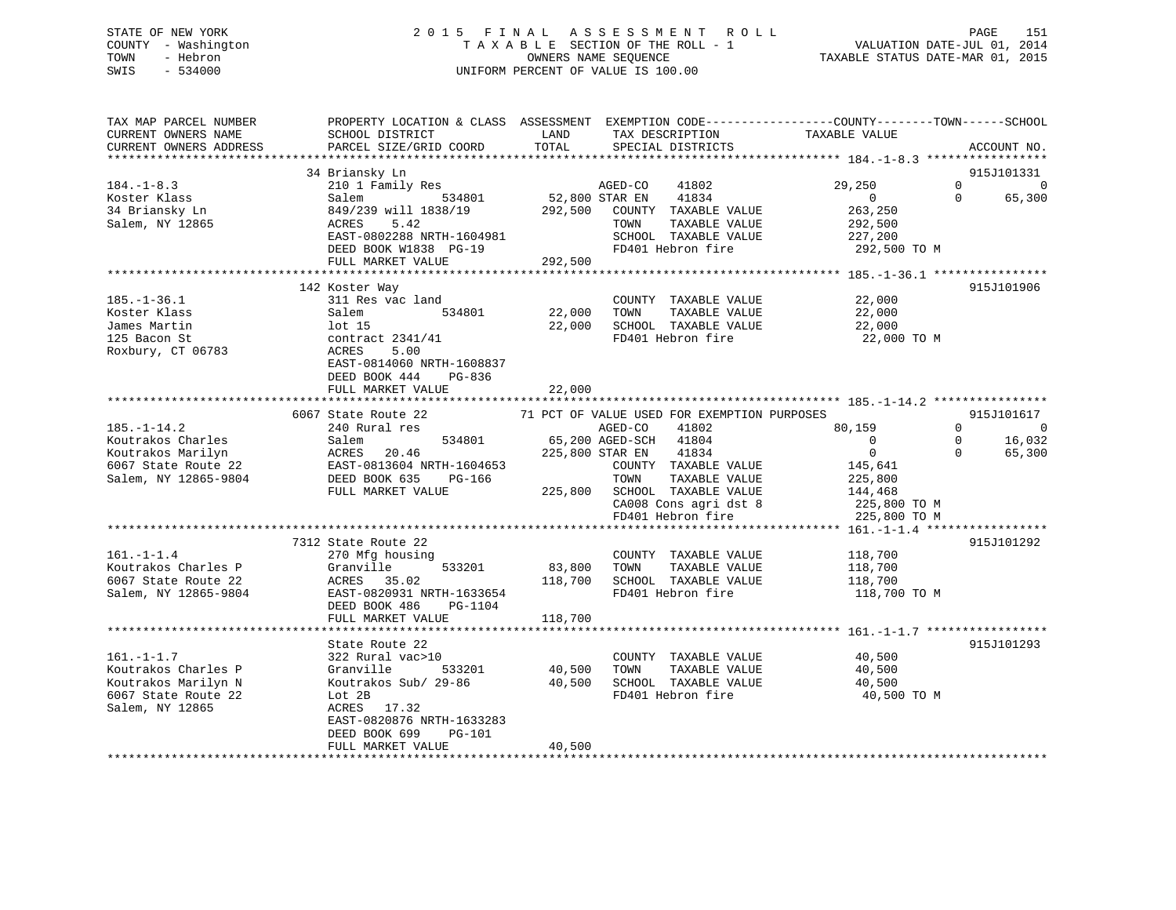# STATE OF NEW YORK 2 0 1 5 F I N A L A S S E S S M E N T R O L L PAGE 151 COUNTY - Washington T A X A B L E SECTION OF THE ROLL - 1 VALUATION DATE-JUL 01, 2014 TOWN - Hebron OWNERS NAME SEQUENCE TAXABLE STATUS DATE-MAR 01, 2015 SWIS - 534000 UNIFORM PERCENT OF VALUE IS 100.00

| TAX MAP PARCEL NUMBER<br>CURRENT OWNERS NAME<br>CURRENT OWNERS ADDRESS                                     | PROPERTY LOCATION & CLASS ASSESSMENT EXEMPTION CODE---------------COUNTY-------TOWN-----SCHOOL<br>SCHOOL DISTRICT<br>PARCEL SIZE/GRID COORD                                         | LAND<br>TOTAL              | TAX DESCRIPTION<br>SPECIAL DISTRICTS                                                                                                                                                                                        | TAXABLE VALUE                                                                                             | ACCOUNT NO.                                                                  |
|------------------------------------------------------------------------------------------------------------|-------------------------------------------------------------------------------------------------------------------------------------------------------------------------------------|----------------------------|-----------------------------------------------------------------------------------------------------------------------------------------------------------------------------------------------------------------------------|-----------------------------------------------------------------------------------------------------------|------------------------------------------------------------------------------|
| **************************                                                                                 |                                                                                                                                                                                     |                            |                                                                                                                                                                                                                             |                                                                                                           |                                                                              |
| $184. - 1 - 8.3$<br>Koster Klass<br>34 Briansky Ln<br>Salem, NY 12865                                      | 34 Briansky Ln<br>210 1 Family Res<br>Salem<br>534801<br>849/239 will 1838/19<br>ACRES<br>5.42                                                                                      | 52,800 STAR EN<br>292,500  | AGED-CO<br>41802<br>41834<br>COUNTY TAXABLE VALUE<br>TAXABLE VALUE<br>TOWN                                                                                                                                                  | 29,250<br>$\overline{0}$<br>263,250<br>292,500                                                            | 915J101331<br>$\Omega$<br>$\mathbf 0$<br>65,300<br>$\Omega$                  |
|                                                                                                            | EAST-0802288 NRTH-1604981<br>DEED BOOK W1838 PG-19<br>FULL MARKET VALUE                                                                                                             | 292,500                    | SCHOOL TAXABLE VALUE<br>FD401 Hebron fire                                                                                                                                                                                   | 227,200<br>292,500 TO M                                                                                   |                                                                              |
|                                                                                                            | *****************************                                                                                                                                                       |                            | *********************************                                                                                                                                                                                           | **************** 185.-1-36.1 ****                                                                         |                                                                              |
| $185. - 1 - 36.1$<br>Koster Klass<br>James Martin<br>125 Bacon St<br>Roxbury, CT 06783                     | 142 Koster Way<br>311 Res vac land<br>534801<br>Salem<br>lot 15<br>contract $2341/41$<br>ACRES<br>5.00<br>EAST-0814060 NRTH-1608837<br>DEED BOOK 444<br>PG-836<br>FULL MARKET VALUE | 22,000<br>22,000<br>22,000 | COUNTY TAXABLE VALUE<br>TAXABLE VALUE<br>TOWN<br>SCHOOL TAXABLE VALUE<br>FD401 Hebron fire                                                                                                                                  | 22,000<br>22,000<br>22,000<br>22,000 TO M                                                                 | 915J101906                                                                   |
|                                                                                                            |                                                                                                                                                                                     |                            |                                                                                                                                                                                                                             |                                                                                                           |                                                                              |
| $185. - 1 - 14.2$<br>Koutrakos Charles<br>Koutrakos Marilyn<br>6067 State Route 22<br>Salem, NY 12865-9804 | 6067 State Route 22<br>240 Rural res<br>Salem<br>534801<br>ACRES<br>20.46<br>EAST-0813604 NRTH-1604653<br>DEED BOOK 635<br>PG-166<br>FULL MARKET VALUE                              | 225,800 STAR EN<br>225,800 | 71 PCT OF VALUE USED FOR EXEMPTION PURPOSES<br>AGED-CO<br>41802<br>65,200 AGED-SCH<br>41804<br>41834<br>COUNTY TAXABLE VALUE<br>TOWN<br>TAXABLE VALUE<br>SCHOOL TAXABLE VALUE<br>CA008 Cons agri dst 8<br>FD401 Hebron fire | 80,159<br>$\overline{0}$<br>$\mathbf{0}$<br>145,641<br>225,800<br>144,468<br>225,800 TO M<br>225,800 TO M | 915J101617<br>$\Omega$<br>- 0<br>16,032<br>$\mathbf 0$<br>$\Omega$<br>65,300 |
|                                                                                                            | 7312 State Route 22                                                                                                                                                                 |                            |                                                                                                                                                                                                                             |                                                                                                           | 915J101292                                                                   |
| $161. - 1 - 1.4$<br>Koutrakos Charles P<br>6067 State Route 22<br>Salem, NY 12865-9804                     | 270 Mfg housing<br>533201<br>Granville<br>ACRES 35.02<br>EAST-0820931 NRTH-1633654<br>DEED BOOK 486<br>PG-1104                                                                      | 83,800<br>118,700          | COUNTY TAXABLE VALUE<br>TOWN<br>TAXABLE VALUE<br>SCHOOL TAXABLE VALUE<br>FD401 Hebron fire                                                                                                                                  | 118,700<br>118,700<br>118,700<br>118,700 TO M                                                             |                                                                              |
|                                                                                                            | FULL MARKET VALUE                                                                                                                                                                   | 118,700                    |                                                                                                                                                                                                                             |                                                                                                           |                                                                              |
| $161. - 1 - 1.7$<br>Koutrakos Charles P<br>Koutrakos Marilyn N<br>6067 State Route 22                      | State Route 22<br>322 Rural vac>10<br>Granville<br>533201<br>Koutrakos Sub/ 29-86<br>Lot 2B                                                                                         | 40,500<br>40,500           | COUNTY TAXABLE VALUE<br>TOWN<br>TAXABLE VALUE<br>SCHOOL TAXABLE VALUE<br>FD401 Hebron fire                                                                                                                                  | 40,500<br>40,500<br>40,500<br>40,500 TO M                                                                 | 915J101293                                                                   |
| Salem, NY 12865                                                                                            | ACRES<br>17.32<br>EAST-0820876 NRTH-1633283<br>DEED BOOK 699<br>PG-101<br>FULL MARKET VALUE                                                                                         | 40,500                     |                                                                                                                                                                                                                             |                                                                                                           |                                                                              |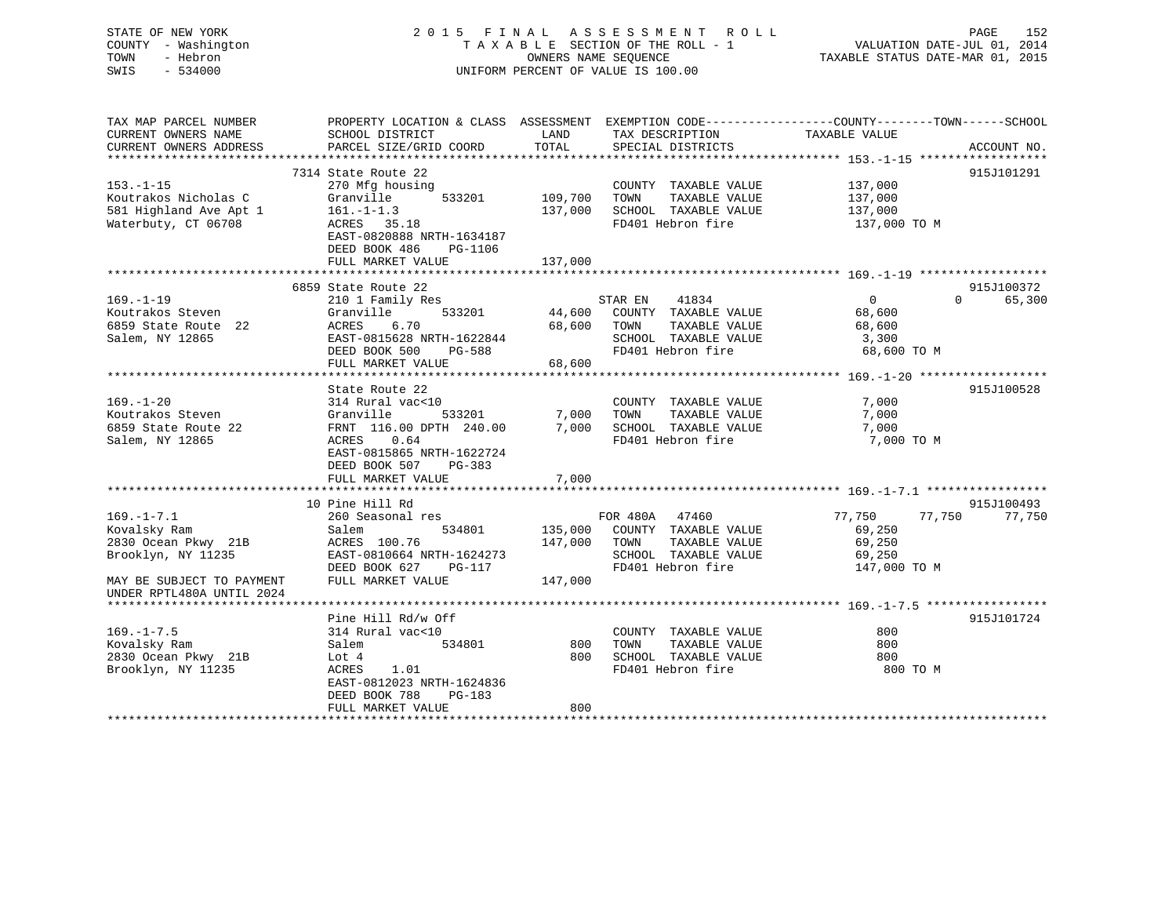| STATE OF NEW YORK<br>COUNTY - Washington<br>TOWN<br>- Hebron<br>SWIS<br>$-534000$ |                                              |               | 2015 FINAL ASSESSMENT ROLL<br>TAXABLE SECTION OF THE ROLL - 1<br>OWNERS NAME SEOUENCE<br>UNIFORM PERCENT OF VALUE IS 100.00 | PAGE<br>152<br>VALUATION DATE-JUL 01, 2014<br>TAXABLE STATUS DATE-MAR 01, 2015                   |
|-----------------------------------------------------------------------------------|----------------------------------------------|---------------|-----------------------------------------------------------------------------------------------------------------------------|--------------------------------------------------------------------------------------------------|
| TAX MAP PARCEL NUMBER                                                             |                                              |               |                                                                                                                             | PROPERTY LOCATION & CLASS ASSESSMENT EXEMPTION CODE----------------COUNTY-------TOWN------SCHOOL |
| CURRENT OWNERS NAME<br>CURRENT OWNERS ADDRESS                                     | SCHOOL DISTRICT<br>PARCEL SIZE/GRID COORD    | LAND<br>TOTAL | TAX DESCRIPTION<br>SPECIAL DISTRICTS                                                                                        | TAXABLE VALUE<br>ACCOUNT NO.                                                                     |
| ***********************                                                           |                                              |               |                                                                                                                             |                                                                                                  |
|                                                                                   | 7314 State Route 22                          |               |                                                                                                                             | 915J101291                                                                                       |
| $153. - 1 - 15$                                                                   | 270 Mfg housing                              |               | COUNTY TAXABLE VALUE                                                                                                        | 137,000                                                                                          |
| Koutrakos Nicholas C                                                              | 533201<br>Granville                          | 109,700       | TAXABLE VALUE<br>TOWN                                                                                                       | 137,000                                                                                          |
| 581 Highland Ave Apt 1                                                            | $161. - 1 - 1.3$                             | 137,000       | SCHOOL TAXABLE VALUE<br>FD401 Hebron fire                                                                                   | 137,000                                                                                          |
| Waterbuty, CT 06708                                                               | ACRES 35.18<br>EAST-0820888 NRTH-1634187     |               |                                                                                                                             | 137,000 TO M                                                                                     |
|                                                                                   | DEED BOOK 486<br>PG-1106                     |               |                                                                                                                             |                                                                                                  |
|                                                                                   | FULL MARKET VALUE                            | 137,000       |                                                                                                                             |                                                                                                  |
|                                                                                   |                                              |               |                                                                                                                             |                                                                                                  |
|                                                                                   | 6859 State Route 22                          |               |                                                                                                                             | 915J100372                                                                                       |
| $169. - 1 - 19$                                                                   | 210 1 Family Res                             |               | STAR EN<br>41834                                                                                                            | $\overline{0}$<br>$\Omega$<br>65,300                                                             |
| Koutrakos Steven                                                                  | 533201<br>Granville                          | 44,600        | COUNTY TAXABLE VALUE                                                                                                        | 68,600                                                                                           |
| 6859 State Route 22                                                               | ACRES<br>6.70                                | 68,600        | TOWN<br>TAXABLE VALUE                                                                                                       | 68,600                                                                                           |
| Salem, NY 12865                                                                   | EAST-0815628 NRTH-1622844                    |               | SCHOOL TAXABLE VALUE                                                                                                        | 3,300                                                                                            |
|                                                                                   | DEED BOOK 500<br>PG-588                      |               | FD401 Hebron fire                                                                                                           | 68,600 TO M                                                                                      |
|                                                                                   | FULL MARKET VALUE                            | 68,600        |                                                                                                                             |                                                                                                  |
|                                                                                   | *************************                    |               |                                                                                                                             |                                                                                                  |
|                                                                                   | State Route 22                               |               |                                                                                                                             | 915J100528                                                                                       |
| $169. - 1 - 20$                                                                   | 314 Rural vac<10                             |               | COUNTY TAXABLE VALUE                                                                                                        | 7,000                                                                                            |
| Koutrakos Steven                                                                  | Granville<br>533201                          | 7,000         | TOWN<br>TAXABLE VALUE                                                                                                       | 7,000                                                                                            |
| 6859 State Route 22                                                               | FRNT 116.00 DPTH 240.00                      | 7,000         | SCHOOL TAXABLE VALUE                                                                                                        | 7,000                                                                                            |
| Salem, NY 12865                                                                   | ACRES<br>0.64                                |               | FD401 Hebron fire                                                                                                           | 7,000 TO M                                                                                       |
|                                                                                   | EAST-0815865 NRTH-1622724                    |               |                                                                                                                             |                                                                                                  |
|                                                                                   | DEED BOOK 507<br>PG-383                      |               |                                                                                                                             |                                                                                                  |
|                                                                                   | FULL MARKET VALUE                            | 7,000         |                                                                                                                             |                                                                                                  |
|                                                                                   |                                              |               |                                                                                                                             |                                                                                                  |
|                                                                                   | 10 Pine Hill Rd                              |               |                                                                                                                             | 915J100493                                                                                       |
| $169. - 1 - 7.1$                                                                  | 260 Seasonal res                             |               | FOR 480A 47460                                                                                                              | 77,750<br>77,750<br>77,750                                                                       |
| Kovalsky Ram                                                                      | 534801<br>Salem                              | 135,000       | COUNTY TAXABLE VALUE                                                                                                        | 69,250                                                                                           |
| 2830 Ocean Pkwy 21B                                                               | ACRES 100.76                                 | 147,000       | TOWN<br>TAXABLE VALUE                                                                                                       | 69,250                                                                                           |
| Brooklyn, NY 11235                                                                | EAST-0810664 NRTH-1624273                    |               | SCHOOL TAXABLE VALUE<br>FD401 Hebron fire                                                                                   | 69,250                                                                                           |
|                                                                                   | DEED BOOK 627<br>PG-117<br>FULL MARKET VALUE | 147,000       |                                                                                                                             | 147,000 TO M                                                                                     |
| MAY BE SUBJECT TO PAYMENT<br>UNDER RPTL480A UNTIL 2024                            |                                              |               |                                                                                                                             |                                                                                                  |
| **********************                                                            |                                              |               |                                                                                                                             |                                                                                                  |
|                                                                                   | Pine Hill Rd/w Off                           |               |                                                                                                                             | 915J101724                                                                                       |
| $169. - 1 - 7.5$                                                                  | 314 Rural vac<10                             |               | COUNTY TAXABLE VALUE                                                                                                        | 800                                                                                              |
| Kovalsky Ram                                                                      | 534801<br>Salem                              | 800           | TAXABLE VALUE<br>TOWN                                                                                                       | 800                                                                                              |
| 2830 Ocean Pkwy 21B                                                               | Lot 4                                        | 800           | SCHOOL TAXABLE VALUE                                                                                                        | 800                                                                                              |
| Brooklyn, NY 11235                                                                | ACRES<br>1.01                                |               | FD401 Hebron fire                                                                                                           | 800 TO M                                                                                         |
|                                                                                   | EAST-0812023 NRTH-1624836                    |               |                                                                                                                             |                                                                                                  |
|                                                                                   | DEED BOOK 788<br>PG-183                      |               |                                                                                                                             |                                                                                                  |
|                                                                                   | FULL MARKET VALUE                            | 800           |                                                                                                                             |                                                                                                  |
|                                                                                   |                                              |               |                                                                                                                             |                                                                                                  |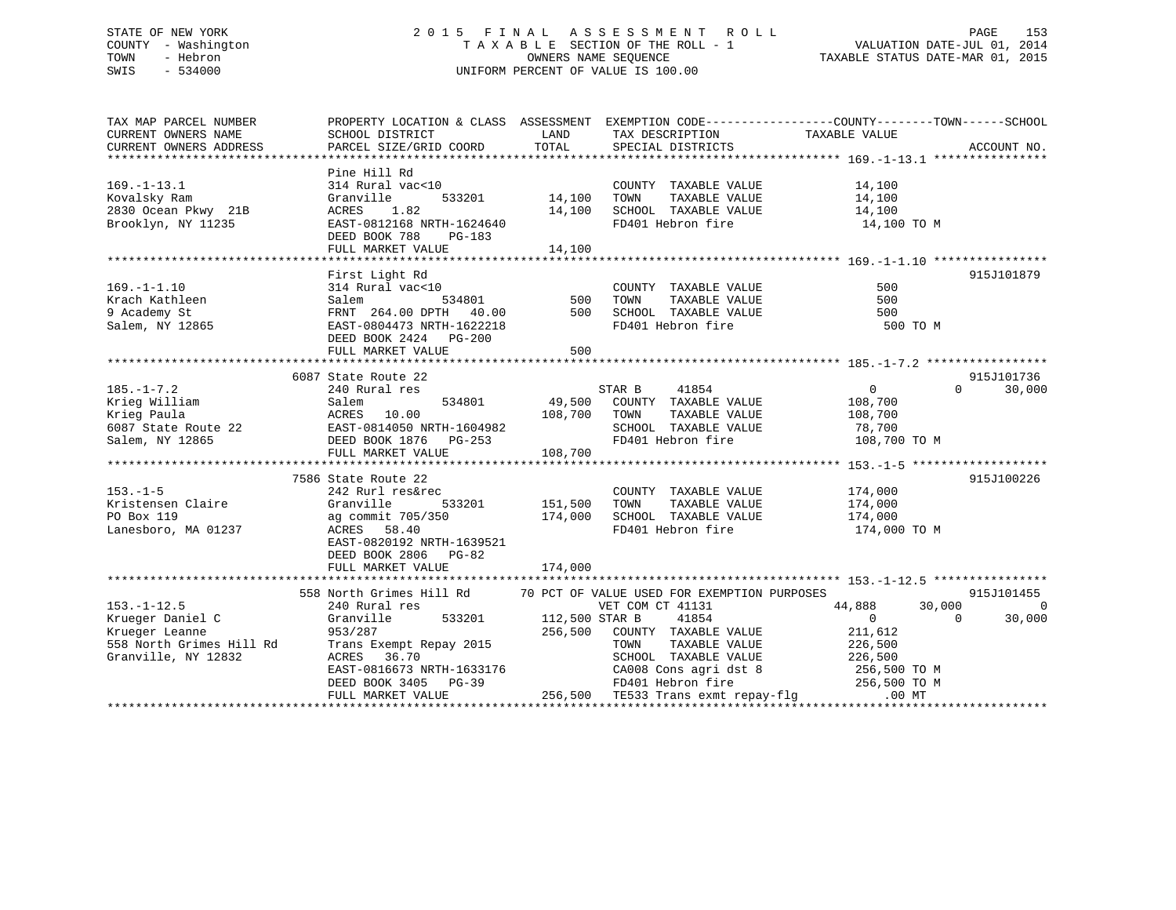# STATE OF NEW YORK 2 0 1 5 F I N A L A S S E S S M E N T R O L L PAGE 153 COUNTY - Washington T A X A B L E SECTION OF THE ROLL - 1 VALUATION DATE-JUL 01, 2014 TOWN - Hebron OWNERS NAME SEQUENCE TAXABLE STATUS DATE-MAR 01, 2015 SWIS - 534000 UNIFORM PERCENT OF VALUE IS 100.00

| TAX MAP PARCEL NUMBER<br>CURRENT OWNERS NAME<br>CURRENT OWNERS ADDRESS                                                                                                                                                              | SCHOOL DISTRICT<br><b>EXAMPLE SERVICE SERVICE SERVICE SERVICE SERVICE SERVICE SERVICE SERVICE SERVICE SERVICE SERVICE SERVICE SERVICE</b><br>PARCEL SIZE/GRID COORD                                                                                                                                                                     | TOTAL                                            | TAX DESCRIPTION TAXABLE VALUE SPECIAL DISTRICTS                                                                                                                                                                                                                   | PROPERTY LOCATION & CLASS ASSESSMENT EXEMPTION CODE---------------COUNTY-------TOWN------SCHOOL                                                          | ACCOUNT NO.                            |
|-------------------------------------------------------------------------------------------------------------------------------------------------------------------------------------------------------------------------------------|-----------------------------------------------------------------------------------------------------------------------------------------------------------------------------------------------------------------------------------------------------------------------------------------------------------------------------------------|--------------------------------------------------|-------------------------------------------------------------------------------------------------------------------------------------------------------------------------------------------------------------------------------------------------------------------|----------------------------------------------------------------------------------------------------------------------------------------------------------|----------------------------------------|
| $169. - 1 - 13.1$<br>Kovalsky Ram<br>2830 Ocean Pkwy 21B<br>Brooklyn, NY 11235                                                                                                                                                      | Pine Hill Rd<br>314 Rural vac<10<br>533201<br>Granville<br>ACRES 1.82 14,100<br>EAST-0812168 NRTH-1624640 14,100<br>DEED BOOK 788<br>PG-183                                                                                                                                                                                             | $33201$ $14,100$                                 | COUNTY TAXABLE VALUE<br>TAXABLE VALUE<br>TOWN<br>SCHOOL TAXABLE VALUE 14,100<br>FD401 Hebron fire                                                                                                                                                                 | 14,100<br>14,100<br>14,100 TO M                                                                                                                          |                                        |
|                                                                                                                                                                                                                                     |                                                                                                                                                                                                                                                                                                                                         |                                                  |                                                                                                                                                                                                                                                                   |                                                                                                                                                          |                                        |
|                                                                                                                                                                                                                                     | First Light Rd<br>314 Rural vac<10<br>Salem<br>FRNT 264.00 DPTH 40.00<br>EAST-0804473 NRTH-1622218<br>DEED BOOK 2424 PG-200                                                                                                                                                                                                             | )<br>534801                           500<br>500 | COUNTY TAXABLE VALUE<br>TAXABLE VALUE<br>TOWN<br>SCHOOL TAXABLE VALUE<br>FD401 Hebron fire                                                                                                                                                                        | 500<br>500<br>500<br>500 TO M                                                                                                                            | 915J101879                             |
|                                                                                                                                                                                                                                     | FULL MARKET VALUE                                                                                                                                                                                                                                                                                                                       | 500                                              |                                                                                                                                                                                                                                                                   |                                                                                                                                                          |                                        |
|                                                                                                                                                                                                                                     |                                                                                                                                                                                                                                                                                                                                         |                                                  |                                                                                                                                                                                                                                                                   |                                                                                                                                                          |                                        |
|                                                                                                                                                                                                                                     | 6087 State Route 22                                                                                                                                                                                                                                                                                                                     |                                                  |                                                                                                                                                                                                                                                                   | $\overline{a}$                                                                                                                                           | 915J101736                             |
| $185. - 1 - 7.2$<br>Exieg William Salem 534801 49,500 COUNTY<br>Krieg Paula ACRES 10.00 108,700 TOWN<br>6087 State Route 22 EAST-0814050 NRTH-1604982 SCHOOL<br>Salem, NY 12865 DEED BOOK 1876 PG-253 FD401 He<br>FTIT MABYET VALUE | 240 Rural res                                                                                                                                                                                                                                                                                                                           |                                                  | STAR B 41854<br>534801 49,500 COUNTY TAXABLE VALUE 108,700<br>TAXABLE VALUE<br>SCHOOL TAXABLE VALUE 78,700                                                                                                                                                        | 108,700                                                                                                                                                  | $\Omega$<br>30,000                     |
|                                                                                                                                                                                                                                     | FULL MARKET VALUE                                                                                                                                                                                                                                                                                                                       | 108,700                                          |                                                                                                                                                                                                                                                                   | FD401 Hebron fire 108,700 TO M                                                                                                                           |                                        |
|                                                                                                                                                                                                                                     |                                                                                                                                                                                                                                                                                                                                         |                                                  |                                                                                                                                                                                                                                                                   |                                                                                                                                                          |                                        |
| $153. - 1 - 5$<br>Kristensen Claire<br>PO Box 119<br>Lanesboro, MA 01237                                                                                                                                                            | 7586 State Route 22<br>242 Rurl res&rec<br>Granville<br>533201 151,500<br>ag commit 705/350<br>ACRES 58.40<br>EAST-0820192 NRTH-1639521                                                                                                                                                                                                 | 174,000                                          | $\begin{tabular}{lllllll} \multicolumn{2}{l}{{\text{COUNTY}}} & \multicolumn{2}{l}{\text{TAXABLE}} & \multicolumn{2}{l}{\text{VALUE}} & & \multicolumn{2}{l}{\text{174,000}} \end{tabular}$<br>TAXABLE VALUE<br>TOWN<br>SCHOOL TAXABLE VALUE<br>FD401 Hebron fire | 174,000<br>174,000<br>174,000 TO M                                                                                                                       | 915J100226                             |
|                                                                                                                                                                                                                                     | DEED BOOK 2806 PG-82                                                                                                                                                                                                                                                                                                                    |                                                  |                                                                                                                                                                                                                                                                   |                                                                                                                                                          |                                        |
|                                                                                                                                                                                                                                     |                                                                                                                                                                                                                                                                                                                                         |                                                  |                                                                                                                                                                                                                                                                   |                                                                                                                                                          |                                        |
| $153. - 1 - 12.5$<br>Krueger Daniel C<br>Krueger Leanne<br>558 North Grimes Hill Rd<br>Granville, NY 12832                                                                                                                          | 558 North Grimes Hill Rd 70 PCT OF VALUE USED FOR EXEMPTION PURPOSES<br>240 Rural res<br>Granville<br>953/287<br>Trans Exempt Repay 2015<br>ACRES 36.70<br>EAST-0816673 NRTH-1633176<br>EAST-0816673 NRTH-1633176<br>DEED BOOK 3405 PG-39 FD401 Hebron fire 256,500 TO M<br>FULL MARKET VALUE 256,500 TE533 Trans exmt repay-flg .00 MT | 533201 112,500 STAR B<br>256,500                 | VET COM CT 41131<br>41854<br>COUNTY TAXABLE VALUE<br>TOWN                                                                                                                                                                                                         | 44,888<br>30,000<br>$\Omega$<br>$\overline{0}$<br>211,612<br>TAXABLE VALUE 226,500<br>SCHOOL TAXABLE VALUE 226,500<br>CA008 Cons agri dst 8 256,500 TO M | 915J101455<br>$\overline{0}$<br>30,000 |
|                                                                                                                                                                                                                                     |                                                                                                                                                                                                                                                                                                                                         |                                                  |                                                                                                                                                                                                                                                                   |                                                                                                                                                          |                                        |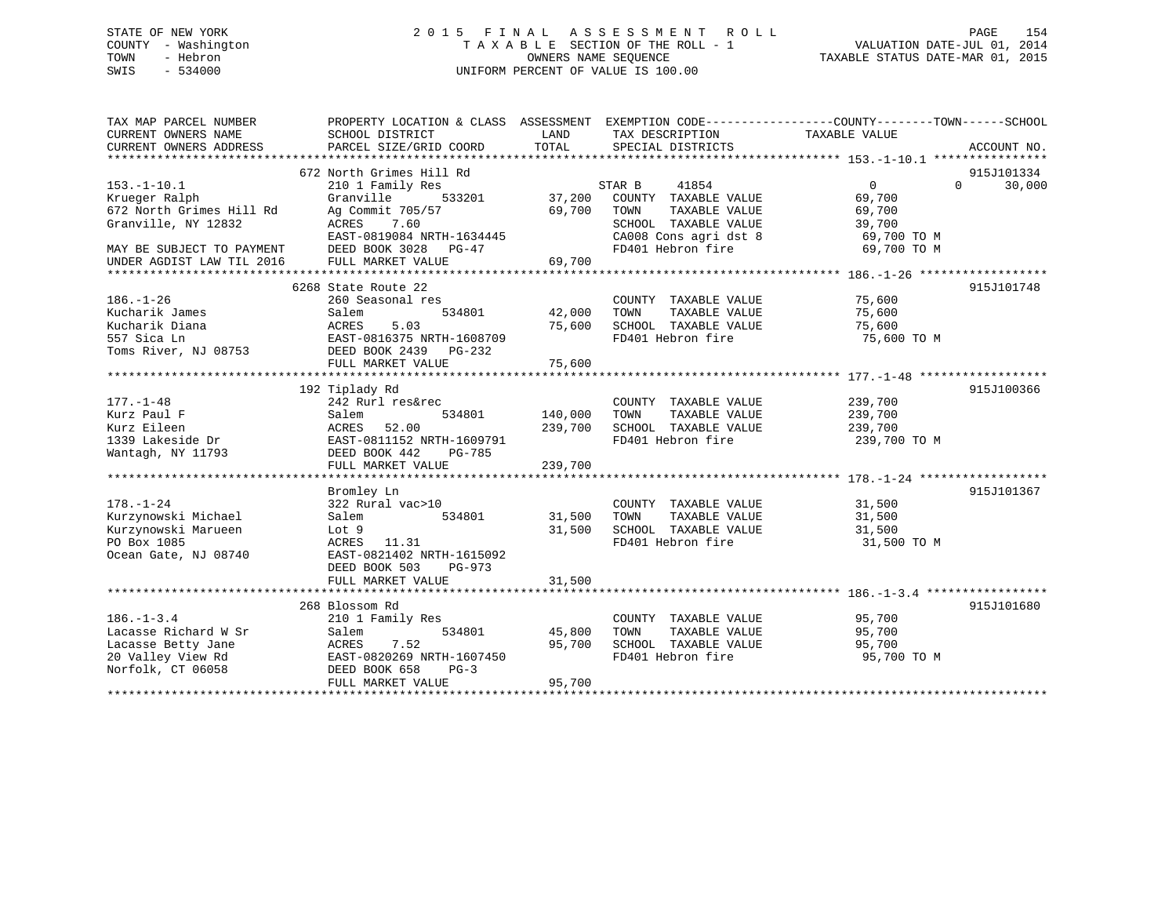# STATE OF NEW YORK 2 0 1 5 F I N A L A S S E S S M E N T R O L L PAGE 154 COUNTY - Washington T A X A B L E SECTION OF THE ROLL - 1 VALUATION DATE-JUL 01, 2014 TOWN - Hebron OWNERS NAME SEQUENCE TAXABLE STATUS DATE-MAR 01, 2015 SWIS - 534000 UNIFORM PERCENT OF VALUE IS 100.00

| TAX MAP PARCEL NUMBER<br>CURRENT OWNERS NAME           | SCHOOL DISTRICT                              | LAND    | TAX DESCRIPTION                               | PROPERTY LOCATION & CLASS ASSESSMENT EXEMPTION CODE----------------COUNTY-------TOWN------SCHOOL<br>TAXABLE VALUE |                      |
|--------------------------------------------------------|----------------------------------------------|---------|-----------------------------------------------|-------------------------------------------------------------------------------------------------------------------|----------------------|
| CURRENT OWNERS ADDRESS                                 | PARCEL SIZE/GRID COORD                       | TOTAL   | SPECIAL DISTRICTS                             |                                                                                                                   | ACCOUNT NO.          |
|                                                        |                                              |         |                                               |                                                                                                                   |                      |
| $153.-1-10.1$                                          | 672 North Grimes Hill Rd<br>210 1 Family Res |         | STAR B<br>41854                               | $0 \qquad \qquad$<br>$\Omega$                                                                                     | 915J101334<br>30,000 |
| Krueger Ralph                                          | Granville<br>533201                          | 37,200  | COUNTY TAXABLE VALUE                          | 69,700                                                                                                            |                      |
| 672 North Grimes Hill Rd                               | Ag Commit 705/57                             | 69,700  | TAXABLE VALUE<br>TOWN                         | 69,700                                                                                                            |                      |
| Granville, NY 12832                                    | ACRES<br>7.60                                |         | SCHOOL TAXABLE VALUE                          | 39,700                                                                                                            |                      |
|                                                        | EAST-0819084 NRTH-1634445                    |         | CA008 Cons agri dst 8<br>FD401 Hebron fire    | 69,700 TO M                                                                                                       |                      |
| MAY BE SUBJECT TO PAYMENT<br>UNDER AGDIST LAW TIL 2016 | DEED BOOK 3028 PG-47<br>FULL MARKET VALUE    | 69,700  |                                               | 69,700 TO M                                                                                                       |                      |
|                                                        |                                              |         |                                               |                                                                                                                   |                      |
|                                                        | 6268 State Route 22                          |         |                                               |                                                                                                                   | 915J101748           |
| $186. - 1 - 26$                                        | 260 Seasonal res                             | 42,000  | COUNTY TAXABLE VALUE<br>TAXABLE VALUE<br>TOWN | 75,600                                                                                                            |                      |
| Kucharik James<br>Kucharik Diana                       | Salem<br>534801<br>ACRES<br>5.03             | 75,600  | SCHOOL TAXABLE VALUE                          | 75,600<br>75,600                                                                                                  |                      |
| 557 Sica Ln                                            | EAST-0816375 NRTH-1608709                    |         | FD401 Hebron fire                             | 75,600 TO M                                                                                                       |                      |
| Toms River, NJ 08753                                   | DEED BOOK 2439 PG-232                        |         |                                               |                                                                                                                   |                      |
|                                                        | FULL MARKET VALUE                            | 75,600  |                                               |                                                                                                                   |                      |
|                                                        |                                              |         |                                               |                                                                                                                   |                      |
|                                                        | 192 Tiplady Rd                               |         |                                               |                                                                                                                   | 915J100366           |
| $177. - 1 - 48$                                        | 242 Rurl res&rec                             |         | COUNTY TAXABLE VALUE                          | 239,700                                                                                                           |                      |
| Kurz Paul F                                            | 534801<br>Salem                              | 140,000 | TAXABLE VALUE<br>TOWN                         | 239,700                                                                                                           |                      |
| Kurz Eileen                                            | 52.00<br>ACRES                               | 239,700 | SCHOOL TAXABLE VALUE                          | 239,700                                                                                                           |                      |
| 1339 Lakeside Dr                                       | EAST-0811152 NRTH-1609791                    |         | FD401 Hebron fire                             | 239,700 TO M                                                                                                      |                      |
| Wantagh, NY 11793                                      | DEED BOOK 442<br>PG-785                      |         |                                               |                                                                                                                   |                      |
|                                                        | FULL MARKET VALUE                            | 239,700 |                                               |                                                                                                                   |                      |
|                                                        |                                              |         |                                               |                                                                                                                   |                      |
|                                                        | Bromley Ln                                   |         |                                               |                                                                                                                   | 915J101367           |
| $178. - 1 - 24$                                        | 322 Rural vac>10                             |         | COUNTY TAXABLE VALUE                          | 31,500                                                                                                            |                      |
| Kurzynowski Michael                                    | 534801<br>Salem                              | 31,500  | TAXABLE VALUE<br>TOWN                         | 31,500                                                                                                            |                      |
| Kurzynowski Marueen                                    | Lot 9                                        | 31,500  | SCHOOL TAXABLE VALUE 31,500                   |                                                                                                                   |                      |
| PO Box 1085                                            | ACRES 11.31                                  |         | FD401 Hebron fire                             | 31,500 TO M                                                                                                       |                      |
| Ocean Gate, NJ 08740                                   | EAST-0821402 NRTH-1615092                    |         |                                               |                                                                                                                   |                      |
|                                                        | DEED BOOK 503<br>PG-973<br>FULL MARKET VALUE | 31,500  |                                               |                                                                                                                   |                      |
|                                                        |                                              |         |                                               |                                                                                                                   |                      |
|                                                        | 268 Blossom Rd                               |         |                                               |                                                                                                                   | 915J101680           |
| $186. - 1 - 3.4$                                       | 210 1 Family Res                             |         | COUNTY TAXABLE VALUE                          | 95,700                                                                                                            |                      |
| Lacasse Richard W Sr                                   | 534801<br>Salem                              | 45,800  | TAXABLE VALUE<br>TOWN                         | 95,700                                                                                                            |                      |
| Lacasse Betty Jane                                     |                                              | 95,700  | SCHOOL TAXABLE VALUE                          | 95,700                                                                                                            |                      |
| 20 Valley View Rd                                      | ACRES 7.52<br>EAST-0820269 NRTH-1607450      |         | FD401 Hebron fire                             | 95,700 TO M                                                                                                       |                      |
| Norfolk, CT 06058                                      | DEED BOOK 658<br>$PG-3$                      |         |                                               |                                                                                                                   |                      |
|                                                        | FULL MARKET VALUE                            | 95,700  |                                               |                                                                                                                   |                      |
|                                                        |                                              |         |                                               |                                                                                                                   |                      |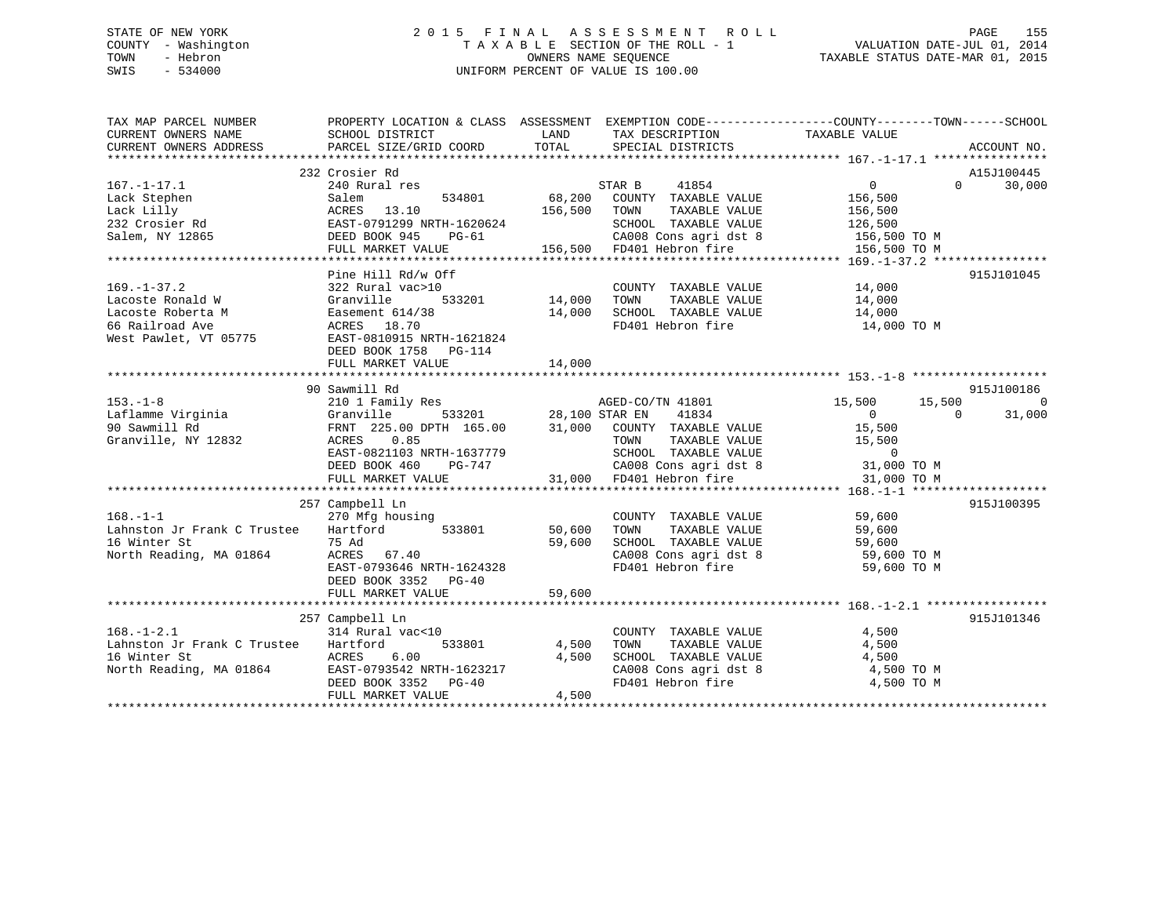# STATE OF NEW YORK 2 0 1 5 F I N A L A S S E S S M E N T R O L L PAGE 155 COUNTY - Washington T A X A B L E SECTION OF THE ROLL - 1 VALUATION DATE-JUL 01, 2014 TOWN - Hebron OWNERS NAME SEQUENCE TAXABLE STATUS DATE-MAR 01, 2015 SWIS - 534000 UNIFORM PERCENT OF VALUE IS 100.00

| TAX MAP PARCEL NUMBER<br>CURRENT OWNERS NAME | PROPERTY LOCATION & CLASS ASSESSMENT EXEMPTION CODE---------------COUNTY-------TOWN------SCHOOL<br>SCHOOL DISTRICT | LAND                   | TAX DESCRIPTION                                                                          | TAXABLE VALUE        |          |             |
|----------------------------------------------|--------------------------------------------------------------------------------------------------------------------|------------------------|------------------------------------------------------------------------------------------|----------------------|----------|-------------|
| CURRENT OWNERS ADDRESS                       | PARCEL SIZE/GRID COORD                                                                                             | TOTAL                  | SPECIAL DISTRICTS                                                                        |                      |          | ACCOUNT NO. |
|                                              |                                                                                                                    |                        |                                                                                          |                      |          |             |
|                                              | 232 Crosier Rd                                                                                                     |                        |                                                                                          |                      |          | A15J100445  |
| $167. - 1 - 17.1$                            | 240 Rural res                                                                                                      |                        | 41854<br>STAR B                                                                          | $0 \qquad \qquad$    | $\Omega$ | 30,000      |
| Lack Stephen                                 | 534801<br>Salem                                                                                                    | 68,200                 | COUNTY TAXABLE VALUE                                                                     | 156,500              |          |             |
| Lack Lilly<br>232 Crosier Rd                 | ACRES 13.10                                                                                                        | 156,500                | TOWN<br>TAXABLE VALUE                                                                    | 156,500              |          |             |
|                                              | EAST-0791299 NRTH-1620624                                                                                          |                        | SCHOOL TAXABLE VALUE                                                                     | 126,500              |          |             |
| Salem, NY 12865                              | DEED BOOK 945<br>PG-61                                                                                             |                        | CA008 Cons agri dst 8 156,500 TO M                                                       |                      |          |             |
|                                              | FULL MARKET VALUE 156,500 FD401 Hebron fire                                                                        |                        |                                                                                          | 156,500 TO M         |          |             |
|                                              |                                                                                                                    |                        |                                                                                          |                      |          |             |
|                                              | Pine Hill Rd/w Off                                                                                                 |                        |                                                                                          |                      |          | 915J101045  |
| $169. - 1 - 37.2$                            | 322 Rural vac>10                                                                                                   |                        | COUNTY TAXABLE VALUE 14,000                                                              |                      |          |             |
| Lacoste Ronald W                             | Granville                                                                                                          | ,<br>533201     14,000 | TOWN                                                                                     | TAXABLE VALUE 14,000 |          |             |
| Lacoste Roberta M                            | Easement 614/38                                                                                                    | 14,000                 | SCHOOL TAXABLE VALUE                                                                     | 14,000               |          |             |
| 66 Railroad Ave                              | ACRES 18.70                                                                                                        |                        | FD401 Hebron fire                                                                        | 14,000 TO M          |          |             |
| West Pawlet, VT 05775                        | EAST-0810915 NRTH-1621824                                                                                          |                        |                                                                                          |                      |          |             |
|                                              | DEED BOOK 1758 PG-114                                                                                              |                        |                                                                                          |                      |          |             |
|                                              | FULL MARKET VALUE                                                                                                  | 14,000                 |                                                                                          |                      |          |             |
|                                              |                                                                                                                    |                        |                                                                                          |                      |          |             |
|                                              | 90 Sawmill Rd                                                                                                      |                        |                                                                                          |                      |          | 915J100186  |
| $153. - 1 - 8$                               | 210 1 Family Res                                                                                                   |                        | 3<br>533201 28,100 STAR EN 41834                                                         | 15,500               | 15,500   | 0           |
| Laflamme Virginia<br>90 Sawmill Rd           | Granville                                                                                                          |                        |                                                                                          | $\overline{0}$       | $\Omega$ | 31,000      |
|                                              | FRNT 225.00 DPTH 165.00                                                                                            |                        | 31,000 COUNTY TAXABLE VALUE                                                              | 15,500               |          |             |
| Granville, NY 12832                          | 0.85<br>ACRES                                                                                                      |                        | TOWN TAXABLE VALUE 15,500<br>SCHOOL TAXABLE VALUE 0<br>CA008 Cons agri dst 8 31,000 TO M |                      |          |             |
|                                              | EAST-0821103 NRTH-1637779                                                                                          |                        |                                                                                          |                      |          |             |
|                                              | DEED BOOK 460<br>PG-747                                                                                            |                        |                                                                                          |                      |          |             |
|                                              | FULL MARKET VALUE                                                                                                  |                        | 31,000 FD401 Hebron fire                                                                 | 31,000 TO M          |          |             |
|                                              |                                                                                                                    |                        |                                                                                          |                      |          |             |
|                                              | 257 Campbell Ln                                                                                                    |                        |                                                                                          |                      |          | 915J100395  |
| $168. - 1 - 1$                               | 270 Mfg housing                                                                                                    |                        | COUNTY TAXABLE VALUE                                                                     | 59,600               |          |             |
| Lahnston Jr Frank C Trustee                  | 533801<br>Hartford                                                                                                 | 50,600                 | TAXABLE VALUE<br>TOWN                                                                    | 59,600               |          |             |
| 16 Winter St                                 | 75 Ad                                                                                                              | 59,600                 |                                                                                          |                      |          |             |
| North Reading, MA 01864                      | ACRES 67.40                                                                                                        |                        | SCHOOL TAXABLE VALUE 59,600<br>CA008 Cons agri dst 8 59,600 TO M                         |                      |          |             |
|                                              | EAST-0793646 NRTH-1624328                                                                                          |                        | FD401 Hebron fire                                                                        | 59,600 TO M          |          |             |
|                                              | DEED BOOK 3352 PG-40                                                                                               |                        |                                                                                          |                      |          |             |
|                                              | FULL MARKET VALUE                                                                                                  | 59,600                 |                                                                                          |                      |          |             |
|                                              |                                                                                                                    |                        |                                                                                          |                      |          |             |
|                                              | 257 Campbell Ln                                                                                                    |                        |                                                                                          |                      |          | 915J101346  |
| $168. - 1 - 2.1$                             | 314 Rural vac<10                                                                                                   |                        | COUNTY TAXABLE VALUE                                                                     | 4,500                |          |             |
| Lahnston Jr Frank C Trustee                  | 533801<br>Hartford                                                                                                 | 4,500                  | TAXABLE VALUE<br>TOWN                                                                    | 4,500                |          |             |
| 16 Winter St                                 | ACRES<br>6.00                                                                                                      | 4,500                  | SCHOOL TAXABLE VALUE                                                                     | 4,500                |          |             |
| North Reading, MA 01864                      | EAST-0793542 NRTH-1623217                                                                                          |                        | CA008 Cons agri dst 8<br>ED401 Hebron fire                                               | 4,500 TO M           |          |             |
|                                              | DEED BOOK 3352 PG-40                                                                                               |                        | FD401 Hebron fire                                                                        | 4,500 TO M           |          |             |
|                                              | FULL MARKET VALUE                                                                                                  | 4,500                  |                                                                                          |                      |          |             |
|                                              |                                                                                                                    |                        |                                                                                          |                      |          |             |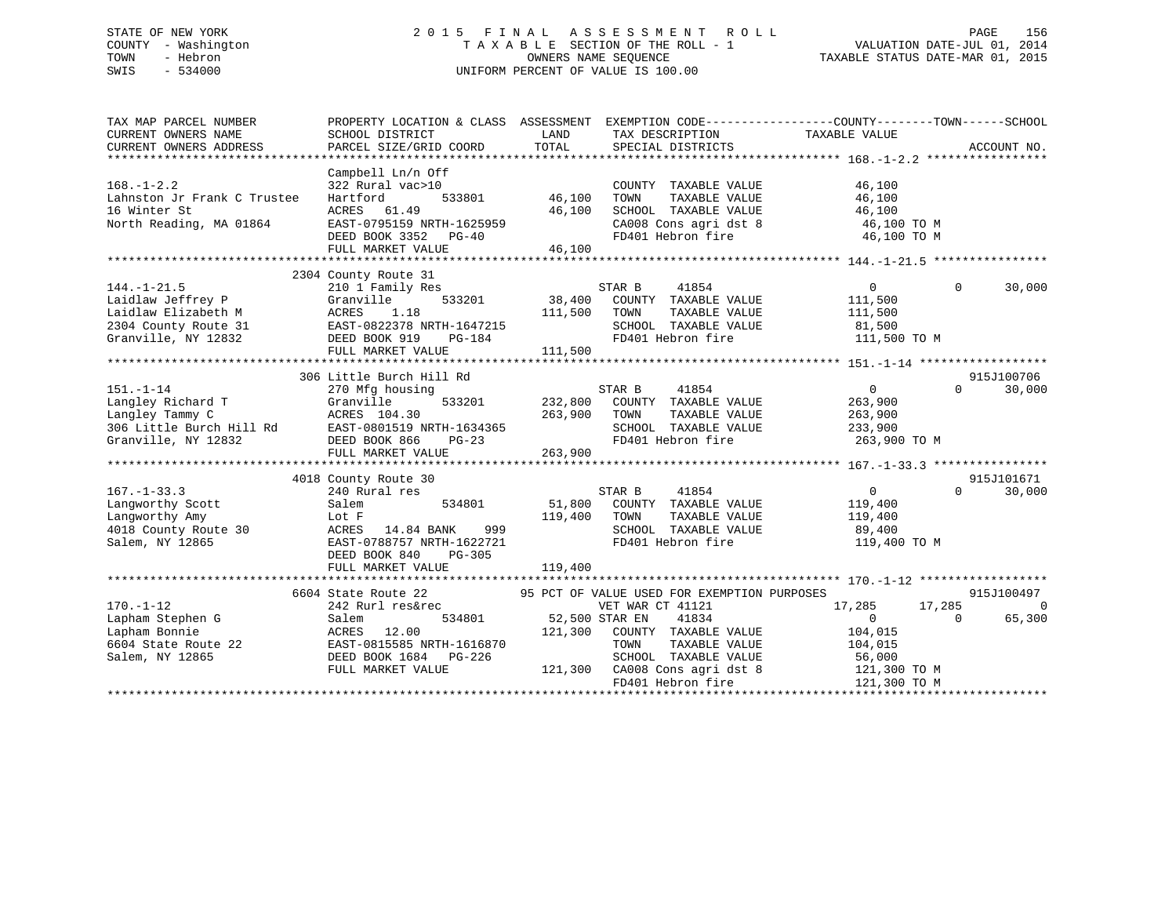# STATE OF NEW YORK 2 0 1 5 F I N A L A S S E S S M E N T R O L L PAGE 156 COUNTY - Washington T A X A B L E SECTION OF THE ROLL - 1 VALUATION DATE-JUL 01, 2014 TOWN - Hebron OWNERS NAME SEQUENCE TAXABLE STATUS DATE-MAR 01, 2015 SWIS - 534000 UNIFORM PERCENT OF VALUE IS 100.00

| LAND<br>TAXABLE VALUE<br>SCHOOL DISTRICT<br>TAX DESCRIPTION<br>TOTAL<br>PARCEL SIZE/GRID COORD<br>SPECIAL DISTRICTS<br>ACCOUNT NO.<br>Campbell Ln/n Off<br>322 Rural vac>10<br>COUNTY TAXABLE VALUE<br>46,100<br>Hartford<br>533801<br>46,100<br>TOWN<br>TAXABLE VALUE<br>46,100<br>46,100<br>ACRES 61.49<br>SCHOOL TAXABLE VALUE<br>46,100<br>$\begin{array}{llllll} \texttt{CA008} & \texttt{Cons}\ \texttt{agri}\ \texttt{dst}\ 8 & & \texttt{46,100}\ \texttt{T0 M} & \texttt{FD401} & \texttt{Hebron}\ \texttt{fire} & & \texttt{46,100}\ \texttt{T0 M} & & & \end{array}$<br>DEED BOOK 3352 PG-40<br>46,100<br>FULL MARKET VALUE<br>2304 County Route 31<br>$144. - 1 - 21.5$<br>$0 \qquad \qquad$<br>$\Omega$<br>30,000<br>210 1 Family Res<br>210 1<br>Granvi<br>ACRES<br>Laidlaw Jeffrey P<br>Granville<br>533201<br>111,500<br>Laidlaw Elizabeth M<br>1.18<br>111,500<br>TOWN<br>TAXABLE VALUE<br>111,500<br>EAST-0822378 NRTH-1647215<br>DEED BOOK 919 PG-184<br>2304 County Route 31<br>SCHOOL TAXABLE VALUE<br>81,500<br>Granville, NY 12832<br>FD401 Hebron fire<br>111,500 TO M<br>DEED BOOK 919<br>PG-184<br>111,500<br>FULL MARKET VALUE<br>915J100706<br>306 Little Burch Hill Rd<br>$151. - 1 - 14$<br>STAR B<br>41854<br>$\overline{0}$<br>$\Omega$<br>30,000<br>270 Mfg housing<br>533201 232,800<br>151.-1-14<br>Langley Richard T<br>Langley Tammy C<br>306 Little Burch Hill Rd<br>Tranville, NY 12832<br>263,<br>263,<br>263,<br>263,<br>DEED BOOK 866<br>PG-23<br>FIILL MARKET VALUE<br>COUNTY TAXABLE VALUE<br>263,900<br>263,900<br>TOWN<br>TAXABLE VALUE<br>263,900<br>SCHOOL TAXABLE VALUE<br>233,900<br>FD401 Hebron fire<br>263,900 TO M<br>263,900<br>915J101671<br>4018 County Route 30<br>$167. - 1 - 33.3$<br>240 Rural res<br>STAR B<br>41854<br>$\overline{0}$<br>30,000<br>$\Omega$<br>51,800 COUNTY TAXABLE VALUE<br>534801<br>Langworthy Scott<br>Salem<br>119,400<br>119,400<br>Langworthy Amy<br>Lot F<br>119,400<br>TAXABLE VALUE<br>TOWN<br>Langworthy Auly<br>4018 County Route 30 ACRES 14.04 DEAT-1622721<br>EAST-0788757 NRTH-1622721<br>ACRES 14.84 BANK 999<br>SCHOOL TAXABLE VALUE<br>89,400<br>FD401 Hebron fire<br>119,400 TO M<br>DEED BOOK 840<br>$PG-305$<br>119,400<br>FULL MARKET VALUE<br>95 PCT OF VALUE USED FOR EXEMPTION PURPOSES<br>915J100497<br>6604 State Route 22<br>State Route 22<br>242 Rurl res&rec<br>17,285<br>$\Omega$<br>VET WAR CT 41121<br>17,285<br>534801 52,500 STAR EN<br>$\overline{0}$<br>65,300<br>G<br>RORES 12.00<br>Pe 22 EAST-0815585 NRTH-1616870<br>Pe 226 Ferry DON' 1684 PG-226<br>41834<br>$\Omega$<br>121,300 COUNTY TAXABLE VALUE<br>104,015<br>TAXABLE VALUE<br>TOWN<br>104,015<br>56,000<br>Salem, NY 12865<br>SCHOOL TAXABLE VALUE<br>121,300 CA008 Cons agri dst 8<br>FULL MARKET VALUE<br>121,300 TO M<br>FD401 Hebron fire<br>121,300 TO M | TAX MAP PARCEL NUMBER       | PROPERTY LOCATION & CLASS ASSESSMENT EXEMPTION CODE----------------COUNTY-------TOWN-----SCHOOL |  |  |
|---------------------------------------------------------------------------------------------------------------------------------------------------------------------------------------------------------------------------------------------------------------------------------------------------------------------------------------------------------------------------------------------------------------------------------------------------------------------------------------------------------------------------------------------------------------------------------------------------------------------------------------------------------------------------------------------------------------------------------------------------------------------------------------------------------------------------------------------------------------------------------------------------------------------------------------------------------------------------------------------------------------------------------------------------------------------------------------------------------------------------------------------------------------------------------------------------------------------------------------------------------------------------------------------------------------------------------------------------------------------------------------------------------------------------------------------------------------------------------------------------------------------------------------------------------------------------------------------------------------------------------------------------------------------------------------------------------------------------------------------------------------------------------------------------------------------------------------------------------------------------------------------------------------------------------------------------------------------------------------------------------------------------------------------------------------------------------------------------------------------------------------------------------------------------------------------------------------------------------------------------------------------------------------------------------------------------------------------------------------------------------------------------------------------------------------------------------------------------------------------------------------------------------------------------------------------------------------------------------------------------------------------------------------------------------------------------------------------------------------------------------------------------------------------------------------------------------------------------|-----------------------------|-------------------------------------------------------------------------------------------------|--|--|
|                                                                                                                                                                                                                                                                                                                                                                                                                                                                                                                                                                                                                                                                                                                                                                                                                                                                                                                                                                                                                                                                                                                                                                                                                                                                                                                                                                                                                                                                                                                                                                                                                                                                                                                                                                                                                                                                                                                                                                                                                                                                                                                                                                                                                                                                                                                                                                                                                                                                                                                                                                                                                                                                                                                                                                                                                                                   | CURRENT OWNERS NAME         |                                                                                                 |  |  |
|                                                                                                                                                                                                                                                                                                                                                                                                                                                                                                                                                                                                                                                                                                                                                                                                                                                                                                                                                                                                                                                                                                                                                                                                                                                                                                                                                                                                                                                                                                                                                                                                                                                                                                                                                                                                                                                                                                                                                                                                                                                                                                                                                                                                                                                                                                                                                                                                                                                                                                                                                                                                                                                                                                                                                                                                                                                   | CURRENT OWNERS ADDRESS      |                                                                                                 |  |  |
|                                                                                                                                                                                                                                                                                                                                                                                                                                                                                                                                                                                                                                                                                                                                                                                                                                                                                                                                                                                                                                                                                                                                                                                                                                                                                                                                                                                                                                                                                                                                                                                                                                                                                                                                                                                                                                                                                                                                                                                                                                                                                                                                                                                                                                                                                                                                                                                                                                                                                                                                                                                                                                                                                                                                                                                                                                                   |                             |                                                                                                 |  |  |
|                                                                                                                                                                                                                                                                                                                                                                                                                                                                                                                                                                                                                                                                                                                                                                                                                                                                                                                                                                                                                                                                                                                                                                                                                                                                                                                                                                                                                                                                                                                                                                                                                                                                                                                                                                                                                                                                                                                                                                                                                                                                                                                                                                                                                                                                                                                                                                                                                                                                                                                                                                                                                                                                                                                                                                                                                                                   |                             |                                                                                                 |  |  |
|                                                                                                                                                                                                                                                                                                                                                                                                                                                                                                                                                                                                                                                                                                                                                                                                                                                                                                                                                                                                                                                                                                                                                                                                                                                                                                                                                                                                                                                                                                                                                                                                                                                                                                                                                                                                                                                                                                                                                                                                                                                                                                                                                                                                                                                                                                                                                                                                                                                                                                                                                                                                                                                                                                                                                                                                                                                   | $168. - 1 - 2.2$            |                                                                                                 |  |  |
|                                                                                                                                                                                                                                                                                                                                                                                                                                                                                                                                                                                                                                                                                                                                                                                                                                                                                                                                                                                                                                                                                                                                                                                                                                                                                                                                                                                                                                                                                                                                                                                                                                                                                                                                                                                                                                                                                                                                                                                                                                                                                                                                                                                                                                                                                                                                                                                                                                                                                                                                                                                                                                                                                                                                                                                                                                                   | Lahnston Jr Frank C Trustee |                                                                                                 |  |  |
|                                                                                                                                                                                                                                                                                                                                                                                                                                                                                                                                                                                                                                                                                                                                                                                                                                                                                                                                                                                                                                                                                                                                                                                                                                                                                                                                                                                                                                                                                                                                                                                                                                                                                                                                                                                                                                                                                                                                                                                                                                                                                                                                                                                                                                                                                                                                                                                                                                                                                                                                                                                                                                                                                                                                                                                                                                                   | 16 Winter St                |                                                                                                 |  |  |
|                                                                                                                                                                                                                                                                                                                                                                                                                                                                                                                                                                                                                                                                                                                                                                                                                                                                                                                                                                                                                                                                                                                                                                                                                                                                                                                                                                                                                                                                                                                                                                                                                                                                                                                                                                                                                                                                                                                                                                                                                                                                                                                                                                                                                                                                                                                                                                                                                                                                                                                                                                                                                                                                                                                                                                                                                                                   | North Reading, MA 01864     |                                                                                                 |  |  |
|                                                                                                                                                                                                                                                                                                                                                                                                                                                                                                                                                                                                                                                                                                                                                                                                                                                                                                                                                                                                                                                                                                                                                                                                                                                                                                                                                                                                                                                                                                                                                                                                                                                                                                                                                                                                                                                                                                                                                                                                                                                                                                                                                                                                                                                                                                                                                                                                                                                                                                                                                                                                                                                                                                                                                                                                                                                   |                             |                                                                                                 |  |  |
|                                                                                                                                                                                                                                                                                                                                                                                                                                                                                                                                                                                                                                                                                                                                                                                                                                                                                                                                                                                                                                                                                                                                                                                                                                                                                                                                                                                                                                                                                                                                                                                                                                                                                                                                                                                                                                                                                                                                                                                                                                                                                                                                                                                                                                                                                                                                                                                                                                                                                                                                                                                                                                                                                                                                                                                                                                                   |                             |                                                                                                 |  |  |
|                                                                                                                                                                                                                                                                                                                                                                                                                                                                                                                                                                                                                                                                                                                                                                                                                                                                                                                                                                                                                                                                                                                                                                                                                                                                                                                                                                                                                                                                                                                                                                                                                                                                                                                                                                                                                                                                                                                                                                                                                                                                                                                                                                                                                                                                                                                                                                                                                                                                                                                                                                                                                                                                                                                                                                                                                                                   |                             |                                                                                                 |  |  |
|                                                                                                                                                                                                                                                                                                                                                                                                                                                                                                                                                                                                                                                                                                                                                                                                                                                                                                                                                                                                                                                                                                                                                                                                                                                                                                                                                                                                                                                                                                                                                                                                                                                                                                                                                                                                                                                                                                                                                                                                                                                                                                                                                                                                                                                                                                                                                                                                                                                                                                                                                                                                                                                                                                                                                                                                                                                   |                             |                                                                                                 |  |  |
|                                                                                                                                                                                                                                                                                                                                                                                                                                                                                                                                                                                                                                                                                                                                                                                                                                                                                                                                                                                                                                                                                                                                                                                                                                                                                                                                                                                                                                                                                                                                                                                                                                                                                                                                                                                                                                                                                                                                                                                                                                                                                                                                                                                                                                                                                                                                                                                                                                                                                                                                                                                                                                                                                                                                                                                                                                                   |                             |                                                                                                 |  |  |
|                                                                                                                                                                                                                                                                                                                                                                                                                                                                                                                                                                                                                                                                                                                                                                                                                                                                                                                                                                                                                                                                                                                                                                                                                                                                                                                                                                                                                                                                                                                                                                                                                                                                                                                                                                                                                                                                                                                                                                                                                                                                                                                                                                                                                                                                                                                                                                                                                                                                                                                                                                                                                                                                                                                                                                                                                                                   |                             |                                                                                                 |  |  |
|                                                                                                                                                                                                                                                                                                                                                                                                                                                                                                                                                                                                                                                                                                                                                                                                                                                                                                                                                                                                                                                                                                                                                                                                                                                                                                                                                                                                                                                                                                                                                                                                                                                                                                                                                                                                                                                                                                                                                                                                                                                                                                                                                                                                                                                                                                                                                                                                                                                                                                                                                                                                                                                                                                                                                                                                                                                   |                             |                                                                                                 |  |  |
|                                                                                                                                                                                                                                                                                                                                                                                                                                                                                                                                                                                                                                                                                                                                                                                                                                                                                                                                                                                                                                                                                                                                                                                                                                                                                                                                                                                                                                                                                                                                                                                                                                                                                                                                                                                                                                                                                                                                                                                                                                                                                                                                                                                                                                                                                                                                                                                                                                                                                                                                                                                                                                                                                                                                                                                                                                                   |                             |                                                                                                 |  |  |
|                                                                                                                                                                                                                                                                                                                                                                                                                                                                                                                                                                                                                                                                                                                                                                                                                                                                                                                                                                                                                                                                                                                                                                                                                                                                                                                                                                                                                                                                                                                                                                                                                                                                                                                                                                                                                                                                                                                                                                                                                                                                                                                                                                                                                                                                                                                                                                                                                                                                                                                                                                                                                                                                                                                                                                                                                                                   |                             |                                                                                                 |  |  |
|                                                                                                                                                                                                                                                                                                                                                                                                                                                                                                                                                                                                                                                                                                                                                                                                                                                                                                                                                                                                                                                                                                                                                                                                                                                                                                                                                                                                                                                                                                                                                                                                                                                                                                                                                                                                                                                                                                                                                                                                                                                                                                                                                                                                                                                                                                                                                                                                                                                                                                                                                                                                                                                                                                                                                                                                                                                   |                             |                                                                                                 |  |  |
|                                                                                                                                                                                                                                                                                                                                                                                                                                                                                                                                                                                                                                                                                                                                                                                                                                                                                                                                                                                                                                                                                                                                                                                                                                                                                                                                                                                                                                                                                                                                                                                                                                                                                                                                                                                                                                                                                                                                                                                                                                                                                                                                                                                                                                                                                                                                                                                                                                                                                                                                                                                                                                                                                                                                                                                                                                                   |                             |                                                                                                 |  |  |
|                                                                                                                                                                                                                                                                                                                                                                                                                                                                                                                                                                                                                                                                                                                                                                                                                                                                                                                                                                                                                                                                                                                                                                                                                                                                                                                                                                                                                                                                                                                                                                                                                                                                                                                                                                                                                                                                                                                                                                                                                                                                                                                                                                                                                                                                                                                                                                                                                                                                                                                                                                                                                                                                                                                                                                                                                                                   |                             |                                                                                                 |  |  |
|                                                                                                                                                                                                                                                                                                                                                                                                                                                                                                                                                                                                                                                                                                                                                                                                                                                                                                                                                                                                                                                                                                                                                                                                                                                                                                                                                                                                                                                                                                                                                                                                                                                                                                                                                                                                                                                                                                                                                                                                                                                                                                                                                                                                                                                                                                                                                                                                                                                                                                                                                                                                                                                                                                                                                                                                                                                   |                             |                                                                                                 |  |  |
|                                                                                                                                                                                                                                                                                                                                                                                                                                                                                                                                                                                                                                                                                                                                                                                                                                                                                                                                                                                                                                                                                                                                                                                                                                                                                                                                                                                                                                                                                                                                                                                                                                                                                                                                                                                                                                                                                                                                                                                                                                                                                                                                                                                                                                                                                                                                                                                                                                                                                                                                                                                                                                                                                                                                                                                                                                                   |                             |                                                                                                 |  |  |
|                                                                                                                                                                                                                                                                                                                                                                                                                                                                                                                                                                                                                                                                                                                                                                                                                                                                                                                                                                                                                                                                                                                                                                                                                                                                                                                                                                                                                                                                                                                                                                                                                                                                                                                                                                                                                                                                                                                                                                                                                                                                                                                                                                                                                                                                                                                                                                                                                                                                                                                                                                                                                                                                                                                                                                                                                                                   |                             |                                                                                                 |  |  |
|                                                                                                                                                                                                                                                                                                                                                                                                                                                                                                                                                                                                                                                                                                                                                                                                                                                                                                                                                                                                                                                                                                                                                                                                                                                                                                                                                                                                                                                                                                                                                                                                                                                                                                                                                                                                                                                                                                                                                                                                                                                                                                                                                                                                                                                                                                                                                                                                                                                                                                                                                                                                                                                                                                                                                                                                                                                   |                             |                                                                                                 |  |  |
|                                                                                                                                                                                                                                                                                                                                                                                                                                                                                                                                                                                                                                                                                                                                                                                                                                                                                                                                                                                                                                                                                                                                                                                                                                                                                                                                                                                                                                                                                                                                                                                                                                                                                                                                                                                                                                                                                                                                                                                                                                                                                                                                                                                                                                                                                                                                                                                                                                                                                                                                                                                                                                                                                                                                                                                                                                                   |                             |                                                                                                 |  |  |
|                                                                                                                                                                                                                                                                                                                                                                                                                                                                                                                                                                                                                                                                                                                                                                                                                                                                                                                                                                                                                                                                                                                                                                                                                                                                                                                                                                                                                                                                                                                                                                                                                                                                                                                                                                                                                                                                                                                                                                                                                                                                                                                                                                                                                                                                                                                                                                                                                                                                                                                                                                                                                                                                                                                                                                                                                                                   |                             |                                                                                                 |  |  |
|                                                                                                                                                                                                                                                                                                                                                                                                                                                                                                                                                                                                                                                                                                                                                                                                                                                                                                                                                                                                                                                                                                                                                                                                                                                                                                                                                                                                                                                                                                                                                                                                                                                                                                                                                                                                                                                                                                                                                                                                                                                                                                                                                                                                                                                                                                                                                                                                                                                                                                                                                                                                                                                                                                                                                                                                                                                   |                             |                                                                                                 |  |  |
|                                                                                                                                                                                                                                                                                                                                                                                                                                                                                                                                                                                                                                                                                                                                                                                                                                                                                                                                                                                                                                                                                                                                                                                                                                                                                                                                                                                                                                                                                                                                                                                                                                                                                                                                                                                                                                                                                                                                                                                                                                                                                                                                                                                                                                                                                                                                                                                                                                                                                                                                                                                                                                                                                                                                                                                                                                                   |                             |                                                                                                 |  |  |
|                                                                                                                                                                                                                                                                                                                                                                                                                                                                                                                                                                                                                                                                                                                                                                                                                                                                                                                                                                                                                                                                                                                                                                                                                                                                                                                                                                                                                                                                                                                                                                                                                                                                                                                                                                                                                                                                                                                                                                                                                                                                                                                                                                                                                                                                                                                                                                                                                                                                                                                                                                                                                                                                                                                                                                                                                                                   |                             |                                                                                                 |  |  |
|                                                                                                                                                                                                                                                                                                                                                                                                                                                                                                                                                                                                                                                                                                                                                                                                                                                                                                                                                                                                                                                                                                                                                                                                                                                                                                                                                                                                                                                                                                                                                                                                                                                                                                                                                                                                                                                                                                                                                                                                                                                                                                                                                                                                                                                                                                                                                                                                                                                                                                                                                                                                                                                                                                                                                                                                                                                   |                             |                                                                                                 |  |  |
|                                                                                                                                                                                                                                                                                                                                                                                                                                                                                                                                                                                                                                                                                                                                                                                                                                                                                                                                                                                                                                                                                                                                                                                                                                                                                                                                                                                                                                                                                                                                                                                                                                                                                                                                                                                                                                                                                                                                                                                                                                                                                                                                                                                                                                                                                                                                                                                                                                                                                                                                                                                                                                                                                                                                                                                                                                                   |                             |                                                                                                 |  |  |
|                                                                                                                                                                                                                                                                                                                                                                                                                                                                                                                                                                                                                                                                                                                                                                                                                                                                                                                                                                                                                                                                                                                                                                                                                                                                                                                                                                                                                                                                                                                                                                                                                                                                                                                                                                                                                                                                                                                                                                                                                                                                                                                                                                                                                                                                                                                                                                                                                                                                                                                                                                                                                                                                                                                                                                                                                                                   |                             |                                                                                                 |  |  |
|                                                                                                                                                                                                                                                                                                                                                                                                                                                                                                                                                                                                                                                                                                                                                                                                                                                                                                                                                                                                                                                                                                                                                                                                                                                                                                                                                                                                                                                                                                                                                                                                                                                                                                                                                                                                                                                                                                                                                                                                                                                                                                                                                                                                                                                                                                                                                                                                                                                                                                                                                                                                                                                                                                                                                                                                                                                   |                             |                                                                                                 |  |  |
|                                                                                                                                                                                                                                                                                                                                                                                                                                                                                                                                                                                                                                                                                                                                                                                                                                                                                                                                                                                                                                                                                                                                                                                                                                                                                                                                                                                                                                                                                                                                                                                                                                                                                                                                                                                                                                                                                                                                                                                                                                                                                                                                                                                                                                                                                                                                                                                                                                                                                                                                                                                                                                                                                                                                                                                                                                                   |                             |                                                                                                 |  |  |
|                                                                                                                                                                                                                                                                                                                                                                                                                                                                                                                                                                                                                                                                                                                                                                                                                                                                                                                                                                                                                                                                                                                                                                                                                                                                                                                                                                                                                                                                                                                                                                                                                                                                                                                                                                                                                                                                                                                                                                                                                                                                                                                                                                                                                                                                                                                                                                                                                                                                                                                                                                                                                                                                                                                                                                                                                                                   |                             |                                                                                                 |  |  |
|                                                                                                                                                                                                                                                                                                                                                                                                                                                                                                                                                                                                                                                                                                                                                                                                                                                                                                                                                                                                                                                                                                                                                                                                                                                                                                                                                                                                                                                                                                                                                                                                                                                                                                                                                                                                                                                                                                                                                                                                                                                                                                                                                                                                                                                                                                                                                                                                                                                                                                                                                                                                                                                                                                                                                                                                                                                   |                             |                                                                                                 |  |  |
|                                                                                                                                                                                                                                                                                                                                                                                                                                                                                                                                                                                                                                                                                                                                                                                                                                                                                                                                                                                                                                                                                                                                                                                                                                                                                                                                                                                                                                                                                                                                                                                                                                                                                                                                                                                                                                                                                                                                                                                                                                                                                                                                                                                                                                                                                                                                                                                                                                                                                                                                                                                                                                                                                                                                                                                                                                                   |                             |                                                                                                 |  |  |
|                                                                                                                                                                                                                                                                                                                                                                                                                                                                                                                                                                                                                                                                                                                                                                                                                                                                                                                                                                                                                                                                                                                                                                                                                                                                                                                                                                                                                                                                                                                                                                                                                                                                                                                                                                                                                                                                                                                                                                                                                                                                                                                                                                                                                                                                                                                                                                                                                                                                                                                                                                                                                                                                                                                                                                                                                                                   |                             |                                                                                                 |  |  |
|                                                                                                                                                                                                                                                                                                                                                                                                                                                                                                                                                                                                                                                                                                                                                                                                                                                                                                                                                                                                                                                                                                                                                                                                                                                                                                                                                                                                                                                                                                                                                                                                                                                                                                                                                                                                                                                                                                                                                                                                                                                                                                                                                                                                                                                                                                                                                                                                                                                                                                                                                                                                                                                                                                                                                                                                                                                   | $170. - 1 - 12$             |                                                                                                 |  |  |
|                                                                                                                                                                                                                                                                                                                                                                                                                                                                                                                                                                                                                                                                                                                                                                                                                                                                                                                                                                                                                                                                                                                                                                                                                                                                                                                                                                                                                                                                                                                                                                                                                                                                                                                                                                                                                                                                                                                                                                                                                                                                                                                                                                                                                                                                                                                                                                                                                                                                                                                                                                                                                                                                                                                                                                                                                                                   | Lapham Stephen G            |                                                                                                 |  |  |
|                                                                                                                                                                                                                                                                                                                                                                                                                                                                                                                                                                                                                                                                                                                                                                                                                                                                                                                                                                                                                                                                                                                                                                                                                                                                                                                                                                                                                                                                                                                                                                                                                                                                                                                                                                                                                                                                                                                                                                                                                                                                                                                                                                                                                                                                                                                                                                                                                                                                                                                                                                                                                                                                                                                                                                                                                                                   | Lapham Bonnie               |                                                                                                 |  |  |
|                                                                                                                                                                                                                                                                                                                                                                                                                                                                                                                                                                                                                                                                                                                                                                                                                                                                                                                                                                                                                                                                                                                                                                                                                                                                                                                                                                                                                                                                                                                                                                                                                                                                                                                                                                                                                                                                                                                                                                                                                                                                                                                                                                                                                                                                                                                                                                                                                                                                                                                                                                                                                                                                                                                                                                                                                                                   | 6604 State Route 22         |                                                                                                 |  |  |
|                                                                                                                                                                                                                                                                                                                                                                                                                                                                                                                                                                                                                                                                                                                                                                                                                                                                                                                                                                                                                                                                                                                                                                                                                                                                                                                                                                                                                                                                                                                                                                                                                                                                                                                                                                                                                                                                                                                                                                                                                                                                                                                                                                                                                                                                                                                                                                                                                                                                                                                                                                                                                                                                                                                                                                                                                                                   |                             |                                                                                                 |  |  |
|                                                                                                                                                                                                                                                                                                                                                                                                                                                                                                                                                                                                                                                                                                                                                                                                                                                                                                                                                                                                                                                                                                                                                                                                                                                                                                                                                                                                                                                                                                                                                                                                                                                                                                                                                                                                                                                                                                                                                                                                                                                                                                                                                                                                                                                                                                                                                                                                                                                                                                                                                                                                                                                                                                                                                                                                                                                   |                             |                                                                                                 |  |  |
|                                                                                                                                                                                                                                                                                                                                                                                                                                                                                                                                                                                                                                                                                                                                                                                                                                                                                                                                                                                                                                                                                                                                                                                                                                                                                                                                                                                                                                                                                                                                                                                                                                                                                                                                                                                                                                                                                                                                                                                                                                                                                                                                                                                                                                                                                                                                                                                                                                                                                                                                                                                                                                                                                                                                                                                                                                                   |                             |                                                                                                 |  |  |
|                                                                                                                                                                                                                                                                                                                                                                                                                                                                                                                                                                                                                                                                                                                                                                                                                                                                                                                                                                                                                                                                                                                                                                                                                                                                                                                                                                                                                                                                                                                                                                                                                                                                                                                                                                                                                                                                                                                                                                                                                                                                                                                                                                                                                                                                                                                                                                                                                                                                                                                                                                                                                                                                                                                                                                                                                                                   |                             |                                                                                                 |  |  |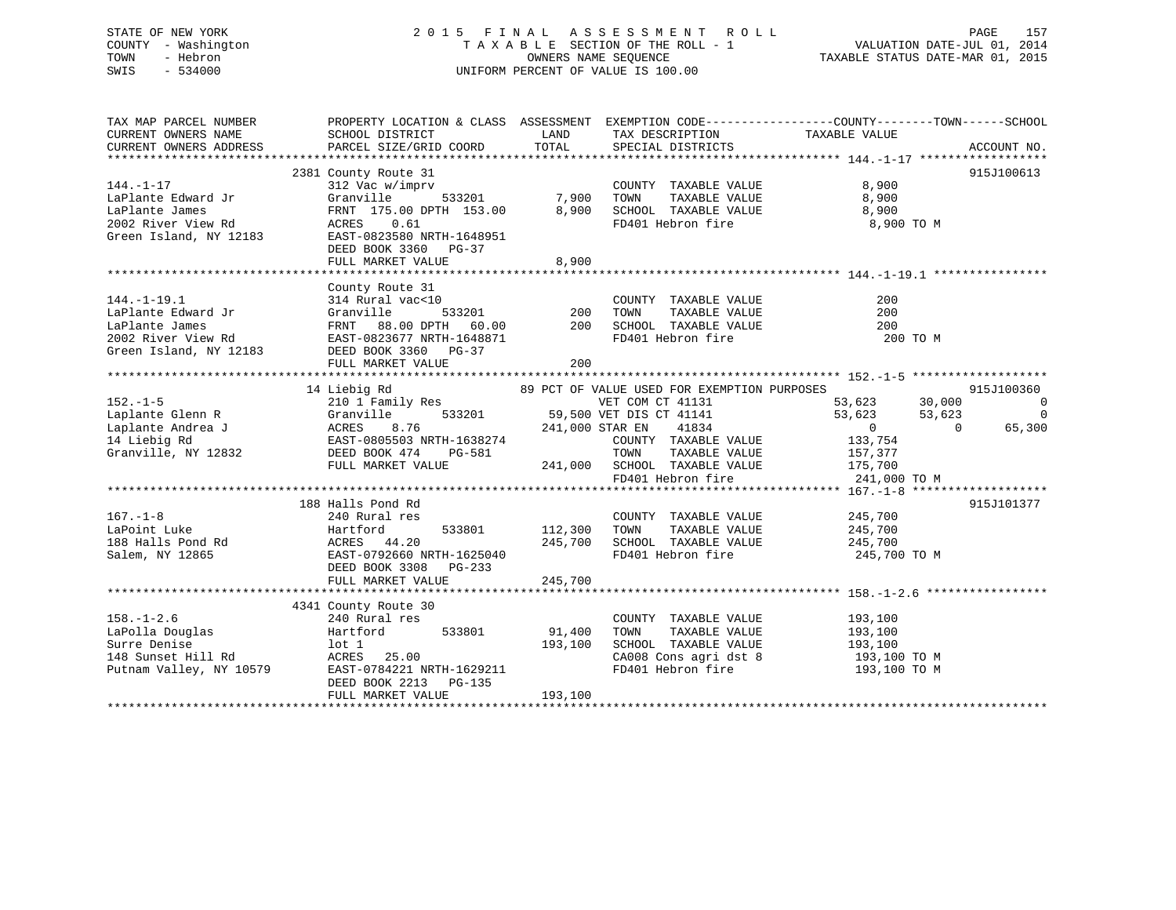# STATE OF NEW YORK 2 0 1 5 F I N A L A S S E S S M E N T R O L L PAGE 157 COUNTY - Washington T A X A B L E SECTION OF THE ROLL - 1 VALUATION DATE-JUL 01, 2014 TOWN - Hebron OWNERS NAME SEQUENCE TAXABLE STATUS DATE-MAR 01, 2015 SWIS - 534000 UNIFORM PERCENT OF VALUE IS 100.00

| TAX MAP PARCEL NUMBER |                                                                                                                                                                                                                                                                                          |                                           |                                                                                                                                                                   | PROPERTY LOCATION & CLASS ASSESSMENT EXEMPTION CODE---------------COUNTY-------TOWN-----SCHOOL |                                                                    |
|-----------------------|------------------------------------------------------------------------------------------------------------------------------------------------------------------------------------------------------------------------------------------------------------------------------------------|-------------------------------------------|-------------------------------------------------------------------------------------------------------------------------------------------------------------------|------------------------------------------------------------------------------------------------|--------------------------------------------------------------------|
| $144. -1 - 17$        | 2381 County Route 31<br>312 Vac w/imprv<br>LaPlante Edward Jr<br>LaPlante James FRNT 175.00 DPTH 153.00 8,900<br>2002 River View Rd ACRES 0.61<br>Green Island, NY 12183 EAST-0823580 NRTH-1648951<br>DEED BOOK 3360 PG-37<br>FULL MARKET VALUE                                          | 8,900                                     | COUNTY TAXABLE VALUE<br>TOWN TAXABLE VALUE 8,900<br>SCHOOL TAXABLE VALUE 8,900<br>FD401 Hebron fire                                                               | 8,900<br>8,900 TO M                                                                            | 915J100613                                                         |
|                       | County Route 31<br>FULL MARKET VALUE                                                                                                                                                                                                                                                     | 200                                       | COUNTY TAXABLE VALUE<br>TOWN TAXABLE VALUE<br>SCHOOL TAXABLE VALUE<br>FD401 Hebron fire                                                                           | 200<br>200<br>200<br>200 TO M                                                                  |                                                                    |
|                       | 14 Liebig Rd<br>152.-1-5<br>152.-1-5<br>Laplante Glenn R<br>Laplante Andrea J<br>Laplante Andrea J<br>210 1 Family Res<br>Cranville 533201<br>241,000 STAR EN 41834<br>241,000 STAR EN 41834<br>241,000 STAR EN 41834<br>241,000 STAR EN 41834<br>COUNTY TAXABLE VA<br>FULL MARKET VALUE |                                           | 89 PCT OF VALUE USED FOR EXEMPTION PURPOSES<br>VET COM CT 41131<br>COUNTY TAXABLE VALUE<br>$241,000$ SCHOOL TAXABLE VALUE $175,700$<br>FD401 Hebron fire $241,00$ | 53,623 30,000<br>53,623 53,623<br>0 0<br>133,754<br>TAXABLE VALUE 157,377<br>241,000 TO M      | 915J100360<br>$\overline{0}$<br>$\overline{\phantom{0}}$<br>65,300 |
| $167. - 1 - 8$        | 188 Halls Pond Rd<br>240 Rural res<br>DEED BOOK 3308 PG-233<br>FULL MARKET VALUE                                                                                                                                                                                                         | 533801 112,300 TOWN<br>245,700<br>245,700 | COUNTY TAXABLE VALUE 245,700<br>TOWN TAXABLE VALUE 245,700<br>SCHOOL TAXABLE VALUE 245,700                                                                        | FD401 Hebron fire 245,700 TO M                                                                 | 915J101377                                                         |
| $158. - 1 - 2.6$      | 4341 County Route 30<br>240 Pural res<br>240 Rural res<br>DEED BOOK 2213 PG-135<br>FULL MARKET VALUE                                                                                                                                                                                     | 91,400<br>193,100<br>193,100              | COUNTY TAXABLE VALUE<br>TAXABLE VALUE<br>TOWN<br>SCHOOL TAXABLE VALUE 193,100                                                                                     | 193,100<br>193,100<br>CA008 Cons agri dst 8 193,100 TO M<br>FD401 Hebron fire 193,100 TO M     |                                                                    |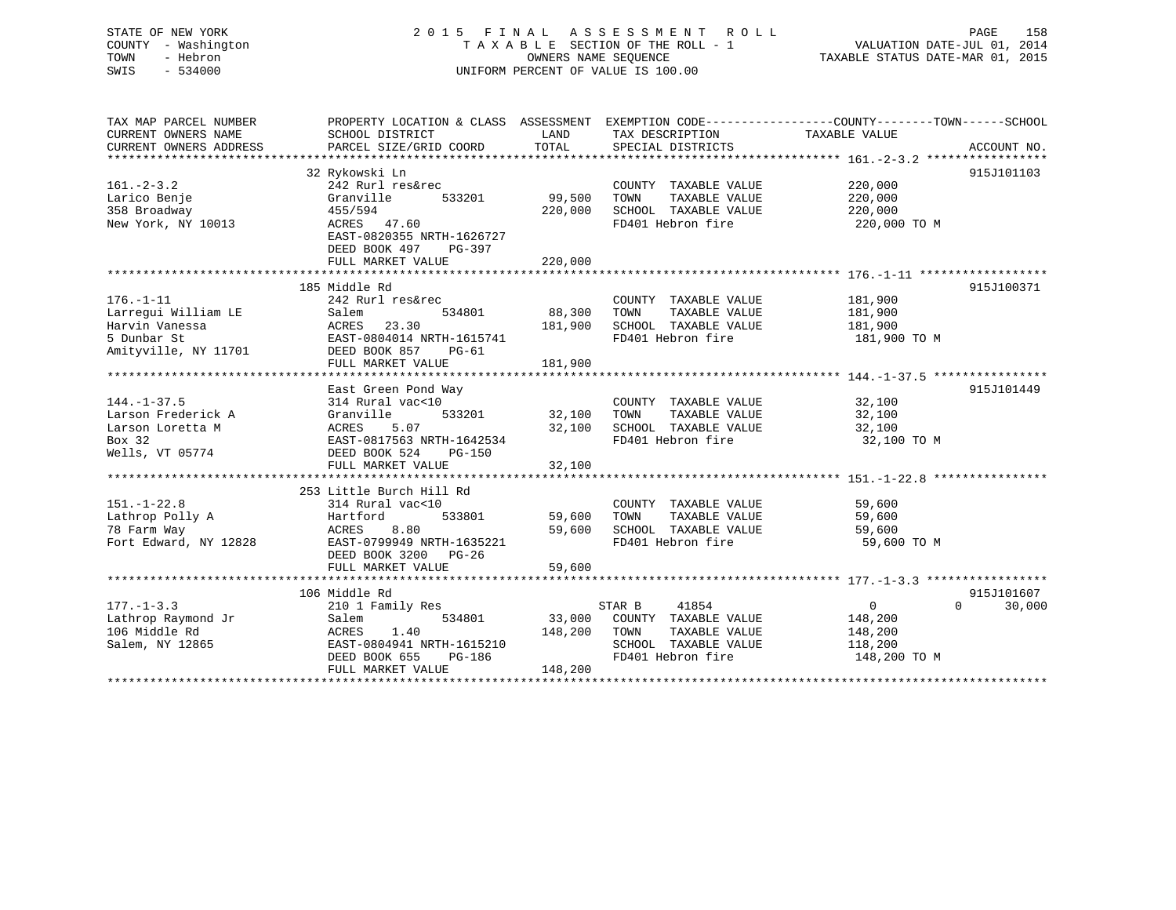# STATE OF NEW YORK 2 0 1 5 F I N A L A S S E S S M E N T R O L L PAGE 158 COUNTY - Washington T A X A B L E SECTION OF THE ROLL - 1 VALUATION DATE-JUL 01, 2014 TOWN - Hebron OWNERS NAME SEQUENCE TAXABLE STATUS DATE-MAR 01, 2015 SWIS - 534000 UNIFORM PERCENT OF VALUE IS 100.00

| TAX MAP PARCEL NUMBER  | PROPERTY LOCATION & CLASS ASSESSMENT EXEMPTION CODE---------------COUNTY-------TOWN-----SCHOOL |                |                       |                |                    |
|------------------------|------------------------------------------------------------------------------------------------|----------------|-----------------------|----------------|--------------------|
| CURRENT OWNERS NAME    | SCHOOL DISTRICT                                                                                | LAND           | TAX DESCRIPTION       | TAXABLE VALUE  |                    |
| CURRENT OWNERS ADDRESS | PARCEL SIZE/GRID COORD                                                                         | TOTAL          | SPECIAL DISTRICTS     |                | ACCOUNT NO.        |
|                        |                                                                                                |                |                       |                |                    |
|                        | 32 Rykowski Ln                                                                                 |                |                       |                | 915J101103         |
| $161 - 2 - 3.2$        | 242 Rurl res&rec                                                                               |                | COUNTY TAXABLE VALUE  | 220,000        |                    |
| Larico Benje           | Granville<br>533201                                                                            | 99,500         | TAXABLE VALUE<br>TOWN | 220,000        |                    |
| 358 Broadway           | 455/594                                                                                        | 220,000        | SCHOOL TAXABLE VALUE  | 220,000        |                    |
| New York, NY 10013     | ACRES 47.60                                                                                    |                | FD401 Hebron fire     | 220,000 TO M   |                    |
|                        | EAST-0820355 NRTH-1626727                                                                      |                |                       |                |                    |
|                        | DEED BOOK 497<br>PG-397                                                                        |                |                       |                |                    |
|                        | FULL MARKET VALUE                                                                              | 220,000        |                       |                |                    |
|                        | 185 Middle Rd                                                                                  |                |                       |                | 915J100371         |
| $176. - 1 - 11$        | 242 Rurl res&rec                                                                               |                | COUNTY TAXABLE VALUE  | 181,900        |                    |
| Larrequi William LE    | Salem<br>534801                                                                                | 88,300         | TAXABLE VALUE<br>TOWN | 181,900        |                    |
| Harvin Vanessa         | ACRES<br>23.30                                                                                 | 181,900        | SCHOOL TAXABLE VALUE  | 181,900        |                    |
| 5 Dunbar St            | EAST-0804014 NRTH-1615741                                                                      |                | FD401 Hebron fire     | 181,900 TO M   |                    |
| Amityville, NY 11701   | DEED BOOK 857<br>PG-61                                                                         |                |                       |                |                    |
|                        | FULL MARKET VALUE                                                                              | 181,900        |                       |                |                    |
|                        |                                                                                                |                |                       |                |                    |
|                        | East Green Pond Way                                                                            |                |                       |                | 915J101449         |
| $144. - 1 - 37.5$      | 314 Rural vac<10                                                                               |                | COUNTY TAXABLE VALUE  | 32,100         |                    |
| Larson Frederick A     | Granville<br>533201                                                                            | 32,100         | TAXABLE VALUE<br>TOWN | 32,100         |                    |
| Larson Loretta M       | 5.07<br>ACRES                                                                                  | 32,100         | SCHOOL TAXABLE VALUE  | 32,100         |                    |
| Box 32                 | EAST-0817563 NRTH-1642534                                                                      |                | FD401 Hebron fire     | 32,100 TO M    |                    |
| Wells, VT 05774        | DEED BOOK 524<br>PG-150                                                                        |                |                       |                |                    |
|                        | FULL MARKET VALUE                                                                              | 32,100         |                       |                |                    |
|                        |                                                                                                | ************** |                       |                |                    |
|                        | 253 Little Burch Hill Rd                                                                       |                |                       |                |                    |
| $151. - 1 - 22.8$      | 314 Rural vac<10                                                                               |                | COUNTY TAXABLE VALUE  | 59,600         |                    |
| Lathrop Polly A        | 533801<br>Hartford                                                                             | 59,600         | TOWN<br>TAXABLE VALUE | 59,600         |                    |
| 78 Farm Way            | ACRES<br>8.80                                                                                  | 59,600         | SCHOOL TAXABLE VALUE  | 59,600         |                    |
| Fort Edward, NY 12828  | EAST-0799949 NRTH-1635221                                                                      |                | FD401 Hebron fire     | 59,600 TO M    |                    |
|                        | DEED BOOK 3200 PG-26                                                                           |                |                       |                |                    |
|                        | FULL MARKET VALUE                                                                              | 59,600         |                       |                |                    |
|                        |                                                                                                |                |                       |                |                    |
|                        | 106 Middle Rd                                                                                  |                |                       |                | 915J101607         |
| $177. - 1 - 3.3$       | 210 1 Family Res                                                                               |                | STAR B<br>41854       | $\overline{0}$ | $\Omega$<br>30,000 |
| Lathrop Raymond Jr     | Salem<br>534801                                                                                | 33,000         | COUNTY TAXABLE VALUE  | 148,200        |                    |
| 106 Middle Rd          | ACRES<br>1.40                                                                                  | 148,200        | TAXABLE VALUE<br>TOWN | 148,200        |                    |
| Salem, NY 12865        | EAST-0804941 NRTH-1615210                                                                      |                | SCHOOL TAXABLE VALUE  | 118,200        |                    |
|                        | DEED BOOK 655<br>PG-186                                                                        |                | FD401 Hebron fire     | 148,200 TO M   |                    |
|                        | FULL MARKET VALUE                                                                              | 148,200        |                       |                |                    |
|                        |                                                                                                |                |                       |                |                    |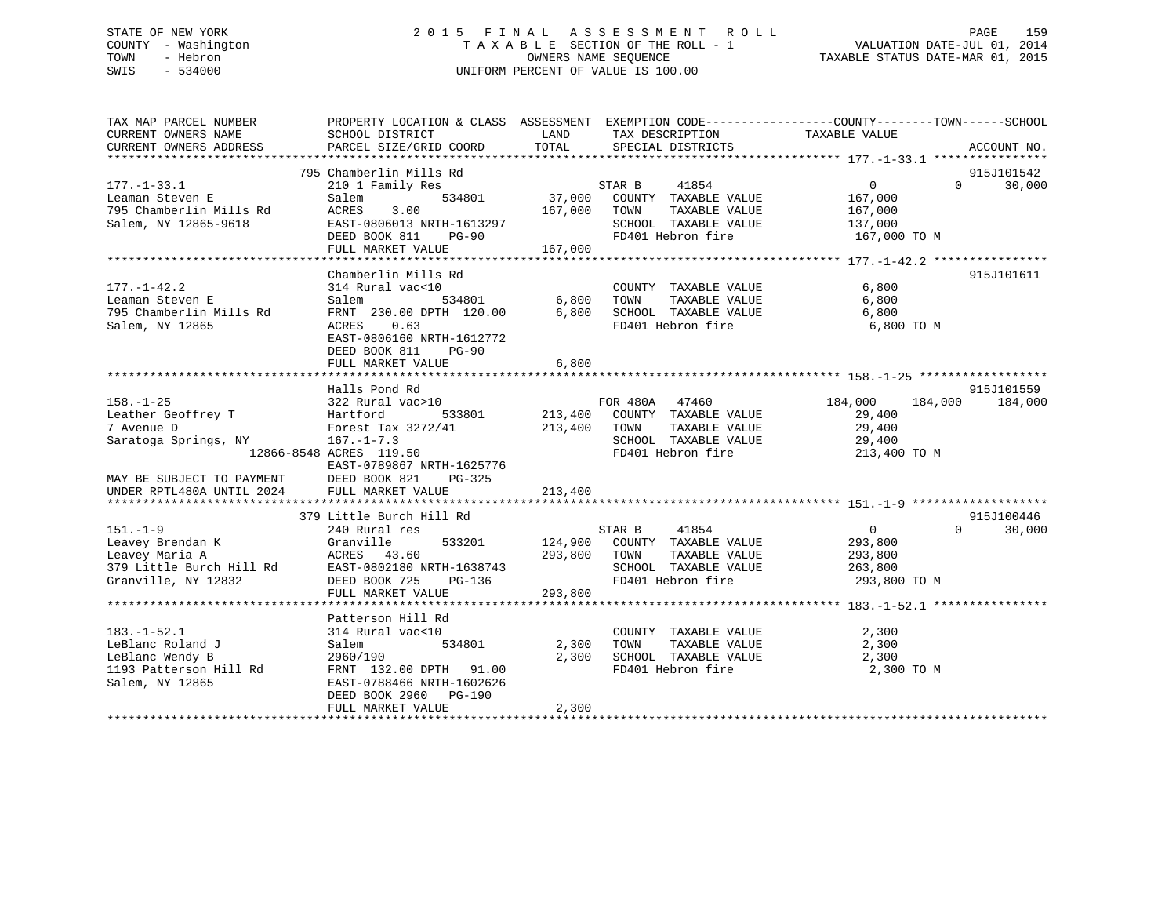# STATE OF NEW YORK 2 0 1 5 F I N A L A S S E S S M E N T R O L L PAGE 159 COUNTY - Washington T A X A B L E SECTION OF THE ROLL - 1 VALUATION DATE-JUL 01, 2014 TOWN - Hebron OWNERS NAME SEQUENCE TAXABLE STATUS DATE-MAR 01, 2015 SWIS - 534000 UNIFORM PERCENT OF VALUE IS 100.00

| TAX MAP PARCEL NUMBER<br>CURRENT OWNERS NAME<br>CURRENT OWNERS ADDRESS                                                                         | PROPERTY LOCATION & CLASS ASSESSMENT EXEMPTION CODE---------------COUNTY-------TOWN------SCHOOL<br>SCHOOL DISTRICT<br>PARCEL SIZE/GRID COORD                                            | LAND<br>TOTAL                 | TAX DESCRIPTION<br>SPECIAL DISTRICTS                                                                                       | TAXABLE VALUE                                                    | ACCOUNT NO.           |
|------------------------------------------------------------------------------------------------------------------------------------------------|-----------------------------------------------------------------------------------------------------------------------------------------------------------------------------------------|-------------------------------|----------------------------------------------------------------------------------------------------------------------------|------------------------------------------------------------------|-----------------------|
|                                                                                                                                                | 795 Chamberlin Mills Rd                                                                                                                                                                 |                               |                                                                                                                            |                                                                  | 915J101542            |
| $177. - 1 - 33.1$<br>Leaman Steven E<br>795 Chamberlin Mills Rd<br>Salem, NY 12865-9618                                                        | 210 1 Family Res<br>Salem<br>3.00<br>ACRES<br>EAST-0806013 NRTH-1613297<br>DEED BOOK 811<br>$PG-90$<br>FULL MARKET VALUE                                                                | STAR B<br>167,000<br>167,000  | 41854<br>534801 37,000 COUNTY TAXABLE VALUE<br>TOWN<br>TAXABLE VALUE<br>SCHOOL TAXABLE VALUE 137,000<br>FD401 Hebron fire  | $\overline{0}$<br>167,000<br>167,000<br>167,000 TO M             | 30,000<br>$\Omega$    |
| $177. - 1 - 42.2$<br>Leaman Steven E<br>795 Chamberlin Mills Rd<br>Salem, NY 12865                                                             | Chamberlin Mills Rd<br>314 Rural vac<10<br>534801 6,800<br>Salem<br>FRNT 230.00 DPTH 120.00<br>ACRES 0.63<br>EAST-0806160 NRTH-1612772<br>DEED BOOK 811<br>$PG-90$<br>FULL MARKET VALUE | 6,800<br>6,800                | COUNTY TAXABLE VALUE<br>TAXABLE VALUE<br>TOWN<br>SCHOOL TAXABLE VALUE<br>FD401 Hebron fire                                 | 6,800<br>6,800<br>6,800<br>6,800 TO M                            | 915J101611            |
| $158. - 1 - 25$<br>Leather Geoffrey T<br>7 Avenue D<br>Saratoga Springs, NY<br>MAY BE SUBJECT TO PAYMENT<br>UNDER RPTL480A UNTIL 2024          | Halls Pond Rd<br>533801<br>Forest Tax 3272/41<br>$167. - 1 - 7.3$<br>12866-8548 ACRES 119.50<br>EAST-0789867 NRTH-1625776<br>DEED BOOK 821<br>$PG-325$<br>FULL MARKET VALUE             | 213,400<br>213,400<br>213,400 | FOR 480A 47460<br>COUNTY TAXABLE VALUE<br>TOWN<br>TAXABLE VALUE<br>SCHOOL TAXABLE VALUE<br>FD401 Hebron fire               | 184,000<br>184,000<br>29,400<br>29,400<br>29,400<br>213,400 TO M | 915J101559<br>184,000 |
|                                                                                                                                                | 379 Little Burch Hill Rd                                                                                                                                                                |                               |                                                                                                                            |                                                                  | 915J100446            |
| $151. - 1 - 9$<br>Granville<br>Leavey Brendan K<br>Leavey Maria A<br>379 Little Burch Hill Rd EAST-0802180 NRTH-1638743<br>Granville, NY 12832 | 240 Rural res<br>ACRES 43.60<br>DEED BOOK 725<br>PG-136<br>FULL MARKET VALUE                                                                                                            | STAR B<br>293,800<br>293,800  | 41854<br>533201 124,900 COUNTY TAXABLE VALUE<br>TOWN<br>TAXABLE VALUE<br>SCHOOL TAXABLE VALUE 263,800<br>FD401 Hebron fire | $\overline{0}$<br>293,800<br>293,800<br>293,800 TO M             | $\Omega$<br>30,000    |
|                                                                                                                                                | Patterson Hill Rd                                                                                                                                                                       |                               |                                                                                                                            |                                                                  |                       |
| $183. - 1 - 52.1$<br>LeBlanc Roland J<br>LeBlanc Wendy B<br>1193 Patterson Hill Rd<br>Salem, NY 12865                                          | 314 Rural vac<10<br>534801<br>Salem<br>2960/190<br>FRNT 132.00 DPTH 91.00<br>EAST-0788466 NRTH-1602626<br>DEED BOOK 2960 PG-190<br>FULL MARKET VALUE                                    | 2,300<br>2,300<br>2,300       | COUNTY TAXABLE VALUE<br>TAXABLE VALUE<br>TOWN<br>SCHOOL TAXABLE VALUE<br>FD401 Hebron fire                                 | 2,300<br>2,300<br>2,300<br>2,300 TO M                            |                       |
|                                                                                                                                                |                                                                                                                                                                                         |                               |                                                                                                                            |                                                                  |                       |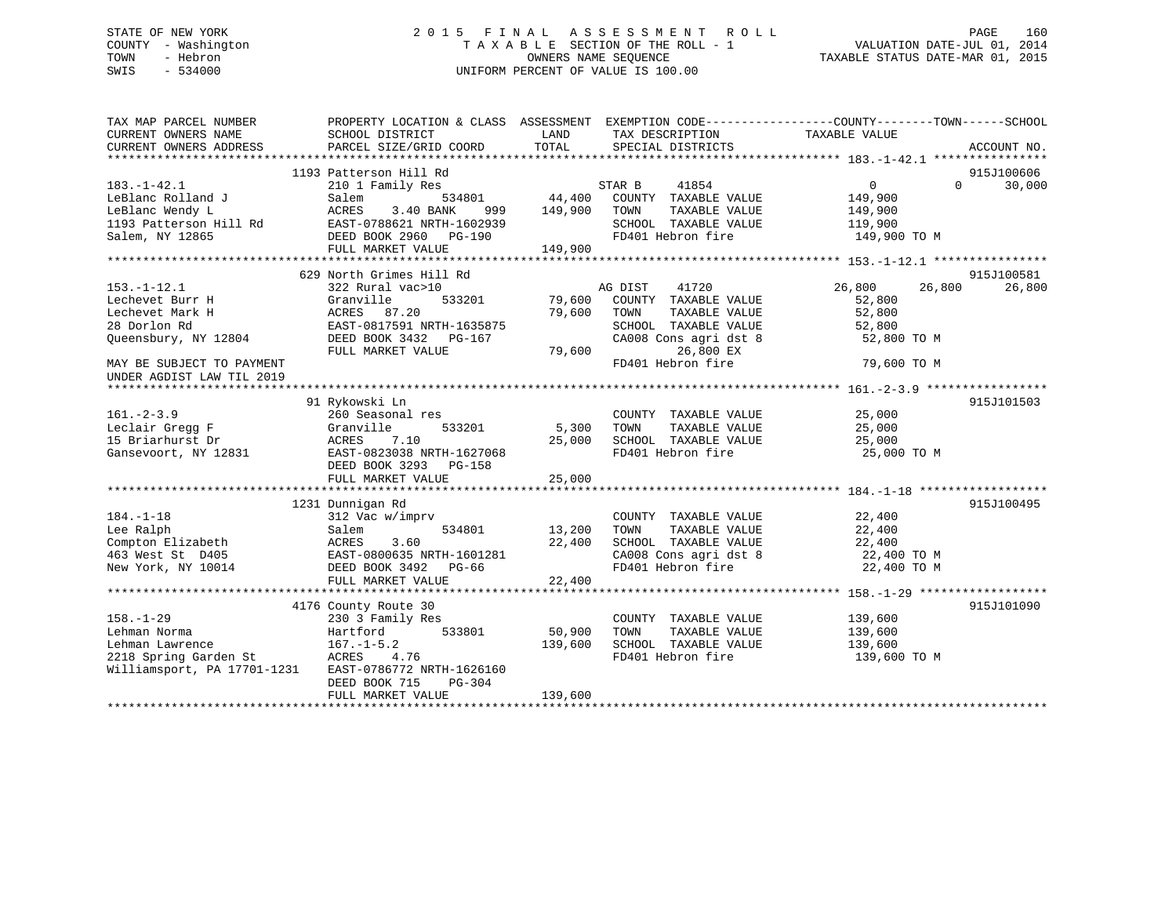# STATE OF NEW YORK 2 0 1 5 F I N A L A S S E S S M E N T R O L L PAGE 160 COUNTY - Washington T A X A B L E SECTION OF THE ROLL - 1 VALUATION DATE-JUL 01, 2014 TOWN - Hebron OWNERS NAME SEQUENCE TAXABLE STATUS DATE-MAR 01, 2015 SWIS - 534000 UNIFORM PERCENT OF VALUE IS 100.00

| TAX MAP PARCEL NUMBER<br>CURRENT OWNERS NAME | PROPERTY LOCATION & CLASS ASSESSMENT EXEMPTION CODE---------------COUNTY-------TOWN------SCHOOL<br>SCHOOL DISTRICT | LAND    | TAX DESCRIPTION                                                  | TAXABLE VALUE              |             |
|----------------------------------------------|--------------------------------------------------------------------------------------------------------------------|---------|------------------------------------------------------------------|----------------------------|-------------|
| CURRENT OWNERS ADDRESS                       | PARCEL SIZE/GRID COORD                                                                                             | TOTAL   | SPECIAL DISTRICTS                                                |                            | ACCOUNT NO. |
|                                              | 1193 Patterson Hill Rd                                                                                             |         |                                                                  |                            | 915J100606  |
| $183. - 1 - 42.1$                            | 210 1 Family Res                                                                                                   |         | STAR B<br>41854                                                  | $\overline{0}$<br>$\Omega$ | 30,000      |
| LeBlanc Rolland J                            | Salem<br>534801                                                                                                    |         | 44,400 COUNTY TAXABLE VALUE                                      | 149,900                    |             |
| LeBlanc Wendy L                              | ACRES<br>3.40 BANK<br>999                                                                                          | 149,900 | TOWN<br>TAXABLE VALUE                                            | 149,900                    |             |
| 1193 Patterson Hill Rd                       | EAST-0788621 NRTH-1602939                                                                                          |         | SCHOOL TAXABLE VALUE                                             | 119,900                    |             |
| Salem, NY 12865                              | DEED BOOK 2960 PG-190                                                                                              |         | FD401 Hebron fire                                                | 149,900 TO M               |             |
|                                              | FULL MARKET VALUE                                                                                                  | 149,900 |                                                                  |                            |             |
|                                              |                                                                                                                    |         |                                                                  |                            |             |
|                                              | 629 North Grimes Hill Rd                                                                                           |         |                                                                  |                            | 915J100581  |
| $153. - 1 - 12.1$                            | 322 Rural vac>10                                                                                                   |         | AG DIST<br>41720                                                 | 26,800<br>26,800           | 26,800      |
| Lechevet Burr H                              | Granville<br>533201                                                                                                | 79,600  | COUNTY TAXABLE VALUE                                             | 52,800                     |             |
| Lechevet Mark H                              | ACRES 87.20                                                                                                        | 79,600  | TOWN<br>TAXABLE VALUE                                            | 52,800                     |             |
| 28 Dorlon Rd                                 | EAST-0817591 NRTH-1635875                                                                                          |         | SCHOOL TAXABLE VALUE                                             | 52,800                     |             |
| Oueensbury, NY 12804                         | DEED BOOK 3432 PG-167                                                                                              |         | CA008 Cons agri dst 8                                            | 52,800 TO M                |             |
|                                              | FULL MARKET VALUE                                                                                                  | 79,600  | 26,800 EX                                                        |                            |             |
| MAY BE SUBJECT TO PAYMENT                    |                                                                                                                    |         | FD401 Hebron fire                                                | 79,600 TO M                |             |
| UNDER AGDIST LAW TIL 2019                    |                                                                                                                    |         |                                                                  |                            |             |
|                                              |                                                                                                                    |         |                                                                  |                            |             |
|                                              | 91 Rykowski Ln                                                                                                     |         |                                                                  |                            | 915J101503  |
| $161. - 2 - 3.9$                             | 260 Seasonal res                                                                                                   |         | COUNTY TAXABLE VALUE                                             | 25,000                     |             |
| Leclair Gregg F                              | 533201<br>Granville                                                                                                | 5,300   | TAXABLE VALUE<br>TOWN                                            | 25,000                     |             |
| 15 Briarhurst Dr                             | ACRES<br>7.10                                                                                                      | 25,000  | SCHOOL TAXABLE VALUE                                             | 25,000                     |             |
| Gansevoort, NY 12831                         | EAST-0823038 NRTH-1627068                                                                                          |         | FD401 Hebron fire                                                | 25,000 TO M                |             |
|                                              | DEED BOOK 3293<br>PG-158                                                                                           |         |                                                                  |                            |             |
|                                              | FULL MARKET VALUE                                                                                                  | 25,000  |                                                                  |                            |             |
|                                              |                                                                                                                    |         |                                                                  |                            |             |
|                                              | 1231 Dunnigan Rd                                                                                                   |         |                                                                  |                            | 915J100495  |
| $184. - 1 - 18$<br>Lee Ralph                 | 312 Vac w/imprv<br>534801<br>Salem                                                                                 | 13,200  | COUNTY TAXABLE VALUE<br>TOWN<br>TAXABLE VALUE                    | 22,400<br>22,400           |             |
| Compton Elizabeth                            | ACRES<br>3.60                                                                                                      | 22,400  |                                                                  |                            |             |
| 463 West St D405                             | EAST-0800635 NRTH-1601281                                                                                          |         | SCHOOL TAXABLE VALUE 22,400<br>CA008 Cons agri dst 8 22,400 TO M |                            |             |
| New York, NY 10014                           | DEED BOOK 3492 PG-66                                                                                               |         | FD401 Hebron fire                                                | 22,400 TO M                |             |
|                                              | FULL MARKET VALUE                                                                                                  | 22,400  |                                                                  |                            |             |
|                                              |                                                                                                                    |         |                                                                  |                            |             |
|                                              | 4176 County Route 30                                                                                               |         |                                                                  |                            | 915J101090  |
| $158. - 1 - 29$                              | 230 3 Family Res                                                                                                   |         | COUNTY TAXABLE VALUE                                             | 139,600                    |             |
| Lehman Norma                                 | 533801<br>Hartford                                                                                                 | 50,900  | TAXABLE VALUE<br>TOWN                                            | 139,600                    |             |
| Lehman Lawrence                              | $167. - 1 - 5.2$                                                                                                   | 139,600 | SCHOOL TAXABLE VALUE                                             | 139,600                    |             |
| 2218 Spring Garden St                        | ACRES<br>4.76                                                                                                      |         | FD401 Hebron fire                                                | 139,600 TO M               |             |
| Williamsport, PA 17701-1231                  | EAST-0786772 NRTH-1626160                                                                                          |         |                                                                  |                            |             |
|                                              | DEED BOOK 715<br>PG-304                                                                                            |         |                                                                  |                            |             |
|                                              | FULL MARKET VALUE                                                                                                  | 139,600 |                                                                  |                            |             |
|                                              |                                                                                                                    |         |                                                                  |                            |             |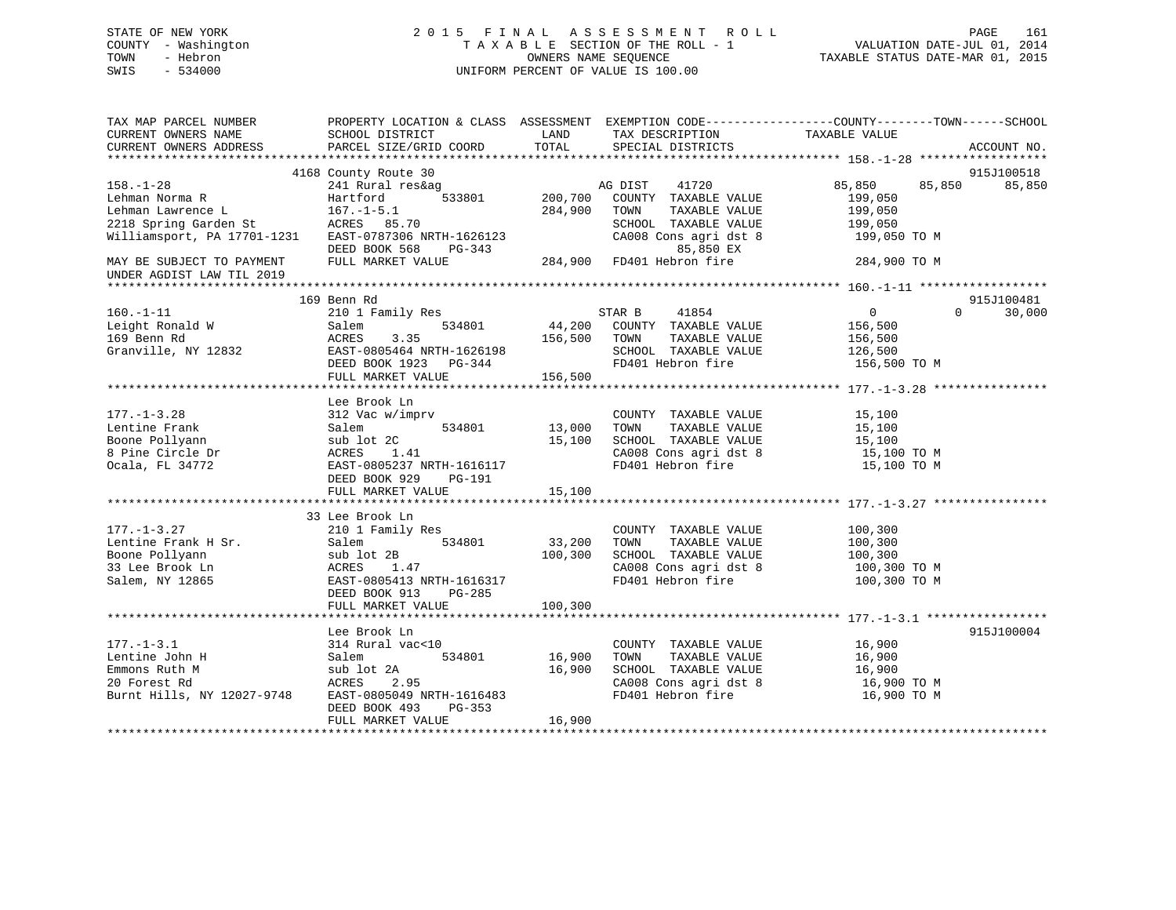# STATE OF NEW YORK 2 0 1 5 F I N A L A S S E S S M E N T R O L L PAGE 161 COUNTY - Washington T A X A B L E SECTION OF THE ROLL - 1 VALUATION DATE-JUL 01, 2014 TOWN - Hebron OWNERS NAME SEQUENCE TAXABLE STATUS DATE-MAR 01, 2015 SWIS - 534000 UNIFORM PERCENT OF VALUE IS 100.00

| TAX MAP PARCEL NUMBER<br>CURRENT OWNERS NAME                                                      | SCHOOL DISTRICT                                                                                                                        | LAND                       | TAX DESCRIPTION                                                                                                     | PROPERTY LOCATION & CLASS ASSESSMENT EXEMPTION CODE----------------COUNTY-------TOWN------SCHOOL<br>TAXABLE VALUE |                      |
|---------------------------------------------------------------------------------------------------|----------------------------------------------------------------------------------------------------------------------------------------|----------------------------|---------------------------------------------------------------------------------------------------------------------|-------------------------------------------------------------------------------------------------------------------|----------------------|
| CURRENT OWNERS ADDRESS                                                                            | PARCEL SIZE/GRID COORD                                                                                                                 | TOTAL                      | SPECIAL DISTRICTS                                                                                                   |                                                                                                                   | ACCOUNT NO.          |
|                                                                                                   |                                                                                                                                        |                            |                                                                                                                     |                                                                                                                   |                      |
| $158. - 1 - 28$<br>Lehman Norma R                                                                 | 4168 County Route 30<br>241 Rural res&ag<br>533801<br>Hartford                                                                         | 200,700                    | AG DIST 41720<br>COUNTY TAXABLE VALUE                                                                               | 85,850<br>85,850<br>199,050                                                                                       | 915J100518<br>85,850 |
| Lehman Lawrence L<br>2218 Spring Garden St                                                        | $167. - 1 - 5.1$<br>ACRES 85.70                                                                                                        | 284,900                    | TOWN<br>TAXABLE VALUE<br>SCHOOL TAXABLE VALUE                                                                       | 199,050<br>199,050                                                                                                |                      |
| Williamsport, PA 17701-1231 EAST-0787306 NRTH-1626123                                             | DEED BOOK 568<br>PG-343                                                                                                                |                            | CA008 Cons agri dst 8<br>85,850 EX                                                                                  | 199,050 TO M                                                                                                      |                      |
| MAY BE SUBJECT TO PAYMENT<br>UNDER AGDIST LAW TIL 2019                                            | FULL MARKET VALUE                                                                                                                      |                            | 85,850 EX<br>284,900   FD401 Hebron fire                                                                            | 284,900 TO M                                                                                                      |                      |
|                                                                                                   |                                                                                                                                        |                            |                                                                                                                     |                                                                                                                   |                      |
| $160. - 1 - 11$<br>Leight Ronald W<br>169 Benn Rd                                                 | 169 Benn Rd<br>210 1 Family Res<br>Salem<br>534801<br>ACRES<br>3.35                                                                    | 156,500                    | STAR B<br>41854<br>44,200 COUNTY TAXABLE VALUE<br>TOWN<br>TAXABLE VALUE                                             | $\overline{0}$<br>$\Omega$<br>156,500<br>156,500                                                                  | 915J100481<br>30,000 |
| Granville, NY 12832                                                                               | EAST-0805464 NRTH-1626198<br>DEED BOOK 1923 PG-344<br>FULL MARKET VALUE                                                                | 156,500                    | SCHOOL TAXABLE VALUE<br>FD401 Hebron fire                                                                           | 126,500<br>156,500 TO M                                                                                           |                      |
|                                                                                                   |                                                                                                                                        |                            |                                                                                                                     |                                                                                                                   |                      |
| $177. - 1 - 3.28$<br>Lentine Frank<br>Boone Pollyann<br>8 Pine Circle Dr<br>Ocala, FL 34772       | Lee Brook Ln<br>312 Vac w/imprv<br>534801<br>Salem<br>sub lot 2C<br>ACRES 1.41<br>EAST-0805237 NRTH-1616117<br>DEED BOOK 929<br>PG-191 | 13,000<br>15,100           | COUNTY TAXABLE VALUE<br>TAXABLE VALUE<br>TOWN<br>SCHOOL TAXABLE VALUE<br>CA008 Cons agri dst 8<br>FD401 Hebron fire | 15,100<br>15,100<br>15,100<br>15,100 TO M<br>15,100 TO M                                                          |                      |
|                                                                                                   | FULL MARKET VALUE                                                                                                                      | 15,100                     |                                                                                                                     |                                                                                                                   |                      |
|                                                                                                   | 33 Lee Brook Ln                                                                                                                        |                            |                                                                                                                     |                                                                                                                   |                      |
| $177. - 1 - 3.27$<br>Lentine Frank H Sr.<br>Boone Pollyann<br>33 Lee Brook Ln<br>Salem, NY 12865  | 210 1 Family Res<br>534801<br>Salem<br>sub lot 2B<br>ACRES<br>1.47<br>EAST-0805413 NRTH-1616317<br>DEED BOOK 913<br>PG-285             | 33,200<br>100,300          | COUNTY TAXABLE VALUE<br>TAXABLE VALUE<br>TOWN<br>SCHOOL TAXABLE VALUE<br>CA008 Cons agri dst 8<br>FD401 Hebron fire | 100,300<br>100,300<br>100,300<br>100,300 TO M<br>100,300 TO M                                                     |                      |
|                                                                                                   | FULL MARKET VALUE                                                                                                                      | 100,300                    |                                                                                                                     |                                                                                                                   |                      |
|                                                                                                   | Lee Brook Ln                                                                                                                           |                            |                                                                                                                     |                                                                                                                   | 915J100004           |
| $177. - 1 - 3.1$<br>Lentine John H<br>Emmons Ruth M<br>20 Forest Rd<br>Burnt Hills, NY 12027-9748 | 314 Rural vac<10<br>Salem<br>534801<br>sub lot 2A<br>ACRES<br>2.95<br>EAST-0805049 NRTH-1616483<br>DEED BOOK 493<br>PG-353             | 16,900<br>16,900<br>16,900 | COUNTY TAXABLE VALUE<br>TOWN<br>TAXABLE VALUE<br>SCHOOL TAXABLE VALUE<br>CA008 Cons agri dst 8<br>FD401 Hebron fire | 16,900<br>16,900<br>16,900<br>16,900 TO M<br>16,900 TO M                                                          |                      |
|                                                                                                   | FULL MARKET VALUE                                                                                                                      |                            |                                                                                                                     |                                                                                                                   |                      |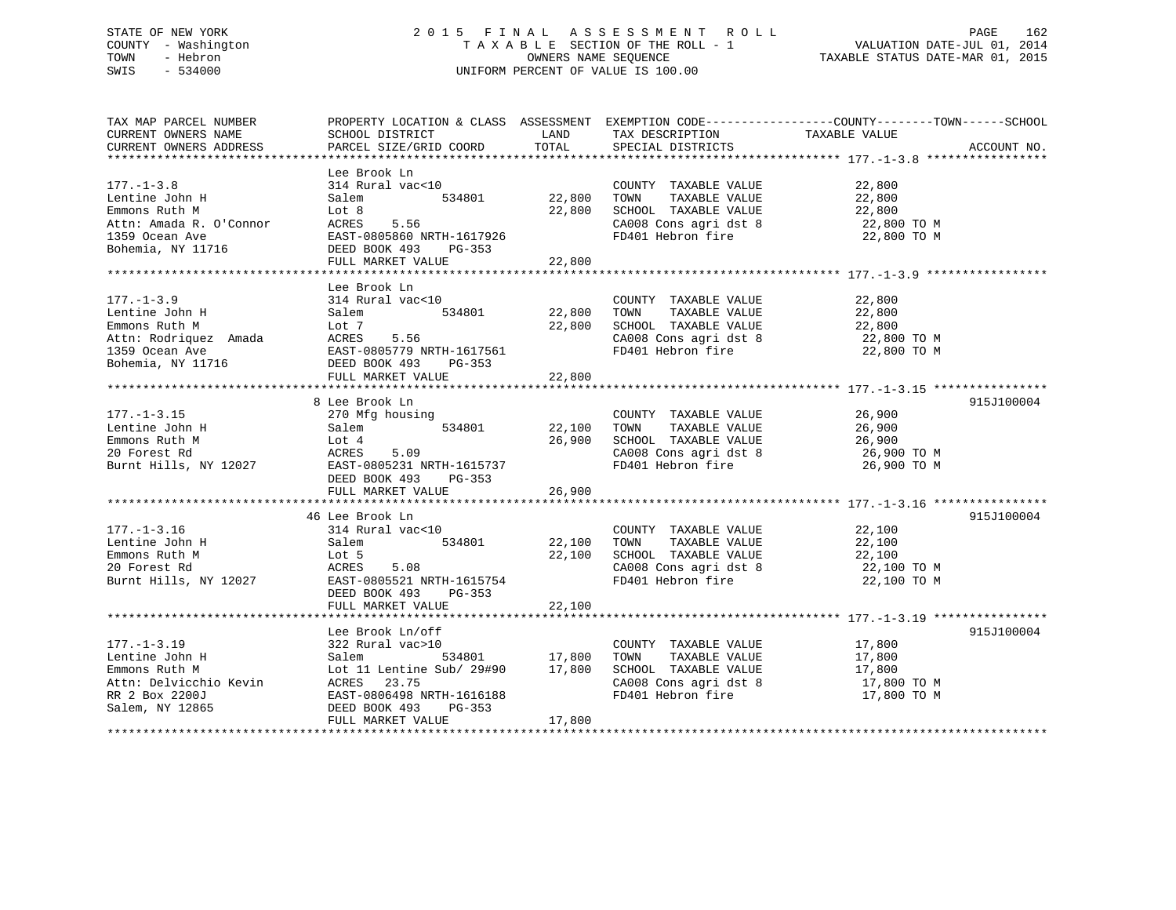# STATE OF NEW YORK 2 0 1 5 F I N A L A S S E S S M E N T R O L L PAGE 162 COUNTY - Washington T A X A B L E SECTION OF THE ROLL - 1 VALUATION DATE-JUL 01, 2014 TOWN - Hebron OWNERS NAME SEQUENCE TAXABLE STATUS DATE-MAR 01, 2015 SWIS - 534000 UNIFORM PERCENT OF VALUE IS 100.00

| TAX MAP PARCEL NUMBER                                                                          | PROPERTY LOCATION & CLASS ASSESSMENT EXEMPTION CODE---------------COUNTY-------TOWN------SCHOOL                                                                                                                                                                                                                                                                                                         |                              |                                                                                                                                                                                                            |                                              |             |
|------------------------------------------------------------------------------------------------|---------------------------------------------------------------------------------------------------------------------------------------------------------------------------------------------------------------------------------------------------------------------------------------------------------------------------------------------------------------------------------------------------------|------------------------------|------------------------------------------------------------------------------------------------------------------------------------------------------------------------------------------------------------|----------------------------------------------|-------------|
| CURRENT OWNERS NAME                                                                            | SCHOOL DISTRICT                                                                                                                                                                                                                                                                                                                                                                                         | LAND                         | TAX DESCRIPTION                                                                                                                                                                                            | TAXABLE VALUE                                |             |
| CURRENT OWNERS NAME                                                                            | PARCEL SIZE/GRID COORD TOTAL                                                                                                                                                                                                                                                                                                                                                                            |                              | SPECIAL DISTRICTS                                                                                                                                                                                          |                                              | ACCOUNT NO. |
|                                                                                                |                                                                                                                                                                                                                                                                                                                                                                                                         |                              |                                                                                                                                                                                                            |                                              |             |
|                                                                                                | Lee Brook Ln                                                                                                                                                                                                                                                                                                                                                                                            |                              |                                                                                                                                                                                                            |                                              |             |
| $177. - 1 - 3.8$                                                                               |                                                                                                                                                                                                                                                                                                                                                                                                         |                              |                                                                                                                                                                                                            |                                              |             |
| Lentine John H                                                                                 | $314 \text{ Rural vac} < 10$ $534801$ $22,800$ TOWN<br>314 Ku.<br>Salem                                                                                                                                                                                                                                                                                                                                 |                              | $\begin{tabular}{lllllllllll} \multicolumn{2}{c}{\textbf{COUNTY}} & \textbf{TAXABLE VALUE} & & & & 22\,,800 \\ \multicolumn{2}{c}{\textbf{TOWN}} & \textbf{TAXABLE VALUE} & & & 22\,,800 \\ \end{tabular}$ |                                              |             |
|                                                                                                |                                                                                                                                                                                                                                                                                                                                                                                                         |                              |                                                                                                                                                                                                            |                                              |             |
|                                                                                                |                                                                                                                                                                                                                                                                                                                                                                                                         |                              | 22,800 SCHOOL TAXABLE VALUE 22,800<br>CA008 Cons agri dst 8 22,800 TO M                                                                                                                                    |                                              |             |
|                                                                                                |                                                                                                                                                                                                                                                                                                                                                                                                         |                              | CA008 Cons agri dst 8 22,800 TO M<br>FD401 Hebron fire 22,800 TO M                                                                                                                                         |                                              |             |
|                                                                                                |                                                                                                                                                                                                                                                                                                                                                                                                         |                              |                                                                                                                                                                                                            |                                              |             |
|                                                                                                | Eentine John H<br>Emmons Ruth M<br>Attn: Amada R. O'Connor<br>1359 Ocean Ave EAST-0805860 NRTH-1617926<br>Bohemia, NY 11716<br>EED BOOK 493 PG-353<br>FULL MARKET VALUE 22,800                                                                                                                                                                                                                          |                              |                                                                                                                                                                                                            |                                              |             |
|                                                                                                |                                                                                                                                                                                                                                                                                                                                                                                                         |                              |                                                                                                                                                                                                            |                                              |             |
|                                                                                                | $\begin{tabular}{lllllllllllllllllllll} \rule{0pt}{2pt} \multicolumn{3}{c}{\textbf{L177.-1-3.9}} & \multicolumn{3}{c}{\textbf{L177.-1-3.9}} & \multicolumn{3}{c}{\textbf{L177.-1-3.9}} & \multicolumn{3}{c}{\textbf{L177--1-3.9}} & \multicolumn{3}{c}{\textbf{L177--1-3.9}} & \multicolumn{3}{c}{\textbf{L177--1-3.9}} & \multicolumn{3}{c}{\textbf{L177--1-3.9}} & \multicolumn{3}{c}{\textbf{L177--$ |                              |                                                                                                                                                                                                            |                                              |             |
|                                                                                                |                                                                                                                                                                                                                                                                                                                                                                                                         |                              |                                                                                                                                                                                                            |                                              |             |
|                                                                                                |                                                                                                                                                                                                                                                                                                                                                                                                         |                              |                                                                                                                                                                                                            |                                              |             |
|                                                                                                |                                                                                                                                                                                                                                                                                                                                                                                                         |                              |                                                                                                                                                                                                            |                                              |             |
|                                                                                                |                                                                                                                                                                                                                                                                                                                                                                                                         |                              |                                                                                                                                                                                                            |                                              |             |
|                                                                                                |                                                                                                                                                                                                                                                                                                                                                                                                         |                              |                                                                                                                                                                                                            |                                              |             |
|                                                                                                |                                                                                                                                                                                                                                                                                                                                                                                                         |                              |                                                                                                                                                                                                            |                                              |             |
|                                                                                                |                                                                                                                                                                                                                                                                                                                                                                                                         |                              |                                                                                                                                                                                                            |                                              |             |
|                                                                                                |                                                                                                                                                                                                                                                                                                                                                                                                         |                              |                                                                                                                                                                                                            |                                              |             |
|                                                                                                |                                                                                                                                                                                                                                                                                                                                                                                                         |                              |                                                                                                                                                                                                            |                                              |             |
|                                                                                                | 8 Lee Brook Ln                                                                                                                                                                                                                                                                                                                                                                                          |                              |                                                                                                                                                                                                            |                                              | 915J100004  |
|                                                                                                |                                                                                                                                                                                                                                                                                                                                                                                                         |                              |                                                                                                                                                                                                            |                                              |             |
| 177.-1-3.15 270 Mfg housing<br>Lentine John H Salem 5                                          |                                                                                                                                                                                                                                                                                                                                                                                                         | COUNTY<br>534801 22,100 TOWN | COUNTY TAXABLE VALUE<br>TOWN TAXABLE VALUE 26,900                                                                                                                                                          |                                              |             |
|                                                                                                |                                                                                                                                                                                                                                                                                                                                                                                                         |                              |                                                                                                                                                                                                            |                                              |             |
|                                                                                                |                                                                                                                                                                                                                                                                                                                                                                                                         |                              |                                                                                                                                                                                                            |                                              |             |
|                                                                                                | Emmons Ruth M<br>26,900 SCHOOL TAXABLE VALUE<br>26,900 CA008 Cons agridst 8<br>26,900 TO M<br>26,900 TO M<br>26,900 TO M<br>26,900 TO M<br>26,900 TO M<br>Emmon DOY 403 DO-353<br>26,900 TO M<br>26,900 TO M<br>FD401 Hebron fire<br>26,900 TO M<br>26,9                                                                                                                                                |                              |                                                                                                                                                                                                            |                                              |             |
|                                                                                                | DEED BOOK 493 PG-353                                                                                                                                                                                                                                                                                                                                                                                    |                              |                                                                                                                                                                                                            |                                              |             |
|                                                                                                | FULL MARKET VALUE                                                                                                                                                                                                                                                                                                                                                                                       | 26,900                       |                                                                                                                                                                                                            |                                              |             |
|                                                                                                |                                                                                                                                                                                                                                                                                                                                                                                                         |                              |                                                                                                                                                                                                            |                                              |             |
|                                                                                                | 46 Lee Brook Ln                                                                                                                                                                                                                                                                                                                                                                                         |                              |                                                                                                                                                                                                            |                                              | 915J100004  |
|                                                                                                | count = 10 count = 10<br>534801 count = 10 count = 122,100 count                                                                                                                                                                                                                                                                                                                                        |                              |                                                                                                                                                                                                            |                                              |             |
|                                                                                                |                                                                                                                                                                                                                                                                                                                                                                                                         |                              |                                                                                                                                                                                                            |                                              |             |
|                                                                                                |                                                                                                                                                                                                                                                                                                                                                                                                         |                              |                                                                                                                                                                                                            |                                              |             |
|                                                                                                |                                                                                                                                                                                                                                                                                                                                                                                                         |                              |                                                                                                                                                                                                            |                                              |             |
|                                                                                                |                                                                                                                                                                                                                                                                                                                                                                                                         |                              |                                                                                                                                                                                                            |                                              |             |
|                                                                                                | 177.-1-3.16<br>Lentine John H Salem Salem 534801<br>Emmons Ruth M Lot 5<br>20 Forest Rd ACRES 5.08<br>22,100 SCHOOL TAXABLE VALUE 22,100<br>22,100 SCHOOL TAXABLE VALUE 22,100<br>22,100 SCHOOL TAXABLE VALUE 22,100<br>22,100 SCHOOL TA<br>DEED BOOK 493 PG-353                                                                                                                                        |                              |                                                                                                                                                                                                            |                                              |             |
|                                                                                                | FULL MARKET VALUE 22,100                                                                                                                                                                                                                                                                                                                                                                                |                              |                                                                                                                                                                                                            |                                              |             |
|                                                                                                |                                                                                                                                                                                                                                                                                                                                                                                                         |                              |                                                                                                                                                                                                            |                                              |             |
|                                                                                                |                                                                                                                                                                                                                                                                                                                                                                                                         |                              |                                                                                                                                                                                                            |                                              |             |
|                                                                                                | Lee Brook Ln/off                                                                                                                                                                                                                                                                                                                                                                                        |                              |                                                                                                                                                                                                            |                                              | 915J100004  |
| $177. - 1 - 3.19$                                                                              | 322 Rural vac>10                                                                                                                                                                                                                                                                                                                                                                                        |                              | COUNTY TAXABLE VALUE 17,800                                                                                                                                                                                |                                              |             |
| Lentine John H Salem<br>Emmons Ruth M Lot 11                                                   |                                                                                                                                                                                                                                                                                                                                                                                                         |                              |                                                                                                                                                                                                            | TAXABLE VALUE 17,800<br>TAXABLE VALUE 17,800 |             |
|                                                                                                | 322 Rural vac>10<br>Salem 534801 17,800 TOWN TAXABLE VALUE<br>Lot 11 Lentine Sub/ 29#90 17,800 SCHOOL TAXABLE VALUE<br>ACRES 23.75                                                                                                                                                                                                                                                                      |                              |                                                                                                                                                                                                            |                                              |             |
|                                                                                                |                                                                                                                                                                                                                                                                                                                                                                                                         |                              | CA008 Cons agri dst 8 17,800 TO M                                                                                                                                                                          |                                              |             |
|                                                                                                | EAST-0806498 NRTH-1616188                                                                                                                                                                                                                                                                                                                                                                               |                              | FD401 Hebron fire                                                                                                                                                                                          | 17,800 TO M                                  |             |
| Attn: Delvicchio Kevin<br>RR 2 Box 2200J<br>Salem, NY 12865<br>Salem, NY 12865<br>RR 2 Box 493 | PG-353                                                                                                                                                                                                                                                                                                                                                                                                  |                              |                                                                                                                                                                                                            |                                              |             |
|                                                                                                | FULL MARKET VALUE                                                                                                                                                                                                                                                                                                                                                                                       | 17,800                       |                                                                                                                                                                                                            |                                              |             |
|                                                                                                |                                                                                                                                                                                                                                                                                                                                                                                                         |                              |                                                                                                                                                                                                            |                                              |             |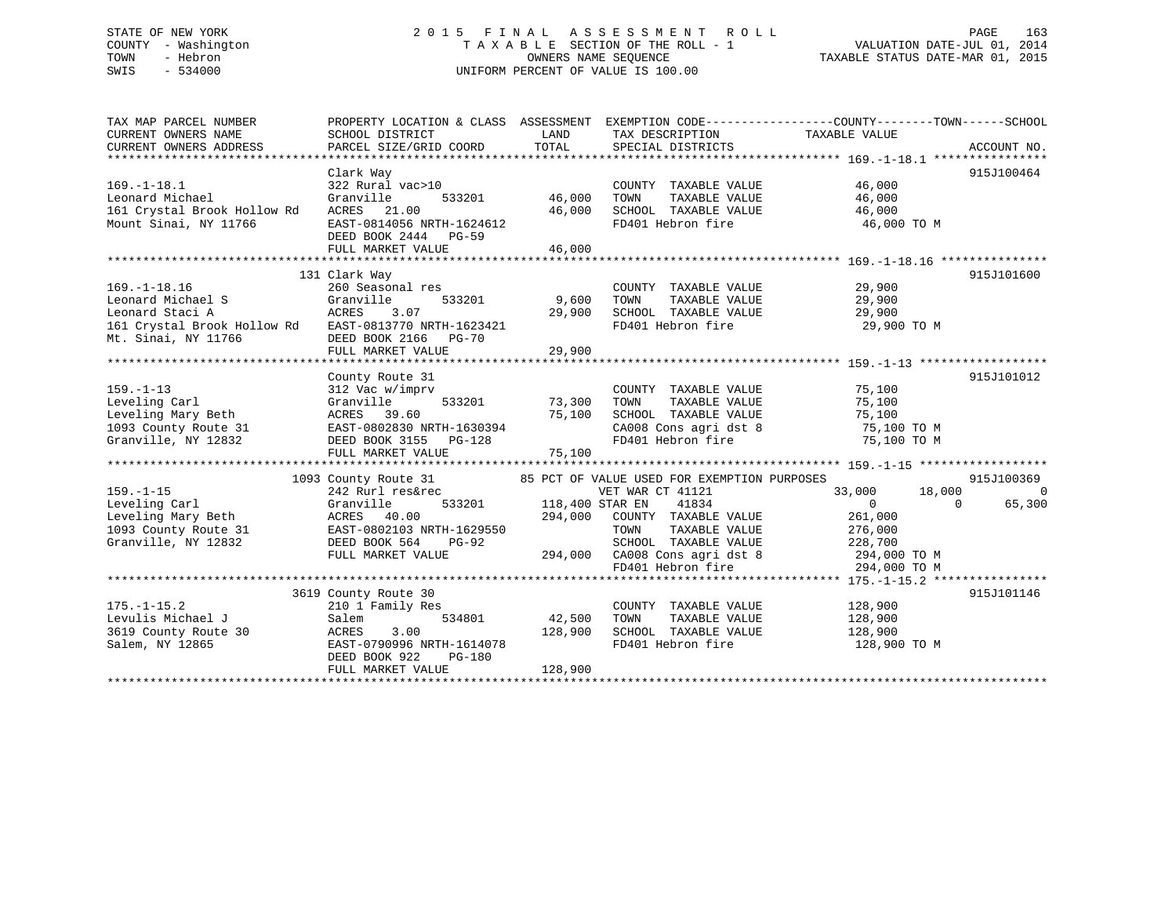# STATE OF NEW YORK 2 0 1 5 F I N A L A S S E S S M E N T R O L L PAGE 163 COUNTY - Washington T A X A B L E SECTION OF THE ROLL - 1 VALUATION DATE-JUL 01, 2014 TOWN - Hebron OWNERS NAME SEQUENCE TAXABLE STATUS DATE-MAR 01, 2015 SWIS - 534000 UNIFORM PERCENT OF VALUE IS 100.00

| TAX MAP PARCEL NUMBER<br>CURRENT OWNERS NAME<br>CURRENT OWNERS ADDRESS                                                                     | SCHOOL DISTRICT<br>PARCEL SIZE/GRID COORD                                                                                                                                                    | LAND<br>TOTAL                     | TAX DESCRIPTION TAXABLE VALUE<br>SPECIAL DISTRICTS                                                                  | PROPERTY LOCATION & CLASS ASSESSMENT EXEMPTION CODE---------------COUNTY-------TOWN-----SCHOOL                                                                                        | ACCOUNT NO.               |
|--------------------------------------------------------------------------------------------------------------------------------------------|----------------------------------------------------------------------------------------------------------------------------------------------------------------------------------------------|-----------------------------------|---------------------------------------------------------------------------------------------------------------------|---------------------------------------------------------------------------------------------------------------------------------------------------------------------------------------|---------------------------|
| $169. - 1 - 18.1$<br>Leonard Michael<br>161 Crystal Brook Hollow Rd<br>Mount Sinai, NY 11766                                               | Clark Way<br>322 Rural vac>10<br>Granville<br>ACRES 21.00<br>EAST-0814056 NRTH-1624612<br>DEED BOOK 2444 PG-59<br>FULL MARKET VALUE                                                          | 533201 46,000<br>46,000<br>46,000 | COUNTY TAXABLE VALUE<br>TOWN<br>TAXABLE VALUE<br>SCHOOL TAXABLE VALUE<br>FD401 Hebron fire                          | 46,000<br>46,000<br>46,000<br>46,000 TO M                                                                                                                                             | 915J100464                |
| $169. - 1 - 18.16$<br>Leonard Michael S<br>Leonard Staci A<br>161 Crystal Brook Hollow Rd EAST-0813770 NRTH-1623421<br>Mt. Sinai, NY 11766 | 131 Clark Way<br>260 Seasonal res<br>Granville<br>533201<br>3.07<br>ACRES<br>DEED BOOK 2166 PG-70                                                                                            | 9,600<br>29,900                   | COUNTY TAXABLE VALUE 29,900<br>TOWN<br>TAXABLE VALUE<br>SCHOOL TAXABLE VALUE 29,900<br>FD401 Hebron fire            | 29,900<br>29,900 TO M                                                                                                                                                                 | 915J101600                |
| $159. - 1 - 13$<br>Leveling Carl<br>Leveling Mary Beth<br>1093 County Route 31<br>Granville, NY 12832<br>Granville, NY 12832               | County Route 31<br>312 Vac w/imprv<br>533201<br>Granville<br>ACRES 39.60<br>EAST-0802830 NRTH-1630394<br>DEED BOOK 3155 PG-128<br>FULL MARKET VALUE                                          | 73,300<br>75,100<br>75,100        | COUNTY TAXABLE VALUE<br>TAXABLE VALUE<br>TOWN<br>SCHOOL TAXABLE VALUE<br>CA008 Cons agri dst 8<br>FD401 Hebron fire | 75,100<br>75,100<br>75,100<br>75,100 TO M<br>75,100 TO M                                                                                                                              | 915J101012                |
| $159. - 1 - 15$<br>Leveling Carl<br>Leveling Mary Beth<br>1093 County Route 31<br>Granville, NY 12832                                      | 1093 County Route 31 65 PCT OF VALUE USED FOR EXEMPTION PURPOSES<br>242 Rurl res&rec<br>Granville<br>ACRES 40.00<br>EAST-0802103 NRTH-1629550<br>DEED BOOK 564<br>PG-92<br>FULL MARKET VALUE | 533201 118,400 STAR EN<br>294,000 | VET WAR CT 41121<br>41834<br>COUNTY TAXABLE VALUE<br>TOWN<br>TAXABLE VALUE                                          | 18,000<br>33,000<br>$\overline{0}$<br>$\bigcap$<br>261,000<br>276,000<br>SCHOOL TAXABLE VALUE 228,700<br>294,000 CA008 Cons agri dst 8 294,000 TO M<br>FD401 Hebron fire 294,000 TO M | 915J100369<br>0<br>65,300 |
| $175. - 1 - 15.2$<br>Levulis Michael J<br>3619 County Route 30<br>Salem, NY 12865                                                          | 3619 County Route 30<br>210 1 Family Res<br>Salem<br>534801<br>ACRES<br>3.00<br>EAST-0790996 NRTH-1614078<br>DEED BOOK 922<br>PG-180<br>FULL MARKET VALUE                                    | 42,500<br>128,900<br>128,900      | COUNTY TAXABLE VALUE<br>FD401 Hebron fire                                                                           | 128,900<br>128,900 TO M                                                                                                                                                               | 915J101146                |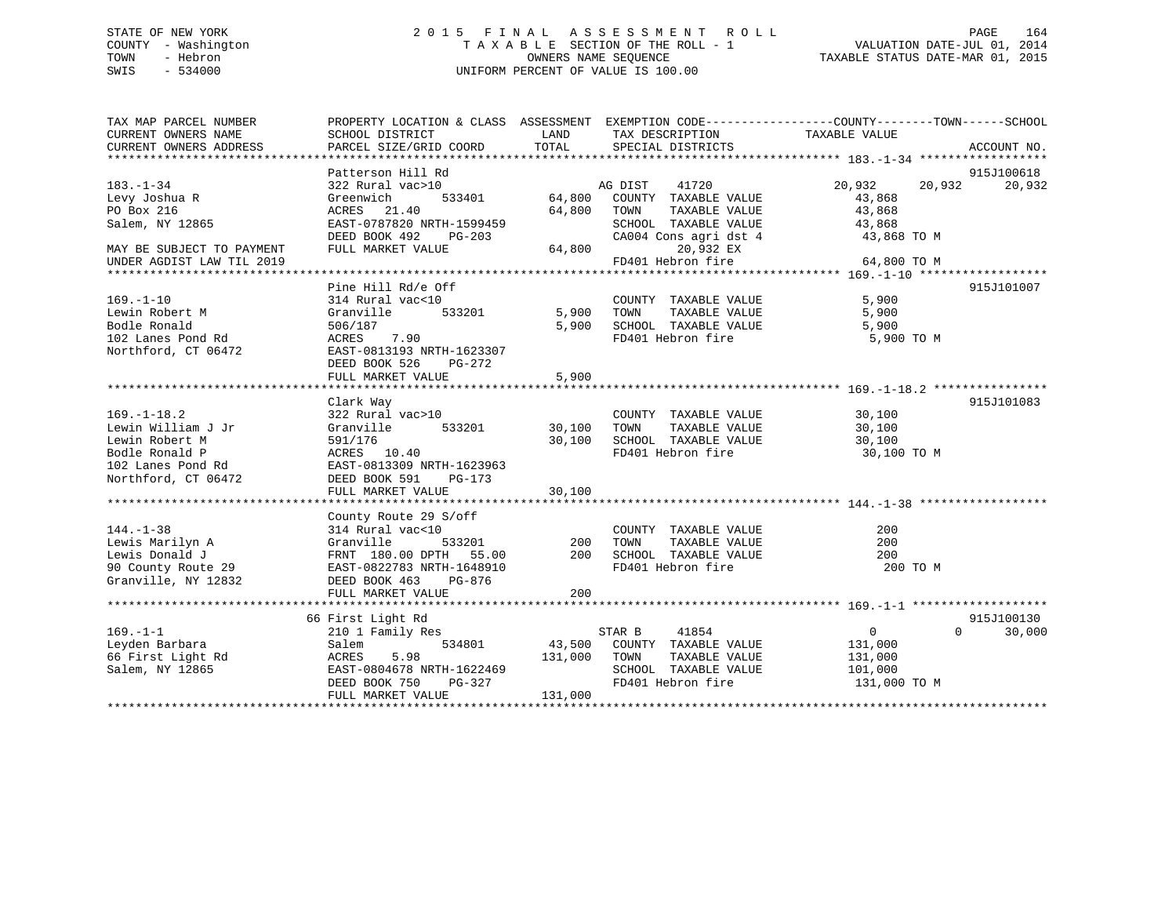# STATE OF NEW YORK 2 0 1 5 F I N A L A S S E S S M E N T R O L L PAGE 164 COUNTY - Washington T A X A B L E SECTION OF THE ROLL - 1 VALUATION DATE-JUL 01, 2014 TOWN - Hebron OWNERS NAME SEQUENCE TAXABLE STATUS DATE-MAR 01, 2015 SWIS - 534000 UNIFORM PERCENT OF VALUE IS 100.00

| TAX MAP PARCEL NUMBER     | PROPERTY LOCATION & CLASS ASSESSMENT EXEMPTION CODE---------------COUNTY-------TOWN-----SCHOOL |               |                                                           |                   |                      |
|---------------------------|------------------------------------------------------------------------------------------------|---------------|-----------------------------------------------------------|-------------------|----------------------|
| CURRENT OWNERS NAME       | SCHOOL DISTRICT                                                                                | LAND          | TAX DESCRIPTION                                           | TAXABLE VALUE     |                      |
| CURRENT OWNERS ADDRESS    | PARCEL SIZE/GRID COORD                                                                         | TOTAL         | SPECIAL DISTRICTS                                         |                   | ACCOUNT NO.          |
|                           |                                                                                                |               |                                                           |                   |                      |
|                           | Patterson Hill Rd                                                                              |               |                                                           |                   | 915J100618<br>20,932 |
| $183. - 1 - 34$           | 322 Rural vac>10                                                                               |               | AG DIST<br>41720                                          | 20,932<br>20,932  |                      |
| Levy Joshua R             | 533401<br>Greenwich                                                                            |               | 64,800 COUNTY TAXABLE VALUE                               | 43,868            |                      |
| PO Box 216                | ACRES 21.40                                                                                    | 64,800 TOWN   | TAXABLE VALUE                                             | 43,868            |                      |
| Salem, NY 12865           | EAST-0787820 NRTH-1599459                                                                      |               | SCHOOL TAXABLE VALUE<br>CA004 Cons agri dst 4 43,868 TO M | 43,868            |                      |
|                           | DEED BOOK 492<br>PG-203                                                                        |               |                                                           |                   |                      |
| MAY BE SUBJECT TO PAYMENT | FULL MARKET VALUE                                                                              | 64,800        | 20,932 EX<br>FD401 Hebron fire 64,800 TO M                |                   |                      |
| UNDER AGDIST LAW TIL 2019 |                                                                                                |               |                                                           |                   |                      |
|                           |                                                                                                |               |                                                           |                   |                      |
|                           | Pine Hill Rd/e Off                                                                             |               |                                                           |                   | 915J101007           |
| $169. - 1 - 10$           | 314 Rural vac<10                                                                               |               | COUNTY TAXABLE VALUE                                      | 5,900             |                      |
| Lewin Robert M            | Granville<br>533201                                                                            | 5,900         | TAXABLE VALUE<br>TOWN                                     | 5,900             |                      |
| Bodle Ronald              | 506/187                                                                                        | 5,900         | SCHOOL TAXABLE VALUE                                      | 5,900             |                      |
| 102 Lanes Pond Rd         | 7.90<br>ACRES                                                                                  |               | FD401 Hebron fire                                         | 5,900 TO M        |                      |
| Northford, CT 06472       | EAST-0813193 NRTH-1623307                                                                      |               |                                                           |                   |                      |
|                           | DEED BOOK 526<br>PG-272                                                                        |               |                                                           |                   |                      |
|                           | FULL MARKET VALUE                                                                              | 5,900         |                                                           |                   |                      |
|                           |                                                                                                |               |                                                           |                   |                      |
|                           | Clark Way                                                                                      |               |                                                           |                   | 915J101083           |
| $169. - 1 - 18.2$         | 322 Rural vac>10                                                                               |               | COUNTY TAXABLE VALUE                                      | 30,100            |                      |
| Lewin William J Jr        | Granville                                                                                      | 533201 30,100 | TOWN<br>TAXABLE VALUE                                     | 30,100            |                      |
| Lewin Robert M            | 591/176                                                                                        | 30,100        | SCHOOL TAXABLE VALUE                                      | 30,100            |                      |
| Bodle Ronald P            | ACRES 10.40                                                                                    |               | FD401 Hebron fire                                         | 30,100 TO M       |                      |
| 102 Lanes Pond Rd         | EAST-0813309 NRTH-1623963                                                                      |               |                                                           |                   |                      |
| Northford, CT 06472       | DEED BOOK 591<br>PG-173                                                                        |               |                                                           |                   |                      |
|                           | FULL MARKET VALUE                                                                              | 30,100        |                                                           |                   |                      |
|                           |                                                                                                |               |                                                           |                   |                      |
|                           | County Route 29 S/off                                                                          |               |                                                           |                   |                      |
| $144. - 1 - 38$           | 314 Rural vac<10                                                                               |               | COUNTY TAXABLE VALUE                                      | 200               |                      |
| Lewis Marilyn A           | Granville<br>533201                                                                            | 200 TOWN      | TAXABLE VALUE                                             | 200               |                      |
| Lewis Donald J            | FRNT 180.00 DPTH 55.00                                                                         |               | 200 SCHOOL TAXABLE VALUE                                  | 200               |                      |
| 90 County Route 29        | EAST-0822783 NRTH-1648910                                                                      |               | FD401 Hebron fire                                         | 200 TO M          |                      |
| Granville, NY 12832       | DEED BOOK 463<br>PG-876                                                                        |               |                                                           |                   |                      |
|                           | FULL MARKET VALUE                                                                              | 200           |                                                           |                   |                      |
|                           |                                                                                                |               |                                                           |                   |                      |
|                           | 66 First Light Rd                                                                              |               |                                                           |                   | 915J100130           |
| $169. - 1 - 1$            | 210 1 Family Res                                                                               |               | STAR B<br>41854                                           | $0 \qquad \qquad$ | $\Omega$<br>30,000   |
| Leyden Barbara            | Salem<br>534801                                                                                |               | 43,500 COUNTY TAXABLE VALUE                               | 131,000           |                      |
| 66 First Light Rd         | 5.98<br>ACRES                                                                                  | 131,000       | TOWN<br>TAXABLE VALUE                                     | 131,000           |                      |
| Salem, NY 12865           | EAST-0804678 NRTH-1622469                                                                      |               | SCHOOL TAXABLE VALUE                                      | 101,000           |                      |
|                           | DEED BOOK 750<br>PG-327                                                                        |               | FD401 Hebron fire                                         | 131,000 TO M      |                      |
|                           | FULL MARKET VALUE                                                                              | 131,000       |                                                           |                   |                      |
|                           |                                                                                                |               |                                                           |                   |                      |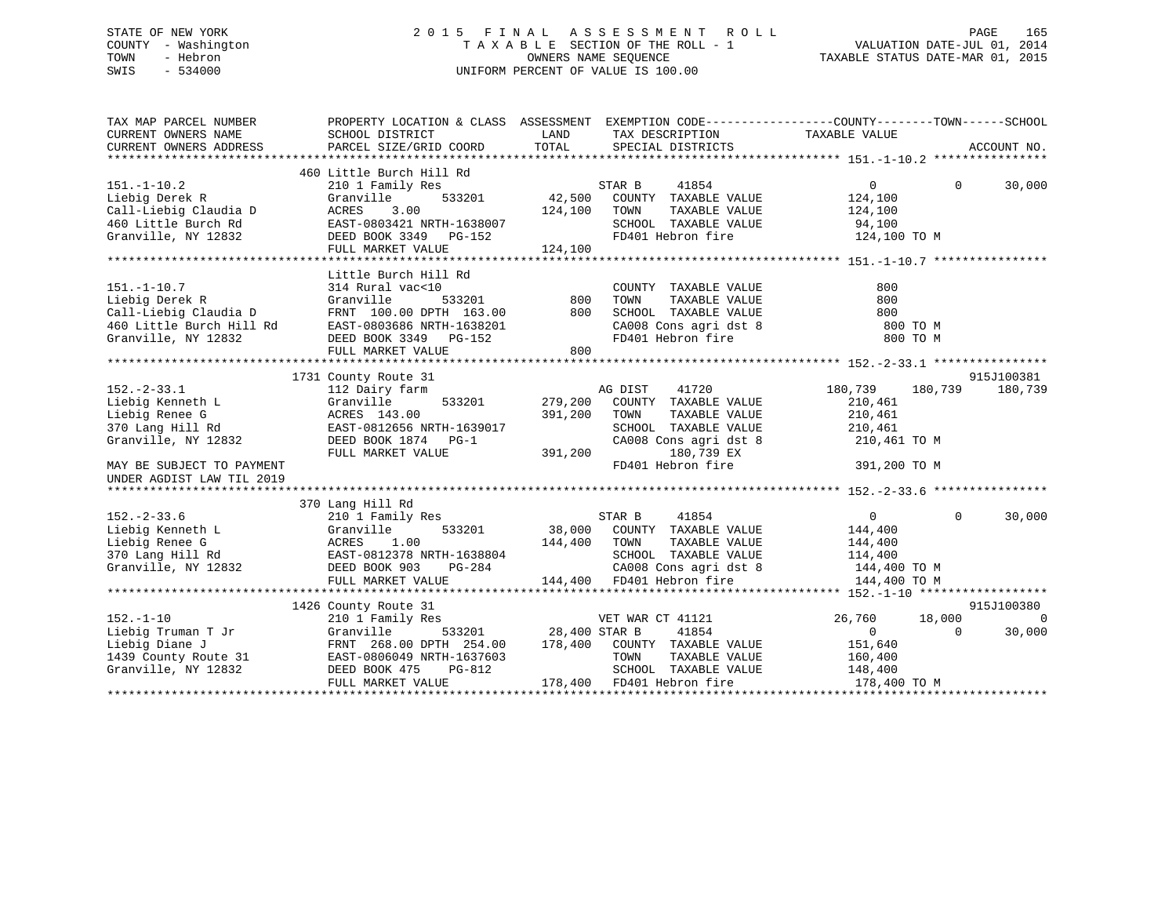# STATE OF NEW YORK 2 0 1 5 F I N A L A S S E S S M E N T R O L L PAGE 165 COUNTY - Washington T A X A B L E SECTION OF THE ROLL - 1 VALUATION DATE-JUL 01, 2014 TOWN - Hebron OWNERS NAME SEQUENCE TAXABLE STATUS DATE-MAR 01, 2015 SWIS - 534000 UNIFORM PERCENT OF VALUE IS 100.00

| TAX MAP PARCEL NUMBER<br>CURRENT OWNERS NAME<br>CURRENT OWNERS ADDRESS                                                                                       | PROPERTY LOCATION & CLASS ASSESSMENT EXEMPTION CODE---------------COUNTY-------TOWN-----SCHOOL<br>SCHOOL DISTRICT<br>PARCEL SIZE/GRID COORD                             | LAND<br>TOTAL                 | TAX DESCRIPTION TAXABLE VALUE<br>SPECIAL DISTRICTS                                                                                                    |                                                                                     | ACCOUNT NO.                                   |
|--------------------------------------------------------------------------------------------------------------------------------------------------------------|-------------------------------------------------------------------------------------------------------------------------------------------------------------------------|-------------------------------|-------------------------------------------------------------------------------------------------------------------------------------------------------|-------------------------------------------------------------------------------------|-----------------------------------------------|
| $151. - 1 - 10.2$<br>Liebig Derek R<br>Call-Liebig Claudia D<br>460 Little Burch Rd<br>Granville, NY 12832                                                   | 460 Little Burch Hill Rd<br>210 1 Family Res<br>533201<br>Granville<br>3.00<br>ACRES<br>EAST-0803421 NRTH-1638007<br>DEED BOOK 3349 PG-152<br>FULL MARKET VALUE         | 42,500<br>124,100<br>124,100  | STAR B<br>41854<br>COUNTY TAXABLE VALUE<br>TOWN<br>TAXABLE VALUE<br>SCHOOL TAXABLE VALUE<br>FD401 Hebron fire                                         | $\Omega$<br>124,100<br>124,100<br>94,100<br>124,100 TO M                            | $\Omega$<br>30,000                            |
| $151. - 1 - 10.7$<br>Liebig Derek R<br>Call-Liebig Claudia D<br>460 Little Burch Hill Rd<br>Granville, NY 12832                                              | Little Burch Hill Rd<br>314 Rural vac<10<br>Granville<br>533201<br>FRNT 100.00 DPTH 163.00<br>EAST-0803686 NRTH-1638201<br>DEED BOOK 3349 PG-152<br>FULL MARKET VALUE   | 800<br>800<br>800             | COUNTY TAXABLE VALUE<br>TOWN<br>TAXABLE VALUE<br>SCHOOL TAXABLE VALUE<br>CA008 Cons agri dst 8<br>FD401 Hebron fire                                   | 800<br>800<br>800<br>800 TO M<br>800 TO M                                           |                                               |
| $152. - 2 - 33.1$<br>Liebig Kenneth L<br>Liebig Renee G<br>370 Lang Hill Rd<br>Granville, NY 12832<br>MAY BE SUBJECT TO PAYMENT<br>UNDER AGDIST LAW TIL 2019 | 1731 County Route 31<br>112 Dairy farm<br>Granville<br>533201<br>ACRES 143.00<br>EAST-0812656 NRTH-1639017<br>DEED BOOK 1874 PG-1<br>FULL MARKET VALUE                  | 279,200<br>391,200<br>391,200 | 41720<br>AG DIST<br>COUNTY TAXABLE VALUE<br>TOWN<br>TAXABLE VALUE<br>SCHOOL TAXABLE VALUE<br>CA008 Cons agri dst 8<br>180,739 EX<br>FD401 Hebron fire | 180,739<br>180,739<br>210,461<br>210,461<br>210,461<br>210,461 TO M<br>391,200 TO M | 915J100381<br>180,739                         |
| $152. - 2 - 33.6$<br>Liebig Kenneth L<br>Liebig Renee G<br>370 Lang Hill Rd<br>Granville, NY 12832                                                           | 370 Lang Hill Rd<br>210 1 Family Res<br>Granville<br>533201<br>ACRES<br>1.00<br>EAST-0812378 NRTH-1638804<br>DEED BOOK 903<br>PG-284<br>FULL MARKET VALUE               | 38,000<br>144,400             | STAR B<br>41854<br>COUNTY TAXABLE VALUE<br>TAXABLE VALUE<br>TOWN<br>SCHOOL TAXABLE VALUE<br>CA008 Cons agri dst 8<br>144,400 FD401 Hebron fire        | $\overline{0}$<br>144,400<br>144,400<br>114,400<br>144,400 TO M<br>144,400 TO M     | $\Omega$<br>30,000                            |
| $152. - 1 - 10$<br>Liebig Truman T Jr<br>Liebig Diane J<br>1439 County Route 31<br>Granville, NY 12832                                                       | 1426 County Route 31<br>210 1 Family Res<br>533201<br>Granville<br>FRNT 268.00 DPTH 254.00<br>EAST-0806049 NRTH-1637603<br>PG-812<br>DEED BOOK 475<br>FULL MARKET VALUE | 28,400 STAR B                 | VET WAR CT 41121<br>41854<br>178,400 COUNTY TAXABLE VALUE<br>TAXABLE VALUE<br>TOWN<br>SCHOOL TAXABLE VALUE<br>178,400 FD401 Hebron fire               | 26,760<br>18,000<br>$\overline{0}$<br>151,640<br>160,400<br>148,400                 | 915J100380<br>$\bigcap$<br>30,000<br>$\Omega$ |
|                                                                                                                                                              |                                                                                                                                                                         |                               |                                                                                                                                                       | 178,400 TO M                                                                        |                                               |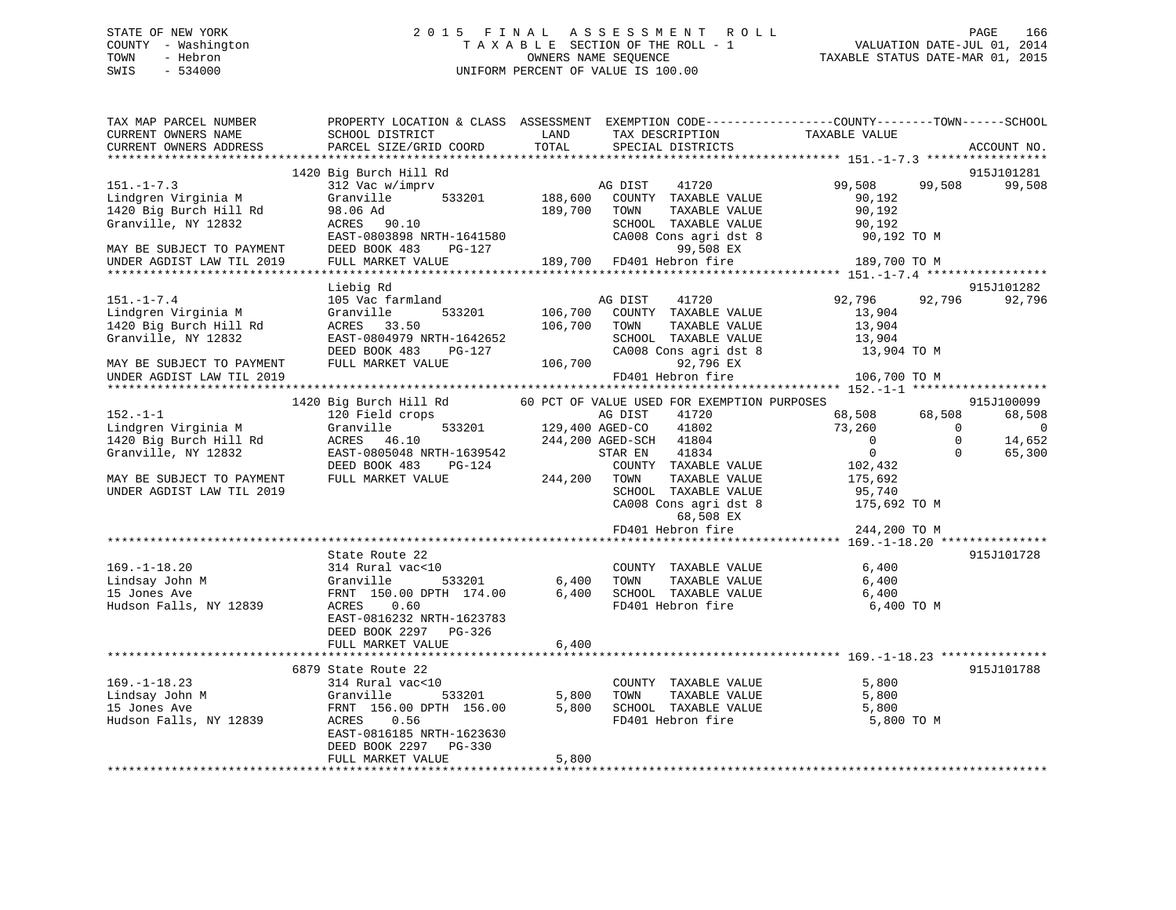# STATE OF NEW YORK 2 0 1 5 F I N A L A S S E S S M E N T R O L L PAGE 166 COUNTY - Washington T A X A B L E SECTION OF THE ROLL - 1 VALUATION DATE-JUL 01, 2014 TOWN - Hebron OWNERS NAME SEQUENCE TAXABLE STATUS DATE-MAR 01, 2015 SWIS - 534000 UNIFORM PERCENT OF VALUE IS 100.00

| TAX MAP PARCEL NUMBER<br>CURRENT OWNERS NAME<br>CURRENT OWNERS ADDRESS                                                | PROPERTY LOCATION & CLASS ASSESSMENT EXEMPTION CODE----------------COUNTY-------TOWN-----SCHOOL<br>SCHOOL DISTRICT<br>PARCEL SIZE/GRID COORD                          | LAND<br>TOTAL           | TAX DESCRIPTION<br>SPECIAL DISTRICTS                                                                                                    | TAXABLE VALUE                                              |                                | ACCOUNT NO.              |
|-----------------------------------------------------------------------------------------------------------------------|-----------------------------------------------------------------------------------------------------------------------------------------------------------------------|-------------------------|-----------------------------------------------------------------------------------------------------------------------------------------|------------------------------------------------------------|--------------------------------|--------------------------|
|                                                                                                                       |                                                                                                                                                                       |                         |                                                                                                                                         |                                                            |                                |                          |
| $151. - 1 - 7.3$<br>Lindgren Virginia M<br>1420 Big Burch Hill Rd<br>Granville, NY 12832<br>MAY BE SUBJECT TO PAYMENT | 1420 Big Burch Hill Rd<br>312 Vac w/imprv<br>Granville<br>533201<br>$ACRES$ 90.10<br>$FART$ $CCT$<br>ACRES 90.10<br>EAST-0803898 NRTH-1641580<br>DEED BOOK 483 PG-127 | 189,700                 | AG DIST 41720<br>188,600 COUNTY TAXABLE VALUE<br>TOWN<br>TAXABLE VALUE<br>SCHOOL TAXABLE VALUE<br>CA008 Cons agri dst 8<br>99,508 EX    | 99,508<br>90,192<br>90,192<br>90,192<br>90,192 TO M        | 99,508                         | 915J101281<br>99,508     |
| UNDER AGDIST LAW TIL 2019                                                                                             | FULL MARKET VALUE 189,700 FD401 Hebron fire                                                                                                                           |                         |                                                                                                                                         | 189,700 TO M                                               |                                |                          |
|                                                                                                                       |                                                                                                                                                                       |                         |                                                                                                                                         |                                                            |                                |                          |
|                                                                                                                       | Liebig Rd                                                                                                                                                             |                         |                                                                                                                                         |                                                            |                                | 915J101282               |
| $151. - 1 - 7.4$<br>Lindgren Virginia M<br>1420 Big Burch Hill Rd<br>Granville, NY 12832<br>MAY BE SUBJECT TO PAYMENT | 105 Vac farmland<br>533201<br>Granville<br>ACRES 33.50<br>EAST-0804979 NRTH-1642652<br>DEED BOOK 483<br>PG-127<br>FULL MARKET VALUE                                   | 106,700<br>106,700      | AG DIST<br>41720<br>COUNTY TAXABLE VALUE<br>106,700 TOWN<br>TAXABLE VALUE<br>SCHOOL TAXABLE VALUE<br>CA008 Cons agri dst 8<br>92,796 EX | 92,796 92,796<br>13,904<br>13,904<br>13,904<br>13,904 TO M |                                | 92,796                   |
| UNDER AGDIST LAW TIL 2019                                                                                             |                                                                                                                                                                       |                         | FD401 Hebron fire                                                                                                                       | 106,700 TO M                                               |                                |                          |
|                                                                                                                       |                                                                                                                                                                       |                         |                                                                                                                                         |                                                            |                                |                          |
|                                                                                                                       | 1420 Big Burch Hill Rd                                                                                                                                                |                         | 60 PCT OF VALUE USED FOR EXEMPTION PURPOSES                                                                                             |                                                            |                                | 915J100099               |
| $152. - 1 - 1$                                                                                                        | 120 Field crops<br>Granville 533201 129,400 AGED-CO                                                                                                                   |                         | 41720                                                                                                                                   | 68,508 68,508                                              |                                | 68,508                   |
| Lindgren Virginia M<br>1420 Big Burch Hill Rd                                                                         | ACRES 46.10                                                                                                                                                           |                         | 41802<br>244,200 AGED-SCH 41804                                                                                                         | 73,260<br>$\overline{0}$                                   | $\overline{0}$<br>$\mathbf{0}$ | $\overline{0}$<br>14,652 |
| Granville, NY 12832                                                                                                   | EAST-0805048 NRTH-1639542                                                                                                                                             |                         | 41834<br>STAR EN                                                                                                                        | $\overline{0}$                                             | $\Omega$                       | 65,300                   |
|                                                                                                                       | DEED BOOK 483 PG-124                                                                                                                                                  |                         | COUNTY TAXABLE VALUE                                                                                                                    | 102,432                                                    |                                |                          |
| MAY BE SUBJECT TO PAYMENT                                                                                             | FULL MARKET VALUE                                                                                                                                                     | 244,200 TOWN            | TAXABLE VALUE                                                                                                                           | 175,692                                                    |                                |                          |
| UNDER AGDIST LAW TIL 2019                                                                                             |                                                                                                                                                                       |                         | SCHOOL TAXABLE VALUE                                                                                                                    | 95,740                                                     |                                |                          |
|                                                                                                                       |                                                                                                                                                                       |                         | CA008 Cons agri dst 8 175,692 TO M                                                                                                      |                                                            |                                |                          |
|                                                                                                                       |                                                                                                                                                                       |                         | 68,508 EX                                                                                                                               |                                                            |                                |                          |
|                                                                                                                       |                                                                                                                                                                       |                         | FD401 Hebron fire                                                                                                                       | 244,200 TO M                                               |                                |                          |
|                                                                                                                       | State Route 22                                                                                                                                                        |                         |                                                                                                                                         |                                                            |                                | 915J101728               |
| $169. - 1 - 18.20$<br>Lindsay John M<br>15 Jones Ave<br>15 Jones Ave<br>Hudson Falls, NY 12839                        | 314 Rural vac<10<br>Granville<br>533201<br>FRNT 150.00 DPTH 174.00<br>ACRES 0.60<br>EAST-0816232 NRTH-1623783<br>DEED BOOK 2297 PG-326                                | 6,400<br>6,400<br>6,400 | COUNTY TAXABLE VALUE<br>TAXABLE VALUE<br>TOWN<br>SCHOOL TAXABLE VALUE<br>FD401 Hebron fire                                              | 6,400<br>6,400<br>6,400<br>6,400 TO M                      |                                |                          |
|                                                                                                                       | FULL MARKET VALUE                                                                                                                                                     |                         |                                                                                                                                         |                                                            |                                |                          |
|                                                                                                                       | 6879 State Route 22                                                                                                                                                   |                         |                                                                                                                                         |                                                            |                                | 915J101788               |
| $169. - 1 - 18.23$                                                                                                    | 314 Rural vac<10                                                                                                                                                      |                         | COUNTY TAXABLE VALUE                                                                                                                    | 5,800                                                      |                                |                          |
| Lindsay John M                                                                                                        | 533201<br>Granville                                                                                                                                                   | 5,800                   | TAXABLE VALUE<br>TOWN                                                                                                                   | 5,800                                                      |                                |                          |
| 15 Jones Ave                                                                                                          | FRNT 156.00 DPTH 156.00                                                                                                                                               |                         | 5,800 SCHOOL TAXABLE VALUE 5,800                                                                                                        |                                                            |                                |                          |
| Hudson Falls, NY 12839                                                                                                | ACRES 0.56<br>EAST-0816185 NRTH-1623630<br>DEED BOOK 2297 PG-330                                                                                                      |                         | FD401 Hebron fire                                                                                                                       | 5,800 TO M                                                 |                                |                          |
|                                                                                                                       | FULL MARKET VALUE                                                                                                                                                     | 5,800                   |                                                                                                                                         |                                                            |                                |                          |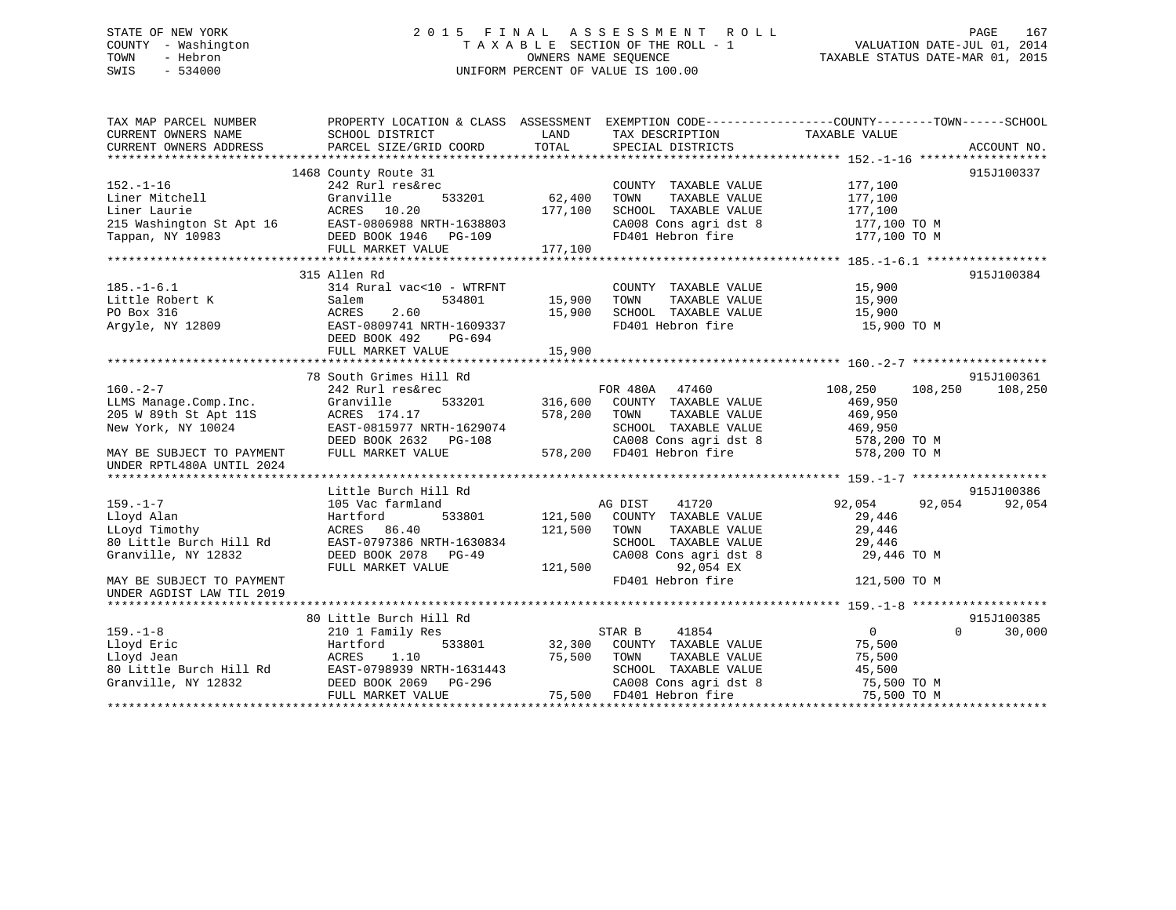# STATE OF NEW YORK 2 0 1 5 F I N A L A S S E S S M E N T R O L L PAGE 167 COUNTY - Washington T A X A B L E SECTION OF THE ROLL - 1 VALUATION DATE-JUL 01, 2014 TOWN - Hebron OWNERS NAME SEQUENCE TAXABLE STATUS DATE-MAR 01, 2015 SWIS - 534000 UNIFORM PERCENT OF VALUE IS 100.00

| TAX MAP PARCEL NUMBER<br>CURRENT OWNERS NAME<br>CURRENT OWNERS ADDRESS                                       | SCHOOL DISTRICT<br>PARCEL SIZE/GRID COORD | LAND<br>TOTAL | TAX DESCRIPTION TAXABLE VALUE<br>SPECIAL DISTRICTS | PROPERTY LOCATION & CLASS ASSESSMENT EXEMPTION CODE---------------COUNTY-------TOWN------SCHOOL | ACCOUNT NO. |
|--------------------------------------------------------------------------------------------------------------|-------------------------------------------|---------------|----------------------------------------------------|-------------------------------------------------------------------------------------------------|-------------|
|                                                                                                              |                                           |               |                                                    |                                                                                                 |             |
|                                                                                                              | 1468 County Route 31                      |               |                                                    |                                                                                                 | 915J100337  |
| $152. - 1 - 16$                                                                                              | 242 Rurl res&rec                          |               | COUNTY TAXABLE VALUE                               | 177,100                                                                                         |             |
| Liner Mitchell                                                                                               | Granville<br>533201                       | 62,400        | TOWN<br>TAXABLE VALUE                              | 177,100                                                                                         |             |
|                                                                                                              |                                           | 177,100       | SCHOOL TAXABLE VALUE                               | 177,100                                                                                         |             |
| Liner Laurie<br>215 Washington St Apt 16<br>Tappan, NY 10983<br>Tappan, NY 10983<br>DEED BOOK 1946<br>PG-109 |                                           |               | CA008 Cons agri dst 8                              | 177,100 TO M                                                                                    |             |
|                                                                                                              |                                           |               | FD401 Hebron fire                                  | 177,100 TO M                                                                                    |             |
|                                                                                                              | FULL MARKET VALUE                         | 177,100       |                                                    |                                                                                                 |             |
|                                                                                                              |                                           |               |                                                    |                                                                                                 |             |
|                                                                                                              | 315 Allen Rd                              |               |                                                    |                                                                                                 | 915J100384  |
| $185. - 1 - 6.1$                                                                                             | 314 Rural vac<10 - WTRFNT                 |               | COUNTY TAXABLE VALUE                               | 15,900                                                                                          |             |
| Little Robert K                                                                                              | 534801<br>Salem                           | 15,900        | TAXABLE VALUE<br>TOWN                              | 15,900                                                                                          |             |
| PO Box 316                                                                                                   | ACRES<br>2.60                             | 15,900        | SCHOOL TAXABLE VALUE                               | 15,900                                                                                          |             |
| Argyle, NY 12809                                                                                             | EAST-0809741 NRTH-1609337                 |               | FD401 Hebron fire                                  | 15,900 TO M                                                                                     |             |
|                                                                                                              | DEED BOOK 492<br>PG-694                   |               |                                                    |                                                                                                 |             |
|                                                                                                              | FULL MARKET VALUE                         | 15,900        |                                                    |                                                                                                 |             |
|                                                                                                              |                                           |               |                                                    |                                                                                                 |             |
|                                                                                                              | 78 South Grimes Hill Rd                   |               |                                                    |                                                                                                 | 915J100361  |
| $160. -2 - 7$                                                                                                | 242 Rurl res&rec                          |               | FOR 480A 47460                                     | 108,250<br>108,250                                                                              | 108,250     |
| LLMS Manage.Comp.Inc.                                                                                        | 533201<br>Granville                       | 316,600       | COUNTY TAXABLE VALUE                               | 469,950                                                                                         |             |
| 205 W 89th St Apt 11S                                                                                        | ACRES 174.17                              | 578,200       | TOWN<br>TAXABLE VALUE                              | 469,950<br>469,950                                                                              |             |
| New York, NY 10024                                                                                           | EAST-0815977 NRTH-1629074                 |               | SCHOOL TAXABLE VALUE                               |                                                                                                 |             |
|                                                                                                              | DEED BOOK 2632 PG-108                     |               | CA008 Cons agri dst 8<br>578,200 FD401 Hebron fire | 578,200 TO M<br>578,200 TO M                                                                    |             |
| MAY BE SUBJECT TO PAYMENT<br>UNDER RPTL480A UNTIL 2024                                                       | FULL MARKET VALUE                         |               |                                                    |                                                                                                 |             |
|                                                                                                              |                                           |               |                                                    |                                                                                                 |             |
|                                                                                                              | Little Burch Hill Rd                      |               |                                                    |                                                                                                 | 915J100386  |
| $159. - 1 - 7$                                                                                               | 105 Vac farmland                          |               | AG DIST<br>41720                                   | 92,054<br>92,054                                                                                | 92,054      |
| Lloyd Alan                                                                                                   | Hartford<br>533801                        | 121,500       | COUNTY TAXABLE VALUE                               | 29,446                                                                                          |             |
| LLoyd Timothy                                                                                                | ACRES 86.40                               | 121,500       | TOWN<br>TAXABLE VALUE                              | 29,446                                                                                          |             |
| 80 Little Burch Hill Rd                                                                                      | EAST-0797386 NRTH-1630834                 |               | SCHOOL TAXABLE VALUE                               | 29,446                                                                                          |             |
| Granville, NY 12832                                                                                          | DEED BOOK 2078 PG-49                      |               | CA008 Cons agri dst 8                              | 29,446 TO M                                                                                     |             |
|                                                                                                              | FULL MARKET VALUE                         | 121,500       | 92,054 EX                                          |                                                                                                 |             |
| MAY BE SUBJECT TO PAYMENT                                                                                    |                                           |               | FD401 Hebron fire                                  | 121,500 TO M                                                                                    |             |
| UNDER AGDIST LAW TIL 2019                                                                                    |                                           |               |                                                    |                                                                                                 |             |
|                                                                                                              |                                           |               |                                                    |                                                                                                 |             |
|                                                                                                              | 80 Little Burch Hill Rd                   |               |                                                    |                                                                                                 | 915J100385  |
| $159. - 1 - 8$                                                                                               | 210 1 Family Res                          |               | STAR B<br>41854                                    | $0 \qquad \qquad$<br>$\Omega$                                                                   | 30,000      |
| Lloyd Eric                                                                                                   | Hartford                                  | 533801 32,300 | COUNTY TAXABLE VALUE                               | 75,500                                                                                          |             |
| Lloyd Jean                                                                                                   | ACRES<br>1.10                             | 75,500        | TOWN<br>TAXABLE VALUE                              | 75,500                                                                                          |             |
| 80 Little Burch Hill Rd                                                                                      | EAST-0798939 NRTH-1631443                 |               | SCHOOL TAXABLE VALUE                               | 45,500                                                                                          |             |
| Granville, NY 12832                                                                                          | DEED BOOK 2069 PG-296                     |               | CA008 Cons agri dst 8                              | 75,500 TO M                                                                                     |             |
|                                                                                                              | FULL MARKET VALUE                         |               | 75,500 FD401 Hebron fire                           | 75,500 TO M                                                                                     |             |
|                                                                                                              |                                           |               |                                                    |                                                                                                 |             |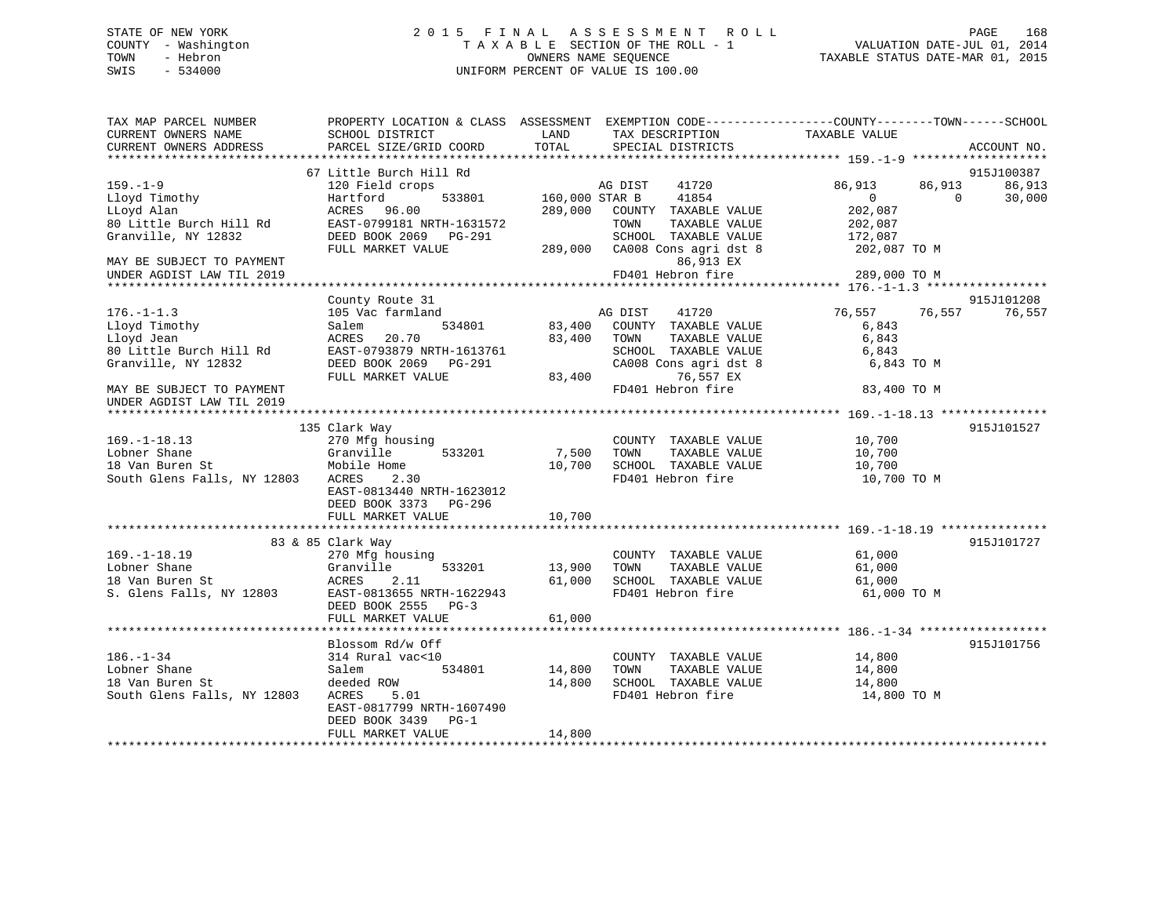# STATE OF NEW YORK 2 0 1 5 F I N A L A S S E S S M E N T R O L L PAGE 168 COUNTY - Washington T A X A B L E SECTION OF THE ROLL - 1 VALUATION DATE-JUL 01, 2014 TOWN - Hebron OWNERS NAME SEQUENCE TAXABLE STATUS DATE-MAR 01, 2015 SWIS - 534000 UNIFORM PERCENT OF VALUE IS 100.00

| TAX MAP PARCEL NUMBER<br>CURRENT OWNERS NAME           | PROPERTY LOCATION & CLASS ASSESSMENT<br>SCHOOL DISTRICT | LAND           | EXEMPTION CODE----------------COUNTY-------TOWN------SCHOOL<br>TAX DESCRIPTION | TAXABLE VALUE                                   |          |                            |
|--------------------------------------------------------|---------------------------------------------------------|----------------|--------------------------------------------------------------------------------|-------------------------------------------------|----------|----------------------------|
| CURRENT OWNERS ADDRESS<br>************************     | PARCEL SIZE/GRID COORD<br>************************      | TOTAL          | SPECIAL DISTRICTS                                                              |                                                 |          | ACCOUNT NO.<br>* * * * * * |
|                                                        | 67 Little Burch Hill Rd                                 |                |                                                                                |                                                 |          | 915J100387                 |
| $159. - 1 - 9$                                         | 120 Field crops                                         |                | AG DIST<br>41720                                                               | 86,913                                          | 86,913   | 86,913                     |
| Lloyd Timothy                                          | Hartford<br>533801                                      | 160,000 STAR B | 41854                                                                          | $\overline{0}$                                  | $\Omega$ | 30,000                     |
| LLoyd Alan                                             | ACRES<br>96.00                                          | 289,000        | COUNTY TAXABLE VALUE                                                           | 202,087                                         |          |                            |
| 80 Little Burch Hill Rd                                | EAST-0799181 NRTH-1631572                               |                | TAXABLE VALUE<br>TOWN                                                          | 202,087                                         |          |                            |
| Granville, NY 12832                                    | DEED BOOK 2069 PG-291                                   |                | SCHOOL TAXABLE VALUE                                                           | 172,087                                         |          |                            |
|                                                        | FULL MARKET VALUE                                       | 289,000        | CA008 Cons agri dst 8                                                          | 202,087 TO M                                    |          |                            |
| MAY BE SUBJECT TO PAYMENT                              |                                                         |                | 86,913 EX                                                                      |                                                 |          |                            |
| UNDER AGDIST LAW TIL 2019                              |                                                         |                | FD401 Hebron fire                                                              | 289,000 TO M                                    |          |                            |
|                                                        |                                                         |                |                                                                                | ***************** 176.-1-1.3 ****************** |          |                            |
|                                                        | County Route 31                                         |                |                                                                                |                                                 |          | 915J101208                 |
| $176. - 1 - 1.3$                                       | 105 Vac farmland                                        |                | AG DIST<br>41720                                                               | 76,557                                          | 76,557   | 76,557                     |
| Lloyd Timothy                                          | Salem<br>534801                                         | 83,400         | COUNTY TAXABLE VALUE                                                           | 6,843                                           |          |                            |
| Lloyd Jean                                             | ACRES<br>20.70                                          | 83,400         | TOWN<br>TAXABLE VALUE                                                          | 6,843                                           |          |                            |
| 80 Little Burch Hill Rd                                | EAST-0793879 NRTH-1613761                               |                | SCHOOL TAXABLE VALUE                                                           | 6,843                                           |          |                            |
| Granville, NY 12832                                    | DEED BOOK 2069 PG-291                                   |                | CA008 Cons agri dst 8                                                          | 6,843 TO M                                      |          |                            |
|                                                        | FULL MARKET VALUE                                       | 83,400         | 76,557 EX                                                                      |                                                 |          |                            |
| MAY BE SUBJECT TO PAYMENT<br>UNDER AGDIST LAW TIL 2019 |                                                         |                | FD401 Hebron fire                                                              | 83,400 TO M                                     |          |                            |
|                                                        |                                                         |                |                                                                                |                                                 |          |                            |
|                                                        | 135 Clark Way                                           |                |                                                                                |                                                 |          | 915J101527                 |
| $169. - 1 - 18.13$                                     | 270 Mfg housing                                         |                | COUNTY TAXABLE VALUE                                                           | 10,700                                          |          |                            |
| Lobner Shane                                           | 533201<br>Granville                                     | 7,500          | TAXABLE VALUE<br>TOWN                                                          | 10,700                                          |          |                            |
| 18 Van Buren St                                        | Mobile Home                                             | 10,700         | SCHOOL TAXABLE VALUE                                                           | 10,700                                          |          |                            |
| South Glens Falls, NY 12803                            | ACRES<br>2.30                                           |                | FD401 Hebron fire                                                              | 10,700 TO M                                     |          |                            |
|                                                        | EAST-0813440 NRTH-1623012                               |                |                                                                                |                                                 |          |                            |
|                                                        | DEED BOOK 3373 PG-296                                   |                |                                                                                |                                                 |          |                            |
|                                                        | FULL MARKET VALUE                                       | 10,700         |                                                                                |                                                 |          |                            |
|                                                        |                                                         |                |                                                                                |                                                 |          |                            |
|                                                        | 83 & 85 Clark Way                                       |                |                                                                                |                                                 |          | 915J101727                 |
| $169. - 1 - 18.19$                                     | 270 Mfg housing                                         |                | COUNTY TAXABLE VALUE                                                           | 61,000                                          |          |                            |
| Lobner Shane                                           | Granville<br>533201                                     | 13,900         | TAXABLE VALUE<br>TOWN                                                          | 61,000                                          |          |                            |
| 18 Van Buren St                                        | ACRES<br>2.11                                           | 61,000         | SCHOOL TAXABLE VALUE                                                           | 61,000                                          |          |                            |
| S. Glens Falls, NY 12803                               | EAST-0813655 NRTH-1622943                               |                | FD401 Hebron fire                                                              | 61,000 TO M                                     |          |                            |
|                                                        | DEED BOOK 2555<br>$PG-3$                                |                |                                                                                |                                                 |          |                            |
|                                                        | FULL MARKET VALUE                                       | 61,000         |                                                                                |                                                 |          |                            |
|                                                        |                                                         |                |                                                                                |                                                 |          |                            |
|                                                        | Blossom Rd/w Off                                        |                |                                                                                |                                                 |          | 915J101756                 |
| $186. - 1 - 34$                                        | 314 Rural vac<10                                        |                | COUNTY TAXABLE VALUE                                                           | 14,800                                          |          |                            |
| Lobner Shane                                           | 534801<br>Salem                                         | 14,800         | TOWN<br>TAXABLE VALUE                                                          | 14,800                                          |          |                            |
| 18 Van Buren St                                        | deeded ROW                                              | 14,800         | SCHOOL TAXABLE VALUE                                                           | 14,800                                          |          |                            |
| South Glens Falls, NY 12803                            | 5.01<br>ACRES                                           |                | FD401 Hebron fire                                                              | 14,800 TO M                                     |          |                            |
|                                                        | EAST-0817799 NRTH-1607490                               |                |                                                                                |                                                 |          |                            |
|                                                        | DEED BOOK 3439<br>$PG-1$                                |                |                                                                                |                                                 |          |                            |
|                                                        | FULL MARKET VALUE                                       | 14,800         |                                                                                |                                                 |          |                            |
|                                                        |                                                         |                |                                                                                |                                                 |          |                            |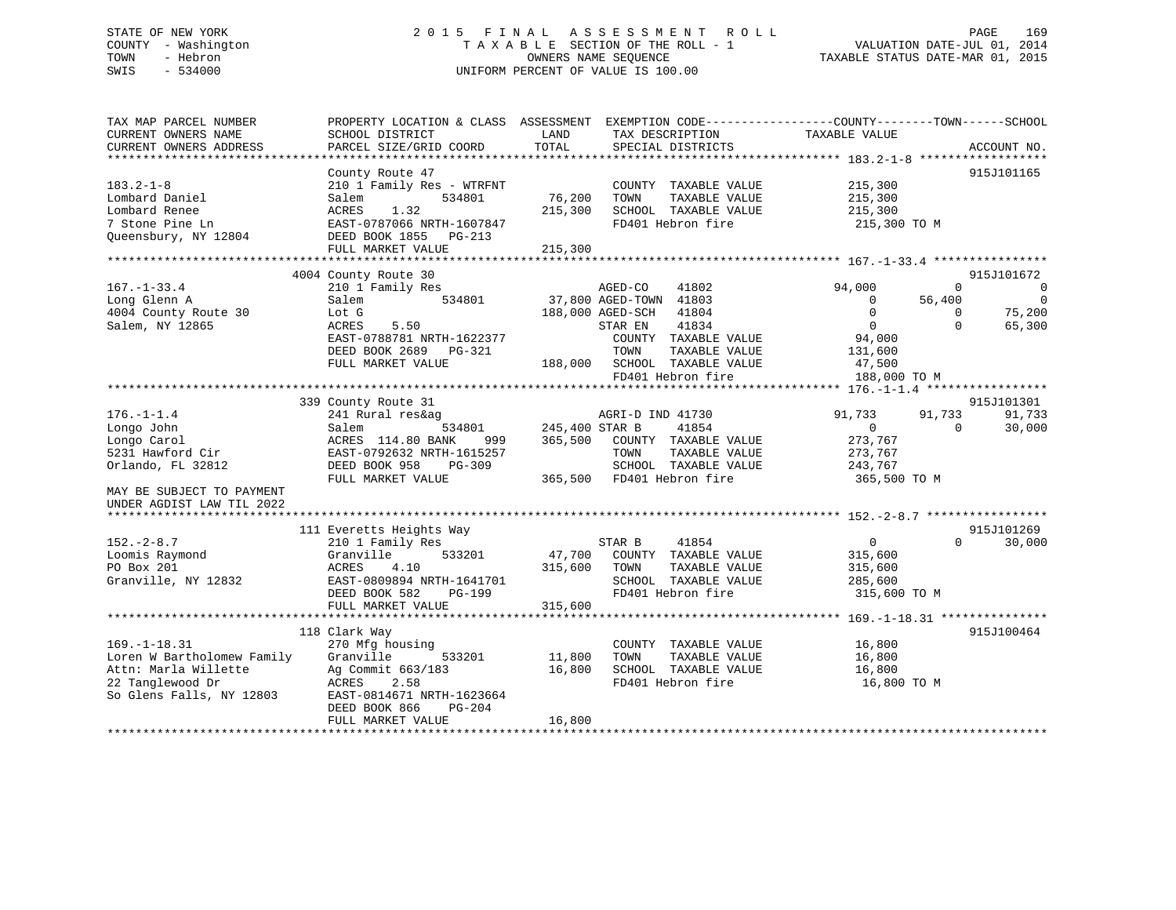# STATE OF NEW YORK 2 0 1 5 F I N A L A S S E S S M E N T R O L L PAGE 169 COUNTY - Washington T A X A B L E SECTION OF THE ROLL - 1 VALUATION DATE-JUL 01, 2014 TOWN - Hebron OWNERS NAME SEQUENCE TAXABLE STATUS DATE-MAR 01, 2015 SWIS - 534000 UNIFORM PERCENT OF VALUE IS 100.00

| PARCEL SIZE/GRID COORD                                                                                                                                                     | TOTAL                                                                   |                              | TAX DESCRIPTION<br>SPECIAL DISTRICTS                            | TAXABLE VALUE                                                                                                                                                                                                                                                                                                                                                                                                                                                                                                                                     |                                                  | ACCOUNT NO.                                                                 |
|----------------------------------------------------------------------------------------------------------------------------------------------------------------------------|-------------------------------------------------------------------------|------------------------------|-----------------------------------------------------------------|---------------------------------------------------------------------------------------------------------------------------------------------------------------------------------------------------------------------------------------------------------------------------------------------------------------------------------------------------------------------------------------------------------------------------------------------------------------------------------------------------------------------------------------------------|--------------------------------------------------|-----------------------------------------------------------------------------|
| County Route 47<br>210 1 Family Res - WTRFNT<br>534801<br>Salem<br>1.32<br>ACRES<br>EAST-0787066 NRTH-1607847<br>DEED BOOK 1855 PG-213<br>FULL MARKET VALUE                | 215,300                                                                 | TOWN                         |                                                                 | 215,300<br>215,300<br>215,300                                                                                                                                                                                                                                                                                                                                                                                                                                                                                                                     |                                                  | 915J101165                                                                  |
|                                                                                                                                                                            |                                                                         |                              |                                                                 |                                                                                                                                                                                                                                                                                                                                                                                                                                                                                                                                                   |                                                  | 915J101672                                                                  |
| 210 1 Family Res<br>534801<br>Salem<br>Lot G<br>5.50<br>ACRES<br>EAST-0788781 NRTH-1622377<br>DEED BOOK 2689 PG-321<br>FULL MARKET VALUE                                   |                                                                         | TOWN                         | 41802<br>41834                                                  | 94,000<br>$\overline{0}$<br>$\overline{0}$<br>$\overline{0}$<br>94,000<br>131,600<br>47,500                                                                                                                                                                                                                                                                                                                                                                                                                                                       | $\Omega$<br>56,400<br>$\overline{0}$<br>$\Omega$ | $\overline{\phantom{0}}$<br>$\overline{\phantom{0}}$<br>75,200<br>65,300    |
|                                                                                                                                                                            |                                                                         |                              |                                                                 |                                                                                                                                                                                                                                                                                                                                                                                                                                                                                                                                                   |                                                  |                                                                             |
| 241 Rural res&ag<br>Salem<br>ACRES 114.80 BANK<br>999<br>EAST-0792632 NRTH-1615257<br>DEED BOOK 958<br>PG-309<br>FULL MARKET VALUE                                         |                                                                         | TOWN                         | 41854                                                           | 91,733<br>$\mathbf{0}$<br>273,767<br>273,767<br>243,767                                                                                                                                                                                                                                                                                                                                                                                                                                                                                           | 91,733<br>$\Omega$                               | 915J101301<br>91,733<br>30,000                                              |
|                                                                                                                                                                            |                                                                         |                              |                                                                 |                                                                                                                                                                                                                                                                                                                                                                                                                                                                                                                                                   |                                                  |                                                                             |
| 210 1 Family Res<br>533201<br>Granville<br>ACRES<br>4.10<br>EAST-0809894 NRTH-1641701<br>DEED BOOK 582<br>PG-199                                                           | 315,600                                                                 | TOWN                         | 41854                                                           | $\overline{0}$<br>315,600<br>315,600<br>285,600                                                                                                                                                                                                                                                                                                                                                                                                                                                                                                   | $0 \qquad \qquad$                                | 915J101269<br>30,000                                                        |
| FULL MARKET VALUE                                                                                                                                                          |                                                                         |                              |                                                                 |                                                                                                                                                                                                                                                                                                                                                                                                                                                                                                                                                   |                                                  |                                                                             |
| 118 Clark Way<br>270 Mfg housing<br>533201<br>Granville<br>Ag Commit 663/183<br>ACRES<br>2.58<br>EAST-0814671 NRTH-1623664<br>DEED BOOK 866<br>PG-204<br>FULL MARKET VALUE | 16,800<br>16,800                                                        | TOWN                         |                                                                 | 16,800<br>16,800<br>16,800                                                                                                                                                                                                                                                                                                                                                                                                                                                                                                                        |                                                  | 915J100464                                                                  |
|                                                                                                                                                                            | 4004 County Route 30<br>339 County Route 31<br>111 Everetts Heights Way | 215,300<br>315,600<br>11,800 | 76,200<br>AGED-CO<br>STAR EN<br>534801 245,400 STAR B<br>STAR B | COUNTY TAXABLE VALUE<br>TAXABLE VALUE<br>SCHOOL TAXABLE VALUE<br>FD401 Hebron fire<br>37,800 AGED-TOWN 41803<br>188,000 AGED-SCH 41804<br>COUNTY TAXABLE VALUE<br>TAXABLE VALUE<br>188,000 SCHOOL TAXABLE VALUE<br>FD401 Hebron fire<br>AGRI-D IND 41730<br>365,500 COUNTY TAXABLE VALUE<br>TAXABLE VALUE<br>SCHOOL TAXABLE VALUE<br>365,500 FD401 Hebron fire<br>47,700 COUNTY TAXABLE VALUE<br>TAXABLE VALUE<br>SCHOOL TAXABLE VALUE<br>FD401 Hebron fire<br>COUNTY TAXABLE VALUE<br>TAXABLE VALUE<br>SCHOOL TAXABLE VALUE<br>FD401 Hebron fire |                                                  | 215,300 TO M<br>188,000 TO M<br>365,500 TO M<br>315,600 TO M<br>16,800 TO M |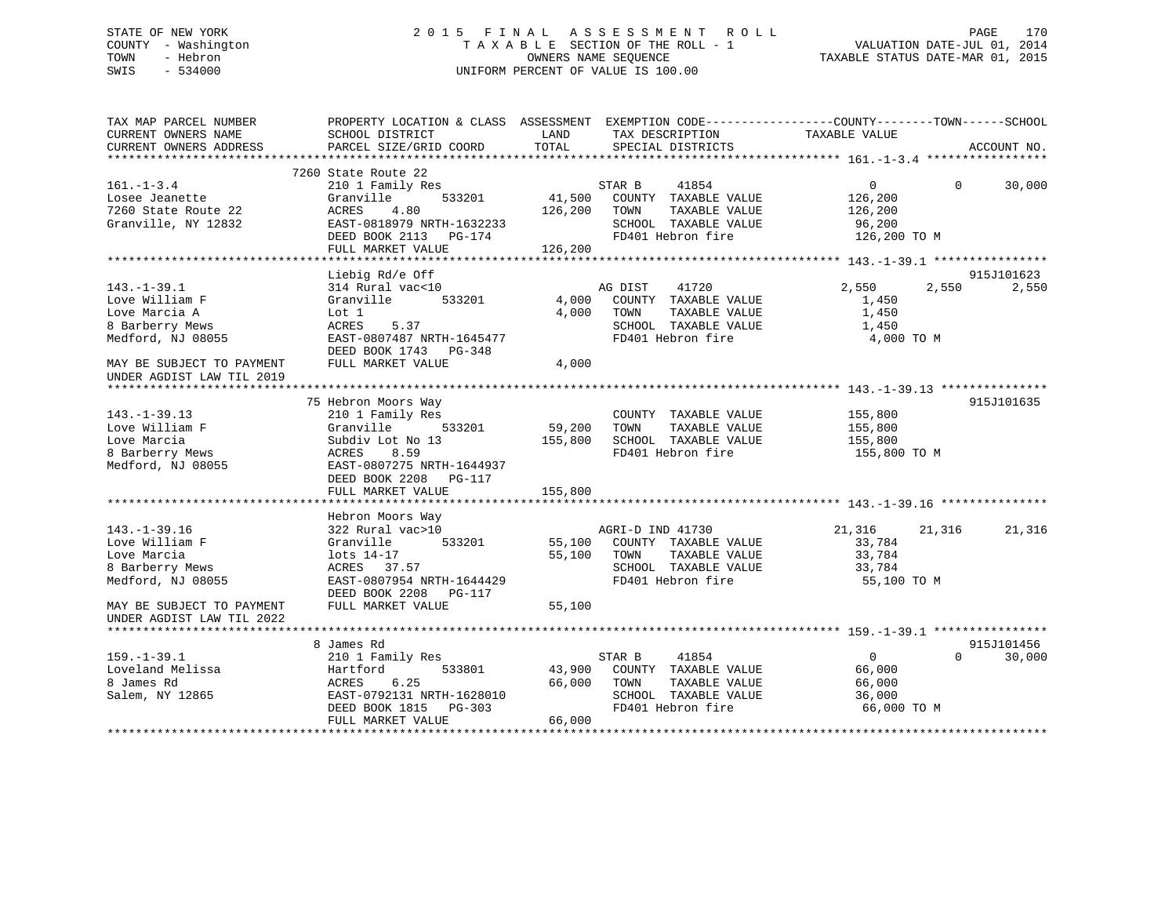# STATE OF NEW YORK 2 0 1 5 F I N A L A S S E S S M E N T R O L L PAGE 170 COUNTY - Washington T A X A B L E SECTION OF THE ROLL - 1 VALUATION DATE-JUL 01, 2014 TOWN - Hebron OWNERS NAME SEQUENCE TAXABLE STATUS DATE-MAR 01, 2015 SWIS - 534000 UNIFORM PERCENT OF VALUE IS 100.00

| TAX MAP PARCEL NUMBER<br>CURRENT OWNERS NAME           | PROPERTY LOCATION & CLASS ASSESSMENT EXEMPTION CODE---------------COUNTY-------TOWN-----SCHOOL<br>SCHOOL DISTRICT | LAND    | TAX DESCRIPTION       | TAXABLE VALUE  |                        |
|--------------------------------------------------------|-------------------------------------------------------------------------------------------------------------------|---------|-----------------------|----------------|------------------------|
| CURRENT OWNERS ADDRESS                                 | PARCEL SIZE/GRID COORD                                                                                            | TOTAL   | SPECIAL DISTRICTS     |                | ACCOUNT NO.            |
|                                                        | 7260 State Route 22                                                                                               |         |                       |                |                        |
| $161. - 1 - 3.4$                                       | 210 1 Family Res                                                                                                  |         | 41854<br>STAR B       | $\overline{0}$ | $\Omega$<br>30,000     |
| Losee Jeanette                                         | Granville<br>533201                                                                                               | 41,500  | COUNTY TAXABLE VALUE  | 126,200        |                        |
| 7260 State Route 22                                    | ACRES<br>4.80                                                                                                     | 126,200 | TOWN<br>TAXABLE VALUE | 126,200        |                        |
| Granville, NY 12832                                    | EAST-0818979 NRTH-1632233                                                                                         |         | SCHOOL TAXABLE VALUE  | 96,200         |                        |
|                                                        | DEED BOOK 2113 PG-174                                                                                             |         | FD401 Hebron fire     | 126,200 TO M   |                        |
|                                                        | FULL MARKET VALUE                                                                                                 | 126,200 |                       |                |                        |
|                                                        |                                                                                                                   |         |                       |                |                        |
|                                                        | Liebig Rd/e Off                                                                                                   |         |                       |                | 915J101623             |
| $143. - 1 - 39.1$                                      | 314 Rural vac<10                                                                                                  |         | AG DIST<br>41720      | 2,550          | 2,550<br>2,550         |
| Love William F                                         | Granville<br>533201                                                                                               | 4,000   | COUNTY TAXABLE VALUE  | 1,450          |                        |
| Love Marcia A                                          | Lot 1                                                                                                             | 4,000   | TOWN<br>TAXABLE VALUE | 1,450          |                        |
| 8 Barberry Mews                                        | ACRES<br>5.37                                                                                                     |         | SCHOOL TAXABLE VALUE  | 1,450          |                        |
| Medford, NJ 08055                                      | EAST-0807487 NRTH-1645477                                                                                         |         | FD401 Hebron fire     | 4,000 TO M     |                        |
|                                                        | DEED BOOK 1743 PG-348                                                                                             |         |                       |                |                        |
| MAY BE SUBJECT TO PAYMENT<br>UNDER AGDIST LAW TIL 2019 | FULL MARKET VALUE                                                                                                 | 4,000   |                       |                |                        |
|                                                        |                                                                                                                   |         |                       |                |                        |
|                                                        | 75 Hebron Moors Way                                                                                               |         |                       |                | 915J101635             |
| $143. - 1 - 39.13$                                     | 210 1 Family Res                                                                                                  |         | COUNTY TAXABLE VALUE  | 155,800        |                        |
| Love William F                                         | Granville 533201                                                                                                  | 59,200  | TOWN<br>TAXABLE VALUE | 155,800        |                        |
| Love Marcia                                            | Subdiv Lot No 13                                                                                                  | 155,800 | SCHOOL TAXABLE VALUE  | 155,800        |                        |
| 8 Barberry Mews                                        | ACRES 8.59                                                                                                        |         | FD401 Hebron fire     | 155,800 TO M   |                        |
| Medford, NJ 08055                                      | EAST-0807275 NRTH-1644937                                                                                         |         |                       |                |                        |
|                                                        | DEED BOOK 2208 PG-117                                                                                             |         |                       |                |                        |
|                                                        | FULL MARKET VALUE                                                                                                 | 155,800 |                       |                |                        |
|                                                        |                                                                                                                   |         |                       |                |                        |
|                                                        | Hebron Moors Way                                                                                                  |         |                       |                |                        |
| $143. - 1 - 39.16$                                     | 322 Rural vac>10                                                                                                  |         | AGRI-D IND 41730      | 21,316 21,316  | 21,316                 |
| Love William F                                         | 533201<br>Granville                                                                                               | 55,100  | COUNTY TAXABLE VALUE  | 33,784         |                        |
| Love Marcia                                            | lots 14-17                                                                                                        | 55,100  | TOWN<br>TAXABLE VALUE | 33,784         |                        |
| 8 Barberry Mews                                        | ACRES 37.57                                                                                                       |         | SCHOOL TAXABLE VALUE  | 33,784         |                        |
| Medford, NJ 08055                                      | EAST-0807954 NRTH-1644429                                                                                         |         | FD401 Hebron fire     | 55,100 TO M    |                        |
|                                                        | DEED BOOK 2208 PG-117                                                                                             |         |                       |                |                        |
| MAY BE SUBJECT TO PAYMENT                              | FULL MARKET VALUE                                                                                                 | 55,100  |                       |                |                        |
| UNDER AGDIST LAW TIL 2022                              |                                                                                                                   |         |                       |                |                        |
|                                                        |                                                                                                                   |         |                       |                |                        |
|                                                        | 8 James Rd                                                                                                        |         |                       |                | 915J101456<br>$\Omega$ |
| $159. - 1 - 39.1$                                      | 210 1 Family Res                                                                                                  |         | 41854<br>STAR B       | $\overline{0}$ | 30,000                 |
| Loveland Melissa                                       | Hartford<br>533801                                                                                                | 43,900  | COUNTY TAXABLE VALUE  | 66,000         |                        |
| 8 James Rd                                             | 6.25<br>ACRES                                                                                                     | 66,000  | TOWN<br>TAXABLE VALUE | 66,000         |                        |
| Salem, NY 12865                                        | EAST-0792131 NRTH-1628010                                                                                         |         | SCHOOL TAXABLE VALUE  | 36,000         |                        |
|                                                        | DEED BOOK 1815 PG-303                                                                                             |         | FD401 Hebron fire     | 66,000 TO M    |                        |
|                                                        | FULL MARKET VALUE                                                                                                 | 66,000  |                       |                |                        |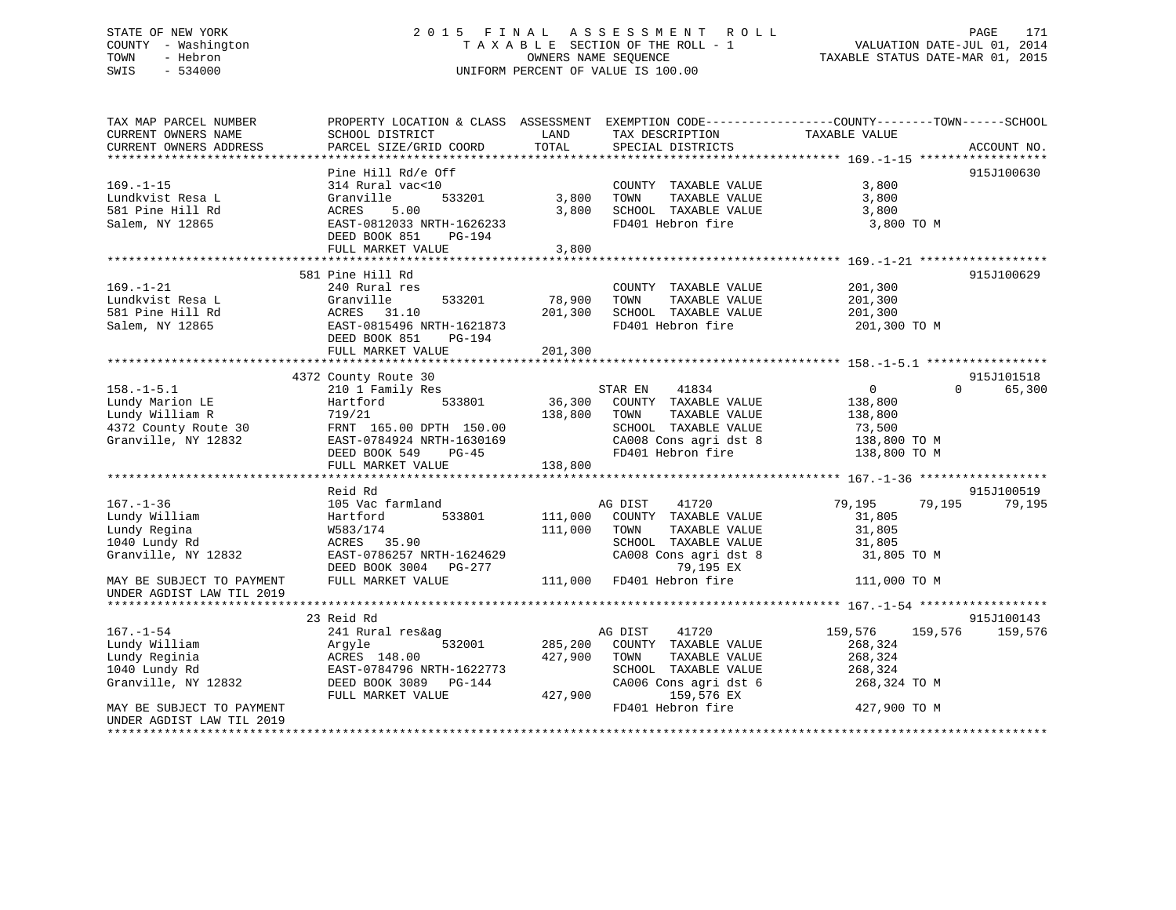# STATE OF NEW YORK 2 0 1 5 F I N A L A S S E S S M E N T R O L L PAGE 171 COUNTY - Washington T A X A B L E SECTION OF THE ROLL - 1 VALUATION DATE-JUL 01, 2014 TOWN - Hebron OWNERS NAME SEQUENCE TAXABLE STATUS DATE-MAR 01, 2015 SWIS - 534000 UNIFORM PERCENT OF VALUE IS 100.00

| TAX MAP PARCEL NUMBER     |                           |              |                                    | PROPERTY LOCATION & CLASS ASSESSMENT EXEMPTION CODE----------------COUNTY-------TOWN------SCHOOL |             |
|---------------------------|---------------------------|--------------|------------------------------------|--------------------------------------------------------------------------------------------------|-------------|
| CURRENT OWNERS NAME       | SCHOOL DISTRICT           | LAND         | TAX DESCRIPTION                    | TAXABLE VALUE                                                                                    |             |
| CURRENT OWNERS ADDRESS    | PARCEL SIZE/GRID COORD    | TOTAL        | SPECIAL DISTRICTS                  |                                                                                                  | ACCOUNT NO. |
|                           |                           |              |                                    |                                                                                                  |             |
|                           | Pine Hill Rd/e Off        |              |                                    |                                                                                                  | 915J100630  |
| $169. - 1 - 15$           | 314 Rural vac<10          |              | COUNTY TAXABLE VALUE               | 3,800                                                                                            |             |
| Lundkvist Resa L          | 533201<br>Granville       | 3,800        | TOWN<br>TAXABLE VALUE              | 3,800                                                                                            |             |
| 581 Pine Hill Rd          | 5.00<br>ACRES             | 3,800        | SCHOOL TAXABLE VALUE               | 3,800                                                                                            |             |
| Salem, NY 12865           | EAST-0812033 NRTH-1626233 |              | FD401 Hebron fire                  | 3,800 TO M                                                                                       |             |
|                           | DEED BOOK 851<br>PG-194   |              |                                    |                                                                                                  |             |
|                           | FULL MARKET VALUE         | 3,800        |                                    |                                                                                                  |             |
|                           | 581 Pine Hill Rd          |              |                                    |                                                                                                  | 915J100629  |
| $169. - 1 - 21$           | 240 Rural res             |              | COUNTY TAXABLE VALUE               | 201,300                                                                                          |             |
| Lundkvist Resa L          | Granville<br>533201       | 78,900       | TAXABLE VALUE<br>TOWN              |                                                                                                  |             |
| 581 Pine Hill Rd          | ACRES 31.10               | 201,300      | SCHOOL TAXABLE VALUE               | 201,300<br>201,300                                                                               |             |
| Salem, NY 12865           | EAST-0815496 NRTH-1621873 |              | FD401 Hebron fire                  | 201,300 TO M                                                                                     |             |
|                           | DEED BOOK 851<br>PG-194   |              |                                    |                                                                                                  |             |
|                           | FULL MARKET VALUE         | 201,300      |                                    |                                                                                                  |             |
|                           |                           |              |                                    |                                                                                                  |             |
|                           | 4372 County Route 30      |              |                                    |                                                                                                  | 915J101518  |
| $158. - 1 - 5.1$          | 210 1 Family Res          |              | 41834<br>STAR EN                   | 0<br>$\Omega$                                                                                    | 65,300      |
| Lundy Marion LE           | Hartford<br>533801        |              | $36,300$ COUNTY TAXABLE VALUE      | 138,800                                                                                          |             |
| Lundy William R           | 719/21                    | 138,800 TOWN | TAXABLE VALUE                      | 138,800                                                                                          |             |
| 4372 County Route 30      | FRNT 165.00 DPTH 150.00   |              | SCHOOL TAXABLE VALUE               | 73,500                                                                                           |             |
| Granville, NY 12832       | EAST-0784924 NRTH-1630169 |              | CA008 Cons agri dst 8 138,800 TO M |                                                                                                  |             |
|                           | DEED BOOK 549 PG-45       |              | FD401 Hebron fire                  | 138,800 TO M                                                                                     |             |
|                           | FULL MARKET VALUE         | 138,800      |                                    |                                                                                                  |             |
|                           |                           |              |                                    |                                                                                                  |             |
|                           | Reid Rd                   |              |                                    |                                                                                                  | 915J100519  |
| $167. - 1 - 36$           | 105 Vac farmland          |              | AG DIST<br>41720                   | 79,195<br>79,195                                                                                 | 79,195      |
| Lundy William             | 533801<br>Hartford        | 111,000      | COUNTY TAXABLE VALUE               | 31,805                                                                                           |             |
| Lundy Regina              | W583/174                  | 111,000      | TOWN<br>TAXABLE VALUE              | 31,805                                                                                           |             |
| 1040 Lundy Rd             | ACRES 35.90               |              | SCHOOL TAXABLE VALUE               | 31,805                                                                                           |             |
| Granville, NY 12832       | EAST-0786257 NRTH-1624629 |              | CA008 Cons agri dst 8              | 31,805 TO M                                                                                      |             |
|                           | DEED BOOK 3004 PG-277     |              | 79,195 EX                          |                                                                                                  |             |
| MAY BE SUBJECT TO PAYMENT | FULL MARKET VALUE         |              | 111,000 FD401 Hebron fire          | 111,000 TO M                                                                                     |             |
| UNDER AGDIST LAW TIL 2019 |                           |              |                                    |                                                                                                  |             |
|                           |                           |              |                                    |                                                                                                  |             |
|                           | 23 Reid Rd                |              |                                    |                                                                                                  | 915J100143  |
| $167. - 1 - 54$           | 241 Rural res&ag          |              | AG DIST<br>41720                   | 159,576<br>159,576                                                                               | 159,576     |
| Lundy William             | 532001<br>Arqyle          |              | 285,200 COUNTY TAXABLE VALUE       | 268,324                                                                                          |             |
| Lundy Reginia             | ACRES 148.00              | 427,900      | TOWN<br>TAXABLE VALUE              | 268,324                                                                                          |             |
| 1040 Lundy Rd             | EAST-0784796 NRTH-1622773 |              | SCHOOL TAXABLE VALUE               | 268,324                                                                                          |             |
| Granville, NY 12832       | DEED BOOK 3089    PG-144  |              | CA006 Cons agri dst 6              | 268,324 TO M                                                                                     |             |
|                           | FULL MARKET VALUE         | 427,900      | 159,576 EX                         |                                                                                                  |             |
| MAY BE SUBJECT TO PAYMENT |                           |              | FD401 Hebron fire                  | 427,900 TO M                                                                                     |             |
| UNDER AGDIST LAW TIL 2019 |                           |              |                                    |                                                                                                  |             |
|                           |                           |              |                                    |                                                                                                  |             |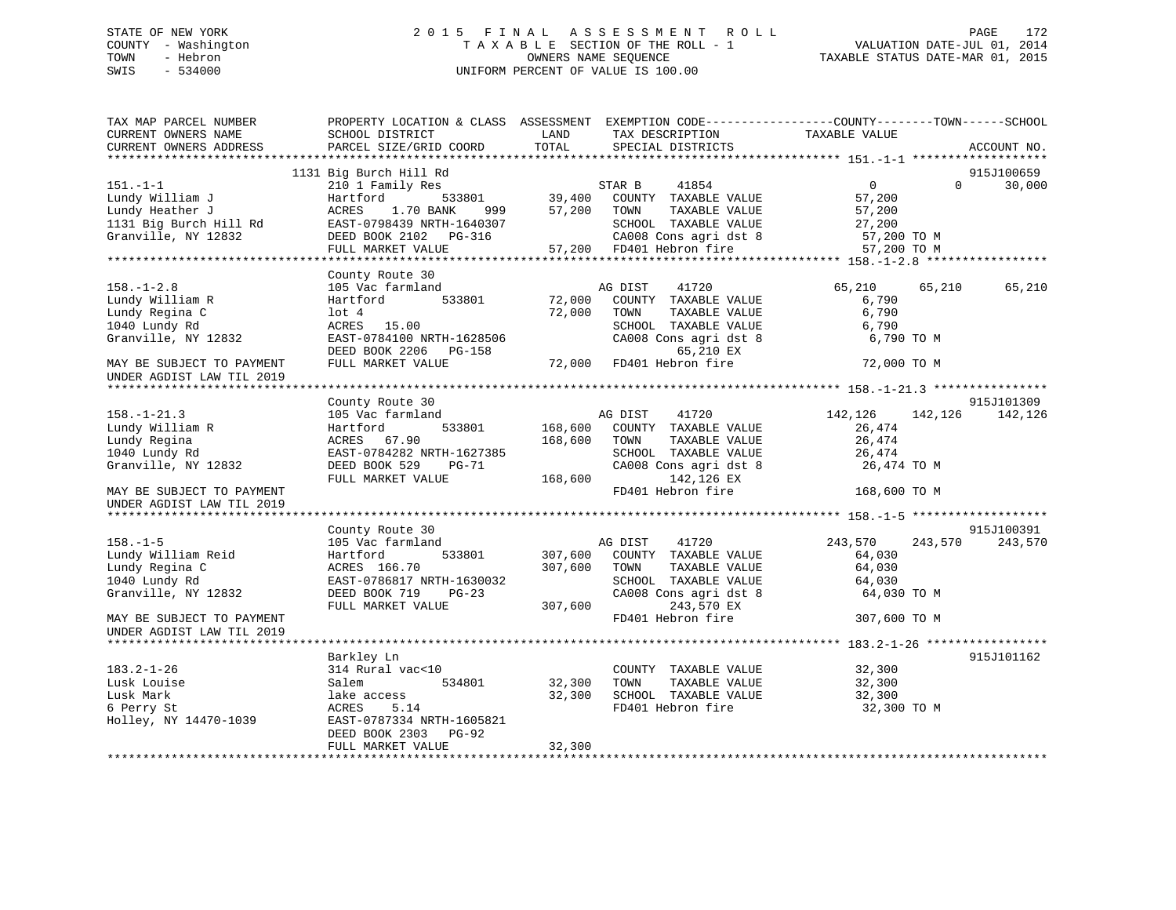# STATE OF NEW YORK 2 0 1 5 F I N A L A S S E S S M E N T R O L L PAGE 172 COUNTY - Washington T A X A B L E SECTION OF THE ROLL - 1 VALUATION DATE-JUL 01, 2014 TOWN - Hebron OWNERS NAME SEQUENCE TAXABLE STATUS DATE-MAR 01, 2015 SWIS - 534000 UNIFORM PERCENT OF VALUE IS 100.00

| TAX MAP PARCEL NUMBER<br>CURRENT OWNERS NAME | PROPERTY LOCATION & CLASS ASSESSMENT EXEMPTION CODE----------------COUNTY-------TOWN------SCHOOL<br>SCHOOL DISTRICT | LAND    | TAX DESCRIPTION          | TAXABLE VALUE  |          |             |
|----------------------------------------------|---------------------------------------------------------------------------------------------------------------------|---------|--------------------------|----------------|----------|-------------|
| CURRENT OWNERS ADDRESS                       | PARCEL SIZE/GRID COORD                                                                                              | TOTAL   | SPECIAL DISTRICTS        |                |          | ACCOUNT NO. |
|                                              |                                                                                                                     |         |                          |                |          |             |
|                                              | 1131 Big Burch Hill Rd                                                                                              |         |                          |                |          | 915J100659  |
| $151. - 1 - 1$                               | 210 1 Family Res                                                                                                    |         | 41854<br>STAR B          | $\overline{0}$ | $\Omega$ | 30,000      |
| Lundy William J                              | 533801<br>Hartford                                                                                                  | 39,400  | COUNTY TAXABLE VALUE     | 57,200         |          |             |
| Lundy Heather J                              | ACRES<br>1.70 BANK<br>999 — 1990                                                                                    | 57,200  | TOWN<br>TAXABLE VALUE    | 57,200         |          |             |
| 1131 Big Burch Hill Rd                       | EAST-0798439 NRTH-1640307                                                                                           |         | SCHOOL TAXABLE VALUE     | 27,200         |          |             |
| Granville, NY 12832                          | DEED BOOK 2102 PG-316                                                                                               |         | CA008 Cons agri dst 8    | 57,200 TO M    |          |             |
|                                              | FULL MARKET VALUE                                                                                                   |         | 57,200 FD401 Hebron fire | 57,200 TO M    |          |             |
|                                              |                                                                                                                     |         |                          |                |          |             |
| $158. - 1 - 2.8$                             | County Route 30<br>105 Vac farmland                                                                                 |         | AG DIST<br>41720         | 65,210         | 65,210   | 65,210      |
| Lundy William R                              | Hartford<br>533801                                                                                                  | 72,000  | COUNTY TAXABLE VALUE     | 6,790          |          |             |
| Lundy Regina C                               | $1$ ot $4$                                                                                                          | 72,000  | TAXABLE VALUE<br>TOWN    | 6,790          |          |             |
| 1040 Lundy Rd                                | ACRES 15.00                                                                                                         |         | SCHOOL TAXABLE VALUE     | 6,790          |          |             |
| Granville, NY 12832                          | EAST-0784100 NRTH-1628506                                                                                           |         | CA008 Cons agri dst 8    | 6,790 TO M     |          |             |
|                                              | DEED BOOK 2206 PG-158                                                                                               |         | 65,210 EX                |                |          |             |
| MAY BE SUBJECT TO PAYMENT                    | FULL MARKET VALUE                                                                                                   |         | 72,000 FD401 Hebron fire | 72,000 TO M    |          |             |
| UNDER AGDIST LAW TIL 2019                    |                                                                                                                     |         |                          |                |          |             |
|                                              |                                                                                                                     |         |                          |                |          |             |
|                                              | County Route 30                                                                                                     |         |                          |                |          | 915J101309  |
| $158. - 1 - 21.3$                            | 105 Vac farmland                                                                                                    |         | AG DIST<br>41720         | 142,126        | 142,126  | 142,126     |
| Lundy William R                              | 533801<br>Hartford                                                                                                  | 168,600 | COUNTY TAXABLE VALUE     | 26,474         |          |             |
| Lundy Regina                                 | ACRES 67.90                                                                                                         | 168,600 | TAXABLE VALUE<br>TOWN    | 26,474         |          |             |
| 1040 Lundy Rd                                | EAST-0784282 NRTH-1627385                                                                                           |         | SCHOOL TAXABLE VALUE     | 26,474         |          |             |
| Granville, NY 12832                          | DEED BOOK 529<br>$PG-71$                                                                                            |         | CA008 Cons agri dst 8    | 26,474 TO M    |          |             |
|                                              | FULL MARKET VALUE                                                                                                   | 168,600 | 142,126 EX               |                |          |             |
| MAY BE SUBJECT TO PAYMENT                    |                                                                                                                     |         | FD401 Hebron fire        | 168,600 TO M   |          |             |
| UNDER AGDIST LAW TIL 2019                    |                                                                                                                     |         |                          |                |          |             |
|                                              |                                                                                                                     |         |                          |                |          |             |
|                                              | County Route 30                                                                                                     |         |                          |                |          | 915J100391  |
| $158. - 1 - 5$                               | 105 Vac farmland                                                                                                    |         | AG DIST<br>41720         | 243,570        | 243,570  | 243,570     |
| Lundy William Reid                           | Hartford<br>533801                                                                                                  | 307,600 | COUNTY TAXABLE VALUE     | 64,030         |          |             |
| Lundy Regina C                               | ACRES 166.70                                                                                                        | 307,600 | TOWN<br>TAXABLE VALUE    | 64,030         |          |             |
| 1040 Lundy Rd                                | EAST-0786817 NRTH-1630032                                                                                           |         | SCHOOL TAXABLE VALUE     | 64,030         |          |             |
| Granville, NY 12832                          | DEED BOOK 719<br>PG-23                                                                                              |         | CA008 Cons agri dst 8    | 64,030 TO M    |          |             |
|                                              | FULL MARKET VALUE                                                                                                   | 307,600 | 243,570 EX               |                |          |             |
| MAY BE SUBJECT TO PAYMENT                    |                                                                                                                     |         | FD401 Hebron fire        | 307,600 TO M   |          |             |
| UNDER AGDIST LAW TIL 2019                    |                                                                                                                     |         |                          |                |          |             |
|                                              |                                                                                                                     |         |                          |                |          |             |
|                                              | Barkley Ln                                                                                                          |         |                          |                |          | 915J101162  |
| $183.2 - 1 - 26$                             | 314 Rural vac<10                                                                                                    |         | COUNTY TAXABLE VALUE     | 32,300         |          |             |
| Lusk Louise                                  | 534801<br>Salem                                                                                                     | 32,300  | TOWN<br>TAXABLE VALUE    | 32,300         |          |             |
| Lusk Mark                                    | lake access                                                                                                         | 32,300  | SCHOOL TAXABLE VALUE     | 32,300         |          |             |
| 6 Perry St                                   | ACRES<br>5.14                                                                                                       |         | FD401 Hebron fire        | 32,300 TO M    |          |             |
| Holley, NY 14470-1039                        | EAST-0787334 NRTH-1605821                                                                                           |         |                          |                |          |             |
|                                              | DEED BOOK 2303 PG-92                                                                                                |         |                          |                |          |             |
|                                              | FULL MARKET VALUE                                                                                                   | 32,300  |                          |                |          |             |
|                                              |                                                                                                                     |         |                          |                |          |             |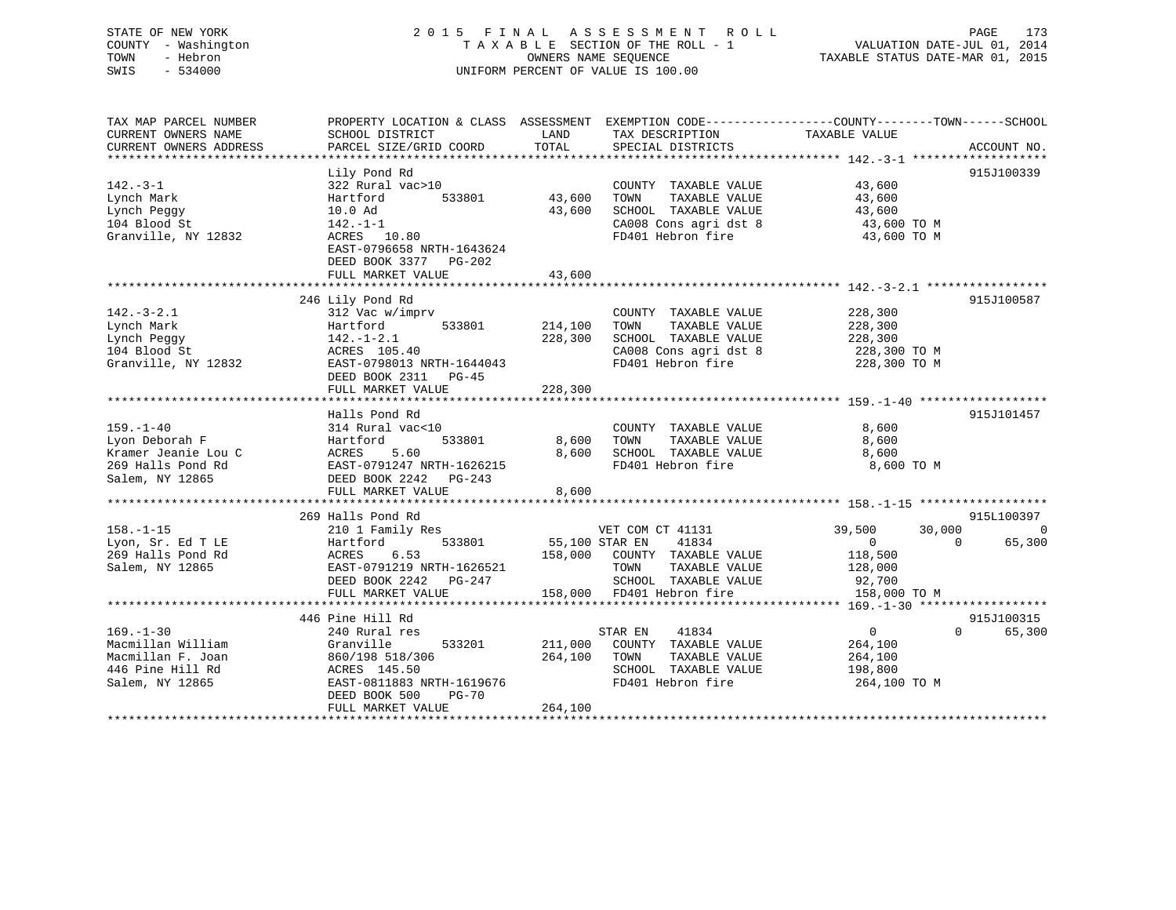# STATE OF NEW YORK 2 0 1 5 F I N A L A S S E S S M E N T R O L L PAGE 173 COUNTY - Washington T A X A B L E SECTION OF THE ROLL - 1 VALUATION DATE-JUL 01, 2014 TOWN - Hebron OWNERS NAME SEQUENCE TAXABLE STATUS DATE-MAR 01, 2015 SWIS - 534000 UNIFORM PERCENT OF VALUE IS 100.00

| SCHOOL DISTRICT<br>PARCEL SIZE/GRID COORD                                                                                                                                    | LAND<br>TOTAL                                                                          | TAX DESCRIPTION<br>SPECIAL DISTRICTS                                                                                | TAXABLE VALUE                                                                                                                                      | ACCOUNT NO.                                                  |
|------------------------------------------------------------------------------------------------------------------------------------------------------------------------------|----------------------------------------------------------------------------------------|---------------------------------------------------------------------------------------------------------------------|----------------------------------------------------------------------------------------------------------------------------------------------------|--------------------------------------------------------------|
| Lily Pond Rd<br>322 Rural vac>10<br>533801<br>Hartford<br>10.0 Ad<br>142.-1-1<br>ACRES 10.80<br>EAST-0796658 NRTH-1643624<br>DEED BOOK 3377<br>$PG-202$<br>FULL MARKET VALUE | 43,600<br>43,600<br>43,600                                                             | COUNTY TAXABLE VALUE<br>TAXABLE VALUE<br>TOWN<br>SCHOOL TAXABLE VALUE<br>CA008 Cons agri dst 8<br>FD401 Hebron fire | 43,600<br>43,600<br>43,600<br>43,600 TO M<br>43,600 TO M                                                                                           | 915J100339                                                   |
|                                                                                                                                                                              |                                                                                        |                                                                                                                     |                                                                                                                                                    | 915J100587                                                   |
| 312 Vac w/imprv<br>533801<br>Hartford<br>$142. - 1 - 2.1$<br>ACRES 105.40<br>EAST-0798013 NRTH-1644043                                                                       | 214,100<br>228,300                                                                     | COUNTY TAXABLE VALUE<br>TAXABLE VALUE<br>TOWN<br>SCHOOL TAXABLE VALUE<br>CA008 Cons agri dst 8<br>FD401 Hebron fire | 228,300<br>228,300<br>228,300<br>228,300 TO M<br>228,300 TO M                                                                                      |                                                              |
| FULL MARKET VALUE                                                                                                                                                            | 228,300                                                                                |                                                                                                                     |                                                                                                                                                    |                                                              |
| Halls Pond Rd<br>314 Rural vac<10<br>533801<br>Hartford<br>ACRES<br>5.60<br>EAST-0791247 NRTH-1626215<br>DEED BOOK 2242 PG-243<br>FULL MARKET VALUE                          | 8,600<br>8,600<br>8,600                                                                | COUNTY TAXABLE VALUE<br>TOWN<br>TAXABLE VALUE<br>SCHOOL TAXABLE VALUE<br>FD401 Hebron fire                          | 8,600<br>8,600<br>8,600<br>8,600 TO M                                                                                                              | 915J101457                                                   |
|                                                                                                                                                                              |                                                                                        |                                                                                                                     |                                                                                                                                                    | 915L100397                                                   |
| 210 1 Family Res<br>Hartford<br>533801<br>6.53<br>ACRES<br>EAST-0791219 NRTH-1626521<br>DEED BOOK 2242<br>PG-247<br>FULL MARKET VALUE                                        |                                                                                        | 41834<br>TOWN<br>TAXABLE VALUE<br>SCHOOL TAXABLE VALUE                                                              | 39,500<br>30,000<br>$\overline{0}$<br>$\Omega$<br>118,500<br>128,000<br>92,700<br>158,000 TO M                                                     | $\mathbf 0$<br>65,300                                        |
|                                                                                                                                                                              |                                                                                        |                                                                                                                     |                                                                                                                                                    | 915J100315                                                   |
| 240 Rural res<br>Granville<br>533201<br>860/198 518/306<br>ACRES 145.50<br>EAST-0811883 NRTH-1619676<br>DEED BOOK 500<br>$PG-70$<br>FULL MARKET VALUE                        | 211,000<br>264,100<br>264,100                                                          | 41834<br>COUNTY TAXABLE VALUE<br>TOWN<br>TAXABLE VALUE<br>SCHOOL TAXABLE VALUE<br>FD401 Hebron fire                 | $\overline{0}$<br>264,100<br>264,100<br>198,800<br>264,100 TO M                                                                                    | $\Omega$<br>65,300                                           |
|                                                                                                                                                                              | 246 Lily Pond Rd<br>DEED BOOK 2311<br>$PG-45$<br>269 Halls Pond Rd<br>446 Pine Hill Rd |                                                                                                                     | PROPERTY LOCATION & CLASS ASSESSMENT<br>VET COM CT 41131<br>55,100 STAR EN<br>158,000 COUNTY TAXABLE VALUE<br>158,000 FD401 Hebron fire<br>STAR EN | EXEMPTION CODE-----------------COUNTY-------TOWN------SCHOOL |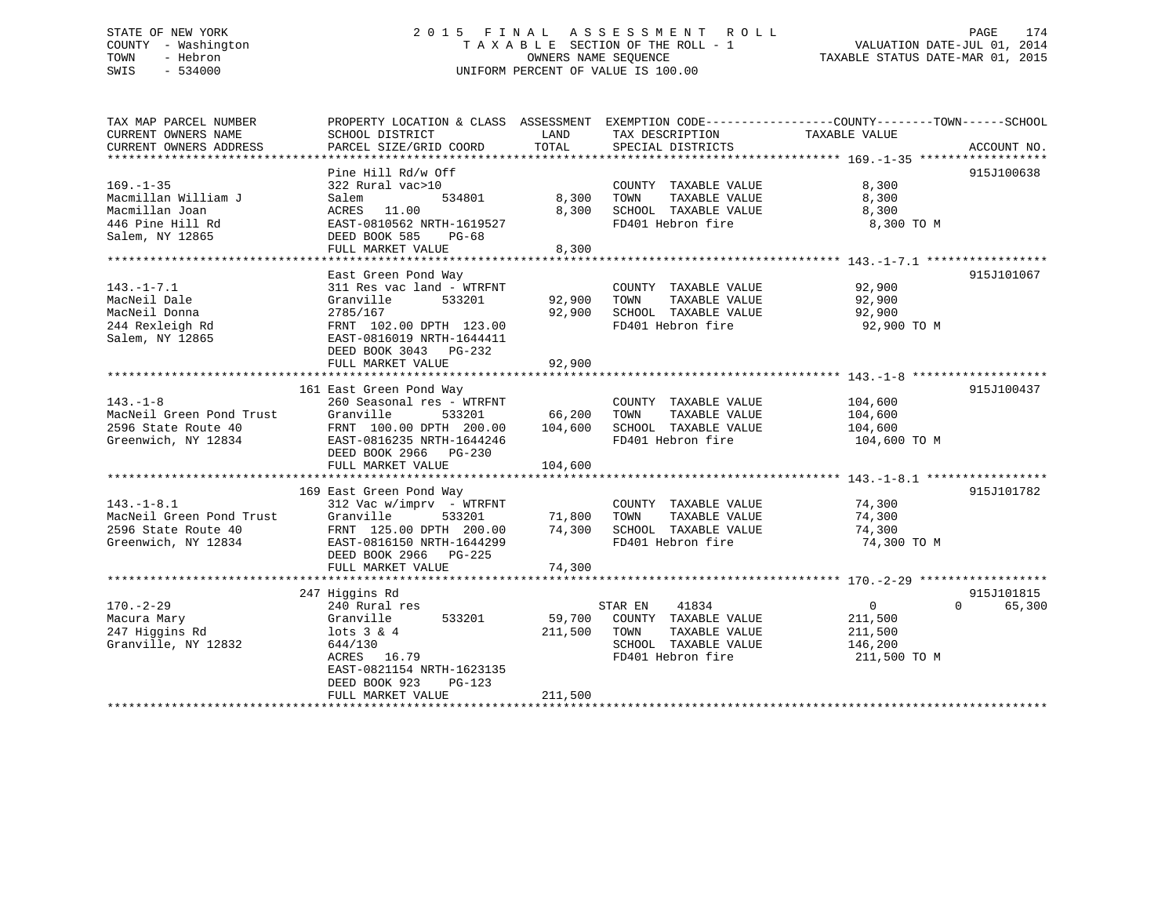# STATE OF NEW YORK 2 0 1 5 F I N A L A S S E S S M E N T R O L L PAGE 174 COUNTY - Washington T A X A B L E SECTION OF THE ROLL - 1 VALUATION DATE-JUL 01, 2014 TOWN - Hebron OWNERS NAME SEQUENCE TAXABLE STATUS DATE-MAR 01, 2015 SWIS - 534000 UNIFORM PERCENT OF VALUE IS 100.00

| TAX MAP PARCEL NUMBER    | PROPERTY LOCATION & CLASS ASSESSMENT EXEMPTION CODE---------------COUNTY-------TOWN------SCHOOL |         |                             |                            |             |
|--------------------------|-------------------------------------------------------------------------------------------------|---------|-----------------------------|----------------------------|-------------|
| CURRENT OWNERS NAME      | SCHOOL DISTRICT                                                                                 | LAND    | TAX DESCRIPTION             | TAXABLE VALUE              |             |
| CURRENT OWNERS ADDRESS   | PARCEL SIZE/GRID COORD                                                                          | TOTAL   | SPECIAL DISTRICTS           |                            | ACCOUNT NO. |
|                          |                                                                                                 |         |                             |                            |             |
|                          | Pine Hill Rd/w Off                                                                              |         |                             |                            | 915J100638  |
| $169. - 1 - 35$          | 322 Rural vac>10                                                                                |         | COUNTY TAXABLE VALUE        | 8,300                      |             |
| Macmillan William J      | 534801<br>Salem                                                                                 | 8,300   | TOWN<br>TAXABLE VALUE       | 8,300                      |             |
| Macmillan Joan           | ACRES 11.00                                                                                     | 8,300   | SCHOOL TAXABLE VALUE        | 8,300                      |             |
| 446 Pine Hill Rd         | EAST-0810562 NRTH-1619527                                                                       |         | FD401 Hebron fire           | 8,300 TO M                 |             |
| Salem, NY 12865          | DEED BOOK 585<br>PG-68                                                                          |         |                             |                            |             |
|                          | FULL MARKET VALUE                                                                               | 8,300   |                             |                            |             |
|                          |                                                                                                 |         |                             |                            |             |
|                          | East Green Pond Way                                                                             |         |                             |                            | 915J101067  |
| $143. - 1 - 7.1$         | 311 Res vac land - WTRFNT                                                                       |         | COUNTY TAXABLE VALUE        | 92,900                     |             |
| MacNeil Dale             | Granville<br>533201                                                                             | 92,900  | TOWN<br>TAXABLE VALUE       | 92,900                     |             |
| MacNeil Donna            | 2785/167                                                                                        | 92,900  | SCHOOL TAXABLE VALUE        | 92,900                     |             |
| 244 Rexleigh Rd          | FRNT 102.00 DPTH 123.00                                                                         |         | FD401 Hebron fire           | 92,900 TO M                |             |
| Salem, NY 12865          | EAST-0816019 NRTH-1644411                                                                       |         |                             |                            |             |
|                          |                                                                                                 |         |                             |                            |             |
|                          | DEED BOOK 3043 PG-232                                                                           |         |                             |                            |             |
|                          | FULL MARKET VALUE                                                                               | 92,900  |                             |                            |             |
|                          |                                                                                                 |         |                             |                            |             |
|                          | 161 East Green Pond Way                                                                         |         |                             |                            | 915J100437  |
| $143. - 1 - 8$           | 260 Seasonal res - WTRFNT                                                                       |         | COUNTY TAXABLE VALUE        | 104,600                    |             |
| MacNeil Green Pond Trust | Granville<br>533201                                                                             | 66,200  | TOWN<br>TAXABLE VALUE       | 104,600                    |             |
| 2596 State Route 40      | FRNT 100.00 DPTH 200.00                                                                         | 104,600 | SCHOOL TAXABLE VALUE        | 104,600                    |             |
| Greenwich, NY 12834      | EAST-0816235 NRTH-1644246                                                                       |         | FD401 Hebron fire           | 104,600 TO M               |             |
|                          | DEED BOOK 2966 PG-230                                                                           |         |                             |                            |             |
|                          | FULL MARKET VALUE                                                                               | 104,600 |                             |                            |             |
|                          |                                                                                                 |         |                             |                            |             |
|                          | 169 East Green Pond Way                                                                         |         |                             |                            | 915J101782  |
| $143. - 1 - 8.1$         | $312$ Vac w/imprv - WTRFNT                                                                      |         | COUNTY TAXABLE VALUE 74,300 |                            |             |
| MacNeil Green Pond Trust | Granville<br>533201                                                                             | 71,800  | TOWN<br>TAXABLE VALUE       | 74,300                     |             |
| 2596 State Route 40      | FRNT 125.00 DPTH 200.00                                                                         | 74,300  | SCHOOL TAXABLE VALUE        | 74,300                     |             |
| Greenwich, NY 12834      | EAST-0816150 NRTH-1644299                                                                       |         | FD401 Hebron fire           | 74,300 TO M                |             |
|                          | DEED BOOK 2966 PG-225                                                                           |         |                             |                            |             |
|                          | FULL MARKET VALUE                                                                               | 74,300  |                             |                            |             |
|                          |                                                                                                 |         |                             |                            |             |
|                          | 247 Higgins Rd                                                                                  |         |                             |                            | 915J101815  |
| $170. - 2 - 29$          | 240 Rural res                                                                                   |         | 41834<br>STAR EN            | $\overline{0}$<br>$\Omega$ | 65,300      |
| Macura Mary              | Granville<br>533201                                                                             | 59,700  | COUNTY TAXABLE VALUE        | 211,500                    |             |
| 247 Higgins Rd           | $lots$ 3 & 4                                                                                    | 211,500 | TOWN<br>TAXABLE VALUE       | 211,500                    |             |
| Granville, NY 12832      | 644/130                                                                                         |         | SCHOOL TAXABLE VALUE        | 146,200                    |             |
|                          | ACRES 16.79                                                                                     |         | FD401 Hebron fire           | 211,500 TO M               |             |
|                          |                                                                                                 |         |                             |                            |             |
|                          | EAST-0821154 NRTH-1623135<br>DEED BOOK 923                                                      |         |                             |                            |             |
|                          | $PG-123$                                                                                        |         |                             |                            |             |
|                          | FULL MARKET VALUE                                                                               | 211,500 |                             |                            |             |
|                          |                                                                                                 |         |                             |                            |             |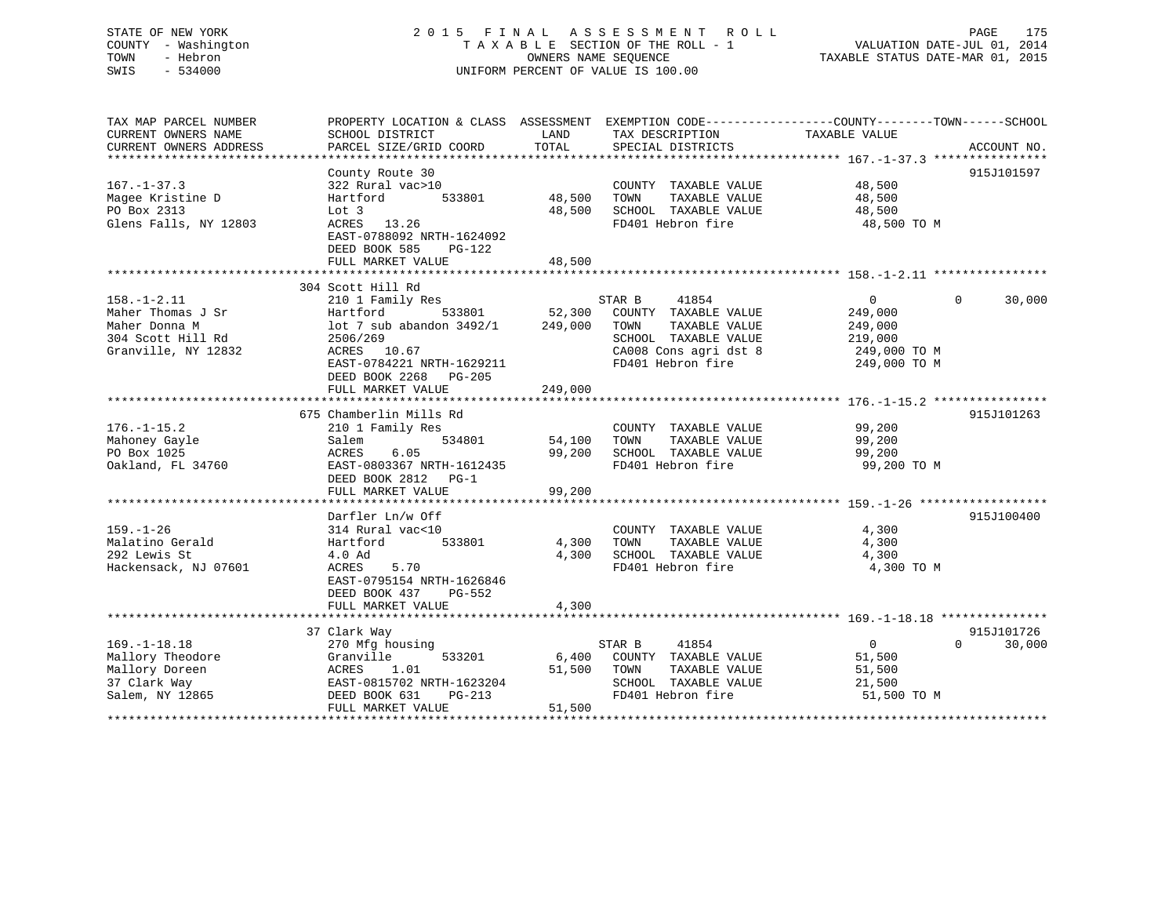# STATE OF NEW YORK 2 0 1 5 F I N A L A S S E S S M E N T R O L L PAGE 175 COUNTY - Washington T A X A B L E SECTION OF THE ROLL - 1 VALUATION DATE-JUL 01, 2014 TOWN - Hebron OWNERS NAME SEQUENCE TAXABLE STATUS DATE-MAR 01, 2015 SWIS - 534000 UNIFORM PERCENT OF VALUE IS 100.00

| TAX MAP PARCEL NUMBER<br>CURRENT OWNERS NAME<br>CURRENT OWNERS ADDRESS                              | PROPERTY LOCATION & CLASS ASSESSMENT<br>SCHOOL DISTRICT<br>PARCEL SIZE/GRID COORD                                                                                 | LAND<br>TAX DESCRIPTION<br>TOTAL<br>SPECIAL DISTRICTS                                                                                                       | EXEMPTION CODE-----------------COUNTY-------TOWN------SCHOOL<br>TAXABLE VALUE   | ACCOUNT NO.                      |
|-----------------------------------------------------------------------------------------------------|-------------------------------------------------------------------------------------------------------------------------------------------------------------------|-------------------------------------------------------------------------------------------------------------------------------------------------------------|---------------------------------------------------------------------------------|----------------------------------|
| $167. - 1 - 37.3$<br>Magee Kristine D<br>PO Box 2313<br>Glens Falls, NY 12803                       | County Route 30<br>322 Rural vac>10<br>533801<br>Hartford<br>Lot 3<br>13.26<br>ACRES<br>EAST-0788092 NRTH-1624092<br>DEED BOOK 585<br>PG-122<br>FULL MARKET VALUE | COUNTY TAXABLE VALUE<br>48,500<br>TAXABLE VALUE<br>TOWN<br>48,500<br>SCHOOL TAXABLE VALUE<br>FD401 Hebron fire<br>48,500                                    | 48,500<br>48,500<br>48,500<br>48,500 TO M                                       | 915J101597                       |
|                                                                                                     | 304 Scott Hill Rd                                                                                                                                                 |                                                                                                                                                             |                                                                                 |                                  |
| $158. - 1 - 2.11$<br>Maher Thomas J Sr<br>Maher Donna M<br>304 Scott Hill Rd<br>Granville, NY 12832 | 210 1 Family Res<br>533801<br>Hartford<br>lot 7 sub abandon 3492/1<br>2506/269<br>ACRES 10.67<br>EAST-0784221 NRTH-1629211<br>DEED BOOK 2268<br>PG-205            | 41854<br>STAR B<br>52,300<br>COUNTY TAXABLE VALUE<br>249,000<br>TAXABLE VALUE<br>TOWN<br>SCHOOL TAXABLE VALUE<br>CA008 Cons agri dst 8<br>FD401 Hebron fire | $\overline{0}$<br>249,000<br>249,000<br>219,000<br>249,000 TO M<br>249,000 TO M | 30,000<br>$\Omega$               |
|                                                                                                     | FULL MARKET VALUE                                                                                                                                                 | 249,000                                                                                                                                                     |                                                                                 |                                  |
| $176. - 1 - 15.2$<br>Mahoney Gayle<br>PO Box 1025<br>Oakland, FL 34760                              | 675 Chamberlin Mills Rd<br>210 1 Family Res<br>534801<br>Salem<br>ACRES<br>6.05<br>EAST-0803367 NRTH-1612435<br>DEED BOOK 2812 PG-1<br>FULL MARKET VALUE          | COUNTY TAXABLE VALUE<br>54,100<br>TAXABLE VALUE<br>TOWN<br>99,200<br>SCHOOL TAXABLE VALUE<br>FD401 Hebron fire<br>99,200                                    | 99,200<br>99,200<br>99,200<br>99,200 TO M                                       | 915J101263                       |
|                                                                                                     | Darfler Ln/w Off                                                                                                                                                  |                                                                                                                                                             |                                                                                 | 915J100400                       |
| $159. - 1 - 26$<br>Malatino Gerald<br>292 Lewis St<br>Hackensack, NJ 07601                          | 314 Rural vac<10<br>533801<br>Hartford<br>4.0 Ad<br>5.70<br>ACRES<br>EAST-0795154 NRTH-1626846<br>DEED BOOK 437<br>PG-552                                         | COUNTY TAXABLE VALUE<br>TAXABLE VALUE<br>4,300<br>TOWN<br>4,300<br>SCHOOL TAXABLE VALUE<br>FD401 Hebron fire                                                | 4,300<br>4,300<br>4,300<br>4,300 TO M                                           |                                  |
|                                                                                                     | FULL MARKET VALUE                                                                                                                                                 | 4,300                                                                                                                                                       |                                                                                 |                                  |
| $169. - 1 - 18.18$<br>Mallory Theodore<br>Mallory Doreen<br>37 Clark Way<br>Salem, NY 12865         | 37 Clark Way<br>270 Mfg housing<br>Granville<br>533201<br>1.01<br>ACRES<br>EAST-0815702 NRTH-1623204<br>DEED BOOK 631<br>$PG-213$<br>FULL MARKET VALUE            | STAR B<br>41854<br>6,400<br>COUNTY TAXABLE VALUE<br>51,500<br>TOWN<br>TAXABLE VALUE<br>SCHOOL TAXABLE VALUE<br>FD401 Hebron fire<br>51,500                  | $\overline{0}$<br>51,500<br>51,500<br>21,500<br>51,500 TO M                     | 915J101726<br>$\Omega$<br>30,000 |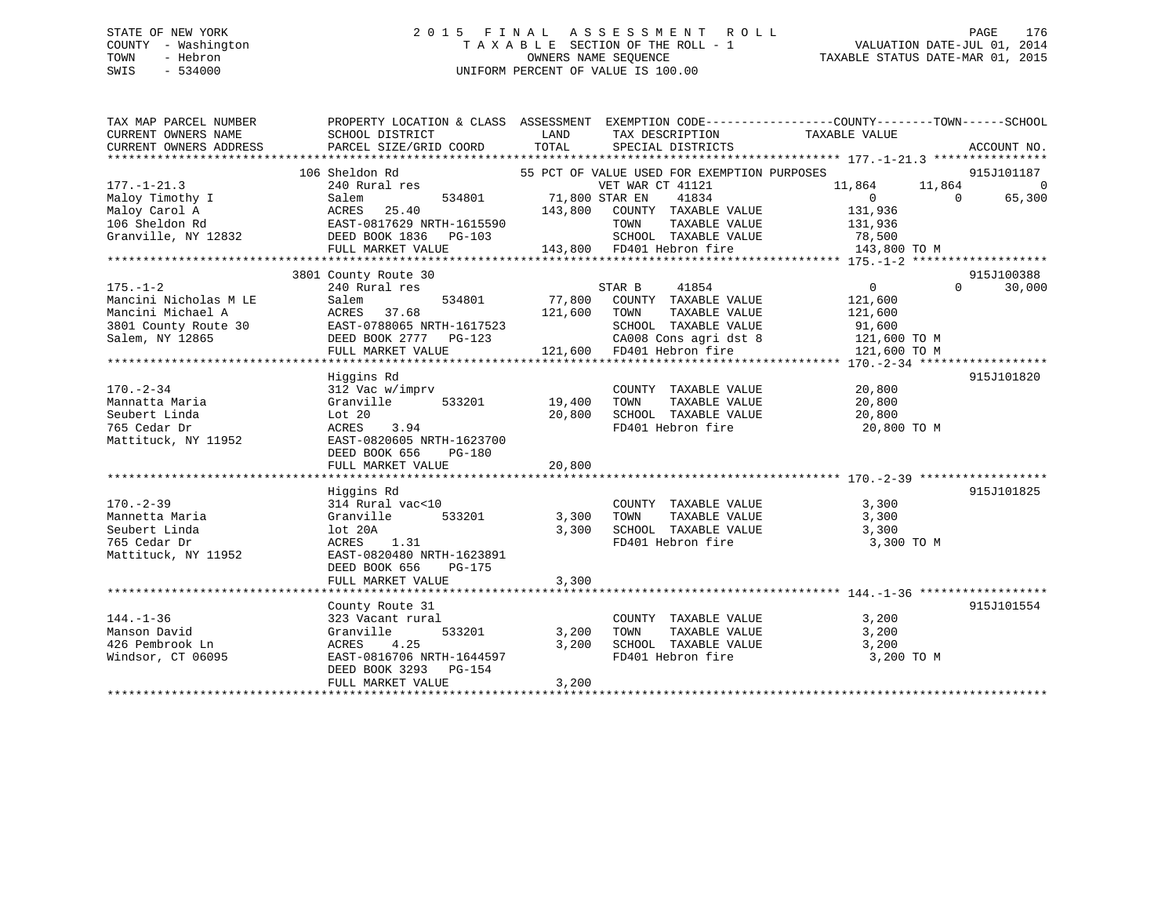# STATE OF NEW YORK 2 0 1 5 F I N A L A S S E S S M E N T R O L L PAGE 176 COUNTY - Washington T A X A B L E SECTION OF THE ROLL - 1 VALUATION DATE-JUL 01, 2014 TOWN - Hebron OWNERS NAME SEQUENCE TAXABLE STATUS DATE-MAR 01, 2015 SWIS - 534000 UNIFORM PERCENT OF VALUE IS 100.00

| TAX MAP PARCEL NUMBER<br>CURRENT OWNERS NAME<br>CURRENT OWNERS ADDRESS                                                                                                                                                                              | PROPERTY LOCATION & CLASS ASSESSMENT EXEMPTION CODE---------------COUNTY-------TOWN-----SCHOOL<br>SCHOOL DISTRICT<br><b>EXAMPLE SERVICE SERVICE SERVICE SERVICE SERVICE SERVICE SERVICE SERVICE SERVICE SERVICE SERVICE SERVICE SERVICE</b><br>PARCEL SIZE/GRID COORD TOTAL |                         | TAX DESCRIPTION TAXABLE VALUE SPECIAL DISTRICTS                                 |                                                                                                              | ACCOUNT NO.                            |
|-----------------------------------------------------------------------------------------------------------------------------------------------------------------------------------------------------------------------------------------------------|-----------------------------------------------------------------------------------------------------------------------------------------------------------------------------------------------------------------------------------------------------------------------------|-------------------------|---------------------------------------------------------------------------------|--------------------------------------------------------------------------------------------------------------|----------------------------------------|
| $177. - 1 - 21.3$                                                                                                                                                                                                                                   | 106 Sheldon Rd<br>240 Rural res<br>$534801$ $71,800$ STAR EN                                                                                                                                                                                                                |                         | 55 PCT OF VALUE USED FOR EXEMPTION PURPOSES<br>VET WAR CT 41121<br>41834        | 11,864 11,864<br>$\overline{0}$<br>$\overline{0}$                                                            | 915J101187<br>$\overline{0}$<br>65,300 |
| 1/1.12.1.3<br>Maloy Timothy I Salem 534801 /1,800 5<br>Maloy Carol A ACRES 25.40 143,800<br>143,800 5<br>Cranville, NY 12832 DEED BOOK 1836 PG-103<br>FULL MARKET VALUE 143,800                                                                     |                                                                                                                                                                                                                                                                             |                         | 143,800 COUNTY TAXABLE VALUE<br>TOWN                                            | 131,936<br>TAXABLE VALUE 131,936<br>03 5CHOOL TAXABLE VALUE 78,500<br>143,800 FD401 Hebron fire 143,800 TO M |                                        |
|                                                                                                                                                                                                                                                     |                                                                                                                                                                                                                                                                             |                         |                                                                                 |                                                                                                              |                                        |
|                                                                                                                                                                                                                                                     | 3801 County Route 30                                                                                                                                                                                                                                                        |                         |                                                                                 |                                                                                                              | 915J100388                             |
| $175. - 1 - 2$<br>Mancini Nicholas M LE                                                                                                                                                                                                             | 240 Rural res<br>534801<br>Salem                                                                                                                                                                                                                                            |                         | STAR B<br>41854<br>77,800 COUNTY TAXABLE VALUE<br>121,600 TOWN TAXABLE VALUE    | $\overline{0}$<br>121,600<br>121,600                                                                         | 30,000<br>$\Omega$                     |
| Mancini Michael A<br>Mancini Michael A<br>3801 County Route 30<br>Salem, NY 12865<br>FULL MARKET VALUE<br>FULL MARKET VALUE<br>TOWN TAXABLE VALUE<br>SCHOOL TAXABLE VALUE<br>CAO08 Cons agri dst 8<br>21,600 TO M<br>FULL MARKET VALUE<br>21,600 TO |                                                                                                                                                                                                                                                                             |                         |                                                                                 |                                                                                                              |                                        |
|                                                                                                                                                                                                                                                     |                                                                                                                                                                                                                                                                             |                         |                                                                                 |                                                                                                              |                                        |
|                                                                                                                                                                                                                                                     | Higgins Rd                                                                                                                                                                                                                                                                  |                         |                                                                                 |                                                                                                              | 915J101820                             |
| $170. - 2 - 34$<br>Mannatta Maria<br>Seubert Linda<br>765 Cedar Dr<br>Mattituck, NY 11952 EAST-0820605 NRTH-1623700                                                                                                                                 | 312 Vac w/imprv<br>533201 19,400<br>Granville<br>Lot 20<br>ACRES 3.94<br>DEED BOOK 656<br>PG-180                                                                                                                                                                            | 20,800                  | COUNTY TAXABLE VALUE 20,800<br>TOWN                                             | TAXABLE VALUE 20,800<br>SCHOOL TAXABLE VALUE 20,800<br>FD401 Hebron fire 20,800 TO M                         |                                        |
|                                                                                                                                                                                                                                                     | FULL MARKET VALUE                                                                                                                                                                                                                                                           | 20,800                  |                                                                                 |                                                                                                              |                                        |
|                                                                                                                                                                                                                                                     | Higgins Rd                                                                                                                                                                                                                                                                  |                         |                                                                                 |                                                                                                              | 915J101825                             |
| $170. - 2 - 39$<br>Mannetta Maria<br>Seubert Linda<br>765 Cedar Dr<br>Mattituck, NY 11952                                                                                                                                                           | 314 Rural vac<10<br>Granville 533201 3,300<br>lot 20A<br>ACRES 1.31<br>EAST-0820480 NRTH-1623891<br>DEED BOOK 656<br>$PG-175$<br>FULL MARKET VALUE                                                                                                                          | 3,300 TOWN<br>3,300     | COUNTY TAXABLE VALUE 3,300                                                      | FD401 Hebron fire 3,300 TO M                                                                                 |                                        |
|                                                                                                                                                                                                                                                     |                                                                                                                                                                                                                                                                             |                         |                                                                                 |                                                                                                              |                                        |
| $144. - 1 - 36$<br>Manson David<br>Manson David<br>426 Pembrook Ln<br>Windsor, CT 06095                                                                                                                                                             | County Route 31<br>323 Vacant rural<br>533201<br>Granville<br>4.25<br>ACRES<br>ACRES 4.25 3,20<br>EAST-0816706 NRTH-1644597<br>DEED BOOK 3293 PG-154<br>FULL MARKET VALUE                                                                                                   | 3,200<br>3,200<br>3,200 | COUNTY TAXABLE VALUE<br>TOWN<br>SCHOOL TAXABLE VALUE 3,200<br>FD401 Hebron fire | 3,200<br>TAXABLE VALUE 3,200<br>3,200 TO M                                                                   | 915J101554                             |
|                                                                                                                                                                                                                                                     |                                                                                                                                                                                                                                                                             |                         |                                                                                 |                                                                                                              |                                        |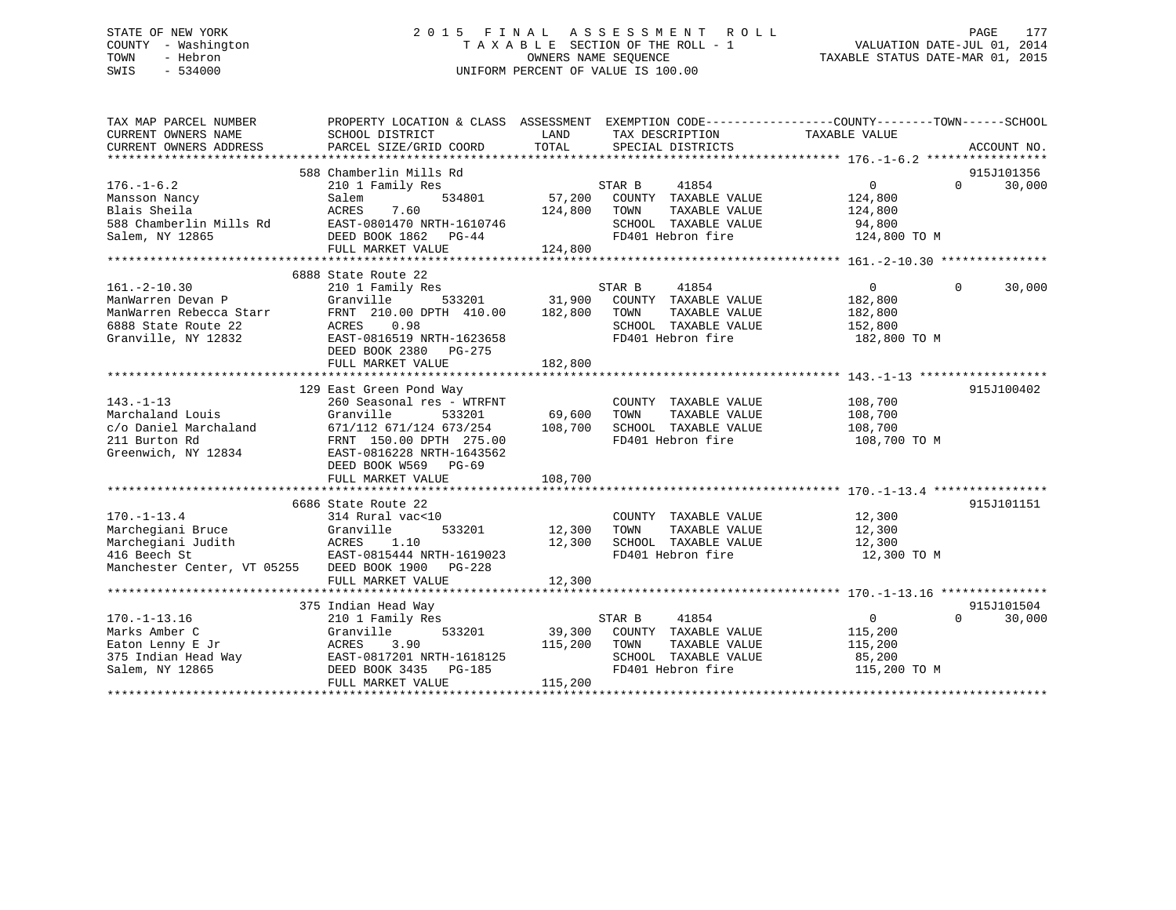# STATE OF NEW YORK 2 0 1 5 F I N A L A S S E S S M E N T R O L L PAGE 177 COUNTY - Washington T A X A B L E SECTION OF THE ROLL - 1 VALUATION DATE-JUL 01, 2014 TOWN - Hebron OWNERS NAME SEQUENCE TAXABLE STATUS DATE-MAR 01, 2015 SWIS - 534000 UNIFORM PERCENT OF VALUE IS 100.00

| TAX MAP PARCEL NUMBER<br>CURRENT OWNERS NAME<br>CURRENT OWNERS ADDRESS | PROPERTY LOCATION & CLASS ASSESSMENT EXEMPTION CODE---------------COUNTY-------TOWN-----SCHOOL<br>SCHOOL DISTRICT<br>PARCEL SIZE/GRID COORD | LAND<br>TOTAL |        | TAX DESCRIPTION<br>SPECIAL DISTRICTS | TAXABLE VALUE  |          | ACCOUNT NO. |
|------------------------------------------------------------------------|---------------------------------------------------------------------------------------------------------------------------------------------|---------------|--------|--------------------------------------|----------------|----------|-------------|
|                                                                        |                                                                                                                                             |               |        |                                      |                |          |             |
|                                                                        | 588 Chamberlin Mills Rd                                                                                                                     |               |        |                                      |                |          | 915J101356  |
| $176. - 1 - 6.2$                                                       | 210 1 Family Res                                                                                                                            |               | STAR B | 41854                                | $\mathbf{0}$   | $\Omega$ | 30,000      |
| Mansson Nancy                                                          | 534801<br>Salem                                                                                                                             | 57,200        |        | COUNTY TAXABLE VALUE                 | 124,800        |          |             |
| Blais Sheila                                                           | ACRES<br>7.60                                                                                                                               | 124,800       | TOWN   | TAXABLE VALUE                        | 124,800        |          |             |
| 588 Chamberlin Mills Rd                                                | EAST-0801470 NRTH-1610746                                                                                                                   |               |        | SCHOOL TAXABLE VALUE                 | 94,800         |          |             |
| Salem, NY 12865                                                        | DEED BOOK 1862 PG-44                                                                                                                        |               |        | FD401 Hebron fire                    | 124,800 TO M   |          |             |
|                                                                        | FULL MARKET VALUE                                                                                                                           | 124,800       |        |                                      |                |          |             |
|                                                                        |                                                                                                                                             |               |        |                                      |                |          |             |
|                                                                        | 6888 State Route 22                                                                                                                         |               |        |                                      |                |          |             |
| $161. - 2 - 10.30$                                                     | 210 1 Family Res                                                                                                                            |               | STAR B | 41854                                | $\overline{0}$ | $\Omega$ | 30,000      |
| ManWarren Devan P                                                      | 533201<br>Granville                                                                                                                         | 31,900        |        | COUNTY TAXABLE VALUE                 | 182,800        |          |             |
| ManWarren Rebecca Starr                                                | FRNT 210.00 DPTH 410.00                                                                                                                     | 182,800       | TOWN   | TAXABLE VALUE                        | 182,800        |          |             |
| 6888 State Route 22                                                    | 0.98<br>ACRES                                                                                                                               |               |        | SCHOOL TAXABLE VALUE                 | 152,800        |          |             |
| Granville, NY 12832                                                    | EAST-0816519 NRTH-1623658                                                                                                                   |               |        | FD401 Hebron fire                    | 182,800 TO M   |          |             |
|                                                                        | DEED BOOK 2380 PG-275                                                                                                                       |               |        |                                      |                |          |             |
|                                                                        | FULL MARKET VALUE                                                                                                                           | 182,800       |        |                                      |                |          |             |
|                                                                        |                                                                                                                                             |               |        |                                      |                |          |             |
|                                                                        | 129 East Green Pond Way                                                                                                                     |               |        |                                      |                |          | 915J100402  |
| $143. - 1 - 13$                                                        | 260 Seasonal res - WTRFNT                                                                                                                   |               |        | COUNTY TAXABLE VALUE                 | 108,700        |          |             |
| Marchaland Louis                                                       | Granville<br>533201                                                                                                                         | 69,600        | TOWN   | TAXABLE VALUE                        | 108,700        |          |             |
| c/o Daniel Marchaland                                                  | 671/112 671/124 673/254                                                                                                                     | 108,700       |        | SCHOOL TAXABLE VALUE                 | 108,700        |          |             |
| 211 Burton Rd                                                          | FRNT 150.00 DPTH 275.00                                                                                                                     |               |        | FD401 Hebron fire                    | 108,700 TO M   |          |             |
| Greenwich, NY 12834                                                    | EAST-0816228 NRTH-1643562                                                                                                                   |               |        |                                      |                |          |             |
|                                                                        | DEED BOOK W569 PG-69                                                                                                                        |               |        |                                      |                |          |             |
|                                                                        | FULL MARKET VALUE                                                                                                                           | 108,700       |        |                                      |                |          |             |
|                                                                        |                                                                                                                                             |               |        |                                      |                |          |             |
|                                                                        | 6686 State Route 22                                                                                                                         |               |        |                                      |                |          | 915J101151  |
| $170. - 1 - 13.4$                                                      | 314 Rural vac<10                                                                                                                            |               |        | COUNTY TAXABLE VALUE                 | 12,300         |          |             |
| Marchegiani Bruce                                                      | Granville<br>533201                                                                                                                         | 12,300        | TOWN   | TAXABLE VALUE                        | 12,300         |          |             |
| Marchegiani Judith                                                     | 1.10                                                                                                                                        | 12,300        |        | SCHOOL TAXABLE VALUE                 | 12,300         |          |             |
| $ACRES$<br>$FACRES$<br>416 Beech St                                    | EAST-0815444 NRTH-1619023                                                                                                                   |               |        | FD401 Hebron fire                    | 12,300 TO M    |          |             |
| Manchester Center, VT 05255                                            | DEED BOOK 1900 PG-228                                                                                                                       |               |        |                                      |                |          |             |
|                                                                        | FULL MARKET VALUE                                                                                                                           | 12,300        |        |                                      |                |          |             |
|                                                                        |                                                                                                                                             |               |        |                                      |                |          |             |
|                                                                        | 375 Indian Head Way                                                                                                                         |               |        |                                      |                |          | 915J101504  |
| $170. - 1 - 13.16$                                                     | 210 1 Family Res                                                                                                                            |               | STAR B | 41854                                | $\Omega$       | $\Omega$ | 30,000      |
| Marks Amber C                                                          | Granville<br>533201                                                                                                                         | 39,300        |        | COUNTY TAXABLE VALUE                 | 115,200        |          |             |
| Eaton Lenny E Jr                                                       | 3.90<br>ACRES                                                                                                                               | 115,200       | TOWN   | TAXABLE VALUE                        | 115,200        |          |             |
| 375 Indian Head Way                                                    | EAST-0817201 NRTH-1618125                                                                                                                   |               |        | SCHOOL TAXABLE VALUE                 | 85,200         |          |             |
| Salem, NY 12865                                                        | DEED BOOK 3435 PG-185                                                                                                                       |               |        | FD401 Hebron fire                    | 115,200 TO M   |          |             |
|                                                                        | FULL MARKET VALUE                                                                                                                           | 115,200       |        |                                      |                |          |             |
|                                                                        |                                                                                                                                             |               |        |                                      |                |          |             |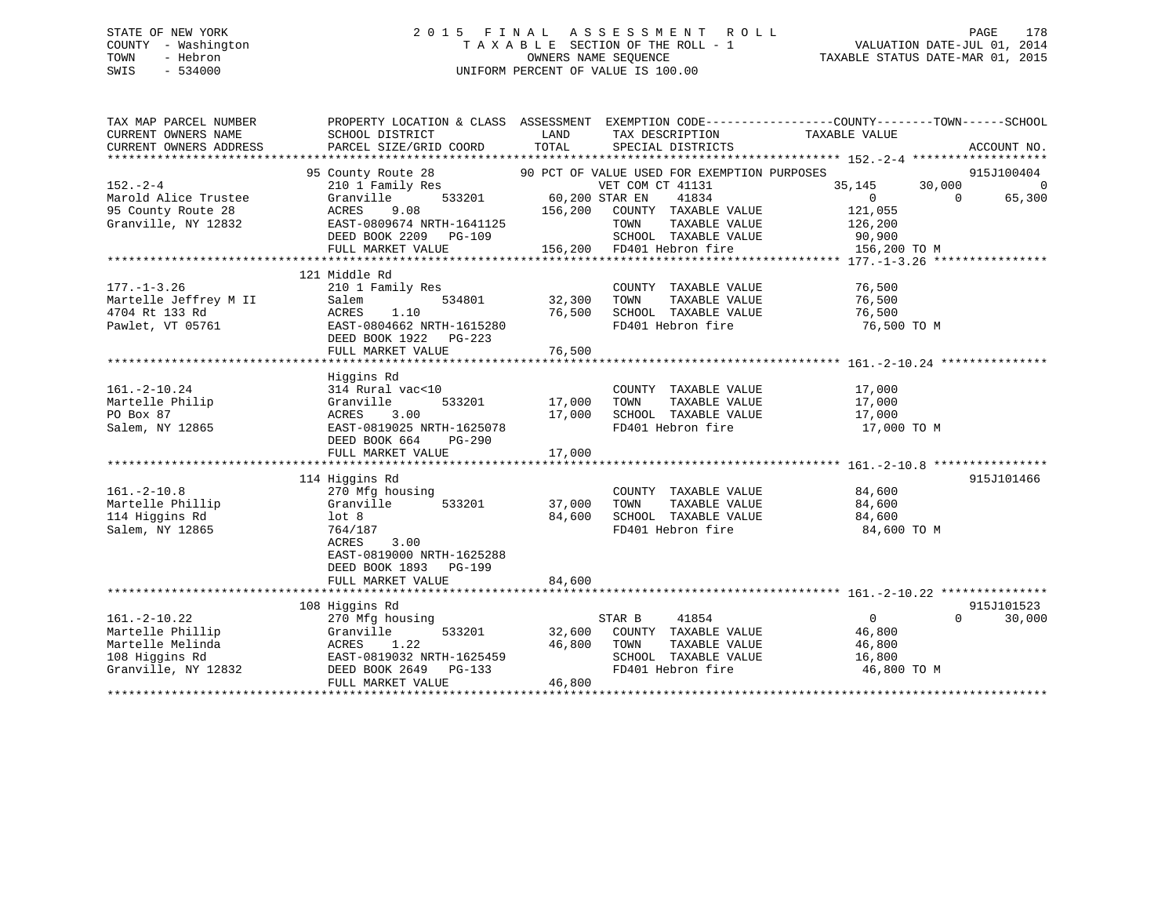# STATE OF NEW YORK 2 0 1 5 F I N A L A S S E S S M E N T R O L L PAGE 178 COUNTY - Washington T A X A B L E SECTION OF THE ROLL - 1 VALUATION DATE-JUL 01, 2014 TOWN - Hebron OWNERS NAME SEQUENCE TAXABLE STATUS DATE-MAR 01, 2015 SWIS - 534000 UNIFORM PERCENT OF VALUE IS 100.00

| TAX MAP PARCEL NUMBER                                                      | PROPERTY LOCATION & CLASS ASSESSMENT EXEMPTION CODE---------------COUNTY-------TOWN-----SCHOOL |             |                                                   |                                              |          |                |
|----------------------------------------------------------------------------|------------------------------------------------------------------------------------------------|-------------|---------------------------------------------------|----------------------------------------------|----------|----------------|
| CURRENT OWNERS NAME                                                        | SCHOOL DISTRICT                                                                                | <b>LAND</b> | TAX DESCRIPTION                                   | TAXABLE VALUE                                |          |                |
| CURRENT OWNERS ADDRESS                                                     | PARCEL SIZE/GRID COORD                                                                         | TOTAL       | SPECIAL DISTRICTS                                 |                                              |          | ACCOUNT NO.    |
|                                                                            |                                                                                                |             |                                                   |                                              |          |                |
|                                                                            | 95 County Route 28                                                                             |             | 90 PCT OF VALUE USED FOR EXEMPTION PURPOSES       |                                              |          | 915J100404     |
| $152 - 2 - 4$                                                              | 210 1 Family Res WET COM<br>Granville 533201 60,200 STAR EN                                    |             | VET COM CT 41131                                  | 35,145                                       | 30,000   | $\overline{0}$ |
| Marold Alice Trustee                                                       |                                                                                                |             | 41834                                             | $\Omega$                                     | $\Omega$ | 65,300         |
| 95 County Route 28                                                         |                                                                                                |             |                                                   | 121,055                                      |          |                |
| Granville, NY 12832                                                        | ACRES 9.08 156,200 COUNTY TAXABLE VALUE<br>EAST-0809674 NRTH-1641125 TOWN TAXABLE VALUE        |             |                                                   | 126,200                                      |          |                |
|                                                                            | DEED BOOK 2209 PG-109                                                                          |             | SCHOOL TAXABLE VALUE 90,900                       |                                              |          |                |
|                                                                            |                                                                                                |             |                                                   |                                              |          |                |
|                                                                            |                                                                                                |             |                                                   |                                              |          |                |
|                                                                            | 121 Middle Rd                                                                                  |             |                                                   |                                              |          |                |
| $177. - 1 - 3.26$                                                          | 210 1 Family Res                                                                               |             | COUNTY TAXABLE VALUE                              | 76,500                                       |          |                |
|                                                                            | Salem<br>534801                                                                                |             | TAXABLE VALUE                                     | 76,500                                       |          |                |
|                                                                            | ACRES<br>1.10                                                                                  | 76,500      | SCHOOL TAXABLE VALUE                              | 76,500                                       |          |                |
| 177.-1-3.26<br>Martelle Jeffrey M II<br>4704 Rt 133 Rd<br>Pawlet, VT 05761 | EAST-0804662 NRTH-1615280                                                                      |             | FD401 Hebron fire                                 | 76,500 TO M                                  |          |                |
|                                                                            | DEED BOOK 1922 PG-223                                                                          |             |                                                   |                                              |          |                |
|                                                                            |                                                                                                |             |                                                   |                                              |          |                |
|                                                                            |                                                                                                |             |                                                   |                                              |          |                |
|                                                                            | Higgins Rd                                                                                     |             |                                                   |                                              |          |                |
| $161. - 2 - 10.24$                                                         | 314 Rural vac<10                                                                               |             | COUNTY TAXABLE VALUE                              | 17,000                                       |          |                |
| Martelle Philip                                                            | 533201<br>Granville                                                                            | 17,000      |                                                   |                                              |          |                |
| PO Box 87                                                                  | ACRES<br>3.00                                                                                  | 17,000      | TOWN      TAXABLE VALUE<br>SCHOOL   TAXABLE VALUE | 17,000<br>17,000                             |          |                |
| Salem, NY 12865                                                            | EAST-0819025 NRTH-1625078                                                                      |             | FD401 Hebron fire                                 | 17,000 TO M                                  |          |                |
|                                                                            | DEED BOOK 664<br>PG-290                                                                        |             |                                                   |                                              |          |                |
|                                                                            | FULL MARKET VALUE                                                                              | 17,000      |                                                   |                                              |          |                |
|                                                                            |                                                                                                |             |                                                   |                                              |          |                |
|                                                                            | 114 Higgins Rd                                                                                 |             |                                                   |                                              |          | 915J101466     |
| $161. - 2 - 10.8$                                                          | 270 Mfg housing                                                                                |             | COUNTY TAXABLE VALUE 84,600                       |                                              |          |                |
| Martelle Phillip                                                           | 533201<br>Granville                                                                            | 37,000 TOWN |                                                   |                                              |          |                |
| 114 Higgins Rd                                                             | lot 8                                                                                          |             |                                                   | TAXABLE VALUE 84,600<br>TAXABLE VALUE 84,600 |          |                |
| Salem, NY 12865                                                            | 764/187                                                                                        |             | 84,600 SCHOOL TAXABLE VALUE<br>FD401 Hebron fire  | 84,600 TO M                                  |          |                |
|                                                                            | ACRES<br>3.00                                                                                  |             |                                                   |                                              |          |                |
|                                                                            | EAST-0819000 NRTH-1625288                                                                      |             |                                                   |                                              |          |                |
|                                                                            | DEED BOOK 1893 PG-199                                                                          |             |                                                   |                                              |          |                |
|                                                                            | FULL MARKET VALUE                                                                              | 84,600      |                                                   |                                              |          |                |
|                                                                            |                                                                                                |             |                                                   |                                              |          |                |
|                                                                            | 108 Higgins Rd                                                                                 |             |                                                   |                                              |          | 915J101523     |
| $161. - 2 - 10.22$                                                         | 270 Mfg housing                                                                                |             | STAR B 41854                                      | $\overline{0}$                               | $\Omega$ | 30,000         |
| Martelle Phillip                                                           | Granville                                                                                      |             | 533201 32,600 COUNTY TAXABLE VALUE 46,800         |                                              |          |                |
| Martelle Melinda                                                           |                                                                                                | 46,800 TOWN | TAXABLE VALUE                                     | 46,800                                       |          |                |
| 108 Higgins Rd                                                             | ACRES 1.22 46,80<br>EAST-0819032 NRTH-1625459<br>DEED BOOK 2649 PG-133                         |             | SCHOOL TAXABLE VALUE                              | 16,800                                       |          |                |
| Granville, NY 12832                                                        |                                                                                                |             | FD401 Hebron fire                                 | 46,800 TO M                                  |          |                |
|                                                                            | FULL MARKET VALUE                                                                              | 46,800      |                                                   |                                              |          |                |
|                                                                            |                                                                                                |             |                                                   |                                              |          |                |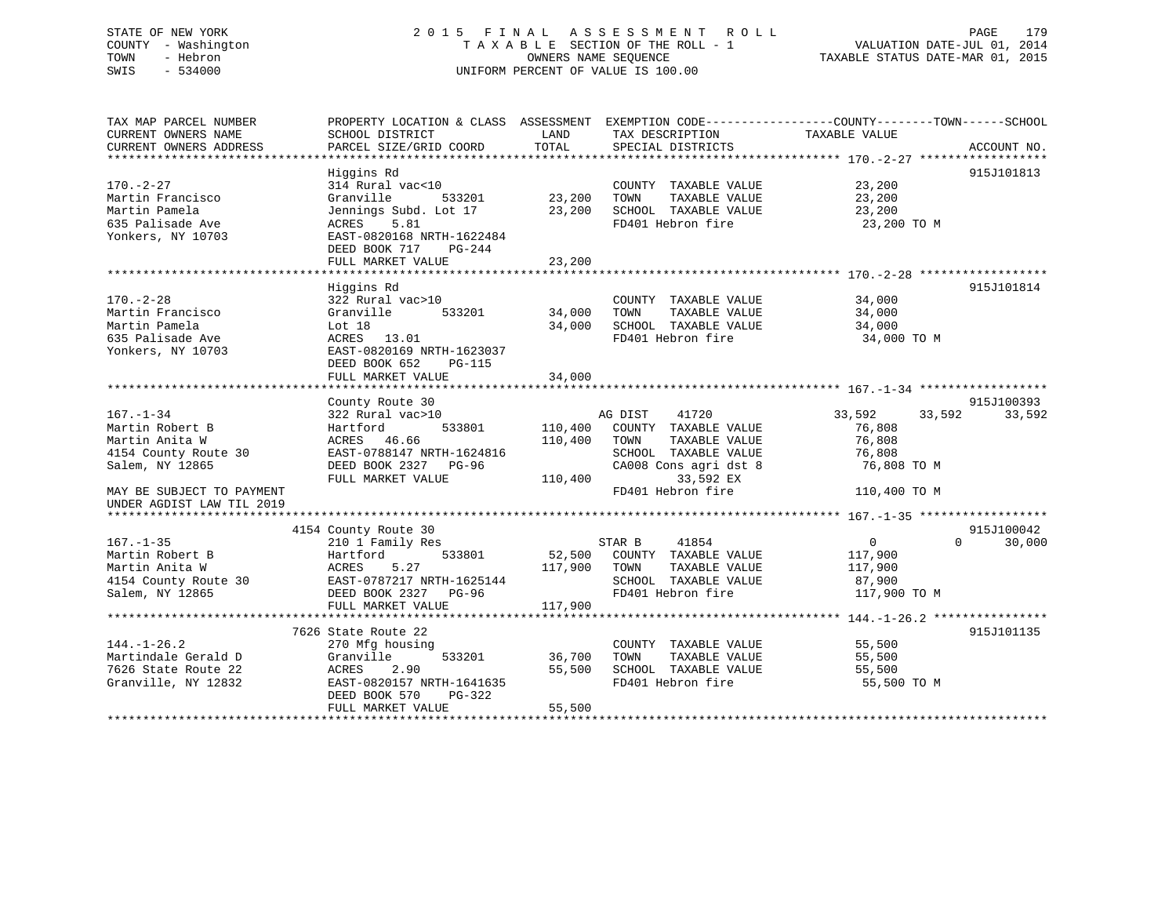# STATE OF NEW YORK 2 0 1 5 F I N A L A S S E S S M E N T R O L L PAGE 179 COUNTY - Washington T A X A B L E SECTION OF THE ROLL - 1 VALUATION DATE-JUL 01, 2014 TOWN - Hebron OWNERS NAME SEQUENCE TAXABLE STATUS DATE-MAR 01, 2015 SWIS - 534000 UNIFORM PERCENT OF VALUE IS 100.00

| TAX MAP PARCEL NUMBER<br>CURRENT OWNERS NAME<br>CURRENT OWNERS ADDRESS                                                                                    | PROPERTY LOCATION & CLASS ASSESSMENT EXEMPTION CODE---------------COUNTY-------TOWN-----SCHOOL<br>SCHOOL DISTRICT<br>PARCEL SIZE/GRID COORD                                  | LAND<br>TOTAL                 | TAX DESCRIPTION<br>SPECIAL DISTRICTS                                                                                                                 | TAXABLE VALUE                                                                 | ACCOUNT NO.          |
|-----------------------------------------------------------------------------------------------------------------------------------------------------------|------------------------------------------------------------------------------------------------------------------------------------------------------------------------------|-------------------------------|------------------------------------------------------------------------------------------------------------------------------------------------------|-------------------------------------------------------------------------------|----------------------|
| $170. - 2 - 27$<br>Martin Francisco<br>Martin Pamela<br>635 Palisade Ave<br>Yonkers, NY 10703                                                             | Higgins Rd<br>314 Rural vac<10<br>Granville<br>533201<br>Jennings Subd. Lot 17<br>5.81<br>ACRES<br>EAST-0820168 NRTH-1622484<br>DEED BOOK 717<br>PG-244<br>FULL MARKET VALUE | 23,200<br>23,200<br>23,200    | COUNTY TAXABLE VALUE<br>TAXABLE VALUE<br>TOWN<br>SCHOOL TAXABLE VALUE<br>FD401 Hebron fire                                                           | 23,200<br>23,200<br>23,200<br>23,200 TO M                                     | 915J101813           |
| $170. - 2 - 28$<br>Martin Francisco<br>Martin Pamela<br>635 Palisade Ave<br>Yonkers, NY 10703                                                             | Higgins Rd<br>322 Rural vac>10<br>Granville<br>533201<br>Lot 18<br>ACRES 13.01<br>EAST-0820169 NRTH-1623037<br>DEED BOOK 652<br><b>PG-115</b><br>FULL MARKET VALUE           | 34,000<br>34,000<br>34,000    | COUNTY TAXABLE VALUE<br>TAXABLE VALUE<br>TOWN<br>SCHOOL TAXABLE VALUE<br>FD401 Hebron fire                                                           | 34,000<br>34,000<br>34,000<br>34,000 TO M                                     | 915J101814           |
| $167. - 1 - 34$<br>Martin Robert B<br>Martin Anita W<br>4154 County Route 30<br>Salem, NY 12865<br>MAY BE SUBJECT TO PAYMENT<br>UNDER AGDIST LAW TIL 2019 | County Route 30<br>322 Rural vac>10<br>533801<br>Hartford<br>ACRES 46.66<br>EAST-0788147 NRTH-1624816<br>DEED BOOK 2327 PG-96<br>FULL MARKET VALUE                           | 110,400<br>110,400<br>110,400 | 41720<br>AG DIST<br>COUNTY TAXABLE VALUE<br>TOWN<br>TAXABLE VALUE<br>SCHOOL TAXABLE VALUE<br>CA008 Cons agri dst 8<br>33,592 EX<br>FD401 Hebron fire | 33,592<br>33,592<br>76,808<br>76,808<br>76,808<br>76,808 TO M<br>110,400 TO M | 915J100393<br>33,592 |
| $167. - 1 - 35$<br>Martin Robert B<br>Martin Anita W<br>4154 County Route 30<br>Salem, NY 12865                                                           | 4154 County Route 30<br>210 1 Family Res<br>533801<br>Hartford<br>ACRES<br>5.27<br>EAST-0787217 NRTH-1625144<br>DEED BOOK 2327 PG-96<br>FULL MARKET VALUE                    | 117,900<br>117,900            | STAR B<br>41854<br>52,500 COUNTY TAXABLE VALUE<br>TAXABLE VALUE<br>TOWN<br>SCHOOL TAXABLE VALUE<br>FD401 Hebron fire                                 | $\mathbf{0}$<br>$\Omega$<br>117,900<br>117,900<br>87,900<br>117,900 TO M      | 915J100042<br>30,000 |
| $144. - 1 - 26.2$<br>Martindale Gerald D<br>7626 State Route 22<br>Granville, NY 12832                                                                    | 7626 State Route 22<br>270 Mfg housing<br>533201<br>Granville<br>ACRES<br>2.90<br>EAST-0820157 NRTH-1641635<br>DEED BOOK 570<br>PG-322<br>FULL MARKET VALUE                  | 36,700<br>55,500<br>55,500    | COUNTY TAXABLE VALUE<br>TAXABLE VALUE<br>TOWN<br>SCHOOL TAXABLE VALUE<br>FD401 Hebron fire                                                           | 55,500<br>55,500<br>55,500<br>55,500 TO M                                     | 915J101135           |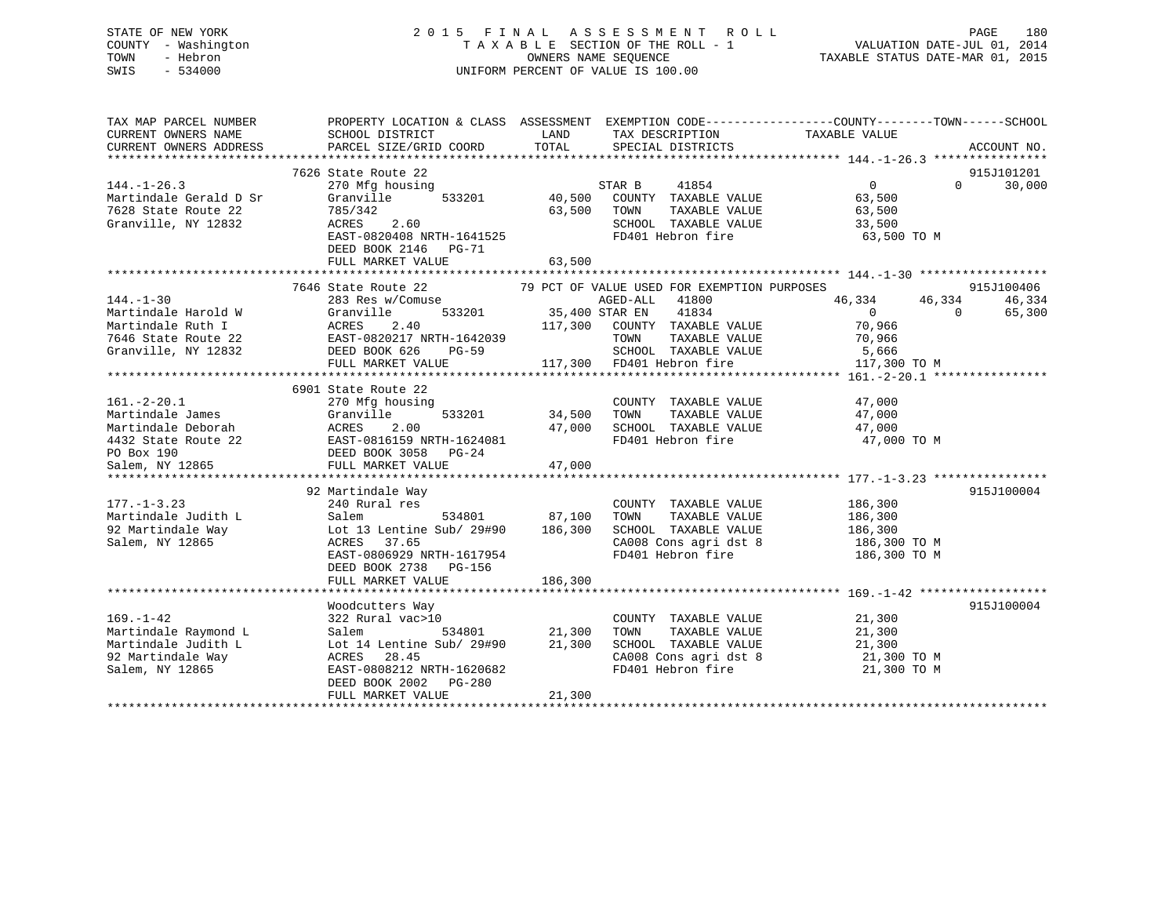# STATE OF NEW YORK 2 0 1 5 F I N A L A S S E S S M E N T R O L L PAGE 180 COUNTY - Washington T A X A B L E SECTION OF THE ROLL - 1 VALUATION DATE-JUL 01, 2014 TOWN - Hebron OWNERS NAME SEQUENCE TAXABLE STATUS DATE-MAR 01, 2015 SWIS - 534000 UNIFORM PERCENT OF VALUE IS 100.00

| TAX MAP PARCEL NUMBER<br>CURRENT OWNERS NAME<br>CURRENT OWNERS ADDRESS | PROPERTY LOCATION & CLASS ASSESSMENT EXEMPTION CODE---------------COUNTY-------TOWN-----SCHOOL<br>SCHOOL DISTRICT<br>PARCEL SIZE/GRID COORD | LAND<br>TOTAL | TAX DESCRIPTION<br>SPECIAL DISTRICTS        | TAXABLE VALUE    | ACCOUNT NO.        |
|------------------------------------------------------------------------|---------------------------------------------------------------------------------------------------------------------------------------------|---------------|---------------------------------------------|------------------|--------------------|
|                                                                        |                                                                                                                                             |               |                                             |                  |                    |
|                                                                        | 7626 State Route 22                                                                                                                         |               |                                             |                  | 915J101201         |
| $144. - 1 - 26.3$                                                      | 270 Mfg housing                                                                                                                             |               | 41854<br>STAR B                             | $\overline{0}$   | 30,000<br>$\Omega$ |
| Martindale Gerald D Sr                                                 | Granville<br>533201                                                                                                                         |               | 40,500 COUNTY TAXABLE VALUE                 | 63,500           |                    |
| 7628 State Route 22                                                    | 785/342                                                                                                                                     | 63,500        | TOWN<br>TAXABLE VALUE                       | 63,500           |                    |
| Granville, NY 12832                                                    | ACRES<br>2.60                                                                                                                               |               | SCHOOL TAXABLE VALUE                        | 33,500           |                    |
|                                                                        | EAST-0820408 NRTH-1641525                                                                                                                   |               | FD401 Hebron fire                           | 63,500 TO M      |                    |
|                                                                        | DEED BOOK 2146 PG-71                                                                                                                        |               |                                             |                  |                    |
|                                                                        | FULL MARKET VALUE                                                                                                                           | 63,500        |                                             |                  |                    |
|                                                                        |                                                                                                                                             |               |                                             |                  |                    |
|                                                                        | 7646 State Route 22                                                                                                                         |               | 79 PCT OF VALUE USED FOR EXEMPTION PURPOSES |                  | 915J100406         |
| $144. - 1 - 30$                                                        | 283 Res w/Comuse                                                                                                                            |               | AGED-ALL<br>41800                           | 46,334<br>46,334 | 46,334             |
| Martindale Harold W                                                    | 533201 35,400 STAR EN<br>Granville                                                                                                          |               | 41834                                       | $\overline{0}$   | $\Omega$<br>65,300 |
| Martindale Ruth I                                                      | ACRES<br>2.40                                                                                                                               | 117,300       | COUNTY TAXABLE VALUE                        | 70,966           |                    |
| 7646 State Route 22                                                    | EAST-0820217 NRTH-1642039<br>DEED BOOK 626 PG-59                                                                                            |               | TOWN<br>TAXABLE VALUE                       | 70,966           |                    |
| Granville, NY 12832                                                    |                                                                                                                                             |               | SCHOOL TAXABLE VALUE                        | 5,666            |                    |
|                                                                        | FULL MARKET VALUE                                                                                                                           |               | 117,300 FD401 Hebron fire                   | 117,300 TO M     |                    |
|                                                                        |                                                                                                                                             |               |                                             |                  |                    |
|                                                                        | 6901 State Route 22                                                                                                                         |               |                                             |                  |                    |
| $161.-2-20.1$                                                          | 270 Mfg housing                                                                                                                             |               | COUNTY TAXABLE VALUE                        | 47,000           |                    |
| Martindale James                                                       |                                                                                                                                             | 34,500        | TAXABLE VALUE<br>TOWN                       | 47,000           |                    |
| Martindale Deborah                                                     | Granville 533201<br>ACRES 2.00<br>EAST-0816159 NRTH-1624081<br>DEED BOOK 3058 PG-24                                                         | 47,000        | SCHOOL TAXABLE VALUE                        | 47,000           |                    |
| 4432 State Route 22                                                    |                                                                                                                                             |               | FD401 Hebron fire                           | 47,000 TO M      |                    |
| PO Box 190                                                             |                                                                                                                                             |               |                                             |                  |                    |
| Salem, NY 12865                                                        | FULL MARKET VALUE                                                                                                                           | 47,000        |                                             |                  |                    |
|                                                                        |                                                                                                                                             |               |                                             |                  |                    |
|                                                                        | 92 Martindale Way                                                                                                                           |               |                                             |                  | 915J100004         |
| $177. - 1 - 3.23$                                                      | 240 Rural res                                                                                                                               |               | COUNTY TAXABLE VALUE                        | 186,300          |                    |
| Martindale Judith L                                                    | Salem                                                                                                                                       | 534801 87,100 | TAXABLE VALUE<br>TOWN                       | 186,300          |                    |
|                                                                        | 92 Martindale Way Lot 13 Lentine Sub/ 29#90 186,300                                                                                         |               | SCHOOL TAXABLE VALUE                        | 186,300          |                    |
| Salem, NY 12865                                                        | ACRES<br>37.65                                                                                                                              |               | CA008 Cons agri dst 8                       | 186,300 TO M     |                    |
|                                                                        | EAST-0806929 NRTH-1617954                                                                                                                   |               | FD401 Hebron fire                           | 186,300 TO M     |                    |
|                                                                        | DEED BOOK 2738 PG-156                                                                                                                       |               |                                             |                  |                    |
|                                                                        | FULL MARKET VALUE                                                                                                                           | 186,300       |                                             |                  |                    |
|                                                                        |                                                                                                                                             |               |                                             |                  |                    |
|                                                                        | Woodcutters Way                                                                                                                             |               |                                             |                  | 915J100004         |
| $169. - 1 - 42$                                                        | 322 Rural vac>10                                                                                                                            |               | COUNTY TAXABLE VALUE                        | 21,300           |                    |
| Martindale Raymond L                                                   | 534801<br>Salem                                                                                                                             | 21,300        | TAXABLE VALUE<br>TOWN                       | 21,300           |                    |
| Martindale Judith L                                                    | Lot 14 Lentine Sub/ 29#90                                                                                                                   | 21,300        | SCHOOL TAXABLE VALUE                        | 21,300           |                    |
| 92 Martindale Way                                                      | ACRES 28.45                                                                                                                                 |               | CA008 Cons agri dst 8                       | 21,300 TO M      |                    |
| Salem, NY 12865                                                        | EAST-0808212 NRTH-1620682                                                                                                                   |               | FD401 Hebron fire                           | 21,300 TO M      |                    |
|                                                                        | DEED BOOK 2002    PG-280                                                                                                                    |               |                                             |                  |                    |
|                                                                        | FULL MARKET VALUE                                                                                                                           | 21,300        |                                             |                  |                    |
|                                                                        |                                                                                                                                             |               |                                             |                  |                    |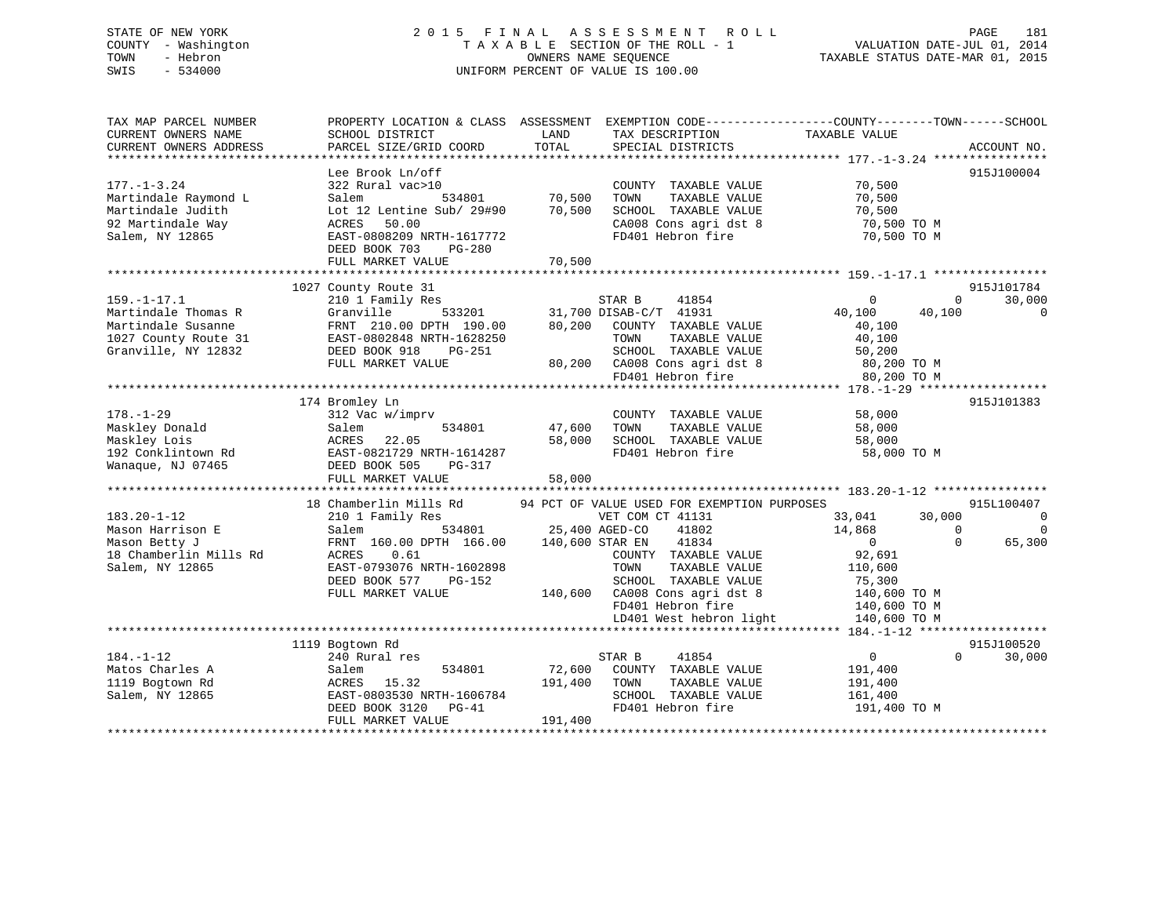# STATE OF NEW YORK 2 0 1 5 F I N A L A S S E S S M E N T R O L L PAGE 181COUNTY - Washington  $T A X A B L E$  SECTION OF THE ROLL - 1 TOWN - Hebron SWIS - 534000 UNIFORM PERCENT OF VALUE IS 100.00

VALUATION DATE-JUL 01, 2014

TAXABLE STATUS DATE-MAR 01, 2015

| TAX MAP PARCEL NUMBER<br>CURRENT OWNERS NAME<br>CURRENT OWNERS ADDRESS                                        | PROPERTY LOCATION & CLASS ASSESSMENT EXEMPTION CODE----------------COUNTY-------TOWN------SCHOOL<br>SCHOOL DISTRICT<br>PARCEL SIZE/GRID COORD                                       | LAND<br>TOTAL                                | TAX DESCRIPTION<br>SPECIAL DISTRICTS                                                                                                                                                 | TAXABLE VALUE                                                                                                                                       | ACCOUNT NO.           |
|---------------------------------------------------------------------------------------------------------------|-------------------------------------------------------------------------------------------------------------------------------------------------------------------------------------|----------------------------------------------|--------------------------------------------------------------------------------------------------------------------------------------------------------------------------------------|-----------------------------------------------------------------------------------------------------------------------------------------------------|-----------------------|
| $177. - 1 - 3.24$<br>Martindale Raymond L<br>Martindale Judith<br>92 Martindale Way<br>Salem, NY 12865        | Lee Brook Ln/off<br>322 Rural vac>10<br>534801<br>Salem<br>Lot 12 Lentine Sub/ 29#90<br>ACRES<br>50.00<br>EAST-0808209 NRTH-1617772<br>DEED BOOK 703<br>PG-280<br>FULL MARKET VALUE | 70,500<br>70,500<br>70,500                   | COUNTY TAXABLE VALUE<br>TAXABLE VALUE<br>TOWN<br>SCHOOL TAXABLE VALUE<br>CA008 Cons agri dst 8<br>FD401 Hebron fire                                                                  | 70,500<br>70,500<br>70,500<br>70,500 TO M<br>70,500 TO M                                                                                            | 915J100004            |
|                                                                                                               | 1027 County Route 31                                                                                                                                                                |                                              |                                                                                                                                                                                      |                                                                                                                                                     | 915J101784            |
| $159. - 1 - 17.1$<br>Martindale Thomas R<br>Martindale Susanne<br>1027 County Route 31<br>Granville, NY 12832 | 210 1 Family Res<br>Granville<br>533201<br>FRNT 210.00 DPTH 190.00<br>EAST-0802848 NRTH-1628250<br>DEED BOOK 918<br>PG-251<br>FULL MARKET VALUE                                     | 80,200                                       | STAR B<br>41854<br>31,700 DISAB-C/T 41931<br>COUNTY TAXABLE VALUE<br>TAXABLE VALUE<br>TOWN<br>SCHOOL TAXABLE VALUE<br>80,200 CA008 Cons agri dst 8<br>FD401 Hebron fire              | $\mathbf 0$<br>$\mathbf 0$<br>40,100<br>40,100<br>40,100<br>40,100<br>50,200<br>80,200 TO M<br>80,200 TO M                                          | 30,000<br>0           |
|                                                                                                               | 174 Bromley Ln                                                                                                                                                                      |                                              |                                                                                                                                                                                      |                                                                                                                                                     | 915J101383            |
| $178. - 1 - 29$<br>Maskley Donald<br>Maskley Lois<br>192 Conklintown Rd<br>Wanaque, NJ 07465                  | 312 Vac w/imprv<br>534801<br>Salem<br>ACRES<br>22.05<br>EAST-0821729 NRTH-1614287<br>DEED BOOK 505<br><b>PG-317</b><br>FULL MARKET VALUE                                            | 47,600<br>58,000<br>58,000                   | COUNTY TAXABLE VALUE<br>TOWN<br>TAXABLE VALUE<br>SCHOOL TAXABLE VALUE<br>FD401 Hebron fire                                                                                           | 58,000<br>58,000<br>58,000<br>58,000 TO M                                                                                                           |                       |
|                                                                                                               | 18 Chamberlin Mills Rd                                                                                                                                                              |                                              | 94 PCT OF VALUE USED FOR EXEMPTION PURPOSES                                                                                                                                          |                                                                                                                                                     | 915L100407            |
| $183.20 - 1 - 12$<br>Mason Harrison E<br>Mason Betty J<br>18 Chamberlin Mills Rd<br>Salem, NY 12865           | 210 1 Family Res<br>534801<br>Salem<br>FRNT 160.00 DPTH 166.00<br>ACRES<br>0.61<br>EAST-0793076 NRTH-1602898<br>DEED BOOK 577<br>PG-152<br>FULL MARKET VALUE                        | 25,400 AGED-CO<br>140,600 STAR EN<br>140,600 | VET COM CT 41131<br>41802<br>41834<br>COUNTY TAXABLE VALUE<br>TOWN<br>TAXABLE VALUE<br>SCHOOL TAXABLE VALUE<br>CA008 Cons agri dst 8<br>FD401 Hebron fire<br>LD401 West hebron light | 30,000<br>33,041<br>14,868<br>$\Omega$<br>$\overline{0}$<br>$\Omega$<br>92,691<br>110,600<br>75,300<br>140,600 TO M<br>140,600 TO M<br>140,600 TO M | $\mathbf 0$<br>65,300 |
|                                                                                                               |                                                                                                                                                                                     |                                              |                                                                                                                                                                                      |                                                                                                                                                     |                       |
| $184. - 1 - 12$<br>Matos Charles A<br>1119 Bogtown Rd<br>Salem, NY 12865                                      | 1119 Bogtown Rd<br>240 Rural res<br>534801<br>Salem<br>15.32<br>ACRES<br>EAST-0803530 NRTH-1606784<br>DEED BOOK 3120<br>$PG-41$<br>FULL MARKET VALUE                                | 72,600<br>191,400<br>191,400                 | STAR B<br>41854<br>COUNTY TAXABLE VALUE<br>TOWN<br>TAXABLE VALUE<br>SCHOOL TAXABLE VALUE<br>FD401 Hebron fire                                                                        | $\mathbf 0$<br>$\Omega$<br>191,400<br>191,400<br>161,400<br>191,400 TO M                                                                            | 915J100520<br>30,000  |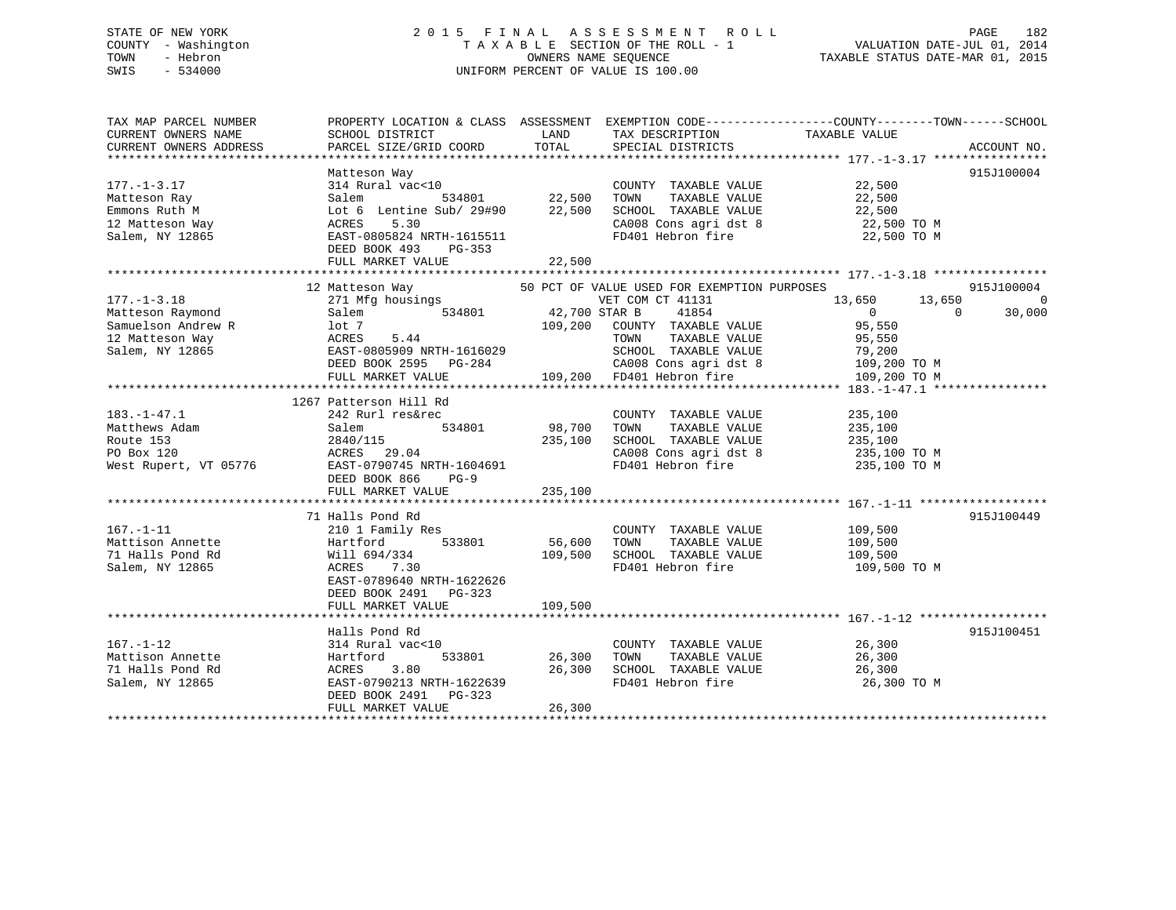# STATE OF NEW YORK 2 0 1 5 F I N A L A S S E S S M E N T R O L L PAGE 182 COUNTY - Washington T A X A B L E SECTION OF THE ROLL - 1 VALUATION DATE-JUL 01, 2014 TOWN - Hebron OWNERS NAME SEQUENCE TAXABLE STATUS DATE-MAR 01, 2015 SWIS - 534000 UNIFORM PERCENT OF VALUE IS 100.00

| TAX MAP PARCEL NUMBER<br>CURRENT OWNERS NAME<br>CURRENT OWNERS ADDRESS                            | PROPERTY LOCATION & CLASS ASSESSMENT<br>SCHOOL DISTRICT<br>PARCEL SIZE/GRID COORD                                                                                             | LAND<br>TOTAL                       | TAX DESCRIPTION<br>SPECIAL DISTRICTS                                                                                                                                                                            | EXEMPTION CODE-----------------COUNTY-------TOWN------SCHOOL<br>TAXABLE VALUE                                | ACCOUNT NO.                            |
|---------------------------------------------------------------------------------------------------|-------------------------------------------------------------------------------------------------------------------------------------------------------------------------------|-------------------------------------|-----------------------------------------------------------------------------------------------------------------------------------------------------------------------------------------------------------------|--------------------------------------------------------------------------------------------------------------|----------------------------------------|
| $177. - 1 - 3.17$<br>Matteson Ray<br>Emmons Ruth M<br>12 Matteson Way<br>Salem, NY 12865          | Matteson Way<br>314 Rural vac<10<br>534801<br>Salem<br>Lot 6 Lentine Sub/ 29#90<br>5.30<br>ACRES<br>EAST-0805824 NRTH-1615511<br>DEED BOOK 493<br>PG-353<br>FULL MARKET VALUE | 22,500<br>22,500<br>22,500          | COUNTY TAXABLE VALUE<br>TOWN<br>TAXABLE VALUE<br>SCHOOL TAXABLE VALUE<br>CA008 Cons agri dst 8<br>FD401 Hebron fire                                                                                             | 22,500<br>22,500<br>22,500<br>22,500 TO M<br>22,500 TO M                                                     | 915J100004                             |
| $177. - 1 - 3.18$<br>Matteson Raymond<br>Samuelson Andrew R<br>12 Matteson Way<br>Salem, NY 12865 | 12 Matteson Way<br>271 Mfg housings<br>534801<br>Salem<br>lot 7<br>5.44<br>ACRES<br>EAST-0805909 NRTH-1616029<br>DEED BOOK 2595 PG-284<br>FULL MARKET VALUE                   | 42,700 STAR B                       | 50 PCT OF VALUE USED FOR EXEMPTION PURPOSES<br>VET COM CT 41131<br>41854<br>109,200 COUNTY TAXABLE VALUE<br>TAXABLE VALUE<br>TOWN<br>SCHOOL TAXABLE VALUE<br>CA008 Cons agri dst 8<br>109,200 FD401 Hebron fire | 13,650<br>13,650<br>$\overline{0}$<br>$\Omega$<br>95,550<br>95,550<br>79,200<br>109,200 TO M<br>109,200 TO M | 915J100004<br>$\overline{0}$<br>30,000 |
| $183. - 1 - 47.1$<br>Matthews Adam<br>Route 153<br>PO Box 120<br>West Rupert, VT 05776            | 1267 Patterson Hill Rd<br>242 Rurl res&rec<br>Salem<br>2840/115<br>ACRES 29.04<br>EAST-0790745 NRTH-1604691<br>DEED BOOK 866<br>$PG-9$<br>FULL MARKET VALUE                   | 534801 98,700<br>235,100<br>235,100 | COUNTY TAXABLE VALUE<br>TOWN<br>TAXABLE VALUE<br>SCHOOL TAXABLE VALUE<br>CA008 Cons agri dst 8<br>FD401 Hebron fire                                                                                             | 235,100<br>235,100<br>235,100<br>235,100 TO M<br>235,100 TO M                                                |                                        |
| $167. - 1 - 11$<br>Mattison Annette<br>71 Halls Pond Rd<br>Salem, NY 12865                        | 71 Halls Pond Rd<br>210 1 Family Res<br>Hartford<br>533801<br>Will 694/334<br>ACRES<br>7.30<br>EAST-0789640 NRTH-1622626<br>DEED BOOK 2491 PG-323<br>FULL MARKET VALUE        | 56,600<br>109,500<br>109,500        | COUNTY TAXABLE VALUE<br>TAXABLE VALUE<br>TOWN<br>SCHOOL TAXABLE VALUE<br>FD401 Hebron fire                                                                                                                      | 109,500<br>109,500<br>109,500<br>109,500 TO M                                                                | 915J100449                             |
| $167. - 1 - 12$<br>Mattison Annette<br>71 Halls Pond Rd<br>Salem, NY 12865                        | Halls Pond Rd<br>314 Rural vac<10<br>Hartford<br>533801<br>3.80<br>ACRES<br>EAST-0790213 NRTH-1622639<br>DEED BOOK 2491<br>PG-323<br>FULL MARKET VALUE                        | 26,300<br>26,300<br>26,300          | COUNTY TAXABLE VALUE<br>TOWN<br>TAXABLE VALUE<br>SCHOOL TAXABLE VALUE<br>FD401 Hebron fire                                                                                                                      | 26,300<br>26,300<br>26,300<br>26,300 TO M                                                                    | 915J100451                             |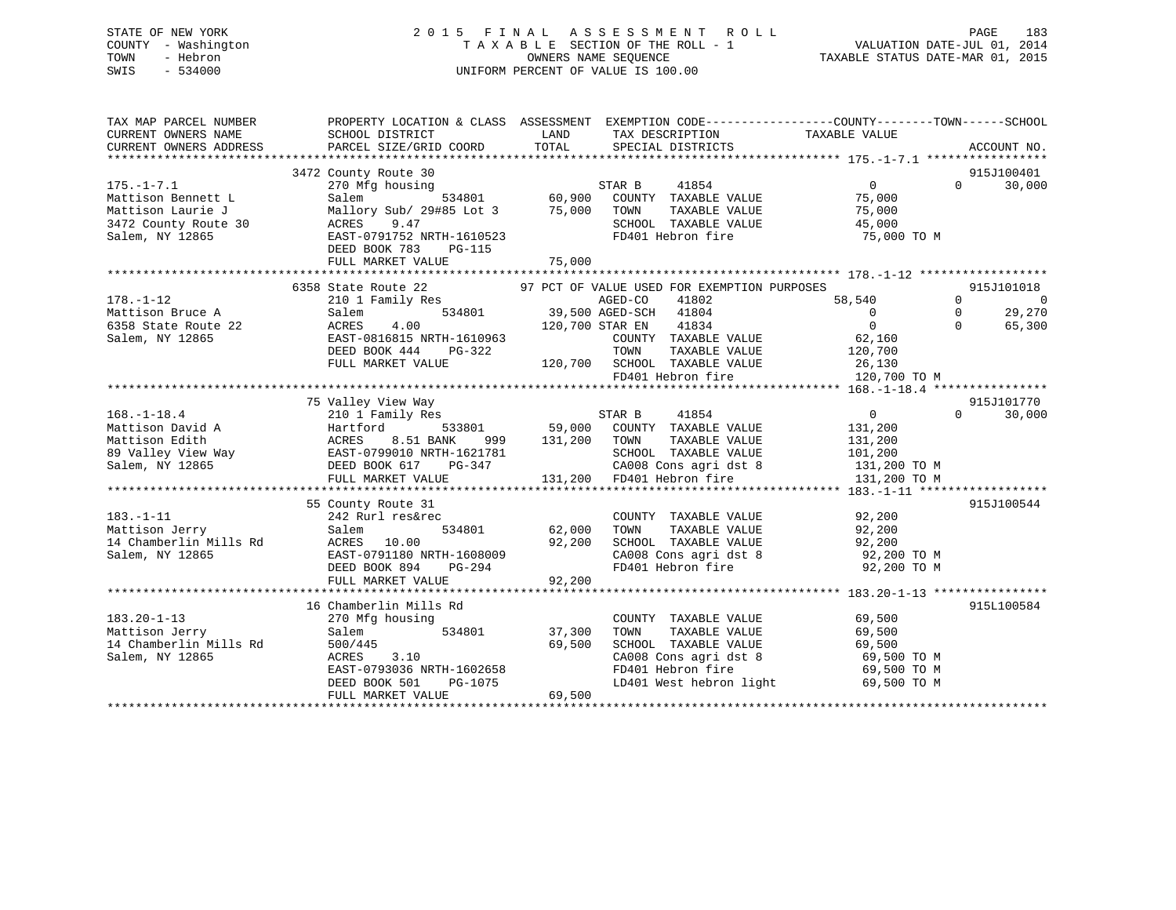# STATE OF NEW YORK 2 0 1 5 F I N A L A S S E S S M E N T R O L L PAGE 183 COUNTY - Washington T A X A B L E SECTION OF THE ROLL - 1 VALUATION DATE-JUL 01, 2014 TOWN - Hebron OWNERS NAME SEQUENCE TAXABLE STATUS DATE-MAR 01, 2015 SWIS - 534000 UNIFORM PERCENT OF VALUE IS 100.00

| TAX MAP PARCEL NUMBER<br>CURRENT OWNERS NAME<br>CURRENT OWNERS ADDRESS | PROPERTY LOCATION & CLASS ASSESSMENT EXEMPTION CODE---------------COUNTY-------TOWN-----SCHOOL<br>SCHOOL DISTRICT<br>PARCEL SIZE/GRID COORD | LAND<br>TOTAL | TAX DESCRIPTION<br>SPECIAL DISTRICTS              | TAXABLE VALUE  | ACCOUNT NO.             |
|------------------------------------------------------------------------|---------------------------------------------------------------------------------------------------------------------------------------------|---------------|---------------------------------------------------|----------------|-------------------------|
|                                                                        |                                                                                                                                             |               |                                                   |                |                         |
|                                                                        | 3472 County Route 30                                                                                                                        |               |                                                   |                | 915J100401              |
| $175. - 1 - 7.1$                                                       | 270 Mfg housing                                                                                                                             |               | STAR B<br>41854                                   | $\Omega$       | 30,000<br>$\Omega$      |
| Mattison Bennett L                                                     | 534801<br>Salem                                                                                                                             | 60,900        | COUNTY TAXABLE VALUE                              | 75,000         |                         |
| Mattison Laurie J                                                      | Mallory Sub/ 29#85 Lot 3                                                                                                                    | 75,000        | TOWN<br>TAXABLE VALUE                             | 75,000         |                         |
| 3472 County Route 30                                                   | 9.47<br>ACRES                                                                                                                               |               | SCHOOL TAXABLE VALUE                              | 45,000         |                         |
| Salem, NY 12865                                                        | EAST-0791752 NRTH-1610523                                                                                                                   |               | FD401 Hebron fire                                 | 75,000 TO M    |                         |
|                                                                        | DEED BOOK 783<br>PG-115                                                                                                                     |               |                                                   |                |                         |
|                                                                        | FULL MARKET VALUE                                                                                                                           | 75,000        |                                                   |                |                         |
|                                                                        |                                                                                                                                             |               |                                                   |                |                         |
|                                                                        | 6358 State Route 22                                                                                                                         |               | 97 PCT OF VALUE USED FOR EXEMPTION PURPOSES       |                | 915J101018              |
| $178. - 1 - 12$                                                        | 210 1 Family Res                                                                                                                            |               | AGED-CO<br>41802                                  | 58,540         | $\Omega$<br>$\mathbf 0$ |
| Mattison Bruce A                                                       | 534801<br>Salem                                                                                                                             |               | 39,500 AGED-SCH<br>41804                          | $\mathbf{0}$   | 29,270<br>$\mathbf{0}$  |
| 6358 State Route 22                                                    | 4.00<br>ACRES                                                                                                                               |               | 41834<br>120,700 STAR EN                          | $\Omega$       | $\Omega$<br>65,300      |
| Salem, NY 12865                                                        | EAST-0816815 NRTH-1610963                                                                                                                   |               | COUNTY TAXABLE VALUE                              | 62,160         |                         |
|                                                                        | DEED BOOK 444<br>PG-322                                                                                                                     |               | TOWN<br>TAXABLE VALUE                             | 120,700        |                         |
|                                                                        | FULL MARKET VALUE                                                                                                                           |               | 120,700 SCHOOL TAXABLE VALUE<br>FD401 Hebron fire | 26,130         |                         |
|                                                                        |                                                                                                                                             |               |                                                   | 120,700 TO M   |                         |
|                                                                        |                                                                                                                                             |               |                                                   |                | 915J101770              |
| $168. - 1 - 18.4$                                                      | 75 Valley View Way<br>210 1 Family Res                                                                                                      |               | 41854<br>STAR B                                   | $\overline{0}$ | 30,000<br>$\Omega$      |
| Mattison David A                                                       | Hartford<br>533801                                                                                                                          | 59,000        | COUNTY TAXABLE VALUE                              | 131,200        |                         |
| Mattison Edith                                                         | 8.51 BANK<br>ACRES<br>999                                                                                                                   | 131,200       | TOWN<br>TAXABLE VALUE                             | 131,200        |                         |
| 89 Valley View Way                                                     | EAST-0799010 NRTH-1621781                                                                                                                   |               | SCHOOL TAXABLE VALUE                              | 101,200        |                         |
| Salem, NY 12865                                                        | DEED BOOK 617<br>PG-347                                                                                                                     |               | CA008 Cons agri dst 8                             | 131,200 TO M   |                         |
|                                                                        | FULL MARKET VALUE                                                                                                                           |               | 131,200 FD401 Hebron fire                         | 131,200 TO M   |                         |
|                                                                        |                                                                                                                                             |               |                                                   |                |                         |
|                                                                        | 55 County Route 31                                                                                                                          |               |                                                   |                | 915J100544              |
| $183. - 1 - 11$                                                        | 242 Rurl res&rec                                                                                                                            |               | COUNTY TAXABLE VALUE                              | 92,200         |                         |
| Mattison Jerry                                                         | 534801<br>Salem                                                                                                                             | 62,000        | TOWN<br>TAXABLE VALUE                             | 92,200         |                         |
| 14 Chamberlin Mills Rd                                                 | ACRES 10.00                                                                                                                                 | 92,200        | SCHOOL TAXABLE VALUE                              | 92,200         |                         |
| Salem, NY 12865                                                        | EAST-0791180 NRTH-1608009                                                                                                                   |               | CA008 Cons agri dst 8                             | 92,200 TO M    |                         |
|                                                                        | DEED BOOK 894<br>PG-294                                                                                                                     |               | FD401 Hebron fire                                 | 92,200 TO M    |                         |
|                                                                        | FULL MARKET VALUE                                                                                                                           | 92,200        |                                                   |                |                         |
|                                                                        |                                                                                                                                             |               |                                                   |                |                         |
|                                                                        | 16 Chamberlin Mills Rd                                                                                                                      |               |                                                   |                | 915L100584              |
| $183.20 - 1 - 13$                                                      | 270 Mfg housing                                                                                                                             |               | COUNTY TAXABLE VALUE                              | 69,500         |                         |
| Mattison Jerry                                                         | 534801<br>Salem                                                                                                                             | 37,300        | TAXABLE VALUE<br>TOWN                             | 69,500         |                         |
| 14 Chamberlin Mills Rd                                                 | 500/445                                                                                                                                     | 69,500        | SCHOOL TAXABLE VALUE                              | 69,500         |                         |
| Salem, NY 12865                                                        | 3.10<br>ACRES                                                                                                                               |               | CA008 Cons agri dst 8                             | 69,500 TO M    |                         |
|                                                                        | EAST-0793036 NRTH-1602658                                                                                                                   |               | FD401 Hebron fire                                 | 69,500 TO M    |                         |
|                                                                        | DEED BOOK 501<br>PG-1075                                                                                                                    |               | LD401 West hebron light                           | 69,500 TO M    |                         |
|                                                                        | FULL MARKET VALUE                                                                                                                           | 69,500        |                                                   |                |                         |
|                                                                        |                                                                                                                                             |               |                                                   |                |                         |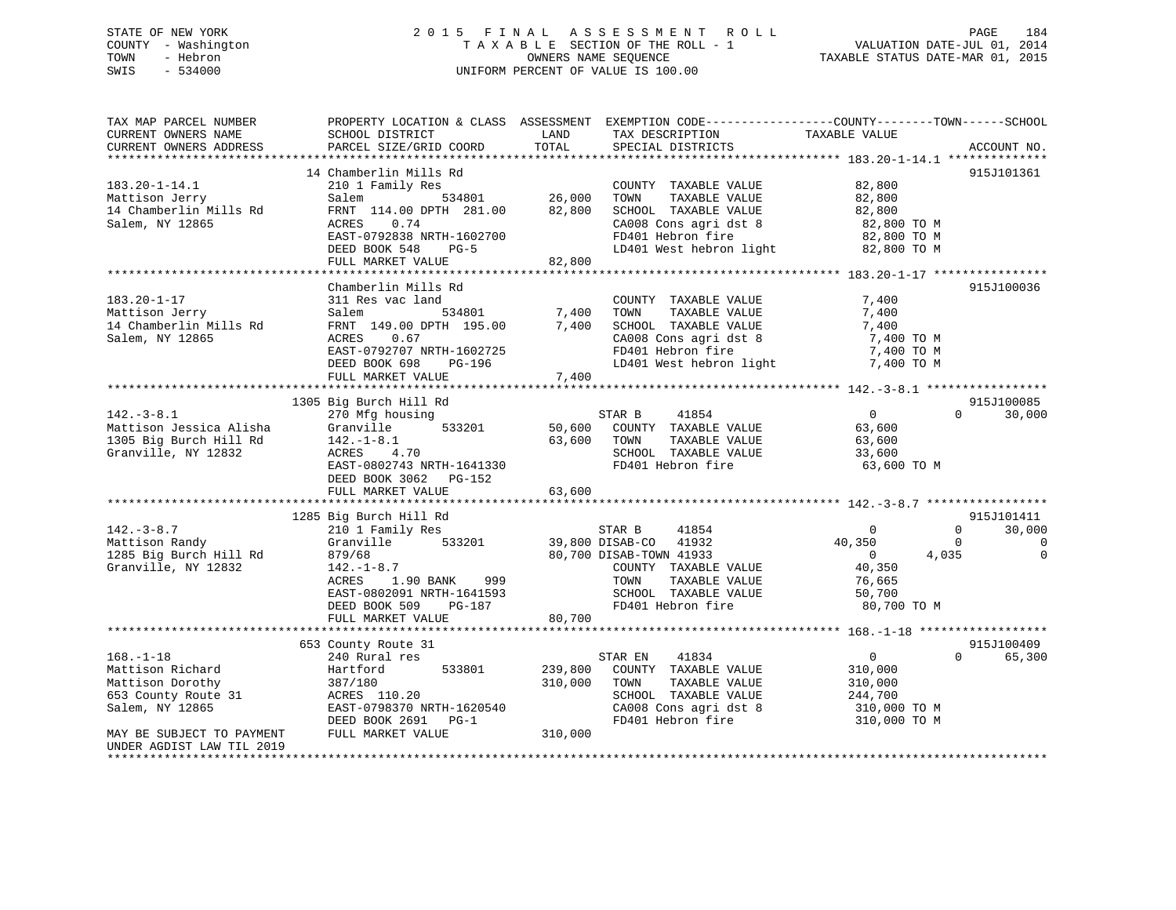# STATE OF NEW YORK 2 0 1 5 F I N A L A S S E S S M E N T R O L L PAGE 184 COUNTY - Washington T A X A B L E SECTION OF THE ROLL - 1 VALUATION DATE-JUL 01, 2014 TOWN - Hebron OWNERS NAME SEQUENCE TAXABLE STATUS DATE-MAR 01, 2015 SWIS - 534000 UNIFORM PERCENT OF VALUE IS 100.00

| TAX MAP PARCEL NUMBER<br>CURRENT OWNERS NAME<br>CURRENT OWNERS ADDRESS                                                                                                              | PROPERTY LOCATION & CLASS ASSESSMENT EXEMPTION CODE----------------COUNTY-------TOWN------SCHOOL<br>SCHOOL DISTRICT<br>PARCEL SIZE/GRID COORD                                                                | LAND<br>TOTAL                 | TAX DESCRIPTION<br>SPECIAL DISTRICTS                                                                                                                              | TAXABLE VALUE                                                                                  | ACCOUNT NO.                              |
|-------------------------------------------------------------------------------------------------------------------------------------------------------------------------------------|--------------------------------------------------------------------------------------------------------------------------------------------------------------------------------------------------------------|-------------------------------|-------------------------------------------------------------------------------------------------------------------------------------------------------------------|------------------------------------------------------------------------------------------------|------------------------------------------|
|                                                                                                                                                                                     | 14 Chamberlin Mills Rd                                                                                                                                                                                       |                               |                                                                                                                                                                   |                                                                                                | 915J101361                               |
| $183.20 - 1 - 14.1$<br>Mattison Jerry<br>14 Chamberlin Mills Rd<br>Salem, NY 12865                                                                                                  | 210 1 Family Res<br>534801<br>Salem<br>FRNT 114.00 DPTH 281.00<br>0.74<br>ACRES<br>EAST-0792838 NRTH-1602700<br>DEED BOOK 548<br>$PG-5$<br>FULL MARKET VALUE                                                 | 26,000<br>82,800<br>82,800    | COUNTY TAXABLE VALUE<br>TOWN<br>TAXABLE VALUE<br>SCHOOL TAXABLE VALUE<br>CA008 Cons agri dst 8<br>FD401 Hebron fire<br>LD401 West hebron light                    | 82,800<br>82,800<br>82,800<br>82,800 TO M<br>82,800 TO M<br>82,800 TO M                        |                                          |
|                                                                                                                                                                                     |                                                                                                                                                                                                              |                               |                                                                                                                                                                   |                                                                                                |                                          |
| $183.20 - 1 - 17$<br>Mattison Jerry<br>14 Chamberlin Mills Rd<br>Salem, NY 12865                                                                                                    | Chamberlin Mills Rd<br>311 Res vac land<br>534801<br>Salem<br>FRNT 149.00 DPTH 195.00<br>0.67<br>ACRES<br>EAST-0792707 NRTH-1602725<br>DEED BOOK 698<br>PG-196<br>FULL MARKET VALUE                          | 7,400<br>7,400<br>7,400       | COUNTY TAXABLE VALUE<br>TAXABLE VALUE<br>TOWN<br>SCHOOL TAXABLE VALUE<br>CA008 Cons agri dst 8<br>FD401 Hebron fire<br>LD401 West hebron light                    | 7,400<br>7,400<br>7,400<br>7,400 TO M<br>7,400 TO M<br>7,400 TO M                              | 915J100036                               |
|                                                                                                                                                                                     | 1305 Big Burch Hill Rd                                                                                                                                                                                       |                               |                                                                                                                                                                   |                                                                                                | 915J100085                               |
| $142. - 3 - 8.1$<br>Mattison Jessica Alisha<br>1305 Big Burch Hill Rd<br>Granville, NY 12832                                                                                        | 270 Mfg housing<br>533201<br>Granville<br>$142. - 1 - 8.1$<br>ACRES<br>4.70<br>EAST-0802743 NRTH-1641330<br>DEED BOOK 3062 PG-152<br>FULL MARKET VALUE                                                       | 63,600<br>63,600              | 41854<br>STAR B<br>50,600 COUNTY TAXABLE VALUE<br>TOWN<br>TAXABLE VALUE<br>SCHOOL TAXABLE VALUE<br>FD401 Hebron fire                                              | $\Omega$<br>63,600<br>63,600<br>33,600<br>63,600 TO M                                          | 30,000<br>$\Omega$                       |
|                                                                                                                                                                                     | 1285 Big Burch Hill Rd                                                                                                                                                                                       |                               |                                                                                                                                                                   |                                                                                                | 915J101411                               |
| $142. - 3 - 8.7$<br>Mattison Randy<br>1285 Big Burch Hill Rd<br>Granville, NY 12832                                                                                                 | 210 1 Family Res<br>Granville<br>533201<br>879/68<br>$142. - 1 - 8.7$<br>1.90 BANK<br>999<br>ACRES<br>EAST-0802091 NRTH-1641593<br>DEED BOOK 509<br>PG-187<br>FULL MARKET VALUE<br>************************* | 80,700                        | STAR B<br>41854<br>39,800 DISAB-CO 41932<br>80,700 DISAB-TOWN 41933<br>COUNTY TAXABLE VALUE<br>TOWN<br>TAXABLE VALUE<br>SCHOOL TAXABLE VALUE<br>FD401 Hebron fire | $\mathbf{0}$<br>40,350<br>$\overline{0}$<br>4,035<br>40,350<br>76,665<br>50,700<br>80,700 TO M | 30,000<br>$\Omega$<br>0<br>$\Omega$<br>0 |
|                                                                                                                                                                                     | 653 County Route 31                                                                                                                                                                                          |                               |                                                                                                                                                                   |                                                                                                | 915J100409                               |
| $168. - 1 - 18$<br>Mattison Richard<br>Mattison Dorothy<br>653 County Route 31<br>Salem, NY 12865<br>MAY BE SUBJECT TO PAYMENT<br>UNDER AGDIST LAW TIL 2019<br>******************** | 240 Rural res<br>533801<br>Hartford<br>387/180<br>ACRES 110.20<br>EAST-0798370 NRTH-1620540<br>DEED BOOK 2691 PG-1<br>FULL MARKET VALUE                                                                      | 239,800<br>310,000<br>310,000 | 41834<br>STAR EN<br>COUNTY TAXABLE VALUE<br>TAXABLE VALUE<br>TOWN<br>SCHOOL TAXABLE VALUE<br>CA008 Cons agri dst 8<br>FD401 Hebron fire                           | $\overline{0}$<br>310,000<br>310,000<br>244,700<br>310,000 TO M<br>310,000 TO M                | $\Omega$<br>65,300                       |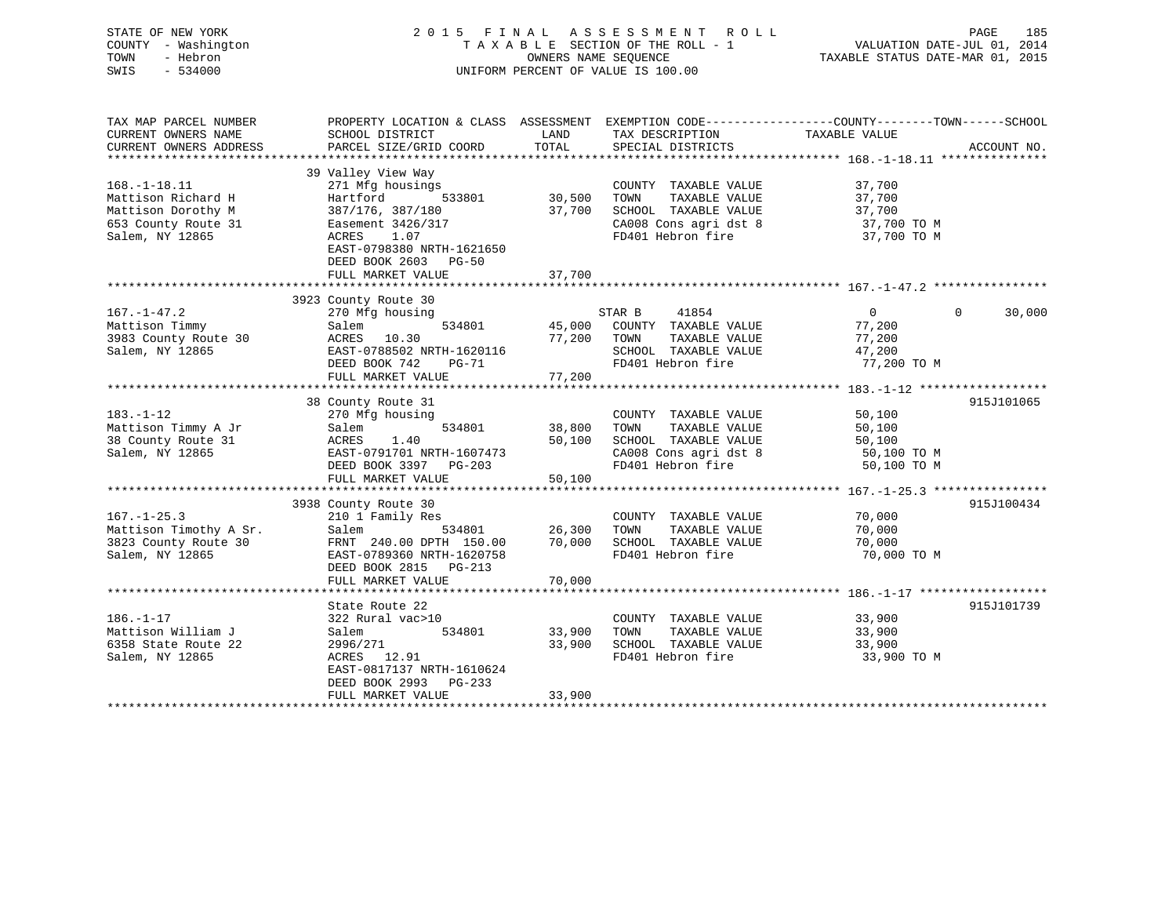STATE OF NEW YORK 2 0 1 5 F I N A L A S S E S S M E N T R O L L PAGE 185 COUNTY - Washington T A X A B L E SECTION OF THE ROLL - 1 VALUATION DATE-JUL 01, 2014 TOWN - Hebron OWNERS NAME SEQUENCE TAXABLE STATUS DATE-MAR 01, 2015 SWIS - 534000 UNIFORM PERCENT OF VALUE IS 100.00

| TAX MAP PARCEL NUMBER  | PROPERTY LOCATION & CLASS ASSESSMENT |        |                             | EXEMPTION CODE-----------------COUNTY-------TOWN------SCHOOL |             |
|------------------------|--------------------------------------|--------|-----------------------------|--------------------------------------------------------------|-------------|
| CURRENT OWNERS NAME    | SCHOOL DISTRICT                      | LAND   | TAX DESCRIPTION             | TAXABLE VALUE                                                |             |
| CURRENT OWNERS ADDRESS | PARCEL SIZE/GRID COORD               | TOTAL  | SPECIAL DISTRICTS           |                                                              | ACCOUNT NO. |
| ********************** |                                      |        |                             |                                                              |             |
|                        | 39 Valley View Way                   |        |                             |                                                              |             |
| $168. - 1 - 18.11$     | 271 Mfg housings                     |        | COUNTY TAXABLE VALUE        | 37,700                                                       |             |
| Mattison Richard H     | Hartford<br>533801                   | 30,500 | TOWN<br>TAXABLE VALUE       | 37,700                                                       |             |
| Mattison Dorothy M     | 387/176, 387/180                     | 37,700 | SCHOOL TAXABLE VALUE        | 37,700                                                       |             |
| 653 County Route 31    | Easement 3426/317                    |        | CA008 Cons agri dst 8       | 37,700 TO M                                                  |             |
| Salem, NY 12865        | <b>ACRES</b><br>1.07                 |        | FD401 Hebron fire           | 37,700 TO M                                                  |             |
|                        | EAST-0798380 NRTH-1621650            |        |                             |                                                              |             |
|                        | DEED BOOK 2603 PG-50                 |        |                             |                                                              |             |
|                        | FULL MARKET VALUE                    | 37,700 |                             |                                                              |             |
|                        |                                      |        |                             |                                                              |             |
|                        | 3923 County Route 30                 |        |                             |                                                              |             |
| $167. - 1 - 47.2$      | 270 Mfg housing                      |        | STAR B<br>41854             | $\overline{0}$<br>$\Omega$                                   | 30,000      |
| Mattison Timmy         | Salem<br>534801                      |        | 45,000 COUNTY TAXABLE VALUE | 77,200                                                       |             |
| 3983 County Route 30   | ACRES 10.30                          | 77,200 | TOWN<br>TAXABLE VALUE       | 77,200                                                       |             |
| Salem, NY 12865        | EAST-0788502 NRTH-1620116            |        | SCHOOL TAXABLE VALUE        | 47,200                                                       |             |
|                        | DEED BOOK 742                        |        | FD401 Hebron fire           | 77,200 TO M                                                  |             |
|                        | <b>PG-71</b>                         | 77,200 |                             |                                                              |             |
|                        | FULL MARKET VALUE                    |        |                             |                                                              |             |
|                        |                                      |        |                             |                                                              |             |
|                        | 38 County Route 31                   |        |                             |                                                              | 915J101065  |
| $183. - 1 - 12$        | 270 Mfg housing                      |        | COUNTY TAXABLE VALUE        | 50,100                                                       |             |
| Mattison Timmy A Jr    | 534801<br>Salem                      | 38,800 | TAXABLE VALUE<br>TOWN       | 50,100                                                       |             |
| 38 County Route 31     | 1.40<br>ACRES                        | 50,100 | SCHOOL TAXABLE VALUE        | 50,100                                                       |             |
| Salem, NY 12865        | EAST-0791701 NRTH-1607473            |        | CA008 Cons agri dst 8       | 50,100 TO M                                                  |             |
|                        | DEED BOOK 3397 PG-203                |        | FD401 Hebron fire           | 50,100 TO M                                                  |             |
|                        | FULL MARKET VALUE                    | 50,100 |                             |                                                              |             |
|                        |                                      |        |                             |                                                              |             |
|                        | 3938 County Route 30                 |        |                             |                                                              | 915J100434  |
| $167. - 1 - 25.3$      | 210 1 Family Res                     |        | COUNTY TAXABLE VALUE        | 70,000                                                       |             |
| Mattison Timothy A Sr. | 534801<br>Salem                      | 26,300 | TOWN<br>TAXABLE VALUE       | 70,000                                                       |             |
| 3823 County Route 30   | FRNT 240.00 DPTH 150.00              | 70,000 | SCHOOL TAXABLE VALUE        | 70,000                                                       |             |
| Salem, NY 12865        | EAST-0789360 NRTH-1620758            |        | FD401 Hebron fire           | 70,000 TO M                                                  |             |
|                        | DEED BOOK 2815 PG-213                |        |                             |                                                              |             |
|                        | FULL MARKET VALUE                    | 70,000 |                             |                                                              |             |
|                        |                                      |        |                             |                                                              |             |
|                        | State Route 22                       |        |                             |                                                              | 915J101739  |
| $186. - 1 - 17$        | 322 Rural vac>10                     |        | COUNTY TAXABLE VALUE        | 33,900                                                       |             |
| Mattison William J     | 534801<br>Salem                      | 33,900 | TAXABLE VALUE<br>TOWN       | 33,900                                                       |             |
| 6358 State Route 22    | 2996/271                             | 33,900 | SCHOOL TAXABLE VALUE        | 33,900                                                       |             |
| Salem, NY 12865        | ACRES 12.91                          |        | FD401 Hebron fire           | 33,900 TO M                                                  |             |
|                        | EAST-0817137 NRTH-1610624            |        |                             |                                                              |             |
|                        | DEED BOOK 2993 PG-233                |        |                             |                                                              |             |
|                        | FULL MARKET VALUE                    | 33,900 |                             |                                                              |             |
|                        |                                      |        |                             |                                                              |             |
|                        |                                      |        |                             |                                                              |             |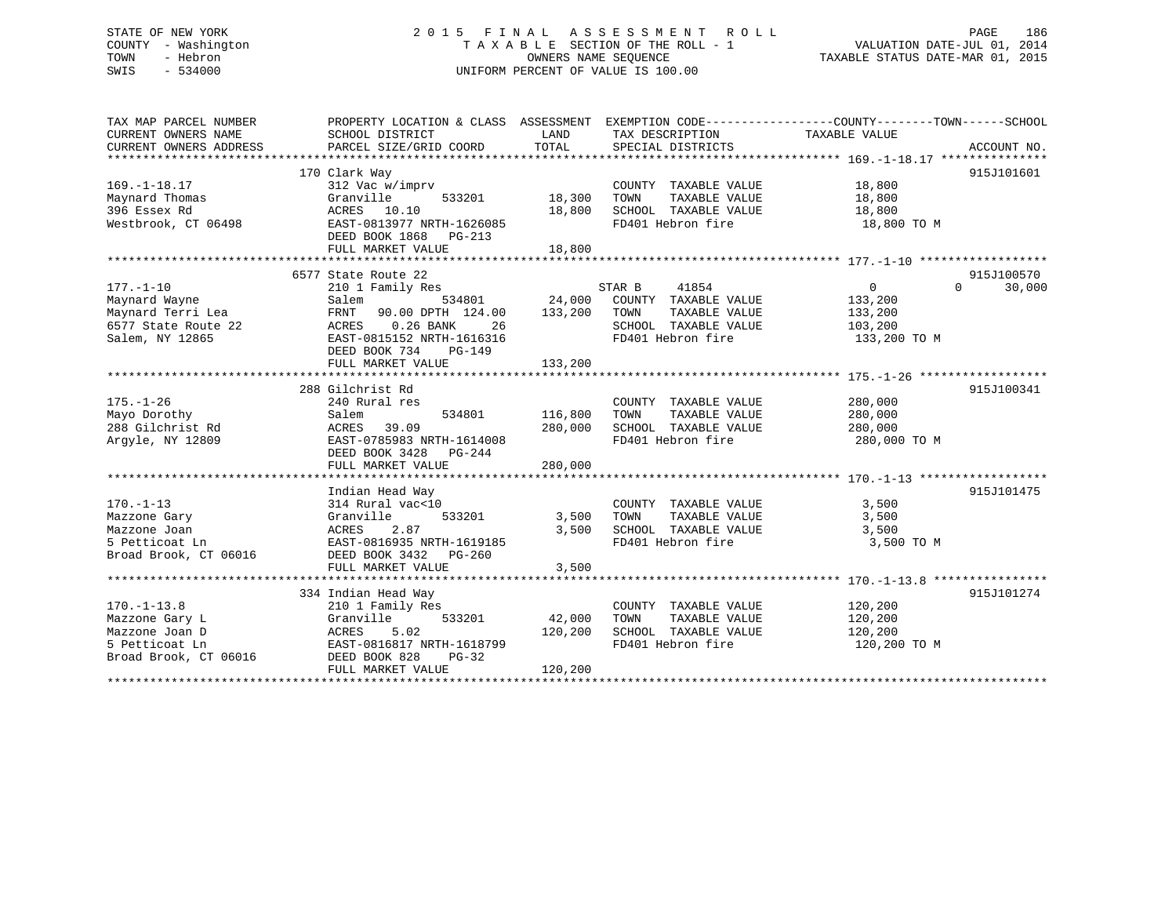# STATE OF NEW YORK 2 0 1 5 F I N A L A S S E S S M E N T R O L L PAGE 186 COUNTY - Washington T A X A B L E SECTION OF THE ROLL - 1 VALUATION DATE-JUL 01, 2014 TOWN - Hebron OWNERS NAME SEQUENCE TAXABLE STATUS DATE-MAR 01, 2015 SWIS - 534000 UNIFORM PERCENT OF VALUE IS 100.00

| TAX MAP PARCEL NUMBER<br>CURRENT OWNERS NAME<br>CURRENT OWNERS ADDRESS                           | PROPERTY LOCATION & CLASS ASSESSMENT<br>SCHOOL DISTRICT<br>PARCEL SIZE/GRID COORD                                                                                             | LAND<br>TOTAL                 | EXEMPTION CODE-----------------COUNTY-------TOWN------SCHOOL<br>TAX DESCRIPTION<br>SPECIAL DISTRICTS          | TAXABLE VALUE                                                      | ACCOUNT NO.                      |
|--------------------------------------------------------------------------------------------------|-------------------------------------------------------------------------------------------------------------------------------------------------------------------------------|-------------------------------|---------------------------------------------------------------------------------------------------------------|--------------------------------------------------------------------|----------------------------------|
| $169. - 1 - 18.17$<br>Maynard Thomas<br>396 Essex Rd<br>Westbrook, CT 06498                      | 170 Clark Way<br>312 Vac w/imprv<br>Granville<br>533201<br>ACRES 10.10<br>EAST-0813977 NRTH-1626085<br>DEED BOOK 1868<br>$PG-213$<br>FULL MARKET VALUE                        | 18,300<br>18,800<br>18,800    | COUNTY TAXABLE VALUE<br>TOWN<br>TAXABLE VALUE<br>SCHOOL TAXABLE VALUE<br>FD401 Hebron fire                    | 18,800<br>18,800<br>18,800<br>18,800 TO M                          | 915J101601                       |
| $177. - 1 - 10$<br>Maynard Wayne<br>Maynard Terri Lea<br>6577 State Route 22<br>Salem, NY 12865  | 6577 State Route 22<br>210 1 Family Res<br>534801<br>Salem<br>FRNT<br>90.00 DPTH 124.00<br>ACRES<br>$0.26$ BANK<br>26<br>EAST-0815152 NRTH-1616316<br>DEED BOOK 734<br>PG-149 | 24,000<br>133,200             | STAR B<br>41854<br>COUNTY TAXABLE VALUE<br>TOWN<br>TAXABLE VALUE<br>SCHOOL TAXABLE VALUE<br>FD401 Hebron fire | $0 \qquad \qquad$<br>133,200<br>133,200<br>103,200<br>133,200 TO M | 915J100570<br>$\Omega$<br>30,000 |
|                                                                                                  | FULL MARKET VALUE                                                                                                                                                             | 133,200                       |                                                                                                               |                                                                    |                                  |
| $175. - 1 - 26$<br>Mayo Dorothy<br>288 Gilchrist Rd<br>Argyle, NY 12809                          | 288 Gilchrist Rd<br>240 Rural res<br>534801<br>Salem<br>ACRES<br>39.09<br>EAST-0785983 NRTH-1614008<br>DEED BOOK 3428<br>$PG-244$<br>FULL MARKET VALUE                        | 116,800<br>280,000<br>280,000 | COUNTY TAXABLE VALUE<br>TOWN<br>TAXABLE VALUE<br>SCHOOL TAXABLE VALUE<br>FD401 Hebron fire                    | 280,000<br>280,000<br>280,000<br>280,000 TO M                      | 915J100341                       |
| $170. - 1 - 13$<br>Mazzone Gary<br>Mazzone Joan<br>5 Petticoat Ln<br>Broad Brook, CT 06016       | Indian Head Way<br>314 Rural vac<10<br>Granville<br>533201<br>2.87<br>ACRES<br>EAST-0816935 NRTH-1619185<br>DEED BOOK 3432    PG-260<br>FULL MARKET VALUE                     | 3,500<br>3,500<br>3,500       | COUNTY TAXABLE VALUE<br>TAXABLE VALUE<br>TOWN<br>SCHOOL TAXABLE VALUE<br>FD401 Hebron fire                    | 3,500<br>3,500<br>3,500<br>3,500 TO M                              | 915J101475                       |
|                                                                                                  | 334 Indian Head Way                                                                                                                                                           |                               |                                                                                                               |                                                                    | 915J101274                       |
| $170. - 1 - 13.8$<br>Mazzone Gary L<br>Mazzone Joan D<br>5 Petticoat Ln<br>Broad Brook, CT 06016 | 210 1 Family Res<br>Granville<br>533201<br>5.02<br>ACRES<br>EAST-0816817 NRTH-1618799<br>DEED BOOK 828<br>$PG-32$<br>FULL MARKET VALUE                                        | 42,000<br>120,200<br>120,200  | COUNTY TAXABLE VALUE<br>TOWN<br>TAXABLE VALUE<br>SCHOOL TAXABLE VALUE<br>FD401 Hebron fire                    | 120, 200<br>120,200<br>120,200<br>120,200 TO M                     |                                  |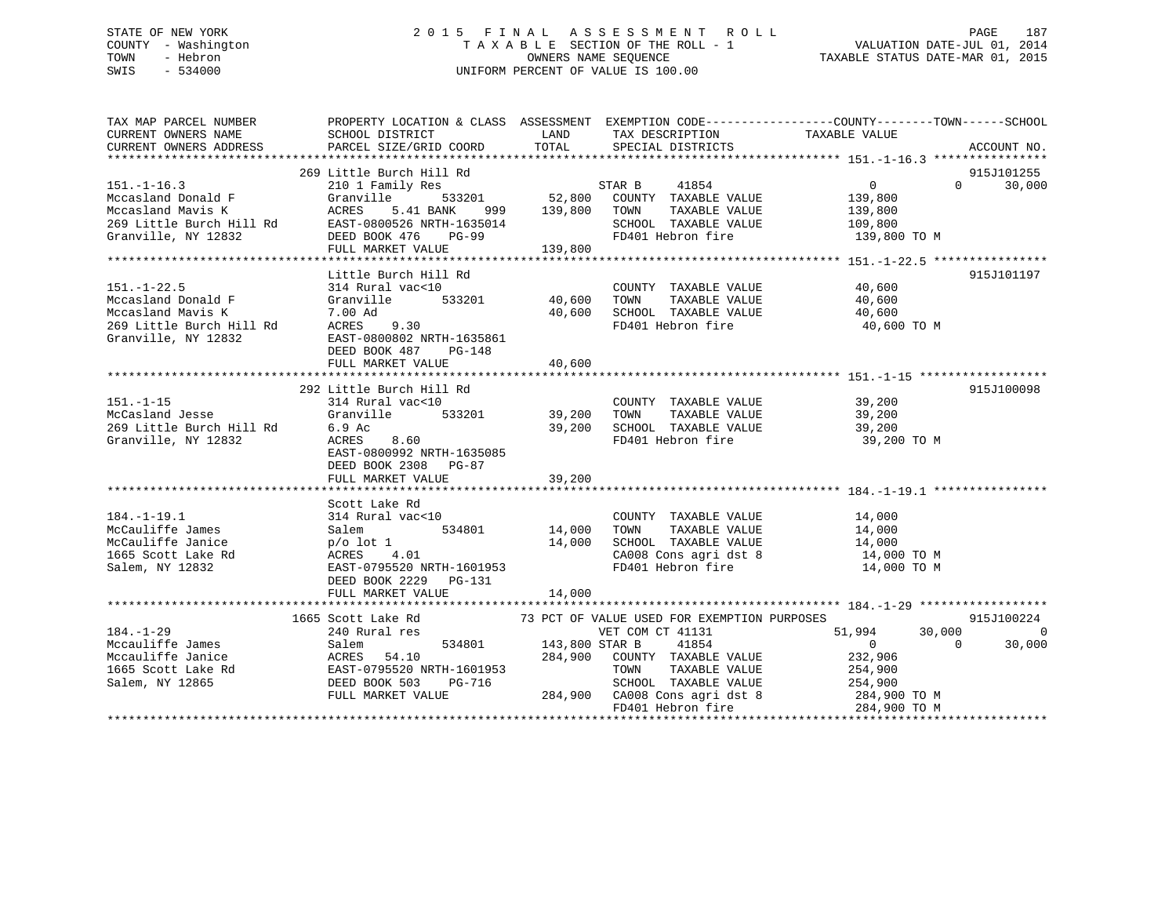# STATE OF NEW YORK 2015 FINAL ASSESSMENT ROLL PAGE 187 COUNTY - Washington  $T A X A B L E$  SECTION OF THE ROLL - 1<br>TOWN - Hebron DATE-JUL 000NERS NAME SEQUENCE SWIS - 534000 UNIFORM PERCENT OF VALUE IS 100.00

TAXABLE STATUS DATE-MAR 01, 2015

| TAX MAP PARCEL NUMBER<br>CURRENT OWNERS NAME<br>CURRENT OWNERS ADDRESS                                          | PROPERTY LOCATION & CLASS ASSESSMENT EXEMPTION CODE----------------COUNTY-------TOWN------SCHOOL<br>SCHOOL DISTRICT<br>PARCEL SIZE/GRID COORD                                              | LAND<br>TOTAL              | TAX DESCRIPTION<br>SPECIAL DISTRICTS                                                                                                                   | TAXABLE VALUE                                                                                                                                                   | ACCOUNT NO.                                      |
|-----------------------------------------------------------------------------------------------------------------|--------------------------------------------------------------------------------------------------------------------------------------------------------------------------------------------|----------------------------|--------------------------------------------------------------------------------------------------------------------------------------------------------|-----------------------------------------------------------------------------------------------------------------------------------------------------------------|--------------------------------------------------|
| $151. - 1 - 16.3$<br>Mccasland Donald F<br>Mccasland Mavis K                                                    | 269 Little Burch Hill Rd<br>210 1 Family Res<br>Granville<br>ACRES 5.41 BANK 999 139,800 TOWN                                                                                              |                            | 41854<br>STAR B<br>533201 52,800 COUNTY TAXABLE VALUE<br>TAXABLE VALUE                                                                                 | $\overline{0}$<br>139,800<br>139,800                                                                                                                            | 915J101255<br>$0 \t30,000$                       |
| Granville, NY 12832                                                                                             | McCasiand Mavis R<br>269 Little Burch Hill Rd EAST-0800526 NRTH-1635014<br>DEED BOOK 476<br><b>PG-99</b><br>FULL MARKET VALUE                                                              | 139,800                    | SCHOOL TAXABLE VALUE<br>FD401 Hebron fire                                                                                                              | 109,800<br>139,800 TO M                                                                                                                                         |                                                  |
| $151. - 1 - 22.5$<br>Mccasland Donald F<br>Mccasland Mavis K<br>269 Little Burch Hill Rd<br>Granville, NY 12832 | Little Burch Hill Rd<br>314 Rural vac<10<br>533201<br>Granville<br>7.00 Ad<br>ACRES 9.30<br>EAST-0800802 NRTH-1635861<br>DEED BOOK 487<br>PG-148<br>FULL MARKET VALUE                      | 40,600<br>40,600<br>40,600 | COUNTY TAXABLE VALUE<br>TOWN<br>TAXABLE VALUE<br>SCHOOL TAXABLE VALUE 40,600<br>FD401 Hebron fire                                                      | 40,600<br>40,600<br>40,600 TO M                                                                                                                                 | 915J101197                                       |
| $151. - 1 - 15$<br>McCasland Jesse<br>269 Little Burch Hill Rd<br>Granville, NY 12832                           | 292 Little Burch Hill Rd<br>314 Rural vac<10<br>533201 39,200<br>Granville<br>6.9 Ac<br>8.60<br>ACRES<br>EAST-0800992 NRTH-1635085<br>DEED BOOK 2308 PG-87                                 | 39,200                     | COUNTY TAXABLE VALUE 39,200<br>TOWN      TAXABLE VALUE<br>SCHOOL   TAXABLE VALUE<br>FD401 Hebron fire                                                  | 39,200<br>39,200<br>39,200 TO M                                                                                                                                 | 915J100098                                       |
| $184. - 1 - 19.1$<br>McCauliffe James<br>McCauliffe Janice<br>1665 Scott Lake Rd<br>Salem, NY 12832             | Scott Lake Rd<br>314 Rural vac<10<br>534801<br>Salem<br>p/o lot 1<br>ACRES 4.01<br>EAST-0795520 N<br>AUKES 4.01<br>EAST-0795520 NRTH-1601953<br>DEED BOOK 2229 PG-131<br>FULL MARKET VALUE | 14,000<br>14,000<br>14,000 | COUNTY TAXABLE VALUE<br>TAXABLE VALUE<br>TOWN<br>SCHOOL TAXABLE VALUE<br>FD401 Hebron fire                                                             | 14,000<br>14,000<br>14,000<br>CA008 Cons agri dst 8 14,000 TO M<br>14,000 TO M                                                                                  |                                                  |
| $184. - 1 - 29$<br>Mccauliffe James<br>Mccauliffe Janice<br>1665 Scott Lake Rd<br>Salem, NY 12865               | 1665 Scott Lake Rd<br>240 Rural res                                                                                                                                                        | 534801 143,800 STAR B      | 73 PCT OF VALUE USED FOR EXEMPTION PURPOSES<br>VET COM CT 41131<br>41854<br>284,900 COUNTY TAXABLE VALUE<br>TAXABLE VALUE<br>TOWN<br>FD401 Hebron fire | 51,994<br>$\overline{0}$<br>$\overline{0}$<br>232,906<br>254,900<br>$3-716$ SCHOOL TAXABLE VALUE $284,900$ CA008 Cons agri dst 8 $284,900$ TO M<br>284,900 TO M | 915J100224<br>30,000<br>$\overline{0}$<br>30,000 |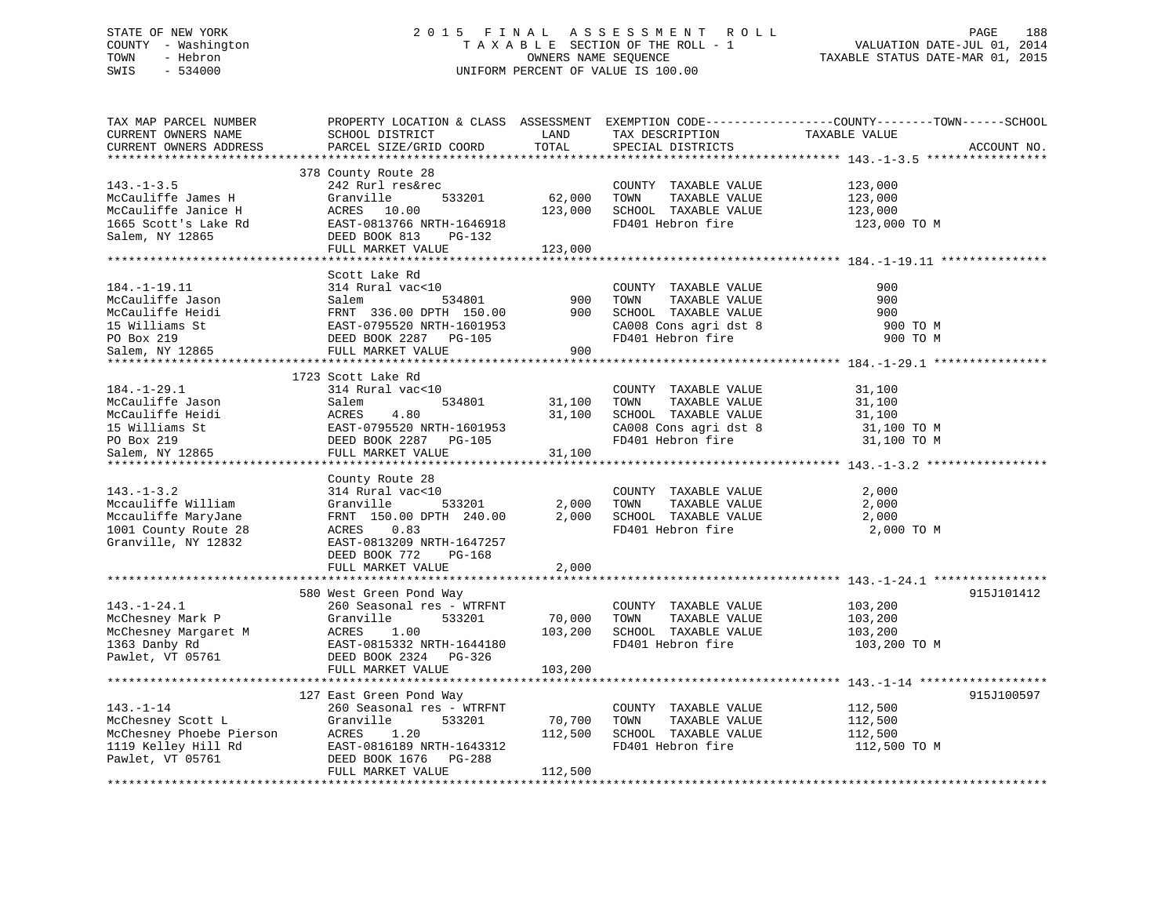# STATE OF NEW YORK 2 0 1 5 F I N A L A S S E S S M E N T R O L L PAGE 188 COUNTY - Washington T A X A B L E SECTION OF THE ROLL - 1 VALUATION DATE-JUL 01, 2014 TOWN - Hebron OWNERS NAME SEQUENCE TAXABLE STATUS DATE-MAR 01, 2015 SWIS - 534000 UNIFORM PERCENT OF VALUE IS 100.00

| TAX MAP PARCEL NUMBER<br>CURRENT OWNERS NAME<br>CURRENT OWNERS ADDRESS<br>**********************              | SCHOOL DISTRICT<br>PARCEL SIZE/GRID COORD                                                                                                                                                                               | LAND<br>TOTAL                | TAX DESCRIPTION<br>SPECIAL DISTRICTS                                                                                      | PROPERTY LOCATION & CLASS ASSESSMENT EXEMPTION CODE---------------COUNTY-------TOWN------SCHOOL<br>TAXABLE VALUE<br>ACCOUNT NO. |
|---------------------------------------------------------------------------------------------------------------|-------------------------------------------------------------------------------------------------------------------------------------------------------------------------------------------------------------------------|------------------------------|---------------------------------------------------------------------------------------------------------------------------|---------------------------------------------------------------------------------------------------------------------------------|
| $143. - 1 - 3.5$<br>McCauliffe James H<br>McCauliffe Janice H<br>1665 Scott's Lake Rd<br>Salem, NY 12865      | 378 County Route 28<br>242 Rurl res&rec<br>533201<br>Granville<br>ACRES 10.00<br>EAST-0813766 NRTH-1646918<br>DEED BOOK 813<br>PG-132<br>FULL MARKET VALUE                                                              | 62,000<br>123,000<br>123,000 | COUNTY TAXABLE VALUE<br>TOWN<br>TAXABLE VALUE<br>SCHOOL TAXABLE VALUE<br>FD401 Hebron fire                                | 123,000<br>123,000<br>123,000<br>123,000 TO M                                                                                   |
| $184. - 1 - 19.11$<br>McCauliffe Jason<br>McCauliffe Heidi<br>15 Williams St<br>PO Box 219<br>Salem, NY 12865 | Scott Lake Rd<br>314 Rural vac<10<br>534801 900<br>i FRNT 336.00 DPTH 150.00 900<br>EAST-0795520 NRTH-1601953<br>DEED BOOK 2287 PG-105 1<br>FULL MARKET VALUE                                                           |                              | COUNTY TAXABLE VALUE<br>TOWN<br>TAXABLE VALUE<br>SCHOOL TAXABLE VALUE<br>CA008 Cons agri dst 8<br>FD401 Hebron fire       | 900<br>900<br>900<br>900 TO M<br>900 TO M                                                                                       |
| $184. - 1 - 29.1$<br>McCauliffe Jason<br>McCauliffe Heidi<br>15 Williams St<br>PO Box 219<br>Salem, NY 12865  | 1723 Scott Lake Rd<br>314 Rural vac<10<br>CONTROLL CONTROLL SALEM 534801<br>St EAST-0795520 NRTH-1601953<br>St EAST-0795520 NRTH-1601953<br>DEED BOOK 2287 PG-105<br>S65 FULL MARKET VALUE<br>EAST-0795520 NRTH-1601953 | 31,100<br>31,100<br>31,100   | COUNTY TAXABLE VALUE<br>TOWN      TAXABLE  VALUE<br>SCHOOL   TAXABLE  VALUE<br>CA008 Cons agri dst 8<br>FD401 Hebron fire | 31,100<br>31,100<br>31,100<br>31,100 TO M<br>31,100 TO M                                                                        |
| $143. - 1 - 3.2$<br>Mccauliffe William<br>Mccauliffe MaryJane<br>1001 County Route 28<br>Granville, NY 12832  | County Route 28<br>314 Rural vac<10<br>533201<br>Granville<br>FRNT 150.00 DPTH 240.00<br>ACRES 0.83<br>EAST-0813209 NRTH-1647257<br>DEED BOOK 772<br>PG-168<br>FULL MARKET VALUE                                        | 2,000<br>2,000<br>2,000      | COUNTY TAXABLE VALUE<br>TAXABLE VALUE<br>TOWN<br>SCHOOL TAXABLE VALUE<br>FD401 Hebron fire                                | 2,000<br>2,000<br>2,000<br>2,000 TO M                                                                                           |
|                                                                                                               |                                                                                                                                                                                                                         |                              |                                                                                                                           |                                                                                                                                 |
| $143. - 1 - 24.1$<br>r<br>McChesney Mark P<br>McChesney Margaret M<br>1363 Danby Rd<br>Pawlet, VT 05761       | 580 West Green Pond Way<br>260 Seasonal res - WTRFNT<br>533201<br>Granville<br>ACRES<br>1.00<br>EAST-0815332 NRTH-1644180<br>DEED BOOK 2324 PG-326<br>FULL MARKET VALUE                                                 | 70,000<br>103,200<br>103,200 | COUNTY TAXABLE VALUE<br>TOWN<br>TAXABLE VALUE<br>SCHOOL TAXABLE VALUE<br>FD401 Hebron fire                                | 915J101412<br>103,200<br>103,200<br>103, 200<br>103,200 TO M                                                                    |
| $143. - 1 - 14$<br>McChesney Scott L<br>McChesney Phoebe Pierson<br>1119 Kelley Hill Rd<br>Pawlet, VT 05761   | 127 East Green Pond Way<br>260 Seasonal res - WTRFNT<br>Granville<br>533201<br>ACRES 1.20<br>EAST-0816189 NRTH-1643312<br>DEED BOOK 1676<br>PG-288<br>FULL MARKET VALUE                                                 | 70,700<br>112,500<br>112,500 | COUNTY TAXABLE VALUE<br>TOWN<br>TAXABLE VALUE<br>SCHOOL TAXABLE VALUE<br>FD401 Hebron fire                                | 915J100597<br>112,500<br>112,500<br>112,500<br>112,500 TO M                                                                     |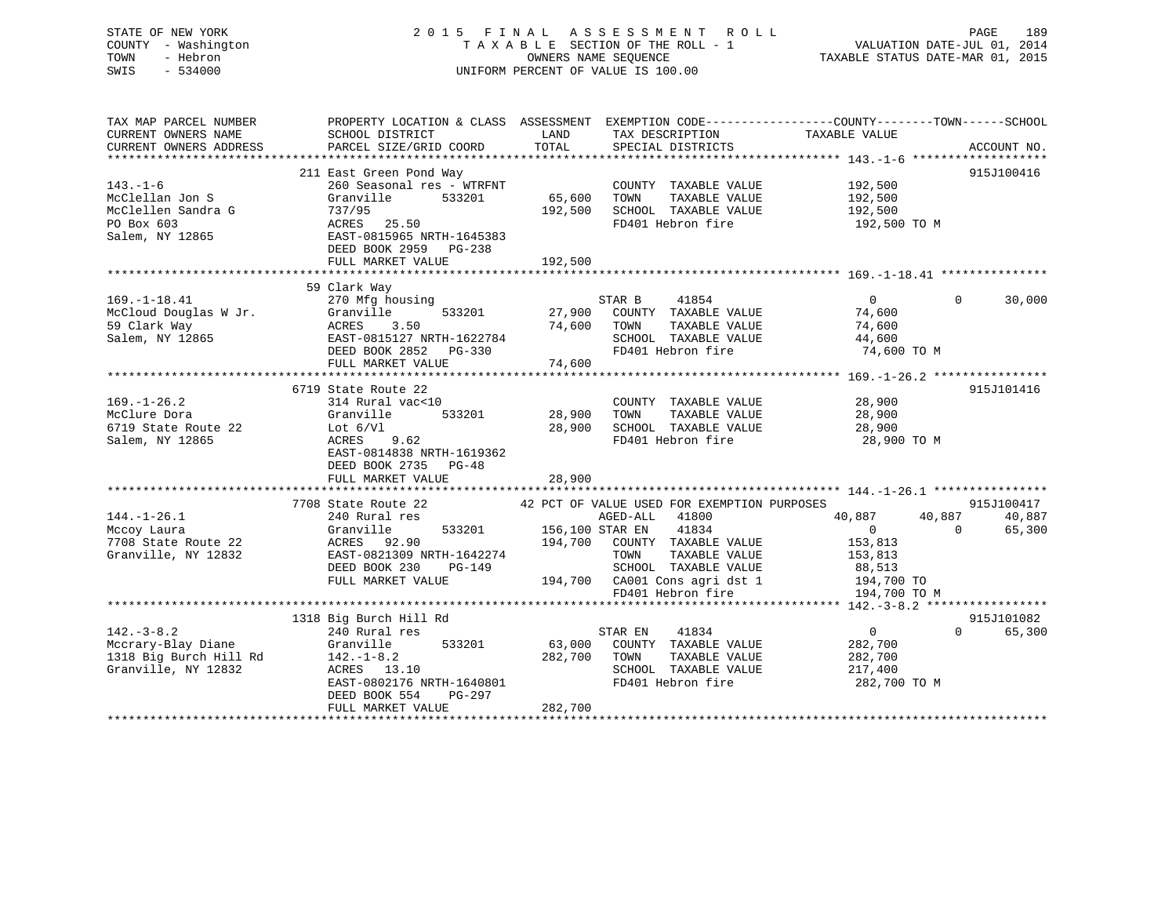STATE OF NEW YORK 2015 FINAL ASSESSMENT ROLL PAGE 189 COUNTY - Washington  $T A X A B L E$  SECTION OF THE ROLL - 1<br>TOWN - Hebron DATE-JUL 000NERS NAME SEQUENCE SWIS - 534000 UNIFORM PERCENT OF VALUE IS 100.00

VALUATION DATE-JUL 01, 2014

TAXABLE STATUS DATE-MAR 01, 2015

| TAX MAP PARCEL NUMBER<br>CURRENT OWNERS NAME                                                       | SCHOOL DISTRICT                                                                                                                                                                                                              | LAND                    | TAX DESCRIPTION                                                                                                                                                             | PROPERTY LOCATION & CLASS ASSESSMENT EXEMPTION CODE-----------------COUNTY--------TOWN------SCHOOL<br>TAXABLE VALUE |                                            |
|----------------------------------------------------------------------------------------------------|------------------------------------------------------------------------------------------------------------------------------------------------------------------------------------------------------------------------------|-------------------------|-----------------------------------------------------------------------------------------------------------------------------------------------------------------------------|---------------------------------------------------------------------------------------------------------------------|--------------------------------------------|
| CURRENT OWNERS ADDRESS                                                                             | PARCEL SIZE/GRID COORD                                                                                                                                                                                                       | TOTAL                   | SPECIAL DISTRICTS                                                                                                                                                           |                                                                                                                     | ACCOUNT NO.                                |
| $143. - 1 - 6$<br>McClellan Jon S<br>McClellen Sandra G<br>PO Box 603<br>Salem, NY 12865           | 211 East Green Pond Way<br>260 Seasonal res - WTRFNT<br>533201<br>Granville<br>737/95<br>ACRES 25.50<br>EAST-0815965 NRTH-1645383<br>DEED BOOK 2959 PG-238<br>FULL MARKET VALUE                                              | 65,600 TOWN<br>192,500  | COUNTY TAXABLE VALUE 192,500<br>192,500 SCHOOL TAXABLE VALUE<br>FD401 Hebron fire                                                                                           | TAXABLE VALUE 192,500<br>192,500<br>192,500 TO M                                                                    | 915J100416                                 |
|                                                                                                    | 59 Clark Way<br>270 Mfg housing<br>169.-1-18.41<br>McCloud Douglas W Jr. Granville 533201<br>59 Clark Way ACRES 3.50 74,600<br>Salem, NY 12865 EAST-0815127 NRTH-1622784<br>DEED BOOK 2852 PG-330<br>THE MADRET VALUE 74,600 |                         | STAR B 41854<br>533201 27,900 COUNTY TAXABLE VALUE 74,600<br>74,600 TOWN<br>TAXABLE VALUE<br>SCHOOL TAXABLE VALUE<br>FD401 Hebron fire                                      | $\begin{matrix} 0 & 0 \\ 0 & 0 \end{matrix}$<br>74,600<br>44,600<br>74,600 TO M                                     | 30,000                                     |
| $169. - 1 - 26.2$<br>McClure Dora<br>6719 State Route 22<br>Salem, NY 12865                        | 6719 State Route 22<br>314 Rural vac<10<br>533201<br>Granville<br>Lot $6/Vl$<br>ACRES 9.62<br>EAST-0814838 NRTH-1619362<br>DEED BOOK 2735 PG-48<br>FULL MARKET VALUE                                                         | 28,900 TOWN<br>28,900   | COUNTY TAXABLE VALUE<br>TAXABLE VALUE<br>28,900 SCHOOL TAXABLE VALUE<br>FD401 Hebron fire                                                                                   | 28,900<br>28,900<br>28,900<br>28,900 TO M                                                                           | 915J101416                                 |
| $144. - 1 - 26.1$<br>Mccoy Laura<br>7708 State Route 22<br>Granville, NY 12832                     | 7708 State Route 22 42 PCT OF VALUE USED FOR EXEMPTION PURPOSES<br>240 Rural res<br>Granville<br>ACRES 92.90<br>EAST-0821309 NRTH-1642274<br>$PG-149$<br>DEED BOOK 230<br>FULL MARKET VALUE                                  |                         | AGED-ALL 41800<br>res<br>533201 156,100 STAR EN 41834 0<br>194,700 COUNTY TAXABLE VALUE 153,813<br>153,813<br>194,700 CA001 Cons agri dst 1 194,700 TO<br>FD401 Hebron fire | 40,887<br>40,887<br>194,700 TO M                                                                                    | 915J100417<br>40,887<br>$\Omega$<br>65,300 |
| $142. - 3 - 8.2$<br>Mccrary-Blay Diane<br>1318 Big Burch Hill Rd 142.-1-8.2<br>Granville, NY 12832 | 1318 Big Burch Hill Rd<br>240 Rural res<br>533201<br>Granville<br>ACRES 13.10<br>EAST-0802176 NRTH-1640801<br>DEED BOOK 554<br>PG-297<br>FULL MARKET VALUE                                                                   | 282,700 TOWN<br>282,700 | 41834<br>STAR EN<br>63,000 COUNTY TAXABLE VALUE<br>TAXABLE VALUE<br>SCHOOL TAXABLE VALUE<br>FD401 Hebron fire                                                               | $\overline{0}$<br>282,700<br>282,700<br>217,400<br>282,700 TO M                                                     | 915J101082<br>$0 \qquad \qquad$<br>65,300  |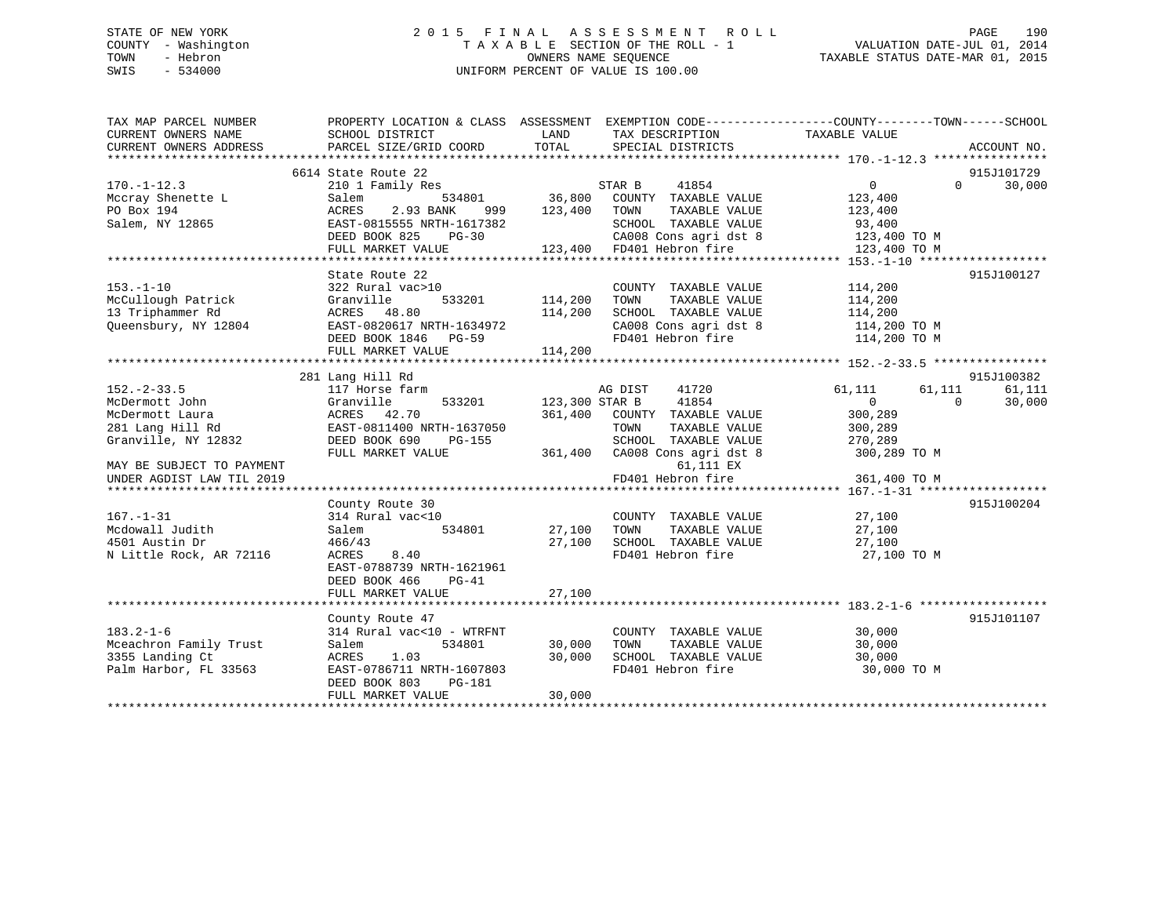# STATE OF NEW YORK 2 0 1 5 F I N A L A S S E S S M E N T R O L L PAGE 190 COUNTY - Washington T A X A B L E SECTION OF THE ROLL - 1 VALUATION DATE-JUL 01, 2014 TOWN - Hebron OWNERS NAME SEQUENCE TAXABLE STATUS DATE-MAR 01, 2015 SWIS - 534000 UNIFORM PERCENT OF VALUE IS 100.00

| TAX MAP PARCEL NUMBER                                                                                                           |                                                              |                    |                                                                                  | PROPERTY LOCATION & CLASS ASSESSMENT EXEMPTION CODE----------------COUNTY-------TOWN------SCHOOL |             |
|---------------------------------------------------------------------------------------------------------------------------------|--------------------------------------------------------------|--------------------|----------------------------------------------------------------------------------|--------------------------------------------------------------------------------------------------|-------------|
| CURRENT OWNERS NAME                                                                                                             | SCHOOL DISTRICT                                              | LAND               | TAX DESCRIPTION                                                                  | TAXABLE VALUE                                                                                    |             |
| CURRENT OWNERS ADDRESS                                                                                                          | PARCEL SIZE/GRID COORD                                       | TOTAL              | SPECIAL DISTRICTS                                                                |                                                                                                  | ACCOUNT NO. |
|                                                                                                                                 |                                                              |                    |                                                                                  |                                                                                                  |             |
|                                                                                                                                 | 6614 State Route 22                                          |                    |                                                                                  |                                                                                                  | 915J101729  |
| $170. - 1 - 12.3$                                                                                                               | 210 1 Family Res                                             | s<br>534801 36,800 | STAR B<br>41854                                                                  | $\overline{0}$<br>$0 \qquad \qquad$                                                              | 30,000      |
| Mccray Shenette L                                                                                                               | Salem                                                        |                    | COUNTY TAXABLE VALUE                                                             | 123,400                                                                                          |             |
| PO Box 194                                                                                                                      | ACRES<br>2.93 BANK                                           | 999 123,400        | TOWN<br>TAXABLE VALUE                                                            | 123,400                                                                                          |             |
| Salem, NY 12865                                                                                                                 | EAST-0815555 NRTH-1617382                                    |                    | SCHOOL TAXABLE VALUE                                                             | 93,400                                                                                           |             |
|                                                                                                                                 | DEED BOOK 825<br>$PG-30$                                     |                    | 3-30 CA008 Constant March 123,400 TO M<br>123,400 FD401 Hebron fire 123,400 TO M |                                                                                                  |             |
|                                                                                                                                 | FULL MARKET VALUE                                            |                    |                                                                                  |                                                                                                  |             |
|                                                                                                                                 |                                                              |                    |                                                                                  |                                                                                                  |             |
|                                                                                                                                 | State Route 22                                               |                    |                                                                                  |                                                                                                  | 915J100127  |
| $153. - 1 - 10$                                                                                                                 | 322 Rural vac>10                                             |                    | COUNTY TAXABLE VALUE                                                             | 114,200                                                                                          |             |
|                                                                                                                                 |                                                              | 533201 114,200     | TAXABLE VALUE<br>TOWN                                                            | 114,200                                                                                          |             |
| 1 1<br>McCullough Patrick (Cranville 183201<br>13 Triphammer Rd (ACRES 18.80)<br>Queensbury, NY 12804 EAST-0820617 NRTH-1634972 |                                                              | 114,200            | SCHOOL TAXABLE VALUE<br>SCHOOL TAXABLE VALUE<br>CA008 Cons agri dst 8            | 114,200                                                                                          |             |
|                                                                                                                                 |                                                              |                    |                                                                                  | $114,200$ TO M                                                                                   |             |
|                                                                                                                                 | DEED BOOK 1846 PG-59                                         |                    |                                                                                  | FD401 Hebron fire 114,200 TO M                                                                   |             |
|                                                                                                                                 | FULL MARKET VALUE                                            | 114,200            |                                                                                  |                                                                                                  |             |
|                                                                                                                                 |                                                              |                    |                                                                                  |                                                                                                  |             |
|                                                                                                                                 | 281 Lang Hill Rd                                             |                    |                                                                                  |                                                                                                  | 915J100382  |
| $152 - 2 - 33.5$                                                                                                                | 117 Horse farm                                               |                    | AG DIST<br>41720                                                                 | 61,111<br>61,111                                                                                 | 61,111      |
| McDermott John                                                                                                                  | 533201                                                       |                    | 41854<br>123,300 STAR B                                                          | $\overline{0}$<br>$\Omega$                                                                       | 30,000      |
| McDermott Laura                                                                                                                 | Granville 533201<br>ACRES 42.70<br>EAST-0811400 NRTH-1637050 |                    | 361,400 COUNTY TAXABLE VALUE                                                     | 300,289                                                                                          |             |
| 281 Lang Hill Rd                                                                                                                |                                                              |                    | TOWN<br>TAXABLE VALUE                                                            | 300,289                                                                                          |             |
| Granville, NY 12832                                                                                                             | DEED BOOK 690<br>PG-155                                      |                    |                                                                                  |                                                                                                  |             |
|                                                                                                                                 | FULL MARKET VALUE                                            |                    | SCHOOL TAXABLE VALUE 270,289<br>361,400 CA008 Cons agri dst 8 300,289 TO M       |                                                                                                  |             |
| MAY BE SUBJECT TO PAYMENT                                                                                                       |                                                              |                    | 61,111 EX                                                                        |                                                                                                  |             |
| UNDER AGDIST LAW TIL 2019                                                                                                       |                                                              |                    | FD401 Hebron fire                                                                | 361,400 TO M                                                                                     |             |
|                                                                                                                                 |                                                              |                    |                                                                                  |                                                                                                  |             |
|                                                                                                                                 | County Route 30                                              |                    |                                                                                  |                                                                                                  | 915J100204  |
| $167. - 1 - 31$                                                                                                                 | 314 Rural vac<10                                             |                    | COUNTY TAXABLE VALUE 27,100                                                      |                                                                                                  |             |
| Mcdowall Judith                                                                                                                 | 534801<br>Salem                                              | 27,100             |                                                                                  |                                                                                                  |             |
| 4501 Austin Dr                                                                                                                  | 466/43                                                       | 27,100             |                                                                                  |                                                                                                  |             |
| N Little Rock, AR 72116                                                                                                         | ACRES<br>8.40                                                |                    |                                                                                  | TOWN TAXABLE VALUE $27,100$<br>SCHOOL TAXABLE VALUE $27,100$<br>FD401 Hebron fire 27,100 TO M    |             |
|                                                                                                                                 | EAST-0788739 NRTH-1621961                                    |                    |                                                                                  |                                                                                                  |             |
|                                                                                                                                 | DEED BOOK 466<br>$PG-41$                                     |                    |                                                                                  |                                                                                                  |             |
|                                                                                                                                 | FULL MARKET VALUE                                            | 27,100             |                                                                                  |                                                                                                  |             |
|                                                                                                                                 |                                                              |                    |                                                                                  |                                                                                                  |             |
|                                                                                                                                 | County Route 47                                              |                    |                                                                                  |                                                                                                  | 915J101107  |
| $183.2 - 1 - 6$                                                                                                                 | 314 Rural vac<10 - WTRFNT                                    |                    | COUNTY TAXABLE VALUE 30,000                                                      |                                                                                                  |             |
| Mceachron Family Trust                                                                                                          | 534801<br>Salem                                              | 30,000             | TOWN                                                                             | TAXABLE VALUE 30,000                                                                             |             |
| 3355 Landing Ct                                                                                                                 | ACRES 1.03                                                   | 30,000             |                                                                                  | 30,000                                                                                           |             |
| Palm Harbor, FL 33563                                                                                                           | EAST-0786711 NRTH-1607803                                    |                    | SCHOOL TAXABLE VALUE<br>FD401 Hebron fire                                        | 30,000 TO M                                                                                      |             |
|                                                                                                                                 | DEED BOOK 803<br>PG-181                                      |                    |                                                                                  |                                                                                                  |             |
|                                                                                                                                 | FULL MARKET VALUE                                            | 30,000             |                                                                                  |                                                                                                  |             |
|                                                                                                                                 |                                                              |                    |                                                                                  |                                                                                                  |             |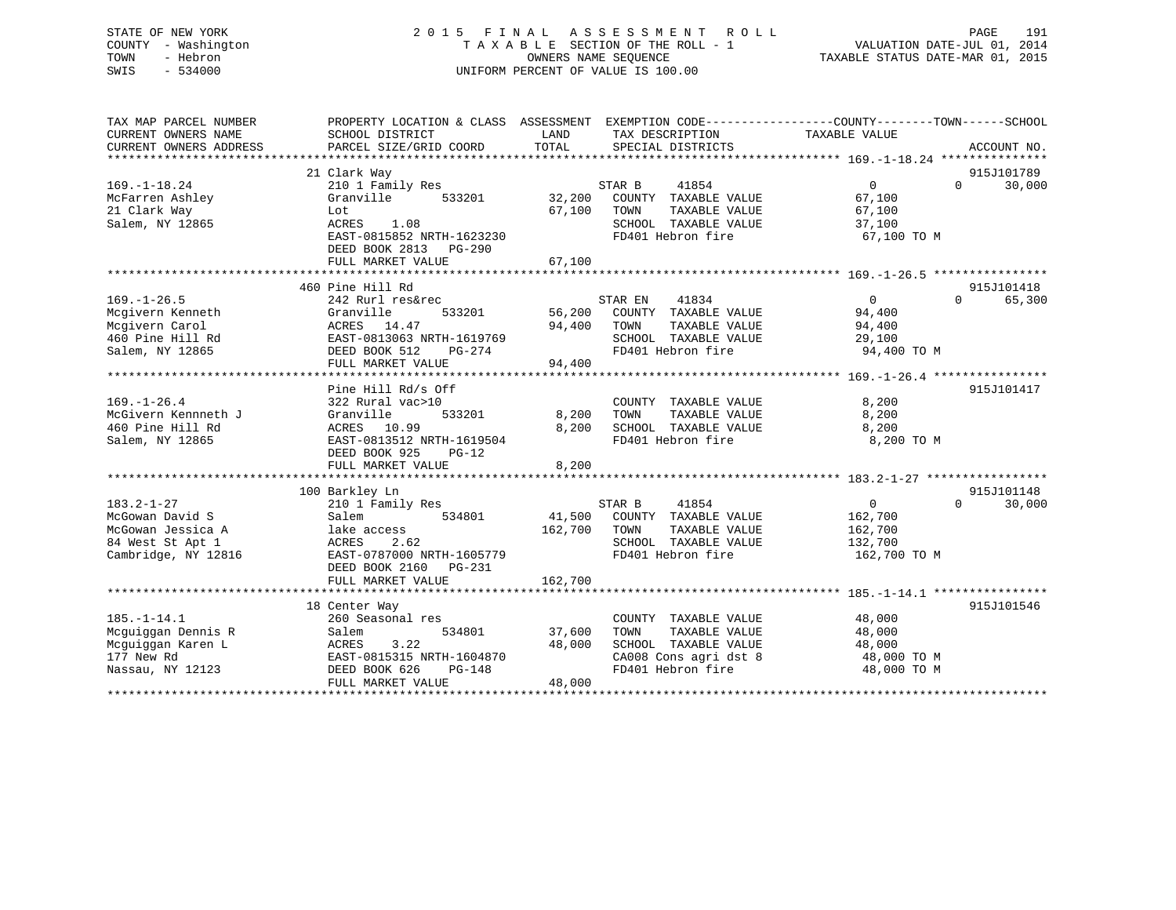# STATE OF NEW YORK 2 0 1 5 F I N A L A S S E S S M E N T R O L L PAGE 191 COUNTY - Washington T A X A B L E SECTION OF THE ROLL - 1 VALUATION DATE-JUL 01, 2014 TOWN - Hebron OWNERS NAME SEQUENCE TAXABLE STATUS DATE-MAR 01, 2015 SWIS - 534000 UNIFORM PERCENT OF VALUE IS 100.00

| TAX MAP PARCEL NUMBER<br>CURRENT OWNERS NAME<br>CURRENT OWNERS ADDRESS                              | PROPERTY LOCATION & CLASS ASSESSMENT EXEMPTION CODE----------------COUNTY-------TOWN------SCHOOL<br>SCHOOL DISTRICT<br>PARCEL SIZE/GRID COORD                       | LAND<br>TOTAL              | TAX DESCRIPTION<br>SPECIAL DISTRICTS                                                                                 | TAXABLE VALUE                                                               | ACCOUNT NO.          |
|-----------------------------------------------------------------------------------------------------|---------------------------------------------------------------------------------------------------------------------------------------------------------------------|----------------------------|----------------------------------------------------------------------------------------------------------------------|-----------------------------------------------------------------------------|----------------------|
| $169. - 1 - 18.24$<br>McFarren Ashley<br>21 Clark Way<br>Salem, NY 12865                            | 21 Clark Way<br>210 1 Family Res<br>Granville<br>533201<br>Lot<br>1.08<br>ACRES<br>EAST-0815852 NRTH-1623230<br>DEED BOOK 2813 PG-290                               | 32,200<br>67,100           | STAR B<br>41854<br>COUNTY TAXABLE VALUE<br>TAXABLE VALUE<br>TOWN<br>SCHOOL TAXABLE VALUE<br>FD401 Hebron fire        | $\overline{0}$<br>$\Omega$<br>67,100<br>67,100<br>37,100<br>67,100 TO M     | 915J101789<br>30,000 |
|                                                                                                     | FULL MARKET VALUE                                                                                                                                                   | 67,100                     |                                                                                                                      |                                                                             |                      |
| $169. - 1 - 26.5$<br>Mcgivern Kenneth<br>Mcgivern Carol<br>460 Pine Hill Rd<br>Salem, NY 12865      | 460 Pine Hill Rd<br>242 Rurl res&rec<br>Granville<br>533201<br>ACRES 14.47<br>EAST-0813063 NRTH-1619769<br>DEED BOOK 512<br>PG-274<br>FULL MARKET VALUE             | 56,200<br>94,400<br>94,400 | 41834<br>STAR EN<br>COUNTY TAXABLE VALUE<br>TOWN<br>TAXABLE VALUE<br>SCHOOL TAXABLE VALUE<br>FD401 Hebron fire       | $\Omega$<br>$\Omega$<br>94,400<br>94,400<br>29,100<br>94,400 TO M           | 915J101418<br>65,300 |
| $169. - 1 - 26.4$<br>McGivern Kennneth J<br>460 Pine Hill Rd<br>Salem, NY 12865                     | Pine Hill Rd/s Off<br>322 Rural vac>10<br>533201<br>Granville<br>ACRES 10.99<br>EAST-0813512 NRTH-1619504<br>DEED BOOK 925<br>$PG-12$<br>FULL MARKET VALUE          | 8,200<br>8,200<br>8,200    | COUNTY TAXABLE VALUE<br>TAXABLE VALUE<br>TOWN<br>SCHOOL TAXABLE VALUE<br>FD401 Hebron fire                           | 8,200<br>8,200<br>8,200<br>8,200 TO M                                       | 915J101417           |
| $183.2 - 1 - 27$<br>McGowan David S<br>McGowan Jessica A<br>84 West St Apt 1<br>Cambridge, NY 12816 | 100 Barkley Ln<br>210 1 Family Res<br>Salem<br>534801<br>lake access<br>ACRES<br>2.62<br>EAST-0787000 NRTH-1605779<br>DEED BOOK 2160<br>PG-231<br>FULL MARKET VALUE | 162,700<br>162,700         | STAR B<br>41854<br>41,500 COUNTY TAXABLE VALUE<br>TOWN<br>TAXABLE VALUE<br>SCHOOL TAXABLE VALUE<br>FD401 Hebron fire | $\overline{0}$<br>$\Omega$<br>162,700<br>162,700<br>132,700<br>162,700 TO M | 915J101148<br>30,000 |
| $185. - 1 - 14.1$<br>Mcquiqqan Dennis R<br>Mcguiggan Karen L<br>177 New Rd<br>Nassau, NY 12123      | 18 Center Way<br>260 Seasonal res<br>534801<br>Salem<br>3.22<br>ACRES<br>EAST-0815315 NRTH-1604870<br>DEED BOOK 626<br>$PG-148$<br>FULL MARKET VALUE                | 37,600<br>48,000<br>48,000 | COUNTY TAXABLE VALUE<br>TAXABLE VALUE<br>TOWN<br>SCHOOL TAXABLE VALUE<br>CA008 Cons agri dst 8<br>FD401 Hebron fire  | 48,000<br>48,000<br>48,000<br>48,000 TO M<br>48,000 TO M                    | 915J101546           |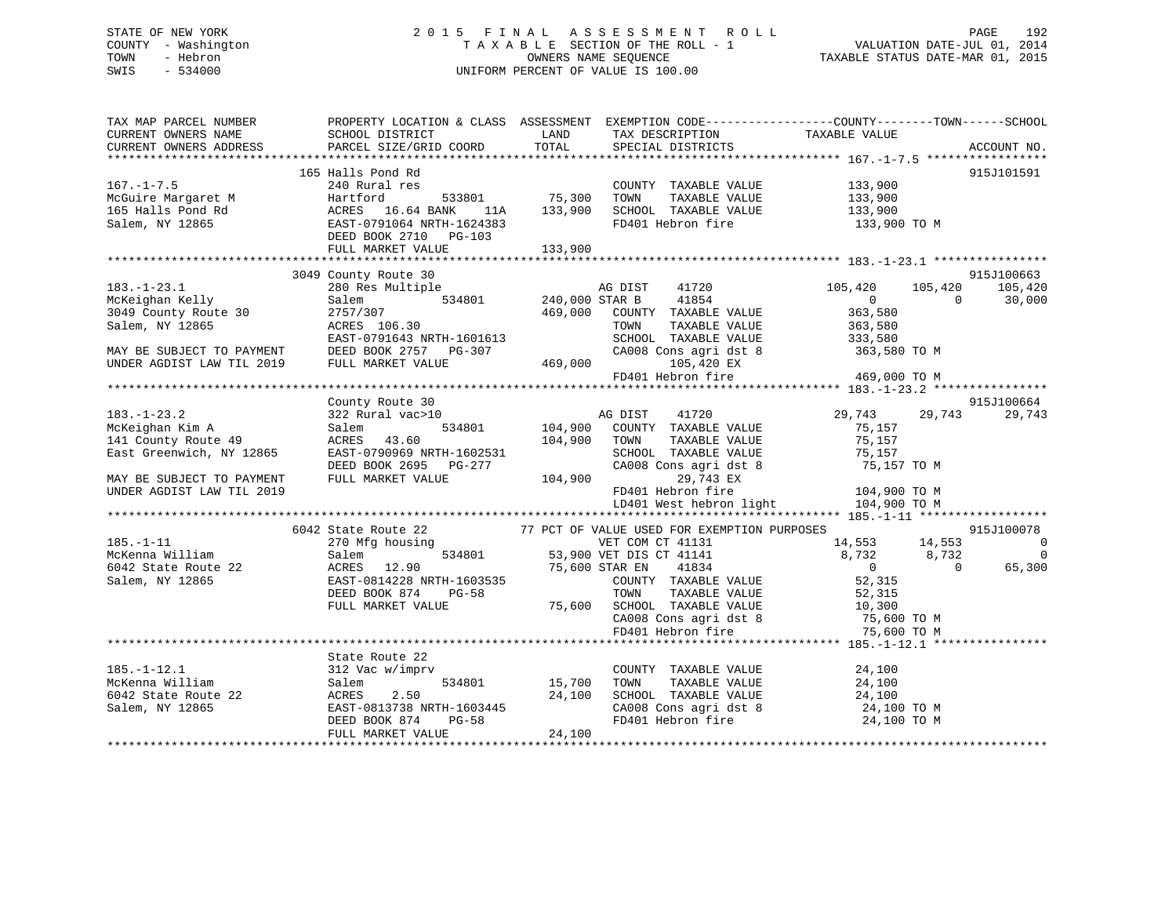# STATE OF NEW YORK 2 0 1 5 F I N A L A S S E S S M E N T R O L L PAGE 192 COUNTY - Washington T A X A B L E SECTION OF THE ROLL - 1 VALUATION DATE-JUL 01, 2014 TOWN - Hebron OWNERS NAME SEQUENCE TAXABLE STATUS DATE-MAR 01, 2015 SWIS - 534000 UNIFORM PERCENT OF VALUE IS 100.00UNIFORM PERCENT OF VALUE IS 100.00

| TAX MAP PARCEL NUMBER<br>CURRENT OWNERS NAME | PROPERTY LOCATION & CLASS ASSESSMENT EXEMPTION CODE----------------COUNTY-------TOWN-----SCHOOL<br>SCHOOL DISTRICT | LAND                  | TAX DESCRIPTION                             | TAXABLE VALUE                |                    |
|----------------------------------------------|--------------------------------------------------------------------------------------------------------------------|-----------------------|---------------------------------------------|------------------------------|--------------------|
| CURRENT OWNERS ADDRESS                       | PARCEL SIZE/GRID COORD                                                                                             | TOTAL                 | SPECIAL DISTRICTS                           |                              | ACCOUNT NO.        |
|                                              | 165 Halls Pond Rd                                                                                                  |                       |                                             |                              | 915J101591         |
| $167. - 1 - 7.5$                             | 240 Rural res                                                                                                      |                       | COUNTY TAXABLE VALUE 133,900                |                              |                    |
| McGuire Margaret M                           | Hartford<br>533801                                                                                                 | 75,300                | TOWN<br>TAXABLE VALUE                       | 133,900                      |                    |
| 165 Halls Pond Rd                            | ACRES 16.64 BANK<br>11A                                                                                            | 133,900               | SCHOOL TAXABLE VALUE                        | 133,900                      |                    |
| Salem, NY 12865                              | EAST-0791064 NRTH-1624383                                                                                          |                       | FD401 Hebron fire 133,900 TO M              |                              |                    |
|                                              | DEED BOOK 2710 PG-103                                                                                              |                       |                                             |                              |                    |
|                                              | FULL MARKET VALUE                                                                                                  | 133,900               |                                             |                              |                    |
|                                              |                                                                                                                    |                       |                                             |                              |                    |
|                                              | 3049 County Route 30                                                                                               |                       |                                             |                              | 915J100663         |
| $183. - 1 - 23.1$                            | 280 Res Multiple                                                                                                   |                       | AG DIST<br>41720                            | 105,420<br>105,420           | 105,420            |
| McKeighan Kelly                              | Salem                                                                                                              | 534801 240,000 STAR B | 41854                                       | $\overline{0}$               | $\Omega$<br>30,000 |
| 3049 County Route 30                         | 2757/307                                                                                                           | 469,000               | COUNTY TAXABLE VALUE                        | 363,580                      |                    |
| Salem, NY 12865                              | ACRES 106.30                                                                                                       |                       | TAXABLE VALUE<br>TOWN                       | 363,580                      |                    |
|                                              | EAST-0791643 NRTH-1601613                                                                                          |                       | SCHOOL TAXABLE VALUE                        | 333,580                      |                    |
| MAY BE SUBJECT TO PAYMENT                    | DEED BOOK 2757 PG-307                                                                                              |                       | CA008 Cons agri dst 8                       | 363,580 TO M                 |                    |
| UNDER AGDIST LAW TIL 2019                    | FULL MARKET VALUE                                                                                                  | 469,000               | 105,420 EX                                  |                              |                    |
|                                              |                                                                                                                    |                       | FD401 Hebron fire                           | 469,000 TO M                 |                    |
|                                              |                                                                                                                    |                       |                                             |                              |                    |
|                                              | County Route 30                                                                                                    |                       |                                             |                              | 915J100664         |
| $183. - 1 - 23.2$                            | 322 Rural vac>10                                                                                                   |                       | AG DIST<br>41720                            | 29,743<br>29,743             | 29,743             |
| McKeighan Kim A                              | Salem                                                                                                              | 534801 104,900        | COUNTY TAXABLE VALUE                        | 75,157                       |                    |
| 141 County Route 49                          | ACRES 43.60                                                                                                        | 104,900               | TOWN<br>TAXABLE VALUE                       | 75,157                       |                    |
| East Greenwich, NY 12865                     | EAST-0790969 NRTH-1602531                                                                                          |                       | SCHOOL TAXABLE VALUE                        | 75,157                       |                    |
|                                              | DEED BOOK 2695 PG-277                                                                                              |                       | CA008 Cons agri dst 8                       | 75,157 TO M                  |                    |
| MAY BE SUBJECT TO PAYMENT                    | FULL MARKET VALUE                                                                                                  | 104,900               | 29,743 EX                                   |                              |                    |
| UNDER AGDIST LAW TIL 2019                    |                                                                                                                    |                       | FD401 Hebron fire                           | 104,900 TO M                 |                    |
|                                              |                                                                                                                    |                       | LD401 West hebron light                     | 104,900 TO M                 |                    |
|                                              |                                                                                                                    |                       |                                             |                              |                    |
|                                              | 6042 State Route 22                                                                                                |                       | 77 PCT OF VALUE USED FOR EXEMPTION PURPOSES |                              | 915J100078         |
| $185. - 1 - 11$                              | 270 Mfg housing                                                                                                    |                       | VET COM CT 41131                            | 14,553 14,553                | $\overline{0}$     |
| McKenna William                              | Salem                                                                                                              |                       | 534801 53,900 VET DIS CT 41141              | 8,732<br>8,732               | $\Omega$           |
| 6042 State Route 22                          | ACRES<br>12.90                                                                                                     |                       | 75,600 STAR EN<br>41834                     | $\overline{0}$<br>$\bigcirc$ | 65,300             |
| Salem, NY 12865                              | EAST-0814228 NRTH-1603535                                                                                          |                       | COUNTY TAXABLE VALUE                        | 52,315                       |                    |
|                                              | DEED BOOK 874<br>PG-58                                                                                             |                       | TAXABLE VALUE<br>TOWN                       | 52,315                       |                    |
|                                              | FULL MARKET VALUE                                                                                                  |                       | 75,600 SCHOOL TAXABLE VALUE                 | 10,300                       |                    |
|                                              |                                                                                                                    |                       | CA008 Cons agri dst 8<br>FD401 Hebron fire  | 75,600 TO M                  |                    |
|                                              |                                                                                                                    |                       | FD401 Hebron fire                           | 75,600 TO M                  |                    |
|                                              | State Route 22                                                                                                     |                       |                                             |                              |                    |
| $185. - 1 - 12.1$                            | 312 Vac w/imprv                                                                                                    |                       | COUNTY TAXABLE VALUE                        | 24,100                       |                    |
| McKenna William                              |                                                                                                                    | 534801 15,700         | TOWN<br>TAXABLE VALUE                       |                              |                    |
| 6042 State Route 22                          | Salem<br>2.50<br>ACRES                                                                                             | 24,100                | SCHOOL TAXABLE VALUE                        | 24,100<br>24,100             |                    |
| Salem, NY 12865                              | EAST-0813738 NRTH-1603445                                                                                          |                       | CA008 Cons agri dst 8                       | 24,100 TO M                  |                    |
|                                              | DEED BOOK 874<br>PG-58                                                                                             |                       | FD401 Hebron fire                           | 24,100 TO M                  |                    |
|                                              | FULL MARKET VALUE                                                                                                  | 24,100                |                                             |                              |                    |
|                                              |                                                                                                                    |                       |                                             |                              |                    |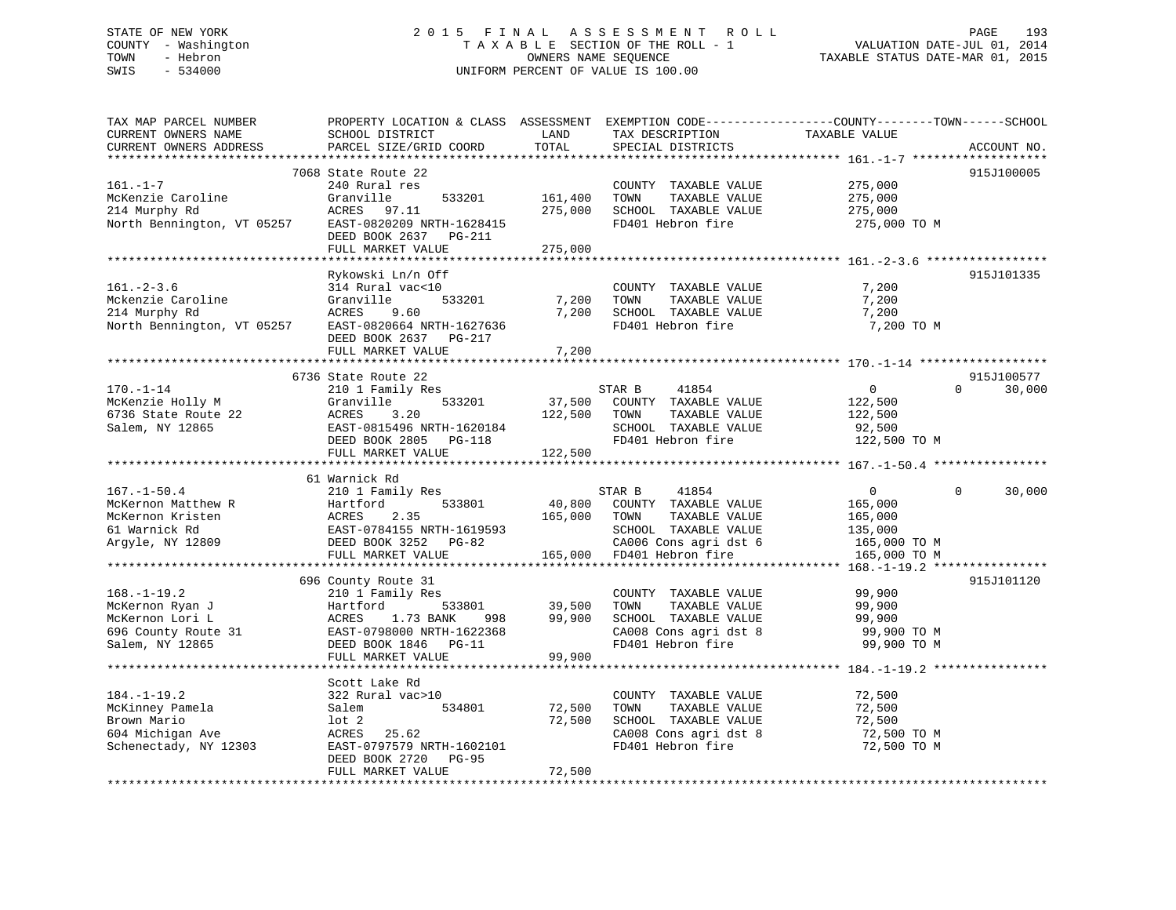# STATE OF NEW YORK 2 0 1 5 F I N A L A S S E S S M E N T R O L L PAGE 193 COUNTY - Washington T A X A B L E SECTION OF THE ROLL - 1 VALUATION DATE-JUL 01, 2014 TOWN - Hebron OWNERS NAME SEQUENCE TAXABLE STATUS DATE-MAR 01, 2015 SWIS - 534000 UNIFORM PERCENT OF VALUE IS 100.00

| TAX MAP PARCEL NUMBER<br>CURRENT OWNERS NAME<br>CURRENT OWNERS ADDRESS                            | SCHOOL DISTRICT<br>PARCEL SIZE/GRID COORD                                                                                                                                                                  | LAND<br>TOTAL                | TAX DESCRIPTION<br>SPECIAL DISTRICTS                                                                                | PROPERTY LOCATION & CLASS ASSESSMENT EXEMPTION CODE---------------COUNTY-------TOWN-----SCHOOL<br>TAXABLE VALUE | ACCOUNT NO. |
|---------------------------------------------------------------------------------------------------|------------------------------------------------------------------------------------------------------------------------------------------------------------------------------------------------------------|------------------------------|---------------------------------------------------------------------------------------------------------------------|-----------------------------------------------------------------------------------------------------------------|-------------|
| **********************                                                                            | 7068 State Route 22                                                                                                                                                                                        |                              |                                                                                                                     |                                                                                                                 | 915J100005  |
| $161. - 1 - 7$<br>McKenzie Caroline<br>214 Murphy Rd<br>North Bennington, VT 05257                | 240 Rural res<br>533201<br>Granville<br>ACRES<br>97.11<br>EAST-0820209 NRTH-1628415<br>DEED BOOK 2637 PG-211                                                                                               | 161,400<br>275,000           | COUNTY TAXABLE VALUE<br>TOWN<br>TAXABLE VALUE<br>SCHOOL TAXABLE VALUE<br>FD401 Hebron fire                          | 275,000<br>275,000<br>275,000<br>275,000 TO M                                                                   |             |
|                                                                                                   | FULL MARKET VALUE                                                                                                                                                                                          | 275,000                      |                                                                                                                     |                                                                                                                 |             |
|                                                                                                   |                                                                                                                                                                                                            |                              |                                                                                                                     |                                                                                                                 |             |
| $161. - 2 - 3.6$<br>Mckenzie Caroline<br>214 Murphy Rd<br>North Bennington, VT 05257              | Rykowski Ln/n Off<br>314 Rural vac<10<br>Granville<br>533201<br>ACRES<br>9.60<br>EAST-0820664 NRTH-1627636<br>DEED BOOK 2637<br>PG-217                                                                     | 7,200<br>7,200               | COUNTY TAXABLE VALUE<br>TOWN<br>TAXABLE VALUE<br>SCHOOL TAXABLE VALUE<br>FD401 Hebron fire                          | 7,200<br>7,200<br>7,200<br>7,200 TO M                                                                           | 915J101335  |
|                                                                                                   | FULL MARKET VALUE                                                                                                                                                                                          | 7,200                        |                                                                                                                     |                                                                                                                 |             |
|                                                                                                   | 6736 State Route 22                                                                                                                                                                                        |                              |                                                                                                                     |                                                                                                                 | 915J100577  |
| $170. - 1 - 14$<br>McKenzie Holly M<br>6736 State Route 22<br>Salem, NY 12865                     | 210 1 Family Res<br>533201<br>Granville<br>ACRES<br>3.20<br>EAST-0815496 NRTH-1620184<br>DEED BOOK 2805<br>PG-118<br>FULL MARKET VALUE                                                                     | 37,500<br>122,500<br>122,500 | 41854<br>STAR B<br>COUNTY TAXABLE VALUE<br>TOWN<br>TAXABLE VALUE<br>SCHOOL TAXABLE VALUE<br>FD401 Hebron fire       | $\overline{0}$<br>$\Omega$<br>122,500<br>122,500<br>92,500<br>122,500 TO M                                      | 30,000      |
|                                                                                                   |                                                                                                                                                                                                            |                              |                                                                                                                     |                                                                                                                 |             |
| $167. - 1 - 50.4$<br>McKernon Matthew R<br>McKernon Kristen<br>61 Warnick Rd<br>Argyle, NY 12809  | 61 Warnick Rd<br>210 1 Family Res<br>533801<br>Hartford<br>ACRES<br>2.35<br>EAST-0784155 NRTH-1619593<br>DEED BOOK 3252 PG-82                                                                              | 40,800<br>165,000            | STAR B<br>41854<br>COUNTY TAXABLE VALUE<br>TOWN<br>TAXABLE VALUE<br>SCHOOL TAXABLE VALUE<br>CA006 Cons agri dst 6   | 0<br>$\Omega$<br>165,000<br>165,000<br>135,000<br>165,000 TO M                                                  | 30,000      |
|                                                                                                   | FULL MARKET VALUE                                                                                                                                                                                          | 165,000                      | FD401 Hebron fire                                                                                                   | 165,000 TO M                                                                                                    |             |
|                                                                                                   | *******************************                                                                                                                                                                            |                              |                                                                                                                     | ******************************** 168.-1-19.2 ****                                                               |             |
| $168. - 1 - 19.2$<br>McKernon Ryan J<br>McKernon Lori L<br>696 County Route 31<br>Salem, NY 12865 | 696 County Route 31<br>210 1 Family Res<br>Hartford<br>533801<br>ACRES<br>1.73 BANK<br>998<br>EAST-0798000 NRTH-1622368<br>DEED BOOK 1846<br>PG-11<br>FULL MARKET VALUE<br>******************************* | 39,500<br>99,900<br>99,900   | COUNTY TAXABLE VALUE<br>TOWN<br>TAXABLE VALUE<br>SCHOOL TAXABLE VALUE<br>CA008 Cons agri dst 8<br>FD401 Hebron fire | 99,900<br>99,900<br>99,900<br>99,900 TO M<br>99,900 TO M                                                        | 915J101120  |
|                                                                                                   | Scott Lake Rd                                                                                                                                                                                              |                              |                                                                                                                     |                                                                                                                 |             |
| $184. - 1 - 19.2$<br>McKinney Pamela<br>Brown Mario<br>604 Michigan Ave<br>Schenectady, NY 12303  | 322 Rural vac>10<br>Salem<br>534801<br>$1$ ot $2$<br>25.62<br>ACRES<br>EAST-0797579 NRTH-1602101<br>DEED BOOK 2720<br><b>PG-95</b>                                                                         | 72,500<br>72,500             | COUNTY TAXABLE VALUE<br>TOWN<br>TAXABLE VALUE<br>SCHOOL TAXABLE VALUE<br>CA008 Cons agri dst 8<br>FD401 Hebron fire | 72,500<br>72,500<br>72,500<br>72,500 то м<br>72,500 TO M                                                        |             |
|                                                                                                   | FULL MARKET VALUE                                                                                                                                                                                          | 72,500                       |                                                                                                                     |                                                                                                                 |             |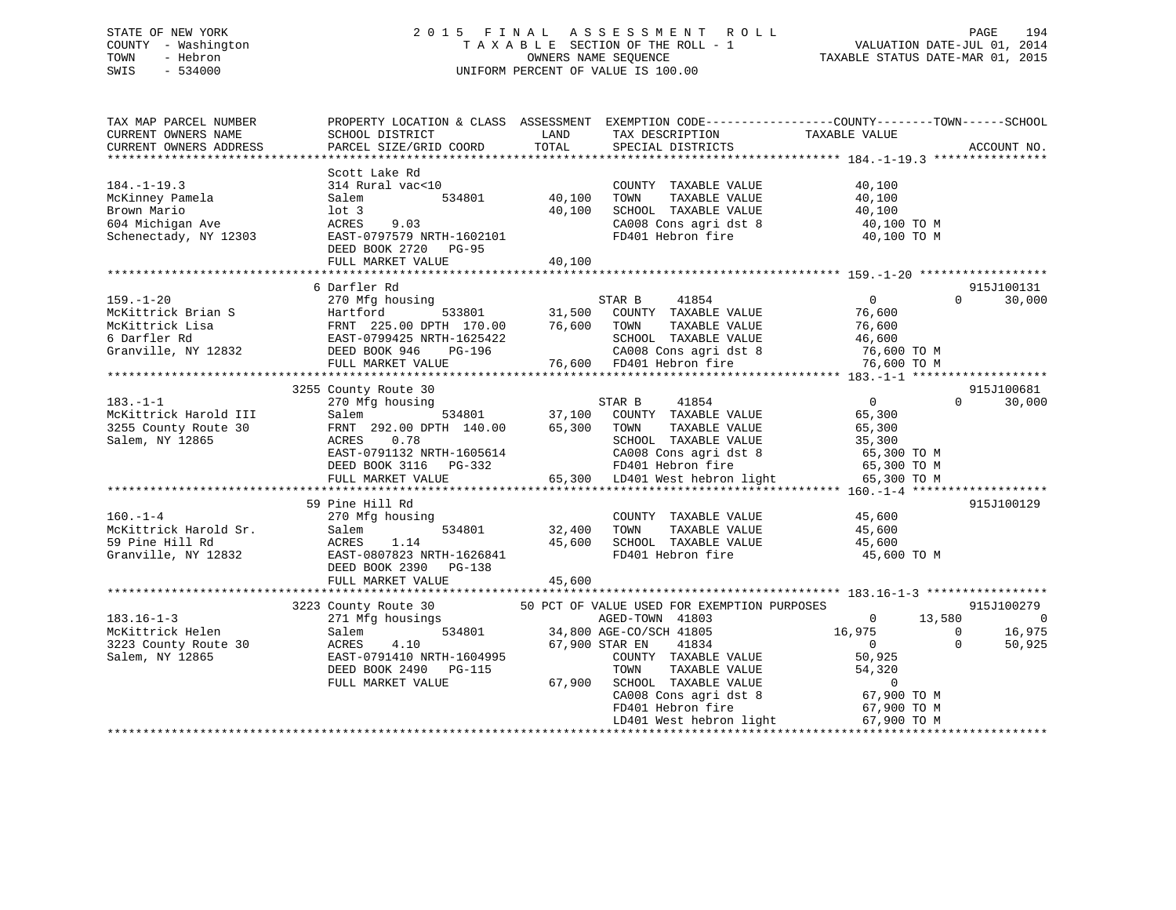# STATE OF NEW YORK 2 0 1 5 F I N A L A S S E S S M E N T R O L L PAGE 194 COUNTY - Washington T A X A B L E SECTION OF THE ROLL - 1 VALUATION DATE-JUL 01, 2014 TOWN - Hebron OWNERS NAME SEQUENCE TAXABLE STATUS DATE-MAR 01, 2015 SWIS - 534000 UNIFORM PERCENT OF VALUE IS 100.00

| TAX MAP PARCEL NUMBER<br>CURRENT OWNERS NAME<br>CURRENT OWNERS ADDRESS                           | PROPERTY LOCATION & CLASS ASSESSMENT<br>SCHOOL DISTRICT<br>PARCEL SIZE/GRID COORD                                                                              | LAND<br>TOTAL              | TAX DESCRIPTION<br>SPECIAL DISTRICTS                                                                                                                                                                                                        | EXEMPTION CODE-----------------COUNTY-------TOWN------SCHOOL<br>TAXABLE VALUE                                     | ACCOUNT NO.                                                           |
|--------------------------------------------------------------------------------------------------|----------------------------------------------------------------------------------------------------------------------------------------------------------------|----------------------------|---------------------------------------------------------------------------------------------------------------------------------------------------------------------------------------------------------------------------------------------|-------------------------------------------------------------------------------------------------------------------|-----------------------------------------------------------------------|
| $184. - 1 - 19.3$<br>McKinney Pamela<br>Brown Mario<br>604 Michigan Ave<br>Schenectady, NY 12303 | Scott Lake Rd<br>314 Rural vac<10<br>534801<br>Salem<br>$1$ ot 3<br>ACRES<br>9.03<br>EAST-0797579 NRTH-1602101<br>DEED BOOK 2720<br>PG-95<br>FULL MARKET VALUE | 40,100<br>40,100<br>40,100 | COUNTY TAXABLE VALUE<br>TOWN<br>TAXABLE VALUE<br>SCHOOL TAXABLE VALUE<br>CA008 Cons agri dst 8<br>FD401 Hebron fire                                                                                                                         | 40,100<br>40,100<br>40,100<br>40,100 TO M<br>40,100 TO M                                                          |                                                                       |
|                                                                                                  | 6 Darfler Rd                                                                                                                                                   |                            |                                                                                                                                                                                                                                             |                                                                                                                   | 915J100131                                                            |
| $159. - 1 - 20$<br>McKittrick Brian S<br>McKittrick Lisa<br>6 Darfler Rd<br>Granville, NY 12832  | 270 Mfg housing<br>Hartford<br>533801<br>FRNT 225.00 DPTH 170.00<br>EAST-0799425 NRTH-1625422<br>DEED BOOK 946<br>PG-196<br>FULL MARKET VALUE                  | 31,500<br>76,600           | STAR B<br>41854<br>COUNTY TAXABLE VALUE<br>TOWN<br>TAXABLE VALUE<br>SCHOOL TAXABLE VALUE<br>CA008 Cons agri dst 8<br>76,600 FD401 Hebron fire                                                                                               | $\overline{0}$<br>76,600<br>76,600<br>46,600<br>76,600 TO M<br>76,600 TO M                                        | $\Omega$<br>30,000                                                    |
|                                                                                                  | 3255 County Route 30                                                                                                                                           |                            |                                                                                                                                                                                                                                             |                                                                                                                   | 915J100681                                                            |
| $183. - 1 - 1$<br>McKittrick Harold III<br>3255 County Route 30<br>Salem, NY 12865               | 270 Mfg housing<br>Salem<br>FRNT 292.00 DPTH 140.00<br>0.78<br>ACRES<br>EAST-0791132 NRTH-1605614<br>DEED BOOK 3116<br>PG-332<br>FULL MARKET VALUE             | 534801 37,100<br>65,300    | 41854<br>STAR B<br>COUNTY TAXABLE VALUE<br>TOWN<br>TAXABLE VALUE<br>SCHOOL TAXABLE VALUE<br>CA008 Cons agri dst 8<br>FD401 Hebron fire<br>65,300 LD401 West hebron light                                                                    | $\Omega$<br>65,300<br>65,300<br>35,300<br>65,300 TO M<br>65,300 TO M<br>65,300 TO M                               | $\Omega$<br>30,000                                                    |
|                                                                                                  | 59 Pine Hill Rd                                                                                                                                                |                            |                                                                                                                                                                                                                                             |                                                                                                                   | 915J100129                                                            |
| $160. - 1 - 4$<br>McKittrick Harold Sr.<br>59 Pine Hill Rd<br>Granville, NY 12832                | 270 Mfg housing<br>534801<br>Salem<br>ACRES<br>1.14<br>EAST-0807823 NRTH-1626841<br>DEED BOOK 2390<br>PG-138                                                   | 32,400<br>45,600           | COUNTY TAXABLE VALUE<br>TAXABLE VALUE<br>TOWN<br>SCHOOL TAXABLE VALUE<br>FD401 Hebron fire                                                                                                                                                  | 45,600<br>45,600<br>45,600<br>45,600 TO M                                                                         |                                                                       |
|                                                                                                  | FULL MARKET VALUE                                                                                                                                              | 45,600                     |                                                                                                                                                                                                                                             |                                                                                                                   |                                                                       |
| $183.16 - 1 - 3$<br>McKittrick Helen<br>3223 County Route 30<br>Salem, NY 12865                  | 3223 County Route 30<br>271 Mfg housings<br>534801<br>Salem<br>ACRES<br>4.10<br>EAST-0791410 NRTH-1604995<br>DEED BOOK 2490 PG-115<br>FULL MARKET VALUE        | 67,900                     | 50 PCT OF VALUE USED FOR EXEMPTION PURPOSES<br>AGED-TOWN 41803<br>34,800 AGE-CO/SCH 41805<br>67,900 STAR EN<br>41834<br>COUNTY TAXABLE VALUE<br>TOWN<br>TAXABLE VALUE<br>SCHOOL TAXABLE VALUE<br>CA008 Cons agri dst 8<br>FD401 Hebron fire | 13,580<br>$\overline{0}$<br>16,975<br>$\overline{0}$<br>50,925<br>54,320<br>$\circ$<br>67,900 TO M<br>67,900 TO M | 915J100279<br>$\Omega$<br>16,975<br>$\mathbf 0$<br>$\Omega$<br>50,925 |
|                                                                                                  |                                                                                                                                                                |                            | LD401 West hebron light                                                                                                                                                                                                                     | 67,900 TO M                                                                                                       |                                                                       |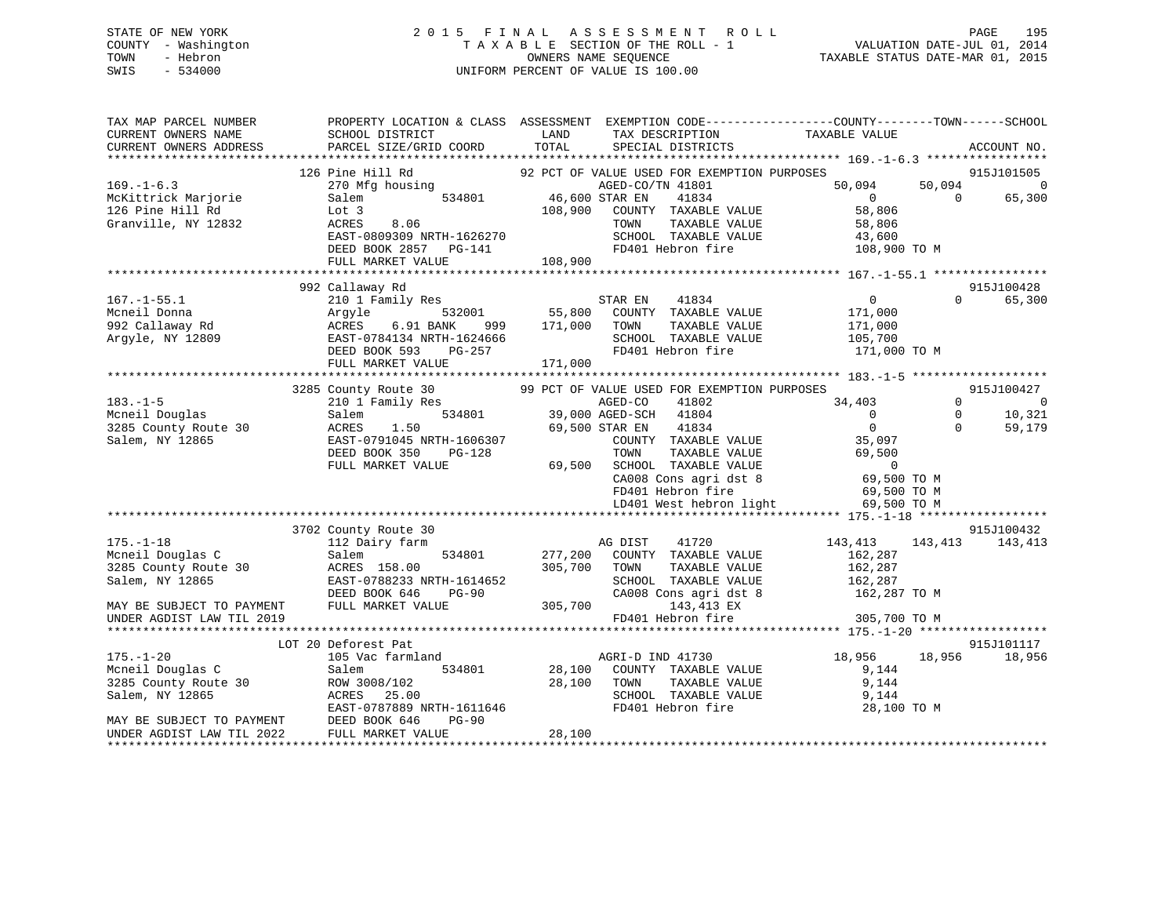# STATE OF NEW YORK 2 0 1 5 F I N A L A S S E S S M E N T R O L L PAGE 195 COUNTY - Washington T A X A B L E SECTION OF THE ROLL - 1 VALUATION DATE-JUL 01, 2014 TOWN - Hebron OWNERS NAME SEQUENCE TAXABLE STATUS DATE-MAR 01, 2015 SWIS - 534000 UNIFORM PERCENT OF VALUE IS 100.00

| TAX MAP PARCEL NUMBER<br>CURRENT OWNERS NAME<br>CURRENT OWNERS ADDRESS                                                                   | PROPERTY LOCATION & CLASS ASSESSMENT EXEMPTION CODE----------------COUNTY-------TOWN-----SCHOOL<br>SCHOOL DISTRICT<br>PARCEL SIZE/GRID COORD                      | LAND<br>TOTAL                                 | TAX DESCRIPTION TAXABLE VALUE SPECIAL DISTRICTS<br>SPECIAL DISTRICTS                                                                                                                                                                                                                             |                                                                                                             |                                  | ACCOUNT NO.                                      |
|------------------------------------------------------------------------------------------------------------------------------------------|-------------------------------------------------------------------------------------------------------------------------------------------------------------------|-----------------------------------------------|--------------------------------------------------------------------------------------------------------------------------------------------------------------------------------------------------------------------------------------------------------------------------------------------------|-------------------------------------------------------------------------------------------------------------|----------------------------------|--------------------------------------------------|
| $169. - 1 - 6.3$<br>McKittrick Marjorie<br>126 Pine Hill Rd<br>Granville, NY 12832                                                       | 126 Pine Hill Rd<br>270 Mfg housing<br>534801<br>Salem<br>Lot 3<br>8.06<br>ACRES<br>EAST-0809309 NRTH-1626270<br>DEED BOOK 2857 PG-141<br>FULL MARKET VALUE       | 46,600 STAR EN<br>108,900<br>108,900          | 92 PCT OF VALUE USED FOR EXEMPTION PURPOSES<br>AGED-CO/TN 41801<br>41834<br>COUNTY TAXABLE VALUE<br>TOWN<br>TAXABLE VALUE<br>SCHOOL TAXABLE VALUE<br>FD401 Hebron fire                                                                                                                           | 50,094<br>$\overline{0}$<br>58,806<br>58,806<br>43,600<br>108,900 TO M                                      | 50,094<br>$\Omega$               | 915J101505<br>$\mathbf 0$<br>65,300              |
|                                                                                                                                          |                                                                                                                                                                   |                                               |                                                                                                                                                                                                                                                                                                  |                                                                                                             |                                  |                                                  |
| $167. - 1 - 55.1$<br>Mcneil Donna<br>992 Callaway Rd<br>Argyle, NY 12809                                                                 | 992 Callaway Rd<br>210 1 Family Res<br>532001<br>Argyle<br>ACRES<br>6.91 BANK<br>999<br>EAST-0784134 NRTH-1624666<br>DEED BOOK 593<br>PG-257<br>FULL MARKET VALUE | 55,800<br>171,000<br>171,000                  | STAR EN<br>41834<br>COUNTY TAXABLE VALUE<br>TOWN<br>TAXABLE VALUE<br>SCHOOL TAXABLE VALUE<br>FD401 Hebron fire                                                                                                                                                                                   | 0<br>171,000<br>171,000<br>105,700<br>171,000 TO M                                                          | $\Omega$                         | 915J100428<br>65,300                             |
|                                                                                                                                          |                                                                                                                                                                   |                                               |                                                                                                                                                                                                                                                                                                  |                                                                                                             |                                  |                                                  |
| $183. - 1 - 5$<br>Mcneil Douglas<br>3285 County Route 30<br>Salem, NY 12865                                                              | 3285 County Route 30<br>210 1 Family Res<br>534801<br>Salem<br>ACRES<br>1.50<br>EAST-0791045 NRTH-1606307<br>DEED BOOK 350<br>PG-128<br>FULL MARKET VALUE         | and the contract of the contract of<br>69,500 | 99 PCT OF VALUE USED FOR EXEMPTION PURPOSES<br>41802<br>AGED-CO<br>39,000 AGED-SCH<br>41804<br>41834<br>69,500 STAR EN<br>COUNTY TAXABLE VALUE<br>TOWN<br>TAXABLE VALUE<br>SCHOOL TAXABLE VALUE<br>SCHOOL TAXABLE VALUE<br>CA008 Cons agri dst 8<br>FD401 Hebron fire<br>LD401 West hebron light | 34,403<br>$\Omega$<br>$\Omega$<br>35,097<br>69,500<br>$\Omega$<br>69,500 TO M<br>69,500 TO M<br>69,500 TO M | $\Omega$<br>$\Omega$<br>$\Omega$ | 915J100427<br>$\overline{0}$<br>10,321<br>59,179 |
|                                                                                                                                          |                                                                                                                                                                   |                                               |                                                                                                                                                                                                                                                                                                  |                                                                                                             |                                  |                                                  |
| $175. - 1 - 18$<br>Mcneil Douglas C<br>3285 County Route 30<br>Salem, NY 12865<br>MAY BE SUBJECT TO PAYMENT                              | 3702 County Route 30<br>112 Dairy farm<br>534801<br>Salem<br>ACRES 158.00<br>EAST-0788233 NRTH-1614652<br>DEED BOOK 646<br>$PG-90$<br>FULL MARKET VALUE           | 277,200<br>305,700<br>305,700                 | AG DIST<br>41720<br>COUNTY TAXABLE VALUE<br>TOWN<br>TAXABLE VALUE<br>SCHOOL TAXABLE VALUE<br>CA008 Cons agri dst 8<br>143,413 EX                                                                                                                                                                 | 143,413 143,413<br>162,287<br>162,287<br>162,287<br>162,287 TO M                                            |                                  | 915J100432<br>143,413                            |
| UNDER AGDIST LAW TIL 2019                                                                                                                |                                                                                                                                                                   |                                               | FD401 Hebron fire                                                                                                                                                                                                                                                                                | 305,700 TO M                                                                                                |                                  |                                                  |
|                                                                                                                                          | LOT 20 Deforest Pat                                                                                                                                               |                                               |                                                                                                                                                                                                                                                                                                  |                                                                                                             |                                  | 915J101117                                       |
| $175. - 1 - 20$<br>Mcneil Douglas C<br>3285 County Route 30<br>Salem, NY 12865<br>MAY BE SUBJECT TO PAYMENT<br>UNDER AGDIST LAW TIL 2022 | 105 Vac farmland<br>Salem<br>534801<br>ROW 3008/102<br>ACRES 25.00<br>EAST-0787889 NRTH-1611646<br>DEED BOOK 646<br>$PG-90$<br>FULL MARKET VALUE                  | 28,100<br>28,100                              | AGRI-D IND 41730<br>28,100 COUNTY TAXABLE VALUE<br>TOWN<br>TAXABLE VALUE<br>SCHOOL TAXABLE VALUE<br>FD401 Hebron fire                                                                                                                                                                            | 18,956<br>9,144<br>9,144<br>9,144<br>28,100 TO M                                                            | 18,956                           | 18,956                                           |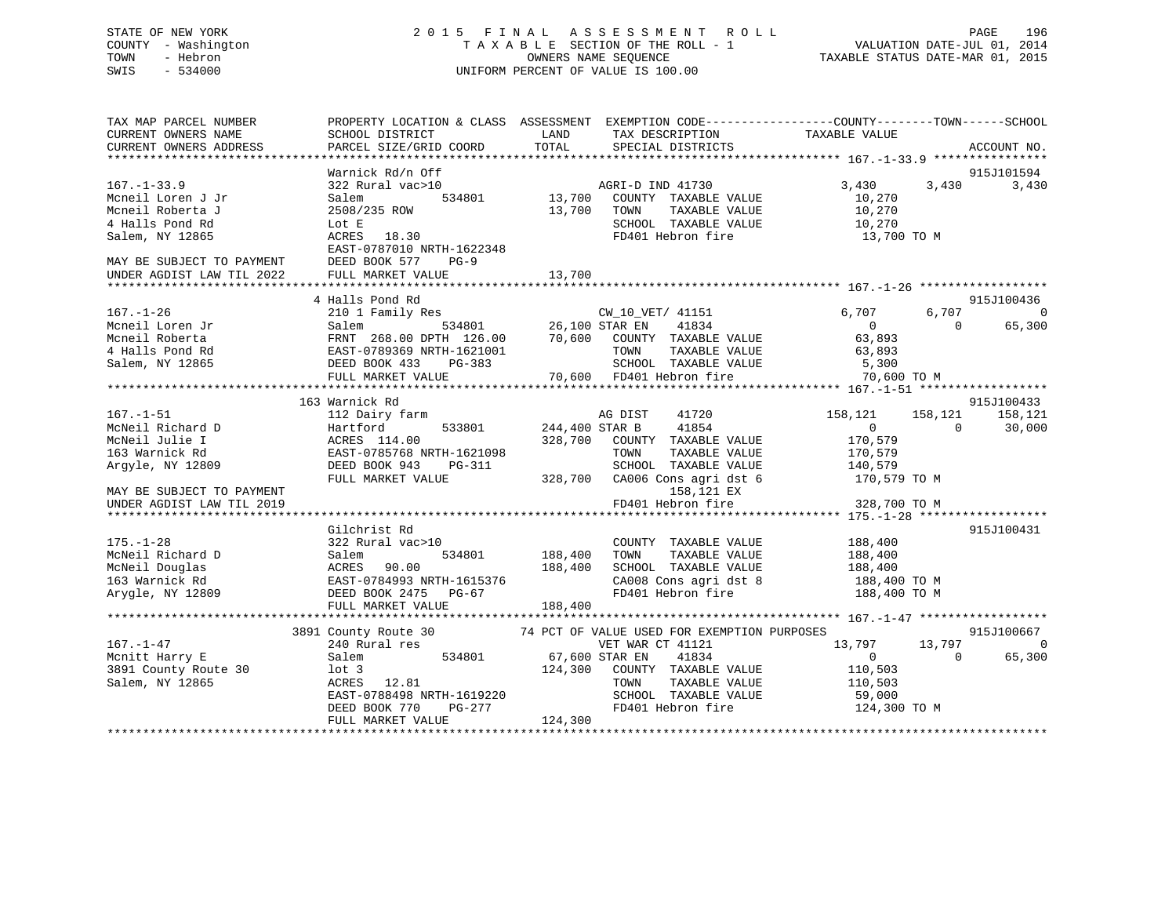# STATE OF NEW YORK 2 0 1 5 F I N A L A S S E S S M E N T R O L L PAGE 196 COUNTY - Washington T A X A B L E SECTION OF THE ROLL - 1 VALUATION DATE-JUL 01, 2014 TOWN - Hebron OWNERS NAME SEQUENCE TAXABLE STATUS DATE-MAR 01, 2015 SWIS - 534000 UNIFORM PERCENT OF VALUE IS 100.00

| TAX MAP PARCEL NUMBER                                                                    | PROPERTY LOCATION & CLASS ASSESSMENT EXEMPTION CODE---------------COUNTY-------TOWN------SCHOOL                                                                                                                                                                                                                                                      |                       |                                                                                          |                    |           |             |
|------------------------------------------------------------------------------------------|------------------------------------------------------------------------------------------------------------------------------------------------------------------------------------------------------------------------------------------------------------------------------------------------------------------------------------------------------|-----------------------|------------------------------------------------------------------------------------------|--------------------|-----------|-------------|
| CURRENT OWNERS NAME                                                                      | SCHOOL DISTRICT                                                                                                                                                                                                                                                                                                                                      | LAND                  | TAX DESCRIPTION                                                                          | TAXABLE VALUE      |           |             |
| CURRENT OWNERS ADDRESS                                                                   | PARCEL SIZE/GRID COORD                                                                                                                                                                                                                                                                                                                               | TOTAL                 | SPECIAL DISTRICTS                                                                        |                    |           | ACCOUNT NO. |
|                                                                                          |                                                                                                                                                                                                                                                                                                                                                      |                       |                                                                                          |                    |           |             |
|                                                                                          | Warnick Rd/n Off                                                                                                                                                                                                                                                                                                                                     |                       |                                                                                          |                    |           | 915J101594  |
| $167. - 1 - 33.9$                                                                        | 322 Rural vac>10                                                                                                                                                                                                                                                                                                                                     |                       |                                                                                          | 3,430              | 3,430     | 3,430       |
| Mcneil Loren J Jr                                                                        | Salem                                                                                                                                                                                                                                                                                                                                                |                       | )<br>534801 13,700 COUNTY TAXABLE VALUE                                                  | 10,270             |           |             |
| Mcneil Roberta J                                                                         | 2508/235 ROW                                                                                                                                                                                                                                                                                                                                         | 13,700                | TAXABLE VALUE<br>TOWN                                                                    |                    |           |             |
| 4 Halls Pond Rd                                                                          | Lot E                                                                                                                                                                                                                                                                                                                                                |                       | SCHOOL TAXABLE VALUE                                                                     | 10,270<br>10,270   |           |             |
| Salem, NY 12865                                                                          | 18.30<br>ACRES                                                                                                                                                                                                                                                                                                                                       |                       | FD401 Hebron fire                                                                        | 13,700 TO M        |           |             |
|                                                                                          | EAST-0787010 NRTH-1622348                                                                                                                                                                                                                                                                                                                            |                       |                                                                                          |                    |           |             |
|                                                                                          | $PG-9$                                                                                                                                                                                                                                                                                                                                               |                       |                                                                                          |                    |           |             |
| MAY BE SUBJECT TO PAYMENT DEED BOOK 577 I<br>UNDER AGDIST LAW TIL 2022 FULL MARKET VALUE |                                                                                                                                                                                                                                                                                                                                                      |                       |                                                                                          |                    |           |             |
|                                                                                          |                                                                                                                                                                                                                                                                                                                                                      |                       |                                                                                          |                    |           |             |
|                                                                                          | 4 Halls Pond Rd                                                                                                                                                                                                                                                                                                                                      |                       |                                                                                          |                    |           | 915J100436  |
| $167. - 1 - 26$                                                                          | 210 1 Family Res                                                                                                                                                                                                                                                                                                                                     |                       | CW_10_VET/ 41151                                                                         | 6,707              | 6,707     | 0           |
|                                                                                          |                                                                                                                                                                                                                                                                                                                                                      |                       |                                                                                          | $\overline{0}$     | $\bigcap$ | 65,300      |
|                                                                                          | Salem 534801 26,100 STAR EN 41834<br>FRNT 268.00 DPTH 126.00 70,600 COUNTY TAXABLE VALUE<br>Moneil Loren Jr<br>Moneil Roberta<br>4 Halls Pond Rd<br>Salem, NY 12865<br>Salem, NY 12865<br>Salem, NY 12865<br>Salem, NY 12865<br>Salem, NY 12865<br>Salem, NY 12865<br>Salem, NY 12865<br>Salem, NY 12865<br>Salem, NY 12865<br>Salem, NY 12865<br>Sa |                       |                                                                                          | 63,893             |           |             |
|                                                                                          |                                                                                                                                                                                                                                                                                                                                                      |                       |                                                                                          |                    |           |             |
|                                                                                          | EAST-0789369 NRTH-1621001<br>DEED BOOK 433 PG-383                                                                                                                                                                                                                                                                                                    |                       | TOWN TAXABLE VALUE 63,893<br>SCHOOL TAXABLE VALUE 5,300<br>FD401 Hebron fire 70,600 TO M |                    |           |             |
|                                                                                          |                                                                                                                                                                                                                                                                                                                                                      |                       |                                                                                          |                    |           |             |
|                                                                                          | FULL MARKET VALUE                                                                                                                                                                                                                                                                                                                                    |                       | 70,600 FD401 Hebron fire                                                                 |                    |           |             |
|                                                                                          |                                                                                                                                                                                                                                                                                                                                                      |                       |                                                                                          |                    |           |             |
|                                                                                          | 163 Warnick Rd                                                                                                                                                                                                                                                                                                                                       |                       |                                                                                          |                    |           | 915J100433  |
| $167. - 1 - 51$                                                                          | 112 Dairy farm                                                                                                                                                                                                                                                                                                                                       |                       | 41720<br>AG DIST                                                                         | 158,121            | 158,121   | 158,121     |
| McNeil Richard D                                                                         | Hartford                                                                                                                                                                                                                                                                                                                                             | 533801 244,400 STAR B | 41854                                                                                    | $\overline{0}$     | $\Omega$  | 30,000      |
| McNeil Julie I                                                                           | ACRES 114.00                                                                                                                                                                                                                                                                                                                                         |                       | 328,700 COUNTY TAXABLE VALUE                                                             | 170,579            |           |             |
| 163 Warnick Rd                                                                           | EAST-0785768 NRTH-1621098                                                                                                                                                                                                                                                                                                                            |                       | TOWN<br>TAXABLE VALUE                                                                    | 170,579            |           |             |
| Arqyle, NY 12809                                                                         | DEED BOOK 943<br>PG-311                                                                                                                                                                                                                                                                                                                              |                       | SCHOOL TAXABLE VALUE                                                                     | 140,579            |           |             |
|                                                                                          | FULL MARKET VALUE                                                                                                                                                                                                                                                                                                                                    |                       |                                                                                          |                    |           |             |
| MAY BE SUBJECT TO PAYMENT                                                                |                                                                                                                                                                                                                                                                                                                                                      |                       | 158,121 EX                                                                               |                    |           |             |
| UNDER AGDIST LAW TIL 2019                                                                |                                                                                                                                                                                                                                                                                                                                                      |                       | FD401 Hebron fire                                                                        | 328,700 TO M       |           |             |
|                                                                                          |                                                                                                                                                                                                                                                                                                                                                      |                       |                                                                                          |                    |           |             |
|                                                                                          | Gilchrist Rd                                                                                                                                                                                                                                                                                                                                         |                       |                                                                                          |                    |           | 915J100431  |
| $175. - 1 - 28$                                                                          | 322 Rural vac>10                                                                                                                                                                                                                                                                                                                                     |                       | COUNTY TAXABLE VALUE                                                                     |                    |           |             |
| McNeil Richard D                                                                         | 534801<br>Salem                                                                                                                                                                                                                                                                                                                                      | 188,400               | TAXABLE VALUE<br>TOWN                                                                    | 188,400<br>188,400 |           |             |
|                                                                                          |                                                                                                                                                                                                                                                                                                                                                      |                       |                                                                                          |                    |           |             |
|                                                                                          |                                                                                                                                                                                                                                                                                                                                                      |                       |                                                                                          |                    |           |             |
|                                                                                          | MCNeil Douglas<br>McNeil Douglas<br>McNeil Douglas<br>McNeil Douglas<br>McNeil Douglas<br>McNeil Douglas<br>McNeil Douglas<br>McNeil Douglas<br>McNeil Douglas<br>McNeil Douglas<br>McNeil Douglas<br>McNeil Douglas<br>McNeil Douglas<br>McNeil Douglas                                                                                             |                       |                                                                                          |                    |           |             |
|                                                                                          |                                                                                                                                                                                                                                                                                                                                                      |                       |                                                                                          |                    |           |             |
|                                                                                          |                                                                                                                                                                                                                                                                                                                                                      |                       |                                                                                          |                    |           |             |
|                                                                                          | 3891 County Route 30 74 PCT OF VALUE USED FOR EXEMPTION PURPOSES                                                                                                                                                                                                                                                                                     |                       |                                                                                          |                    |           | 915J100667  |
| $167. - 1 - 47$                                                                          | 240 Rural res                                                                                                                                                                                                                                                                                                                                        |                       | VET WAR CT 41121                                                                         | 13,797             | 13,797    | $\mathbf 0$ |
| Mcnitt Harry E                                                                           | Salem                                                                                                                                                                                                                                                                                                                                                | 534801 67,600 STAR EN | 41834                                                                                    | $\overline{0}$     | $\Omega$  | 65,300      |
| 3891 County Route 30                                                                     | lot 3                                                                                                                                                                                                                                                                                                                                                | 124,300               | COUNTY TAXABLE VALUE                                                                     | 110,503            |           |             |
| Salem, NY 12865                                                                          | ACRES 12.81                                                                                                                                                                                                                                                                                                                                          |                       | TOWN<br>TAXABLE VALUE                                                                    | 110,503            |           |             |
|                                                                                          |                                                                                                                                                                                                                                                                                                                                                      |                       | SCHOOL TAXABLE VALUE                                                                     | 59,000             |           |             |
|                                                                                          |                                                                                                                                                                                                                                                                                                                                                      |                       | FD401 Hebron fire 124,300 TO M                                                           |                    |           |             |
|                                                                                          | ACRES 12.81<br>EAST-0788498 NRTH-1619220<br>DEED BOOK 770 PG-277<br>FULL MARKET VALUE 124,300                                                                                                                                                                                                                                                        |                       |                                                                                          |                    |           |             |
|                                                                                          |                                                                                                                                                                                                                                                                                                                                                      |                       |                                                                                          |                    |           |             |
|                                                                                          |                                                                                                                                                                                                                                                                                                                                                      |                       |                                                                                          |                    |           |             |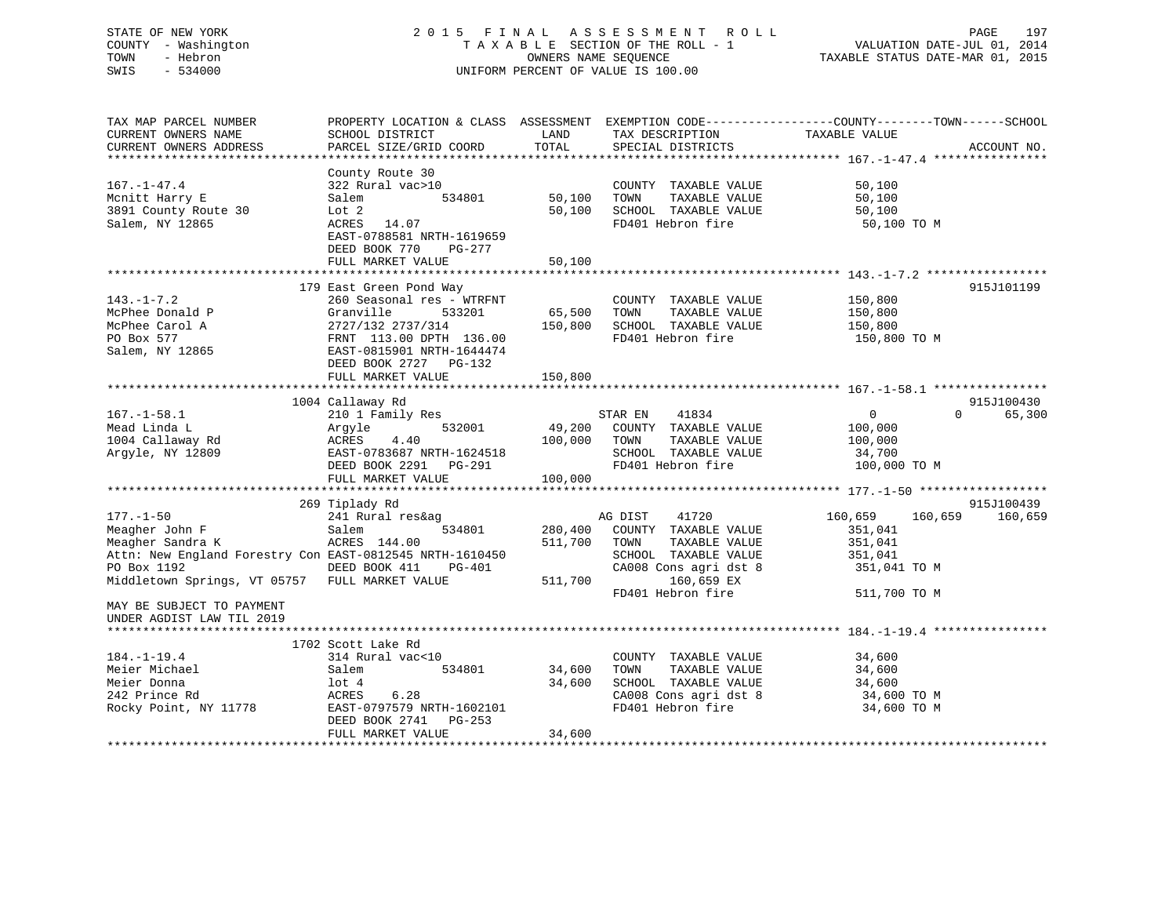# STATE OF NEW YORK 2 0 1 5 F I N A L A S S E S S M E N T R O L L PAGE 197 COUNTY - Washington T A X A B L E SECTION OF THE ROLL - 1 VALUATION DATE-JUL 01, 2014 TOWN - Hebron OWNERS NAME SEQUENCE TAXABLE STATUS DATE-MAR 01, 2015 SWIS - 534000 UNIFORM PERCENT OF VALUE IS 100.00

| TAX MAP PARCEL NUMBER<br>CURRENT OWNERS NAME             | PROPERTY LOCATION & CLASS ASSESSMENT EXEMPTION CODE----------------COUNTY-------TOWN------SCHOOL<br>SCHOOL DISTRICT | LAND    | TAX DESCRIPTION              | TAXABLE VALUE           |             |
|----------------------------------------------------------|---------------------------------------------------------------------------------------------------------------------|---------|------------------------------|-------------------------|-------------|
| CURRENT OWNERS ADDRESS                                   | PARCEL SIZE/GRID COORD                                                                                              | TOTAL   | SPECIAL DISTRICTS            |                         | ACCOUNT NO. |
|                                                          |                                                                                                                     |         |                              |                         |             |
|                                                          | County Route 30                                                                                                     |         |                              |                         |             |
| $167. - 1 - 47.4$                                        | 322 Rural vac>10                                                                                                    |         | COUNTY TAXABLE VALUE         | 50,100                  |             |
| Mcnitt Harry E                                           | Salem<br>534801                                                                                                     | 50,100  | TOWN<br>TAXABLE VALUE        | 50,100                  |             |
| 3891 County Route 30                                     | Lot 2                                                                                                               | 50,100  | SCHOOL TAXABLE VALUE         | 50,100                  |             |
| Salem, NY 12865                                          | ACRES 14.07                                                                                                         |         | FD401 Hebron fire            | 50,100 TO M             |             |
|                                                          | EAST-0788581 NRTH-1619659                                                                                           |         |                              |                         |             |
|                                                          | DEED BOOK 770<br>PG-277                                                                                             |         |                              |                         |             |
|                                                          | FULL MARKET VALUE                                                                                                   | 50,100  |                              |                         |             |
|                                                          |                                                                                                                     |         |                              |                         |             |
|                                                          | 179 East Green Pond Way                                                                                             |         |                              |                         | 915J101199  |
| $143. - 1 - 7.2$                                         | 260 Seasonal res - WTRFNT                                                                                           |         | COUNTY TAXABLE VALUE         | 150,800                 |             |
| McPhee Donald P                                          | 533201<br>Granville                                                                                                 | 65,500  | TAXABLE VALUE<br>TOWN        | 150,800                 |             |
| McPhee Carol A                                           | 2727/132 2737/314                                                                                                   | 150,800 | SCHOOL TAXABLE VALUE         | 150,800                 |             |
| PO Box 577                                               | FRNT 113.00 DPTH 136.00                                                                                             |         | FD401 Hebron fire            | 150,800 TO M            |             |
| Salem, NY 12865                                          | EAST-0815901 NRTH-1644474                                                                                           |         |                              |                         |             |
|                                                          | DEED BOOK 2727 PG-132                                                                                               |         |                              |                         |             |
|                                                          | FULL MARKET VALUE                                                                                                   | 150,800 |                              |                         |             |
|                                                          |                                                                                                                     |         |                              |                         |             |
|                                                          | 1004 Callaway Rd                                                                                                    |         |                              |                         | 915J100430  |
| $167. - 1 - 58.1$                                        | 210 1 Family Res                                                                                                    |         | STAR EN<br>41834             | $\mathbf 0$<br>$\Omega$ | 65,300      |
| Mead Linda L                                             | Argyle<br>532001                                                                                                    | 49,200  | COUNTY TAXABLE VALUE         | 100,000                 |             |
| 1004 Callaway Rd                                         | ACRES<br>4.40                                                                                                       | 100,000 | TOWN<br>TAXABLE VALUE        | 100,000                 |             |
| Arqyle, NY 12809                                         | EAST-0783687 NRTH-1624518                                                                                           |         | SCHOOL TAXABLE VALUE         | 34,700                  |             |
|                                                          | DEED BOOK 2291 PG-291                                                                                               |         | FD401 Hebron fire            | 100,000 TO M            |             |
|                                                          | FULL MARKET VALUE                                                                                                   | 100,000 |                              |                         |             |
|                                                          |                                                                                                                     |         |                              |                         |             |
|                                                          | 269 Tiplady Rd                                                                                                      |         |                              |                         | 915J100439  |
| $177. - 1 - 50$                                          | 241 Rural res&ag                                                                                                    |         | AG DIST<br>41720             | 160,659<br>160,659      | 160,659     |
| Meagher John F                                           | Salem<br>534801                                                                                                     | 280,400 | COUNTY TAXABLE VALUE         | 351,041                 |             |
| Meagher Sandra K                                         | ACRES 144.00                                                                                                        | 511,700 | TAXABLE VALUE<br>TOWN        | 351,041                 |             |
| Attn: New England Forestry Con EAST-0812545 NRTH-1610450 |                                                                                                                     |         | SCHOOL TAXABLE VALUE         | 351,041                 |             |
| PO Box 1192                                              | DEED BOOK 411<br>PG-401                                                                                             |         | CA008 Cons agri dst 8        | 351,041 TO M            |             |
| Middletown Springs, VT 05757 FULL MARKET VALUE           |                                                                                                                     | 511,700 | 160,659 EX                   |                         |             |
|                                                          |                                                                                                                     |         | FD401 Hebron fire            | 511,700 TO M            |             |
| MAY BE SUBJECT TO PAYMENT                                |                                                                                                                     |         |                              |                         |             |
| UNDER AGDIST LAW TIL 2019                                |                                                                                                                     |         |                              |                         |             |
|                                                          | 1702 Scott Lake Rd                                                                                                  |         |                              |                         |             |
|                                                          |                                                                                                                     |         |                              | 34,600                  |             |
| $184. - 1 - 19.4$<br>Meier Michael                       | 314 Rural vac<10<br>534801                                                                                          | 34,600  | COUNTY TAXABLE VALUE<br>TOWN |                         |             |
| Meier Donna                                              | Salem                                                                                                               |         | TAXABLE VALUE                | 34,600                  |             |
|                                                          | lot 4<br>ACRES                                                                                                      | 34,600  | SCHOOL TAXABLE VALUE         | 34,600                  |             |
| 242 Prince Rd                                            | 6.28                                                                                                                |         | CA008 Cons agri dst 8        | 34,600 TO M             |             |
| Rocky Point, NY 11778                                    | EAST-0797579 NRTH-1602101<br>DEED BOOK 2741<br>$PG-253$                                                             |         | FD401 Hebron fire            | 34,600 TO M             |             |
|                                                          | FULL MARKET VALUE                                                                                                   | 34,600  |                              |                         |             |
|                                                          |                                                                                                                     |         |                              |                         |             |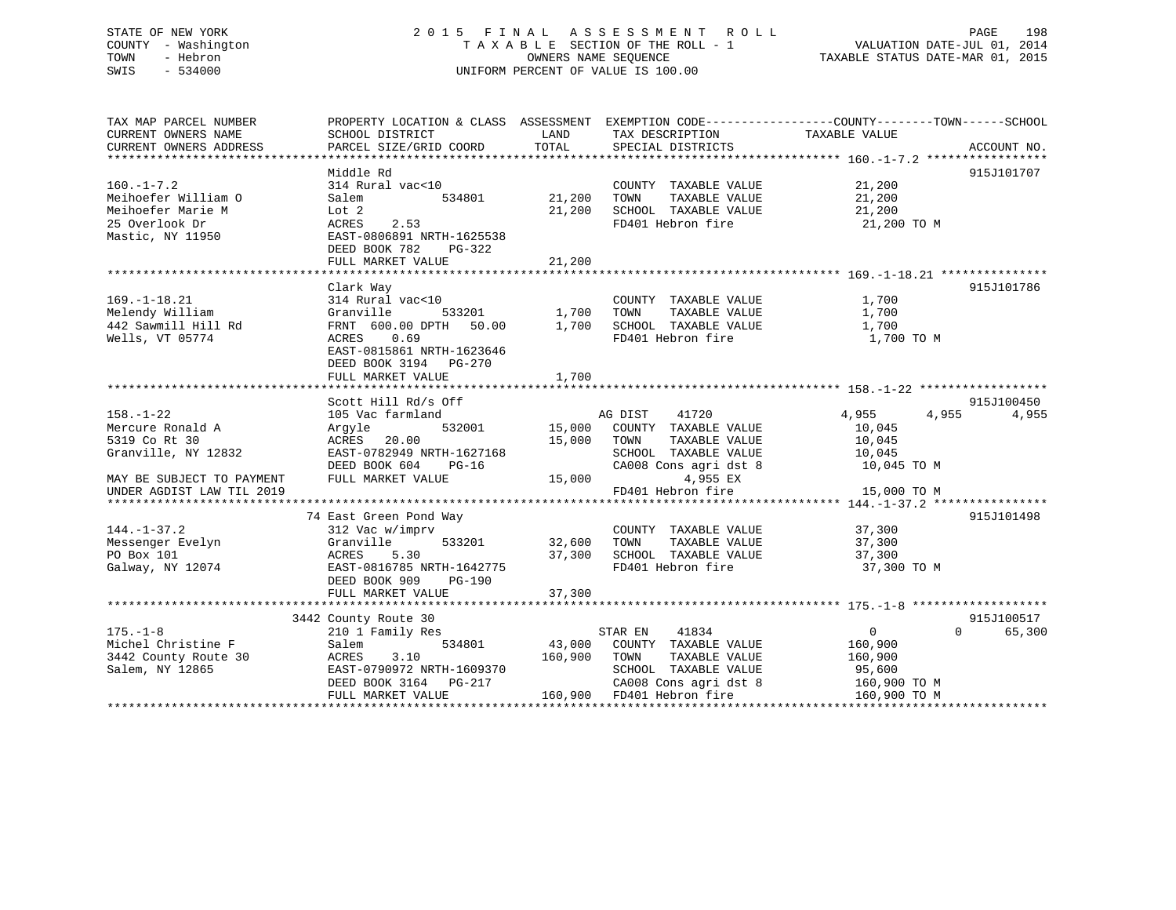# STATE OF NEW YORK 2 0 1 5 F I N A L A S S E S S M E N T R O L L PAGE 198 COUNTY - Washington T A X A B L E SECTION OF THE ROLL - 1 VALUATION DATE-JUL 01, 2014 TOWN - Hebron OWNERS NAME SEQUENCE TAXABLE STATUS DATE-MAR 01, 2015 SWIS - 534000 UNIFORM PERCENT OF VALUE IS 100.00

| TAX MAP PARCEL NUMBER     | PROPERTY LOCATION & CLASS ASSESSMENT EXEMPTION CODE---------------COUNTY-------TOWN-----SCHOOL |                   |                                    |                       |                    |
|---------------------------|------------------------------------------------------------------------------------------------|-------------------|------------------------------------|-----------------------|--------------------|
| CURRENT OWNERS NAME       | SCHOOL DISTRICT                                                                                | LAND              | TAX DESCRIPTION                    | TAXABLE VALUE         |                    |
| CURRENT OWNERS ADDRESS    | PARCEL SIZE/GRID COORD                                                                         | TOTAL             | SPECIAL DISTRICTS                  |                       | ACCOUNT NO.        |
|                           |                                                                                                |                   |                                    |                       |                    |
|                           | Middle Rd                                                                                      |                   |                                    |                       | 915J101707         |
| $160. - 1 - 7.2$          | 314 Rural vac<10                                                                               |                   | COUNTY TAXABLE VALUE 21,200        |                       |                    |
| Meihoefer William O       | 534801<br>Salem                                                                                | 21,200            | TOWN<br>TAXABLE VALUE              |                       |                    |
| Meihoefer Marie M         | Lot 2                                                                                          | 21,200            | SCHOOL TAXABLE VALUE               | $21,200$<br>$21,200$  |                    |
| 25 Overlook Dr            | ACRES<br>2.53                                                                                  |                   | FD401 Hebron fire                  | 21,200 TO M           |                    |
| Mastic, NY 11950          | EAST-0806891 NRTH-1625538                                                                      |                   |                                    |                       |                    |
|                           | DEED BOOK 782<br>PG-322                                                                        |                   |                                    |                       |                    |
|                           | FULL MARKET VALUE                                                                              | 21,200            |                                    |                       |                    |
|                           |                                                                                                |                   |                                    |                       |                    |
|                           |                                                                                                |                   |                                    |                       | 915J101786         |
|                           | Clark Way                                                                                      |                   |                                    |                       |                    |
| $169. - 1 - 18.21$        | 314 Rural vac<10                                                                               |                   | COUNTY TAXABLE VALUE               | 1,700                 |                    |
| Melendy William           | Granville                                                                                      | 533201 1,700 TOWN | TAXABLE VALUE                      | 1,700                 |                    |
| 442 Sawmill Hill Rd       | FRNT 600.00 DPTH 50.00 1,700                                                                   |                   | SCHOOL TAXABLE VALUE               | 1,700                 |                    |
| Wells, VT 05774           | ACRES<br>0.69                                                                                  |                   | FD401 Hebron fire                  | 1,700 TO M            |                    |
|                           | EAST-0815861 NRTH-1623646                                                                      |                   |                                    |                       |                    |
|                           | DEED BOOK 3194 PG-270                                                                          |                   |                                    |                       |                    |
|                           | FULL MARKET VALUE                                                                              | 1,700             |                                    |                       |                    |
|                           |                                                                                                |                   |                                    |                       |                    |
|                           | Scott Hill Rd/s Off                                                                            |                   |                                    |                       | 915J100450         |
| $158. - 1 - 22$           | 105 Vac farmland                                                                               |                   | 41720<br>AG DIST                   | 4,955<br>4,955        | 4,955              |
| Mercure Ronald A          | Argyle                                                                                         |                   | 532001 15,000 COUNTY TAXABLE VALUE | 10,045                |                    |
| 5319 Co Rt 30             | ACRES<br>20.00                                                                                 | 15,000 TOWN       | TAXABLE VALUE                      | 10,045                |                    |
| Granville, NY 12832       | EAST-0782949 NRTH-1627168                                                                      |                   | SCHOOL TAXABLE VALUE               |                       |                    |
|                           | DEED BOOK 604<br>$PG-16$                                                                       |                   | CA008 Cons agri dst 8              | 10,045<br>10,045 TO M |                    |
| MAY BE SUBJECT TO PAYMENT | FULL MARKET VALUE                                                                              | 15,000            | 4,955 EX                           |                       |                    |
| UNDER AGDIST LAW TIL 2019 |                                                                                                |                   | FD401 Hebron fire                  | 15,000 TO M           |                    |
|                           |                                                                                                |                   |                                    |                       |                    |
|                           | 74 East Green Pond Way                                                                         |                   |                                    |                       | 915J101498         |
| $144. - 1 - 37.2$         | 312 Vac w/imprv                                                                                |                   | COUNTY TAXABLE VALUE               | 37,300                |                    |
| Messenger Evelyn          | Granville                                                                                      | 533201 32,600     | TOWN<br>TAXABLE VALUE              | 37,300                |                    |
| PO Box 101                | 5.30<br>ACRES                                                                                  | 37,300            | SCHOOL TAXABLE VALUE               | 37,300                |                    |
| Galway, NY 12074          | EAST-0816785 NRTH-1642775                                                                      |                   | FD401 Hebron fire                  | 37,300 TO M           |                    |
|                           | DEED BOOK 909<br>PG-190                                                                        |                   |                                    |                       |                    |
|                           | FULL MARKET VALUE                                                                              | 37,300            |                                    |                       |                    |
|                           |                                                                                                |                   |                                    |                       |                    |
|                           | 3442 County Route 30                                                                           |                   |                                    |                       | 915J100517         |
| $175. - 1 - 8$            |                                                                                                |                   | 41834<br>STAR EN                   | $\overline{0}$        | 65,300<br>$\Omega$ |
| Michel Christine F        | 210 1 Family Res<br>534801                                                                     |                   |                                    |                       |                    |
|                           | Salem                                                                                          |                   | 43,000 COUNTY TAXABLE VALUE        | 160,900               |                    |
| 3442 County Route 30      | ACRES<br>3.10                                                                                  |                   | 160,900 TOWN<br>TAXABLE VALUE      | 160,900               |                    |
| Salem, NY 12865           | EAST-0790972 NRTH-1609370                                                                      |                   | SCHOOL TAXABLE VALUE               | 95,600                |                    |
|                           | DEED BOOK 3164 PG-217                                                                          |                   | CA008 Cons agri dst 8              | 160,900 TO M          |                    |
|                           | FULL MARKET VALUE                                                                              |                   | 160,900 FD401 Hebron fire          | 160,900 TO M          |                    |
|                           |                                                                                                |                   |                                    |                       |                    |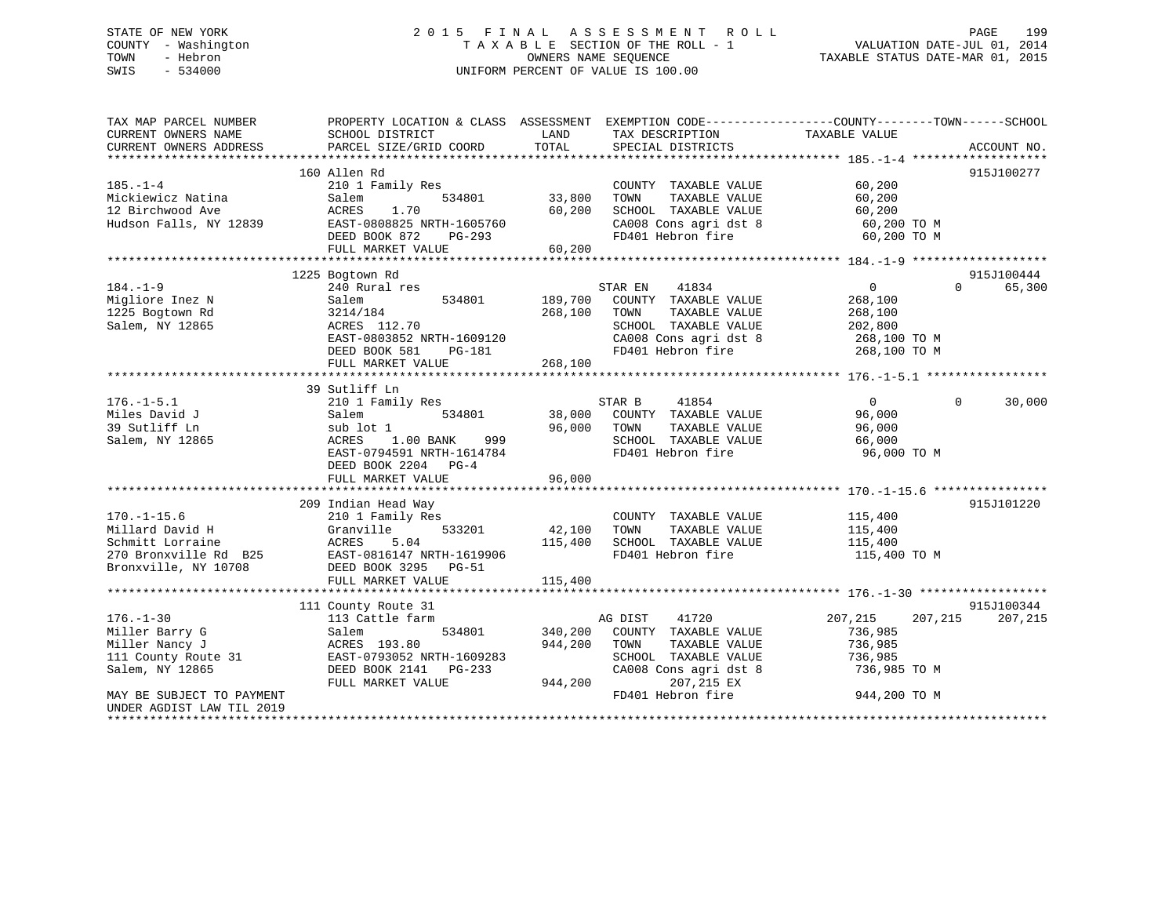# STATE OF NEW YORK 2 0 1 5 F I N A L A S S E S S M E N T R O L L PAGE 199 COUNTY - Washington T A X A B L E SECTION OF THE ROLL - 1 VALUATION DATE-JUL 01, 2014 TOWN - Hebron OWNERS NAME SEQUENCE TAXABLE STATUS DATE-MAR 01, 2015 SWIS - 534000 UNIFORM PERCENT OF VALUE IS 100.00

| TAX MAP PARCEL NUMBER     | PROPERTY LOCATION & CLASS ASSESSMENT |                                                                      | EXEMPTION CODE-----------------COUNTY-------TOWN------SCHOOL |
|---------------------------|--------------------------------------|----------------------------------------------------------------------|--------------------------------------------------------------|
| CURRENT OWNERS NAME       | SCHOOL DISTRICT                      | LAND<br>TAX DESCRIPTION                                              | TAXABLE VALUE                                                |
| CURRENT OWNERS ADDRESS    | PARCEL SIZE/GRID COORD               | TOTAL<br>SPECIAL DISTRICTS                                           | ACCOUNT NO.                                                  |
|                           |                                      |                                                                      |                                                              |
|                           | 160 Allen Rd                         |                                                                      | 915J100277                                                   |
| $185. - 1 - 4$            | 210 1 Family Res                     | COUNTY TAXABLE VALUE                                                 | 60,200                                                       |
| Mickiewicz Natina         | 534801<br>Salem                      | 33,800<br>TAXABLE VALUE<br>TOWN                                      | 60,200                                                       |
| 12 Birchwood Ave          | ACRES<br>1.70                        | 60,200<br>SCHOOL TAXABLE VALUE                                       | 60,200                                                       |
| Hudson Falls, NY 12839    | EAST-0808825 NRTH-1605760            | CA008 Cons agri dst 8                                                | 60,200 TO M                                                  |
|                           | DEED BOOK 872<br>PG-293              | FD401 Hebron fire                                                    | 60,200 TO M                                                  |
|                           | FULL MARKET VALUE                    | 60,200                                                               |                                                              |
|                           |                                      |                                                                      |                                                              |
|                           | 1225 Bogtown Rd                      |                                                                      | 915J100444                                                   |
| $184. - 1 - 9$            | 240 Rural res                        | STAR EN<br>41834                                                     | $\overline{0}$<br>$\Omega$<br>65,300                         |
| Migliore Inez N           | Salem<br>534801                      | 189,700<br>COUNTY TAXABLE VALUE                                      | 268,100                                                      |
| 1225 Bogtown Rd           | 3214/184                             | 268,100<br>TOWN<br>TAXABLE VALUE                                     | 268,100                                                      |
| Salem, NY 12865           | ACRES 112.70                         | SCHOOL TAXABLE VALUE                                                 | 202,800                                                      |
|                           | EAST-0803852 NRTH-1609120            |                                                                      |                                                              |
|                           | DEED BOOK 581<br><b>PG-181</b>       | CA008 Cons agri dst 8 268,100 TO M<br>FD401 Hebron fire 268,100 TO M |                                                              |
|                           | FULL MARKET VALUE                    | 268,100                                                              |                                                              |
|                           |                                      |                                                                      |                                                              |
|                           | 39 Sutliff Ln                        |                                                                      |                                                              |
| $176. - 1 - 5.1$          | 210 1 Family Res                     | STAR B<br>41854                                                      | $\Omega$<br>$\Omega$<br>30,000                               |
| Miles David J             | 534801<br>Salem                      | 38,000 COUNTY TAXABLE VALUE                                          | 96,000                                                       |
| 39 Sutliff Ln             | sub lot 1                            | 96,000<br>TOWN<br>TAXABLE VALUE                                      | 96,000                                                       |
| Salem, NY 12865           | ACRES<br>$1.00$ BANK                 | SCHOOL TAXABLE VALUE                                                 | 66,000                                                       |
|                           |                                      | 999<br>FD401 Hebron fire                                             |                                                              |
|                           | EAST-0794591 NRTH-1614784            |                                                                      | 96,000 TO M                                                  |
|                           | DEED BOOK 2204 PG-4                  |                                                                      |                                                              |
|                           | FULL MARKET VALUE                    | 96,000                                                               |                                                              |
|                           |                                      |                                                                      |                                                              |
|                           | 209 Indian Head Way                  |                                                                      | 915J101220                                                   |
| $170. - 1 - 15.6$         | 210 1 Family Res                     | COUNTY TAXABLE VALUE                                                 | 115,400                                                      |
| Millard David H           | Granville                            | 533201 42,100<br>TOWN<br>TAXABLE VALUE                               | 115,400                                                      |
| Schmitt Lorraine          | ACRES<br>5.04                        | SCHOOL TAXABLE VALUE<br>115,400                                      | 115,400                                                      |
| 270 Bronxville Rd B25     | EAST-0816147 NRTH-1619906            | FD401 Hebron fire                                                    | 115,400 TO M                                                 |
| Bronxville, NY 10708      | DEED BOOK 3295 PG-51                 |                                                                      |                                                              |
|                           | FULL MARKET VALUE                    | 115,400                                                              |                                                              |
|                           |                                      |                                                                      |                                                              |
|                           | 111 County Route 31                  |                                                                      | 915J100344                                                   |
| $176. - 1 - 30$           | 113 Cattle farm                      | AG DIST<br>41720                                                     | 207,215<br>207,215<br>207,215                                |
| Miller Barry G            | Salem<br>534801                      | 340,200 COUNTY TAXABLE VALUE                                         | 736,985                                                      |
| Miller Nancy J            | ACRES 193.80                         | 944,200<br>TAXABLE VALUE<br>TOWN                                     | 736,985                                                      |
| 111 County Route 31       | EAST-0793052 NRTH-1609283            | SCHOOL TAXABLE VALUE                                                 | 736,985                                                      |
| Salem, NY 12865           | DEED BOOK 2141    PG-233             | CA008 Cons agri dst 8                                                | 736,985 TO M                                                 |
|                           | FULL MARKET VALUE                    | 944,200<br>207,215 EX                                                |                                                              |
| MAY BE SUBJECT TO PAYMENT |                                      | FD401 Hebron fire                                                    | 944,200 TO M                                                 |
| UNDER AGDIST LAW TIL 2019 |                                      |                                                                      |                                                              |
|                           |                                      |                                                                      |                                                              |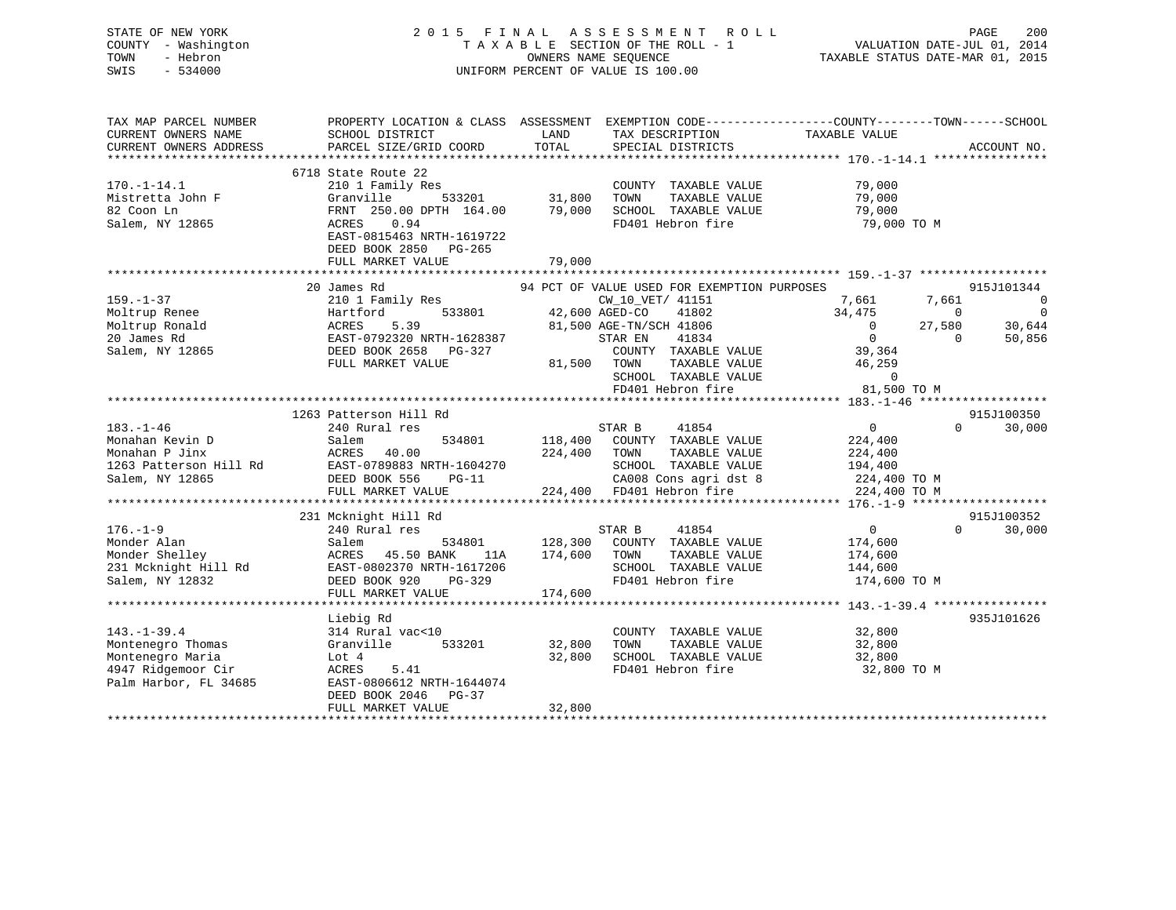# STATE OF NEW YORK 2 0 1 5 F I N A L A S S E S S M E N T R O L L PAGE 200 COUNTY - Washington T A X A B L E SECTION OF THE ROLL - 1 VALUATION DATE-JUL 01, 2014 TOWN - Hebron OWNERS NAME SEQUENCE TAXABLE STATUS DATE-MAR 01, 2015 SWIS - 534000 UNIFORM PERCENT OF VALUE IS 100.00

| TAX MAP PARCEL NUMBER   | PROPERTY LOCATION & CLASS ASSESSMENT               |                                                                                    |                                                                                  | EXEMPTION CODE-----------------COUNTY--------TOWN------SCHOOL |                |
|-------------------------|----------------------------------------------------|------------------------------------------------------------------------------------|----------------------------------------------------------------------------------|---------------------------------------------------------------|----------------|
| CURRENT OWNERS NAME     | SCHOOL DISTRICT                                    | LAND                                                                               | TAX DESCRIPTION                                                                  | TAXABLE VALUE                                                 |                |
| CURRENT OWNERS ADDRESS  | PARCEL SIZE/GRID COORD                             | TOTAL                                                                              | SPECIAL DISTRICTS                                                                |                                                               | ACCOUNT NO.    |
| *********************** |                                                    |                                                                                    |                                                                                  |                                                               |                |
|                         | 6718 State Route 22                                |                                                                                    |                                                                                  |                                                               |                |
| $170. - 1 - 14.1$       | 210 1 Family Res                                   |                                                                                    | COUNTY TAXABLE VALUE                                                             | 79,000                                                        |                |
| Mistretta John F        | Granville                                          |                                                                                    | TOWN<br>TAXABLE VALUE                                                            | 79,000                                                        |                |
| 82 Coon Ln              | FRNT 250.00 DPTH 164.00                            |                                                                                    | 79,000 SCHOOL TAXABLE VALUE                                                      | 79,000<br>79,000                                              |                |
| Salem, NY 12865         | ACRES<br>0.94                                      |                                                                                    | FD401 Hebron fire                                                                | 79,000 TO M                                                   |                |
|                         | EAST-0815463 NRTH-1619722                          |                                                                                    |                                                                                  |                                                               |                |
|                         | DEED BOOK 2850 PG-265                              |                                                                                    |                                                                                  |                                                               |                |
|                         | FULL MARKET VALUE                                  | 79,000                                                                             |                                                                                  |                                                               |                |
|                         |                                                    |                                                                                    |                                                                                  |                                                               |                |
|                         | 20 James Rd                                        |                                                                                    | 94 PCT OF VALUE USED FOR EXEMPTION PURPOSES                                      |                                                               | 915J101344     |
| $159. - 1 - 37$         | 210 1 Family Res                                   |                                                                                    | CW_10_VET/ 41151                                                                 | 7,661 7,661                                                   | $\sim$ 0       |
| Moltrup Renee           | 533801<br>Hartford                                 | $\begin{array}{c} \text{CW\_10\_VET/} \\ \text{42,600 \text{ AGED-CO} \end{array}$ |                                                                                  | 34,475<br>$\overline{0}$                                      | $\overline{0}$ |
| Moltrup Ronald          | ACRES<br>5.39                                      |                                                                                    | 42,600 AGED-CO 41802<br>81,500 AGE-TN/SCH 41806                                  | $\begin{matrix} 0 \\ 0 \end{matrix}$<br>27,580                | 30,644         |
| 20 James Rd             |                                                    |                                                                                    | STAR EN<br>41834                                                                 | $\overline{0}$<br>$\overline{0}$                              | 50,856         |
|                         | EAST-0792320 NRTH-1628387<br>DEED BOOK 2658 PG-327 |                                                                                    |                                                                                  | 39,364                                                        |                |
| Salem, NY 12865         |                                                    |                                                                                    | COUNTY TAXABLE VALUE                                                             |                                                               |                |
|                         | FULL MARKET VALUE                                  |                                                                                    | 81,500 TOWN<br>TAXABLE VALUE                                                     | 46,259                                                        |                |
|                         |                                                    |                                                                                    | SCHOOL TAXABLE VALUE 0<br>FD401 Hebron fire 81,500 TO M                          |                                                               |                |
|                         |                                                    |                                                                                    |                                                                                  |                                                               |                |
|                         |                                                    |                                                                                    |                                                                                  |                                                               |                |
|                         | 1263 Patterson Hill Rd                             |                                                                                    |                                                                                  |                                                               | 915J100350     |
| $183. - 1 - 46$         | 240 Rural res                                      |                                                                                    | 41854<br>STAR B                                                                  | $\overline{0}$<br>$\Omega$                                    | 30,000         |
| Monahan Kevin D         | Salem<br>534801                                    |                                                                                    | 118,400 COUNTY TAXABLE VALUE                                                     | 224,400                                                       |                |
| Monahan P Jinx          |                                                    | 224,400 TOWN                                                                       | TAXABLE VALUE                                                                    | 224,400                                                       |                |
| 1263 Patterson Hill Rd  |                                                    |                                                                                    | SCHOOL TAXABLE VALUE                                                             | 194,400                                                       |                |
| Salem, NY 12865         |                                                    |                                                                                    | CA008 Cons agri dst 8 224,400 TO M                                               |                                                               |                |
|                         | FULL MARKET VALUE                                  |                                                                                    | 224,400 FD401 Hebron fire                                                        | 224,400 TO M                                                  |                |
|                         |                                                    |                                                                                    |                                                                                  |                                                               |                |
|                         | 231 Mcknight Hill Rd                               |                                                                                    |                                                                                  |                                                               | 915J100352     |
| $176. - 1 - 9$          | 240 Rural res                                      |                                                                                    | 41854<br>STAR B                                                                  | $\overline{0}$<br>$\Omega$                                    | 30,000         |
| Monder Alan             | Salem                                              |                                                                                    | 534801 128,300 COUNTY TAXABLE VALUE<br>45.50 BANK 11A 174,600 TOWN TAXABLE VALUE | 174,600                                                       |                |
| Monder Shelley          | ACRES 45.50 BANK                                   |                                                                                    |                                                                                  | 174,600                                                       |                |
|                         | 231 Mcknight Hill Rd EAST-0802370 NRTH-1617206     |                                                                                    | SCHOOL TAXABLE VALUE 144,600                                                     |                                                               |                |
| Salem, NY 12832         | DEED BOOK 920<br>PG-329                            |                                                                                    | FD401 Hebron fire                                                                | 174,600 TO M                                                  |                |
|                         | FULL MARKET VALUE                                  | 174,600                                                                            |                                                                                  |                                                               |                |
|                         |                                                    |                                                                                    |                                                                                  |                                                               |                |
|                         | Liebig Rd                                          |                                                                                    |                                                                                  |                                                               | 935J101626     |
| $143. - 1 - 39.4$       | 314 Rural vac<10                                   |                                                                                    | COUNTY TAXABLE VALUE                                                             | 32,800<br>32.800                                              |                |
| Montenegro Thomas       | 533201<br>Granville                                | 32,800                                                                             | TOWN<br>TAXABLE VALUE                                                            | 32,800                                                        |                |
| Montenegro Maria        | Lot 4                                              | 32,800                                                                             | SCHOOL TAXABLE VALUE                                                             | 32,800                                                        |                |
| 4947 Ridgemoor Cir      | ACRES<br>5.41                                      |                                                                                    | FD401 Hebron fire                                                                | 32,800 TO M                                                   |                |
| Palm Harbor, FL 34685   | EAST-0806612 NRTH-1644074                          |                                                                                    |                                                                                  |                                                               |                |
|                         | DEED BOOK 2046 PG-37                               |                                                                                    |                                                                                  |                                                               |                |
|                         | FULL MARKET VALUE                                  | 32,800                                                                             |                                                                                  |                                                               |                |
|                         |                                                    |                                                                                    |                                                                                  |                                                               |                |
|                         |                                                    |                                                                                    |                                                                                  |                                                               |                |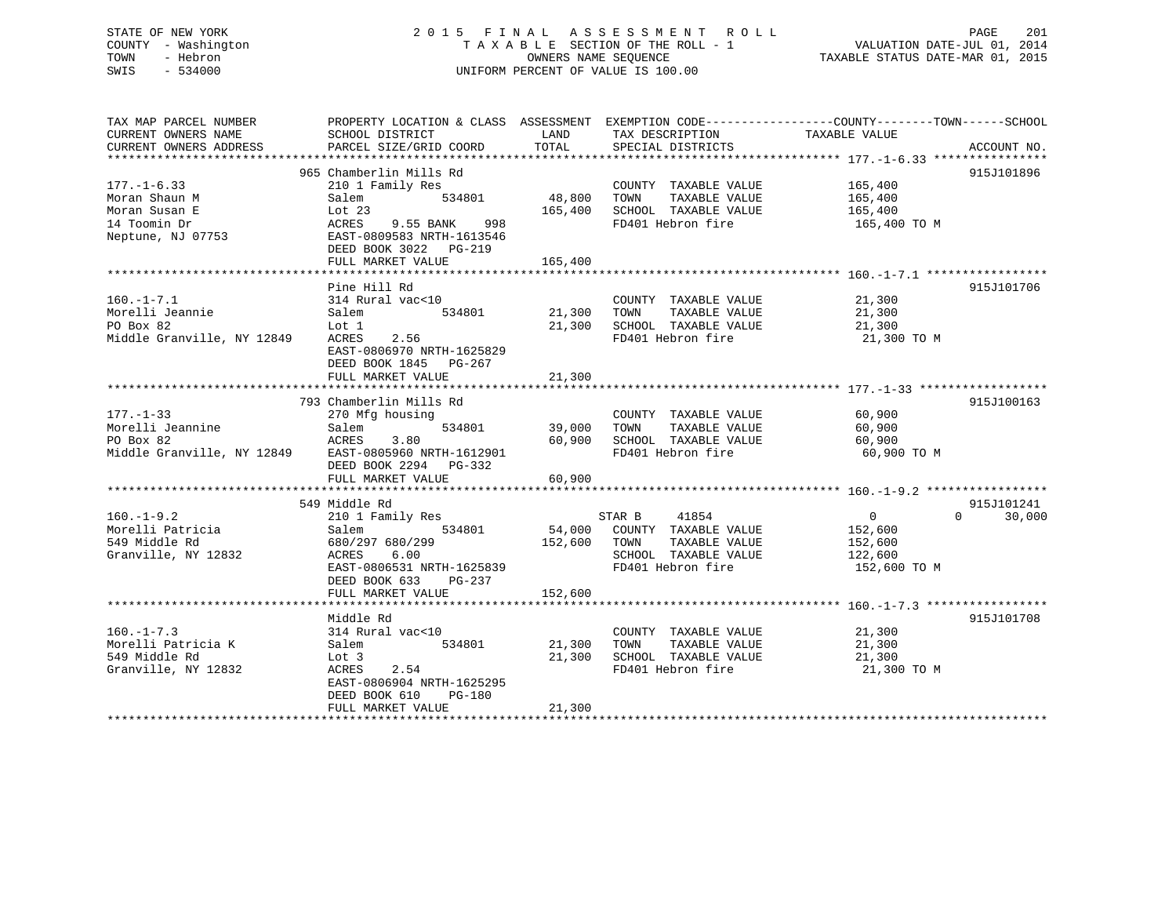# STATE OF NEW YORK 2 0 1 5 F I N A L A S S E S S M E N T R O L L PAGE 201 COUNTY - Washington T A X A B L E SECTION OF THE ROLL - 1 VALUATION DATE-JUL 01, 2014 TOWN - Hebron OWNERS NAME SEQUENCE TAXABLE STATUS DATE-MAR 01, 2015 SWIS - 534000 UNIFORM PERCENT OF VALUE IS 100.00UNIFORM PERCENT OF VALUE IS 100.00

| TAX MAP PARCEL NUMBER<br>CURRENT OWNERS NAME                                                             | PROPERTY LOCATION & CLASS ASSESSMENT EXEMPTION CODE----------------COUNTY-------TOWN------SCHOOL<br>SCHOOL DISTRICT                                                | LAND                              | TAX DESCRIPTION                                                                                                              | TAXABLE VALUE                                        |                    |
|----------------------------------------------------------------------------------------------------------|--------------------------------------------------------------------------------------------------------------------------------------------------------------------|-----------------------------------|------------------------------------------------------------------------------------------------------------------------------|------------------------------------------------------|--------------------|
| CURRENT OWNERS ADDRESS                                                                                   | PARCEL SIZE/GRID COORD                                                                                                                                             | TOTAL                             | SPECIAL DISTRICTS                                                                                                            |                                                      | ACCOUNT NO.        |
|                                                                                                          |                                                                                                                                                                    |                                   |                                                                                                                              |                                                      |                    |
| $177. - 1 - 6.33$<br>Moran Shaun M<br>Moran Susan E<br>14 Toomin Dr                                      | 965 Chamberlin Mills Rd<br>210 1 Family Res<br>534801 48,800<br>Salem<br>Lot $23$<br>ACRES<br>9.55 BANK 998                                                        | 165,400                           | COUNTY TAXABLE VALUE 165,400<br>TAXABLE VALUE<br>TOWN<br>SCHOOL TAXABLE VALUE<br>FD401 Hebron fire 165,400 TO M              | 165,400<br>165,400                                   | 915J101896         |
| Neptune, NJ 07753                                                                                        | EAST-0809583 NRTH-1613546<br>DEED BOOK 3022 PG-219<br>FULL MARKET VALUE                                                                                            | 165,400                           |                                                                                                                              |                                                      |                    |
|                                                                                                          |                                                                                                                                                                    |                                   |                                                                                                                              |                                                      |                    |
| $160. - 1 - 7.1$<br>Morelli Jeannie<br>PO Box 82<br>Middle Granville, NY 12849                           | Pine Hill Rd<br>314 Rural vac<10<br>534801 21,300<br>Salem<br>Lot 1<br>2.56<br>ACRES<br>EAST-0806970 NRTH-1625829<br>DEED BOOK 1845 PG-267                         |                                   | COUNTY TAXABLE VALUE 21,300<br>TOWN<br>TAXABLE VALUE<br>21,300 SCHOOL TAXABLE VALUE<br>FD401 Hebron fire                     | 21,300<br>21,300<br>21,300 TO M                      | 915J101706         |
|                                                                                                          | FULL MARKET VALUE                                                                                                                                                  | 21,300                            |                                                                                                                              |                                                      |                    |
|                                                                                                          |                                                                                                                                                                    |                                   |                                                                                                                              |                                                      |                    |
| $177. - 1 - 33$<br>Morelli Jeannine<br>PO Box 82<br>Middle Granville, NY 12849 EAST-0805960 NRTH-1612901 | 793 Chamberlin Mills Rd<br>270 Mfg housing<br>Salem<br>ACRES<br>3.80<br>DEED BOOK 2294 PG-332<br>FULL MARKET VALUE                                                 | 534801 39,000<br>60,900<br>60,900 | COUNTY TAXABLE VALUE<br>TOWN<br>TAXABLE VALUE<br>SCHOOL TAXABLE VALUE<br>ED401 Hebron fire<br>FD401 Hebron fire              | 60,900<br>60,900<br>60,900<br>60,900 TO M            | 915J100163         |
|                                                                                                          | 549 Middle Rd                                                                                                                                                      |                                   |                                                                                                                              |                                                      | 915J101241         |
| $160. - 1 - 9.2$<br>Morelli Patricia<br>549 Middle Rd<br>Granville, NY 12832                             | 210 1 Family Res<br>534801<br>Salem<br>680/297 680/299<br>ACRES<br>6.00<br>ACRES 0.00<br>EAST-0806531 NRTH-1625839<br>DEED BOOK 633<br>PG-237<br>FULL MARKET VALUE | 152,600<br>152,600                | 41854<br>STAR B<br>54,000 COUNTY TAXABLE VALUE<br>TOWN<br>TAXABLE VALUE<br>SCHOOL TAXABLE VALUE 122,600<br>FD401 Hebron fire | $\overline{0}$<br>152,600<br>152,600<br>152,600 TO M | $\Omega$<br>30,000 |
|                                                                                                          |                                                                                                                                                                    |                                   |                                                                                                                              |                                                      |                    |
| $160. - 1 - 7.3$<br>Morelli Patricia K<br>549 Middle Rd<br>Granville, NY 12832                           | Middle Rd<br>314 Rural vac<10<br>534801<br>Salem<br>Lot 3<br>ACRES<br>2.54<br>EAST-0806904 NRTH-1625295<br>DEED BOOK 610<br>PG-180<br>FULL MARKET VALUE            | 21,300<br>21,300<br>21,300        | COUNTY TAXABLE VALUE 21,300<br>TAXABLE VALUE<br>TOWN<br>SCHOOL TAXABLE VALUE<br>FD401 Hebron fire                            | 21,300<br>21,300<br>21,300 TO M                      | 915J101708         |
|                                                                                                          |                                                                                                                                                                    |                                   |                                                                                                                              |                                                      |                    |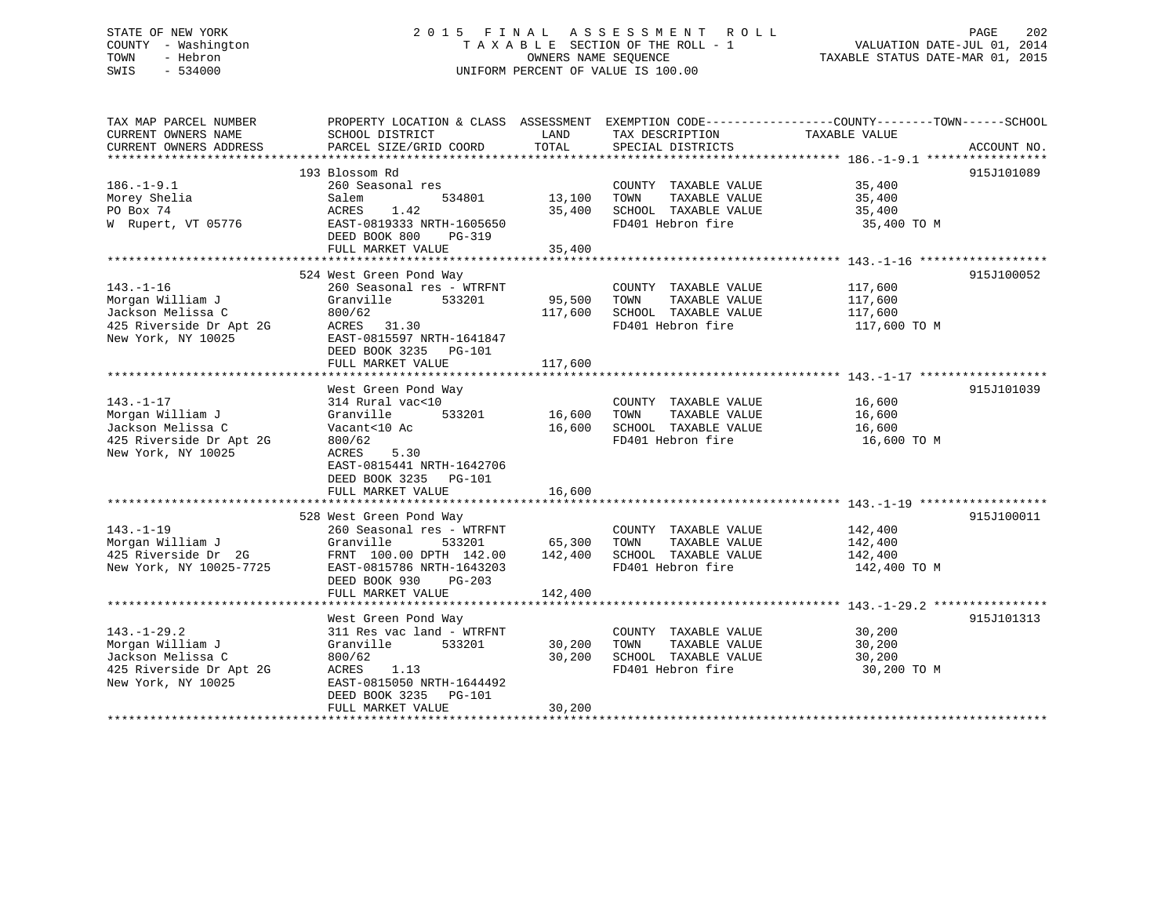# STATE OF NEW YORK 2 0 1 5 F I N A L A S S E S S M E N T R O L L PAGE 202 COUNTY - Washington T A X A B L E SECTION OF THE ROLL - 1 VALUATION DATE-JUL 01, 2014 TOWN - Hebron OWNERS NAME SEQUENCE TAXABLE STATUS DATE-MAR 01, 2015 SWIS - 534000 UNIFORM PERCENT OF VALUE IS 100.00

TAX MAP PARCEL NUMBER PROPERTY LOCATION & CLASS ASSESSMENT EXEMPTION CODE------------------COUNTY--------TOWN------SCHOOL CURRENT OWNERS NAME SCHOOL DISTRICT LAND TAX DESCRIPTION TAXABLE VALUE CURRENT OWNERS ADDRESS PARCEL SIZE/GRID COORD TOTAL SPECIAL DISTRICTS ACCOUNT NO. \*\*\*\*\*\*\*\*\*\*\*\*\*\*\*\*\*\*\*\*\*\*\*\*\*\*\*\*\*\*\*\*\*\*\*\*\*\*\*\*\*\*\*\*\*\*\*\*\*\*\*\*\*\*\*\*\*\*\*\*\*\*\*\*\*\*\*\*\*\*\*\*\*\*\*\*\*\*\*\*\*\*\*\*\*\*\*\*\*\*\*\*\*\*\*\*\*\*\*\*\*\*\* 186.-1-9.1 \*\*\*\*\*\*\*\*\*\*\*\*\*\*\*\*\* 193 Blossom Rd 915J101089186.-1-9.1 260 Seasonal res COUNTY TAXABLE VALUE 35,400 Morey Shelia Salem 534801 13,100 TOWN TAXABLE VALUE 35,400 PO Box 74 ACRES 1.42 35,400 SCHOOL TAXABLE VALUE 35,400 W Rupert, VT 05776 EAST-0819333 NRTH-1605650 FD401 Hebron fire 35,400 TO M DEED BOOK 800 PG-319 FULL MARKET VALUE 35,400 \*\*\*\*\*\*\*\*\*\*\*\*\*\*\*\*\*\*\*\*\*\*\*\*\*\*\*\*\*\*\*\*\*\*\*\*\*\*\*\*\*\*\*\*\*\*\*\*\*\*\*\*\*\*\*\*\*\*\*\*\*\*\*\*\*\*\*\*\*\*\*\*\*\*\*\*\*\*\*\*\*\*\*\*\*\*\*\*\*\*\*\*\*\*\*\*\*\*\*\*\*\*\* 143.-1-16 \*\*\*\*\*\*\*\*\*\*\*\*\*\*\*\*\*\* 524 West Green Pond Way 915J100052 143.-1-16 260 Seasonal res - WTRFNT COUNTY TAXABLE VALUE 117,600 Morgan William J Granville 533201 95,500 TOWN TAXABLE VALUE 117,600 Jackson Melissa C 800/62 117,600 SCHOOL TAXABLE VALUE 117,600 425 Riverside Dr Apt 2G ACRES 31.30 FD401 Hebron fire 117,600 TO M New York, NY 10025 EAST-0815597 NRTH-1641847 DEED BOOK 3235 PG-101 FULL MARKET VALUE 117,600 \*\*\*\*\*\*\*\*\*\*\*\*\*\*\*\*\*\*\*\*\*\*\*\*\*\*\*\*\*\*\*\*\*\*\*\*\*\*\*\*\*\*\*\*\*\*\*\*\*\*\*\*\*\*\*\*\*\*\*\*\*\*\*\*\*\*\*\*\*\*\*\*\*\*\*\*\*\*\*\*\*\*\*\*\*\*\*\*\*\*\*\*\*\*\*\*\*\*\*\*\*\*\* 143.-1-17 \*\*\*\*\*\*\*\*\*\*\*\*\*\*\*\*\*\*West Green Pond Way 915J101039 143.-1-17 314 Rural vac<10 COUNTY TAXABLE VALUE 16,600 Morgan William J Granville 533201 16,600 TOWN TAXABLE VALUE 16,600 Jackson Melissa C Vacant<10 Ac 16,600 SCHOOL TAXABLE VALUE 16,600 425 Riverside Dr Apt 2G 800/62 FD401 Hebron fire 16,600 TO M New York, NY 10025 ACRES 5.30 EAST-0815441 NRTH-1642706 DEED BOOK 3235 PG-101 FULL MARKET VALUE 16,600 \*\*\*\*\*\*\*\*\*\*\*\*\*\*\*\*\*\*\*\*\*\*\*\*\*\*\*\*\*\*\*\*\*\*\*\*\*\*\*\*\*\*\*\*\*\*\*\*\*\*\*\*\*\*\*\*\*\*\*\*\*\*\*\*\*\*\*\*\*\*\*\*\*\*\*\*\*\*\*\*\*\*\*\*\*\*\*\*\*\*\*\*\*\*\*\*\*\*\*\*\*\*\* 143.-1-19 \*\*\*\*\*\*\*\*\*\*\*\*\*\*\*\*\*\* 528 West Green Pond Way 915J100011 143.-1-19 260 Seasonal res - WTRFNT COUNTY TAXABLE VALUE 142,400 Morgan William J Granville 533201 65,300 TOWN TAXABLE VALUE 142,400 425 Riverside Dr 2G FRNT 100.00 DPTH 142.00 142,400 SCHOOL TAXABLE VALUE 142,400 New York, NY 10025-7725 EAST-0815786 NRTH-1643203 FD401 Hebron fire 142,400 TO M DEED BOOK 930 PG-203 FULL MARKET VALUE 142,400 \*\*\*\*\*\*\*\*\*\*\*\*\*\*\*\*\*\*\*\*\*\*\*\*\*\*\*\*\*\*\*\*\*\*\*\*\*\*\*\*\*\*\*\*\*\*\*\*\*\*\*\*\*\*\*\*\*\*\*\*\*\*\*\*\*\*\*\*\*\*\*\*\*\*\*\*\*\*\*\*\*\*\*\*\*\*\*\*\*\*\*\*\*\*\*\*\*\*\*\*\*\*\* 143.-1-29.2 \*\*\*\*\*\*\*\*\*\*\*\*\*\*\*\* West Green Pond Way 915J101313 143.-1-29.2 311 Res vac land - WTRFNT COUNTY TAXABLE VALUE 30,200 Morgan William J Granville 533201 30,200 TOWN TAXABLE VALUE 30,200 Jackson Melissa C 800/62 30,200 SCHOOL TAXABLE VALUE 30,200 425 Riverside Dr Apt 2G ACRES 1.13 FD401 Hebron fire 30,200 TO M New York, NY 10025 EAST-0815050 NRTH-1644492 DEED BOOK 3235 PG-101 FULL MARKET VALUE 30,200 \*\*\*\*\*\*\*\*\*\*\*\*\*\*\*\*\*\*\*\*\*\*\*\*\*\*\*\*\*\*\*\*\*\*\*\*\*\*\*\*\*\*\*\*\*\*\*\*\*\*\*\*\*\*\*\*\*\*\*\*\*\*\*\*\*\*\*\*\*\*\*\*\*\*\*\*\*\*\*\*\*\*\*\*\*\*\*\*\*\*\*\*\*\*\*\*\*\*\*\*\*\*\*\*\*\*\*\*\*\*\*\*\*\*\*\*\*\*\*\*\*\*\*\*\*\*\*\*\*\*\*\*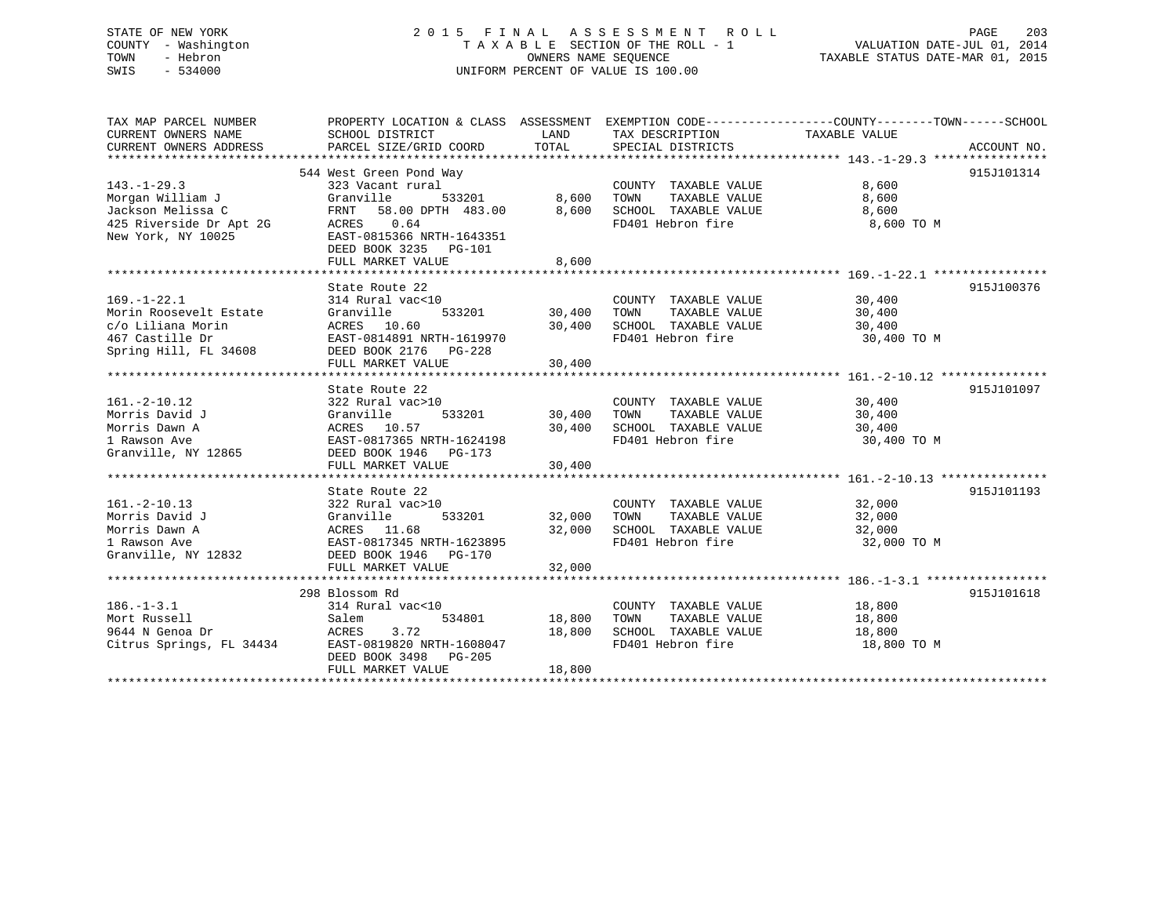# STATE OF NEW YORK 2 0 1 5 F I N A L A S S E S S M E N T R O L L PAGE 203 COUNTY - Washington T A X A B L E SECTION OF THE ROLL - 1 VALUATION DATE-JUL 01, 2014 TOWN - Hebron OWNERS NAME SEQUENCE TAXABLE STATUS DATE-MAR 01, 2015 SWIS - 534000 UNIFORM PERCENT OF VALUE IS 100.00

TAX MAP PARCEL NUMBER PROPERTY LOCATION & CLASS ASSESSMENT EXEMPTION CODE------------------COUNTY--------TOWN------SCHOOL

| CURRENT OWNERS NAME                 | SCHOOL DISTRICT                                                                     | LAND   | TAX DESCRIPTION                           | TAXABLE VALUE |             |
|-------------------------------------|-------------------------------------------------------------------------------------|--------|-------------------------------------------|---------------|-------------|
| CURRENT OWNERS ADDRESS              | PARCEL SIZE/GRID COORD                                                              | TOTAL  | SPECIAL DISTRICTS                         |               | ACCOUNT NO. |
|                                     |                                                                                     |        |                                           |               |             |
|                                     | 544 West Green Pond Way                                                             |        |                                           |               | 915J101314  |
| $143. - 1 - 29.3$                   | 323 Vacant rural                                                                    |        | COUNTY TAXABLE VALUE                      | 8,600         |             |
| Morgan William J                    | 533201<br>Granville                                                                 | 8,600  | TAXABLE VALUE<br>TOWN                     | 8,600         |             |
| Jackson Melissa C                   | FRNT<br>58.00 DPTH 483.00                                                           | 8,600  | SCHOOL TAXABLE VALUE                      | 8,600         |             |
| 425 Riverside Dr Apt 2G             | ACRES<br>0.64                                                                       |        | FD401 Hebron fire                         | 8,600 TO M    |             |
| New York, NY 10025                  | EAST-0815366 NRTH-1643351                                                           |        |                                           |               |             |
|                                     | DEED BOOK 3235<br><b>PG-101</b>                                                     |        |                                           |               |             |
|                                     | FULL MARKET VALUE                                                                   | 8,600  |                                           |               |             |
|                                     |                                                                                     |        |                                           |               |             |
|                                     | State Route 22                                                                      |        |                                           |               | 915J100376  |
| $169. - 1 - 22.1$                   | 314 Rural vac<10                                                                    |        | COUNTY TAXABLE VALUE                      | 30,400        |             |
| Morin Roosevelt Estate              | 533201<br>Granville                                                                 | 30,400 | TAXABLE VALUE<br>TOWN                     | 30,400        |             |
| c/o Liliana Morin                   | ACRES 10.60                                                                         | 30,400 | SCHOOL TAXABLE VALUE                      | 30,400        |             |
| 467 Castille Dr                     | EAST-0814891 NRTH-1619970                                                           |        | FD401 Hebron fire                         | 30,400 TO M   |             |
| Spring Hill, FL 34608               | DEED BOOK 2176 PG-228                                                               |        |                                           |               |             |
|                                     | FULL MARKET VALUE                                                                   | 30,400 |                                           |               |             |
|                                     |                                                                                     |        |                                           |               |             |
|                                     | State Route 22                                                                      |        |                                           |               | 915J101097  |
| $161. -2 - 10.12$                   | 322 Rural vac>10                                                                    |        | COUNTY TAXABLE VALUE<br>TAXABLE VALUE     | 30,400        |             |
| Morris David J                      | Granville<br>533201                                                                 | 30,400 | TOWN                                      | 30,400        |             |
| Morris Dawn A                       | ACRES 10.57                                                                         | 30,400 | SCHOOL TAXABLE VALUE<br>FD401 Hebron fire | 30,400        |             |
| 1 Rawson Ave<br>Granville, NY 12865 | EAST-0817365 NRTH-1624198                                                           |        |                                           | 30,400 TO M   |             |
|                                     | DEED BOOK 1946 PG-173<br>FULL MARKET VALUE                                          |        |                                           |               |             |
|                                     |                                                                                     | 30,400 |                                           |               |             |
|                                     | State Route 22                                                                      |        |                                           |               | 915J101193  |
| $161. - 2 - 10.13$                  | 322 Rural vac>10                                                                    |        | COUNTY TAXABLE VALUE                      | 32,000        |             |
| Morris David J                      | 533201<br>Granville                                                                 | 32,000 | TAXABLE VALUE<br>TOWN                     | 32,000        |             |
| Morris Dawn A                       | ACRES 11.68                                                                         | 32,000 | SCHOOL TAXABLE VALUE                      | 32,000        |             |
| 1 Rawson Ave                        |                                                                                     |        | FD401 Hebron fire                         | 32,000 TO M   |             |
| Granville, NY 12832                 | ACRES 11.00<br>EAST-0817345 NRTH-1623895<br>1046 DG-170<br>DEED BOOK 1946    PG-170 |        |                                           |               |             |
|                                     | FULL MARKET VALUE                                                                   | 32,000 |                                           |               |             |
|                                     |                                                                                     |        |                                           |               |             |
|                                     | 298 Blossom Rd                                                                      |        |                                           |               | 915J101618  |
| $186. - 1 - 3.1$                    | 314 Rural vac<10                                                                    |        | COUNTY TAXABLE VALUE                      | 18,800        |             |
| Mort Russell                        | 534801<br>Salem                                                                     | 18,800 | TAXABLE VALUE<br>TOWN                     | 18,800        |             |
| 9644 N Genoa Dr                     | 3.72<br>ACRES                                                                       | 18,800 | SCHOOL TAXABLE VALUE                      | 18,800        |             |
| Citrus Springs, FL 34434            | EAST-0819820 NRTH-1608047                                                           |        | FD401 Hebron fire                         | 18,800 TO M   |             |
|                                     | DEED BOOK 3498<br>PG-205                                                            |        |                                           |               |             |
|                                     | FULL MARKET VALUE                                                                   | 18,800 |                                           |               |             |
|                                     |                                                                                     |        |                                           |               |             |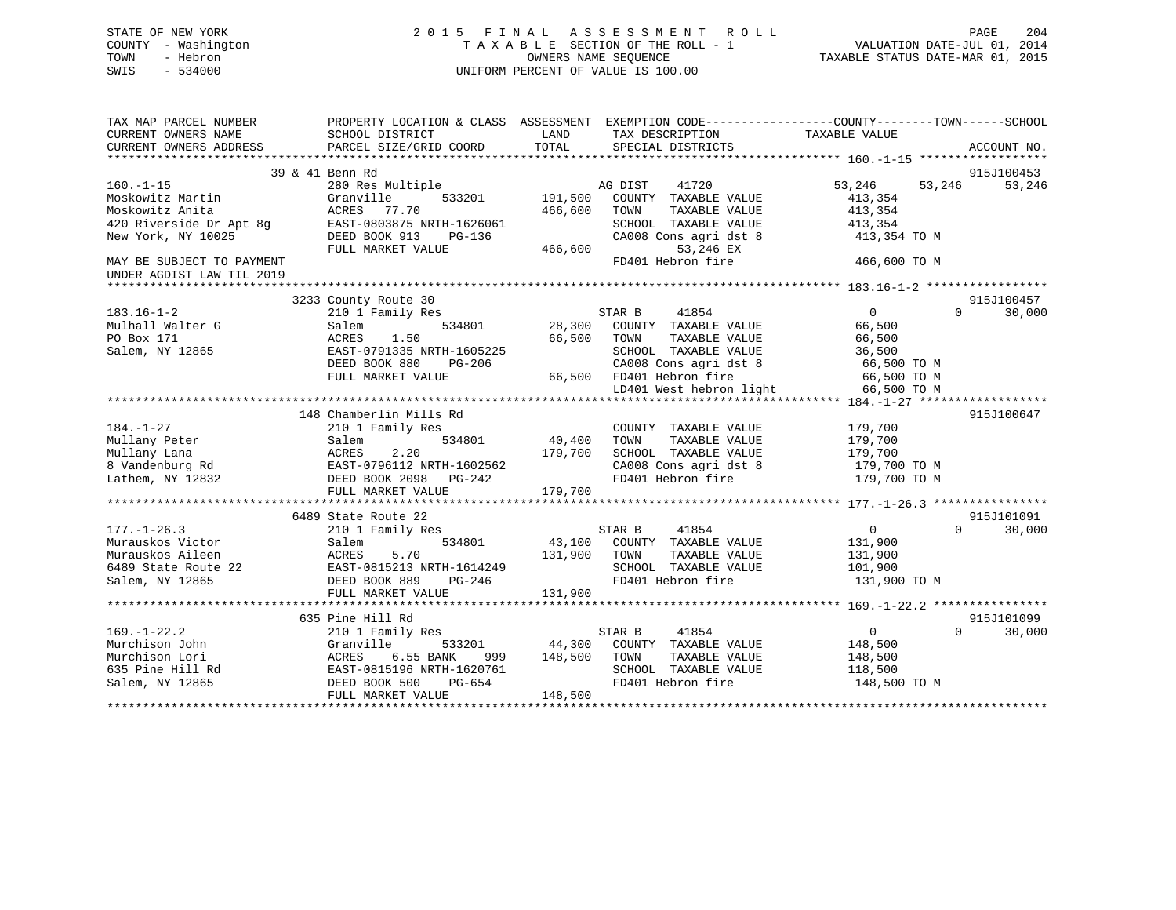# STATE OF NEW YORK 2 0 1 5 F I N A L A S S E S S M E N T R O L L PAGE 204 COUNTY - Washington T A X A B L E SECTION OF THE ROLL - 1 VALUATION DATE-JUL 01, 2014 TOWN - Hebron OWNERS NAME SEQUENCE TAXABLE STATUS DATE-MAR 01, 2015 SWIS - 534000 UNIFORM PERCENT OF VALUE IS 100.00

| TAX MAP PARCEL NUMBER<br>CURRENT OWNERS NAME<br>CURRENT OWNERS ADDRESS | PROPERTY LOCATION & CLASS ASSESSMENT EXEMPTION CODE---------------COUNTY-------TOWN-----SCHOOL<br>SCHOOL DISTRICT<br>PARCEL SIZE/GRID COORD | LAND<br>TOTAL | TAX DESCRIPTION<br>SPECIAL DISTRICTS  | TAXABLE VALUE              | ACCOUNT NO.          |
|------------------------------------------------------------------------|---------------------------------------------------------------------------------------------------------------------------------------------|---------------|---------------------------------------|----------------------------|----------------------|
|                                                                        |                                                                                                                                             |               |                                       |                            |                      |
|                                                                        | 39 & 41 Benn Rd                                                                                                                             |               |                                       |                            | 915J100453           |
| $160. -1 - 15$                                                         | 280 Res Multiple                                                                                                                            |               | AG DIST<br>41720                      | 53,246<br>53,246           | 53,246               |
| Moskowitz Martin                                                       | Granville<br>533201                                                                                                                         | 191,500       | COUNTY TAXABLE VALUE                  | 413,354                    |                      |
| Moskowitz Anita                                                        | 77.70<br>ACRES                                                                                                                              | 466,600       | TAXABLE VALUE<br>TOWN                 | 413,354                    |                      |
| 420 Riverside Dr Apt 8q                                                | EAST-0803875 NRTH-1626061                                                                                                                   |               | SCHOOL TAXABLE VALUE                  | 413,354                    |                      |
| New York, NY 10025                                                     | DEED BOOK 913<br>PG-136                                                                                                                     |               | CA008 Cons agri dst 8                 | 413,354 TO M               |                      |
|                                                                        | FULL MARKET VALUE                                                                                                                           | 466,600       | 53,246 EX                             |                            |                      |
| MAY BE SUBJECT TO PAYMENT                                              |                                                                                                                                             |               | FD401 Hebron fire                     | 466,600 TO M               |                      |
| UNDER AGDIST LAW TIL 2019                                              |                                                                                                                                             |               |                                       |                            |                      |
|                                                                        |                                                                                                                                             |               |                                       |                            |                      |
|                                                                        | 3233 County Route 30                                                                                                                        |               |                                       |                            | 915J100457           |
| $183.16 - 1 - 2$                                                       | 210 1 Family Res                                                                                                                            |               | STAR B<br>41854                       | $\overline{0}$<br>$\Omega$ | 30,000               |
| Mulhall Walter G                                                       | 534801<br>Salem                                                                                                                             | 28,300        | COUNTY TAXABLE VALUE                  | 66,500                     |                      |
| PO Box 171                                                             | 1.50<br>ACRES                                                                                                                               | 66,500        | TAXABLE VALUE<br>TOWN                 | 66,500                     |                      |
| Salem, NY 12865                                                        | EAST-0791335 NRTH-1605225                                                                                                                   |               | SCHOOL TAXABLE VALUE                  | 36,500                     |                      |
|                                                                        | DEED BOOK 880<br>PG-206                                                                                                                     |               | CA008 Cons agri dst 8                 | 66,500 TO M                |                      |
|                                                                        | FULL MARKET VALUE                                                                                                                           |               | 66,500 FD401 Hebron fire              | 66,500 TO M                |                      |
|                                                                        |                                                                                                                                             |               | LD401 West hebron light               | 66,500 TO M                |                      |
|                                                                        |                                                                                                                                             |               |                                       |                            |                      |
|                                                                        | 148 Chamberlin Mills Rd                                                                                                                     |               |                                       |                            | 915J100647           |
| $184. - 1 - 27$                                                        | 210 1 Family Res                                                                                                                            |               | COUNTY TAXABLE VALUE                  | 179,700                    |                      |
| Mullany Peter                                                          | 534801<br>Salem                                                                                                                             | 40,400        | TOWN<br>TAXABLE VALUE                 | 179,700                    |                      |
| Mullany Lana                                                           | ACRES<br>2.20                                                                                                                               | 179,700       | SCHOOL TAXABLE VALUE                  | 179,700                    |                      |
| 8 Vandenburg Rd                                                        | EAST-0796112 NRTH-1602562                                                                                                                   |               | CA008 Cons agri dst 8                 | 179,700 TO M               |                      |
| Lathem, NY 12832                                                       | DEED BOOK 2098 PG-242                                                                                                                       |               | FD401 Hebron fire                     | 179,700 TO M               |                      |
|                                                                        | FULL MARKET VALUE                                                                                                                           | 179,700       |                                       |                            |                      |
|                                                                        |                                                                                                                                             |               |                                       |                            |                      |
|                                                                        | 6489 State Route 22                                                                                                                         |               |                                       |                            | 915J101091           |
| $177. - 1 - 26.3$                                                      | 210 1 Family Res                                                                                                                            |               | STAR B<br>41854                       | $\overline{0}$<br>$\Omega$ | 30,000               |
| Murauskos Victor                                                       | Salem<br>534801                                                                                                                             |               | 43,100 COUNTY TAXABLE VALUE           | 131,900                    |                      |
| Murauskos Aileen                                                       | ACRES<br>5.70                                                                                                                               | 131,900       | TOWN<br>TAXABLE VALUE                 | 131,900                    |                      |
| 6489 State Route 22                                                    | EAST-0815213 NRTH-1614249                                                                                                                   |               | SCHOOL TAXABLE VALUE                  | 101,900                    |                      |
| Salem, NY 12865                                                        | DEED BOOK 889<br>PG-246                                                                                                                     |               | FD401 Hebron fire                     | 131,900 TO M               |                      |
|                                                                        | FULL MARKET VALUE                                                                                                                           | 131,900       |                                       |                            |                      |
|                                                                        |                                                                                                                                             |               |                                       |                            |                      |
| $169. - 1 - 22.2$                                                      | 635 Pine Hill Rd                                                                                                                            |               | 41854                                 | $\overline{0}$<br>$\Omega$ | 915J101099<br>30,000 |
| Murchison John                                                         | 210 1 Family Res<br>Granville<br>533201                                                                                                     |               | STAR B<br>44,300 COUNTY TAXABLE VALUE | 148,500                    |                      |
| Murchison Lori                                                         | 6.55 BANK<br>ACRES<br>999                                                                                                                   | 148,500       | TOWN<br>TAXABLE VALUE                 |                            |                      |
| 635 Pine Hill Rd                                                       | EAST-0815196 NRTH-1620761                                                                                                                   |               | SCHOOL TAXABLE VALUE                  | 148,500<br>118,500         |                      |
| Salem, NY 12865                                                        | PG-654<br>DEED BOOK 500                                                                                                                     |               | FD401 Hebron fire                     | 148,500 TO M               |                      |
|                                                                        | FULL MARKET VALUE                                                                                                                           | 148,500       |                                       |                            |                      |
|                                                                        |                                                                                                                                             |               |                                       |                            |                      |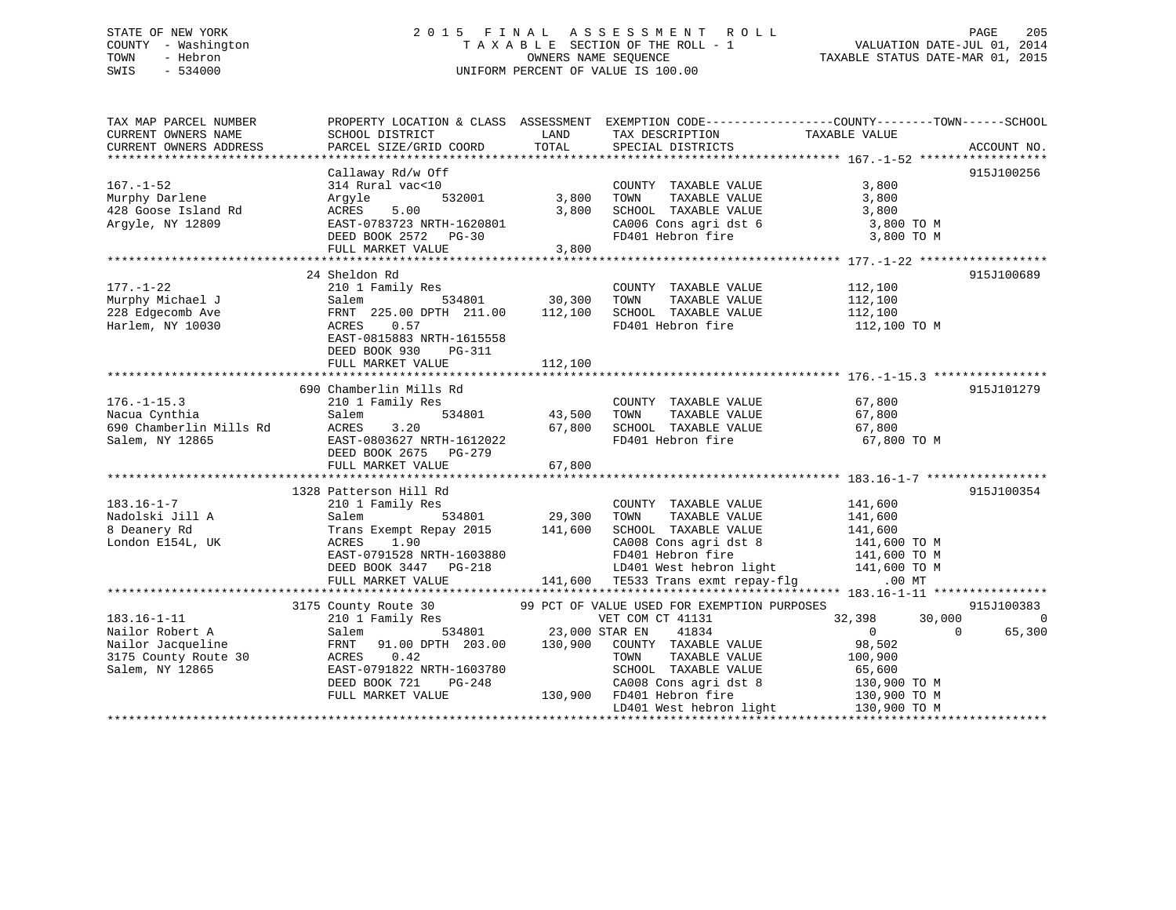# STATE OF NEW YORK 2 0 1 5 F I N A L A S S E S S M E N T R O L L PAGE 205 COUNTY - Washington T A X A B L E SECTION OF THE ROLL - 1 VALUATION DATE-JUL 01, 2014 TOWN - Hebron OWNERS NAME SEQUENCE TAXABLE STATUS DATE-MAR 01, 2015 SWIS - 534000 UNIFORM PERCENT OF VALUE IS 100.00

| TAX MAP PARCEL NUMBER<br>CURRENT OWNERS NAME                                                         | PROPERTY LOCATION & CLASS ASSESSMENT EXEMPTION CODE----------------COUNTY-------TOWN------SCHOOL<br>SCHOOL DISTRICT                                                                                                      | LAND                           | TAX DESCRIPTION                                                                                                                                                                                                                                    | TAXABLE VALUE                                            |                                  |
|------------------------------------------------------------------------------------------------------|--------------------------------------------------------------------------------------------------------------------------------------------------------------------------------------------------------------------------|--------------------------------|----------------------------------------------------------------------------------------------------------------------------------------------------------------------------------------------------------------------------------------------------|----------------------------------------------------------|----------------------------------|
| CURRENT OWNERS ADDRESS                                                                               | PARCEL SIZE/GRID COORD                                                                                                                                                                                                   | TOTAL                          | SPECIAL DISTRICTS                                                                                                                                                                                                                                  |                                                          | ACCOUNT NO.                      |
| $167. - 1 - 52$<br>Murphy Darlene<br>428 Goose Island Rd<br>Argyle, NY 12809                         | Callaway Rd/w Off<br>314 Rural vac<10<br>Argyle<br>ACRES<br>5.00<br>EAST-0783723 NRTH-1620801<br>DEED BOOK 2572 PG-30<br>FULL MARKET VALUE                                                                               | 532001 3,800<br>3,800<br>3,800 | COUNTY TAXABLE VALUE 3,800<br>TOWN<br>SCHOOL TAXABLE VALUE 3,800<br>CA006 Cons agri dst 6 3,800 TO M<br>FD401 Hebron fire                                                                                                                          | TAXABLE VALUE 3,800<br>3,800 TO M                        | 915J100256                       |
| $177. - 1 - 22$<br>Murphy Michael J<br>228 Edgecomb Ave<br>Harlem, NY 10030                          | 24 Sheldon Rd<br>210 1 Family Res<br>210 1 Family Res<br>Salem 534801 30,300<br>FRNT 225.00 DPTH 211.00 112,100<br>ACRES 0.57<br>ACRES 0.57<br>EAST-0815883 NRTH-1615558<br>DEED BOOK 930<br>PG-311<br>FULL MARKET VALUE | 112,100                        | COUNTY TAXABLE VALUE<br>TOWN<br>TAXABLE VALUE<br>SCHOOL TAXABLE VALUE 112,100<br>FD401 Hebron fire                                                                                                                                                 | 112,100<br>112,100<br>112,100 TO M                       | 915J100689                       |
| $176. - 1 - 15.3$<br>Nacua Cynthia<br>690 Chamberlin Mills Rd<br>Salem, NY 12865                     | 690 Chamberlin Mills Rd<br>210 1 Family Res<br>$\begin{array}{cccc} 1 & 534801 & 43,500 \\ 3.20 & 67,800 \end{array}$<br>Salem<br>ACRES<br>3.20<br>EAST-0803627 NRTH-1612022<br>DEED BOOK 2675 PG-279                    | 67,800                         | COUNTY TAXABLE VALUE 67,800<br>TOWN TAXABLE VALUE 67,800<br>SCHOOL TAXABLE VALUE 67,800<br>FD401 Hebron fire                                                                                                                                       | 67,800 TO M                                              | 915J101279                       |
| $183.16 - 1 - 7$<br>Nadolski Jill A<br>8 Deanery Rd<br>London E154L, UK                              | 1328 Patterson Hill Rd<br>210 1 Family Res<br>Salem<br>Trans Exempt Repay $2015$ 141,600<br>1.90<br>ACRES                                                                                                                |                                | COUNTY TAXABLE VALUE 141,600<br>TOWN<br>CHOOL TAXABLE VALUE<br>CA008 Cons agri dst 8 141,600 TO M<br>FD401 Hebron fire 141,600 TO M<br>LD401 West hebron light 141,600 TO M<br>141,600 TO M<br>141,600 TO M                                        | TAXABLE VALUE 141,600                                    | 915J100354                       |
| $183.16 - 1 - 11$<br>Nailor Robert A<br>Nailor Jacqueline<br>3175 County Route 30<br>Salem, NY 12865 | 3175 County Route 30 99 PCT OF VALUE USED FOR EXEMPTION PURPOSES<br>210 1 Family Res WET COM CT 41131<br>Salem 534801 23,000 STAR EN 41834<br>EAST-0791822 NRTH-1603780<br>DEED BOOK 721<br>PG-248<br>FULL MARKET VALUE  |                                | VET COM CT 41131<br>SCHOOL TAXABLE VALUE<br>CAOOL TAXABLE VALUE 65,600<br>CAOOS Cons agri dst 8 130,900 TO M<br>-1603780 SCHOOL TAXABLE VALUE<br>PG-248 CA008 Cons agri dst 8<br>130,900 FD401 Hebron fire<br>LD401 West hebron light 130,900 TO M | $32,398$ $30,000$ 0<br>98,502<br>100,900<br>130,900 TO M | 915J100383<br>$\sim$ 0<br>65,300 |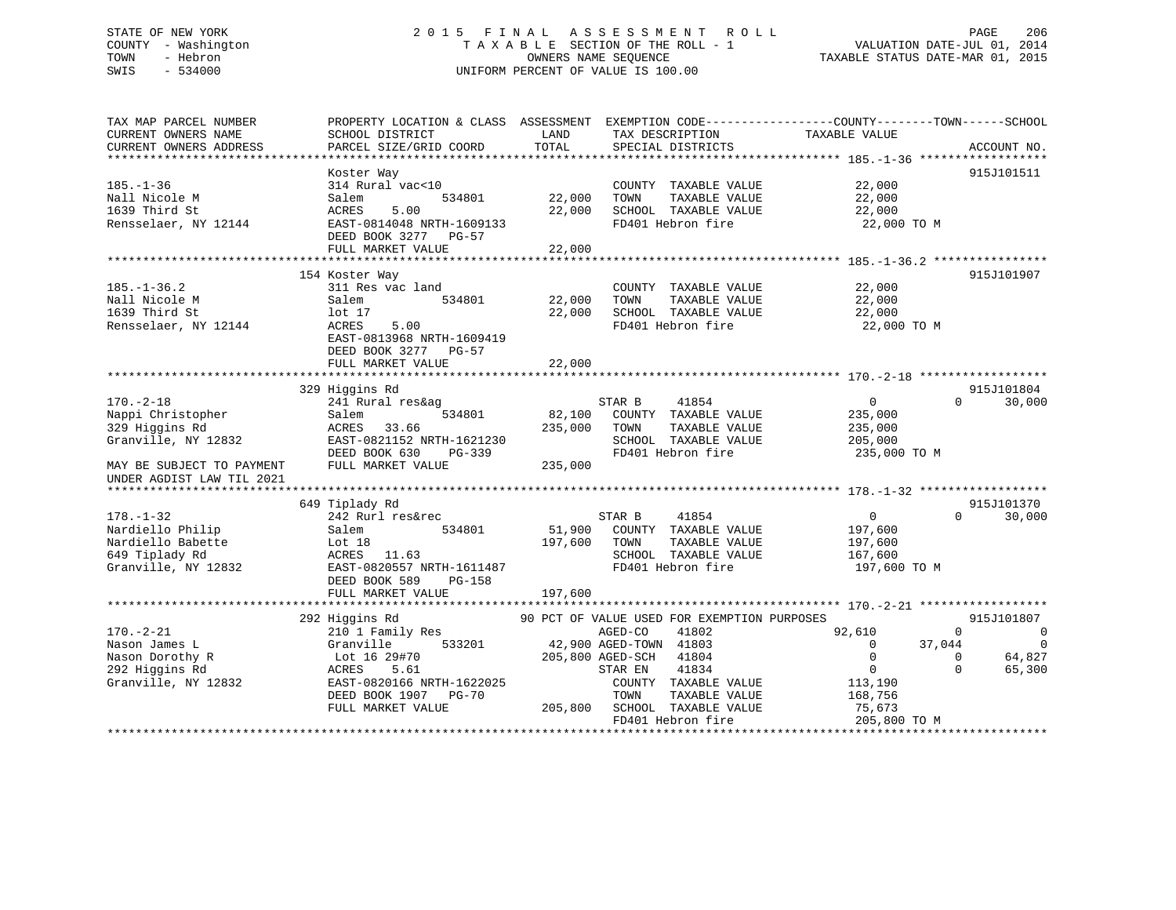# STATE OF NEW YORK 2 0 1 5 F I N A L A S S E S S M E N T R O L L PAGE 206 COUNTY - Washington T A X A B L E SECTION OF THE ROLL - 1 VALUATION DATE-JUL 01, 2014 TOWN - Hebron OWNERS NAME SEQUENCE TAXABLE STATUS DATE-MAR 01, 2015 SWIS - 534000 UNIFORM PERCENT OF VALUE IS 100.00

| TAX MAP PARCEL NUMBER<br>CURRENT OWNERS NAME<br>CURRENT OWNERS ADDRESS                                                                  | PROPERTY LOCATION & CLASS ASSESSMENT<br>SCHOOL DISTRICT<br>PARCEL SIZE/GRID COORD                                                                                     | LAND<br>TOTAL                | TAX DESCRIPTION<br>SPECIAL DISTRICTS                                                                                                                                                                                                  | EXEMPTION CODE-----------------COUNTY-------TOWN------SCHOOL<br>TAXABLE VALUE                                                                          | ACCOUNT NO.                                                                  |
|-----------------------------------------------------------------------------------------------------------------------------------------|-----------------------------------------------------------------------------------------------------------------------------------------------------------------------|------------------------------|---------------------------------------------------------------------------------------------------------------------------------------------------------------------------------------------------------------------------------------|--------------------------------------------------------------------------------------------------------------------------------------------------------|------------------------------------------------------------------------------|
| $185. - 1 - 36$<br>Nall Nicole M<br>1639 Third St<br>Rensselaer, NY 12144                                                               | Koster Way<br>314 Rural vac<10<br>534801<br>Salem<br>5.00<br>ACRES<br>EAST-0814048 NRTH-1609133<br>DEED BOOK 3277 PG-57<br>FULL MARKET VALUE                          | 22,000<br>22,000<br>22,000   | COUNTY TAXABLE VALUE<br>TOWN<br>TAXABLE VALUE<br>SCHOOL TAXABLE VALUE<br>FD401 Hebron fire                                                                                                                                            | 22,000<br>22,000<br>22,000<br>22,000 TO M                                                                                                              | 915J101511                                                                   |
| $185. - 1 - 36.2$<br>Nall Nicole M<br>1639 Third St<br>Rensselaer, NY 12144                                                             | 154 Koster Way<br>311 Res vac land<br>Salem<br>534801<br>lot <sub>17</sub><br>ACRES<br>5.00<br>EAST-0813968 NRTH-1609419<br>DEED BOOK 3277 PG-57<br>FULL MARKET VALUE | 22,000<br>22,000<br>22,000   | COUNTY TAXABLE VALUE<br>TOWN<br>TAXABLE VALUE<br>SCHOOL TAXABLE VALUE<br>FD401 Hebron fire                                                                                                                                            | 22,000<br>22,000<br>22,000<br>22,000 TO M                                                                                                              | 915J101907                                                                   |
| $170. - 2 - 18$<br>Nappi Christopher<br>329 Higgins Rd<br>Granville, NY 12832<br>MAY BE SUBJECT TO PAYMENT<br>UNDER AGDIST LAW TIL 2021 | 329 Higgins Rd<br>241 Rural res&ag<br>534801<br>Salem<br>ACRES<br>33.66<br>EAST-0821152 NRTH-1621230<br>DEED BOOK 630<br>PG-339<br>FULL MARKET VALUE                  | 82,100<br>235,000<br>235,000 | STAR B<br>41854<br>COUNTY TAXABLE VALUE<br>TOWN<br>TAXABLE VALUE<br>SCHOOL TAXABLE VALUE<br>FD401 Hebron fire                                                                                                                         | $\overline{0}$<br>$\Omega$<br>235,000<br>235,000<br>205,000<br>235,000 TO M                                                                            | 915J101804<br>30,000                                                         |
| $178. - 1 - 32$<br>Nardiello Philip<br>Nardiello Babette<br>649 Tiplady Rd<br>Granville, NY 12832                                       | 649 Tiplady Rd<br>242 Rurl res&rec<br>534801<br>Salem<br>Lot $18$<br>ACRES 11.63<br>EAST-0820557 NRTH-1611487<br>DEED BOOK 589<br>PG-158<br>FULL MARKET VALUE         | 197,600<br>197,600           | STAR B<br>41854<br>51,900 COUNTY TAXABLE VALUE<br>TOWN<br>TAXABLE VALUE<br>SCHOOL TAXABLE VALUE<br>FD401 Hebron fire                                                                                                                  | $\overline{0}$<br>$\Omega$<br>197,600<br>197,600<br>167,600<br>197,600 TO M                                                                            | 915J101370<br>30,000                                                         |
| $170. - 2 - 21$<br>Nason James L<br>Nason Dorothy R<br>292 Higgins Rd<br>Granville, NY 12832                                            | 292 Higgins Rd<br>210 1 Family Res<br>533201<br>Granville<br>Lot 16 29#70<br>ACRES<br>5.61<br>EAST-0820166 NRTH-1622025<br>DEED BOOK 1907 PG-70<br>FULL MARKET VALUE  | 205,800                      | 90 PCT OF VALUE USED FOR EXEMPTION PURPOSES<br>AGED-CO<br>41802<br>42,900 AGED-TOWN 41803<br>205,800 AGED-SCH 41804<br>41834<br>STAR EN<br>COUNTY TAXABLE VALUE<br>TOWN<br>TAXABLE VALUE<br>SCHOOL TAXABLE VALUE<br>FD401 Hebron fire | 92,610<br>$\Omega$<br>$\Omega$<br>37,044<br>$\mathbf{0}$<br>$\mathbf{0}$<br>$\overline{0}$<br>$\Omega$<br>113,190<br>168,756<br>75,673<br>205,800 TO M | 915J101807<br>$\overline{\phantom{0}}$<br>$\overline{0}$<br>64,827<br>65,300 |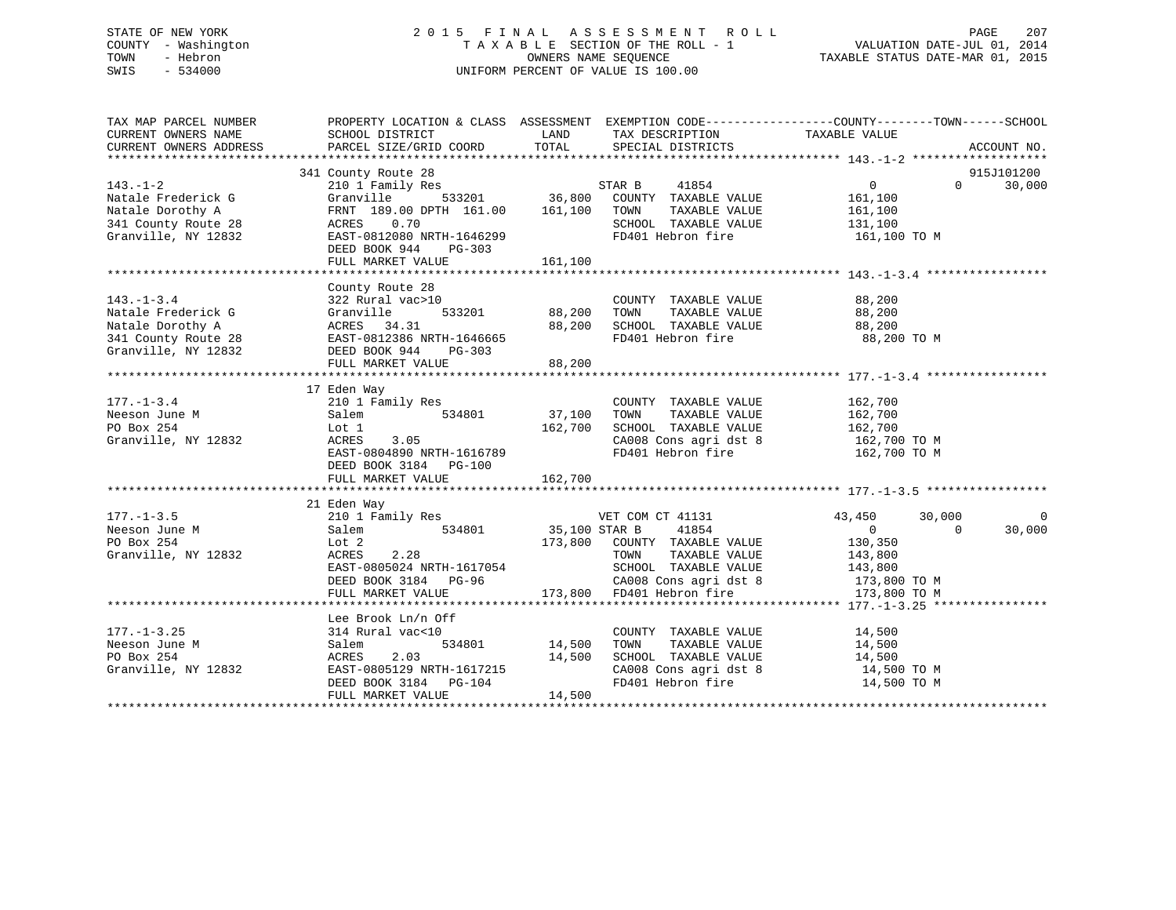# STATE OF NEW YORK 2 0 1 5 F I N A L A S S E S S M E N T R O L L PAGE 207 COUNTY - Washington T A X A B L E SECTION OF THE ROLL - 1 VALUATION DATE-JUL 01, 2014 TOWN - Hebron OWNERS NAME SEQUENCE TAXABLE STATUS DATE-MAR 01, 2015 SWIS - 534000 UNIFORM PERCENT OF VALUE IS 100.00

| TAX MAP PARCEL NUMBER                                                                                                                                                                                                                                          | PROPERTY LOCATION & CLASS ASSESSMENT EXEMPTION CODE---------------COUNTY-------TOWN-----SCHOOL                                                                                |               |                                                                                                         |                |                          |             |
|----------------------------------------------------------------------------------------------------------------------------------------------------------------------------------------------------------------------------------------------------------------|-------------------------------------------------------------------------------------------------------------------------------------------------------------------------------|---------------|---------------------------------------------------------------------------------------------------------|----------------|--------------------------|-------------|
| CURRENT OWNERS NAME                                                                                                                                                                                                                                            | SCHOOL DISTRICT                                                                                                                                                               |               | LAND TAX DESCRIPTION                                                                                    | TAXABLE VALUE  |                          |             |
| CURRENT OWNERS ADDRESS                                                                                                                                                                                                                                         | PARCEL SIZE/GRID COORD TOTAL SPECIAL DISTRICTS                                                                                                                                |               |                                                                                                         |                |                          | ACCOUNT NO. |
|                                                                                                                                                                                                                                                                |                                                                                                                                                                               |               |                                                                                                         |                |                          |             |
|                                                                                                                                                                                                                                                                | 341 County Route 28                                                                                                                                                           |               |                                                                                                         |                |                          | 915J101200  |
| $143. - 1 - 2$                                                                                                                                                                                                                                                 |                                                                                                                                                                               |               |                                                                                                         | $\overline{0}$ | $\Omega$                 | 30,000      |
| Natale Frederick G                                                                                                                                                                                                                                             |                                                                                                                                                                               |               |                                                                                                         |                |                          |             |
|                                                                                                                                                                                                                                                                | FRNT 189.00 DPTH 161.00 161,100 TOWN                                                                                                                                          |               | TAXABLE VALUE 161,100<br>TAXABLE VALUE 131,100                                                          |                |                          |             |
|                                                                                                                                                                                                                                                                |                                                                                                                                                                               |               | SCHOOL TAXABLE VALUE                                                                                    |                |                          |             |
| Granville, NY 12832                                                                                                                                                                                                                                            | EAST-0812080 NRTH-1646299                                                                                                                                                     |               | FD401 Hebron fire 161,100 TO M                                                                          |                |                          |             |
|                                                                                                                                                                                                                                                                | DEED BOOK 944 PG-303                                                                                                                                                          |               |                                                                                                         |                |                          |             |
|                                                                                                                                                                                                                                                                | FULL MARKET VALUE 161,100                                                                                                                                                     |               |                                                                                                         |                |                          |             |
|                                                                                                                                                                                                                                                                |                                                                                                                                                                               |               |                                                                                                         |                |                          |             |
|                                                                                                                                                                                                                                                                | County Route 28                                                                                                                                                               |               |                                                                                                         |                |                          |             |
| $143. - 1 - 3.4$                                                                                                                                                                                                                                               | 322 Rural vac>10                                                                                                                                                              |               | COUNTY TAXABLE VALUE 68,200                                                                             |                |                          |             |
|                                                                                                                                                                                                                                                                |                                                                                                                                                                               |               |                                                                                                         |                |                          |             |
|                                                                                                                                                                                                                                                                |                                                                                                                                                                               |               |                                                                                                         |                |                          |             |
|                                                                                                                                                                                                                                                                |                                                                                                                                                                               |               | FD401 Hebron fire 88,200 TO M                                                                           |                |                          |             |
| From Frederick G<br>Natale Frederick G<br>Natale Dorothy A<br>Natale Dorothy A<br>341 County Route 28<br>Granville, NY 12832<br>SEED BOOK 944<br>FD401 He<br>FD401 He<br>FD401 He<br>FD401 He<br>FD401 He<br>FD401 He<br>FD401 He<br>FD401 He<br>FD401 He<br>F |                                                                                                                                                                               |               |                                                                                                         |                |                          |             |
|                                                                                                                                                                                                                                                                | FULL MARKET VALUE                                                                                                                                                             | 88,200        |                                                                                                         |                |                          |             |
| Neeson June M<br>Meeson June M<br>210 1 Family Res<br>210 1 Family Res<br>534801<br>534801<br>27,100 TOWN<br>70 Box 254<br>Granville, NY 12832<br>ACRES<br>23.05<br>22.700<br>23.05                                                                            |                                                                                                                                                                               |               |                                                                                                         |                |                          |             |
|                                                                                                                                                                                                                                                                |                                                                                                                                                                               |               |                                                                                                         |                |                          |             |
|                                                                                                                                                                                                                                                                |                                                                                                                                                                               |               | COUNTY TAXABLE VALUE 162,700<br>TOWN TAXABLE VALUE 162,700                                              |                |                          |             |
|                                                                                                                                                                                                                                                                |                                                                                                                                                                               |               |                                                                                                         |                |                          |             |
|                                                                                                                                                                                                                                                                |                                                                                                                                                                               |               | 162,700 SCHOOL TAXABLE VALUE 162,700                                                                    |                |                          |             |
|                                                                                                                                                                                                                                                                |                                                                                                                                                                               |               | CA008 Cons agri dst 8 162,700 TO M<br>FD401 Hebron fire 162,700 TO M                                    |                |                          |             |
|                                                                                                                                                                                                                                                                |                                                                                                                                                                               |               |                                                                                                         |                |                          |             |
|                                                                                                                                                                                                                                                                |                                                                                                                                                                               |               |                                                                                                         |                |                          |             |
|                                                                                                                                                                                                                                                                | FULL MARKET VALUE                                                                                                                                                             | 162,700       |                                                                                                         |                |                          |             |
|                                                                                                                                                                                                                                                                |                                                                                                                                                                               |               |                                                                                                         |                |                          |             |
|                                                                                                                                                                                                                                                                | 21 Eden Way                                                                                                                                                                   |               |                                                                                                         |                |                          |             |
| $177. - 1 - 3.5$                                                                                                                                                                                                                                               |                                                                                                                                                                               |               |                                                                                                         |                | 30,000<br>$\overline{0}$ | 0           |
| Neeson June M<br>Salem<br>Lot 2                                                                                                                                                                                                                                | Eden way<br>210 1 Family Res 534801 534801 55,100 STAR B 41854 6<br>534801 534801 55,100 STAR B 41854 6<br>2173,800 COUNTY TAXABLE VALUE 130,350                              |               |                                                                                                         |                |                          | 30,000      |
| PO Box 254                                                                                                                                                                                                                                                     |                                                                                                                                                                               |               |                                                                                                         |                |                          |             |
| Granville, NY 12832                                                                                                                                                                                                                                            | 2.28<br>ACRES                                                                                                                                                                 |               | TAXABLE VALUE 143,800<br>TOWN                                                                           |                |                          |             |
|                                                                                                                                                                                                                                                                |                                                                                                                                                                               |               |                                                                                                         |                |                          |             |
|                                                                                                                                                                                                                                                                | EAST-0805024 NRTH-1617054 SCHOOL TAXABLE VALUE 143,800<br>DEED BOOK 3184 PG-96 CA008 Cons agri dst 8 173,800 TO M<br>FULL MARKET VALUE 173,800 FD401 Hebron fire 173,800 TO M |               |                                                                                                         |                |                          |             |
|                                                                                                                                                                                                                                                                |                                                                                                                                                                               |               |                                                                                                         |                |                          |             |
|                                                                                                                                                                                                                                                                |                                                                                                                                                                               |               |                                                                                                         |                |                          |             |
| $177. - 1 - 3.25$                                                                                                                                                                                                                                              | Lee Brook Ln/n Off<br>314 Rural vac<10                                                                                                                                        |               | COUNTY TAXABLE VALUE                                                                                    | 14,500         |                          |             |
| Neeson June M                                                                                                                                                                                                                                                  | Salem                                                                                                                                                                         | 534801 14,500 | TAXABLE VALUE 14,500<br>TOWN                                                                            |                |                          |             |
|                                                                                                                                                                                                                                                                |                                                                                                                                                                               |               |                                                                                                         |                |                          |             |
| PO Box 254                                                                                                                                                                                                                                                     |                                                                                                                                                                               |               |                                                                                                         |                |                          |             |
| Granville, NY 12832                                                                                                                                                                                                                                            | ACRES 2.03 14,500<br>EAST-0805129 NRTH-1617215 14,500<br>DEED BOOK 3184 PG-104                                                                                                |               | SCHOOL TAXABLE VALUE $14,500$<br>CA008 Cons agri dst 8 $14,500$ TO M<br>FD401 Hebron fire $14,500$ TO M |                |                          |             |
|                                                                                                                                                                                                                                                                | FULL MARKET VALUE                                                                                                                                                             | 14,500        |                                                                                                         |                |                          |             |
|                                                                                                                                                                                                                                                                |                                                                                                                                                                               |               |                                                                                                         |                |                          |             |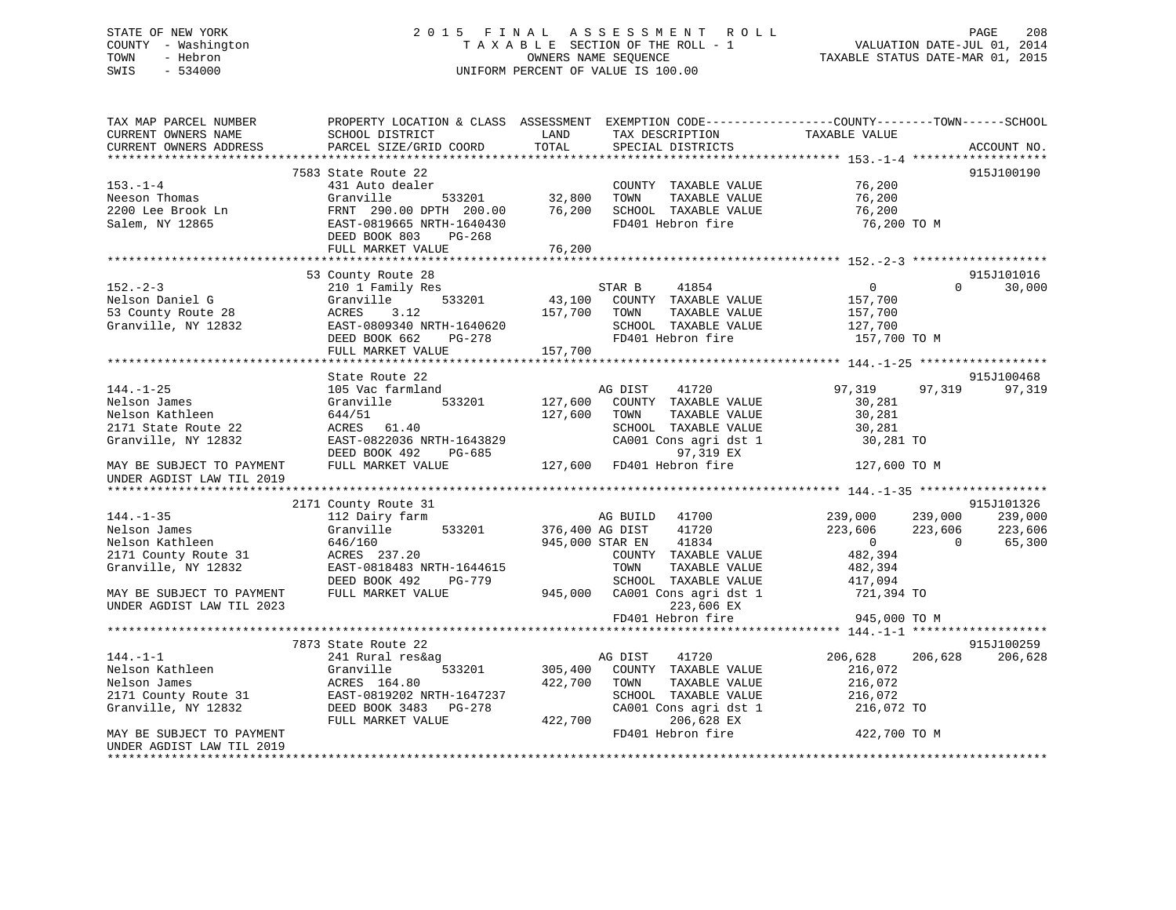# STATE OF NEW YORK 2 0 1 5 F I N A L A S S E S S M E N T R O L L PAGE 208 COUNTY - Washington T A X A B L E SECTION OF THE ROLL - 1 VALUATION DATE-JUL 01, 2014 TOWN - Hebron OWNERS NAME SEQUENCE TAXABLE STATUS DATE-MAR 01, 2015 SWIS - 534000 UNIFORM PERCENT OF VALUE IS 100.00

| TAX MAP PARCEL NUMBER                                  | PROPERTY LOCATION & CLASS ASSESSMENT EXEMPTION CODE----------------COUNTY-------TOWN------SCHOOL |                 |                           |                    |                    |
|--------------------------------------------------------|--------------------------------------------------------------------------------------------------|-----------------|---------------------------|--------------------|--------------------|
| CURRENT OWNERS NAME                                    | SCHOOL DISTRICT                                                                                  | LAND            | TAX DESCRIPTION           | TAXABLE VALUE      |                    |
| CURRENT OWNERS ADDRESS                                 | PARCEL SIZE/GRID COORD                                                                           | TOTAL           | SPECIAL DISTRICTS         |                    | ACCOUNT NO.        |
|                                                        |                                                                                                  |                 |                           |                    |                    |
|                                                        | 7583 State Route 22                                                                              |                 |                           |                    | 915J100190         |
| $153. - 1 - 4$                                         | 431 Auto dealer                                                                                  |                 | COUNTY TAXABLE VALUE      | 76,200             |                    |
| Neeson Thomas                                          | Granville<br>533201                                                                              | 32,800          | TOWN<br>TAXABLE VALUE     | 76,200             |                    |
| 2200 Lee Brook Ln                                      | FRNT 290.00 DPTH 200.00                                                                          | 76,200          | SCHOOL TAXABLE VALUE      | 76,200             |                    |
| Salem, NY 12865                                        | EAST-0819665 NRTH-1640430                                                                        |                 | FD401 Hebron fire         | 76,200 ТО М        |                    |
|                                                        | DEED BOOK 803<br>PG-268                                                                          |                 |                           |                    |                    |
|                                                        | FULL MARKET VALUE                                                                                | 76,200          |                           |                    |                    |
|                                                        |                                                                                                  |                 |                           |                    |                    |
|                                                        | 53 County Route 28                                                                               |                 |                           |                    | 915J101016         |
| $152 - 2 - 3$                                          | 210 1 Family Res                                                                                 |                 | STAR B<br>41854           | $\overline{0}$     | $\Omega$<br>30,000 |
| Nelson Daniel G                                        | 533201<br>Granville                                                                              | 43,100          | COUNTY TAXABLE VALUE      | 157,700            |                    |
| 53 County Route 28                                     | ACRES<br>3.12                                                                                    | 157,700         | TAXABLE VALUE<br>TOWN     | 157,700            |                    |
| Granville, NY 12832                                    | EAST-0809340 NRTH-1640620                                                                        |                 | SCHOOL TAXABLE VALUE      | 127,700            |                    |
|                                                        | DEED BOOK 662<br>PG-278                                                                          |                 | FD401 Hebron fire         | 157,700 TO M       |                    |
|                                                        | FULL MARKET VALUE                                                                                | 157,700         |                           |                    |                    |
|                                                        |                                                                                                  |                 |                           |                    |                    |
|                                                        | State Route 22                                                                                   |                 |                           |                    | 915J100468         |
| $144. - 1 - 25$                                        | 105 Vac farmland                                                                                 |                 | AG DIST<br>41720          | 97,319<br>97,319   | 97,319             |
| Nelson James                                           | Granville<br>533201                                                                              | 127,600         | COUNTY TAXABLE VALUE      | 30,281             |                    |
| Nelson Kathleen                                        | 644/51                                                                                           | 127,600         | TOWN<br>TAXABLE VALUE     | 30,281             |                    |
| 2171 State Route 22                                    | ACRES 61.40                                                                                      |                 | SCHOOL TAXABLE VALUE      | 30,281             |                    |
| Granville, NY 12832                                    | EAST-0822036 NRTH-1643829                                                                        |                 | CA001 Cons agri dst 1     | 30,281 TO          |                    |
|                                                        | DEED BOOK 492<br>PG-685                                                                          |                 | 97,319 EX                 |                    |                    |
| MAY BE SUBJECT TO PAYMENT                              | FULL MARKET VALUE                                                                                |                 | 127,600 FD401 Hebron fire | 127,600 TO M       |                    |
| UNDER AGDIST LAW TIL 2019                              |                                                                                                  |                 |                           |                    |                    |
|                                                        |                                                                                                  |                 |                           |                    |                    |
|                                                        | 2171 County Route 31                                                                             |                 |                           |                    | 915J101326         |
| $144. - 1 - 35$                                        | 112 Dairy farm                                                                                   |                 | AG BUILD 41700            | 239,000<br>239,000 | 239,000            |
| Nelson James                                           | 533201<br>Granville                                                                              |                 | 41720<br>376,400 AG DIST  | 223,606<br>223,606 | 223,606            |
| Nelson Kathleen                                        | 646/160                                                                                          | 945,000 STAR EN | 41834                     | $\overline{0}$     | $\Omega$<br>65,300 |
| 2171 County Route 31                                   | ACRES 237.20                                                                                     |                 | COUNTY TAXABLE VALUE      | 482,394            |                    |
| Granville, NY 12832                                    | EAST-0818483 NRTH-1644615                                                                        |                 | TOWN<br>TAXABLE VALUE     | 482,394            |                    |
|                                                        | DEED BOOK 492<br>PG-779                                                                          |                 | SCHOOL TAXABLE VALUE      | 417,094            |                    |
| MAY BE SUBJECT TO PAYMENT                              | FULL MARKET VALUE                                                                                | 945,000         | CA001 Cons agri dst 1     | 721,394 TO         |                    |
| UNDER AGDIST LAW TIL 2023                              |                                                                                                  |                 | 223,606 EX                |                    |                    |
|                                                        |                                                                                                  |                 | FD401 Hebron fire         | 945,000 TO M       |                    |
|                                                        |                                                                                                  |                 |                           |                    | 915J100259         |
| $144. - 1 - 1$                                         | 7873 State Route 22                                                                              |                 | 41720                     | 206,628            |                    |
|                                                        | 241 Rural res&ag                                                                                 |                 | AG DIST                   | 206,628            | 206,628            |
| Nelson Kathleen                                        | Granville<br>533201                                                                              | 305,400         | COUNTY TAXABLE VALUE      | 216,072            |                    |
| Nelson James                                           | ACRES 164.80                                                                                     | 422,700         | TOWN<br>TAXABLE VALUE     | 216,072            |                    |
| 2171 County Route 31                                   | EAST-0819202 NRTH-1647237                                                                        |                 | SCHOOL TAXABLE VALUE      | 216,072            |                    |
| Granville, NY 12832                                    | DEED BOOK 3483 PG-278                                                                            |                 | CA001 Cons agri dst 1     | 216,072 TO         |                    |
|                                                        | FULL MARKET VALUE                                                                                | 422,700         | 206,628 EX                |                    |                    |
| MAY BE SUBJECT TO PAYMENT<br>UNDER AGDIST LAW TIL 2019 |                                                                                                  |                 | FD401 Hebron fire         | 422,700 TO M       |                    |
| ******************                                     |                                                                                                  |                 |                           |                    |                    |
|                                                        |                                                                                                  |                 |                           |                    |                    |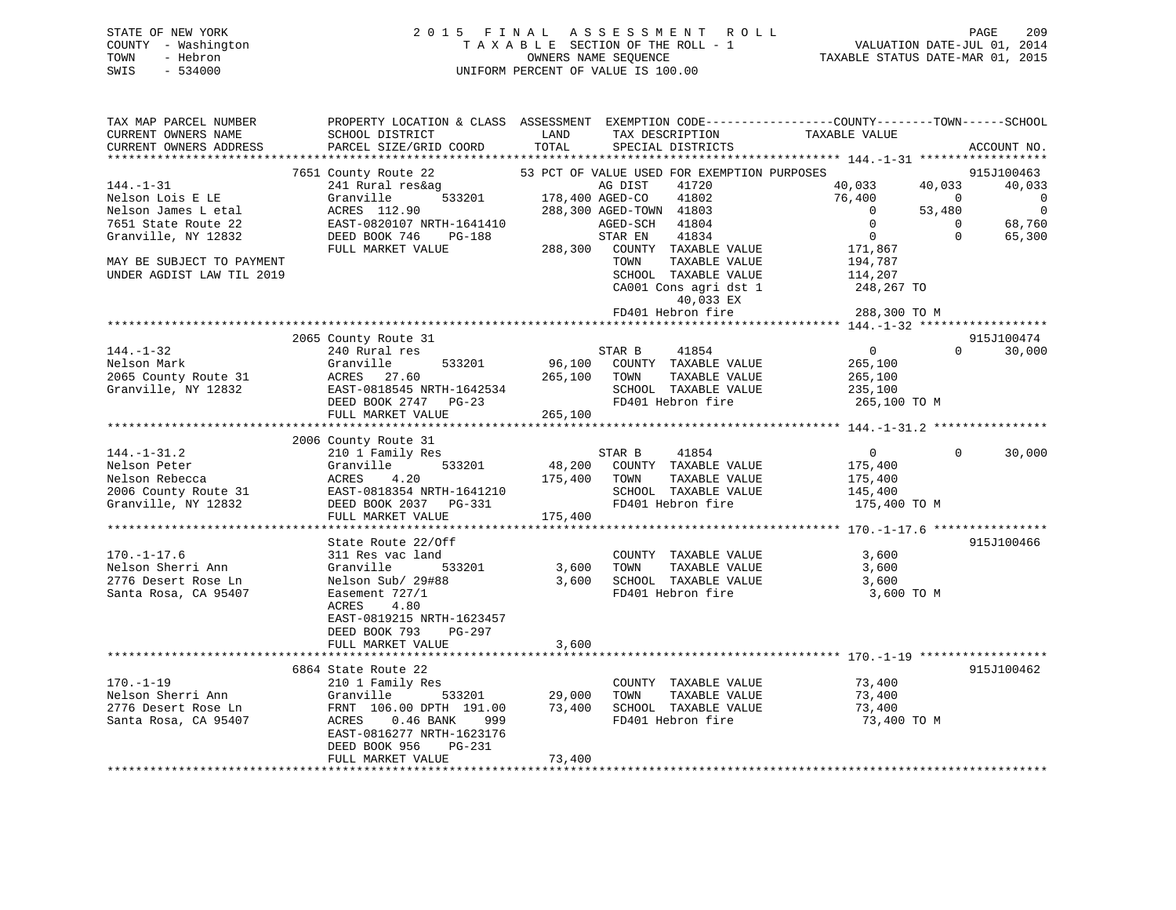# STATE OF NEW YORK 2 0 1 5 F I N A L A S S E S S M E N T R O L L PAGE 209 COUNTY - Washington T A X A B L E SECTION OF THE ROLL - 1 VALUATION DATE-JUL 01, 2014 TOWN - Hebron OWNERS NAME SEQUENCE TAXABLE STATUS DATE-MAR 01, 2015 SWIS - 534000 UNIFORM PERCENT OF VALUE IS 100.00

| TAX MAP PARCEL NUMBER<br>CURRENT OWNERS NAME<br>CURRENT OWNERS ADDRESS | PROPERTY LOCATION & CLASS ASSESSMENT<br>SCHOOL DISTRICT<br>PARCEL SIZE/GRID COORD | LAND<br>TOTAL   | TAX DESCRIPTION<br>SPECIAL DISTRICTS        | EXEMPTION CODE-----------------COUNTY-------TOWN------SCHOOL<br>TAXABLE VALUE | ACCOUNT NO. |
|------------------------------------------------------------------------|-----------------------------------------------------------------------------------|-----------------|---------------------------------------------|-------------------------------------------------------------------------------|-------------|
| *************************                                              |                                                                                   |                 |                                             |                                                                               |             |
|                                                                        | 7651 County Route 22                                                              |                 | 53 PCT OF VALUE USED FOR EXEMPTION PURPOSES |                                                                               | 915J100463  |
| $144. - 1 - 31$                                                        | 241 Rural res&ag                                                                  |                 | 41720<br>AG DIST                            | 40,033<br>40,033                                                              | 40,033      |
| Nelson Lois E LE                                                       | Granville<br>533201                                                               | 178,400 AGED-CO | 41802                                       | 76,400<br>$\mathbf 0$                                                         | $\mathbf 0$ |
| Nelson James L etal                                                    | ACRES 112.90                                                                      |                 | 288,300 AGED-TOWN 41803                     | 53,480<br>$\Omega$                                                            | $\mathbf 0$ |
| 7651 State Route 22                                                    | EAST-0820107 NRTH-1641410                                                         |                 | AGED-SCH<br>41804                           | $\mathbf{0}$<br>$\mathbf{0}$                                                  | 68,760      |
| Granville, NY 12832                                                    | DEED BOOK 746<br>PG-188                                                           |                 | STAR EN<br>41834                            | $\mathbf{0}$<br>$\Omega$                                                      | 65,300      |
|                                                                        | FULL MARKET VALUE                                                                 | 288,300         | COUNTY TAXABLE VALUE                        | 171,867                                                                       |             |
| MAY BE SUBJECT TO PAYMENT                                              |                                                                                   |                 | TAXABLE VALUE<br>TOWN                       | 194,787                                                                       |             |
| UNDER AGDIST LAW TIL 2019                                              |                                                                                   |                 | SCHOOL TAXABLE VALUE                        | 114,207                                                                       |             |
|                                                                        |                                                                                   |                 | CA001 Cons agri dst 1                       | 248,267 TO                                                                    |             |
|                                                                        |                                                                                   |                 | 40,033 EX                                   |                                                                               |             |
|                                                                        |                                                                                   |                 | FD401 Hebron fire                           | 288,300 TO M                                                                  |             |
|                                                                        |                                                                                   |                 |                                             |                                                                               |             |
|                                                                        | 2065 County Route 31                                                              |                 |                                             |                                                                               | 915J100474  |
| $144. - 1 - 32$                                                        | 240 Rural res                                                                     |                 | STAR B<br>41854                             | $\overline{0}$<br>$\Omega$                                                    | 30,000      |
| Nelson Mark                                                            | Granville<br>533201                                                               | 96,100          | COUNTY TAXABLE VALUE                        | 265,100                                                                       |             |
| 2065 County Route 31                                                   | ACRES<br>27.60                                                                    | 265,100         | TOWN<br>TAXABLE VALUE                       | 265,100                                                                       |             |
| Granville, NY 12832                                                    | EAST-0818545 NRTH-1642534                                                         |                 | SCHOOL TAXABLE VALUE                        | 235,100                                                                       |             |
|                                                                        | DEED BOOK 2747 PG-23                                                              |                 | FD401 Hebron fire                           | 265,100 TO M                                                                  |             |
|                                                                        | FULL MARKET VALUE                                                                 | 265,100         |                                             |                                                                               |             |
|                                                                        |                                                                                   |                 |                                             |                                                                               |             |
|                                                                        | 2006 County Route 31                                                              |                 |                                             |                                                                               |             |
| $144. - 1 - 31.2$                                                      | 210 1 Family Res                                                                  |                 | STAR B<br>41854                             | $\overline{0}$<br>$\Omega$                                                    | 30,000      |
| Nelson Peter                                                           | Granville<br>533201                                                               | 48,200          | COUNTY TAXABLE VALUE                        | 175,400                                                                       |             |
| Nelson Rebecca                                                         | ACRES<br>4.20                                                                     | 175,400         | TOWN<br>TAXABLE VALUE                       | 175,400                                                                       |             |
| 2006 County Route 31                                                   | EAST-0818354 NRTH-1641210                                                         |                 | SCHOOL TAXABLE VALUE                        | 145,400                                                                       |             |
| Granville, NY 12832                                                    | DEED BOOK 2037 PG-331                                                             |                 | FD401 Hebron fire                           | 175,400 TO M                                                                  |             |
|                                                                        | FULL MARKET VALUE                                                                 | 175,400         |                                             |                                                                               |             |
|                                                                        |                                                                                   |                 |                                             |                                                                               |             |
|                                                                        | State Route 22/Off                                                                |                 |                                             |                                                                               | 915J100466  |
| $170. - 1 - 17.6$                                                      | 311 Res vac land                                                                  |                 | COUNTY TAXABLE VALUE                        | 3,600                                                                         |             |
| Nelson Sherri Ann                                                      | Granville<br>533201                                                               | 3,600           | TAXABLE VALUE<br>TOWN                       | 3,600                                                                         |             |
| 2776 Desert Rose Ln                                                    | Nelson Sub/ 29#88                                                                 | 3,600           | SCHOOL TAXABLE VALUE                        | 3,600                                                                         |             |
| Santa Rosa, CA 95407                                                   | Easement 727/1                                                                    |                 | FD401 Hebron fire                           | 3,600 TO M                                                                    |             |
|                                                                        | 4.80<br>ACRES                                                                     |                 |                                             |                                                                               |             |
|                                                                        | EAST-0819215 NRTH-1623457                                                         |                 |                                             |                                                                               |             |
|                                                                        | DEED BOOK 793<br>$PG-297$                                                         |                 |                                             |                                                                               |             |
|                                                                        | FULL MARKET VALUE                                                                 | 3,600           |                                             |                                                                               |             |
|                                                                        |                                                                                   |                 |                                             |                                                                               |             |
|                                                                        | 6864 State Route 22                                                               |                 |                                             |                                                                               | 915J100462  |
| $170. - 1 - 19$                                                        | 210 1 Family Res                                                                  |                 | COUNTY TAXABLE VALUE                        | 73,400                                                                        |             |
| Nelson Sherri Ann                                                      | Granville<br>533201                                                               | 29,000          | TOWN<br>TAXABLE VALUE                       | 73,400                                                                        |             |
| 2776 Desert Rose Ln                                                    | FRNT 106.00 DPTH 191.00                                                           | 73,400          | SCHOOL TAXABLE VALUE                        | 73,400                                                                        |             |
| Santa Rosa, CA 95407                                                   | $0.46$ BANK<br>ACRES<br>999                                                       |                 | FD401 Hebron fire                           | 73,400 TO M                                                                   |             |
|                                                                        | EAST-0816277 NRTH-1623176                                                         |                 |                                             |                                                                               |             |
|                                                                        | DEED BOOK 956<br>PG-231                                                           |                 |                                             |                                                                               |             |
|                                                                        | FULL MARKET VALUE                                                                 | 73,400          |                                             |                                                                               |             |
|                                                                        |                                                                                   |                 |                                             |                                                                               |             |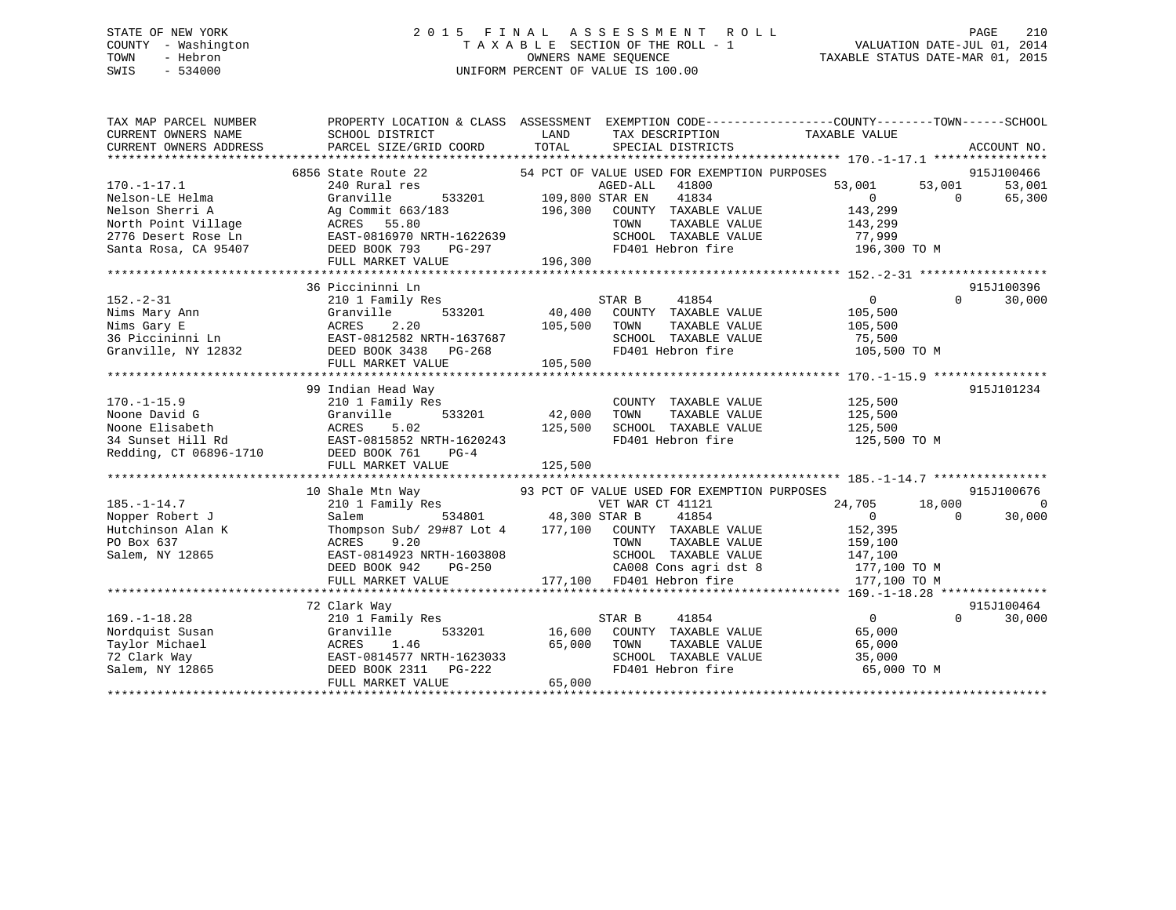# STATE OF NEW YORK 2 0 1 5 F I N A L A S S E S S M E N T R O L L PAGE 210 COUNTY - Washington T A X A B L E SECTION OF THE ROLL - 1 VALUATION DATE-JUL 01, 2014 TOWN - Hebron OWNERS NAME SEQUENCE TAXABLE STATUS DATE-MAR 01, 2015 SWIS - 534000 UNIFORM PERCENT OF VALUE IS 100.00

| TAX MAP PARCEL NUMBER<br>CURRENT OWNERS NAME<br>CURRENT OWNERS ADDRESS | SCHOOL DISTRICT<br>PARCEL SIZE/GRID COORD                                                                                                | LAND<br>TAX DESCRIPTION<br>TOTAL<br>SPECIAL DISTRICTS  | PROPERTY LOCATION & CLASS ASSESSMENT EXEMPTION CODE---------------COUNTY-------TOWN-----SCHOOL<br>TAXABLE VALUE<br>ACCOUNT NO. |
|------------------------------------------------------------------------|------------------------------------------------------------------------------------------------------------------------------------------|--------------------------------------------------------|--------------------------------------------------------------------------------------------------------------------------------|
|                                                                        |                                                                                                                                          |                                                        |                                                                                                                                |
|                                                                        | 6856 State Route 22                                                                                                                      | 54 PCT OF VALUE USED FOR EXEMPTION PURPOSES            | 915J100466                                                                                                                     |
| $170. - 1 - 17.1$                                                      | 240 Rural res                                                                                                                            | AGED-ALL<br>41800                                      | 53,001<br>53,001<br>53,001                                                                                                     |
| Nelson-LE Helma                                                        | Granville                                                                                                                                | 533201 109,800 STAR EN<br>41834                        | $\Omega$<br>65,300<br>$\overline{0}$                                                                                           |
| Nelson Sherri A                                                        | Ag Commit 663/183                                                                                                                        | 196,300<br>COUNTY TAXABLE VALUE                        | 143,299                                                                                                                        |
| North Point Village                                                    | ACRES 55.80<br>EAST-0816970 NRTH-1622639                                                                                                 | TOWN<br>TAXABLE VALUE                                  | 143,299                                                                                                                        |
| 2776 Desert Rose Ln                                                    |                                                                                                                                          |                                                        |                                                                                                                                |
| Santa Rosa, CA 95407                                                   | DEED BOOK 793                                                                                                                            | $PG-297$                                               | SCHOOL TAXABLE VALUE 77,999<br>FD401 Hebron fire 196,300 TO M                                                                  |
|                                                                        |                                                                                                                                          |                                                        |                                                                                                                                |
|                                                                        |                                                                                                                                          |                                                        |                                                                                                                                |
|                                                                        | 36 Piccininni Ln                                                                                                                         |                                                        | 915J100396                                                                                                                     |
| $152. - 2 - 31$                                                        | 210 1 Family Res                                                                                                                         | STAR B                                                 | $\overline{0}$<br>30,000<br>$\Omega$                                                                                           |
|                                                                        | 533201                                                                                                                                   |                                                        | 105,500                                                                                                                        |
|                                                                        |                                                                                                                                          | 105,500 TOWN<br>TAXABLE VALUE                          | 105,500                                                                                                                        |
|                                                                        | Nims Mary Ann<br>Nims Mary E<br>36 Piccininni Ln<br>Granville 533201<br>36 Piccininni Ln<br>Granville, NY 12832<br>DEED BOOK 3438 PG-268 | SCHOOL TAXABLE VALUE                                   | 75,500                                                                                                                         |
|                                                                        |                                                                                                                                          | $\overline{7}$<br>FD401 Hebron fire                    | 105,500 TO M                                                                                                                   |
|                                                                        | FULL MARKET VALUE                                                                                                                        | 105,500                                                |                                                                                                                                |
|                                                                        |                                                                                                                                          |                                                        |                                                                                                                                |
|                                                                        | 99 Indian Head Way                                                                                                                       |                                                        | 915J101234                                                                                                                     |
| $170. - 1 - 15.9$                                                      | 210 1 Family Res                                                                                                                         | COUNTY TAXABLE VALUE                                   |                                                                                                                                |
| Noone David G                                                          | Granville<br>533201                                                                                                                      | 42,000<br>TAXABLE VALUE<br>TOWN                        | 125,500<br>125,500                                                                                                             |
|                                                                        |                                                                                                                                          | SCHOOL TAXABLE VALUE 125,500<br>125,500                |                                                                                                                                |
|                                                                        | Noone Elisabeth MCRES 5.02 125<br>34 Sunset Hill Rd EAST-0815852 NRTH-1620243<br>Redding, CT 06896-1710 DEED BOOK 761 PG-4               | FD401 Hebron fire                                      | 125,500 TO M                                                                                                                   |
|                                                                        |                                                                                                                                          |                                                        |                                                                                                                                |
|                                                                        |                                                                                                                                          |                                                        |                                                                                                                                |
|                                                                        |                                                                                                                                          |                                                        |                                                                                                                                |
|                                                                        | 10 Shale Mtn Way                                                                                                                         | 93 PCT OF VALUE USED FOR EXEMPTION PURPOSES            | 915J100676                                                                                                                     |
| $185. - 1 - 14.7$                                                      |                                                                                                                                          | VET WAR CT 41121                                       | 24,705 18,000<br>0                                                                                                             |
| Nopper Robert J                                                        |                                                                                                                                          | 41854                                                  | $\overline{0}$<br>$\Omega$<br>30,000                                                                                           |
| Hutchinson Alan K                                                      |                                                                                                                                          | Thompson Sub/ 29#87 Lot 4 177,100 COUNTY TAXABLE VALUE | 152,395                                                                                                                        |
| PO Box 637                                                             | ACRES<br>9.20                                                                                                                            | TOWN<br>TAXABLE VALUE                                  |                                                                                                                                |
| Salem, NY 12865                                                        | EAST-0814923 NRTH-1603808                                                                                                                | SCHOOL TAXABLE VALUE                                   | 159,100                                                                                                                        |
|                                                                        | DEED BOOK 942<br>PG-250                                                                                                                  | CA008 Cons agri dst 8                                  | 147,100                                                                                                                        |
|                                                                        |                                                                                                                                          |                                                        | 177,100 TO M                                                                                                                   |
|                                                                        | FULL MARKET VALUE                                                                                                                        | 177,100 FD401 Hebron fire                              | 177,100 TO M                                                                                                                   |
|                                                                        |                                                                                                                                          |                                                        |                                                                                                                                |
|                                                                        | 72 Clark Way                                                                                                                             |                                                        | 915J100464                                                                                                                     |
| $169. - 1 - 18.28$                                                     | 210 1 Family Res                                                                                                                         | 41854<br>STAR B                                        | $\overline{0}$<br>$\Omega$<br>30,000                                                                                           |
| Nordquist Susan                                                        | Granville                                                                                                                                | 533201 16,600 COUNTY TAXABLE VALUE                     | 65,000                                                                                                                         |
| Taylor Michael                                                         | 1.46<br>ACRES 1.46 65,000<br>EAST-0814577 NRTH-1623033<br>DEED BOOK 2311 PG-222                                                          | 65,000<br>TOWN<br>TAXABLE VALUE                        | 65,000                                                                                                                         |
| 72 Clark Way                                                           |                                                                                                                                          | SCHOOL TAXABLE VALUE                                   | 35,000                                                                                                                         |
| Salem, $NY$ 12865                                                      |                                                                                                                                          | FD401 Hebron fire                                      | 65,000 TO M                                                                                                                    |
|                                                                        | FULL MARKET VALUE                                                                                                                        | 65,000                                                 |                                                                                                                                |
|                                                                        |                                                                                                                                          |                                                        |                                                                                                                                |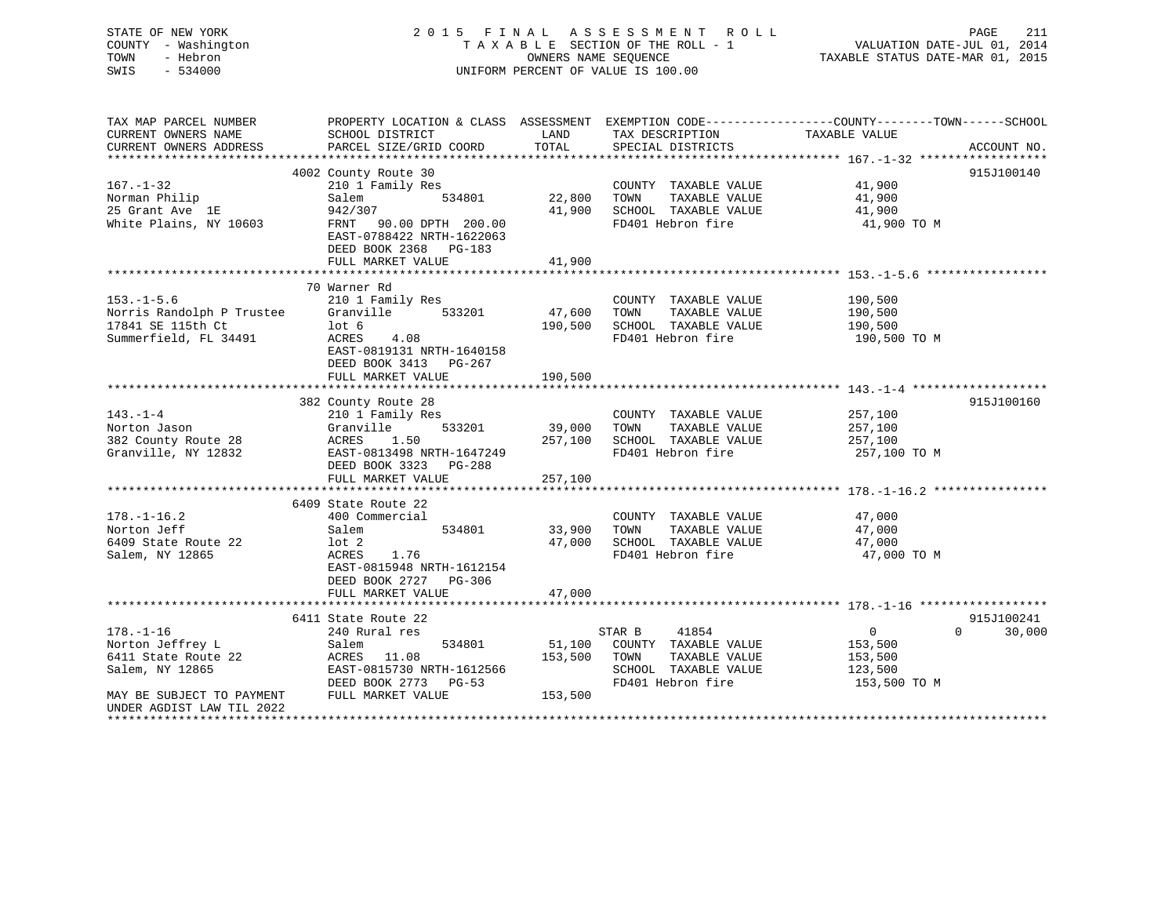STATE OF NEW YORK 2 0 1 5 F I N A L A S S E S S M E N T R O L L PAGE 211 COUNTY - Washington T A X A B L E SECTION OF THE ROLL - 1 VALUATION DATE-JUL 01, 2014 TOWN - Hebron OWNERS NAME SEQUENCE TAXABLE STATUS DATE-MAR 01, 2015 SWIS - 534000 UNIFORM PERCENT OF VALUE IS 100.00 TAX MAP PARCEL NUMBER PROPERTY LOCATION & CLASS ASSESSMENT EXEMPTION CODE------------------COUNTY--------TOWN------SCHOOL CURRENT OWNERS NAME SCHOOL DISTRICT THE LAND TAX DESCRIPTION TAXABLE VALUE CURRENT OWNERS ADDRESS PARCEL SIZE/GRID COORD TOTAL SPECIAL DISTRICTS ACCOUNT NO. \*\*\*\*\*\*\*\*\*\*\*\*\*\*\*\*\*\*\*\*\*\*\*\*\*\*\*\*\*\*\*\*\*\*\*\*\*\*\*\*\*\*\*\*\*\*\*\*\*\*\*\*\*\*\*\*\*\*\*\*\*\*\*\*\*\*\*\*\*\*\*\*\*\*\*\*\*\*\*\*\*\*\*\*\*\*\*\*\*\*\*\*\*\*\*\*\*\*\*\*\*\*\* 167.-1-32 \*\*\*\*\*\*\*\*\*\*\*\*\*\*\*\*\*\* 4002 County Route 30 915J100140 167.-1-32 210 1 Family Res COUNTY TAXABLE VALUE 41,900<br>
167.-1-32 210 1 Family Res COUNTY TAXABLE VALUE 41,900<br>
25 Grant Ave 1E 942/307 41,900 25 AM 1900 30100 12010 1202 41,900<br>
25 Grant Ave 18 41,900 Norman Philip Salem 534801 22,800 TOWN TAXABLE VALUE 41,900 25 Grant Ave 1E 942/307 41,900 SCHOOL TAXABLE VALUE 41,900 White Plains, NY 10603 FRNT 90.00 DPTH 200.00 FD401 Hebron fire 41,900 TO M EAST-0788422 NRTH-1622063 DEED BOOK 2368 PG-183FULL MARKET VALUE 41,900 \*\*\*\*\*\*\*\*\*\*\*\*\*\*\*\*\*\*\*\*\*\*\*\*\*\*\*\*\*\*\*\*\*\*\*\*\*\*\*\*\*\*\*\*\*\*\*\*\*\*\*\*\*\*\*\*\*\*\*\*\*\*\*\*\*\*\*\*\*\*\*\*\*\*\*\*\*\*\*\*\*\*\*\*\*\*\*\*\*\*\*\*\*\*\*\*\*\*\*\*\*\*\* 153.-1-5.6 \*\*\*\*\*\*\*\*\*\*\*\*\*\*\*\*\* 70 Warner Rd153.-1-5.6 210 1 Family Res COUNTY TAXABLE VALUE 190,500 Norris Randolph P Trustee Granville 533201 47,600 TOWN TAXABLE VALUE 190,500

\*\*\*\*\*\*\*\*\*\*\*\*\*\*\*\*\*\*\*\*\*\*\*\*\*\*\*\*\*\*\*\*\*\*\*\*\*\*\*\*\*\*\*\*\*\*\*\*\*\*\*\*\*\*\*\*\*\*\*\*\*\*\*\*\*\*\*\*\*\*\*\*\*\*\*\*\*\*\*\*\*\*\*\*\*\*\*\*\*\*\*\*\*\*\*\*\*\*\*\*\*\*\* 143.-1-4 \*\*\*\*\*\*\*\*\*\*\*\*\*\*\*\*\*\*\*

\*\*\*\*\*\*\*\*\*\*\*\*\*\*\*\*\*\*\*\*\*\*\*\*\*\*\*\*\*\*\*\*\*\*\*\*\*\*\*\*\*\*\*\*\*\*\*\*\*\*\*\*\*\*\*\*\*\*\*\*\*\*\*\*\*\*\*\*\*\*\*\*\*\*\*\*\*\*\*\*\*\*\*\*\*\*\*\*\*\*\*\*\*\*\*\*\*\*\*\*\*\*\* 178.-1-16.2 \*\*\*\*\*\*\*\*\*\*\*\*\*\*\*\*

\*\*\*\*\*\*\*\*\*\*\*\*\*\*\*\*\*\*\*\*\*\*\*\*\*\*\*\*\*\*\*\*\*\*\*\*\*\*\*\*\*\*\*\*\*\*\*\*\*\*\*\*\*\*\*\*\*\*\*\*\*\*\*\*\*\*\*\*\*\*\*\*\*\*\*\*\*\*\*\*\*\*\*\*\*\*\*\*\*\*\*\*\*\*\*\*\*\*\*\*\*\*\* 178.-1-16 \*\*\*\*\*\*\*\*\*\*\*\*\*\*\*\*\*\*

178.-1-16 240 Rural res STAR B 41854 0 0 30,000

\*\*\*\*\*\*\*\*\*\*\*\*\*\*\*\*\*\*\*\*\*\*\*\*\*\*\*\*\*\*\*\*\*\*\*\*\*\*\*\*\*\*\*\*\*\*\*\*\*\*\*\*\*\*\*\*\*\*\*\*\*\*\*\*\*\*\*\*\*\*\*\*\*\*\*\*\*\*\*\*\*\*\*\*\*\*\*\*\*\*\*\*\*\*\*\*\*\*\*\*\*\*\*\*\*\*\*\*\*\*\*\*\*\*\*\*\*\*\*\*\*\*\*\*\*\*\*\*\*\*\*\*

DEED BOOK 2773 PG-53 FD401 Hebron fire 153,500 TO M

382 County Route 28 915J100160

6411 State Route 22 915J100241

 $0 \t30.000$ 

17841 SE 115th Ct lot 6 190,500 SCHOOL TAXABLE VALUE 190,500 17841 SE 115th Ct 10th 6 190,500 SCHOOL TAXABLE VALUE 190,500 190,500 SCHOOL TAXABLE VALUE 190,500 TO M<br>Summerfield, FL 34491 200,500 ACRES 4.08 FD401 Hebron fire 190,500 TO M

143.-1-4 210 1 Family Res COUNTY TAXABLE VALUE 257,100 Norton Jason Granville 533201 39,000 TOWN TAXABLE VALUE 257,100 382 County Route 28 ACRES 1.50 257,100 SCHOOL TAXABLE VALUE 257,100 Granville, NY 12832 EAST-0813498 NRTH-1647249 FD401 Hebron fire 257,100 TO M

178.-1-16.2 400 Commercial COUNTY TAXABLE VALUE 47,000 Norton Jeff Salem 534801 33,900 TOWN TAXABLE VALUE 47,000 6409 State Route 22 lot 2 47,000 SCHOOL TAXABLE VALUE 47,000 Salem, NY 12865 ACRES 1.76 FD401 Hebron fire 47,000 TO M

Norton Jeffrey L Salem 534801 51,100 COUNTY TAXABLE VALUE 153,500 6411 State Route 22 ACRES 11.08 153,500 TOWN TAXABLE VALUE 153,500 Salem, NY 12865 EAST-0815730 NRTH-1612566 SCHOOL TAXABLE VALUE 123,500

 EAST-0819131 NRTH-1640158DEED BOOK 3413 PG-267 FULL MARKET VALUE 190,500

DEED BOOK 3323 PG-288

EAST-0815948 NRTH-1612154

DEED BOOK 2727 PG-306

6409 State Route 22

MAY BE SUBJECT TO PAYMENT FULL MARKET VALUE 153,500

UNDER AGDIST LAW TIL 2022

FULL MARKET VALUE 257,100

FULL MARKET VALUE 47,000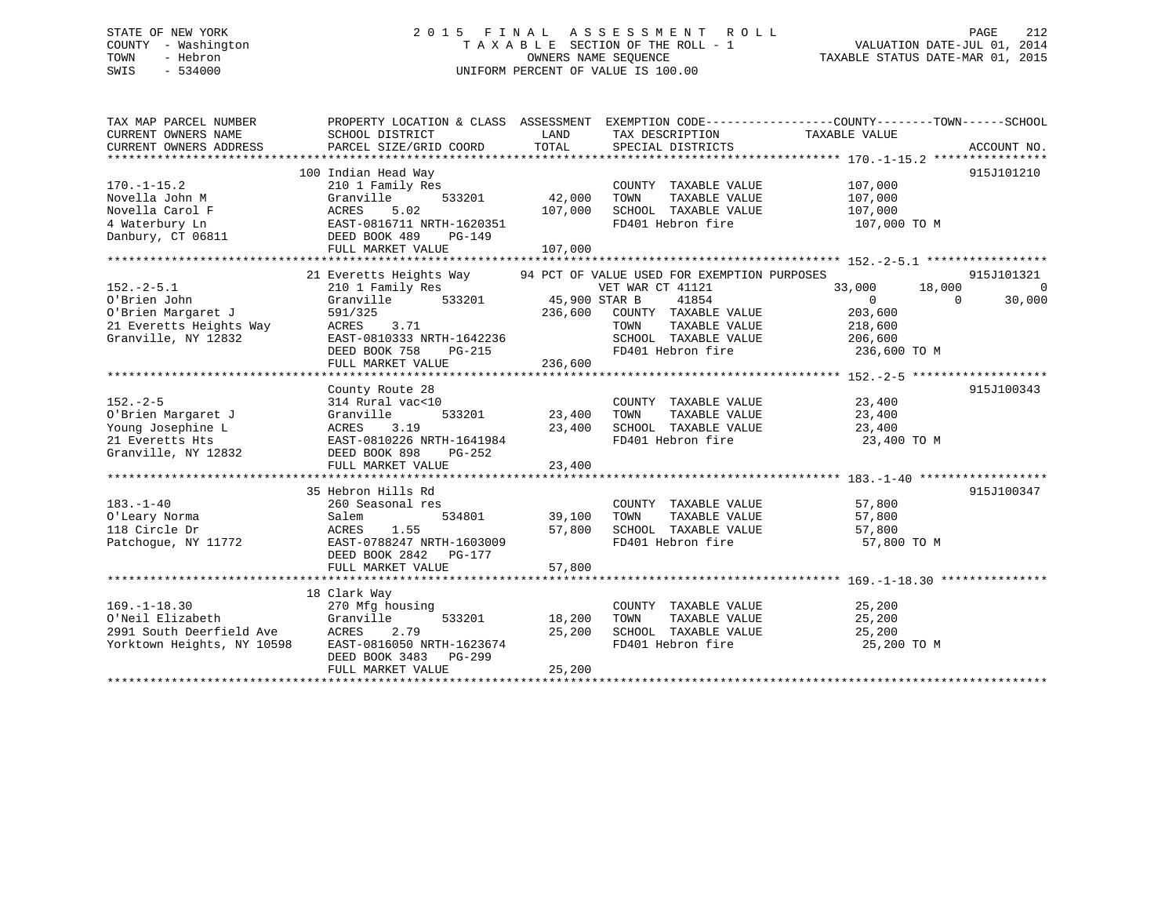# STATE OF NEW YORK 2 0 1 5 F I N A L A S S E S S M E N T R O L L PAGE 212 COUNTY - Washington T A X A B L E SECTION OF THE ROLL - 1 VALUATION DATE-JUL 01, 2014 TOWN - Hebron OWNERS NAME SEQUENCE TAXABLE STATUS DATE-MAR 01, 2015 SWIS - 534000 UNIFORM PERCENT OF VALUE IS 100.00

| TAX MAP PARCEL NUMBER<br>CURRENT OWNERS NAME<br>CURRENT OWNERS ADDRESS | PROPERTY LOCATION & CLASS ASSESSMENT EXEMPTION CODE---------------COUNTY-------TOWN-----SCHOOL<br>SCHOOL DISTRICT<br>PARCEL SIZE/GRID COORD | LAND<br>TOTAL | TAX DESCRIPTION<br>SPECIAL DISTRICTS        | TAXABLE VALUE    | ACCOUNT NO.        |
|------------------------------------------------------------------------|---------------------------------------------------------------------------------------------------------------------------------------------|---------------|---------------------------------------------|------------------|--------------------|
|                                                                        |                                                                                                                                             |               |                                             |                  |                    |
|                                                                        | 100 Indian Head Way                                                                                                                         |               |                                             |                  | 915J101210         |
| $170. - 1 - 15.2$                                                      | 210 1 Family Res                                                                                                                            |               | COUNTY TAXABLE VALUE                        | 107,000          |                    |
| Novella John M                                                         | 533201<br>Granville                                                                                                                         | 42,000        | TOWN<br>TAXABLE VALUE                       | 107,000          |                    |
| Novella Carol F                                                        | 5.02<br>ACRES                                                                                                                               | 107,000       | SCHOOL TAXABLE VALUE                        | 107,000          |                    |
| 4 Waterbury Ln                                                         | EAST-0816711 NRTH-1620351                                                                                                                   |               | FD401 Hebron fire                           | 107,000 TO M     |                    |
| Danbury, CT 06811                                                      | DEED BOOK 489<br>PG-149                                                                                                                     |               |                                             |                  |                    |
|                                                                        | FULL MARKET VALUE                                                                                                                           | 107,000       |                                             |                  |                    |
|                                                                        |                                                                                                                                             |               |                                             |                  |                    |
|                                                                        | 21 Everetts Heights Way                                                                                                                     |               | 94 PCT OF VALUE USED FOR EXEMPTION PURPOSES |                  | 915J101321         |
| $152.-2-5.1$                                                           | 210 1 Family Res                                                                                                                            |               | VET WAR CT 41121                            | 33,000<br>18,000 | $\Omega$           |
| O'Brien John                                                           | Granville 533201 45,900 STAR B                                                                                                              |               | 41854                                       | $\overline{0}$   | $\Omega$<br>30,000 |
| O'Brien Margaret J                                                     | 591/325                                                                                                                                     |               | 236,600 COUNTY TAXABLE VALUE                | 203,600          |                    |
| o brien margaret J<br>21 Everetts Heights Way                          | ACRES 3.71                                                                                                                                  |               | TAXABLE VALUE<br>TOWN                       | 218,600          |                    |
| Granville, NY 12832                                                    | EAST-0810333 NRTH-1642236                                                                                                                   |               | SCHOOL TAXABLE VALUE 206,600                |                  |                    |
|                                                                        | DEED BOOK 758<br>PG-215                                                                                                                     |               | FD401 Hebron fire                           | 236,600 TO M     |                    |
|                                                                        | FULL MARKET VALUE                                                                                                                           | 236,600       |                                             |                  |                    |
|                                                                        |                                                                                                                                             |               |                                             |                  |                    |
|                                                                        | County Route 28                                                                                                                             |               |                                             |                  | 915J100343         |
| $152 - 2 - 5$                                                          | 314 Rural vac<10                                                                                                                            |               | COUNTY TAXABLE VALUE                        | 23,400           |                    |
| O'Brien Margaret J                                                     | Granville                                                                                                                                   | 533201 23,400 | TOWN<br>TAXABLE VALUE                       | 23,400           |                    |
| Young Josephine L                                                      | 3.19<br>ACRES                                                                                                                               | 23,400        | SCHOOL TAXABLE VALUE                        | 23,400           |                    |
| 21 Everetts Hts                                                        | EAST-0810226 NRTH-1641984                                                                                                                   |               | FD401 Hebron fire                           | 23,400 TO M      |                    |
| Granville, NY 12832                                                    | DEED BOOK 898<br>PG-252                                                                                                                     |               |                                             |                  |                    |
|                                                                        | FULL MARKET VALUE                                                                                                                           | 23,400        |                                             |                  |                    |
|                                                                        |                                                                                                                                             |               |                                             |                  |                    |
|                                                                        | 35 Hebron Hills Rd                                                                                                                          |               |                                             |                  | 915J100347         |
| $183. - 1 - 40$                                                        | 260 Seasonal res                                                                                                                            |               | COUNTY TAXABLE VALUE                        | 57,800           |                    |
| O'Leary Norma                                                          | 534801<br>Salem                                                                                                                             | 39,100        | TAXABLE VALUE<br>TOWN                       | 57,800           |                    |
| 118 Circle Dr                                                          | 1.55<br>ACRES                                                                                                                               | 57,800        | SCHOOL TAXABLE VALUE                        | 57,800           |                    |
| Patchogue, NY 11772                                                    | EAST-0788247 NRTH-1603009                                                                                                                   |               | FD401 Hebron fire                           | 57,800 TO M      |                    |
|                                                                        | DEED BOOK 2842    PG-177                                                                                                                    |               |                                             |                  |                    |
|                                                                        | FULL MARKET VALUE                                                                                                                           | 57,800        |                                             |                  |                    |
|                                                                        |                                                                                                                                             |               |                                             |                  |                    |
|                                                                        | 18 Clark Way                                                                                                                                |               |                                             |                  |                    |
| $169. - 1 - 18.30$                                                     | 270 Mfg housing<br>270 Mfg ho<br>Granville                                                                                                  |               | COUNTY TAXABLE VALUE                        | 25,200           |                    |
| O'Neil Elizabeth                                                       | 533201                                                                                                                                      | 18,200        | TAXABLE VALUE<br>TOWN                       | 25,200           |                    |
| 2991 South Deerfield Ave ACRES                                         | 2.79                                                                                                                                        | 25,200        | SCHOOL TAXABLE VALUE 25,200                 |                  |                    |
| Yorktown Heights, NY 10598                                             | EAST-0816050 NRTH-1623674                                                                                                                   |               | FD401 Hebron fire                           | 25,200 TO M      |                    |
|                                                                        | DEED BOOK 3483 PG-299                                                                                                                       |               |                                             |                  |                    |
|                                                                        | FULL MARKET VALUE                                                                                                                           | 25,200        |                                             |                  |                    |
|                                                                        |                                                                                                                                             |               |                                             |                  |                    |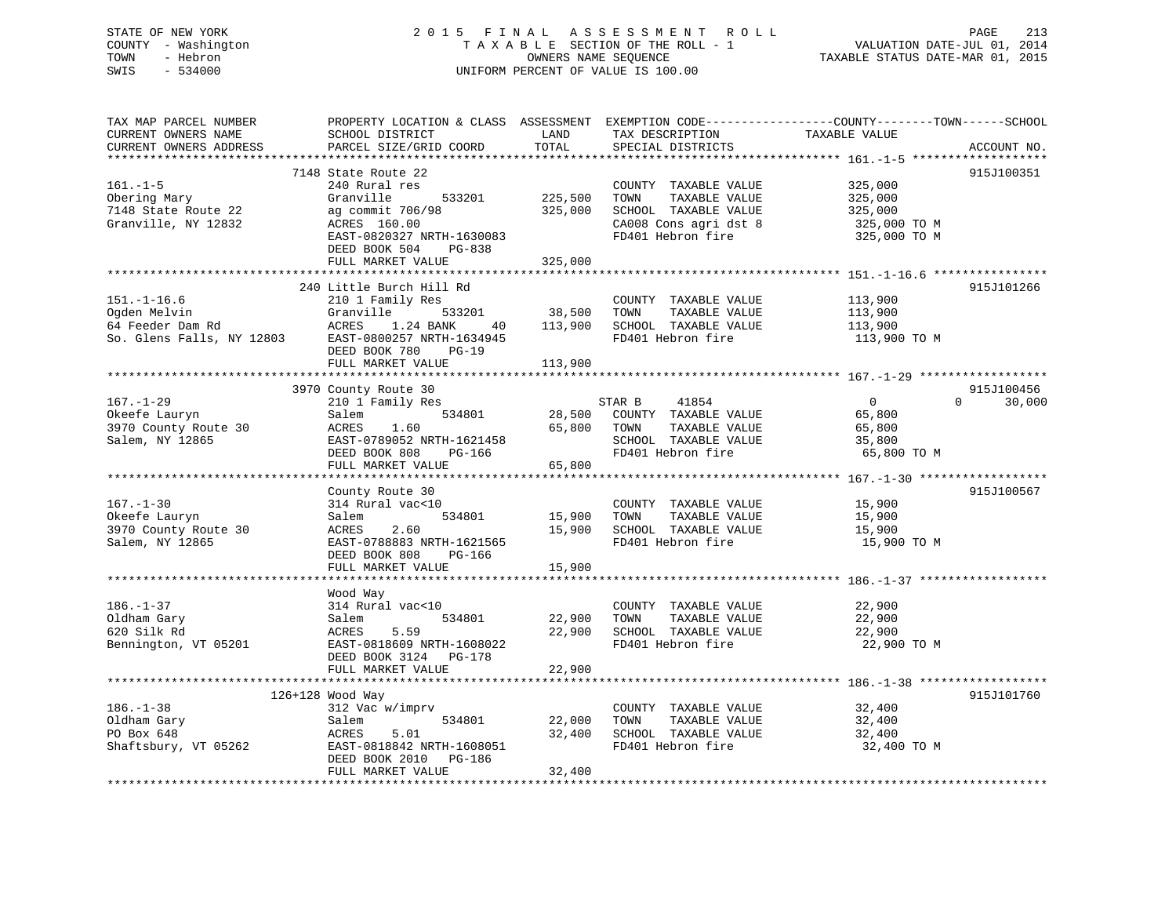# STATE OF NEW YORK 2 0 1 5 F I N A L A S S E S S M E N T R O L L PAGE 213 COUNTY - Washington T A X A B L E SECTION OF THE ROLL - 1 VALUATION DATE-JUL 01, 2014 TOWN - Hebron OWNERS NAME SEQUENCE TAXABLE STATUS DATE-MAR 01, 2015 SWIS - 534000 UNIFORM PERCENT OF VALUE IS 100.00

| TAX MAP PARCEL NUMBER<br>CURRENT OWNERS NAME<br>CURRENT OWNERS ADDRESS             | PROPERTY LOCATION & CLASS ASSESSMENT<br>SCHOOL DISTRICT<br>PARCEL SIZE/GRID COORD                                                                                                                         | LAND<br>TOTAL                               | TAX DESCRIPTION<br>SPECIAL DISTRICTS                                                                                | EXEMPTION CODE-----------------COUNTY-------TOWN------SCHOOL<br>TAXABLE VALUE                          | ACCOUNT NO.                      |
|------------------------------------------------------------------------------------|-----------------------------------------------------------------------------------------------------------------------------------------------------------------------------------------------------------|---------------------------------------------|---------------------------------------------------------------------------------------------------------------------|--------------------------------------------------------------------------------------------------------|----------------------------------|
| $161. - 1 - 5$<br>Obering Mary<br>7148 State Route 22<br>Granville, NY 12832       | 7148 State Route 22<br>240 Rural res<br>Granville<br>533201<br>ag commit 706/98<br>ACRES 160.00<br>EAST-0820327 NRTH-1630083<br>DEED BOOK 504<br>PG-838<br>FULL MARKET VALUE                              | 225,500<br>325,000<br>325,000               | COUNTY TAXABLE VALUE<br>TOWN<br>TAXABLE VALUE<br>SCHOOL TAXABLE VALUE<br>CA008 Cons agri dst 8<br>FD401 Hebron fire | 325,000<br>325,000<br>325,000<br>325,000 TO M<br>325,000 TO M                                          | 915J100351                       |
| $151. - 1 - 16.6$<br>Ogden Melvin<br>64 Feeder Dam Rd<br>So. Glens Falls, NY 12803 | 240 Little Burch Hill Rd<br>210 1 Family Res<br>Granville<br>533201<br>1.24 BANK<br>ACRES<br>40<br>EAST-0800257 NRTH-1634945<br>DEED BOOK 780<br>$PG-19$<br>FULL MARKET VALUE<br>************************ | 38,500<br>113,900<br>113,900<br>*********** | COUNTY TAXABLE VALUE<br>TAXABLE VALUE<br>TOWN<br>SCHOOL TAXABLE VALUE<br>FD401 Hebron fire                          | 113,900<br>113,900<br>113,900<br>113,900 TO M<br>*********************** 167.-1-29 ******************* | 915J101266                       |
| $167. - 1 - 29$<br>Okeefe Lauryn<br>3970 County Route 30<br>Salem, NY 12865        | 3970 County Route 30<br>210 1 Family Res<br>534801<br>Salem<br>1.60<br>ACRES<br>EAST-0789052 NRTH-1621458<br>DEED BOOK 808<br>PG-166<br>FULL MARKET VALUE                                                 | 28,500<br>65,800<br>65,800                  | 41854<br>STAR B<br>COUNTY TAXABLE VALUE<br>TAXABLE VALUE<br>TOWN<br>SCHOOL TAXABLE VALUE<br>FD401 Hebron fire       | $\overline{0}$<br>65,800<br>65,800<br>35,800<br>65,800 TO M                                            | 915J100456<br>$\Omega$<br>30,000 |
| $167. - 1 - 30$<br>Okeefe Lauryn<br>3970 County Route 30<br>Salem, NY 12865        | County Route 30<br>314 Rural vac<10<br>534801<br>Salem<br>ACRES<br>2.60<br>EAST-0788883 NRTH-1621565<br>DEED BOOK 808<br><b>PG-166</b><br>FULL MARKET VALUE                                               | 15,900<br>15,900<br>15,900                  | COUNTY TAXABLE VALUE<br>TOWN<br>TAXABLE VALUE<br>SCHOOL TAXABLE VALUE<br>FD401 Hebron fire                          | 15,900<br>15,900<br>15,900<br>15,900 TO M                                                              | 915J100567                       |
| $186. - 1 - 37$<br>Oldham Gary<br>620 Silk Rd<br>Bennington, VT 05201              | Wood Way<br>314 Rural vac<10<br>534801<br>Salem<br>ACRES<br>5.59<br>EAST-0818609 NRTH-1608022<br>DEED BOOK 3124 PG-178<br>FULL MARKET VALUE                                                               | 22,900<br>22,900<br>22,900                  | COUNTY TAXABLE VALUE<br>TOWN<br>TAXABLE VALUE<br>SCHOOL TAXABLE VALUE<br>FD401 Hebron fire                          | 22,900<br>22,900<br>22,900<br>22,900 TO M                                                              |                                  |
| $186. - 1 - 38$<br>Oldham Gary<br>PO Box 648<br>Shaftsbury, VT 05262               | $126+128$ Wood Way<br>312 Vac w/imprv<br>534801<br>Salem<br>ACRES<br>5.01<br>EAST-0818842 NRTH-1608051<br>DEED BOOK 2010<br>PG-186<br>FULL MARKET VALUE                                                   | 22,000<br>32,400<br>32,400                  | COUNTY TAXABLE VALUE<br>TOWN<br>TAXABLE VALUE<br>SCHOOL TAXABLE VALUE<br>FD401 Hebron fire                          | 32,400<br>32,400<br>32,400<br>32,400 TO M                                                              | 915J101760                       |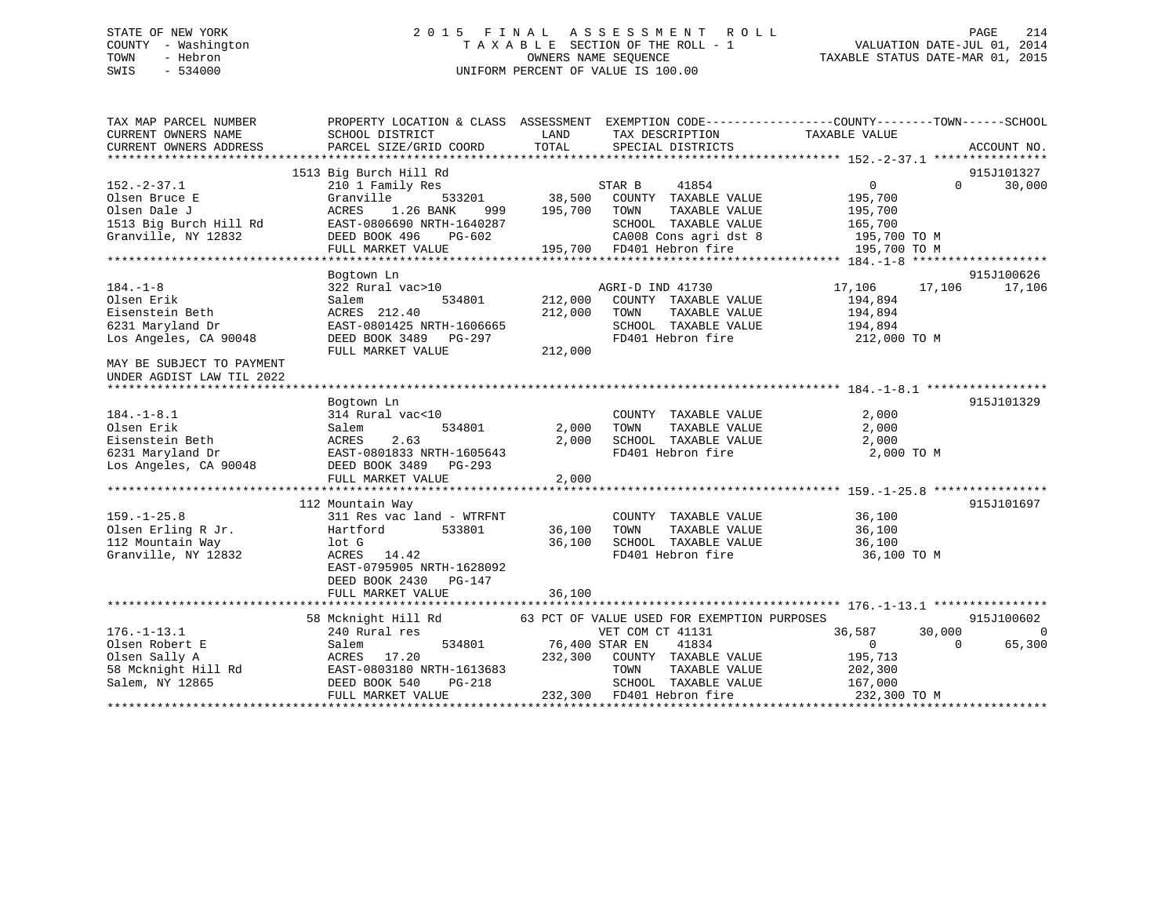# STATE OF NEW YORK 2 0 1 5 F I N A L A S S E S S M E N T R O L L PAGE 214 COUNTY - Washington T A X A B L E SECTION OF THE ROLL - 1 VALUATION DATE-JUL 01, 2014 TOWN - Hebron OWNERS NAME SEQUENCE TAXABLE STATUS DATE-MAR 01, 2015 SWIS - 534000 UNIFORM PERCENT OF VALUE IS 100.00

| TAX MAP PARCEL NUMBER<br>CURRENT OWNERS NAME           | SCHOOL DISTRICT                | LAND           | TAX DESCRIPTION                             | PROPERTY LOCATION & CLASS ASSESSMENT EXEMPTION CODE----------------COUNTY-------TOWN------SCHOOL<br>TAXABLE VALUE |             |
|--------------------------------------------------------|--------------------------------|----------------|---------------------------------------------|-------------------------------------------------------------------------------------------------------------------|-------------|
| CURRENT OWNERS ADDRESS                                 | PARCEL SIZE/GRID COORD         | TOTAL          | SPECIAL DISTRICTS                           |                                                                                                                   | ACCOUNT NO. |
|                                                        |                                |                |                                             |                                                                                                                   |             |
|                                                        | 1513 Big Burch Hill Rd         |                |                                             |                                                                                                                   | 915J101327  |
| $152. - 2 - 37.1$                                      | 210 1 Family Res               |                | STAR B<br>41854                             | $\Omega$<br>$\Omega$                                                                                              | 30,000      |
| Olsen Bruce E                                          | Granville<br>533201            | 38,500         | COUNTY TAXABLE VALUE                        | 195,700                                                                                                           |             |
| Olsen Dale J                                           | ACRES<br>1.26 BANK<br>999      | 195,700        | TOWN<br>TAXABLE VALUE                       | 195,700                                                                                                           |             |
| 1513 Big Burch Hill Rd                                 | EAST-0806690 NRTH-1640287      |                | SCHOOL TAXABLE VALUE                        | 165,700                                                                                                           |             |
| Granville, NY 12832                                    | DEED BOOK 496<br>PG-602        |                | CA008 Cons agri dst 8                       | 195,700 TO M                                                                                                      |             |
|                                                        | FULL MARKET VALUE              |                | 195,700 FD401 Hebron fire                   | 195,700 TO M                                                                                                      |             |
|                                                        |                                |                |                                             |                                                                                                                   |             |
|                                                        | Bogtown Ln                     |                |                                             |                                                                                                                   | 915J100626  |
| $184. - 1 - 8$                                         | 322 Rural vac>10               |                | AGRI-D IND 41730                            | 17,106<br>17,106                                                                                                  | 17,106      |
| Olsen Erik                                             | Salem<br>534801                | 212,000        | COUNTY TAXABLE VALUE                        | 194,894                                                                                                           |             |
| Eisenstein Beth                                        | ACRES 212.40                   | 212,000        | TAXABLE VALUE<br>TOWN                       | 194,894                                                                                                           |             |
| 6231 Maryland Dr                                       | EAST-0801425 NRTH-1606665      |                | SCHOOL TAXABLE VALUE                        | 194,894                                                                                                           |             |
| Los Angeles, CA 90048                                  | DEED BOOK 3489 PG-297          |                | FD401 Hebron fire                           | 212,000 TO M                                                                                                      |             |
|                                                        | FULL MARKET VALUE              | 212,000        |                                             |                                                                                                                   |             |
| MAY BE SUBJECT TO PAYMENT<br>UNDER AGDIST LAW TIL 2022 |                                |                |                                             |                                                                                                                   |             |
|                                                        |                                |                |                                             |                                                                                                                   |             |
|                                                        | Bogtown Ln                     |                |                                             |                                                                                                                   | 915J101329  |
| $184. - 1 - 8.1$                                       | 314 Rural vac<10               |                | COUNTY TAXABLE VALUE                        | 2,000                                                                                                             |             |
| Olsen Erik                                             | Salem<br>534801                | 2,000          | TAXABLE VALUE<br>TOWN                       | 2,000                                                                                                             |             |
| Eisenstein Beth                                        | 2.63<br>ACRES                  | 2,000          | SCHOOL TAXABLE VALUE                        | 2,000                                                                                                             |             |
| 6231 Maryland Dr                                       | EAST-0801833 NRTH-1605643      |                | FD401 Hebron fire                           | 2,000 TO M                                                                                                        |             |
| Los Angeles, CA 90048                                  | DEED BOOK 3489<br>PG-293       |                |                                             |                                                                                                                   |             |
|                                                        | FULL MARKET VALUE              | 2,000          |                                             |                                                                                                                   |             |
|                                                        |                                |                |                                             |                                                                                                                   |             |
|                                                        | 112 Mountain Way               |                |                                             |                                                                                                                   | 915J101697  |
| $159. - 1 - 25.8$                                      | 311 Res vac land - WTRFNT      |                | COUNTY TAXABLE VALUE                        | 36,100                                                                                                            |             |
| Olsen Erling R Jr.                                     | 533801<br>Hartford             | 36,100         | TOWN<br>TAXABLE VALUE                       | 36,100                                                                                                            |             |
| 112 Mountain Way                                       | lot G                          | 36,100         | SCHOOL TAXABLE VALUE                        | 36,100                                                                                                            |             |
| Granville, NY 12832                                    | ACRES 14.42                    |                | FD401 Hebron fire                           | 36,100 TO M                                                                                                       |             |
|                                                        | EAST-0795905 NRTH-1628092      |                |                                             |                                                                                                                   |             |
|                                                        | DEED BOOK 2430<br>PG-147       |                |                                             |                                                                                                                   |             |
|                                                        | FULL MARKET VALUE              | 36,100         |                                             |                                                                                                                   |             |
|                                                        |                                |                |                                             |                                                                                                                   |             |
|                                                        | 58 Mcknight Hill Rd            |                | 63 PCT OF VALUE USED FOR EXEMPTION PURPOSES |                                                                                                                   | 915J100602  |
| $176. - 1 - 13.1$                                      | 240 Rural res                  |                | VET COM CT 41131                            | 30,000<br>36,587                                                                                                  | $\Omega$    |
| Olsen Robert E                                         | Salem<br>534801                | 76,400 STAR EN | 41834                                       | $\mathbf{0}$<br>$\Omega$                                                                                          | 65,300      |
| Olsen Sally A                                          | ACRES 17.20                    | 232,300        | COUNTY TAXABLE VALUE                        | 195,713                                                                                                           |             |
| 58 Mcknight Hill Rd                                    | EAST-0803180 NRTH-1613683      |                | TOWN<br>TAXABLE VALUE                       |                                                                                                                   |             |
| Salem, NY 12865                                        | DEED BOOK 540<br><b>PG-218</b> |                | SCHOOL TAXABLE VALUE                        | 202,300                                                                                                           |             |
|                                                        |                                |                |                                             | 167,000<br>232,300 TO M                                                                                           |             |
|                                                        | FULL MARKET VALUE              |                | 232,300 FD401 Hebron fire                   |                                                                                                                   |             |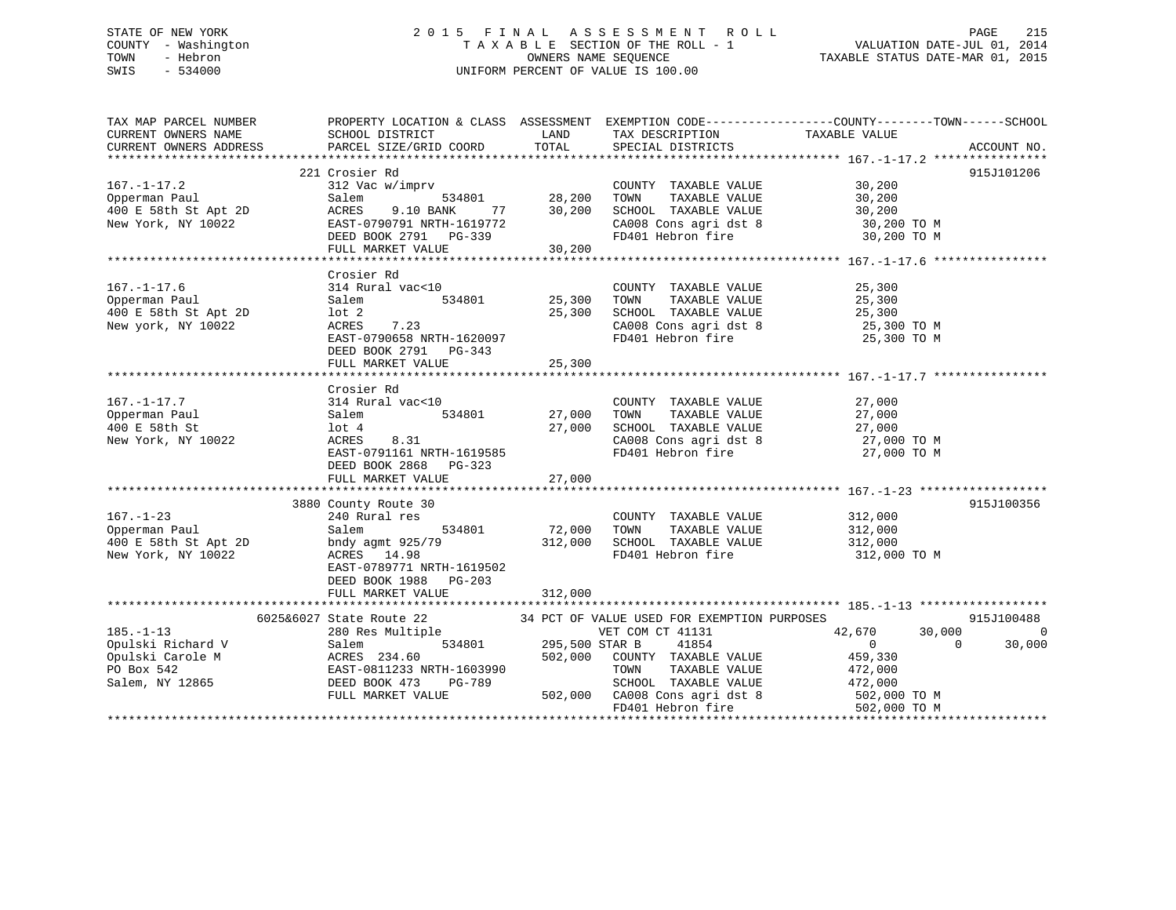# STATE OF NEW YORK 2 0 1 5 F I N A L A S S E S S M E N T R O L L PAGE 215 COUNTY - Washington T A X A B L E SECTION OF THE ROLL - 1 VALUATION DATE-JUL 01, 2014 TOWN - Hebron OWNERS NAME SEQUENCE TAXABLE STATUS DATE-MAR 01, 2015 SWIS - 534000 UNIFORM PERCENT OF VALUE IS 100.00

| TAX MAP PARCEL NUMBER                                           |                                           |                       |                                                                                                   | PROPERTY LOCATION & CLASS ASSESSMENT EXEMPTION CODE----------------COUNTY-------TOWN------SCHOOL |                |
|-----------------------------------------------------------------|-------------------------------------------|-----------------------|---------------------------------------------------------------------------------------------------|--------------------------------------------------------------------------------------------------|----------------|
| CURRENT OWNERS NAME<br>CURRENT OWNERS ADDRESS                   | SCHOOL DISTRICT<br>PARCEL SIZE/GRID COORD | LAND<br>TOTAL         | TAX DESCRIPTION<br>SPECIAL DISTRICTS                                                              | TAXABLE VALUE                                                                                    |                |
|                                                                 |                                           |                       |                                                                                                   |                                                                                                  | ACCOUNT NO.    |
|                                                                 | 221 Crosier Rd                            |                       |                                                                                                   |                                                                                                  | 915J101206     |
| $167. - 1 - 17.2$                                               | 312 Vac w/imprv                           |                       | COUNTY TAXABLE VALUE                                                                              | 30,200                                                                                           |                |
| Opperman Paul                                                   | 534801<br>Salem                           | 28,200                | TOWN<br>TAXABLE VALUE                                                                             | 30,200                                                                                           |                |
|                                                                 | ACRES<br>9.10 BANK                        | $77$ 30,200           |                                                                                                   |                                                                                                  |                |
| 400 E 58th St Apt 2D<br>Now York NY 10022<br>New York, NY 10022 | EAST-0790791 NRTH-1619772                 |                       |                                                                                                   |                                                                                                  |                |
|                                                                 | DEED BOOK 2791 PG-339                     |                       | SCHOOL TAXABLE VALUE 30,200<br>CA008 Cons agri dst 8 30,200 TO M<br>FD401 Hebron fire 30,200 TO M |                                                                                                  |                |
|                                                                 | FULL MARKET VALUE                         | 30, 200               |                                                                                                   |                                                                                                  |                |
|                                                                 |                                           |                       |                                                                                                   |                                                                                                  |                |
|                                                                 | Crosier Rd                                |                       |                                                                                                   |                                                                                                  |                |
| $167. - 1 - 17.6$                                               | 314 Rural vac<10                          |                       | COUNTY TAXABLE VALUE                                                                              | 25,300                                                                                           |                |
| Opperman Paul                                                   | 534801<br>Salem                           | 25,300                | TAXABLE VALUE<br>TOWN                                                                             | 25,300                                                                                           |                |
| 400 E 58th St Apt 2D                                            | lot 2                                     | 25,300                | SCHOOL TAXABLE VALUE                                                                              | 25,300                                                                                           |                |
| New york, NY 10022                                              | 7.23<br>ACRES                             |                       | CA008 Cons agri dst 8                                                                             | 25,300 TO M                                                                                      |                |
|                                                                 | EAST-0790658 NRTH-1620097                 |                       | FD401 Hebron fire                                                                                 | 25,300 TO M                                                                                      |                |
|                                                                 | DEED BOOK 2791 PG-343                     |                       |                                                                                                   |                                                                                                  |                |
|                                                                 |                                           |                       |                                                                                                   |                                                                                                  |                |
|                                                                 |                                           |                       |                                                                                                   |                                                                                                  |                |
|                                                                 | Crosier Rd                                |                       |                                                                                                   |                                                                                                  |                |
| $167. - 1 - 17.7$                                               | 314 Rural vac<10                          |                       | COUNTY TAXABLE VALUE                                                                              | 27,000                                                                                           |                |
| Opperman Paul                                                   | Salem<br>534801                           | 27,000                | TAXABLE VALUE<br>TOWN                                                                             | 27,000                                                                                           |                |
| 400 E 58th St                                                   | lot 4                                     | 27,000                | SCHOOL TAXABLE VALUE                                                                              | 27,000                                                                                           |                |
| New York, NY 10022                                              | 8.31<br>ACRES                             |                       | CA008 Cons agri dst 8                                                                             | 27,000 TO M                                                                                      |                |
|                                                                 | EAST-0791161 NRTH-1619585                 |                       | FD401 Hebron fire                                                                                 | 27,000 TO M                                                                                      |                |
|                                                                 | DEED BOOK 2868 PG-323                     |                       |                                                                                                   |                                                                                                  |                |
|                                                                 |                                           |                       |                                                                                                   |                                                                                                  |                |
|                                                                 |                                           |                       |                                                                                                   |                                                                                                  |                |
|                                                                 | 3880 County Route 30                      |                       |                                                                                                   |                                                                                                  | 915J100356     |
| $167. - 1 - 23$                                                 | 240 Rural res                             |                       | COUNTY TAXABLE VALUE                                                                              | 312,000                                                                                          |                |
| Opperman Paul                                                   | 534801<br>Salem                           | 72,000                | TAXABLE VALUE<br>TOWN                                                                             | 312,000                                                                                          |                |
| 400 E 58th St Apt 2D                                            | bndy agmt 925/79                          | 312,000               | SCHOOL TAXABLE VALUE                                                                              | 312,000                                                                                          |                |
| New York, NY 10022                                              | ACRES 14.98                               |                       | FD401 Hebron fire                                                                                 | 312,000 TO M                                                                                     |                |
|                                                                 | EAST-0789771 NRTH-1619502                 |                       |                                                                                                   |                                                                                                  |                |
|                                                                 | DEED BOOK 1988 PG-203                     |                       |                                                                                                   |                                                                                                  |                |
|                                                                 | FULL MARKET VALUE                         | 312,000               |                                                                                                   |                                                                                                  |                |
|                                                                 |                                           |                       |                                                                                                   |                                                                                                  |                |
|                                                                 | 6025&6027 State Route 22                  |                       | 34 PCT OF VALUE USED FOR EXEMPTION PURPOSES                                                       |                                                                                                  | 915J100488     |
| $185. - 1 - 13$                                                 | 280 Res Multiple                          |                       | VET COM CT 41131                                                                                  | 42,670<br>30,000                                                                                 | $\overline{0}$ |
|                                                                 |                                           | 534801 295,500 STAR B | 41854                                                                                             | $\bigcirc$<br>$\overline{0}$                                                                     | 30,000         |
|                                                                 |                                           | 502,000               | COUNTY TAXABLE VALUE                                                                              | 459,330                                                                                          |                |
|                                                                 |                                           |                       | TOWN                                                                                              | TAXABLE VALUE 472,000                                                                            |                |
|                                                                 |                                           |                       | SCHOOL TAXABLE VALUE                                                                              | 472,000                                                                                          |                |
|                                                                 |                                           |                       | 502,000 CA008 Cons agri dst 8 502,000 TO M                                                        |                                                                                                  |                |
|                                                                 |                                           |                       | FD401 Hebron fire                                                                                 | 502,000 TO M                                                                                     |                |
|                                                                 |                                           |                       |                                                                                                   |                                                                                                  |                |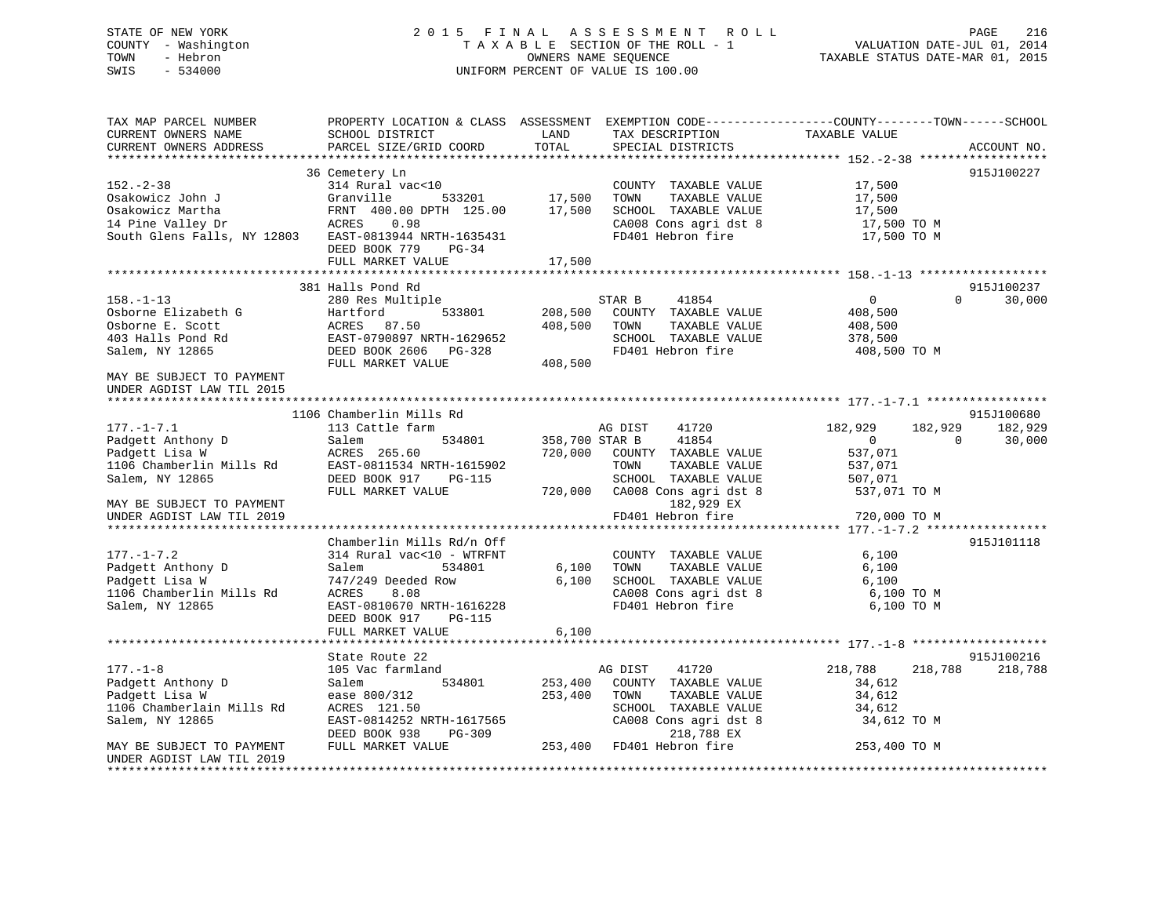# STATE OF NEW YORK 2 0 1 5 F I N A L A S S E S S M E N T R O L L PAGE 216 COUNTY - Washington T A X A B L E SECTION OF THE ROLL - 1 VALUATION DATE-JUL 01, 2014 TOWN - Hebron OWNERS NAME SEQUENCE TAXABLE STATUS DATE-MAR 01, 2015 SWIS - 534000 UNIFORM PERCENT OF VALUE IS 100.00

| TAX MAP PARCEL NUMBER<br>CURRENT OWNERS NAME | SCHOOL DISTRICT                              | LAND           | TAX DESCRIPTION                     | PROPERTY LOCATION & CLASS ASSESSMENT EXEMPTION CODE----------------COUNTY-------TOWN------SCHOOL<br>TAXABLE VALUE |             |
|----------------------------------------------|----------------------------------------------|----------------|-------------------------------------|-------------------------------------------------------------------------------------------------------------------|-------------|
| CURRENT OWNERS ADDRESS                       | PARCEL SIZE/GRID COORD                       | TOTAL          | SPECIAL DISTRICTS                   |                                                                                                                   | ACCOUNT NO. |
|                                              | 36 Cemetery Ln                               |                |                                     |                                                                                                                   | 915J100227  |
| $152 - 2 - 38$                               | 314 Rural vac<10                             |                | COUNTY TAXABLE VALUE                | 17,500                                                                                                            |             |
| Osakowicz John J                             | Granville<br>533201                          | 17,500         | TOWN<br>TAXABLE VALUE               | 17,500                                                                                                            |             |
| Osakowicz Martha                             | FRNT 400.00 DPTH 125.00                      | 17,500         | SCHOOL TAXABLE VALUE                | 17,500                                                                                                            |             |
| 14 Pine Valley Dr                            | ACRES<br>0.98                                |                | CA008 Cons agri dst 8               | 17,500 TO M                                                                                                       |             |
| South Glens Falls, NY 12803                  | EAST-0813944 NRTH-1635431                    |                | FD401 Hebron fire                   | 17,500 TO M                                                                                                       |             |
|                                              | DEED BOOK 779<br>PG-34                       |                |                                     |                                                                                                                   |             |
|                                              | FULL MARKET VALUE                            | 17,500         |                                     |                                                                                                                   |             |
|                                              |                                              |                |                                     |                                                                                                                   |             |
|                                              | 381 Halls Pond Rd                            |                |                                     |                                                                                                                   | 915J100237  |
| $158. - 1 - 13$                              | 280 Res Multiple                             |                | STAR B<br>41854                     | $\overline{0}$<br>$\Omega$                                                                                        | 30,000      |
| Osborne Elizabeth G                          | 533801<br>Hartford                           | 208,500        | COUNTY TAXABLE VALUE                | 408,500                                                                                                           |             |
| Osborne E. Scott                             | ACRES 87.50                                  | 408,500        | TOWN<br>TAXABLE VALUE               | 408,500                                                                                                           |             |
| 403 Halls Pond Rd                            | EAST-0790897 NRTH-1629652                    |                | SCHOOL TAXABLE VALUE                | 378,500                                                                                                           |             |
| Salem, NY 12865                              | DEED BOOK 2606 PG-328                        |                | FD401 Hebron fire                   | 408,500 TO M                                                                                                      |             |
|                                              | FULL MARKET VALUE                            | 408,500        |                                     |                                                                                                                   |             |
| MAY BE SUBJECT TO PAYMENT                    |                                              |                |                                     |                                                                                                                   |             |
| UNDER AGDIST LAW TIL 2015                    |                                              |                |                                     |                                                                                                                   |             |
|                                              |                                              |                |                                     |                                                                                                                   |             |
|                                              | 1106 Chamberlin Mills Rd                     |                |                                     |                                                                                                                   | 915J100680  |
| $177. - 1 - 7.1$                             | 113 Cattle farm                              |                | 41720<br>AG DIST                    | 182,929<br>182,929                                                                                                | 182,929     |
| Padgett Anthony D                            | Salem<br>534801                              | 358,700 STAR B | 41854                               | $\mathbf{0}$<br>$\Omega$                                                                                          | 30,000      |
| Padgett Lisa W                               | ACRES 265.60                                 | 720,000        | COUNTY TAXABLE VALUE                | 537,071                                                                                                           |             |
| 1106 Chamberlin Mills Rd                     | EAST-0811534 NRTH-1615902                    |                | TOWN<br>TAXABLE VALUE               | 537,071                                                                                                           |             |
| Salem, NY 12865                              | DEED BOOK 917<br><b>PG-115</b>               |                | SCHOOL TAXABLE VALUE                | 507,071                                                                                                           |             |
|                                              | FULL MARKET VALUE                            | 720,000        | CA008 Cons agri dst 8               | 537,071 TO M                                                                                                      |             |
| MAY BE SUBJECT TO PAYMENT                    |                                              |                | 182,929 EX                          |                                                                                                                   |             |
| UNDER AGDIST LAW TIL 2019                    |                                              |                | FD401 Hebron fire                   | 720,000 TO M                                                                                                      |             |
| *************************                    | ***********************************          |                |                                     |                                                                                                                   |             |
|                                              | Chamberlin Mills Rd/n Off                    |                |                                     |                                                                                                                   | 915J101118  |
| $177. - 1 - 7.2$                             | 314 Rural vac<10 - WTRFNT                    |                | COUNTY TAXABLE VALUE                | 6,100                                                                                                             |             |
| Padgett Anthony D                            | 534801<br>Salem                              | 6,100          | TOWN<br>TAXABLE VALUE               | 6,100                                                                                                             |             |
| Padgett Lisa W                               | 747/249 Deeded Row                           | 6,100          | SCHOOL TAXABLE VALUE                | 6,100                                                                                                             |             |
| 1106 Chamberlin Mills Rd                     | ACRES<br>8.08                                |                | CA008 Cons agri dst 8               | 6,100 TO M                                                                                                        |             |
| Salem, NY 12865                              | EAST-0810670 NRTH-1616228                    |                | FD401 Hebron fire                   | 6,100 TO M                                                                                                        |             |
|                                              | DEED BOOK 917<br>$PG-115$                    |                |                                     |                                                                                                                   |             |
|                                              | FULL MARKET VALUE                            | 6,100          |                                     |                                                                                                                   |             |
|                                              |                                              |                |                                     |                                                                                                                   |             |
|                                              | State Route 22                               |                |                                     |                                                                                                                   | 915J100216  |
| $177. - 1 - 8$                               | 105 Vac farmland                             |                | AG DIST<br>41720                    | 218,788<br>218,788                                                                                                | 218,788     |
| Padgett Anthony D                            | Salem<br>534801                              | 253,400        | COUNTY TAXABLE VALUE                | 34,612                                                                                                            |             |
| Padgett Lisa W                               | ease 800/312                                 | 253,400        | TOWN<br>TAXABLE VALUE               | 34,612                                                                                                            |             |
| 1106 Chamberlain Mills Rd                    | ACRES 121.50                                 |                | SCHOOL TAXABLE VALUE                | 34,612                                                                                                            |             |
| Salem, NY 12865                              | EAST-0814252 NRTH-1617565                    |                | CA008 Cons agri dst 8<br>218,788 EX | 34,612 TO M                                                                                                       |             |
| MAY BE SUBJECT TO PAYMENT                    | DEED BOOK 938<br>PG-309<br>FULL MARKET VALUE |                | 253,400 FD401 Hebron fire           | 253,400 TO M                                                                                                      |             |
| UNDER AGDIST LAW TIL 2019                    |                                              |                |                                     |                                                                                                                   |             |
|                                              |                                              |                |                                     |                                                                                                                   |             |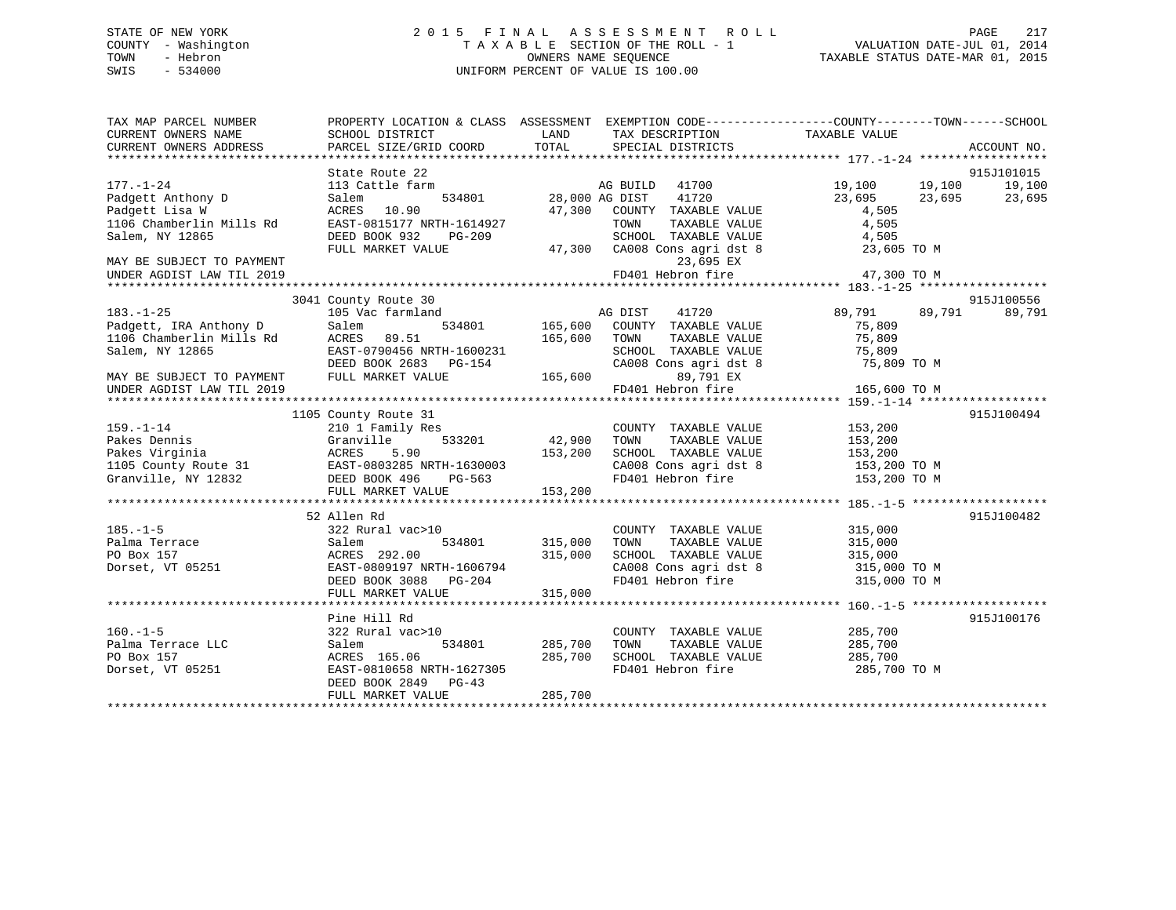## STATE OF NEW YORK 2 0 1 5 F I N A L A S S E S S M E N T R O L L PAGE 217 COUNTY - Washington T A X A B L E SECTION OF THE ROLL - 1 VALUATION DATE-JUL 01, 2014 TOWN - Hebron OWNERS NAME SEQUENCE TAXABLE STATUS DATE-MAR 01, 2015 SWIS - 534000 UNIFORM PERCENT OF VALUE IS 100.00

| TAX MAP PARCEL NUMBER<br>CURRENT OWNERS NAME<br>CURRENT OWNERS ADDRESS                                                             | PROPERTY LOCATION & CLASS ASSESSMENT EXEMPTION CODE----------------COUNTY-------TOWN-----SCHOOL<br>SCHOOL DISTRICT<br>PARCEL SIZE/GRID COORD     | LAND<br>TOTAL                 | TAX DESCRIPTION TAXABLE VALUE<br>SPECIAL DISTRICTS                                                                                                                 |                                                                                | ACCOUNT NO.                    |
|------------------------------------------------------------------------------------------------------------------------------------|--------------------------------------------------------------------------------------------------------------------------------------------------|-------------------------------|--------------------------------------------------------------------------------------------------------------------------------------------------------------------|--------------------------------------------------------------------------------|--------------------------------|
| $177. - 1 - 24$<br>Padgett Anthony D<br>Padgett Lisa W<br>1106 Chamberlin Mills Rd<br>Salem, NY 12865<br>MAY BE SUBJECT TO PAYMENT | State Route 22<br>113 Cattle farm<br>Salem<br>534801<br>ACRES 10.90<br>EAST-0815177 NRTH-1614927<br>DEED BOOK 932<br>PG-209<br>FULL MARKET VALUE | 47,300                        | AG BUILD<br>41700<br>41720<br>28,000 AG DIST<br>COUNTY TAXABLE VALUE<br>TOWN<br>TAXABLE VALUE<br>SCHOOL TAXABLE VALUE<br>47,300 CA008 Cons agri dst 8<br>23,695 EX | 19,100<br>19,100<br>23,695<br>23,695<br>4,505<br>4,505<br>4,505<br>23,605 TO M | 915J101015<br>19,100<br>23,695 |
| UNDER AGDIST LAW TIL 2019                                                                                                          |                                                                                                                                                  |                               | FD401 Hebron fire                                                                                                                                                  | 47,300 TO M                                                                    |                                |
| $183. - 1 - 25$<br>Padgett, IRA Anthony D<br>1106 Chamberlin Mills Rd<br>Salem, NY 12865                                           | 3041 County Route 30<br>105 Vac farmland<br>Salem<br>534801<br>ACRES 89.51<br>EAST-0790456 NRTH-1600231<br>DEED BOOK 2683 PG-154                 | 165,600<br>165,600            | AG DIST<br>41720<br>COUNTY TAXABLE VALUE<br>TOWN<br>TAXABLE VALUE<br>SCHOOL TAXABLE VALUE<br>CA008 Cons agri dst 8                                                 | 89,791<br>89,791<br>75,809<br>75,809<br>75,809<br>75,809 TO M                  | 915J100556<br>89,791           |
| MAY BE SUBJECT TO PAYMENT<br>UNDER AGDIST LAW TIL 2019                                                                             | FULL MARKET VALUE                                                                                                                                | 165,600                       | 89,791 EX<br>FD401 Hebron fire                                                                                                                                     | 165,600 TO M                                                                   |                                |
| $159. - 1 - 14$<br>Pakes Dennis<br>Pakes Virginia<br>1105 County Route 31 EAST-0803285 NRTH-1630003<br>Granville, NY 12832         | 1105 County Route 31<br>210 1 Family Res<br>533201<br>Granville<br>ACRES<br>5.90<br>DEED BOOK 496<br>PG-563<br>FULL MARKET VALUE                 | 42,900<br>153,200<br>153,200  | COUNTY TAXABLE VALUE<br>TAXABLE VALUE<br>TOWN<br>SCHOOL TAXABLE VALUE<br>CA008 Cons agri dst 8<br>FD401 Hebron fire                                                | 153,200<br>153,200<br>153,200<br>153,200 TO M<br>153,200 TO M                  | 915J100494                     |
| $185. - 1 - 5$<br>Palma Terrace<br>PO Box 157<br>Dorset, VT 05251                                                                  | 52 Allen Rd<br>322 Rural vac>10<br>534801<br>Salem<br>ACRES 292.00<br>EAST-0809197 NRTH-1606794<br>DEED BOOK 3088 PG-204<br>FULL MARKET VALUE    | 315,000<br>315,000<br>315,000 | COUNTY TAXABLE VALUE<br>TAXABLE VALUE<br>TOWN<br>SCHOOL TAXABLE VALUE<br>CA008 Cons agri dst 8 315,000 TO M<br>FD401 Hebron fire                                   | 315,000<br>315,000<br>315,000<br>315,000 TO M                                  | 915J100482                     |
| $160. -1 - 5$<br>Palma Terrace LLC<br>PO Box 157<br>Dorset, VT 05251                                                               | Pine Hill Rd<br>322 Rural vac>10<br>534801<br>Salem<br>ACRES 165.06<br>EAST-0810658 NRTH-1627305<br>DEED BOOK 2849 PG-43<br>FULL MARKET VALUE    | 285,700<br>285,700<br>285,700 | COUNTY TAXABLE VALUE<br>TAXABLE VALUE<br>TOWN<br>SCHOOL TAXABLE VALUE<br>FD401 Hebron fire                                                                         | 285,700<br>285,700<br>285,700<br>285,700 TO M                                  | 915J100176                     |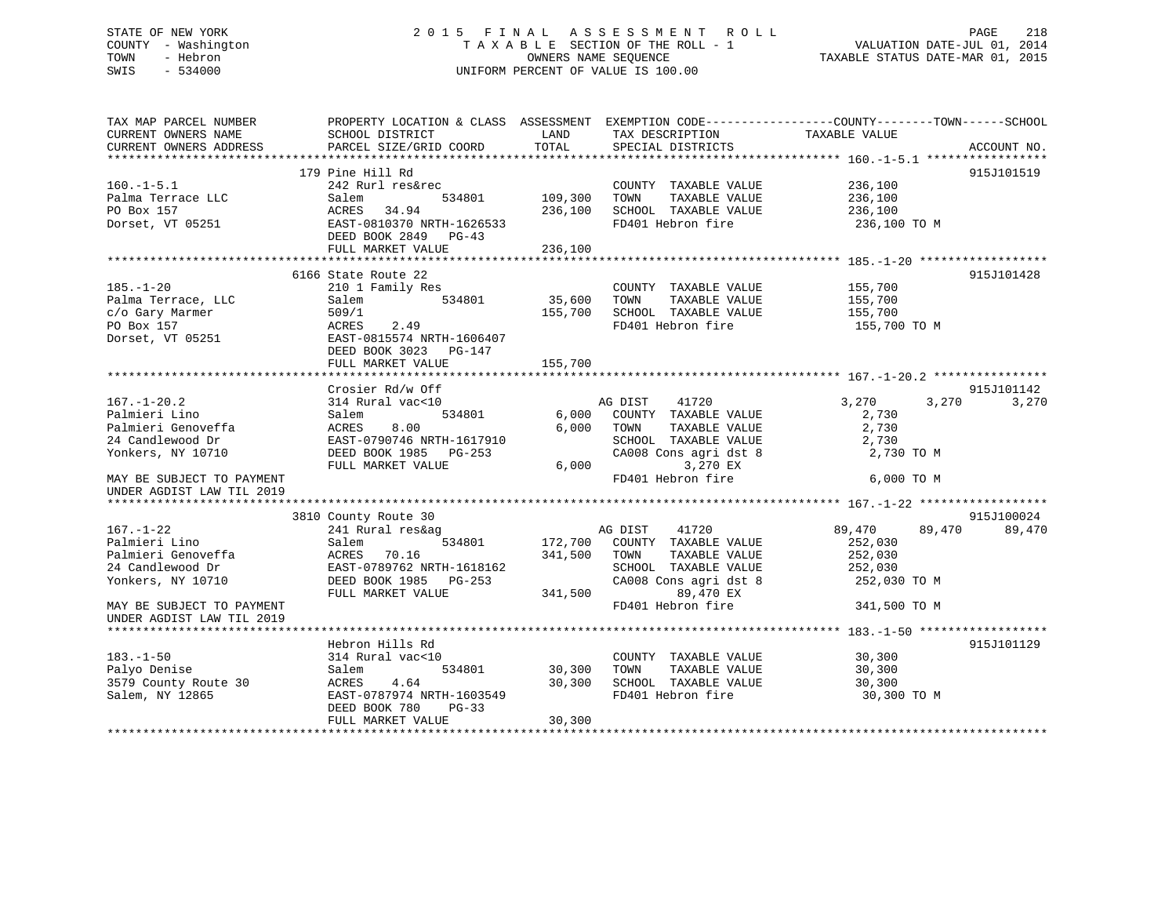## STATE OF NEW YORK 2 0 1 5 F I N A L A S S E S S M E N T R O L L PAGE 218 COUNTY - Washington T A X A B L E SECTION OF THE ROLL - 1 VALUATION DATE-JUL 01, 2014 TOWN - Hebron OWNERS NAME SEQUENCE TAXABLE STATUS DATE-MAR 01, 2015 SWIS - 534000 UNIFORM PERCENT OF VALUE IS 100.00

| TAX MAP PARCEL NUMBER     | PROPERTY LOCATION & CLASS ASSESSMENT EXEMPTION CODE----------------COUNTY-------TOWN------SCHOOL |         |                                    |               |                  |
|---------------------------|--------------------------------------------------------------------------------------------------|---------|------------------------------------|---------------|------------------|
| CURRENT OWNERS NAME       | SCHOOL DISTRICT                                                                                  | LAND    | TAX DESCRIPTION                    | TAXABLE VALUE |                  |
| CURRENT OWNERS ADDRESS    | PARCEL SIZE/GRID COORD                                                                           | TOTAL   | SPECIAL DISTRICTS                  |               | ACCOUNT NO.      |
|                           |                                                                                                  |         |                                    |               |                  |
|                           | 179 Pine Hill Rd                                                                                 |         |                                    |               | 915J101519       |
| $160. -1 - 5.1$           | 242 Rurl res&rec                                                                                 |         | COUNTY TAXABLE VALUE               | 236,100       |                  |
| Palma Terrace LLC         | Salem<br>534801                                                                                  | 109,300 | TAXABLE VALUE<br>TOWN              | 236,100       |                  |
| PO Box 157                | ACRES 34.94                                                                                      | 236,100 | SCHOOL TAXABLE VALUE               | 236,100       |                  |
| Dorset, VT 05251          | EAST-0810370 NRTH-1626533                                                                        |         | FD401 Hebron fire                  | 236,100 TO M  |                  |
|                           | DEED BOOK 2849 PG-43                                                                             |         |                                    |               |                  |
|                           | FULL MARKET VALUE                                                                                | 236,100 |                                    |               |                  |
|                           |                                                                                                  |         |                                    |               |                  |
|                           | 6166 State Route 22                                                                              |         |                                    |               | 915J101428       |
| $185. - 1 - 20$           | 210 1 Family Res                                                                                 |         | COUNTY TAXABLE VALUE               | 155,700       |                  |
| Palma Terrace, LLC        | 534801<br>Salem                                                                                  | 35,600  | TOWN<br>TAXABLE VALUE              | 155,700       |                  |
| c/o Gary Marmer           | 509/1                                                                                            | 155,700 | SCHOOL TAXABLE VALUE               | 155,700       |                  |
| PO Box 157                | ACRES<br>2.49                                                                                    |         | FD401 Hebron fire                  | 155,700 TO M  |                  |
| Dorset, VT 05251          | EAST-0815574 NRTH-1606407                                                                        |         |                                    |               |                  |
|                           | DEED BOOK 3023 PG-147                                                                            |         |                                    |               |                  |
|                           | FULL MARKET VALUE                                                                                | 155,700 |                                    |               |                  |
|                           |                                                                                                  |         |                                    |               |                  |
|                           | Crosier Rd/w Off                                                                                 |         |                                    |               | 915J101142       |
| $167. - 1 - 20.2$         | 314 Rural vac<10                                                                                 |         | AG DIST 41720                      | 3,270         | 3,270<br>3,270   |
| Palmieri Lino             | 534801<br>Salem                                                                                  |         | 6,000 COUNTY TAXABLE VALUE         | 2,730         |                  |
| Palmieri Genoveffa        | ACRES<br>8.00                                                                                    |         | 6,000 TOWN<br>TAXABLE VALUE        | 2,730         |                  |
| 24 Candlewood Dr          | EAST-0790746 NRTH-1617910                                                                        |         | SCHOOL TAXABLE VALUE               | 2,730         |                  |
| Yonkers, NY 10710         | DEED BOOK 1985 PG-253                                                                            |         | CA008 Cons agri dst 8              | 2,730 TO M    |                  |
|                           | FULL MARKET VALUE                                                                                |         | 3,270 EX<br>6,000                  |               |                  |
| MAY BE SUBJECT TO PAYMENT |                                                                                                  |         | FD401 Hebron fire                  | 6,000 TO M    |                  |
| UNDER AGDIST LAW TIL 2019 |                                                                                                  |         |                                    |               |                  |
|                           |                                                                                                  |         |                                    |               |                  |
|                           | 3810 County Route 30                                                                             |         |                                    |               | 915J100024       |
| $167. - 1 - 22$           | 241 Rural res&ag                                                                                 |         | AG DIST<br>41720                   | 89,470        | 89,470<br>89,470 |
| Palmieri Lino             | Salem<br>534801                                                                                  |         | 172,700 COUNTY TAXABLE VALUE       | 252,030       |                  |
| Palmieri Genoveffa        | ACRES 70.16                                                                                      | 341,500 | TAXABLE VALUE<br>TOWN              | 252,030       |                  |
| 24 Candlewood Dr          | EAST-0789762 NRTH-1618162                                                                        |         | SCHOOL TAXABLE VALUE               | 252,030       |                  |
|                           |                                                                                                  |         |                                    |               |                  |
| Yonkers, NY 10710         | DEED BOOK 1985 PG-253                                                                            |         | CA008 Cons agri dst 8<br>89,470 EX | 252,030 TO M  |                  |
|                           | FULL MARKET VALUE                                                                                | 341,500 |                                    |               |                  |
| MAY BE SUBJECT TO PAYMENT |                                                                                                  |         | FD401 Hebron fire                  | 341,500 TO M  |                  |
| UNDER AGDIST LAW TIL 2019 |                                                                                                  |         |                                    |               |                  |
|                           |                                                                                                  |         |                                    |               |                  |
|                           | Hebron Hills Rd                                                                                  |         |                                    |               | 915J101129       |
| $183. - 1 - 50$           | 314 Rural vac<10                                                                                 |         | COUNTY TAXABLE VALUE               | 30,300        |                  |
| Palyo Denise              | Salem<br>534801                                                                                  | 30,300  | TAXABLE VALUE<br>TOWN              | 30,300        |                  |
| 3579 County Route 30      | 4.64<br>ACRES                                                                                    | 30,300  | SCHOOL TAXABLE VALUE               | 30,300        |                  |
| Salem, NY 12865           | EAST-0787974 NRTH-1603549                                                                        |         | FD401 Hebron fire                  | 30,300 TO M   |                  |
|                           | DEED BOOK 780<br>$PG-33$                                                                         |         |                                    |               |                  |
|                           | FULL MARKET VALUE                                                                                | 30,300  |                                    |               |                  |
|                           |                                                                                                  |         |                                    |               |                  |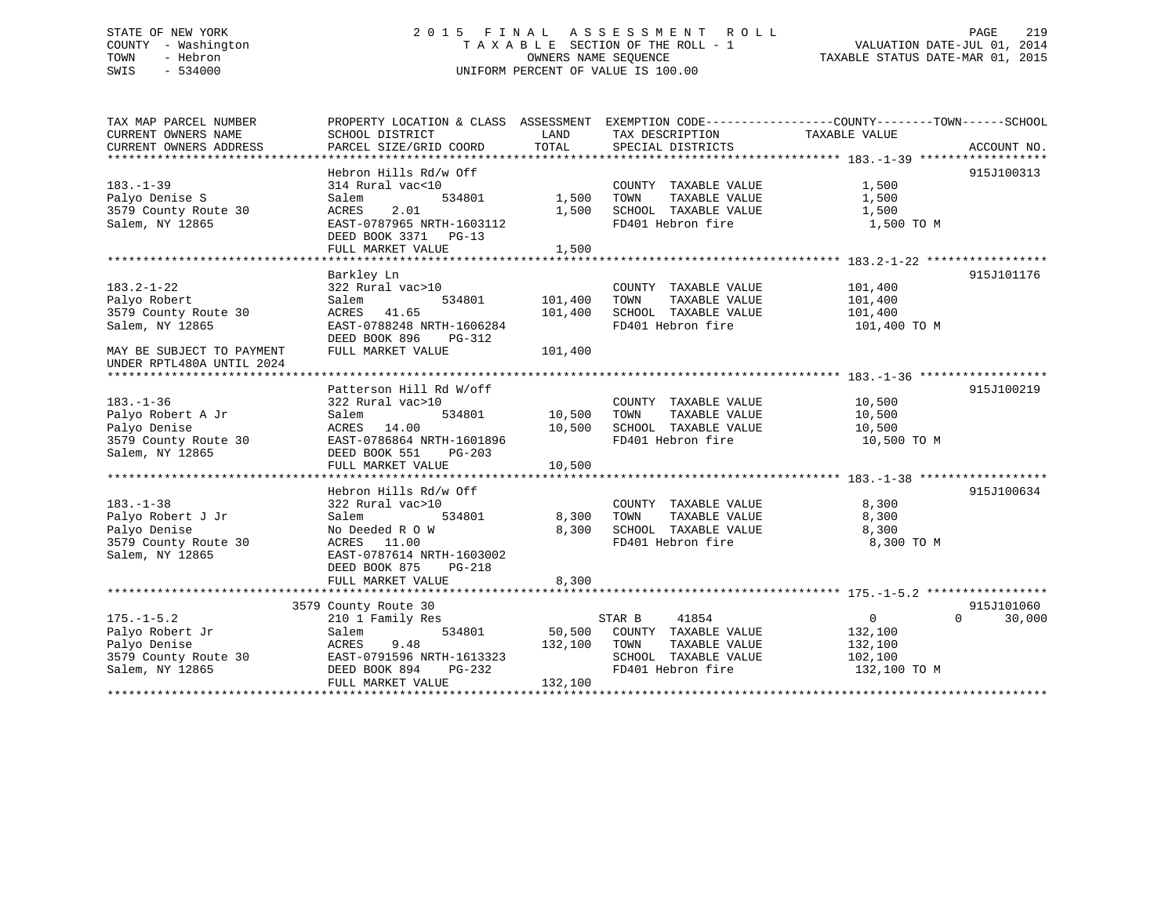## STATE OF NEW YORK 2 0 1 5 F I N A L A S S E S S M E N T R O L L PAGE 219 COUNTY - Washington T A X A B L E SECTION OF THE ROLL - 1 VALUATION DATE-JUL 01, 2014 TOWN - Hebron OWNERS NAME SEQUENCE TAXABLE STATUS DATE-MAR 01, 2015 SWIS - 534000 UNIFORM PERCENT OF VALUE IS 100.00

| TAX MAP PARCEL NUMBER                  | PROPERTY LOCATION & CLASS ASSESSMENT EXEMPTION CODE----------------COUNTY-------TOWN-----SCHOOL |              |                                    |                      |                    |
|----------------------------------------|-------------------------------------------------------------------------------------------------|--------------|------------------------------------|----------------------|--------------------|
| CURRENT OWNERS NAME                    | SCHOOL DISTRICT                                                                                 | LAND         | TAX DESCRIPTION                    | TAXABLE VALUE        |                    |
| CURRENT OWNERS ADDRESS                 | PARCEL SIZE/GRID COORD                                                                          | TOTAL        | SPECIAL DISTRICTS                  |                      | ACCOUNT NO.        |
|                                        |                                                                                                 |              |                                    |                      |                    |
|                                        | Hebron Hills Rd/w Off                                                                           |              |                                    |                      | 915J100313         |
| $183. - 1 - 39$                        | 314 Rural vac<10                                                                                |              | COUNTY TAXABLE VALUE               | 1,500                |                    |
| Palyo Denise S                         | Salem<br>534801                                                                                 | 1,500 TOWN   | TAXABLE VALUE                      | 1,500                |                    |
| 3579 County Route 30                   | 2.01<br>ACRES                                                                                   | 1,500        | SCHOOL TAXABLE VALUE               | 1,500                |                    |
| Salem, NY 12865                        | EAST-0787965 NRTH-1603112                                                                       |              | FD401 Hebron fire                  | 1,500 TO M           |                    |
|                                        | DEED BOOK 3371 PG-13                                                                            |              |                                    |                      |                    |
|                                        | FULL MARKET VALUE                                                                               | 1,500        |                                    |                      |                    |
|                                        |                                                                                                 |              |                                    |                      | 915J101176         |
| $183.2 - 1 - 22$                       | Barkley Ln<br>322 Rural vac>10                                                                  |              |                                    |                      |                    |
| Palyo Robert                           | Salem<br>534801                                                                                 | 101,400      | COUNTY TAXABLE VALUE 101,400       |                      |                    |
| 3579 County Route 30                   | ACRES 41.65                                                                                     | 101,400      |                                    |                      |                    |
| Salem, NY 12865                        | EAST-0788248 NRTH-1606284                                                                       |              | FD401 Hebron fire 101,400 TO M     |                      |                    |
|                                        | DEED BOOK 896 PG-312                                                                            |              |                                    |                      |                    |
| MAY BE SUBJECT TO PAYMENT              | FULL MARKET VALUE                                                                               | 101,400      |                                    |                      |                    |
| UNDER RPTL480A UNTIL 2024              |                                                                                                 |              |                                    |                      |                    |
|                                        |                                                                                                 |              |                                    |                      |                    |
|                                        | Patterson Hill Rd W/off                                                                         |              |                                    |                      | 915J100219         |
| $183. - 1 - 36$                        | 322 Rural vac>10                                                                                |              | COUNTY TAXABLE VALUE               |                      |                    |
| Palyo Robert A Jr                      | Salem<br>534801                                                                                 | 10,500 TOWN  | TAXABLE VALUE                      | $10,500$<br>$10,500$ |                    |
| Palyo Denise                           | ACRES 14.00                                                                                     |              | 10,500 SCHOOL TAXABLE VALUE 10,500 |                      |                    |
| 3579 County Route 30                   | EAST-0786864 NRTH-1601896                                                                       |              | FD401 Hebron fire                  | 10,500 TO M          |                    |
| Salem, NY 12865                        | DEED BOOK 551 PG-203                                                                            |              |                                    |                      |                    |
|                                        |                                                                                                 |              |                                    |                      |                    |
|                                        |                                                                                                 |              |                                    |                      |                    |
|                                        | Hebron Hills Rd/w Off                                                                           |              |                                    |                      | 915J100634         |
| $183. - 1 - 38$                        | 322 Rural vac>10                                                                                |              | COUNTY TAXABLE VALUE               | 8,300                |                    |
| Palyo Robert J Jr<br>Palyo Robert J Jr | 534801<br>Salem                                                                                 | 8,300 TOWN   | TAXABLE VALUE                      | 8,300                |                    |
| Palyo Denise                           | No Deeded R O W                                                                                 |              | 8,300 SCHOOL TAXABLE VALUE 8,300   |                      |                    |
| 3579 County Route 30                   | ACRES 11.00                                                                                     |              | FD401 Hebron fire                  | 8,300 TO M           |                    |
| Salem, NY 12865                        | EAST-0787614 NRTH-1603002                                                                       |              |                                    |                      |                    |
|                                        | DEED BOOK 875<br>$PG-218$                                                                       |              |                                    |                      |                    |
|                                        | FULL MARKET VALUE                                                                               | 8,300        |                                    |                      |                    |
|                                        |                                                                                                 |              |                                    |                      |                    |
|                                        | 3579 County Route 30                                                                            |              |                                    |                      | 915J101060         |
| $175. - 1 - 5.2$                       | 210 1 Family Res                                                                                |              | STAR B 41854                       | $\overline{0}$       | $\Omega$<br>30,000 |
| Palyo Robert Jr                        | Salem                                                                                           |              | 534801 50,500 COUNTY TAXABLE VALUE | 132,100              |                    |
| Palyo Denise                           | 9.48<br>ACRES                                                                                   | 132,100 TOWN | TAXABLE VALUE                      | 132,100              |                    |
| $3579$ County Route 30                 | EAST-0791596 NRTH-1613323<br>WKTH-1613323<br>PG-232                                             |              | SCHOOL TAXABLE VALUE               | 102,100              |                    |
| Salem, NY 12865                        | DEED BOOK 894                                                                                   |              | FD401 Hebron fire                  | 132,100 TO M         |                    |
|                                        | FULL MARKET VALUE                                                                               | 132,100      |                                    |                      |                    |
|                                        |                                                                                                 |              |                                    |                      |                    |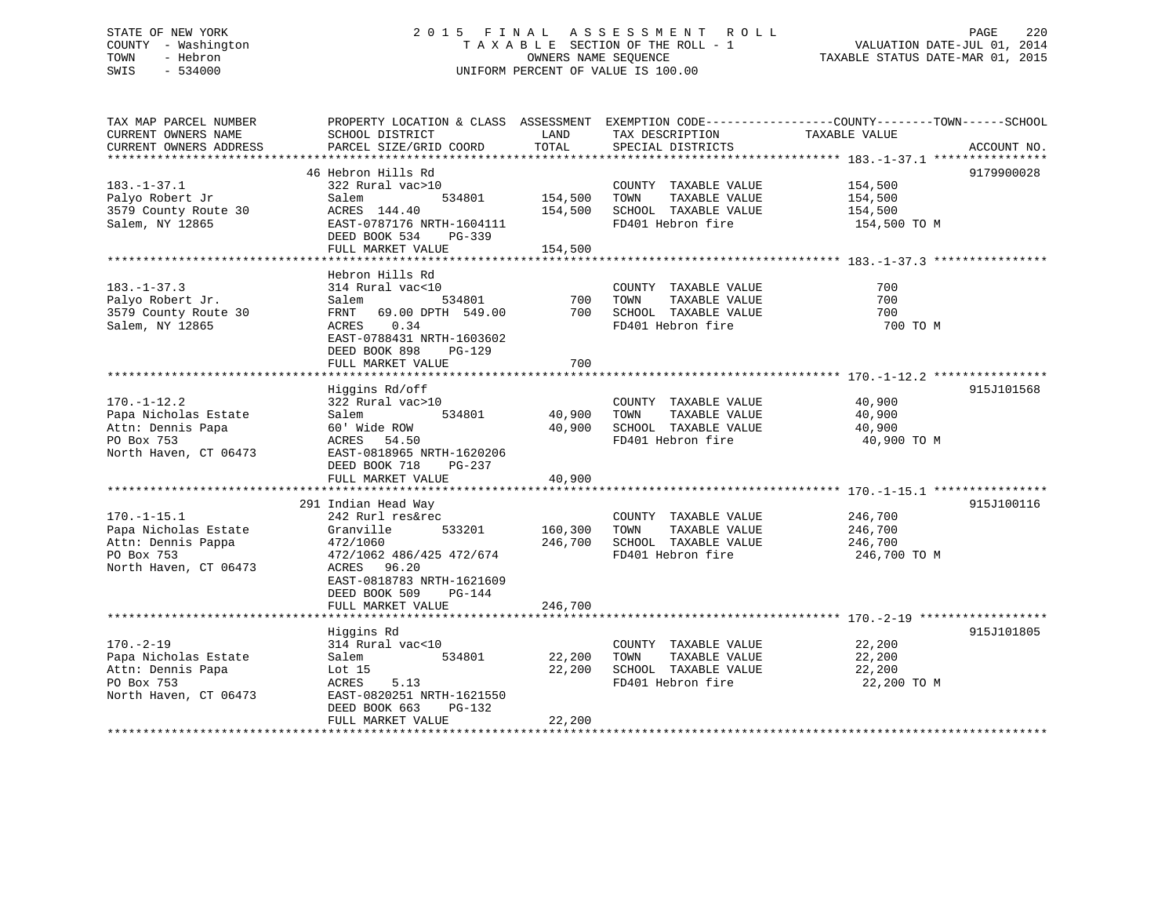## STATE OF NEW YORK 2 0 1 5 F I N A L A S S E S S M E N T R O L L PAGE 220 COUNTY - Washington T A X A B L E SECTION OF THE ROLL - 1 VALUATION DATE-JUL 01, 2014 TOWN - Hebron OWNERS NAME SEQUENCE TAXABLE STATUS DATE-MAR 01, 2015 SWIS - 534000 UNIFORM PERCENT OF VALUE IS 100.00

| TAX MAP PARCEL NUMBER<br>CURRENT OWNERS NAME<br>CURRENT OWNERS ADDRESS                                 | PROPERTY LOCATION & CLASS ASSESSMENT EXEMPTION CODE----------------COUNTY-------TOWN-----SCHOOL<br>SCHOOL DISTRICT<br>PARCEL SIZE/GRID COORD                                                       | LAND<br>TOTAL                 | TAX DESCRIPTION<br>SPECIAL DISTRICTS                                                               | TAXABLE VALUE                                 | ACCOUNT NO. |
|--------------------------------------------------------------------------------------------------------|----------------------------------------------------------------------------------------------------------------------------------------------------------------------------------------------------|-------------------------------|----------------------------------------------------------------------------------------------------|-----------------------------------------------|-------------|
| $183. - 1 - 37.1$<br>Palyo Robert Jr<br>3579 County Route 30<br>Salem, NY 12865                        | 46 Hebron Hills Rd<br>322 Rural vac>10<br>534801<br>Salem<br>ACRES 144.40<br>EAST-0787176 NRTH-1604111<br>DEED BOOK 534<br>PG-339<br>FULL MARKET VALUE                                             | 154,500<br>154,500<br>154,500 | COUNTY TAXABLE VALUE 154,500<br>TOWN<br>TAXABLE VALUE<br>SCHOOL TAXABLE VALUE<br>FD401 Hebron fire | 154,500<br>154,500<br>154,500 TO M            | 9179900028  |
| $183. - 1 - 37.3$<br>Palyo Robert Jr.<br>3579 County Route 30<br>Salem, NY 12865                       | Hebron Hills Rd<br>314 Rural vac<10<br>534801<br>Salem<br>FRNT 69.00 DPTH 549.00<br>0.34<br>ACRES<br>EAST-0788431 NRTH-1603602<br>DEED BOOK 898<br>$PG-129$<br>FULL MARKET VALUE                   | 700<br>700                    | COUNTY TAXABLE VALUE<br>TOWN<br>TAXABLE VALUE<br>700 SCHOOL TAXABLE VALUE<br>FD401 Hebron fire     | 700<br>700<br>700<br>700 TO M                 |             |
| $170. - 1 - 12.2$<br>Papa Nicholas Estate<br>Attn: Dennis Papa<br>PO Box 753<br>North Haven, CT 06473  | Higgins Rd/off<br>322 Rural vac>10<br>534801<br>Salem<br>60' Wide ROW<br>ACRES<br>54.50<br>EAST-0818965 NRTH-1620206<br>DEED BOOK 718<br>PG-237<br>FULL MARKET VALUE                               | 40,900<br>40,900              | COUNTY TAXABLE VALUE<br>TOWN<br>TAXABLE VALUE<br>40,900 SCHOOL TAXABLE VALUE<br>FD401 Hebron fire  | 40,900<br>40,900<br>40,900<br>40,900 TO M     | 915J101568  |
| $170. - 1 - 15.1$<br>Papa Nicholas Estate<br>Attn: Dennis Pappa<br>PO Box 753<br>North Haven, CT 06473 | 291 Indian Head Way<br>242 Rurl res&rec<br>533201<br>Granville<br>472/1060<br>472/1062 486/425 472/674<br>ACRES 96.20<br>EAST-0818783 NRTH-1621609<br>DEED BOOK 509<br>PG-144<br>FULL MARKET VALUE | 160,300<br>246,700<br>246,700 | COUNTY TAXABLE VALUE<br>TAXABLE VALUE<br>TOWN<br>SCHOOL TAXABLE VALUE<br>FD401 Hebron fire         | 246,700<br>246,700<br>246,700<br>246,700 TO M | 915J100116  |
| $170. - 2 - 19$<br>Papa Nicholas Estate<br>Attn: Dennis Papa<br>PO Box 753<br>North Haven, CT 06473    | Higgins Rd<br>314 Rural vac<10<br>534801<br>Salem<br>Lot $15$<br>ACRES<br>5.13<br>EAST-0820251 NRTH-1621550<br>DEED BOOK 663<br>PG-132<br>FULL MARKET VALUE                                        | 22,200<br>22,200<br>22,200    | COUNTY TAXABLE VALUE<br>TOWN<br>TAXABLE VALUE<br>SCHOOL TAXABLE VALUE<br>FD401 Hebron fire         | 22,200<br>22,200<br>22,200<br>22,200 TO M     | 915J101805  |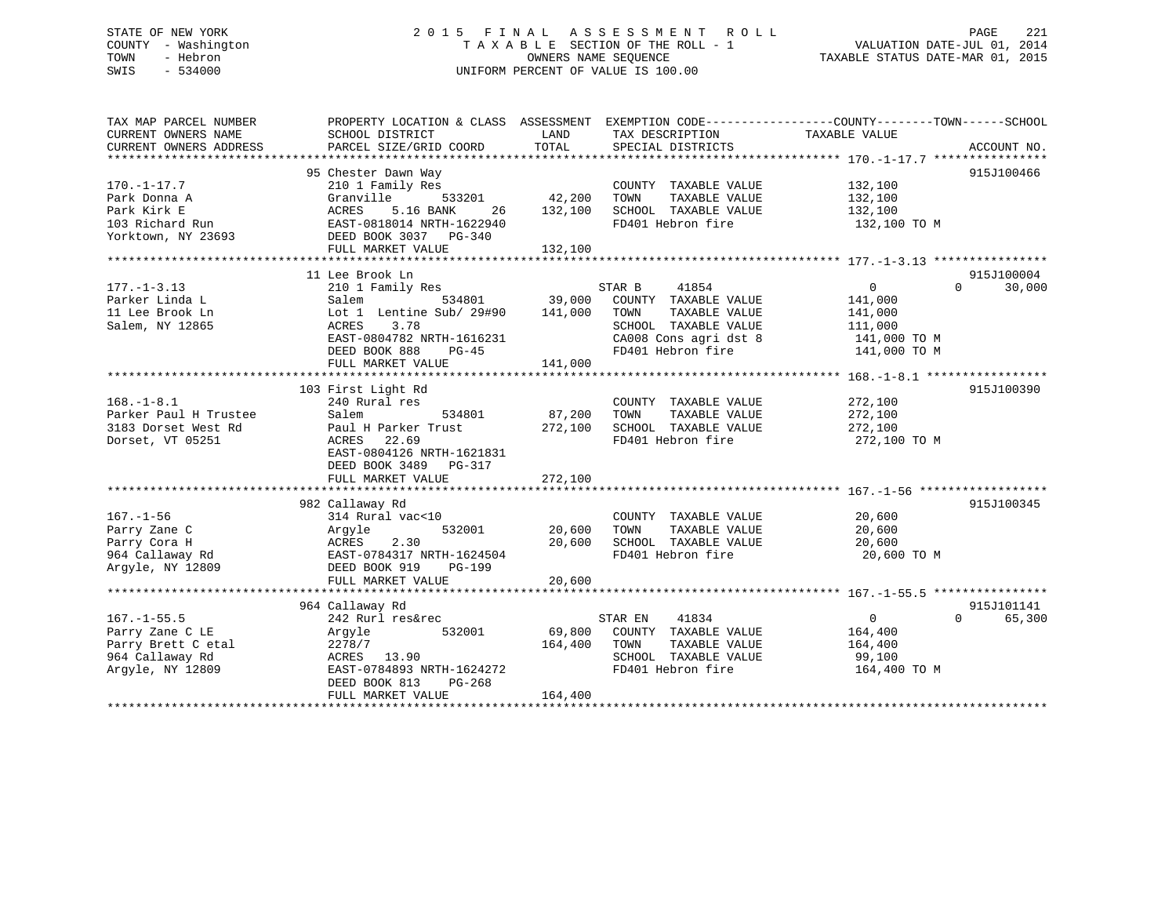## STATE OF NEW YORK 2 0 1 5 F I N A L A S S E S S M E N T R O L L PAGE 221 COUNTY - Washington T A X A B L E SECTION OF THE ROLL - 1 VALUATION DATE-JUL 01, 2014 TOWN - Hebron OWNERS NAME SEQUENCE TAXABLE STATUS DATE-MAR 01, 2015 SWIS - 534000 UNIFORM PERCENT OF VALUE IS 100.00

| TAX MAP PARCEL NUMBER                    |                                         |               |                                                                     | PROPERTY LOCATION & CLASS ASSESSMENT EXEMPTION CODE---------------COUNTY-------TOWN------SCHOOL |        |
|------------------------------------------|-----------------------------------------|---------------|---------------------------------------------------------------------|-------------------------------------------------------------------------------------------------|--------|
| CURRENT OWNERS NAME                      | SCHOOL DISTRICT                         | LAND          | TAX DESCRIPTION                                                     | TAXABLE VALUE                                                                                   |        |
| CURRENT OWNERS ADDRESS                   | PARCEL SIZE/GRID COORD                  | TOTAL         | SPECIAL DISTRICTS                                                   | ACCOUNT NO.                                                                                     |        |
|                                          |                                         |               |                                                                     |                                                                                                 |        |
|                                          | 95 Chester Dawn Way                     |               |                                                                     | 915J100466                                                                                      |        |
| $170. - 1 - 17.7$                        | 210 1 Family Res<br>Granville<br>533201 | 42,200        | COUNTY TAXABLE VALUE<br>TOWN<br>TAXABLE VALUE                       | 132,100<br>132,100                                                                              |        |
| Park Donna A<br>Park Kirk E              | ACRES 5.16 BANK<br>26                   | 132,100       | SCHOOL TAXABLE VALUE                                                | 132,100                                                                                         |        |
|                                          | EAST-0818014 NRTH-1622940               |               | FD401 Hebron fire                                                   |                                                                                                 |        |
| 103 Richard Run                          |                                         |               |                                                                     | 132,100 TO M                                                                                    |        |
| Yorktown, NY 23693 DEED BOOK 3037 PG-340 | FULL MARKET VALUE                       | 132,100       |                                                                     |                                                                                                 |        |
|                                          |                                         |               |                                                                     |                                                                                                 |        |
|                                          | 11 Lee Brook Ln                         |               |                                                                     | 915J100004                                                                                      |        |
| $177. - 1 - 3.13$                        | 210 1 Family Res                        |               | 41854<br>STAR B                                                     | $\overline{0}$<br>$\Omega$ and $\Omega$                                                         | 30,000 |
| Parker Linda L                           | Salem                                   | 534801 39,000 | COUNTY TAXABLE VALUE                                                | 141,000                                                                                         |        |
| 11 Lee Brook Ln                          | Lot 1 Lentine Sub/ 29#90                | 141,000       | TAXABLE VALUE<br>TOWN                                               | 141,000                                                                                         |        |
| Salem, NY 12865                          | ACRES<br>3.78                           |               | SCHOOL TAXABLE VALUE                                                | 111,000                                                                                         |        |
|                                          | EAST-0804782 NRTH-1616231               |               |                                                                     | 141,000 TO M                                                                                    |        |
|                                          | DEED BOOK 888<br>PG-45                  |               | CA008 Cons agri dst 8<br>CA008 Cons agri dst 8<br>FD401 Hebron fire | 141,000 TO M                                                                                    |        |
|                                          | FULL MARKET VALUE                       | 141,000       |                                                                     |                                                                                                 |        |
|                                          |                                         |               |                                                                     |                                                                                                 |        |
|                                          | 103 First Light Rd                      |               |                                                                     | 915J100390                                                                                      |        |
| $168. - 1 - 8.1$                         | 240 Rural res                           |               | COUNTY TAXABLE VALUE                                                | 272,100                                                                                         |        |
| Parker Paul H Trustee                    | Salem<br>534801                         | 87,200        | TOWN<br>TAXABLE VALUE                                               | 272,100                                                                                         |        |
| 3183 Dorset West Rd                      | Paul H Parker Trust                     | 272,100       | SCHOOL TAXABLE VALUE                                                | 272,100                                                                                         |        |
| Dorset, VT 05251                         | ACRES<br>22.69                          |               | FD401 Hebron fire                                                   | 272,100 TO M                                                                                    |        |
|                                          | EAST-0804126 NRTH-1621831               |               |                                                                     |                                                                                                 |        |
|                                          | DEED BOOK 3489 PG-317                   |               |                                                                     |                                                                                                 |        |
|                                          | FULL MARKET VALUE                       | 272,100       |                                                                     |                                                                                                 |        |
|                                          |                                         |               |                                                                     |                                                                                                 |        |
|                                          | 982 Callaway Rd                         |               |                                                                     | 915J100345                                                                                      |        |
| $167. - 1 - 56$                          | 314 Rural vac<10                        |               | COUNTY TAXABLE VALUE                                                | 20,600                                                                                          |        |
| Parry Zane C                             | 532001<br>Argyle                        | 20,600        | TOWN<br>TAXABLE VALUE                                               | 20,600                                                                                          |        |
| Parry Cora H                             | <b>ACRES</b><br>2.30                    | 20,600        | SCHOOL TAXABLE VALUE                                                | 20,600                                                                                          |        |
| 964 Callaway Rd                          | EAST-0784317 NRTH-1624504               |               | FD401 Hebron fire                                                   | 20,600 TO M                                                                                     |        |
| Arqyle, NY 12809                         | DEED BOOK 919<br>PG-199                 |               |                                                                     |                                                                                                 |        |
|                                          | FULL MARKET VALUE                       | 20,600        |                                                                     |                                                                                                 |        |
|                                          |                                         |               |                                                                     |                                                                                                 |        |
|                                          | 964 Callaway Rd                         |               |                                                                     | 915J101141                                                                                      |        |
| $167. - 1 - 55.5$                        | 242 Rurl res&rec                        |               | 41834<br>STAR EN                                                    | $\Omega$<br>$\Omega$                                                                            | 65,300 |
| Parry Zane C LE                          | 532001<br>Argyle                        | 69,800        | COUNTY TAXABLE VALUE                                                | 164,400                                                                                         |        |
| Parry Brett C etal                       | 2278/7                                  | 164,400       | TAXABLE VALUE<br>TOWN                                               | 164,400                                                                                         |        |
| 964 Callaway Rd                          | ACRES 13.90                             |               | SCHOOL TAXABLE VALUE                                                | 99,100                                                                                          |        |
| Argyle, NY 12809                         | EAST-0784893 NRTH-1624272               |               | FD401 Hebron fire                                                   | 164,400 TO M                                                                                    |        |
|                                          | DEED BOOK 813<br>PG-268                 |               |                                                                     |                                                                                                 |        |
|                                          | FULL MARKET VALUE                       | 164,400       |                                                                     |                                                                                                 |        |
|                                          |                                         |               |                                                                     |                                                                                                 |        |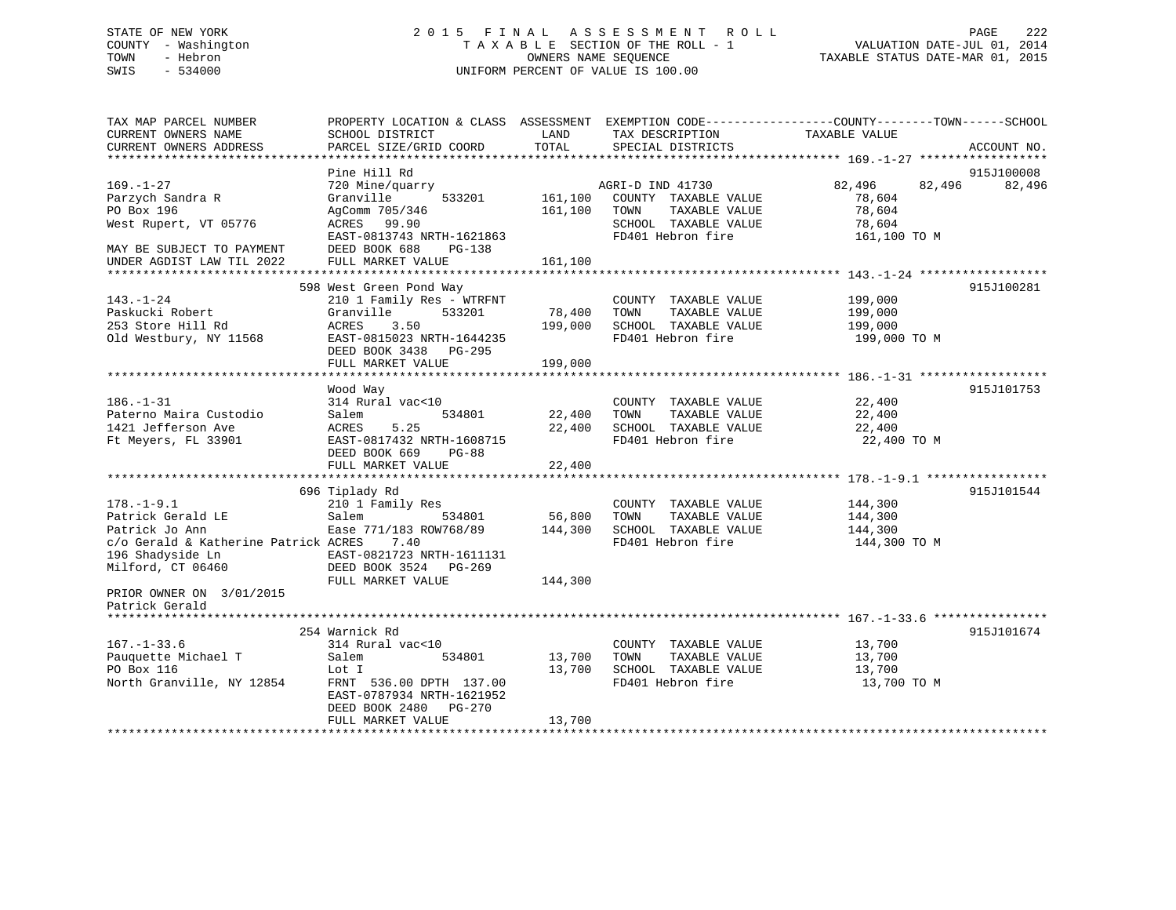# COUNTY - Washington  $T A X A B L E$  SECTION OF THE ROLL - 1<br>TOWN - Hebron DATE-JUL 000NERS NAME SEQUENCE SWIS - 534000 UNIFORM PERCENT OF VALUE IS 100.00

STATE OF NEW YORK 222 COLS FINAL ASSESSMENT ROLL COLL VALUATION DATE-JUL 01, 2014 TAXABLE STATUS DATE-MAR 01, 2015

| TAX MAP PARCEL NUMBER                | PROPERTY LOCATION & CLASS ASSESSMENT EXEMPTION CODE-----------------COUNTY-------TOWN------SCHOOL |         |                              |                  |             |
|--------------------------------------|---------------------------------------------------------------------------------------------------|---------|------------------------------|------------------|-------------|
| CURRENT OWNERS NAME                  | SCHOOL DISTRICT                                                                                   | LAND    | TAX DESCRIPTION              | TAXABLE VALUE    |             |
| CURRENT OWNERS ADDRESS               | PARCEL SIZE/GRID COORD                                                                            | TOTAL   | SPECIAL DISTRICTS            |                  | ACCOUNT NO. |
|                                      |                                                                                                   |         |                              |                  |             |
|                                      | Pine Hill Rd                                                                                      |         |                              |                  | 915J100008  |
| $169. - 1 - 27$                      | 720 Mine/quarry                                                                                   |         | AGRI-D IND 41730             | 82,496<br>82,496 | 82,496      |
|                                      |                                                                                                   |         |                              |                  |             |
| Parzych Sandra R                     | Granville<br>533201                                                                               | 161,100 | COUNTY TAXABLE VALUE         | 78,604           |             |
| PO Box 196                           | AgComm 705/346                                                                                    | 161,100 | TAXABLE VALUE<br>TOWN        | 78,604           |             |
| West Rupert, VT 05776                | ACRES 99.90                                                                                       |         | SCHOOL TAXABLE VALUE         | 78,604           |             |
|                                      | EAST-0813743 NRTH-1621863                                                                         |         | FD401 Hebron fire            | 161,100 TO M     |             |
| MAY BE SUBJECT TO PAYMENT            | DEED BOOK 688<br>PG-138                                                                           |         |                              |                  |             |
| UNDER AGDIST LAW TIL 2022            | FULL MARKET VALUE                                                                                 | 161,100 |                              |                  |             |
|                                      |                                                                                                   |         |                              |                  |             |
|                                      | 598 West Green Pond Way                                                                           |         |                              |                  | 915J100281  |
| $143. - 1 - 24$                      | 210 1 Family Res - WTRFNT                                                                         |         | COUNTY TAXABLE VALUE         | 199,000          |             |
| Paskucki Robert                      | 533201<br>Granville                                                                               | 78,400  | TAXABLE VALUE<br>TOWN        | 199,000          |             |
| 253 Store Hill Rd                    | ACRES 3.50                                                                                        | 199,000 | SCHOOL TAXABLE VALUE         | 199,000          |             |
| Old Westbury, NY 11568               | EAST-0815023 NRTH-1644235                                                                         |         | FD401 Hebron fire            | 199,000 TO M     |             |
|                                      |                                                                                                   |         |                              |                  |             |
|                                      | DEED BOOK 3438 PG-295                                                                             |         |                              |                  |             |
|                                      | FULL MARKET VALUE                                                                                 | 199,000 |                              |                  |             |
|                                      |                                                                                                   |         |                              |                  |             |
|                                      | Wood Way                                                                                          |         |                              |                  | 915J101753  |
| $186. - 1 - 31$                      | 314 Rural vac<10                                                                                  |         | COUNTY TAXABLE VALUE         | 22,400           |             |
| Paterno Maira Custodio               | Salem<br>534801                                                                                   | 22,400  | TOWN<br>TAXABLE VALUE        | 22,400           |             |
| 1421 Jefferson Ave                   | ACRES<br>5.25                                                                                     | 22,400  | SCHOOL TAXABLE VALUE         | 22,400           |             |
| Ft Meyers, FL 33901                  | EAST-0817432 NRTH-1608715                                                                         |         | FD401 Hebron fire            | 22,400 TO M      |             |
|                                      | DEED BOOK 669<br>PG-88                                                                            |         |                              |                  |             |
|                                      | FULL MARKET VALUE                                                                                 | 22,400  |                              |                  |             |
|                                      |                                                                                                   |         |                              |                  |             |
|                                      |                                                                                                   |         |                              |                  | 915J101544  |
|                                      | 696 Tiplady Rd                                                                                    |         |                              |                  |             |
| $178. - 1 - 9.1$                     | 210 1 Family Res                                                                                  |         | COUNTY TAXABLE VALUE 144,300 |                  |             |
| Patrick Gerald LE                    | Salem<br>534801                                                                                   | 56,800  | TOWN<br>TAXABLE VALUE        | 144,300          |             |
| Patrick Jo Ann                       | Ease 771/183 ROW768/89                                                                            | 144,300 | SCHOOL TAXABLE VALUE         | 144,300          |             |
| c/o Gerald & Katherine Patrick ACRES | 7.40                                                                                              |         | FD401 Hebron fire            | 144,300 TO M     |             |
| 196 Shadyside Ln                     | EAST-0821723 NRTH-1611131                                                                         |         |                              |                  |             |
| Milford, CT 06460                    | DEED BOOK 3524 PG-269                                                                             |         |                              |                  |             |
|                                      | FULL MARKET VALUE                                                                                 | 144,300 |                              |                  |             |
| PRIOR OWNER ON 3/01/2015             |                                                                                                   |         |                              |                  |             |
| Patrick Gerald                       |                                                                                                   |         |                              |                  |             |
|                                      |                                                                                                   |         |                              |                  |             |
|                                      | 254 Warnick Rd                                                                                    |         |                              |                  | 915J101674  |
| $167. - 1 - 33.6$                    | 314 Rural vac<10                                                                                  |         | COUNTY TAXABLE VALUE         |                  |             |
|                                      |                                                                                                   |         |                              | 13,700           |             |
| Pauquette Michael T                  | Salem<br>534801                                                                                   | 13,700  | TAXABLE VALUE<br>TOWN        | 13,700           |             |
| PO Box 116                           | Lot I                                                                                             | 13,700  | SCHOOL TAXABLE VALUE         | 13,700           |             |
| North Granville, NY 12854            | FRNT 536.00 DPTH 137.00                                                                           |         | FD401 Hebron fire            | 13,700 TO M      |             |
|                                      | EAST-0787934 NRTH-1621952                                                                         |         |                              |                  |             |
|                                      | DEED BOOK 2480 PG-270                                                                             |         |                              |                  |             |
|                                      | FULL MARKET VALUE                                                                                 | 13,700  |                              |                  |             |
|                                      |                                                                                                   |         |                              |                  |             |
|                                      |                                                                                                   |         |                              |                  |             |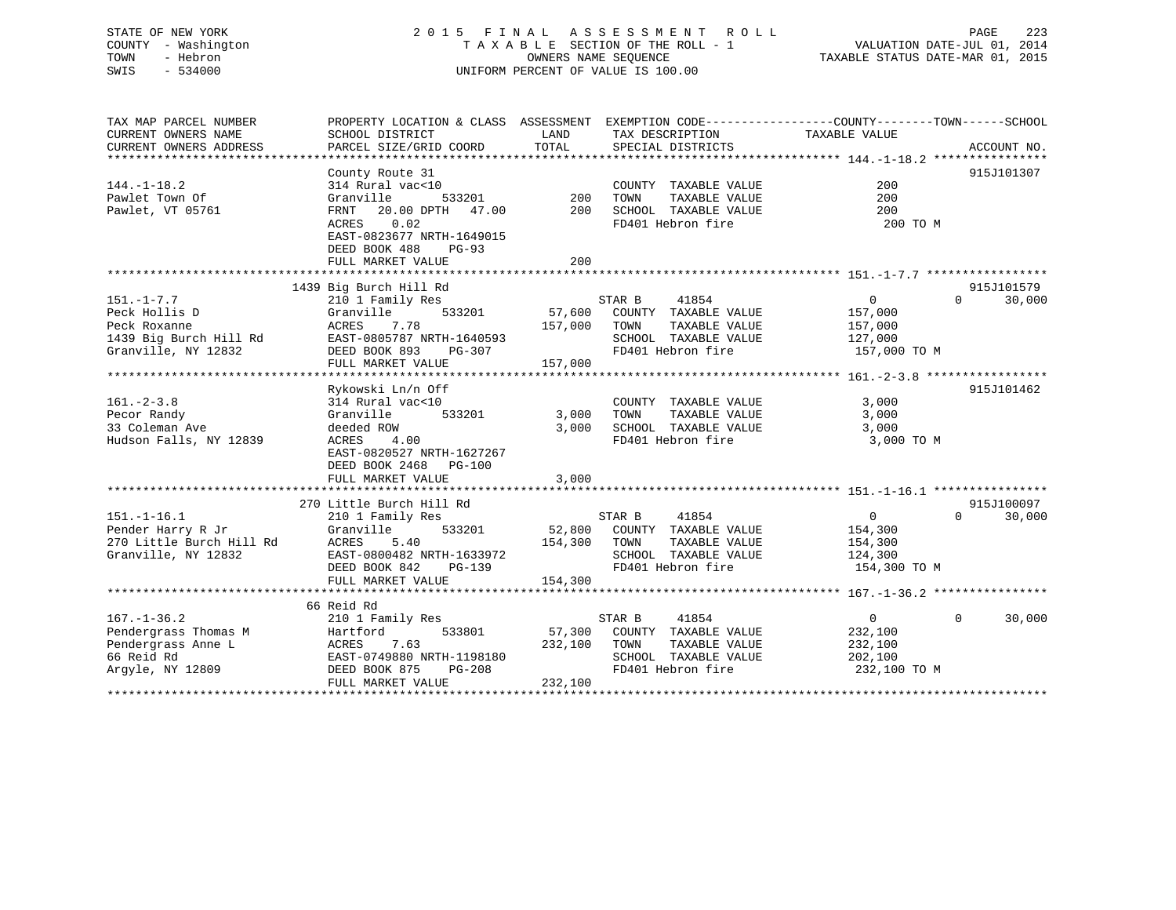## STATE OF NEW YORK 2 0 1 5 F I N A L A S S E S S M E N T R O L L PAGE 223 COUNTY - Washington T A X A B L E SECTION OF THE ROLL - 1 VALUATION DATE-JUL 01, 2014 TOWN - Hebron OWNERS NAME SEQUENCE TAXABLE STATUS DATE-MAR 01, 2015 SWIS - 534000 UNIFORM PERCENT OF VALUE IS 100.00

| VALUATION DATE-JUL 01, 2014                                                                                     |  |  |
|-----------------------------------------------------------------------------------------------------------------|--|--|
| pr p. cm 3 min c 3 mp. 11 3 0 1 0 0 1 0 0 1 0 1 0 1 0 0 1 0 0 1 0 0 1 0 0 1 0 0 1 0 0 0 1 0 0 0 1 0 0 0 0 0 0 0 |  |  |

| TAX MAP PARCEL NUMBER<br>CURRENT OWNERS NAME<br>CURRENT OWNERS ADDRESS | PROPERTY LOCATION & CLASS ASSESSMENT<br>SCHOOL DISTRICT<br>PARCEL SIZE/GRID COORD | LAND<br>TOTAL | TAX DESCRIPTION<br>SPECIAL DISTRICTS | EXEMPTION CODE-----------------COUNTY-------TOWN------SCHOOL<br>TAXABLE VALUE<br>ACCOUNT NO. |        |
|------------------------------------------------------------------------|-----------------------------------------------------------------------------------|---------------|--------------------------------------|----------------------------------------------------------------------------------------------|--------|
|                                                                        |                                                                                   |               |                                      |                                                                                              |        |
|                                                                        | County Route 31                                                                   |               |                                      | 915J101307                                                                                   |        |
| $144. - 1 - 18.2$                                                      | 314 Rural vac<10                                                                  |               | COUNTY TAXABLE VALUE                 | 200                                                                                          |        |
| Pawlet Town Of                                                         | Granville<br>533201                                                               | 200           | TAXABLE VALUE<br>TOWN                | 200                                                                                          |        |
| Pawlet, VT 05761                                                       | FRNT<br>20.00 DPTH 47.00                                                          | 200           | SCHOOL TAXABLE VALUE                 | 200                                                                                          |        |
|                                                                        | 0.02<br>ACRES                                                                     |               | FD401 Hebron fire                    | 200 TO M                                                                                     |        |
|                                                                        | EAST-0823677 NRTH-1649015                                                         |               |                                      |                                                                                              |        |
|                                                                        | DEED BOOK 488<br>$PG-93$                                                          |               |                                      |                                                                                              |        |
|                                                                        | FULL MARKET VALUE                                                                 | 200           |                                      |                                                                                              |        |
|                                                                        |                                                                                   |               |                                      |                                                                                              |        |
|                                                                        | 1439 Big Burch Hill Rd                                                            |               |                                      | 915J101579                                                                                   |        |
| $151. - 1 - 7.7$                                                       | 210 1 Family Res                                                                  |               | 41854<br>STAR B                      | $\overline{0}$<br>$\Omega$                                                                   | 30,000 |
| Peck Hollis D                                                          | Granville<br>533201                                                               | 57,600        | COUNTY TAXABLE VALUE                 | 157,000                                                                                      |        |
| Peck Roxanne                                                           | ACRES<br>7.78                                                                     | 157,000       | TOWN<br>TAXABLE VALUE                | 157,000                                                                                      |        |
| 1439 Big Burch Hill Rd                                                 | EAST-0805787 NRTH-1640593                                                         |               | SCHOOL TAXABLE VALUE                 | 127,000                                                                                      |        |
| Granville, NY 12832                                                    | DEED BOOK 893<br>PG-307                                                           |               | FD401 Hebron fire                    | 157,000 TO M                                                                                 |        |
|                                                                        | FULL MARKET VALUE                                                                 | 157,000       |                                      |                                                                                              |        |
|                                                                        |                                                                                   |               |                                      |                                                                                              |        |
|                                                                        | Rykowski Ln/n Off                                                                 |               |                                      | 915J101462                                                                                   |        |
| $161. - 2 - 3.8$                                                       | 314 Rural vac<10                                                                  |               | COUNTY TAXABLE VALUE                 | 3,000                                                                                        |        |
| Pecor Randy                                                            | Granville<br>533201                                                               | 3,000         | TOWN<br>TAXABLE VALUE                | 3,000                                                                                        |        |
| 33 Coleman Ave                                                         | deeded ROW                                                                        | 3.000         | SCHOOL TAXABLE VALUE                 | 3,000                                                                                        |        |
| Hudson Falls, NY 12839                                                 | 4.00<br>ACRES<br>EAST-0820527 NRTH-1627267                                        |               | FD401 Hebron fire                    | 3,000 TO M                                                                                   |        |
|                                                                        | DEED BOOK 2468 PG-100                                                             |               |                                      |                                                                                              |        |
|                                                                        | FULL MARKET VALUE                                                                 | 3,000         |                                      |                                                                                              |        |
|                                                                        |                                                                                   |               |                                      |                                                                                              |        |
|                                                                        | 270 Little Burch Hill Rd                                                          |               |                                      | 915J100097                                                                                   |        |
| $151. - 1 - 16.1$                                                      | 210 1 Family Res                                                                  |               | STAR B<br>41854                      | $\mathbf{0}$<br>$\Omega$                                                                     | 30,000 |
| Pender Harry R Jr                                                      | 533201<br>Granville                                                               | 52,800        | COUNTY TAXABLE VALUE                 | 154,300                                                                                      |        |
| 270 Little Burch Hill Rd                                               | 5.40<br>ACRES                                                                     | 154,300       | TAXABLE VALUE<br>TOWN                | 154,300                                                                                      |        |
| Granville, NY 12832                                                    | EAST-0800482 NRTH-1633972                                                         |               | SCHOOL TAXABLE VALUE                 | 124,300                                                                                      |        |
|                                                                        | DEED BOOK 842<br>PG-139                                                           |               | FD401 Hebron fire                    | 154,300 TO M                                                                                 |        |
|                                                                        | FULL MARKET VALUE                                                                 | 154,300       |                                      |                                                                                              |        |
|                                                                        |                                                                                   |               |                                      |                                                                                              |        |
|                                                                        | 66 Reid Rd                                                                        |               |                                      |                                                                                              |        |
| $167. - 1 - 36.2$                                                      | 210 1 Family Res                                                                  |               | 41854<br>STAR B                      | $\overline{0}$<br>$\Omega$                                                                   | 30,000 |
| Pendergrass Thomas M                                                   | 533801<br>Hartford                                                                | 57,300        | COUNTY TAXABLE VALUE                 | 232,100                                                                                      |        |
| Pendergrass Anne L                                                     | 7.63<br>ACRES                                                                     | 232,100       | TOWN<br>TAXABLE VALUE                | 232,100                                                                                      |        |
| 66 Reid Rd                                                             | EAST-0749880 NRTH-1198180                                                         |               | SCHOOL TAXABLE VALUE                 | 202,100                                                                                      |        |
| Argyle, NY 12809                                                       | DEED BOOK 875<br>PG-208                                                           |               | FD401 Hebron fire                    | 232,100 TO M                                                                                 |        |
|                                                                        | FULL MARKET VALUE                                                                 | 232,100       |                                      |                                                                                              |        |
|                                                                        |                                                                                   |               |                                      |                                                                                              |        |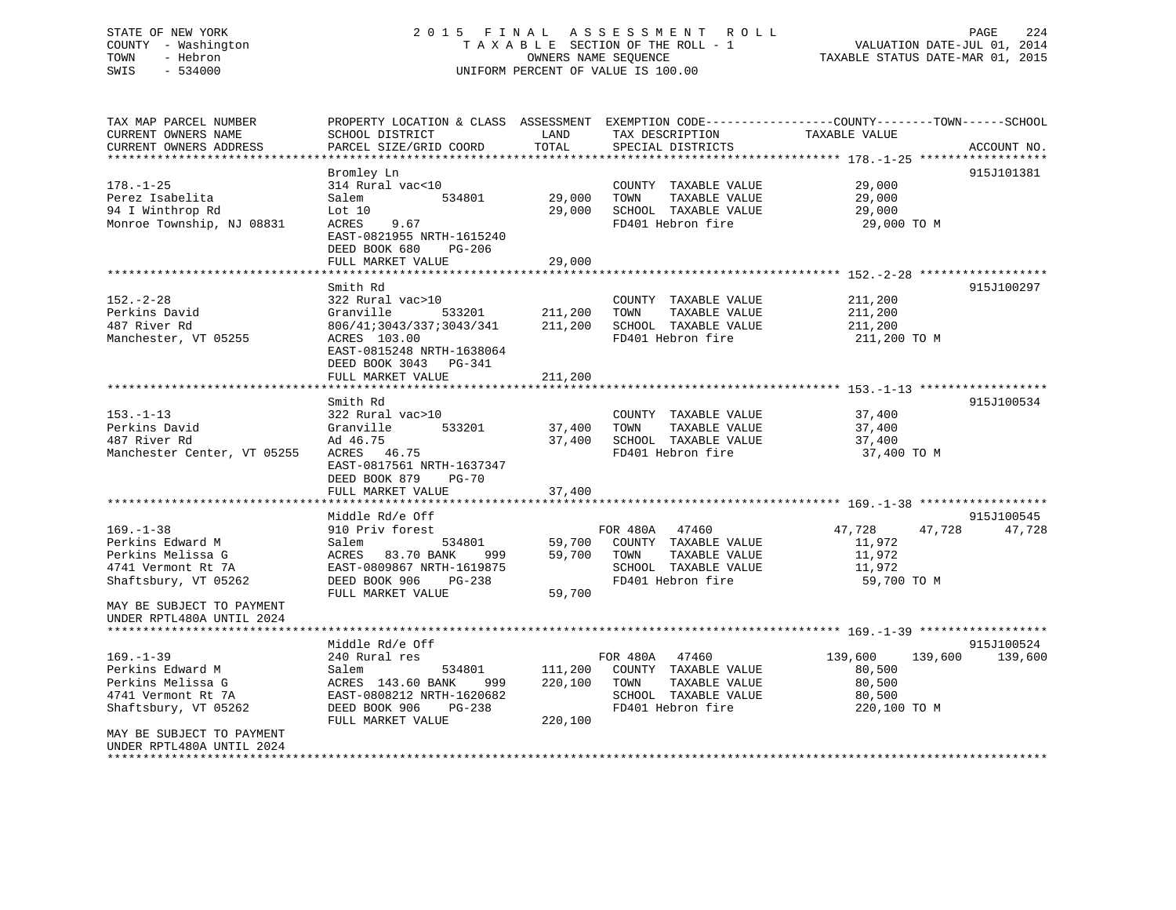## STATE OF NEW YORK 2 0 1 5 F I N A L A S S E S S M E N T R O L L PAGE 224 COUNTY - Washington T A X A B L E SECTION OF THE ROLL - 1 VALUATION DATE-JUL 01, 2014 TOWN - Hebron OWNERS NAME SEQUENCE TAXABLE STATUS DATE-MAR 01, 2015 SWIS - 534000 UNIFORM PERCENT OF VALUE IS 100.00

| TAX MAP PARCEL NUMBER<br>CURRENT OWNERS NAME                                                           | PROPERTY LOCATION & CLASS ASSESSMENT EXEMPTION CODE----------------COUNTY-------TOWN------SCHOOL<br>SCHOOL DISTRICT                                              | LAND                          | TAX DESCRIPTION                                                                                              | TAXABLE VALUE                                                    |                      |
|--------------------------------------------------------------------------------------------------------|------------------------------------------------------------------------------------------------------------------------------------------------------------------|-------------------------------|--------------------------------------------------------------------------------------------------------------|------------------------------------------------------------------|----------------------|
| CURRENT OWNERS ADDRESS                                                                                 | PARCEL SIZE/GRID COORD                                                                                                                                           | TOTAL                         | SPECIAL DISTRICTS                                                                                            |                                                                  | ACCOUNT NO.          |
|                                                                                                        |                                                                                                                                                                  |                               |                                                                                                              |                                                                  | 915J101381           |
| $178. - 1 - 25$<br>Perez Isabelita<br>94 I Winthrop Rd<br>Monroe Township, NJ 08831                    | Bromley Ln<br>314 Rural vac<10<br>534801<br>Salem<br>Lot 10<br>ACRES<br>9.67<br>EAST-0821955 NRTH-1615240                                                        | 29,000<br>29,000              | COUNTY TAXABLE VALUE<br>TOWN<br>TAXABLE VALUE<br>SCHOOL TAXABLE VALUE<br>FD401 Hebron fire                   | 29,000<br>29,000<br>29,000<br>29,000 TO M                        |                      |
|                                                                                                        | DEED BOOK 680<br>PG-206                                                                                                                                          |                               |                                                                                                              |                                                                  |                      |
|                                                                                                        | FULL MARKET VALUE                                                                                                                                                | 29,000                        |                                                                                                              |                                                                  |                      |
|                                                                                                        | Smith Rd                                                                                                                                                         |                               |                                                                                                              |                                                                  | 915J100297           |
| $152. - 2 - 28$<br>Perkins David<br>487 River Rd<br>Manchester, VT 05255                               | 322 Rural vac>10<br>Granville<br>533201<br>806/41;3043/337;3043/341<br>ACRES 103.00<br>EAST-0815248 NRTH-1638064<br>DEED BOOK 3043 PG-341<br>FULL MARKET VALUE   | 211,200<br>211,200<br>211,200 | COUNTY TAXABLE VALUE<br>TOWN<br>TAXABLE VALUE<br>SCHOOL TAXABLE VALUE<br>FD401 Hebron fire                   | 211,200<br>211,200<br>211,200<br>211,200 TO M                    |                      |
|                                                                                                        |                                                                                                                                                                  |                               |                                                                                                              |                                                                  |                      |
| $153. - 1 - 13$<br>Perkins David<br>487 River Rd<br>Manchester Center, VT 05255                        | Smith Rd<br>322 Rural vac>10<br>Granville<br>533201<br>Ad 46.75<br>ACRES 46.75<br>EAST-0817561 NRTH-1637347<br>DEED BOOK 879<br>PG-70<br>FULL MARKET VALUE       | 37,400<br>37,400<br>37,400    | COUNTY TAXABLE VALUE<br>TAXABLE VALUE<br>TOWN<br>SCHOOL TAXABLE VALUE<br>FD401 Hebron fire                   | 37,400<br>37,400<br>37,400<br>37,400 TO M                        | 915J100534           |
|                                                                                                        |                                                                                                                                                                  |                               |                                                                                                              |                                                                  |                      |
| $169. - 1 - 38$<br>Perkins Edward M<br>Perkins Melissa G<br>4741 Vermont Rt 7A<br>Shaftsbury, VT 05262 | Middle Rd/e Off<br>910 Priv forest<br>534801<br>Salem<br>ACRES<br>83.70 BANK<br>999<br>EAST-0809867 NRTH-1619875<br>DEED BOOK 906<br>PG-238<br>FULL MARKET VALUE | 59,700<br>59,700<br>59,700    | FOR 480A 47460<br>COUNTY TAXABLE VALUE<br>TOWN<br>TAXABLE VALUE<br>SCHOOL TAXABLE VALUE<br>FD401 Hebron fire | 47,728<br>47,728<br>11,972<br>11,972<br>11,972<br>59,700 TO M    | 915J100545<br>47,728 |
| MAY BE SUBJECT TO PAYMENT<br>UNDER RPTL480A UNTIL 2024                                                 |                                                                                                                                                                  |                               |                                                                                                              |                                                                  |                      |
|                                                                                                        | Middle Rd/e Off                                                                                                                                                  |                               |                                                                                                              |                                                                  | 915J100524           |
| $169. - 1 - 39$<br>Perkins Edward M<br>Perkins Melissa G<br>4741 Vermont Rt 7A<br>Shaftsbury, VT 05262 | 240 Rural res<br>Salem<br>534801<br>ACRES 143.60 BANK<br>999<br>EAST-0808212 NRTH-1620682<br>DEED BOOK 906<br>PG-238<br>FULL MARKET VALUE                        | 111,200<br>220,100<br>220,100 | FOR 480A 47460<br>COUNTY TAXABLE VALUE<br>TOWN<br>TAXABLE VALUE<br>SCHOOL TAXABLE VALUE<br>FD401 Hebron fire | 139,600<br>139,600<br>80,500<br>80,500<br>80,500<br>220,100 TO M | 139,600              |
| MAY BE SUBJECT TO PAYMENT<br>UNDER RPTL480A UNTIL 2024                                                 |                                                                                                                                                                  |                               |                                                                                                              |                                                                  |                      |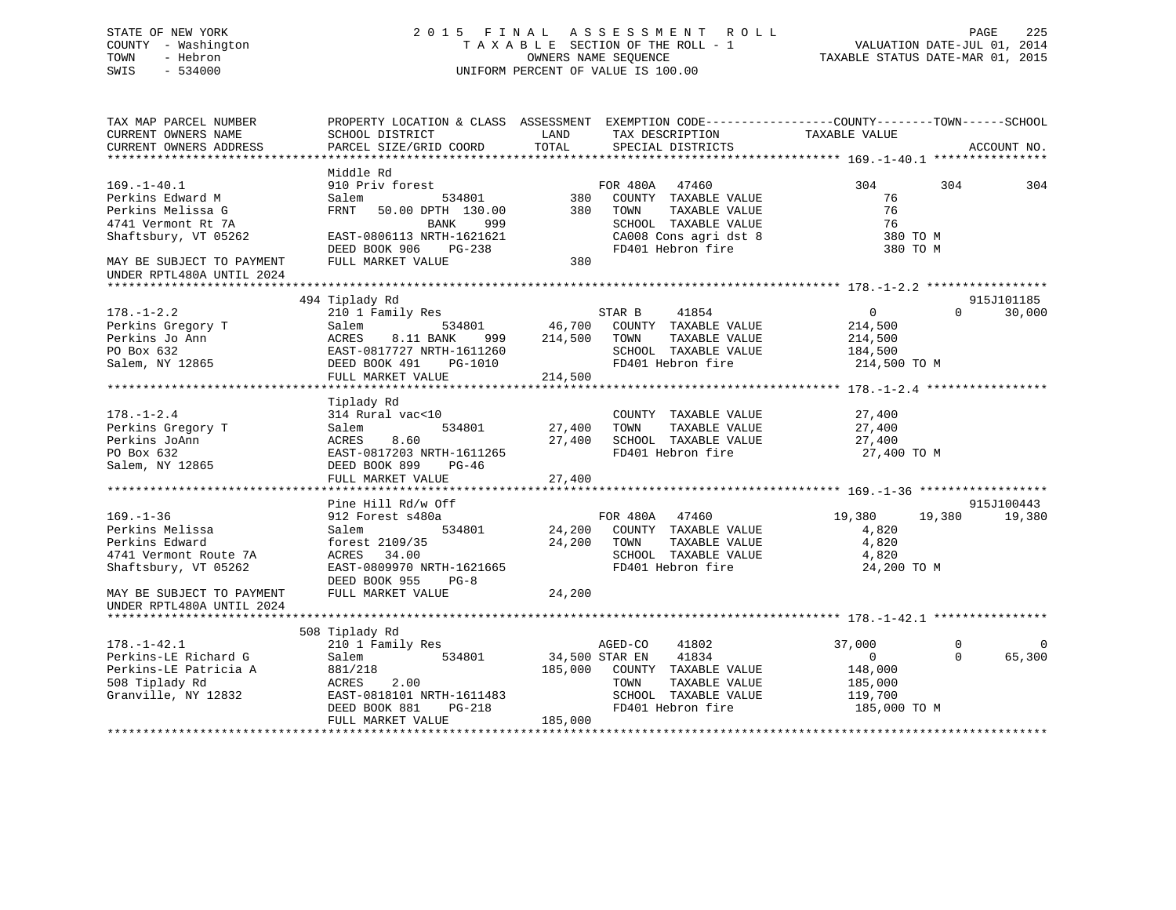## STATE OF NEW YORK 2 0 1 5 F I N A L A S S E S S M E N T R O L L PAGE 225 COUNTY - Washington T A X A B L E SECTION OF THE ROLL - 1 VALUATION DATE-JUL 01, 2014 TOWN - Hebron OWNERS NAME SEQUENCE TAXABLE STATUS DATE-MAR 01, 2015 SWIS - 534000 UNIFORM PERCENT OF VALUE IS 100.00

| TAX MAP PARCEL NUMBER<br>CURRENT OWNERS NAME<br>CURRENT OWNERS ADDRESS                                      | PROPERTY LOCATION & CLASS ASSESSMENT EXEMPTION CODE---------------COUNTY-------TOWN-----SCHOOL<br>SCHOOL DISTRICT<br>PARCEL SIZE/GRID COORD        | LAND<br>TOTAL                | TAX DESCRIPTION<br>SPECIAL DISTRICTS                                                                                    | TAXABLE VALUE                                                           | ACCOUNT NO.                                   |
|-------------------------------------------------------------------------------------------------------------|----------------------------------------------------------------------------------------------------------------------------------------------------|------------------------------|-------------------------------------------------------------------------------------------------------------------------|-------------------------------------------------------------------------|-----------------------------------------------|
|                                                                                                             |                                                                                                                                                    |                              |                                                                                                                         |                                                                         |                                               |
| $169. - 1 - 40.1$                                                                                           | Middle Rd<br>910 Priv forest                                                                                                                       |                              | FOR 480A 47460                                                                                                          | 304                                                                     | 304<br>304                                    |
| Perkins Edward M<br>Perkins Melissa G                                                                       | Salem<br>534801<br>FRNT 50.00 DPTH 130.00                                                                                                          | 380<br>380                   | COUNTY TAXABLE VALUE<br>TAXABLE VALUE<br>TOWN                                                                           | 76<br>76                                                                |                                               |
| 4741 Vermont Rt 7A<br>Shaftsbury, VT 05262                                                                  | BANK<br>999<br>EAST-0806113 NRTH-1621621                                                                                                           |                              | SCHOOL TAXABLE VALUE<br>CA008 Cons agri dst 8                                                                           | 76<br>380 TO M                                                          |                                               |
| MAY BE SUBJECT TO PAYMENT<br>UNDER RPTL480A UNTIL 2024                                                      | PG-238<br>DEED BOOK 906<br>FULL MARKET VALUE                                                                                                       | 380                          | FD401 Hebron fire                                                                                                       | 380 TO M                                                                |                                               |
|                                                                                                             |                                                                                                                                                    |                              |                                                                                                                         |                                                                         |                                               |
| $178. - 1 - 2.2$                                                                                            | 494 Tiplady Rd<br>210 1 Family Res                                                                                                                 |                              | 41854<br>STAR B                                                                                                         | 0                                                                       | 915J101185<br>30,000<br>$\Omega$              |
| Perkins Gregory T<br>Perkins Jo Ann<br>PO Box 632<br>Salem, NY 12865                                        | Salem<br>534801<br>ACRES<br>8.11 BANK<br>999<br>EAST-0817727 NRTH-1611260<br>DEED BOOK 491<br>PG-1010<br>FULL MARKET VALUE                         | 46,700<br>214,500<br>214,500 | COUNTY TAXABLE VALUE<br>TOWN<br>TAXABLE VALUE<br>SCHOOL TAXABLE VALUE<br>FD401 Hebron fire                              | 214,500<br>214,500<br>184,500<br>214,500 TO M                           |                                               |
|                                                                                                             |                                                                                                                                                    |                              |                                                                                                                         |                                                                         |                                               |
| $178. - 1 - 2.4$<br>Perkins Gregory T<br>Perkins JoAnn<br>PO Box 632<br>Salem, NY 12865                     | Tiplady Rd<br>314 Rural vac<10<br>Salem<br>534801<br>ACRES<br>8.60<br>EAST-0817203 NRTH-1611265<br>DEED BOOK 899<br>$PG-46$<br>FULL MARKET VALUE   | 27,400<br>27,400<br>27,400   | COUNTY TAXABLE VALUE<br>TOWN<br>TAXABLE VALUE<br>SCHOOL TAXABLE VALUE<br>FD401 Hebron fire                              | 27,400<br>27,400<br>27,400<br>27,400 TO M                               |                                               |
|                                                                                                             |                                                                                                                                                    |                              |                                                                                                                         |                                                                         |                                               |
| $169. - 1 - 36$<br>Perkins Melissa<br>Perkins Edward<br>4741 Vermont Route 7A<br>Shaftsbury, VT 05262       | Pine Hill Rd/w Off<br>912 Forest s480a<br>534801<br>Salem<br>forest 2109/35<br>ACRES 34.00<br>EAST-0809970 NRTH-1621665<br>DEED BOOK 955<br>$PG-8$ | 24,200                       | FOR 480A 47460<br>24,200 COUNTY TAXABLE VALUE<br>TAXABLE VALUE<br>TOWN<br>SCHOOL TAXABLE VALUE<br>FD401 Hebron fire     | 19,380<br>19,380<br>4,820<br>4,820<br>4,820<br>24,200 TO M              | 915J100443<br>19,380                          |
| MAY BE SUBJECT TO PAYMENT<br>UNDER RPTL480A UNTIL 2024                                                      | FULL MARKET VALUE                                                                                                                                  | 24,200                       |                                                                                                                         |                                                                         |                                               |
|                                                                                                             | 508 Tiplady Rd                                                                                                                                     |                              |                                                                                                                         |                                                                         |                                               |
| $178. - 1 - 42.1$<br>Perkins-LE Richard G<br>Perkins-LE Patricia A<br>508 Tiplady Rd<br>Granville, NY 12832 | 210 1 Family Res<br>Salem<br>534801<br>881/218<br>ACRES<br>2.00<br>EAST-0818101 NRTH-1611483<br>DEED BOOK 881<br>PG-218                            | 34,500 STAR EN<br>185,000    | AGED-CO<br>41802<br>41834<br>COUNTY TAXABLE VALUE<br>TOWN<br>TAXABLE VALUE<br>SCHOOL TAXABLE VALUE<br>FD401 Hebron fire | 37,000<br>$\mathbf{0}$<br>148,000<br>185,000<br>119,700<br>185,000 TO M | $\Omega$<br>$\mathbf 0$<br>$\Omega$<br>65,300 |
|                                                                                                             | FULL MARKET VALUE                                                                                                                                  | 185,000                      |                                                                                                                         |                                                                         |                                               |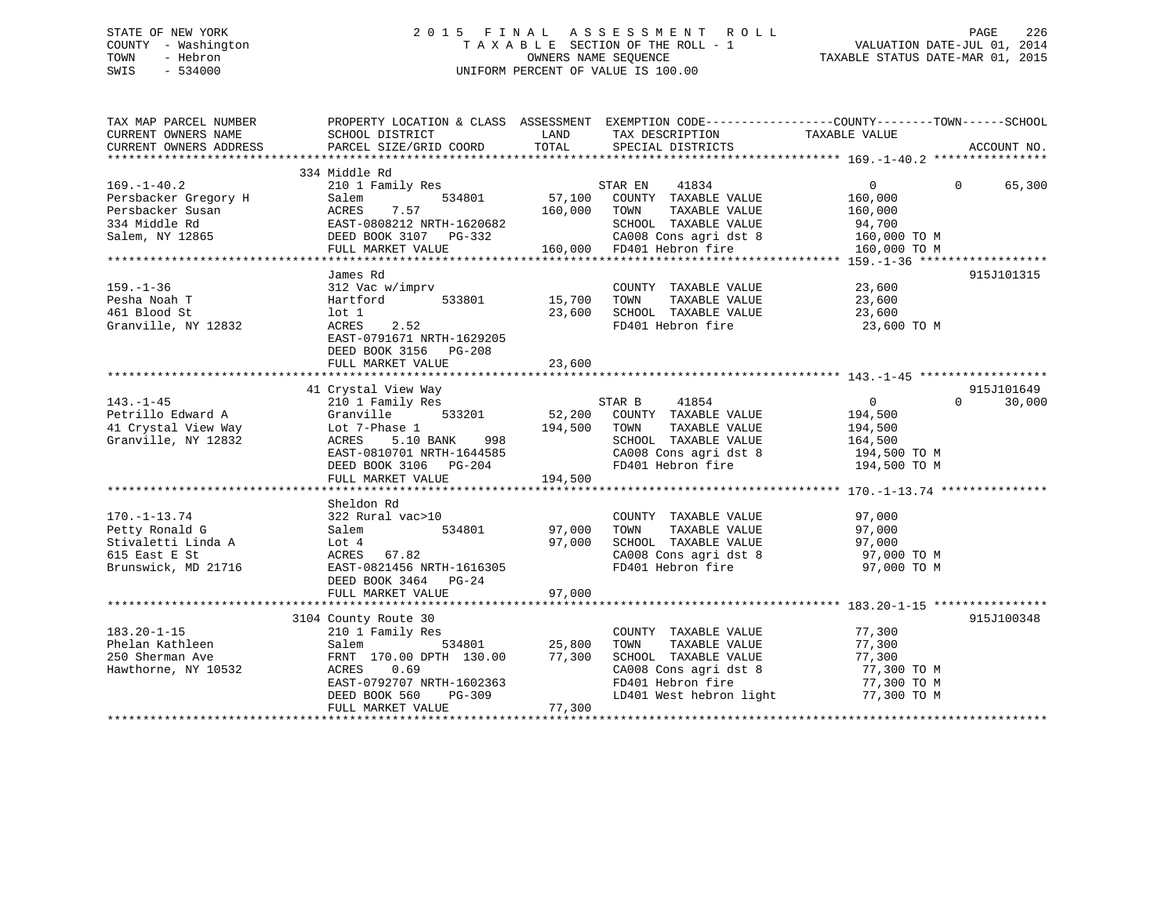## STATE OF NEW YORK 2 0 1 5 F I N A L A S S E S S M E N T R O L L PAGE 226 COUNTY - Washington T A X A B L E SECTION OF THE ROLL - 1 VALUATION DATE-JUL 01, 2014 TOWN - Hebron OWNERS NAME SEQUENCE TAXABLE STATUS DATE-MAR 01, 2015 SWIS - 534000 UNIFORM PERCENT OF VALUE IS 100.00

| TAX MAP PARCEL NUMBER<br>CURRENT OWNERS NAME<br>CURRENT OWNERS ADDRESS                             | PROPERTY LOCATION & CLASS ASSESSMENT EXEMPTION CODE---------------COUNTY-------TOWN-----SCHOOL<br>SCHOOL DISTRICT<br>PARCEL SIZE/GRID COORD                                                                                  | LAND<br>TOTAL              | TAX DESCRIPTION<br>SPECIAL DISTRICTS                                                                                                                                            | TAXABLE VALUE                                            | ACCOUNT NO.        |
|----------------------------------------------------------------------------------------------------|------------------------------------------------------------------------------------------------------------------------------------------------------------------------------------------------------------------------------|----------------------------|---------------------------------------------------------------------------------------------------------------------------------------------------------------------------------|----------------------------------------------------------|--------------------|
|                                                                                                    |                                                                                                                                                                                                                              |                            |                                                                                                                                                                                 |                                                          |                    |
| $169. - 1 - 40.2$                                                                                  | 334 Middle Rd<br>210 1 Family Res                                                                                                                                                                                            |                            | STAR EN 41834                                                                                                                                                                   | $\overline{0}$                                           | $\Omega$<br>65,300 |
| Persbacker Gregory H<br>Persbacker Susan<br>334 Middle Rd<br>Salem, NY 12865                       | 534801<br>Salem<br>7.57<br>ACRES<br>ACRES (1992)<br>EAST-0808212 NRTH-1620682 SCHOOL TAXABLE VALUE<br>DEED BOOK 3107 PG-332 CA008 Cons agri dst 8 160,000 TO M<br>FULL MARKET VALUE 160,000 FD401 Hebron fire 159.-1-36 **** | 57,100<br>160,000          | COUNTY TAXABLE VALUE<br>TOWN<br>TAXABLE VALUE<br>TOWN       TAXABLE  VALUE<br>SCHOOL    TAXABLE  VALUE                                                                          | 160,000<br>160,000<br>94,700                             |                    |
|                                                                                                    |                                                                                                                                                                                                                              |                            |                                                                                                                                                                                 |                                                          |                    |
| $159. - 1 - 36$<br>Pesha Noah T<br>461 Blood St<br>Granville, NY 12832                             | James Rd<br>312 Vac w/imprv<br>Hartford<br>533801<br>$1$ ot $1$<br>2.52<br>ACRES<br>EAST-0791671 NRTH-1629205<br>DEED BOOK 3156 PG-208                                                                                       | 15,700<br>23,600           | COUNTY TAXABLE VALUE 23,600<br>TOWN<br>TAXABLE VALUE<br>SCHOOL TAXABLE VALUE<br>FD401 Hebron fire                                                                               | 23,600<br>23,600<br>23,600 TO M                          | 915J101315         |
|                                                                                                    | 41 Crystal View Way                                                                                                                                                                                                          |                            |                                                                                                                                                                                 |                                                          | 915J101649         |
| $143. - 1 - 45$<br>Petrillo Edward A<br>41 Crystal View Way<br>Granville, NY 12832                 | 210 1 Family Res<br>533201<br>Granville<br>Lot 7-Phase 1<br>ACRES 5.10 BANK 998<br>EAST-0810701 NRTH-1644585<br>DEED BOOK 3106 PG-204                                                                                        | 194,500                    | STAR B<br>41854<br>52,200 COUNTY TAXABLE VALUE<br>TOWN<br>TAXABLE VALUE<br>SCHOOL TAXABLE VALUE 164,500<br>CA008 Cons agri dst 8 194,500 TO M<br>FD401 Hebron fire 194,500 TO M | $\Omega$<br>194,500<br>194,500                           | 30,000<br>$\Omega$ |
|                                                                                                    | Sheldon Rd                                                                                                                                                                                                                   |                            |                                                                                                                                                                                 |                                                          |                    |
| $170. - 1 - 13.74$<br>Petty Ronald G<br>Stivaletti Linda A<br>615 East E St<br>Brunswick, MD 21716 | 322 Rural vac>10<br>534801<br>Salem<br>Lot 4<br>ACRES 67.82<br>EAST-0821456 NRTH-1616305<br>DEED BOOK 3464 PG-24                                                                                                             | 97,000<br>97,000           | COUNTY TAXABLE VALUE<br>TOWN<br>TAXABLE VALUE<br>SCHOOL TAXABLE VALUE 97,000<br>CA008 Cons agri dst 8 97,000 TO M<br>FD401 Hebron fire                                          | 97,000<br>97,000<br>97,000 TO M                          |                    |
|                                                                                                    | FULL MARKET VALUE                                                                                                                                                                                                            | 97,000                     |                                                                                                                                                                                 |                                                          |                    |
|                                                                                                    | 3104 County Route 30                                                                                                                                                                                                         |                            |                                                                                                                                                                                 |                                                          | 915J100348         |
| $183.20 - 1 - 15$<br>Phelan Kathleen<br>250 Sherman Ave<br>Hawthorne, NY 10532                     | 210 1 Family Res<br>534801<br>Salem<br>FRNT 170.00 DPTH 130.00<br>0.69<br>ACRES<br>EAST-0792707 NRTH-1602363<br>PG-309<br>DEED BOOK 560<br>FULL MARKET VALUE                                                                 | 25,800<br>77,300<br>77,300 | COUNTY TAXABLE VALUE<br>TOWN<br>TAXABLE VALUE<br>SCHOOL TAXABLE VALUE<br>CA008 Cons agri dst 8 $77,300$ TO M<br>FD401 Hebron fire<br>LD401 West hebron light                    | 77,300<br>77,300<br>77,300<br>77,300 TO M<br>77,300 TO M |                    |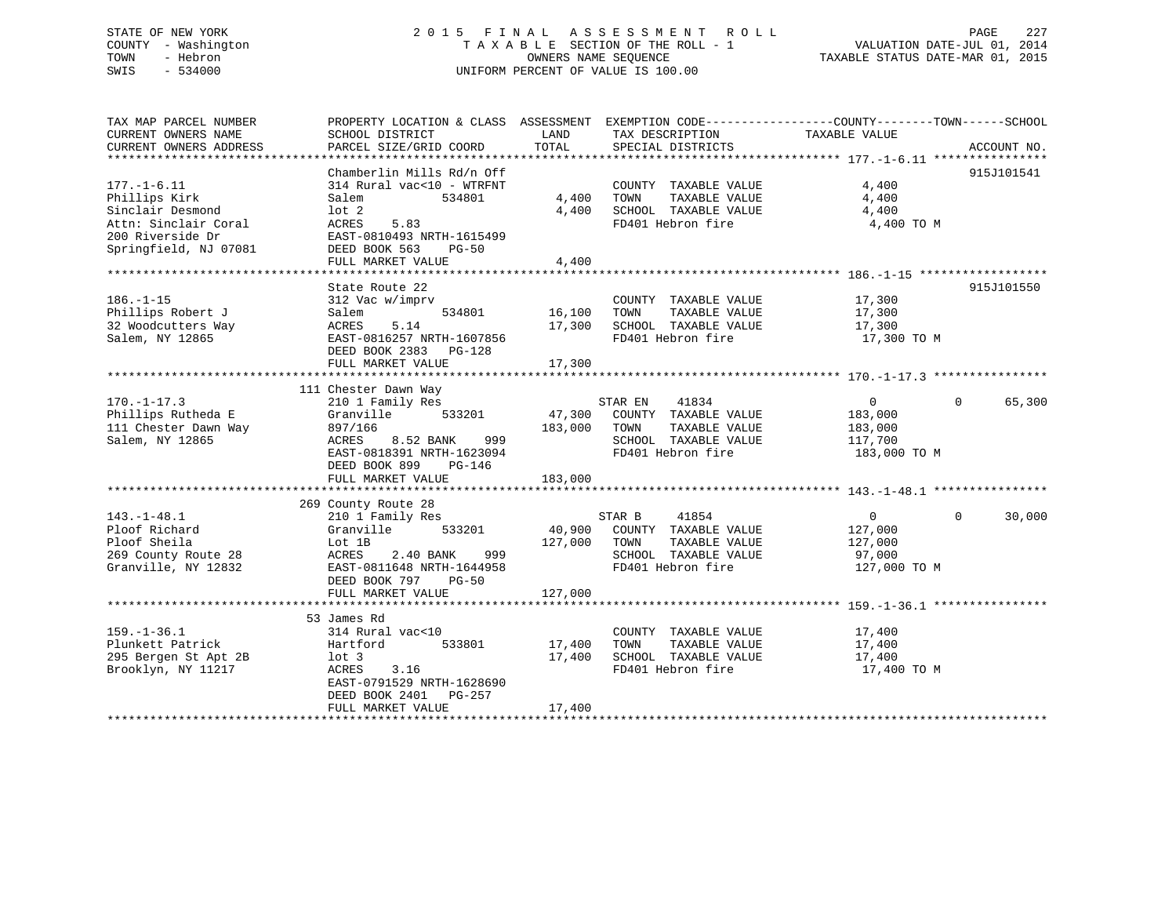## STATE OF NEW YORK 2 0 1 5 F I N A L A S S E S S M E N T R O L L PAGE 227 COUNTY - Washington T A X A B L E SECTION OF THE ROLL - 1 VALUATION DATE-JUL 01, 2014 TOWN - Hebron OWNERS NAME SEQUENCE TAXABLE STATUS DATE-MAR 01, 2015 SWIS - 534000 UNIFORM PERCENT OF VALUE IS 100.00

| TAX MAP PARCEL NUMBER<br>CURRENT OWNERS NAME<br>CURRENT OWNERS ADDRESS                                                      | PROPERTY LOCATION & CLASS ASSESSMENT EXEMPTION CODE---------------COUNTY-------TOWN-----SCHOOL<br>SCHOOL DISTRICT<br>PARCEL SIZE/GRID COORD                                            | LAND<br>TOTAL                | TAX DESCRIPTION<br>SPECIAL DISTRICTS                                                                           | TAXABLE VALUE                                                   | ACCOUNT NO.        |
|-----------------------------------------------------------------------------------------------------------------------------|----------------------------------------------------------------------------------------------------------------------------------------------------------------------------------------|------------------------------|----------------------------------------------------------------------------------------------------------------|-----------------------------------------------------------------|--------------------|
| $177. - 1 - 6.11$<br>Phillips Kirk<br>Sinclair Desmond<br>Attn: Sinclair Coral<br>200 Riverside Dr<br>Springfield, NJ 07081 | Chamberlin Mills Rd/n Off<br>314 Rural vac<10 - WTRFNT<br>Salem<br>534801<br>$1$ ot $2$<br>ACRES<br>5.83<br>EAST-0810493 NRTH-1615499<br>DEED BOOK 563<br>$PG-50$<br>FULL MARKET VALUE | 4,400<br>4,400<br>4,400      | COUNTY TAXABLE VALUE<br>TOWN<br>TAXABLE VALUE<br>SCHOOL TAXABLE VALUE<br>FD401 Hebron fire                     | 4,400<br>4,400<br>4,400<br>4,400 TO M                           | 915J101541         |
| $186. - 1 - 15$<br>Phillips Robert J<br>32 Woodcutters Way<br>Salem, NY 12865                                               | State Route 22<br>312 Vac w/imprv<br>534801<br>Salem<br>ACRES<br>5.14<br>EAST-0816257 NRTH-1607856<br>DEED BOOK 2383 PG-128<br>FULL MARKET VALUE                                       | 16,100<br>17,300<br>17,300   | COUNTY TAXABLE VALUE<br>TOWN<br>TAXABLE VALUE<br>SCHOOL TAXABLE VALUE<br>FD401 Hebron fire                     | 17,300<br>17,300<br>17,300<br>17,300 TO M                       | 915J101550         |
| $170. - 1 - 17.3$<br>Phillips Rutheda E<br>111 Chester Dawn Way<br>Salem, NY 12865                                          | 111 Chester Dawn Way<br>210 1 Family Res<br>533201<br>Granville<br>897/166<br>8.52 BANK<br>999<br>ACRES<br>EAST-0818391 NRTH-1623094<br>DEED BOOK 899<br>PG-146<br>FULL MARKET VALUE   | 47,300<br>183,000<br>183,000 | STAR EN<br>41834<br>COUNTY TAXABLE VALUE<br>TOWN<br>TAXABLE VALUE<br>SCHOOL TAXABLE VALUE<br>FD401 Hebron fire | $\overline{0}$<br>183,000<br>183,000<br>117,700<br>183,000 TO M | $\Omega$<br>65,300 |
| $143. - 1 - 48.1$<br>Ploof Richard<br>Ploof Sheila<br>269 County Route 28<br>Granville, NY 12832                            | 269 County Route 28<br>210 1 Family Res<br>533201<br>Granville<br>Lot 1B<br>2.40 BANK<br>999<br>ACRES<br>EAST-0811648 NRTH-1644958<br>DEED BOOK 797 PG-50<br>FULL MARKET VALUE         | 40,900<br>127,000<br>127,000 | STAR B<br>41854<br>COUNTY TAXABLE VALUE<br>TOWN<br>TAXABLE VALUE<br>SCHOOL TAXABLE VALUE<br>FD401 Hebron fire  | $\overline{0}$<br>127,000<br>127,000<br>97,000<br>127,000 TO M  | $\Omega$<br>30,000 |
| $159. - 1 - 36.1$<br>Plunkett Patrick<br>295 Bergen St Apt 2B<br>Brooklyn, NY 11217                                         | 53 James Rd<br>314 Rural vac<10<br>533801<br>Hartford<br>$1$ ot $3$<br>ACRES<br>3.16<br>EAST-0791529 NRTH-1628690<br>DEED BOOK 2401 PG-257<br>FULL MARKET VALUE                        | 17,400<br>17,400<br>17,400   | COUNTY TAXABLE VALUE<br>TOWN<br>TAXABLE VALUE<br>SCHOOL TAXABLE VALUE<br>FD401 Hebron fire                     | 17,400<br>17,400<br>17,400<br>17,400 TO M                       |                    |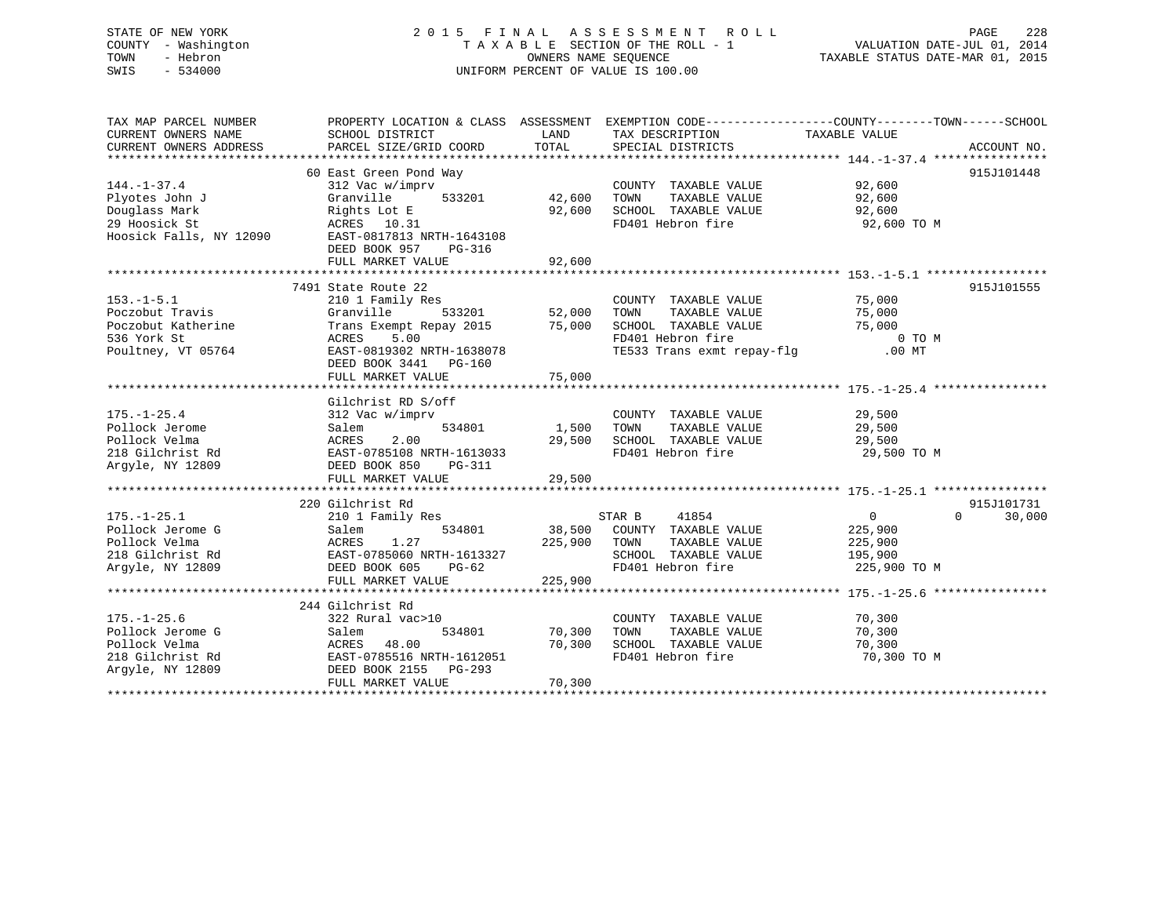## STATE OF NEW YORK 2 0 1 5 F I N A L A S S E S S M E N T R O L L PAGE 228 COUNTY - Washington T A X A B L E SECTION OF THE ROLL - 1 VALUATION DATE-JUL 01, 2014 TOWN - Hebron OWNERS NAME SEQUENCE TAXABLE STATUS DATE-MAR 01, 2015 SWIS - 534000 UNIFORM PERCENT OF VALUE IS 100.00UNIFORM PERCENT OF VALUE IS 100.00

| TAX MAP PARCEL NUMBER   |                                         |              | PROPERTY LOCATION & CLASS ASSESSMENT EXEMPTION CODE---------------COUNTY-------TOWN-----SCHOOL |                      |                    |
|-------------------------|-----------------------------------------|--------------|------------------------------------------------------------------------------------------------|----------------------|--------------------|
| CURRENT OWNERS NAME     | SCHOOL DISTRICT                         | LAND         | TAX DESCRIPTION                                                                                | TAXABLE VALUE        |                    |
| CURRENT OWNERS ADDRESS  | PARCEL SIZE/GRID COORD                  | TOTAL        | SPECIAL DISTRICTS                                                                              |                      | ACCOUNT NO.        |
|                         |                                         |              |                                                                                                |                      |                    |
|                         | 60 East Green Pond Way                  |              |                                                                                                |                      | 915J101448         |
| $144. - 1 - 37.4$       | 312 Vac w/imprv                         |              | COUNTY TAXABLE VALUE                                                                           | $92,600$<br>$92,600$ |                    |
| Plyotes John J          | 533201<br>Granville                     | 42,600       | TAXABLE VALUE<br>TOWN                                                                          | 92,600               |                    |
| Douglass Mark           | Rights Lot E                            | 92,600       | SCHOOL TAXABLE VALUE                                                                           | 92,600               |                    |
| 29 Hoosick St           | ACRES 10.31                             |              | FD401 Hebron fire                                                                              | 92,600 TO M          |                    |
| Hoosick Falls, NY 12090 | EAST-0817813 NRTH-1643108               |              |                                                                                                |                      |                    |
|                         | DEED BOOK 957<br>PG-316                 |              |                                                                                                |                      |                    |
|                         |                                         |              |                                                                                                |                      |                    |
|                         |                                         |              |                                                                                                |                      |                    |
|                         | 7491 State Route 22                     |              |                                                                                                |                      | 915J101555         |
| $153. - 1 - 5.1$        | 210 1 Family Res                        |              | COUNTY TAXABLE VALUE                                                                           | 75,000               |                    |
| Poczobut Travis         | Granville                               |              | TAXABLE VALUE 75,000<br>TOWN                                                                   |                      |                    |
| Poczobut Katherine      | Trans Exempt Repay 2015 75,000          |              | SCHOOL TAXABLE VALUE                                                                           | 15,000 THE 75,000    |                    |
| 536 York St             | 5.00<br>ACRES                           |              | FD401 Hebron fire                                                                              | 0 TO M               |                    |
| Poultney, VT 05764      | EAST-0819302 NRTH-1638078               |              | TE533 Trans exmt repay-flg .00 MT                                                              |                      |                    |
|                         | DEED BOOK 3441 PG-160                   |              |                                                                                                |                      |                    |
|                         | FULL MARKET VALUE                       | 75,000       |                                                                                                |                      |                    |
|                         |                                         |              |                                                                                                |                      |                    |
|                         | Gilchrist RD S/off                      |              |                                                                                                |                      |                    |
| $175. - 1 - 25.4$       | 312 Vac w/imprv                         |              | COUNTY TAXABLE VALUE 29,500                                                                    |                      |                    |
| Pollock Jerome          | 534801<br>Salem                         | 1,500 TOWN   | TAXABLE VALUE                                                                                  | 29,500               |                    |
| Pollock Velma           |                                         |              | 29,500 SCHOOL TAXABLE VALUE                                                                    | 29,500               |                    |
| 218 Gilchrist Rd        | ACRES 2.00<br>EAST-0785108 NRTH-1613033 |              | FD401 Hebron fire                                                                              | 29,500 TO M          |                    |
| Arqyle, NY 12809        | DEED BOOK 850<br>PG-311                 |              |                                                                                                |                      |                    |
|                         |                                         |              |                                                                                                |                      |                    |
|                         |                                         |              |                                                                                                |                      |                    |
|                         | 220 Gilchrist Rd                        |              |                                                                                                |                      | 915J101731         |
| $175. - 1 - 25.1$       | 210 1 Family Res                        |              | 41854<br>STAR B                                                                                | $\overline{0}$       | 30,000<br>$\Omega$ |
| Pollock Jerome G        | Salem                                   |              | 534801 38,500 COUNTY TAXABLE VALUE                                                             | 225,900              |                    |
| Pollock Velma           |                                         | 225,900 TOWN | TAXABLE VALUE                                                                                  | 225,900              |                    |
| 218 Gilchrist Rd        | ACRES 1.2,<br>EAST-0785060 NRTH-1613327 |              | SCHOOL TAXABLE VALUE                                                                           | 195,900              |                    |
| Arqyle, NY 12809        | DEED BOOK 605<br>$PG-62$                |              | FD401 Hebron fire                                                                              | 225,900 TO M         |                    |
|                         | FULL MARKET VALUE                       | 225,900      |                                                                                                |                      |                    |
|                         |                                         |              |                                                                                                |                      |                    |
|                         | 244 Gilchrist Rd                        |              |                                                                                                |                      |                    |
| $175. - 1 - 25.6$       | 322 Rural vac>10                        |              | COUNTY TAXABLE VALUE                                                                           | 70,300               |                    |
| Pollock Jerome G        | 534801<br>Salem                         | 70,300       | TAXABLE VALUE<br>TOWN                                                                          | 70,300               |                    |
| Pollock Velma           | 48.00<br>ACRES                          | 70,300       | SCHOOL TAXABLE VALUE                                                                           | 70,300               |                    |
| 218 Gilchrist Rd        | EAST-0785516 NRTH-1612051               |              | FD401 Hebron fire                                                                              | 70,300 TO M          |                    |
| Arqyle, NY 12809        | DEED BOOK 2155 PG-293                   |              |                                                                                                |                      |                    |
|                         | FULL MARKET VALUE                       | 70,300       |                                                                                                |                      |                    |
|                         |                                         |              |                                                                                                |                      |                    |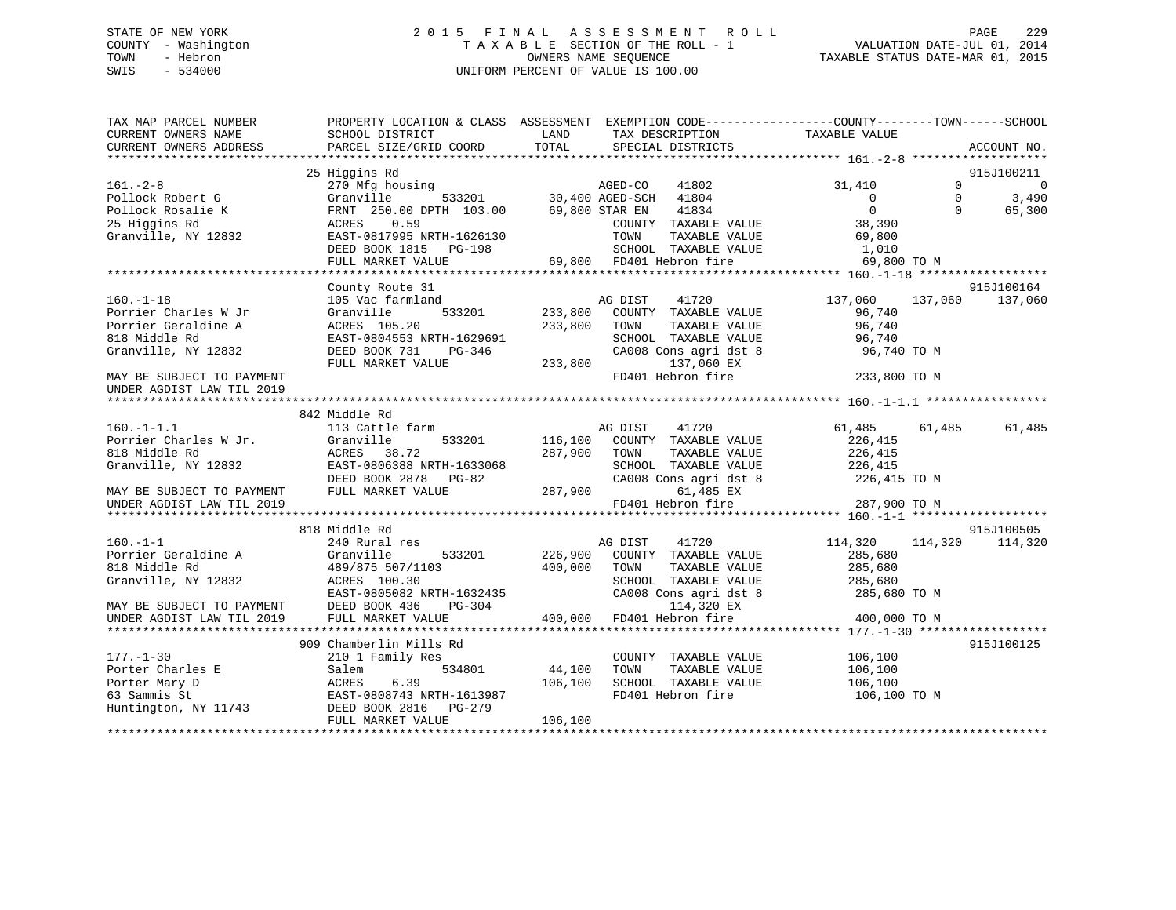## STATE OF NEW YORK 2 0 1 5 F I N A L A S S E S S M E N T R O L L PAGE 229 COUNTY - Washington T A X A B L E SECTION OF THE ROLL - 1 VALUATION DATE-JUL 01, 2014 TOWN - Hebron OWNERS NAME SEQUENCE TAXABLE STATUS DATE-MAR 01, 2015 SWIS - 534000 UNIFORM PERCENT OF VALUE IS 100.00

| 25 Higgins Rd<br>915J100211<br>$161. - 2 - 8$<br>270 Mfg housing<br>41802 AGED-CO 41802<br>30,400 AGED-SCH 41804<br>31,410<br>$\Omega$<br>$\overline{0}$<br>$\overline{0}$<br>$\Omega$<br>3,490<br>Pollock Robert G<br>Granville<br>$\overline{0}$<br>Pollock Rosalie K<br>FRNT 250.00 DPTH 103.00<br>69,800 STAR EN<br>41834<br>$\Omega$<br>65,300<br>0.59<br>COUNTY TAXABLE VALUE<br>25 Higgins Rd<br>ACRES<br>38,390<br>EAST-0817995 NRTH-1626130<br>Granville, NY 12832<br>TOWN<br>TAXABLE VALUE<br>69,800<br>1,010<br>DEED BOOK 1815 PG-198<br>SCHOOL TAXABLE VALUE<br>69,800 FD401 Hebron fire<br>FULL MARKET VALUE<br>69,800 TO M<br>915J100164<br>County Route 31<br>$160. - 1 - 18$<br>105 Vac farmland<br>41720<br>AG DIST<br>137,060<br>137,060<br>137,060<br>533201<br>233,800 COUNTY TAXABLE VALUE<br>Porrier Charles W Jr<br>Granville<br>96,740<br>Porrier Geraldine A<br>ACRES 105.20<br>233,800<br>TOWN<br>TAXABLE VALUE<br>96,740<br>818 Middle Rd<br>SCHOOL TAXABLE VALUE<br>EAST-0804553 NRTH-1629691<br>96,740<br>Granville, NY 12832<br>DEED BOOK 731<br>PG-346<br>CA008 Cons agri dst 8<br>96,740 TO M<br>FULL MARKET VALUE<br>233,800<br>137,060 EX<br>FD401 Hebron fire<br>233,800 TO M<br>MAY BE SUBJECT TO PAYMENT<br>UNDER AGDIST LAW TIL 2019<br>842 Middle Rd<br>$160. -1 - 1.1$<br>113 Cattle farm<br>AG DIST<br>61,485 61,485<br>41720<br>61,485<br>Porrier Charles W Jr.<br>Granville<br>533201<br>116,100 COUNTY TAXABLE VALUE<br>226,415<br>818 Middle Rd<br>ACRES 38.72<br>287,900<br>TAXABLE VALUE<br>226,415<br>TOWN<br>EAST-0806388 NRTH-1633068<br>Granville, NY 12832<br>SCHOOL TAXABLE VALUE<br>226,415<br>DEED BOOK 2878 PG-82<br>CA008 Cons agri dst 8<br>226,415 TO M<br>FULL MARKET VALUE<br>287,900<br>61,485 EX<br>MAY BE SUBJECT TO PAYMENT<br>FD401 Hebron fire<br>287,900 TO M<br>UNDER AGDIST LAW TIL 2019<br>818 Middle Rd<br>915J100505<br>$160. - 1 - 1$<br>240 Rural res<br>AG DIST<br>41720<br>114,320<br>114,320<br>114,320<br>Porrier Geraldine A<br>533201<br>226,900<br>COUNTY TAXABLE VALUE<br>Granville<br>285,680<br>818 Middle Rd<br>489/875 507/1103<br>400,000<br>TOWN<br>TAXABLE VALUE<br>285,680<br>Granville, NY 12832<br>ACRES 100.30<br>SCHOOL TAXABLE VALUE<br>285,680<br>EAST-0805082 NRTH-1632435<br>CA008 Cons agri dst 8<br>285,680 TO M<br>114,320 EX<br>DEED BOOK 436<br>PG-304<br>MAY BE SUBJECT TO PAYMENT<br>FULL MARKET VALUE<br>400,000 FD401 Hebron fire<br>400,000 TO M<br>UNDER AGDIST LAW TIL 2019<br>909 Chamberlin Mills Rd<br>915J100125<br>$177. - 1 - 30$<br>210 1 Family Res<br>COUNTY TAXABLE VALUE<br>106,100<br>534801<br>Porter Charles E<br>44,100<br>TOWN<br>TAXABLE VALUE<br>Salem<br>106,100<br>Porter Mary D<br>ACRES<br>6.39<br>106,100<br>SCHOOL TAXABLE VALUE<br>106,100<br>63 Sammis St<br>FD401 Hebron fire<br>EAST-0808743 NRTH-1613987<br>106,100 TO M<br>Huntington, NY 11743<br>DEED BOOK 2816 PG-279<br>FULL MARKET VALUE<br>106,100 | TAX MAP PARCEL NUMBER<br>CURRENT OWNERS NAME<br>CURRENT OWNERS ADDRESS | PROPERTY LOCATION & CLASS ASSESSMENT EXEMPTION CODE---------------COUNTY-------TOWN------SCHOOL<br>SCHOOL DISTRICT<br>PARCEL SIZE/GRID COORD | LAND<br>TOTAL | TAX DESCRIPTION<br>SPECIAL DISTRICTS | TAXABLE VALUE | ACCOUNT NO. |
|-------------------------------------------------------------------------------------------------------------------------------------------------------------------------------------------------------------------------------------------------------------------------------------------------------------------------------------------------------------------------------------------------------------------------------------------------------------------------------------------------------------------------------------------------------------------------------------------------------------------------------------------------------------------------------------------------------------------------------------------------------------------------------------------------------------------------------------------------------------------------------------------------------------------------------------------------------------------------------------------------------------------------------------------------------------------------------------------------------------------------------------------------------------------------------------------------------------------------------------------------------------------------------------------------------------------------------------------------------------------------------------------------------------------------------------------------------------------------------------------------------------------------------------------------------------------------------------------------------------------------------------------------------------------------------------------------------------------------------------------------------------------------------------------------------------------------------------------------------------------------------------------------------------------------------------------------------------------------------------------------------------------------------------------------------------------------------------------------------------------------------------------------------------------------------------------------------------------------------------------------------------------------------------------------------------------------------------------------------------------------------------------------------------------------------------------------------------------------------------------------------------------------------------------------------------------------------------------------------------------------------------------------------------------------------------------------------------------------------------------------------------------------------------------------------------------------------------------------------------------------------------------------------------------------------------------------------|------------------------------------------------------------------------|----------------------------------------------------------------------------------------------------------------------------------------------|---------------|--------------------------------------|---------------|-------------|
|                                                                                                                                                                                                                                                                                                                                                                                                                                                                                                                                                                                                                                                                                                                                                                                                                                                                                                                                                                                                                                                                                                                                                                                                                                                                                                                                                                                                                                                                                                                                                                                                                                                                                                                                                                                                                                                                                                                                                                                                                                                                                                                                                                                                                                                                                                                                                                                                                                                                                                                                                                                                                                                                                                                                                                                                                                                                                                                                                       |                                                                        |                                                                                                                                              |               |                                      |               |             |
|                                                                                                                                                                                                                                                                                                                                                                                                                                                                                                                                                                                                                                                                                                                                                                                                                                                                                                                                                                                                                                                                                                                                                                                                                                                                                                                                                                                                                                                                                                                                                                                                                                                                                                                                                                                                                                                                                                                                                                                                                                                                                                                                                                                                                                                                                                                                                                                                                                                                                                                                                                                                                                                                                                                                                                                                                                                                                                                                                       |                                                                        |                                                                                                                                              |               |                                      |               |             |
|                                                                                                                                                                                                                                                                                                                                                                                                                                                                                                                                                                                                                                                                                                                                                                                                                                                                                                                                                                                                                                                                                                                                                                                                                                                                                                                                                                                                                                                                                                                                                                                                                                                                                                                                                                                                                                                                                                                                                                                                                                                                                                                                                                                                                                                                                                                                                                                                                                                                                                                                                                                                                                                                                                                                                                                                                                                                                                                                                       |                                                                        |                                                                                                                                              |               |                                      |               |             |
|                                                                                                                                                                                                                                                                                                                                                                                                                                                                                                                                                                                                                                                                                                                                                                                                                                                                                                                                                                                                                                                                                                                                                                                                                                                                                                                                                                                                                                                                                                                                                                                                                                                                                                                                                                                                                                                                                                                                                                                                                                                                                                                                                                                                                                                                                                                                                                                                                                                                                                                                                                                                                                                                                                                                                                                                                                                                                                                                                       |                                                                        |                                                                                                                                              |               |                                      |               |             |
|                                                                                                                                                                                                                                                                                                                                                                                                                                                                                                                                                                                                                                                                                                                                                                                                                                                                                                                                                                                                                                                                                                                                                                                                                                                                                                                                                                                                                                                                                                                                                                                                                                                                                                                                                                                                                                                                                                                                                                                                                                                                                                                                                                                                                                                                                                                                                                                                                                                                                                                                                                                                                                                                                                                                                                                                                                                                                                                                                       |                                                                        |                                                                                                                                              |               |                                      |               |             |
|                                                                                                                                                                                                                                                                                                                                                                                                                                                                                                                                                                                                                                                                                                                                                                                                                                                                                                                                                                                                                                                                                                                                                                                                                                                                                                                                                                                                                                                                                                                                                                                                                                                                                                                                                                                                                                                                                                                                                                                                                                                                                                                                                                                                                                                                                                                                                                                                                                                                                                                                                                                                                                                                                                                                                                                                                                                                                                                                                       |                                                                        |                                                                                                                                              |               |                                      |               |             |
|                                                                                                                                                                                                                                                                                                                                                                                                                                                                                                                                                                                                                                                                                                                                                                                                                                                                                                                                                                                                                                                                                                                                                                                                                                                                                                                                                                                                                                                                                                                                                                                                                                                                                                                                                                                                                                                                                                                                                                                                                                                                                                                                                                                                                                                                                                                                                                                                                                                                                                                                                                                                                                                                                                                                                                                                                                                                                                                                                       |                                                                        |                                                                                                                                              |               |                                      |               |             |
|                                                                                                                                                                                                                                                                                                                                                                                                                                                                                                                                                                                                                                                                                                                                                                                                                                                                                                                                                                                                                                                                                                                                                                                                                                                                                                                                                                                                                                                                                                                                                                                                                                                                                                                                                                                                                                                                                                                                                                                                                                                                                                                                                                                                                                                                                                                                                                                                                                                                                                                                                                                                                                                                                                                                                                                                                                                                                                                                                       |                                                                        |                                                                                                                                              |               |                                      |               |             |
|                                                                                                                                                                                                                                                                                                                                                                                                                                                                                                                                                                                                                                                                                                                                                                                                                                                                                                                                                                                                                                                                                                                                                                                                                                                                                                                                                                                                                                                                                                                                                                                                                                                                                                                                                                                                                                                                                                                                                                                                                                                                                                                                                                                                                                                                                                                                                                                                                                                                                                                                                                                                                                                                                                                                                                                                                                                                                                                                                       |                                                                        |                                                                                                                                              |               |                                      |               |             |
|                                                                                                                                                                                                                                                                                                                                                                                                                                                                                                                                                                                                                                                                                                                                                                                                                                                                                                                                                                                                                                                                                                                                                                                                                                                                                                                                                                                                                                                                                                                                                                                                                                                                                                                                                                                                                                                                                                                                                                                                                                                                                                                                                                                                                                                                                                                                                                                                                                                                                                                                                                                                                                                                                                                                                                                                                                                                                                                                                       |                                                                        |                                                                                                                                              |               |                                      |               |             |
|                                                                                                                                                                                                                                                                                                                                                                                                                                                                                                                                                                                                                                                                                                                                                                                                                                                                                                                                                                                                                                                                                                                                                                                                                                                                                                                                                                                                                                                                                                                                                                                                                                                                                                                                                                                                                                                                                                                                                                                                                                                                                                                                                                                                                                                                                                                                                                                                                                                                                                                                                                                                                                                                                                                                                                                                                                                                                                                                                       |                                                                        |                                                                                                                                              |               |                                      |               |             |
|                                                                                                                                                                                                                                                                                                                                                                                                                                                                                                                                                                                                                                                                                                                                                                                                                                                                                                                                                                                                                                                                                                                                                                                                                                                                                                                                                                                                                                                                                                                                                                                                                                                                                                                                                                                                                                                                                                                                                                                                                                                                                                                                                                                                                                                                                                                                                                                                                                                                                                                                                                                                                                                                                                                                                                                                                                                                                                                                                       |                                                                        |                                                                                                                                              |               |                                      |               |             |
|                                                                                                                                                                                                                                                                                                                                                                                                                                                                                                                                                                                                                                                                                                                                                                                                                                                                                                                                                                                                                                                                                                                                                                                                                                                                                                                                                                                                                                                                                                                                                                                                                                                                                                                                                                                                                                                                                                                                                                                                                                                                                                                                                                                                                                                                                                                                                                                                                                                                                                                                                                                                                                                                                                                                                                                                                                                                                                                                                       |                                                                        |                                                                                                                                              |               |                                      |               |             |
|                                                                                                                                                                                                                                                                                                                                                                                                                                                                                                                                                                                                                                                                                                                                                                                                                                                                                                                                                                                                                                                                                                                                                                                                                                                                                                                                                                                                                                                                                                                                                                                                                                                                                                                                                                                                                                                                                                                                                                                                                                                                                                                                                                                                                                                                                                                                                                                                                                                                                                                                                                                                                                                                                                                                                                                                                                                                                                                                                       |                                                                        |                                                                                                                                              |               |                                      |               |             |
|                                                                                                                                                                                                                                                                                                                                                                                                                                                                                                                                                                                                                                                                                                                                                                                                                                                                                                                                                                                                                                                                                                                                                                                                                                                                                                                                                                                                                                                                                                                                                                                                                                                                                                                                                                                                                                                                                                                                                                                                                                                                                                                                                                                                                                                                                                                                                                                                                                                                                                                                                                                                                                                                                                                                                                                                                                                                                                                                                       |                                                                        |                                                                                                                                              |               |                                      |               |             |
|                                                                                                                                                                                                                                                                                                                                                                                                                                                                                                                                                                                                                                                                                                                                                                                                                                                                                                                                                                                                                                                                                                                                                                                                                                                                                                                                                                                                                                                                                                                                                                                                                                                                                                                                                                                                                                                                                                                                                                                                                                                                                                                                                                                                                                                                                                                                                                                                                                                                                                                                                                                                                                                                                                                                                                                                                                                                                                                                                       |                                                                        |                                                                                                                                              |               |                                      |               |             |
|                                                                                                                                                                                                                                                                                                                                                                                                                                                                                                                                                                                                                                                                                                                                                                                                                                                                                                                                                                                                                                                                                                                                                                                                                                                                                                                                                                                                                                                                                                                                                                                                                                                                                                                                                                                                                                                                                                                                                                                                                                                                                                                                                                                                                                                                                                                                                                                                                                                                                                                                                                                                                                                                                                                                                                                                                                                                                                                                                       |                                                                        |                                                                                                                                              |               |                                      |               |             |
|                                                                                                                                                                                                                                                                                                                                                                                                                                                                                                                                                                                                                                                                                                                                                                                                                                                                                                                                                                                                                                                                                                                                                                                                                                                                                                                                                                                                                                                                                                                                                                                                                                                                                                                                                                                                                                                                                                                                                                                                                                                                                                                                                                                                                                                                                                                                                                                                                                                                                                                                                                                                                                                                                                                                                                                                                                                                                                                                                       |                                                                        |                                                                                                                                              |               |                                      |               |             |
|                                                                                                                                                                                                                                                                                                                                                                                                                                                                                                                                                                                                                                                                                                                                                                                                                                                                                                                                                                                                                                                                                                                                                                                                                                                                                                                                                                                                                                                                                                                                                                                                                                                                                                                                                                                                                                                                                                                                                                                                                                                                                                                                                                                                                                                                                                                                                                                                                                                                                                                                                                                                                                                                                                                                                                                                                                                                                                                                                       |                                                                        |                                                                                                                                              |               |                                      |               |             |
|                                                                                                                                                                                                                                                                                                                                                                                                                                                                                                                                                                                                                                                                                                                                                                                                                                                                                                                                                                                                                                                                                                                                                                                                                                                                                                                                                                                                                                                                                                                                                                                                                                                                                                                                                                                                                                                                                                                                                                                                                                                                                                                                                                                                                                                                                                                                                                                                                                                                                                                                                                                                                                                                                                                                                                                                                                                                                                                                                       |                                                                        |                                                                                                                                              |               |                                      |               |             |
|                                                                                                                                                                                                                                                                                                                                                                                                                                                                                                                                                                                                                                                                                                                                                                                                                                                                                                                                                                                                                                                                                                                                                                                                                                                                                                                                                                                                                                                                                                                                                                                                                                                                                                                                                                                                                                                                                                                                                                                                                                                                                                                                                                                                                                                                                                                                                                                                                                                                                                                                                                                                                                                                                                                                                                                                                                                                                                                                                       |                                                                        |                                                                                                                                              |               |                                      |               |             |
|                                                                                                                                                                                                                                                                                                                                                                                                                                                                                                                                                                                                                                                                                                                                                                                                                                                                                                                                                                                                                                                                                                                                                                                                                                                                                                                                                                                                                                                                                                                                                                                                                                                                                                                                                                                                                                                                                                                                                                                                                                                                                                                                                                                                                                                                                                                                                                                                                                                                                                                                                                                                                                                                                                                                                                                                                                                                                                                                                       |                                                                        |                                                                                                                                              |               |                                      |               |             |
|                                                                                                                                                                                                                                                                                                                                                                                                                                                                                                                                                                                                                                                                                                                                                                                                                                                                                                                                                                                                                                                                                                                                                                                                                                                                                                                                                                                                                                                                                                                                                                                                                                                                                                                                                                                                                                                                                                                                                                                                                                                                                                                                                                                                                                                                                                                                                                                                                                                                                                                                                                                                                                                                                                                                                                                                                                                                                                                                                       |                                                                        |                                                                                                                                              |               |                                      |               |             |
|                                                                                                                                                                                                                                                                                                                                                                                                                                                                                                                                                                                                                                                                                                                                                                                                                                                                                                                                                                                                                                                                                                                                                                                                                                                                                                                                                                                                                                                                                                                                                                                                                                                                                                                                                                                                                                                                                                                                                                                                                                                                                                                                                                                                                                                                                                                                                                                                                                                                                                                                                                                                                                                                                                                                                                                                                                                                                                                                                       |                                                                        |                                                                                                                                              |               |                                      |               |             |
|                                                                                                                                                                                                                                                                                                                                                                                                                                                                                                                                                                                                                                                                                                                                                                                                                                                                                                                                                                                                                                                                                                                                                                                                                                                                                                                                                                                                                                                                                                                                                                                                                                                                                                                                                                                                                                                                                                                                                                                                                                                                                                                                                                                                                                                                                                                                                                                                                                                                                                                                                                                                                                                                                                                                                                                                                                                                                                                                                       |                                                                        |                                                                                                                                              |               |                                      |               |             |
|                                                                                                                                                                                                                                                                                                                                                                                                                                                                                                                                                                                                                                                                                                                                                                                                                                                                                                                                                                                                                                                                                                                                                                                                                                                                                                                                                                                                                                                                                                                                                                                                                                                                                                                                                                                                                                                                                                                                                                                                                                                                                                                                                                                                                                                                                                                                                                                                                                                                                                                                                                                                                                                                                                                                                                                                                                                                                                                                                       |                                                                        |                                                                                                                                              |               |                                      |               |             |
|                                                                                                                                                                                                                                                                                                                                                                                                                                                                                                                                                                                                                                                                                                                                                                                                                                                                                                                                                                                                                                                                                                                                                                                                                                                                                                                                                                                                                                                                                                                                                                                                                                                                                                                                                                                                                                                                                                                                                                                                                                                                                                                                                                                                                                                                                                                                                                                                                                                                                                                                                                                                                                                                                                                                                                                                                                                                                                                                                       |                                                                        |                                                                                                                                              |               |                                      |               |             |
|                                                                                                                                                                                                                                                                                                                                                                                                                                                                                                                                                                                                                                                                                                                                                                                                                                                                                                                                                                                                                                                                                                                                                                                                                                                                                                                                                                                                                                                                                                                                                                                                                                                                                                                                                                                                                                                                                                                                                                                                                                                                                                                                                                                                                                                                                                                                                                                                                                                                                                                                                                                                                                                                                                                                                                                                                                                                                                                                                       |                                                                        |                                                                                                                                              |               |                                      |               |             |
|                                                                                                                                                                                                                                                                                                                                                                                                                                                                                                                                                                                                                                                                                                                                                                                                                                                                                                                                                                                                                                                                                                                                                                                                                                                                                                                                                                                                                                                                                                                                                                                                                                                                                                                                                                                                                                                                                                                                                                                                                                                                                                                                                                                                                                                                                                                                                                                                                                                                                                                                                                                                                                                                                                                                                                                                                                                                                                                                                       |                                                                        |                                                                                                                                              |               |                                      |               |             |
|                                                                                                                                                                                                                                                                                                                                                                                                                                                                                                                                                                                                                                                                                                                                                                                                                                                                                                                                                                                                                                                                                                                                                                                                                                                                                                                                                                                                                                                                                                                                                                                                                                                                                                                                                                                                                                                                                                                                                                                                                                                                                                                                                                                                                                                                                                                                                                                                                                                                                                                                                                                                                                                                                                                                                                                                                                                                                                                                                       |                                                                        |                                                                                                                                              |               |                                      |               |             |
|                                                                                                                                                                                                                                                                                                                                                                                                                                                                                                                                                                                                                                                                                                                                                                                                                                                                                                                                                                                                                                                                                                                                                                                                                                                                                                                                                                                                                                                                                                                                                                                                                                                                                                                                                                                                                                                                                                                                                                                                                                                                                                                                                                                                                                                                                                                                                                                                                                                                                                                                                                                                                                                                                                                                                                                                                                                                                                                                                       |                                                                        |                                                                                                                                              |               |                                      |               |             |
|                                                                                                                                                                                                                                                                                                                                                                                                                                                                                                                                                                                                                                                                                                                                                                                                                                                                                                                                                                                                                                                                                                                                                                                                                                                                                                                                                                                                                                                                                                                                                                                                                                                                                                                                                                                                                                                                                                                                                                                                                                                                                                                                                                                                                                                                                                                                                                                                                                                                                                                                                                                                                                                                                                                                                                                                                                                                                                                                                       |                                                                        |                                                                                                                                              |               |                                      |               |             |
|                                                                                                                                                                                                                                                                                                                                                                                                                                                                                                                                                                                                                                                                                                                                                                                                                                                                                                                                                                                                                                                                                                                                                                                                                                                                                                                                                                                                                                                                                                                                                                                                                                                                                                                                                                                                                                                                                                                                                                                                                                                                                                                                                                                                                                                                                                                                                                                                                                                                                                                                                                                                                                                                                                                                                                                                                                                                                                                                                       |                                                                        |                                                                                                                                              |               |                                      |               |             |
|                                                                                                                                                                                                                                                                                                                                                                                                                                                                                                                                                                                                                                                                                                                                                                                                                                                                                                                                                                                                                                                                                                                                                                                                                                                                                                                                                                                                                                                                                                                                                                                                                                                                                                                                                                                                                                                                                                                                                                                                                                                                                                                                                                                                                                                                                                                                                                                                                                                                                                                                                                                                                                                                                                                                                                                                                                                                                                                                                       |                                                                        |                                                                                                                                              |               |                                      |               |             |
|                                                                                                                                                                                                                                                                                                                                                                                                                                                                                                                                                                                                                                                                                                                                                                                                                                                                                                                                                                                                                                                                                                                                                                                                                                                                                                                                                                                                                                                                                                                                                                                                                                                                                                                                                                                                                                                                                                                                                                                                                                                                                                                                                                                                                                                                                                                                                                                                                                                                                                                                                                                                                                                                                                                                                                                                                                                                                                                                                       |                                                                        |                                                                                                                                              |               |                                      |               |             |
|                                                                                                                                                                                                                                                                                                                                                                                                                                                                                                                                                                                                                                                                                                                                                                                                                                                                                                                                                                                                                                                                                                                                                                                                                                                                                                                                                                                                                                                                                                                                                                                                                                                                                                                                                                                                                                                                                                                                                                                                                                                                                                                                                                                                                                                                                                                                                                                                                                                                                                                                                                                                                                                                                                                                                                                                                                                                                                                                                       |                                                                        |                                                                                                                                              |               |                                      |               |             |
|                                                                                                                                                                                                                                                                                                                                                                                                                                                                                                                                                                                                                                                                                                                                                                                                                                                                                                                                                                                                                                                                                                                                                                                                                                                                                                                                                                                                                                                                                                                                                                                                                                                                                                                                                                                                                                                                                                                                                                                                                                                                                                                                                                                                                                                                                                                                                                                                                                                                                                                                                                                                                                                                                                                                                                                                                                                                                                                                                       |                                                                        |                                                                                                                                              |               |                                      |               |             |
|                                                                                                                                                                                                                                                                                                                                                                                                                                                                                                                                                                                                                                                                                                                                                                                                                                                                                                                                                                                                                                                                                                                                                                                                                                                                                                                                                                                                                                                                                                                                                                                                                                                                                                                                                                                                                                                                                                                                                                                                                                                                                                                                                                                                                                                                                                                                                                                                                                                                                                                                                                                                                                                                                                                                                                                                                                                                                                                                                       |                                                                        |                                                                                                                                              |               |                                      |               |             |
|                                                                                                                                                                                                                                                                                                                                                                                                                                                                                                                                                                                                                                                                                                                                                                                                                                                                                                                                                                                                                                                                                                                                                                                                                                                                                                                                                                                                                                                                                                                                                                                                                                                                                                                                                                                                                                                                                                                                                                                                                                                                                                                                                                                                                                                                                                                                                                                                                                                                                                                                                                                                                                                                                                                                                                                                                                                                                                                                                       |                                                                        |                                                                                                                                              |               |                                      |               |             |
|                                                                                                                                                                                                                                                                                                                                                                                                                                                                                                                                                                                                                                                                                                                                                                                                                                                                                                                                                                                                                                                                                                                                                                                                                                                                                                                                                                                                                                                                                                                                                                                                                                                                                                                                                                                                                                                                                                                                                                                                                                                                                                                                                                                                                                                                                                                                                                                                                                                                                                                                                                                                                                                                                                                                                                                                                                                                                                                                                       |                                                                        |                                                                                                                                              |               |                                      |               |             |
|                                                                                                                                                                                                                                                                                                                                                                                                                                                                                                                                                                                                                                                                                                                                                                                                                                                                                                                                                                                                                                                                                                                                                                                                                                                                                                                                                                                                                                                                                                                                                                                                                                                                                                                                                                                                                                                                                                                                                                                                                                                                                                                                                                                                                                                                                                                                                                                                                                                                                                                                                                                                                                                                                                                                                                                                                                                                                                                                                       |                                                                        |                                                                                                                                              |               |                                      |               |             |
|                                                                                                                                                                                                                                                                                                                                                                                                                                                                                                                                                                                                                                                                                                                                                                                                                                                                                                                                                                                                                                                                                                                                                                                                                                                                                                                                                                                                                                                                                                                                                                                                                                                                                                                                                                                                                                                                                                                                                                                                                                                                                                                                                                                                                                                                                                                                                                                                                                                                                                                                                                                                                                                                                                                                                                                                                                                                                                                                                       |                                                                        |                                                                                                                                              |               |                                      |               |             |
|                                                                                                                                                                                                                                                                                                                                                                                                                                                                                                                                                                                                                                                                                                                                                                                                                                                                                                                                                                                                                                                                                                                                                                                                                                                                                                                                                                                                                                                                                                                                                                                                                                                                                                                                                                                                                                                                                                                                                                                                                                                                                                                                                                                                                                                                                                                                                                                                                                                                                                                                                                                                                                                                                                                                                                                                                                                                                                                                                       |                                                                        |                                                                                                                                              |               |                                      |               |             |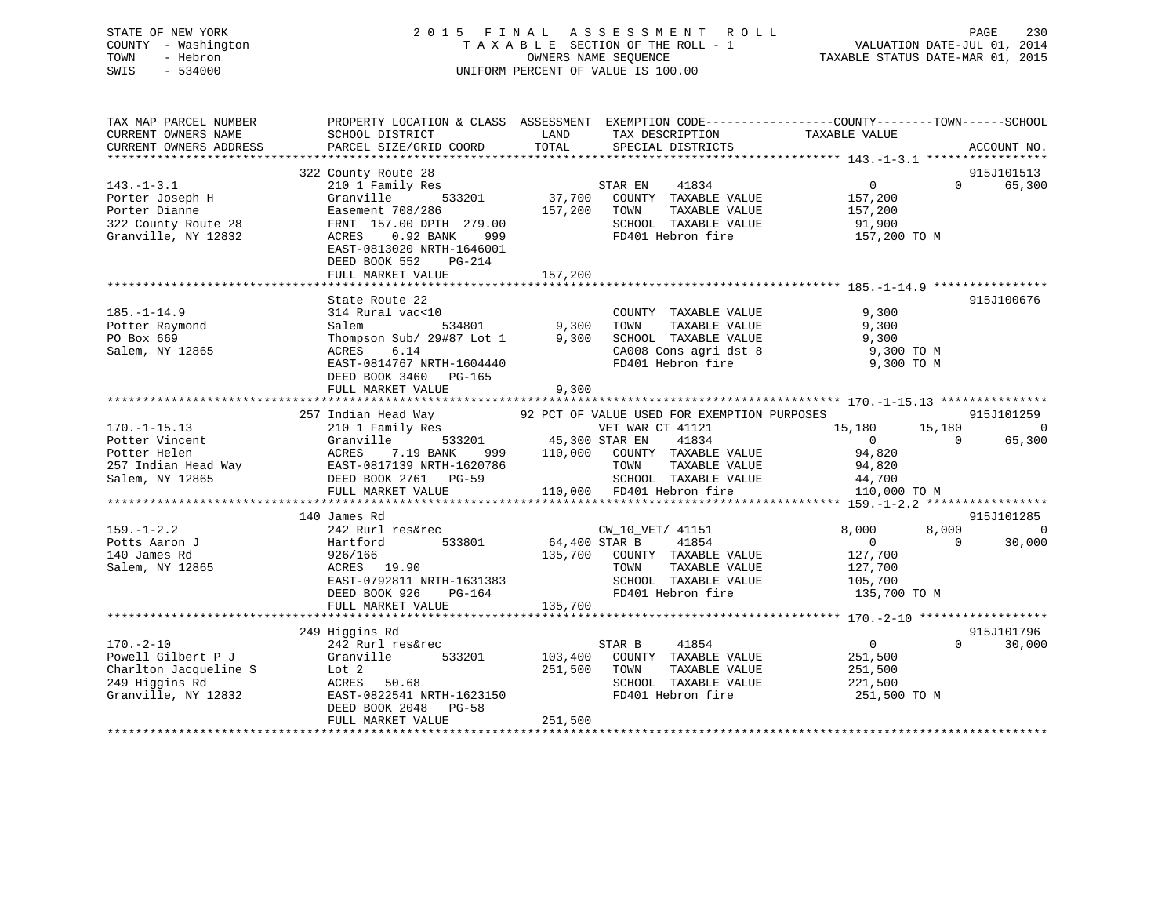## STATE OF NEW YORK 2 0 1 5 F I N A L A S S E S S M E N T R O L L PAGE 230 COUNTY - Washington T A X A B L E SECTION OF THE ROLL - 1 VALUATION DATE-JUL 01, 2014 TOWN - Hebron OWNERS NAME SEQUENCE TAXABLE STATUS DATE-MAR 01, 2015 SWIS - 534000 UNIFORM PERCENT OF VALUE IS 100.00

| TAX MAP PARCEL NUMBER<br>CURRENT OWNERS NAME<br>CURRENT OWNERS ADDRESS                                                                                           | PROPERTY LOCATION & CLASS ASSESSMENT EXEMPTION CODE----------------COUNTY-------TOWN------SCHOOL<br>SCHOOL DISTRICT<br>PARCEL SIZE/GRID COORD | <b>EXAMPLE TO A LAND</b><br>TOTAL | TAX DESCRIPTION<br>SPECIAL DISTRICTS                                                  | TAXABLE VALUE                                                  | ACCOUNT NO.        |
|------------------------------------------------------------------------------------------------------------------------------------------------------------------|-----------------------------------------------------------------------------------------------------------------------------------------------|-----------------------------------|---------------------------------------------------------------------------------------|----------------------------------------------------------------|--------------------|
|                                                                                                                                                                  |                                                                                                                                               |                                   |                                                                                       |                                                                |                    |
|                                                                                                                                                                  | 322 County Route 28                                                                                                                           |                                   |                                                                                       |                                                                | 915J101513         |
| $143. - 1 - 3.1$                                                                                                                                                 | 210 1 Family Res                                                                                                                              |                                   | STAR EN 41834                                                                         | $\overline{0}$                                                 | $\Omega$<br>65,300 |
| Porter Joseph H                                                                                                                                                  | Granville<br>533201                                                                                                                           |                                   | 37,700 COUNTY TAXABLE VALUE                                                           | 157,200                                                        |                    |
| Porter Dianne                                                                                                                                                    | Easement 708/286                                                                                                                              | 157,200 TOWN                      | TAXABLE VALUE                                                                         | 157,200                                                        |                    |
| 322 County Route 28                                                                                                                                              | FRNT 157.00 DPTH 279.00                                                                                                                       |                                   | SCHOOL TAXABLE VALUE 91,900                                                           |                                                                |                    |
| Granville, NY 12832                                                                                                                                              | ACRES 0.92 BANK 999<br>EAST-0813020 NRTH-1646001<br>DEED BOOK 552<br>PG-214<br>FULL MARKET VALUE                                              | 157,200                           | FD401 Hebron fire                                                                     | 157,200 TO M                                                   |                    |
|                                                                                                                                                                  |                                                                                                                                               |                                   |                                                                                       |                                                                |                    |
|                                                                                                                                                                  | State Route 22                                                                                                                                |                                   |                                                                                       |                                                                | 915J100676         |
| $185. - 1 - 14.9$                                                                                                                                                | 314 Rural vac<10                                                                                                                              |                                   |                                                                                       | 9,300                                                          |                    |
| Potter Raymond                                                                                                                                                   | Salem                                                                                                                                         | $534801$ 9,300                    | COUNTY TAXABLE VALUE<br>TOWN      TAXABLE VALUE                                       | 9,300                                                          |                    |
| PO Box 669                                                                                                                                                       | Thompson Sub/ 29#87 Lot 1 9,300                                                                                                               |                                   |                                                                                       | SCHOOL TAXABLE VALUE 9,300<br>CA008 Cons agri dst 8 9,300 TO M |                    |
| Salem, NY 12865                                                                                                                                                  | 6.14<br>ACRES                                                                                                                                 |                                   |                                                                                       |                                                                |                    |
|                                                                                                                                                                  | EAST-0814767 NRTH-1604440                                                                                                                     |                                   | FD401 Hebron fire                                                                     | 9,300 TO M                                                     |                    |
|                                                                                                                                                                  | DEED BOOK 3460 PG-165                                                                                                                         |                                   |                                                                                       |                                                                |                    |
|                                                                                                                                                                  | FULL MARKET VALUE                                                                                                                             | 9,300                             |                                                                                       |                                                                |                    |
|                                                                                                                                                                  |                                                                                                                                               |                                   |                                                                                       |                                                                |                    |
|                                                                                                                                                                  | 257 Indian Head Way 92 PCT OF VALUE USED FOR EXEMPTION PURPOSES                                                                               |                                   |                                                                                       |                                                                | 915J101259         |
| $170.-1-15.13$                                                                                                                                                   |                                                                                                                                               |                                   | VET WAR CT 41121                                                                      | 15,180<br>15,180                                               | $\sim$ 0           |
| Potter Vincent<br>Potter Helen<br>257 Indian Head Way<br>257 Indian Head Way<br>265 BEED BOOK 2761 PG-59<br>268 BEED BOOK 2761 PG-59<br>2761 PG-59<br>2761 PG-59 |                                                                                                                                               |                                   | 41834                                                                                 | $\overline{0}$<br>$\overline{0}$                               | 65,300             |
|                                                                                                                                                                  |                                                                                                                                               |                                   | 999 110,000 COUNTY TAXABLE VALUE                                                      | 94,820                                                         |                    |
|                                                                                                                                                                  |                                                                                                                                               |                                   | TAXABLE VALUE<br>TOWN                                                                 | 94,820                                                         |                    |
|                                                                                                                                                                  |                                                                                                                                               |                                   |                                                                                       |                                                                |                    |
|                                                                                                                                                                  | FULL MARKET VALUE                                                                                                                             |                                   | SCHOOL TAXABLE VALUE 44,700<br>FD401 Hebron fire 110,000<br>110,000 FD401 Hebron fire | 110,000 TO M                                                   |                    |
|                                                                                                                                                                  |                                                                                                                                               |                                   |                                                                                       |                                                                |                    |
|                                                                                                                                                                  | 140 James Rd                                                                                                                                  |                                   |                                                                                       |                                                                | 915J101285         |
| $159. - 1 - 2.2$                                                                                                                                                 | 242 Rurl res&rec                                                                                                                              |                                   |                                                                                       | 8,000<br>8,000                                                 | $\sim$ 0           |
| Potts Aaron J                                                                                                                                                    | 533801<br>Hartford                                                                                                                            |                                   | CW_10_VET/ 41151<br>64,400 STAR B 41854                                               | $\overline{0}$<br>$\overline{0}$                               | 30,000             |
| 140 James Rd                                                                                                                                                     |                                                                                                                                               |                                   | 135,700 COUNTY TAXABLE VALUE                                                          | 127,700                                                        |                    |
| Salem, NY 12865                                                                                                                                                  | 926/166<br>ACRES 19.90                                                                                                                        |                                   | TOWN<br>TAXABLE VALUE                                                                 | 127,700                                                        |                    |
|                                                                                                                                                                  | EAST-0792811 NRTH-1631383                                                                                                                     |                                   | SCHOOL TAXABLE VALUE 105,700                                                          |                                                                |                    |
|                                                                                                                                                                  | DEED BOOK 926<br>$PG-164$                                                                                                                     |                                   | FD401 Hebron fire                                                                     | 135,700 TO M                                                   |                    |
|                                                                                                                                                                  | FULL MARKET VALUE                                                                                                                             | 135,700                           |                                                                                       |                                                                |                    |
|                                                                                                                                                                  |                                                                                                                                               |                                   |                                                                                       |                                                                |                    |
|                                                                                                                                                                  | 249 Higgins Rd                                                                                                                                |                                   |                                                                                       |                                                                | 915J101796         |
| $170. - 2 - 10$                                                                                                                                                  | 242 Rurl res&rec                                                                                                                              |                                   | STAR B<br>41854                                                                       | $\overline{0}$<br>$\Omega$                                     | 30,000             |
| Powell Gilbert P J                                                                                                                                               | 242 Rurl res&rec<br>Granville<br>533201                                                                                                       | 103,400                           | COUNTY TAXABLE VALUE                                                                  | 251,500                                                        |                    |
|                                                                                                                                                                  |                                                                                                                                               | 251,500                           | TOWN<br>TAXABLE VALUE                                                                 | 251,500                                                        |                    |
|                                                                                                                                                                  |                                                                                                                                               |                                   | SCHOOL TAXABLE VALUE                                                                  | 221,500                                                        |                    |
| Granville, NY 12832                                                                                                                                              | EAST-0822541 NRTH-1623150                                                                                                                     |                                   | FD401 Hebron fire                                                                     | 251,500 TO M                                                   |                    |
|                                                                                                                                                                  | DEED BOOK 2048 PG-58                                                                                                                          |                                   |                                                                                       |                                                                |                    |
|                                                                                                                                                                  | FULL MARKET VALUE                                                                                                                             | 251,500                           |                                                                                       |                                                                |                    |
|                                                                                                                                                                  |                                                                                                                                               |                                   |                                                                                       |                                                                |                    |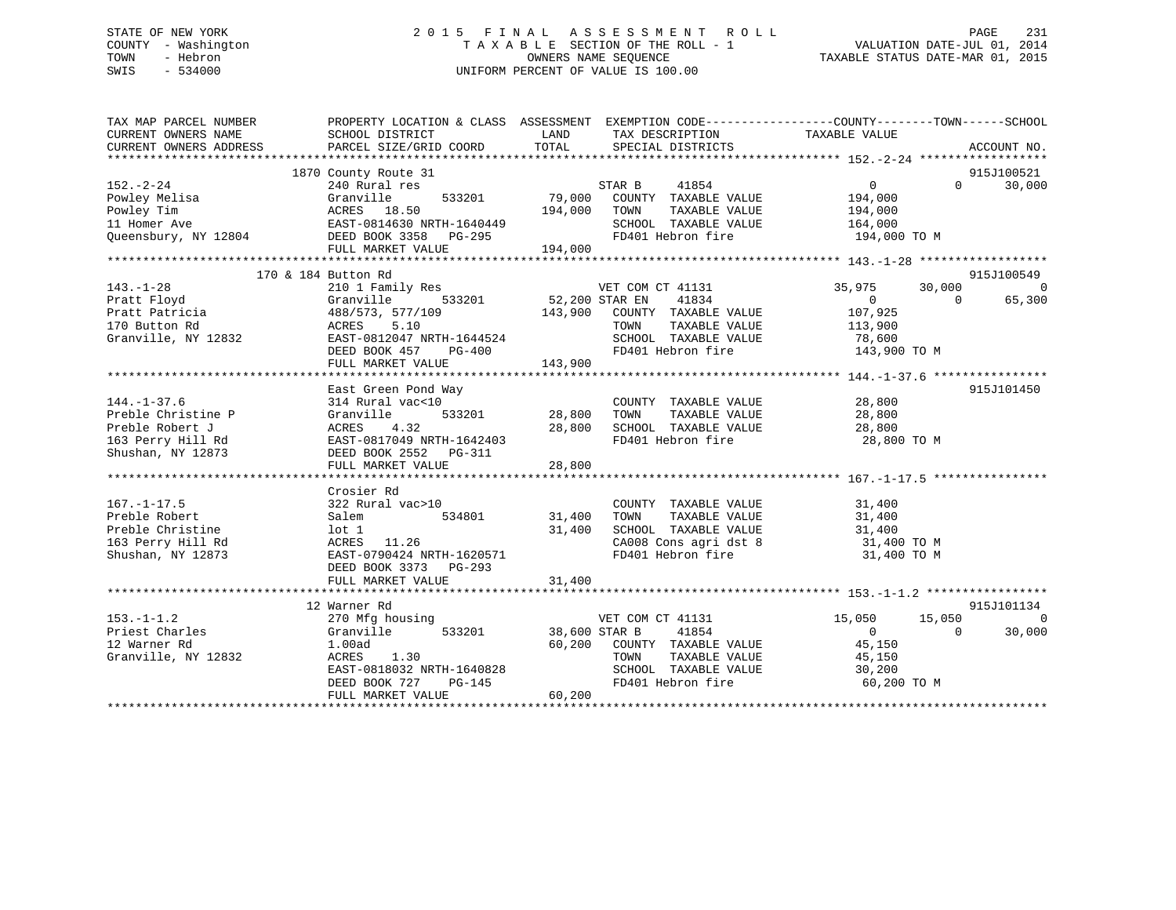## STATE OF NEW YORK 2 0 1 5 F I N A L A S S E S S M E N T R O L L PAGE 231 COUNTY - Washington T A X A B L E SECTION OF THE ROLL - 1 VALUATION DATE-JUL 01, 2014 TOWN - Hebron OWNERS NAME SEQUENCE TAXABLE STATUS DATE-MAR 01, 2015 SWIS - 534000 UNIFORM PERCENT OF VALUE IS 100.00

| TAX MAP PARCEL NUMBER                                                                                                                       | PROPERTY LOCATION & CLASS ASSESSMENT EXEMPTION CODE---------------COUNTY-------TOWN-----SCHOOL |               |                                                                                                                                                                                                                                                                                                                                  |                             |                    |
|---------------------------------------------------------------------------------------------------------------------------------------------|------------------------------------------------------------------------------------------------|---------------|----------------------------------------------------------------------------------------------------------------------------------------------------------------------------------------------------------------------------------------------------------------------------------------------------------------------------------|-----------------------------|--------------------|
|                                                                                                                                             |                                                                                                |               |                                                                                                                                                                                                                                                                                                                                  |                             |                    |
|                                                                                                                                             | 1870 County Route 31                                                                           |               |                                                                                                                                                                                                                                                                                                                                  |                             | 915J100521         |
| $152. - 2 - 24$                                                                                                                             | 240 Rural res                                                                                  |               | $\begin{array}{cccccc} \texttt{STAR} & & & 41654 \\ \texttt{53201} & & & & & \texttt{STAR} & & \texttt{WALUE} \\ & & & & & & \texttt{TOUNTY} & \texttt{TAXABLE} & \texttt{VALUE} \\ & & & & & \texttt{TOM} & & \texttt{TAXABLE} & \texttt{VALUE} \\ & & & & & \texttt{TOM} & & \texttt{TAXABLE} & \texttt{VALUE} \\ \end{array}$ | $\overline{0}$              | $\Omega$<br>30,000 |
| Powley Melisa                                                                                                                               | Granville<br>533201                                                                            |               |                                                                                                                                                                                                                                                                                                                                  | 194,000                     |                    |
|                                                                                                                                             |                                                                                                |               |                                                                                                                                                                                                                                                                                                                                  | 194,000                     |                    |
|                                                                                                                                             |                                                                                                |               |                                                                                                                                                                                                                                                                                                                                  |                             |                    |
| Powley Tim $ACRES$ 18.50 194,000 COUNT<br>194,000 TOWN EAST-0814630 NRTH-1640449 SCHOO:<br>Queensbury, NY 12804 DEED BOOK 3358 PG-295 FD401 |                                                                                                |               | SCHOOL TAXABLE VALUE 164,000<br>FD401 Hebron fire 194,000 TO M                                                                                                                                                                                                                                                                   |                             |                    |
|                                                                                                                                             | FULL MARKET VALUE 194,000                                                                      |               |                                                                                                                                                                                                                                                                                                                                  |                             |                    |
|                                                                                                                                             |                                                                                                |               |                                                                                                                                                                                                                                                                                                                                  |                             |                    |
|                                                                                                                                             | 170 & 184 Button Rd                                                                            |               |                                                                                                                                                                                                                                                                                                                                  |                             | 915J100549         |
| $143. - 1 - 28$                                                                                                                             | 210 1 Family Res                                                                               |               |                                                                                                                                                                                                                                                                                                                                  | 35,975<br>30,000            | $\overline{0}$     |
|                                                                                                                                             |                                                                                                |               | y Res 533201<br>52,200 STAR EN 41834                                                                                                                                                                                                                                                                                             | $\overline{0}$              | $\Omega$<br>65,300 |
| 143.-1-28<br>Pratt Floyd (1997)<br>Pratt Patricia (1988/573, 577/109<br>170 Button Rd (1988)<br>2008 ACRES 1997)                            |                                                                                                |               | 143,900 COUNTY TAXABLE VALUE                                                                                                                                                                                                                                                                                                     |                             |                    |
|                                                                                                                                             |                                                                                                |               | TOWN<br>TAXABLE VALUE                                                                                                                                                                                                                                                                                                            | 107,925<br>113,900          |                    |
| Granville, NY 12832 EAST-0812047 NRTH-1644524                                                                                               |                                                                                                |               | SCHOOL TAXABLE VALUE 78,600                                                                                                                                                                                                                                                                                                      |                             |                    |
|                                                                                                                                             | DEED BOOK 457 PG-400                                                                           |               | FD401 Hebron fire                                                                                                                                                                                                                                                                                                                | 143,900 TO M                |                    |
|                                                                                                                                             | FULL MARKET VALUE                                                                              | 143,900       |                                                                                                                                                                                                                                                                                                                                  |                             |                    |
|                                                                                                                                             |                                                                                                |               |                                                                                                                                                                                                                                                                                                                                  |                             |                    |
|                                                                                                                                             |                                                                                                |               |                                                                                                                                                                                                                                                                                                                                  |                             | 915J101450         |
|                                                                                                                                             | East Green Pond Way                                                                            |               |                                                                                                                                                                                                                                                                                                                                  |                             |                    |
| $144. - 1 - 37.6$                                                                                                                           | 314 Rural vac<10                                                                               |               | COUNTY TAXABLE VALUE 28,800                                                                                                                                                                                                                                                                                                      |                             |                    |
| Preble Christine P<br>Preble Robert J<br>163 Perry Hill Rd<br>Shushan, NY 12873                                                             | Granville<br>533201                                                                            | 28,800        | TOWN<br>TAXABLE VALUE<br>SCHOOL TAXABLE VALUE 28,800                                                                                                                                                                                                                                                                             | 28,800                      |                    |
|                                                                                                                                             | ACRES<br>4.32                                                                                  | 28,800        |                                                                                                                                                                                                                                                                                                                                  |                             |                    |
|                                                                                                                                             | EAST-0817049 NRTH-1642403                                                                      |               | FD401 Hebron fire                                                                                                                                                                                                                                                                                                                | 28,800 TO M                 |                    |
|                                                                                                                                             | DEED BOOK 2552 PG-311                                                                          |               |                                                                                                                                                                                                                                                                                                                                  |                             |                    |
|                                                                                                                                             |                                                                                                |               |                                                                                                                                                                                                                                                                                                                                  |                             |                    |
|                                                                                                                                             |                                                                                                |               |                                                                                                                                                                                                                                                                                                                                  |                             |                    |
|                                                                                                                                             | Crosier Rd                                                                                     |               |                                                                                                                                                                                                                                                                                                                                  |                             |                    |
| $167. - 1 - 17.5$                                                                                                                           | 322 Rural vac>10                                                                               |               | COUNTY TAXABLE VALUE                                                                                                                                                                                                                                                                                                             | 31,400<br>31,400            |                    |
| Preble Robert                                                                                                                               | 534801<br>Salem                                                                                | 31,400 TOWN   | TAXABLE VALUE                                                                                                                                                                                                                                                                                                                    |                             |                    |
|                                                                                                                                             |                                                                                                | 31,400        | SCHOOL TAXABLE VALUE                                                                                                                                                                                                                                                                                                             | 31,400                      |                    |
| Preble Christine 10t 1<br>163 Perry Hill Rd 163 ACRES 11.26<br>Shushan, NY 12873 EAST-0790424 NRTH-1620571                                  |                                                                                                |               | $\begin{array}{llllll} \texttt{CA008} & \texttt{Cons}\ \texttt{agri}\ \texttt{dst}\ 8 & & & 31,400\ \texttt{TO401} & \texttt{Hebron}\ \texttt{fire} & & & 31,400\ \texttt{TO M} \end{array}$                                                                                                                                     |                             |                    |
|                                                                                                                                             |                                                                                                |               |                                                                                                                                                                                                                                                                                                                                  |                             |                    |
|                                                                                                                                             | DEED BOOK 3373 PG-293                                                                          |               |                                                                                                                                                                                                                                                                                                                                  |                             |                    |
|                                                                                                                                             | FULL MARKET VALUE                                                                              | 31,400        |                                                                                                                                                                                                                                                                                                                                  |                             |                    |
|                                                                                                                                             |                                                                                                |               |                                                                                                                                                                                                                                                                                                                                  |                             |                    |
|                                                                                                                                             | 12 Warner Rd                                                                                   |               |                                                                                                                                                                                                                                                                                                                                  |                             | 915J101134         |
| $153. - 1 - 1.2$                                                                                                                            | 270 Mfg housing                                                                                |               | VET COM CT 41131                                                                                                                                                                                                                                                                                                                 | 15,050<br>15,050            | $\Omega$           |
| Priest Charles                                                                                                                              | 533201<br>Granville                                                                            | 38,600 STAR B | 41854                                                                                                                                                                                                                                                                                                                            | $\overline{0}$              | 30,000<br>$\Omega$ |
| 12 Warner Rd                                                                                                                                | 1.00ad                                                                                         |               | 60,200 COUNTY TAXABLE VALUE 45,150                                                                                                                                                                                                                                                                                               |                             |                    |
| Granville, NY 12832                                                                                                                         | ACRES<br>1.30                                                                                  |               |                                                                                                                                                                                                                                                                                                                                  |                             |                    |
|                                                                                                                                             | $\frac{1}{2}$ EAST-0818032 NRTH-1640828                                                        |               | TOWN      TAXABLE VALUE<br>SCHOOL   TAXABLE VALUE                                                                                                                                                                                                                                                                                | 150 , د.<br>45 ,150<br>محمد |                    |
|                                                                                                                                             | DEED BOOK 727<br>PG-145                                                                        |               | FD401 Hebron fire 60,200 TO M                                                                                                                                                                                                                                                                                                    |                             |                    |
|                                                                                                                                             | FULL MARKET VALUE                                                                              | 60,200        |                                                                                                                                                                                                                                                                                                                                  |                             |                    |
|                                                                                                                                             |                                                                                                |               |                                                                                                                                                                                                                                                                                                                                  |                             |                    |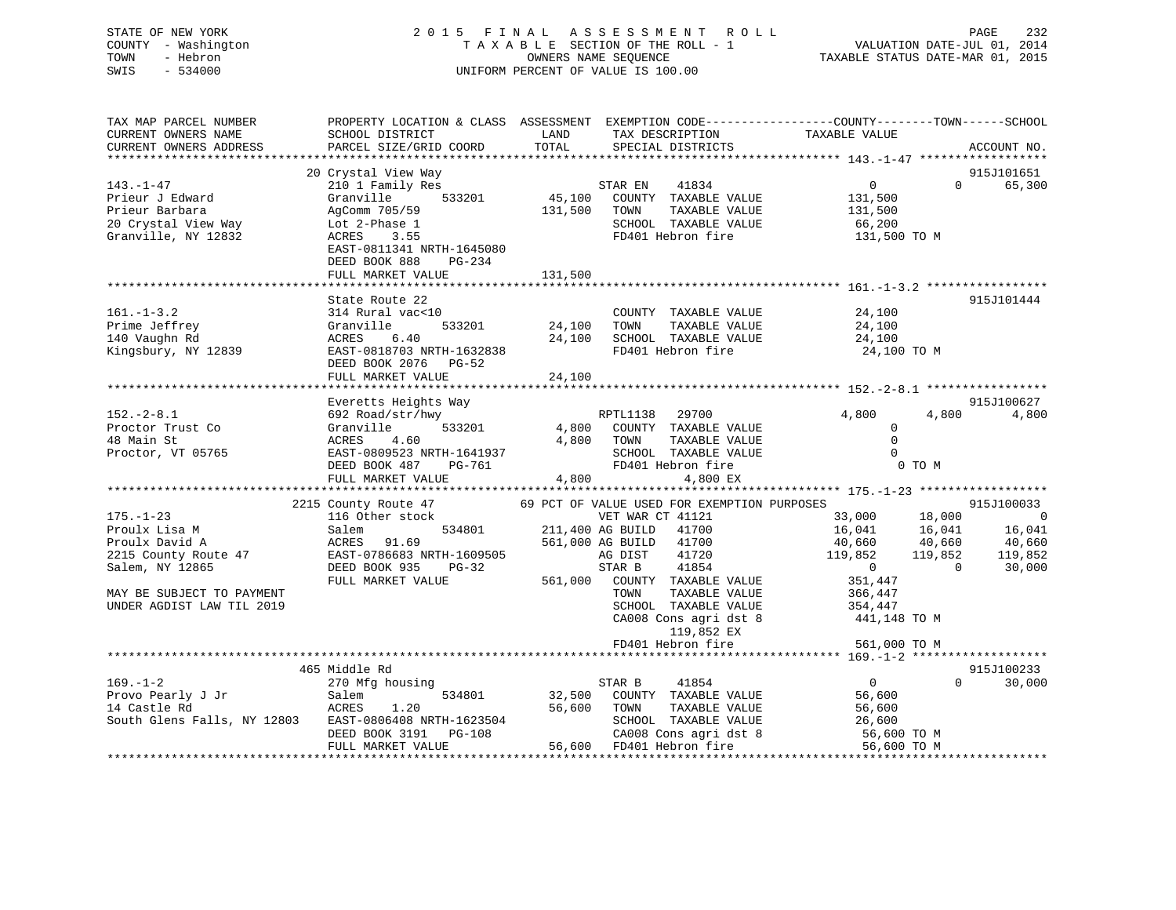## STATE OF NEW YORK 2 0 1 5 F I N A L A S S E S S M E N T R O L L PAGE 232 COUNTY - Washington T A X A B L E SECTION OF THE ROLL - 1 VALUATION DATE-JUL 01, 2014 TOWN - Hebron OWNERS NAME SEQUENCE TAXABLE STATUS DATE-MAR 01, 2015 SWIS - 534000 UNIFORM PERCENT OF VALUE IS 100.00

| TAX MAP PARCEL NUMBER<br>CURRENT OWNERS NAME<br>CURRENT OWNERS ADDRESS                                                                                  | PROPERTY LOCATION & CLASS ASSESSMENT EXEMPTION CODE----------------COUNTY-------TOWN------SCHOOL<br>SCHOOL DISTRICT<br>PARCEL SIZE/GRID COORD                             | LAND<br>TOTAL              | TAX DESCRIPTION<br>SPECIAL DISTRICTS                                                                                                                                                                                                                                                                          | TAXABLE VALUE                                                                                                                      | ACCOUNT NO.                                                                                                                      |
|---------------------------------------------------------------------------------------------------------------------------------------------------------|---------------------------------------------------------------------------------------------------------------------------------------------------------------------------|----------------------------|---------------------------------------------------------------------------------------------------------------------------------------------------------------------------------------------------------------------------------------------------------------------------------------------------------------|------------------------------------------------------------------------------------------------------------------------------------|----------------------------------------------------------------------------------------------------------------------------------|
| 143.-1-47<br>Prieur J Edward<br>Prieur Barbara<br>20 Crystal View Way<br>Granville, NY 12832                                                            | 20 Crystal View Way<br>210 1 Family Res<br>Granville<br>533201<br>AgComm 705/59<br>Lot 2-Phase 1<br>ACRES<br>3.55<br>EAST-0811341 NRTH-1645080<br>DEED BOOK 888<br>PG-234 | 45,100<br>131,500          | 41834<br>STAR EN<br>COUNTY TAXABLE VALUE<br>TAXABLE VALUE<br>TOWN<br>SCHOOL TAXABLE VALUE<br>FD401 Hebron fire                                                                                                                                                                                                | $\overline{0}$<br>131,500<br>131,500<br>66,200<br>131,500 TO M                                                                     | 915J101651<br>65,300<br>$\Omega$                                                                                                 |
|                                                                                                                                                         | FULL MARKET VALUE                                                                                                                                                         | 131,500                    |                                                                                                                                                                                                                                                                                                               |                                                                                                                                    |                                                                                                                                  |
| $161. - 1 - 3.2$<br>Prime Jeffrey<br>140 Vaughn Rd<br>Kingsbury, NY 12839                                                                               | State Route 22<br>314 Rural vac<10<br>Granville<br>533201<br>ACRES<br>6.40<br>EAST-0818703 NRTH-1632838<br>DEED BOOK 2076 PG-52<br>FULL MARKET VALUE                      | 24,100<br>24,100<br>24,100 | COUNTY TAXABLE VALUE<br>TOWN<br>TAXABLE VALUE<br>SCHOOL TAXABLE VALUE<br>FD401 Hebron fire                                                                                                                                                                                                                    | 24,100<br>24,100<br>24,100<br>24,100 TO M                                                                                          | 915J101444                                                                                                                       |
| $152 - 2 - 8.1$<br>Proctor Trust Co<br>48 Main St<br>Proctor, VT 05765                                                                                  | Everetts Heights Way<br>692 Road/str/hwy<br>533201<br>Granville<br>ACRES<br>4.60<br>EAST-0809523 NRTH-1641937<br>DEED BOOK 487<br>PG-761                                  | 4,800<br>4,800             | RPTL1138 29700<br>COUNTY TAXABLE VALUE<br>TOWN<br>TAXABLE VALUE<br>SCHOOL TAXABLE VALUE<br>FD401 Hebron fire                                                                                                                                                                                                  | 4,800<br>$\Omega$<br>$\Omega$<br>$\Omega$<br>0 TO M                                                                                | 915J100627<br>4,800<br>4,800                                                                                                     |
|                                                                                                                                                         | FULL MARKET VALUE                                                                                                                                                         | 4,800                      | 4,800 EX                                                                                                                                                                                                                                                                                                      |                                                                                                                                    |                                                                                                                                  |
| $175. - 1 - 23$<br>Proulx Lisa M<br>Proulx David A<br>2215 County Route 47<br>Salem, NY 12865<br>MAY BE SUBJECT TO PAYMENT<br>UNDER AGDIST LAW TIL 2019 | 2215 County Route 47<br>116 Other stock<br>534801<br>Salem<br>ACRES<br>91.69<br>EAST-0786683 NRTH-1609505<br>DEED BOOK 935<br>$PG-32$<br>FULL MARKET VALUE                |                            | 69 PCT OF VALUE USED FOR EXEMPTION PURPOSES<br>VET WAR CT 41121<br>211,400 AG BUILD<br>41700<br>561,000 AG BUILD<br>41700<br>41720<br>AG DIST<br>STAR B<br>41854<br>561,000 COUNTY TAXABLE VALUE<br>TOWN<br>TAXABLE VALUE<br>SCHOOL TAXABLE VALUE<br>CA008 Cons agri dst 8<br>119,852 EX<br>FD401 Hebron fire | 18,000<br>33,000<br>16,041<br>40,660<br>119,852<br>$\overline{0}$<br>351,447<br>366,447<br>354,447<br>441,148 TO M<br>561,000 TO M | 915J100033<br>$\overline{\phantom{0}}$<br>16,041<br>16,041<br>40,660<br>40,660<br>119,852<br>119,852<br>$\overline{0}$<br>30,000 |
|                                                                                                                                                         |                                                                                                                                                                           |                            |                                                                                                                                                                                                                                                                                                               |                                                                                                                                    |                                                                                                                                  |
| $169. - 1 - 2$<br>Provo Pearly J Jr<br>14 Castle Rd<br>South Glens Falls, NY 12803                                                                      | 465 Middle Rd<br>270 Mfg housing<br>534801<br>Salem<br>ACRES<br>1.20<br>EAST-0806408 NRTH-1623504<br>DEED BOOK 3191<br>PG-108<br>FULL MARKET VALUE                        | 32,500<br>56,600           | STAR B<br>41854<br>COUNTY TAXABLE VALUE<br>TOWN<br>TAXABLE VALUE<br>SCHOOL TAXABLE VALUE<br>CA008 Cons agri dst 8<br>56,600 FD401 Hebron fire                                                                                                                                                                 | $\overline{0}$<br>56,600<br>56,600<br>26,600<br>56,600 TO M<br>56,600 TO M                                                         | 915J100233<br>$\Omega$<br>30,000                                                                                                 |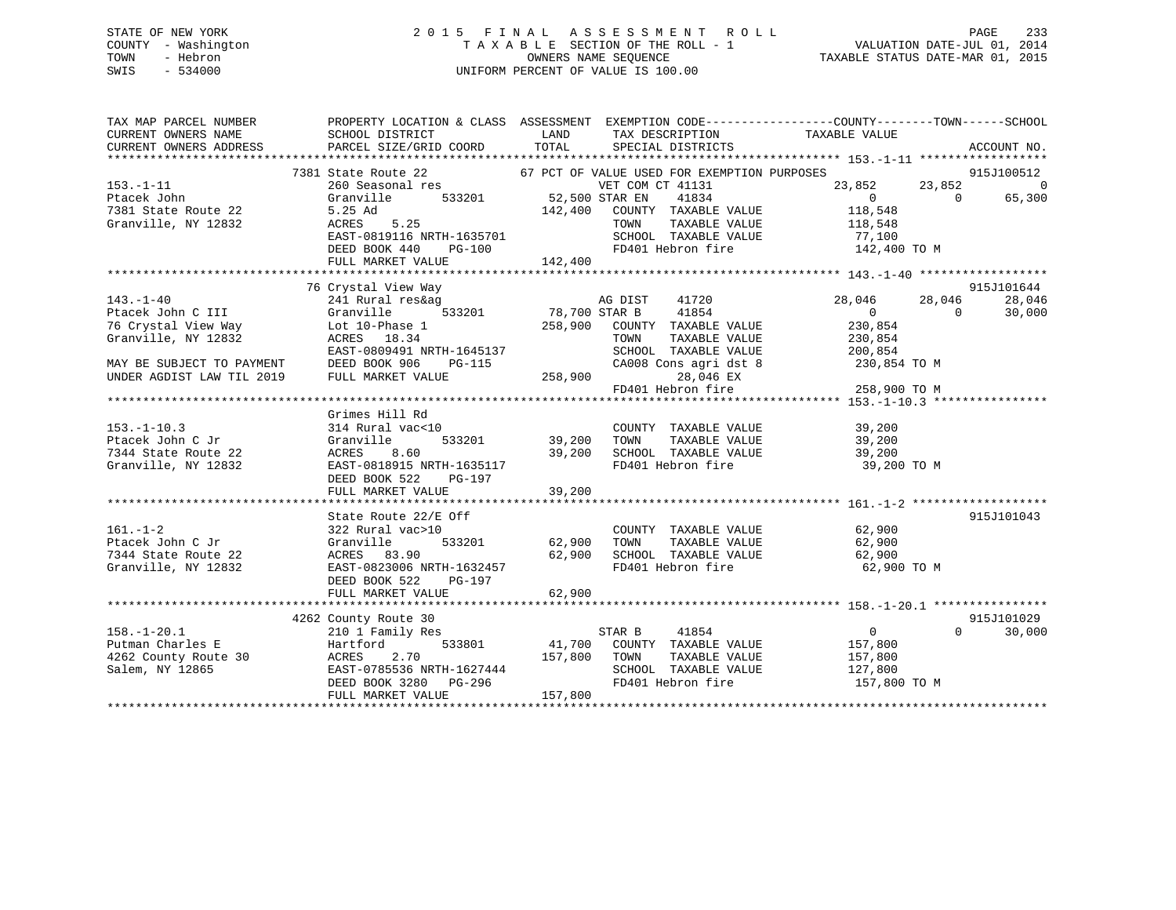## STATE OF NEW YORK 2 0 1 5 F I N A L A S S E S S M E N T R O L L PAGE 233 COUNTY - Washington T A X A B L E SECTION OF THE ROLL - 1 VALUATION DATE-JUL 01, 2014 TOWN - Hebron OWNERS NAME SEQUENCE TAXABLE STATUS DATE-MAR 01, 2015 SWIS - 534000 UNIFORM PERCENT OF VALUE IS 100.00

| TAX MAP PARCEL NUMBER           |                                                                                                                                                                                                                                                                        |         |                                                            | PROPERTY LOCATION & CLASS ASSESSMENT EXEMPTION CODE---------------COUNTY-------TOWN------SCHOOL |              |
|---------------------------------|------------------------------------------------------------------------------------------------------------------------------------------------------------------------------------------------------------------------------------------------------------------------|---------|------------------------------------------------------------|-------------------------------------------------------------------------------------------------|--------------|
| CURRENT OWNERS NAME             | SCHOOL DISTRICT<br>LAND                                                                                                                                                                                                                                                |         | TAX DESCRIPTION TAXABLE VALUE                              |                                                                                                 |              |
| CURRENT OWNERS ADDRESS          | PARCEL SIZE/GRID COORD TOTAL                                                                                                                                                                                                                                           |         | SPECIAL DISTRICTS                                          |                                                                                                 | ACCOUNT NO.  |
|                                 |                                                                                                                                                                                                                                                                        |         |                                                            |                                                                                                 |              |
|                                 |                                                                                                                                                                                                                                                                        |         |                                                            |                                                                                                 |              |
| $153. - 1 - 11$                 | 7381 State Route 22 67 PCT OF VALUE USED FOR EXEMPTION PURPOSES 260 Seasonal res 67 PCT OF VALUE USED FOR EXEMPTION PURPOSES 23,852 915J100512<br>Granville 533201 52,500 STAR EN 41834 0 65,300                                                                       |         |                                                            |                                                                                                 |              |
| Ptacek John                     |                                                                                                                                                                                                                                                                        |         |                                                            |                                                                                                 |              |
| $\frac{1}{2}$ ute 22            |                                                                                                                                                                                                                                                                        |         | 142,400 COUNTY TAXABLE VALUE                               | $\begin{smallmatrix}&&0\118,548\end{smallmatrix}$                                               |              |
|                                 | Granville, NY 12832 5.25 Ad<br>Granville, NY 12832 ACRES 5.25                                                                                                                                                                                                          |         | TAXABLE VALUE<br>TOWN                                      | 118,548                                                                                         |              |
|                                 |                                                                                                                                                                                                                                                                        |         |                                                            |                                                                                                 |              |
|                                 | EAST-0819116 NRTH-1635701<br>DEED BOOK 440 PG-100                                                                                                                                                                                                                      |         | SCHOOL TAXABLE VALUE<br>FD401 Hebron fire                  | 77,100<br>142,400 TO M                                                                          |              |
|                                 | FULL MARKET VALUE                                                                                                                                                                                                                                                      | 142,400 |                                                            |                                                                                                 |              |
|                                 |                                                                                                                                                                                                                                                                        |         |                                                            |                                                                                                 |              |
|                                 | 76 Crystal View Way                                                                                                                                                                                                                                                    |         |                                                            |                                                                                                 | 915J101644   |
|                                 | 143.-1-40<br>28,046<br>28,046<br>28,046<br>28,046<br>258,900 COUNTY TAXABLE VALUE<br>230,854<br>258,900 COUNTY TAXABLE VALUE<br>230,854<br>258,900 COUNTY TAXABLE VALUE<br>230,854<br>258,900 COUNTY TAXABLE VALUE<br>230,854<br>258,900 COUNTY TAXABLE                |         |                                                            |                                                                                                 | 28,046       |
|                                 |                                                                                                                                                                                                                                                                        |         |                                                            | $28,046$ $28,046$ 0                                                                             | 30,000       |
|                                 |                                                                                                                                                                                                                                                                        |         |                                                            |                                                                                                 |              |
|                                 |                                                                                                                                                                                                                                                                        |         |                                                            |                                                                                                 |              |
|                                 | EAST-0809491 NRTH-1645137                                                                                                                                                                                                                                              |         | TOWN TAXABLE VALUE 230,854<br>SCHOOL TAXABLE VALUE 200,854 |                                                                                                 |              |
|                                 |                                                                                                                                                                                                                                                                        |         |                                                            | CA008 Cons agri dst 8 230,854 TO M                                                              |              |
|                                 |                                                                                                                                                                                                                                                                        |         | 28,046 EX                                                  |                                                                                                 |              |
|                                 | $\begin{tabular}{lllllllllllllllllllll} \hline \texttt{MAY BE SUBJECT TO PAYMENT} & DEED BOK 906 & PG-115 & & CAO08 CC \\ \hline \texttt{UNDER AGDIST LAW TIL 2019} & FULL MARKET VALUE & & & 258,900 \\ & & & FDA01 He & & & \\\hline \end{tabular}$                  |         |                                                            | FD401 Hebron fire 258,900 TO M                                                                  |              |
|                                 |                                                                                                                                                                                                                                                                        |         |                                                            |                                                                                                 |              |
|                                 | Grimes Hill Rd                                                                                                                                                                                                                                                         |         |                                                            |                                                                                                 |              |
|                                 | 314 Rural vac<10                                                                                                                                                                                                                                                       |         | COUNTY TAXABLE VALUE                                       |                                                                                                 |              |
| 153.-1-10.3<br>Ptacek John C Jr | Granville                                                                                                                                                                                                                                                              |         | $533201$ 39,200 TOWN TAXABLE VALUE                         | 39,200<br>39,200                                                                                |              |
|                                 | 39,200                                                                                                                                                                                                                                                                 |         | SCHOOL TAXABLE VALUE 39,200                                |                                                                                                 |              |
|                                 | Ptacek John C Jr<br>7344 State Route 22 MCRES 8.60 39,<br>Granville, NY 12832 EAST-0818915 NRTH-1635117 DEED BOOK 522 PG-197                                                                                                                                           |         | FD401 Hebron fire                                          | 39,200 TO M                                                                                     |              |
|                                 |                                                                                                                                                                                                                                                                        |         |                                                            |                                                                                                 |              |
|                                 |                                                                                                                                                                                                                                                                        |         |                                                            |                                                                                                 |              |
|                                 |                                                                                                                                                                                                                                                                        |         |                                                            |                                                                                                 |              |
|                                 | State Route 22/E Off                                                                                                                                                                                                                                                   |         |                                                            |                                                                                                 | 915J101043   |
|                                 |                                                                                                                                                                                                                                                                        |         | COUNTY TAXABLE VALUE 62,900                                |                                                                                                 |              |
|                                 |                                                                                                                                                                                                                                                                        |         |                                                            | TAXABLE VALUE 62,900                                                                            |              |
|                                 |                                                                                                                                                                                                                                                                        | 62,900  | SCHOOL TAXABLE VALUE 62,900                                |                                                                                                 |              |
|                                 | 7344 State Route 22 (GACRES 83.90<br>Granville, NY 12832 (EAST-0823006 NRTH-1632457                                                                                                                                                                                    |         | FD401 Hebron fire                                          | 62,900 TO M                                                                                     |              |
|                                 | DEED BOOK 522<br>PG-197                                                                                                                                                                                                                                                |         |                                                            |                                                                                                 |              |
|                                 | FULL MARKET VALUE                                                                                                                                                                                                                                                      | 62,900  |                                                            |                                                                                                 |              |
|                                 |                                                                                                                                                                                                                                                                        |         |                                                            |                                                                                                 |              |
|                                 | 4262 County Route 30                                                                                                                                                                                                                                                   |         |                                                            |                                                                                                 | 915J101029   |
| $158. - 1 - 20.1$               | County Route 30<br>210 1 Family Res                                                                                                                                                                                                                                    |         | 41854<br>STAR B                                            | $\overline{0}$                                                                                  | $0 \t30,000$ |
| Putman Charles E                | Hartford 533801 41,700 COUNTY TAXABLE VALUE 157,800                                                                                                                                                                                                                    |         |                                                            |                                                                                                 |              |
|                                 |                                                                                                                                                                                                                                                                        |         |                                                            |                                                                                                 |              |
|                                 |                                                                                                                                                                                                                                                                        |         |                                                            |                                                                                                 |              |
|                                 |                                                                                                                                                                                                                                                                        |         |                                                            |                                                                                                 |              |
|                                 |                                                                                                                                                                                                                                                                        |         |                                                            |                                                                                                 |              |
|                                 | 262 County Route 30<br>262 County Route 30<br>265 EAST-0785536 NRTH-1627444<br>262 County Route 30<br>27,800<br>27,800<br>27,800<br>27,800<br>27,800<br>27,800<br>27,800<br>27,800<br>27,800<br>27,800<br>27,800<br>27,800<br>27,800<br>27,800<br>27,800<br>27,800<br> |         |                                                            |                                                                                                 |              |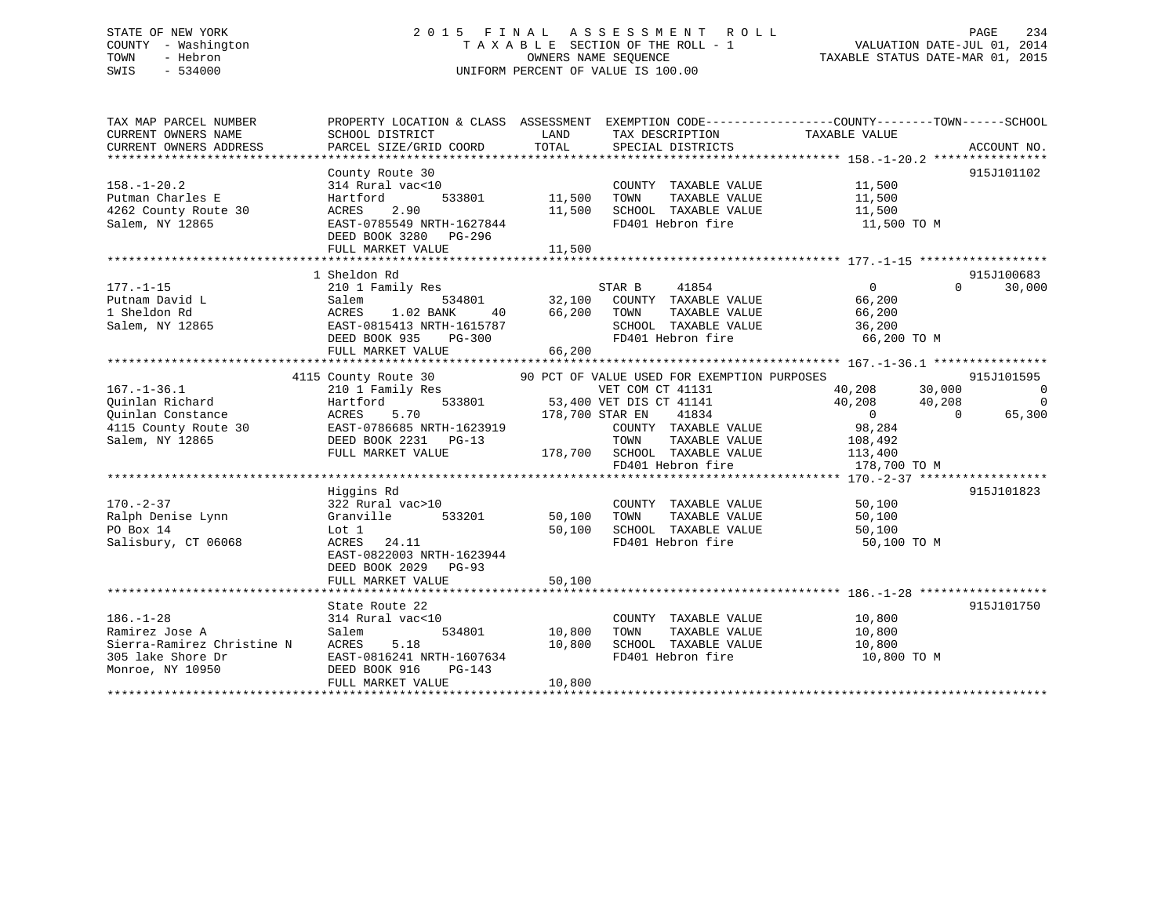## STATE OF NEW YORK 2 0 1 5 F I N A L A S S E S S M E N T R O L L PAGE 234 COUNTY - Washington T A X A B L E SECTION OF THE ROLL - 1 VALUATION DATE-JUL 01, 2014 TOWN - Hebron OWNERS NAME SEQUENCE TAXABLE STATUS DATE-MAR 01, 2015 SWIS - 534000 UNIFORM PERCENT OF VALUE IS 100.00

| TAX MAP PARCEL NUMBER<br>CURRENT OWNERS NAME<br>CURRENT OWNERS ADDRESS | PROPERTY LOCATION & CLASS ASSESSMENT<br>SCHOOL DISTRICT<br>PARCEL SIZE/GRID COORD | LAND<br>TOTAL   | TAX DESCRIPTION<br>SPECIAL DISTRICTS        | EXEMPTION CODE-----------------COUNTY-------TOWN------SCHOOL<br>TAXABLE VALUE | ACCOUNT NO.              |
|------------------------------------------------------------------------|-----------------------------------------------------------------------------------|-----------------|---------------------------------------------|-------------------------------------------------------------------------------|--------------------------|
|                                                                        |                                                                                   |                 |                                             |                                                                               |                          |
|                                                                        | County Route 30                                                                   |                 |                                             |                                                                               | 915J101102               |
| $158. - 1 - 20.2$                                                      | 314 Rural vac<10                                                                  |                 | COUNTY TAXABLE VALUE                        | 11,500                                                                        |                          |
| Putman Charles E                                                       | Hartford<br>533801                                                                | 11,500          | TAXABLE VALUE<br>TOWN                       | 11,500                                                                        |                          |
| 4262 County Route 30                                                   | 2.90<br>ACRES                                                                     | 11,500          | SCHOOL TAXABLE VALUE                        | 11,500                                                                        |                          |
| Salem, NY 12865                                                        | EAST-0785549 NRTH-1627844                                                         |                 | FD401 Hebron fire                           | 11,500 TO M                                                                   |                          |
|                                                                        | DEED BOOK 3280 PG-296                                                             |                 |                                             |                                                                               |                          |
|                                                                        | FULL MARKET VALUE                                                                 | 11,500          |                                             |                                                                               |                          |
|                                                                        |                                                                                   |                 |                                             |                                                                               |                          |
|                                                                        | 1 Sheldon Rd                                                                      |                 |                                             |                                                                               | 915J100683               |
| $177. - 1 - 15$                                                        | 210 1 Family Res                                                                  |                 | 41854<br>STAR B                             | 0<br>$\Omega$                                                                 | 30,000                   |
| Putnam David L                                                         | 534801<br>Salem                                                                   | 32,100          | COUNTY TAXABLE VALUE                        | 66,200                                                                        |                          |
| 1 Sheldon Rd                                                           | ACRES<br>1.02 BANK<br>40                                                          | 66,200          | TOWN<br>TAXABLE VALUE                       | 66,200                                                                        |                          |
| Salem, NY 12865                                                        | EAST-0815413 NRTH-1615787<br>DEED BOOK 935<br>$PG-300$                            |                 | SCHOOL TAXABLE VALUE<br>FD401 Hebron fire   | 36,200<br>66,200 TO M                                                         |                          |
|                                                                        | FULL MARKET VALUE                                                                 | 66,200          |                                             |                                                                               |                          |
|                                                                        |                                                                                   |                 |                                             |                                                                               |                          |
|                                                                        | 4115 County Route 30                                                              |                 | 90 PCT OF VALUE USED FOR EXEMPTION PURPOSES |                                                                               | 915J101595               |
| $167. - 1 - 36.1$                                                      | 210 1 Family Res                                                                  |                 | VET COM CT 41131                            | 40,208<br>30,000                                                              | $\overline{\phantom{0}}$ |
| Ouinlan Richard                                                        | 533801<br>Hartford                                                                |                 | 53,400 VET DIS CT 41141                     | 40,208<br>40,208                                                              | $\overline{0}$           |
| Ouinlan Constance                                                      | 5.70<br>ACRES                                                                     | 178,700 STAR EN | 41834                                       | $\Omega$<br>$\Omega$                                                          | 65,300                   |
| 4115 County Route 30                                                   | EAST-0786685 NRTH-1623919                                                         |                 | COUNTY TAXABLE VALUE                        | 98,284                                                                        |                          |
| Salem, NY 12865                                                        | DEED BOOK 2231 PG-13                                                              |                 | TOWN<br>TAXABLE VALUE                       | 108,492                                                                       |                          |
|                                                                        | FULL MARKET VALUE                                                                 | 178,700         | SCHOOL TAXABLE VALUE                        | 113,400                                                                       |                          |
|                                                                        |                                                                                   |                 | FD401 Hebron fire                           | 178,700 TO M                                                                  |                          |
|                                                                        |                                                                                   |                 |                                             |                                                                               |                          |
|                                                                        | Higgins Rd                                                                        |                 |                                             |                                                                               | 915J101823               |
| $170. - 2 - 37$                                                        | 322 Rural vac>10                                                                  |                 | COUNTY TAXABLE VALUE                        | 50,100                                                                        |                          |
| Ralph Denise Lynn                                                      | 533201<br>Granville                                                               | 50,100          | TAXABLE VALUE<br>TOWN                       | 50,100                                                                        |                          |
| PO Box 14                                                              | Lot 1                                                                             | 50,100          | SCHOOL TAXABLE VALUE                        | 50,100                                                                        |                          |
| Salisbury, CT 06068                                                    | ACRES<br>24.11                                                                    |                 | FD401 Hebron fire                           | 50,100 TO M                                                                   |                          |
|                                                                        | EAST-0822003 NRTH-1623944                                                         |                 |                                             |                                                                               |                          |
|                                                                        | DEED BOOK 2029<br>$PG-93$                                                         |                 |                                             |                                                                               |                          |
|                                                                        | FULL MARKET VALUE                                                                 | 50,100          |                                             |                                                                               |                          |
|                                                                        | State Route 22                                                                    |                 |                                             |                                                                               | 915J101750               |
| $186. - 1 - 28$                                                        | 314 Rural vac<10                                                                  |                 | COUNTY TAXABLE VALUE                        | 10,800                                                                        |                          |
| Ramirez Jose A                                                         | 534801<br>Salem                                                                   | 10,800          | TOWN<br>TAXABLE VALUE                       | 10,800                                                                        |                          |
| Sierra-Ramirez Christine N                                             | ACRES<br>5.18                                                                     | 10,800          | SCHOOL TAXABLE VALUE                        | 10,800                                                                        |                          |
| 305 lake Shore Dr                                                      | EAST-0816241 NRTH-1607634                                                         |                 | FD401 Hebron fire                           | 10,800 TO M                                                                   |                          |
| Monroe, NY 10950                                                       | DEED BOOK 916<br>$PG-143$                                                         |                 |                                             |                                                                               |                          |
|                                                                        | FULL MARKET VALUE                                                                 | 10,800          |                                             |                                                                               |                          |
|                                                                        |                                                                                   |                 |                                             |                                                                               |                          |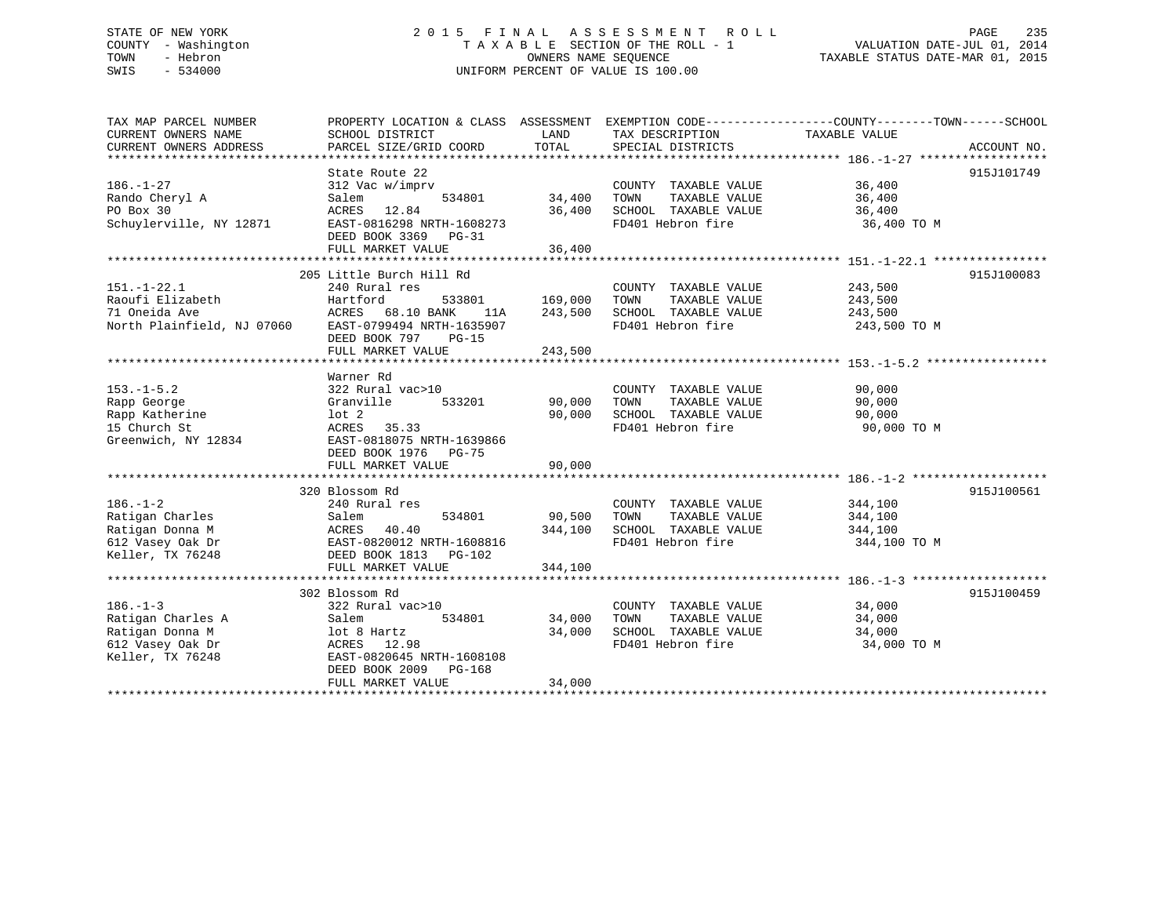## STATE OF NEW YORK 2 0 1 5 F I N A L A S S E S S M E N T R O L L PAGE 235 COUNTY - Washington T A X A B L E SECTION OF THE ROLL - 1 VALUATION DATE-JUL 01, 2014 TOWN - Hebron OWNERS NAME SEQUENCE TAXABLE STATUS DATE-MAR 01, 2015 SWIS - 534000 UNIFORM PERCENT OF VALUE IS 100.00

| TAX MAP PARCEL NUMBER                                | PROPERTY LOCATION & CLASS ASSESSMENT EXEMPTION CODE----------------COUNTY-------TOWN------SCHOOL |         |                       |               |             |
|------------------------------------------------------|--------------------------------------------------------------------------------------------------|---------|-----------------------|---------------|-------------|
| CURRENT OWNERS NAME                                  | SCHOOL DISTRICT                                                                                  | LAND    | TAX DESCRIPTION       | TAXABLE VALUE |             |
| CURRENT OWNERS ADDRESS                               | PARCEL SIZE/GRID COORD                                                                           | TOTAL   | SPECIAL DISTRICTS     |               | ACCOUNT NO. |
|                                                      |                                                                                                  |         |                       |               |             |
|                                                      | State Route 22                                                                                   |         |                       |               | 915J101749  |
| $186. - 1 - 27$                                      | 312 Vac w/imprv                                                                                  |         | COUNTY TAXABLE VALUE  | 36,400        |             |
| Rando Cheryl A                                       | 534801<br>Salem                                                                                  | 34,400  | TOWN<br>TAXABLE VALUE | 36,400        |             |
| PO Box 30                                            | ACRES<br>12.84                                                                                   | 36,400  | SCHOOL TAXABLE VALUE  | 36,400        |             |
| Schuylerville, NY 12871                              | EAST-0816298 NRTH-1608273                                                                        |         | FD401 Hebron fire     | 36,400 TO M   |             |
|                                                      | DEED BOOK 3369 PG-31                                                                             |         |                       |               |             |
|                                                      | FULL MARKET VALUE                                                                                | 36,400  |                       |               |             |
|                                                      |                                                                                                  |         |                       |               |             |
|                                                      | 205 Little Burch Hill Rd                                                                         |         |                       |               | 915J100083  |
| $151. - 1 - 22.1$                                    | 240 Rural res                                                                                    |         | COUNTY TAXABLE VALUE  | 243,500       |             |
| Raoufi Elizabeth                                     | Hartford<br>533801                                                                               | 169,000 | TOWN<br>TAXABLE VALUE | 243,500       |             |
| 71 Oneida Ave                                        | ACRES 68.10 BANK                                                                                 | 243,500 | SCHOOL TAXABLE VALUE  | 243,500       |             |
| North Plainfield, NJ 07060 EAST-0799494 NRTH-1635907 | 11A                                                                                              |         |                       |               |             |
|                                                      |                                                                                                  |         | FD401 Hebron fire     | 243,500 TO M  |             |
|                                                      | DEED BOOK 797<br>$PG-15$                                                                         |         |                       |               |             |
|                                                      | FULL MARKET VALUE                                                                                | 243,500 |                       |               |             |
|                                                      |                                                                                                  |         |                       |               |             |
|                                                      | Warner Rd                                                                                        |         |                       |               |             |
| $153. - 1 - 5.2$                                     | 322 Rural vac>10                                                                                 |         | COUNTY TAXABLE VALUE  | 90,000        |             |
| Rapp George                                          | 533201<br>Granville                                                                              | 90,000  | TAXABLE VALUE<br>TOWN | 90,000        |             |
| Rapp Katherine                                       | $1$ ot $2$                                                                                       | 90,000  | SCHOOL TAXABLE VALUE  | 90,000        |             |
| 15 Church St                                         | 35.33<br>ACRES                                                                                   |         | FD401 Hebron fire     | 90,000 TO M   |             |
| Greenwich, NY 12834                                  | EAST-0818075 NRTH-1639866                                                                        |         |                       |               |             |
|                                                      | DEED BOOK 1976 PG-75                                                                             |         |                       |               |             |
|                                                      | FULL MARKET VALUE                                                                                | 90,000  |                       |               |             |
|                                                      |                                                                                                  |         |                       |               |             |
|                                                      | 320 Blossom Rd                                                                                   |         |                       |               | 915J100561  |
| $186. - 1 - 2$                                       | 240 Rural res                                                                                    |         | COUNTY TAXABLE VALUE  | 344,100       |             |
| Ratigan Charles                                      | Salem<br>534801                                                                                  | 90,500  | TAXABLE VALUE<br>TOWN | 344,100       |             |
| Ratigan Donna M                                      | ACRES<br>40.40                                                                                   | 344,100 | SCHOOL TAXABLE VALUE  | 344,100       |             |
| 612 Vasey Oak Dr                                     | EAST-0820012 NRTH-1608816                                                                        |         | FD401 Hebron fire     | 344,100 TO M  |             |
| Keller, TX 76248                                     | DEED BOOK 1813 PG-102                                                                            |         |                       |               |             |
|                                                      | FULL MARKET VALUE                                                                                | 344,100 |                       |               |             |
|                                                      |                                                                                                  |         |                       |               |             |
|                                                      | 302 Blossom Rd                                                                                   |         |                       |               | 915J100459  |
|                                                      |                                                                                                  |         |                       |               |             |
| $186. - 1 - 3$                                       | 322 Rural vac>10                                                                                 |         | COUNTY TAXABLE VALUE  | 34,000        |             |
| Ratigan Charles A                                    | 534801<br>Salem                                                                                  | 34,000  | TAXABLE VALUE<br>TOWN | 34,000        |             |
| Ratigan Donna M                                      | lot 8 Hartz                                                                                      | 34,000  | SCHOOL TAXABLE VALUE  | 34,000        |             |
| 612 Vasey Oak Dr                                     | ACRES 12.98                                                                                      |         | FD401 Hebron fire     | 34,000 TO M   |             |
| Keller, TX 76248                                     | EAST-0820645 NRTH-1608108                                                                        |         |                       |               |             |
|                                                      | DEED BOOK 2009<br>PG-168                                                                         |         |                       |               |             |
|                                                      | FULL MARKET VALUE                                                                                | 34,000  |                       |               |             |
|                                                      |                                                                                                  |         |                       |               |             |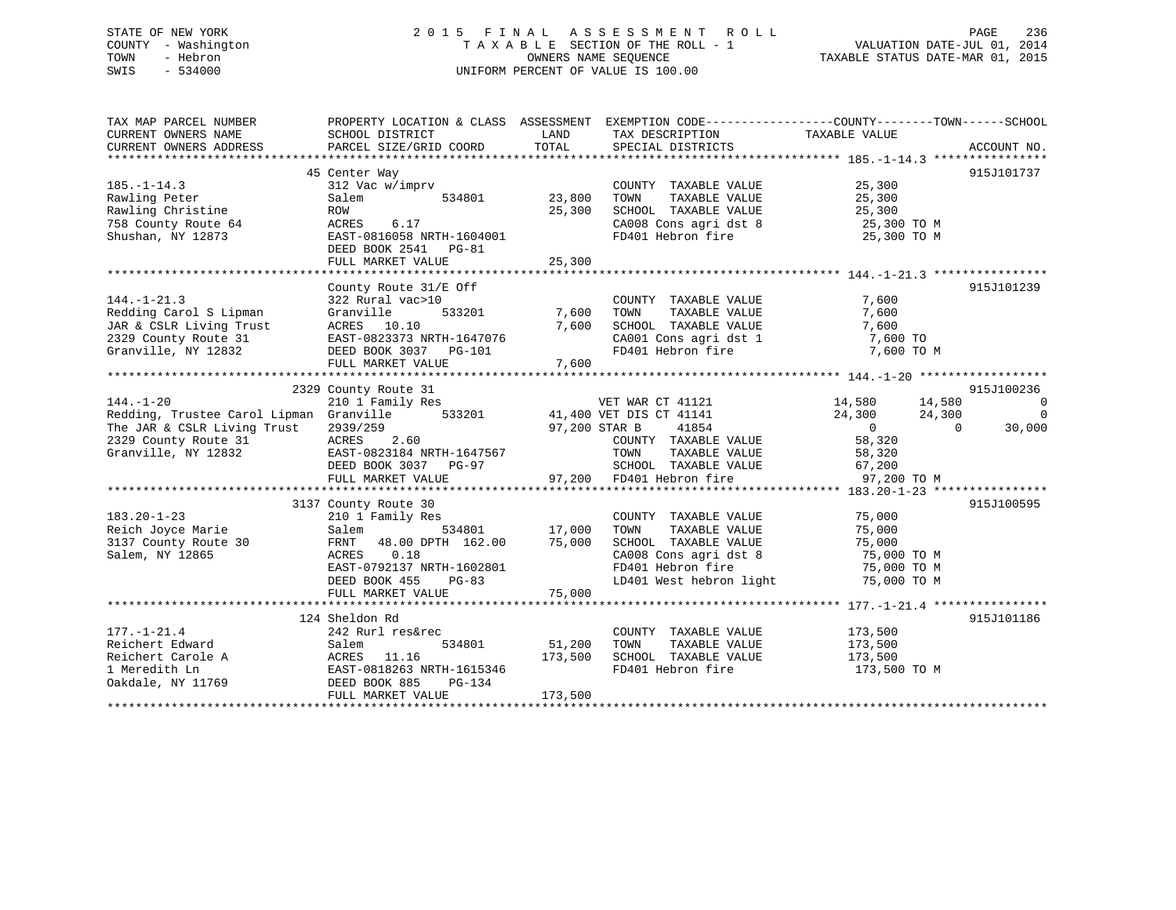## STATE OF NEW YORK 2 0 1 5 F I N A L A S S E S S M E N T R O L L PAGE 236 COUNTY - Washington T A X A B L E SECTION OF THE ROLL - 1 VALUATION DATE-JUL 01, 2014 TOWN - Hebron OWNERS NAME SEQUENCE TAXABLE STATUS DATE-MAR 01, 2015 SWIS - 534000 UNIFORM PERCENT OF VALUE IS 100.00

| TAX MAP PARCEL NUMBER                                                                                                                                     | PROPERTY LOCATION & CLASS ASSESSMENT EXEMPTION CODE-----------------COUNTY--------TOWN------SCHOOL                                                                     |                        |                                                                                                                                                                                                                            |                                                        |                          |
|-----------------------------------------------------------------------------------------------------------------------------------------------------------|------------------------------------------------------------------------------------------------------------------------------------------------------------------------|------------------------|----------------------------------------------------------------------------------------------------------------------------------------------------------------------------------------------------------------------------|--------------------------------------------------------|--------------------------|
| CURRENT OWNERS NAME                                                                                                                                       | SCHOOL DISTRICT                                                                                                                                                        | LAND                   | TAX DESCRIPTION TAXABLE VALUE                                                                                                                                                                                              |                                                        |                          |
| CURRENT OWNERS ADDRESS                                                                                                                                    | PARCEL SIZE/GRID COORD                                                                                                                                                 | TOTAL                  | SPECIAL DISTRICTS                                                                                                                                                                                                          |                                                        | ACCOUNT NO.              |
|                                                                                                                                                           |                                                                                                                                                                        |                        |                                                                                                                                                                                                                            |                                                        |                          |
|                                                                                                                                                           | 45 Center Way                                                                                                                                                          |                        |                                                                                                                                                                                                                            |                                                        | 915J101737               |
| $185. - 1 - 14.3$                                                                                                                                         | 312 Vac w/imprv                                                                                                                                                        |                        | COUNTY TAXABLE VALUE 25,300                                                                                                                                                                                                |                                                        |                          |
| Rawling Peter                                                                                                                                             | Salem                                                                                                                                                                  | 534801 23,800          | TAXABLE VALUE 25,300<br>TOWN                                                                                                                                                                                               |                                                        |                          |
| Rawling Christine                                                                                                                                         | ROW                                                                                                                                                                    | 25,300                 |                                                                                                                                                                                                                            |                                                        |                          |
| 758 County Route 64                                                                                                                                       | 6.17<br>ACRES                                                                                                                                                          |                        |                                                                                                                                                                                                                            |                                                        |                          |
| Shushan, NY 12873                                                                                                                                         | EAST-0816058 NRTH-1604001                                                                                                                                              |                        | SCHOOL TAXABLE VALUE 25,300<br>CA008 Cons agri dst 8 25,300 TO M<br>FD401 Hebron fire 25,300 TO M                                                                                                                          |                                                        |                          |
|                                                                                                                                                           | DEED BOOK 2541 PG-81                                                                                                                                                   |                        |                                                                                                                                                                                                                            |                                                        |                          |
|                                                                                                                                                           | FULL MARKET VALUE                                                                                                                                                      | 25,300                 |                                                                                                                                                                                                                            |                                                        |                          |
|                                                                                                                                                           |                                                                                                                                                                        |                        |                                                                                                                                                                                                                            |                                                        |                          |
|                                                                                                                                                           | County Route 31/E Off                                                                                                                                                  |                        |                                                                                                                                                                                                                            |                                                        | 915J101239               |
| $144. - 1 - 21.3$                                                                                                                                         | 322 Rural vac>10<br>$533201$ COUNT<br>10 533201 7,600 TOWN                                                                                                             |                        | COUNTY TAXABLE VALUE                                                                                                                                                                                                       | 7,600                                                  |                          |
| Redding Carol S Lipman                                                                                                                                    | Granville                                                                                                                                                              |                        | TAXABLE VALUE                                                                                                                                                                                                              | 7,600                                                  |                          |
| JAR & CSLR Living Trust                                                                                                                                   | ACRES 10.10                                                                                                                                                            |                        | SCHOOL TAXABLE VALUE                                                                                                                                                                                                       | 7,600                                                  |                          |
| 2329 County Route 31                                                                                                                                      |                                                                                                                                                                        |                        |                                                                                                                                                                                                                            |                                                        |                          |
| Granville, NY 12832                                                                                                                                       | EAST-0823373 NRTH-1647076<br>DEED BOOK 3037 PG-101                                                                                                                     |                        | $\begin{array}{lllll} \texttt{CA001} & \texttt{Cons}\ \texttt{agti}\ \texttt{dst1} & & & \texttt{7,600}\ \texttt{FD401} & \texttt{Hebron}\ \texttt{fire} & & & \texttt{7,600}\ \texttt{TO} & \texttt{M} & & & \end{array}$ |                                                        |                          |
|                                                                                                                                                           | FULL MARKET VALUE                                                                                                                                                      | 7,600                  |                                                                                                                                                                                                                            |                                                        |                          |
|                                                                                                                                                           |                                                                                                                                                                        |                        |                                                                                                                                                                                                                            |                                                        |                          |
| 2329 County Route 31<br>210 1 Family Res<br>Redding, Trustee Carol Lipman Granville 533201 41,400 VET DIS CT 41141<br>2020/250 533201 97,200 STAR B 41854 |                                                                                                                                                                        |                        |                                                                                                                                                                                                                            |                                                        | 915J100236               |
|                                                                                                                                                           |                                                                                                                                                                        |                        |                                                                                                                                                                                                                            | $14,580$ $14,580$<br>$24,300$ $24,300$<br>$0$ $58,320$ | $\overline{\phantom{0}}$ |
|                                                                                                                                                           |                                                                                                                                                                        |                        |                                                                                                                                                                                                                            |                                                        | $\overline{\phantom{0}}$ |
|                                                                                                                                                           | 2939/259<br>ACRES 2.60                                                                                                                                                 |                        |                                                                                                                                                                                                                            |                                                        | $\overline{0}$<br>30,000 |
| 2329 County Route 31                                                                                                                                      |                                                                                                                                                                        | 97,200 STAR B<br>COUNT | COUNTY TAXABLE VALUE                                                                                                                                                                                                       |                                                        |                          |
| Granville, NY 12832                                                                                                                                       |                                                                                                                                                                        |                        | TAXABLE VALUE 58,320                                                                                                                                                                                                       |                                                        |                          |
|                                                                                                                                                           |                                                                                                                                                                        |                        |                                                                                                                                                                                                                            |                                                        |                          |
|                                                                                                                                                           | EAST-0823184 NRTH-1647567<br>DEED BOOK 3037 PG-97 SCHOOL TAXABLE VA<br>FULL MARKET VALUE 97,200 FD401 Hebron fire                                                      |                        | SCHOOL TAXABLE VALUE 67,200<br>FD401 Hebron fire 97,200                                                                                                                                                                    | 97,200 TO M                                            |                          |
|                                                                                                                                                           |                                                                                                                                                                        |                        |                                                                                                                                                                                                                            |                                                        |                          |
|                                                                                                                                                           | 3137 County Route 30                                                                                                                                                   |                        |                                                                                                                                                                                                                            |                                                        | 915J100595               |
| $183.20 - 1 - 23$                                                                                                                                         |                                                                                                                                                                        |                        | COUNTY TAXABLE VALUE 75,000                                                                                                                                                                                                |                                                        |                          |
|                                                                                                                                                           |                                                                                                                                                                        |                        |                                                                                                                                                                                                                            | 75,000                                                 |                          |
| Reich Joyce Marie<br>3137 County Route 30                                                                                                                 | 210 1 Family Res<br>Salem 534801 17,000 TOWN TAXABLE VALUE<br>FRNT 48.00 DPTH 162.00 75,000 SCHOOL TAXABLE VALUE<br>TRNT 48.00 DPTH 162.00 75,000 SCHOOL TAXABLE VALUE |                        |                                                                                                                                                                                                                            | 75,000                                                 |                          |
| Salem, NY 12865                                                                                                                                           | ACRES<br>0.18                                                                                                                                                          |                        | CA008 Cons agri dst 8 $\overline{75,000}$ TO M<br>Think I show that the state $\overline{75,000}$ TO M                                                                                                                     |                                                        |                          |
|                                                                                                                                                           | EAST-0792137 NRTH-1602801                                                                                                                                              |                        | FD401 Hebron fire                                                                                                                                                                                                          | 75,000 TO M                                            |                          |
|                                                                                                                                                           | DEED BOOK 455<br>PG-83                                                                                                                                                 |                        | LD401 West hebron light                                                                                                                                                                                                    | 75,000 TO M                                            |                          |
|                                                                                                                                                           |                                                                                                                                                                        |                        |                                                                                                                                                                                                                            |                                                        |                          |
|                                                                                                                                                           |                                                                                                                                                                        |                        |                                                                                                                                                                                                                            |                                                        |                          |
|                                                                                                                                                           | 124 Sheldon Rd                                                                                                                                                         |                        |                                                                                                                                                                                                                            |                                                        | 915J101186               |
| $177. - 1 - 21.4$                                                                                                                                         | 242 Rurl res&rec                                                                                                                                                       |                        | COUNTY TAXABLE VALUE 173,500                                                                                                                                                                                               |                                                        |                          |
| Reichert Edward                                                                                                                                           | Salem                                                                                                                                                                  | 534801 51,200          | TAXABLE VALUE 173,500<br>TOWN                                                                                                                                                                                              |                                                        |                          |
| Reichert Carole A<br>1 Moredith Ln                                                                                                                        |                                                                                                                                                                        |                        | SCHOOL TAXABLE VALUE 173,500                                                                                                                                                                                               |                                                        |                          |
| 1 Meredith Ln                                                                                                                                             | ACRES 11.16 173,500<br>EAST-0818263 NRTH-1615346                                                                                                                       |                        | FD401 Hebron fire                                                                                                                                                                                                          | 173,500 TO M                                           |                          |
| Oakdale, NY 11769                                                                                                                                         | DEED BOOK 885<br>PG-134                                                                                                                                                |                        |                                                                                                                                                                                                                            |                                                        |                          |
|                                                                                                                                                           | FULL MARKET VALUE                                                                                                                                                      | 173,500                |                                                                                                                                                                                                                            |                                                        |                          |
|                                                                                                                                                           |                                                                                                                                                                        |                        |                                                                                                                                                                                                                            |                                                        |                          |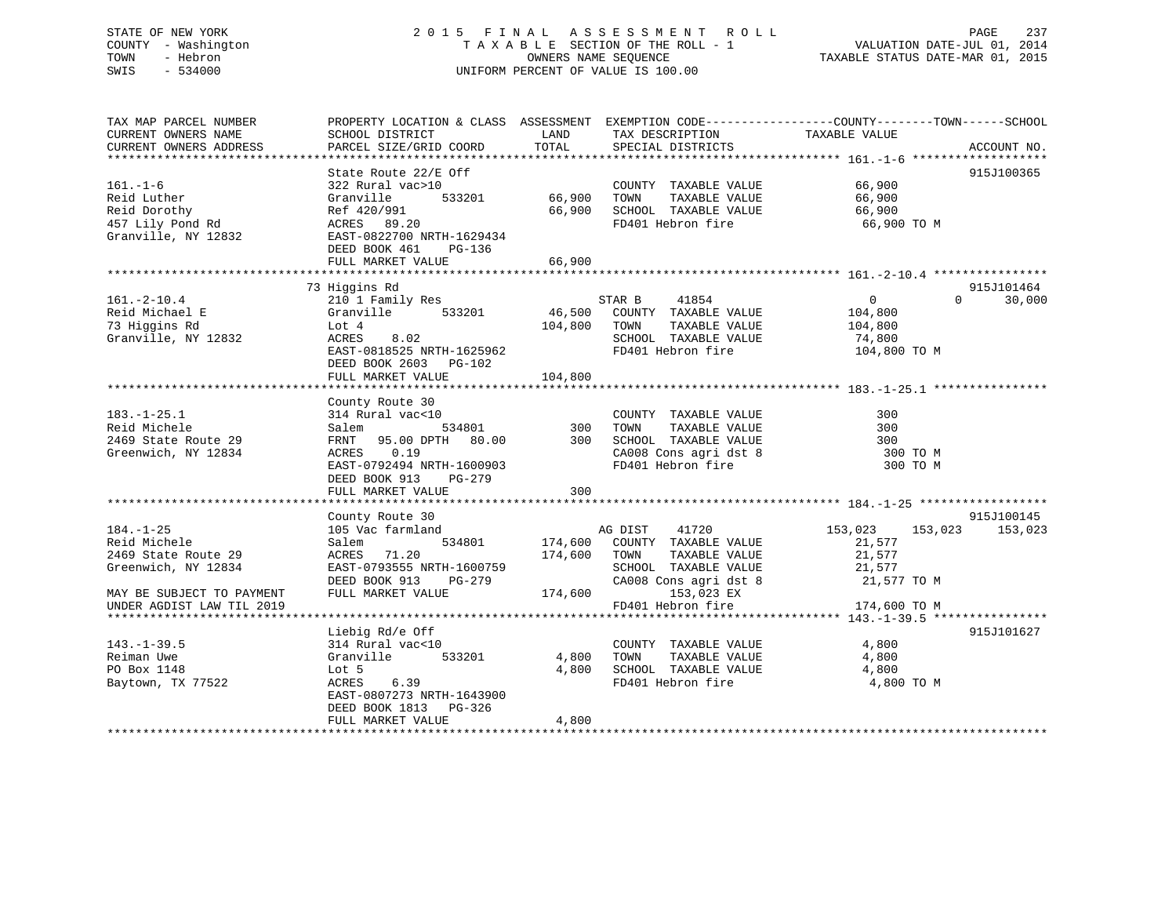## STATE OF NEW YORK 2 0 1 5 F I N A L A S S E S S M E N T R O L L PAGE 237 COUNTY - Washington T A X A B L E SECTION OF THE ROLL - 1 VALUATION DATE-JUL 01, 2014 TOWN - Hebron OWNERS NAME SEQUENCE TAXABLE STATUS DATE-MAR 01, 2015 SWIS - 534000 UNIFORM PERCENT OF VALUE IS 100.00

| TAX MAP PARCEL NUMBER     | PROPERTY LOCATION & CLASS ASSESSMENT EXEMPTION CODE----------------COUNTY-------TOWN------SCHOOL |            |                             |               |                 |
|---------------------------|--------------------------------------------------------------------------------------------------|------------|-----------------------------|---------------|-----------------|
| CURRENT OWNERS NAME       | SCHOOL DISTRICT                                                                                  | LAND       | TAX DESCRIPTION             | TAXABLE VALUE |                 |
| CURRENT OWNERS ADDRESS    | PARCEL SIZE/GRID COORD                                                                           | TOTAL      | SPECIAL DISTRICTS           |               | ACCOUNT NO.     |
|                           |                                                                                                  |            |                             |               |                 |
|                           | State Route 22/E Off                                                                             |            |                             |               | 915J100365      |
| $161. - 1 - 6$            | 322 Rural vac>10                                                                                 |            | COUNTY TAXABLE VALUE        | 66,900        |                 |
| Reid Luther               | Granville<br>533201                                                                              | 66,900     | TAXABLE VALUE<br>TOWN       | 66,900        |                 |
| Reid Dorothy              | Ref 420/991                                                                                      | 66,900     | SCHOOL TAXABLE VALUE        | 66,900        |                 |
| 457 Lily Pond Rd          | ACRES 89.20                                                                                      |            | FD401 Hebron fire           | 66,900 TO M   |                 |
| Granville, NY 12832       | EAST-0822700 NRTH-1629434                                                                        |            |                             |               |                 |
|                           | DEED BOOK 461<br>PG-136                                                                          |            |                             |               |                 |
|                           | FULL MARKET VALUE                                                                                | 66,900     |                             |               |                 |
|                           |                                                                                                  |            |                             |               |                 |
|                           | 73 Higgins Rd                                                                                    |            |                             |               | 915J101464      |
| $161. - 2 - 10.4$         | 210 1 Family Res                                                                                 |            | STAR B<br>41854             | 0<br>$\Omega$ | 30,000          |
| Reid Michael E            | Granville 533201                                                                                 |            | 46,500 COUNTY TAXABLE VALUE | 104,800       |                 |
| 73 Higgins Rd             | Lot 4                                                                                            | 104,800    | TAXABLE VALUE<br>TOWN       | 104,800       |                 |
| Granville, NY 12832       | 8.02<br>ACRES                                                                                    |            | SCHOOL TAXABLE VALUE        | 74,800        |                 |
|                           | EAST-0818525 NRTH-1625962                                                                        |            | FD401 Hebron fire           | 104,800 TO M  |                 |
|                           | DEED BOOK 2603 PG-102                                                                            |            |                             |               |                 |
|                           | FULL MARKET VALUE                                                                                | 104,800    |                             |               |                 |
|                           |                                                                                                  |            |                             |               |                 |
|                           | County Route 30                                                                                  |            |                             |               |                 |
| $183. - 1 - 25.1$         | 314 Rural vac<10                                                                                 |            | COUNTY TAXABLE VALUE        | 300           |                 |
| Reid Michele              | Salem                                                                                            | 534801 300 | TAXABLE VALUE<br>TOWN       | 300           |                 |
| 2469 State Route 29       | 95.00 DPTH 80.00<br>FRNT                                                                         |            | 300 SCHOOL TAXABLE VALUE    | 300           |                 |
| Greenwich, NY 12834       | 0.19<br>ACRES                                                                                    |            | CA008 Cons agri dst 8       | 300 TO M      |                 |
|                           | EAST-0792494 NRTH-1600903                                                                        |            | FD401 Hebron fire           | 300 TO M      |                 |
|                           | DEED BOOK 913<br>PG-279                                                                          |            |                             |               |                 |
|                           | FULL MARKET VALUE                                                                                | 300        |                             |               |                 |
|                           |                                                                                                  |            |                             |               |                 |
|                           | County Route 30                                                                                  |            |                             |               | 915J100145      |
| $184. - 1 - 25$           | 105 Vac farmland                                                                                 |            | 41720<br>AG DIST            | 153,023       | 153,023 153,023 |
| Reid Michele              | 534801<br>Salem                                                                                  | 174,600    | COUNTY TAXABLE VALUE        | 21,577        |                 |
| 2469 State Route 29       | ACRES<br>71.20                                                                                   | 174,600    | TOWN<br>TAXABLE VALUE       | 21,577        |                 |
| Greenwich, NY 12834       | EAST-0793555 NRTH-1600759                                                                        |            | SCHOOL TAXABLE VALUE        | 21,577        |                 |
|                           | DEED BOOK 913<br>PG-279                                                                          |            | CA008 Cons agri dst 8       | 21,577 TO M   |                 |
| MAY BE SUBJECT TO PAYMENT | FULL MARKET VALUE                                                                                | 174,600    | 153,023 EX                  |               |                 |
| UNDER AGDIST LAW TIL 2019 |                                                                                                  |            | FD401 Hebron fire           | 174,600 TO M  |                 |
|                           |                                                                                                  |            |                             |               |                 |
|                           | Liebig Rd/e Off                                                                                  |            |                             |               | 915J101627      |
| $143. - 1 - 39.5$         | 314 Rural vac<10                                                                                 |            | COUNTY TAXABLE VALUE        | 4,800         |                 |
| Reiman Uwe                | Granville<br>533201                                                                              | 4,800      | TAXABLE VALUE<br>TOWN       | 4,800         |                 |
| PO Box 1148               | Lot 5                                                                                            | 4,800      | SCHOOL TAXABLE VALUE        | 4,800         |                 |
| Baytown, TX 77522         | 6.39<br>ACRES                                                                                    |            | FD401 Hebron fire           | 4,800 TO M    |                 |
|                           | EAST-0807273 NRTH-1643900                                                                        |            |                             |               |                 |
|                           | DEED BOOK 1813 PG-326                                                                            |            |                             |               |                 |
|                           | FULL MARKET VALUE                                                                                | 4,800      |                             |               |                 |
|                           |                                                                                                  |            |                             |               |                 |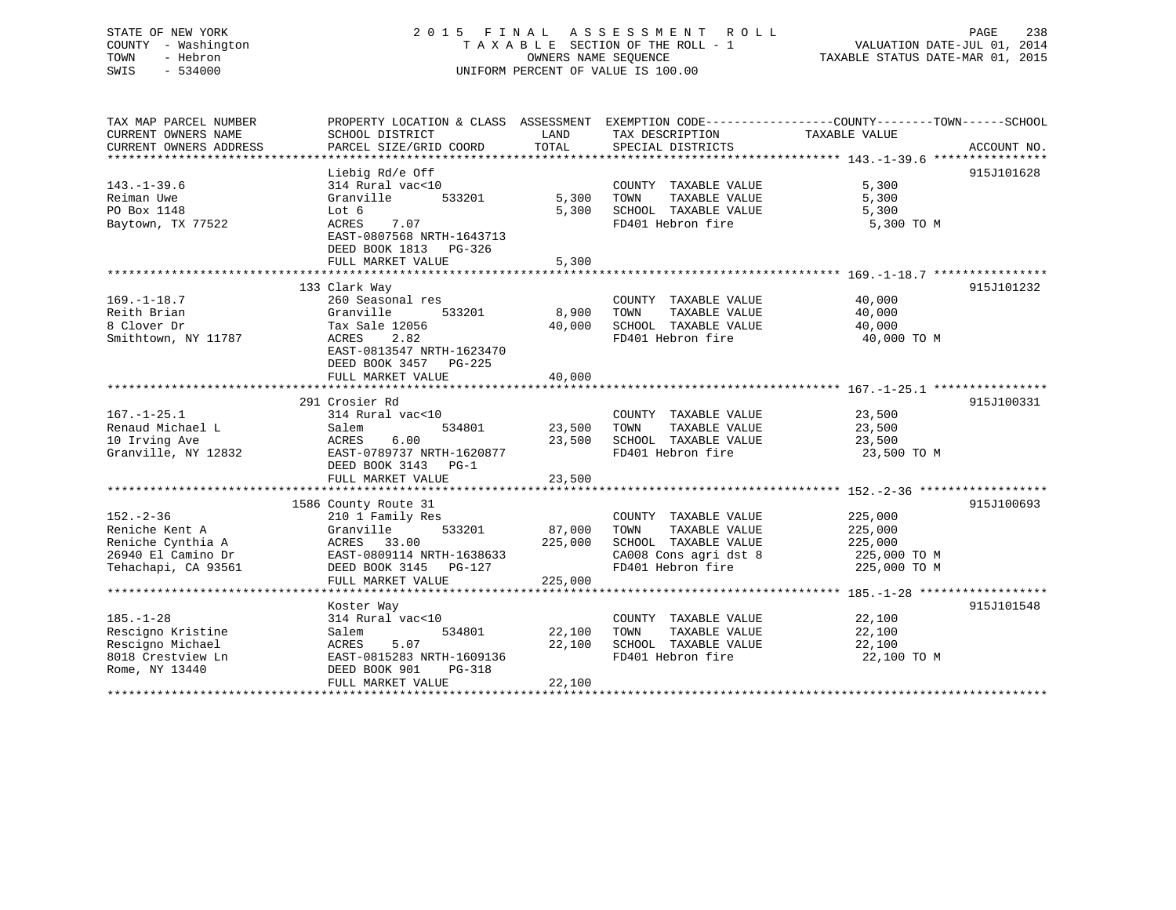## STATE OF NEW YORK 2 0 1 5 F I N A L A S S E S S M E N T R O L L PAGE 238 COUNTY - Washington T A X A B L E SECTION OF THE ROLL - 1 VALUATION DATE-JUL 01, 2014 TOWN - Hebron OWNERS NAME SEQUENCE TAXABLE STATUS DATE-MAR 01, 2015 SWIS - 534000 UNIFORM PERCENT OF VALUE IS 100.00

| TAX MAP PARCEL NUMBER<br>CURRENT OWNERS NAME | PROPERTY LOCATION & CLASS ASSESSMENT<br>SCHOOL DISTRICT | LAND    | TAX DESCRIPTION       | EXEMPTION CODE-----------------COUNTY-------TOWN------SCHOOL<br>TAXABLE VALUE |             |
|----------------------------------------------|---------------------------------------------------------|---------|-----------------------|-------------------------------------------------------------------------------|-------------|
| CURRENT OWNERS ADDRESS                       | PARCEL SIZE/GRID COORD                                  | TOTAL   | SPECIAL DISTRICTS     |                                                                               | ACCOUNT NO. |
|                                              |                                                         |         |                       |                                                                               |             |
|                                              | Liebig Rd/e Off                                         |         |                       |                                                                               | 915J101628  |
| $143. - 1 - 39.6$                            | 314 Rural vac<10                                        |         | COUNTY TAXABLE VALUE  | 5,300                                                                         |             |
| Reiman Uwe                                   | Granville<br>533201                                     | 5,300   | TAXABLE VALUE<br>TOWN | 5,300                                                                         |             |
| PO Box 1148                                  | Lot 6                                                   | 5,300   | SCHOOL TAXABLE VALUE  | 5,300                                                                         |             |
| Baytown, TX 77522                            | ACRES<br>7.07                                           |         | FD401 Hebron fire     | 5,300 TO M                                                                    |             |
|                                              | EAST-0807568 NRTH-1643713                               |         |                       |                                                                               |             |
|                                              | DEED BOOK 1813 PG-326                                   |         |                       |                                                                               |             |
|                                              | FULL MARKET VALUE                                       | 5,300   |                       |                                                                               |             |
|                                              |                                                         |         |                       |                                                                               |             |
|                                              | 133 Clark Way                                           |         |                       |                                                                               | 915J101232  |
| $169. - 1 - 18.7$                            | 260 Seasonal res                                        |         | COUNTY TAXABLE VALUE  | 40,000                                                                        |             |
| Reith Brian                                  | Granville<br>533201                                     | 8,900   | TAXABLE VALUE<br>TOWN | 40,000                                                                        |             |
| 8 Clover Dr                                  | Tax Sale 12056                                          | 40,000  | SCHOOL TAXABLE VALUE  | 40,000                                                                        |             |
| Smithtown, NY 11787                          | ACRES<br>2.82                                           |         | FD401 Hebron fire     | 40,000 TO M                                                                   |             |
|                                              | EAST-0813547 NRTH-1623470                               |         |                       |                                                                               |             |
|                                              | DEED BOOK 3457 PG-225                                   |         |                       |                                                                               |             |
|                                              | FULL MARKET VALUE                                       | 40,000  |                       |                                                                               |             |
|                                              |                                                         |         |                       |                                                                               |             |
|                                              | 291 Crosier Rd                                          |         |                       |                                                                               | 915J100331  |
| $167. - 1 - 25.1$                            | 314 Rural vac<10                                        |         | COUNTY TAXABLE VALUE  | 23,500                                                                        |             |
| Renaud Michael L                             | 534801<br>Salem                                         | 23,500  | TOWN<br>TAXABLE VALUE | 23,500                                                                        |             |
| 10 Irving Ave                                | ACRES<br>6.00                                           | 23,500  | SCHOOL TAXABLE VALUE  | 23,500                                                                        |             |
| Granville, NY 12832                          | EAST-0789737 NRTH-1620877                               |         | FD401 Hebron fire     | 23,500 TO M                                                                   |             |
|                                              | DEED BOOK 3143 PG-1                                     |         |                       |                                                                               |             |
|                                              | FULL MARKET VALUE                                       | 23,500  |                       |                                                                               |             |
|                                              |                                                         |         |                       |                                                                               |             |
|                                              | 1586 County Route 31                                    |         |                       |                                                                               | 915J100693  |
| $152 - 2 - 36$                               | 210 1 Family Res                                        |         | COUNTY TAXABLE VALUE  | 225,000                                                                       |             |
| Reniche Kent A                               | Granville<br>533201                                     | 87,000  | TAXABLE VALUE<br>TOWN | 225,000                                                                       |             |
| Reniche Cynthia A                            | ACRES 33.00                                             | 225,000 | SCHOOL TAXABLE VALUE  | 225,000                                                                       |             |
| 26940 El Camino Dr                           | EAST-0809114 NRTH-1638633                               |         | CA008 Cons agri dst 8 | 225,000 TO M                                                                  |             |
| Tehachapi, CA 93561                          | DEED BOOK 3145 PG-127                                   |         | FD401 Hebron fire     | 225,000 TO M                                                                  |             |
|                                              | FULL MARKET VALUE                                       | 225,000 |                       |                                                                               |             |
|                                              |                                                         |         |                       |                                                                               |             |
|                                              | Koster Way                                              |         |                       |                                                                               | 915J101548  |
| $185. - 1 - 28$                              | 314 Rural vac<10                                        |         | COUNTY TAXABLE VALUE  | 22,100                                                                        |             |
| Rescigno Kristine                            | Salem<br>534801                                         | 22,100  | TAXABLE VALUE<br>TOWN | 22,100                                                                        |             |
| Rescigno Michael                             | ACRES<br>5.07                                           | 22,100  | SCHOOL TAXABLE VALUE  | 22,100                                                                        |             |
| 8018 Crestview Ln                            | EAST-0815283 NRTH-1609136                               |         | FD401 Hebron fire     | 22,100 TO M                                                                   |             |
| Rome, NY 13440                               | DEED BOOK 901<br>$PG-318$                               |         |                       |                                                                               |             |
|                                              | FULL MARKET VALUE                                       | 22,100  |                       |                                                                               |             |
|                                              |                                                         |         |                       |                                                                               |             |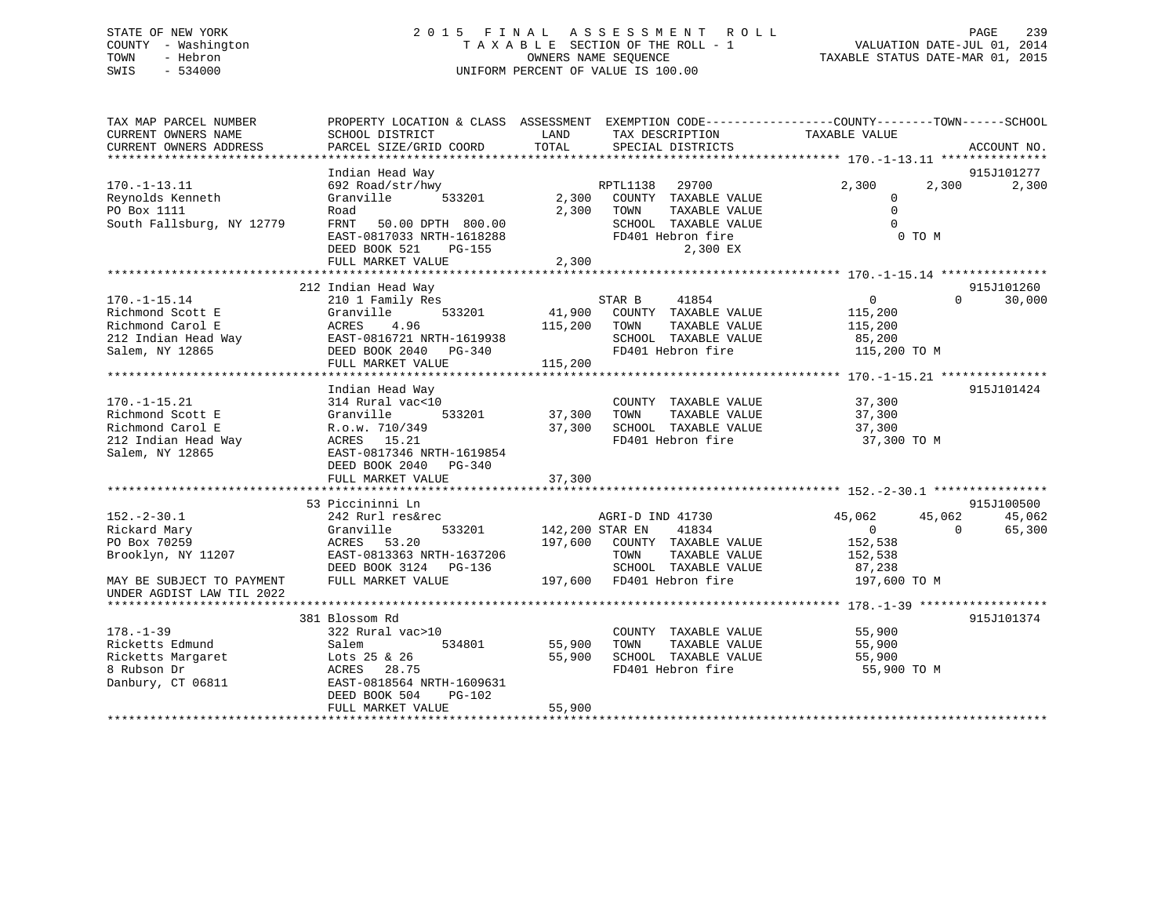## STATE OF NEW YORK 2 0 1 5 F I N A L A S S E S S M E N T R O L L PAGE 239 COUNTY - Washington T A X A B L E SECTION OF THE ROLL - 1 VALUATION DATE-JUL 01, 2014 TOWN - Hebron OWNERS NAME SEQUENCE TAXABLE STATUS DATE-MAR 01, 2015 SWIS - 534000 UNIFORM PERCENT OF VALUE IS 100.00

| TAX MAP PARCEL NUMBER<br>CURRENT OWNERS NAME<br>CURRENT OWNERS ADDRESS | PROPERTY LOCATION & CLASS ASSESSMENT EXEMPTION CODE---------------COUNTY-------TOWN------SCHOOL<br>SCHOOL DISTRICT<br>PARCEL SIZE/GRID COORD | LAND<br>TOTAL          | TAX DESCRIPTION<br>SPECIAL DISTRICTS | TAXABLE VALUE     | ACCOUNT NO.        |
|------------------------------------------------------------------------|----------------------------------------------------------------------------------------------------------------------------------------------|------------------------|--------------------------------------|-------------------|--------------------|
|                                                                        |                                                                                                                                              |                        |                                      |                   |                    |
|                                                                        | Indian Head Way                                                                                                                              |                        |                                      |                   | 915J101277         |
| $170. - 1 - 13.11$                                                     | 692 Road/str/hwy                                                                                                                             |                        | RPTL1138<br>29700                    | 2,300<br>2,300    | 2,300              |
| Reynolds Kenneth                                                       | Granville<br>533201                                                                                                                          |                        | 2,300 COUNTY TAXABLE VALUE           | $\overline{0}$    |                    |
| PO Box 1111                                                            | Road                                                                                                                                         | 2,300 TOWN             | TAXABLE VALUE                        | $\Omega$          |                    |
| South Fallsburg, NY 12779                                              | FRNT<br>50.00 DPTH 800.00                                                                                                                    |                        | SCHOOL TAXABLE VALUE                 | $\Omega$          |                    |
|                                                                        | EAST-0817033 NRTH-1618288                                                                                                                    |                        | FD401 Hebron fire                    | 0 TO M            |                    |
|                                                                        | DEED BOOK 521<br>PG-155                                                                                                                      |                        | 2,300 EX                             |                   |                    |
|                                                                        | FULL MARKET VALUE                                                                                                                            | 2,300                  |                                      |                   |                    |
|                                                                        |                                                                                                                                              |                        |                                      |                   |                    |
|                                                                        | 212 Indian Head Way                                                                                                                          |                        |                                      |                   | 915J101260         |
| $170. - 1 - 15.14$                                                     | 210 1 Family Res                                                                                                                             |                        | STAR B 41854                         | $0 \qquad \qquad$ | 30,000<br>$\Omega$ |
| Richmond Scott E                                                       | 533201<br>Granville                                                                                                                          |                        | 41,900 COUNTY TAXABLE VALUE          | 115,200           |                    |
| Richmond Carol E                                                       | 4.96<br>ACRES                                                                                                                                | 115,200                | TOWN<br>TAXABLE VALUE                | 115,200           |                    |
| 212 Indian Head Way                                                    | EAST-0816721 NRTH-1619938                                                                                                                    |                        | SCHOOL TAXABLE VALUE                 | 85,200            |                    |
| Salem, NY 12865                                                        | DEED BOOK 2040 PG-340                                                                                                                        |                        | FD401 Hebron fire                    | 115,200 TO M      |                    |
|                                                                        | FULL MARKET VALUE                                                                                                                            | 115,200                |                                      |                   |                    |
|                                                                        |                                                                                                                                              |                        |                                      |                   |                    |
|                                                                        | Indian Head Way                                                                                                                              |                        |                                      |                   | 915J101424         |
| $170. - 1 - 15.21$                                                     | 314 Rural vac<10                                                                                                                             |                        | COUNTY TAXABLE VALUE                 | 37,300            |                    |
| Richmond Scott E                                                       | Granville<br>533201                                                                                                                          | 37,300                 | TOWN<br>TAXABLE VALUE                | 37,300            |                    |
| Richmond Carol E                                                       | R.o.w. 710/349                                                                                                                               | 37,300                 | SCHOOL TAXABLE VALUE                 | 37,300            |                    |
| 212 Indian Head Way                                                    | ACRES 15.21<br>EAST-0817346 NRTH-1619854                                                                                                     |                        | FD401 Hebron fire                    | 37,300 TO M       |                    |
| Salem, NY 12865                                                        | DEED BOOK 2040 PG-340                                                                                                                        |                        |                                      |                   |                    |
|                                                                        | FULL MARKET VALUE                                                                                                                            | 37,300                 |                                      |                   |                    |
|                                                                        |                                                                                                                                              |                        |                                      |                   |                    |
|                                                                        | 53 Piccininni Ln                                                                                                                             |                        |                                      |                   | 915J100500         |
| $152. - 2 - 30.1$                                                      | 242 Rurl res&rec                                                                                                                             |                        | AGRI-D IND 41730                     | 45,062<br>45,062  | 45,062             |
| Rickard Mary                                                           | Granville                                                                                                                                    | 533201 142,200 STAR EN | 41834                                | $\Omega$          | $\Omega$<br>65,300 |
| PO Box 70259                                                           | 53.20<br>ACRES                                                                                                                               | 197,600                | COUNTY TAXABLE VALUE                 | 152,538           |                    |
| Brooklyn, NY 11207                                                     | EAST-0813363 NRTH-1637206                                                                                                                    |                        | TOWN<br>TAXABLE VALUE                | 152,538           |                    |
|                                                                        | DEED BOOK 3124    PG-136                                                                                                                     |                        | SCHOOL TAXABLE VALUE                 | 87,238            |                    |
| MAY BE SUBJECT TO PAYMENT                                              | FULL MARKET VALUE                                                                                                                            |                        | 197,600 FD401 Hebron fire            | 197,600 TO M      |                    |
| UNDER AGDIST LAW TIL 2022                                              |                                                                                                                                              |                        |                                      |                   |                    |
|                                                                        |                                                                                                                                              |                        |                                      |                   |                    |
|                                                                        | 381 Blossom Rd                                                                                                                               |                        |                                      |                   | 915J101374         |
| $178. - 1 - 39$                                                        | 322 Rural vac>10                                                                                                                             |                        | COUNTY TAXABLE VALUE                 | 55,900            |                    |
| Ricketts Edmund                                                        | 534801<br>Salem                                                                                                                              | 55,900                 | TAXABLE VALUE<br>TOWN                | 55,900            |                    |
| Ricketts Margaret                                                      | Lots 25 & 26                                                                                                                                 | 55,900                 | SCHOOL TAXABLE VALUE                 | 55,900            |                    |
| 8 Rubson Dr                                                            | ACRES<br>28.75                                                                                                                               |                        | FD401 Hebron fire                    | 55,900 TO M       |                    |
| Danbury, CT 06811                                                      | EAST-0818564 NRTH-1609631                                                                                                                    |                        |                                      |                   |                    |
|                                                                        | DEED BOOK 504<br>$PG-102$                                                                                                                    |                        |                                      |                   |                    |
|                                                                        | FULL MARKET VALUE                                                                                                                            | 55,900                 |                                      |                   |                    |
|                                                                        |                                                                                                                                              |                        |                                      |                   |                    |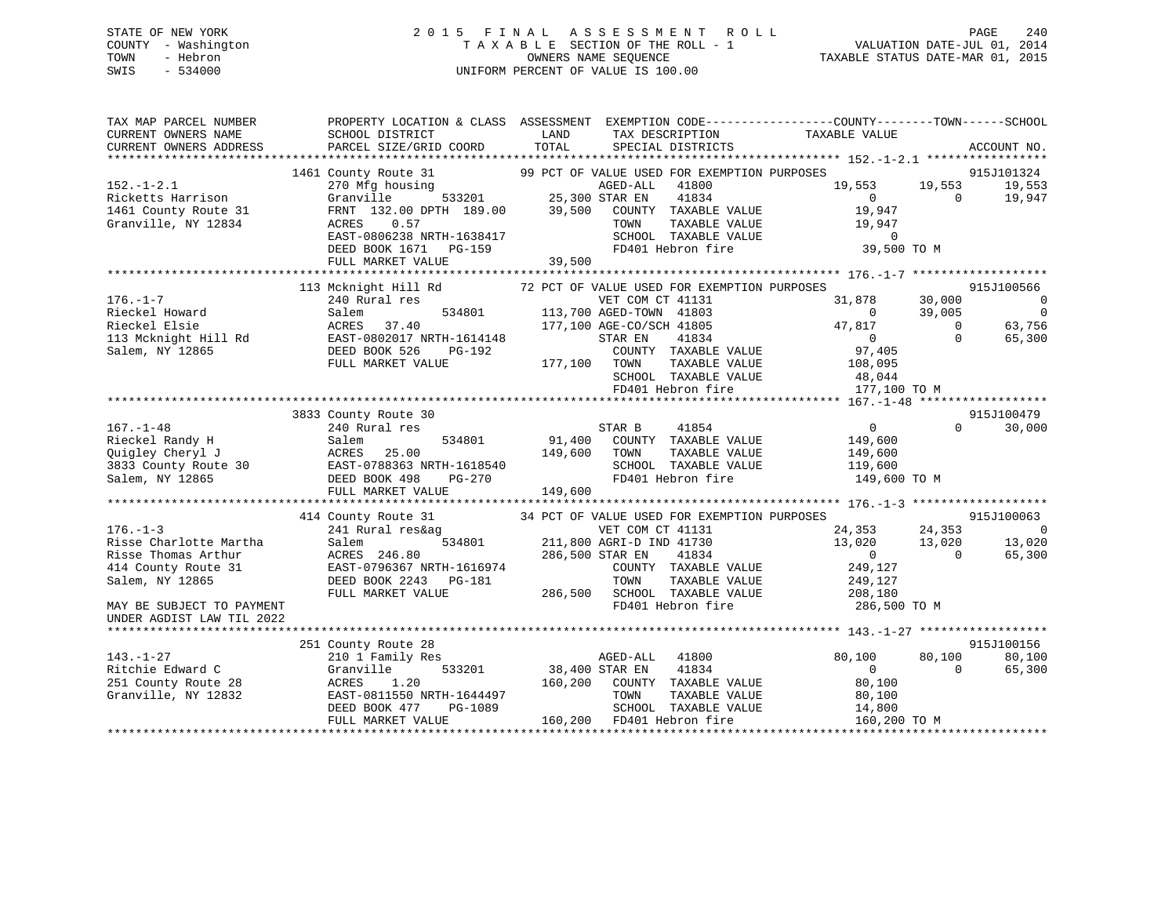## STATE OF NEW YORK 2 0 1 5 F I N A L A S S E S S M E N T R O L L PAGE 240 COUNTY - Washington T A X A B L E SECTION OF THE ROLL - 1 VALUATION DATE-JUL 01, 2014 TOWN - Hebron OWNERS NAME SEQUENCE TAXABLE STATUS DATE-MAR 01, 2015 SWIS - 534000 UNIFORM PERCENT OF VALUE IS 100.00

TAX MAP PARCEL NUMBER PROPERTY LOCATION & CLASS ASSESSMENT EXEMPTION CODE------------------COUNTY--------TOWN------SCHOOL CURRENT OWNERS NAME SCHOOL DISTRICT LAND TAX DESCRIPTION TAXABLE VALUE CURRENT OWNERS ADDRESS PARCEL SIZE/GRID COORD TOTAL SPECIAL DISTRICTS ACCOUNT NO. \*\*\*\*\*\*\*\*\*\*\*\*\*\*\*\*\*\*\*\*\*\*\*\*\*\*\*\*\*\*\*\*\*\*\*\*\*\*\*\*\*\*\*\*\*\*\*\*\*\*\*\*\*\*\*\*\*\*\*\*\*\*\*\*\*\*\*\*\*\*\*\*\*\*\*\*\*\*\*\*\*\*\*\*\*\*\*\*\*\*\*\*\*\*\*\*\*\*\*\*\*\*\* 152.-1-2.1 \*\*\*\*\*\*\*\*\*\*\*\*\*\*\*\*\* 1461 County Route 31 99 PCT OF VALUE USED FOR EXEMPTION PURPOSES 915J101324 152.-1-2.1 270 Mfg housing AGED-ALL 41800 19,553 19,553 19,553 Ricketts Harrison Granville 533201 25,300 STAR EN 41834 0 0 19,947 1461 County Route 31 FRNT 132.00 DPTH 189.00 39,500 COUNTY TAXABLE VALUE 19,947 Granville, NY 12834 ACRES 0.57 TOWN TAXABLE VALUE 19,947 EAST-0806238 NRTH-1638417 SCHOOL TAXABLE VALUE 0 DEED BOOK 1671 PG-159 FD401 Hebron fire 39,500 TO M FULL MARKET VALUE 39,500 \*\*\*\*\*\*\*\*\*\*\*\*\*\*\*\*\*\*\*\*\*\*\*\*\*\*\*\*\*\*\*\*\*\*\*\*\*\*\*\*\*\*\*\*\*\*\*\*\*\*\*\*\*\*\*\*\*\*\*\*\*\*\*\*\*\*\*\*\*\*\*\*\*\*\*\*\*\*\*\*\*\*\*\*\*\*\*\*\*\*\*\*\*\*\*\*\*\*\*\*\*\*\* 176.-1-7 \*\*\*\*\*\*\*\*\*\*\*\*\*\*\*\*\*\*\*915J100566 113 Mcknight Hill Rd 72 PCT OF VALUE USED FOR EXEMPTION PURPOSES 915J100566 176.-1-7 240 Rural res VET COM CT 41131 31,878 30,000 0 Rieckel Howard Salem 534801 113,700 AGED-TOWN 41803 0 39,005 0 Rieckel Elsie ACRES 37.40 177,100 AGE-CO/SCH 41805 47,817 0 63,756 113 Mcknight Hill Rd EAST-0802017 NRTH-1614148 STAR EN 41834 0 0 65,300 Salem, NY 12865 DEED BOOK 526 PG-192 COUNTY TAXABLE VALUE 97,405 FULL MARKET VALUE 177,100 TOWN TAXABLE VALUE 108,095 SCHOOL TAXABLE VALUE 48,044 FD401 Hebron fire 177,100 TO M \*\*\*\*\*\*\*\*\*\*\*\*\*\*\*\*\*\*\*\*\*\*\*\*\*\*\*\*\*\*\*\*\*\*\*\*\*\*\*\*\*\*\*\*\*\*\*\*\*\*\*\*\*\*\*\*\*\*\*\*\*\*\*\*\*\*\*\*\*\*\*\*\*\*\*\*\*\*\*\*\*\*\*\*\*\*\*\*\*\*\*\*\*\*\*\*\*\*\*\*\*\*\* 167.-1-48 \*\*\*\*\*\*\*\*\*\*\*\*\*\*\*\*\*\*915J100479 3833 County Route 30 915J100479 167.-1-48 240 Rural res STAR B 41854 0 0 30,000 Rieckel Randy H Salem 534801 91,400 COUNTY TAXABLE VALUE 149,600 Quigley Cheryl J ACRES 25.00 149,600 TOWN TAXABLE VALUE 149,600 3833 County Route 30 EAST-0788363 NRTH-1618540 SCHOOL TAXABLE VALUE 119,600 Salem, NY 12865 DEED BOOK 498 PG-270 FD401 Hebron fire 149,600 TO M FULL MARKET VALUE 149,600 \*\*\*\*\*\*\*\*\*\*\*\*\*\*\*\*\*\*\*\*\*\*\*\*\*\*\*\*\*\*\*\*\*\*\*\*\*\*\*\*\*\*\*\*\*\*\*\*\*\*\*\*\*\*\*\*\*\*\*\*\*\*\*\*\*\*\*\*\*\*\*\*\*\*\*\*\*\*\*\*\*\*\*\*\*\*\*\*\*\*\*\*\*\*\*\*\*\*\*\*\*\*\* 176.-1-3 \*\*\*\*\*\*\*\*\*\*\*\*\*\*\*\*\*\*\* 414 County Route 31 34 PCT OF VALUE USED FOR EXEMPTION PURPOSES 915J100063 176.-1-3 241 Rural res&ag VET COM CT 41131 24,353 24,353 0 Risse Charlotte Martha Salem 534801 211,800 AGRI-D IND 41730 13,020 13,020 13,020 Risse Thomas Arthur ACRES 246.80 286,500 STAR EN 41834 0 0 65,300 414 County Route 31 EAST-0796367 NRTH-1616974 COUNTY TAXABLE VALUE 249,127 Salem, NY 12865 DEED BOOK 2243 PG-181 TOWN TAXABLE VALUE 249,127 FULL MARKET VALUE 286,500 SCHOOL TAXABLE VALUE 208,180 MAY BE SUBJECT TO PAYMENT FOUR SERVICE SUBSEXTED A SERVICE SERVICE FOLLOWING FOUND FOR THE RESOURCE AND TO MA UNDER AGDIST LAW TIL 2022 \*\*\*\*\*\*\*\*\*\*\*\*\*\*\*\*\*\*\*\*\*\*\*\*\*\*\*\*\*\*\*\*\*\*\*\*\*\*\*\*\*\*\*\*\*\*\*\*\*\*\*\*\*\*\*\*\*\*\*\*\*\*\*\*\*\*\*\*\*\*\*\*\*\*\*\*\*\*\*\*\*\*\*\*\*\*\*\*\*\*\*\*\*\*\*\*\*\*\*\*\*\*\* 143.-1-27 \*\*\*\*\*\*\*\*\*\*\*\*\*\*\*\*\*\*915J100156 251 County Route 28 915J100156 143.-1-27 210 1 Family Res AGED-ALL 41800 80,100 80,100 80,100 Ritchie Edward C Granville 533201 38,400 STAR EN 41834 0 0 65,300 251 County Route 28 ACRES 1.20 160,200 COUNTY TAXABLE VALUE 80,100 Granville, NY 12832 EAST-0811550 NRTH-1644497 TOWN TAXABLE VALUE 80,100 DEED BOOK 477 PG-1089 SCHOOL TAXABLE VALUE 14,800 FULL MARKET VALUE 160,200 FD401 Hebron fire 160,200 TO M \*\*\*\*\*\*\*\*\*\*\*\*\*\*\*\*\*\*\*\*\*\*\*\*\*\*\*\*\*\*\*\*\*\*\*\*\*\*\*\*\*\*\*\*\*\*\*\*\*\*\*\*\*\*\*\*\*\*\*\*\*\*\*\*\*\*\*\*\*\*\*\*\*\*\*\*\*\*\*\*\*\*\*\*\*\*\*\*\*\*\*\*\*\*\*\*\*\*\*\*\*\*\*\*\*\*\*\*\*\*\*\*\*\*\*\*\*\*\*\*\*\*\*\*\*\*\*\*\*\*\*\*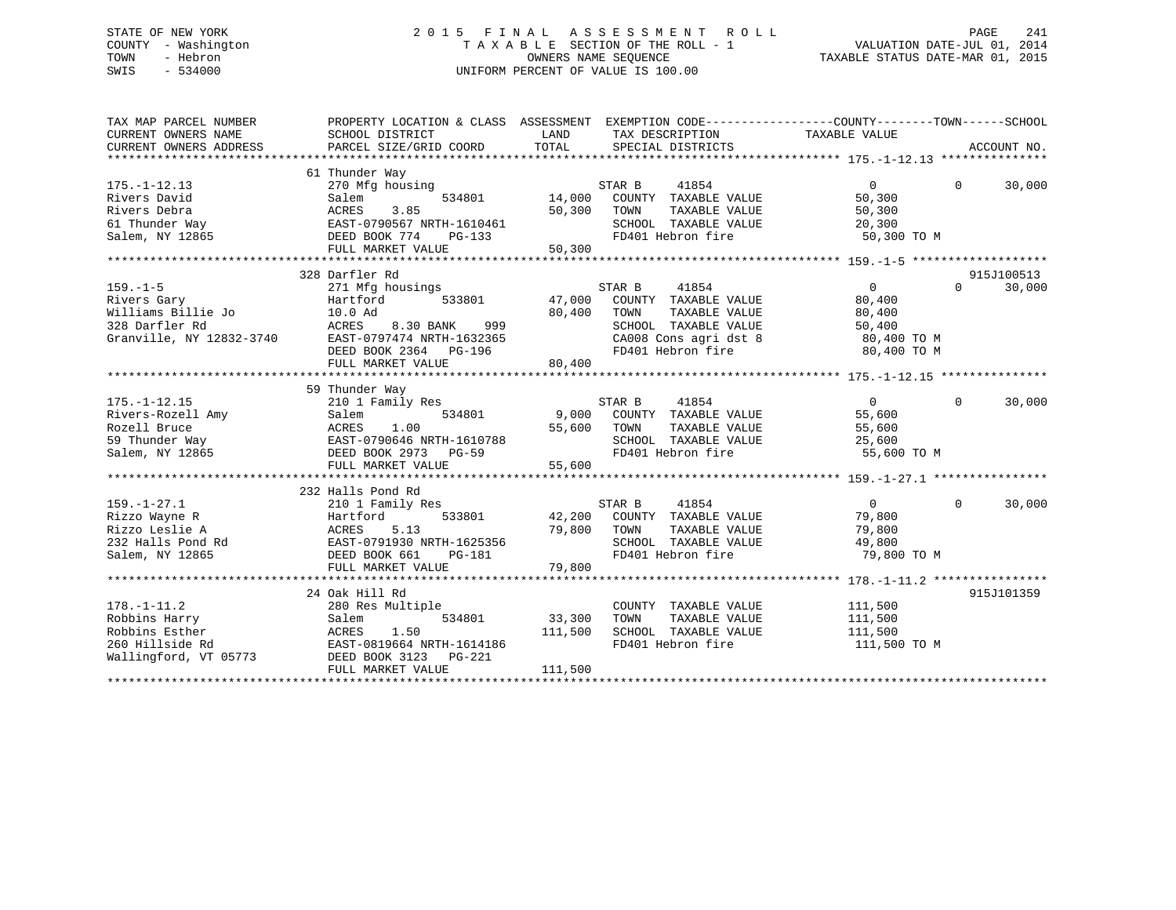## STATE OF NEW YORK 2 0 1 5 F I N A L A S S E S S M E N T R O L L PAGE 241 COUNTY - Washington T A X A B L E SECTION OF THE ROLL - 1 VALUATION DATE-JUL 01, 2014 TOWN - Hebron OWNERS NAME SEQUENCE TAXABLE STATUS DATE-MAR 01, 2015 SWIS - 534000 UNIFORM PERCENT OF VALUE IS 100.00

| TAX MAP PARCEL NUMBER<br>CURRENT OWNERS NAME<br>CURRENT OWNERS ADDRESS                            | PROPERTY LOCATION & CLASS ASSESSMENT<br>SCHOOL DISTRICT<br>PARCEL SIZE/GRID COORD                                                                                        | LAND<br>TOTAL                     | EXEMPTION CODE-----------------COUNTY--------TOWN------SCHOOL<br>TAX DESCRIPTION TAXABLE VALUE<br>SPECIAL DISTRICTS                                                               |                                                             | ACCOUNT NO.                      |
|---------------------------------------------------------------------------------------------------|--------------------------------------------------------------------------------------------------------------------------------------------------------------------------|-----------------------------------|-----------------------------------------------------------------------------------------------------------------------------------------------------------------------------------|-------------------------------------------------------------|----------------------------------|
| $175. - 1 - 12.13$<br>Rivers David<br>Rivers Debra<br>61 Thunder Way<br>Salem, NY 12865           | 61 Thunder Way<br>270 Mfg housing<br>Salem<br>3.85<br>ACRES<br>EAST-0790567 NRTH-1610461<br>DEED BOOK 774<br>PG-133<br>FULL MARKET VALUE                                 | 534801 14,000<br>50,300<br>50,300 | 41854<br>STAR B<br>COUNTY TAXABLE VALUE<br>TOWN<br>TAXABLE VALUE<br>SCHOOL TAXABLE VALUE<br>FD401 Hebron fire                                                                     | $\Omega$<br>50,300<br>50,300<br>20,300<br>50,300 TO M       | $\Omega$<br>30,000               |
| $159. - 1 - 5$<br>Rivers Gary<br>Williams Billie Jo<br>328 Darfler Rd<br>Granville, NY 12832-3740 | 328 Darfler Rd<br>271 Mfg housings<br>533801<br>Hartford<br>10.0 Ad<br>ACRES 8.30 BANK<br>999<br>EAST-0797474 NRTH-1632365<br>DEED BOOK 2364 PG-196<br>FULL MARKET VALUE | 47,000<br>80,400<br>80,400        | 41854<br>STAR B<br>COUNTY TAXABLE VALUE<br>TOWN<br>TAXABLE VALUE<br>SCHOOL TAXABLE VALUE<br>SCHOOL TAXABLE VALUE 50,400<br>CA008 Cons agri dst 8 30,400 TO M<br>FD401 Hebron fire | $\overline{0}$<br>80,400<br>80,400<br>50,400<br>80,400 TO M | 915J100513<br>$\Omega$<br>30,000 |
|                                                                                                   |                                                                                                                                                                          |                                   |                                                                                                                                                                                   |                                                             |                                  |
| $175. - 1 - 12.15$<br>Rivers-Rozell Amy<br>Rozell Bruce<br>59 Thunder Way<br>Salem, NY 12865      | 59 Thunder Way<br>210 1 Family Res<br>534801<br>Salem<br>ACRES<br>1.00<br>EAST-0790646 NRTH-1610788<br>DEED BOOK 2973 PG-59<br>FULL MARKET VALUE                         | 9,000<br>55,600<br>55,600         | STAR B<br>41854<br>COUNTY TAXABLE VALUE<br>TOWN<br>TAXABLE VALUE<br>SCHOOL TAXABLE VALUE<br>FD401 Hebron fire                                                                     | 0<br>55,600<br>55,600<br>25,600<br>55,600 TO M              | $\Omega$<br>30,000               |
|                                                                                                   | 232 Halls Pond Rd                                                                                                                                                        |                                   |                                                                                                                                                                                   |                                                             |                                  |
| $159. - 1 - 27.1$<br>Rizzo Wayne R<br>Rizzo Leslie A<br>232 Halls Pond Rd<br>Salem, NY 12865      | 210 1 Family Res<br>Hartford<br>533801<br>5.13<br>ACRES<br>EAST-0791930 NRTH-1625356<br>DEED BOOK 661<br>PG-181<br>FULL MARKET VALUE                                     | 42,200<br>79,800<br>79,800        | STAR B<br>41854<br>COUNTY TAXABLE VALUE<br>TOWN<br>TAXABLE VALUE<br>SCHOOL TAXABLE VALUE<br>FD401 Hebron fire                                                                     | $\overline{0}$<br>79,800<br>79,800<br>49,800<br>79,800 TO M | $\Omega$<br>30,000               |
|                                                                                                   |                                                                                                                                                                          |                                   |                                                                                                                                                                                   |                                                             |                                  |
| $178. - 1 - 11.2$<br>Robbins Harry<br>Robbins Esther<br>260 Hillside Rd<br>Wallingford, VT 05773  | 24 Oak Hill Rd<br>280 Res Multiple<br>534801<br>Salem<br>1.50<br>ACRES<br>EAST-0819664 NRTH-1614186<br>DEED BOOK 3123<br>PG-221<br>FULL MARKET VALUE                     | 33,300<br>111,500<br>111,500      | COUNTY TAXABLE VALUE<br>TOWN<br>TAXABLE VALUE<br>SCHOOL TAXABLE VALUE<br>FD401 Hebron fire                                                                                        | 111,500<br>111,500<br>111,500<br>111,500 TO M               | 915J101359                       |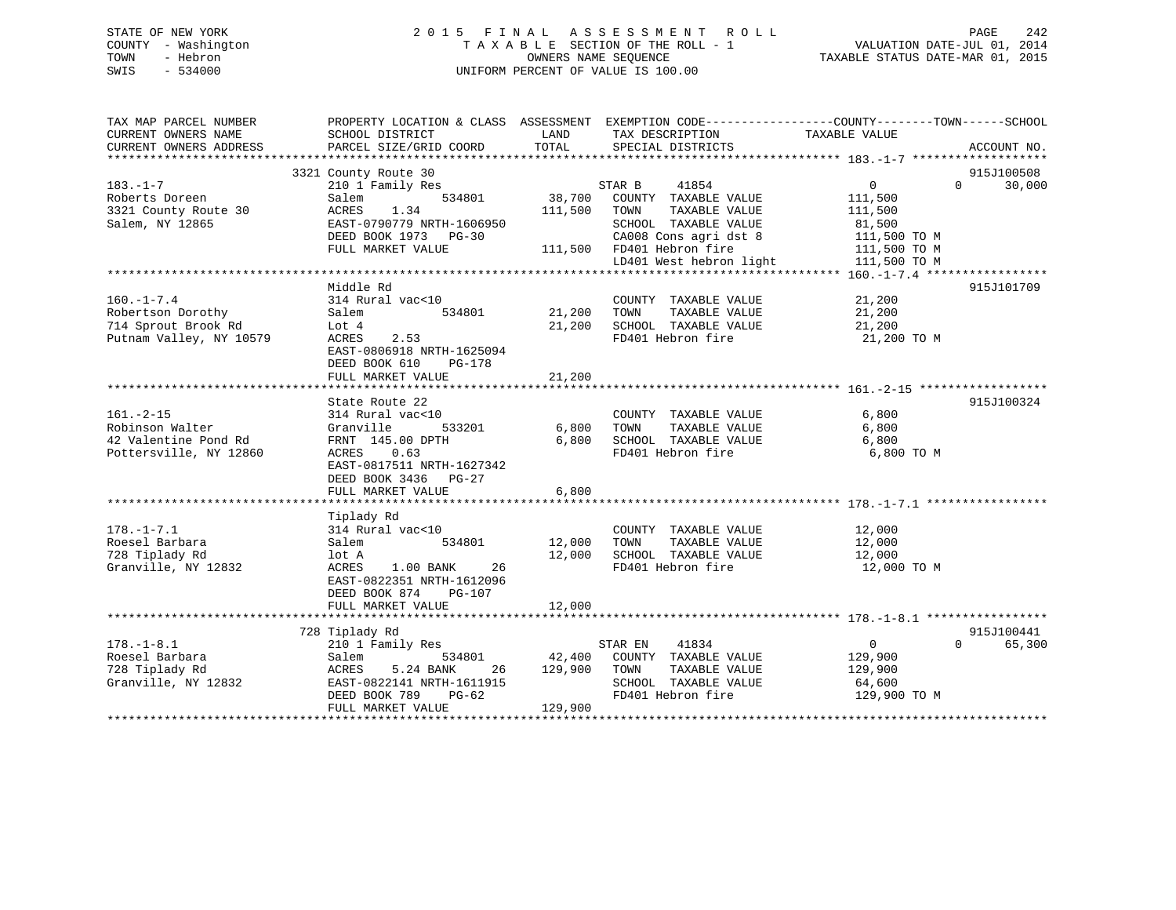## STATE OF NEW YORK 2 0 1 5 F I N A L A S S E S S M E N T R O L L PAGE 242 COUNTY - Washington T A X A B L E SECTION OF THE ROLL - 1 VALUATION DATE-JUL 01, 2014 TOWN - Hebron OWNERS NAME SEQUENCE TAXABLE STATUS DATE-MAR 01, 2015 SWIS - 534000 UNIFORM PERCENT OF VALUE IS 100.00

| TAX MAP PARCEL NUMBER<br>CURRENT OWNERS NAME | PROPERTY LOCATION & CLASS ASSESSMENT EXEMPTION CODE----------------COUNTY-------TOWN-----SCHOOL<br>SCHOOL DISTRICT | LAND              | TAX DESCRIPTION                               | TAXABLE VALUE                            |             |
|----------------------------------------------|--------------------------------------------------------------------------------------------------------------------|-------------------|-----------------------------------------------|------------------------------------------|-------------|
| CURRENT OWNERS ADDRESS                       | PARCEL SIZE/GRID COORD                                                                                             | TOTAL             | SPECIAL DISTRICTS                             |                                          | ACCOUNT NO. |
|                                              | 3321 County Route 30                                                                                               |                   |                                               |                                          | 915J100508  |
| $183. - 1 - 7$<br>Roberts Doreen             | 210 1 Family Res<br>Salem<br>534801                                                                                | 38,700            | 41854<br>STAR B<br>COUNTY TAXABLE VALUE       | $\Omega$<br>$0 \qquad \qquad$<br>111,500 | 30,000      |
| 3321 County Route 30                         | 1.34<br>ACRES                                                                                                      | 111,500           | TAXABLE VALUE<br>TOWN                         | 111,500                                  |             |
| Salem, NY 12865                              | EAST-0790779 NRTH-1606950                                                                                          |                   | SCHOOL TAXABLE VALUE                          | 81,500                                   |             |
|                                              | DEED BOOK 1973 PG-30                                                                                               |                   | CA008 Cons agri dst 8                         | 111,500 TO M                             |             |
|                                              | FULL MARKET VALUE                                                                                                  |                   | 111,500 FD401 Hebron fire                     | 111,500 TO M                             |             |
|                                              |                                                                                                                    |                   | LD401 West hebron light                       | 111,500 TO M                             |             |
|                                              | Middle Rd                                                                                                          |                   |                                               |                                          | 915J101709  |
| $160. - 1 - 7.4$                             | 314 Rural vac<10                                                                                                   |                   | COUNTY TAXABLE VALUE                          | 21,200                                   |             |
| Robertson Dorothy                            | 534801<br>Salem                                                                                                    | 21,200            | TAXABLE VALUE<br>TOWN                         | 21,200                                   |             |
| 714 Sprout Brook Rd                          | Lot 4                                                                                                              | 21,200            | SCHOOL TAXABLE VALUE                          | 21,200                                   |             |
| Putnam Valley, NY 10579                      | 2.53<br>ACRES                                                                                                      |                   | FD401 Hebron fire                             | 21,200 TO M                              |             |
|                                              | EAST-0806918 NRTH-1625094<br>DEED BOOK 610<br>PG-178                                                               |                   |                                               |                                          |             |
|                                              | FULL MARKET VALUE                                                                                                  | 21,200            |                                               |                                          |             |
|                                              |                                                                                                                    |                   |                                               |                                          |             |
|                                              | State Route 22                                                                                                     |                   |                                               |                                          | 915J100324  |
| $161. - 2 - 15$                              | 314 Rural vac<10                                                                                                   |                   | COUNTY TAXABLE VALUE                          | 6,800                                    |             |
| Robinson Walter                              | 533201<br>Granville                                                                                                | 6,800             | TAXABLE VALUE<br>TOWN                         | 6,800                                    |             |
| 42 Valentine Pond Rd                         | FRNT 145.00 DPTH                                                                                                   | 6,800             | SCHOOL TAXABLE VALUE                          | 6,800                                    |             |
| Pottersville, NY 12860                       | ACRES 0.63                                                                                                         |                   | FD401 Hebron fire                             | 6,800 TO M                               |             |
|                                              | EAST-0817511 NRTH-1627342                                                                                          |                   |                                               |                                          |             |
|                                              | DEED BOOK 3436 PG-27                                                                                               |                   |                                               |                                          |             |
|                                              | FULL MARKET VALUE                                                                                                  | 6,800             |                                               |                                          |             |
|                                              | Tiplady Rd                                                                                                         |                   |                                               |                                          |             |
| $178. - 1 - 7.1$                             | 314 Rural vac<10                                                                                                   |                   | COUNTY TAXABLE VALUE                          | 12,000                                   |             |
| Roesel Barbara                               | 534801<br>Salem                                                                                                    | 12,000            | TOWN<br>TAXABLE VALUE                         | 12,000                                   |             |
| 728 Tiplady Rd                               | lot A                                                                                                              | 12,000            | SCHOOL TAXABLE VALUE                          | 12,000                                   |             |
| Granville, NY 12832                          | ACRES<br>1.00 BANK<br>26                                                                                           |                   | FD401 Hebron fire                             | 12,000 TO M                              |             |
|                                              | EAST-0822351 NRTH-1612096                                                                                          |                   |                                               |                                          |             |
|                                              | DEED BOOK 874<br><b>PG-107</b>                                                                                     |                   |                                               |                                          |             |
|                                              | FULL MARKET VALUE                                                                                                  | 12,000            |                                               |                                          |             |
|                                              |                                                                                                                    |                   |                                               |                                          |             |
|                                              | 728 Tiplady Rd                                                                                                     |                   |                                               |                                          | 915J100441  |
| $178. - 1 - 8.1$                             | 210 1 Family Res                                                                                                   |                   | STAR EN<br>41834                              | $\overline{0}$<br>$\Omega$               | 65,300      |
| Roesel Barbara                               | 534801<br>Salem<br>26                                                                                              | 42,400<br>129,900 | COUNTY TAXABLE VALUE<br>TOWN<br>TAXABLE VALUE | 129,900                                  |             |
| 728 Tiplady Rd<br>Granville, NY 12832        | ACRES<br>5.24 BANK<br>EAST-0822141 NRTH-1611915                                                                    |                   | SCHOOL TAXABLE VALUE                          | 129,900<br>64,600                        |             |
|                                              | DEED BOOK 789<br>$PG-62$                                                                                           |                   | FD401 Hebron fire                             | 129,900 TO M                             |             |
|                                              | FULL MARKET VALUE                                                                                                  | 129,900           |                                               |                                          |             |
|                                              |                                                                                                                    |                   |                                               |                                          |             |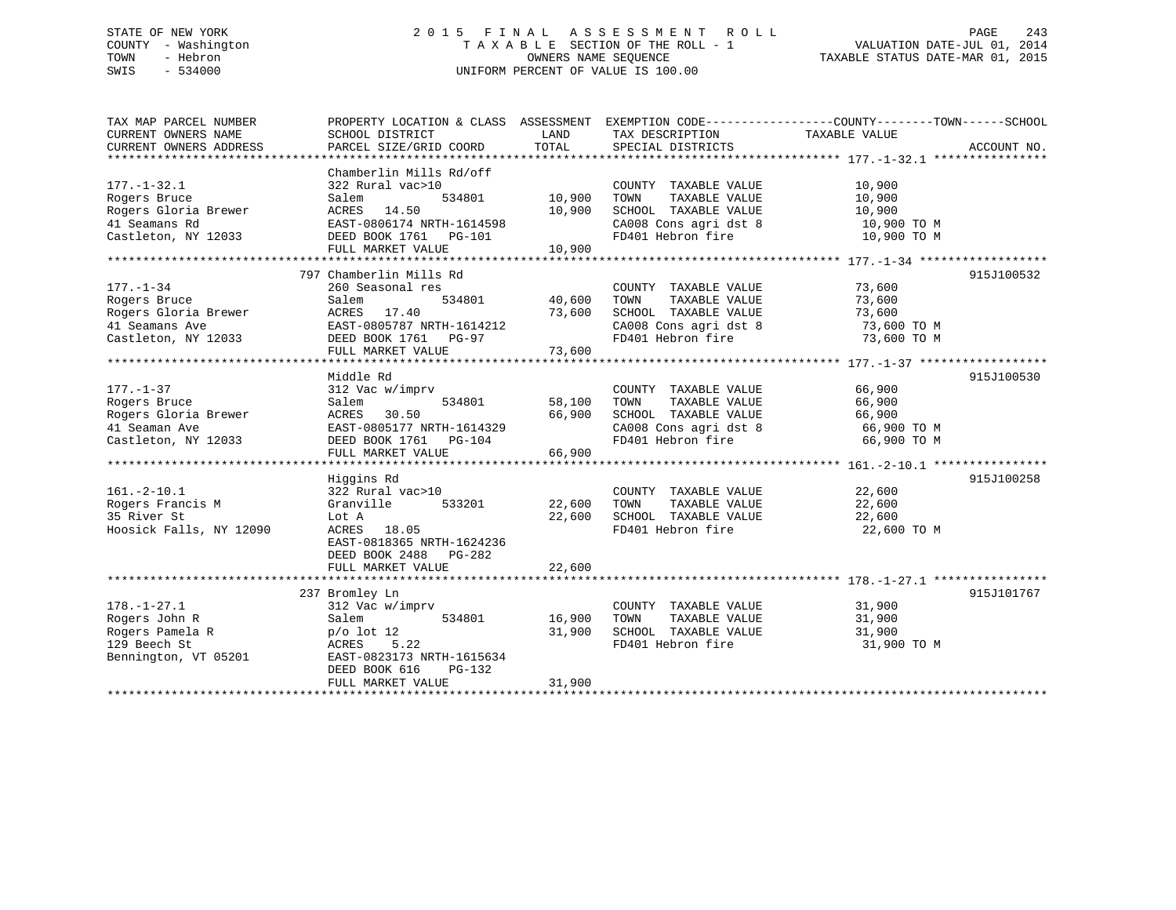## STATE OF NEW YORK 2 0 1 5 F I N A L A S S E S S M E N T R O L L PAGE 243 COUNTY - Washington T A X A B L E SECTION OF THE ROLL - 1 VALUATION DATE-JUL 01, 2014 TOWN - Hebron OWNERS NAME SEQUENCE TAXABLE STATUS DATE-MAR 01, 2015 SWIS - 534000 UNIFORM PERCENT OF VALUE IS 100.00

| TAX MAP PARCEL NUMBER                                    | PROPERTY LOCATION & CLASS ASSESSMENT EXEMPTION CODE---------------COUNTY-------TOWN-----SCHOOL |               |                                                                    |                            |             |
|----------------------------------------------------------|------------------------------------------------------------------------------------------------|---------------|--------------------------------------------------------------------|----------------------------|-------------|
| CURRENT OWNERS NAME                                      | SCHOOL DISTRICT                                                                                | LAND          | TAX DESCRIPTION                                                    | TAXABLE VALUE              |             |
| CURRENT OWNERS ADDRESS                                   | PARCEL SIZE/GRID COORD                                                                         | TOTAL         | SPECIAL DISTRICTS                                                  |                            | ACCOUNT NO. |
|                                                          |                                                                                                |               |                                                                    |                            |             |
|                                                          | Chamberlin Mills Rd/off                                                                        |               |                                                                    |                            |             |
| $177. - 1 - 32.1$                                        | 322 Rural vac>10                                                                               |               | COUNTY TAXABLE VALUE                                               | 10,900                     |             |
| Rogers Bruce                                             | Salem                                                                                          | 534801 10,900 | TOWN<br>TAXABLE VALUE                                              | 10,900                     |             |
| Rogers Gloria Brewer                                     | ACRES 14.50                                                                                    | 10,900        | SCHOOL TAXABLE VALUE                                               |                            |             |
| 41 Seamans Rd                                            | EAST-0806174 NRTH-1614598                                                                      |               |                                                                    | 10,900<br>10,900 TO M      |             |
| Castleton, NY 12033                                      | DEED BOOK 1761 PG-101<br>DEED BOOK 1761 PG-101                                                 |               | CA008 Cons agri dst 8 10,900 TO M<br>FD401 Hebron fire 10,900 TO M |                            |             |
|                                                          | FULL MARKET VALUE                                                                              | 10,900        |                                                                    |                            |             |
|                                                          |                                                                                                |               |                                                                    |                            |             |
|                                                          | 797 Chamberlin Mills Rd                                                                        |               |                                                                    |                            | 915J100532  |
| $177. - 1 - 34$                                          | 260 Seasonal res                                                                               |               |                                                                    |                            |             |
| Rogers Bruce                                             | 534801<br>Salem                                                                                | 40,600        | COUNTY TAXABLE VALUE<br>TOWN      TAXABLE VALUE                    | 73,600<br>73 600<br>73,600 |             |
|                                                          | ACRES 17.40                                                                                    | 73,600        |                                                                    |                            |             |
| Rogers Gloria Brewer<br>41 Seamans Ave<br>41 Seamans Ave | EAST-0805787 NRTH-1614212                                                                      |               | SCHOOL TAXABLE VALUE 73,600<br>CA008 Cons agri dst 8 73,600 TO M   |                            |             |
| Castleton, NY 12033 DEED BOOK 1761 PG-97                 |                                                                                                |               | CA008 Cons agri dst 8<br>- 101 Tehron fire                         | 73,600 TO M                |             |
|                                                          | FULL MARKET VALUE                                                                              | 73,600        |                                                                    |                            |             |
|                                                          |                                                                                                |               |                                                                    |                            |             |
|                                                          | Middle Rd                                                                                      |               |                                                                    |                            | 915J100530  |
| $177. - 1 - 37$                                          | 312 Vac w/imprv                                                                                |               |                                                                    |                            |             |
|                                                          |                                                                                                |               | COUNTY TAXABLE VALUE                                               | 66,900<br>66.900           |             |
| Rogers Bruce                                             | 534801<br>Salem                                                                                | 58,100        | TAXABLE VALUE<br>TOWN                                              | 66,900                     |             |
| Rogers Gloria Brewer                                     | ACRES 30.50                                                                                    | 66,900        | SCHOOL TAXABLE VALUE                                               | 66,900                     |             |
| 41 Seaman Ave                                            | EAST-0805177 NRTH-1614329                                                                      |               | CA008 Cons agri dst 8<br>FD401 Hebron fire                         | 66,900 TO M                |             |
| Castleton, NY 12033                                      | DEED BOOK 1761 PG-104                                                                          |               |                                                                    | 66,900 TO M                |             |
|                                                          | FULL MARKET VALUE                                                                              | 66,900        |                                                                    |                            |             |
|                                                          |                                                                                                |               |                                                                    |                            |             |
|                                                          | Higgins Rd                                                                                     |               |                                                                    |                            | 915J100258  |
| $161. - 2 - 10.1$                                        | 322 Rural vac>10                                                                               |               | COUNTY TAXABLE VALUE 22,600                                        |                            |             |
| Rogers Francis M                                         | Granville                                                                                      |               | 22,600 TOWN<br>TAXABLE VALUE                                       | 22,600                     |             |
| 35 River St                                              | Lot A                                                                                          | 22,600        | SCHOOL TAXABLE VALUE 22,600                                        |                            |             |
| Hoosick Falls, NY 12090                                  | ACRES 18.05                                                                                    |               | FD401 Hebron fire                                                  | 22,600 TO M                |             |
|                                                          | EAST-0818365 NRTH-1624236                                                                      |               |                                                                    |                            |             |
|                                                          | DEED BOOK 2488 PG-282                                                                          |               |                                                                    |                            |             |
|                                                          | FULL MARKET VALUE                                                                              | 22,600        |                                                                    |                            |             |
|                                                          |                                                                                                |               |                                                                    |                            |             |
|                                                          | 237 Bromley Ln                                                                                 |               |                                                                    |                            | 915J101767  |
| $178. - 1 - 27.1$                                        | 312 Vac w/imprv                                                                                |               | COUNTY TAXABLE VALUE                                               | 31,900                     |             |
| Rogers John R                                            | Salem                                                                                          | 534801 16,900 | TAXABLE VALUE<br>TOWN                                              | 31,900                     |             |
| Rogers Pamela R                                          | p/o lot 12                                                                                     | 31,900        | SCHOOL TAXABLE VALUE                                               | 31,900                     |             |
| 129 Beech St                                             | 5.22<br>ACRES                                                                                  |               | FD401 Hebron fire                                                  | 31,900 TO M                |             |
| Bennington, VT 05201                                     | EAST-0823173 NRTH-1615634                                                                      |               |                                                                    |                            |             |
|                                                          | DEED BOOK 616<br>PG-132                                                                        |               |                                                                    |                            |             |
|                                                          | FULL MARKET VALUE                                                                              | 31,900        |                                                                    |                            |             |
|                                                          |                                                                                                |               |                                                                    |                            |             |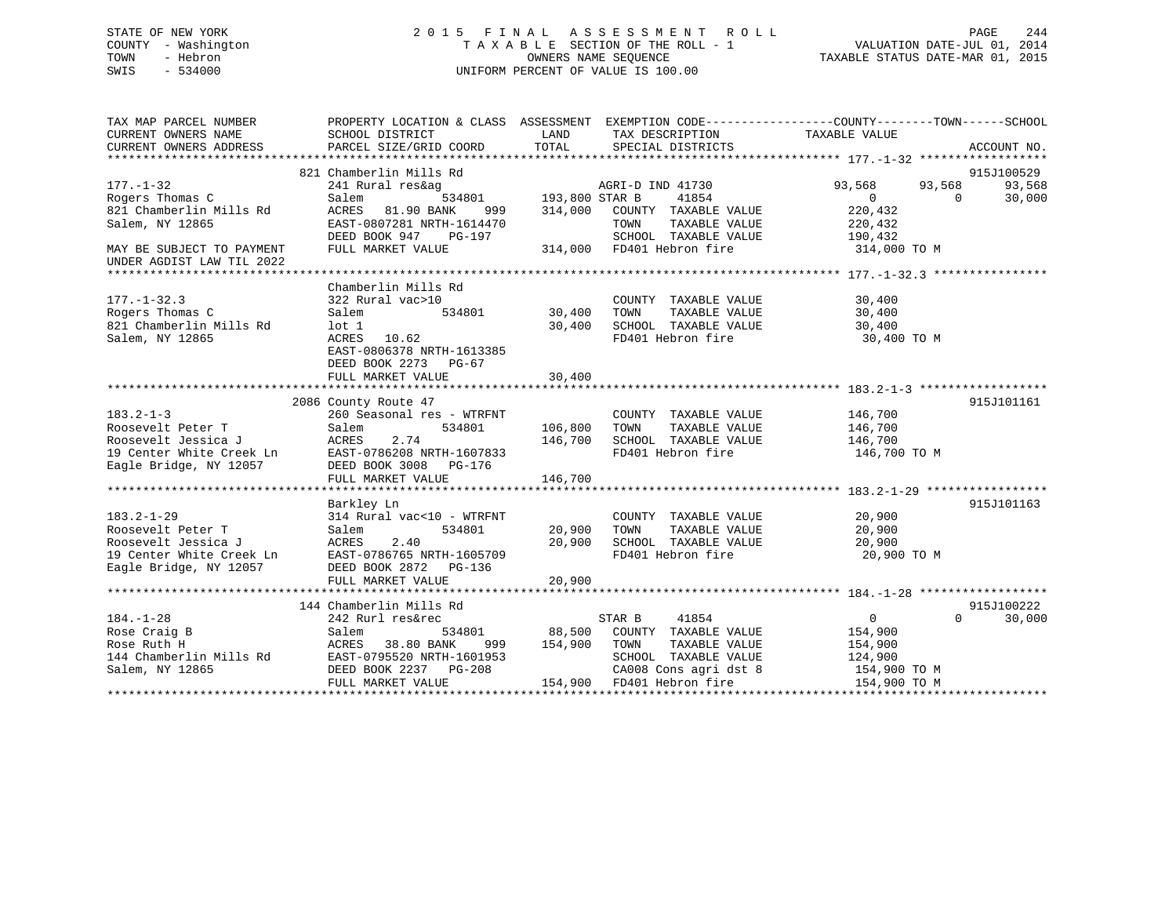## STATE OF NEW YORK 2 0 1 5 F I N A L A S S E S S M E N T R O L L PAGE 244 COUNTY - Washington T A X A B L E SECTION OF THE ROLL - 1 VALUATION DATE-JUL 01, 2014 TOWN - Hebron OWNERS NAME SEQUENCE TAXABLE STATUS DATE-MAR 01, 2015 SWIS - 534000 UNIFORM PERCENT OF VALUE IS 100.00

| TAX MAP PARCEL NUMBER<br>CURRENT OWNERS NAME<br>CURRENT OWNERS ADDRESS                                             | SCHOOL DISTRICT<br>PARCEL SIZE/GRID COORD                                                                                                                               | LAND<br>TAX DESCRIPTION<br>TOTAL<br>SPECIAL DISTRICTS                                                                                                               | PROPERTY LOCATION & CLASS ASSESSMENT EXEMPTION CODE---------------COUNTY-------TOWN------SCHOOL<br>TAXABLE VALUE<br>ACCOUNT NO. |
|--------------------------------------------------------------------------------------------------------------------|-------------------------------------------------------------------------------------------------------------------------------------------------------------------------|---------------------------------------------------------------------------------------------------------------------------------------------------------------------|---------------------------------------------------------------------------------------------------------------------------------|
| $177. - 1 - 32$<br>Rogers Thomas C<br>821 Chamberlin Mills Rd                                                      | 821 Chamberlin Mills Rd<br>241 Rural res&ag<br>Salem<br>81.90 BANK<br>ACRES<br>999                                                                                      | AGRI-D IND 41730<br>534801 193,800 STAR B<br>41854<br>314,000<br>COUNTY TAXABLE VALUE                                                                               | 915J100529<br>93,568<br>93,568<br>93,568<br>30,000<br>$\Omega$<br>$\Omega$<br>220,432                                           |
| Salem, NY 12865<br>MAY BE SUBJECT TO PAYMENT<br>UNDER AGDIST LAW TIL 2022                                          | EAST-0807281 NRTH-1614470<br>DEED BOOK 947<br>PG-197<br>FULL MARKET VALUE                                                                                               | TAXABLE VALUE<br>TOWN<br>SCHOOL TAXABLE VALUE<br>314,000 FD401 Hebron fire                                                                                          | 220,432<br>190,432<br>314,000 TO M                                                                                              |
| $177. - 1 - 32.3$<br>Rogers Thomas C<br>821 Chamberlin Mills Rd<br>Salem, NY 12865                                 | Chamberlin Mills Rd<br>322 Rural vac>10<br>534801<br>Salem<br>$1$ ot $1$<br>ACRES 10.62<br>EAST-0806378 NRTH-1613385<br>DEED BOOK 2273<br>PG-67<br>FULL MARKET VALUE    | COUNTY TAXABLE VALUE<br>30,400<br>TAXABLE VALUE<br>TOWN<br>30,400<br>FD401 Hebron fire<br>30,400                                                                    | 30,400<br>30,400<br>SCHOOL TAXABLE VALUE<br>30,400<br>30,400 TO M                                                               |
| $183.2 - 1 - 3$<br>Roosevelt Peter T<br>Roosevelt Jessica J<br>19 Center White Creek Ln<br>Eagle Bridge, NY 12057  | 2086 County Route 47<br>260 Seasonal res - WTRFNT<br>534801<br>Salem<br>ACRES<br>2.74<br>EAST-0786208 NRTH-1607833<br>DEED BOOK 3008 PG-176<br>FULL MARKET VALUE        | COUNTY TAXABLE VALUE<br>106,800<br>TOWN<br>TAXABLE VALUE<br>146,700<br>SCHOOL TAXABLE VALUE<br>FD401 Hebron fire<br>146,700                                         | 915J101161<br>146,700<br>146,700<br>146,700<br>146,700 TO M                                                                     |
| $183.2 - 1 - 29$<br>Roosevelt Peter T<br>Roosevelt Jessica J<br>19 Center White Creek Ln<br>Eagle Bridge, NY 12057 | Barkley Ln<br>314 Rural vac<10 - WTRFNT<br>Salem<br>534801<br>ACRES<br>2.40<br>EAST-0786765 NRTH-1605709<br>DEED BOOK 2872 PG-136<br>FULL MARKET VALUE                  | COUNTY TAXABLE VALUE<br>20,900<br>TOWN<br>TAXABLE VALUE<br>20,900<br>SCHOOL TAXABLE VALUE<br>FD401 Hebron fire<br>20,900                                            | 915J101163<br>20,900<br>20,900<br>20,900<br>20,900 TO M                                                                         |
| $184. - 1 - 28$<br>Rose Craig B<br>Rose Ruth H<br>144 Chamberlin Mills Rd<br>Salem, NY 12865                       | 144 Chamberlin Mills Rd<br>242 Rurl res&rec<br>Salem<br>534801<br>38.80 BANK<br>ACRES<br>999<br>EAST-0795520 NRTH-1601953<br>DEED BOOK 2237 PG-208<br>FULL MARKET VALUE | STAR B<br>41854<br>88,500<br>COUNTY TAXABLE VALUE<br>154,900<br>TOWN<br>TAXABLE VALUE<br>SCHOOL TAXABLE VALUE<br>CA008 Cons agri dst 8<br>154,900 FD401 Hebron fire | 915J100222<br>$\Omega$<br>$\Omega$<br>30,000<br>154,900<br>154,900<br>124,900<br>154,900 TO M<br>154,900 TO M                   |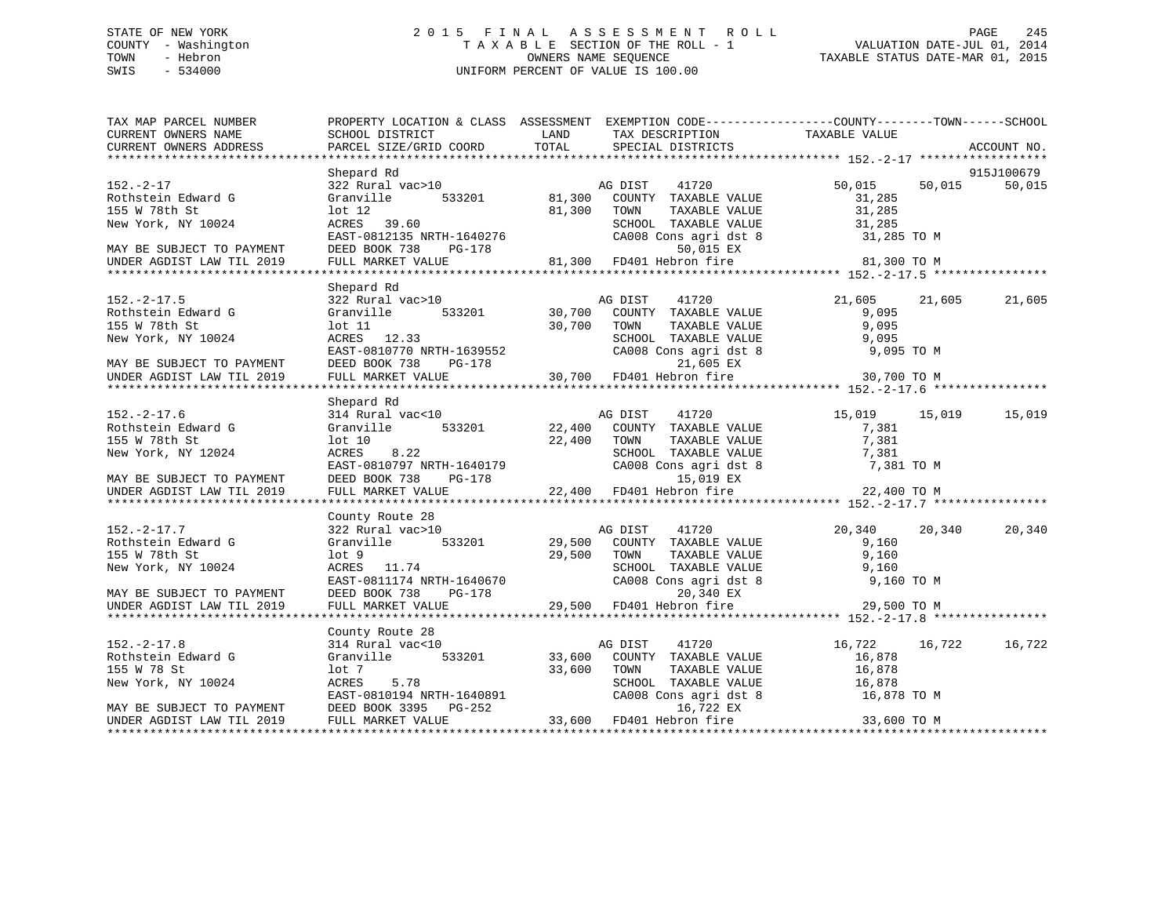## STATE OF NEW YORK 2 0 1 5 F I N A L A S S E S S M E N T R O L L PAGE 245 COUNTY - Washington T A X A B L E SECTION OF THE ROLL - 1 VALUATION DATE-JUL 01, 2014 TOWN - Hebron OWNERS NAME SEQUENCE TAXABLE STATUS DATE-MAR 01, 2015 SWIS - 534000 UNIFORM PERCENT OF VALUE IS 100.00

| TAX MAP PARCEL NUMBER<br>CURRENT OWNERS NAME                                 | PROPERTY LOCATION & CLASS ASSESSMENT EXEMPTION CODE---------------COUNTY-------TOWN-----SCHOOL<br>SCHOOL DISTRICT | LAND   | TAX DESCRIPTION                                                                  | TAXABLE VALUE    |                      |
|------------------------------------------------------------------------------|-------------------------------------------------------------------------------------------------------------------|--------|----------------------------------------------------------------------------------|------------------|----------------------|
| CURRENT OWNERS ADDRESS                                                       | PARCEL SIZE/GRID COORD                                                                                            | TOTAL  | SPECIAL DISTRICTS                                                                |                  | ACCOUNT NO.          |
|                                                                              |                                                                                                                   |        |                                                                                  |                  |                      |
| $152 - 2 - 17$                                                               | Shepard Rd<br>322 Rural vac>10                                                                                    |        | 41720<br>AG DIST                                                                 | 50,015 50,015    | 915J100679<br>50,015 |
| Rothstein Edward G                                                           | Granville 533201 81,300                                                                                           |        | COUNTY TAXABLE VALUE                                                             | 31,285           |                      |
| 155 W 78th St                                                                | $1$ ot $12$                                                                                                       | 81,300 | TOWN<br>TAXABLE VALUE                                                            | 31,285           |                      |
| New York, NY 10024                                                           | ACRES 39.60                                                                                                       |        | SCHOOL TAXABLE VALUE<br>CAOOL TAXABLE VALUE<br>CAOOR Cons agri dst 8 31,285 TO M |                  |                      |
|                                                                              | EAST-0812135 NRTH-1640276                                                                                         |        |                                                                                  |                  |                      |
| MAY BE SUBJECT TO PAYMENT                                                    | DEED BOOK 738<br>PG-178                                                                                           |        | 50,015 EX                                                                        |                  |                      |
| UNDER AGDIST LAW TIL 2019                                                    | FULL MARKET VALUE                                                                                                 |        | 81,300 FD401 Hebron fire                                                         | 81,300 TO M      |                      |
|                                                                              |                                                                                                                   |        |                                                                                  |                  |                      |
|                                                                              | Shepard Rd                                                                                                        |        |                                                                                  |                  |                      |
| $152. - 2 - 17.5$                                                            | 322 Rural vac>10                                                                                                  |        | 41720<br>AG DIST                                                                 | 21,605<br>21,605 | 21,605               |
| Rothstein Edward G                                                           | Granville 533201                                                                                                  |        | 30,700 COUNTY TAXABLE VALUE                                                      | 9,095            |                      |
| 155 W 78th St                                                                | $1$ ot $11$                                                                                                       | 30,700 | TAXABLE VALUE<br>TOWN                                                            | 9,095            |                      |
| New York, NY 10024                                                           | ACRES 12.33                                                                                                       |        | SCHOOL TAXABLE VALUE                                                             | 9,095            |                      |
|                                                                              | EAST-0810770 NRTH-1639552                                                                                         |        | CA008 Cons agri dst 8                                                            | 9,095 TO M       |                      |
| MAY BE SUBJECT TO PAYMENT                                                    | DEED BOOK 738<br>PG-178                                                                                           |        | 21,605 EX                                                                        |                  |                      |
| UNDER AGDIST LAW TIL 2019                                                    | FULL MARKET VALUE                                                                                                 |        | $30,700$ FD401 Hebron fire                                                       | 30,700 TO M      |                      |
|                                                                              |                                                                                                                   |        |                                                                                  |                  |                      |
|                                                                              | Shepard Rd                                                                                                        |        |                                                                                  |                  |                      |
| $152. - 2 - 17.6$                                                            | 314 Rural vac<10                                                                                                  |        | 41720<br>AG DIST                                                                 | 15,019 15,019    | 15,019               |
| Rothstein Edward G                                                           | Granville 533201                                                                                                  |        | 22,400 COUNTY TAXABLE VALUE                                                      | 7,381            |                      |
| 155 W 78th St                                                                | lot 10                                                                                                            | 22,400 | TAXABLE VALUE<br>TOWN                                                            | 7,381            |                      |
| New York, NY 12024                                                           | 8.22<br>ACRES                                                                                                     |        | SCHOOL TAXABLE VALUE                                                             | 7,381            |                      |
|                                                                              | EAST-0810797 NRTH-1640179                                                                                         |        | CA008 Cons agri dst 8                                                            | 7,381 TO M       |                      |
|                                                                              |                                                                                                                   |        |                                                                                  |                  |                      |
|                                                                              |                                                                                                                   |        |                                                                                  |                  |                      |
|                                                                              |                                                                                                                   |        |                                                                                  |                  |                      |
|                                                                              | County Route 28                                                                                                   |        |                                                                                  |                  |                      |
| $152. - 2 - 17.7$                                                            | 322 Rural vac>10                                                                                                  |        |                                                                                  | 20,340<br>20,340 | 20,340               |
| Rothstein Edward G                                                           | Granville 533201                                                                                                  |        | AG DIST 41/20<br>29,500 COUNTY TAXABLE VALUE                                     | 9,160            |                      |
| 155 W 78th St                                                                | $1$ ot $9$                                                                                                        | 29,500 | TAXABLE VALUE<br>TOWN                                                            | 9,160            |                      |
| New York, NY 10024                                                           | ACRES 11.74                                                                                                       |        | SCHOOL TAXABLE VALUE                                                             | 9,160            |                      |
|                                                                              | EAST-0811174 NRTH-1640670                                                                                         |        | CA008 Cons agri dst 8                                                            | 9,160 TO M       |                      |
|                                                                              |                                                                                                                   |        |                                                                                  |                  |                      |
|                                                                              |                                                                                                                   |        |                                                                                  |                  |                      |
|                                                                              |                                                                                                                   |        |                                                                                  |                  |                      |
|                                                                              | County Route 28                                                                                                   |        |                                                                                  |                  |                      |
| $152. - 2 - 17.8$                                                            | 314 Rural vac<10                                                                                                  |        | 41720<br>AG DIST                                                                 | 16,722<br>16,722 | 16,722               |
| Rothstein Edward G                                                           | Granville 533201                                                                                                  | 33,600 | COUNTY TAXABLE VALUE                                                             | 16,878           |                      |
| 155 W 78 St                                                                  | lot 7                                                                                                             | 33,600 | TOWN<br>TAXABLE VALUE                                                            | 16,878           |                      |
| New York, NY 10024                                                           | 5.78<br>ACRES                                                                                                     |        | SCHOOL TAXABLE VALUE                                                             | 16,878           |                      |
|                                                                              | EAST-0810194 NRTH-1640891                                                                                         |        | CA008 Cons agri dst 8                                                            | 16,878 TO M      |                      |
| EASI-0010194 NKIN-1040091<br>MAY BE SUBJECT TO PAYMENT DEED BOOK 3395 PG-252 |                                                                                                                   |        | 16,722 EX                                                                        |                  |                      |
| UNDER AGDIST LAW TIL 2019                                                    | FULL MARKET VALUE                                                                                                 |        | $33,600$ FD401 Hebron fire                                                       | 33,600 TO M      |                      |
|                                                                              |                                                                                                                   |        |                                                                                  |                  |                      |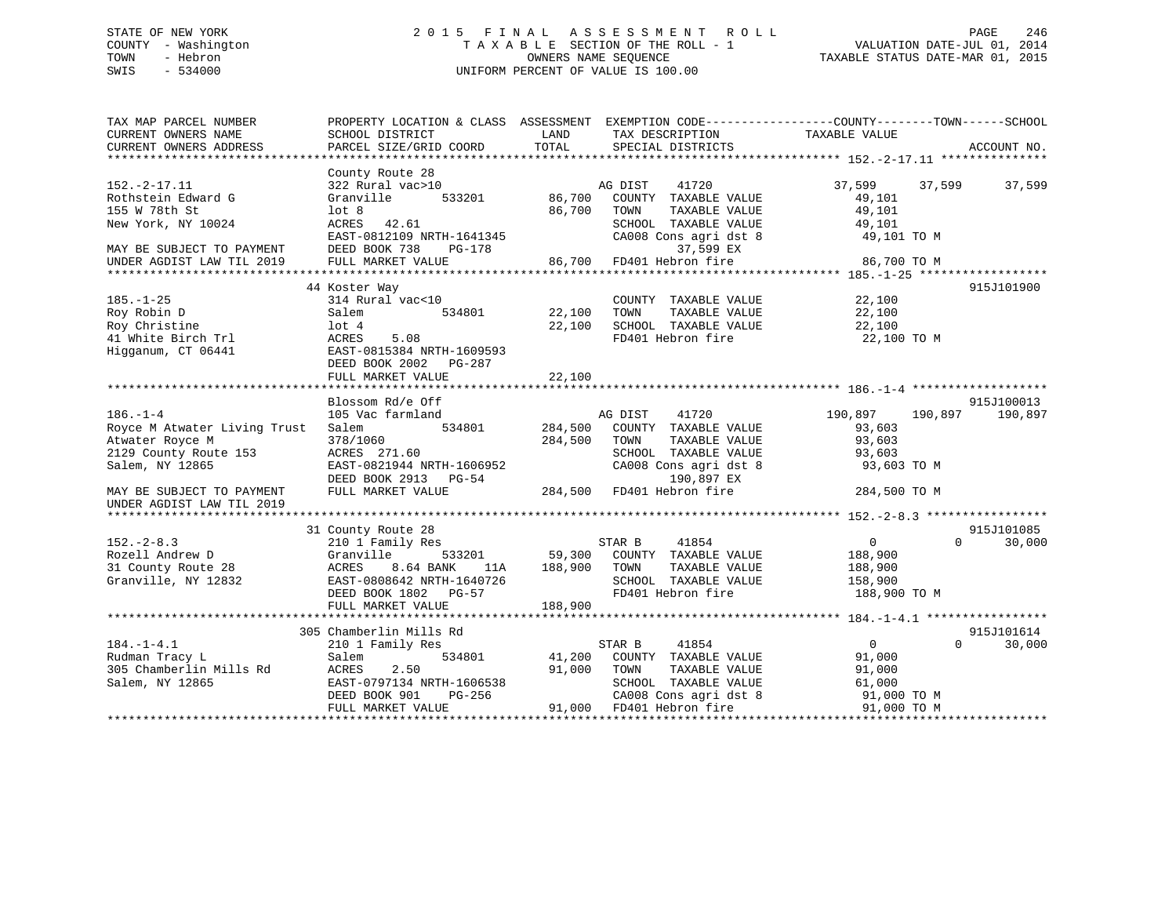## STATE OF NEW YORK 2 0 1 5 F I N A L A S S E S S M E N T R O L L PAGE 246 COUNTY - Washington T A X A B L E SECTION OF THE ROLL - 1 VALUATION DATE-JUL 01, 2014 TOWN - Hebron OWNERS NAME SEQUENCE TAXABLE STATUS DATE-MAR 01, 2015 SWIS - 534000 UNIFORM PERCENT OF VALUE IS 100.00

| TAX MAP PARCEL NUMBER<br>CURRENT OWNERS NAME                                                                                                                            | PROPERTY LOCATION & CLASS ASSESSMENT EXEMPTION CODE---------------COUNTY-------TOWN-----SCHOOL<br>SCHOOL DISTRICT                                   | LAND                      | TAX DESCRIPTION                                                                                                                                                                                     | TAXABLE VALUE                                                              |                                  |
|-------------------------------------------------------------------------------------------------------------------------------------------------------------------------|-----------------------------------------------------------------------------------------------------------------------------------------------------|---------------------------|-----------------------------------------------------------------------------------------------------------------------------------------------------------------------------------------------------|----------------------------------------------------------------------------|----------------------------------|
| CURRENT OWNERS ADDRESS                                                                                                                                                  | PARCEL SIZE/GRID COORD                                                                                                                              | TOTAL                     | SPECIAL DISTRICTS                                                                                                                                                                                   |                                                                            | ACCOUNT NO.                      |
|                                                                                                                                                                         |                                                                                                                                                     |                           |                                                                                                                                                                                                     |                                                                            |                                  |
| $152.-2-17.11$<br>Rothstein Edward G<br>155 W 78th St<br>New York, NY 10024<br>MAY BE SUBJECT TO PAYMENT                                                                | County Route 28<br>322 Rural vac>10<br>Granville<br>lot <sub>8</sub><br>ACRES 42.61<br>EAST-0812109 NRTH-1641345<br>DEED BOOK 738<br>PG-178         | AG DIST<br>86,700         | 41720<br>533201 86,700 COUNTY TAXABLE VALUE<br>TOWN<br>TAXABLE VALUE<br>SCHOOL TAXABLE VALUE<br>CA008 Cons agri dst 8<br>37,599 EX                                                                  | 37,599 37,599<br>49,101<br>49,101<br>49,101<br>49,101 TO M                 | 37,599                           |
| UNDER AGDIST LAW TIL 2019                                                                                                                                               | FULL MARKET VALUE                                                                                                                                   |                           | 86,700 FD401 Hebron fire                                                                                                                                                                            | 86,700 TO M                                                                |                                  |
| $185. - 1 - 25$<br>Roy Robin D<br>Roy Christine<br>41 White Birch Trl<br>Higganum, CT 06441                                                                             | 44 Koster Way<br>314 Rural vac<10<br>Salem<br>lot <sub>4</sub><br>ACRES<br>5.08<br>EAST-0815384 NRTH-1609593<br>DEED BOOK 2002 PG-287               | 534801 22,100<br>22,100   | COUNTY TAXABLE VALUE 22,100<br>TOWN<br>TAXABLE VALUE<br>SCHOOL TAXABLE VALUE<br>FD401 Hebron fire                                                                                                   | 22,100<br>22,100<br>22,100 TO M                                            | 915J101900                       |
|                                                                                                                                                                         | FULL MARKET VALUE                                                                                                                                   | 22,100                    |                                                                                                                                                                                                     |                                                                            |                                  |
| $186. - 1 - 4$<br>Royce M Atwater Living Trust<br>Atwater Royce M<br>2129 County Route 153<br>Salem, NY 12865<br>MAY BE SUBJECT TO PAYMENT<br>UNDER AGDIST LAW TIL 2019 | Blossom Rd/e Off<br>105 Vac farmland<br>Salem<br>378/1060<br>ACRES 271.60<br>EAST-0821944 NRTH-1606952<br>DEED BOOK 2913 PG-54<br>FULL MARKET VALUE | 534801 284,500<br>284,500 | AG DIST 41720<br>COUNTY TAXABLE VALUE<br>TOWN<br>TAXABLE VALUE<br>TOWN      TAXABLE VALUE<br>SCHOOL   TAXABLE VALUE<br>CA008 Cons agri dst 8 93,603 TO M<br>190,897 EX<br>284,500 FD401 Hebron fire | 190,897<br>190,897<br>93,603<br>93,603<br>93,603<br>284,500 TO M           | 915J100013<br>190,897            |
|                                                                                                                                                                         |                                                                                                                                                     |                           |                                                                                                                                                                                                     |                                                                            |                                  |
| $152. - 2 - 8.3$<br>Rozell Andrew D<br>31 County Route 28<br>Granville, NY 12832                                                                                        | 31 County Route 28<br>210 1 Family Res<br>Granville<br>ACRES<br>8.64 BANK<br>EAST-0808642 NRTH-1640726<br>DEED BOOK 1802 PG-57<br>FULL MARKET VALUE | 188,900                   | 41854<br>STAR B<br>533201 59,300 COUNTY TAXABLE VALUE<br>ANK 11A 188,900 TOWN TAXABLE VALUE<br>SCHOOL TAXABLE VALUE 158,900<br>FD401 Hebron fire                                                    | $\overline{0}$<br>188,900<br>188,900<br>188,900 TO M                       | 915J101085<br>$\Omega$<br>30,000 |
|                                                                                                                                                                         | 305 Chamberlin Mills Rd                                                                                                                             |                           |                                                                                                                                                                                                     |                                                                            | 915J101614                       |
| $184. - 1 - 4.1$<br>Rudman Tracy L<br>305 Chamberlin Mills Rd<br>Salem, NY 12865                                                                                        | 210 1 Family Res<br>534801<br>Salem<br>2.50<br>ACRES<br>EAST-0797134 NRTH-1606538<br>DEED BOOK 901<br>PG-256<br>FULL MARKET VALUE                   |                           | STAR B<br>41854<br>41,200 COUNTY TAXABLE VALUE<br>91,000 TOWN<br>TAXABLE VALUE<br>SCHOOL TAXABLE VALUE<br>CA008 Cons agri dst 8<br>91,000 FD401 Hebron fire                                         | $\overline{0}$<br>91,000<br>91,000<br>61,000<br>91,000 TO M<br>91,000 TO M | $\Omega$<br>30,000               |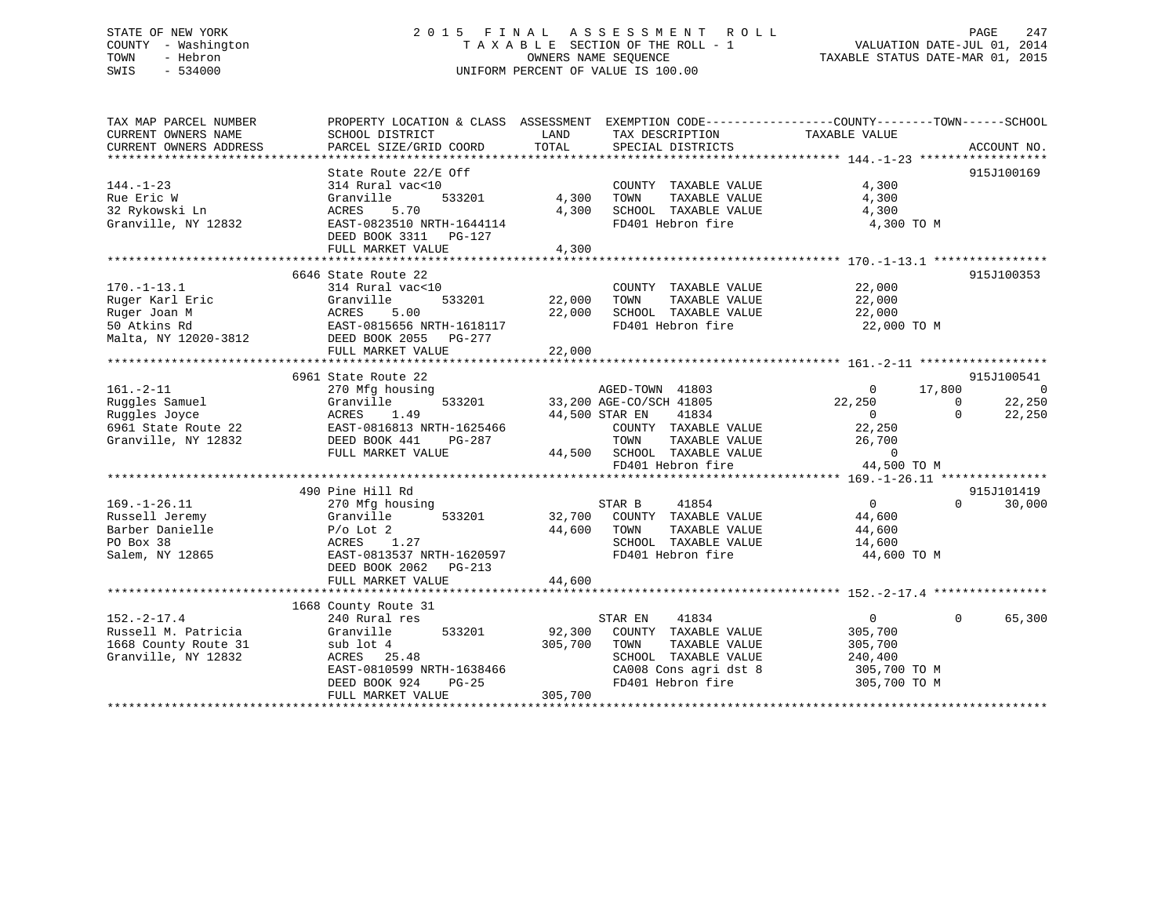## STATE OF NEW YORK 2 0 1 5 F I N A L A S S E S S M E N T R O L L PAGE 247 COUNTY - Washington T A X A B L E SECTION OF THE ROLL - 1 VALUATION DATE-JUL 01, 2014 TOWN - Hebron OWNERS NAME SEQUENCE TAXABLE STATUS DATE-MAR 01, 2015 SWIS - 534000 UNIFORM PERCENT OF VALUE IS 100.00

| TAX MAP PARCEL NUMBER  |                                            | PROPERTY LOCATION & CLASS ASSESSMENT EXEMPTION CODE---------------COUNTY-------TOWN-----SCHOOL |                                      |
|------------------------|--------------------------------------------|------------------------------------------------------------------------------------------------|--------------------------------------|
| CURRENT OWNERS NAME    | SCHOOL DISTRICT                            | LAND<br>TAX DESCRIPTION                                                                        | TAXABLE VALUE                        |
| CURRENT OWNERS ADDRESS | PARCEL SIZE/GRID COORD                     | TOTAL<br>SPECIAL DISTRICTS                                                                     | ACCOUNT NO.                          |
|                        |                                            |                                                                                                |                                      |
|                        | State Route 22/E Off                       |                                                                                                | 915J100169                           |
| $144. - 1 - 23$        | 314 Rural vac<10                           | COUNTY TAXABLE VALUE                                                                           | 4,300                                |
| Rue Eric W             | Granville<br>533201                        | 4,300<br>TOWN<br>TAXABLE VALUE                                                                 | 4,300                                |
| 32 Rykowski Ln         | 5.70<br>ACRES                              | 4,300<br>SCHOOL TAXABLE VALUE                                                                  | 4,300                                |
| Granville, NY 12832    | EAST-0823510 NRTH-1644114                  | FD401 Hebron fire                                                                              | 4,300 TO M                           |
|                        | DEED BOOK 3311 PG-127                      |                                                                                                |                                      |
|                        | FULL MARKET VALUE                          | 4,300                                                                                          |                                      |
|                        | 6646 State Route 22                        |                                                                                                | 915J100353                           |
| $170. - 1 - 13.1$      | 314 Rural vac<10                           | COUNTY TAXABLE VALUE                                                                           | 22,000                               |
| Ruger Karl Eric        | 533201<br>Granville                        | 22,000<br>TAXABLE VALUE<br>TOWN                                                                | 22,000                               |
| Ruger Joan M           | 5.00<br>ACRES                              | 22,000<br>SCHOOL TAXABLE VALUE                                                                 | 22,000                               |
| 50 Atkins Rd           | EAST-0815656 NRTH-1618117                  | FD401 Hebron fire                                                                              | 22,000 TO M                          |
|                        |                                            |                                                                                                |                                      |
| Malta, NY 12020-3812   | DEED BOOK 2055 PG-277<br>FULL MARKET VALUE | 22,000                                                                                         |                                      |
|                        |                                            |                                                                                                |                                      |
|                        | 6961 State Route 22                        |                                                                                                | 915J100541                           |
| $161. - 2 - 11$        | 270 Mfg housing                            | AGED-TOWN 41803                                                                                | 17,800<br>$\Omega$<br>- 0            |
| Ruggles Samuel         | Granville<br>533201                        |                                                                                                | 22,250<br>22,250<br>$\Omega$         |
| Ruggles Joyce          | 1.49                                       | 33,200 AGE-CO/SCH 41805                                                                        | 22,250<br>$\overline{0}$<br>$\Omega$ |
| 6961 State Route 22    | ACRES<br>EAST-0816813 NRTH-1625466         | 44,500 STAR EN<br>41834<br>COUNTY TAXABLE VALUE                                                | 22,250                               |
|                        | PG-287                                     | TOWN                                                                                           |                                      |
| Granville, NY 12832    | DEED BOOK 441<br>FULL MARKET VALUE         | TAXABLE VALUE<br>44,500 SCHOOL TAXABLE VALUE                                                   | 26,700                               |
|                        |                                            |                                                                                                | $\overline{0}$                       |
|                        |                                            | FD401 Hebron fire                                                                              | 44,500 TO M                          |
|                        | 490 Pine Hill Rd                           |                                                                                                | 915J101419                           |
| $169. - 1 - 26.11$     | 270 Mfg housing                            | STAR B<br>41854                                                                                | $\overline{0}$<br>$\Omega$<br>30,000 |
| Russell Jeremy         | 533201<br>Granville                        | 32,700 COUNTY TAXABLE VALUE                                                                    | 44,600                               |
| Barber Danielle        | $P/O$ Lot 2                                | 44,600<br>TOWN<br>TAXABLE VALUE                                                                | 44,600                               |
| PO Box 38              | 1.27<br>ACRES                              | SCHOOL TAXABLE VALUE                                                                           | 14,600                               |
| Salem, NY 12865        | EAST-0813537 NRTH-1620597                  | FD401 Hebron fire                                                                              | 44,600 TO M                          |
|                        | DEED BOOK 2062 PG-213                      |                                                                                                |                                      |
|                        | FULL MARKET VALUE                          | 44,600                                                                                         |                                      |
|                        |                                            |                                                                                                |                                      |
|                        | 1668 County Route 31                       |                                                                                                |                                      |
| $152. - 2 - 17.4$      | 240 Rural res                              | 41834<br>STAR EN                                                                               | $\Omega$<br>$\Omega$<br>65,300       |
| Russell M. Patricia    | Granville<br>533201                        | 92,300<br>COUNTY TAXABLE VALUE                                                                 | 305,700                              |
| 1668 County Route 31   | sub lot 4                                  | 305,700<br>TAXABLE VALUE<br>TOWN                                                               | 305,700                              |
| Granville, NY 12832    | ACRES 25.48                                | SCHOOL TAXABLE VALUE                                                                           | 240,400                              |
|                        | EAST-0810599 NRTH-1638466                  | CA008 Cons agri dst 8                                                                          | 305,700 TO M                         |
|                        | DEED BOOK 924<br>$PG-25$                   | FD401 Hebron fire                                                                              | 305,700 TO M                         |
|                        | FULL MARKET VALUE                          | 305,700                                                                                        |                                      |
|                        |                                            |                                                                                                |                                      |
|                        |                                            |                                                                                                |                                      |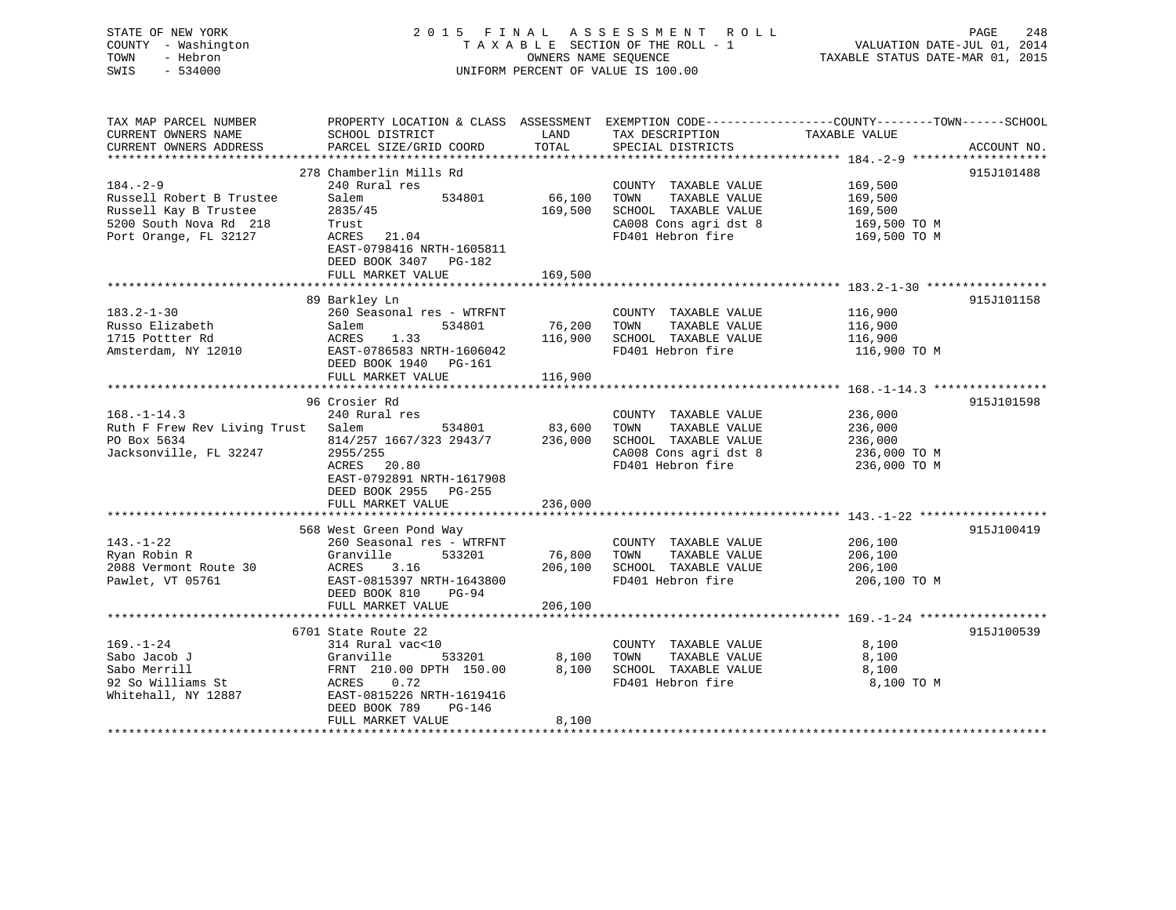| 248                              |
|----------------------------------|
| VALUATION DATE-JUL 01, 2014      |
| TAXABLE STATUS DATE-MAR 01, 2015 |
|                                  |
|                                  |
|                                  |
|                                  |

| TAX MAP PARCEL NUMBER<br>CURRENT OWNERS NAME      | PROPERTY LOCATION & CLASS ASSESSMENT EXEMPTION CODE---------------COUNTY-------TOWN-----SCHOOL<br>SCHOOL DISTRICT | LAND              | TAX DESCRIPTION                               | TAXABLE VALUE                                                      |             |
|---------------------------------------------------|-------------------------------------------------------------------------------------------------------------------|-------------------|-----------------------------------------------|--------------------------------------------------------------------|-------------|
| CURRENT OWNERS ADDRESS                            | PARCEL SIZE/GRID COORD                                                                                            | TOTAL             | SPECIAL DISTRICTS                             |                                                                    | ACCOUNT NO. |
|                                                   | 278 Chamberlin Mills Rd                                                                                           |                   |                                               |                                                                    | 915J101488  |
| $184. - 2 - 9$                                    | 240 Rural res                                                                                                     |                   | COUNTY TAXABLE VALUE 169,500                  |                                                                    |             |
| Russell Robert B Trustee<br>Russell Kay B Trustee | 534801<br>Salem<br>2835/45                                                                                        | 66,100<br>169,500 | TOWN<br>TAXABLE VALUE<br>SCHOOL TAXABLE VALUE | 169,500<br>169,500                                                 |             |
| 5200 South Nova Rd 218                            | Trust                                                                                                             |                   | CA008 Cons agri dst 8                         | 169,500 TO M                                                       |             |
| Port Orange, FL 32127                             | ACRES 21.04                                                                                                       |                   | FD401 Hebron fire                             | 169,500 ТО М                                                       |             |
|                                                   | EAST-0798416 NRTH-1605811<br>DEED BOOK 3407 PG-182                                                                |                   |                                               |                                                                    |             |
|                                                   | FULL MARKET VALUE                                                                                                 | 169,500           |                                               |                                                                    |             |
|                                                   | 89 Barkley Ln                                                                                                     |                   |                                               |                                                                    | 915J101158  |
| $183.2 - 1 - 30$                                  | 260 Seasonal res - WTRFNT                                                                                         |                   | COUNTY TAXABLE VALUE                          | 116,900                                                            |             |
| Russo Elizabeth                                   | 534801<br>Salem                                                                                                   | 76,200            | TOWN<br>TAXABLE VALUE                         | 116,900                                                            |             |
| 1715 Pottter Rd                                   | ACRES<br>1.33                                                                                                     | 116,900           | SCHOOL TAXABLE VALUE                          | 116,900                                                            |             |
| Amsterdam, NY 12010 EAST-0786583 NRTH-1606042     |                                                                                                                   |                   | FD401 Hebron fire                             | 116,900 TO M                                                       |             |
|                                                   | DEED BOOK 1940 PG-161                                                                                             |                   |                                               |                                                                    |             |
|                                                   | FULL MARKET VALUE                                                                                                 | 116,900           |                                               |                                                                    |             |
|                                                   |                                                                                                                   |                   |                                               |                                                                    |             |
|                                                   | 96 Crosier Rd                                                                                                     |                   |                                               |                                                                    | 915J101598  |
| $168. - 1 - 14.3$                                 | 240 Rural res                                                                                                     |                   | COUNTY TAXABLE VALUE                          | 236,000                                                            |             |
| Ruth F Frew Rev Living Trust Salem                | $534801$ 83,600                                                                                                   |                   | TOWN<br>TAXABLE VALUE                         | 236,000                                                            |             |
| PO Box 5634                                       | 814/257 1667/323 2943/7 236,000                                                                                   |                   |                                               | SCHOOL TAXABLE VALUE 236,000<br>CA008 Cons agri dst 8 236,000 TO M |             |
| Jacksonville, FL 32247                            | 2955/255                                                                                                          |                   |                                               |                                                                    |             |
|                                                   | ACRES 20.80                                                                                                       |                   | FD401 Hebron fire 236,000 TO M                |                                                                    |             |
|                                                   | EAST-0792891 NRTH-1617908                                                                                         |                   |                                               |                                                                    |             |
|                                                   | DEED BOOK 2955 PG-255                                                                                             |                   |                                               |                                                                    |             |
|                                                   | FULL MARKET VALUE                                                                                                 | 236,000           |                                               |                                                                    |             |
|                                                   | 568 West Green Pond Way                                                                                           |                   |                                               |                                                                    | 915J100419  |
| $143. - 1 - 22$                                   | 260 Seasonal res - WTRFNT                                                                                         |                   | COUNTY TAXABLE VALUE                          | 206,100                                                            |             |
| Ryan Robin R                                      | Granville<br>533201                                                                                               | 76,800 TOWN       | TAXABLE VALUE                                 | 206,100                                                            |             |
| 2088 Vermont Route 30                             | 206,100<br>ACRES<br>3.16                                                                                          |                   | SCHOOL TAXABLE VALUE                          | 206,100                                                            |             |
| Pawlet, VT 05761                                  | EAST-0815397 NRTH-1643800                                                                                         |                   | FD401 Hebron fire                             | 206,100 TO M                                                       |             |
|                                                   | DEED BOOK 810 PG-94                                                                                               |                   |                                               |                                                                    |             |
|                                                   | FULL MARKET VALUE                                                                                                 | 206,100           |                                               |                                                                    |             |
|                                                   |                                                                                                                   |                   |                                               |                                                                    |             |
|                                                   | 6701 State Route 22                                                                                               |                   |                                               |                                                                    | 915J100539  |
| $169. - 1 - 24$                                   | 314 Rural vac<10                                                                                                  |                   | COUNTY TAXABLE VALUE                          | 8,100                                                              |             |
| Sabo Jacob J                                      | 533201 8,100                                                                                                      |                   | TAXABLE VALUE<br>TOWN                         | 8,100                                                              |             |
| Sabo Merrill                                      |                                                                                                                   | 8,100             | SCHOOL TAXABLE VALUE                          | 8,100                                                              |             |
| 92 So Williams St                                 |                                                                                                                   |                   | FD401 Hebron fire                             | 8,100 TO M                                                         |             |
| Whitehall, NY 12887                               | Granville 533201<br>FRNT 210.00 DPTH 150.00<br>ACRES 0.72<br>EAST-0815226 NRTH-1619416                            |                   |                                               |                                                                    |             |
|                                                   | DEED BOOK 789<br>PG-146                                                                                           |                   |                                               |                                                                    |             |
|                                                   | FULL MARKET VALUE                                                                                                 | 8,100             |                                               |                                                                    |             |
|                                                   |                                                                                                                   |                   |                                               |                                                                    |             |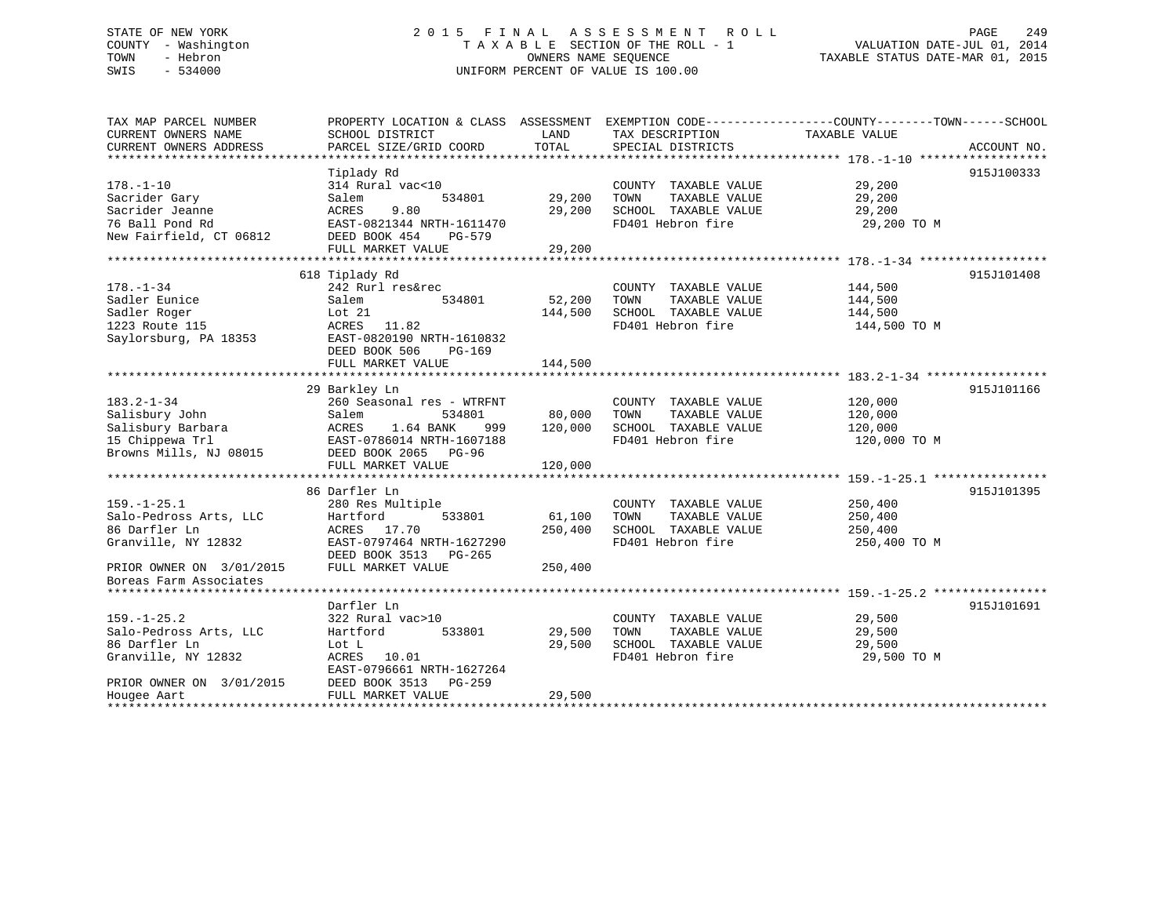## STATE OF NEW YORK 2 0 1 5 F I N A L A S S E S S M E N T R O L L PAGE 249 COUNTY - Washington T A X A B L E SECTION OF THE ROLL - 1 VALUATION DATE-JUL 01, 2014 TOWN - Hebron OWNERS NAME SEQUENCE TAXABLE STATUS DATE-MAR 01, 2015 SWIS - 534000 UNIFORM PERCENT OF VALUE IS 100.00

| TAX MAP PARCEL NUMBER    | PROPERTY LOCATION & CLASS ASSESSMENT |         | EXEMPTION CODE-----------------COUNTY-------TOWN------SCHOOL |               |             |
|--------------------------|--------------------------------------|---------|--------------------------------------------------------------|---------------|-------------|
| CURRENT OWNERS NAME      | SCHOOL DISTRICT                      | LAND    | TAX DESCRIPTION                                              | TAXABLE VALUE |             |
| CURRENT OWNERS ADDRESS   | PARCEL SIZE/GRID COORD               | TOTAL   | SPECIAL DISTRICTS                                            |               | ACCOUNT NO. |
|                          |                                      |         |                                                              |               |             |
|                          | Tiplady Rd                           |         |                                                              |               | 915J100333  |
| $178. - 1 - 10$          | 314 Rural vac<10                     |         | COUNTY TAXABLE VALUE                                         | 29,200        |             |
| Sacrider Gary            | 534801<br>Salem                      | 29,200  | TOWN<br>TAXABLE VALUE                                        | 29,200        |             |
| Sacrider Jeanne          | ACRES<br>9.80                        | 29,200  | SCHOOL TAXABLE VALUE                                         | 29,200        |             |
|                          |                                      |         | FD401 Hebron fire                                            |               |             |
| 76 Ball Pond Rd          | EAST-0821344 NRTH-1611470            |         |                                                              | 29,200 TO M   |             |
| New Fairfield, CT 06812  | DEED BOOK 454<br>PG-579              |         |                                                              |               |             |
|                          | FULL MARKET VALUE                    | 29,200  |                                                              |               |             |
|                          |                                      |         |                                                              |               |             |
|                          | 618 Tiplady Rd                       |         |                                                              |               | 915J101408  |
| $178. - 1 - 34$          | 242 Rurl res&rec                     |         | COUNTY TAXABLE VALUE                                         | 144,500       |             |
| Sadler Eunice            | Salem<br>534801                      | 52,200  | TAXABLE VALUE<br>TOWN                                        | 144,500       |             |
| Sadler Roger             | Lot $21$                             | 144,500 | SCHOOL TAXABLE VALUE                                         | 144,500       |             |
| 1223 Route 115           | ACRES 11.82                          |         | FD401 Hebron fire                                            | 144,500 TO M  |             |
| Saylorsburg, PA 18353    | EAST-0820190 NRTH-1610832            |         |                                                              |               |             |
|                          | DEED BOOK 506<br>PG-169              |         |                                                              |               |             |
|                          | FULL MARKET VALUE                    | 144,500 |                                                              |               |             |
|                          |                                      |         |                                                              |               |             |
|                          | 29 Barkley Ln                        |         |                                                              |               | 915J101166  |
| $183.2 - 1 - 34$         | 260 Seasonal res - WTRFNT            |         | COUNTY TAXABLE VALUE                                         | 120,000       |             |
| Salisbury John           | Salem<br>534801                      | 80,000  | TOWN<br>TAXABLE VALUE                                        | 120,000       |             |
|                          | 1.64 BANK<br>ACRES                   |         | SCHOOL TAXABLE VALUE                                         |               |             |
| Salisbury Barbara        | 999                                  | 120,000 |                                                              | 120,000       |             |
| 15 Chippewa Trl          | EAST-0786014 NRTH-1607188            |         | FD401 Hebron fire                                            | 120,000 TO M  |             |
| Browns Mills, NJ 08015   | DEED BOOK 2065 PG-96                 |         |                                                              |               |             |
|                          | FULL MARKET VALUE                    | 120,000 |                                                              |               |             |
|                          |                                      |         |                                                              |               |             |
|                          | 86 Darfler Ln                        |         |                                                              |               | 915J101395  |
| $159. - 1 - 25.1$        | 280 Res Multiple                     |         | COUNTY TAXABLE VALUE                                         | 250,400       |             |
| Salo-Pedross Arts, LLC   | 533801<br>Hartford                   | 61,100  | TAXABLE VALUE<br>TOWN                                        | 250,400       |             |
| 86 Darfler Ln            | ACRES 17.70                          | 250,400 | SCHOOL TAXABLE VALUE                                         | 250,400       |             |
| Granville, NY 12832      | EAST-0797464 NRTH-1627290            |         | FD401 Hebron fire                                            | 250,400 TO M  |             |
|                          | DEED BOOK 3513 PG-265                |         |                                                              |               |             |
| PRIOR OWNER ON 3/01/2015 | FULL MARKET VALUE                    | 250,400 |                                                              |               |             |
| Boreas Farm Associates   |                                      |         |                                                              |               |             |
|                          |                                      |         |                                                              |               |             |
|                          | Darfler Ln                           |         |                                                              |               | 915J101691  |
| $159. - 1 - 25.2$        | 322 Rural vac>10                     |         |                                                              | 29,500        |             |
|                          | 533801                               | 29,500  | COUNTY TAXABLE VALUE<br>TAXABLE VALUE                        |               |             |
| Salo-Pedross Arts, LLC   | Hartford                             |         | TOWN                                                         | 29,500        |             |
| 86 Darfler Ln            | Lot L                                | 29,500  | SCHOOL TAXABLE VALUE                                         | 29,500        |             |
| Granville, NY 12832      | ACRES<br>10.01                       |         | FD401 Hebron fire                                            | 29,500 TO M   |             |
|                          | EAST-0796661 NRTH-1627264            |         |                                                              |               |             |
| PRIOR OWNER ON 3/01/2015 | DEED BOOK 3513<br>PG-259             |         |                                                              |               |             |
| Hougee Aart              | FULL MARKET VALUE                    | 29,500  |                                                              |               |             |
|                          |                                      |         |                                                              |               |             |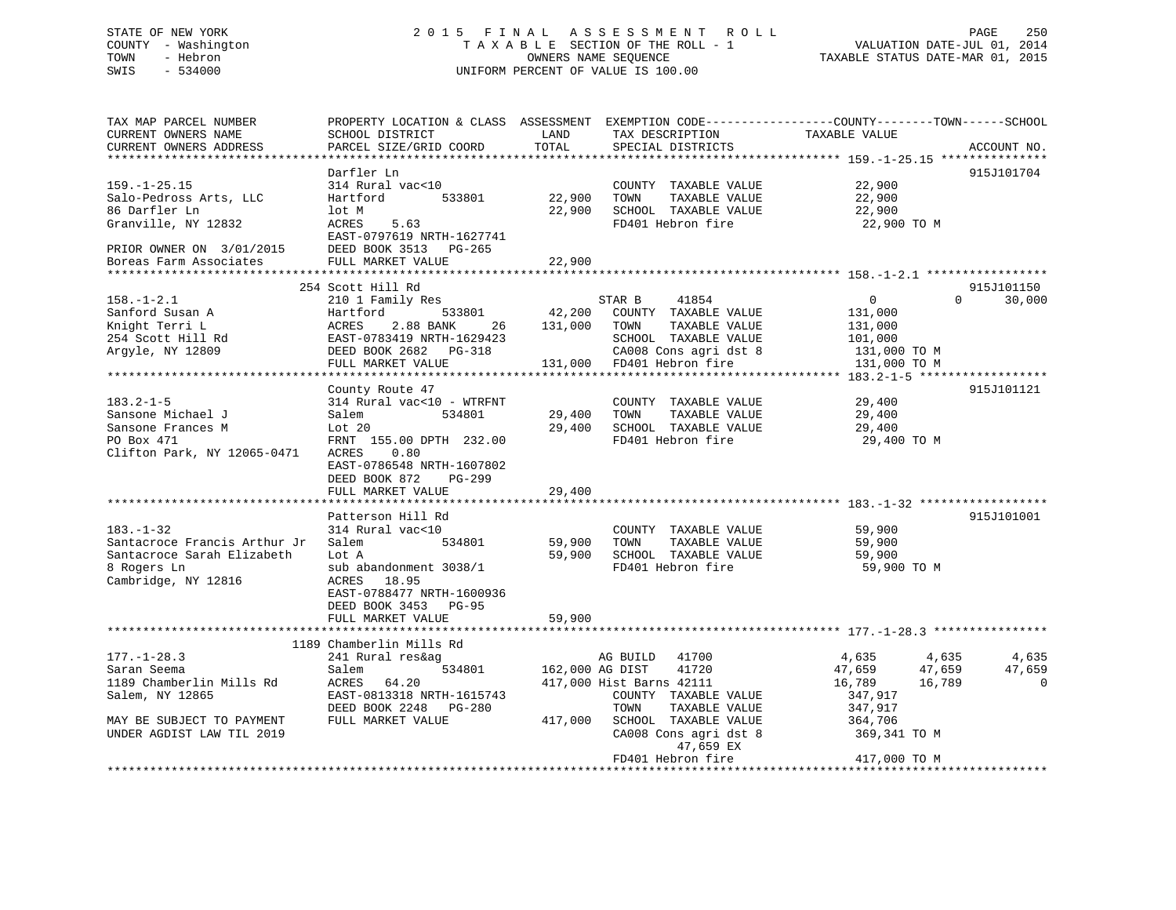## STATE OF NEW YORK 2 0 1 5 F I N A L A S S E S S M E N T R O L L PAGE 250 COUNTY - Washington T A X A B L E SECTION OF THE ROLL - 1 VALUATION DATE-JUL 01, 2014 TOWN - Hebron OWNERS NAME SEQUENCE TAXABLE STATUS DATE-MAR 01, 2015 SWIS - 534000 UNIFORM PERCENT OF VALUE IS 100.00

| TAX MAP PARCEL NUMBER<br>CURRENT OWNERS NAME<br>CURRENT OWNERS ADDRESS                                                                    | SCHOOL DISTRICT<br>PARCEL SIZE/GRID COORD                                                                                                                                                                              | LAND<br>TOTAL              | TAX DESCRIPTION<br>SPECIAL DISTRICTS                                                                                                                                                       | PROPERTY LOCATION & CLASS ASSESSMENT EXEMPTION CODE----------------COUNTY-------TOWN------SCHOOL<br>TAXABLE VALUE       | ACCOUNT NO.                        |
|-------------------------------------------------------------------------------------------------------------------------------------------|------------------------------------------------------------------------------------------------------------------------------------------------------------------------------------------------------------------------|----------------------------|--------------------------------------------------------------------------------------------------------------------------------------------------------------------------------------------|-------------------------------------------------------------------------------------------------------------------------|------------------------------------|
| $159. - 1 - 25.15$<br>Salo-Pedross Arts, LLC<br>86 Darfler Ln<br>Granville, NY 12832<br>PRIOR OWNER ON 3/01/2015                          | Darfler Ln<br>314 Rural vac<10<br>Hartford<br>533801<br>lot M<br>ACRES<br>5.63<br>EAST-0797619 NRTH-1627741<br>DEED BOOK 3513 PG-265<br>FULL MARKET VALUE                                                              | 22,900<br>22,900<br>22,900 | COUNTY TAXABLE VALUE<br>TOWN<br>TAXABLE VALUE<br>SCHOOL TAXABLE VALUE<br>FD401 Hebron fire                                                                                                 | 22,900<br>22,900<br>22,900<br>22,900 TO M                                                                               | 915J101704                         |
| Boreas Farm Associates                                                                                                                    |                                                                                                                                                                                                                        |                            |                                                                                                                                                                                            |                                                                                                                         |                                    |
| $158. - 1 - 2.1$<br>Sanford Susan A<br>Knight Terri L<br>254 Scott Hill Rd<br>Argyle, NY 12809<br>$183.2 - 1 - 5$                         | 254 Scott Hill Rd<br>210 1 Family Res<br>533801<br>Hartford<br>ACRES<br>2.88 BANK<br>26<br>EAST-0783419 NRTH-1629423<br>DEED BOOK 2682 PG-318<br>FULL MARKET VALUE<br>County Route 47<br>314 Rural vac<10 - WTRFNT     | 42,200<br>131,000          | 41854<br>STAR B<br>COUNTY TAXABLE VALUE<br>TOWN<br>TAXABLE VALUE<br>SCHOOL TAXABLE VALUE<br>CA008 Cons agri dst 8<br>131,000 FD401 Hebron fire<br>COUNTY TAXABLE VALUE                     | $\overline{0}$<br>$\Omega$<br>131,000<br>131,000<br>101,000<br>131,000 TO M<br>131,000 TO M<br>29,400                   | 915J101150<br>30,000<br>915J101121 |
| Sansone Michael J<br>Sansone Frances M<br>PO Box 471<br>Clifton Park, NY 12065-0471                                                       | Salem<br>534801<br>Lot 20<br>FRNT 155.00 DPTH 232.00<br>0.80<br>ACRES<br>EAST-0786548 NRTH-1607802<br>DEED BOOK 872<br>$PG-299$<br>FULL MARKET VALUE                                                                   | 29,400<br>29,400<br>29,400 | TOWN<br>TAXABLE VALUE<br>SCHOOL TAXABLE VALUE<br>FD401 Hebron fire                                                                                                                         | 29,400<br>29,400<br>29,400 TO M                                                                                         |                                    |
| $183. - 1 - 32$<br>Santacroce Francis Arthur Jr<br>Santacroce Sarah Elizabeth<br>8 Rogers Ln<br>Cambridge, NY 12816                       | Patterson Hill Rd<br>314 Rural vac<10<br>Salem<br>534801<br>Lot A<br>sub abandonment 3038/1<br>ACRES<br>18.95<br>EAST-0788477 NRTH-1600936<br>DEED BOOK 3453 PG-95<br>FULL MARKET VALUE<br>*************************** | 59,900<br>59,900<br>59,900 | COUNTY TAXABLE VALUE<br>TOWN<br>TAXABLE VALUE<br>SCHOOL TAXABLE VALUE<br>FD401 Hebron fire                                                                                                 | 59,900<br>59,900<br>59,900<br>59,900 TO M                                                                               | 915J101001                         |
|                                                                                                                                           | 1189 Chamberlin Mills Rd                                                                                                                                                                                               |                            |                                                                                                                                                                                            |                                                                                                                         |                                    |
| $177. - 1 - 28.3$<br>Saran Seema<br>1189 Chamberlin Mills Rd<br>Salem, NY 12865<br>MAY BE SUBJECT TO PAYMENT<br>UNDER AGDIST LAW TIL 2019 | 241 Rural res&ag<br>534801<br>Salem<br>64.20<br>ACRES<br>EAST-0813318 NRTH-1615743<br>DEED BOOK 2248 PG-280<br>FULL MARKET VALUE                                                                                       | 162,000 AG DIST<br>417,000 | 41700<br>AG BUILD<br>41720<br>417,000 Hist Barns 42111<br>COUNTY TAXABLE VALUE<br>TOWN<br>TAXABLE VALUE<br>SCHOOL TAXABLE VALUE<br>CA008 Cons agri dst 8<br>47,659 EX<br>FD401 Hebron fire | 4,635<br>4,635<br>47,659<br>47,659<br>16,789<br>16,789<br>347,917<br>347,917<br>364,706<br>369,341 TO M<br>417,000 TO M | 4,635<br>47,659<br>$\mathbf 0$     |
|                                                                                                                                           |                                                                                                                                                                                                                        |                            |                                                                                                                                                                                            |                                                                                                                         |                                    |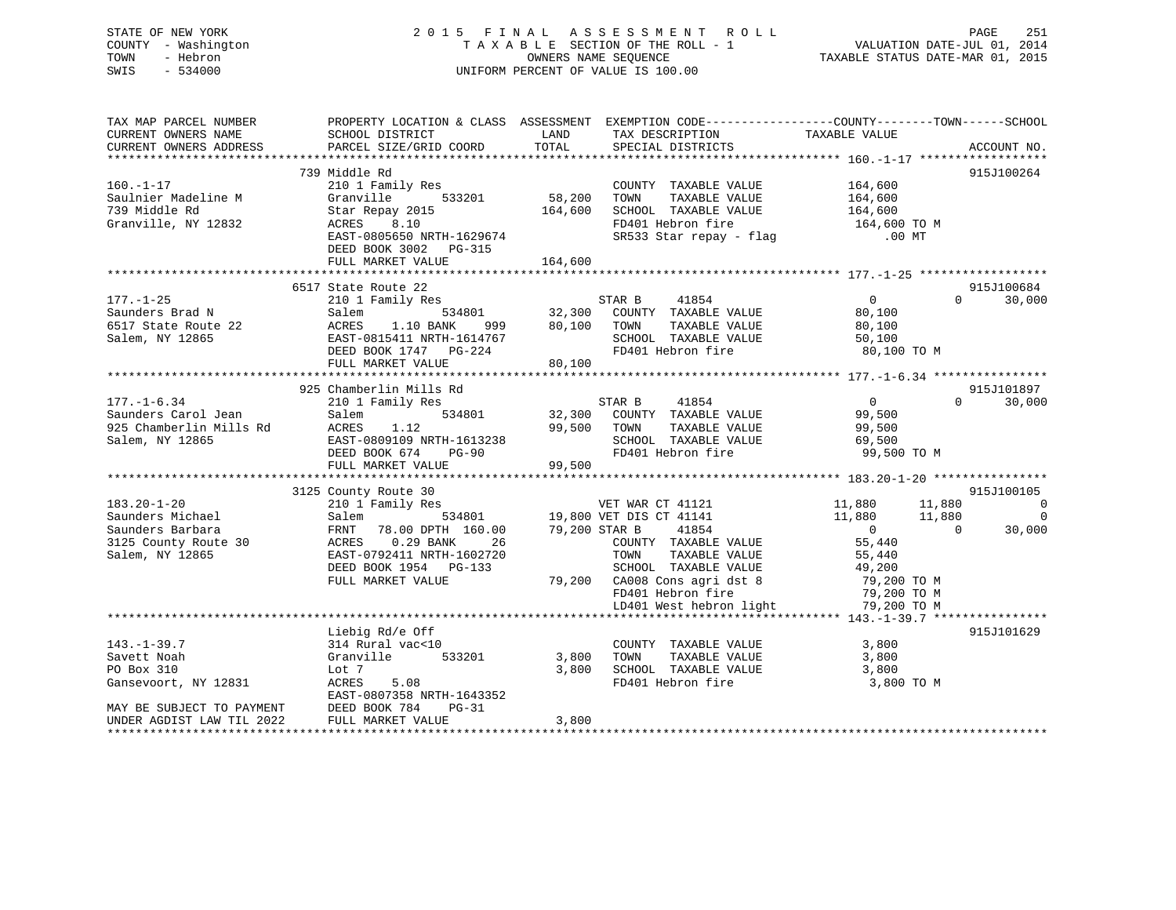| STATE OF NEW YORK<br>COUNTY - Washington<br>- Hebron<br>TOWN<br>SWIS - 534000                                                                                                                                                                            |                                                                                                                                                                                                               |       | 2015 FINAL ASSESSMENT ROLL<br>TAXABLE SECTION OF THE ROLL - 1<br>OWNERS NAME SEQUENCE<br>UNIFORM PERCENT OF VALUE IS 100.00                                                                                                                                                                                                                      | PAGE 251<br>VALUATION DATE-JUL 01, 2014<br>TAXABLE STATUS DATE-MAR 01, 2015                                                                                                                                                                                                                                                                                                                                                                                            |
|----------------------------------------------------------------------------------------------------------------------------------------------------------------------------------------------------------------------------------------------------------|---------------------------------------------------------------------------------------------------------------------------------------------------------------------------------------------------------------|-------|--------------------------------------------------------------------------------------------------------------------------------------------------------------------------------------------------------------------------------------------------------------------------------------------------------------------------------------------------|------------------------------------------------------------------------------------------------------------------------------------------------------------------------------------------------------------------------------------------------------------------------------------------------------------------------------------------------------------------------------------------------------------------------------------------------------------------------|
| TAX MAP PARCEL NUMBER<br>CURRENT OWNERS NAME<br>CURRENT OWNERS ADDRESS                                                                                                                                                                                   | PARCEL SIZE/GRID COORD TOTAL                                                                                                                                                                                  |       | SPECIAL DISTRICTS                                                                                                                                                                                                                                                                                                                                | PROPERTY LOCATION & CLASS ASSESSMENT EXEMPTION CODE----------------COUNTY-------TOWN------SCHOOL<br>ACCOUNT NO.                                                                                                                                                                                                                                                                                                                                                        |
| $160. - 1 - 17$<br>Saulnier Madeline M<br>739 Middle Rd<br>Granville, NY 12832                                                                                                                                                                           | 739 Middle Rd<br>210 1 Family Res<br>Granville 533201 58,200<br>Star Repay 2015 164,600<br>ACRES 8.10<br>EAST-0805650 NRTH-1629674<br>DEED BOOK 3002 PG-315<br>FULL MARKET VALUE 164,600                      |       | COUNTY TAXABLE VALUE 164,600<br>TOWN TAXABLE VALUE 164,600<br>SCHOOL TAXABLE VALUE 164,600<br>FD401 Hebron fire 164,600 TO M<br>SCHOOL TAXABLE VALUE<br>SR533 Star repay - flag 60 00 MT                                                                                                                                                         | 915J100264                                                                                                                                                                                                                                                                                                                                                                                                                                                             |
|                                                                                                                                                                                                                                                          |                                                                                                                                                                                                               |       |                                                                                                                                                                                                                                                                                                                                                  |                                                                                                                                                                                                                                                                                                                                                                                                                                                                        |
| 3101 Family Res<br>Sauders Brad N<br>Salem 534801<br>Salem 534801<br>Salem 534801<br>Salem 534801<br>Salem 534801<br>Salem 534801<br>Salem 534801<br>Salem 534801<br>BO,100 TOWN TAXABLE VALUE<br>TAXABLE VALUE<br>Salem TAXABLE VALUE<br>Salem Salem Sa |                                                                                                                                                                                                               |       |                                                                                                                                                                                                                                                                                                                                                  | 915J100684<br>$\begin{array}{c} 0 \ 80\,, 100 \ 80\,, 100 \end{array}$<br>$0 \t 30,000$<br>50,100<br>80,100 TO M                                                                                                                                                                                                                                                                                                                                                       |
|                                                                                                                                                                                                                                                          |                                                                                                                                                                                                               |       |                                                                                                                                                                                                                                                                                                                                                  |                                                                                                                                                                                                                                                                                                                                                                                                                                                                        |
| $177. - 1 - 6.34$<br>Saunders Carol Jean<br>925 Chamberlin Mills Rd<br>Salem, NY 12865                                                                                                                                                                   | 925 Chamberlin Mills Rd<br>210 1 Family Res<br>$534801$<br>1.12<br>Salem<br>ACRES 1.12<br>EAST-0809109 NRTH-1613238 SCHOOL TAXABLE VALUE<br>DEED BOOK 674 PG-90 FD401 Hebron fire<br>FULL MARKET VALUE 99,500 |       | STAR B<br>41854<br>32,300 COUNTY TAXABLE VALUE<br>99,500 TOWN TAXABLE VALUE                                                                                                                                                                                                                                                                      | 915J101897<br>$\overline{0}$<br>$0 \t 30,000$<br>99,500<br>99,500<br>69,500<br>99,500 TO M                                                                                                                                                                                                                                                                                                                                                                             |
|                                                                                                                                                                                                                                                          |                                                                                                                                                                                                               |       |                                                                                                                                                                                                                                                                                                                                                  |                                                                                                                                                                                                                                                                                                                                                                                                                                                                        |
|                                                                                                                                                                                                                                                          | 3125 County Route 30                                                                                                                                                                                          |       |                                                                                                                                                                                                                                                                                                                                                  | 915J100105<br>$[183.20-1-20 \nonumber \\ \mbox{Sauders Michael} \\ \mbox{Sauders Barbaar} \\ \mbox{Sauders Barbaar} \\ \mbox{Sauders Barbaar} \\ \mbox{Sauders Barbaar} \\ \mbox{Sauders Barbaar} \\ \mbox{Sauders Barbaar} \\ \mbox{Sauders Barbaar} \\ \mbox{Sadders Barbaar} \\ \mbox{Sadders Barbaar} \\ \mbox{Sadders Barbaar} \\ \mbox{Sadders Barbaar} \\ \mbox{Sadders Barbaar} \\ \mbox{Sadders Barbaar} \\ \mbox{Sadders Barbaar} \\ \mbox{Sadders Barbaar}$ |
|                                                                                                                                                                                                                                                          |                                                                                                                                                                                                               |       | LD401 West hebron light 79,200 TO M                                                                                                                                                                                                                                                                                                              |                                                                                                                                                                                                                                                                                                                                                                                                                                                                        |
| $143. - 1 - 39.7$<br>Savett Noah<br>PO Box 310<br>Gansevoort, NY 12831 ACRES                                                                                                                                                                             | enterig Rd/e Off<br>314 Rural vac<10<br>Granville<br>T<br>Lot 7                                                                                                                                               |       | $\begin{array}{ccccccccc} 0 &&&&&&C{\text{COUNTY}}&\text{TAXABLE VALUE}&&&&&&3\, , 800 \\ 533201 &&&3\, , 800 &&&\text{TOWN}&&&\text{TAXABLE VALUE}&&&&&&3\, , 800 \end{array}$<br>$3,800 \quad \begin{array}{llllll} \texttt{SCHOOL} & \texttt{TAXABLE VALUE} & \texttt{3,800} \\ \texttt{FD401 Hebron fire} & \texttt{3,800 TO M} \end{array}$ | 915J101629                                                                                                                                                                                                                                                                                                                                                                                                                                                             |
| 1.1.10 1.108 1.108 1.108 1.108 1.108 1.108 1.108 1.108 1.108 1.108 1.108 1.108 1.108 1.108 1.108 1.108 1.108 1<br>UNDER AGDIST LAW TIL 2022 1.108 FULL MARKET WATHER AGDIST LAW TIL 2022 1.108 1.108 1.108 1.108 1.108 1.108 1.                          |                                                                                                                                                                                                               | 3,800 |                                                                                                                                                                                                                                                                                                                                                  |                                                                                                                                                                                                                                                                                                                                                                                                                                                                        |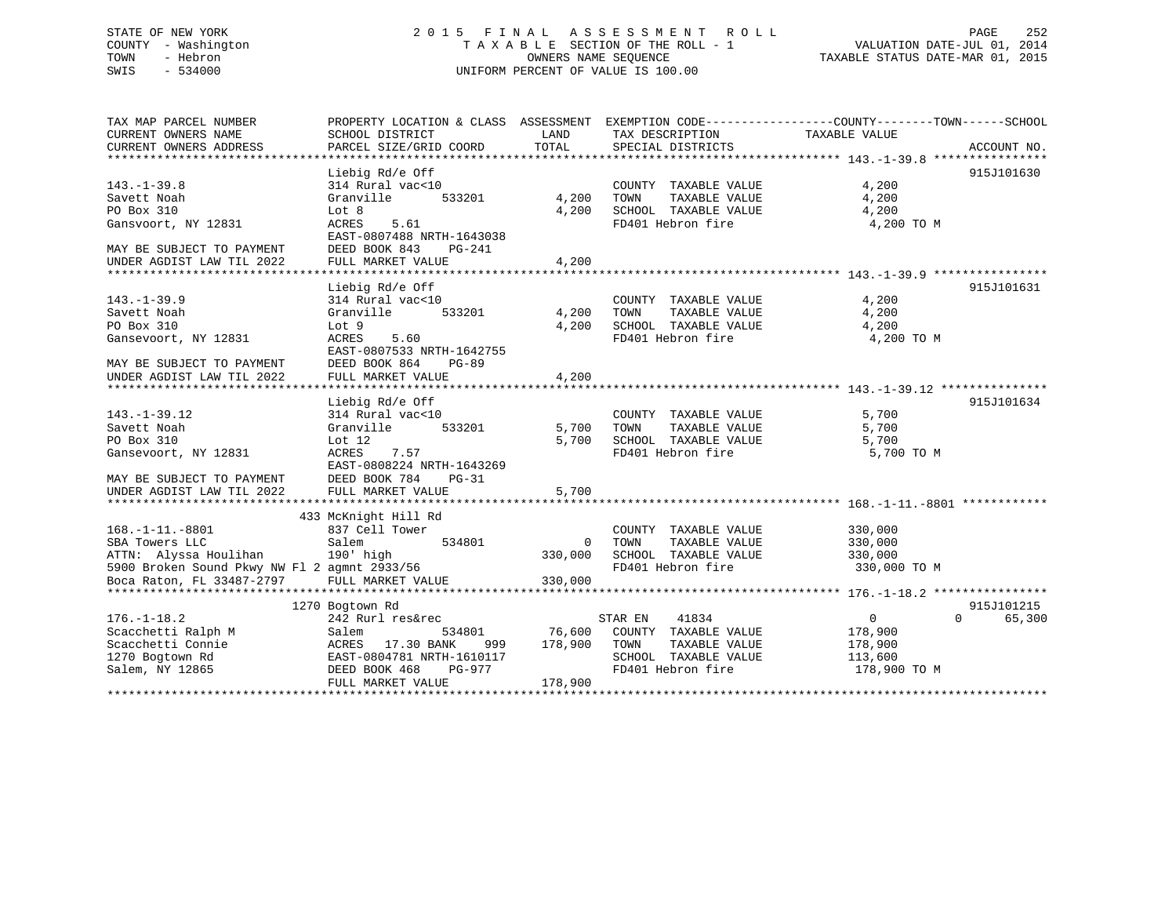## STATE OF NEW YORK 2 0 1 5 F I N A L A S S E S S M E N T R O L L PAGE 252 COUNTY - Washington T A X A B L E SECTION OF THE ROLL - 1 VALUATION DATE-JUL 01, 2014 TOWN - Hebron OWNERS NAME SEQUENCE TAXABLE STATUS DATE-MAR 01, 2015 SWIS - 534000 UNIFORM PERCENT OF VALUE IS 100.00

| TAX MAP PARCEL NUMBER                        | PROPERTY LOCATION & CLASS ASSESSMENT EXEMPTION CODE----------------COUNTY-------TOWN-----SCHOOL |             |                       |                |                    |
|----------------------------------------------|-------------------------------------------------------------------------------------------------|-------------|-----------------------|----------------|--------------------|
| CURRENT OWNERS NAME                          | SCHOOL DISTRICT                                                                                 | LAND        | TAX DESCRIPTION       | TAXABLE VALUE  |                    |
| CURRENT OWNERS ADDRESS                       | PARCEL SIZE/GRID COORD                                                                          | TOTAL       | SPECIAL DISTRICTS     |                | ACCOUNT NO.        |
|                                              |                                                                                                 |             |                       |                |                    |
|                                              | Liebig Rd/e Off                                                                                 |             |                       |                | 915J101630         |
| $143. - 1 - 39.8$                            | 314 Rural vac<10                                                                                |             | COUNTY TAXABLE VALUE  | 4,200          |                    |
| Savett Noah                                  | Granville<br>533201                                                                             | 4,200       | TOWN<br>TAXABLE VALUE | 4,200          |                    |
| PO Box 310                                   | Lot 8                                                                                           | 4,200       | SCHOOL TAXABLE VALUE  | 4,200          |                    |
| Gansvoort, NY 12831                          | 5.61<br>ACRES                                                                                   |             | FD401 Hebron fire     | 4,200 TO M     |                    |
|                                              | EAST-0807488 NRTH-1643038                                                                       |             |                       |                |                    |
| MAY BE SUBJECT TO PAYMENT                    | DEED BOOK 843<br>PG-241                                                                         |             |                       |                |                    |
| UNDER AGDIST LAW TIL 2022                    | FULL MARKET VALUE                                                                               | 4,200       |                       |                |                    |
|                                              |                                                                                                 |             |                       |                |                    |
|                                              | Liebig Rd/e Off                                                                                 |             |                       |                | 915J101631         |
| $143. - 1 - 39.9$                            | 314 Rural vac<10                                                                                |             | COUNTY TAXABLE VALUE  | 4,200          |                    |
| Savett Noah                                  | Granville<br>533201                                                                             | 4,200       | TOWN<br>TAXABLE VALUE | 4,200          |                    |
| PO Box 310                                   | Lot 9                                                                                           | 4,200       | SCHOOL TAXABLE VALUE  | 4,200          |                    |
| Gansevoort, NY 12831                         | ACRES<br>5.60                                                                                   |             | FD401 Hebron fire     | 4,200 TO M     |                    |
|                                              | EAST-0807533 NRTH-1642755                                                                       |             |                       |                |                    |
| MAY BE SUBJECT TO PAYMENT                    | DEED BOOK 864<br>$PG-89$                                                                        |             |                       |                |                    |
| UNDER AGDIST LAW TIL 2022                    | FULL MARKET VALUE                                                                               | 4,200       |                       |                |                    |
|                                              |                                                                                                 |             |                       |                |                    |
|                                              | Liebig Rd/e Off                                                                                 |             |                       |                | 915J101634         |
| $143. - 1 - 39.12$                           | 314 Rural vac<10                                                                                |             | COUNTY TAXABLE VALUE  | 5,700          |                    |
| Savett Noah                                  | 533201<br>Granville                                                                             | 5,700       | TOWN<br>TAXABLE VALUE | 5,700          |                    |
| PO Box 310                                   | Lot $12$                                                                                        | 5,700       | SCHOOL TAXABLE VALUE  | 5,700          |                    |
| Gansevoort, NY 12831                         | 7.57<br>ACRES                                                                                   |             | FD401 Hebron fire     | 5,700 TO M     |                    |
|                                              | EAST-0808224 NRTH-1643269                                                                       |             |                       |                |                    |
| MAY BE SUBJECT TO PAYMENT                    | DEED BOOK 784<br>$PG-31$                                                                        |             |                       |                |                    |
| UNDER AGDIST LAW TIL 2022                    | FULL MARKET VALUE                                                                               | 5,700       |                       |                |                    |
|                                              |                                                                                                 |             |                       |                |                    |
|                                              | 433 McKnight Hill Rd                                                                            |             |                       |                |                    |
| $168. - 1 - 11. - 8801$                      | 837 Cell Tower                                                                                  |             | COUNTY TAXABLE VALUE  | 330,000        |                    |
| SBA Towers LLC                               | Salem<br>534801                                                                                 | $\mathbf 0$ | TAXABLE VALUE<br>TOWN | 330,000        |                    |
| ATTN: Alyssa Houlihan                        | 190' high                                                                                       | 330,000     | SCHOOL TAXABLE VALUE  | 330,000        |                    |
| 5900 Broken Sound Pkwy NW Fl 2 agmnt 2933/56 |                                                                                                 |             | FD401 Hebron fire     | 330,000 TO M   |                    |
| Boca Raton, FL 33487-2797                    | FULL MARKET VALUE                                                                               | 330,000     |                       |                |                    |
|                                              |                                                                                                 |             |                       |                |                    |
|                                              | 1270 Bogtown Rd                                                                                 |             |                       |                | 915J101215         |
| $176. - 1 - 18.2$                            | 242 Rurl res&rec                                                                                |             | STAR EN<br>41834      | $\overline{0}$ | 65,300<br>$\Omega$ |
| Scacchetti Ralph M                           | 534801<br>Salem                                                                                 | 76,600      | COUNTY TAXABLE VALUE  | 178,900        |                    |
| Scacchetti Connie                            | ACRES 17.30 BANK<br>999                                                                         | 178,900     | TOWN<br>TAXABLE VALUE | 178,900        |                    |
| 1270 Bogtown Rd                              | EAST-0804781 NRTH-1610117                                                                       |             | SCHOOL TAXABLE VALUE  | 113,600        |                    |
| Salem, NY 12865                              | DEED BOOK 468<br>PG-977                                                                         |             | FD401 Hebron fire     | 178,900 TO M   |                    |
|                                              | FULL MARKET VALUE                                                                               | 178,900     |                       |                |                    |
|                                              |                                                                                                 |             |                       |                |                    |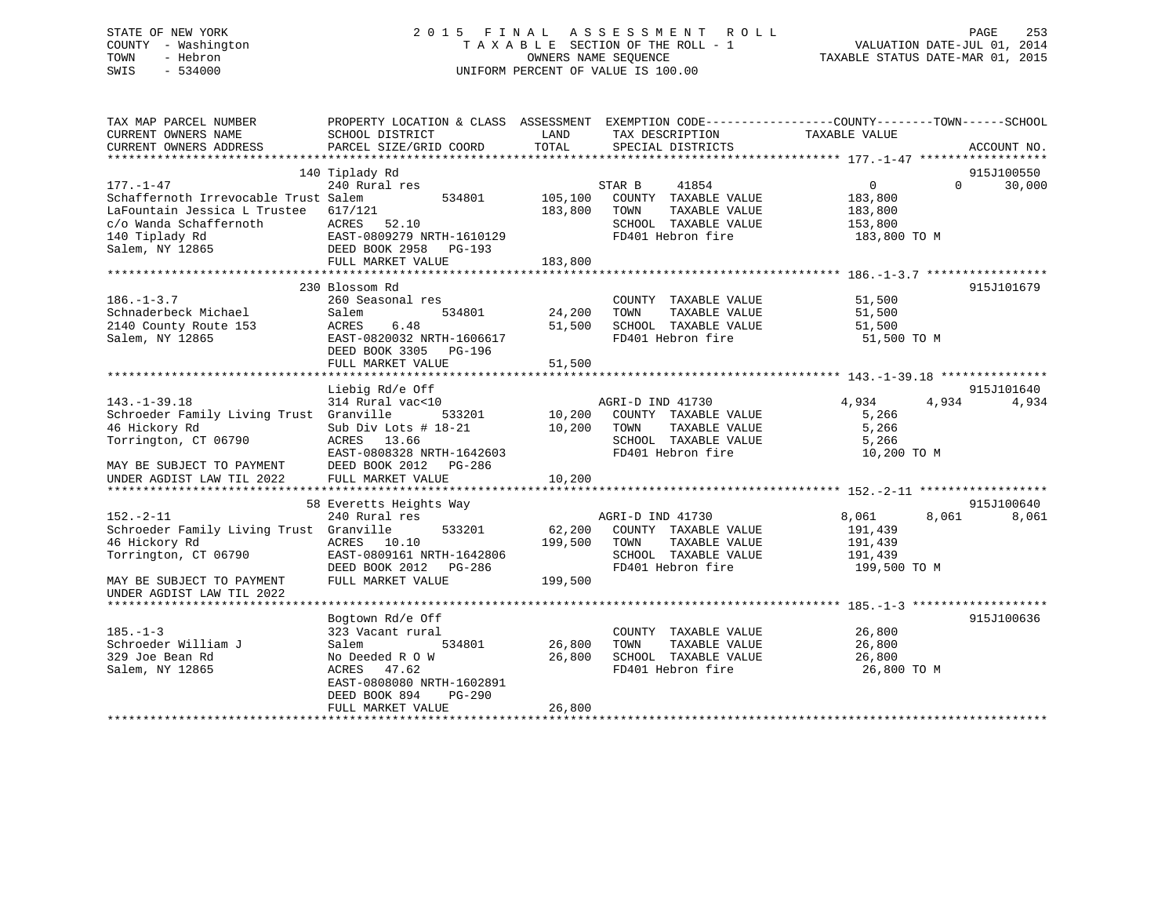# STATE OF NEW YORK 2 0 1 5 F I N A L A S S E S S M E N T R O L L PAGE 253 COUNTY - Washington T A X A B L E SECTION OF THE ROLL - 1 VALUATION DATE-JUL 01, 2014 TOWN - Hebron OWNERS NAME SEQUENCE TAXABLE STATUS DATE-MAR 01, 2015 SWIS - 534000 UNIFORM PERCENT OF VALUE IS 100.00

| TAX MAP PARCEL NUMBER<br>CURRENT OWNERS NAME<br>CURRENT OWNERS ADDRESS | PROPERTY LOCATION & CLASS ASSESSMENT EXEMPTION CODE---------------COUNTY-------TOWN------SCHOOL<br>SCHOOL DISTRICT<br>PARCEL SIZE/GRID COORD | LAND<br>TOTAL | TAX DESCRIPTION<br>SPECIAL DISTRICTS | TAXABLE VALUE              | ACCOUNT NO. |
|------------------------------------------------------------------------|----------------------------------------------------------------------------------------------------------------------------------------------|---------------|--------------------------------------|----------------------------|-------------|
|                                                                        |                                                                                                                                              |               |                                      |                            |             |
|                                                                        | 140 Tiplady Rd                                                                                                                               |               |                                      |                            | 915J100550  |
| $177. - 1 - 47$                                                        | 240 Rural res                                                                                                                                |               | STAR B<br>41854                      | $\overline{0}$<br>$\Omega$ | 30,000      |
| Schaffernoth Irrevocable Trust Salem                                   | 534801                                                                                                                                       | 105,100       | COUNTY TAXABLE VALUE                 | 183,800                    |             |
| LaFountain Jessica L Trustee                                           | 617/121                                                                                                                                      | 183,800       | TOWN<br>TAXABLE VALUE                | 183,800                    |             |
| c/o Wanda Schaffernoth                                                 | ACRES<br>52.10                                                                                                                               |               | SCHOOL TAXABLE VALUE                 | 153,800                    |             |
| 140 Tiplady Rd                                                         | EAST-0809279 NRTH-1610129                                                                                                                    |               | FD401 Hebron fire                    | 183,800 TO M               |             |
| Salem, NY 12865                                                        | DEED BOOK 2958<br>$PG-193$                                                                                                                   |               |                                      |                            |             |
|                                                                        | FULL MARKET VALUE                                                                                                                            | 183,800       |                                      |                            |             |
|                                                                        |                                                                                                                                              |               |                                      |                            |             |
|                                                                        | 230 Blossom Rd                                                                                                                               |               |                                      |                            | 915J101679  |
| $186. - 1 - 3.7$                                                       | 260 Seasonal res                                                                                                                             |               | COUNTY TAXABLE VALUE                 | 51,500                     |             |
| Schnaderbeck Michael                                                   | 534801<br>Salem                                                                                                                              | 24,200        | TAXABLE VALUE<br>TOWN                | 51,500                     |             |
| 2140 County Route 153                                                  | 6.48<br>ACRES                                                                                                                                | 51,500        | SCHOOL TAXABLE VALUE                 | 51,500                     |             |
| Salem, NY 12865                                                        | EAST-0820032 NRTH-1606617                                                                                                                    |               | FD401 Hebron fire                    | 51,500 TO M                |             |
|                                                                        | DEED BOOK 3305<br>PG-196                                                                                                                     |               |                                      |                            |             |
|                                                                        | FULL MARKET VALUE                                                                                                                            | 51,500        |                                      |                            |             |
|                                                                        |                                                                                                                                              |               |                                      |                            |             |
|                                                                        | Liebig Rd/e Off                                                                                                                              |               |                                      |                            | 915J101640  |
| $143. - 1 - 39.18$                                                     | 314 Rural vac<10                                                                                                                             |               | AGRI-D IND 41730                     | 4,934<br>4,934             | 4,934       |
| Schroeder Family Living Trust Granville                                | 533201                                                                                                                                       | 10,200        | COUNTY TAXABLE VALUE                 | 5,266                      |             |
| 46 Hickory Rd                                                          | Sub Div Lots # 18-21                                                                                                                         | 10,200        | TOWN<br>TAXABLE VALUE                | 5,266                      |             |
| Torrington, CT 06790                                                   | ACRES 13.66                                                                                                                                  |               | SCHOOL TAXABLE VALUE                 | 5,266                      |             |
|                                                                        | EAST-0808328 NRTH-1642603                                                                                                                    |               | FD401 Hebron fire                    | 10,200 TO M                |             |
| MAY BE SUBJECT TO PAYMENT                                              | DEED BOOK 2012<br>$PG-286$                                                                                                                   |               |                                      |                            |             |
| UNDER AGDIST LAW TIL 2022                                              | FULL MARKET VALUE                                                                                                                            | 10,200        |                                      |                            |             |
|                                                                        |                                                                                                                                              |               |                                      |                            |             |
|                                                                        | 58 Everetts Heights Way                                                                                                                      |               |                                      |                            | 915J100640  |
| $152. - 2 - 11$                                                        | 240 Rural res                                                                                                                                |               | AGRI-D IND 41730                     | 8,061<br>8,061             | 8,061       |
| Schroeder Family Living Trust Granville                                | 533201                                                                                                                                       | 62,200        | COUNTY TAXABLE VALUE                 | 191,439                    |             |
| 46 Hickory Rd                                                          | 10.10<br>ACRES                                                                                                                               | 199,500       | TOWN<br>TAXABLE VALUE                | 191,439                    |             |
| Torrington, CT 06790                                                   | EAST-0809161 NRTH-1642806                                                                                                                    |               | SCHOOL TAXABLE VALUE                 | 191,439                    |             |
|                                                                        | DEED BOOK 2012    PG-286                                                                                                                     |               | FD401 Hebron fire                    | 199,500 TO M               |             |
| MAY BE SUBJECT TO PAYMENT                                              | FULL MARKET VALUE                                                                                                                            | 199,500       |                                      |                            |             |
| UNDER AGDIST LAW TIL 2022                                              |                                                                                                                                              |               |                                      |                            |             |
|                                                                        |                                                                                                                                              |               |                                      |                            |             |
|                                                                        | Bogtown Rd/e Off                                                                                                                             |               |                                      |                            | 915J100636  |
| $185. - 1 - 3$                                                         | 323 Vacant rural                                                                                                                             |               | COUNTY TAXABLE VALUE                 | 26,800                     |             |
| Schroeder William J                                                    | 534801<br>Salem                                                                                                                              | 26,800        | TOWN<br>TAXABLE VALUE                | 26,800                     |             |
| 329 Joe Bean Rd                                                        | No Deeded R O W                                                                                                                              | 26,800        | SCHOOL TAXABLE VALUE                 | 26,800                     |             |
| Salem, NY 12865                                                        | ACRES<br>47.62                                                                                                                               |               | FD401 Hebron fire                    | 26,800 TO M                |             |
|                                                                        | EAST-0808080 NRTH-1602891                                                                                                                    |               |                                      |                            |             |
|                                                                        | DEED BOOK 894<br>$PG-290$                                                                                                                    |               |                                      |                            |             |
|                                                                        | FULL MARKET VALUE                                                                                                                            | 26,800        |                                      |                            |             |
|                                                                        |                                                                                                                                              |               |                                      |                            |             |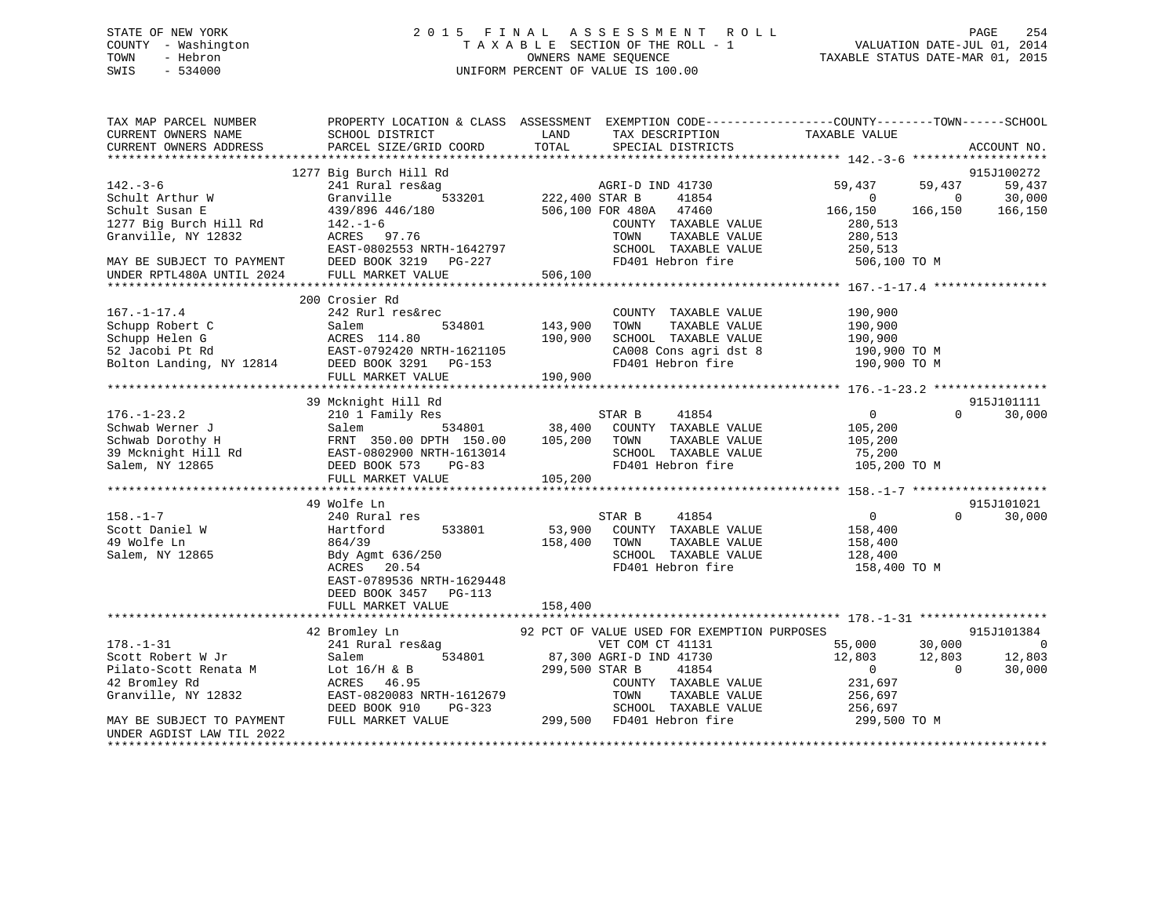# STATE OF NEW YORK 2 0 1 5 F I N A L A S S E S S M E N T R O L L PAGE 254 COUNTY - Washington T A X A B L E SECTION OF THE ROLL - 1 VALUATION DATE-JUL 01, 2014 TOWN - Hebron OWNERS NAME SEQUENCE TAXABLE STATUS DATE-MAR 01, 2015 SWIS - 534000 UNIFORM PERCENT OF VALUE IS 100.00

| TAX MAP PARCEL NUMBER                                                                               |                                                  |                                             | PROPERTY LOCATION & CLASS ASSESSMENT EXEMPTION CODE----------------COUNTY-------TOWN------SCHOOL |
|-----------------------------------------------------------------------------------------------------|--------------------------------------------------|---------------------------------------------|--------------------------------------------------------------------------------------------------|
| CURRENT OWNERS NAME                                                                                 | SCHOOL DISTRICT                                  | LAND<br>TAX DESCRIPTION                     | TAXABLE VALUE                                                                                    |
| CURRENT OWNERS ADDRESS                                                                              | PARCEL SIZE/GRID COORD                           | TOTAL<br>SPECIAL DISTRICTS                  | ACCOUNT NO.                                                                                      |
| *************************                                                                           |                                                  |                                             |                                                                                                  |
|                                                                                                     | 1277 Big Burch Hill Rd                           |                                             | 915J100272                                                                                       |
| $142. - 3 - 6$                                                                                      | 241 Rural res&ag                                 | AGRI-D IND 41730                            | 59,437<br>59,437<br>59,437                                                                       |
| Schult Arthur W                                                                                     | Granville<br>533201                              | 222,400 STAR B<br>41854                     | 30,000<br>$\Omega$<br>$\bigcirc$                                                                 |
| Schult Susan E                                                                                      | 439/896 446/180                                  | 506,100 FOR 480A 47460                      | 166,150<br>166,150<br>166,150                                                                    |
| 1277 Big Burch Hill Rd                                                                              | $142. - 1 - 6$                                   | COUNTY TAXABLE VALUE                        | 280,513                                                                                          |
| Granville, NY 12832                                                                                 | ACRES 97.76                                      | TOWN<br>TAXABLE VALUE                       | 280,513                                                                                          |
|                                                                                                     | EAST-0802553 NRTH-1642797                        | SCHOOL TAXABLE VALUE                        | 250,513                                                                                          |
| MAY BE SUBJECT TO PAYMENT                                                                           | DEED BOOK 3219 PG-227                            | FD401 Hebron fire                           | 506,100 TO M                                                                                     |
| UNDER RPTL480A UNTIL 2024                                                                           | FULL MARKET VALUE                                | 506,100                                     |                                                                                                  |
|                                                                                                     |                                                  |                                             |                                                                                                  |
|                                                                                                     | 200 Crosier Rd                                   |                                             |                                                                                                  |
| $167. - 1 - 17.4$                                                                                   | 242 Rurl res&rec                                 | COUNTY TAXABLE VALUE                        | 190,900                                                                                          |
| Schupp Robert C<br>Schupp Robert C<br>Schupp Helen G<br>52 Jacobi Pt Rd<br>Bolton Landing, NY 12814 | 534801<br>Salem                                  | 143,900<br>TOWN<br>TAXABLE VALUE            | 190,900                                                                                          |
|                                                                                                     | ACRES 114.80                                     | SCHOOL TAXABLE VALUE<br>190,900             | 190,900                                                                                          |
|                                                                                                     | EAST-0792420 NRTH-1621105                        | CA008 Cons agri dst 8                       | 190,900 ТО М                                                                                     |
|                                                                                                     | DEED BOOK 3291 PG-153                            | FD401 Hebron fire                           | 190,900 TO M                                                                                     |
|                                                                                                     | FULL MARKET VALUE                                | 190,900                                     |                                                                                                  |
|                                                                                                     |                                                  |                                             |                                                                                                  |
|                                                                                                     | 39 Mcknight Hill Rd                              |                                             | 915J101111                                                                                       |
| $176. - 1 - 23.2$                                                                                   | 210 1 Family Res                                 | STAR B<br>41854                             | $\overline{0}$<br>30,000<br>$\Omega$                                                             |
| Schwab Werner J                                                                                     | 534801 38,400<br>Salem                           | COUNTY TAXABLE VALUE                        | 105,200                                                                                          |
| Schwab Dorothy H                                                                                    | FRNT 350.00 DPTH 150.00                          | 105,200<br>TOWN<br>TAXABLE VALUE            | 105,200                                                                                          |
|                                                                                                     | 39 Mcknight Hill Rd<br>EAST-0802900 NRTH-1613014 | SCHOOL TAXABLE VALUE                        | 75,200                                                                                           |
| Salem, NY 12865                                                                                     | DEED BOOK 573<br>PG-83                           | FD401 Hebron fire                           | 105,200 TO M                                                                                     |
|                                                                                                     | FULL MARKET VALUE                                | 105,200                                     |                                                                                                  |
|                                                                                                     |                                                  |                                             |                                                                                                  |
|                                                                                                     | 49 Wolfe Ln                                      |                                             | 915J101021                                                                                       |
| $158. - 1 - 7$                                                                                      | 240 Rural res                                    | 41854<br>STAR B                             | $\overline{0}$<br>30,000<br>$\Omega$                                                             |
| Scott Daniel W                                                                                      | Hartford<br>533801                               | 53,900<br>COUNTY TAXABLE VALUE              | 158,400                                                                                          |
| 49 Wolfe Ln                                                                                         | 864/39                                           | 158,400<br>TOWN<br>TAXABLE VALUE            | 158,400                                                                                          |
| Salem, NY 12865                                                                                     | Bdy Agmt 636/250                                 | SCHOOL TAXABLE VALUE                        | 128,400                                                                                          |
|                                                                                                     | ACRES<br>20.54                                   | FD401 Hebron fire                           | 158,400 TO M                                                                                     |
|                                                                                                     | EAST-0789536 NRTH-1629448                        |                                             |                                                                                                  |
|                                                                                                     | DEED BOOK 3457<br>$PG-113$                       |                                             |                                                                                                  |
|                                                                                                     | FULL MARKET VALUE                                | 158,400                                     |                                                                                                  |
|                                                                                                     |                                                  |                                             |                                                                                                  |
|                                                                                                     | 42 Bromley Ln                                    | 92 PCT OF VALUE USED FOR EXEMPTION PURPOSES | 915J101384                                                                                       |
| $178. - 1 - 31$                                                                                     | 241 Rural res&ag                                 | VET COM CT 41131                            | 55,000<br>30,000<br>$\overline{0}$                                                               |
| Scott Robert W Jr                                                                                   | 534801<br>Salem                                  | 87,300 AGRI-D IND 41730                     | 12,803<br>12,803<br>12,803                                                                       |
| Pilato-Scott Renata M                                                                               | Lot $16/H$ & B                                   | 299,500 STAR B<br>41854                     | 30,000<br>$\overline{0}$<br>$\Omega$                                                             |
| 42 Bromley Rd                                                                                       | ACRES 46.95                                      | COUNTY TAXABLE VALUE                        | 231,697                                                                                          |
| Granville, NY 12832                                                                                 | EAST-0820083 NRTH-1612679                        | TAXABLE VALUE<br>TOWN                       | 256,697                                                                                          |
|                                                                                                     | DEED BOOK 910<br>PG-323                          | SCHOOL TAXABLE VALUE                        | 256,697                                                                                          |
| MAY BE SUBJECT TO PAYMENT                                                                           | FULL MARKET VALUE                                | 299,500 FD401 Hebron fire                   | 299,500 TO M                                                                                     |
| UNDER AGDIST LAW TIL 2022                                                                           |                                                  |                                             |                                                                                                  |
| *********************                                                                               |                                                  |                                             |                                                                                                  |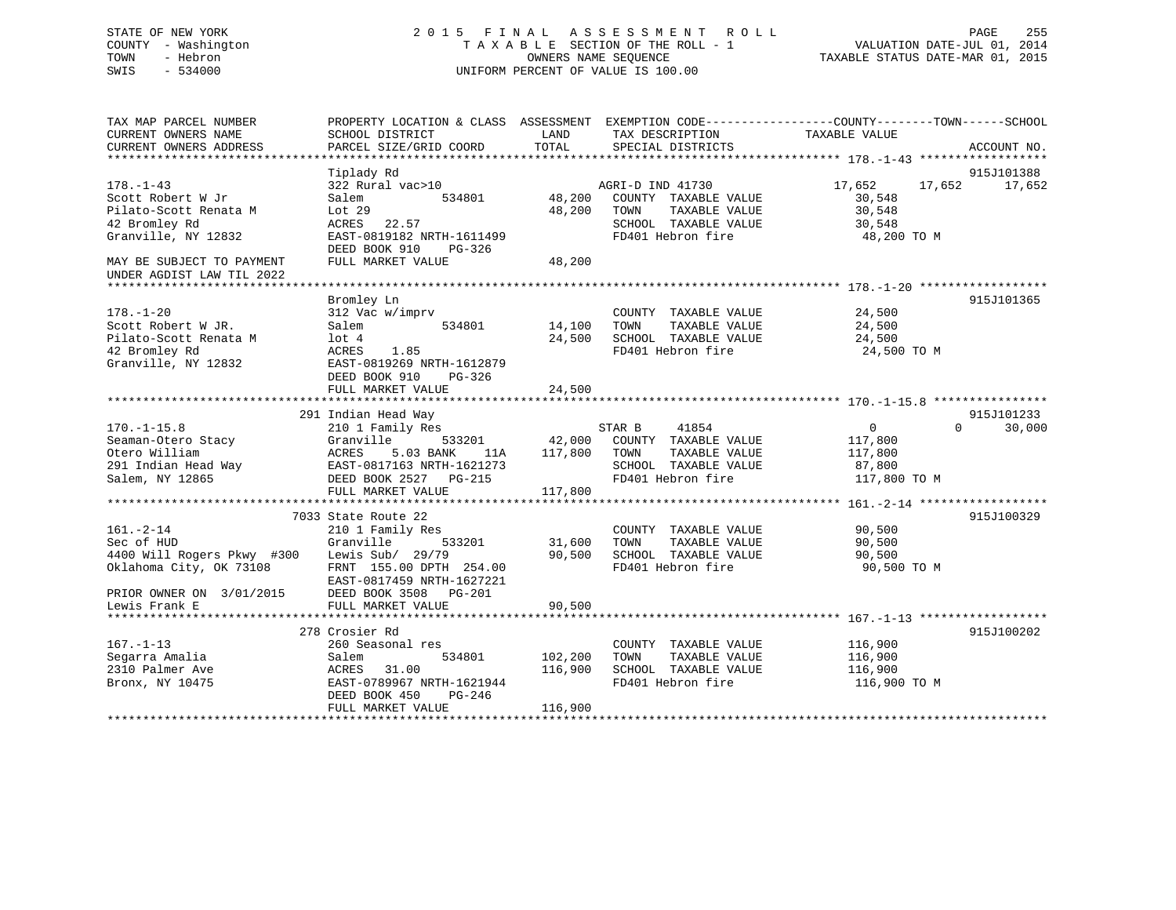# STATE OF NEW YORK 2 0 1 5 F I N A L A S S E S S M E N T R O L L PAGE 255 COUNTY - Washington T A X A B L E SECTION OF THE ROLL - 1 VALUATION DATE-JUL 01, 2014 TOWN - Hebron OWNERS NAME SEQUENCE TAXABLE STATUS DATE-MAR 01, 2015 SWIS - 534000 UNIFORM PERCENT OF VALUE IS 100.00

| TAX MAP PARCEL NUMBER                         | PROPERTY LOCATION & CLASS ASSESSMENT EXEMPTION CODE---------------COUNTY-------TOWN-----SCHOOL | LAND        |                                                                                                                                                              | TAXABLE VALUE    |                    |
|-----------------------------------------------|------------------------------------------------------------------------------------------------|-------------|--------------------------------------------------------------------------------------------------------------------------------------------------------------|------------------|--------------------|
| CURRENT OWNERS NAME<br>CURRENT OWNERS ADDRESS | SCHOOL DISTRICT<br>PARCEL SIZE/GRID COORD                                                      | TOTAL       | TAX DESCRIPTION<br>SPECIAL DISTRICTS                                                                                                                         |                  | ACCOUNT NO.        |
|                                               |                                                                                                |             |                                                                                                                                                              |                  |                    |
|                                               | Tiplady Rd                                                                                     |             |                                                                                                                                                              |                  | 915J101388         |
| $178. - 1 - 43$                               | 322 Rural vac>10 AGRI-D IND 41730                                                              |             |                                                                                                                                                              | 17,652 17,652    | 17,652             |
| Scott Robert W Jr                             | Salem                                                                                          |             | 534801 48,200 COUNTY TAXABLE VALUE                                                                                                                           | 30,548           |                    |
| Pilato-Scott Renata M                         | Lot 29                                                                                         |             | 48,200 TOWN<br>TAXABLE VALUE                                                                                                                                 | 30,548           |                    |
| 42 Bromley Rd                                 | ACRES 22.57                                                                                    |             | SCHOOL TAXABLE VALUE 30,548                                                                                                                                  |                  |                    |
| Granville, NY 12832                           | EAST-0819182 NRTH-1611499                                                                      |             | FD401 Hebron fire                                                                                                                                            | 48,200 TO M      |                    |
|                                               | DEED BOOK 910<br>PG-326                                                                        |             |                                                                                                                                                              |                  |                    |
| MAY BE SUBJECT TO PAYMENT                     | FULL MARKET VALUE                                                                              | 48,200      |                                                                                                                                                              |                  |                    |
| UNDER AGDIST LAW TIL 2022                     |                                                                                                |             |                                                                                                                                                              |                  |                    |
|                                               |                                                                                                |             |                                                                                                                                                              |                  |                    |
|                                               | Bromley Ln                                                                                     |             |                                                                                                                                                              |                  | 915J101365         |
| $178. - 1 - 20$                               | 312 Vac w/imprv                                                                                |             | COUNTY TAXABLE VALUE 24,500                                                                                                                                  |                  |                    |
| Scott Robert W JR.                            | Salem 534801                                                                                   | 14,100 TOWN |                                                                                                                                                              |                  |                    |
| Pilato-Scott Renata M                         | $1$ ot $4$                                                                                     |             | $14,100 \qquad \text{TONN} \qquad \text{TAXABLE VALUE} \qquad \qquad 24,500 \\ 24,500 \qquad \text{SCHOOL} \qquad \text{TAXABLE VALUE} \qquad \qquad 24,500$ |                  |                    |
| 42 Bromley Rd                                 | ACRES 1.85                                                                                     |             | FD401 Hebron fire 24,500 TO M                                                                                                                                |                  |                    |
| Granville, NY 12832                           | EAST-0819269 NRTH-1612879                                                                      |             |                                                                                                                                                              |                  |                    |
|                                               | DEED BOOK 910<br>$PG-326$                                                                      |             |                                                                                                                                                              |                  |                    |
|                                               | FULL MARKET VALUE                                                                              | 24,500      |                                                                                                                                                              |                  |                    |
|                                               |                                                                                                |             |                                                                                                                                                              |                  |                    |
|                                               | 291 Indian Head Way                                                                            |             |                                                                                                                                                              |                  | 915J101233         |
| $170. - 1 - 15.8$                             | inulan head way<br>210 1 Family Res                                                            |             | STAR B 41854                                                                                                                                                 | $\overline{0}$   | 30,000<br>$\Omega$ |
| Seaman-Otero Stacy<br>Otero William           | Granville 533201 42,000 COUNTY TAXABLE VALUE<br>ACRES 5.03 BANK 11A 117,800 TOWN TAXABLE VALUE |             |                                                                                                                                                              | 117,800          |                    |
|                                               | ACRES                                                                                          |             |                                                                                                                                                              | 117,800          |                    |
|                                               |                                                                                                |             | SCHOOL TAXABLE VALUE 87,800                                                                                                                                  |                  |                    |
|                                               |                                                                                                |             | FD401 Hebron fire                                                                                                                                            | 117,800 TO M     |                    |
|                                               | FULL MARKET VALUE                                                                              | 117,800     |                                                                                                                                                              |                  |                    |
|                                               |                                                                                                |             |                                                                                                                                                              |                  |                    |
|                                               | 7033 State Route 22                                                                            |             |                                                                                                                                                              |                  | 915J100329         |
| $161. - 2 - 14$                               | 210 1 Family Res                                                                               |             | COUNTY TAXABLE VALUE                                                                                                                                         | 90,500<br>90.500 |                    |
| Sec of HUD                                    | 533201<br>Granville                                                                            | 31,600 TOWN | TAXABLE VALUE                                                                                                                                                | 90,500           |                    |
| 4400 Will Rogers Pkwy #300                    | Lewis Sub/ 29/79                                                                               |             | 90,500 SCHOOL TAXABLE VALUE                                                                                                                                  | 90,500           |                    |
| Oklahoma City, OK 73108                       | FRNT 155.00 DPTH 254.00                                                                        |             | FD401 Hebron fire                                                                                                                                            | 90,500 TO M      |                    |
|                                               | EAST-0817459 NRTH-1627221                                                                      |             |                                                                                                                                                              |                  |                    |
| PRIOR OWNER ON 3/01/2015<br>Lewis Frank E     | DEED BOOK 3508 PG-201                                                                          |             |                                                                                                                                                              |                  |                    |
| Lewis Frank E                                 | FULL MARKET VALUE                                                                              | 90,500      |                                                                                                                                                              |                  |                    |
|                                               |                                                                                                |             |                                                                                                                                                              |                  |                    |
|                                               | 278 Crosier Rd                                                                                 |             |                                                                                                                                                              |                  | 915J100202         |
| $167. - 1 - 13$                               | 260 Seasonal res                                                                               |             | COUNTY TAXABLE VALUE                                                                                                                                         | 116,900          |                    |
| Segarra Amalia                                | 534801 102,200<br>Salem                                                                        |             | TAXABLE VALUE<br>TOWN                                                                                                                                        | 116,900          |                    |
| 2310 Palmer Ave                               | ACRES<br>31.00                                                                                 | 116,900     | SCHOOL TAXABLE VALUE                                                                                                                                         | 116,900          |                    |
| Bronx, NY 10475                               | EAST-0789967 NRTH-1621944                                                                      |             | FD401 Hebron fire                                                                                                                                            | 116,900 TO M     |                    |
|                                               | DEED BOOK 450<br>PG-246                                                                        |             |                                                                                                                                                              |                  |                    |
|                                               | FULL MARKET VALUE                                                                              | 116,900     |                                                                                                                                                              |                  |                    |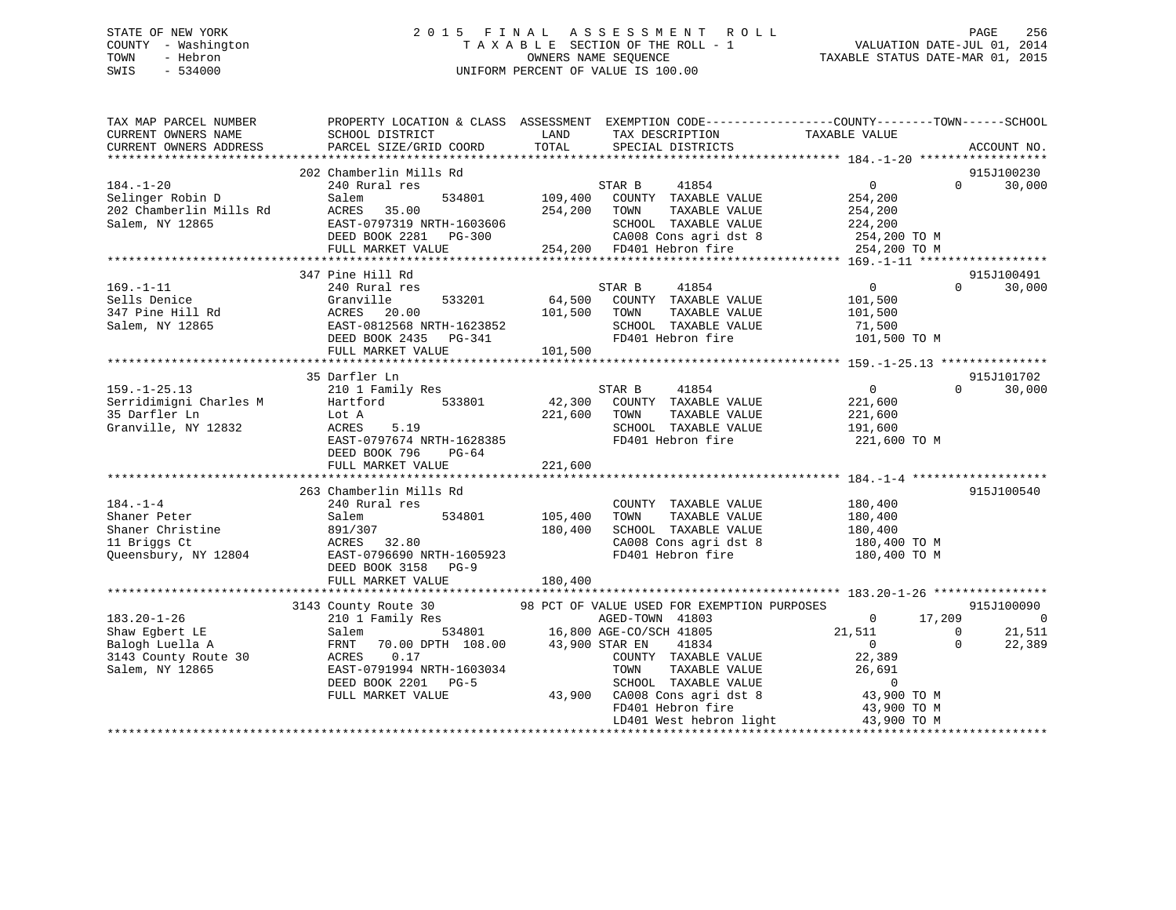# STATE OF NEW YORK 2 0 1 5 F I N A L A S S E S S M E N T R O L L PAGE 256 COUNTY - Washington T A X A B L E SECTION OF THE ROLL - 1 VALUATION DATE-JUL 01, 2014 TOWN - Hebron OWNERS NAME SEQUENCE TAXABLE STATUS DATE-MAR 01, 2015 SWIS - 534000 UNIFORM PERCENT OF VALUE IS 100.00

| TAX MAP PARCEL NUMBER<br>CURRENT OWNERS NAME<br>CURRENT OWNERS ADDRESS | PROPERTY LOCATION & CLASS ASSESSMENT EXEMPTION CODE---------------COUNTY-------TOWN------SCHOOL<br>SCHOOL DISTRICT<br>PARCEL SIZE/GRID COORD | LAND<br>TOTAL | TAX DESCRIPTION<br>SPECIAL DISTRICTS              | TAXABLE VALUE                                                      | ACCOUNT NO.                      |
|------------------------------------------------------------------------|----------------------------------------------------------------------------------------------------------------------------------------------|---------------|---------------------------------------------------|--------------------------------------------------------------------|----------------------------------|
|                                                                        |                                                                                                                                              |               |                                                   |                                                                    |                                  |
|                                                                        | 202 Chamberlin Mills Rd                                                                                                                      |               |                                                   |                                                                    | 915J100230                       |
| $184. - 1 - 20$                                                        | 240 Rural res                                                                                                                                |               | STAR B 41854                                      | $\overline{0}$                                                     | $\Omega$<br>30,000               |
| Selinger Robin D                                                       | Salem                                                                                                                                        |               | 534801 109,400 COUNTY TAXABLE VALUE 254,200       |                                                                    |                                  |
| 202 Chamberlin Mills Rd                                                | ACRES 35.00                                                                                                                                  |               | 254,200 TOWN<br>TAXABLE VALUE                     | 254,200                                                            |                                  |
| Salem, NY 12865                                                        |                                                                                                                                              |               |                                                   | SCHOOL TAXABLE VALUE 224,200<br>CA008 Cons agri dst 8 254,200 TO M |                                  |
|                                                                        | EAST-0797319 NRTH-1603606<br>DEED BOOK 2281 PG-300 CA008 Cons agri dst 8<br>FULL MARKET VALUE 254,200 FD401 Hebron fire                      |               |                                                   |                                                                    |                                  |
|                                                                        |                                                                                                                                              |               |                                                   | 254,200 TO M                                                       |                                  |
|                                                                        |                                                                                                                                              |               |                                                   |                                                                    |                                  |
|                                                                        | 347 Pine Hill Rd                                                                                                                             |               |                                                   |                                                                    | 915J100491<br>$\Omega$           |
| $169. - 1 - 11$                                                        | 240 Rural res                                                                                                                                |               | 41854<br>STAR B                                   | $\overline{0}$                                                     | 30,000                           |
| 347 Pine Hill Rd<br>Salem, NY 12865                                    | 533201<br>Granville                                                                                                                          |               | 64,500 COUNTY TAXABLE VALUE                       | 101,500                                                            |                                  |
|                                                                        |                                                                                                                                              |               | TAXABLE VALUE<br>SCHOOL TAXABLE VALUE 71,500      | 101,500                                                            |                                  |
|                                                                        |                                                                                                                                              |               |                                                   |                                                                    |                                  |
|                                                                        | ACRES 20.00 101,500 TOWN<br>EAST-0812568 NRTH-1623852 SCHOOL<br>DEED BOOK 2435 PG-341 FD401 He<br>FULL MARKET VALUE 101,500                  |               | FD401 Hebron fire 101,500 TO M                    |                                                                    |                                  |
|                                                                        |                                                                                                                                              |               |                                                   |                                                                    |                                  |
|                                                                        |                                                                                                                                              |               |                                                   |                                                                    |                                  |
|                                                                        | 35 Darfler Ln                                                                                                                                |               | STAR B<br>41854                                   | $0 \qquad \qquad$                                                  | 915J101702<br>$\Omega$<br>30,000 |
| $159. - 1 - 25.13$                                                     | 210 1 Family Res<br>Hartford 533801                                                                                                          |               |                                                   |                                                                    |                                  |
| Serridimigni Charles M<br>35 Darfler Ln                                |                                                                                                                                              |               | 42,300 COUNTY TAXABLE VALUE                       | 221,600                                                            |                                  |
|                                                                        | Lot A<br>5.19<br>ACRES                                                                                                                       | 221,600 TOWN  | TAXABLE VALUE                                     | 221,600<br>191,600                                                 |                                  |
| Granville, NY 12832                                                    | EAST-0797674 NRTH-1628385                                                                                                                    |               | SCHOOL TAXABLE VALUE                              | FD401 Hebron fire 221,600 TO M                                     |                                  |
|                                                                        | PG-64                                                                                                                                        |               |                                                   |                                                                    |                                  |
|                                                                        | DEED BOOK 796<br>FULL MARKET VALUE                                                                                                           | 221,600       |                                                   |                                                                    |                                  |
|                                                                        |                                                                                                                                              |               |                                                   |                                                                    |                                  |
|                                                                        | 263 Chamberlin Mills Rd                                                                                                                      |               |                                                   |                                                                    | 915J100540                       |
| $184. - 1 - 4$                                                         | 240 Rural res                                                                                                                                |               | COUNTY TAXABLE VALUE                              | 180,400                                                            |                                  |
| Shaner Peter                                                           | 534801 105,400<br>Salem                                                                                                                      |               | TOWN<br>TAXABLE VALUE                             | 180,400                                                            |                                  |
|                                                                        | 891/307                                                                                                                                      | 180,400       |                                                   |                                                                    |                                  |
| Shaner Christine<br>11 Briggs Ct<br>11 Briggs Ct                       | ACRES 32.80                                                                                                                                  |               |                                                   | SCHOOL TAXABLE VALUE 180,400<br>CA008 Cons agri dst 8 180,400 TO M |                                  |
| Queensbury, NY 12804                                                   | EAST-0796690 NRTH-1605923                                                                                                                    |               | FD401 Hebron fire                                 | 180,400 TO M                                                       |                                  |
|                                                                        | DEED BOOK 3158 PG-9                                                                                                                          |               |                                                   |                                                                    |                                  |
|                                                                        | FULL MARKET VALUE                                                                                                                            | 180,400       |                                                   |                                                                    |                                  |
|                                                                        |                                                                                                                                              |               |                                                   |                                                                    |                                  |
|                                                                        |                                                                                                                                              |               |                                                   |                                                                    | 915J100090                       |
| $183.20 - 1 - 26$                                                      | 3143 County Route 30 98 PCT OF VALUE USED FOR EXEMPTION PURPOSES<br>210 1 Family Res RGED-TOWN 41803                                         |               |                                                   | 17,209<br>$\overline{0}$                                           | $\overline{\phantom{0}}$         |
| Shaw Egbert LE                                                         |                                                                                                                                              |               |                                                   | 21,511<br>$\overline{0}$                                           | 21,511                           |
| Balogh Luella A                                                        | Salem 534801 16,800 AGE-CO/SCH 41805<br>FRNT 70.00 DPTH 108.00 43,900 STAR EN 41834                                                          |               |                                                   | $\overline{\mathbf{0}}$                                            | $\Omega$<br>22,389               |
| 3143 County Route 30                                                   | ACRES<br>0.17                                                                                                                                |               | COUNTY TAXABLE VALUE                              | 22,389                                                             |                                  |
| Salem, NY 12865                                                        | EAST-0791994 NRTH-1603034                                                                                                                    |               | TAXABLE VALUE<br>TOWN                             | 26,691                                                             |                                  |
|                                                                        | DEED BOOK 2201 PG-5                                                                                                                          |               | SCHOOL TAXABLE VALUE                              | $\overline{0}$                                                     |                                  |
|                                                                        | FULL MARKET VALUE                                                                                                                            |               |                                                   | 43,900 TO M                                                        |                                  |
|                                                                        |                                                                                                                                              |               | 43,900 CA008 Cons agri dst 8<br>FD401 Hebron fire | 43,900 TO M                                                        |                                  |
|                                                                        |                                                                                                                                              |               |                                                   | LD401 West hebron light 43,900 TO M                                |                                  |
|                                                                        |                                                                                                                                              |               |                                                   |                                                                    |                                  |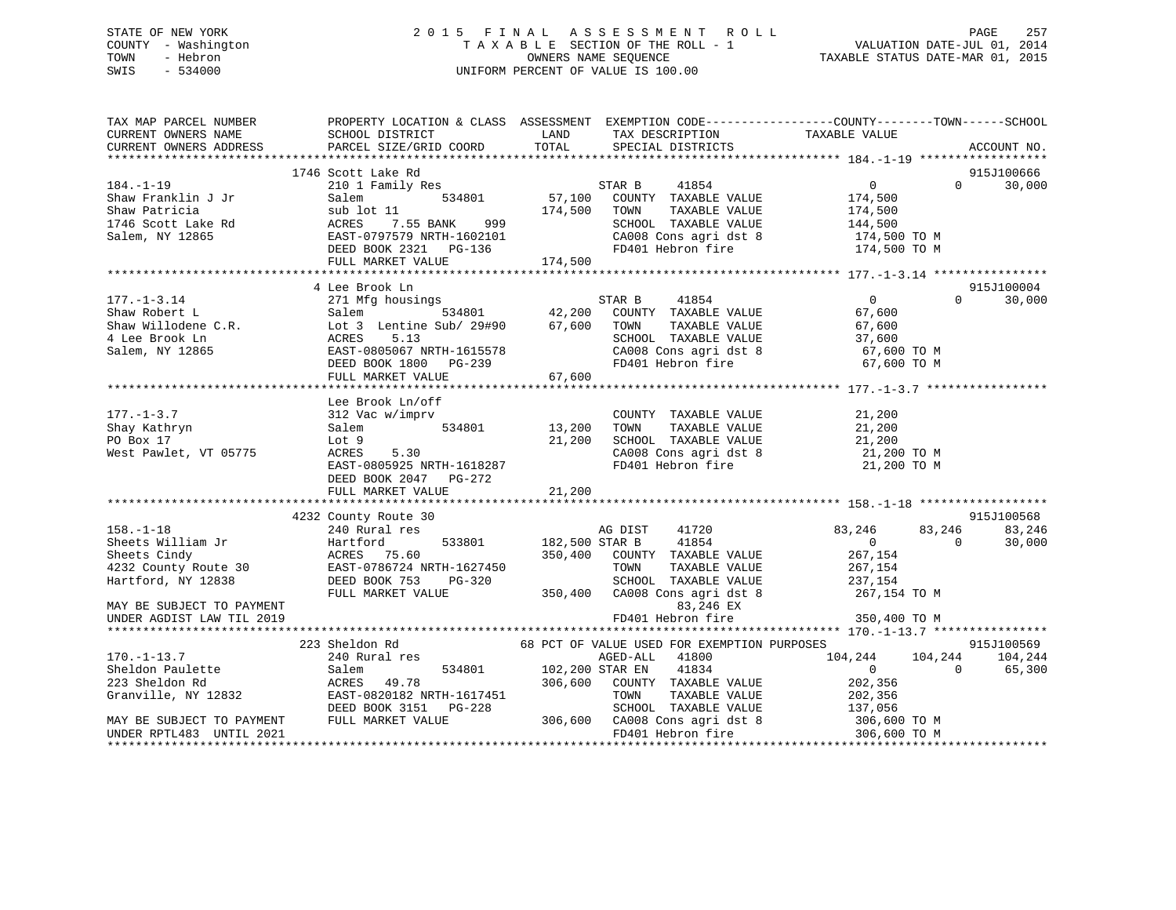# STATE OF NEW YORK 2 0 1 5 F I N A L A S S E S S M E N T R O L L PAGE 257 COUNTY - Washington T A X A B L E SECTION OF THE ROLL - 1 VALUATION DATE-JUL 01, 2014 TOWN - Hebron OWNERS NAME SEQUENCE TAXABLE STATUS DATE-MAR 01, 2015 SWIS - 534000 UNIFORM PERCENT OF VALUE IS 100.00

| TAX MAP PARCEL NUMBER<br>CURRENT OWNERS NAME<br>CURRENT OWNERS ADDRESS | SCHOOL DISTRICT<br><b>EXAMPLE STATE SERVICE STATE</b><br>PARCEL SIZE/GRID COORD              | TOTAL                  | TAX DESCRIPTION<br>SPECIAL DISTRICTS                  | PROPERTY LOCATION & CLASS ASSESSMENT EXEMPTION CODE----------------COUNTY-------TOWN-----SCHOOL<br>TAXABLE VALUE | ACCOUNT NO.        |
|------------------------------------------------------------------------|----------------------------------------------------------------------------------------------|------------------------|-------------------------------------------------------|------------------------------------------------------------------------------------------------------------------|--------------------|
|                                                                        |                                                                                              |                        |                                                       |                                                                                                                  |                    |
|                                                                        | 1746 Scott Lake Rd                                                                           |                        |                                                       |                                                                                                                  | 915J100666         |
| $184. - 1 - 19$                                                        | 210 1 Family Res                                                                             |                        | 41854<br>STAR B                                       | $\overline{0}$                                                                                                   | 30,000<br>$\Omega$ |
| Shaw Franklin J Jr                                                     | 534801<br>Salem                                                                              |                        | 57,100 COUNTY TAXABLE VALUE                           | 174,500                                                                                                          |                    |
| Shaw Patricia                                                          | sub lot 11                                                                                   | 174,500 TOWN           | TAXABLE VALUE                                         | 174,500                                                                                                          |                    |
| 1746 Scott Lake Rd<br>Salem, NY 12865                                  | $7.55$ BANK 999<br>ACRES<br>EAST-0797579 NRTH-1602101                                        |                        | SCHOOL TAXABLE VALUE<br>CA008 Cons agri dst 8         | 144,500<br>174,500 TO M                                                                                          |                    |
|                                                                        | DEED BOOK 2321 PG-136                                                                        |                        | FD401 Hebron fire                                     | 174,500 TO M                                                                                                     |                    |
|                                                                        | FULL MARKET VALUE                                                                            | 174,500                |                                                       |                                                                                                                  |                    |
|                                                                        |                                                                                              |                        |                                                       |                                                                                                                  |                    |
|                                                                        | 4 Lee Brook Ln                                                                               |                        |                                                       |                                                                                                                  | 915J100004         |
| $177. - 1 - 3.14$                                                      | 271 Mfg housings 534801 534801 5271 STAR B 41854<br>Salem 534801 42,200 COUNTY TAXABLE VALUE |                        |                                                       | $\overline{0}$<br>$\Omega$                                                                                       | 30,000             |
| Shaw Robert L<br>Shaw Willodene C.R.                                   |                                                                                              |                        |                                                       | 67,600                                                                                                           |                    |
|                                                                        | Lot 3 Lentine Sub/ 29#90 67,600                                                              |                        | TOWN<br>TAXABLE VALUE                                 | 67,600                                                                                                           |                    |
| 4 Lee Brook Ln                                                         | ACRES<br>5.13                                                                                |                        | SCHOOL TAXABLE VALUE                                  | 37,600                                                                                                           |                    |
| Salem, NY 12865                                                        | EAST-0805067 NRTH-1615578<br>DEED BOOK 1800 PG-239                                           |                        |                                                       | CA008 Cons agri dst 8 67,600 TO M                                                                                |                    |
|                                                                        |                                                                                              |                        | FD401 Hebron fire                                     | 67,600 TO M                                                                                                      |                    |
|                                                                        | FULL MARKET VALUE                                                                            | 67,600                 |                                                       |                                                                                                                  |                    |
|                                                                        |                                                                                              |                        |                                                       |                                                                                                                  |                    |
| $177. - 1 - 3.7$                                                       | Lee Brook Ln/off                                                                             |                        |                                                       |                                                                                                                  |                    |
| Shay Kathryn                                                           | 312 Vac w/imprv<br>Salem                                                                     | 534801 13,200          | COUNTY TAXABLE VALUE<br>TOWN<br>TAXABLE VALUE         | 21,200<br>21,200                                                                                                 |                    |
| PO Box 17                                                              | Lot 9                                                                                        | 21,200                 |                                                       |                                                                                                                  |                    |
| West Pawlet, VT 05775                                                  | ACRES 5.30                                                                                   |                        |                                                       | SCHOOL TAXABLE VALUE 21,200<br>CA008 Cons agri dst 8 21,200 TO M                                                 |                    |
|                                                                        | EAST-0805925 NRTH-1618287                                                                    |                        | FD401 Hebron fire                                     | 21,200 TO M                                                                                                      |                    |
|                                                                        | DEED BOOK 2047 PG-272                                                                        |                        |                                                       |                                                                                                                  |                    |
|                                                                        |                                                                                              |                        |                                                       |                                                                                                                  |                    |
|                                                                        |                                                                                              |                        |                                                       |                                                                                                                  |                    |
|                                                                        | 4232 County Route 30                                                                         |                        |                                                       |                                                                                                                  | 915J100568         |
| $158. - 1 - 18$                                                        | 240 Rural res                                                                                |                        | AG DIST<br>41720                                      | 83,246<br>83,246                                                                                                 | 83,246             |
|                                                                        | Hartford                                                                                     | 533801 182,500 STAR B  | 41854                                                 | $\overline{0}$<br>$\Omega$                                                                                       | 30,000             |
|                                                                        |                                                                                              |                        | 350,400 COUNTY TAXABLE VALUE                          | 267,154                                                                                                          |                    |
| 4232 County Route 30                                                   | EAST-0786724 NRTH-1627450                                                                    |                        | TOWN<br>TAXABLE VALUE                                 | 267,154                                                                                                          |                    |
| Hartford, NY 12838                                                     | DEED BOOK 753<br>PG-320                                                                      |                        | SCHOOL TAXABLE VALUE                                  | 237,154                                                                                                          |                    |
|                                                                        | FULL MARKET VALUE                                                                            |                        | 350,400 CA008 Cons agri dst 8                         | 267,154 TO M                                                                                                     |                    |
| MAY BE SUBJECT TO PAYMENT                                              |                                                                                              |                        | 83,246 EX<br>FD401 Hebron fire                        | 350,400 TO M                                                                                                     |                    |
| UNDER AGDIST LAW TIL 2019                                              |                                                                                              |                        |                                                       |                                                                                                                  |                    |
|                                                                        | 223 Sheldon Rd                                                                               |                        | 68 PCT OF VALUE USED FOR EXEMPTION PURPOSES           |                                                                                                                  | 915J100569         |
| $170. - 1 - 13.7$                                                      | 240 Rural res                                                                                |                        | 41800<br>AGED-ALL                                     | 104,244 104,244                                                                                                  | 104,244            |
| Sheldon Paulette                                                       | Salem                                                                                        | 534801 102,200 STAR EN | 41834                                                 | $\overline{0}$<br>$\sim$ 0                                                                                       | 65,300             |
| 223 Sheldon Rd                                                         | ACRES<br>49.78                                                                               |                        | 306,600 COUNTY TAXABLE VALUE                          | 202,356                                                                                                          |                    |
| Granville, NY 12832                                                    | EAST-0820182 NRTH-1617451                                                                    |                        | TOWN<br>TAXABLE VALUE                                 | 202,356                                                                                                          |                    |
|                                                                        | DEED BOOK 3151 PG-228                                                                        |                        | SCHOOL TAXABLE VALUE                                  | 137,056                                                                                                          |                    |
| MAY BE SUBJECT TO PAYMENT                                              | FULL MARKET VALUE                                                                            |                        | SCHOOL TAXABLE VALUE<br>306,600 CA008 Cons agri dst 8 | t 8 306,600 TO M<br>306.600 TO M                                                                                 |                    |
| UNDER RPTL483 UNTIL 2021                                               |                                                                                              |                        | FD401 Hebron fire                                     | 306,600 TO M                                                                                                     |                    |
|                                                                        |                                                                                              |                        |                                                       |                                                                                                                  |                    |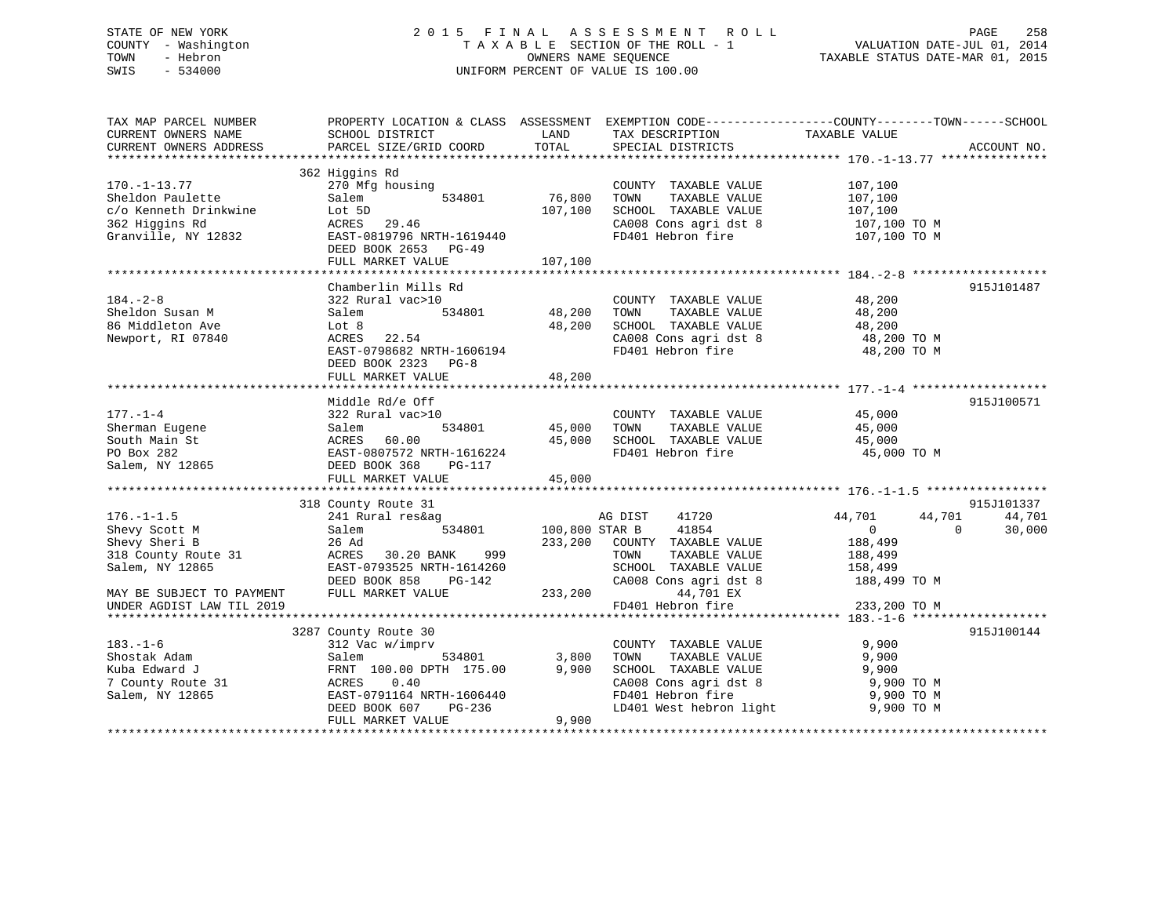# STATE OF NEW YORK 2 0 1 5 F I N A L A S S E S S M E N T R O L L PAGE 258 COUNTY - Washington T A X A B L E SECTION OF THE ROLL - 1 VALUATION DATE-JUL 01, 2014 TOWN - Hebron OWNERS NAME SEQUENCE TAXABLE STATUS DATE-MAR 01, 2015 SWIS - 534000 UNIFORM PERCENT OF VALUE IS 100.00

TAX MAP PARCEL NUMBER PROPERTY LOCATION & CLASS ASSESSMENT EXEMPTION CODE------------------COUNTY--------TOWN------SCHOOL CURRENT OWNERS NAME SCHOOL DISTRICT LAND TAX DESCRIPTION TAXABLE VALUE CURRENT OWNERS ADDRESS PARCEL SIZE/GRID COORD TOTAL SPECIAL DISTRICTS ACCOUNT NO. \*\*\*\*\*\*\*\*\*\*\*\*\*\*\*\*\*\*\*\*\*\*\*\*\*\*\*\*\*\*\*\*\*\*\*\*\*\*\*\*\*\*\*\*\*\*\*\*\*\*\*\*\*\*\*\*\*\*\*\*\*\*\*\*\*\*\*\*\*\*\*\*\*\*\*\*\*\*\*\*\*\*\*\*\*\*\*\*\*\*\*\*\*\*\*\*\*\*\*\*\*\*\* 170.-1-13.77 \*\*\*\*\*\*\*\*\*\*\*\*\*\*\* 362 Higgins Rd 170.-1-13.77 270 Mfg housing COUNTY TAXABLE VALUE 107,100 Sheldon Paulette Salem 534801 76,800 TOWN TAXABLE VALUE 107,100 c/o Kenneth Drinkwine Lot 5D 107,100 SCHOOL TAXABLE VALUE 107,100 362 Higgins Rd ACRES 29.46 CA008 Cons agri dst 8 107,100 TO M Granville, NY 12832 EAST-0819796 NRTH-1619440 FD401 Hebron fire 107,100 TO M DEED BOOK 2653 PG-49FULL MARKET VALUE 107,100 \*\*\*\*\*\*\*\*\*\*\*\*\*\*\*\*\*\*\*\*\*\*\*\*\*\*\*\*\*\*\*\*\*\*\*\*\*\*\*\*\*\*\*\*\*\*\*\*\*\*\*\*\*\*\*\*\*\*\*\*\*\*\*\*\*\*\*\*\*\*\*\*\*\*\*\*\*\*\*\*\*\*\*\*\*\*\*\*\*\*\*\*\*\*\*\*\*\*\*\*\*\*\* 184.-2-8 \*\*\*\*\*\*\*\*\*\*\*\*\*\*\*\*\*\*\* Chamberlin Mills Rd 915J101487184.-2-8 322 Rural vac>10 COUNTY TAXABLE VALUE 48,200 Sheldon Susan M Salem 534801 48,200 TOWN TAXABLE VALUE 48,200 86 Middleton Ave Lot 8 22.54 10008 CHOOL TAXABLE VALUE 48,200 ACRES 22.54 200 CA008 CONSTANT AND 48,200 CA008 CHOOL TAXABLE VALUE 48,200 2010 Newport, RI 07840 ACRES 22.54 CA008 Cons agri dst 8 48,200 TO M EAST-0798682 NRTH-1606194 FD401 Hebron fire 48,200 TO M DEED BOOK 2323 PG-8 FULL MARKET VALUE 48,200 \*\*\*\*\*\*\*\*\*\*\*\*\*\*\*\*\*\*\*\*\*\*\*\*\*\*\*\*\*\*\*\*\*\*\*\*\*\*\*\*\*\*\*\*\*\*\*\*\*\*\*\*\*\*\*\*\*\*\*\*\*\*\*\*\*\*\*\*\*\*\*\*\*\*\*\*\*\*\*\*\*\*\*\*\*\*\*\*\*\*\*\*\*\*\*\*\*\*\*\*\*\*\* 177.-1-4 \*\*\*\*\*\*\*\*\*\*\*\*\*\*\*\*\*\*\* Middle Rd/e Off 915J100571 177.-1-4 322 Rural vac>10 COUNTY TAXABLE VALUE 45,000 Sherman Eugene Salem 534801 45,000 TOWN TAXABLE VALUE 45,000 South Main St ACRES 60.00 45,000 SCHOOL TAXABLE VALUE 45,000 PO Box 282 EAST-0807572 NRTH-1616224 FD401 Hebron fire 45,000 TO M Salem, NY 12865 DEED BOOK 368 PG-117 FULL MARKET VALUE 45,000 \*\*\*\*\*\*\*\*\*\*\*\*\*\*\*\*\*\*\*\*\*\*\*\*\*\*\*\*\*\*\*\*\*\*\*\*\*\*\*\*\*\*\*\*\*\*\*\*\*\*\*\*\*\*\*\*\*\*\*\*\*\*\*\*\*\*\*\*\*\*\*\*\*\*\*\*\*\*\*\*\*\*\*\*\*\*\*\*\*\*\*\*\*\*\*\*\*\*\*\*\*\*\* 176.-1-1.5 \*\*\*\*\*\*\*\*\*\*\*\*\*\*\*\*\* 318 County Route 31 915J101337 176.-1-1.5 241 Rural res&ag AG DIST 41720 44,701 44,701 44,701 Shevy Scott M Salem 534801 100,800 STAR B 41854 0 0 30,000 Shevy Sheri B 26 Ad 233,200 COUNTY TAXABLE VALUE 188,499 318 County Route 31 ACRES 30.20 BANK 999 TOWN TAXABLE VALUE 188,499 Salem, NY 12865 EAST-0793525 NRTH-1614260 SCHOOL TAXABLE VALUE 158,499 DEED BOOK 858 PG-142 CA008 Cons agri dst 8 188,499 TO M MAY BE SUBJECT TO PAYMENT FULL MARKET VALUE 233,200 44,701 EX UNDER AGDIST LAW TIL 2019 FD401 Hebron fire 233,200 TO M \*\*\*\*\*\*\*\*\*\*\*\*\*\*\*\*\*\*\*\*\*\*\*\*\*\*\*\*\*\*\*\*\*\*\*\*\*\*\*\*\*\*\*\*\*\*\*\*\*\*\*\*\*\*\*\*\*\*\*\*\*\*\*\*\*\*\*\*\*\*\*\*\*\*\*\*\*\*\*\*\*\*\*\*\*\*\*\*\*\*\*\*\*\*\*\*\*\*\*\*\*\*\* 183.-1-6 \*\*\*\*\*\*\*\*\*\*\*\*\*\*\*\*\*\*\* 3287 County Route 30 915J100144 183.-1-6 312 Vac w/imprv COUNTY TAXABLE VALUE 9,900 Shostak Adam Salem 534801 3,800 TOWN TAXABLE VALUE 9,900 Kuba Edward J FRNT 100.00 DPTH 175.00 9,900 SCHOOL TAXABLE VALUE 9,900 7 County Route 31 ACRES 0.40 CA008 Cons agri dst 8 9,900 TO M Salem, NY 12865 EAST-0791164 NRTH-1606440 FD401 Hebron fire 9,900 TO M DEED BOOK 607 PG-236 LD401 West hebron light 9,900 TO M FULL MARKET VALUE 9,900 \*\*\*\*\*\*\*\*\*\*\*\*\*\*\*\*\*\*\*\*\*\*\*\*\*\*\*\*\*\*\*\*\*\*\*\*\*\*\*\*\*\*\*\*\*\*\*\*\*\*\*\*\*\*\*\*\*\*\*\*\*\*\*\*\*\*\*\*\*\*\*\*\*\*\*\*\*\*\*\*\*\*\*\*\*\*\*\*\*\*\*\*\*\*\*\*\*\*\*\*\*\*\*\*\*\*\*\*\*\*\*\*\*\*\*\*\*\*\*\*\*\*\*\*\*\*\*\*\*\*\*\*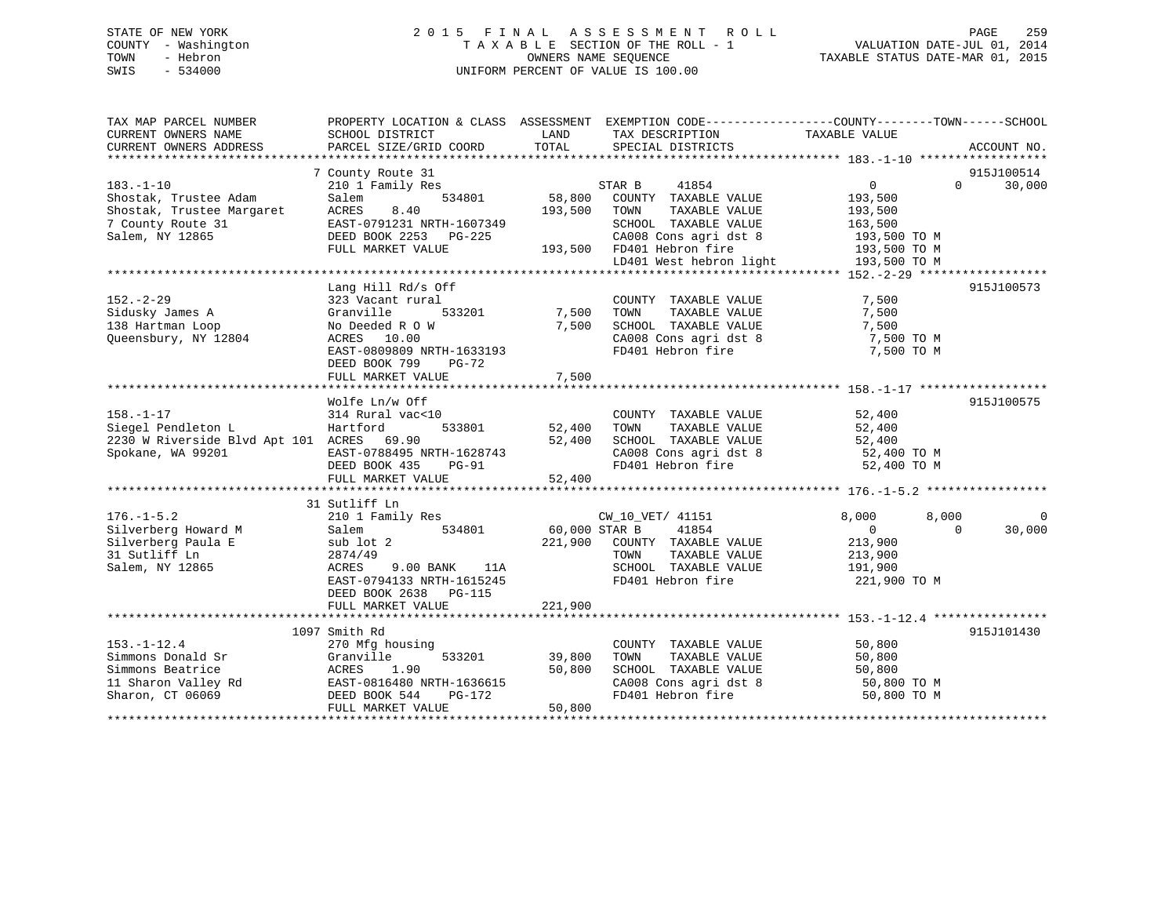# STATE OF NEW YORK 2 0 1 5 F I N A L A S S E S S M E N T R O L L PAGE 259 COUNTY - Washington T A X A B L E SECTION OF THE ROLL - 1 VALUATION DATE-JUL 01, 2014 TOWN - Hebron OWNERS NAME SEQUENCE TAXABLE STATUS DATE-MAR 01, 2015 SWIS - 534000 UNIFORM PERCENT OF VALUE IS 100.00

| TAX DESCRIPTION<br>TAXABLE VALUE<br>SCHOOL DISTRICT<br>LAND<br>TOTAL<br>PARCEL SIZE/GRID COORD<br>SPECIAL DISTRICTS<br>ACCOUNT NO.<br>7 County Route 31<br>915J100514<br>$183. - 1 - 10$<br>$0 \qquad \qquad$<br>$\Omega$<br>30,000<br>210 1 Family Res<br>STAR B<br>41854<br>534801<br>58,800<br>COUNTY TAXABLE VALUE<br>193,500<br>Shostak, Trustee Adam<br>Salem<br>Shostak, Trustee Margaret<br>7 County Route 31<br>8.40<br>193,500<br>ACRES<br>TOWN<br>TAXABLE VALUE<br>193,500<br>7 County Route 31<br>EAST-0791231 NRTH-1607349<br>SCHOOL TAXABLE VALUE<br>163,500<br>Salem, NY 12865<br>DEED BOOK 2253 PG-225<br>$\begin{array}{lll} \texttt{CA008} \texttt{ Cons} \texttt{agr} & \texttt{dst 8} & \texttt{193,500 T0 M} \\ \texttt{FD401} \texttt{Hebron fire} & \texttt{193,500 T0 M} \end{array}$<br>$193,500$ FD401 Hebron fire<br>FULL MARKET VALUE<br>LD401 West hebron light 193,500 TO M<br>915J100573<br>Lang Hill Rd/s Off<br>7,500<br>$152. - 2 - 29$<br>323 Vacant rural<br>COUNTY TAXABLE VALUE<br>533201 7,500<br>Granville<br>TAXABLE VALUE<br>Sidusky James A<br>TOWN<br>7,500<br>7,500<br>SCHOOL TAXABLE VALUE<br>138 Hartman Loop<br>No Deeded R O W<br>7,500<br>SCHOOL TAXABLE VALUE<br>CA008 Cons agri dst 8<br>FD401 Hebron fire<br>Queensbury, NY 12804<br>ACRES 10.00<br>7,500 TO M<br>EAST-0809809 NRTH-1633193<br>7,500 TO M<br>DEED BOOK 799<br>PG-72<br>7,500<br>FULL MARKET VALUE<br>Wolfe Ln/w Off<br>915J100575<br>$158. - 1 - 17$<br>52,400<br>52.400<br>314 Rural vac<10<br>COUNTY TAXABLE VALUE<br>Siegel Pendleton L<br>533801<br>52,400<br>TAXABLE VALUE<br>Hartford<br>TOWN<br>52,400<br>2230 W Riverside Blvd Apt 101 ACRES 69.90<br>52,400<br>SCHOOL TAXABLE VALUE<br>52,400<br>52,400 TO M<br>Spokane, WA 99201<br>HOLLD<br>EAST-0788495 NRTH-1628743<br>PFFD ROOK 435 PG-91<br>$\begin{array}{llll}\n\text{CA008} & \text{Cons}\n\text{ agrid} & \text{B} \\ \text{FD401} & \text{Hebron}\n\text{ fire} & \text{S2,400} & \text{TO M} \\ \end{array}$<br>FULL MARKET VALUE<br>52,400<br>31 Sutliff Ln<br>210 1 Family Res<br>CW_10_VET/ 41151<br>8,000<br>8,000<br>$\mathbf{0}$<br>60,000 STAR B<br>534801<br>41854<br>Salem<br>$\overline{0}$<br>$\Omega$<br>30,000<br>sub lot 2<br>221,900<br>COUNTY TAXABLE VALUE<br>213,900<br>TOWN<br>TAXABLE VALUE<br>213,900<br>2874/49<br>ACRES 9.00 BANK 11A<br>SCHOOL TAXABLE VALUE<br>191,900<br>EAST-0794133 NRTH-1615245<br>FD401 Hebron fire<br>221,900 TO M<br>DEED BOOK 2638 PG-115<br>221,900<br>FULL MARKET VALUE<br>1097 Smith Rd<br>915J101430<br>$153. - 1 - 12.4$<br>50,800<br>270 Mfg housing<br>COUNTY TAXABLE VALUE<br>Simmons Donald Sr<br>533201<br>Granville<br>39,800<br>TOWN<br>TAXABLE VALUE<br>50,800<br>Simmons Beatrice<br>50,800<br>SCHOOL TAXABLE VALUE<br>50,800<br>ACRES<br>1.90<br>EAST-0816480 N<br>DEED BOOK 544<br>11 Sharon Valley Rd<br>EAST-0816480 NRTH-1636615<br>CA008 Cons agri dst 8<br>50,800 TO M<br>Sharon, CT 06069<br>FD401 Hebron fire<br>50,800 TO M<br>PG-172<br>50,800<br>FULL MARKET VALUE | TAX MAP PARCEL NUMBER  | PROPERTY LOCATION & CLASS ASSESSMENT EXEMPTION CODE----------------COUNTY-------TOWN------SCHOOL |  |  |
|-----------------------------------------------------------------------------------------------------------------------------------------------------------------------------------------------------------------------------------------------------------------------------------------------------------------------------------------------------------------------------------------------------------------------------------------------------------------------------------------------------------------------------------------------------------------------------------------------------------------------------------------------------------------------------------------------------------------------------------------------------------------------------------------------------------------------------------------------------------------------------------------------------------------------------------------------------------------------------------------------------------------------------------------------------------------------------------------------------------------------------------------------------------------------------------------------------------------------------------------------------------------------------------------------------------------------------------------------------------------------------------------------------------------------------------------------------------------------------------------------------------------------------------------------------------------------------------------------------------------------------------------------------------------------------------------------------------------------------------------------------------------------------------------------------------------------------------------------------------------------------------------------------------------------------------------------------------------------------------------------------------------------------------------------------------------------------------------------------------------------------------------------------------------------------------------------------------------------------------------------------------------------------------------------------------------------------------------------------------------------------------------------------------------------------------------------------------------------------------------------------------------------------------------------------------------------------------------------------------------------------------------------------------------------------------------------------------------------------------------------------------------------------------------------------------------------------------------------------------------------------------------------------------------------------------------------------------------------------------------------------------------------------------------|------------------------|--------------------------------------------------------------------------------------------------|--|--|
|                                                                                                                                                                                                                                                                                                                                                                                                                                                                                                                                                                                                                                                                                                                                                                                                                                                                                                                                                                                                                                                                                                                                                                                                                                                                                                                                                                                                                                                                                                                                                                                                                                                                                                                                                                                                                                                                                                                                                                                                                                                                                                                                                                                                                                                                                                                                                                                                                                                                                                                                                                                                                                                                                                                                                                                                                                                                                                                                                                                                                                         | CURRENT OWNERS NAME    |                                                                                                  |  |  |
|                                                                                                                                                                                                                                                                                                                                                                                                                                                                                                                                                                                                                                                                                                                                                                                                                                                                                                                                                                                                                                                                                                                                                                                                                                                                                                                                                                                                                                                                                                                                                                                                                                                                                                                                                                                                                                                                                                                                                                                                                                                                                                                                                                                                                                                                                                                                                                                                                                                                                                                                                                                                                                                                                                                                                                                                                                                                                                                                                                                                                                         | CURRENT OWNERS ADDRESS |                                                                                                  |  |  |
|                                                                                                                                                                                                                                                                                                                                                                                                                                                                                                                                                                                                                                                                                                                                                                                                                                                                                                                                                                                                                                                                                                                                                                                                                                                                                                                                                                                                                                                                                                                                                                                                                                                                                                                                                                                                                                                                                                                                                                                                                                                                                                                                                                                                                                                                                                                                                                                                                                                                                                                                                                                                                                                                                                                                                                                                                                                                                                                                                                                                                                         |                        |                                                                                                  |  |  |
|                                                                                                                                                                                                                                                                                                                                                                                                                                                                                                                                                                                                                                                                                                                                                                                                                                                                                                                                                                                                                                                                                                                                                                                                                                                                                                                                                                                                                                                                                                                                                                                                                                                                                                                                                                                                                                                                                                                                                                                                                                                                                                                                                                                                                                                                                                                                                                                                                                                                                                                                                                                                                                                                                                                                                                                                                                                                                                                                                                                                                                         |                        |                                                                                                  |  |  |
|                                                                                                                                                                                                                                                                                                                                                                                                                                                                                                                                                                                                                                                                                                                                                                                                                                                                                                                                                                                                                                                                                                                                                                                                                                                                                                                                                                                                                                                                                                                                                                                                                                                                                                                                                                                                                                                                                                                                                                                                                                                                                                                                                                                                                                                                                                                                                                                                                                                                                                                                                                                                                                                                                                                                                                                                                                                                                                                                                                                                                                         |                        |                                                                                                  |  |  |
|                                                                                                                                                                                                                                                                                                                                                                                                                                                                                                                                                                                                                                                                                                                                                                                                                                                                                                                                                                                                                                                                                                                                                                                                                                                                                                                                                                                                                                                                                                                                                                                                                                                                                                                                                                                                                                                                                                                                                                                                                                                                                                                                                                                                                                                                                                                                                                                                                                                                                                                                                                                                                                                                                                                                                                                                                                                                                                                                                                                                                                         |                        |                                                                                                  |  |  |
|                                                                                                                                                                                                                                                                                                                                                                                                                                                                                                                                                                                                                                                                                                                                                                                                                                                                                                                                                                                                                                                                                                                                                                                                                                                                                                                                                                                                                                                                                                                                                                                                                                                                                                                                                                                                                                                                                                                                                                                                                                                                                                                                                                                                                                                                                                                                                                                                                                                                                                                                                                                                                                                                                                                                                                                                                                                                                                                                                                                                                                         |                        |                                                                                                  |  |  |
|                                                                                                                                                                                                                                                                                                                                                                                                                                                                                                                                                                                                                                                                                                                                                                                                                                                                                                                                                                                                                                                                                                                                                                                                                                                                                                                                                                                                                                                                                                                                                                                                                                                                                                                                                                                                                                                                                                                                                                                                                                                                                                                                                                                                                                                                                                                                                                                                                                                                                                                                                                                                                                                                                                                                                                                                                                                                                                                                                                                                                                         |                        |                                                                                                  |  |  |
|                                                                                                                                                                                                                                                                                                                                                                                                                                                                                                                                                                                                                                                                                                                                                                                                                                                                                                                                                                                                                                                                                                                                                                                                                                                                                                                                                                                                                                                                                                                                                                                                                                                                                                                                                                                                                                                                                                                                                                                                                                                                                                                                                                                                                                                                                                                                                                                                                                                                                                                                                                                                                                                                                                                                                                                                                                                                                                                                                                                                                                         |                        |                                                                                                  |  |  |
|                                                                                                                                                                                                                                                                                                                                                                                                                                                                                                                                                                                                                                                                                                                                                                                                                                                                                                                                                                                                                                                                                                                                                                                                                                                                                                                                                                                                                                                                                                                                                                                                                                                                                                                                                                                                                                                                                                                                                                                                                                                                                                                                                                                                                                                                                                                                                                                                                                                                                                                                                                                                                                                                                                                                                                                                                                                                                                                                                                                                                                         |                        |                                                                                                  |  |  |
|                                                                                                                                                                                                                                                                                                                                                                                                                                                                                                                                                                                                                                                                                                                                                                                                                                                                                                                                                                                                                                                                                                                                                                                                                                                                                                                                                                                                                                                                                                                                                                                                                                                                                                                                                                                                                                                                                                                                                                                                                                                                                                                                                                                                                                                                                                                                                                                                                                                                                                                                                                                                                                                                                                                                                                                                                                                                                                                                                                                                                                         |                        |                                                                                                  |  |  |
|                                                                                                                                                                                                                                                                                                                                                                                                                                                                                                                                                                                                                                                                                                                                                                                                                                                                                                                                                                                                                                                                                                                                                                                                                                                                                                                                                                                                                                                                                                                                                                                                                                                                                                                                                                                                                                                                                                                                                                                                                                                                                                                                                                                                                                                                                                                                                                                                                                                                                                                                                                                                                                                                                                                                                                                                                                                                                                                                                                                                                                         |                        |                                                                                                  |  |  |
|                                                                                                                                                                                                                                                                                                                                                                                                                                                                                                                                                                                                                                                                                                                                                                                                                                                                                                                                                                                                                                                                                                                                                                                                                                                                                                                                                                                                                                                                                                                                                                                                                                                                                                                                                                                                                                                                                                                                                                                                                                                                                                                                                                                                                                                                                                                                                                                                                                                                                                                                                                                                                                                                                                                                                                                                                                                                                                                                                                                                                                         |                        |                                                                                                  |  |  |
|                                                                                                                                                                                                                                                                                                                                                                                                                                                                                                                                                                                                                                                                                                                                                                                                                                                                                                                                                                                                                                                                                                                                                                                                                                                                                                                                                                                                                                                                                                                                                                                                                                                                                                                                                                                                                                                                                                                                                                                                                                                                                                                                                                                                                                                                                                                                                                                                                                                                                                                                                                                                                                                                                                                                                                                                                                                                                                                                                                                                                                         |                        |                                                                                                  |  |  |
|                                                                                                                                                                                                                                                                                                                                                                                                                                                                                                                                                                                                                                                                                                                                                                                                                                                                                                                                                                                                                                                                                                                                                                                                                                                                                                                                                                                                                                                                                                                                                                                                                                                                                                                                                                                                                                                                                                                                                                                                                                                                                                                                                                                                                                                                                                                                                                                                                                                                                                                                                                                                                                                                                                                                                                                                                                                                                                                                                                                                                                         |                        |                                                                                                  |  |  |
|                                                                                                                                                                                                                                                                                                                                                                                                                                                                                                                                                                                                                                                                                                                                                                                                                                                                                                                                                                                                                                                                                                                                                                                                                                                                                                                                                                                                                                                                                                                                                                                                                                                                                                                                                                                                                                                                                                                                                                                                                                                                                                                                                                                                                                                                                                                                                                                                                                                                                                                                                                                                                                                                                                                                                                                                                                                                                                                                                                                                                                         |                        |                                                                                                  |  |  |
|                                                                                                                                                                                                                                                                                                                                                                                                                                                                                                                                                                                                                                                                                                                                                                                                                                                                                                                                                                                                                                                                                                                                                                                                                                                                                                                                                                                                                                                                                                                                                                                                                                                                                                                                                                                                                                                                                                                                                                                                                                                                                                                                                                                                                                                                                                                                                                                                                                                                                                                                                                                                                                                                                                                                                                                                                                                                                                                                                                                                                                         |                        |                                                                                                  |  |  |
|                                                                                                                                                                                                                                                                                                                                                                                                                                                                                                                                                                                                                                                                                                                                                                                                                                                                                                                                                                                                                                                                                                                                                                                                                                                                                                                                                                                                                                                                                                                                                                                                                                                                                                                                                                                                                                                                                                                                                                                                                                                                                                                                                                                                                                                                                                                                                                                                                                                                                                                                                                                                                                                                                                                                                                                                                                                                                                                                                                                                                                         |                        |                                                                                                  |  |  |
|                                                                                                                                                                                                                                                                                                                                                                                                                                                                                                                                                                                                                                                                                                                                                                                                                                                                                                                                                                                                                                                                                                                                                                                                                                                                                                                                                                                                                                                                                                                                                                                                                                                                                                                                                                                                                                                                                                                                                                                                                                                                                                                                                                                                                                                                                                                                                                                                                                                                                                                                                                                                                                                                                                                                                                                                                                                                                                                                                                                                                                         |                        |                                                                                                  |  |  |
|                                                                                                                                                                                                                                                                                                                                                                                                                                                                                                                                                                                                                                                                                                                                                                                                                                                                                                                                                                                                                                                                                                                                                                                                                                                                                                                                                                                                                                                                                                                                                                                                                                                                                                                                                                                                                                                                                                                                                                                                                                                                                                                                                                                                                                                                                                                                                                                                                                                                                                                                                                                                                                                                                                                                                                                                                                                                                                                                                                                                                                         |                        |                                                                                                  |  |  |
|                                                                                                                                                                                                                                                                                                                                                                                                                                                                                                                                                                                                                                                                                                                                                                                                                                                                                                                                                                                                                                                                                                                                                                                                                                                                                                                                                                                                                                                                                                                                                                                                                                                                                                                                                                                                                                                                                                                                                                                                                                                                                                                                                                                                                                                                                                                                                                                                                                                                                                                                                                                                                                                                                                                                                                                                                                                                                                                                                                                                                                         |                        |                                                                                                  |  |  |
|                                                                                                                                                                                                                                                                                                                                                                                                                                                                                                                                                                                                                                                                                                                                                                                                                                                                                                                                                                                                                                                                                                                                                                                                                                                                                                                                                                                                                                                                                                                                                                                                                                                                                                                                                                                                                                                                                                                                                                                                                                                                                                                                                                                                                                                                                                                                                                                                                                                                                                                                                                                                                                                                                                                                                                                                                                                                                                                                                                                                                                         |                        |                                                                                                  |  |  |
|                                                                                                                                                                                                                                                                                                                                                                                                                                                                                                                                                                                                                                                                                                                                                                                                                                                                                                                                                                                                                                                                                                                                                                                                                                                                                                                                                                                                                                                                                                                                                                                                                                                                                                                                                                                                                                                                                                                                                                                                                                                                                                                                                                                                                                                                                                                                                                                                                                                                                                                                                                                                                                                                                                                                                                                                                                                                                                                                                                                                                                         |                        |                                                                                                  |  |  |
|                                                                                                                                                                                                                                                                                                                                                                                                                                                                                                                                                                                                                                                                                                                                                                                                                                                                                                                                                                                                                                                                                                                                                                                                                                                                                                                                                                                                                                                                                                                                                                                                                                                                                                                                                                                                                                                                                                                                                                                                                                                                                                                                                                                                                                                                                                                                                                                                                                                                                                                                                                                                                                                                                                                                                                                                                                                                                                                                                                                                                                         |                        |                                                                                                  |  |  |
|                                                                                                                                                                                                                                                                                                                                                                                                                                                                                                                                                                                                                                                                                                                                                                                                                                                                                                                                                                                                                                                                                                                                                                                                                                                                                                                                                                                                                                                                                                                                                                                                                                                                                                                                                                                                                                                                                                                                                                                                                                                                                                                                                                                                                                                                                                                                                                                                                                                                                                                                                                                                                                                                                                                                                                                                                                                                                                                                                                                                                                         |                        |                                                                                                  |  |  |
|                                                                                                                                                                                                                                                                                                                                                                                                                                                                                                                                                                                                                                                                                                                                                                                                                                                                                                                                                                                                                                                                                                                                                                                                                                                                                                                                                                                                                                                                                                                                                                                                                                                                                                                                                                                                                                                                                                                                                                                                                                                                                                                                                                                                                                                                                                                                                                                                                                                                                                                                                                                                                                                                                                                                                                                                                                                                                                                                                                                                                                         |                        |                                                                                                  |  |  |
|                                                                                                                                                                                                                                                                                                                                                                                                                                                                                                                                                                                                                                                                                                                                                                                                                                                                                                                                                                                                                                                                                                                                                                                                                                                                                                                                                                                                                                                                                                                                                                                                                                                                                                                                                                                                                                                                                                                                                                                                                                                                                                                                                                                                                                                                                                                                                                                                                                                                                                                                                                                                                                                                                                                                                                                                                                                                                                                                                                                                                                         |                        |                                                                                                  |  |  |
|                                                                                                                                                                                                                                                                                                                                                                                                                                                                                                                                                                                                                                                                                                                                                                                                                                                                                                                                                                                                                                                                                                                                                                                                                                                                                                                                                                                                                                                                                                                                                                                                                                                                                                                                                                                                                                                                                                                                                                                                                                                                                                                                                                                                                                                                                                                                                                                                                                                                                                                                                                                                                                                                                                                                                                                                                                                                                                                                                                                                                                         |                        |                                                                                                  |  |  |
|                                                                                                                                                                                                                                                                                                                                                                                                                                                                                                                                                                                                                                                                                                                                                                                                                                                                                                                                                                                                                                                                                                                                                                                                                                                                                                                                                                                                                                                                                                                                                                                                                                                                                                                                                                                                                                                                                                                                                                                                                                                                                                                                                                                                                                                                                                                                                                                                                                                                                                                                                                                                                                                                                                                                                                                                                                                                                                                                                                                                                                         |                        |                                                                                                  |  |  |
|                                                                                                                                                                                                                                                                                                                                                                                                                                                                                                                                                                                                                                                                                                                                                                                                                                                                                                                                                                                                                                                                                                                                                                                                                                                                                                                                                                                                                                                                                                                                                                                                                                                                                                                                                                                                                                                                                                                                                                                                                                                                                                                                                                                                                                                                                                                                                                                                                                                                                                                                                                                                                                                                                                                                                                                                                                                                                                                                                                                                                                         | $176. - 1 - 5.2$       |                                                                                                  |  |  |
|                                                                                                                                                                                                                                                                                                                                                                                                                                                                                                                                                                                                                                                                                                                                                                                                                                                                                                                                                                                                                                                                                                                                                                                                                                                                                                                                                                                                                                                                                                                                                                                                                                                                                                                                                                                                                                                                                                                                                                                                                                                                                                                                                                                                                                                                                                                                                                                                                                                                                                                                                                                                                                                                                                                                                                                                                                                                                                                                                                                                                                         | Silverberg Howard M    |                                                                                                  |  |  |
|                                                                                                                                                                                                                                                                                                                                                                                                                                                                                                                                                                                                                                                                                                                                                                                                                                                                                                                                                                                                                                                                                                                                                                                                                                                                                                                                                                                                                                                                                                                                                                                                                                                                                                                                                                                                                                                                                                                                                                                                                                                                                                                                                                                                                                                                                                                                                                                                                                                                                                                                                                                                                                                                                                                                                                                                                                                                                                                                                                                                                                         | Silverberg Paula E     |                                                                                                  |  |  |
|                                                                                                                                                                                                                                                                                                                                                                                                                                                                                                                                                                                                                                                                                                                                                                                                                                                                                                                                                                                                                                                                                                                                                                                                                                                                                                                                                                                                                                                                                                                                                                                                                                                                                                                                                                                                                                                                                                                                                                                                                                                                                                                                                                                                                                                                                                                                                                                                                                                                                                                                                                                                                                                                                                                                                                                                                                                                                                                                                                                                                                         | 31 Sutliff Ln          |                                                                                                  |  |  |
|                                                                                                                                                                                                                                                                                                                                                                                                                                                                                                                                                                                                                                                                                                                                                                                                                                                                                                                                                                                                                                                                                                                                                                                                                                                                                                                                                                                                                                                                                                                                                                                                                                                                                                                                                                                                                                                                                                                                                                                                                                                                                                                                                                                                                                                                                                                                                                                                                                                                                                                                                                                                                                                                                                                                                                                                                                                                                                                                                                                                                                         | Salem, NY 12865        |                                                                                                  |  |  |
|                                                                                                                                                                                                                                                                                                                                                                                                                                                                                                                                                                                                                                                                                                                                                                                                                                                                                                                                                                                                                                                                                                                                                                                                                                                                                                                                                                                                                                                                                                                                                                                                                                                                                                                                                                                                                                                                                                                                                                                                                                                                                                                                                                                                                                                                                                                                                                                                                                                                                                                                                                                                                                                                                                                                                                                                                                                                                                                                                                                                                                         |                        |                                                                                                  |  |  |
|                                                                                                                                                                                                                                                                                                                                                                                                                                                                                                                                                                                                                                                                                                                                                                                                                                                                                                                                                                                                                                                                                                                                                                                                                                                                                                                                                                                                                                                                                                                                                                                                                                                                                                                                                                                                                                                                                                                                                                                                                                                                                                                                                                                                                                                                                                                                                                                                                                                                                                                                                                                                                                                                                                                                                                                                                                                                                                                                                                                                                                         |                        |                                                                                                  |  |  |
|                                                                                                                                                                                                                                                                                                                                                                                                                                                                                                                                                                                                                                                                                                                                                                                                                                                                                                                                                                                                                                                                                                                                                                                                                                                                                                                                                                                                                                                                                                                                                                                                                                                                                                                                                                                                                                                                                                                                                                                                                                                                                                                                                                                                                                                                                                                                                                                                                                                                                                                                                                                                                                                                                                                                                                                                                                                                                                                                                                                                                                         |                        |                                                                                                  |  |  |
|                                                                                                                                                                                                                                                                                                                                                                                                                                                                                                                                                                                                                                                                                                                                                                                                                                                                                                                                                                                                                                                                                                                                                                                                                                                                                                                                                                                                                                                                                                                                                                                                                                                                                                                                                                                                                                                                                                                                                                                                                                                                                                                                                                                                                                                                                                                                                                                                                                                                                                                                                                                                                                                                                                                                                                                                                                                                                                                                                                                                                                         |                        |                                                                                                  |  |  |
|                                                                                                                                                                                                                                                                                                                                                                                                                                                                                                                                                                                                                                                                                                                                                                                                                                                                                                                                                                                                                                                                                                                                                                                                                                                                                                                                                                                                                                                                                                                                                                                                                                                                                                                                                                                                                                                                                                                                                                                                                                                                                                                                                                                                                                                                                                                                                                                                                                                                                                                                                                                                                                                                                                                                                                                                                                                                                                                                                                                                                                         |                        |                                                                                                  |  |  |
|                                                                                                                                                                                                                                                                                                                                                                                                                                                                                                                                                                                                                                                                                                                                                                                                                                                                                                                                                                                                                                                                                                                                                                                                                                                                                                                                                                                                                                                                                                                                                                                                                                                                                                                                                                                                                                                                                                                                                                                                                                                                                                                                                                                                                                                                                                                                                                                                                                                                                                                                                                                                                                                                                                                                                                                                                                                                                                                                                                                                                                         |                        |                                                                                                  |  |  |
|                                                                                                                                                                                                                                                                                                                                                                                                                                                                                                                                                                                                                                                                                                                                                                                                                                                                                                                                                                                                                                                                                                                                                                                                                                                                                                                                                                                                                                                                                                                                                                                                                                                                                                                                                                                                                                                                                                                                                                                                                                                                                                                                                                                                                                                                                                                                                                                                                                                                                                                                                                                                                                                                                                                                                                                                                                                                                                                                                                                                                                         |                        |                                                                                                  |  |  |
|                                                                                                                                                                                                                                                                                                                                                                                                                                                                                                                                                                                                                                                                                                                                                                                                                                                                                                                                                                                                                                                                                                                                                                                                                                                                                                                                                                                                                                                                                                                                                                                                                                                                                                                                                                                                                                                                                                                                                                                                                                                                                                                                                                                                                                                                                                                                                                                                                                                                                                                                                                                                                                                                                                                                                                                                                                                                                                                                                                                                                                         |                        |                                                                                                  |  |  |
|                                                                                                                                                                                                                                                                                                                                                                                                                                                                                                                                                                                                                                                                                                                                                                                                                                                                                                                                                                                                                                                                                                                                                                                                                                                                                                                                                                                                                                                                                                                                                                                                                                                                                                                                                                                                                                                                                                                                                                                                                                                                                                                                                                                                                                                                                                                                                                                                                                                                                                                                                                                                                                                                                                                                                                                                                                                                                                                                                                                                                                         |                        |                                                                                                  |  |  |
|                                                                                                                                                                                                                                                                                                                                                                                                                                                                                                                                                                                                                                                                                                                                                                                                                                                                                                                                                                                                                                                                                                                                                                                                                                                                                                                                                                                                                                                                                                                                                                                                                                                                                                                                                                                                                                                                                                                                                                                                                                                                                                                                                                                                                                                                                                                                                                                                                                                                                                                                                                                                                                                                                                                                                                                                                                                                                                                                                                                                                                         |                        |                                                                                                  |  |  |
|                                                                                                                                                                                                                                                                                                                                                                                                                                                                                                                                                                                                                                                                                                                                                                                                                                                                                                                                                                                                                                                                                                                                                                                                                                                                                                                                                                                                                                                                                                                                                                                                                                                                                                                                                                                                                                                                                                                                                                                                                                                                                                                                                                                                                                                                                                                                                                                                                                                                                                                                                                                                                                                                                                                                                                                                                                                                                                                                                                                                                                         |                        |                                                                                                  |  |  |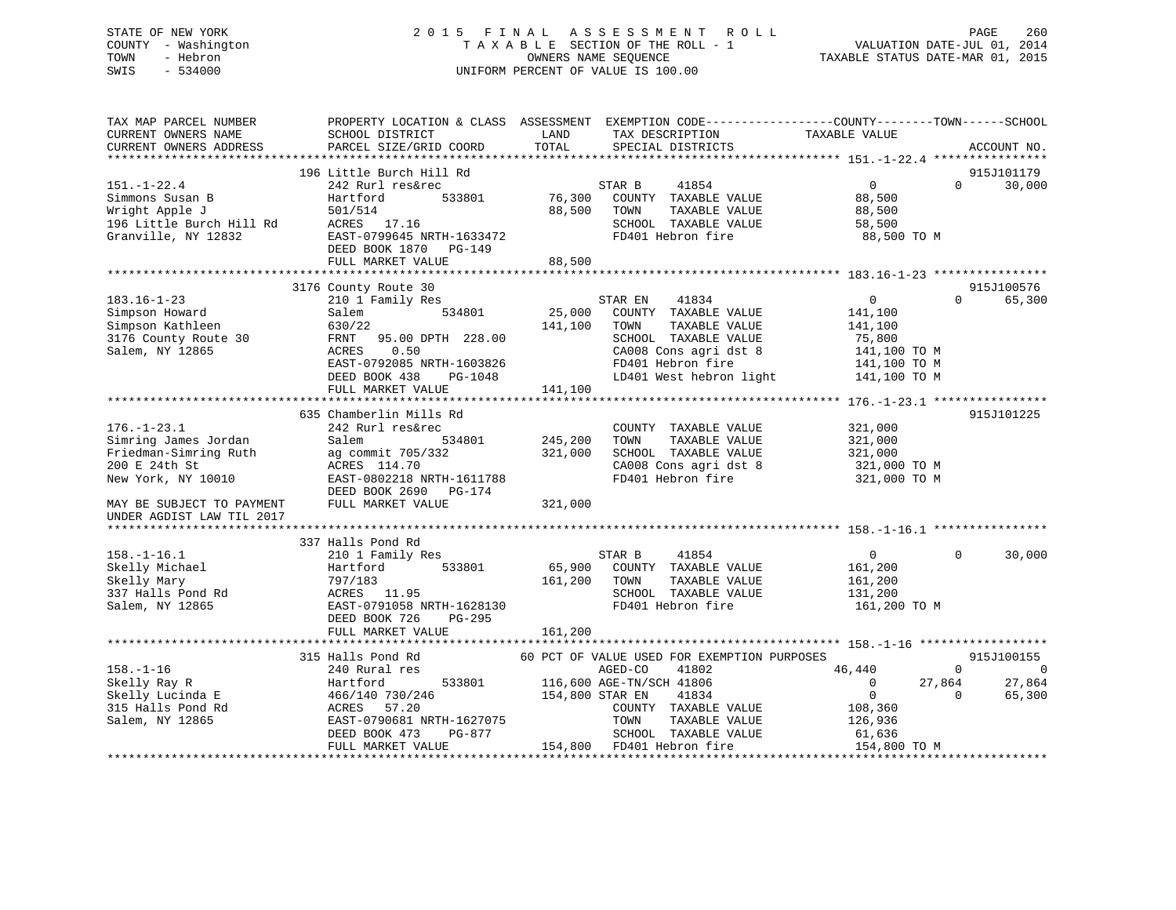# STATE OF NEW YORK 2 0 1 5 F I N A L A S S E S S M E N T R O L L PAGE 260 COUNTY - Washington T A X A B L E SECTION OF THE ROLL - 1 VALUATION DATE-JUL 01, 2014 TOWN - Hebron OWNERS NAME SEQUENCE TAXABLE STATUS DATE-MAR 01, 2015 SWIS - 534000 UNIFORM PERCENT OF VALUE IS 100.00

| 196 Little Burch Hill Rd<br>915J101179<br>$151. - 1 - 22.4$<br>41854<br>$\overline{0}$<br>30,000<br>242 Rurl res&rec<br>STAR B<br>$\Omega$<br>533801<br>76,300<br>Simmons Susan B<br>Hartford<br>COUNTY TAXABLE VALUE<br>88,500<br>Wright Apple J<br>501/514<br>88,500<br>TOWN<br>TAXABLE VALUE<br>88,500<br>196 Little Burch Hill Rd<br>ACRES 17.16<br>SCHOOL TAXABLE VALUE<br>58,500<br>Granville, NY 12832<br>FD401 Hebron fire<br>EAST-0799645 NRTH-1633472<br>88,500 TO M<br>DEED BOOK 1870 PG-149<br>FULL MARKET VALUE<br>88,500<br>915J100576<br>3176 County Route 30<br>$183.16 - 1 - 23$<br>210 1 Family Res<br>$\mathbf{0}$<br>$\Omega$<br>65,300<br>STAR EN<br>41834<br>Simpson Howard<br>534801<br>25,000<br>COUNTY TAXABLE VALUE<br>Salem<br>141,100<br>Simpson Kathleen<br>630/22<br>141,100<br>TOWN<br>TAXABLE VALUE<br>141,100<br>3176 County Route 30<br>FRNT 95.00 DPTH 228.00<br>SCHOOL TAXABLE VALUE<br>75,800<br>CA008 Cons agri dst 8<br>Salem, NY 12865<br>0.50<br>ACRES<br>141,100 TO M<br>EAST-0792085 NRTH-1603826<br>FD401 Hebron fire<br>141,100 TO M<br>LD401 West hebron light<br>DEED BOOK 438<br>PG-1048<br>141,100 TO M<br>141,100<br>FULL MARKET VALUE<br>635 Chamberlin Mills Rd<br>915J101225<br>$176. - 1 - 23.1$<br>242 Rurl res&rec<br>COUNTY TAXABLE VALUE<br>321,000<br>534801<br>245,200<br>Simring James Jordan<br>Salem<br>TOWN<br>TAXABLE VALUE<br>321,000<br>SCHOOL TAXABLE VALUE<br>Friedman-Simring Ruth<br>ag commit 705/332<br>321,000<br>321,000<br>CA008 Cons agri dst 8<br>200 E 24th St<br>ACRES 114.70<br>321,000 TO M<br>New York, NY 10010<br>EAST-0802218 NRTH-1611788<br>FD401 Hebron fire<br>321,000 TO M<br>DEED BOOK 2690 PG-174<br>FULL MARKET VALUE<br>321,000<br>MAY BE SUBJECT TO PAYMENT<br>UNDER AGDIST LAW TIL 2017<br>337 Halls Pond Rd<br>41854<br>$\Omega$<br>30,000<br>210 1 Family Res<br>STAR B<br>$\overline{0}$<br>533801<br>65,900<br>COUNTY TAXABLE VALUE<br>Hartford<br>161,200<br>797/183<br>161,200<br>TOWN<br>TAXABLE VALUE<br>161,200<br>ACRES 11.95<br>SCHOOL TAXABLE VALUE<br>131,200<br>FD401 Hebron fire<br>EAST-0791058 NRTH-1628130<br>161,200 TO M<br>PG-295<br>DEED BOOK 726<br>FULL MARKET VALUE<br>161,200<br>315 Halls Pond Rd<br>60 PCT OF VALUE USED FOR EXEMPTION PURPOSES<br>915J100155<br>$158. - 1 - 16$<br>AGED-CO<br>41802<br>46,440<br>$\Omega$<br>$\overline{0}$<br>240 Rural res<br>533801<br>116,600 AGE-TN/SCH 41806<br>$\mathbf{0}$<br>27,864<br>27,864<br>Skelly Ray R<br>Hartford<br>Skelly Lucinda E<br>466/140 730/246<br>154,800 STAR EN<br>41834<br>$\overline{0}$<br>65,300<br>$\Omega$<br>315 Halls Pond Rd<br>ACRES<br>57.20<br>COUNTY TAXABLE VALUE<br>108,360<br>Salem, NY 12865<br>EAST-0790681 NRTH-1627075<br>TOWN<br>TAXABLE VALUE<br>126,936<br>DEED BOOK 473<br>PG-877<br>SCHOOL TAXABLE VALUE<br>61,636<br>154,800 FD401 Hebron fire<br>FULL MARKET VALUE<br>154,800 TO M | TAX MAP PARCEL NUMBER<br>CURRENT OWNERS NAME<br>CURRENT OWNERS ADDRESS | SCHOOL DISTRICT<br>PARCEL SIZE/GRID COORD | PROPERTY LOCATION & CLASS ASSESSMENT EXEMPTION CODE----------------COUNTY-------TOWN------SCHOOL<br>LAND<br>TAX DESCRIPTION<br>TOTAL<br>SPECIAL DISTRICTS | TAXABLE VALUE<br>ACCOUNT NO. |
|----------------------------------------------------------------------------------------------------------------------------------------------------------------------------------------------------------------------------------------------------------------------------------------------------------------------------------------------------------------------------------------------------------------------------------------------------------------------------------------------------------------------------------------------------------------------------------------------------------------------------------------------------------------------------------------------------------------------------------------------------------------------------------------------------------------------------------------------------------------------------------------------------------------------------------------------------------------------------------------------------------------------------------------------------------------------------------------------------------------------------------------------------------------------------------------------------------------------------------------------------------------------------------------------------------------------------------------------------------------------------------------------------------------------------------------------------------------------------------------------------------------------------------------------------------------------------------------------------------------------------------------------------------------------------------------------------------------------------------------------------------------------------------------------------------------------------------------------------------------------------------------------------------------------------------------------------------------------------------------------------------------------------------------------------------------------------------------------------------------------------------------------------------------------------------------------------------------------------------------------------------------------------------------------------------------------------------------------------------------------------------------------------------------------------------------------------------------------------------------------------------------------------------------------------------------------------------------------------------------------------------------------------------------------------------------------------------------------------------------------------------------------------------------------------------------------------------------------------------------------------------------------------------|------------------------------------------------------------------------|-------------------------------------------|-----------------------------------------------------------------------------------------------------------------------------------------------------------|------------------------------|
|                                                                                                                                                                                                                                                                                                                                                                                                                                                                                                                                                                                                                                                                                                                                                                                                                                                                                                                                                                                                                                                                                                                                                                                                                                                                                                                                                                                                                                                                                                                                                                                                                                                                                                                                                                                                                                                                                                                                                                                                                                                                                                                                                                                                                                                                                                                                                                                                                                                                                                                                                                                                                                                                                                                                                                                                                                                                                                          |                                                                        |                                           |                                                                                                                                                           |                              |
|                                                                                                                                                                                                                                                                                                                                                                                                                                                                                                                                                                                                                                                                                                                                                                                                                                                                                                                                                                                                                                                                                                                                                                                                                                                                                                                                                                                                                                                                                                                                                                                                                                                                                                                                                                                                                                                                                                                                                                                                                                                                                                                                                                                                                                                                                                                                                                                                                                                                                                                                                                                                                                                                                                                                                                                                                                                                                                          |                                                                        |                                           |                                                                                                                                                           |                              |
|                                                                                                                                                                                                                                                                                                                                                                                                                                                                                                                                                                                                                                                                                                                                                                                                                                                                                                                                                                                                                                                                                                                                                                                                                                                                                                                                                                                                                                                                                                                                                                                                                                                                                                                                                                                                                                                                                                                                                                                                                                                                                                                                                                                                                                                                                                                                                                                                                                                                                                                                                                                                                                                                                                                                                                                                                                                                                                          |                                                                        |                                           |                                                                                                                                                           |                              |
|                                                                                                                                                                                                                                                                                                                                                                                                                                                                                                                                                                                                                                                                                                                                                                                                                                                                                                                                                                                                                                                                                                                                                                                                                                                                                                                                                                                                                                                                                                                                                                                                                                                                                                                                                                                                                                                                                                                                                                                                                                                                                                                                                                                                                                                                                                                                                                                                                                                                                                                                                                                                                                                                                                                                                                                                                                                                                                          |                                                                        |                                           |                                                                                                                                                           |                              |
|                                                                                                                                                                                                                                                                                                                                                                                                                                                                                                                                                                                                                                                                                                                                                                                                                                                                                                                                                                                                                                                                                                                                                                                                                                                                                                                                                                                                                                                                                                                                                                                                                                                                                                                                                                                                                                                                                                                                                                                                                                                                                                                                                                                                                                                                                                                                                                                                                                                                                                                                                                                                                                                                                                                                                                                                                                                                                                          |                                                                        |                                           |                                                                                                                                                           |                              |
|                                                                                                                                                                                                                                                                                                                                                                                                                                                                                                                                                                                                                                                                                                                                                                                                                                                                                                                                                                                                                                                                                                                                                                                                                                                                                                                                                                                                                                                                                                                                                                                                                                                                                                                                                                                                                                                                                                                                                                                                                                                                                                                                                                                                                                                                                                                                                                                                                                                                                                                                                                                                                                                                                                                                                                                                                                                                                                          |                                                                        |                                           |                                                                                                                                                           |                              |
|                                                                                                                                                                                                                                                                                                                                                                                                                                                                                                                                                                                                                                                                                                                                                                                                                                                                                                                                                                                                                                                                                                                                                                                                                                                                                                                                                                                                                                                                                                                                                                                                                                                                                                                                                                                                                                                                                                                                                                                                                                                                                                                                                                                                                                                                                                                                                                                                                                                                                                                                                                                                                                                                                                                                                                                                                                                                                                          |                                                                        |                                           |                                                                                                                                                           |                              |
|                                                                                                                                                                                                                                                                                                                                                                                                                                                                                                                                                                                                                                                                                                                                                                                                                                                                                                                                                                                                                                                                                                                                                                                                                                                                                                                                                                                                                                                                                                                                                                                                                                                                                                                                                                                                                                                                                                                                                                                                                                                                                                                                                                                                                                                                                                                                                                                                                                                                                                                                                                                                                                                                                                                                                                                                                                                                                                          |                                                                        |                                           |                                                                                                                                                           |                              |
|                                                                                                                                                                                                                                                                                                                                                                                                                                                                                                                                                                                                                                                                                                                                                                                                                                                                                                                                                                                                                                                                                                                                                                                                                                                                                                                                                                                                                                                                                                                                                                                                                                                                                                                                                                                                                                                                                                                                                                                                                                                                                                                                                                                                                                                                                                                                                                                                                                                                                                                                                                                                                                                                                                                                                                                                                                                                                                          |                                                                        |                                           |                                                                                                                                                           |                              |
|                                                                                                                                                                                                                                                                                                                                                                                                                                                                                                                                                                                                                                                                                                                                                                                                                                                                                                                                                                                                                                                                                                                                                                                                                                                                                                                                                                                                                                                                                                                                                                                                                                                                                                                                                                                                                                                                                                                                                                                                                                                                                                                                                                                                                                                                                                                                                                                                                                                                                                                                                                                                                                                                                                                                                                                                                                                                                                          |                                                                        |                                           |                                                                                                                                                           |                              |
|                                                                                                                                                                                                                                                                                                                                                                                                                                                                                                                                                                                                                                                                                                                                                                                                                                                                                                                                                                                                                                                                                                                                                                                                                                                                                                                                                                                                                                                                                                                                                                                                                                                                                                                                                                                                                                                                                                                                                                                                                                                                                                                                                                                                                                                                                                                                                                                                                                                                                                                                                                                                                                                                                                                                                                                                                                                                                                          |                                                                        |                                           |                                                                                                                                                           |                              |
|                                                                                                                                                                                                                                                                                                                                                                                                                                                                                                                                                                                                                                                                                                                                                                                                                                                                                                                                                                                                                                                                                                                                                                                                                                                                                                                                                                                                                                                                                                                                                                                                                                                                                                                                                                                                                                                                                                                                                                                                                                                                                                                                                                                                                                                                                                                                                                                                                                                                                                                                                                                                                                                                                                                                                                                                                                                                                                          |                                                                        |                                           |                                                                                                                                                           |                              |
|                                                                                                                                                                                                                                                                                                                                                                                                                                                                                                                                                                                                                                                                                                                                                                                                                                                                                                                                                                                                                                                                                                                                                                                                                                                                                                                                                                                                                                                                                                                                                                                                                                                                                                                                                                                                                                                                                                                                                                                                                                                                                                                                                                                                                                                                                                                                                                                                                                                                                                                                                                                                                                                                                                                                                                                                                                                                                                          |                                                                        |                                           |                                                                                                                                                           |                              |
|                                                                                                                                                                                                                                                                                                                                                                                                                                                                                                                                                                                                                                                                                                                                                                                                                                                                                                                                                                                                                                                                                                                                                                                                                                                                                                                                                                                                                                                                                                                                                                                                                                                                                                                                                                                                                                                                                                                                                                                                                                                                                                                                                                                                                                                                                                                                                                                                                                                                                                                                                                                                                                                                                                                                                                                                                                                                                                          |                                                                        |                                           |                                                                                                                                                           |                              |
|                                                                                                                                                                                                                                                                                                                                                                                                                                                                                                                                                                                                                                                                                                                                                                                                                                                                                                                                                                                                                                                                                                                                                                                                                                                                                                                                                                                                                                                                                                                                                                                                                                                                                                                                                                                                                                                                                                                                                                                                                                                                                                                                                                                                                                                                                                                                                                                                                                                                                                                                                                                                                                                                                                                                                                                                                                                                                                          |                                                                        |                                           |                                                                                                                                                           |                              |
|                                                                                                                                                                                                                                                                                                                                                                                                                                                                                                                                                                                                                                                                                                                                                                                                                                                                                                                                                                                                                                                                                                                                                                                                                                                                                                                                                                                                                                                                                                                                                                                                                                                                                                                                                                                                                                                                                                                                                                                                                                                                                                                                                                                                                                                                                                                                                                                                                                                                                                                                                                                                                                                                                                                                                                                                                                                                                                          |                                                                        |                                           |                                                                                                                                                           |                              |
|                                                                                                                                                                                                                                                                                                                                                                                                                                                                                                                                                                                                                                                                                                                                                                                                                                                                                                                                                                                                                                                                                                                                                                                                                                                                                                                                                                                                                                                                                                                                                                                                                                                                                                                                                                                                                                                                                                                                                                                                                                                                                                                                                                                                                                                                                                                                                                                                                                                                                                                                                                                                                                                                                                                                                                                                                                                                                                          |                                                                        |                                           |                                                                                                                                                           |                              |
|                                                                                                                                                                                                                                                                                                                                                                                                                                                                                                                                                                                                                                                                                                                                                                                                                                                                                                                                                                                                                                                                                                                                                                                                                                                                                                                                                                                                                                                                                                                                                                                                                                                                                                                                                                                                                                                                                                                                                                                                                                                                                                                                                                                                                                                                                                                                                                                                                                                                                                                                                                                                                                                                                                                                                                                                                                                                                                          |                                                                        |                                           |                                                                                                                                                           |                              |
|                                                                                                                                                                                                                                                                                                                                                                                                                                                                                                                                                                                                                                                                                                                                                                                                                                                                                                                                                                                                                                                                                                                                                                                                                                                                                                                                                                                                                                                                                                                                                                                                                                                                                                                                                                                                                                                                                                                                                                                                                                                                                                                                                                                                                                                                                                                                                                                                                                                                                                                                                                                                                                                                                                                                                                                                                                                                                                          |                                                                        |                                           |                                                                                                                                                           |                              |
|                                                                                                                                                                                                                                                                                                                                                                                                                                                                                                                                                                                                                                                                                                                                                                                                                                                                                                                                                                                                                                                                                                                                                                                                                                                                                                                                                                                                                                                                                                                                                                                                                                                                                                                                                                                                                                                                                                                                                                                                                                                                                                                                                                                                                                                                                                                                                                                                                                                                                                                                                                                                                                                                                                                                                                                                                                                                                                          |                                                                        |                                           |                                                                                                                                                           |                              |
|                                                                                                                                                                                                                                                                                                                                                                                                                                                                                                                                                                                                                                                                                                                                                                                                                                                                                                                                                                                                                                                                                                                                                                                                                                                                                                                                                                                                                                                                                                                                                                                                                                                                                                                                                                                                                                                                                                                                                                                                                                                                                                                                                                                                                                                                                                                                                                                                                                                                                                                                                                                                                                                                                                                                                                                                                                                                                                          |                                                                        |                                           |                                                                                                                                                           |                              |
|                                                                                                                                                                                                                                                                                                                                                                                                                                                                                                                                                                                                                                                                                                                                                                                                                                                                                                                                                                                                                                                                                                                                                                                                                                                                                                                                                                                                                                                                                                                                                                                                                                                                                                                                                                                                                                                                                                                                                                                                                                                                                                                                                                                                                                                                                                                                                                                                                                                                                                                                                                                                                                                                                                                                                                                                                                                                                                          |                                                                        |                                           |                                                                                                                                                           |                              |
|                                                                                                                                                                                                                                                                                                                                                                                                                                                                                                                                                                                                                                                                                                                                                                                                                                                                                                                                                                                                                                                                                                                                                                                                                                                                                                                                                                                                                                                                                                                                                                                                                                                                                                                                                                                                                                                                                                                                                                                                                                                                                                                                                                                                                                                                                                                                                                                                                                                                                                                                                                                                                                                                                                                                                                                                                                                                                                          |                                                                        |                                           |                                                                                                                                                           |                              |
|                                                                                                                                                                                                                                                                                                                                                                                                                                                                                                                                                                                                                                                                                                                                                                                                                                                                                                                                                                                                                                                                                                                                                                                                                                                                                                                                                                                                                                                                                                                                                                                                                                                                                                                                                                                                                                                                                                                                                                                                                                                                                                                                                                                                                                                                                                                                                                                                                                                                                                                                                                                                                                                                                                                                                                                                                                                                                                          |                                                                        |                                           |                                                                                                                                                           |                              |
|                                                                                                                                                                                                                                                                                                                                                                                                                                                                                                                                                                                                                                                                                                                                                                                                                                                                                                                                                                                                                                                                                                                                                                                                                                                                                                                                                                                                                                                                                                                                                                                                                                                                                                                                                                                                                                                                                                                                                                                                                                                                                                                                                                                                                                                                                                                                                                                                                                                                                                                                                                                                                                                                                                                                                                                                                                                                                                          |                                                                        |                                           |                                                                                                                                                           |                              |
|                                                                                                                                                                                                                                                                                                                                                                                                                                                                                                                                                                                                                                                                                                                                                                                                                                                                                                                                                                                                                                                                                                                                                                                                                                                                                                                                                                                                                                                                                                                                                                                                                                                                                                                                                                                                                                                                                                                                                                                                                                                                                                                                                                                                                                                                                                                                                                                                                                                                                                                                                                                                                                                                                                                                                                                                                                                                                                          |                                                                        |                                           |                                                                                                                                                           |                              |
|                                                                                                                                                                                                                                                                                                                                                                                                                                                                                                                                                                                                                                                                                                                                                                                                                                                                                                                                                                                                                                                                                                                                                                                                                                                                                                                                                                                                                                                                                                                                                                                                                                                                                                                                                                                                                                                                                                                                                                                                                                                                                                                                                                                                                                                                                                                                                                                                                                                                                                                                                                                                                                                                                                                                                                                                                                                                                                          |                                                                        |                                           |                                                                                                                                                           |                              |
|                                                                                                                                                                                                                                                                                                                                                                                                                                                                                                                                                                                                                                                                                                                                                                                                                                                                                                                                                                                                                                                                                                                                                                                                                                                                                                                                                                                                                                                                                                                                                                                                                                                                                                                                                                                                                                                                                                                                                                                                                                                                                                                                                                                                                                                                                                                                                                                                                                                                                                                                                                                                                                                                                                                                                                                                                                                                                                          |                                                                        |                                           |                                                                                                                                                           |                              |
|                                                                                                                                                                                                                                                                                                                                                                                                                                                                                                                                                                                                                                                                                                                                                                                                                                                                                                                                                                                                                                                                                                                                                                                                                                                                                                                                                                                                                                                                                                                                                                                                                                                                                                                                                                                                                                                                                                                                                                                                                                                                                                                                                                                                                                                                                                                                                                                                                                                                                                                                                                                                                                                                                                                                                                                                                                                                                                          |                                                                        |                                           |                                                                                                                                                           |                              |
|                                                                                                                                                                                                                                                                                                                                                                                                                                                                                                                                                                                                                                                                                                                                                                                                                                                                                                                                                                                                                                                                                                                                                                                                                                                                                                                                                                                                                                                                                                                                                                                                                                                                                                                                                                                                                                                                                                                                                                                                                                                                                                                                                                                                                                                                                                                                                                                                                                                                                                                                                                                                                                                                                                                                                                                                                                                                                                          |                                                                        |                                           |                                                                                                                                                           |                              |
|                                                                                                                                                                                                                                                                                                                                                                                                                                                                                                                                                                                                                                                                                                                                                                                                                                                                                                                                                                                                                                                                                                                                                                                                                                                                                                                                                                                                                                                                                                                                                                                                                                                                                                                                                                                                                                                                                                                                                                                                                                                                                                                                                                                                                                                                                                                                                                                                                                                                                                                                                                                                                                                                                                                                                                                                                                                                                                          | $158. - 1 - 16.1$                                                      |                                           |                                                                                                                                                           |                              |
|                                                                                                                                                                                                                                                                                                                                                                                                                                                                                                                                                                                                                                                                                                                                                                                                                                                                                                                                                                                                                                                                                                                                                                                                                                                                                                                                                                                                                                                                                                                                                                                                                                                                                                                                                                                                                                                                                                                                                                                                                                                                                                                                                                                                                                                                                                                                                                                                                                                                                                                                                                                                                                                                                                                                                                                                                                                                                                          | Skelly Michael                                                         |                                           |                                                                                                                                                           |                              |
|                                                                                                                                                                                                                                                                                                                                                                                                                                                                                                                                                                                                                                                                                                                                                                                                                                                                                                                                                                                                                                                                                                                                                                                                                                                                                                                                                                                                                                                                                                                                                                                                                                                                                                                                                                                                                                                                                                                                                                                                                                                                                                                                                                                                                                                                                                                                                                                                                                                                                                                                                                                                                                                                                                                                                                                                                                                                                                          | Skelly Mary                                                            |                                           |                                                                                                                                                           |                              |
|                                                                                                                                                                                                                                                                                                                                                                                                                                                                                                                                                                                                                                                                                                                                                                                                                                                                                                                                                                                                                                                                                                                                                                                                                                                                                                                                                                                                                                                                                                                                                                                                                                                                                                                                                                                                                                                                                                                                                                                                                                                                                                                                                                                                                                                                                                                                                                                                                                                                                                                                                                                                                                                                                                                                                                                                                                                                                                          | 337 Halls Pond Rd                                                      |                                           |                                                                                                                                                           |                              |
|                                                                                                                                                                                                                                                                                                                                                                                                                                                                                                                                                                                                                                                                                                                                                                                                                                                                                                                                                                                                                                                                                                                                                                                                                                                                                                                                                                                                                                                                                                                                                                                                                                                                                                                                                                                                                                                                                                                                                                                                                                                                                                                                                                                                                                                                                                                                                                                                                                                                                                                                                                                                                                                                                                                                                                                                                                                                                                          | Salem, NY 12865                                                        |                                           |                                                                                                                                                           |                              |
|                                                                                                                                                                                                                                                                                                                                                                                                                                                                                                                                                                                                                                                                                                                                                                                                                                                                                                                                                                                                                                                                                                                                                                                                                                                                                                                                                                                                                                                                                                                                                                                                                                                                                                                                                                                                                                                                                                                                                                                                                                                                                                                                                                                                                                                                                                                                                                                                                                                                                                                                                                                                                                                                                                                                                                                                                                                                                                          |                                                                        |                                           |                                                                                                                                                           |                              |
|                                                                                                                                                                                                                                                                                                                                                                                                                                                                                                                                                                                                                                                                                                                                                                                                                                                                                                                                                                                                                                                                                                                                                                                                                                                                                                                                                                                                                                                                                                                                                                                                                                                                                                                                                                                                                                                                                                                                                                                                                                                                                                                                                                                                                                                                                                                                                                                                                                                                                                                                                                                                                                                                                                                                                                                                                                                                                                          |                                                                        |                                           |                                                                                                                                                           |                              |
|                                                                                                                                                                                                                                                                                                                                                                                                                                                                                                                                                                                                                                                                                                                                                                                                                                                                                                                                                                                                                                                                                                                                                                                                                                                                                                                                                                                                                                                                                                                                                                                                                                                                                                                                                                                                                                                                                                                                                                                                                                                                                                                                                                                                                                                                                                                                                                                                                                                                                                                                                                                                                                                                                                                                                                                                                                                                                                          |                                                                        |                                           |                                                                                                                                                           |                              |
|                                                                                                                                                                                                                                                                                                                                                                                                                                                                                                                                                                                                                                                                                                                                                                                                                                                                                                                                                                                                                                                                                                                                                                                                                                                                                                                                                                                                                                                                                                                                                                                                                                                                                                                                                                                                                                                                                                                                                                                                                                                                                                                                                                                                                                                                                                                                                                                                                                                                                                                                                                                                                                                                                                                                                                                                                                                                                                          |                                                                        |                                           |                                                                                                                                                           |                              |
|                                                                                                                                                                                                                                                                                                                                                                                                                                                                                                                                                                                                                                                                                                                                                                                                                                                                                                                                                                                                                                                                                                                                                                                                                                                                                                                                                                                                                                                                                                                                                                                                                                                                                                                                                                                                                                                                                                                                                                                                                                                                                                                                                                                                                                                                                                                                                                                                                                                                                                                                                                                                                                                                                                                                                                                                                                                                                                          |                                                                        |                                           |                                                                                                                                                           |                              |
|                                                                                                                                                                                                                                                                                                                                                                                                                                                                                                                                                                                                                                                                                                                                                                                                                                                                                                                                                                                                                                                                                                                                                                                                                                                                                                                                                                                                                                                                                                                                                                                                                                                                                                                                                                                                                                                                                                                                                                                                                                                                                                                                                                                                                                                                                                                                                                                                                                                                                                                                                                                                                                                                                                                                                                                                                                                                                                          |                                                                        |                                           |                                                                                                                                                           |                              |
|                                                                                                                                                                                                                                                                                                                                                                                                                                                                                                                                                                                                                                                                                                                                                                                                                                                                                                                                                                                                                                                                                                                                                                                                                                                                                                                                                                                                                                                                                                                                                                                                                                                                                                                                                                                                                                                                                                                                                                                                                                                                                                                                                                                                                                                                                                                                                                                                                                                                                                                                                                                                                                                                                                                                                                                                                                                                                                          |                                                                        |                                           |                                                                                                                                                           |                              |
|                                                                                                                                                                                                                                                                                                                                                                                                                                                                                                                                                                                                                                                                                                                                                                                                                                                                                                                                                                                                                                                                                                                                                                                                                                                                                                                                                                                                                                                                                                                                                                                                                                                                                                                                                                                                                                                                                                                                                                                                                                                                                                                                                                                                                                                                                                                                                                                                                                                                                                                                                                                                                                                                                                                                                                                                                                                                                                          |                                                                        |                                           |                                                                                                                                                           |                              |
|                                                                                                                                                                                                                                                                                                                                                                                                                                                                                                                                                                                                                                                                                                                                                                                                                                                                                                                                                                                                                                                                                                                                                                                                                                                                                                                                                                                                                                                                                                                                                                                                                                                                                                                                                                                                                                                                                                                                                                                                                                                                                                                                                                                                                                                                                                                                                                                                                                                                                                                                                                                                                                                                                                                                                                                                                                                                                                          |                                                                        |                                           |                                                                                                                                                           |                              |
|                                                                                                                                                                                                                                                                                                                                                                                                                                                                                                                                                                                                                                                                                                                                                                                                                                                                                                                                                                                                                                                                                                                                                                                                                                                                                                                                                                                                                                                                                                                                                                                                                                                                                                                                                                                                                                                                                                                                                                                                                                                                                                                                                                                                                                                                                                                                                                                                                                                                                                                                                                                                                                                                                                                                                                                                                                                                                                          |                                                                        |                                           |                                                                                                                                                           |                              |
|                                                                                                                                                                                                                                                                                                                                                                                                                                                                                                                                                                                                                                                                                                                                                                                                                                                                                                                                                                                                                                                                                                                                                                                                                                                                                                                                                                                                                                                                                                                                                                                                                                                                                                                                                                                                                                                                                                                                                                                                                                                                                                                                                                                                                                                                                                                                                                                                                                                                                                                                                                                                                                                                                                                                                                                                                                                                                                          |                                                                        |                                           |                                                                                                                                                           |                              |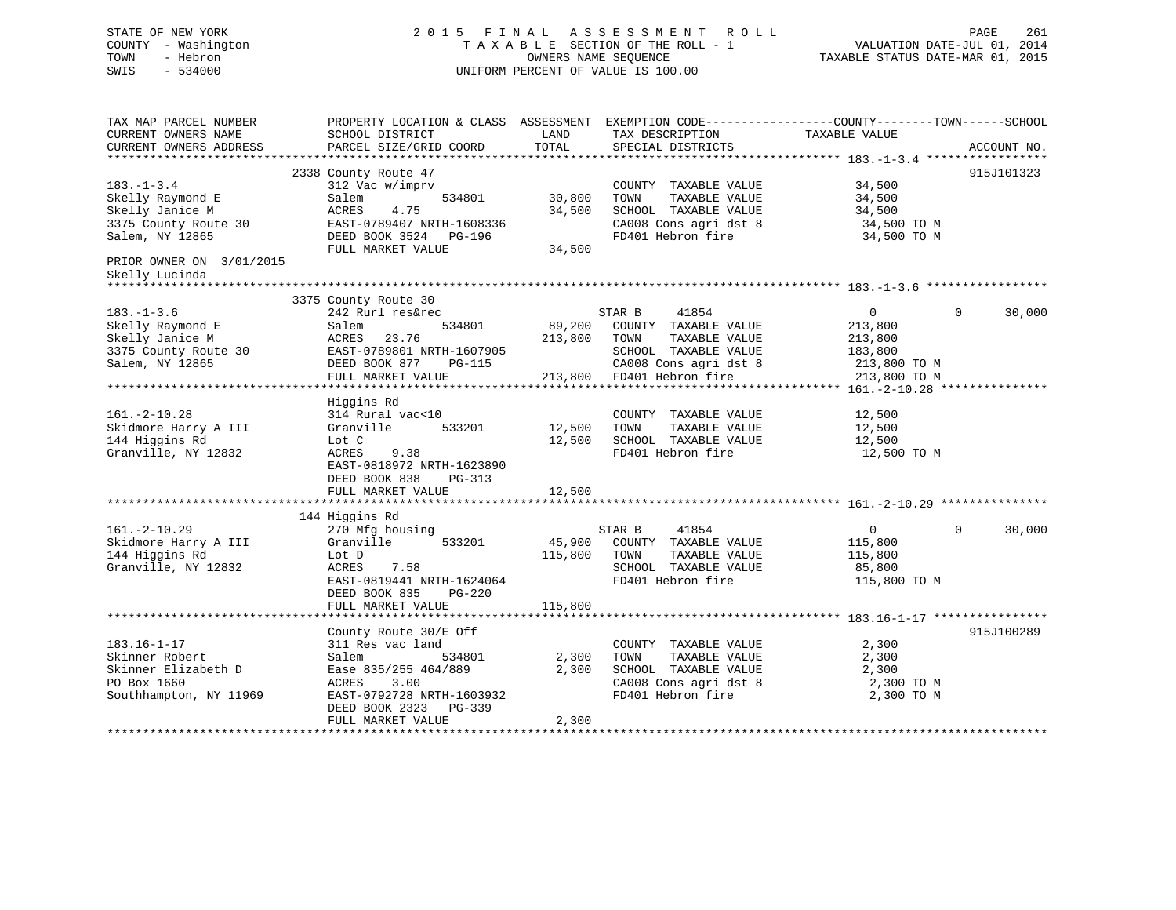# STATE OF NEW YORK 2 0 1 5 F I N A L A S S E S S M E N T R O L L PAGE 261 COUNTY - Washington T A X A B L E SECTION OF THE ROLL - 1 VALUATION DATE-JUL 01, 2014 TOWN - Hebron OWNERS NAME SEQUENCE TAXABLE STATUS DATE-MAR 01, 2015 SWIS - 534000 UNIFORM PERCENT OF VALUE IS 100.00

| CURRENT OWNERS NAME<br>SCHOOL DISTRICT<br>TAX DESCRIPTION<br>TAXABLE VALUE<br>LAND<br>TOTAL<br>CURRENT OWNERS ADDRESS<br>PARCEL SIZE/GRID COORD<br>SPECIAL DISTRICTS<br>ACCOUNT NO.<br>915J101323<br>2338 County Route 47<br>$183. - 1 - 3.4$<br>312 Vac w/imprv<br>34,500<br>COUNTY TAXABLE VALUE<br>30,800<br>TAXABLE VALUE<br>34,500<br>Skelly Raymond E<br>Salem<br>534801<br>TOWN<br>Skelly Janice M<br>34,500<br>SCHOOL TAXABLE VALUE<br>ACRES<br>4.75<br>34,500<br>3375 County Route 30<br>EAST-0789407 NRTH-1608336<br>CA008 Cons agri dst 8<br>34,500 TO M<br>Salem, NY 12865<br>FD401 Hebron fire<br>DEED BOOK 3524 PG-196<br>34,500 TO M<br>FULL MARKET VALUE<br>34,500<br>PRIOR OWNER ON 3/01/2015<br>Skelly Lucinda<br>3375 County Route 30<br>$183. - 1 - 3.6$<br>242 Rurl res&rec<br>STAR B<br>41854<br>$\overline{0}$<br>$\Omega$<br>30,000<br>534801<br>89,200<br>COUNTY TAXABLE VALUE<br>Skelly Raymond E<br>Salem<br>213,800<br>Skelly Janice M<br>ACRES<br>23.76<br>213,800<br>TOWN<br>TAXABLE VALUE<br>213,800<br>EAST-0789801 NRTH-1607905<br>SCHOOL TAXABLE VALUE<br>3375 County Route 30<br>183,800<br>DEED BOOK 877<br>CA008 Cons agri dst 8<br>PG-115<br>213,800 TO M<br>213,800 FD401 Hebron fire<br>FULL MARKET VALUE<br>213,800 TO M<br>Higgins Rd<br>314 Rural vac<10<br>12,500<br>COUNTY TAXABLE VALUE<br>12,500<br>Skidmore Harry A III<br>Granville<br>533201<br>TOWN<br>TAXABLE VALUE<br>12,500<br>144 Higgins Rd<br>SCHOOL TAXABLE VALUE<br>12,500<br>12,500<br>Lot C<br>Granville, NY 12832<br>9.38<br>FD401 Hebron fire<br>12,500 TO M<br>ACRES<br>EAST-0818972 NRTH-1623890<br>DEED BOOK 838<br>PG-313<br>FULL MARKET VALUE<br>12,500<br>144 Higgins Rd<br>$161. - 2 - 10.29$<br>270 Mfg housing<br>STAR B<br>41854<br>$\overline{0}$<br>$\Omega$<br>30,000<br>533201<br>45,900<br>Skidmore Harry A III<br>Granville<br>COUNTY TAXABLE VALUE<br>115,800<br>144 Higgins Rd<br>115,800<br>TOWN<br>TAXABLE VALUE<br>Lot D<br>115,800<br>Granville, NY 12832<br>SCHOOL TAXABLE VALUE<br>ACRES<br>7.58<br>85,800<br>FD401 Hebron fire<br>EAST-0819441 NRTH-1624064<br>115,800 TO M<br>$PG-220$<br>DEED BOOK 835<br>FULL MARKET VALUE<br>115,800<br>915J100289<br>County Route 30/E Off<br>311 Res vac land<br>2,300<br>COUNTY TAXABLE VALUE<br>Skinner Robert<br>Salem<br>534801<br>2,300<br>TAXABLE VALUE<br>2,300<br>TOWN<br>Skinner Elizabeth D<br>Ease 835/255 464/889<br>2,300<br>SCHOOL TAXABLE VALUE<br>2,300<br>PO Box 1660<br>CA008 Cons agri dst 8<br>2,300 TO M<br>ACRES<br>3.00<br>FD401 Hebron fire<br>Southhampton, NY 11969<br>EAST-0792728 NRTH-1603932<br>2,300 TO M<br>DEED BOOK 2323 PG-339<br>2,300<br>FULL MARKET VALUE | TAX MAP PARCEL NUMBER | PROPERTY LOCATION & CLASS ASSESSMENT EXEMPTION CODE----------------COUNTY-------TOWN------SCHOOL |  |  |
|-------------------------------------------------------------------------------------------------------------------------------------------------------------------------------------------------------------------------------------------------------------------------------------------------------------------------------------------------------------------------------------------------------------------------------------------------------------------------------------------------------------------------------------------------------------------------------------------------------------------------------------------------------------------------------------------------------------------------------------------------------------------------------------------------------------------------------------------------------------------------------------------------------------------------------------------------------------------------------------------------------------------------------------------------------------------------------------------------------------------------------------------------------------------------------------------------------------------------------------------------------------------------------------------------------------------------------------------------------------------------------------------------------------------------------------------------------------------------------------------------------------------------------------------------------------------------------------------------------------------------------------------------------------------------------------------------------------------------------------------------------------------------------------------------------------------------------------------------------------------------------------------------------------------------------------------------------------------------------------------------------------------------------------------------------------------------------------------------------------------------------------------------------------------------------------------------------------------------------------------------------------------------------------------------------------------------------------------------------------------------------------------------------------------------------------------------------------------------------------------------------------------------------------------------------------------------------------------------------------------------------------------------------------------------------|-----------------------|--------------------------------------------------------------------------------------------------|--|--|
|                                                                                                                                                                                                                                                                                                                                                                                                                                                                                                                                                                                                                                                                                                                                                                                                                                                                                                                                                                                                                                                                                                                                                                                                                                                                                                                                                                                                                                                                                                                                                                                                                                                                                                                                                                                                                                                                                                                                                                                                                                                                                                                                                                                                                                                                                                                                                                                                                                                                                                                                                                                                                                                                               |                       |                                                                                                  |  |  |
|                                                                                                                                                                                                                                                                                                                                                                                                                                                                                                                                                                                                                                                                                                                                                                                                                                                                                                                                                                                                                                                                                                                                                                                                                                                                                                                                                                                                                                                                                                                                                                                                                                                                                                                                                                                                                                                                                                                                                                                                                                                                                                                                                                                                                                                                                                                                                                                                                                                                                                                                                                                                                                                                               |                       |                                                                                                  |  |  |
|                                                                                                                                                                                                                                                                                                                                                                                                                                                                                                                                                                                                                                                                                                                                                                                                                                                                                                                                                                                                                                                                                                                                                                                                                                                                                                                                                                                                                                                                                                                                                                                                                                                                                                                                                                                                                                                                                                                                                                                                                                                                                                                                                                                                                                                                                                                                                                                                                                                                                                                                                                                                                                                                               |                       |                                                                                                  |  |  |
|                                                                                                                                                                                                                                                                                                                                                                                                                                                                                                                                                                                                                                                                                                                                                                                                                                                                                                                                                                                                                                                                                                                                                                                                                                                                                                                                                                                                                                                                                                                                                                                                                                                                                                                                                                                                                                                                                                                                                                                                                                                                                                                                                                                                                                                                                                                                                                                                                                                                                                                                                                                                                                                                               |                       |                                                                                                  |  |  |
|                                                                                                                                                                                                                                                                                                                                                                                                                                                                                                                                                                                                                                                                                                                                                                                                                                                                                                                                                                                                                                                                                                                                                                                                                                                                                                                                                                                                                                                                                                                                                                                                                                                                                                                                                                                                                                                                                                                                                                                                                                                                                                                                                                                                                                                                                                                                                                                                                                                                                                                                                                                                                                                                               |                       |                                                                                                  |  |  |
|                                                                                                                                                                                                                                                                                                                                                                                                                                                                                                                                                                                                                                                                                                                                                                                                                                                                                                                                                                                                                                                                                                                                                                                                                                                                                                                                                                                                                                                                                                                                                                                                                                                                                                                                                                                                                                                                                                                                                                                                                                                                                                                                                                                                                                                                                                                                                                                                                                                                                                                                                                                                                                                                               |                       |                                                                                                  |  |  |
|                                                                                                                                                                                                                                                                                                                                                                                                                                                                                                                                                                                                                                                                                                                                                                                                                                                                                                                                                                                                                                                                                                                                                                                                                                                                                                                                                                                                                                                                                                                                                                                                                                                                                                                                                                                                                                                                                                                                                                                                                                                                                                                                                                                                                                                                                                                                                                                                                                                                                                                                                                                                                                                                               |                       |                                                                                                  |  |  |
|                                                                                                                                                                                                                                                                                                                                                                                                                                                                                                                                                                                                                                                                                                                                                                                                                                                                                                                                                                                                                                                                                                                                                                                                                                                                                                                                                                                                                                                                                                                                                                                                                                                                                                                                                                                                                                                                                                                                                                                                                                                                                                                                                                                                                                                                                                                                                                                                                                                                                                                                                                                                                                                                               |                       |                                                                                                  |  |  |
|                                                                                                                                                                                                                                                                                                                                                                                                                                                                                                                                                                                                                                                                                                                                                                                                                                                                                                                                                                                                                                                                                                                                                                                                                                                                                                                                                                                                                                                                                                                                                                                                                                                                                                                                                                                                                                                                                                                                                                                                                                                                                                                                                                                                                                                                                                                                                                                                                                                                                                                                                                                                                                                                               |                       |                                                                                                  |  |  |
|                                                                                                                                                                                                                                                                                                                                                                                                                                                                                                                                                                                                                                                                                                                                                                                                                                                                                                                                                                                                                                                                                                                                                                                                                                                                                                                                                                                                                                                                                                                                                                                                                                                                                                                                                                                                                                                                                                                                                                                                                                                                                                                                                                                                                                                                                                                                                                                                                                                                                                                                                                                                                                                                               |                       |                                                                                                  |  |  |
|                                                                                                                                                                                                                                                                                                                                                                                                                                                                                                                                                                                                                                                                                                                                                                                                                                                                                                                                                                                                                                                                                                                                                                                                                                                                                                                                                                                                                                                                                                                                                                                                                                                                                                                                                                                                                                                                                                                                                                                                                                                                                                                                                                                                                                                                                                                                                                                                                                                                                                                                                                                                                                                                               |                       |                                                                                                  |  |  |
|                                                                                                                                                                                                                                                                                                                                                                                                                                                                                                                                                                                                                                                                                                                                                                                                                                                                                                                                                                                                                                                                                                                                                                                                                                                                                                                                                                                                                                                                                                                                                                                                                                                                                                                                                                                                                                                                                                                                                                                                                                                                                                                                                                                                                                                                                                                                                                                                                                                                                                                                                                                                                                                                               |                       |                                                                                                  |  |  |
|                                                                                                                                                                                                                                                                                                                                                                                                                                                                                                                                                                                                                                                                                                                                                                                                                                                                                                                                                                                                                                                                                                                                                                                                                                                                                                                                                                                                                                                                                                                                                                                                                                                                                                                                                                                                                                                                                                                                                                                                                                                                                                                                                                                                                                                                                                                                                                                                                                                                                                                                                                                                                                                                               |                       |                                                                                                  |  |  |
|                                                                                                                                                                                                                                                                                                                                                                                                                                                                                                                                                                                                                                                                                                                                                                                                                                                                                                                                                                                                                                                                                                                                                                                                                                                                                                                                                                                                                                                                                                                                                                                                                                                                                                                                                                                                                                                                                                                                                                                                                                                                                                                                                                                                                                                                                                                                                                                                                                                                                                                                                                                                                                                                               |                       |                                                                                                  |  |  |
|                                                                                                                                                                                                                                                                                                                                                                                                                                                                                                                                                                                                                                                                                                                                                                                                                                                                                                                                                                                                                                                                                                                                                                                                                                                                                                                                                                                                                                                                                                                                                                                                                                                                                                                                                                                                                                                                                                                                                                                                                                                                                                                                                                                                                                                                                                                                                                                                                                                                                                                                                                                                                                                                               |                       |                                                                                                  |  |  |
|                                                                                                                                                                                                                                                                                                                                                                                                                                                                                                                                                                                                                                                                                                                                                                                                                                                                                                                                                                                                                                                                                                                                                                                                                                                                                                                                                                                                                                                                                                                                                                                                                                                                                                                                                                                                                                                                                                                                                                                                                                                                                                                                                                                                                                                                                                                                                                                                                                                                                                                                                                                                                                                                               |                       |                                                                                                  |  |  |
|                                                                                                                                                                                                                                                                                                                                                                                                                                                                                                                                                                                                                                                                                                                                                                                                                                                                                                                                                                                                                                                                                                                                                                                                                                                                                                                                                                                                                                                                                                                                                                                                                                                                                                                                                                                                                                                                                                                                                                                                                                                                                                                                                                                                                                                                                                                                                                                                                                                                                                                                                                                                                                                                               |                       |                                                                                                  |  |  |
|                                                                                                                                                                                                                                                                                                                                                                                                                                                                                                                                                                                                                                                                                                                                                                                                                                                                                                                                                                                                                                                                                                                                                                                                                                                                                                                                                                                                                                                                                                                                                                                                                                                                                                                                                                                                                                                                                                                                                                                                                                                                                                                                                                                                                                                                                                                                                                                                                                                                                                                                                                                                                                                                               |                       |                                                                                                  |  |  |
|                                                                                                                                                                                                                                                                                                                                                                                                                                                                                                                                                                                                                                                                                                                                                                                                                                                                                                                                                                                                                                                                                                                                                                                                                                                                                                                                                                                                                                                                                                                                                                                                                                                                                                                                                                                                                                                                                                                                                                                                                                                                                                                                                                                                                                                                                                                                                                                                                                                                                                                                                                                                                                                                               |                       |                                                                                                  |  |  |
|                                                                                                                                                                                                                                                                                                                                                                                                                                                                                                                                                                                                                                                                                                                                                                                                                                                                                                                                                                                                                                                                                                                                                                                                                                                                                                                                                                                                                                                                                                                                                                                                                                                                                                                                                                                                                                                                                                                                                                                                                                                                                                                                                                                                                                                                                                                                                                                                                                                                                                                                                                                                                                                                               | Salem, NY 12865       |                                                                                                  |  |  |
|                                                                                                                                                                                                                                                                                                                                                                                                                                                                                                                                                                                                                                                                                                                                                                                                                                                                                                                                                                                                                                                                                                                                                                                                                                                                                                                                                                                                                                                                                                                                                                                                                                                                                                                                                                                                                                                                                                                                                                                                                                                                                                                                                                                                                                                                                                                                                                                                                                                                                                                                                                                                                                                                               |                       |                                                                                                  |  |  |
|                                                                                                                                                                                                                                                                                                                                                                                                                                                                                                                                                                                                                                                                                                                                                                                                                                                                                                                                                                                                                                                                                                                                                                                                                                                                                                                                                                                                                                                                                                                                                                                                                                                                                                                                                                                                                                                                                                                                                                                                                                                                                                                                                                                                                                                                                                                                                                                                                                                                                                                                                                                                                                                                               |                       |                                                                                                  |  |  |
|                                                                                                                                                                                                                                                                                                                                                                                                                                                                                                                                                                                                                                                                                                                                                                                                                                                                                                                                                                                                                                                                                                                                                                                                                                                                                                                                                                                                                                                                                                                                                                                                                                                                                                                                                                                                                                                                                                                                                                                                                                                                                                                                                                                                                                                                                                                                                                                                                                                                                                                                                                                                                                                                               |                       |                                                                                                  |  |  |
|                                                                                                                                                                                                                                                                                                                                                                                                                                                                                                                                                                                                                                                                                                                                                                                                                                                                                                                                                                                                                                                                                                                                                                                                                                                                                                                                                                                                                                                                                                                                                                                                                                                                                                                                                                                                                                                                                                                                                                                                                                                                                                                                                                                                                                                                                                                                                                                                                                                                                                                                                                                                                                                                               | $161. - 2 - 10.28$    |                                                                                                  |  |  |
|                                                                                                                                                                                                                                                                                                                                                                                                                                                                                                                                                                                                                                                                                                                                                                                                                                                                                                                                                                                                                                                                                                                                                                                                                                                                                                                                                                                                                                                                                                                                                                                                                                                                                                                                                                                                                                                                                                                                                                                                                                                                                                                                                                                                                                                                                                                                                                                                                                                                                                                                                                                                                                                                               |                       |                                                                                                  |  |  |
|                                                                                                                                                                                                                                                                                                                                                                                                                                                                                                                                                                                                                                                                                                                                                                                                                                                                                                                                                                                                                                                                                                                                                                                                                                                                                                                                                                                                                                                                                                                                                                                                                                                                                                                                                                                                                                                                                                                                                                                                                                                                                                                                                                                                                                                                                                                                                                                                                                                                                                                                                                                                                                                                               |                       |                                                                                                  |  |  |
|                                                                                                                                                                                                                                                                                                                                                                                                                                                                                                                                                                                                                                                                                                                                                                                                                                                                                                                                                                                                                                                                                                                                                                                                                                                                                                                                                                                                                                                                                                                                                                                                                                                                                                                                                                                                                                                                                                                                                                                                                                                                                                                                                                                                                                                                                                                                                                                                                                                                                                                                                                                                                                                                               |                       |                                                                                                  |  |  |
|                                                                                                                                                                                                                                                                                                                                                                                                                                                                                                                                                                                                                                                                                                                                                                                                                                                                                                                                                                                                                                                                                                                                                                                                                                                                                                                                                                                                                                                                                                                                                                                                                                                                                                                                                                                                                                                                                                                                                                                                                                                                                                                                                                                                                                                                                                                                                                                                                                                                                                                                                                                                                                                                               |                       |                                                                                                  |  |  |
|                                                                                                                                                                                                                                                                                                                                                                                                                                                                                                                                                                                                                                                                                                                                                                                                                                                                                                                                                                                                                                                                                                                                                                                                                                                                                                                                                                                                                                                                                                                                                                                                                                                                                                                                                                                                                                                                                                                                                                                                                                                                                                                                                                                                                                                                                                                                                                                                                                                                                                                                                                                                                                                                               |                       |                                                                                                  |  |  |
|                                                                                                                                                                                                                                                                                                                                                                                                                                                                                                                                                                                                                                                                                                                                                                                                                                                                                                                                                                                                                                                                                                                                                                                                                                                                                                                                                                                                                                                                                                                                                                                                                                                                                                                                                                                                                                                                                                                                                                                                                                                                                                                                                                                                                                                                                                                                                                                                                                                                                                                                                                                                                                                                               |                       |                                                                                                  |  |  |
|                                                                                                                                                                                                                                                                                                                                                                                                                                                                                                                                                                                                                                                                                                                                                                                                                                                                                                                                                                                                                                                                                                                                                                                                                                                                                                                                                                                                                                                                                                                                                                                                                                                                                                                                                                                                                                                                                                                                                                                                                                                                                                                                                                                                                                                                                                                                                                                                                                                                                                                                                                                                                                                                               |                       |                                                                                                  |  |  |
|                                                                                                                                                                                                                                                                                                                                                                                                                                                                                                                                                                                                                                                                                                                                                                                                                                                                                                                                                                                                                                                                                                                                                                                                                                                                                                                                                                                                                                                                                                                                                                                                                                                                                                                                                                                                                                                                                                                                                                                                                                                                                                                                                                                                                                                                                                                                                                                                                                                                                                                                                                                                                                                                               |                       |                                                                                                  |  |  |
|                                                                                                                                                                                                                                                                                                                                                                                                                                                                                                                                                                                                                                                                                                                                                                                                                                                                                                                                                                                                                                                                                                                                                                                                                                                                                                                                                                                                                                                                                                                                                                                                                                                                                                                                                                                                                                                                                                                                                                                                                                                                                                                                                                                                                                                                                                                                                                                                                                                                                                                                                                                                                                                                               |                       |                                                                                                  |  |  |
|                                                                                                                                                                                                                                                                                                                                                                                                                                                                                                                                                                                                                                                                                                                                                                                                                                                                                                                                                                                                                                                                                                                                                                                                                                                                                                                                                                                                                                                                                                                                                                                                                                                                                                                                                                                                                                                                                                                                                                                                                                                                                                                                                                                                                                                                                                                                                                                                                                                                                                                                                                                                                                                                               |                       |                                                                                                  |  |  |
|                                                                                                                                                                                                                                                                                                                                                                                                                                                                                                                                                                                                                                                                                                                                                                                                                                                                                                                                                                                                                                                                                                                                                                                                                                                                                                                                                                                                                                                                                                                                                                                                                                                                                                                                                                                                                                                                                                                                                                                                                                                                                                                                                                                                                                                                                                                                                                                                                                                                                                                                                                                                                                                                               |                       |                                                                                                  |  |  |
|                                                                                                                                                                                                                                                                                                                                                                                                                                                                                                                                                                                                                                                                                                                                                                                                                                                                                                                                                                                                                                                                                                                                                                                                                                                                                                                                                                                                                                                                                                                                                                                                                                                                                                                                                                                                                                                                                                                                                                                                                                                                                                                                                                                                                                                                                                                                                                                                                                                                                                                                                                                                                                                                               |                       |                                                                                                  |  |  |
|                                                                                                                                                                                                                                                                                                                                                                                                                                                                                                                                                                                                                                                                                                                                                                                                                                                                                                                                                                                                                                                                                                                                                                                                                                                                                                                                                                                                                                                                                                                                                                                                                                                                                                                                                                                                                                                                                                                                                                                                                                                                                                                                                                                                                                                                                                                                                                                                                                                                                                                                                                                                                                                                               |                       |                                                                                                  |  |  |
|                                                                                                                                                                                                                                                                                                                                                                                                                                                                                                                                                                                                                                                                                                                                                                                                                                                                                                                                                                                                                                                                                                                                                                                                                                                                                                                                                                                                                                                                                                                                                                                                                                                                                                                                                                                                                                                                                                                                                                                                                                                                                                                                                                                                                                                                                                                                                                                                                                                                                                                                                                                                                                                                               |                       |                                                                                                  |  |  |
|                                                                                                                                                                                                                                                                                                                                                                                                                                                                                                                                                                                                                                                                                                                                                                                                                                                                                                                                                                                                                                                                                                                                                                                                                                                                                                                                                                                                                                                                                                                                                                                                                                                                                                                                                                                                                                                                                                                                                                                                                                                                                                                                                                                                                                                                                                                                                                                                                                                                                                                                                                                                                                                                               |                       |                                                                                                  |  |  |
|                                                                                                                                                                                                                                                                                                                                                                                                                                                                                                                                                                                                                                                                                                                                                                                                                                                                                                                                                                                                                                                                                                                                                                                                                                                                                                                                                                                                                                                                                                                                                                                                                                                                                                                                                                                                                                                                                                                                                                                                                                                                                                                                                                                                                                                                                                                                                                                                                                                                                                                                                                                                                                                                               |                       |                                                                                                  |  |  |
|                                                                                                                                                                                                                                                                                                                                                                                                                                                                                                                                                                                                                                                                                                                                                                                                                                                                                                                                                                                                                                                                                                                                                                                                                                                                                                                                                                                                                                                                                                                                                                                                                                                                                                                                                                                                                                                                                                                                                                                                                                                                                                                                                                                                                                                                                                                                                                                                                                                                                                                                                                                                                                                                               |                       |                                                                                                  |  |  |
|                                                                                                                                                                                                                                                                                                                                                                                                                                                                                                                                                                                                                                                                                                                                                                                                                                                                                                                                                                                                                                                                                                                                                                                                                                                                                                                                                                                                                                                                                                                                                                                                                                                                                                                                                                                                                                                                                                                                                                                                                                                                                                                                                                                                                                                                                                                                                                                                                                                                                                                                                                                                                                                                               |                       |                                                                                                  |  |  |
|                                                                                                                                                                                                                                                                                                                                                                                                                                                                                                                                                                                                                                                                                                                                                                                                                                                                                                                                                                                                                                                                                                                                                                                                                                                                                                                                                                                                                                                                                                                                                                                                                                                                                                                                                                                                                                                                                                                                                                                                                                                                                                                                                                                                                                                                                                                                                                                                                                                                                                                                                                                                                                                                               | $183.16 - 1 - 17$     |                                                                                                  |  |  |
|                                                                                                                                                                                                                                                                                                                                                                                                                                                                                                                                                                                                                                                                                                                                                                                                                                                                                                                                                                                                                                                                                                                                                                                                                                                                                                                                                                                                                                                                                                                                                                                                                                                                                                                                                                                                                                                                                                                                                                                                                                                                                                                                                                                                                                                                                                                                                                                                                                                                                                                                                                                                                                                                               |                       |                                                                                                  |  |  |
|                                                                                                                                                                                                                                                                                                                                                                                                                                                                                                                                                                                                                                                                                                                                                                                                                                                                                                                                                                                                                                                                                                                                                                                                                                                                                                                                                                                                                                                                                                                                                                                                                                                                                                                                                                                                                                                                                                                                                                                                                                                                                                                                                                                                                                                                                                                                                                                                                                                                                                                                                                                                                                                                               |                       |                                                                                                  |  |  |
|                                                                                                                                                                                                                                                                                                                                                                                                                                                                                                                                                                                                                                                                                                                                                                                                                                                                                                                                                                                                                                                                                                                                                                                                                                                                                                                                                                                                                                                                                                                                                                                                                                                                                                                                                                                                                                                                                                                                                                                                                                                                                                                                                                                                                                                                                                                                                                                                                                                                                                                                                                                                                                                                               |                       |                                                                                                  |  |  |
|                                                                                                                                                                                                                                                                                                                                                                                                                                                                                                                                                                                                                                                                                                                                                                                                                                                                                                                                                                                                                                                                                                                                                                                                                                                                                                                                                                                                                                                                                                                                                                                                                                                                                                                                                                                                                                                                                                                                                                                                                                                                                                                                                                                                                                                                                                                                                                                                                                                                                                                                                                                                                                                                               |                       |                                                                                                  |  |  |
|                                                                                                                                                                                                                                                                                                                                                                                                                                                                                                                                                                                                                                                                                                                                                                                                                                                                                                                                                                                                                                                                                                                                                                                                                                                                                                                                                                                                                                                                                                                                                                                                                                                                                                                                                                                                                                                                                                                                                                                                                                                                                                                                                                                                                                                                                                                                                                                                                                                                                                                                                                                                                                                                               |                       |                                                                                                  |  |  |
|                                                                                                                                                                                                                                                                                                                                                                                                                                                                                                                                                                                                                                                                                                                                                                                                                                                                                                                                                                                                                                                                                                                                                                                                                                                                                                                                                                                                                                                                                                                                                                                                                                                                                                                                                                                                                                                                                                                                                                                                                                                                                                                                                                                                                                                                                                                                                                                                                                                                                                                                                                                                                                                                               |                       |                                                                                                  |  |  |
|                                                                                                                                                                                                                                                                                                                                                                                                                                                                                                                                                                                                                                                                                                                                                                                                                                                                                                                                                                                                                                                                                                                                                                                                                                                                                                                                                                                                                                                                                                                                                                                                                                                                                                                                                                                                                                                                                                                                                                                                                                                                                                                                                                                                                                                                                                                                                                                                                                                                                                                                                                                                                                                                               |                       |                                                                                                  |  |  |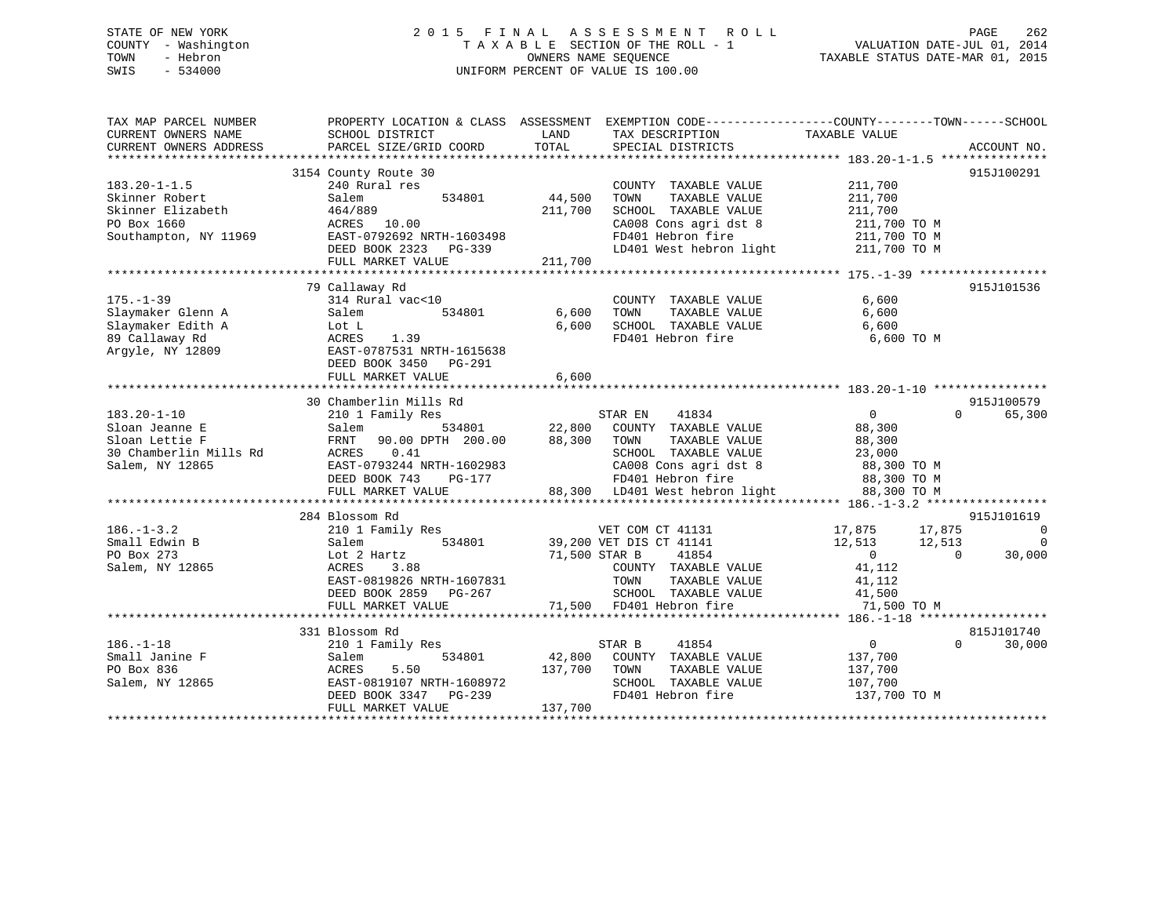# STATE OF NEW YORK 2 0 1 5 F I N A L A S S E S S M E N T R O L L PAGE 262 COUNTY - Washington T A X A B L E SECTION OF THE ROLL - 1 VALUATION DATE-JUL 01, 2014 TOWN - Hebron OWNERS NAME SEQUENCE TAXABLE STATUS DATE-MAR 01, 2015 SWIS - 534000 UNIFORM PERCENT OF VALUE IS 100.00

| TAX MAP PARCEL NUMBER<br>CURRENT OWNERS NAME<br>CURRENT OWNERS ADDRESS                             | PROPERTY LOCATION & CLASS ASSESSMENT<br>SCHOOL DISTRICT<br>PARCEL SIZE/GRID COORD                                                                                              | LAND<br>TOTAL                | EXEMPTION CODE-----------------COUNTY-------TOWN------SCHOOL<br>TAX DESCRIPTION<br>SPECIAL DISTRICTS                                                                      | TAXABLE VALUE                                                                                                   | ACCOUNT NO.                                        |
|----------------------------------------------------------------------------------------------------|--------------------------------------------------------------------------------------------------------------------------------------------------------------------------------|------------------------------|---------------------------------------------------------------------------------------------------------------------------------------------------------------------------|-----------------------------------------------------------------------------------------------------------------|----------------------------------------------------|
| $183.20 - 1 - 1.5$<br>Skinner Robert<br>Skinner Elizabeth<br>PO Box 1660<br>Southampton, NY 11969  | 3154 County Route 30<br>240 Rural res<br>534801<br>Salem<br>464/889<br>ACRES<br>10.00<br>EAST-0792692 NRTH-1603498<br>DEED BOOK 2323 PG-339<br>FULL MARKET VALUE               | 44,500<br>211,700<br>211,700 | COUNTY TAXABLE VALUE<br>TOWN<br>TAXABLE VALUE<br>SCHOOL TAXABLE VALUE<br>CA008 Cons agri dst 8<br>FD401 Hebron fire<br>LD401 West hebron light 211,700 TO M               | 211,700<br>211,700<br>211,700<br>211,700 TO M<br>211,700 TO M                                                   | 915J100291                                         |
| $175. - 1 - 39$<br>Slaymaker Glenn A<br>Slaymaker Edith A<br>89 Callaway Rd<br>Arqyle, NY 12809    | 79 Callaway Rd<br>314 Rural vac<10<br>534801<br>Salem<br>Lot L<br>1.39<br>ACRES<br>EAST-0787531 NRTH-1615638<br>DEED BOOK 3450 PG-291<br>FULL MARKET VALUE                     | 6,600<br>6,600<br>6,600      | COUNTY TAXABLE VALUE<br>TOWN<br>TAXABLE VALUE<br>SCHOOL TAXABLE VALUE<br>FD401 Hebron fire                                                                                | 6,600<br>6,600<br>6,600<br>6,600 TO M                                                                           | 915J101536                                         |
| $183.20 - 1 - 10$<br>Sloan Jeanne E<br>Sloan Lettie F<br>30 Chamberlin Mills Rd<br>Salem, NY 12865 | 30 Chamberlin Mills Rd<br>210 1 Family Res<br>Salem<br>90.00 DPTH 200.00<br>FRNT<br>ACRES<br>0.41<br>EAST-0793244 NRTH-1602983<br>DEED BOOK 743<br>PG-177<br>FULL MARKET VALUE | 534801 22,800<br>88,300      | STAR EN<br>41834<br>COUNTY TAXABLE VALUE<br>TAXABLE VALUE<br>TOWN<br>SCHOOL TAXABLE VALUE<br>CA008 Cons agri dst 8<br>FD401 Hebron fire<br>88,300 LD401 West hebron light | $\overline{0}$<br>$\Omega$<br>88,300<br>88,300<br>23,000<br>88,300 TO M<br>88,300 TO M<br>88,300 TO M           | 915J100579<br>65,300                               |
| $186. - 1 - 3.2$<br>Small Edwin B<br>PO Box 273<br>Salem, NY 12865                                 | 284 Blossom Rd<br>210 1 Family Res<br>Salem<br>Lot 2 Hartz<br>3.88<br>ACRES<br>EAST-0819826 NRTH-1607831<br>DEED BOOK 2859 PG-267<br>FULL MARKET VALUE                         | 71,500 STAR B                | VET COM CT 41131<br>534801 39,200 VET DIS CT 41141<br>41854<br>COUNTY TAXABLE VALUE<br>TOWN<br>TAXABLE VALUE<br>SCHOOL TAXABLE VALUE<br>71,500 FD401 Hebron fire          | 17,875<br>17,875<br>12,513<br>12,513<br>$\overline{0}$<br>$\Omega$<br>41,112<br>41,112<br>41,500<br>71,500 TO M | 915J101619<br>$\overline{0}$<br>$\Omega$<br>30,000 |
| $186. - 1 - 18$<br>Small Janine F<br>PO Box 836<br>Salem, NY 12865                                 | 331 Blossom Rd<br>210 1 Family Res<br>534801<br>Salem<br>ACRES<br>5.50<br>EAST-0819107 NRTH-1608972<br>DEED BOOK 3347 PG-239<br>FULL MARKET VALUE                              | 42,800<br>137,700<br>137,700 | 41854<br>STAR B<br>COUNTY TAXABLE VALUE<br>TOWN<br>TAXABLE VALUE<br>SCHOOL TAXABLE VALUE<br>FD401 Hebron fire                                                             | $\overline{0}$<br>$\Omega$<br>137,700<br>137,700<br>107,700<br>137,700 TO M                                     | 815J101740<br>30,000                               |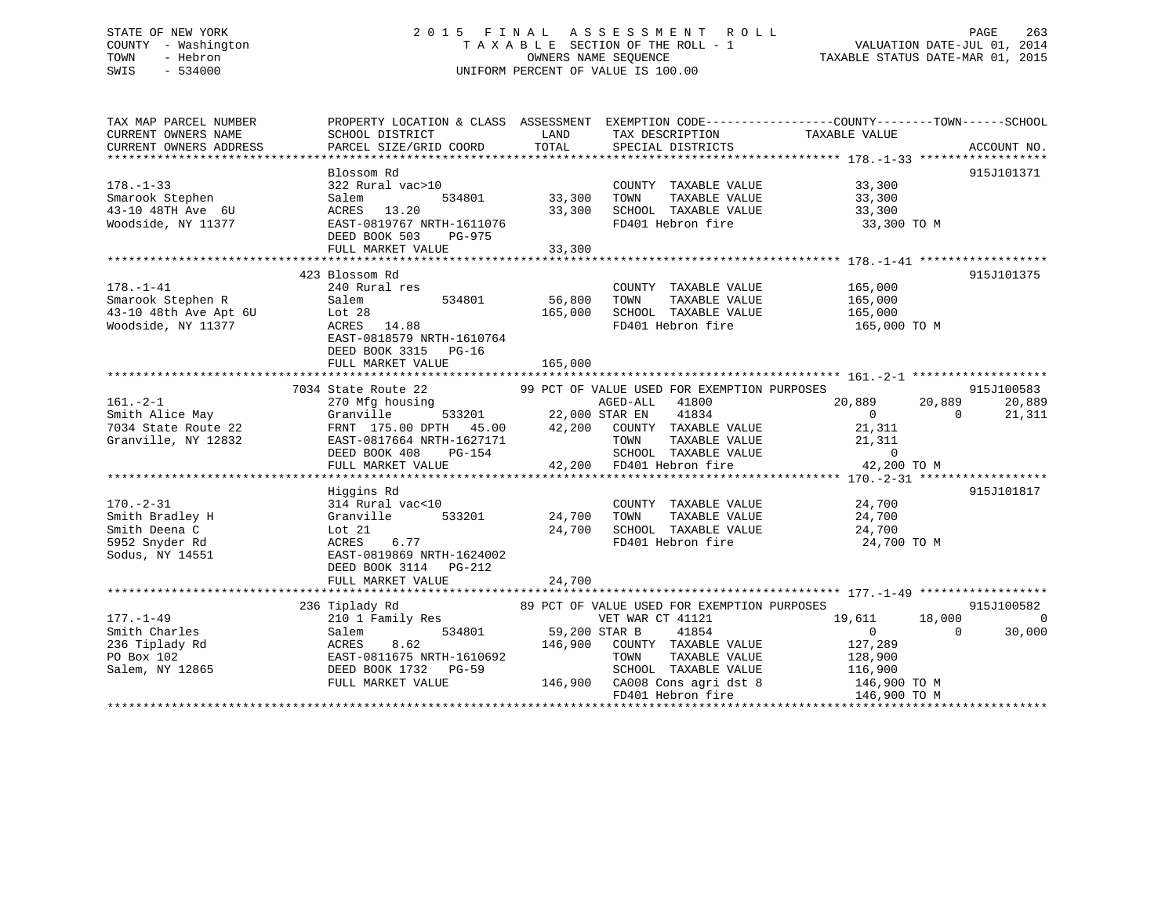# STATE OF NEW YORK 2 0 1 5 F I N A L A S S E S S M E N T R O L L PAGE 263 COUNTY - Washington T A X A B L E SECTION OF THE ROLL - 1 VALUATION DATE-JUL 01, 2014 TOWN - Hebron OWNERS NAME SEQUENCE TAXABLE STATUS DATE-MAR 01, 2015 SWIS - 534000 UNIFORM PERCENT OF VALUE IS 100.00

TAX MAP PARCEL NUMBER PROPERTY LOCATION & CLASS ASSESSMENT EXEMPTION CODE------------------COUNTY--------TOWN------SCHOOL CURRENT OWNERS NAME SCHOOL DISTRICT LAND TAX DESCRIPTION TAXABLE VALUECURRENT OWNERS ADDRESS PARCEL SIZE/GRID COORD TOTAL SPECIAL DISTRICTS ACCOUNT NO. \*\*\*\*\*\*\*\*\*\*\*\*\*\*\*\*\*\*\*\*\*\*\*\*\*\*\*\*\*\*\*\*\*\*\*\*\*\*\*\*\*\*\*\*\*\*\*\*\*\*\*\*\*\*\*\*\*\*\*\*\*\*\*\*\*\*\*\*\*\*\*\*\*\*\*\*\*\*\*\*\*\*\*\*\*\*\*\*\*\*\*\*\*\*\*\*\*\*\*\*\*\*\* 178.-1-33 \*\*\*\*\*\*\*\*\*\*\*\*\*\*\*\*\*\* Blossom Rd 915J101371178.-1-33 322 Rural vac>10 COUNTY TAXABLE VALUE 33,300 Smarook Stephen Salem 534801 33,300 TOWN TAXABLE VALUE 33,300 43-10 48TH Ave 6U ACRES 13.20 33,300 SCHOOL TAXABLE VALUE 33,300 Woodside, NY 11377 EAST-0819767 NRTH-1611076 FD401 Hebron fire 33,300 TO M DEED BOOK 503 PG-975 DEED BOOK 503 PG-975<br>FULL MARKET VALUE 33,300 \*\*\*\*\*\*\*\*\*\*\*\*\*\*\*\*\*\*\*\*\*\*\*\*\*\*\*\*\*\*\*\*\*\*\*\*\*\*\*\*\*\*\*\*\*\*\*\*\*\*\*\*\*\*\*\*\*\*\*\*\*\*\*\*\*\*\*\*\*\*\*\*\*\*\*\*\*\*\*\*\*\*\*\*\*\*\*\*\*\*\*\*\*\*\*\*\*\*\*\*\*\*\* 178.-1-41 \*\*\*\*\*\*\*\*\*\*\*\*\*\*\*\*\*\* 423 Blossom Rd 915J101375178.-1-41 240 Rural res COUNTY TAXABLE VALUE 165,000 Smarook Stephen R Salem 534801 56,800 TOWN TAXABLE VALUE 165,000 43-10 48th Ave Apt 6U Lot 28 165,000 SCHOOL TAXABLE VALUE 165,000 Woodside, NY 11377 ACRES 14.88 FD401 Hebron fire 165,000 TO M EAST-0818579 NRTH-1610764 DEED BOOK 3315 PG-16 FULL MARKET VALUE 165,000 \*\*\*\*\*\*\*\*\*\*\*\*\*\*\*\*\*\*\*\*\*\*\*\*\*\*\*\*\*\*\*\*\*\*\*\*\*\*\*\*\*\*\*\*\*\*\*\*\*\*\*\*\*\*\*\*\*\*\*\*\*\*\*\*\*\*\*\*\*\*\*\*\*\*\*\*\*\*\*\*\*\*\*\*\*\*\*\*\*\*\*\*\*\*\*\*\*\*\*\*\*\*\* 161.-2-1 \*\*\*\*\*\*\*\*\*\*\*\*\*\*\*\*\*\*\*7034 State Route 22 99 PCT OF VALUE USED FOR EXEMPTION PURPOSES 915J100583<br>20,889 20,889 20,889 270 Mfg housing AGED-ALL 41800 20,889 20,889 20,889 Smith Alice May Granville 533201 22,000 STAR EN 41834 0 0 21,311 7034 State Route 22 FRNT 175.00 DPTH 45.00 42,200 COUNTY TAXABLE VALUE 21,311 Granville, NY 12832 EAST-0817664 NRTH-1627171 TOWN TAXABLE VALUE 21,311 DEED BOOK 408 PG-154 SCHOOL TAXABLE VALUE 0 FULL MARKET VALUE 42,200 FD401 Hebron fire 42,200 TO M \*\*\*\*\*\*\*\*\*\*\*\*\*\*\*\*\*\*\*\*\*\*\*\*\*\*\*\*\*\*\*\*\*\*\*\*\*\*\*\*\*\*\*\*\*\*\*\*\*\*\*\*\*\*\*\*\*\*\*\*\*\*\*\*\*\*\*\*\*\*\*\*\*\*\*\*\*\*\*\*\*\*\*\*\*\*\*\*\*\*\*\*\*\*\*\*\*\*\*\*\*\*\* 170.-2-31 \*\*\*\*\*\*\*\*\*\*\*\*\*\*\*\*\*\* Higgins Rd 915J101817 170.-2-31 314 Rural vac<10 COUNTY TAXABLE VALUE 24,700 Smith Bradley H Granville 533201 24,700 TOWN TAXABLE VALUE 24,700 Smith Deena C Lot 21 24,700 SCHOOL TAXABLE VALUE 24,700 5952 Snyder Rd ACRES 6.77 FD401 Hebron fire 24,700 TO M Sodus, NY 14551 EAST-0819869 NRTH-1624002 DEED BOOK 3114 PG-212FULL MARKET VALUE 24,700 \*\*\*\*\*\*\*\*\*\*\*\*\*\*\*\*\*\*\*\*\*\*\*\*\*\*\*\*\*\*\*\*\*\*\*\*\*\*\*\*\*\*\*\*\*\*\*\*\*\*\*\*\*\*\*\*\*\*\*\*\*\*\*\*\*\*\*\*\*\*\*\*\*\*\*\*\*\*\*\*\*\*\*\*\*\*\*\*\*\*\*\*\*\*\*\*\*\*\*\*\*\*\* 177.-1-49 \*\*\*\*\*\*\*\*\*\*\*\*\*\*\*\*\*\* 236 Tiplady Rd 89 PCT OF VALUE USED FOR EXEMPTION PURPOSES 915J100582 177.-1-49 210 1 Family Res VET WAR CT 41121 19,611 18,000 0 Smith Charles Salem 534801 59,200 STAR B 41854 0 0 30,000 236 Tiplady Rd ACRES 8.62 146,900 COUNTY TAXABLE VALUE 127,289 PO Box 102 EAST-0811675 NRTH-1610692 TOWN TAXABLE VALUE 128,900 Salem, NY 12865 DEED BOOK 1732 PG-59 SCHOOL TAXABLE VALUE 116,900 FULL MARKET VALUE 146,900 CA008 Cons agri dst 8 146,900 TO M FD401 Hebron fire 146,900 TO M \*\*\*\*\*\*\*\*\*\*\*\*\*\*\*\*\*\*\*\*\*\*\*\*\*\*\*\*\*\*\*\*\*\*\*\*\*\*\*\*\*\*\*\*\*\*\*\*\*\*\*\*\*\*\*\*\*\*\*\*\*\*\*\*\*\*\*\*\*\*\*\*\*\*\*\*\*\*\*\*\*\*\*\*\*\*\*\*\*\*\*\*\*\*\*\*\*\*\*\*\*\*\*\*\*\*\*\*\*\*\*\*\*\*\*\*\*\*\*\*\*\*\*\*\*\*\*\*\*\*\*\*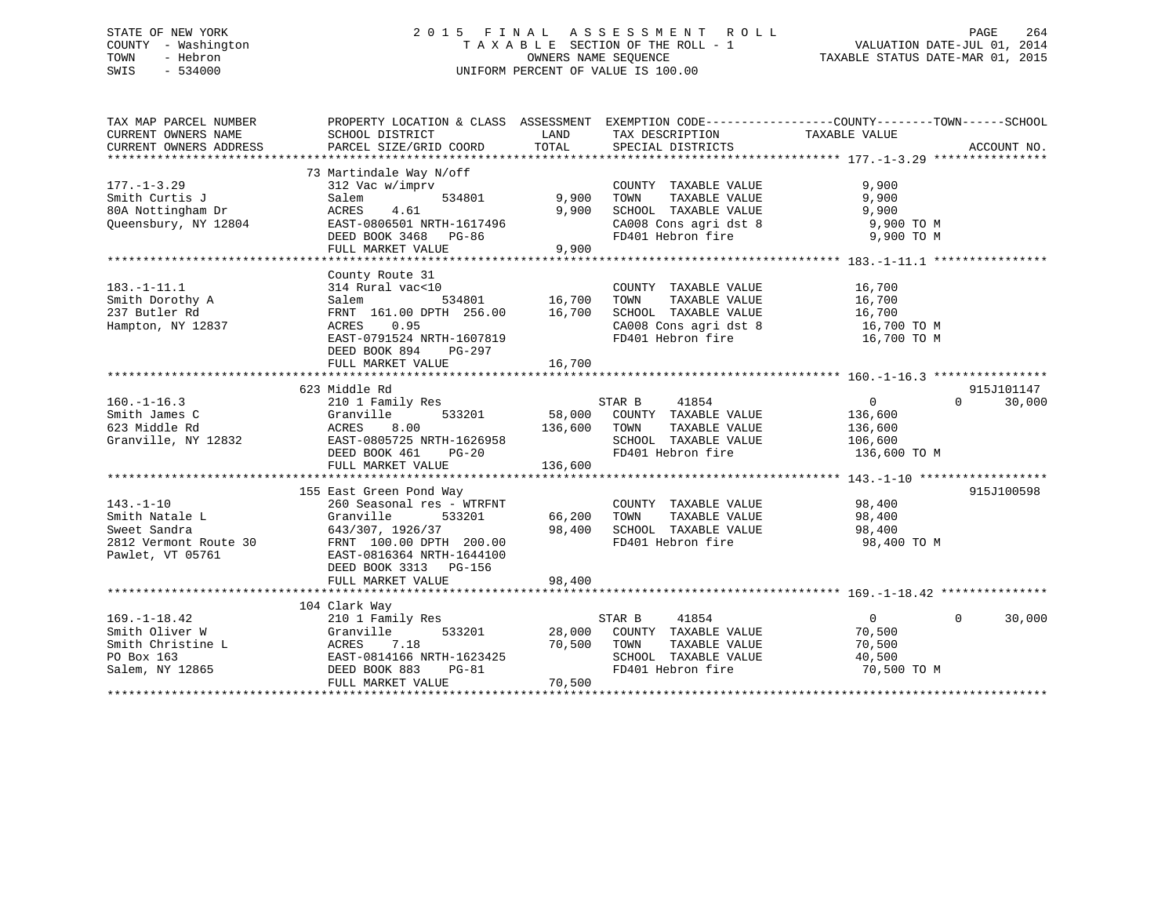# STATE OF NEW YORK 2 0 1 5 F I N A L A S S E S S M E N T R O L L PAGE 264 COUNTY - Washington T A X A B L E SECTION OF THE ROLL - 1 VALUATION DATE-JUL 01, 2014 TOWN - Hebron OWNERS NAME SEQUENCE TAXABLE STATUS DATE-MAR 01, 2015 SWIS - 534000 UNIFORM PERCENT OF VALUE IS 100.00

| TAX MAP PARCEL NUMBER  | PROPERTY LOCATION & CLASS ASSESSMENT EXEMPTION CODE---------------COUNTY-------TOWN-----SCHOOL                                                                                                                                                                                            |                        |                                                                                                                                                                                                        |                |                    |
|------------------------|-------------------------------------------------------------------------------------------------------------------------------------------------------------------------------------------------------------------------------------------------------------------------------------------|------------------------|--------------------------------------------------------------------------------------------------------------------------------------------------------------------------------------------------------|----------------|--------------------|
| CURRENT OWNERS NAME    | SCHOOL DISTRICT                                                                                                                                                                                                                                                                           | LAND                   | TAX DESCRIPTION                                                                                                                                                                                        | TAXABLE VALUE  |                    |
| CURRENT OWNERS ADDRESS | PARCEL SIZE/GRID COORD                                                                                                                                                                                                                                                                    | TOTAL                  | SPECIAL DISTRICTS                                                                                                                                                                                      |                | ACCOUNT NO.        |
|                        |                                                                                                                                                                                                                                                                                           |                        |                                                                                                                                                                                                        |                |                    |
|                        | 73 Martindale Way N/off                                                                                                                                                                                                                                                                   |                        |                                                                                                                                                                                                        |                |                    |
| $177. - 1 - 3.29$      | 312 Vac w/imprv                                                                                                                                                                                                                                                                           |                        | COUNTY TAXABLE VALUE                                                                                                                                                                                   | 9,900          |                    |
| Smith Curtis J         | Salem                                                                                                                                                                                                                                                                                     | 534801 9,900 TOWN      | TAXABLE VALUE                                                                                                                                                                                          | 9,900          |                    |
|                        |                                                                                                                                                                                                                                                                                           |                        |                                                                                                                                                                                                        |                |                    |
|                        |                                                                                                                                                                                                                                                                                           |                        | SCHOOL TAXABLE VALUE 9,900<br>CA008 Cons agri dst 8 9,900 TO M                                                                                                                                         |                |                    |
|                        | 80A Nottingham Dr<br>20A Nottingham Dr<br>20A Nottingham Dr<br>20A Nottingham Dr<br>20A Nottingham Dr<br>20A Nottingham Dr<br>20A Nottingham Dr<br>20A Nottingham Dr<br>20A Nottingham Dr<br>20A Nottingham Dr<br>20A Nottingham Dr<br>20A Nottingha                                      |                        | CA008 Cons agri dst 8 $9,900$ TO M<br>FD401 Hebron fire 9,900 TO M                                                                                                                                     |                |                    |
|                        | FULL MARKET VALUE                                                                                                                                                                                                                                                                         | 9,900                  |                                                                                                                                                                                                        |                |                    |
|                        |                                                                                                                                                                                                                                                                                           |                        |                                                                                                                                                                                                        |                |                    |
|                        | County Route 31                                                                                                                                                                                                                                                                           |                        |                                                                                                                                                                                                        |                |                    |
|                        |                                                                                                                                                                                                                                                                                           |                        |                                                                                                                                                                                                        |                |                    |
|                        |                                                                                                                                                                                                                                                                                           |                        |                                                                                                                                                                                                        |                |                    |
|                        |                                                                                                                                                                                                                                                                                           |                        |                                                                                                                                                                                                        |                |                    |
|                        |                                                                                                                                                                                                                                                                                           |                        |                                                                                                                                                                                                        |                |                    |
|                        | 183.-1-11.1<br>Smith Dorothy A<br>237 Butler Rd<br>Hampton, NY 12837<br>237 Butler Rd<br>237 Butler Rd<br>237 Butler Rd<br>237 Butler Rd<br>237 Butler Rd<br>237 Butler Rd<br>237 Butler Rd<br>237 Butler Rd<br>237 Butler Rd<br>237 Butler Rd<br>256.00<br><br>EAST-0791524 NRTH-1607819 |                        | CA008 Cons agri dst 8<br>FD401 Hebron fire                                                                                                                                                             | 16,700 TO M    |                    |
|                        | DEED BOOK 894<br>PG-297                                                                                                                                                                                                                                                                   |                        |                                                                                                                                                                                                        |                |                    |
|                        |                                                                                                                                                                                                                                                                                           |                        |                                                                                                                                                                                                        |                |                    |
|                        |                                                                                                                                                                                                                                                                                           |                        |                                                                                                                                                                                                        |                |                    |
|                        | 623 Middle Rd                                                                                                                                                                                                                                                                             |                        |                                                                                                                                                                                                        |                | 915J101147         |
| $160. - 1 - 16.3$      | 210 1 Family Res 6 8 STAR B 41854                                                                                                                                                                                                                                                         |                        |                                                                                                                                                                                                        | $\overline{0}$ | 30,000<br>$\Omega$ |
| Smith James C          |                                                                                                                                                                                                                                                                                           |                        |                                                                                                                                                                                                        |                |                    |
| 623 Middle Rd          |                                                                                                                                                                                                                                                                                           |                        |                                                                                                                                                                                                        |                |                    |
| Granville, NY 12832    |                                                                                                                                                                                                                                                                                           |                        |                                                                                                                                                                                                        |                |                    |
|                        |                                                                                                                                                                                                                                                                                           |                        | FD401 Hebron fire 136,600 TO M                                                                                                                                                                         |                |                    |
|                        | 310 1 Family Nobel 28,000 COUNTY TAXABLE VALUE<br>33201 58,000 COUNTY TAXABLE VALUE<br>ACRES 8.00 136,600 TOWN TAXABLE VALUE 136,600<br>EAST-0805725 NRTH-1626958 SCHOOL TAXABLE VALUE 106,600<br>DEED BOOK 461 PG-20 FD401 Hebron fir                                                    |                        |                                                                                                                                                                                                        |                |                    |
|                        |                                                                                                                                                                                                                                                                                           |                        |                                                                                                                                                                                                        |                |                    |
|                        | 155 East Green Pond Way                                                                                                                                                                                                                                                                   |                        |                                                                                                                                                                                                        |                | 915J100598         |
| $143. - 1 - 10$        | 260 Seasonal res - WTRFNT                                                                                                                                                                                                                                                                 |                        |                                                                                                                                                                                                        |                |                    |
|                        |                                                                                                                                                                                                                                                                                           | $533201$ $66,200$ TOWN | $\begin{tabular}{lllllllll} \multicolumn{2}{c}{\textbf{COUNTY}} & \textbf{TAXABLE VALUE} & & & & 98,400 \\ \multicolumn{2}{c}{\textbf{TOWN}} & \textbf{TAXABLE VALUE} & & & & 98,400 \\ \end{tabular}$ |                |                    |
|                        |                                                                                                                                                                                                                                                                                           |                        |                                                                                                                                                                                                        |                |                    |
|                        | 143.-1-10 260 Seasonal res - WTRFNT<br>Smith Natale L Granville 533201<br>Sweet Sandra 643/307, 1926/37<br>2812 Vermont Route 30 FRNT 100.00 DPTH 200.00<br>Pawlet, VT 05761 EAST-0816364 NRTH-1644100                                                                                    |                        | 98,400 SCHOOL TAXABLE VALUE 98,400<br>FD401 Hebron fire                                                                                                                                                | 98,400 TO M    |                    |
|                        |                                                                                                                                                                                                                                                                                           |                        |                                                                                                                                                                                                        |                |                    |
|                        | DEED BOOK 3313 PG-156                                                                                                                                                                                                                                                                     |                        |                                                                                                                                                                                                        |                |                    |
|                        | FULL MARKET VALUE                                                                                                                                                                                                                                                                         | 98,400                 |                                                                                                                                                                                                        |                |                    |
|                        |                                                                                                                                                                                                                                                                                           |                        |                                                                                                                                                                                                        |                |                    |
|                        | 104 Clark Way                                                                                                                                                                                                                                                                             |                        |                                                                                                                                                                                                        |                |                    |
| $169. - 1 - 18.42$     | 210 1 Family Res                                                                                                                                                                                                                                                                          |                        | STAR B 41854                                                                                                                                                                                           | $\overline{0}$ | $\Omega$<br>30,000 |
| Smith Oliver W         | Granville                                                                                                                                                                                                                                                                                 |                        | 533201 28,000 COUNTY TAXABLE VALUE 70,500                                                                                                                                                              |                |                    |
|                        |                                                                                                                                                                                                                                                                                           |                        |                                                                                                                                                                                                        |                |                    |
|                        |                                                                                                                                                                                                                                                                                           |                        |                                                                                                                                                                                                        |                |                    |
|                        |                                                                                                                                                                                                                                                                                           |                        |                                                                                                                                                                                                        | 70,500 TO M    |                    |
|                        | 90 Smith Christine L (ACRES 1.18 10,500 TOWN TAXABLE VALUE 70,500 TO BOX 163 EAST-0814166 NRTH-1623425 2010 2011 2016 2017 2017 2018 2019 2017 2018 2019 2019 2017 2018 2019 2019 2017 2018 2019 2017 2018 2019 2019 2010 2011<br>FULL MARKET VALUE                                       | 70,500                 |                                                                                                                                                                                                        |                |                    |
|                        |                                                                                                                                                                                                                                                                                           |                        |                                                                                                                                                                                                        |                |                    |
|                        |                                                                                                                                                                                                                                                                                           |                        |                                                                                                                                                                                                        |                |                    |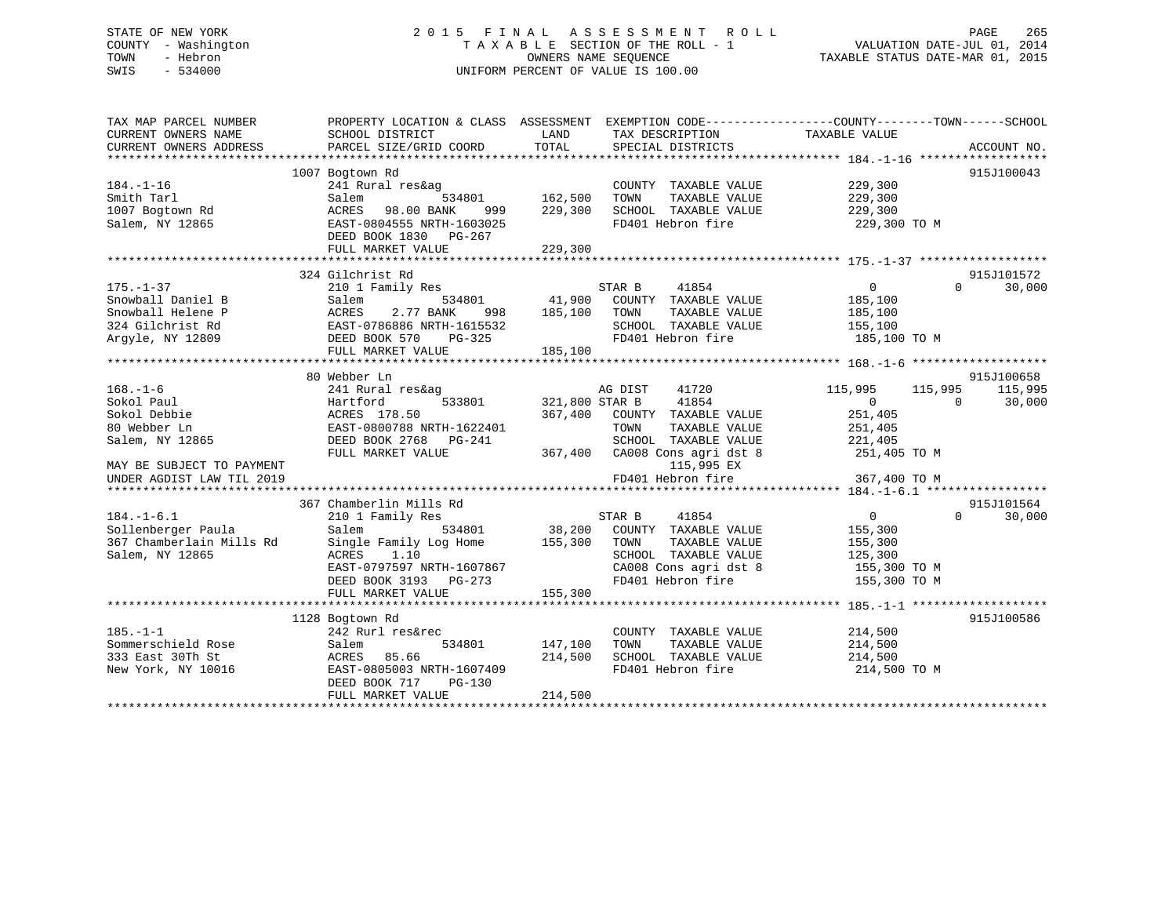# STATE OF NEW YORK 2 0 1 5 F I N A L A S S E S S M E N T R O L L PAGE 265 COUNTY - Washington T A X A B L E SECTION OF THE ROLL - 1 VALUATION DATE-JUL 01, 2014 TOWN - Hebron OWNERS NAME SEQUENCE TAXABLE STATUS DATE-MAR 01, 2015 SWIS - 534000 UNIFORM PERCENT OF VALUE IS 100.00

| CURRENT OWNERS NAME<br>SCHOOL DISTRICT<br>LAND<br>TAX DESCRIPTION<br>TAXABLE VALUE<br>TOTAL<br>PARCEL SIZE/GRID COORD<br>CURRENT OWNERS ADDRESS<br>SPECIAL DISTRICTS<br>ACCOUNT NO.<br>1007 Bogtown Rd<br>915J100043<br>241 Rural res&ag<br>229,300<br>229,300<br>$184. - 1 - 16$<br>COUNTY TAXABLE VALUE<br>534801 162,500<br>TAXABLE VALUE<br>Smith Tarl<br>Salem<br>TOWN<br>ACRES 98.00 BANK 999 229,300<br>SCHOOL TAXABLE VALUE<br>1007 Bogtown Rd<br>229,300<br>Salem, NY 12865<br>FD401 Hebron fire<br>229,300 TO M<br>EAST-0804555 NRTH-1603025<br>DEED BOOK 1830 PG-267<br>324 Gilchrist Rd<br>915J101572<br>$\Omega$<br>$175. - 1 - 37$<br>210 1 Family Res<br>$\overline{0}$<br>30,000<br>STAR B<br>41854<br>COUNTY TAXABLE VALUE 185,100<br>534801 41,900<br>Snowball Daniel B<br>Salem<br>Salem 534801<br>ACRES 2.77 BANK 998<br>EAST-0786886 NRTH-1615532<br>998 185,100<br>TOWN<br>TAXABLE VALUE<br>Snowball Helene P<br>185,100<br>155,100<br>SCHOOL TAXABLE VALUE<br>324 Gilchrist Rd<br>FD401 Hebron fire<br>Arqyle, NY 12809<br>DEED BOOK 570<br>$PG-325$<br>185,100 TO M<br>FULL MARKET VALUE<br>185,100<br>915J100658<br>80 Webber Ln<br>$168. - 1 - 6$<br>241 Rural res&ag<br>AG DIST<br>41720<br>115,995<br>115,995 115,995<br>533801<br>321,800 STAR B<br>41854<br>30,000<br>Sokol Paul<br>Hartford<br>$25 - 1$<br>$25 - 1$<br>$\overline{0}$<br>Sokol Debbie<br>ACRES 178.50<br>367,400<br>COUNTY TAXABLE VALUE<br>80 Webber Ln<br>EAST-0800788 NRTH-1622401<br>TOWN<br>TAXABLE VALUE<br>251,405<br>DEED BOOK 2768    PG-241<br>SCHOOL TAXABLE VALUE<br>221,405<br>251,405 TO M<br>FULL MARKET VALUE<br>367,400 CA008 Cons agri dst 8<br>115,995 EX<br>FD401 Hebron fire<br>367,400 TO M<br>UNDER AGDIST LAW TIL 2019<br>367 Chamberlin Mills Rd<br>915J101564<br>$\overline{0}$<br>210 1 Family Res<br>41854<br>$\Omega$<br>30,000<br>STAR B<br>Salem 534801 38,200 COUNTY TAXABLE VALUE<br>Single Family Log Home 155,300 TOWN TAXABLE VALUE<br>104.-1-0.1<br>Sollenberger Paula<br>200 Chamborlain Mills Rd<br>155,300<br>$\frac{1}{155}$ , 300<br>TAXABLE VALUE<br>SCHOOL TAXABLE VALUE<br>125,300<br>Salem, NY 12865<br>ACRES<br>1.10<br>EAST-0797597 NRTH-1607867<br>CA008 Cons agri dst 8 155,300 TO M<br>FD401 Hebron fire 155,300 TO M<br>DEED BOOK 3193 PG-273<br>FULL MARKET VALUE<br>155,300<br>915J100586<br>1128 Bogtown Rd<br>COUNTY TAXABLE VALUE<br>$185. - 1 - 1$<br>242 Rurl res&rec<br>214,500<br>214,500<br>Sommerschield Rose<br>Salem<br>534801 147,100<br>TOWN<br>TAXABLE VALUE<br>333 East 30Th St<br>214,500<br>SCHOOL TAXABLE VALUE<br>ACRES 85.66<br>214,500<br>New York, NY 10016<br>EAST-0805003 NRTH-1607409<br>FD401 Hebron fire<br>214,500 TO M<br>DEED BOOK 717<br>$PG-130$<br>214,500<br>FULL MARKET VALUE | TAX MAP PARCEL NUMBER     | PROPERTY LOCATION & CLASS ASSESSMENT EXEMPTION CODE---------------COUNTY-------TOWN-----SCHOOL |  |  |
|-----------------------------------------------------------------------------------------------------------------------------------------------------------------------------------------------------------------------------------------------------------------------------------------------------------------------------------------------------------------------------------------------------------------------------------------------------------------------------------------------------------------------------------------------------------------------------------------------------------------------------------------------------------------------------------------------------------------------------------------------------------------------------------------------------------------------------------------------------------------------------------------------------------------------------------------------------------------------------------------------------------------------------------------------------------------------------------------------------------------------------------------------------------------------------------------------------------------------------------------------------------------------------------------------------------------------------------------------------------------------------------------------------------------------------------------------------------------------------------------------------------------------------------------------------------------------------------------------------------------------------------------------------------------------------------------------------------------------------------------------------------------------------------------------------------------------------------------------------------------------------------------------------------------------------------------------------------------------------------------------------------------------------------------------------------------------------------------------------------------------------------------------------------------------------------------------------------------------------------------------------------------------------------------------------------------------------------------------------------------------------------------------------------------------------------------------------------------------------------------------------------------------------------------------------------------------------------------------------------------------------------------------------------------------------------------------------------------------------------------------------------------------|---------------------------|------------------------------------------------------------------------------------------------|--|--|
|                                                                                                                                                                                                                                                                                                                                                                                                                                                                                                                                                                                                                                                                                                                                                                                                                                                                                                                                                                                                                                                                                                                                                                                                                                                                                                                                                                                                                                                                                                                                                                                                                                                                                                                                                                                                                                                                                                                                                                                                                                                                                                                                                                                                                                                                                                                                                                                                                                                                                                                                                                                                                                                                                                                                                                       |                           |                                                                                                |  |  |
|                                                                                                                                                                                                                                                                                                                                                                                                                                                                                                                                                                                                                                                                                                                                                                                                                                                                                                                                                                                                                                                                                                                                                                                                                                                                                                                                                                                                                                                                                                                                                                                                                                                                                                                                                                                                                                                                                                                                                                                                                                                                                                                                                                                                                                                                                                                                                                                                                                                                                                                                                                                                                                                                                                                                                                       |                           |                                                                                                |  |  |
|                                                                                                                                                                                                                                                                                                                                                                                                                                                                                                                                                                                                                                                                                                                                                                                                                                                                                                                                                                                                                                                                                                                                                                                                                                                                                                                                                                                                                                                                                                                                                                                                                                                                                                                                                                                                                                                                                                                                                                                                                                                                                                                                                                                                                                                                                                                                                                                                                                                                                                                                                                                                                                                                                                                                                                       |                           |                                                                                                |  |  |
|                                                                                                                                                                                                                                                                                                                                                                                                                                                                                                                                                                                                                                                                                                                                                                                                                                                                                                                                                                                                                                                                                                                                                                                                                                                                                                                                                                                                                                                                                                                                                                                                                                                                                                                                                                                                                                                                                                                                                                                                                                                                                                                                                                                                                                                                                                                                                                                                                                                                                                                                                                                                                                                                                                                                                                       |                           |                                                                                                |  |  |
|                                                                                                                                                                                                                                                                                                                                                                                                                                                                                                                                                                                                                                                                                                                                                                                                                                                                                                                                                                                                                                                                                                                                                                                                                                                                                                                                                                                                                                                                                                                                                                                                                                                                                                                                                                                                                                                                                                                                                                                                                                                                                                                                                                                                                                                                                                                                                                                                                                                                                                                                                                                                                                                                                                                                                                       |                           |                                                                                                |  |  |
|                                                                                                                                                                                                                                                                                                                                                                                                                                                                                                                                                                                                                                                                                                                                                                                                                                                                                                                                                                                                                                                                                                                                                                                                                                                                                                                                                                                                                                                                                                                                                                                                                                                                                                                                                                                                                                                                                                                                                                                                                                                                                                                                                                                                                                                                                                                                                                                                                                                                                                                                                                                                                                                                                                                                                                       |                           |                                                                                                |  |  |
|                                                                                                                                                                                                                                                                                                                                                                                                                                                                                                                                                                                                                                                                                                                                                                                                                                                                                                                                                                                                                                                                                                                                                                                                                                                                                                                                                                                                                                                                                                                                                                                                                                                                                                                                                                                                                                                                                                                                                                                                                                                                                                                                                                                                                                                                                                                                                                                                                                                                                                                                                                                                                                                                                                                                                                       |                           |                                                                                                |  |  |
|                                                                                                                                                                                                                                                                                                                                                                                                                                                                                                                                                                                                                                                                                                                                                                                                                                                                                                                                                                                                                                                                                                                                                                                                                                                                                                                                                                                                                                                                                                                                                                                                                                                                                                                                                                                                                                                                                                                                                                                                                                                                                                                                                                                                                                                                                                                                                                                                                                                                                                                                                                                                                                                                                                                                                                       |                           |                                                                                                |  |  |
|                                                                                                                                                                                                                                                                                                                                                                                                                                                                                                                                                                                                                                                                                                                                                                                                                                                                                                                                                                                                                                                                                                                                                                                                                                                                                                                                                                                                                                                                                                                                                                                                                                                                                                                                                                                                                                                                                                                                                                                                                                                                                                                                                                                                                                                                                                                                                                                                                                                                                                                                                                                                                                                                                                                                                                       |                           |                                                                                                |  |  |
|                                                                                                                                                                                                                                                                                                                                                                                                                                                                                                                                                                                                                                                                                                                                                                                                                                                                                                                                                                                                                                                                                                                                                                                                                                                                                                                                                                                                                                                                                                                                                                                                                                                                                                                                                                                                                                                                                                                                                                                                                                                                                                                                                                                                                                                                                                                                                                                                                                                                                                                                                                                                                                                                                                                                                                       |                           |                                                                                                |  |  |
|                                                                                                                                                                                                                                                                                                                                                                                                                                                                                                                                                                                                                                                                                                                                                                                                                                                                                                                                                                                                                                                                                                                                                                                                                                                                                                                                                                                                                                                                                                                                                                                                                                                                                                                                                                                                                                                                                                                                                                                                                                                                                                                                                                                                                                                                                                                                                                                                                                                                                                                                                                                                                                                                                                                                                                       |                           |                                                                                                |  |  |
|                                                                                                                                                                                                                                                                                                                                                                                                                                                                                                                                                                                                                                                                                                                                                                                                                                                                                                                                                                                                                                                                                                                                                                                                                                                                                                                                                                                                                                                                                                                                                                                                                                                                                                                                                                                                                                                                                                                                                                                                                                                                                                                                                                                                                                                                                                                                                                                                                                                                                                                                                                                                                                                                                                                                                                       |                           |                                                                                                |  |  |
|                                                                                                                                                                                                                                                                                                                                                                                                                                                                                                                                                                                                                                                                                                                                                                                                                                                                                                                                                                                                                                                                                                                                                                                                                                                                                                                                                                                                                                                                                                                                                                                                                                                                                                                                                                                                                                                                                                                                                                                                                                                                                                                                                                                                                                                                                                                                                                                                                                                                                                                                                                                                                                                                                                                                                                       |                           |                                                                                                |  |  |
|                                                                                                                                                                                                                                                                                                                                                                                                                                                                                                                                                                                                                                                                                                                                                                                                                                                                                                                                                                                                                                                                                                                                                                                                                                                                                                                                                                                                                                                                                                                                                                                                                                                                                                                                                                                                                                                                                                                                                                                                                                                                                                                                                                                                                                                                                                                                                                                                                                                                                                                                                                                                                                                                                                                                                                       |                           |                                                                                                |  |  |
|                                                                                                                                                                                                                                                                                                                                                                                                                                                                                                                                                                                                                                                                                                                                                                                                                                                                                                                                                                                                                                                                                                                                                                                                                                                                                                                                                                                                                                                                                                                                                                                                                                                                                                                                                                                                                                                                                                                                                                                                                                                                                                                                                                                                                                                                                                                                                                                                                                                                                                                                                                                                                                                                                                                                                                       |                           |                                                                                                |  |  |
|                                                                                                                                                                                                                                                                                                                                                                                                                                                                                                                                                                                                                                                                                                                                                                                                                                                                                                                                                                                                                                                                                                                                                                                                                                                                                                                                                                                                                                                                                                                                                                                                                                                                                                                                                                                                                                                                                                                                                                                                                                                                                                                                                                                                                                                                                                                                                                                                                                                                                                                                                                                                                                                                                                                                                                       |                           |                                                                                                |  |  |
|                                                                                                                                                                                                                                                                                                                                                                                                                                                                                                                                                                                                                                                                                                                                                                                                                                                                                                                                                                                                                                                                                                                                                                                                                                                                                                                                                                                                                                                                                                                                                                                                                                                                                                                                                                                                                                                                                                                                                                                                                                                                                                                                                                                                                                                                                                                                                                                                                                                                                                                                                                                                                                                                                                                                                                       |                           |                                                                                                |  |  |
|                                                                                                                                                                                                                                                                                                                                                                                                                                                                                                                                                                                                                                                                                                                                                                                                                                                                                                                                                                                                                                                                                                                                                                                                                                                                                                                                                                                                                                                                                                                                                                                                                                                                                                                                                                                                                                                                                                                                                                                                                                                                                                                                                                                                                                                                                                                                                                                                                                                                                                                                                                                                                                                                                                                                                                       |                           |                                                                                                |  |  |
|                                                                                                                                                                                                                                                                                                                                                                                                                                                                                                                                                                                                                                                                                                                                                                                                                                                                                                                                                                                                                                                                                                                                                                                                                                                                                                                                                                                                                                                                                                                                                                                                                                                                                                                                                                                                                                                                                                                                                                                                                                                                                                                                                                                                                                                                                                                                                                                                                                                                                                                                                                                                                                                                                                                                                                       |                           |                                                                                                |  |  |
|                                                                                                                                                                                                                                                                                                                                                                                                                                                                                                                                                                                                                                                                                                                                                                                                                                                                                                                                                                                                                                                                                                                                                                                                                                                                                                                                                                                                                                                                                                                                                                                                                                                                                                                                                                                                                                                                                                                                                                                                                                                                                                                                                                                                                                                                                                                                                                                                                                                                                                                                                                                                                                                                                                                                                                       |                           |                                                                                                |  |  |
|                                                                                                                                                                                                                                                                                                                                                                                                                                                                                                                                                                                                                                                                                                                                                                                                                                                                                                                                                                                                                                                                                                                                                                                                                                                                                                                                                                                                                                                                                                                                                                                                                                                                                                                                                                                                                                                                                                                                                                                                                                                                                                                                                                                                                                                                                                                                                                                                                                                                                                                                                                                                                                                                                                                                                                       |                           |                                                                                                |  |  |
|                                                                                                                                                                                                                                                                                                                                                                                                                                                                                                                                                                                                                                                                                                                                                                                                                                                                                                                                                                                                                                                                                                                                                                                                                                                                                                                                                                                                                                                                                                                                                                                                                                                                                                                                                                                                                                                                                                                                                                                                                                                                                                                                                                                                                                                                                                                                                                                                                                                                                                                                                                                                                                                                                                                                                                       |                           |                                                                                                |  |  |
|                                                                                                                                                                                                                                                                                                                                                                                                                                                                                                                                                                                                                                                                                                                                                                                                                                                                                                                                                                                                                                                                                                                                                                                                                                                                                                                                                                                                                                                                                                                                                                                                                                                                                                                                                                                                                                                                                                                                                                                                                                                                                                                                                                                                                                                                                                                                                                                                                                                                                                                                                                                                                                                                                                                                                                       |                           |                                                                                                |  |  |
|                                                                                                                                                                                                                                                                                                                                                                                                                                                                                                                                                                                                                                                                                                                                                                                                                                                                                                                                                                                                                                                                                                                                                                                                                                                                                                                                                                                                                                                                                                                                                                                                                                                                                                                                                                                                                                                                                                                                                                                                                                                                                                                                                                                                                                                                                                                                                                                                                                                                                                                                                                                                                                                                                                                                                                       |                           |                                                                                                |  |  |
|                                                                                                                                                                                                                                                                                                                                                                                                                                                                                                                                                                                                                                                                                                                                                                                                                                                                                                                                                                                                                                                                                                                                                                                                                                                                                                                                                                                                                                                                                                                                                                                                                                                                                                                                                                                                                                                                                                                                                                                                                                                                                                                                                                                                                                                                                                                                                                                                                                                                                                                                                                                                                                                                                                                                                                       | Salem, NY 12865           |                                                                                                |  |  |
|                                                                                                                                                                                                                                                                                                                                                                                                                                                                                                                                                                                                                                                                                                                                                                                                                                                                                                                                                                                                                                                                                                                                                                                                                                                                                                                                                                                                                                                                                                                                                                                                                                                                                                                                                                                                                                                                                                                                                                                                                                                                                                                                                                                                                                                                                                                                                                                                                                                                                                                                                                                                                                                                                                                                                                       |                           |                                                                                                |  |  |
|                                                                                                                                                                                                                                                                                                                                                                                                                                                                                                                                                                                                                                                                                                                                                                                                                                                                                                                                                                                                                                                                                                                                                                                                                                                                                                                                                                                                                                                                                                                                                                                                                                                                                                                                                                                                                                                                                                                                                                                                                                                                                                                                                                                                                                                                                                                                                                                                                                                                                                                                                                                                                                                                                                                                                                       | MAY BE SUBJECT TO PAYMENT |                                                                                                |  |  |
|                                                                                                                                                                                                                                                                                                                                                                                                                                                                                                                                                                                                                                                                                                                                                                                                                                                                                                                                                                                                                                                                                                                                                                                                                                                                                                                                                                                                                                                                                                                                                                                                                                                                                                                                                                                                                                                                                                                                                                                                                                                                                                                                                                                                                                                                                                                                                                                                                                                                                                                                                                                                                                                                                                                                                                       |                           |                                                                                                |  |  |
|                                                                                                                                                                                                                                                                                                                                                                                                                                                                                                                                                                                                                                                                                                                                                                                                                                                                                                                                                                                                                                                                                                                                                                                                                                                                                                                                                                                                                                                                                                                                                                                                                                                                                                                                                                                                                                                                                                                                                                                                                                                                                                                                                                                                                                                                                                                                                                                                                                                                                                                                                                                                                                                                                                                                                                       |                           |                                                                                                |  |  |
|                                                                                                                                                                                                                                                                                                                                                                                                                                                                                                                                                                                                                                                                                                                                                                                                                                                                                                                                                                                                                                                                                                                                                                                                                                                                                                                                                                                                                                                                                                                                                                                                                                                                                                                                                                                                                                                                                                                                                                                                                                                                                                                                                                                                                                                                                                                                                                                                                                                                                                                                                                                                                                                                                                                                                                       |                           |                                                                                                |  |  |
|                                                                                                                                                                                                                                                                                                                                                                                                                                                                                                                                                                                                                                                                                                                                                                                                                                                                                                                                                                                                                                                                                                                                                                                                                                                                                                                                                                                                                                                                                                                                                                                                                                                                                                                                                                                                                                                                                                                                                                                                                                                                                                                                                                                                                                                                                                                                                                                                                                                                                                                                                                                                                                                                                                                                                                       | $184. - 1 - 6.1$          |                                                                                                |  |  |
|                                                                                                                                                                                                                                                                                                                                                                                                                                                                                                                                                                                                                                                                                                                                                                                                                                                                                                                                                                                                                                                                                                                                                                                                                                                                                                                                                                                                                                                                                                                                                                                                                                                                                                                                                                                                                                                                                                                                                                                                                                                                                                                                                                                                                                                                                                                                                                                                                                                                                                                                                                                                                                                                                                                                                                       |                           |                                                                                                |  |  |
|                                                                                                                                                                                                                                                                                                                                                                                                                                                                                                                                                                                                                                                                                                                                                                                                                                                                                                                                                                                                                                                                                                                                                                                                                                                                                                                                                                                                                                                                                                                                                                                                                                                                                                                                                                                                                                                                                                                                                                                                                                                                                                                                                                                                                                                                                                                                                                                                                                                                                                                                                                                                                                                                                                                                                                       |                           |                                                                                                |  |  |
|                                                                                                                                                                                                                                                                                                                                                                                                                                                                                                                                                                                                                                                                                                                                                                                                                                                                                                                                                                                                                                                                                                                                                                                                                                                                                                                                                                                                                                                                                                                                                                                                                                                                                                                                                                                                                                                                                                                                                                                                                                                                                                                                                                                                                                                                                                                                                                                                                                                                                                                                                                                                                                                                                                                                                                       |                           |                                                                                                |  |  |
|                                                                                                                                                                                                                                                                                                                                                                                                                                                                                                                                                                                                                                                                                                                                                                                                                                                                                                                                                                                                                                                                                                                                                                                                                                                                                                                                                                                                                                                                                                                                                                                                                                                                                                                                                                                                                                                                                                                                                                                                                                                                                                                                                                                                                                                                                                                                                                                                                                                                                                                                                                                                                                                                                                                                                                       |                           |                                                                                                |  |  |
|                                                                                                                                                                                                                                                                                                                                                                                                                                                                                                                                                                                                                                                                                                                                                                                                                                                                                                                                                                                                                                                                                                                                                                                                                                                                                                                                                                                                                                                                                                                                                                                                                                                                                                                                                                                                                                                                                                                                                                                                                                                                                                                                                                                                                                                                                                                                                                                                                                                                                                                                                                                                                                                                                                                                                                       |                           |                                                                                                |  |  |
|                                                                                                                                                                                                                                                                                                                                                                                                                                                                                                                                                                                                                                                                                                                                                                                                                                                                                                                                                                                                                                                                                                                                                                                                                                                                                                                                                                                                                                                                                                                                                                                                                                                                                                                                                                                                                                                                                                                                                                                                                                                                                                                                                                                                                                                                                                                                                                                                                                                                                                                                                                                                                                                                                                                                                                       |                           |                                                                                                |  |  |
|                                                                                                                                                                                                                                                                                                                                                                                                                                                                                                                                                                                                                                                                                                                                                                                                                                                                                                                                                                                                                                                                                                                                                                                                                                                                                                                                                                                                                                                                                                                                                                                                                                                                                                                                                                                                                                                                                                                                                                                                                                                                                                                                                                                                                                                                                                                                                                                                                                                                                                                                                                                                                                                                                                                                                                       |                           |                                                                                                |  |  |
|                                                                                                                                                                                                                                                                                                                                                                                                                                                                                                                                                                                                                                                                                                                                                                                                                                                                                                                                                                                                                                                                                                                                                                                                                                                                                                                                                                                                                                                                                                                                                                                                                                                                                                                                                                                                                                                                                                                                                                                                                                                                                                                                                                                                                                                                                                                                                                                                                                                                                                                                                                                                                                                                                                                                                                       |                           |                                                                                                |  |  |
|                                                                                                                                                                                                                                                                                                                                                                                                                                                                                                                                                                                                                                                                                                                                                                                                                                                                                                                                                                                                                                                                                                                                                                                                                                                                                                                                                                                                                                                                                                                                                                                                                                                                                                                                                                                                                                                                                                                                                                                                                                                                                                                                                                                                                                                                                                                                                                                                                                                                                                                                                                                                                                                                                                                                                                       |                           |                                                                                                |  |  |
|                                                                                                                                                                                                                                                                                                                                                                                                                                                                                                                                                                                                                                                                                                                                                                                                                                                                                                                                                                                                                                                                                                                                                                                                                                                                                                                                                                                                                                                                                                                                                                                                                                                                                                                                                                                                                                                                                                                                                                                                                                                                                                                                                                                                                                                                                                                                                                                                                                                                                                                                                                                                                                                                                                                                                                       |                           |                                                                                                |  |  |
|                                                                                                                                                                                                                                                                                                                                                                                                                                                                                                                                                                                                                                                                                                                                                                                                                                                                                                                                                                                                                                                                                                                                                                                                                                                                                                                                                                                                                                                                                                                                                                                                                                                                                                                                                                                                                                                                                                                                                                                                                                                                                                                                                                                                                                                                                                                                                                                                                                                                                                                                                                                                                                                                                                                                                                       |                           |                                                                                                |  |  |
|                                                                                                                                                                                                                                                                                                                                                                                                                                                                                                                                                                                                                                                                                                                                                                                                                                                                                                                                                                                                                                                                                                                                                                                                                                                                                                                                                                                                                                                                                                                                                                                                                                                                                                                                                                                                                                                                                                                                                                                                                                                                                                                                                                                                                                                                                                                                                                                                                                                                                                                                                                                                                                                                                                                                                                       |                           |                                                                                                |  |  |
|                                                                                                                                                                                                                                                                                                                                                                                                                                                                                                                                                                                                                                                                                                                                                                                                                                                                                                                                                                                                                                                                                                                                                                                                                                                                                                                                                                                                                                                                                                                                                                                                                                                                                                                                                                                                                                                                                                                                                                                                                                                                                                                                                                                                                                                                                                                                                                                                                                                                                                                                                                                                                                                                                                                                                                       |                           |                                                                                                |  |  |
|                                                                                                                                                                                                                                                                                                                                                                                                                                                                                                                                                                                                                                                                                                                                                                                                                                                                                                                                                                                                                                                                                                                                                                                                                                                                                                                                                                                                                                                                                                                                                                                                                                                                                                                                                                                                                                                                                                                                                                                                                                                                                                                                                                                                                                                                                                                                                                                                                                                                                                                                                                                                                                                                                                                                                                       |                           |                                                                                                |  |  |
|                                                                                                                                                                                                                                                                                                                                                                                                                                                                                                                                                                                                                                                                                                                                                                                                                                                                                                                                                                                                                                                                                                                                                                                                                                                                                                                                                                                                                                                                                                                                                                                                                                                                                                                                                                                                                                                                                                                                                                                                                                                                                                                                                                                                                                                                                                                                                                                                                                                                                                                                                                                                                                                                                                                                                                       |                           |                                                                                                |  |  |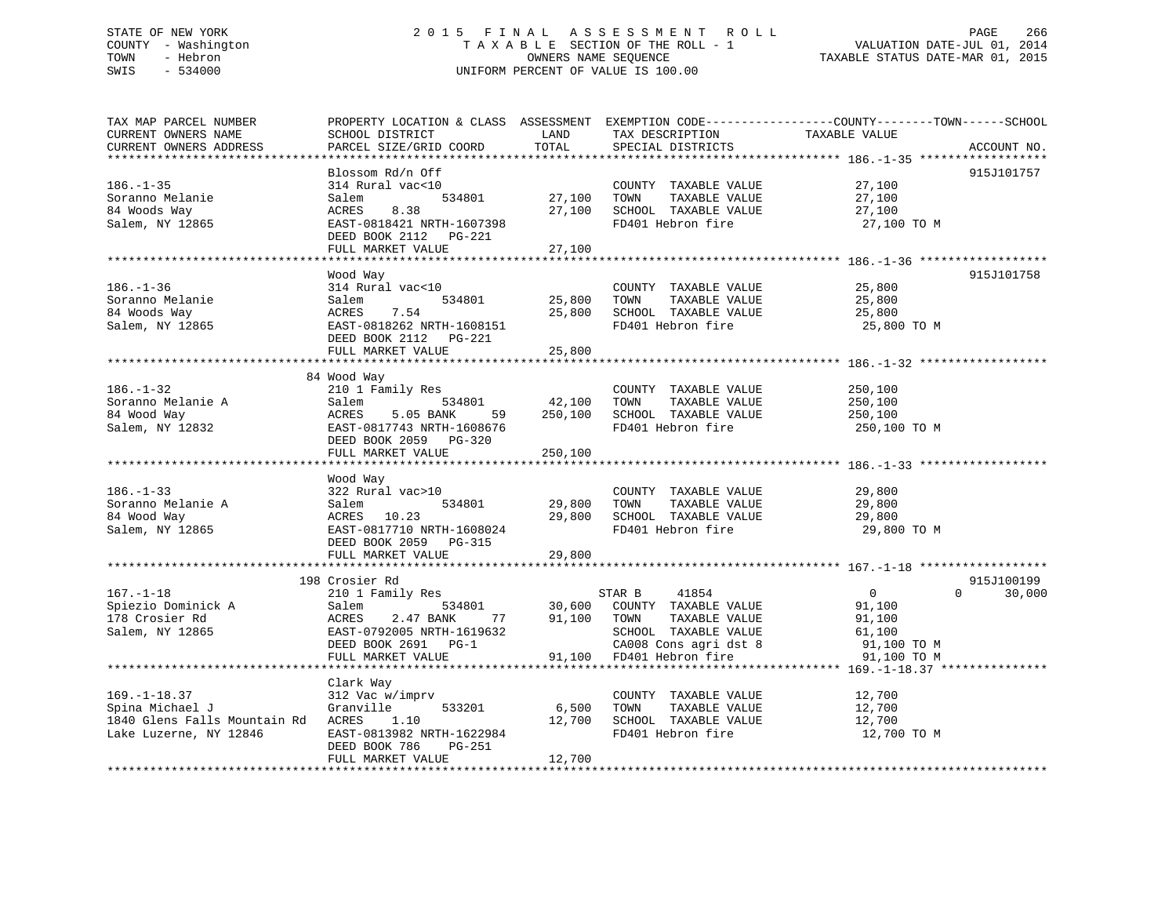# STATE OF NEW YORK 2 0 1 5 F I N A L A S S E S S M E N T R O L L PAGE 266 COUNTY - Washington T A X A B L E SECTION OF THE ROLL - 1 VALUATION DATE-JUL 01, 2014 TOWN - Hebron OWNERS NAME SEQUENCE TAXABLE STATUS DATE-MAR 01, 2015 SWIS - 534000 UNIFORM PERCENT OF VALUE IS 100.00

| TAX MAP PARCEL NUMBER                               |                                                |                  |                                                   | PROPERTY LOCATION & CLASS ASSESSMENT EXEMPTION CODE---------------COUNTY-------TOWN------SCHOOL |             |
|-----------------------------------------------------|------------------------------------------------|------------------|---------------------------------------------------|-------------------------------------------------------------------------------------------------|-------------|
| CURRENT OWNERS NAME                                 | SCHOOL DISTRICT                                | LAND             | TAX DESCRIPTION                                   | TAXABLE VALUE                                                                                   |             |
| CURRENT OWNERS ADDRESS                              | PARCEL SIZE/GRID COORD                         | TOTAL            | SPECIAL DISTRICTS                                 |                                                                                                 | ACCOUNT NO. |
|                                                     |                                                |                  |                                                   |                                                                                                 |             |
|                                                     | Blossom Rd/n Off                               |                  |                                                   |                                                                                                 | 915J101757  |
| $186. - 1 - 35$                                     | 314 Rural vac<10                               |                  | COUNTY TAXABLE VALUE                              | 27,100                                                                                          |             |
| Soranno Melanie                                     | Salem                                          | 534801 27,100    | TAXABLE VALUE<br>TOWN                             | 27,100                                                                                          |             |
| 84 Woods Way                                        | 8.38<br>ACRES                                  | 27,100           | SCHOOL TAXABLE VALUE                              | 27,100                                                                                          |             |
| Salem, NY 12865                                     | EAST-0818421 NRTH-1607398                      |                  | FD401 Hebron fire                                 | 27,100 TO M                                                                                     |             |
|                                                     | DEED BOOK 2112    PG-221                       |                  |                                                   |                                                                                                 |             |
|                                                     | FULL MARKET VALUE                              | 27,100           |                                                   |                                                                                                 |             |
|                                                     |                                                |                  |                                                   |                                                                                                 |             |
|                                                     | Wood Way                                       |                  |                                                   |                                                                                                 | 915J101758  |
| $186. - 1 - 36$                                     | 314 Rural vac<10                               |                  | COUNTY TAXABLE VALUE                              | 25,800                                                                                          |             |
| Soranno Melanie                                     | 534801<br>Salem                                | 25,800<br>25,800 | TAXABLE VALUE<br>TOWN                             | 25,800                                                                                          |             |
| 84 Woods Way                                        | 7.54<br>ACRES                                  |                  | SCHOOL TAXABLE VALUE                              | 25,800                                                                                          |             |
| Salem, NY 12865                                     | EAST-0818262 NRTH-1608151                      |                  | FD401 Hebron fire                                 | 25,800 TO M                                                                                     |             |
|                                                     | DEED BOOK 2112 PG-221                          |                  |                                                   |                                                                                                 |             |
|                                                     | FULL MARKET VALUE                              | 25,800           |                                                   |                                                                                                 |             |
|                                                     |                                                |                  |                                                   |                                                                                                 |             |
|                                                     | 84 Wood Way                                    |                  |                                                   |                                                                                                 |             |
| $186. - 1 - 32$                                     | 210 1 Family Res                               |                  | COUNTY TAXABLE VALUE                              | 250,100                                                                                         |             |
| Soranno Melanie A                                   | Salem 534801                                   | 42,100           | TOWN<br>TAXABLE VALUE                             | 250,100                                                                                         |             |
| 84 Wood Way                                         | 5.05 BANK<br>ACRES                             | 59 250,100       | SCHOOL TAXABLE VALUE                              | 250,100                                                                                         |             |
| Salem, NY 12832                                     | EAST-0817743 NRTH-1608676                      |                  | FD401 Hebron fire                                 | 250,100 TO M                                                                                    |             |
|                                                     | DEED BOOK 2059 PG-320                          |                  |                                                   |                                                                                                 |             |
|                                                     | FULL MARKET VALUE                              | 250,100          |                                                   |                                                                                                 |             |
|                                                     |                                                |                  |                                                   |                                                                                                 |             |
| $186. - 1 - 33$                                     | Wood Way<br>322 Rural vac>10                   |                  | COUNTY TAXABLE VALUE 29,800                       |                                                                                                 |             |
|                                                     |                                                |                  |                                                   |                                                                                                 |             |
|                                                     | 534801<br>Salem<br>ACRES 10.23                 | 29,800<br>29,800 | TOWN TAXABLE VALUE<br>SCHOOL TAXABLE VALUE        | 29,800<br>29,800<br>29,800                                                                      |             |
| Soranno Melanie A<br>84 Wood Way<br>Salem, NY 12865 | EAST-0817710 NRTH-1608024                      |                  | FD401 Hebron fire                                 | 29,800 TO M                                                                                     |             |
|                                                     | DEED BOOK 2059 PG-315                          |                  |                                                   |                                                                                                 |             |
|                                                     | FULL MARKET VALUE                              | 29,800           |                                                   |                                                                                                 |             |
|                                                     |                                                |                  |                                                   |                                                                                                 |             |
|                                                     | 198 Crosier Rd                                 |                  |                                                   |                                                                                                 | 915J100199  |
| $167. - 1 - 18$                                     | 210 1 Family Res                               |                  |                                                   | $\overline{0}$<br>$\Omega$                                                                      | 30,000      |
| Spiezio Dominick A                                  | Salem                                          |                  |                                                   | 91,100                                                                                          |             |
| 178 Crosier Rd                                      | 2.47 BANK 77<br>ACRES                          | 91,100 TOWN      |                                                   | 91,100                                                                                          |             |
| Salem, NY 12865                                     | EAST-0792005 NRTH-1619632                      |                  | TOWN      TAXABLE VALUE<br>SCHOOL   TAXABLE VALUE | 61,100                                                                                          |             |
|                                                     | DEED BOOK 2691 PG-1                            |                  |                                                   | 91,100 TO M                                                                                     |             |
|                                                     | FULL MARKET VALUE                              |                  | CA008 Cons agri dst 8<br>91,100 FD401 Hebron fire | 91,100 TO M                                                                                     |             |
|                                                     |                                                |                  |                                                   |                                                                                                 |             |
|                                                     | Clark Way                                      |                  |                                                   |                                                                                                 |             |
| $169. - 1 - 18.37$                                  | 312 Vac w/imprv                                |                  | COUNTY TAXABLE VALUE                              | 12,700                                                                                          |             |
| Spina Michael J                                     | 533201 6,500<br>Granville                      |                  | TOWN<br>TAXABLE VALUE                             |                                                                                                 |             |
| 1840 Glens Falls Mountain Rd ACRES                  |                                                |                  | SCHOOL TAXABLE VALUE                              | 12,700<br>12,700                                                                                |             |
| Lake Luzerne, NY 12846                              | ACRES 1.10 12,700<br>EAST-0813982 NRTH-1622984 |                  | FD401 Hebron fire                                 | 12,700 TO M                                                                                     |             |
|                                                     | DEED BOOK 786<br>PG-251                        |                  |                                                   |                                                                                                 |             |
|                                                     | FULL MARKET VALUE                              | 12,700           |                                                   |                                                                                                 |             |
|                                                     |                                                |                  |                                                   |                                                                                                 |             |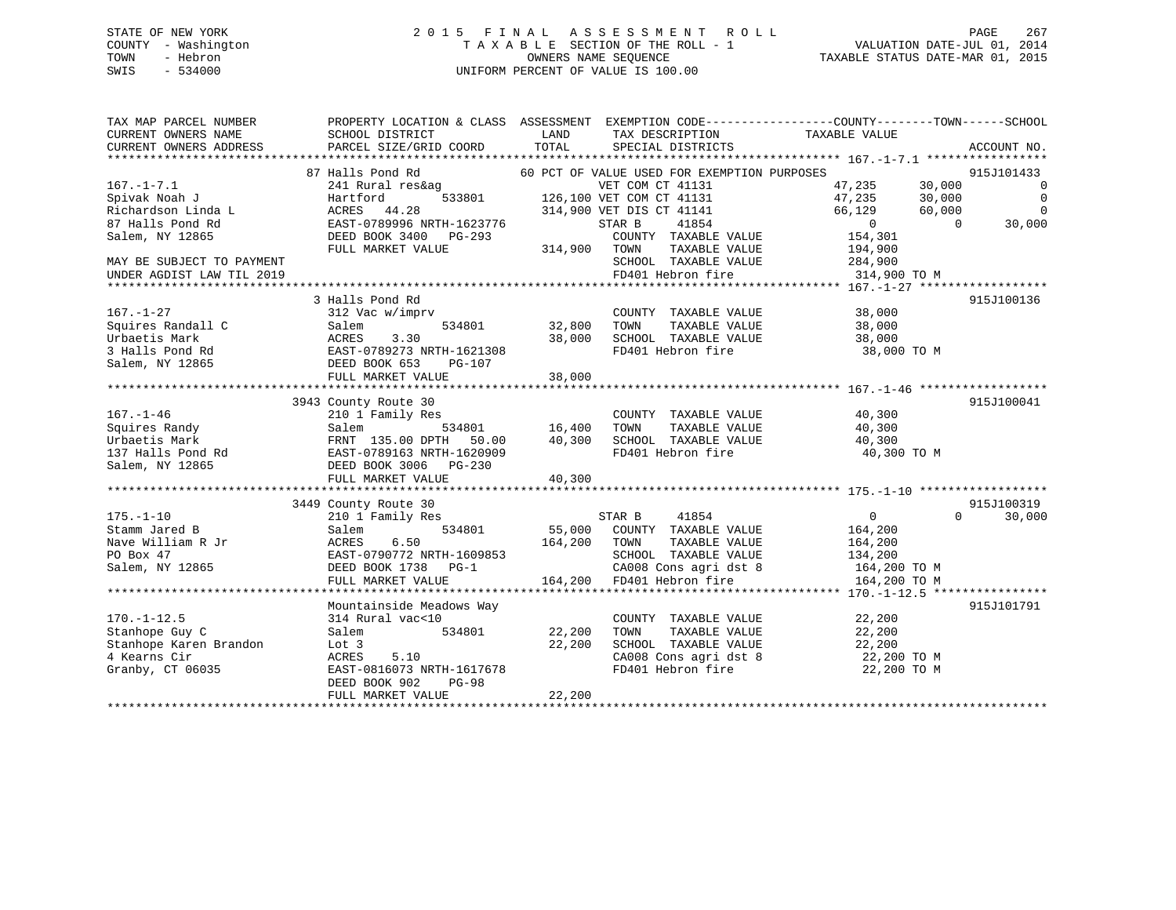#### STATE OF NEW YORK 2 0 1 5 F I N A L A S S E S S M E N T R O L L PAGE 267COUNTY - Washington T A X A B L E SECTION OF THE ROLL - 1 TOWN - Hebron OWNERS NAME SEQUENCE TAXABLE STATUS DATE-MAR 01, 2015 SWIS - 534000 UNIFORM PERCENT OF VALUE IS 100.00

| TAX MAP PARCEL NUMBER     |                                          |                                               | PROPERTY LOCATION & CLASS ASSESSMENT EXEMPTION CODE----------------COUNTY-------TOWN------SCHOOL |
|---------------------------|------------------------------------------|-----------------------------------------------|--------------------------------------------------------------------------------------------------|
| CURRENT OWNERS NAME       | SCHOOL DISTRICT                          | LAND<br>TAX DESCRIPTION                       | TAXABLE VALUE                                                                                    |
| CURRENT OWNERS ADDRESS    | PARCEL SIZE/GRID COORD                   | TOTAL<br>SPECIAL DISTRICTS                    | ACCOUNT NO.                                                                                      |
|                           |                                          |                                               |                                                                                                  |
|                           | 87 Halls Pond Rd                         | 60 PCT OF VALUE USED FOR EXEMPTION PURPOSES   | 915J101433                                                                                       |
| $167. - 1 - 7.1$          | 241 Rural res&ag                         | VET COM CT 41131                              | 30,000<br>47,235<br>$\overline{0}$                                                               |
| Spivak Noah J             | Hartford                                 | 533801 126,100 VET COM CT 41131               | 47,235<br>30,000<br>$\overline{0}$                                                               |
| Richardson Linda L        | ACRES 44.28                              | 314,900 VET DIS CT 41141                      | $\overline{0}$<br>66,129<br>60,000                                                               |
| 87 Halls Pond Rd          | ACRES 44.20<br>EAST-0789996 NRTH-1623776 | 41854<br>STAR B                               | $\overline{0}$<br>$\Omega$<br>30,000                                                             |
| Salem, NY 12865           | DEED BOOK 3400 PG-293                    | COUNTY TAXABLE VALUE                          | 154,301                                                                                          |
|                           | FULL MARKET VALUE                        | 314,900 TOWN<br>TAXABLE VALUE                 | 194,900                                                                                          |
| MAY BE SUBJECT TO PAYMENT |                                          | SCHOOL TAXABLE VALUE                          | 284,900                                                                                          |
| UNDER AGDIST LAW TIL 2019 |                                          | FD401 Hebron fire                             | 314,900 TO M                                                                                     |
|                           |                                          |                                               |                                                                                                  |
|                           | 3 Halls Pond Rd                          |                                               | 915J100136                                                                                       |
| $167. - 1 - 27$           | 312 Vac w/imprv                          | COUNTY TAXABLE VALUE 38,000                   |                                                                                                  |
| Squires Randall C         | 534801<br>Salem                          | 32,800<br>TOWN<br>TAXABLE VALUE               | 38,000                                                                                           |
| Urbaetis Mark             | ACRES<br>3.30                            | 38,000 SCHOOL TAXABLE VALUE                   | 38,000                                                                                           |
| 3 Halls Pond Rd           | EAST-0789273 NRTH-1621308                | FD401 Hebron fire                             | 38,000 TO M                                                                                      |
| Salem, NY 12865           | DEED BOOK 653<br>PG-107                  |                                               |                                                                                                  |
|                           | FULL MARKET VALUE                        | 38,000                                        |                                                                                                  |
|                           |                                          |                                               |                                                                                                  |
|                           | 3943 County Route 30                     |                                               | 915J100041                                                                                       |
| $167. - 1 - 46$           | 210 1 Family Res                         | COUNTY TAXABLE VALUE                          | 40,300                                                                                           |
| Squires Randy             | Salem                                    | TAXABLE VALUE<br>534801 16,400<br>TOWN        | 40,300                                                                                           |
| Urbaetis Mark             | FRNT 135.00 DPTH 50.00                   | 40,300<br>SCHOOL TAXABLE VALUE                | 40,300                                                                                           |
| 137 Halls Pond Rd         | EAST-0789163 NRTH-1620909                | FD401 Hebron fire                             | 40,300 TO M                                                                                      |
| Salem, NY 12865           | DEED BOOK 3006 PG-230                    |                                               |                                                                                                  |
|                           | FULL MARKET VALUE                        | 40,300                                        |                                                                                                  |
|                           |                                          |                                               |                                                                                                  |
|                           | 3449 County Route 30                     |                                               | 915J100319                                                                                       |
| $175. - 1 - 10$           | 210 1 Family Res                         | STAR B<br>41854                               | 30,000<br>$0 \qquad \qquad$<br>$\Omega$                                                          |
| Stamm Jared B             | Salem<br>534801                          | 55,000 COUNTY TAXABLE VALUE                   | 164,200                                                                                          |
| Nave William R Jr         | 6.50<br>ACRES                            | 164,200 TOWN<br>TAXABLE VALUE                 | 164,200                                                                                          |
| PO Box 47                 | EAST-0790772 NRTH-1609853                | SCHOOL TAXABLE VALUE                          | 134,200                                                                                          |
| Salem, NY 12865           | DEED BOOK 1738 PG-1                      | CA008 Cons agri dst 8                         | 164,200 TO M                                                                                     |
|                           | FULL MARKET VALUE                        | 164,200 FD401 Hebron fire                     | 164,200 TO M                                                                                     |
|                           |                                          |                                               |                                                                                                  |
|                           | Mountainside Meadows Way                 |                                               | 915J101791                                                                                       |
| $170. - 1 - 12.5$         | 314 Rural vac<10                         | COUNTY TAXABLE VALUE                          | 22,200                                                                                           |
| Stanhope Guy C            | Salem                                    | 534801 22,200<br>TOWN<br>TAXABLE VALUE        | 22,200                                                                                           |
| Stanhope Karen Brandon    | Lot 3                                    | 22,200                                        | 22,200                                                                                           |
| 4 Kearns Cir              | 5.10<br>ACRES                            | SCHOOL TAXABLE VALUE<br>CA008 Cons agri dst 8 | 22,200 TO M                                                                                      |
| Granby, CT 06035          | EAST-0816073 NRTH-1617678                | FD401 Hebron fire                             | 22,200 TO M                                                                                      |
|                           | $PG-98$<br>DEED BOOK 902                 |                                               |                                                                                                  |
|                           | FULL MARKET VALUE                        | 22,200                                        |                                                                                                  |
|                           |                                          |                                               |                                                                                                  |
|                           |                                          |                                               |                                                                                                  |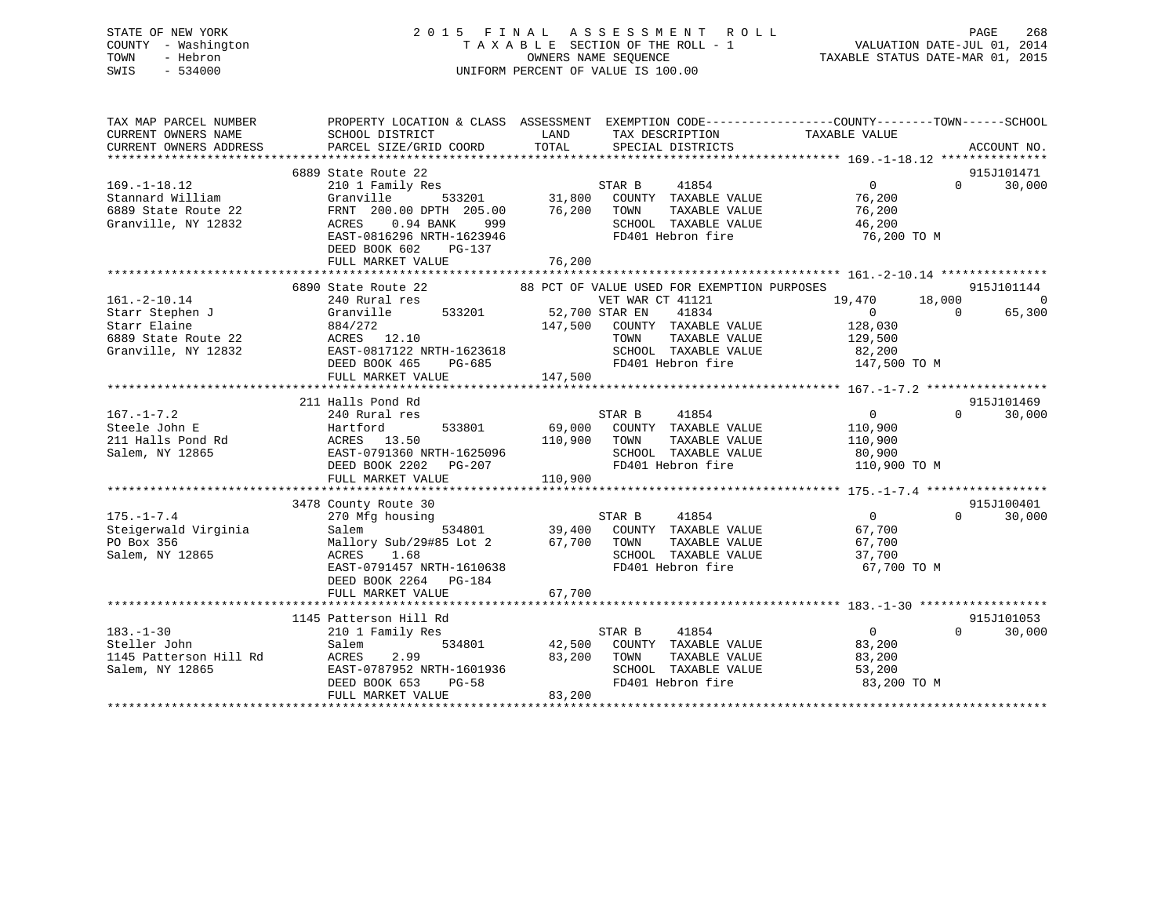STATE OF NEW YORK 2 0 1 5 F I N A L A S S E S S M E N T R O L L PAGE 268 COUNTY - Washington T A X A B L E SECTION OF THE ROLL - 1 VALUATION DATE-JUL 01, 2014 TOWN - Hebron OWNERS NAME SEQUENCE TAXABLE STATUS DATE-MAR 01, 2015 SWIS - 534000 UNIFORM PERCENT OF VALUE IS 100.00

| TAX MAP PARCEL NUMBER<br>CURRENT OWNERS NAME<br>CURRENT OWNERS ADDRESS | SCHOOL DISTRICT<br>PARCEL SIZE/GRID COORD | PROPERTY LOCATION & CLASS ASSESSMENT EXEMPTION CODE---------------COUNTY-------TOWN------SCHOOL<br>LAND<br>TAX DESCRIPTION<br>TOTAL<br>SPECIAL DISTRICTS | TAXABLE VALUE<br>ACCOUNT NO.          |
|------------------------------------------------------------------------|-------------------------------------------|----------------------------------------------------------------------------------------------------------------------------------------------------------|---------------------------------------|
|                                                                        |                                           |                                                                                                                                                          |                                       |
|                                                                        | 6889 State Route 22                       |                                                                                                                                                          | 915J101471                            |
| $169. - 1 - 18.12$                                                     | 210 1 Family Res                          |                                                                                                                                                          | $\overline{0}$<br>30,000<br>$\Omega$  |
| Stannard William                                                       | Granville<br>533201                       | STAR B 41854<br>31,800 COUNTY TAXABLE VALUE                                                                                                              | 76,200                                |
| 6889 State Route 22                                                    | FRNT 200.00 DPTH 205.00                   | 76,200 TOWN<br>TAXABLE VALUE                                                                                                                             | 76,200                                |
| Granville, NY 12832                                                    | ACRES 0.94 BANK<br>999                    | SCHOOL TAXABLE VALUE                                                                                                                                     | 46,200                                |
|                                                                        | EAST-0816296 NRTH-1623946                 | FD401 Hebron fire                                                                                                                                        | 76,200 TO M                           |
|                                                                        | DEED BOOK 602<br>PG-137                   |                                                                                                                                                          |                                       |
|                                                                        | FULL MARKET VALUE                         | 76,200                                                                                                                                                   |                                       |
|                                                                        |                                           |                                                                                                                                                          |                                       |
|                                                                        | 6890 State Route 22                       | 88 PCT OF VALUE USED FOR EXEMPTION PURPOSES                                                                                                              | 915J101144                            |
| $161. - 2 - 10.14$                                                     | 240 Rural res                             | VET WAR CT 41121                                                                                                                                         | 18,000<br>$\overline{0}$<br>19,470    |
| Starr Stephen J                                                        | Granville                                 | 533201 52,700 STAR EN<br>41834                                                                                                                           | 65,300<br>$\overline{0}$<br>$\bigcap$ |
| Starr Elaine                                                           | 884/272                                   | 147,500 COUNTY TAXABLE VALUE                                                                                                                             | 128,030                               |
| 6889 State Route 22                                                    | ACRES 12.10                               | TAXABLE VALUE<br>TOWN                                                                                                                                    | 129,500                               |
| Granville, NY 12832                                                    | EAST-0817122 NRTH-1623618                 | SCHOOL TAXABLE VALUE 82,200<br>FD401 Hebron fire 147,500 TO M                                                                                            |                                       |
|                                                                        | DEED BOOK 465                             | $PG-685$                                                                                                                                                 |                                       |
|                                                                        | FULL MARKET VALUE                         | 147,500                                                                                                                                                  |                                       |
|                                                                        |                                           |                                                                                                                                                          |                                       |
|                                                                        | 211 Halls Pond Rd                         |                                                                                                                                                          | 915J101469                            |
| $167. - 1 - 7.2$                                                       | 240 Rural res                             | STAR B<br>41854<br>533801 69,000 COUNTY TAXABLE VALUE                                                                                                    | $\overline{0}$<br>$\Omega$<br>30,000  |
| Steele John E<br>211 Halls Pond Rd                                     | Hartford                                  | TOWN<br>TAXABLE VALUE                                                                                                                                    | 110,900                               |
| Salem, NY 12865                                                        | ACRES 13.50<br>EAST-0791360 NRTH-1625096  | 110,900<br>SCHOOL TAXABLE VALUE                                                                                                                          | 110,900<br>80,900                     |
|                                                                        | DEED BOOK 2202    PG-207                  | FD401 Hebron fire                                                                                                                                        | 110,900 TO M                          |
|                                                                        | FULL MARKET VALUE                         | 110,900                                                                                                                                                  |                                       |
|                                                                        |                                           |                                                                                                                                                          |                                       |
|                                                                        | 3478 County Route 30                      |                                                                                                                                                          | 915J100401                            |
| $175. - 1 - 7.4$                                                       | 270 Mfg housing                           | 41854<br>STAR B                                                                                                                                          | $\overline{0}$<br>$\Omega$<br>30,000  |
| Steigerwald Virginia                                                   | 534801<br>Salem                           | 39,400 COUNTY TAXABLE VALUE                                                                                                                              | 67,700                                |
| PO Box 356                                                             | Mallory Sub/29#85 Lot 2                   | 67,700 TOWN<br>TAXABLE VALUE                                                                                                                             | 67,700                                |
| Salem, NY 12865                                                        | ACRES<br>1.68                             | SCHOOL TAXABLE VALUE                                                                                                                                     | 37,700                                |
|                                                                        | EAST-0791457 NRTH-1610638                 | FD401 Hebron fire                                                                                                                                        | 67,700 TO M                           |
|                                                                        | DEED BOOK 2264 PG-184                     |                                                                                                                                                          |                                       |
|                                                                        | FULL MARKET VALUE                         | 67,700                                                                                                                                                   |                                       |
|                                                                        |                                           |                                                                                                                                                          |                                       |
|                                                                        | 1145 Patterson Hill Rd                    |                                                                                                                                                          | 915J101053                            |
| $183. - 1 - 30$                                                        | 210 1 Family Res                          | STAR B<br>41854                                                                                                                                          | $\overline{0}$<br>$\Omega$<br>30,000  |
| Steller John                                                           | Salem<br>534801                           | 42,500 COUNTY TAXABLE VALUE                                                                                                                              | 83,200                                |
| 1145 Patterson Hill Rd                                                 | 2.99<br>ACRES                             | 83,200 TOWN<br>TAXABLE VALUE                                                                                                                             | 83,200                                |
| Salem, NY 12865                                                        | EAST-0787952 NRTH-1601936                 | SCHOOL TAXABLE VALUE                                                                                                                                     | 53,200                                |
|                                                                        | DEED BOOK 653<br><b>PG-58</b>             | FD401 Hebron fire                                                                                                                                        | 83,200 TO M                           |
|                                                                        | FULL MARKET VALUE                         | 83,200                                                                                                                                                   |                                       |
|                                                                        |                                           |                                                                                                                                                          |                                       |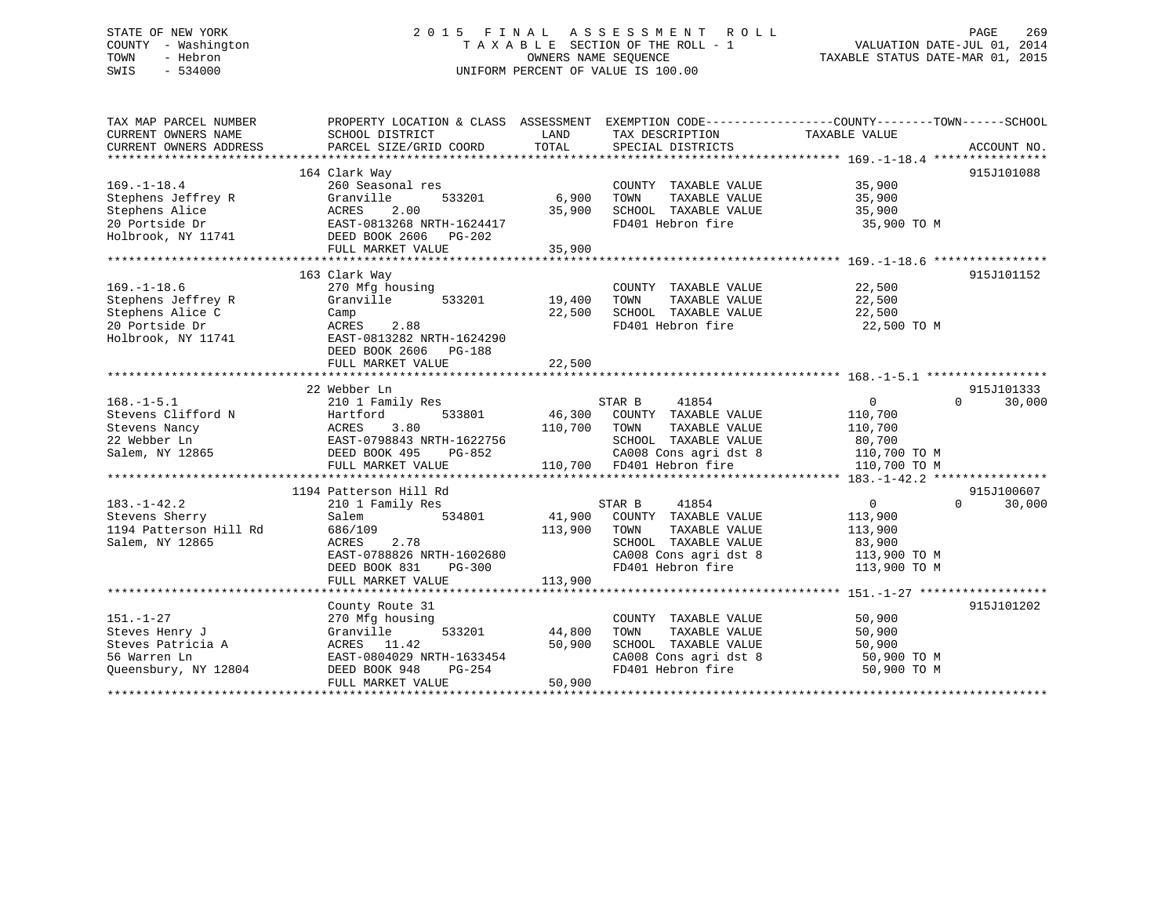# STATE OF NEW YORK 2 0 1 5 F I N A L A S S E S S M E N T R O L L PAGE 269 COUNTY - Washington T A X A B L E SECTION OF THE ROLL - 1 VALUATION DATE-JUL 01, 2014 TOWN - Hebron OWNERS NAME SEQUENCE TAXABLE STATUS DATE-MAR 01, 2015 SWIS - 534000 UNIFORM PERCENT OF VALUE IS 100.00

| TAX MAP PARCEL NUMBER  |                           |         |                           | PROPERTY LOCATION & CLASS ASSESSMENT EXEMPTION CODE---------------COUNTY-------TOWN-----SCHOOL |        |
|------------------------|---------------------------|---------|---------------------------|------------------------------------------------------------------------------------------------|--------|
| CURRENT OWNERS NAME    | SCHOOL DISTRICT           | LAND    | TAX DESCRIPTION           | TAXABLE VALUE                                                                                  |        |
| CURRENT OWNERS ADDRESS | PARCEL SIZE/GRID COORD    | TOTAL   | SPECIAL DISTRICTS         | ACCOUNT NO.                                                                                    |        |
|                        |                           |         |                           |                                                                                                |        |
|                        | 164 Clark Way             |         |                           | 915J101088                                                                                     |        |
| $169. - 1 - 18.4$      | 260 Seasonal res          |         | COUNTY TAXABLE VALUE      | 35,900                                                                                         |        |
| Stephens Jeffrey R     | 533201<br>Granville       | 6,900   | TOWN<br>TAXABLE VALUE     | 35,900                                                                                         |        |
| Stephens Alice         | ACRES<br>2.00             | 35,900  | SCHOOL TAXABLE VALUE      | 35,900                                                                                         |        |
| 20 Portside Dr         | EAST-0813268 NRTH-1624417 |         | FD401 Hebron fire         | 35,900 TO M                                                                                    |        |
| Holbrook, NY 11741     | DEED BOOK 2606 PG-202     |         |                           |                                                                                                |        |
|                        | FULL MARKET VALUE         | 35,900  |                           |                                                                                                |        |
|                        |                           |         |                           |                                                                                                |        |
|                        | 163 Clark Way             |         |                           | 915J101152                                                                                     |        |
| $169. - 1 - 18.6$      | 270 Mfg housing           |         | COUNTY TAXABLE VALUE      | 22,500                                                                                         |        |
| Stephens Jeffrey R     | Granville<br>533201       | 19,400  | TOWN<br>TAXABLE VALUE     | 22,500                                                                                         |        |
| Stephens Alice C       | Camp                      | 22,500  | SCHOOL TAXABLE VALUE      | 22,500                                                                                         |        |
| 20 Portside Dr         | ACRES<br>2.88             |         | FD401 Hebron fire         | 22,500 TO M                                                                                    |        |
| Holbrook, NY 11741     | EAST-0813282 NRTH-1624290 |         |                           |                                                                                                |        |
|                        | DEED BOOK 2606<br>PG-188  |         |                           |                                                                                                |        |
|                        | FULL MARKET VALUE         | 22,500  |                           |                                                                                                |        |
|                        |                           |         |                           |                                                                                                |        |
|                        | 22 Webber Ln              |         |                           | 915J101333                                                                                     |        |
| $168. - 1 - 5.1$       | 210 1 Family Res          |         | 41854<br>STAR B           | $0 \qquad \qquad$<br>$\Omega$                                                                  | 30,000 |
| Stevens Clifford N     | 533801<br>Hartford        | 46,300  | COUNTY TAXABLE VALUE      | 110,700                                                                                        |        |
| Stevens Nancy          | ACRES<br>3.80             | 110,700 | TOWN<br>TAXABLE VALUE     | 110,700                                                                                        |        |
| 22 Webber Ln           | EAST-0798843 NRTH-1622756 |         | SCHOOL TAXABLE VALUE      | 80,700                                                                                         |        |
| Salem, NY 12865        | DEED BOOK 495<br>PG-852   |         | CA008 Cons agri dst 8     | 110,700 TO M                                                                                   |        |
|                        | FULL MARKET VALUE         |         | 110,700 FD401 Hebron fire | 110,700 TO M                                                                                   |        |
|                        |                           |         |                           |                                                                                                |        |
|                        | 1194 Patterson Hill Rd    |         |                           | 915J100607                                                                                     |        |
| $183. - 1 - 42.2$      | 210 1 Family Res          |         | STAR B<br>41854           | $\Omega$<br>0                                                                                  | 30,000 |
| Stevens Sherry         | 534801<br>Salem           | 41,900  | COUNTY TAXABLE VALUE      | 113,900                                                                                        |        |
| 1194 Patterson Hill Rd | 686/109                   | 113,900 | TOWN<br>TAXABLE VALUE     | 113,900                                                                                        |        |
| Salem, NY 12865        | 2.78<br>ACRES             |         | SCHOOL TAXABLE VALUE      | 83,900                                                                                         |        |
|                        | EAST-0788826 NRTH-1602680 |         | CA008 Cons agri dst 8     | 113,900 TO M                                                                                   |        |
|                        | DEED BOOK 831<br>PG-300   |         | FD401 Hebron fire         | 113,900 TO M                                                                                   |        |
|                        | FULL MARKET VALUE         | 113,900 |                           |                                                                                                |        |
|                        |                           |         |                           |                                                                                                |        |
|                        | County Route 31           |         |                           | 915J101202                                                                                     |        |
| $151. - 1 - 27$        | 270 Mfg housing           |         | COUNTY TAXABLE VALUE      | 50,900                                                                                         |        |
| Steves Henry J         | 533201<br>Granville       | 44,800  | TOWN<br>TAXABLE VALUE     | 50,900                                                                                         |        |
| Steves Patricia A      | ACRES 11.42               | 50,900  | SCHOOL TAXABLE VALUE      | 50,900                                                                                         |        |
| 56 Warren Ln           | EAST-0804029 NRTH-1633454 |         | CA008 Cons agri dst 8     | 50,900 TO M                                                                                    |        |
| Queensbury, NY 12804   | DEED BOOK 948<br>$PG-254$ |         | FD401 Hebron fire         | 50,900 TO M                                                                                    |        |
|                        | FULL MARKET VALUE         | 50,900  |                           |                                                                                                |        |
|                        |                           |         |                           |                                                                                                |        |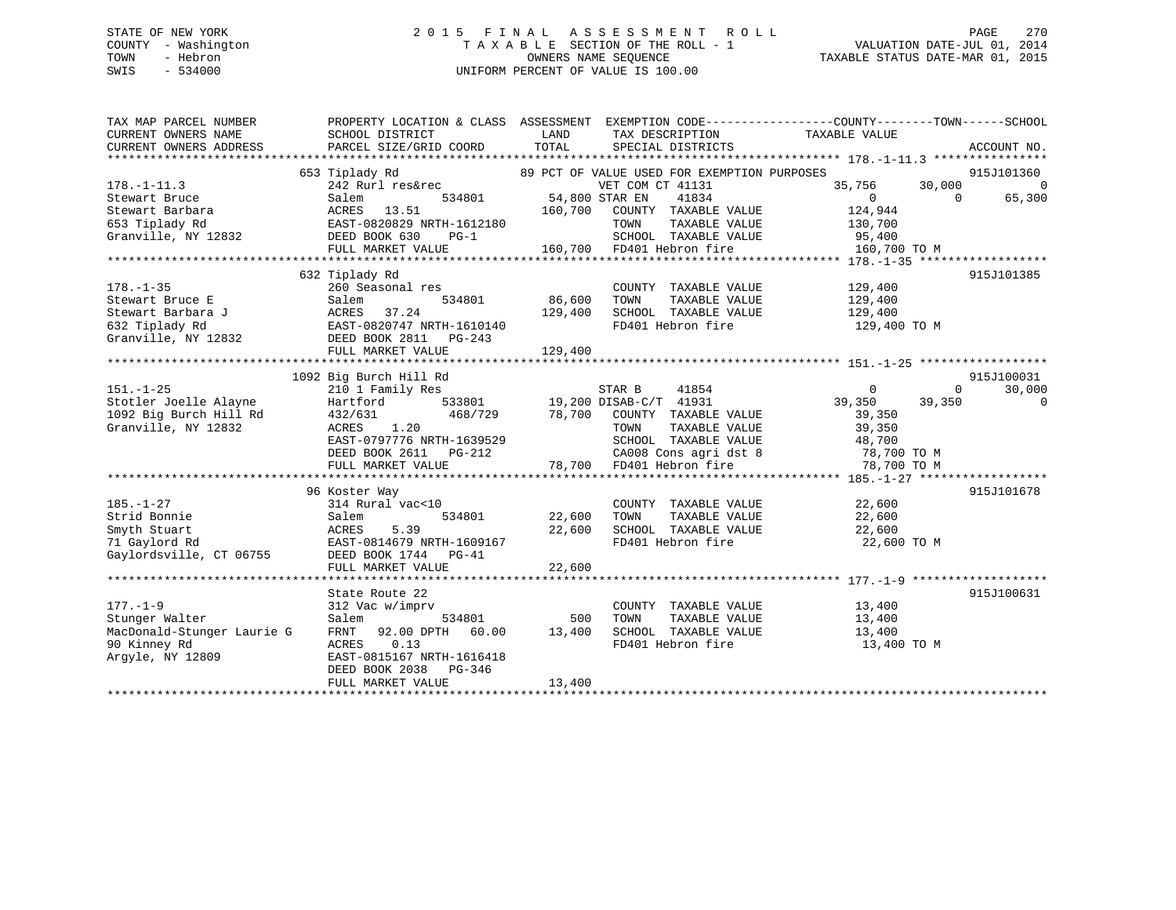# STATE OF NEW YORK 2 0 1 5 F I N A L A S S E S S M E N T R O L L PAGE 270 COUNTY - Washington T A X A B L E SECTION OF THE ROLL - 1 VALUATION DATE-JUL 01, 2014 TOWN - Hebron OWNERS NAME SEQUENCE TAXABLE STATUS DATE-MAR 01, 2015 SWIS - 534000 UNIFORM PERCENT OF VALUE IS 100.00

| TAX MAP PARCEL NUMBER                         |                                                 |                                                                                           | PROPERTY LOCATION & CLASS ASSESSMENT EXEMPTION CODE----------------COUNTY-------TOWN------SCHOOL |
|-----------------------------------------------|-------------------------------------------------|-------------------------------------------------------------------------------------------|--------------------------------------------------------------------------------------------------|
| CURRENT OWNERS NAME<br>CURRENT OWNERS ADDRESS | SCHOOL DISTRICT<br>PARCEL SIZE/GRID COORD       | LAND<br>TAX DESCRIPTION<br>TOTAL<br>SPECIAL DISTRICTS                                     | TAXABLE VALUE<br>ACCOUNT NO.                                                                     |
|                                               |                                                 |                                                                                           |                                                                                                  |
|                                               | 653 Tiplady Rd                                  | 89 PCT OF VALUE USED FOR EXEMPTION PURPOSES                                               | 915J101360                                                                                       |
| $178. - 1 - 11.3$                             | 242 Rurl res&rec                                | VET COM CT 41131                                                                          | 35,756<br>30,000<br>$\overline{0}$                                                               |
| Stewart Bruce                                 | 534801<br>Salem                                 | 54,800 STAR EN<br>41834                                                                   | 65,300<br>$\Omega$<br>$\overline{0}$                                                             |
| Stewart Barbara                               | ACRES 13.51                                     | 160,700 COUNTY TAXABLE VALUE                                                              | 124,944                                                                                          |
| 653 Tiplady Rd                                | EAST-0820829 NRTH-1612180                       | TOWN<br>TAXABLE VALUE                                                                     | 130,700                                                                                          |
| Granville, NY 12832                           | DEED BOOK 630<br>$PG-1$                         | TOWN TAXABLE VA<br>SCHOOL TAXABLE VA<br>160,700 FD401 Hebron fire<br>SCHOOL TAXABLE VALUE | 95,400                                                                                           |
|                                               | FULL MARKET VALUE                               |                                                                                           | 160,700 TO M                                                                                     |
|                                               |                                                 |                                                                                           |                                                                                                  |
|                                               | 632 Tiplady Rd                                  |                                                                                           | 915J101385                                                                                       |
| $178. - 1 - 35$                               | 260 Seasonal res                                | COUNTY TAXABLE VALUE                                                                      | 129,400                                                                                          |
| Stewart Bruce E                               | Salem<br>534801                                 | 86,600<br>TAXABLE VALUE<br>TOWN                                                           | 129,400                                                                                          |
| Stewart Barbara J                             | 37.24<br>ACRES                                  | SCHOOL TAXABLE VALUE<br>129,400                                                           | 129,400                                                                                          |
| 632 Tiplady Rd                                | EAST-0820747 NRTH-1610140                       | FD401 Hebron fire                                                                         | 129,400 TO M                                                                                     |
| Granville, NY 12832                           | DEED BOOK 2811 PG-243<br>FULL MARKET VALUE      | 129,400                                                                                   |                                                                                                  |
|                                               |                                                 |                                                                                           |                                                                                                  |
|                                               | 1092 Big Burch Hill Rd                          |                                                                                           | 915J100031                                                                                       |
| $151. - 1 - 25$                               | 210 1 Family Res                                | STAR B<br>41854                                                                           | $\overline{0}$<br>$\Omega$<br>30,000                                                             |
| Stotler Joelle Alayne                         | Hartford                                        | 533801 19,200 DISAB-C/T 41931                                                             | 39,350<br>39,350<br>0                                                                            |
| 1092 Big Burch Hill Rd                        | 468/729<br>432/631                              | 78,700 COUNTY TAXABLE VALUE                                                               | 39,350                                                                                           |
| Granville, NY 12832                           | ACRES<br>1.20                                   | TAXABLE VALUE<br>TOWN                                                                     | 39,350                                                                                           |
|                                               | EAST-0797776 NRTH-1639529                       | SCHOOL TAXABLE VALUE                                                                      |                                                                                                  |
|                                               | DEED BOOK 2611 PG-212                           |                                                                                           | 48,700<br>78,700 TO M                                                                            |
|                                               | FULL MARKET VALUE                               | CA008 Cons agri dst 8<br>78,700 FD401 Hebron fire                                         | 78,700 TO M                                                                                      |
|                                               |                                                 |                                                                                           |                                                                                                  |
|                                               | 96 Koster Way                                   |                                                                                           | 915J101678                                                                                       |
| $185. - 1 - 27$                               | 314 Rural vac<10                                | COUNTY TAXABLE VALUE                                                                      | 22,600                                                                                           |
| Strid Bonnie                                  | Salem<br>534801                                 | 22,600<br>TAXABLE VALUE<br>TOWN                                                           | 22,600                                                                                           |
| Smyth Stuart                                  | 5.39<br>ACRES                                   | 22,600<br>SCHOOL TAXABLE VALUE                                                            | 22,600                                                                                           |
| 71 Gaylord Rd                                 | EAST-0814679 NRTH-1609167                       | FD401 Hebron fire                                                                         | 22,600 TO M                                                                                      |
| Gaylordsville, CT 06755                       | DEED BOOK 1744 PG-41                            |                                                                                           |                                                                                                  |
|                                               | FULL MARKET VALUE                               | 22,600                                                                                    |                                                                                                  |
|                                               |                                                 |                                                                                           |                                                                                                  |
|                                               | State Route 22                                  |                                                                                           | 915J100631                                                                                       |
| $177. - 1 - 9$                                | 312 Vac w/imprv                                 | COUNTY TAXABLE VALUE                                                                      | 13,400                                                                                           |
| Stunger Walter<br>MacDonald-Stunger Laurie G  | 534801<br>Salem<br>FRNT 92.00 DPTH 60.00 13,400 | 500<br>TOWN<br>TAXABLE VALUE                                                              | 13,400                                                                                           |
| 90 Kinney Rd                                  | 0.13<br>ACRES                                   | SCHOOL TAXABLE VALUE<br>FD401 Hebron fire                                                 | 13,400<br>13,400 TO M                                                                            |
| Argyle, NY 12809                              | EAST-0815167 NRTH-1616418                       |                                                                                           |                                                                                                  |
|                                               | DEED BOOK 2038 PG-346                           |                                                                                           |                                                                                                  |
|                                               | FULL MARKET VALUE                               | 13,400                                                                                    |                                                                                                  |
|                                               |                                                 |                                                                                           |                                                                                                  |
|                                               |                                                 |                                                                                           |                                                                                                  |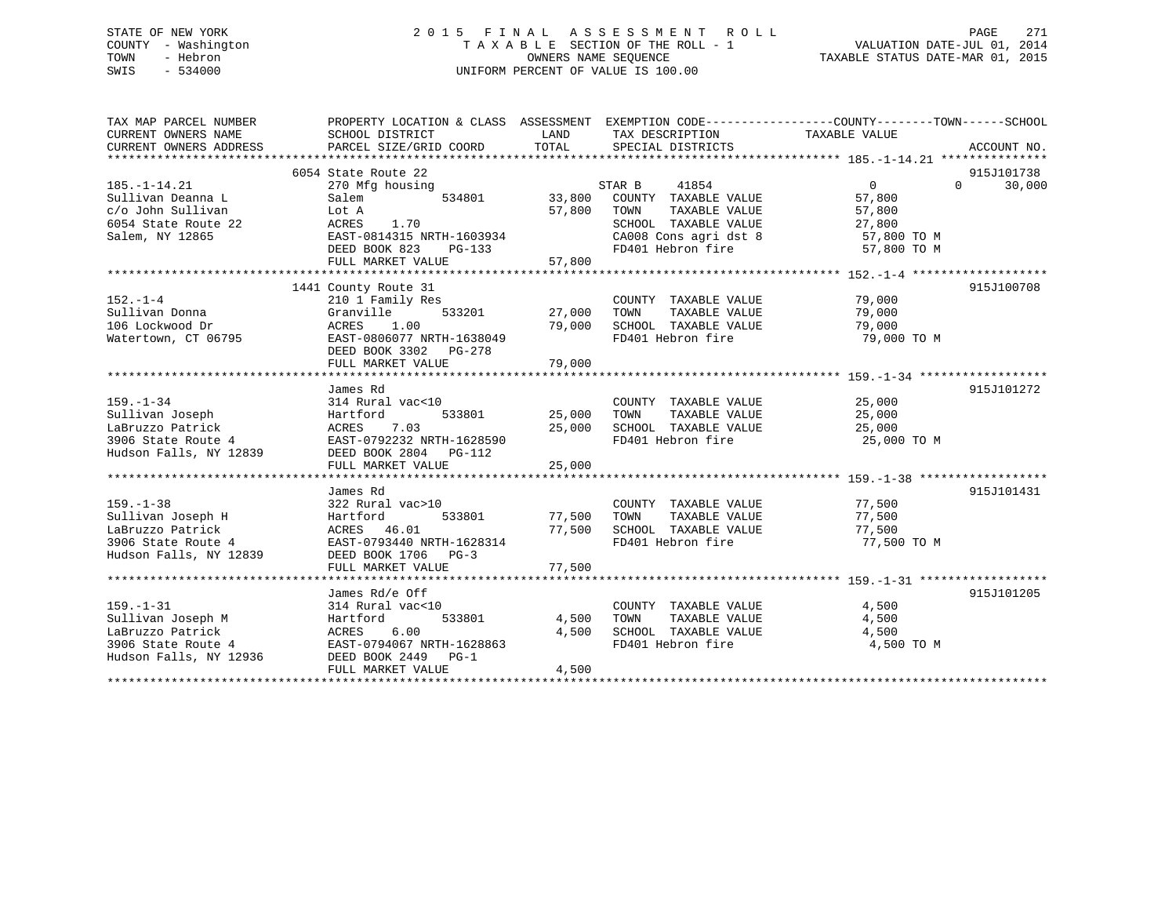# STATE OF NEW YORK 2 0 1 5 F I N A L A S S E S S M E N T R O L L PAGE 271 COUNTY - Washington T A X A B L E SECTION OF THE ROLL - 1 VALUATION DATE-JUL 01, 2014 TOWN - Hebron OWNERS NAME SEQUENCE TAXABLE STATUS DATE-MAR 01, 2015 SWIS - 534000 UNIFORM PERCENT OF VALUE IS 100.00

| TAX MAP PARCEL NUMBER<br>CURRENT OWNERS NAME<br>CURRENT OWNERS ADDRESS | PROPERTY LOCATION & CLASS ASSESSMENT EXEMPTION CODE----------------COUNTY-------TOWN-----SCHOOL<br>SCHOOL DISTRICT<br>PARCEL SIZE/GRID COORD TOTAL | LAND          | TAX DESCRIPTION TAXABLE VALUE<br>SPECIAL DISTRICTS |                     | ACCOUNT NO.        |
|------------------------------------------------------------------------|----------------------------------------------------------------------------------------------------------------------------------------------------|---------------|----------------------------------------------------|---------------------|--------------------|
|                                                                        | 6054 State Route 22                                                                                                                                |               |                                                    |                     | 915J101738         |
| $185. - 1 - 14.21$                                                     | 270 Mfg housing                                                                                                                                    |               | STAR B<br>41854                                    | $\Omega$            | 30,000<br>$\Omega$ |
| Sullivan Deanna L                                                      | Salem                                                                                                                                              | 534801 33,800 | COUNTY TAXABLE VALUE                               | 57,800              |                    |
| c/o John Sullivan                                                      | Lot A                                                                                                                                              | 57,800        | TAXABLE VALUE<br>TOWN                              | 57,800              |                    |
| 6054 State Route 22                                                    | ACRES<br>1.70                                                                                                                                      |               | SCHOOL TAXABLE VALUE                               | 27,800              |                    |
| Salem, NY 12865                                                        | EAST-0814315 NRTH-1603934                                                                                                                          |               | CA008 Cons agri dst 8 57,800 TO M                  |                     |                    |
|                                                                        | DEED BOOK 823 PG-133<br>FULL MARKET VALUE                                                                                                          | 57,800        | FD401 Hebron fire                                  | 57,800 TO M         |                    |
|                                                                        |                                                                                                                                                    |               |                                                    |                     |                    |
|                                                                        | 1441 County Route 31                                                                                                                               |               |                                                    |                     | 915J100708         |
| $152 - 1 - 4$                                                          | 210 1 Family Res                                                                                                                                   |               | COUNTY TAXABLE VALUE 79,000                        |                     |                    |
| Sullivan Donna                                                         | 533201<br>Granville                                                                                                                                | 27,000 TOWN   | TAXABLE VALUE                                      | 79,000              |                    |
| 106 Lockwood Dr                                                        | ACRES 1.00                                                                                                                                         |               | 79,000 SCHOOL TAXABLE VALUE<br>FD401 Hebron fire   | 79,000              |                    |
| Watertown, CT 06795                                                    | EAST-0806077 NRTH-1638049                                                                                                                          |               |                                                    | 79,000 TO M         |                    |
|                                                                        | DEED BOOK 3302 PG-278<br>FULL MARKET VALUE                                                                                                         |               |                                                    |                     |                    |
|                                                                        |                                                                                                                                                    |               |                                                    |                     |                    |
|                                                                        | James Rd                                                                                                                                           |               |                                                    |                     | 915J101272         |
| $159. - 1 - 34$                                                        | 314 Rural vac<10                                                                                                                                   |               | COUNTY TAXABLE VALUE                               | 25,000              |                    |
| Sullivan Joseph                                                        | 533801<br>Hartford                                                                                                                                 | 25,000        | TOWN<br>TAXABLE VALUE                              | 25,000              |                    |
| LaBruzzo Patrick                                                       | ACRES<br>7.03                                                                                                                                      | 25,000        | SCHOOL TAXABLE VALUE                               | 25,000              |                    |
| 3906 State Route 4                                                     | EAST-0792232 NRTH-1628590                                                                                                                          |               | FD401 Hebron fire                                  | 25,000 TO M         |                    |
| Hudson Falls, NY 12839                                                 | DEED BOOK 2804 PG-112                                                                                                                              |               |                                                    |                     |                    |
|                                                                        | FULL MARKET VALUE                                                                                                                                  | 25,000        |                                                    |                     |                    |
|                                                                        |                                                                                                                                                    |               |                                                    |                     | 915J101431         |
| $159. - 1 - 38$                                                        | James Rd<br>322 Rural vac>10                                                                                                                       |               | COUNTY TAXABLE VALUE                               | 77,500              |                    |
| Sullivan Joseph H                                                      | Hartford<br>533801                                                                                                                                 | 77,500 TOWN   | TAXABLE VALUE                                      | 77,500              |                    |
| LaBruzzo Patrick                                                       | ACRES 46.01                                                                                                                                        |               | 77,500 SCHOOL TAXABLE VALUE                        | 77,500              |                    |
| 3906 State Route 4                                                     | EAST-0793440 NRTH-1628314                                                                                                                          |               | FD401 Hebron fire                                  | 77,500 TO M         |                    |
| Hudson Falls, NY 12839                                                 | DEED BOOK 1706 PG-3                                                                                                                                |               |                                                    |                     |                    |
|                                                                        | FULL MARKET VALUE                                                                                                                                  | 77,500        |                                                    |                     |                    |
|                                                                        |                                                                                                                                                    |               |                                                    |                     |                    |
|                                                                        | James Rd/e Off                                                                                                                                     |               |                                                    |                     | 915J101205         |
| $159. - 1 - 31$                                                        | 314 Rural vac<10                                                                                                                                   |               | COUNTY TAXABLE VALUE                               | 4,500               |                    |
| Sullivan Joseph M                                                      | 533801<br>Hartford                                                                                                                                 | 4,500         | TOWN<br>TAXABLE VALUE                              | 4,500               |                    |
| LaBruzzo Patrick<br>3906 State Route 4                                 | ACRES<br>6.00<br>EAST-0794067 NRTH-1628863                                                                                                         | 4,500         | SCHOOL TAXABLE VALUE<br>FD401 Hebron fire          | 4,500<br>4,500 TO M |                    |
| Hudson Falls, NY 12936                                                 | DEED BOOK 2449 PG-1                                                                                                                                |               |                                                    |                     |                    |
|                                                                        | FULL MARKET VALUE                                                                                                                                  | 4,500         |                                                    |                     |                    |
|                                                                        |                                                                                                                                                    |               |                                                    |                     |                    |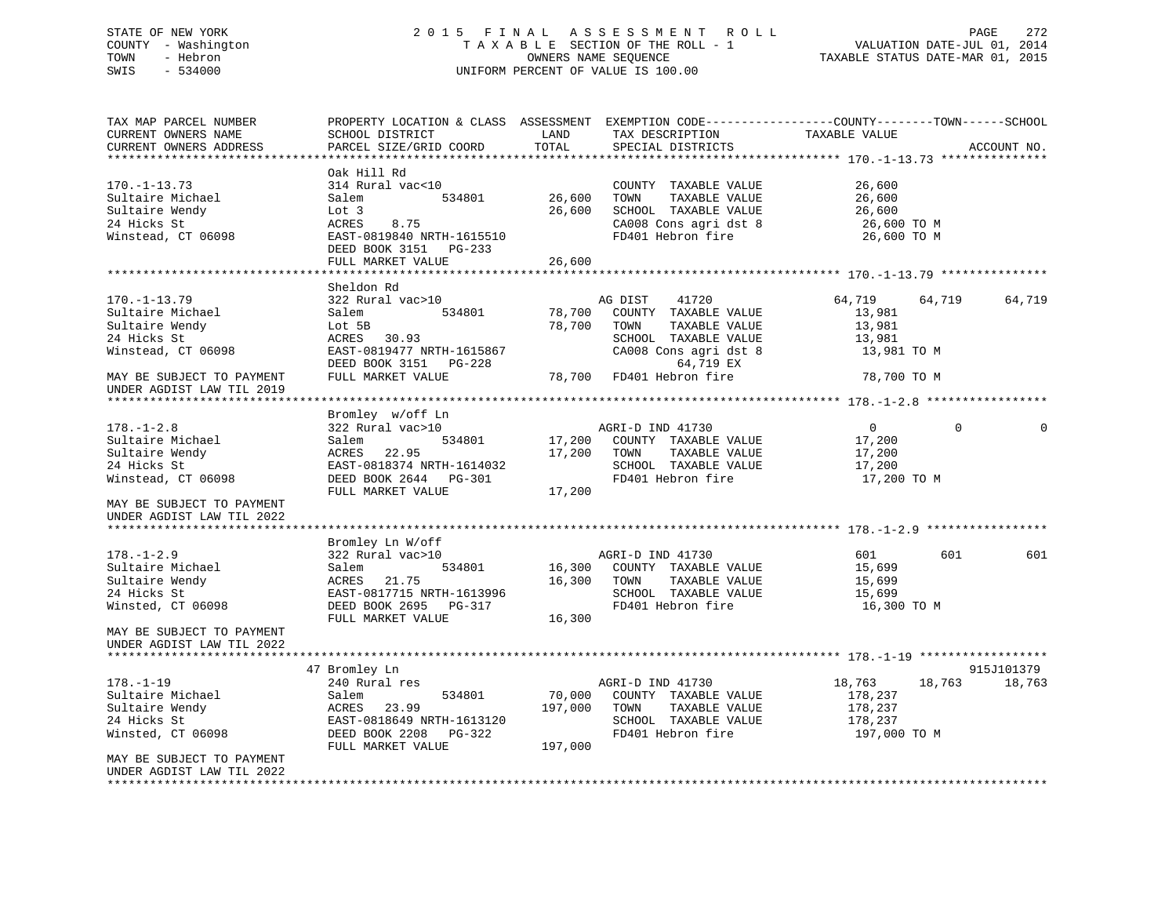# STATE OF NEW YORK 2 0 1 5 F I N A L A S S E S S M E N T R O L L PAGE 272 COUNTY - Washington T A X A B L E SECTION OF THE ROLL - 1 VALUATION DATE-JUL 01, 2014 TOWN - Hebron OWNERS NAME SEQUENCE TAXABLE STATUS DATE-MAR 01, 2015 SWIS - 534000 UNIFORM PERCENT OF VALUE IS 100.00

TAX MAP PARCEL NUMBER PROPERTY LOCATION & CLASS ASSESSMENT EXEMPTION CODE----------------COUNTY-------TOWN-----SCHOOL CURRENT OWNERS NAME SCHOOL DISTRICT LAND TAX DESCRIPTION TAXABLE VALUECURRENT OWNERS ADDRESS PARCEL SIZE/GRID COORD TOTAL SPECIAL DISTRICTS ACCOUNT NO. \*\*\*\*\*\*\*\*\*\*\*\*\*\*\*\*\*\*\*\*\*\*\*\*\*\*\*\*\*\*\*\*\*\*\*\*\*\*\*\*\*\*\*\*\*\*\*\*\*\*\*\*\*\*\*\*\*\*\*\*\*\*\*\*\*\*\*\*\*\*\*\*\*\*\*\*\*\*\*\*\*\*\*\*\*\*\*\*\*\*\*\*\*\*\*\*\*\*\*\*\*\*\* 170.-1-13.73 \*\*\*\*\*\*\*\*\*\*\*\*\*\*\* Oak Hill Rd170.-1-13.73 314 Rural vac<10 COUNTY TAXABLE VALUE 26,600 Sultaire Michael Salem 534801 26,600 TOWN TAXABLE VALUE 26,600 Sultaire Wendy Lot 3 26,600 SCHOOL TAXABLE VALUE 26,600 24 Hicks St ACRES 8.75 CA008 Cons agri dst 8 26,600 TO M Winstead, CT 06098 **EAST-0819840 NRTH-1615510** FD401 Hebron fire 26,600 TO M DEED BOOK 3151 PG-233 FULL MARKET VALUE 26,600 \*\*\*\*\*\*\*\*\*\*\*\*\*\*\*\*\*\*\*\*\*\*\*\*\*\*\*\*\*\*\*\*\*\*\*\*\*\*\*\*\*\*\*\*\*\*\*\*\*\*\*\*\*\*\*\*\*\*\*\*\*\*\*\*\*\*\*\*\*\*\*\*\*\*\*\*\*\*\*\*\*\*\*\*\*\*\*\*\*\*\*\*\*\*\*\*\*\*\*\*\*\*\* 170.-1-13.79 \*\*\*\*\*\*\*\*\*\*\*\*\*\*\* Sheldon Rd170.-1-13.79 322 Rural vac>10 AG DIST 41720 64,719 64,719 64,719 Sultaire Michael Salem 534801 78,700 COUNTY TAXABLE VALUE 13,981 Sultaire Wendy Lot 5B 78,700 TOWN TAXABLE VALUE 13,981 24 Hicks St ACRES 30.93 SCHOOL TAXABLE VALUE 13,981 Winstead, CT 06098 EAST-0819477 NRTH-1615867 CA008 Cons agri dst 8 13,981 TO M DEED BOOK 3151 PG-228 64,719 EX MAY BE SUBJECT TO PAYMENT FULL MARKET VALUE 78,700 FD401 Hebron fire 78,700 TO M UNDER AGDIST LAW TIL 2019 \*\*\*\*\*\*\*\*\*\*\*\*\*\*\*\*\*\*\*\*\*\*\*\*\*\*\*\*\*\*\*\*\*\*\*\*\*\*\*\*\*\*\*\*\*\*\*\*\*\*\*\*\*\*\*\*\*\*\*\*\*\*\*\*\*\*\*\*\*\*\*\*\*\*\*\*\*\*\*\*\*\*\*\*\*\*\*\*\*\*\*\*\*\*\*\*\*\*\*\*\*\*\* 178.-1-2.8 \*\*\*\*\*\*\*\*\*\*\*\*\*\*\*\*\* Bromley w/off Ln 178.-1-2.8 322 Rural vac>10 AGRI-D IND 41730 0 0 0Sultaire Michael Salem 534801 17,200 COUNTY TAXABLE VALUE 17,200 17,200<br>Sultaire Mendy 17,200 ACRES 22.95 17,200 TOWN TAXABLE VALUE 17,200 17 Sultaire Wendy ACRES 22.95 17,200 TOWN TAXABLE VALUE 17,200 24 Hicks St EAST-0818374 NRTH-1614032 SCHOOL TAXABLE VALUE 17,200 Winstead, CT 06098 DEED BOOK 2644 PG-301 FD401 Hebron fire 17,200 TO M FULL MARKET VALUE MAY BE SUBJECT TO PAYMENTUNDER AGDIST LAW TIL 2022 \*\*\*\*\*\*\*\*\*\*\*\*\*\*\*\*\*\*\*\*\*\*\*\*\*\*\*\*\*\*\*\*\*\*\*\*\*\*\*\*\*\*\*\*\*\*\*\*\*\*\*\*\*\*\*\*\*\*\*\*\*\*\*\*\*\*\*\*\*\*\*\*\*\*\*\*\*\*\*\*\*\*\*\*\*\*\*\*\*\*\*\*\*\*\*\*\*\*\*\*\*\*\* 178.-1-2.9 \*\*\*\*\*\*\*\*\*\*\*\*\*\*\*\*\* Bromley Ln W/off 178.-1-2.9 322 Rural vac>10 AGRI-D IND 41730 601 601 601Sultaire Michael Salem 534801 16,300 COUNTY TAXABLE VALUE 15,699 Sultaire Wendy **ACRES** 21.75 16.300 TOWN TAXABLE VALUE 15.699 24 Hicks St EAST-0817715 NRTH-1613996 SCHOOL TAXABLE VALUE 15,699 Winsted, CT 06098 **DEED BOOK 2695** PG-317 **FD401 Hebron fire** 16,300 TO M FIILL MARKET VALUE 16,300 MAY BE SUBJECT TO PAYMENTUNDER AGDIST LAW TIL 2022 \*\*\*\*\*\*\*\*\*\*\*\*\*\*\*\*\*\*\*\*\*\*\*\*\*\*\*\*\*\*\*\*\*\*\*\*\*\*\*\*\*\*\*\*\*\*\*\*\*\*\*\*\*\*\*\*\*\*\*\*\*\*\*\*\*\*\*\*\*\*\*\*\*\*\*\*\*\*\*\*\*\*\*\*\*\*\*\*\*\*\*\*\*\*\*\*\*\*\*\*\*\*\* 178.-1-19 \*\*\*\*\*\*\*\*\*\*\*\*\*\*\*\*\*\* 47 Bromley Ln 915J101379 178.-1-19 19 240 Rural res 18,763 18,763 18,763 18,763 18,763 18,763 18,763 18,763<br>
18,763 18,763 18,763 18,763 Sultaire Michael Salem 534801 170 000 COUNTY TAXABLE VALUE Sultaire Michael Salem 534801 70,000 COUNTY TAXABLE VALUE 178,237 Sultaire Wendy ACRES 23.99 197,000 TOWN TAXABLE VALUE 178,237 24 Hicks St EAST-0818649 NRTH-1613120 SCHOOL TAXABLE VALUE 178,237 Winsted, CT 06098 DEED BOOK 2208 PG-322 FD401 Hebron fire 197,000 TO M FULL MARKET VALUE 197,000 MAY BE SUBJECT TO PAYMENT UNDER AGDIST LAW TIL 2022\*\*\*\*\*\*\*\*\*\*\*\*\*\*\*\*\*\*\*\*\*\*\*\*\*\*\*\*\*\*\*\*\*\*\*\*\*\*\*\*\*\*\*\*\*\*\*\*\*\*\*\*\*\*\*\*\*\*\*\*\*\*\*\*\*\*\*\*\*\*\*\*\*\*\*\*\*\*\*\*\*\*\*\*\*\*\*\*\*\*\*\*\*\*\*\*\*\*\*\*\*\*\*\*\*\*\*\*\*\*\*\*\*\*\*\*\*\*\*\*\*\*\*\*\*\*\*\*\*\*\*\*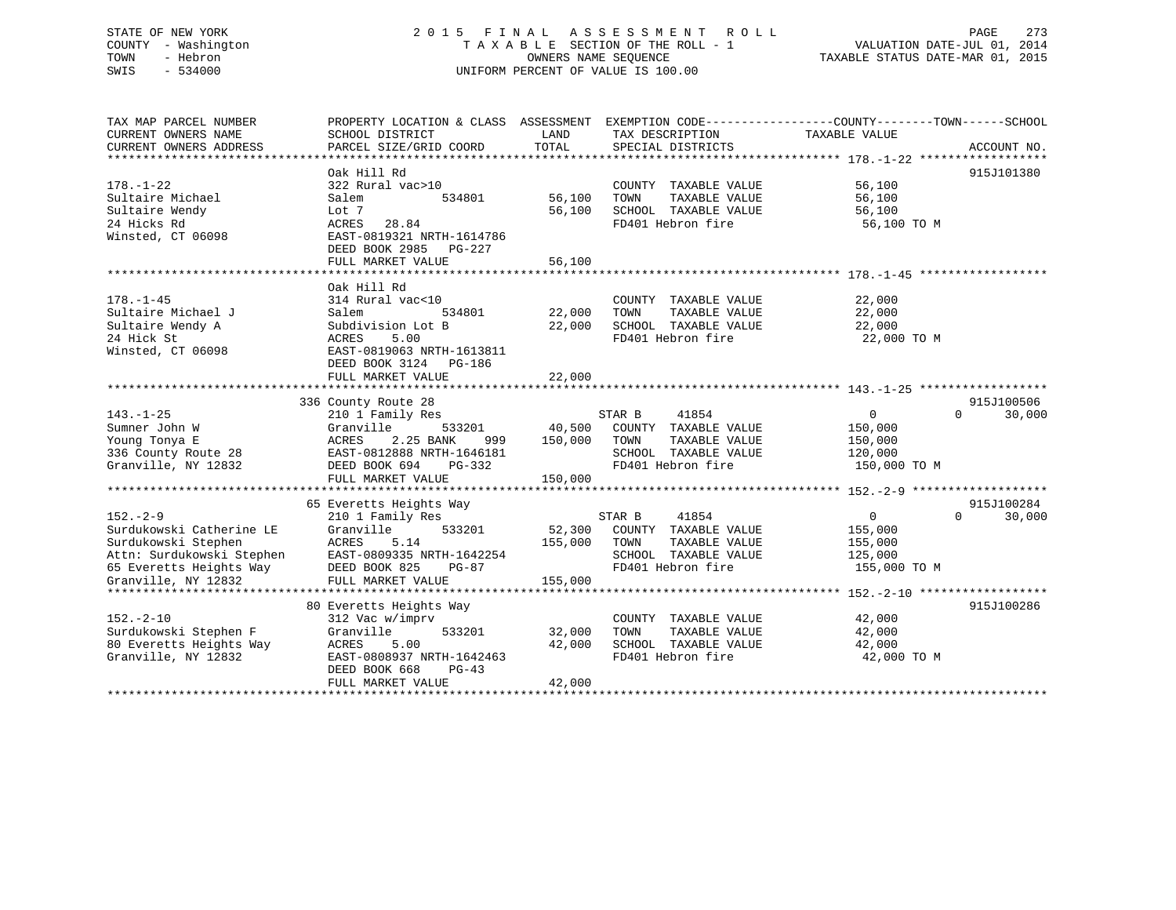# STATE OF NEW YORK 2 0 1 5 F I N A L A S S E S S M E N T R O L L PAGE 273 COUNTY - Washington T A X A B L E SECTION OF THE ROLL - 1 VALUATION DATE-JUL 01, 2014 TOWN - Hebron OWNERS NAME SEQUENCE TAXABLE STATUS DATE-MAR 01, 2015 SWIS - 534000 UNIFORM PERCENT OF VALUE IS 100.00

| TAX MAP PARCEL NUMBER    | PROPERTY LOCATION & CLASS ASSESSMENT EXEMPTION CODE---------------COUNTY-------TOWN-----SCHOOL |         |                             |                |                    |
|--------------------------|------------------------------------------------------------------------------------------------|---------|-----------------------------|----------------|--------------------|
| CURRENT OWNERS NAME      | SCHOOL DISTRICT                                                                                | LAND    | TAX DESCRIPTION             | TAXABLE VALUE  |                    |
| CURRENT OWNERS ADDRESS   | PARCEL SIZE/GRID COORD                                                                         | TOTAL   | SPECIAL DISTRICTS           |                | ACCOUNT NO.        |
|                          |                                                                                                |         |                             |                |                    |
|                          | Oak Hill Rd                                                                                    |         |                             |                | 915J101380         |
| $178. - 1 - 22$          | 322 Rural vac>10                                                                               |         | COUNTY TAXABLE VALUE        | 56,100         |                    |
| Sultaire Michael         | 534801<br>Salem                                                                                | 56,100  | TOWN<br>TAXABLE VALUE       | 56,100         |                    |
| Sultaire Wendy           | Lot 7                                                                                          | 56,100  | SCHOOL TAXABLE VALUE        | 56,100         |                    |
| 24 Hicks Rd              | ACRES<br>28.84                                                                                 |         | FD401 Hebron fire           | 56,100 TO M    |                    |
| Winsted, CT 06098        | EAST-0819321 NRTH-1614786                                                                      |         |                             |                |                    |
|                          | DEED BOOK 2985 PG-227                                                                          |         |                             |                |                    |
|                          | FULL MARKET VALUE                                                                              | 56,100  |                             |                |                    |
|                          |                                                                                                |         |                             |                |                    |
|                          | Oak Hill Rd                                                                                    |         |                             |                |                    |
| $178. - 1 - 45$          | 314 Rural vac<10                                                                               |         | COUNTY TAXABLE VALUE        | 22,000         |                    |
| Sultaire Michael J       | 534801<br>Salem                                                                                | 22,000  | TOWN<br>TAXABLE VALUE       | 22,000         |                    |
| Sultaire Wendy A         | Subdivision Lot B                                                                              | 22,000  | SCHOOL TAXABLE VALUE        | 22,000         |                    |
| 24 Hick St               | ACRES<br>5.00                                                                                  |         | FD401 Hebron fire           | 22,000 TO M    |                    |
| Winsted, CT 06098        | EAST-0819063 NRTH-1613811                                                                      |         |                             |                |                    |
|                          | DEED BOOK 3124 PG-186                                                                          |         |                             |                |                    |
|                          | FULL MARKET VALUE                                                                              | 22,000  |                             |                |                    |
|                          |                                                                                                |         |                             |                |                    |
|                          | 336 County Route 28                                                                            |         |                             |                | 915J100506         |
| $143. - 1 - 25$          | 210 1 Family Res                                                                               |         | STAR B<br>41854             | $\overline{0}$ | 30,000<br>$\Omega$ |
| Sumner John W            | Granville<br>533201                                                                            |         | 40,500 COUNTY TAXABLE VALUE | 150,000        |                    |
| Young Tonya E            | 2.25 BANK<br>ACRES<br>999                                                                      | 150,000 | TOWN<br>TAXABLE VALUE       | 150,000        |                    |
| 336 County Route 28      | EAST-0812888 NRTH-1646181                                                                      |         | SCHOOL TAXABLE VALUE        | 120,000        |                    |
| Granville, NY 12832      | DEED BOOK 694<br>$PG-332$                                                                      |         | FD401 Hebron fire           | 150,000 TO M   |                    |
|                          | FULL MARKET VALUE                                                                              | 150,000 |                             |                |                    |
|                          |                                                                                                |         |                             |                |                    |
|                          | 65 Everetts Heights Way                                                                        |         |                             |                | 915J100284         |
| $152 - 2 - 9$            | 210 1 Family Res                                                                               |         | STAR B<br>41854             | $\overline{0}$ | $\Omega$<br>30,000 |
| Surdukowski Catherine LE | 533201<br>Granville                                                                            |         | 52,300 COUNTY TAXABLE VALUE | 155,000        |                    |
| Surdukowski Stephen      | ACRES<br>5.14                                                                                  | 155,000 | TAXABLE VALUE<br>TOWN       | 155,000        |                    |
|                          |                                                                                                |         |                             |                |                    |
|                          |                                                                                                |         |                             |                |                    |
|                          |                                                                                                |         |                             |                |                    |
|                          |                                                                                                |         |                             |                |                    |
|                          | 80 Everetts Heights Way                                                                        |         |                             |                | 915J100286         |
| $152 - 2 - 10$           | 312 Vac w/imprv                                                                                |         | COUNTY TAXABLE VALUE        | 42,000         |                    |
| Surdukowski Stephen F    | 533201<br>Granville                                                                            | 32,000  | TOWN<br>TAXABLE VALUE       | 42,000         |                    |
| 80 Everetts Heights Way  | 5.00<br>ACRES                                                                                  | 42,000  | SCHOOL TAXABLE VALUE        | 42,000         |                    |
| Granville, NY 12832      | EAST-0808937 NRTH-1642463                                                                      |         | FD401 Hebron fire           | 42,000 TO M    |                    |
|                          | DEED BOOK 668<br>$PG-43$                                                                       |         |                             |                |                    |
|                          | FULL MARKET VALUE                                                                              | 42,000  |                             |                |                    |
|                          |                                                                                                |         |                             |                |                    |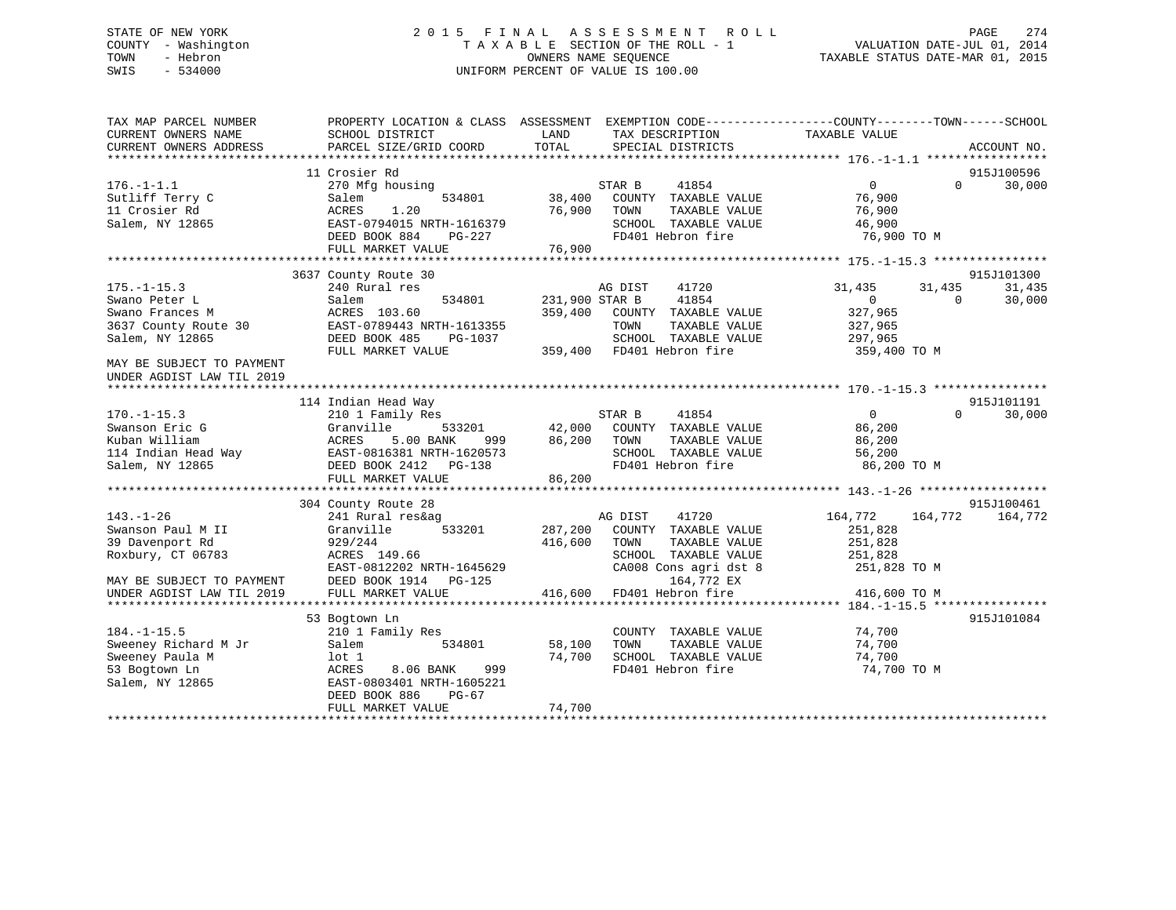# STATE OF NEW YORK 2 0 1 5 F I N A L A S S E S S M E N T R O L L PAGE 274 COUNTY - Washington T A X A B L E SECTION OF THE ROLL - 1 VALUATION DATE-JUL 01, 2014 TOWN - Hebron OWNERS NAME SEQUENCE TAXABLE STATUS DATE-MAR 01, 2015 SWIS - 534000 UNIFORM PERCENT OF VALUE IS 100.00

| 11 Crosier Rd<br>915J100596<br>$176. - 1 - 1.1$<br>STAR B<br>41854<br>$0 \qquad \qquad$<br>$\Omega$<br>30,000<br>270 Mfg housing<br>38,400<br>Sutliff Terry C<br>534801<br>COUNTY TAXABLE VALUE<br>76,900<br>Salem<br>1.20<br>76,900<br>76,900<br>11 Crosier Rd<br>ACRES<br>TOWN<br>TAXABLE VALUE<br>EAST-0794015 NRTH-1616379<br>46,900<br>Salem, NY 12865<br>SCHOOL TAXABLE VALUE<br>DEED BOOK 884<br>$PG-227$<br>FD401 Hebron fire<br>76,900 TO M<br>FULL MARKET VALUE<br>76,900<br>3637 County Route 30<br>915J101300<br>$175. - 1 - 15.3$<br>240 Rural res<br>31,435<br>31,435<br>AG DIST<br>41720<br>31,435<br>41854<br>Swano Peter L<br>534801<br>231,900 STAR B<br>Salem<br>$\mathbf{0}$<br>$\Omega$<br>30,000<br>ACRES 103.60<br>359,400<br>327,965<br>Swano Frances M<br>COUNTY TAXABLE VALUE<br>3637 County Route 30<br>EAST-0789443 NRTH-1613355<br>TOWN<br>TAXABLE VALUE<br>327,965<br>Salem, NY 12865<br>DEED BOOK 485<br>PG-1037<br>SCHOOL TAXABLE VALUE<br>297,965<br>FULL MARKET VALUE<br>359,400 FD401 Hebron fire<br>359,400 TO M<br>MAY BE SUBJECT TO PAYMENT<br>UNDER AGDIST LAW TIL 2019<br>915J101191<br>114 Indian Head Way<br>$170. - 1 - 15.3$<br>STAR B<br>41854<br>$\overline{0}$<br>$\Omega$<br>30,000<br>210 1 Family Res<br>533201<br>42,000<br>COUNTY TAXABLE VALUE<br>Swanson Eric G<br>Granville<br>86,200<br>5.00 BANK<br>86,200<br>Kuban William<br>ACRES<br>999 1999<br>TOWN<br>TAXABLE VALUE<br>86,200<br>114 Indian Head Way<br>EAST-0816381 NRTH-1620573<br>SCHOOL TAXABLE VALUE<br>56,200<br>Salem, NY 12865<br>DEED BOOK 2412    PG-138<br>FD401 Hebron fire<br>86,200 TO M<br>FULL MARKET VALUE<br>86,200<br>304 County Route 28<br>915J100461<br>$143. - 1 - 26$<br>241 Rural res&ag<br>164,772<br>AG DIST<br>41720<br>164,772<br>164,772<br>533201<br>287,200<br>Swanson Paul M II<br>Granville<br>COUNTY TAXABLE VALUE<br>251,828<br>251,828<br>39 Davenport Rd<br>929/244<br>416,600<br>TOWN<br>TAXABLE VALUE<br>Roxbury, CT 06783<br>ACRES 149.66<br>SCHOOL TAXABLE VALUE<br>251,828<br>EAST-0812202 NRTH-1645629<br>CA008 Cons agri dst 8<br>251,828 TO M<br>DEED BOOK 1914    PG-125<br>164,772 EX<br>MAY BE SUBJECT TO PAYMENT<br>FULL MARKET VALUE<br>416,600 FD401 Hebron fire<br>416,600 TO M<br>UNDER AGDIST LAW TIL 2019<br>53 Bogtown Ln<br>915J101084<br>74,700<br>$184. - 1 - 15.5$<br>210 1 Family Res<br>COUNTY TAXABLE VALUE<br>Sweeney Richard M Jr<br>TAXABLE VALUE<br>Salem<br>534801<br>58,100<br>TOWN<br>74,700<br>74,700<br>SCHOOL TAXABLE VALUE<br>Sweeney Paula M<br>74,700<br>lot 1<br>FD401 Hebron fire<br>53 Bogtown Ln<br>8.06 BANK<br>999<br>74,700 TO M<br>ACRES<br>Salem, NY 12865<br>EAST-0803401 NRTH-1605221<br>DEED BOOK 886<br>$PG-67$<br>74,700<br>FULL MARKET VALUE | TAX MAP PARCEL NUMBER<br>CURRENT OWNERS NAME | PROPERTY LOCATION & CLASS ASSESSMENT<br>SCHOOL DISTRICT | LAND<br>TAX DESCRIPTION<br>TOTAL | EXEMPTION CODE-----------------COUNTY-------TOWN------SCHOOL<br>TAXABLE VALUE |
|---------------------------------------------------------------------------------------------------------------------------------------------------------------------------------------------------------------------------------------------------------------------------------------------------------------------------------------------------------------------------------------------------------------------------------------------------------------------------------------------------------------------------------------------------------------------------------------------------------------------------------------------------------------------------------------------------------------------------------------------------------------------------------------------------------------------------------------------------------------------------------------------------------------------------------------------------------------------------------------------------------------------------------------------------------------------------------------------------------------------------------------------------------------------------------------------------------------------------------------------------------------------------------------------------------------------------------------------------------------------------------------------------------------------------------------------------------------------------------------------------------------------------------------------------------------------------------------------------------------------------------------------------------------------------------------------------------------------------------------------------------------------------------------------------------------------------------------------------------------------------------------------------------------------------------------------------------------------------------------------------------------------------------------------------------------------------------------------------------------------------------------------------------------------------------------------------------------------------------------------------------------------------------------------------------------------------------------------------------------------------------------------------------------------------------------------------------------------------------------------------------------------------------------------------------------------------------------------------------------------------------------------------------------------------------------------------------------------------------------------------------|----------------------------------------------|---------------------------------------------------------|----------------------------------|-------------------------------------------------------------------------------|
|                                                                                                                                                                                                                                                                                                                                                                                                                                                                                                                                                                                                                                                                                                                                                                                                                                                                                                                                                                                                                                                                                                                                                                                                                                                                                                                                                                                                                                                                                                                                                                                                                                                                                                                                                                                                                                                                                                                                                                                                                                                                                                                                                                                                                                                                                                                                                                                                                                                                                                                                                                                                                                                                                                                                                         | CURRENT OWNERS ADDRESS                       | PARCEL SIZE/GRID COORD                                  | SPECIAL DISTRICTS                | ACCOUNT NO.                                                                   |
|                                                                                                                                                                                                                                                                                                                                                                                                                                                                                                                                                                                                                                                                                                                                                                                                                                                                                                                                                                                                                                                                                                                                                                                                                                                                                                                                                                                                                                                                                                                                                                                                                                                                                                                                                                                                                                                                                                                                                                                                                                                                                                                                                                                                                                                                                                                                                                                                                                                                                                                                                                                                                                                                                                                                                         |                                              |                                                         |                                  |                                                                               |
|                                                                                                                                                                                                                                                                                                                                                                                                                                                                                                                                                                                                                                                                                                                                                                                                                                                                                                                                                                                                                                                                                                                                                                                                                                                                                                                                                                                                                                                                                                                                                                                                                                                                                                                                                                                                                                                                                                                                                                                                                                                                                                                                                                                                                                                                                                                                                                                                                                                                                                                                                                                                                                                                                                                                                         |                                              |                                                         |                                  |                                                                               |
|                                                                                                                                                                                                                                                                                                                                                                                                                                                                                                                                                                                                                                                                                                                                                                                                                                                                                                                                                                                                                                                                                                                                                                                                                                                                                                                                                                                                                                                                                                                                                                                                                                                                                                                                                                                                                                                                                                                                                                                                                                                                                                                                                                                                                                                                                                                                                                                                                                                                                                                                                                                                                                                                                                                                                         |                                              |                                                         |                                  |                                                                               |
|                                                                                                                                                                                                                                                                                                                                                                                                                                                                                                                                                                                                                                                                                                                                                                                                                                                                                                                                                                                                                                                                                                                                                                                                                                                                                                                                                                                                                                                                                                                                                                                                                                                                                                                                                                                                                                                                                                                                                                                                                                                                                                                                                                                                                                                                                                                                                                                                                                                                                                                                                                                                                                                                                                                                                         |                                              |                                                         |                                  |                                                                               |
|                                                                                                                                                                                                                                                                                                                                                                                                                                                                                                                                                                                                                                                                                                                                                                                                                                                                                                                                                                                                                                                                                                                                                                                                                                                                                                                                                                                                                                                                                                                                                                                                                                                                                                                                                                                                                                                                                                                                                                                                                                                                                                                                                                                                                                                                                                                                                                                                                                                                                                                                                                                                                                                                                                                                                         |                                              |                                                         |                                  |                                                                               |
|                                                                                                                                                                                                                                                                                                                                                                                                                                                                                                                                                                                                                                                                                                                                                                                                                                                                                                                                                                                                                                                                                                                                                                                                                                                                                                                                                                                                                                                                                                                                                                                                                                                                                                                                                                                                                                                                                                                                                                                                                                                                                                                                                                                                                                                                                                                                                                                                                                                                                                                                                                                                                                                                                                                                                         |                                              |                                                         |                                  |                                                                               |
|                                                                                                                                                                                                                                                                                                                                                                                                                                                                                                                                                                                                                                                                                                                                                                                                                                                                                                                                                                                                                                                                                                                                                                                                                                                                                                                                                                                                                                                                                                                                                                                                                                                                                                                                                                                                                                                                                                                                                                                                                                                                                                                                                                                                                                                                                                                                                                                                                                                                                                                                                                                                                                                                                                                                                         |                                              |                                                         |                                  |                                                                               |
|                                                                                                                                                                                                                                                                                                                                                                                                                                                                                                                                                                                                                                                                                                                                                                                                                                                                                                                                                                                                                                                                                                                                                                                                                                                                                                                                                                                                                                                                                                                                                                                                                                                                                                                                                                                                                                                                                                                                                                                                                                                                                                                                                                                                                                                                                                                                                                                                                                                                                                                                                                                                                                                                                                                                                         |                                              |                                                         |                                  |                                                                               |
|                                                                                                                                                                                                                                                                                                                                                                                                                                                                                                                                                                                                                                                                                                                                                                                                                                                                                                                                                                                                                                                                                                                                                                                                                                                                                                                                                                                                                                                                                                                                                                                                                                                                                                                                                                                                                                                                                                                                                                                                                                                                                                                                                                                                                                                                                                                                                                                                                                                                                                                                                                                                                                                                                                                                                         |                                              |                                                         |                                  |                                                                               |
|                                                                                                                                                                                                                                                                                                                                                                                                                                                                                                                                                                                                                                                                                                                                                                                                                                                                                                                                                                                                                                                                                                                                                                                                                                                                                                                                                                                                                                                                                                                                                                                                                                                                                                                                                                                                                                                                                                                                                                                                                                                                                                                                                                                                                                                                                                                                                                                                                                                                                                                                                                                                                                                                                                                                                         |                                              |                                                         |                                  |                                                                               |
|                                                                                                                                                                                                                                                                                                                                                                                                                                                                                                                                                                                                                                                                                                                                                                                                                                                                                                                                                                                                                                                                                                                                                                                                                                                                                                                                                                                                                                                                                                                                                                                                                                                                                                                                                                                                                                                                                                                                                                                                                                                                                                                                                                                                                                                                                                                                                                                                                                                                                                                                                                                                                                                                                                                                                         |                                              |                                                         |                                  |                                                                               |
|                                                                                                                                                                                                                                                                                                                                                                                                                                                                                                                                                                                                                                                                                                                                                                                                                                                                                                                                                                                                                                                                                                                                                                                                                                                                                                                                                                                                                                                                                                                                                                                                                                                                                                                                                                                                                                                                                                                                                                                                                                                                                                                                                                                                                                                                                                                                                                                                                                                                                                                                                                                                                                                                                                                                                         |                                              |                                                         |                                  |                                                                               |
|                                                                                                                                                                                                                                                                                                                                                                                                                                                                                                                                                                                                                                                                                                                                                                                                                                                                                                                                                                                                                                                                                                                                                                                                                                                                                                                                                                                                                                                                                                                                                                                                                                                                                                                                                                                                                                                                                                                                                                                                                                                                                                                                                                                                                                                                                                                                                                                                                                                                                                                                                                                                                                                                                                                                                         |                                              |                                                         |                                  |                                                                               |
|                                                                                                                                                                                                                                                                                                                                                                                                                                                                                                                                                                                                                                                                                                                                                                                                                                                                                                                                                                                                                                                                                                                                                                                                                                                                                                                                                                                                                                                                                                                                                                                                                                                                                                                                                                                                                                                                                                                                                                                                                                                                                                                                                                                                                                                                                                                                                                                                                                                                                                                                                                                                                                                                                                                                                         |                                              |                                                         |                                  |                                                                               |
|                                                                                                                                                                                                                                                                                                                                                                                                                                                                                                                                                                                                                                                                                                                                                                                                                                                                                                                                                                                                                                                                                                                                                                                                                                                                                                                                                                                                                                                                                                                                                                                                                                                                                                                                                                                                                                                                                                                                                                                                                                                                                                                                                                                                                                                                                                                                                                                                                                                                                                                                                                                                                                                                                                                                                         |                                              |                                                         |                                  |                                                                               |
|                                                                                                                                                                                                                                                                                                                                                                                                                                                                                                                                                                                                                                                                                                                                                                                                                                                                                                                                                                                                                                                                                                                                                                                                                                                                                                                                                                                                                                                                                                                                                                                                                                                                                                                                                                                                                                                                                                                                                                                                                                                                                                                                                                                                                                                                                                                                                                                                                                                                                                                                                                                                                                                                                                                                                         |                                              |                                                         |                                  |                                                                               |
|                                                                                                                                                                                                                                                                                                                                                                                                                                                                                                                                                                                                                                                                                                                                                                                                                                                                                                                                                                                                                                                                                                                                                                                                                                                                                                                                                                                                                                                                                                                                                                                                                                                                                                                                                                                                                                                                                                                                                                                                                                                                                                                                                                                                                                                                                                                                                                                                                                                                                                                                                                                                                                                                                                                                                         |                                              |                                                         |                                  |                                                                               |
|                                                                                                                                                                                                                                                                                                                                                                                                                                                                                                                                                                                                                                                                                                                                                                                                                                                                                                                                                                                                                                                                                                                                                                                                                                                                                                                                                                                                                                                                                                                                                                                                                                                                                                                                                                                                                                                                                                                                                                                                                                                                                                                                                                                                                                                                                                                                                                                                                                                                                                                                                                                                                                                                                                                                                         |                                              |                                                         |                                  |                                                                               |
|                                                                                                                                                                                                                                                                                                                                                                                                                                                                                                                                                                                                                                                                                                                                                                                                                                                                                                                                                                                                                                                                                                                                                                                                                                                                                                                                                                                                                                                                                                                                                                                                                                                                                                                                                                                                                                                                                                                                                                                                                                                                                                                                                                                                                                                                                                                                                                                                                                                                                                                                                                                                                                                                                                                                                         |                                              |                                                         |                                  |                                                                               |
|                                                                                                                                                                                                                                                                                                                                                                                                                                                                                                                                                                                                                                                                                                                                                                                                                                                                                                                                                                                                                                                                                                                                                                                                                                                                                                                                                                                                                                                                                                                                                                                                                                                                                                                                                                                                                                                                                                                                                                                                                                                                                                                                                                                                                                                                                                                                                                                                                                                                                                                                                                                                                                                                                                                                                         |                                              |                                                         |                                  |                                                                               |
|                                                                                                                                                                                                                                                                                                                                                                                                                                                                                                                                                                                                                                                                                                                                                                                                                                                                                                                                                                                                                                                                                                                                                                                                                                                                                                                                                                                                                                                                                                                                                                                                                                                                                                                                                                                                                                                                                                                                                                                                                                                                                                                                                                                                                                                                                                                                                                                                                                                                                                                                                                                                                                                                                                                                                         |                                              |                                                         |                                  |                                                                               |
|                                                                                                                                                                                                                                                                                                                                                                                                                                                                                                                                                                                                                                                                                                                                                                                                                                                                                                                                                                                                                                                                                                                                                                                                                                                                                                                                                                                                                                                                                                                                                                                                                                                                                                                                                                                                                                                                                                                                                                                                                                                                                                                                                                                                                                                                                                                                                                                                                                                                                                                                                                                                                                                                                                                                                         |                                              |                                                         |                                  |                                                                               |
|                                                                                                                                                                                                                                                                                                                                                                                                                                                                                                                                                                                                                                                                                                                                                                                                                                                                                                                                                                                                                                                                                                                                                                                                                                                                                                                                                                                                                                                                                                                                                                                                                                                                                                                                                                                                                                                                                                                                                                                                                                                                                                                                                                                                                                                                                                                                                                                                                                                                                                                                                                                                                                                                                                                                                         |                                              |                                                         |                                  |                                                                               |
|                                                                                                                                                                                                                                                                                                                                                                                                                                                                                                                                                                                                                                                                                                                                                                                                                                                                                                                                                                                                                                                                                                                                                                                                                                                                                                                                                                                                                                                                                                                                                                                                                                                                                                                                                                                                                                                                                                                                                                                                                                                                                                                                                                                                                                                                                                                                                                                                                                                                                                                                                                                                                                                                                                                                                         |                                              |                                                         |                                  |                                                                               |
|                                                                                                                                                                                                                                                                                                                                                                                                                                                                                                                                                                                                                                                                                                                                                                                                                                                                                                                                                                                                                                                                                                                                                                                                                                                                                                                                                                                                                                                                                                                                                                                                                                                                                                                                                                                                                                                                                                                                                                                                                                                                                                                                                                                                                                                                                                                                                                                                                                                                                                                                                                                                                                                                                                                                                         |                                              |                                                         |                                  |                                                                               |
|                                                                                                                                                                                                                                                                                                                                                                                                                                                                                                                                                                                                                                                                                                                                                                                                                                                                                                                                                                                                                                                                                                                                                                                                                                                                                                                                                                                                                                                                                                                                                                                                                                                                                                                                                                                                                                                                                                                                                                                                                                                                                                                                                                                                                                                                                                                                                                                                                                                                                                                                                                                                                                                                                                                                                         |                                              |                                                         |                                  |                                                                               |
|                                                                                                                                                                                                                                                                                                                                                                                                                                                                                                                                                                                                                                                                                                                                                                                                                                                                                                                                                                                                                                                                                                                                                                                                                                                                                                                                                                                                                                                                                                                                                                                                                                                                                                                                                                                                                                                                                                                                                                                                                                                                                                                                                                                                                                                                                                                                                                                                                                                                                                                                                                                                                                                                                                                                                         |                                              |                                                         |                                  |                                                                               |
|                                                                                                                                                                                                                                                                                                                                                                                                                                                                                                                                                                                                                                                                                                                                                                                                                                                                                                                                                                                                                                                                                                                                                                                                                                                                                                                                                                                                                                                                                                                                                                                                                                                                                                                                                                                                                                                                                                                                                                                                                                                                                                                                                                                                                                                                                                                                                                                                                                                                                                                                                                                                                                                                                                                                                         |                                              |                                                         |                                  |                                                                               |
|                                                                                                                                                                                                                                                                                                                                                                                                                                                                                                                                                                                                                                                                                                                                                                                                                                                                                                                                                                                                                                                                                                                                                                                                                                                                                                                                                                                                                                                                                                                                                                                                                                                                                                                                                                                                                                                                                                                                                                                                                                                                                                                                                                                                                                                                                                                                                                                                                                                                                                                                                                                                                                                                                                                                                         |                                              |                                                         |                                  |                                                                               |
|                                                                                                                                                                                                                                                                                                                                                                                                                                                                                                                                                                                                                                                                                                                                                                                                                                                                                                                                                                                                                                                                                                                                                                                                                                                                                                                                                                                                                                                                                                                                                                                                                                                                                                                                                                                                                                                                                                                                                                                                                                                                                                                                                                                                                                                                                                                                                                                                                                                                                                                                                                                                                                                                                                                                                         |                                              |                                                         |                                  |                                                                               |
|                                                                                                                                                                                                                                                                                                                                                                                                                                                                                                                                                                                                                                                                                                                                                                                                                                                                                                                                                                                                                                                                                                                                                                                                                                                                                                                                                                                                                                                                                                                                                                                                                                                                                                                                                                                                                                                                                                                                                                                                                                                                                                                                                                                                                                                                                                                                                                                                                                                                                                                                                                                                                                                                                                                                                         |                                              |                                                         |                                  |                                                                               |
|                                                                                                                                                                                                                                                                                                                                                                                                                                                                                                                                                                                                                                                                                                                                                                                                                                                                                                                                                                                                                                                                                                                                                                                                                                                                                                                                                                                                                                                                                                                                                                                                                                                                                                                                                                                                                                                                                                                                                                                                                                                                                                                                                                                                                                                                                                                                                                                                                                                                                                                                                                                                                                                                                                                                                         |                                              |                                                         |                                  |                                                                               |
|                                                                                                                                                                                                                                                                                                                                                                                                                                                                                                                                                                                                                                                                                                                                                                                                                                                                                                                                                                                                                                                                                                                                                                                                                                                                                                                                                                                                                                                                                                                                                                                                                                                                                                                                                                                                                                                                                                                                                                                                                                                                                                                                                                                                                                                                                                                                                                                                                                                                                                                                                                                                                                                                                                                                                         |                                              |                                                         |                                  |                                                                               |
|                                                                                                                                                                                                                                                                                                                                                                                                                                                                                                                                                                                                                                                                                                                                                                                                                                                                                                                                                                                                                                                                                                                                                                                                                                                                                                                                                                                                                                                                                                                                                                                                                                                                                                                                                                                                                                                                                                                                                                                                                                                                                                                                                                                                                                                                                                                                                                                                                                                                                                                                                                                                                                                                                                                                                         |                                              |                                                         |                                  |                                                                               |
|                                                                                                                                                                                                                                                                                                                                                                                                                                                                                                                                                                                                                                                                                                                                                                                                                                                                                                                                                                                                                                                                                                                                                                                                                                                                                                                                                                                                                                                                                                                                                                                                                                                                                                                                                                                                                                                                                                                                                                                                                                                                                                                                                                                                                                                                                                                                                                                                                                                                                                                                                                                                                                                                                                                                                         |                                              |                                                         |                                  |                                                                               |
|                                                                                                                                                                                                                                                                                                                                                                                                                                                                                                                                                                                                                                                                                                                                                                                                                                                                                                                                                                                                                                                                                                                                                                                                                                                                                                                                                                                                                                                                                                                                                                                                                                                                                                                                                                                                                                                                                                                                                                                                                                                                                                                                                                                                                                                                                                                                                                                                                                                                                                                                                                                                                                                                                                                                                         |                                              |                                                         |                                  |                                                                               |
|                                                                                                                                                                                                                                                                                                                                                                                                                                                                                                                                                                                                                                                                                                                                                                                                                                                                                                                                                                                                                                                                                                                                                                                                                                                                                                                                                                                                                                                                                                                                                                                                                                                                                                                                                                                                                                                                                                                                                                                                                                                                                                                                                                                                                                                                                                                                                                                                                                                                                                                                                                                                                                                                                                                                                         |                                              |                                                         |                                  |                                                                               |
|                                                                                                                                                                                                                                                                                                                                                                                                                                                                                                                                                                                                                                                                                                                                                                                                                                                                                                                                                                                                                                                                                                                                                                                                                                                                                                                                                                                                                                                                                                                                                                                                                                                                                                                                                                                                                                                                                                                                                                                                                                                                                                                                                                                                                                                                                                                                                                                                                                                                                                                                                                                                                                                                                                                                                         |                                              |                                                         |                                  |                                                                               |
|                                                                                                                                                                                                                                                                                                                                                                                                                                                                                                                                                                                                                                                                                                                                                                                                                                                                                                                                                                                                                                                                                                                                                                                                                                                                                                                                                                                                                                                                                                                                                                                                                                                                                                                                                                                                                                                                                                                                                                                                                                                                                                                                                                                                                                                                                                                                                                                                                                                                                                                                                                                                                                                                                                                                                         |                                              |                                                         |                                  |                                                                               |
|                                                                                                                                                                                                                                                                                                                                                                                                                                                                                                                                                                                                                                                                                                                                                                                                                                                                                                                                                                                                                                                                                                                                                                                                                                                                                                                                                                                                                                                                                                                                                                                                                                                                                                                                                                                                                                                                                                                                                                                                                                                                                                                                                                                                                                                                                                                                                                                                                                                                                                                                                                                                                                                                                                                                                         |                                              |                                                         |                                  |                                                                               |
|                                                                                                                                                                                                                                                                                                                                                                                                                                                                                                                                                                                                                                                                                                                                                                                                                                                                                                                                                                                                                                                                                                                                                                                                                                                                                                                                                                                                                                                                                                                                                                                                                                                                                                                                                                                                                                                                                                                                                                                                                                                                                                                                                                                                                                                                                                                                                                                                                                                                                                                                                                                                                                                                                                                                                         |                                              |                                                         |                                  |                                                                               |
|                                                                                                                                                                                                                                                                                                                                                                                                                                                                                                                                                                                                                                                                                                                                                                                                                                                                                                                                                                                                                                                                                                                                                                                                                                                                                                                                                                                                                                                                                                                                                                                                                                                                                                                                                                                                                                                                                                                                                                                                                                                                                                                                                                                                                                                                                                                                                                                                                                                                                                                                                                                                                                                                                                                                                         |                                              |                                                         |                                  |                                                                               |
|                                                                                                                                                                                                                                                                                                                                                                                                                                                                                                                                                                                                                                                                                                                                                                                                                                                                                                                                                                                                                                                                                                                                                                                                                                                                                                                                                                                                                                                                                                                                                                                                                                                                                                                                                                                                                                                                                                                                                                                                                                                                                                                                                                                                                                                                                                                                                                                                                                                                                                                                                                                                                                                                                                                                                         |                                              |                                                         |                                  |                                                                               |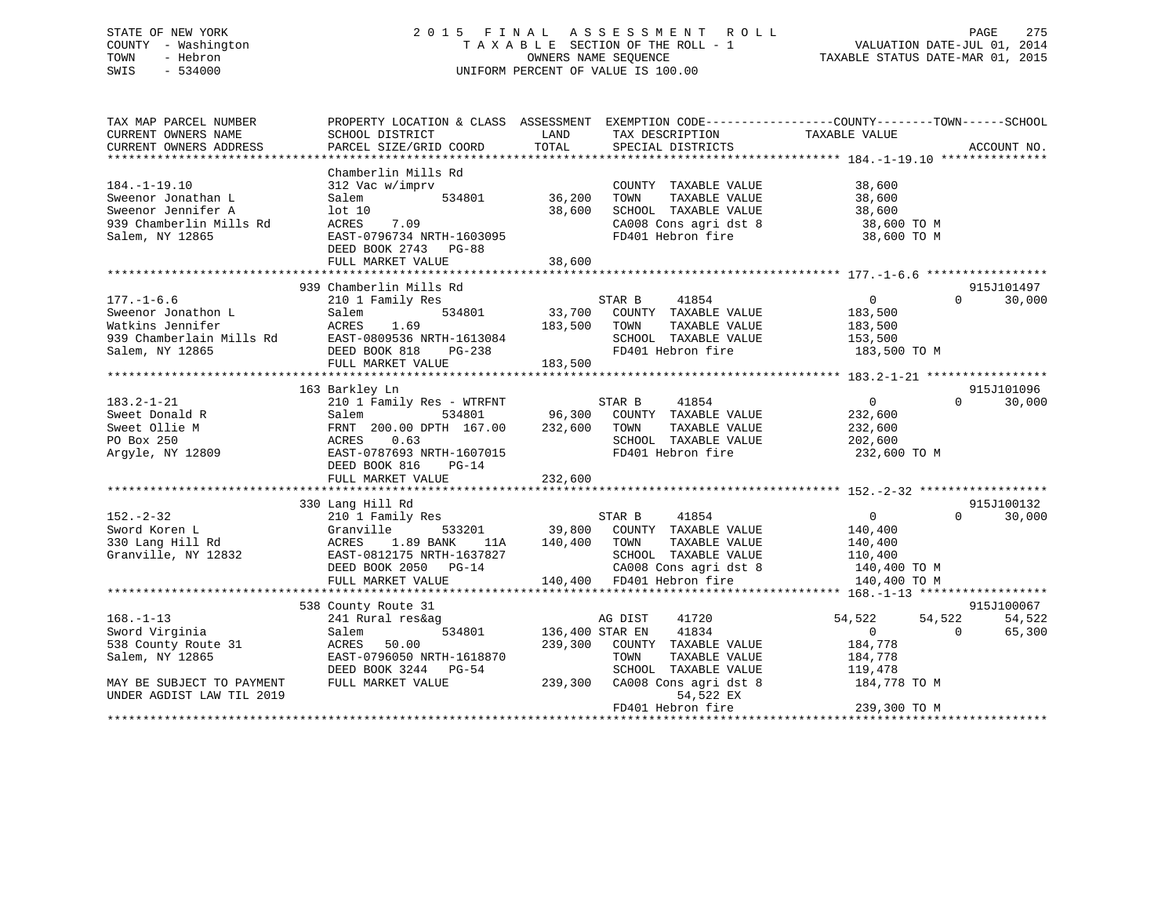# STATE OF NEW YORK 2 0 1 5 F I N A L A S S E S S M E N T R O L L PAGE 275 COUNTY - Washington T A X A B L E SECTION OF THE ROLL - 1 VALUATION DATE-JUL 01, 2014 TOWN - Hebron OWNERS NAME SEQUENCE TAXABLE STATUS DATE-MAR 01, 2015 SWIS - 534000 UNIFORM PERCENT OF VALUE IS 100.00

| TAX MAP PARCEL NUMBER<br>CURRENT OWNERS NAME<br>CURRENT OWNERS ADDRESS                                       | PROPERTY LOCATION & CLASS ASSESSMENT<br>SCHOOL DISTRICT<br>PARCEL SIZE/GRID COORD                                                                                      | TAX DESCRIPTION TAXABLE VALUE SPECIAL DISTRICTS<br>LAND<br>TOTAL                                                                                                     | EXEMPTION CODE-----------------COUNTY-------TOWN------SCHOOL<br>ACCOUNT NO.                                                       |
|--------------------------------------------------------------------------------------------------------------|------------------------------------------------------------------------------------------------------------------------------------------------------------------------|----------------------------------------------------------------------------------------------------------------------------------------------------------------------|-----------------------------------------------------------------------------------------------------------------------------------|
| $184. - 1 - 19.10$<br>Sweenor Jonathan L<br>Sweenor Jennifer A<br>939 Chamberlin Mills Rd<br>Salem, NY 12865 | Chamberlin Mills Rd<br>312 Vac w/imprv<br>Salem<br>534801<br>lot 10<br>ACRES<br>7.09<br>EAST-0796734 NRTH-1603095<br>DEED BOOK 2743 PG-88<br>FULL MARKET VALUE         | COUNTY TAXABLE VALUE<br>36,200<br>TAXABLE VALUE<br>TOWN<br>38,600<br>SCHOOL TAXABLE VALUE<br>CA008 Cons agri dst 8<br>FD401 Hebron fire<br>38,600                    | 38,600<br>38,600<br>38,600<br>38,600 TO M<br>38,600 TO M                                                                          |
|                                                                                                              | 939 Chamberlin Mills Rd                                                                                                                                                |                                                                                                                                                                      | 915J101497                                                                                                                        |
| $177. - 1 - 6.6$<br>Sweenor Jonathon L<br>Watkins Jennifer<br>939 Chamberlain Mills Rd<br>Salem, NY 12865    | 210 1 Family Res<br>534801<br>Salem<br>ACRES<br>1.69<br>EAST-0809536 NRTH-1613084<br>DEED BOOK 818<br>PG-238<br>FULL MARKET VALUE                                      | 41854<br>STAR B<br>33,700 COUNTY TAXABLE VALUE<br>183,500<br>TAXABLE VALUE<br>TOWN<br>SCHOOL TAXABLE VALUE<br>FD401 Hebron fire<br>183,500                           | $\overline{0}$<br>$\Omega$<br>30,000<br>183,500<br>183,500<br>153,500<br>183,500 TO M                                             |
|                                                                                                              | 163 Barkley Ln                                                                                                                                                         |                                                                                                                                                                      | 915J101096                                                                                                                        |
| $183.2 - 1 - 21$<br>Sweet Donald R<br>Sweet Ollie M<br>PO Box 250<br>Argyle, NY 12809                        | 210 1 Family Res - WTRFNT<br>534801<br>Salem<br>FRNT 200.00 DPTH 167.00<br>0.63<br>ACRES<br>EAST-0787693 NRTH-1607015<br>DEED BOOK 816<br>$PG-14$<br>FULL MARKET VALUE | STAR B<br>41854<br>96,300<br>COUNTY TAXABLE VALUE<br>232,600<br>TOWN<br>TAXABLE VALUE<br>SCHOOL TAXABLE VALUE<br>FD401 Hebron fire<br>232,600                        | $\overline{0}$<br>$\Omega$<br>30,000<br>232,600<br>232,600<br>202,600<br>232,600 TO M                                             |
|                                                                                                              |                                                                                                                                                                        |                                                                                                                                                                      |                                                                                                                                   |
| $152. - 2 - 32$<br>Sword Koren L<br>330 Lang Hill Rd<br>Granville, NY 12832                                  | 330 Lang Hill Rd<br>210 1 Family Res<br>533201<br>Granville<br>ACRES<br>1.89 BANK<br>11A<br>EAST-0812175 NRTH-1637827<br>DEED BOOK 2050 PG-14<br>FULL MARKET VALUE     | STAR B<br>41854<br>39,800 COUNTY TAXABLE VALUE<br>140,400<br>TOWN<br>TAXABLE VALUE<br>SCHOOL TAXABLE VALUE<br>CA008 Cons agri dst 8<br>140,400 FD401 Hebron fire     | 915J100132<br>$\overline{0}$<br>$\cap$<br>30,000<br>140,400<br>140,400<br>110,400<br>140,400 TO M<br>140,400 TO M                 |
|                                                                                                              |                                                                                                                                                                        |                                                                                                                                                                      |                                                                                                                                   |
| $168. - 1 - 13$<br>Sword Virginia<br>538 County Route 31<br>Salem, NY 12865<br>MAY BE SUBJECT TO PAYMENT     | 538 County Route 31<br>241 Rural res&ag<br>534801<br>Salem<br>ACRES<br>50.00<br>EAST-0796050 NRTH-1618870<br>DEED BOOK 3244 PG-54<br>FULL MARKET VALUE                 | AG DIST<br>41720<br>136,400 STAR EN<br>41834<br>239,300<br>COUNTY TAXABLE VALUE<br>TAXABLE VALUE<br>TOWN<br>SCHOOL TAXABLE VALUE<br>239,300<br>CA008 Cons agri dst 8 | 915J100067<br>54,522<br>54,522<br>54,522<br>$\overline{0}$<br>$\Omega$<br>65,300<br>184,778<br>184,778<br>119,478<br>184,778 TO M |
| UNDER AGDIST LAW TIL 2019                                                                                    |                                                                                                                                                                        | 54,522 EX<br>FD401 Hebron fire                                                                                                                                       | 239,300 TO M                                                                                                                      |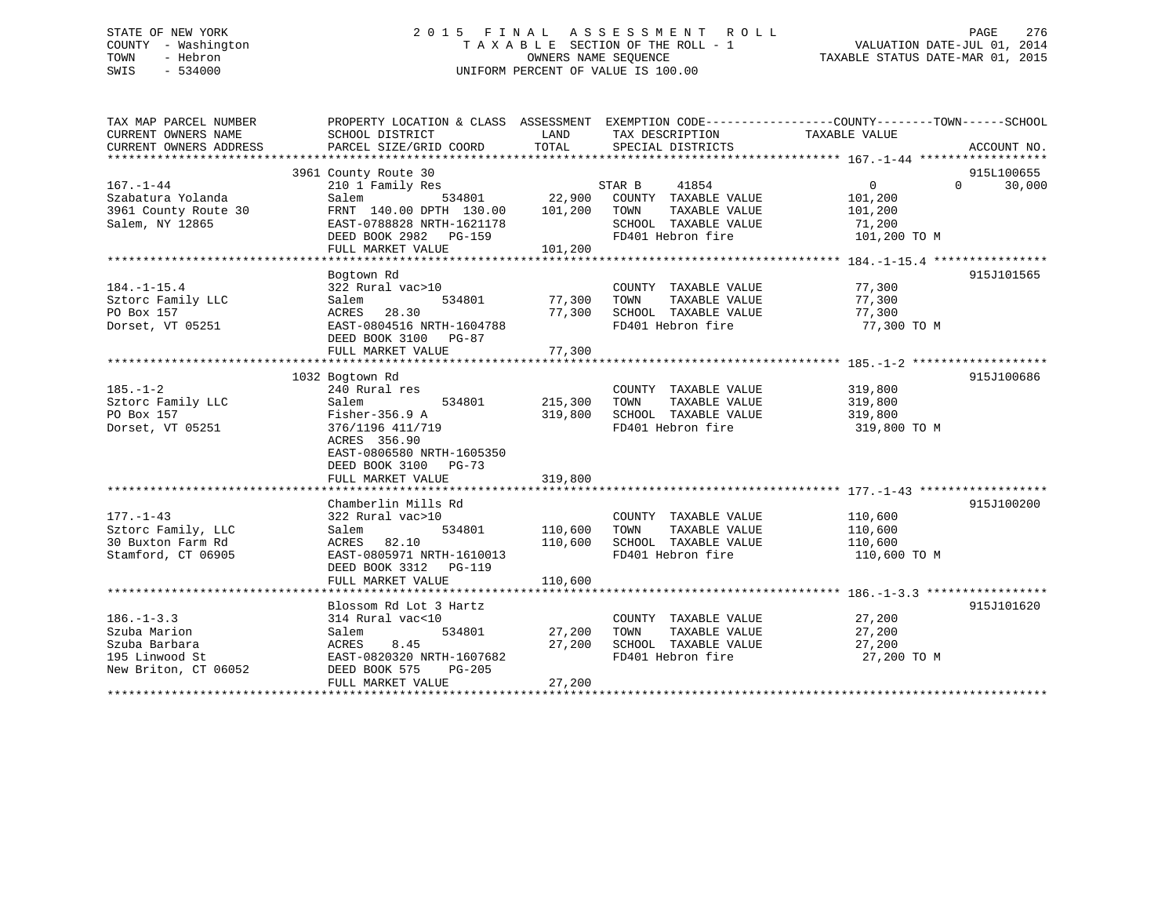# STATE OF NEW YORK 2 0 1 5 F I N A L A S S E S S M E N T R O L L PAGE 276 COUNTY - Washington T A X A B L E SECTION OF THE ROLL - 1 VALUATION DATE-JUL 01, 2014 TOWN - Hebron OWNERS NAME SEQUENCE TAXABLE STATUS DATE-MAR 01, 2015 SWIS - 534000 UNIFORM PERCENT OF VALUE IS 100.00

| TAX MAP PARCEL NUMBER<br>CURRENT OWNERS NAME<br>CURRENT OWNERS ADDRESS | SCHOOL DISTRICT<br>PARCEL SIZE/GRID COORD    | LAND<br>TOTAL | TAX DESCRIPTION TAXABLE VALUE<br>SPECIAL DISTRICTS | PROPERTY LOCATION & CLASS ASSESSMENT EXEMPTION CODE---------------COUNTY-------TOWN-----SCHOOL<br>ACCOUNT NO. |  |
|------------------------------------------------------------------------|----------------------------------------------|---------------|----------------------------------------------------|---------------------------------------------------------------------------------------------------------------|--|
|                                                                        |                                              |               |                                                    |                                                                                                               |  |
| $167. - 1 - 44$                                                        | 3961 County Route 30<br>210 1 Family Res     |               | 41854<br>STAR B                                    | 915L100655<br>$\Omega$<br>30,000<br>$\mathbf{0}$                                                              |  |
| Szabatura Yolanda                                                      | 534801<br>Salem                              | 22,900        | COUNTY TAXABLE VALUE                               | 101,200                                                                                                       |  |
| 3961 County Route 30                                                   | FRNT 140.00 DPTH 130.00                      | 101,200       | TOWN<br>TAXABLE VALUE                              | 101,200                                                                                                       |  |
| Salem, NY 12865                                                        | EAST-0788828 NRTH-1621178                    |               | SCHOOL TAXABLE VALUE                               | 71,200                                                                                                        |  |
|                                                                        | DEED BOOK 2982 PG-159                        |               | FD401 Hebron fire                                  | 101,200 TO M                                                                                                  |  |
|                                                                        | FULL MARKET VALUE                            | 101,200       |                                                    |                                                                                                               |  |
|                                                                        |                                              |               |                                                    |                                                                                                               |  |
|                                                                        | Bogtown Rd                                   |               |                                                    | 915J101565                                                                                                    |  |
| $184. - 1 - 15.4$                                                      | 322 Rural vac>10                             |               | COUNTY TAXABLE VALUE                               | 77,300                                                                                                        |  |
| Sztorc Family LLC                                                      | Salem<br>534801                              | 77,300        | TOWN<br>TAXABLE VALUE                              | 77,300                                                                                                        |  |
| PO Box 157                                                             | ACRES 28.30                                  | 77,300        | SCHOOL TAXABLE VALUE                               | 77,300                                                                                                        |  |
| Dorset, VT 05251                                                       | EAST-0804516 NRTH-1604788                    |               | FD401 Hebron fire                                  | 77,300 TO M                                                                                                   |  |
|                                                                        | DEED BOOK 3100 PG-87                         |               |                                                    |                                                                                                               |  |
|                                                                        | FULL MARKET VALUE                            | 77,300        |                                                    |                                                                                                               |  |
|                                                                        |                                              |               |                                                    |                                                                                                               |  |
|                                                                        | 1032 Bogtown Rd                              |               |                                                    | 915J100686                                                                                                    |  |
| $185. - 1 - 2$                                                         | 240 Rural res                                |               | COUNTY TAXABLE VALUE                               | 319,800                                                                                                       |  |
| Sztorc Family LLC                                                      | Salem<br>534801                              | 215,300       | TOWN<br>TAXABLE VALUE                              | 319,800                                                                                                       |  |
| PO Box 157                                                             | $Fisher-356.9$ A                             | 319,800       | SCHOOL TAXABLE VALUE                               | 319,800                                                                                                       |  |
| Dorset, VT 05251                                                       | 376/1196 411/719                             |               | FD401 Hebron fire                                  | 319,800 TO M                                                                                                  |  |
|                                                                        | ACRES 356.90                                 |               |                                                    |                                                                                                               |  |
|                                                                        | EAST-0806580 NRTH-1605350                    |               |                                                    |                                                                                                               |  |
|                                                                        | DEED BOOK 3100<br>PG-73                      |               |                                                    |                                                                                                               |  |
|                                                                        | FULL MARKET VALUE                            | 319,800       |                                                    |                                                                                                               |  |
|                                                                        |                                              |               |                                                    |                                                                                                               |  |
|                                                                        | Chamberlin Mills Rd                          |               |                                                    | 915J100200                                                                                                    |  |
| $177. - 1 - 43$                                                        | 322 Rural vac>10                             |               | COUNTY TAXABLE VALUE                               | 110,600                                                                                                       |  |
| Sztorc Family, LLC                                                     | 534801<br>Salem                              | 110,600       | TAXABLE VALUE<br>TOWN                              | 110,600                                                                                                       |  |
| 30 Buxton Farm Rd                                                      | ACRES 82.10                                  | 110,600       | SCHOOL TAXABLE VALUE                               | 110,600                                                                                                       |  |
| Stamford, CT 06905                                                     | EAST-0805971 NRTH-1610013                    |               | FD401 Hebron fire                                  | 110,600 TO M                                                                                                  |  |
|                                                                        | DEED BOOK 3312<br><b>PG-119</b>              |               |                                                    |                                                                                                               |  |
|                                                                        | FULL MARKET VALUE                            | 110,600       |                                                    |                                                                                                               |  |
|                                                                        |                                              |               |                                                    |                                                                                                               |  |
|                                                                        | Blossom Rd Lot 3 Hartz                       |               |                                                    | 915J101620                                                                                                    |  |
| $186. - 1 - 3.3$                                                       | 314 Rural vac<10                             |               | COUNTY TAXABLE VALUE                               | 27,200                                                                                                        |  |
| Szuba Marion                                                           | 534801                                       | 27,200        | TOWN                                               | 27,200                                                                                                        |  |
| Szuba Barbara                                                          | Salem                                        | 27,200        | TAXABLE VALUE<br>SCHOOL TAXABLE VALUE              |                                                                                                               |  |
|                                                                        | ACRES<br>8.45<br>EAST-0820320 NRTH-1607682   |               | FD401 Hebron fire                                  | 27,200                                                                                                        |  |
| 195 Linwood St                                                         |                                              |               |                                                    | 27,200 TO M                                                                                                   |  |
| New Briton, CT 06052                                                   | DEED BOOK 575<br>PG-205<br>FULL MARKET VALUE | 27,200        |                                                    |                                                                                                               |  |
| **********************                                                 |                                              |               |                                                    |                                                                                                               |  |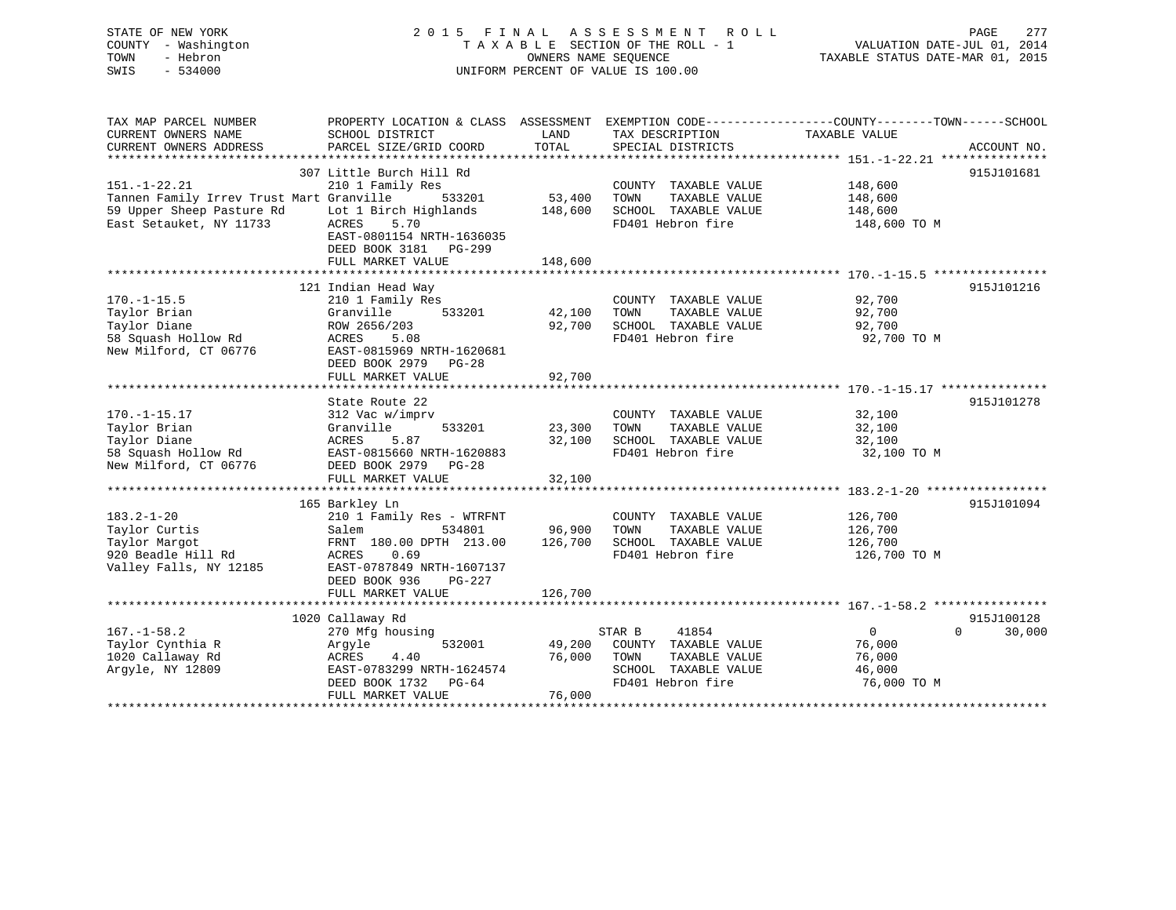# STATE OF NEW YORK 2 0 1 5 F I N A L A S S E S S M E N T R O L L PAGE 277 COUNTY - Washington T A X A B L E SECTION OF THE ROLL - 1 VALUATION DATE-JUL 01, 2014 TOWN - Hebron OWNERS NAME SEQUENCE TAXABLE STATUS DATE-MAR 01, 2015 SWIS - 534000 UNIFORM PERCENT OF VALUE IS 100.00

| CURRENT OWNERS NAME<br>SCHOOL DISTRICT<br>LAND<br>TAX DESCRIPTION<br>TAXABLE VALUE<br>TOTAL<br>CURRENT OWNERS ADDRESS<br>PARCEL SIZE/GRID COORD<br>SPECIAL DISTRICTS<br>ACCOUNT NO.<br>307 Little Burch Hill Rd<br>915J101681<br>$151. - 1 - 22.21$<br>210 1 Family Res<br>148,600<br>COUNTY TAXABLE VALUE<br>53,400<br>Tannen Family Irrev Trust Mart Granville<br>533201<br>TOWN<br>TAXABLE VALUE<br>148,600<br>59 Upper Sheep Pasture Rd<br>Lot 1 Birch Highlands<br>148,600<br>SCHOOL TAXABLE VALUE<br>148,600 |        |
|--------------------------------------------------------------------------------------------------------------------------------------------------------------------------------------------------------------------------------------------------------------------------------------------------------------------------------------------------------------------------------------------------------------------------------------------------------------------------------------------------------------------|--------|
|                                                                                                                                                                                                                                                                                                                                                                                                                                                                                                                    |        |
|                                                                                                                                                                                                                                                                                                                                                                                                                                                                                                                    |        |
|                                                                                                                                                                                                                                                                                                                                                                                                                                                                                                                    |        |
|                                                                                                                                                                                                                                                                                                                                                                                                                                                                                                                    |        |
|                                                                                                                                                                                                                                                                                                                                                                                                                                                                                                                    |        |
|                                                                                                                                                                                                                                                                                                                                                                                                                                                                                                                    |        |
|                                                                                                                                                                                                                                                                                                                                                                                                                                                                                                                    |        |
| East Setauket, NY 11733<br>ACRES<br>5.70<br>FD401 Hebron fire<br>148,600 TO M                                                                                                                                                                                                                                                                                                                                                                                                                                      |        |
| EAST-0801154 NRTH-1636035                                                                                                                                                                                                                                                                                                                                                                                                                                                                                          |        |
| DEED BOOK 3181 PG-299                                                                                                                                                                                                                                                                                                                                                                                                                                                                                              |        |
| 148,600<br>FULL MARKET VALUE                                                                                                                                                                                                                                                                                                                                                                                                                                                                                       |        |
|                                                                                                                                                                                                                                                                                                                                                                                                                                                                                                                    |        |
| 915J101216<br>121 Indian Head Way                                                                                                                                                                                                                                                                                                                                                                                                                                                                                  |        |
| $170. - 1 - 15.5$<br>210 1 Family Res<br>COUNTY TAXABLE VALUE<br>92,700                                                                                                                                                                                                                                                                                                                                                                                                                                            |        |
| 42,100<br>TAXABLE VALUE<br>Taylor Brian<br>Granville<br>533201<br>TOWN<br>92,700                                                                                                                                                                                                                                                                                                                                                                                                                                   |        |
| 92,700<br>Taylor Diane<br>ROW 2656/203<br>SCHOOL TAXABLE VALUE<br>92,700                                                                                                                                                                                                                                                                                                                                                                                                                                           |        |
| FD401 Hebron fire<br>58 Squash Hollow Rd<br>ACRES<br>5.08<br>92,700 TO M                                                                                                                                                                                                                                                                                                                                                                                                                                           |        |
| New Milford, CT 06776<br>EAST-0815969 NRTH-1620681                                                                                                                                                                                                                                                                                                                                                                                                                                                                 |        |
| DEED BOOK 2979<br>$PG-28$                                                                                                                                                                                                                                                                                                                                                                                                                                                                                          |        |
| 92,700<br>FULL MARKET VALUE                                                                                                                                                                                                                                                                                                                                                                                                                                                                                        |        |
|                                                                                                                                                                                                                                                                                                                                                                                                                                                                                                                    |        |
| State Route 22<br>915J101278                                                                                                                                                                                                                                                                                                                                                                                                                                                                                       |        |
| $170. - 1 - 15.17$<br>32,100<br>312 Vac w/imprv<br>COUNTY TAXABLE VALUE                                                                                                                                                                                                                                                                                                                                                                                                                                            |        |
| Taylor Brian<br>533201<br>23,300<br>TAXABLE VALUE<br>TOWN<br>32,100<br>Granville                                                                                                                                                                                                                                                                                                                                                                                                                                   |        |
| 5.87<br>Taylor Diane<br>ACRES<br>32,100<br>SCHOOL TAXABLE VALUE<br>32,100                                                                                                                                                                                                                                                                                                                                                                                                                                          |        |
| 58 Squash Hollow Rd<br>EAST-0815660 NRTH-1620883<br>FD401 Hebron fire<br>32,100 TO M                                                                                                                                                                                                                                                                                                                                                                                                                               |        |
| New Milford, CT 06776<br>DEED BOOK 2979 PG-28                                                                                                                                                                                                                                                                                                                                                                                                                                                                      |        |
| 32,100<br>FULL MARKET VALUE                                                                                                                                                                                                                                                                                                                                                                                                                                                                                        |        |
|                                                                                                                                                                                                                                                                                                                                                                                                                                                                                                                    |        |
| 165 Barkley Ln<br>915J101094                                                                                                                                                                                                                                                                                                                                                                                                                                                                                       |        |
| $183.2 - 1 - 20$<br>210 1 Family Res - WTRFNT<br>COUNTY TAXABLE VALUE<br>126,700<br>96,900<br>126,700                                                                                                                                                                                                                                                                                                                                                                                                              |        |
| TOWN<br>Taylor Curtis<br>Salem<br>534801<br>TAXABLE VALUE                                                                                                                                                                                                                                                                                                                                                                                                                                                          |        |
| 126,700<br>Taylor Margot<br>FRNT 180.00 DPTH 213.00<br>SCHOOL TAXABLE VALUE<br>126,700                                                                                                                                                                                                                                                                                                                                                                                                                             |        |
| 920 Beadle Hill Rd<br>0.69<br>FD401 Hebron fire<br>ACRES<br>126,700 TO M                                                                                                                                                                                                                                                                                                                                                                                                                                           |        |
| Valley Falls, NY 12185<br>EAST-0787849 NRTH-1607137                                                                                                                                                                                                                                                                                                                                                                                                                                                                |        |
| DEED BOOK 936<br>PG-227<br>126,700                                                                                                                                                                                                                                                                                                                                                                                                                                                                                 |        |
| FULL MARKET VALUE                                                                                                                                                                                                                                                                                                                                                                                                                                                                                                  |        |
| 915J100128<br>1020 Callaway Rd                                                                                                                                                                                                                                                                                                                                                                                                                                                                                     |        |
| $167. - 1 - 58.2$<br>41854<br>$\overline{0}$<br>270 Mfg housing<br>STAR B<br>$\Omega$                                                                                                                                                                                                                                                                                                                                                                                                                              | 30,000 |
| Taylor Cynthia R<br>532001<br>49,200<br>COUNTY TAXABLE VALUE<br>76,000                                                                                                                                                                                                                                                                                                                                                                                                                                             |        |
| Argyle<br>76,000<br>TOWN<br>1020 Callaway Rd<br>ACRES<br>4.40<br>TAXABLE VALUE<br>76,000                                                                                                                                                                                                                                                                                                                                                                                                                           |        |
| Arqyle, NY 12809<br>SCHOOL TAXABLE VALUE<br>EAST-0783299 NRTH-1624574<br>46,000                                                                                                                                                                                                                                                                                                                                                                                                                                    |        |
| FD401 Hebron fire<br>DEED BOOK 1732 PG-64<br>76,000 TO M                                                                                                                                                                                                                                                                                                                                                                                                                                                           |        |
| 76,000<br>FULL MARKET VALUE                                                                                                                                                                                                                                                                                                                                                                                                                                                                                        |        |
|                                                                                                                                                                                                                                                                                                                                                                                                                                                                                                                    |        |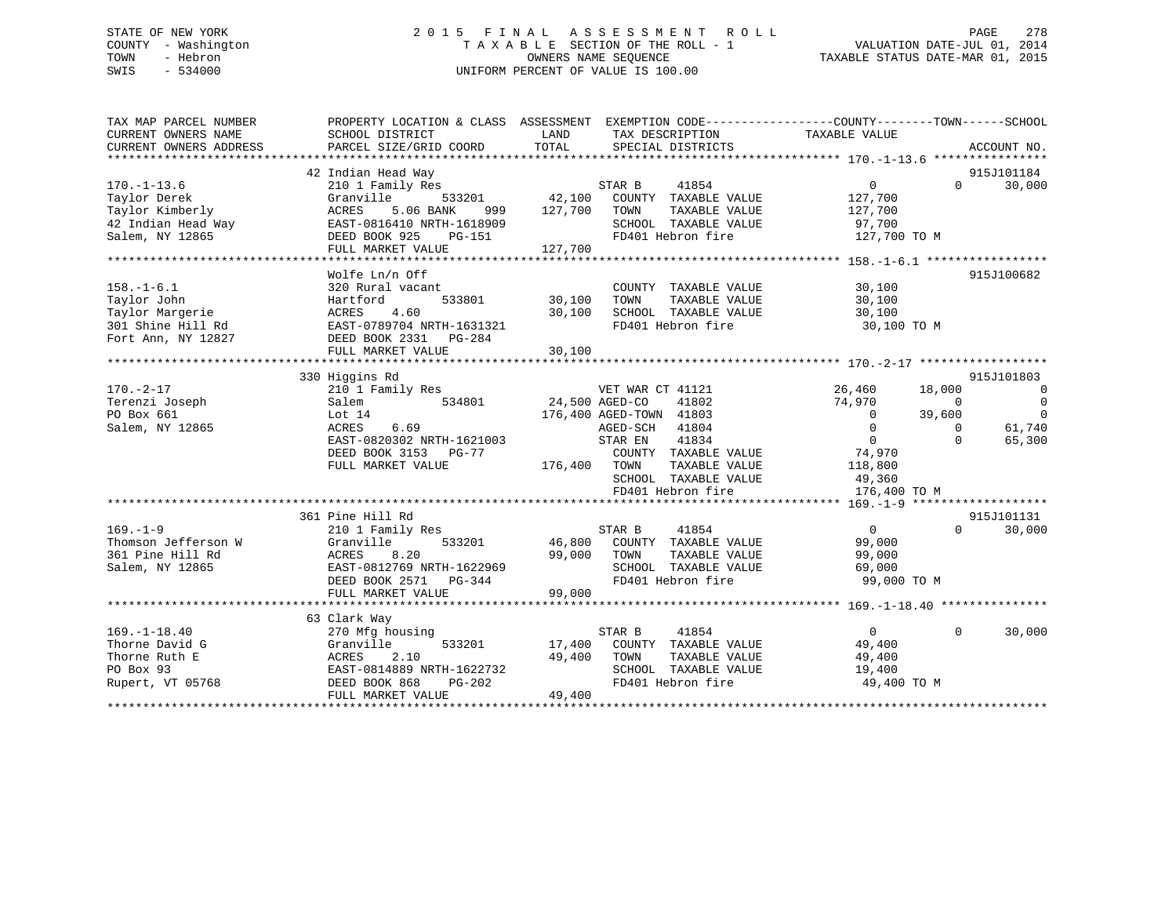# STATE OF NEW YORK 2 0 1 5 F I N A L A S S E S S M E N T R O L L PAGE 278 COUNTY - Washington T A X A B L E SECTION OF THE ROLL - 1 VALUATION DATE-JUL 01, 2014 TOWN - Hebron OWNERS NAME SEQUENCE TAXABLE STATUS DATE-MAR 01, 2015 SWIS - 534000 UNIFORM PERCENT OF VALUE IS 100.00

| TAX MAP PARCEL NUMBER                   | PROPERTY LOCATION & CLASS ASSESSMENT EXEMPTION CODE---------------COUNTY-------TOWN------SCHOOL |                       |                                               |                   |                |                          |
|-----------------------------------------|-------------------------------------------------------------------------------------------------|-----------------------|-----------------------------------------------|-------------------|----------------|--------------------------|
| CURRENT OWNERS NAME                     | SCHOOL DISTRICT                                                                                 | LAND                  | TAX DESCRIPTION                               | TAXABLE VALUE     |                |                          |
| CURRENT OWNERS ADDRESS                  | PARCEL SIZE/GRID COORD                                                                          | TOTAL                 | SPECIAL DISTRICTS                             |                   |                | ACCOUNT NO.              |
|                                         |                                                                                                 |                       |                                               |                   |                |                          |
|                                         | 42 Indian Head Way                                                                              |                       |                                               |                   |                | 915J101184               |
| $170. - 1 - 13.6$                       | 210 1 Family Res                                                                                |                       | STAR B<br>41854                               | $0 \qquad \qquad$ | $\Omega$       | 30,000                   |
| Taylor Derek                            | 533201<br>Granville                                                                             |                       | 42,100 COUNTY TAXABLE VALUE                   | 127,700           |                |                          |
| Taylor Kimberly                         | 5.06 BANK<br>ACRES<br>999                                                                       | 127,700 TOWN          | TAXABLE VALUE                                 | 127,700           |                |                          |
| 42 Indian Head Way                      | EAST-0816410 NRTH-1618909                                                                       |                       | SCHOOL TAXABLE VALUE                          | 97,700            |                |                          |
| Salem, NY 12865                         | DEED BOOK 925<br>PG-151                                                                         |                       | FD401 Hebron fire                             | 127,700 TO M      |                |                          |
|                                         | FULL MARKET VALUE                                                                               | 127,700               |                                               |                   |                |                          |
|                                         |                                                                                                 |                       |                                               |                   |                |                          |
|                                         | Wolfe Ln/n Off                                                                                  |                       |                                               |                   |                | 915J100682               |
| $158. - 1 - 6.1$                        | 320 Rural vacant                                                                                |                       | COUNTY TAXABLE VALUE                          | 30,100            |                |                          |
| Taylor John                             | Hartford                                                                                        | 533801 30,100         | TAXABLE VALUE<br>TOWN                         | 30,100            |                |                          |
| Taylor Margerie                         | 4.60<br>ACRES                                                                                   | 30,100                | SCHOOL TAXABLE VALUE                          | 30,100            |                |                          |
| 301 Shine Hill Rd                       | EAST-0789704 NRTH-1631321                                                                       |                       | FD401 Hebron fire                             | 30,100 TO M       |                |                          |
| Fort Ann, NY 12827                      | DEED BOOK 2331 PG-284                                                                           |                       |                                               |                   |                |                          |
|                                         | FULL MARKET VALUE                                                                               | 30,100                |                                               |                   |                |                          |
|                                         |                                                                                                 |                       |                                               |                   |                |                          |
|                                         | 330 Higgins Rd                                                                                  |                       |                                               |                   |                | 915J101803               |
| $170. - 2 - 17$                         | 210 1 Family Res WET WAR CT 41121                                                               |                       |                                               | 26,460            | 18,000         | $\overline{\phantom{0}}$ |
| Terenzi Joseph                          | Salem                                                                                           | 534801 24,500 AGED-CO | 41802                                         | 74,970            | $\overline{0}$ | $\overline{0}$           |
| PO Box 661                              | Lot 14                                                                                          |                       | 176,400 AGED-TOWN 41803                       | $\overline{0}$    | 39,600         | $\overline{0}$           |
| Salem, NY 12865                         | 6.69<br>ACRES                                                                                   |                       | AGED-SCH 41804                                | $\overline{0}$    | $\Omega$       | 61,740                   |
|                                         | EAST-0820302 NRTH-1621003                                                                       |                       | 41834<br>STAR EN                              | $\overline{0}$    | $\Omega$       | 65,300                   |
|                                         | DEED BOOK 3153 PG-77                                                                            |                       | COUNTY TAXABLE VALUE                          | 74,970            |                |                          |
|                                         | FULL MARKET VALUE                                                                               | 176,400 TOWN          | TAXABLE VALUE                                 | 118,800           |                |                          |
|                                         |                                                                                                 |                       | SCHOOL TAXABLE VALUE                          | 49,360            |                |                          |
|                                         |                                                                                                 |                       | FD401 Hebron fire                             | 176,400 TO M      |                |                          |
|                                         |                                                                                                 |                       |                                               |                   |                |                          |
| $169. - 1 - 9$                          | 361 Pine Hill Rd                                                                                |                       |                                               |                   |                | 915J101131               |
|                                         | 210 1 Family Res                                                                                |                       | STAR B<br>41854                               | $0 \qquad \qquad$ | $\Omega$       | 30,000                   |
| Thomson Jefferson W<br>361 Pine Hill Rd | Granville<br>533201                                                                             |                       | 46,800 COUNTY TAXABLE VALUE                   | 99,000            |                |                          |
|                                         | ACRES<br>8.20                                                                                   | 99,000 TOWN           | TAXABLE VALUE                                 | 99,000            |                |                          |
| Salem, NY 12865                         | EAST-0812769 NRTH-1622969                                                                       |                       | SCHOOL TAXABLE VALUE                          | 69,000            |                |                          |
|                                         | DEED BOOK 2571 PG-344                                                                           |                       | FD401 Hebron fire                             | 99,000 TO M       |                |                          |
|                                         | FULL MARKET VALUE                                                                               | 99,000                |                                               |                   |                |                          |
|                                         |                                                                                                 |                       |                                               |                   |                |                          |
| $169. - 1 - 18.40$                      | 63 Clark Way                                                                                    |                       | STAR B<br>41854                               | $\overline{0}$    | $\Omega$       | 30,000                   |
| Thorne David G                          | 270 Mfg housing<br>Granville<br>533201                                                          |                       | 17,400 COUNTY TAXABLE VALUE                   | 49,400            |                |                          |
|                                         | 2.10                                                                                            |                       |                                               |                   |                |                          |
| Thorne Ruth E                           | ACRES<br>EAST-0814889 NRTH-1622732                                                              | 49,400                | TOWN<br>TAXABLE VALUE<br>SCHOOL TAXABLE VALUE | 49,400            |                |                          |
| PO Box 93                               |                                                                                                 |                       | FD401 Hebron fire                             | 19,400            |                |                          |
| Rupert, VT 05768                        | DEED BOOK 868<br>PG-202<br>FULL MARKET VALUE                                                    | 49,400                |                                               | 49,400 TO M       |                |                          |
|                                         |                                                                                                 |                       |                                               |                   |                |                          |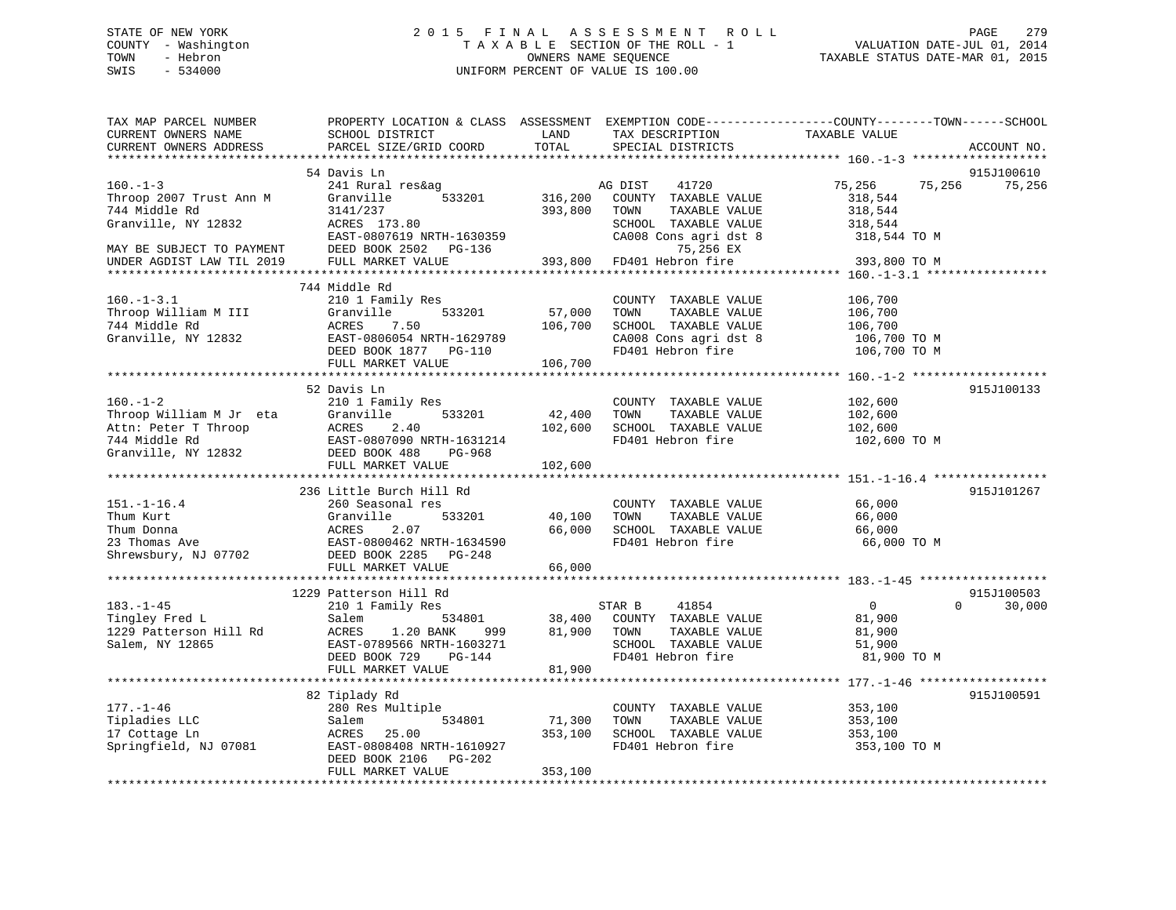# STATE OF NEW YORK 2 0 1 5 F I N A L A S S E S S M E N T R O L L PAGE 279 COUNTY - Washington T A X A B L E SECTION OF THE ROLL - 1 VALUATION DATE-JUL 01, 2014 TOWN - Hebron OWNERS NAME SEQUENCE TAXABLE STATUS DATE-MAR 01, 2015 SWIS - 534000 UNIFORM PERCENT OF VALUE IS 100.00

| TAX MAP PARCEL NUMBER<br>CURRENT OWNERS NAME<br>CURRENT OWNERS ADDRESS                                    | PROPERTY LOCATION & CLASS ASSESSMENT<br>SCHOOL DISTRICT<br>PARCEL SIZE/GRID COORD                                                                              | LAND<br>TOTAL                | TAX DESCRIPTION<br>SPECIAL DISTRICTS                                                                                | EXEMPTION CODE-----------------COUNTY-------TOWN------SCHOOL<br>TAXABLE VALUE | ACCOUNT NO. |
|-----------------------------------------------------------------------------------------------------------|----------------------------------------------------------------------------------------------------------------------------------------------------------------|------------------------------|---------------------------------------------------------------------------------------------------------------------|-------------------------------------------------------------------------------|-------------|
| ********************                                                                                      | 54 Davis Ln                                                                                                                                                    |                              |                                                                                                                     |                                                                               | 915J100610  |
| $160. - 1 - 3$<br>Throop 2007 Trust Ann M<br>744 Middle Rd<br>Granville, NY 12832                         | 241 Rural res&ag<br>533201<br>Granville<br>3141/237<br>ACRES 173.80<br>EAST-0807619 NRTH-1630359                                                               | 316,200<br>393,800           | AG DIST<br>41720<br>COUNTY TAXABLE VALUE<br>TAXABLE VALUE<br>TOWN<br>SCHOOL TAXABLE VALUE<br>CA008 Cons agri dst 8  | 75,256<br>75,256<br>318,544<br>318,544<br>318,544<br>318,544 TO M             | 75,256      |
| MAY BE SUBJECT TO PAYMENT<br>UNDER AGDIST LAW TIL 2019                                                    | DEED BOOK 2502 PG-136<br>FULL MARKET VALUE                                                                                                                     | 393,800                      | 75,256 EX<br>FD401 Hebron fire                                                                                      | 393,800 TO M                                                                  |             |
|                                                                                                           |                                                                                                                                                                |                              |                                                                                                                     |                                                                               |             |
| $160. - 1 - 3.1$<br>Throop William M III<br>744 Middle Rd<br>Granville, NY 12832                          | 744 Middle Rd<br>210 1 Family Res<br>533201<br>Granville<br>7.50<br>ACRES<br>EAST-0806054 NRTH-1629789<br>DEED BOOK 1877<br><b>PG-110</b><br>FULL MARKET VALUE | 57,000<br>106,700<br>106,700 | COUNTY TAXABLE VALUE<br>TOWN<br>TAXABLE VALUE<br>SCHOOL TAXABLE VALUE<br>CA008 Cons agri dst 8<br>FD401 Hebron fire | 106,700<br>106,700<br>106,700<br>106,700 TO M<br>106,700 TO M                 |             |
|                                                                                                           | *********************                                                                                                                                          |                              |                                                                                                                     |                                                                               |             |
| $160. - 1 - 2$<br>Throop William M Jr eta<br>Attn: Peter T Throop<br>744 Middle Rd<br>Granville, NY 12832 | 52 Davis Ln<br>210 1 Family Res<br>Granville<br>533201<br>ACRES<br>2.40<br>EAST-0807090 NRTH-1631214<br>DEED BOOK 488<br>PG-968                                | 42,400<br>102,600            | COUNTY TAXABLE VALUE<br>TAXABLE VALUE<br>TOWN<br>SCHOOL TAXABLE VALUE<br>FD401 Hebron fire                          | 102,600<br>102,600<br>102,600<br>102,600 TO M                                 | 915J100133  |
|                                                                                                           | FULL MARKET VALUE                                                                                                                                              | 102,600                      |                                                                                                                     |                                                                               |             |
|                                                                                                           | 236 Little Burch Hill Rd                                                                                                                                       |                              |                                                                                                                     |                                                                               | 915J101267  |
| $151. - 1 - 16.4$<br>Thum Kurt<br>Thum Donna<br>23 Thomas Ave<br>Shrewsbury, NJ 07702                     | 260 Seasonal res<br>Granville<br>533201<br>ACRES<br>2.07<br>EAST-0800462 NRTH-1634590<br>DEED BOOK 2285<br>$PG-248$<br>FULL MARKET VALUE                       | 40,100<br>66,000<br>66,000   | COUNTY TAXABLE VALUE<br>TAXABLE VALUE<br>TOWN<br>SCHOOL TAXABLE VALUE<br>FD401 Hebron fire                          | 66,000<br>66,000<br>66,000<br>66,000 TO M                                     |             |
|                                                                                                           | 1229 Patterson Hill Rd                                                                                                                                         |                              |                                                                                                                     |                                                                               | 915J100503  |
| $183. - 1 - 45$<br>Tingley Fred L<br>1229 Patterson Hill Rd<br>Salem, NY 12865                            | 210 1 Family Res<br>Salem<br>534801<br>ACRES<br>1.20 BANK<br>999<br>EAST-0789566 NRTH-1603271<br>DEED BOOK 729<br>PG-144                                       | 38,400<br>81,900             | STAR B<br>41854<br>COUNTY TAXABLE VALUE<br>TOWN<br>TAXABLE VALUE<br>SCHOOL TAXABLE VALUE<br>FD401 Hebron fire       | $\overline{0}$<br>$\Omega$<br>81,900<br>81,900<br>51,900<br>81,900 TO M       | 30,000      |
|                                                                                                           | FULL MARKET VALUE                                                                                                                                              | 81,900                       |                                                                                                                     |                                                                               |             |
|                                                                                                           |                                                                                                                                                                |                              |                                                                                                                     |                                                                               | 915J100591  |
| $177. - 1 - 46$<br>Tipladies LLC<br>17 Cottage Ln<br>Springfield, NJ 07081                                | 82 Tiplady Rd<br>280 Res Multiple<br>534801<br>Salem<br>25.00<br>ACRES<br>EAST-0808408 NRTH-1610927<br>DEED BOOK 2106<br>PG-202<br>FULL MARKET VALUE           | 71,300<br>353,100<br>353,100 | COUNTY TAXABLE VALUE<br>TOWN<br>TAXABLE VALUE<br>SCHOOL TAXABLE VALUE<br>FD401 Hebron fire                          | 353,100<br>353,100<br>353,100<br>353,100 TO M                                 |             |
|                                                                                                           |                                                                                                                                                                |                              |                                                                                                                     |                                                                               |             |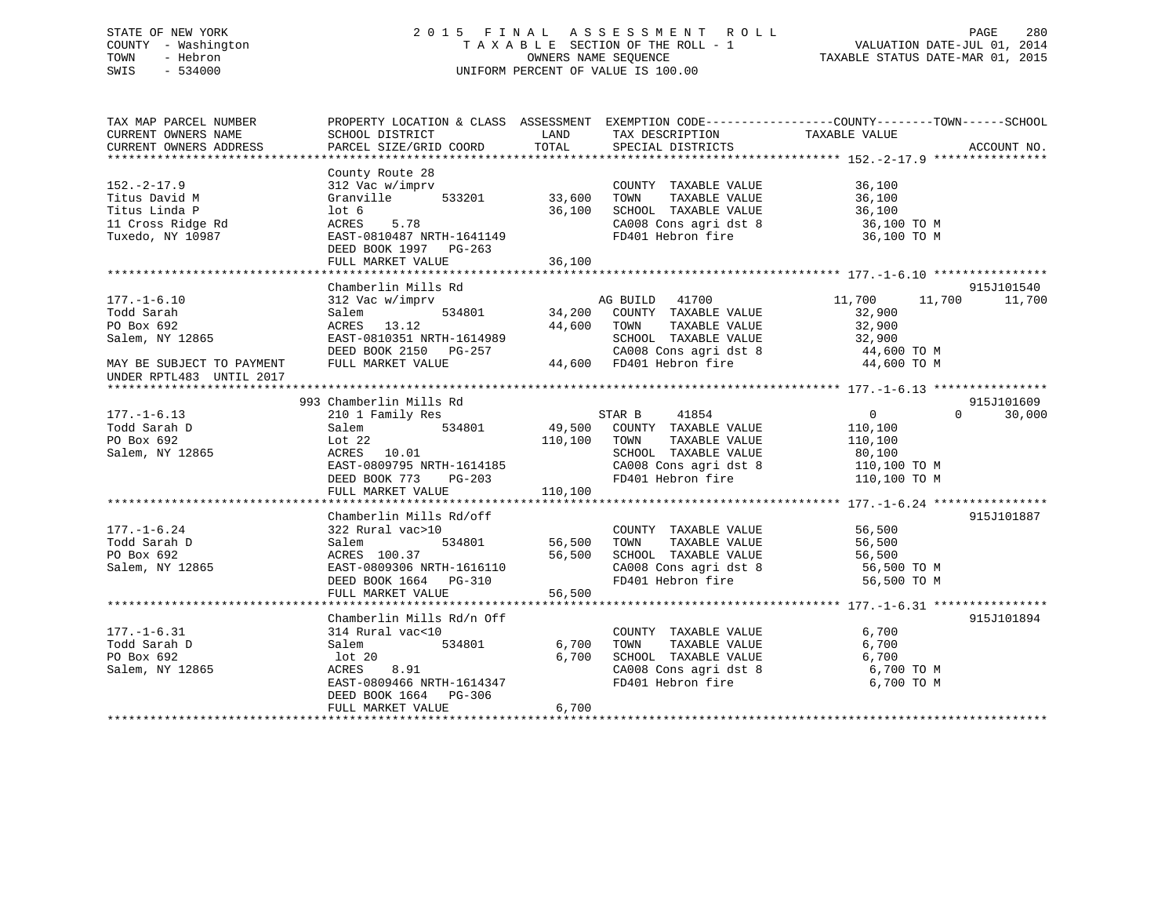# STATE OF NEW YORK 2 0 1 5 F I N A L A S S E S S M E N T R O L L PAGE 280 COUNTY - Washington T A X A B L E SECTION OF THE ROLL - 1 VALUATION DATE-JUL 01, 2014 TOWN - Hebron OWNERS NAME SEQUENCE TAXABLE STATUS DATE-MAR 01, 2015 SWIS - 534000 UNIFORM PERCENT OF VALUE IS 100.00

TAX MAP PARCEL NUMBER PROPERTY LOCATION & CLASS ASSESSMENT EXEMPTION CODE------------------COUNTY--------TOWN------SCHOOL CURRENT OWNERS NAME SCHOOL DISTRICT THE LAND TAX DESCRIPTION TAXABLE VALUE CURRENT OWNERS ADDRESS PARCEL SIZE/GRID COORD TOTAL SPECIAL DISTRICTS ACCOUNT NO. \*\*\*\*\*\*\*\*\*\*\*\*\*\*\*\*\*\*\*\*\*\*\*\*\*\*\*\*\*\*\*\*\*\*\*\*\*\*\*\*\*\*\*\*\*\*\*\*\*\*\*\*\*\*\*\*\*\*\*\*\*\*\*\*\*\*\*\*\*\*\*\*\*\*\*\*\*\*\*\*\*\*\*\*\*\*\*\*\*\*\*\*\*\*\*\*\*\*\*\*\*\*\* 152.-2-17.9 \*\*\*\*\*\*\*\*\*\*\*\*\*\*\*\* County Route 28 152.-2-17.9 312 Vac w/imprv COUNTY TAXABLE VALUE 36,100 Titus David M Granville 533201 33,600 TOWN TAXABLE VALUE 36,100 Titus Linda P lot 6 36,100 SCHOOL TAXABLE VALUE 36,100 11 Cross Ridge Rd ACRES 5.78 CA008 Cons agri dst 8 36,100 TO M Tuxedo, NY 10987 EAST-0810487 NRTH-1641149 FD401 Hebron fire 36,100 TO M DEED BOOK 1997 PG-263 FULL MARKET VALUE 36,100 \*\*\*\*\*\*\*\*\*\*\*\*\*\*\*\*\*\*\*\*\*\*\*\*\*\*\*\*\*\*\*\*\*\*\*\*\*\*\*\*\*\*\*\*\*\*\*\*\*\*\*\*\*\*\*\*\*\*\*\*\*\*\*\*\*\*\*\*\*\*\*\*\*\*\*\*\*\*\*\*\*\*\*\*\*\*\*\*\*\*\*\*\*\*\*\*\*\*\*\*\*\*\* 177.-1-6.10 \*\*\*\*\*\*\*\*\*\*\*\*\*\*\*\*Chamberlin Mills Rd 915J101540  $11,700$   $11,700$   $11,700$   $11,700$ 177.-1-6.10 312 Vac w/imprv AG BUILD 41700 11,700 11,700 11,700 Todd Sarah Salem 534801 34,200 COUNTY TAXABLE VALUE 32,900 PO Box 692 ACRES 13.12 44,600 TOWN TAXABLE VALUE 32,900 Salem, NY 12865 EAST-0810351 NRTH-1614989 SCHOOL TAXABLE VALUE 32,900 DEED BOOK 2150 PG-257 CA008 Cons agri dst 8 44,600 TO M MAY BE SUBJECT TO PAYMENT FULL MARKET VALUE 44,600 FD401 Hebron fire 44,600 TO M UNDER RPTL483 UNTIL 2017 \*\*\*\*\*\*\*\*\*\*\*\*\*\*\*\*\*\*\*\*\*\*\*\*\*\*\*\*\*\*\*\*\*\*\*\*\*\*\*\*\*\*\*\*\*\*\*\*\*\*\*\*\*\*\*\*\*\*\*\*\*\*\*\*\*\*\*\*\*\*\*\*\*\*\*\*\*\*\*\*\*\*\*\*\*\*\*\*\*\*\*\*\*\*\*\*\*\*\*\*\*\*\* 177.-1-6.13 \*\*\*\*\*\*\*\*\*\*\*\*\*\*\*\* 993 Chamberlin Mills Rd 915J101609177.-1-6.13 210 1 Family Res STAR B 41854 0 30,000 Todd Sarah D Salem 534801 49,500 COUNTY TAXABLE VALUE 110,100 PO Box 692 Lot 22 110,100 TOWN TAXABLE VALUE 110,100 Salem, NY 12865 ACRES 10.01 SCHOOL TAXABLE VALUE 80,100 EAST-0809795 NRTH-1614185 CA008 Cons agri dst 8 110,100 TO M DEED BOOK 773 PG-203 FD401 Hebron fire 110,100 TO M DEED BOOK 773 PG-203<br>FULL MARKET VALUE 110,100 \*\*\*\*\*\*\*\*\*\*\*\*\*\*\*\*\*\*\*\*\*\*\*\*\*\*\*\*\*\*\*\*\*\*\*\*\*\*\*\*\*\*\*\*\*\*\*\*\*\*\*\*\*\*\*\*\*\*\*\*\*\*\*\*\*\*\*\*\*\*\*\*\*\*\*\*\*\*\*\*\*\*\*\*\*\*\*\*\*\*\*\*\*\*\*\*\*\*\*\*\*\*\* 177.-1-6.24 \*\*\*\*\*\*\*\*\*\*\*\*\*\*\*\*915.T101887 Chamberlin Mills Rd/off 177.-1-6.24 322 Rural vac>10 COUNTY TAXABLE VALUE 56,500 Todd Sarah D Salem 534801 56,500 TOWN TAXABLE VALUE 56,500 PO Box 692 ACRES 100.37 56,500 SCHOOL TAXABLE VALUE 56,500 Salem, NY 12865 EAST-0809306 NRTH-1616110 CA008 Cons agri dst 8 56,500 TO M DEED BOOK 1664 PG-310 FD401 Hebron fire 56,500 TO M EAST-0809306 NKIR-101011<br>DEED BOOK 1664 PG-310 56,500 \*\*\*\*\*\*\*\*\*\*\*\*\*\*\*\*\*\*\*\*\*\*\*\*\*\*\*\*\*\*\*\*\*\*\*\*\*\*\*\*\*\*\*\*\*\*\*\*\*\*\*\*\*\*\*\*\*\*\*\*\*\*\*\*\*\*\*\*\*\*\*\*\*\*\*\*\*\*\*\*\*\*\*\*\*\*\*\*\*\*\*\*\*\*\*\*\*\*\*\*\*\*\* 177.-1-6.31 \*\*\*\*\*\*\*\*\*\*\*\*\*\*\*\*Chamberlin Mills Rd/n Off 915J101894 177.-1-6.31 314 Rural vac<10 COUNTY TAXABLE VALUE 6,700 Todd Sarah D Salem 534801 6,700 TOWN TAXABLE VALUE 6,700 PO Box 692 lot 20 6,700 SCHOOL TAXABLE VALUE 6,700 Salem, NY 12865 ACRES 8.91 CA008 Cons agri dst 8 6,700 TO M EAST-0809466 NRTH-1614347 FD401 Hebron fire 6,700 TO M DEED BOOK 1664 PG-306FULL MARKET VALUE 6,700 \*\*\*\*\*\*\*\*\*\*\*\*\*\*\*\*\*\*\*\*\*\*\*\*\*\*\*\*\*\*\*\*\*\*\*\*\*\*\*\*\*\*\*\*\*\*\*\*\*\*\*\*\*\*\*\*\*\*\*\*\*\*\*\*\*\*\*\*\*\*\*\*\*\*\*\*\*\*\*\*\*\*\*\*\*\*\*\*\*\*\*\*\*\*\*\*\*\*\*\*\*\*\*\*\*\*\*\*\*\*\*\*\*\*\*\*\*\*\*\*\*\*\*\*\*\*\*\*\*\*\*\*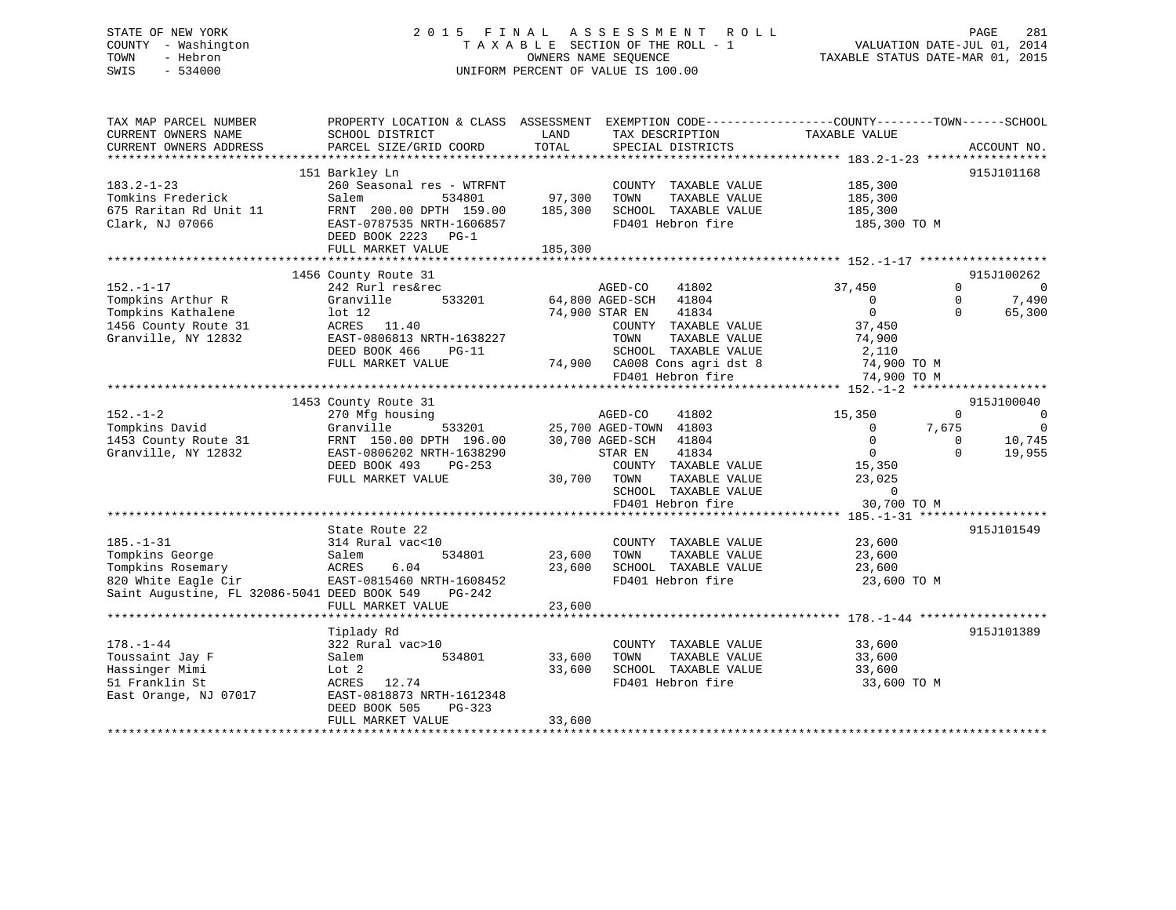# STATE OF NEW YORK 2 0 1 5 F I N A L A S S E S S M E N T R O L L PAGE 281 COUNTY - Washington T A X A B L E SECTION OF THE ROLL - 1 VALUATION DATE-JUL 01, 2014 TOWN - Hebron OWNERS NAME SEQUENCE TAXABLE STATUS DATE-MAR 01, 2015 SWIS - 534000 UNIFORM PERCENT OF VALUE IS 100.00

| TAX MAP PARCEL NUMBER<br>CURRENT OWNERS NAME                                                                                   | PROPERTY LOCATION & CLASS ASSESSMENT<br>SCHOOL DISTRICT                                                                                                                  | LAND              | TAX DESCRIPTION                                                                                                                                                                                    | EXEMPTION CODE-----------------COUNTY-------TOWN------SCHOOL<br>TAXABLE VALUE             |                                                                                           |
|--------------------------------------------------------------------------------------------------------------------------------|--------------------------------------------------------------------------------------------------------------------------------------------------------------------------|-------------------|----------------------------------------------------------------------------------------------------------------------------------------------------------------------------------------------------|-------------------------------------------------------------------------------------------|-------------------------------------------------------------------------------------------|
| CURRENT OWNERS ADDRESS                                                                                                         | PARCEL SIZE/GRID COORD                                                                                                                                                   | TOTAL             | SPECIAL DISTRICTS                                                                                                                                                                                  |                                                                                           | ACCOUNT NO.                                                                               |
| $183.2 - 1 - 23$<br>Tomkins Frederick<br>675 Raritan Rd Unit 11<br>Clark, NJ 07066                                             | 151 Barkley Ln<br>260 Seasonal res - WTRFNT<br>Salem<br>534801<br>FRNT 200.00 DPTH 159.00<br>EAST-0787535 NRTH-1606857                                                   | 97,300<br>185,300 | COUNTY TAXABLE VALUE<br>TOWN<br>TAXABLE VALUE<br>SCHOOL TAXABLE VALUE<br>FD401 Hebron fire                                                                                                         | 185,300<br>185,300<br>185,300<br>185,300 TO M                                             | 915J101168                                                                                |
|                                                                                                                                | DEED BOOK 2223<br>$PG-1$<br>FULL MARKET VALUE                                                                                                                            | 185,300           |                                                                                                                                                                                                    |                                                                                           |                                                                                           |
|                                                                                                                                | 1456 County Route 31                                                                                                                                                     |                   |                                                                                                                                                                                                    |                                                                                           | 915J100262                                                                                |
| $152. - 1 - 17$<br>Tompkins Arthur R<br>Tompkins Kathalene<br>1456 County Route 31<br>Granville, NY 12832                      | 242 Rurl res&rec<br>Granville<br>533201<br>$1$ ot $12$<br>ACRES 11.40<br>EAST-0806813 NRTH-1638227<br>DEED BOOK 466<br>$PG-11$<br>FULL MARKET VALUE                      |                   | AGED-CO<br>41802<br>64,800 AGED-SCH 41804<br>74,900 STAR EN<br>41834<br>COUNTY TAXABLE VALUE<br>TOWN<br>TAXABLE VALUE<br>SCHOOL TAXABLE VALUE<br>74,900 CA008 Cons agri dst 8<br>FD401 Hebron fire | 37,450<br>$\Omega$<br>$\Omega$<br>37,450<br>74,900<br>2,110<br>74,900 TO M<br>74,900 TO M | $\Omega$<br>$\Omega$<br>$\Omega$<br>7,490<br>$\Omega$<br>65,300                           |
|                                                                                                                                |                                                                                                                                                                          |                   |                                                                                                                                                                                                    |                                                                                           |                                                                                           |
| $152. - 1 - 2$<br>Tompkins David<br>1453 County Route 31<br>Granville, NY 12832                                                | 1453 County Route 31<br>270 Mfg housing<br>533201<br>Granville<br>FRNT 150.00 DPTH 196.00<br>EAST-0806202 NRTH-1638290<br>DEED BOOK 493<br>$PG-253$<br>FULL MARKET VALUE | 30,700            | AGED-CO<br>41802<br>25,700 AGED-TOWN 41803<br>30,700 AGED-SCH<br>41804<br>STAR EN<br>41834<br>COUNTY TAXABLE VALUE<br>TOWN<br>TAXABLE VALUE                                                        | 15,350<br>7,675<br>$\Omega$<br>$\overline{0}$<br>$\overline{0}$<br>15,350<br>23,025       | 915J100040<br>0<br>$\Omega$<br>$\overline{0}$<br>10,745<br>$\Omega$<br>$\Omega$<br>19,955 |
|                                                                                                                                |                                                                                                                                                                          |                   | SCHOOL TAXABLE VALUE<br>FD401 Hebron fire                                                                                                                                                          | $\Omega$<br>30,700 TO M                                                                   |                                                                                           |
|                                                                                                                                |                                                                                                                                                                          |                   |                                                                                                                                                                                                    |                                                                                           |                                                                                           |
| $185. - 1 - 31$<br>Tompkins George<br>Tompkins Rosemary<br>820 White Eagle Cir<br>Saint Augustine, FL 32086-5041 DEED BOOK 549 | State Route 22<br>314 Rural vac<10<br>534801<br>Salem<br>ACRES<br>6.04<br>EAST-0815460 NRTH-1608452<br>PG-242                                                            | 23,600<br>23,600  | COUNTY TAXABLE VALUE<br>TAXABLE VALUE<br>TOWN<br>SCHOOL TAXABLE VALUE<br>FD401 Hebron fire                                                                                                         | 23,600<br>23,600<br>23,600<br>23,600 TO M                                                 | 915J101549                                                                                |
|                                                                                                                                | FULL MARKET VALUE                                                                                                                                                        | 23,600            |                                                                                                                                                                                                    |                                                                                           |                                                                                           |
| $178. - 1 - 44$<br>Toussaint Jay F<br>Hassinger Mimi<br>51 Franklin St<br>East Orange, NJ 07017                                | Tiplady Rd<br>322 Rural vac>10<br>534801<br>Salem<br>Lot 2<br>12.74<br>ACRES<br>EAST-0818873 NRTH-1612348<br>DEED BOOK 505<br>PG-323                                     | 33,600<br>33,600  | COUNTY TAXABLE VALUE<br>TOWN<br>TAXABLE VALUE<br>SCHOOL TAXABLE VALUE<br>FD401 Hebron fire                                                                                                         | 33,600<br>33,600<br>33,600<br>33,600 TO M                                                 | 915J101389                                                                                |
|                                                                                                                                | FULL MARKET VALUE                                                                                                                                                        | 33,600            |                                                                                                                                                                                                    |                                                                                           |                                                                                           |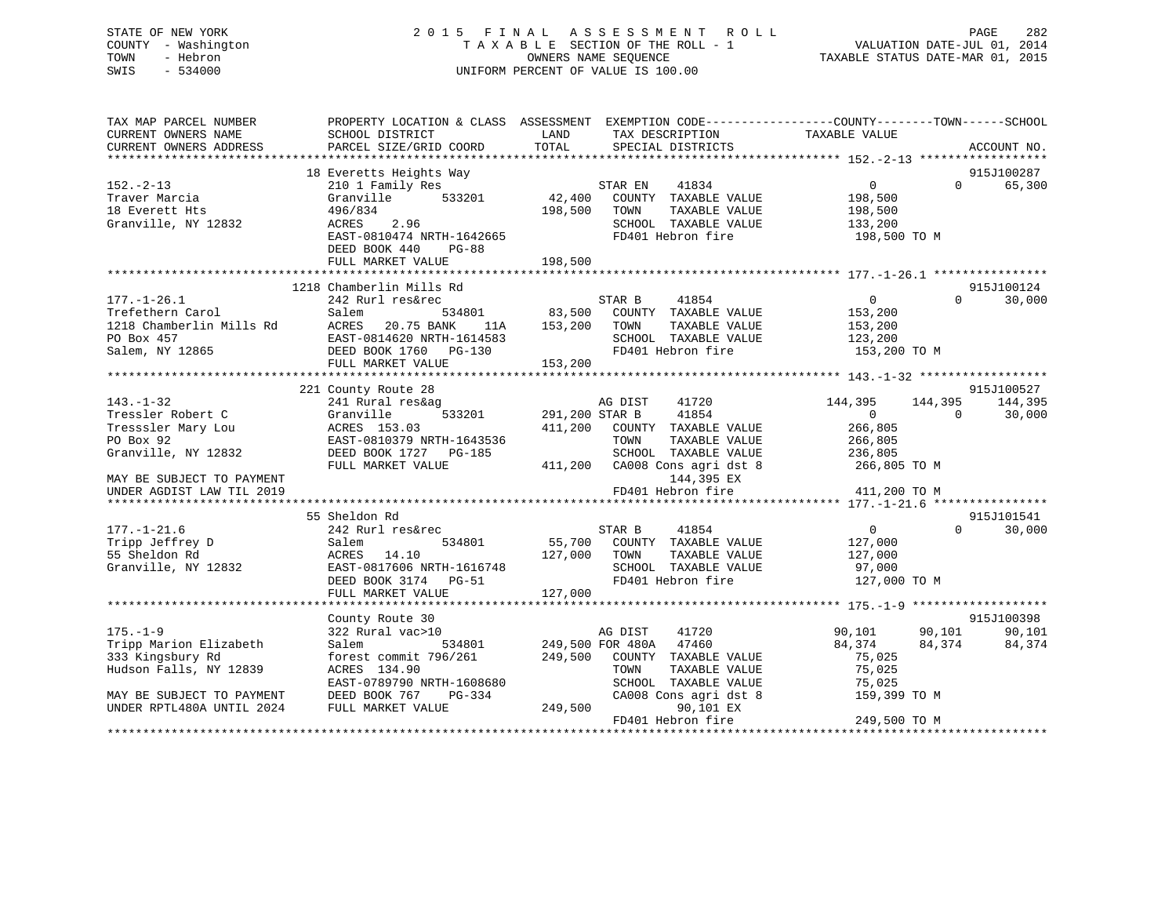# STATE OF NEW YORK 2 0 1 5 F I N A L A S S E S S M E N T R O L L PAGE 282 COUNTY - Washington T A X A B L E SECTION OF THE ROLL - 1 VALUATION DATE-JUL 01, 2014 TOWN - Hebron OWNERS NAME SEQUENCE TAXABLE STATUS DATE-MAR 01, 2015 SWIS - 534000 UNIFORM PERCENT OF VALUE IS 100.00

| TAX MAP PARCEL NUMBER<br>CURRENT OWNERS NAME<br>CURRENT OWNERS ADDRESS                                                                                   | PROPERTY LOCATION & CLASS ASSESSMENT EXEMPTION CODE----------------COUNTY-------TOWN-----SCHOOL<br>SCHOOL DISTRICT<br>PARCEL SIZE/GRID COORD                                 | LAND<br>TOTAL                | TAX DESCRIPTION<br>SPECIAL DISTRICTS                                                                                                                                           | TAXABLE VALUE                                                                        |                     | ACCOUNT NO.                    |
|----------------------------------------------------------------------------------------------------------------------------------------------------------|------------------------------------------------------------------------------------------------------------------------------------------------------------------------------|------------------------------|--------------------------------------------------------------------------------------------------------------------------------------------------------------------------------|--------------------------------------------------------------------------------------|---------------------|--------------------------------|
|                                                                                                                                                          |                                                                                                                                                                              |                              |                                                                                                                                                                                |                                                                                      |                     |                                |
| $152 - 2 - 13$<br>Traver Marcia<br>18 Everett Hts<br>Granville, NY 12832                                                                                 | 18 Everetts Heights Way<br>210 1 Family Res<br>Granville<br>533201<br>496/834<br>ACRES<br>2.96<br>EAST-0810474 NRTH-1642665<br>DEED BOOK 440<br>$PG-88$<br>FULL MARKET VALUE | 42,400<br>198,500<br>198,500 | STAR EN<br>41834<br>COUNTY TAXABLE VALUE<br>TOWN<br>TAXABLE VALUE<br>SCHOOL TAXABLE VALUE<br>FD401 Hebron fire                                                                 | $\overline{0}$<br>198,500<br>198,500<br>133,200<br>198,500 TO M                      | $\Omega$            | 915J100287<br>65,300           |
|                                                                                                                                                          |                                                                                                                                                                              |                              |                                                                                                                                                                                |                                                                                      |                     |                                |
| $177. - 1 - 26.1$<br>Trefethern Carol<br>1218 Chamberlin Mills Rd<br>PO Box 457<br>Salem, NY 12865                                                       | 1218 Chamberlin Mills Rd<br>242 Rurl res&rec<br>534801<br>Salem<br>ACRES<br>20.75 BANK<br>11A<br>EAST-0814620 NRTH-1614583<br>DEED BOOK 1760 PG-130<br>FULL MARKET VALUE     | 153,200<br>153,200           | STAR B<br>41854<br>83,500 COUNTY TAXABLE VALUE<br>TOWN<br>TAXABLE VALUE<br>SCHOOL TAXABLE VALUE<br>FD401 Hebron fire                                                           | $\overline{0}$<br>153,200<br>153,200<br>123,200<br>153,200 TO M                      | $\Omega$            | 915J100124<br>30,000           |
|                                                                                                                                                          | 221 County Route 28                                                                                                                                                          |                              |                                                                                                                                                                                |                                                                                      |                     | 915J100527                     |
| $143. - 1 - 32$<br>Tressler Robert C<br>Tresssler Mary Lou<br>PO Box 92<br>Granville, NY 12832<br>MAY BE SUBJECT TO PAYMENT<br>UNDER AGDIST LAW TIL 2019 | 241 Rural res&ag<br>533201<br>Granville<br>ACRES 153.03<br>EAST-0810379 NRTH-1643536<br>DEED BOOK 1727 PG-185<br>FULL MARKET VALUE                                           | 291,200 STAR B               | AG DIST<br>41720<br>41854<br>411,200 COUNTY TAXABLE VALUE<br>TAXABLE VALUE<br>TOWN<br>SCHOOL TAXABLE VALUE<br>411,200 CA008 Cons agri dst 8<br>144,395 EX<br>FD401 Hebron fire | 144,395<br>$\Omega$<br>266,805<br>266,805<br>236,805<br>266,805 TO M<br>411,200 TO M | 144,395<br>$\Omega$ | 144,395<br>30,000              |
|                                                                                                                                                          |                                                                                                                                                                              |                              |                                                                                                                                                                                |                                                                                      |                     |                                |
| $177. - 1 - 21.6$<br>Tripp Jeffrey D<br>55 Sheldon Rd<br>Granville, NY 12832                                                                             | 55 Sheldon Rd<br>242 Rurl res&rec<br>534801<br>Salem<br>ACRES 14.10<br>EAST-0817606 NRTH-1616748<br>DEED BOOK 3174 PG-51<br>FULL MARKET VALUE                                | 55,700<br>127,000<br>127,000 | STAR B<br>41854<br>COUNTY TAXABLE VALUE<br>TOWN<br>TAXABLE VALUE<br>SCHOOL TAXABLE VALUE<br>FD401 Hebron fire                                                                  | 0<br>127,000<br>127,000<br>97,000<br>127,000 TO M                                    | $\Omega$            | 915J101541<br>30,000           |
|                                                                                                                                                          |                                                                                                                                                                              |                              |                                                                                                                                                                                |                                                                                      |                     |                                |
| $175. - 1 - 9$<br>Tripp Marion Elizabeth<br>333 Kingsbury Rd<br>Hudson Falls, NY 12839<br>MAY BE SUBJECT TO PAYMENT                                      | County Route 30<br>322 Rural vac>10<br>534801<br>Salem<br>forest commit 796/261<br>ACRES 134.90<br>EAST-0789790 NRTH-1608680<br>DEED BOOK 767<br>PG-334                      | 249,500                      | AG DIST<br>41720<br>249,500 FOR 480A 47460<br>COUNTY TAXABLE VALUE<br>TAXABLE VALUE<br>TOWN<br>SCHOOL TAXABLE VALUE<br>CA008 Cons agri dst 8                                   | 90,101<br>84,374<br>75,025<br>75,025<br>75,025<br>159,399 TO M                       | 90,101<br>84,374    | 915J100398<br>90,101<br>84,374 |
| UNDER RPTL480A UNTIL 2024                                                                                                                                | FULL MARKET VALUE                                                                                                                                                            | 249,500                      | 90,101 EX<br>FD401 Hebron fire                                                                                                                                                 | 249,500 TO M                                                                         |                     |                                |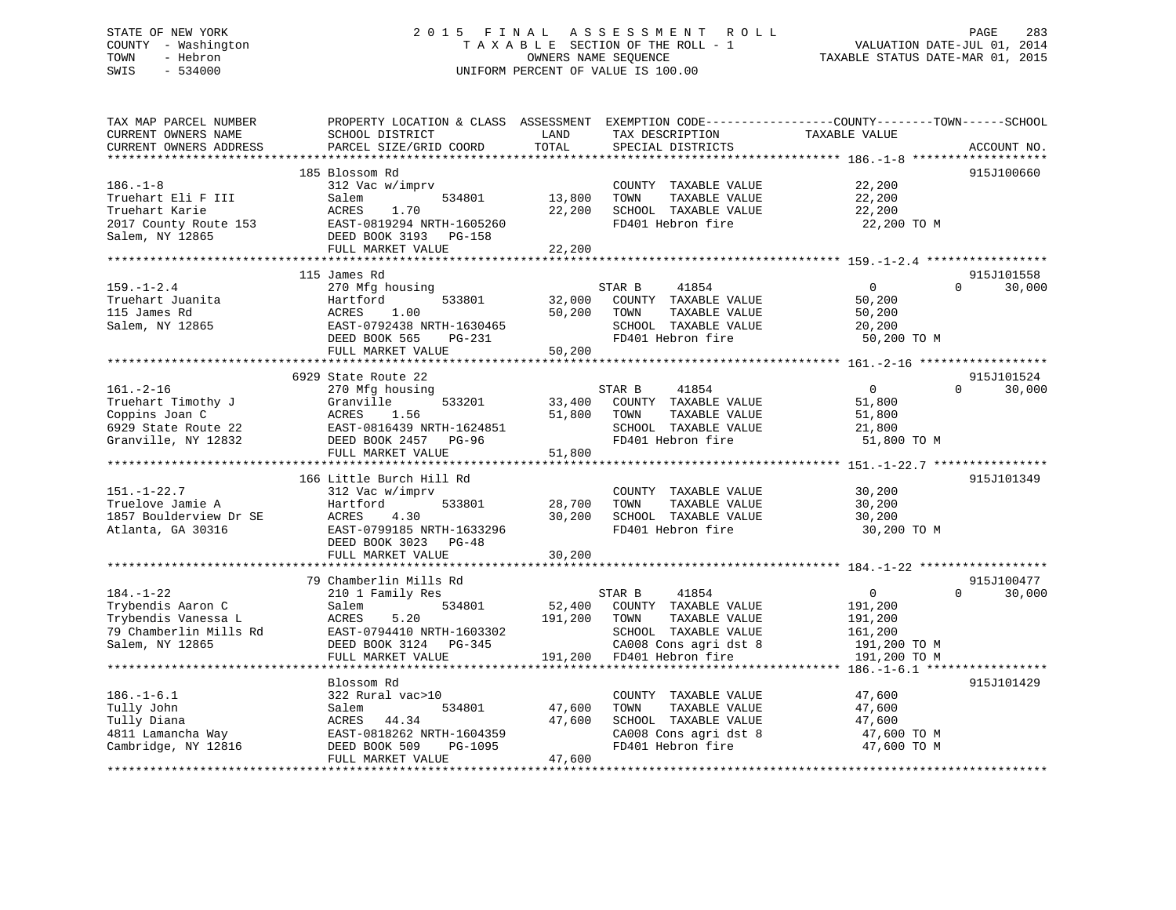# STATE OF NEW YORK 2 0 1 5 F I N A L A S S E S S M E N T R O L L PAGE 283 COUNTY - Washington T A X A B L E SECTION OF THE ROLL - 1 VALUATION DATE-JUL 01, 2014 TOWN - Hebron OWNERS NAME SEQUENCE TAXABLE STATUS DATE-MAR 01, 2015 SWIS - 534000 UNIFORM PERCENT OF VALUE IS 100.00

| TAX MAP PARCEL NUMBER<br>CURRENT OWNERS NAME<br>CURRENT OWNERS ADDRESS | PROPERTY LOCATION & CLASS ASSESSMENT<br>SCHOOL DISTRICT<br>PARCEL SIZE/GRID COORD | LAND<br>TOTAL | TAX DESCRIPTION<br>SPECIAL DISTRICTS | EXEMPTION CODE-----------------COUNTY-------TOWN------SCHOOL<br>TAXABLE VALUE | ACCOUNT NO.        |
|------------------------------------------------------------------------|-----------------------------------------------------------------------------------|---------------|--------------------------------------|-------------------------------------------------------------------------------|--------------------|
|                                                                        |                                                                                   |               |                                      |                                                                               |                    |
|                                                                        | 185 Blossom Rd                                                                    |               |                                      |                                                                               | 915J100660         |
| $186. - 1 - 8$                                                         | 312 Vac w/imprv                                                                   |               | COUNTY TAXABLE VALUE                 | 22,200                                                                        |                    |
| Truehart Eli F III                                                     | Salem<br>534801                                                                   | 13,800        | TAXABLE VALUE<br>TOWN                | 22,200                                                                        |                    |
| Truehart Karie                                                         | ACRES<br>1.70                                                                     | 22,200        | SCHOOL TAXABLE VALUE                 | 22,200                                                                        |                    |
| 2017 County Route 153                                                  | EAST-0819294 NRTH-1605260                                                         |               | FD401 Hebron fire                    | 22,200 TO M                                                                   |                    |
| Salem, NY 12865                                                        | DEED BOOK 3193<br>PG-158                                                          |               |                                      |                                                                               |                    |
|                                                                        | FULL MARKET VALUE                                                                 | 22,200        |                                      |                                                                               |                    |
|                                                                        | 115 James Rd                                                                      |               |                                      |                                                                               | 915J101558         |
| $159. - 1 - 2.4$                                                       | 270 Mfg housing                                                                   |               | STAR B<br>41854                      | $\mathbf 0$                                                                   | 30,000<br>$\Omega$ |
| Truehart Juanita                                                       | Hartford<br>533801                                                                | 32,000        | COUNTY TAXABLE VALUE                 | 50,200                                                                        |                    |
| 115 James Rd                                                           | 1.00<br>ACRES                                                                     | 50,200        | TOWN<br>TAXABLE VALUE                | 50,200                                                                        |                    |
| Salem, NY 12865                                                        | EAST-0792438 NRTH-1630465                                                         |               | SCHOOL TAXABLE VALUE                 | 20,200                                                                        |                    |
|                                                                        | DEED BOOK 565<br>PG-231                                                           |               | FD401 Hebron fire                    | 50,200 TO M                                                                   |                    |
|                                                                        | FULL MARKET VALUE                                                                 | 50,200        |                                      |                                                                               |                    |
|                                                                        |                                                                                   |               |                                      |                                                                               |                    |
|                                                                        | 6929 State Route 22                                                               |               |                                      |                                                                               | 915J101524         |
| $161. - 2 - 16$                                                        | 270 Mfg housing                                                                   |               | 41854<br>STAR B                      | $\mathbf{0}$                                                                  | $\Omega$<br>30,000 |
| Truehart Timothy J                                                     | Granville<br>533201                                                               | 33,400        | COUNTY TAXABLE VALUE                 | 51,800                                                                        |                    |
| Coppins Joan C                                                         | ACRES<br>1.56                                                                     | 51,800        | TOWN<br>TAXABLE VALUE                | 51,800                                                                        |                    |
| 6929 State Route 22                                                    | EAST-0816439 NRTH-1624851                                                         |               | SCHOOL TAXABLE VALUE                 | 21,800                                                                        |                    |
| Granville, NY 12832                                                    | DEED BOOK 2457<br>PG-96                                                           |               | FD401 Hebron fire                    | 51,800 TO M                                                                   |                    |
|                                                                        | FULL MARKET VALUE                                                                 | 51,800        |                                      |                                                                               |                    |
|                                                                        |                                                                                   |               |                                      |                                                                               |                    |
|                                                                        | 166 Little Burch Hill Rd                                                          |               |                                      |                                                                               | 915J101349         |
| $151. - 1 - 22.7$                                                      | 312 Vac w/imprv                                                                   |               | COUNTY TAXABLE VALUE                 | 30,200                                                                        |                    |
| Truelove Jamie A                                                       | Hartford<br>533801                                                                | 28,700        | TOWN<br>TAXABLE VALUE                | 30,200                                                                        |                    |
| 1857 Boulderview Dr SE                                                 | 4.30<br>ACRES                                                                     | 30,200        | SCHOOL TAXABLE VALUE                 | 30,200                                                                        |                    |
| Atlanta, GA 30316                                                      | EAST-0799185 NRTH-1633296                                                         |               | FD401 Hebron fire                    | 30,200 TO M                                                                   |                    |
|                                                                        | DEED BOOK 3023<br>$PG-48$                                                         |               |                                      |                                                                               |                    |
|                                                                        | FULL MARKET VALUE                                                                 | 30,200        |                                      |                                                                               |                    |
|                                                                        |                                                                                   |               |                                      |                                                                               |                    |
|                                                                        | 79 Chamberlin Mills Rd                                                            |               |                                      |                                                                               | 915J100477         |
| $184. - 1 - 22$                                                        | 210 1 Family Res                                                                  |               | STAR B<br>41854                      | $\overline{0}$                                                                | $\Omega$<br>30,000 |
| Trybendis Aaron C                                                      | 534801<br>Salem                                                                   | 52,400        | COUNTY TAXABLE VALUE                 | 191,200                                                                       |                    |
| Trybendis Vanessa L                                                    | ACRES<br>5.20                                                                     | 191,200       | TAXABLE VALUE<br>TOWN                | 191,200                                                                       |                    |
| 79 Chamberlin Mills Rd                                                 | EAST-0794410 NRTH-1603302                                                         |               | SCHOOL TAXABLE VALUE                 | 161,200                                                                       |                    |
| Salem, NY 12865                                                        | DEED BOOK 3124<br>PG-345                                                          |               | CA008 Cons agri dst 8                | 191,200 TO M                                                                  |                    |
|                                                                        | FULL MARKET VALUE                                                                 | 191,200       | FD401 Hebron fire                    | 191,200 TO M                                                                  |                    |
|                                                                        |                                                                                   |               |                                      |                                                                               |                    |
|                                                                        | Blossom Rd                                                                        |               |                                      |                                                                               | 915J101429         |
| $186. - 1 - 6.1$                                                       | 322 Rural vac>10                                                                  |               | COUNTY TAXABLE VALUE                 | 47,600                                                                        |                    |
| Tully John                                                             | 534801<br>Salem                                                                   | 47,600        | TOWN<br>TAXABLE VALUE                | 47,600                                                                        |                    |
| Tully Diana                                                            | 44.34<br>ACRES                                                                    | 47,600        | SCHOOL TAXABLE VALUE                 | 47,600                                                                        |                    |
| 4811 Lamancha Way                                                      | EAST-0818262 NRTH-1604359                                                         |               | CA008 Cons agri dst 8                | 47,600 TO M                                                                   |                    |
| Cambridge, NY 12816                                                    | DEED BOOK 509<br>PG-1095                                                          |               | FD401 Hebron fire                    | 47,600 TO M                                                                   |                    |
|                                                                        | FULL MARKET VALUE                                                                 | 47,600        |                                      |                                                                               |                    |
|                                                                        |                                                                                   |               |                                      |                                                                               |                    |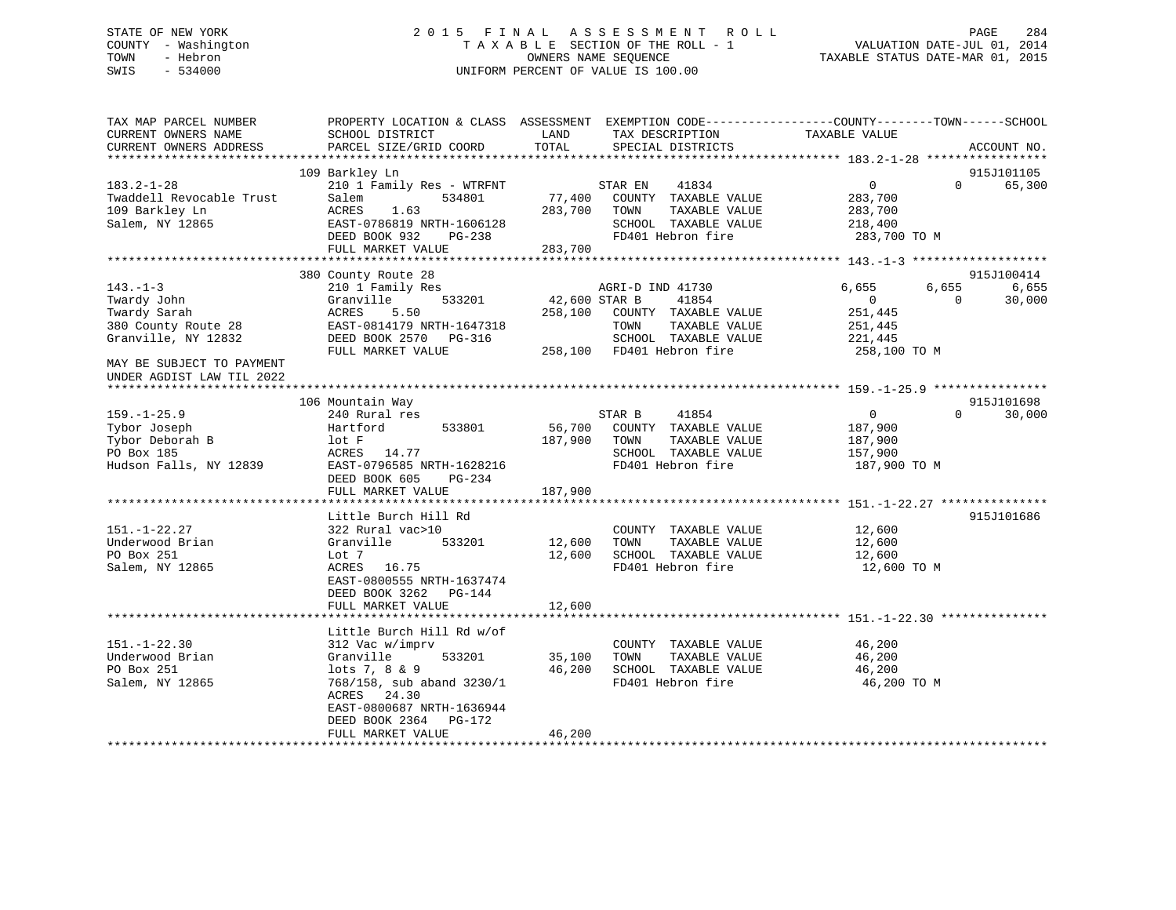# STATE OF NEW YORK 2 0 1 5 F I N A L A S S E S S M E N T R O L L PAGE 284 COUNTY - Washington T A X A B L E SECTION OF THE ROLL - 1 VALUATION DATE-JUL 01, 2014 TOWN - Hebron OWNERS NAME SEQUENCE TAXABLE STATUS DATE-MAR 01, 2015 SWIS - 534000 UNIFORM PERCENT OF VALUE IS 100.00

| TAX MAP PARCEL NUMBER<br>CURRENT OWNERS NAME                                                 | PROPERTY LOCATION & CLASS ASSESSMENT<br>SCHOOL DISTRICT                                                                                               | LAND<br>TOTAL                | TAX DESCRIPTION                                                                                                | EXEMPTION CODE-----------------COUNTY-------TOWN------SCHOOL<br>TAXABLE VALUE |                                                    |
|----------------------------------------------------------------------------------------------|-------------------------------------------------------------------------------------------------------------------------------------------------------|------------------------------|----------------------------------------------------------------------------------------------------------------|-------------------------------------------------------------------------------|----------------------------------------------------|
| CURRENT OWNERS ADDRESS                                                                       | PARCEL SIZE/GRID COORD                                                                                                                                |                              | SPECIAL DISTRICTS                                                                                              |                                                                               | ACCOUNT NO.                                        |
|                                                                                              | 109 Barkley Ln                                                                                                                                        |                              |                                                                                                                |                                                                               | 915J101105                                         |
| $183.2 - 1 - 28$<br>Twaddell Revocable Trust<br>109 Barkley Ln<br>Salem, NY 12865            | 210 1 Family Res - WTRFNT<br>Salem<br>534801<br><b>ACRES</b><br>1.63<br>EAST-0786819 NRTH-1606128<br>DEED BOOK 932<br>$PG-238$<br>FULL MARKET VALUE   | 77,400<br>283,700<br>283,700 | 41834<br>STAR EN<br>COUNTY TAXABLE VALUE<br>TOWN<br>TAXABLE VALUE<br>SCHOOL TAXABLE VALUE<br>FD401 Hebron fire | $\overline{0}$<br>283,700<br>283,700<br>218,400<br>283,700 TO M               | 65,300<br>$\Omega$                                 |
|                                                                                              |                                                                                                                                                       |                              |                                                                                                                |                                                                               |                                                    |
| $143. - 1 - 3$<br>Twardy John<br>Twardy Sarah                                                | 380 County Route 28<br>210 1 Family Res<br>Granville<br>533201<br>ACRES<br>5.50                                                                       | 42,600 STAR B<br>258,100     | AGRI-D IND 41730<br>41854<br>COUNTY TAXABLE VALUE                                                              | 6,655<br>$\overline{0}$<br>251,445                                            | 915J100414<br>6,655<br>6,655<br>$\Omega$<br>30,000 |
| 380 County Route 28<br>Granville, NY 12832                                                   | EAST-0814179 NRTH-1647318<br>DEED BOOK 2570 PG-316<br>FULL MARKET VALUE                                                                               | 258,100                      | TOWN<br>TAXABLE VALUE<br>SCHOOL TAXABLE VALUE<br>FD401 Hebron fire                                             | 251,445<br>221,445<br>258,100 TO M                                            |                                                    |
| MAY BE SUBJECT TO PAYMENT<br>UNDER AGDIST LAW TIL 2022<br>******************************     |                                                                                                                                                       |                              |                                                                                                                |                                                                               |                                                    |
|                                                                                              | 106 Mountain Way                                                                                                                                      |                              |                                                                                                                |                                                                               | 915J101698                                         |
| $159. - 1 - 25.9$<br>Tybor Joseph<br>Tybor Deborah B<br>PO Box 185<br>Hudson Falls, NY 12839 | 240 Rural res<br>533801<br>Hartford<br>lot F<br>ACRES<br>14.77<br>EAST-0796585 NRTH-1628216<br>DEED BOOK 605<br>$PG-234$                              | 56,700<br>187,900            | 41854<br>STAR B<br>COUNTY TAXABLE VALUE<br>TOWN<br>TAXABLE VALUE<br>SCHOOL TAXABLE VALUE<br>FD401 Hebron fire  | $\overline{0}$<br>187,900<br>187,900<br>157,900<br>187,900 TO M               | $\Omega$<br>30,000                                 |
|                                                                                              | FULL MARKET VALUE                                                                                                                                     | 187,900                      |                                                                                                                |                                                                               |                                                    |
| $151. - 1 - 22.27$<br>Underwood Brian<br>PO Box 251<br>Salem, NY 12865                       | Little Burch Hill Rd<br>322 Rural vac>10<br>533201<br>Granville<br>Lot 7<br>ACRES<br>16.75<br>EAST-0800555 NRTH-1637474<br>DEED BOOK 3262<br>$PG-144$ | 12,600<br>12,600             | COUNTY TAXABLE VALUE<br>TAXABLE VALUE<br>TOWN<br>SCHOOL TAXABLE VALUE<br>FD401 Hebron fire                     | 12,600<br>12,600<br>12,600<br>12,600 TO M                                     | 915J101686                                         |
|                                                                                              | FULL MARKET VALUE<br>*********************                                                                                                            | 12,600<br>*********          |                                                                                                                | ·*********************************** 151.-1-22.30 ****************            |                                                    |
| $151. - 1 - 22.30$                                                                           | Little Burch Hill Rd w/of<br>312 Vac w/imprv                                                                                                          |                              | COUNTY TAXABLE VALUE                                                                                           | 46,200                                                                        |                                                    |
| Underwood Brian<br>PO Box 251<br>Salem, NY 12865                                             | Granville<br>533201<br>lots 7, 8 & 9<br>768/158, sub aband 3230/1<br>ACRES<br>24.30<br>EAST-0800687 NRTH-1636944<br>DEED BOOK 2364<br>PG-172          | 35,100<br>46,200             | TAXABLE VALUE<br>TOWN<br>SCHOOL TAXABLE VALUE<br>FD401 Hebron fire                                             | 46,200<br>46,200<br>46,200 TO M                                               |                                                    |
|                                                                                              | FULL MARKET VALUE                                                                                                                                     | 46,200                       |                                                                                                                |                                                                               |                                                    |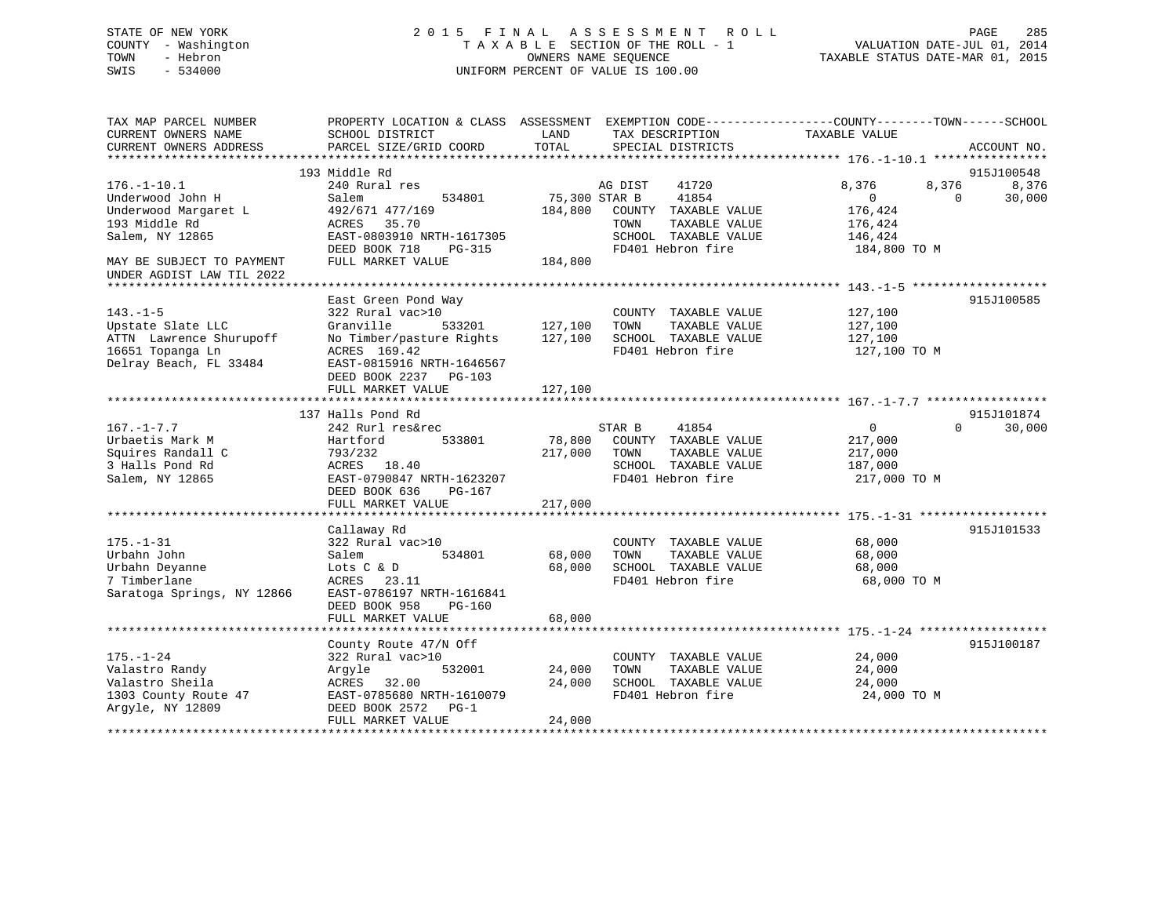# STATE OF NEW YORK 2 0 1 5 F I N A L A S S E S S M E N T R O L L PAGE 285 COUNTY - Washington T A X A B L E SECTION OF THE ROLL - 1 VALUATION DATE-JUL 01, 2014 TOWN - Hebron OWNERS NAME SEQUENCE TAXABLE STATUS DATE-MAR 01, 2015 SWIS - 534000 UNIFORM PERCENT OF VALUE IS 100.00

| TAX MAP PARCEL NUMBER<br>CURRENT OWNERS NAME<br>CURRENT OWNERS ADDRESS                                       | PROPERTY LOCATION & CLASS ASSESSMENT<br>SCHOOL DISTRICT<br>PARCEL SIZE/GRID COORD                                                                                 | LAND<br>TOTAL                | TAX DESCRIPTION<br>SPECIAL DISTRICTS                                                                          | EXEMPTION CODE-----------------COUNTY-------TOWN------SCHOOL<br>TAXABLE VALUE | ACCOUNT NO.     |
|--------------------------------------------------------------------------------------------------------------|-------------------------------------------------------------------------------------------------------------------------------------------------------------------|------------------------------|---------------------------------------------------------------------------------------------------------------|-------------------------------------------------------------------------------|-----------------|
|                                                                                                              |                                                                                                                                                                   |                              |                                                                                                               |                                                                               |                 |
|                                                                                                              | 193 Middle Rd                                                                                                                                                     |                              |                                                                                                               |                                                                               | 915J100548      |
| $176. - 1 - 10.1$<br>Underwood John H<br>Underwood Margaret L<br>193 Middle Rd<br>Salem, NY 12865            | 240 Rural res<br>534801<br>Salem<br>492/671 477/169<br>35.70<br>ACRES<br>EAST-0803910 NRTH-1617305                                                                | 75,300 STAR B<br>184,800     | 41720<br>AG DIST<br>41854<br>COUNTY TAXABLE VALUE<br>TOWN<br>TAXABLE VALUE<br>SCHOOL TAXABLE VALUE            | 8,376<br>8,376<br>$\mathbf{0}$<br>$\Omega$<br>176,424<br>176,424<br>146,424   | 8,376<br>30,000 |
| MAY BE SUBJECT TO PAYMENT<br>UNDER AGDIST LAW TIL 2022                                                       | DEED BOOK 718<br>$PG-315$<br>FULL MARKET VALUE                                                                                                                    | 184,800                      | FD401 Hebron fire                                                                                             | 184,800 TO M                                                                  |                 |
|                                                                                                              |                                                                                                                                                                   |                              |                                                                                                               |                                                                               |                 |
| $143. - 1 - 5$<br>Upstate Slate LLC<br>ATTN Lawrence Shurupoff<br>16651 Topanga Ln<br>Delray Beach, FL 33484 | East Green Pond Way<br>322 Rural vac>10<br>533201<br>Granville<br>No Timber/pasture Rights<br>ACRES 169.42<br>EAST-0815916 NRTH-1646567<br>DEED BOOK 2237 PG-103  | 127,100<br>127,100           | COUNTY TAXABLE VALUE<br>TOWN<br>TAXABLE VALUE<br>SCHOOL TAXABLE VALUE<br>FD401 Hebron fire                    | 127,100<br>127,100<br>127,100<br>127,100 TO M                                 | 915J100585      |
|                                                                                                              | FULL MARKET VALUE                                                                                                                                                 | 127,100                      |                                                                                                               |                                                                               |                 |
|                                                                                                              |                                                                                                                                                                   |                              |                                                                                                               |                                                                               |                 |
|                                                                                                              | 137 Halls Pond Rd                                                                                                                                                 |                              |                                                                                                               |                                                                               | 915J101874      |
| $167. - 1 - 7.7$<br>Urbaetis Mark M<br>Squires Randall C<br>3 Halls Pond Rd<br>Salem, NY 12865               | 242 Rurl res&rec<br>Hartford<br>533801<br>793/232<br>18.40<br>ACRES<br>EAST-0790847 NRTH-1623207<br>DEED BOOK 636<br>PG-167<br>FULL MARKET VALUE                  | 78,800<br>217,000<br>217,000 | STAR B<br>41854<br>COUNTY TAXABLE VALUE<br>TOWN<br>TAXABLE VALUE<br>SCHOOL TAXABLE VALUE<br>FD401 Hebron fire | $\mathbf{0}$<br>$\Omega$<br>217,000<br>217,000<br>187,000<br>217,000 TO M     | 30,000          |
|                                                                                                              |                                                                                                                                                                   |                              |                                                                                                               |                                                                               |                 |
| $175. - 1 - 31$<br>Urbahn John<br>Urbahn Deyanne<br>7 Timberlane<br>Saratoga Springs, NY 12866               | Callaway Rd<br>322 Rural vac>10<br>Salem<br>534801<br>Lots C & D<br>ACRES<br>23.11<br>EAST-0786197 NRTH-1616841<br>DEED BOOK 958<br>$PG-160$<br>FULL MARKET VALUE | 68,000<br>68,000<br>68,000   | COUNTY TAXABLE VALUE<br>TOWN<br>TAXABLE VALUE<br>SCHOOL TAXABLE VALUE<br>FD401 Hebron fire                    | 68,000<br>68,000<br>68,000<br>68,000 TO M                                     | 915J101533      |
|                                                                                                              |                                                                                                                                                                   |                              |                                                                                                               |                                                                               |                 |
| $175. - 1 - 24$<br>Valastro Randy<br>Valastro Sheila<br>1303 County Route 47<br>Arqyle, NY 12809             | County Route 47/N Off<br>322 Rural vac>10<br>532001<br>Argyle<br>ACRES 32.00<br>EAST-0785680 NRTH-1610079<br>DEED BOOK 2572<br>$PG-1$<br>FULL MARKET VALUE        | 24,000<br>24,000<br>24,000   | COUNTY TAXABLE VALUE<br>TOWN<br>TAXABLE VALUE<br>SCHOOL TAXABLE VALUE<br>FD401 Hebron fire                    | 24,000<br>24,000<br>24,000<br>24,000 TO M                                     | 915J100187      |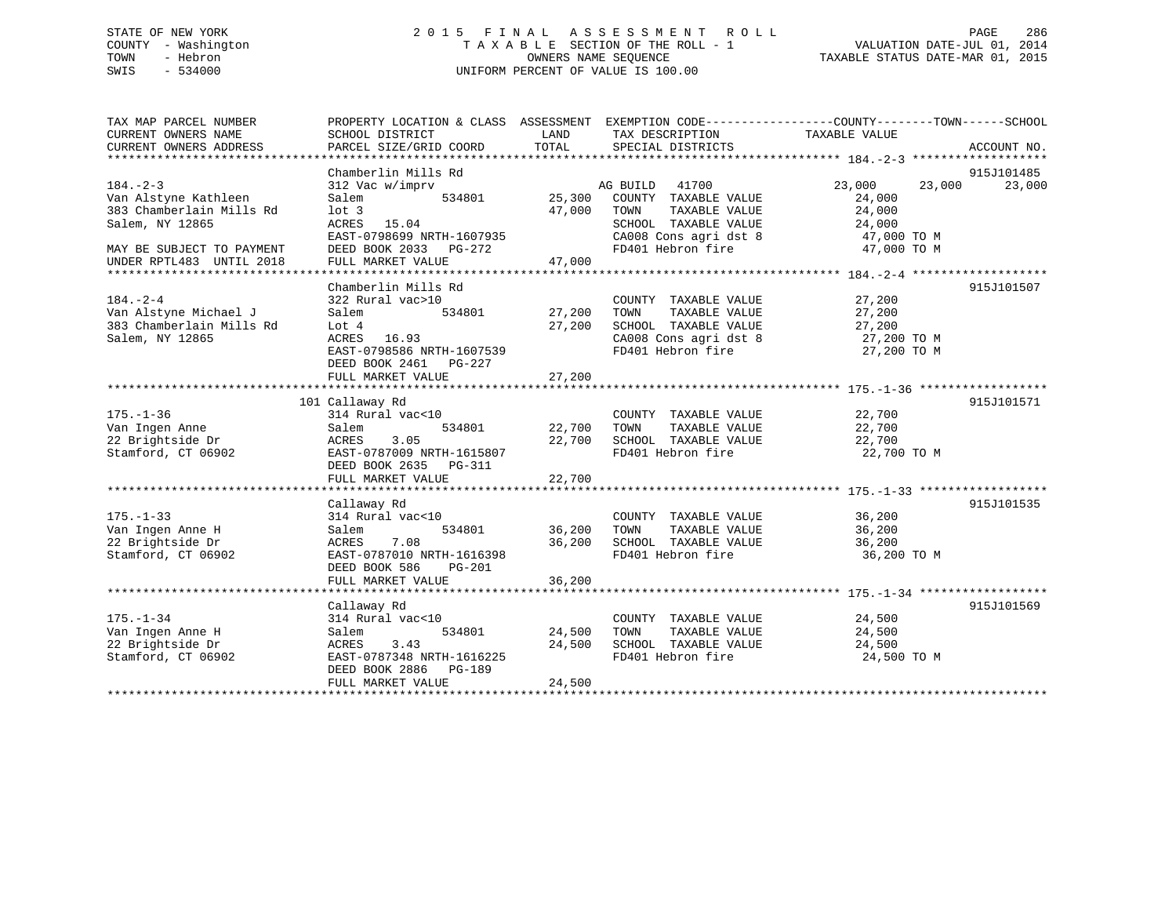# STATE OF NEW YORK 2 0 1 5 F I N A L A S S E S S M E N T R O L L PAGE 286 COUNTY - Washington T A X A B L E SECTION OF THE ROLL - 1 VALUATION DATE-JUL 01, 2014 TOWN - Hebron OWNERS NAME SEQUENCE TAXABLE STATUS DATE-MAR 01, 2015 SWIS - 534000 UNIFORM PERCENT OF VALUE IS 100.00

| TAX MAP PARCEL NUMBER     | PROPERTY LOCATION & CLASS ASSESSMENT EXEMPTION CODE---------------COUNTY-------TOWN------SCHOOL |               |                                                                  |                  |             |
|---------------------------|-------------------------------------------------------------------------------------------------|---------------|------------------------------------------------------------------|------------------|-------------|
| CURRENT OWNERS NAME       | SCHOOL DISTRICT                                                                                 | LAND          | TAX DESCRIPTION                                                  | TAXABLE VALUE    |             |
| CURRENT OWNERS ADDRESS    | PARCEL SIZE/GRID COORD                                                                          | TOTAL         | SPECIAL DISTRICTS                                                |                  | ACCOUNT NO. |
|                           |                                                                                                 |               |                                                                  |                  |             |
|                           | Chamberlin Mills Rd                                                                             |               |                                                                  |                  | 915J101485  |
| $184. - 2 - 3$            | 312 Vac w/imprv                                                                                 |               | MAG BUILD 41700<br>534801 25,300 COUNTY TAXABLE VALUE            | 23,000 23,000    | 23,000      |
| Van Alstyne Kathleen      | Salem                                                                                           |               |                                                                  | 24,000           |             |
| 383 Chamberlain Mills Rd  | lot <sub>3</sub>                                                                                |               | 47,000 TOWN                                                      | 24,000           |             |
| Salem, NY 12865           | ACRES 15.04                                                                                     |               | TOWN      TAXABLE  VALUE<br>SCHOOL   TAXABLE  VALUE              | 24,000<br>24,000 |             |
|                           | EAST-0798699 NRTH-1607935                                                                       |               | CA008 Cons agri dst 8 47,000 TO M                                |                  |             |
| MAY BE SUBJECT TO PAYMENT | DEED BOOK 2033 PG-272                                                                           |               | FD401 Hebron fire 37,000 TO M                                    |                  |             |
| UNDER RPTL483 UNTIL 2018  | FULL MARKET VALUE                                                                               | 47,000        |                                                                  |                  |             |
|                           |                                                                                                 |               |                                                                  |                  |             |
|                           | Chamberlin Mills Rd                                                                             |               |                                                                  |                  | 915J101507  |
|                           |                                                                                                 |               |                                                                  |                  |             |
| $184. - 2 - 4$            | 322 Rural vac>10                                                                                |               | COUNTY TAXABLE VALUE                                             | 27,200           |             |
| Van Alstyne Michael J     | Salem                                                                                           | 534801 27,200 | TAXABLE VALUE<br>TOWN                                            | 27,200           |             |
| 383 Chamberlain Mills Rd  | Lot 4                                                                                           | 27,200        | SCHOOL TAXABLE VALUE 27,200<br>CA008 Cons agri dst 8 27,200 TO M |                  |             |
| Salem, NY 12865           | ACRES 16.93                                                                                     |               |                                                                  |                  |             |
|                           | EAST-0798586 NRTH-1607539                                                                       |               | FD401 Hebron fire                                                | 27,200 TO M      |             |
|                           | DEED BOOK 2461 PG-227                                                                           |               |                                                                  |                  |             |
|                           | FULL MARKET VALUE                                                                               | 27,200        |                                                                  |                  |             |
|                           |                                                                                                 |               |                                                                  |                  |             |
|                           | 101 Callaway Rd                                                                                 |               |                                                                  |                  | 915J101571  |
| $175. - 1 - 36$           | 314 Rural vac<10                                                                                |               | COUNTY TAXABLE VALUE 22,700                                      |                  |             |
| Van Ingen Anne            | 534801<br>Salem                                                                                 |               | 22,700 TOWN TAXABLE VALUE<br>22,700 SCHOOL TAXABLE VALUE         | 22,700<br>22,700 |             |
| 22 Brightside Dr          | 3.05<br>ACRES                                                                                   |               |                                                                  |                  |             |
| Stamford, CT 06902        | EAST-0787009 NRTH-1615807                                                                       |               | FD401 Hebron fire 22,700 TO M                                    |                  |             |
|                           | DEED BOOK 2635 PG-311                                                                           |               |                                                                  |                  |             |
|                           |                                                                                                 |               |                                                                  |                  |             |
|                           |                                                                                                 |               |                                                                  |                  |             |
|                           | Callaway Rd                                                                                     |               |                                                                  |                  | 915J101535  |
| $175. - 1 - 33$           | 314 Rural vac<10                                                                                |               | COUNTY TAXABLE VALUE 36,200                                      |                  |             |
| Van Ingen Anne H          | Salem                                                                                           | 534801 36,200 | TOWN<br>TAXABLE VALUE                                            | 36,200           |             |
| 22 Brightside Dr          | ACRES<br>7.08                                                                                   | 36,200        |                                                                  | 36,200           |             |
| Stamford, CT 06902        | EAST-0787010 NRTH-1616398                                                                       |               | SCHOOL TAXABLE VALUE<br>FD401 Hebron fire                        | 36,200 TO M      |             |
|                           | DEED BOOK 586<br>PG-201                                                                         |               |                                                                  |                  |             |
|                           | FULL MARKET VALUE                                                                               | 36,200        |                                                                  |                  |             |
|                           |                                                                                                 |               |                                                                  |                  |             |
|                           | Callaway Rd                                                                                     |               |                                                                  |                  | 915J101569  |
| $175. - 1 - 34$           | 314 Rural vac<10                                                                                |               | COUNTY TAXABLE VALUE 24,500                                      |                  |             |
| Van Ingen Anne H          | 534801<br>Salem                                                                                 | 24,500        | TAXABLE VALUE<br>TOWN                                            | 24,500           |             |
| 22 Brightside Dr          | 3.43                                                                                            | 24,500        |                                                                  |                  |             |
|                           | ACRES                                                                                           |               | SCHOOL TAXABLE VALUE 24,500<br>FD401 Hebron fire                 |                  |             |
| Stamford, CT 06902        | EAST-0787348 NRTH-1616225                                                                       |               |                                                                  | 24,500 TO M      |             |
|                           | DEED BOOK 2886 PG-189                                                                           |               |                                                                  |                  |             |
|                           | FULL MARKET VALUE                                                                               | 24,500        |                                                                  |                  |             |
|                           |                                                                                                 |               |                                                                  |                  |             |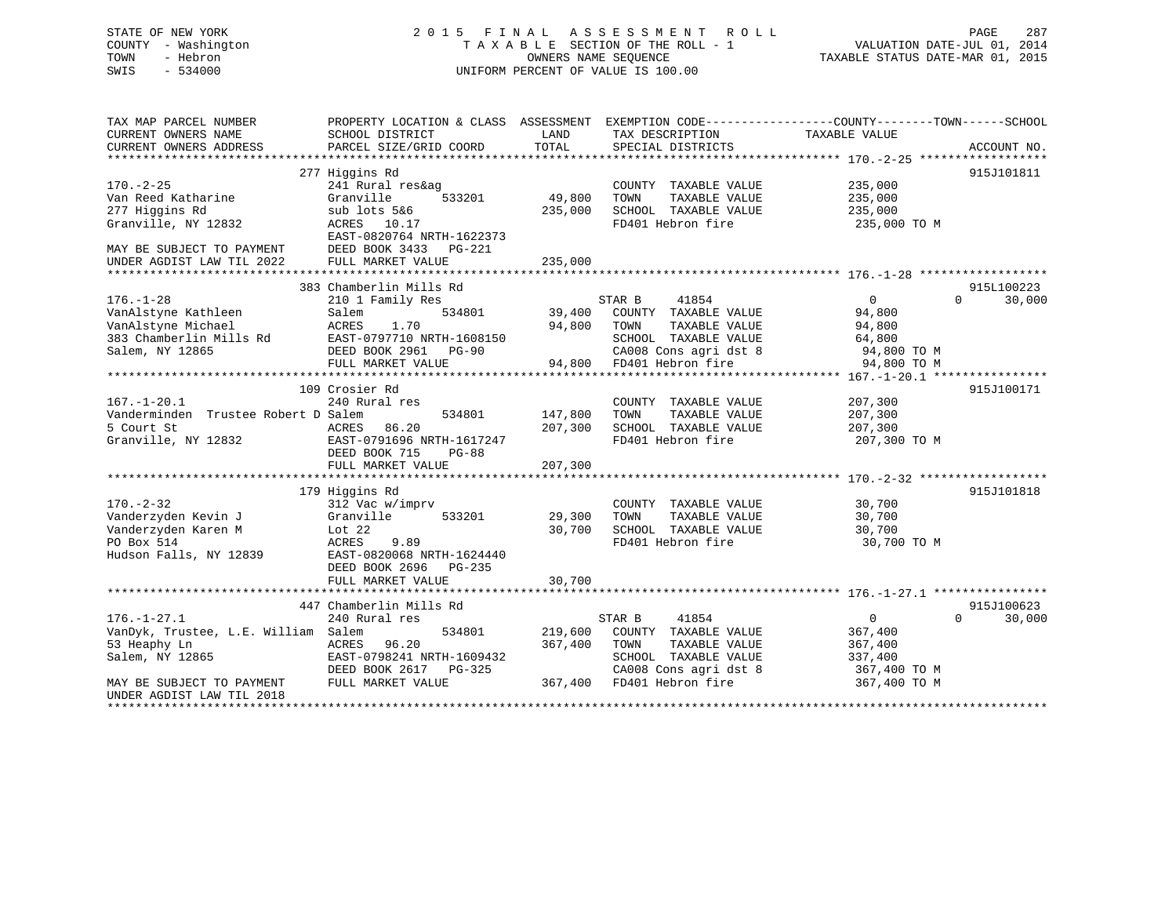# STATE OF NEW YORK 2 0 1 5 F I N A L A S S E S S M E N T R O L L PAGE 287 COUNTY - Washington T A X A B L E SECTION OF THE ROLL - 1 VALUATION DATE-JUL 01, 2014 TOWN - Hebron OWNERS NAME SEQUENCE TAXABLE STATUS DATE-MAR 01, 2015 SWIS - 534000 UNIFORM PERCENT OF VALUE IS 100.00

| TAX MAP PARCEL NUMBER<br>CURRENT OWNERS NAME<br>CURRENT OWNERS ADDRESS                                                                                | PROPERTY LOCATION & CLASS ASSESSMENT<br>SCHOOL DISTRICT<br>PARCEL SIZE/GRID COORD                                                                                      | LAND<br>TOTAL                 | TAX DESCRIPTION<br>SPECIAL DISTRICTS                                                                                                   | EXEMPTION CODE----------------COUNTY-------TOWN------SCHOOL<br>TAXABLE VALUE  | ACCOUNT NO.                      |
|-------------------------------------------------------------------------------------------------------------------------------------------------------|------------------------------------------------------------------------------------------------------------------------------------------------------------------------|-------------------------------|----------------------------------------------------------------------------------------------------------------------------------------|-------------------------------------------------------------------------------|----------------------------------|
| $170. - 2 - 25$<br>Van Reed Katharine<br>277 Higgins Rd<br>Granville, NY 12832<br>MAY BE SUBJECT TO PAYMENT<br>UNDER AGDIST LAW TIL 2022              | 277 Higgins Rd<br>241 Rural res&ag<br>Granville<br>533201<br>sub lots 5&6<br>ACRES 10.17<br>EAST-0820764 NRTH-1622373<br>DEED BOOK 3433<br>PG-221<br>FULL MARKET VALUE | 49,800<br>235,000<br>235,000  | COUNTY TAXABLE VALUE<br>TOWN<br>TAXABLE VALUE<br>SCHOOL TAXABLE VALUE<br>FD401 Hebron fire                                             | 235,000<br>235,000<br>235,000<br>235,000 TO M                                 | 915J101811                       |
|                                                                                                                                                       |                                                                                                                                                                        |                               |                                                                                                                                        |                                                                               |                                  |
| $176. - 1 - 28$<br>VanAlstyne Kathleen<br>VanAlstyne Michael<br>383 Chamberlin Mills Rd<br>Salem, NY 12865                                            | 383 Chamberlin Mills Rd<br>210 1 Family Res<br>534801<br>Salem<br>1.70<br>ACRES<br>EAST-0797710 NRTH-1608150<br>DEED BOOK 2961 PG-90<br>FULL MARKET VALUE              | 39,400<br>94,800<br>94,800    | 41854<br>STAR B<br>COUNTY TAXABLE VALUE<br>TOWN<br>TAXABLE VALUE<br>SCHOOL TAXABLE VALUE<br>CA008 Cons agri dst 8<br>FD401 Hebron fire | $\mathbf 0$<br>94,800<br>94,800<br>64,800<br>94,800 TO M<br>94,800 TO M       | 915L100223<br>30,000<br>$\Omega$ |
|                                                                                                                                                       |                                                                                                                                                                        |                               |                                                                                                                                        |                                                                               |                                  |
| $167. - 1 - 20.1$<br>Vanderminden Trustee Robert D Salem<br>5 Court St<br>Granville, NY 12832                                                         | 109 Crosier Rd<br>240 Rural res<br>534801<br>ACRES<br>86.20<br>EAST-0791696 NRTH-1617247<br>DEED BOOK 715<br>$PG-88$<br>FULL MARKET VALUE                              | 147,800<br>207,300<br>207,300 | COUNTY TAXABLE VALUE<br>TAXABLE VALUE<br>TOWN<br>SCHOOL TAXABLE VALUE<br>FD401 Hebron fire                                             | 207,300<br>207,300<br>207,300<br>207,300 TO M                                 | 915J100171                       |
|                                                                                                                                                       | 179 Higgins Rd                                                                                                                                                         |                               |                                                                                                                                        |                                                                               | 915J101818                       |
| $170. - 2 - 32$<br>Vanderzyden Kevin J<br>Vanderzyden Karen M<br>PO Box 514<br>Hudson Falls, NY 12839                                                 | 312 Vac w/imprv<br>Granville<br>533201<br>Lot $22$<br>ACRES<br>9.89<br>EAST-0820068 NRTH-1624440<br>DEED BOOK 2696<br>PG-235<br>FULL MARKET VALUE                      | 29,300<br>30,700<br>30,700    | COUNTY TAXABLE VALUE<br>TAXABLE VALUE<br>TOWN<br>SCHOOL TAXABLE VALUE<br>FD401 Hebron fire                                             | 30,700<br>30,700<br>30,700<br>30,700 TO M                                     |                                  |
|                                                                                                                                                       |                                                                                                                                                                        |                               |                                                                                                                                        |                                                                               |                                  |
| $176. - 1 - 27.1$<br>VanDyk, Trustee, L.E. William Salem<br>53 Heaphy Ln<br>Salem, NY 12865<br>MAY BE SUBJECT TO PAYMENT<br>UNDER AGDIST LAW TIL 2018 | 447 Chamberlin Mills Rd<br>240 Rural res<br>534801<br>96.20<br>ACRES<br>EAST-0798241 NRTH-1609432<br>DEED BOOK 2617<br>PG-325<br>FULL MARKET VALUE                     | 219,600<br>367,400<br>367,400 | STAR B<br>41854<br>COUNTY TAXABLE VALUE<br>TOWN<br>TAXABLE VALUE<br>SCHOOL TAXABLE VALUE<br>CA008 Cons agri dst 8<br>FD401 Hebron fire | $\mathbf{0}$<br>367,400<br>367,400<br>337,400<br>367,400 TO M<br>367,400 TO M | 915J100623<br>$\Omega$<br>30,000 |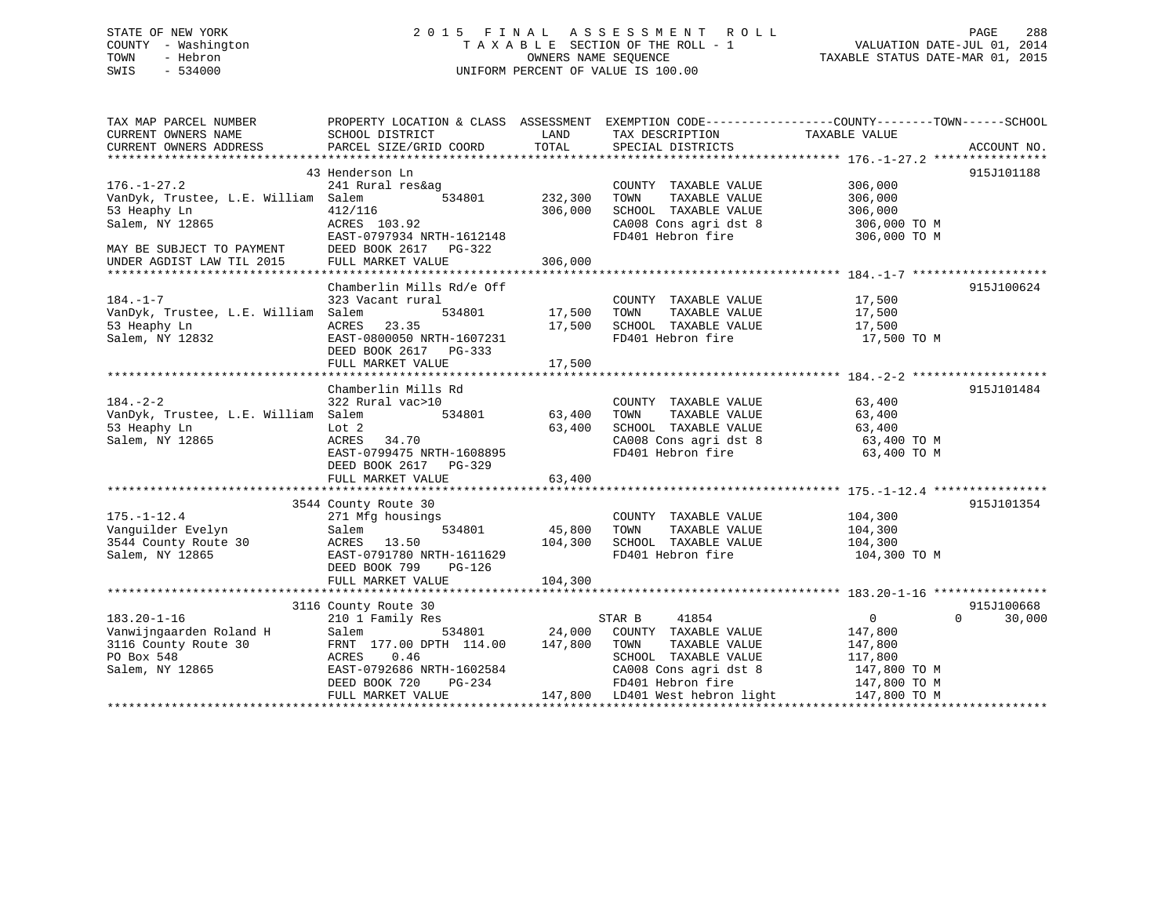# STATE OF NEW YORK 2 0 1 5 F I N A L A S S E S S M E N T R O L L PAGE 288 COUNTY - Washington T A X A B L E SECTION OF THE ROLL - 1 VALUATION DATE-JUL 01, 2014 TOWN - Hebron OWNERS NAME SEQUENCE TAXABLE STATUS DATE-MAR 01, 2015 SWIS - 534000 UNIFORM PERCENT OF VALUE IS 100.00

| TAX MAP PARCEL NUMBER                                                                            |                                            |                          |                                                                                       | PROPERTY LOCATION & CLASS ASSESSMENT EXEMPTION CODE----------------COUNTY-------TOWN------SCHOOL     |                    |
|--------------------------------------------------------------------------------------------------|--------------------------------------------|--------------------------|---------------------------------------------------------------------------------------|------------------------------------------------------------------------------------------------------|--------------------|
| CURRENT OWNERS NAME                                                                              | SCHOOL DISTRICT                            | LAND                     | TAX DESCRIPTION TAXABLE VALUE                                                         |                                                                                                      |                    |
| CURRENT OWNERS ADDRESS                                                                           | PARCEL SIZE/GRID COORD                     | TOTAL                    | SPECIAL DISTRICTS                                                                     |                                                                                                      | ACCOUNT NO.        |
|                                                                                                  | 43 Henderson Ln                            |                          |                                                                                       |                                                                                                      | 915J101188         |
| $176. - 1 - 27.2$                                                                                | 241 Rural res&ag                           |                          | COUNTY TAXABLE VALUE 306,000                                                          |                                                                                                      |                    |
| VanDyk, Trustee, L.E. William Salem                                                              |                                            | 534801 232,300           | TAXABLE VALUE<br>TOWN                                                                 | 306,000                                                                                              |                    |
| 53 Heaphy Ln                                                                                     | 412/116                                    | 306,000                  |                                                                                       |                                                                                                      |                    |
|                                                                                                  |                                            |                          |                                                                                       |                                                                                                      |                    |
|                                                                                                  | EAST-0797934 NRTH-1612148                  |                          |                                                                                       | SCHOOL TAXABLE VALUE 306,000<br>CA008 Cons agri dst 8 306,000 TO M<br>FD401 Hebron fire 306,000 TO M |                    |
|                                                                                                  | DEED BOOK 2617 PG-322                      |                          |                                                                                       |                                                                                                      |                    |
| MAY BE SUBJECT TO PAYMENT<br>UNDER AGDIST LAR TILL COL                                           |                                            |                          |                                                                                       |                                                                                                      |                    |
|                                                                                                  |                                            |                          |                                                                                       |                                                                                                      |                    |
|                                                                                                  | Chamberlin Mills Rd/e Off                  |                          |                                                                                       |                                                                                                      | 915J100624         |
| $184. - 1 - 7$                                                                                   | 323 Vacant rural                           |                          | COUNTY TAXABLE VALUE 17,500                                                           |                                                                                                      |                    |
| VanDyk, Trustee, L.E. William Salem                                                              |                                            | 534801 17,500 TOWN       | TAXABLE VALUE                                                                         | 17,500                                                                                               |                    |
|                                                                                                  | ACRES 23.35                                | 17,500                   | SCHOOL TAXABLE VALUE 17,500                                                           |                                                                                                      |                    |
| 53 Heaphy Ln<br>Salem, NY 12832                                                                  | EAST-0800050 NRTH-1607231                  |                          |                                                                                       | FD401 Hebron fire 17,500 TO M                                                                        |                    |
|                                                                                                  | DEED BOOK 2617 PG-333                      |                          |                                                                                       |                                                                                                      |                    |
|                                                                                                  |                                            |                          |                                                                                       |                                                                                                      |                    |
|                                                                                                  | Chamberlin Mills Rd                        |                          |                                                                                       |                                                                                                      | 915J101484         |
| $184. - 2 - 2$                                                                                   | 322 Rural vac>10                           |                          |                                                                                       |                                                                                                      |                    |
| VanDyk, Trustee, L.E. William Salem                                                              | ral vac>10<br>534801 63,400                |                          | COUNTY TAXABLE VALUE<br>TOWN      TAXABLE VALUE                                       | 63,400<br>63,400                                                                                     |                    |
| 53 Heaphy Ln                                                                                     | Lot 2                                      | 63,400                   |                                                                                       |                                                                                                      |                    |
| Salem, NY 12865                                                                                  | ACRES 34.70                                |                          | SCHOOL TAXABLE VALUE<br>SCHOOL TAXABLE VALUE 63,400<br>CANN Consacridst 8 63,400 TO M |                                                                                                      |                    |
|                                                                                                  | EAST-0799475 NRTH-1608895                  |                          | CA008 Cons agri dst 8<br>FD401 Hebron fire                                            | 63,400 TO M                                                                                          |                    |
|                                                                                                  | DEED BOOK 2617 PG-329                      |                          |                                                                                       |                                                                                                      |                    |
|                                                                                                  | FULL MARKET VALUE                          | 63,400                   |                                                                                       |                                                                                                      |                    |
|                                                                                                  |                                            |                          |                                                                                       |                                                                                                      |                    |
|                                                                                                  | 3544 County Route 30                       |                          |                                                                                       |                                                                                                      | 915J101354         |
| $175. - 1 - 12.4$                                                                                | 271 Mfg housings                           |                          | COUNTY TAXABLE VALUE 104,300                                                          |                                                                                                      |                    |
|                                                                                                  | Salem                                      | 534801 45,800<br>104,300 | TOWN TAXABLE VALUE 104,300<br>SCHOOL TAXABLE VALUE 104,300                            |                                                                                                      |                    |
| Vanguilder Evelyn Salem Salem 3544 County Route 30 ACRES 13.50<br>Salem, NY 12865 EAST-0791780 N |                                            |                          |                                                                                       |                                                                                                      |                    |
|                                                                                                  | EAST-0791780 NRTH-1611629                  |                          |                                                                                       | FD401 Hebron fire 104,300 TO M                                                                       |                    |
|                                                                                                  | DEED BOOK 799 PG-126                       |                          |                                                                                       |                                                                                                      |                    |
|                                                                                                  |                                            |                          |                                                                                       |                                                                                                      |                    |
|                                                                                                  | 3116 County Route 30                       |                          |                                                                                       |                                                                                                      | 915J100668         |
| $183.20 - 1 - 16$                                                                                | 210 1 Family Res                           |                          | STAR B<br>41854                                                                       | $\overline{0}$                                                                                       | $\Omega$<br>30,000 |
|                                                                                                  | Salem                                      |                          | 534801 24,000 COUNTY TAXABLE VALUE                                                    | 147,800                                                                                              |                    |
|                                                                                                  | FRNT 177.00 DPTH 114.00 147,800            |                          | TOWN<br>TAXABLE VALUE                                                                 | 147,800                                                                                              |                    |
| Vanwijngaarden Roland H<br>3116 County Route 30<br>PO Box 548<br>Salem, NY 12865                 | 0.46<br>ACRES                              |                          | SCHOOL TAXABLE VALUE                                                                  |                                                                                                      |                    |
|                                                                                                  | EAST-0792686 NRTH-1602584<br>DEED BOOK 530 |                          |                                                                                       | 117,800<br>147,800 TO M                                                                              |                    |
|                                                                                                  | DEED BOOK 720                              |                          | CA008 Cons agri dst 8<br>FD401 Hebron fire                                            |                                                                                                      |                    |
|                                                                                                  | FULL MARKET VALUE                          |                          | PG-234<br>PG-234<br>EDUE 147,800 LD401 West hebron light 147,800 TO M                 |                                                                                                      |                    |
|                                                                                                  |                                            |                          |                                                                                       |                                                                                                      |                    |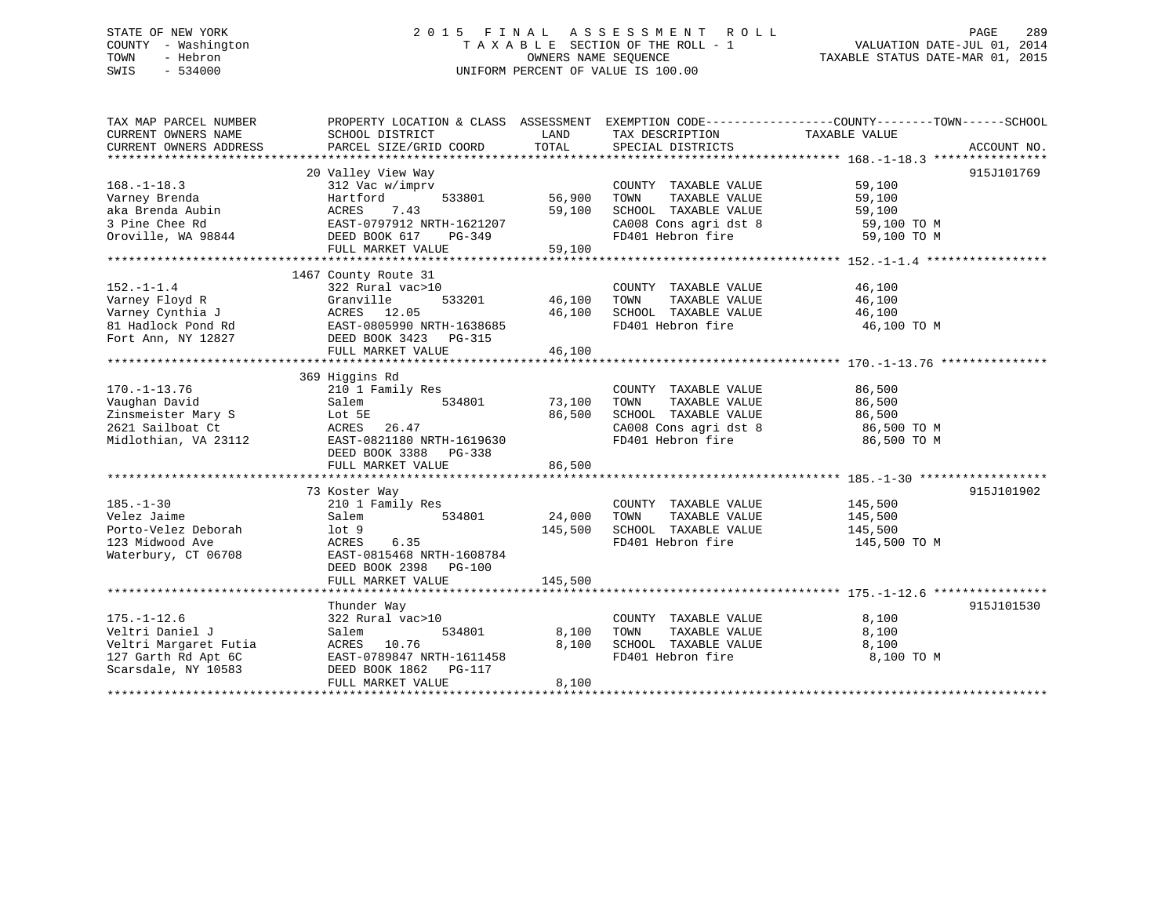# STATE OF NEW YORK 2 0 1 5 F I N A L A S S E S S M E N T R O L L PAGE 289 COUNTY - Washington T A X A B L E SECTION OF THE ROLL - 1 VALUATION DATE-JUL 01, 2014 TOWN - Hebron OWNERS NAME SEQUENCE TAXABLE STATUS DATE-MAR 01, 2015 SWIS - 534000 UNIFORM PERCENT OF VALUE IS 100.00

| TAX MAP PARCEL NUMBER            |                                                                                                                                                                               |               |                                                                                                   | PROPERTY LOCATION & CLASS ASSESSMENT EXEMPTION CODE--------------COUNTY-------TOWN-----SCHOOL |            |
|----------------------------------|-------------------------------------------------------------------------------------------------------------------------------------------------------------------------------|---------------|---------------------------------------------------------------------------------------------------|-----------------------------------------------------------------------------------------------|------------|
| CURRENT OWNERS NAME              | SCHOOL DISTRICT                                                                                                                                                               | LAND          | TAX DESCRIPTION                                                                                   | TAXABLE VALUE                                                                                 |            |
|                                  |                                                                                                                                                                               |               |                                                                                                   |                                                                                               |            |
|                                  | CURRENT OWNERS ADDRESS FORCEL SIZE/GRID COORD TOTAL SPECIAL DISTRICTS THEORY ACCOUNT NO.<br>TERRENT OWNERS ADDRESS PARCEL SIZE/GRID COORD TOTAL SPECIAL DISTRICTS ACCOUNT NO. |               |                                                                                                   |                                                                                               |            |
|                                  | 20 Valley View Way                                                                                                                                                            |               |                                                                                                   |                                                                                               | 915J101769 |
| $168. - 1 - 18.3$                | 312 Vac w/imprv                                                                                                                                                               |               | COUNTY TAXABLE VALUE                                                                              | 59,100                                                                                        |            |
| Varney Brenda                    | Hartford<br>533801                                                                                                                                                            | 56,900        | TOWN<br>TAXABLE VALUE                                                                             | 59,100                                                                                        |            |
| aka Brenda Aubin                 | ACRES 7.43                                                                                                                                                                    | 59,100        |                                                                                                   |                                                                                               |            |
| 3 Pine Chee Rd                   | EAST-0797912 NRTH-1621207                                                                                                                                                     |               |                                                                                                   |                                                                                               |            |
| Oroville, WA 98844 DEED BOOK 617 | PG-349                                                                                                                                                                        |               | SCHOOL TAXABLE VALUE 59,100<br>CA008 Cons agri dst 8 59,100 TO M<br>FD401 Hebron fire 59,100 TO M |                                                                                               |            |
|                                  | FULL MARKET VALUE                                                                                                                                                             | 59,100        |                                                                                                   |                                                                                               |            |
|                                  |                                                                                                                                                                               |               |                                                                                                   |                                                                                               |            |
|                                  |                                                                                                                                                                               |               |                                                                                                   |                                                                                               |            |
|                                  | 1467 County Route 31                                                                                                                                                          |               |                                                                                                   |                                                                                               |            |
| $152. - 1 - 1.4$                 | 322 Rural vac>10                                                                                                                                                              |               | COUNTY TAXABLE VALUE                                                                              | 46,100                                                                                        |            |
| Varney Floyd R                   | Granville                                                                                                                                                                     | 533201 46,100 | TOWN                                                                                              | TAXABLE VALUE 46,100                                                                          |            |
| Varney Cynthia J                 | ACRES 12.05<br>ACRES 12.05<br>EAST-0805990 NRTH-1638685                                                                                                                       | 46,100        | SCHOOL TAXABLE VALUE                                                                              | 46,100                                                                                        |            |
| 81 Hadlock Pond Rd               |                                                                                                                                                                               |               | FD401 Hebron fire                                                                                 | 46,100 TO M                                                                                   |            |
| Fort Ann, NY 12827               | DEED BOOK 3423 PG-315                                                                                                                                                         |               |                                                                                                   |                                                                                               |            |
|                                  | FULL MARKET VALUE                                                                                                                                                             | 46,100        |                                                                                                   |                                                                                               |            |
|                                  |                                                                                                                                                                               |               |                                                                                                   |                                                                                               |            |
|                                  | 369 Higgins Rd                                                                                                                                                                |               |                                                                                                   |                                                                                               |            |
| $170. - 1 - 13.76$               | 210 1 Family Res                                                                                                                                                              |               | COUNTY TAXABLE VALUE                                                                              | 86,500                                                                                        |            |
| Vaughan David                    | Salem<br>534801                                                                                                                                                               | 73,100        | TAXABLE VALUE<br>TOWN                                                                             | 86,500                                                                                        |            |
| Zinsmeister Mary S               | Lot 5E                                                                                                                                                                        | 86,500        | SCHOOL TAXABLE VALUE                                                                              | 86,500                                                                                        |            |
| 2621 Sailboat Ct                 | ACRES 26.47                                                                                                                                                                   |               | CA008 Cons agri dst 8<br>FD401 Hebron fire                                                        | 86,500 TO M                                                                                   |            |
| Midlothian, VA 23112             | EAST-0821180 NRTH-1619630                                                                                                                                                     |               | FD401 Hebron fire                                                                                 | 86,500 TO M                                                                                   |            |
|                                  | DEED BOOK 3388 PG-338                                                                                                                                                         |               |                                                                                                   |                                                                                               |            |
|                                  | FULL MARKET VALUE                                                                                                                                                             | 86,500        |                                                                                                   |                                                                                               |            |
|                                  |                                                                                                                                                                               |               |                                                                                                   |                                                                                               |            |
|                                  | 73 Koster Way                                                                                                                                                                 |               |                                                                                                   |                                                                                               | 915J101902 |
| $185. - 1 - 30$                  | 210 1 Family Res                                                                                                                                                              |               | COUNTY TAXABLE VALUE                                                                              | 145,500                                                                                       |            |
| Velez Jaime                      | 534801<br>Salem                                                                                                                                                               | 24,000        | TOWN<br>TAXABLE VALUE                                                                             | 145,500                                                                                       |            |
| Porto-Velez Deborah              | lot 9                                                                                                                                                                         | 145,500       | SCHOOL TAXABLE VALUE 145,500                                                                      |                                                                                               |            |
| 123 Midwood Ave                  | 6.35<br>ACRES                                                                                                                                                                 |               | FD401 Hebron fire                                                                                 | 145,500 TO M                                                                                  |            |
|                                  | EAST-0815468 NRTH-1608784                                                                                                                                                     |               |                                                                                                   |                                                                                               |            |
| Waterbury, CT 06708              |                                                                                                                                                                               |               |                                                                                                   |                                                                                               |            |
|                                  | DEED BOOK 2398 PG-100                                                                                                                                                         |               |                                                                                                   |                                                                                               |            |
|                                  | FULL MARKET VALUE                                                                                                                                                             | 145,500       |                                                                                                   |                                                                                               |            |
|                                  |                                                                                                                                                                               |               |                                                                                                   |                                                                                               |            |
|                                  | Thunder Way                                                                                                                                                                   |               |                                                                                                   |                                                                                               | 915J101530 |
| $175. - 1 - 12.6$                | $322$ Rural $\bar{v}$ ac>10                                                                                                                                                   |               | COUNTY TAXABLE VALUE                                                                              | 8,100                                                                                         |            |
| Veltri Daniel J                  | 534801<br>Salem                                                                                                                                                               | 8,100         | TOWN<br>TAXABLE VALUE                                                                             | 8,100                                                                                         |            |
| Veltri Margaret Futia            | ACRES 10.76                                                                                                                                                                   | 8,100         | SCHOOL TAXABLE VALUE                                                                              | 8,100                                                                                         |            |
| 127 Garth Rd Apt 6C              | ACRES 10.76<br>EAST-0789847 NRTH-1611458                                                                                                                                      |               | FD401 Hebron fire                                                                                 | 8,100 TO M                                                                                    |            |
| Scarsdale, NY 10583              | DEED BOOK 1862    PG-117                                                                                                                                                      |               |                                                                                                   |                                                                                               |            |
|                                  | FULL MARKET VALUE                                                                                                                                                             | 8,100         |                                                                                                   |                                                                                               |            |
|                                  |                                                                                                                                                                               |               |                                                                                                   |                                                                                               |            |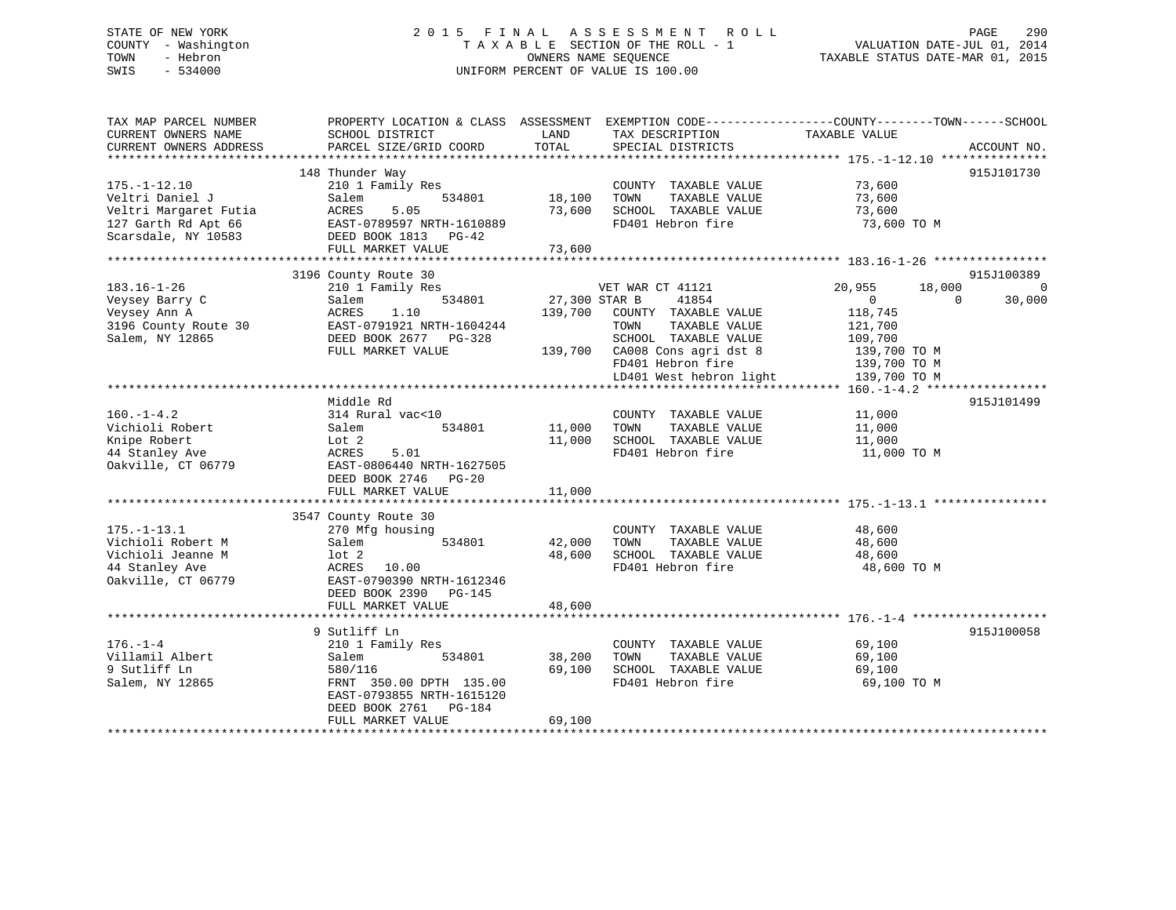# STATE OF NEW YORK 2 0 1 5 F I N A L A S S E S S M E N T R O L L PAGE 290 COUNTY - Washington T A X A B L E SECTION OF THE ROLL - 1 VALUATION DATE-JUL 01, 2014 TOWN - Hebron OWNERS NAME SEQUENCE TAXABLE STATUS DATE-MAR 01, 2015 SWIS - 534000 UNIFORM PERCENT OF VALUE IS 100.00

TAX MAP PARCEL NUMBER PROPERTY LOCATION & CLASS ASSESSMENT EXEMPTION CODE------------------COUNTY--------TOWN------SCHOOL

CURRENT OWNERS NAME SCHOOL DISTRICT THE LAND TAX DESCRIPTION TAXABLE VALUE CURRENT OWNERS ADDRESS PARCEL SIZE/GRID COORD TOTAL SPECIAL DISTRICTS ACCOUNT NO. \*\*\*\*\*\*\*\*\*\*\*\*\*\*\*\*\*\*\*\*\*\*\*\*\*\*\*\*\*\*\*\*\*\*\*\*\*\*\*\*\*\*\*\*\*\*\*\*\*\*\*\*\*\*\*\*\*\*\*\*\*\*\*\*\*\*\*\*\*\*\*\*\*\*\*\*\*\*\*\*\*\*\*\*\*\*\*\*\*\*\*\*\*\*\*\*\*\*\*\*\*\*\* 175.-1-12.10 \*\*\*\*\*\*\*\*\*\*\*\*\*\*\* 148 Thunder Way 915J101730 175.-1-12.10 210 1 Family Res COUNTY TAXABLE VALUE 73,600 Veltri Daniel J Salem 534801 18,100 TOWN TAXABLE VALUE 73,600 Veltri Margaret Futia ACRES 5.05 73,600 SCHOOL TAXABLE VALUE 73,600 127 Garth Rd Apt 66 EAST-0789597 NRTH-1610889 FD401 Hebron fire 73,600 TO M Scarsdale, NY 10583 DEED BOOK 1813 PG-42 FULL MARKET VALUE 73,600 \*\*\*\*\*\*\*\*\*\*\*\*\*\*\*\*\*\*\*\*\*\*\*\*\*\*\*\*\*\*\*\*\*\*\*\*\*\*\*\*\*\*\*\*\*\*\*\*\*\*\*\*\*\*\*\*\*\*\*\*\*\*\*\*\*\*\*\*\*\*\*\*\*\*\*\*\*\*\*\*\*\*\*\*\*\*\*\*\*\*\*\*\*\*\*\*\*\*\*\*\*\*\* 183.16-1-26 \*\*\*\*\*\*\*\*\*\*\*\*\*\*\*\* 3196 County Route 30 915J100389 183.16-1-26 210 1 Family Res VET WAR CT 41121 20,955 18,000 0 Veysey Barry C Salem 534801 27,300 STAR B 41854 0 0 30,000 Veysey Ann A ACRES 1.10 139,700 COUNTY TAXABLE VALUE 118,745 3196 County Route 30 EAST-0791921 NRTH-1604244 TOWN TAXABLE VALUE 121,700 Salem, NY 12865 DEED BOOK 2677 PG-328 SCHOOL TAXABLE VALUE 109,700 FULL MARKET VALUE 139,700 CA008 Cons agri dst 8 139,700 TO M FD401 Hebron fire 139,700 TO M LD401 West hebron light 139,700 TO M \*\*\*\*\*\*\*\*\*\*\*\*\*\*\*\*\*\*\*\*\*\*\*\*\*\*\*\*\*\*\*\*\*\*\*\*\*\*\*\*\*\*\*\*\*\*\*\*\*\*\*\*\*\*\*\*\*\*\*\*\*\*\*\*\*\*\*\*\*\*\*\*\*\*\*\*\*\*\*\*\*\*\*\*\*\*\*\*\*\*\*\*\*\*\*\*\*\*\*\*\*\*\* 160.-1-4.2 \*\*\*\*\*\*\*\*\*\*\*\*\*\*\*\*\* Middle Rd 915J101499160.-1-4.2 314 Rural vac<10 COUNTY TAXABLE VALUE 11,000 Vichioli Robert Salem 534801 11,000 TOWN TAXABLE VALUE 11,000 Knipe Robert Lot 2 11,000 SCHOOL TAXABLE VALUE 11,000 44 Stanley Ave ACRES 5.01 FD401 Hebron fire 11,000 TO M Oakville, CT 06779 EAST-0806440 NRTH-1627505 DEED BOOK 2746 PG-20 FULL MARKET VALUE 11,000 \*\*\*\*\*\*\*\*\*\*\*\*\*\*\*\*\*\*\*\*\*\*\*\*\*\*\*\*\*\*\*\*\*\*\*\*\*\*\*\*\*\*\*\*\*\*\*\*\*\*\*\*\*\*\*\*\*\*\*\*\*\*\*\*\*\*\*\*\*\*\*\*\*\*\*\*\*\*\*\*\*\*\*\*\*\*\*\*\*\*\*\*\*\*\*\*\*\*\*\*\*\*\* 175.-1-13.1 \*\*\*\*\*\*\*\*\*\*\*\*\*\*\*\* 3547 County Route 30 175.-1-13.1 270 Mfg housing COUNTY TAXABLE VALUE 48,600 Vichioli Robert M Salem 534801 42,000 TOWN TAXABLE VALUE 48,600 Vichioli Jeanne M  $1$ ot 2  $48,600$  SCHOOL TAXABLE VALUE 48,600 44 Stanley Ave ACRES 10.00 FD401 Hebron fire 48,600 TO M Oakville, CT 06779 EAST-0790390 NRTH-1612346 DEED BOOK 2390 PG-145FULL MARKET VALUE 48,600 \*\*\*\*\*\*\*\*\*\*\*\*\*\*\*\*\*\*\*\*\*\*\*\*\*\*\*\*\*\*\*\*\*\*\*\*\*\*\*\*\*\*\*\*\*\*\*\*\*\*\*\*\*\*\*\*\*\*\*\*\*\*\*\*\*\*\*\*\*\*\*\*\*\*\*\*\*\*\*\*\*\*\*\*\*\*\*\*\*\*\*\*\*\*\*\*\*\*\*\*\*\*\* 176.-1-4 \*\*\*\*\*\*\*\*\*\*\*\*\*\*\*\*\*\*\* 9 Sutliff Ln 915J100058176.-1-4 210 1 Family Res COUNTY TAXABLE VALUE 69,100 Villamil Albert 534801 534801 38,200 TOWN TAXABLE VALUE 69,100<br>Containing the salem 534801 534801 38,200 TOWN TAXABLE VALUE 69,100<br>Containing the second security of the second security of the second security of the second 9 Sutliff Ln 580/116 69,100 SCHOOL TAXABLE VALUE 69,100 Salem, NY 12865 FRNT 350.00 DPTH 135.00 FD401 Hebron fire 69,100 TO M EAST-0793855 NRTH-1615120 DEED BOOK 2761 PG-184 FULL MARKET VALUE 69,100 \*\*\*\*\*\*\*\*\*\*\*\*\*\*\*\*\*\*\*\*\*\*\*\*\*\*\*\*\*\*\*\*\*\*\*\*\*\*\*\*\*\*\*\*\*\*\*\*\*\*\*\*\*\*\*\*\*\*\*\*\*\*\*\*\*\*\*\*\*\*\*\*\*\*\*\*\*\*\*\*\*\*\*\*\*\*\*\*\*\*\*\*\*\*\*\*\*\*\*\*\*\*\*\*\*\*\*\*\*\*\*\*\*\*\*\*\*\*\*\*\*\*\*\*\*\*\*\*\*\*\*\*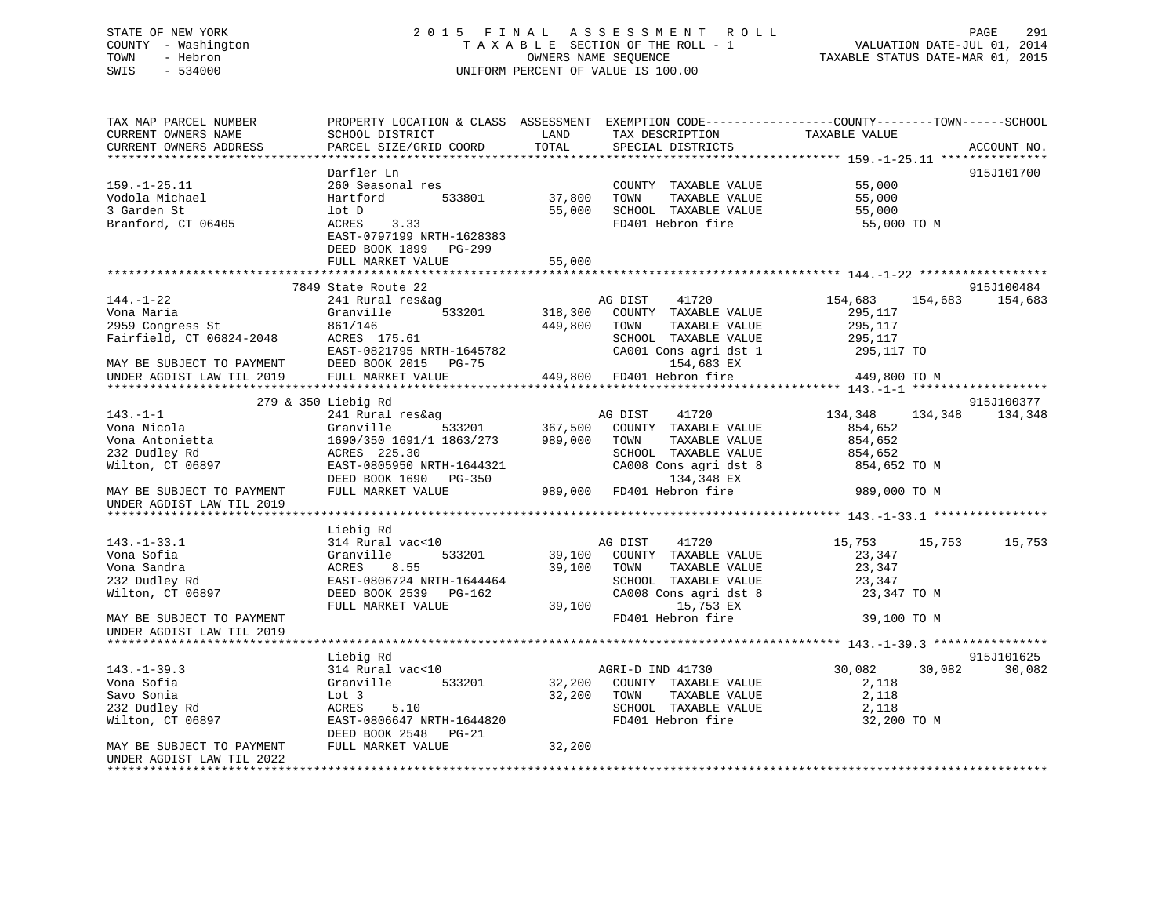# STATE OF NEW YORK 2 0 1 5 F I N A L A S S E S S M E N T R O L L PAGE 291 COUNTY - Washington T A X A B L E SECTION OF THE ROLL - 1 VALUATION DATE-JUL 01, 2014 TOWN - Hebron OWNERS NAME SEQUENCE TAXABLE STATUS DATE-MAR 01, 2015 SWIS - 534000 UNIFORM PERCENT OF VALUE IS 100.00

| TAX MAP PARCEL NUMBER     | PROPERTY LOCATION & CLASS ASSESSMENT EXEMPTION CODE----------------COUNTY-------TOWN------SCHOOL |         |                              |                    |             |
|---------------------------|--------------------------------------------------------------------------------------------------|---------|------------------------------|--------------------|-------------|
| CURRENT OWNERS NAME       | SCHOOL DISTRICT                                                                                  | LAND    | TAX DESCRIPTION              | TAXABLE VALUE      |             |
| CURRENT OWNERS ADDRESS    | PARCEL SIZE/GRID COORD                                                                           | TOTAL   | SPECIAL DISTRICTS            |                    | ACCOUNT NO. |
|                           |                                                                                                  |         |                              |                    |             |
|                           | Darfler Ln                                                                                       |         |                              |                    | 915J101700  |
| $159. - 1 - 25.11$        | 260 Seasonal res                                                                                 |         | COUNTY TAXABLE VALUE         | 55,000             |             |
| Vodola Michael            | Hartford<br>533801                                                                               | 37,800  | TOWN<br>TAXABLE VALUE        | 55,000             |             |
| 3 Garden St               | lot D                                                                                            | 55,000  | SCHOOL TAXABLE VALUE         | 55,000             |             |
| Branford, CT 06405        | ACRES<br>3.33                                                                                    |         | FD401 Hebron fire            | 55,000 TO M        |             |
|                           | EAST-0797199 NRTH-1628383                                                                        |         |                              |                    |             |
|                           | DEED BOOK 1899 PG-299                                                                            |         |                              |                    |             |
|                           | FULL MARKET VALUE                                                                                | 55,000  |                              |                    |             |
|                           |                                                                                                  |         |                              |                    |             |
|                           |                                                                                                  |         |                              |                    |             |
|                           | 7849 State Route 22                                                                              |         |                              |                    | 915J100484  |
| $144. - 1 - 22$           | 241 Rural res&ag                                                                                 |         | AG DIST<br>41720             | 154,683<br>154,683 | 154,683     |
| Vona Maria                | 533201<br>Granville                                                                              |         | 318,300 COUNTY TAXABLE VALUE | 295,117            |             |
| 2959 Congress St          | 861/146                                                                                          | 449,800 | TAXABLE VALUE<br>TOWN        | 295,117            |             |
| Fairfield, CT 06824-2048  | ACRES 175.61                                                                                     |         | SCHOOL TAXABLE VALUE         | 295,117            |             |
|                           | EAST-0821795 NRTH-1645782                                                                        |         | CA001 Cons agri dst 1        | 295,117 TO         |             |
| MAY BE SUBJECT TO PAYMENT | DEED BOOK 2015 PG-75<br>DEED BOOK 2015 PG-75<br>FULL MARKET VALUE                                |         | 154,683 EX                   |                    |             |
| UNDER AGDIST LAW TIL 2019 |                                                                                                  |         | 449,800 FD401 Hebron fire    | 449,800 TO M       |             |
|                           |                                                                                                  |         |                              |                    |             |
|                           | 279 & 350 Liebig Rd                                                                              |         |                              |                    | 915J100377  |
| $143. - 1 - 1$            | 241 Rural res&ag                                                                                 |         | 41720<br>AG DIST             | 134,348<br>134,348 | 134,348     |
| Vona Nicola               | 533201<br>Granville                                                                              | 367,500 | COUNTY TAXABLE VALUE         | 854,652            |             |
| Vona Antonietta           | 1690/350 1691/1 1863/273                                                                         | 989,000 | TOWN<br>TAXABLE VALUE        | 854,652            |             |
| 232 Dudley Rd             | ACRES 225.30                                                                                     |         | SCHOOL TAXABLE VALUE         | 854,652            |             |
| Wilton, CT 06897          | EAST-0805950 NRTH-1644321                                                                        |         | CA008 Cons agri dst 8        | 854,652 TO M       |             |
|                           | DEED BOOK 1690 PG-350                                                                            |         | 134,348 EX                   |                    |             |
| MAY BE SUBJECT TO PAYMENT | FULL MARKET VALUE                                                                                | 989,000 | FD401 Hebron fire            | 989,000 TO M       |             |
| UNDER AGDIST LAW TIL 2019 |                                                                                                  |         |                              |                    |             |
|                           |                                                                                                  |         |                              |                    |             |
|                           | Liebig Rd                                                                                        |         |                              |                    |             |
| $143. - 1 - 33.1$         | 314 Rural vac<10                                                                                 |         | AG DIST<br>41720             | 15,753<br>15,753   | 15,753      |
| Vona Sofia                | Granville<br>533201                                                                              | 39,100  | COUNTY TAXABLE VALUE         | 23,347             |             |
| Vona Sandra               | 8.55<br>ACRES                                                                                    | 39,100  | TAXABLE VALUE<br>TOWN        | 23,347             |             |
| 232 Dudley Rd             | EAST-0806724 NRTH-1644464                                                                        |         | SCHOOL TAXABLE VALUE         | 23,347             |             |
| Wilton, CT 06897          | DEED BOOK 2539<br>PG-162                                                                         |         | CA008 Cons agri dst 8        | 23,347 TO M        |             |
|                           | FULL MARKET VALUE                                                                                | 39,100  | 15,753 EX                    |                    |             |
| MAY BE SUBJECT TO PAYMENT |                                                                                                  |         | FD401 Hebron fire            | 39,100 TO M        |             |
| UNDER AGDIST LAW TIL 2019 |                                                                                                  |         |                              |                    |             |
|                           |                                                                                                  |         |                              |                    |             |
|                           | Liebig Rd                                                                                        |         |                              |                    | 915J101625  |
| $143. - 1 - 39.3$         | 314 Rural vac<10                                                                                 |         | AGRI-D IND 41730             | 30,082<br>30,082   | 30,082      |
| Vona Sofia                | Granville<br>533201                                                                              | 32,200  | COUNTY TAXABLE VALUE         | 2,118              |             |
| Savo Sonia                | Lot 3                                                                                            | 32,200  | TOWN<br>TAXABLE VALUE        | 2,118              |             |
| 232 Dudley Rd             | 5.10<br>ACRES                                                                                    |         | SCHOOL TAXABLE VALUE         | 2,118              |             |
| Wilton, CT 06897          | EAST-0806647 NRTH-1644820                                                                        |         | FD401 Hebron fire            | 32,200 TO M        |             |
|                           | DEED BOOK 2548<br>PG-21                                                                          |         |                              |                    |             |
| MAY BE SUBJECT TO PAYMENT | FULL MARKET VALUE                                                                                | 32,200  |                              |                    |             |
| UNDER AGDIST LAW TIL 2022 |                                                                                                  |         |                              |                    |             |
|                           |                                                                                                  |         |                              |                    |             |
|                           |                                                                                                  |         |                              |                    |             |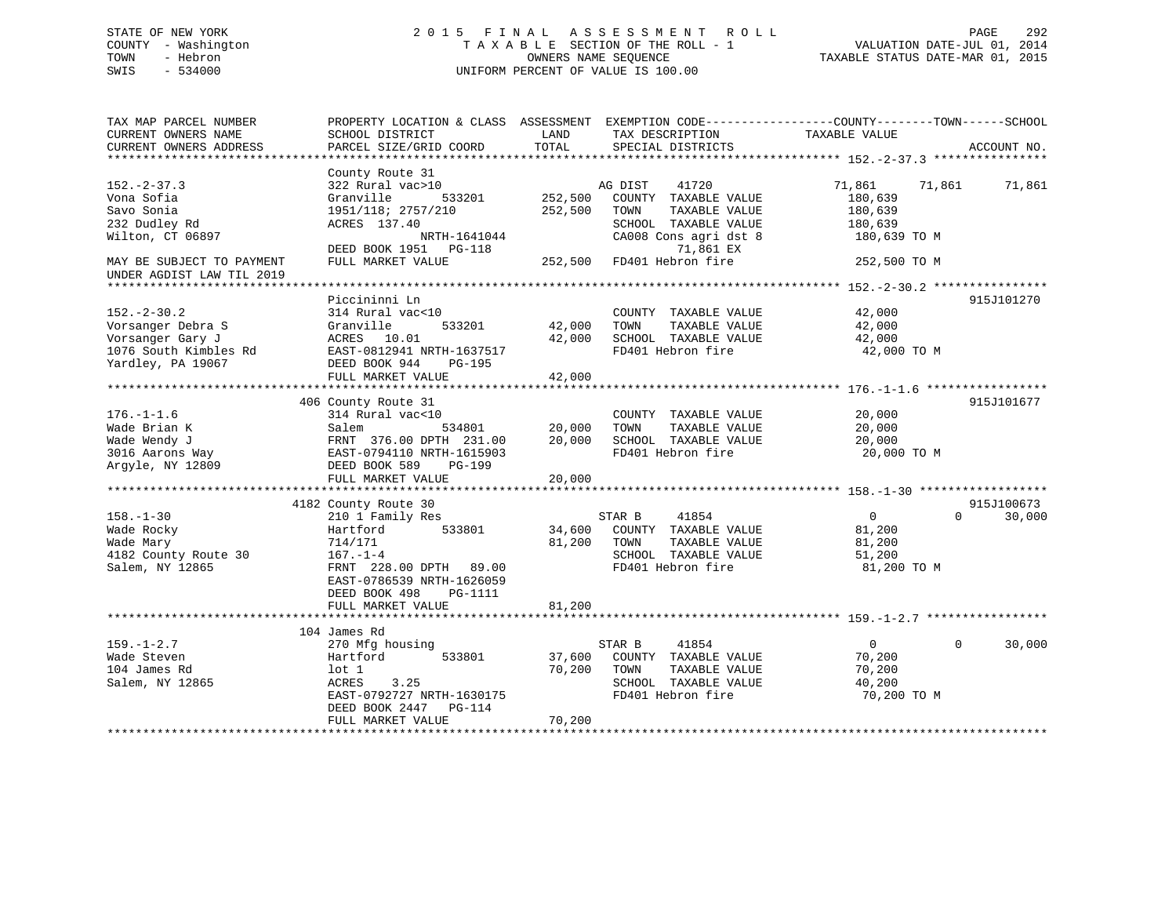# STATE OF NEW YORK 2 0 1 5 F I N A L A S S E S S M E N T R O L L PAGE 292 COUNTY - Washington T A X A B L E SECTION OF THE ROLL - 1 VALUATION DATE-JUL 01, 2014 TOWN - Hebron OWNERS NAME SEQUENCE TAXABLE STATUS DATE-MAR 01, 2015 SWIS - 534000 UNIFORM PERCENT OF VALUE IS 100.00

| TAX MAP PARCEL NUMBER<br>CURRENT OWNERS NAME                                                                    | SCHOOL DISTRICT                                                                                                                                                                                     | LAND                          | PROPERTY LOCATION & CLASS ASSESSMENT EXEMPTION CODE----------------COUNTY-------TOWN-----SCHOOL<br>TAX DESCRIPTION                                   | TAXABLE VALUE                                                           |                                  |
|-----------------------------------------------------------------------------------------------------------------|-----------------------------------------------------------------------------------------------------------------------------------------------------------------------------------------------------|-------------------------------|------------------------------------------------------------------------------------------------------------------------------------------------------|-------------------------------------------------------------------------|----------------------------------|
| CURRENT OWNERS ADDRESS                                                                                          | PARCEL SIZE/GRID COORD                                                                                                                                                                              | TOTAL                         | SPECIAL DISTRICTS                                                                                                                                    |                                                                         | ACCOUNT NO.                      |
|                                                                                                                 | County Route 31                                                                                                                                                                                     |                               |                                                                                                                                                      |                                                                         |                                  |
| $152. - 2 - 37.3$<br>Vona Sofia<br>Savo Sonia<br>232 Dudley Rd<br>Wilton, CT 06897<br>MAY BE SUBJECT TO PAYMENT | 322 Rural vac>10<br>Granville<br>533201<br>1951/118; 2757/210<br>ACRES 137.40<br>NRTH-1641044<br>DEED BOOK 1951 PG-118<br>FULL MARKET VALUE                                                         | 252,500<br>252,500<br>252,500 | AG DIST<br>41720<br>COUNTY TAXABLE VALUE<br>TOWN<br>TAXABLE VALUE<br>SCHOOL TAXABLE VALUE<br>CA008 Cons agri dst 8<br>71,861 EX<br>FD401 Hebron fire | 71,861<br>180,639<br>180,639<br>180,639<br>180,639 TO M<br>252,500 TO M | 71,861<br>71,861                 |
| UNDER AGDIST LAW TIL 2019                                                                                       |                                                                                                                                                                                                     |                               |                                                                                                                                                      |                                                                         |                                  |
| $152. - 2 - 30.2$<br>Vorsanger Debra S<br>Vorsanger Gary J<br>1076 South Kimbles Rd<br>Yardley, PA 19067        | Piccininni Ln<br>314 Rural vac<10<br>Granville<br>533201<br>ACRES 10.01<br>EAST-0812941 NRTH-1637517<br>DEED BOOK 944<br>PG-195<br>FULL MARKET VALUE                                                | 42,000<br>42,000<br>42,000    | COUNTY TAXABLE VALUE<br>TAXABLE VALUE<br>TOWN<br>SCHOOL TAXABLE VALUE<br>FD401 Hebron fire                                                           | 42,000<br>42,000<br>42,000<br>42,000 TO M                               | 915J101270                       |
|                                                                                                                 |                                                                                                                                                                                                     |                               |                                                                                                                                                      |                                                                         | 915J101677                       |
| $176. - 1 - 1.6$<br>Wade Brian K<br>Wade Wendy J<br>3016 Aarons Way<br>Argyle, NY 12809                         | 406 County Route 31<br>314 Rural vac<10<br>534801<br>Salem<br>FRNT 376.00 DPTH 231.00<br>EAST-0794110 NRTH-1615903<br>DEED BOOK 589<br>PG-199<br>FULL MARKET VALUE                                  | 20,000<br>20,000<br>20,000    | COUNTY TAXABLE VALUE<br>TOWN<br>TAXABLE VALUE<br>SCHOOL TAXABLE VALUE<br>FD401 Hebron fire                                                           | 20,000<br>20,000<br>20,000<br>20,000 TO M                               |                                  |
|                                                                                                                 | ****************************                                                                                                                                                                        | * * * * * * * * * * * *       |                                                                                                                                                      |                                                                         |                                  |
| $158. - 1 - 30$<br>Wade Rocky<br>Wade Mary<br>4182 County Route 30<br>Salem, NY 12865                           | 4182 County Route 30<br>210 1 Family Res<br>533801<br>Hartford<br>714/171<br>$167. - 1 - 4$<br>FRNT 228.00 DPTH 89.00<br>EAST-0786539 NRTH-1626059<br>DEED BOOK 498<br>PG-1111<br>FULL MARKET VALUE | 34,600<br>81,200<br>81,200    | STAR B<br>41854<br>COUNTY TAXABLE VALUE<br>TAXABLE VALUE<br>TOWN<br>SCHOOL TAXABLE VALUE<br>FD401 Hebron fire                                        | $\overline{0}$<br>81,200<br>81,200<br>51,200<br>81,200 TO M             | 915J100673<br>$\Omega$<br>30,000 |
|                                                                                                                 |                                                                                                                                                                                                     |                               |                                                                                                                                                      |                                                                         |                                  |
| $159. - 1 - 2.7$<br>Wade Steven<br>104 James Rd<br>Salem, NY 12865                                              | 104 James Rd<br>270 Mfg housing<br>533801<br>Hartford<br>$1$ ot $1$<br>3.25<br>ACRES<br>EAST-0792727 NRTH-1630175<br>DEED BOOK 2447<br>PG-114<br>FULL MARKET VALUE                                  | 37,600<br>70,200<br>70,200    | 41854<br>STAR B<br>COUNTY TAXABLE VALUE<br>TOWN<br>TAXABLE VALUE<br>SCHOOL TAXABLE VALUE<br>FD401 Hebron fire                                        | $\overline{0}$<br>70,200<br>70,200<br>40,200<br>70,200 TO M             | $\Omega$<br>30,000               |
|                                                                                                                 |                                                                                                                                                                                                     |                               |                                                                                                                                                      |                                                                         |                                  |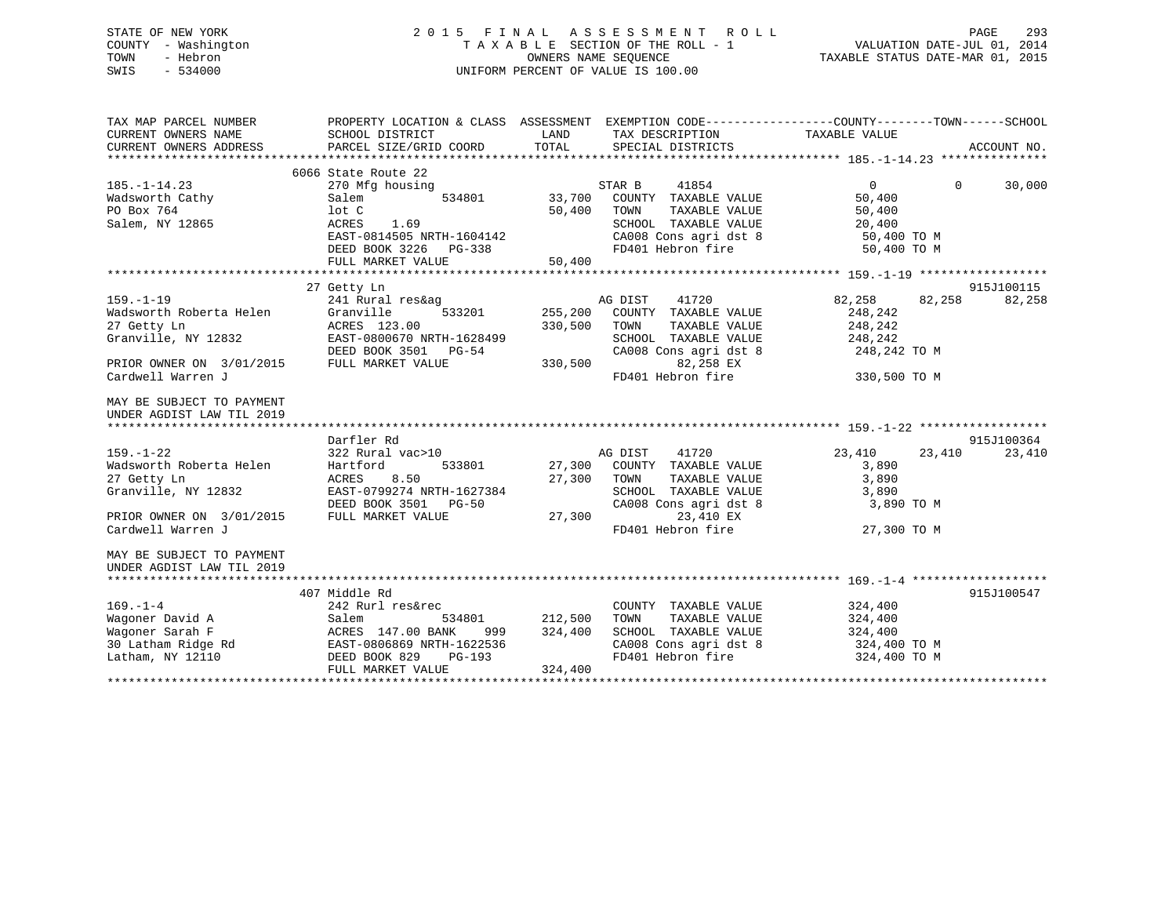# STATE OF NEW YORK 2 0 1 5 F I N A L A S S E S S M E N T R O L L PAGE 293 COUNTY - Washington T A X A B L E SECTION OF THE ROLL - 1 VALUATION DATE-JUL 01, 2014 TOWN - Hebron OWNERS NAME SEQUENCE TAXABLE STATUS DATE-MAR 01, 2015 SWIS - 534000 UNIFORM PERCENT OF VALUE IS 100.00

| SCHOOL DISTRICT<br>PARCEL SIZE/GRID COORD                                                                                                                      | LAND<br>TOTAL                 | PROPERTY LOCATION & CLASS ASSESSMENT<br>TAX DESCRIPTION<br>SPECIAL DISTRICTS                                                              | TAXABLE VALUE                                     |          | EXEMPTION CODE-----------------COUNTY-------TOWN------SCHOOL<br>ACCOUNT NO.                                                       |
|----------------------------------------------------------------------------------------------------------------------------------------------------------------|-------------------------------|-------------------------------------------------------------------------------------------------------------------------------------------|---------------------------------------------------|----------|-----------------------------------------------------------------------------------------------------------------------------------|
| 6066 State Route 22<br>270 Mfg housing<br>Salem<br>534801<br>lot C<br>ACRES<br>1.69<br>EAST-0814505 NRTH-1604142<br>DEED BOOK 3226 PG-338<br>FULL MARKET VALUE | 33,700<br>50,400<br>50,400    | 41854<br>COUNTY TAXABLE VALUE<br>TAXABLE VALUE<br>TOWN<br>SCHOOL TAXABLE VALUE<br>CA008 Cons agri dst 8<br>FD401 Hebron fire              | $\Omega$<br>50,400<br>50,400<br>20,400            | $\Omega$ | 30,000                                                                                                                            |
|                                                                                                                                                                |                               |                                                                                                                                           |                                                   |          |                                                                                                                                   |
| 27 Getty Ln<br>241 Rural res&ag<br>533201<br>Granville<br>ACRES 123.00<br>EAST-0800670 NRTH-1628499<br>DEED BOOK 3501 PG-54<br>FULL MARKET VALUE               | 255,200<br>330,500<br>330,500 | 41720<br>COUNTY TAXABLE VALUE<br>TAXABLE VALUE<br>TOWN<br>SCHOOL TAXABLE VALUE<br>CA008 Cons agri dst 8<br>82,258 EX                      | 82,258<br>248,242<br>248,242<br>248,242           |          | 915J100115<br>82,258                                                                                                              |
|                                                                                                                                                                |                               |                                                                                                                                           |                                                   |          |                                                                                                                                   |
| Darfler Rd                                                                                                                                                     |                               |                                                                                                                                           |                                                   |          | 915J100364                                                                                                                        |
| 322 Rural vac>10<br>Hartford<br>533801<br>8.50<br>ACRES<br>EAST-0799274 NRTH-1627384<br>DEED BOOK 3501 PG-50<br>FULL MARKET VALUE                              | 27,300<br>27,300<br>27,300    | 41720<br>COUNTY TAXABLE VALUE<br>TOWN<br>TAXABLE VALUE<br>SCHOOL TAXABLE VALUE<br>CA008 Cons agri dst 8<br>23,410 EX<br>FD401 Hebron fire | 23,410<br>3,890<br>3,890<br>3,890                 | 23,410   | 23,410                                                                                                                            |
|                                                                                                                                                                |                               |                                                                                                                                           |                                                   |          |                                                                                                                                   |
|                                                                                                                                                                |                               |                                                                                                                                           |                                                   |          | 915J100547                                                                                                                        |
| 242 Rurl res&rec<br>Salem<br>534801<br>ACRES 147.00 BANK<br>999<br>EAST-0806869 NRTH-1622536<br>DEED BOOK 829<br>PG-193<br>FULL MARKET VALUE                   | 212,500<br>324,400<br>324,400 | COUNTY TAXABLE VALUE<br>TOWN<br>TAXABLE VALUE<br>SCHOOL TAXABLE VALUE<br>CA008 Cons agri dst 8<br>FD401 Hebron fire                       | 324,400<br>324,400<br>324,400                     |          |                                                                                                                                   |
|                                                                                                                                                                | 407 Middle Rd                 |                                                                                                                                           | STAR B<br>AG DIST<br>FD401 Hebron fire<br>AG DIST |          | 50,400 TO M<br>50,400 TO M<br>82,258<br>248,242 TO M<br>330,500 TO M<br>3,890 TO M<br>27,300 TO M<br>324,400 TO M<br>324,400 TO M |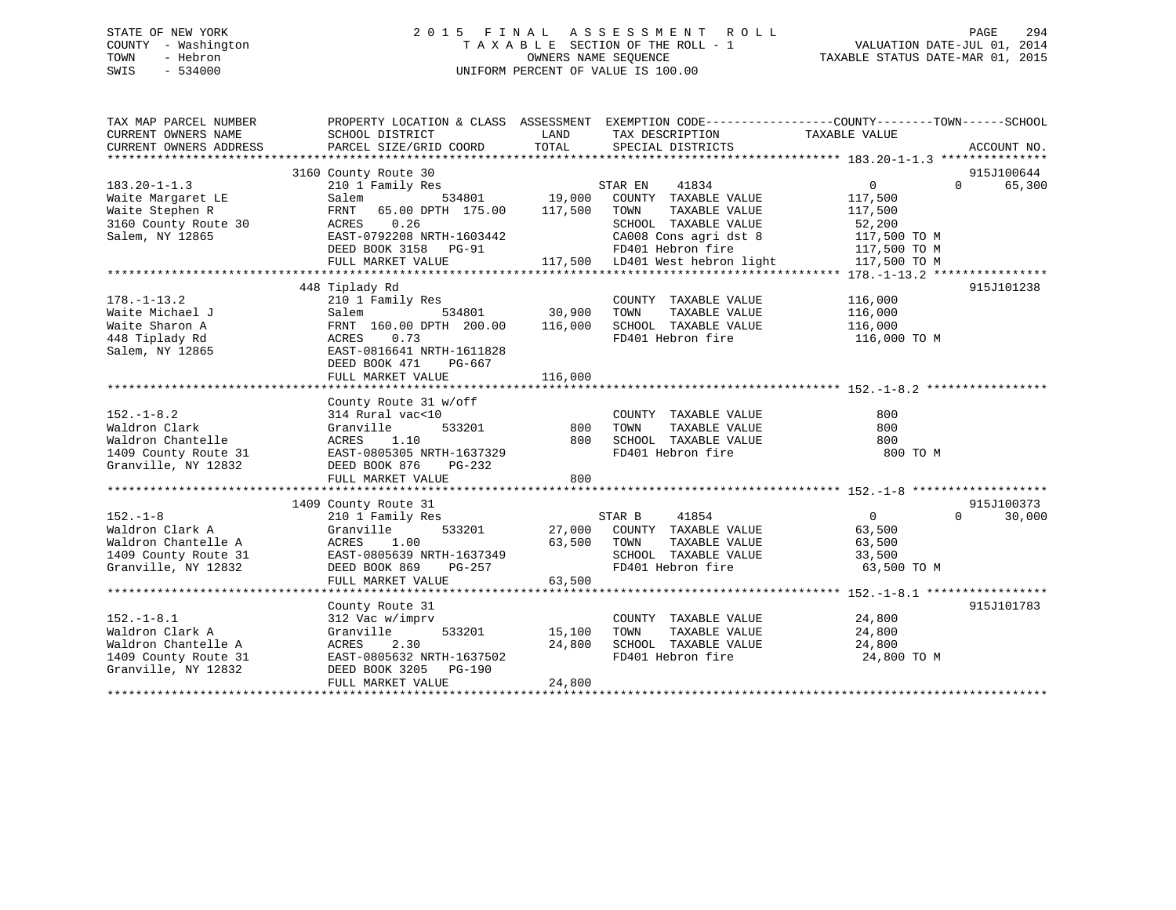# STATE OF NEW YORK 2 0 1 5 F I N A L A S S E S S M E N T R O L L PAGE 294 COUNTY - Washington T A X A B L E SECTION OF THE ROLL - 1 VALUATION DATE-JUL 01, 2014 TOWN - Hebron OWNERS NAME SEQUENCE TAXABLE STATUS DATE-MAR 01, 2015 SWIS - 534000 UNIFORM PERCENT OF VALUE IS 100.00

| TAX MAP PARCEL NUMBER<br>CURRENT OWNERS NAME<br>CURRENT OWNERS ADDRESS                                    | PROPERTY LOCATION & CLASS ASSESSMENT EXEMPTION CODE---------------COUNTY-------TOWN-----SCHOOL<br>SCHOOL DISTRICT<br>PARCEL SIZE/GRID COORD                                    | LAND<br>TOTAL                | TAX DESCRIPTION<br>SPECIAL DISTRICTS                                                                                                                                       | TAXABLE VALUE                                                                                  | ACCOUNT NO.                      |
|-----------------------------------------------------------------------------------------------------------|--------------------------------------------------------------------------------------------------------------------------------------------------------------------------------|------------------------------|----------------------------------------------------------------------------------------------------------------------------------------------------------------------------|------------------------------------------------------------------------------------------------|----------------------------------|
| $183.20 - 1 - 1.3$<br>Waite Margaret LE<br>Waite Stephen R<br>3160 County Route 30<br>Salem, NY 12865     | 3160 County Route 30<br>210 1 Family Res<br>Salem<br>FRNT<br>65.00 DPTH 175.00<br>0.26<br>ACRES<br>EAST-0792208 NRTH-1603442<br>DEED BOOK 3158 PG-91<br>FULL MARKET VALUE      | 534801 19,000<br>117,500     | STAR EN<br>41834<br>COUNTY TAXABLE VALUE<br>TOWN<br>TAXABLE VALUE<br>SCHOOL TAXABLE VALUE<br>CA008 Cons agri dst 8<br>FD401 Hebron fire<br>117,500 LD401 West hebron light | $\overline{0}$<br>117,500<br>117,500<br>52,200<br>117,500 TO M<br>117,500 TO M<br>117,500 TO M | 915J100644<br>65,300<br>$\Omega$ |
| $178. - 1 - 13.2$<br>Waite Michael J<br>Waite Sharon A<br>448 Tiplady Rd<br>Salem, NY 12865               | 448 Tiplady Rd<br>210 1 Family Res<br>534801<br>Salem<br>FRNT 160.00 DPTH 200.00<br>0.73<br>ACRES<br>EAST-0816641 NRTH-1611828<br>DEED BOOK 471<br>PG-667<br>FULL MARKET VALUE | 30,900<br>116,000<br>116,000 | COUNTY TAXABLE VALUE<br>TOWN<br>TAXABLE VALUE<br>SCHOOL TAXABLE VALUE<br>FD401 Hebron fire                                                                                 | 116,000<br>116,000<br>116,000<br>116,000 TO M                                                  | 915J101238                       |
| $152. - 1 - 8.2$<br>Waldron Clark<br>Waldron Chantelle<br>1409 County Route 31<br>Granville, NY 12832     | County Route 31 w/off<br>314 Rural vac<10<br>533201<br>Granville<br>ACRES<br>1.10<br>EAST-0805305 NRTH-1637329<br>DEED BOOK 876<br>PG-232<br>FULL MARKET VALUE                 | 800<br>800<br>800            | COUNTY TAXABLE VALUE<br>TOWN<br>TAXABLE VALUE<br>SCHOOL TAXABLE VALUE<br>FD401 Hebron fire                                                                                 | 800<br>800<br>800<br>800 TO M                                                                  |                                  |
|                                                                                                           |                                                                                                                                                                                |                              |                                                                                                                                                                            |                                                                                                |                                  |
| $152. - 1 - 8$<br>Waldron Clark A<br>Waldron Chantelle A<br>1409 County Route 31<br>Granville, NY 12832   | 1409 County Route 31<br>210 1 Family Res<br>533201<br>Granville<br>1.00<br>ACRES<br>EAST-0805639 NRTH-1637349<br>DEED BOOK 869<br>PG-257<br>FULL MARKET VALUE                  | 27,000<br>63,500<br>63,500   | STAR B<br>41854<br>COUNTY TAXABLE VALUE<br>TOWN<br>TAXABLE VALUE<br>SCHOOL TAXABLE VALUE<br>FD401 Hebron fire                                                              | $\overline{0}$<br>63,500<br>63,500<br>33,500<br>63,500 TO M                                    | 915J100373<br>$\Omega$<br>30,000 |
|                                                                                                           |                                                                                                                                                                                |                              |                                                                                                                                                                            |                                                                                                |                                  |
| $152. - 1 - 8.1$<br>Waldron Clark A<br>Waldron Chantelle A<br>1409 County Route 31<br>Granville, NY 12832 | County Route 31<br>312 Vac w/imprv<br>Granville<br>533201<br>2.30<br>ACRES<br>EAST-0805632 NRTH-1637502<br>DEED BOOK 3205 PG-190<br>FULL MARKET VALUE                          | 15,100<br>24,800<br>24,800   | COUNTY TAXABLE VALUE<br>TOWN<br>TAXABLE VALUE<br>SCHOOL TAXABLE VALUE<br>FD401 Hebron fire                                                                                 | 24,800<br>24,800<br>24,800<br>24,800 TO M                                                      | 915J101783                       |
|                                                                                                           |                                                                                                                                                                                |                              |                                                                                                                                                                            |                                                                                                |                                  |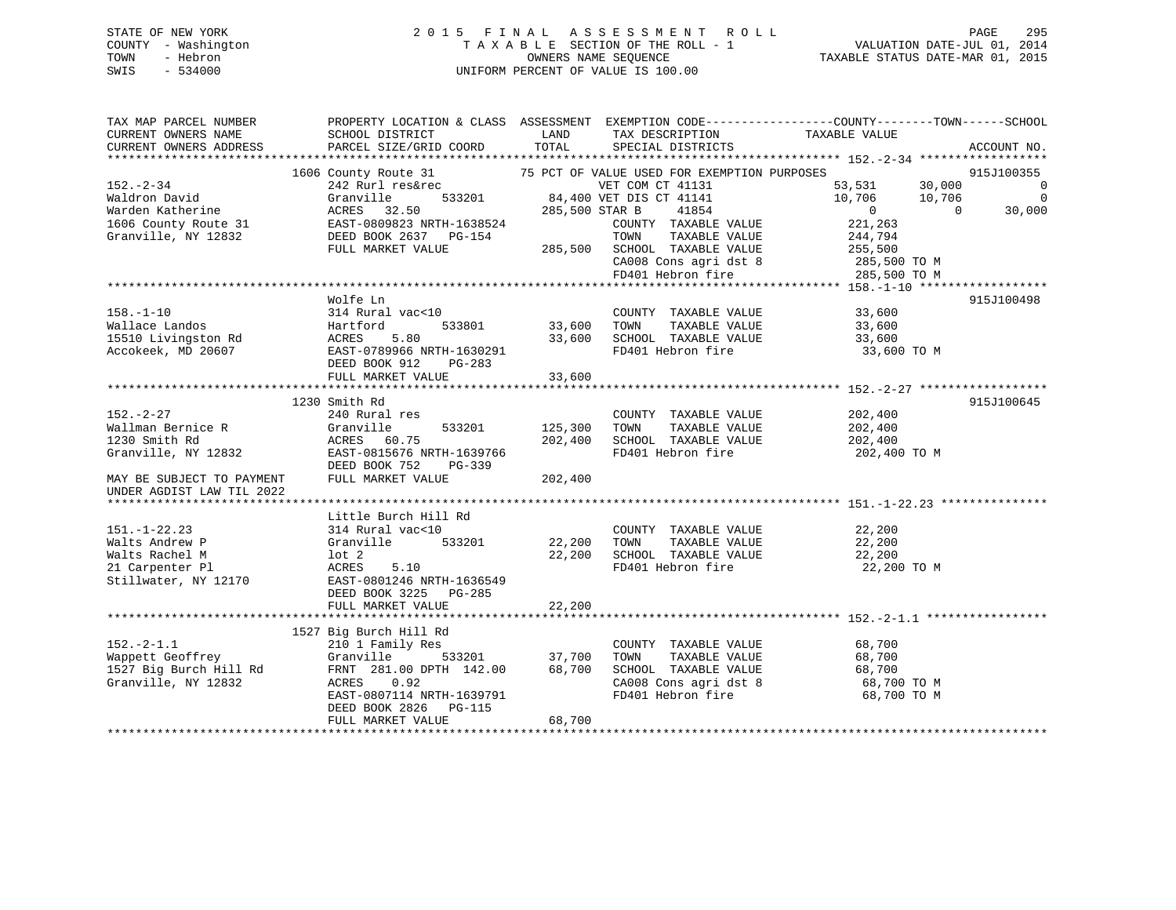# STATE OF NEW YORK 2 0 1 5 F I N A L A S S E S S M E N T R O L L PAGE 295 COUNTY - Washington T A X A B L E SECTION OF THE ROLL - 1 VALUATION DATE-JUL 01, 2014 TOWN - Hebron OWNERS NAME SEQUENCE TAXABLE STATUS DATE-MAR 01, 2015 SWIS - 534000 UNIFORM PERCENT OF VALUE IS 100.00

| TAX MAP PARCEL NUMBER                                                                       | PROPERTY LOCATION & CLASS ASSESSMENT EXEMPTION CODE----------------COUNTY-------TOWN------SCHOOL |                    |                                                                        |                                 |                |                                    |
|---------------------------------------------------------------------------------------------|--------------------------------------------------------------------------------------------------|--------------------|------------------------------------------------------------------------|---------------------------------|----------------|------------------------------------|
| CURRENT OWNERS NAME                                                                         | SCHOOL DISTRICT                                                                                  | LAND               | TAX DESCRIPTION                                                        | TAXABLE VALUE                   |                |                                    |
| CURRENT OWNERS ADDRESS                                                                      | PARCEL SIZE/GRID COORD                                                                           | TOTAL              | SPECIAL DISTRICTS                                                      |                                 |                | ACCOUNT NO.                        |
|                                                                                             |                                                                                                  |                    |                                                                        |                                 |                |                                    |
|                                                                                             | 1606 County Route 31                                                                             |                    | 75 PCT OF VALUE USED FOR EXEMPTION PURPOSES                            | 53,531 30,000                   |                | 915J100355                         |
| 152.-2-34                                                                                   | 242 Rurl res&rec                                                                                 |                    | VET COM CT 41131<br>533201 84,400 VET DIS CT 41141<br>VET COM CT 41131 |                                 |                | $\overline{0}$                     |
| Waldron David                                                                               | Granville<br>ACRES 32.50                                                                         | 285,500 STAR B     | 41854                                                                  | 10,706 10,706<br>$\overline{0}$ | $\overline{0}$ | $\overline{\phantom{0}}$<br>30,000 |
| Warden Katherine                                                                            |                                                                                                  |                    |                                                                        | 221,263                         |                |                                    |
| 1606 County Route 31 EAST-0809823 NRTH-1638524<br>Granville, NY 12832 DEED BOOK 2637 PG-154 |                                                                                                  |                    | COUNTY TAXABLE VALUE<br>TOWN<br>TAXABLE VALUE                          | 244,794                         |                |                                    |
|                                                                                             | FULL MARKET VALUE                                                                                |                    |                                                                        |                                 |                |                                    |
|                                                                                             |                                                                                                  |                    | 285,500 SCHOOL TAXABLE VALUE 255,500                                   | 285,500 TO M                    |                |                                    |
|                                                                                             |                                                                                                  |                    | CA008 Cons agri dst 8<br>FD401 Hebron fire                             | 285,500 TO M                    |                |                                    |
|                                                                                             |                                                                                                  |                    |                                                                        |                                 |                |                                    |
|                                                                                             | Wolfe Ln                                                                                         |                    |                                                                        |                                 |                | 915J100498                         |
| $158. - 1 - 10$                                                                             | 314 Rural vac<10                                                                                 |                    | COUNTY TAXABLE VALUE                                                   | 33,600                          |                |                                    |
| Wallace Landos                                                                              |                                                                                                  | 533801 33,600 TOWN |                                                                        | TAXABLE VALUE 33,600            |                |                                    |
| 15510 Livingston Rd                                                                         |                                                                                                  | 33,600             |                                                                        | 33,600                          |                |                                    |
| Accokeek, MD 20607                                                                          | Hartford 12011<br>ACRES 5.80<br>EAST-0789966 NRTH-1630291                                        |                    | SCHOOL TAXABLE VALUE<br>FD401 Hebron fire                              | 33,600 TO M                     |                |                                    |
|                                                                                             | DEED BOOK 912<br>PG-283                                                                          |                    |                                                                        |                                 |                |                                    |
|                                                                                             | FULL MARKET VALUE                                                                                | 33,600             |                                                                        |                                 |                |                                    |
|                                                                                             |                                                                                                  |                    |                                                                        |                                 |                |                                    |
|                                                                                             | 1230 Smith Rd                                                                                    |                    |                                                                        |                                 |                | 915J100645                         |
| $152. - 2 - 27$                                                                             | 240 Rural res                                                                                    |                    | COUNTY TAXABLE VALUE                                                   | 202,400                         |                |                                    |
| Wallman Bernice R                                                                           | 533201<br>Granville                                                                              | 125,300 TOWN       | TAXABLE VALUE                                                          | 202,400                         |                |                                    |
| 1230 Smith Rd                                                                               | ACRES 60.75                                                                                      | 202,400            | SCHOOL TAXABLE VALUE                                                   | 202,400                         |                |                                    |
| Granville, NY 12832                                                                         | EAST-0815676 NRTH-1639766                                                                        |                    | FD401 Hebron fire                                                      | 202,400 TO M                    |                |                                    |
|                                                                                             | DEED BOOK 752<br>PG-339                                                                          |                    |                                                                        |                                 |                |                                    |
| MAY BE SUBJECT TO PAYMENT                                                                   | FULL MARKET VALUE                                                                                | 202,400            |                                                                        |                                 |                |                                    |
| UNDER AGDIST LAW TIL 2022                                                                   |                                                                                                  |                    |                                                                        |                                 |                |                                    |
|                                                                                             |                                                                                                  |                    |                                                                        |                                 |                |                                    |
|                                                                                             | Little Burch Hill Rd                                                                             |                    |                                                                        |                                 |                |                                    |
| $151. - 1 - 22.23$                                                                          | 314 Rural vac<10                                                                                 |                    | COUNTY TAXABLE VALUE                                                   | 22,200                          |                |                                    |
| Walts Andrew P                                                                              | Granville                                                                                        |                    | TAXABLE VALUE                                                          | 22,200                          |                |                                    |
| Walts Rachel M                                                                              | lot <sub>2</sub>                                                                                 | 22,200             | SCHOOL TAXABLE VALUE                                                   | 22,200                          |                |                                    |
| 21 Carpenter Pl                                                                             | ACRES<br>5.10                                                                                    |                    | FD401 Hebron fire                                                      | 22,200 TO M                     |                |                                    |
| Stillwater, NY 12170                                                                        | EAST-0801246 NRTH-1636549                                                                        |                    |                                                                        |                                 |                |                                    |
|                                                                                             | DEED BOOK 3225 PG-285                                                                            |                    |                                                                        |                                 |                |                                    |
|                                                                                             | FULL MARKET VALUE                                                                                | 22,200             |                                                                        |                                 |                |                                    |
|                                                                                             |                                                                                                  |                    |                                                                        |                                 |                |                                    |
|                                                                                             | 1527 Big Burch Hill Rd                                                                           |                    |                                                                        |                                 |                |                                    |
| $152 - 2 - 1.1$                                                                             | 210 1 Family Res                                                                                 |                    | COUNTY TAXABLE VALUE                                                   | 68,700                          |                |                                    |
| Wappett Geoffrey                                                                            | 533201<br>Granville                                                                              | 37,700             | TOWN<br>TAXABLE VALUE                                                  | 68,700                          |                |                                    |
| 1527 Big Burch Hill Rd                                                                      | FRNT 281.00 DPTH 142.00                                                                          | 68,700             | SCHOOL TAXABLE VALUE                                                   | 68,700                          |                |                                    |
| Granville, NY 12832                                                                         | 0.92<br>ACRES                                                                                    |                    | CA008 Cons agri dst 8                                                  | 68,700 TO M                     |                |                                    |
|                                                                                             | EAST-0807114 NRTH-1639791                                                                        |                    | FD401 Hebron fire                                                      | 68,700 TO M                     |                |                                    |
|                                                                                             | DEED BOOK 2826 PG-115                                                                            |                    |                                                                        |                                 |                |                                    |
|                                                                                             | FULL MARKET VALUE                                                                                | 68,700             |                                                                        |                                 |                |                                    |
|                                                                                             |                                                                                                  |                    |                                                                        |                                 |                |                                    |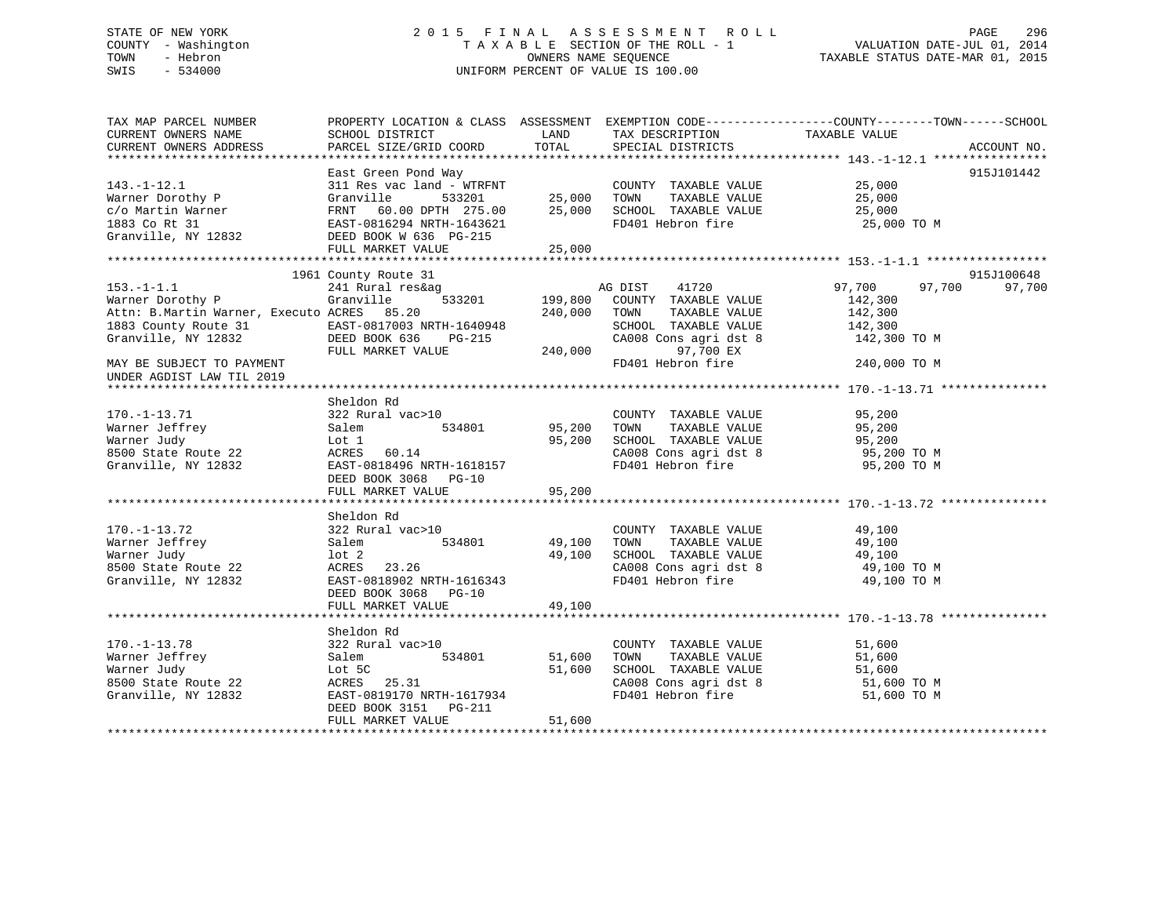# STATE OF NEW YORK 2 0 1 5 F I N A L A S S E S S M E N T R O L L PAGE 296 COUNTY - Washington T A X A B L E SECTION OF THE ROLL - 1 VALUATION DATE-JUL 01, 2014 TOWN - Hebron OWNERS NAME SEQUENCE TAXABLE STATUS DATE-MAR 01, 2015 SWIS - 534000 UNIFORM PERCENT OF VALUE IS 100.00

| TAX MAP PARCEL NUMBER                                                                                                 |                                                                                                          |                                           |                                                                                          | PROPERTY LOCATION & CLASS ASSESSMENT EXEMPTION CODE---------------COUNTY-------TOWN-----SCHOOL |             |
|-----------------------------------------------------------------------------------------------------------------------|----------------------------------------------------------------------------------------------------------|-------------------------------------------|------------------------------------------------------------------------------------------|------------------------------------------------------------------------------------------------|-------------|
| CURRENT OWNERS NAME                                                                                                   | SCHOOL DISTRICT                                                                                          | LAND                                      | TAX DESCRIPTION                                                                          | TAXABLE VALUE                                                                                  |             |
| CURRENT OWNERS ADDRESS                                                                                                | PARCEL SIZE/GRID COORD                                                                                   | TOTAL                                     | SPECIAL DISTRICTS                                                                        |                                                                                                | ACCOUNT NO. |
|                                                                                                                       |                                                                                                          |                                           |                                                                                          |                                                                                                |             |
|                                                                                                                       | East Green Pond Way                                                                                      |                                           |                                                                                          |                                                                                                | 915J101442  |
| $143. - 1 - 12.1$                                                                                                     | 311 Res vac land - WTRFNT COUNTY<br>Granville 533201 25,000 TOWN<br>FRNT 60.00 DPTH 275.00 25,000 SCHOOL |                                           | COUNTY TAXABLE VALUE 25,000                                                              |                                                                                                |             |
|                                                                                                                       |                                                                                                          |                                           | 25,000 TOWN TAXABLE VALUE<br>25,000 SCHOOL TAXABLE VALUE                                 | 25,000<br>25,000                                                                               |             |
|                                                                                                                       |                                                                                                          |                                           |                                                                                          |                                                                                                |             |
|                                                                                                                       |                                                                                                          |                                           | FD401 Hebron fire 25,000 TO M                                                            |                                                                                                |             |
|                                                                                                                       |                                                                                                          |                                           |                                                                                          |                                                                                                |             |
|                                                                                                                       | FULL MARKET VALUE                                                                                        | 25,000                                    |                                                                                          |                                                                                                |             |
|                                                                                                                       |                                                                                                          |                                           |                                                                                          |                                                                                                |             |
|                                                                                                                       | 1961 County Route 31                                                                                     |                                           |                                                                                          |                                                                                                | 915J100648  |
| $153. - 1 - 1.1$                                                                                                      | 241 Rural res&ag                                                                                         |                                           | AG DIST 41720                                                                            | 97,700<br>97,700                                                                               | 97,700      |
| Warner Dorothy P                                                                                                      | 533201 199,800<br>Granville                                                                              |                                           | COUNTY TAXABLE VALUE                                                                     | 142,300                                                                                        |             |
| Attn: B.Martin Warner, Executo ACRES 85.20                                                                            |                                                                                                          |                                           | 240,000 TOWN<br>TAXABLE VALUE                                                            | 142,300                                                                                        |             |
| 1883 County Route 31 EAST-0817003 NRTH-1640948 SCHOOL<br>Granville, NY 12832 DEED BOOK 636 PG-215 CA008 (ROUSE CA008) |                                                                                                          |                                           | SCHOOL TAXABLE VALUE 142,300                                                             |                                                                                                |             |
|                                                                                                                       |                                                                                                          |                                           | CA008 Cons agri dst 8                                                                    | 142,300 TO M                                                                                   |             |
|                                                                                                                       |                                                                                                          |                                           | 97,700 EX                                                                                |                                                                                                |             |
| MAY BE SUBJECT TO PAYMENT                                                                                             |                                                                                                          |                                           | FD401 Hebron fire                                                                        | 240,000 TO M                                                                                   |             |
| UNDER AGDIST LAW TIL 2019                                                                                             |                                                                                                          |                                           |                                                                                          |                                                                                                |             |
|                                                                                                                       |                                                                                                          |                                           |                                                                                          |                                                                                                |             |
|                                                                                                                       | Sheldon Rd                                                                                               |                                           |                                                                                          |                                                                                                |             |
| $170. - 1 - 13.71$                                                                                                    |                                                                                                          |                                           |                                                                                          |                                                                                                |             |
|                                                                                                                       |                                                                                                          |                                           | COUNTY TAXABLE VALUE<br>TOWN TAXABLE VALUE                                               | 95,200<br>95,200                                                                               |             |
| Warner Jeffrey<br>June Judy                                                                                           |                                                                                                          | 95,200                                    | SCHOOL TAXABLE VALUE 95,200<br>CA008 Cons agri dst 8 95,200 TO M                         |                                                                                                |             |
| 8500 State Route 22                                                                                                   | Lot 1<br>ACRES<br>ACRES 60.14                                                                            |                                           |                                                                                          |                                                                                                |             |
| Granville, NY 12832 EAST-0818496 NRTH-1618157                                                                         |                                                                                                          |                                           | FD401 Hebron fire                                                                        | 95,200 TO M                                                                                    |             |
|                                                                                                                       | DEED BOOK 3068 PG-10                                                                                     |                                           |                                                                                          |                                                                                                |             |
|                                                                                                                       | FULL MARKET VALUE                                                                                        | 95,200                                    |                                                                                          |                                                                                                |             |
|                                                                                                                       |                                                                                                          |                                           |                                                                                          |                                                                                                |             |
|                                                                                                                       | Sheldon Rd                                                                                               |                                           |                                                                                          |                                                                                                |             |
| $170. - 1 - 13.72$                                                                                                    | 322 Rural vac>10                                                                                         |                                           | COUNTY TAXABLE VALUE                                                                     | 49,100                                                                                         |             |
| Warner Jeffrey                                                                                                        | Salem                                                                                                    | )<br>534801                        49,100 | TOWN                                                                                     | TAXABLE VALUE 49,100                                                                           |             |
| Warner Judy                                                                                                           | lot 2                                                                                                    | 49,100                                    |                                                                                          |                                                                                                |             |
| 8500 State Route 22                                                                                                   | ACRES 23.26                                                                                              |                                           | SCHOOL TAXABLE VALUE<br>CA008 Cons agri dst 8                                            | 49,100<br>49,100 TO M                                                                          |             |
| Granville, NY 12832                                                                                                   | EAST-0818902 NRTH-1616343                                                                                |                                           | FD401 Hebron fire                                                                        | 49,100 TO M                                                                                    |             |
|                                                                                                                       | DEED BOOK 3068 PG-10                                                                                     |                                           |                                                                                          |                                                                                                |             |
|                                                                                                                       |                                                                                                          |                                           |                                                                                          |                                                                                                |             |
|                                                                                                                       | FULL MARKET VALUE                                                                                        | 49,100                                    |                                                                                          |                                                                                                |             |
|                                                                                                                       |                                                                                                          |                                           |                                                                                          |                                                                                                |             |
|                                                                                                                       | Sheldon Rd                                                                                               |                                           |                                                                                          |                                                                                                |             |
| $170. - 1 - 13.78$                                                                                                    | 322 Rural vac>10                                                                                         |                                           | COUNTY TAXABLE VALUE                                                                     | 51,600                                                                                         |             |
| Warner Jeffrey                                                                                                        | Salem                                                                                                    | 534801 51,600                             | TAXABLE VALUE<br>TOWN                                                                    | 51,600                                                                                         |             |
| Warner Judy                                                                                                           | Lot 5C                                                                                                   | 51,600                                    | SCHOOL TAXABLE VALUE<br>SCHOOL TAXABLE VALUE 51,600<br>CA008 Cons agri dst 8 51,600 TO M | 51,600                                                                                         |             |
| 8500 State Route 22                                                                                                   | ACRES 25.31                                                                                              |                                           |                                                                                          |                                                                                                |             |
| Granville, NY 12832                                                                                                   | EAST-0819170 NRTH-1617934                                                                                |                                           | FD401 Hebron fire                                                                        | 51,600 TO M                                                                                    |             |
|                                                                                                                       |                                                                                                          |                                           |                                                                                          |                                                                                                |             |
|                                                                                                                       | FULL MARKET VALUE                                                                                        | 51,600                                    |                                                                                          |                                                                                                |             |
|                                                                                                                       |                                                                                                          |                                           |                                                                                          |                                                                                                |             |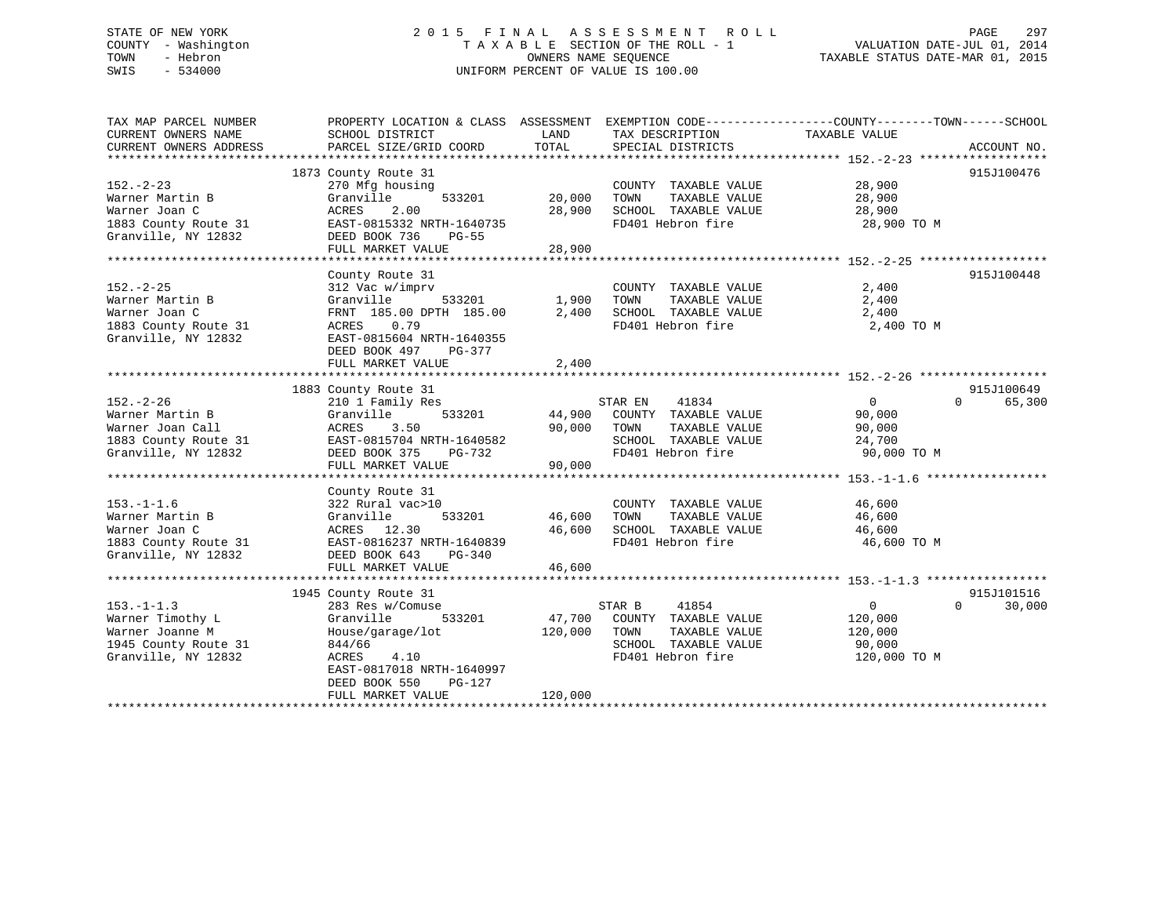# STATE OF NEW YORK 2 0 1 5 F I N A L A S S E S S M E N T R O L L PAGE 297 COUNTY - Washington T A X A B L E SECTION OF THE ROLL - 1 VALUATION DATE-JUL 01, 2014 TOWN - Hebron OWNERS NAME SEQUENCE TAXABLE STATUS DATE-MAR 01, 2015 SWIS - 534000 UNIFORM PERCENT OF VALUE IS 100.00

| TAX MAP PARCEL NUMBER<br>CURRENT OWNERS NAME | PROPERTY LOCATION & CLASS ASSESSMENT<br>SCHOOL DISTRICT | LAND    | EXEMPTION CODE-----------------COUNTY-------TOWN------SCHOOL<br>TAX DESCRIPTION | TAXABLE VALUE |                    |
|----------------------------------------------|---------------------------------------------------------|---------|---------------------------------------------------------------------------------|---------------|--------------------|
| CURRENT OWNERS ADDRESS                       | PARCEL SIZE/GRID COORD                                  | TOTAL   | SPECIAL DISTRICTS                                                               |               | ACCOUNT NO.        |
|                                              |                                                         |         |                                                                                 |               |                    |
|                                              | 1873 County Route 31                                    |         |                                                                                 |               | 915J100476         |
| $152 - 2 - 23$                               | 270 Mfg housing                                         |         | COUNTY TAXABLE VALUE                                                            | 28,900        |                    |
| Warner Martin B                              | Granville<br>533201                                     | 20,000  | TOWN<br>TAXABLE VALUE                                                           | 28,900        |                    |
| Warner Joan C                                | 2.00<br>ACRES                                           | 28,900  | SCHOOL TAXABLE VALUE                                                            | 28,900        |                    |
| 1883 County Route 31                         | EAST-0815332 NRTH-1640735                               |         | FD401 Hebron fire                                                               | 28,900 TO M   |                    |
| Granville, NY 12832                          | DEED BOOK 736<br><b>PG-55</b>                           |         |                                                                                 |               |                    |
|                                              | FULL MARKET VALUE                                       | 28,900  |                                                                                 |               |                    |
|                                              |                                                         |         |                                                                                 |               |                    |
|                                              | County Route 31                                         |         |                                                                                 |               | 915J100448         |
| $152. - 2 - 25$                              | 312 Vac w/imprv                                         |         | COUNTY TAXABLE VALUE                                                            | 2,400         |                    |
| Warner Martin B                              | Granville<br>533201                                     | 1,900   | TOWN<br>TAXABLE VALUE                                                           | 2,400         |                    |
| Warner Joan C                                | FRNT 185.00 DPTH 185.00                                 | 2,400   | SCHOOL TAXABLE VALUE                                                            | 2,400         |                    |
| 1883 County Route 31                         | 0.79<br>ACRES                                           |         | FD401 Hebron fire                                                               | 2,400 TO M    |                    |
| Granville, NY 12832                          | EAST-0815604 NRTH-1640355                               |         |                                                                                 |               |                    |
|                                              | DEED BOOK 497                                           |         |                                                                                 |               |                    |
|                                              | PG-377                                                  |         |                                                                                 |               |                    |
|                                              | FULL MARKET VALUE                                       | 2,400   |                                                                                 |               |                    |
|                                              |                                                         |         |                                                                                 |               | 915J100649         |
|                                              | 1883 County Route 31                                    |         |                                                                                 |               | $\Omega$           |
| $152. - 2 - 26$                              | 210 1 Family Res                                        |         | STAR EN<br>41834                                                                | 0             | 65,300             |
| Warner Martin B                              | Granville<br>533201                                     | 44,900  | COUNTY TAXABLE VALUE                                                            | 90,000        |                    |
| Warner Joan Call                             | ACRES<br>3.50                                           | 90,000  | TAXABLE VALUE<br>TOWN                                                           | 90,000        |                    |
| 1883 County Route 31                         | EAST-0815704 NRTH-1640582                               |         | SCHOOL TAXABLE VALUE                                                            | 24,700        |                    |
| Granville, NY 12832                          | DEED BOOK 375<br>PG-732                                 |         | FD401 Hebron fire                                                               | 90,000 TO M   |                    |
|                                              | FULL MARKET VALUE                                       | 90,000  |                                                                                 |               |                    |
|                                              |                                                         |         |                                                                                 |               |                    |
|                                              | County Route 31                                         |         |                                                                                 |               |                    |
| $153. - 1 - 1.6$                             | 322 Rural vac>10                                        |         | COUNTY TAXABLE VALUE                                                            | 46,600        |                    |
| Warner Martin B                              | Granville<br>533201                                     | 46,600  | TOWN<br>TAXABLE VALUE                                                           | 46,600        |                    |
| Warner Joan C                                | ACRES 12.30                                             | 46,600  | SCHOOL TAXABLE VALUE                                                            | 46,600        |                    |
| 1883 County Route 31                         | EAST-0816237 NRTH-1640839                               |         | FD401 Hebron fire                                                               | 46,600 TO M   |                    |
| Granville, NY 12832                          | DEED BOOK 643<br>PG-340                                 |         |                                                                                 |               |                    |
|                                              | FULL MARKET VALUE                                       | 46,600  |                                                                                 |               |                    |
|                                              |                                                         |         |                                                                                 |               |                    |
|                                              | 1945 County Route 31                                    |         |                                                                                 |               | 915J101516         |
| $153. - 1 - 1.3$                             | 283 Res w/Comuse                                        |         | 41854<br>STAR B                                                                 | $\mathbf 0$   | 30,000<br>$\Omega$ |
| Warner Timothy L                             | Granville<br>533201                                     | 47,700  | COUNTY TAXABLE VALUE                                                            | 120,000       |                    |
| Warner Joanne M                              | House/garage/lot                                        | 120,000 | TOWN<br>TAXABLE VALUE                                                           | 120,000       |                    |
| 1945 County Route 31                         | 844/66                                                  |         | SCHOOL TAXABLE VALUE                                                            | 90,000        |                    |
| Granville, NY 12832                          | ACRES<br>4.10                                           |         | FD401 Hebron fire                                                               | 120,000 TO M  |                    |
|                                              | EAST-0817018 NRTH-1640997                               |         |                                                                                 |               |                    |
|                                              | DEED BOOK 550<br>PG-127                                 |         |                                                                                 |               |                    |
|                                              | FULL MARKET VALUE                                       | 120,000 |                                                                                 |               |                    |
|                                              |                                                         |         |                                                                                 |               |                    |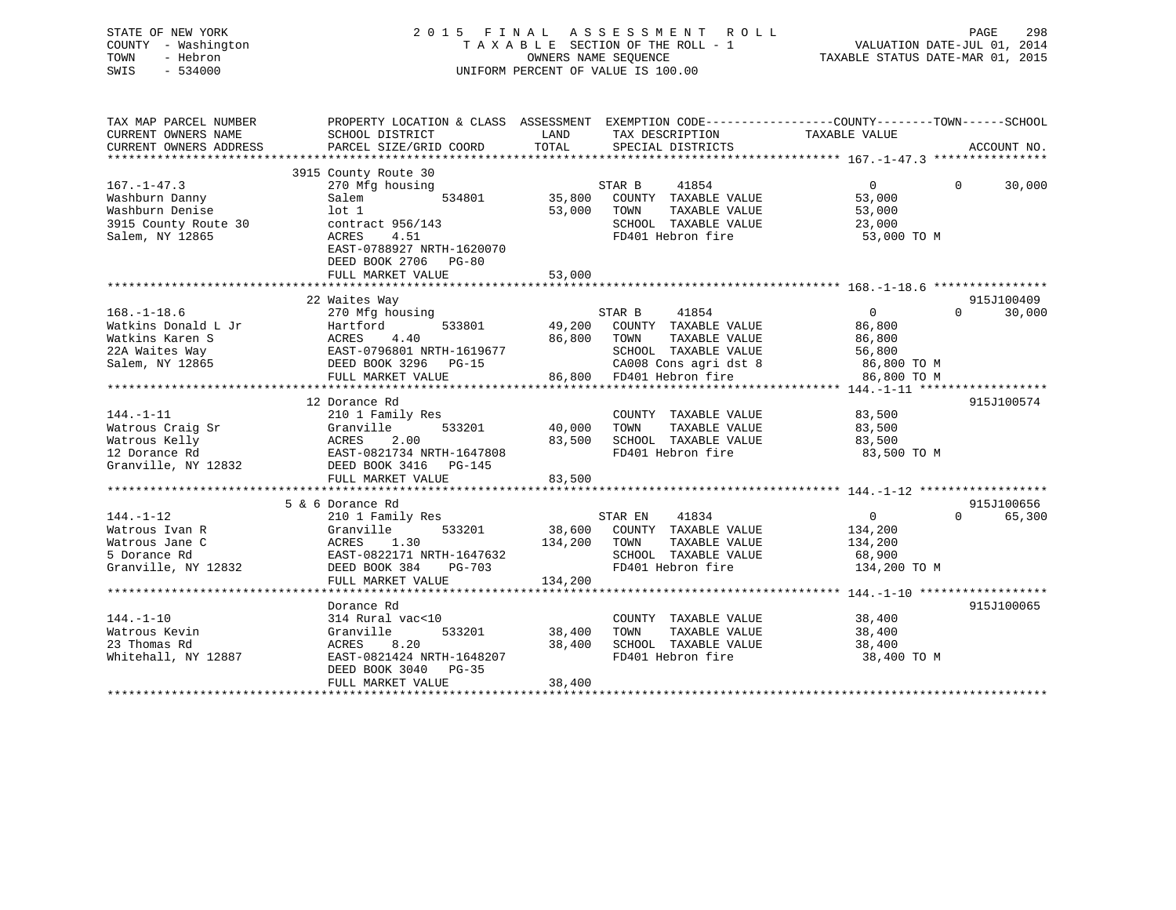| STATE OF NEW YORK<br>COUNTY - Washington<br>TOWN<br>- Hebron<br>SWIS<br>$-534000$ |                                           | OWNERS NAME SEOUENCE | 2015 FINAL ASSESSMENT ROLL<br>TAXABLE SECTION OF THE ROLL - 1<br>UNIFORM PERCENT OF VALUE IS 100.00 | PAGE<br>VALUATION DATE-JUL 01, 2014<br>TAXABLE STATUS DATE-MAR 01, 2015                                           | 298         |
|-----------------------------------------------------------------------------------|-------------------------------------------|----------------------|-----------------------------------------------------------------------------------------------------|-------------------------------------------------------------------------------------------------------------------|-------------|
| TAX MAP PARCEL NUMBER<br>CURRENT OWNERS NAME                                      | SCHOOL DISTRICT                           | LAND                 | TAX DESCRIPTION                                                                                     | PROPERTY LOCATION & CLASS ASSESSMENT EXEMPTION CODE----------------COUNTY-------TOWN------SCHOOL<br>TAXABLE VALUE |             |
| CURRENT OWNERS ADDRESS                                                            | PARCEL SIZE/GRID COORD                    | TOTAL                | SPECIAL DISTRICTS                                                                                   |                                                                                                                   | ACCOUNT NO. |
|                                                                                   |                                           |                      |                                                                                                     |                                                                                                                   |             |
|                                                                                   | 3915 County Route 30                      |                      |                                                                                                     | $\overline{0}$<br>$\mathbf{0}$                                                                                    |             |
| $167. - 1 - 47.3$<br>Washburn Danny                                               | 270 Mfg housing<br>Salem<br>534801        | 35,800               | 41854<br>STAR B<br>COUNTY TAXABLE VALUE                                                             | 53,000                                                                                                            | 30,000      |
| Washburn Denise                                                                   | lot 1                                     | 53,000               | TAXABLE VALUE<br>TOWN                                                                               | 53,000                                                                                                            |             |
| 3915 County Route 30                                                              | contract 956/143                          |                      | SCHOOL TAXABLE VALUE                                                                                | 23,000                                                                                                            |             |
| Salem, NY 12865                                                                   | ACRES<br>4.51                             |                      | FD401 Hebron fire                                                                                   | 53,000 TO M                                                                                                       |             |
|                                                                                   | EAST-0788927 NRTH-1620070                 |                      |                                                                                                     |                                                                                                                   |             |
|                                                                                   | DEED BOOK 2706 PG-80                      |                      |                                                                                                     |                                                                                                                   |             |
|                                                                                   | FULL MARKET VALUE                         | 53,000               |                                                                                                     |                                                                                                                   |             |
|                                                                                   |                                           |                      |                                                                                                     |                                                                                                                   |             |
|                                                                                   | 22 Waites Way                             |                      |                                                                                                     |                                                                                                                   | 915J100409  |
| $168. - 1 - 18.6$                                                                 | 270 Mfg housing                           |                      | 41854<br>STAR B                                                                                     | $\mathbf{0}$<br>$\Omega$                                                                                          | 30,000      |
| Watkins Donald L Jr                                                               | 533801<br>Hartford                        | 49,200               | COUNTY TAXABLE VALUE                                                                                | 86,800                                                                                                            |             |
| Watkins Karen S                                                                   | <b>ACRES</b><br>4.40                      | 86,800               | TAXABLE VALUE<br>TOWN                                                                               | 86,800                                                                                                            |             |
| 22A Waites Way                                                                    | EAST-0796801 NRTH-1619677                 |                      | SCHOOL TAXABLE VALUE                                                                                | 56,800                                                                                                            |             |
| Salem, NY 12865                                                                   | DEED BOOK 3296 PG-15                      |                      | CA008 Cons agri dst 8                                                                               | 86,800 TO M                                                                                                       |             |
|                                                                                   | FULL MARKET VALUE                         |                      | 86,800 FD401 Hebron fire                                                                            | 86,800 TO M                                                                                                       |             |
|                                                                                   |                                           |                      |                                                                                                     |                                                                                                                   |             |
|                                                                                   | 12 Dorance Rd                             |                      |                                                                                                     |                                                                                                                   | 915J100574  |
| $144. - 1 - 11$                                                                   | 210 1 Family Res                          |                      | COUNTY TAXABLE VALUE                                                                                | 83,500                                                                                                            |             |
| Watrous Craig Sr                                                                  | Granville<br>533201<br>ACRES<br>2.00      | 40,000               | TAXABLE VALUE<br>TOWN                                                                               | 83,500                                                                                                            |             |
| Watrous Kelly<br>12 Dorance Rd                                                    | EAST-0821734 NRTH-1647808                 | 83,500               | SCHOOL TAXABLE VALUE<br>FD401 Hebron fire                                                           | 83,500<br>83,500 TO M                                                                                             |             |
| Granville, NY 12832                                                               | DEED BOOK 3416 PG-145                     |                      |                                                                                                     |                                                                                                                   |             |
|                                                                                   | FULL MARKET VALUE                         | 83,500               |                                                                                                     |                                                                                                                   |             |
|                                                                                   |                                           |                      |                                                                                                     |                                                                                                                   |             |
|                                                                                   | 5 & 6 Dorance Rd                          |                      |                                                                                                     |                                                                                                                   | 915J100656  |
| $144. - 1 - 12$                                                                   | 210 1 Family Res                          |                      | STAR EN<br>41834                                                                                    | $\overline{0}$<br>$\Omega$                                                                                        | 65,300      |
| Watrous Ivan R                                                                    | Granville<br>533201                       | 38,600               | COUNTY TAXABLE VALUE                                                                                | 134,200                                                                                                           |             |
| Watrous Jane C                                                                    | <b>ACRES</b><br>1.30                      | 134,200              | TAXABLE VALUE<br>TOWN                                                                               | 134,200                                                                                                           |             |
| 5 Dorance Rd                                                                      | EAST-0822171 NRTH-1647632                 |                      | SCHOOL TAXABLE VALUE                                                                                | 68,900                                                                                                            |             |
| Granville, NY 12832                                                               | DEED BOOK 384<br>PG-703                   |                      | FD401 Hebron fire                                                                                   | 134,200 TO M                                                                                                      |             |
|                                                                                   | FULL MARKET VALUE                         | 134,200              |                                                                                                     |                                                                                                                   |             |
|                                                                                   |                                           |                      |                                                                                                     |                                                                                                                   |             |
|                                                                                   | Dorance Rd                                |                      |                                                                                                     |                                                                                                                   | 915J100065  |
| $144. - 1 - 10$                                                                   | 314 Rural vac<10                          |                      | COUNTY TAXABLE VALUE                                                                                | 38,400                                                                                                            |             |
| Watrous Kevin                                                                     | Granville<br>533201                       | 38,400               | TAXABLE VALUE<br>TOWN                                                                               | 38,400                                                                                                            |             |
| 23 Thomas Rd                                                                      | ACRES<br>8.20                             | 38,400               | SCHOOL TAXABLE VALUE                                                                                | 38,400                                                                                                            |             |
| Whitehall, NY 12887                                                               | EAST-0821424 NRTH-1648207                 |                      | FD401 Hebron fire                                                                                   | 38,400 TO M                                                                                                       |             |
|                                                                                   | DEED BOOK 3040 PG-35<br>FULL MARKET VALUE | 38,400               |                                                                                                     |                                                                                                                   |             |
|                                                                                   |                                           |                      |                                                                                                     |                                                                                                                   |             |

\*\*\*\*\*\*\*\*\*\*\*\*\*\*\*\*\*\*\*\*\*\*\*\*\*\*\*\*\*\*\*\*\*\*\*\*\*\*\*\*\*\*\*\*\*\*\*\*\*\*\*\*\*\*\*\*\*\*\*\*\*\*\*\*\*\*\*\*\*\*\*\*\*\*\*\*\*\*\*\*\*\*\*\*\*\*\*\*\*\*\*\*\*\*\*\*\*\*\*\*\*\*\*\*\*\*\*\*\*\*\*\*\*\*\*\*\*\*\*\*\*\*\*\*\*\*\*\*\*\*\*\*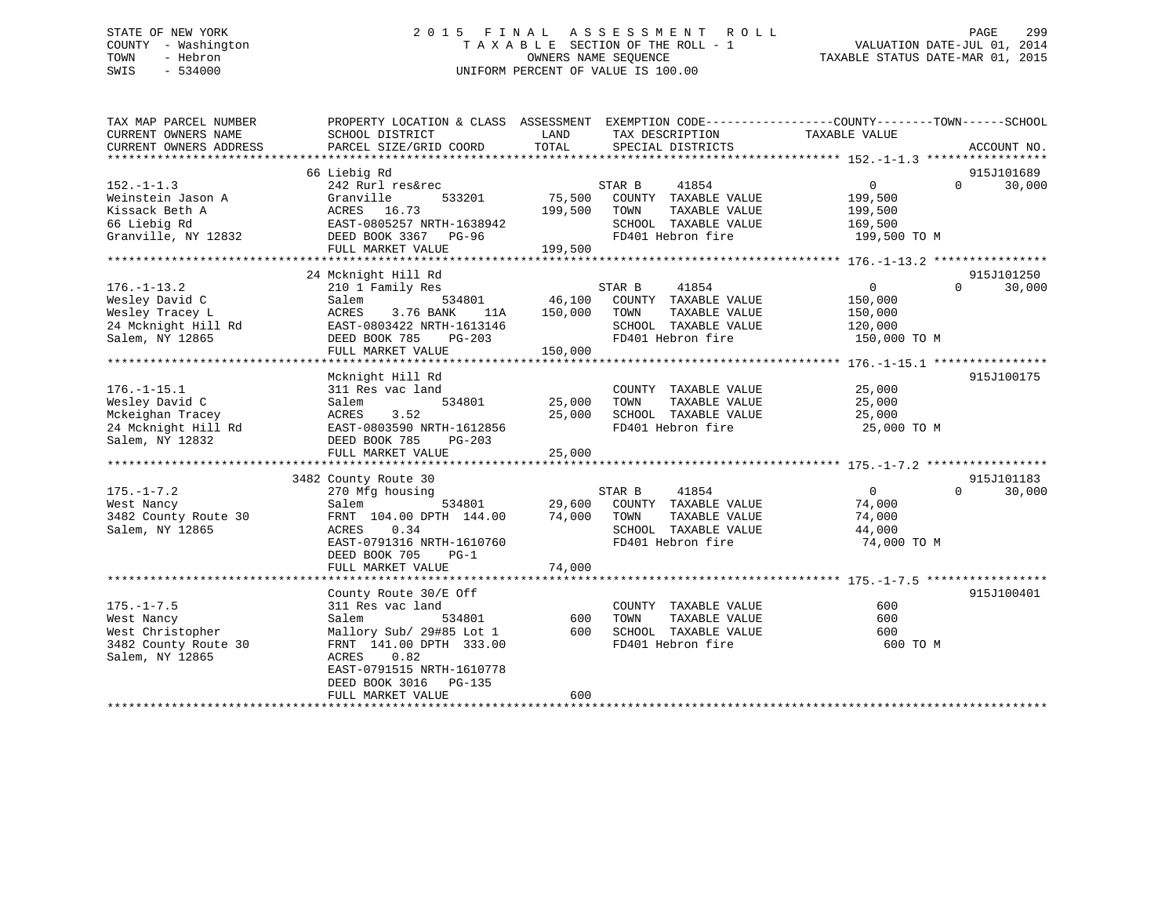# STATE OF NEW YORK 2 0 1 5 F I N A L A S S E S S M E N T R O L L PAGE 299 COUNTY - Washington T A X A B L E SECTION OF THE ROLL - 1 VALUATION DATE-JUL 01, 2014 TOWN - Hebron OWNERS NAME SEQUENCE TAXABLE STATUS DATE-MAR 01, 2015 SWIS - 534000 UNIFORM PERCENT OF VALUE IS 100.00

| LAND<br>TAXABLE VALUE<br>CURRENT OWNERS NAME<br>SCHOOL DISTRICT<br>TAX DESCRIPTION           |             |
|----------------------------------------------------------------------------------------------|-------------|
| TOTAL<br>CURRENT OWNERS ADDRESS<br>PARCEL SIZE/GRID COORD<br>SPECIAL DISTRICTS               | ACCOUNT NO. |
|                                                                                              |             |
| 66 Liebig Rd<br>915J101689                                                                   |             |
| $152. - 1 - 1.3$<br>41854<br>$\overline{0}$<br>$\Omega$<br>242 Rurl res&rec<br>STAR B        | 30,000      |
| 75,500<br>Weinstein Jason A<br>Granville<br>533201<br>COUNTY TAXABLE VALUE<br>199,500        |             |
| Kissack Beth A<br>199,500<br>TAXABLE VALUE<br>ACRES 16.73<br>TOWN<br>199,500                 |             |
| 66 Liebig Rd<br>EAST-0805257 NRTH-1638942<br>SCHOOL TAXABLE VALUE<br>169,500                 |             |
| Granville, NY 12832<br>DEED BOOK 3367 PG-96<br>FD401 Hebron fire<br>199,500 TO M             |             |
| FULL MARKET VALUE<br>199,500                                                                 |             |
|                                                                                              |             |
| 24 Mcknight Hill Rd                                                                          | 915J101250  |
| $176. - 1 - 13.2$<br>210 1 Family Res<br>$\overline{0}$<br>$\Omega$<br>STAR B<br>41854       | 30,000      |
| 46,100<br>Wesley David C<br>534801<br>COUNTY TAXABLE VALUE<br>Salem<br>150,000               |             |
| Wesley Tracey L<br>ACRES<br>3.76 BANK<br>150,000<br>TOWN<br>TAXABLE VALUE<br>150,000<br>11A  |             |
| 24 Mcknight Hill Rd<br>EAST-0803422 NRTH-1613146<br>SCHOOL TAXABLE VALUE<br>120,000          |             |
| FD401 Hebron fire<br>Salem, NY 12865<br>PG-203<br>150,000 TO M<br>DEED BOOK 785              |             |
| FULL MARKET VALUE<br>150,000                                                                 |             |
|                                                                                              |             |
| 915J100175<br>Mcknight Hill Rd                                                               |             |
| $176. - 1 - 15.1$<br>25,000<br>311 Res vac land<br>COUNTY TAXABLE VALUE                      |             |
| Wesley David C<br>534801<br>25,000<br>TOWN<br>25,000<br>Salem<br>TAXABLE VALUE               |             |
| 3.52<br>Mckeighan Tracey<br>ACRES<br>25,000<br>SCHOOL TAXABLE VALUE<br>25,000                |             |
| 24 Mcknight Hill Rd<br>FD401 Hebron fire<br>25,000 TO M<br>EAST-0803590 NRTH-1612856         |             |
| Salem, NY 12832<br>DEED BOOK 785<br>PG-203                                                   |             |
| 25,000<br>FULL MARKET VALUE                                                                  |             |
|                                                                                              |             |
| 3482 County Route 30                                                                         | 915J101183  |
| $\overline{0}$<br>$\Omega$<br>$175. - 1 - 7.2$<br>270 Mfg housing<br>STAR B<br>41854         | 30,000      |
| West Nancy<br>29,600<br>COUNTY TAXABLE VALUE<br>74,000<br>Salem<br>534801                    |             |
| 3482 County Route 30<br>FRNT 104.00 DPTH 144.00<br>74,000<br>TOWN<br>TAXABLE VALUE<br>74,000 |             |
| SCHOOL TAXABLE VALUE<br>Salem, NY 12865<br>ACRES<br>0.34<br>44,000                           |             |
| EAST-0791316 NRTH-1610760<br>FD401 Hebron fire<br>74,000 TO M                                |             |
| DEED BOOK 705<br>$PG-1$                                                                      |             |
| 74,000<br>FULL MARKET VALUE                                                                  |             |
|                                                                                              |             |
| County Route 30/E Off<br>915J100401                                                          |             |
| 600<br>$175. - 1 - 7.5$<br>311 Res vac land<br>COUNTY TAXABLE VALUE                          |             |
| West Nancy<br>Salem<br>534801<br>600<br>TOWN<br>TAXABLE VALUE<br>600                         |             |
| West Christopher<br>600<br>SCHOOL TAXABLE VALUE<br>600<br>Mallory Sub/ 29#85 Lot 1           |             |
| FRNT 141.00 DPTH 333.00<br>FD401 Hebron fire<br>600 TO M<br>3482 County Route 30             |             |
| Salem, NY 12865<br>ACRES<br>0.82                                                             |             |
| EAST-0791515 NRTH-1610778                                                                    |             |
|                                                                                              |             |
| DEED BOOK 3016<br>PG-135<br>600<br>FULL MARKET VALUE                                         |             |
|                                                                                              |             |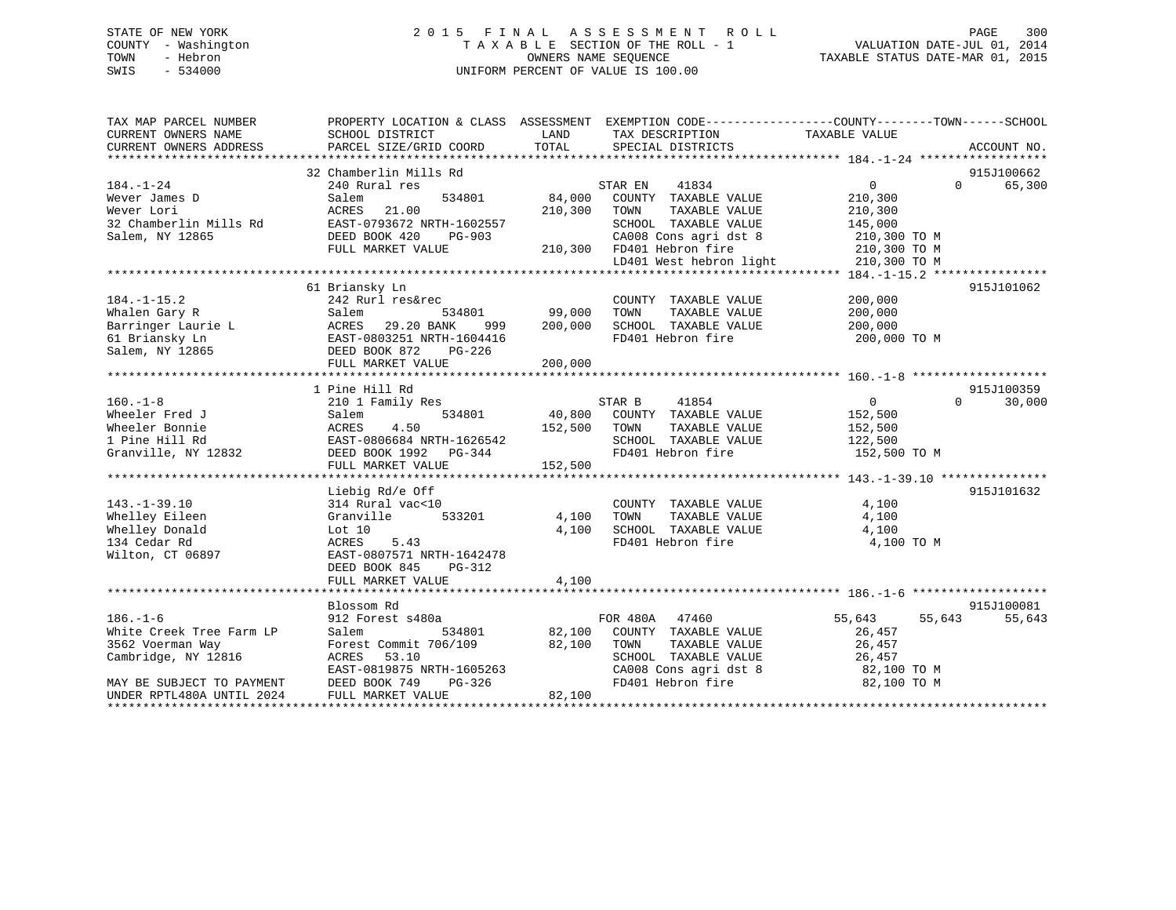# STATE OF NEW YORK 2 0 1 5 F I N A L A S S E S S M E N T R O L L PAGE 300 COUNTY - Washington T A X A B L E SECTION OF THE ROLL - 1 VALUATION DATE-JUL 01, 2014 TOWN - Hebron OWNERS NAME SEQUENCE TAXABLE STATUS DATE-MAR 01, 2015 SWIS - 534000 UNIFORM PERCENT OF VALUE IS 100.00

| TAX MAP PARCEL NUMBER<br>CURRENT OWNERS NAME | PROPERTY LOCATION & CLASS ASSESSMENT<br>SCHOOL DISTRICT | LAND    | EXEMPTION CODE-----------------COUNTY-------TOWN------SCHOOL<br>TAX DESCRIPTION | TAXABLE VALUE    |                    |
|----------------------------------------------|---------------------------------------------------------|---------|---------------------------------------------------------------------------------|------------------|--------------------|
| CURRENT OWNERS ADDRESS                       | PARCEL SIZE/GRID COORD                                  | TOTAL   | SPECIAL DISTRICTS                                                               |                  | ACCOUNT NO.        |
|                                              | 32 Chamberlin Mills Rd                                  |         |                                                                                 |                  | 915J100662         |
| $184. - 1 - 24$                              | 240 Rural res                                           |         | 41834<br>STAR EN                                                                | 0                | 65,300<br>$\Omega$ |
| Wever James D                                | Salem<br>534801                                         | 84,000  | COUNTY TAXABLE VALUE                                                            | 210,300          |                    |
| Wever Lori                                   | 21.00<br>ACRES                                          | 210,300 | TAXABLE VALUE<br>TOWN                                                           | 210,300          |                    |
| 32 Chamberlin Mills Rd                       | EAST-0793672 NRTH-1602557                               |         | SCHOOL TAXABLE VALUE                                                            | 145,000          |                    |
| Salem, NY 12865                              | DEED BOOK 420<br>PG-903                                 |         | CA008 Cons agri dst 8                                                           | 210,300 TO M     |                    |
|                                              | FULL MARKET VALUE                                       |         | 210,300 FD401 Hebron fire                                                       | 210,300 TO M     |                    |
|                                              |                                                         |         | LD401 West hebron light                                                         | 210,300 TO M     |                    |
|                                              |                                                         |         |                                                                                 |                  |                    |
|                                              | 61 Briansky Ln                                          |         |                                                                                 |                  | 915J101062         |
| $184. - 1 - 15.2$                            | 242 Rurl res&rec                                        |         | COUNTY TAXABLE VALUE                                                            | 200,000          |                    |
| Whalen Gary R                                | Salem<br>534801                                         | 99,000  | TAXABLE VALUE<br>TOWN                                                           | 200,000          |                    |
| Barringer Laurie L                           | 29.20 BANK<br>999<br>ACRES                              | 200,000 | SCHOOL TAXABLE VALUE                                                            | 200,000          |                    |
| 61 Briansky Ln                               | EAST-0803251 NRTH-1604416                               |         | FD401 Hebron fire                                                               | 200,000 TO M     |                    |
| Salem, NY 12865                              | DEED BOOK 872<br>PG-226                                 |         |                                                                                 |                  |                    |
|                                              | FULL MARKET VALUE                                       | 200,000 |                                                                                 |                  |                    |
|                                              |                                                         |         |                                                                                 |                  |                    |
|                                              | 1 Pine Hill Rd                                          |         |                                                                                 |                  | 915J100359         |
| $160. - 1 - 8$                               | 210 1 Family Res                                        |         | STAR B<br>41854                                                                 | 0                | $\Omega$<br>30,000 |
| Wheeler Fred J                               | 534801<br>Salem                                         | 40,800  | COUNTY TAXABLE VALUE                                                            | 152,500          |                    |
| Wheeler Bonnie                               | ACRES<br>4.50                                           | 152,500 | TAXABLE VALUE<br>TOWN                                                           | 152,500          |                    |
| 1 Pine Hill Rd                               | EAST-0806684 NRTH-1626542                               |         | SCHOOL TAXABLE VALUE                                                            | 122,500          |                    |
| Granville, NY 12832                          | DEED BOOK 1992 PG-344                                   |         | FD401 Hebron fire                                                               | 152,500 TO M     |                    |
|                                              | FULL MARKET VALUE                                       | 152,500 |                                                                                 |                  |                    |
|                                              |                                                         |         |                                                                                 |                  |                    |
|                                              | Liebig Rd/e Off                                         |         |                                                                                 |                  | 915J101632         |
| $143. - 1 - 39.10$                           | 314 Rural vac<10                                        |         | COUNTY TAXABLE VALUE                                                            | 4,100            |                    |
| Whelley Eileen                               | Granville<br>533201                                     | 4,100   | TAXABLE VALUE<br>TOWN                                                           | 4,100            |                    |
| Whelley Donald                               | Lot 10                                                  | 4,100   | SCHOOL TAXABLE VALUE                                                            | 4,100            |                    |
| 134 Cedar Rd                                 | 5.43<br>ACRES                                           |         | FD401 Hebron fire                                                               | 4,100 TO M       |                    |
| Wilton, CT 06897                             | EAST-0807571 NRTH-1642478                               |         |                                                                                 |                  |                    |
|                                              | DEED BOOK 845<br>PG-312                                 |         |                                                                                 |                  |                    |
|                                              | FULL MARKET VALUE                                       | 4,100   |                                                                                 |                  |                    |
|                                              |                                                         |         |                                                                                 |                  |                    |
|                                              | Blossom Rd                                              |         |                                                                                 |                  | 915J100081         |
| $186. - 1 - 6$                               | 912 Forest s480a                                        |         | FOR 480A<br>47460                                                               | 55,643<br>55,643 | 55,643             |
| White Creek Tree Farm LP                     | Salem<br>534801                                         | 82,100  | COUNTY TAXABLE VALUE                                                            | 26,457           |                    |
| 3562 Voerman Way                             | Forest Commit 706/109                                   | 82,100  | TOWN<br>TAXABLE VALUE                                                           | 26,457           |                    |
| Cambridge, NY 12816                          | ACRES<br>53.10                                          |         | SCHOOL TAXABLE VALUE                                                            | 26,457           |                    |
|                                              | EAST-0819875 NRTH-1605263                               |         | CA008 Cons agri dst 8                                                           | 82,100 TO M      |                    |
| MAY BE SUBJECT TO PAYMENT                    | PG-326<br>DEED BOOK 749                                 |         | FD401 Hebron fire                                                               | 82,100 TO M      |                    |
| UNDER RPTL480A UNTIL 2024                    | FULL MARKET VALUE                                       | 82,100  |                                                                                 |                  |                    |
|                                              |                                                         |         |                                                                                 |                  |                    |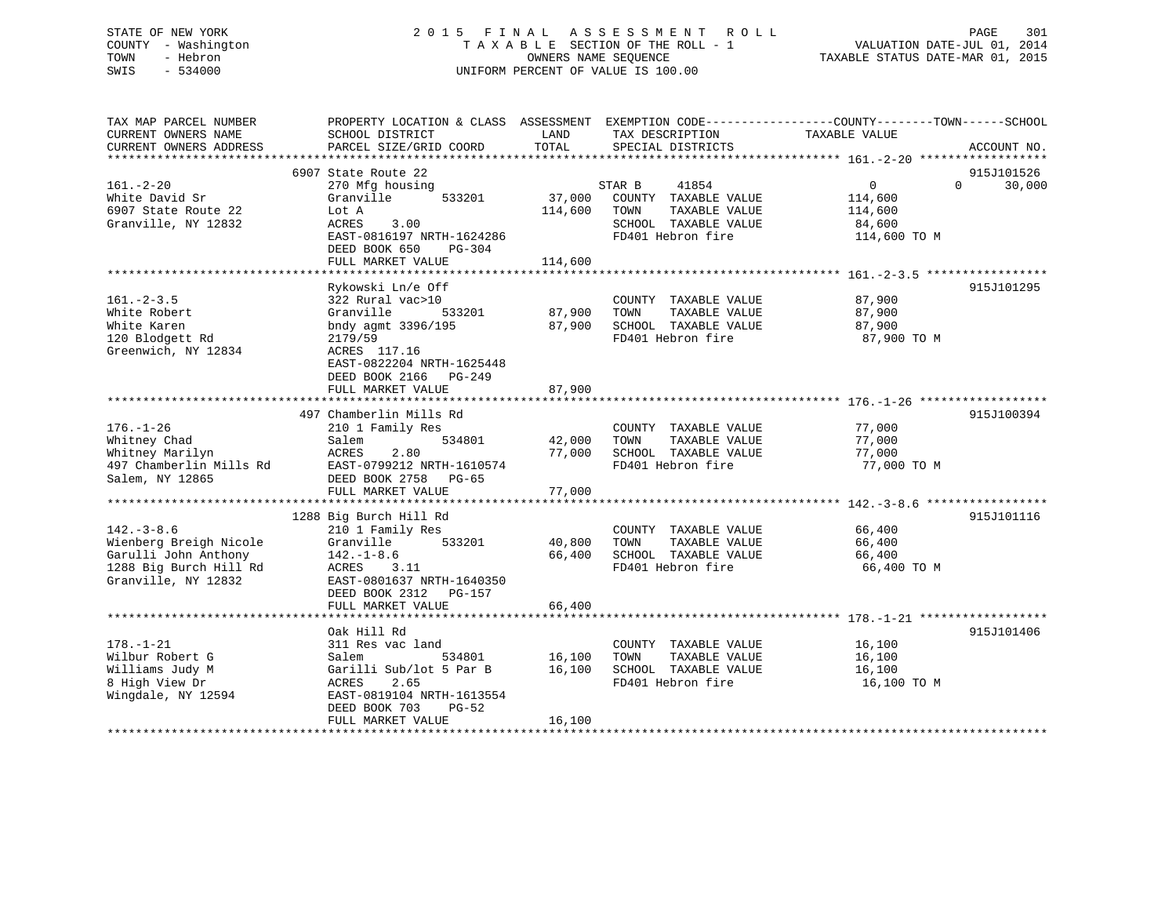# STATE OF NEW YORK 2 0 1 5 F I N A L A S S E S S M E N T R O L L PAGE 301 COUNTY - Washington T A X A B L E SECTION OF THE ROLL - 1 VALUATION DATE-JUL 01, 2014 TOWN - Hebron OWNERS NAME SEQUENCE TAXABLE STATUS DATE-MAR 01, 2015 SWIS - 534000 UNIFORM PERCENT OF VALUE IS 100.00

| TAX MAP PARCEL NUMBER   |                           |         |                       | PROPERTY LOCATION & CLASS ASSESSMENT EXEMPTION CODE--------------COUNTY-------TOWN-----SCHOOL |             |
|-------------------------|---------------------------|---------|-----------------------|-----------------------------------------------------------------------------------------------|-------------|
| CURRENT OWNERS NAME     | SCHOOL DISTRICT           | LAND    | TAX DESCRIPTION       | TAXABLE VALUE                                                                                 |             |
| CURRENT OWNERS ADDRESS  | PARCEL SIZE/GRID COORD    | TOTAL   | SPECIAL DISTRICTS     |                                                                                               | ACCOUNT NO. |
|                         |                           |         |                       |                                                                                               |             |
|                         | 6907 State Route 22       |         |                       |                                                                                               | 915J101526  |
| $161. - 2 - 20$         | 270 Mfg housing           |         | STAR B<br>41854       | $\mathbf 0$<br>$\Omega$                                                                       | 30,000      |
| White David Sr          | 533201<br>Granville       | 37,000  | COUNTY TAXABLE VALUE  | 114,600                                                                                       |             |
| 6907 State Route 22     | Lot A                     | 114,600 | TOWN<br>TAXABLE VALUE | 114,600                                                                                       |             |
| Granville, NY 12832     | 3.00<br>ACRES             |         | SCHOOL TAXABLE VALUE  | 84,600                                                                                        |             |
|                         |                           |         |                       |                                                                                               |             |
|                         | EAST-0816197 NRTH-1624286 |         | FD401 Hebron fire     | 114,600 TO M                                                                                  |             |
|                         | DEED BOOK 650<br>PG-304   |         |                       |                                                                                               |             |
|                         | FULL MARKET VALUE         | 114,600 |                       |                                                                                               |             |
|                         |                           |         |                       |                                                                                               |             |
|                         | Rykowski Ln/e Off         |         |                       |                                                                                               | 915J101295  |
| $161 - 2 - 3.5$         | 322 Rural vac>10          |         | COUNTY TAXABLE VALUE  | 87,900                                                                                        |             |
| White Robert            | Granville<br>533201       | 87,900  | TOWN<br>TAXABLE VALUE | 87,900                                                                                        |             |
| White Karen             | bndy agmt 3396/195        | 87,900  | SCHOOL TAXABLE VALUE  | 87,900                                                                                        |             |
| 120 Blodgett Rd         | 2179/59                   |         | FD401 Hebron fire     | 87,900 TO M                                                                                   |             |
| Greenwich, NY 12834     | ACRES 117.16              |         |                       |                                                                                               |             |
|                         | EAST-0822204 NRTH-1625448 |         |                       |                                                                                               |             |
|                         | DEED BOOK 2166<br>PG-249  |         |                       |                                                                                               |             |
|                         | FULL MARKET VALUE         | 87,900  |                       |                                                                                               |             |
|                         |                           |         |                       |                                                                                               |             |
|                         | 497 Chamberlin Mills Rd   |         |                       |                                                                                               | 915J100394  |
| $176. - 1 - 26$         | 210 1 Family Res          |         | COUNTY TAXABLE VALUE  | 77,000                                                                                        |             |
| Whitney Chad            | 534801<br>Salem           | 42,000  | TOWN<br>TAXABLE VALUE | 77,000                                                                                        |             |
|                         | ACRES                     | 77,000  | SCHOOL TAXABLE VALUE  |                                                                                               |             |
| Whitney Marilyn         | 2.80                      |         |                       | 77,000                                                                                        |             |
| 497 Chamberlin Mills Rd | EAST-0799212 NRTH-1610574 |         | FD401 Hebron fire     | 77,000 TO M                                                                                   |             |
| Salem, NY 12865         | DEED BOOK 2758 PG-65      |         |                       |                                                                                               |             |
|                         | FULL MARKET VALUE         | 77,000  |                       |                                                                                               |             |
|                         |                           |         |                       |                                                                                               |             |
|                         | 1288 Big Burch Hill Rd    |         |                       |                                                                                               | 915J101116  |
| $142. - 3 - 8.6$        | 210 1 Family Res          |         | COUNTY TAXABLE VALUE  | 66,400                                                                                        |             |
| Wienberg Breigh Nicole  | 533201<br>Granville       | 40,800  | TAXABLE VALUE<br>TOWN | 66,400                                                                                        |             |
| Garulli John Anthony    | $142. - 1 - 8.6$          | 66,400  | SCHOOL TAXABLE VALUE  | 66,400                                                                                        |             |
| 1288 Big Burch Hill Rd  | ACRES<br>3.11             |         | FD401 Hebron fire     | 66,400 TO M                                                                                   |             |
| Granville, NY 12832     | EAST-0801637 NRTH-1640350 |         |                       |                                                                                               |             |
|                         | DEED BOOK 2312<br>PG-157  |         |                       |                                                                                               |             |
|                         | FULL MARKET VALUE         | 66,400  |                       |                                                                                               |             |
|                         |                           |         |                       |                                                                                               |             |
|                         | Oak Hill Rd               |         |                       |                                                                                               | 915J101406  |
| $178. - 1 - 21$         | 311 Res vac land          |         | COUNTY TAXABLE VALUE  | 16,100                                                                                        |             |
| Wilbur Robert G         | Salem<br>534801           | 16,100  | TOWN<br>TAXABLE VALUE | 16,100                                                                                        |             |
| Williams Judy M         | Garilli Sub/lot 5 Par B   | 16,100  | SCHOOL TAXABLE VALUE  | 16,100                                                                                        |             |
| 8 High View Dr          | 2.65<br>ACRES             |         | FD401 Hebron fire     | 16,100 TO M                                                                                   |             |
|                         | EAST-0819104 NRTH-1613554 |         |                       |                                                                                               |             |
| Wingdale, NY 12594      |                           |         |                       |                                                                                               |             |
|                         | DEED BOOK 703<br>$PG-52$  |         |                       |                                                                                               |             |
|                         | FULL MARKET VALUE         | 16,100  |                       |                                                                                               |             |
|                         |                           |         |                       |                                                                                               |             |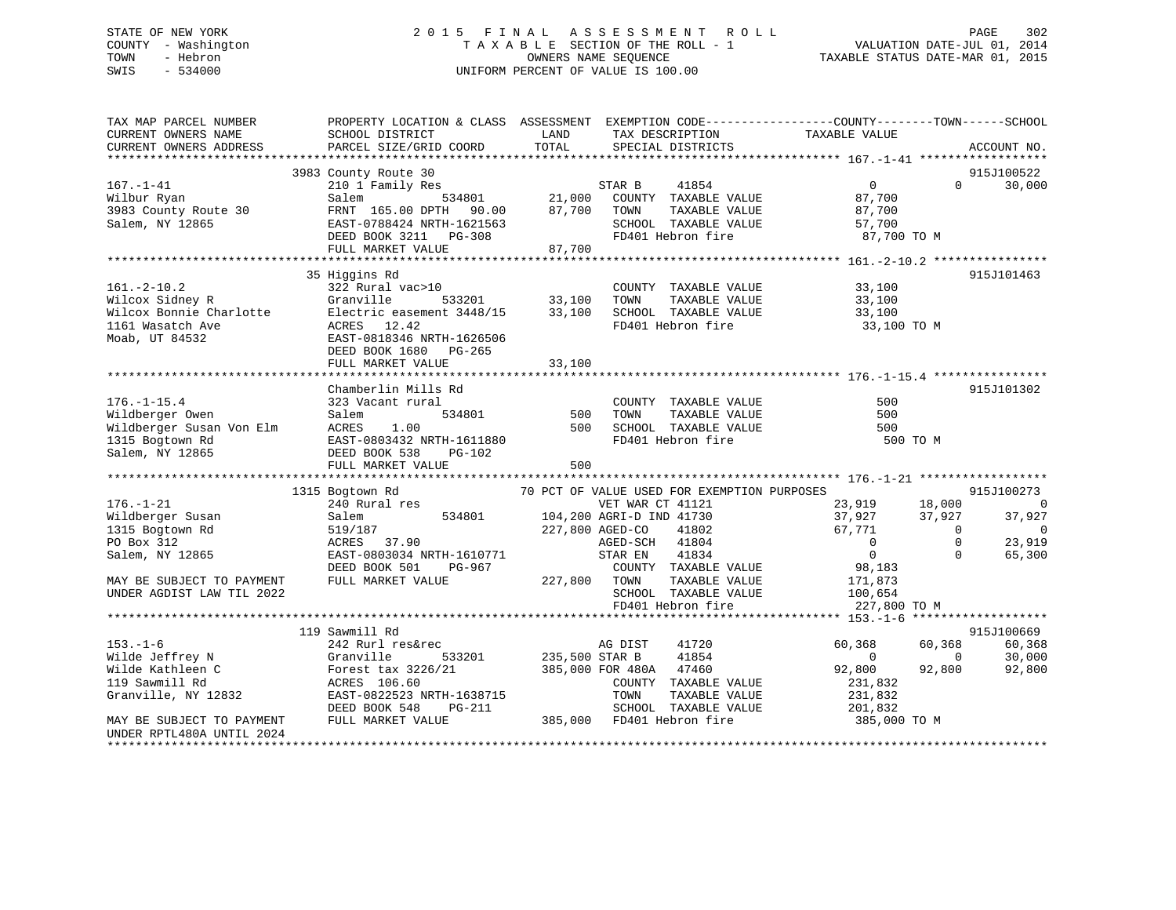# STATE OF NEW YORK 2015 FINAL ASSESSMENT ROLL PAGE 302 COUNTY - Washington  $T A X A B L E$  SECTION OF THE ROLL - 1<br>TOWN - Hebron DATE-JUL 000NERS NAME SEQUENCE SWIS - 534000 UNIFORM PERCENT OF VALUE IS 100.00

TAXABLE STATUS DATE-MAR 01, 2015

| TAX MAP PARCEL NUMBER<br>CURRENT OWNERS NAME                                                                                                      | PROPERTY LOCATION & CLASS ASSESSMENT EXEMPTION CODE----------------COUNTY-------TOWN------SCHOOL<br>SCHOOL DISTRICT                                              | LAND                            | TAX DESCRIPTION                                                                                                                                              | TAXABLE VALUE                                                                                                                          |                                                  |                                                          |
|---------------------------------------------------------------------------------------------------------------------------------------------------|------------------------------------------------------------------------------------------------------------------------------------------------------------------|---------------------------------|--------------------------------------------------------------------------------------------------------------------------------------------------------------|----------------------------------------------------------------------------------------------------------------------------------------|--------------------------------------------------|----------------------------------------------------------|
| CURRENT OWNERS ADDRESS                                                                                                                            | PARCEL SIZE/GRID COORD                                                                                                                                           | TOTAL                           | SPECIAL DISTRICTS                                                                                                                                            |                                                                                                                                        |                                                  | ACCOUNT NO.                                              |
|                                                                                                                                                   |                                                                                                                                                                  |                                 |                                                                                                                                                              |                                                                                                                                        |                                                  |                                                          |
| $167. - 1 - 41$<br>Wilbur Ryan<br>3983 County Route 30<br>Salem, NY 12865                                                                         | 3983 County Route 30<br>210 1 Family Res<br>534801<br>Salem<br>FRNT 165.00 DPTH 90.00<br>EAST-0788424 NRTH-1621563<br>DEED BOOK 3211 PG-308<br>FULL MARKET VALUE | 87,700<br>87,700                | 41854<br>STAR B<br>21,000 COUNTY TAXABLE VALUE<br>TOWN<br>TAXABLE VALUE<br>SCHOOL TAXABLE VALUE<br>FD401 Hebron fire                                         | $0 \qquad \qquad$<br>87,700<br>87,700<br>57,700<br>87,700 TO M                                                                         | $\Omega$                                         | 915J100522<br>30,000                                     |
|                                                                                                                                                   |                                                                                                                                                                  |                                 |                                                                                                                                                              |                                                                                                                                        |                                                  |                                                          |
| $161. - 2 - 10.2$<br>Wilcox Sidney R<br>Wilcox Sidney R<br>Wilcox Bonnie Charlotte<br>1161 Wasatch Ave<br>Moab, UT 84532                          | 35 Higgins Rd<br>322 Rural vac>10<br>Granville<br>533201<br>Electric easement 3448/15<br>ACRES 12.42<br>EAST-0818346 NRTH-1626506<br>DEED BOOK 1680 PG-265       | 33,100<br>33,100                | COUNTY TAXABLE VALUE<br>TOWN<br>TAXABLE VALUE<br>SCHOOL TAXABLE VALUE<br>FD401 Hebron fire                                                                   | 33,100<br>33,100<br>33,100<br>33,100 TO M                                                                                              |                                                  | 915J101463                                               |
|                                                                                                                                                   | FULL MARKET VALUE                                                                                                                                                | 33,100                          |                                                                                                                                                              |                                                                                                                                        |                                                  |                                                          |
| $176. - 1 - 15.4$<br>Wildberger Owen<br>Wildberger Owen<br>Wildberger Susan Von Elm<br>1315 Bogtown Rd<br>Salem, NY 12865                         | Chamberlin Mills Rd<br>323 Vacant rural<br>534801<br>Salem<br>1.00<br>ACRES<br>EAST-0803432 NRTH-1611880<br>DEED BOOK 538<br>PG-102<br>FULL MARKET VALUE         | 500<br>500<br>500               | COUNTY TAXABLE VALUE<br>TOWN<br>TAXABLE VALUE<br>SCHOOL TAXABLE VALUE<br>FD401 Hebron fire                                                                   | 500<br>500<br>500<br>500 TO M                                                                                                          |                                                  | 915J101302                                               |
|                                                                                                                                                   |                                                                                                                                                                  |                                 | 70 PCT OF VALUE USED FOR EXEMPTION PURPOSES                                                                                                                  |                                                                                                                                        |                                                  | 915J100273                                               |
| $176. - 1 - 21$<br>Wildberger Susan<br>1315 Bogtown Rd<br>PO Box 312<br>Salem, NY 12865<br>MAY BE SUBJECT TO PAYMENT<br>UNDER AGDIST LAW TIL 2022 | 1315 Bogtown Rd<br>240 Rural res<br>534801<br>Salem<br>519/187<br>ACRES 37.90<br>EAST-0803034 NRTH-1610771<br>DEED BOOK 501<br>PG-967<br>FULL MARKET VALUE       | 227,800 AGED-CO<br>227,800 TOWN | VET WAR CT 41121<br>104,200 AGRI-D IND 41730<br>41802<br>AGED-SCH 41804<br>STAR EN<br>41834<br>COUNTY TAXABLE VALUE<br>TAXABLE VALUE<br>SCHOOL TAXABLE VALUE | 23,919         18,000<br>37,927         37,927<br>37,927<br>67,771<br>$\overline{0}$<br>$\overline{0}$<br>98,183<br>171,873<br>100,654 | 37,927<br>$\overline{0}$<br>$\Omega$<br>$\Omega$ | $\Omega$<br>37,927<br>$\overline{0}$<br>23,919<br>65,300 |
|                                                                                                                                                   |                                                                                                                                                                  |                                 | FD401 Hebron fire                                                                                                                                            | 227,800 TO M                                                                                                                           |                                                  |                                                          |
|                                                                                                                                                   | 119 Sawmill Rd                                                                                                                                                   |                                 |                                                                                                                                                              |                                                                                                                                        |                                                  | 915J100669                                               |
| $153. - 1 - 6$<br>Wilde Jeffrey N<br>Wilde Kathleen C<br>119 Sawmill Rd<br>Granville, NY 12832                                                    | 242 Rurl res&rec<br>Granville<br>533201<br>Forest tax 3226/21<br>ACRES 106.60<br>EAST-0822523 NRTH-1638715<br>DEED BOOK 548<br>PG-211                            | 235,500 STAR B                  | 41720<br>AG DIST<br>41854<br>385,000 FOR 480A 47460<br>COUNTY TAXABLE VALUE<br>TOWN<br>TAXABLE VALUE<br>SCHOOL TAXABLE VALUE                                 | 60,368<br>$\overline{0}$<br>92,800<br>231,832<br>231,832<br>201,832                                                                    | 60,368<br>$\overline{0}$<br>92,800               | 60,368<br>30,000<br>92,800                               |
| MAY BE SUBJECT TO PAYMENT<br>UNDER RPTL480A UNTIL 2024<br>*********************                                                                   | FULL MARKET VALUE                                                                                                                                                |                                 | 385,000 FD401 Hebron fire                                                                                                                                    | 385,000 TO M                                                                                                                           |                                                  |                                                          |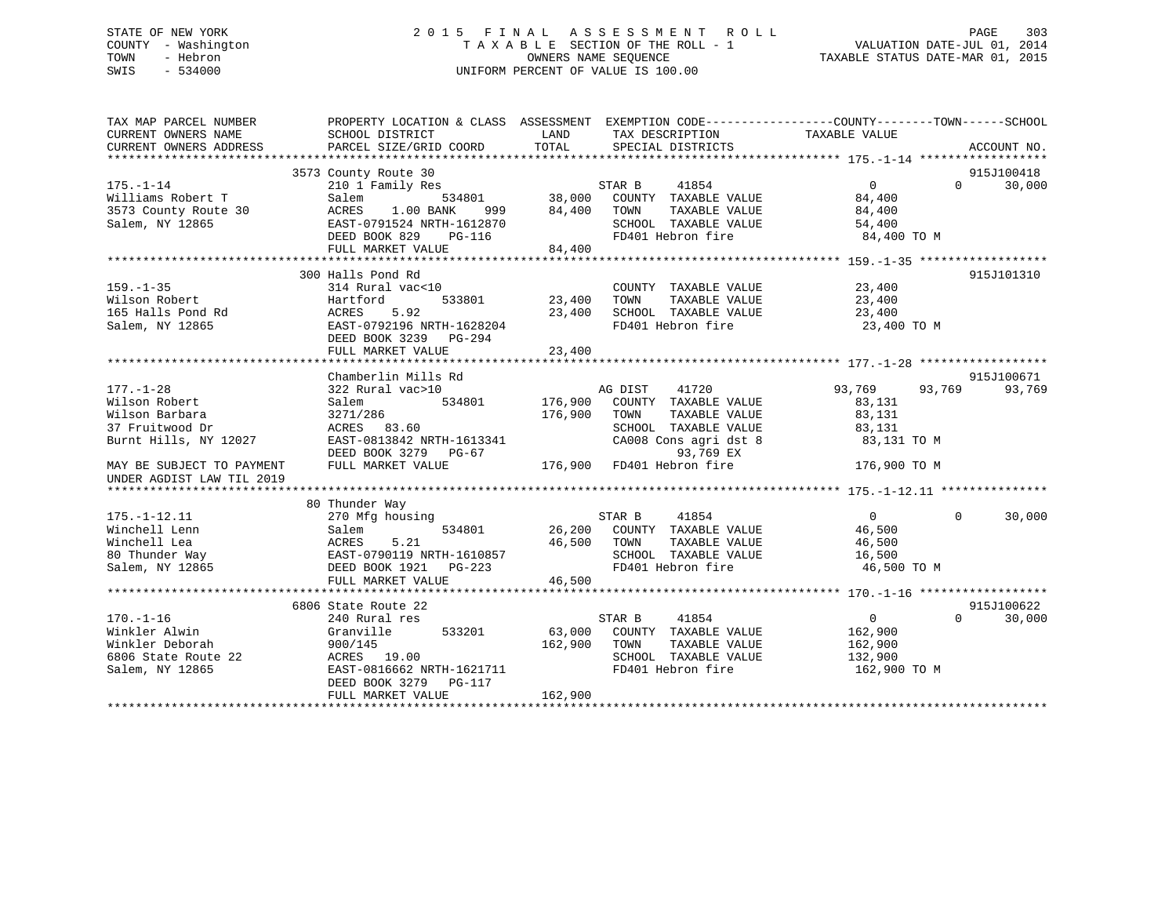# STATE OF NEW YORK 2 0 1 5 F I N A L A S S E S S M E N T R O L L PAGE 303 COUNTY - Washington T A X A B L E SECTION OF THE ROLL - 1 VALUATION DATE-JUL 01, 2014 TOWN - Hebron OWNERS NAME SEQUENCE TAXABLE STATUS DATE-MAR 01, 2015 SWIS - 534000 UNIFORM PERCENT OF VALUE IS 100.00

| TAX MAP PARCEL NUMBER     | PROPERTY LOCATION & CLASS ASSESSMENT                                                                                       |                         |                             | EXEMPTION CODE-----------------COUNTY-------TOWN------SCHOOL |             |
|---------------------------|----------------------------------------------------------------------------------------------------------------------------|-------------------------|-----------------------------|--------------------------------------------------------------|-------------|
| CURRENT OWNERS NAME       | SCHOOL DISTRICT                                                                                                            | LAND<br>TAX DESCRIPTION |                             | TAXABLE VALUE                                                |             |
| CURRENT OWNERS ADDRESS    | PARCEL SIZE/GRID COORD                                                                                                     | TOTAL                   | SPECIAL DISTRICTS           |                                                              | ACCOUNT NO. |
|                           |                                                                                                                            |                         |                             |                                                              |             |
|                           | 3573 County Route 30                                                                                                       |                         |                             |                                                              | 915J100418  |
| $175. - 1 - 14$           | 210 1 Family Res                                                                                                           |                         | STAR B<br>41854             | $\Omega$<br>0                                                | 30,000      |
| Williams Robert T         | 534801<br>Salem                                                                                                            | 38,000                  | COUNTY TAXABLE VALUE        | 84,400                                                       |             |
| 3573 County Route 30      | 1.00 BANK<br>ACRES<br>999 1999 1999 1999 1999 1999 1999 1999 1999 1999 1999 1999 1999 1999 1999 1999 1999 1999 1999 1999 1 | 84,400                  | TAXABLE VALUE<br>TOWN       | 84,400                                                       |             |
| Salem, NY 12865           | EAST-0791524 NRTH-1612870                                                                                                  |                         | SCHOOL TAXABLE VALUE        | 54,400                                                       |             |
|                           | DEED BOOK 829<br><b>PG-116</b>                                                                                             |                         | FD401 Hebron fire           | 84,400 TO M                                                  |             |
|                           | FULL MARKET VALUE                                                                                                          | 84,400                  |                             |                                                              |             |
|                           |                                                                                                                            |                         |                             |                                                              |             |
|                           | 300 Halls Pond Rd                                                                                                          |                         |                             |                                                              | 915J101310  |
| $159. - 1 - 35$           | 314 Rural vac<10                                                                                                           |                         | COUNTY TAXABLE VALUE        | 23,400                                                       |             |
| Wilson Robert             | Hartford<br>533801                                                                                                         | 23,400                  | TAXABLE VALUE<br>TOWN       | 23,400                                                       |             |
| 165 Halls Pond Rd         | ACRES<br>5.92                                                                                                              | 23,400                  | SCHOOL TAXABLE VALUE        | 23,400                                                       |             |
| Salem, NY 12865           | EAST-0792196 NRTH-1628204                                                                                                  |                         | FD401 Hebron fire           | 23,400 TO M                                                  |             |
|                           | DEED BOOK 3239 PG-294                                                                                                      |                         |                             |                                                              |             |
|                           | FULL MARKET VALUE                                                                                                          | 23,400                  |                             |                                                              |             |
|                           |                                                                                                                            |                         |                             |                                                              |             |
|                           | Chamberlin Mills Rd                                                                                                        |                         |                             |                                                              | 915J100671  |
| $177. - 1 - 28$           | 322 Rural vac>10                                                                                                           |                         | AG DIST<br>41720            | 93,769<br>93,769                                             | 93,769      |
| Wilson Robert             | 534801<br>Salem                                                                                                            | 176,900                 | COUNTY TAXABLE VALUE        | 83,131                                                       |             |
| Wilson Barbara            | 3271/286                                                                                                                   | 176,900                 | TOWN<br>TAXABLE VALUE       | 83,131                                                       |             |
| 37 Fruitwood Dr           | ACRES 83.60                                                                                                                |                         | SCHOOL TAXABLE VALUE        | 83,131                                                       |             |
| Burnt Hills, NY 12027     | EAST-0813842 NRTH-1613341                                                                                                  |                         | CA008 Cons agri dst 8       | 83,131 TO M                                                  |             |
|                           | DEED BOOK 3279 PG-67                                                                                                       |                         | 93,769 EX                   |                                                              |             |
| MAY BE SUBJECT TO PAYMENT | FULL MARKET VALUE                                                                                                          |                         | 176,900 FD401 Hebron fire   | 176,900 TO M                                                 |             |
| UNDER AGDIST LAW TIL 2019 |                                                                                                                            |                         |                             |                                                              |             |
|                           |                                                                                                                            |                         |                             |                                                              |             |
|                           | 80 Thunder Way                                                                                                             |                         |                             |                                                              |             |
| $175. - 1 - 12.11$        | 270 Mfg housing                                                                                                            |                         | 41854<br>STAR B             | $\overline{0}$<br>$\Omega$                                   | 30,000      |
| Winchell Lenn             | 534801<br>Salem                                                                                                            |                         | 26,200 COUNTY TAXABLE VALUE | 46,500                                                       |             |
| Winchell Lea              | ACRES<br>5.21                                                                                                              | 46,500                  | TOWN<br>TAXABLE VALUE       | 46,500                                                       |             |
| 80 Thunder Way            | EAST-0790119 NRTH-1610857                                                                                                  |                         | SCHOOL TAXABLE VALUE        | 16,500                                                       |             |
| Salem, NY 12865           | DEED BOOK 1921<br>PG-223                                                                                                   |                         | FD401 Hebron fire           | 46,500 TO M                                                  |             |
|                           | FULL MARKET VALUE                                                                                                          | 46,500                  |                             |                                                              |             |
|                           |                                                                                                                            |                         |                             |                                                              |             |
|                           |                                                                                                                            |                         |                             |                                                              |             |
|                           | 6806 State Route 22                                                                                                        |                         |                             |                                                              | 915J100622  |
| $170. - 1 - 16$           | 240 Rural res                                                                                                              |                         | STAR B<br>41854             | $\Omega$<br>$\Omega$                                         | 30,000      |
| Winkler Alwin             | 533201<br>Granville                                                                                                        | 63,000                  | COUNTY TAXABLE VALUE        | 162,900                                                      |             |
| Winkler Deborah           | 900/145                                                                                                                    | 162,900                 | TOWN<br>TAXABLE VALUE       | 162,900                                                      |             |
| 6806 State Route 22       | ACRES 19.00                                                                                                                |                         | SCHOOL TAXABLE VALUE        | 132,900                                                      |             |
| Salem, NY 12865           | EAST-0816662 NRTH-1621711                                                                                                  |                         | FD401 Hebron fire           | 162,900 TO M                                                 |             |
|                           | DEED BOOK 3279<br>PG-117                                                                                                   |                         |                             |                                                              |             |
|                           | FULL MARKET VALUE                                                                                                          | 162,900                 |                             |                                                              |             |
|                           |                                                                                                                            |                         |                             |                                                              |             |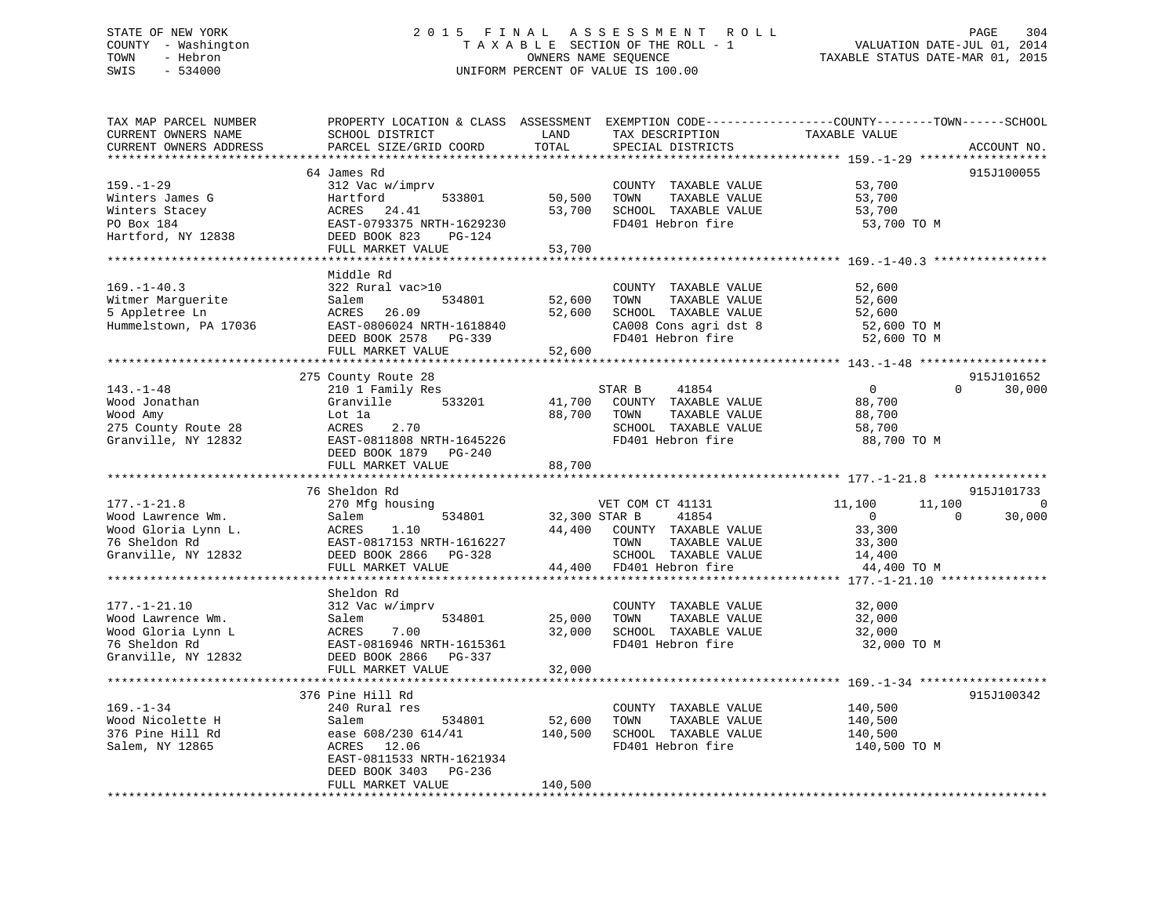# STATE OF NEW YORK 2 0 1 5 F I N A L A S S E S S M E N T R O L L PAGE 304 COUNTY - Washington T A X A B L E SECTION OF THE ROLL - 1 VALUATION DATE-JUL 01, 2014 TOWN - Hebron OWNERS NAME SEQUENCE TAXABLE STATUS DATE-MAR 01, 2015 SWIS - 534000 UNIFORM PERCENT OF VALUE IS 100.00

| TAX MAP PARCEL NUMBER<br>CURRENT OWNERS NAME | PROPERTY LOCATION & CLASS ASSESSMENT EXEMPTION CODE----------------COUNTY-------TOWN------SCHOOL<br>SCHOOL DISTRICT | LAND<br>TOTAL               | TAX DESCRIPTION                               | TAXABLE VALUE    |                          |
|----------------------------------------------|---------------------------------------------------------------------------------------------------------------------|-----------------------------|-----------------------------------------------|------------------|--------------------------|
| CURRENT OWNERS ADDRESS                       | PARCEL SIZE/GRID COORD                                                                                              |                             | SPECIAL DISTRICTS                             |                  | ACCOUNT NO.              |
|                                              | 64 James Rd                                                                                                         |                             |                                               |                  | 915J100055               |
| $159. - 1 - 29$                              | 312 Vac w/imprv                                                                                                     |                             | COUNTY TAXABLE VALUE                          | 53,700           |                          |
| Winters James G                              | 533801<br>Hartford                                                                                                  | 50,500                      | TAXABLE VALUE<br>TOWN                         | 53,700           |                          |
| Winters Stacey                               | ACRES<br>24.41                                                                                                      | 53,700                      | SCHOOL TAXABLE VALUE                          | 53,700           |                          |
| PO Box 184                                   | EAST-0793375 NRTH-1629230                                                                                           |                             | FD401 Hebron fire                             | 53,700 TO M      |                          |
| Hartford, NY 12838                           | DEED BOOK 823<br>PG-124                                                                                             |                             |                                               |                  |                          |
|                                              | FULL MARKET VALUE                                                                                                   | 53,700                      |                                               |                  |                          |
|                                              |                                                                                                                     |                             |                                               |                  |                          |
|                                              | Middle Rd                                                                                                           |                             |                                               |                  |                          |
| $169. - 1 - 40.3$                            | 322 Rural vac>10                                                                                                    |                             | COUNTY TAXABLE VALUE                          | 52,600           |                          |
| Witmer Marguerite                            | 534801<br>Salem                                                                                                     | 52,600                      | TAXABLE VALUE<br>TOWN                         | 52,600           |                          |
| 5 Appletree Ln                               | ACRES 26.09                                                                                                         |                             | 52,600 SCHOOL TAXABLE VALUE                   | 52,600           |                          |
| Hummelstown, PA 17036                        | EAST-0806024 NRTH-1618840                                                                                           |                             | CA008 Cons agri dst 8                         | 52,600 TO M      |                          |
|                                              | DEED BOOK 2578 PG-339                                                                                               |                             | FD401 Hebron fire                             | 52,600 TO M      |                          |
|                                              | FULL MARKET VALUE                                                                                                   | 52,600                      |                                               |                  |                          |
|                                              |                                                                                                                     |                             |                                               |                  |                          |
|                                              | 275 County Route 28                                                                                                 |                             |                                               |                  | 915J101652               |
| $143. - 1 - 48$                              | 210 1 Family Res                                                                                                    |                             | STAR B<br>41854                               | $\overline{0}$   | $\Omega$<br>30,000       |
| Wood Jonathan                                | 533201<br>Granville                                                                                                 | 41,700                      | COUNTY TAXABLE VALUE                          | 88,700           |                          |
| Wood Amy                                     | Lot la                                                                                                              | 88,700                      | TOWN<br>TAXABLE VALUE                         | 88,700           |                          |
| 275 County Route 28                          | 2.70<br>ACRES                                                                                                       |                             | SCHOOL TAXABLE VALUE                          | 58,700           |                          |
| Granville, NY 12832                          | EAST-0811808 NRTH-1645226                                                                                           |                             | FD401 Hebron fire                             | 88,700 TO M      |                          |
|                                              | DEED BOOK 1879 PG-240                                                                                               |                             |                                               |                  |                          |
|                                              | FULL MARKET VALUE                                                                                                   | 88,700                      |                                               |                  |                          |
|                                              |                                                                                                                     |                             |                                               |                  |                          |
|                                              | 76 Sheldon Rd                                                                                                       |                             |                                               |                  | 915J101733               |
| $177. - 1 - 21.8$                            | 270 Mfg housing<br>Salem 534801                                                                                     | VET COM CT<br>32,300 STAR B | VET COM CT 41131                              | 11,100<br>11,100 | $\mathbf 0$              |
| Wood Lawrence Wm.                            |                                                                                                                     |                             | 41854                                         | $\overline{0}$   | $\overline{0}$<br>30,000 |
| Wood Gloria Lynn L.                          |                                                                                                                     |                             | 44,400 COUNTY TAXABLE VALUE                   | 33,300           |                          |
| 76 Sheldon Rd<br>Granville, NY 12832         |                                                                                                                     |                             | TAXABLE VALUE<br>TOWN<br>SCHOOL TAXABLE VALUE | 33,300<br>14,400 |                          |
|                                              |                                                                                                                     |                             |                                               |                  |                          |
|                                              | Salem<br>ACRES 1.10<br>EAST-0817153 NRTH-1616227<br>DEED BOOK 2866 PG-328<br>THIT. MARKET VALUE                     |                             | 44,400 FD401 Hebron fire                      | 44,400 TO M      |                          |
|                                              | Sheldon Rd                                                                                                          |                             |                                               |                  |                          |
| $177. - 1 - 21.10$                           | 312 Vac w/imprv                                                                                                     |                             | COUNTY TAXABLE VALUE                          | 32,000           |                          |
| Wood Lawrence Wm.                            | Salem<br>534801                                                                                                     | 25,000                      | TAXABLE VALUE<br>TOWN                         | 32,000           |                          |
| Wood Gloria Lynn L                           | ACRES 7.00                                                                                                          |                             | 32,000 SCHOOL TAXABLE VALUE                   | 32,000           |                          |
| 76 Sheldon Rd                                | EAST-0816946 NRTH-1615361                                                                                           |                             | FD401 Hebron fire                             | 32,000 TO M      |                          |
| Granville, NY 12832                          | DEED BOOK 2866 PG-337                                                                                               |                             |                                               |                  |                          |
|                                              | FULL MARKET VALUE                                                                                                   | 32,000                      |                                               |                  |                          |
|                                              |                                                                                                                     |                             |                                               |                  |                          |
|                                              | 376 Pine Hill Rd                                                                                                    |                             |                                               |                  | 915J100342               |
| $169. - 1 - 34$                              | 240 Rural res                                                                                                       |                             | COUNTY TAXABLE VALUE                          | 140,500          |                          |
| Wood Nicolette H                             | 534801<br>Salem                                                                                                     | 52,600                      | TOWN<br>TAXABLE VALUE                         | 140,500          |                          |
| 376 Pine Hill Rd                             | ease 608/230 614/41                                                                                                 |                             | 140,500 SCHOOL TAXABLE VALUE                  | 140,500          |                          |
| Salem, NY 12865                              | ACRES 12.06                                                                                                         |                             | FD401 Hebron fire                             | 140,500 TO M     |                          |
|                                              | EAST-0811533 NRTH-1621934                                                                                           |                             |                                               |                  |                          |
|                                              | DEED BOOK 3403 PG-236                                                                                               |                             |                                               |                  |                          |
|                                              | FULL MARKET VALUE                                                                                                   | 140,500                     |                                               |                  |                          |
|                                              |                                                                                                                     |                             |                                               |                  |                          |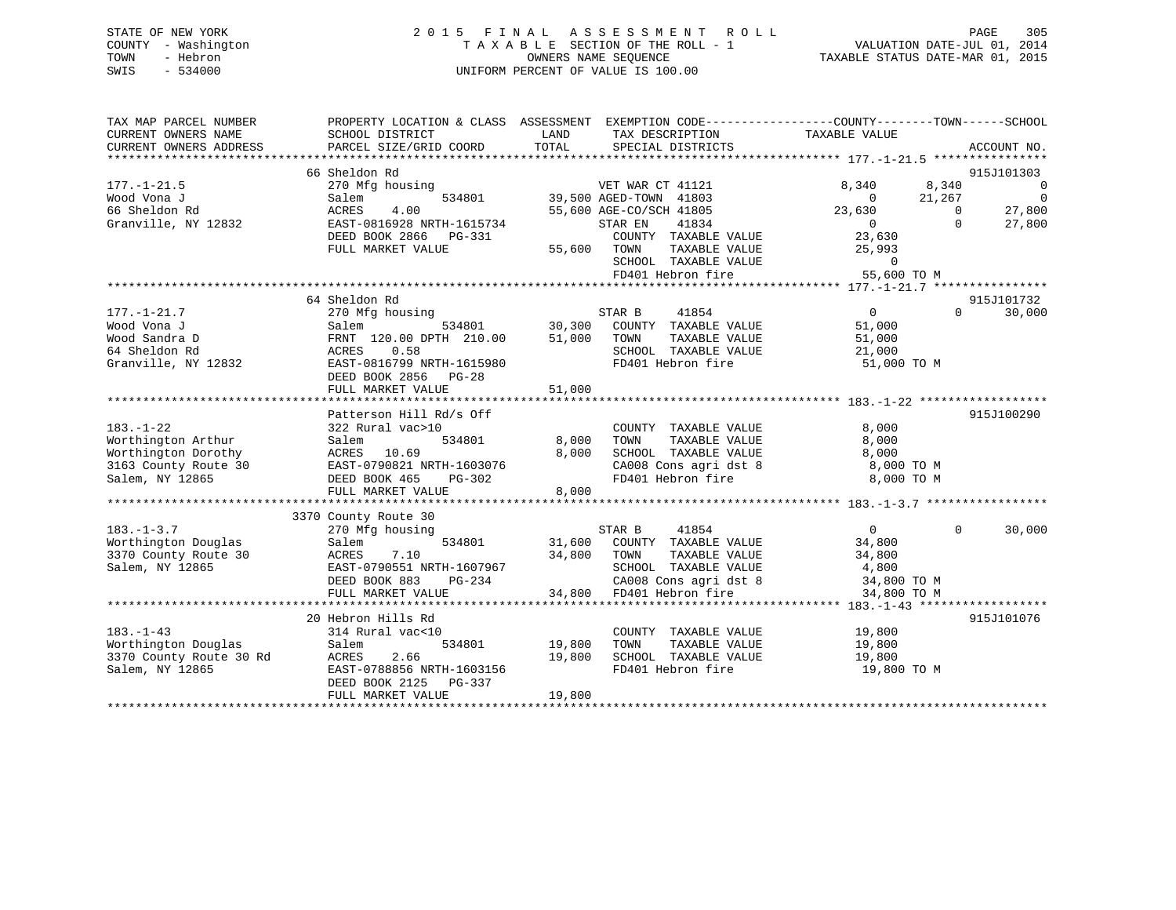| STATE OF NEW YORK   |           |  | 2015 FINAL ASSESSMENT ROLL         |                                  | PAGE                        | 305 |
|---------------------|-----------|--|------------------------------------|----------------------------------|-----------------------------|-----|
| COUNTY - Washington |           |  | TAXABLE SECTION OF THE ROLL - 1    |                                  | VALUATION DATE-JUL 01, 2014 |     |
| TOWN                | - Hebron  |  | OWNERS NAME SEOUENCE               | TAXABLE STATUS DATE-MAR 01, 2015 |                             |     |
| SWIS                | $-534000$ |  | UNIFORM PERCENT OF VALUE IS 100.00 |                                  |                             |     |
|                     |           |  |                                    |                                  |                             |     |

| TAX MAP PARCEL NUMBER                                                    | PROPERTY LOCATION & CLASS ASSESSMENT EXEMPTION CODE----------------COUNTY-------TOWN-----SCHOOL |                     |                                                                                                                                                                                         |                  |                |             |
|--------------------------------------------------------------------------|-------------------------------------------------------------------------------------------------|---------------------|-----------------------------------------------------------------------------------------------------------------------------------------------------------------------------------------|------------------|----------------|-------------|
| CURRENT OWNERS NAME                                                      | SCHOOL DISTRICT                                                                                 | LAND                | TAX DESCRIPTION                                                                                                                                                                         | TAXABLE VALUE    |                |             |
| CURRENT OWNERS ADDRESS                                                   | PARCEL SIZE/GRID COORD                                                                          | TOTAL               | SPECIAL DISTRICTS                                                                                                                                                                       |                  |                | ACCOUNT NO. |
|                                                                          |                                                                                                 |                     |                                                                                                                                                                                         |                  |                |             |
|                                                                          | 66 Sheldon Rd                                                                                   |                     |                                                                                                                                                                                         |                  |                | 915J101303  |
| $177. - 1 - 21.5$                                                        | 270 Mfg housing                                                                                 |                     | VET WAR CT 41121                                                                                                                                                                        | 8,340            | 8,340          | $\sim$ 0    |
| Wood Vona J                                                              | Salem                                                                                           |                     | 534801 39,500 AGED-TOWN 41803                                                                                                                                                           | $\overline{0}$   | 21,267         | $\sim$ 0    |
| 66 Sheldon Rd                                                            | 4.00<br>ACRES                                                                                   |                     | 55,600 AGE-CO/SCH 41805                                                                                                                                                                 | 23,630           | $\sim$ 0       | 27,800      |
| Granville, NY 12832                                                      | EAST-0816928 NRTH-1615734                                                                       |                     | 41834<br>STAR EN                                                                                                                                                                        | $\overline{0}$   | $\Omega$       | 27,800      |
|                                                                          | DEED BOOK 2866 PG-331                                                                           |                     | COUNTY TAXABLE VALUE                                                                                                                                                                    |                  |                |             |
|                                                                          | FULL MARKET VALUE                                                                               | 55,600 TOWN         | TAXABLE VALUE                                                                                                                                                                           | 23,630<br>25,993 |                |             |
|                                                                          |                                                                                                 |                     |                                                                                                                                                                                         |                  |                |             |
|                                                                          |                                                                                                 |                     |                                                                                                                                                                                         |                  |                |             |
|                                                                          |                                                                                                 |                     |                                                                                                                                                                                         |                  |                |             |
|                                                                          | 64 Sheldon Rd                                                                                   |                     |                                                                                                                                                                                         |                  |                | 915J101732  |
| $177. - 1 - 21.7$                                                        | 270 Mfg housing                                                                                 |                     | STAR B<br>41854                                                                                                                                                                         | $\overline{0}$   | $\Omega$       | 30,000      |
| Wood Vona J                                                              | Salem                                                                                           |                     | 534801 30,300 COUNTY TAXABLE VALUE                                                                                                                                                      | 51,000           |                |             |
| Wood Sandra D                                                            | FRNT 120.00 DPTH 210.00 51,000 TOWN                                                             |                     | TAXABLE VALUE                                                                                                                                                                           | 51,000           |                |             |
| 64 Sheldon Rd                                                            | 0.58<br>ACRES                                                                                   |                     | SCHOOL TAXABLE VALUE 21,000                                                                                                                                                             |                  |                |             |
| Granville, NY 12832                                                      | EAST-0816799 NRTH-1615980                                                                       |                     | FD401 Hebron fire                                                                                                                                                                       | 51,000 TO M      |                |             |
|                                                                          | DEED BOOK 2856 PG-28                                                                            |                     |                                                                                                                                                                                         |                  |                |             |
|                                                                          | FULL MARKET VALUE                                                                               | 51,000              |                                                                                                                                                                                         |                  |                |             |
|                                                                          |                                                                                                 |                     |                                                                                                                                                                                         |                  |                |             |
|                                                                          | Patterson Hill Rd/s Off                                                                         |                     |                                                                                                                                                                                         |                  |                | 915J100290  |
| $183. - 1 - 22$                                                          | 322 Rural vac>10                                                                                |                     | COUNTY TAXABLE VALUE                                                                                                                                                                    | 8,000            |                |             |
| Worthington Arthur                                                       | Salem                                                                                           | 534801 8,000        | TOWN<br>TAXABLE VALUE                                                                                                                                                                   | 8,000            |                |             |
| Worthington Dorothy                                                      |                                                                                                 | 8,000               | SCHOOL TAXABLE VALUE                                                                                                                                                                    | 8,000            |                |             |
| 3163 County Route 30                                                     |                                                                                                 |                     | CA008 Cons agri dst 8<br>FD401 Hebron fire                                                                                                                                              | 8,000 TO M       |                |             |
| Salem, NY 12865                                                          | ACRES 10.69<br>EAST-0790821 NRTH-1603076<br>DEED BOOK 465 PG-302                                |                     |                                                                                                                                                                                         | 8,000 TO M       |                |             |
|                                                                          | FULL MARKET VALUE                                                                               | 8,000               |                                                                                                                                                                                         |                  |                |             |
|                                                                          |                                                                                                 |                     |                                                                                                                                                                                         |                  |                |             |
|                                                                          | 3370 County Route 30                                                                            |                     |                                                                                                                                                                                         |                  |                |             |
| $183. - 1 - 3.7$                                                         | 270 Mfg housing                                                                                 |                     | $\begin{array}{ccccccccc} \texttt{STAR} & \texttt{B} & \texttt{41854} & & 0 \\ \texttt{534801} & & 31,600 & \texttt{COUNTY} & \texttt{TAXABLE} & \texttt{VALUE} & & 34,800 \end{array}$ |                  | $\overline{0}$ | 30,000      |
| Worthington Douglas                                                      | Salem                                                                                           |                     |                                                                                                                                                                                         |                  |                |             |
| 3370 County Route 30                                                     | ACRES<br>EAST-(<br>7.10                                                                         | 34,800 TOWN         | TAXABLE VALUE 34,800                                                                                                                                                                    |                  |                |             |
| Salem, NY 12865                                                          | EAST-0790551 NRTH-1607967                                                                       | H-1607967<br>PG-234 | SCHOOL TAXABLE VALUE                                                                                                                                                                    | 4,800            |                |             |
|                                                                          | DEED BOOK 883                                                                                   |                     | CA008 Cons agri dst 8 34,800 TO M                                                                                                                                                       |                  |                |             |
|                                                                          | FULL MARKET VALUE                                                                               |                     | 34,800 FD401 Hebron fire                                                                                                                                                                | 34,800 TO M      |                |             |
|                                                                          |                                                                                                 |                     |                                                                                                                                                                                         |                  |                |             |
|                                                                          | 20 Hebron Hills Rd                                                                              |                     |                                                                                                                                                                                         |                  |                | 915J101076  |
| $183. - 1 - 43$                                                          | 314 Rural vac<10                                                                                |                     | COUNTY TAXABLE VALUE 19,800                                                                                                                                                             |                  |                |             |
| Worthington Douglas<br>3370 County Route 30 Rd<br>Salem, NY 12865 EAST-0 |                                                                                                 | 534801 19,800       | TOWN<br>TAXABLE VALUE                                                                                                                                                                   | 19,800           |                |             |
|                                                                          | 2.66                                                                                            | 19,800              | SCHOOL TAXABLE VALUE                                                                                                                                                                    | 19,800           |                |             |
| Salem, NY 12865                                                          | EAST-0788856 NRTH-1603156                                                                       |                     | FD401 Hebron fire                                                                                                                                                                       | 19,800 TO M      |                |             |
|                                                                          | DEED BOOK 2125 PG-337                                                                           |                     |                                                                                                                                                                                         |                  |                |             |
|                                                                          | FULL MARKET VALUE                                                                               | 19,800              |                                                                                                                                                                                         |                  |                |             |
|                                                                          |                                                                                                 |                     |                                                                                                                                                                                         |                  |                |             |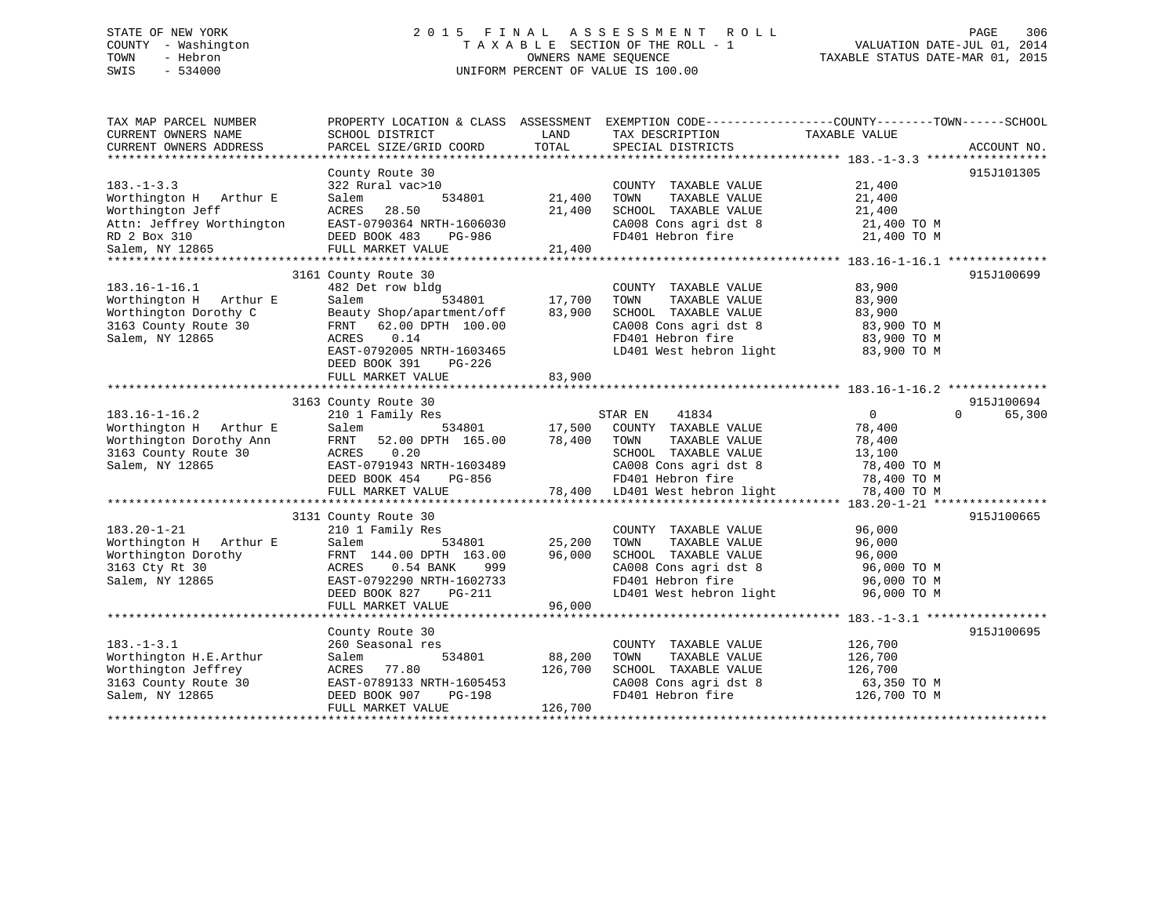# STATE OF NEW YORK 2 0 1 5 F I N A L A S S E S S M E N T R O L L PAGE 306 COUNTY - Washington T A X A B L E SECTION OF THE ROLL - 1 VALUATION DATE-JUL 01, 2014 TOWN - Hebron OWNERS NAME SEQUENCE TAXABLE STATUS DATE-MAR 01, 2015 SWIS - 534000 UNIFORM PERCENT OF VALUE IS 100.00

| TAX MAP PARCEL NUMBER<br>CURRENT OWNERS NAME | SCHOOL DISTRICT           | LAND<br>TOTAL | TAX DESCRIPTION                | PROPERTY LOCATION & CLASS ASSESSMENT EXEMPTION CODE----------------COUNTY-------TOWN------SCHOOL<br>TAXABLE VALUE |
|----------------------------------------------|---------------------------|---------------|--------------------------------|-------------------------------------------------------------------------------------------------------------------|
| CURRENT OWNERS ADDRESS                       | PARCEL SIZE/GRID COORD    |               | SPECIAL DISTRICTS              | ACCOUNT NO.                                                                                                       |
|                                              | County Route 30           |               |                                | 915J101305                                                                                                        |
| $183. - 1 - 3.3$                             | 322 Rural vac>10          |               | COUNTY TAXABLE VALUE           | 21,400                                                                                                            |
| Worthington H Arthur E                       | Salem<br>534801           | 21,400        | TOWN<br>TAXABLE VALUE          | 21,400                                                                                                            |
| Worthington Jeff                             | ACRES<br>28.50            | 21,400        | SCHOOL TAXABLE VALUE           | 21,400                                                                                                            |
| Attn: Jeffrey Worthington                    | EAST-0790364 NRTH-1606030 |               | CA008 Cons agri dst 8          | 21,400 TO M                                                                                                       |
| RD 2 Box 310                                 | DEED BOOK 483<br>PG-986   |               | FD401 Hebron fire              | 21,400 TO M                                                                                                       |
| RD 2 Box 310<br>Salem, NY 12865              | FULL MARKET VALUE         | 21,400        |                                |                                                                                                                   |
|                                              |                           |               |                                |                                                                                                                   |
|                                              | 3161 County Route 30      |               |                                | 915J100699                                                                                                        |
| $183.16 - 1 - 16.1$                          | 482 Det row bldg          |               | COUNTY TAXABLE VALUE           | 83,900                                                                                                            |
| Worthington H Arthur E                       | Salem<br>534801           | 17,700        | TOWN<br>TAXABLE VALUE          | 83,900                                                                                                            |
| Worthington Dorothy C                        | Beauty Shop/apartment/off | 83,900        | SCHOOL TAXABLE VALUE           | 83,900                                                                                                            |
| 3163 County Route 30                         | 62.00 DPTH 100.00<br>FRNT |               | CA008 Cons agri dst 8          | 83,900 TO M                                                                                                       |
| Salem, NY 12865                              | ACRES<br>0.14             |               | FD401 Hebron fire              | 83,900 TO M                                                                                                       |
|                                              | EAST-0792005 NRTH-1603465 |               | LD401 West hebron light        | 83,900 TO M                                                                                                       |
|                                              | DEED BOOK 391<br>PG-226   |               |                                |                                                                                                                   |
|                                              | FULL MARKET VALUE         | 83,900        |                                |                                                                                                                   |
|                                              |                           |               |                                |                                                                                                                   |
|                                              | 3163 County Route 30      |               |                                | 915J100694                                                                                                        |
| $183.16 - 1 - 16.2$                          | 210 1 Family Res          |               | 41834<br>STAR EN               | $\overline{0}$<br>$\Omega$<br>65,300                                                                              |
| Worthington H Arthur E                       | Salem<br>534801           | 17,500        | COUNTY TAXABLE VALUE           | 78,400                                                                                                            |
| Worthington Dorothy Ann                      | FRNT<br>52.00 DPTH 165.00 | 78,400        | TOWN<br>TAXABLE VALUE          | 78,400                                                                                                            |
| 3163 County Route 30                         | ACRES<br>0.20             |               | SCHOOL TAXABLE VALUE           | 13,100                                                                                                            |
| Salem, NY 12865                              | EAST-0791943 NRTH-1603489 |               | CA008 Cons agri dst 8          | 78,400 TO M                                                                                                       |
|                                              | DEED BOOK 454<br>PG-856   |               | FD401 Hebron fire              | 78,400 TO M                                                                                                       |
|                                              | FULL MARKET VALUE         |               | 78,400 LD401 West hebron light | 78,400 TO M                                                                                                       |
|                                              |                           |               |                                |                                                                                                                   |
|                                              | 3131 County Route 30      |               |                                | 915J100665                                                                                                        |
| $183.20 - 1 - 21$                            | 210 1 Family Res          |               | COUNTY TAXABLE VALUE           | 96,000                                                                                                            |
| Worthington H Arthur E                       | Salem<br>534801           | 25,200        | TOWN<br>TAXABLE VALUE          | 96,000                                                                                                            |
| Worthington Dorothy                          | FRNT 144.00 DPTH 163.00   | 96,000        | SCHOOL TAXABLE VALUE           | 96,000                                                                                                            |
| 3163 Cty Rt 30                               | 0.54 BANK<br>ACRES<br>999 |               | CA008 Cons agri dst 8          | 96,000 TO M                                                                                                       |
| Salem, NY 12865                              | EAST-0792290 NRTH-1602733 |               | FD401 Hebron fire              | 96,000 TO M                                                                                                       |
|                                              | DEED BOOK 827<br>PG-211   |               | LD401 West hebron light        | 96,000 TO M                                                                                                       |
|                                              | FULL MARKET VALUE         | 96,000        |                                |                                                                                                                   |
|                                              |                           |               |                                |                                                                                                                   |
|                                              | County Route 30           |               |                                | 915J100695                                                                                                        |
| $183. - 1 - 3.1$                             | 260 Seasonal res          |               | COUNTY TAXABLE VALUE           | 126,700                                                                                                           |
| Worthington H.E.Arthur                       | Salem<br>534801           | 88,200        | TOWN<br>TAXABLE VALUE          | 126,700                                                                                                           |
| Worthington Jeffrey                          | 77.80<br>ACRES            | 126,700       | SCHOOL TAXABLE VALUE           | 126,700                                                                                                           |
| 3163 County Route 30                         | EAST-0789133 NRTH-1605453 |               | CA008 Cons agri dst 8          | 63,350 TO M                                                                                                       |
| Salem, NY 12865                              | DEED BOOK 907<br>PG-198   |               | FD401 Hebron fire              | 126,700 TO M                                                                                                      |
|                                              | FULL MARKET VALUE         | 126,700       |                                |                                                                                                                   |
|                                              |                           |               |                                |                                                                                                                   |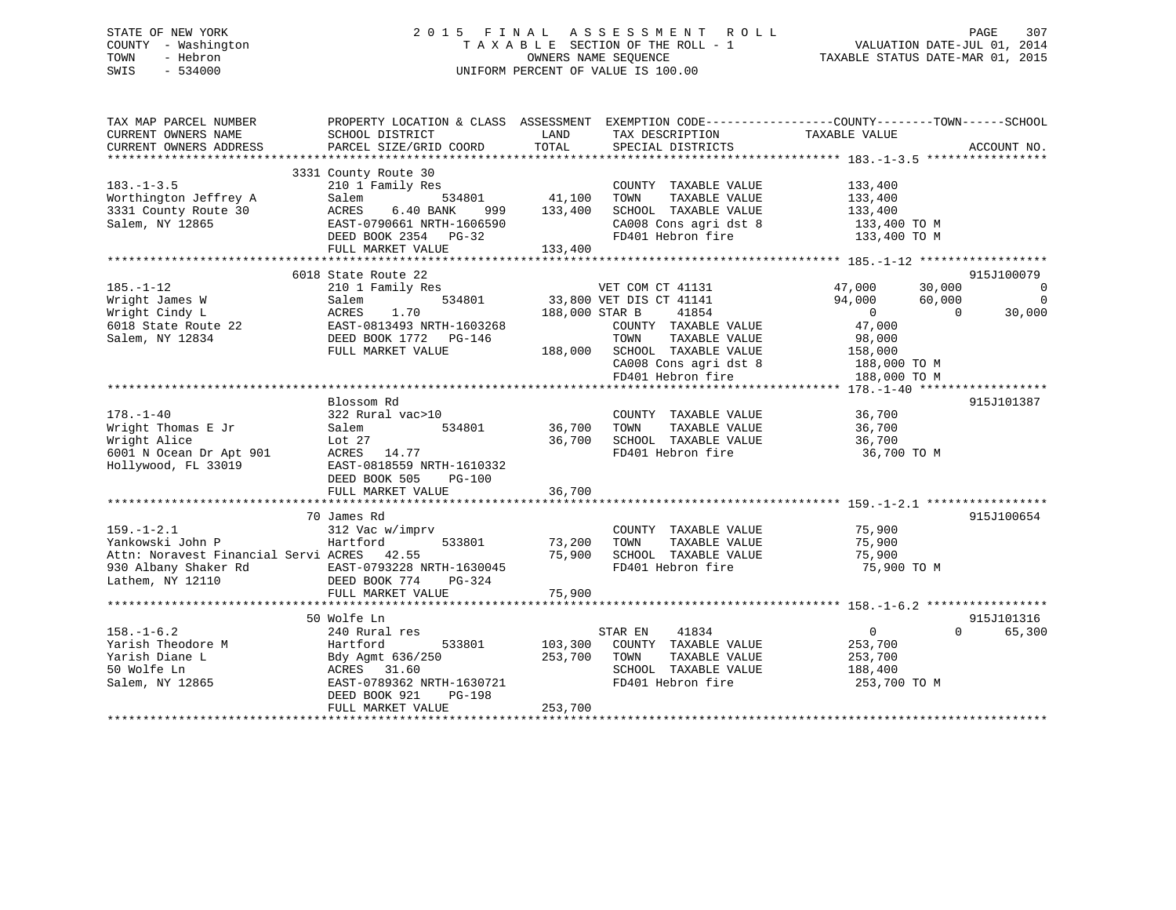# STATE OF NEW YORK 2 0 1 5 F I N A L A S S E S S M E N T R O L L PAGE 307 COUNTY - Washington T A X A B L E SECTION OF THE ROLL - 1 VALUATION DATE-JUL 01, 2014 TOWN - Hebron OWNERS NAME SEQUENCE TAXABLE STATUS DATE-MAR 01, 2015 SWIS - 534000 UNIFORM PERCENT OF VALUE IS 100.00

| TAX MAP PARCEL NUMBER<br>CURRENT OWNERS NAME<br>CURRENT OWNERS ADDRESS                                                         | PROPERTY LOCATION & CLASS ASSESSMENT<br>SCHOOL DISTRICT<br>PARCEL SIZE/GRID COORD                                                                   | LAND<br>TOTAL                 | TAX DESCRIPTION<br>SPECIAL DISTRICTS                                                                                                                                                | EXEMPTION CODE-----------------COUNTY-------TOWN------SCHOOL<br>TAXABLE VALUE                                                     | ACCOUNT NO.                          |
|--------------------------------------------------------------------------------------------------------------------------------|-----------------------------------------------------------------------------------------------------------------------------------------------------|-------------------------------|-------------------------------------------------------------------------------------------------------------------------------------------------------------------------------------|-----------------------------------------------------------------------------------------------------------------------------------|--------------------------------------|
| $183. - 1 - 3.5$                                                                                                               | 3331 County Route 30<br>210 1 Family Res                                                                                                            |                               | COUNTY TAXABLE VALUE                                                                                                                                                                | 133,400                                                                                                                           |                                      |
| Worthington Jeffrey A<br>3331 County Route 30<br>Salem, NY 12865                                                               | 534801<br>Salem<br>6.40 BANK<br>ACRES<br>999<br>EAST-0790661 NRTH-1606590<br>DEED BOOK 2354 PG-32                                                   | 41,100<br>133,400             | TAXABLE VALUE<br>TOWN<br>SCHOOL TAXABLE VALUE<br>CA008 Cons agri dst 8<br>FD401 Hebron fire                                                                                         | 133,400<br>133,400<br>133,400 TO M<br>133,400 TO M                                                                                |                                      |
|                                                                                                                                | FULL MARKET VALUE                                                                                                                                   | 133,400                       |                                                                                                                                                                                     |                                                                                                                                   |                                      |
|                                                                                                                                | 6018 State Route 22                                                                                                                                 |                               |                                                                                                                                                                                     |                                                                                                                                   | 915J100079                           |
| $185. - 1 - 12$<br>Wright James W<br>Wright Cindy L<br>6018 State Route 22<br>Salem, NY 12834                                  | 210 1 Family Res<br>534801<br>Salem<br>ACRES<br>1.70<br>EAST-0813493 NRTH-1603268<br>DEED BOOK 1772    PG-146<br>FULL MARKET VALUE                  | 188,000 STAR B                | VET COM CT 41131<br>33,800 VET DIS CT 41141<br>41854<br>COUNTY TAXABLE VALUE<br>TOWN<br>TAXABLE VALUE<br>188,000 SCHOOL TAXABLE VALUE<br>CA008 Cons agri dst 8<br>FD401 Hebron fire | 47,000<br>30,000<br>94,000<br>60,000<br>$\overline{0}$<br>$\Omega$<br>47,000<br>98,000<br>158,000<br>188,000 TO M<br>188,000 TO M | $\overline{0}$<br>$\Omega$<br>30,000 |
|                                                                                                                                | Blossom Rd                                                                                                                                          |                               |                                                                                                                                                                                     |                                                                                                                                   | 915J101387                           |
| $178. - 1 - 40$<br>Wright Thomas E Jr<br>Wright Alice<br>6001 N Ocean Dr Apt 901<br>Hollywood, FL 33019                        | 322 Rural vac>10<br>534801<br>Salem<br>Lot 27<br>ACRES 14.77<br>EAST-0818559 NRTH-1610332<br>DEED BOOK 505<br><b>PG-100</b>                         | 36,700<br>36,700<br>36,700    | COUNTY TAXABLE VALUE<br>TAXABLE VALUE<br>TOWN<br>SCHOOL TAXABLE VALUE<br>FD401 Hebron fire                                                                                          | 36,700<br>36,700<br>36,700<br>36,700 TO M                                                                                         |                                      |
|                                                                                                                                | FULL MARKET VALUE                                                                                                                                   |                               |                                                                                                                                                                                     |                                                                                                                                   |                                      |
| $159. - 1 - 2.1$<br>Yankowski John P<br>Attn: Noravest Financial Servi ACRES 42.55<br>930 Albany Shaker Rd<br>Lathem, NY 12110 | 70 James Rd<br>312 Vac w/imprv<br>Hartford<br>533801<br>EAST-0793228 NRTH-1630045<br>DEED BOOK 774<br>PG-324                                        | 73,200<br>75,900              | COUNTY TAXABLE VALUE<br>TAXABLE VALUE<br>TOWN<br>SCHOOL TAXABLE VALUE<br>FD401 Hebron fire                                                                                          | 75,900<br>75,900<br>75,900<br>75,900 TO M                                                                                         | 915J100654                           |
|                                                                                                                                | FULL MARKET VALUE                                                                                                                                   | 75,900                        |                                                                                                                                                                                     |                                                                                                                                   |                                      |
|                                                                                                                                | 50 Wolfe Ln                                                                                                                                         |                               |                                                                                                                                                                                     |                                                                                                                                   | 915J101316                           |
| $158. - 1 - 6.2$<br>Yarish Theodore M<br>Yarish Diane L<br>50 Wolfe Ln<br>Salem, NY 12865                                      | 240 Rural res<br>533801<br>Hartford<br>Bdy Agmt 636/250<br>ACRES 31.60<br>EAST-0789362 NRTH-1630721<br>DEED BOOK 921<br>PG-198<br>FULL MARKET VALUE | 103,300<br>253,700<br>253,700 | 41834<br>STAR EN<br>COUNTY TAXABLE VALUE<br>TOWN<br>TAXABLE VALUE<br>SCHOOL TAXABLE VALUE<br>FD401 Hebron fire                                                                      | $\overline{0}$<br>253,700<br>253,700<br>188,400<br>253,700 TO M                                                                   | 65,300<br>$\Omega$                   |
|                                                                                                                                |                                                                                                                                                     |                               |                                                                                                                                                                                     |                                                                                                                                   |                                      |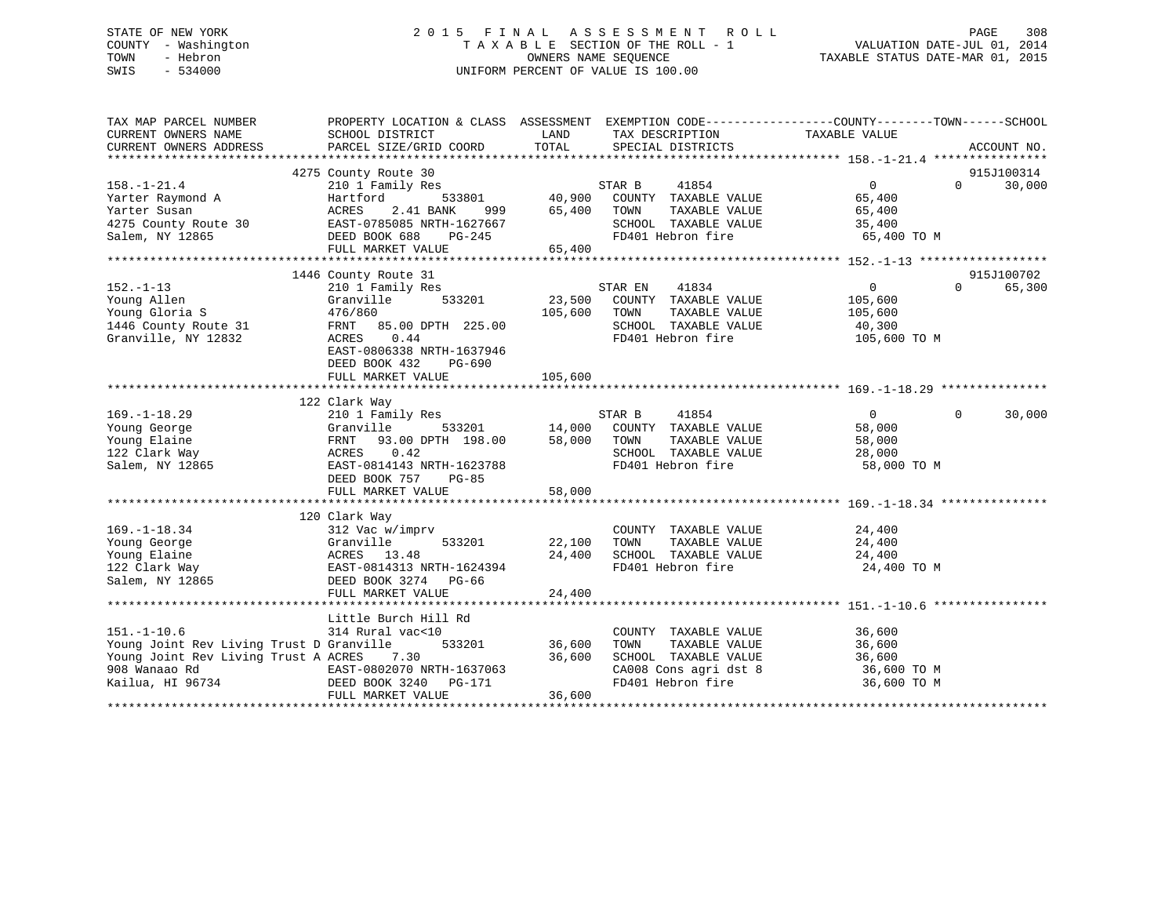# STATE OF NEW YORK 2 0 1 5 F I N A L A S S E S S M E N T R O L L PAGE 308 COUNTY - Washington T A X A B L E SECTION OF THE ROLL - 1 VALUATION DATE-JUL 01, 2014 TOWN - Hebron OWNERS NAME SEQUENCE TAXABLE STATUS DATE-MAR 01, 2015 SWIS - 534000 UNIFORM PERCENT OF VALUE IS 100.00

| TAX MAP PARCEL NUMBER<br>CURRENT OWNERS NAME<br>CURRENT OWNERS ADDRESS                                                                                                                                                                               | SCHOOL DISTRICT<br>PARCEL SIZE/GRID COORD                                                                                                                                  | LAND<br>TOTAL              | TAX DESCRIPTION TAXABLE VALUE SPECIAL DISTRICTS                                                                                                                                                                  | PROPERTY LOCATION & CLASS ASSESSMENT EXEMPTION CODE---------------COUNTY-------TOWN------SCHOOL                     | ACCOUNT NO.          |
|------------------------------------------------------------------------------------------------------------------------------------------------------------------------------------------------------------------------------------------------------|----------------------------------------------------------------------------------------------------------------------------------------------------------------------------|----------------------------|------------------------------------------------------------------------------------------------------------------------------------------------------------------------------------------------------------------|---------------------------------------------------------------------------------------------------------------------|----------------------|
| And Tartford E33801<br>Yarter Susan Martford 533801<br>175 County Route 30<br>1899 EAST-0785085 NRTH-1627667<br>Salem, NY 12865<br>1880 BOOK 688<br>1880 BOOK 688<br>1880 BOOK 688<br>1880 BOOK 688<br>1880 BOOK 688<br>1880 BOOK 688<br>1880 BOOK 6 | 4275 County Route 30                                                                                                                                                       | 999 65,400<br>65,400       | $\begin{array}{cccc}\texttt{533801} & \texttt{533801} & \texttt{40,900} & \texttt{COUNTY} & \texttt{TXABLE VALUE}\end{array}$<br>TAXABLE VALUE<br>TOWN<br>SCHOOL TAXABLE VALUE<br>FD401 Hebron fire              | $\overline{0}$<br>$0 \qquad \qquad$<br>65,400<br>65,400<br>35,400<br>65,400 TO M                                    | 915J100314<br>30,000 |
| $152. - 1 - 13$<br>Young Allen<br>Young Gloria S<br>1446 County Route 31<br>Granville, NY 12832                                                                                                                                                      | 1446 County Route 31<br>210 1 Family Res<br>533201<br>Granville<br>476/860<br>FRNT 85.00 DPTH 225.00<br>0.44<br>ACRES<br>EAST-0806338 NRTH-1637946<br>DEED BOOK 432 PG-690 | 105,600                    | STAR EN        41834<br>23,500    COUNTY   TAXABLE  VALUE<br>TOWN<br>TAXABLE VALUE<br>SCHOOL TAXABLE VALUE<br>FD401 Hebron fire                                                                                  | 0<br>$\Omega$<br>105,600<br>105,600<br>40,300<br>105,600 TO M                                                       | 915J100702<br>65,300 |
| $169. - 1 - 18.29$<br>169.-1-18.29 210 1 Family Res<br>Young George Granville 533201 14,000<br>Young Elaine FRNT 93.00 DPTH 198.00 58,000<br>122 Clark Way ACRES 0.42<br>Salem, NY 12865 EAST-0814143 NRTH-1623788                                   | 122 Clark Way<br>210 1 Family Res<br>93.00 DPTH 198.00 58,000 TOWN<br>DEED BOOK 757<br>PG-85<br>FULL MARKET VALUE                                                          | 58,000                     | $\begin{array}{cccc}\texttt{533201} & \texttt{STAR B} & \texttt{41854} \\ \texttt{533201} & \texttt{14,000} & \texttt{COUNTY} & \texttt{TAXABLE VALUE} \end{array}$<br>SCHOOL TAXABLE VALUE<br>FD401 Hebron fire | $\overline{0}$<br>$\mathbf 0$<br>58,000<br>TAXABLE VALUE<br>TAXABLE VALUE 58,000<br>28,000<br>28,000<br>58,000 TO M | 30,000               |
| $169. - 1 - 18.34$<br>100019 100019 100019 100019 100019 100019 100019 100019 100019 100019 100019 100019 100019 100019 100019 10001<br>122 Clark Way 12865 13.48<br>123 Clark Way 12865 13.48<br>123 Clark Way 12865 1262 1262 1274 12866 1286      | 120 Clark Way<br>312 Vac w/imprv<br>FULL MARKET VALUE                                                                                                                      | 22,100<br>24,400<br>24,400 | COUNTY TAXABLE VALUE 24,400<br>TOWN      TAXABLE  VALUE<br>SCHOOL   TAXABLE  VALUE<br>FD401 Hebron fire                                                                                                          | 24,400<br>24,400<br>24,400 TO M                                                                                     |                      |
| $151. - 1 - 10.6$<br>Young Joint Rev Living Trust D Granville 533201 36,600<br>908 Wanaao Rd 199734<br>EAST-0802070 NRTH-1637063<br>EAST-0802070 NRTH-1637063<br>EAST-0802070 NRTH-1637063<br>DEED BOOK 3240 PG-171<br>FULL MAPET WAT WARD           | Little Burch Hill Rd<br>314 Rural vac<10                                                                                                                                   | 36,600<br>36,600           | COUNTY TAXABLE VALUE<br>TAXABLE VALUE<br>TOWN<br>SCHOOL TAXABLE VALUE<br>CA008 Cons agri dst 8<br>FD401 Hebron fire                                                                                              | 36,600<br>36 600<br>36,600<br>36,600<br>36,600 TO M<br>36,600 TO M                                                  |                      |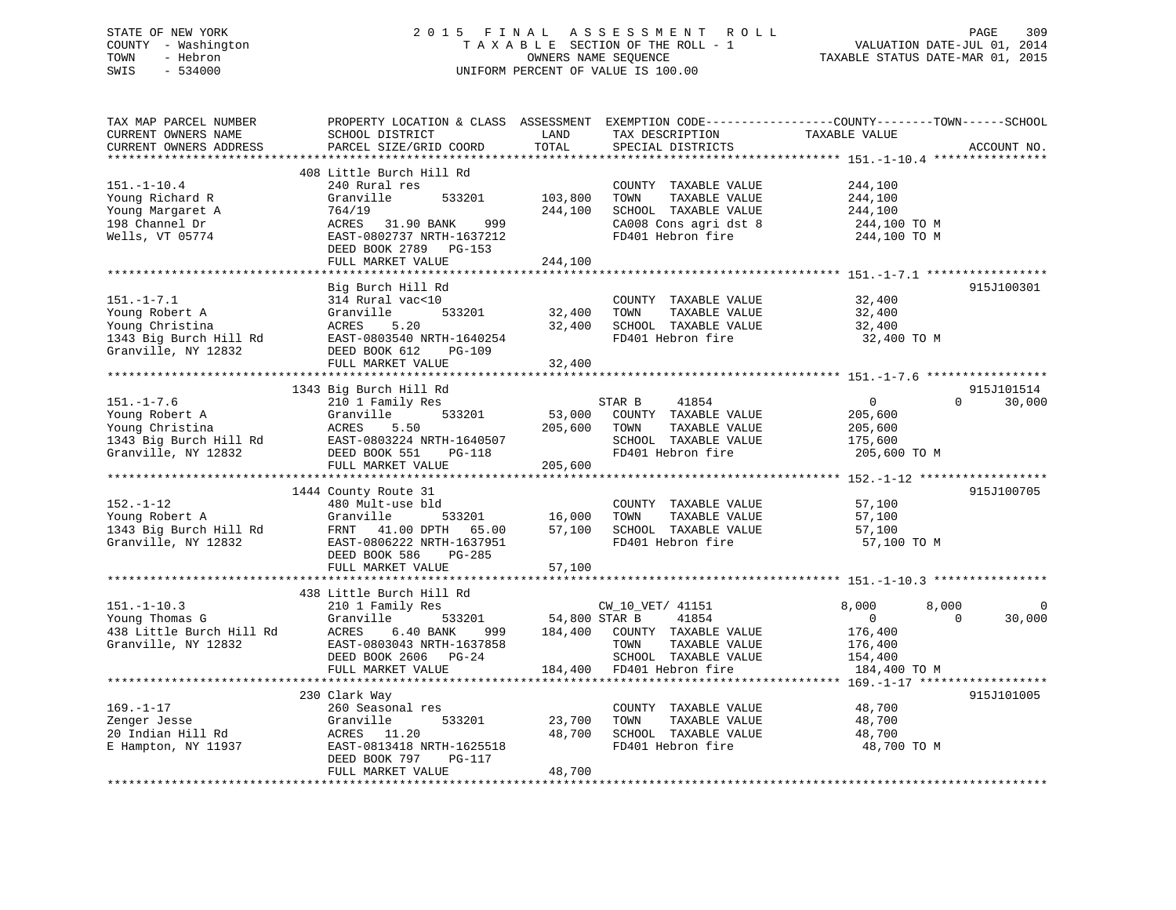# STATE OF NEW YORK 2 0 1 5 F I N A L A S S E S S M E N T R O L L PAGE 309 COUNTY - Washington T A X A B L E SECTION OF THE ROLL - 1 VALUATION DATE-JUL 01, 2014 TOWN - Hebron OWNERS NAME SEQUENCE TAXABLE STATUS DATE-MAR 01, 2015 SWIS - 534000 UNIFORM PERCENT OF VALUE IS 100.00

| TAX MAP PARCEL NUMBER<br>CURRENT OWNERS NAME<br>CURRENT OWNERS ADDRESS                                 | PROPERTY LOCATION & CLASS ASSESSMENT<br>SCHOOL DISTRICT<br>PARCEL SIZE/GRID COORD                                                                                                                            | LAND<br>TOTAL                               | TAX DESCRIPTION<br>SPECIAL DISTRICTS                                                                                                    | EXEMPTION CODE-----------------COUNTY-------TOWN------SCHOOL<br>TAXABLE VALUE                 | ACCOUNT NO.          |
|--------------------------------------------------------------------------------------------------------|--------------------------------------------------------------------------------------------------------------------------------------------------------------------------------------------------------------|---------------------------------------------|-----------------------------------------------------------------------------------------------------------------------------------------|-----------------------------------------------------------------------------------------------|----------------------|
| $151. - 1 - 10.4$<br>Young Richard R<br>Young Margaret A<br>198 Channel Dr<br>Wells, VT 05774          | *********************<br>408 Little Burch Hill Rd<br>240 Rural res<br>Granville<br>533201<br>764/19<br>ACRES<br>31.90 BANK<br>999<br>EAST-0802737 NRTH-1637212<br>DEED BOOK 2789 PG-153<br>FULL MARKET VALUE | **********<br>103,800<br>244,100<br>244,100 | COUNTY TAXABLE VALUE<br>TOWN<br>TAXABLE VALUE<br>SCHOOL TAXABLE VALUE<br>CA008 Cons agri dst 8<br>FD401 Hebron fire                     | 244,100<br>244,100<br>244,100<br>244,100 TO M<br>244,100 TO M                                 |                      |
| $151. - 1 - 7.1$<br>Young Robert A<br>Young Christina<br>1343 Big Burch Hill Rd<br>Granville, NY 12832 | Big Burch Hill Rd<br>314 Rural vac<10<br>533201<br>Granville<br>5.20<br>ACRES<br>EAST-0803540 NRTH-1640254<br>DEED BOOK 612<br><b>PG-109</b><br>FULL MARKET VALUE                                            | 32,400<br>32,400<br>32,400                  | COUNTY TAXABLE VALUE<br>TOWN<br>TAXABLE VALUE<br>SCHOOL TAXABLE VALUE<br>FD401 Hebron fire                                              | 32,400<br>32,400<br>32,400<br>32,400 TO M                                                     | 915J100301           |
| $151. - 1 - 7.6$<br>Young Robert A<br>Young Christina<br>1343 Big Burch Hill Rd<br>Granville, NY 12832 | 1343 Big Burch Hill Rd<br>210 1 Family Res<br>533201<br>Granville<br>ACRES<br>5.50<br>EAST-0803224 NRTH-1640507<br>DEED BOOK 551<br>PG-118                                                                   | 53,000<br>205,600                           | 41854<br>STAR B<br>COUNTY TAXABLE VALUE<br>TOWN<br>TAXABLE VALUE<br>SCHOOL TAXABLE VALUE<br>FD401 Hebron fire                           | $\overline{0}$<br>$\Omega$<br>205,600<br>205,600<br>175,600<br>205,600 TO M                   | 915J101514<br>30,000 |
|                                                                                                        | FULL MARKET VALUE<br>1444 County Route 31                                                                                                                                                                    | 205,600                                     |                                                                                                                                         |                                                                                               | 915J100705           |
| $152. - 1 - 12$<br>Young Robert A<br>1343 Big Burch Hill Rd<br>Granville, NY 12832                     | 480 Mult-use bld<br>Granville<br>533201<br>FRNT 41.00 DPTH 65.00<br>EAST-0806222 NRTH-1637951<br>DEED BOOK 586<br>PG-285<br>FULL MARKET VALUE                                                                | 16,000<br>57,100<br>57,100                  | COUNTY TAXABLE VALUE<br>TAXABLE VALUE<br>TOWN<br>SCHOOL TAXABLE VALUE<br>FD401 Hebron fire                                              | 57,100<br>57,100<br>57,100<br>57,100 TO M                                                     |                      |
|                                                                                                        |                                                                                                                                                                                                              |                                             |                                                                                                                                         |                                                                                               |                      |
| $151. - 1 - 10.3$<br>Young Thomas G<br>438 Little Burch Hill Rd<br>Granville, NY 12832                 | 438 Little Burch Hill Rd<br>210 1 Family Res<br>Granville<br>533201<br>ACRES<br>6.40 BANK<br>999<br>EAST-0803043 NRTH-1637858<br>DEED BOOK 2606 PG-24<br>FULL MARKET VALUE                                   | 54,800 STAR B                               | CW_10_VET/ 41151<br>41854<br>184,400 COUNTY TAXABLE VALUE<br>TOWN<br>TAXABLE VALUE<br>SCHOOL TAXABLE VALUE<br>184,400 FD401 Hebron fire | 8,000<br>8,000<br>$\overline{0}$<br>$\Omega$<br>176,400<br>176,400<br>154,400<br>184,400 TO M | $\Omega$<br>30,000   |
| $169. - 1 - 17$<br>Zenger Jesse<br>20 Indian Hill Rd<br>E Hampton, NY 11937                            | 230 Clark Way<br>260 Seasonal res<br>Granville<br>533201<br>ACRES<br>11.20<br>EAST-0813418 NRTH-1625518<br>DEED BOOK 797<br>PG-117<br>FULL MARKET VALUE                                                      | 23,700<br>48,700<br>48,700                  | COUNTY TAXABLE VALUE<br>TOWN<br>TAXABLE VALUE<br>SCHOOL TAXABLE VALUE<br>FD401 Hebron fire                                              | 48,700<br>48,700<br>48,700<br>48,700 TO M                                                     | 915J101005           |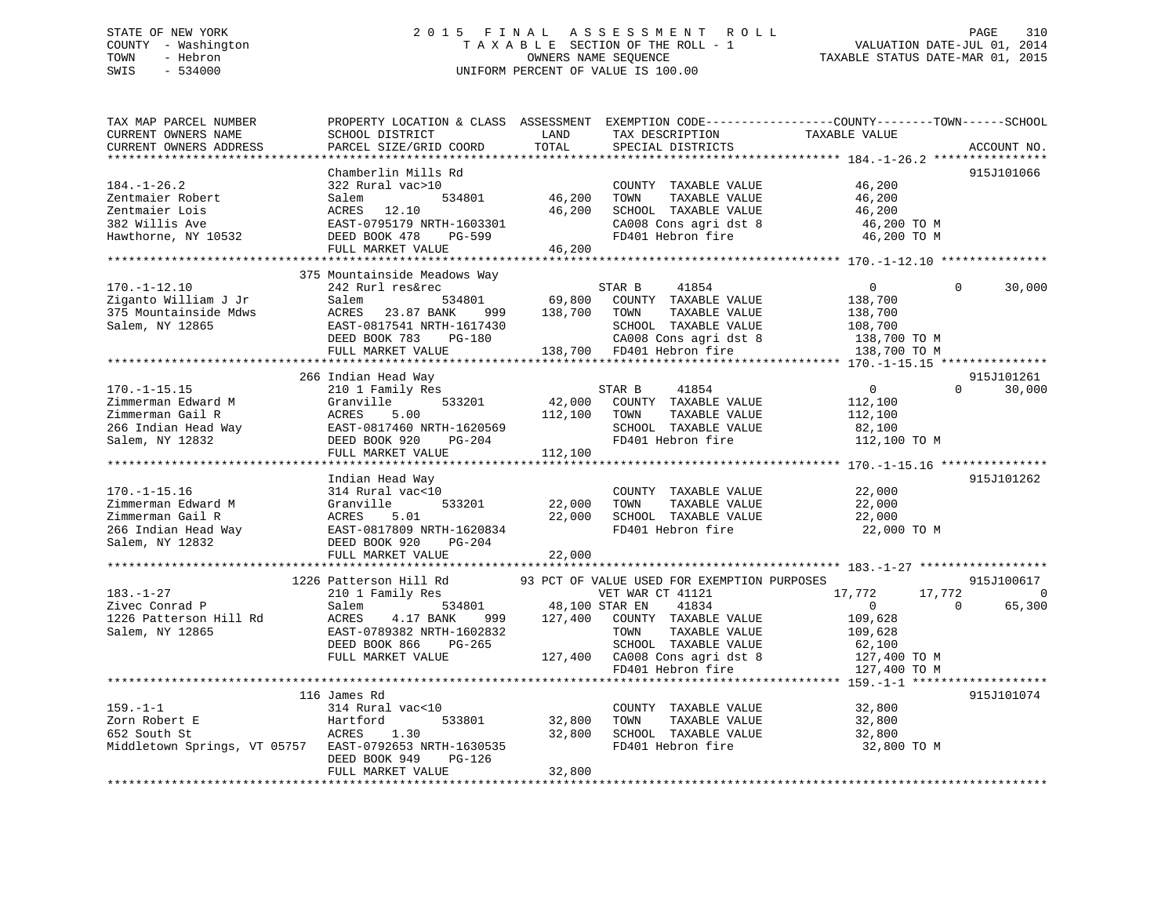# STATE OF NEW YORK 2 0 1 5 F I N A L A S S E S S M E N T R O L L PAGE 310 COUNTY - Washington T A X A B L E SECTION OF THE ROLL - 1 VALUATION DATE-JUL 01, 2014 TOWN - Hebron OWNERS NAME SEQUENCE TAXABLE STATUS DATE-MAR 01, 2015 SWIS - 534000 UNIFORM PERCENT OF VALUE IS 100.00

| TAX MAP PARCEL NUMBER<br>CURRENT OWNERS NAME<br>CURRENT OWNERS ADDRESS                                                    | SCHOOL DISTRICT<br>PARCEL SIZE/GRID COORD                                                                                                                                      | LAND<br>TOTAL                | TAX DESCRIPTION<br>SPECIAL DISTRICTS                                                                                                                                                                    | PROPERTY LOCATION & CLASS ASSESSMENT EXEMPTION CODE----------------COUNTY-------TOWN------SCHOOL<br>TAXABLE VALUE                | ACCOUNT NO.                      |
|---------------------------------------------------------------------------------------------------------------------------|--------------------------------------------------------------------------------------------------------------------------------------------------------------------------------|------------------------------|---------------------------------------------------------------------------------------------------------------------------------------------------------------------------------------------------------|----------------------------------------------------------------------------------------------------------------------------------|----------------------------------|
| *********************<br>$184. - 1 - 26.2$<br>Zentmaier Robert<br>Zentmaier Lois<br>382 Willis Ave<br>Hawthorne, NY 10532 | Chamberlin Mills Rd<br>322 Rural vac>10<br>534801<br>Salem<br>ACRES<br>12.10<br>EAST-0795179 NRTH-1603301<br>DEED BOOK 478<br>PG-599<br>FULL MARKET VALUE                      | 46,200<br>46,200<br>46,200   | COUNTY TAXABLE VALUE<br>TOWN<br>TAXABLE VALUE<br>SCHOOL TAXABLE VALUE<br>CA008 Cons agri dst 8<br>FD401 Hebron fire                                                                                     | 46,200<br>46,200<br>46,200<br>46,200 TO M<br>46,200 TO M                                                                         | 915J101066                       |
| $170. - 1 - 12.10$<br>Ziganto William J Jr<br>375 Mountainside Mdws<br>Salem, NY 12865                                    | 375 Mountainside Meadows Way<br>242 Rurl res&rec<br>Salem<br>534801<br>ACRES<br>23.87 BANK<br>999<br>EAST-0817541 NRTH-1617430<br>DEED BOOK 783<br>PG-180<br>FULL MARKET VALUE | 69,800<br>138,700<br>138,700 | 41854<br>STAR B<br>COUNTY TAXABLE VALUE<br>TOWN<br>TAXABLE VALUE<br>SCHOOL TAXABLE VALUE<br>CA008 Cons agri dst 8<br>FD401 Hebron fire<br>*************************                                     | $\Omega$<br>$\Omega$<br>138,700<br>138,700<br>108,700<br>138,700 TO M<br>138,700 TO M<br>********* 170.-1-15.15 **************** | 30,000                           |
| $170. - 1 - 15.15$<br>Zimmerman Edward M<br>Zimmerman Gail R<br>266 Indian Head Way<br>Salem, NY 12832                    | 266 Indian Head Way<br>210 1 Family Res<br>Granville<br>533201<br>5.00<br>ACRES<br>EAST-0817460 NRTH-1620569<br>DEED BOOK 920<br>PG-204<br>FULL MARKET VALUE                   | 42,000<br>112,100<br>112,100 | STAR B<br>41854<br>COUNTY TAXABLE VALUE<br>TAXABLE VALUE<br>TOWN<br>SCHOOL TAXABLE VALUE<br>FD401 Hebron fire                                                                                           | $\overline{0}$<br>$\Omega$<br>112,100<br>112,100<br>82,100<br>112,100 TO M                                                       | 915J101261<br>30,000             |
| $170. - 1 - 15.16$<br>Zimmerman Edward M<br>Zimmerman Gail R<br>266 Indian Head Way<br>Salem, NY 12832                    | Indian Head Way<br>314 Rural vac<10<br>Granville<br>533201<br>5.01<br>ACRES<br>EAST-0817809 NRTH-1620834<br>DEED BOOK 920<br>$PG-204$<br>FULL MARKET VALUE                     | 22,000<br>22,000<br>22,000   | COUNTY TAXABLE VALUE<br>TOWN<br>TAXABLE VALUE<br>SCHOOL TAXABLE VALUE<br>FD401 Hebron fire                                                                                                              | 22,000<br>22,000<br>22,000<br>22,000 TO M                                                                                        | 915J101262                       |
| $183. - 1 - 27$<br>Zivec Conrad P<br>1226 Patterson Hill Rd<br>Salem, NY 12865                                            | 1226 Patterson Hill Rd<br>210 1 Family Res<br>534801<br>Salem<br>4.17 BANK<br>ACRES<br>999<br>EAST-0789382 NRTH-1602832<br>DEED BOOK 866<br>$PG-265$<br>FULL MARKET VALUE      | 48,100 STAR EN<br>127,400    | 93 PCT OF VALUE USED FOR EXEMPTION PURPOSES<br>VET WAR CT 41121<br>41834<br>COUNTY TAXABLE VALUE<br>TOWN<br>TAXABLE VALUE<br>SCHOOL TAXABLE VALUE<br>127,400 CA008 Cons agri dst 8<br>FD401 Hebron fire | 17,772<br>17,772<br>$\overline{0}$<br>$\Omega$<br>109,628<br>109,628<br>62,100<br>127,400 TO M<br>127,400 TO M                   | 915J100617<br>$\Omega$<br>65,300 |
| $159. - 1 - 1$<br>Zorn Robert E<br>652 South St<br>Middletown Springs, VT 05757                                           | 116 James Rd<br>314 Rural vac<10<br>Hartford<br>533801<br>ACRES<br>1.30<br>EAST-0792653 NRTH-1630535<br>DEED BOOK 949<br>PG-126<br>FULL MARKET VALUE                           | 32,800<br>32,800<br>32,800   | COUNTY TAXABLE VALUE<br>TOWN<br>TAXABLE VALUE<br>SCHOOL TAXABLE VALUE<br>FD401 Hebron fire                                                                                                              | *********** 159.-1-1 ******<br>32,800<br>32,800<br>32,800<br>32,800 TO M                                                         | 915J101074                       |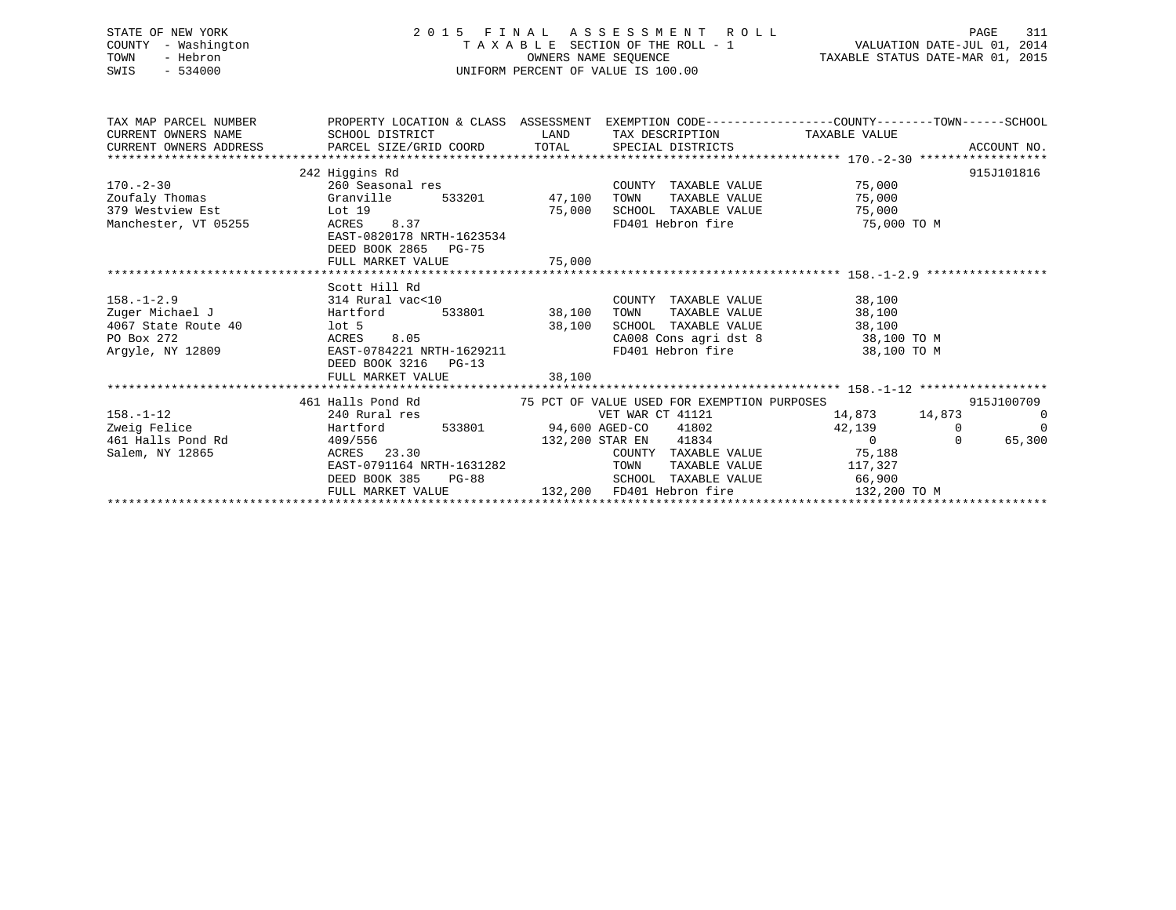STATE OF NEW YORK 2 0 1 5 F I N A L A S S E S S M E N T R O L L PAGE 311 COUNTY - Washington T A X A B L E SECTION OF THE ROLL - 1 VALUATION DATE-JUL 01, 2014 TOWN - Hebron OWNERS NAME SEQUENCE TAXABLE STATUS DATE-MAR 01, 2015 SWIS - 534000 UNIFORM PERCENT OF VALUE IS 100.00

TAX MAP PARCEL NUMBER PROPERTY LOCATION & CLASS ASSESSMENT EXEMPTION CODE------------------COUNTY--------TOWN------SCHOOL CURRENT OWNERS NAME SCHOOL DISTRICT THE LAND TAX DESCRIPTION TAXABLE VALUE CURRENT OWNERS ADDRESS PARCEL SIZE/GRID COORD TOTAL SPECIAL DISTRICTS ACCOUNT NO. \*\*\*\*\*\*\*\*\*\*\*\*\*\*\*\*\*\*\*\*\*\*\*\*\*\*\*\*\*\*\*\*\*\*\*\*\*\*\*\*\*\*\*\*\*\*\*\*\*\*\*\*\*\*\*\*\*\*\*\*\*\*\*\*\*\*\*\*\*\*\*\*\*\*\*\*\*\*\*\*\*\*\*\*\*\*\*\*\*\*\*\*\*\*\*\*\*\*\*\*\*\*\* 170.-2-30 \*\*\*\*\*\*\*\*\*\*\*\*\*\*\*\*\*\* 242 Higgins Rd 915J101816 170.-2-30 260 Seasonal res COUNTY TAXABLE VALUE 75,000 Zoufaly Thomas Granville 533201 47,100 TOWN TAXABLE VALUE 75,000 379 Westview Est Lot 19 75,000 SCHOOL TAXABLE VALUE 75,000 Manchester, VT 05255 ACRES 8.37 FD401 Hebron fire 75,000 TO M EAST-0820178 NRTH-1623534 DEED BOOK 2865 PG-75FULL MARKET VALUE 75,000 \*\*\*\*\*\*\*\*\*\*\*\*\*\*\*\*\*\*\*\*\*\*\*\*\*\*\*\*\*\*\*\*\*\*\*\*\*\*\*\*\*\*\*\*\*\*\*\*\*\*\*\*\*\*\*\*\*\*\*\*\*\*\*\*\*\*\*\*\*\*\*\*\*\*\*\*\*\*\*\*\*\*\*\*\*\*\*\*\*\*\*\*\*\*\*\*\*\*\*\*\*\*\* 158.-1-2.9 \*\*\*\*\*\*\*\*\*\*\*\*\*\*\*\*\* Scott Hill Rd158.-1-2.9 314 Rural vac<10 COUNTY TAXABLE VALUE 38,100 Hartford 533801 38,100 TOWN TAXABLE VALUE 38,100 4067 State Route 40  $\frac{1}{100}$  100  $\frac{5}{100}$  38,100  $\frac{38,100}{20000}$  SCHOOL TAXABLE VALUE 38,100  $\frac{38,100}{38,100}$  38,100 TO M PO Box 272 ACRES 8.05 CA008 Cons agri dst 8 38,100 TO M EAST-0784221 NRTH-1629211 FD401 Hebron fire 38,100 TO M DEED BOOK 3216 PG-13 FULL MARKET VALUE 38,100 \*\*\*\*\*\*\*\*\*\*\*\*\*\*\*\*\*\*\*\*\*\*\*\*\*\*\*\*\*\*\*\*\*\*\*\*\*\*\*\*\*\*\*\*\*\*\*\*\*\*\*\*\*\*\*\*\*\*\*\*\*\*\*\*\*\*\*\*\*\*\*\*\*\*\*\*\*\*\*\*\*\*\*\*\*\*\*\*\*\*\*\*\*\*\*\*\*\*\*\*\*\*\* 158.-1-12 \*\*\*\*\*\*\*\*\*\*\*\*\*\*\*\*\*\* 461 Halls Pond Rd 75 PCT OF VALUE USED FOR EXEMPTION PURPOSES 915J100709158.-1-12 240 Rural res VET WAR CT 41121 14,873 14,873 0 Zweig Felice Hartford 533801 94,600 AGED-CO 41802 42,139 0 0 461 Halls Pond Rd 409/556 132,200 STAR EN 41834 0 0 65,300 Salem, NY 12865 ACRES 23.30 COUNTY TAXABLE VALUE 75,188 EAST-0791164 NRTH-1631282 TOWN TAXABLE VALUE 117,327 DEED BOOK 385 PG-88 SCHOOL TAXABLE VALUE 66,900 FULL MARKET VALUE 132,200 FD401 Hebron fire 132,200 TO M \*\*\*\*\*\*\*\*\*\*\*\*\*\*\*\*\*\*\*\*\*\*\*\*\*\*\*\*\*\*\*\*\*\*\*\*\*\*\*\*\*\*\*\*\*\*\*\*\*\*\*\*\*\*\*\*\*\*\*\*\*\*\*\*\*\*\*\*\*\*\*\*\*\*\*\*\*\*\*\*\*\*\*\*\*\*\*\*\*\*\*\*\*\*\*\*\*\*\*\*\*\*\*\*\*\*\*\*\*\*\*\*\*\*\*\*\*\*\*\*\*\*\*\*\*\*\*\*\*\*\*\*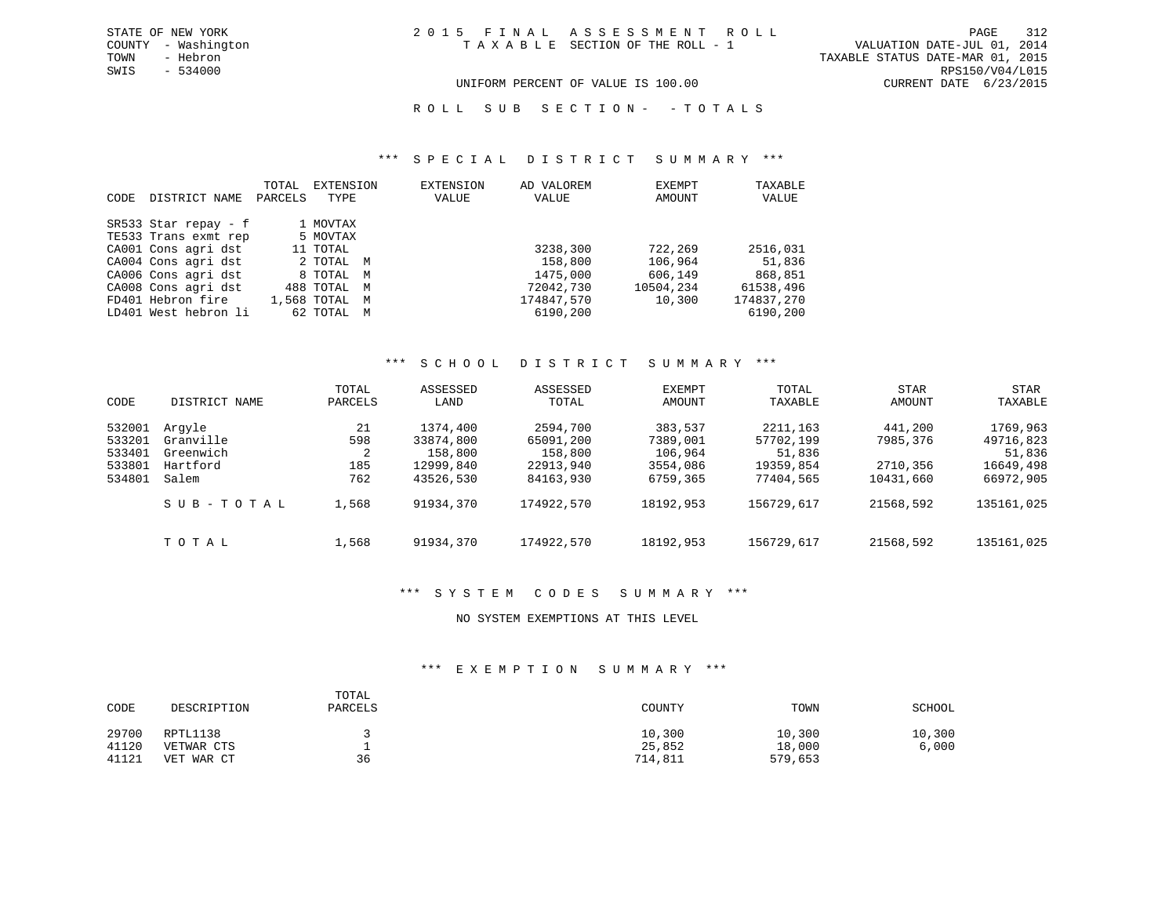TOWN - Hebron TAXABLE STATUS DATE-MAR 01, 2015 SWIS - 534000 RPS150/V04/L015 UNIFORM PERCENT OF VALUE IS 100.00 CURRENT DATE 6/23/2015

ROLL SUB SECTION - - TOTALS

#### \*\*\* S P E C I A L D I S T R I C T S U M M A R Y \*\*\*

| <b>CODE</b> | DISTRICT NAME          | TOTAL<br>PARCELS | EXTENSION<br>TYPE |   | <b>EXTENSION</b><br>VALUE | AD VALOREM<br>VALUE | EXEMPT<br>AMOUNT | TAXABLE<br>VALUE |
|-------------|------------------------|------------------|-------------------|---|---------------------------|---------------------|------------------|------------------|
|             | $SR533$ Star repay - f |                  | 1 MOVTAX          |   |                           |                     |                  |                  |
|             | TE533 Trans exmt rep   |                  | 5 MOVTAX          |   |                           |                     |                  |                  |
|             | CA001 Cons agri dst    |                  | 11 TOTAL          |   |                           | 3238,300            | 722,269          | 2516,031         |
|             | CA004 Cons agri dst    |                  | 2 TOTAL M         |   |                           | 158,800             | 106,964          | 51,836           |
|             | CA006 Cons agri dst    |                  | 8 TOTAL           | M |                           | 1475,000            | 606,149          | 868,851          |
|             | CA008 Cons agri dst    |                  | 488 TOTAL M       |   |                           | 72042,730           | 10504,234        | 61538,496        |
|             | FD401 Hebron fire      |                  | 1,568 TOTAL       | M |                           | 174847,570          | 10,300           | 174837,270       |
|             | LD401 West hebron li   |                  | 62 TOTAL          | M |                           | 6190,200            |                  | 6190,200         |

#### \*\*\* S C H O O L D I S T R I C T S U M M A R Y \*\*\*

|        |               | TOTAL   | ASSESSED  | ASSESSED   | EXEMPT    | TOTAL      | <b>STAR</b> | <b>STAR</b> |
|--------|---------------|---------|-----------|------------|-----------|------------|-------------|-------------|
| CODE   | DISTRICT NAME | PARCELS | LAND      | TOTAL      | AMOUNT    | TAXABLE    | AMOUNT      | TAXABLE     |
| 532001 | Arqyle        | 21      | 1374,400  | 2594,700   | 383,537   | 2211,163   | 441,200     | 1769,963    |
| 533201 | Granville     | 598     | 33874,800 | 65091,200  | 7389,001  | 57702,199  | 7985,376    | 49716,823   |
| 533401 | Greenwich     | 2       | 158,800   | 158,800    | 106,964   | 51,836     |             | 51,836      |
| 533801 | Hartford      | 185     | 12999,840 | 22913,940  | 3554,086  | 19359,854  | 2710,356    | 16649,498   |
| 534801 | Salem         | 762     | 43526,530 | 84163,930  | 6759,365  | 77404,565  | 10431,660   | 66972,905   |
|        | SUB-TOTAL     | 1,568   | 91934,370 | 174922,570 | 18192,953 | 156729,617 | 21568,592   | 135161,025  |
|        | TOTAL         | 1,568   | 91934,370 | 174922,570 | 18192,953 | 156729,617 | 21568,592   | 135161,025  |

#### \*\*\* S Y S T E M C O D E S S U M M A R Y \*\*\*

### NO SYSTEM EXEMPTIONS AT THIS LEVEL

### \*\*\* E X E M P T I O N S U M M A R Y \*\*\*

| CODE  | DESCRIPTION | TOTAL<br>PARCELS | COUNTY  | TOWN    | SCHOOL |
|-------|-------------|------------------|---------|---------|--------|
| 29700 | RPTL1138    |                  | 10,300  | 10,300  | 10,300 |
| 41120 | VETWAR CTS  |                  | 25,852  | 18,000  | 6,000  |
| 41121 | VET WAR CT  | 36               | 714,811 | 579,653 |        |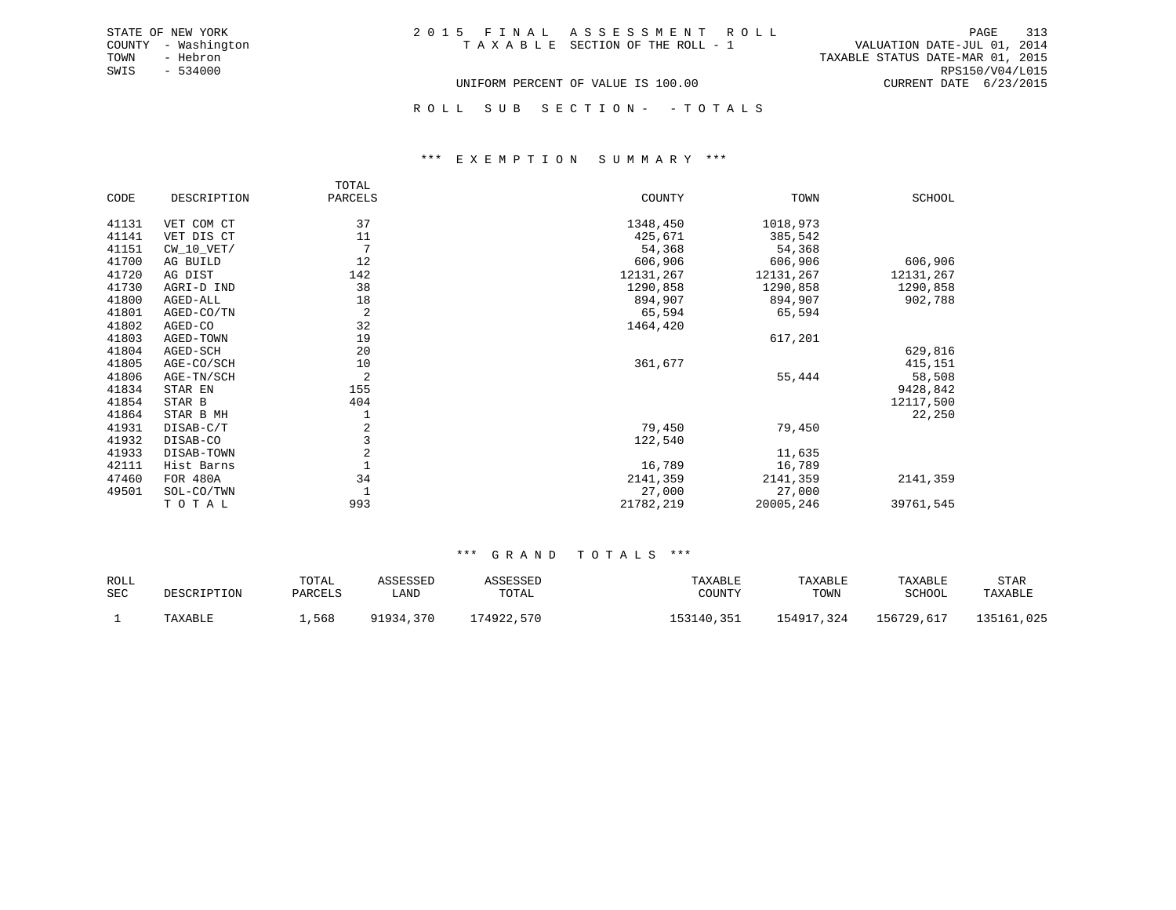ROLL SUB SECTION - - TOTALS

#### \*\*\* E X E M P T I O N S U M M A R Y \*\*\*

|       |              | TOTAL      |           |           |           |
|-------|--------------|------------|-----------|-----------|-----------|
| CODE  | DESCRIPTION  | PARCELS    | COUNTY    | TOWN      | SCHOOL    |
| 41131 | VET COM CT   | 37         | 1348,450  | 1018,973  |           |
| 41141 | VET DIS CT   | 11         | 425,671   | 385,542   |           |
| 41151 | $CW_10_VET/$ | 7          | 54,368    | 54,368    |           |
| 41700 | AG BUILD     | 12         | 606,906   | 606,906   | 606,906   |
| 41720 | AG DIST      | 142        | 12131,267 | 12131,267 | 12131,267 |
| 41730 | AGRI-D IND   | 38         | 1290,858  | 1290,858  | 1290,858  |
| 41800 | AGED-ALL     | 18         | 894,907   | 894,907   | 902,788   |
| 41801 | AGED-CO/TN   | 2          | 65,594    | 65,594    |           |
| 41802 | AGED-CO      | 32         | 1464,420  |           |           |
| 41803 | AGED-TOWN    | 19         |           | 617,201   |           |
| 41804 | AGED-SCH     | 20         |           |           | 629,816   |
| 41805 | AGE-CO/SCH   | 10         | 361,677   |           | 415,151   |
| 41806 | AGE-TN/SCH   | 2          |           | 55,444    | 58,508    |
| 41834 | STAR EN      | 155        |           |           | 9428,842  |
| 41854 | STAR B       | 404        |           |           | 12117,500 |
| 41864 | STAR B MH    |            |           |           | 22,250    |
| 41931 | DISAB-C/T    | 2          | 79,450    | 79,450    |           |
| 41932 | DISAB-CO     | 3          | 122,540   |           |           |
| 41933 | DISAB-TOWN   | $\sqrt{2}$ |           | 11,635    |           |
| 42111 | Hist Barns   |            | 16,789    | 16,789    |           |
| 47460 | FOR 480A     | 34         | 2141,359  | 2141,359  | 2141,359  |
| 49501 | SOL-CO/TWN   |            | 27,000    | 27,000    |           |
|       | TOTAL        | 993        | 21782,219 | 20005,246 | 39761,545 |

| ROLL       | DESCRIPTION | TOTAL   | ASSESSED  | ASSESSED   | TAXABLE    | TAXABLE    | TAXABLE    | STAR       |
|------------|-------------|---------|-----------|------------|------------|------------|------------|------------|
| <b>SEC</b> |             | PARCELS | LAND      | TOTAL      | COUNTY     | TOWN       | SCHOOL     | TAXABLE    |
|            | TAXABLE     | ,568    | 91934,370 | 174922,570 | 153140,351 | 154917,324 | 156729,617 | 135161,025 |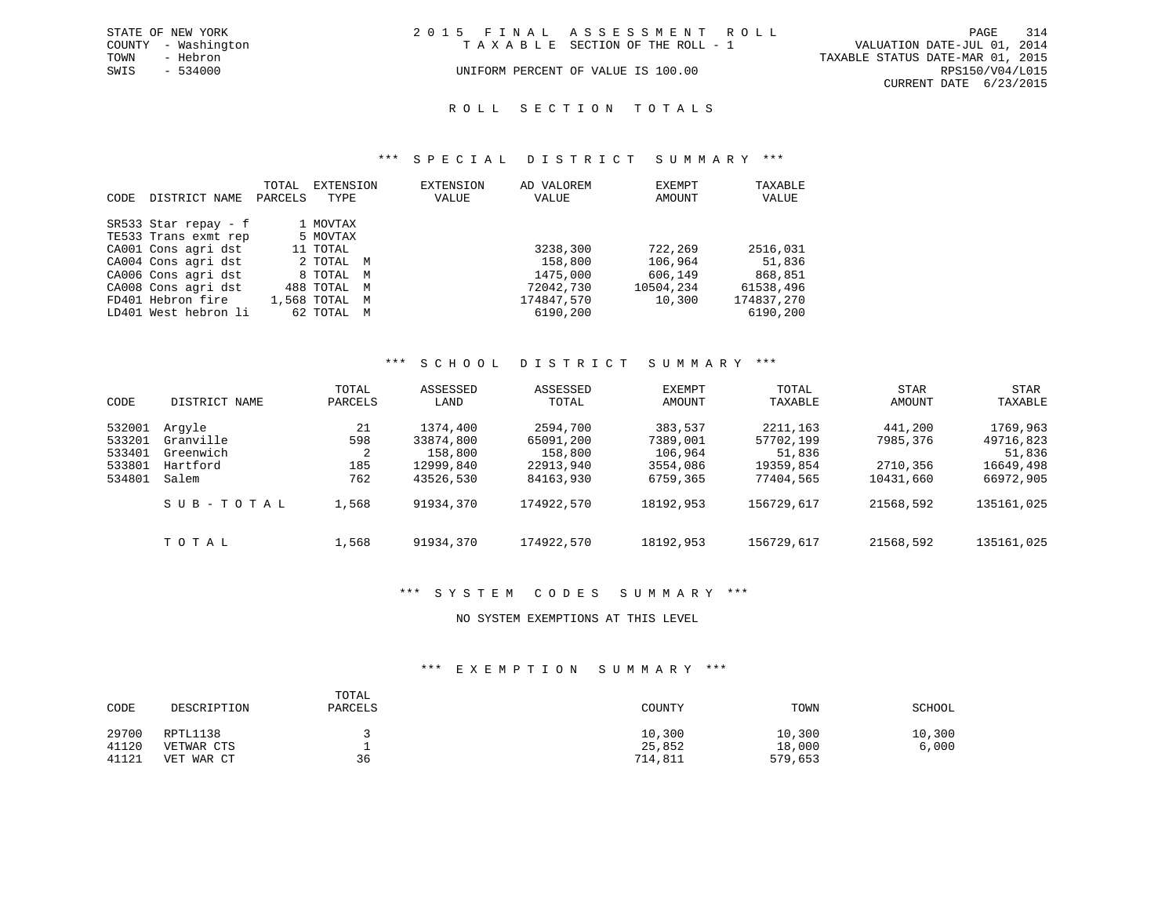|      | STATE OF NEW YORK   | 2015 FINAL ASSESSMENT ROLL |                                    |                                  | PAGE                   | 314 |
|------|---------------------|----------------------------|------------------------------------|----------------------------------|------------------------|-----|
|      | COUNTY - Washington |                            | TAXABLE SECTION OF THE ROLL - 1    | VALUATION DATE-JUL 01, 2014      |                        |     |
| TOWN | - Hebron            |                            |                                    | TAXABLE STATUS DATE-MAR 01, 2015 |                        |     |
| SWIS | $-534000$           |                            | UNIFORM PERCENT OF VALUE IS 100.00 |                                  | RPS150/V04/L015        |     |
|      |                     |                            |                                    |                                  | CURRENT DATE 6/23/2015 |     |

### ROLL SECTION TOTALS

#### \*\*\* S P E C I A L D I S T R I C T S U M M A R Y \*\*\*

|      |                        | TOTAL   | EXTENSION        | <b>EXTENSION</b> | AD VALOREM | EXEMPT    | TAXABLE    |
|------|------------------------|---------|------------------|------------------|------------|-----------|------------|
| CODE | DISTRICT NAME          | PARCELS | TYPE             | VALUE            | VALUE      | AMOUNT    | VALUE      |
|      |                        |         |                  |                  |            |           |            |
|      | $SR533$ Star repay - f |         | 1 MOVTAX         |                  |            |           |            |
|      | TE533 Trans exmt rep   |         | 5 MOVTAX         |                  |            |           |            |
|      | CA001 Cons agri dst    |         | 11 TOTAL         |                  | 3238,300   | 722,269   | 2516,031   |
|      | CA004 Cons agri dst    |         | 2 TOTAL M        |                  | 158,800    | 106,964   | 51,836     |
|      | CA006 Cons agri dst    |         | 8 TOTAL M        |                  | 1475,000   | 606,149   | 868,851    |
|      | CA008 Cons agri dst    |         | 488 TOTAL M      |                  | 72042,730  | 10504,234 | 61538,496  |
|      | FD401 Hebron fire      |         | 1,568 TOTAL<br>M |                  | 174847,570 | 10,300    | 174837,270 |
|      | LD401 West hebron li   |         | 62 TOTAL<br>M    |                  | 6190,200   |           | 6190,200   |

#### \*\*\* S C H O O L D I S T R I C T S U M M A R Y \*\*\*

|        |               | TOTAL   | ASSESSED  | ASSESSED   | EXEMPT    | TOTAL      | <b>STAR</b> | <b>STAR</b> |
|--------|---------------|---------|-----------|------------|-----------|------------|-------------|-------------|
| CODE   | DISTRICT NAME | PARCELS | LAND      | TOTAL      | AMOUNT    | TAXABLE    | AMOUNT      | TAXABLE     |
| 532001 | Arqyle        | 21      | 1374,400  | 2594,700   | 383,537   | 2211, 163  | 441,200     | 1769,963    |
| 533201 | Granville     | 598     | 33874,800 | 65091,200  | 7389,001  | 57702,199  | 7985,376    | 49716,823   |
| 533401 | Greenwich     | 2       | 158,800   | 158,800    | 106,964   | 51,836     |             | 51,836      |
| 533801 | Hartford      | 185     | 12999,840 | 22913,940  | 3554,086  | 19359,854  | 2710,356    | 16649,498   |
| 534801 | Salem         | 762     | 43526,530 | 84163,930  | 6759,365  | 77404,565  | 10431,660   | 66972,905   |
|        | SUB-TOTAL     | 1,568   | 91934,370 | 174922,570 | 18192,953 | 156729,617 | 21568,592   | 135161,025  |
|        | TOTAL         | 1,568   | 91934,370 | 174922,570 | 18192,953 | 156729,617 | 21568,592   | 135161,025  |

#### \*\*\* S Y S T E M C O D E S S U M M A R Y \*\*\*

#### NO SYSTEM EXEMPTIONS AT THIS LEVEL

#### \*\*\* E X E M P T I O N S U M M A R Y \*\*\*

| CODE  | DESCRIPTION | TOTAL<br>PARCELS | COUNTY  | TOWN    | SCHOOL |
|-------|-------------|------------------|---------|---------|--------|
| 29700 | RPTL1138    |                  | 10,300  | 10,300  | 10,300 |
| 41120 | VETWAR CTS  |                  | 25,852  | 18,000  | 6,000  |
| 41121 | VET WAR CT  | 36               | 714,811 | 579,653 |        |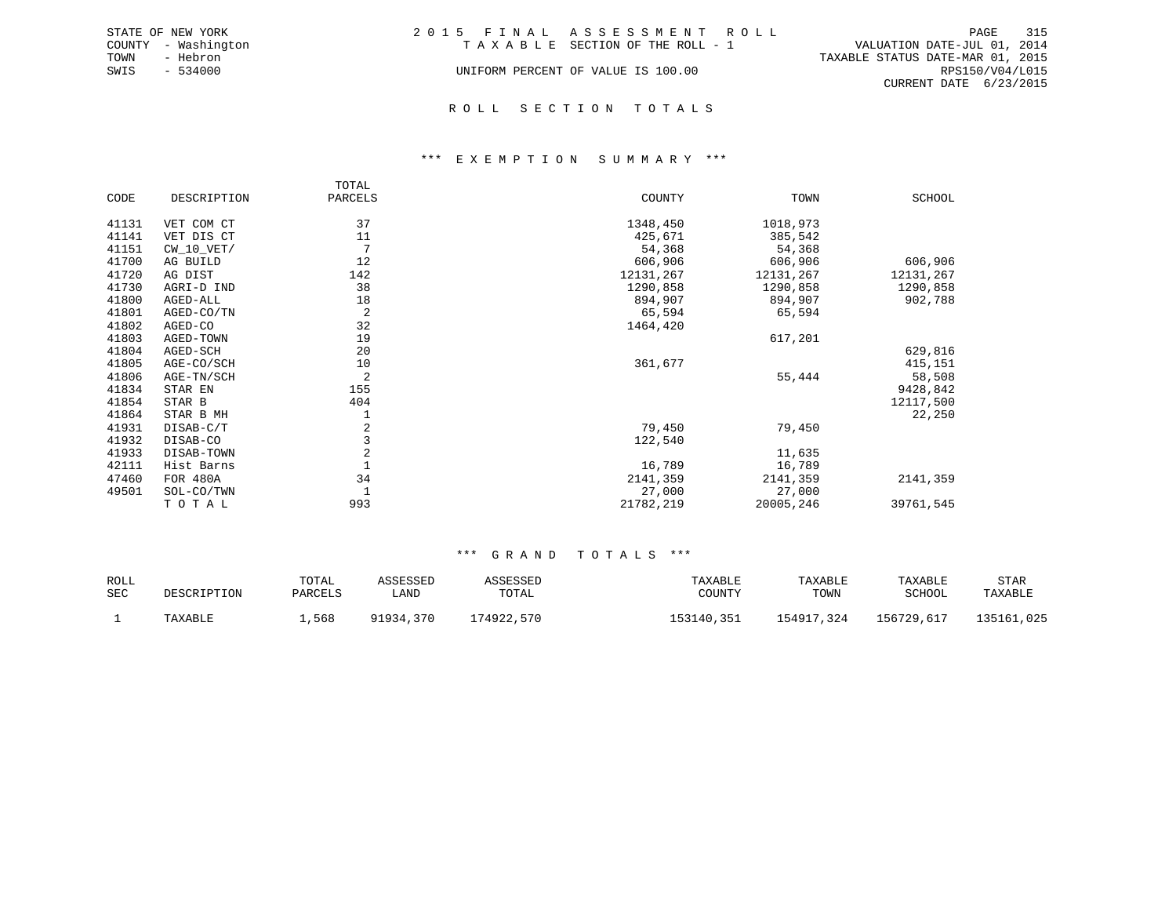|      | STATE OF NEW YORK   | 2015 FINAL ASSESSMENT ROLL         |                                  |                        | PAGE 315 |  |
|------|---------------------|------------------------------------|----------------------------------|------------------------|----------|--|
|      | COUNTY - Washington | TAXABLE SECTION OF THE ROLL - 1    | VALUATION DATE-JUL 01, 2014      |                        |          |  |
| TOWN | - Hebron            |                                    | TAXABLE STATUS DATE-MAR 01, 2015 |                        |          |  |
| SWIS | $-534000$           | UNIFORM PERCENT OF VALUE IS 100.00 |                                  | RPS150/V04/L015        |          |  |
|      |                     |                                    |                                  | CURRENT DATE 6/23/2015 |          |  |
|      |                     |                                    |                                  |                        |          |  |

#### R O L L S E C T I O N T O T A L S

#### \*\*\* E X E M P T I O N S U M M A R Y \*\*\*

|       |              | TOTAL          |           |           |           |
|-------|--------------|----------------|-----------|-----------|-----------|
| CODE  | DESCRIPTION  | PARCELS        | COUNTY    | TOWN      | SCHOOL    |
| 41131 | VET COM CT   | 37             | 1348,450  | 1018,973  |           |
|       |              |                |           |           |           |
| 41141 | VET DIS CT   | 11             | 425,671   | 385,542   |           |
| 41151 | $CW_10_VET/$ | 7              | 54,368    | 54,368    |           |
| 41700 | AG BUILD     | 12             | 606,906   | 606,906   | 606,906   |
| 41720 | AG DIST      | 142            | 12131,267 | 12131,267 | 12131,267 |
| 41730 | AGRI-D IND   | 38             | 1290,858  | 1290,858  | 1290,858  |
| 41800 | AGED-ALL     | 18             | 894,907   | 894,907   | 902,788   |
| 41801 | AGED-CO/TN   | $\overline{2}$ | 65,594    | 65,594    |           |
| 41802 | AGED-CO      | 32             | 1464,420  |           |           |
| 41803 | AGED-TOWN    | 19             |           | 617,201   |           |
| 41804 | AGED-SCH     | 20             |           |           | 629,816   |
| 41805 | AGE-CO/SCH   | 10             | 361,677   |           | 415,151   |
| 41806 | AGE-TN/SCH   | 2              |           | 55,444    | 58,508    |
| 41834 | STAR EN      | 155            |           |           | 9428,842  |
| 41854 | STAR B       | 404            |           |           | 12117,500 |
| 41864 | STAR B MH    | 1              |           |           | 22,250    |
| 41931 | DISAB-C/T    | $\overline{2}$ | 79,450    | 79,450    |           |
| 41932 | DISAB-CO     | $\overline{3}$ | 122,540   |           |           |
| 41933 | DISAB-TOWN   | $\overline{2}$ |           | 11,635    |           |
| 42111 | Hist Barns   |                | 16,789    | 16,789    |           |
| 47460 | FOR 480A     | 34             | 2141,359  | 2141,359  | 2141,359  |
| 49501 | SOL-CO/TWN   |                | 27,000    | 27,000    |           |
|       | TOTAL        | 993            | 21782,219 | 20005,246 | 39761,545 |

| ROLL<br><b>SEC</b> | DESCRIPTION | TOTAL<br>PARCELS | ASSESSED<br>LAND | ASSESSED<br>TOTAL | TAXABLE<br>COUNTY | TAXABLE<br>TOWN | TAXABLE<br>SCHOOL | STAR<br>TAXABLE |
|--------------------|-------------|------------------|------------------|-------------------|-------------------|-----------------|-------------------|-----------------|
|                    | TAXABLE     | 568,             | 91934,370        | 174922,570        | 153140,351        | 154917,324      | 156729,617        | 135161,025      |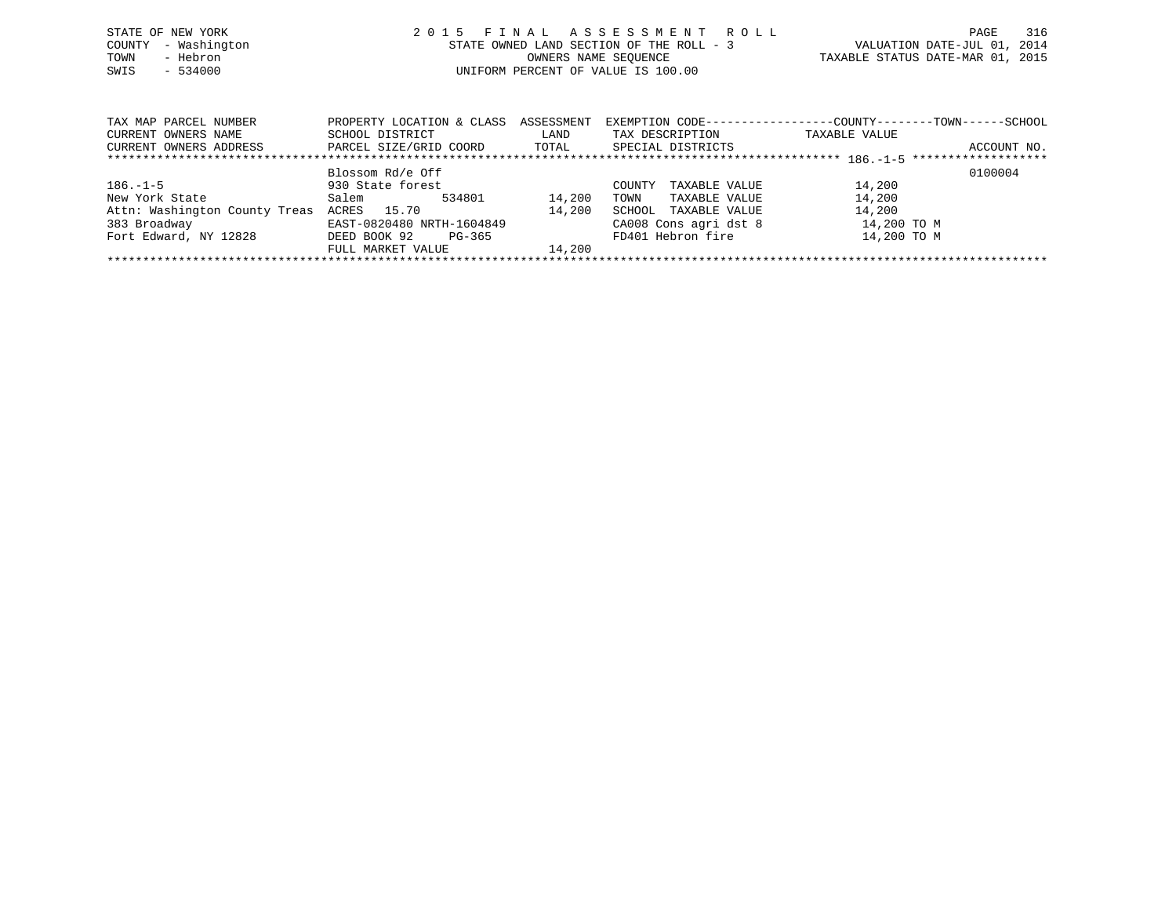| STATE OF NEW YORK   | 2015 FINAL ASSESSMENT ROLL               | 316<br>PAGE                      |
|---------------------|------------------------------------------|----------------------------------|
| COUNTY - Washington | STATE OWNED LAND SECTION OF THE ROLL - 3 | VALUATION DATE-JUL 01, 2014      |
| - Hebron<br>TOWN    | OWNERS NAME SEOUENCE                     | TAXABLE STATUS DATE-MAR 01, 2015 |
| $-534000$<br>SWIS   | UNIFORM PERCENT OF VALUE IS 100.00       |                                  |
|                     |                                          |                                  |

| TAX MAP PARCEL NUMBER         | PROPERTY LOCATION & CLASS | ASSESSMENT | EXEMPTION CODE-----------------COUNTY--------TOWN------SCHOOL |               |             |  |  |  |  |  |  |
|-------------------------------|---------------------------|------------|---------------------------------------------------------------|---------------|-------------|--|--|--|--|--|--|
| CURRENT OWNERS NAME           | SCHOOL DISTRICT           | LAND       | TAX DESCRIPTION                                               | TAXABLE VALUE |             |  |  |  |  |  |  |
| CURRENT OWNERS ADDRESS        | PARCEL SIZE/GRID COORD    | TOTAL      | SPECIAL DISTRICTS                                             |               | ACCOUNT NO. |  |  |  |  |  |  |
|                               |                           |            |                                                               |               |             |  |  |  |  |  |  |
|                               | Blossom Rd/e Off          |            |                                                               |               | 0100004     |  |  |  |  |  |  |
| $186. - 1 - 5$                | 930 State forest          |            | TAXABLE VALUE<br>COUNTY                                       | 14,200        |             |  |  |  |  |  |  |
| New York State                | 534801<br>Salem           | 14,200     | TAXABLE VALUE<br>TOWN                                         | 14,200        |             |  |  |  |  |  |  |
| Attn: Washington County Treas | ACRES 15.70               | 14,200     | TAXABLE VALUE<br>SCHOOL                                       | 14,200        |             |  |  |  |  |  |  |
| 383 Broadway                  | EAST-0820480 NRTH-1604849 |            | CA008 Cons agri dst 8                                         | 14,200 TO M   |             |  |  |  |  |  |  |
| Fort Edward, NY 12828         | DEED BOOK 92<br>PG-365    |            | FD401 Hebron fire                                             | 14,200 TO M   |             |  |  |  |  |  |  |
|                               | FULL MARKET VALUE         | 14,200     |                                                               |               |             |  |  |  |  |  |  |
|                               |                           |            |                                                               |               |             |  |  |  |  |  |  |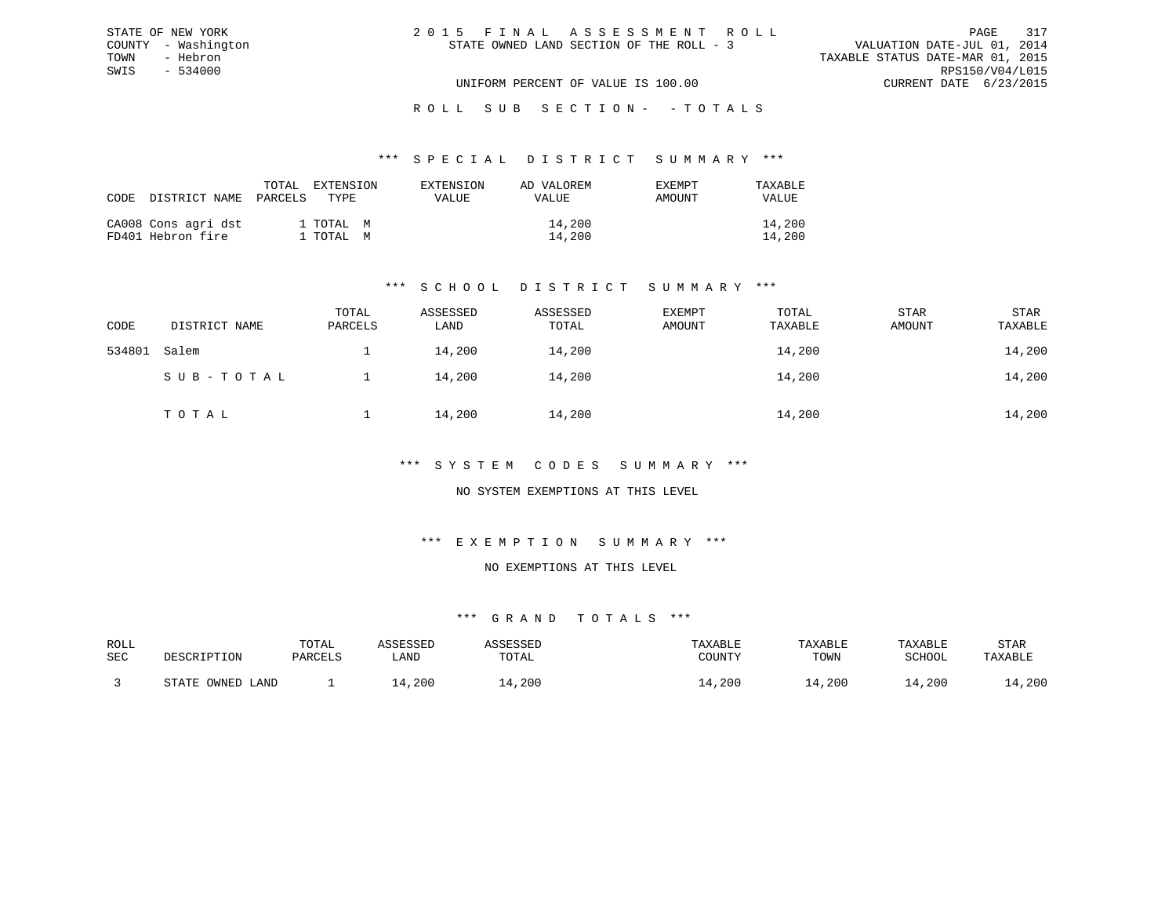| 2015 FINAL ASSESSMENT ROLL               | 317<br>PAGE                      |
|------------------------------------------|----------------------------------|
| STATE OWNED LAND SECTION OF THE ROLL - 3 | VALUATION DATE-JUL 01, 2014      |
|                                          | TAXABLE STATUS DATE-MAR 01, 2015 |
|                                          | RPS150/V04/L015                  |
| UNIFORM PERCENT OF VALUE IS 100.00       | CURRENT DATE 6/23/2015           |

ROLL SUB SECTION - - TOTALS

#### \*\*\* S P E C I A L D I S T R I C T S U M M A R Y \*\*\*

| CODE DISTRICT NAME                       | EXTENSION<br>TOTAL<br>PARCELS<br>TYPE. | EXTENSION<br><b>VALUE</b> | AD VALOREM<br><b>VALUE</b> | <b>EXEMPT</b><br>AMOUNT | TAXABLE<br><b>VALUE</b> |
|------------------------------------------|----------------------------------------|---------------------------|----------------------------|-------------------------|-------------------------|
| CA008 Cons agri dst<br>FD401 Hebron fire | 1 TOTAL M<br>1 TOTAL M                 |                           | 14,200<br>14,200           |                         | 14,200<br>14,200        |

STATE OF NEW YORK COUNTY - Washington TOWN - Hebron SWIS - 534000

### \*\*\* S C H O O L D I S T R I C T S U M M A R Y \*\*\*

| CODE   | DISTRICT NAME | TOTAL<br>PARCELS | ASSESSED<br>LAND | ASSESSED<br>TOTAL | EXEMPT<br>AMOUNT | TOTAL<br>TAXABLE | STAR<br>AMOUNT | STAR<br>TAXABLE |
|--------|---------------|------------------|------------------|-------------------|------------------|------------------|----------------|-----------------|
| 534801 | Salem         |                  | 14,200           | 14,200            |                  | 14,200           |                | 14,200          |
|        | SUB-TOTAL     |                  | 14,200           | 14,200            |                  | 14,200           |                | 14,200          |
|        | TOTAL         |                  | 14,200           | 14,200            |                  | 14,200           |                | 14,200          |

### \*\*\* S Y S T E M C O D E S S U M M A R Y \*\*\*

### NO SYSTEM EXEMPTIONS AT THIS LEVEL

#### \*\*\* E X E M P T I O N S U M M A R Y \*\*\*

#### NO EXEMPTIONS AT THIS LEVEL

| ROLL |                                              | TOTAL   | 7 CCFCCFF |             | TAXABLE | TAXABLE | TAXABLE | STAR    |
|------|----------------------------------------------|---------|-----------|-------------|---------|---------|---------|---------|
| SEC  | DESCRIPTION                                  | PARCELS | LAND      | TOTAL       | COUNTY  | TOWN    | SCHOOL  | TAXABLE |
|      |                                              |         |           |             |         |         |         |         |
|      | OWNED<br>$\sim$ $\sim$ $\sim$ $\sim$<br>LAND |         | , 200     | $\pm$ , 200 | ⊥4,200  | .4,200  | .4,200  | 14,200  |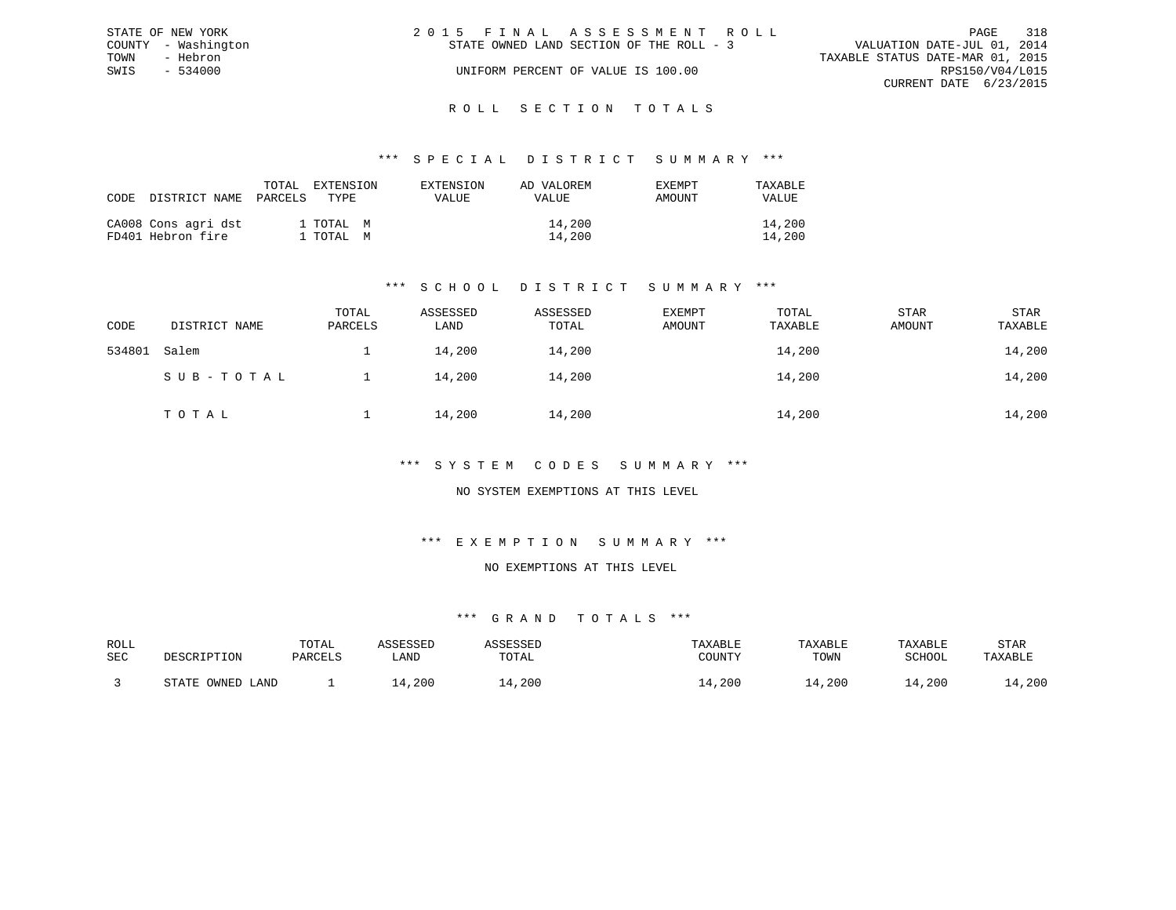| STATE OF NEW YORK   | 2015 FINAL ASSESSMENT ROLL                                              | PAGE                   | 318 |
|---------------------|-------------------------------------------------------------------------|------------------------|-----|
| COUNTY - Washington | VALUATION DATE-JUL 01, 2014<br>STATE OWNED LAND SECTION OF THE ROLL - 3 |                        |     |
| TOWN<br>- Hebron    | TAXABLE STATUS DATE-MAR 01, 2015                                        |                        |     |
| $-534000$<br>SWIS   | UNIFORM PERCENT OF VALUE IS 100.00                                      | RPS150/V04/L015        |     |
|                     |                                                                         | CURRENT DATE 6/23/2015 |     |
|                     |                                                                         |                        |     |

#### R O L L S E C T I O N T O T A L S

#### \*\*\* S P E C I A L D I S T R I C T S U M M A R Y \*\*\*

| CODE | DISTRICT NAME                            | TOTAL<br>EXTENSION<br>PARCELS<br>TYPE. | EXTENSION<br>VALUE | AD VALOREM<br><b>EXEMPT</b><br>AMOUNT<br>VALUE | TAXABLE<br>VALUE |
|------|------------------------------------------|----------------------------------------|--------------------|------------------------------------------------|------------------|
|      | CA008 Cons agri dst<br>FD401 Hebron fire | 1 TOTAL M<br>1 TOTAL M                 |                    | 14,200<br>14,200                               | 14,200<br>14,200 |

### \*\*\* S C H O O L D I S T R I C T S U M M A R Y \*\*\*

| CODE   | DISTRICT NAME | TOTAL<br>PARCELS | ASSESSED<br>LAND | ASSESSED<br>TOTAL | <b>EXEMPT</b><br>AMOUNT | TOTAL<br>TAXABLE | <b>STAR</b><br>AMOUNT | STAR<br>TAXABLE |
|--------|---------------|------------------|------------------|-------------------|-------------------------|------------------|-----------------------|-----------------|
| 534801 | Salem         |                  | 14,200           | 14,200            |                         | 14,200           |                       | 14,200          |
|        | SUB-TOTAL     |                  | 14,200           | 14,200            |                         | 14,200           |                       | 14,200          |
|        | TOTAL         |                  | 14,200           | 14,200            |                         | 14,200           |                       | 14,200          |

### \*\*\* S Y S T E M C O D E S S U M M A R Y \*\*\*

### NO SYSTEM EXEMPTIONS AT THIS LEVEL

### \*\*\* E X E M P T I O N S U M M A R Y \*\*\*

#### NO EXEMPTIONS AT THIS LEVEL

| ROLL |                      | TOTAL   | .ccrccrr |       | TAXABLE | TAXABLE | TAXABLE | STAR    |
|------|----------------------|---------|----------|-------|---------|---------|---------|---------|
| SEC  | DESCRIPTION          | PARCELS | ∟AND     | TOTAL | COUNTY  | TOWN    | SCHOOL  | TAXABLE |
|      | OWNED<br>CDR<br>LAND |         | ,200     | ,200  | , 200   | 14,200  | 14,200  | 14,200  |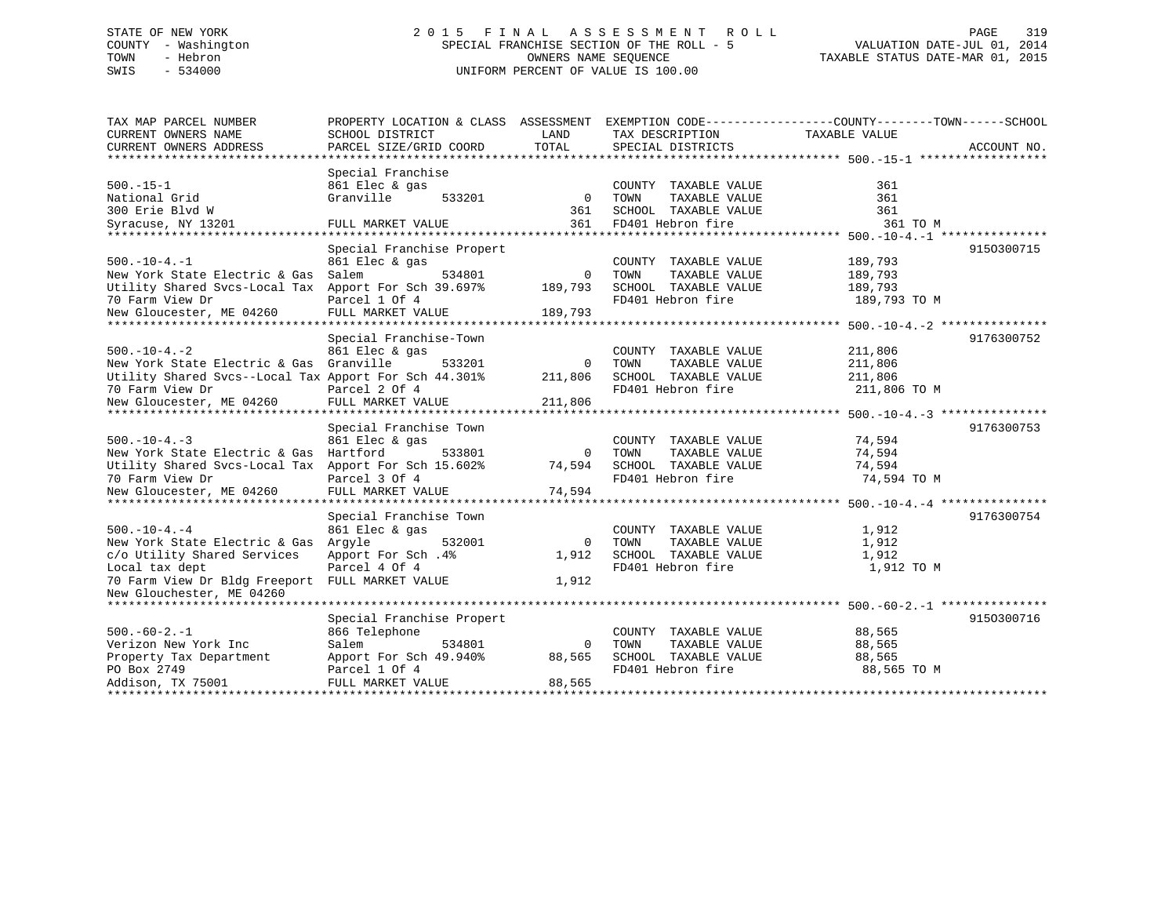# STATE OF NEW YORK 2 0 1 5 F I N A L A S S E S S M E N T R O L L PAGE 319 COUNTY - Washington SPECIAL FRANCHISE SECTION OF THE ROLL - 5 VALUATION DATE-JUL 01, 2014 TOWN - Hebron OWNERS NAME SEQUENCE TAXABLE STATUS DATE-MAR 01, 2015 SWIS - 534000 UNIFORM PERCENT OF VALUE IS 100.00

| TAX MAP PARCEL NUMBER                                 | PROPERTY LOCATION & CLASS ASSESSMENT EXEMPTION CODE---------------COUNTY-------TOWN-----SCHOOL |              |                       |               |             |
|-------------------------------------------------------|------------------------------------------------------------------------------------------------|--------------|-----------------------|---------------|-------------|
| CURRENT OWNERS NAME                                   | SCHOOL DISTRICT                                                                                | LAND         | TAX DESCRIPTION       | TAXABLE VALUE |             |
| CURRENT OWNERS ADDRESS                                | PARCEL SIZE/GRID COORD                                                                         | TOTAL        | SPECIAL DISTRICTS     |               | ACCOUNT NO. |
|                                                       |                                                                                                |              |                       |               |             |
|                                                       | Special Franchise                                                                              |              |                       |               |             |
| $500. -15 - 1$                                        | 861 Elec & gas                                                                                 |              | COUNTY TAXABLE VALUE  | 361           |             |
| National Grid                                         | Granville<br>533201                                                                            | $\mathbf{0}$ | TOWN<br>TAXABLE VALUE | 361           |             |
| 300 Erie Blvd W                                       |                                                                                                | 361          | SCHOOL TAXABLE VALUE  | 361           |             |
| Syracuse, NY 13201                                    | FULL MARKET VALUE                                                                              | 361          | FD401 Hebron fire     | 361 TO M      |             |
|                                                       |                                                                                                |              |                       |               |             |
|                                                       | Special Franchise Propert                                                                      |              |                       |               | 9150300715  |
| $500. - 10 - 4. - 1$                                  | 861 Elec & gas                                                                                 |              | COUNTY TAXABLE VALUE  | 189,793       |             |
| New York State Electric & Gas                         | Salem<br>534801                                                                                | $\circ$      | TAXABLE VALUE<br>TOWN | 189,793       |             |
| Utility Shared Svcs-Local Tax                         | Apport For Sch 39.697%                                                                         | 189,793      | SCHOOL TAXABLE VALUE  | 189,793       |             |
| 70 Farm View Dr                                       | Parcel 1 Of 4                                                                                  |              | FD401 Hebron fire     | 189,793 TO M  |             |
| New Gloucester, ME 04260                              | FULL MARKET VALUE                                                                              | 189,793      |                       |               |             |
|                                                       |                                                                                                |              |                       |               |             |
|                                                       | Special Franchise-Town                                                                         |              |                       |               | 9176300752  |
| $500. - 10 - 4. - 2$                                  | 861 Elec & gas                                                                                 |              | COUNTY TAXABLE VALUE  | 211,806       |             |
| New York State Electric & Gas                         | Granville<br>533201                                                                            | 0            | TOWN<br>TAXABLE VALUE | 211,806       |             |
| Utility Shared Svcs--Local Tax Apport For Sch 44.301% |                                                                                                | 211,806      | SCHOOL TAXABLE VALUE  | 211,806       |             |
| 70 Farm View Dr                                       | Parcel 2 Of 4                                                                                  |              | FD401 Hebron fire     | 211,806 TO M  |             |
| New Gloucester, ME 04260                              | FULL MARKET VALUE                                                                              | 211,806      |                       |               |             |
|                                                       |                                                                                                |              |                       |               |             |
|                                                       | Special Franchise Town                                                                         |              |                       |               | 9176300753  |
| $500. - 10 - 4. - 3$                                  | 861 Elec & gas                                                                                 |              | COUNTY TAXABLE VALUE  | 74,594        |             |
| New York State Electric & Gas Hartford                | 533801                                                                                         | $\Omega$     | TOWN<br>TAXABLE VALUE | 74,594        |             |
| Utility Shared Svcs-Local Tax                         | Apport For Sch 15.602%                                                                         | 74,594       | SCHOOL TAXABLE VALUE  | 74,594        |             |
| 70 Farm View Dr                                       | Parcel 3 Of 4                                                                                  |              | FD401 Hebron fire     | 74,594 TO M   |             |
| New Gloucester, ME 04260                              | FULL MARKET VALUE                                                                              | 74,594       |                       |               |             |
|                                                       |                                                                                                |              |                       |               |             |
|                                                       | Special Franchise Town                                                                         |              |                       |               | 9176300754  |
| $500. -10 - 4. -4$                                    | 861 Elec & gas                                                                                 |              | COUNTY TAXABLE VALUE  | 1,912         |             |
| New York State Electric & Gas                         | Arqyle<br>532001                                                                               | $\Omega$     | TOWN<br>TAXABLE VALUE | 1,912         |             |
| c/o Utility Shared Services                           | Apport For Sch. 4%                                                                             | 1,912        | SCHOOL TAXABLE VALUE  | 1,912         |             |
| Local tax dept                                        | Parcel 4 Of 4                                                                                  |              | FD401 Hebron fire     | 1,912 TO M    |             |
| 70 Farm View Dr Bldg Freeport FULL MARKET VALUE       |                                                                                                | 1,912        |                       |               |             |
| New Glouchester, ME 04260                             |                                                                                                |              |                       |               |             |
|                                                       |                                                                                                |              |                       |               |             |
|                                                       | Special Franchise Propert                                                                      |              |                       |               | 9150300716  |
| $500. -60 - 2. -1$                                    | 866 Telephone                                                                                  |              | COUNTY TAXABLE VALUE  | 88,565        |             |
| Verizon New York Inc                                  | Salem<br>534801                                                                                | $\mathbf 0$  | TOWN<br>TAXABLE VALUE | 88,565        |             |
| Property Tax Department                               | Apport For Sch 49.940%                                                                         | 88,565       | SCHOOL TAXABLE VALUE  | 88,565        |             |
| PO Box 2749                                           | Parcel 1 Of 4                                                                                  |              | FD401 Hebron fire     | 88,565 TO M   |             |
| Addison, TX 75001                                     | FULL MARKET VALUE                                                                              | 88,565       |                       |               |             |
|                                                       |                                                                                                |              |                       |               |             |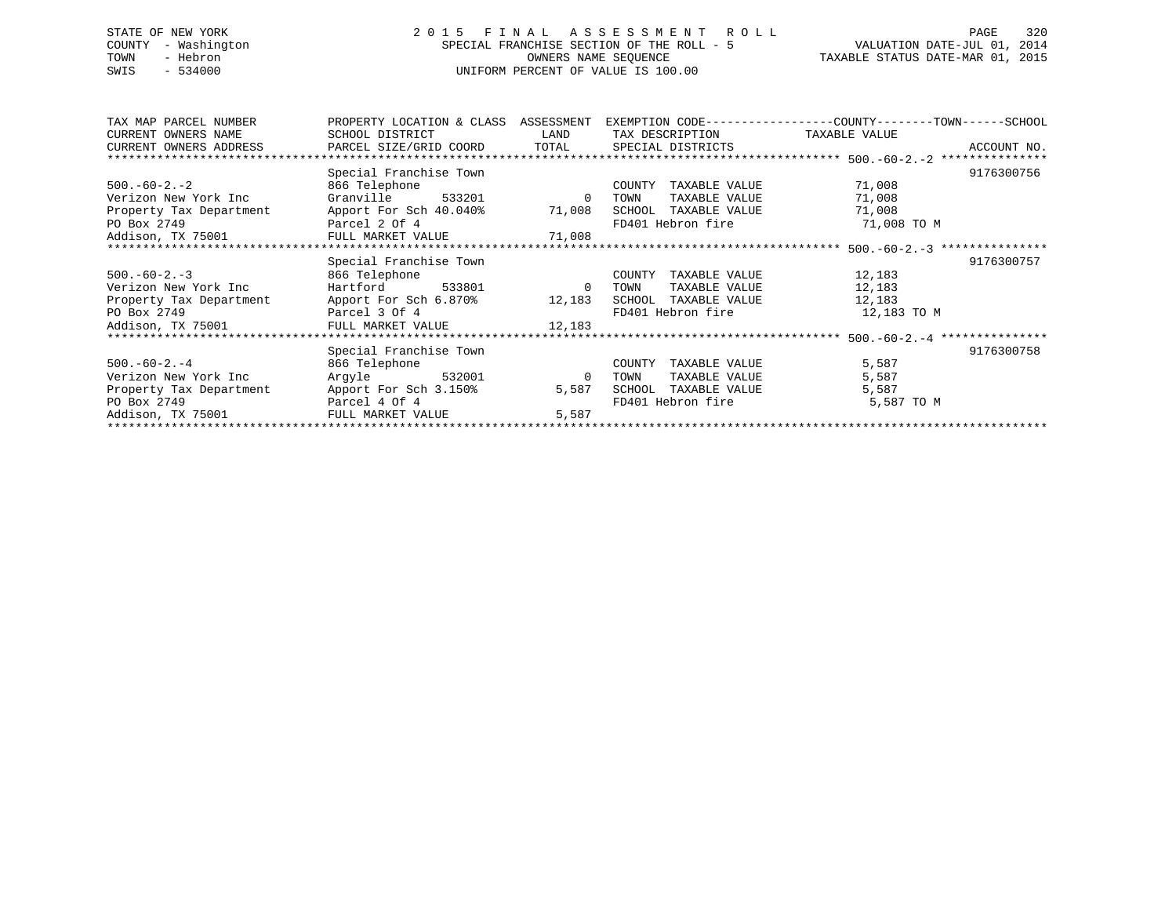# STATE OF NEW YORK 2 0 1 5 F I N A L A S S E S S M E N T R O L L PAGE 320 COUNTY - Washington SPECIAL FRANCHISE SECTION OF THE ROLL - 5 VALUATION DATE-JUL 01, 2014 TOWN - Hebron OWNERS NAME SEQUENCE TAXABLE STATUS DATE-MAR 01, 2015 SWIS - 534000 UNIFORM PERCENT OF VALUE IS 100.00

| TAX MAP PARCEL NUMBER                          | PROPERTY LOCATION & CLASS ASSESSMENT          |                | EXEMPTION CODE-----------------COUNTY-------TOWN------SCHOOL |               |             |
|------------------------------------------------|-----------------------------------------------|----------------|--------------------------------------------------------------|---------------|-------------|
| CURRENT OWNERS NAME                            | SCHOOL DISTRICT                               | LAND           | TAX DESCRIPTION                                              | TAXABLE VALUE |             |
| CURRENT OWNERS ADDRESS                         | PARCEL SIZE/GRID COORD                        | TOTAL          | SPECIAL DISTRICTS                                            |               | ACCOUNT NO. |
| ************************                       |                                               |                |                                                              |               |             |
|                                                | Special Franchise Town                        |                |                                                              |               | 9176300756  |
| $500.-60-2.-2$                                 | 866 Telephone                                 |                | TAXABLE VALUE<br>COUNTY                                      | 71,008        |             |
| Verizon New York Inc                           | Granville 533201                              | $\mathbf{0}$   | TAXABLE VALUE<br>TOWN                                        | 71,008        |             |
| Property Tax Department Apport For Sch 40.040% |                                               | 71,008         | SCHOOL TAXABLE VALUE                                         | 71,008        |             |
| PO Box 2749                                    | Parcel 2 Of 4                                 |                | FD401 Hebron fire                                            | 71,008 TO M   |             |
| Addison, TX 75001                              | FULL MARKET VALUE 71,008                      |                |                                                              |               |             |
|                                                |                                               |                |                                                              |               |             |
|                                                | Special Franchise Town                        |                |                                                              |               | 9176300757  |
| $500.-60-2.-3$                                 | 866 Telephone                                 |                | TAXABLE VALUE<br>COUNTY                                      | 12,183        |             |
| Verizon New York Inc                           | Hartford<br>533801                            | $\overline{0}$ | TOWN<br>TAXABLE VALUE                                        | 12,183        |             |
|                                                | Property Tax Department Apport For Sch 6.870% | 12,183         | SCHOOL<br>TAXABLE VALUE                                      | 12,183        |             |
| PO Box 2749                                    | Parcel 3 Of 4                                 |                | FD401 Hebron fire                                            | 12,183 TO M   |             |
| Addison, TX 75001                              | FULL MARKET VALUE 12,183                      |                |                                                              |               |             |
|                                                |                                               |                |                                                              |               |             |
|                                                | Special Franchise Town                        |                |                                                              |               | 9176300758  |
| $500.-60-2.-4$                                 | 866 Telephone                                 |                | COUNTY<br>TAXABLE VALUE                                      | 5,587         |             |
| Verizon New York Inc                           | Argyle 532001                                 | $\overline{0}$ | TAXABLE VALUE<br>TOWN                                        | 5,587         |             |
| Property Tax Department                        | Apport For Sch 3.150%                         | 5,587          | SCHOOL<br>TAXABLE VALUE                                      | 5,587         |             |
| PO Box 2749                                    | Parcel 4 Of 4                                 |                | FD401 Hebron fire                                            | 5,587 TO M    |             |
| Addison, TX 75001                              | FULL MARKET VALUE                             | 5,587          |                                                              |               |             |
|                                                |                                               |                |                                                              |               |             |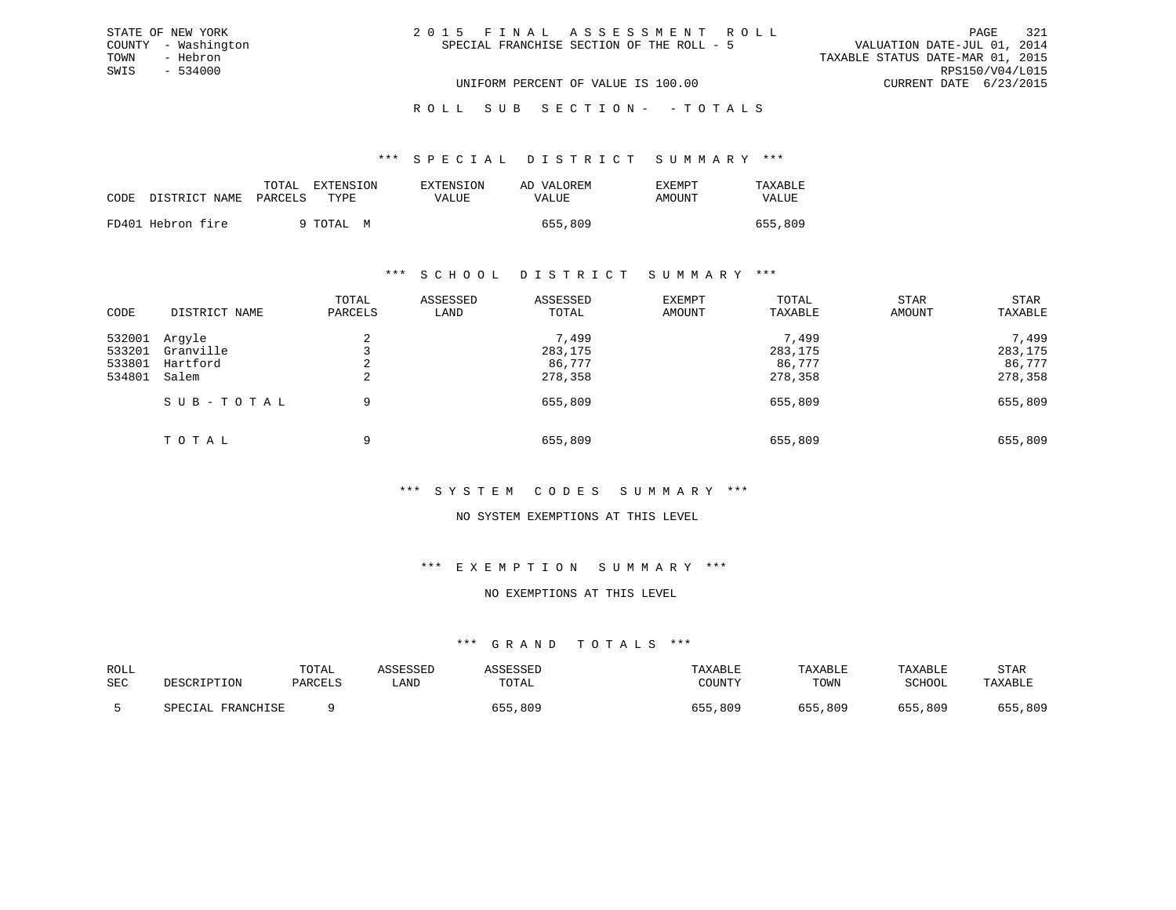| 2015 FINAL ASSESSMENT ROLL                |                                  | PAGE                        | -321 |
|-------------------------------------------|----------------------------------|-----------------------------|------|
| SPECIAL FRANCHISE SECTION OF THE ROLL - 5 |                                  | VALUATION DATE-JUL 01, 2014 |      |
|                                           | TAXABLE STATUS DATE-MAR 01, 2015 |                             |      |
|                                           |                                  | RPS150/V04/L015             |      |
| UNIFORM PERCENT OF VALUE IS 100.00        |                                  | CURRENT DATE 6/23/2015      |      |

ROLL SUB SECTION - - TOTALS

#### \*\*\* S P E C I A L D I S T R I C T S U M M A R Y \*\*\*

|      |                       | EXTENSION<br>TOTAL | <b>EXTENSION</b> | AD VALOREM   | <b>EXEMPT</b> | TAXABLE |
|------|-----------------------|--------------------|------------------|--------------|---------------|---------|
| CODE | DISTRICT NAME PARCELS | TYPE.              | VALUE            | <b>VALUE</b> | AMOUNT        | VALUE   |
|      | FD401 Hebron fire     | 9 TOTAL M          |                  | 655,809      |               | 655,809 |

STATE OF NEW YORK COUNTY - Washington TOWN - Hebron SWIS - 534000

#### \*\*\* S C H O O L D I S T R I C T S U M M A R Y \*\*\*

| CODE                                 | DISTRICT NAME                            | TOTAL<br>PARCELS | ASSESSED<br>LAND | ASSESSED<br>TOTAL                     | EXEMPT<br>AMOUNT | TOTAL<br>TAXABLE                      | STAR<br>AMOUNT | STAR<br>TAXABLE                       |
|--------------------------------------|------------------------------------------|------------------|------------------|---------------------------------------|------------------|---------------------------------------|----------------|---------------------------------------|
| 532001<br>533201<br>533801<br>534801 | Arqyle<br>Granville<br>Hartford<br>Salem | Z.<br>∠          |                  | 7,499<br>283,175<br>86,777<br>278,358 |                  | 7,499<br>283,175<br>86,777<br>278,358 |                | 7,499<br>283,175<br>86,777<br>278,358 |
|                                      | SUB-TOTAL<br>TOTAL                       | 9<br>9           |                  | 655,809<br>655,809                    |                  | 655,809<br>655,809                    |                | 655,809<br>655,809                    |

### \*\*\* S Y S T E M C O D E S S U M M A R Y \*\*\*

### NO SYSTEM EXEMPTIONS AT THIS LEVEL

### \*\*\* E X E M P T I O N S U M M A R Y \*\*\*

#### NO EXEMPTIONS AT THIS LEVEL

| ROLL |                      | TOTAL   | ASSESSED | ASSESSED | TAXABLE     | TAXABLE | TAXABLE | STAR    |
|------|----------------------|---------|----------|----------|-------------|---------|---------|---------|
| SEC  | DESCRIPTION          | PARCELS | LAND     | TOTAL    | COUNTY      | TOWN    | SCHOOL  | TAXABLE |
|      | FRANCHISE<br>SPECIAL |         |          | 655,809  | ,809<br>655 | 655,809 | 655,809 | 655,809 |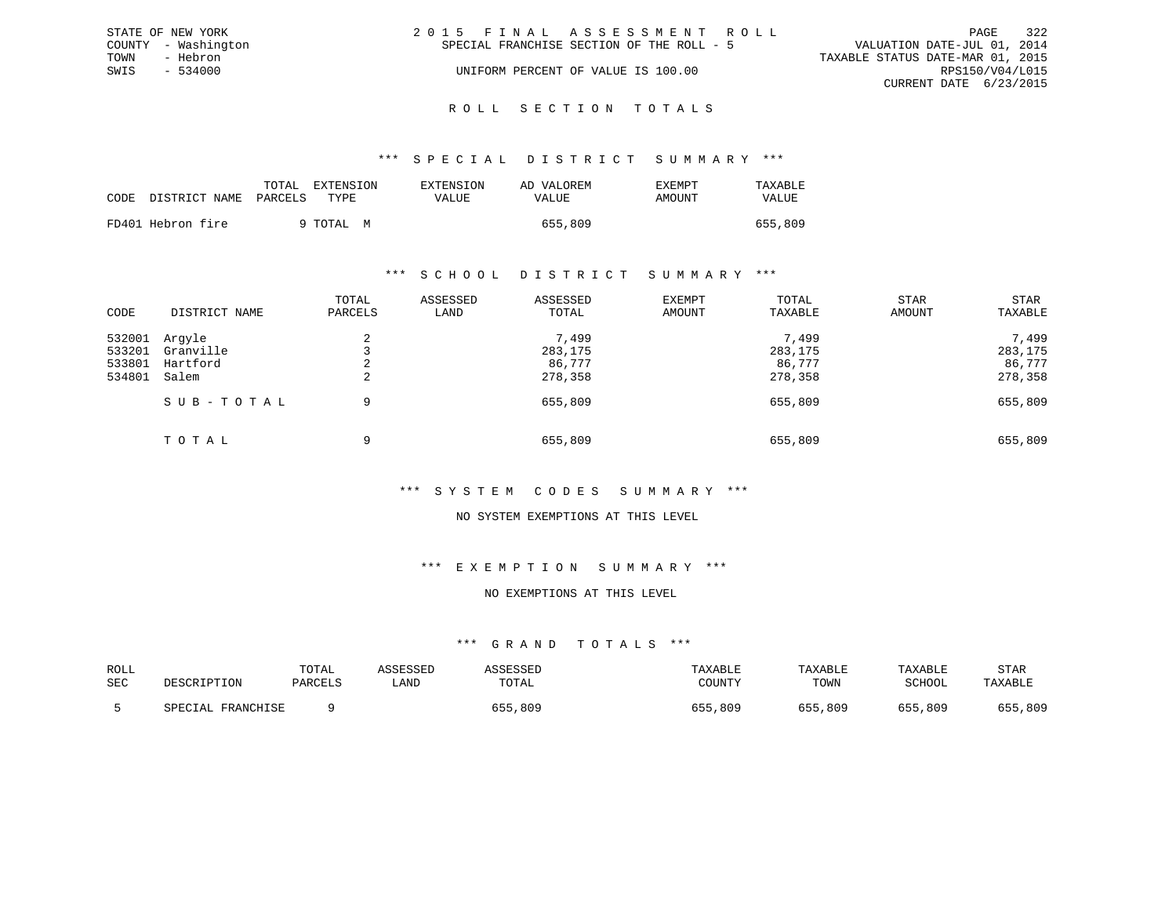| STATE OF NEW YORK   |          | 2015 FINAL ASSESSMENT ROLL |                                           |                                  | PAGE                   | 322 |
|---------------------|----------|----------------------------|-------------------------------------------|----------------------------------|------------------------|-----|
| COUNTY - Washington |          |                            | SPECIAL FRANCHISE SECTION OF THE ROLL - 5 | VALUATION DATE-JUL 01, 2014      |                        |     |
| TOWN                | - Hebron |                            |                                           | TAXABLE STATUS DATE-MAR 01, 2015 |                        |     |
| SWIS                | - 534000 |                            | UNIFORM PERCENT OF VALUE IS 100.00        |                                  | RPS150/V04/L015        |     |
|                     |          |                            |                                           |                                  | CURRENT DATE 6/23/2015 |     |
|                     |          |                            |                                           |                                  |                        |     |

#### R O L L S E C T I O N T O T A L S

#### \*\*\* S P E C I A L D I S T R I C T S U M M A R Y \*\*\*

|      |                   | TOTAL   | <b>EXTENSION</b> | <b>EXTENSION</b> | AD VALOREM | <b>EXEMPT</b> | TAXABLE |
|------|-------------------|---------|------------------|------------------|------------|---------------|---------|
| CODE | DISTRICT NAME     | PARCELS | TYPE.            | VALUE            | VALUE      | AMOUNT        | VALUE   |
|      | FD401 Hebron fire |         | 9 TOTAL M        |                  | 655,809    |               | 655,809 |

#### \*\*\* S C H O O L D I S T R I C T S U M M A R Y \*\*\*

| CODE                                 | DISTRICT NAME                            | TOTAL<br>PARCELS | ASSESSED<br>LAND | ASSESSED<br>TOTAL                     | EXEMPT<br>AMOUNT | TOTAL<br>TAXABLE                      | STAR<br>AMOUNT | STAR<br>TAXABLE                       |
|--------------------------------------|------------------------------------------|------------------|------------------|---------------------------------------|------------------|---------------------------------------|----------------|---------------------------------------|
| 532001<br>533201<br>533801<br>534801 | Arqyle<br>Granville<br>Hartford<br>Salem | 2<br>2           |                  | 7,499<br>283,175<br>86,777<br>278,358 |                  | 7,499<br>283,175<br>86,777<br>278,358 |                | 7,499<br>283,175<br>86,777<br>278,358 |
|                                      | SUB-TOTAL                                | 9                |                  | 655,809                               |                  | 655,809                               |                | 655,809                               |
|                                      | TOTAL                                    | 9                |                  | 655,809                               |                  | 655,809                               |                | 655,809                               |

### \*\*\* S Y S T E M C O D E S S U M M A R Y \*\*\*

### NO SYSTEM EXEMPTIONS AT THIS LEVEL

### \*\*\* E X E M P T I O N S U M M A R Y \*\*\*

#### NO EXEMPTIONS AT THIS LEVEL

| ROLL<br>SEC | DESCRIPTION       | TOTAL<br>PARCELS | ASSESSED<br>LAND | TOTAL   | TAXABLE<br>COUNTY | TAXABLE<br>TOWN | TAXABLE<br>SCHOOL | STAR<br>TAXABLE |
|-------------|-------------------|------------------|------------------|---------|-------------------|-----------------|-------------------|-----------------|
|             | SPECIAL FRANCHISE |                  |                  | 655,809 | ,809<br>655       | 655,809         | 655,809           | 655,809         |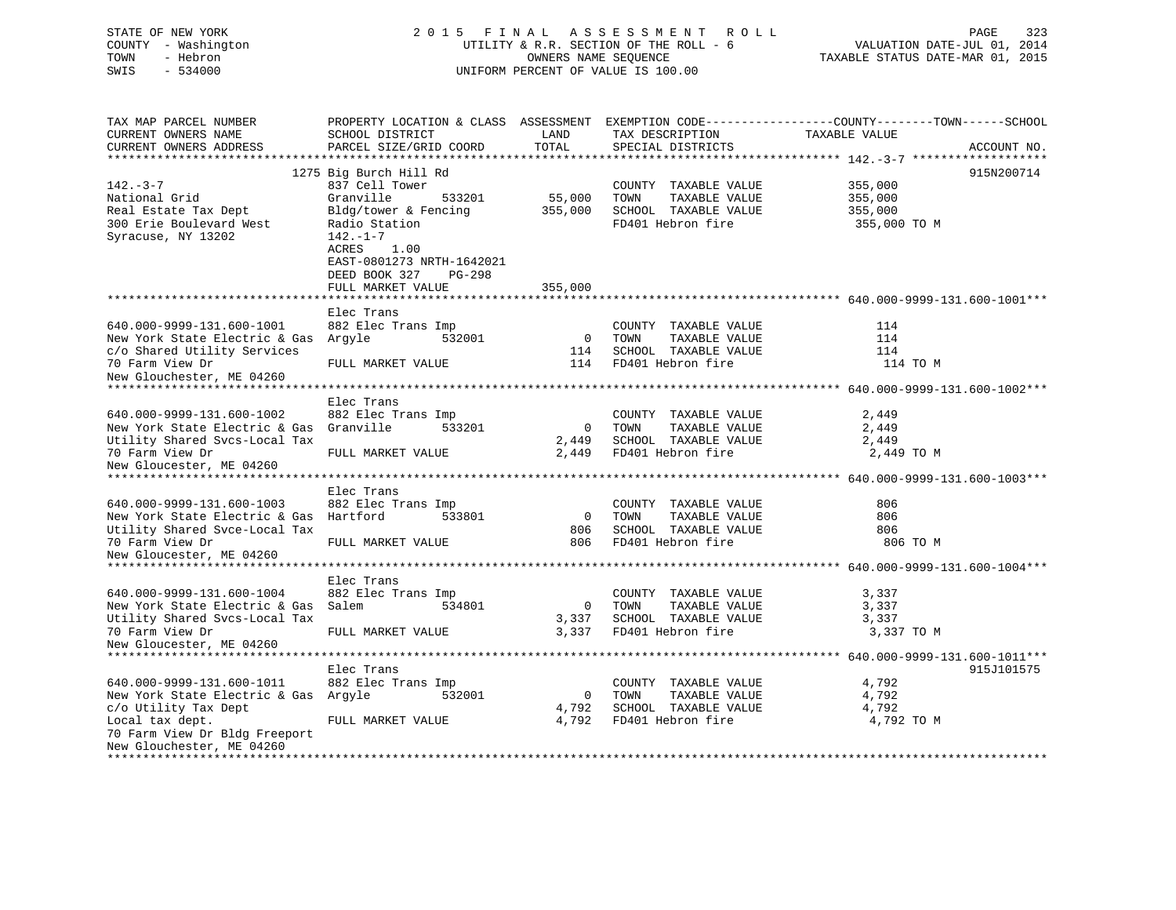| STATE OF NEW YORK<br>COUNTY - Washington<br>TOWN<br>- Hebron<br>$-534000$<br>SWIS                                                                   | 2015 FINAL ASSESSMENT<br>PAGE<br>323<br>R O L L<br>UTILITY & R.R. SECTION OF THE ROLL - 6<br>VALUATION DATE-JUL 01, 2014<br>OWNERS NAME SEQUENCE<br>TAXABLE STATUS DATE-MAR 01, 2015<br>UNIFORM PERCENT OF VALUE IS 100.00 |                                  |                                                                                            |                                                                                                                                 |  |  |  |
|-----------------------------------------------------------------------------------------------------------------------------------------------------|----------------------------------------------------------------------------------------------------------------------------------------------------------------------------------------------------------------------------|----------------------------------|--------------------------------------------------------------------------------------------|---------------------------------------------------------------------------------------------------------------------------------|--|--|--|
| TAX MAP PARCEL NUMBER<br>CURRENT OWNERS NAME<br>CURRENT OWNERS ADDRESS                                                                              | SCHOOL DISTRICT<br>PARCEL SIZE/GRID COORD                                                                                                                                                                                  | LAND<br>TOTAL                    | TAX DESCRIPTION<br>SPECIAL DISTRICTS                                                       | PROPERTY LOCATION & CLASS ASSESSMENT EXEMPTION CODE----------------COUNTY-------TOWN-----SCHOOL<br>TAXABLE VALUE<br>ACCOUNT NO. |  |  |  |
|                                                                                                                                                     | 1275 Big Burch Hill Rd                                                                                                                                                                                                     |                                  |                                                                                            | 915N200714                                                                                                                      |  |  |  |
| $142. - 3 - 7$<br>National Grid<br>Real Estate Tax Dept<br>300 Erie Boulevard West<br>Syracuse, NY 13202                                            | 837 Cell Tower<br>Granville<br>533201<br>Bldg/tower & Fencing<br>Radio Station<br>$142. - 1 - 7$<br>ACRES<br>1.00<br>EAST-0801273 NRTH-1642021<br>DEED BOOK 327<br>PG-298                                                  | 55,000<br>355,000                | COUNTY TAXABLE VALUE<br>TOWN<br>TAXABLE VALUE<br>SCHOOL TAXABLE VALUE<br>FD401 Hebron fire | 355,000<br>355,000<br>355,000<br>355,000 TO M                                                                                   |  |  |  |
|                                                                                                                                                     | FULL MARKET VALUE                                                                                                                                                                                                          | 355,000                          |                                                                                            |                                                                                                                                 |  |  |  |
|                                                                                                                                                     |                                                                                                                                                                                                                            |                                  |                                                                                            |                                                                                                                                 |  |  |  |
| 640.000-9999-131.600-1001<br>New York State Electric & Gas<br>c/o Shared Utility Services<br>70 Farm View Dr                                        | Elec Trans<br>882 Elec Trans Imp<br>Argyle<br>532001<br>FULL MARKET VALUE                                                                                                                                                  | $\overline{0}$<br>114<br>114     | COUNTY TAXABLE VALUE<br>TOWN<br>TAXABLE VALUE<br>SCHOOL TAXABLE VALUE<br>FD401 Hebron fire | 114<br>114<br>114<br>114 TO M                                                                                                   |  |  |  |
| New Glouchester, ME 04260                                                                                                                           |                                                                                                                                                                                                                            |                                  |                                                                                            |                                                                                                                                 |  |  |  |
|                                                                                                                                                     |                                                                                                                                                                                                                            |                                  |                                                                                            |                                                                                                                                 |  |  |  |
| 640.000-9999-131.600-1002<br>New York State Electric & Gas<br>Utility Shared Svcs-Local Tax<br>70 Farm View Dr<br>New Gloucester, ME 04260          | Elec Trans<br>882 Elec Trans Imp<br>Granville<br>533201<br>FULL MARKET VALUE                                                                                                                                               | $\mathbf 0$<br>2,449<br>2,449    | COUNTY TAXABLE VALUE<br>TOWN<br>TAXABLE VALUE<br>SCHOOL TAXABLE VALUE<br>FD401 Hebron fire | 2,449<br>2,449<br>2,449<br>2,449 TO M                                                                                           |  |  |  |
|                                                                                                                                                     | Elec Trans                                                                                                                                                                                                                 |                                  |                                                                                            |                                                                                                                                 |  |  |  |
| 640.000-9999-131.600-1003<br>New York State Electric & Gas Hartford<br>Utility Shared Svce-Local Tax<br>70 Farm View Dr<br>New Gloucester, ME 04260 | 882 Elec Trans Imp<br>533801<br>FULL MARKET VALUE                                                                                                                                                                          | $\overline{0}$<br>806<br>806     | COUNTY TAXABLE VALUE<br>TAXABLE VALUE<br>TOWN<br>SCHOOL TAXABLE VALUE<br>FD401 Hebron fire | 806<br>806<br>806<br>806 TO M                                                                                                   |  |  |  |
| *****************************                                                                                                                       | *******************<br>Elec Trans                                                                                                                                                                                          |                                  |                                                                                            |                                                                                                                                 |  |  |  |
| 640.000-9999-131.600-1004<br>New York State Electric & Gas<br>Utility Shared Svcs-Local Tax<br>70 Farm View Dr<br>New Gloucester, ME 04260          | 882 Elec Trans Imp<br>Salem<br>534801<br>FULL MARKET VALUE                                                                                                                                                                 | $\overline{0}$<br>3,337<br>3,337 | COUNTY TAXABLE VALUE<br>TOWN<br>TAXABLE VALUE<br>SCHOOL TAXABLE VALUE<br>FD401 Hebron fire | 3,337<br>3,337<br>3,337<br>3,337 TO M                                                                                           |  |  |  |
|                                                                                                                                                     |                                                                                                                                                                                                                            |                                  |                                                                                            |                                                                                                                                 |  |  |  |
| 640.000-9999-131.600-1011<br>New York State Electric & Gas Argyle<br>c/o Utility Tax Dept<br>Local tax dept.<br>70 Farm View Dr Bldg Freeport       | Elec Trans<br>882 Elec Trans Imp<br>532001<br>FULL MARKET VALUE                                                                                                                                                            | 0<br>4,792<br>4,792              | COUNTY TAXABLE VALUE<br>TOWN<br>TAXABLE VALUE<br>SCHOOL TAXABLE VALUE<br>FD401 Hebron fire | 915J101575<br>4,792<br>4,792<br>4,792<br>4,792 TO M                                                                             |  |  |  |

\*\*\*\*\*\*\*\*\*\*\*\*\*\*\*\*\*\*\*\*\*\*\*\*\*\*\*\*\*\*\*\*\*\*\*\*\*\*\*\*\*\*\*\*\*\*\*\*\*\*\*\*\*\*\*\*\*\*\*\*\*\*\*\*\*\*\*\*\*\*\*\*\*\*\*\*\*\*\*\*\*\*\*\*\*\*\*\*\*\*\*\*\*\*\*\*\*\*\*\*\*\*\*\*\*\*\*\*\*\*\*\*\*\*\*\*\*\*\*\*\*\*\*\*\*\*\*\*\*\*\*\*

New Glouchester, ME 04260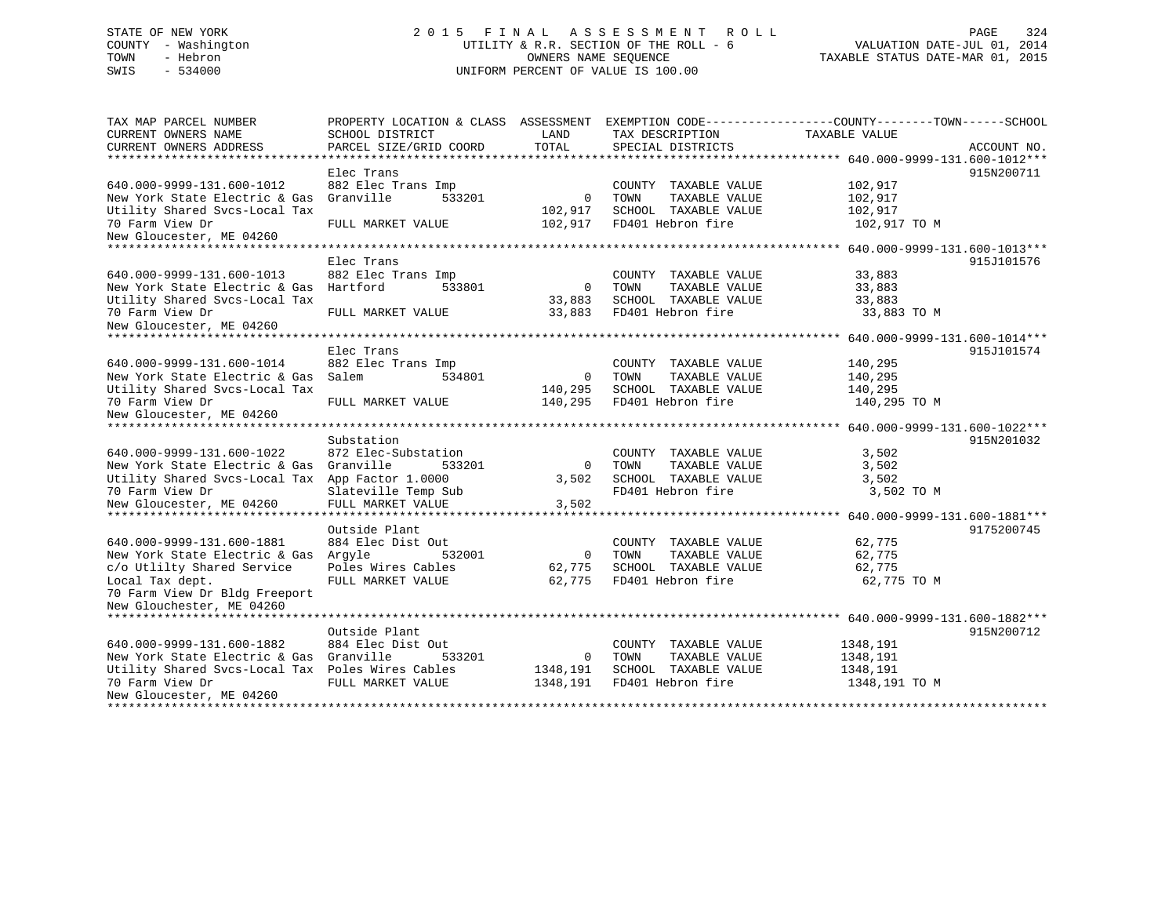# STATE OF NEW YORK 2 0 1 5 F I N A L A S S E S S M E N T R O L L PAGE 324 COUNTY - Washington UTILITY & R.R. SECTION OF THE ROLL - 6 VALUATION DATE-JUL 01, 2014 TOWN - Hebron OWNERS NAME SEQUENCE TAXABLE STATUS DATE-MAR 01, 2015 SWIS - 534000 UNIFORM PERCENT OF VALUE IS 100.00

| TAX MAP PARCEL NUMBER                            |                        |                |                       | PROPERTY LOCATION & CLASS ASSESSMENT EXEMPTION CODE----------------COUNTY-------TOWN------SCHOOL |             |
|--------------------------------------------------|------------------------|----------------|-----------------------|--------------------------------------------------------------------------------------------------|-------------|
| CURRENT OWNERS NAME                              | SCHOOL DISTRICT        | LAND           | TAX DESCRIPTION       | TAXABLE VALUE                                                                                    |             |
| CURRENT OWNERS ADDRESS                           | PARCEL SIZE/GRID COORD | TOTAL          | SPECIAL DISTRICTS     |                                                                                                  | ACCOUNT NO. |
| *************************                        |                        |                |                       |                                                                                                  |             |
|                                                  | Elec Trans             |                |                       |                                                                                                  | 915N200711  |
| 640.000-9999-131.600-1012                        | 882 Elec Trans Imp     |                | COUNTY TAXABLE VALUE  | 102,917                                                                                          |             |
| New York State Electric & Gas                    | 533201<br>Granville    | $\mathbf{0}$   | TOWN<br>TAXABLE VALUE | 102,917                                                                                          |             |
| Utility Shared Svcs-Local Tax                    |                        | 102,917        | SCHOOL TAXABLE VALUE  | 102,917                                                                                          |             |
| 70 Farm View Dr                                  | FULL MARKET VALUE      | 102,917        | FD401 Hebron fire     | 102,917 TO M                                                                                     |             |
| New Gloucester, ME 04260                         |                        |                |                       |                                                                                                  |             |
| *********************                            |                        |                |                       |                                                                                                  |             |
|                                                  | Elec Trans             |                |                       |                                                                                                  | 915J101576  |
| 640.000-9999-131.600-1013                        | 882 Elec Trans Imp     |                | COUNTY TAXABLE VALUE  | 33,883                                                                                           |             |
| New York State Electric & Gas                    | Hartford<br>533801     | $\overline{0}$ | TOWN<br>TAXABLE VALUE | 33,883                                                                                           |             |
| Utility Shared Svcs-Local Tax                    |                        | 33,883         | SCHOOL TAXABLE VALUE  | 33,883                                                                                           |             |
| 70 Farm View Dr                                  | FULL MARKET VALUE      | 33,883         | FD401 Hebron fire     | 33,883 TO M                                                                                      |             |
| New Gloucester, ME 04260                         |                        |                |                       |                                                                                                  |             |
|                                                  |                        |                |                       |                                                                                                  |             |
|                                                  | Elec Trans             |                |                       |                                                                                                  | 915J101574  |
| 640.000-9999-131.600-1014                        | 882 Elec Trans Imp     |                | COUNTY TAXABLE VALUE  | 140,295                                                                                          |             |
| New York State Electric & Gas                    | Salem<br>534801        | $\Omega$       | TAXABLE VALUE<br>TOWN | 140,295                                                                                          |             |
| Utility Shared Svcs-Local Tax                    |                        | 140,295        | SCHOOL TAXABLE VALUE  | 140,295                                                                                          |             |
| 70 Farm View Dr                                  | FULL MARKET VALUE      | 140,295        | FD401 Hebron fire     | 140,295 TO M                                                                                     |             |
| New Gloucester, ME 04260                         |                        |                |                       |                                                                                                  |             |
|                                                  |                        |                |                       |                                                                                                  |             |
|                                                  | Substation             |                |                       |                                                                                                  | 915N201032  |
| 640.000-9999-131.600-1022                        | 872 Elec-Substation    |                | COUNTY TAXABLE VALUE  | 3,502                                                                                            |             |
| New York State Electric & Gas                    | Granville<br>533201    | $\Omega$       | TOWN<br>TAXABLE VALUE | 3,502                                                                                            |             |
| Utility Shared Svcs-Local Tax App Factor 1.0000  |                        | 3,502          | SCHOOL TAXABLE VALUE  | 3,502                                                                                            |             |
| 70 Farm View Dr                                  | Slateville Temp Sub    |                | FD401 Hebron fire     | 3,502 TO M                                                                                       |             |
| New Gloucester, ME 04260                         | FULL MARKET VALUE      | 3,502          |                       |                                                                                                  |             |
| **********************                           |                        |                |                       |                                                                                                  |             |
|                                                  | Outside Plant          |                |                       |                                                                                                  | 9175200745  |
| 640.000-9999-131.600-1881                        | 884 Elec Dist Out      |                | COUNTY TAXABLE VALUE  | 62,775                                                                                           |             |
| New York State Electric & Gas                    | Arqyle<br>532001       | $\Omega$       | TOWN<br>TAXABLE VALUE | 62,775                                                                                           |             |
| c/o Utlilty Shared Service                       | Poles Wires Cables     | 62,775         | SCHOOL TAXABLE VALUE  | 62,775                                                                                           |             |
| Local Tax dept.                                  | FULL MARKET VALUE      | 62,775         | FD401 Hebron fire     | 62,775 TO M                                                                                      |             |
| 70 Farm View Dr Bldg Freeport                    |                        |                |                       |                                                                                                  |             |
| New Glouchester, ME 04260                        |                        |                |                       |                                                                                                  |             |
|                                                  |                        |                |                       |                                                                                                  |             |
|                                                  | Outside Plant          |                |                       |                                                                                                  | 915N200712  |
| 640.000-9999-131.600-1882                        | 884 Elec Dist Out      |                | COUNTY TAXABLE VALUE  | 1348,191                                                                                         |             |
| New York State Electric & Gas Granville          | 533201                 | $\Omega$       | TOWN<br>TAXABLE VALUE | 1348,191                                                                                         |             |
| Utility Shared Svcs-Local Tax Poles Wires Cables |                        | 1348,191       | SCHOOL TAXABLE VALUE  | 1348,191                                                                                         |             |
| 70 Farm View Dr                                  | FULL MARKET VALUE      | 1348,191       | FD401 Hebron fire     | 1348,191 TO M                                                                                    |             |
| New Gloucester, ME 04260                         |                        |                |                       |                                                                                                  |             |
|                                                  |                        |                |                       |                                                                                                  |             |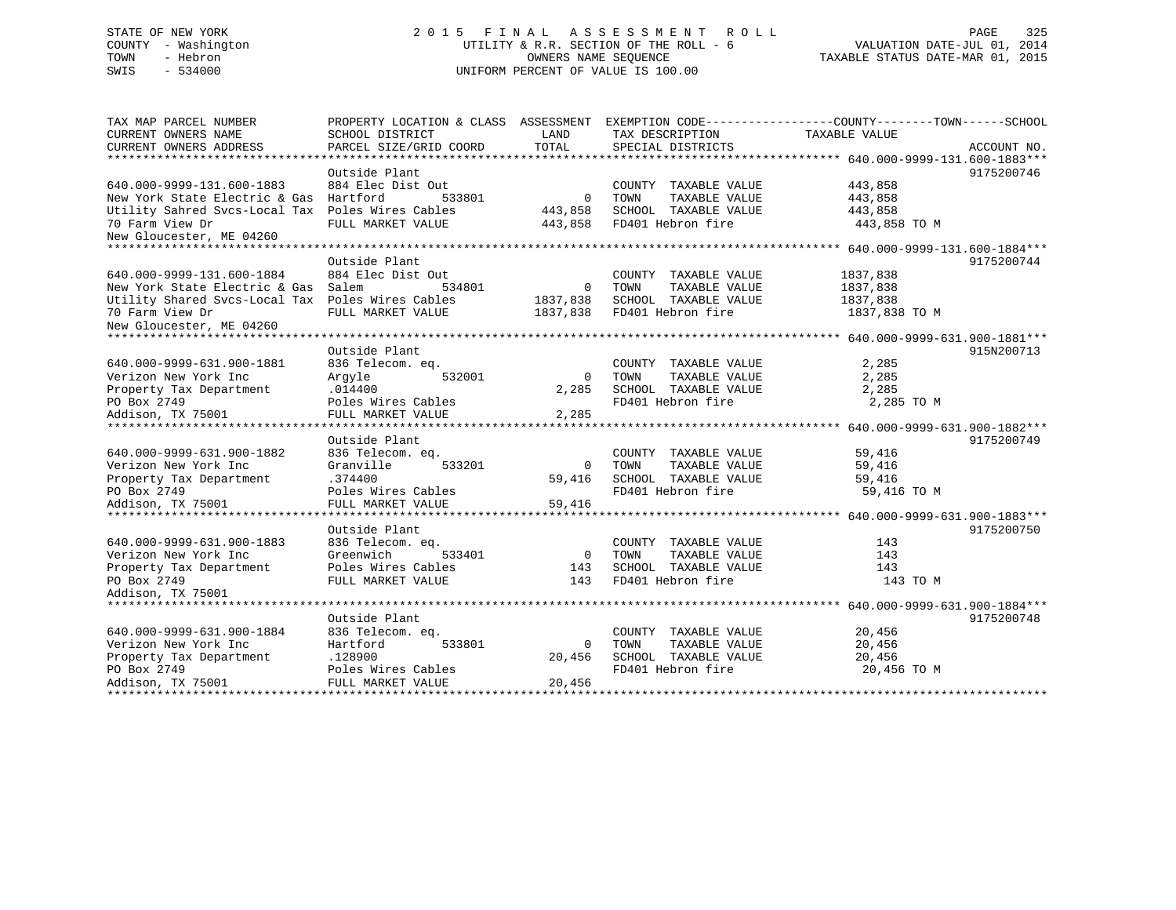# STATE OF NEW YORK 2 0 1 5 F I N A L A S S E S S M E N T R O L L PAGE 325 COUNTY - Washington UTILITY & R.R. SECTION OF THE ROLL - 6 VALUATION DATE-JUL 01, 2014 TOWN - Hebron OWNERS NAME SEQUENCE TAXABLE STATUS DATE-MAR 01, 2015 SWIS - 534000 UNIFORM PERCENT OF VALUE IS 100.00

| TOTAL<br>PARCEL SIZE/GRID COORD<br>SPECIAL DISTRICTS<br>ACCOUNT NO.<br>Outside Plant<br>9175200746<br>884 Elec Dist Out<br>443,858<br>COUNTY TAXABLE VALUE<br>Hartford<br>533801<br>TOWN<br>TAXABLE VALUE<br>443,858<br>$\Omega$<br>Utility Sahred Svcs-Local Tax Poles Wires Cables<br>SCHOOL TAXABLE VALUE<br>443,858<br>443,858<br>FULL MARKET VALUE<br>FD401 Hebron fire<br>443,858<br>443,858 TO M<br>Outside Plant<br>9175200744<br>884 Elec Dist Out<br>COUNTY TAXABLE VALUE<br>1837,838<br>Salem<br>534801<br>TOWN<br>TAXABLE VALUE<br>1837,838<br>$\Omega$<br>Utility Shared Svcs-Local Tax Poles Wires Cables<br>1837,838<br>SCHOOL TAXABLE VALUE<br>1837,838<br>FD401 Hebron fire<br>FULL MARKET VALUE<br>1837,838<br>1837,838 TO M<br>Outside Plant<br>915N200713<br>836 Telecom. eq.<br>COUNTY TAXABLE VALUE<br>2,285<br>532001<br>TOWN<br>TAXABLE VALUE<br>2,285<br>Arqyle<br>$\mathbf 0$<br>.014400<br>2,285<br>SCHOOL TAXABLE VALUE<br>2,285<br>Poles Wires Cables<br>FD401 Hebron fire<br>2,285 TO M<br>FULL MARKET VALUE<br>2,285<br>Outside Plant<br>9175200749<br>640.000-9999-631.900-1882<br>836 Telecom. eq.<br>COUNTY TAXABLE VALUE<br>59,416<br>Granville<br>TAXABLE VALUE<br>533201<br>TOWN<br>59,416<br>$\Omega$<br>.374400<br>SCHOOL TAXABLE VALUE<br>59,416<br>59,416<br>FD401 Hebron fire<br>59,416 TO M<br>Poles Wires Cables<br>59,416<br>FULL MARKET VALUE<br>Outside Plant<br>9175200750<br>640.000-9999-631.900-1883<br>143<br>836 Telecom. eq.<br>COUNTY TAXABLE VALUE<br>Verizon New York Inc<br>Greenwich<br>TAXABLE VALUE<br>533401<br>$\overline{0}$<br>TOWN<br>143<br>Poles Wires Cables<br>Property Tax Department<br>SCHOOL TAXABLE VALUE<br>143<br>143<br>PO Box 2749<br>FD401 Hebron fire<br>FULL MARKET VALUE<br>143<br>143 TO M<br>Addison, TX 75001<br>Outside Plant<br>9175200748<br>20,456<br>836 Telecom. eq.<br>COUNTY TAXABLE VALUE<br>Hartford<br>533801<br>TOWN<br>TAXABLE VALUE<br>20,456<br>$\Omega$<br>SCHOOL TAXABLE VALUE<br>.128900<br>20,456<br>20,456 | TAX MAP PARCEL NUMBER<br>CURRENT OWNERS NAME | PROPERTY LOCATION & CLASS ASSESSMENT<br>SCHOOL DISTRICT | LAND | TAX DESCRIPTION | EXEMPTION CODE-----------------COUNTY-------TOWN------SCHOOL<br>TAXABLE VALUE |
|----------------------------------------------------------------------------------------------------------------------------------------------------------------------------------------------------------------------------------------------------------------------------------------------------------------------------------------------------------------------------------------------------------------------------------------------------------------------------------------------------------------------------------------------------------------------------------------------------------------------------------------------------------------------------------------------------------------------------------------------------------------------------------------------------------------------------------------------------------------------------------------------------------------------------------------------------------------------------------------------------------------------------------------------------------------------------------------------------------------------------------------------------------------------------------------------------------------------------------------------------------------------------------------------------------------------------------------------------------------------------------------------------------------------------------------------------------------------------------------------------------------------------------------------------------------------------------------------------------------------------------------------------------------------------------------------------------------------------------------------------------------------------------------------------------------------------------------------------------------------------------------------------------------------------------------------------------------------------------------------------------------------|----------------------------------------------|---------------------------------------------------------|------|-----------------|-------------------------------------------------------------------------------|
|                                                                                                                                                                                                                                                                                                                                                                                                                                                                                                                                                                                                                                                                                                                                                                                                                                                                                                                                                                                                                                                                                                                                                                                                                                                                                                                                                                                                                                                                                                                                                                                                                                                                                                                                                                                                                                                                                                                                                                                                                      | CURRENT OWNERS ADDRESS                       |                                                         |      |                 |                                                                               |
|                                                                                                                                                                                                                                                                                                                                                                                                                                                                                                                                                                                                                                                                                                                                                                                                                                                                                                                                                                                                                                                                                                                                                                                                                                                                                                                                                                                                                                                                                                                                                                                                                                                                                                                                                                                                                                                                                                                                                                                                                      |                                              |                                                         |      |                 |                                                                               |
|                                                                                                                                                                                                                                                                                                                                                                                                                                                                                                                                                                                                                                                                                                                                                                                                                                                                                                                                                                                                                                                                                                                                                                                                                                                                                                                                                                                                                                                                                                                                                                                                                                                                                                                                                                                                                                                                                                                                                                                                                      |                                              |                                                         |      |                 |                                                                               |
|                                                                                                                                                                                                                                                                                                                                                                                                                                                                                                                                                                                                                                                                                                                                                                                                                                                                                                                                                                                                                                                                                                                                                                                                                                                                                                                                                                                                                                                                                                                                                                                                                                                                                                                                                                                                                                                                                                                                                                                                                      | 640.000-9999-131.600-1883                    |                                                         |      |                 |                                                                               |
|                                                                                                                                                                                                                                                                                                                                                                                                                                                                                                                                                                                                                                                                                                                                                                                                                                                                                                                                                                                                                                                                                                                                                                                                                                                                                                                                                                                                                                                                                                                                                                                                                                                                                                                                                                                                                                                                                                                                                                                                                      | New York State Electric & Gas                |                                                         |      |                 |                                                                               |
|                                                                                                                                                                                                                                                                                                                                                                                                                                                                                                                                                                                                                                                                                                                                                                                                                                                                                                                                                                                                                                                                                                                                                                                                                                                                                                                                                                                                                                                                                                                                                                                                                                                                                                                                                                                                                                                                                                                                                                                                                      |                                              |                                                         |      |                 |                                                                               |
|                                                                                                                                                                                                                                                                                                                                                                                                                                                                                                                                                                                                                                                                                                                                                                                                                                                                                                                                                                                                                                                                                                                                                                                                                                                                                                                                                                                                                                                                                                                                                                                                                                                                                                                                                                                                                                                                                                                                                                                                                      | 70 Farm View Dr                              |                                                         |      |                 |                                                                               |
|                                                                                                                                                                                                                                                                                                                                                                                                                                                                                                                                                                                                                                                                                                                                                                                                                                                                                                                                                                                                                                                                                                                                                                                                                                                                                                                                                                                                                                                                                                                                                                                                                                                                                                                                                                                                                                                                                                                                                                                                                      | New Gloucester, ME 04260                     |                                                         |      |                 |                                                                               |
|                                                                                                                                                                                                                                                                                                                                                                                                                                                                                                                                                                                                                                                                                                                                                                                                                                                                                                                                                                                                                                                                                                                                                                                                                                                                                                                                                                                                                                                                                                                                                                                                                                                                                                                                                                                                                                                                                                                                                                                                                      |                                              |                                                         |      |                 |                                                                               |
|                                                                                                                                                                                                                                                                                                                                                                                                                                                                                                                                                                                                                                                                                                                                                                                                                                                                                                                                                                                                                                                                                                                                                                                                                                                                                                                                                                                                                                                                                                                                                                                                                                                                                                                                                                                                                                                                                                                                                                                                                      |                                              |                                                         |      |                 |                                                                               |
|                                                                                                                                                                                                                                                                                                                                                                                                                                                                                                                                                                                                                                                                                                                                                                                                                                                                                                                                                                                                                                                                                                                                                                                                                                                                                                                                                                                                                                                                                                                                                                                                                                                                                                                                                                                                                                                                                                                                                                                                                      | 640.000-9999-131.600-1884                    |                                                         |      |                 |                                                                               |
|                                                                                                                                                                                                                                                                                                                                                                                                                                                                                                                                                                                                                                                                                                                                                                                                                                                                                                                                                                                                                                                                                                                                                                                                                                                                                                                                                                                                                                                                                                                                                                                                                                                                                                                                                                                                                                                                                                                                                                                                                      | New York State Electric & Gas                |                                                         |      |                 |                                                                               |
|                                                                                                                                                                                                                                                                                                                                                                                                                                                                                                                                                                                                                                                                                                                                                                                                                                                                                                                                                                                                                                                                                                                                                                                                                                                                                                                                                                                                                                                                                                                                                                                                                                                                                                                                                                                                                                                                                                                                                                                                                      |                                              |                                                         |      |                 |                                                                               |
|                                                                                                                                                                                                                                                                                                                                                                                                                                                                                                                                                                                                                                                                                                                                                                                                                                                                                                                                                                                                                                                                                                                                                                                                                                                                                                                                                                                                                                                                                                                                                                                                                                                                                                                                                                                                                                                                                                                                                                                                                      | 70 Farm View Dr                              |                                                         |      |                 |                                                                               |
|                                                                                                                                                                                                                                                                                                                                                                                                                                                                                                                                                                                                                                                                                                                                                                                                                                                                                                                                                                                                                                                                                                                                                                                                                                                                                                                                                                                                                                                                                                                                                                                                                                                                                                                                                                                                                                                                                                                                                                                                                      | New Gloucester, ME 04260                     |                                                         |      |                 |                                                                               |
|                                                                                                                                                                                                                                                                                                                                                                                                                                                                                                                                                                                                                                                                                                                                                                                                                                                                                                                                                                                                                                                                                                                                                                                                                                                                                                                                                                                                                                                                                                                                                                                                                                                                                                                                                                                                                                                                                                                                                                                                                      |                                              |                                                         |      |                 |                                                                               |
|                                                                                                                                                                                                                                                                                                                                                                                                                                                                                                                                                                                                                                                                                                                                                                                                                                                                                                                                                                                                                                                                                                                                                                                                                                                                                                                                                                                                                                                                                                                                                                                                                                                                                                                                                                                                                                                                                                                                                                                                                      |                                              |                                                         |      |                 |                                                                               |
|                                                                                                                                                                                                                                                                                                                                                                                                                                                                                                                                                                                                                                                                                                                                                                                                                                                                                                                                                                                                                                                                                                                                                                                                                                                                                                                                                                                                                                                                                                                                                                                                                                                                                                                                                                                                                                                                                                                                                                                                                      | 640.000-9999-631.900-1881                    |                                                         |      |                 |                                                                               |
|                                                                                                                                                                                                                                                                                                                                                                                                                                                                                                                                                                                                                                                                                                                                                                                                                                                                                                                                                                                                                                                                                                                                                                                                                                                                                                                                                                                                                                                                                                                                                                                                                                                                                                                                                                                                                                                                                                                                                                                                                      | Verizon New York Inc                         |                                                         |      |                 |                                                                               |
|                                                                                                                                                                                                                                                                                                                                                                                                                                                                                                                                                                                                                                                                                                                                                                                                                                                                                                                                                                                                                                                                                                                                                                                                                                                                                                                                                                                                                                                                                                                                                                                                                                                                                                                                                                                                                                                                                                                                                                                                                      | Property Tax Department                      |                                                         |      |                 |                                                                               |
|                                                                                                                                                                                                                                                                                                                                                                                                                                                                                                                                                                                                                                                                                                                                                                                                                                                                                                                                                                                                                                                                                                                                                                                                                                                                                                                                                                                                                                                                                                                                                                                                                                                                                                                                                                                                                                                                                                                                                                                                                      | PO Box 2749                                  |                                                         |      |                 |                                                                               |
|                                                                                                                                                                                                                                                                                                                                                                                                                                                                                                                                                                                                                                                                                                                                                                                                                                                                                                                                                                                                                                                                                                                                                                                                                                                                                                                                                                                                                                                                                                                                                                                                                                                                                                                                                                                                                                                                                                                                                                                                                      | Addison, TX 75001                            |                                                         |      |                 |                                                                               |
|                                                                                                                                                                                                                                                                                                                                                                                                                                                                                                                                                                                                                                                                                                                                                                                                                                                                                                                                                                                                                                                                                                                                                                                                                                                                                                                                                                                                                                                                                                                                                                                                                                                                                                                                                                                                                                                                                                                                                                                                                      |                                              |                                                         |      |                 |                                                                               |
|                                                                                                                                                                                                                                                                                                                                                                                                                                                                                                                                                                                                                                                                                                                                                                                                                                                                                                                                                                                                                                                                                                                                                                                                                                                                                                                                                                                                                                                                                                                                                                                                                                                                                                                                                                                                                                                                                                                                                                                                                      |                                              |                                                         |      |                 |                                                                               |
|                                                                                                                                                                                                                                                                                                                                                                                                                                                                                                                                                                                                                                                                                                                                                                                                                                                                                                                                                                                                                                                                                                                                                                                                                                                                                                                                                                                                                                                                                                                                                                                                                                                                                                                                                                                                                                                                                                                                                                                                                      |                                              |                                                         |      |                 |                                                                               |
|                                                                                                                                                                                                                                                                                                                                                                                                                                                                                                                                                                                                                                                                                                                                                                                                                                                                                                                                                                                                                                                                                                                                                                                                                                                                                                                                                                                                                                                                                                                                                                                                                                                                                                                                                                                                                                                                                                                                                                                                                      | Verizon New York Inc                         |                                                         |      |                 |                                                                               |
|                                                                                                                                                                                                                                                                                                                                                                                                                                                                                                                                                                                                                                                                                                                                                                                                                                                                                                                                                                                                                                                                                                                                                                                                                                                                                                                                                                                                                                                                                                                                                                                                                                                                                                                                                                                                                                                                                                                                                                                                                      | Property Tax Department                      |                                                         |      |                 |                                                                               |
|                                                                                                                                                                                                                                                                                                                                                                                                                                                                                                                                                                                                                                                                                                                                                                                                                                                                                                                                                                                                                                                                                                                                                                                                                                                                                                                                                                                                                                                                                                                                                                                                                                                                                                                                                                                                                                                                                                                                                                                                                      | PO Box 2749                                  |                                                         |      |                 |                                                                               |
|                                                                                                                                                                                                                                                                                                                                                                                                                                                                                                                                                                                                                                                                                                                                                                                                                                                                                                                                                                                                                                                                                                                                                                                                                                                                                                                                                                                                                                                                                                                                                                                                                                                                                                                                                                                                                                                                                                                                                                                                                      | Addison, TX 75001                            |                                                         |      |                 |                                                                               |
|                                                                                                                                                                                                                                                                                                                                                                                                                                                                                                                                                                                                                                                                                                                                                                                                                                                                                                                                                                                                                                                                                                                                                                                                                                                                                                                                                                                                                                                                                                                                                                                                                                                                                                                                                                                                                                                                                                                                                                                                                      |                                              |                                                         |      |                 |                                                                               |
|                                                                                                                                                                                                                                                                                                                                                                                                                                                                                                                                                                                                                                                                                                                                                                                                                                                                                                                                                                                                                                                                                                                                                                                                                                                                                                                                                                                                                                                                                                                                                                                                                                                                                                                                                                                                                                                                                                                                                                                                                      |                                              |                                                         |      |                 |                                                                               |
|                                                                                                                                                                                                                                                                                                                                                                                                                                                                                                                                                                                                                                                                                                                                                                                                                                                                                                                                                                                                                                                                                                                                                                                                                                                                                                                                                                                                                                                                                                                                                                                                                                                                                                                                                                                                                                                                                                                                                                                                                      |                                              |                                                         |      |                 |                                                                               |
|                                                                                                                                                                                                                                                                                                                                                                                                                                                                                                                                                                                                                                                                                                                                                                                                                                                                                                                                                                                                                                                                                                                                                                                                                                                                                                                                                                                                                                                                                                                                                                                                                                                                                                                                                                                                                                                                                                                                                                                                                      |                                              |                                                         |      |                 |                                                                               |
|                                                                                                                                                                                                                                                                                                                                                                                                                                                                                                                                                                                                                                                                                                                                                                                                                                                                                                                                                                                                                                                                                                                                                                                                                                                                                                                                                                                                                                                                                                                                                                                                                                                                                                                                                                                                                                                                                                                                                                                                                      |                                              |                                                         |      |                 |                                                                               |
|                                                                                                                                                                                                                                                                                                                                                                                                                                                                                                                                                                                                                                                                                                                                                                                                                                                                                                                                                                                                                                                                                                                                                                                                                                                                                                                                                                                                                                                                                                                                                                                                                                                                                                                                                                                                                                                                                                                                                                                                                      |                                              |                                                         |      |                 |                                                                               |
|                                                                                                                                                                                                                                                                                                                                                                                                                                                                                                                                                                                                                                                                                                                                                                                                                                                                                                                                                                                                                                                                                                                                                                                                                                                                                                                                                                                                                                                                                                                                                                                                                                                                                                                                                                                                                                                                                                                                                                                                                      |                                              |                                                         |      |                 |                                                                               |
|                                                                                                                                                                                                                                                                                                                                                                                                                                                                                                                                                                                                                                                                                                                                                                                                                                                                                                                                                                                                                                                                                                                                                                                                                                                                                                                                                                                                                                                                                                                                                                                                                                                                                                                                                                                                                                                                                                                                                                                                                      |                                              |                                                         |      |                 |                                                                               |
|                                                                                                                                                                                                                                                                                                                                                                                                                                                                                                                                                                                                                                                                                                                                                                                                                                                                                                                                                                                                                                                                                                                                                                                                                                                                                                                                                                                                                                                                                                                                                                                                                                                                                                                                                                                                                                                                                                                                                                                                                      |                                              |                                                         |      |                 |                                                                               |
|                                                                                                                                                                                                                                                                                                                                                                                                                                                                                                                                                                                                                                                                                                                                                                                                                                                                                                                                                                                                                                                                                                                                                                                                                                                                                                                                                                                                                                                                                                                                                                                                                                                                                                                                                                                                                                                                                                                                                                                                                      | 640.000-9999-631.900-1884                    |                                                         |      |                 |                                                                               |
|                                                                                                                                                                                                                                                                                                                                                                                                                                                                                                                                                                                                                                                                                                                                                                                                                                                                                                                                                                                                                                                                                                                                                                                                                                                                                                                                                                                                                                                                                                                                                                                                                                                                                                                                                                                                                                                                                                                                                                                                                      | Verizon New York Inc                         |                                                         |      |                 |                                                                               |
|                                                                                                                                                                                                                                                                                                                                                                                                                                                                                                                                                                                                                                                                                                                                                                                                                                                                                                                                                                                                                                                                                                                                                                                                                                                                                                                                                                                                                                                                                                                                                                                                                                                                                                                                                                                                                                                                                                                                                                                                                      | Property Tax Department                      |                                                         |      |                 |                                                                               |
| Poles Wires Cables<br>FD401 Hebron fire<br>20,456 TO M                                                                                                                                                                                                                                                                                                                                                                                                                                                                                                                                                                                                                                                                                                                                                                                                                                                                                                                                                                                                                                                                                                                                                                                                                                                                                                                                                                                                                                                                                                                                                                                                                                                                                                                                                                                                                                                                                                                                                               | PO Box 2749                                  |                                                         |      |                 |                                                                               |
| FULL MARKET VALUE<br>20,456                                                                                                                                                                                                                                                                                                                                                                                                                                                                                                                                                                                                                                                                                                                                                                                                                                                                                                                                                                                                                                                                                                                                                                                                                                                                                                                                                                                                                                                                                                                                                                                                                                                                                                                                                                                                                                                                                                                                                                                          | Addison, TX 75001                            |                                                         |      |                 |                                                                               |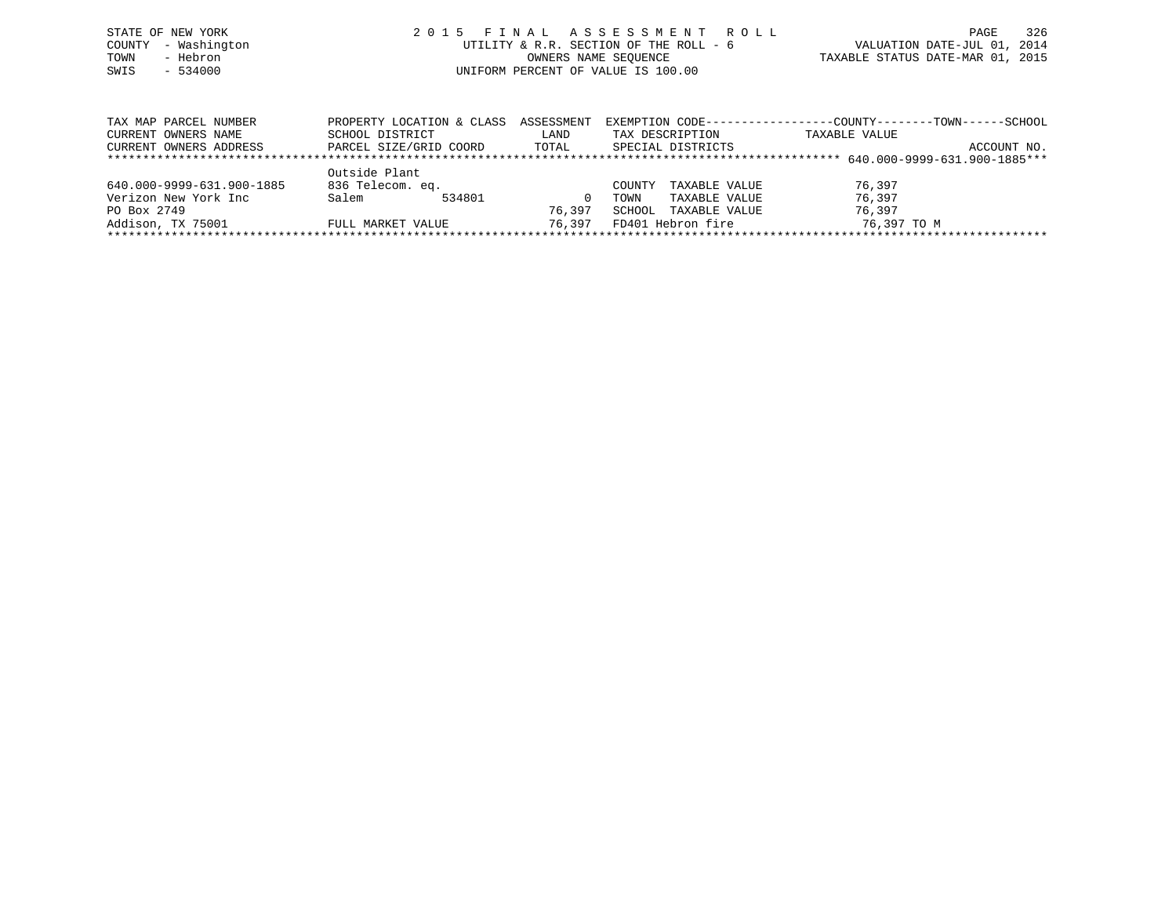| STATE OF NEW YORK   | 2015 FINAL ASSESSMENT ROLL             | 326<br>PAGE                      |
|---------------------|----------------------------------------|----------------------------------|
| COUNTY - Washington | UTILITY & R.R. SECTION OF THE ROLL - 6 | VALUATION DATE-JUL 01, 2014      |
| - Hebron<br>TOWN    | OWNERS NAME SEOUENCE                   | TAXABLE STATUS DATE-MAR 01, 2015 |
| SWIS<br>- 534000    | UNIFORM PERCENT OF VALUE IS 100.00     |                                  |
|                     |                                        |                                  |

| TAX MAP PARCEL NUMBER     | PROPERTY LOCATION & CLASS | ASSESSMENT | EXEMPTION CODE-----------------COUNTY-------TOWN------SCHOOL |               |             |
|---------------------------|---------------------------|------------|--------------------------------------------------------------|---------------|-------------|
| CURRENT OWNERS NAME       | SCHOOL DISTRICT           | LAND       | TAX DESCRIPTION                                              | TAXABLE VALUE |             |
| CURRENT OWNERS ADDRESS    | PARCEL SIZE/GRID COORD    | TOTAL      | SPECIAL DISTRICTS                                            |               | ACCOUNT NO. |
|                           |                           |            |                                                              |               |             |
|                           | Outside Plant             |            |                                                              |               |             |
| 640.000-9999-631.900-1885 | 836 Telecom. eq.          |            | TAXABLE VALUE<br>COUNTY                                      | 76,397        |             |
| Verizon New York Inc      | Salem<br>534801           |            | TAXABLE VALUE<br>TOWN                                        | 76,397        |             |
| PO Box 2749               |                           | 76,397     | SCHOOL<br>TAXABLE VALUE                                      | 76,397        |             |
| Addison, TX 75001         | FULL MARKET VALUE         | 76.397     | FD401 Hebron fire                                            | 76,397 TO M   |             |
|                           |                           |            |                                                              |               |             |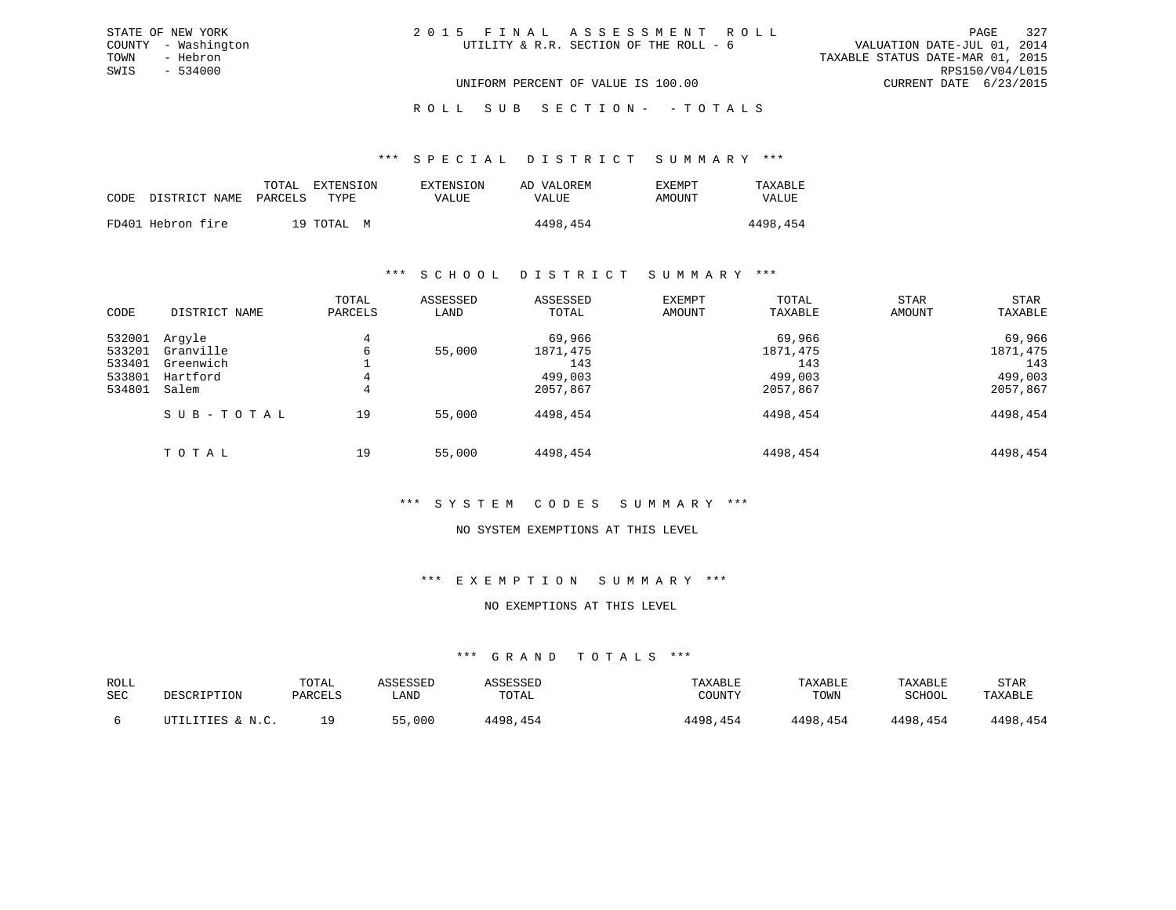# ROLL SUB SECTION - - TOTALS

#### \*\*\* S P E C I A L D I S T R I C T S U M M A R Y \*\*\*

|                   | EXTENSION<br>TOTAL              | EXTENSION    | AD VALOREM | <b>EXEMPT</b> | TAXABLE  |
|-------------------|---------------------------------|--------------|------------|---------------|----------|
|                   | CODE DISTRICT NAME PARCELS TYPE | <b>VALUE</b> | VALUE      | AMOUNT        | VALUE    |
| FD401 Hebron fire | 19 TOTAL M                      |              | 4498,454   |               | 4498,454 |
|                   |                                 |              |            |               |          |

#### \*\*\* S C H O O L D I S T R I C T S U M M A R Y \*\*\*

| CODE                                           | DISTRICT NAME                                         | TOTAL<br>PARCELS | ASSESSED<br>LAND | ASSESSED<br>TOTAL                                | EXEMPT<br>AMOUNT | TOTAL<br>TAXABLE                                 | <b>STAR</b><br>AMOUNT | STAR<br>TAXABLE                                  |
|------------------------------------------------|-------------------------------------------------------|------------------|------------------|--------------------------------------------------|------------------|--------------------------------------------------|-----------------------|--------------------------------------------------|
| 532001<br>533201<br>533401<br>533801<br>534801 | Argyle<br>Granville<br>Greenwich<br>Hartford<br>Salem | 4<br>6<br>4<br>4 | 55,000           | 69,966<br>1871,475<br>143<br>499,003<br>2057,867 |                  | 69,966<br>1871,475<br>143<br>499,003<br>2057,867 |                       | 69,966<br>1871,475<br>143<br>499,003<br>2057,867 |
|                                                | SUB-TOTAL                                             | 19               | 55,000           | 4498,454                                         |                  | 4498,454                                         |                       | 4498,454                                         |
|                                                | TOTAL                                                 | 19               | 55,000           | 4498,454                                         |                  | 4498,454                                         |                       | 4498,454                                         |

### \*\*\* S Y S T E M C O D E S S U M M A R Y \*\*\*

#### NO SYSTEM EXEMPTIONS AT THIS LEVEL

### \*\*\* E X E M P T I O N S U M M A R Y \*\*\*

#### NO EXEMPTIONS AT THIS LEVEL

| ROLL<br>SEC | DESCRIPTION      | TOTAL<br>PARCELS | <b><i>ASSESSED</i></b><br>LAND | ASSESSED<br>TOTAL | TAXABLE<br>COUNTY | TAXABLE<br>TOWN | TAXABLE<br>SCHOOL | <b>STAR</b><br>TAXABLE |
|-------------|------------------|------------------|--------------------------------|-------------------|-------------------|-----------------|-------------------|------------------------|
|             | UTILITIES & N.C. | 1 Q              | 55,000                         | 4498,454          | 4498,454          | 4498,454        | 4498,454          | 4498,454               |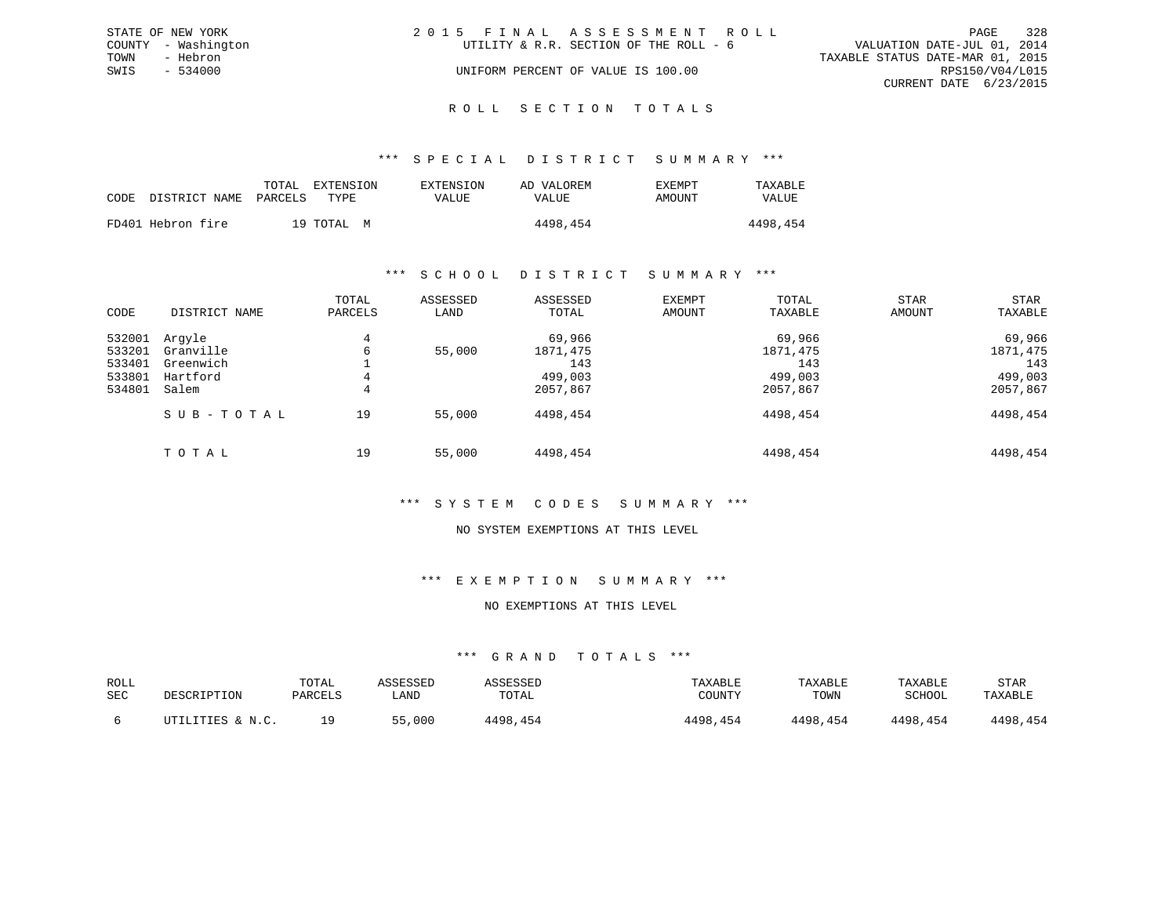|      | STATE OF NEW YORK   | 2015 FINAL ASSESSMENT ROLL             |                                  | PAGE                        | 328 |
|------|---------------------|----------------------------------------|----------------------------------|-----------------------------|-----|
|      | COUNTY - Washington | UTILITY & R.R. SECTION OF THE ROLL - 6 |                                  | VALUATION DATE-JUL 01, 2014 |     |
| TOWN | - Hebron            |                                        | TAXABLE STATUS DATE-MAR 01, 2015 |                             |     |
| SWIS | $-534000$           | UNIFORM PERCENT OF VALUE IS 100.00     |                                  | RPS150/V04/L015             |     |
|      |                     |                                        |                                  | CURRENT DATE 6/23/2015      |     |
|      |                     |                                        |                                  |                             |     |

#### R O L L S E C T I O N T O T A L S

#### \*\*\* S P E C I A L D I S T R I C T S U M M A R Y \*\*\*

|      |                   | TOTAL   | EXTENSION  | EXTENSION | AD VALOREM | EXEMPT | TAXABLE  |
|------|-------------------|---------|------------|-----------|------------|--------|----------|
| CODE | DISTRICT NAME     | PARCELS | TYPE       | VALUE     | VALUE      | AMOUNT | VALUE    |
|      | FD401 Hebron fire |         | 19 TOTAL M |           | 4498,454   |        | 4498,454 |

#### \*\*\* S C H O O L D I S T R I C T S U M M A R Y \*\*\*

| CODE                                           | DISTRICT NAME                                         | TOTAL<br>PARCELS | ASSESSED<br>LAND | ASSESSED<br>TOTAL                                | <b>EXEMPT</b><br>AMOUNT | TOTAL<br>TAXABLE                                 | <b>STAR</b><br>AMOUNT | STAR<br>TAXABLE                                  |
|------------------------------------------------|-------------------------------------------------------|------------------|------------------|--------------------------------------------------|-------------------------|--------------------------------------------------|-----------------------|--------------------------------------------------|
| 532001<br>533201<br>533401<br>533801<br>534801 | Arqyle<br>Granville<br>Greenwich<br>Hartford<br>Salem | 4<br>6<br>4<br>4 | 55,000           | 69,966<br>1871,475<br>143<br>499,003<br>2057,867 |                         | 69,966<br>1871,475<br>143<br>499,003<br>2057,867 |                       | 69,966<br>1871,475<br>143<br>499,003<br>2057,867 |
|                                                | SUB-TOTAL                                             | 19               | 55,000           | 4498,454                                         |                         | 4498,454                                         |                       | 4498,454                                         |
|                                                | TOTAL                                                 | 19               | 55,000           | 4498,454                                         |                         | 4498,454                                         |                       | 4498,454                                         |

#### \*\*\* S Y S T E M C O D E S S U M M A R Y \*\*\*

#### NO SYSTEM EXEMPTIONS AT THIS LEVEL

### \*\*\* E X E M P T I O N S U M M A R Y \*\*\*

# NO EXEMPTIONS AT THIS LEVEL

| ROLL<br>SEC | DESCRIPTION      | TOTAL<br>PARCELS | ASSESSED<br>LAND | ASSESSED<br>TOTAL | TAXABLE<br>COUNTY | TAXABLE<br>TOWN | TAXABLE<br>SCHOOL | STAR<br>TAXABLE |
|-------------|------------------|------------------|------------------|-------------------|-------------------|-----------------|-------------------|-----------------|
|             | UTILITIES & N.C. | 1 Q              | 55,000           | 4498,454          | 4498,454          | 4498,454        | 4498,454          | 4498,454        |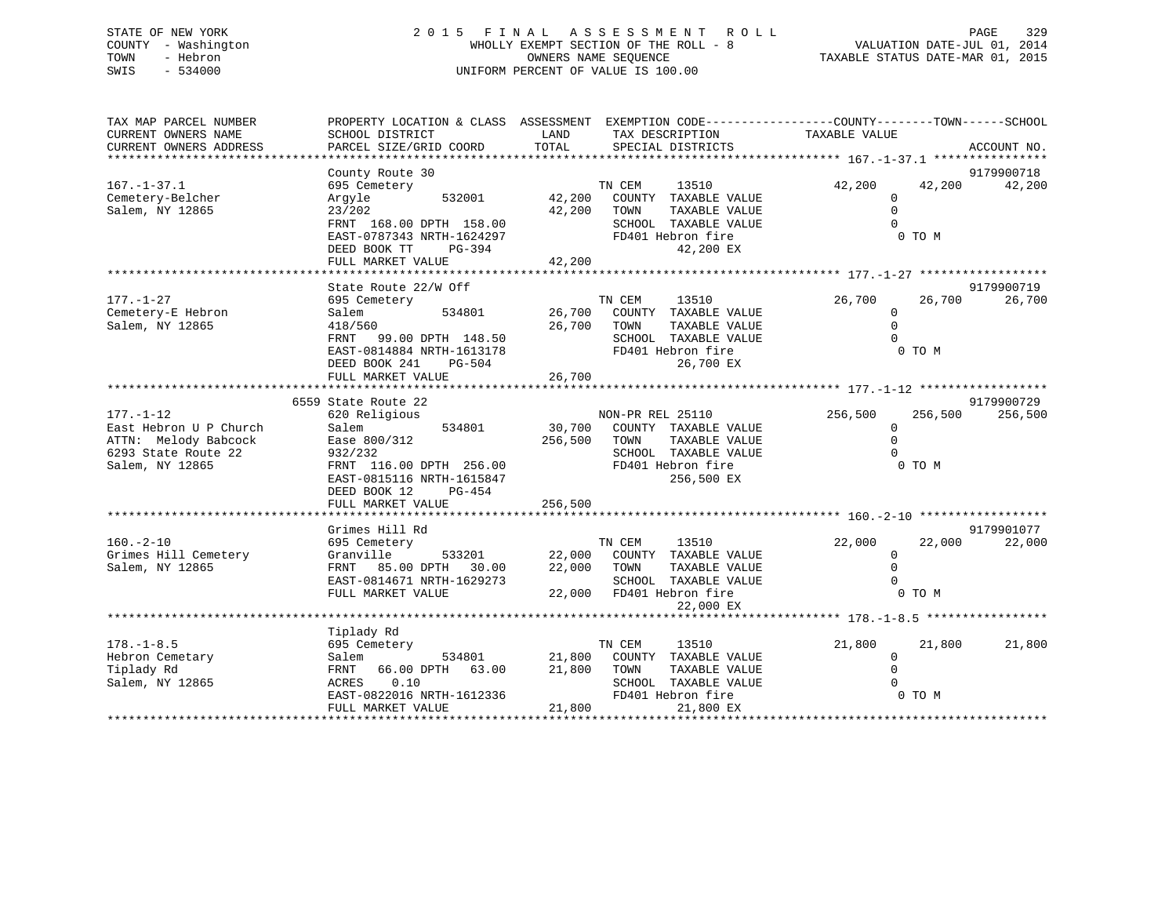# STATE OF NEW YORK 2 0 1 5 F I N A L A S S E S S M E N T R O L L PAGE 329 COUNTY - Washington WHOLLY EXEMPT SECTION OF THE ROLL - 8 VALUATION DATE-JUL 01, 2014 TOWN - Hebron OWNERS NAME SEQUENCE TAXABLE STATUS DATE-MAR 01, 2015 SWIS - 534000 UNIFORM PERCENT OF VALUE IS 100.00

| TAX MAP PARCEL NUMBER<br>CURRENT OWNERS NAME<br>CURRENT OWNERS ADDRESS | PROPERTY LOCATION & CLASS ASSESSMENT EXEMPTION CODE----------------COUNTY-------TOWN-----SCHOOL<br>SCHOOL DISTRICT<br>PARCEL SIZE/GRID COORD | LAND<br>TOTAL | TAX DESCRIPTION<br>SPECIAL DISTRICTS | TAXABLE VALUE      | ACCOUNT NO.      |
|------------------------------------------------------------------------|----------------------------------------------------------------------------------------------------------------------------------------------|---------------|--------------------------------------|--------------------|------------------|
|                                                                        |                                                                                                                                              |               |                                      |                    |                  |
|                                                                        | County Route 30                                                                                                                              |               |                                      |                    | 9179900718       |
| $167. - 1 - 37.1$                                                      | 695 Cemetery                                                                                                                                 |               | TN CEM<br>13510                      | 42,200             | 42,200<br>42,200 |
| Cemetery-Belcher                                                       | 532001<br>Argyle                                                                                                                             | 42,200        | COUNTY TAXABLE VALUE                 | $\Omega$           |                  |
| Salem, NY 12865                                                        | 23/202                                                                                                                                       | 42,200        | TOWN<br>TAXABLE VALUE                | $\mathbf 0$        |                  |
|                                                                        | FRNT 168.00 DPTH 158.00                                                                                                                      |               | SCHOOL TAXABLE VALUE                 | $\Omega$           |                  |
|                                                                        | EAST-0787343 NRTH-1624297                                                                                                                    |               | FD401 Hebron fire                    | 0 TO M             |                  |
|                                                                        | DEED BOOK TT<br>PG-394                                                                                                                       |               | 42,200 EX                            |                    |                  |
|                                                                        | FULL MARKET VALUE                                                                                                                            | 42,200        |                                      |                    |                  |
|                                                                        |                                                                                                                                              |               |                                      |                    |                  |
|                                                                        | State Route 22/W Off                                                                                                                         |               |                                      |                    | 9179900719       |
| $177. - 1 - 27$                                                        | 695 Cemetery                                                                                                                                 |               | TN CEM<br>13510                      | 26,700             | 26,700<br>26,700 |
| Cemetery-E Hebron                                                      | 534801<br>Salem                                                                                                                              |               | 26,700 COUNTY TAXABLE VALUE          | $\Omega$           |                  |
| Salem, NY 12865                                                        | 418/560                                                                                                                                      | 26,700        | TOWN<br>TAXABLE VALUE                | $\Omega$           |                  |
|                                                                        | 99.00 DPTH 148.50<br>FRNT                                                                                                                    |               | SCHOOL TAXABLE VALUE                 | $\Omega$           |                  |
|                                                                        | EAST-0814884 NRTH-1613178                                                                                                                    |               | FD401 Hebron fire                    | 0 TO M             |                  |
|                                                                        | DEED BOOK 241<br>PG-504                                                                                                                      | 26,700        | 26,700 EX                            |                    |                  |
|                                                                        | FULL MARKET VALUE                                                                                                                            |               |                                      |                    |                  |
|                                                                        | 6559 State Route 22                                                                                                                          |               |                                      |                    | 9179900729       |
| $177. - 1 - 12$                                                        | 620 Religious                                                                                                                                |               | NON-PR REL 25110                     | 256,500<br>256,500 | 256,500          |
| East Hebron U P Church                                                 | Salem<br>534801                                                                                                                              |               | 30,700 COUNTY TAXABLE VALUE          | $\Omega$           |                  |
| ATTN: Melody Babcock                                                   | Ease 800/312                                                                                                                                 | 256,500 TOWN  | TAXABLE VALUE                        | $\Omega$           |                  |
| 6293 State Route 22                                                    | 932/232                                                                                                                                      |               | SCHOOL TAXABLE VALUE                 |                    |                  |
| Salem, NY 12865                                                        | FRNT 116.00 DPTH 256.00                                                                                                                      |               | FD401 Hebron fire                    | 0 TO M             |                  |
|                                                                        | EAST-0815116 NRTH-1615847                                                                                                                    |               | 256,500 EX                           |                    |                  |
|                                                                        | DEED BOOK 12<br>PG-454                                                                                                                       |               |                                      |                    |                  |
|                                                                        | FULL MARKET VALUE                                                                                                                            | 256,500       |                                      |                    |                  |
|                                                                        |                                                                                                                                              |               |                                      |                    |                  |
|                                                                        | Grimes Hill Rd                                                                                                                               |               |                                      |                    | 9179901077       |
| $160. - 2 - 10$                                                        | 695 Cemetery                                                                                                                                 |               | TN CEM<br>13510                      | 22,000             | 22,000<br>22,000 |
| Grimes Hill Cemetery                                                   | Granville                                                                                                                                    |               | 533201 22,000 COUNTY TAXABLE VALUE   | $\mathbf{0}$       |                  |
| Salem, NY 12865                                                        | FRNT 85.00 DPTH 30.00                                                                                                                        |               | 22,000 TOWN<br>TAXABLE VALUE         | $\mathbf 0$        |                  |
|                                                                        | EAST-0814671 NRTH-1629273                                                                                                                    |               | SCHOOL TAXABLE VALUE                 | $\Omega$           |                  |
|                                                                        | FULL MARKET VALUE                                                                                                                            |               | 22,000 FD401 Hebron fire             | 0 TO M             |                  |
|                                                                        |                                                                                                                                              |               | 22,000 EX                            |                    |                  |
|                                                                        |                                                                                                                                              |               |                                      |                    |                  |
|                                                                        | Tiplady Rd                                                                                                                                   |               |                                      |                    |                  |
| $178. - 1 - 8.5$                                                       | 695 Cemetery                                                                                                                                 |               | TN CEM<br>13510                      | 21,800<br>21,800   | 21,800           |
| Hebron Cemetary                                                        | Salem<br>534801                                                                                                                              | 21,800        | COUNTY TAXABLE VALUE                 | 0                  |                  |
| Tiplady Rd                                                             | FRNT 66.00 DPTH 63.00                                                                                                                        | 21,800        | TOWN<br>TAXABLE VALUE                | $\Omega$           |                  |
| Salem, NY 12865                                                        | 0.10<br>ACRES                                                                                                                                |               | SCHOOL TAXABLE VALUE                 |                    |                  |
|                                                                        | EAST-0822016 NRTH-1612336                                                                                                                    |               | FD401 Hebron fire                    | 0 TO M             |                  |
|                                                                        | FULL MARKET VALUE                                                                                                                            | 21,800        | 21,800 EX                            |                    |                  |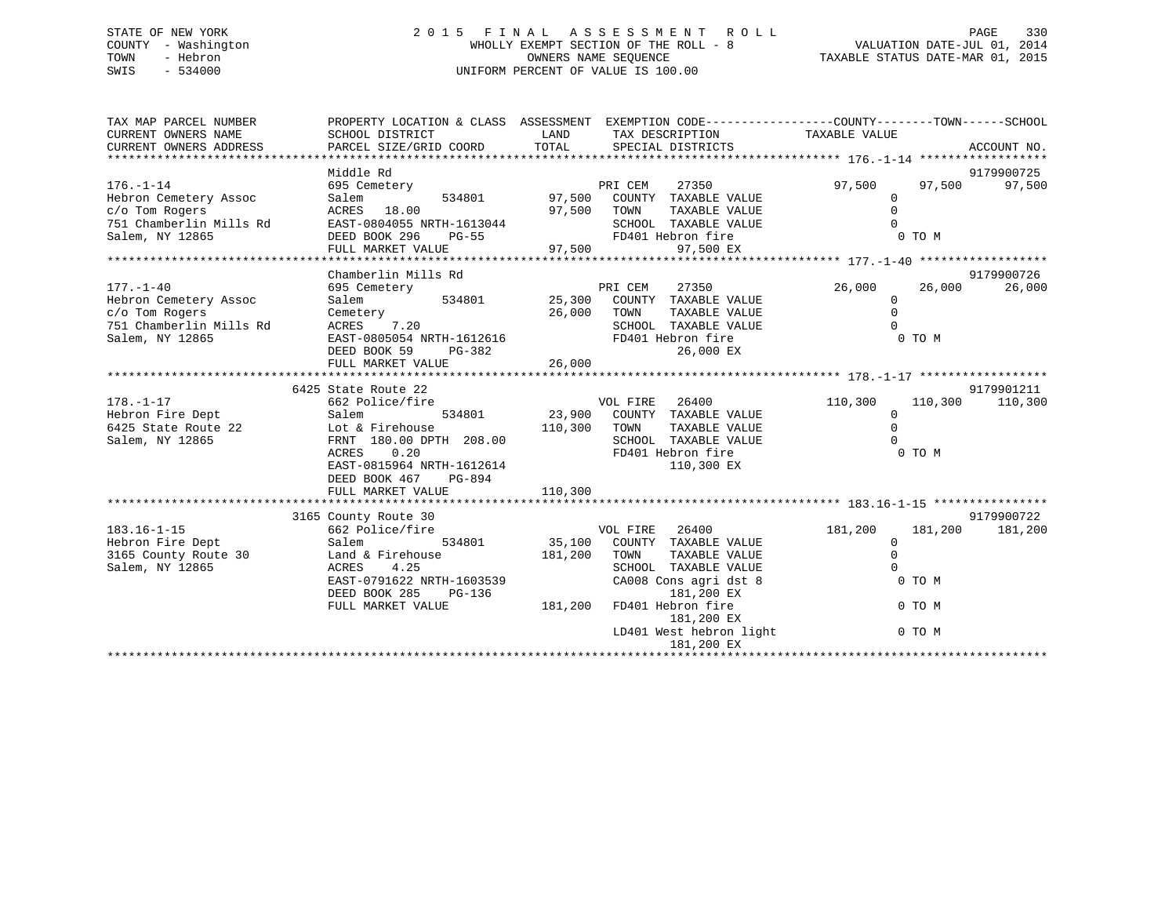# STATE OF NEW YORK 2 0 1 5 F I N A L A S S E S S M E N T R O L L PAGE 330 COUNTY - Washington WHOLLY EXEMPT SECTION OF THE ROLL - 8 VALUATION DATE-JUL 01, 2014 TOWN - Hebron OWNERS NAME SEQUENCE TAXABLE STATUS DATE-MAR 01, 2015 SWIS - 534000 UNIFORM PERCENT OF VALUE IS 100.00

| TAX MAP PARCEL NUMBER<br>CURRENT OWNERS NAME<br>CURRENT OWNERS ADDRESS | PROPERTY LOCATION & CLASS ASSESSMENT EXEMPTION CODE----------------COUNTY-------TOWN-----SCHOOL<br>SCHOOL DISTRICT<br>PARCEL SIZE/GRID COORD | LAND<br>TOTAL | TAX DESCRIPTION TAXABLE VALUE<br>SPECIAL DISTRICTS               |              |         | ACCOUNT NO. |
|------------------------------------------------------------------------|----------------------------------------------------------------------------------------------------------------------------------------------|---------------|------------------------------------------------------------------|--------------|---------|-------------|
|                                                                        |                                                                                                                                              |               |                                                                  |              |         |             |
|                                                                        | Middle Rd                                                                                                                                    |               |                                                                  |              |         | 9179900725  |
| $176. - 1 - 14$                                                        | 695 Cemetery                                                                                                                                 |               | PRI CEM<br>27350<br>PRI CEM 27350<br>97,500 COUNTY TAXABLE VALUE | 97,500       | 97,500  | 97,500      |
| Hebron Cemetery Assoc                                                  | Salem<br>534801                                                                                                                              |               |                                                                  | $\mathbf 0$  |         |             |
| c/o Tom Rogers                                                         | ACRES 18.00                                                                                                                                  | 97,500        | TOWN<br>TAXABLE VALUE                                            | $\Omega$     |         |             |
| 751 Chamberlin Mills Rd                                                | EAST-0804055 NRTH-1613044                                                                                                                    |               | SCHOOL TAXABLE VALUE                                             | $\Omega$     |         |             |
| Salem, NY 12865                                                        | DEED BOOK 296<br>$PG-55$                                                                                                                     |               | FD401 Hebron fire                                                | 0 TO M       |         |             |
|                                                                        | FULL MARKET VALUE                                                                                                                            | 97,500        | 97,500 EX                                                        |              |         |             |
|                                                                        |                                                                                                                                              |               |                                                                  |              |         |             |
|                                                                        | Chamberlin Mills Rd                                                                                                                          |               |                                                                  |              |         | 9179900726  |
| $177. - 1 - 40$                                                        | 695 Cemetery                                                                                                                                 |               |                                                                  | 26,000       | 26,000  | 26,000      |
| Hebron Cemetery Assoc                                                  | Salem                                                                                                                                        |               |                                                                  | $\mathbf 0$  |         |             |
| c/o Tom Rogers                                                         | Cemetery                                                                                                                                     | 26,000        | TOWN<br>TAXABLE VALUE                                            | $\Omega$     |         |             |
| 751 Chamberlin Mills Rd                                                | ACRES 7.20                                                                                                                                   |               | SCHOOL TAXABLE VALUE                                             | $\Omega$     |         |             |
| Salem, NY 12865                                                        | EAST-0805054 NRTH-1612616                                                                                                                    |               | FD401 Hebron fire                                                | 0 TO M       |         |             |
|                                                                        | DEED BOOK 59<br>PG-382                                                                                                                       |               | 26,000 EX                                                        |              |         |             |
|                                                                        | FULL MARKET VALUE                                                                                                                            | 26,000        |                                                                  |              |         |             |
|                                                                        |                                                                                                                                              |               |                                                                  |              |         |             |
|                                                                        | 6425 State Route 22                                                                                                                          |               |                                                                  |              |         | 9179901211  |
| $178. - 1 - 17$                                                        | 662 Police/fire                                                                                                                              |               | VOL FIRE<br>26400                                                | 110,300      | 110,300 | 110,300     |
| Hebron Fire Dept                                                       | Salem                                                                                                                                        | 534801 23,900 | COUNTY TAXABLE VALUE                                             | $\mathbf{0}$ |         |             |
| 6425 State Route 22                                                    | Lot & Firehouse                                                                                                                              | 110,300       | TOWN<br>TAXABLE VALUE                                            | $\mathbf 0$  |         |             |
| Salem, NY 12865                                                        | FRNT 180.00 DPTH 208.00                                                                                                                      |               | SCHOOL TAXABLE VALUE                                             | $\Omega$     |         |             |
|                                                                        | 0.20<br>ACRES                                                                                                                                |               | FD401 Hebron fire                                                | 0 TO M       |         |             |
|                                                                        | EAST-0815964 NRTH-1612614                                                                                                                    |               | 110,300 EX                                                       |              |         |             |
|                                                                        | DEED BOOK 467<br>PG-894                                                                                                                      |               |                                                                  |              |         |             |
|                                                                        | FULL MARKET VALUE                                                                                                                            | 110,300       |                                                                  |              |         |             |
|                                                                        |                                                                                                                                              |               |                                                                  |              |         |             |
|                                                                        | 3165 County Route 30                                                                                                                         |               |                                                                  |              |         | 9179900722  |
| $183.16 - 1 - 15$                                                      | 662 Police/fire                                                                                                                              |               | <b>VOL FIRE</b> 26400                                            | 181,200      | 181,200 | 181,200     |
| Hebron Fire Dept                                                       | 534801<br>Salem                                                                                                                              |               | 35,100 COUNTY TAXABLE VALUE                                      | $\mathbf{0}$ |         |             |
| 3165 County Route 30                                                   | Land & Firehouse                                                                                                                             | 181,200       | TOWN<br>TAXABLE VALUE                                            | $\Omega$     |         |             |
| Salem, NY 12865                                                        | 4.25<br>ACRES                                                                                                                                |               | SCHOOL TAXABLE VALUE                                             | $\Omega$     |         |             |
|                                                                        | EAST-0791622 NRTH-1603539                                                                                                                    |               | CA008 Cons agri dst 8                                            | 0 TO M       |         |             |
|                                                                        | DEED BOOK 285<br>PG-136                                                                                                                      |               | 181,200 EX                                                       |              |         |             |
|                                                                        | FULL MARKET VALUE                                                                                                                            | 181,200       | FD401 Hebron fire                                                | 0 TO M       |         |             |
|                                                                        |                                                                                                                                              |               | 181,200 EX                                                       |              |         |             |
|                                                                        |                                                                                                                                              |               | LD401 West hebron light                                          | 0 TO M       |         |             |
|                                                                        |                                                                                                                                              |               | 181,200 EX                                                       |              |         |             |
|                                                                        |                                                                                                                                              |               |                                                                  |              |         |             |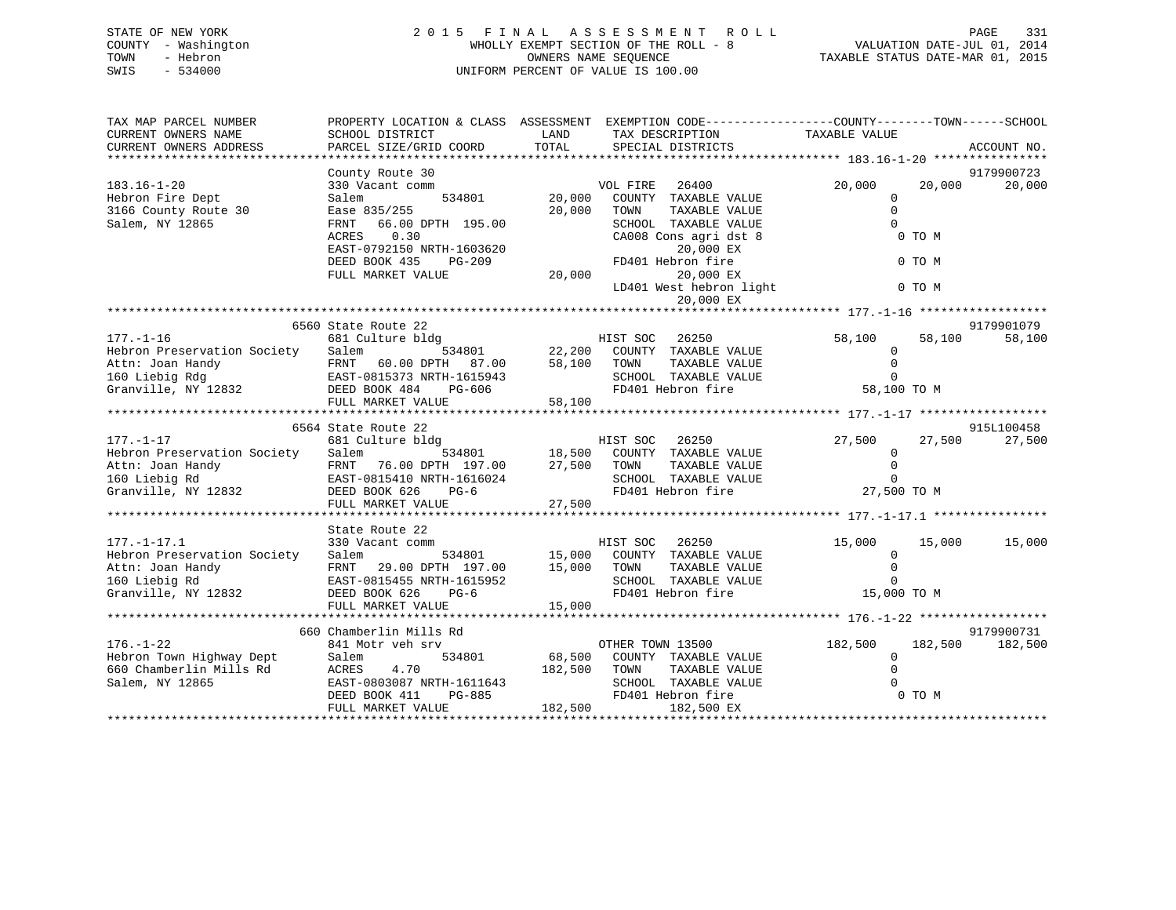# STATE OF NEW YORK 2 0 1 5 F I N A L A S S E S S M E N T R O L L PAGE 331 COUNTY - Washington WHOLLY EXEMPT SECTION OF THE ROLL - 8 VALUATION DATE-JUL 01, 2014 TOWN - Hebron OWNERS NAME SEQUENCE TAXABLE STATUS DATE-MAR 01, 2015 SWIS - 534000 UNIFORM PERCENT OF VALUE IS 100.00

| TAX MAP PARCEL NUMBER<br>CURRENT OWNERS NAME<br>CURRENT OWNERS ADDRESS                                                                                                                                                                            | SCHOOL DISTRICT<br>PARCEL SIZE/GRID COORD                                                                                                                 | LAND<br>TOTAL   | PROPERTY LOCATION & CLASS ASSESSMENT EXEMPTION CODE---------------COUNTY-------TOWN-----SCHOOL<br>TAX DESCRIPTION<br>SPECIAL DISTRICTS | TAXABLE VALUE           | ACCOUNT NO.        |
|---------------------------------------------------------------------------------------------------------------------------------------------------------------------------------------------------------------------------------------------------|-----------------------------------------------------------------------------------------------------------------------------------------------------------|-----------------|----------------------------------------------------------------------------------------------------------------------------------------|-------------------------|--------------------|
|                                                                                                                                                                                                                                                   |                                                                                                                                                           |                 |                                                                                                                                        |                         |                    |
|                                                                                                                                                                                                                                                   | County Route 30                                                                                                                                           |                 |                                                                                                                                        |                         | 9179900723         |
| $183.16 - 1 - 20$                                                                                                                                                                                                                                 | 330 Vacant comm                                                                                                                                           |                 | VOL FIRE 26400                                                                                                                         | 20,000                  | 20,000<br>20,000   |
| Hebron Fire Dept                                                                                                                                                                                                                                  | Salem                                                                                                                                                     | $534801$ 20,000 | COUNTY TAXABLE VALUE                                                                                                                   | $\Omega$                |                    |
| 3166 County Route 30                                                                                                                                                                                                                              | Ease 835/255                                                                                                                                              | 20,000          | TAXABLE VALUE<br>TOWN                                                                                                                  | $\mathbf{0}$            |                    |
| Salem, NY 12865                                                                                                                                                                                                                                   | 66.00 DPTH 195.00<br>FRNT                                                                                                                                 |                 | SCHOOL TAXABLE VALUE                                                                                                                   | $\Omega$                |                    |
|                                                                                                                                                                                                                                                   | 0.30<br>ACRES                                                                                                                                             |                 | CA008 Cons agri dst 8                                                                                                                  | 0 TO M                  |                    |
|                                                                                                                                                                                                                                                   | EAST-0792150 NRTH-1603620                                                                                                                                 |                 | 20,000 EX                                                                                                                              |                         |                    |
|                                                                                                                                                                                                                                                   | DEED BOOK 435<br>$PG-209$                                                                                                                                 | 20,000          | FD401 Hebron fire                                                                                                                      | 0 TO M                  |                    |
|                                                                                                                                                                                                                                                   | FULL MARKET VALUE                                                                                                                                         |                 | 20,000 EX<br>LD401 West hebron light                                                                                                   |                         |                    |
|                                                                                                                                                                                                                                                   |                                                                                                                                                           |                 | 20,000 EX                                                                                                                              | 0 TO M                  |                    |
|                                                                                                                                                                                                                                                   |                                                                                                                                                           |                 |                                                                                                                                        |                         |                    |
|                                                                                                                                                                                                                                                   | 6560 State Route 22                                                                                                                                       |                 |                                                                                                                                        |                         | 9179901079         |
| $177. - 1 - 16$                                                                                                                                                                                                                                   | 681 Culture bldg                                                                                                                                          |                 | HIST SOC 26250                                                                                                                         | 58,100                  | 58,100<br>58,100   |
| Hebron Preservation Society Salem                                                                                                                                                                                                                 |                                                                                                                                                           |                 | $\overline{22,200}$ COUNTY TAXABLE VALUE                                                                                               | $\mathbf 0$             |                    |
|                                                                                                                                                                                                                                                   |                                                                                                                                                           |                 | TAXABLE VALUE                                                                                                                          | $\Omega$                |                    |
|                                                                                                                                                                                                                                                   |                                                                                                                                                           |                 | SCHOOL TAXABLE VALUE                                                                                                                   | $\Omega$                |                    |
|                                                                                                                                                                                                                                                   |                                                                                                                                                           |                 | FD401 Hebron fire                                                                                                                      | 58,100 TO M             |                    |
|                                                                                                                                                                                                                                                   | FULL MARKET VALUE                                                                                                                                         | 58,100          |                                                                                                                                        |                         |                    |
|                                                                                                                                                                                                                                                   |                                                                                                                                                           |                 |                                                                                                                                        |                         |                    |
|                                                                                                                                                                                                                                                   | 6564 State Route 22<br>State Route 22<br>State Route 22<br>681 Culture bldg<br>534801<br>534801<br>77.500 TOWN TAXABLE VALUE<br>77.500 TOWN TAXABLE VALUE |                 |                                                                                                                                        |                         | 915L100458         |
| $177. - 1 - 17$<br>Hebron Preservation Society Salem                                                                                                                                                                                              |                                                                                                                                                           |                 |                                                                                                                                        | 27,500<br>$\Omega$      | 27,500<br>27,500   |
|                                                                                                                                                                                                                                                   |                                                                                                                                                           |                 |                                                                                                                                        | $\Omega$                |                    |
|                                                                                                                                                                                                                                                   |                                                                                                                                                           |                 | SCHOOL TAXABLE VALUE                                                                                                                   | $\Omega$                |                    |
|                                                                                                                                                                                                                                                   |                                                                                                                                                           |                 | FD401 Hebron fire                                                                                                                      | ---<br>27,500 то м      |                    |
|                                                                                                                                                                                                                                                   | FULL MARKET VALUE                                                                                                                                         | 27,500          |                                                                                                                                        |                         |                    |
|                                                                                                                                                                                                                                                   |                                                                                                                                                           |                 |                                                                                                                                        |                         |                    |
|                                                                                                                                                                                                                                                   | State Route 22                                                                                                                                            |                 |                                                                                                                                        |                         |                    |
| $177. - 1 - 17.1$                                                                                                                                                                                                                                 | 330 Vacant comm                                                                                                                                           |                 | HIST SOC 26250                                                                                                                         | 15,000                  | 15,000 15,000      |
|                                                                                                                                                                                                                                                   |                                                                                                                                                           |                 |                                                                                                                                        | $\overline{0}$          |                    |
|                                                                                                                                                                                                                                                   |                                                                                                                                                           |                 | TAXABLE VALUE                                                                                                                          | $\Omega$                |                    |
|                                                                                                                                                                                                                                                   |                                                                                                                                                           |                 | SCHOOL TAXABLE VALUE                                                                                                                   | $\Omega$                |                    |
|                                                                                                                                                                                                                                                   |                                                                                                                                                           |                 |                                                                                                                                        | 15,000 TO M             |                    |
| 17.1-17.11<br>Hebron Preservation Society<br>Attn: Joan Handy<br>160 Liebig Rd<br>160 Liebig Rd<br>160 Liebig Rd<br>160 Liebig Rd<br>160 EAST-0815455 NRTH-1615952<br>15,000 TOWN TAXABLE VALUE<br>160 COUNTY TAXABLE VALUE<br>160 COUNTY TAXABLE |                                                                                                                                                           |                 |                                                                                                                                        |                         |                    |
|                                                                                                                                                                                                                                                   |                                                                                                                                                           |                 |                                                                                                                                        |                         |                    |
| $176. - 1 - 22$                                                                                                                                                                                                                                   | 660 Chamberlin Mills Rd                                                                                                                                   |                 |                                                                                                                                        |                         | 9179900731         |
|                                                                                                                                                                                                                                                   | 841 Motr veh srv                                                                                                                                          |                 | OTHER TOWN 13500                                                                                                                       | 182,500<br>$\mathbf{0}$ | 182,500<br>182,500 |
| Hebron Town Highway Dept Salem<br>660 Chamberlin Mills Rd ACRES                                                                                                                                                                                   | 4.70                                                                                                                                                      | 182,500 TOWN    | 534801 68,500 COUNTY TAXABLE VALUE<br>TAXABLE VALUE                                                                                    | $\Omega$                |                    |
| Salem, NY 12865                                                                                                                                                                                                                                   |                                                                                                                                                           |                 | SCHOOL TAXABLE VALUE                                                                                                                   |                         |                    |
|                                                                                                                                                                                                                                                   |                                                                                                                                                           |                 | FD401 Hebron fire                                                                                                                      | E 0<br>0 TOM            |                    |
|                                                                                                                                                                                                                                                   | EAST-0803087 NRTH-1611643<br>DEED BOOK 411 PG-885 FD401<br>FULL MARKET VALUE 182,500                                                                      |                 | 182,500 EX                                                                                                                             |                         |                    |
|                                                                                                                                                                                                                                                   |                                                                                                                                                           |                 |                                                                                                                                        |                         |                    |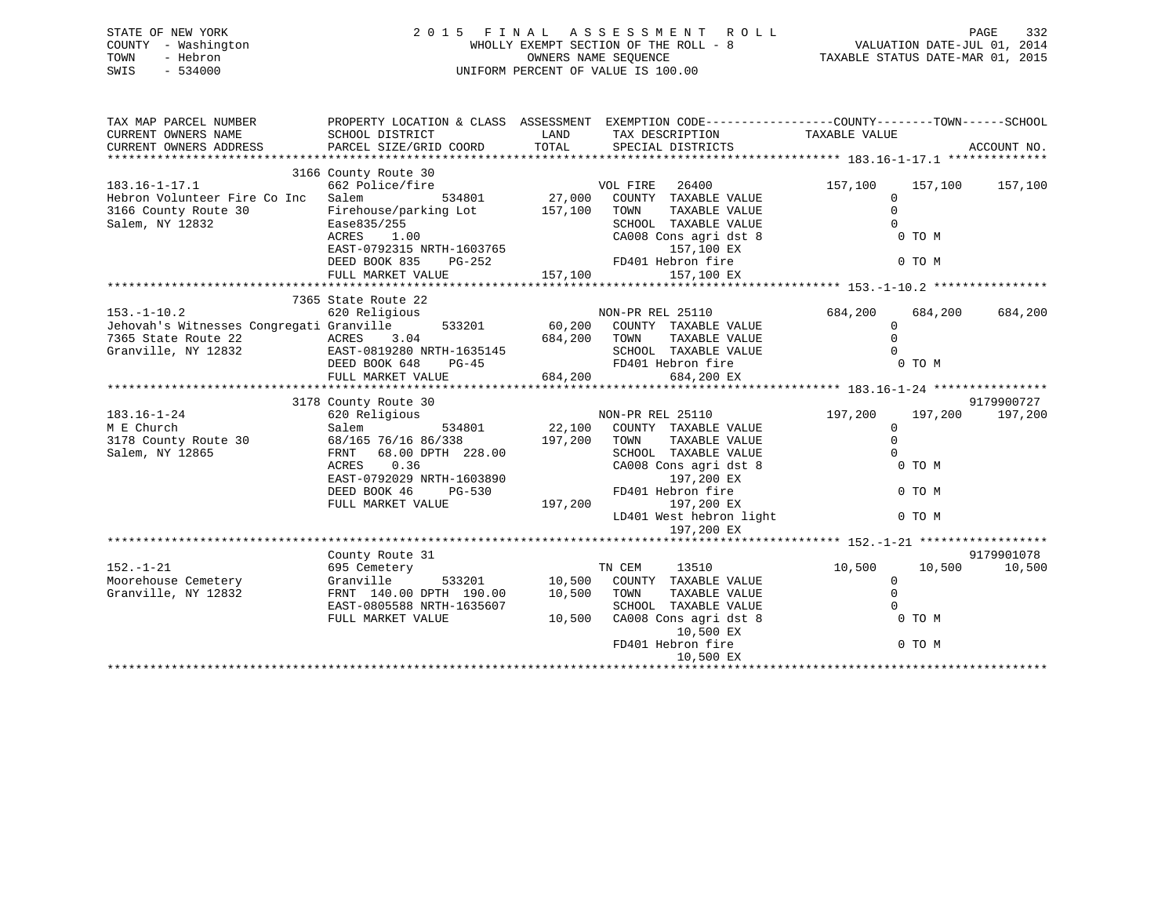| STATE OF NEW YORK   | 2015 FINAL ASSESSMENT ROLL            | - 332<br>PAGE                    |
|---------------------|---------------------------------------|----------------------------------|
| COUNTY - Washington | WHOLLY EXEMPT SECTION OF THE ROLL - 8 | VALUATION DATE-JUL 01, 2014      |
| TOWN<br>- Hebron    | OWNERS NAME SEOUENCE                  | TAXABLE STATUS DATE-MAR 01, 2015 |
| SWIS<br>- 534000    | UNIFORM PERCENT OF VALUE IS 100.00    |                                  |

| TAX MAP PARCEL NUMBER                                                                                                                                                                                                                                                                                                                                                                                                                | PROPERTY LOCATION & CLASS ASSESSMENT EXEMPTION CODE----------------COUNTY-------TOWN------SCHOOL |              |                                                           |                      |         |                 |
|--------------------------------------------------------------------------------------------------------------------------------------------------------------------------------------------------------------------------------------------------------------------------------------------------------------------------------------------------------------------------------------------------------------------------------------|--------------------------------------------------------------------------------------------------|--------------|-----------------------------------------------------------|----------------------|---------|-----------------|
| CURRENT OWNERS NAME                                                                                                                                                                                                                                                                                                                                                                                                                  | SCHOOL DISTRICT                                                                                  | LAND         | TAX DESCRIPTION                                           | TAXABLE VALUE        |         |                 |
| CURRENT OWNERS ADDRESS                                                                                                                                                                                                                                                                                                                                                                                                               | PARCEL SIZE/GRID COORD                                                                           | TOTAL        | SPECIAL DISTRICTS                                         |                      |         | ACCOUNT NO.     |
|                                                                                                                                                                                                                                                                                                                                                                                                                                      |                                                                                                  |              |                                                           |                      |         |                 |
| $183.16 - 1 - 17.1$                                                                                                                                                                                                                                                                                                                                                                                                                  | 3166 County Route 30<br>662 Police/fire                                                          |              | VOL FIRE<br>26400                                         | 157,100              |         | 157,100 157,100 |
| Hebron Volunteer Fire Co Inc                                                                                                                                                                                                                                                                                                                                                                                                         | 534801<br>Salem                                                                                  |              |                                                           | $\overline{0}$       |         |                 |
| 3166 County Route 30                                                                                                                                                                                                                                                                                                                                                                                                                 | Firehouse/parking Lot                                                                            |              | 27,000 COUNTY TAXABLE VALUE<br>157,100 TOWN TAXABLE VALUE | $\Omega$             |         |                 |
| Salem, NY 12832                                                                                                                                                                                                                                                                                                                                                                                                                      | Ease835/255                                                                                      |              | SCHOOL TAXABLE VALUE                                      | $\Omega$             |         |                 |
|                                                                                                                                                                                                                                                                                                                                                                                                                                      | 1.00<br>ACRES                                                                                    |              | CA008 Cons agri dst 8                                     | D <sub>D</sub> TO M  |         |                 |
|                                                                                                                                                                                                                                                                                                                                                                                                                                      |                                                                                                  |              |                                                           |                      |         |                 |
|                                                                                                                                                                                                                                                                                                                                                                                                                                      |                                                                                                  |              |                                                           |                      |         |                 |
|                                                                                                                                                                                                                                                                                                                                                                                                                                      |                                                                                                  |              |                                                           |                      |         |                 |
| $\begin{array}{cccccccccccc} \texttt{EAST-0792315 NRTH-1603765} & & & & & & 157, \texttt{100 EX} & & & & & & & 0 & \texttt{TO M} \\ & & & & & & & & & & & & \texttt{DEED BOOK 835} & & & & & & & \texttt{FD401 Hebron fire} & & & & & & & & 0 & \texttt{TO M} \\ & & & & & & & & & & & & & & \texttt{FD401 Hebron fire} & & & & & & & & 0 & \texttt{TO M} \\ & & & & & & & & & & & & & & & \texttt{TO} & & & & 157, \texttt{100 EX}$ |                                                                                                  |              |                                                           |                      |         |                 |
|                                                                                                                                                                                                                                                                                                                                                                                                                                      | 7365 State Route 22                                                                              |              |                                                           |                      |         |                 |
| 153.-1-10.2 620 Religious MON-PR REL 25110<br>Jehovah's Witnesses Congregati Granville 533201 60,200 COUNTY TAXABLE VALUE                                                                                                                                                                                                                                                                                                            |                                                                                                  |              |                                                           | 684,200              | 684,200 | 684,200         |
|                                                                                                                                                                                                                                                                                                                                                                                                                                      |                                                                                                  |              |                                                           | $\overline{0}$       |         |                 |
| 7365 State Route 22                                                                                                                                                                                                                                                                                                                                                                                                                  |                                                                                                  |              | TAXABLE VALUE                                             | $\Omega$             |         |                 |
| Granville, NY 12832                                                                                                                                                                                                                                                                                                                                                                                                                  |                                                                                                  |              |                                                           |                      |         |                 |
|                                                                                                                                                                                                                                                                                                                                                                                                                                      |                                                                                                  |              | SCHOOL TAXABLE VALUE<br>FD401 Hebron fire 0 0 TO M        |                      |         |                 |
|                                                                                                                                                                                                                                                                                                                                                                                                                                      |                                                                                                  |              | 684,200 EX                                                |                      |         |                 |
|                                                                                                                                                                                                                                                                                                                                                                                                                                      |                                                                                                  |              |                                                           |                      |         |                 |
|                                                                                                                                                                                                                                                                                                                                                                                                                                      | 3178 County Route 30                                                                             |              |                                                           |                      |         | 9179900727      |
| 183.16-1-24                                                                                                                                                                                                                                                                                                                                                                                                                          | 620 Religious                                                                                    |              | NON-PR REL 25110<br>534801 22,100 COUNTY TAXABLE VALUE    | 197,200              |         | 197,200 197,200 |
| M E Church                                                                                                                                                                                                                                                                                                                                                                                                                           | Salem                                                                                            |              |                                                           | $\Omega$<br>$\Omega$ |         |                 |
| 3178 County Route 30 68/165 76/16 86/338                                                                                                                                                                                                                                                                                                                                                                                             |                                                                                                  | 197,200 TOWN | TAXABLE VALUE                                             | $\Omega$             |         |                 |
| Salem, NY 12865                                                                                                                                                                                                                                                                                                                                                                                                                      | FRNT 68.00 DPTH 228.00<br>0.36<br>ACRES                                                          |              | SCHOOL TAXABLE VALUE                                      |                      | 0 TO M  |                 |
|                                                                                                                                                                                                                                                                                                                                                                                                                                      | EAST-0792029 NRTH-1603890                                                                        |              | CA008 Cons agri dst 8<br>197,200 EX                       |                      |         |                 |
|                                                                                                                                                                                                                                                                                                                                                                                                                                      | DEED BOOK 46                                                                                     |              |                                                           |                      | 0 TO M  |                 |
|                                                                                                                                                                                                                                                                                                                                                                                                                                      | FULL MARKET VALUE                                                                                |              | PG-530 FD401 Hebron fire<br>E 197,200 EX                  |                      |         |                 |
|                                                                                                                                                                                                                                                                                                                                                                                                                                      |                                                                                                  |              | LD401 West hebron light                                   |                      | 0 TO M  |                 |
|                                                                                                                                                                                                                                                                                                                                                                                                                                      |                                                                                                  |              | 197,200 EX                                                |                      |         |                 |
|                                                                                                                                                                                                                                                                                                                                                                                                                                      |                                                                                                  |              |                                                           |                      |         |                 |
|                                                                                                                                                                                                                                                                                                                                                                                                                                      | County Route 31                                                                                  |              |                                                           |                      |         | 9179901078      |
| $152. - 1 - 21$                                                                                                                                                                                                                                                                                                                                                                                                                      | 695 Cemetery                                                                                     |              | TN CEM<br>13510                                           | 10,500 10,500        |         | 10,500          |
| Moorehouse Cemetery                                                                                                                                                                                                                                                                                                                                                                                                                  | Granville                                                                                        |              | 533201 10,500 COUNTY TAXABLE VALUE                        | $\overline{0}$       |         |                 |
| Granville, NY 12832                                                                                                                                                                                                                                                                                                                                                                                                                  | FRNT 140.00 DPTH 190.00                                                                          | 10,500 TOWN  | TAXABLE VALUE                                             | $\mathbf 0$          |         |                 |
|                                                                                                                                                                                                                                                                                                                                                                                                                                      | EAST-0805588 NRTH-1635607                                                                        |              | SCHOOL TAXABLE VALUE                                      | $\Omega$             |         |                 |
|                                                                                                                                                                                                                                                                                                                                                                                                                                      | FULL MARKET VALUE                                                                                | 10,500       | CA008 Cons agri dst 8                                     | <b>O</b> TOM         |         |                 |
|                                                                                                                                                                                                                                                                                                                                                                                                                                      |                                                                                                  |              | 10,500 EX                                                 |                      |         |                 |
|                                                                                                                                                                                                                                                                                                                                                                                                                                      |                                                                                                  |              | FD401 Hebron fire                                         |                      | 0 TO M  |                 |
|                                                                                                                                                                                                                                                                                                                                                                                                                                      |                                                                                                  |              | 10,500 EX                                                 |                      |         |                 |
|                                                                                                                                                                                                                                                                                                                                                                                                                                      |                                                                                                  |              |                                                           |                      |         |                 |

 $332$ <br> $2014$ <br> $2015$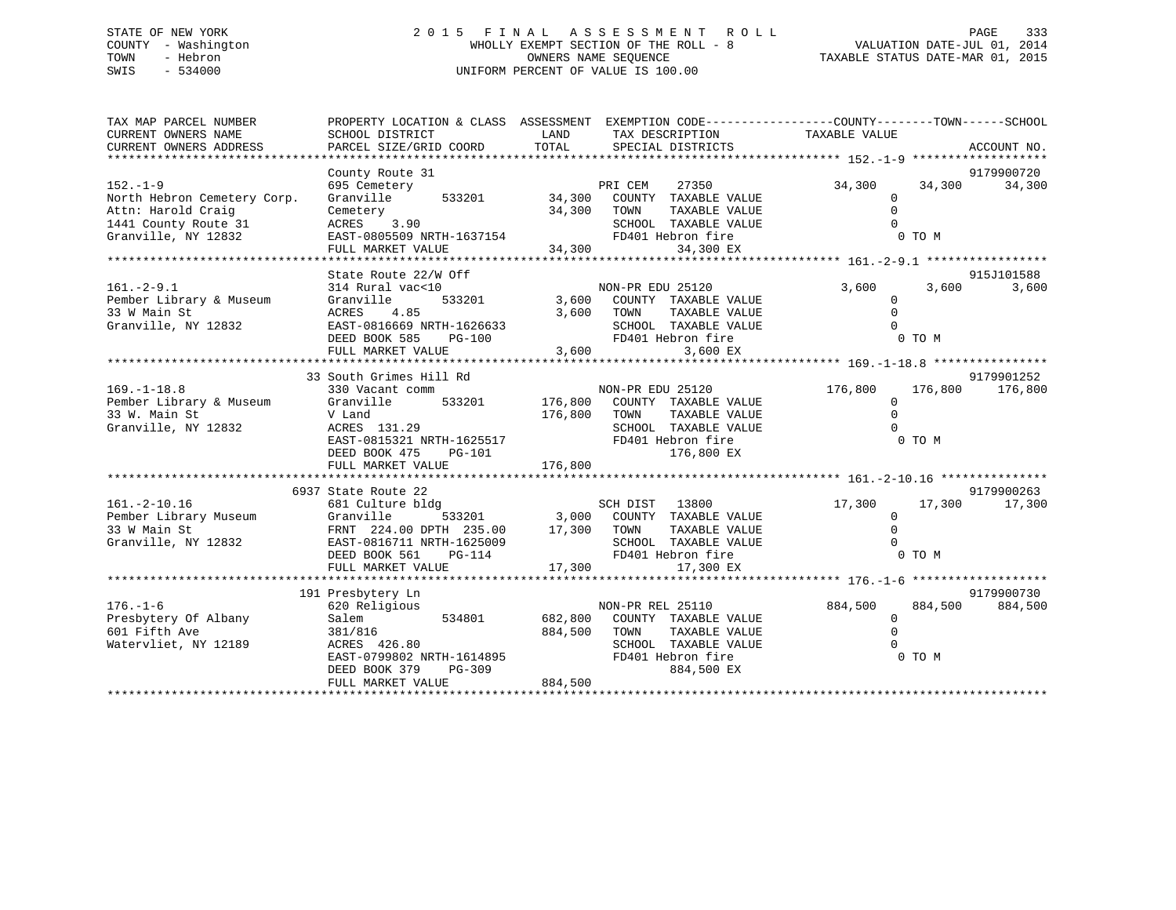# STATE OF NEW YORK 2 0 1 5 F I N A L A S S E S S M E N T R O L L PAGE 333 COUNTY - Washington WHOLLY EXEMPT SECTION OF THE ROLL - 8 VALUATION DATE-JUL 01, 2014 TOWN - Hebron OWNERS NAME SEQUENCE TAXABLE STATUS DATE-MAR 01, 2015 SWIS - 534000 UNIFORM PERCENT OF VALUE IS 100.00

| TAX MAP PARCEL NUMBER<br>CURRENT OWNERS NAME<br>CURRENT OWNERS ADDRESS | PROPERTY LOCATION & CLASS ASSESSMENT EXEMPTION CODE---------------COUNTY-------TOWN-----SCHOOL<br>SCHOOL DISTRICT<br>PARCEL SIZE/GRID COORD | LAND<br>TOTAL         | TAX DESCRIPTION<br>SPECIAL DISTRICTS                           | TAXABLE VALUE       |         | ACCOUNT NO. |
|------------------------------------------------------------------------|---------------------------------------------------------------------------------------------------------------------------------------------|-----------------------|----------------------------------------------------------------|---------------------|---------|-------------|
|                                                                        |                                                                                                                                             |                       |                                                                |                     |         |             |
|                                                                        | County Route 31                                                                                                                             |                       |                                                                |                     |         | 9179900720  |
| $152. - 1 - 9$                                                         | 695 Cemetery                                                                                                                                |                       | PRI CEM<br>27350                                               | 34,300              | 34,300  | 34,300      |
| North Hebron Cemetery Corp.                                            | 533201<br>Granville                                                                                                                         |                       | 34,300 COUNTY TAXABLE VALUE                                    | 0                   |         |             |
| Attn: Harold Craig                                                     | Cemetery                                                                                                                                    | 34,300                | TOWN<br>TAXABLE VALUE                                          | $\Omega$            |         |             |
| 1441 County Route 31                                                   | ACRES 3.90                                                                                                                                  |                       | SCHOOL TAXABLE VALUE                                           | $\Omega$            |         |             |
| Granville, NY 12832                                                    | EAST-0805509 NRTH-1637154                                                                                                                   | 7154<br>FD4<br>34,300 | FD401 Hebron fire                                              |                     | 0 TO M  |             |
|                                                                        | FULL MARKET VALUE                                                                                                                           |                       | 34,300 EX                                                      |                     |         |             |
|                                                                        | State Route 22/W Off                                                                                                                        |                       |                                                                |                     |         | 915J101588  |
| $161. - 2 - 9.1$                                                       | 314 Rural vac<10                                                                                                                            |                       | NON-PR EDU 25120                                               | 3,600               | 3,600   | 3,600       |
| Pember Library & Museum                                                | 533201<br>Granville                                                                                                                         |                       | 3,600 COUNTY TAXABLE VALUE                                     | $\mathbf 0$         |         |             |
| 33 W Main St                                                           | ACRES<br>4.85                                                                                                                               |                       | TAXABLE VALUE<br>3,600 TOWN                                    | $\Omega$            |         |             |
| Granville, NY 12832                                                    | EAST-0816669 NRTH-1626633                                                                                                                   |                       | SCHOOL TAXABLE VALUE                                           | $\Omega$            |         |             |
|                                                                        | DEED BOOK 585<br>$PG-100$                                                                                                                   |                       | FD401 Hebron fire                                              |                     | 0 TO M  |             |
|                                                                        | FULL MARKET VALUE                                                                                                                           | 3,600                 | 3,600 EX                                                       |                     |         |             |
|                                                                        |                                                                                                                                             |                       |                                                                |                     |         |             |
|                                                                        | 33 South Grimes Hill Rd                                                                                                                     |                       |                                                                |                     |         | 9179901252  |
| $169. - 1 - 18.8$                                                      | 330 Vacant comm                                                                                                                             |                       | NON-PR EDU 25120                                               | 176,800             | 176,800 | 176,800     |
| Pember Library & Museum<br>33 W. Main St                               | Granville                                                                                                                                   |                       | 533201 176,800 COUNTY TAXABLE VALUE                            | $\circ$<br>$\Omega$ |         |             |
| Granville, NY 12832                                                    | V Land<br>ACRES 131.29                                                                                                                      | 176,800 TOWN          | TAXABLE VALUE<br>SCHOOL TAXABLE VALUE                          | $\Omega$            |         |             |
|                                                                        | EAST-0815321 NRTH-1625517                                                                                                                   |                       | SCHOOD 1111-1<br>FD401 Hebron fire<br>176,800 EX               |                     | 0 TO M  |             |
|                                                                        | DEED BOOK 475<br>PG-101                                                                                                                     |                       | 176,800 EX                                                     |                     |         |             |
|                                                                        |                                                                                                                                             |                       |                                                                |                     |         |             |
|                                                                        |                                                                                                                                             |                       |                                                                |                     |         |             |
|                                                                        | 6937 State Route 22                                                                                                                         |                       |                                                                |                     |         | 9179900263  |
| 161.-2-10.16<br>Pember Library Museum                                  | 681 Culture bldg                                                                                                                            |                       |                                                                | 17,300              | 17,300  | 17,300      |
|                                                                        | Granville                                                                                                                                   |                       |                                                                | $\Omega$            |         |             |
| 33 W Main St                                                           | FRNT 224.00 DPTH 235.00                                                                                                                     | 17,300 TOWN           | TAXABLE VALUE                                                  | $\Omega$            |         |             |
| Granville, NY 12832                                                    | EAST-0816711 NRTH-1625009                                                                                                                   |                       | SCHOOL TAXABLE VALUE<br>SCHOOL TAXABLE VF<br>FD401 Hebron fire | $\Omega$            |         |             |
|                                                                        | DEED BOOK 561<br>PG-114                                                                                                                     |                       |                                                                |                     | 0 TO M  |             |
|                                                                        | FULL MARKET VALUE                                                                                                                           | 17,300                | 17,300 EX                                                      |                     |         |             |
|                                                                        | 191 Presbytery Ln                                                                                                                           |                       |                                                                |                     |         | 9179900730  |
| $176. - 1 - 6$                                                         | 620 Religious                                                                                                                               |                       | NON-PR REL 25110                                               | 884,500             | 884,500 | 884,500     |
| Presbytery Of Albany                                                   | Salem<br>534801                                                                                                                             |                       | 682,800 COUNTY TAXABLE VALUE                                   | $\overline{0}$      |         |             |
| 601 Fifth Ave                                                          | 381/816                                                                                                                                     | 884,500               | TOWN<br>TAXABLE VALUE                                          | $\Omega$            |         |             |
| Watervliet, NY 12189                                                   | ACRES 426.80                                                                                                                                |                       | SCHOOL TAXABLE VALUE                                           | $\Omega$            |         |             |
|                                                                        | EAST-0799802 NRTH-1614895                                                                                                                   |                       | FD401 Hebron fire                                              |                     | 0 TO M  |             |
|                                                                        | $PG-309$<br>DEED BOOK 379                                                                                                                   |                       | 884,500 EX                                                     |                     |         |             |
|                                                                        | FULL MARKET VALUE                                                                                                                           | 884,500               |                                                                |                     |         |             |
|                                                                        |                                                                                                                                             |                       |                                                                |                     |         |             |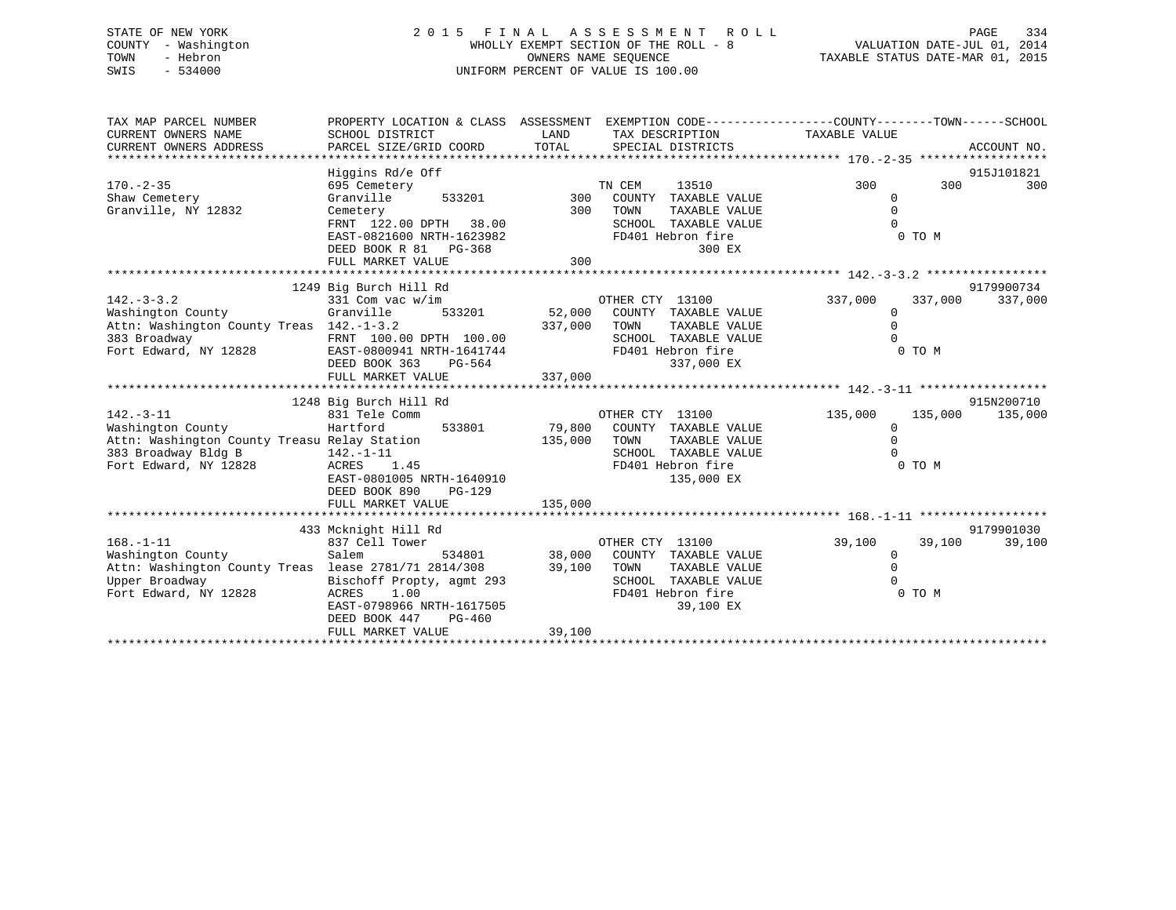# STATE OF NEW YORK 2 0 1 5 F I N A L A S S E S S M E N T R O L L PAGE 334 COUNTY - Washington WHOLLY EXEMPT SECTION OF THE ROLL - 8 VALUATION DATE-JUL 01, 2014 TOWN - Hebron OWNERS NAME SEQUENCE TAXABLE STATUS DATE-MAR 01, 2015 SWIS - 534000 UNIFORM PERCENT OF VALUE IS 100.00

| TAX MAP PARCEL NUMBER<br>CURRENT OWNERS NAME<br>CURRENT OWNERS ADDRESS                                                               | PROPERTY LOCATION & CLASS ASSESSMENT<br>SCHOOL DISTRICT<br>PARCEL SIZE/GRID COORD                                              | LAND<br>TOTAL     | EXEMPTION CODE-----------------COUNTY-------TOWN------SCHOOL<br>TAX DESCRIPTION<br>SPECIAL DISTRICTS                        | TAXABLE VALUE                                          |         | ACCOUNT NO. |
|--------------------------------------------------------------------------------------------------------------------------------------|--------------------------------------------------------------------------------------------------------------------------------|-------------------|-----------------------------------------------------------------------------------------------------------------------------|--------------------------------------------------------|---------|-------------|
|                                                                                                                                      | Higgins Rd/e Off                                                                                                               |                   |                                                                                                                             |                                                        |         | 915J101821  |
| $170. - 2 - 35$<br>Shaw Cemetery                                                                                                     | 695 Cemetery<br>Granville<br>533201                                                                                            | 300               | TN CEM<br>13510<br>COUNTY TAXABLE VALUE                                                                                     | 300<br>0                                               | 300     | 300         |
| Granville, NY 12832                                                                                                                  | Cemetery                                                                                                                       | 300               | TOWN<br>TAXABLE VALUE                                                                                                       | $\Omega$<br>$\Omega$                                   |         |             |
|                                                                                                                                      | FRNT 122.00 DPTH<br>38.00<br>EAST-0821600 NRTH-1623982<br>DEED BOOK R 81 PG-368                                                | 300               | SCHOOL TAXABLE VALUE<br>FD401 Hebron fire<br>300 EX                                                                         | 0 TO M                                                 |         |             |
|                                                                                                                                      | FULL MARKET VALUE                                                                                                              |                   |                                                                                                                             |                                                        |         |             |
|                                                                                                                                      | 1249 Big Burch Hill Rd                                                                                                         |                   |                                                                                                                             |                                                        |         | 9179900734  |
| $142. - 3 - 3.2$<br>Washington County<br>Attn: Washington County Treas 142.-1-3.2<br>383 Broadway<br>Fort Edward, NY 12828           | 331 Com vac w/im<br>Granville<br>533201<br>FRNT 100.00 DPTH 100.00<br>EAST-0800941 NRTH-1641744<br>DEED BOOK 363<br>PG-564     | 52,000<br>337,000 | OTHER CTY 13100<br>COUNTY TAXABLE VALUE<br>TOWN<br>TAXABLE VALUE<br>SCHOOL TAXABLE VALUE<br>FD401 Hebron fire<br>337,000 EX | 337,000<br>$\mathbf 0$<br>$\Omega$<br>$\cap$<br>0 TO M | 337,000 | 337,000     |
|                                                                                                                                      | FULL MARKET VALUE                                                                                                              | 337,000           |                                                                                                                             |                                                        |         |             |
|                                                                                                                                      | 1248 Big Burch Hill Rd                                                                                                         |                   |                                                                                                                             |                                                        |         | 915N200710  |
| $142. - 3 - 11$<br>Washington County<br>Attn: Washington County Treasu Relay Station<br>383 Broadway Bldg B<br>Fort Edward, NY 12828 | 831 Tele Comm<br>533801<br>Hartford<br>$142. - 1 - 11$<br>ACRES 1.45<br>EAST-0801005 NRTH-1640910<br>DEED BOOK 890<br>$PG-129$ | 79,800<br>135,000 | OTHER CTY 13100<br>COUNTY TAXABLE VALUE<br>TOWN<br>TAXABLE VALUE<br>SCHOOL TAXABLE VALUE<br>FD401 Hebron fire<br>135,000 EX | 135,000<br>$\Omega$<br>$\Omega$<br>$\Omega$<br>0 TO M  | 135,000 | 135,000     |
|                                                                                                                                      | FULL MARKET VALUE                                                                                                              | 135,000           |                                                                                                                             |                                                        |         |             |
|                                                                                                                                      | 433 Mcknight Hill Rd                                                                                                           |                   |                                                                                                                             |                                                        |         | 9179901030  |
| $168. - 1 - 11$                                                                                                                      | 837 Cell Tower                                                                                                                 |                   | OTHER CTY 13100                                                                                                             | 39,100                                                 | 39,100  | 39,100      |
| Washington County<br>Attn: Washington County Treas lease 2781/71 2814/308<br>Upper Broadway<br>Fort Edward, NY 12828                 | Salem<br>534801<br>Bischoff Propty, agmt 293<br>ACRES<br>1.00<br>EAST-0798966 NRTH-1617505                                     | 38,000<br>39,100  | COUNTY TAXABLE VALUE<br>TOWN<br>TAXABLE VALUE<br>SCHOOL TAXABLE VALUE<br>FD401 Hebron fire<br>39,100 EX                     | $\mathbf 0$<br>$\mathbf 0$<br>$\Omega$<br>0 TO M       |         |             |
|                                                                                                                                      | DEED BOOK 447<br>$PG-460$                                                                                                      | 39,100            |                                                                                                                             |                                                        |         |             |
|                                                                                                                                      | FULL MARKET VALUE                                                                                                              |                   |                                                                                                                             |                                                        |         |             |
|                                                                                                                                      |                                                                                                                                |                   |                                                                                                                             |                                                        |         |             |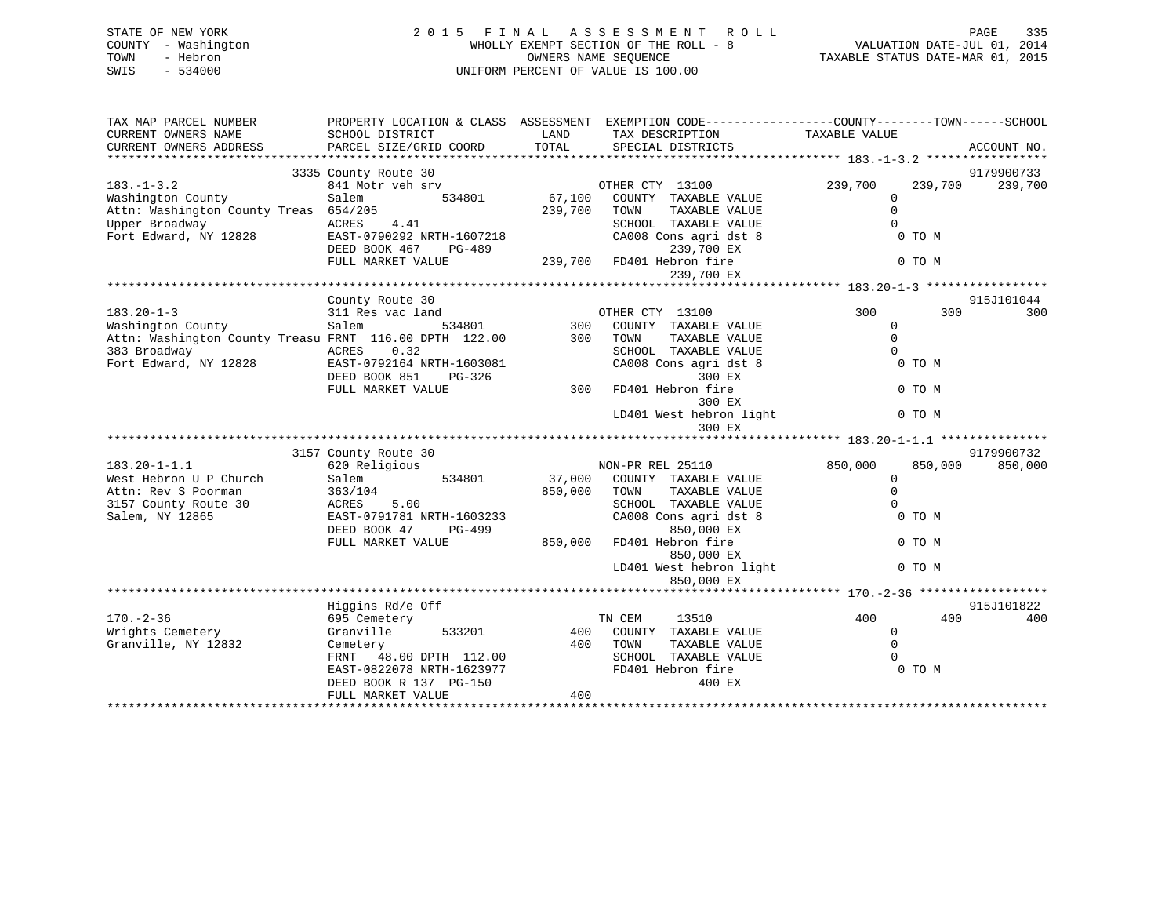| STATE OF NEW YORK             | 2 0 1 5                   | FINAL      | A S S E S S M E N T<br>R O L L        |                                                              | 335<br>PAGE |
|-------------------------------|---------------------------|------------|---------------------------------------|--------------------------------------------------------------|-------------|
| - Washington<br>COUNTY        |                           |            | WHOLLY EXEMPT SECTION OF THE ROLL - 8 | VALUATION DATE-JUL 01, 2014                                  |             |
| - Hebron<br>TOWN              |                           |            | OWNERS NAME SEQUENCE                  | TAXABLE STATUS DATE-MAR 01, 2015                             |             |
| $-534000$<br>SWIS             |                           |            | UNIFORM PERCENT OF VALUE IS 100.00    |                                                              |             |
|                               |                           |            |                                       |                                                              |             |
|                               |                           |            |                                       |                                                              |             |
| TAX MAP PARCEL NUMBER         | PROPERTY LOCATION & CLASS | ASSESSMENT |                                       | EXEMPTION CODE-----------------COUNTY-------TOWN------SCHOOL |             |
|                               |                           |            |                                       |                                                              |             |
| CURRENT OWNERS NAME           | SCHOOL DISTRICT           | LAND       | TAX DESCRIPTION                       | TAXABLE VALUE                                                |             |
| CURRENT OWNERS ADDRESS        | PARCEL SIZE/GRID COORD    | TOTAL      | SPECIAL DISTRICTS                     |                                                              | ACCOUNT NO. |
|                               |                           |            |                                       |                                                              |             |
|                               | 3335 County Route 30      |            |                                       |                                                              | 9179900733  |
| $183. - 1 - 3.2$              | 841 Motr veh srv          |            | 13100<br>OTHER CTY                    | 239,700<br>239,700                                           | 239,700     |
| Washington County             | 534801<br>Salem           | 67,100     | COUNTY<br>TAXABLE VALUE               |                                                              |             |
| Attn: Washington County Treas | 654/205                   | 239,700    | TOWN<br>TAXABLE VALUE                 |                                                              |             |
| Upper Broadway                | ACRES 4.41                |            | SCHOOL<br>TAXABLE VALUE               |                                                              |             |
| Fort Edward, NY 12828         | EAST-0790292 NRTH-1607218 |            | CA008 Cons agri dst 8                 | 0 TO M                                                       |             |
|                               |                           |            |                                       |                                                              |             |

Fort Edward, NY 12828 EAST-0790292 NRTH-1607218 CA008 Cons agri dst 8 0 TO M DEED BOOK 467 PG-489 239,700 EX

|                                                        | FULL MARKET VALUE         | 239,700 | FD401 Hebron fire<br>239,700 EX | 0 TO M             |            |
|--------------------------------------------------------|---------------------------|---------|---------------------------------|--------------------|------------|
|                                                        |                           |         |                                 |                    |            |
|                                                        | County Route 30           |         |                                 |                    | 915J101044 |
| $183.20 - 1 - 3$                                       | 311 Res vac land          |         | OTHER CTY 13100                 | 300<br>300         | 300        |
| Washington County                                      | 534801<br>Salem           | 300     | COUNTY TAXABLE VALUE            | $\mathbf 0$        |            |
| Attn: Washington County Treasu FRNT 116.00 DPTH 122.00 |                           | 300     | TOWN<br>TAXABLE VALUE           | $\mathbf 0$        |            |
| 383 Broadway                                           | ACRES<br>0.32             |         | SCHOOL TAXABLE VALUE            | $\Omega$           |            |
| Fort Edward, NY 12828                                  | EAST-0792164 NRTH-1603081 |         | CA008 Cons agri dst 8           | 0 TO M             |            |
|                                                        | DEED BOOK 851<br>PG-326   |         | 300 EX                          |                    |            |
|                                                        | FULL MARKET VALUE         | 300     | FD401 Hebron fire               | 0 TO M             |            |
|                                                        |                           |         | 300 EX                          |                    |            |
|                                                        |                           |         | LD401 West hebron light         | 0 TO M             |            |
|                                                        |                           |         | 300 EX                          |                    |            |
|                                                        |                           |         |                                 |                    |            |
|                                                        | 3157 County Route 30      |         |                                 |                    | 9179900732 |
| $183.20 - 1 - 1.1$                                     | 620 Religious             |         | NON-PR REL 25110                | 850,000<br>850,000 | 850,000    |
| West Hebron U P Church                                 | 534801<br>Salem           | 37,000  | COUNTY TAXABLE VALUE            | $\mathbf 0$        |            |
| Attn: Rev S Poorman                                    | 363/104                   | 850,000 | TOWN<br>TAXABLE VALUE           | $\mathbf 0$        |            |
| 3157 County Route 30                                   | ACRES<br>5.00             |         | SCHOOL TAXABLE VALUE            | $\Omega$           |            |
| Salem, NY 12865                                        | EAST-0791781 NRTH-1603233 |         | CA008 Cons agri dst 8           | 0 TO M             |            |
|                                                        | DEED BOOK 47<br>$PG-499$  |         | 850,000 EX                      |                    |            |
|                                                        | FULL MARKET VALUE         | 850,000 | FD401 Hebron fire               | 0 TO M             |            |
|                                                        |                           |         | 850,000 EX                      |                    |            |
|                                                        |                           |         | LD401 West hebron light         | 0 TO M             |            |
|                                                        |                           |         | 850,000 EX                      |                    |            |
|                                                        |                           |         |                                 |                    |            |
|                                                        | Higgins Rd/e Off          |         |                                 |                    | 915J101822 |
| $170. - 2 - 36$                                        | 695 Cemetery              |         | TN CEM<br>13510                 | 400<br>400         | 400        |
| Wrights Cemetery                                       | Granville<br>533201       | 400     | COUNTY TAXABLE VALUE            | 0                  |            |
| Granville, NY 12832                                    | Cemetery                  | 400     | TOWN<br>TAXABLE VALUE           | $\Omega$           |            |
|                                                        | 48.00 DPTH 112.00<br>FRNT |         | SCHOOL TAXABLE VALUE            | $\Omega$           |            |
|                                                        | EAST-0822078 NRTH-1623977 |         | FD401 Hebron fire               | 0 TO M             |            |
|                                                        | DEED BOOK R 137 PG-150    |         | 400 EX                          |                    |            |
|                                                        | FULL MARKET VALUE         | 400     |                                 |                    |            |
|                                                        |                           |         |                                 |                    |            |
|                                                        |                           |         |                                 |                    |            |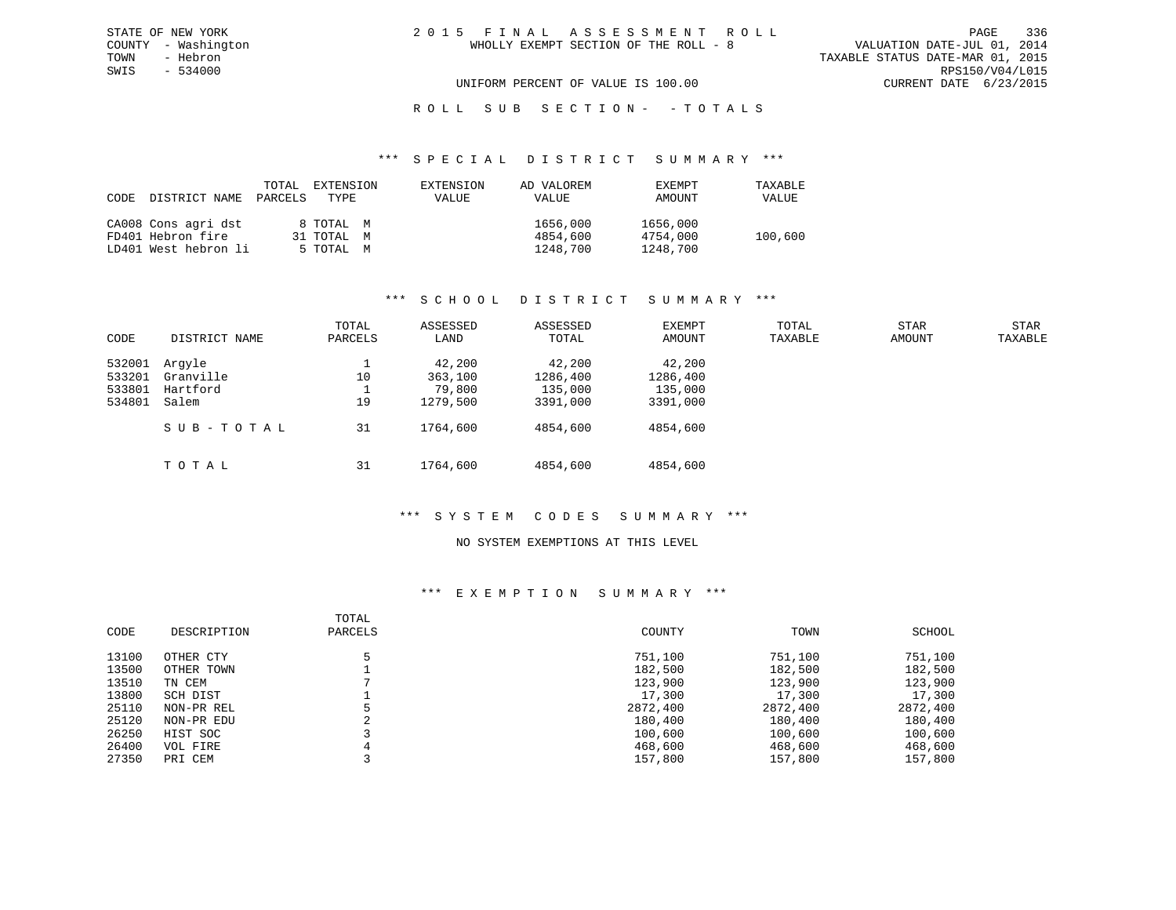VALUATION DATE-JUL 01, 2014 TOWN - Hebron TAXABLE STATUS DATE-MAR 01, 2015 SWIS - 534000 RPS150/V04/L015 UNIFORM PERCENT OF VALUE IS 100.00 CURRENT DATE 6/23/2015

# ROLL SUB SECTION - - TOTALS

#### \*\*\* S P E C I A L D I S T R I C T S U M M A R Y \*\*\*

| CODE | DISTRICT NAME        | TOTAL<br>PARCELS | EXTENSION<br>TYPE | EXTENSION<br><b>VALUE</b> | AD VALOREM<br>VALUE | EXEMPT<br>AMOUNT | TAXABLE<br>VALUE |
|------|----------------------|------------------|-------------------|---------------------------|---------------------|------------------|------------------|
|      | CA008 Cons agri dst  |                  | 8 TOTAL M         |                           | 1656,000            | 1656,000         |                  |
|      | FD401 Hebron fire    |                  | 31 TOTAL M        |                           | 4854,600            | 4754,000         | 100,600          |
|      | LD401 West hebron li |                  | 5 TOTAL M         |                           | 1248,700            | 1248,700         |                  |

#### \*\*\* S C H O O L D I S T R I C T S U M M A R Y \*\*\*

|        |               | TOTAL   | ASSESSED | ASSESSED | EXEMPT   | TOTAL   | <b>STAR</b> | <b>STAR</b> |
|--------|---------------|---------|----------|----------|----------|---------|-------------|-------------|
| CODE   | DISTRICT NAME | PARCELS | LAND     | TOTAL    | AMOUNT   | TAXABLE | AMOUNT      | TAXABLE     |
| 532001 | Arqyle        |         | 42,200   | 42,200   | 42,200   |         |             |             |
| 533201 | Granville     | 10      | 363,100  | 1286,400 | 1286,400 |         |             |             |
| 533801 | Hartford      |         | 79,800   | 135,000  | 135,000  |         |             |             |
| 534801 | Salem         | 19      | 1279,500 | 3391,000 | 3391,000 |         |             |             |
|        | SUB-TOTAL     | 31      | 1764,600 | 4854,600 | 4854,600 |         |             |             |
|        | TOTAL         | 31      | 1764,600 | 4854,600 | 4854,600 |         |             |             |

# \*\*\* S Y S T E M C O D E S S U M M A R Y \*\*\*

#### NO SYSTEM EXEMPTIONS AT THIS LEVEL

| CODE  | DESCRIPTION | TOTAL<br>PARCELS | COUNTY   | TOWN     | SCHOOL   |
|-------|-------------|------------------|----------|----------|----------|
| 13100 | OTHER CTY   |                  | 751,100  | 751,100  | 751,100  |
| 13500 | OTHER TOWN  |                  | 182,500  | 182,500  | 182,500  |
| 13510 | TN CEM      |                  | 123,900  | 123,900  | 123,900  |
| 13800 | SCH DIST    |                  | 17,300   | 17,300   | 17,300   |
| 25110 | NON-PR REL  |                  | 2872,400 | 2872,400 | 2872,400 |
| 25120 | NON-PR EDU  | $\Omega$<br>∠    | 180,400  | 180,400  | 180,400  |
| 26250 | HIST SOC    |                  | 100,600  | 100,600  | 100,600  |
| 26400 | VOL FIRE    |                  | 468,600  | 468,600  | 468,600  |
| 27350 | PRI CEM     |                  | 157,800  | 157,800  | 157,800  |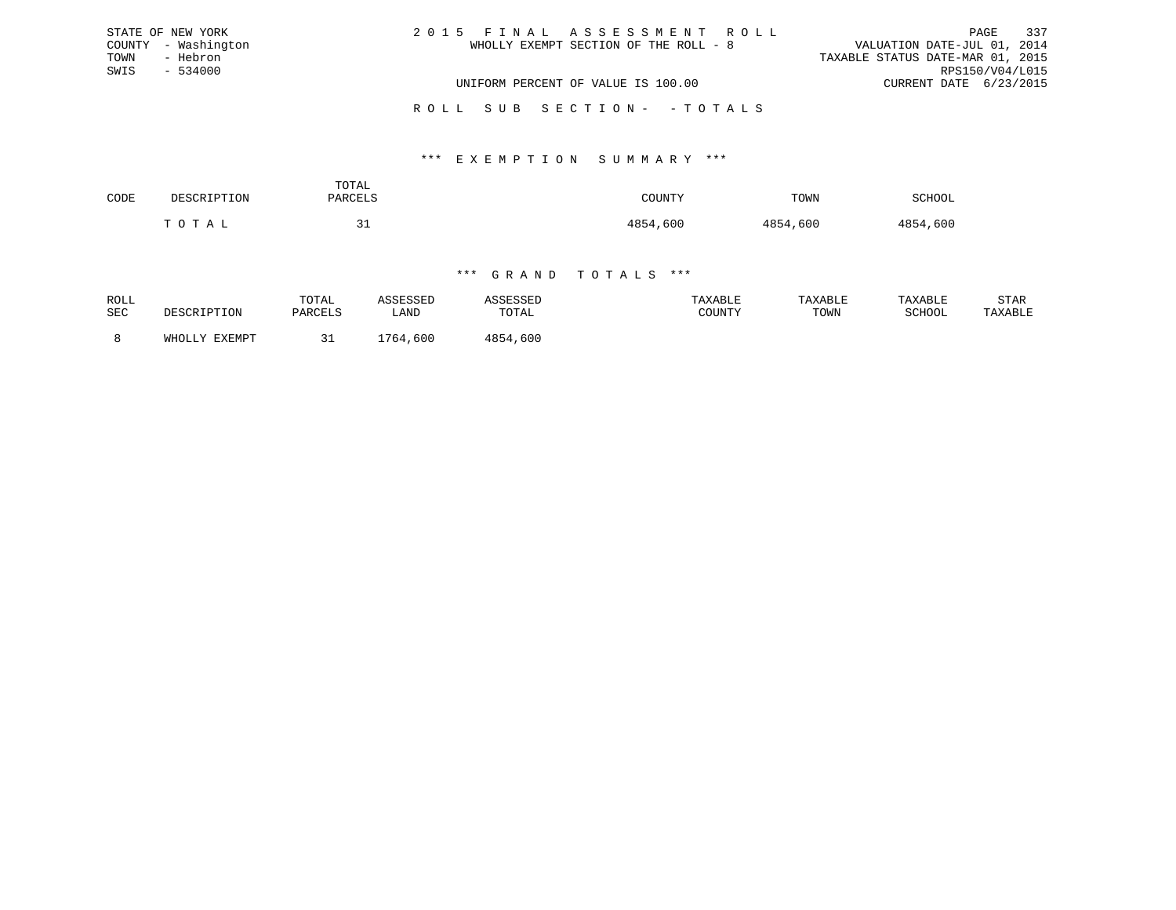|      | STATE OF NEW YORK   | 2015 FINAL ASSESSMENT ROLL            | PAGE                             | 337 |
|------|---------------------|---------------------------------------|----------------------------------|-----|
|      | COUNTY - Washington | WHOLLY EXEMPT SECTION OF THE ROLL - 8 | VALUATION DATE-JUL 01, 2014      |     |
| TOWN | - Hebron            |                                       | TAXABLE STATUS DATE-MAR 01, 2015 |     |
| SWIS | $-534000$           |                                       | RPS150/V04/L015                  |     |
|      |                     | UNIFORM PERCENT OF VALUE IS 100.00    | CURRENT DATE 6/23/2015           |     |
|      |                     | ROLL SUB SECTION- - TOTALS            |                                  |     |

#### \*\*\* E X E M P T I O N S U M M A R Y \*\*\*

| CODE | DESCRIPTION | TOTAL<br>DARCFI.S | COUNTY       | TOWN         | SCHOOL   |
|------|-------------|-------------------|--------------|--------------|----------|
|      | ∩ ⊤ ∆<br>Ē  |                   | ,600<br>1854 | 4854<br>,600 | 4854,600 |

| ROLL<br>SEC | זורת דים דים המיק  | TOTAL<br><b>PARCELS</b> | 1 CCFCCFD<br>LAND | \SSESSED<br>TOTAL | TAXABLE<br>COUNTY | TAXABLE<br>TOWN | TAXABLE<br>SCHOOL | STAR<br>TAXABLE |
|-------------|--------------------|-------------------------|-------------------|-------------------|-------------------|-----------------|-------------------|-----------------|
|             | EXEMPT<br>Y.T.TOHW |                         | 1764,600          | 4854,600          |                   |                 |                   |                 |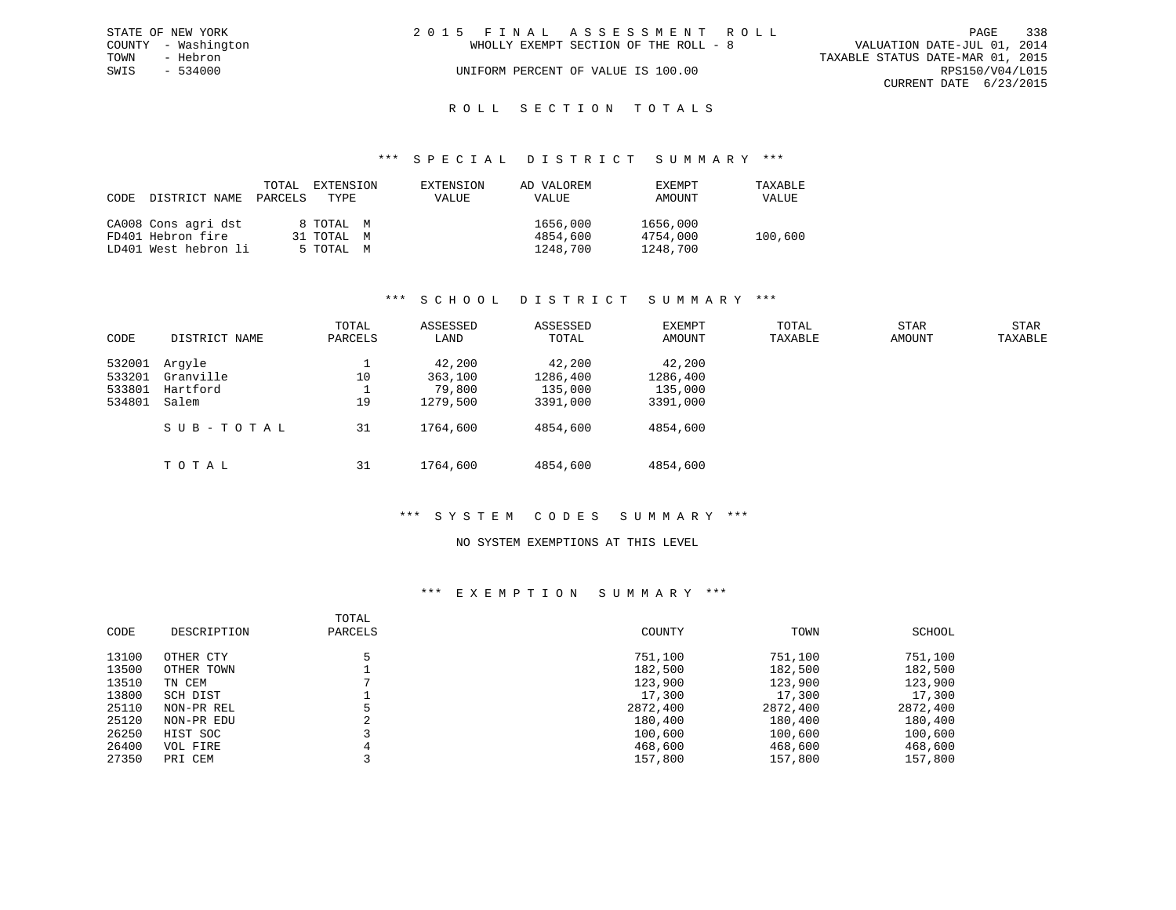|      | STATE OF NEW YORK   | 2015 FINAL ASSESSMENT ROLL            | PAGE                             | 338 |
|------|---------------------|---------------------------------------|----------------------------------|-----|
|      | COUNTY - Washington | WHOLLY EXEMPT SECTION OF THE ROLL - 8 | VALUATION DATE-JUL 01, 2014      |     |
| TOWN | - Hebron            |                                       | TAXABLE STATUS DATE-MAR 01, 2015 |     |
| SWIS | $-534000$           | UNIFORM PERCENT OF VALUE IS 100.00    | RPS150/V04/L015                  |     |
|      |                     |                                       | CURRENT DATE 6/23/2015           |     |
|      |                     |                                       |                                  |     |

# ROLL SECTION TOTALS

#### \*\*\* S P E C I A L D I S T R I C T S U M M A R Y \*\*\*

| CODE | DISTRICT NAME        | TOTAL<br>PARCELS | EXTENSION<br>TYPE | EXTENSION<br>VALUE | AD VALOREM<br>VALUE | <b>EXEMPT</b><br>AMOUNT | TAXABLE<br>VALUE |
|------|----------------------|------------------|-------------------|--------------------|---------------------|-------------------------|------------------|
|      | CA008 Cons agri dst  |                  | 8 TOTAL M         |                    | 1656,000            | 1656,000                |                  |
|      | FD401 Hebron fire    |                  | 31 TOTAL M        |                    | 4854,600            | 4754,000                | 100,600          |
|      | LD401 West hebron li |                  | 5 TOTAL M         |                    | 1248,700            | 1248,700                |                  |

#### \*\*\* S C H O O L D I S T R I C T S U M M A R Y \*\*\*

| CODE                                 | DISTRICT NAME                            | TOTAL<br>PARCELS | ASSESSED<br>LAND                        | ASSESSED<br>TOTAL                         | EXEMPT<br>AMOUNT                          | TOTAL<br>TAXABLE | <b>STAR</b><br>AMOUNT | <b>STAR</b><br>TAXABLE |
|--------------------------------------|------------------------------------------|------------------|-----------------------------------------|-------------------------------------------|-------------------------------------------|------------------|-----------------------|------------------------|
| 532001<br>533201<br>533801<br>534801 | Arqyle<br>Granville<br>Hartford<br>Salem | 10<br>19         | 42,200<br>363,100<br>79,800<br>1279,500 | 42,200<br>1286,400<br>135,000<br>3391,000 | 42,200<br>1286,400<br>135,000<br>3391,000 |                  |                       |                        |
|                                      | SUB-TOTAL                                | 31               | 1764,600                                | 4854,600                                  | 4854,600                                  |                  |                       |                        |
|                                      | TOTAL                                    | 31               | 1764,600                                | 4854,600                                  | 4854,600                                  |                  |                       |                        |

#### \*\*\* S Y S T E M C O D E S S U M M A R Y \*\*\*

#### NO SYSTEM EXEMPTIONS AT THIS LEVEL

| CODE  | DESCRIPTION | TOTAL<br>PARCELS | COUNTY   | TOWN     | SCHOOL   |
|-------|-------------|------------------|----------|----------|----------|
| 13100 | OTHER CTY   |                  | 751,100  | 751,100  | 751,100  |
| 13500 | OTHER TOWN  |                  | 182,500  | 182,500  | 182,500  |
| 13510 | TN CEM      |                  | 123,900  | 123,900  | 123,900  |
| 13800 | SCH DIST    |                  | 17,300   | 17,300   | 17,300   |
| 25110 | NON-PR REL  |                  | 2872,400 | 2872,400 | 2872,400 |
| 25120 | NON-PR EDU  | $\sim$<br>∠      | 180,400  | 180,400  | 180,400  |
| 26250 | HIST SOC    |                  | 100,600  | 100,600  | 100,600  |
| 26400 | VOL FIRE    |                  | 468,600  | 468,600  | 468,600  |
| 27350 | PRI CEM     |                  | 157,800  | 157,800  | 157,800  |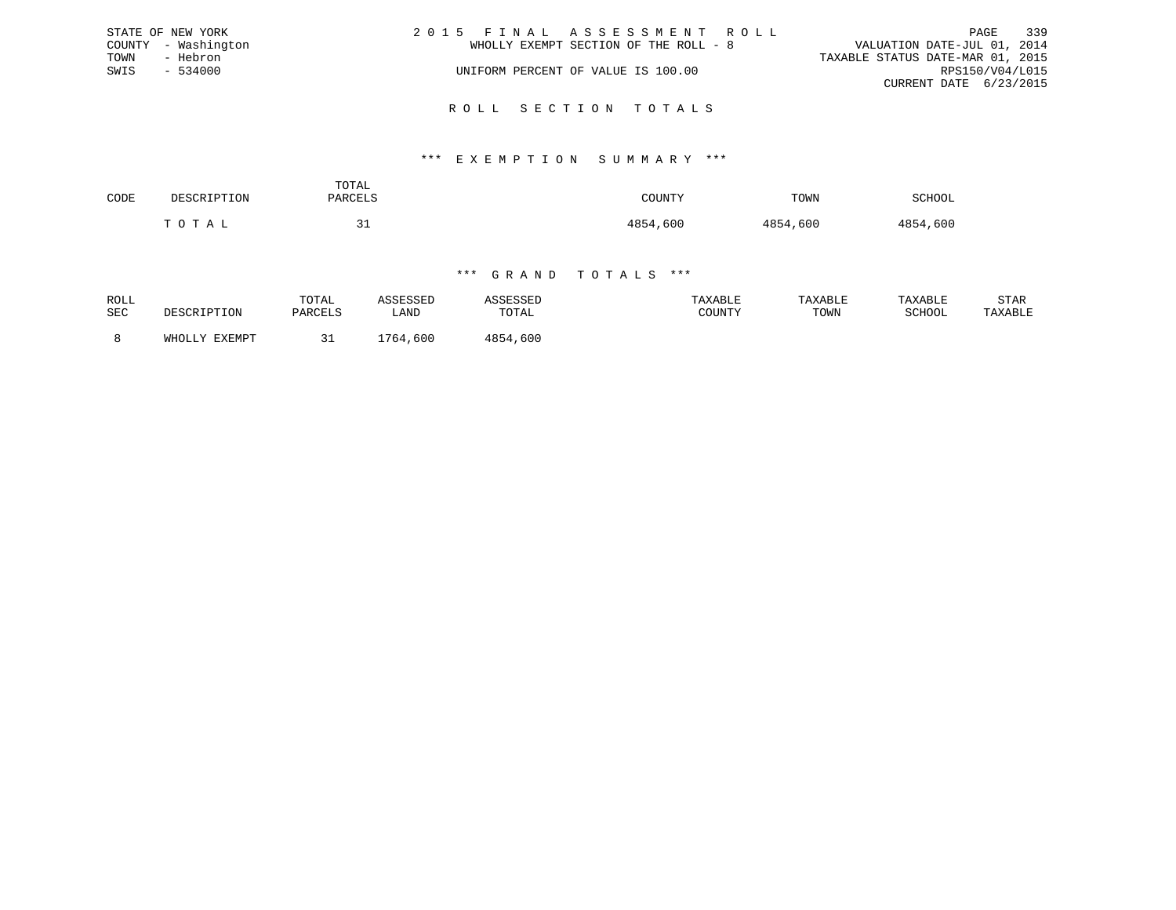|      | STATE OF NEW YORK   | 2015 FINAL ASSESSMENT ROLL            | 339<br>PAGE                      |
|------|---------------------|---------------------------------------|----------------------------------|
|      | COUNTY - Washington | WHOLLY EXEMPT SECTION OF THE ROLL - 8 | VALUATION DATE-JUL 01, 2014      |
| TOWN | - Hebron            |                                       | TAXABLE STATUS DATE-MAR 01, 2015 |
| SWIS | $-534000$           | UNIFORM PERCENT OF VALUE IS 100.00    | RPS150/V04/L015                  |
|      |                     |                                       | CURRENT DATE 6/23/2015           |
|      |                     |                                       |                                  |

# R O L L S E C T I O N T O T A L S

#### \*\*\* E X E M P T I O N S U M M A R Y \*\*\*

| CODE | <b>DESCRIPTION</b>                                     | TOTAL<br>PARCELS      | <b>COUNTY</b> | TOWN<br>$   -$ | SCHOOL   |
|------|--------------------------------------------------------|-----------------------|---------------|----------------|----------|
|      | $\cdot$ $\cap$ $\top$ $\lambda$ $\tau$<br>$\mathbf{m}$ | <u>- - </u><br>$\sim$ | 4854,600      | 4854,600       | 4854,600 |

| ROLL<br>SEC | DESCRIPTION   | TOTAL<br>PARCELS | \SSESSED<br>LAND | TOTAL        | TAXABLE<br>COUNTY | TAXABLE<br>TOWN | TAXABLE<br>SCHOOI | STAR<br>"AXABLE |
|-------------|---------------|------------------|------------------|--------------|-------------------|-----------------|-------------------|-----------------|
|             | WHOLLY EXEMPT |                  | ,600<br>764      | .600<br>4854 |                   |                 |                   |                 |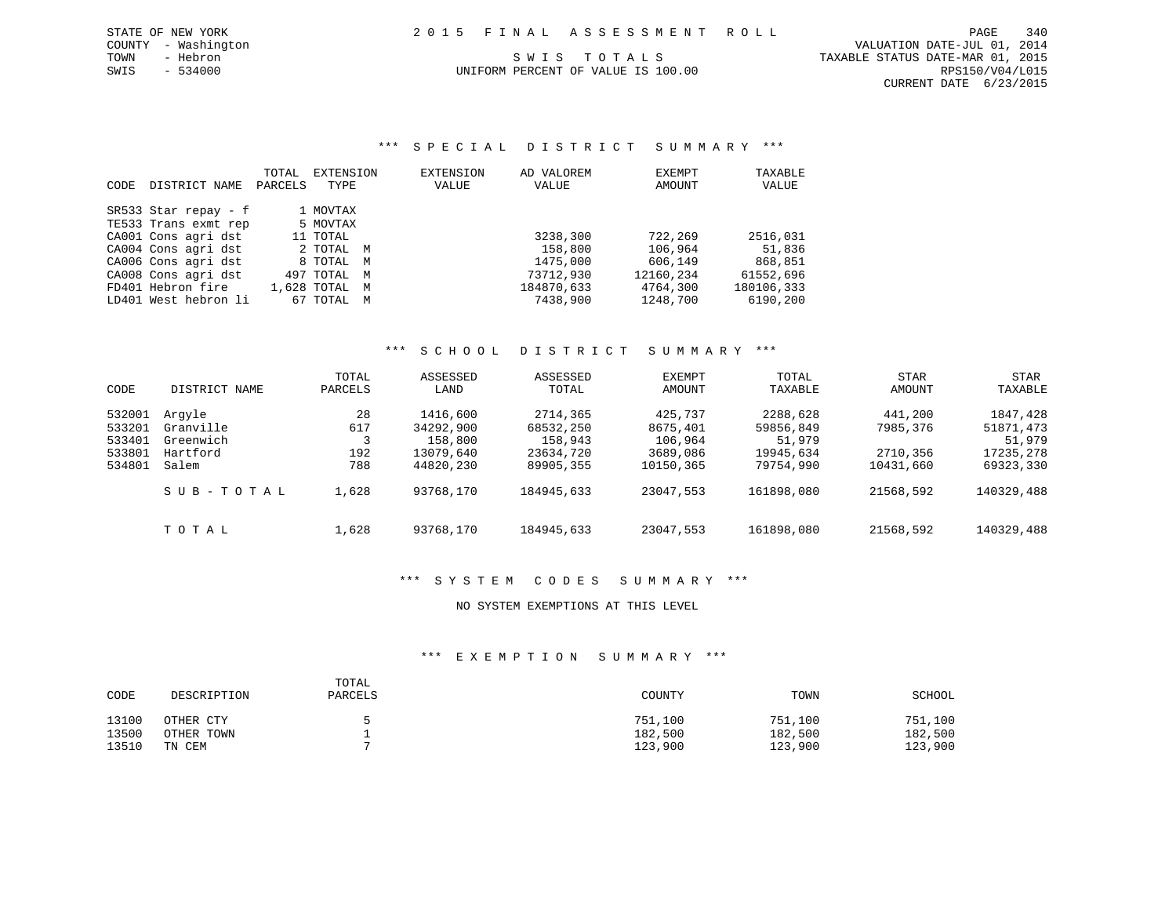\*\*\* S P E C I A L D I S T R I C T S U M M A R Y \*\*\*

| CODE | DISTRICT NAME        | TOTAL<br>PARCELS | EXTENSION<br>TYPE |   | EXTENSION<br>VALUE | AD VALOREM<br>VALUE | <b>EXEMPT</b><br>AMOUNT | TAXABLE<br>VALUE |
|------|----------------------|------------------|-------------------|---|--------------------|---------------------|-------------------------|------------------|
|      | SR533 Star repay - f |                  | 1 MOVTAX          |   |                    |                     |                         |                  |
|      | TE533 Trans exmt rep |                  | 5 MOVTAX          |   |                    |                     |                         |                  |
|      | CA001 Cons agri dst  |                  | 11 TOTAL          |   |                    | 3238,300            | 722,269                 | 2516,031         |
|      | CA004 Cons agri dst  |                  | 2 TOTAL M         |   |                    | 158,800             | 106,964                 | 51,836           |
|      | CA006 Cons agri dst  |                  | 8 TOTAL M         |   |                    | 1475,000            | 606,149                 | 868,851          |
|      | CA008 Cons agri dst  |                  | 497 TOTAL M       |   |                    | 73712,930           | 12160,234               | 61552,696        |
|      | FD401 Hebron fire    |                  | 1,628 TOTAL M     |   |                    | 184870,633          | 4764,300                | 180106,333       |
|      | LD401 West hebron li |                  | 67 TOTAL          | M |                    | 7438,900            | 1248,700                | 6190,200         |

#### \*\*\* S C H O O L D I S T R I C T S U M M A R Y \*\*\*

| CODE                                           | DISTRICT NAME                                         | TOTAL<br>PARCELS        | ASSESSED<br>LAND                                           | ASSESSED<br>TOTAL                                          | <b>EXEMPT</b><br>AMOUNT                                 | TOTAL<br>TAXABLE                                          | <b>STAR</b><br>AMOUNT                        | STAR<br>TAXABLE                                           |
|------------------------------------------------|-------------------------------------------------------|-------------------------|------------------------------------------------------------|------------------------------------------------------------|---------------------------------------------------------|-----------------------------------------------------------|----------------------------------------------|-----------------------------------------------------------|
| 532001<br>533201<br>533401<br>533801<br>534801 | Argyle<br>Granville<br>Greenwich<br>Hartford<br>Salem | 28<br>617<br>192<br>788 | 1416,600<br>34292,900<br>158,800<br>13079,640<br>44820,230 | 2714,365<br>68532,250<br>158,943<br>23634,720<br>89905,355 | 425,737<br>8675,401<br>106,964<br>3689,086<br>10150,365 | 2288,628<br>59856,849<br>51,979<br>19945,634<br>79754,990 | 441,200<br>7985,376<br>2710,356<br>10431,660 | 1847,428<br>51871,473<br>51,979<br>17235,278<br>69323,330 |
|                                                | SUB-TOTAL                                             | 1,628                   | 93768,170                                                  | 184945,633                                                 | 23047,553                                               | 161898,080                                                | 21568,592                                    | 140329,488                                                |
|                                                | TOTAL                                                 | 1,628                   | 93768,170                                                  | 184945,633                                                 | 23047,553                                               | 161898,080                                                | 21568,592                                    | 140329,488                                                |

# \*\*\* S Y S T E M C O D E S S U M M A R Y \*\*\*

### NO SYSTEM EXEMPTIONS AT THIS LEVEL

| CODE  | DESCRIPTION | TOTAL<br>PARCELS | COUNTY  | TOWN    | SCHOOL  |
|-------|-------------|------------------|---------|---------|---------|
| 13100 | OTHER CTY   |                  | 751,100 | 751,100 | 751,100 |
| 13500 | OTHER TOWN  |                  | 182,500 | 182,500 | 182,500 |
| 13510 | TN CEM      |                  | 123,900 | 123,900 | 123,900 |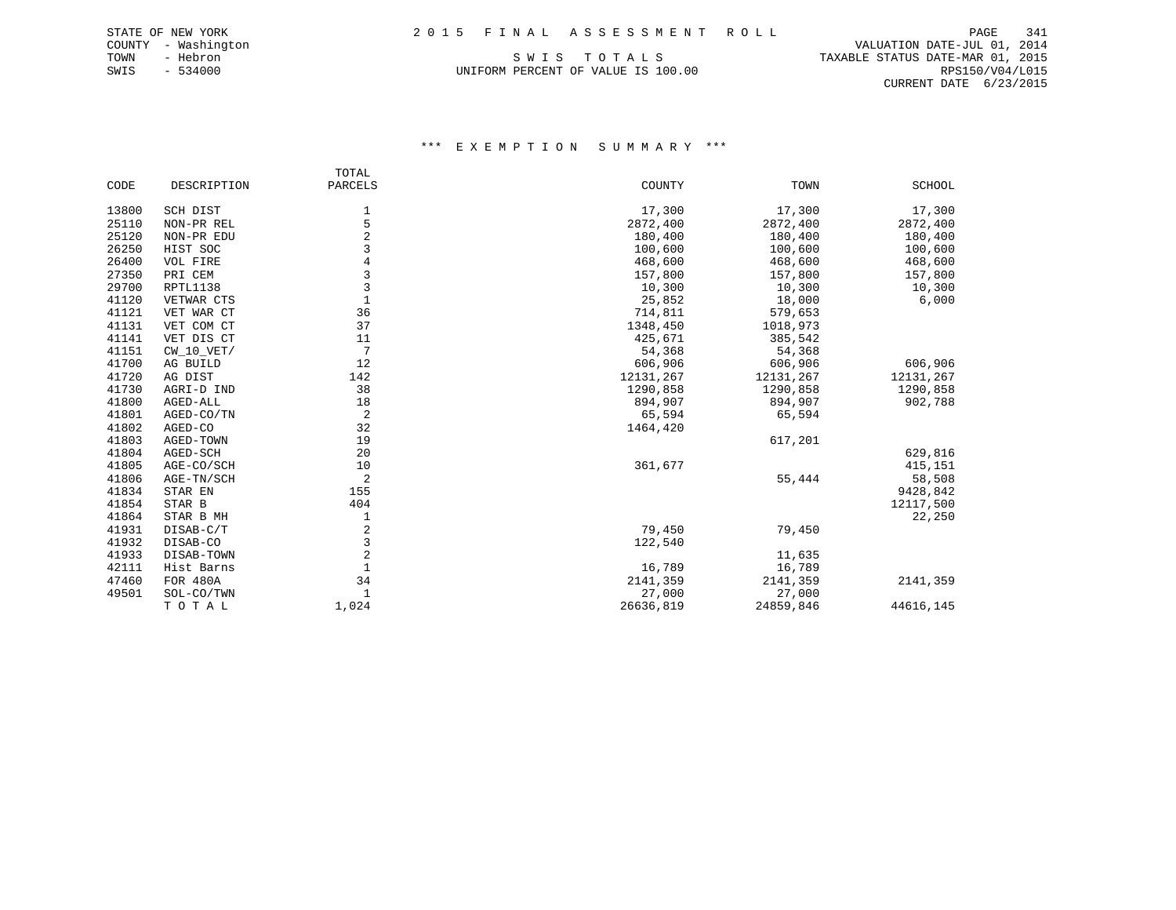UNIFORM PERCENT OF VALUE IS 100.00 RPS150/V04/L015

 COUNTY - Washington VALUATION DATE-JUL 01, 2014 TOWN - Hebron S W I S T O T A L S TAXABLE STATUS DATE-MAR 01, 2015 CURRENT DATE 6/23/2015

|       |              | TOTAL          |           |           |               |
|-------|--------------|----------------|-----------|-----------|---------------|
| CODE  | DESCRIPTION  | PARCELS        | COUNTY    | TOWN      | <b>SCHOOL</b> |
| 13800 | SCH DIST     | 1              | 17,300    | 17,300    | 17,300        |
| 25110 | NON-PR REL   | 5              | 2872,400  | 2872,400  | 2872,400      |
| 25120 | NON-PR EDU   | 2              | 180,400   | 180,400   | 180,400       |
| 26250 | HIST SOC     | 3              | 100,600   | 100,600   | 100,600       |
| 26400 | VOL FIRE     | 4              | 468,600   | 468,600   | 468,600       |
| 27350 | PRI CEM      | 3              | 157,800   | 157,800   | 157,800       |
| 29700 | RPTL1138     | 3              | 10,300    | 10,300    | 10,300        |
| 41120 | VETWAR CTS   | 1              | 25,852    | 18,000    | 6,000         |
| 41121 | VET WAR CT   | 36             | 714,811   | 579,653   |               |
| 41131 | VET COM CT   | 37             | 1348,450  | 1018,973  |               |
| 41141 | VET DIS CT   | 11             | 425,671   | 385,542   |               |
| 41151 | $CW_10_VET/$ | 7              | 54,368    | 54,368    |               |
| 41700 | AG BUILD     | 12             | 606,906   | 606,906   | 606,906       |
| 41720 | AG DIST      | 142            | 12131,267 | 12131,267 | 12131,267     |
| 41730 | AGRI-D IND   | 38             | 1290,858  | 1290,858  | 1290,858      |
| 41800 | AGED-ALL     | 18             | 894,907   | 894,907   | 902,788       |
| 41801 | AGED-CO/TN   | 2              | 65,594    | 65,594    |               |
| 41802 | AGED-CO      | 32             | 1464,420  |           |               |
| 41803 | AGED-TOWN    | 19             |           | 617,201   |               |
| 41804 | AGED-SCH     | 20             |           |           | 629,816       |
| 41805 | AGE-CO/SCH   | 10             | 361,677   |           | 415,151       |
| 41806 | AGE-TN/SCH   | 2              |           | 55,444    | 58,508        |
| 41834 | STAR EN      | 155            |           |           | 9428,842      |
| 41854 | STAR B       | 404            |           |           | 12117,500     |
| 41864 | STAR B MH    | 1              |           |           | 22,250        |
| 41931 | DISAB-C/T    | 2              | 79,450    | 79,450    |               |
| 41932 | DISAB-CO     | 3              | 122,540   |           |               |
| 41933 | DISAB-TOWN   | $\overline{c}$ |           | 11,635    |               |
| 42111 | Hist Barns   | $\mathbf{1}$   | 16,789    | 16,789    |               |
| 47460 | FOR 480A     | 34             | 2141,359  | 2141,359  | 2141,359      |
| 49501 | SOL-CO/TWN   | 1              | 27,000    | 27,000    |               |
|       | TOTAL        | 1,024          | 26636,819 | 24859,846 | 44616,145     |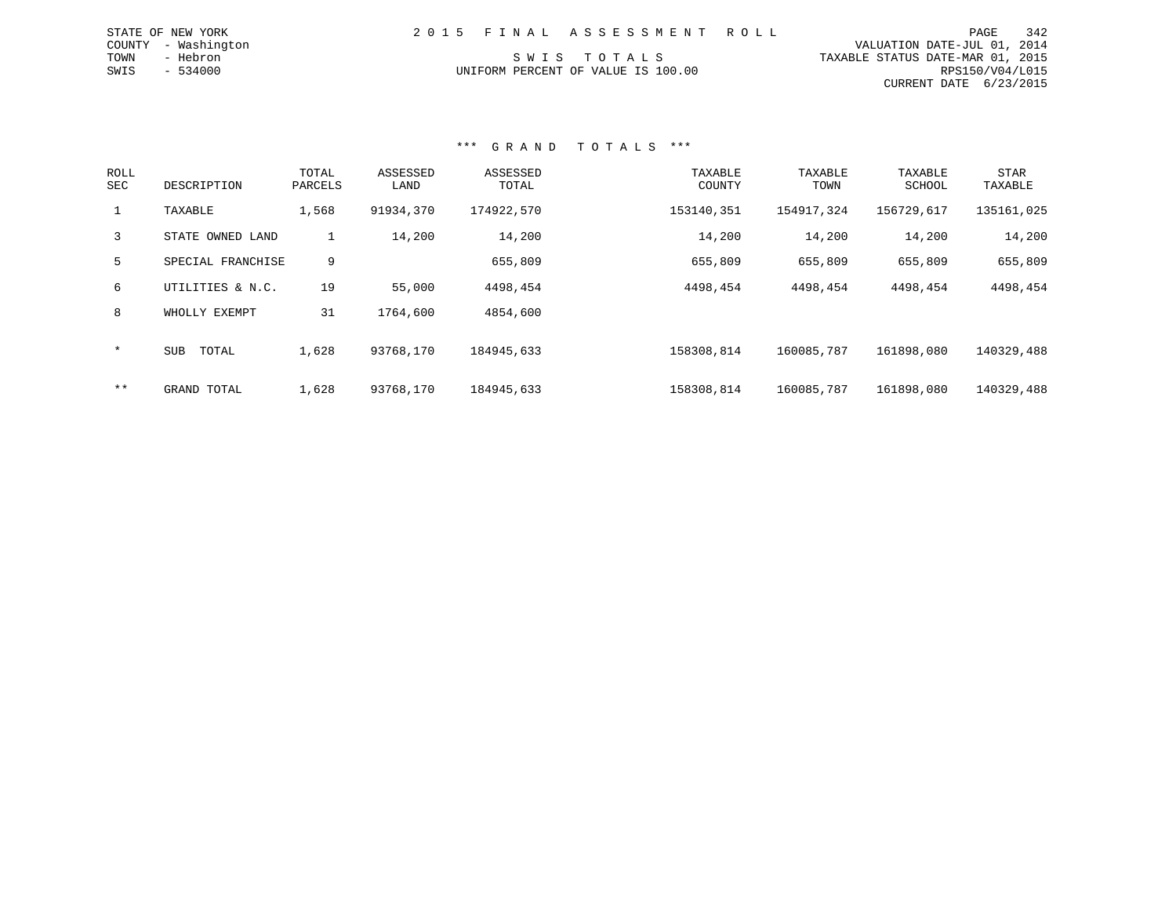|                                    | 2015 FINAL ASSESSMENT ROLL |                                  | 342<br>PAGE            |
|------------------------------------|----------------------------|----------------------------------|------------------------|
|                                    |                            | VALUATION DATE-JUL 01, 2014      |                        |
| SWIS TOTALS                        |                            | TAXABLE STATUS DATE-MAR 01, 2015 |                        |
| UNIFORM PERCENT OF VALUE IS 100.00 |                            |                                  | RPS150/V04/L015        |
|                                    |                            |                                  | CURRENT DATE 6/23/2015 |

#### \*\*\* G R A N D T O T A L S \*\*\*

STATE OF NEW YORK COUNTY - Washington TOWN - Hebron  $SWIS$  - 534000

| ROLL<br>SEC  | DESCRIPTION         | TOTAL<br>PARCELS | ASSESSED<br>LAND | ASSESSED<br>TOTAL | TAXABLE<br>COUNTY | TAXABLE<br>TOWN | TAXABLE<br>SCHOOL | STAR<br>TAXABLE |
|--------------|---------------------|------------------|------------------|-------------------|-------------------|-----------------|-------------------|-----------------|
| $\mathbf{1}$ | TAXABLE             | 1,568            | 91934,370        | 174922,570        | 153140,351        | 154917,324      | 156729,617        | 135161,025      |
| 3            | STATE OWNED LAND    | Τ.               | 14,200           | 14,200            | 14,200            | 14,200          | 14,200            | 14,200          |
| 5            | SPECIAL FRANCHISE   | 9                |                  | 655,809           | 655,809           | 655,809         | 655,809           | 655,809         |
| 6            | UTILITIES & N.C.    | 19               | 55,000           | 4498,454          | 4498,454          | 4498,454        | 4498,454          | 4498,454        |
| 8            | WHOLLY EXEMPT       | 31               | 1764,600         | 4854,600          |                   |                 |                   |                 |
| $\ast$       | <b>SUB</b><br>TOTAL | 1,628            | 93768,170        | 184945,633        | 158308,814        | 160085,787      | 161898,080        | 140329,488      |
| $***$        | GRAND TOTAL         | 1,628            | 93768,170        | 184945,633        | 158308,814        | 160085,787      | 161898,080        | 140329,488      |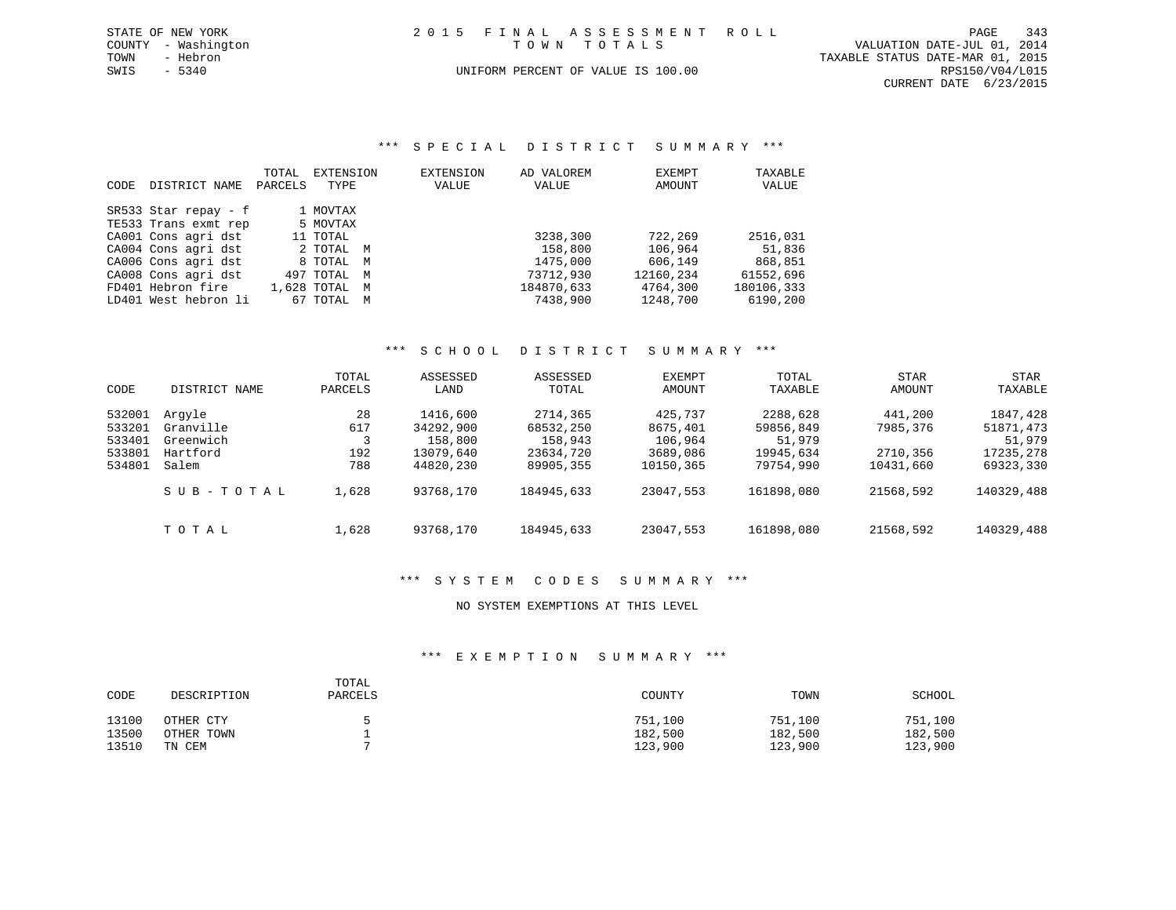| STATE OF NEW YORK   | 2015 FINAL ASSESSMENT ROLL         | 343<br>PAGE                      |
|---------------------|------------------------------------|----------------------------------|
| COUNTY - Washington | TOWN TOTALS                        | VALUATION DATE-JUL 01, 2014      |
| TOWN<br>- Hebron    |                                    | TAXABLE STATUS DATE-MAR 01, 2015 |
| SWIS<br>$-5340$     | UNIFORM PERCENT OF VALUE IS 100.00 | RPS150/V04/L015                  |
|                     |                                    | CURRENT DATE 6/23/2015           |

\*\*\* S P E C I A L D I S T R I C T S U M M A R Y \*\*\*

| CODE. | DISTRICT NAME        | TOTAL<br>PARCELS | EXTENSION<br>TYPE | EXTENSION<br>VALUE | AD VALOREM<br>VALUE | EXEMPT<br>AMOUNT | TAXABLE<br>VALUE |
|-------|----------------------|------------------|-------------------|--------------------|---------------------|------------------|------------------|
|       | SR533 Star repay - f |                  | 1 MOVTAX          |                    |                     |                  |                  |
|       | TE533 Trans exmt rep |                  | 5 MOVTAX          |                    |                     |                  |                  |
|       | CA001 Cons agri dst  |                  | 11 TOTAL          |                    | 3238,300            | 722,269          | 2516,031         |
|       | CA004 Cons agri dst  |                  | 2 TOTAL M         |                    | 158,800             | 106,964          | 51,836           |
|       | CA006 Cons agri dst  |                  | 8 TOTAL M         |                    | 1475,000            | 606,149          | 868,851          |
|       | CA008 Cons agri dst  |                  | 497 TOTAL M       |                    | 73712,930           | 12160,234        | 61552,696        |
|       | FD401 Hebron fire    |                  | 1,628 TOTAL M     |                    | 184870,633          | 4764,300         | 180106,333       |
|       | LD401 West hebron li |                  | 67 TOTAL M        |                    | 7438,900            | 1248,700         | 6190,200         |

#### \*\*\* S C H O O L D I S T R I C T S U M M A R Y \*\*\*

| CODE                                           | DISTRICT NAME                                         | TOTAL<br>PARCELS        | ASSESSED<br>LAND                                           | ASSESSED<br>TOTAL                                          | EXEMPT<br>AMOUNT                                        | TOTAL<br>TAXABLE                                          | <b>STAR</b><br>AMOUNT                        | <b>STAR</b><br>TAXABLE                                    |
|------------------------------------------------|-------------------------------------------------------|-------------------------|------------------------------------------------------------|------------------------------------------------------------|---------------------------------------------------------|-----------------------------------------------------------|----------------------------------------------|-----------------------------------------------------------|
| 532001<br>533201<br>533401<br>533801<br>534801 | Arqyle<br>Granville<br>Greenwich<br>Hartford<br>Salem | 28<br>617<br>192<br>788 | 1416,600<br>34292,900<br>158,800<br>13079,640<br>44820,230 | 2714,365<br>68532,250<br>158,943<br>23634,720<br>89905,355 | 425,737<br>8675,401<br>106,964<br>3689,086<br>10150,365 | 2288,628<br>59856,849<br>51,979<br>19945,634<br>79754,990 | 441,200<br>7985,376<br>2710,356<br>10431,660 | 1847,428<br>51871,473<br>51,979<br>17235,278<br>69323,330 |
|                                                | SUB-TOTAL                                             | 1,628                   | 93768,170                                                  | 184945,633                                                 | 23047.553                                               | 161898,080                                                | 21568,592                                    | 140329,488                                                |
|                                                | TOTAL                                                 | 1,628                   | 93768,170                                                  | 184945,633                                                 | 23047,553                                               | 161898,080                                                | 21568,592                                    | 140329,488                                                |

#### \*\*\* S Y S T E M C O D E S S U M M A R Y \*\*\*

# NO SYSTEM EXEMPTIONS AT THIS LEVEL

| CODE  | DESCRIPTION | TOTAL<br>PARCELS | COUNTY  | TOWN    | SCHOOL  |
|-------|-------------|------------------|---------|---------|---------|
| 13100 | OTHER CTY   |                  | 751,100 | 751,100 | 751,100 |
| 13500 | OTHER TOWN  |                  | 182,500 | 182,500 | 182,500 |
| 13510 | TN CEM      |                  | 123,900 | 123,900 | 123,900 |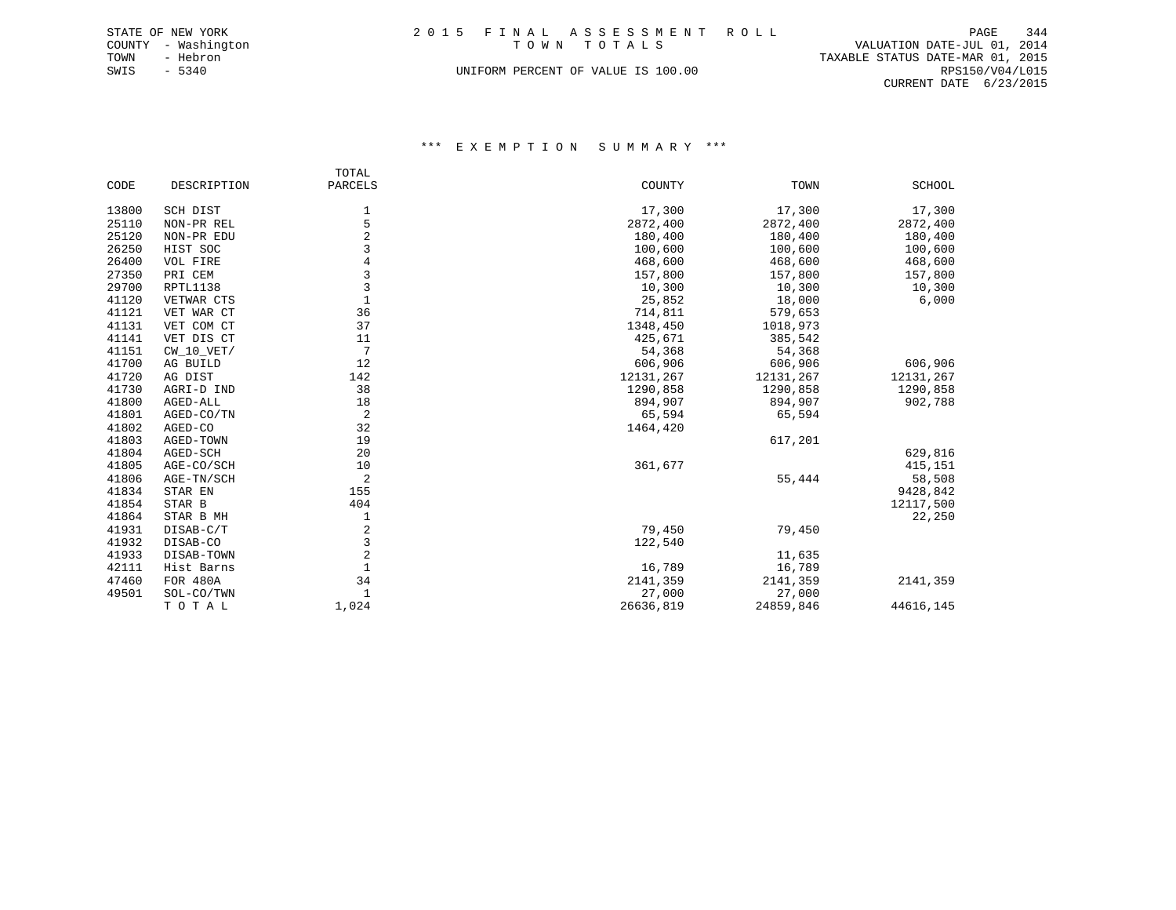| STATE OF NEW YORK   | 2015 FINAL ASSESSMENT ROLL         | PAGE                        | 344 |
|---------------------|------------------------------------|-----------------------------|-----|
| COUNTY - Washington | TOWN TOTALS                        | VALUATION DATE-JUL 01, 2014 |     |
| TOWN<br>- Hebron    | TAXABLE STATUS DATE-MAR 01, 2015   |                             |     |
| SWIS<br>$-5340$     | UNIFORM PERCENT OF VALUE IS 100.00 | RPS150/V04/L015             |     |
|                     |                                    | CURRENT DATE 6/23/2015      |     |

### \*\*\* E X E M P T I O N S U M M A R Y \*\*\*

|       |              | TOTAL           |           |           |           |
|-------|--------------|-----------------|-----------|-----------|-----------|
| CODE  | DESCRIPTION  | PARCELS         | COUNTY    | TOWN      | SCHOOL    |
| 13800 | SCH DIST     | 1               | 17,300    | 17,300    | 17,300    |
| 25110 | NON-PR REL   | 5               | 2872,400  | 2872,400  | 2872,400  |
| 25120 | NON-PR EDU   | 2               | 180,400   | 180,400   | 180,400   |
| 26250 | HIST SOC     | 3               | 100,600   | 100,600   | 100,600   |
| 26400 | VOL FIRE     | 4               | 468,600   | 468,600   | 468,600   |
| 27350 | PRI CEM      | 3               | 157,800   | 157,800   | 157,800   |
| 29700 | RPTL1138     | 3               | 10,300    | 10,300    | 10,300    |
| 41120 | VETWAR CTS   | $\mathbf{1}$    | 25,852    | 18,000    | 6,000     |
| 41121 | VET WAR CT   | 36              | 714,811   | 579,653   |           |
| 41131 | VET COM CT   | 37              | 1348,450  | 1018,973  |           |
| 41141 | VET DIS CT   | 11              | 425,671   | 385,542   |           |
| 41151 | $CW_10_VET/$ | $7\phantom{.0}$ | 54,368    | 54,368    |           |
| 41700 | AG BUILD     | 12              | 606,906   | 606,906   | 606,906   |
| 41720 | AG DIST      | 142             | 12131,267 | 12131,267 | 12131,267 |
| 41730 | AGRI-D IND   | 38              | 1290,858  | 1290,858  | 1290,858  |
| 41800 | AGED-ALL     | 18              | 894,907   | 894,907   | 902,788   |
| 41801 | AGED-CO/TN   | 2               | 65,594    | 65,594    |           |
| 41802 | AGED-CO      | 32              | 1464,420  |           |           |
| 41803 | AGED-TOWN    | 19              |           | 617,201   |           |
| 41804 | AGED-SCH     | 20              |           |           | 629,816   |
| 41805 | AGE-CO/SCH   | 10              | 361,677   |           | 415,151   |
| 41806 | AGE-TN/SCH   | $\overline{c}$  |           | 55,444    | 58,508    |
| 41834 | STAR EN      | 155             |           |           | 9428,842  |
| 41854 | STAR B       | 404             |           |           | 12117,500 |
| 41864 | STAR B MH    | $\mathbf{1}$    |           |           | 22,250    |
| 41931 | DISAB-C/T    | 2               | 79,450    | 79,450    |           |
| 41932 | DISAB-CO     | $\overline{3}$  | 122,540   |           |           |
| 41933 | DISAB-TOWN   | $\overline{a}$  |           | 11,635    |           |
| 42111 | Hist Barns   | $\mathbf{1}$    | 16,789    | 16,789    |           |
| 47460 | FOR 480A     | 34              | 2141,359  | 2141,359  | 2141,359  |
| 49501 | SOL-CO/TWN   | 1               | 27,000    | 27,000    |           |
|       | TOTAL        | 1,024           | 26636,819 | 24859,846 | 44616,145 |